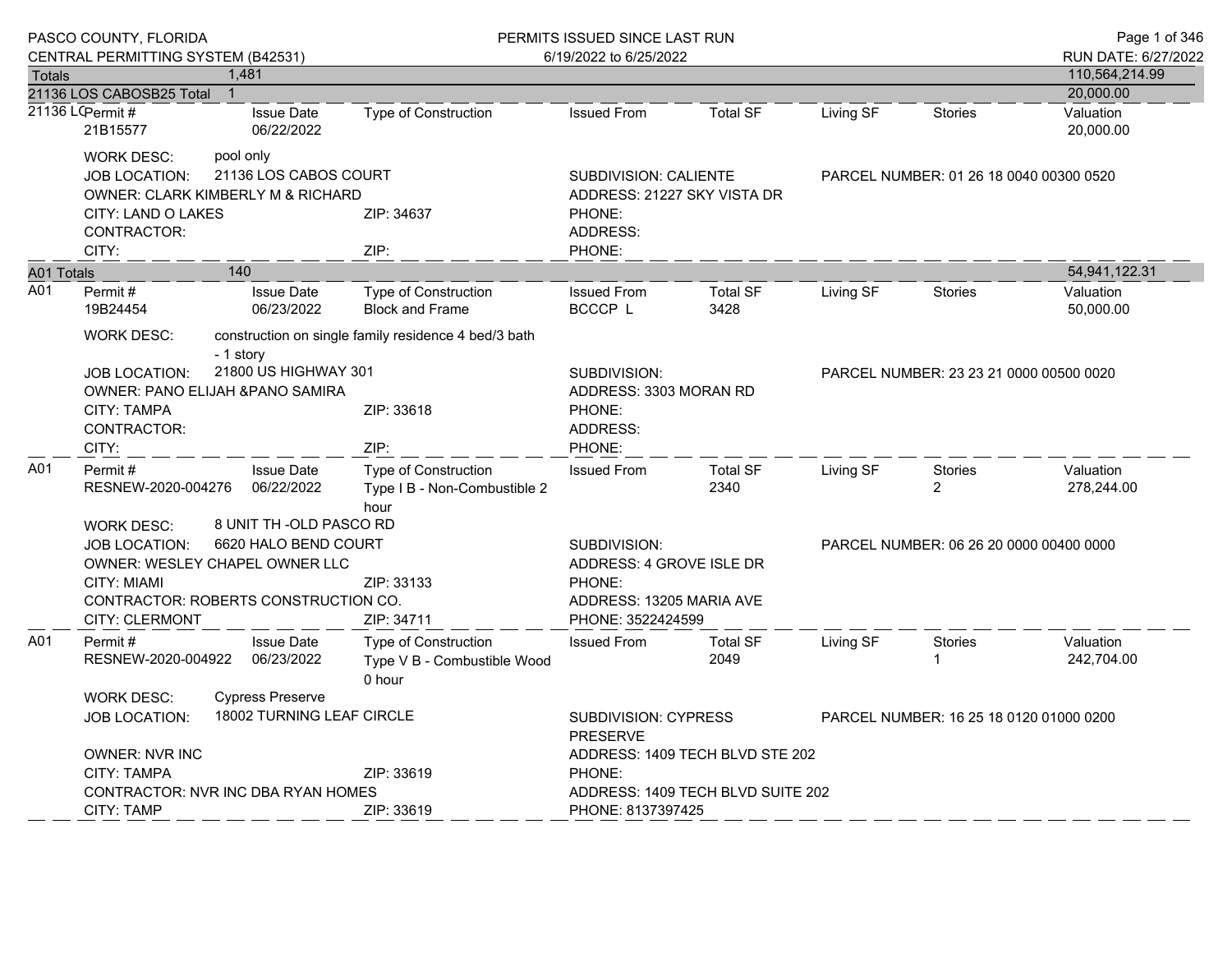| PASCO COUNTY, FLORIDA |                                                                                                                                                            |           |                                 | PERMITS ISSUED SINCE LAST RUN                                                                       |                                                                      |                         |                                         |                                  | Page 1 of 346                           |  |
|-----------------------|------------------------------------------------------------------------------------------------------------------------------------------------------------|-----------|---------------------------------|-----------------------------------------------------------------------------------------------------|----------------------------------------------------------------------|-------------------------|-----------------------------------------|----------------------------------|-----------------------------------------|--|
|                       | CENTRAL PERMITTING SYSTEM (B42531)                                                                                                                         |           |                                 |                                                                                                     | 6/19/2022 to 6/25/2022                                               |                         |                                         |                                  | RUN DATE: 6/27/2022                     |  |
| Totals                |                                                                                                                                                            | 1,481     |                                 |                                                                                                     |                                                                      |                         |                                         |                                  | 110,564,214.99                          |  |
|                       | 21136 LOS CABOSB25 Total<br>21136 LCPermit #<br>21B15577                                                                                                   |           | <b>Issue Date</b><br>06/22/2022 | <b>Type of Construction</b>                                                                         | <b>Issued From</b>                                                   | <b>Total SF</b>         | Living SF                               | <b>Stories</b>                   | 20,000.00<br>Valuation<br>20,000.00     |  |
|                       | <b>WORK DESC:</b><br><b>JOB LOCATION:</b><br>OWNER: CLARK KIMBERLY M & RICHARD                                                                             | pool only | 21136 LOS CABOS COURT           |                                                                                                     | SUBDIVISION: CALIENTE<br>ADDRESS: 21227 SKY VISTA DR                 |                         |                                         |                                  | PARCEL NUMBER: 01 26 18 0040 00300 0520 |  |
|                       | CITY: LAND O LAKES<br>CONTRACTOR:<br>CITY:                                                                                                                 |           |                                 | ZIP: 34637<br>ZIP:                                                                                  | PHONE:<br>ADDRESS:<br>PHONE:                                         |                         |                                         |                                  |                                         |  |
| A01 Totals            |                                                                                                                                                            | 140       |                                 |                                                                                                     |                                                                      |                         |                                         |                                  | 54,941,122.31                           |  |
| A01                   | Permit#<br>19B24454                                                                                                                                        |           | <b>Issue Date</b><br>06/23/2022 | Type of Construction<br><b>Block and Frame</b>                                                      | <b>Issued From</b><br>BCCCP L                                        | <b>Total SF</b><br>3428 | Living SF                               | <b>Stories</b>                   | Valuation<br>50,000.00                  |  |
|                       | <b>WORK DESC:</b><br>construction on single family residence 4 bed/3 bath<br>- 1 story                                                                     |           |                                 |                                                                                                     |                                                                      |                         |                                         |                                  |                                         |  |
|                       | 21800 US HIGHWAY 301<br>JOB LOCATION:<br><b>OWNER: PANO ELIJAH &amp; PANO SAMIRA</b><br><b>CITY: TAMPA</b><br>CONTRACTOR:                                  |           | ZIP: 33618                      | SUBDIVISION:<br>ADDRESS: 3303 MORAN RD<br>PHONE:<br>ADDRESS:                                        |                                                                      |                         | PARCEL NUMBER: 23 23 21 0000 00500 0020 |                                  |                                         |  |
|                       | CITY:                                                                                                                                                      |           |                                 | ZIP:                                                                                                | PHONE:                                                               |                         |                                         |                                  |                                         |  |
| A01                   | Permit#<br>RESNEW-2020-004276                                                                                                                              |           | <b>Issue Date</b><br>06/22/2022 | <b>Type of Construction</b><br>Type I B - Non-Combustible 2<br>hour                                 | <b>Issued From</b>                                                   | <b>Total SF</b><br>2340 | Living SF                               | <b>Stories</b><br>$\overline{2}$ | Valuation<br>278,244.00                 |  |
|                       | <b>WORK DESC:</b>                                                                                                                                          |           | 8 UNIT TH -OLD PASCO RD         |                                                                                                     |                                                                      |                         |                                         |                                  |                                         |  |
|                       | 6620 HALO BEND COURT<br><b>JOB LOCATION:</b><br><b>OWNER: WESLEY CHAPEL OWNER LLC</b><br>CITY: MIAMI<br>ZIP: 33133<br>CONTRACTOR: ROBERTS CONSTRUCTION CO. |           |                                 | SUBDIVISION:<br>ADDRESS: 4 GROVE ISLE DR<br>PHONE:<br>ADDRESS: 13205 MARIA AVE<br>PHONE: 3522424599 |                                                                      |                         | PARCEL NUMBER: 06 26 20 0000 00400 0000 |                                  |                                         |  |
| A01                   | <b>CITY: CLERMONT</b><br>Permit#<br>RESNEW-2020-004922                                                                                                     |           | <b>Issue Date</b><br>06/23/2022 | ZIP: 34711<br><b>Type of Construction</b><br>Type V B - Combustible Wood<br>0 hour                  | <b>Issued From</b>                                                   | <b>Total SF</b><br>2049 | Living SF                               | <b>Stories</b>                   | Valuation<br>242,704.00                 |  |
|                       | <b>Cypress Preserve</b><br><b>WORK DESC:</b><br>18002 TURNING LEAF CIRCLE<br><b>JOB LOCATION:</b>                                                          |           |                                 | SUBDIVISION: CYPRESS<br>PARCEL NUMBER: 16 25 18 0120 01000 0200<br><b>PRESERVE</b>                  |                                                                      |                         |                                         |                                  |                                         |  |
|                       | <b>OWNER: NVR INC</b><br>ZIP: 33619<br><b>CITY: TAMPA</b><br>CONTRACTOR: NVR INC DBA RYAN HOMES                                                            |           |                                 | PHONE:                                                                                              | ADDRESS: 1409 TECH BLVD STE 202<br>ADDRESS: 1409 TECH BLVD SUITE 202 |                         |                                         |                                  |                                         |  |
|                       | <b>CITY: TAMP</b>                                                                                                                                          |           |                                 | ZIP: 33619                                                                                          | PHONE: 8137397425                                                    |                         |                                         |                                  |                                         |  |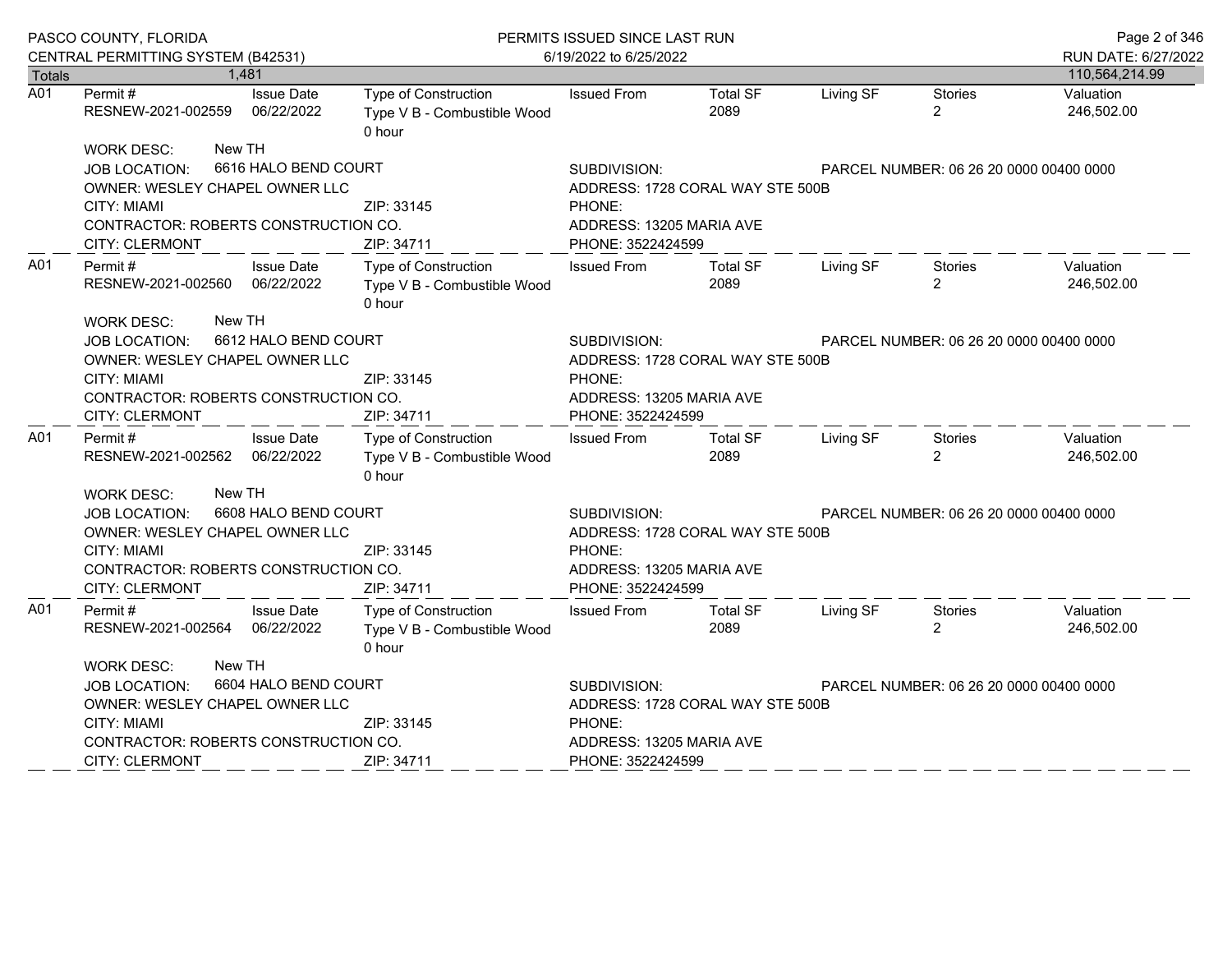|                  | PASCO COUNTY, FLORIDA                        |                                 | PERMITS ISSUED SINCE LAST RUN                                        |                                                         |                                         |           |                                         | Page 2 of 346           |  |
|------------------|----------------------------------------------|---------------------------------|----------------------------------------------------------------------|---------------------------------------------------------|-----------------------------------------|-----------|-----------------------------------------|-------------------------|--|
|                  | CENTRAL PERMITTING SYSTEM (B42531)           |                                 |                                                                      | 6/19/2022 to 6/25/2022                                  |                                         |           |                                         | RUN DATE: 6/27/2022     |  |
| <b>Totals</b>    |                                              | 1,481                           |                                                                      |                                                         |                                         |           |                                         | 110,564,214.99          |  |
| $\overline{A01}$ | Permit#<br>RESNEW-2021-002559                | <b>Issue Date</b><br>06/22/2022 | Type of Construction<br>Type V B - Combustible Wood<br>0 hour        | <b>Issued From</b>                                      | <b>Total SF</b><br>2089                 | Living SF | <b>Stories</b><br>$\overline{2}$        | Valuation<br>246,502.00 |  |
|                  | <b>WORK DESC:</b>                            | New TH                          |                                                                      |                                                         |                                         |           |                                         |                         |  |
|                  | <b>JOB LOCATION:</b>                         | 6616 HALO BEND COURT            |                                                                      | SUBDIVISION:                                            |                                         |           | PARCEL NUMBER: 06 26 20 0000 00400 0000 |                         |  |
|                  | OWNER: WESLEY CHAPEL OWNER LLC               |                                 |                                                                      | ADDRESS: 1728 CORAL WAY STE 500B                        |                                         |           |                                         |                         |  |
|                  | CITY: MIAMI                                  |                                 | ZIP: 33145                                                           | PHONE:                                                  |                                         |           |                                         |                         |  |
|                  | CONTRACTOR: ROBERTS CONSTRUCTION CO.         |                                 |                                                                      | ADDRESS: 13205 MARIA AVE                                |                                         |           |                                         |                         |  |
|                  | <b>CITY: CLERMONT</b>                        |                                 | ZIP: 34711                                                           | PHONE: 3522424599                                       |                                         |           |                                         |                         |  |
| A01              | Permit #<br>RESNEW-2021-002560               | <b>Issue Date</b><br>06/22/2022 | Type of Construction<br>Type V B - Combustible Wood<br>0 hour        | <b>Issued From</b>                                      | <b>Total SF</b><br>2089                 | Living SF | Stories<br>$\overline{2}$               | Valuation<br>246,502.00 |  |
|                  | New TH<br><b>WORK DESC:</b>                  |                                 |                                                                      |                                                         |                                         |           |                                         |                         |  |
|                  | 6612 HALO BEND COURT<br><b>JOB LOCATION:</b> | SUBDIVISION:                    |                                                                      |                                                         | PARCEL NUMBER: 06 26 20 0000 00400 0000 |           |                                         |                         |  |
|                  | OWNER: WESLEY CHAPEL OWNER LLC               |                                 |                                                                      | ADDRESS: 1728 CORAL WAY STE 500B                        |                                         |           |                                         |                         |  |
|                  | CITY: MIAMI                                  |                                 | ZIP: 33145                                                           | PHONE:                                                  |                                         |           |                                         |                         |  |
|                  | CONTRACTOR: ROBERTS CONSTRUCTION CO.         | ADDRESS: 13205 MARIA AVE        |                                                                      |                                                         |                                         |           |                                         |                         |  |
|                  | <b>CITY: CLERMONT</b>                        |                                 | ZIP: 34711                                                           | PHONE: 3522424599                                       |                                         |           |                                         |                         |  |
| A01              | Permit#<br>RESNEW-2021-002562 06/22/2022     | <b>Issue Date</b>               | <b>Type of Construction</b><br>Type V B - Combustible Wood<br>0 hour | <b>Issued From</b>                                      | <b>Total SF</b><br>2089                 | Living SF | Stories<br>$\overline{2}$               | Valuation<br>246,502.00 |  |
|                  | <b>WORK DESC:</b>                            | New TH                          |                                                                      |                                                         |                                         |           |                                         |                         |  |
|                  | <b>JOB LOCATION:</b>                         | 6608 HALO BEND COURT            |                                                                      | SUBDIVISION:                                            | PARCEL NUMBER: 06 26 20 0000 00400 0000 |           |                                         |                         |  |
|                  | OWNER: WESLEY CHAPEL OWNER LLC               |                                 |                                                                      | ADDRESS: 1728 CORAL WAY STE 500B                        |                                         |           |                                         |                         |  |
|                  | <b>CITY: MIAMI</b>                           |                                 | ZIP: 33145                                                           | PHONE:                                                  |                                         |           |                                         |                         |  |
|                  | CONTRACTOR: ROBERTS CONSTRUCTION CO.         |                                 |                                                                      | ADDRESS: 13205 MARIA AVE                                |                                         |           |                                         |                         |  |
|                  | <b>CITY: CLERMONT</b>                        |                                 | ZIP: 34711                                                           | PHONE: 3522424599                                       |                                         |           |                                         |                         |  |
| A01              | Permit#<br>RESNEW-2021-002564                | <b>Issue Date</b><br>06/22/2022 | Type of Construction<br>Type V B - Combustible Wood<br>0 hour        | <b>Issued From</b>                                      | <b>Total SF</b><br>2089                 | Living SF | Stories<br>$\overline{2}$               | Valuation<br>246,502.00 |  |
|                  | WORK DESC:                                   | New TH                          |                                                                      |                                                         |                                         |           |                                         |                         |  |
|                  | <b>JOB LOCATION:</b>                         | 6604 HALO BEND COURT            |                                                                      | SUBDIVISION:<br>PARCEL NUMBER: 06 26 20 0000 00400 0000 |                                         |           |                                         |                         |  |
|                  |                                              | OWNER: WESLEY CHAPEL OWNER LLC  |                                                                      |                                                         | ADDRESS: 1728 CORAL WAY STE 500B        |           |                                         |                         |  |
|                  | <b>CITY: MIAMI</b>                           |                                 | ZIP: 33145                                                           | PHONE:                                                  |                                         |           |                                         |                         |  |
|                  | CONTRACTOR: ROBERTS CONSTRUCTION CO.         |                                 |                                                                      | ADDRESS: 13205 MARIA AVE                                |                                         |           |                                         |                         |  |
|                  | <b>CITY: CLERMONT</b>                        |                                 | ZIP: 34711                                                           | PHONE: 3522424599                                       |                                         |           |                                         |                         |  |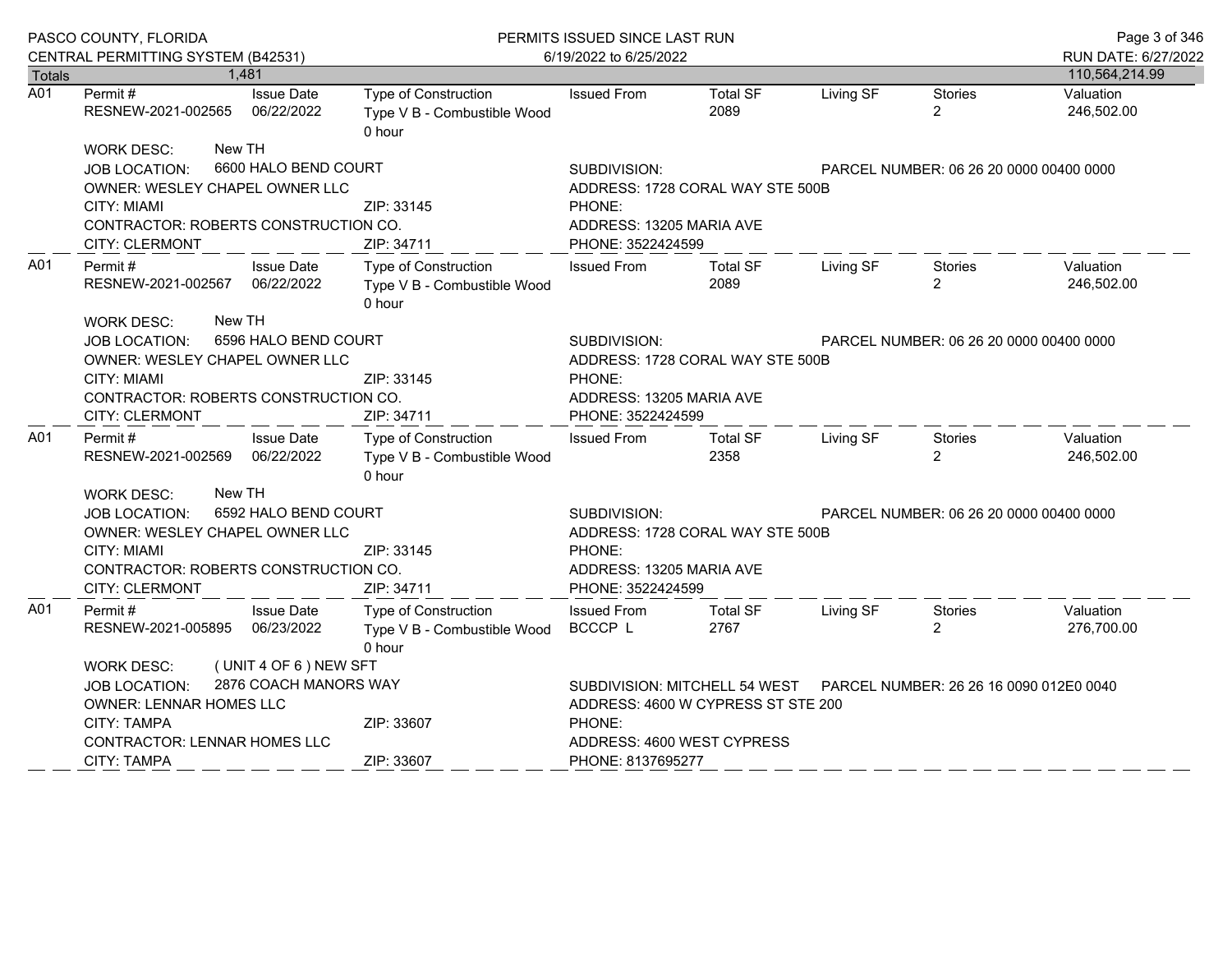|                  | PASCO COUNTY, FLORIDA                                                                                                                                                                                |                                                                                                                                                        | PERMITS ISSUED SINCE LAST RUN                                               |                                                                                                                                                        |                         |           | Page 3 of 346                           |                         |
|------------------|------------------------------------------------------------------------------------------------------------------------------------------------------------------------------------------------------|--------------------------------------------------------------------------------------------------------------------------------------------------------|-----------------------------------------------------------------------------|--------------------------------------------------------------------------------------------------------------------------------------------------------|-------------------------|-----------|-----------------------------------------|-------------------------|
|                  | CENTRAL PERMITTING SYSTEM (B42531)                                                                                                                                                                   |                                                                                                                                                        |                                                                             | 6/19/2022 to 6/25/2022                                                                                                                                 |                         |           |                                         | RUN DATE: 6/27/2022     |
| Totals           |                                                                                                                                                                                                      | 1,481                                                                                                                                                  |                                                                             |                                                                                                                                                        |                         |           |                                         | 110,564,214.99          |
| $\overline{A01}$ | Permit#<br>RESNEW-2021-002565                                                                                                                                                                        | <b>Issue Date</b><br>06/22/2022                                                                                                                        | <b>Type of Construction</b><br>Type V B - Combustible Wood<br>0 hour        | <b>Issued From</b>                                                                                                                                     | <b>Total SF</b><br>2089 | Living SF | Stories<br>$\overline{2}$               | Valuation<br>246,502.00 |
|                  | New TH<br><b>WORK DESC:</b>                                                                                                                                                                          |                                                                                                                                                        |                                                                             |                                                                                                                                                        |                         |           |                                         |                         |
|                  | <b>JOB LOCATION:</b>                                                                                                                                                                                 | 6600 HALO BEND COURT                                                                                                                                   |                                                                             | SUBDIVISION:                                                                                                                                           |                         |           | PARCEL NUMBER: 06 26 20 0000 00400 0000 |                         |
|                  | OWNER: WESLEY CHAPEL OWNER LLC                                                                                                                                                                       |                                                                                                                                                        |                                                                             | ADDRESS: 1728 CORAL WAY STE 500B                                                                                                                       |                         |           |                                         |                         |
|                  | <b>CITY: MIAMI</b>                                                                                                                                                                                   |                                                                                                                                                        | ZIP: 33145                                                                  | PHONE:                                                                                                                                                 |                         |           |                                         |                         |
|                  | CONTRACTOR: ROBERTS CONSTRUCTION CO.                                                                                                                                                                 |                                                                                                                                                        |                                                                             | ADDRESS: 13205 MARIA AVE                                                                                                                               |                         |           |                                         |                         |
|                  | CITY: CLERMONT                                                                                                                                                                                       |                                                                                                                                                        | ZIP: 34711                                                                  | PHONE: 3522424599                                                                                                                                      |                         |           |                                         |                         |
| A01              | Permit #<br>RESNEW-2021-002567                                                                                                                                                                       | <b>Issue Date</b><br>06/22/2022                                                                                                                        | Type of Construction<br>Type V B - Combustible Wood<br>0 hour               | <b>Issued From</b>                                                                                                                                     | <b>Total SF</b><br>2089 | Living SF | Stories<br>$\overline{2}$               | Valuation<br>246,502.00 |
|                  | New TH<br><b>WORK DESC:</b><br>6596 HALO BEND COURT<br><b>JOB LOCATION:</b><br>OWNER: WESLEY CHAPEL OWNER LLC<br>CITY: MIAMI<br>CONTRACTOR: ROBERTS CONSTRUCTION CO.<br><b>CITY: CLERMONT</b>        | SUBDIVISION:<br>PARCEL NUMBER: 06 26 20 0000 00400 0000<br>ADDRESS: 1728 CORAL WAY STE 500B<br>PHONE:<br>ADDRESS: 13205 MARIA AVE<br>PHONE: 3522424599 |                                                                             |                                                                                                                                                        |                         |           |                                         |                         |
| A01              | Permit#<br>RESNEW-2021-002569 06/22/2022                                                                                                                                                             | <b>Issue Date</b>                                                                                                                                      | ZIP: 34711<br>Type of Construction<br>Type V B - Combustible Wood<br>0 hour | <b>Issued From</b>                                                                                                                                     | <b>Total SF</b><br>2358 | Living SF | Stories<br>$\overline{2}$               | Valuation<br>246,502.00 |
|                  | New TH<br><b>WORK DESC:</b><br>6592 HALO BEND COURT<br><b>JOB LOCATION:</b><br>OWNER: WESLEY CHAPEL OWNER LLC<br><b>CITY: MIAMI</b><br>CONTRACTOR: ROBERTS CONSTRUCTION CO.<br><b>CITY: CLERMONT</b> |                                                                                                                                                        | ZIP: 33145<br>ZIP: 34711                                                    | SUBDIVISION:<br>PARCEL NUMBER: 06 26 20 0000 00400 0000<br>ADDRESS: 1728 CORAL WAY STE 500B<br>PHONE:<br>ADDRESS: 13205 MARIA AVE<br>PHONE: 3522424599 |                         |           |                                         |                         |
| A01              | Permit #<br>RESNEW-2021-005895                                                                                                                                                                       | <b>Issue Date</b><br>06/23/2022                                                                                                                        | Type of Construction<br>Type V B - Combustible Wood<br>0 hour               | <b>Issued From</b><br>BCCCP L                                                                                                                          | <b>Total SF</b><br>2767 | Living SF | Stories<br>$\overline{2}$               | Valuation<br>276,700.00 |
|                  | <b>WORK DESC:</b>                                                                                                                                                                                    | (UNIT 4 OF 6) NEW SFT                                                                                                                                  |                                                                             |                                                                                                                                                        |                         |           |                                         |                         |
|                  | 2876 COACH MANORS WAY<br><b>JOB LOCATION:</b><br>OWNER: LENNAR HOMES LLC<br>ZIP: 33607<br><b>CITY: TAMPA</b>                                                                                         |                                                                                                                                                        |                                                                             | SUBDIVISION: MITCHELL 54 WEST  PARCEL NUMBER: 26 26 16 0090 012E0 0040<br>ADDRESS: 4600 W CYPRESS ST STE 200<br>PHONE:                                 |                         |           |                                         |                         |
|                  | CONTRACTOR: LENNAR HOMES LLC                                                                                                                                                                         |                                                                                                                                                        |                                                                             | ADDRESS: 4600 WEST CYPRESS                                                                                                                             |                         |           |                                         |                         |
|                  | <b>CITY: TAMPA</b>                                                                                                                                                                                   |                                                                                                                                                        | ZIP: 33607                                                                  | PHONE: 8137695277                                                                                                                                      |                         |           |                                         |                         |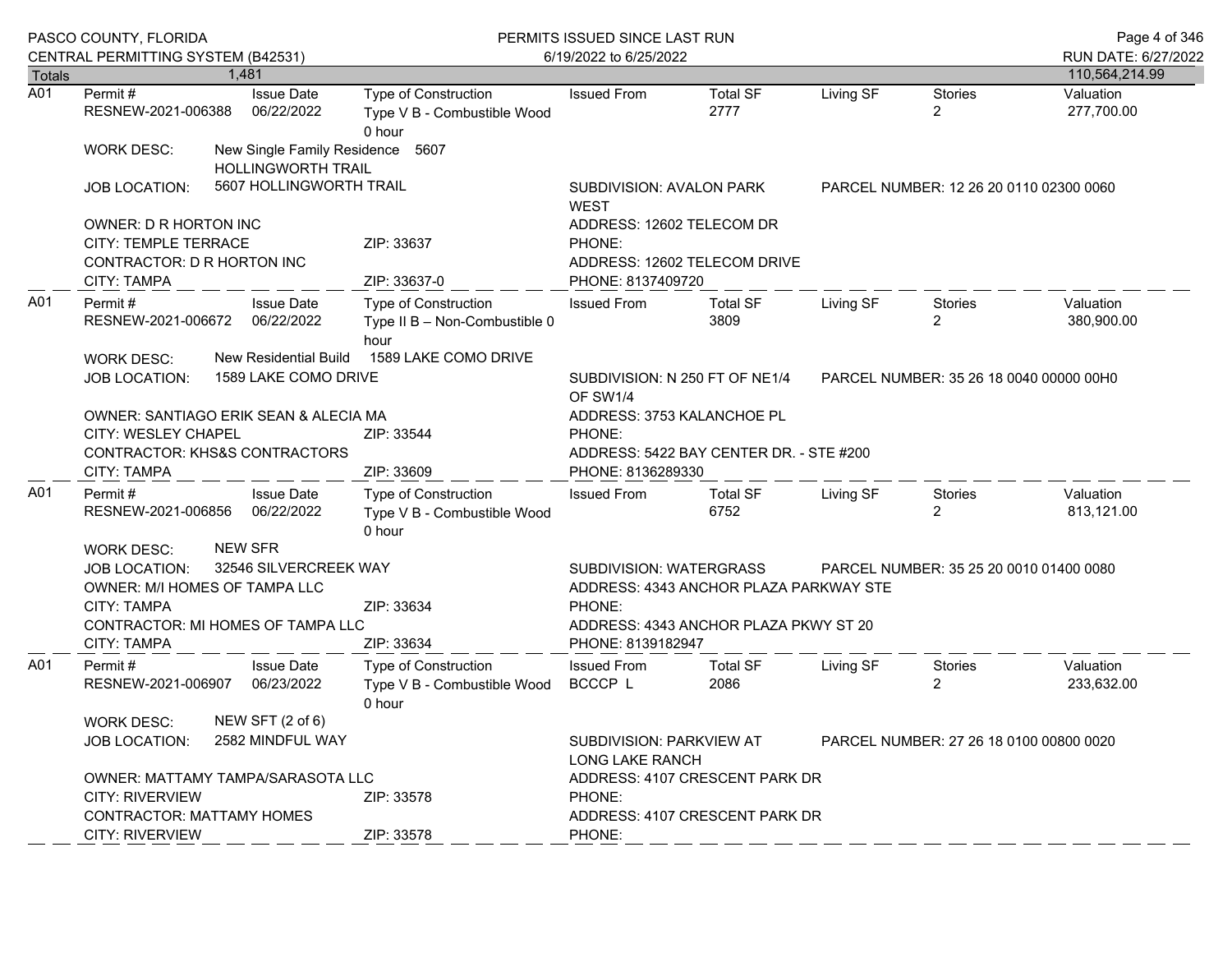|                  | PASCO COUNTY, FLORIDA<br>CENTRAL PERMITTING SYSTEM (B42531)                                                     |                                                                              | PERMITS ISSUED SINCE LAST RUN<br>6/19/2022 to 6/25/2022                                                                                                         |                                                                                       |                                         |                                         |                                  | Page 4 of 346<br>RUN DATE: 6/27/2022 |  |
|------------------|-----------------------------------------------------------------------------------------------------------------|------------------------------------------------------------------------------|-----------------------------------------------------------------------------------------------------------------------------------------------------------------|---------------------------------------------------------------------------------------|-----------------------------------------|-----------------------------------------|----------------------------------|--------------------------------------|--|
| <b>Totals</b>    |                                                                                                                 | 1.481                                                                        |                                                                                                                                                                 |                                                                                       |                                         |                                         |                                  | 110,564,214.99                       |  |
| $\overline{A01}$ | Permit#<br>RESNEW-2021-006388                                                                                   | <b>Issue Date</b><br>06/22/2022                                              | Type of Construction<br>Type V B - Combustible Wood<br>0 hour                                                                                                   | <b>Issued From</b>                                                                    | <b>Total SF</b><br>2777                 | Living SF                               | <b>Stories</b><br>$\overline{2}$ | Valuation<br>277,700.00              |  |
|                  | <b>WORK DESC:</b>                                                                                               | New Single Family Residence 5607<br>HOLLINGWORTH TRAIL                       |                                                                                                                                                                 |                                                                                       |                                         |                                         |                                  |                                      |  |
|                  | <b>JOB LOCATION:</b>                                                                                            | 5607 HOLLINGWORTH TRAIL                                                      |                                                                                                                                                                 | SUBDIVISION: AVALON PARK<br><b>WEST</b>                                               |                                         | PARCEL NUMBER: 12 26 20 0110 02300 0060 |                                  |                                      |  |
|                  | OWNER: D R HORTON INC                                                                                           |                                                                              |                                                                                                                                                                 | ADDRESS: 12602 TELECOM DR                                                             |                                         |                                         |                                  |                                      |  |
|                  | CITY: TEMPLE TERRACE<br>CONTRACTOR: D R HORTON INC<br><b>CITY: TAMPA</b>                                        |                                                                              | ZIP: 33637<br>ZIP: 33637-0                                                                                                                                      | PHONE:<br>PHONE: 8137409720                                                           | ADDRESS: 12602 TELECOM DRIVE            |                                         |                                  |                                      |  |
| A01              | <b>Issue Date</b><br>Permit#<br>RESNEW-2021-006672<br>06/22/2022                                                |                                                                              | Type of Construction<br>Type II B - Non-Combustible 0<br>hour                                                                                                   | <b>Issued From</b>                                                                    | <b>Total SF</b><br>3809                 | Living SF                               | Stories<br>$\overline{2}$        | Valuation<br>380,900.00              |  |
|                  | <b>WORK DESC:</b><br><b>JOB LOCATION:</b>                                                                       | New Residential Build<br>1589 LAKE COMO DRIVE                                |                                                                                                                                                                 | SUBDIVISION: N 250 FT OF NE1/4<br>PARCEL NUMBER: 35 26 18 0040 00000 00H0<br>OF SW1/4 |                                         |                                         |                                  |                                      |  |
|                  | <b>CITY: WESLEY CHAPEL</b><br>CITY: TAMPA                                                                       | OWNER: SANTIAGO ERIK SEAN & ALECIA MA<br>CONTRACTOR: KHS&S CONTRACTORS       | ZIP: 33544<br>ZIP: 33609                                                                                                                                        | ADDRESS: 3753 KALANCHOE PL<br>PHONE:<br>PHONE: 8136289330                             | ADDRESS: 5422 BAY CENTER DR. - STE #200 |                                         |                                  |                                      |  |
| A01              | Permit#<br>RESNEW-2021-006856                                                                                   | <b>Issue Date</b><br>06/22/2022                                              | Type of Construction<br>Type V B - Combustible Wood<br>0 hour                                                                                                   | <b>Issued From</b>                                                                    | <b>Total SF</b><br>6752                 | Living SF                               | Stories<br>$\overline{2}$        | Valuation<br>813,121.00              |  |
|                  | <b>WORK DESC:</b><br><b>JOB LOCATION:</b><br>OWNER: M/I HOMES OF TAMPA LLC<br>CITY: TAMPA<br><b>CITY: TAMPA</b> | <b>NEW SFR</b><br>32546 SILVERCREEK WAY<br>CONTRACTOR: MI HOMES OF TAMPA LLC | SUBDIVISION: WATERGRASS<br>PARCEL NUMBER: 35 25 20 0010 01400 0080<br>ADDRESS: 4343 ANCHOR PLAZA PARKWAY STE<br>PHONE:<br>ADDRESS: 4343 ANCHOR PLAZA PKWY ST 20 |                                                                                       |                                         |                                         |                                  |                                      |  |
| A01              | Permit#<br>RESNEW-2021-006907                                                                                   | <b>Issue Date</b><br>06/23/2022                                              | ZIP: 33634<br><b>Type of Construction</b><br>Type V B - Combustible Wood<br>0 hour                                                                              | PHONE: 8139182947<br><b>Issued From</b><br>BCCCP L                                    | <b>Total SF</b><br>2086                 | Living SF                               | Stories<br>$\overline{2}$        | Valuation<br>233,632.00              |  |
|                  | <b>WORK DESC:</b><br><b>JOB LOCATION:</b>                                                                       | NEW SFT (2 of 6)<br>2582 MINDFUL WAY                                         | SUBDIVISION: PARKVIEW AT<br>PARCEL NUMBER: 27 26 18 0100 00800 0020<br>LONG LAKE RANCH                                                                          |                                                                                       |                                         |                                         |                                  |                                      |  |
|                  | <b>CITY: RIVERVIEW</b><br><b>CONTRACTOR: MATTAMY HOMES</b><br><b>CITY: RIVERVIEW</b>                            | OWNER: MATTAMY TAMPA/SARASOTA LLC                                            | ZIP: 33578<br>ZIP: 33578                                                                                                                                        | ADDRESS: 4107 CRESCENT PARK DR<br>PHONE:<br>ADDRESS: 4107 CRESCENT PARK DR            |                                         |                                         |                                  |                                      |  |
|                  |                                                                                                                 |                                                                              |                                                                                                                                                                 | PHONE:                                                                                |                                         |                                         |                                  |                                      |  |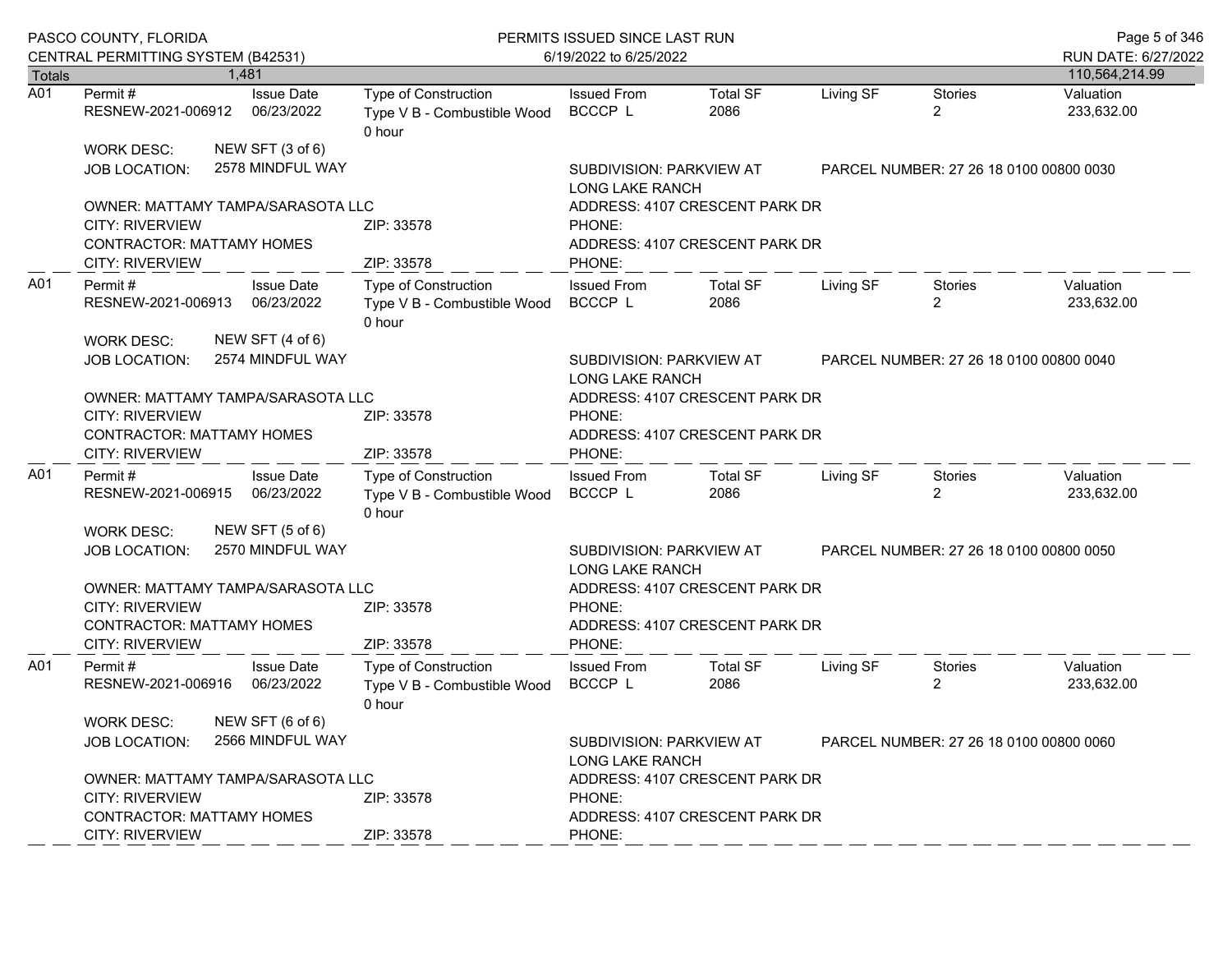|                  | PASCO COUNTY, FLORIDA<br>CENTRAL PERMITTING SYSTEM (B42531)                                                               |                                                                      | PERMITS ISSUED SINCE LAST RUN<br>6/19/2022 to 6/25/2022                                       |                                                                  |           |                                         |                         |
|------------------|---------------------------------------------------------------------------------------------------------------------------|----------------------------------------------------------------------|-----------------------------------------------------------------------------------------------|------------------------------------------------------------------|-----------|-----------------------------------------|-------------------------|
| <b>Totals</b>    | 1.481                                                                                                                     |                                                                      |                                                                                               |                                                                  |           |                                         | 110,564,214.99          |
| $\overline{A01}$ | <b>Issue Date</b><br>Permit #<br>RESNEW-2021-006912<br>06/23/2022                                                         | Type of Construction<br>Type V B - Combustible Wood<br>0 hour        | <b>Issued From</b><br>BCCCP L                                                                 | <b>Total SF</b><br>2086                                          | Living SF | <b>Stories</b><br>2                     | Valuation<br>233,632.00 |
|                  | NEW SFT (3 of 6)<br><b>WORK DESC:</b><br>2578 MINDFUL WAY<br><b>JOB LOCATION:</b>                                         |                                                                      | SUBDIVISION: PARKVIEW AT<br><b>LONG LAKE RANCH</b>                                            |                                                                  |           | PARCEL NUMBER: 27 26 18 0100 00800 0030 |                         |
|                  | OWNER: MATTAMY TAMPA/SARASOTA LLC<br><b>CITY: RIVERVIEW</b>                                                               | ZIP: 33578                                                           | PHONE:                                                                                        | ADDRESS: 4107 CRESCENT PARK DR                                   |           |                                         |                         |
|                  | <b>CONTRACTOR: MATTAMY HOMES</b><br><b>CITY: RIVERVIEW</b>                                                                | ZIP: 33578                                                           | PHONE:                                                                                        | ADDRESS: 4107 CRESCENT PARK DR                                   |           |                                         |                         |
| A01              | <b>Issue Date</b><br>Permit #<br>RESNEW-2021-006913 06/23/2022<br>NEW SFT (4 of 6)<br><b>WORK DESC:</b>                   | <b>Type of Construction</b><br>Type V B - Combustible Wood<br>0 hour | <b>Issued From</b><br>BCCCP L                                                                 | <b>Total SF</b><br>2086                                          | Living SF | Stories<br>$\mathbf{2}^{\circ}$         | Valuation<br>233,632.00 |
|                  | 2574 MINDFUL WAY<br><b>JOB LOCATION:</b>                                                                                  |                                                                      | SUBDIVISION: PARKVIEW AT<br>PARCEL NUMBER: 27 26 18 0100 00800 0040<br><b>LONG LAKE RANCH</b> |                                                                  |           |                                         |                         |
|                  | OWNER: MATTAMY TAMPA/SARASOTA LLC<br><b>CITY: RIVERVIEW</b><br><b>CONTRACTOR: MATTAMY HOMES</b>                           | ZIP: 33578                                                           | PHONE:                                                                                        | ADDRESS: 4107 CRESCENT PARK DR<br>ADDRESS: 4107 CRESCENT PARK DR |           |                                         |                         |
|                  | CITY: RIVERVIEW                                                                                                           | ZIP: 33578                                                           | PHONE:                                                                                        |                                                                  |           |                                         |                         |
| A01              | <b>Issue Date</b><br>Permit #<br>RESNEW-2021-006915<br>06/23/2022                                                         | <b>Type of Construction</b><br>Type V B - Combustible Wood<br>0 hour | <b>Issued From</b><br>BCCCP L                                                                 | <b>Total SF</b><br>2086                                          | Living SF | Stories<br>$\overline{2}$               | Valuation<br>233,632.00 |
|                  | NEW SFT (5 of 6)<br>WORK DESC:<br>2570 MINDFUL WAY<br><b>JOB LOCATION:</b>                                                |                                                                      | SUBDIVISION: PARKVIEW AT<br>PARCEL NUMBER: 27 26 18 0100 00800 0050<br>LONG LAKE RANCH        |                                                                  |           |                                         |                         |
|                  | OWNER: MATTAMY TAMPA/SARASOTA LLC<br><b>CITY: RIVERVIEW</b><br><b>CONTRACTOR: MATTAMY HOMES</b>                           | ZIP: 33578                                                           | PHONE:                                                                                        | ADDRESS: 4107 CRESCENT PARK DR<br>ADDRESS: 4107 CRESCENT PARK DR |           |                                         |                         |
|                  | <b>CITY: RIVERVIEW</b>                                                                                                    | ZIP: 33578                                                           | PHONE:                                                                                        |                                                                  |           |                                         |                         |
| A01              | Permit#<br><b>Issue Date</b><br>RESNEW-2021-006916<br>06/23/2022                                                          | <b>Type of Construction</b><br>Type V B - Combustible Wood<br>0 hour | <b>Issued From</b><br>BCCCP L                                                                 | <b>Total SF</b><br>2086                                          | Living SF | <b>Stories</b><br>2                     | Valuation<br>233,632.00 |
|                  | NEW SFT (6 of 6)<br><b>WORK DESC:</b><br>2566 MINDFUL WAY<br><b>JOB LOCATION:</b>                                         |                                                                      | SUBDIVISION: PARKVIEW AT<br>PARCEL NUMBER: 27 26 18 0100 00800 0060<br>LONG LAKE RANCH        |                                                                  |           |                                         |                         |
|                  | OWNER: MATTAMY TAMPA/SARASOTA LLC<br><b>CITY: RIVERVIEW</b><br><b>CONTRACTOR: MATTAMY HOMES</b><br><b>CITY: RIVERVIEW</b> | ZIP: 33578<br>ZIP: 33578                                             | ADDRESS: 4107 CRESCENT PARK DR<br>PHONE:<br>ADDRESS: 4107 CRESCENT PARK DR                    |                                                                  |           |                                         |                         |
|                  |                                                                                                                           |                                                                      | PHONE:                                                                                        |                                                                  |           |                                         |                         |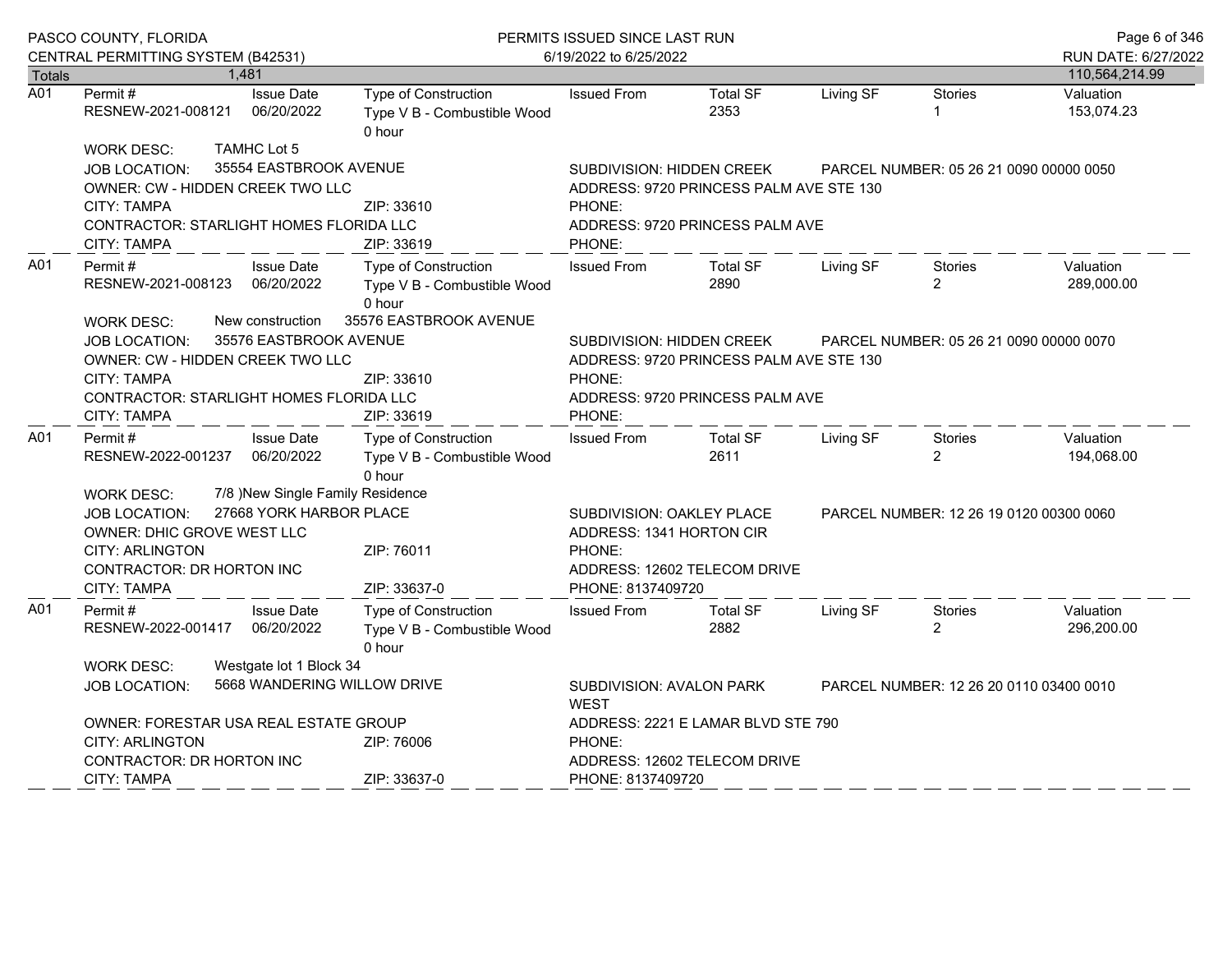|               | PASCO COUNTY, FLORIDA                                                                                                                                                                                             |                                                                     | PERMITS ISSUED SINCE LAST RUN                                                           |                                                                                                                                                                        |                                                                            |           |                                         | Page 6 of 346                         |
|---------------|-------------------------------------------------------------------------------------------------------------------------------------------------------------------------------------------------------------------|---------------------------------------------------------------------|-----------------------------------------------------------------------------------------|------------------------------------------------------------------------------------------------------------------------------------------------------------------------|----------------------------------------------------------------------------|-----------|-----------------------------------------|---------------------------------------|
| <b>Totals</b> | CENTRAL PERMITTING SYSTEM (B42531)                                                                                                                                                                                | 1,481                                                               |                                                                                         | 6/19/2022 to 6/25/2022                                                                                                                                                 |                                                                            |           |                                         | RUN DATE: 6/27/2022<br>110,564,214.99 |
| A01           | Permit#<br>RESNEW-2021-008121                                                                                                                                                                                     | <b>Issue Date</b><br>06/20/2022                                     | Type of Construction<br>Type V B - Combustible Wood<br>0 hour                           | <b>Issued From</b>                                                                                                                                                     | <b>Total SF</b><br>2353                                                    | Living SF | Stories                                 | Valuation<br>153,074.23               |
|               | <b>WORK DESC:</b><br><b>JOB LOCATION:</b><br>OWNER: CW - HIDDEN CREEK TWO LLC<br><b>CITY: TAMPA</b><br><b>CONTRACTOR: STARLIGHT HOMES FLORIDA LLC</b><br>CITY: TAMPA                                              | <b>TAMHC Lot 5</b><br>35554 EASTBROOK AVENUE                        | ZIP: 33610<br>ZIP: 33619                                                                | SUBDIVISION: HIDDEN CREEK<br>PHONE:<br>PHONE:                                                                                                                          | ADDRESS: 9720 PRINCESS PALM AVE STE 130<br>ADDRESS: 9720 PRINCESS PALM AVE |           | PARCEL NUMBER: 05 26 21 0090 00000 0050 |                                       |
| A01           | Permit#<br>RESNEW-2021-008123<br><b>WORK DESC:</b>                                                                                                                                                                | <b>Issue Date</b><br>06/20/2022<br>New construction                 | Type of Construction<br>Type V B - Combustible Wood<br>0 hour<br>35576 EASTBROOK AVENUE | <b>Issued From</b>                                                                                                                                                     | <b>Total SF</b><br>2890                                                    | Living SF | <b>Stories</b><br>2                     | Valuation<br>289,000.00               |
|               | JOB LOCATION:<br>OWNER: CW - HIDDEN CREEK TWO LLC<br>CITY: TAMPA<br>CONTRACTOR: STARLIGHT HOMES FLORIDA LLC<br><b>CITY: TAMPA</b>                                                                                 | 35576 EASTBROOK AVENUE                                              | ZIP: 33610<br>ZIP: 33619                                                                | SUBDIVISION: HIDDEN CREEK<br>PARCEL NUMBER: 05 26 21 0090 00000 0070<br>ADDRESS: 9720 PRINCESS PALM AVE STE 130<br>PHONE:<br>ADDRESS: 9720 PRINCESS PALM AVE<br>PHONE: |                                                                            |           |                                         |                                       |
| A01           | Permit#<br>RESNEW-2022-001237                                                                                                                                                                                     | <b>Issue Date</b><br>06/20/2022<br>7/8 )New Single Family Residence | Type of Construction<br>Type V B - Combustible Wood<br>0 hour                           | <b>Issued From</b>                                                                                                                                                     | <b>Total SF</b><br>2611                                                    | Living SF | <b>Stories</b><br>$\overline{2}$        | Valuation<br>194,068.00               |
|               | <b>WORK DESC:</b><br>JOB LOCATION:<br>OWNER: DHIC GROVE WEST LLC<br><b>CITY: ARLINGTON</b><br>CONTRACTOR: DR HORTON INC<br><b>CITY: TAMPA</b>                                                                     |                                                                     | 27668 YORK HARBOR PLACE<br>ZIP: 76011<br>ZIP: 33637-0                                   | SUBDIVISION: OAKLEY PLACE<br>ADDRESS: 1341 HORTON CIR<br>PHONE:<br>PHONE: 8137409720                                                                                   | ADDRESS: 12602 TELECOM DRIVE                                               |           | PARCEL NUMBER: 12 26 19 0120 00300 0060 |                                       |
| A01           | Permit#<br>RESNEW-2022-001417                                                                                                                                                                                     | <b>Issue Date</b><br>06/20/2022                                     | <b>Type of Construction</b><br>Type V B - Combustible Wood<br>0 hour                    | <b>Issued From</b>                                                                                                                                                     | <b>Total SF</b><br>2882                                                    | Living SF | <b>Stories</b><br>$\overline{2}$        | Valuation<br>296,200.00               |
|               | Westgate lot 1 Block 34<br><b>WORK DESC:</b><br>5668 WANDERING WILLOW DRIVE<br><b>JOB LOCATION:</b><br>OWNER: FORESTAR USA REAL ESTATE GROUP<br><b>CITY: ARLINGTON</b><br>ZIP: 76006<br>CONTRACTOR: DR HORTON INC |                                                                     |                                                                                         | SUBDIVISION: AVALON PARK<br>PARCEL NUMBER: 12 26 20 0110 03400 0010<br><b>WEST</b><br>ADDRESS: 2221 E LAMAR BLVD STE 790<br>PHONE:<br>ADDRESS: 12602 TELECOM DRIVE     |                                                                            |           |                                         |                                       |
|               | <b>CITY: TAMPA</b>                                                                                                                                                                                                |                                                                     | ZIP: 33637-0                                                                            | PHONE: 8137409720                                                                                                                                                      |                                                                            |           |                                         |                                       |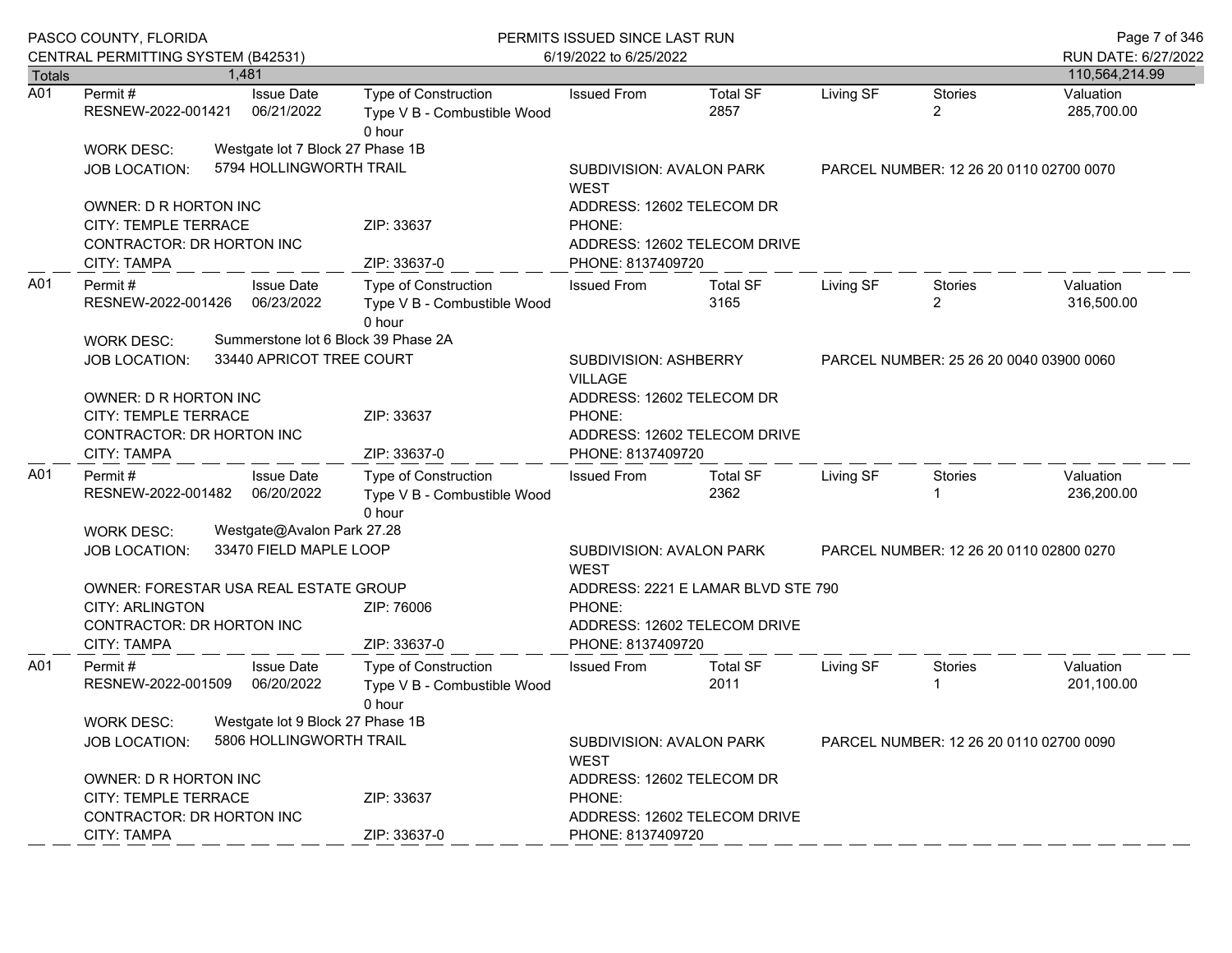|                  | PASCO COUNTY, FLORIDA<br>CENTRAL PERMITTING SYSTEM (B42531)     |                                                             | PERMITS ISSUED SINCE LAST RUN<br>6/19/2022 to 6/25/2022                                              |                                                                                    |                         |                                         |                                         | Page 7 of 346<br>RUN DATE: 6/27/2022 |
|------------------|-----------------------------------------------------------------|-------------------------------------------------------------|------------------------------------------------------------------------------------------------------|------------------------------------------------------------------------------------|-------------------------|-----------------------------------------|-----------------------------------------|--------------------------------------|
| <b>Totals</b>    | 1,481                                                           |                                                             |                                                                                                      |                                                                                    |                         |                                         |                                         | 110,564,214.99                       |
| $\overline{A01}$ | Permit #<br>RESNEW-2022-001421                                  | <b>Issue Date</b><br>06/21/2022                             | Type of Construction<br>Type V B - Combustible Wood<br>0 hour                                        | <b>Issued From</b>                                                                 | <b>Total SF</b><br>2857 | Living SF                               | <b>Stories</b><br>$\overline{2}$        | Valuation<br>285,700.00              |
|                  | <b>WORK DESC:</b>                                               | Westgate lot 7 Block 27 Phase 1B                            |                                                                                                      |                                                                                    |                         |                                         |                                         |                                      |
|                  | <b>JOB LOCATION:</b>                                            | 5794 HOLLINGWORTH TRAIL                                     |                                                                                                      | SUBDIVISION: AVALON PARK<br><b>WEST</b>                                            |                         |                                         | PARCEL NUMBER: 12 26 20 0110 02700 0070 |                                      |
|                  | OWNER: D R HORTON INC                                           |                                                             |                                                                                                      | ADDRESS: 12602 TELECOM DR                                                          |                         |                                         |                                         |                                      |
|                  | <b>CITY: TEMPLE TERRACE</b><br>CONTRACTOR: DR HORTON INC        |                                                             | ZIP: 33637                                                                                           | PHONE:<br>ADDRESS: 12602 TELECOM DRIVE                                             |                         |                                         |                                         |                                      |
|                  | CITY: TAMPA                                                     |                                                             | ZIP: 33637-0                                                                                         | PHONE: 8137409720                                                                  |                         |                                         |                                         |                                      |
| A01              | Permit #<br>RESNEW-2022-001426<br>WORK DESC:                    | <b>Issue Date</b><br>06/23/2022                             | Type of Construction<br>Type V B - Combustible Wood<br>0 hour<br>Summerstone lot 6 Block 39 Phase 2A | <b>Issued From</b>                                                                 | <b>Total SF</b><br>3165 | Living SF                               | Stories<br>$\overline{2}$               | Valuation<br>316,500.00              |
|                  | <b>JOB LOCATION:</b>                                            | 33440 APRICOT TREE COURT                                    |                                                                                                      | SUBDIVISION: ASHBERRY<br><b>VILLAGE</b>                                            |                         |                                         | PARCEL NUMBER: 25 26 20 0040 03900 0060 |                                      |
|                  | OWNER: D R HORTON INC                                           |                                                             |                                                                                                      | ADDRESS: 12602 TELECOM DR                                                          |                         |                                         |                                         |                                      |
|                  | CITY: TEMPLE TERRACE                                            |                                                             | ZIP: 33637                                                                                           | PHONE:                                                                             |                         |                                         |                                         |                                      |
|                  | CONTRACTOR: DR HORTON INC                                       |                                                             |                                                                                                      | ADDRESS: 12602 TELECOM DRIVE                                                       |                         |                                         |                                         |                                      |
|                  | CITY: TAMPA                                                     |                                                             | ZIP: 33637-0                                                                                         | PHONE: 8137409720                                                                  |                         |                                         |                                         |                                      |
| A01              | Permit#<br>RESNEW-2022-001482                                   | <b>Issue Date</b><br>06/20/2022                             | Type of Construction<br>Type V B - Combustible Wood<br>0 hour                                        | <b>Issued From</b>                                                                 | <b>Total SF</b><br>2362 | Living SF                               | Stories                                 | Valuation<br>236,200.00              |
|                  | WORK DESC:                                                      | Westgate@Avalon Park 27.28                                  |                                                                                                      |                                                                                    |                         |                                         |                                         |                                      |
|                  | <b>JOB LOCATION:</b>                                            | 33470 FIELD MAPLE LOOP                                      |                                                                                                      | SUBDIVISION: AVALON PARK<br>PARCEL NUMBER: 12 26 20 0110 02800 0270<br><b>WEST</b> |                         |                                         |                                         |                                      |
|                  | OWNER: FORESTAR USA REAL ESTATE GROUP<br><b>CITY: ARLINGTON</b> |                                                             | ZIP: 76006                                                                                           | ADDRESS: 2221 E LAMAR BLVD STE 790<br>PHONE:                                       |                         |                                         |                                         |                                      |
|                  | CONTRACTOR: DR HORTON INC<br><b>CITY: TAMPA</b>                 |                                                             | ZIP: 33637-0                                                                                         | ADDRESS: 12602 TELECOM DRIVE<br>PHONE: 8137409720                                  |                         |                                         |                                         |                                      |
| A01              | Permit#<br>RESNEW-2022-001509                                   | <b>Issue Date</b><br>06/20/2022                             | Type of Construction<br>Type V B - Combustible Wood<br>0 hour                                        | <b>Issued From</b>                                                                 | <b>Total SF</b><br>2011 | Living SF                               | Stories                                 | Valuation<br>201,100.00              |
|                  | <b>WORK DESC:</b><br><b>JOB LOCATION:</b>                       | Westgate lot 9 Block 27 Phase 1B<br>5806 HOLLINGWORTH TRAIL |                                                                                                      | SUBDIVISION: AVALON PARK                                                           |                         | PARCEL NUMBER: 12 26 20 0110 02700 0090 |                                         |                                      |
|                  |                                                                 |                                                             |                                                                                                      | <b>WEST</b>                                                                        |                         |                                         |                                         |                                      |
|                  | OWNER: D R HORTON INC                                           |                                                             | ZIP: 33637                                                                                           | ADDRESS: 12602 TELECOM DR                                                          |                         |                                         |                                         |                                      |
|                  | CITY: TEMPLE TERRACE<br>CONTRACTOR: DR HORTON INC               |                                                             |                                                                                                      | PHONE:<br>ADDRESS: 12602 TELECOM DRIVE                                             |                         |                                         |                                         |                                      |
|                  | CITY: TAMPA                                                     |                                                             | ZIP: 33637-0                                                                                         | PHONE: 8137409720                                                                  |                         |                                         |                                         |                                      |
|                  |                                                                 |                                                             |                                                                                                      |                                                                                    |                         |                                         |                                         |                                      |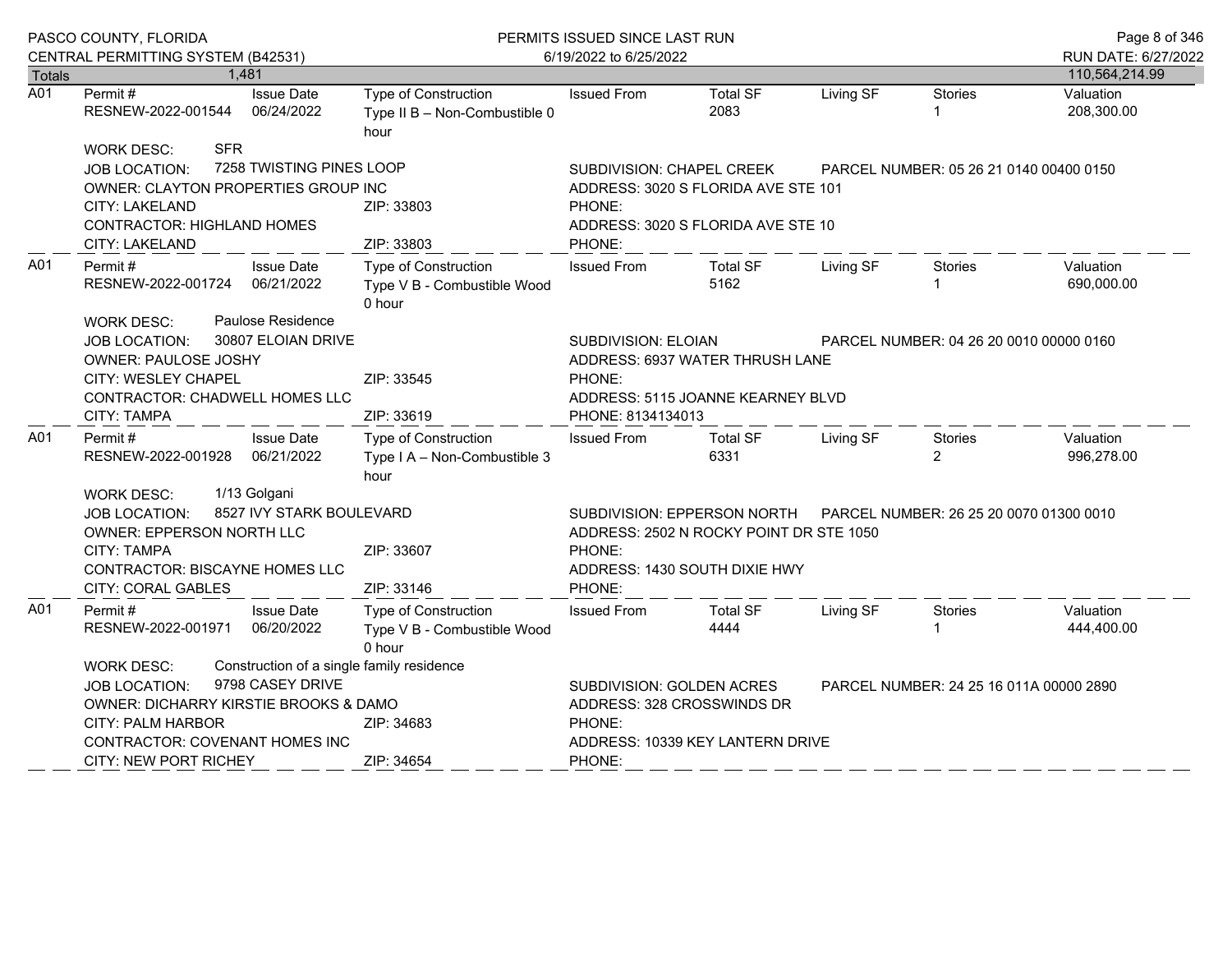|                      | PASCO COUNTY, FLORIDA                                                                                                                                                                                   |                                                               | PERMITS ISSUED SINCE LAST RUN                                                                                                                          |                                                                                                                                                                              |                         |           | Page 8 of 346                           |                                       |  |
|----------------------|---------------------------------------------------------------------------------------------------------------------------------------------------------------------------------------------------------|---------------------------------------------------------------|--------------------------------------------------------------------------------------------------------------------------------------------------------|------------------------------------------------------------------------------------------------------------------------------------------------------------------------------|-------------------------|-----------|-----------------------------------------|---------------------------------------|--|
|                      | CENTRAL PERMITTING SYSTEM (B42531)                                                                                                                                                                      | 1,481                                                         |                                                                                                                                                        | 6/19/2022 to 6/25/2022                                                                                                                                                       |                         |           |                                         | RUN DATE: 6/27/2022<br>110,564,214.99 |  |
| <b>Totals</b><br>A01 | Permit#<br>RESNEW-2022-001544                                                                                                                                                                           | <b>Issue Date</b><br>06/24/2022                               | Type of Construction<br>Type II B - Non-Combustible 0<br>hour                                                                                          | <b>Issued From</b>                                                                                                                                                           | <b>Total SF</b><br>2083 | Living SF | <b>Stories</b>                          | Valuation<br>208,300.00               |  |
|                      | <b>SFR</b><br><b>WORK DESC:</b><br>7258 TWISTING PINES LOOP<br><b>JOB LOCATION:</b><br>OWNER: CLAYTON PROPERTIES GROUP INC<br>CITY: LAKELAND<br><b>CONTRACTOR: HIGHLAND HOMES</b><br>CITY: LAKELAND     |                                                               | SUBDIVISION: CHAPEL CREEK<br>ADDRESS: 3020 S FLORIDA AVE STE 101<br>ZIP: 33803<br>PHONE:<br>ADDRESS: 3020 S FLORIDA AVE STE 10<br>ZIP: 33803<br>PHONE: |                                                                                                                                                                              |                         |           | PARCEL NUMBER: 05 26 21 0140 00400 0150 |                                       |  |
| A01                  | Permit #<br>RESNEW-2022-001724<br><b>WORK DESC:</b>                                                                                                                                                     | <b>Issue Date</b><br>06/21/2022<br>Paulose Residence          | Type of Construction<br>Type V B - Combustible Wood<br>0 hour                                                                                          | <b>Issued From</b>                                                                                                                                                           | <b>Total SF</b><br>5162 | Living SF | Stories                                 | Valuation<br>690,000.00               |  |
|                      | <b>JOB LOCATION:</b><br><b>OWNER: PAULOSE JOSHY</b><br>CITY: WESLEY CHAPEL<br>CONTRACTOR: CHADWELL HOMES LLC<br><b>CITY: TAMPA</b>                                                                      | 30807 ELOIAN DRIVE                                            | ZIP: 33545<br>ZIP: 33619                                                                                                                               | <b>SUBDIVISION: ELOIAN</b><br>PARCEL NUMBER: 04 26 20 0010 00000 0160<br>ADDRESS: 6937 WATER THRUSH LANE<br>PHONE:<br>ADDRESS: 5115 JOANNE KEARNEY BLVD<br>PHONE: 8134134013 |                         |           |                                         |                                       |  |
| A01                  | Permit#<br>RESNEW-2022-001928                                                                                                                                                                           | <b>Issue Date</b><br>06/21/2022                               | Type of Construction<br>Type I A - Non-Combustible 3<br>hour                                                                                           | <b>Issued From</b>                                                                                                                                                           | <b>Total SF</b><br>6331 | Living SF | Stories<br>$\overline{2}$               | Valuation<br>996,278.00               |  |
|                      | 1/13 Golgani<br><b>WORK DESC:</b><br>8527 IVY STARK BOULEVARD<br><b>JOB LOCATION:</b><br>OWNER: EPPERSON NORTH LLC<br><b>CITY: TAMPA</b><br>CONTRACTOR: BISCAYNE HOMES LLC<br><b>CITY: CORAL GABLES</b> |                                                               | ZIP: 33607<br>ZIP: 33146                                                                                                                               | SUBDIVISION: EPPERSON NORTH<br>PARCEL NUMBER: 26 25 20 0070 01300 0010<br>ADDRESS: 2502 N ROCKY POINT DR STE 1050<br>PHONE:<br>ADDRESS: 1430 SOUTH DIXIE HWY<br>PHONE:       |                         |           |                                         |                                       |  |
| A01                  | Permit#<br>RESNEW-2022-001971                                                                                                                                                                           | <b>Issue Date</b><br>06/20/2022                               | Type of Construction<br>Type V B - Combustible Wood<br>0 hour                                                                                          | <b>Issued From</b>                                                                                                                                                           | <b>Total SF</b><br>4444 | Living SF | Stories                                 | Valuation<br>444,400.00               |  |
|                      | <b>WORK DESC:</b><br><b>JOB LOCATION:</b><br>OWNER: DICHARRY KIRSTIE BROOKS & DAMO<br><b>CITY: PALM HARBOR</b><br>CONTRACTOR: COVENANT HOMES INC                                                        | Construction of a single family residence<br>9798 CASEY DRIVE | ZIP: 34683                                                                                                                                             | SUBDIVISION: GOLDEN ACRES<br>PARCEL NUMBER: 24 25 16 011A 00000 2890<br>ADDRESS: 328 CROSSWINDS DR<br>PHONE:<br>ADDRESS: 10339 KEY LANTERN DRIVE                             |                         |           |                                         |                                       |  |
|                      | <b>CITY: NEW PORT RICHEY</b>                                                                                                                                                                            |                                                               | ZIP: 34654                                                                                                                                             | PHONE:                                                                                                                                                                       |                         |           |                                         |                                       |  |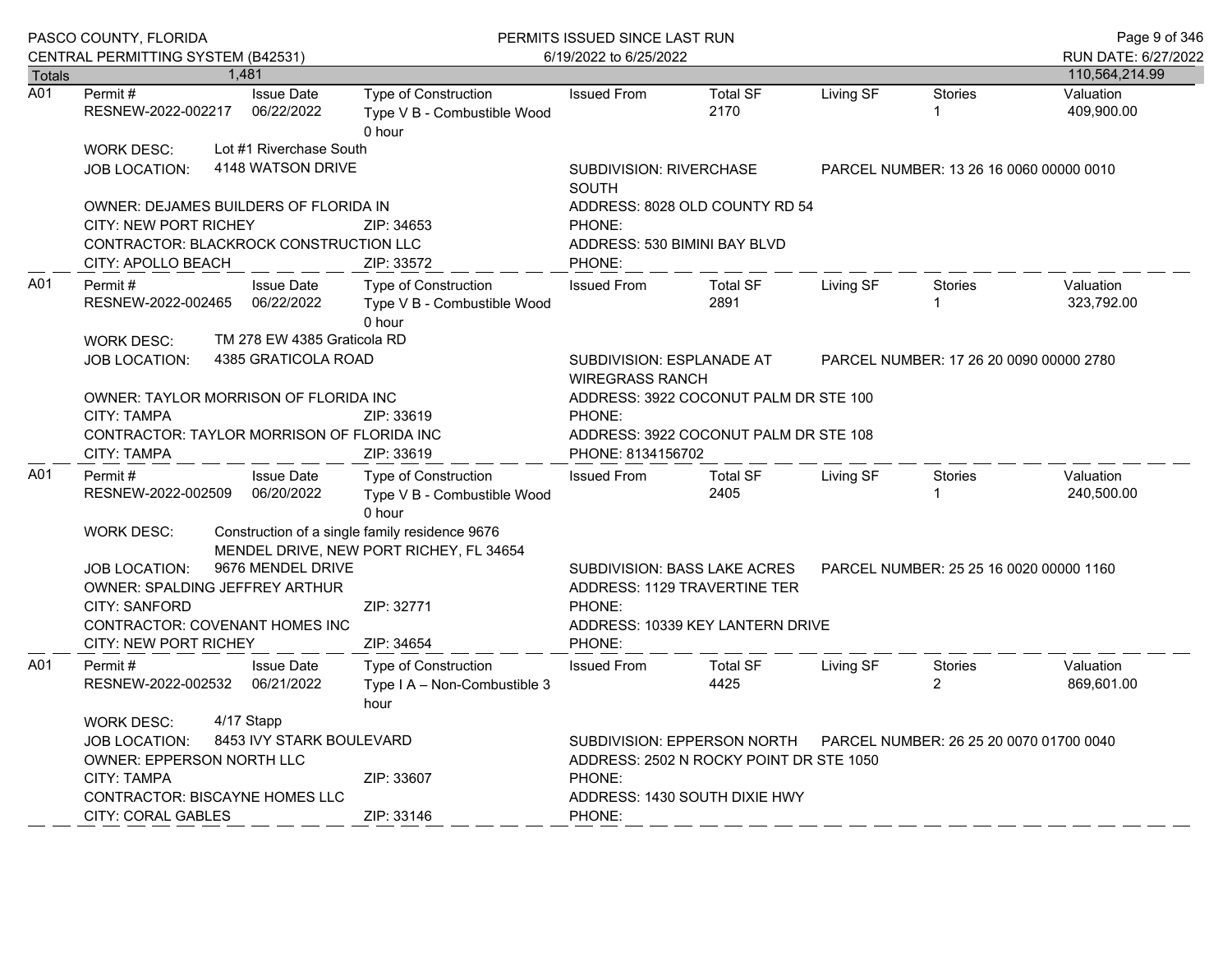|        | PASCO COUNTY, FLORIDA<br>CENTRAL PERMITTING SYSTEM (B42531)                                                                                          |  |                                              |                                                                                           | PERMITS ISSUED SINCE LAST RUN<br>6/19/2022 to 6/25/2022                                                                     |                                                                                                |           |                                         |                                       |  |
|--------|------------------------------------------------------------------------------------------------------------------------------------------------------|--|----------------------------------------------|-------------------------------------------------------------------------------------------|-----------------------------------------------------------------------------------------------------------------------------|------------------------------------------------------------------------------------------------|-----------|-----------------------------------------|---------------------------------------|--|
| Totals |                                                                                                                                                      |  | 1,481                                        |                                                                                           |                                                                                                                             |                                                                                                |           |                                         | RUN DATE: 6/27/2022<br>110,564,214.99 |  |
| A01    | Permit #<br>RESNEW-2022-002217                                                                                                                       |  | <b>Issue Date</b><br>06/22/2022              | Type of Construction<br>Type V B - Combustible Wood<br>0 hour                             | <b>Issued From</b>                                                                                                          | <b>Total SF</b><br>2170                                                                        | Living SF | <b>Stories</b><br>$\mathbf{1}$          | Valuation<br>409,900.00               |  |
|        | WORK DESC:<br>JOB LOCATION:                                                                                                                          |  | Lot #1 Riverchase South<br>4148 WATSON DRIVE |                                                                                           | <b>SUBDIVISION: RIVERCHASE</b><br><b>SOUTH</b>                                                                              | PARCEL NUMBER: 13 26 16 0060 00000 0010                                                        |           |                                         |                                       |  |
|        | OWNER: DEJAMES BUILDERS OF FLORIDA IN<br><b>CITY: NEW PORT RICHEY</b><br>CONTRACTOR: BLACKROCK CONSTRUCTION LLC<br>CITY: APOLLO BEACH                |  |                                              | ZIP: 34653<br>ZIP: 33572                                                                  | PHONE:<br>ADDRESS: 530 BIMINI BAY BLVD<br>PHONE:                                                                            | ADDRESS: 8028 OLD COUNTY RD 54                                                                 |           |                                         |                                       |  |
| A01    | Permit#<br>RESNEW-2022-002465                                                                                                                        |  | <b>Issue Date</b><br>06/22/2022              | Type of Construction<br>Type V B - Combustible Wood<br>0 hour                             | <b>Issued From</b>                                                                                                          | <b>Total SF</b><br>2891                                                                        | Living SF | Stories<br>1                            | Valuation<br>323,792.00               |  |
|        | TM 278 EW 4385 Graticola RD<br><b>WORK DESC:</b><br>4385 GRATICOLA ROAD<br><b>JOB LOCATION:</b>                                                      |  |                                              |                                                                                           |                                                                                                                             | SUBDIVISION: ESPLANADE AT<br>PARCEL NUMBER: 17 26 20 0090 00000 2780<br><b>WIREGRASS RANCH</b> |           |                                         |                                       |  |
|        | OWNER: TAYLOR MORRISON OF FLORIDA INC<br>CITY: TAMPA<br>CONTRACTOR: TAYLOR MORRISON OF FLORIDA INC<br>CITY: TAMPA                                    |  |                                              | ZIP: 33619<br>ZIP: 33619                                                                  | ADDRESS: 3922 COCONUT PALM DR STE 100<br>PHONE:<br>ADDRESS: 3922 COCONUT PALM DR STE 108<br>PHONE: 8134156702               |                                                                                                |           |                                         |                                       |  |
| A01    | Permit#<br>RESNEW-2022-002509                                                                                                                        |  | <b>Issue Date</b><br>06/20/2022              | Type of Construction<br>Type V B - Combustible Wood<br>0 hour                             | <b>Issued From</b>                                                                                                          | <b>Total SF</b><br>2405                                                                        | Living SF | Stories                                 | Valuation<br>240,500.00               |  |
|        | <b>WORK DESC:</b>                                                                                                                                    |  |                                              | Construction of a single family residence 9676<br>MENDEL DRIVE, NEW PORT RICHEY, FL 34654 |                                                                                                                             |                                                                                                |           |                                         |                                       |  |
|        | <b>JOB LOCATION:</b><br>OWNER: SPALDING JEFFREY ARTHUR                                                                                               |  | 9676 MENDEL DRIVE                            |                                                                                           |                                                                                                                             | SUBDIVISION: BASS LAKE ACRES<br>ADDRESS: 1129 TRAVERTINE TER                                   |           | PARCEL NUMBER: 25 25 16 0020 00000 1160 |                                       |  |
|        | <b>CITY: SANFORD</b><br>CONTRACTOR: COVENANT HOMES INC<br>CITY: NEW PORT RICHEY                                                                      |  |                                              | ZIP: 32771<br>ZIP: 34654                                                                  | PHONE:<br>PHONE:                                                                                                            | ADDRESS: 10339 KEY LANTERN DRIVE                                                               |           |                                         |                                       |  |
| A01    | Permit #<br>RESNEW-2022-002532 06/21/2022                                                                                                            |  | <b>Issue Date</b>                            | Type of Construction<br>Type I A - Non-Combustible 3<br>hour                              | <b>Issued From</b>                                                                                                          | <b>Total SF</b><br>4425                                                                        | Living SF | <b>Stories</b><br>2                     | Valuation<br>869,601.00               |  |
|        | 4/17 Stapp<br><b>WORK DESC:</b><br>8453 IVY STARK BOULEVARD<br><b>JOB LOCATION:</b><br><b>OWNER: EPPERSON NORTH LLC</b><br>ZIP: 33607<br>CITY: TAMPA |  |                                              |                                                                                           | PARCEL NUMBER: 26 25 20 0070 01700 0040<br>SUBDIVISION: EPPERSON NORTH<br>ADDRESS: 2502 N ROCKY POINT DR STE 1050<br>PHONE: |                                                                                                |           |                                         |                                       |  |
|        | CONTRACTOR: BISCAYNE HOMES LLC<br><b>CITY: CORAL GABLES</b>                                                                                          |  |                                              | ZIP: 33146                                                                                | ADDRESS: 1430 SOUTH DIXIE HWY<br>PHONE:                                                                                     |                                                                                                |           |                                         |                                       |  |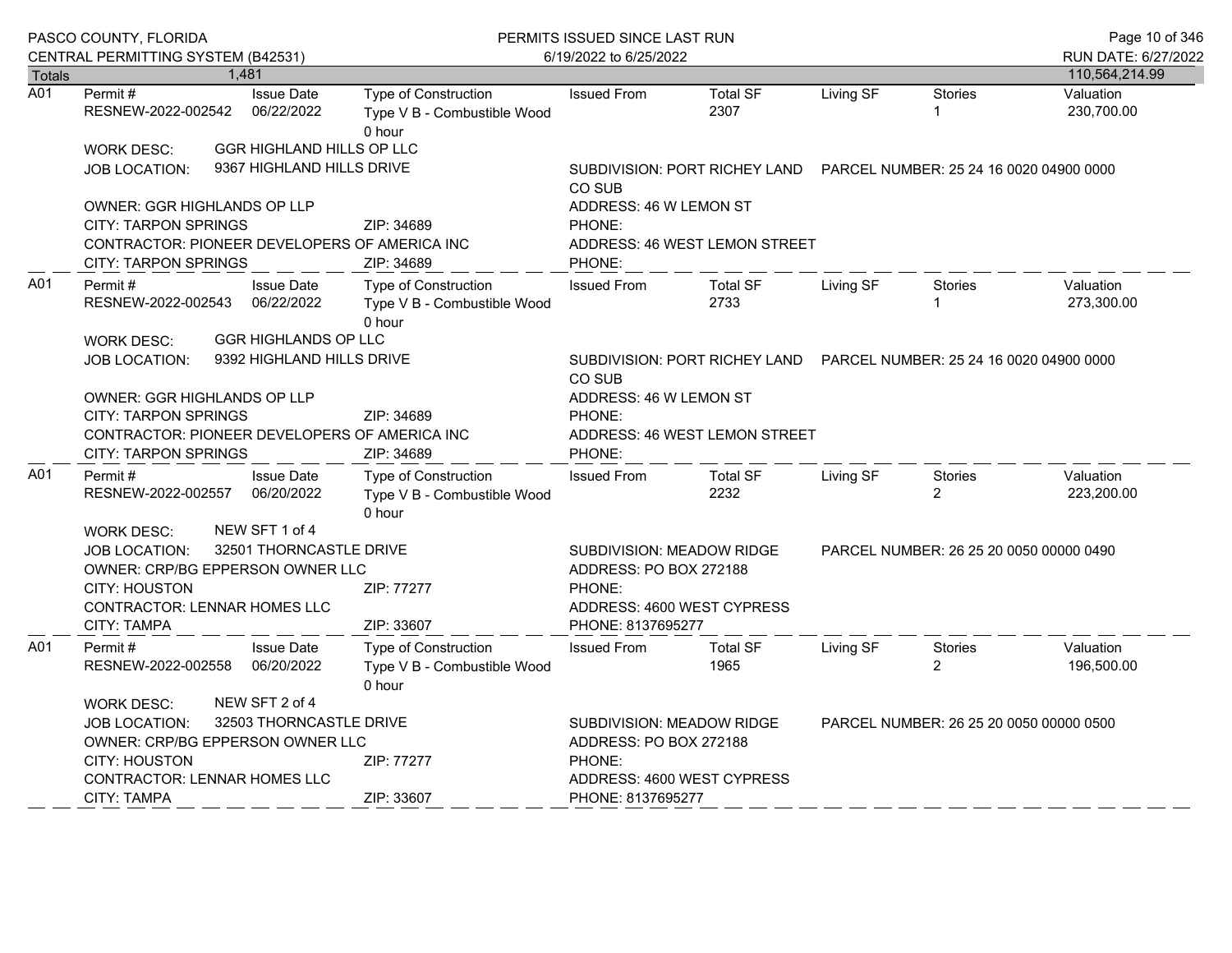| PASCO COUNTY, FLORIDA<br>CENTRAL PERMITTING SYSTEM (B42531) |                                                                                                                                                                                                                 |  |                                                          | PERMITS ISSUED SINCE LAST RUN<br>6/19/2022 to 6/25/2022              |                                                                                    |                               |           |                                         | Page 10 of 346<br>RUN DATE: 6/27/2022 |
|-------------------------------------------------------------|-----------------------------------------------------------------------------------------------------------------------------------------------------------------------------------------------------------------|--|----------------------------------------------------------|----------------------------------------------------------------------|------------------------------------------------------------------------------------|-------------------------------|-----------|-----------------------------------------|---------------------------------------|
| <b>Totals</b>                                               |                                                                                                                                                                                                                 |  | 1,481                                                    |                                                                      |                                                                                    |                               |           |                                         | 110,564,214.99                        |
| A01                                                         | Permit#<br>RESNEW-2022-002542                                                                                                                                                                                   |  | <b>Issue Date</b><br>06/22/2022                          | <b>Type of Construction</b><br>Type V B - Combustible Wood<br>0 hour | <b>Issued From</b>                                                                 | <b>Total SF</b><br>2307       | Living SF | <b>Stories</b><br>1                     | Valuation<br>230,700.00               |
|                                                             | <b>WORK DESC:</b>                                                                                                                                                                                               |  | GGR HIGHLAND HILLS OP LLC                                |                                                                      |                                                                                    |                               |           |                                         |                                       |
|                                                             | JOB LOCATION:                                                                                                                                                                                                   |  | 9367 HIGHLAND HILLS DRIVE                                |                                                                      | SUBDIVISION: PORT RICHEY LAND    PARCEL NUMBER: 25 24 16 0020 04900 0000<br>CO SUB |                               |           |                                         |                                       |
|                                                             | <b>OWNER: GGR HIGHLANDS OP LLP</b>                                                                                                                                                                              |  |                                                          |                                                                      | ADDRESS: 46 W LEMON ST                                                             |                               |           |                                         |                                       |
|                                                             | <b>CITY: TARPON SPRINGS</b>                                                                                                                                                                                     |  |                                                          | ZIP: 34689                                                           | PHONE:                                                                             |                               |           |                                         |                                       |
|                                                             | <b>CITY: TARPON SPRINGS</b>                                                                                                                                                                                     |  |                                                          | CONTRACTOR: PIONEER DEVELOPERS OF AMERICA INC<br>ZIP: 34689          | PHONE:                                                                             | ADDRESS: 46 WEST LEMON STREET |           |                                         |                                       |
| A01                                                         | Permit#<br>RESNEW-2022-002543                                                                                                                                                                                   |  | <b>Issue Date</b><br>06/22/2022                          | Type of Construction<br>Type V B - Combustible Wood<br>0 hour        | <b>Issued From</b>                                                                 | <b>Total SF</b><br>2733       | Living SF | <b>Stories</b><br>1                     | Valuation<br>273,300.00               |
|                                                             | <b>WORK DESC:</b><br><b>JOB LOCATION:</b>                                                                                                                                                                       |  | <b>GGR HIGHLANDS OP LLC</b><br>9392 HIGHLAND HILLS DRIVE |                                                                      | SUBDIVISION: PORT RICHEY LAND    PARCEL NUMBER: 25 24 16 0020 04900 0000<br>CO SUB |                               |           |                                         |                                       |
|                                                             | <b>OWNER: GGR HIGHLANDS OP LLP</b><br><b>CITY: TARPON SPRINGS</b><br>CONTRACTOR: PIONEER DEVELOPERS OF AMERICA INC<br><b>CITY: TARPON SPRINGS</b>                                                               |  |                                                          | ZIP: 34689<br>ZIP: 34689                                             | ADDRESS: 46 W LEMON ST<br>PHONE:<br>PHONE:                                         | ADDRESS: 46 WEST LEMON STREET |           |                                         |                                       |
| A01                                                         | Permit#<br>RESNEW-2022-002557                                                                                                                                                                                   |  | <b>Issue Date</b><br>06/20/2022                          | <b>Type of Construction</b><br>Type V B - Combustible Wood<br>0 hour | <b>Issued From</b>                                                                 | <b>Total SF</b><br>2232       | Living SF | <b>Stories</b><br>$\overline{2}$        | Valuation<br>223,200.00               |
|                                                             | NEW SFT 1 of 4<br><b>WORK DESC:</b><br>32501 THORNCASTLE DRIVE<br><b>JOB LOCATION:</b><br>OWNER: CRP/BG EPPERSON OWNER LLC<br><b>CITY: HOUSTON</b><br><b>CONTRACTOR: LENNAR HOMES LLC</b><br><b>CITY: TAMPA</b> |  |                                                          | ZIP: 77277<br>ZIP: 33607                                             | SUBDIVISION: MEADOW RIDGE<br>ADDRESS: PO BOX 272188<br>PHONE:<br>PHONE: 8137695277 | ADDRESS: 4600 WEST CYPRESS    |           | PARCEL NUMBER: 26 25 20 0050 00000 0490 |                                       |
| A01                                                         | Permit#<br>RESNEW-2022-002558                                                                                                                                                                                   |  | <b>Issue Date</b><br>06/20/2022                          | Type of Construction<br>Type V B - Combustible Wood<br>0 hour        | <b>Issued From</b>                                                                 | <b>Total SF</b><br>1965       | Living SF | Stories<br>$\overline{2}$               | Valuation<br>196,500.00               |
|                                                             | <b>WORK DESC:</b><br><b>JOB LOCATION:</b><br>OWNER: CRP/BG EPPERSON OWNER LLC<br><b>CITY: HOUSTON</b><br><b>CONTRACTOR: LENNAR HOMES LLC</b><br>CITY: TAMPA                                                     |  | NEW SFT 2 of 4<br>32503 THORNCASTLE DRIVE                | ZIP: 77277<br>ZIP: 33607                                             | SUBDIVISION: MEADOW RIDGE<br>ADDRESS: PO BOX 272188<br>PHONE:<br>PHONE: 8137695277 | ADDRESS: 4600 WEST CYPRESS    |           | PARCEL NUMBER: 26 25 20 0050 00000 0500 |                                       |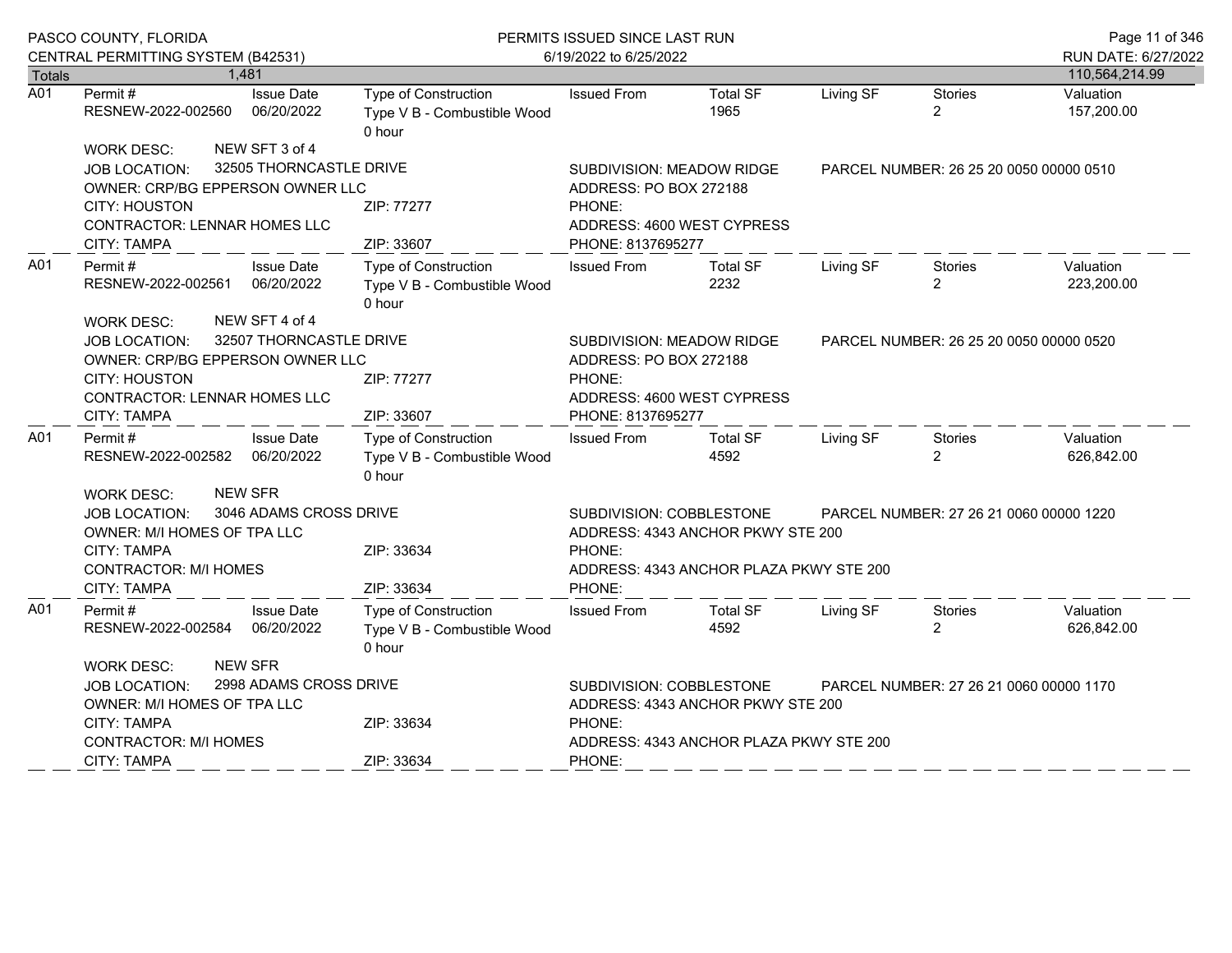|               | PASCO COUNTY, FLORIDA                                                                                                                                                                                           |                                                               | PERMITS ISSUED SINCE LAST RUN                                                                                                |                                         |                                         |                                         |                         |
|---------------|-----------------------------------------------------------------------------------------------------------------------------------------------------------------------------------------------------------------|---------------------------------------------------------------|------------------------------------------------------------------------------------------------------------------------------|-----------------------------------------|-----------------------------------------|-----------------------------------------|-------------------------|
| <b>Totals</b> | CENTRAL PERMITTING SYSTEM (B42531)<br>1,481                                                                                                                                                                     |                                                               | 6/19/2022 to 6/25/2022                                                                                                       | RUN DATE: 6/27/2022<br>110,564,214.99   |                                         |                                         |                         |
| A01           | Permit#<br><b>Issue Date</b><br>RESNEW-2022-002560<br>06/20/2022                                                                                                                                                | Type of Construction<br>Type V B - Combustible Wood<br>0 hour | <b>Issued From</b>                                                                                                           | Total SF<br>1965                        | Living SF                               | <b>Stories</b><br>$\overline{2}$        | Valuation<br>157,200.00 |
|               | NEW SFT 3 of 4<br><b>WORK DESC:</b><br>32505 THORNCASTLE DRIVE<br><b>JOB LOCATION:</b><br>OWNER: CRP/BG EPPERSON OWNER LLC<br><b>CITY: HOUSTON</b><br><b>CONTRACTOR: LENNAR HOMES LLC</b><br><b>CITY: TAMPA</b> | ZIP: 77277<br>ZIP: 33607                                      | SUBDIVISION: MEADOW RIDGE<br>ADDRESS: PO BOX 272188<br>PHONE:<br>ADDRESS: 4600 WEST CYPRESS<br>PHONE: 8137695277             |                                         | PARCEL NUMBER: 26 25 20 0050 00000 0510 |                                         |                         |
| A01           | Permit #<br><b>Issue Date</b><br>RESNEW-2022-002561<br>06/20/2022<br>NEW SFT 4 of 4                                                                                                                             | Type of Construction<br>Type V B - Combustible Wood<br>0 hour | <b>Issued From</b>                                                                                                           | <b>Total SF</b><br>2232                 | Living SF                               | Stories<br>$\overline{2}$               | Valuation<br>223,200.00 |
|               | <b>WORK DESC:</b><br>32507 THORNCASTLE DRIVE<br><b>JOB LOCATION:</b><br>OWNER: CRP/BG EPPERSON OWNER LLC<br><b>CITY: HOUSTON</b><br><b>CONTRACTOR: LENNAR HOMES LLC</b><br><b>CITY: TAMPA</b>                   | ZIP: 77277<br>ZIP: 33607                                      | SUBDIVISION: MEADOW RIDGE<br>ADDRESS: PO BOX 272188<br>PHONE:<br>ADDRESS: 4600 WEST CYPRESS<br>PHONE: 8137695277             |                                         | PARCEL NUMBER: 26 25 20 0050 00000 0520 |                                         |                         |
| A01           | <b>Issue Date</b><br>Permit#<br>06/20/2022<br>RESNEW-2022-002582                                                                                                                                                | Type of Construction<br>Type V B - Combustible Wood<br>0 hour | <b>Issued From</b>                                                                                                           | <b>Total SF</b><br>4592                 | Living SF                               | Stories<br>$\overline{2}$               | Valuation<br>626,842.00 |
|               | <b>NEW SFR</b><br><b>WORK DESC:</b><br>3046 ADAMS CROSS DRIVE<br>JOB LOCATION:<br>OWNER: M/I HOMES OF TPA LLC<br><b>CITY: TAMPA</b><br><b>CONTRACTOR: M/I HOMES</b><br><b>CITY: TAMPA</b>                       | ZIP: 33634<br>ZIP: 33634                                      | SUBDIVISION: COBBLESTONE<br>ADDRESS: 4343 ANCHOR PKWY STE 200<br>PHONE:<br>ADDRESS: 4343 ANCHOR PLAZA PKWY STE 200<br>PHONE: |                                         |                                         | PARCEL NUMBER: 27 26 21 0060 00000 1220 |                         |
| A01           | Permit#<br><b>Issue Date</b><br>RESNEW-2022-002584<br>06/20/2022                                                                                                                                                | Type of Construction<br>Type V B - Combustible Wood<br>0 hour | <b>Issued From</b>                                                                                                           | <b>Total SF</b><br>4592                 | Living SF                               | Stories<br>2                            | Valuation<br>626,842.00 |
|               | <b>NEW SFR</b><br>WORK DESC:<br>2998 ADAMS CROSS DRIVE<br><b>JOB LOCATION:</b><br>OWNER: M/I HOMES OF TPA LLC<br><b>CITY: TAMPA</b>                                                                             | ZIP: 33634                                                    | SUBDIVISION: COBBLESTONE<br>PARCEL NUMBER: 27 26 21 0060 00000 1170<br>ADDRESS: 4343 ANCHOR PKWY STE 200<br>PHONE:           |                                         |                                         |                                         |                         |
|               | <b>CONTRACTOR: M/I HOMES</b><br><b>CITY: TAMPA</b>                                                                                                                                                              | ZIP: 33634                                                    | PHONE:                                                                                                                       | ADDRESS: 4343 ANCHOR PLAZA PKWY STE 200 |                                         |                                         |                         |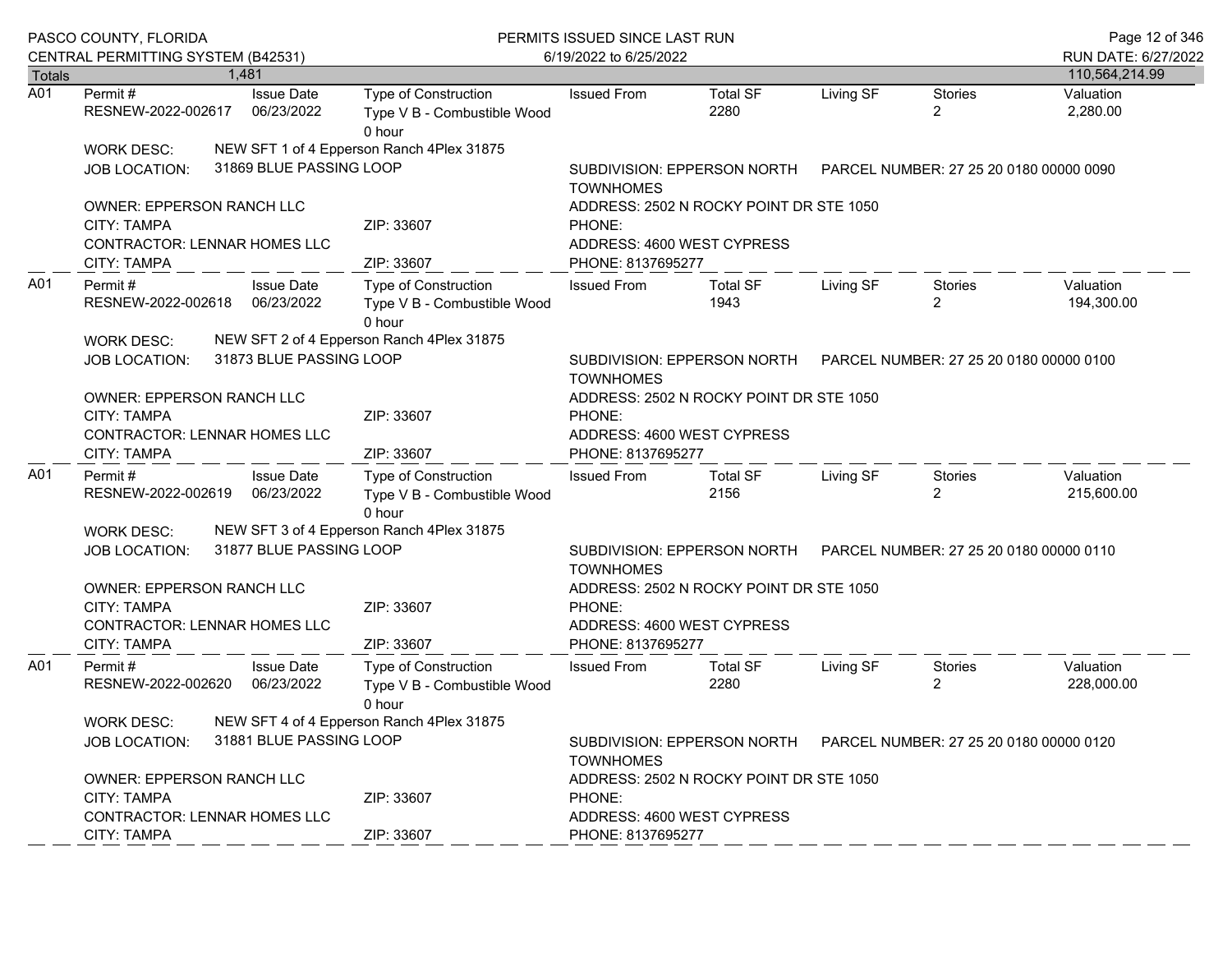|                  | PASCO COUNTY, FLORIDA<br>CENTRAL PERMITTING SYSTEM (B42531)   |                                 | PERMITS ISSUED SINCE LAST RUN<br>6/19/2022 to 6/25/2022                                                    |                                                                                            |                                                 |           |                                  | Page 12 of 346<br>RUN DATE: 6/27/2022 |  |  |
|------------------|---------------------------------------------------------------|---------------------------------|------------------------------------------------------------------------------------------------------------|--------------------------------------------------------------------------------------------|-------------------------------------------------|-----------|----------------------------------|---------------------------------------|--|--|
| <b>Totals</b>    |                                                               | 1,481                           |                                                                                                            |                                                                                            |                                                 |           |                                  | 110,564,214.99                        |  |  |
| $\overline{A01}$ | Permit #<br>RESNEW-2022-002617                                | <b>Issue Date</b><br>06/23/2022 | Type of Construction<br>Type V B - Combustible Wood<br>0 hour                                              | <b>Issued From</b>                                                                         | <b>Total SF</b><br>2280                         | Living SF | <b>Stories</b><br>$\overline{2}$ | Valuation<br>2,280.00                 |  |  |
|                  | WORK DESC:                                                    |                                 | NEW SFT 1 of 4 Epperson Ranch 4Plex 31875                                                                  |                                                                                            |                                                 |           |                                  |                                       |  |  |
|                  | <b>JOB LOCATION:</b>                                          | 31869 BLUE PASSING LOOP         |                                                                                                            | SUBDIVISION: EPPERSON NORTH    PARCEL NUMBER: 27 25 20 0180 00000 0090<br><b>TOWNHOMES</b> |                                                 |           |                                  |                                       |  |  |
|                  | OWNER: EPPERSON RANCH LLC                                     |                                 |                                                                                                            | ADDRESS: 2502 N ROCKY POINT DR STE 1050                                                    |                                                 |           |                                  |                                       |  |  |
|                  | <b>CITY: TAMPA</b><br>CONTRACTOR: LENNAR HOMES LLC            |                                 | ZIP: 33607                                                                                                 | PHONE:<br>ADDRESS: 4600 WEST CYPRESS                                                       |                                                 |           |                                  |                                       |  |  |
|                  | CITY: TAMPA                                                   |                                 | ZIP: 33607                                                                                                 | PHONE: 8137695277                                                                          |                                                 |           |                                  |                                       |  |  |
| A01              | Permit#<br>RESNEW-2022-002618 06/23/2022<br><b>WORK DESC:</b> | <b>Issue Date</b>               | Type of Construction<br>Type V B - Combustible Wood<br>0 hour<br>NEW SFT 2 of 4 Epperson Ranch 4Plex 31875 | <b>Issued From</b>                                                                         | <b>Total SF</b><br>1943                         | Living SF | Stories<br>$\overline{2}$        | Valuation<br>194,300.00               |  |  |
|                  | <b>JOB LOCATION:</b>                                          | 31873 BLUE PASSING LOOP         |                                                                                                            | SUBDIVISION: EPPERSON NORTH    PARCEL NUMBER: 27 25 20 0180 00000 0100<br><b>TOWNHOMES</b> |                                                 |           |                                  |                                       |  |  |
|                  | OWNER: EPPERSON RANCH LLC                                     |                                 |                                                                                                            | ADDRESS: 2502 N ROCKY POINT DR STE 1050                                                    |                                                 |           |                                  |                                       |  |  |
|                  | <b>CITY: TAMPA</b>                                            |                                 | ZIP: 33607                                                                                                 | PHONE:                                                                                     |                                                 |           |                                  |                                       |  |  |
|                  | <b>CONTRACTOR: LENNAR HOMES LLC</b><br><b>CITY: TAMPA</b>     |                                 | ZIP: 33607                                                                                                 |                                                                                            | ADDRESS: 4600 WEST CYPRESS<br>PHONE: 8137695277 |           |                                  |                                       |  |  |
| A01              | Permit#<br>RESNEW-2022-002619 06/23/2022                      | <b>Issue Date</b>               | Type of Construction<br>Type V B - Combustible Wood<br>0 hour                                              | <b>Issued From</b>                                                                         | Total SF<br>2156                                | Living SF | Stories<br>$\overline{2}$        | Valuation<br>215,600.00               |  |  |
|                  | WORK DESC:                                                    |                                 | NEW SFT 3 of 4 Epperson Ranch 4Plex 31875                                                                  |                                                                                            |                                                 |           |                                  |                                       |  |  |
|                  | <b>JOB LOCATION:</b>                                          | 31877 BLUE PASSING LOOP         |                                                                                                            | SUBDIVISION: EPPERSON NORTH    PARCEL NUMBER: 27 25 20 0180 00000 0110<br><b>TOWNHOMES</b> |                                                 |           |                                  |                                       |  |  |
|                  | OWNER: EPPERSON RANCH LLC<br>CITY: TAMPA                      |                                 | ZIP: 33607                                                                                                 | ADDRESS: 2502 N ROCKY POINT DR STE 1050<br>PHONE:                                          |                                                 |           |                                  |                                       |  |  |
|                  | CONTRACTOR: LENNAR HOMES LLC<br><b>CITY: TAMPA</b>            |                                 | ZIP: 33607                                                                                                 | ADDRESS: 4600 WEST CYPRESS<br>PHONE: 8137695277                                            |                                                 |           |                                  |                                       |  |  |
| A01              | Permit#<br>RESNEW-2022-002620                                 | <b>Issue Date</b><br>06/23/2022 | Type of Construction<br>Type V B - Combustible Wood<br>0 hour                                              | <b>Issued From</b>                                                                         | <b>Total SF</b><br>2280                         | Living SF | Stories<br>2                     | Valuation<br>228,000.00               |  |  |
|                  | <b>WORK DESC:</b>                                             |                                 | NEW SFT 4 of 4 Epperson Ranch 4Plex 31875                                                                  |                                                                                            |                                                 |           |                                  |                                       |  |  |
|                  | <b>JOB LOCATION:</b>                                          | 31881 BLUE PASSING LOOP         |                                                                                                            | SUBDIVISION: EPPERSON NORTH PARCEL NUMBER: 27 25 20 0180 00000 0120<br><b>TOWNHOMES</b>    |                                                 |           |                                  |                                       |  |  |
|                  | OWNER: EPPERSON RANCH LLC<br><b>CITY: TAMPA</b>               |                                 | ZIP: 33607                                                                                                 | ADDRESS: 2502 N ROCKY POINT DR STE 1050<br>PHONE:                                          |                                                 |           |                                  |                                       |  |  |
|                  | <b>CONTRACTOR: LENNAR HOMES LLC</b><br>CITY: TAMPA            |                                 | ZIP: 33607                                                                                                 | ADDRESS: 4600 WEST CYPRESS<br>PHONE: 8137695277                                            |                                                 |           |                                  |                                       |  |  |
|                  |                                                               |                                 |                                                                                                            |                                                                                            |                                                 |           |                                  |                                       |  |  |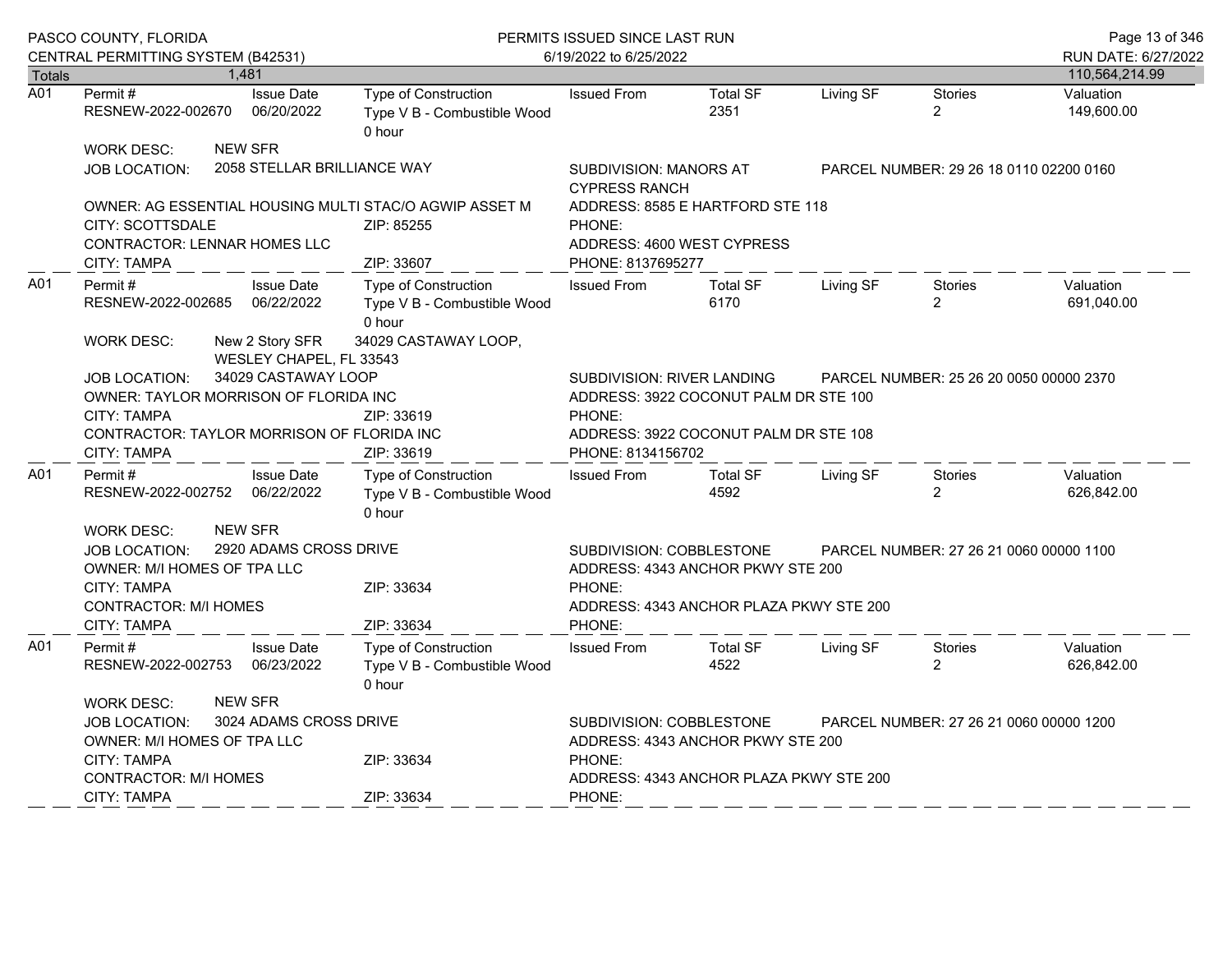|                  | PASCO COUNTY, FLORIDA                                                                                                                                                                                                                             |  |                                               | PERMITS ISSUED SINCE LAST RUN                                                                                                                                 |                                                                                                                                             |                                         |           |                                  | Page 13 of 346                        |
|------------------|---------------------------------------------------------------------------------------------------------------------------------------------------------------------------------------------------------------------------------------------------|--|-----------------------------------------------|---------------------------------------------------------------------------------------------------------------------------------------------------------------|---------------------------------------------------------------------------------------------------------------------------------------------|-----------------------------------------|-----------|----------------------------------|---------------------------------------|
| Totals           | CENTRAL PERMITTING SYSTEM (B42531)                                                                                                                                                                                                                |  | 1.481                                         |                                                                                                                                                               | 6/19/2022 to 6/25/2022                                                                                                                      |                                         |           |                                  | RUN DATE: 6/27/2022<br>110,564,214.99 |
| $\overline{A01}$ | Permit#<br>RESNEW-2022-002670                                                                                                                                                                                                                     |  | <b>Issue Date</b><br>06/20/2022               | Type of Construction<br>Type V B - Combustible Wood<br>0 hour                                                                                                 | <b>Issued From</b>                                                                                                                          | <b>Total SF</b><br>2351                 | Living SF | <b>Stories</b><br>$\overline{2}$ | Valuation<br>149,600.00               |
|                  | <b>WORK DESC:</b><br>JOB LOCATION:                                                                                                                                                                                                                |  | <b>NEW SFR</b><br>2058 STELLAR BRILLIANCE WAY |                                                                                                                                                               | SUBDIVISION: MANORS AT<br><b>CYPRESS RANCH</b>                                                                                              | PARCEL NUMBER: 29 26 18 0110 02200 0160 |           |                                  |                                       |
|                  | CITY: SCOTTSDALE<br><b>CONTRACTOR: LENNAR HOMES LLC</b><br><b>CITY: TAMPA</b>                                                                                                                                                                     |  |                                               | OWNER: AG ESSENTIAL HOUSING MULTI STAC/O AGWIP ASSET M<br>ZIP: 85255<br>ZIP: 33607                                                                            | ADDRESS: 8585 E HARTFORD STE 118<br>PHONE:<br>ADDRESS: 4600 WEST CYPRESS<br>PHONE: 8137695277                                               |                                         |           |                                  |                                       |
| A01              | Permit#<br>RESNEW-2022-002685<br><b>WORK DESC:</b>                                                                                                                                                                                                |  | <b>Issue Date</b><br>06/22/2022               | <b>Type of Construction</b><br>Type V B - Combustible Wood<br>0 hour<br>34029 CASTAWAY LOOP,                                                                  | <b>Issued From</b>                                                                                                                          | <b>Total SF</b><br>6170                 | Living SF | <b>Stories</b><br>$\overline{2}$ | Valuation<br>691,040.00               |
|                  | New 2 Story SFR<br>WESLEY CHAPEL, FL 33543<br>34029 CASTAWAY LOOP<br><b>JOB LOCATION:</b><br>OWNER: TAYLOR MORRISON OF FLORIDA INC<br><b>CITY: TAMPA</b><br>ZIP: 33619<br>CONTRACTOR: TAYLOR MORRISON OF FLORIDA INC<br>ZIP: 33619<br>CITY: TAMPA |  |                                               |                                                                                                                                                               | SUBDIVISION: RIVER LANDING<br>ADDRESS: 3922 COCONUT PALM DR STE 100<br>PHONE:<br>ADDRESS: 3922 COCONUT PALM DR STE 108<br>PHONE: 8134156702 | PARCEL NUMBER: 25 26 20 0050 00000 2370 |           |                                  |                                       |
| A01              | Permit#<br>RESNEW-2022-002752                                                                                                                                                                                                                     |  | <b>Issue Date</b><br>06/22/2022               | Type of Construction<br>Type V B - Combustible Wood<br>0 hour                                                                                                 | <b>Issued From</b>                                                                                                                          | <b>Total SF</b><br>4592                 | Living SF | <b>Stories</b><br>$\overline{2}$ | Valuation<br>626,842.00               |
|                  | <b>NEW SFR</b><br><b>WORK DESC:</b><br>2920 ADAMS CROSS DRIVE<br><b>JOB LOCATION:</b><br>OWNER: M/I HOMES OF TPA LLC<br>CITY: TAMPA<br>ZIP: 33634<br><b>CONTRACTOR: M/I HOMES</b><br>ZIP: 33634<br><b>CITY: TAMPA</b>                             |  |                                               |                                                                                                                                                               | SUBDIVISION: COBBLESTONE<br>ADDRESS: 4343 ANCHOR PKWY STE 200<br>PHONE:<br>ADDRESS: 4343 ANCHOR PLAZA PKWY STE 200<br>PHONE:                | PARCEL NUMBER: 27 26 21 0060 00000 1100 |           |                                  |                                       |
| A01              | Permit#<br>RESNEW-2022-002753                                                                                                                                                                                                                     |  | <b>Issue Date</b><br>06/23/2022               | Type of Construction<br>Type V B - Combustible Wood<br>0 hour                                                                                                 | <b>Issued From</b>                                                                                                                          | <b>Total SF</b><br>4522                 | Living SF | <b>Stories</b><br>$\overline{2}$ | Valuation<br>626,842.00               |
|                  | <b>NEW SFR</b><br><b>WORK DESC:</b><br>3024 ADAMS CROSS DRIVE<br><b>JOB LOCATION:</b><br><b>OWNER: M/I HOMES OF TPA LLC</b><br>CITY: TAMPA<br>ZIP: 33634<br><b>CONTRACTOR: M/I HOMES</b>                                                          |  |                                               | SUBDIVISION: COBBLESTONE<br>PARCEL NUMBER: 27 26 21 0060 00000 1200<br>ADDRESS: 4343 ANCHOR PKWY STE 200<br>PHONE:<br>ADDRESS: 4343 ANCHOR PLAZA PKWY STE 200 |                                                                                                                                             |                                         |           |                                  |                                       |
|                  | <b>CITY: TAMPA</b>                                                                                                                                                                                                                                |  |                                               | ZIP: 33634                                                                                                                                                    | PHONE:                                                                                                                                      |                                         |           |                                  |                                       |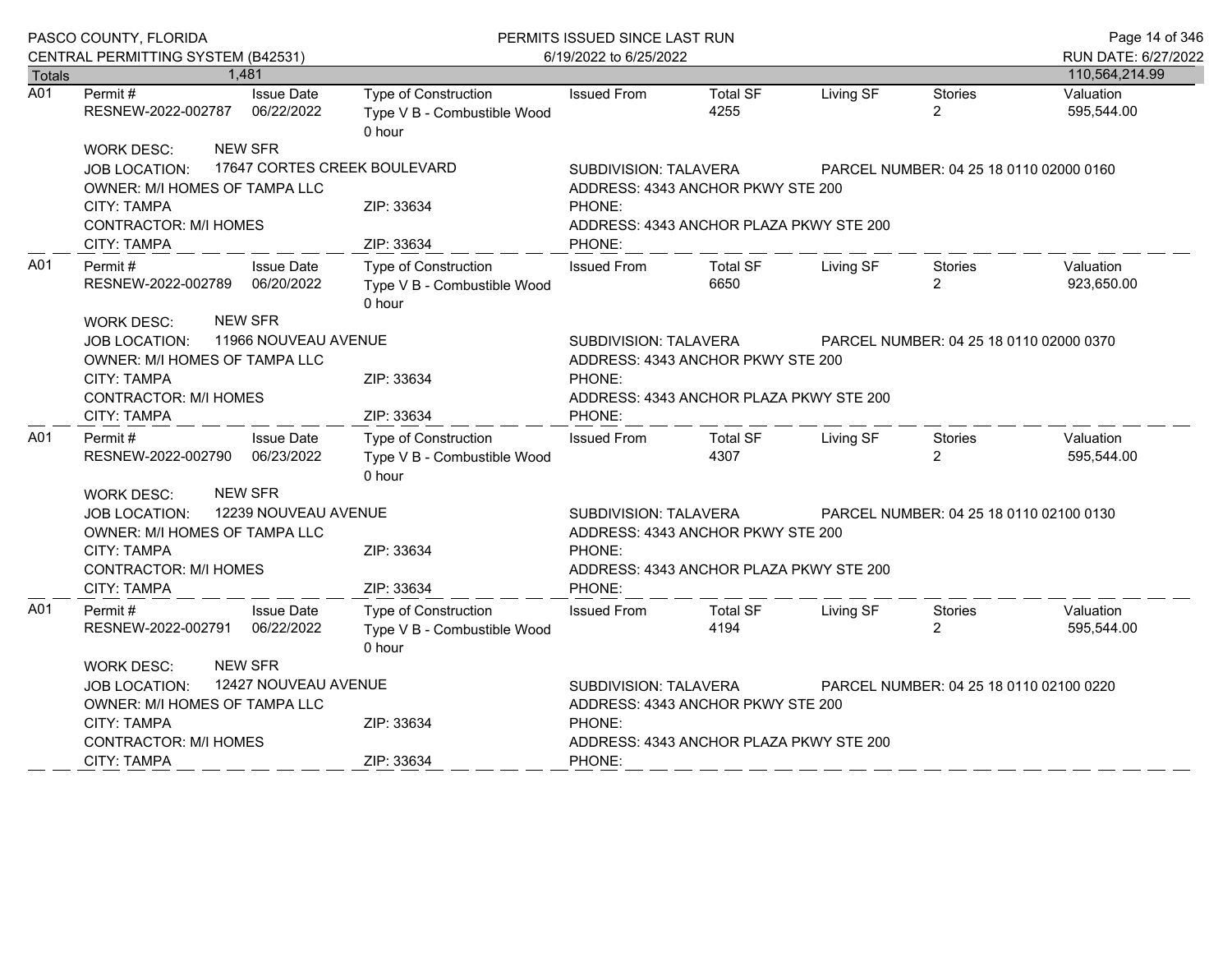|                  | PASCO COUNTY, FLORIDA                                                                                                            |                                        | PERMITS ISSUED SINCE LAST RUN                                        | Page 14 of 346                                                                                                  |                                         |           |                                         |                         |  |
|------------------|----------------------------------------------------------------------------------------------------------------------------------|----------------------------------------|----------------------------------------------------------------------|-----------------------------------------------------------------------------------------------------------------|-----------------------------------------|-----------|-----------------------------------------|-------------------------|--|
|                  | CENTRAL PERMITTING SYSTEM (B42531)                                                                                               |                                        |                                                                      | 6/19/2022 to 6/25/2022                                                                                          |                                         |           |                                         | RUN DATE: 6/27/2022     |  |
| <b>Totals</b>    |                                                                                                                                  | 1,481                                  |                                                                      |                                                                                                                 |                                         |           |                                         | 110,564,214.99          |  |
| $\overline{A01}$ | Permit#<br>RESNEW-2022-002787                                                                                                    | <b>Issue Date</b><br>06/22/2022        | <b>Type of Construction</b><br>Type V B - Combustible Wood<br>0 hour | <b>Issued From</b>                                                                                              | <b>Total SF</b><br>4255                 | Living SF | <b>Stories</b><br>$\overline{2}$        | Valuation<br>595,544.00 |  |
|                  | WORK DESC:                                                                                                                       | <b>NEW SFR</b>                         |                                                                      |                                                                                                                 |                                         |           |                                         |                         |  |
|                  | <b>JOB LOCATION:</b><br>OWNER: M/I HOMES OF TAMPA LLC                                                                            | 17647 CORTES CREEK BOULEVARD           |                                                                      | SUBDIVISION: TALAVERA                                                                                           | ADDRESS: 4343 ANCHOR PKWY STE 200       |           | PARCEL NUMBER: 04 25 18 0110 02000 0160 |                         |  |
|                  | CITY: TAMPA<br><b>CONTRACTOR: M/I HOMES</b><br><b>CITY: TAMPA</b>                                                                |                                        | ZIP: 33634<br>ZIP: 33634                                             | PHONE:<br>ADDRESS: 4343 ANCHOR PLAZA PKWY STE 200<br>PHONE:                                                     |                                         |           |                                         |                         |  |
| A01              | Permit #                                                                                                                         | <b>Issue Date</b>                      | <b>Type of Construction</b>                                          | <b>Issued From</b>                                                                                              | <b>Total SF</b>                         | Living SF | Stories                                 | Valuation               |  |
|                  | RESNEW-2022-002789                                                                                                               | 06/20/2022                             | Type V B - Combustible Wood<br>0 hour                                |                                                                                                                 | 6650                                    |           | $\overline{2}$                          | 923,650.00              |  |
|                  | <b>WORK DESC:</b><br><b>JOB LOCATION:</b><br>OWNER: M/I HOMES OF TAMPA LLC<br><b>CITY: TAMPA</b><br><b>CONTRACTOR: M/I HOMES</b> | <b>NEW SFR</b><br>11966 NOUVEAU AVENUE | ZIP: 33634                                                           | SUBDIVISION: TALAVERA<br>ADDRESS: 4343 ANCHOR PKWY STE 200<br>PHONE:<br>ADDRESS: 4343 ANCHOR PLAZA PKWY STE 200 |                                         |           | PARCEL NUMBER: 04 25 18 0110 02000 0370 |                         |  |
|                  | <b>CITY: TAMPA</b>                                                                                                               |                                        | ZIP: 33634                                                           | PHONE:                                                                                                          |                                         |           |                                         |                         |  |
| A01              | Permit#<br>RESNEW-2022-002790                                                                                                    | <b>Issue Date</b><br>06/23/2022        | Type of Construction<br>Type V B - Combustible Wood<br>0 hour        | <b>Issued From</b>                                                                                              | <b>Total SF</b><br>4307                 | Living SF | <b>Stories</b><br>$\overline{2}$        | Valuation<br>595,544.00 |  |
|                  | <b>WORK DESC:</b><br>JOB LOCATION:<br>OWNER: M/I HOMES OF TAMPA LLC<br><b>CITY: TAMPA</b>                                        | <b>NEW SFR</b><br>12239 NOUVEAU AVENUE |                                                                      | SUBDIVISION: TALAVERA<br>PHONE:                                                                                 | ADDRESS: 4343 ANCHOR PKWY STE 200       |           | PARCEL NUMBER: 04 25 18 0110 02100 0130 |                         |  |
|                  | <b>CONTRACTOR: M/I HOMES</b><br><b>CITY: TAMPA</b>                                                                               |                                        | ZIP: 33634<br>ZIP: 33634                                             | PHONE:                                                                                                          | ADDRESS: 4343 ANCHOR PLAZA PKWY STE 200 |           |                                         |                         |  |
| A01              | Permit #<br>RESNEW-2022-002791                                                                                                   | <b>Issue Date</b><br>06/22/2022        | <b>Type of Construction</b><br>Type V B - Combustible Wood<br>0 hour | <b>Issued From</b>                                                                                              | <b>Total SF</b><br>4194                 | Living SF | Stories<br>$\overline{2}$               | Valuation<br>595,544.00 |  |
|                  | <b>WORK DESC:</b>                                                                                                                | <b>NEW SFR</b>                         |                                                                      |                                                                                                                 |                                         |           |                                         |                         |  |
|                  | <b>JOB LOCATION:</b><br><b>OWNER: M/I HOMES OF TAMPA LLC</b>                                                                     | 12427 NOUVEAU AVENUE                   |                                                                      | SUBDIVISION: TALAVERA                                                                                           | ADDRESS: 4343 ANCHOR PKWY STE 200       |           | PARCEL NUMBER: 04 25 18 0110 02100 0220 |                         |  |
|                  | <b>CITY: TAMPA</b>                                                                                                               |                                        | ZIP: 33634                                                           | PHONE:                                                                                                          |                                         |           |                                         |                         |  |
|                  | <b>CONTRACTOR: M/I HOMES</b>                                                                                                     |                                        |                                                                      | ADDRESS: 4343 ANCHOR PLAZA PKWY STE 200                                                                         |                                         |           |                                         |                         |  |
|                  | <b>CITY: TAMPA</b>                                                                                                               |                                        | ZIP: 33634                                                           | PHONE:                                                                                                          |                                         |           |                                         |                         |  |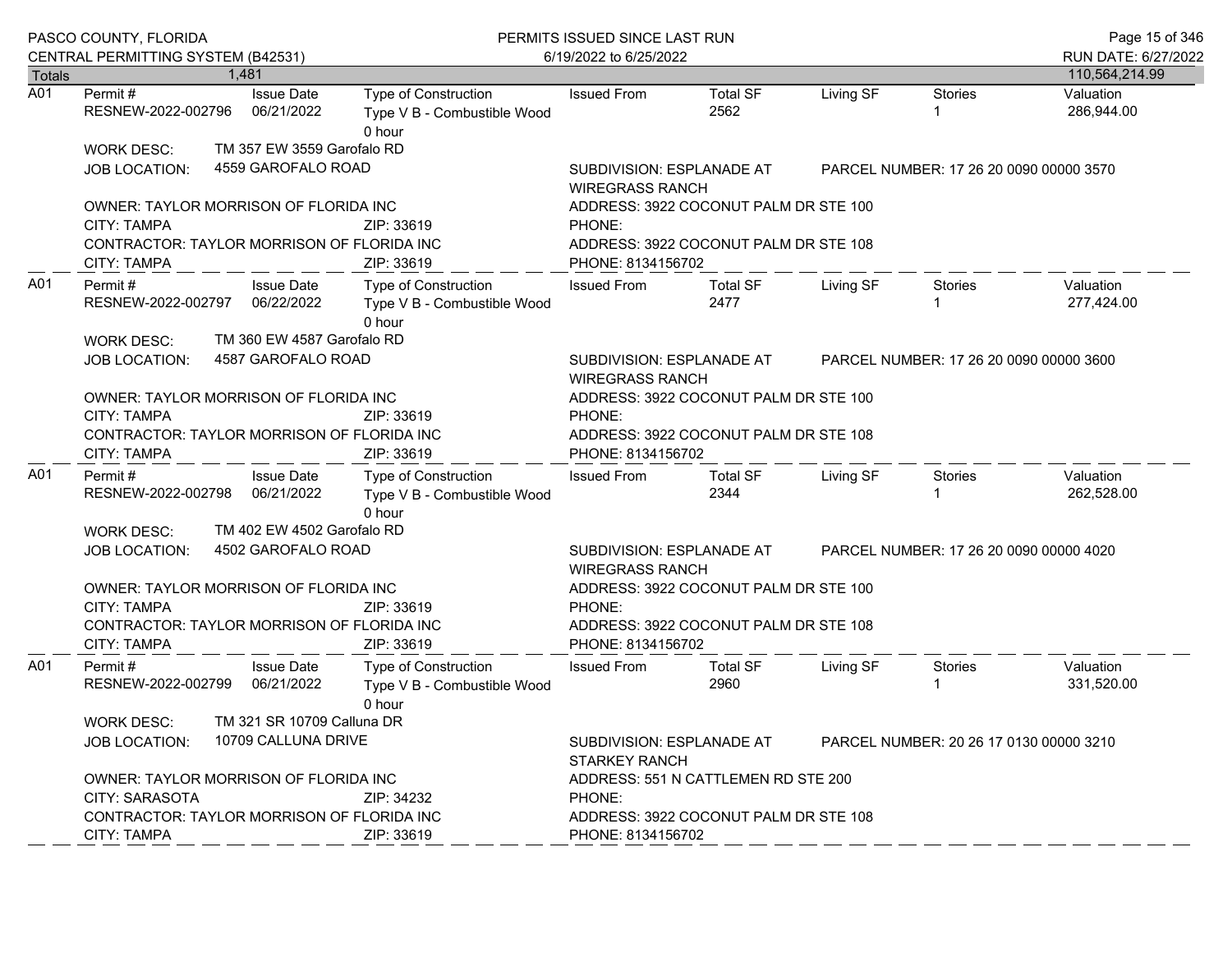|                  | PASCO COUNTY, FLORIDA<br>CENTRAL PERMITTING SYSTEM (B42531)                                                                 |                                                                                                             |                                                                             | PERMITS ISSUED SINCE LAST RUN<br>6/19/2022 to 6/25/2022                                                       |                                                                                                |           |                |                                       |  |
|------------------|-----------------------------------------------------------------------------------------------------------------------------|-------------------------------------------------------------------------------------------------------------|-----------------------------------------------------------------------------|---------------------------------------------------------------------------------------------------------------|------------------------------------------------------------------------------------------------|-----------|----------------|---------------------------------------|--|
| <b>Totals</b>    |                                                                                                                             | 1,481                                                                                                       |                                                                             |                                                                                                               |                                                                                                |           |                | RUN DATE: 6/27/2022<br>110,564,214.99 |  |
| $\overline{A01}$ | Permit #<br>RESNEW-2022-002796                                                                                              | <b>Issue Date</b><br>06/21/2022                                                                             | Type of Construction<br>Type V B - Combustible Wood<br>0 hour               | <b>Issued From</b>                                                                                            | <b>Total SF</b><br>2562                                                                        | Living SF | <b>Stories</b> | Valuation<br>286,944.00               |  |
|                  | WORK DESC:<br>JOB LOCATION:                                                                                                 | TM 357 EW 3559 Garofalo RD<br>4559 GAROFALO ROAD                                                            |                                                                             |                                                                                                               | SUBDIVISION: ESPLANADE AT<br>PARCEL NUMBER: 17 26 20 0090 00000 3570<br><b>WIREGRASS RANCH</b> |           |                |                                       |  |
|                  | OWNER: TAYLOR MORRISON OF FLORIDA INC<br>CITY: TAMPA<br>CONTRACTOR: TAYLOR MORRISON OF FLORIDA INC                          |                                                                                                             | ZIP: 33619                                                                  | ADDRESS: 3922 COCONUT PALM DR STE 100<br>PHONE:<br>ADDRESS: 3922 COCONUT PALM DR STE 108                      |                                                                                                |           |                |                                       |  |
| A01              | CITY: TAMPA<br>Permit #<br>RESNEW-2022-002797<br>WORK DESC:                                                                 | <b>Issue Date</b><br>06/22/2022<br>TM 360 EW 4587 Garofalo RD                                               | ZIP: 33619<br>Type of Construction<br>Type V B - Combustible Wood<br>0 hour | PHONE: 8134156702<br><b>Issued From</b>                                                                       | Total SF<br>2477                                                                               | Living SF | Stories        | Valuation<br>277,424.00               |  |
|                  | 4587 GAROFALO ROAD<br>JOB LOCATION:                                                                                         | SUBDIVISION: ESPLANADE AT<br><b>WIREGRASS RANCH</b>                                                         | PARCEL NUMBER: 17 26 20 0090 00000 3600                                     |                                                                                                               |                                                                                                |           |                |                                       |  |
|                  | OWNER: TAYLOR MORRISON OF FLORIDA INC<br><b>CITY: TAMPA</b><br>CONTRACTOR: TAYLOR MORRISON OF FLORIDA INC<br>CITY: TAMPA    |                                                                                                             | ZIP: 33619<br>ZIP: 33619                                                    | PHONE:<br>PHONE: 8134156702                                                                                   | ADDRESS: 3922 COCONUT PALM DR STE 100<br>ADDRESS: 3922 COCONUT PALM DR STE 108                 |           |                |                                       |  |
| A01              | Permit#<br>RESNEW-2022-002798                                                                                               | <b>Issue Date</b><br>06/21/2022                                                                             | Type of Construction<br>Type V B - Combustible Wood<br>0 hour               | <b>Issued From</b>                                                                                            | <b>Total SF</b><br>2344                                                                        | Living SF | Stories        | Valuation<br>262,528.00               |  |
|                  | WORK DESC:<br>JOB LOCATION:                                                                                                 | TM 402 EW 4502 Garofalo RD<br>4502 GAROFALO ROAD                                                            |                                                                             | SUBDIVISION: ESPLANADE AT<br><b>WIREGRASS RANCH</b>                                                           | PARCEL NUMBER: 17 26 20 0090 00000 4020                                                        |           |                |                                       |  |
|                  | OWNER: TAYLOR MORRISON OF FLORIDA INC<br>CITY: TAMPA<br>CONTRACTOR: TAYLOR MORRISON OF FLORIDA INC<br>CITY: TAMPA           |                                                                                                             | ZIP: 33619<br>ZIP: 33619                                                    | ADDRESS: 3922 COCONUT PALM DR STE 100<br>PHONE:<br>ADDRESS: 3922 COCONUT PALM DR STE 108<br>PHONE: 8134156702 |                                                                                                |           |                |                                       |  |
| A01              | Permit#<br>RESNEW-2022-002799                                                                                               | <b>Issue Date</b><br>06/21/2022                                                                             | Type of Construction<br>Type V B - Combustible Wood<br>0 hour               | <b>Issued From</b>                                                                                            | <b>Total SF</b><br>2960                                                                        | Living SF | Stories        | Valuation<br>331,520.00               |  |
|                  | <b>WORK DESC:</b><br><b>JOB LOCATION:</b>                                                                                   | TM 321 SR 10709 Calluna DR<br>10709 CALLUNA DRIVE                                                           |                                                                             | SUBDIVISION: ESPLANADE AT<br><b>STARKEY RANCH</b>                                                             | PARCEL NUMBER: 20 26 17 0130 00000 3210                                                        |           |                |                                       |  |
|                  | OWNER: TAYLOR MORRISON OF FLORIDA INC<br>CITY: SARASOTA<br>CONTRACTOR: TAYLOR MORRISON OF FLORIDA INC<br><b>CITY: TAMPA</b> | ADDRESS: 551 N CATTLEMEN RD STE 200<br>PHONE:<br>ADDRESS: 3922 COCONUT PALM DR STE 108<br>PHONE: 8134156702 |                                                                             |                                                                                                               |                                                                                                |           |                |                                       |  |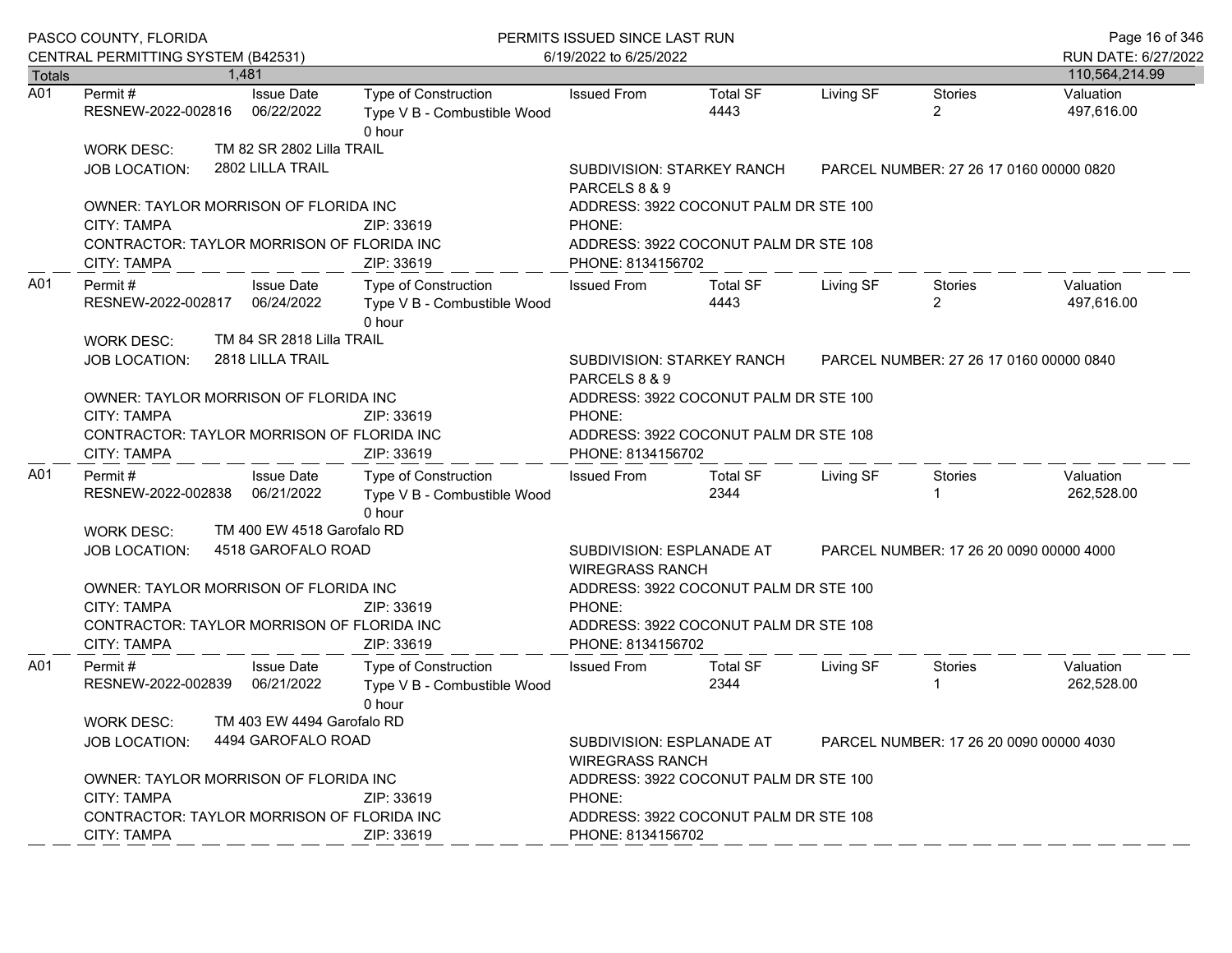|                  | PASCO COUNTY, FLORIDA<br>CENTRAL PERMITTING SYSTEM (B42531)                                               |                                                                                          | PERMITS ISSUED SINCE LAST RUN<br>6/19/2022 to 6/25/2022              |                                                                                                |                                                                                |           |                           | Page 16 of 346<br>RUN DATE: 6/27/2022 |
|------------------|-----------------------------------------------------------------------------------------------------------|------------------------------------------------------------------------------------------|----------------------------------------------------------------------|------------------------------------------------------------------------------------------------|--------------------------------------------------------------------------------|-----------|---------------------------|---------------------------------------|
| <b>Totals</b>    |                                                                                                           | 1.481                                                                                    |                                                                      |                                                                                                |                                                                                |           |                           | 110,564,214.99                        |
| $\overline{A01}$ | Permit #<br>RESNEW-2022-002816                                                                            | <b>Issue Date</b><br>06/22/2022                                                          | Type of Construction<br>Type V B - Combustible Wood<br>0 hour        | <b>Issued From</b>                                                                             | <b>Total SF</b><br>4443                                                        | Living SF | <b>Stories</b><br>2       | Valuation<br>497,616.00               |
|                  | <b>WORK DESC:</b><br>JOB LOCATION:                                                                        | TM 82 SR 2802 Lilla TRAIL<br>2802 LILLA TRAIL                                            |                                                                      | SUBDIVISION: STARKEY RANCH<br>PARCELS 8 & 9                                                    | PARCEL NUMBER: 27 26 17 0160 00000 0820                                        |           |                           |                                       |
|                  | OWNER: TAYLOR MORRISON OF FLORIDA INC<br>CITY: TAMPA<br>CONTRACTOR: TAYLOR MORRISON OF FLORIDA INC        |                                                                                          | ZIP: 33619                                                           | ADDRESS: 3922 COCONUT PALM DR STE 100<br>PHONE:<br>ADDRESS: 3922 COCONUT PALM DR STE 108       |                                                                                |           |                           |                                       |
|                  | CITY: TAMPA                                                                                               |                                                                                          | ZIP: 33619                                                           | PHONE: 8134156702                                                                              |                                                                                |           |                           |                                       |
| A01              | Permit#<br>RESNEW-2022-002817 06/24/2022                                                                  | <b>Issue Date</b><br>TM 84 SR 2818 Lilla TRAIL                                           | Type of Construction<br>Type V B - Combustible Wood<br>0 hour        | <b>Issued From</b>                                                                             | <b>Total SF</b><br>4443                                                        | Living SF | Stories<br>$\overline{2}$ | Valuation<br>497,616.00               |
|                  | <b>WORK DESC:</b><br>2818 LILLA TRAIL<br><b>JOB LOCATION:</b>                                             | SUBDIVISION: STARKEY RANCH<br>PARCELS 8 & 9                                              | PARCEL NUMBER: 27 26 17 0160 00000 0840                              |                                                                                                |                                                                                |           |                           |                                       |
|                  | OWNER: TAYLOR MORRISON OF FLORIDA INC<br>CITY: TAMPA<br>CONTRACTOR: TAYLOR MORRISON OF FLORIDA INC        |                                                                                          | ZIP: 33619                                                           | PHONE:                                                                                         | ADDRESS: 3922 COCONUT PALM DR STE 100<br>ADDRESS: 3922 COCONUT PALM DR STE 108 |           |                           |                                       |
|                  | CITY: TAMPA                                                                                               |                                                                                          | ZIP: 33619                                                           | PHONE: 8134156702                                                                              |                                                                                |           |                           |                                       |
| A01              | Permit #<br>RESNEW-2022-002838 06/21/2022                                                                 | <b>Issue Date</b>                                                                        | Type of Construction<br>Type V B - Combustible Wood<br>0 hour        | <b>Issued From</b>                                                                             | Total SF<br>2344                                                               | Living SF | Stories                   | Valuation<br>262,528.00               |
|                  | WORK DESC:                                                                                                | TM 400 EW 4518 Garofalo RD                                                               |                                                                      |                                                                                                |                                                                                |           |                           |                                       |
|                  | <b>JOB LOCATION:</b>                                                                                      | 4518 GAROFALO ROAD                                                                       |                                                                      | SUBDIVISION: ESPLANADE AT<br>PARCEL NUMBER: 17 26 20 0090 00000 4000<br><b>WIREGRASS RANCH</b> |                                                                                |           |                           |                                       |
|                  | OWNER: TAYLOR MORRISON OF FLORIDA INC<br>CITY: TAMPA                                                      |                                                                                          | ZIP: 33619                                                           | PHONE:                                                                                         | ADDRESS: 3922 COCONUT PALM DR STE 100                                          |           |                           |                                       |
|                  | CONTRACTOR: TAYLOR MORRISON OF FLORIDA INC<br>CITY: TAMPA                                                 |                                                                                          | ZIP: 33619                                                           | PHONE: 8134156702                                                                              | ADDRESS: 3922 COCONUT PALM DR STE 108                                          |           |                           |                                       |
| A01              | Permit #<br>RESNEW-2022-002839 06/21/2022                                                                 | <b>Issue Date</b>                                                                        | <b>Type of Construction</b><br>Type V B - Combustible Wood<br>0 hour | <b>Issued From</b>                                                                             | <b>Total SF</b><br>2344                                                        | Living SF | Stories                   | Valuation<br>262,528.00               |
|                  | <b>WORK DESC:</b><br><b>JOB LOCATION:</b>                                                                 | TM 403 EW 4494 Garofalo RD<br>4494 GAROFALO ROAD                                         |                                                                      | SUBDIVISION: ESPLANADE AT<br>PARCEL NUMBER: 17 26 20 0090 00000 4030<br><b>WIREGRASS RANCH</b> |                                                                                |           |                           |                                       |
|                  | OWNER: TAYLOR MORRISON OF FLORIDA INC<br><b>CITY: TAMPA</b><br>CONTRACTOR: TAYLOR MORRISON OF FLORIDA INC | ADDRESS: 3922 COCONUT PALM DR STE 100<br>PHONE:<br>ADDRESS: 3922 COCONUT PALM DR STE 108 |                                                                      |                                                                                                |                                                                                |           |                           |                                       |
|                  | CITY: TAMPA                                                                                               |                                                                                          | ZIP: 33619                                                           | PHONE: 8134156702                                                                              |                                                                                |           |                           |                                       |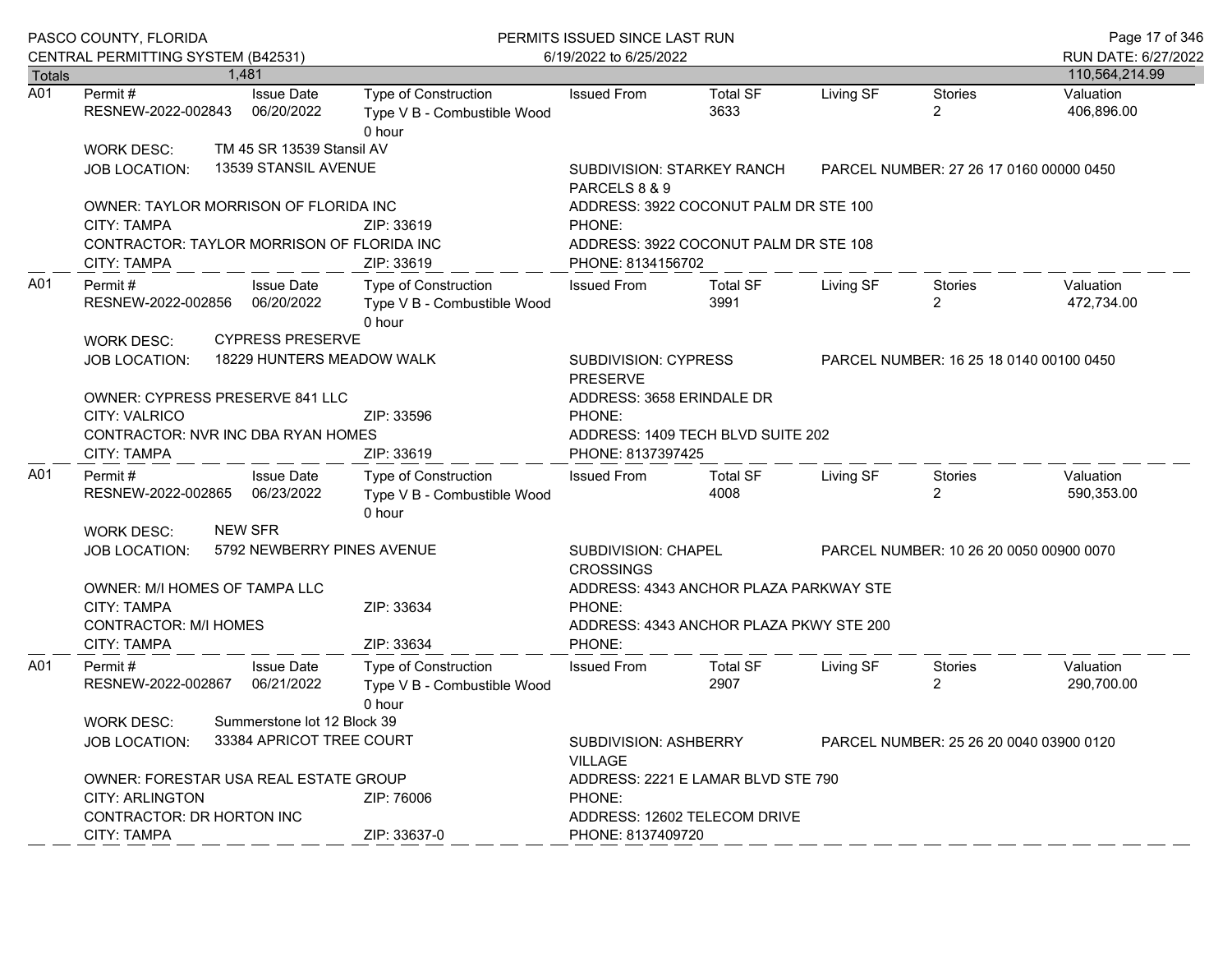|                  | PASCO COUNTY, FLORIDA<br>CENTRAL PERMITTING SYSTEM (B42531) |                                                            | PERMITS ISSUED SINCE LAST RUN<br>6/19/2022 to 6/25/2022       | Page 17 of 346<br>RUN DATE: 6/27/2022                                              |                                         |           |                                  |                         |
|------------------|-------------------------------------------------------------|------------------------------------------------------------|---------------------------------------------------------------|------------------------------------------------------------------------------------|-----------------------------------------|-----------|----------------------------------|-------------------------|
| Totals           |                                                             | 1,481                                                      |                                                               |                                                                                    |                                         |           |                                  | 110,564,214.99          |
| $\overline{A01}$ | Permit #<br>RESNEW-2022-002843                              | <b>Issue Date</b><br>06/20/2022                            | Type of Construction<br>Type V B - Combustible Wood<br>0 hour | <b>Issued From</b>                                                                 | <b>Total SF</b><br>3633                 | Living SF | <b>Stories</b><br>$\overline{2}$ | Valuation<br>406,896.00 |
|                  | WORK DESC:                                                  | TM 45 SR 13539 Stansil AV                                  |                                                               |                                                                                    |                                         |           |                                  |                         |
|                  | JOB LOCATION:                                               | 13539 STANSIL AVENUE                                       |                                                               | SUBDIVISION: STARKEY RANCH<br>PARCELS 8 & 9                                        | PARCEL NUMBER: 27 26 17 0160 00000 0450 |           |                                  |                         |
|                  | OWNER: TAYLOR MORRISON OF FLORIDA INC                       |                                                            |                                                               |                                                                                    | ADDRESS: 3922 COCONUT PALM DR STE 100   |           |                                  |                         |
|                  | <b>CITY: TAMPA</b>                                          |                                                            | ZIP: 33619                                                    | PHONE:                                                                             |                                         |           |                                  |                         |
|                  | CONTRACTOR: TAYLOR MORRISON OF FLORIDA INC<br>CITY: TAMPA   |                                                            | ZIP: 33619                                                    | ADDRESS: 3922 COCONUT PALM DR STE 108<br>PHONE: 8134156702                         |                                         |           |                                  |                         |
| A01              | Permit #<br>RESNEW-2022-002856<br>WORK DESC:                | <b>Issue Date</b><br>06/20/2022<br><b>CYPRESS PRESERVE</b> | Type of Construction<br>Type V B - Combustible Wood<br>0 hour | <b>Issued From</b>                                                                 | <b>Total SF</b><br>3991                 | Living SF | Stories<br>$\overline{2}$        | Valuation<br>472,734.00 |
|                  | JOB LOCATION:                                               | 18229 HUNTERS MEADOW WALK                                  |                                                               | SUBDIVISION: CYPRESS<br><b>PRESERVE</b>                                            | PARCEL NUMBER: 16 25 18 0140 00100 0450 |           |                                  |                         |
|                  | OWNER: CYPRESS PRESERVE 841 LLC                             |                                                            |                                                               | ADDRESS: 3658 ERINDALE DR                                                          |                                         |           |                                  |                         |
|                  | <b>CITY: VALRICO</b>                                        |                                                            | ZIP: 33596                                                    | PHONE:                                                                             |                                         |           |                                  |                         |
|                  | CONTRACTOR: NVR INC DBA RYAN HOMES                          |                                                            | ADDRESS: 1409 TECH BLVD SUITE 202                             |                                                                                    |                                         |           |                                  |                         |
|                  | CITY: TAMPA                                                 |                                                            | ZIP: 33619                                                    | PHONE: 8137397425                                                                  |                                         |           |                                  |                         |
| A01              | Permit#<br>RESNEW-2022-002865 06/23/2022                    | <b>Issue Date</b>                                          | Type of Construction<br>Type V B - Combustible Wood<br>0 hour | <b>Issued From</b>                                                                 | <b>Total SF</b><br>4008                 | Living SF | Stories<br>$\overline{2}$        | Valuation<br>590,353.00 |
|                  | WORK DESC:                                                  | <b>NEW SFR</b>                                             |                                                               |                                                                                    |                                         |           |                                  |                         |
|                  | <b>JOB LOCATION:</b>                                        | 5792 NEWBERRY PINES AVENUE                                 |                                                               | SUBDIVISION: CHAPEL<br><b>CROSSINGS</b>                                            | PARCEL NUMBER: 10 26 20 0050 00900 0070 |           |                                  |                         |
|                  | OWNER: M/I HOMES OF TAMPA LLC<br>CITY: TAMPA                |                                                            | ZIP: 33634                                                    | PHONE:                                                                             | ADDRESS: 4343 ANCHOR PLAZA PARKWAY STE  |           |                                  |                         |
|                  | <b>CONTRACTOR: M/I HOMES</b><br><b>CITY: TAMPA</b>          |                                                            | ZIP: 33634                                                    | PHONE:                                                                             | ADDRESS: 4343 ANCHOR PLAZA PKWY STE 200 |           |                                  |                         |
| A01              | Permit#<br>RESNEW-2022-002867                               | <b>Issue Date</b><br>06/21/2022                            | Type of Construction<br>Type V B - Combustible Wood<br>0 hour | <b>Issued From</b>                                                                 | <b>Total SF</b><br>2907                 | Living SF | Stories<br>$\overline{2}$        | Valuation<br>290,700.00 |
|                  | <b>WORK DESC:</b>                                           | Summerstone lot 12 Block 39                                |                                                               |                                                                                    |                                         |           |                                  |                         |
|                  | JOB LOCATION:                                               | 33384 APRICOT TREE COURT                                   |                                                               | SUBDIVISION: ASHBERRY<br>PARCEL NUMBER: 25 26 20 0040 03900 0120<br><b>VILLAGE</b> |                                         |           |                                  |                         |
|                  | OWNER: FORESTAR USA REAL ESTATE GROUP                       |                                                            |                                                               | ADDRESS: 2221 E LAMAR BLVD STE 790                                                 |                                         |           |                                  |                         |
|                  | <b>CITY: ARLINGTON</b>                                      |                                                            | ZIP: 76006                                                    | PHONE:                                                                             |                                         |           |                                  |                         |
|                  | CONTRACTOR: DR HORTON INC                                   |                                                            |                                                               | ADDRESS: 12602 TELECOM DRIVE                                                       |                                         |           |                                  |                         |
|                  | CITY: TAMPA                                                 |                                                            | ZIP: 33637-0                                                  | PHONE: 8137409720                                                                  |                                         |           |                                  |                         |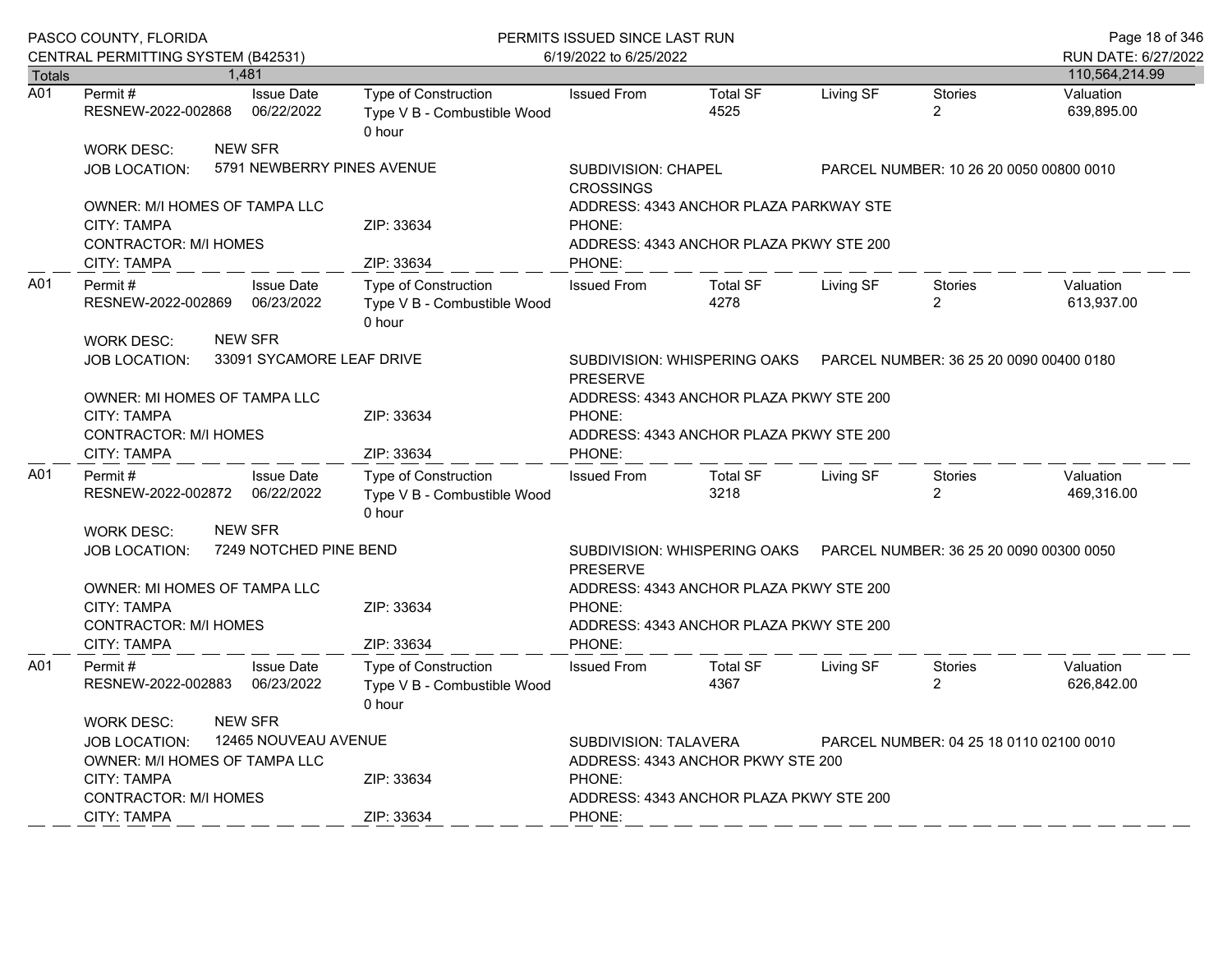|                  | PASCO COUNTY, FLORIDA<br>CENTRAL PERMITTING SYSTEM (B42531)                                                                      |                                                   | PERMITS ISSUED SINCE LAST RUN<br>6/19/2022 to 6/25/2022       | Page 18 of 346<br>RUN DATE: 6/27/2022                                                                                                                             |                                                                                    |           |                                         |                         |
|------------------|----------------------------------------------------------------------------------------------------------------------------------|---------------------------------------------------|---------------------------------------------------------------|-------------------------------------------------------------------------------------------------------------------------------------------------------------------|------------------------------------------------------------------------------------|-----------|-----------------------------------------|-------------------------|
| Totals           |                                                                                                                                  | 1,481                                             |                                                               |                                                                                                                                                                   |                                                                                    |           |                                         | 110,564,214.99          |
| $\overline{A01}$ | Permit#<br>RESNEW-2022-002868                                                                                                    | <b>Issue Date</b><br>06/22/2022                   | Type of Construction<br>Type V B - Combustible Wood<br>0 hour | <b>Issued From</b>                                                                                                                                                | <b>Total SF</b><br>4525                                                            | Living SF | <b>Stories</b><br>$\overline{2}$        | Valuation<br>639,895.00 |
|                  | <b>WORK DESC:</b><br><b>JOB LOCATION:</b>                                                                                        | <b>NEW SFR</b>                                    | 5791 NEWBERRY PINES AVENUE                                    | SUBDIVISION: CHAPEL<br><b>CROSSINGS</b>                                                                                                                           |                                                                                    |           | PARCEL NUMBER: 10 26 20 0050 00800 0010 |                         |
|                  | OWNER: M/I HOMES OF TAMPA LLC<br><b>CITY: TAMPA</b><br><b>CONTRACTOR: M/I HOMES</b><br>CITY: TAMPA                               |                                                   | ZIP: 33634<br>ZIP: 33634                                      | PHONE:<br>PHONE:                                                                                                                                                  | ADDRESS: 4343 ANCHOR PLAZA PARKWAY STE<br>ADDRESS: 4343 ANCHOR PLAZA PKWY STE 200  |           |                                         |                         |
| A01              | Permit#<br>RESNEW-2022-002869                                                                                                    | <b>Issue Date</b><br>06/23/2022<br><b>NEW SFR</b> | Type of Construction<br>Type V B - Combustible Wood<br>0 hour | <b>Issued From</b>                                                                                                                                                | <b>Total SF</b><br>4278                                                            | Living SF | Stories<br>$\overline{2}$               | Valuation<br>613,937.00 |
|                  | <b>WORK DESC:</b><br><b>JOB LOCATION:</b><br><b>OWNER: MI HOMES OF TAMPA LLC</b>                                                 | 33091 SYCAMORE LEAF DRIVE                         |                                                               | SUBDIVISION: WHISPERING OAKS    PARCEL NUMBER: 36 25 20 0090 00400 0180<br><b>PRESERVE</b><br>ADDRESS: 4343 ANCHOR PLAZA PKWY STE 200                             |                                                                                    |           |                                         |                         |
|                  | <b>CITY: TAMPA</b><br><b>CONTRACTOR: M/I HOMES</b><br>CITY: TAMPA                                                                |                                                   | ZIP: 33634<br>ZIP: 33634                                      | PHONE:<br>ADDRESS: 4343 ANCHOR PLAZA PKWY STE 200<br>PHONE:                                                                                                       |                                                                                    |           |                                         |                         |
| A01              | Permit #<br>RESNEW-2022-002872 06/22/2022                                                                                        | <b>Issue Date</b>                                 | Type of Construction<br>Type V B - Combustible Wood<br>0 hour | <b>Issued From</b>                                                                                                                                                | <b>Total SF</b><br>3218                                                            | Living SF | <b>Stories</b><br>$\overline{a}$        | Valuation<br>469,316.00 |
|                  | <b>WORK DESC:</b>                                                                                                                | <b>NEW SFR</b>                                    |                                                               |                                                                                                                                                                   |                                                                                    |           |                                         |                         |
|                  | <b>JOB LOCATION:</b>                                                                                                             | 7249 NOTCHED PINE BEND                            |                                                               | <b>PRESERVE</b>                                                                                                                                                   |                                                                                    |           |                                         |                         |
|                  | OWNER: MI HOMES OF TAMPA LLC<br>CITY: TAMPA<br><b>CONTRACTOR: M/I HOMES</b>                                                      |                                                   | ZIP: 33634                                                    | PHONE:                                                                                                                                                            | ADDRESS: 4343 ANCHOR PLAZA PKWY STE 200<br>ADDRESS: 4343 ANCHOR PLAZA PKWY STE 200 |           |                                         |                         |
|                  | CITY: TAMPA                                                                                                                      |                                                   | ZIP: 33634                                                    | PHONE:                                                                                                                                                            |                                                                                    |           |                                         |                         |
| A01              | Permit#<br>RESNEW-2022-002883                                                                                                    | <b>Issue Date</b><br>06/23/2022                   | Type of Construction<br>Type V B - Combustible Wood<br>0 hour | <b>Issued From</b>                                                                                                                                                | <b>Total SF</b><br>4367                                                            | Living SF | <b>Stories</b><br>$\overline{2}$        | Valuation<br>626,842.00 |
|                  | <b>WORK DESC:</b><br><b>JOB LOCATION:</b><br>OWNER: M/I HOMES OF TAMPA LLC<br><b>CITY: TAMPA</b><br><b>CONTRACTOR: M/I HOMES</b> | <b>NEW SFR</b><br>12465 NOUVEAU AVENUE            | ZIP: 33634                                                    | <b>SUBDIVISION: TALAVERA</b><br>PARCEL NUMBER: 04 25 18 0110 02100 0010<br>ADDRESS: 4343 ANCHOR PKWY STE 200<br>PHONE:<br>ADDRESS: 4343 ANCHOR PLAZA PKWY STE 200 |                                                                                    |           |                                         |                         |
|                  | CITY: TAMPA                                                                                                                      |                                                   | ZIP: 33634                                                    | PHONE:                                                                                                                                                            |                                                                                    |           |                                         |                         |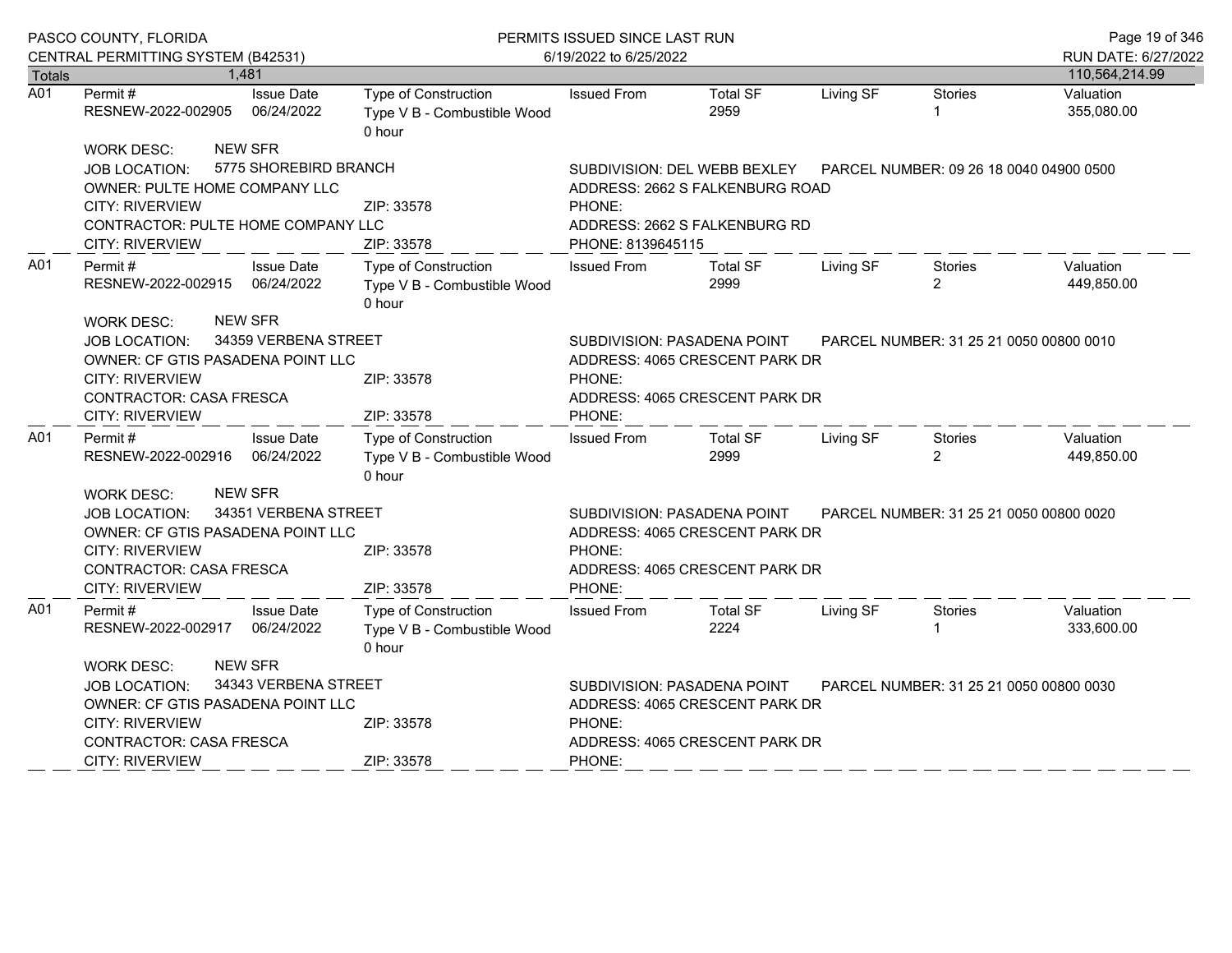|                  | PASCO COUNTY, FLORIDA                             |                                 | PERMITS ISSUED SINCE LAST RUN                                          |                                                                        |                                 |           |                                         | Page 19 of 346          |
|------------------|---------------------------------------------------|---------------------------------|------------------------------------------------------------------------|------------------------------------------------------------------------|---------------------------------|-----------|-----------------------------------------|-------------------------|
|                  | CENTRAL PERMITTING SYSTEM (B42531)                |                                 |                                                                        | 6/19/2022 to 6/25/2022                                                 |                                 |           |                                         | RUN DATE: 6/27/2022     |
| Totals           | 1,481                                             |                                 |                                                                        |                                                                        |                                 |           |                                         | 110,564,214.99          |
| $\overline{A01}$ | Permit#<br>RESNEW-2022-002905                     | <b>Issue Date</b><br>06/24/2022 | <b>Type of Construction</b><br>Type V B - Combustible Wood<br>0 hour   | <b>Issued From</b>                                                     | <b>Total SF</b><br>2959         | Living SF | <b>Stories</b>                          | Valuation<br>355,080.00 |
|                  | <b>NEW SFR</b><br><b>WORK DESC:</b>               |                                 |                                                                        |                                                                        |                                 |           |                                         |                         |
|                  | <b>JOB LOCATION:</b>                              | 5775 SHOREBIRD BRANCH           |                                                                        |                                                                        | SUBDIVISION: DEL WEBB BEXLEY    |           | PARCEL NUMBER: 09 26 18 0040 04900 0500 |                         |
|                  | OWNER: PULTE HOME COMPANY LLC                     |                                 |                                                                        |                                                                        | ADDRESS: 2662 S FALKENBURG ROAD |           |                                         |                         |
|                  | <b>CITY: RIVERVIEW</b>                            |                                 | ZIP: 33578                                                             | PHONE:                                                                 |                                 |           |                                         |                         |
|                  | CONTRACTOR: PULTE HOME COMPANY LLC                |                                 |                                                                        | ADDRESS: 2662 S FALKENBURG RD                                          |                                 |           |                                         |                         |
|                  | <b>CITY: RIVERVIEW</b>                            |                                 | ZIP: 33578                                                             | PHONE: 8139645115                                                      |                                 |           |                                         |                         |
| A01              | Permit #<br>RESNEW-2022-002915                    | <b>Issue Date</b><br>06/24/2022 | Type of Construction<br>Type V B - Combustible Wood<br>0 hour          | <b>Issued From</b>                                                     | <b>Total SF</b><br>2999         | Living SF | Stories<br>$\overline{2}$               | Valuation<br>449,850.00 |
|                  | <b>NEW SFR</b><br><b>WORK DESC:</b>               |                                 |                                                                        |                                                                        |                                 |           |                                         |                         |
|                  | 34359 VERBENA STREET<br><b>JOB LOCATION:</b>      |                                 | SUBDIVISION: PASADENA POINT<br>PARCEL NUMBER: 31 25 21 0050 00800 0010 |                                                                        |                                 |           |                                         |                         |
|                  | OWNER: CF GTIS PASADENA POINT LLC                 |                                 |                                                                        |                                                                        | ADDRESS: 4065 CRESCENT PARK DR  |           |                                         |                         |
|                  | <b>CITY: RIVERVIEW</b>                            |                                 | ZIP: 33578                                                             | PHONE:                                                                 |                                 |           |                                         |                         |
|                  | <b>CONTRACTOR: CASA FRESCA</b><br>CITY: RIVERVIEW |                                 | ZIP: 33578                                                             | PHONE:                                                                 | ADDRESS: 4065 CRESCENT PARK DR  |           |                                         |                         |
| A01              | Permit #                                          | <b>Issue Date</b>               | Type of Construction                                                   | <b>Issued From</b>                                                     | <b>Total SF</b>                 | Living SF | Stories                                 | Valuation               |
|                  | RESNEW-2022-002916                                | 06/24/2022                      | Type V B - Combustible Wood<br>0 hour                                  |                                                                        | 2999                            |           | 2                                       | 449,850.00              |
|                  | <b>NEW SFR</b><br><b>WORK DESC:</b>               |                                 |                                                                        |                                                                        |                                 |           |                                         |                         |
|                  | <b>JOB LOCATION:</b>                              | 34351 VERBENA STREET            |                                                                        | SUBDIVISION: PASADENA POINT<br>PARCEL NUMBER: 31 25 21 0050 00800 0020 |                                 |           |                                         |                         |
|                  | OWNER: CF GTIS PASADENA POINT LLC                 |                                 |                                                                        | ADDRESS: 4065 CRESCENT PARK DR                                         |                                 |           |                                         |                         |
|                  | <b>CITY: RIVERVIEW</b>                            |                                 | ZIP: 33578                                                             | PHONE:                                                                 |                                 |           |                                         |                         |
|                  | <b>CONTRACTOR: CASA FRESCA</b>                    |                                 |                                                                        |                                                                        | ADDRESS: 4065 CRESCENT PARK DR  |           |                                         |                         |
|                  | <b>CITY: RIVERVIEW</b>                            |                                 | ZIP: 33578                                                             | PHONE:                                                                 |                                 |           |                                         |                         |
| A01              | Permit#<br>RESNEW-2022-002917                     | <b>Issue Date</b><br>06/24/2022 | Type of Construction<br>Type V B - Combustible Wood<br>0 hour          | <b>Issued From</b>                                                     | <b>Total SF</b><br>2224         | Living SF | <b>Stories</b>                          | Valuation<br>333,600.00 |
|                  | <b>NEW SFR</b><br><b>WORK DESC:</b>               |                                 |                                                                        |                                                                        |                                 |           |                                         |                         |
|                  | <b>JOB LOCATION:</b>                              | 34343 VERBENA STREET            |                                                                        | SUBDIVISION: PASADENA POINT<br>PARCEL NUMBER: 31 25 21 0050 00800 0030 |                                 |           |                                         |                         |
|                  | OWNER: CF GTIS PASADENA POINT LLC                 |                                 |                                                                        |                                                                        | ADDRESS: 4065 CRESCENT PARK DR  |           |                                         |                         |
|                  | <b>CITY: RIVERVIEW</b>                            |                                 | ZIP: 33578                                                             | PHONE:                                                                 |                                 |           |                                         |                         |
|                  | <b>CONTRACTOR: CASA FRESCA</b>                    |                                 |                                                                        | ADDRESS: 4065 CRESCENT PARK DR                                         |                                 |           |                                         |                         |
|                  | <b>CITY: RIVERVIEW</b>                            |                                 | ZIP: 33578                                                             | PHONE:                                                                 |                                 |           |                                         |                         |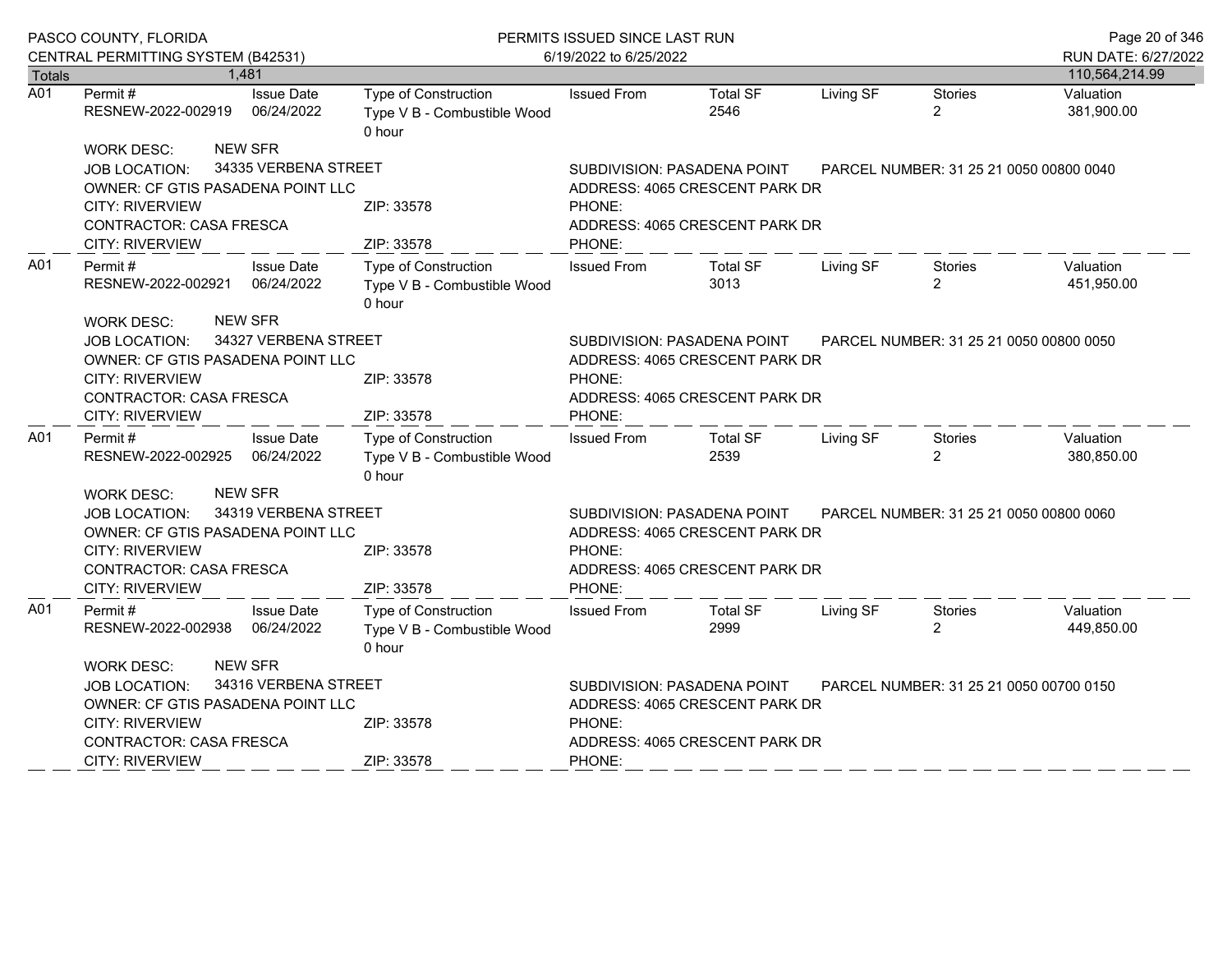|                  | PASCO COUNTY, FLORIDA                                            |                                 | PERMITS ISSUED SINCE LAST RUN                                        | Page 20 of 346                                                         |                                         |           |                                         |                         |  |
|------------------|------------------------------------------------------------------|---------------------------------|----------------------------------------------------------------------|------------------------------------------------------------------------|-----------------------------------------|-----------|-----------------------------------------|-------------------------|--|
|                  | CENTRAL PERMITTING SYSTEM (B42531)                               |                                 |                                                                      | 6/19/2022 to 6/25/2022                                                 |                                         |           |                                         | RUN DATE: 6/27/2022     |  |
| Totals           |                                                                  | 1,481                           |                                                                      |                                                                        |                                         |           |                                         | 110,564,214.99          |  |
| $\overline{A01}$ | Permit#<br>RESNEW-2022-002919                                    | <b>Issue Date</b><br>06/24/2022 | Type of Construction<br>Type V B - Combustible Wood<br>0 hour        | <b>Issued From</b>                                                     | <b>Total SF</b><br>2546                 | Living SF | <b>Stories</b><br>$\overline{2}$        | Valuation<br>381,900.00 |  |
|                  | <b>WORK DESC:</b>                                                | <b>NEW SFR</b>                  |                                                                      |                                                                        |                                         |           |                                         |                         |  |
|                  | <b>JOB LOCATION:</b>                                             | 34335 VERBENA STREET            |                                                                      |                                                                        | SUBDIVISION: PASADENA POINT             |           | PARCEL NUMBER: 31 25 21 0050 00800 0040 |                         |  |
|                  | OWNER: CF GTIS PASADENA POINT LLC                                |                                 |                                                                      | ADDRESS: 4065 CRESCENT PARK DR                                         |                                         |           |                                         |                         |  |
|                  | <b>CITY: RIVERVIEW</b>                                           |                                 | ZIP: 33578                                                           | PHONE:                                                                 |                                         |           |                                         |                         |  |
|                  | <b>CONTRACTOR: CASA FRESCA</b>                                   |                                 |                                                                      | ADDRESS: 4065 CRESCENT PARK DR                                         |                                         |           |                                         |                         |  |
|                  | <b>CITY: RIVERVIEW</b>                                           |                                 | ZIP: 33578                                                           | PHONE:                                                                 |                                         |           |                                         |                         |  |
| A01              | <b>Issue Date</b><br>Permit#<br>06/24/2022<br>RESNEW-2022-002921 |                                 | Type of Construction<br>Type V B - Combustible Wood<br>0 hour        | <b>Issued From</b>                                                     | <b>Total SF</b><br>3013                 | Living SF | Stories<br>$\overline{2}$               | Valuation<br>451,950.00 |  |
|                  | <b>NEW SFR</b><br><b>WORK DESC:</b>                              |                                 |                                                                      |                                                                        |                                         |           |                                         |                         |  |
|                  | <b>JOB LOCATION:</b>                                             | 34327 VERBENA STREET            |                                                                      |                                                                        | SUBDIVISION: PASADENA POINT             |           | PARCEL NUMBER: 31 25 21 0050 00800 0050 |                         |  |
|                  | OWNER: CF GTIS PASADENA POINT LLC                                |                                 |                                                                      |                                                                        | ADDRESS: 4065 CRESCENT PARK DR          |           |                                         |                         |  |
|                  | <b>CITY: RIVERVIEW</b>                                           |                                 | ZIP: 33578                                                           | PHONE:                                                                 |                                         |           |                                         |                         |  |
|                  | CONTRACTOR: CASA FRESCA<br><b>CITY: RIVERVIEW</b>                |                                 | ZIP: 33578                                                           | PHONE:                                                                 | ADDRESS: 4065 CRESCENT PARK DR          |           |                                         |                         |  |
| A01              |                                                                  | <b>Issue Date</b>               | Type of Construction                                                 |                                                                        |                                         |           |                                         | Valuation               |  |
|                  | Permit#<br>RESNEW-2022-002925                                    | 06/24/2022                      | Type V B - Combustible Wood<br>0 hour                                | <b>Issued From</b>                                                     | <b>Total SF</b><br>2539                 | Living SF | Stories<br>2                            | 380,850.00              |  |
|                  | <b>WORK DESC:</b>                                                | <b>NEW SFR</b>                  |                                                                      |                                                                        |                                         |           |                                         |                         |  |
|                  | JOB LOCATION:                                                    | 34319 VERBENA STREET            |                                                                      | SUBDIVISION: PASADENA POINT                                            | PARCEL NUMBER: 31 25 21 0050 00800 0060 |           |                                         |                         |  |
|                  | OWNER: CF GTIS PASADENA POINT LLC                                |                                 |                                                                      | ADDRESS: 4065 CRESCENT PARK DR                                         |                                         |           |                                         |                         |  |
|                  | <b>CITY: RIVERVIEW</b>                                           |                                 | ZIP: 33578                                                           | PHONE:                                                                 |                                         |           |                                         |                         |  |
|                  | CONTRACTOR: CASA FRESCA                                          |                                 |                                                                      |                                                                        | ADDRESS: 4065 CRESCENT PARK DR          |           |                                         |                         |  |
|                  | <b>CITY: RIVERVIEW</b>                                           |                                 | ZIP: 33578                                                           | PHONE:                                                                 |                                         |           |                                         |                         |  |
| A01              | Permit #<br>RESNEW-2022-002938                                   | <b>Issue Date</b><br>06/24/2022 | <b>Type of Construction</b><br>Type V B - Combustible Wood<br>0 hour | <b>Issued From</b>                                                     | <b>Total SF</b><br>2999                 | Living SF | Stories<br>$\overline{2}$               | Valuation<br>449,850.00 |  |
|                  | WORK DESC:                                                       | <b>NEW SFR</b>                  |                                                                      |                                                                        |                                         |           |                                         |                         |  |
|                  | <b>JOB LOCATION:</b>                                             | 34316 VERBENA STREET            |                                                                      | SUBDIVISION: PASADENA POINT<br>PARCEL NUMBER: 31 25 21 0050 00700 0150 |                                         |           |                                         |                         |  |
|                  | OWNER: CF GTIS PASADENA POINT LLC                                |                                 |                                                                      |                                                                        | ADDRESS: 4065 CRESCENT PARK DR          |           |                                         |                         |  |
|                  | <b>CITY: RIVERVIEW</b>                                           |                                 | ZIP: 33578                                                           | PHONE:                                                                 |                                         |           |                                         |                         |  |
|                  | <b>CONTRACTOR: CASA FRESCA</b>                                   |                                 |                                                                      | ADDRESS: 4065 CRESCENT PARK DR                                         |                                         |           |                                         |                         |  |
|                  | <b>CITY: RIVERVIEW</b>                                           |                                 | ZIP: 33578                                                           | PHONE:                                                                 |                                         |           |                                         |                         |  |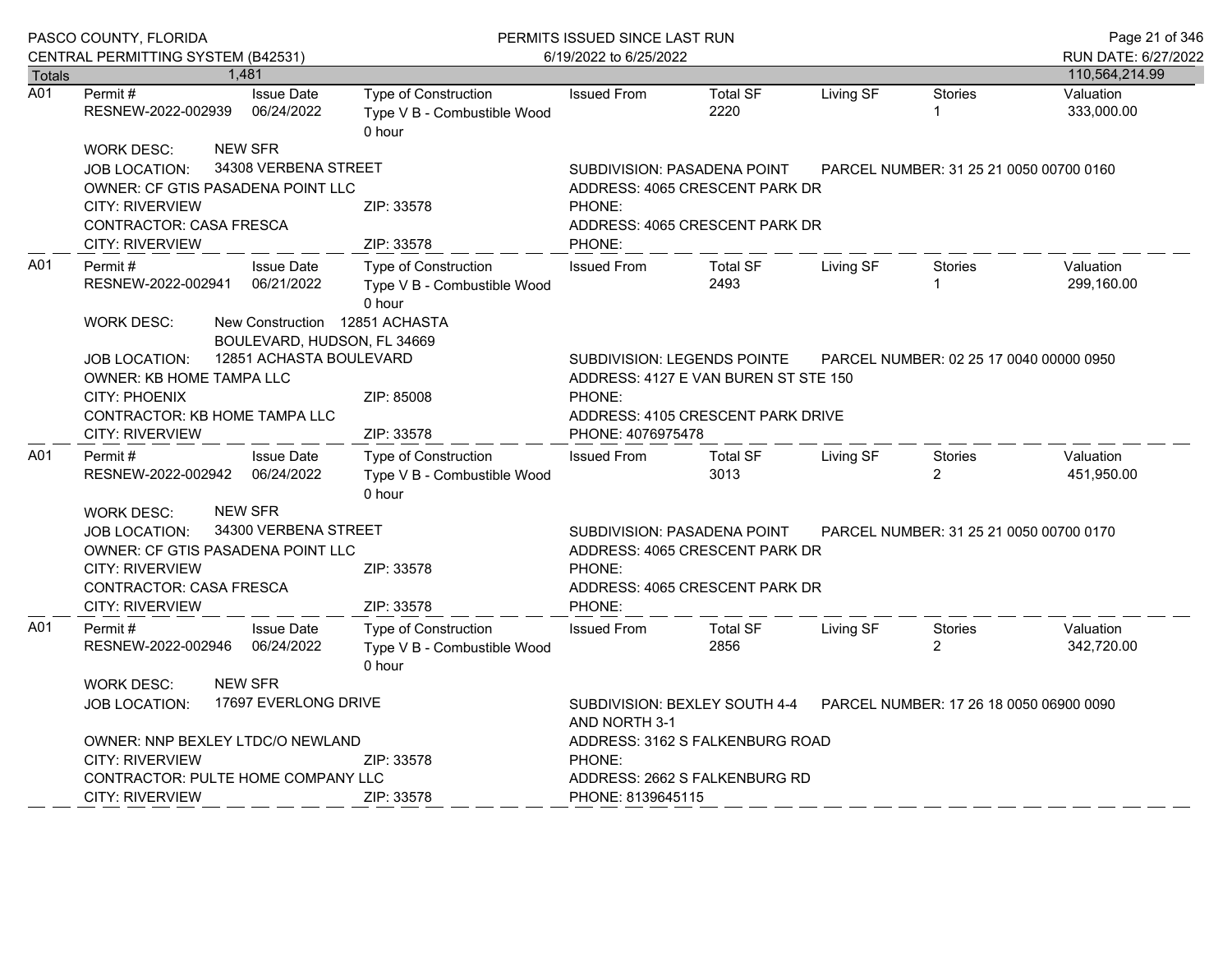|               | PASCO COUNTY, FLORIDA                                     |            |                                                               | PERMITS ISSUED SINCE LAST RUN                                        | Page 21 of 346                                                                                           |                                         |           |                                         |                         |
|---------------|-----------------------------------------------------------|------------|---------------------------------------------------------------|----------------------------------------------------------------------|----------------------------------------------------------------------------------------------------------|-----------------------------------------|-----------|-----------------------------------------|-------------------------|
|               | CENTRAL PERMITTING SYSTEM (B42531)                        |            |                                                               |                                                                      | 6/19/2022 to 6/25/2022                                                                                   |                                         |           |                                         | RUN DATE: 6/27/2022     |
| <b>Totals</b> |                                                           |            | 1,481                                                         |                                                                      |                                                                                                          |                                         |           |                                         | 110,564,214.99          |
| A01           | Permit#<br>RESNEW-2022-002939                             |            | <b>Issue Date</b><br>06/24/2022                               | <b>Type of Construction</b><br>Type V B - Combustible Wood<br>0 hour | <b>Issued From</b>                                                                                       | <b>Total SF</b><br>2220                 | Living SF | <b>Stories</b><br>1                     | Valuation<br>333,000.00 |
|               | <b>WORK DESC:</b>                                         |            | <b>NEW SFR</b>                                                |                                                                      |                                                                                                          |                                         |           |                                         |                         |
|               | <b>JOB LOCATION:</b>                                      |            | 34308 VERBENA STREET                                          |                                                                      | SUBDIVISION: PASADENA POINT                                                                              |                                         |           | PARCEL NUMBER: 31 25 21 0050 00700 0160 |                         |
|               | OWNER: CF GTIS PASADENA POINT LLC                         |            |                                                               |                                                                      | ADDRESS: 4065 CRESCENT PARK DR                                                                           |                                         |           |                                         |                         |
|               | <b>CITY: RIVERVIEW</b>                                    |            |                                                               | ZIP: 33578                                                           | PHONE:                                                                                                   |                                         |           |                                         |                         |
|               | <b>CONTRACTOR: CASA FRESCA</b>                            |            |                                                               |                                                                      | ADDRESS: 4065 CRESCENT PARK DR                                                                           |                                         |           |                                         |                         |
|               | <b>CITY: RIVERVIEW</b>                                    |            |                                                               | ZIP: 33578                                                           | PHONE:                                                                                                   |                                         |           |                                         |                         |
| A01           | Permit#<br>RESNEW-2022-002941                             |            | <b>Issue Date</b><br>06/21/2022                               | Type of Construction<br>Type V B - Combustible Wood<br>0 hour        | <b>Issued From</b>                                                                                       | <b>Total SF</b><br>2493                 | Living SF | Stories                                 | Valuation<br>299,160.00 |
|               | <b>WORK DESC:</b>                                         |            | New Construction 12851 ACHASTA<br>BOULEVARD, HUDSON, FL 34669 |                                                                      |                                                                                                          |                                         |           |                                         |                         |
|               | <b>JOB LOCATION:</b>                                      |            | 12851 ACHASTA BOULEVARD                                       |                                                                      | <b>SUBDIVISION: LEGENDS POINTE</b>                                                                       |                                         |           | PARCEL NUMBER: 02 25 17 0040 00000 0950 |                         |
|               | OWNER: KB HOME TAMPA LLC                                  |            |                                                               |                                                                      | ADDRESS: 4127 E VAN BUREN ST STE 150                                                                     |                                         |           |                                         |                         |
|               | <b>CITY: PHOENIX</b>                                      |            |                                                               | ZIP: 85008                                                           | PHONE:                                                                                                   |                                         |           |                                         |                         |
|               | CONTRACTOR: KB HOME TAMPA LLC                             |            |                                                               |                                                                      | ADDRESS: 4105 CRESCENT PARK DRIVE                                                                        |                                         |           |                                         |                         |
|               | <b>CITY: RIVERVIEW</b>                                    |            |                                                               | ZIP: 33578                                                           | PHONE: 4076975478                                                                                        |                                         |           |                                         |                         |
| A01           | Permit#                                                   |            | <b>Issue Date</b>                                             | Type of Construction                                                 | <b>Issued From</b>                                                                                       | <b>Total SF</b>                         | Living SF | Stories                                 | Valuation               |
|               | RESNEW-2022-002942                                        |            | 06/24/2022                                                    | Type V B - Combustible Wood                                          |                                                                                                          | 3013                                    |           | $\overline{2}$                          | 451,950.00              |
|               |                                                           |            | <b>NEW SFR</b>                                                | 0 hour                                                               |                                                                                                          |                                         |           |                                         |                         |
|               | <b>WORK DESC:</b>                                         |            | 34300 VERBENA STREET                                          |                                                                      |                                                                                                          |                                         |           |                                         |                         |
|               | <b>JOB LOCATION:</b><br>OWNER: CF GTIS PASADENA POINT LLC |            |                                                               |                                                                      | SUBDIVISION: PASADENA POINT<br>PARCEL NUMBER: 31 25 21 0050 00700 0170<br>ADDRESS: 4065 CRESCENT PARK DR |                                         |           |                                         |                         |
|               | <b>CITY: RIVERVIEW</b>                                    |            |                                                               | ZIP: 33578                                                           | PHONE:                                                                                                   |                                         |           |                                         |                         |
|               | <b>CONTRACTOR: CASA FRESCA</b>                            |            |                                                               |                                                                      | ADDRESS: 4065 CRESCENT PARK DR                                                                           |                                         |           |                                         |                         |
|               | CITY: RIVERVIEW                                           |            |                                                               | ZIP: 33578                                                           | PHONE:                                                                                                   |                                         |           |                                         |                         |
| A01           | Permit #                                                  |            | <b>Issue Date</b>                                             | <b>Type of Construction</b>                                          | <b>Issued From</b>                                                                                       | <b>Total SF</b>                         | Living SF | Stories                                 | Valuation               |
|               | RESNEW-2022-002946                                        |            | 06/24/2022                                                    | Type V B - Combustible Wood<br>0 hour                                |                                                                                                          | 2856                                    |           | 2                                       | 342,720.00              |
|               | <b>WORK DESC:</b>                                         |            | <b>NEW SFR</b>                                                |                                                                      |                                                                                                          |                                         |           |                                         |                         |
|               | <b>JOB LOCATION:</b>                                      |            | 17697 EVERLONG DRIVE                                          |                                                                      | SUBDIVISION: BEXLEY SOUTH 4-4<br>AND NORTH 3-1                                                           | PARCEL NUMBER: 17 26 18 0050 06900 0090 |           |                                         |                         |
|               | OWNER: NNP BEXLEY LTDC/O NEWLAND                          |            |                                                               |                                                                      | ADDRESS: 3162 S FALKENBURG ROAD                                                                          |                                         |           |                                         |                         |
|               | <b>CITY: RIVERVIEW</b>                                    | ZIP: 33578 |                                                               |                                                                      | PHONE:                                                                                                   |                                         |           |                                         |                         |
|               | CONTRACTOR: PULTE HOME COMPANY LLC                        |            |                                                               |                                                                      | ADDRESS: 2662 S FALKENBURG RD                                                                            |                                         |           |                                         |                         |
|               | <b>CITY: RIVERVIEW</b>                                    |            |                                                               | ZIP: 33578                                                           | PHONE: 8139645115                                                                                        |                                         |           |                                         |                         |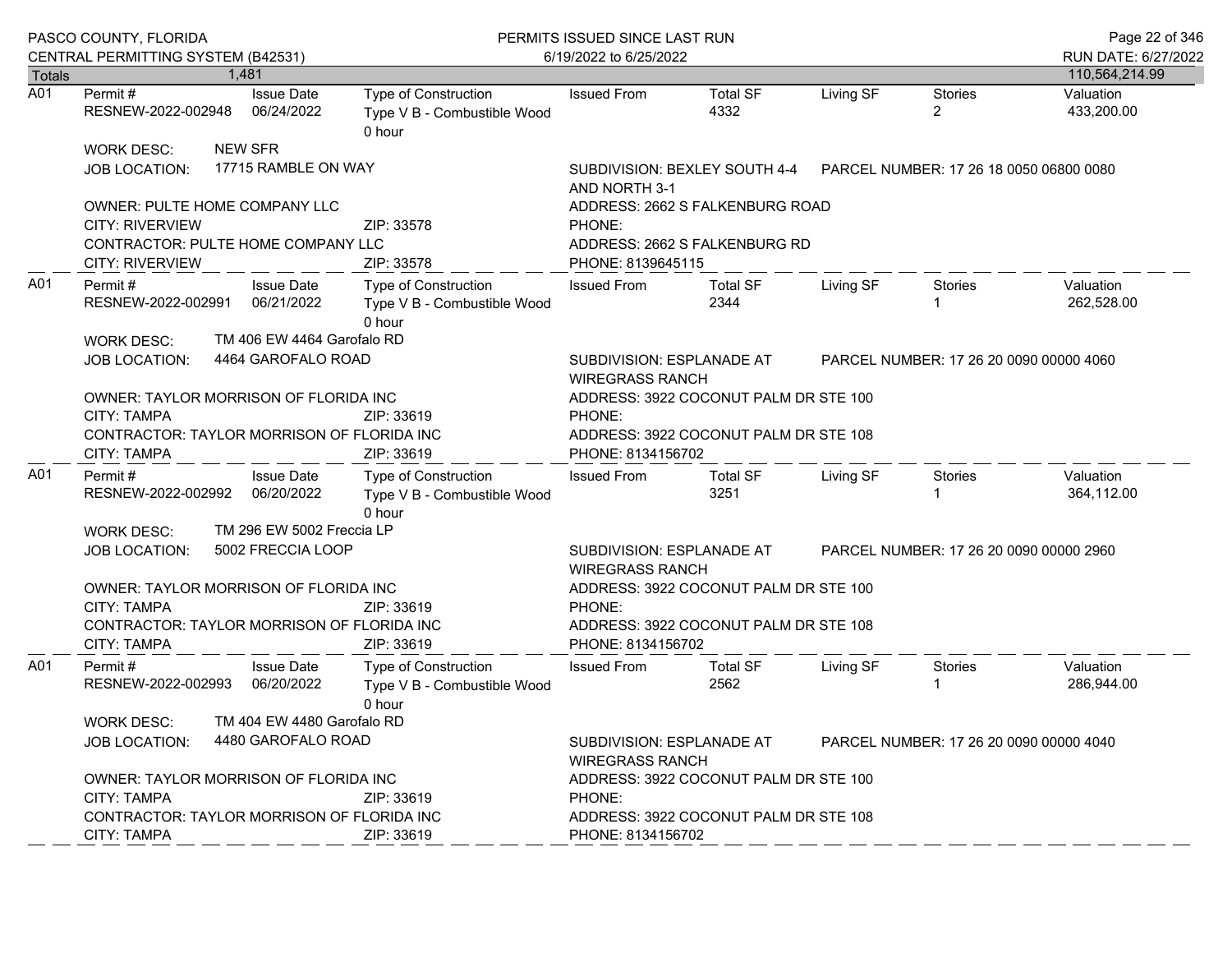|                  | PASCO COUNTY, FLORIDA<br>CENTRAL PERMITTING SYSTEM (B42531)                                                                     |                                                               |                                                               | PERMITS ISSUED SINCE LAST RUN<br>6/19/2022 to 6/25/2022                                                       |                                                                                                |           |                                  |                                       |  |
|------------------|---------------------------------------------------------------------------------------------------------------------------------|---------------------------------------------------------------|---------------------------------------------------------------|---------------------------------------------------------------------------------------------------------------|------------------------------------------------------------------------------------------------|-----------|----------------------------------|---------------------------------------|--|
| <b>Totals</b>    |                                                                                                                                 | 1.481                                                         |                                                               |                                                                                                               |                                                                                                |           |                                  | RUN DATE: 6/27/2022<br>110,564,214.99 |  |
| $\overline{A01}$ | Permit #<br>RESNEW-2022-002948 06/24/2022                                                                                       | <b>Issue Date</b>                                             | Type of Construction<br>Type V B - Combustible Wood<br>0 hour | <b>Issued From</b>                                                                                            | <b>Total SF</b><br>4332                                                                        | Living SF | <b>Stories</b><br>$\overline{2}$ | Valuation<br>433,200.00               |  |
|                  | <b>WORK DESC:</b><br>JOB LOCATION:                                                                                              | <b>NEW SFR</b><br>17715 RAMBLE ON WAY                         |                                                               | AND NORTH 3-1                                                                                                 | SUBDIVISION: BEXLEY SOUTH 4-4    PARCEL NUMBER: 17    26    18    0050    06800    0080        |           |                                  |                                       |  |
|                  | OWNER: PULTE HOME COMPANY LLC<br><b>CITY: RIVERVIEW</b><br>CONTRACTOR: PULTE HOME COMPANY LLC<br>CITY: RIVERVIEW                |                                                               | ZIP: 33578<br>ZIP: 33578                                      | ADDRESS: 2662 S FALKENBURG ROAD<br>PHONE:<br>ADDRESS: 2662 S FALKENBURG RD<br>PHONE: 8139645115               |                                                                                                |           |                                  |                                       |  |
| A01              | Permit #<br>RESNEW-2022-002991<br><b>WORK DESC:</b>                                                                             | <b>Issue Date</b><br>06/21/2022<br>TM 406 EW 4464 Garofalo RD | Type of Construction<br>Type V B - Combustible Wood<br>0 hour | <b>Issued From</b>                                                                                            | <b>Total SF</b><br>2344                                                                        | Living SF | Stories                          | Valuation<br>262,528.00               |  |
|                  | <b>JOB LOCATION:</b>                                                                                                            | 4464 GAROFALO ROAD                                            |                                                               |                                                                                                               | SUBDIVISION: ESPLANADE AT<br>PARCEL NUMBER: 17 26 20 0090 00000 4060<br><b>WIREGRASS RANCH</b> |           |                                  |                                       |  |
|                  | OWNER: TAYLOR MORRISON OF FLORIDA INC<br><b>CITY: TAMPA</b><br>CONTRACTOR: TAYLOR MORRISON OF FLORIDA INC<br><b>CITY: TAMPA</b> |                                                               | ZIP: 33619<br>ZIP: 33619                                      | ADDRESS: 3922 COCONUT PALM DR STE 100<br>PHONE:<br>ADDRESS: 3922 COCONUT PALM DR STE 108<br>PHONE: 8134156702 |                                                                                                |           |                                  |                                       |  |
| A01              | Permit#<br>RESNEW-2022-002992 06/20/2022                                                                                        | <b>Issue Date</b>                                             | Type of Construction<br>Type V B - Combustible Wood<br>0 hour | <b>Issued From</b>                                                                                            | Total SF<br>3251                                                                               | Living SF | Stories<br>1                     | Valuation<br>364,112.00               |  |
|                  | <b>WORK DESC:</b><br>JOB LOCATION:                                                                                              | TM 296 EW 5002 Freccia LP<br>5002 FRECCIA LOOP                |                                                               | SUBDIVISION: ESPLANADE AT<br><b>WIREGRASS RANCH</b>                                                           | PARCEL NUMBER: 17 26 20 0090 00000 2960                                                        |           |                                  |                                       |  |
|                  | OWNER: TAYLOR MORRISON OF FLORIDA INC<br>CITY: TAMPA<br>CONTRACTOR: TAYLOR MORRISON OF FLORIDA INC<br><b>CITY: TAMPA</b>        |                                                               | ZIP: 33619<br>ZIP: 33619                                      | ADDRESS: 3922 COCONUT PALM DR STE 100<br>PHONE:<br>ADDRESS: 3922 COCONUT PALM DR STE 108<br>PHONE: 8134156702 |                                                                                                |           |                                  |                                       |  |
| A01              | Permit#<br>RESNEW-2022-002993                                                                                                   | <b>Issue Date</b><br>06/20/2022                               | Type of Construction<br>Type V B - Combustible Wood<br>0 hour | <b>Issued From</b>                                                                                            | <b>Total SF</b><br>2562                                                                        | Living SF | Stories                          | Valuation<br>286,944.00               |  |
|                  | <b>WORK DESC:</b><br><b>JOB LOCATION:</b>                                                                                       | TM 404 EW 4480 Garofalo RD<br>4480 GAROFALO ROAD              |                                                               | SUBDIVISION: ESPLANADE AT<br>PARCEL NUMBER: 17 26 20 0090 00000 4040<br><b>WIREGRASS RANCH</b>                |                                                                                                |           |                                  |                                       |  |
|                  | OWNER: TAYLOR MORRISON OF FLORIDA INC<br><b>CITY: TAMPA</b><br>CONTRACTOR: TAYLOR MORRISON OF FLORIDA INC<br>CITY: TAMPA        |                                                               | ZIP: 33619<br>ZIP: 33619                                      | ADDRESS: 3922 COCONUT PALM DR STE 100<br>PHONE:<br>ADDRESS: 3922 COCONUT PALM DR STE 108<br>PHONE: 8134156702 |                                                                                                |           |                                  |                                       |  |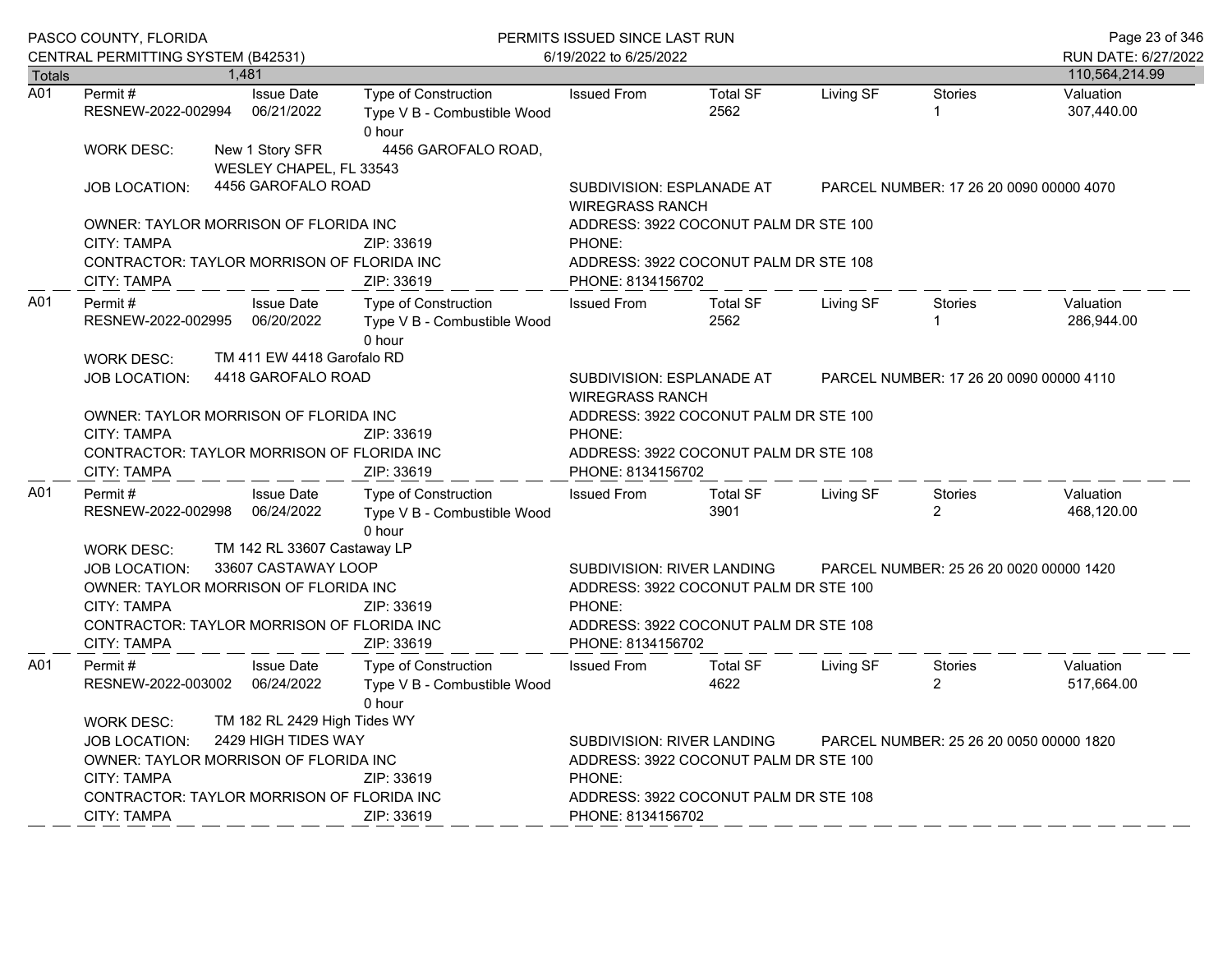|        | PASCO COUNTY, FLORIDA<br>CENTRAL PERMITTING SYSTEM (B42531)                                                                                                                                                   |                                                                                                                                                                                        | PERMITS ISSUED SINCE LAST RUN<br>6/19/2022 to 6/25/2022              | Page 23 of 346<br>RUN DATE: 6/27/2022                                                                                                                                                  |                                       |           |                                         |                         |
|--------|---------------------------------------------------------------------------------------------------------------------------------------------------------------------------------------------------------------|----------------------------------------------------------------------------------------------------------------------------------------------------------------------------------------|----------------------------------------------------------------------|----------------------------------------------------------------------------------------------------------------------------------------------------------------------------------------|---------------------------------------|-----------|-----------------------------------------|-------------------------|
| Totals |                                                                                                                                                                                                               | 1.481                                                                                                                                                                                  |                                                                      |                                                                                                                                                                                        |                                       |           |                                         | 110,564,214.99          |
| A01    | Permit#<br>RESNEW-2022-002994                                                                                                                                                                                 | <b>Issue Date</b><br>06/21/2022                                                                                                                                                        | Type of Construction<br>Type V B - Combustible Wood<br>0 hour        | <b>Issued From</b>                                                                                                                                                                     | <b>Total SF</b><br>2562               | Living SF | <b>Stories</b><br>$\mathbf{1}$          | Valuation<br>307,440.00 |
|        | <b>WORK DESC:</b>                                                                                                                                                                                             | New 1 Story SFR<br>WESLEY CHAPEL, FL 33543                                                                                                                                             | 4456 GAROFALO ROAD,                                                  |                                                                                                                                                                                        |                                       |           |                                         |                         |
|        | <b>JOB LOCATION:</b>                                                                                                                                                                                          | 4456 GAROFALO ROAD                                                                                                                                                                     |                                                                      | SUBDIVISION: ESPLANADE AT<br><b>WIREGRASS RANCH</b>                                                                                                                                    |                                       |           | PARCEL NUMBER: 17 26 20 0090 00000 4070 |                         |
|        | OWNER: TAYLOR MORRISON OF FLORIDA INC<br>CITY: TAMPA                                                                                                                                                          |                                                                                                                                                                                        | ZIP: 33619                                                           | PHONE:                                                                                                                                                                                 | ADDRESS: 3922 COCONUT PALM DR STE 100 |           |                                         |                         |
|        | CONTRACTOR: TAYLOR MORRISON OF FLORIDA INC<br>CITY: TAMPA                                                                                                                                                     |                                                                                                                                                                                        | ZIP: 33619                                                           | PHONE: 8134156702                                                                                                                                                                      | ADDRESS: 3922 COCONUT PALM DR STE 108 |           |                                         |                         |
| A01    | Permit#<br>RESNEW-2022-002995<br><b>WORK DESC:</b>                                                                                                                                                            | <b>Issue Date</b><br>06/20/2022<br>TM 411 EW 4418 Garofalo RD                                                                                                                          | Type of Construction<br>Type V B - Combustible Wood<br>0 hour        | <b>Issued From</b>                                                                                                                                                                     | <b>Total SF</b><br>2562               | Living SF | Stories<br>$\mathbf{1}$                 | Valuation<br>286,944.00 |
|        | <b>JOB LOCATION:</b>                                                                                                                                                                                          | 4418 GAROFALO ROAD                                                                                                                                                                     |                                                                      | SUBDIVISION: ESPLANADE AT<br><b>WIREGRASS RANCH</b>                                                                                                                                    |                                       |           | PARCEL NUMBER: 17 26 20 0090 00000 4110 |                         |
|        | OWNER: TAYLOR MORRISON OF FLORIDA INC<br>CITY: TAMPA<br>CONTRACTOR: TAYLOR MORRISON OF FLORIDA INC<br><b>CITY: TAMPA</b>                                                                                      |                                                                                                                                                                                        | ZIP: 33619<br>ZIP: 33619                                             | ADDRESS: 3922 COCONUT PALM DR STE 100<br>PHONE:<br>ADDRESS: 3922 COCONUT PALM DR STE 108<br>PHONE: 8134156702                                                                          |                                       |           |                                         |                         |
| A01    | Permit#<br>RESNEW-2022-002998                                                                                                                                                                                 | <b>Issue Date</b><br>06/24/2022                                                                                                                                                        | <b>Type of Construction</b><br>Type V B - Combustible Wood<br>0 hour | <b>Issued From</b>                                                                                                                                                                     | <b>Total SF</b><br>3901               | Living SF | <b>Stories</b><br>$\overline{2}$        | Valuation<br>468,120.00 |
|        | TM 142 RL 33607 Castaway LP<br>WORK DESC:<br>33607 CASTAWAY LOOP<br>JOB LOCATION:<br>OWNER: TAYLOR MORRISON OF FLORIDA INC<br>CITY: TAMPA<br>CONTRACTOR: TAYLOR MORRISON OF FLORIDA INC<br><b>CITY: TAMPA</b> | PARCEL NUMBER: 25 26 20 0020 00000 1420<br>SUBDIVISION: RIVER LANDING<br>ADDRESS: 3922 COCONUT PALM DR STE 100<br>PHONE:<br>ADDRESS: 3922 COCONUT PALM DR STE 108<br>PHONE: 8134156702 |                                                                      |                                                                                                                                                                                        |                                       |           |                                         |                         |
| A01    | Permit#<br>RESNEW-2022-003002                                                                                                                                                                                 | <b>Issue Date</b><br>06/24/2022                                                                                                                                                        | Type of Construction<br>Type V B - Combustible Wood<br>0 hour        | <b>Issued From</b>                                                                                                                                                                     | <b>Total SF</b><br>4622               | Living SF | Stories<br>$\overline{2}$               | Valuation<br>517,664.00 |
|        | <b>WORK DESC:</b><br>JOB LOCATION:<br>OWNER: TAYLOR MORRISON OF FLORIDA INC<br><b>CITY: TAMPA</b><br>CONTRACTOR: TAYLOR MORRISON OF FLORIDA INC<br><b>CITY: TAMPA</b>                                         | TM 182 RL 2429 High Tides WY<br>2429 HIGH TIDES WAY                                                                                                                                    | ZIP: 33619<br>ZIP: 33619                                             | SUBDIVISION: RIVER LANDING<br>PARCEL NUMBER: 25 26 20 0050 00000 1820<br>ADDRESS: 3922 COCONUT PALM DR STE 100<br>PHONE:<br>ADDRESS: 3922 COCONUT PALM DR STE 108<br>PHONE: 8134156702 |                                       |           |                                         |                         |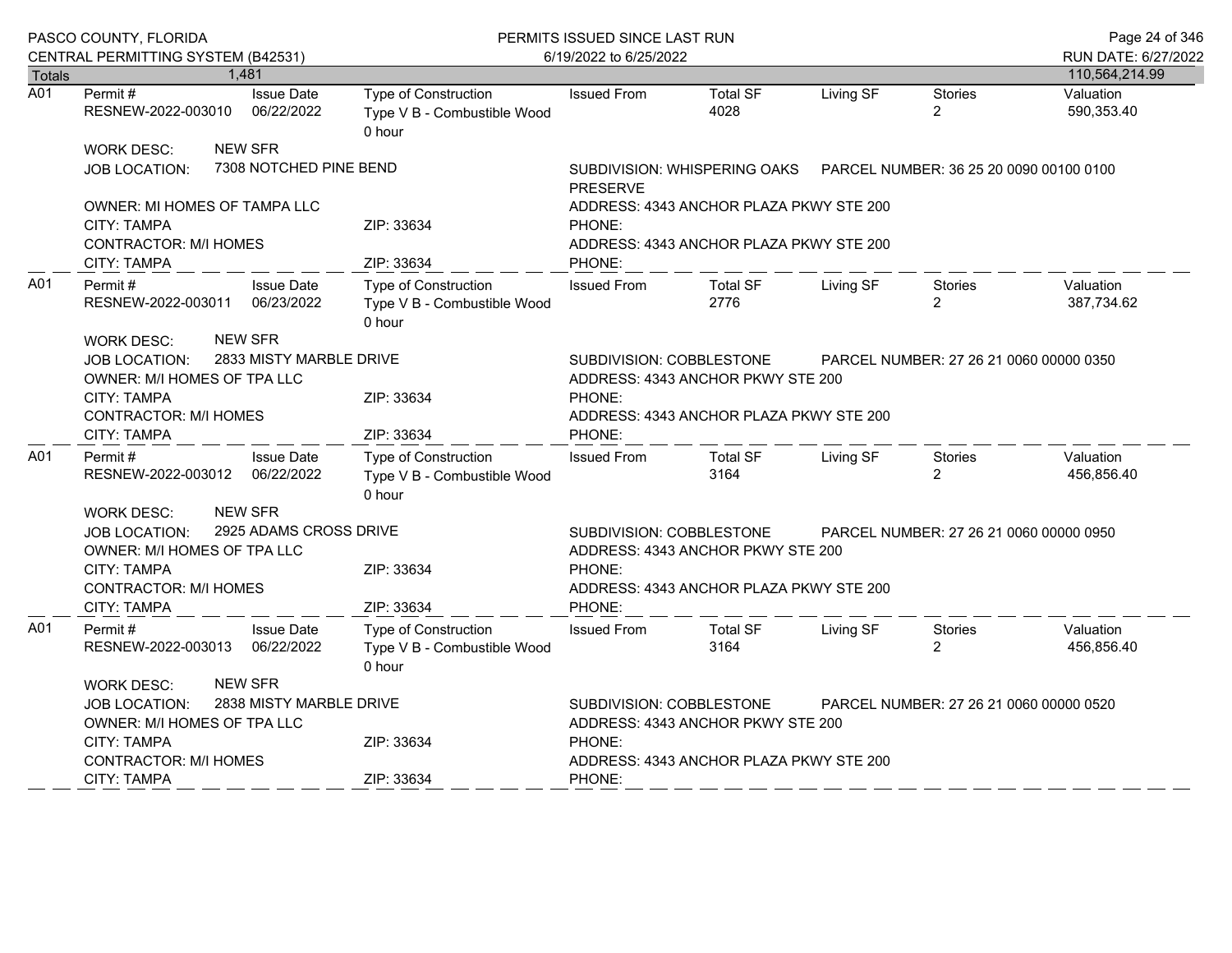|                  | PASCO COUNTY, FLORIDA                                                                                                                |  |                                                                      | PERMITS ISSUED SINCE LAST RUN                                        | Page 24 of 346                                                                                                     |                                         |                           |                                         |                         |  |
|------------------|--------------------------------------------------------------------------------------------------------------------------------------|--|----------------------------------------------------------------------|----------------------------------------------------------------------|--------------------------------------------------------------------------------------------------------------------|-----------------------------------------|---------------------------|-----------------------------------------|-------------------------|--|
|                  | CENTRAL PERMITTING SYSTEM (B42531)                                                                                                   |  |                                                                      |                                                                      | 6/19/2022 to 6/25/2022                                                                                             |                                         |                           |                                         |                         |  |
| <b>Totals</b>    |                                                                                                                                      |  | 1,481                                                                |                                                                      |                                                                                                                    |                                         |                           |                                         | 110,564,214.99          |  |
| $\overline{A01}$ | Permit#<br>RESNEW-2022-003010                                                                                                        |  | <b>Issue Date</b><br>06/22/2022                                      | Type of Construction<br>Type V B - Combustible Wood<br>0 hour        | <b>Issued From</b>                                                                                                 | <b>Total SF</b><br>4028                 | Living SF                 | <b>Stories</b><br>$\overline{2}$        | Valuation<br>590,353.40 |  |
|                  | WORK DESC:                                                                                                                           |  | <b>NEW SFR</b>                                                       |                                                                      |                                                                                                                    |                                         |                           |                                         |                         |  |
|                  | <b>JOB LOCATION:</b>                                                                                                                 |  | 7308 NOTCHED PINE BEND                                               |                                                                      | SUBDIVISION: WHISPERING OAKS    PARCEL NUMBER: 36 25 20 0090 00100 0100<br><b>PRESERVE</b>                         |                                         |                           |                                         |                         |  |
|                  | <b>OWNER: MI HOMES OF TAMPA LLC</b>                                                                                                  |  |                                                                      |                                                                      | ADDRESS: 4343 ANCHOR PLAZA PKWY STE 200                                                                            |                                         |                           |                                         |                         |  |
|                  | CITY: TAMPA<br><b>CONTRACTOR: M/I HOMES</b>                                                                                          |  |                                                                      | ZIP: 33634                                                           | PHONE:<br>ADDRESS: 4343 ANCHOR PLAZA PKWY STE 200                                                                  |                                         |                           |                                         |                         |  |
|                  | <b>CITY: TAMPA</b>                                                                                                                   |  |                                                                      | ZIP: 33634                                                           | PHONE:                                                                                                             |                                         |                           |                                         |                         |  |
| A01              | <b>Issue Date</b><br>Permit#<br>RESNEW-2022-003011 06/23/2022                                                                        |  | <b>Type of Construction</b><br>Type V B - Combustible Wood<br>0 hour | <b>Issued From</b>                                                   | <b>Total SF</b><br>2776                                                                                            | Living SF                               | Stories<br>$\overline{2}$ | Valuation<br>387,734.62                 |                         |  |
|                  | <b>NEW SFR</b><br><b>WORK DESC:</b><br>2833 MISTY MARBLE DRIVE<br>JOB LOCATION:<br>OWNER: M/I HOMES OF TPA LLC<br><b>CITY: TAMPA</b> |  |                                                                      | ZIP: 33634                                                           | SUBDIVISION: COBBLESTONE<br>PARCEL NUMBER: 27 26 21 0060 00000 0350<br>ADDRESS: 4343 ANCHOR PKWY STE 200<br>PHONE: |                                         |                           |                                         |                         |  |
|                  | <b>CONTRACTOR: M/I HOMES</b><br><b>CITY: TAMPA</b>                                                                                   |  |                                                                      | ZIP: 33634                                                           | PHONE:                                                                                                             | ADDRESS: 4343 ANCHOR PLAZA PKWY STE 200 |                           |                                         |                         |  |
| A01              | Permit #<br>RESNEW-2022-003012 06/22/2022                                                                                            |  | <b>Issue Date</b>                                                    | <b>Type of Construction</b><br>Type V B - Combustible Wood<br>0 hour | <b>Issued From</b>                                                                                                 | <b>Total SF</b><br>3164                 | Living SF                 | Stories<br>$\overline{2}$               | Valuation<br>456,856.40 |  |
|                  | <b>WORK DESC:</b><br><b>JOB LOCATION:</b>                                                                                            |  | <b>NEW SFR</b><br>2925 ADAMS CROSS DRIVE                             |                                                                      | SUBDIVISION: COBBLESTONE                                                                                           | PARCEL NUMBER: 27 26 21 0060 00000 0950 |                           |                                         |                         |  |
|                  | OWNER: M/I HOMES OF TPA LLC                                                                                                          |  |                                                                      |                                                                      |                                                                                                                    | ADDRESS: 4343 ANCHOR PKWY STE 200       |                           |                                         |                         |  |
|                  | <b>CITY: TAMPA</b>                                                                                                                   |  |                                                                      | ZIP: 33634                                                           | PHONE:                                                                                                             |                                         |                           |                                         |                         |  |
|                  | <b>CONTRACTOR: M/I HOMES</b>                                                                                                         |  |                                                                      |                                                                      |                                                                                                                    | ADDRESS: 4343 ANCHOR PLAZA PKWY STE 200 |                           |                                         |                         |  |
|                  | <b>CITY: TAMPA</b>                                                                                                                   |  |                                                                      | ZIP: 33634                                                           | PHONE:                                                                                                             |                                         |                           |                                         |                         |  |
| A01              | Permit#<br>RESNEW-2022-003013 06/22/2022                                                                                             |  | <b>Issue Date</b>                                                    | <b>Type of Construction</b><br>Type V B - Combustible Wood<br>0 hour | <b>Issued From</b>                                                                                                 | <b>Total SF</b><br>3164                 | Living SF                 | Stories<br>$\overline{2}$               | Valuation<br>456,856.40 |  |
|                  | <b>WORK DESC:</b>                                                                                                                    |  | <b>NEW SFR</b>                                                       |                                                                      |                                                                                                                    |                                         |                           |                                         |                         |  |
|                  | <b>JOB LOCATION:</b>                                                                                                                 |  | 2838 MISTY MARBLE DRIVE                                              |                                                                      | SUBDIVISION: COBBLESTONE                                                                                           |                                         |                           | PARCEL NUMBER: 27 26 21 0060 00000 0520 |                         |  |
|                  | OWNER: M/I HOMES OF TPA LLC                                                                                                          |  |                                                                      |                                                                      |                                                                                                                    | ADDRESS: 4343 ANCHOR PKWY STE 200       |                           |                                         |                         |  |
|                  | CITY: TAMPA                                                                                                                          |  |                                                                      | ZIP: 33634                                                           | PHONE:                                                                                                             |                                         |                           |                                         |                         |  |
|                  | <b>CONTRACTOR: M/I HOMES</b>                                                                                                         |  |                                                                      |                                                                      | ADDRESS: 4343 ANCHOR PLAZA PKWY STE 200                                                                            |                                         |                           |                                         |                         |  |
|                  | <b>CITY: TAMPA</b>                                                                                                                   |  |                                                                      | ZIP: 33634                                                           | PHONE:                                                                                                             |                                         |                           |                                         |                         |  |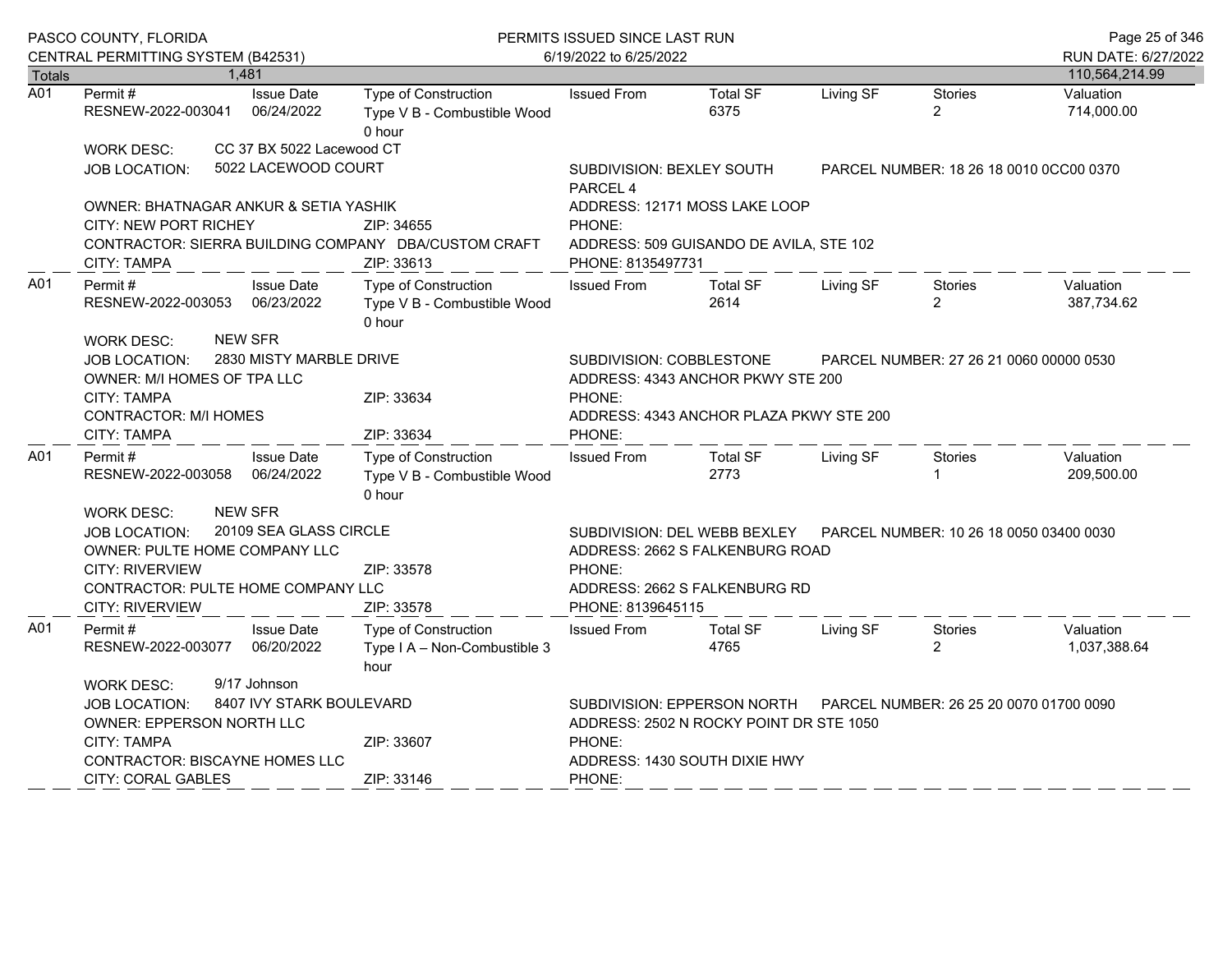|                  | PASCO COUNTY, FLORIDA                                                                                                                                                           |                                                                                                         | PERMITS ISSUED SINCE LAST RUN                                        | Page 25 of 346                                                                                                                                                             |                                                                                                         |           |                                         |                           |
|------------------|---------------------------------------------------------------------------------------------------------------------------------------------------------------------------------|---------------------------------------------------------------------------------------------------------|----------------------------------------------------------------------|----------------------------------------------------------------------------------------------------------------------------------------------------------------------------|---------------------------------------------------------------------------------------------------------|-----------|-----------------------------------------|---------------------------|
| <b>Totals</b>    | CENTRAL PERMITTING SYSTEM (B42531)<br>1.481                                                                                                                                     |                                                                                                         |                                                                      | 6/19/2022 to 6/25/2022                                                                                                                                                     | RUN DATE: 6/27/2022<br>110,564,214.99                                                                   |           |                                         |                           |
| $\overline{A01}$ | Permit#<br>RESNEW-2022-003041                                                                                                                                                   | <b>Issue Date</b><br>06/24/2022                                                                         | Type of Construction<br>Type V B - Combustible Wood<br>0 hour        | <b>Issued From</b>                                                                                                                                                         | <b>Total SF</b><br>6375                                                                                 | Living SF | <b>Stories</b><br>$\overline{2}$        | Valuation<br>714,000.00   |
|                  | <b>WORK DESC:</b><br>JOB LOCATION:                                                                                                                                              | CC 37 BX 5022 Lacewood CT<br>5022 LACEWOOD COURT                                                        |                                                                      | SUBDIVISION: BEXLEY SOUTH                                                                                                                                                  | PARCEL NUMBER: 18 26 18 0010 0CC00 0370                                                                 |           |                                         |                           |
|                  | OWNER: BHATNAGAR ANKUR & SETIA YASHIK<br><b>CITY: NEW PORT RICHEY</b><br>CONTRACTOR: SIERRA BUILDING COMPANY DBA/CUSTOM CRAFT<br>CITY: TAMPA                                    | ADDRESS: 12171 MOSS LAKE LOOP<br>PHONE:<br>ADDRESS: 509 GUISANDO DE AVILA, STE 102<br>PHONE: 8135497731 |                                                                      |                                                                                                                                                                            |                                                                                                         |           |                                         |                           |
| A01              | Permit#<br>RESNEW-2022-003053                                                                                                                                                   | <b>Issue Date</b><br>06/23/2022                                                                         | <b>Type of Construction</b><br>Type V B - Combustible Wood<br>0 hour | <b>Issued From</b>                                                                                                                                                         | <b>Total SF</b><br>2614                                                                                 | Living SF | Stories<br>$\overline{2}$               | Valuation<br>387,734.62   |
|                  | <b>NEW SFR</b><br><b>WORK DESC:</b><br><b>JOB LOCATION:</b><br>OWNER: M/I HOMES OF TPA LLC<br>CITY: TAMPA<br><b>CONTRACTOR: M/I HOMES</b><br><b>CITY: TAMPA</b>                 | 2830 MISTY MARBLE DRIVE                                                                                 | ZIP: 33634<br>ZIP: 33634                                             | SUBDIVISION: COBBLESTONE<br>PARCEL NUMBER: 27 26 21 0060 00000 0530<br>ADDRESS: 4343 ANCHOR PKWY STE 200<br>PHONE:<br>ADDRESS: 4343 ANCHOR PLAZA PKWY STE 200<br>PHONE:    |                                                                                                         |           |                                         |                           |
| A01              | Permit #<br>RESNEW-2022-003058                                                                                                                                                  | <b>Issue Date</b><br>06/24/2022                                                                         | Type of Construction<br>Type V B - Combustible Wood<br>0 hour        | <b>Issued From</b>                                                                                                                                                         | <b>Total SF</b><br>2773                                                                                 | Living SF | Stories                                 | Valuation<br>209,500.00   |
|                  | <b>NEW SFR</b><br>WORK DESC:<br><b>JOB LOCATION:</b><br>OWNER: PULTE HOME COMPANY LLC<br><b>CITY: RIVERVIEW</b><br>CONTRACTOR: PULTE HOME COMPANY LLC<br><b>CITY: RIVERVIEW</b> | 20109 SEA GLASS CIRCLE                                                                                  | ZIP: 33578<br>ZIP: 33578                                             | SUBDIVISION: DEL WEBB BEXLEY<br>PARCEL NUMBER: 10 26 18 0050 03400 0030<br>ADDRESS: 2662 S FALKENBURG ROAD<br>PHONE:<br>ADDRESS: 2662 S FALKENBURG RD<br>PHONE: 8139645115 |                                                                                                         |           |                                         |                           |
| A01              | Permit#<br>RESNEW-2022-003077                                                                                                                                                   | <b>Issue Date</b><br>06/20/2022                                                                         | Type of Construction<br>Type I A - Non-Combustible 3<br>hour         | <b>Issued From</b>                                                                                                                                                         | <b>Total SF</b><br>4765                                                                                 | Living SF | Stories<br>$\overline{2}$               | Valuation<br>1,037,388.64 |
|                  | <b>WORK DESC:</b><br>JOB LOCATION:<br><b>OWNER: EPPERSON NORTH LLC</b><br><b>CITY: TAMPA</b><br><b>CONTRACTOR: BISCAYNE HOMES LLC</b><br>CITY: CORAL GABLES                     | 9/17 Johnson<br>8407 IVY STARK BOULEVARD                                                                | ZIP: 33607<br>ZIP: 33146                                             | PHONE:<br>PHONE:                                                                                                                                                           | SUBDIVISION: EPPERSON NORTH<br>ADDRESS: 2502 N ROCKY POINT DR STE 1050<br>ADDRESS: 1430 SOUTH DIXIE HWY |           | PARCEL NUMBER: 26 25 20 0070 01700 0090 |                           |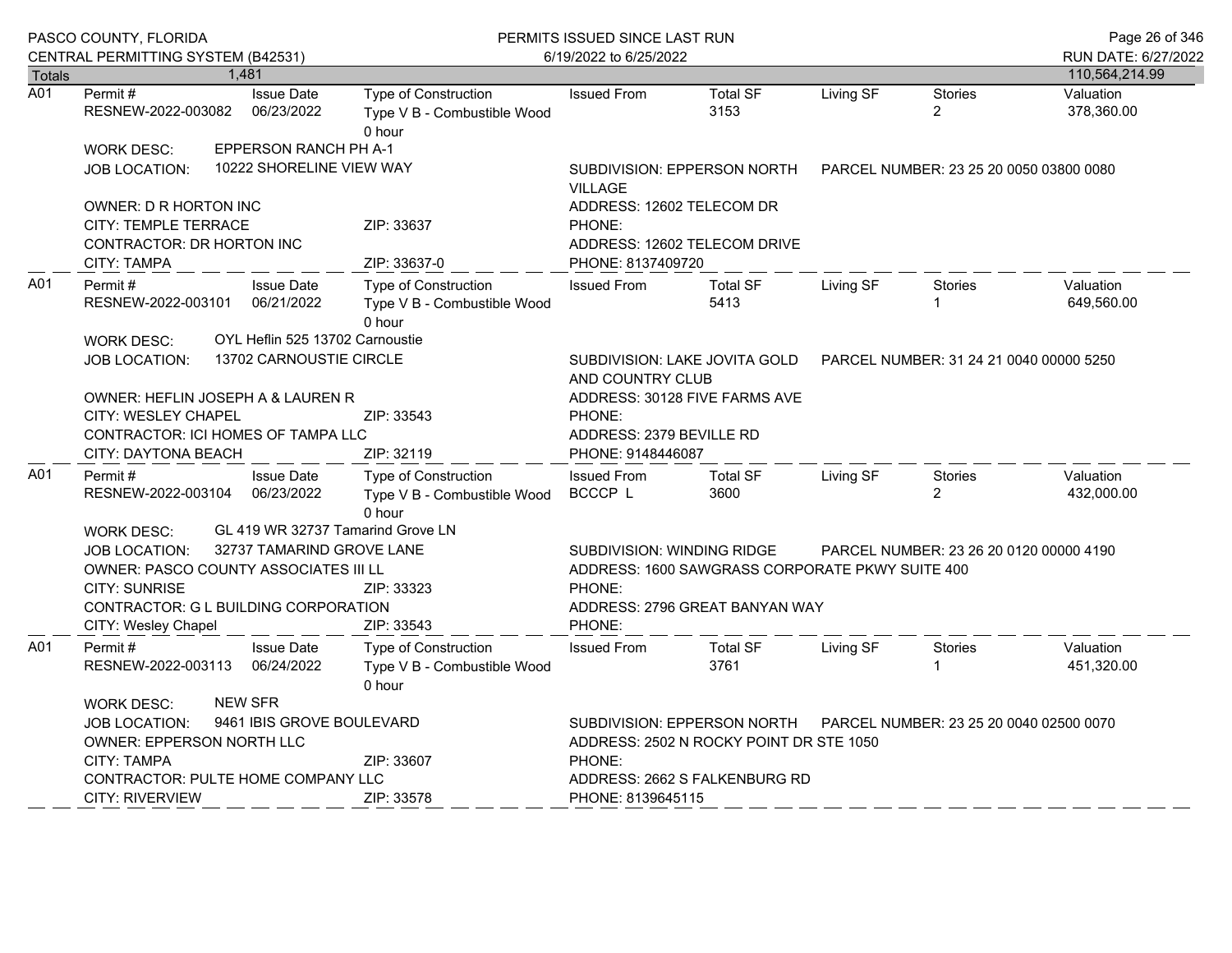|               | PASCO COUNTY, FLORIDA<br>CENTRAL PERMITTING SYSTEM (B42531)                                                                                                                                                                                 |  |                                                            | PERMITS ISSUED SINCE LAST RUN<br>6/19/2022 to 6/25/2022              | Page 26 of 346<br>RUN DATE: 6/27/2022                                                                                                                                          |                                                                                                         |           |                                         |                         |
|---------------|---------------------------------------------------------------------------------------------------------------------------------------------------------------------------------------------------------------------------------------------|--|------------------------------------------------------------|----------------------------------------------------------------------|--------------------------------------------------------------------------------------------------------------------------------------------------------------------------------|---------------------------------------------------------------------------------------------------------|-----------|-----------------------------------------|-------------------------|
| <b>Totals</b> |                                                                                                                                                                                                                                             |  | 1.481                                                      |                                                                      |                                                                                                                                                                                |                                                                                                         |           |                                         | 110,564,214.99          |
| A01           | Permit #<br>RESNEW-2022-003082                                                                                                                                                                                                              |  | <b>Issue Date</b><br>06/23/2022                            | <b>Type of Construction</b><br>Type V B - Combustible Wood<br>0 hour | <b>Issued From</b>                                                                                                                                                             | <b>Total SF</b><br>3153                                                                                 | Living SF | <b>Stories</b><br>$\overline{2}$        | Valuation<br>378,360.00 |
|               | <b>WORK DESC:</b>                                                                                                                                                                                                                           |  | EPPERSON RANCH PH A-1                                      |                                                                      |                                                                                                                                                                                |                                                                                                         |           |                                         |                         |
|               | <b>JOB LOCATION:</b>                                                                                                                                                                                                                        |  | 10222 SHORELINE VIEW WAY                                   | SUBDIVISION: EPPERSON NORTH<br><b>VILLAGE</b>                        |                                                                                                                                                                                |                                                                                                         |           | PARCEL NUMBER: 23 25 20 0050 03800 0080 |                         |
|               | OWNER: D R HORTON INC                                                                                                                                                                                                                       |  |                                                            |                                                                      | ADDRESS: 12602 TELECOM DR                                                                                                                                                      |                                                                                                         |           |                                         |                         |
|               | <b>CITY: TEMPLE TERRACE</b><br>CONTRACTOR: DR HORTON INC                                                                                                                                                                                    |  |                                                            | ZIP: 33637                                                           | PHONE:                                                                                                                                                                         | ADDRESS: 12602 TELECOM DRIVE                                                                            |           |                                         |                         |
|               | CITY: TAMPA                                                                                                                                                                                                                                 |  |                                                            | ZIP: 33637-0                                                         | PHONE: 8137409720                                                                                                                                                              |                                                                                                         |           |                                         |                         |
| A01           | Permit#<br>RESNEW-2022-003101                                                                                                                                                                                                               |  | <b>Issue Date</b><br>06/21/2022                            | <b>Type of Construction</b><br>Type V B - Combustible Wood<br>0 hour | <b>Issued From</b>                                                                                                                                                             | <b>Total SF</b><br>5413                                                                                 | Living SF | <b>Stories</b>                          | Valuation<br>649,560.00 |
|               | <b>WORK DESC:</b><br><b>JOB LOCATION:</b>                                                                                                                                                                                                   |  | OYL Heflin 525 13702 Carnoustie<br>13702 CARNOUSTIE CIRCLE |                                                                      | SUBDIVISION: LAKE JOVITA GOLD<br>AND COUNTRY CLUB                                                                                                                              | PARCEL NUMBER: 31 24 21 0040 00000 5250                                                                 |           |                                         |                         |
|               | OWNER: HEFLIN JOSEPH A & LAUREN R<br>CITY: WESLEY CHAPEL<br>CONTRACTOR: ICI HOMES OF TAMPA LLC<br>CITY: DAYTONA BEACH                                                                                                                       |  |                                                            | ZIP: 33543<br>ZIP: 32119                                             | PHONE:<br>ADDRESS: 2379 BEVILLE RD<br>PHONE: 9148446087                                                                                                                        | ADDRESS: 30128 FIVE FARMS AVE                                                                           |           |                                         |                         |
| A01           | Permit#<br>RESNEW-2022-003104                                                                                                                                                                                                               |  | <b>Issue Date</b><br>06/23/2022                            | Type of Construction<br>Type V B - Combustible Wood<br>0 hour        | <b>Issued From</b><br>BCCCP L                                                                                                                                                  | <b>Total SF</b><br>3600                                                                                 | Living SF | <b>Stories</b><br>$\overline{2}$        | Valuation<br>432,000.00 |
|               | GL 419 WR 32737 Tamarind Grove LN<br><b>WORK DESC:</b><br>32737 TAMARIND GROVE LANE<br><b>JOB LOCATION:</b><br>OWNER: PASCO COUNTY ASSOCIATES III LL<br><b>CITY: SUNRISE</b><br>CONTRACTOR: G L BUILDING CORPORATION<br>CITY: Wesley Chapel |  |                                                            | ZIP: 33323<br>ZIP: 33543                                             | SUBDIVISION: WINDING RIDGE<br>PARCEL NUMBER: 23 26 20 0120 00000 4190<br>ADDRESS: 1600 SAWGRASS CORPORATE PKWY SUITE 400<br>PHONE:<br>ADDRESS: 2796 GREAT BANYAN WAY<br>PHONE: |                                                                                                         |           |                                         |                         |
| A01           | Permit#<br>RESNEW-2022-003113                                                                                                                                                                                                               |  | <b>Issue Date</b><br>06/24/2022                            | Type of Construction<br>Type V B - Combustible Wood<br>0 hour        | <b>Issued From</b>                                                                                                                                                             | <b>Total SF</b><br>3761                                                                                 | Living SF | Stories                                 | Valuation<br>451,320.00 |
|               | <b>NEW SFR</b><br><b>WORK DESC:</b><br>9461 IBIS GROVE BOULEVARD<br><b>JOB LOCATION:</b><br>OWNER: EPPERSON NORTH LLC<br><b>CITY: TAMPA</b><br>CONTRACTOR: PULTE HOME COMPANY LLC<br>CITY: RIVERVIEW                                        |  |                                                            | ZIP: 33607<br>ZIP: 33578                                             | PHONE:<br>PHONE: 8139645115                                                                                                                                                    | SUBDIVISION: EPPERSON NORTH<br>ADDRESS: 2502 N ROCKY POINT DR STE 1050<br>ADDRESS: 2662 S FALKENBURG RD |           | PARCEL NUMBER: 23 25 20 0040 02500 0070 |                         |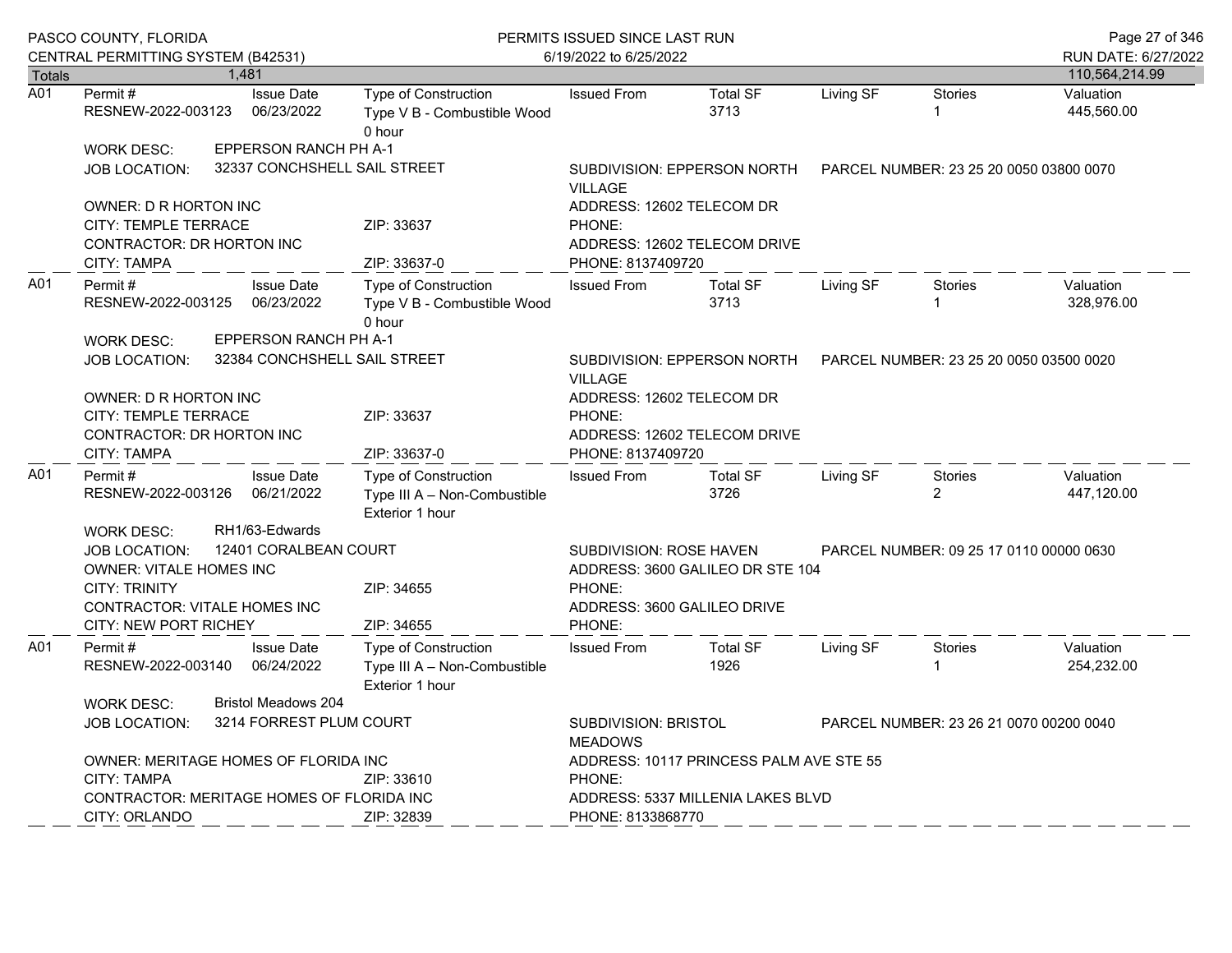|               | PASCO COUNTY, FLORIDA<br>CENTRAL PERMITTING SYSTEM (B42531)                                                                                                                    |  |                                                          | PERMITS ISSUED SINCE LAST RUN                                                         | Page 27 of 346<br>RUN DATE: 6/27/2022                                                                       |                                  |                                         |                                         |                         |
|---------------|--------------------------------------------------------------------------------------------------------------------------------------------------------------------------------|--|----------------------------------------------------------|---------------------------------------------------------------------------------------|-------------------------------------------------------------------------------------------------------------|----------------------------------|-----------------------------------------|-----------------------------------------|-------------------------|
| <b>Totals</b> |                                                                                                                                                                                |  | 1,481                                                    |                                                                                       | 6/19/2022 to 6/25/2022                                                                                      |                                  |                                         |                                         | 110,564,214.99          |
| A01           | Permit #<br>RESNEW-2022-003123                                                                                                                                                 |  | <b>Issue Date</b><br>06/23/2022                          | <b>Type of Construction</b><br>Type V B - Combustible Wood<br>0 hour                  | <b>Issued From</b>                                                                                          | <b>Total SF</b><br>3713          | Living SF                               | Stories<br>1                            | Valuation<br>445,560.00 |
|               | <b>WORK DESC:</b><br><b>JOB LOCATION:</b>                                                                                                                                      |  | EPPERSON RANCH PH A-1<br>32337 CONCHSHELL SAIL STREET    |                                                                                       | <b>VILLAGE</b>                                                                                              | SUBDIVISION: EPPERSON NORTH      | PARCEL NUMBER: 23 25 20 0050 03800 0070 |                                         |                         |
|               | OWNER: D R HORTON INC<br><b>CITY: TEMPLE TERRACE</b><br><b>CONTRACTOR: DR HORTON INC</b><br><b>CITY: TAMPA</b>                                                                 |  |                                                          | ZIP: 33637<br>ZIP: 33637-0                                                            | ADDRESS: 12602 TELECOM DR<br>PHONE:<br>PHONE: 8137409720                                                    | ADDRESS: 12602 TELECOM DRIVE     |                                         |                                         |                         |
| A01           | Permit#<br>RESNEW-2022-003125<br><b>WORK DESC:</b>                                                                                                                             |  | <b>Issue Date</b><br>06/23/2022<br>EPPERSON RANCH PH A-1 | <b>Type of Construction</b><br>Type V B - Combustible Wood<br>0 hour                  | <b>Issued From</b>                                                                                          | <b>Total SF</b><br>3713          | Living SF                               | <b>Stories</b>                          | Valuation<br>328,976.00 |
|               | <b>JOB LOCATION:</b><br>OWNER: D R HORTON INC                                                                                                                                  |  | 32384 CONCHSHELL SAIL STREET                             |                                                                                       | <b>VILLAGE</b><br>ADDRESS: 12602 TELECOM DR                                                                 | SUBDIVISION: EPPERSON NORTH      |                                         | PARCEL NUMBER: 23 25 20 0050 03500 0020 |                         |
|               | CITY: TEMPLE TERRACE<br>CONTRACTOR: DR HORTON INC<br><b>CITY: TAMPA</b>                                                                                                        |  |                                                          | ZIP: 33637<br>ZIP: 33637-0                                                            | PHONE:<br>ADDRESS: 12602 TELECOM DRIVE<br>PHONE: 8137409720                                                 |                                  |                                         |                                         |                         |
| A01           | Permit #<br>RESNEW-2022-003126                                                                                                                                                 |  | <b>Issue Date</b><br>06/21/2022                          | Type of Construction<br>Type III A - Non-Combustible<br>Exterior 1 hour               | <b>Issued From</b>                                                                                          | <b>Total SF</b><br>3726          | Living SF                               | <b>Stories</b><br>$\overline{2}$        | Valuation<br>447,120.00 |
|               | RH1/63-Edwards<br><b>WORK DESC:</b><br>12401 CORALBEAN COURT<br><b>JOB LOCATION:</b><br><b>OWNER: VITALE HOMES INC</b><br><b>CITY: TRINITY</b><br>CONTRACTOR: VITALE HOMES INC |  |                                                          | ZIP: 34655                                                                            | <b>SUBDIVISION: ROSE HAVEN</b><br>PHONE:<br>ADDRESS: 3600 GALILEO DRIVE                                     | ADDRESS: 3600 GALILEO DR STE 104 |                                         | PARCEL NUMBER: 09 25 17 0110 00000 0630 |                         |
| A01           | <b>CITY: NEW PORT RICHEY</b><br>Permit #<br>RESNEW-2022-003140                                                                                                                 |  | <b>Issue Date</b><br>06/24/2022                          | ZIP: 34655<br>Type of Construction<br>Type III A - Non-Combustible<br>Exterior 1 hour | PHONE:<br><b>Issued From</b>                                                                                | <b>Total SF</b><br>1926          | Living SF                               | <b>Stories</b>                          | Valuation<br>254,232.00 |
|               | <b>Bristol Meadows 204</b><br><b>WORK DESC:</b><br>3214 FORREST PLUM COURT<br><b>JOB LOCATION:</b>                                                                             |  |                                                          |                                                                                       | SUBDIVISION: BRISTOL<br><b>MEADOWS</b>                                                                      |                                  | PARCEL NUMBER: 23 26 21 0070 00200 0040 |                                         |                         |
|               | OWNER: MERITAGE HOMES OF FLORIDA INC<br><b>CITY: TAMPA</b><br>CONTRACTOR: MERITAGE HOMES OF FLORIDA INC<br>CITY: ORLANDO                                                       |  |                                                          | ZIP: 33610<br>ZIP: 32839                                                              | ADDRESS: 10117 PRINCESS PALM AVE STE 55<br>PHONE:<br>ADDRESS: 5337 MILLENIA LAKES BLVD<br>PHONE: 8133868770 |                                  |                                         |                                         |                         |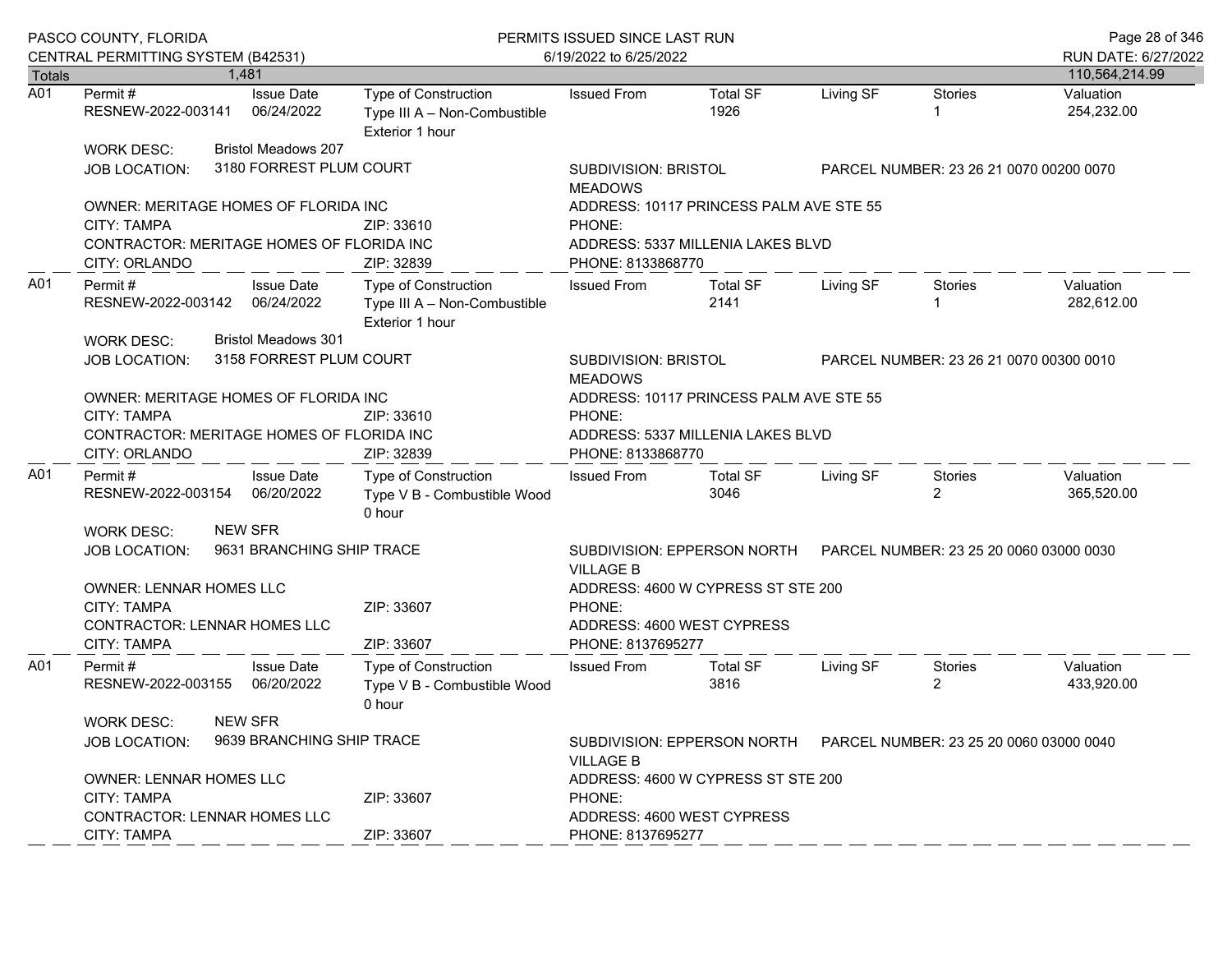|                                   | PASCO COUNTY, FLORIDA                                      |       |                                                 | PERMITS ISSUED SINCE LAST RUN                                           | Page 28 of 346                                                                           |                                         |           |                           |                         |
|-----------------------------------|------------------------------------------------------------|-------|-------------------------------------------------|-------------------------------------------------------------------------|------------------------------------------------------------------------------------------|-----------------------------------------|-----------|---------------------------|-------------------------|
|                                   | CENTRAL PERMITTING SYSTEM (B42531)                         |       |                                                 |                                                                         | 6/19/2022 to 6/25/2022                                                                   |                                         |           |                           | RUN DATE: 6/27/2022     |
| <b>Totals</b><br>$\overline{A01}$ |                                                            | 1.481 |                                                 |                                                                         |                                                                                          |                                         |           |                           | 110,564,214.99          |
|                                   | Permit#<br>RESNEW-2022-003141                              |       | <b>Issue Date</b><br>06/24/2022                 | Type of Construction<br>Type III A - Non-Combustible<br>Exterior 1 hour | <b>Issued From</b>                                                                       | <b>Total SF</b><br>1926                 | Living SF | <b>Stories</b>            | Valuation<br>254,232.00 |
|                                   | <b>WORK DESC:</b>                                          |       | <b>Bristol Meadows 207</b>                      |                                                                         |                                                                                          |                                         |           |                           |                         |
|                                   | <b>JOB LOCATION:</b>                                       |       | 3180 FORREST PLUM COURT                         |                                                                         | <b>SUBDIVISION: BRISTOL</b><br><b>MEADOWS</b>                                            | PARCEL NUMBER: 23 26 21 0070 00200 0070 |           |                           |                         |
|                                   | OWNER: MERITAGE HOMES OF FLORIDA INC                       |       |                                                 |                                                                         |                                                                                          | ADDRESS: 10117 PRINCESS PALM AVE STE 55 |           |                           |                         |
|                                   | CITY: TAMPA                                                |       |                                                 | ZIP: 33610                                                              | PHONE:                                                                                   |                                         |           |                           |                         |
|                                   | CONTRACTOR: MERITAGE HOMES OF FLORIDA INC<br>CITY: ORLANDO |       |                                                 | ZIP: 32839                                                              | ADDRESS: 5337 MILLENIA LAKES BLVD<br>PHONE: 8133868770                                   |                                         |           |                           |                         |
| A01                               | Permit#<br>RESNEW-2022-003142 06/24/2022                   |       | <b>Issue Date</b><br><b>Bristol Meadows 301</b> | Type of Construction<br>Type III A - Non-Combustible<br>Exterior 1 hour | <b>Issued From</b>                                                                       | <b>Total SF</b><br>2141                 | Living SF | Stories                   | Valuation<br>282,612.00 |
|                                   | <b>WORK DESC:</b><br><b>JOB LOCATION:</b>                  |       | 3158 FORREST PLUM COURT                         |                                                                         | <b>SUBDIVISION: BRISTOL</b><br>PARCEL NUMBER: 23 26 21 0070 00300 0010<br><b>MEADOWS</b> |                                         |           |                           |                         |
|                                   | OWNER: MERITAGE HOMES OF FLORIDA INC                       |       |                                                 |                                                                         |                                                                                          | ADDRESS: 10117 PRINCESS PALM AVE STE 55 |           |                           |                         |
|                                   | <b>CITY: TAMPA</b>                                         |       |                                                 | ZIP: 33610                                                              | PHONE:                                                                                   |                                         |           |                           |                         |
|                                   | CONTRACTOR: MERITAGE HOMES OF FLORIDA INC                  |       |                                                 |                                                                         |                                                                                          | ADDRESS: 5337 MILLENIA LAKES BLVD       |           |                           |                         |
|                                   | CITY: ORLANDO                                              |       |                                                 | ZIP: 32839                                                              | PHONE: 8133868770                                                                        |                                         |           |                           |                         |
| A01                               | Permit#<br>RESNEW-2022-003154 06/20/2022                   |       | <b>Issue Date</b>                               | <b>Type of Construction</b><br>Type V B - Combustible Wood<br>0 hour    | <b>Issued From</b>                                                                       | <b>Total SF</b><br>3046                 | Living SF | Stories<br>$\overline{2}$ | Valuation<br>365,520.00 |
|                                   | <b>WORK DESC:</b>                                          |       | <b>NEW SFR</b>                                  |                                                                         |                                                                                          |                                         |           |                           |                         |
|                                   | <b>JOB LOCATION:</b>                                       |       | 9631 BRANCHING SHIP TRACE                       |                                                                         | SUBDIVISION: EPPERSON NORTH<br><b>VILLAGE B</b>                                          | PARCEL NUMBER: 23 25 20 0060 03000 0030 |           |                           |                         |
|                                   | OWNER: LENNAR HOMES LLC<br>CITY: TAMPA                     |       |                                                 | ZIP: 33607                                                              | PHONE:                                                                                   | ADDRESS: 4600 W CYPRESS ST STE 200      |           |                           |                         |
|                                   | CONTRACTOR: LENNAR HOMES LLC<br>CITY: TAMPA                |       |                                                 | ZIP: 33607                                                              | ADDRESS: 4600 WEST CYPRESS<br>PHONE: 8137695277                                          |                                         |           |                           |                         |
| A01                               | Permit #<br>RESNEW-2022-003155 06/20/2022                  |       | <b>Issue Date</b>                               | Type of Construction<br>Type V B - Combustible Wood<br>0 hour           | <b>Issued From</b>                                                                       | <b>Total SF</b><br>3816                 | Living SF | Stories<br>$\overline{2}$ | Valuation<br>433,920.00 |
|                                   | <b>WORK DESC:</b><br><b>JOB LOCATION:</b>                  |       | <b>NEW SFR</b><br>9639 BRANCHING SHIP TRACE     |                                                                         | <b>VILLAGE B</b>                                                                         |                                         |           |                           |                         |
|                                   | <b>OWNER: LENNAR HOMES LLC</b>                             |       |                                                 |                                                                         | ADDRESS: 4600 W CYPRESS ST STE 200                                                       |                                         |           |                           |                         |
|                                   | <b>CITY: TAMPA</b>                                         |       |                                                 | ZIP: 33607                                                              | PHONE:                                                                                   |                                         |           |                           |                         |
|                                   | CONTRACTOR: LENNAR HOMES LLC                               |       |                                                 |                                                                         | ADDRESS: 4600 WEST CYPRESS                                                               |                                         |           |                           |                         |
|                                   | <b>CITY: TAMPA</b>                                         |       |                                                 | ZIP: 33607                                                              | PHONE: 8137695277                                                                        |                                         |           |                           |                         |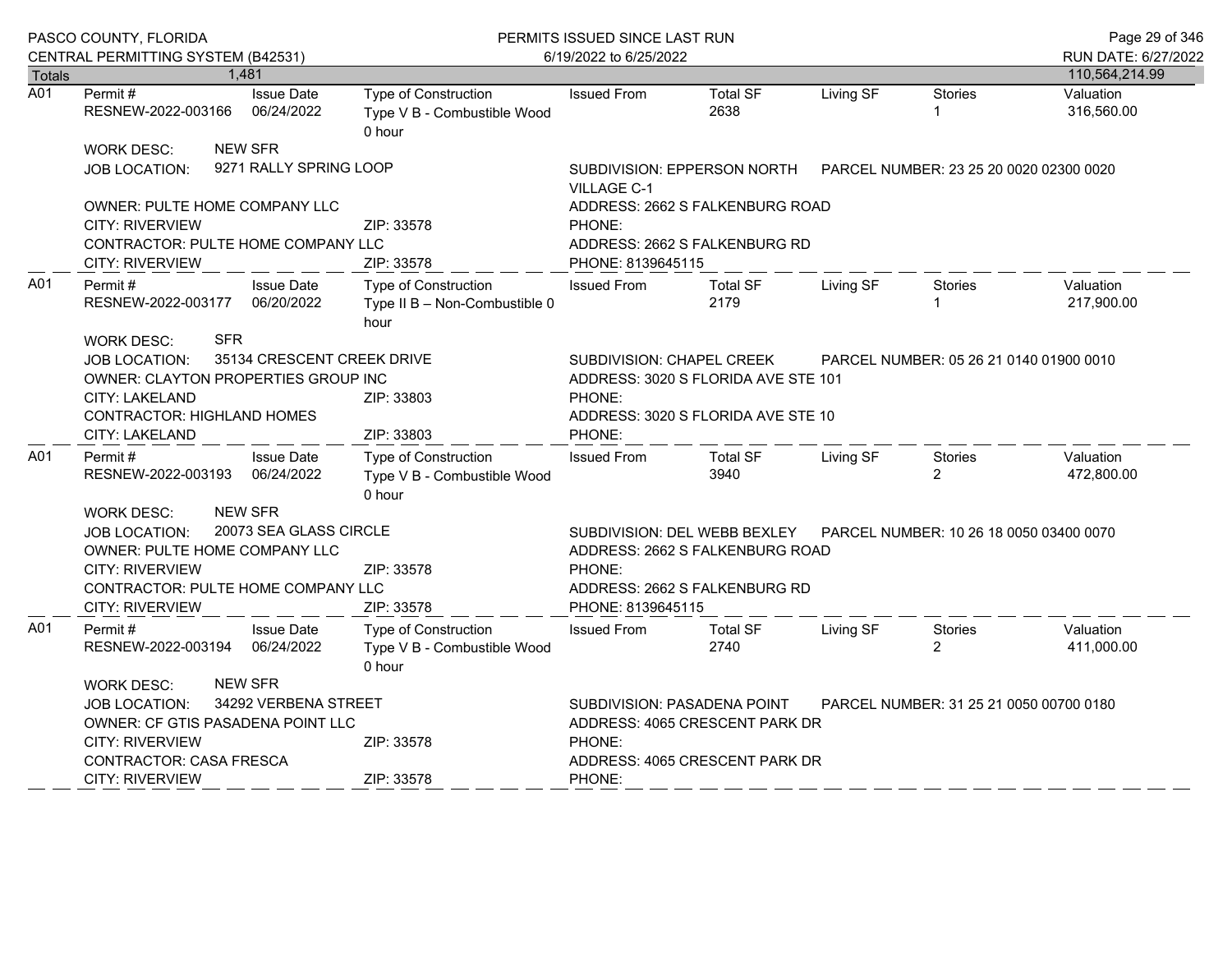|               | PASCO COUNTY, FLORIDA                                                                                                                                                          |                                          |                                                               | PERMITS ISSUED SINCE LAST RUN                                                                                                                                              |                                                                  |           | Page 29 of 346                          |                         |  |
|---------------|--------------------------------------------------------------------------------------------------------------------------------------------------------------------------------|------------------------------------------|---------------------------------------------------------------|----------------------------------------------------------------------------------------------------------------------------------------------------------------------------|------------------------------------------------------------------|-----------|-----------------------------------------|-------------------------|--|
| <b>Totals</b> | CENTRAL PERMITTING SYSTEM (B42531)                                                                                                                                             | 1.481                                    |                                                               | 6/19/2022 to 6/25/2022                                                                                                                                                     | RUN DATE: 6/27/2022<br>110,564,214.99                            |           |                                         |                         |  |
| A01           | Permit#<br>RESNEW-2022-003166                                                                                                                                                  | <b>Issue Date</b><br>06/24/2022          | Type of Construction<br>Type V B - Combustible Wood<br>0 hour | <b>Issued From</b>                                                                                                                                                         | <b>Total SF</b><br>2638                                          | Living SF | <b>Stories</b>                          | Valuation<br>316,560.00 |  |
|               | <b>WORK DESC:</b><br><b>JOB LOCATION:</b>                                                                                                                                      | <b>NEW SFR</b><br>9271 RALLY SPRING LOOP |                                                               | <b>VILLAGE C-1</b>                                                                                                                                                         | SUBDIVISION: EPPERSON NORTH                                      |           | PARCEL NUMBER: 23 25 20 0020 02300 0020 |                         |  |
|               | OWNER: PULTE HOME COMPANY LLC<br><b>CITY: RIVERVIEW</b><br>CONTRACTOR: PULTE HOME COMPANY LLC<br><b>CITY: RIVERVIEW</b>                                                        |                                          | ZIP: 33578<br>ZIP: 33578                                      | ADDRESS: 2662 S FALKENBURG ROAD<br>PHONE:<br>ADDRESS: 2662 S FALKENBURG RD<br>PHONE: 8139645115                                                                            |                                                                  |           |                                         |                         |  |
| A01           | Permit#<br>RESNEW-2022-003177 06/20/2022                                                                                                                                       | <b>Issue Date</b>                        | Type of Construction<br>Type II B - Non-Combustible 0<br>hour | <b>Issued From</b>                                                                                                                                                         | <b>Total SF</b><br>2179                                          | Living SF | <b>Stories</b>                          | Valuation<br>217,900.00 |  |
|               | <b>SFR</b><br><b>WORK DESC:</b><br><b>JOB LOCATION:</b><br>OWNER: CLAYTON PROPERTIES GROUP INC<br><b>CITY: LAKELAND</b><br><b>CONTRACTOR: HIGHLAND HOMES</b><br>CITY: LAKELAND | 35134 CRESCENT CREEK DRIVE               | ZIP: 33803<br>ZIP: 33803                                      | SUBDIVISION: CHAPEL CREEK<br>ADDRESS: 3020 S FLORIDA AVE STE 101<br>PHONE:<br>ADDRESS: 3020 S FLORIDA AVE STE 10<br>PHONE:                                                 | PARCEL NUMBER: 05 26 21 0140 01900 0010                          |           |                                         |                         |  |
| A01           | Permit #<br>RESNEW-2022-003193                                                                                                                                                 | <b>Issue Date</b><br>06/24/2022          | Type of Construction<br>Type V B - Combustible Wood<br>0 hour | <b>Issued From</b>                                                                                                                                                         | <b>Total SF</b><br>3940                                          | Living SF | Stories<br>$\overline{2}$               | Valuation<br>472,800.00 |  |
|               | <b>WORK DESC:</b><br><b>JOB LOCATION:</b><br>OWNER: PULTE HOME COMPANY LLC<br><b>CITY: RIVERVIEW</b><br>CONTRACTOR: PULTE HOME COMPANY LLC<br><b>CITY: RIVERVIEW</b>           | <b>NEW SFR</b><br>20073 SEA GLASS CIRCLE | ZIP: 33578<br>ZIP: 33578                                      | SUBDIVISION: DEL WEBB BEXLEY<br>PARCEL NUMBER: 10 26 18 0050 03400 0070<br>ADDRESS: 2662 S FALKENBURG ROAD<br>PHONE:<br>ADDRESS: 2662 S FALKENBURG RD<br>PHONE: 8139645115 |                                                                  |           |                                         |                         |  |
| A01           | Permit#<br>RESNEW-2022-003194 06/24/2022                                                                                                                                       | <b>Issue Date</b>                        | Type of Construction<br>Type V B - Combustible Wood<br>0 hour | <b>Issued From</b>                                                                                                                                                         | <b>Total SF</b><br>2740                                          | Living SF | Stories<br>$\overline{2}$               | Valuation<br>411,000.00 |  |
|               | <b>WORK DESC:</b><br>JOB LOCATION:<br><b>OWNER: CF GTIS PASADENA POINT LLC</b><br>CITY: RIVERVIEW<br>CONTRACTOR: CASA FRESCA<br><b>CITY: RIVERVIEW</b>                         | <b>NEW SFR</b><br>34292 VERBENA STREET   | ZIP: 33578<br>ZIP: 33578                                      | SUBDIVISION: PASADENA POINT<br>PHONE:<br>PHONE:                                                                                                                            | ADDRESS: 4065 CRESCENT PARK DR<br>ADDRESS: 4065 CRESCENT PARK DR |           | PARCEL NUMBER: 31 25 21 0050 00700 0180 |                         |  |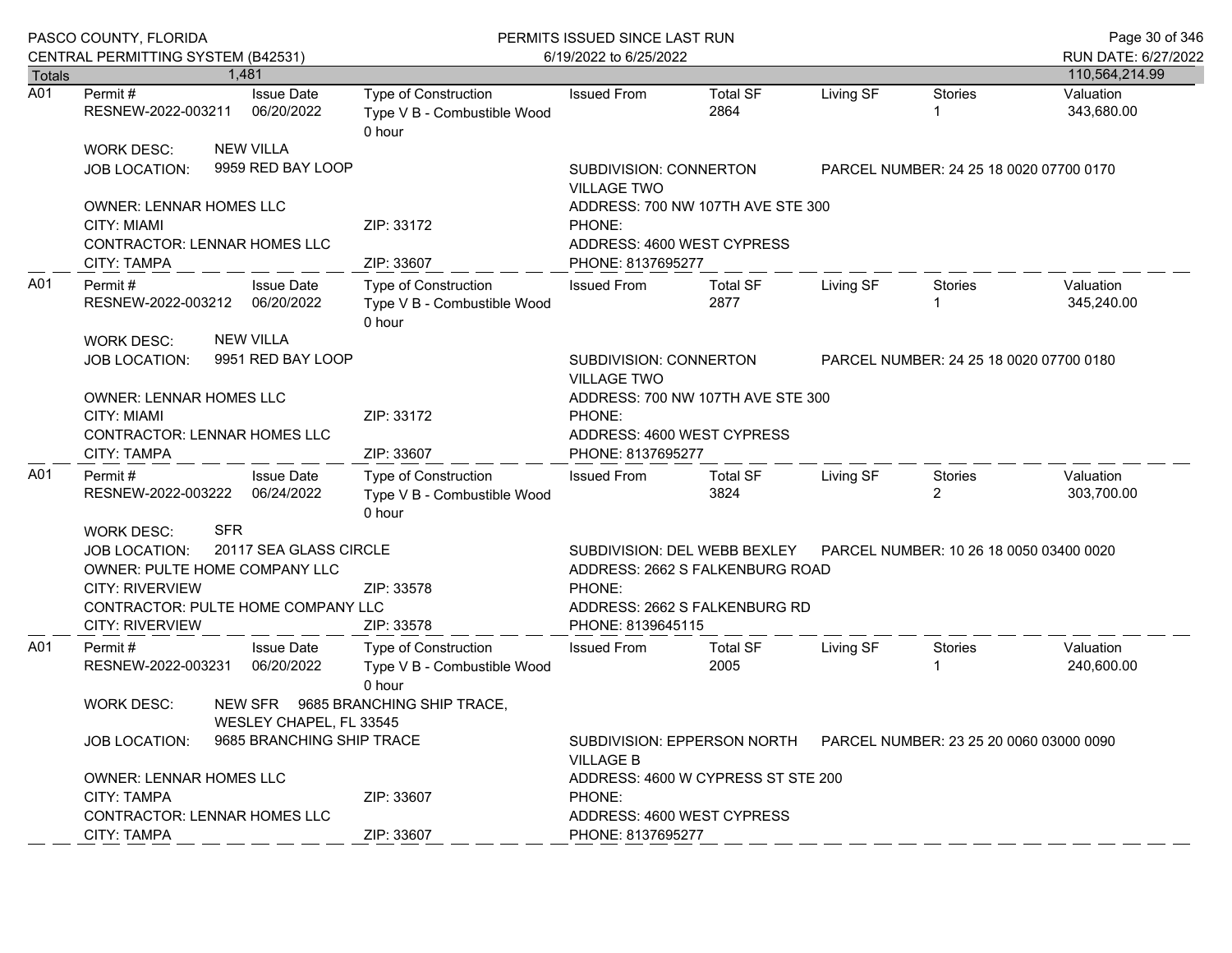|                  | PASCO COUNTY, FLORIDA<br>CENTRAL PERMITTING SYSTEM (B42531)                                                                                                                                                                       |       |                                       | PERMITS ISSUED SINCE LAST RUN<br>6/19/2022 to 6/25/2022       | Page 30 of 346<br>RUN DATE: 6/27/2022                                                                                           |                                         |           |                                         |                         |  |
|------------------|-----------------------------------------------------------------------------------------------------------------------------------------------------------------------------------------------------------------------------------|-------|---------------------------------------|---------------------------------------------------------------|---------------------------------------------------------------------------------------------------------------------------------|-----------------------------------------|-----------|-----------------------------------------|-------------------------|--|
| <b>Totals</b>    |                                                                                                                                                                                                                                   | 1,481 |                                       |                                                               |                                                                                                                                 |                                         |           |                                         | 110,564,214.99          |  |
| $\overline{A01}$ | Permit #<br>RESNEW-2022-003211                                                                                                                                                                                                    |       | <b>Issue Date</b><br>06/20/2022       | Type of Construction<br>Type V B - Combustible Wood<br>0 hour | <b>Issued From</b>                                                                                                              | <b>Total SF</b><br>2864                 | Living SF | <b>Stories</b>                          | Valuation<br>343,680.00 |  |
|                  | <b>WORK DESC:</b><br>JOB LOCATION:                                                                                                                                                                                                |       | <b>NEW VILLA</b><br>9959 RED BAY LOOP |                                                               | SUBDIVISION: CONNERTON<br><b>VILLAGE TWO</b>                                                                                    |                                         |           | PARCEL NUMBER: 24 25 18 0020 07700 0170 |                         |  |
|                  | <b>OWNER: LENNAR HOMES LLC</b><br><b>CITY: MIAMI</b><br>CONTRACTOR: LENNAR HOMES LLC                                                                                                                                              |       |                                       | ZIP: 33172                                                    | ADDRESS: 700 NW 107TH AVE STE 300<br>PHONE:<br>ADDRESS: 4600 WEST CYPRESS                                                       |                                         |           |                                         |                         |  |
|                  | CITY: TAMPA                                                                                                                                                                                                                       |       |                                       | ZIP: 33607                                                    | PHONE: 8137695277                                                                                                               |                                         |           |                                         |                         |  |
| A01              | Permit #<br>RESNEW-2022-003212                                                                                                                                                                                                    |       | <b>Issue Date</b><br>06/20/2022       | Type of Construction<br>Type V B - Combustible Wood<br>0 hour | <b>Issued From</b>                                                                                                              | <b>Total SF</b><br>2877                 | Living SF | Stories                                 | Valuation<br>345,240.00 |  |
|                  | WORK DESC:<br>JOB LOCATION:                                                                                                                                                                                                       |       | <b>NEW VILLA</b><br>9951 RED BAY LOOP |                                                               | SUBDIVISION: CONNERTON<br>PARCEL NUMBER: 24 25 18 0020 07700 0180<br><b>VILLAGE TWO</b>                                         |                                         |           |                                         |                         |  |
|                  | OWNER: LENNAR HOMES LLC<br><b>CITY: MIAMI</b><br>CONTRACTOR: LENNAR HOMES LLC                                                                                                                                                     |       |                                       | ZIP: 33172                                                    | ADDRESS: 700 NW 107TH AVE STE 300<br>PHONE:<br>ADDRESS: 4600 WEST CYPRESS                                                       |                                         |           |                                         |                         |  |
|                  | CITY: TAMPA                                                                                                                                                                                                                       |       |                                       | ZIP: 33607                                                    | PHONE: 8137695277                                                                                                               |                                         |           |                                         |                         |  |
| A01              | Permit #<br>RESNEW-2022-003222 06/24/2022                                                                                                                                                                                         |       | <b>Issue Date</b>                     | Type of Construction<br>Type V B - Combustible Wood<br>0 hour | <b>Issued From</b>                                                                                                              | <b>Total SF</b><br>3824                 | Living SF | Stories<br>$\overline{2}$               | Valuation<br>303,700.00 |  |
|                  | <b>SFR</b><br><b>WORK DESC:</b><br>20117 SEA GLASS CIRCLE<br>JOB LOCATION:<br>OWNER: PULTE HOME COMPANY LLC<br><b>CITY: RIVERVIEW</b><br>ZIP: 33578<br>CONTRACTOR: PULTE HOME COMPANY LLC<br><b>CITY: RIVERVIEW</b><br>ZIP: 33578 |       |                                       |                                                               | SUBDIVISION: DEL WEBB BEXLEY<br>ADDRESS: 2662 S FALKENBURG ROAD<br>PHONE:<br>ADDRESS: 2662 S FALKENBURG RD<br>PHONE: 8139645115 | PARCEL NUMBER: 10 26 18 0050 03400 0020 |           |                                         |                         |  |
| A01              | Permit#<br>RESNEW-2022-003231                                                                                                                                                                                                     |       | <b>Issue Date</b><br>06/20/2022       | Type of Construction<br>Type V B - Combustible Wood<br>0 hour | <b>Issued From</b>                                                                                                              | <b>Total SF</b><br>2005                 | Living SF | Stories                                 | Valuation<br>240,600.00 |  |
|                  | <b>WORK DESC:</b><br>WESLEY CHAPEL, FL 33545                                                                                                                                                                                      |       |                                       | NEW SFR 9685 BRANCHING SHIP TRACE,                            |                                                                                                                                 |                                         |           |                                         |                         |  |
|                  | 9685 BRANCHING SHIP TRACE<br><b>JOB LOCATION:</b>                                                                                                                                                                                 |       |                                       |                                                               | SUBDIVISION: EPPERSON NORTH<br><b>VILLAGE B</b>                                                                                 |                                         |           | PARCEL NUMBER: 23 25 20 0060 03000 0090 |                         |  |
|                  | <b>OWNER: LENNAR HOMES LLC</b><br><b>CITY: TAMPA</b><br>CONTRACTOR: LENNAR HOMES LLC                                                                                                                                              |       |                                       | ZIP: 33607                                                    | ADDRESS: 4600 W CYPRESS ST STE 200<br>PHONE:<br>ADDRESS: 4600 WEST CYPRESS                                                      |                                         |           |                                         |                         |  |
|                  | CITY: TAMPA                                                                                                                                                                                                                       |       |                                       | ZIP: 33607                                                    | PHONE: 8137695277                                                                                                               |                                         |           |                                         |                         |  |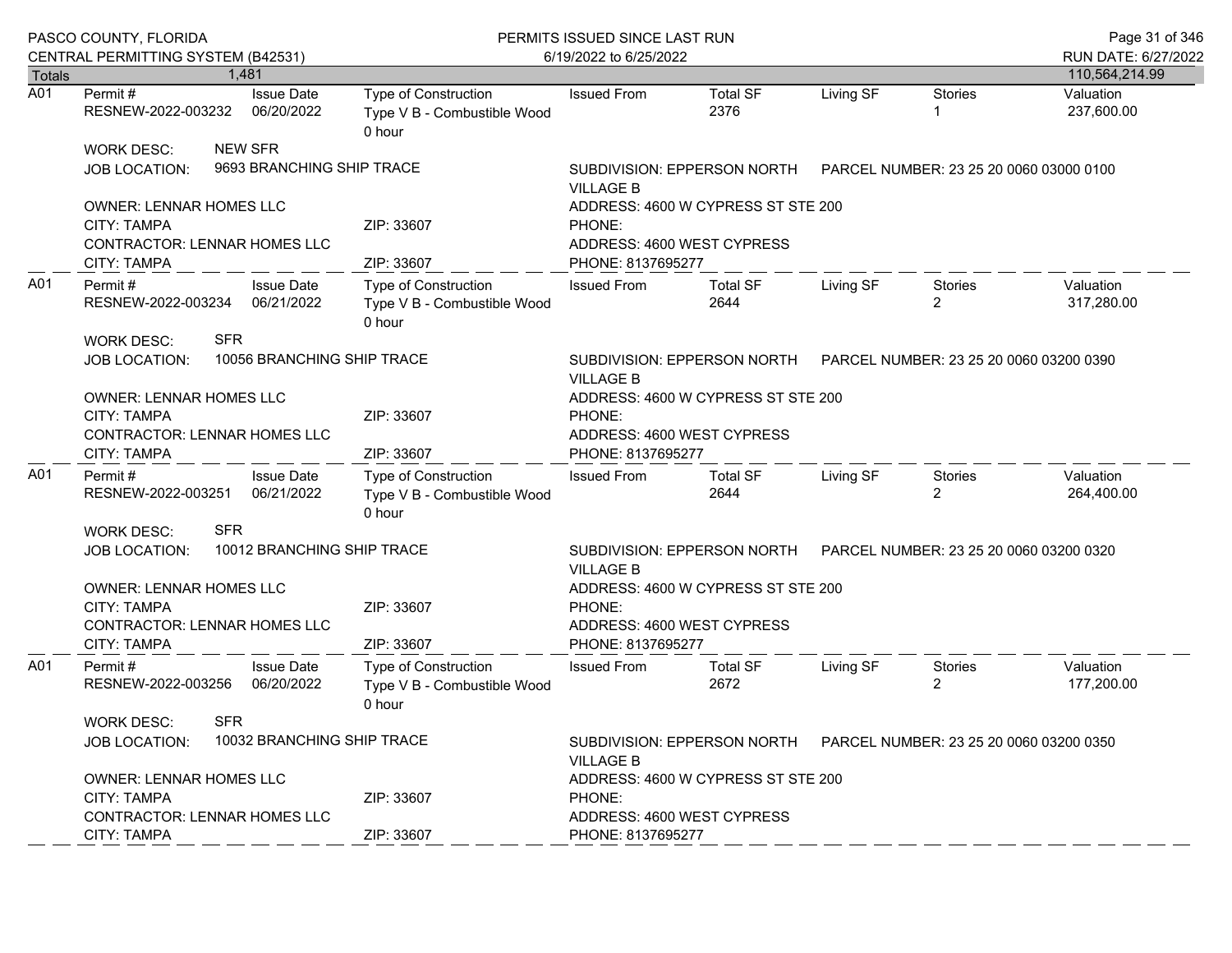|                  | PASCO COUNTY, FLORIDA<br>CENTRAL PERMITTING SYSTEM (B42531)                                         |                                             | PERMITS ISSUED SINCE LAST RUN<br>6/19/2022 to 6/25/2022              | Page 31 of 346<br>RUN DATE: 6/27/2022                                                           |                         |           |                           |                         |
|------------------|-----------------------------------------------------------------------------------------------------|---------------------------------------------|----------------------------------------------------------------------|-------------------------------------------------------------------------------------------------|-------------------------|-----------|---------------------------|-------------------------|
| <b>Totals</b>    |                                                                                                     | 1,481                                       |                                                                      |                                                                                                 |                         |           |                           | 110,564,214.99          |
| $\overline{A01}$ | Permit #<br>RESNEW-2022-003232 06/20/2022                                                           | <b>Issue Date</b>                           | Type of Construction<br>Type V B - Combustible Wood<br>0 hour        | <b>Issued From</b>                                                                              | <b>Total SF</b><br>2376 | Living SF | <b>Stories</b>            | Valuation<br>237,600.00 |
|                  | <b>WORK DESC:</b><br><b>JOB LOCATION:</b>                                                           | <b>NEW SFR</b><br>9693 BRANCHING SHIP TRACE |                                                                      | SUBDIVISION: EPPERSON NORTH PARCEL NUMBER: 23 25 20 0060 03000 0100<br><b>VILLAGE B</b>         |                         |           |                           |                         |
|                  | <b>OWNER: LENNAR HOMES LLC</b><br><b>CITY: TAMPA</b><br>CONTRACTOR: LENNAR HOMES LLC<br>CITY: TAMPA |                                             | ZIP: 33607<br>ZIP: 33607                                             | ADDRESS: 4600 W CYPRESS ST STE 200<br>PHONE:<br>ADDRESS: 4600 WEST CYPRESS<br>PHONE: 8137695277 |                         |           |                           |                         |
| A01              | Permit#<br>RESNEW-2022-003234 06/21/2022<br><b>SFR</b><br><b>WORK DESC:</b>                         | <b>Issue Date</b>                           | Type of Construction<br>Type V B - Combustible Wood<br>0 hour        | <b>Issued From</b>                                                                              | <b>Total SF</b><br>2644 | Living SF | Stories<br>$\overline{2}$ | Valuation<br>317,280.00 |
|                  | <b>JOB LOCATION:</b>                                                                                | 10056 BRANCHING SHIP TRACE                  |                                                                      | SUBDIVISION: EPPERSON NORTH    PARCEL NUMBER: 23 25 20 0060 03200 0390<br><b>VILLAGE B</b>      |                         |           |                           |                         |
|                  | OWNER: LENNAR HOMES LLC<br><b>CITY: TAMPA</b><br><b>CONTRACTOR: LENNAR HOMES LLC</b>                |                                             | ZIP: 33607                                                           | ADDRESS: 4600 W CYPRESS ST STE 200<br>PHONE:<br>ADDRESS: 4600 WEST CYPRESS                      |                         |           |                           |                         |
|                  | CITY: TAMPA                                                                                         |                                             | ZIP: 33607                                                           | PHONE: 8137695277                                                                               |                         |           |                           |                         |
| A01              | Permit#<br>RESNEW-2022-003251 06/21/2022                                                            | <b>Issue Date</b>                           | <b>Type of Construction</b><br>Type V B - Combustible Wood<br>0 hour | <b>Issued From</b>                                                                              | <b>Total SF</b><br>2644 | Living SF | Stories<br>$\overline{2}$ | Valuation<br>264,400.00 |
|                  | <b>SFR</b><br><b>WORK DESC:</b><br><b>JOB LOCATION:</b>                                             | 10012 BRANCHING SHIP TRACE                  |                                                                      | SUBDIVISION: EPPERSON NORTH    PARCEL NUMBER: 23 25 20 0060 03200 0320<br><b>VILLAGE B</b>      |                         |           |                           |                         |
|                  | <b>OWNER: LENNAR HOMES LLC</b><br>CITY: TAMPA<br>CONTRACTOR: LENNAR HOMES LLC<br>CITY: TAMPA        |                                             | ZIP: 33607<br>ZIP: 33607                                             | ADDRESS: 4600 W CYPRESS ST STE 200<br>PHONE:<br>ADDRESS: 4600 WEST CYPRESS<br>PHONE: 8137695277 |                         |           |                           |                         |
| A01              | Permit#<br>RESNEW-2022-003256                                                                       | <b>Issue Date</b><br>06/20/2022             | Type of Construction<br>Type V B - Combustible Wood<br>0 hour        | <b>Issued From</b>                                                                              | <b>Total SF</b><br>2672 | Living SF | Stories<br>$\overline{2}$ | Valuation<br>177,200.00 |
|                  | <b>SFR</b><br><b>WORK DESC:</b><br><b>JOB LOCATION:</b>                                             | 10032 BRANCHING SHIP TRACE                  |                                                                      | SUBDIVISION: EPPERSON NORTH PARCEL NUMBER: 23 25 20 0060 03200 0350<br><b>VILLAGE B</b>         |                         |           |                           |                         |
|                  | OWNER: LENNAR HOMES LLC<br><b>CITY: TAMPA</b><br><b>CONTRACTOR: LENNAR HOMES LLC</b>                |                                             | ZIP: 33607                                                           | ADDRESS: 4600 W CYPRESS ST STE 200<br>PHONE:<br>ADDRESS: 4600 WEST CYPRESS                      |                         |           |                           |                         |
|                  | CITY: TAMPA                                                                                         |                                             | ZIP: 33607                                                           | PHONE: 8137695277                                                                               |                         |           |                           |                         |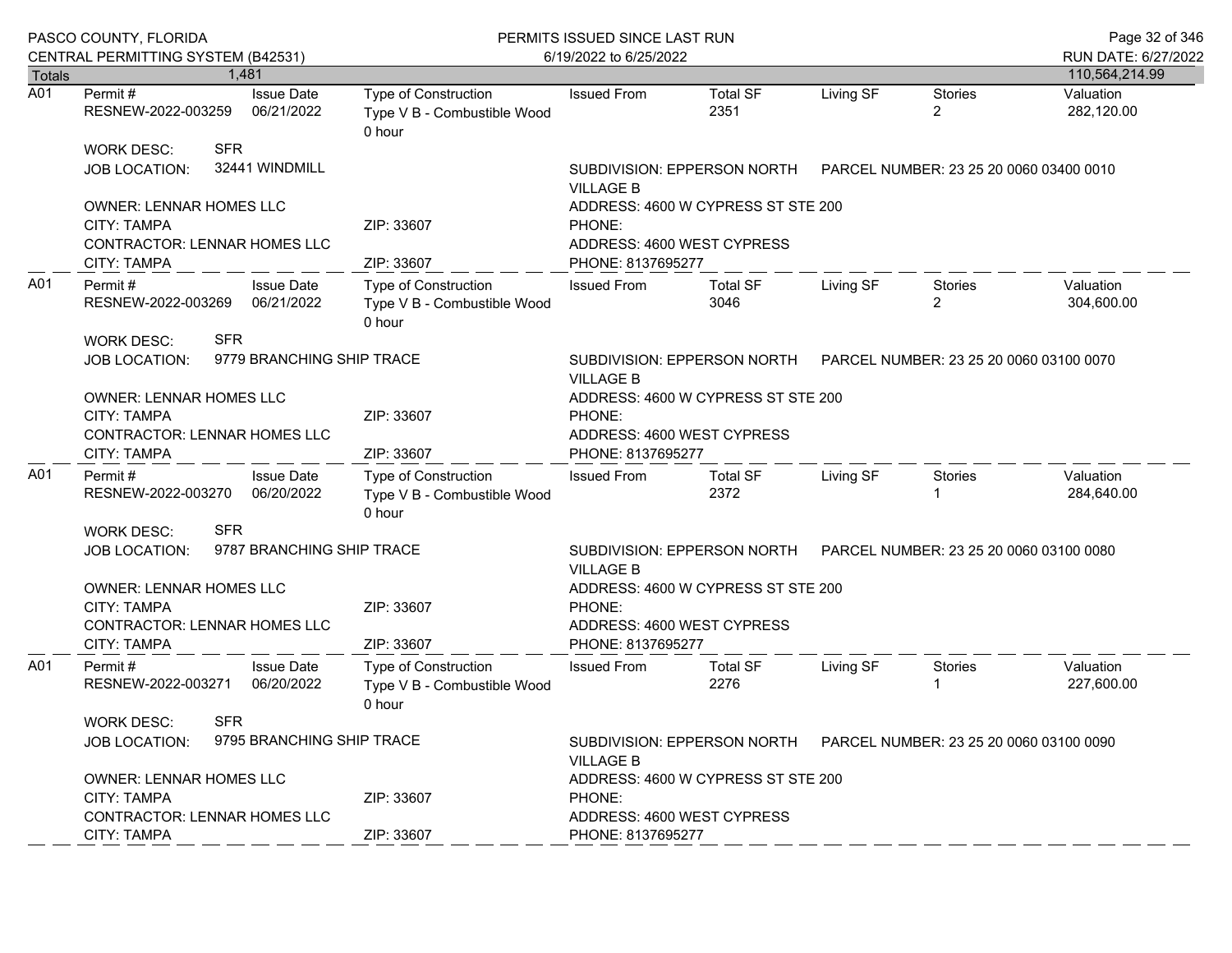|                  | PASCO COUNTY, FLORIDA<br>CENTRAL PERMITTING SYSTEM (B42531)                                                |                                 | PERMITS ISSUED SINCE LAST RUN<br>6/19/2022 to 6/25/2022                     | Page 32 of 346<br>RUN DATE: 6/27/2022                                                           |                                                                        |           |                                         |                         |  |
|------------------|------------------------------------------------------------------------------------------------------------|---------------------------------|-----------------------------------------------------------------------------|-------------------------------------------------------------------------------------------------|------------------------------------------------------------------------|-----------|-----------------------------------------|-------------------------|--|
| <b>Totals</b>    |                                                                                                            | 1,481                           |                                                                             |                                                                                                 |                                                                        |           |                                         | 110,564,214.99          |  |
| $\overline{A01}$ | Permit #<br>RESNEW-2022-003259                                                                             | <b>Issue Date</b><br>06/21/2022 | Type of Construction<br>Type V B - Combustible Wood<br>0 hour               | <b>Issued From</b>                                                                              | <b>Total SF</b><br>2351                                                | Living SF | <b>Stories</b><br>$\overline{2}$        | Valuation<br>282,120.00 |  |
|                  | <b>SFR</b><br><b>WORK DESC:</b><br>JOB LOCATION:                                                           | 32441 WINDMILL                  |                                                                             | SUBDIVISION: EPPERSON NORTH    PARCEL NUMBER: 23 25 20 0060 03400 0010<br><b>VILLAGE B</b>      |                                                                        |           |                                         |                         |  |
|                  | <b>OWNER: LENNAR HOMES LLC</b><br><b>CITY: TAMPA</b><br><b>CONTRACTOR: LENNAR HOMES LLC</b><br>CITY: TAMPA |                                 | ZIP: 33607<br>ZIP: 33607                                                    | ADDRESS: 4600 W CYPRESS ST STE 200<br>PHONE:<br>ADDRESS: 4600 WEST CYPRESS<br>PHONE: 8137695277 |                                                                        |           |                                         |                         |  |
| A01              | Permit #<br>RESNEW-2022-003269<br><b>SFR</b><br>WORK DESC:                                                 | <b>Issue Date</b><br>06/21/2022 | Type of Construction<br>Type V B - Combustible Wood<br>0 hour               | <b>Issued From</b>                                                                              | <b>Total SF</b><br>3046                                                | Living SF | Stories<br>$\overline{2}$               | Valuation<br>304,600.00 |  |
|                  | JOB LOCATION:                                                                                              | 9779 BRANCHING SHIP TRACE       |                                                                             | SUBDIVISION: EPPERSON NORTH PARCEL NUMBER: 23 25 20 0060 03100 0070<br><b>VILLAGE B</b>         |                                                                        |           |                                         |                         |  |
|                  | OWNER: LENNAR HOMES LLC<br><b>CITY: TAMPA</b><br>CONTRACTOR: LENNAR HOMES LLC                              |                                 | ZIP: 33607                                                                  | ADDRESS: 4600 W CYPRESS ST STE 200<br>PHONE:<br>ADDRESS: 4600 WEST CYPRESS                      |                                                                        |           |                                         |                         |  |
|                  | CITY: TAMPA                                                                                                |                                 | ZIP: 33607                                                                  | PHONE: 8137695277                                                                               |                                                                        |           |                                         |                         |  |
| A01              | Permit #<br>RESNEW-2022-003270                                                                             | <b>Issue Date</b><br>06/20/2022 | Type of Construction<br>Type V B - Combustible Wood<br>0 hour               | <b>Issued From</b>                                                                              | <b>Total SF</b><br>2372                                                | Living SF | Stories                                 | Valuation<br>284,640.00 |  |
|                  | <b>SFR</b><br><b>WORK DESC:</b><br><b>JOB LOCATION:</b>                                                    | 9787 BRANCHING SHIP TRACE       |                                                                             | SUBDIVISION: EPPERSON NORTH<br><b>VILLAGE B</b>                                                 |                                                                        |           | PARCEL NUMBER: 23 25 20 0060 03100 0080 |                         |  |
|                  | <b>OWNER: LENNAR HOMES LLC</b><br>CITY: TAMPA<br>CONTRACTOR: LENNAR HOMES LLC<br><b>CITY: TAMPA</b>        |                                 | ZIP: 33607                                                                  | ADDRESS: 4600 W CYPRESS ST STE 200<br>PHONE:<br>ADDRESS: 4600 WEST CYPRESS<br>PHONE: 8137695277 |                                                                        |           |                                         |                         |  |
| A01              | Permit#<br>RESNEW-2022-003271                                                                              | <b>Issue Date</b><br>06/20/2022 | ZIP: 33607<br>Type of Construction<br>Type V B - Combustible Wood<br>0 hour | <b>Issued From</b>                                                                              | <b>Total SF</b><br>2276                                                | Living SF | Stories                                 | Valuation<br>227,600.00 |  |
|                  | <b>SFR</b><br><b>WORK DESC:</b><br>JOB LOCATION:                                                           | 9795 BRANCHING SHIP TRACE       |                                                                             | <b>VILLAGE B</b>                                                                                | SUBDIVISION: EPPERSON NORTH    PARCEL NUMBER: 23 25 20 0060 03100 0090 |           |                                         |                         |  |
|                  | OWNER: LENNAR HOMES LLC<br><b>CITY: TAMPA</b><br>CONTRACTOR: LENNAR HOMES LLC                              |                                 | ZIP: 33607                                                                  | ADDRESS: 4600 W CYPRESS ST STE 200<br>PHONE:<br>ADDRESS: 4600 WEST CYPRESS                      |                                                                        |           |                                         |                         |  |
|                  | <b>CITY: TAMPA</b>                                                                                         |                                 | ZIP: 33607                                                                  | PHONE: 8137695277                                                                               |                                                                        |           |                                         |                         |  |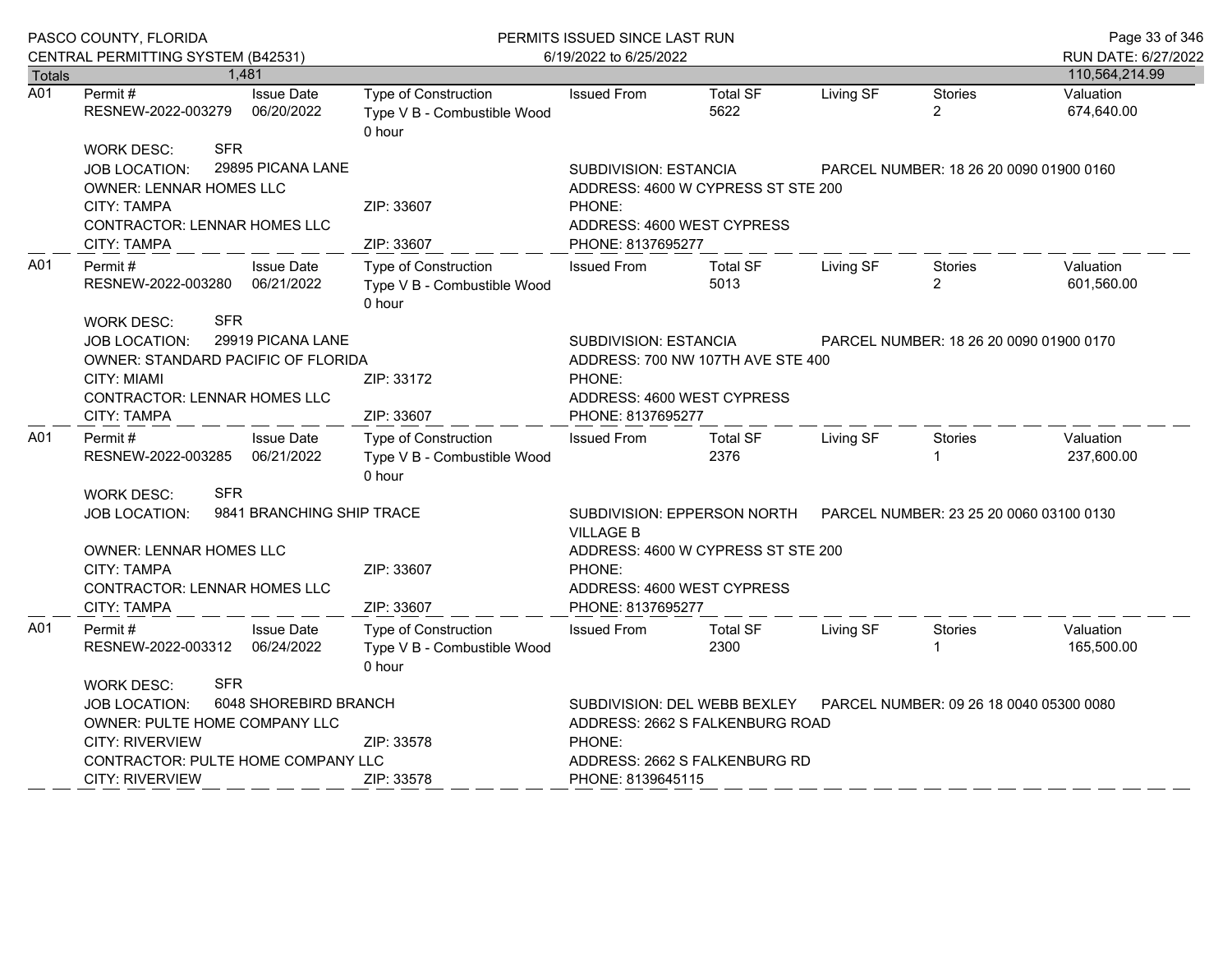|               | PASCO COUNTY, FLORIDA                                                                                                                                                                              |                                 | PERMITS ISSUED SINCE LAST RUN                                 | Page 33 of 346                                                                                                                                                             |                                                                                                           |                                         |                                  |                         |
|---------------|----------------------------------------------------------------------------------------------------------------------------------------------------------------------------------------------------|---------------------------------|---------------------------------------------------------------|----------------------------------------------------------------------------------------------------------------------------------------------------------------------------|-----------------------------------------------------------------------------------------------------------|-----------------------------------------|----------------------------------|-------------------------|
|               | CENTRAL PERMITTING SYSTEM (B42531)                                                                                                                                                                 |                                 |                                                               | 6/19/2022 to 6/25/2022                                                                                                                                                     | RUN DATE: 6/27/2022                                                                                       |                                         |                                  |                         |
| <b>Totals</b> |                                                                                                                                                                                                    | 1.481                           |                                                               |                                                                                                                                                                            |                                                                                                           |                                         |                                  | 110,564,214.99          |
| A01           | Permit#<br>RESNEW-2022-003279                                                                                                                                                                      | <b>Issue Date</b><br>06/20/2022 | Type of Construction<br>Type V B - Combustible Wood<br>0 hour | <b>Issued From</b>                                                                                                                                                         | <b>Total SF</b><br>5622                                                                                   | Living SF                               | <b>Stories</b><br>$\overline{2}$ | Valuation<br>674,640.00 |
|               | <b>SFR</b><br><b>WORK DESC:</b><br>29895 PICANA LANE<br>JOB LOCATION:<br><b>OWNER: LENNAR HOMES LLC</b><br>CITY: TAMPA<br><b>CONTRACTOR: LENNAR HOMES LLC</b>                                      |                                 | ZIP: 33607<br>ZIP: 33607                                      | SUBDIVISION: ESTANCIA<br>PHONE:<br>ADDRESS: 4600 WEST CYPRESS<br>PHONE: 8137695277                                                                                         | ADDRESS: 4600 W CYPRESS ST STE 200                                                                        | PARCEL NUMBER: 18 26 20 0090 01900 0160 |                                  |                         |
| A01           | CITY: TAMPA<br>Permit #<br>RESNEW-2022-003280 06/21/2022<br><b>SFR</b><br><b>WORK DESC:</b>                                                                                                        | <b>Issue Date</b>               | Type of Construction<br>Type V B - Combustible Wood<br>0 hour | <b>Issued From</b>                                                                                                                                                         | <b>Total SF</b><br>5013                                                                                   | Living SF                               | <b>Stories</b><br>$\overline{2}$ | Valuation<br>601,560.00 |
|               | JOB LOCATION:<br>OWNER: STANDARD PACIFIC OF FLORIDA<br>CITY: MIAMI<br><b>CONTRACTOR: LENNAR HOMES LLC</b><br><b>CITY: TAMPA</b>                                                                    | 29919 PICANA LANE               | ZIP: 33172<br>ZIP: 33607                                      | SUBDIVISION: ESTANCIA<br>PARCEL NUMBER: 18 26 20 0090 01900 0170<br>ADDRESS: 700 NW 107TH AVE STE 400<br>PHONE:<br>ADDRESS: 4600 WEST CYPRESS<br>PHONE: 8137695277         |                                                                                                           |                                         |                                  |                         |
| A01           | Permit #<br>RESNEW-2022-003285                                                                                                                                                                     | <b>Issue Date</b><br>06/21/2022 | Type of Construction<br>Type V B - Combustible Wood<br>0 hour | <b>Issued From</b>                                                                                                                                                         | <b>Total SF</b><br>2376                                                                                   | Living SF                               | <b>Stories</b>                   | Valuation<br>237,600.00 |
|               | <b>SFR</b><br><b>WORK DESC:</b><br>9841 BRANCHING SHIP TRACE<br><b>JOB LOCATION:</b><br>OWNER: LENNAR HOMES LLC<br><b>CITY: TAMPA</b><br><b>CONTRACTOR: LENNAR HOMES LLC</b><br><b>CITY: TAMPA</b> |                                 | ZIP: 33607<br>ZIP: 33607                                      | <b>VILLAGE B</b><br>PHONE:<br>ADDRESS: 4600 WEST CYPRESS<br>PHONE: 8137695277                                                                                              | SUBDIVISION: EPPERSON NORTH PARCEL NUMBER: 23 25 20 0060 03100 0130<br>ADDRESS: 4600 W CYPRESS ST STE 200 |                                         |                                  |                         |
| A01           | <b>Issue Date</b><br>Permit#<br>RESNEW-2022-003312<br>06/24/2022                                                                                                                                   |                                 | Type of Construction<br>Type V B - Combustible Wood<br>0 hour | <b>Issued From</b>                                                                                                                                                         | <b>Total SF</b><br>2300                                                                                   | Living SF                               | Stories                          | Valuation<br>165,500.00 |
|               | <b>SFR</b><br><b>WORK DESC:</b><br><b>JOB LOCATION:</b><br>OWNER: PULTE HOME COMPANY LLC<br><b>CITY: RIVERVIEW</b><br>CONTRACTOR: PULTE HOME COMPANY LLC<br><b>CITY: RIVERVIEW</b>                 | 6048 SHOREBIRD BRANCH           | ZIP: 33578<br>ZIP: 33578                                      | SUBDIVISION: DEL WEBB BEXLEY<br>PARCEL NUMBER: 09 26 18 0040 05300 0080<br>ADDRESS: 2662 S FALKENBURG ROAD<br>PHONE:<br>ADDRESS: 2662 S FALKENBURG RD<br>PHONE: 8139645115 |                                                                                                           |                                         |                                  |                         |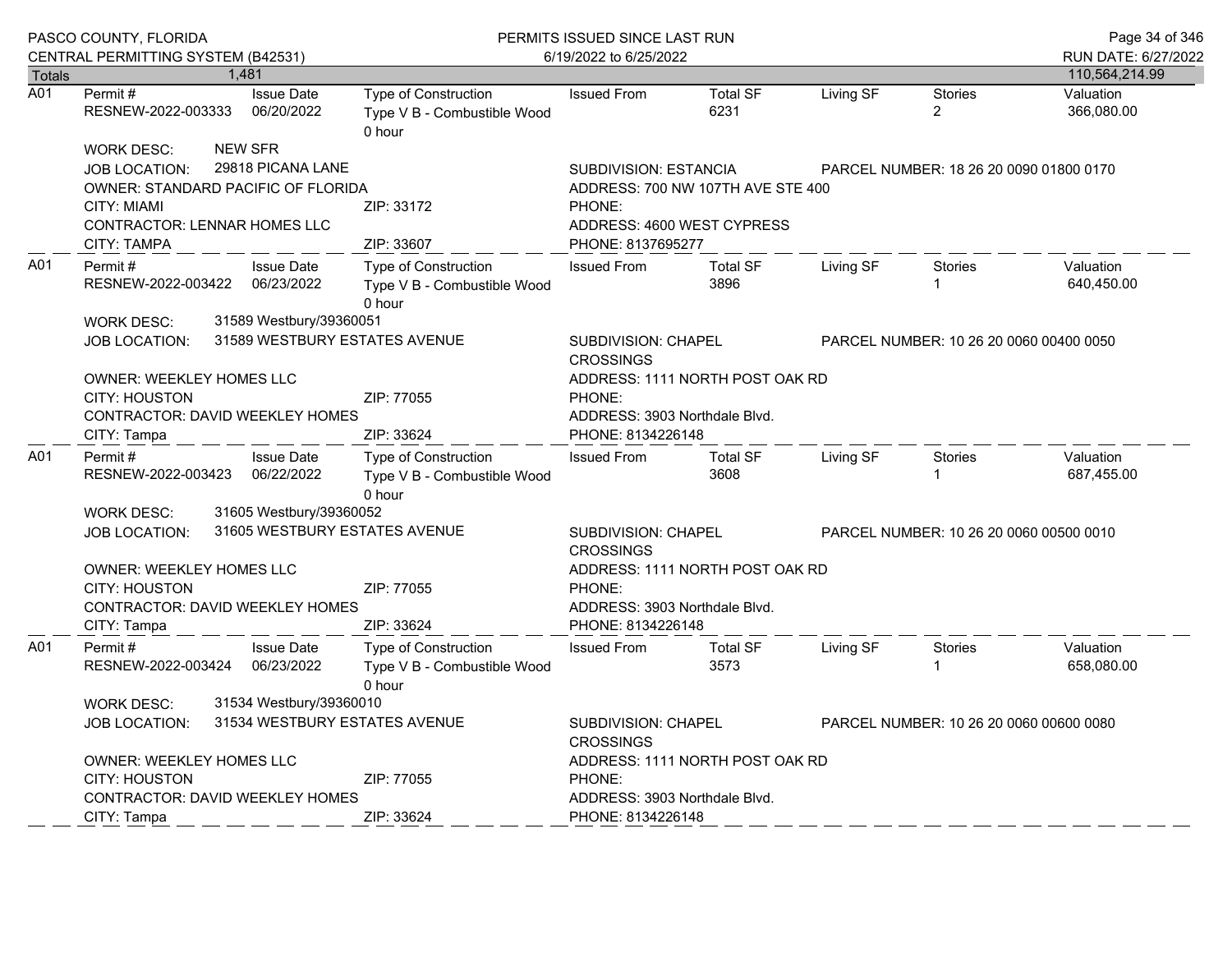|               | PASCO COUNTY, FLORIDA<br>CENTRAL PERMITTING SYSTEM (B42531)                                                                                                                                                                                           |  |                                                            | PERMITS ISSUED SINCE LAST RUN<br>6/19/2022 to 6/25/2022              | Page 34 of 346<br>RUN DATE: 6/27/2022                                                                                                                                                 |                                         |           |                                         |                         |
|---------------|-------------------------------------------------------------------------------------------------------------------------------------------------------------------------------------------------------------------------------------------------------|--|------------------------------------------------------------|----------------------------------------------------------------------|---------------------------------------------------------------------------------------------------------------------------------------------------------------------------------------|-----------------------------------------|-----------|-----------------------------------------|-------------------------|
| <b>Totals</b> |                                                                                                                                                                                                                                                       |  | 1,481                                                      |                                                                      |                                                                                                                                                                                       |                                         |           |                                         | 110,564,214.99          |
| A01           | Permit #<br>RESNEW-2022-003333                                                                                                                                                                                                                        |  | <b>Issue Date</b><br>06/20/2022                            | <b>Type of Construction</b><br>Type V B - Combustible Wood<br>0 hour | <b>Issued From</b>                                                                                                                                                                    | <b>Total SF</b><br>6231                 | Living SF | <b>Stories</b><br>$\overline{2}$        | Valuation<br>366,080.00 |
|               | <b>WORK DESC:</b><br><b>JOB LOCATION:</b><br>OWNER: STANDARD PACIFIC OF FLORIDA<br><b>CITY: MIAMI</b><br>CONTRACTOR: LENNAR HOMES LLC<br><b>CITY: TAMPA</b>                                                                                           |  | <b>NEW SFR</b><br>29818 PICANA LANE                        | ZIP: 33172<br>ZIP: 33607                                             | <b>SUBDIVISION: ESTANCIA</b><br>ADDRESS: 700 NW 107TH AVE STE 400<br>PHONE:<br>ADDRESS: 4600 WEST CYPRESS<br>PHONE: 8137695277                                                        | PARCEL NUMBER: 18 26 20 0090 01800 0170 |           |                                         |                         |
| A01           | Permit#<br>RESNEW-2022-003422                                                                                                                                                                                                                         |  | <b>Issue Date</b><br>06/23/2022                            | Type of Construction<br>Type V B - Combustible Wood<br>0 hour        | <b>Issued From</b>                                                                                                                                                                    | <b>Total SF</b><br>3896                 | Living SF | <b>Stories</b><br>1                     | Valuation<br>640,450.00 |
|               | <b>WORK DESC:</b><br><b>JOB LOCATION:</b><br>OWNER: WEEKLEY HOMES LLC<br><b>CITY: HOUSTON</b><br><b>CONTRACTOR: DAVID WEEKLEY HOMES</b><br>CITY: Tampa                                                                                                |  | 31589 Westbury/39360051                                    | 31589 WESTBURY ESTATES AVENUE<br>ZIP: 77055<br>ZIP: 33624            | SUBDIVISION: CHAPEL<br><b>CROSSINGS</b><br>PHONE:<br>ADDRESS: 3903 Northdale Blvd.<br>PHONE: 8134226148                                                                               | ADDRESS: 1111 NORTH POST OAK RD         |           | PARCEL NUMBER: 10 26 20 0060 00400 0050 |                         |
| A01           | Permit#<br>RESNEW-2022-003423                                                                                                                                                                                                                         |  | <b>Issue Date</b><br>06/22/2022                            | Type of Construction<br>Type V B - Combustible Wood<br>0 hour        | <b>Issued From</b>                                                                                                                                                                    | <b>Total SF</b><br>3608                 | Living SF | Stories<br>1                            | Valuation<br>687,455.00 |
|               | 31605 Westbury/39360052<br><b>WORK DESC:</b><br>31605 WESTBURY ESTATES AVENUE<br><b>JOB LOCATION:</b><br><b>OWNER: WEEKLEY HOMES LLC</b><br><b>CITY: HOUSTON</b><br>ZIP: 77055<br><b>CONTRACTOR: DAVID WEEKLEY HOMES</b><br>CITY: Tampa<br>ZIP: 33624 |  |                                                            |                                                                      | SUBDIVISION: CHAPEL<br>PARCEL NUMBER: 10 26 20 0060 00500 0010<br><b>CROSSINGS</b><br>ADDRESS: 1111 NORTH POST OAK RD<br>PHONE:<br>ADDRESS: 3903 Northdale Blvd.<br>PHONE: 8134226148 |                                         |           |                                         |                         |
| A01           | Permit#<br>RESNEW-2022-003424<br><b>WORK DESC:</b>                                                                                                                                                                                                    |  | <b>Issue Date</b><br>06/23/2022<br>31534 Westbury/39360010 | <b>Type of Construction</b><br>Type V B - Combustible Wood<br>0 hour | <b>Issued From</b>                                                                                                                                                                    | <b>Total SF</b><br>3573                 | Living SF | Stories                                 | Valuation<br>658,080.00 |
|               | <b>JOB LOCATION:</b><br><b>OWNER: WEEKLEY HOMES LLC</b><br><b>CITY: HOUSTON</b><br><b>CONTRACTOR: DAVID WEEKLEY HOMES</b><br>CITY: Tampa                                                                                                              |  |                                                            | 31534 WESTBURY ESTATES AVENUE<br>ZIP: 77055<br>ZIP: 33624            | SUBDIVISION: CHAPEL<br>PARCEL NUMBER: 10 26 20 0060 00600 0080<br><b>CROSSINGS</b><br>ADDRESS: 1111 NORTH POST OAK RD<br>PHONE:<br>ADDRESS: 3903 Northdale Blvd.<br>PHONE: 8134226148 |                                         |           |                                         |                         |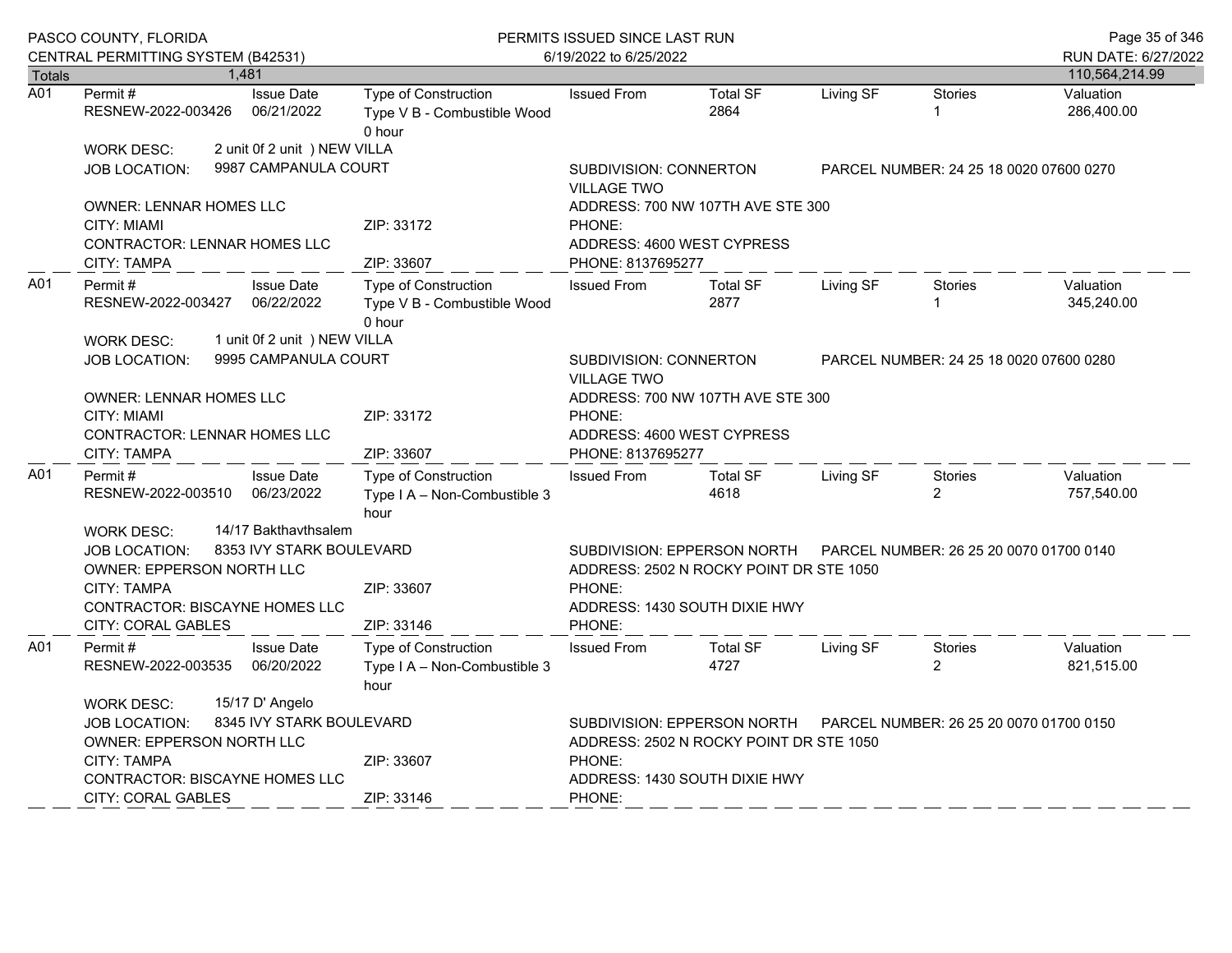|               | PASCO COUNTY, FLORIDA<br>CENTRAL PERMITTING SYSTEM (B42531)                                                                                                                                                |       |                                                      | PERMITS ISSUED SINCE LAST RUN<br>6/19/2022 to 6/25/2022             |                                                                                                         |                                                                                                         |                                         |                                         | Page 35 of 346<br>RUN DATE: 6/27/2022 |
|---------------|------------------------------------------------------------------------------------------------------------------------------------------------------------------------------------------------------------|-------|------------------------------------------------------|---------------------------------------------------------------------|---------------------------------------------------------------------------------------------------------|---------------------------------------------------------------------------------------------------------|-----------------------------------------|-----------------------------------------|---------------------------------------|
| <b>Totals</b> |                                                                                                                                                                                                            | 1.481 |                                                      |                                                                     |                                                                                                         |                                                                                                         |                                         |                                         | 110,564,214.99                        |
| A01           | Permit#<br>RESNEW-2022-003426                                                                                                                                                                              |       | <b>Issue Date</b><br>06/21/2022                      | Type of Construction<br>Type V B - Combustible Wood<br>0 hour       | <b>Issued From</b>                                                                                      | <b>Total SF</b><br>2864                                                                                 | Living SF                               | <b>Stories</b><br>1                     | Valuation<br>286,400.00               |
|               | <b>WORK DESC:</b>                                                                                                                                                                                          |       | 2 unit 0f 2 unit ) NEW VILLA                         |                                                                     |                                                                                                         |                                                                                                         |                                         |                                         |                                       |
|               | JOB LOCATION:                                                                                                                                                                                              |       | 9987 CAMPANULA COURT                                 | SUBDIVISION: CONNERTON<br><b>VILLAGE TWO</b>                        |                                                                                                         |                                                                                                         |                                         | PARCEL NUMBER: 24 25 18 0020 07600 0270 |                                       |
|               | <b>OWNER: LENNAR HOMES LLC</b><br><b>CITY: MIAMI</b><br><b>CONTRACTOR: LENNAR HOMES LLC</b><br><b>CITY: TAMPA</b>                                                                                          |       |                                                      | ZIP: 33172<br>ZIP: 33607                                            | ADDRESS: 700 NW 107TH AVE STE 300<br>PHONE:<br>ADDRESS: 4600 WEST CYPRESS<br>PHONE: 8137695277          |                                                                                                         |                                         |                                         |                                       |
| A01           | <b>Issue Date</b><br>Permit#<br>RESNEW-2022-003427<br>06/22/2022                                                                                                                                           |       |                                                      | Type of Construction<br>Type V B - Combustible Wood<br>0 hour       | <b>Issued From</b>                                                                                      | <b>Total SF</b><br>2877                                                                                 | Living SF                               | <b>Stories</b>                          | Valuation<br>345,240.00               |
|               | <b>WORK DESC:</b><br><b>JOB LOCATION:</b>                                                                                                                                                                  |       | 1 unit 0f 2 unit ) NEW VILLA<br>9995 CAMPANULA COURT |                                                                     | <b>SUBDIVISION: CONNERTON</b><br><b>VILLAGE TWO</b>                                                     |                                                                                                         |                                         | PARCEL NUMBER: 24 25 18 0020 07600 0280 |                                       |
|               | OWNER: LENNAR HOMES LLC<br><b>CITY: MIAMI</b><br>CONTRACTOR: LENNAR HOMES LLC<br><b>CITY: TAMPA</b>                                                                                                        |       |                                                      | ZIP: 33172<br>ZIP: 33607                                            | ADDRESS: 700 NW 107TH AVE STE 300<br>PHONE:<br>ADDRESS: 4600 WEST CYPRESS<br>PHONE: 8137695277          |                                                                                                         |                                         |                                         |                                       |
| A01           | Permit#<br>RESNEW-2022-003510                                                                                                                                                                              |       | <b>Issue Date</b><br>06/23/2022                      | <b>Type of Construction</b><br>Type I A - Non-Combustible 3<br>hour | <b>Issued From</b>                                                                                      | <b>Total SF</b><br>4618                                                                                 | Living SF                               | Stories<br>$\overline{2}$               | Valuation<br>757,540.00               |
|               | 14/17 Bakthaythsalem<br><b>WORK DESC:</b><br>8353 IVY STARK BOULEVARD<br><b>JOB LOCATION:</b><br>OWNER: EPPERSON NORTH LLC<br>CITY: TAMPA<br><b>CONTRACTOR: BISCAYNE HOMES LLC</b><br>CITY: CORAL GABLES   |       | ZIP: 33607<br>ZIP: 33146                             | PHONE:<br>PHONE:                                                    | SUBDIVISION: EPPERSON NORTH<br>ADDRESS: 2502 N ROCKY POINT DR STE 1050<br>ADDRESS: 1430 SOUTH DIXIE HWY |                                                                                                         | PARCEL NUMBER: 26 25 20 0070 01700 0140 |                                         |                                       |
| A01           | Permit #<br>RESNEW-2022-003535                                                                                                                                                                             |       | <b>Issue Date</b><br>06/20/2022                      | <b>Type of Construction</b><br>Type I A - Non-Combustible 3<br>hour | <b>Issued From</b>                                                                                      | <b>Total SF</b><br>4727                                                                                 | Living SF                               | <b>Stories</b><br>$\overline{2}$        | Valuation<br>821,515.00               |
|               | 15/17 D' Angelo<br><b>WORK DESC:</b><br>8345 IVY STARK BOULEVARD<br><b>JOB LOCATION:</b><br>OWNER: EPPERSON NORTH LLC<br>CITY: TAMPA<br><b>CONTRACTOR: BISCAYNE HOMES LLC</b><br><b>CITY: CORAL GABLES</b> |       |                                                      | ZIP: 33607<br>ZIP: 33146                                            | PHONE:<br>PHONE:                                                                                        | SUBDIVISION: EPPERSON NORTH<br>ADDRESS: 2502 N ROCKY POINT DR STE 1050<br>ADDRESS: 1430 SOUTH DIXIE HWY |                                         | PARCEL NUMBER: 26 25 20 0070 01700 0150 |                                       |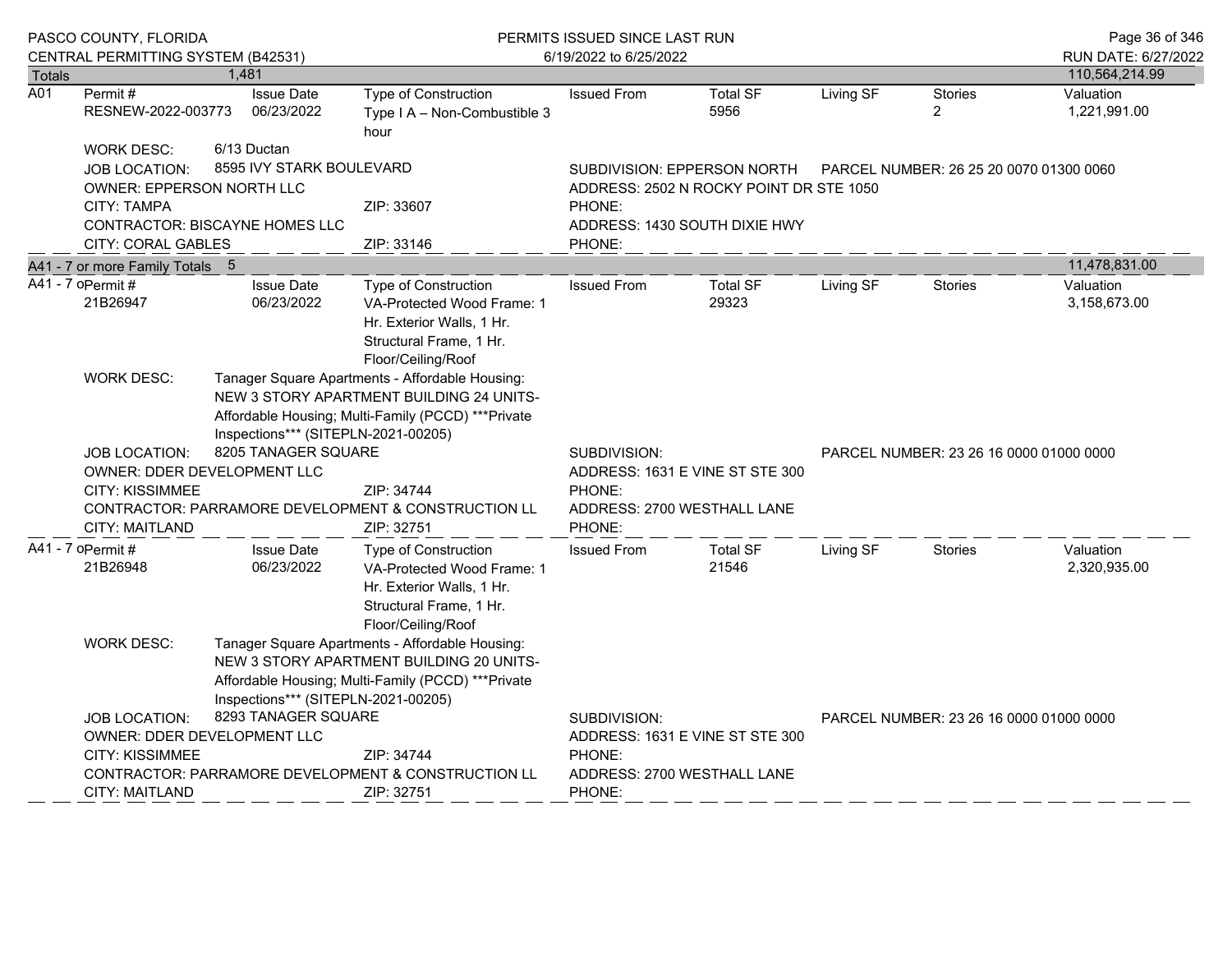|               | PASCO COUNTY, FLORIDA<br>CENTRAL PERMITTING SYSTEM (B42531)                              |                                         |                                                                                                                                                                                           | PERMITS ISSUED SINCE LAST RUN<br>6/19/2022 to 6/25/2022 |                                                                                                                   |                                         |                                         |                                       |  |  |
|---------------|------------------------------------------------------------------------------------------|-----------------------------------------|-------------------------------------------------------------------------------------------------------------------------------------------------------------------------------------------|---------------------------------------------------------|-------------------------------------------------------------------------------------------------------------------|-----------------------------------------|-----------------------------------------|---------------------------------------|--|--|
| <b>Totals</b> |                                                                                          | 1,481                                   |                                                                                                                                                                                           |                                                         |                                                                                                                   |                                         |                                         | RUN DATE: 6/27/2022<br>110,564,214.99 |  |  |
| A01           | Permit #<br>RESNEW-2022-003773                                                           | <b>Issue Date</b><br>06/23/2022         | Type of Construction<br>Type I A - Non-Combustible 3<br>hour                                                                                                                              | <b>Issued From</b>                                      | <b>Total SF</b><br>5956                                                                                           | Living SF                               | <b>Stories</b><br>$\overline{2}$        | Valuation<br>1,221,991.00             |  |  |
|               | <b>WORK DESC:</b><br><b>JOB LOCATION:</b><br><b>OWNER: EPPERSON NORTH LLC</b>            | 6/13 Ductan<br>8595 IVY STARK BOULEVARD |                                                                                                                                                                                           |                                                         | SUBDIVISION: EPPERSON NORTH<br>PARCEL NUMBER: 26 25 20 0070 01300 0060<br>ADDRESS: 2502 N ROCKY POINT DR STE 1050 |                                         |                                         |                                       |  |  |
|               | <b>CITY: TAMPA</b><br><b>CONTRACTOR: BISCAYNE HOMES LLC</b><br><b>CITY: CORAL GABLES</b> |                                         | ZIP: 33607<br>ZIP: 33146                                                                                                                                                                  | PHONE:<br>ADDRESS: 1430 SOUTH DIXIE HWY<br>PHONE:       |                                                                                                                   |                                         |                                         |                                       |  |  |
|               | A41 - 7 or more Family Totals 5                                                          |                                         |                                                                                                                                                                                           |                                                         |                                                                                                                   |                                         |                                         | 11,478,831.00                         |  |  |
|               | A41 - 7 oPermit #<br>21B26947                                                            | <b>Issue Date</b><br>06/23/2022         | Type of Construction<br>VA-Protected Wood Frame: 1<br>Hr. Exterior Walls, 1 Hr.<br>Structural Frame, 1 Hr.<br>Floor/Ceiling/Roof                                                          | <b>Issued From</b>                                      | <b>Total SF</b><br>29323                                                                                          | Living SF                               | Stories                                 | Valuation<br>3,158,673.00             |  |  |
|               | <b>WORK DESC:</b>                                                                        |                                         | Tanager Square Apartments - Affordable Housing:<br>NEW 3 STORY APARTMENT BUILDING 24 UNITS-<br>Affordable Housing; Multi-Family (PCCD) *** Private<br>Inspections*** (SITEPLN-2021-00205) |                                                         |                                                                                                                   |                                         |                                         |                                       |  |  |
|               | JOB LOCATION:<br>OWNER: DDER DEVELOPMENT LLC                                             | 8205 TANAGER SQUARE                     |                                                                                                                                                                                           | SUBDIVISION:                                            | ADDRESS: 1631 E VINE ST STE 300                                                                                   | PARCEL NUMBER: 23 26 16 0000 01000 0000 |                                         |                                       |  |  |
|               | <b>CITY: KISSIMMEE</b><br><b>CITY: MAITLAND</b>                                          |                                         | ZIP: 34744<br>CONTRACTOR: PARRAMORE DEVELOPMENT & CONSTRUCTION LL<br>ZIP: 32751                                                                                                           | PHONE:<br>PHONE:                                        | ADDRESS: 2700 WESTHALL LANE                                                                                       |                                         |                                         |                                       |  |  |
|               | A41 - 7 oPermit #<br>21B26948                                                            | <b>Issue Date</b><br>06/23/2022         | <b>Type of Construction</b><br>VA-Protected Wood Frame: 1<br>Hr. Exterior Walls, 1 Hr.<br>Structural Frame, 1 Hr.<br>Floor/Ceiling/Roof                                                   | <b>Issued From</b>                                      | <b>Total SF</b><br>21546                                                                                          | Living SF                               | <b>Stories</b>                          | Valuation<br>2,320,935.00             |  |  |
|               | <b>WORK DESC:</b>                                                                        |                                         | Tanager Square Apartments - Affordable Housing:<br>NEW 3 STORY APARTMENT BUILDING 20 UNITS-<br>Affordable Housing; Multi-Family (PCCD) *** Private<br>Inspections*** (SITEPLN-2021-00205) |                                                         |                                                                                                                   |                                         |                                         |                                       |  |  |
|               | JOB LOCATION:<br>OWNER: DDER DEVELOPMENT LLC<br><b>CITY: KISSIMMEE</b>                   | 8293 TANAGER SQUARE                     | ZIP: 34744                                                                                                                                                                                | SUBDIVISION:<br>PHONE:                                  | ADDRESS: 1631 E VINE ST STE 300                                                                                   |                                         | PARCEL NUMBER: 23 26 16 0000 01000 0000 |                                       |  |  |
|               | <b>CITY: MAITLAND</b>                                                                    |                                         | CONTRACTOR: PARRAMORE DEVELOPMENT & CONSTRUCTION LL<br>ZIP: 32751                                                                                                                         | PHONE:                                                  | ADDRESS: 2700 WESTHALL LANE                                                                                       |                                         |                                         |                                       |  |  |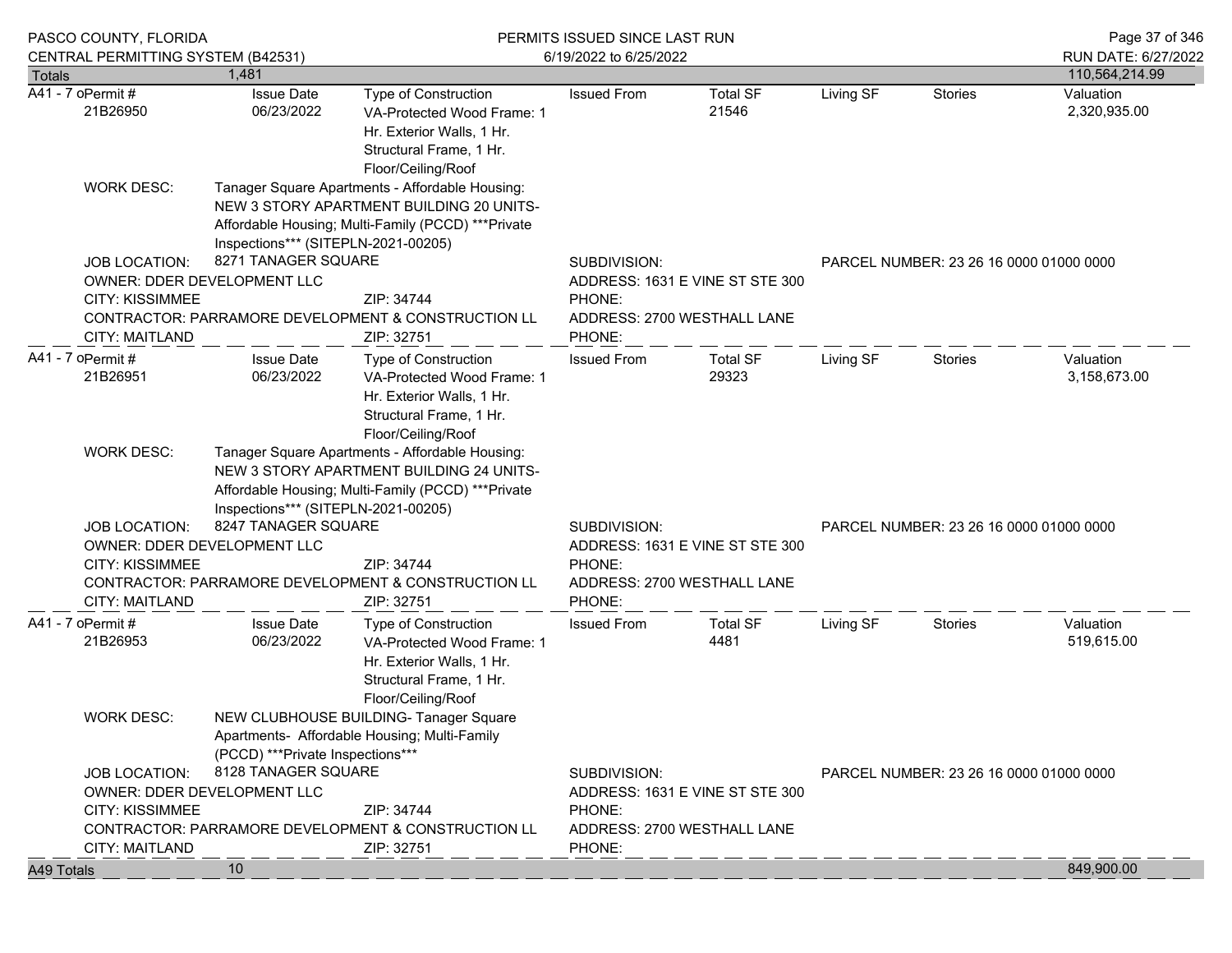|               | PASCO COUNTY, FLORIDA                                                                                                                                                     |                                     | PERMITS ISSUED SINCE LAST RUN                                                                                                                      | Page 37 of 346                                                                                     |                                                                |           |                                         |                                       |
|---------------|---------------------------------------------------------------------------------------------------------------------------------------------------------------------------|-------------------------------------|----------------------------------------------------------------------------------------------------------------------------------------------------|----------------------------------------------------------------------------------------------------|----------------------------------------------------------------|-----------|-----------------------------------------|---------------------------------------|
| <b>Totals</b> | CENTRAL PERMITTING SYSTEM (B42531)                                                                                                                                        | 1.481                               |                                                                                                                                                    | 6/19/2022 to 6/25/2022                                                                             |                                                                |           |                                         | RUN DATE: 6/27/2022<br>110,564,214.99 |
|               | A41 - 7 oPermit #<br>21B26950                                                                                                                                             | <b>Issue Date</b><br>06/23/2022     | <b>Type of Construction</b><br>VA-Protected Wood Frame: 1<br>Hr. Exterior Walls, 1 Hr.<br>Structural Frame, 1 Hr.<br>Floor/Ceiling/Roof            | <b>Issued From</b>                                                                                 | <b>Total SF</b><br>21546                                       | Living SF | <b>Stories</b>                          | Valuation<br>2,320,935.00             |
|               | <b>WORK DESC:</b>                                                                                                                                                         | Inspections*** (SITEPLN-2021-00205) | Tanager Square Apartments - Affordable Housing:<br>NEW 3 STORY APARTMENT BUILDING 20 UNITS-<br>Affordable Housing; Multi-Family (PCCD) *** Private |                                                                                                    |                                                                |           |                                         |                                       |
|               | <b>JOB LOCATION:</b><br>OWNER: DDER DEVELOPMENT LLC<br><b>CITY: KISSIMMEE</b><br><b>CITY: MAITLAND</b>                                                                    | 8271 TANAGER SQUARE                 | ZIP: 34744<br>CONTRACTOR: PARRAMORE DEVELOPMENT & CONSTRUCTION LL<br>ZIP: 32751                                                                    | SUBDIVISION:<br>ADDRESS: 1631 E VINE ST STE 300<br>PHONE:<br>ADDRESS: 2700 WESTHALL LANE<br>PHONE: |                                                                |           | PARCEL NUMBER: 23 26 16 0000 01000 0000 |                                       |
|               | A41 - 7 oPermit #<br>21B26951                                                                                                                                             | <b>Issue Date</b><br>06/23/2022     | <b>Type of Construction</b><br>VA-Protected Wood Frame: 1<br>Hr. Exterior Walls, 1 Hr.<br>Structural Frame, 1 Hr.<br>Floor/Ceiling/Roof            | <b>Issued From</b>                                                                                 | <b>Total SF</b><br>29323                                       | Living SF | Stories                                 | Valuation<br>3,158,673.00             |
|               | <b>WORK DESC:</b>                                                                                                                                                         | Inspections*** (SITEPLN-2021-00205) | Tanager Square Apartments - Affordable Housing:<br>NEW 3 STORY APARTMENT BUILDING 24 UNITS-<br>Affordable Housing; Multi-Family (PCCD) *** Private |                                                                                                    |                                                                |           |                                         |                                       |
|               | <b>JOB LOCATION:</b><br>OWNER: DDER DEVELOPMENT LLC<br><b>CITY: KISSIMMEE</b>                                                                                             | 8247 TANAGER SQUARE                 | ZIP: 34744<br>CONTRACTOR: PARRAMORE DEVELOPMENT & CONSTRUCTION LL                                                                                  | SUBDIVISION:<br>PHONE:                                                                             | ADDRESS: 1631 E VINE ST STE 300<br>ADDRESS: 2700 WESTHALL LANE |           | PARCEL NUMBER: 23 26 16 0000 01000 0000 |                                       |
|               | <b>CITY: MAITLAND</b>                                                                                                                                                     |                                     | ZIP: 32751                                                                                                                                         | PHONE:                                                                                             |                                                                |           |                                         |                                       |
|               | A41 - 7 oPermit #<br>21B26953                                                                                                                                             | <b>Issue Date</b><br>06/23/2022     | Type of Construction<br>VA-Protected Wood Frame: 1<br>Hr. Exterior Walls, 1 Hr.<br>Structural Frame, 1 Hr.<br>Floor/Ceiling/Roof                   | <b>Issued From</b>                                                                                 | <b>Total SF</b><br>4481                                        | Living SF | Stories                                 | Valuation<br>519,615.00               |
|               | <b>WORK DESC:</b>                                                                                                                                                         | (PCCD) *** Private Inspections***   | NEW CLUBHOUSE BUILDING- Tanager Square<br>Apartments- Affordable Housing; Multi-Family                                                             |                                                                                                    |                                                                |           |                                         |                                       |
|               | 8128 TANAGER SQUARE<br><b>JOB LOCATION:</b><br>OWNER: DDER DEVELOPMENT LLC<br><b>CITY: KISSIMMEE</b><br>ZIP: 34744<br>CONTRACTOR: PARRAMORE DEVELOPMENT & CONSTRUCTION LL |                                     |                                                                                                                                                    | SUBDIVISION:<br>ADDRESS: 1631 E VINE ST STE 300<br>PHONE:<br>ADDRESS: 2700 WESTHALL LANE           |                                                                |           | PARCEL NUMBER: 23 26 16 0000 01000 0000 |                                       |
| A49 Totals    | <b>CITY: MAITLAND</b>                                                                                                                                                     | 10                                  | ZIP: 32751                                                                                                                                         | PHONE:                                                                                             |                                                                |           |                                         | 849,900.00                            |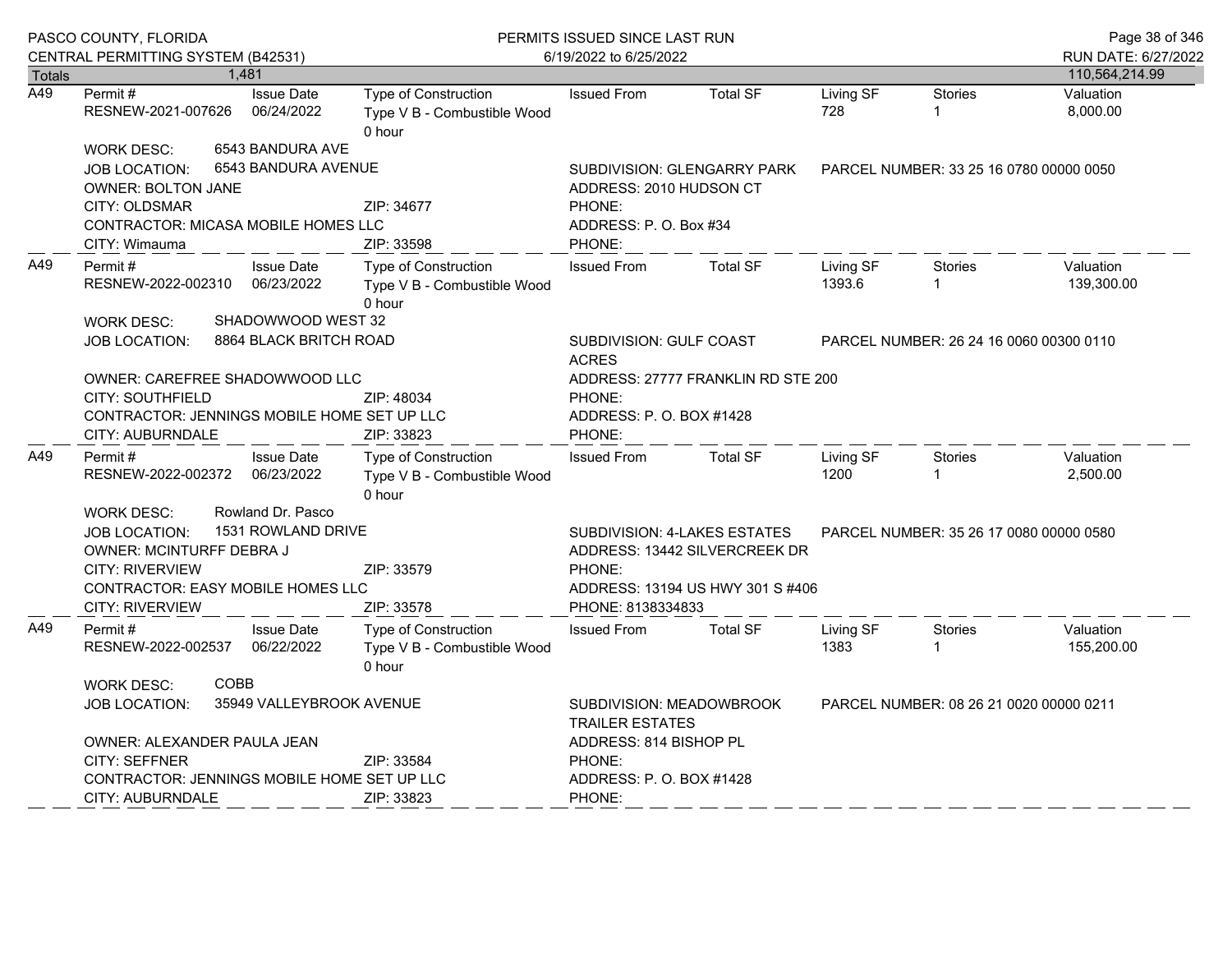|                  | PASCO COUNTY, FLORIDA                                                                                                                                                 |                                              | PERMITS ISSUED SINCE LAST RUN<br>6/19/2022 to 6/25/2022                                       |                                                                                   |                                                                                                                            |                     |                                         | Page 38 of 346                        |
|------------------|-----------------------------------------------------------------------------------------------------------------------------------------------------------------------|----------------------------------------------|-----------------------------------------------------------------------------------------------|-----------------------------------------------------------------------------------|----------------------------------------------------------------------------------------------------------------------------|---------------------|-----------------------------------------|---------------------------------------|
| <b>Totals</b>    | CENTRAL PERMITTING SYSTEM (B42531)                                                                                                                                    | 1.481                                        |                                                                                               |                                                                                   |                                                                                                                            |                     |                                         | RUN DATE: 6/27/2022<br>110,564,214.99 |
| $\overline{A49}$ | Permit#<br>RESNEW-2021-007626                                                                                                                                         | <b>Issue Date</b><br>06/24/2022              | Type of Construction<br>Type V B - Combustible Wood<br>0 hour                                 | <b>Issued From</b>                                                                | <b>Total SF</b>                                                                                                            | Living SF<br>728    | Stories<br>1                            | Valuation<br>8,000.00                 |
|                  | <b>WORK DESC:</b><br>JOB LOCATION:<br><b>OWNER: BOLTON JANE</b><br>CITY: OLDSMAR<br>CONTRACTOR: MICASA MOBILE HOMES LLC                                               | 6543 BANDURA AVE<br>6543 BANDURA AVENUE      | ZIP: 34677                                                                                    | PHONE:                                                                            | PARCEL NUMBER: 33 25 16 0780 00000 0050<br>SUBDIVISION: GLENGARRY PARK<br>ADDRESS: 2010 HUDSON CT<br>ADDRESS: P.O. Box #34 |                     |                                         |                                       |
|                  | CITY: Wimauma                                                                                                                                                         |                                              | ZIP: 33598                                                                                    | PHONE:                                                                            |                                                                                                                            |                     |                                         |                                       |
| A49              | Permit#<br>RESNEW-2022-002310                                                                                                                                         | <b>Issue Date</b><br>06/23/2022              | Type of Construction<br>Type V B - Combustible Wood<br>0 hour                                 | <b>Issued From</b>                                                                | <b>Total SF</b>                                                                                                            | Living SF<br>1393.6 | Stories<br>1                            | Valuation<br>139,300.00               |
|                  | <b>WORK DESC:</b><br><b>JOB LOCATION:</b>                                                                                                                             | SHADOWWOOD WEST 32<br>8864 BLACK BRITCH ROAD |                                                                                               | SUBDIVISION: GULF COAST<br><b>ACRES</b>                                           | PARCEL NUMBER: 26 24 16 0060 00300 0110                                                                                    |                     |                                         |                                       |
|                  | OWNER: CAREFREE SHADOWWOOD LLC<br><b>CITY: SOUTHFIELD</b><br>CONTRACTOR: JENNINGS MOBILE HOME SET UP LLC<br>CITY: AUBURNDALE                                          |                                              | ZIP: 48034<br>ZIP: 33823                                                                      | ADDRESS: 27777 FRANKLIN RD STE 200<br>PHONE:<br>ADDRESS: P.O. BOX #1428<br>PHONE: |                                                                                                                            |                     |                                         |                                       |
| A49              | Permit #<br>RESNEW-2022-002372                                                                                                                                        | <b>Issue Date</b><br>06/23/2022              | Type of Construction<br>Type V B - Combustible Wood<br>0 hour                                 | <b>Issued From</b>                                                                | <b>Total SF</b>                                                                                                            | Living SF<br>1200   | <b>Stories</b>                          | Valuation<br>2,500.00                 |
|                  | <b>WORK DESC:</b><br><b>JOB LOCATION:</b><br>OWNER: MCINTURFF DEBRA J<br><b>CITY: RIVERVIEW</b><br><b>CONTRACTOR: EASY MOBILE HOMES LLC</b><br><b>CITY: RIVERVIEW</b> | Rowland Dr. Pasco<br>1531 ROWLAND DRIVE      | ZIP: 33579<br>ZIP: 33578                                                                      | <b>SUBDIVISION: 4-LAKES ESTATES</b><br>PHONE:<br>PHONE: 8138334833                | ADDRESS: 13442 SILVERCREEK DR<br>ADDRESS: 13194 US HWY 301 S #406                                                          |                     | PARCEL NUMBER: 35 26 17 0080 00000 0580 |                                       |
| A49              | Permit#<br>RESNEW-2022-002537                                                                                                                                         | <b>Issue Date</b><br>06/22/2022              | Type of Construction<br>Type V B - Combustible Wood<br>0 hour                                 | <b>Issued From</b>                                                                | <b>Total SF</b>                                                                                                            | Living SF<br>1383   | <b>Stories</b><br>1                     | Valuation<br>155,200.00               |
|                  | <b>WORK DESC:</b><br><b>JOB LOCATION:</b>                                                                                                                             | <b>COBB</b><br>35949 VALLEYBROOK AVENUE      | SUBDIVISION: MEADOWBROOK<br>PARCEL NUMBER: 08 26 21 0020 00000 0211<br><b>TRAILER ESTATES</b> |                                                                                   |                                                                                                                            |                     |                                         |                                       |
|                  | OWNER: ALEXANDER PAULA JEAN<br><b>CITY: SEFFNER</b><br>CONTRACTOR: JENNINGS MOBILE HOME SET UP LLC<br><b>CITY: AUBURNDALE</b>                                         |                                              | ZIP: 33584<br>ZIP: 33823                                                                      | ADDRESS: 814 BISHOP PL<br>PHONE:<br>ADDRESS: P.O. BOX #1428<br>PHONE:             |                                                                                                                            |                     |                                         |                                       |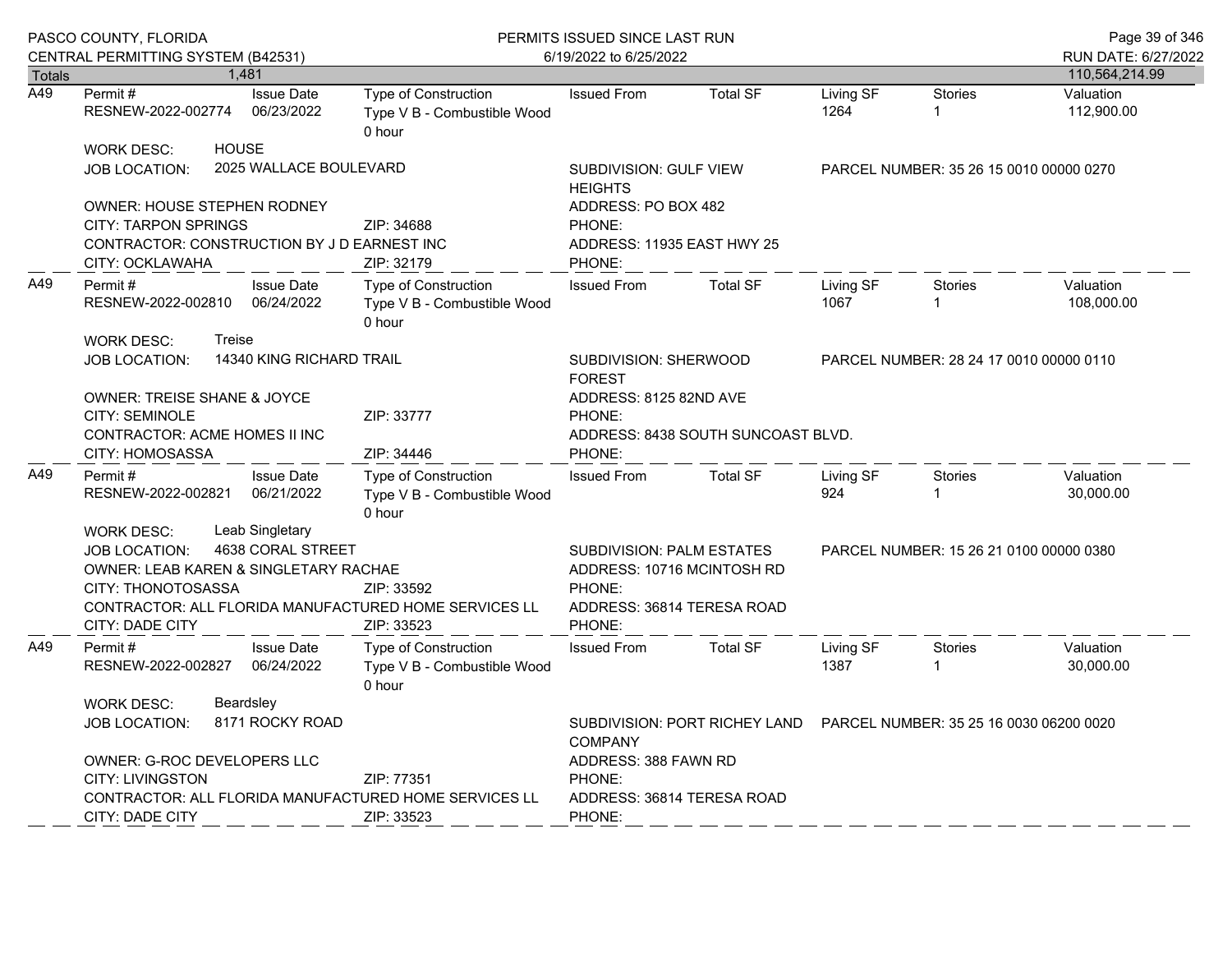|                  | PASCO COUNTY, FLORIDA<br>CENTRAL PERMITTING SYSTEM (B42531)                                                                                                                                             |                                 | PERMITS ISSUED SINCE LAST RUN<br>6/19/2022 to 6/25/2022              | Page 39 of 346<br>RUN DATE: 6/27/2022                                                                     |                 |                   |                                         |                         |  |
|------------------|---------------------------------------------------------------------------------------------------------------------------------------------------------------------------------------------------------|---------------------------------|----------------------------------------------------------------------|-----------------------------------------------------------------------------------------------------------|-----------------|-------------------|-----------------------------------------|-------------------------|--|
| Totals           | 1,481                                                                                                                                                                                                   |                                 |                                                                      |                                                                                                           |                 |                   |                                         | 110,564,214.99          |  |
| $\overline{A49}$ | Permit#<br>RESNEW-2022-002774                                                                                                                                                                           | <b>Issue Date</b><br>06/23/2022 | Type of Construction<br>Type V B - Combustible Wood<br>0 hour        | <b>Issued From</b>                                                                                        | <b>Total SF</b> | Living SF<br>1264 | <b>Stories</b><br>$\mathbf{1}$          | Valuation<br>112,900.00 |  |
|                  | <b>HOUSE</b><br><b>WORK DESC:</b><br><b>JOB LOCATION:</b>                                                                                                                                               | 2025 WALLACE BOULEVARD          | SUBDIVISION: GULF VIEW<br><b>HEIGHTS</b>                             |                                                                                                           |                 |                   | PARCEL NUMBER: 35 26 15 0010 00000 0270 |                         |  |
|                  | <b>OWNER: HOUSE STEPHEN RODNEY</b><br><b>CITY: TARPON SPRINGS</b><br>CONTRACTOR: CONSTRUCTION BY J D EARNEST INC<br>CITY: OCKLAWAHA                                                                     |                                 | ZIP: 34688<br>ZIP: 32179                                             | ADDRESS: PO BOX 482<br>PHONE:<br>ADDRESS: 11935 EAST HWY 25<br>PHONE:                                     |                 |                   |                                         |                         |  |
| A49              | Permit#<br>RESNEW-2022-002810 06/24/2022                                                                                                                                                                | <b>Issue Date</b>               | Type of Construction<br>Type V B - Combustible Wood<br>0 hour        | <b>Issued From</b>                                                                                        | <b>Total SF</b> | Living SF<br>1067 | Stories                                 | Valuation<br>108,000.00 |  |
|                  | <b>WORK DESC:</b><br>Treise<br>JOB LOCATION:<br><b>OWNER: TREISE SHANE &amp; JOYCE</b>                                                                                                                  | 14340 KING RICHARD TRAIL        |                                                                      | SUBDIVISION: SHERWOOD<br><b>FOREST</b><br>ADDRESS: 8125 82ND AVE                                          |                 |                   | PARCEL NUMBER: 28 24 17 0010 00000 0110 |                         |  |
|                  | CITY: SEMINOLE<br>CONTRACTOR: ACME HOMES II INC<br>CITY: HOMOSASSA                                                                                                                                      |                                 | ZIP: 33777<br>ZIP: 34446                                             | PHONE:<br>ADDRESS: 8438 SOUTH SUNCOAST BLVD.<br>PHONE:                                                    |                 |                   |                                         |                         |  |
| A49              | Permit #<br>RESNEW-2022-002821                                                                                                                                                                          | <b>Issue Date</b><br>06/21/2022 | Type of Construction<br>Type V B - Combustible Wood<br>0 hour        | <b>Issued From</b>                                                                                        | <b>Total SF</b> | Living SF<br>924  | <b>Stories</b>                          | Valuation<br>30,000.00  |  |
|                  | Leab Singletary<br><b>WORK DESC:</b><br><b>JOB LOCATION:</b><br>OWNER: LEAB KAREN & SINGLETARY RACHAE<br>CITY: THONOTOSASSA<br>CONTRACTOR: ALL FLORIDA MANUFACTURED HOME SERVICES LL<br>CITY: DADE CITY | 4638 CORAL STREET               | ZIP: 33592<br>ZIP: 33523                                             | SUBDIVISION: PALM ESTATES<br>ADDRESS: 10716 MCINTOSH RD<br>PHONE:<br>ADDRESS: 36814 TERESA ROAD<br>PHONE: |                 |                   | PARCEL NUMBER: 15 26 21 0100 00000 0380 |                         |  |
| A49              | Permit#<br>RESNEW-2022-002827 06/24/2022                                                                                                                                                                | <b>Issue Date</b>               | <b>Type of Construction</b><br>Type V B - Combustible Wood<br>0 hour | <b>Issued From</b>                                                                                        | <b>Total SF</b> | Living SF<br>1387 | <b>Stories</b>                          | Valuation<br>30,000.00  |  |
|                  | Beardsley<br><b>WORK DESC:</b><br><b>JOB LOCATION:</b>                                                                                                                                                  | 8171 ROCKY ROAD                 |                                                                      | SUBDIVISION: PORT RICHEY LAND  PARCEL NUMBER: 35 25 16 0030 06200 0020<br><b>COMPANY</b>                  |                 |                   |                                         |                         |  |
|                  | OWNER: G-ROC DEVELOPERS LLC<br><b>CITY: LIVINGSTON</b><br>CONTRACTOR: ALL FLORIDA MANUFACTURED HOME SERVICES LL<br>CITY: DADE CITY                                                                      |                                 | ZIP: 77351<br>ZIP: 33523                                             | ADDRESS: 388 FAWN RD<br>PHONE:<br>ADDRESS: 36814 TERESA ROAD<br>PHONE:                                    |                 |                   |                                         |                         |  |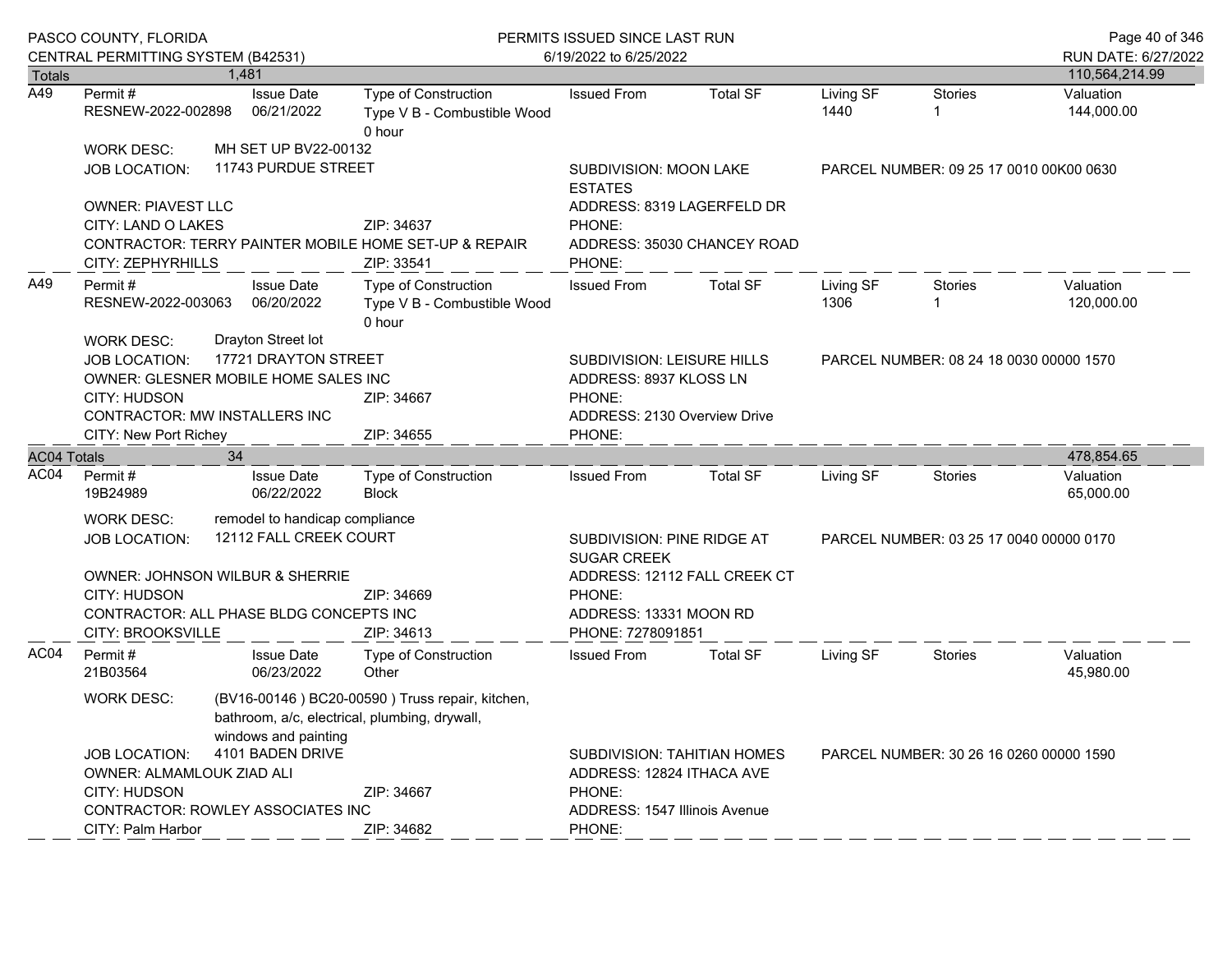|                    | PASCO COUNTY, FLORIDA<br>CENTRAL PERMITTING SYSTEM (B42531) |                                                                       | PERMITS ISSUED SINCE LAST RUN<br>6/19/2022 to 6/25/2022                           | Page 40 of 346<br>RUN DATE: 6/27/2022                                                       |                                                                               |                   |                |                         |  |
|--------------------|-------------------------------------------------------------|-----------------------------------------------------------------------|-----------------------------------------------------------------------------------|---------------------------------------------------------------------------------------------|-------------------------------------------------------------------------------|-------------------|----------------|-------------------------|--|
| <b>Totals</b>      |                                                             | 1.481                                                                 |                                                                                   |                                                                                             |                                                                               |                   |                | 110,564,214.99          |  |
| A49                | Permit#<br>RESNEW-2022-002898                               | <b>Issue Date</b><br>06/21/2022                                       | Type of Construction<br>Type V B - Combustible Wood<br>0 hour                     | <b>Issued From</b>                                                                          | <b>Total SF</b>                                                               | Living SF<br>1440 | <b>Stories</b> | Valuation<br>144,000.00 |  |
|                    | <b>WORK DESC:</b>                                           | MH SET UP BV22-00132                                                  |                                                                                   |                                                                                             |                                                                               |                   |                |                         |  |
|                    | <b>JOB LOCATION:</b>                                        | 11743 PURDUE STREET                                                   |                                                                                   | SUBDIVISION: MOON LAKE<br><b>ESTATES</b>                                                    | PARCEL NUMBER: 09 25 17 0010 00K00 0630                                       |                   |                |                         |  |
|                    | <b>OWNER: PIAVEST LLC</b>                                   |                                                                       |                                                                                   | ADDRESS: 8319 LAGERFELD DR                                                                  |                                                                               |                   |                |                         |  |
|                    | CITY: LAND O LAKES<br>CITY: ZEPHYRHILLS                     |                                                                       | ZIP: 34637<br>CONTRACTOR: TERRY PAINTER MOBILE HOME SET-UP & REPAIR<br>ZIP: 33541 | PHONE:<br>ADDRESS: 35030 CHANCEY ROAD<br>PHONE:                                             |                                                                               |                   |                |                         |  |
| A49                | Permit#<br>RESNEW-2022-003063<br><b>WORK DESC:</b>          | <b>Issue Date</b><br>06/20/2022<br>Drayton Street lot                 | Type of Construction<br>Type V B - Combustible Wood<br>0 hour                     | <b>Issued From</b>                                                                          | <b>Total SF</b>                                                               | Living SF<br>1306 | Stories        | Valuation<br>120,000.00 |  |
|                    | <b>JOB LOCATION:</b>                                        | 17721 DRAYTON STREET                                                  |                                                                                   | SUBDIVISION: LEISURE HILLS                                                                  | PARCEL NUMBER: 08 24 18 0030 00000 1570                                       |                   |                |                         |  |
|                    |                                                             | OWNER: GLESNER MOBILE HOME SALES INC                                  |                                                                                   | ADDRESS: 8937 KLOSS LN                                                                      |                                                                               |                   |                |                         |  |
|                    | CITY: HUDSON                                                |                                                                       | ZIP: 34667                                                                        | PHONE:                                                                                      |                                                                               |                   |                |                         |  |
|                    |                                                             | CONTRACTOR: MW INSTALLERS INC                                         |                                                                                   | ADDRESS: 2130 Overview Drive                                                                |                                                                               |                   |                |                         |  |
|                    | CITY: New Port Richey                                       |                                                                       | ZIP: 34655                                                                        | PHONE:                                                                                      |                                                                               |                   |                |                         |  |
| <b>AC04 Totals</b> |                                                             | 34                                                                    |                                                                                   |                                                                                             |                                                                               |                   |                | 478,854.65              |  |
| AC04               | Permit#<br>19B24989                                         | <b>Issue Date</b><br>06/22/2022                                       | Type of Construction<br><b>Block</b>                                              | <b>Issued From</b>                                                                          | <b>Total SF</b>                                                               | Living SF         | <b>Stories</b> | Valuation<br>65,000.00  |  |
|                    | <b>WORK DESC:</b>                                           | remodel to handicap compliance                                        |                                                                                   |                                                                                             |                                                                               |                   |                |                         |  |
|                    | <b>JOB LOCATION:</b>                                        | 12112 FALL CREEK COURT                                                |                                                                                   | SUBDIVISION: PINE RIDGE AT<br>PARCEL NUMBER: 03 25 17 0040 00000 0170<br><b>SUGAR CREEK</b> |                                                                               |                   |                |                         |  |
|                    |                                                             | OWNER: JOHNSON WILBUR & SHERRIE                                       |                                                                                   | ADDRESS: 12112 FALL CREEK CT                                                                |                                                                               |                   |                |                         |  |
|                    | <b>CITY: HUDSON</b>                                         |                                                                       | ZIP: 34669                                                                        | PHONE:                                                                                      |                                                                               |                   |                |                         |  |
|                    |                                                             | CONTRACTOR: ALL PHASE BLDG CONCEPTS INC                               |                                                                                   | ADDRESS: 13331 MOON RD                                                                      |                                                                               |                   |                |                         |  |
|                    | CITY: BROOKSVILLE                                           |                                                                       | ZIP: 34613                                                                        | PHONE: 7278091851                                                                           |                                                                               |                   |                |                         |  |
| AC04               | Permit#<br>21B03564                                         | <b>Issue Date</b><br>06/23/2022                                       | Type of Construction<br>Other                                                     | <b>Issued From</b>                                                                          | <b>Total SF</b>                                                               | Living SF         | Stories        | Valuation<br>45,980.00  |  |
|                    | <b>WORK DESC:</b>                                           | bathroom, a/c, electrical, plumbing, drywall,<br>windows and painting | (BV16-00146) BC20-00590) Truss repair, kitchen,                                   |                                                                                             |                                                                               |                   |                |                         |  |
|                    | <b>JOB LOCATION:</b>                                        | 4101 BADEN DRIVE                                                      |                                                                                   |                                                                                             | <b>SUBDIVISION: TAHITIAN HOMES</b><br>PARCEL NUMBER: 30 26 16 0260 00000 1590 |                   |                |                         |  |
|                    | OWNER: ALMAMLOUK ZIAD ALI                                   |                                                                       |                                                                                   | ADDRESS: 12824 ITHACA AVE                                                                   |                                                                               |                   |                |                         |  |
|                    | <b>CITY: HUDSON</b>                                         |                                                                       | ZIP: 34667                                                                        | PHONE:                                                                                      |                                                                               |                   |                |                         |  |
|                    | <b>CONTRACTOR: ROWLEY ASSOCIATES INC</b>                    |                                                                       |                                                                                   | ADDRESS: 1547 Illinois Avenue                                                               |                                                                               |                   |                |                         |  |
|                    | CITY: Palm Harbor                                           |                                                                       | ZIP: 34682                                                                        | PHONE:                                                                                      |                                                                               |                   |                |                         |  |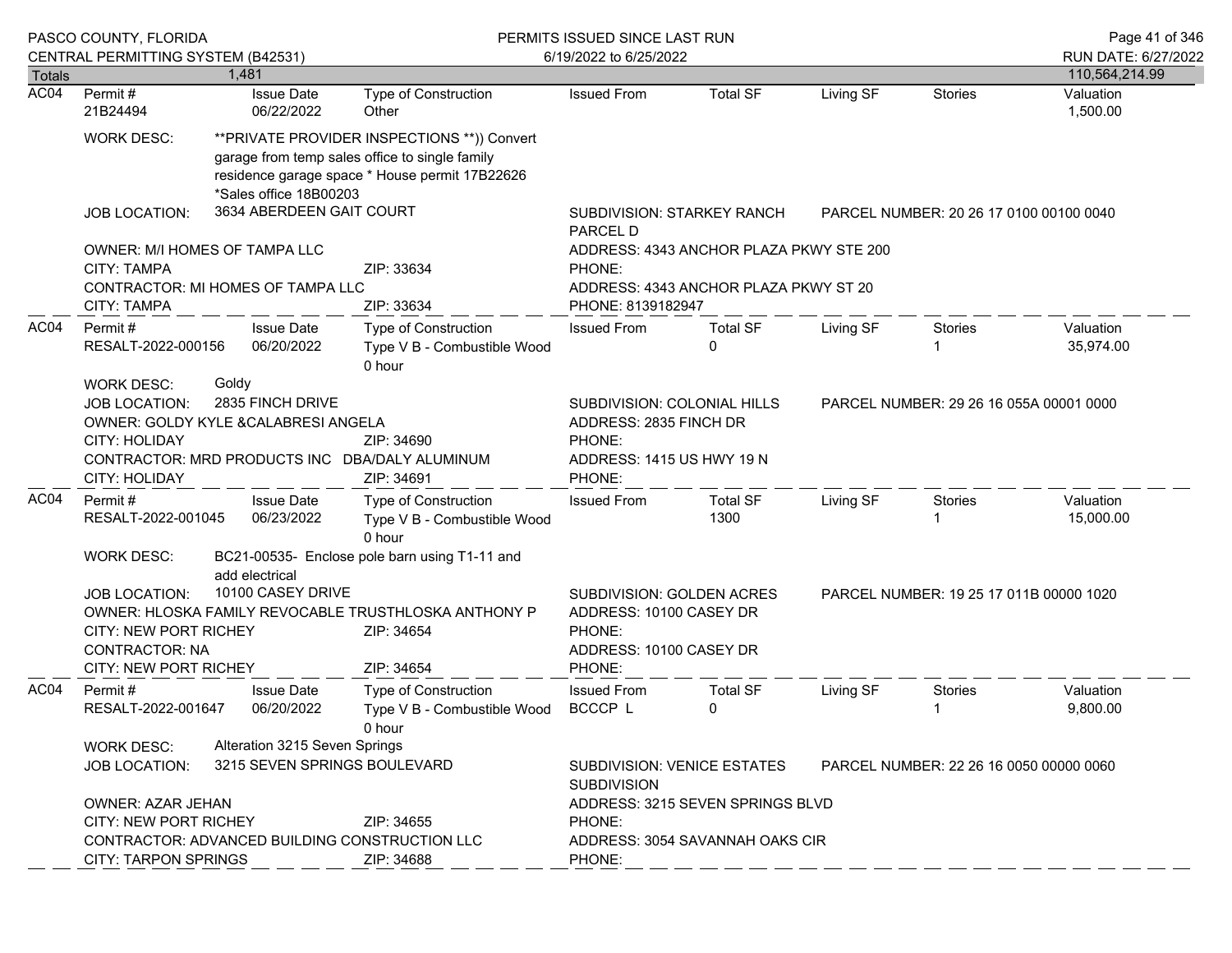|               | PASCO COUNTY, FLORIDA<br>CENTRAL PERMITTING SYSTEM (B42531)                                                                                                                                                                                                                                             |  |                                 |                                                                                                                                                   | PERMITS ISSUED SINCE LAST RUN<br>6/19/2022 to 6/25/2022                                                                                           |                                         |           |                                         |                        |
|---------------|---------------------------------------------------------------------------------------------------------------------------------------------------------------------------------------------------------------------------------------------------------------------------------------------------------|--|---------------------------------|---------------------------------------------------------------------------------------------------------------------------------------------------|---------------------------------------------------------------------------------------------------------------------------------------------------|-----------------------------------------|-----------|-----------------------------------------|------------------------|
| <b>Totals</b> |                                                                                                                                                                                                                                                                                                         |  | 1.481                           |                                                                                                                                                   |                                                                                                                                                   |                                         |           |                                         | 110,564,214.99         |
| AC04          | Permit#<br>21B24494                                                                                                                                                                                                                                                                                     |  | <b>Issue Date</b><br>06/22/2022 | Type of Construction<br>Other                                                                                                                     | <b>Issued From</b>                                                                                                                                | <b>Total SF</b>                         | Living SF | <b>Stories</b>                          | Valuation<br>1,500.00  |
|               | <b>WORK DESC:</b>                                                                                                                                                                                                                                                                                       |  | *Sales office 18B00203          | ** PRIVATE PROVIDER INSPECTIONS ** )) Convert<br>garage from temp sales office to single family<br>residence garage space * House permit 17B22626 |                                                                                                                                                   |                                         |           |                                         |                        |
|               | <b>JOB LOCATION:</b>                                                                                                                                                                                                                                                                                    |  | 3634 ABERDEEN GAIT COURT        |                                                                                                                                                   | PARCEL D                                                                                                                                          | <b>SUBDIVISION: STARKEY RANCH</b>       |           | PARCEL NUMBER: 20 26 17 0100 00100 0040 |                        |
|               | OWNER: M/I HOMES OF TAMPA LLC<br><b>CITY: TAMPA</b>                                                                                                                                                                                                                                                     |  |                                 | ZIP: 33634                                                                                                                                        | PHONE:                                                                                                                                            | ADDRESS: 4343 ANCHOR PLAZA PKWY STE 200 |           |                                         |                        |
|               | CONTRACTOR: MI HOMES OF TAMPA LLC<br>CITY: TAMPA                                                                                                                                                                                                                                                        |  |                                 | ZIP: 33634                                                                                                                                        | PHONE: 8139182947                                                                                                                                 | ADDRESS: 4343 ANCHOR PLAZA PKWY ST 20   |           |                                         |                        |
| AC04          | Permit#<br>RESALT-2022-000156                                                                                                                                                                                                                                                                           |  | <b>Issue Date</b><br>06/20/2022 | Type of Construction<br>Type V B - Combustible Wood<br>0 hour                                                                                     | <b>Issued From</b>                                                                                                                                | <b>Total SF</b><br>0                    | Living SF | <b>Stories</b>                          | Valuation<br>35,974.00 |
|               | Goldy<br><b>WORK DESC:</b><br>2835 FINCH DRIVE<br>JOB LOCATION:<br>OWNER: GOLDY KYLE &CALABRESI ANGELA<br>CITY: HOLIDAY<br>ZIP: 34690<br>CONTRACTOR: MRD PRODUCTS INC DBA/DALY ALUMINUM<br>CITY: HOLIDAY<br>ZIP: 34691                                                                                  |  |                                 |                                                                                                                                                   | SUBDIVISION: COLONIAL HILLS<br>PARCEL NUMBER: 29 26 16 055A 00001 0000<br>ADDRESS: 2835 FINCH DR<br>PHONE:<br>ADDRESS: 1415 US HWY 19 N<br>PHONE: |                                         |           |                                         |                        |
| AC04          | Permit#<br>RESALT-2022-001045                                                                                                                                                                                                                                                                           |  | <b>Issue Date</b><br>06/23/2022 | Type of Construction<br>Type V B - Combustible Wood<br>0 hour                                                                                     | <b>Issued From</b>                                                                                                                                | <b>Total SF</b><br>1300                 | Living SF | <b>Stories</b>                          | Valuation<br>15,000.00 |
|               | <b>WORK DESC:</b><br>BC21-00535- Enclose pole barn using T1-11 and<br>add electrical<br>10100 CASEY DRIVE<br><b>JOB LOCATION:</b><br>OWNER: HLOSKA FAMILY REVOCABLE TRUSTHLOSKA ANTHONY P<br><b>CITY: NEW PORT RICHEY</b><br>ZIP: 34654<br><b>CONTRACTOR: NA</b><br>CITY: NEW PORT RICHEY<br>ZIP: 34654 |  |                                 |                                                                                                                                                   | SUBDIVISION: GOLDEN ACRES<br>PARCEL NUMBER: 19 25 17 011B 00000 1020<br>ADDRESS: 10100 CASEY DR<br>PHONE:<br>ADDRESS: 10100 CASEY DR<br>PHONE:    |                                         |           |                                         |                        |
| AC04          | Permit#<br>RESALT-2022-001647                                                                                                                                                                                                                                                                           |  | <b>Issue Date</b><br>06/20/2022 | <b>Type of Construction</b><br>Type V B - Combustible Wood<br>0 hour                                                                              | <b>Issued From</b><br>BCCCP L                                                                                                                     | <b>Total SF</b><br>0                    | Living SF | Stories<br>1                            | Valuation<br>9,800.00  |
|               | WORK DESC:<br>JOB LOCATION:<br><b>OWNER: AZAR JEHAN</b>                                                                                                                                                                                                                                                 |  | Alteration 3215 Seven Springs   | 3215 SEVEN SPRINGS BOULEVARD                                                                                                                      | <b>SUBDIVISION: VENICE ESTATES</b><br>PARCEL NUMBER: 22 26 16 0050 00000 0060<br><b>SUBDIVISION</b>                                               |                                         |           |                                         |                        |
|               | <b>CITY: NEW PORT RICHEY</b>                                                                                                                                                                                                                                                                            |  |                                 | ZIP: 34655                                                                                                                                        | ADDRESS: 3215 SEVEN SPRINGS BLVD<br>PHONE:                                                                                                        |                                         |           |                                         |                        |
|               | CONTRACTOR: ADVANCED BUILDING CONSTRUCTION LLC<br><b>CITY: TARPON SPRINGS</b><br>ZIP: 34688                                                                                                                                                                                                             |  |                                 |                                                                                                                                                   | ADDRESS: 3054 SAVANNAH OAKS CIR<br>PHONE:                                                                                                         |                                         |           |                                         |                        |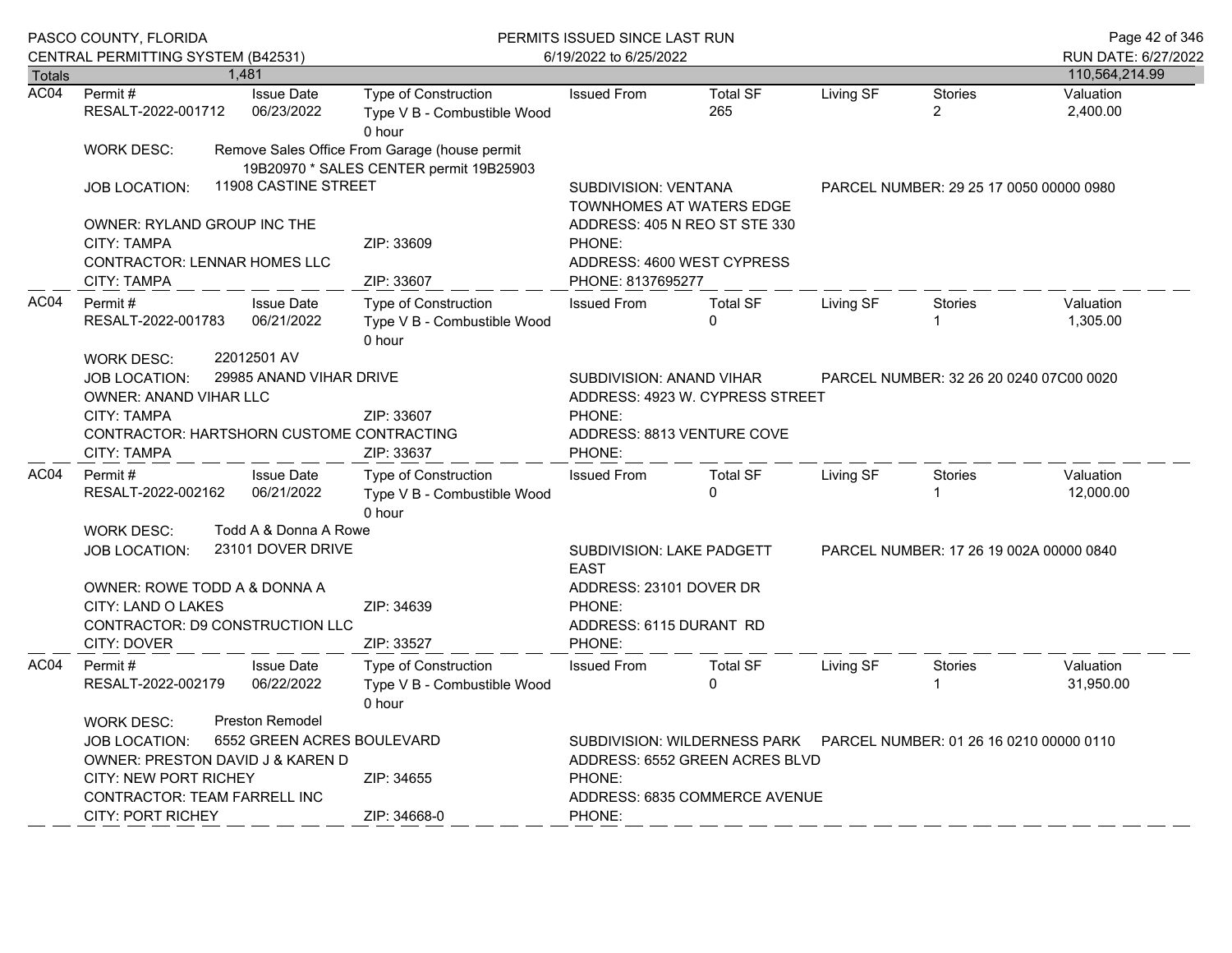|               | PASCO COUNTY, FLORIDA<br>CENTRAL PERMITTING SYSTEM (B42531)                                                                                                                                     |  |                                                                      | PERMITS ISSUED SINCE LAST RUN<br>6/19/2022 to 6/25/2022                                  | Page 42 of 346<br>RUN DATE: 6/27/2022                                                                         |                                                             |           |                                         |                        |
|---------------|-------------------------------------------------------------------------------------------------------------------------------------------------------------------------------------------------|--|----------------------------------------------------------------------|------------------------------------------------------------------------------------------|---------------------------------------------------------------------------------------------------------------|-------------------------------------------------------------|-----------|-----------------------------------------|------------------------|
| <b>Totals</b> |                                                                                                                                                                                                 |  | 1.481                                                                |                                                                                          |                                                                                                               |                                                             |           |                                         | 110,564,214.99         |
| AC04          | Permit#<br>RESALT-2022-001712                                                                                                                                                                   |  | <b>Issue Date</b><br>06/23/2022                                      | Type of Construction<br>Type V B - Combustible Wood<br>0 hour                            | <b>Issued From</b>                                                                                            | <b>Total SF</b><br>265                                      | Living SF | Stories<br>$\overline{2}$               | Valuation<br>2,400.00  |
|               | <b>WORK DESC:</b>                                                                                                                                                                               |  |                                                                      | Remove Sales Office From Garage (house permit<br>19B20970 * SALES CENTER permit 19B25903 |                                                                                                               |                                                             |           |                                         |                        |
|               | JOB LOCATION:                                                                                                                                                                                   |  | 11908 CASTINE STREET                                                 |                                                                                          | SUBDIVISION: VENTANA                                                                                          | TOWNHOMES AT WATERS EDGE                                    |           | PARCEL NUMBER: 29 25 17 0050 00000 0980 |                        |
|               | OWNER: RYLAND GROUP INC THE<br>CITY: TAMPA<br>CONTRACTOR: LENNAR HOMES LLC<br>CITY: TAMPA                                                                                                       |  |                                                                      | ZIP: 33609<br>ZIP: 33607                                                                 | PHONE:<br>PHONE: 8137695277                                                                                   | ADDRESS: 405 N REO ST STE 330<br>ADDRESS: 4600 WEST CYPRESS |           |                                         |                        |
| AC04          | Permit#<br><b>Issue Date</b><br>06/21/2022<br>RESALT-2022-001783                                                                                                                                |  | <b>Type of Construction</b><br>Type V B - Combustible Wood<br>0 hour | <b>Issued From</b>                                                                       | <b>Total SF</b><br>$\Omega$                                                                                   | Living SF                                                   | Stories   | Valuation<br>1,305.00                   |                        |
|               | 22012501 AV<br><b>WORK DESC:</b><br>29985 ANAND VIHAR DRIVE<br><b>JOB LOCATION:</b><br>OWNER: ANAND VIHAR LLC<br>CITY: TAMPA<br>CONTRACTOR: HARTSHORN CUSTOME CONTRACTING<br><b>CITY: TAMPA</b> |  |                                                                      | ZIP: 33607<br>ZIP: 33637                                                                 | SUBDIVISION: ANAND VIHAR<br>ADDRESS: 4923 W. CYPRESS STREET<br>PHONE:<br>ADDRESS: 8813 VENTURE COVE<br>PHONE: |                                                             |           | PARCEL NUMBER: 32 26 20 0240 07C00 0020 |                        |
| AC04          | Permit#<br>RESALT-2022-002162                                                                                                                                                                   |  | <b>Issue Date</b><br>06/21/2022                                      | <b>Type of Construction</b><br>Type V B - Combustible Wood<br>0 hour                     | <b>Issued From</b>                                                                                            | <b>Total SF</b><br>$\Omega$                                 | Living SF | Stories                                 | Valuation<br>12,000.00 |
|               | Todd A & Donna A Rowe<br><b>WORK DESC:</b><br>23101 DOVER DRIVE<br><b>JOB LOCATION:</b>                                                                                                         |  |                                                                      |                                                                                          | SUBDIVISION: LAKE PADGETT<br>PARCEL NUMBER: 17 26 19 002A 00000 0840<br><b>EAST</b>                           |                                                             |           |                                         |                        |
|               | OWNER: ROWE TODD A & DONNA A<br><b>CITY: LAND O LAKES</b><br><b>CONTRACTOR: D9 CONSTRUCTION LLC</b><br>CITY: DOVER                                                                              |  |                                                                      | ZIP: 34639<br>ZIP: 33527                                                                 | ADDRESS: 23101 DOVER DR<br>PHONE:<br>ADDRESS: 6115 DURANT RD<br>PHONE:                                        |                                                             |           |                                         |                        |
| AC04          | Permit#<br>RESALT-2022-002179                                                                                                                                                                   |  | <b>Issue Date</b><br>06/22/2022                                      | Type of Construction<br>Type V B - Combustible Wood<br>0 hour                            | <b>Issued From</b>                                                                                            | <b>Total SF</b><br>$\Omega$                                 | Living SF | <b>Stories</b>                          | Valuation<br>31,950.00 |
|               | <b>Preston Remodel</b><br><b>WORK DESC:</b><br>6552 GREEN ACRES BOULEVARD<br><b>JOB LOCATION:</b><br>OWNER: PRESTON DAVID J & KAREN D                                                           |  |                                                                      |                                                                                          | SUBDIVISION: WILDERNESS PARK<br>PARCEL NUMBER: 01 26 16 0210 00000 0110<br>ADDRESS: 6552 GREEN ACRES BLVD     |                                                             |           |                                         |                        |
|               | <b>CITY: NEW PORT RICHEY</b><br>CONTRACTOR: TEAM FARRELL INC<br><b>CITY: PORT RICHEY</b>                                                                                                        |  |                                                                      | ZIP: 34655<br>ZIP: 34668-0                                                               | PHONE:<br>ADDRESS: 6835 COMMERCE AVENUE<br>PHONE:                                                             |                                                             |           |                                         |                        |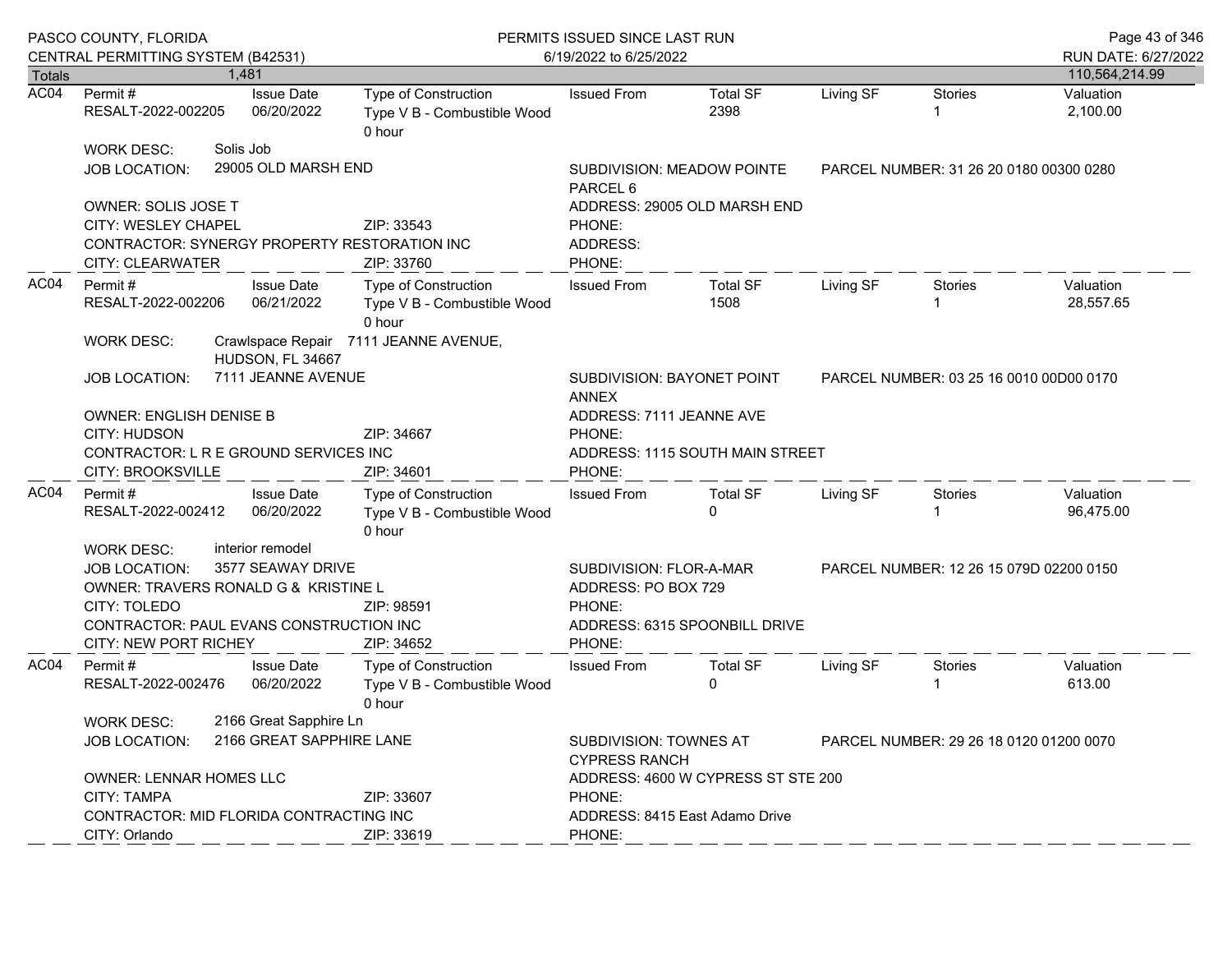|               | PASCO COUNTY, FLORIDA<br>CENTRAL PERMITTING SYSTEM (B42531)                                                                                                           |  |                                                    | PERMITS ISSUED SINCE LAST RUN<br>6/19/2022 to 6/25/2022       | Page 43 of 346<br>RUN DATE: 6/27/2022                                 |                                         |           |                                         |                        |
|---------------|-----------------------------------------------------------------------------------------------------------------------------------------------------------------------|--|----------------------------------------------------|---------------------------------------------------------------|-----------------------------------------------------------------------|-----------------------------------------|-----------|-----------------------------------------|------------------------|
| <b>Totals</b> |                                                                                                                                                                       |  | 1.481                                              |                                                               |                                                                       |                                         |           |                                         | 110,564,214.99         |
| AC04          | Permit#<br>RESALT-2022-002205                                                                                                                                         |  | <b>Issue Date</b><br>06/20/2022                    | Type of Construction<br>Type V B - Combustible Wood<br>0 hour | <b>Issued From</b>                                                    | <b>Total SF</b><br>2398                 | Living SF | <b>Stories</b>                          | Valuation<br>2,100.00  |
|               | <b>WORK DESC:</b><br><b>JOB LOCATION:</b>                                                                                                                             |  | Solis Job<br>29005 OLD MARSH END                   |                                                               | SUBDIVISION: MEADOW POINTE<br>PARCEL <sub>6</sub>                     | PARCEL NUMBER: 31 26 20 0180 00300 0280 |           |                                         |                        |
|               | <b>OWNER: SOLIS JOSE T</b><br>CITY: WESLEY CHAPEL<br>CONTRACTOR: SYNERGY PROPERTY RESTORATION INC<br>CITY: CLEARWATER                                                 |  |                                                    | ZIP: 33543<br>ZIP: 33760                                      | ADDRESS: 29005 OLD MARSH END<br>PHONE:<br>ADDRESS:<br>PHONE:          |                                         |           |                                         |                        |
| AC04          | Permit#<br><b>Issue Date</b><br>06/21/2022<br>RESALT-2022-002206                                                                                                      |  |                                                    | Type of Construction<br>Type V B - Combustible Wood<br>0 hour | <b>Issued From</b>                                                    | <b>Total SF</b><br>1508                 | Living SF | Stories                                 | Valuation<br>28,557.65 |
|               | <b>WORK DESC:</b>                                                                                                                                                     |  | HUDSON, FL 34667                                   | Crawlspace Repair 7111 JEANNE AVENUE,                         | SUBDIVISION: BAYONET POINT<br>PARCEL NUMBER: 03 25 16 0010 00D00 0170 |                                         |           |                                         |                        |
|               | <b>JOB LOCATION:</b>                                                                                                                                                  |  | 7111 JEANNE AVENUE                                 |                                                               | <b>ANNEX</b>                                                          |                                         |           |                                         |                        |
|               | <b>OWNER: ENGLISH DENISE B</b><br>CITY: HUDSON<br>CONTRACTOR: L R E GROUND SERVICES INC<br>CITY: BROOKSVILLE                                                          |  |                                                    | ZIP: 34667<br>ZIP: 34601                                      | ADDRESS: 7111 JEANNE AVE<br>PHONE:<br>PHONE:                          | ADDRESS: 1115 SOUTH MAIN STREET         |           |                                         |                        |
| AC04          | Permit#<br>RESALT-2022-002412                                                                                                                                         |  | <b>Issue Date</b><br>06/20/2022                    | Type of Construction<br>Type V B - Combustible Wood<br>0 hour | <b>Issued From</b>                                                    | <b>Total SF</b><br>$\mathbf{0}$         | Living SF | <b>Stories</b>                          | Valuation<br>96,475.00 |
|               | <b>WORK DESC:</b><br><b>JOB LOCATION:</b><br>OWNER: TRAVERS RONALD G & KRISTINE L<br>CITY: TOLEDO<br>CONTRACTOR: PAUL EVANS CONSTRUCTION INC<br>CITY: NEW PORT RICHEY |  | interior remodel<br>3577 SEAWAY DRIVE              | ZIP: 98591<br>ZIP: 34652                                      | SUBDIVISION: FLOR-A-MAR<br>ADDRESS: PO BOX 729<br>PHONE:<br>PHONE:    | ADDRESS: 6315 SPOONBILL DRIVE           |           | PARCEL NUMBER: 12 26 15 079D 02200 0150 |                        |
| AC04          | Permit#<br>RESALT-2022-002476                                                                                                                                         |  | <b>Issue Date</b><br>06/20/2022                    | Type of Construction<br>Type V B - Combustible Wood<br>0 hour | <b>Issued From</b>                                                    | <b>Total SF</b><br>$\mathbf{0}$         | Living SF | Stories                                 | Valuation<br>613.00    |
|               | WORK DESC:<br><b>JOB LOCATION:</b>                                                                                                                                    |  | 2166 Great Sapphire Ln<br>2166 GREAT SAPPHIRE LANE |                                                               | SUBDIVISION: TOWNES AT<br><b>CYPRESS RANCH</b>                        | PARCEL NUMBER: 29 26 18 0120 01200 0070 |           |                                         |                        |
|               | <b>OWNER: LENNAR HOMES LLC</b><br><b>CITY: TAMPA</b>                                                                                                                  |  |                                                    | ZIP: 33607                                                    | ADDRESS: 4600 W CYPRESS ST STE 200<br>PHONE:                          |                                         |           |                                         |                        |
|               | CONTRACTOR: MID FLORIDA CONTRACTING INC<br>CITY: Orlando                                                                                                              |  |                                                    | ZIP: 33619                                                    | ADDRESS: 8415 East Adamo Drive<br>PHONE:                              |                                         |           |                                         |                        |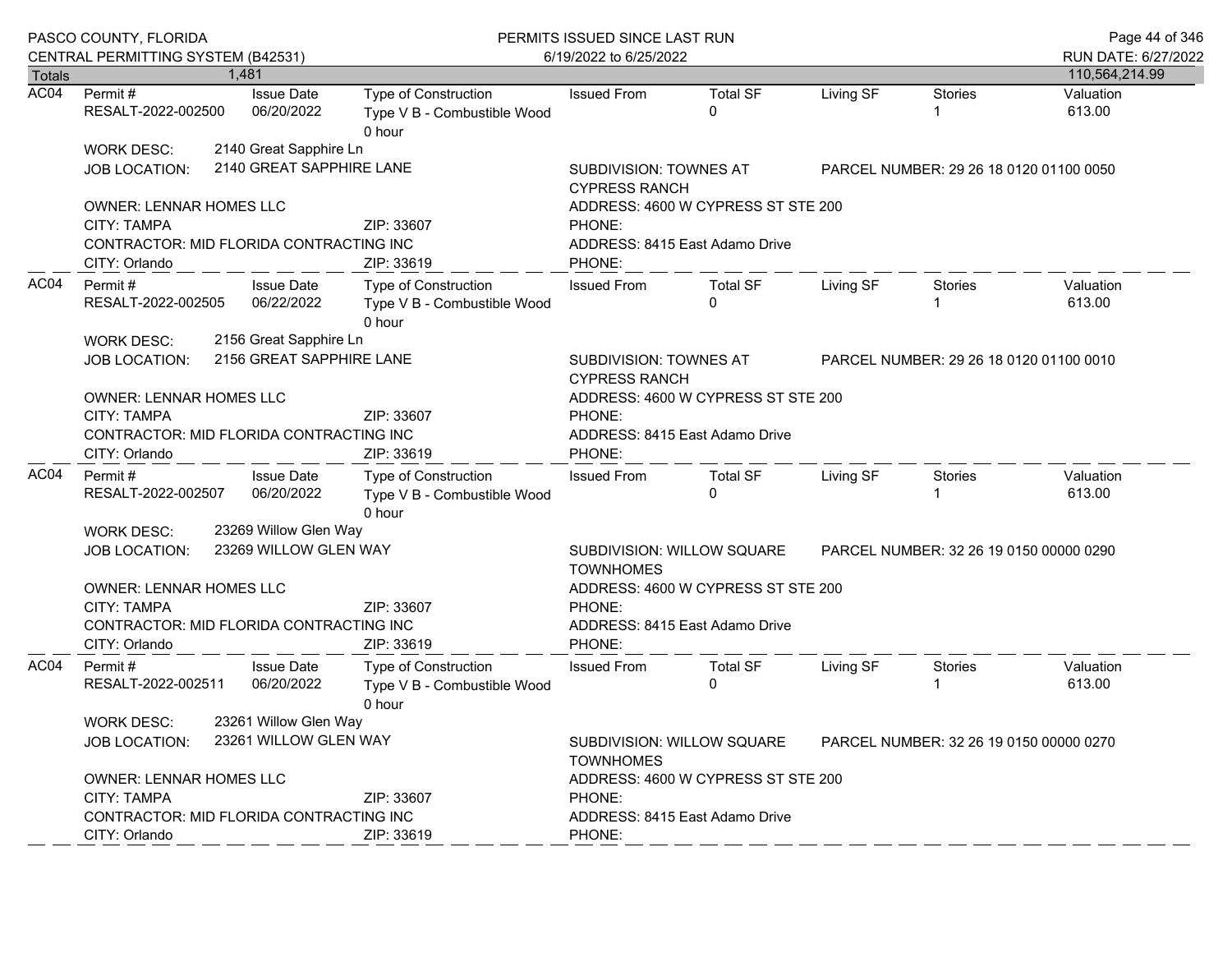|               | PASCO COUNTY, FLORIDA<br>CENTRAL PERMITTING SYSTEM (B42531)                                               |       |                                                           | PERMITS ISSUED SINCE LAST RUN<br>6/19/2022 to 6/25/2022              | Page 44 of 346<br>RUN DATE: 6/27/2022                                                     |                                                                      |           |                                         |                     |  |
|---------------|-----------------------------------------------------------------------------------------------------------|-------|-----------------------------------------------------------|----------------------------------------------------------------------|-------------------------------------------------------------------------------------------|----------------------------------------------------------------------|-----------|-----------------------------------------|---------------------|--|
| <b>Totals</b> |                                                                                                           | 1.481 |                                                           |                                                                      |                                                                                           |                                                                      |           |                                         | 110,564,214.99      |  |
| AC04          | Permit#<br>RESALT-2022-002500                                                                             |       | <b>Issue Date</b><br>06/20/2022                           | Type of Construction<br>Type V B - Combustible Wood<br>0 hour        | <b>Issued From</b>                                                                        | <b>Total SF</b><br>$\Omega$                                          | Living SF | <b>Stories</b>                          | Valuation<br>613.00 |  |
|               | <b>WORK DESC:</b><br><b>JOB LOCATION:</b>                                                                 |       | 2140 Great Sapphire Ln<br>2140 GREAT SAPPHIRE LANE        |                                                                      | SUBDIVISION: TOWNES AT<br><b>CYPRESS RANCH</b>                                            | PARCEL NUMBER: 29 26 18 0120 01100 0050                              |           |                                         |                     |  |
|               | <b>OWNER: LENNAR HOMES LLC</b>                                                                            |       |                                                           |                                                                      |                                                                                           | ADDRESS: 4600 W CYPRESS ST STE 200                                   |           |                                         |                     |  |
|               | <b>CITY: TAMPA</b><br>CONTRACTOR: MID FLORIDA CONTRACTING INC<br>CITY: Orlando                            |       |                                                           | ZIP: 33607<br>ZIP: 33619                                             | PHONE:<br>ADDRESS: 8415 East Adamo Drive<br>PHONE:                                        |                                                                      |           |                                         |                     |  |
| AC04          | Permit #<br>RESALT-2022-002505<br><b>WORK DESC:</b>                                                       |       | <b>Issue Date</b><br>06/22/2022<br>2156 Great Sapphire Ln | Type of Construction<br>Type V B - Combustible Wood<br>0 hour        | <b>Issued From</b>                                                                        | <b>Total SF</b><br>$\Omega$                                          | Living SF | Stories                                 | Valuation<br>613.00 |  |
|               | JOB LOCATION:                                                                                             |       | 2156 GREAT SAPPHIRE LANE                                  |                                                                      | SUBDIVISION: TOWNES AT<br>PARCEL NUMBER: 29 26 18 0120 01100 0010<br><b>CYPRESS RANCH</b> |                                                                      |           |                                         |                     |  |
|               | OWNER: LENNAR HOMES LLC<br><b>CITY: TAMPA</b><br>CONTRACTOR: MID FLORIDA CONTRACTING INC                  |       |                                                           | ZIP: 33607                                                           | ADDRESS: 4600 W CYPRESS ST STE 200<br>PHONE:<br>ADDRESS: 8415 East Adamo Drive            |                                                                      |           |                                         |                     |  |
|               | CITY: Orlando                                                                                             |       |                                                           | ZIP: 33619                                                           | PHONE:                                                                                    |                                                                      |           |                                         |                     |  |
| AC04          | Permit #<br>RESALT-2022-002507                                                                            |       | <b>Issue Date</b><br>06/20/2022                           | <b>Type of Construction</b><br>Type V B - Combustible Wood<br>0 hour | <b>Issued From</b>                                                                        | <b>Total SF</b><br>0                                                 | Living SF | Stories<br>-1                           | Valuation<br>613.00 |  |
|               | <b>WORK DESC:</b>                                                                                         |       | 23269 Willow Glen Way                                     |                                                                      |                                                                                           |                                                                      |           |                                         |                     |  |
|               | JOB LOCATION:                                                                                             |       | 23269 WILLOW GLEN WAY                                     |                                                                      | SUBDIVISION: WILLOW SQUARE<br><b>TOWNHOMES</b>                                            |                                                                      |           | PARCEL NUMBER: 32 26 19 0150 00000 0290 |                     |  |
|               | <b>OWNER: LENNAR HOMES LLC</b><br>CITY: TAMPA<br>CONTRACTOR: MID FLORIDA CONTRACTING INC<br>CITY: Orlando |       |                                                           | ZIP: 33607<br>ZIP: 33619                                             | PHONE:<br>PHONE:                                                                          | ADDRESS: 4600 W CYPRESS ST STE 200<br>ADDRESS: 8415 East Adamo Drive |           |                                         |                     |  |
| AC04          | Permit#<br>RESALT-2022-002511                                                                             |       | <b>Issue Date</b><br>06/20/2022                           | <b>Type of Construction</b><br>Type V B - Combustible Wood<br>0 hour | <b>Issued From</b>                                                                        | <b>Total SF</b><br>0                                                 | Living SF | <b>Stories</b><br>-1                    | Valuation<br>613.00 |  |
|               | <b>WORK DESC:</b><br>JOB LOCATION:                                                                        |       | 23261 Willow Glen Way<br>23261 WILLOW GLEN WAY            |                                                                      | SUBDIVISION: WILLOW SQUARE<br><b>TOWNHOMES</b>                                            | PARCEL NUMBER: 32 26 19 0150 00000 0270                              |           |                                         |                     |  |
|               | OWNER: LENNAR HOMES LLC<br><b>CITY: TAMPA</b><br>CONTRACTOR: MID FLORIDA CONTRACTING INC<br>CITY: Orlando |       |                                                           | ZIP: 33607<br>ZIP: 33619                                             | PHONE:<br>PHONE:                                                                          | ADDRESS: 4600 W CYPRESS ST STE 200<br>ADDRESS: 8415 East Adamo Drive |           |                                         |                     |  |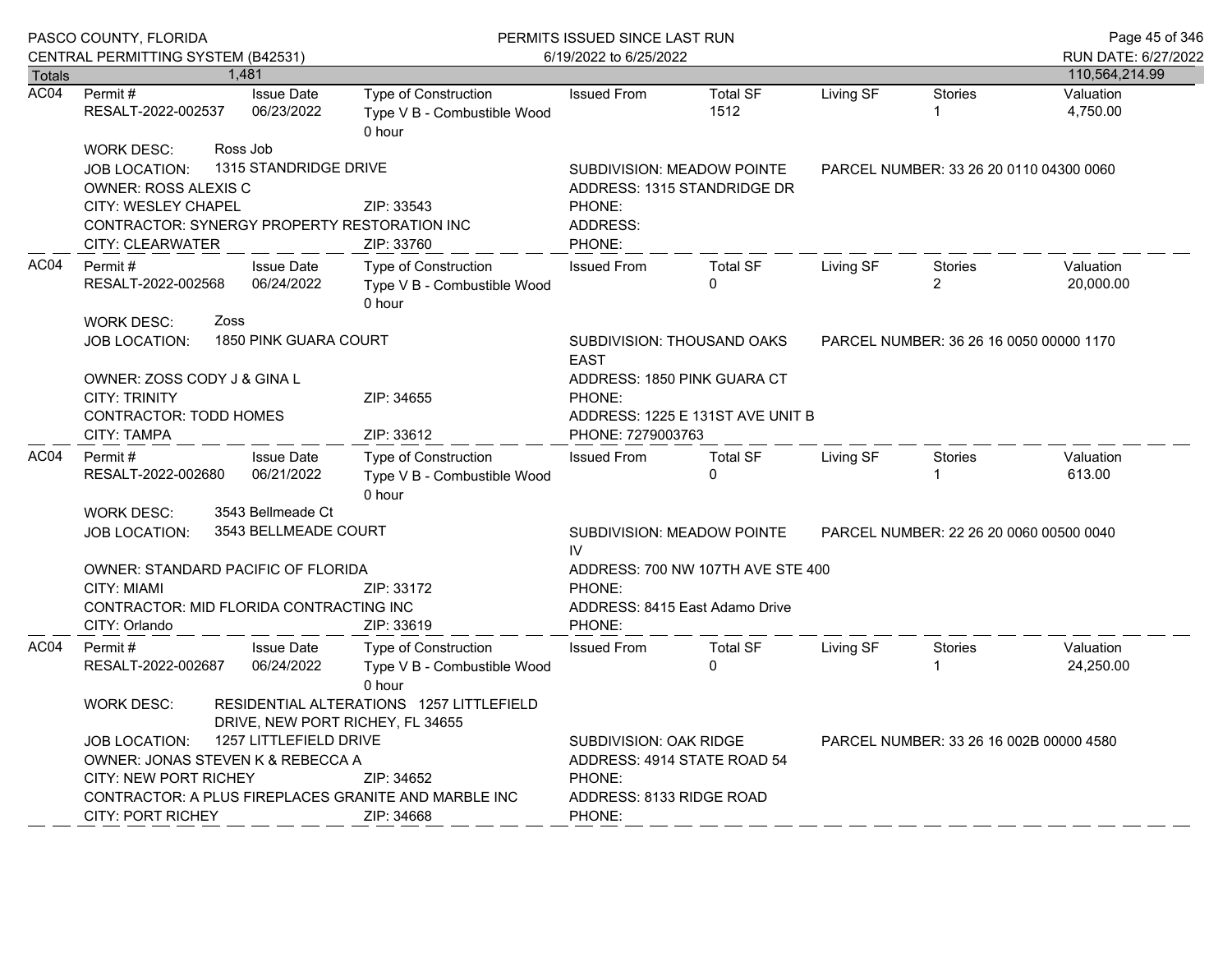|               | PASCO COUNTY, FLORIDA<br>CENTRAL PERMITTING SYSTEM (B42531)                                                                                                                               |      |                                                               | PERMITS ISSUED SINCE LAST RUN<br>6/19/2022 to 6/25/2022       | Page 45 of 346<br>RUN DATE: 6/27/2022                                                          |                                                           |                                  |                                         |                        |
|---------------|-------------------------------------------------------------------------------------------------------------------------------------------------------------------------------------------|------|---------------------------------------------------------------|---------------------------------------------------------------|------------------------------------------------------------------------------------------------|-----------------------------------------------------------|----------------------------------|-----------------------------------------|------------------------|
| <b>Totals</b> |                                                                                                                                                                                           |      | 1,481                                                         |                                                               |                                                                                                |                                                           |                                  |                                         | 110,564,214.99         |
| AC04          | Permit #<br>RESALT-2022-002537                                                                                                                                                            |      | <b>Issue Date</b><br>06/23/2022                               | Type of Construction<br>Type V B - Combustible Wood<br>0 hour | <b>Issued From</b>                                                                             | <b>Total SF</b><br>1512                                   | Living SF                        | <b>Stories</b>                          | Valuation<br>4,750.00  |
|               | <b>WORK DESC:</b><br><b>JOB LOCATION:</b><br><b>OWNER: ROSS ALEXIS C</b><br><b>CITY: WESLEY CHAPEL</b>                                                                                    |      | Ross Job<br>1315 STANDRIDGE DRIVE                             | ZIP: 33543<br>CONTRACTOR: SYNERGY PROPERTY RESTORATION INC    | PHONE:<br>ADDRESS:                                                                             | SUBDIVISION: MEADOW POINTE<br>ADDRESS: 1315 STANDRIDGE DR |                                  | PARCEL NUMBER: 33 26 20 0110 04300 0060 |                        |
|               | <b>CITY: CLEARWATER</b>                                                                                                                                                                   |      |                                                               | ZIP: 33760                                                    | PHONE:                                                                                         |                                                           |                                  |                                         |                        |
| AC04          | Permit#<br><b>Issue Date</b><br>06/24/2022<br>RESALT-2022-002568                                                                                                                          |      | Type of Construction<br>Type V B - Combustible Wood<br>0 hour | <b>Issued From</b>                                            | <b>Total SF</b><br>$\mathbf{0}$                                                                | Living SF                                                 | <b>Stories</b><br>$\overline{2}$ | Valuation<br>20,000.00                  |                        |
|               | <b>WORK DESC:</b><br>JOB LOCATION:                                                                                                                                                        | Zoss | 1850 PINK GUARA COURT                                         |                                                               | SUBDIVISION: THOUSAND OAKS<br><b>EAST</b>                                                      | PARCEL NUMBER: 36 26 16 0050 00000 1170                   |                                  |                                         |                        |
|               | OWNER: ZOSS CODY J & GINA L<br><b>CITY: TRINITY</b><br><b>CONTRACTOR: TODD HOMES</b><br><b>CITY: TAMPA</b>                                                                                |      |                                                               | ZIP: 34655<br>ZIP: 33612                                      | ADDRESS: 1850 PINK GUARA CT<br>PHONE:<br>ADDRESS: 1225 E 131ST AVE UNIT B<br>PHONE: 7279003763 |                                                           |                                  |                                         |                        |
| AC04          | Permit#<br>RESALT-2022-002680                                                                                                                                                             |      | <b>Issue Date</b><br>06/21/2022                               | Type of Construction<br>Type V B - Combustible Wood<br>0 hour | <b>Issued From</b>                                                                             | <b>Total SF</b><br>$\Omega$                               | Living SF                        | Stories                                 | Valuation<br>613.00    |
|               | <b>WORK DESC:</b>                                                                                                                                                                         |      | 3543 Bellmeade Ct                                             |                                                               |                                                                                                |                                                           |                                  |                                         |                        |
|               | <b>JOB LOCATION:</b>                                                                                                                                                                      |      | 3543 BELLMEADE COURT                                          |                                                               | SUBDIVISION: MEADOW POINTE<br>IV.                                                              | PARCEL NUMBER: 22 26 20 0060 00500 0040                   |                                  |                                         |                        |
|               | OWNER: STANDARD PACIFIC OF FLORIDA<br><b>CITY: MIAMI</b>                                                                                                                                  |      |                                                               | ZIP: 33172                                                    | ADDRESS: 700 NW 107TH AVE STE 400<br>PHONE:                                                    |                                                           |                                  |                                         |                        |
|               | CONTRACTOR: MID FLORIDA CONTRACTING INC<br>CITY: Orlando                                                                                                                                  |      |                                                               | ZIP: 33619                                                    | PHONE:                                                                                         | ADDRESS: 8415 East Adamo Drive                            |                                  |                                         |                        |
| AC04          | Permit#<br>RESALT-2022-002687                                                                                                                                                             |      | <b>Issue Date</b><br>06/24/2022                               | Type of Construction<br>Type V B - Combustible Wood<br>0 hour | <b>Issued From</b>                                                                             | <b>Total SF</b><br>$\Omega$                               | Living SF                        | <b>Stories</b>                          | Valuation<br>24,250.00 |
|               | RESIDENTIAL ALTERATIONS 1257 LITTLEFIELD<br><b>WORK DESC:</b><br>DRIVE, NEW PORT RICHEY, FL 34655                                                                                         |      |                                                               |                                                               |                                                                                                |                                                           |                                  |                                         |                        |
|               | 1257 LITTLEFIELD DRIVE<br><b>JOB LOCATION:</b><br>OWNER: JONAS STEVEN K & REBECCA A<br><b>CITY: NEW PORT RICHEY</b><br>ZIP: 34652<br>CONTRACTOR: A PLUS FIREPLACES GRANITE AND MARBLE INC |      |                                                               |                                                               | SUBDIVISION: OAK RIDGE<br>PHONE:<br>ADDRESS: 8133 RIDGE ROAD                                   | ADDRESS: 4914 STATE ROAD 54                               |                                  | PARCEL NUMBER: 33 26 16 002B 00000 4580 |                        |
|               | <b>CITY: PORT RICHEY</b>                                                                                                                                                                  |      |                                                               | ZIP: 34668                                                    | PHONE:                                                                                         |                                                           |                                  |                                         |                        |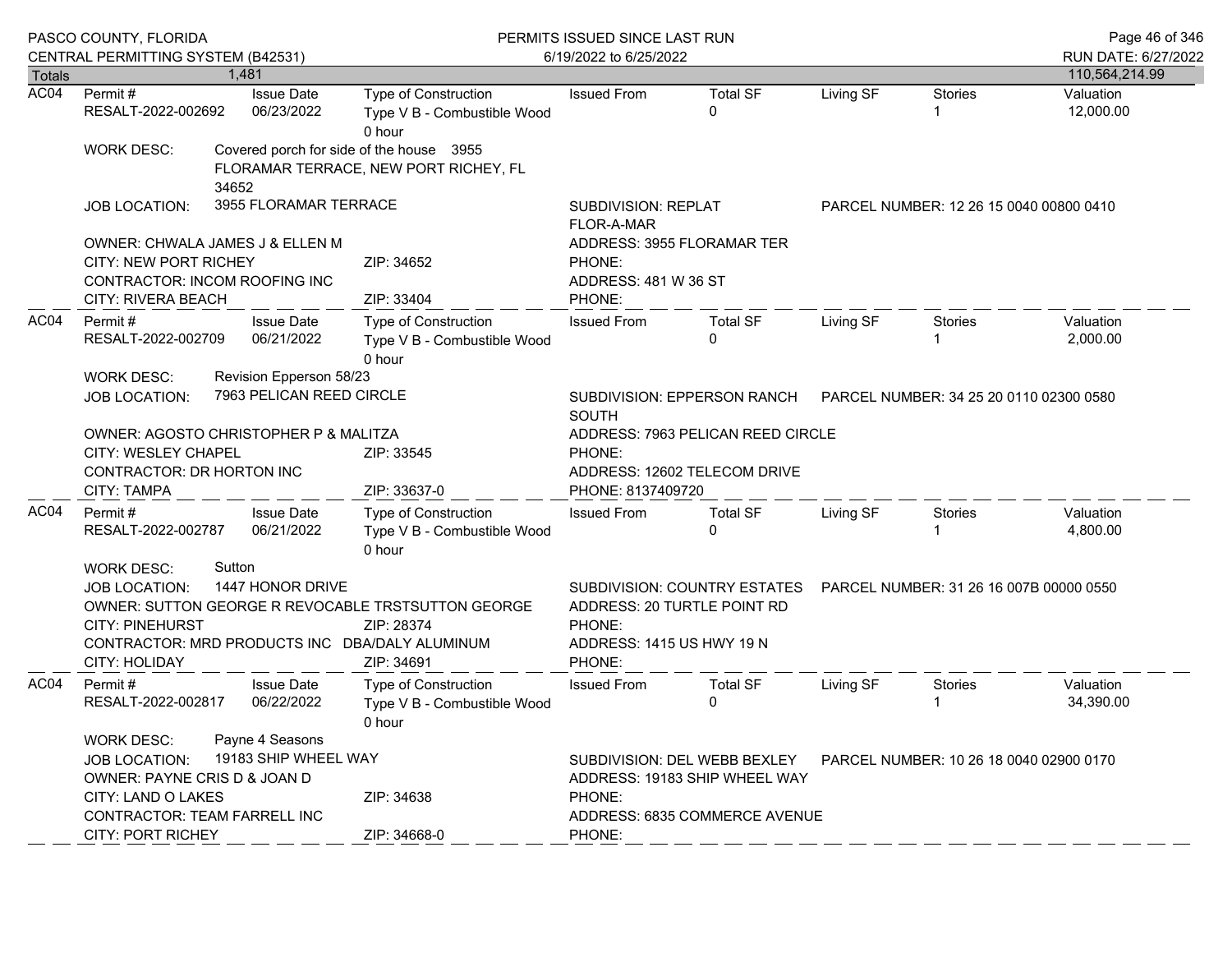|               | PASCO COUNTY, FLORIDA<br>CENTRAL PERMITTING SYSTEM (B42531)                                                                                                        |                                                            |                                                                                                                                  | PERMITS ISSUED SINCE LAST RUN<br>6/19/2022 to 6/25/2022                                                                                                       |                                                             |           |                                         |                        |  |  |
|---------------|--------------------------------------------------------------------------------------------------------------------------------------------------------------------|------------------------------------------------------------|----------------------------------------------------------------------------------------------------------------------------------|---------------------------------------------------------------------------------------------------------------------------------------------------------------|-------------------------------------------------------------|-----------|-----------------------------------------|------------------------|--|--|
| <b>Totals</b> |                                                                                                                                                                    | 1.481                                                      |                                                                                                                                  |                                                                                                                                                               |                                                             |           |                                         | 110,564,214.99         |  |  |
| AC04          | Permit#<br>RESALT-2022-002692                                                                                                                                      | <b>Issue Date</b><br>06/23/2022                            | <b>Type of Construction</b><br>Type V B - Combustible Wood<br>0 hour                                                             | <b>Issued From</b>                                                                                                                                            | <b>Total SF</b><br>$\Omega$                                 | Living SF | <b>Stories</b>                          | Valuation<br>12,000.00 |  |  |
|               | <b>WORK DESC:</b>                                                                                                                                                  | 34652                                                      | Covered porch for side of the house 3955<br>FLORAMAR TERRACE, NEW PORT RICHEY, FL                                                |                                                                                                                                                               |                                                             |           |                                         |                        |  |  |
|               | <b>JOB LOCATION:</b>                                                                                                                                               | 3955 FLORAMAR TERRACE                                      |                                                                                                                                  | <b>SUBDIVISION: REPLAT</b><br><b>FLOR-A-MAR</b>                                                                                                               |                                                             |           | PARCEL NUMBER: 12 26 15 0040 00800 0410 |                        |  |  |
|               | <b>OWNER: CHWALA JAMES J &amp; ELLEN M</b><br><b>CITY: NEW PORT RICHEY</b><br>CONTRACTOR: INCOM ROOFING INC<br>CITY: RIVERA BEACH                                  |                                                            | ZIP: 34652<br>ZIP: 33404                                                                                                         | PHONE:<br>ADDRESS: 481 W 36 ST<br>PHONE:                                                                                                                      | ADDRESS: 3955 FLORAMAR TER                                  |           |                                         |                        |  |  |
| AC04          | Permit#<br>RESALT-2022-002709<br><b>WORK DESC:</b>                                                                                                                 | <b>Issue Date</b><br>06/21/2022<br>Revision Epperson 58/23 | Type of Construction<br>Type V B - Combustible Wood<br>0 hour                                                                    | <b>Issued From</b>                                                                                                                                            | <b>Total SF</b><br>0                                        | Living SF | Stories                                 | Valuation<br>2,000.00  |  |  |
|               | <b>JOB LOCATION:</b>                                                                                                                                               | 7963 PELICAN REED CIRCLE                                   |                                                                                                                                  | <b>SOUTH</b>                                                                                                                                                  | SUBDIVISION: EPPERSON RANCH                                 |           | PARCEL NUMBER: 34 25 20 0110 02300 0580 |                        |  |  |
|               | OWNER: AGOSTO CHRISTOPHER P & MALITZA<br>CITY: WESLEY CHAPEL<br>CONTRACTOR: DR HORTON INC<br><b>CITY: TAMPA</b>                                                    |                                                            | ZIP: 33545<br>ZIP: 33637-0                                                                                                       | ADDRESS: 7963 PELICAN REED CIRCLE<br>PHONE:<br>ADDRESS: 12602 TELECOM DRIVE<br>PHONE: 8137409720                                                              |                                                             |           |                                         |                        |  |  |
| AC04          | Permit #<br>RESALT-2022-002787                                                                                                                                     | <b>Issue Date</b><br>06/21/2022                            | Type of Construction<br>Type V B - Combustible Wood<br>0 hour                                                                    | <b>Issued From</b>                                                                                                                                            | <b>Total SF</b><br>0                                        | Living SF | Stories<br>-1                           | Valuation<br>4,800.00  |  |  |
|               | <b>WORK DESC:</b><br><b>JOB LOCATION:</b><br><b>CITY: PINEHURST</b><br><b>CITY: HOLIDAY</b>                                                                        | Sutton<br>1447 HONOR DRIVE                                 | OWNER: SUTTON GEORGE R REVOCABLE TRSTSUTTON GEORGE<br>ZIP: 28374<br>CONTRACTOR: MRD PRODUCTS INC DBA/DALY ALUMINUM<br>ZIP: 34691 | PHONE:<br>ADDRESS: 1415 US HWY 19 N<br>PHONE:                                                                                                                 | SUBDIVISION: COUNTRY ESTATES<br>ADDRESS: 20 TURTLE POINT RD |           | PARCEL NUMBER: 31 26 16 007B 00000 0550 |                        |  |  |
| AC04          | Permit#<br>RESALT-2022-002817                                                                                                                                      | <b>Issue Date</b><br>06/22/2022                            | <b>Type of Construction</b><br>Type V B - Combustible Wood<br>0 hour                                                             | <b>Issued From</b>                                                                                                                                            | <b>Total SF</b><br>0                                        | Living SF | <b>Stories</b><br>-1                    | Valuation<br>34,390.00 |  |  |
|               | <b>WORK DESC:</b><br><b>JOB LOCATION:</b><br>OWNER: PAYNE CRIS D & JOAN D<br>CITY: LAND O LAKES<br><b>CONTRACTOR: TEAM FARRELL INC</b><br><b>CITY: PORT RICHEY</b> | Payne 4 Seasons<br>19183 SHIP WHEEL WAY                    | ZIP: 34638<br>ZIP: 34668-0                                                                                                       | SUBDIVISION: DEL WEBB BEXLEY<br>PARCEL NUMBER: 10 26 18 0040 02900 0170<br>ADDRESS: 19183 SHIP WHEEL WAY<br>PHONE:<br>ADDRESS: 6835 COMMERCE AVENUE<br>PHONE: |                                                             |           |                                         |                        |  |  |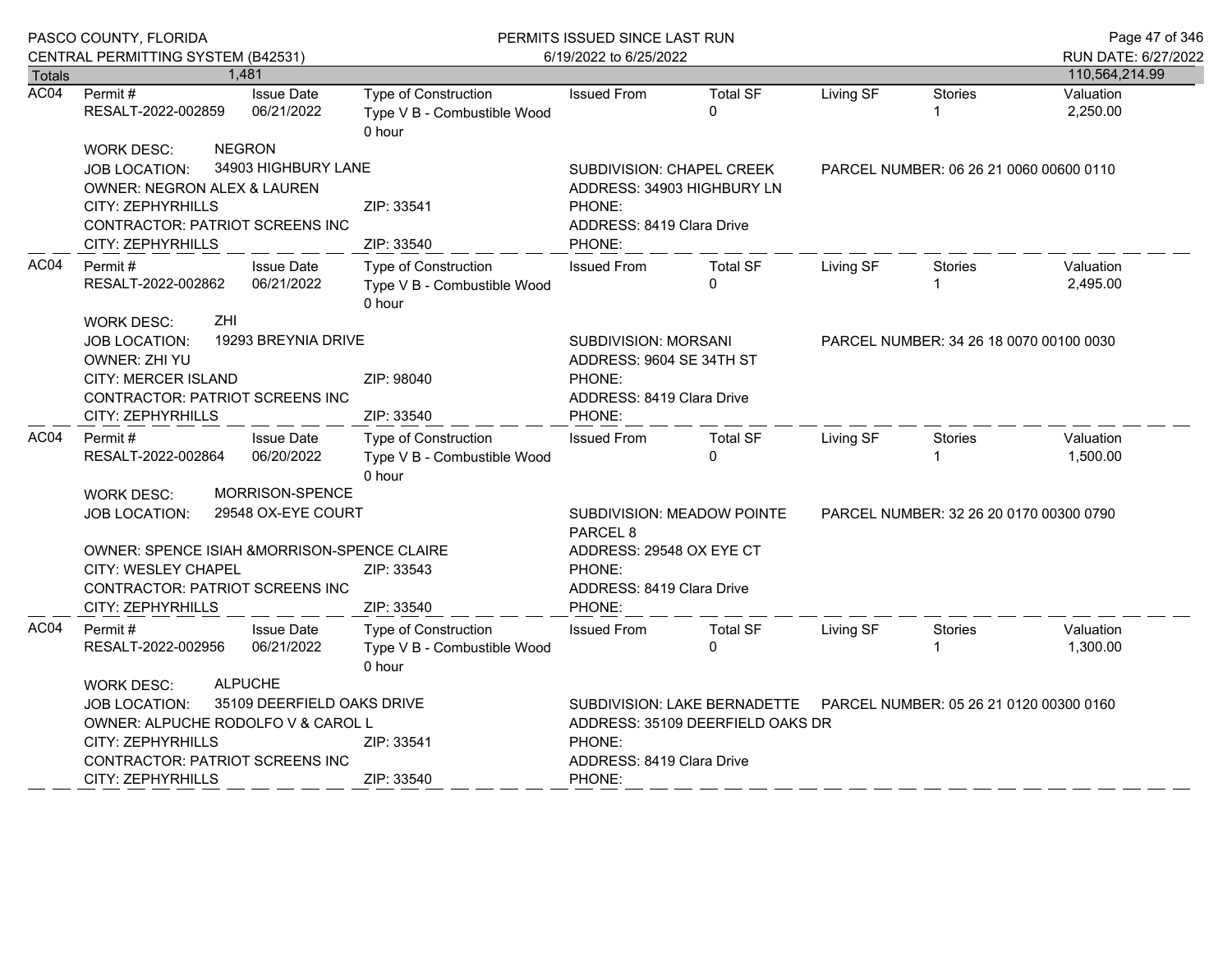|                       | PASCO COUNTY, FLORIDA                                                                                                |                                 | PERMITS ISSUED SINCE LAST RUN                                        | Page 47 of 346                                                                          |                                   |           |                                         |                       |
|-----------------------|----------------------------------------------------------------------------------------------------------------------|---------------------------------|----------------------------------------------------------------------|-----------------------------------------------------------------------------------------|-----------------------------------|-----------|-----------------------------------------|-----------------------|
|                       | CENTRAL PERMITTING SYSTEM (B42531)                                                                                   |                                 |                                                                      | 6/19/2022 to 6/25/2022                                                                  |                                   |           |                                         | RUN DATE: 6/27/2022   |
| <b>Totals</b><br>AC04 |                                                                                                                      | 1.481                           |                                                                      |                                                                                         |                                   |           |                                         | 110,564,214.99        |
|                       | Permit#<br>RESALT-2022-002859                                                                                        | <b>Issue Date</b><br>06/21/2022 | Type of Construction<br>Type V B - Combustible Wood<br>0 hour        | <b>Issued From</b>                                                                      | <b>Total SF</b><br>$\Omega$       | Living SF | <b>Stories</b>                          | Valuation<br>2,250.00 |
|                       | <b>WORK DESC:</b>                                                                                                    | <b>NEGRON</b>                   |                                                                      |                                                                                         |                                   |           |                                         |                       |
|                       | JOB LOCATION:                                                                                                        | 34903 HIGHBURY LANE             |                                                                      | SUBDIVISION: CHAPEL CREEK                                                               |                                   |           | PARCEL NUMBER: 06 26 21 0060 00600 0110 |                       |
|                       | OWNER: NEGRON ALEX & LAUREN                                                                                          |                                 |                                                                      | ADDRESS: 34903 HIGHBURY LN                                                              |                                   |           |                                         |                       |
|                       | CITY: ZEPHYRHILLS                                                                                                    |                                 | ZIP: 33541                                                           | PHONE:                                                                                  |                                   |           |                                         |                       |
|                       | <b>CONTRACTOR: PATRIOT SCREENS INC</b>                                                                               |                                 |                                                                      | ADDRESS: 8419 Clara Drive                                                               |                                   |           |                                         |                       |
|                       | CITY: ZEPHYRHILLS                                                                                                    |                                 | ZIP: 33540                                                           | PHONE:                                                                                  |                                   |           |                                         |                       |
| AC04                  | Permit#<br><b>Issue Date</b><br>RESALT-2022-002862<br>06/21/2022                                                     |                                 | Type of Construction<br>Type V B - Combustible Wood<br>0 hour        | <b>Issued From</b>                                                                      | <b>Total SF</b><br><sup>0</sup>   | Living SF | Stories                                 | Valuation<br>2,495.00 |
|                       | ZHI<br><b>WORK DESC:</b><br>JOB LOCATION:<br>OWNER: ZHI YU<br>CITY: MERCER ISLAND<br>CONTRACTOR: PATRIOT SCREENS INC | 19293 BREYNIA DRIVE             | ZIP: 98040                                                           | SUBDIVISION: MORSANI<br>ADDRESS: 9604 SE 34TH ST<br>PHONE:<br>ADDRESS: 8419 Clara Drive |                                   |           | PARCEL NUMBER: 34 26 18 0070 00100 0030 |                       |
|                       | CITY: ZEPHYRHILLS                                                                                                    |                                 | ZIP: 33540                                                           | PHONE:                                                                                  |                                   |           |                                         |                       |
| AC04                  | <b>Issue Date</b><br>Permit#<br>06/20/2022<br>RESALT-2022-002864                                                     |                                 | <b>Type of Construction</b><br>Type V B - Combustible Wood<br>0 hour | <b>Issued From</b>                                                                      | <b>Total SF</b><br>$\Omega$       | Living SF | <b>Stories</b>                          | Valuation<br>1,500.00 |
|                       | <b>WORK DESC:</b>                                                                                                    | <b>MORRISON-SPENCE</b>          |                                                                      |                                                                                         |                                   |           |                                         |                       |
|                       | <b>JOB LOCATION:</b>                                                                                                 | 29548 OX-EYE COURT              |                                                                      | PARCEL <sub>8</sub>                                                                     | <b>SUBDIVISION: MEADOW POINTE</b> |           | PARCEL NUMBER: 32 26 20 0170 00300 0790 |                       |
|                       | OWNER: SPENCE ISIAH &MORRISON-SPENCE CLAIRE                                                                          |                                 |                                                                      | ADDRESS: 29548 OX EYE CT                                                                |                                   |           |                                         |                       |
|                       | <b>CITY: WESLEY CHAPEL</b>                                                                                           |                                 | ZIP: 33543                                                           | PHONE:                                                                                  |                                   |           |                                         |                       |
|                       | CONTRACTOR: PATRIOT SCREENS INC                                                                                      |                                 |                                                                      | ADDRESS: 8419 Clara Drive                                                               |                                   |           |                                         |                       |
|                       | CITY: ZEPHYRHILLS                                                                                                    |                                 | ZIP: 33540                                                           | PHONE:                                                                                  |                                   |           |                                         |                       |
| AC04                  | Permit#<br>RESALT-2022-002956                                                                                        | <b>Issue Date</b><br>06/21/2022 | <b>Type of Construction</b><br>Type V B - Combustible Wood<br>0 hour | <b>Issued From</b>                                                                      | <b>Total SF</b><br>$\Omega$       | Living SF | <b>Stories</b>                          | Valuation<br>1,300.00 |
|                       | <b>WORK DESC:</b>                                                                                                    | <b>ALPUCHE</b>                  |                                                                      |                                                                                         |                                   |           |                                         |                       |
|                       | JOB LOCATION:                                                                                                        | 35109 DEERFIELD OAKS DRIVE      |                                                                      |                                                                                         | SUBDIVISION: LAKE BERNADETTE      |           | PARCEL NUMBER: 05 26 21 0120 00300 0160 |                       |
|                       | OWNER: ALPUCHE RODOLFO V & CAROL L                                                                                   |                                 |                                                                      | ADDRESS: 35109 DEERFIELD OAKS DR                                                        |                                   |           |                                         |                       |
|                       | CITY: ZEPHYRHILLS                                                                                                    |                                 | ZIP: 33541                                                           | PHONE:                                                                                  |                                   |           |                                         |                       |
|                       | CONTRACTOR: PATRIOT SCREENS INC                                                                                      |                                 |                                                                      | ADDRESS: 8419 Clara Drive                                                               |                                   |           |                                         |                       |
|                       | CITY: ZEPHYRHILLS                                                                                                    |                                 | ZIP: 33540                                                           | PHONE:                                                                                  |                                   |           |                                         |                       |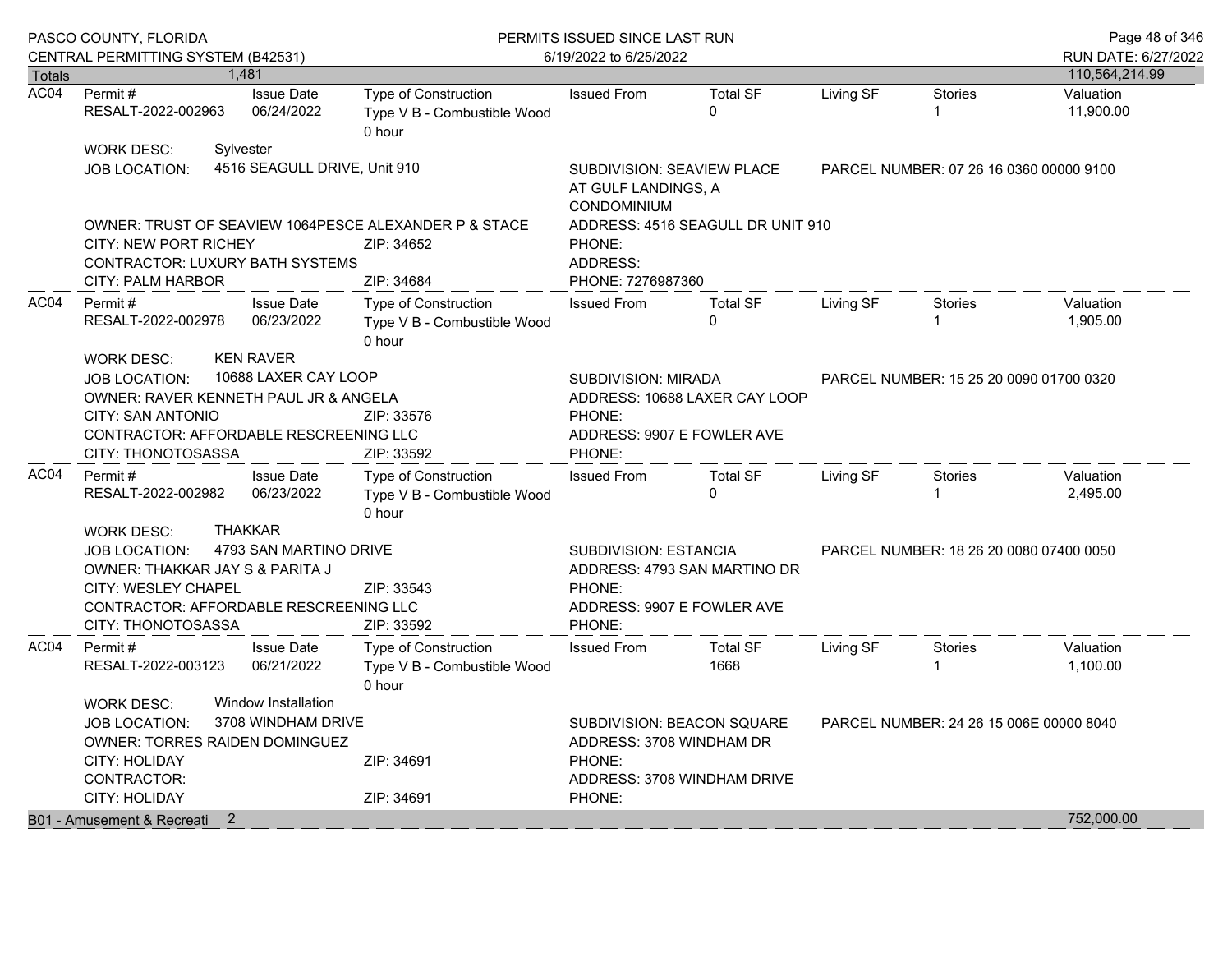|               | PASCO COUNTY, FLORIDA<br>CENTRAL PERMITTING SYSTEM (B42531)                                                                                                                                                                                            |  |                                                        | PERMITS ISSUED SINCE LAST RUN                                                     | Page 48 of 346<br>RUN DATE: 6/27/2022                                                                         |                                                                                                     |           |                                         |                                         |  |
|---------------|--------------------------------------------------------------------------------------------------------------------------------------------------------------------------------------------------------------------------------------------------------|--|--------------------------------------------------------|-----------------------------------------------------------------------------------|---------------------------------------------------------------------------------------------------------------|-----------------------------------------------------------------------------------------------------|-----------|-----------------------------------------|-----------------------------------------|--|
| <b>Totals</b> |                                                                                                                                                                                                                                                        |  | 1.481                                                  |                                                                                   | 6/19/2022 to 6/25/2022                                                                                        |                                                                                                     |           |                                         | 110,564,214.99                          |  |
| AC04          | Permit#<br>RESALT-2022-002963                                                                                                                                                                                                                          |  | <b>Issue Date</b><br>06/24/2022                        | <b>Type of Construction</b><br>Type V B - Combustible Wood<br>0 hour              | <b>Issued From</b>                                                                                            | <b>Total SF</b><br>$\Omega$                                                                         | Living SF | <b>Stories</b><br>1                     | Valuation<br>11,900.00                  |  |
|               | <b>WORK DESC:</b><br>JOB LOCATION:                                                                                                                                                                                                                     |  | Sylvester<br>4516 SEAGULL DRIVE, Unit 910              |                                                                                   | CONDOMINIUM                                                                                                   | <b>SUBDIVISION: SEAVIEW PLACE</b><br>PARCEL NUMBER: 07 26 16 0360 00000 9100<br>AT GULF LANDINGS, A |           |                                         |                                         |  |
|               | <b>CITY: NEW PORT RICHEY</b><br><b>CONTRACTOR: LUXURY BATH SYSTEMS</b><br><b>CITY: PALM HARBOR</b>                                                                                                                                                     |  |                                                        | OWNER: TRUST OF SEAVIEW 1064PESCE ALEXANDER P & STACE<br>ZIP: 34652<br>ZIP: 34684 | ADDRESS: 4516 SEAGULL DR UNIT 910<br>PHONE:<br>ADDRESS:<br>PHONE: 7276987360                                  |                                                                                                     |           |                                         |                                         |  |
| AC04          | <b>Issue Date</b><br>Permit #<br>RESALT-2022-002978<br>06/23/2022                                                                                                                                                                                      |  |                                                        | Type of Construction<br>Type V B - Combustible Wood<br>0 hour                     | <b>Issued From</b>                                                                                            | <b>Total SF</b><br>$\Omega$                                                                         | Living SF | <b>Stories</b>                          | Valuation<br>1,905.00                   |  |
|               | <b>KEN RAVER</b><br><b>WORK DESC:</b><br>10688 LAXER CAY LOOP<br><b>JOB LOCATION:</b><br>OWNER: RAVER KENNETH PAUL JR & ANGELA<br><b>CITY: SAN ANTONIO</b><br>ZIP: 33576<br>CONTRACTOR: AFFORDABLE RESCREENING LLC<br>ZIP: 33592<br>CITY: THONOTOSASSA |  |                                                        |                                                                                   | <b>SUBDIVISION: MIRADA</b><br>ADDRESS: 10688 LAXER CAY LOOP<br>PHONE:<br>ADDRESS: 9907 E FOWLER AVE<br>PHONE: |                                                                                                     |           | PARCEL NUMBER: 15 25 20 0090 01700 0320 |                                         |  |
| AC04          | Permit #<br>RESALT-2022-002982                                                                                                                                                                                                                         |  | <b>Issue Date</b><br>06/23/2022                        | <b>Type of Construction</b><br>Type V B - Combustible Wood<br>0 hour              | <b>Issued From</b>                                                                                            | <b>Total SF</b><br>$\Omega$                                                                         | Living SF | <b>Stories</b>                          | Valuation<br>2,495.00                   |  |
|               | <b>THAKKAR</b><br><b>WORK DESC:</b><br>4793 SAN MARTINO DRIVE<br><b>JOB LOCATION:</b><br>OWNER: THAKKAR JAY S & PARITA J<br><b>CITY: WESLEY CHAPEL</b><br>ZIP: 33543<br>CONTRACTOR: AFFORDABLE RESCREENING LLC<br>CITY: THONOTOSASSA<br>ZIP: 33592     |  |                                                        |                                                                                   | SUBDIVISION: ESTANCIA<br>ADDRESS: 4793 SAN MARTINO DR<br>PHONE:<br>ADDRESS: 9907 E FOWLER AVE<br>PHONE:       |                                                                                                     |           |                                         | PARCEL NUMBER: 18 26 20 0080 07400 0050 |  |
| AC04          | Permit #<br>RESALT-2022-003123<br><b>WORK DESC:</b>                                                                                                                                                                                                    |  | <b>Issue Date</b><br>06/21/2022<br>Window Installation | <b>Type of Construction</b><br>Type V B - Combustible Wood<br>0 hour              | <b>Issued From</b>                                                                                            | <b>Total SF</b><br>1668                                                                             | Living SF | <b>Stories</b>                          | Valuation<br>1,100.00                   |  |
|               | 3708 WINDHAM DRIVE<br><b>JOB LOCATION:</b><br>OWNER: TORRES RAIDEN DOMINGUEZ<br><b>CITY: HOLIDAY</b><br>ZIP: 34691<br>CONTRACTOR:<br><b>CITY: HOLIDAY</b>                                                                                              |  |                                                        | ZIP: 34691                                                                        | ADDRESS: 3708 WINDHAM DR<br>PHONE:<br>PHONE:                                                                  | SUBDIVISION: BEACON SQUARE<br>ADDRESS: 3708 WINDHAM DRIVE                                           |           | PARCEL NUMBER: 24 26 15 006E 00000 8040 |                                         |  |
|               | B01 - Amusement & Recreati 2                                                                                                                                                                                                                           |  |                                                        |                                                                                   |                                                                                                               |                                                                                                     |           |                                         | 752,000.00                              |  |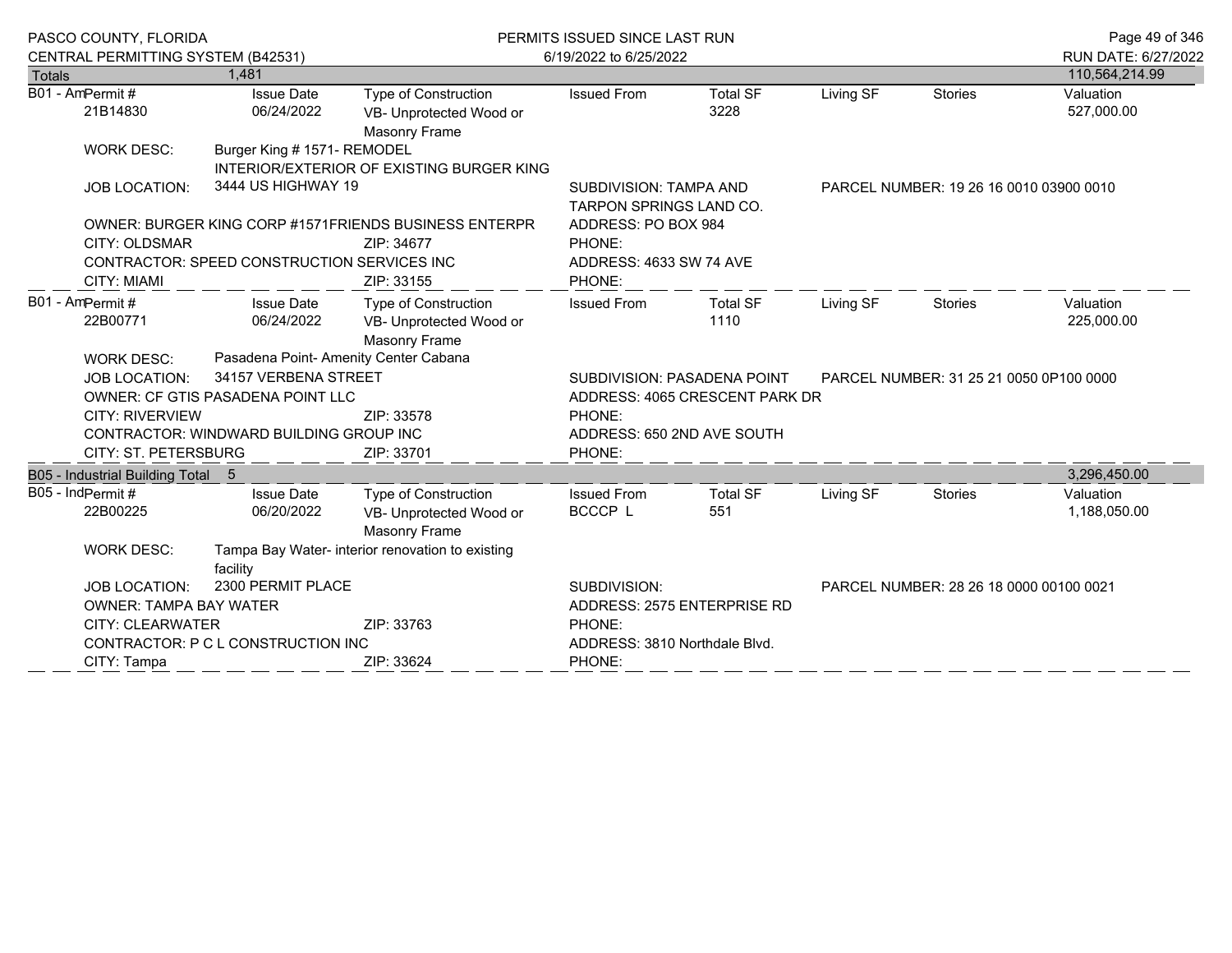|        | PASCO COUNTY, FLORIDA                                                                                        |                                             |                                                       | PERMITS ISSUED SINCE LAST RUN                            | Page 49 of 346                          |           |                                         |                     |
|--------|--------------------------------------------------------------------------------------------------------------|---------------------------------------------|-------------------------------------------------------|----------------------------------------------------------|-----------------------------------------|-----------|-----------------------------------------|---------------------|
|        | CENTRAL PERMITTING SYSTEM (B42531)                                                                           |                                             |                                                       | 6/19/2022 to 6/25/2022                                   |                                         |           |                                         | RUN DATE: 6/27/2022 |
| Totals |                                                                                                              | 1.481                                       |                                                       |                                                          |                                         |           |                                         | 110,564,214.99      |
|        | B01 - AmPermit#                                                                                              | <b>Issue Date</b>                           | Type of Construction                                  | <b>Issued From</b>                                       | <b>Total SF</b>                         | Living SF | <b>Stories</b>                          | Valuation           |
|        | 21B14830                                                                                                     | 06/24/2022                                  | VB- Unprotected Wood or<br>Masonry Frame              |                                                          | 3228                                    |           |                                         | 527,000.00          |
|        | <b>WORK DESC:</b>                                                                                            | Burger King # 1571- REMODEL                 |                                                       |                                                          |                                         |           |                                         |                     |
|        |                                                                                                              |                                             | INTERIOR/EXTERIOR OF EXISTING BURGER KING             |                                                          |                                         |           |                                         |                     |
|        | <b>JOB LOCATION:</b>                                                                                         | 3444 US HIGHWAY 19                          |                                                       | <b>SUBDIVISION: TAMPA AND</b><br>TARPON SPRINGS LAND CO. | PARCEL NUMBER: 19 26 16 0010 03900 0010 |           |                                         |                     |
|        |                                                                                                              |                                             | OWNER: BURGER KING CORP #1571FRIENDS BUSINESS ENTERPR | ADDRESS: PO BOX 984                                      |                                         |           |                                         |                     |
|        | CITY: OLDSMAR                                                                                                |                                             | ZIP: 34677                                            | PHONE:                                                   |                                         |           |                                         |                     |
|        |                                                                                                              | CONTRACTOR: SPEED CONSTRUCTION SERVICES INC |                                                       | ADDRESS: 4633 SW 74 AVE                                  |                                         |           |                                         |                     |
|        | <b>CITY: MIAMI</b>                                                                                           |                                             | ZIP: 33155                                            | PHONE:                                                   |                                         |           |                                         |                     |
|        | B01 - AmPermit#                                                                                              | <b>Issue Date</b>                           | <b>Type of Construction</b>                           | <b>Issued From</b>                                       | <b>Total SF</b>                         | Living SF | <b>Stories</b>                          | Valuation           |
|        | 22B00771                                                                                                     | 06/24/2022                                  | VB- Unprotected Wood or                               |                                                          | 1110                                    |           |                                         | 225,000.00          |
|        |                                                                                                              |                                             | Masonry Frame                                         |                                                          |                                         |           |                                         |                     |
|        | <b>WORK DESC:</b>                                                                                            | Pasadena Point- Amenity Center Cabana       |                                                       |                                                          |                                         |           |                                         |                     |
|        | <b>JOB LOCATION:</b>                                                                                         | 34157 VERBENA STREET                        |                                                       |                                                          | <b>SUBDIVISION: PASADENA POINT</b>      |           | PARCEL NUMBER: 31 25 21 0050 0P100 0000 |                     |
|        |                                                                                                              | OWNER: CF GTIS PASADENA POINT LLC           |                                                       | ADDRESS: 4065 CRESCENT PARK DR                           |                                         |           |                                         |                     |
|        | <b>CITY: RIVERVIEW</b>                                                                                       |                                             | ZIP: 33578                                            | PHONE:                                                   |                                         |           |                                         |                     |
|        |                                                                                                              | CONTRACTOR: WINDWARD BUILDING GROUP INC     |                                                       | ADDRESS: 650 2ND AVE SOUTH                               |                                         |           |                                         |                     |
|        | CITY: ST. PETERSBURG                                                                                         |                                             | ZIP: 33701                                            | PHONE:                                                   |                                         |           |                                         |                     |
|        | B05 - Industrial Building Total 5                                                                            |                                             |                                                       |                                                          |                                         |           |                                         | 3,296,450.00        |
|        | B05 - IndPermit#                                                                                             | <b>Issue Date</b>                           | Type of Construction                                  | <b>Issued From</b>                                       | <b>Total SF</b>                         | Living SF | <b>Stories</b>                          | Valuation           |
|        | 22B00225                                                                                                     | 06/20/2022                                  | VB- Unprotected Wood or                               | BCCCP L                                                  | 551                                     |           |                                         | 1,188,050.00        |
|        |                                                                                                              |                                             | Masonry Frame                                         |                                                          |                                         |           |                                         |                     |
|        | <b>WORK DESC:</b>                                                                                            |                                             | Tampa Bay Water- interior renovation to existing      |                                                          |                                         |           |                                         |                     |
|        |                                                                                                              | facility                                    |                                                       |                                                          |                                         |           |                                         |                     |
|        | 2300 PERMIT PLACE<br>JOB LOCATION:<br><b>OWNER: TAMPA BAY WATER</b><br><b>CITY: CLEARWATER</b><br>ZIP: 33763 |                                             |                                                       | SUBDIVISION:                                             |                                         |           | PARCEL NUMBER: 28 26 18 0000 00100 0021 |                     |
|        |                                                                                                              |                                             | ADDRESS: 2575 ENTERPRISE RD                           |                                                          |                                         |           |                                         |                     |
|        |                                                                                                              |                                             | PHONE:                                                |                                                          |                                         |           |                                         |                     |
|        |                                                                                                              | CONTRACTOR: P C L CONSTRUCTION INC          |                                                       | ADDRESS: 3810 Northdale Blvd.                            |                                         |           |                                         |                     |
|        | CITY: Tampa                                                                                                  |                                             | ZIP: 33624                                            | PHONE:                                                   |                                         |           |                                         |                     |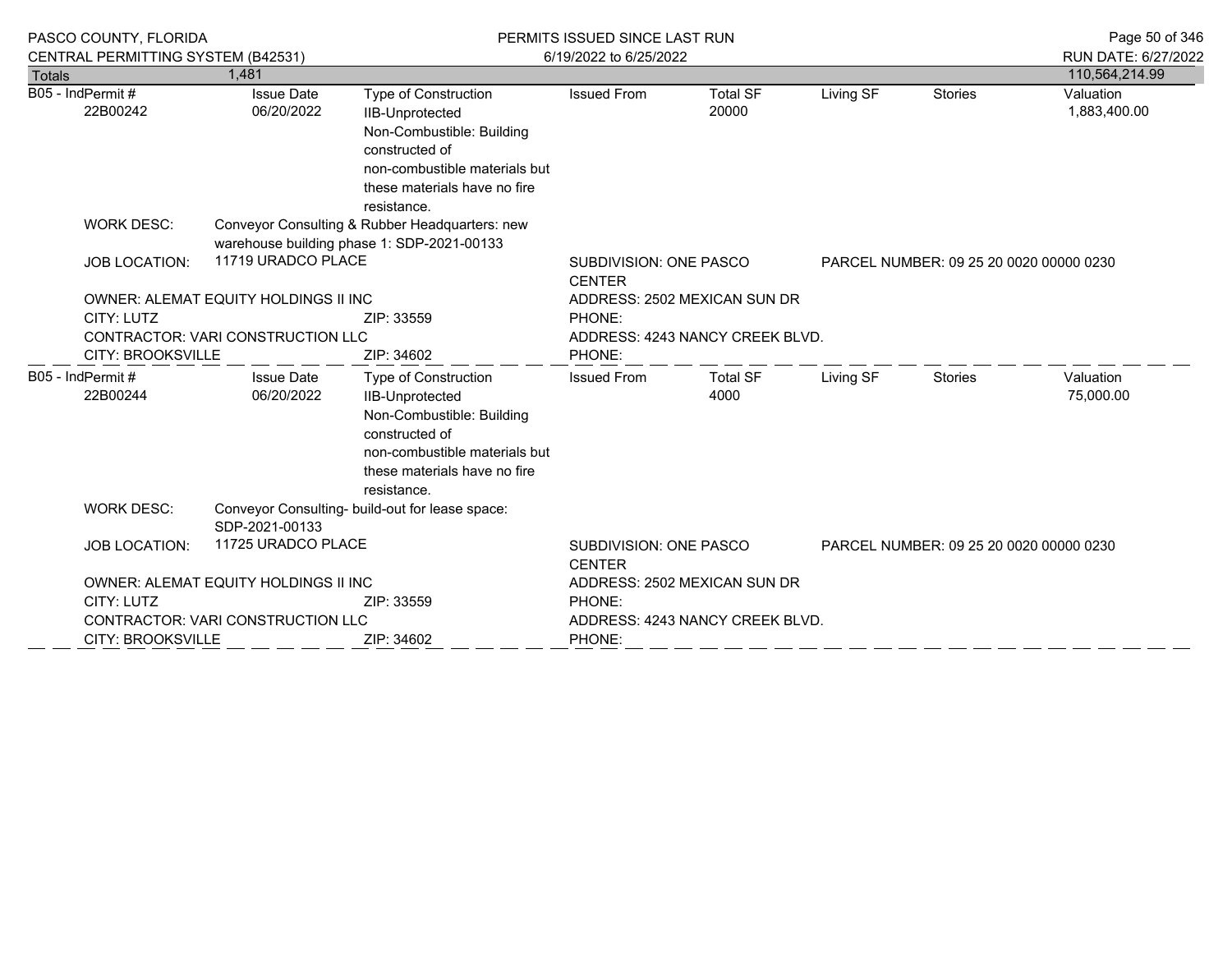|                              | PASCO COUNTY, FLORIDA<br>CENTRAL PERMITTING SYSTEM (B42531)                                                                                                                     |                                                                                              |                                                                                                                                                                               | PERMITS ISSUED SINCE LAST RUN<br>6/19/2022 to 6/25/2022                             | Page 50 of 346<br>RUN DATE: 6/27/2022 |           |                                         |                           |
|------------------------------|---------------------------------------------------------------------------------------------------------------------------------------------------------------------------------|----------------------------------------------------------------------------------------------|-------------------------------------------------------------------------------------------------------------------------------------------------------------------------------|-------------------------------------------------------------------------------------|---------------------------------------|-----------|-----------------------------------------|---------------------------|
| <b>Totals</b>                |                                                                                                                                                                                 | 1.481                                                                                        |                                                                                                                                                                               |                                                                                     |                                       |           |                                         | 110,564,214.99            |
| B05 - IndPermit#<br>22B00242 |                                                                                                                                                                                 | <b>Issue Date</b><br>06/20/2022                                                              | Type of Construction<br><b>IIB-Unprotected</b><br>Non-Combustible: Building<br>constructed of<br>non-combustible materials but<br>these materials have no fire<br>resistance. | <b>Issued From</b>                                                                  | <b>Total SF</b><br>20000              | Living SF | <b>Stories</b>                          | Valuation<br>1,883,400.00 |
|                              | <b>WORK DESC:</b>                                                                                                                                                               | Conveyor Consulting & Rubber Headquarters: new<br>warehouse building phase 1: SDP-2021-00133 |                                                                                                                                                                               |                                                                                     |                                       |           |                                         |                           |
|                              | 11719 URADCO PLACE<br><b>JOB LOCATION:</b><br>OWNER: ALEMAT EQUITY HOLDINGS II INC<br>CITY: LUTZ<br>ZIP: 33559<br><b>CONTRACTOR: VARI CONSTRUCTION LLC</b><br>CITY: BROOKSVILLE |                                                                                              | SUBDIVISION: ONE PASCO<br>PARCEL NUMBER: 09 25 20 0020 00000 0230<br><b>CENTER</b>                                                                                            |                                                                                     |                                       |           |                                         |                           |
|                              |                                                                                                                                                                                 |                                                                                              | ZIP: 34602                                                                                                                                                                    | ADDRESS: 2502 MEXICAN SUN DR<br>PHONE:<br>ADDRESS: 4243 NANCY CREEK BLVD.<br>PHONE: |                                       |           |                                         |                           |
|                              | B05 - IndPermit#<br>22B00244                                                                                                                                                    | <b>Issue Date</b><br>06/20/2022                                                              | Type of Construction<br>IIB-Unprotected<br>Non-Combustible: Building<br>constructed of<br>non-combustible materials but<br>these materials have no fire<br>resistance.        | <b>Issued From</b>                                                                  | <b>Total SF</b><br>4000               | Living SF | <b>Stories</b>                          | Valuation<br>75,000.00    |
|                              | <b>WORK DESC:</b>                                                                                                                                                               | SDP-2021-00133                                                                               | Conveyor Consulting- build-out for lease space:                                                                                                                               |                                                                                     |                                       |           |                                         |                           |
|                              | <b>JOB LOCATION:</b>                                                                                                                                                            | 11725 URADCO PLACE                                                                           |                                                                                                                                                                               | SUBDIVISION: ONE PASCO<br><b>CENTER</b>                                             |                                       |           | PARCEL NUMBER: 09 25 20 0020 00000 0230 |                           |
|                              |                                                                                                                                                                                 | OWNER: ALEMAT EQUITY HOLDINGS II INC                                                         |                                                                                                                                                                               |                                                                                     | ADDRESS: 2502 MEXICAN SUN DR          |           |                                         |                           |
|                              | CITY: LUTZ                                                                                                                                                                      |                                                                                              | ZIP: 33559                                                                                                                                                                    | PHONE:                                                                              |                                       |           |                                         |                           |
|                              |                                                                                                                                                                                 | CONTRACTOR: VARI CONSTRUCTION LLC                                                            |                                                                                                                                                                               |                                                                                     | ADDRESS: 4243 NANCY CREEK BLVD.       |           |                                         |                           |
|                              | CITY: BROOKSVILLE<br>ZIP: 34602                                                                                                                                                 |                                                                                              |                                                                                                                                                                               | PHONE:                                                                              |                                       |           |                                         |                           |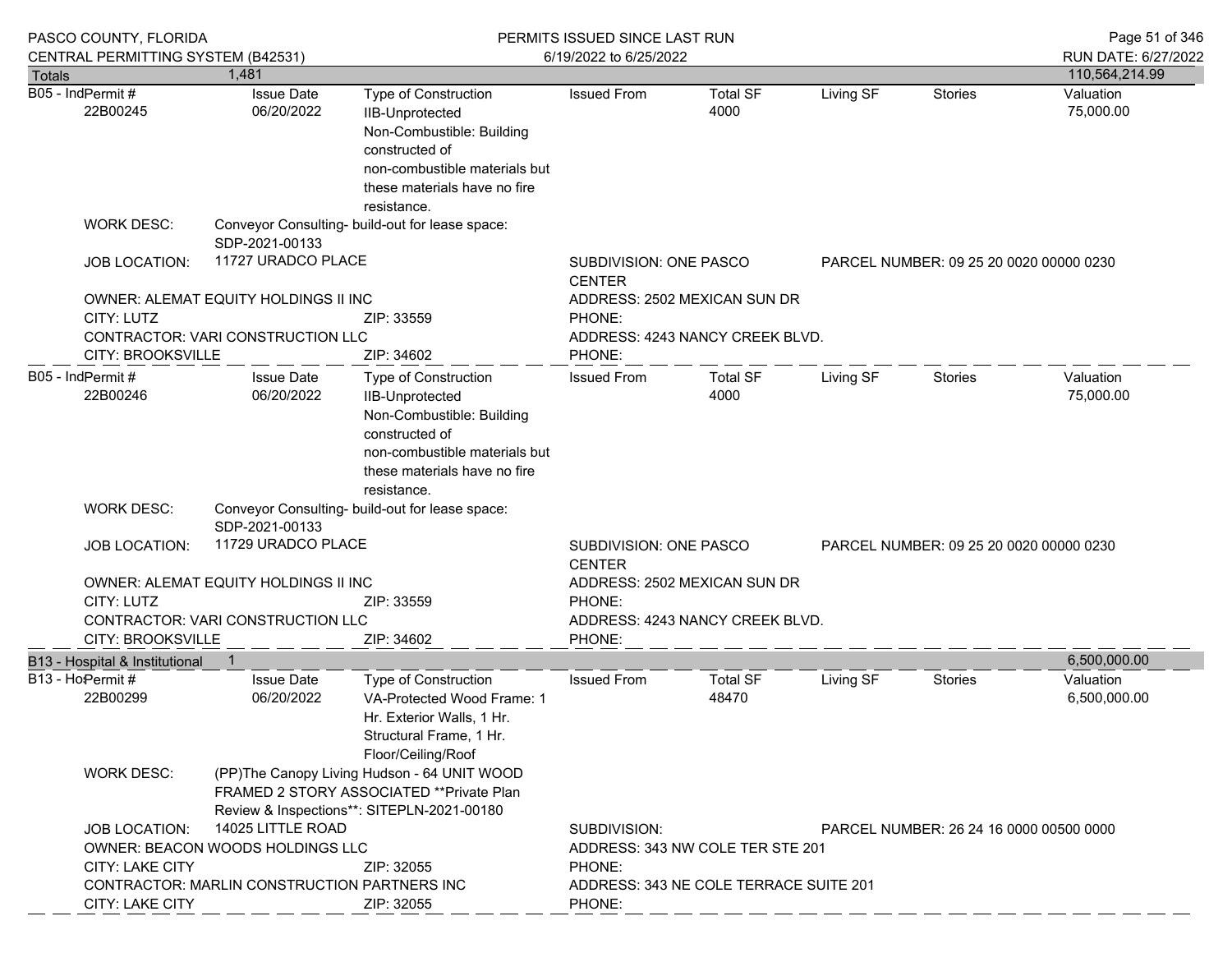| PASCO COUNTY, FLORIDA                  |                                                                                                                                       |                                                                                                                                                                                      | PERMITS ISSUED SINCE LAST RUN                                                      | Page 51 of 346                   |           |                                         |                           |
|----------------------------------------|---------------------------------------------------------------------------------------------------------------------------------------|--------------------------------------------------------------------------------------------------------------------------------------------------------------------------------------|------------------------------------------------------------------------------------|----------------------------------|-----------|-----------------------------------------|---------------------------|
| CENTRAL PERMITTING SYSTEM (B42531)     |                                                                                                                                       |                                                                                                                                                                                      | 6/19/2022 to 6/25/2022                                                             |                                  |           |                                         | RUN DATE: 6/27/2022       |
| <b>Totals</b>                          | 1,481                                                                                                                                 |                                                                                                                                                                                      |                                                                                    |                                  |           |                                         | 110,564,214.99            |
| B05 - IndPermit#<br>22B00245           | <b>Issue Date</b><br>06/20/2022                                                                                                       | <b>Type of Construction</b><br><b>IIB-Unprotected</b><br>Non-Combustible: Building<br>constructed of<br>non-combustible materials but<br>these materials have no fire<br>resistance. | <b>Issued From</b>                                                                 | <b>Total SF</b><br>4000          | Living SF | Stories                                 | Valuation<br>75,000.00    |
| <b>WORK DESC:</b>                      | SDP-2021-00133                                                                                                                        | Conveyor Consulting- build-out for lease space:                                                                                                                                      |                                                                                    |                                  |           |                                         |                           |
| <b>JOB LOCATION:</b>                   | 11727 URADCO PLACE                                                                                                                    |                                                                                                                                                                                      |                                                                                    | SUBDIVISION: ONE PASCO           |           | PARCEL NUMBER: 09 25 20 0020 00000 0230 |                           |
| CITY: LUTZ<br><b>CITY: BROOKSVILLE</b> | OWNER: ALEMAT EQUITY HOLDINGS II INC<br>CONTRACTOR: VARI CONSTRUCTION LLC                                                             | PHONE:<br>PHONE:                                                                                                                                                                     | ADDRESS: 2502 MEXICAN SUN DR<br>ADDRESS: 4243 NANCY CREEK BLVD.                    |                                  |           |                                         |                           |
| B05 - IndPermit#<br>22B00246           | <b>Issue Date</b><br>06/20/2022                                                                                                       | <b>Type of Construction</b><br>IIB-Unprotected<br>Non-Combustible: Building<br>constructed of<br>non-combustible materials but<br>these materials have no fire<br>resistance.        | <b>Issued From</b>                                                                 | <b>Total SF</b><br>4000          | Living SF | Stories                                 | Valuation<br>75,000.00    |
| <b>WORK DESC:</b>                      | SDP-2021-00133                                                                                                                        | Conveyor Consulting- build-out for lease space:                                                                                                                                      |                                                                                    |                                  |           |                                         |                           |
| <b>JOB LOCATION:</b>                   | 11729 URADCO PLACE                                                                                                                    |                                                                                                                                                                                      | SUBDIVISION: ONE PASCO<br>PARCEL NUMBER: 09 25 20 0020 00000 0230<br><b>CENTER</b> |                                  |           |                                         |                           |
|                                        | OWNER: ALEMAT EQUITY HOLDINGS II INC                                                                                                  |                                                                                                                                                                                      |                                                                                    | ADDRESS: 2502 MEXICAN SUN DR     |           |                                         |                           |
| CITY: LUTZ                             |                                                                                                                                       | ZIP: 33559                                                                                                                                                                           | PHONE:                                                                             |                                  |           |                                         |                           |
|                                        | CONTRACTOR: VARI CONSTRUCTION LLC                                                                                                     |                                                                                                                                                                                      |                                                                                    | ADDRESS: 4243 NANCY CREEK BLVD.  |           |                                         |                           |
| <b>CITY: BROOKSVILLE</b>               |                                                                                                                                       | ZIP: 34602                                                                                                                                                                           | PHONE:                                                                             |                                  |           |                                         |                           |
| B13 - Hospital & Institutional         |                                                                                                                                       |                                                                                                                                                                                      |                                                                                    |                                  |           |                                         | 6,500,000.00              |
| B13 - Ho Permit #<br>22B00299          | <b>Issue Date</b><br>06/20/2022                                                                                                       | Type of Construction<br>VA-Protected Wood Frame: 1<br>Hr. Exterior Walls, 1 Hr.<br>Structural Frame, 1 Hr.<br>Floor/Ceiling/Roof                                                     | <b>Issued From</b>                                                                 | <b>Total SF</b><br>48470         | Living SF | Stories                                 | Valuation<br>6,500,000.00 |
| <b>WORK DESC:</b>                      | (PP)The Canopy Living Hudson - 64 UNIT WOOD<br>FRAMED 2 STORY ASSOCIATED **Private Plan<br>Review & Inspections**: SITEPLN-2021-00180 |                                                                                                                                                                                      |                                                                                    |                                  |           |                                         |                           |
| <b>JOB LOCATION:</b>                   | 14025 LITTLE ROAD                                                                                                                     |                                                                                                                                                                                      | SUBDIVISION:                                                                       |                                  |           | PARCEL NUMBER: 26 24 16 0000 00500 0000 |                           |
|                                        | OWNER: BEACON WOODS HOLDINGS LLC                                                                                                      |                                                                                                                                                                                      |                                                                                    | ADDRESS: 343 NW COLE TER STE 201 |           |                                         |                           |
| <b>CITY: LAKE CITY</b>                 |                                                                                                                                       | ZIP: 32055                                                                                                                                                                           | PHONE:<br>ADDRESS: 343 NE COLE TERRACE SUITE 201<br>PHONE:                         |                                  |           |                                         |                           |
|                                        | CONTRACTOR: MARLIN CONSTRUCTION PARTNERS INC                                                                                          |                                                                                                                                                                                      |                                                                                    |                                  |           |                                         |                           |
| CITY: LAKE CITY                        |                                                                                                                                       | ZIP: 32055                                                                                                                                                                           |                                                                                    |                                  |           |                                         |                           |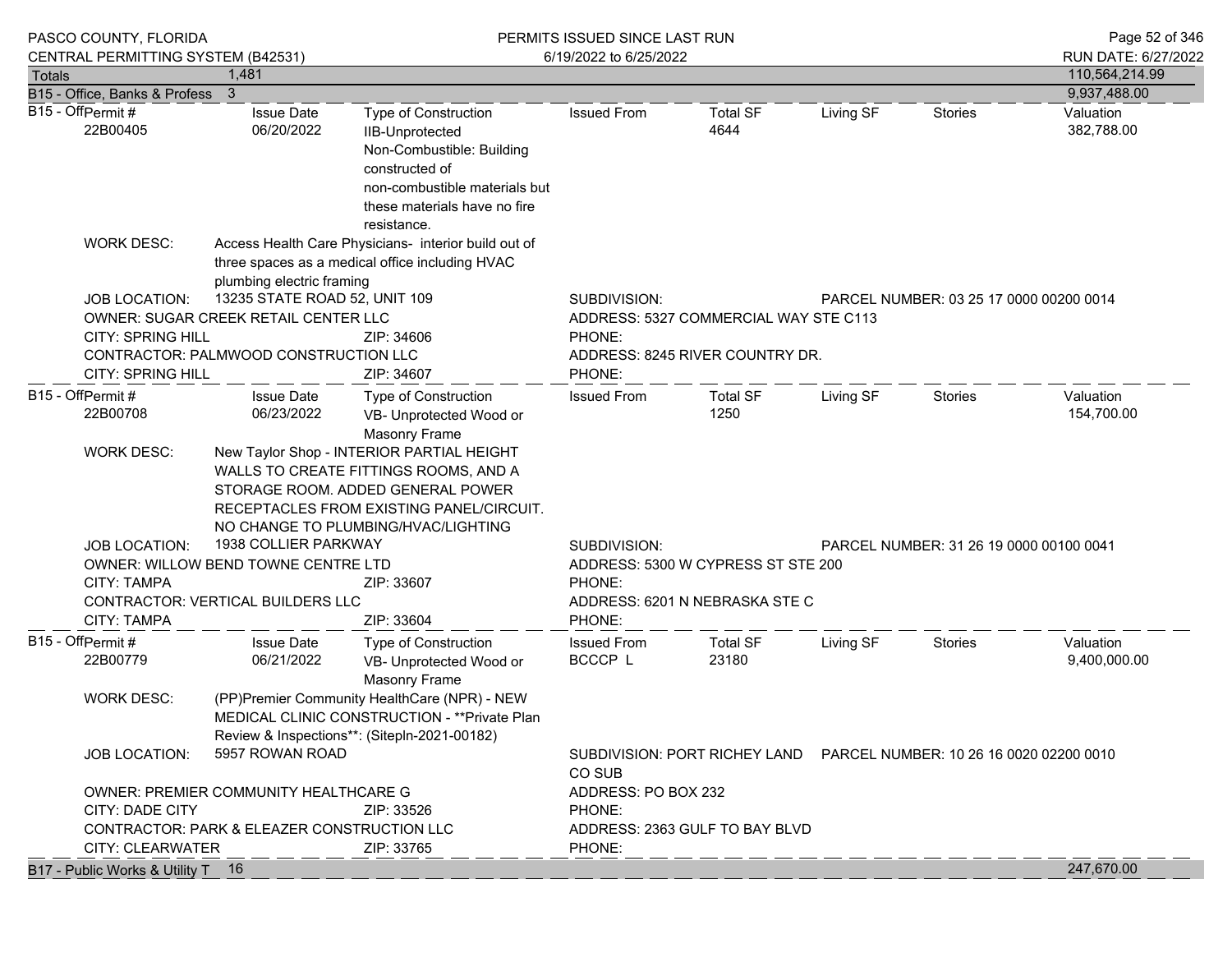|                                        |                                                                | CENTRAL PERMITTING SYSTEM (B42531)       |                                                                                                                                                                                                            | 6/19/2022 to 6/25/2022                   |                                                                          |           |                                         | RUN DATE: 6/27/2022       |
|----------------------------------------|----------------------------------------------------------------|------------------------------------------|------------------------------------------------------------------------------------------------------------------------------------------------------------------------------------------------------------|------------------------------------------|--------------------------------------------------------------------------|-----------|-----------------------------------------|---------------------------|
| <b>Totals</b>                          |                                                                | 1,481                                    |                                                                                                                                                                                                            |                                          |                                                                          |           |                                         | 110,564,214.99            |
| B15 - Office, Banks & Profess          |                                                                | $\overline{\mathbf{3}}$                  |                                                                                                                                                                                                            |                                          |                                                                          |           |                                         | 9,937,488.00              |
| B15 - OffPermit#<br>22B00405           |                                                                | <b>Issue Date</b><br>06/20/2022          | Type of Construction<br>IIB-Unprotected<br>Non-Combustible: Building<br>constructed of<br>non-combustible materials but<br>these materials have no fire<br>resistance.                                     | <b>Issued From</b>                       | <b>Total SF</b><br>4644                                                  | Living SF | <b>Stories</b>                          | Valuation<br>382,788.00   |
|                                        | <b>WORK DESC:</b>                                              | plumbing electric framing                | Access Health Care Physicians- interior build out of<br>three spaces as a medical office including HVAC                                                                                                    |                                          |                                                                          |           |                                         |                           |
|                                        | <b>JOB LOCATION:</b>                                           | 13235 STATE ROAD 52, UNIT 109            |                                                                                                                                                                                                            | SUBDIVISION:                             |                                                                          |           | PARCEL NUMBER: 03 25 17 0000 00200 0014 |                           |
|                                        |                                                                | OWNER: SUGAR CREEK RETAIL CENTER LLC     |                                                                                                                                                                                                            |                                          | ADDRESS: 5327 COMMERCIAL WAY STE C113                                    |           |                                         |                           |
|                                        | <b>CITY: SPRING HILL</b>                                       |                                          | ZIP: 34606                                                                                                                                                                                                 | PHONE:                                   |                                                                          |           |                                         |                           |
|                                        |                                                                | CONTRACTOR: PALMWOOD CONSTRUCTION LLC    |                                                                                                                                                                                                            |                                          | ADDRESS: 8245 RIVER COUNTRY DR.                                          |           |                                         |                           |
| <b>CITY: SPRING HILL</b><br>ZIP: 34607 |                                                                |                                          |                                                                                                                                                                                                            | PHONE:                                   |                                                                          |           |                                         |                           |
| B15 - OffPermit#<br>22B00708           |                                                                | <b>Issue Date</b><br>06/23/2022          | <b>Type of Construction</b><br>VB- Unprotected Wood or<br><b>Masonry Frame</b>                                                                                                                             | <b>Issued From</b>                       | <b>Total SF</b><br>1250                                                  | Living SF | Stories                                 | Valuation<br>154,700.00   |
|                                        | <b>WORK DESC:</b>                                              |                                          | New Taylor Shop - INTERIOR PARTIAL HEIGHT<br>WALLS TO CREATE FITTINGS ROOMS, AND A<br>STORAGE ROOM. ADDED GENERAL POWER<br>RECEPTACLES FROM EXISTING PANEL/CIRCUIT.<br>NO CHANGE TO PLUMBING/HVAC/LIGHTING |                                          |                                                                          |           |                                         |                           |
|                                        | <b>JOB LOCATION:</b>                                           | 1938 COLLIER PARKWAY                     |                                                                                                                                                                                                            | SUBDIVISION:                             |                                                                          |           | PARCEL NUMBER: 31 26 19 0000 00100 0041 |                           |
|                                        |                                                                | OWNER: WILLOW BEND TOWNE CENTRE LTD      |                                                                                                                                                                                                            |                                          | ADDRESS: 5300 W CYPRESS ST STE 200                                       |           |                                         |                           |
|                                        | <b>CITY: TAMPA</b>                                             | ZIP: 33607                               |                                                                                                                                                                                                            |                                          |                                                                          |           |                                         |                           |
|                                        |                                                                | <b>CONTRACTOR: VERTICAL BUILDERS LLC</b> |                                                                                                                                                                                                            | PHONE:<br>ADDRESS: 6201 N NEBRASKA STE C |                                                                          |           |                                         |                           |
|                                        | <b>CITY: TAMPA</b>                                             |                                          | ZIP: 33604                                                                                                                                                                                                 | PHONE:                                   |                                                                          |           |                                         |                           |
| B15 - OffPermit#<br>22B00779           |                                                                | <b>Issue Date</b><br>06/21/2022          | Type of Construction<br>VB- Unprotected Wood or<br><b>Masonry Frame</b>                                                                                                                                    | <b>Issued From</b><br>BCCCP L            | Total SF<br>23180                                                        | Living SF | Stories                                 | Valuation<br>9,400,000.00 |
|                                        | <b>WORK DESC:</b>                                              |                                          | (PP)Premier Community HealthCare (NPR) - NEW<br>MEDICAL CLINIC CONSTRUCTION - ** Private Plan<br>Review & Inspections**: (Sitepln-2021-00182)                                                              |                                          |                                                                          |           |                                         |                           |
|                                        | <b>JOB LOCATION:</b>                                           | 5957 ROWAN ROAD                          |                                                                                                                                                                                                            | CO SUB                                   | SUBDIVISION: PORT RICHEY LAND    PARCEL NUMBER: 10 26 16 0020 02200 0010 |           |                                         |                           |
|                                        | OWNER: PREMIER COMMUNITY HEALTHCARE G                          |                                          |                                                                                                                                                                                                            | ADDRESS: PO BOX 232                      |                                                                          |           |                                         |                           |
|                                        |                                                                |                                          | ZIP: 33526                                                                                                                                                                                                 | PHONE:                                   |                                                                          |           |                                         |                           |
|                                        | CITY: DADE CITY<br>CONTRACTOR: PARK & ELEAZER CONSTRUCTION LLC |                                          |                                                                                                                                                                                                            | ADDRESS: 2363 GULF TO BAY BLVD           |                                                                          |           |                                         |                           |

B17 - Public Works & Utility T  $\begin{array}{c} 16 \end{array}$   $\begin{array}{c} 16 \end{array}$   $\begin{array}{c} 247,670.00 \end{array}$ 

 $CITY: CLEARWATER$   $\qquad \qquad$   $\qquad$   $\qquad$   $\qquad$   $\qquad$   $\qquad$   $\qquad$   $\qquad$   $\qquad$   $\qquad$   $\qquad$   $\qquad$   $\qquad$   $\qquad$   $\qquad$   $\qquad$   $\qquad$   $\qquad$   $\qquad$   $\qquad$   $\qquad$   $\qquad$   $\qquad$   $\qquad$   $\qquad$   $\qquad$   $\qquad$   $\qquad$   $\qquad$   $\qquad$   $\qquad$   $\qquad$   $\qquad$   $\qquad$   $\q$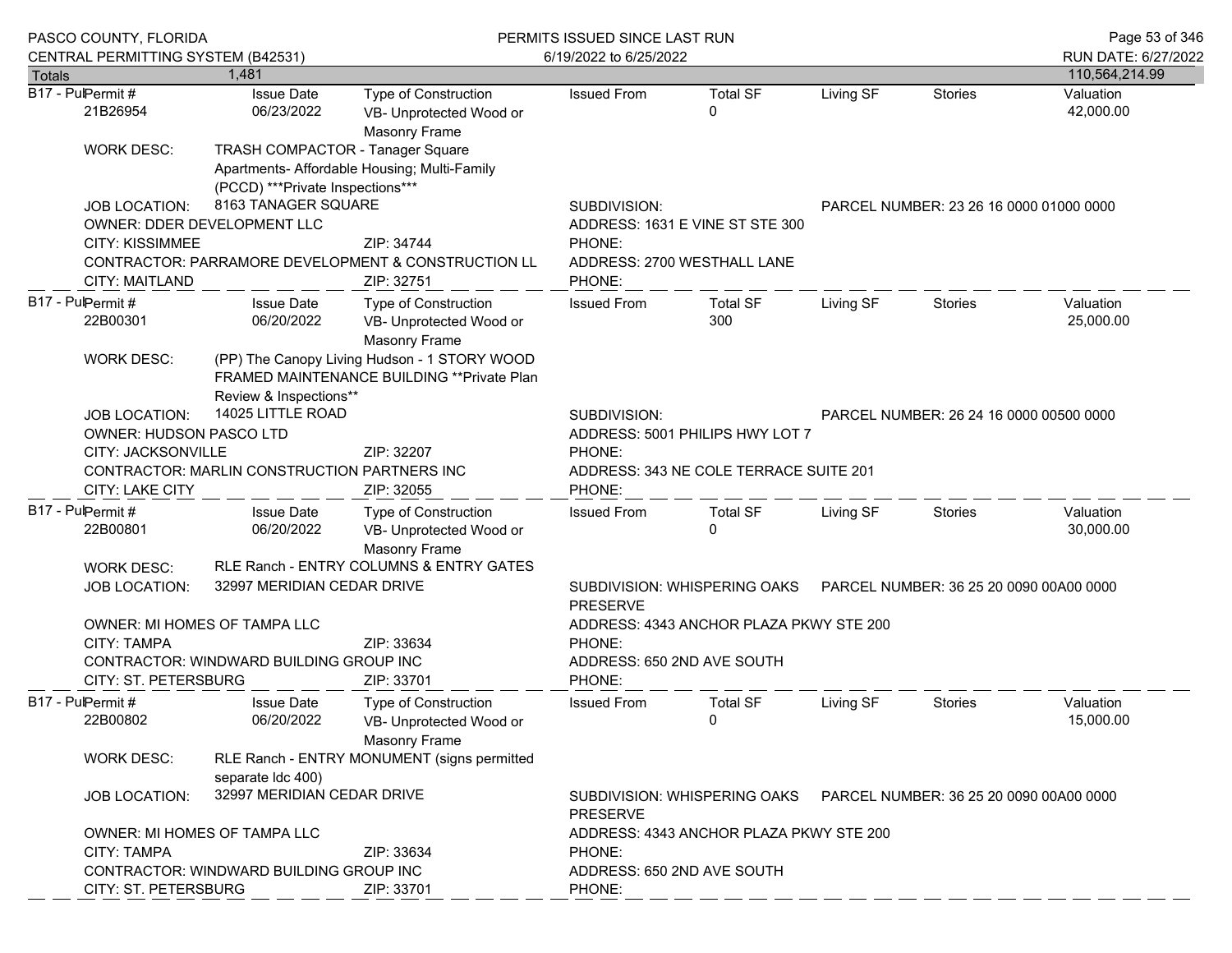| PASCO COUNTY, FLORIDA                          |                                                                                                                                                                                                  |                                                                                                                       |                                                                                | PERMITS ISSUED SINCE LAST RUN                             |                                         |                                         |                                         | Page 53 of 346         |
|------------------------------------------------|--------------------------------------------------------------------------------------------------------------------------------------------------------------------------------------------------|-----------------------------------------------------------------------------------------------------------------------|--------------------------------------------------------------------------------|-----------------------------------------------------------|-----------------------------------------|-----------------------------------------|-----------------------------------------|------------------------|
| CENTRAL PERMITTING SYSTEM (B42531)             |                                                                                                                                                                                                  |                                                                                                                       |                                                                                | 6/19/2022 to 6/25/2022                                    | RUN DATE: 6/27/2022                     |                                         |                                         |                        |
| <b>Totals</b>                                  |                                                                                                                                                                                                  | 1.481                                                                                                                 |                                                                                |                                                           |                                         |                                         |                                         | 110,564,214.99         |
| B17 - PulPermit #<br>21B26954                  |                                                                                                                                                                                                  | <b>Issue Date</b><br>06/23/2022                                                                                       | <b>Type of Construction</b><br>VB- Unprotected Wood or<br><b>Masonry Frame</b> | <b>Issued From</b>                                        | <b>Total SF</b><br>$\Omega$             | Living SF                               | <b>Stories</b>                          | Valuation<br>42,000.00 |
| <b>WORK DESC:</b>                              |                                                                                                                                                                                                  | <b>TRASH COMPACTOR - Tanager Square</b><br>(PCCD) *** Private Inspections***                                          | Apartments- Affordable Housing; Multi-Family                                   |                                                           |                                         |                                         |                                         |                        |
| <b>JOB LOCATION:</b><br><b>CITY: KISSIMMEE</b> |                                                                                                                                                                                                  | 8163 TANAGER SQUARE<br>OWNER: DDER DEVELOPMENT LLC                                                                    | ZIP: 34744                                                                     | SUBDIVISION:<br>ADDRESS: 1631 E VINE ST STE 300<br>PHONE: |                                         |                                         | PARCEL NUMBER: 23 26 16 0000 01000 0000 |                        |
|                                                | CONTRACTOR: PARRAMORE DEVELOPMENT & CONSTRUCTION LL<br>CITY: MAITLAND<br>ZIP: 32751                                                                                                              |                                                                                                                       |                                                                                | PHONE:                                                    | ADDRESS: 2700 WESTHALL LANE             |                                         |                                         |                        |
| B17 - PulPermit #<br>22B00301                  |                                                                                                                                                                                                  | <b>Issue Date</b><br>06/20/2022                                                                                       | <b>Type of Construction</b><br>VB- Unprotected Wood or<br><b>Masonry Frame</b> | <b>Issued From</b>                                        | <b>Total SF</b><br>300                  | Living SF                               | <b>Stories</b>                          | Valuation<br>25,000.00 |
| <b>WORK DESC:</b>                              |                                                                                                                                                                                                  | (PP) The Canopy Living Hudson - 1 STORY WOOD<br>FRAMED MAINTENANCE BUILDING ** Private Plan<br>Review & Inspections** |                                                                                |                                                           |                                         |                                         |                                         |                        |
|                                                | 14025 LITTLE ROAD<br><b>JOB LOCATION:</b><br>OWNER: HUDSON PASCO LTD<br>CITY: JACKSONVILLE<br>ZIP: 32207<br>CONTRACTOR: MARLIN CONSTRUCTION PARTNERS INC<br><b>CITY: LAKE CITY</b><br>ZIP: 32055 |                                                                                                                       |                                                                                | SUBDIVISION:<br>PHONE:                                    | ADDRESS: 5001 PHILIPS HWY LOT 7         |                                         | PARCEL NUMBER: 26 24 16 0000 00500 0000 |                        |
|                                                |                                                                                                                                                                                                  |                                                                                                                       |                                                                                | PHONE:                                                    | ADDRESS: 343 NE COLE TERRACE SUITE 201  |                                         |                                         |                        |
| B17 - PulPermit #<br>22B00801                  |                                                                                                                                                                                                  | <b>Issue Date</b><br>06/20/2022                                                                                       | <b>Type of Construction</b><br>VB- Unprotected Wood or<br><b>Masonry Frame</b> | <b>Issued From</b>                                        | <b>Total SF</b><br>$\Omega$             | Living SF                               | <b>Stories</b>                          | Valuation<br>30,000.00 |
| <b>WORK DESC:</b>                              |                                                                                                                                                                                                  |                                                                                                                       | RLE Ranch - ENTRY COLUMNS & ENTRY GATES                                        |                                                           |                                         |                                         |                                         |                        |
| <b>JOB LOCATION:</b>                           |                                                                                                                                                                                                  | 32997 MERIDIAN CEDAR DRIVE                                                                                            |                                                                                | SUBDIVISION: WHISPERING OAKS<br><b>PRESERVE</b>           | PARCEL NUMBER: 36 25 20 0090 00A00 0000 |                                         |                                         |                        |
| <b>CITY: TAMPA</b>                             |                                                                                                                                                                                                  | OWNER: MI HOMES OF TAMPA LLC                                                                                          | ZIP: 33634                                                                     | PHONE:                                                    | ADDRESS: 4343 ANCHOR PLAZA PKWY STE 200 |                                         |                                         |                        |
| CITY: ST. PETERSBURG                           |                                                                                                                                                                                                  | CONTRACTOR: WINDWARD BUILDING GROUP INC                                                                               | ZIP: 33701                                                                     | ADDRESS: 650 2ND AVE SOUTH<br>PHONE:                      |                                         |                                         |                                         |                        |
| B17 - PulPermit #<br>22B00802                  |                                                                                                                                                                                                  | <b>Issue Date</b><br>06/20/2022                                                                                       | Type of Construction<br>VB- Unprotected Wood or<br><b>Masonry Frame</b>        | <b>Issued From</b>                                        | <b>Total SF</b><br>0                    | Living SF                               | <b>Stories</b>                          | Valuation<br>15,000.00 |
| <b>WORK DESC:</b>                              |                                                                                                                                                                                                  | separate Idc 400)                                                                                                     | RLE Ranch - ENTRY MONUMENT (signs permitted                                    |                                                           |                                         |                                         |                                         |                        |
|                                                | 32997 MERIDIAN CEDAR DRIVE<br>JOB LOCATION:                                                                                                                                                      |                                                                                                                       | <b>PRESERVE</b>                                                                | SUBDIVISION: WHISPERING OAKS                              |                                         | PARCEL NUMBER: 36 25 20 0090 00A00 0000 |                                         |                        |
|                                                |                                                                                                                                                                                                  | OWNER: MI HOMES OF TAMPA LLC                                                                                          |                                                                                |                                                           | ADDRESS: 4343 ANCHOR PLAZA PKWY STE 200 |                                         |                                         |                        |
| <b>CITY: TAMPA</b>                             |                                                                                                                                                                                                  |                                                                                                                       | ZIP: 33634                                                                     | PHONE:                                                    |                                         |                                         |                                         |                        |
| CITY: ST. PETERSBURG                           |                                                                                                                                                                                                  | CONTRACTOR: WINDWARD BUILDING GROUP INC                                                                               | ZIP: 33701                                                                     | ADDRESS: 650 2ND AVE SOUTH<br>PHONE:                      |                                         |                                         |                                         |                        |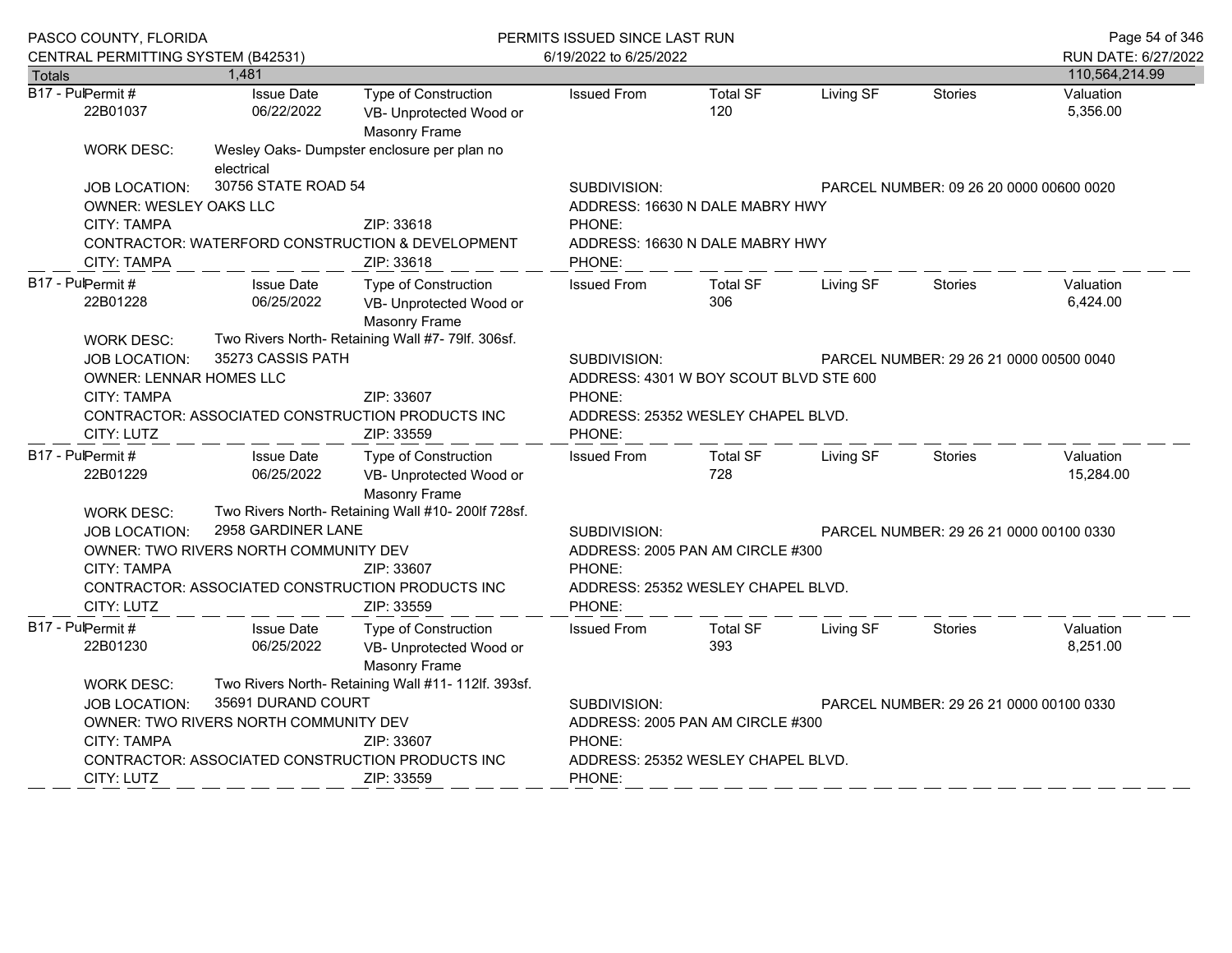| PASCO COUNTY, FLORIDA                                                                                                                          |                                                                              |                                                                                | PERMITS ISSUED SINCE LAST RUN                                                                     |                                                         |           |                                         |                        |  |
|------------------------------------------------------------------------------------------------------------------------------------------------|------------------------------------------------------------------------------|--------------------------------------------------------------------------------|---------------------------------------------------------------------------------------------------|---------------------------------------------------------|-----------|-----------------------------------------|------------------------|--|
| CENTRAL PERMITTING SYSTEM (B42531)                                                                                                             |                                                                              |                                                                                | 6/19/2022 to 6/25/2022                                                                            |                                                         |           |                                         | RUN DATE: 6/27/2022    |  |
| <b>Totals</b>                                                                                                                                  | 1.481                                                                        |                                                                                |                                                                                                   |                                                         |           |                                         | 110,564,214.99         |  |
| B17 - PulPermit #<br>22B01037                                                                                                                  | <b>Issue Date</b><br>06/22/2022                                              | Type of Construction<br>VB- Unprotected Wood or<br><b>Masonry Frame</b>        | <b>Issued From</b>                                                                                | <b>Total SF</b><br>120                                  | Living SF | <b>Stories</b>                          | Valuation<br>5,356.00  |  |
| <b>WORK DESC:</b>                                                                                                                              | electrical                                                                   | Wesley Oaks- Dumpster enclosure per plan no                                    |                                                                                                   |                                                         |           |                                         |                        |  |
| <b>JOB LOCATION:</b>                                                                                                                           | 30756 STATE ROAD 54<br>OWNER: WESLEY OAKS LLC<br>CITY: TAMPA<br>ZIP: 33618   |                                                                                |                                                                                                   | ADDRESS: 16630 N DALE MABRY HWY                         |           | PARCEL NUMBER: 09 26 20 0000 00600 0020 |                        |  |
| <b>CITY: TAMPA</b>                                                                                                                             |                                                                              | CONTRACTOR: WATERFORD CONSTRUCTION & DEVELOPMENT<br>ZIP: 33618                 | PHONE:<br>ADDRESS: 16630 N DALE MABRY HWY<br>PHONE:                                               |                                                         |           |                                         |                        |  |
| B17 - PulPermit #<br>22B01228                                                                                                                  | <b>Issue Date</b><br>06/25/2022                                              | <b>Type of Construction</b><br>VB- Unprotected Wood or<br><b>Masonry Frame</b> | <b>Issued From</b>                                                                                | <b>Total SF</b><br>306                                  | Living SF | <b>Stories</b>                          | Valuation<br>6,424.00  |  |
| Two Rivers North- Retaining Wall #7- 79lf. 306sf.<br><b>WORK DESC:</b><br>35273 CASSIS PATH<br>JOB LOCATION:<br><b>OWNER: LENNAR HOMES LLC</b> |                                                                              |                                                                                | SUBDIVISION:<br>PARCEL NUMBER: 29 26 21 0000 00500 0040<br>ADDRESS: 4301 W BOY SCOUT BLVD STE 600 |                                                         |           |                                         |                        |  |
| <b>CITY: TAMPA</b><br>CITY: LUTZ                                                                                                               | ZIP: 33607<br>CONTRACTOR: ASSOCIATED CONSTRUCTION PRODUCTS INC<br>ZIP: 33559 |                                                                                |                                                                                                   | PHONE:<br>ADDRESS: 25352 WESLEY CHAPEL BLVD.<br>PHONE:  |           |                                         |                        |  |
| B17 - PulPermit #<br>22B01229                                                                                                                  | <b>Issue Date</b><br>06/25/2022                                              | Type of Construction<br>VB- Unprotected Wood or<br><b>Masonry Frame</b>        | <b>Issued From</b>                                                                                | <b>Total SF</b><br>728                                  | Living SF | <b>Stories</b>                          | Valuation<br>15,284.00 |  |
| <b>WORK DESC:</b><br><b>JOB LOCATION:</b>                                                                                                      | 2958 GARDINER LANE<br>OWNER: TWO RIVERS NORTH COMMUNITY DEV                  | Two Rivers North- Retaining Wall #10- 200lf 728sf.                             | SUBDIVISION:                                                                                      | ADDRESS: 2005 PAN AM CIRCLE #300                        |           | PARCEL NUMBER: 29 26 21 0000 00100 0330 |                        |  |
| <b>CITY: TAMPA</b><br>CITY: LUTZ                                                                                                               |                                                                              | ZIP: 33607<br>CONTRACTOR: ASSOCIATED CONSTRUCTION PRODUCTS INC<br>ZIP: 33559   | PHONE:<br>ADDRESS: 25352 WESLEY CHAPEL BLVD.<br>PHONE:                                            |                                                         |           |                                         |                        |  |
| B17 - PulPermit #<br>22B01230                                                                                                                  | <b>Issue Date</b><br>06/25/2022                                              | Type of Construction<br>VB- Unprotected Wood or<br><b>Masonry Frame</b>        | <b>Issued From</b>                                                                                | <b>Total SF</b><br>393                                  | Living SF | <b>Stories</b>                          | Valuation<br>8,251.00  |  |
| <b>WORK DESC:</b>                                                                                                                              |                                                                              | Two Rivers North- Retaining Wall #11- 112lf. 393sf.                            |                                                                                                   |                                                         |           |                                         |                        |  |
| JOB LOCATION:                                                                                                                                  | 35691 DURAND COURT                                                           |                                                                                |                                                                                                   | SUBDIVISION:<br>PARCEL NUMBER: 29 26 21 0000 00100 0330 |           |                                         |                        |  |
|                                                                                                                                                | OWNER: TWO RIVERS NORTH COMMUNITY DEV                                        |                                                                                |                                                                                                   | ADDRESS: 2005 PAN AM CIRCLE #300                        |           |                                         |                        |  |
| CITY: TAMPA                                                                                                                                    | ZIP: 33607                                                                   |                                                                                |                                                                                                   | PHONE:                                                  |           |                                         |                        |  |
|                                                                                                                                                | CONTRACTOR: ASSOCIATED CONSTRUCTION PRODUCTS INC                             |                                                                                |                                                                                                   | ADDRESS: 25352 WESLEY CHAPEL BLVD.                      |           |                                         |                        |  |
| <b>CITY: LUTZ</b>                                                                                                                              |                                                                              | ZIP: 33559                                                                     | PHONE:                                                                                            |                                                         |           |                                         |                        |  |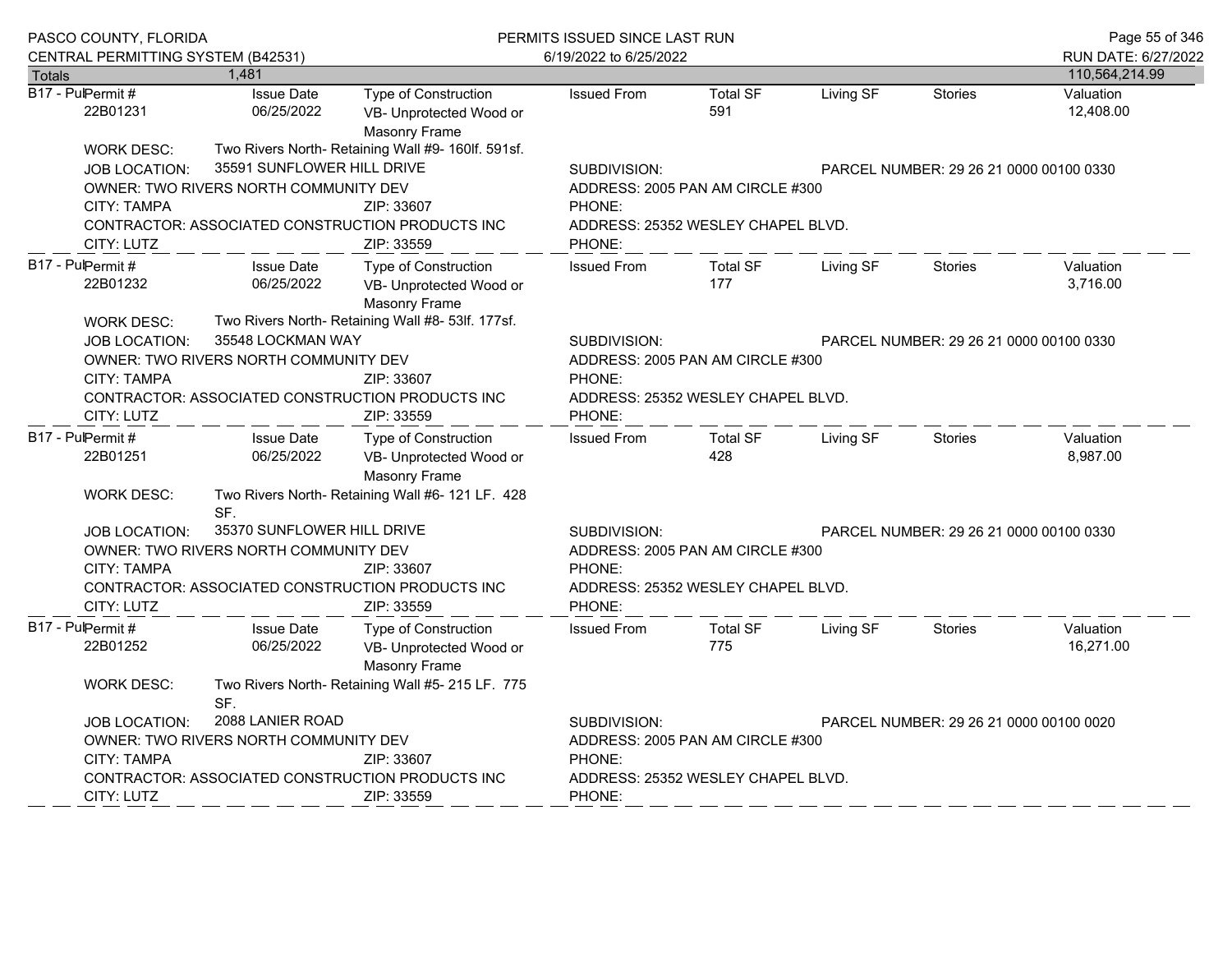|                                                                                                                                                              | PASCO COUNTY, FLORIDA                                          |                                                                                |                                              | PERMITS ISSUED SINCE LAST RUN                                               |           |                                         |                        |  |
|--------------------------------------------------------------------------------------------------------------------------------------------------------------|----------------------------------------------------------------|--------------------------------------------------------------------------------|----------------------------------------------|-----------------------------------------------------------------------------|-----------|-----------------------------------------|------------------------|--|
| CENTRAL PERMITTING SYSTEM (B42531)                                                                                                                           |                                                                |                                                                                | 6/19/2022 to 6/25/2022                       |                                                                             |           |                                         | RUN DATE: 6/27/2022    |  |
| <b>Totals</b>                                                                                                                                                | 1,481                                                          |                                                                                |                                              |                                                                             |           |                                         | 110,564,214.99         |  |
| B17 - PulPermit #<br>22B01231                                                                                                                                | <b>Issue Date</b><br>06/25/2022                                | <b>Type of Construction</b><br>VB- Unprotected Wood or<br>Masonry Frame        | <b>Issued From</b>                           | <b>Total SF</b><br>591                                                      | Living SF | <b>Stories</b>                          | Valuation<br>12,408.00 |  |
| <b>WORK DESC:</b>                                                                                                                                            |                                                                | Two Rivers North- Retaining Wall #9- 160lf. 591sf.                             |                                              |                                                                             |           |                                         |                        |  |
| <b>JOB LOCATION:</b>                                                                                                                                         | 35591 SUNFLOWER HILL DRIVE                                     |                                                                                | SUBDIVISION:                                 | PARCEL NUMBER: 29 26 21 0000 00100 0330                                     |           |                                         |                        |  |
| <b>CITY: TAMPA</b>                                                                                                                                           | OWNER: TWO RIVERS NORTH COMMUNITY DEV                          | ZIP: 33607                                                                     | ADDRESS: 2005 PAN AM CIRCLE #300<br>PHONE:   |                                                                             |           |                                         |                        |  |
| CITY: LUTZ                                                                                                                                                   | CONTRACTOR: ASSOCIATED CONSTRUCTION PRODUCTS INC               | ZIP: 33559                                                                     | ADDRESS: 25352 WESLEY CHAPEL BLVD.<br>PHONE: |                                                                             |           |                                         |                        |  |
| B17 - PulPermit #<br>22B01232                                                                                                                                | <b>Issue Date</b><br>06/25/2022                                | <b>Type of Construction</b><br>VB- Unprotected Wood or<br><b>Masonry Frame</b> | <b>Issued From</b>                           | <b>Total SF</b><br>177                                                      | Living SF | <b>Stories</b>                          | Valuation<br>3,716.00  |  |
| Two Rivers North- Retaining Wall #8- 53lf. 177sf.<br><b>WORK DESC:</b><br>35548 LOCKMAN WAY<br><b>JOB LOCATION:</b><br>OWNER: TWO RIVERS NORTH COMMUNITY DEV |                                                                |                                                                                | SUBDIVISION:                                 | PARCEL NUMBER: 29 26 21 0000 00100 0330<br>ADDRESS: 2005 PAN AM CIRCLE #300 |           |                                         |                        |  |
| <b>CITY: TAMPA</b>                                                                                                                                           |                                                                | ZIP: 33607                                                                     | PHONE:                                       |                                                                             |           |                                         |                        |  |
| CITY: LUTZ                                                                                                                                                   | CONTRACTOR: ASSOCIATED CONSTRUCTION PRODUCTS INC<br>ZIP: 33559 |                                                                                |                                              | ADDRESS: 25352 WESLEY CHAPEL BLVD.                                          |           |                                         |                        |  |
| B17 - PulPermit #<br>22B01251                                                                                                                                | <b>Issue Date</b><br>06/25/2022                                | <b>Type of Construction</b><br>VB- Unprotected Wood or<br>Masonry Frame        | <b>Issued From</b>                           | <b>Total SF</b><br>428                                                      | Living SF | <b>Stories</b>                          | Valuation<br>8,987.00  |  |
| <b>WORK DESC:</b>                                                                                                                                            | SF.                                                            | Two Rivers North- Retaining Wall #6- 121 LF. 428                               |                                              |                                                                             |           |                                         |                        |  |
| JOB LOCATION:                                                                                                                                                | 35370 SUNFLOWER HILL DRIVE                                     |                                                                                | SUBDIVISION:                                 |                                                                             |           | PARCEL NUMBER: 29 26 21 0000 00100 0330 |                        |  |
| CITY: TAMPA                                                                                                                                                  | OWNER: TWO RIVERS NORTH COMMUNITY DEV                          | ZIP: 33607                                                                     | ADDRESS: 2005 PAN AM CIRCLE #300<br>PHONE:   |                                                                             |           |                                         |                        |  |
| CITY: LUTZ                                                                                                                                                   | CONTRACTOR: ASSOCIATED CONSTRUCTION PRODUCTS INC               | ZIP: 33559                                                                     | ADDRESS: 25352 WESLEY CHAPEL BLVD.<br>PHONE: |                                                                             |           |                                         |                        |  |
| B17 - PulPermit #<br>22B01252                                                                                                                                | <b>Issue Date</b><br>06/25/2022                                | <b>Type of Construction</b><br>VB- Unprotected Wood or<br>Masonry Frame        | <b>Issued From</b>                           | <b>Total SF</b><br>775                                                      | Living SF | <b>Stories</b>                          | Valuation<br>16,271.00 |  |
| <b>WORK DESC:</b>                                                                                                                                            | SF.                                                            | Two Rivers North- Retaining Wall #5- 215 LF. 775                               |                                              |                                                                             |           |                                         |                        |  |
| JOB LOCATION:                                                                                                                                                | 2088 LANIER ROAD                                               |                                                                                | SUBDIVISION:                                 | PARCEL NUMBER: 29 26 21 0000 00100 0020                                     |           |                                         |                        |  |
|                                                                                                                                                              | OWNER: TWO RIVERS NORTH COMMUNITY DEV                          |                                                                                |                                              | ADDRESS: 2005 PAN AM CIRCLE #300                                            |           |                                         |                        |  |
| CITY: TAMPA                                                                                                                                                  | ZIP: 33607                                                     |                                                                                |                                              | PHONE:                                                                      |           |                                         |                        |  |
| CONTRACTOR: ASSOCIATED CONSTRUCTION PRODUCTS INC                                                                                                             |                                                                |                                                                                | ADDRESS: 25352 WESLEY CHAPEL BLVD.           |                                                                             |           |                                         |                        |  |
| CITY: LUTZ                                                                                                                                                   |                                                                | ZIP: 33559                                                                     | PHONE:                                       |                                                                             |           |                                         |                        |  |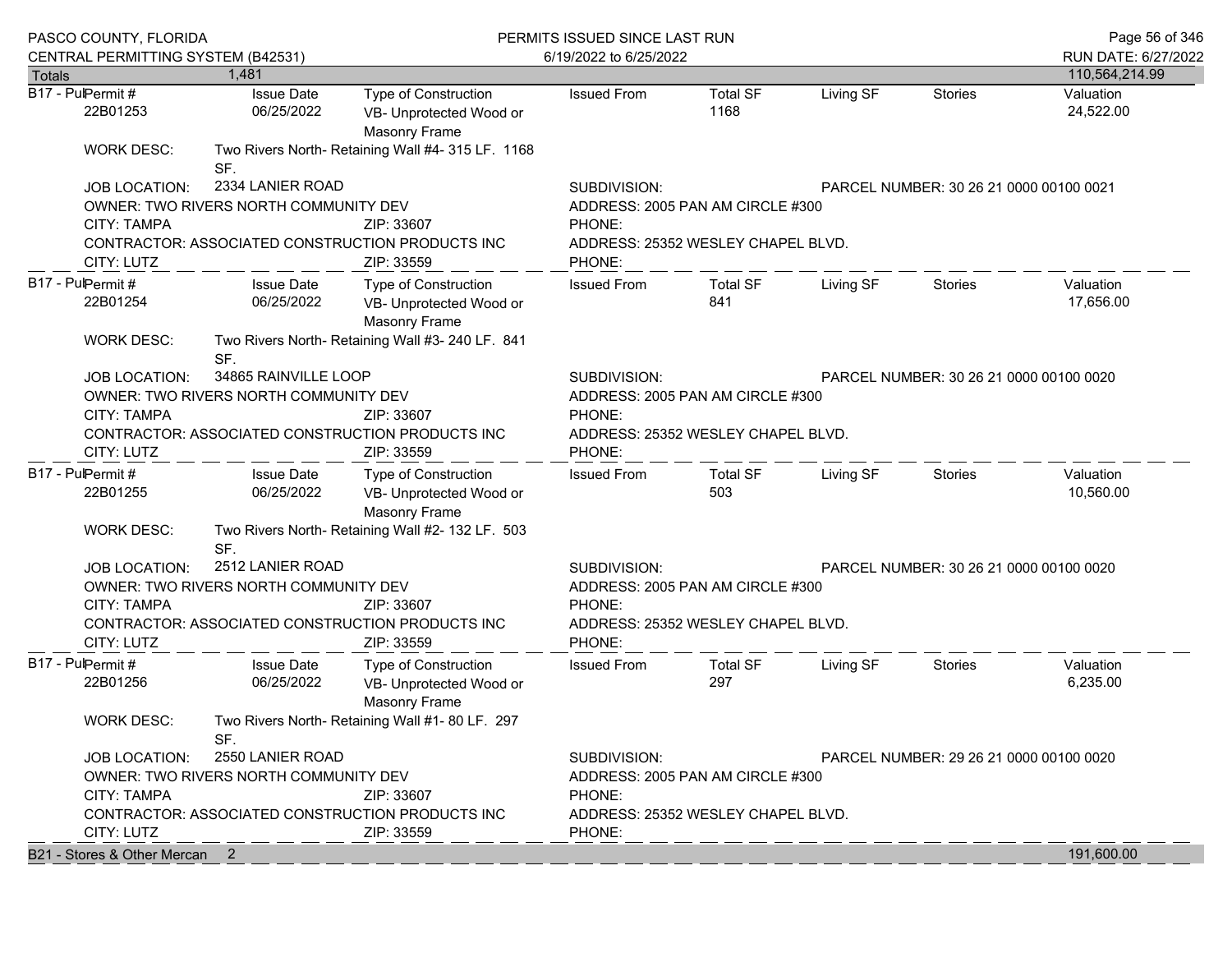|                   | PASCO COUNTY, FLORIDA                                                                                                  |                                       | PERMITS ISSUED SINCE LAST RUN                                           | Page 56 of 346                     |                                         |           |                                         |                        |  |  |
|-------------------|------------------------------------------------------------------------------------------------------------------------|---------------------------------------|-------------------------------------------------------------------------|------------------------------------|-----------------------------------------|-----------|-----------------------------------------|------------------------|--|--|
|                   | CENTRAL PERMITTING SYSTEM (B42531)                                                                                     |                                       |                                                                         | 6/19/2022 to 6/25/2022             |                                         |           |                                         | RUN DATE: 6/27/2022    |  |  |
| <b>Totals</b>     |                                                                                                                        | 1.481                                 |                                                                         |                                    |                                         |           |                                         | 110,564,214.99         |  |  |
| B17 - PulPermit # | 22B01253                                                                                                               | <b>Issue Date</b><br>06/25/2022       | Type of Construction<br>VB- Unprotected Wood or<br><b>Masonry Frame</b> | <b>Issued From</b>                 | <b>Total SF</b><br>1168                 | Living SF | <b>Stories</b>                          | Valuation<br>24,522.00 |  |  |
|                   | <b>WORK DESC:</b>                                                                                                      | SF.                                   | Two Rivers North- Retaining Wall #4- 315 LF. 1168                       |                                    |                                         |           |                                         |                        |  |  |
|                   | <b>JOB LOCATION:</b>                                                                                                   | 2334 LANIER ROAD                      |                                                                         | SUBDIVISION:                       |                                         |           | PARCEL NUMBER: 30 26 21 0000 00100 0021 |                        |  |  |
|                   |                                                                                                                        | OWNER: TWO RIVERS NORTH COMMUNITY DEV |                                                                         | ADDRESS: 2005 PAN AM CIRCLE #300   |                                         |           |                                         |                        |  |  |
|                   | <b>CITY: TAMPA</b>                                                                                                     |                                       | ZIP: 33607                                                              | PHONE:                             |                                         |           |                                         |                        |  |  |
|                   |                                                                                                                        |                                       | CONTRACTOR: ASSOCIATED CONSTRUCTION PRODUCTS INC                        | ADDRESS: 25352 WESLEY CHAPEL BLVD. |                                         |           |                                         |                        |  |  |
|                   | CITY: LUTZ                                                                                                             |                                       | ZIP: 33559                                                              | PHONE:                             |                                         |           |                                         |                        |  |  |
| B17 - PulPermit # |                                                                                                                        | <b>Issue Date</b>                     | Type of Construction                                                    | <b>Issued From</b>                 | <b>Total SF</b>                         | Living SF | Stories                                 | Valuation              |  |  |
|                   | 22B01254                                                                                                               | 06/25/2022                            | VB- Unprotected Wood or<br><b>Masonry Frame</b>                         |                                    | 841                                     |           |                                         | 17,656.00              |  |  |
|                   | WORK DESC:                                                                                                             | SF.                                   | Two Rivers North- Retaining Wall #3- 240 LF. 841                        |                                    |                                         |           |                                         |                        |  |  |
|                   | <b>JOB LOCATION:</b>                                                                                                   | 34865 RAINVILLE LOOP                  |                                                                         | SUBDIVISION:                       | PARCEL NUMBER: 30 26 21 0000 00100 0020 |           |                                         |                        |  |  |
|                   |                                                                                                                        | OWNER: TWO RIVERS NORTH COMMUNITY DEV |                                                                         |                                    | ADDRESS: 2005 PAN AM CIRCLE #300        |           |                                         |                        |  |  |
|                   | CITY: TAMPA                                                                                                            |                                       | ZIP: 33607                                                              | PHONE:                             |                                         |           |                                         |                        |  |  |
|                   | CONTRACTOR: ASSOCIATED CONSTRUCTION PRODUCTS INC                                                                       |                                       |                                                                         |                                    | ADDRESS: 25352 WESLEY CHAPEL BLVD.      |           |                                         |                        |  |  |
|                   | CITY: LUTZ                                                                                                             |                                       | ZIP: 33559                                                              | PHONE:                             |                                         |           |                                         |                        |  |  |
| B17 - PulPermit # |                                                                                                                        | <b>Issue Date</b>                     | <b>Type of Construction</b>                                             | <b>Issued From</b>                 | <b>Total SF</b>                         | Living SF | <b>Stories</b>                          | Valuation              |  |  |
|                   | 22B01255                                                                                                               | 06/25/2022                            | VB- Unprotected Wood or<br><b>Masonry Frame</b>                         |                                    | 503                                     |           |                                         |                        |  |  |
|                   | <b>WORK DESC:</b>                                                                                                      | SF.                                   | Two Rivers North- Retaining Wall #2- 132 LF. 503                        |                                    |                                         |           |                                         |                        |  |  |
|                   | <b>JOB LOCATION:</b>                                                                                                   | 2512 LANIER ROAD                      |                                                                         | SUBDIVISION:                       |                                         |           | PARCEL NUMBER: 30 26 21 0000 00100 0020 |                        |  |  |
|                   |                                                                                                                        | OWNER: TWO RIVERS NORTH COMMUNITY DEV |                                                                         |                                    | ADDRESS: 2005 PAN AM CIRCLE #300        |           |                                         |                        |  |  |
|                   | <b>CITY: TAMPA</b>                                                                                                     |                                       | ZIP: 33607                                                              | PHONE:                             |                                         |           |                                         |                        |  |  |
|                   |                                                                                                                        |                                       | CONTRACTOR: ASSOCIATED CONSTRUCTION PRODUCTS INC                        |                                    | ADDRESS: 25352 WESLEY CHAPEL BLVD.      |           |                                         |                        |  |  |
|                   | CITY: LUTZ                                                                                                             |                                       | ZIP: 33559                                                              | PHONE:                             |                                         |           |                                         |                        |  |  |
| B17 - PulPermit # | 22B01256                                                                                                               | <b>Issue Date</b><br>06/25/2022       | Type of Construction<br>VB- Unprotected Wood or<br><b>Masonry Frame</b> | <b>Issued From</b>                 | <b>Total SF</b><br>297                  | Living SF | Stories                                 | Valuation<br>6,235.00  |  |  |
|                   | <b>WORK DESC:</b><br>Two Rivers North- Retaining Wall #1-80 LF. 297<br>SF.<br>2550 LANIER ROAD<br><b>JOB LOCATION:</b> |                                       |                                                                         |                                    |                                         |           |                                         |                        |  |  |
|                   |                                                                                                                        |                                       |                                                                         | SUBDIVISION:                       |                                         |           | PARCEL NUMBER: 29 26 21 0000 00100 0020 |                        |  |  |
|                   | OWNER: TWO RIVERS NORTH COMMUNITY DEV                                                                                  |                                       |                                                                         |                                    | ADDRESS: 2005 PAN AM CIRCLE #300        |           |                                         |                        |  |  |
|                   | <b>CITY: TAMPA</b>                                                                                                     |                                       | ZIP: 33607                                                              | PHONE:                             |                                         |           |                                         |                        |  |  |
|                   |                                                                                                                        |                                       | CONTRACTOR: ASSOCIATED CONSTRUCTION PRODUCTS INC                        | ADDRESS: 25352 WESLEY CHAPEL BLVD. |                                         |           |                                         |                        |  |  |
|                   | CITY: LUTZ<br>ZIP: 33559                                                                                               |                                       |                                                                         | PHONE:                             |                                         |           |                                         |                        |  |  |
|                   | B21 - Stores & Other Mercan 2                                                                                          |                                       |                                                                         |                                    |                                         |           |                                         | 191,600.00             |  |  |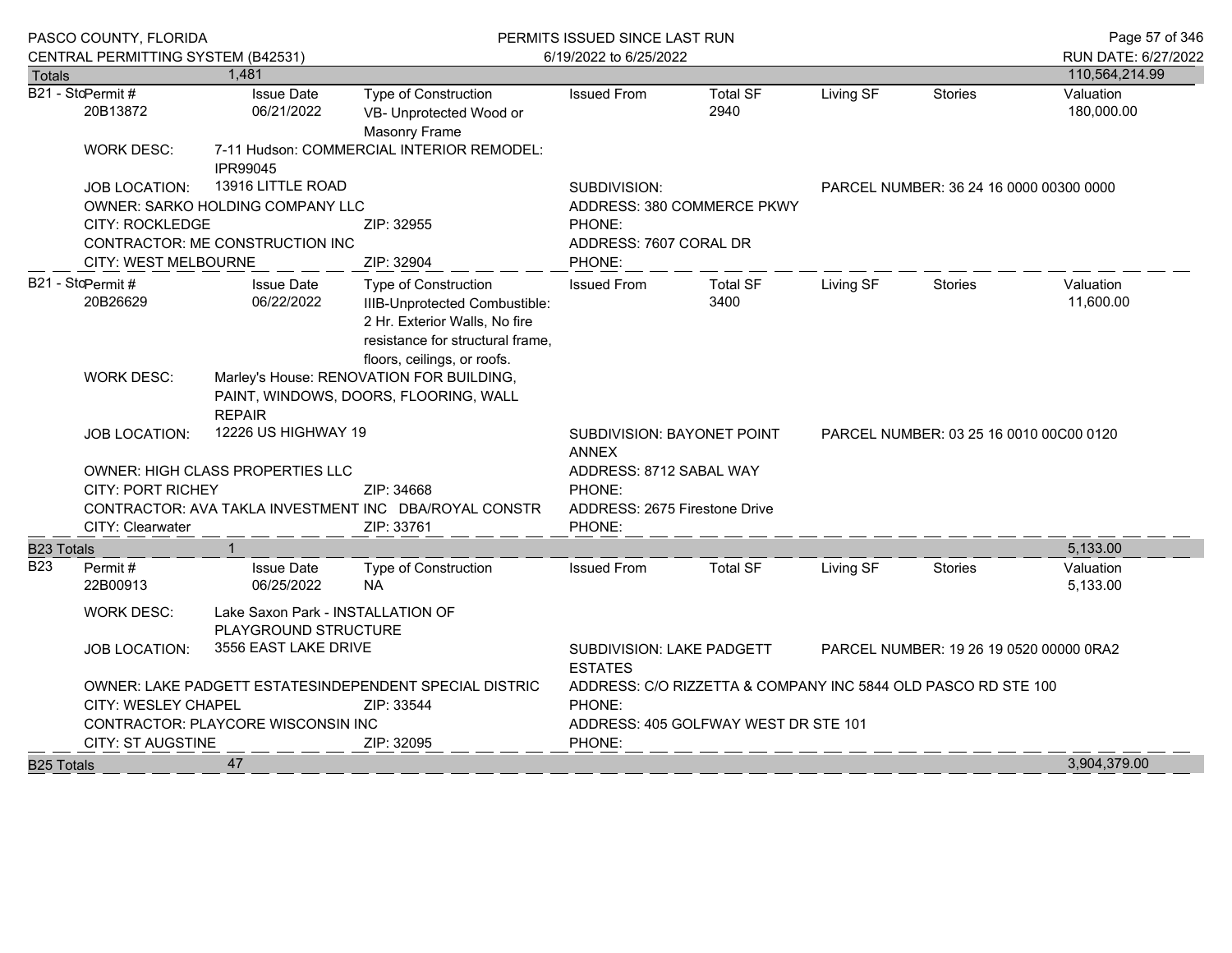|                   | PASCO COUNTY, FLORIDA                                                                                                                       |                                                           |                                                                                                                                                                  | PERMITS ISSUED SINCE LAST RUN                                                                 | Page 57 of 346                                                |           |                |                         |  |
|-------------------|---------------------------------------------------------------------------------------------------------------------------------------------|-----------------------------------------------------------|------------------------------------------------------------------------------------------------------------------------------------------------------------------|-----------------------------------------------------------------------------------------------|---------------------------------------------------------------|-----------|----------------|-------------------------|--|
|                   | CENTRAL PERMITTING SYSTEM (B42531)                                                                                                          |                                                           |                                                                                                                                                                  | 6/19/2022 to 6/25/2022                                                                        |                                                               |           |                | RUN DATE: 6/27/2022     |  |
| <b>Totals</b>     |                                                                                                                                             | 1,481                                                     |                                                                                                                                                                  |                                                                                               |                                                               |           |                | 110,564,214.99          |  |
|                   | B21 - StcPermit #<br>20B13872                                                                                                               | <b>Issue Date</b><br>06/21/2022                           | <b>Type of Construction</b><br>VB- Unprotected Wood or<br>Masonry Frame                                                                                          | <b>Issued From</b>                                                                            | <b>Total SF</b><br>2940                                       | Living SF | <b>Stories</b> | Valuation<br>180,000.00 |  |
|                   | <b>WORK DESC:</b>                                                                                                                           | IPR99045                                                  | 7-11 Hudson: COMMERCIAL INTERIOR REMODEL:                                                                                                                        |                                                                                               |                                                               |           |                |                         |  |
|                   | <b>JOB LOCATION:</b>                                                                                                                        | 13916 LITTLE ROAD                                         |                                                                                                                                                                  | SUBDIVISION:                                                                                  | PARCEL NUMBER: 36 24 16 0000 00300 0000                       |           |                |                         |  |
|                   |                                                                                                                                             | OWNER: SARKO HOLDING COMPANY LLC                          |                                                                                                                                                                  |                                                                                               | ADDRESS: 380 COMMERCE PKWY                                    |           |                |                         |  |
|                   | <b>CITY: ROCKLEDGE</b>                                                                                                                      |                                                           | ZIP: 32955                                                                                                                                                       | PHONE:                                                                                        |                                                               |           |                |                         |  |
|                   |                                                                                                                                             | CONTRACTOR: ME CONSTRUCTION INC                           |                                                                                                                                                                  | ADDRESS: 7607 CORAL DR                                                                        |                                                               |           |                |                         |  |
|                   | CITY: WEST MELBOURNE                                                                                                                        |                                                           | ZIP: 32904                                                                                                                                                       | PHONE:                                                                                        |                                                               |           |                |                         |  |
|                   | B21 - StcPermit #<br>20B26629                                                                                                               | <b>Issue Date</b><br>06/22/2022                           | <b>Type of Construction</b><br>IIIB-Unprotected Combustible:<br>2 Hr. Exterior Walls, No fire<br>resistance for structural frame,<br>floors, ceilings, or roofs. | <b>Issued From</b>                                                                            | <b>Total SF</b><br>3400                                       | Living SF | Stories        | Valuation<br>11,600.00  |  |
|                   | <b>WORK DESC:</b>                                                                                                                           | <b>REPAIR</b>                                             | Marley's House: RENOVATION FOR BUILDING,<br>PAINT, WINDOWS, DOORS, FLOORING, WALL                                                                                |                                                                                               |                                                               |           |                |                         |  |
|                   | <b>JOB LOCATION:</b>                                                                                                                        | 12226 US HIGHWAY 19                                       |                                                                                                                                                                  | SUBDIVISION: BAYONET POINT<br><b>ANNEX</b>                                                    | PARCEL NUMBER: 03 25 16 0010 00C00 0120                       |           |                |                         |  |
|                   |                                                                                                                                             | OWNER: HIGH CLASS PROPERTIES LLC                          |                                                                                                                                                                  | ADDRESS: 8712 SABAL WAY                                                                       |                                                               |           |                |                         |  |
|                   | <b>CITY: PORT RICHEY</b>                                                                                                                    |                                                           | ZIP: 34668                                                                                                                                                       | PHONE:                                                                                        |                                                               |           |                |                         |  |
|                   |                                                                                                                                             |                                                           | CONTRACTOR: AVA TAKLA INVESTMENT INC DBA/ROYAL CONSTR                                                                                                            |                                                                                               | ADDRESS: 2675 Firestone Drive                                 |           |                |                         |  |
|                   | CITY: Clearwater                                                                                                                            |                                                           | ZIP: 33761                                                                                                                                                       | PHONE:                                                                                        |                                                               |           |                |                         |  |
| <b>B23 Totals</b> |                                                                                                                                             | $\mathbf{1}$                                              |                                                                                                                                                                  |                                                                                               |                                                               |           |                | 5,133.00                |  |
| B23               | Permit#<br>22B00913                                                                                                                         | <b>Issue Date</b><br>06/25/2022                           | <b>Type of Construction</b><br><b>NA</b>                                                                                                                         | <b>Issued From</b>                                                                            | <b>Total SF</b>                                               | Living SF | Stories        | Valuation<br>5,133.00   |  |
|                   | <b>WORK DESC:</b>                                                                                                                           | Lake Saxon Park - INSTALLATION OF<br>PLAYGROUND STRUCTURE |                                                                                                                                                                  |                                                                                               |                                                               |           |                |                         |  |
|                   | 3556 EAST LAKE DRIVE<br><b>JOB LOCATION:</b><br>OWNER: LAKE PADGETT ESTATESINDEPENDENT SPECIAL DISTRIC<br>CITY: WESLEY CHAPEL<br>ZIP: 33544 |                                                           |                                                                                                                                                                  | <b>SUBDIVISION: LAKE PADGETT</b><br>PARCEL NUMBER: 19 26 19 0520 00000 0RA2<br><b>ESTATES</b> |                                                               |           |                |                         |  |
|                   |                                                                                                                                             |                                                           |                                                                                                                                                                  |                                                                                               | ADDRESS: C/O RIZZETTA & COMPANY INC 5844 OLD PASCO RD STE 100 |           |                |                         |  |
|                   |                                                                                                                                             |                                                           |                                                                                                                                                                  | PHONE:                                                                                        |                                                               |           |                |                         |  |
|                   |                                                                                                                                             | CONTRACTOR: PLAYCORE WISCONSIN INC                        |                                                                                                                                                                  | ADDRESS: 405 GOLFWAY WEST DR STE 101                                                          |                                                               |           |                |                         |  |
|                   | <b>CITY: ST AUGSTINE</b><br>ZIP: 32095                                                                                                      |                                                           |                                                                                                                                                                  |                                                                                               |                                                               |           |                |                         |  |
| <b>B25 Totals</b> |                                                                                                                                             | 47                                                        |                                                                                                                                                                  |                                                                                               |                                                               |           |                | 3,904,379.00            |  |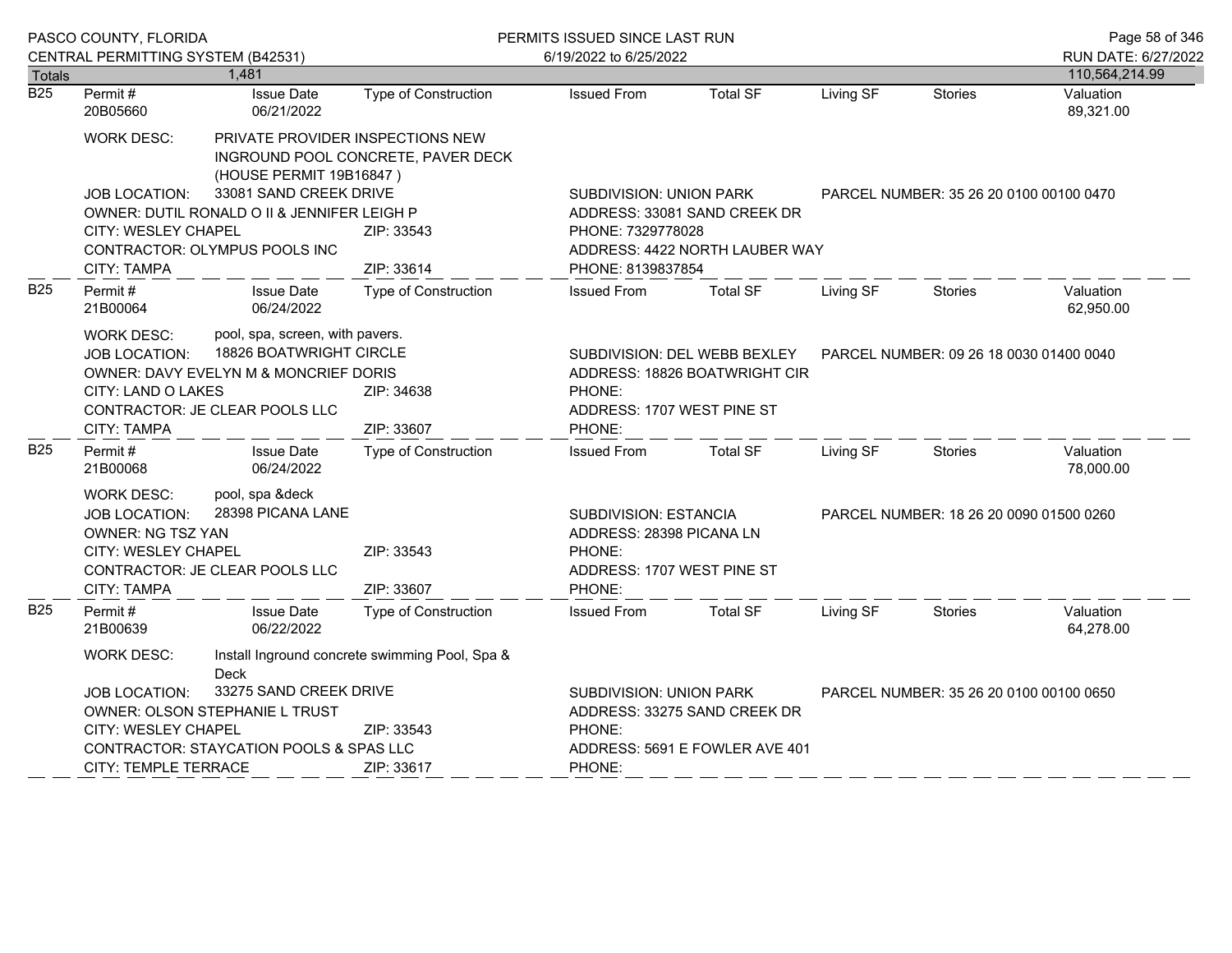|                  | PASCO COUNTY, FLORIDA                                                                                                                                                                             |                                                                       |                                                                                                                     | PERMITS ISSUED SINCE LAST RUN                       |                                                                                                           | Page 58 of 346                          |                |                        |  |  |
|------------------|---------------------------------------------------------------------------------------------------------------------------------------------------------------------------------------------------|-----------------------------------------------------------------------|---------------------------------------------------------------------------------------------------------------------|-----------------------------------------------------|-----------------------------------------------------------------------------------------------------------|-----------------------------------------|----------------|------------------------|--|--|
|                  | CENTRAL PERMITTING SYSTEM (B42531)                                                                                                                                                                |                                                                       |                                                                                                                     | 6/19/2022 to 6/25/2022                              |                                                                                                           |                                         |                | RUN DATE: 6/27/2022    |  |  |
| <b>Totals</b>    |                                                                                                                                                                                                   | 1,481                                                                 |                                                                                                                     |                                                     |                                                                                                           |                                         |                | 110,564,214.99         |  |  |
| $\overline{B25}$ | Permit#<br>20B05660                                                                                                                                                                               | <b>Issue Date</b><br>06/21/2022                                       | <b>Type of Construction</b>                                                                                         | <b>Issued From</b>                                  | <b>Total SF</b>                                                                                           | Living SF                               | <b>Stories</b> | Valuation<br>89,321.00 |  |  |
|                  | WORK DESC:                                                                                                                                                                                        | PRIVATE PROVIDER INSPECTIONS NEW<br>(HOUSE PERMIT 19B16847)           | INGROUND POOL CONCRETE, PAVER DECK                                                                                  |                                                     |                                                                                                           |                                         |                |                        |  |  |
|                  | <b>JOB LOCATION:</b>                                                                                                                                                                              | 33081 SAND CREEK DRIVE<br>OWNER: DUTIL RONALD O II & JENNIFER LEIGH P |                                                                                                                     |                                                     | <b>SUBDIVISION: UNION PARK</b><br>PARCEL NUMBER: 35 26 20 0100 00100 0470<br>ADDRESS: 33081 SAND CREEK DR |                                         |                |                        |  |  |
|                  | CITY: WESLEY CHAPEL<br>CONTRACTOR: OLYMPUS POOLS INC<br>ZIP: 33614<br>CITY: TAMPA                                                                                                                 |                                                                       | ZIP: 33543                                                                                                          | PHONE: 7329778028<br>ADDRESS: 4422 NORTH LAUBER WAY |                                                                                                           |                                         |                |                        |  |  |
| <b>B25</b>       | Permit#<br>21B00064                                                                                                                                                                               | <b>Issue Date</b><br>06/24/2022                                       | Type of Construction                                                                                                | PHONE: 8139837854<br><b>Issued From</b>             | <b>Total SF</b>                                                                                           | Living SF                               | <b>Stories</b> | Valuation<br>62,950.00 |  |  |
|                  | pool, spa, screen, with pavers.<br>WORK DESC:<br>18826 BOATWRIGHT CIRCLE<br><b>JOB LOCATION:</b><br>OWNER: DAVY EVELYN M & MONCRIEF DORIS<br>CITY: LAND O LAKES<br>CONTRACTOR: JE CLEAR POOLS LLC |                                                                       | SUBDIVISION: DEL WEBB BEXLEY<br>ADDRESS: 18826 BOATWRIGHT CIR<br>ZIP: 34638<br>PHONE:<br>ADDRESS: 1707 WEST PINE ST |                                                     |                                                                                                           | PARCEL NUMBER: 09 26 18 0030 01400 0040 |                |                        |  |  |
| B25              | CITY: TAMPA<br>Permit#<br>21B00068                                                                                                                                                                | <b>Issue Date</b><br>06/24/2022                                       | ZIP: 33607<br><b>Type of Construction</b>                                                                           | PHONE:<br><b>Issued From</b>                        | <b>Total SF</b>                                                                                           | Living SF                               | <b>Stories</b> | Valuation<br>78,000.00 |  |  |
|                  | pool, spa &deck<br>WORK DESC:<br>28398 PICANA LANE<br><b>JOB LOCATION:</b><br>OWNER: NG TSZ YAN<br>CITY: WESLEY CHAPEL                                                                            |                                                                       | ZIP: 33543                                                                                                          | PHONE:                                              | SUBDIVISION: ESTANCIA<br>PARCEL NUMBER: 18 26 20 0090 01500 0260<br>ADDRESS: 28398 PICANA LN              |                                         |                |                        |  |  |
|                  | <b>CITY: TAMPA</b>                                                                                                                                                                                | CONTRACTOR: JE CLEAR POOLS LLC                                        | ZIP: 33607                                                                                                          | ADDRESS: 1707 WEST PINE ST<br>PHONE:                |                                                                                                           |                                         |                |                        |  |  |
| <b>B25</b>       | Permit#<br>21B00639                                                                                                                                                                               | <b>Issue Date</b><br>06/22/2022                                       | <b>Type of Construction</b>                                                                                         | <b>Issued From</b>                                  | <b>Total SF</b>                                                                                           | Living SF                               | <b>Stories</b> | Valuation<br>64,278.00 |  |  |
|                  | <b>WORK DESC:</b><br>Install Inground concrete swimming Pool, Spa &<br><b>Deck</b>                                                                                                                |                                                                       |                                                                                                                     |                                                     |                                                                                                           |                                         |                |                        |  |  |
|                  | 33275 SAND CREEK DRIVE<br>JOB LOCATION:<br>OWNER: OLSON STEPHANIE L TRUST                                                                                                                         |                                                                       |                                                                                                                     |                                                     | SUBDIVISION: UNION PARK<br>PARCEL NUMBER: 35 26 20 0100 00100 0650<br>ADDRESS: 33275 SAND CREEK DR        |                                         |                |                        |  |  |
|                  | CITY: WESLEY CHAPEL                                                                                                                                                                               |                                                                       | ZIP: 33543                                                                                                          | PHONE:                                              |                                                                                                           |                                         |                |                        |  |  |
|                  | CONTRACTOR: STAYCATION POOLS & SPAS LLC<br><b>CITY: TEMPLE TERRACE</b><br>ZIP: 33617                                                                                                              |                                                                       |                                                                                                                     | ADDRESS: 5691 E FOWLER AVE 401<br>PHONE:            |                                                                                                           |                                         |                |                        |  |  |
|                  |                                                                                                                                                                                                   |                                                                       |                                                                                                                     |                                                     |                                                                                                           |                                         |                |                        |  |  |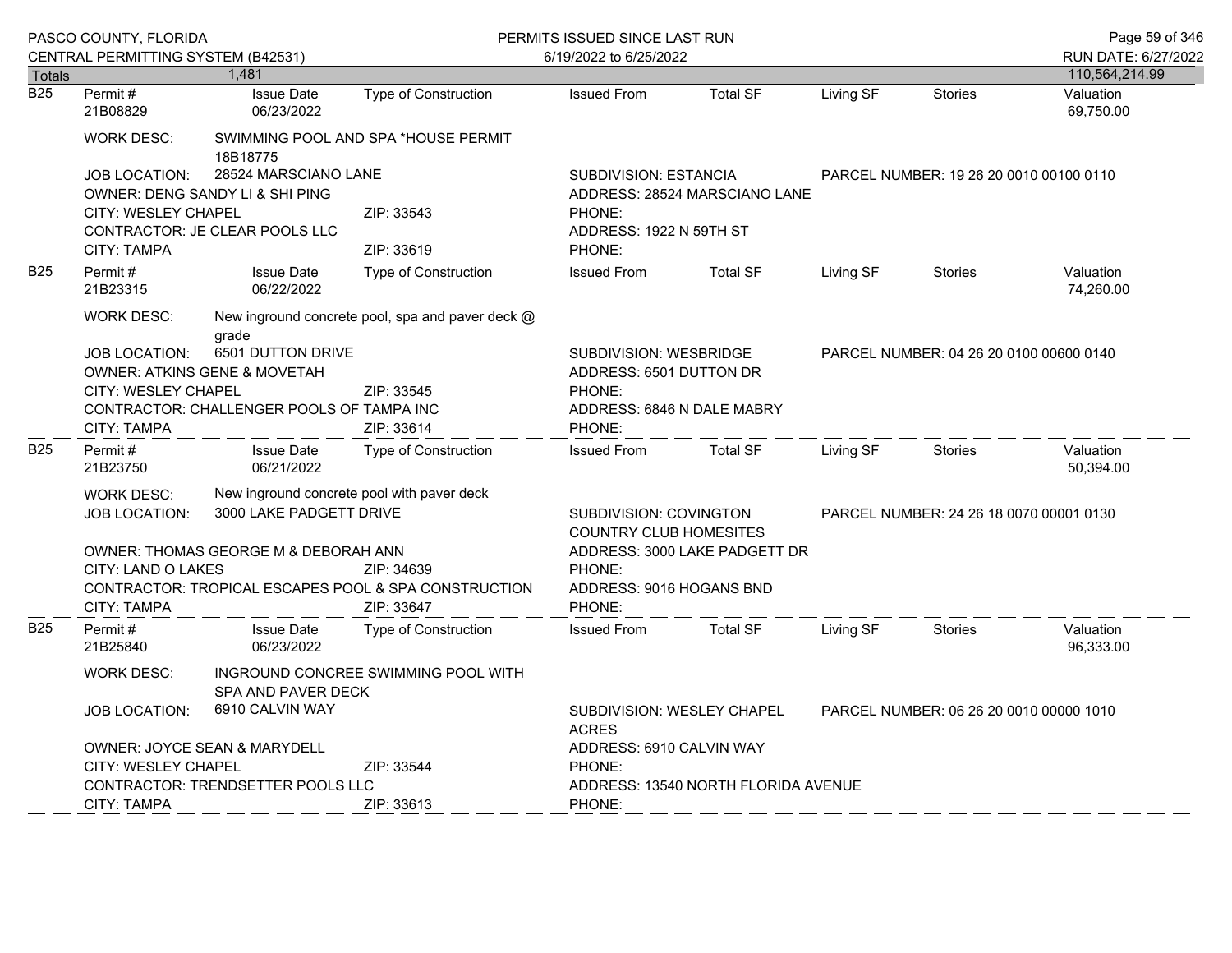|                  | PASCO COUNTY, FLORIDA<br>CENTRAL PERMITTING SYSTEM (B42531)                                                        |                                                                                                                                  |                                                  | PERMITS ISSUED SINCE LAST RUN<br>6/19/2022 to 6/25/2022 |                                                                                               |           |                                         | Page 59 of 346<br>RUN DATE: 6/27/2022 |  |  |
|------------------|--------------------------------------------------------------------------------------------------------------------|----------------------------------------------------------------------------------------------------------------------------------|--------------------------------------------------|---------------------------------------------------------|-----------------------------------------------------------------------------------------------|-----------|-----------------------------------------|---------------------------------------|--|--|
| <b>Totals</b>    |                                                                                                                    | 1.481                                                                                                                            |                                                  |                                                         |                                                                                               |           |                                         | 110,564,214.99                        |  |  |
| $\overline{B25}$ | Permit#<br>21B08829                                                                                                | <b>Issue Date</b><br>06/23/2022                                                                                                  | Type of Construction                             | <b>Issued From</b>                                      | <b>Total SF</b>                                                                               | Living SF | <b>Stories</b>                          | Valuation<br>69,750.00                |  |  |
|                  | <b>WORK DESC:</b>                                                                                                  | 18B18775                                                                                                                         | SWIMMING POOL AND SPA *HOUSE PERMIT              |                                                         |                                                                                               |           |                                         |                                       |  |  |
|                  | <b>JOB LOCATION:</b>                                                                                               | 28524 MARSCIANO LANE<br>OWNER: DENG SANDY LI & SHI PING                                                                          |                                                  | <b>SUBDIVISION: ESTANCIA</b>                            | ADDRESS: 28524 MARSCIANO LANE                                                                 |           | PARCEL NUMBER: 19 26 20 0010 00100 0110 |                                       |  |  |
|                  | <b>CITY: WESLEY CHAPEL</b>                                                                                         | CONTRACTOR: JE CLEAR POOLS LLC                                                                                                   | ZIP: 33543                                       | PHONE:<br>ADDRESS: 1922 N 59TH ST                       |                                                                                               |           |                                         |                                       |  |  |
|                  | <b>CITY: TAMPA</b>                                                                                                 |                                                                                                                                  | ZIP: 33619                                       | PHONE:                                                  |                                                                                               |           |                                         |                                       |  |  |
| <b>B25</b>       | Permit#<br>21B23315                                                                                                | <b>Issue Date</b><br>06/22/2022                                                                                                  | Type of Construction                             | <b>Issued From</b>                                      | <b>Total SF</b>                                                                               | Living SF | <b>Stories</b>                          | Valuation<br>74,260.00                |  |  |
|                  | <b>WORK DESC:</b>                                                                                                  | grade                                                                                                                            | New inground concrete pool, spa and paver deck @ |                                                         |                                                                                               |           |                                         |                                       |  |  |
|                  | 6501 DUTTON DRIVE<br><b>JOB LOCATION:</b><br><b>OWNER: ATKINS GENE &amp; MOVETAH</b>                               |                                                                                                                                  |                                                  |                                                         | SUBDIVISION: WESBRIDGE<br>PARCEL NUMBER: 04 26 20 0100 00600 0140<br>ADDRESS: 6501 DUTTON DR  |           |                                         |                                       |  |  |
|                  | <b>CITY: WESLEY CHAPEL</b><br>ZIP: 33545<br>CONTRACTOR: CHALLENGER POOLS OF TAMPA INC<br>CITY: TAMPA<br>ZIP: 33614 |                                                                                                                                  | PHONE:<br>PHONE:                                 | ADDRESS: 6846 N DALE MABRY                              |                                                                                               |           |                                         |                                       |  |  |
| <b>B25</b>       | Permit#<br>21B23750                                                                                                | <b>Issue Date</b><br>06/21/2022                                                                                                  | Type of Construction                             | <b>Issued From</b>                                      | <b>Total SF</b>                                                                               | Living SF | <b>Stories</b>                          | Valuation<br>50.394.00                |  |  |
|                  | New inground concrete pool with paver deck<br><b>WORK DESC:</b><br>3000 LAKE PADGETT DRIVE<br><b>JOB LOCATION:</b> |                                                                                                                                  |                                                  |                                                         | SUBDIVISION: COVINGTON<br>PARCEL NUMBER: 24 26 18 0070 00001 0130                             |           |                                         |                                       |  |  |
|                  |                                                                                                                    | OWNER: THOMAS GEORGE M & DEBORAH ANN<br>CITY: LAND O LAKES<br>ZIP: 34639<br>CONTRACTOR: TROPICAL ESCAPES POOL & SPA CONSTRUCTION |                                                  |                                                         | COUNTRY CLUB HOMESITES<br>ADDRESS: 3000 LAKE PADGETT DR<br>PHONE:<br>ADDRESS: 9016 HOGANS BND |           |                                         |                                       |  |  |
|                  | <b>CITY: TAMPA</b>                                                                                                 |                                                                                                                                  | ZIP: 33647                                       | PHONE:                                                  |                                                                                               |           |                                         |                                       |  |  |
| <b>B25</b>       | Permit#<br>21B25840                                                                                                | <b>Issue Date</b><br>06/23/2022                                                                                                  | Type of Construction                             | <b>Issued From</b>                                      | <b>Total SF</b>                                                                               | Living SF | <b>Stories</b>                          | Valuation<br>96,333.00                |  |  |
|                  | WORK DESC:                                                                                                         | SPA AND PAVER DECK                                                                                                               | INGROUND CONCREE SWIMMING POOL WITH              |                                                         |                                                                                               |           |                                         |                                       |  |  |
|                  | <b>JOB LOCATION:</b>                                                                                               | 6910 CALVIN WAY                                                                                                                  |                                                  | <b>ACRES</b>                                            | SUBDIVISION: WESLEY CHAPEL<br>PARCEL NUMBER: 06 26 20 0010 00000 1010                         |           |                                         |                                       |  |  |
|                  |                                                                                                                    | OWNER: JOYCE SEAN & MARYDELL                                                                                                     |                                                  | ADDRESS: 6910 CALVIN WAY                                |                                                                                               |           |                                         |                                       |  |  |
|                  | <b>CITY: WESLEY CHAPEL</b>                                                                                         | <b>CONTRACTOR: TRENDSETTER POOLS LLC</b>                                                                                         | ZIP: 33544                                       | PHONE:                                                  |                                                                                               |           |                                         |                                       |  |  |
|                  | CITY: TAMPA                                                                                                        |                                                                                                                                  | ZIP: 33613                                       | ADDRESS: 13540 NORTH FLORIDA AVENUE<br>PHONE:           |                                                                                               |           |                                         |                                       |  |  |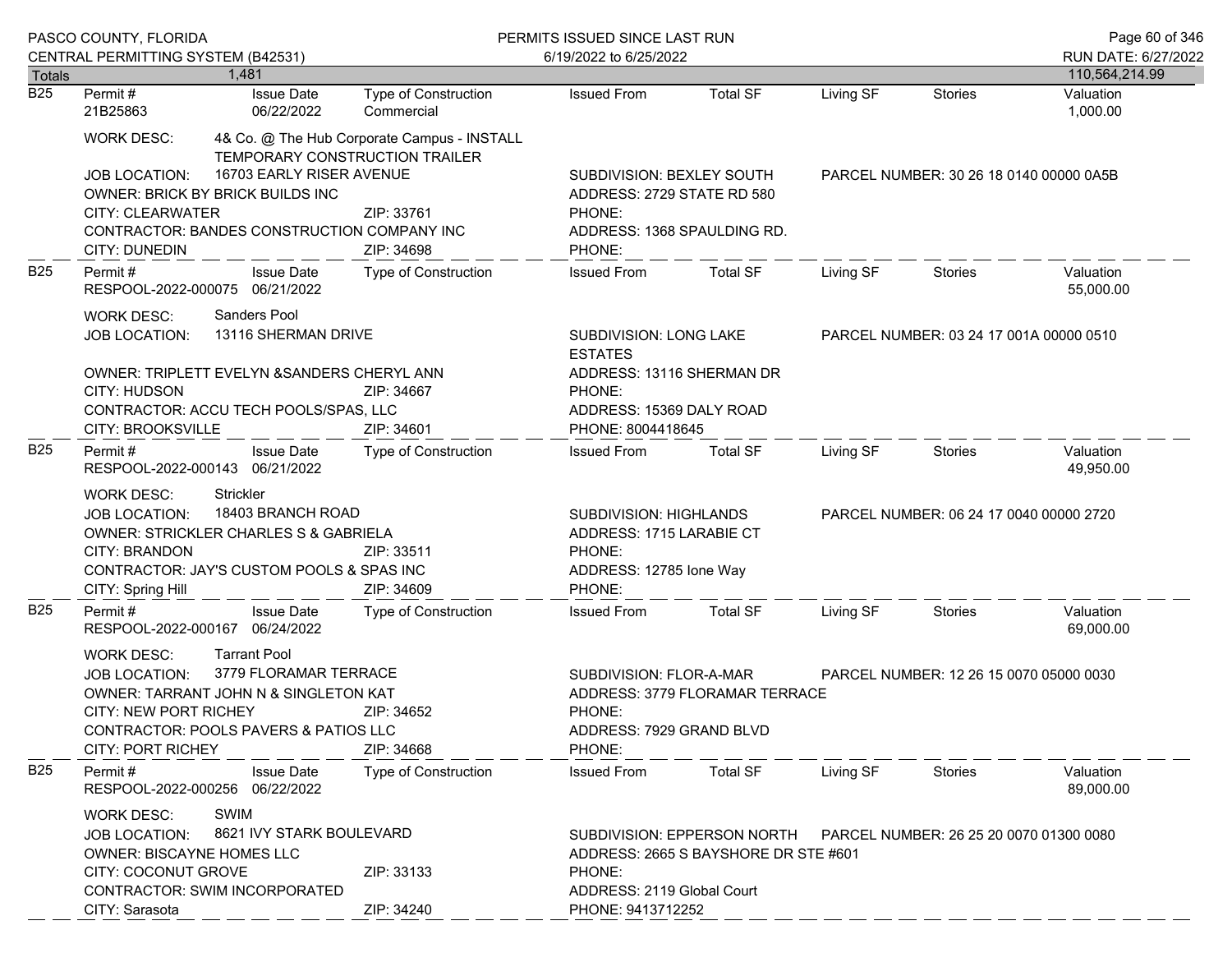|                                   | PASCO COUNTY, FLORIDA                                                                                                                                                                                                                                                                   |                                                                                                                                               |                                                                                                                                                                             | PERMITS ISSUED SINCE LAST RUN                                                                              |                 |                                         |                                         | Page 60 of 346              |
|-----------------------------------|-----------------------------------------------------------------------------------------------------------------------------------------------------------------------------------------------------------------------------------------------------------------------------------------|-----------------------------------------------------------------------------------------------------------------------------------------------|-----------------------------------------------------------------------------------------------------------------------------------------------------------------------------|------------------------------------------------------------------------------------------------------------|-----------------|-----------------------------------------|-----------------------------------------|-----------------------------|
|                                   | CENTRAL PERMITTING SYSTEM (B42531)                                                                                                                                                                                                                                                      | 1.481                                                                                                                                         |                                                                                                                                                                             | 6/19/2022 to 6/25/2022                                                                                     |                 |                                         |                                         | RUN DATE: 6/27/2022         |
| <b>Totals</b><br>$\overline{B25}$ | Permit#                                                                                                                                                                                                                                                                                 | <b>Issue Date</b>                                                                                                                             | Type of Construction                                                                                                                                                        | <b>Issued From</b>                                                                                         | <b>Total SF</b> | Living SF                               | <b>Stories</b>                          | 110,564,214.99<br>Valuation |
|                                   | 21B25863                                                                                                                                                                                                                                                                                | 06/22/2022                                                                                                                                    | Commercial                                                                                                                                                                  |                                                                                                            |                 |                                         |                                         | 1,000.00                    |
|                                   | <b>WORK DESC:</b><br><b>JOB LOCATION:</b><br><b>CITY: CLEARWATER</b><br><b>CITY: DUNEDIN</b>                                                                                                                                                                                            | TEMPORARY CONSTRUCTION TRAILER<br>16703 EARLY RISER AVENUE<br>OWNER: BRICK BY BRICK BUILDS INC<br>CONTRACTOR: BANDES CONSTRUCTION COMPANY INC | 4& Co. @ The Hub Corporate Campus - INSTALL<br>ZIP: 33761<br>ZIP: 34698                                                                                                     | SUBDIVISION: BEXLEY SOUTH<br>ADDRESS: 2729 STATE RD 580<br>PHONE:<br>ADDRESS: 1368 SPAULDING RD.<br>PHONE: |                 | PARCEL NUMBER: 30 26 18 0140 00000 0A5B |                                         |                             |
| <b>B25</b>                        | Permit #                                                                                                                                                                                                                                                                                | <b>Issue Date</b><br>RESPOOL-2022-000075 06/21/2022                                                                                           | Type of Construction                                                                                                                                                        | <b>Issued From</b>                                                                                         | <b>Total SF</b> | Living SF                               | Stories                                 | Valuation<br>55,000.00      |
|                                   | Sanders Pool<br><b>WORK DESC:</b><br>13116 SHERMAN DRIVE<br><b>JOB LOCATION:</b><br>OWNER: TRIPLETT EVELYN & SANDERS CHERYL ANN                                                                                                                                                         |                                                                                                                                               |                                                                                                                                                                             | SUBDIVISION: LONG LAKE<br><b>ESTATES</b><br>ADDRESS: 13116 SHERMAN DR                                      |                 |                                         | PARCEL NUMBER: 03 24 17 001A 00000 0510 |                             |
|                                   | CITY: HUDSON<br>ZIP: 34667<br>CONTRACTOR: ACCU TECH POOLS/SPAS, LLC<br><b>CITY: BROOKSVILLE</b><br>ZIP: 34601                                                                                                                                                                           |                                                                                                                                               |                                                                                                                                                                             | PHONE:<br>ADDRESS: 15369 DALY ROAD<br>PHONE: 8004418645                                                    |                 |                                         |                                         |                             |
| <b>B25</b>                        | Permit#                                                                                                                                                                                                                                                                                 | <b>Issue Date</b>                                                                                                                             | Type of Construction                                                                                                                                                        | <b>Issued From</b>                                                                                         | <b>Total SF</b> | Living SF                               | Stories                                 | Valuation<br>49,950.00      |
|                                   | RESPOOL-2022-000143 06/21/2022<br>Strickler<br><b>WORK DESC:</b><br>18403 BRANCH ROAD<br><b>JOB LOCATION:</b><br><b>OWNER: STRICKLER CHARLES S &amp; GABRIELA</b><br><b>CITY: BRANDON</b><br>ZIP: 33511<br>CONTRACTOR: JAY'S CUSTOM POOLS & SPAS INC<br>CITY: Spring Hill<br>ZIP: 34609 |                                                                                                                                               |                                                                                                                                                                             | SUBDIVISION: HIGHLANDS<br>ADDRESS: 1715 LARABIE CT<br>PHONE:<br>ADDRESS: 12785 Ione Way<br>PHONE:          |                 | PARCEL NUMBER: 06 24 17 0040 00000 2720 |                                         |                             |
| <b>B25</b>                        | Permit#                                                                                                                                                                                                                                                                                 | <b>Issue Date</b><br>RESPOOL-2022-000167 06/24/2022                                                                                           | Type of Construction                                                                                                                                                        | <b>Issued From</b>                                                                                         | <b>Total SF</b> | Living SF                               | Stories                                 | Valuation<br>69,000.00      |
|                                   | <b>Tarrant Pool</b><br><b>WORK DESC:</b><br>3779 FLORAMAR TERRACE<br><b>JOB LOCATION:</b><br>OWNER: TARRANT JOHN N & SINGLETON KAT<br><b>CITY: NEW PORT RICHEY</b><br>ZIP: 34652<br>CONTRACTOR: POOLS PAVERS & PATIOS LLC<br><b>CITY: PORT RICHEY</b><br>ZIP: 34668                     |                                                                                                                                               | SUBDIVISION: FLOR-A-MAR<br>PHONE:<br>ADDRESS: 7929 GRAND BLVD<br>PHONE:                                                                                                     | ADDRESS: 3779 FLORAMAR TERRACE                                                                             |                 | PARCEL NUMBER: 12 26 15 0070 05000 0030 |                                         |                             |
| <b>B25</b>                        | Permit#                                                                                                                                                                                                                                                                                 | <b>Issue Date</b><br>RESPOOL-2022-000256 06/22/2022                                                                                           | <b>Type of Construction</b>                                                                                                                                                 | <b>Issued From</b>                                                                                         | <b>Total SF</b> | Living SF                               | Stories                                 | Valuation<br>89,000.00      |
|                                   | <b>SWIM</b><br><b>WORK DESC:</b><br>8621 IVY STARK BOULEVARD<br><b>JOB LOCATION:</b><br><b>OWNER: BISCAYNE HOMES LLC</b><br>CITY: COCONUT GROVE<br>ZIP: 33133<br>CONTRACTOR: SWIM INCORPORATED<br>CITY: Sarasota<br>ZIP: 34240                                                          |                                                                                                                                               | SUBDIVISION: EPPERSON NORTH<br>PARCEL NUMBER: 26 25 20 0070 01300 0080<br>ADDRESS: 2665 S BAYSHORE DR STE #601<br>PHONE:<br>ADDRESS: 2119 Global Court<br>PHONE: 9413712252 |                                                                                                            |                 |                                         |                                         |                             |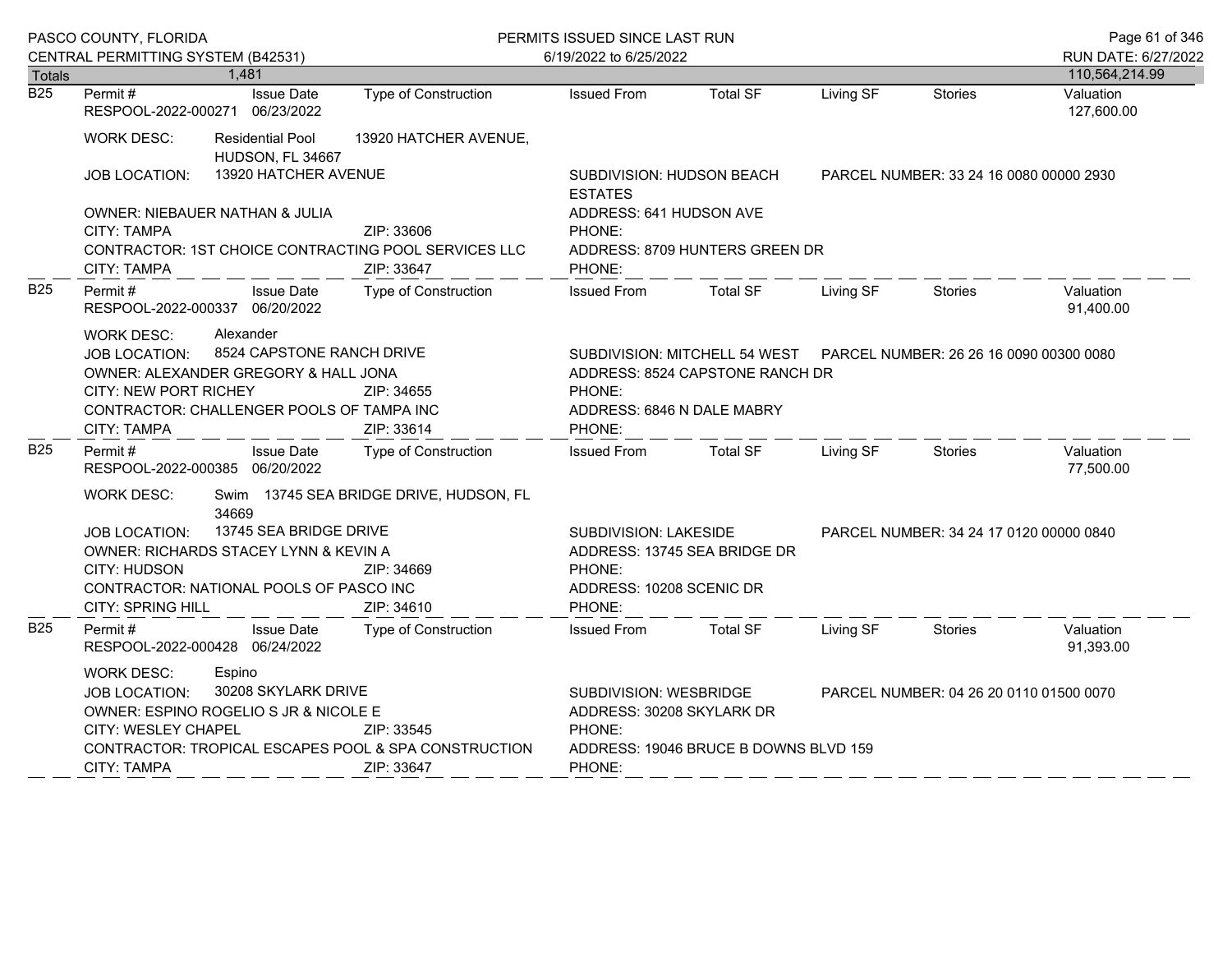|                  | PASCO COUNTY, FLORIDA                                                                                                                                                                                                                                |                                                                                                            | PERMITS ISSUED SINCE LAST RUN                                           | Page 61 of 346                                                        |                                                                                                           |                                         |                |                         |  |
|------------------|------------------------------------------------------------------------------------------------------------------------------------------------------------------------------------------------------------------------------------------------------|------------------------------------------------------------------------------------------------------------|-------------------------------------------------------------------------|-----------------------------------------------------------------------|-----------------------------------------------------------------------------------------------------------|-----------------------------------------|----------------|-------------------------|--|
|                  | CENTRAL PERMITTING SYSTEM (B42531)                                                                                                                                                                                                                   |                                                                                                            |                                                                         | 6/19/2022 to 6/25/2022                                                |                                                                                                           |                                         |                | RUN DATE: 6/27/2022     |  |
| Totals           |                                                                                                                                                                                                                                                      | 1,481                                                                                                      |                                                                         |                                                                       |                                                                                                           |                                         |                | 110,564,214.99          |  |
| $\overline{B25}$ | Permit#<br>RESPOOL-2022-000271 06/23/2022                                                                                                                                                                                                            | <b>Issue Date</b>                                                                                          | <b>Type of Construction</b>                                             | <b>Issued From</b>                                                    | <b>Total SF</b>                                                                                           | Living SF                               | <b>Stories</b> | Valuation<br>127,600.00 |  |
|                  | <b>WORK DESC:</b>                                                                                                                                                                                                                                    | <b>Residential Pool</b><br>HUDSON, FL 34667                                                                | 13920 HATCHER AVENUE,                                                   |                                                                       |                                                                                                           |                                         |                |                         |  |
|                  | <b>JOB LOCATION:</b>                                                                                                                                                                                                                                 | 13920 HATCHER AVENUE                                                                                       |                                                                         | SUBDIVISION: HUDSON BEACH<br><b>ESTATES</b>                           | PARCEL NUMBER: 33 24 16 0080 00000 2930                                                                   |                                         |                |                         |  |
|                  | CITY: TAMPA                                                                                                                                                                                                                                          | OWNER: NIEBAUER NATHAN & JULIA                                                                             | ZIP: 33606                                                              | ADDRESS: 641 HUDSON AVE<br>PHONE:                                     |                                                                                                           |                                         |                |                         |  |
|                  | CONTRACTOR: 1ST CHOICE CONTRACTING POOL SERVICES LLC<br>ZIP: 33647<br><b>CITY: TAMPA</b>                                                                                                                                                             |                                                                                                            |                                                                         | ADDRESS: 8709 HUNTERS GREEN DR<br>PHONE:                              |                                                                                                           |                                         |                |                         |  |
| B <sub>25</sub>  | Permit #<br>RESPOOL-2022-000337 06/20/2022                                                                                                                                                                                                           | <b>Issue Date</b>                                                                                          | Type of Construction                                                    | <b>Issued From</b>                                                    | <b>Total SF</b>                                                                                           | Living SF                               | <b>Stories</b> | Valuation<br>91,400.00  |  |
|                  | Alexander<br><b>WORK DESC:</b><br>8524 CAPSTONE RANCH DRIVE<br><b>JOB LOCATION:</b><br>OWNER: ALEXANDER GREGORY & HALL JONA<br><b>CITY: NEW PORT RICHEY</b><br>ZIP: 34655                                                                            |                                                                                                            |                                                                         | PHONE:                                                                | SUBDIVISION: MITCHELL 54 WEST  PARCEL NUMBER: 26 26 16 0090 00300 0080<br>ADDRESS: 8524 CAPSTONE RANCH DR |                                         |                |                         |  |
|                  | CONTRACTOR: CHALLENGER POOLS OF TAMPA INC<br><b>CITY: TAMPA</b><br>ZIP: 33614                                                                                                                                                                        |                                                                                                            |                                                                         | ADDRESS: 6846 N DALE MABRY<br>PHONE:                                  |                                                                                                           |                                         |                |                         |  |
| B <sub>25</sub>  | Permit #<br>RESPOOL-2022-000385 06/20/2022                                                                                                                                                                                                           | <b>Issue Date</b>                                                                                          | <b>Type of Construction</b>                                             | <b>Issued From</b>                                                    | <b>Total SF</b>                                                                                           | Living SF                               | Stories        | Valuation<br>77,500.00  |  |
|                  | <b>WORK DESC:</b>                                                                                                                                                                                                                                    | 34669                                                                                                      | Swim 13745 SEA BRIDGE DRIVE, HUDSON, FL                                 |                                                                       |                                                                                                           |                                         |                |                         |  |
|                  | <b>JOB LOCATION:</b><br>CITY: HUDSON<br>CITY: SPRING HILL                                                                                                                                                                                            | 13745 SEA BRIDGE DRIVE<br>OWNER: RICHARDS STACEY LYNN & KEVIN A<br>CONTRACTOR: NATIONAL POOLS OF PASCO INC | ZIP: 34669<br>ZIP: 34610                                                | SUBDIVISION: LAKESIDE<br>PHONE:<br>ADDRESS: 10208 SCENIC DR<br>PHONE: | ADDRESS: 13745 SEA BRIDGE DR                                                                              | PARCEL NUMBER: 34 24 17 0120 00000 0840 |                |                         |  |
| <b>B25</b>       | Permit #<br>RESPOOL-2022-000428 06/24/2022                                                                                                                                                                                                           | <b>Issue Date</b>                                                                                          | Type of Construction                                                    | <b>Issued From</b>                                                    | <b>Total SF</b>                                                                                           | Living SF                               | Stories        | Valuation<br>91,393.00  |  |
|                  | Espino<br><b>WORK DESC:</b><br>30208 SKYLARK DRIVE<br><b>JOB LOCATION:</b><br>OWNER: ESPINO ROGELIO S JR & NICOLE E<br>CITY: WESLEY CHAPEL<br>ZIP: 33545<br>CONTRACTOR: TROPICAL ESCAPES POOL & SPA CONSTRUCTION<br><b>CITY: TAMPA</b><br>ZIP: 33647 |                                                                                                            | SUBDIVISION: WESBRIDGE<br>ADDRESS: 30208 SKYLARK DR<br>PHONE:<br>PHONE: | ADDRESS: 19046 BRUCE B DOWNS BLVD 159                                 |                                                                                                           | PARCEL NUMBER: 04 26 20 0110 01500 0070 |                |                         |  |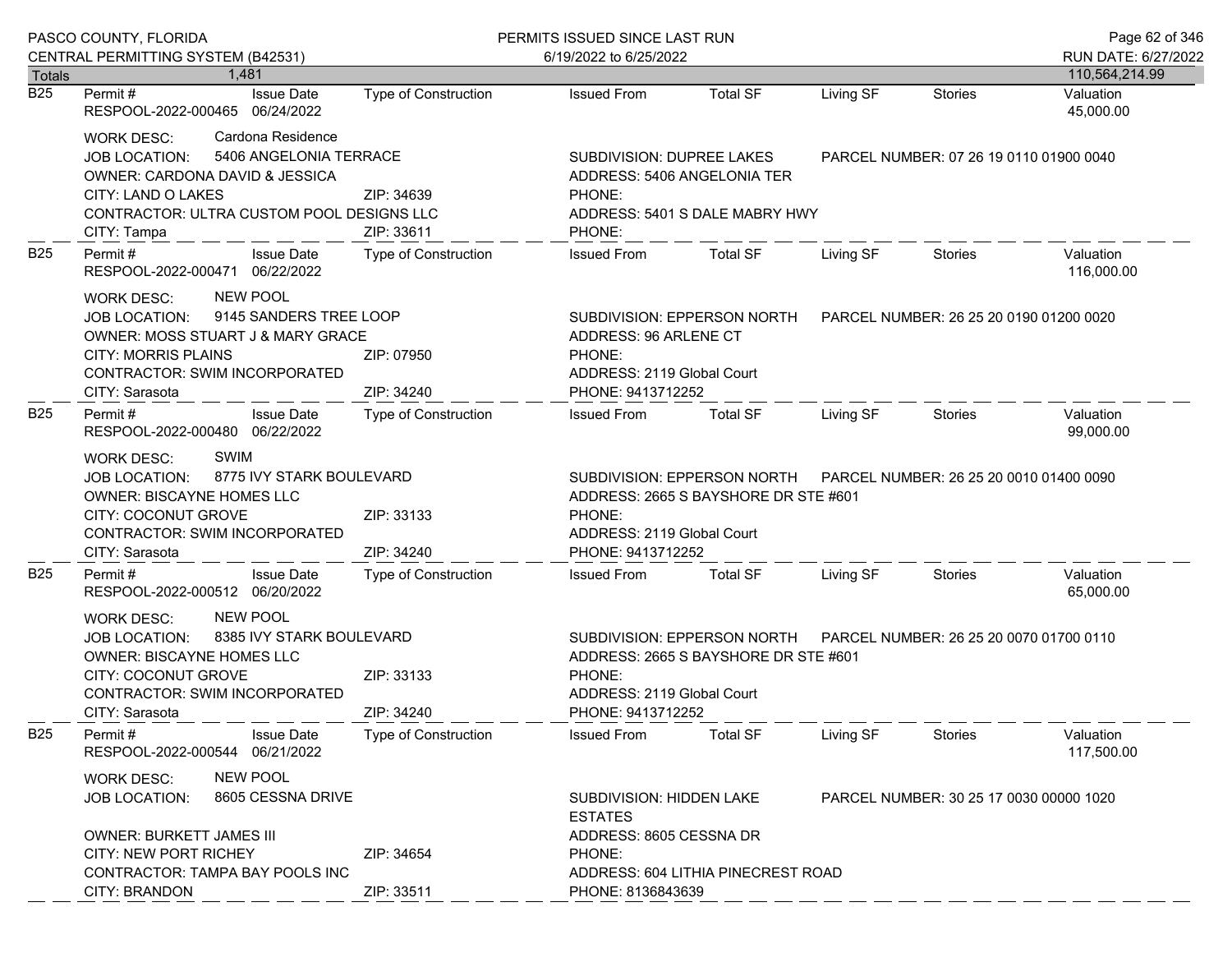|                  | PASCO COUNTY, FLORIDA                                                                                                                                                                                                | PERMITS ISSUED SINCE LAST RUN |                                                                                                                                                                             |                                                                     |                                         |                                         | Page 62 of 346          |
|------------------|----------------------------------------------------------------------------------------------------------------------------------------------------------------------------------------------------------------------|-------------------------------|-----------------------------------------------------------------------------------------------------------------------------------------------------------------------------|---------------------------------------------------------------------|-----------------------------------------|-----------------------------------------|-------------------------|
|                  | CENTRAL PERMITTING SYSTEM (B42531)                                                                                                                                                                                   |                               | 6/19/2022 to 6/25/2022                                                                                                                                                      |                                                                     |                                         |                                         | RUN DATE: 6/27/2022     |
| Totals           | 1.481                                                                                                                                                                                                                |                               |                                                                                                                                                                             |                                                                     |                                         |                                         | 110,564,214.99          |
| $\overline{B25}$ | <b>Issue Date</b><br>Permit #<br>RESPOOL-2022-000465 06/24/2022                                                                                                                                                      | <b>Type of Construction</b>   | <b>Issued From</b>                                                                                                                                                          | <b>Total SF</b>                                                     | Living SF                               | Stories                                 | Valuation<br>45,000.00  |
|                  | Cardona Residence<br>WORK DESC:<br>5406 ANGELONIA TERRACE<br>JOB LOCATION:<br>OWNER: CARDONA DAVID & JESSICA<br>CITY: LAND O LAKES<br>CONTRACTOR: ULTRA CUSTOM POOL DESIGNS LLC<br>CITY: Tampa                       | ZIP: 34639<br>ZIP: 33611      | SUBDIVISION: DUPREE LAKES<br>ADDRESS: 5406 ANGELONIA TER<br>PHONE:<br>ADDRESS: 5401 S DALE MABRY HWY<br>PHONE:                                                              |                                                                     | PARCEL NUMBER: 07 26 19 0110 01900 0040 |                                         |                         |
| <b>B25</b>       | <b>Issue Date</b><br>Permit#<br>RESPOOL-2022-000471 06/22/2022                                                                                                                                                       | Type of Construction          | <b>Issued From</b>                                                                                                                                                          | <b>Total SF</b>                                                     | Living SF                               | Stories                                 | Valuation<br>116,000.00 |
|                  | <b>NEW POOL</b><br>WORK DESC:<br>9145 SANDERS TREE LOOP<br><b>JOB LOCATION:</b><br>OWNER: MOSS STUART J & MARY GRACE<br><b>CITY: MORRIS PLAINS</b><br>CONTRACTOR: SWIM INCORPORATED<br>CITY: Sarasota                | ZIP: 07950<br>ZIP: 34240      | SUBDIVISION: EPPERSON NORTH<br>ADDRESS: 96 ARLENE CT<br>PHONE:<br>ADDRESS: 2119 Global Court<br>PHONE: 9413712252                                                           |                                                                     |                                         | PARCEL NUMBER: 26 25 20 0190 01200 0020 |                         |
| <b>B25</b>       | Permit#<br><b>Issue Date</b><br>RESPOOL-2022-000480 06/22/2022                                                                                                                                                       | <b>Type of Construction</b>   | <b>Issued From</b>                                                                                                                                                          | <b>Total SF</b>                                                     | Living SF                               | Stories                                 | Valuation<br>99,000.00  |
|                  | SWIM<br><b>WORK DESC:</b><br>8775 IVY STARK BOULEVARD<br><b>JOB LOCATION:</b><br>OWNER: BISCAYNE HOMES LLC<br>CITY: COCONUT GROVE<br>ZIP: 33133<br>CONTRACTOR: SWIM INCORPORATED<br>ZIP: 34240<br>CITY: Sarasota     |                               | PHONE:<br>ADDRESS: 2119 Global Court<br>PHONE: 9413712252                                                                                                                   | SUBDIVISION: EPPERSON NORTH<br>ADDRESS: 2665 S BAYSHORE DR STE #601 |                                         | PARCEL NUMBER: 26 25 20 0010 01400 0090 |                         |
| <b>B25</b>       | Permit#<br><b>Issue Date</b><br>RESPOOL-2022-000512 06/20/2022                                                                                                                                                       | Type of Construction          | <b>Issued From</b>                                                                                                                                                          | <b>Total SF</b>                                                     | Living SF                               | Stories                                 | Valuation<br>65,000.00  |
|                  | <b>NEW POOL</b><br>WORK DESC:<br>8385 IVY STARK BOULEVARD<br><b>JOB LOCATION:</b><br>OWNER: BISCAYNE HOMES LLC<br>CITY: COCONUT GROVE<br>ZIP: 33133<br>CONTRACTOR: SWIM INCORPORATED<br>CITY: Sarasota<br>ZIP: 34240 |                               | SUBDIVISION: EPPERSON NORTH<br>PARCEL NUMBER: 26 25 20 0070 01700 0110<br>ADDRESS: 2665 S BAYSHORE DR STE #601<br>PHONE:<br>ADDRESS: 2119 Global Court<br>PHONE: 9413712252 |                                                                     |                                         |                                         |                         |
| <b>B25</b>       | Permit#<br><b>Issue Date</b><br>06/21/2022<br>RESPOOL-2022-000544                                                                                                                                                    | <b>Type of Construction</b>   | <b>Issued From</b>                                                                                                                                                          | <b>Total SF</b>                                                     | Living SF                               | <b>Stories</b>                          | Valuation<br>117,500.00 |
|                  | <b>NEW POOL</b><br>WORK DESC:<br>8605 CESSNA DRIVE<br><b>JOB LOCATION:</b>                                                                                                                                           |                               | <b>ESTATES</b>                                                                                                                                                              | SUBDIVISION: HIDDEN LAKE                                            |                                         | PARCEL NUMBER: 30 25 17 0030 00000 1020 |                         |
|                  | <b>OWNER: BURKETT JAMES III</b><br><b>CITY: NEW PORT RICHEY</b><br><b>CONTRACTOR: TAMPA BAY POOLS INC</b><br>CITY: BRANDON                                                                                           | ZIP: 34654<br>ZIP: 33511      | ADDRESS: 8605 CESSNA DR<br>PHONE:<br>PHONE: 8136843639                                                                                                                      | ADDRESS: 604 LITHIA PINECREST ROAD                                  |                                         |                                         |                         |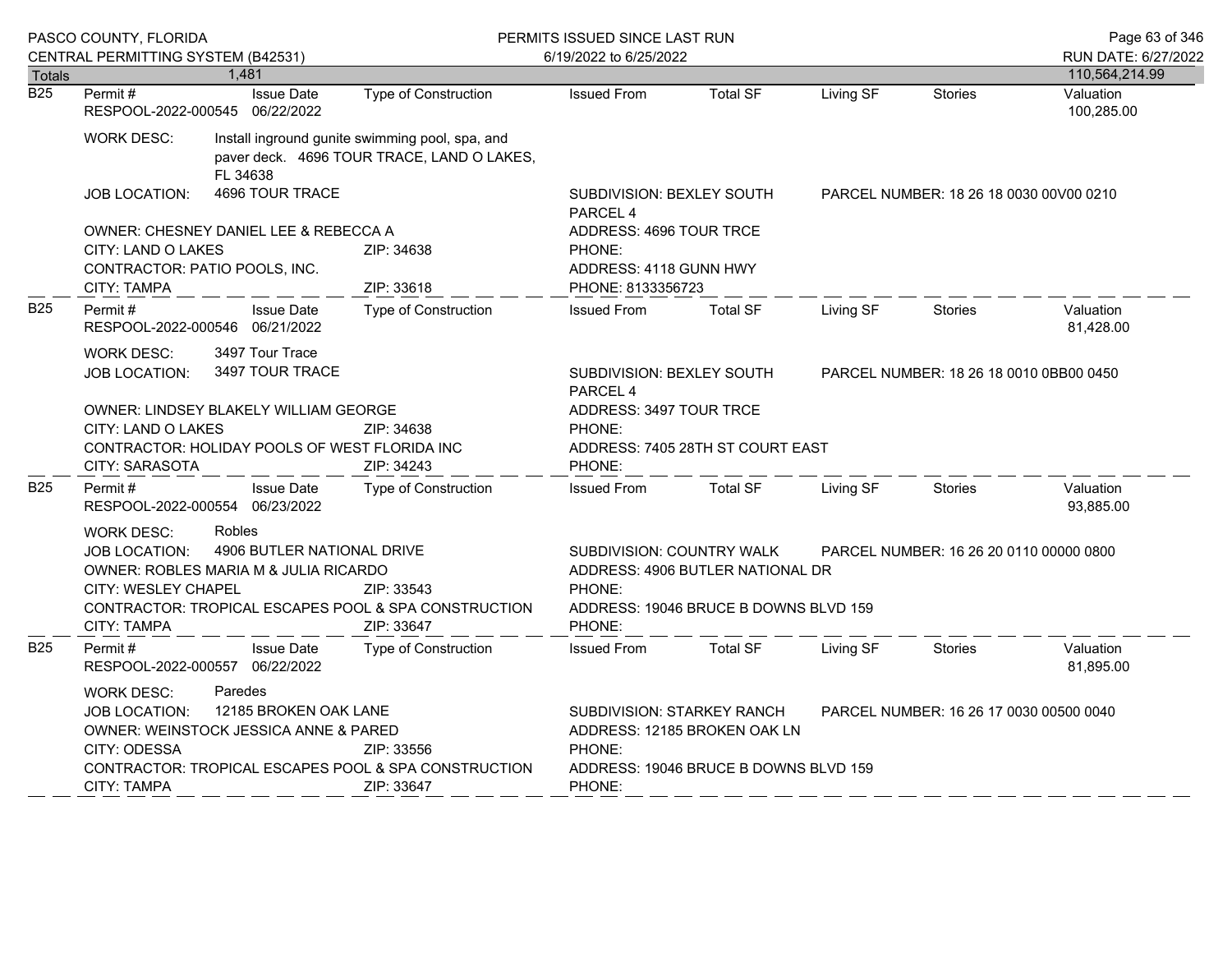|                  | PASCO COUNTY, FLORIDA                                                                                                                                                                                                                                       |                                       |                                                                                                                                                                    | PERMITS ISSUED SINCE LAST RUN                                                    |                 |                                         |                                         |                         |
|------------------|-------------------------------------------------------------------------------------------------------------------------------------------------------------------------------------------------------------------------------------------------------------|---------------------------------------|--------------------------------------------------------------------------------------------------------------------------------------------------------------------|----------------------------------------------------------------------------------|-----------------|-----------------------------------------|-----------------------------------------|-------------------------|
|                  | CENTRAL PERMITTING SYSTEM (B42531)                                                                                                                                                                                                                          |                                       |                                                                                                                                                                    | 6/19/2022 to 6/25/2022                                                           |                 |                                         |                                         | RUN DATE: 6/27/2022     |
| Totals           |                                                                                                                                                                                                                                                             | 1,481                                 |                                                                                                                                                                    |                                                                                  |                 |                                         |                                         | 110,564,214.99          |
| $\overline{B25}$ | Permit#<br>RESPOOL-2022-000545 06/22/2022                                                                                                                                                                                                                   | <b>Issue Date</b>                     | Type of Construction                                                                                                                                               | <b>Issued From</b>                                                               | <b>Total SF</b> | Living SF                               | <b>Stories</b>                          | Valuation<br>100,285.00 |
|                  | <b>WORK DESC:</b>                                                                                                                                                                                                                                           | FL 34638                              | Install inground gunite swimming pool, spa, and<br>paver deck. 4696 TOUR TRACE, LAND O LAKES,                                                                      |                                                                                  |                 |                                         |                                         |                         |
|                  | JOB LOCATION:                                                                                                                                                                                                                                               | 4696 TOUR TRACE                       |                                                                                                                                                                    | <b>SUBDIVISION: BEXLEY SOUTH</b><br>PARCEL <sub>4</sub>                          |                 |                                         | PARCEL NUMBER: 18 26 18 0030 00 00 0210 |                         |
|                  | CITY: LAND O LAKES<br>CONTRACTOR: PATIO POOLS, INC.<br>CITY: TAMPA                                                                                                                                                                                          | OWNER: CHESNEY DANIEL LEE & REBECCA A | ZIP: 34638<br>ZIP: 33618                                                                                                                                           | ADDRESS: 4696 TOUR TRCE<br>PHONE:<br>ADDRESS: 4118 GUNN HWY<br>PHONE: 8133356723 |                 |                                         |                                         |                         |
| <b>B25</b>       | Permit#<br>RESPOOL-2022-000546 06/21/2022                                                                                                                                                                                                                   | <b>Issue Date</b>                     | Type of Construction                                                                                                                                               | <b>Issued From</b>                                                               | <b>Total SF</b> | Living SF                               | Stories                                 | Valuation<br>81,428.00  |
|                  | 3497 Tour Trace<br><b>WORK DESC:</b><br>3497 TOUR TRACE<br><b>JOB LOCATION:</b><br>OWNER: LINDSEY BLAKELY WILLIAM GEORGE                                                                                                                                    |                                       |                                                                                                                                                                    | SUBDIVISION: BEXLEY SOUTH<br>PARCEL <sub>4</sub><br>ADDRESS: 3497 TOUR TRCE      |                 |                                         | PARCEL NUMBER: 18 26 18 0010 0BB00 0450 |                         |
|                  | CITY: LAND O LAKES<br>ZIP: 34638                                                                                                                                                                                                                            |                                       |                                                                                                                                                                    | PHONE:                                                                           |                 |                                         |                                         |                         |
|                  | CONTRACTOR: HOLIDAY POOLS OF WEST FLORIDA INC<br>CITY: SARASOTA                                                                                                                                                                                             |                                       | ZIP: 34243                                                                                                                                                         | ADDRESS: 7405 28TH ST COURT EAST<br>PHONE:                                       |                 |                                         |                                         |                         |
| <b>B25</b>       | Permit#<br>RESPOOL-2022-000554 06/23/2022                                                                                                                                                                                                                   | <b>Issue Date</b>                     | <b>Type of Construction</b>                                                                                                                                        | <b>Issued From</b>                                                               | <b>Total SF</b> | Living SF                               | Stories                                 | Valuation<br>93,885.00  |
|                  | <b>Robles</b><br><b>WORK DESC:</b><br>4906 BUTLER NATIONAL DRIVE<br>JOB LOCATION:<br>OWNER: ROBLES MARIA M & JULIA RICARDO<br>CITY: WESLEY CHAPEL<br>ZIP: 33543<br>CONTRACTOR: TROPICAL ESCAPES POOL & SPA CONSTRUCTION<br><b>CITY: TAMPA</b><br>ZIP: 33647 |                                       | SUBDIVISION: COUNTRY WALK<br>PHONE:<br>PHONE:                                                                                                                      | ADDRESS: 4906 BUTLER NATIONAL DR<br>ADDRESS: 19046 BRUCE B DOWNS BLVD 159        |                 | PARCEL NUMBER: 16 26 20 0110 00000 0800 |                                         |                         |
| <b>B25</b>       | Permit#<br>RESPOOL-2022-000557 06/22/2022                                                                                                                                                                                                                   | <b>Issue Date</b>                     | Type of Construction                                                                                                                                               | <b>Issued From</b>                                                               | <b>Total SF</b> | Living SF                               | <b>Stories</b>                          | Valuation<br>81,895.00  |
|                  | Paredes<br>WORK DESC:<br>12185 BROKEN OAK LANE<br>JOB LOCATION:<br>OWNER: WEINSTOCK JESSICA ANNE & PARED<br>CITY: ODESSA<br>ZIP: 33556<br>CONTRACTOR: TROPICAL ESCAPES POOL & SPA CONSTRUCTION<br>CITY: TAMPA<br>ZIP: 33647                                 |                                       | SUBDIVISION: STARKEY RANCH<br>PARCEL NUMBER: 16 26 17 0030 00500 0040<br>ADDRESS: 12185 BROKEN OAK LN<br>PHONE:<br>ADDRESS: 19046 BRUCE B DOWNS BLVD 159<br>PHONE: |                                                                                  |                 |                                         |                                         |                         |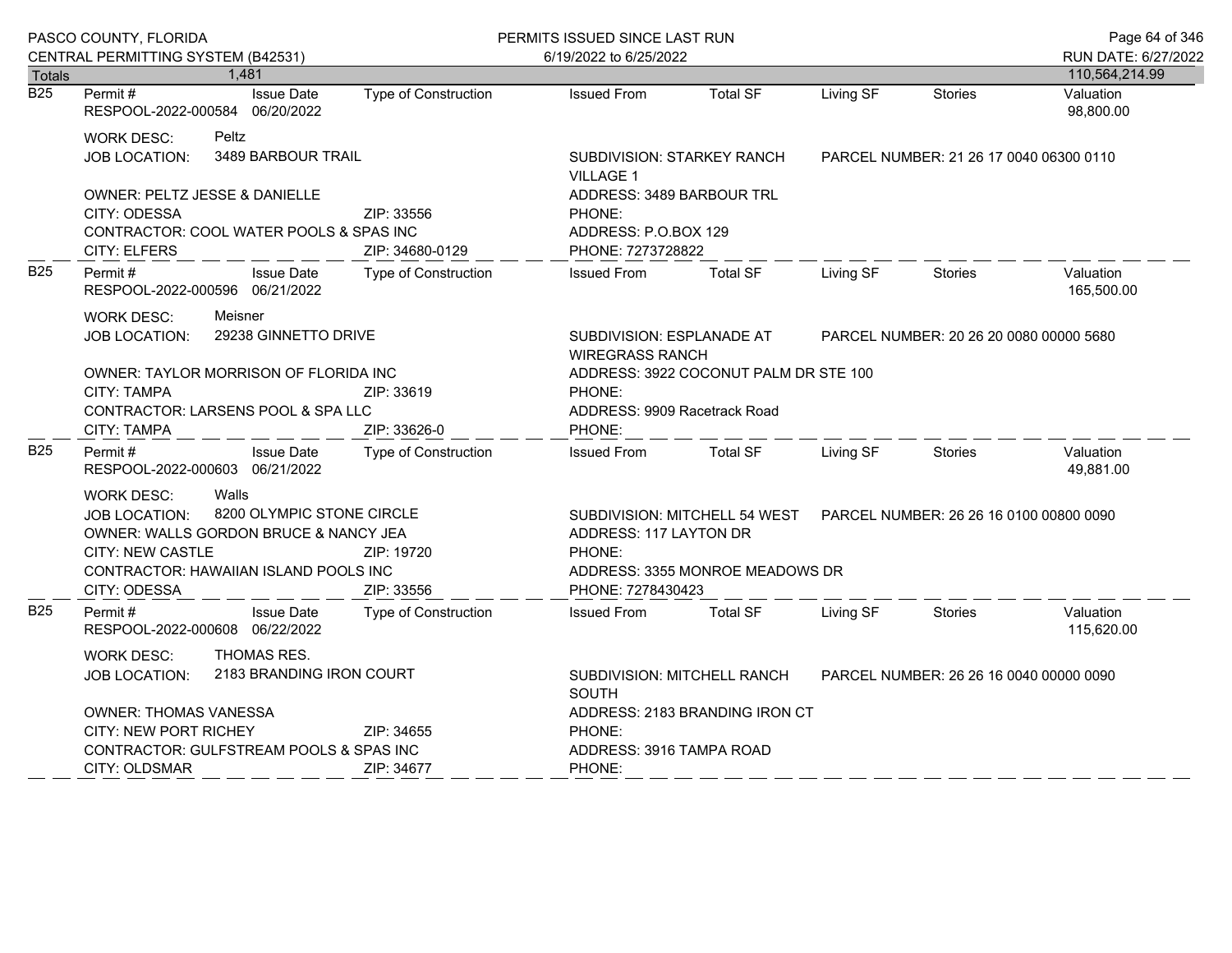|                            | PASCO COUNTY, FLORIDA                                                                                                                                                                                                      |                                                                     | PERMITS ISSUED SINCE LAST RUN                                                                                                           |                                                                                                                              |           |                                         | Page 64 of 346                        |
|----------------------------|----------------------------------------------------------------------------------------------------------------------------------------------------------------------------------------------------------------------------|---------------------------------------------------------------------|-----------------------------------------------------------------------------------------------------------------------------------------|------------------------------------------------------------------------------------------------------------------------------|-----------|-----------------------------------------|---------------------------------------|
|                            | CENTRAL PERMITTING SYSTEM (B42531)<br>1,481                                                                                                                                                                                |                                                                     | 6/19/2022 to 6/25/2022                                                                                                                  |                                                                                                                              |           |                                         | RUN DATE: 6/27/2022<br>110,564,214.99 |
| Totals<br>$\overline{B25}$ | Permit#<br>RESPOOL-2022-000584 06/20/2022                                                                                                                                                                                  | <b>Issue Date</b><br><b>Type of Construction</b>                    | <b>Issued From</b>                                                                                                                      | <b>Total SF</b>                                                                                                              | Living SF | <b>Stories</b>                          | Valuation<br>98,800.00                |
|                            | Peltz<br><b>WORK DESC:</b><br>JOB LOCATION:<br>OWNER: PELTZ JESSE & DANIELLE<br>CITY: ODESSA<br>CONTRACTOR: COOL WATER POOLS & SPAS INC                                                                                    | 3489 BARBOUR TRAIL<br>ZIP: 33556                                    | <b>VILLAGE 1</b><br>PHONE:                                                                                                              | SUBDIVISION: STARKEY RANCH<br>ADDRESS: 3489 BARBOUR TRL<br>ADDRESS: P.O.BOX 129                                              |           | PARCEL NUMBER: 21 26 17 0040 06300 0110 |                                       |
| <b>B25</b>                 | <b>CITY: ELFERS</b><br>Permit #<br>RESPOOL-2022-000596 06/21/2022                                                                                                                                                          | ZIP: 34680-0129<br><b>Issue Date</b><br><b>Type of Construction</b> | PHONE: 7273728822<br><b>Issued From</b>                                                                                                 | <b>Total SF</b>                                                                                                              | Living SF | <b>Stories</b>                          | Valuation<br>165,500.00               |
|                            | Meisner<br><b>WORK DESC:</b><br>29238 GINNETTO DRIVE<br>JOB LOCATION:<br>OWNER: TAYLOR MORRISON OF FLORIDA INC<br>CITY: TAMPA<br>ZIP: 33619<br>CONTRACTOR: LARSENS POOL & SPA LLC<br>CITY: TAMPA<br>ZIP: 33626-0           |                                                                     | PHONE:<br>PHONE:                                                                                                                        | SUBDIVISION: ESPLANADE AT<br><b>WIREGRASS RANCH</b><br>ADDRESS: 3922 COCONUT PALM DR STE 100<br>ADDRESS: 9909 Racetrack Road |           | PARCEL NUMBER: 20 26 20 0080 00000 5680 |                                       |
| <b>B25</b>                 | Permit#<br>RESPOOL-2022-000603 06/21/2022                                                                                                                                                                                  | <b>Issue Date</b><br>Type of Construction                           | <b>Issued From</b>                                                                                                                      | <b>Total SF</b>                                                                                                              | Living SF | <b>Stories</b>                          | Valuation<br>49,881.00                |
|                            | Walls<br><b>WORK DESC:</b><br>8200 OLYMPIC STONE CIRCLE<br><b>JOB LOCATION:</b><br>OWNER: WALLS GORDON BRUCE & NANCY JEA<br><b>CITY: NEW CASTLE</b><br>ZIP: 19720<br>CONTRACTOR: HAWAIIAN ISLAND POOLS INC<br>CITY: ODESSA |                                                                     | SUBDIVISION: MITCHELL 54 WEST<br>ADDRESS: 117 LAYTON DR<br>PHONE:<br>ADDRESS: 3355 MONROE MEADOWS DR<br>ZIP: 33556<br>PHONE: 7278430423 |                                                                                                                              |           | PARCEL NUMBER: 26 26 16 0100 00800 0090 |                                       |
| <b>B25</b>                 | Permit#<br>RESPOOL-2022-000608 06/22/2022                                                                                                                                                                                  | <b>Issue Date</b><br>Type of Construction                           | <b>Issued From</b>                                                                                                                      | <b>Total SF</b>                                                                                                              | Living SF | <b>Stories</b>                          | Valuation<br>115,620.00               |
|                            | <b>THOMAS RES.</b><br><b>WORK DESC:</b><br><b>JOB LOCATION:</b><br><b>OWNER: THOMAS VANESSA</b><br><b>CITY: NEW PORT RICHEY</b><br>CONTRACTOR: GULFSTREAM POOLS & SPAS INC                                                 | 2183 BRANDING IRON COURT<br>ZIP: 34655                              | SOUTH<br>PHONE:<br>ADDRESS: 3916 TAMPA ROAD                                                                                             | SUBDIVISION: MITCHELL RANCH<br>ADDRESS: 2183 BRANDING IRON CT                                                                |           | PARCEL NUMBER: 26 26 16 0040 00000 0090 |                                       |
|                            | CITY: OLDSMAR                                                                                                                                                                                                              | ZIP: 34677                                                          | PHONE:                                                                                                                                  |                                                                                                                              |           |                                         |                                       |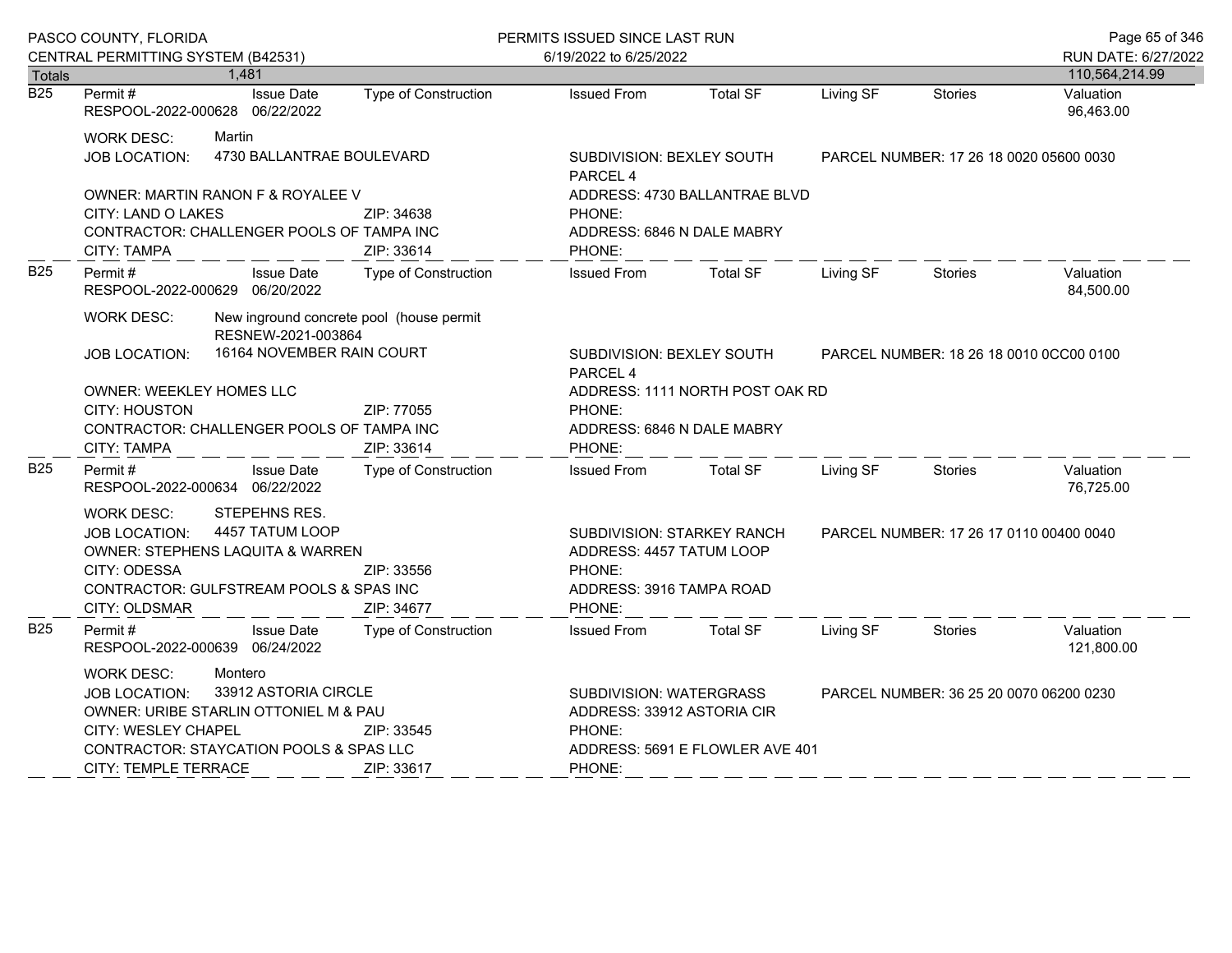|                  | PASCO COUNTY, FLORIDA                                                                                                                                                                                                                              |                                                                                                                 |                                          | PERMITS ISSUED SINCE LAST RUN                                                                                |                                                               |                                         |                                         | Page 65 of 346          |  |
|------------------|----------------------------------------------------------------------------------------------------------------------------------------------------------------------------------------------------------------------------------------------------|-----------------------------------------------------------------------------------------------------------------|------------------------------------------|--------------------------------------------------------------------------------------------------------------|---------------------------------------------------------------|-----------------------------------------|-----------------------------------------|-------------------------|--|
|                  | CENTRAL PERMITTING SYSTEM (B42531)                                                                                                                                                                                                                 |                                                                                                                 |                                          | 6/19/2022 to 6/25/2022                                                                                       |                                                               |                                         |                                         | RUN DATE: 6/27/2022     |  |
| Totals           |                                                                                                                                                                                                                                                    | 1,481                                                                                                           |                                          |                                                                                                              |                                                               |                                         |                                         | 110,564,214.99          |  |
| $\overline{B25}$ | Permit#                                                                                                                                                                                                                                            | <b>Issue Date</b><br>RESPOOL-2022-000628 06/22/2022                                                             | Type of Construction                     | <b>Issued From</b>                                                                                           | <b>Total SF</b>                                               | Living SF                               | <b>Stories</b>                          | Valuation<br>96,463.00  |  |
|                  | <b>WORK DESC:</b><br>JOB LOCATION:                                                                                                                                                                                                                 | Martin<br>4730 BALLANTRAE BOULEVARD                                                                             |                                          | SUBDIVISION: BEXLEY SOUTH<br>PARCEL 4                                                                        |                                                               | PARCEL NUMBER: 17 26 18 0020 05600 0030 |                                         |                         |  |
|                  | CITY: LAND O LAKES<br><b>CITY: TAMPA</b>                                                                                                                                                                                                           | OWNER: MARTIN RANON F & ROYALEE V<br>CONTRACTOR: CHALLENGER POOLS OF TAMPA INC                                  | ZIP: 34638<br>ZIP: 33614                 | PHONE:<br>PHONE:                                                                                             | ADDRESS: 4730 BALLANTRAE BLVD<br>ADDRESS: 6846 N DALE MABRY   |                                         |                                         |                         |  |
| <b>B25</b>       | Permit#                                                                                                                                                                                                                                            | <b>Issue Date</b><br>RESPOOL-2022-000629 06/20/2022                                                             | Type of Construction                     | <b>Issued From</b>                                                                                           | <b>Total SF</b>                                               | Living SF                               | <b>Stories</b>                          | Valuation<br>84,500.00  |  |
|                  | <b>WORK DESC:</b><br>JOB LOCATION:                                                                                                                                                                                                                 | RESNEW-2021-003864<br>16164 NOVEMBER RAIN COURT                                                                 | New inground concrete pool (house permit | SUBDIVISION: BEXLEY SOUTH                                                                                    |                                                               |                                         | PARCEL NUMBER: 18 26 18 0010 0CC00 0100 |                         |  |
|                  |                                                                                                                                                                                                                                                    |                                                                                                                 |                                          | PARCEL <sub>4</sub>                                                                                          |                                                               |                                         |                                         |                         |  |
|                  | <b>OWNER: WEEKLEY HOMES LLC</b><br><b>CITY: HOUSTON</b><br>ZIP: 77055<br>CONTRACTOR: CHALLENGER POOLS OF TAMPA INC                                                                                                                                 |                                                                                                                 |                                          | PHONE:                                                                                                       | ADDRESS: 1111 NORTH POST OAK RD<br>ADDRESS: 6846 N DALE MABRY |                                         |                                         |                         |  |
|                  | <b>CITY: TAMPA</b><br>ZIP: 33614                                                                                                                                                                                                                   |                                                                                                                 |                                          | PHONE:                                                                                                       |                                                               |                                         |                                         |                         |  |
| <b>B25</b>       | Permit#                                                                                                                                                                                                                                            | <b>Issue Date</b><br>RESPOOL-2022-000634 06/22/2022                                                             | <b>Type of Construction</b>              | <b>Issued From</b>                                                                                           | <b>Total SF</b>                                               | Living SF                               | Stories                                 | Valuation<br>76,725.00  |  |
|                  | <b>WORK DESC:</b><br><b>JOB LOCATION:</b><br>CITY: ODESSA<br>CITY: OLDSMAR                                                                                                                                                                         | STEPEHNS RES.<br>4457 TATUM LOOP<br>OWNER: STEPHENS LAQUITA & WARREN<br>CONTRACTOR: GULFSTREAM POOLS & SPAS INC | ZIP: 33556<br>ZIP: 34677                 | SUBDIVISION: STARKEY RANCH<br>ADDRESS: 4457 TATUM LOOP<br>PHONE:<br>ADDRESS: 3916 TAMPA ROAD<br>PHONE:       |                                                               |                                         | PARCEL NUMBER: 17 26 17 0110 00400 0040 |                         |  |
| <b>B25</b>       | Permit#                                                                                                                                                                                                                                            | <b>Issue Date</b><br>RESPOOL-2022-000639 06/24/2022                                                             | Type of Construction                     | <b>Issued From</b>                                                                                           | <b>Total SF</b>                                               | Living SF                               | Stories                                 | Valuation<br>121,800.00 |  |
|                  | Montero<br><b>WORK DESC:</b><br>33912 ASTORIA CIRCLE<br><b>JOB LOCATION:</b><br>OWNER: URIBE STARLIN OTTONIEL M & PAU<br>CITY: WESLEY CHAPEL<br>ZIP: 33545<br>CONTRACTOR: STAYCATION POOLS & SPAS LLC<br><b>CITY: TEMPLE TERRACE</b><br>ZIP: 33617 |                                                                                                                 |                                          | SUBDIVISION: WATERGRASS<br>ADDRESS: 33912 ASTORIA CIR<br>PHONE:<br>ADDRESS: 5691 E FLOWLER AVE 401<br>PHONE: |                                                               |                                         | PARCEL NUMBER: 36 25 20 0070 06200 0230 |                         |  |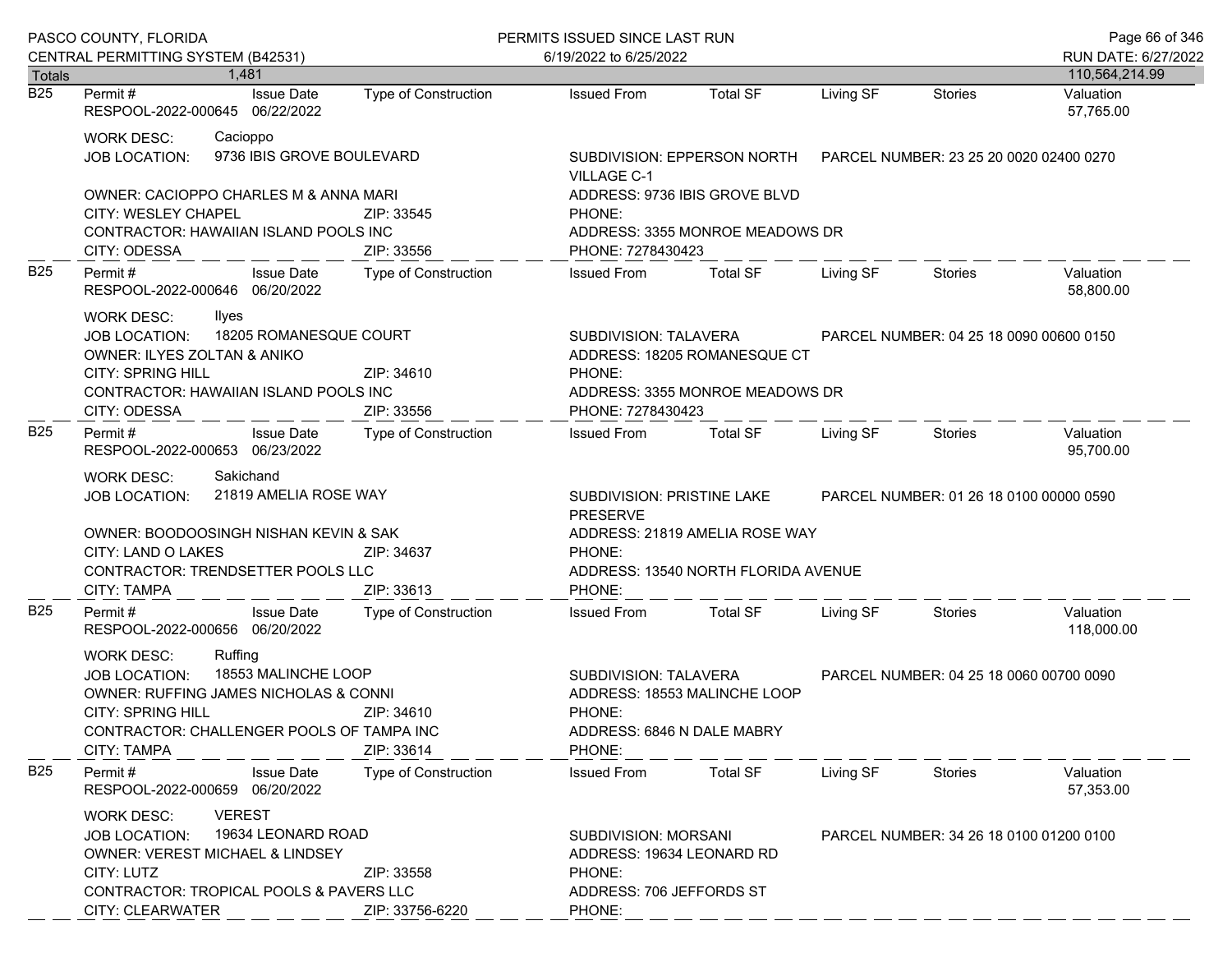|               | PASCO COUNTY, FLORIDA                                                                                                                                                                                                                    |                                       |                                                                         | PERMITS ISSUED SINCE LAST RUN                                                                            |                                                                                                  |                                         |                                         | Page 66 of 346              |
|---------------|------------------------------------------------------------------------------------------------------------------------------------------------------------------------------------------------------------------------------------------|---------------------------------------|-------------------------------------------------------------------------|----------------------------------------------------------------------------------------------------------|--------------------------------------------------------------------------------------------------|-----------------------------------------|-----------------------------------------|-----------------------------|
|               | CENTRAL PERMITTING SYSTEM (B42531)                                                                                                                                                                                                       |                                       |                                                                         | 6/19/2022 to 6/25/2022                                                                                   |                                                                                                  |                                         |                                         | RUN DATE: 6/27/2022         |
| Totals<br>B25 | Permit #                                                                                                                                                                                                                                 | 1.481<br><b>Issue Date</b>            | Type of Construction                                                    | <b>Issued From</b>                                                                                       | <b>Total SF</b>                                                                                  | Living SF                               | <b>Stories</b>                          | 110,564,214.99<br>Valuation |
|               | RESPOOL-2022-000645 06/22/2022                                                                                                                                                                                                           |                                       |                                                                         |                                                                                                          |                                                                                                  |                                         |                                         | 57,765.00                   |
|               | WORK DESC:<br>JOB LOCATION:                                                                                                                                                                                                              | Cacioppo<br>9736 IBIS GROVE BOULEVARD |                                                                         | SUBDIVISION: EPPERSON NORTH<br>VILLAGE C-1                                                               |                                                                                                  |                                         | PARCEL NUMBER: 23 25 20 0020 02400 0270 |                             |
|               | <b>OWNER: CACIOPPO CHARLES M &amp; ANNA MARI</b><br><b>CITY: WESLEY CHAPEL</b><br>CONTRACTOR: HAWAIIAN ISLAND POOLS INC                                                                                                                  |                                       | ZIP: 33545                                                              | PHONE:                                                                                                   | ADDRESS: 9736 IBIS GROVE BLVD<br>ADDRESS: 3355 MONROE MEADOWS DR                                 |                                         |                                         |                             |
|               | CITY: ODESSA                                                                                                                                                                                                                             |                                       | ZIP: 33556                                                              | PHONE: 7278430423                                                                                        |                                                                                                  |                                         |                                         |                             |
| <b>B25</b>    | Permit#<br>RESPOOL-2022-000646 06/20/2022                                                                                                                                                                                                | <b>Issue Date</b>                     | Type of Construction                                                    | <b>Issued From</b>                                                                                       | <b>Total SF</b>                                                                                  | Living SF                               | Stories                                 | Valuation<br>58,800.00      |
|               | WORK DESC:<br>Ilyes<br>18205 ROMANESQUE COURT<br><b>JOB LOCATION:</b><br>OWNER: ILYES ZOLTAN & ANIKO                                                                                                                                     |                                       |                                                                         |                                                                                                          | SUBDIVISION: TALAVERA<br>PARCEL NUMBER: 04 25 18 0090 00600 0150<br>ADDRESS: 18205 ROMANESQUE CT |                                         |                                         |                             |
|               | <b>CITY: SPRING HILL</b><br>CONTRACTOR: HAWAIIAN ISLAND POOLS INC<br>CITY: ODESSA                                                                                                                                                        |                                       | ZIP: 34610<br>ZIP: 33556                                                | PHONE:<br>PHONE: 7278430423                                                                              | ADDRESS: 3355 MONROE MEADOWS DR                                                                  |                                         |                                         |                             |
| <b>B25</b>    | Permit#<br>RESPOOL-2022-000653 06/23/2022                                                                                                                                                                                                | <b>Issue Date</b>                     | Type of Construction                                                    | Issued From                                                                                              | <b>Total SF</b>                                                                                  | Living SF                               | Stories                                 | Valuation<br>95,700.00      |
|               | Sakichand<br>WORK DESC:<br>21819 AMELIA ROSE WAY<br><b>JOB LOCATION:</b>                                                                                                                                                                 |                                       |                                                                         | SUBDIVISION: PRISTINE LAKE<br><b>PRESERVE</b>                                                            |                                                                                                  |                                         | PARCEL NUMBER: 01 26 18 0100 00000 0590 |                             |
|               | OWNER: BOODOOSINGH NISHAN KEVIN & SAK<br>CITY: LAND O LAKES<br>CONTRACTOR: TRENDSETTER POOLS LLC<br><b>CITY: TAMPA</b>                                                                                                                   |                                       | ZIP: 34637<br>ZIP: 33613                                                | PHONE:<br>PHONE:                                                                                         | ADDRESS: 21819 AMELIA ROSE WAY<br>ADDRESS: 13540 NORTH FLORIDA AVENUE                            |                                         |                                         |                             |
| <b>B25</b>    | Permit#<br>RESPOOL-2022-000656 06/20/2022                                                                                                                                                                                                | <b>Issue Date</b>                     | Type of Construction                                                    | <b>Issued From</b>                                                                                       | <b>Total SF</b>                                                                                  | Living SF                               | Stories                                 | Valuation<br>118,000.00     |
|               | Ruffing<br><b>WORK DESC:</b><br>18553 MALINCHE LOOP<br>JOB LOCATION:<br>OWNER: RUFFING JAMES NICHOLAS & CONNI<br><b>CITY: SPRING HILL</b><br>ZIP: 34610<br>CONTRACTOR: CHALLENGER POOLS OF TAMPA INC<br><b>CITY: TAMPA</b><br>ZIP: 33614 |                                       | SUBDIVISION: TALAVERA<br>PHONE:<br>ADDRESS: 6846 N DALE MABRY<br>PHONE: | ADDRESS: 18553 MALINCHE LOOP                                                                             |                                                                                                  | PARCEL NUMBER: 04 25 18 0060 00700 0090 |                                         |                             |
| <b>B25</b>    | Permit#<br>RESPOOL-2022-000659 06/20/2022                                                                                                                                                                                                | <b>Issue Date</b>                     | Type of Construction                                                    | <b>Issued From</b>                                                                                       | <b>Total SF</b>                                                                                  | Living SF                               | Stories                                 | Valuation<br>57,353.00      |
|               | <b>WORK DESC:</b><br><b>JOB LOCATION:</b><br>OWNER: VEREST MICHAEL & LINDSEY<br>CITY: LUTZ<br>CONTRACTOR: TROPICAL POOLS & PAVERS LLC<br>CITY: CLEARWATER                                                                                | <b>VEREST</b><br>19634 LEONARD ROAD   | ZIP: 33558<br>ZIP: 33756-6220                                           | <b>SUBDIVISION: MORSANI</b><br>ADDRESS: 19634 LEONARD RD<br>PHONE:<br>ADDRESS: 706 JEFFORDS ST<br>PHONE: |                                                                                                  |                                         | PARCEL NUMBER: 34 26 18 0100 01200 0100 |                             |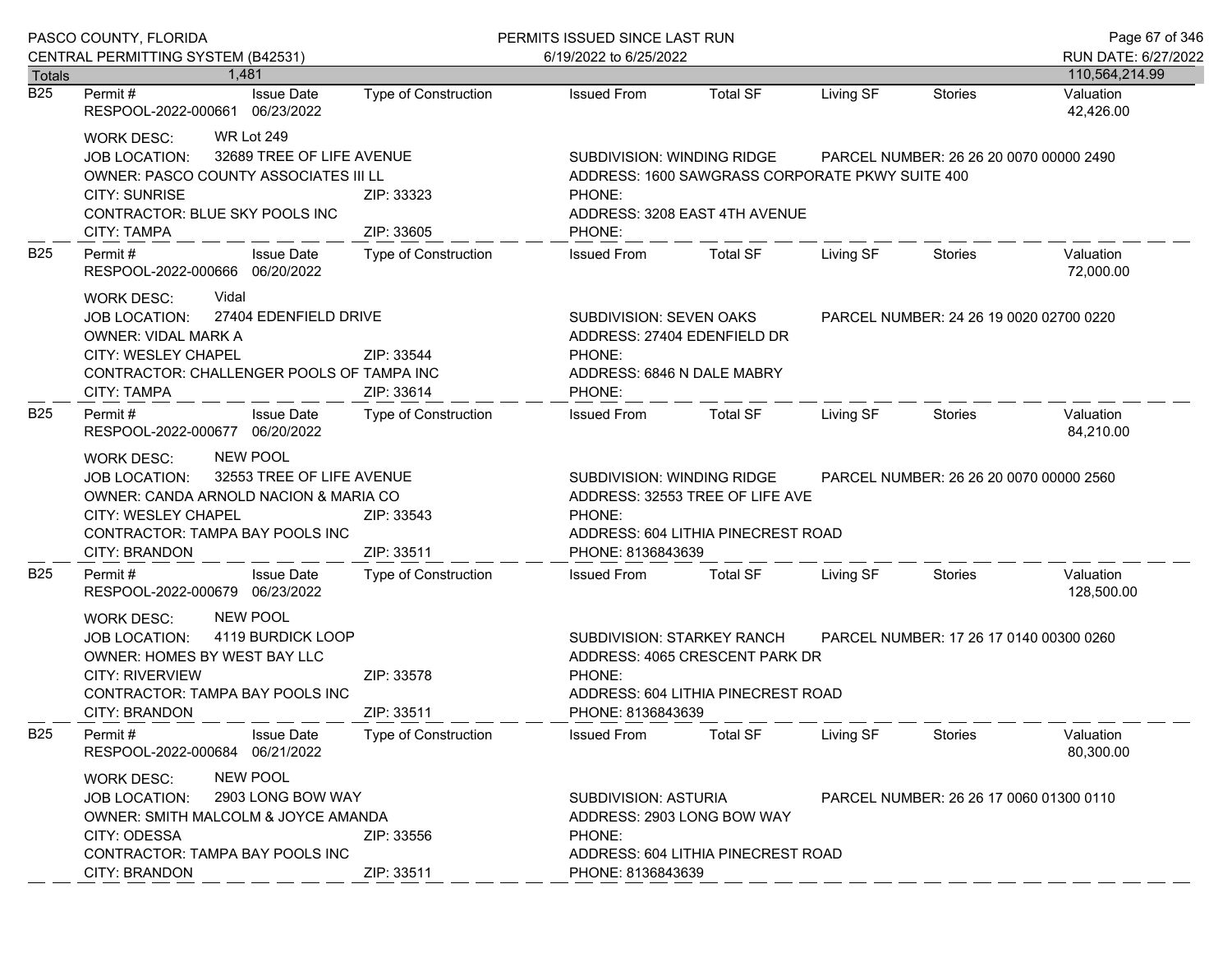|                  | PASCO COUNTY, FLORIDA                                                                                                                                                                                                                                                                                                                                                                         | PERMITS ISSUED SINCE LAST RUN                                                                                                          |                                                                                                                                    |                                         |                                         |                                         | Page 67 of 346          |  |
|------------------|-----------------------------------------------------------------------------------------------------------------------------------------------------------------------------------------------------------------------------------------------------------------------------------------------------------------------------------------------------------------------------------------------|----------------------------------------------------------------------------------------------------------------------------------------|------------------------------------------------------------------------------------------------------------------------------------|-----------------------------------------|-----------------------------------------|-----------------------------------------|-------------------------|--|
|                  | CENTRAL PERMITTING SYSTEM (B42531)                                                                                                                                                                                                                                                                                                                                                            |                                                                                                                                        | 6/19/2022 to 6/25/2022                                                                                                             |                                         |                                         |                                         | RUN DATE: 6/27/2022     |  |
| Totals           | 1.481                                                                                                                                                                                                                                                                                                                                                                                         |                                                                                                                                        |                                                                                                                                    |                                         |                                         |                                         | 110,564,214.99          |  |
| $\overline{B25}$ | <b>Issue Date</b><br>Permit #<br>RESPOOL-2022-000661 06/23/2022                                                                                                                                                                                                                                                                                                                               | Type of Construction                                                                                                                   | <b>Issued From</b>                                                                                                                 | <b>Total SF</b>                         | Living SF                               | Stories                                 | Valuation<br>42,426.00  |  |
|                  | <b>WR Lot 249</b><br>WORK DESC:<br>32689 TREE OF LIFE AVENUE<br>JOB LOCATION:<br>OWNER: PASCO COUNTY ASSOCIATES III LL<br><b>CITY: SUNRISE</b><br>CONTRACTOR: BLUE SKY POOLS INC                                                                                                                                                                                                              | SUBDIVISION: WINDING RIDGE<br>ADDRESS: 1600 SAWGRASS CORPORATE PKWY SUITE 400<br>ZIP: 33323<br>PHONE:<br>ADDRESS: 3208 EAST 4TH AVENUE |                                                                                                                                    | PARCEL NUMBER: 26 26 20 0070 00000 2490 |                                         |                                         |                         |  |
|                  | <b>CITY: TAMPA</b>                                                                                                                                                                                                                                                                                                                                                                            | ZIP: 33605<br>PHONE:                                                                                                                   |                                                                                                                                    |                                         |                                         |                                         |                         |  |
| B <sub>25</sub>  | Permit#<br><b>Issue Date</b><br>RESPOOL-2022-000666 06/20/2022                                                                                                                                                                                                                                                                                                                                | Type of Construction                                                                                                                   | <b>Issued From</b>                                                                                                                 | <b>Total SF</b>                         | Living SF                               | Stories                                 | Valuation<br>72,000.00  |  |
|                  | Vidal<br>WORK DESC:<br>27404 EDENFIELD DRIVE<br>JOB LOCATION:<br><b>OWNER: VIDAL MARK A</b><br>CITY: WESLEY CHAPEL<br>CONTRACTOR: CHALLENGER POOLS OF TAMPA INC<br><b>CITY: TAMPA</b>                                                                                                                                                                                                         | ZIP: 33544<br>ZIP: 33614                                                                                                               | SUBDIVISION: SEVEN OAKS<br>ADDRESS: 27404 EDENFIELD DR<br>PHONE:<br>ADDRESS: 6846 N DALE MABRY<br>PHONE:                           |                                         |                                         | PARCEL NUMBER: 24 26 19 0020 02700 0220 |                         |  |
| <b>B25</b>       | Permit#<br><b>Issue Date</b><br>RESPOOL-2022-000677 06/20/2022                                                                                                                                                                                                                                                                                                                                | Type of Construction                                                                                                                   | <b>Issued From</b>                                                                                                                 | <b>Total SF</b>                         | Living SF                               | Stories                                 | Valuation<br>84,210.00  |  |
|                  | <b>NEW POOL</b><br>WORK DESC:<br>32553 TREE OF LIFE AVENUE<br><b>JOB LOCATION:</b><br>OWNER: CANDA ARNOLD NACION & MARIA CO<br>CITY: WESLEY CHAPEL<br>ZIP: 33543<br>CONTRACTOR: TAMPA BAY POOLS INC<br>CITY: BRANDON<br>ZIP: 33511                                                                                                                                                            |                                                                                                                                        | SUBDIVISION: WINDING RIDGE<br>ADDRESS: 32553 TREE OF LIFE AVE<br>PHONE:<br>ADDRESS: 604 LITHIA PINECREST ROAD<br>PHONE: 8136843639 |                                         | PARCEL NUMBER: 26 26 20 0070 00000 2560 |                                         |                         |  |
| <b>B25</b>       | <b>Issue Date</b><br>Permit#<br>RESPOOL-2022-000679 06/23/2022                                                                                                                                                                                                                                                                                                                                | Type of Construction                                                                                                                   | <b>Issued From</b>                                                                                                                 | <b>Total SF</b>                         | Living SF                               | Stories                                 | Valuation<br>128,500.00 |  |
|                  | <b>NEW POOL</b><br>WORK DESC:<br>4119 BURDICK LOOP<br>JOB LOCATION:<br>SUBDIVISION: STARKEY RANCH<br>PARCEL NUMBER: 17 26 17 0140 00300 0260<br>OWNER: HOMES BY WEST BAY LLC<br>ADDRESS: 4065 CRESCENT PARK DR<br><b>CITY: RIVERVIEW</b><br>ZIP: 33578<br>PHONE:<br>CONTRACTOR: TAMPA BAY POOLS INC<br>ADDRESS: 604 LITHIA PINECREST ROAD<br>CITY: BRANDON<br>ZIP: 33511<br>PHONE: 8136843639 |                                                                                                                                        |                                                                                                                                    |                                         |                                         |                                         |                         |  |
| <b>B25</b>       | Permit#<br><b>Issue Date</b><br>06/21/2022<br>RESPOOL-2022-000684                                                                                                                                                                                                                                                                                                                             | Type of Construction                                                                                                                   | <b>Issued From</b>                                                                                                                 | <b>Total SF</b>                         | Living SF                               | <b>Stories</b>                          | Valuation<br>80,300.00  |  |
|                  | <b>NEW POOL</b><br><b>WORK DESC:</b><br>2903 LONG BOW WAY<br><b>JOB LOCATION:</b><br>OWNER: SMITH MALCOLM & JOYCE AMANDA<br>CITY: ODESSA<br>CONTRACTOR: TAMPA BAY POOLS INC                                                                                                                                                                                                                   | ZIP: 33556                                                                                                                             | <b>SUBDIVISION: ASTURIA</b><br>ADDRESS: 2903 LONG BOW WAY<br>PHONE:<br>ADDRESS: 604 LITHIA PINECREST ROAD                          |                                         | PARCEL NUMBER: 26 26 17 0060 01300 0110 |                                         |                         |  |
|                  | CITY: BRANDON                                                                                                                                                                                                                                                                                                                                                                                 | ZIP: 33511                                                                                                                             | PHONE: 8136843639                                                                                                                  |                                         |                                         |                                         |                         |  |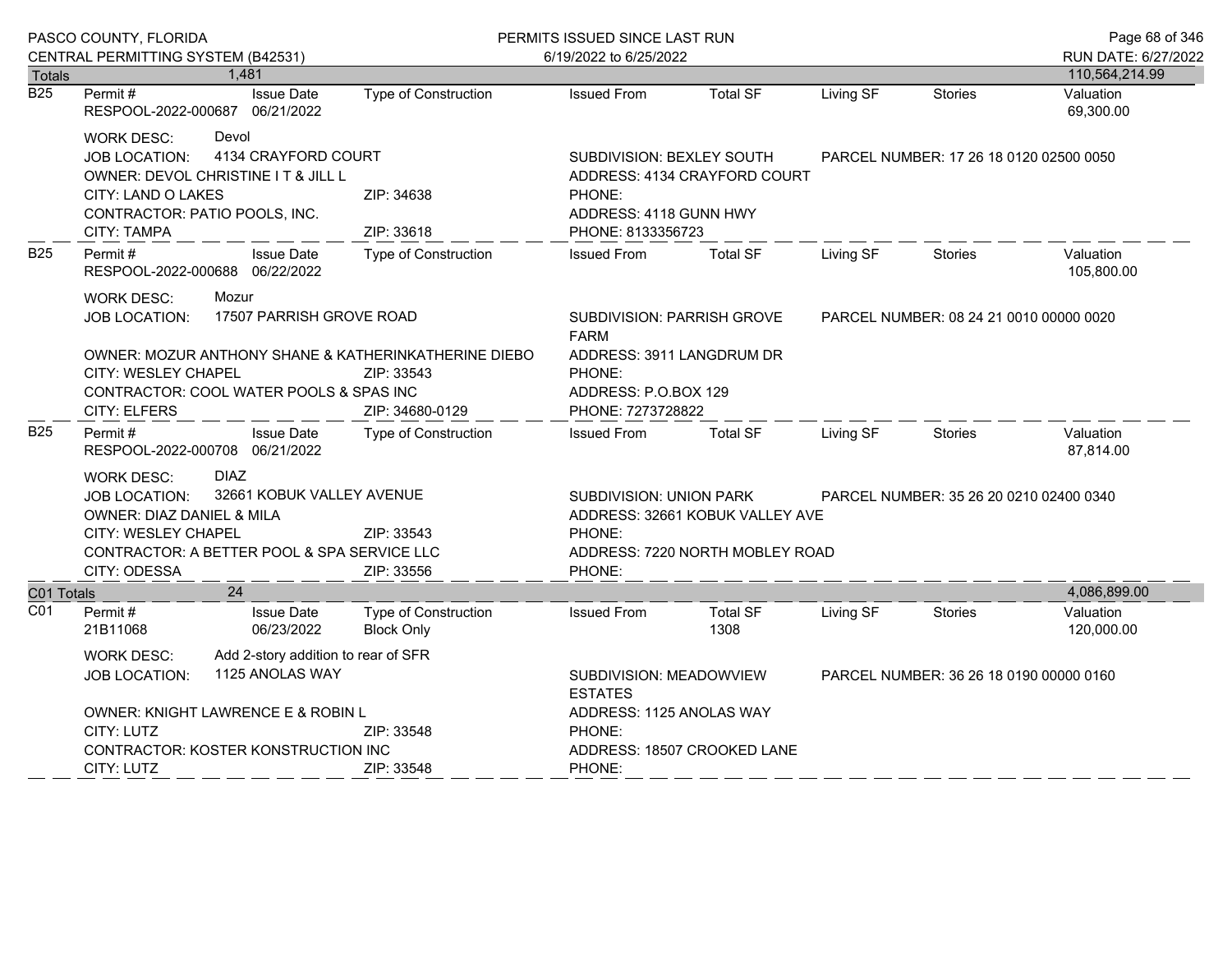|                  | PASCO COUNTY, FLORIDA                                                                                                                                                                        |                                          |                                                                                                                                                | PERMITS ISSUED SINCE LAST RUN                                                                                                 |                                                                    |           |                                         | Page 68 of 346          |
|------------------|----------------------------------------------------------------------------------------------------------------------------------------------------------------------------------------------|------------------------------------------|------------------------------------------------------------------------------------------------------------------------------------------------|-------------------------------------------------------------------------------------------------------------------------------|--------------------------------------------------------------------|-----------|-----------------------------------------|-------------------------|
|                  | CENTRAL PERMITTING SYSTEM (B42531)                                                                                                                                                           |                                          |                                                                                                                                                | 6/19/2022 to 6/25/2022                                                                                                        |                                                                    |           |                                         | RUN DATE: 6/27/2022     |
| Totals           |                                                                                                                                                                                              | 1,481                                    |                                                                                                                                                |                                                                                                                               |                                                                    |           |                                         | 110,564,214.99          |
| $\overline{B25}$ | Permit#<br>RESPOOL-2022-000687 06/21/2022                                                                                                                                                    | <b>Issue Date</b>                        | <b>Type of Construction</b>                                                                                                                    | <b>Issued From</b>                                                                                                            | <b>Total SF</b>                                                    | Living SF | <b>Stories</b>                          | Valuation<br>69,300.00  |
|                  | Devol<br><b>WORK DESC:</b><br>4134 CRAYFORD COURT<br>JOB LOCATION:<br>OWNER: DEVOL CHRISTINE IT & JILL L<br><b>CITY: LAND O LAKES</b><br>CONTRACTOR: PATIO POOLS, INC.<br><b>CITY: TAMPA</b> |                                          | SUBDIVISION: BEXLEY SOUTH<br>ADDRESS: 4134 CRAYFORD COURT<br>ZIP: 34638<br>PHONE:<br>ADDRESS: 4118 GUNN HWY<br>ZIP: 33618<br>PHONE: 8133356723 |                                                                                                                               | PARCEL NUMBER: 17 26 18 0120 02500 0050                            |           |                                         |                         |
| <b>B25</b>       | Permit#<br>RESPOOL-2022-000688 06/22/2022                                                                                                                                                    | <b>Issue Date</b>                        | <b>Type of Construction</b>                                                                                                                    | <b>Issued From</b>                                                                                                            | <b>Total SF</b>                                                    | Living SF | <b>Stories</b>                          | Valuation<br>105,800.00 |
|                  | <b>WORK DESC:</b><br><b>JOB LOCATION:</b><br>CITY: WESLEY CHAPEL<br>CONTRACTOR: COOL WATER POOLS & SPAS INC<br><b>CITY: ELFERS</b>                                                           | Mozur<br>17507 PARRISH GROVE ROAD        | OWNER: MOZUR ANTHONY SHANE & KATHERINKATHERINE DIEBO<br>ZIP: 33543<br>ZIP: 34680-0129                                                          | SUBDIVISION: PARRISH GROVE<br><b>FARM</b><br>ADDRESS: 3911 LANGDRUM DR<br>PHONE:<br>ADDRESS: P.O.BOX 129<br>PHONE: 7273728822 |                                                                    |           | PARCEL NUMBER: 08 24 21 0010 00000 0020 |                         |
| <b>B25</b>       | Permit#<br>RESPOOL-2022-000708 06/21/2022                                                                                                                                                    | <b>Issue Date</b>                        | <b>Type of Construction</b>                                                                                                                    | <b>Issued From</b>                                                                                                            | <b>Total SF</b>                                                    | Living SF | <b>Stories</b>                          | Valuation<br>87,814.00  |
|                  | WORK DESC:<br>JOB LOCATION:<br>OWNER: DIAZ DANIEL & MILA<br>CITY: WESLEY CHAPEL<br>CONTRACTOR: A BETTER POOL & SPA SERVICE LLC<br>CITY: ODESSA                                               | <b>DIAZ</b><br>32661 KOBUK VALLEY AVENUE | ZIP: 33543<br>ZIP: 33556                                                                                                                       | SUBDIVISION: UNION PARK<br>PHONE:<br>PHONE:                                                                                   | ADDRESS: 32661 KOBUK VALLEY AVE<br>ADDRESS: 7220 NORTH MOBLEY ROAD |           | PARCEL NUMBER: 35 26 20 0210 02400 0340 |                         |
| C01 Totals       |                                                                                                                                                                                              | 24                                       |                                                                                                                                                |                                                                                                                               |                                                                    |           |                                         | 4,086,899.00            |
| CO <sub>1</sub>  | Permit#<br>21B11068                                                                                                                                                                          | <b>Issue Date</b><br>06/23/2022          | Type of Construction<br><b>Block Only</b>                                                                                                      | <b>Issued From</b>                                                                                                            | <b>Total SF</b><br>1308                                            | Living SF | <b>Stories</b>                          | Valuation<br>120,000.00 |
|                  | Add 2-story addition to rear of SFR<br><b>WORK DESC:</b><br>1125 ANOLAS WAY<br><b>JOB LOCATION:</b><br>OWNER: KNIGHT LAWRENCE E & ROBIN L                                                    |                                          |                                                                                                                                                | SUBDIVISION: MEADOWVIEW<br>PARCEL NUMBER: 36 26 18 0190 00000 0160<br><b>ESTATES</b><br>ADDRESS: 1125 ANOLAS WAY              |                                                                    |           |                                         |                         |
|                  | CITY: LUTZ<br>ZIP: 33548<br><b>CONTRACTOR: KOSTER KONSTRUCTION INC</b><br>CITY: LUTZ<br>ZIP: 33548                                                                                           |                                          |                                                                                                                                                | PHONE:<br>PHONE:                                                                                                              | ADDRESS: 18507 CROOKED LANE                                        |           |                                         |                         |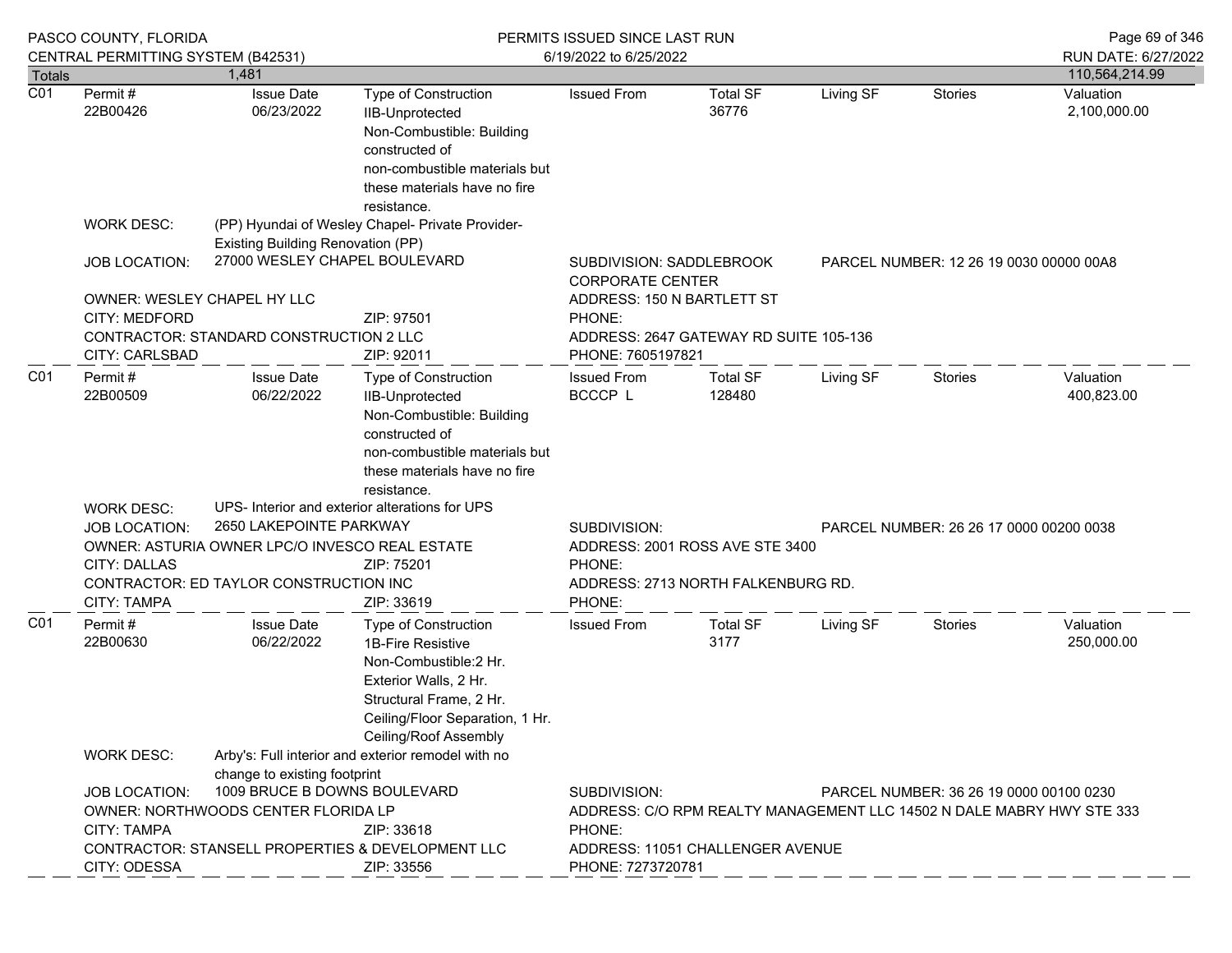|                  | PASCO COUNTY, FLORIDA                                                                                                                                                                                                |                                         | PERMITS ISSUED SINCE LAST RUN                                                                                                                                                      |                                                                       |                                                     |                                         |                                         | Page 69 of 346                                                        |
|------------------|----------------------------------------------------------------------------------------------------------------------------------------------------------------------------------------------------------------------|-----------------------------------------|------------------------------------------------------------------------------------------------------------------------------------------------------------------------------------|-----------------------------------------------------------------------|-----------------------------------------------------|-----------------------------------------|-----------------------------------------|-----------------------------------------------------------------------|
| Totals           | CENTRAL PERMITTING SYSTEM (B42531)                                                                                                                                                                                   | 1,481                                   |                                                                                                                                                                                    | 6/19/2022 to 6/25/2022                                                |                                                     |                                         |                                         | RUN DATE: 6/27/2022<br>110,564,214.99                                 |
| $\overline{CO1}$ | Permit#                                                                                                                                                                                                              | <b>Issue Date</b>                       | Type of Construction                                                                                                                                                               | <b>Issued From</b>                                                    | <b>Total SF</b>                                     | Living SF                               | <b>Stories</b>                          | Valuation                                                             |
|                  | 22B00426                                                                                                                                                                                                             | 06/23/2022                              | IIB-Unprotected<br>Non-Combustible: Building<br>constructed of<br>non-combustible materials but<br>these materials have no fire<br>resistance.                                     |                                                                       | 36776                                               |                                         |                                         | 2,100,000.00                                                          |
|                  | <b>WORK DESC:</b>                                                                                                                                                                                                    | Existing Building Renovation (PP)       | (PP) Hyundai of Wesley Chapel- Private Provider-                                                                                                                                   |                                                                       |                                                     |                                         |                                         |                                                                       |
|                  | <b>JOB LOCATION:</b>                                                                                                                                                                                                 | 27000 WESLEY CHAPEL BOULEVARD           |                                                                                                                                                                                    |                                                                       | SUBDIVISION: SADDLEBROOK<br><b>CORPORATE CENTER</b> |                                         |                                         | PARCEL NUMBER: 12 26 19 0030 00000 00A8                               |
|                  | OWNER: WESLEY CHAPEL HY LLC                                                                                                                                                                                          |                                         |                                                                                                                                                                                    | ADDRESS: 150 N BARTLETT ST                                            |                                                     |                                         |                                         |                                                                       |
|                  | CITY: MEDFORD<br>ZIP: 97501                                                                                                                                                                                          |                                         | PHONE:                                                                                                                                                                             |                                                                       |                                                     |                                         |                                         |                                                                       |
|                  | <b>CITY: CARLSBAD</b>                                                                                                                                                                                                | CONTRACTOR: STANDARD CONSTRUCTION 2 LLC | ZIP: 92011                                                                                                                                                                         | ADDRESS: 2647 GATEWAY RD SUITE 105-136<br>PHONE: 7605197821           |                                                     |                                         |                                         |                                                                       |
| CO <sub>1</sub>  | Permit#<br>22B00509                                                                                                                                                                                                  | <b>Issue Date</b><br>06/22/2022         | <b>Type of Construction</b><br>IIB-Unprotected<br>Non-Combustible: Building<br>constructed of<br>non-combustible materials but<br>these materials have no fire<br>resistance.      | <b>Issued From</b><br>BCCCP L                                         | <b>Total SF</b><br>128480                           | Living SF                               | Stories                                 | Valuation<br>400,823.00                                               |
|                  | <b>WORK DESC:</b>                                                                                                                                                                                                    |                                         | UPS- Interior and exterior alterations for UPS                                                                                                                                     |                                                                       |                                                     |                                         |                                         |                                                                       |
|                  | 2650 LAKEPOINTE PARKWAY<br><b>JOB LOCATION:</b><br>OWNER: ASTURIA OWNER LPC/O INVESCO REAL ESTATE<br><b>CITY: DALLAS</b><br>ZIP: 75201<br>CONTRACTOR: ED TAYLOR CONSTRUCTION INC<br><b>CITY: TAMPA</b><br>ZIP: 33619 |                                         | SUBDIVISION:<br>PHONE:<br>PHONE:                                                                                                                                                   | ADDRESS: 2001 ROSS AVE STE 3400<br>ADDRESS: 2713 NORTH FALKENBURG RD. |                                                     | PARCEL NUMBER: 26 26 17 0000 00200 0038 |                                         |                                                                       |
| CO <sub>1</sub>  | Permit#<br>22B00630                                                                                                                                                                                                  | <b>Issue Date</b><br>06/22/2022         | Type of Construction<br>1B-Fire Resistive<br>Non-Combustible:2 Hr.<br>Exterior Walls, 2 Hr.<br>Structural Frame, 2 Hr.<br>Ceiling/Floor Separation, 1 Hr.<br>Ceiling/Roof Assembly | <b>Issued From</b>                                                    | <b>Total SF</b><br>3177                             | Living SF                               | Stories                                 | Valuation<br>250,000.00                                               |
|                  | <b>WORK DESC:</b>                                                                                                                                                                                                    | change to existing footprint            | Arby's: Full interior and exterior remodel with no                                                                                                                                 |                                                                       |                                                     |                                         |                                         |                                                                       |
|                  | <b>JOB LOCATION:</b>                                                                                                                                                                                                 | 1009 BRUCE B DOWNS BOULEVARD            |                                                                                                                                                                                    | SUBDIVISION:                                                          |                                                     |                                         | PARCEL NUMBER: 36 26 19 0000 00100 0230 |                                                                       |
|                  |                                                                                                                                                                                                                      | OWNER: NORTHWOODS CENTER FLORIDA LP     |                                                                                                                                                                                    |                                                                       |                                                     |                                         |                                         | ADDRESS: C/O RPM REALTY MANAGEMENT LLC 14502 N DALE MABRY HWY STE 333 |
|                  | <b>CITY: TAMPA</b>                                                                                                                                                                                                   |                                         | ZIP: 33618                                                                                                                                                                         | PHONE:                                                                |                                                     |                                         |                                         |                                                                       |
|                  | CITY: ODESSA                                                                                                                                                                                                         |                                         | CONTRACTOR: STANSELL PROPERTIES & DEVELOPMENT LLC<br>ZIP: 33556                                                                                                                    | PHONE: 7273720781                                                     | ADDRESS: 11051 CHALLENGER AVENUE                    |                                         |                                         |                                                                       |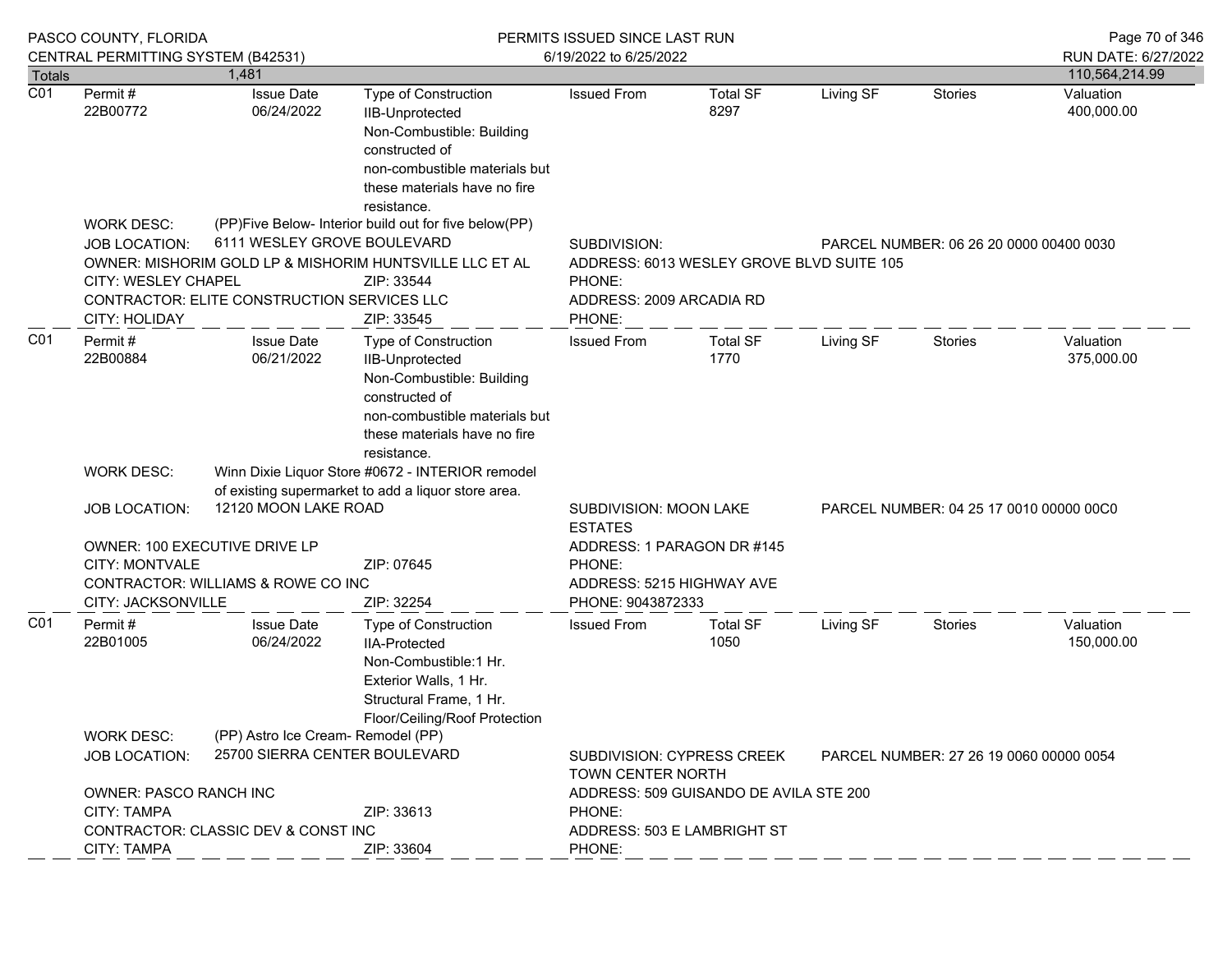|                                   | PASCO COUNTY, FLORIDA                                                      |                                                                            |                                                                                                                                                                               | PERMITS ISSUED SINCE LAST RUN                                                                                                                        |                                         |           |                                         | Page 70 of 346                        |
|-----------------------------------|----------------------------------------------------------------------------|----------------------------------------------------------------------------|-------------------------------------------------------------------------------------------------------------------------------------------------------------------------------|------------------------------------------------------------------------------------------------------------------------------------------------------|-----------------------------------------|-----------|-----------------------------------------|---------------------------------------|
|                                   | CENTRAL PERMITTING SYSTEM (B42531)                                         | 1.481                                                                      |                                                                                                                                                                               | 6/19/2022 to 6/25/2022                                                                                                                               |                                         |           |                                         | RUN DATE: 6/27/2022<br>110,564,214.99 |
| <b>Totals</b><br>$\overline{C01}$ | Permit#                                                                    | <b>Issue Date</b>                                                          | <b>Type of Construction</b>                                                                                                                                                   | <b>Issued From</b>                                                                                                                                   | <b>Total SF</b>                         | Living SF | <b>Stories</b>                          | Valuation                             |
|                                   | 22B00772                                                                   | 06/24/2022                                                                 | <b>IIB-Unprotected</b><br>Non-Combustible: Building<br>constructed of<br>non-combustible materials but<br>these materials have no fire<br>resistance.                         |                                                                                                                                                      | 8297                                    |           |                                         | 400,000.00                            |
|                                   | <b>WORK DESC:</b>                                                          |                                                                            | (PP)Five Below- Interior build out for five below(PP)                                                                                                                         |                                                                                                                                                      |                                         |           |                                         |                                       |
|                                   | <b>JOB LOCATION:</b><br><b>CITY: WESLEY CHAPEL</b><br><b>CITY: HOLIDAY</b> | 6111 WESLEY GROVE BOULEVARD<br>CONTRACTOR: ELITE CONSTRUCTION SERVICES LLC | OWNER: MISHORIM GOLD LP & MISHORIM HUNTSVILLE LLC ET AL<br>ZIP: 33544<br>ZIP: 33545                                                                                           | SUBDIVISION:<br>PARCEL NUMBER: 06 26 20 0000 00400 0030<br>ADDRESS: 6013 WESLEY GROVE BLVD SUITE 105<br>PHONE:<br>ADDRESS: 2009 ARCADIA RD<br>PHONE: |                                         |           |                                         |                                       |
| CO <sub>1</sub>                   | Permit#<br>22B00884                                                        | <b>Issue Date</b><br>06/21/2022                                            | <b>Type of Construction</b><br>IIB-Unprotected<br>Non-Combustible: Building<br>constructed of<br>non-combustible materials but<br>these materials have no fire<br>resistance. | <b>Issued From</b>                                                                                                                                   | <b>Total SF</b><br>1770                 | Living SF | <b>Stories</b>                          | Valuation<br>375,000.00               |
|                                   | WORK DESC:                                                                 | Winn Dixie Liquor Store #0672 - INTERIOR remodel                           |                                                                                                                                                                               |                                                                                                                                                      |                                         |           |                                         |                                       |
|                                   |                                                                            | of existing supermarket to add a liquor store area.                        |                                                                                                                                                                               |                                                                                                                                                      |                                         |           |                                         |                                       |
|                                   | <b>JOB LOCATION:</b>                                                       | 12120 MOON LAKE ROAD                                                       |                                                                                                                                                                               | SUBDIVISION: MOON LAKE<br><b>ESTATES</b>                                                                                                             | PARCEL NUMBER: 04 25 17 0010 00000 00C0 |           |                                         |                                       |
|                                   | OWNER: 100 EXECUTIVE DRIVE LP                                              |                                                                            |                                                                                                                                                                               | ADDRESS: 1 PARAGON DR #145                                                                                                                           |                                         |           |                                         |                                       |
|                                   | <b>CITY: MONTVALE</b>                                                      |                                                                            | ZIP: 07645                                                                                                                                                                    | PHONE:                                                                                                                                               |                                         |           |                                         |                                       |
|                                   | CITY: JACKSONVILLE                                                         | CONTRACTOR: WILLIAMS & ROWE CO INC                                         | ZIP: 32254                                                                                                                                                                    | ADDRESS: 5215 HIGHWAY AVE<br>PHONE: 9043872333                                                                                                       |                                         |           |                                         |                                       |
|                                   | Permit#                                                                    | <b>Issue Date</b>                                                          | Type of Construction                                                                                                                                                          | <b>Issued From</b>                                                                                                                                   | <b>Total SF</b>                         | Living SF | <b>Stories</b>                          | Valuation                             |
| CO <sub>1</sub>                   | 22B01005                                                                   | 06/24/2022                                                                 | <b>IIA-Protected</b><br>Non-Combustible:1 Hr.<br>Exterior Walls, 1 Hr.<br>Structural Frame, 1 Hr.<br>Floor/Ceiling/Roof Protection                                            |                                                                                                                                                      | 1050                                    |           |                                         | 150,000.00                            |
|                                   | <b>WORK DESC:</b>                                                          | (PP) Astro Ice Cream- Remodel (PP)                                         |                                                                                                                                                                               |                                                                                                                                                      |                                         |           |                                         |                                       |
|                                   | 25700 SIERRA CENTER BOULEVARD<br><b>JOB LOCATION:</b>                      |                                                                            |                                                                                                                                                                               | <b>SUBDIVISION: CYPRESS CREEK</b><br>TOWN CENTER NORTH                                                                                               |                                         |           | PARCEL NUMBER: 27 26 19 0060 00000 0054 |                                       |
|                                   | <b>OWNER: PASCO RANCH INC</b>                                              |                                                                            |                                                                                                                                                                               |                                                                                                                                                      | ADDRESS: 509 GUISANDO DE AVILA STE 200  |           |                                         |                                       |
|                                   | <b>CITY: TAMPA</b><br>ZIP: 33613                                           |                                                                            |                                                                                                                                                                               | PHONE:                                                                                                                                               |                                         |           |                                         |                                       |
|                                   | CONTRACTOR: CLASSIC DEV & CONST INC<br>CITY: TAMPA<br>ZIP: 33604           |                                                                            |                                                                                                                                                                               | ADDRESS: 503 E LAMBRIGHT ST<br>PHONE:                                                                                                                |                                         |           |                                         |                                       |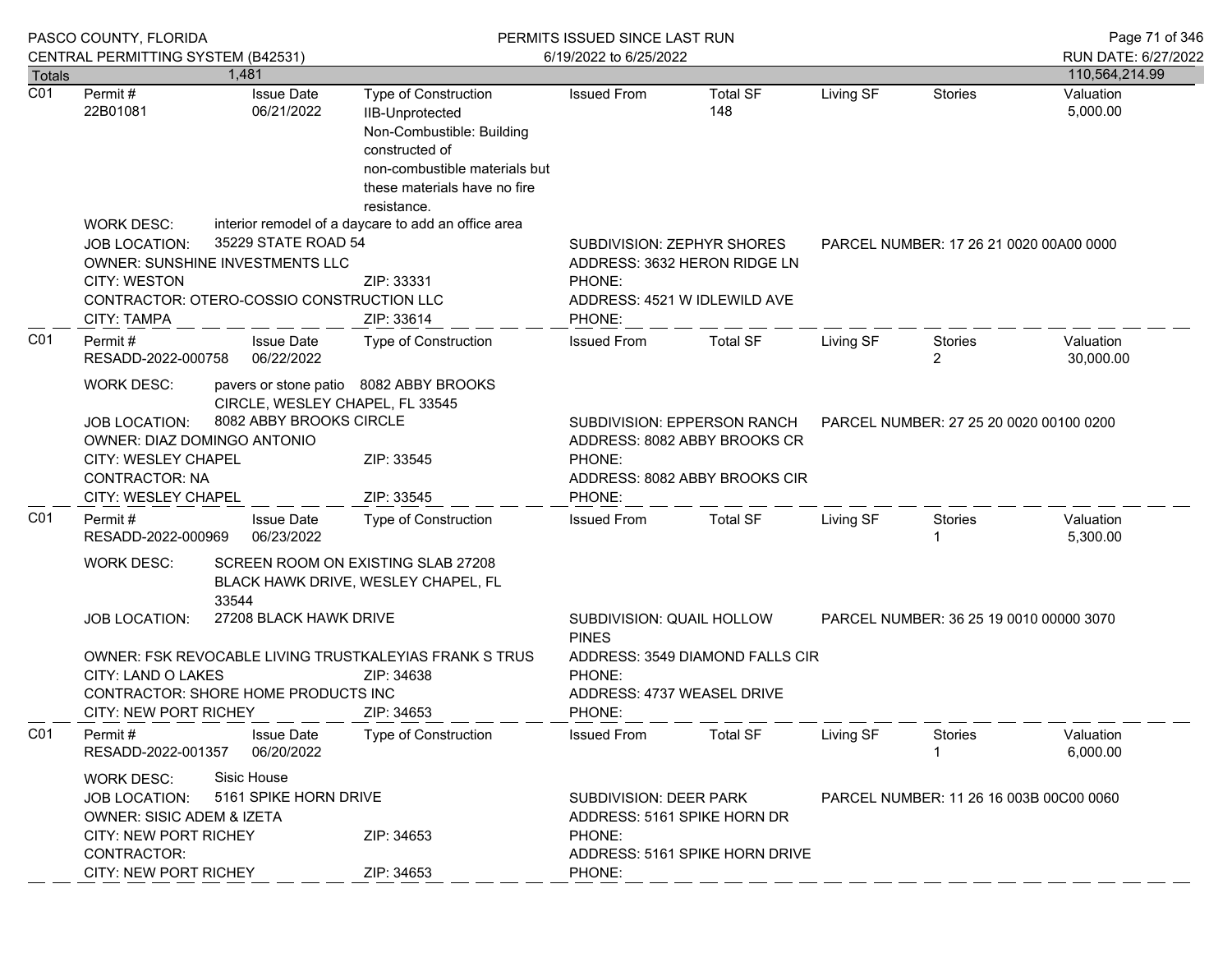|                  | PASCO COUNTY, FLORIDA<br>CENTRAL PERMITTING SYSTEM (B42531)                                                                                                                                                                                                                         |  |                                                                                                                                            | PERMITS ISSUED SINCE LAST RUN                                                                                      |                        |                                         |                                         |                | Page 71 of 346                        |
|------------------|-------------------------------------------------------------------------------------------------------------------------------------------------------------------------------------------------------------------------------------------------------------------------------------|--|--------------------------------------------------------------------------------------------------------------------------------------------|--------------------------------------------------------------------------------------------------------------------|------------------------|-----------------------------------------|-----------------------------------------|----------------|---------------------------------------|
| <b>Totals</b>    |                                                                                                                                                                                                                                                                                     |  | 1.481                                                                                                                                      |                                                                                                                    | 6/19/2022 to 6/25/2022 |                                         |                                         |                | RUN DATE: 6/27/2022<br>110,564,214.99 |
| $\overline{C01}$ | <b>Issue Date</b><br>Permit #<br>06/21/2022<br>22B01081<br><b>IIB-Unprotected</b><br>constructed of<br>resistance.<br>interior remodel of a daycare to add an office area<br><b>WORK DESC:</b>                                                                                      |  |                                                                                                                                            | Type of Construction<br>Non-Combustible: Building<br>non-combustible materials but<br>these materials have no fire | <b>Issued From</b>     | <b>Total SF</b><br>148                  | Living SF                               | <b>Stories</b> | Valuation<br>5,000.00                 |
|                  | 35229 STATE ROAD 54<br><b>JOB LOCATION:</b><br>OWNER: SUNSHINE INVESTMENTS LLC<br><b>CITY: WESTON</b><br>CONTRACTOR: OTERO-COSSIO CONSTRUCTION LLC<br>CITY: TAMPA                                                                                                                   |  | SUBDIVISION: ZEPHYR SHORES<br>ADDRESS: 3632 HERON RIDGE LN<br>ZIP: 33331<br>PHONE:<br>ADDRESS: 4521 W IDLEWILD AVE<br>ZIP: 33614<br>PHONE: |                                                                                                                    |                        |                                         | PARCEL NUMBER: 17 26 21 0020 00A00 0000 |                |                                       |
| CO <sub>1</sub>  | Permit#<br>RESADD-2022-000758                                                                                                                                                                                                                                                       |  | <b>Issue Date</b><br>06/22/2022                                                                                                            | Type of Construction                                                                                               | <b>Issued From</b>     | <b>Total SF</b>                         | Living SF                               | Stories<br>2   | Valuation<br>30,000.00                |
|                  | <b>WORK DESC:</b><br>pavers or stone patio 8082 ABBY BROOKS<br>CIRCLE, WESLEY CHAPEL, FL 33545<br>8082 ABBY BROOKS CIRCLE<br><b>JOB LOCATION:</b><br>OWNER: DIAZ DOMINGO ANTONIO<br>CITY: WESLEY CHAPEL<br>ZIP: 33545<br><b>CONTRACTOR: NA</b><br>CITY: WESLEY CHAPEL<br>ZIP: 33545 |  | PHONE:<br>PHONE:                                                                                                                           | SUBDIVISION: EPPERSON RANCH<br>ADDRESS: 8082 ABBY BROOKS CR<br>ADDRESS: 8082 ABBY BROOKS CIR                       |                        | PARCEL NUMBER: 27 25 20 0020 00100 0200 |                                         |                |                                       |
| CO <sub>1</sub>  | Permit#<br>RESADD-2022-000969                                                                                                                                                                                                                                                       |  | <b>Issue Date</b><br>06/23/2022                                                                                                            | Type of Construction                                                                                               | <b>Issued From</b>     | <b>Total SF</b>                         | Living SF                               | <b>Stories</b> | Valuation<br>5,300.00                 |
|                  | SCREEN ROOM ON EXISTING SLAB 27208<br><b>WORK DESC:</b><br>BLACK HAWK DRIVE, WESLEY CHAPEL, FL<br>33544                                                                                                                                                                             |  |                                                                                                                                            |                                                                                                                    |                        |                                         |                                         |                |                                       |
|                  | 27208 BLACK HAWK DRIVE<br><b>JOB LOCATION:</b><br>OWNER: FSK REVOCABLE LIVING TRUSTKALEYIAS FRANK S TRUS<br>CITY: LAND O LAKES<br>ZIP: 34638<br>CONTRACTOR: SHORE HOME PRODUCTS INC<br><b>CITY: NEW PORT RICHEY</b><br>ZIP: 34653                                                   |  | SUBDIVISION: QUAIL HOLLOW<br><b>PINES</b><br>ADDRESS: 3549 DIAMOND FALLS CIR<br>PHONE:<br>ADDRESS: 4737 WEASEL DRIVE<br>PHONE:             |                                                                                                                    |                        | PARCEL NUMBER: 36 25 19 0010 00000 3070 |                                         |                |                                       |
| CO <sub>1</sub>  | Permit#<br>RESADD-2022-001357                                                                                                                                                                                                                                                       |  | <b>Issue Date</b><br>06/20/2022                                                                                                            | Type of Construction                                                                                               | <b>Issued From</b>     | <b>Total SF</b>                         | Living SF                               | Stories        | Valuation<br>6,000.00                 |
|                  | Sisic House<br><b>WORK DESC:</b><br>5161 SPIKE HORN DRIVE<br><b>JOB LOCATION:</b><br><b>OWNER: SISIC ADEM &amp; IZETA</b><br><b>CITY: NEW PORT RICHEY</b><br>ZIP: 34653<br>CONTRACTOR:<br>CITY: NEW PORT RICHEY<br>ZIP: 34653                                                       |  | SUBDIVISION: DEER PARK<br>ADDRESS: 5161 SPIKE HORN DR<br>PHONE:<br>ADDRESS: 5161 SPIKE HORN DRIVE<br>PHONE:                                |                                                                                                                    |                        | PARCEL NUMBER: 11 26 16 003B 00C00 0060 |                                         |                |                                       |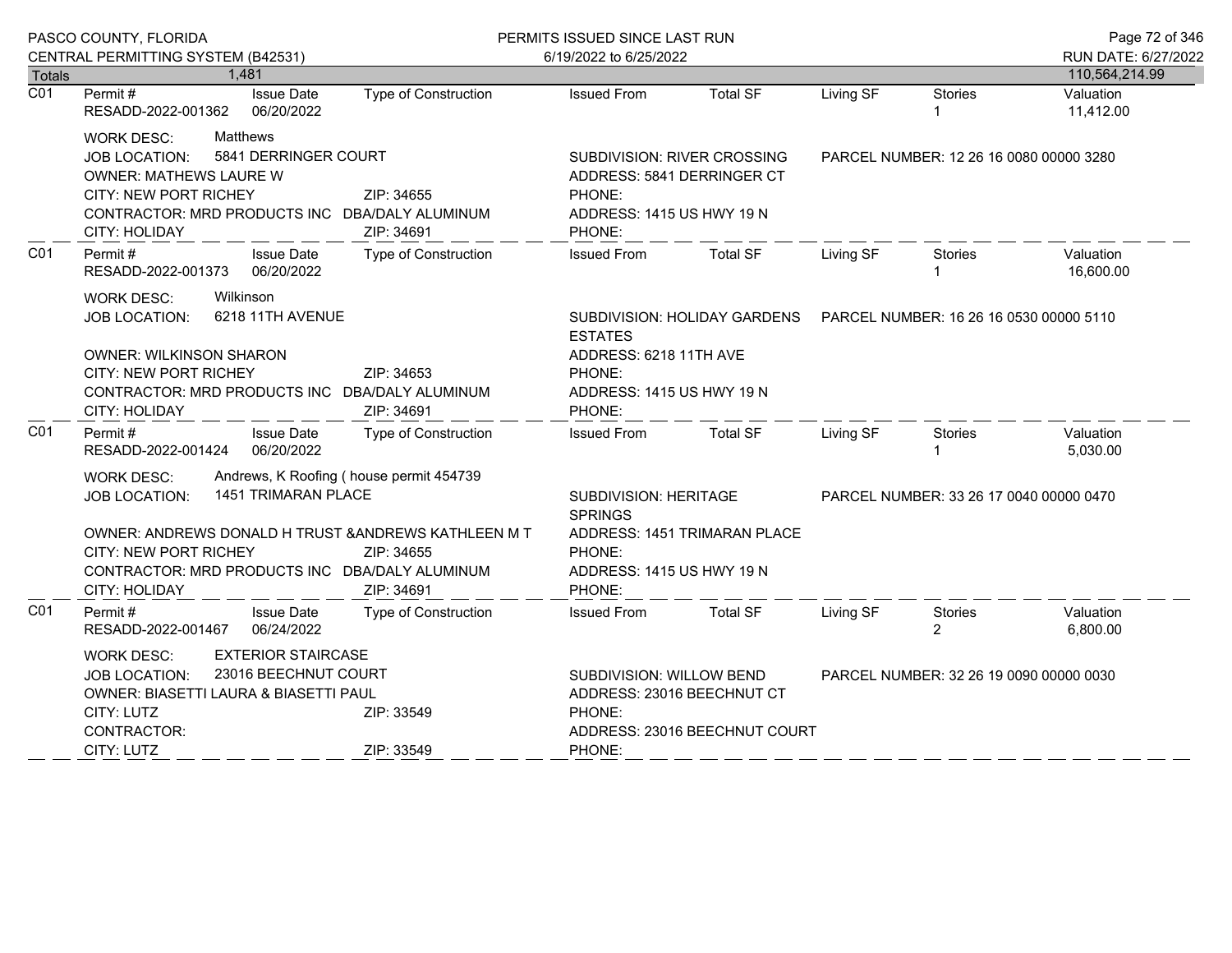|                  | PASCO COUNTY, FLORIDA                                                                                                                                                                                                       |                                                                                           | PERMITS ISSUED SINCE LAST RUN                                                                               |                                                                       |                                         |                                         | Page 72 of 346         |
|------------------|-----------------------------------------------------------------------------------------------------------------------------------------------------------------------------------------------------------------------------|-------------------------------------------------------------------------------------------|-------------------------------------------------------------------------------------------------------------|-----------------------------------------------------------------------|-----------------------------------------|-----------------------------------------|------------------------|
|                  | CENTRAL PERMITTING SYSTEM (B42531)                                                                                                                                                                                          |                                                                                           | 6/19/2022 to 6/25/2022                                                                                      |                                                                       |                                         |                                         | RUN DATE: 6/27/2022    |
| <b>Totals</b>    | 1,481                                                                                                                                                                                                                       |                                                                                           |                                                                                                             |                                                                       |                                         |                                         | 110,564,214.99         |
| $\overline{CO1}$ | Permit#<br><b>Issue Date</b><br>06/20/2022<br>RESADD-2022-001362                                                                                                                                                            | Type of Construction                                                                      | <b>Issued From</b>                                                                                          | <b>Total SF</b>                                                       | Living SF                               | <b>Stories</b><br>1                     | Valuation<br>11,412.00 |
|                  | <b>Matthews</b><br><b>WORK DESC:</b><br>5841 DERRINGER COURT<br><b>JOB LOCATION:</b><br><b>OWNER: MATHEWS LAURE W</b><br>CITY: NEW PORT RICHEY<br>CONTRACTOR: MRD PRODUCTS INC DBA/DALY ALUMINUM<br><b>CITY: HOLIDAY</b>    | ZIP: 34655<br>ZIP: 34691                                                                  | SUBDIVISION: RIVER CROSSING<br>ADDRESS: 5841 DERRINGER CT<br>PHONE:<br>ADDRESS: 1415 US HWY 19 N<br>PHONE:  |                                                                       | PARCEL NUMBER: 12 26 16 0080 00000 3280 |                                         |                        |
| C01              | Permit#<br><b>Issue Date</b><br>RESADD-2022-001373 06/20/2022                                                                                                                                                               | Type of Construction                                                                      | <b>Issued From</b>                                                                                          | <b>Total SF</b>                                                       | Living SF                               | Stories<br>$\mathbf{1}$                 | Valuation<br>16,600.00 |
|                  | Wilkinson<br><b>WORK DESC:</b><br>6218 11TH AVENUE<br><b>JOB LOCATION:</b><br><b>OWNER: WILKINSON SHARON</b><br><b>CITY: NEW PORT RICHEY</b><br>CONTRACTOR: MRD PRODUCTS INC DBA/DALY ALUMINUM<br>CITY: HOLIDAY             | <b>ESTATES</b><br>ADDRESS: 6218 11TH AVE<br>PHONE:<br>ADDRESS: 1415 US HWY 19 N<br>PHONE: |                                                                                                             | SUBDIVISION: HOLIDAY GARDENS  PARCEL NUMBER: 16 26 16 0530 00000 5110 |                                         |                                         |                        |
| CO <sub>1</sub>  | Permit#<br><b>Issue Date</b><br>06/20/2022<br>RESADD-2022-001424                                                                                                                                                            | <b>Type of Construction</b>                                                               | <b>Issued From</b>                                                                                          | <b>Total SF</b>                                                       | Living SF                               | Stories                                 | Valuation<br>5,030.00  |
|                  | <b>WORK DESC:</b><br>1451 TRIMARAN PLACE<br><b>JOB LOCATION:</b><br>OWNER: ANDREWS DONALD H TRUST & ANDREWS KATHLEEN M T<br><b>CITY: NEW PORT RICHEY</b><br>CONTRACTOR: MRD PRODUCTS INC DBA/DALY ALUMINUM<br>CITY: HOLIDAY | Andrews, K Roofing (house permit 454739<br>ZIP: 34655<br>ZIP: 34691                       | SUBDIVISION: HERITAGE<br><b>SPRINGS</b><br>PHONE:<br>ADDRESS: 1415 US HWY 19 N<br>PHONE:                    | ADDRESS: 1451 TRIMARAN PLACE                                          |                                         | PARCEL NUMBER: 33 26 17 0040 00000 0470 |                        |
| CO <sub>1</sub>  | Permit#<br><b>Issue Date</b><br>RESADD-2022-001467<br>06/24/2022                                                                                                                                                            | Type of Construction                                                                      | <b>Issued From</b>                                                                                          | <b>Total SF</b>                                                       | Living SF                               | Stories<br>$\overline{2}$               | Valuation<br>6,800.00  |
|                  | <b>EXTERIOR STAIRCASE</b><br><b>WORK DESC:</b><br>23016 BEECHNUT COURT<br>JOB LOCATION:<br>OWNER: BIASETTI LAURA & BIASETTI PAUL<br>CITY: LUTZ<br>ZIP: 33549<br>CONTRACTOR:<br>CITY: LUTZ<br>ZIP: 33549                     |                                                                                           | SUBDIVISION: WILLOW BEND<br>ADDRESS: 23016 BEECHNUT CT<br>PHONE:<br>ADDRESS: 23016 BEECHNUT COURT<br>PHONE: |                                                                       |                                         | PARCEL NUMBER: 32 26 19 0090 00000 0030 |                        |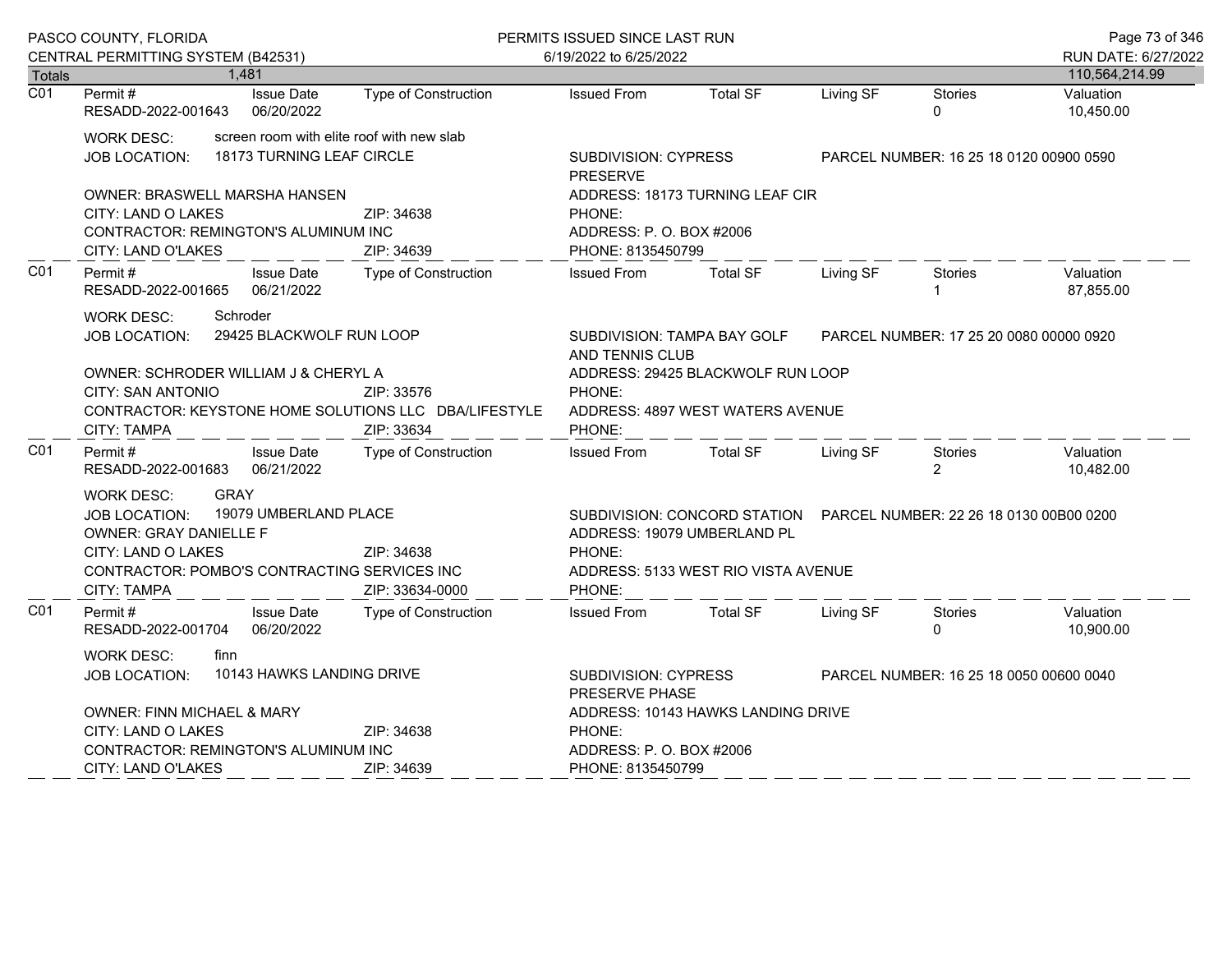|                  | PASCO COUNTY, FLORIDA                                                                                                                                                          |                                                                                           | PERMITS ISSUED SINCE LAST RUN             |                                                                                                                                                                 |                                         |           |                           | Page 73 of 346         |
|------------------|--------------------------------------------------------------------------------------------------------------------------------------------------------------------------------|-------------------------------------------------------------------------------------------|-------------------------------------------|-----------------------------------------------------------------------------------------------------------------------------------------------------------------|-----------------------------------------|-----------|---------------------------|------------------------|
|                  | CENTRAL PERMITTING SYSTEM (B42531)                                                                                                                                             |                                                                                           |                                           | 6/19/2022 to 6/25/2022                                                                                                                                          |                                         |           |                           | RUN DATE: 6/27/2022    |
| <b>Totals</b>    | 1,481                                                                                                                                                                          |                                                                                           |                                           |                                                                                                                                                                 |                                         |           |                           | 110,564,214.99         |
| $\overline{CO1}$ | Permit#<br>RESADD-2022-001643                                                                                                                                                  | <b>Issue Date</b><br>06/20/2022                                                           | Type of Construction                      | <b>Issued From</b>                                                                                                                                              | <b>Total SF</b>                         | Living SF | Stories<br>$\Omega$       | Valuation<br>10,450.00 |
|                  | screen room with elite roof with new slab<br>WORK DESC:<br>18173 TURNING LEAF CIRCLE<br><b>JOB LOCATION:</b>                                                                   | <b>SUBDIVISION: CYPRESS</b><br><b>PRESERVE</b>                                            |                                           |                                                                                                                                                                 | PARCEL NUMBER: 16 25 18 0120 00900 0590 |           |                           |                        |
|                  | <b>OWNER: BRASWELL MARSHA HANSEN</b><br>CITY: LAND O LAKES<br>CONTRACTOR: REMINGTON'S ALUMINUM INC<br>CITY: LAND O'LAKES                                                       |                                                                                           | ZIP: 34638<br>ZIP: 34639                  | ADDRESS: 18173 TURNING LEAF CIR<br>PHONE:<br>ADDRESS: P.O. BOX #2006<br>PHONE: 8135450799                                                                       |                                         |           |                           |                        |
| CO <sub>1</sub>  | Permit#<br>RESADD-2022-001665                                                                                                                                                  | <b>Issue Date</b><br>06/21/2022                                                           | Type of Construction                      | <b>Issued From</b>                                                                                                                                              | <b>Total SF</b>                         | Living SF | <b>Stories</b>            | Valuation<br>87,855.00 |
|                  | <b>WORK DESC:</b><br>Schroder<br><b>JOB LOCATION:</b>                                                                                                                          | 29425 BLACKWOLF RUN LOOP                                                                  |                                           | SUBDIVISION: TAMPA BAY GOLF<br>AND TENNIS CLUB                                                                                                                  | PARCEL NUMBER: 17 25 20 0080 00000 0920 |           |                           |                        |
|                  | OWNER: SCHRODER WILLIAM J & CHERYL A<br>CITY: SAN ANTONIO<br>CONTRACTOR: KEYSTONE HOME SOLUTIONS LLC DBA/LIFESTYLE<br><b>CITY: TAMPA</b>                                       | ADDRESS: 29425 BLACKWOLF RUN LOOP<br>PHONE:<br>ADDRESS: 4897 WEST WATERS AVENUE<br>PHONE: |                                           |                                                                                                                                                                 |                                         |           |                           |                        |
| CO <sub>1</sub>  | Permit#<br>RESADD-2022-001683                                                                                                                                                  | <b>Issue Date</b><br>06/21/2022                                                           | ZIP: 33634<br><b>Type of Construction</b> | <b>Issued From</b>                                                                                                                                              | <b>Total SF</b>                         | Living SF | Stories<br>$\overline{2}$ | Valuation<br>10,482.00 |
|                  | <b>GRAY</b><br><b>WORK DESC:</b><br><b>JOB LOCATION:</b><br><b>OWNER: GRAY DANIELLE F</b><br>CITY: LAND O LAKES<br>CONTRACTOR: POMBO'S CONTRACTING SERVICES INC<br>CITY: TAMPA | 19079 UMBERLAND PLACE                                                                     | ZIP: 34638<br>ZIP: 33634-0000             | SUBDIVISION: CONCORD STATION  PARCEL NUMBER: 22 26 18 0130 00B00 0200<br>ADDRESS: 19079 UMBERLAND PL<br>PHONE:<br>ADDRESS: 5133 WEST RIO VISTA AVENUE<br>PHONE: |                                         |           |                           |                        |
| C01              | Permit#<br>RESADD-2022-001704                                                                                                                                                  | <b>Issue Date</b><br>06/20/2022                                                           | <b>Type of Construction</b>               | <b>Issued From</b>                                                                                                                                              | <b>Total SF</b>                         | Living SF | Stories<br>0              | Valuation<br>10,900.00 |
|                  | <b>WORK DESC:</b><br>finn<br>10143 HAWKS LANDING DRIVE<br><b>JOB LOCATION:</b><br>OWNER: FINN MICHAEL & MARY                                                                   |                                                                                           |                                           | <b>SUBDIVISION: CYPRESS</b><br>PARCEL NUMBER: 16 25 18 0050 00600 0040<br>PRESERVE PHASE<br>ADDRESS: 10143 HAWKS LANDING DRIVE                                  |                                         |           |                           |                        |
|                  | CITY: LAND O LAKES                                                                                                                                                             |                                                                                           | ZIP: 34638                                | PHONE:                                                                                                                                                          |                                         |           |                           |                        |
|                  | CONTRACTOR: REMINGTON'S ALUMINUM INC                                                                                                                                           | ADDRESS: P. O. BOX #2006                                                                  |                                           |                                                                                                                                                                 |                                         |           |                           |                        |
|                  | CITY: LAND O'LAKES                                                                                                                                                             |                                                                                           | PHONE: 8135450799                         |                                                                                                                                                                 |                                         |           |                           |                        |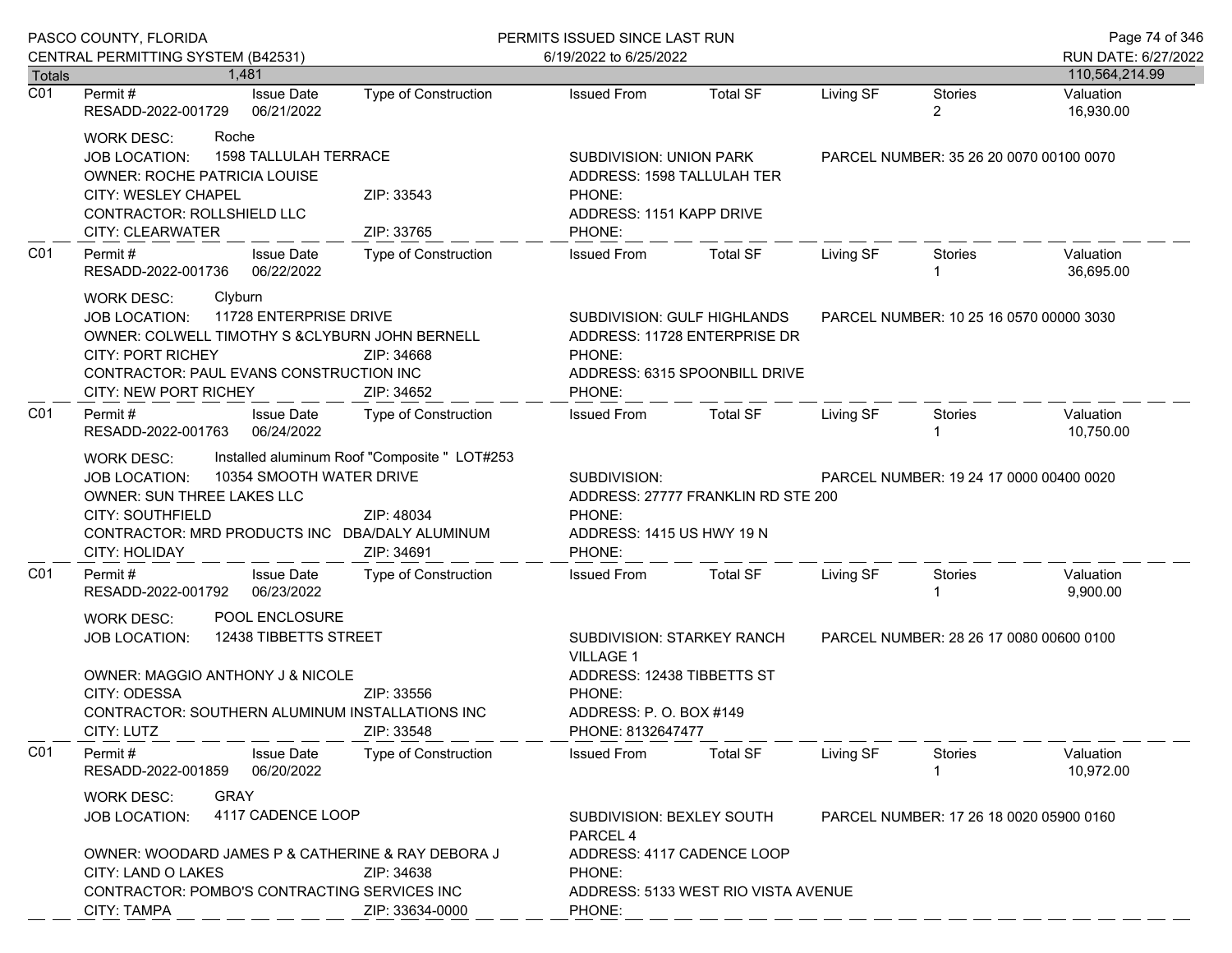|                  | PASCO COUNTY, FLORIDA                                                                                                                                                                                                               |                                                                                                                                        | PERMITS ISSUED SINCE LAST RUN                                                                         |                                                               |                                         |                                         | Page 74 of 346                        |
|------------------|-------------------------------------------------------------------------------------------------------------------------------------------------------------------------------------------------------------------------------------|----------------------------------------------------------------------------------------------------------------------------------------|-------------------------------------------------------------------------------------------------------|---------------------------------------------------------------|-----------------------------------------|-----------------------------------------|---------------------------------------|
| Totals           | CENTRAL PERMITTING SYSTEM (B42531)<br>1.481                                                                                                                                                                                         |                                                                                                                                        | 6/19/2022 to 6/25/2022                                                                                |                                                               |                                         |                                         | RUN DATE: 6/27/2022<br>110,564,214.99 |
| $\overline{C01}$ | <b>Issue Date</b><br>Permit #<br>06/21/2022<br>RESADD-2022-001729                                                                                                                                                                   | Type of Construction                                                                                                                   | <b>Issued From</b>                                                                                    | <b>Total SF</b>                                               | Living SF                               | <b>Stories</b><br>$\overline{2}$        | Valuation<br>16,930.00                |
|                  | Roche<br><b>WORK DESC:</b><br>1598 TALLULAH TERRACE<br><b>JOB LOCATION:</b><br><b>OWNER: ROCHE PATRICIA LOUISE</b><br><b>CITY: WESLEY CHAPEL</b><br>CONTRACTOR: ROLLSHIELD LLC<br>CITY: CLEARWATER                                  | ZIP: 33543<br>ZIP: 33765                                                                                                               | SUBDIVISION: UNION PARK<br>ADDRESS: 1598 TALLULAH TER<br>PHONE:<br>ADDRESS: 1151 KAPP DRIVE<br>PHONE: |                                                               |                                         | PARCEL NUMBER: 35 26 20 0070 00100 0070 |                                       |
| C <sub>01</sub>  | Permit#<br><b>Issue Date</b><br>06/22/2022<br>RESADD-2022-001736                                                                                                                                                                    | Type of Construction                                                                                                                   | <b>Issued From</b>                                                                                    | Total SF                                                      | Living SF                               | Stories<br>-1                           | Valuation<br>36,695.00                |
|                  | Clyburn<br>WORK DESC:<br>11728 ENTERPRISE DRIVE<br><b>JOB LOCATION:</b><br>OWNER: COLWELL TIMOTHY S &CLYBURN JOHN BERNELL<br><b>CITY: PORT RICHEY</b><br>CONTRACTOR: PAUL EVANS CONSTRUCTION INC<br>CITY: NEW PORT RICHEY           | ZIP: 34668<br>ZIP: 34652                                                                                                               | SUBDIVISION: GULF HIGHLANDS<br>PHONE:<br>PHONE:                                                       | ADDRESS: 11728 ENTERPRISE DR<br>ADDRESS: 6315 SPOONBILL DRIVE |                                         | PARCEL NUMBER: 10 25 16 0570 00000 3030 |                                       |
| CO <sub>1</sub>  | Permit#<br><b>Issue Date</b><br>RESADD-2022-001763<br>06/24/2022                                                                                                                                                                    | Type of Construction                                                                                                                   | <b>Issued From</b>                                                                                    | <b>Total SF</b>                                               | Living SF                               | Stories                                 | Valuation<br>10,750.00                |
|                  | Installed aluminum Roof "Composite " LOT#253<br>WORK DESC:<br>10354 SMOOTH WATER DRIVE<br>JOB LOCATION:<br>OWNER: SUN THREE LAKES LLC<br><b>CITY: SOUTHFIELD</b><br>CONTRACTOR: MRD PRODUCTS INC DBA/DALY ALUMINUM<br>CITY: HOLIDAY | SUBDIVISION:<br>ADDRESS: 27777 FRANKLIN RD STE 200<br>PHONE:<br>ADDRESS: 1415 US HWY 19 N<br>PHONE:                                    |                                                                                                       |                                                               | PARCEL NUMBER: 19 24 17 0000 00400 0020 |                                         |                                       |
| CO <sub>1</sub>  | Permit#<br><b>Issue Date</b><br>RESADD-2022-001792 06/23/2022                                                                                                                                                                       | Type of Construction                                                                                                                   | <b>Issued From</b>                                                                                    | <b>Total SF</b>                                               | Living SF                               | <b>Stories</b>                          | Valuation<br>9,900.00                 |
|                  | POOL ENCLOSURE<br><b>WORK DESC:</b><br>12438 TIBBETTS STREET<br><b>JOB LOCATION:</b><br>OWNER: MAGGIO ANTHONY J & NICOLE<br>CITY: ODESSA<br>CONTRACTOR: SOUTHERN ALUMINUM INSTALLATIONS INC<br>CITY: LUTZ                           | SUBDIVISION: STARKEY RANCH<br><b>VILLAGE 1</b><br>ADDRESS: 12438 TIBBETTS ST<br>PHONE:<br>ADDRESS: P. O. BOX #149<br>PHONE: 8132647477 |                                                                                                       | PARCEL NUMBER: 28 26 17 0080 00600 0100                       |                                         |                                         |                                       |
| C <sub>01</sub>  | Permit#<br><b>Issue Date</b><br>RESADD-2022-001859<br>06/20/2022                                                                                                                                                                    | <b>Type of Construction</b>                                                                                                            | <b>Issued From</b>                                                                                    | <b>Total SF</b>                                               | Living SF                               | <b>Stories</b>                          | Valuation<br>10,972.00                |
|                  | <b>GRAY</b><br><b>WORK DESC:</b><br>4117 CADENCE LOOP<br><b>JOB LOCATION:</b><br>OWNER: WOODARD JAMES P & CATHERINE & RAY DEBORA J                                                                                                  | <b>SUBDIVISION: BEXLEY SOUTH</b><br>PARCEL NUMBER: 17 26 18 0020 05900 0160<br>PARCEL <sub>4</sub><br>ADDRESS: 4117 CADENCE LOOP       |                                                                                                       |                                                               |                                         |                                         |                                       |
|                  | CITY: LAND O LAKES<br>CONTRACTOR: POMBO'S CONTRACTING SERVICES INC<br><b>CITY: TAMPA</b>                                                                                                                                            | PHONE:<br>ADDRESS: 5133 WEST RIO VISTA AVENUE<br>PHONE:                                                                                |                                                                                                       |                                                               |                                         |                                         |                                       |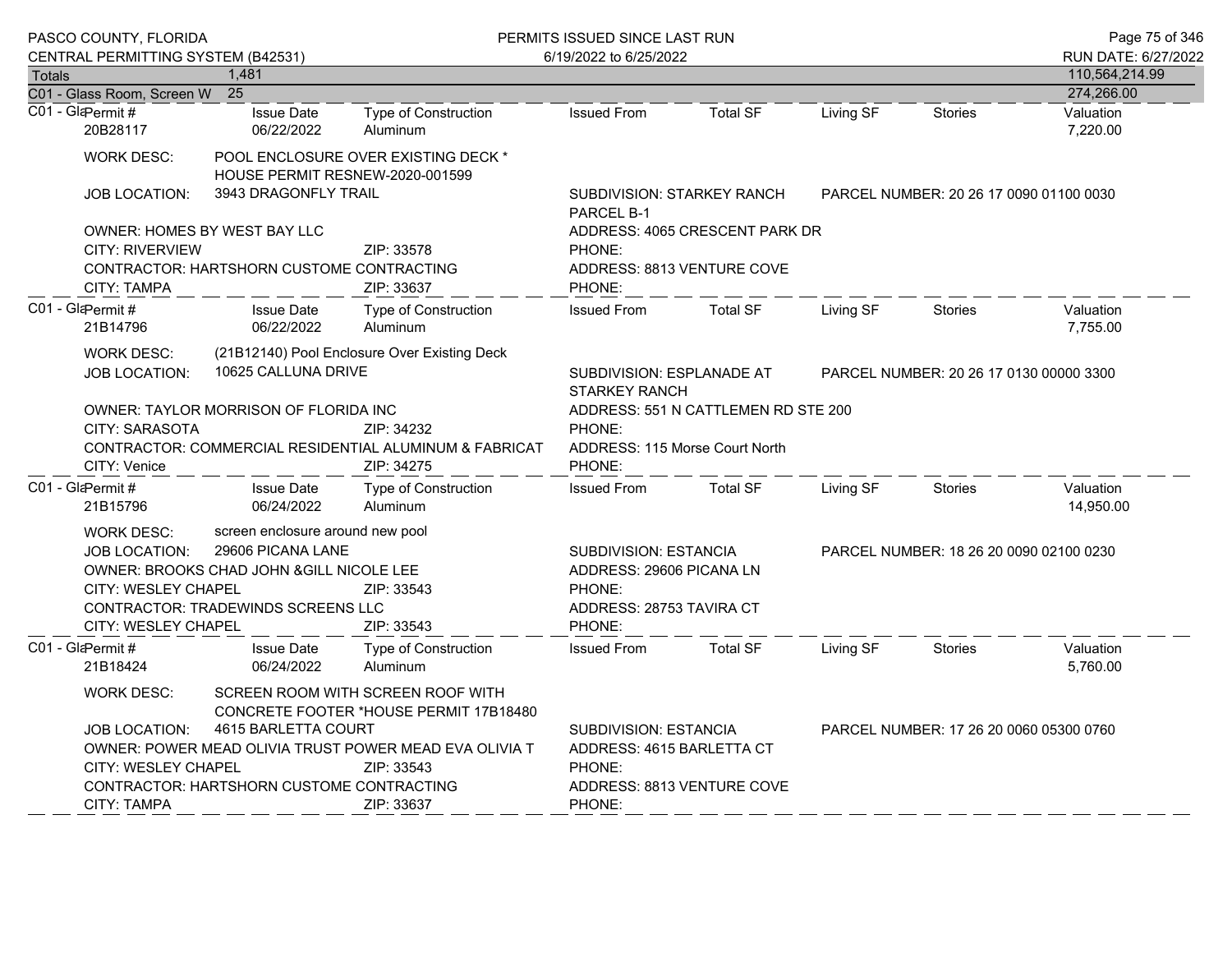| <b>Totals</b>                                                                                                                                                                                                                                                                                                            | PASCO COUNTY, FLORIDA<br>CENTRAL PERMITTING SYSTEM (B42531)<br>C01 - Glass Room, Screen W 25                                                                                                                                                                                  | 1,481                                                                                   |                                                                                    | PERMITS ISSUED SINCE LAST RUN<br>6/19/2022 to 6/25/2022                                                                                | Page 75 of 346<br>RUN DATE: 6/27/2022<br>110,564,214.99<br>274,266.00                                                                               |           |                                         |                        |
|--------------------------------------------------------------------------------------------------------------------------------------------------------------------------------------------------------------------------------------------------------------------------------------------------------------------------|-------------------------------------------------------------------------------------------------------------------------------------------------------------------------------------------------------------------------------------------------------------------------------|-----------------------------------------------------------------------------------------|------------------------------------------------------------------------------------|----------------------------------------------------------------------------------------------------------------------------------------|-----------------------------------------------------------------------------------------------------------------------------------------------------|-----------|-----------------------------------------|------------------------|
|                                                                                                                                                                                                                                                                                                                          | C01 - GlaPermit#<br>20B28117                                                                                                                                                                                                                                                  | <b>Issue Date</b><br>06/22/2022                                                         | <b>Type of Construction</b><br>Aluminum                                            | <b>Issued From</b>                                                                                                                     | <b>Total SF</b>                                                                                                                                     | Living SF | Stories                                 | Valuation<br>7,220.00  |
|                                                                                                                                                                                                                                                                                                                          | <b>WORK DESC:</b><br><b>JOB LOCATION:</b><br><b>CITY: RIVERVIEW</b>                                                                                                                                                                                                           | HOUSE PERMIT RESNEW-2020-001599<br>3943 DRAGONFLY TRAIL<br>OWNER: HOMES BY WEST BAY LLC | POOL ENCLOSURE OVER EXISTING DECK *<br>ZIP: 33578                                  | <b>SUBDIVISION: STARKEY RANCH</b><br>PARCEL NUMBER: 20 26 17 0090 01100 0030<br>PARCEL B-1<br>ADDRESS: 4065 CRESCENT PARK DR<br>PHONE: |                                                                                                                                                     |           |                                         |                        |
|                                                                                                                                                                                                                                                                                                                          | <b>CITY: TAMPA</b>                                                                                                                                                                                                                                                            | CONTRACTOR: HARTSHORN CUSTOME CONTRACTING                                               | ZIP: 33637                                                                         | PHONE:                                                                                                                                 | ADDRESS: 8813 VENTURE COVE                                                                                                                          |           |                                         |                        |
|                                                                                                                                                                                                                                                                                                                          | C01 - GlaPermit#<br>21B14796                                                                                                                                                                                                                                                  | <b>Issue Date</b><br>06/22/2022                                                         | <b>Type of Construction</b><br>Aluminum                                            | <b>Issued From</b>                                                                                                                     | <b>Total SF</b>                                                                                                                                     | Living SF | <b>Stories</b>                          | Valuation<br>7,755.00  |
|                                                                                                                                                                                                                                                                                                                          | <b>WORK DESC:</b><br><b>JOB LOCATION:</b>                                                                                                                                                                                                                                     | 10625 CALLUNA DRIVE                                                                     | (21B12140) Pool Enclosure Over Existing Deck                                       | SUBDIVISION: ESPLANADE AT<br><b>STARKEY RANCH</b>                                                                                      | PARCEL NUMBER: 20 26 17 0130 00000 3300                                                                                                             |           |                                         |                        |
|                                                                                                                                                                                                                                                                                                                          | <b>CITY: SARASOTA</b><br>CITY: Venice                                                                                                                                                                                                                                         | OWNER: TAYLOR MORRISON OF FLORIDA INC                                                   | ZIP: 34232<br>CONTRACTOR: COMMERCIAL RESIDENTIAL ALUMINUM & FABRICAT<br>ZIP: 34275 | ADDRESS: 551 N CATTLEMEN RD STE 200<br>PHONE:<br>ADDRESS: 115 Morse Court North<br>PHONE:                                              |                                                                                                                                                     |           |                                         |                        |
|                                                                                                                                                                                                                                                                                                                          | C01 - GlaPermit#<br>21B15796                                                                                                                                                                                                                                                  | <b>Issue Date</b><br>06/24/2022                                                         | <b>Type of Construction</b><br>Aluminum                                            | <b>Issued From</b>                                                                                                                     | <b>Total SF</b>                                                                                                                                     | Living SF | Stories                                 | Valuation<br>14,950.00 |
|                                                                                                                                                                                                                                                                                                                          | screen enclosure around new pool<br><b>WORK DESC:</b><br>29606 PICANA LANE<br><b>JOB LOCATION:</b><br>OWNER: BROOKS CHAD JOHN & GILL NICOLE LEE<br>CITY: WESLEY CHAPEL<br>ZIP: 33543<br><b>CONTRACTOR: TRADEWINDS SCREENS LLC</b><br><b>CITY: WESLEY CHAPEL</b><br>ZIP: 33543 |                                                                                         |                                                                                    |                                                                                                                                        | <b>SUBDIVISION: ESTANCIA</b><br>PARCEL NUMBER: 18 26 20 0090 02100 0230<br>ADDRESS: 29606 PICANA LN<br>PHONE:<br>ADDRESS: 28753 TAVIRA CT<br>PHONE: |           |                                         |                        |
|                                                                                                                                                                                                                                                                                                                          | C01 - GlaPermit#<br><b>Type of Construction</b><br><b>Issue Date</b><br>06/24/2022<br>Aluminum<br>21B18424                                                                                                                                                                    |                                                                                         |                                                                                    | <b>Issued From</b>                                                                                                                     | <b>Total SF</b>                                                                                                                                     | Living SF | <b>Stories</b>                          | Valuation<br>5,760.00  |
| WORK DESC:<br>SCREEN ROOM WITH SCREEN ROOF WITH<br>CONCRETE FOOTER *HOUSE PERMIT 17B18480<br>4615 BARLETTA COURT<br><b>JOB LOCATION:</b><br>OWNER: POWER MEAD OLIVIA TRUST POWER MEAD EVA OLIVIA T<br><b>CITY: WESLEY CHAPEL</b><br>ZIP: 33543<br>CONTRACTOR: HARTSHORN CUSTOME CONTRACTING<br>CITY: TAMPA<br>ZIP: 33637 |                                                                                                                                                                                                                                                                               |                                                                                         |                                                                                    | <b>SUBDIVISION: ESTANCIA</b><br>ADDRESS: 4615 BARLETTA CT<br>PHONE:<br>PHONE:                                                          | ADDRESS: 8813 VENTURE COVE                                                                                                                          |           | PARCEL NUMBER: 17 26 20 0060 05300 0760 |                        |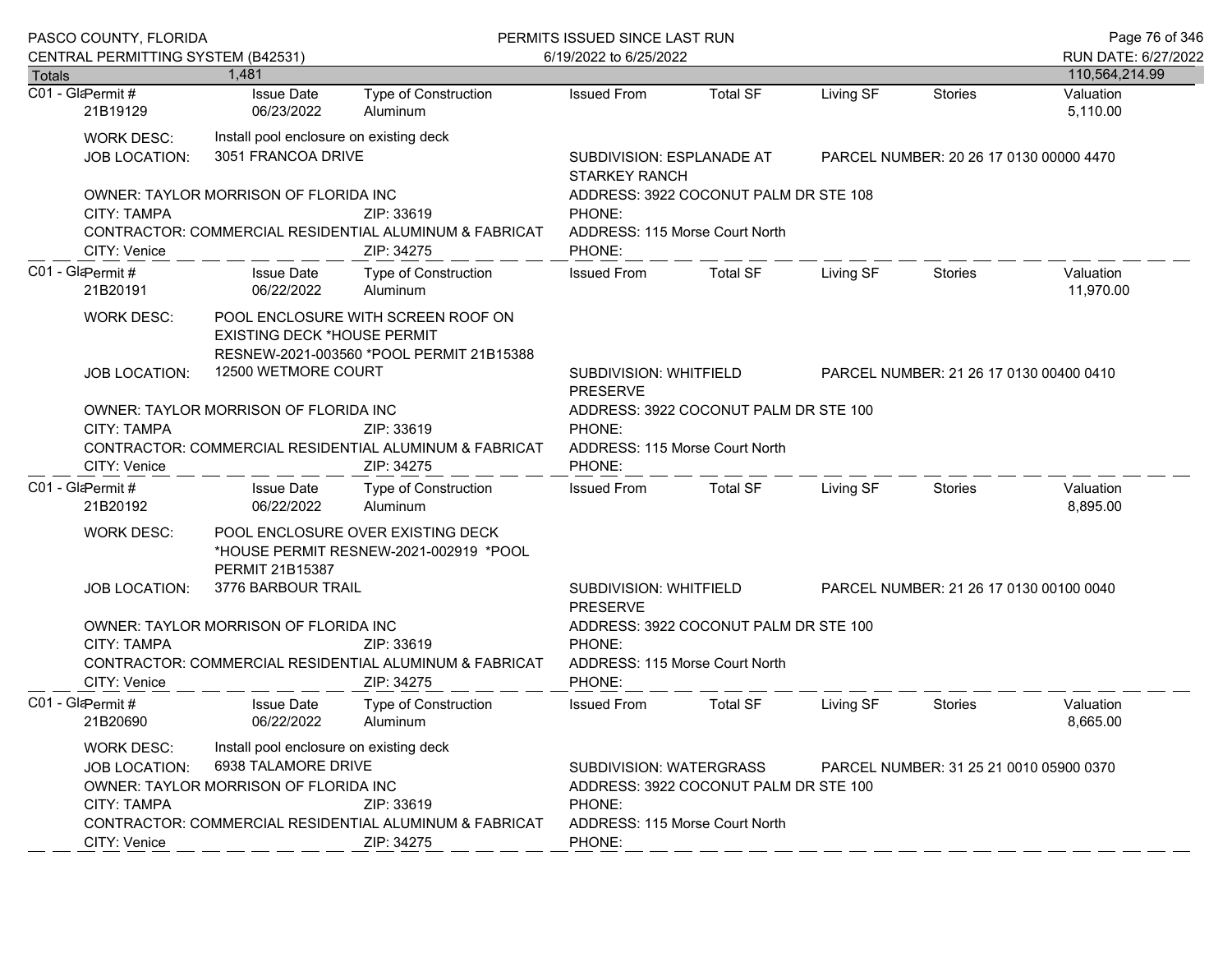|               | PASCO COUNTY, FLORIDA                                                           |                                                                                                         |                                                                                               | PERMITS ISSUED SINCE LAST RUN                                                               |                                                                      |           |                                         | Page 76 of 346         |  |  |
|---------------|---------------------------------------------------------------------------------|---------------------------------------------------------------------------------------------------------|-----------------------------------------------------------------------------------------------|---------------------------------------------------------------------------------------------|----------------------------------------------------------------------|-----------|-----------------------------------------|------------------------|--|--|
|               | CENTRAL PERMITTING SYSTEM (B42531)                                              |                                                                                                         |                                                                                               | 6/19/2022 to 6/25/2022                                                                      |                                                                      |           |                                         | RUN DATE: 6/27/2022    |  |  |
| <b>Totals</b> |                                                                                 | 1.481                                                                                                   |                                                                                               |                                                                                             |                                                                      |           |                                         | 110,564,214.99         |  |  |
|               | C01 - GlaPermit #<br>21B19129                                                   | <b>Issue Date</b><br>06/23/2022                                                                         | Type of Construction<br>Aluminum                                                              | <b>Issued From</b>                                                                          | <b>Total SF</b>                                                      | Living SF | <b>Stories</b>                          | Valuation<br>5,110.00  |  |  |
|               | <b>WORK DESC:</b><br><b>JOB LOCATION:</b>                                       | Install pool enclosure on existing deck<br>3051 FRANCOA DRIVE                                           |                                                                                               | <b>STARKEY RANCH</b>                                                                        | SUBDIVISION: ESPLANADE AT<br>PARCEL NUMBER: 20 26 17 0130 00000 4470 |           |                                         |                        |  |  |
|               | CITY: TAMPA<br>CITY: Venice                                                     | OWNER: TAYLOR MORRISON OF FLORIDA INC                                                                   | ZIP: 33619<br><b>CONTRACTOR: COMMERCIAL RESIDENTIAL ALUMINUM &amp; FABRICAT</b><br>ZIP: 34275 | ADDRESS: 3922 COCONUT PALM DR STE 108<br>PHONE:<br>ADDRESS: 115 Morse Court North<br>PHONE: |                                                                      |           |                                         |                        |  |  |
|               | C01 - GlaPermit#<br>21B20191                                                    | <b>Issue Date</b><br>06/22/2022                                                                         | Type of Construction<br>Aluminum                                                              | <b>Issued From</b>                                                                          | <b>Total SF</b>                                                      | Living SF | Stories                                 | Valuation<br>11,970.00 |  |  |
|               | <b>WORK DESC:</b><br><b>JOB LOCATION:</b>                                       | <b>EXISTING DECK *HOUSE PERMIT</b><br>12500 WETMORE COURT                                               | POOL ENCLOSURE WITH SCREEN ROOF ON<br>RESNEW-2021-003560 *POOL PERMIT 21B15388                | SUBDIVISION: WHITFIELD<br><b>PRESERVE</b>                                                   | PARCEL NUMBER: 21 26 17 0130 00400 0410                              |           |                                         |                        |  |  |
|               | <b>CITY: TAMPA</b><br>CITY: Venice                                              | OWNER: TAYLOR MORRISON OF FLORIDA INC                                                                   | ZIP: 33619<br><b>CONTRACTOR: COMMERCIAL RESIDENTIAL ALUMINUM &amp; FABRICAT</b><br>ZIP: 34275 | PHONE:<br>ADDRESS: 115 Morse Court North<br>PHONE:                                          | ADDRESS: 3922 COCONUT PALM DR STE 100                                |           |                                         |                        |  |  |
|               | C01 - GlaPermit#<br>21B20192                                                    | <b>Issue Date</b><br>06/22/2022                                                                         | Type of Construction<br>Aluminum                                                              | <b>Issued From</b>                                                                          | <b>Total SF</b>                                                      | Living SF | Stories                                 | Valuation<br>8,895.00  |  |  |
|               | <b>WORK DESC:</b>                                                               | PERMIT 21B15387                                                                                         | POOL ENCLOSURE OVER EXISTING DECK<br>*HOUSE PERMIT RESNEW-2021-002919 *POOL                   |                                                                                             |                                                                      |           |                                         |                        |  |  |
|               | <b>JOB LOCATION:</b>                                                            | 3776 BARBOUR TRAIL                                                                                      |                                                                                               | SUBDIVISION: WHITFIELD<br><b>PRESERVE</b>                                                   |                                                                      |           | PARCEL NUMBER: 21 26 17 0130 00100 0040 |                        |  |  |
|               | <b>CITY: TAMPA</b><br>CITY: Venice                                              | OWNER: TAYLOR MORRISON OF FLORIDA INC                                                                   | ZIP: 33619<br>CONTRACTOR: COMMERCIAL RESIDENTIAL ALUMINUM & FABRICAT<br>ZIP: 34275            | PHONE:<br>ADDRESS: 115 Morse Court North<br>PHONE:                                          | ADDRESS: 3922 COCONUT PALM DR STE 100                                |           |                                         |                        |  |  |
|               | C01 - GlaPermit#<br>21B20690                                                    | <b>Issue Date</b><br>06/22/2022                                                                         | Type of Construction<br>Aluminum                                                              | <b>Issued From</b>                                                                          | <b>Total SF</b>                                                      | Living SF | <b>Stories</b>                          | Valuation<br>8,665.00  |  |  |
|               | <b>WORK DESC:</b><br><b>JOB LOCATION:</b><br><b>CITY: TAMPA</b><br>CITY: Venice | Install pool enclosure on existing deck<br>6938 TALAMORE DRIVE<br>OWNER: TAYLOR MORRISON OF FLORIDA INC | ZIP: 33619<br><b>CONTRACTOR: COMMERCIAL RESIDENTIAL ALUMINUM &amp; FABRICAT</b><br>ZIP: 34275 | <b>SUBDIVISION: WATERGRASS</b><br>PHONE:<br>ADDRESS: 115 Morse Court North<br>PHONE:        | ADDRESS: 3922 COCONUT PALM DR STE 100                                |           | PARCEL NUMBER: 31 25 21 0010 05900 0370 |                        |  |  |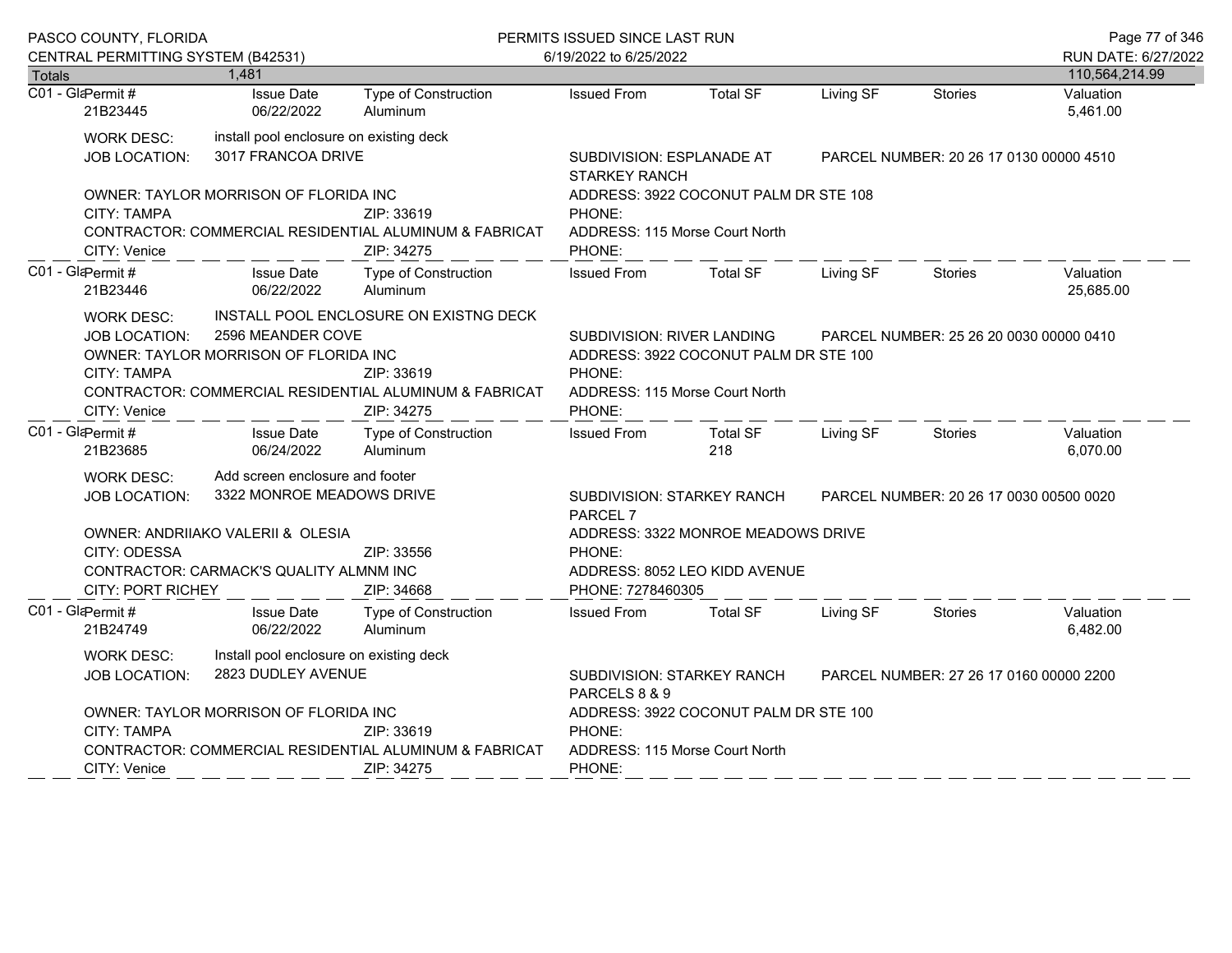|               | PASCO COUNTY, FLORIDA<br>CENTRAL PERMITTING SYSTEM (B42531)              |                                                                                                 |                                                                                                                              | PERMITS ISSUED SINCE LAST RUN<br>6/19/2022 to 6/25/2022                                                                                                              |                                                                     |           |                                         |                                       |
|---------------|--------------------------------------------------------------------------|-------------------------------------------------------------------------------------------------|------------------------------------------------------------------------------------------------------------------------------|----------------------------------------------------------------------------------------------------------------------------------------------------------------------|---------------------------------------------------------------------|-----------|-----------------------------------------|---------------------------------------|
| <b>Totals</b> |                                                                          | 1,481                                                                                           |                                                                                                                              |                                                                                                                                                                      |                                                                     |           |                                         | RUN DATE: 6/27/2022<br>110,564,214.99 |
|               | C01 - GlaPermit #<br>21B23445                                            | <b>Issue Date</b><br>06/22/2022                                                                 | Type of Construction<br>Aluminum                                                                                             | <b>Issued From</b>                                                                                                                                                   | <b>Total SF</b>                                                     | Living SF | <b>Stories</b>                          | Valuation<br>5,461.00                 |
|               | <b>WORK DESC:</b><br>JOB LOCATION:                                       | install pool enclosure on existing deck<br>3017 FRANCOA DRIVE                                   |                                                                                                                              | SUBDIVISION: ESPLANADE AT<br><b>STARKEY RANCH</b>                                                                                                                    |                                                                     |           | PARCEL NUMBER: 20 26 17 0130 00000 4510 |                                       |
|               | <b>CITY: TAMPA</b><br>CITY: Venice                                       | OWNER: TAYLOR MORRISON OF FLORIDA INC                                                           | ZIP: 33619<br>CONTRACTOR: COMMERCIAL RESIDENTIAL ALUMINUM & FABRICAT<br>ZIP: 34275                                           | ADDRESS: 3922 COCONUT PALM DR STE 108<br>PHONE:<br>ADDRESS: 115 Morse Court North<br>PHONE:                                                                          |                                                                     |           |                                         |                                       |
|               | C01 - GlaPermit #<br>21B23446                                            | <b>Issue Date</b><br>06/22/2022                                                                 | <b>Type of Construction</b><br>Aluminum                                                                                      | <b>Issued From</b>                                                                                                                                                   | Total SF                                                            | Living SF | <b>Stories</b>                          | Valuation<br>25,685.00                |
|               | <b>WORK DESC:</b><br>JOB LOCATION:<br><b>CITY: TAMPA</b><br>CITY: Venice | 2596 MEANDER COVE<br>OWNER: TAYLOR MORRISON OF FLORIDA INC                                      | INSTALL POOL ENCLOSURE ON EXISTNG DECK<br>ZIP: 33619<br>CONTRACTOR: COMMERCIAL RESIDENTIAL ALUMINUM & FABRICAT<br>ZIP: 34275 | SUBDIVISION: RIVER LANDING<br>PARCEL NUMBER: 25 26 20 0030 00000 0410<br>ADDRESS: 3922 COCONUT PALM DR STE 100<br>PHONE:<br>ADDRESS: 115 Morse Court North<br>PHONE: |                                                                     |           |                                         |                                       |
|               | C01 - GlaPermit#<br>21B23685                                             | <b>Issue Date</b><br>06/24/2022                                                                 | <b>Type of Construction</b><br>Aluminum                                                                                      | <b>Issued From</b>                                                                                                                                                   | <b>Total SF</b><br>218                                              | Living SF | <b>Stories</b>                          | Valuation<br>6,070.00                 |
|               | <b>WORK DESC:</b><br>JOB LOCATION:                                       | Add screen enclosure and footer<br>3322 MONROE MEADOWS DRIVE                                    |                                                                                                                              | SUBDIVISION: STARKEY RANCH<br>PARCEL 7                                                                                                                               | PARCEL NUMBER: 20 26 17 0030 00500 0020                             |           |                                         |                                       |
|               | CITY: ODESSA<br><b>CITY: PORT RICHEY</b>                                 | OWNER: ANDRIIAKO VALERII & OLESIA<br>CONTRACTOR: CARMACK'S QUALITY ALMNM INC                    | ZIP: 33556<br>ZIP: 34668                                                                                                     | PHONE:<br>PHONE: 7278460305                                                                                                                                          | ADDRESS: 3322 MONROE MEADOWS DRIVE<br>ADDRESS: 8052 LEO KIDD AVENUE |           |                                         |                                       |
|               | C01 - GlaPermit#<br>21B24749                                             | <b>Issue Date</b><br>06/22/2022                                                                 | <b>Type of Construction</b><br>Aluminum                                                                                      | <b>Issued From</b>                                                                                                                                                   | <b>Total SF</b>                                                     | Living SF | <b>Stories</b>                          | Valuation<br>6,482.00                 |
|               | WORK DESC:<br><b>JOB LOCATION:</b>                                       | Install pool enclosure on existing deck<br>2823 DUDLEY AVENUE                                   | SUBDIVISION: STARKEY RANCH<br>PARCELS 8 & 9                                                                                  | PARCEL NUMBER: 27 26 17 0160 00000 2200                                                                                                                              |                                                                     |           |                                         |                                       |
|               | <b>CITY: TAMPA</b><br>CITY: Venice                                       | OWNER: TAYLOR MORRISON OF FLORIDA INC<br>CONTRACTOR: COMMERCIAL RESIDENTIAL ALUMINUM & FABRICAT | ADDRESS: 3922 COCONUT PALM DR STE 100<br>PHONE:<br>ADDRESS: 115 Morse Court North<br>PHONE:                                  |                                                                                                                                                                      |                                                                     |           |                                         |                                       |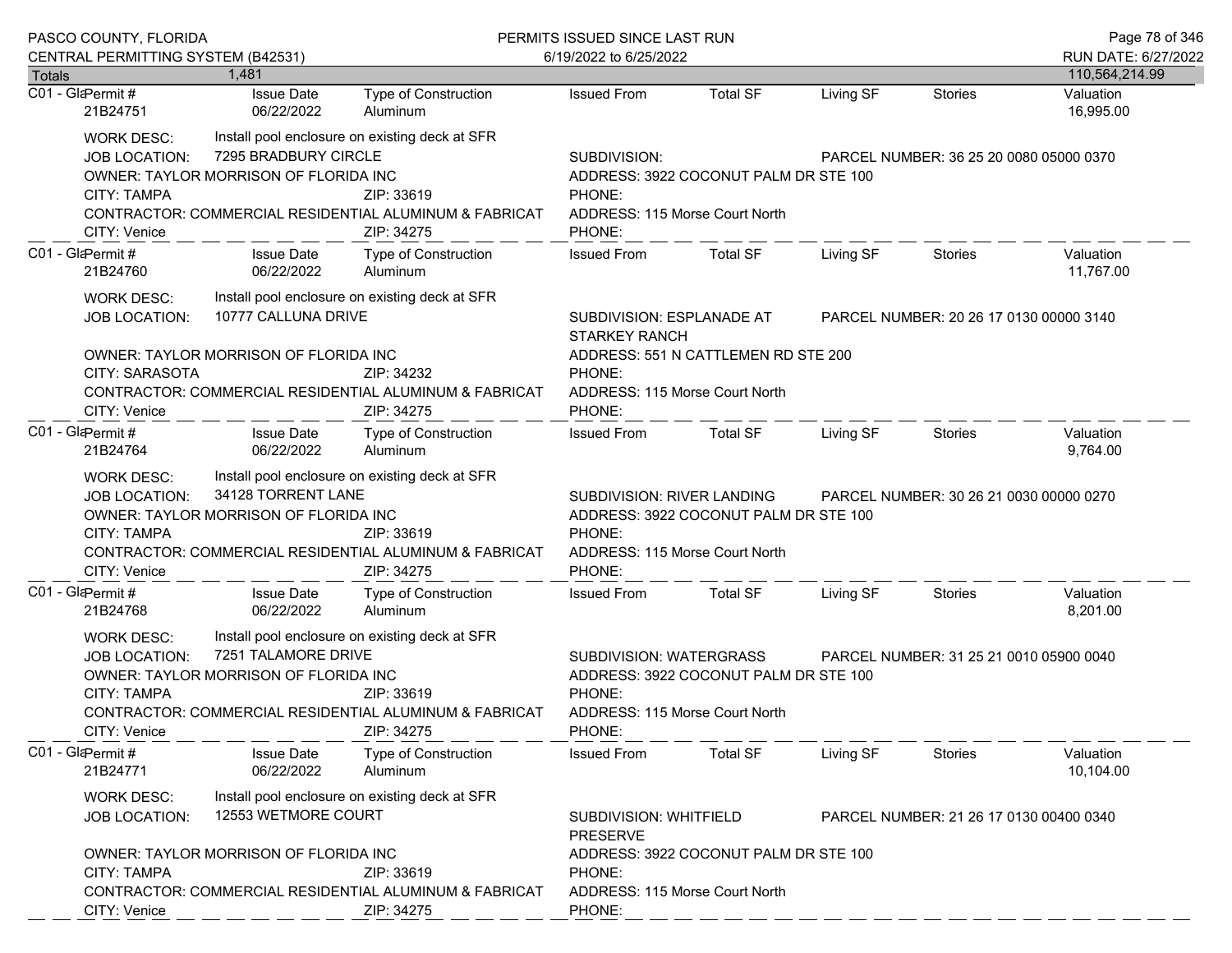|                                                                                                                                                                                                                                                                                        | PASCO COUNTY, FLORIDA                                                                                                                                                                                                                                                                   |                                                               |                                                                                                                                      | PERMITS ISSUED SINCE LAST RUN                                                                                                                                        |                                                                                                                                                                   |           |                | Page 78 of 346         |  |  |
|----------------------------------------------------------------------------------------------------------------------------------------------------------------------------------------------------------------------------------------------------------------------------------------|-----------------------------------------------------------------------------------------------------------------------------------------------------------------------------------------------------------------------------------------------------------------------------------------|---------------------------------------------------------------|--------------------------------------------------------------------------------------------------------------------------------------|----------------------------------------------------------------------------------------------------------------------------------------------------------------------|-------------------------------------------------------------------------------------------------------------------------------------------------------------------|-----------|----------------|------------------------|--|--|
|                                                                                                                                                                                                                                                                                        | CENTRAL PERMITTING SYSTEM (B42531)                                                                                                                                                                                                                                                      |                                                               |                                                                                                                                      | 6/19/2022 to 6/25/2022                                                                                                                                               |                                                                                                                                                                   |           |                | RUN DATE: 6/27/2022    |  |  |
| <b>Totals</b>                                                                                                                                                                                                                                                                          |                                                                                                                                                                                                                                                                                         | 1.481                                                         |                                                                                                                                      |                                                                                                                                                                      |                                                                                                                                                                   |           |                | 110,564,214.99         |  |  |
| C01 - GlaPermit#                                                                                                                                                                                                                                                                       | 21B24751                                                                                                                                                                                                                                                                                | <b>Issue Date</b><br>06/22/2022                               | Type of Construction<br>Aluminum                                                                                                     | <b>Issued From</b>                                                                                                                                                   | <b>Total SF</b>                                                                                                                                                   | Living SF | <b>Stories</b> | Valuation<br>16,995.00 |  |  |
|                                                                                                                                                                                                                                                                                        | <b>WORK DESC:</b><br><b>JOB LOCATION:</b><br><b>CITY: TAMPA</b><br>CITY: Venice                                                                                                                                                                                                         | 7295 BRADBURY CIRCLE<br>OWNER: TAYLOR MORRISON OF FLORIDA INC | Install pool enclosure on existing deck at SFR<br>ZIP: 33619<br>CONTRACTOR: COMMERCIAL RESIDENTIAL ALUMINUM & FABRICAT<br>ZIP: 34275 | SUBDIVISION:<br>ADDRESS: 3922 COCONUT PALM DR STE 100<br>PHONE:<br>ADDRESS: 115 Morse Court North<br>PHONE:                                                          | PARCEL NUMBER: 36 25 20 0080 05000 0370                                                                                                                           |           |                |                        |  |  |
| C01 - GlaPermit #                                                                                                                                                                                                                                                                      | 21B24760                                                                                                                                                                                                                                                                                | <b>Issue Date</b><br>06/22/2022                               | Type of Construction<br>Aluminum                                                                                                     | <b>Issued From</b>                                                                                                                                                   | Total SF                                                                                                                                                          | Living SF | Stories        | Valuation<br>11,767.00 |  |  |
|                                                                                                                                                                                                                                                                                        | <b>WORK DESC:</b><br><b>JOB LOCATION:</b>                                                                                                                                                                                                                                               | 10777 CALLUNA DRIVE                                           | Install pool enclosure on existing deck at SFR                                                                                       | SUBDIVISION: ESPLANADE AT<br><b>STARKEY RANCH</b>                                                                                                                    | PARCEL NUMBER: 20 26 17 0130 00000 3140                                                                                                                           |           |                |                        |  |  |
|                                                                                                                                                                                                                                                                                        | <b>CITY: SARASOTA</b><br>CITY: Venice                                                                                                                                                                                                                                                   | OWNER: TAYLOR MORRISON OF FLORIDA INC                         | ZIP: 34232<br>CONTRACTOR: COMMERCIAL RESIDENTIAL ALUMINUM & FABRICAT<br>ZIP: 34275                                                   | PHONE:<br>ADDRESS: 115 Morse Court North<br>PHONE:                                                                                                                   | ADDRESS: 551 N CATTLEMEN RD STE 200                                                                                                                               |           |                |                        |  |  |
| C01 - GlaPermit#                                                                                                                                                                                                                                                                       | 21B24764                                                                                                                                                                                                                                                                                | <b>Issue Date</b><br>06/22/2022                               | Type of Construction<br>Aluminum                                                                                                     | <b>Issued From</b>                                                                                                                                                   | Total SF                                                                                                                                                          | Living SF | Stories        | Valuation<br>9,764.00  |  |  |
| Install pool enclosure on existing deck at SFR<br><b>WORK DESC:</b><br>34128 TORRENT LANE<br><b>JOB LOCATION:</b><br>OWNER: TAYLOR MORRISON OF FLORIDA INC<br><b>CITY: TAMPA</b><br>ZIP: 33619<br>CONTRACTOR: COMMERCIAL RESIDENTIAL ALUMINUM & FABRICAT<br>CITY: Venice<br>ZIP: 34275 |                                                                                                                                                                                                                                                                                         |                                                               |                                                                                                                                      | SUBDIVISION: RIVER LANDING<br>PARCEL NUMBER: 30 26 21 0030 00000 0270<br>ADDRESS: 3922 COCONUT PALM DR STE 100<br>PHONE:<br>ADDRESS: 115 Morse Court North<br>PHONE: |                                                                                                                                                                   |           |                |                        |  |  |
| C01 - GlaPermit #                                                                                                                                                                                                                                                                      | 21B24768                                                                                                                                                                                                                                                                                | <b>Issue Date</b><br>06/22/2022                               | Type of Construction<br>Aluminum                                                                                                     | <b>Issued From</b>                                                                                                                                                   | <b>Total SF</b>                                                                                                                                                   | Living SF | Stories        | Valuation<br>8,201.00  |  |  |
|                                                                                                                                                                                                                                                                                        | Install pool enclosure on existing deck at SFR<br><b>WORK DESC:</b><br>7251 TALAMORE DRIVE<br><b>JOB LOCATION:</b><br>OWNER: TAYLOR MORRISON OF FLORIDA INC<br><b>CITY: TAMPA</b><br>ZIP: 33619<br>CONTRACTOR: COMMERCIAL RESIDENTIAL ALUMINUM & FABRICAT<br>CITY: Venice<br>ZIP: 34275 |                                                               |                                                                                                                                      |                                                                                                                                                                      | SUBDIVISION: WATERGRASS<br>PARCEL NUMBER: 31 25 21 0010 05900 0040<br>ADDRESS: 3922 COCONUT PALM DR STE 100<br>PHONE:<br>ADDRESS: 115 Morse Court North<br>PHONE: |           |                |                        |  |  |
| C01 - GlaPermit#                                                                                                                                                                                                                                                                       | 21B24771                                                                                                                                                                                                                                                                                | <b>Issue Date</b><br>06/22/2022                               | Type of Construction<br>Aluminum                                                                                                     | <b>Issued From</b>                                                                                                                                                   | <b>Total SF</b>                                                                                                                                                   | Living SF | Stories        | Valuation<br>10,104.00 |  |  |
|                                                                                                                                                                                                                                                                                        | <b>WORK DESC:</b><br>JOB LOCATION:                                                                                                                                                                                                                                                      | 12553 WETMORE COURT                                           | Install pool enclosure on existing deck at SFR                                                                                       | SUBDIVISION: WHITFIELD<br>PARCEL NUMBER: 21 26 17 0130 00400 0340<br><b>PRESERVE</b>                                                                                 |                                                                                                                                                                   |           |                |                        |  |  |
| OWNER: TAYLOR MORRISON OF FLORIDA INC<br><b>CITY: TAMPA</b><br>ZIP: 33619<br>CONTRACTOR: COMMERCIAL RESIDENTIAL ALUMINUM & FABRICAT<br>ZIP: 34275<br>CITY: Venice                                                                                                                      |                                                                                                                                                                                                                                                                                         |                                                               |                                                                                                                                      | PHONE:<br>ADDRESS: 115 Morse Court North<br>PHONE:                                                                                                                   | ADDRESS: 3922 COCONUT PALM DR STE 100                                                                                                                             |           |                |                        |  |  |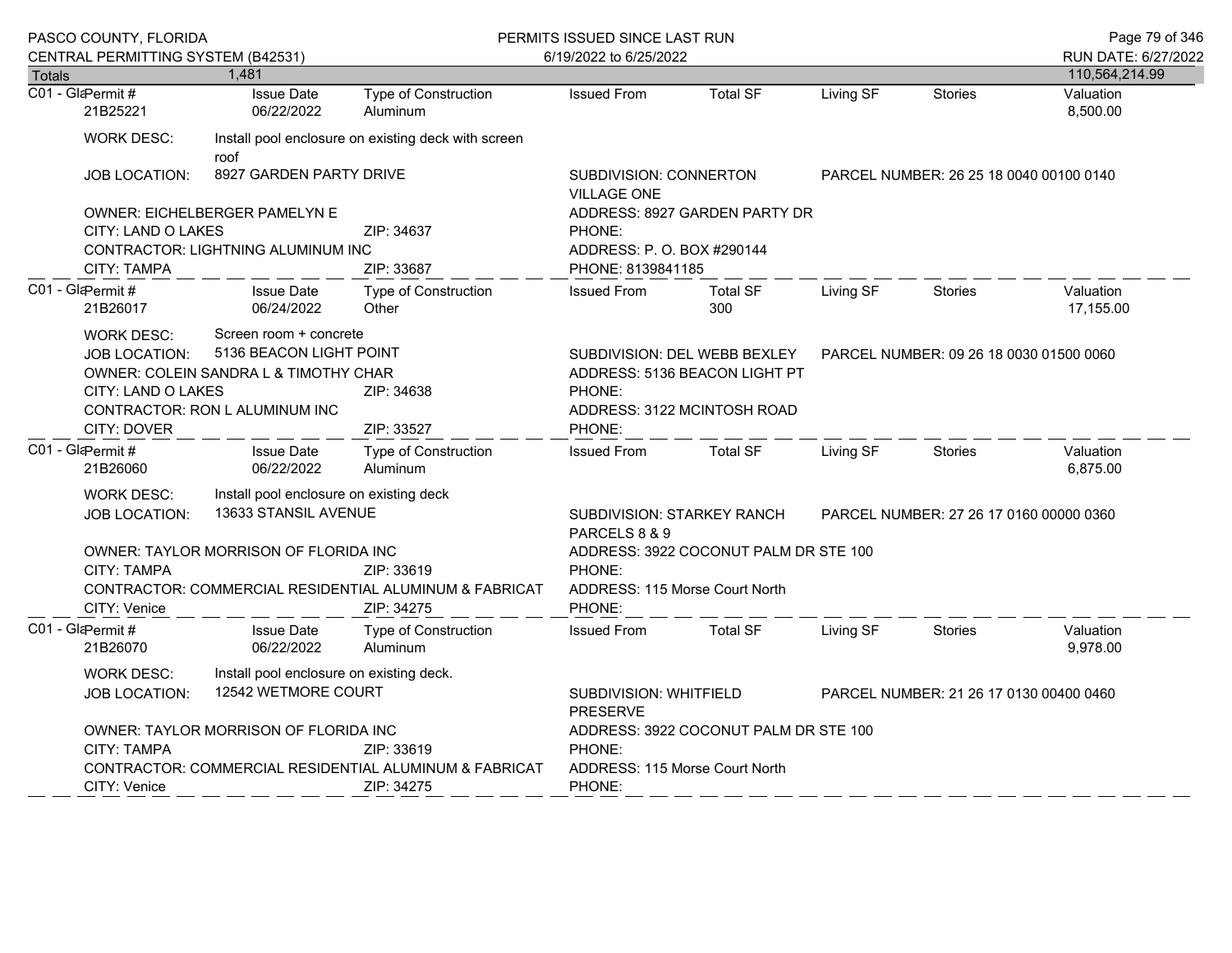|                                                                                                                                                            | PASCO COUNTY, FLORIDA<br>CENTRAL PERMITTING SYSTEM (B42531)                    |                                                                                                                              |                                                                                    | PERMITS ISSUED SINCE LAST RUN<br>6/19/2022 to 6/25/2022                                                          |                                                                   |                                         |                | Page 79 of 346<br>RUN DATE: 6/27/2022 |
|------------------------------------------------------------------------------------------------------------------------------------------------------------|--------------------------------------------------------------------------------|------------------------------------------------------------------------------------------------------------------------------|------------------------------------------------------------------------------------|------------------------------------------------------------------------------------------------------------------|-------------------------------------------------------------------|-----------------------------------------|----------------|---------------------------------------|
| <b>Totals</b>                                                                                                                                              |                                                                                | 1,481                                                                                                                        |                                                                                    |                                                                                                                  |                                                                   |                                         |                | 110,564,214.99                        |
|                                                                                                                                                            | C01 - GlaPermit #<br>21B25221                                                  | <b>Issue Date</b><br>06/22/2022                                                                                              | Type of Construction<br>Aluminum                                                   | <b>Issued From</b>                                                                                               | <b>Total SF</b>                                                   | Living SF                               | <b>Stories</b> | Valuation<br>8,500.00                 |
|                                                                                                                                                            | <b>WORK DESC:</b>                                                              | roof                                                                                                                         | Install pool enclosure on existing deck with screen                                |                                                                                                                  |                                                                   |                                         |                |                                       |
|                                                                                                                                                            | <b>JOB LOCATION:</b>                                                           | 8927 GARDEN PARTY DRIVE                                                                                                      |                                                                                    | <b>VILLAGE ONE</b>                                                                                               | SUBDIVISION: CONNERTON<br>PARCEL NUMBER: 26 25 18 0040 00100 0140 |                                         |                |                                       |
|                                                                                                                                                            | CITY: LAND O LAKES                                                             | OWNER: EICHELBERGER PAMELYN E<br>CONTRACTOR: LIGHTNING ALUMINUM INC                                                          | ZIP: 34637                                                                         | PHONE:                                                                                                           | ADDRESS: 8927 GARDEN PARTY DR<br>ADDRESS: P.O. BOX #290144        |                                         |                |                                       |
|                                                                                                                                                            | CITY: TAMPA<br>C01 - GlaPermit #<br>21B26017                                   | <b>Issue Date</b><br>06/24/2022                                                                                              | ZIP: 33687<br>Type of Construction<br>Other                                        | PHONE: 8139841185<br><b>Issued From</b>                                                                          | <b>Total SF</b><br>300                                            | Living SF                               | <b>Stories</b> | Valuation<br>17,155.00                |
|                                                                                                                                                            | <b>WORK DESC:</b><br><b>JOB LOCATION:</b><br>CITY: LAND O LAKES<br>CITY: DOVER | Screen room + concrete<br>5136 BEACON LIGHT POINT<br>OWNER: COLEIN SANDRA L & TIMOTHY CHAR<br>CONTRACTOR: RON L ALUMINUM INC | ZIP: 34638<br>ZIP: 33527                                                           | SUBDIVISION: DEL WEBB BEXLEY<br>ADDRESS: 5136 BEACON LIGHT PT<br>PHONE:<br>ADDRESS: 3122 MCINTOSH ROAD<br>PHONE: |                                                                   | PARCEL NUMBER: 09 26 18 0030 01500 0060 |                |                                       |
|                                                                                                                                                            | C01 - GlaPermit#<br>21B26060                                                   | <b>Issue Date</b><br>06/22/2022                                                                                              | Type of Construction<br>Aluminum                                                   | <b>Issued From</b>                                                                                               | <b>Total SF</b>                                                   | Living SF                               | <b>Stories</b> | Valuation<br>6,875.00                 |
|                                                                                                                                                            | <b>WORK DESC:</b><br><b>JOB LOCATION:</b><br><b>CITY: TAMPA</b>                | Install pool enclosure on existing deck<br>13633 STANSIL AVENUE<br>OWNER: TAYLOR MORRISON OF FLORIDA INC                     | SUBDIVISION: STARKEY RANCH<br>PARCELS 8 & 9<br>PHONE:                              | ADDRESS: 3922 COCONUT PALM DR STE 100                                                                            | PARCEL NUMBER: 27 26 17 0160 00000 0360                           |                                         |                |                                       |
|                                                                                                                                                            | CITY: Venice                                                                   |                                                                                                                              | ZIP: 33619<br>CONTRACTOR: COMMERCIAL RESIDENTIAL ALUMINUM & FABRICAT<br>ZIP: 34275 | ADDRESS: 115 Morse Court North<br>PHONE:                                                                         |                                                                   |                                         |                |                                       |
|                                                                                                                                                            | C01 - GlaPermit#<br>21B26070                                                   | <b>Issue Date</b><br>06/22/2022                                                                                              | Type of Construction<br>Aluminum                                                   | <b>Issued From</b>                                                                                               | <b>Total SF</b>                                                   | Living SF                               | <b>Stories</b> | Valuation<br>9,978.00                 |
|                                                                                                                                                            | <b>WORK DESC:</b><br>JOB LOCATION:                                             | Install pool enclosure on existing deck.<br>12542 WETMORE COURT                                                              | SUBDIVISION: WHITFIELD<br><b>PRESERVE</b>                                          | PARCEL NUMBER: 21 26 17 0130 00400 0460                                                                          |                                                                   |                                         |                |                                       |
| OWNER: TAYLOR MORRISON OF FLORIDA INC<br>CITY: TAMPA<br>ZIP: 33619<br>CONTRACTOR: COMMERCIAL RESIDENTIAL ALUMINUM & FABRICAT<br>CITY: Venice<br>ZIP: 34275 |                                                                                |                                                                                                                              |                                                                                    | ADDRESS: 3922 COCONUT PALM DR STE 100<br>PHONE:<br>ADDRESS: 115 Morse Court North<br>PHONE:                      |                                                                   |                                         |                |                                       |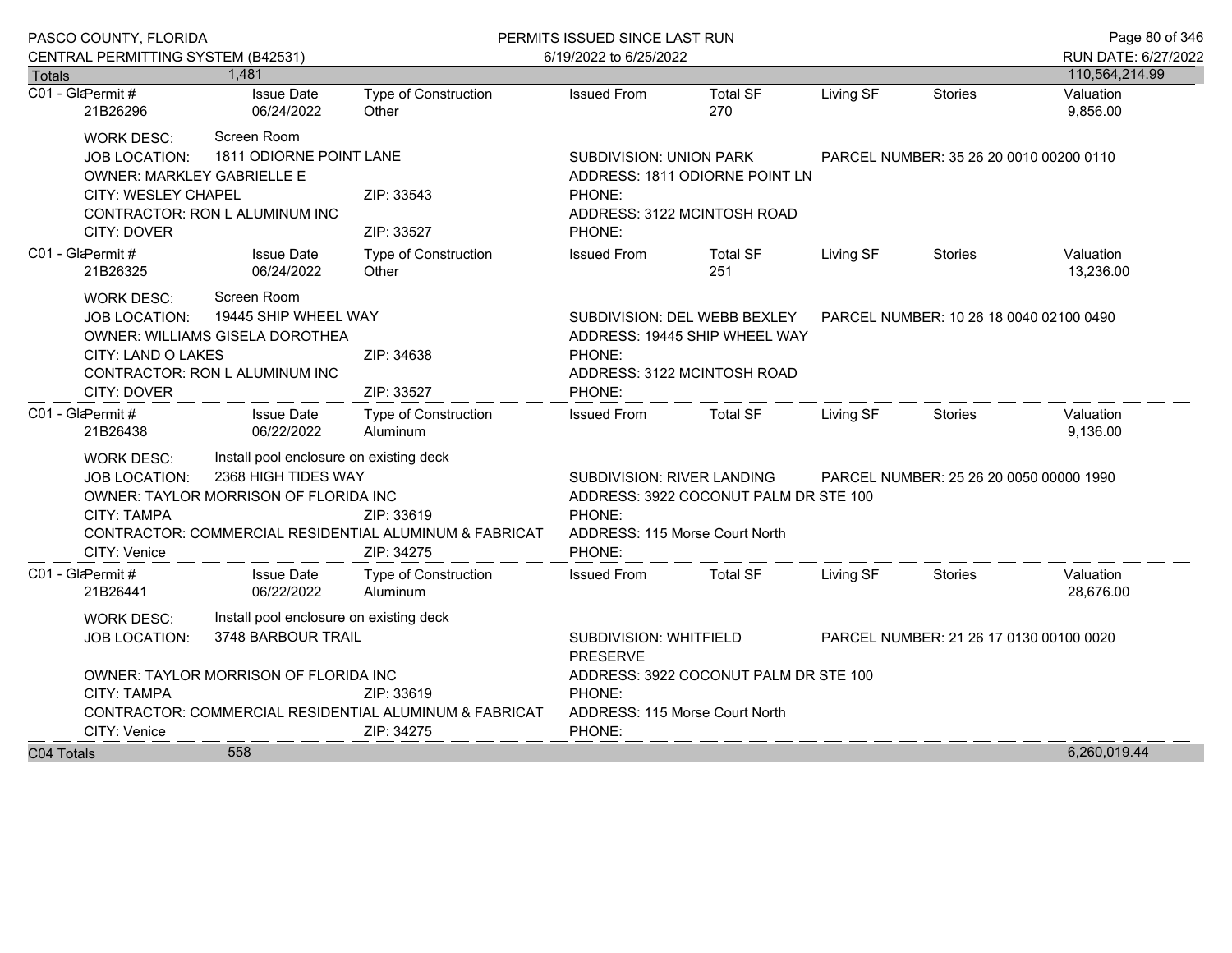|                                                                                                                                                                             | PASCO COUNTY, FLORIDA                                                                                                                                                                                                                                                                 |                                        |                                                | PERMITS ISSUED SINCE LAST RUN                                                                                                                     | Page 80 of 346                                                                                              |           |                                                                   |                        |  |  |
|-----------------------------------------------------------------------------------------------------------------------------------------------------------------------------|---------------------------------------------------------------------------------------------------------------------------------------------------------------------------------------------------------------------------------------------------------------------------------------|----------------------------------------|------------------------------------------------|---------------------------------------------------------------------------------------------------------------------------------------------------|-------------------------------------------------------------------------------------------------------------|-----------|-------------------------------------------------------------------|------------------------|--|--|
|                                                                                                                                                                             | CENTRAL PERMITTING SYSTEM (B42531)                                                                                                                                                                                                                                                    |                                        |                                                | 6/19/2022 to 6/25/2022                                                                                                                            |                                                                                                             |           |                                                                   | RUN DATE: 6/27/2022    |  |  |
| <b>Totals</b>                                                                                                                                                               |                                                                                                                                                                                                                                                                                       | 1,481                                  |                                                |                                                                                                                                                   |                                                                                                             |           |                                                                   | 110,564,214.99         |  |  |
| C01 - GlaPermit #                                                                                                                                                           | 21B26296                                                                                                                                                                                                                                                                              | <b>Issue Date</b><br>06/24/2022        | <b>Type of Construction</b><br>Other           | <b>Issued From</b>                                                                                                                                | <b>Total SF</b><br>270                                                                                      | Living SF | <b>Stories</b>                                                    | Valuation<br>9,856.00  |  |  |
|                                                                                                                                                                             | <b>WORK DESC:</b><br><b>JOB LOCATION:</b><br>OWNER: MARKLEY GABRIELLE E                                                                                                                                                                                                               | Screen Room<br>1811 ODIORNE POINT LANE |                                                |                                                                                                                                                   | <b>SUBDIVISION: UNION PARK</b><br>PARCEL NUMBER: 35 26 20 0010 00200 0110<br>ADDRESS: 1811 ODIORNE POINT LN |           |                                                                   |                        |  |  |
|                                                                                                                                                                             | CITY: WESLEY CHAPEL<br>CITY: DOVER                                                                                                                                                                                                                                                    | CONTRACTOR: RON L ALUMINUM INC         | ZIP: 33543<br>ZIP: 33527                       | PHONE:<br>ADDRESS: 3122 MCINTOSH ROAD<br>PHONE:                                                                                                   |                                                                                                             |           |                                                                   |                        |  |  |
| C01 - GlaPermit#                                                                                                                                                            | 21B26325                                                                                                                                                                                                                                                                              | <b>Issue Date</b><br>06/24/2022        | Type of Construction<br>Other                  | <b>Issued From</b>                                                                                                                                | <b>Total SF</b><br>251                                                                                      | Living SF | <b>Stories</b>                                                    | Valuation<br>13,236.00 |  |  |
| Screen Room<br><b>WORK DESC:</b><br>19445 SHIP WHEEL WAY<br><b>JOB LOCATION:</b><br>OWNER: WILLIAMS GISELA DOROTHEA<br>CITY: LAND O LAKES<br>CONTRACTOR: RON L ALUMINUM INC |                                                                                                                                                                                                                                                                                       |                                        | ZIP: 34638                                     | SUBDIVISION: DEL WEBB BEXLEY<br>PARCEL NUMBER: 10 26 18 0040 02100 0490<br>ADDRESS: 19445 SHIP WHEEL WAY<br>PHONE:<br>ADDRESS: 3122 MCINTOSH ROAD |                                                                                                             |           |                                                                   |                        |  |  |
| C01 - GlaPermit#                                                                                                                                                            | CITY: DOVER                                                                                                                                                                                                                                                                           | <b>Issue Date</b><br>06/22/2022        | ZIP: 33527<br>Type of Construction<br>Aluminum | PHONE:<br><b>Issued From</b>                                                                                                                      | <b>Total SF</b>                                                                                             | Living SF | <b>Stories</b>                                                    | Valuation<br>9,136.00  |  |  |
|                                                                                                                                                                             | 21B26438<br>Install pool enclosure on existing deck<br><b>WORK DESC:</b><br>2368 HIGH TIDES WAY<br>JOB LOCATION:<br>OWNER: TAYLOR MORRISON OF FLORIDA INC<br><b>CITY: TAMPA</b><br>ZIP: 33619<br>CONTRACTOR: COMMERCIAL RESIDENTIAL ALUMINUM & FABRICAT<br>CITY: Venice<br>ZIP: 34275 |                                        |                                                |                                                                                                                                                   | SUBDIVISION: RIVER LANDING<br>ADDRESS: 3922 COCONUT PALM DR STE 100<br>ADDRESS: 115 Morse Court North       |           | PARCEL NUMBER: 25 26 20 0050 00000 1990                           |                        |  |  |
| C01 - GlaPermit #                                                                                                                                                           | 21B26441                                                                                                                                                                                                                                                                              | <b>Issue Date</b><br>06/22/2022        | Type of Construction<br>Aluminum               | <b>Issued From</b>                                                                                                                                | <b>Total SF</b>                                                                                             | Living SF | Stories                                                           | Valuation<br>28,676.00 |  |  |
|                                                                                                                                                                             | Install pool enclosure on existing deck<br><b>WORK DESC:</b><br>3748 BARBOUR TRAIL<br><b>JOB LOCATION:</b>                                                                                                                                                                            |                                        |                                                |                                                                                                                                                   |                                                                                                             | PRESERVE  | SUBDIVISION: WHITFIELD<br>PARCEL NUMBER: 21 26 17 0130 00100 0020 |                        |  |  |
|                                                                                                                                                                             | OWNER: TAYLOR MORRISON OF FLORIDA INC<br><b>CITY: TAMPA</b><br>ZIP: 33619<br>CONTRACTOR: COMMERCIAL RESIDENTIAL ALUMINUM & FABRICAT<br>CITY: Venice<br>ZIP: 34275                                                                                                                     |                                        |                                                | PHONE:<br>ADDRESS: 115 Morse Court North<br>PHONE:                                                                                                | ADDRESS: 3922 COCONUT PALM DR STE 100                                                                       |           |                                                                   |                        |  |  |
| C04 Totals                                                                                                                                                                  | 558                                                                                                                                                                                                                                                                                   |                                        |                                                |                                                                                                                                                   |                                                                                                             |           |                                                                   | 6,260,019.44           |  |  |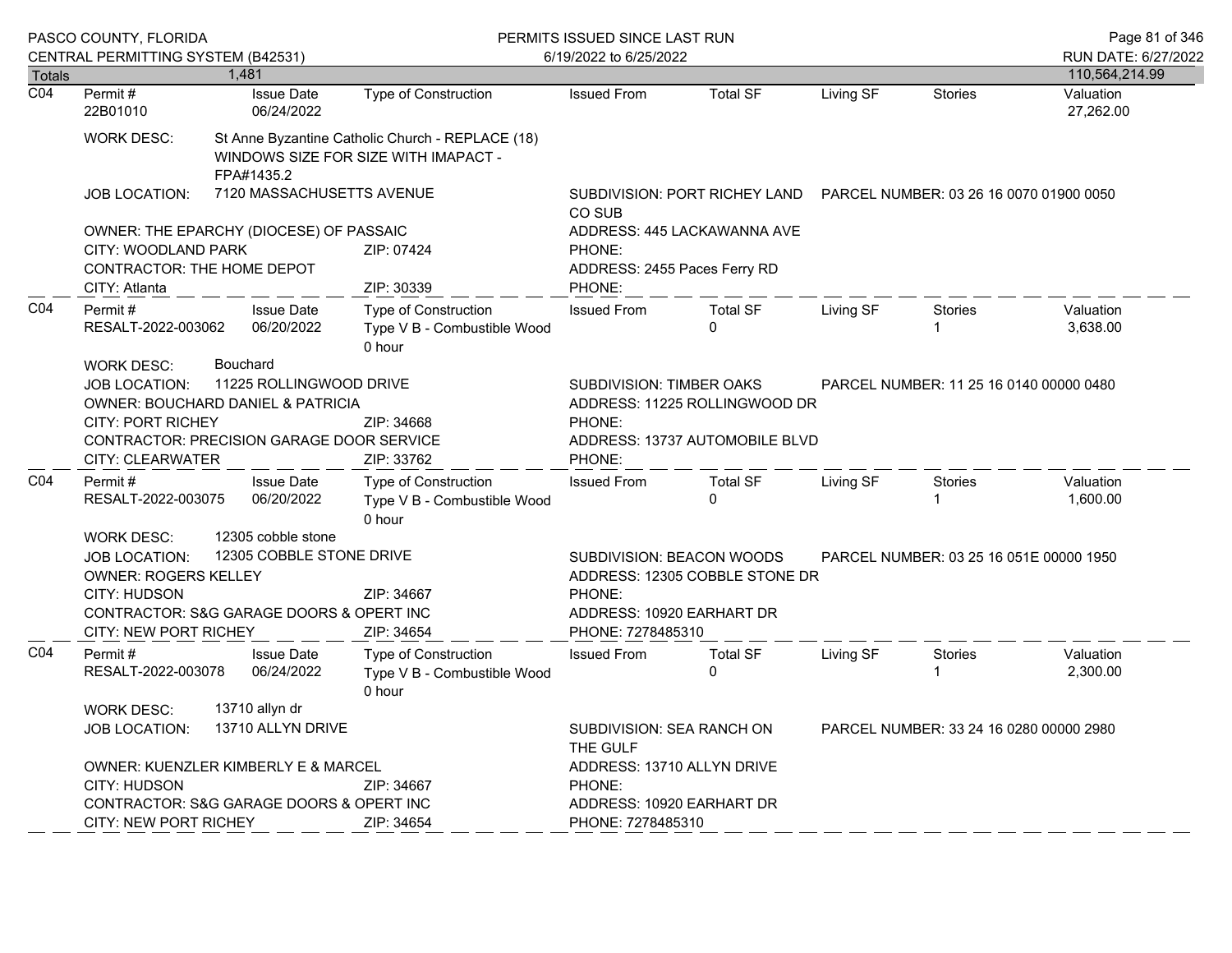|                  | PASCO COUNTY, FLORIDA<br>CENTRAL PERMITTING SYSTEM (B42531)                                                                                                                                                                   |                                     |                                 | PERMITS ISSUED SINCE LAST RUN<br>6/19/2022 to 6/25/2022                                                                                                           | Page 81 of 346<br>RUN DATE: 6/27/2022                                                 |                                                                        |           |                                         |                        |
|------------------|-------------------------------------------------------------------------------------------------------------------------------------------------------------------------------------------------------------------------------|-------------------------------------|---------------------------------|-------------------------------------------------------------------------------------------------------------------------------------------------------------------|---------------------------------------------------------------------------------------|------------------------------------------------------------------------|-----------|-----------------------------------------|------------------------|
| <b>Totals</b>    |                                                                                                                                                                                                                               | 1,481                               |                                 |                                                                                                                                                                   |                                                                                       |                                                                        |           |                                         | 110,564,214.99         |
| $\overline{CO4}$ | Permit#<br>22B01010                                                                                                                                                                                                           |                                     | <b>Issue Date</b><br>06/24/2022 | <b>Type of Construction</b>                                                                                                                                       | <b>Issued From</b>                                                                    | <b>Total SF</b>                                                        | Living SF | Stories                                 | Valuation<br>27,262.00 |
|                  | WORK DESC:                                                                                                                                                                                                                    |                                     | FPA#1435.2                      | St Anne Byzantine Catholic Church - REPLACE (18)<br>WINDOWS SIZE FOR SIZE WITH IMAPACT -                                                                          |                                                                                       |                                                                        |           |                                         |                        |
|                  | <b>JOB LOCATION:</b>                                                                                                                                                                                                          |                                     | 7120 MASSACHUSETTS AVENUE       |                                                                                                                                                                   | CO SUB                                                                                | SUBDIVISION: PORT RICHEY LAND  PARCEL NUMBER: 03 26 16 0070 01900 0050 |           |                                         |                        |
|                  | OWNER: THE EPARCHY (DIOCESE) OF PASSAIC                                                                                                                                                                                       |                                     |                                 |                                                                                                                                                                   |                                                                                       | ADDRESS: 445 LACKAWANNA AVE                                            |           |                                         |                        |
|                  | CITY: WOODLAND PARK<br>CONTRACTOR: THE HOME DEPOT                                                                                                                                                                             |                                     |                                 | ZIP: 07424                                                                                                                                                        | PHONE:<br>ADDRESS: 2455 Paces Ferry RD                                                |                                                                        |           |                                         |                        |
|                  | CITY: Atlanta                                                                                                                                                                                                                 |                                     |                                 | ZIP: 30339                                                                                                                                                        | PHONE:                                                                                |                                                                        |           |                                         |                        |
| CO <sub>4</sub>  | Permit#<br>RESALT-2022-003062<br><b>WORK DESC:</b>                                                                                                                                                                            | <b>Bouchard</b>                     | <b>Issue Date</b><br>06/20/2022 | Type of Construction<br>Type V B - Combustible Wood<br>0 hour                                                                                                     | <b>Issued From</b>                                                                    | <b>Total SF</b><br>$\Omega$                                            | Living SF | Stories                                 | Valuation<br>3,638.00  |
|                  | 11225 ROLLINGWOOD DRIVE<br><b>JOB LOCATION:</b><br><b>OWNER: BOUCHARD DANIEL &amp; PATRICIA</b><br><b>CITY: PORT RICHEY</b><br>CONTRACTOR: PRECISION GARAGE DOOR SERVICE<br>CITY: CLEARWATER                                  |                                     | ZIP: 34668<br>ZIP: 33762        | <b>SUBDIVISION: TIMBER OAKS</b><br>PARCEL NUMBER: 11 25 16 0140 00000 0480<br>ADDRESS: 11225 ROLLINGWOOD DR<br>PHONE:<br>ADDRESS: 13737 AUTOMOBILE BLVD<br>PHONE: |                                                                                       |                                                                        |           |                                         |                        |
| CO <sub>4</sub>  | Permit#<br>RESALT-2022-003075                                                                                                                                                                                                 |                                     | <b>Issue Date</b><br>06/20/2022 | Type of Construction<br>Type V B - Combustible Wood<br>0 hour                                                                                                     | <b>Issued From</b>                                                                    | <b>Total SF</b><br>$\Omega$                                            | Living SF | Stories                                 | Valuation<br>1,600.00  |
|                  | 12305 cobble stone<br><b>WORK DESC:</b><br>12305 COBBLE STONE DRIVE<br><b>JOB LOCATION:</b><br><b>OWNER: ROGERS KELLEY</b><br><b>CITY: HUDSON</b><br>CONTRACTOR: S&G GARAGE DOORS & OPERT INC<br><b>CITY: NEW PORT RICHEY</b> |                                     |                                 | ZIP: 34667<br>ZIP: 34654                                                                                                                                          | SUBDIVISION: BEACON WOODS<br>PHONE:<br>ADDRESS: 10920 EARHART DR<br>PHONE: 7278485310 | ADDRESS: 12305 COBBLE STONE DR                                         |           | PARCEL NUMBER: 03 25 16 051E 00000 1950 |                        |
| CO <sub>4</sub>  | Permit#<br>RESALT-2022-003078<br><b>WORK DESC:</b>                                                                                                                                                                            |                                     | <b>Issue Date</b><br>06/24/2022 | Type of Construction<br>Type V B - Combustible Wood<br>0 hour                                                                                                     | <b>Issued From</b>                                                                    | <b>Total SF</b><br>$\Omega$                                            | Living SF | Stories                                 | Valuation<br>2,300.00  |
|                  | <b>JOB LOCATION:</b>                                                                                                                                                                                                          | 13710 allyn dr<br>13710 ALLYN DRIVE |                                 |                                                                                                                                                                   | SUBDIVISION: SEA RANCH ON<br>THE GULF                                                 |                                                                        |           | PARCEL NUMBER: 33 24 16 0280 00000 2980 |                        |
|                  | OWNER: KUENZLER KIMBERLY E & MARCEL<br>CITY: HUDSON<br>ZIP: 34667<br>CONTRACTOR: S&G GARAGE DOORS & OPERT INC                                                                                                                 |                                     |                                 |                                                                                                                                                                   | ADDRESS: 13710 ALLYN DRIVE<br>PHONE:<br>ADDRESS: 10920 EARHART DR                     |                                                                        |           |                                         |                        |
|                  | CITY: NEW PORT RICHEY                                                                                                                                                                                                         |                                     |                                 | ZIP: 34654                                                                                                                                                        | PHONE: 7278485310                                                                     |                                                                        |           |                                         |                        |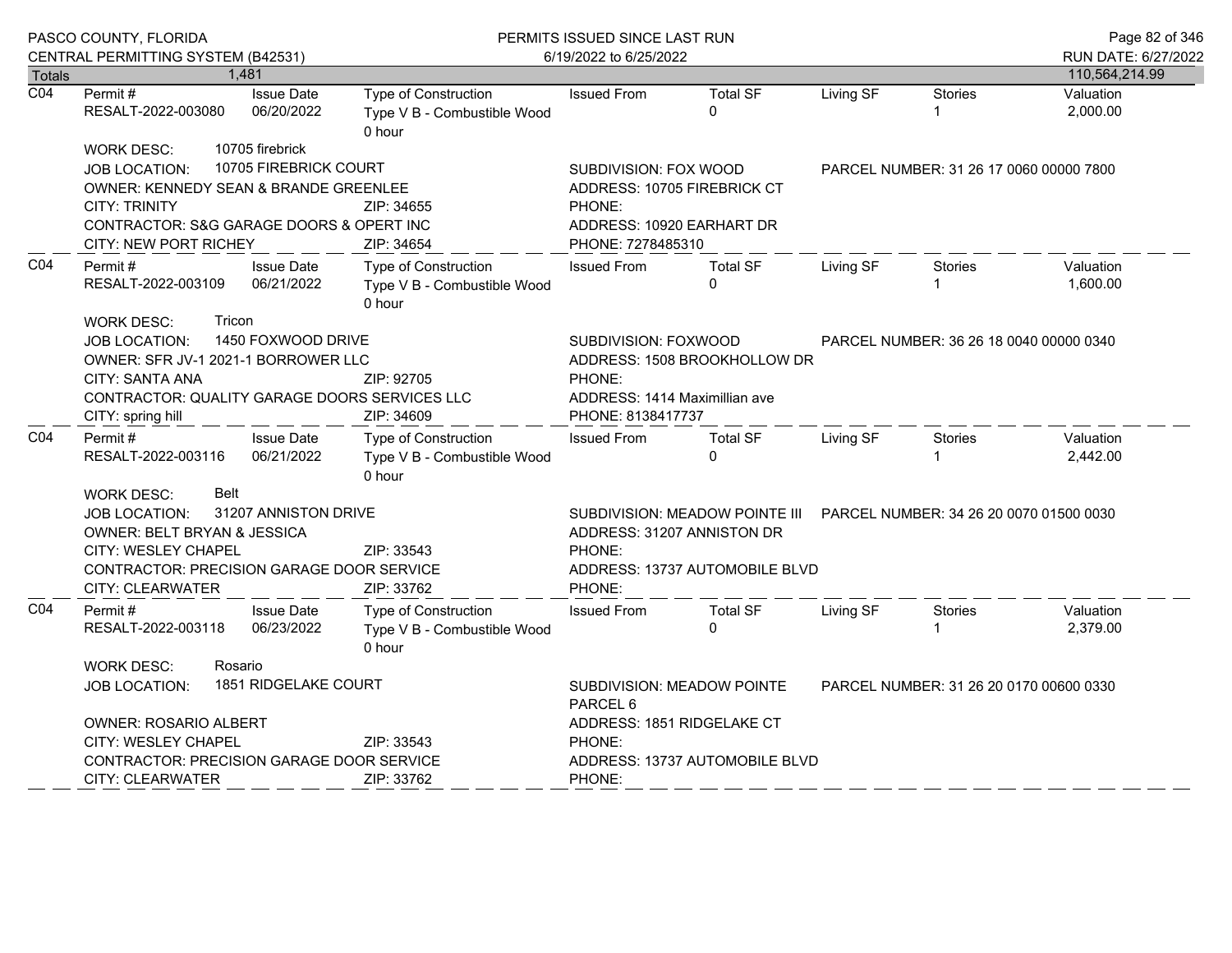|                  | PASCO COUNTY, FLORIDA                                                                                                                                                                                                               |                                                                                                                      | PERMITS ISSUED SINCE LAST RUN                                        |                                                                                                                                                            |                             |           |                                         | Page 82 of 346        |
|------------------|-------------------------------------------------------------------------------------------------------------------------------------------------------------------------------------------------------------------------------------|----------------------------------------------------------------------------------------------------------------------|----------------------------------------------------------------------|------------------------------------------------------------------------------------------------------------------------------------------------------------|-----------------------------|-----------|-----------------------------------------|-----------------------|
|                  | CENTRAL PERMITTING SYSTEM (B42531)                                                                                                                                                                                                  |                                                                                                                      |                                                                      | 6/19/2022 to 6/25/2022                                                                                                                                     |                             |           |                                         | RUN DATE: 6/27/2022   |
| Totals           |                                                                                                                                                                                                                                     | 1.481                                                                                                                |                                                                      |                                                                                                                                                            |                             |           |                                         | 110,564,214.99        |
| $\overline{CO4}$ | Permit #<br>RESALT-2022-003080                                                                                                                                                                                                      | <b>Issue Date</b><br>06/20/2022                                                                                      | Type of Construction<br>Type V B - Combustible Wood<br>0 hour        | <b>Issued From</b>                                                                                                                                         | <b>Total SF</b><br>$\Omega$ | Living SF | <b>Stories</b>                          | Valuation<br>2,000.00 |
|                  | <b>WORK DESC:</b>                                                                                                                                                                                                                   | 10705 firebrick                                                                                                      |                                                                      |                                                                                                                                                            |                             |           |                                         |                       |
|                  | JOB LOCATION:                                                                                                                                                                                                                       | 10705 FIREBRICK COURT                                                                                                |                                                                      | SUBDIVISION: FOX WOOD                                                                                                                                      |                             |           | PARCEL NUMBER: 31 26 17 0060 00000 7800 |                       |
|                  | OWNER: KENNEDY SEAN & BRANDE GREENLEE                                                                                                                                                                                               |                                                                                                                      |                                                                      | ADDRESS: 10705 FIREBRICK CT                                                                                                                                |                             |           |                                         |                       |
|                  | <b>CITY: TRINITY</b>                                                                                                                                                                                                                |                                                                                                                      | PHONE:                                                               |                                                                                                                                                            |                             |           |                                         |                       |
|                  | CONTRACTOR: S&G GARAGE DOORS & OPERT INC                                                                                                                                                                                            |                                                                                                                      |                                                                      | ADDRESS: 10920 EARHART DR                                                                                                                                  |                             |           |                                         |                       |
|                  | CITY: NEW PORT RICHEY                                                                                                                                                                                                               |                                                                                                                      | ZIP: 34654                                                           | PHONE: 7278485310                                                                                                                                          |                             |           |                                         |                       |
| CO <sub>4</sub>  | Permit #<br>RESALT-2022-003109                                                                                                                                                                                                      | <b>Issue Date</b><br>06/21/2022                                                                                      | Type of Construction<br>Type V B - Combustible Wood<br>0 hour        | <b>Issued From</b>                                                                                                                                         | <b>Total SF</b><br>$\Omega$ | Living SF | <b>Stories</b>                          | Valuation<br>1,600.00 |
|                  | Tricon<br><b>WORK DESC:</b><br>1450 FOXWOOD DRIVE<br>JOB LOCATION:<br>OWNER: SFR JV-1 2021-1 BORROWER LLC<br>CITY: SANTA ANA<br>CONTRACTOR: QUALITY GARAGE DOORS SERVICES LLC<br>CITY: spring hill                                  | SUBDIVISION: FOXWOOD<br>ADDRESS: 1508 BROOKHOLLOW DR<br>PHONE:<br>ADDRESS: 1414 Maximillian ave<br>PHONE: 8138417737 | PARCEL NUMBER: 36 26 18 0040 00000 0340                              |                                                                                                                                                            |                             |           |                                         |                       |
| CO <sub>4</sub>  | Permit#<br>RESALT-2022-003116                                                                                                                                                                                                       | <b>Issue Date</b><br>06/21/2022                                                                                      | Type of Construction<br>Type V B - Combustible Wood<br>0 hour        | <b>Issued From</b>                                                                                                                                         | <b>Total SF</b><br>$\Omega$ | Living SF | Stories<br>1                            | Valuation<br>2,442.00 |
|                  | Belt<br><b>WORK DESC:</b><br>31207 ANNISTON DRIVE<br><b>JOB LOCATION:</b><br>OWNER: BELT BRYAN & JESSICA<br><b>CITY: WESLEY CHAPEL</b><br>ZIP: 33543<br>CONTRACTOR: PRECISION GARAGE DOOR SERVICE<br>CITY: CLEARWATER<br>ZIP: 33762 |                                                                                                                      |                                                                      | SUBDIVISION: MEADOW POINTE III PARCEL NUMBER: 34 26 20 0070 01500 0030<br>ADDRESS: 31207 ANNISTON DR<br>PHONE:<br>ADDRESS: 13737 AUTOMOBILE BLVD<br>PHONE: |                             |           |                                         |                       |
| CO4              | Permit#<br>RESALT-2022-003118                                                                                                                                                                                                       | <b>Issue Date</b><br>06/23/2022                                                                                      | <b>Type of Construction</b><br>Type V B - Combustible Wood<br>0 hour | <b>Issued From</b>                                                                                                                                         | <b>Total SF</b><br>$\Omega$ | Living SF | Stories<br>$\mathbf{1}$                 | Valuation<br>2,379.00 |
|                  | <b>WORK DESC:</b><br>Rosario                                                                                                                                                                                                        |                                                                                                                      |                                                                      |                                                                                                                                                            |                             |           |                                         |                       |
|                  | JOB LOCATION:                                                                                                                                                                                                                       | <b>1851 RIDGELAKE COURT</b>                                                                                          |                                                                      | SUBDIVISION: MEADOW POINTE<br>PARCEL NUMBER: 31 26 20 0170 00600 0330<br>PARCEL <sub>6</sub>                                                               |                             |           |                                         |                       |
|                  | OWNER: ROSARIO ALBERT                                                                                                                                                                                                               |                                                                                                                      |                                                                      | ADDRESS: 1851 RIDGELAKE CT                                                                                                                                 |                             |           |                                         |                       |
|                  |                                                                                                                                                                                                                                     | CITY: WESLEY CHAPEL<br>ZIP: 33543                                                                                    |                                                                      |                                                                                                                                                            | PHONE:                      |           |                                         |                       |
|                  | CONTRACTOR: PRECISION GARAGE DOOR SERVICE                                                                                                                                                                                           |                                                                                                                      |                                                                      | ADDRESS: 13737 AUTOMOBILE BLVD                                                                                                                             |                             |           |                                         |                       |
|                  | CITY: CLEARWATER<br>ZIP: 33762                                                                                                                                                                                                      |                                                                                                                      |                                                                      | PHONE:                                                                                                                                                     |                             |           |                                         |                       |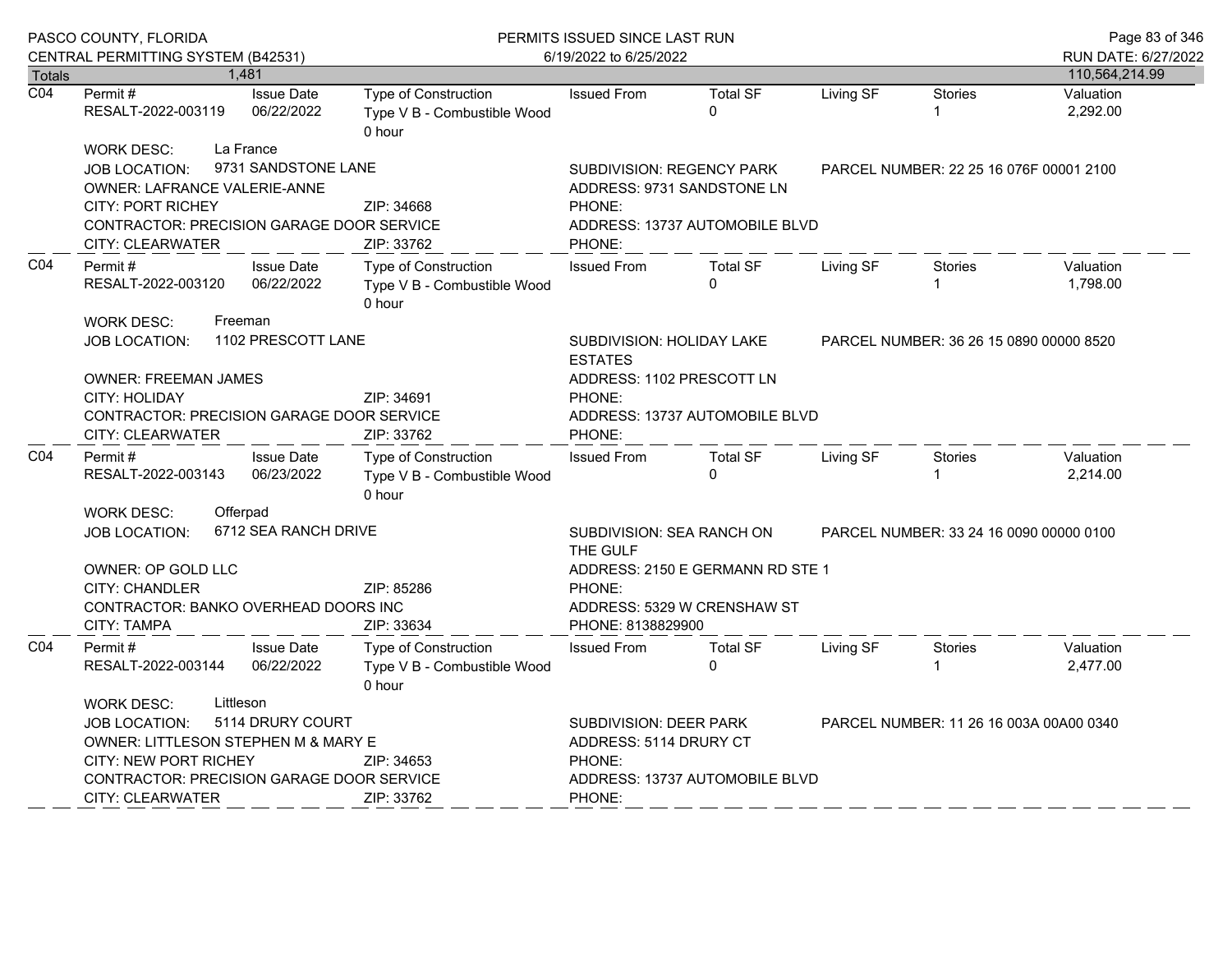|                                                                                                                                                                                                                   | PASCO COUNTY, FLORIDA<br>CENTRAL PERMITTING SYSTEM (B42531)                                                                                                                                                                                           |                                                                                                                                                                           | PERMITS ISSUED SINCE LAST RUN<br>6/19/2022 to 6/25/2022              | Page 83 of 346<br>RUN DATE: 6/27/2022                                                                                                                    |                                                                                              |           |                                         |                       |
|-------------------------------------------------------------------------------------------------------------------------------------------------------------------------------------------------------------------|-------------------------------------------------------------------------------------------------------------------------------------------------------------------------------------------------------------------------------------------------------|---------------------------------------------------------------------------------------------------------------------------------------------------------------------------|----------------------------------------------------------------------|----------------------------------------------------------------------------------------------------------------------------------------------------------|----------------------------------------------------------------------------------------------|-----------|-----------------------------------------|-----------------------|
| <b>Totals</b>                                                                                                                                                                                                     |                                                                                                                                                                                                                                                       | 1,481                                                                                                                                                                     |                                                                      |                                                                                                                                                          |                                                                                              |           |                                         | 110,564,214.99        |
| $\overline{CO4}$                                                                                                                                                                                                  | Permit #<br>RESALT-2022-003119                                                                                                                                                                                                                        | <b>Issue Date</b><br>06/22/2022                                                                                                                                           | Type of Construction<br>Type V B - Combustible Wood<br>0 hour        | <b>Issued From</b>                                                                                                                                       | <b>Total SF</b><br>0                                                                         | Living SF | <b>Stories</b><br>1                     | Valuation<br>2,292.00 |
| La France<br><b>WORK DESC:</b><br>9731 SANDSTONE LANE<br><b>JOB LOCATION:</b><br>OWNER: LAFRANCE VALERIE-ANNE<br><b>CITY: PORT RICHEY</b><br>CONTRACTOR: PRECISION GARAGE DOOR SERVICE<br><b>CITY: CLEARWATER</b> |                                                                                                                                                                                                                                                       |                                                                                                                                                                           | ZIP: 34668<br>ZIP: 33762                                             | <b>SUBDIVISION: REGENCY PARK</b><br>PHONE:<br>PHONE:                                                                                                     | ADDRESS: 9731 SANDSTONE LN<br>ADDRESS: 13737 AUTOMOBILE BLVD                                 |           | PARCEL NUMBER: 22 25 16 076F 00001 2100 |                       |
| CO4                                                                                                                                                                                                               | Permit#<br><b>Issue Date</b><br>RESALT-2022-003120<br>06/22/2022<br><b>WORK DESC:</b><br>Freeman                                                                                                                                                      |                                                                                                                                                                           | Type of Construction<br>Type V B - Combustible Wood<br>0 hour        | <b>Issued From</b>                                                                                                                                       | <b>Total SF</b><br>$\Omega$                                                                  | Living SF | <b>Stories</b>                          | Valuation<br>1.798.00 |
|                                                                                                                                                                                                                   | 1102 PRESCOTT LANE<br><b>JOB LOCATION:</b><br><b>OWNER: FREEMAN JAMES</b><br><b>CITY: HOLIDAY</b><br>CONTRACTOR: PRECISION GARAGE DOOR SERVICE<br><b>CITY: CLEARWATER</b>                                                                             | SUBDIVISION: HOLIDAY LAKE<br>PARCEL NUMBER: 36 26 15 0890 00000 8520<br><b>ESTATES</b><br>ADDRESS: 1102 PRESCOTT LN<br>PHONE:<br>ADDRESS: 13737 AUTOMOBILE BLVD<br>PHONE: |                                                                      |                                                                                                                                                          |                                                                                              |           |                                         |                       |
| CO <sub>4</sub>                                                                                                                                                                                                   | Permit#<br>RESALT-2022-003143                                                                                                                                                                                                                         | <b>Issue Date</b><br>06/23/2022                                                                                                                                           | Type of Construction<br>Type V B - Combustible Wood<br>0 hour        | <b>Issued From</b>                                                                                                                                       | <b>Total SF</b><br>$\Omega$                                                                  | Living SF | <b>Stories</b>                          | Valuation<br>2,214.00 |
|                                                                                                                                                                                                                   | <b>WORK DESC:</b><br><b>JOB LOCATION:</b><br>OWNER: OP GOLD LLC<br><b>CITY: CHANDLER</b><br><b>CONTRACTOR: BANKO OVERHEAD DOORS INC</b><br><b>CITY: TAMPA</b>                                                                                         | Offerpad<br>6712 SEA RANCH DRIVE                                                                                                                                          | ZIP: 85286<br>ZIP: 33634                                             | THE GULF<br>PHONE:<br>PHONE: 8138829900                                                                                                                  | SUBDIVISION: SEA RANCH ON<br>ADDRESS: 2150 E GERMANN RD STE 1<br>ADDRESS: 5329 W CRENSHAW ST |           | PARCEL NUMBER: 33 24 16 0090 00000 0100 |                       |
| CO <sub>4</sub>                                                                                                                                                                                                   | Permit#<br>RESALT-2022-003144                                                                                                                                                                                                                         | <b>Issue Date</b><br>06/22/2022                                                                                                                                           | <b>Type of Construction</b><br>Type V B - Combustible Wood<br>0 hour | <b>Issued From</b>                                                                                                                                       | <b>Total SF</b><br>$\Omega$                                                                  | Living SF | Stories<br>1                            | Valuation<br>2,477.00 |
|                                                                                                                                                                                                                   | Littleson<br><b>WORK DESC:</b><br>5114 DRURY COURT<br><b>JOB LOCATION:</b><br>OWNER: LITTLESON STEPHEN M & MARY E<br><b>CITY: NEW PORT RICHEY</b><br>ZIP: 34653<br>CONTRACTOR: PRECISION GARAGE DOOR SERVICE<br><b>CITY: CLEARWATER</b><br>ZIP: 33762 |                                                                                                                                                                           |                                                                      | <b>SUBDIVISION: DEER PARK</b><br>PARCEL NUMBER: 11 26 16 003A 00A00 0340<br>ADDRESS: 5114 DRURY CT<br>PHONE:<br>ADDRESS: 13737 AUTOMOBILE BLVD<br>PHONE: |                                                                                              |           |                                         |                       |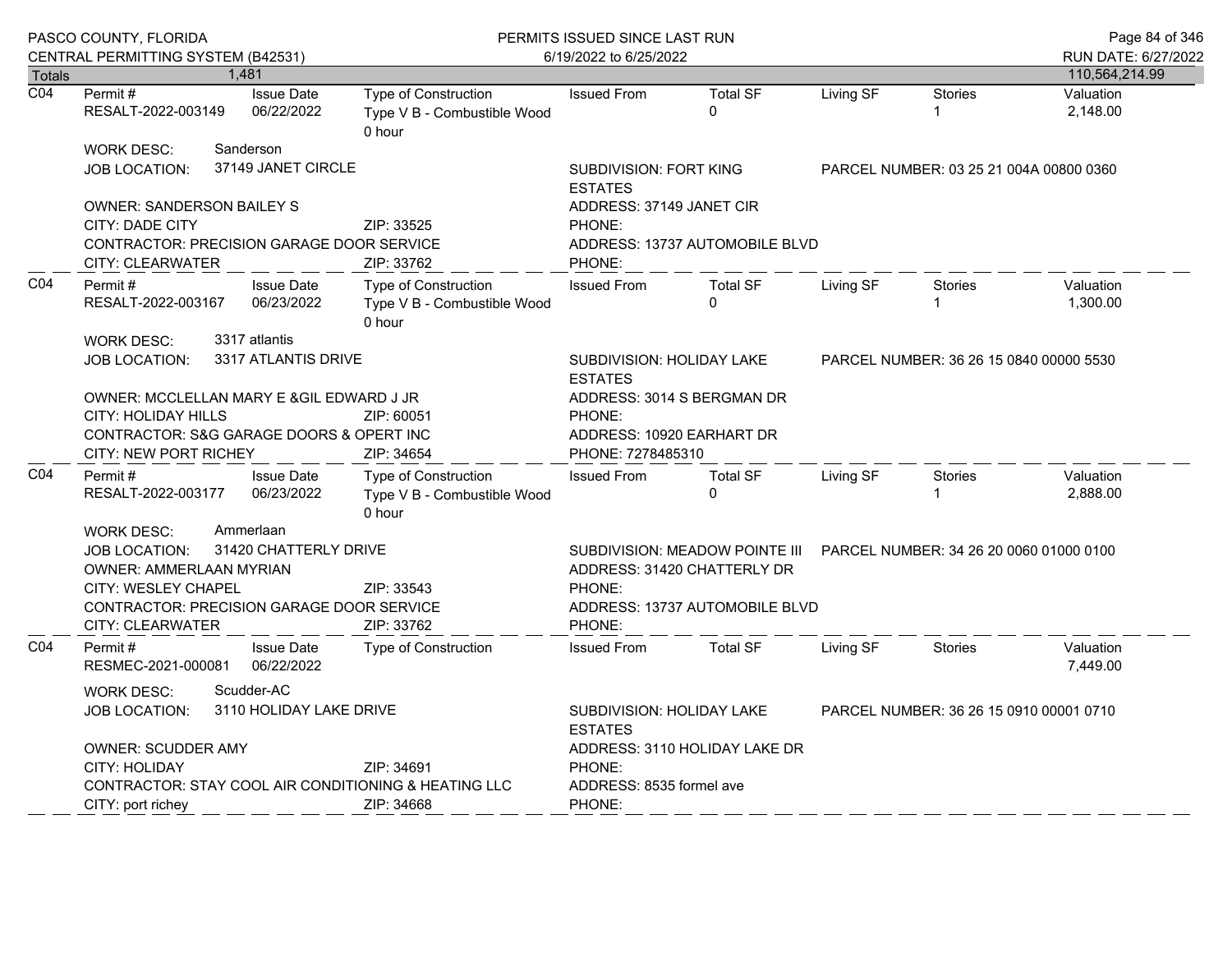|                  | PASCO COUNTY, FLORIDA                                                              |  |                                 | PERMITS ISSUED SINCE LAST RUN                                        | Page 84 of 346                                                                                           |                                |                                         |                                         |                                       |
|------------------|------------------------------------------------------------------------------------|--|---------------------------------|----------------------------------------------------------------------|----------------------------------------------------------------------------------------------------------|--------------------------------|-----------------------------------------|-----------------------------------------|---------------------------------------|
| <b>Totals</b>    | CENTRAL PERMITTING SYSTEM (B42531)                                                 |  | 1,481                           |                                                                      | 6/19/2022 to 6/25/2022                                                                                   |                                |                                         |                                         | RUN DATE: 6/27/2022<br>110,564,214.99 |
| $\overline{CO4}$ | Permit#                                                                            |  | <b>Issue Date</b>               | <b>Type of Construction</b>                                          | <b>Issued From</b>                                                                                       | <b>Total SF</b>                | Living SF                               | <b>Stories</b>                          | Valuation                             |
|                  | RESALT-2022-003149                                                                 |  | 06/22/2022                      | Type V B - Combustible Wood<br>0 hour                                |                                                                                                          | $\Omega$                       |                                         | 1                                       | 2,148.00                              |
|                  | <b>WORK DESC:</b>                                                                  |  | Sanderson                       |                                                                      |                                                                                                          |                                |                                         |                                         |                                       |
|                  | JOB LOCATION:                                                                      |  | 37149 JANET CIRCLE              |                                                                      | SUBDIVISION: FORT KING<br><b>ESTATES</b>                                                                 |                                | PARCEL NUMBER: 03 25 21 004A 00800 0360 |                                         |                                       |
|                  | <b>OWNER: SANDERSON BAILEY S</b>                                                   |  |                                 |                                                                      | ADDRESS: 37149 JANET CIR                                                                                 |                                |                                         |                                         |                                       |
|                  | CITY: DADE CITY                                                                    |  |                                 | ZIP: 33525                                                           | PHONE:                                                                                                   |                                |                                         |                                         |                                       |
|                  | CONTRACTOR: PRECISION GARAGE DOOR SERVICE<br>ZIP: 33762<br><b>CITY: CLEARWATER</b> |  |                                 |                                                                      | PHONE:                                                                                                   | ADDRESS: 13737 AUTOMOBILE BLVD |                                         |                                         |                                       |
| CO <sub>4</sub>  | Permit#<br>RESALT-2022-003167                                                      |  | <b>Issue Date</b><br>06/23/2022 | <b>Type of Construction</b><br>Type V B - Combustible Wood<br>0 hour | <b>Issued From</b>                                                                                       | <b>Total SF</b><br>$\Omega$    | Living SF                               | <b>Stories</b>                          | Valuation<br>1,300.00                 |
|                  | <b>WORK DESC:</b>                                                                  |  | 3317 atlantis                   |                                                                      |                                                                                                          |                                |                                         |                                         |                                       |
|                  | <b>JOB LOCATION:</b>                                                               |  | 3317 ATLANTIS DRIVE             |                                                                      | <b>SUBDIVISION: HOLIDAY LAKE</b><br><b>FSTATES</b>                                                       |                                |                                         | PARCEL NUMBER: 36 26 15 0840 00000 5530 |                                       |
|                  | OWNER: MCCLELLAN MARY E & GIL EDWARD J JR                                          |  |                                 |                                                                      |                                                                                                          | ADDRESS: 3014 S BERGMAN DR     |                                         |                                         |                                       |
|                  | <b>CITY: HOLIDAY HILLS</b>                                                         |  |                                 | ZIP: 60051                                                           | PHONE:                                                                                                   |                                |                                         |                                         |                                       |
|                  | CONTRACTOR: S&G GARAGE DOORS & OPERT INC<br>CITY: NEW PORT RICHEY                  |  |                                 | ZIP: 34654                                                           | PHONE: 7278485310                                                                                        | ADDRESS: 10920 EARHART DR      |                                         |                                         |                                       |
| C <sub>04</sub>  | Permit#<br>RESALT-2022-003177                                                      |  | <b>Issue Date</b><br>06/23/2022 | Type of Construction<br>Type V B - Combustible Wood<br>0 hour        | <b>Issued From</b>                                                                                       | <b>Total SF</b><br>$\Omega$    | Living SF                               | <b>Stories</b><br>1                     | Valuation<br>2,888.00                 |
|                  | <b>WORK DESC:</b>                                                                  |  | Ammerlaan                       |                                                                      |                                                                                                          |                                |                                         |                                         |                                       |
|                  | <b>JOB LOCATION:</b><br><b>OWNER: AMMERLAAN MYRIAN</b>                             |  | 31420 CHATTERLY DRIVE           |                                                                      | SUBDIVISION: MEADOW POINTE III<br>PARCEL NUMBER: 34 26 20 0060 01000 0100<br>ADDRESS: 31420 CHATTERLY DR |                                |                                         |                                         |                                       |
|                  | <b>CITY: WESLEY CHAPEL</b>                                                         |  |                                 | ZIP: 33543                                                           | PHONE:                                                                                                   |                                |                                         |                                         |                                       |
|                  | <b>CONTRACTOR: PRECISION GARAGE DOOR SERVICE</b><br>CITY: CLEARWATER               |  |                                 | ZIP: 33762                                                           | PHONE:                                                                                                   | ADDRESS: 13737 AUTOMOBILE BLVD |                                         |                                         |                                       |
| CO <sub>4</sub>  | Permit#<br>RESMEC-2021-000081                                                      |  | <b>Issue Date</b><br>06/22/2022 | <b>Type of Construction</b>                                          | <b>Issued From</b>                                                                                       | <b>Total SF</b>                | Living SF                               | <b>Stories</b>                          | Valuation<br>7.449.00                 |
|                  | Scudder-AC<br>WORK DESC:<br>3110 HOLIDAY LAKE DRIVE<br><b>JOB LOCATION:</b>        |  |                                 |                                                                      | <b>SUBDIVISION: HOLIDAY LAKE</b><br>PARCEL NUMBER: 36 26 15 0910 00001 0710<br><b>ESTATES</b>            |                                |                                         |                                         |                                       |
|                  | <b>OWNER: SCUDDER AMY</b>                                                          |  |                                 |                                                                      | ADDRESS: 3110 HOLIDAY LAKE DR                                                                            |                                |                                         |                                         |                                       |
|                  | <b>CITY: HOLIDAY</b>                                                               |  |                                 | ZIP: 34691                                                           | PHONE:                                                                                                   |                                |                                         |                                         |                                       |
|                  | CONTRACTOR: STAY COOL AIR CONDITIONING & HEATING LLC<br>CITY: port richey          |  |                                 | ZIP: 34668                                                           | ADDRESS: 8535 formel ave<br>PHONE:                                                                       |                                |                                         |                                         |                                       |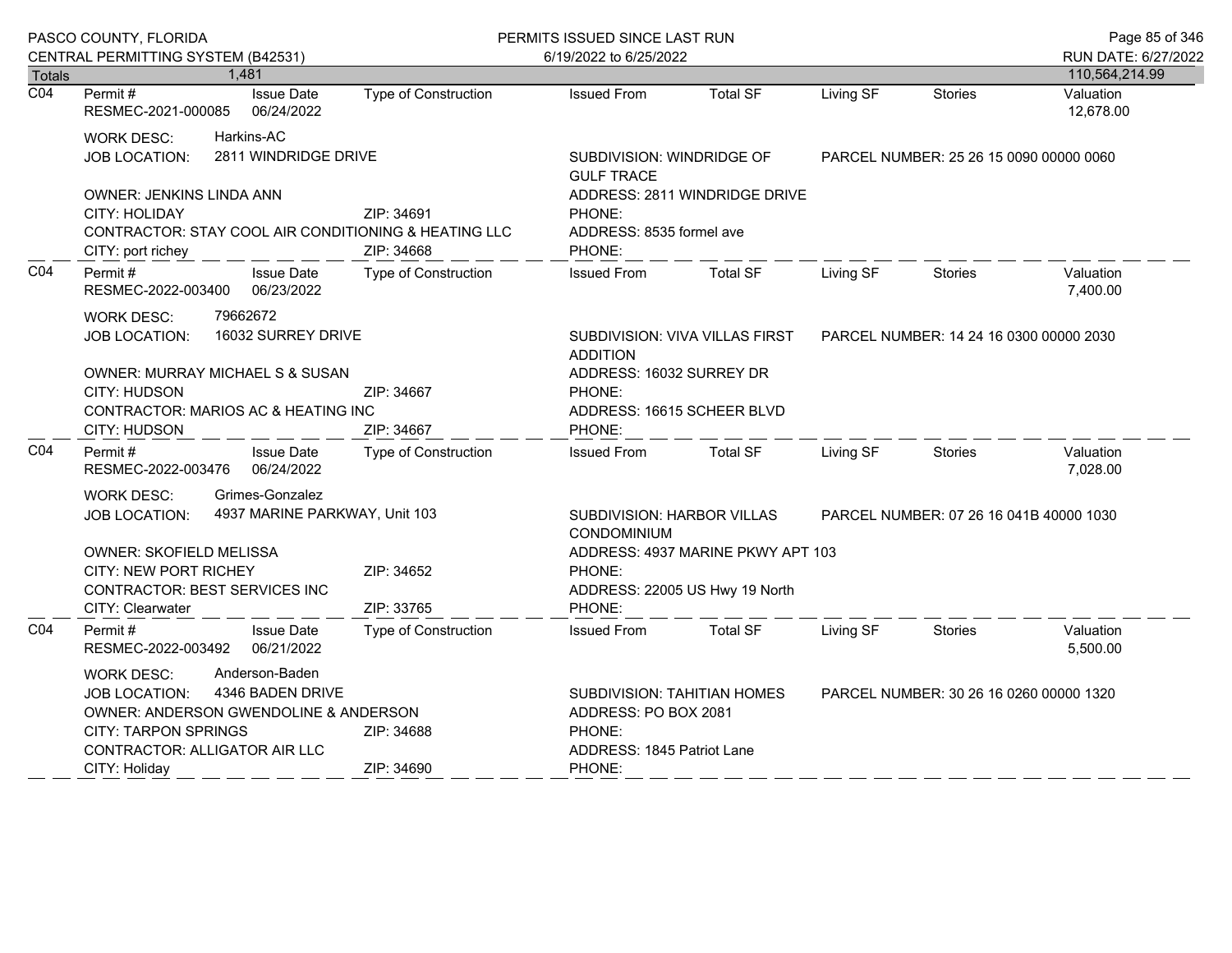|                  | PASCO COUNTY, FLORIDA                                                                                                                                                                                                                 |                                    | PERMITS ISSUED SINCE LAST RUN                                                                         |                                |                                         |                                         | Page 85 of 346         |
|------------------|---------------------------------------------------------------------------------------------------------------------------------------------------------------------------------------------------------------------------------------|------------------------------------|-------------------------------------------------------------------------------------------------------|--------------------------------|-----------------------------------------|-----------------------------------------|------------------------|
|                  | CENTRAL PERMITTING SYSTEM (B42531)                                                                                                                                                                                                    |                                    | 6/19/2022 to 6/25/2022                                                                                |                                |                                         |                                         | RUN DATE: 6/27/2022    |
| <b>Totals</b>    | 1,481                                                                                                                                                                                                                                 |                                    |                                                                                                       |                                |                                         |                                         | 110,564,214.99         |
| $\overline{CO4}$ | Permit #<br><b>Issue Date</b><br>06/24/2022<br>RESMEC-2021-000085                                                                                                                                                                     | Type of Construction               | <b>Issued From</b>                                                                                    | <b>Total SF</b>                | Living SF                               | <b>Stories</b>                          | Valuation<br>12,678.00 |
|                  | Harkins-AC<br><b>WORK DESC:</b><br>2811 WINDRIDGE DRIVE<br><b>JOB LOCATION:</b>                                                                                                                                                       |                                    | SUBDIVISION: WINDRIDGE OF<br><b>GULF TRACE</b>                                                        |                                |                                         | PARCEL NUMBER: 25 26 15 0090 00000 0060 |                        |
|                  | OWNER: JENKINS LINDA ANN<br>ZIP: 34691<br>CITY: HOLIDAY<br>CONTRACTOR: STAY COOL AIR CONDITIONING & HEATING LLC<br>CITY: port richey<br>ZIP: 34668                                                                                    |                                    | PHONE:<br>ADDRESS: 8535 formel ave<br>PHONE:                                                          | ADDRESS: 2811 WINDRIDGE DRIVE  |                                         |                                         |                        |
| CO <sub>4</sub>  | Permit#<br><b>Issue Date</b><br>RESMEC-2022-003400<br>06/23/2022                                                                                                                                                                      | Type of Construction               | <b>Issued From</b>                                                                                    | <b>Total SF</b>                | Living SF                               | <b>Stories</b>                          | Valuation<br>7,400.00  |
|                  | 79662672<br><b>WORK DESC:</b><br>16032 SURREY DRIVE<br><b>JOB LOCATION:</b>                                                                                                                                                           |                                    | <b>ADDITION</b><br>ADDRESS: 16032 SURREY DR                                                           | SUBDIVISION: VIVA VILLAS FIRST | PARCEL NUMBER: 14 24 16 0300 00000 2030 |                                         |                        |
|                  | <b>OWNER: MURRAY MICHAEL S &amp; SUSAN</b><br><b>CITY: HUDSON</b><br>ZIP: 34667<br>CONTRACTOR: MARIOS AC & HEATING INC                                                                                                                |                                    | PHONE:<br>ADDRESS: 16615 SCHEER BLVD<br>PHONE:                                                        |                                |                                         |                                         |                        |
| CO <sub>4</sub>  | <b>CITY: HUDSON</b><br>Permit#<br><b>Issue Date</b><br>06/24/2022<br>RESMEC-2022-003476                                                                                                                                               | ZIP: 34667<br>Type of Construction | <b>Issued From</b>                                                                                    | <b>Total SF</b>                | Living SF                               | <b>Stories</b>                          | Valuation<br>7,028.00  |
|                  | Grimes-Gonzalez<br><b>WORK DESC:</b><br>4937 MARINE PARKWAY, Unit 103<br><b>JOB LOCATION:</b>                                                                                                                                         |                                    | <b>SUBDIVISION: HARBOR VILLAS</b><br>PARCEL NUMBER: 07 26 16 041B 40000 1030<br>CONDOMINIUM           |                                |                                         |                                         |                        |
|                  | <b>OWNER: SKOFIELD MELISSA</b><br>CITY: NEW PORT RICHEY<br>ZIP: 34652<br>CONTRACTOR: BEST SERVICES INC<br>CITY: Clearwater<br>ZIP: 33765                                                                                              |                                    | ADDRESS: 4937 MARINE PKWY APT 103<br>PHONE:<br>ADDRESS: 22005 US Hwy 19 North<br>PHONE:               |                                |                                         |                                         |                        |
| CO <sub>4</sub>  | Permit#<br><b>Issue Date</b><br>RESMEC-2022-003492<br>06/21/2022                                                                                                                                                                      | <b>Type of Construction</b>        | <b>Issued From</b>                                                                                    | <b>Total SF</b>                | Living SF                               | <b>Stories</b>                          | Valuation<br>5,500.00  |
|                  | Anderson-Baden<br><b>WORK DESC:</b><br>4346 BADEN DRIVE<br><b>JOB LOCATION:</b><br>OWNER: ANDERSON GWENDOLINE & ANDERSON<br><b>CITY: TARPON SPRINGS</b><br>ZIP: 34688<br>CONTRACTOR: ALLIGATOR AIR LLC<br>ZIP: 34690<br>CITY: Holiday |                                    | SUBDIVISION: TAHITIAN HOMES<br>ADDRESS: PO BOX 2081<br>PHONE:<br>ADDRESS: 1845 Patriot Lane<br>PHONE: |                                |                                         | PARCEL NUMBER: 30 26 16 0260 00000 1320 |                        |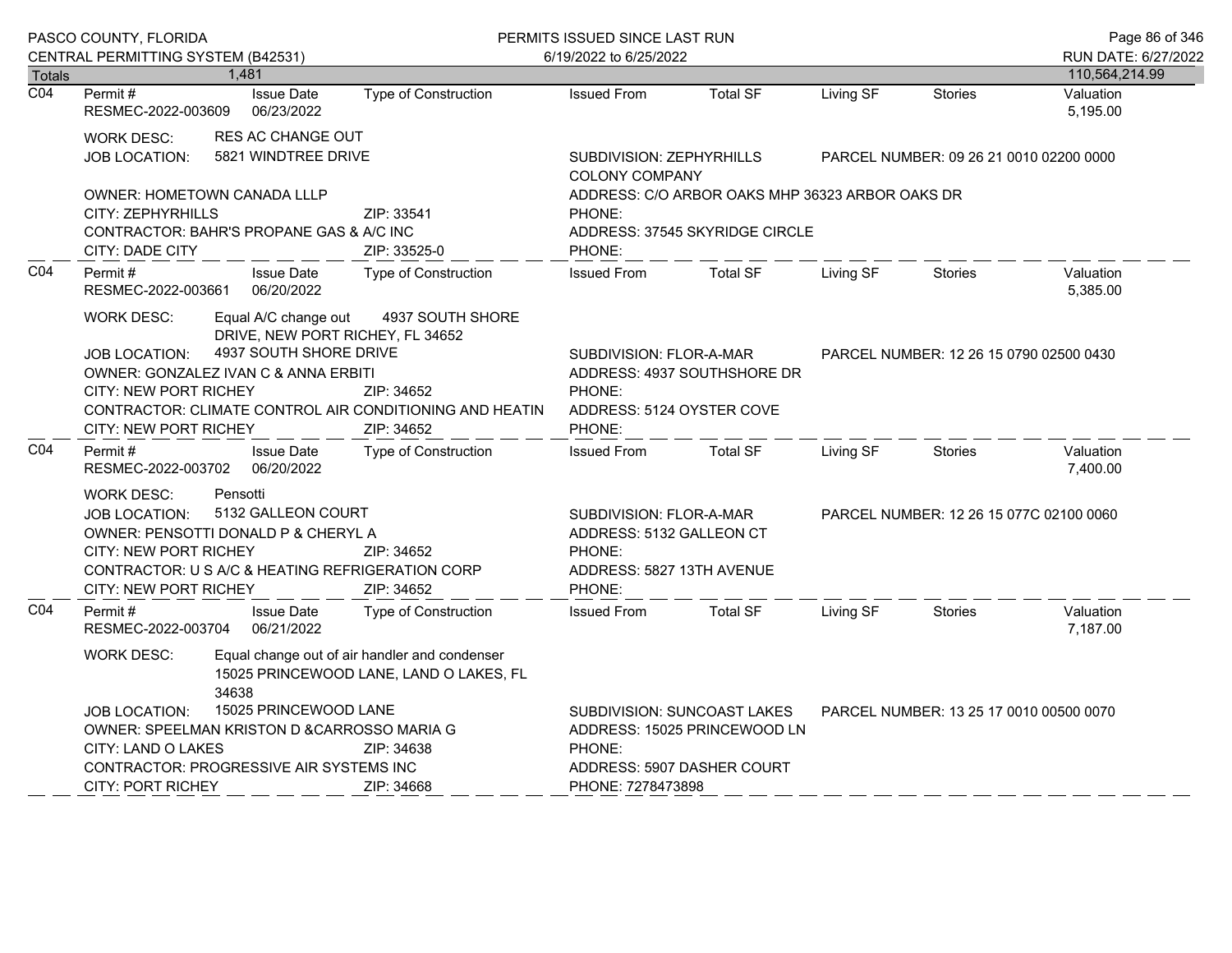|                                   | PASCO COUNTY, FLORIDA                                                                                                                                                                                                                                       |                                                       |                                                                                                      | PERMITS ISSUED SINCE LAST RUN                                               |                                                                          |                                                                                   |                                         | Page 86 of 346                          |                                       |
|-----------------------------------|-------------------------------------------------------------------------------------------------------------------------------------------------------------------------------------------------------------------------------------------------------------|-------------------------------------------------------|------------------------------------------------------------------------------------------------------|-----------------------------------------------------------------------------|--------------------------------------------------------------------------|-----------------------------------------------------------------------------------|-----------------------------------------|-----------------------------------------|---------------------------------------|
|                                   | CENTRAL PERMITTING SYSTEM (B42531)                                                                                                                                                                                                                          | 1,481                                                 |                                                                                                      |                                                                             | 6/19/2022 to 6/25/2022                                                   |                                                                                   |                                         |                                         | RUN DATE: 6/27/2022<br>110,564,214.99 |
| <b>Totals</b><br>$\overline{CO4}$ | Permit #<br>RESMEC-2022-003609                                                                                                                                                                                                                              | <b>Issue Date</b><br>06/23/2022                       |                                                                                                      | <b>Type of Construction</b>                                                 | <b>Issued From</b>                                                       | <b>Total SF</b>                                                                   | Living SF                               | <b>Stories</b>                          | Valuation<br>5,195.00                 |
|                                   | <b>RES AC CHANGE OUT</b><br><b>WORK DESC:</b><br>5821 WINDTREE DRIVE<br><b>JOB LOCATION:</b>                                                                                                                                                                |                                                       |                                                                                                      | SUBDIVISION: ZEPHYRHILLS<br><b>COLONY COMPANY</b>                           |                                                                          |                                                                                   | PARCEL NUMBER: 09 26 21 0010 02200 0000 |                                         |                                       |
|                                   | <b>OWNER: HOMETOWN CANADA LLLP</b><br>CITY: ZEPHYRHILLS<br>CONTRACTOR: BAHR'S PROPANE GAS & A/C INC<br><b>CITY: DADE CITY</b>                                                                                                                               |                                                       | ZIP: 33541<br>ZIP: 33525-0                                                                           |                                                                             | PHONE:<br>PHONE:                                                         | ADDRESS: C/O ARBOR OAKS MHP 36323 ARBOR OAKS DR<br>ADDRESS: 37545 SKYRIDGE CIRCLE |                                         |                                         |                                       |
| CO <sub>4</sub>                   | Permit#<br>RESMEC-2022-003661                                                                                                                                                                                                                               | <b>Issue Date</b><br>06/20/2022                       |                                                                                                      | Type of Construction                                                        | <b>Issued From</b>                                                       | <b>Total SF</b>                                                                   | Living SF                               | <b>Stories</b>                          | Valuation<br>5,385.00                 |
|                                   | <b>WORK DESC:</b><br><b>JOB LOCATION:</b><br>OWNER: GONZALEZ IVAN C & ANNA ERBITI<br><b>CITY: NEW PORT RICHEY</b><br><b>CITY: NEW PORT RICHEY</b>                                                                                                           | Equal A/C change out                                  | DRIVE, NEW PORT RICHEY, FL 34652<br>4937 SOUTH SHORE DRIVE<br>ZIP: 34652<br>ZIP: 34652               | 4937 SOUTH SHORE<br>CONTRACTOR: CLIMATE CONTROL AIR CONDITIONING AND HEATIN | SUBDIVISION: FLOR-A-MAR<br>PHONE:<br>ADDRESS: 5124 OYSTER COVE<br>PHONE: | ADDRESS: 4937 SOUTHSHORE DR                                                       |                                         | PARCEL NUMBER: 12 26 15 0790 02500 0430 |                                       |
| CO <sub>4</sub>                   | Permit #<br>RESMEC-2022-003702                                                                                                                                                                                                                              | <b>Issue Date</b><br>06/20/2022                       |                                                                                                      | Type of Construction                                                        | <b>Issued From</b>                                                       | <b>Total SF</b>                                                                   | Living SF                               | Stories                                 | Valuation<br>7,400.00                 |
|                                   | Pensotti<br>WORK DESC:<br>5132 GALLEON COURT<br><b>JOB LOCATION:</b><br>OWNER: PENSOTTI DONALD P & CHERYL A<br><b>CITY: NEW PORT RICHEY</b><br>ZIP: 34652<br>CONTRACTOR: U S A/C & HEATING REFRIGERATION CORP<br><b>CITY: NEW PORT RICHEY</b><br>ZIP: 34652 |                                                       | SUBDIVISION: FLOR-A-MAR<br>ADDRESS: 5132 GALLEON CT<br>PHONE:<br>ADDRESS: 5827 13TH AVENUE<br>PHONE: |                                                                             |                                                                          | PARCEL NUMBER: 12 26 15 077C 02100 0060                                           |                                         |                                         |                                       |
| CO <sub>4</sub>                   | Permit#<br>RESMEC-2022-003704                                                                                                                                                                                                                               | <b>Issue Date</b><br>06/21/2022                       |                                                                                                      | Type of Construction                                                        | <b>Issued From</b>                                                       | <b>Total SF</b>                                                                   | Living SF                               | <b>Stories</b>                          | Valuation<br>7,187.00                 |
|                                   | WORK DESC:<br><b>JOB LOCATION:</b><br>OWNER: SPEELMAN KRISTON D & CARROSSO MARIA G<br>CITY: LAND O LAKES                                                                                                                                                    | 34638                                                 | Equal change out of air handler and condenser<br>15025 PRINCEWOOD LANE<br>ZIP: 34638                 | 15025 PRINCEWOOD LANE, LAND O LAKES, FL                                     | PHONE:                                                                   | SUBDIVISION: SUNCOAST LAKES<br>ADDRESS: 15025 PRINCEWOOD LN                       |                                         | PARCEL NUMBER: 13 25 17 0010 00500 0070 |                                       |
|                                   | <b>CITY: PORT RICHEY</b>                                                                                                                                                                                                                                    | CONTRACTOR: PROGRESSIVE AIR SYSTEMS INC<br>ZIP: 34668 |                                                                                                      |                                                                             |                                                                          | ADDRESS: 5907 DASHER COURT<br>PHONE: 7278473898                                   |                                         |                                         |                                       |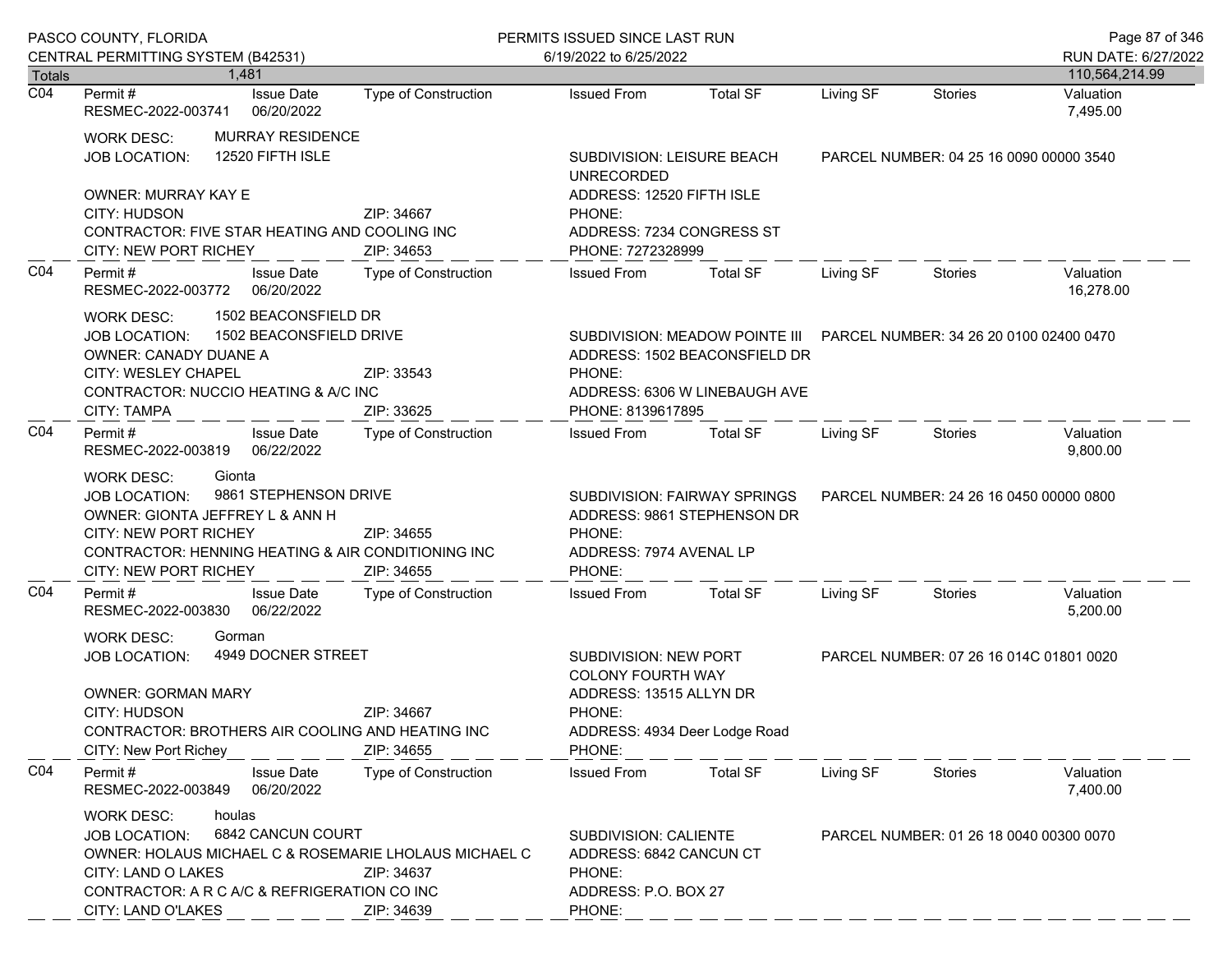|                            | PASCO COUNTY, FLORIDA                                                                                                                                                                                                                                      | PERMITS ISSUED SINCE LAST RUN |                                                                                                                                   |                                                                                                                                          |                                         | Page 87 of 346                          |                        |
|----------------------------|------------------------------------------------------------------------------------------------------------------------------------------------------------------------------------------------------------------------------------------------------------|-------------------------------|-----------------------------------------------------------------------------------------------------------------------------------|------------------------------------------------------------------------------------------------------------------------------------------|-----------------------------------------|-----------------------------------------|------------------------|
|                            | CENTRAL PERMITTING SYSTEM (B42531)                                                                                                                                                                                                                         |                               | 6/19/2022 to 6/25/2022                                                                                                            |                                                                                                                                          |                                         |                                         | RUN DATE: 6/27/2022    |
| Totals<br>$\overline{CO4}$ | 1.481                                                                                                                                                                                                                                                      |                               |                                                                                                                                   |                                                                                                                                          |                                         |                                         | 110,564,214.99         |
|                            | <b>Issue Date</b><br>Permit #<br>RESMEC-2022-003741<br>06/20/2022                                                                                                                                                                                          | <b>Type of Construction</b>   | <b>Issued From</b>                                                                                                                | <b>Total SF</b>                                                                                                                          | Living SF                               | Stories                                 | Valuation<br>7,495.00  |
|                            | <b>MURRAY RESIDENCE</b><br>WORK DESC:<br>12520 FIFTH ISLE<br><b>JOB LOCATION:</b><br><b>OWNER: MURRAY KAY E</b><br>CITY: HUDSON<br>ZIP: 34667<br>CONTRACTOR: FIVE STAR HEATING AND COOLING INC<br>CITY: NEW PORT RICHEY<br>ZIP: 34653                      |                               | SUBDIVISION: LEISURE BEACH<br><b>UNRECORDED</b>                                                                                   |                                                                                                                                          |                                         | PARCEL NUMBER: 04 25 16 0090 00000 3540 |                        |
|                            |                                                                                                                                                                                                                                                            |                               | ADDRESS: 12520 FIFTH ISLE<br>PHONE:<br>ADDRESS: 7234 CONGRESS ST<br>PHONE: 7272328999                                             |                                                                                                                                          |                                         |                                         |                        |
| CO <sub>4</sub>            | Permit#<br><b>Issue Date</b><br>06/20/2022<br>RESMEC-2022-003772                                                                                                                                                                                           | Type of Construction          | <b>Issued From</b>                                                                                                                | <b>Total SF</b>                                                                                                                          | Living SF                               | <b>Stories</b>                          | Valuation<br>16,278.00 |
|                            | 1502 BEACONSFIELD DR<br>WORK DESC:<br>1502 BEACONSFIELD DRIVE<br><b>JOB LOCATION:</b><br>OWNER: CANADY DUANE A<br>CITY: WESLEY CHAPEL<br>ZIP: 33543<br>CONTRACTOR: NUCCIO HEATING & A/C INC<br><b>CITY: TAMPA</b><br>ZIP: 33625                            |                               | PHONE:<br>PHONE: 8139617895                                                                                                       | SUBDIVISION: MEADOW POINTE III PARCEL NUMBER: 34 26 20 0100 02400 0470<br>ADDRESS: 1502 BEACONSFIELD DR<br>ADDRESS: 6306 W LINEBAUGH AVE |                                         |                                         |                        |
| CO <sub>4</sub>            | Permit#<br><b>Issue Date</b><br>RESMEC-2022-003819<br>06/22/2022                                                                                                                                                                                           | Type of Construction          | <b>Issued From</b>                                                                                                                | <b>Total SF</b>                                                                                                                          | Living SF                               | <b>Stories</b>                          | Valuation<br>9,800.00  |
|                            | Gionta<br><b>WORK DESC:</b><br>9861 STEPHENSON DRIVE<br><b>JOB LOCATION:</b><br>OWNER: GIONTA JEFFREY L & ANN H<br><b>CITY: NEW PORT RICHEY</b><br>ZIP: 34655<br>CONTRACTOR: HENNING HEATING & AIR CONDITIONING INC<br>CITY: NEW PORT RICHEY<br>ZIP: 34655 |                               | SUBDIVISION: FAIRWAY SPRINGS<br>ADDRESS: 9861 STEPHENSON DR<br>PHONE:<br>ADDRESS: 7974 AVENAL LP<br>PHONE:                        |                                                                                                                                          |                                         | PARCEL NUMBER: 24 26 16 0450 00000 0800 |                        |
| CO <sub>4</sub>            | Permit#<br><b>Issue Date</b><br>06/22/2022<br>RESMEC-2022-003830                                                                                                                                                                                           | Type of Construction          | <b>Issued From</b>                                                                                                                | <b>Total SF</b>                                                                                                                          | Living SF                               | <b>Stories</b>                          | Valuation<br>5,200.00  |
|                            | <b>WORK DESC:</b><br>Gorman<br>4949 DOCNER STREET<br>JOB LOCATION:<br><b>OWNER: GORMAN MARY</b><br>CITY: HUDSON<br>ZIP: 34667<br>CONTRACTOR: BROTHERS AIR COOLING AND HEATING INC<br>ZIP: 34655<br>CITY: New Port Richey                                   |                               | SUBDIVISION: NEW PORT<br><b>COLONY FOURTH WAY</b><br>ADDRESS: 13515 ALLYN DR<br>PHONE:<br>ADDRESS: 4934 Deer Lodge Road<br>PHONE: |                                                                                                                                          |                                         | PARCEL NUMBER: 07 26 16 014C 01801 0020 |                        |
| CO <sub>4</sub>            | Permit#<br><b>Issue Date</b><br>RESMEC-2022-003849<br>06/20/2022                                                                                                                                                                                           | <b>Type of Construction</b>   | <b>Issued From</b>                                                                                                                | <b>Total SF</b>                                                                                                                          | Living SF                               | <b>Stories</b>                          | Valuation<br>7,400.00  |
|                            | houlas<br><b>WORK DESC:</b><br>6842 CANCUN COURT<br><b>JOB LOCATION:</b><br>OWNER: HOLAUS MICHAEL C & ROSEMARIE LHOLAUS MICHAEL C<br>ZIP: 34637<br>CITY: LAND O LAKES<br>CONTRACTOR: A R C A/C & REFRIGERATION CO INC<br>CITY: LAND O'LAKES<br>ZIP: 34639  |                               | SUBDIVISION: CALIENTE<br>ADDRESS: 6842 CANCUN CT<br>PHONE:<br>ADDRESS: P.O. BOX 27<br>PHONE:                                      |                                                                                                                                          | PARCEL NUMBER: 01 26 18 0040 00300 0070 |                                         |                        |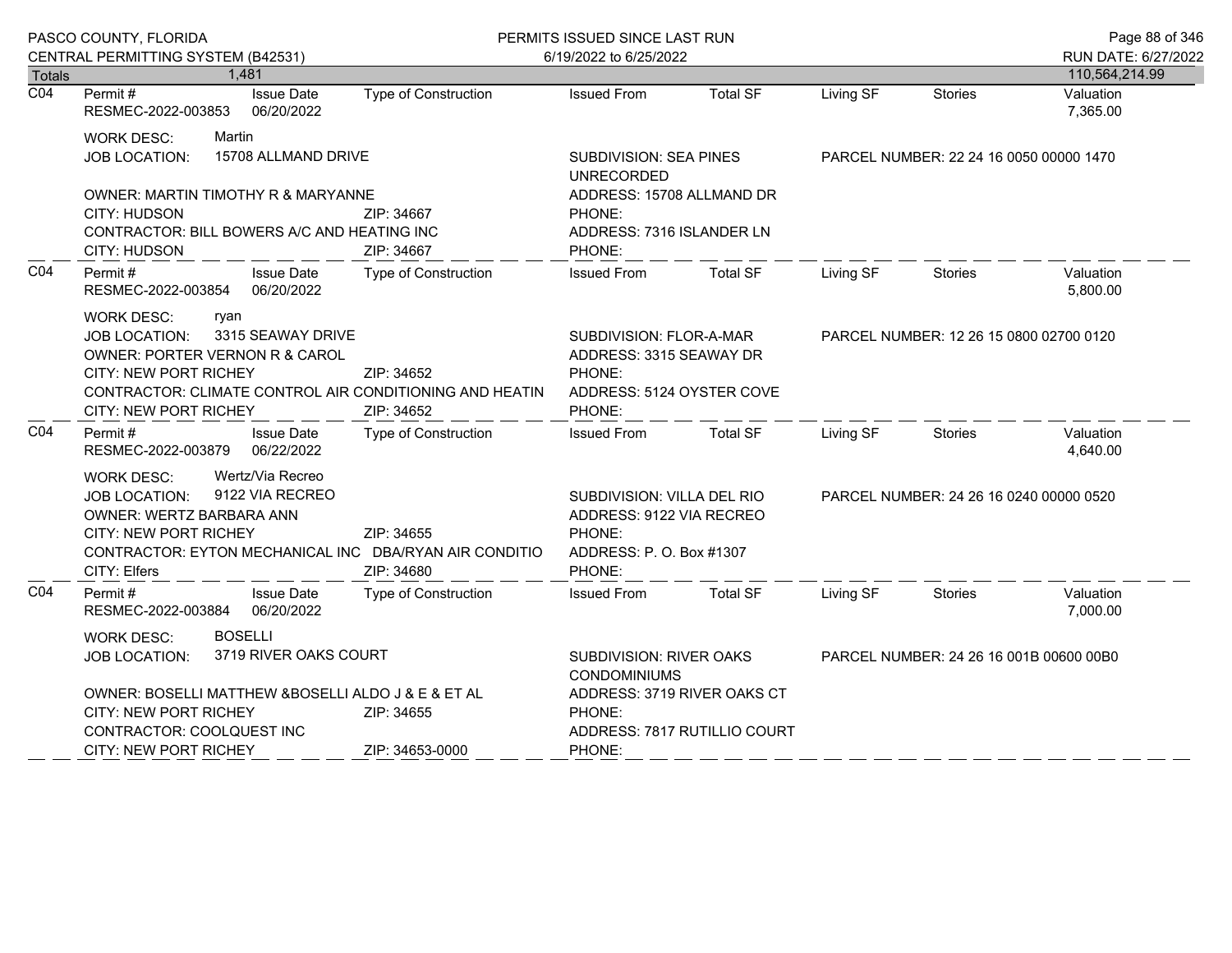|                  | PASCO COUNTY, FLORIDA                                                                                                                                                                                                        |                                             | PERMITS ISSUED SINCE LAST RUN                                                                         |                             |                                         |                                         | Page 88 of 346                        |
|------------------|------------------------------------------------------------------------------------------------------------------------------------------------------------------------------------------------------------------------------|---------------------------------------------|-------------------------------------------------------------------------------------------------------|-----------------------------|-----------------------------------------|-----------------------------------------|---------------------------------------|
| <b>Totals</b>    | CENTRAL PERMITTING SYSTEM (B42531)<br>1,481                                                                                                                                                                                  |                                             | 6/19/2022 to 6/25/2022                                                                                |                             |                                         |                                         | RUN DATE: 6/27/2022<br>110,564,214.99 |
| $\overline{CO4}$ | Permit#<br><b>Issue Date</b><br>RESMEC-2022-003853<br>06/20/2022                                                                                                                                                             | Type of Construction                        | <b>Issued From</b>                                                                                    | <b>Total SF</b>             | Living SF                               | <b>Stories</b>                          | Valuation<br>7,365.00                 |
|                  | Martin<br><b>WORK DESC:</b><br>15708 ALLMAND DRIVE<br><b>JOB LOCATION:</b>                                                                                                                                                   | <b>SUBDIVISION: SEA PINES</b><br>UNRECORDED |                                                                                                       |                             | PARCEL NUMBER: 22 24 16 0050 00000 1470 |                                         |                                       |
|                  | OWNER: MARTIN TIMOTHY R & MARYANNE<br><b>CITY: HUDSON</b><br>ZIP: 34667<br>CONTRACTOR: BILL BOWERS A/C AND HEATING INC<br>CITY: HUDSON<br>ZIP: 34667                                                                         |                                             | ADDRESS: 15708 ALLMAND DR<br>PHONE:<br>ADDRESS: 7316 ISLANDER LN<br>PHONE:                            |                             |                                         |                                         |                                       |
| CO <sub>4</sub>  | Permit #<br><b>Issue Date</b><br>RESMEC-2022-003854 06/20/2022                                                                                                                                                               | Type of Construction                        | <b>Issued From</b>                                                                                    | <b>Total SF</b>             | Living SF                               | Stories                                 | Valuation<br>5,800.00                 |
|                  | <b>WORK DESC:</b><br>ryan<br>3315 SEAWAY DRIVE<br><b>JOB LOCATION:</b><br>OWNER: PORTER VERNON R & CAROL<br><b>CITY: NEW PORT RICHEY</b><br>CONTRACTOR: CLIMATE CONTROL AIR CONDITIONING AND HEATIN<br>CITY: NEW PORT RICHEY | ZIP: 34652<br>ZIP: 34652                    | SUBDIVISION: FLOR-A-MAR<br>ADDRESS: 3315 SEAWAY DR<br>PHONE:<br>ADDRESS: 5124 OYSTER COVE<br>PHONE:   |                             |                                         | PARCEL NUMBER: 12 26 15 0800 02700 0120 |                                       |
| CO <sub>4</sub>  | Permit#<br><b>Issue Date</b><br>RESMEC-2022-003879 06/22/2022                                                                                                                                                                | <b>Type of Construction</b>                 | <b>Issued From</b>                                                                                    | <b>Total SF</b>             | Living SF                               | Stories                                 | Valuation<br>4,640.00                 |
|                  | Wertz/Via Recreo<br><b>WORK DESC:</b><br>9122 VIA RECREO<br><b>JOB LOCATION:</b><br><b>OWNER: WERTZ BARBARA ANN</b><br>CITY: NEW PORT RICHEY<br>CONTRACTOR: EYTON MECHANICAL INC DBA/RYAN AIR CONDITIO<br>CITY: Elfers       | ZIP: 34655<br>ZIP: 34680                    | SUBDIVISION: VILLA DEL RIO<br>ADDRESS: 9122 VIA RECREO<br>PHONE:<br>ADDRESS: P.O. Box #1307<br>PHONE: |                             |                                         | PARCEL NUMBER: 24 26 16 0240 00000 0520 |                                       |
| CO <sub>4</sub>  | <b>Issue Date</b><br>Permit #<br>RESMEC-2022-003884 06/20/2022                                                                                                                                                               | <b>Type of Construction</b>                 | <b>Issued From</b>                                                                                    | <b>Total SF</b>             | Living SF                               | Stories                                 | Valuation<br>7,000.00                 |
|                  | <b>BOSELLI</b><br><b>WORK DESC:</b><br>3719 RIVER OAKS COURT<br><b>JOB LOCATION:</b><br>OWNER: BOSELLI MATTHEW & BOSELLI ALDO J & E & ET AL<br><b>CITY: NEW PORT RICHEY</b><br>ZIP: 34655                                    |                                             | SUBDIVISION: RIVER OAKS<br><b>CONDOMINIUMS</b><br>PHONE:                                              | ADDRESS: 3719 RIVER OAKS CT | PARCEL NUMBER: 24 26 16 001B 00600 00B0 |                                         |                                       |
|                  | CONTRACTOR: COOLQUEST INC<br>CITY: NEW PORT RICHEY                                                                                                                                                                           | ZIP: 34653-0000                             | ADDRESS: 7817 RUTILLIO COURT<br>PHONE:                                                                |                             |                                         |                                         |                                       |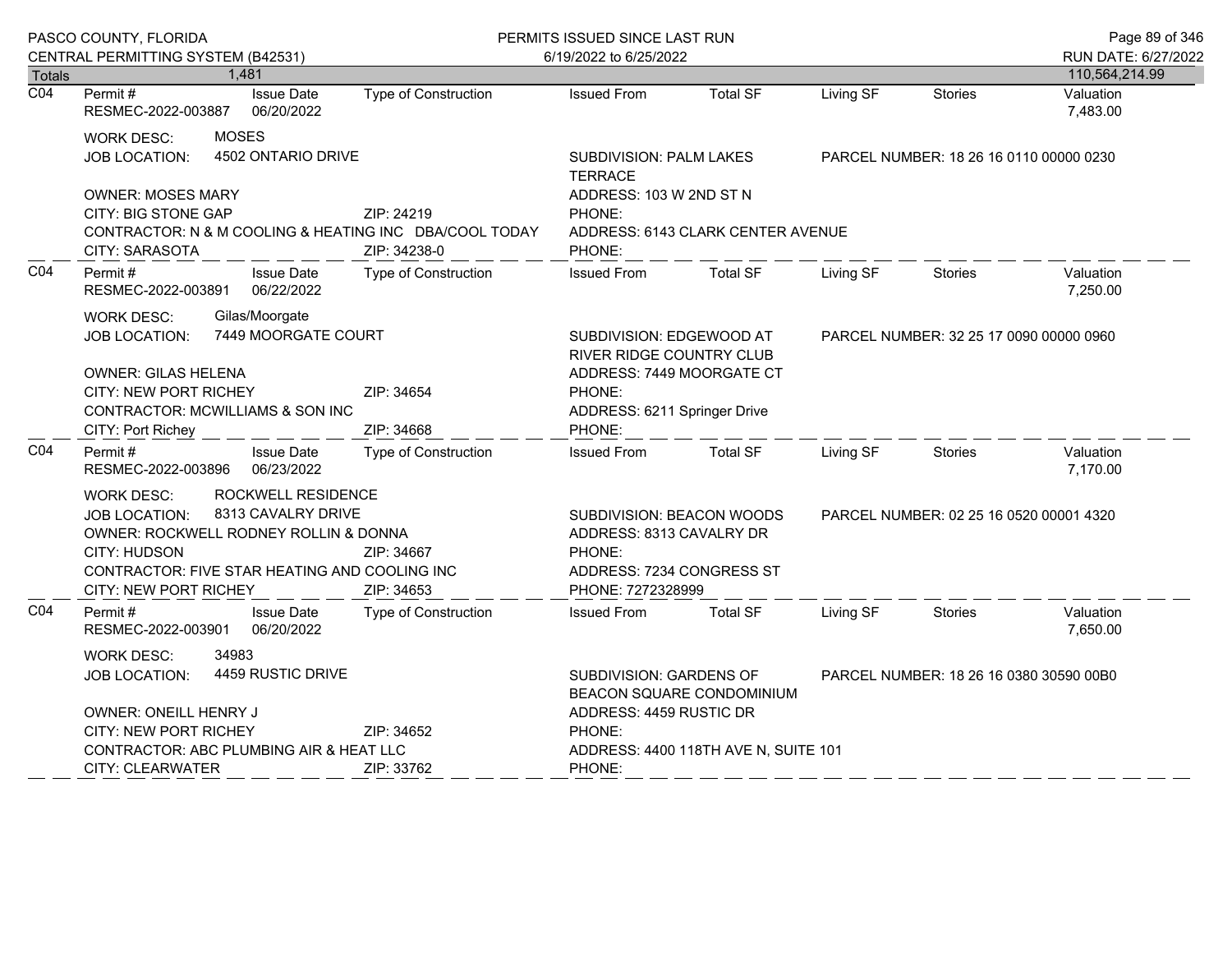|                            | PASCO COUNTY, FLORIDA                                                                                                                                                                                                                                |                                                  | PERMITS ISSUED SINCE LAST RUN                                                                                                     |                                                                                                                              |                                         |                                         | Page 89 of 346        |  |
|----------------------------|------------------------------------------------------------------------------------------------------------------------------------------------------------------------------------------------------------------------------------------------------|--------------------------------------------------|-----------------------------------------------------------------------------------------------------------------------------------|------------------------------------------------------------------------------------------------------------------------------|-----------------------------------------|-----------------------------------------|-----------------------|--|
|                            | CENTRAL PERMITTING SYSTEM (B42531)                                                                                                                                                                                                                   |                                                  | 6/19/2022 to 6/25/2022                                                                                                            |                                                                                                                              |                                         |                                         | RUN DATE: 6/27/2022   |  |
| Totals<br>$\overline{CO4}$ | 1,481                                                                                                                                                                                                                                                |                                                  |                                                                                                                                   |                                                                                                                              |                                         |                                         | 110,564,214.99        |  |
|                            | Permit#<br><b>Issue Date</b><br>RESMEC-2022-003887<br>06/20/2022                                                                                                                                                                                     | Type of Construction                             | <b>Issued From</b>                                                                                                                | <b>Total SF</b>                                                                                                              | Living SF                               | Stories                                 | Valuation<br>7,483.00 |  |
|                            | <b>MOSES</b><br><b>WORK DESC:</b><br>4502 ONTARIO DRIVE<br>JOB LOCATION:                                                                                                                                                                             | <b>SUBDIVISION: PALM LAKES</b><br><b>TERRACE</b> |                                                                                                                                   |                                                                                                                              | PARCEL NUMBER: 18 26 16 0110 00000 0230 |                                         |                       |  |
|                            | <b>OWNER: MOSES MARY</b><br>CITY: BIG STONE GAP<br>ZIP: 24219<br>CONTRACTOR: N & M COOLING & HEATING INC DBA/COOL TODAY<br><b>CITY: SARASOTA</b><br>ZIP: 34238-0                                                                                     |                                                  | PHONE:<br>PHONE:                                                                                                                  | ADDRESS: 103 W 2ND ST N<br>ADDRESS: 6143 CLARK CENTER AVENUE                                                                 |                                         |                                         |                       |  |
| CO <sub>4</sub>            | Permit#<br><b>Issue Date</b><br>06/22/2022<br>RESMEC-2022-003891                                                                                                                                                                                     | Type of Construction                             | <b>Issued From</b>                                                                                                                | <b>Total SF</b>                                                                                                              | Living SF                               | <b>Stories</b>                          | Valuation<br>7,250.00 |  |
|                            | Gilas/Moorgate<br><b>WORK DESC:</b><br>7449 MOORGATE COURT<br><b>JOB LOCATION:</b>                                                                                                                                                                   |                                                  |                                                                                                                                   | SUBDIVISION: EDGEWOOD AT<br>PARCEL NUMBER: 32 25 17 0090 00000 0960<br>RIVER RIDGE COUNTRY CLUB<br>ADDRESS: 7449 MOORGATE CT |                                         |                                         |                       |  |
|                            | <b>OWNER: GILAS HELENA</b><br><b>CITY: NEW PORT RICHEY</b><br>ZIP: 34654<br>CONTRACTOR: MCWILLIAMS & SON INC<br>CITY: Port Richey<br>ZIP: 34668                                                                                                      |                                                  | PHONE:                                                                                                                            | ADDRESS: 6211 Springer Drive<br>PHONE:                                                                                       |                                         |                                         |                       |  |
| CO <sub>4</sub>            | Permit #<br><b>Issue Date</b><br>RESMEC-2022-003896<br>06/23/2022                                                                                                                                                                                    | <b>Type of Construction</b>                      | <b>Issued From</b>                                                                                                                | <b>Total SF</b>                                                                                                              | Living SF                               | <b>Stories</b>                          | Valuation<br>7,170.00 |  |
|                            | ROCKWELL RESIDENCE<br><b>WORK DESC:</b><br>8313 CAVALRY DRIVE<br><b>JOB LOCATION:</b><br>OWNER: ROCKWELL RODNEY ROLLIN & DONNA<br>CITY: HUDSON<br>ZIP: 34667<br>CONTRACTOR: FIVE STAR HEATING AND COOLING INC<br>CITY: NEW PORT RICHEY<br>ZIP: 34653 |                                                  | <b>SUBDIVISION: BEACON WOODS</b><br>ADDRESS: 8313 CAVALRY DR<br>PHONE:<br>ADDRESS: 7234 CONGRESS ST<br>PHONE: 7272328999          |                                                                                                                              |                                         | PARCEL NUMBER: 02 25 16 0520 00001 4320 |                       |  |
| CO <sub>4</sub>            | Permit #<br><b>Issue Date</b><br>RESMEC-2022-003901<br>06/20/2022                                                                                                                                                                                    | <b>Type of Construction</b>                      | <b>Issued From</b>                                                                                                                | <b>Total SF</b>                                                                                                              | Living SF                               | <b>Stories</b>                          | Valuation<br>7,650.00 |  |
|                            | 34983<br><b>WORK DESC:</b><br>4459 RUSTIC DRIVE<br><b>JOB LOCATION:</b><br>OWNER: ONEILL HENRY J                                                                                                                                                     |                                                  | SUBDIVISION: GARDENS OF<br>PARCEL NUMBER: 18 26 16 0380 30590 00B0<br><b>BEACON SQUARE CONDOMINIUM</b><br>ADDRESS: 4459 RUSTIC DR |                                                                                                                              |                                         |                                         |                       |  |
|                            | <b>CITY: NEW PORT RICHEY</b>                                                                                                                                                                                                                         | ZIP: 34652                                       | PHONE:                                                                                                                            |                                                                                                                              |                                         |                                         |                       |  |
|                            | CONTRACTOR: ABC PLUMBING AIR & HEAT LLC                                                                                                                                                                                                              |                                                  | ADDRESS: 4400 118TH AVE N, SUITE 101                                                                                              |                                                                                                                              |                                         |                                         |                       |  |
|                            | <b>CITY: CLEARWATER</b>                                                                                                                                                                                                                              | ZIP: 33762                                       | PHONE:                                                                                                                            |                                                                                                                              |                                         |                                         |                       |  |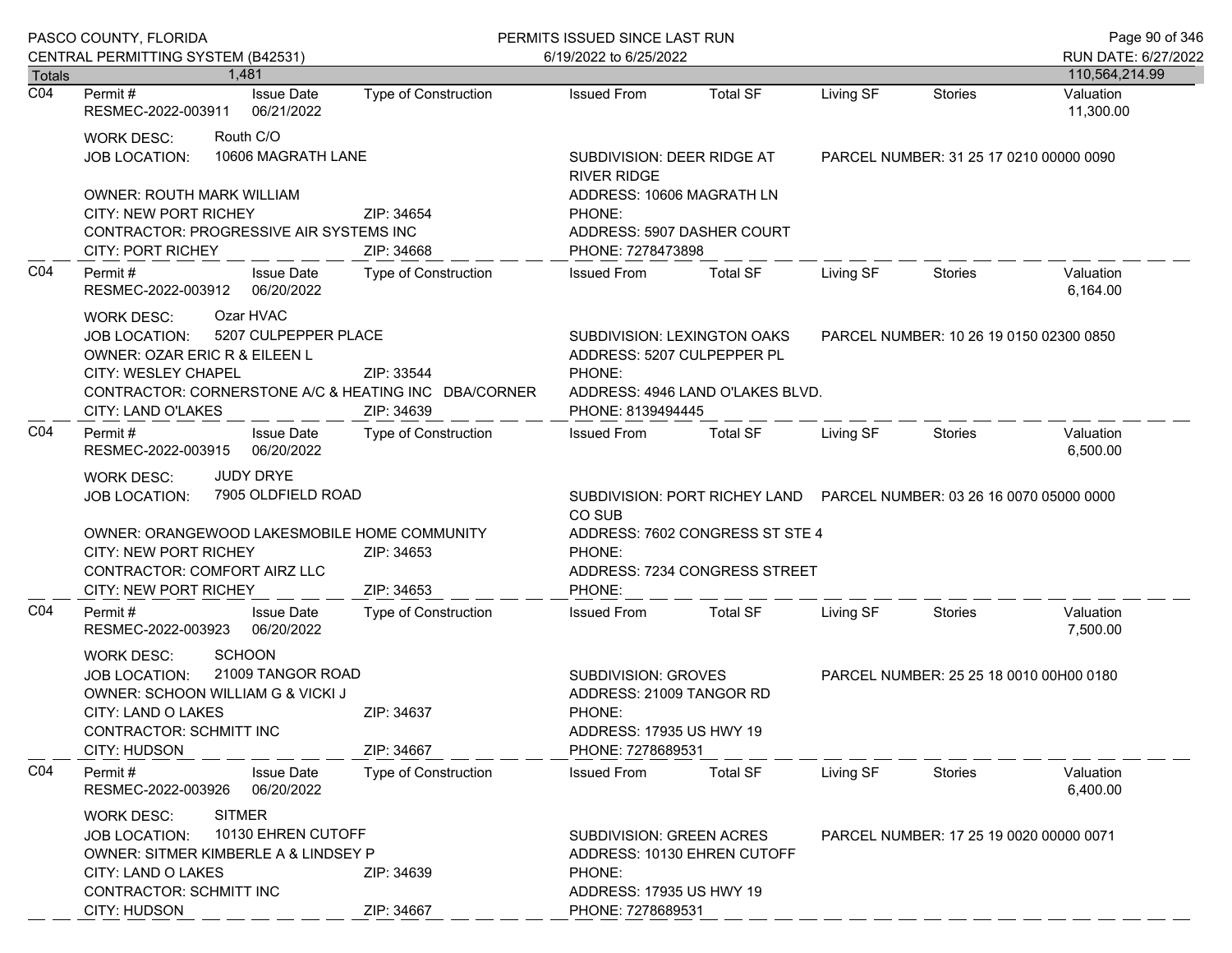|                  | PASCO COUNTY, FLORIDA<br>CENTRAL PERMITTING SYSTEM (B42531)                                                                                                                                                                                              |                             | PERMITS ISSUED SINCE LAST RUN<br>6/19/2022 to 6/25/2022                                                           |                                                                  |                                                                        |                                         |                        |
|------------------|----------------------------------------------------------------------------------------------------------------------------------------------------------------------------------------------------------------------------------------------------------|-----------------------------|-------------------------------------------------------------------------------------------------------------------|------------------------------------------------------------------|------------------------------------------------------------------------|-----------------------------------------|------------------------|
| <b>Totals</b>    | 1,481                                                                                                                                                                                                                                                    |                             |                                                                                                                   |                                                                  |                                                                        |                                         | 110,564,214.99         |
| $\overline{CO4}$ | <b>Issue Date</b><br>Permit #<br>RESMEC-2022-003911<br>06/21/2022                                                                                                                                                                                        | <b>Type of Construction</b> | <b>Issued From</b>                                                                                                | <b>Total SF</b>                                                  | Living SF                                                              | <b>Stories</b>                          | Valuation<br>11,300.00 |
|                  | Routh C/O<br><b>WORK DESC:</b><br>10606 MAGRATH LANE<br><b>JOB LOCATION:</b>                                                                                                                                                                             |                             | SUBDIVISION: DEER RIDGE AT<br><b>RIVER RIDGE</b>                                                                  |                                                                  |                                                                        | PARCEL NUMBER: 31 25 17 0210 00000 0090 |                        |
|                  | <b>OWNER: ROUTH MARK WILLIAM</b><br>CITY: NEW PORT RICHEY<br>ZIP: 34654<br>CONTRACTOR: PROGRESSIVE AIR SYSTEMS INC<br><b>CITY: PORT RICHEY</b><br>ZIP: 34668                                                                                             |                             | ADDRESS: 10606 MAGRATH LN<br>PHONE:<br>PHONE: 7278473898                                                          | ADDRESS: 5907 DASHER COURT                                       |                                                                        |                                         |                        |
| CO <sub>4</sub>  | <b>Issue Date</b><br>Permit#<br>06/20/2022<br>RESMEC-2022-003912                                                                                                                                                                                         | <b>Type of Construction</b> | <b>Issued From</b>                                                                                                | <b>Total SF</b>                                                  | Living SF                                                              | Stories                                 | Valuation<br>6,164.00  |
|                  | Ozar HVAC<br><b>WORK DESC:</b><br>5207 CULPEPPER PLACE<br><b>JOB LOCATION:</b><br>OWNER: OZAR ERIC R & EILEEN L<br>CITY: WESLEY CHAPEL<br>ZIP: 33544<br>CONTRACTOR: CORNERSTONE A/C & HEATING INC DBA/CORNER<br>CITY: LAND O'LAKES<br>ZIP: 34639         |                             | ADDRESS: 5207 CULPEPPER PL<br>PHONE:<br>PHONE: 8139494445                                                         | SUBDIVISION: LEXINGTON OAKS<br>ADDRESS: 4946 LAND O'LAKES BLVD.  | PARCEL NUMBER: 10 26 19 0150 02300 0850                                |                                         |                        |
| CO <sub>4</sub>  | Permit #<br><b>Issue Date</b><br>06/20/2022<br>RESMEC-2022-003915                                                                                                                                                                                        | Type of Construction        | <b>Issued From</b>                                                                                                | <b>Total SF</b>                                                  | Living SF                                                              | Stories                                 | Valuation<br>6,500.00  |
|                  | <b>JUDY DRYE</b><br><b>WORK DESC:</b><br>7905 OLDFIELD ROAD<br><b>JOB LOCATION:</b><br>OWNER: ORANGEWOOD LAKESMOBILE HOME COMMUNITY<br>CITY: NEW PORT RICHEY<br>ZIP: 34653<br>CONTRACTOR: COMFORT AIRZ LLC<br><b>CITY: NEW PORT RICHEY</b><br>ZIP: 34653 |                             | CO SUB<br>PHONE:<br>PHONE:                                                                                        | ADDRESS: 7602 CONGRESS ST STE 4<br>ADDRESS: 7234 CONGRESS STREET | SUBDIVISION: PORT RICHEY LAND  PARCEL NUMBER: 03 26 16 0070 05000 0000 |                                         |                        |
| CO <sub>4</sub>  | Permit#<br><b>Issue Date</b><br>RESMEC-2022-003923<br>06/20/2022                                                                                                                                                                                         | <b>Type of Construction</b> | <b>Issued From</b>                                                                                                | <b>Total SF</b>                                                  | Living SF                                                              | Stories                                 | Valuation<br>7,500.00  |
|                  | <b>SCHOON</b><br><b>WORK DESC:</b><br>21009 TANGOR ROAD<br>JOB LOCATION:<br>OWNER: SCHOON WILLIAM G & VICKI J<br>CITY: LAND O LAKES<br>ZIP: 34637<br><b>CONTRACTOR: SCHMITT INC</b><br>CITY: HUDSON<br>ZIP: 34667                                        |                             | <b>SUBDIVISION: GROVES</b><br>ADDRESS: 21009 TANGOR RD<br>PHONE:<br>ADDRESS: 17935 US HWY 19<br>PHONE: 7278689531 |                                                                  |                                                                        | PARCEL NUMBER: 25 25 18 0010 00H00 0180 |                        |
| CO <sub>4</sub>  | Permit#<br><b>Issue Date</b><br>06/20/2022<br>RESMEC-2022-003926                                                                                                                                                                                         | <b>Type of Construction</b> | <b>Issued From</b>                                                                                                | <b>Total SF</b>                                                  | Living SF                                                              | <b>Stories</b>                          | Valuation<br>6,400.00  |
|                  | <b>SITMER</b><br><b>WORK DESC:</b><br>10130 EHREN CUTOFF<br><b>JOB LOCATION:</b><br><b>OWNER: SITMER KIMBERLE A &amp; LINDSEY P</b><br>CITY: LAND O LAKES<br>CONTRACTOR: SCHMITT INC<br>CITY: HUDSON                                                     | ZIP: 34639<br>ZIP: 34667    | <b>SUBDIVISION: GREEN ACRES</b><br>PHONE:<br>ADDRESS: 17935 US HWY 19<br>PHONE: 7278689531                        | ADDRESS: 10130 EHREN CUTOFF                                      |                                                                        | PARCEL NUMBER: 17 25 19 0020 00000 0071 |                        |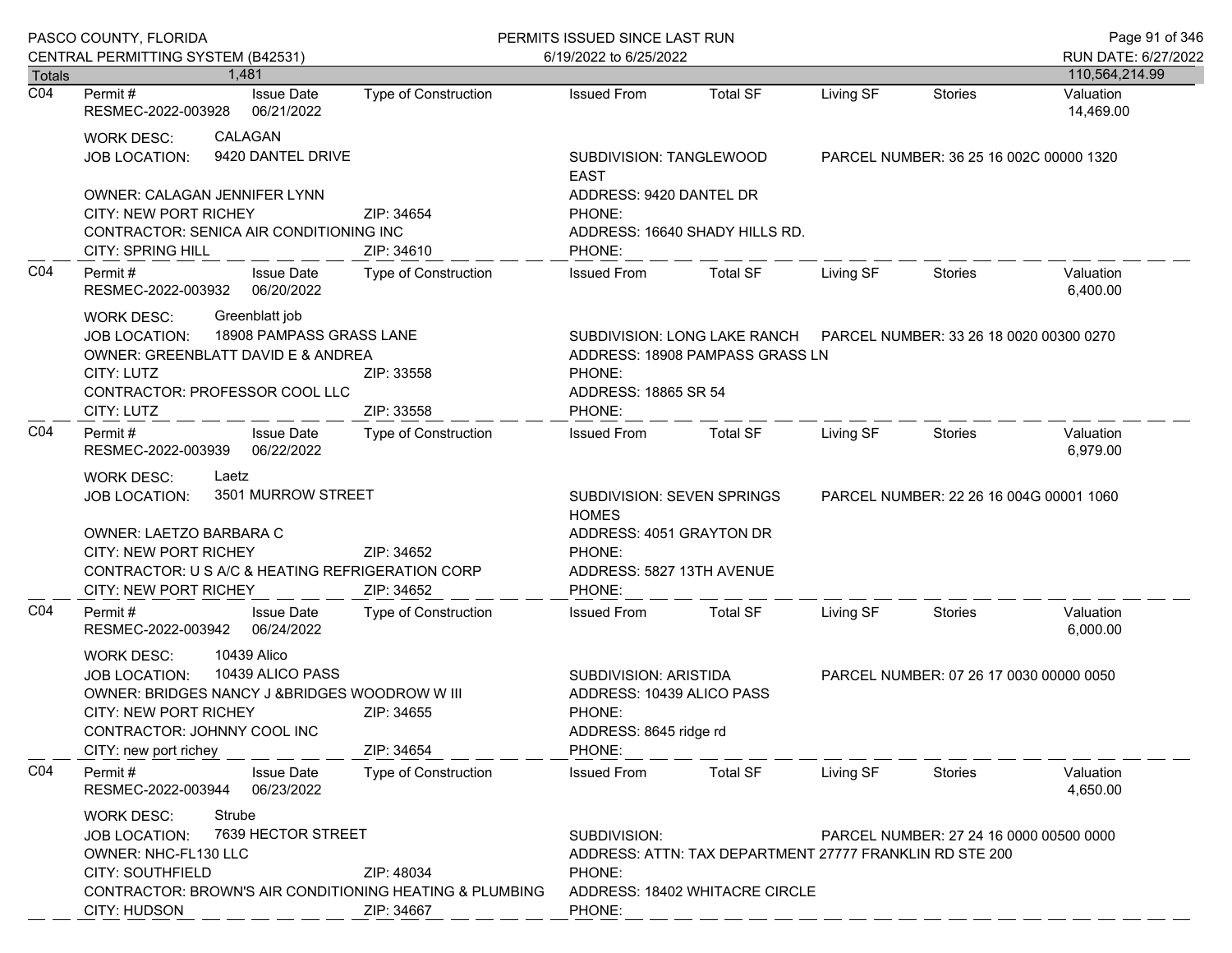|                  | PASCO COUNTY, FLORIDA<br>CENTRAL PERMITTING SYSTEM (B42531)                                                                                                                                                                                    |                                             | PERMITS ISSUED SINCE LAST RUN<br>6/19/2022 to 6/25/2022                                                                                                                  |                                                                                                            |           |                                         | Page 91 of 346<br>RUN DATE: 6/27/2022 |
|------------------|------------------------------------------------------------------------------------------------------------------------------------------------------------------------------------------------------------------------------------------------|---------------------------------------------|--------------------------------------------------------------------------------------------------------------------------------------------------------------------------|------------------------------------------------------------------------------------------------------------|-----------|-----------------------------------------|---------------------------------------|
| <b>Totals</b>    | 1,481                                                                                                                                                                                                                                          |                                             |                                                                                                                                                                          |                                                                                                            |           |                                         | 110,564,214.99                        |
| $\overline{CO4}$ | <b>Issue Date</b><br>Permit #<br>RESMEC-2022-003928<br>06/21/2022                                                                                                                                                                              | <b>Type of Construction</b>                 | <b>Issued From</b>                                                                                                                                                       | <b>Total SF</b>                                                                                            | Living SF | <b>Stories</b>                          | Valuation<br>14,469.00                |
|                  | CALAGAN<br><b>WORK DESC:</b><br>9420 DANTEL DRIVE<br><b>JOB LOCATION:</b>                                                                                                                                                                      |                                             | SUBDIVISION: TANGLEWOOD<br><b>EAST</b>                                                                                                                                   |                                                                                                            |           | PARCEL NUMBER: 36 25 16 002C 00000 1320 |                                       |
|                  | OWNER: CALAGAN JENNIFER LYNN<br><b>CITY: NEW PORT RICHEY</b><br>CONTRACTOR: SENICA AIR CONDITIONING INC<br><b>CITY: SPRING HILL</b>                                                                                                            | ADDRESS: 9420 DANTEL DR<br>PHONE:<br>PHONE: | ADDRESS: 16640 SHADY HILLS RD.                                                                                                                                           |                                                                                                            |           |                                         |                                       |
| CO <sub>4</sub>  | <b>Issue Date</b><br>Permit #<br>RESMEC-2022-003932<br>06/20/2022                                                                                                                                                                              | Type of Construction                        | <b>Issued From</b>                                                                                                                                                       | <b>Total SF</b>                                                                                            | Living SF | <b>Stories</b>                          | Valuation<br>6,400.00                 |
|                  | Greenblatt job<br><b>WORK DESC:</b><br>18908 PAMPASS GRASS LANE<br><b>JOB LOCATION:</b><br>OWNER: GREENBLATT DAVID E & ANDREA<br>CITY: LUTZ<br>ZIP: 33558<br>CONTRACTOR: PROFESSOR COOL LLC<br>CITY: LUTZ<br>ZIP: 33558                        |                                             | PHONE:<br>ADDRESS: 18865 SR 54<br>PHONE:                                                                                                                                 | SUBDIVISION: LONG LAKE RANCH    PARCEL NUMBER: 33 26 18 0020 00300 0270<br>ADDRESS: 18908 PAMPASS GRASS LN |           |                                         |                                       |
| CO <sub>4</sub>  | Permit#<br><b>Issue Date</b><br>06/22/2022<br>RESMEC-2022-003939                                                                                                                                                                               | <b>Type of Construction</b>                 | <b>Issued From</b>                                                                                                                                                       | <b>Total SF</b>                                                                                            | Living SF | Stories                                 | Valuation<br>6,979.00                 |
|                  | Laetz<br><b>WORK DESC:</b><br>3501 MURROW STREET<br><b>JOB LOCATION:</b><br>OWNER: LAETZO BARBARA C                                                                                                                                            |                                             | SUBDIVISION: SEVEN SPRINGS<br>PARCEL NUMBER: 22 26 16 004G 00001 1060<br><b>HOMES</b><br>ADDRESS: 4051 GRAYTON DR                                                        |                                                                                                            |           |                                         |                                       |
|                  | CITY: NEW PORT RICHEY<br>CONTRACTOR: U S A/C & HEATING REFRIGERATION CORP<br><b>CITY: NEW PORT RICHEY</b>                                                                                                                                      | ZIP: 34652<br>ZIP: 34652                    | PHONE:<br>ADDRESS: 5827 13TH AVENUE<br>PHONE:                                                                                                                            |                                                                                                            |           |                                         |                                       |
| CO <sub>4</sub>  | Permit#<br><b>Issue Date</b><br>RESMEC-2022-003942<br>06/24/2022                                                                                                                                                                               | Type of Construction                        | <b>Issued From</b>                                                                                                                                                       | <b>Total SF</b>                                                                                            | Living SF | Stories                                 | Valuation<br>6,000.00                 |
|                  | 10439 Alico<br><b>WORK DESC:</b><br>10439 ALICO PASS<br>JOB LOCATION:<br>OWNER: BRIDGES NANCY J & BRIDGES WOODROW WIII<br><b>CITY: NEW PORT RICHEY</b><br>ZIP: 34655<br>CONTRACTOR: JOHNNY COOL INC<br>ZIP: 34654<br>CITY: new port richey     |                                             | SUBDIVISION: ARISTIDA<br>ADDRESS: 10439 ALICO PASS<br>PHONE:<br>ADDRESS: 8645 ridge rd<br>PHONE:                                                                         |                                                                                                            |           | PARCEL NUMBER: 07 26 17 0030 00000 0050 |                                       |
| CO <sub>4</sub>  | Permit#<br><b>Issue Date</b><br>RESMEC-2022-003944<br>06/23/2022                                                                                                                                                                               | <b>Type of Construction</b>                 | <b>Issued From</b>                                                                                                                                                       | <b>Total SF</b>                                                                                            | Living SF | Stories                                 | Valuation<br>4,650.00                 |
|                  | Strube<br><b>WORK DESC:</b><br>7639 HECTOR STREET<br><b>JOB LOCATION:</b><br>OWNER: NHC-FL130 LLC<br><b>CITY: SOUTHFIELD</b><br>ZIP: 48034<br><b>CONTRACTOR: BROWN'S AIR CONDITIONING HEATING &amp; PLUMBING</b><br>CITY: HUDSON<br>ZIP: 34667 |                                             | SUBDIVISION:<br>PARCEL NUMBER: 27 24 16 0000 00500 0000<br>ADDRESS: ATTN: TAX DEPARTMENT 27777 FRANKLIN RD STE 200<br>PHONE:<br>ADDRESS: 18402 WHITACRE CIRCLE<br>PHONE: |                                                                                                            |           |                                         |                                       |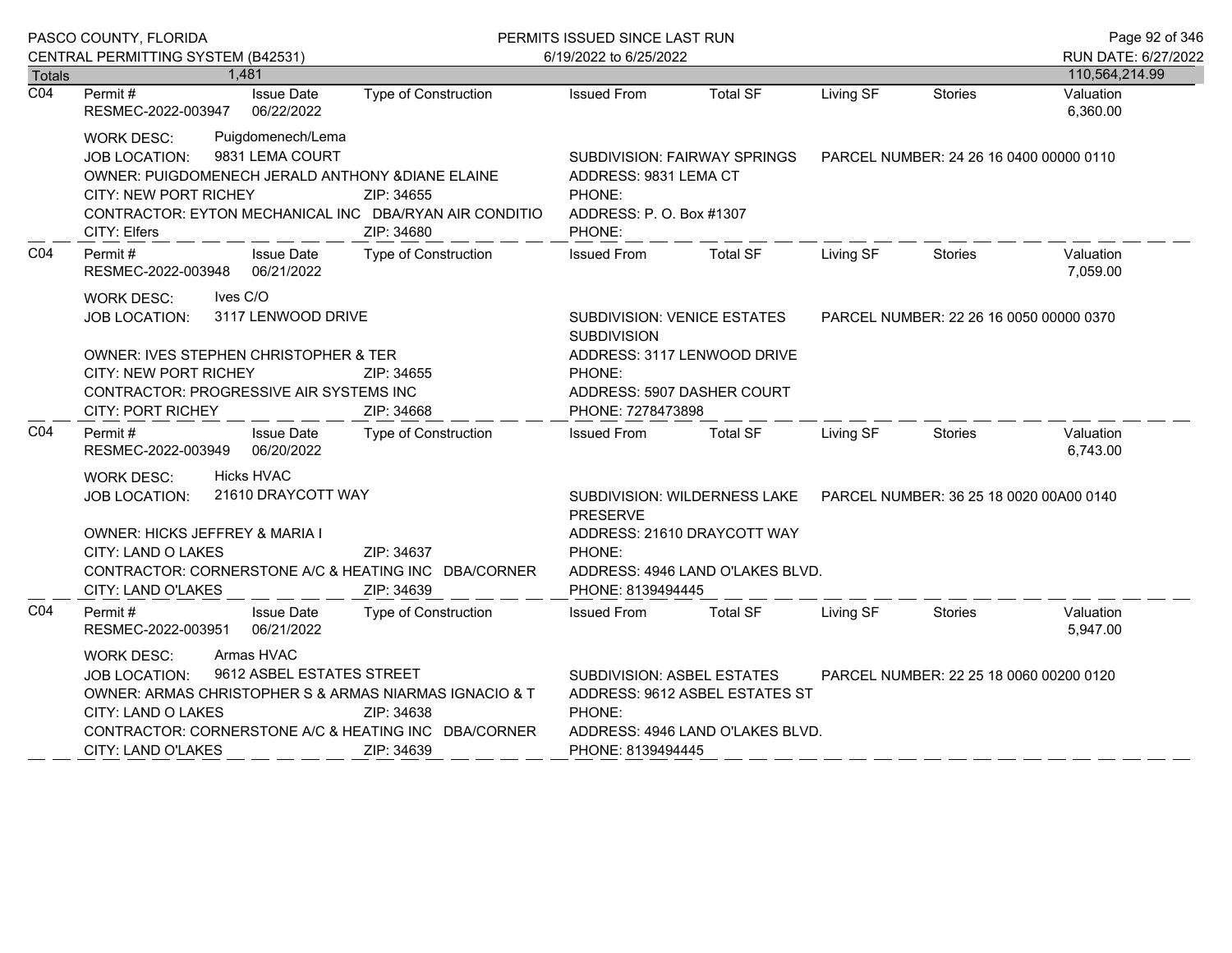|                  | PASCO COUNTY, FLORIDA                                                                                                                                                                                                                                                          |                             | PERMITS ISSUED SINCE LAST RUN                                                                                                                                              |                                                                                                                                          |                                         |                                         | Page 92 of 346                        |
|------------------|--------------------------------------------------------------------------------------------------------------------------------------------------------------------------------------------------------------------------------------------------------------------------------|-----------------------------|----------------------------------------------------------------------------------------------------------------------------------------------------------------------------|------------------------------------------------------------------------------------------------------------------------------------------|-----------------------------------------|-----------------------------------------|---------------------------------------|
| Totals           | CENTRAL PERMITTING SYSTEM (B42531)<br>1,481                                                                                                                                                                                                                                    |                             | 6/19/2022 to 6/25/2022                                                                                                                                                     |                                                                                                                                          |                                         |                                         | RUN DATE: 6/27/2022<br>110,564,214.99 |
| $\overline{CO4}$ | <b>Issue Date</b><br>Permit#<br>RESMEC-2022-003947 06/22/2022                                                                                                                                                                                                                  | Type of Construction        | <b>Issued From</b>                                                                                                                                                         | <b>Total SF</b>                                                                                                                          | Living SF                               | <b>Stories</b>                          | Valuation<br>6,360.00                 |
|                  | Puigdomenech/Lema<br><b>WORK DESC:</b><br>9831 LEMA COURT<br><b>JOB LOCATION:</b><br>OWNER: PUIGDOMENECH JERALD ANTHONY & DIANE ELAINE<br>CITY: NEW PORT RICHEY<br>ZIP: 34655<br>CONTRACTOR: EYTON MECHANICAL INC DBA/RYAN AIR CONDITIO<br>CITY: Elfers<br>ZIP: 34680          |                             | SUBDIVISION: FAIRWAY SPRINGS<br>ADDRESS: 9831 LEMA CT<br>PHONE:<br>ADDRESS: P.O. Box #1307<br>PHONE:                                                                       |                                                                                                                                          | PARCEL NUMBER: 24 26 16 0400 00000 0110 |                                         |                                       |
| CO <sub>4</sub>  | Permit#<br><b>Issue Date</b><br>RESMEC-2022-003948 06/21/2022                                                                                                                                                                                                                  | <b>Type of Construction</b> | <b>Issued From</b>                                                                                                                                                         | <b>Total SF</b>                                                                                                                          | Living SF                               | Stories                                 | Valuation<br>7,059.00                 |
|                  | Ives C/O<br>WORK DESC:<br>3117 LENWOOD DRIVE<br><b>JOB LOCATION:</b><br>OWNER: IVES STEPHEN CHRISTOPHER & TER<br>CITY: NEW PORT RICHEY<br>ZIP: 34655<br>CONTRACTOR: PROGRESSIVE AIR SYSTEMS INC<br><b>CITY: PORT RICHEY</b><br>ZIP: 34668                                      |                             | SUBDIVISION: VENICE ESTATES<br><b>SUBDIVISION</b><br>PHONE:<br>ADDRESS: 5907 DASHER COURT<br>PHONE: 7278473898                                                             | ADDRESS: 3117 LENWOOD DRIVE                                                                                                              |                                         | PARCEL NUMBER: 22 26 16 0050 00000 0370 |                                       |
| CO <sub>4</sub>  | Permit#<br><b>Issue Date</b><br>RESMEC-2022-003949 06/20/2022                                                                                                                                                                                                                  | Type of Construction        | <b>Issued From</b>                                                                                                                                                         | Total SF                                                                                                                                 | Living SF                               | Stories                                 | Valuation<br>6,743.00                 |
|                  | Hicks HVAC<br><b>WORK DESC:</b><br>21610 DRAYCOTT WAY<br><b>JOB LOCATION:</b><br>OWNER: HICKS JEFFREY & MARIA I<br>CITY: LAND O LAKES<br>ZIP: 34637<br>CONTRACTOR: CORNERSTONE A/C & HEATING INC DBA/CORNER<br>CITY: LAND O'LAKES<br>ZIP: 34639                                |                             | <b>PRESERVE</b><br>PHONE:<br>PHONE: 8139494445                                                                                                                             | SUBDIVISION: WILDERNESS LAKE  PARCEL NUMBER: 36 25 18 0020 00A00 0140<br>ADDRESS: 21610 DRAYCOTT WAY<br>ADDRESS: 4946 LAND O'LAKES BLVD. |                                         |                                         |                                       |
| CO <sub>4</sub>  | Permit#<br><b>Issue Date</b><br>RESMEC-2022-003951 06/21/2022                                                                                                                                                                                                                  | Type of Construction        | <b>Issued From</b>                                                                                                                                                         | <b>Total SF</b>                                                                                                                          | Living SF                               | Stories                                 | Valuation<br>5,947.00                 |
|                  | Armas HVAC<br><b>WORK DESC:</b><br>9612 ASBEL ESTATES STREET<br><b>JOB LOCATION:</b><br>OWNER: ARMAS CHRISTOPHER S & ARMAS NIARMAS IGNACIO & T<br>CITY: LAND O LAKES<br>ZIP: 34638<br>CONTRACTOR: CORNERSTONE A/C & HEATING INC DBA/CORNER<br>CITY: LAND O'LAKES<br>ZIP: 34639 |                             | SUBDIVISION: ASBEL ESTATES<br>PARCEL NUMBER: 22 25 18 0060 00200 0120<br>ADDRESS: 9612 ASBEL ESTATES ST<br>PHONE:<br>ADDRESS: 4946 LAND O'LAKES BLVD.<br>PHONE: 8139494445 |                                                                                                                                          |                                         |                                         |                                       |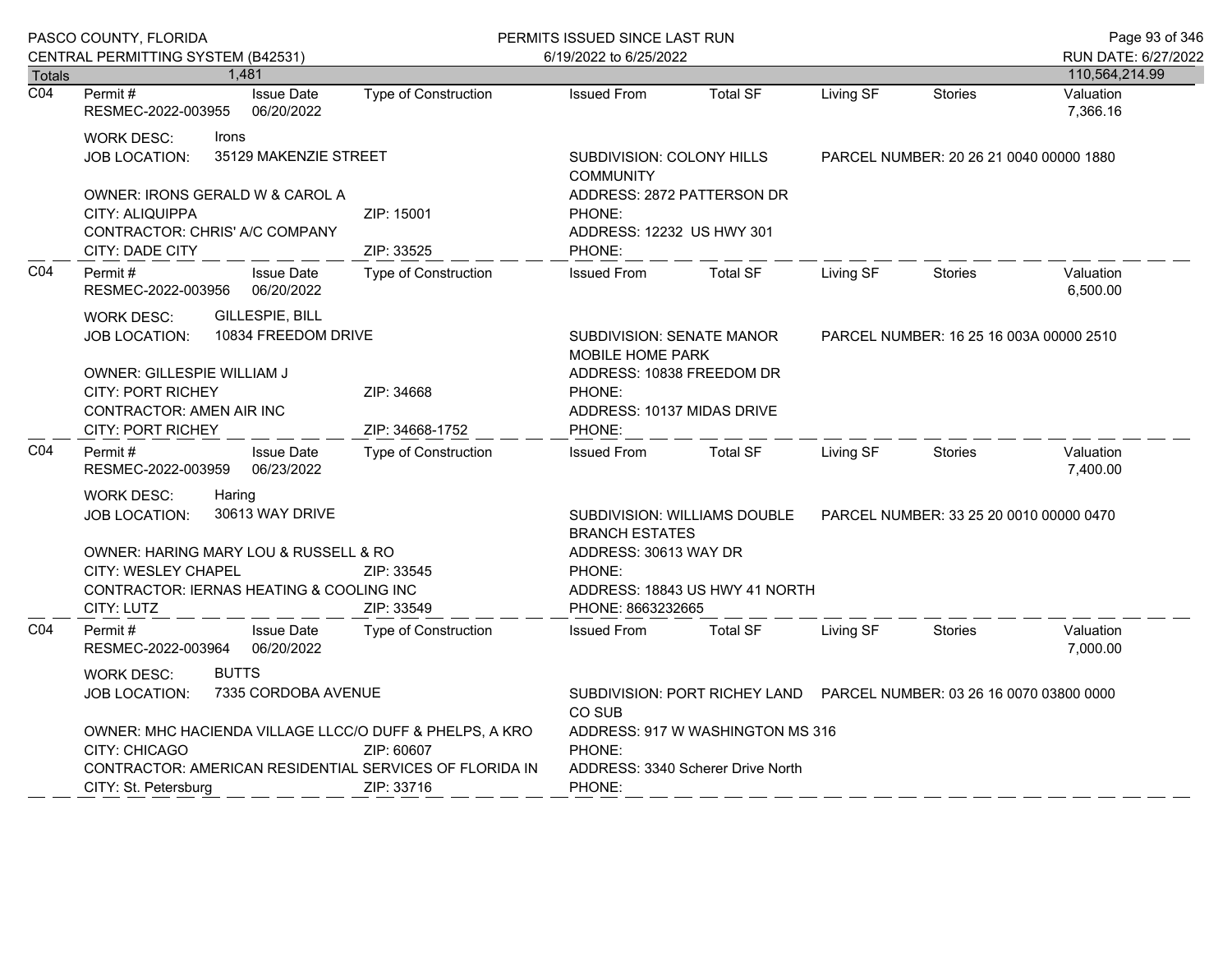|                  | PASCO COUNTY, FLORIDA                                                                                                                                                                          |                                               | PERMITS ISSUED SINCE LAST RUN                                                             |                                                                        |                                         |                                         | Page 93 of 346        |
|------------------|------------------------------------------------------------------------------------------------------------------------------------------------------------------------------------------------|-----------------------------------------------|-------------------------------------------------------------------------------------------|------------------------------------------------------------------------|-----------------------------------------|-----------------------------------------|-----------------------|
|                  | CENTRAL PERMITTING SYSTEM (B42531)                                                                                                                                                             |                                               | 6/19/2022 to 6/25/2022                                                                    |                                                                        |                                         |                                         | RUN DATE: 6/27/2022   |
| <b>Totals</b>    | 1,481                                                                                                                                                                                          |                                               |                                                                                           |                                                                        | Living SF                               |                                         | 110,564,214.99        |
| $\overline{CO4}$ | Permit#<br><b>Issue Date</b><br>RESMEC-2022-003955<br>06/20/2022                                                                                                                               | <b>Type of Construction</b>                   | <b>Issued From</b>                                                                        | <b>Total SF</b>                                                        |                                         | <b>Stories</b>                          | Valuation<br>7,366.16 |
|                  | <b>WORK DESC:</b><br>Irons<br>35129 MAKENZIE STREET<br><b>JOB LOCATION:</b>                                                                                                                    | SUBDIVISION: COLONY HILLS<br><b>COMMUNITY</b> |                                                                                           |                                                                        | PARCEL NUMBER: 20 26 21 0040 00000 1880 |                                         |                       |
|                  | OWNER: IRONS GERALD W & CAROL A<br>CITY: ALIQUIPPA<br>CONTRACTOR: CHRIS' A/C COMPANY<br>CITY: DADE CITY                                                                                        | ZIP: 15001<br>ZIP: 33525                      | ADDRESS: 2872 PATTERSON DR<br>PHONE:<br>ADDRESS: 12232 US HWY 301<br>PHONE:               |                                                                        |                                         |                                         |                       |
| CO <sub>4</sub>  | Permit#<br><b>Issue Date</b><br>RESMEC-2022-003956<br>06/20/2022                                                                                                                               | Type of Construction                          | <b>Issued From</b>                                                                        | <b>Total SF</b>                                                        | Living SF                               | Stories                                 | Valuation<br>6,500.00 |
|                  | GILLESPIE, BILL<br><b>WORK DESC:</b><br>10834 FREEDOM DRIVE<br><b>JOB LOCATION:</b>                                                                                                            |                                               | <b>SUBDIVISION: SENATE MANOR</b><br><b>MOBILE HOME PARK</b>                               |                                                                        | PARCEL NUMBER: 16 25 16 003A 00000 2510 |                                         |                       |
|                  | OWNER: GILLESPIE WILLIAM J<br><b>CITY: PORT RICHEY</b><br>ZIP: 34668<br>CONTRACTOR: AMEN AIR INC<br>CITY: PORT RICHEY<br>ZIP: 34668-1752                                                       |                                               | ADDRESS: 10838 FREEDOM DR<br>PHONE:<br>ADDRESS: 10137 MIDAS DRIVE<br>PHONE:               |                                                                        |                                         |                                         |                       |
| CO <sub>4</sub>  | Permit#<br><b>Issue Date</b><br>RESMEC-2022-003959<br>06/23/2022                                                                                                                               | <b>Type of Construction</b>                   | <b>Issued From</b>                                                                        | <b>Total SF</b>                                                        | Living SF                               | Stories                                 | Valuation<br>7,400.00 |
|                  | Haring<br><b>WORK DESC:</b><br>30613 WAY DRIVE<br>JOB LOCATION:                                                                                                                                |                                               | <b>BRANCH ESTATES</b>                                                                     | <b>SUBDIVISION: WILLIAMS DOUBLE</b>                                    |                                         | PARCEL NUMBER: 33 25 20 0010 00000 0470 |                       |
|                  | OWNER: HARING MARY LOU & RUSSELL & RO<br>CITY: WESLEY CHAPEL<br>CONTRACTOR: IERNAS HEATING & COOLING INC<br>CITY: LUTZ                                                                         | ZIP: 33545<br>ZIP: 33549                      | ADDRESS: 30613 WAY DR<br>PHONE:<br>ADDRESS: 18843 US HWY 41 NORTH<br>PHONE: 8663232665    |                                                                        |                                         |                                         |                       |
| CO <sub>4</sub>  | <b>Issue Date</b><br>Permit#<br>RESMEC-2022-003964<br>06/20/2022                                                                                                                               | <b>Type of Construction</b>                   | <b>Issued From</b>                                                                        | <b>Total SF</b>                                                        | Living SF                               | <b>Stories</b>                          | Valuation<br>7,000.00 |
|                  | <b>BUTTS</b><br><b>WORK DESC:</b><br>7335 CORDOBA AVENUE<br>JOB LOCATION:                                                                                                                      |                                               | CO SUB                                                                                    | SUBDIVISION: PORT RICHEY LAND  PARCEL NUMBER: 03 26 16 0070 03800 0000 |                                         |                                         |                       |
|                  | OWNER: MHC HACIENDA VILLAGE LLCC/O DUFF & PHELPS, A KRO<br><b>CITY: CHICAGO</b><br>ZIP: 60607<br>CONTRACTOR: AMERICAN RESIDENTIAL SERVICES OF FLORIDA IN<br>CITY: St. Petersburg<br>ZIP: 33716 |                                               | ADDRESS: 917 W WASHINGTON MS 316<br>PHONE:<br>ADDRESS: 3340 Scherer Drive North<br>PHONE: |                                                                        |                                         |                                         |                       |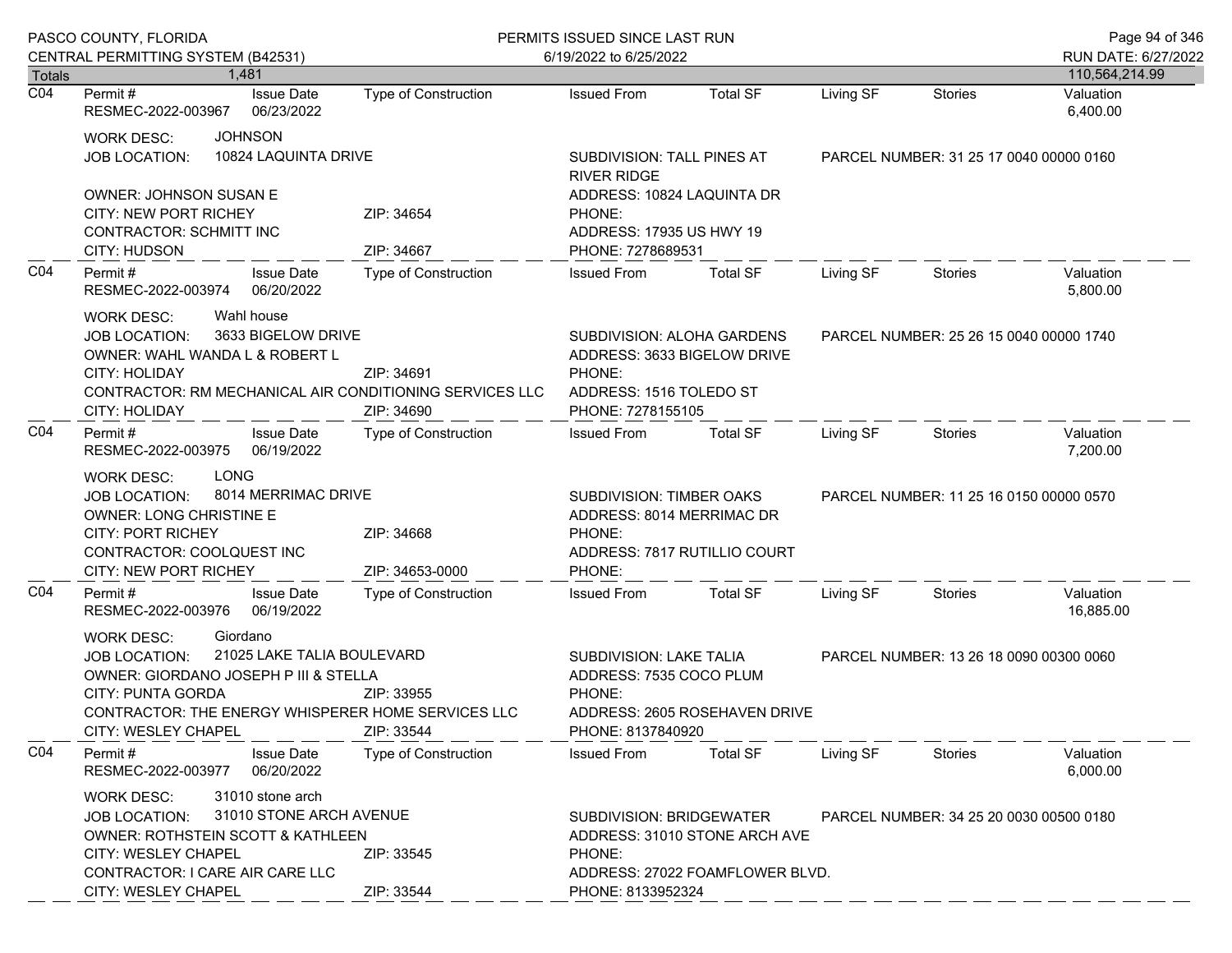|                  | PASCO COUNTY, FLORIDA                                                                                                                                                                                                                                             |                             | PERMITS ISSUED SINCE LAST RUN                                                                                       |                                                                  |                                         |                                         |                                       |
|------------------|-------------------------------------------------------------------------------------------------------------------------------------------------------------------------------------------------------------------------------------------------------------------|-----------------------------|---------------------------------------------------------------------------------------------------------------------|------------------------------------------------------------------|-----------------------------------------|-----------------------------------------|---------------------------------------|
| Totals           | CENTRAL PERMITTING SYSTEM (B42531)<br>1.481                                                                                                                                                                                                                       |                             | 6/19/2022 to 6/25/2022                                                                                              |                                                                  |                                         |                                         | RUN DATE: 6/27/2022<br>110,564,214.99 |
| $\overline{CO4}$ | <b>Issue Date</b><br>Permit #<br>RESMEC-2022-003967<br>06/23/2022                                                                                                                                                                                                 | <b>Type of Construction</b> | <b>Issued From</b>                                                                                                  | <b>Total SF</b>                                                  | Living SF                               | <b>Stories</b>                          | Valuation<br>6,400.00                 |
|                  | <b>JOHNSON</b><br><b>WORK DESC:</b><br>10824 LAQUINTA DRIVE<br><b>JOB LOCATION:</b>                                                                                                                                                                               |                             | SUBDIVISION: TALL PINES AT<br><b>RIVER RIDGE</b>                                                                    |                                                                  |                                         | PARCEL NUMBER: 31 25 17 0040 00000 0160 |                                       |
|                  | OWNER: JOHNSON SUSAN E<br>CITY: NEW PORT RICHEY<br>ZIP: 34654<br><b>CONTRACTOR: SCHMITT INC</b><br>ZIP: 34667<br>CITY: HUDSON                                                                                                                                     |                             | ADDRESS: 10824 LAQUINTA DR<br>PHONE:<br>ADDRESS: 17935 US HWY 19<br>PHONE: 7278689531                               |                                                                  |                                         |                                         |                                       |
| CO <sub>4</sub>  | Permit#<br><b>Issue Date</b><br>06/20/2022<br>RESMEC-2022-003974                                                                                                                                                                                                  | Type of Construction        | <b>Issued From</b>                                                                                                  | <b>Total SF</b>                                                  | Living SF                               | <b>Stories</b>                          | Valuation<br>5,800.00                 |
|                  | Wahl house<br><b>WORK DESC:</b><br>3633 BIGELOW DRIVE<br><b>JOB LOCATION:</b><br>OWNER: WAHL WANDA L & ROBERT L<br><b>CITY: HOLIDAY</b><br>ZIP: 34691<br>CONTRACTOR: RM MECHANICAL AIR CONDITIONING SERVICES LLC<br>ZIP: 34690<br>CITY: HOLIDAY                   |                             | SUBDIVISION: ALOHA GARDENS<br>ADDRESS: 3633 BIGELOW DRIVE<br>PHONE:<br>ADDRESS: 1516 TOLEDO ST<br>PHONE: 7278155105 |                                                                  |                                         | PARCEL NUMBER: 25 26 15 0040 00000 1740 |                                       |
| CO <sub>4</sub>  | Permit#<br><b>Issue Date</b><br>06/19/2022<br>RESMEC-2022-003975                                                                                                                                                                                                  | Type of Construction        | <b>Issued From</b>                                                                                                  | <b>Total SF</b>                                                  | Living SF                               | Stories                                 | Valuation<br>7,200.00                 |
|                  | <b>LONG</b><br><b>WORK DESC:</b><br>8014 MERRIMAC DRIVE<br><b>JOB LOCATION:</b><br><b>OWNER: LONG CHRISTINE E</b><br><b>CITY: PORT RICHEY</b><br>ZIP: 34668<br>CONTRACTOR: COOLQUEST INC<br>CITY: NEW PORT RICHEY<br>ZIP: 34653-0000                              |                             | SUBDIVISION: TIMBER OAKS<br>ADDRESS: 8014 MERRIMAC DR<br>PHONE:<br>PHONE:                                           | ADDRESS: 7817 RUTILLIO COURT                                     | PARCEL NUMBER: 11 25 16 0150 00000 0570 |                                         |                                       |
| CO <sub>4</sub>  | Permit#<br><b>Issue Date</b><br>RESMEC-2022-003976<br>06/19/2022                                                                                                                                                                                                  | Type of Construction        | <b>Issued From</b>                                                                                                  | <b>Total SF</b>                                                  | Living SF                               | <b>Stories</b>                          | Valuation<br>16,885.00                |
|                  | Giordano<br><b>WORK DESC:</b><br>21025 LAKE TALIA BOULEVARD<br><b>JOB LOCATION:</b><br>OWNER: GIORDANO JOSEPH P III & STELLA<br>CITY: PUNTA GORDA<br>ZIP: 33955<br>CONTRACTOR: THE ENERGY WHISPERER HOME SERVICES LLC<br><b>CITY: WESLEY CHAPEL</b><br>ZIP: 33544 |                             | SUBDIVISION: LAKE TALIA<br>ADDRESS: 7535 COCO PLUM<br>PHONE:<br>ADDRESS: 2605 ROSEHAVEN DRIVE<br>PHONE: 8137840920  |                                                                  |                                         | PARCEL NUMBER: 13 26 18 0090 00300 0060 |                                       |
| CO <sub>4</sub>  | Permit#<br><b>Issue Date</b><br>RESMEC-2022-003977<br>06/20/2022                                                                                                                                                                                                  | Type of Construction        | <b>Issued From</b>                                                                                                  | <b>Total SF</b>                                                  | Living SF                               | Stories                                 | Valuation<br>6,000.00                 |
|                  | 31010 stone arch<br><b>WORK DESC:</b><br>31010 STONE ARCH AVENUE<br><b>JOB LOCATION:</b><br><b>OWNER: ROTHSTEIN SCOTT &amp; KATHLEEN</b><br><b>CITY: WESLEY CHAPEL</b><br>ZIP: 33545<br>CONTRACTOR: I CARE AIR CARE LLC<br>CITY: WESLEY CHAPEL<br>ZIP: 33544      |                             | SUBDIVISION: BRIDGEWATER<br>PHONE:<br>PHONE: 8133952324                                                             | ADDRESS: 31010 STONE ARCH AVE<br>ADDRESS: 27022 FOAMFLOWER BLVD. |                                         | PARCEL NUMBER: 34 25 20 0030 00500 0180 |                                       |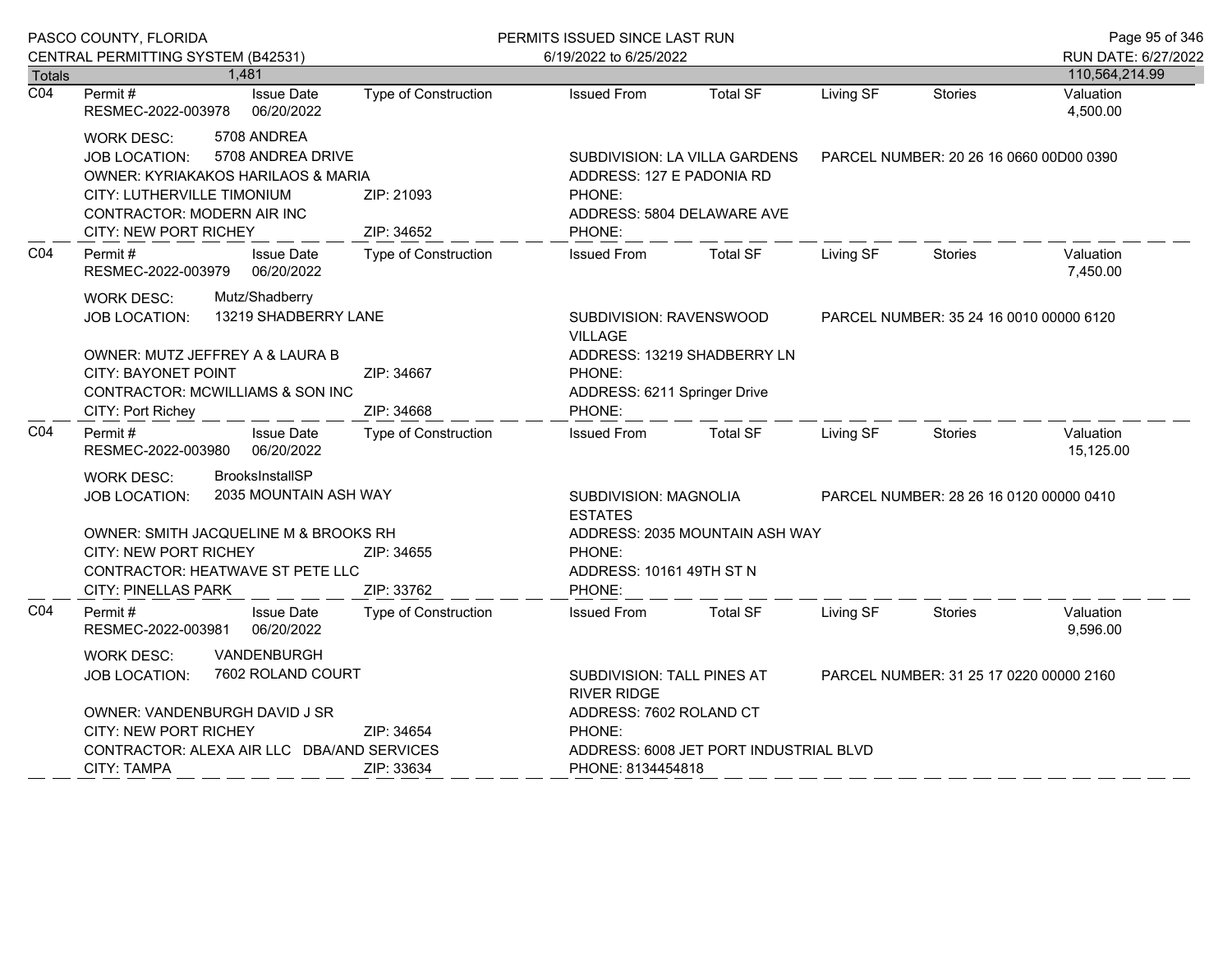|                  | PASCO COUNTY, FLORIDA                                                                                                                                                                                                      |                                                             | PERMITS ISSUED SINCE LAST RUN                                                                                   |                             |                                         |                                         | Page 95 of 346         |
|------------------|----------------------------------------------------------------------------------------------------------------------------------------------------------------------------------------------------------------------------|-------------------------------------------------------------|-----------------------------------------------------------------------------------------------------------------|-----------------------------|-----------------------------------------|-----------------------------------------|------------------------|
|                  | CENTRAL PERMITTING SYSTEM (B42531)                                                                                                                                                                                         |                                                             | 6/19/2022 to 6/25/2022                                                                                          |                             |                                         |                                         | RUN DATE: 6/27/2022    |
| <b>Totals</b>    | 1,481                                                                                                                                                                                                                      |                                                             |                                                                                                                 |                             |                                         |                                         | 110,564,214.99         |
| $\overline{CO4}$ | Permit#<br><b>Issue Date</b><br>06/20/2022<br>RESMEC-2022-003978                                                                                                                                                           | Type of Construction                                        | <b>Issued From</b>                                                                                              | <b>Total SF</b>             | Living SF                               | <b>Stories</b>                          | Valuation<br>4,500.00  |
|                  | 5708 ANDREA<br><b>WORK DESC:</b><br>5708 ANDREA DRIVE<br><b>JOB LOCATION:</b><br><b>OWNER: KYRIAKAKOS HARILAOS &amp; MARIA</b><br>CITY: LUTHERVILLE TIMONIUM<br>CONTRACTOR: MODERN AIR INC<br><b>CITY: NEW PORT RICHEY</b> | ZIP: 21093<br>ZIP: 34652                                    | SUBDIVISION: LA VILLA GARDENS<br>ADDRESS: 127 E PADONIA RD<br>PHONE:<br>ADDRESS: 5804 DELAWARE AVE<br>PHONE:    |                             | PARCEL NUMBER: 20 26 16 0660 00D00 0390 |                                         |                        |
| CO <sub>4</sub>  | <b>Issue Date</b><br>Permit#<br>06/20/2022<br>RESMEC-2022-003979                                                                                                                                                           | <b>Type of Construction</b>                                 | <b>Issued From</b>                                                                                              | <b>Total SF</b>             | Living SF                               | <b>Stories</b>                          | Valuation<br>7,450.00  |
|                  | Mutz/Shadberry<br><b>WORK DESC:</b><br>13219 SHADBERRY LANE<br>JOB LOCATION:<br>OWNER: MUTZ JEFFREY A & LAURA B<br><b>CITY: BAYONET POINT</b><br>CONTRACTOR: MCWILLIAMS & SON INC<br>CITY: Port Richey                     | ZIP: 34667<br>ZIP: 34668                                    | SUBDIVISION: RAVENSWOOD<br><b>VILLAGE</b><br>PHONE:<br>ADDRESS: 6211 Springer Drive<br>PHONE:                   | ADDRESS: 13219 SHADBERRY LN |                                         | PARCEL NUMBER: 35 24 16 0010 00000 6120 |                        |
| CO <sub>4</sub>  | <b>Issue Date</b><br>Permit#<br>06/20/2022<br>RESMEC-2022-003980                                                                                                                                                           | <b>Type of Construction</b>                                 | <b>Issued From</b>                                                                                              | <b>Total SF</b>             | Living SF                               | <b>Stories</b>                          | Valuation<br>15,125.00 |
|                  | <b>BrooksInstallSP</b><br>WORK DESC:<br>2035 MOUNTAIN ASH WAY<br>JOB LOCATION:<br>OWNER: SMITH JACQUELINE M & BROOKS RH<br><b>CITY: NEW PORT RICHEY</b><br>CONTRACTOR: HEATWAVE ST PETE LLC                                | ZIP: 34655                                                  | SUBDIVISION: MAGNOLIA<br><b>ESTATES</b><br>ADDRESS: 2035 MOUNTAIN ASH WAY<br>PHONE:<br>ADDRESS: 10161 49TH ST N |                             | PARCEL NUMBER: 28 26 16 0120 00000 0410 |                                         |                        |
| CO <sub>4</sub>  | <b>CITY: PINELLAS PARK</b><br>Permit#<br><b>Issue Date</b><br>RESMEC-2022-003981<br>06/20/2022                                                                                                                             | ZIP: 33762<br><b>Type of Construction</b>                   | PHONE:<br><b>Issued From</b>                                                                                    | <b>Total SF</b>             | Living SF                               | <b>Stories</b>                          | Valuation<br>9,596.00  |
|                  | <b>VANDENBURGH</b><br><b>WORK DESC:</b><br>7602 ROLAND COURT<br><b>JOB LOCATION:</b><br>OWNER: VANDENBURGH DAVID J SR<br><b>CITY: NEW PORT RICHEY</b>                                                                      | ZIP: 34654                                                  | SUBDIVISION: TALL PINES AT<br><b>RIVER RIDGE</b><br>ADDRESS: 7602 ROLAND CT<br>PHONE:                           |                             |                                         | PARCEL NUMBER: 31 25 17 0220 00000 2160 |                        |
|                  | CONTRACTOR: ALEXA AIR LLC DBA/AND SERVICES<br><b>CITY: TAMPA</b>                                                                                                                                                           | ADDRESS: 6008 JET PORT INDUSTRIAL BLVD<br>PHONE: 8134454818 |                                                                                                                 |                             |                                         |                                         |                        |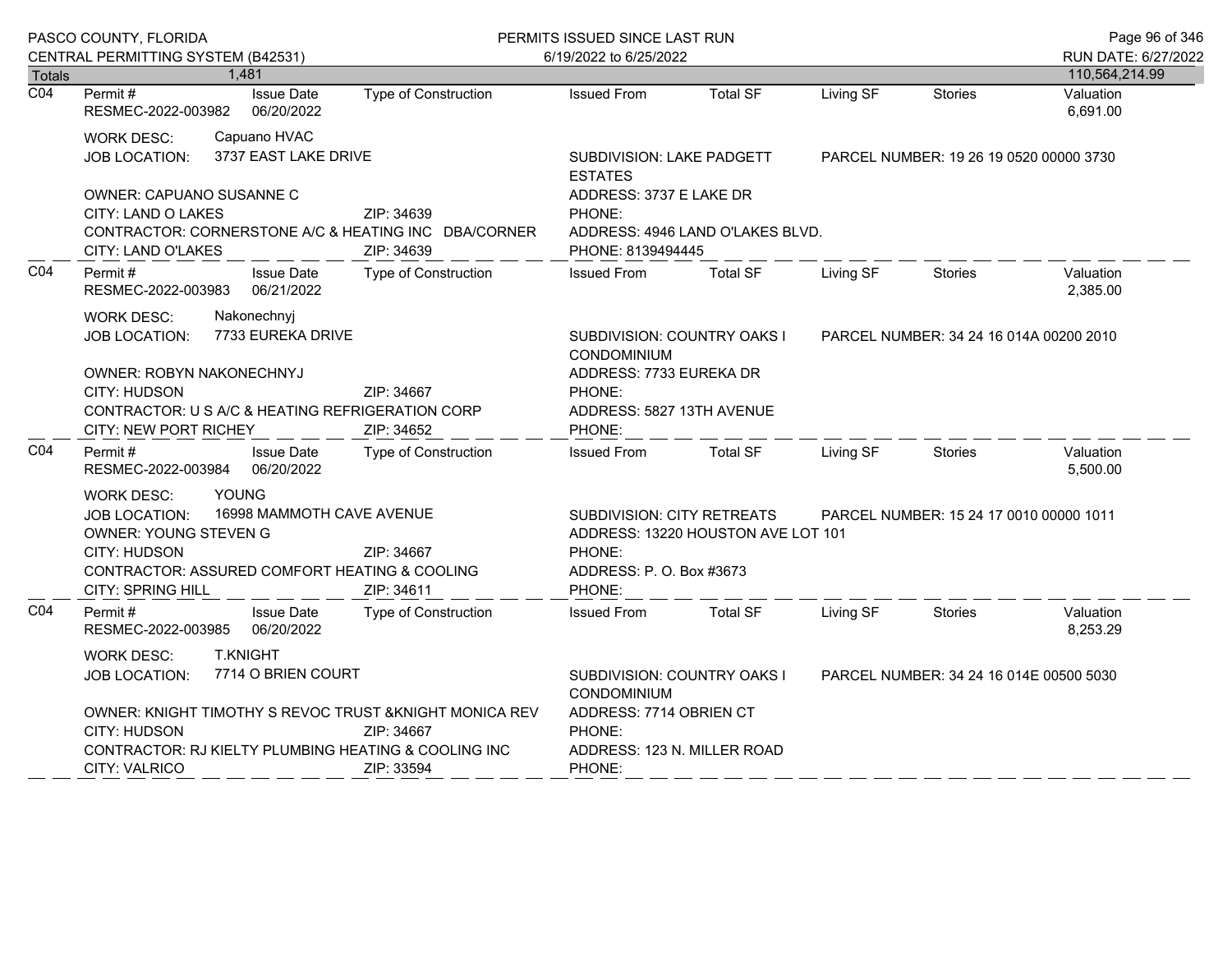| PASCO COUNTY, FLORIDA |                                                                                                                                                                                                                                   |                                 |                                                                                                                            | PERMITS ISSUED SINCE LAST RUN                                                                                |                                         |           |                                         | Page 96 of 346                        |
|-----------------------|-----------------------------------------------------------------------------------------------------------------------------------------------------------------------------------------------------------------------------------|---------------------------------|----------------------------------------------------------------------------------------------------------------------------|--------------------------------------------------------------------------------------------------------------|-----------------------------------------|-----------|-----------------------------------------|---------------------------------------|
| <b>Totals</b>         | CENTRAL PERMITTING SYSTEM (B42531)                                                                                                                                                                                                | 1,481                           |                                                                                                                            | 6/19/2022 to 6/25/2022                                                                                       |                                         |           |                                         | RUN DATE: 6/27/2022<br>110,564,214.99 |
| $\overline{CO4}$      | Permit #<br>RESMEC-2022-003982                                                                                                                                                                                                    | <b>Issue Date</b><br>06/20/2022 | Type of Construction                                                                                                       | <b>Issued From</b>                                                                                           | <b>Total SF</b>                         | Living SF | <b>Stories</b>                          | Valuation<br>6,691.00                 |
|                       | Capuano HVAC<br><b>WORK DESC:</b><br>3737 EAST LAKE DRIVE<br><b>JOB LOCATION:</b><br><b>OWNER: CAPUANO SUSANNE C</b>                                                                                                              |                                 | SUBDIVISION: LAKE PADGETT<br><b>ESTATES</b>                                                                                |                                                                                                              | PARCEL NUMBER: 19 26 19 0520 00000 3730 |           |                                         |                                       |
|                       | CITY: LAND O LAKES<br>ZIP: 34639<br>CONTRACTOR: CORNERSTONE A/C & HEATING INC DBA/CORNER<br>CITY: LAND O'LAKES<br>ZIP: 34639                                                                                                      |                                 | ADDRESS: 3737 E LAKE DR<br>PHONE:<br>ADDRESS: 4946 LAND O'LAKES BLVD.<br>PHONE: 8139494445                                 |                                                                                                              |                                         |           |                                         |                                       |
| CO <sub>4</sub>       | Permit#<br>RESMEC-2022-003983                                                                                                                                                                                                     | <b>Issue Date</b><br>06/21/2022 | Type of Construction                                                                                                       | <b>Issued From</b>                                                                                           | <b>Total SF</b>                         | Living SF | <b>Stories</b>                          | Valuation<br>2,385.00                 |
|                       | <b>WORK DESC:</b><br>Nakonechnyj<br>7733 EUREKA DRIVE<br><b>JOB LOCATION:</b><br><b>OWNER: ROBYN NAKONECHNYJ</b><br><b>CITY: HUDSON</b><br>ZIP: 34667<br>CONTRACTOR: U S A/C & HEATING REFRIGERATION CORP                         |                                 |                                                                                                                            | SUBDIVISION: COUNTRY OAKS I<br>CONDOMINIUM<br>ADDRESS: 7733 EUREKA DR<br>PHONE:<br>ADDRESS: 5827 13TH AVENUE |                                         |           | PARCEL NUMBER: 34 24 16 014A 00200 2010 |                                       |
| CO <sub>4</sub>       | <b>CITY: NEW PORT RICHEY</b><br>Permit #<br>RESMEC-2022-003984                                                                                                                                                                    | <b>Issue Date</b><br>06/20/2022 | ZIP: 34652<br><b>Type of Construction</b>                                                                                  | PHONE:<br><b>Issued From</b>                                                                                 | <b>Total SF</b>                         | Living SF | <b>Stories</b>                          | Valuation<br>5,500.00                 |
|                       | YOUNG<br><b>WORK DESC:</b><br>16998 MAMMOTH CAVE AVENUE<br><b>JOB LOCATION:</b><br>OWNER: YOUNG STEVEN G<br>CITY: HUDSON<br>ZIP: 34667<br>CONTRACTOR: ASSURED COMFORT HEATING & COOLING<br><b>CITY: SPRING HILL</b><br>ZIP: 34611 |                                 | <b>SUBDIVISION: CITY RETREATS</b><br>ADDRESS: 13220 HOUSTON AVE LOT 101<br>PHONE:<br>ADDRESS: P. O. Box #3673<br>PHONE:    |                                                                                                              |                                         |           | PARCEL NUMBER: 15 24 17 0010 00000 1011 |                                       |
| CO <sub>4</sub>       | Permit#<br>RESMEC-2022-003985                                                                                                                                                                                                     | <b>Issue Date</b><br>06/20/2022 | <b>Type of Construction</b>                                                                                                | <b>Issued From</b>                                                                                           | <b>Total SF</b>                         | Living SF | <b>Stories</b>                          | Valuation<br>8,253.29                 |
|                       | <b>T.KNIGHT</b><br><b>WORK DESC:</b><br>7714 O BRIEN COURT<br>JOB LOCATION:<br>OWNER: KNIGHT TIMOTHY S REVOC TRUST & KNIGHT MONICA REV<br>CITY: HUDSON<br>ZIP: 34667                                                              |                                 | SUBDIVISION: COUNTRY OAKS I<br>PARCEL NUMBER: 34 24 16 014E 00500 5030<br>CONDOMINIUM<br>ADDRESS: 7714 OBRIEN CT<br>PHONE: |                                                                                                              |                                         |           |                                         |                                       |
|                       | CITY: VALRICO                                                                                                                                                                                                                     |                                 | CONTRACTOR: RJ KIELTY PLUMBING HEATING & COOLING INC<br>ZIP: 33594                                                         | ADDRESS: 123 N. MILLER ROAD<br>PHONE:                                                                        |                                         |           |                                         |                                       |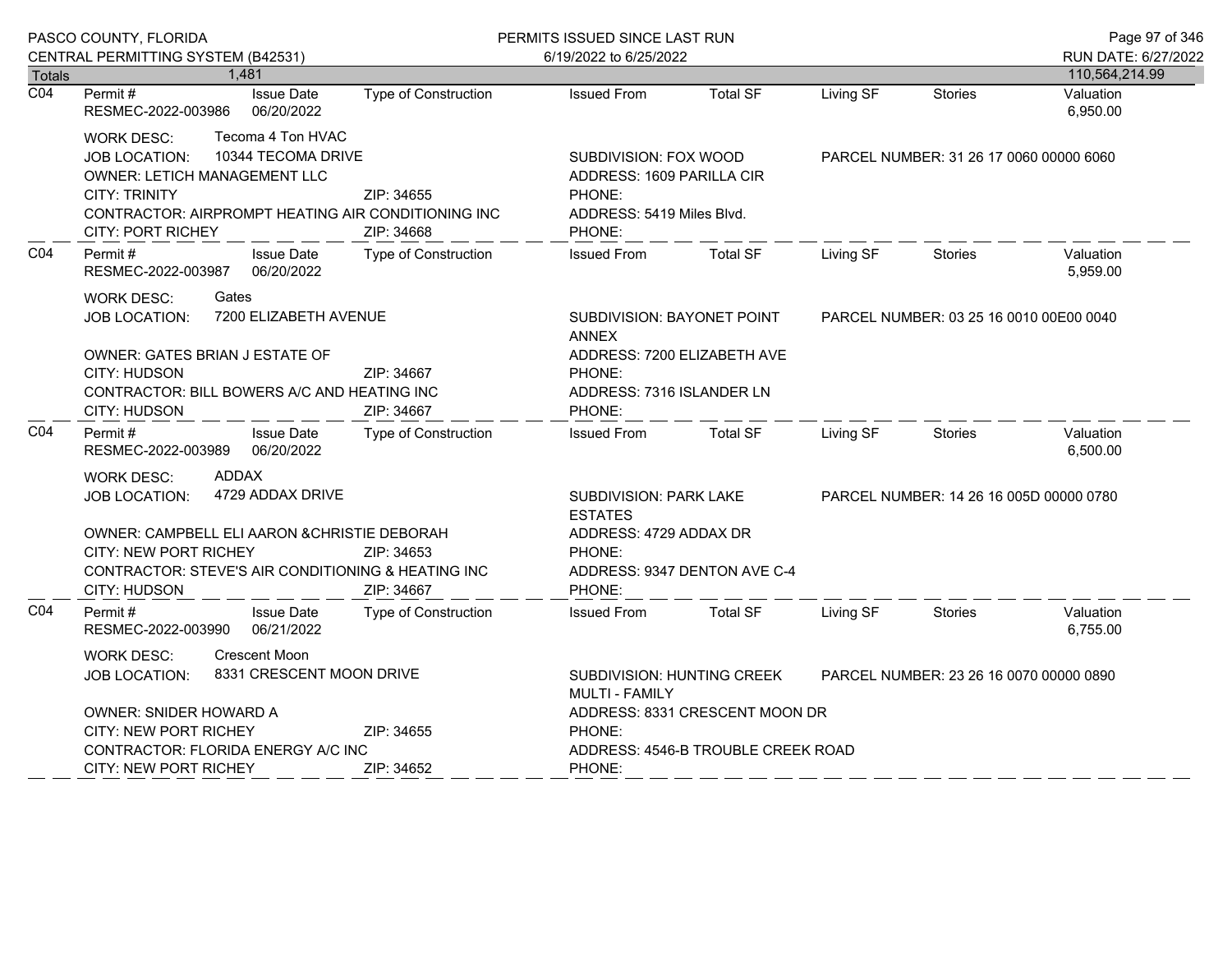| CENTRAL PERMITTING SYSTEM (B42531)<br>6/19/2022 to 6/25/2022<br>1,481<br>110,564,214.99<br><b>Totals</b><br>$\overline{CO4}$<br><b>Total SF</b><br>Living SF<br>Stories<br>Permit#<br><b>Issue Date</b><br>Type of Construction<br><b>Issued From</b><br>Valuation<br>06/20/2022<br>RESMEC-2022-003986<br>6,950.00<br>Tecoma 4 Ton HVAC<br><b>WORK DESC:</b><br>10344 TECOMA DRIVE<br>JOB LOCATION:<br>SUBDIVISION: FOX WOOD<br>PARCEL NUMBER: 31 26 17 0060 00000 6060<br><b>OWNER: LETICH MANAGEMENT LLC</b><br>ADDRESS: 1609 PARILLA CIR<br><b>CITY: TRINITY</b><br>ZIP: 34655<br>PHONE:<br>CONTRACTOR: AIRPROMPT HEATING AIR CONDITIONING INC<br>ADDRESS: 5419 Miles Blvd.<br><b>CITY: PORT RICHEY</b><br>ZIP: 34668<br>PHONE:<br>CO <sub>4</sub><br><b>Total SF</b><br>Valuation<br>Permit#<br><b>Issue Date</b><br>Type of Construction<br><b>Issued From</b><br>Living SF<br><b>Stories</b><br>06/20/2022<br>5,959.00<br>RESMEC-2022-003987<br>Gates<br><b>WORK DESC:</b><br>7200 ELIZABETH AVENUE<br>JOB LOCATION:<br>SUBDIVISION: BAYONET POINT<br>PARCEL NUMBER: 03 25 16 0010 00E00 0040<br><b>ANNEX</b><br>ADDRESS: 7200 ELIZABETH AVE<br>OWNER: GATES BRIAN J ESTATE OF<br>CITY: HUDSON<br>ZIP: 34667<br>PHONE:<br>CONTRACTOR: BILL BOWERS A/C AND HEATING INC<br>ADDRESS: 7316 ISLANDER LN<br><b>CITY: HUDSON</b><br>ZIP: 34667<br>PHONE:<br>CO <sub>4</sub><br>Valuation<br>Permit#<br><b>Issue Date</b><br>Type of Construction<br><b>Issued From</b><br><b>Total SF</b><br>Living SF<br><b>Stories</b><br>6,500.00<br>RESMEC-2022-003989<br>06/20/2022<br><b>ADDAX</b><br><b>WORK DESC:</b><br>4729 ADDAX DRIVE<br>JOB LOCATION:<br>SUBDIVISION: PARK LAKE<br>PARCEL NUMBER: 14 26 16 005D 00000 0780<br><b>ESTATES</b><br>OWNER: CAMPBELL ELI AARON & CHRISTIE DEBORAH<br>ADDRESS: 4729 ADDAX DR<br>CITY: NEW PORT RICHEY<br>ZIP: 34653<br>PHONE:<br>CONTRACTOR: STEVE'S AIR CONDITIONING & HEATING INC<br>ADDRESS: 9347 DENTON AVE C-4<br>PHONE:<br>CITY: HUDSON<br>ZIP: 34667<br>CO <sub>4</sub><br><b>Issued From</b><br><b>Total SF</b><br>Living SF<br>Valuation<br>Permit #<br><b>Issue Date</b><br><b>Type of Construction</b><br><b>Stories</b><br>6,755.00<br>RESMEC-2022-003990<br>06/21/2022<br><b>Crescent Moon</b><br><b>WORK DESC:</b><br>8331 CRESCENT MOON DRIVE<br><b>JOB LOCATION:</b><br><b>SUBDIVISION: HUNTING CREEK</b><br>PARCEL NUMBER: 23 26 16 0070 00000 0890<br><b>MULTI - FAMILY</b><br>OWNER: SNIDER HOWARD A<br>ADDRESS: 8331 CRESCENT MOON DR<br><b>CITY: NEW PORT RICHEY</b><br>ZIP: 34655<br>PHONE:<br>CONTRACTOR: FLORIDA ENERGY A/C INC<br>ADDRESS: 4546-B TROUBLE CREEK ROAD<br><b>CITY: NEW PORT RICHEY</b><br>ZIP: 34652<br>PHONE: |  | PASCO COUNTY, FLORIDA |  | PERMITS ISSUED SINCE LAST RUN |  |  |  | Page 97 of 346      |
|---------------------------------------------------------------------------------------------------------------------------------------------------------------------------------------------------------------------------------------------------------------------------------------------------------------------------------------------------------------------------------------------------------------------------------------------------------------------------------------------------------------------------------------------------------------------------------------------------------------------------------------------------------------------------------------------------------------------------------------------------------------------------------------------------------------------------------------------------------------------------------------------------------------------------------------------------------------------------------------------------------------------------------------------------------------------------------------------------------------------------------------------------------------------------------------------------------------------------------------------------------------------------------------------------------------------------------------------------------------------------------------------------------------------------------------------------------------------------------------------------------------------------------------------------------------------------------------------------------------------------------------------------------------------------------------------------------------------------------------------------------------------------------------------------------------------------------------------------------------------------------------------------------------------------------------------------------------------------------------------------------------------------------------------------------------------------------------------------------------------------------------------------------------------------------------------------------------------------------------------------------------------------------------------------------------------------------------------------------------------------------------------------------------------------------------------------------------------------------------------------------------------------------------------------------------------------------------------------------------------------------------------------------------------------------------------|--|-----------------------|--|-------------------------------|--|--|--|---------------------|
|                                                                                                                                                                                                                                                                                                                                                                                                                                                                                                                                                                                                                                                                                                                                                                                                                                                                                                                                                                                                                                                                                                                                                                                                                                                                                                                                                                                                                                                                                                                                                                                                                                                                                                                                                                                                                                                                                                                                                                                                                                                                                                                                                                                                                                                                                                                                                                                                                                                                                                                                                                                                                                                                                             |  |                       |  |                               |  |  |  | RUN DATE: 6/27/2022 |
|                                                                                                                                                                                                                                                                                                                                                                                                                                                                                                                                                                                                                                                                                                                                                                                                                                                                                                                                                                                                                                                                                                                                                                                                                                                                                                                                                                                                                                                                                                                                                                                                                                                                                                                                                                                                                                                                                                                                                                                                                                                                                                                                                                                                                                                                                                                                                                                                                                                                                                                                                                                                                                                                                             |  |                       |  |                               |  |  |  |                     |
|                                                                                                                                                                                                                                                                                                                                                                                                                                                                                                                                                                                                                                                                                                                                                                                                                                                                                                                                                                                                                                                                                                                                                                                                                                                                                                                                                                                                                                                                                                                                                                                                                                                                                                                                                                                                                                                                                                                                                                                                                                                                                                                                                                                                                                                                                                                                                                                                                                                                                                                                                                                                                                                                                             |  |                       |  |                               |  |  |  |                     |
|                                                                                                                                                                                                                                                                                                                                                                                                                                                                                                                                                                                                                                                                                                                                                                                                                                                                                                                                                                                                                                                                                                                                                                                                                                                                                                                                                                                                                                                                                                                                                                                                                                                                                                                                                                                                                                                                                                                                                                                                                                                                                                                                                                                                                                                                                                                                                                                                                                                                                                                                                                                                                                                                                             |  |                       |  |                               |  |  |  |                     |
|                                                                                                                                                                                                                                                                                                                                                                                                                                                                                                                                                                                                                                                                                                                                                                                                                                                                                                                                                                                                                                                                                                                                                                                                                                                                                                                                                                                                                                                                                                                                                                                                                                                                                                                                                                                                                                                                                                                                                                                                                                                                                                                                                                                                                                                                                                                                                                                                                                                                                                                                                                                                                                                                                             |  |                       |  |                               |  |  |  |                     |
|                                                                                                                                                                                                                                                                                                                                                                                                                                                                                                                                                                                                                                                                                                                                                                                                                                                                                                                                                                                                                                                                                                                                                                                                                                                                                                                                                                                                                                                                                                                                                                                                                                                                                                                                                                                                                                                                                                                                                                                                                                                                                                                                                                                                                                                                                                                                                                                                                                                                                                                                                                                                                                                                                             |  |                       |  |                               |  |  |  |                     |
|                                                                                                                                                                                                                                                                                                                                                                                                                                                                                                                                                                                                                                                                                                                                                                                                                                                                                                                                                                                                                                                                                                                                                                                                                                                                                                                                                                                                                                                                                                                                                                                                                                                                                                                                                                                                                                                                                                                                                                                                                                                                                                                                                                                                                                                                                                                                                                                                                                                                                                                                                                                                                                                                                             |  |                       |  |                               |  |  |  |                     |
|                                                                                                                                                                                                                                                                                                                                                                                                                                                                                                                                                                                                                                                                                                                                                                                                                                                                                                                                                                                                                                                                                                                                                                                                                                                                                                                                                                                                                                                                                                                                                                                                                                                                                                                                                                                                                                                                                                                                                                                                                                                                                                                                                                                                                                                                                                                                                                                                                                                                                                                                                                                                                                                                                             |  |                       |  |                               |  |  |  |                     |
|                                                                                                                                                                                                                                                                                                                                                                                                                                                                                                                                                                                                                                                                                                                                                                                                                                                                                                                                                                                                                                                                                                                                                                                                                                                                                                                                                                                                                                                                                                                                                                                                                                                                                                                                                                                                                                                                                                                                                                                                                                                                                                                                                                                                                                                                                                                                                                                                                                                                                                                                                                                                                                                                                             |  |                       |  |                               |  |  |  |                     |
|                                                                                                                                                                                                                                                                                                                                                                                                                                                                                                                                                                                                                                                                                                                                                                                                                                                                                                                                                                                                                                                                                                                                                                                                                                                                                                                                                                                                                                                                                                                                                                                                                                                                                                                                                                                                                                                                                                                                                                                                                                                                                                                                                                                                                                                                                                                                                                                                                                                                                                                                                                                                                                                                                             |  |                       |  |                               |  |  |  |                     |
|                                                                                                                                                                                                                                                                                                                                                                                                                                                                                                                                                                                                                                                                                                                                                                                                                                                                                                                                                                                                                                                                                                                                                                                                                                                                                                                                                                                                                                                                                                                                                                                                                                                                                                                                                                                                                                                                                                                                                                                                                                                                                                                                                                                                                                                                                                                                                                                                                                                                                                                                                                                                                                                                                             |  |                       |  |                               |  |  |  |                     |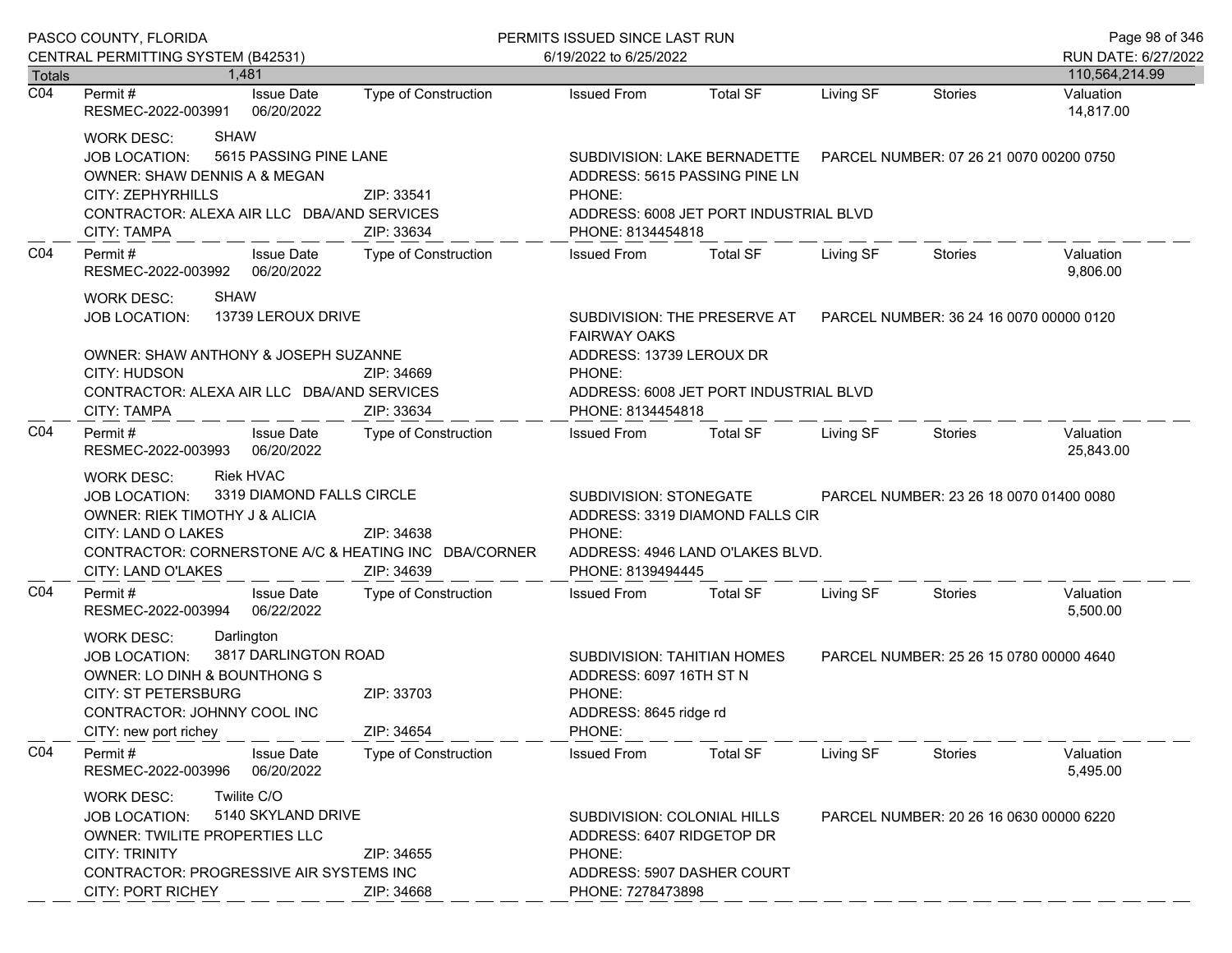| PASCO COUNTY, FLORIDA |                                                                                                                                                                                                                                                       |                                                                                                                                                                  | PERMITS ISSUED SINCE LAST RUN                                                                                  | Page 98 of 346                                                      |                                         |                                         |                                       |
|-----------------------|-------------------------------------------------------------------------------------------------------------------------------------------------------------------------------------------------------------------------------------------------------|------------------------------------------------------------------------------------------------------------------------------------------------------------------|----------------------------------------------------------------------------------------------------------------|---------------------------------------------------------------------|-----------------------------------------|-----------------------------------------|---------------------------------------|
| <b>Totals</b>         | CENTRAL PERMITTING SYSTEM (B42531)<br>1.481                                                                                                                                                                                                           |                                                                                                                                                                  | 6/19/2022 to 6/25/2022                                                                                         |                                                                     |                                         |                                         | RUN DATE: 6/27/2022<br>110,564,214.99 |
| $\overline{CO4}$      | <b>Issue Date</b><br>Permit #<br>RESMEC-2022-003991<br>06/20/2022                                                                                                                                                                                     | Type of Construction                                                                                                                                             | <b>Issued From</b>                                                                                             | <b>Total SF</b>                                                     | Living SF                               | Stories                                 | Valuation<br>14,817.00                |
|                       | SHAW<br>WORK DESC:<br>5615 PASSING PINE LANE<br><b>JOB LOCATION:</b><br><b>OWNER: SHAW DENNIS A &amp; MEGAN</b><br>CITY: ZEPHYRHILLS<br>CONTRACTOR: ALEXA AIR LLC DBA/AND SERVICES<br>CITY: TAMPA                                                     | PHONE:<br>PHONE: 8134454818                                                                                                                                      | SUBDIVISION: LAKE BERNADETTE<br>ADDRESS: 5615 PASSING PINE LN<br>ADDRESS: 6008 JET PORT INDUSTRIAL BLVD        |                                                                     |                                         | PARCEL NUMBER: 07 26 21 0070 00200 0750 |                                       |
| CO <sub>4</sub>       | Permit #<br><b>Issue Date</b><br>RESMEC-2022-003992 06/20/2022                                                                                                                                                                                        | Type of Construction                                                                                                                                             | <b>Issued From</b>                                                                                             | <b>Total SF</b>                                                     | Living SF                               | Stories                                 | Valuation<br>9,806.00                 |
|                       | <b>SHAW</b><br>WORK DESC:<br>13739 LEROUX DRIVE<br><b>JOB LOCATION:</b><br>OWNER: SHAW ANTHONY & JOSEPH SUZANNE<br>CITY: HUDSON<br>CONTRACTOR: ALEXA AIR LLC DBA/AND SERVICES<br>CITY: TAMPA                                                          | <b>FAIRWAY OAKS</b><br>ADDRESS: 13739 LEROUX DR<br>PHONE:<br>PHONE: 8134454818                                                                                   | SUBDIVISION: THE PRESERVE AT PARCEL NUMBER: 36 24 16 0070 00000 0120<br>ADDRESS: 6008 JET PORT INDUSTRIAL BLVD |                                                                     |                                         |                                         |                                       |
| CO <sub>4</sub>       | Permit #<br><b>Issue Date</b><br>RESMEC-2022-003993 06/20/2022                                                                                                                                                                                        | Type of Construction                                                                                                                                             | <b>Issued From</b>                                                                                             | <b>Total SF</b>                                                     | Living SF                               | <b>Stories</b>                          | Valuation<br>25,843.00                |
|                       | <b>Riek HVAC</b><br>WORK DESC:<br>3319 DIAMOND FALLS CIRCLE<br><b>JOB LOCATION:</b><br>OWNER: RIEK TIMOTHY J & ALICIA<br>CITY: LAND O LAKES<br>ZIP: 34638<br>CONTRACTOR: CORNERSTONE A/C & HEATING INC DBA/CORNER<br>CITY: LAND O'LAKES<br>ZIP: 34639 |                                                                                                                                                                  | SUBDIVISION: STONEGATE<br>PHONE:<br>PHONE: 8139494445                                                          | ADDRESS: 3319 DIAMOND FALLS CIR<br>ADDRESS: 4946 LAND O'LAKES BLVD. |                                         | PARCEL NUMBER: 23 26 18 0070 01400 0080 |                                       |
| CO <sub>4</sub>       | Permit#<br><b>Issue Date</b><br>RESMEC-2022-003994<br>06/22/2022                                                                                                                                                                                      | Type of Construction                                                                                                                                             | <b>Issued From</b>                                                                                             | <b>Total SF</b>                                                     | Living SF                               | Stories                                 | Valuation<br>5,500.00                 |
|                       | Darlington<br><b>WORK DESC:</b><br>3817 DARLINGTON ROAD<br><b>JOB LOCATION:</b><br>OWNER: LO DINH & BOUNTHONG S<br><b>CITY: ST PETERSBURG</b><br>ZIP: 33703<br>CONTRACTOR: JOHNNY COOL INC<br>ZIP: 34654<br>CITY: new port richey                     |                                                                                                                                                                  | SUBDIVISION: TAHITIAN HOMES<br>ADDRESS: 6097 16TH ST N<br>PHONE:<br>ADDRESS: 8645 ridge rd<br>PHONE:           |                                                                     | PARCEL NUMBER: 25 26 15 0780 00000 4640 |                                         |                                       |
| CO <sub>4</sub>       | Permit#<br><b>Issue Date</b><br>06/20/2022<br>RESMEC-2022-003996                                                                                                                                                                                      | <b>Type of Construction</b>                                                                                                                                      | <b>Issued From</b>                                                                                             | <b>Total SF</b>                                                     | Living SF                               | <b>Stories</b>                          | Valuation<br>5,495.00                 |
|                       | Twilite C/O<br><b>WORK DESC:</b><br>5140 SKYLAND DRIVE<br><b>JOB LOCATION:</b><br><b>OWNER: TWILITE PROPERTIES LLC</b><br><b>CITY: TRINITY</b><br>CONTRACTOR: PROGRESSIVE AIR SYSTEMS INC<br><b>CITY: PORT RICHEY</b>                                 | SUBDIVISION: COLONIAL HILLS<br>PARCEL NUMBER: 20 26 16 0630 00000 6220<br>ADDRESS: 6407 RIDGETOP DR<br>PHONE:<br>ADDRESS: 5907 DASHER COURT<br>PHONE: 7278473898 |                                                                                                                |                                                                     |                                         |                                         |                                       |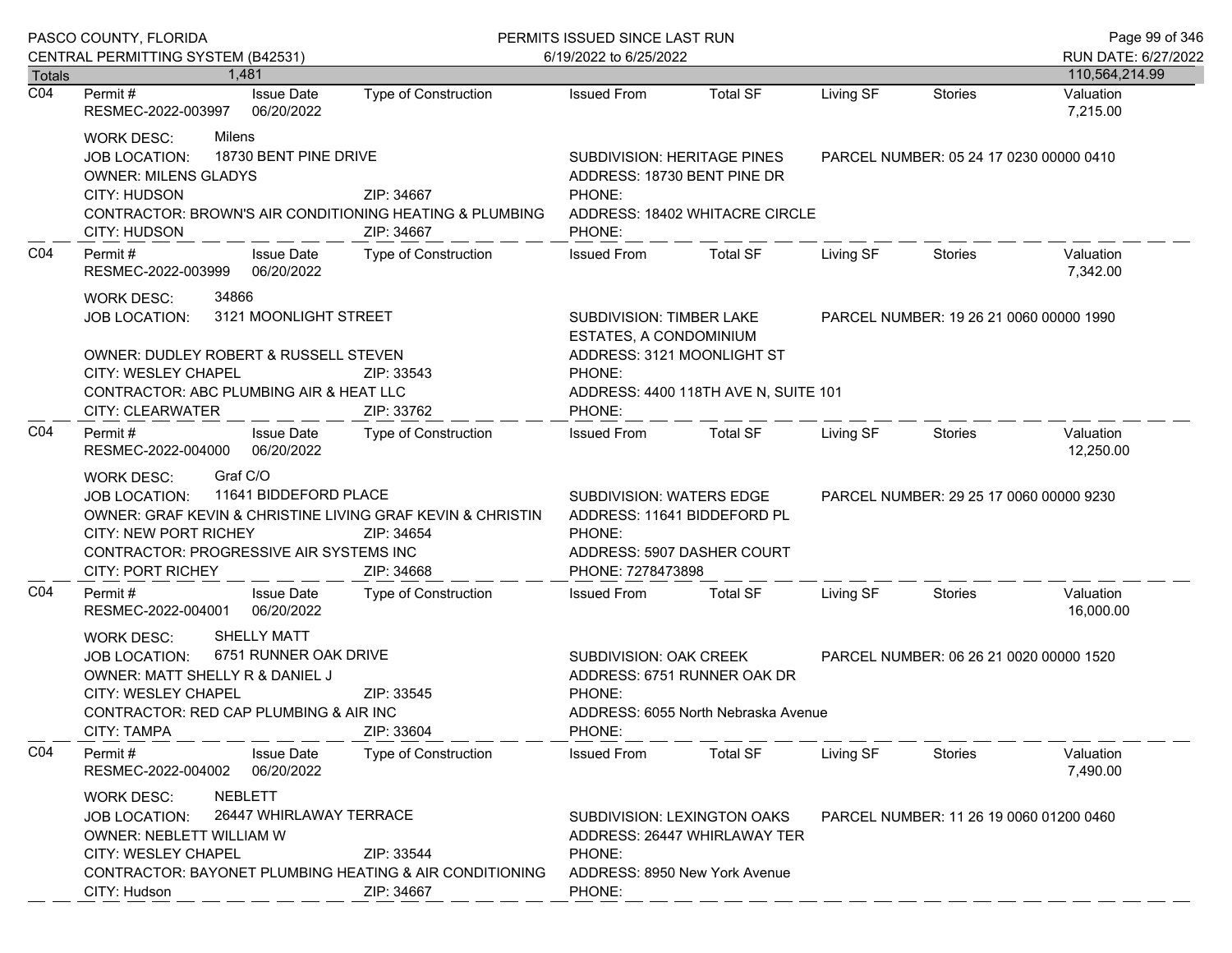| PASCO COUNTY, FLORIDA<br>CENTRAL PERMITTING SYSTEM (B42531) |                                                                                                                                                                                                                                                                   |                                 | PERMITS ISSUED SINCE LAST RUN<br>6/19/2022 to 6/25/2022 |                                                                                                                                                             |                                         |                                         |                                         | Page 99 of 346<br>RUN DATE: 6/27/2022 |
|-------------------------------------------------------------|-------------------------------------------------------------------------------------------------------------------------------------------------------------------------------------------------------------------------------------------------------------------|---------------------------------|---------------------------------------------------------|-------------------------------------------------------------------------------------------------------------------------------------------------------------|-----------------------------------------|-----------------------------------------|-----------------------------------------|---------------------------------------|
| Totals                                                      | 1.481                                                                                                                                                                                                                                                             |                                 |                                                         |                                                                                                                                                             |                                         |                                         |                                         | 110,564,214.99                        |
| $\overline{CO4}$                                            | Permit #<br>RESMEC-2022-003997                                                                                                                                                                                                                                    | <b>Issue Date</b><br>06/20/2022 | Type of Construction                                    | <b>Issued From</b>                                                                                                                                          | <b>Total SF</b>                         | Living SF                               | <b>Stories</b>                          | Valuation<br>7,215.00                 |
|                                                             | Milens<br><b>WORK DESC:</b><br>18730 BENT PINE DRIVE<br><b>JOB LOCATION:</b><br><b>OWNER: MILENS GLADYS</b><br>CITY: HUDSON<br>ZIP: 34667<br>CONTRACTOR: BROWN'S AIR CONDITIONING HEATING & PLUMBING<br>ZIP: 34667<br>CITY: HUDSON                                |                                 |                                                         | SUBDIVISION: HERITAGE PINES<br>ADDRESS: 18730 BENT PINE DR<br>PHONE:<br>PHONE:                                                                              | ADDRESS: 18402 WHITACRE CIRCLE          |                                         | PARCEL NUMBER: 05 24 17 0230 00000 0410 |                                       |
| CO <sub>4</sub>                                             | Permit #<br>RESMEC-2022-003999                                                                                                                                                                                                                                    | <b>Issue Date</b><br>06/20/2022 | Type of Construction                                    | <b>Issued From</b>                                                                                                                                          | <b>Total SF</b>                         | Living SF                               | Stories                                 | Valuation<br>7,342.00                 |
|                                                             | 34866<br><b>WORK DESC:</b><br><b>JOB LOCATION:</b><br><b>OWNER: DUDLEY ROBERT &amp; RUSSELL STEVEN</b><br>CITY: WESLEY CHAPEL<br>CONTRACTOR: ABC PLUMBING AIR & HEAT LLC<br>CITY: CLEARWATER                                                                      | 3121 MOONLIGHT STREET           | ZIP: 33543<br>ZIP: 33762                                | SUBDIVISION: TIMBER LAKE<br>ESTATES, A CONDOMINIUM<br>ADDRESS: 3121 MOONLIGHT ST<br>PHONE:<br>PHONE:                                                        | ADDRESS: 4400 118TH AVE N, SUITE 101    |                                         | PARCEL NUMBER: 19 26 21 0060 00000 1990 |                                       |
| CO <sub>4</sub>                                             | Permit #<br>RESMEC-2022-004000 06/20/2022                                                                                                                                                                                                                         | <b>Issue Date</b>               | <b>Type of Construction</b>                             | <b>Issued From</b>                                                                                                                                          | <b>Total SF</b>                         | Living SF                               | Stories                                 | Valuation<br>12,250.00                |
|                                                             | Graf C/O<br><b>WORK DESC:</b><br>11641 BIDDEFORD PLACE<br><b>JOB LOCATION:</b><br>OWNER: GRAF KEVIN & CHRISTINE LIVING GRAF KEVIN & CHRISTIN<br><b>CITY: NEW PORT RICHEY</b><br>ZIP: 34654<br>CONTRACTOR: PROGRESSIVE AIR SYSTEMS INC<br><b>CITY: PORT RICHEY</b> |                                 | ZIP: 34668                                              | SUBDIVISION: WATERS EDGE<br>ADDRESS: 11641 BIDDEFORD PL<br>PHONE:<br>ADDRESS: 5907 DASHER COURT<br>PHONE: 7278473898                                        |                                         | PARCEL NUMBER: 29 25 17 0060 00000 9230 |                                         |                                       |
| CO <sub>4</sub>                                             | Permit#<br>RESMEC-2022-004001                                                                                                                                                                                                                                     | <b>Issue Date</b><br>06/20/2022 | <b>Type of Construction</b>                             | <b>Issued From</b>                                                                                                                                          | <b>Total SF</b>                         | Living SF                               | Stories                                 | Valuation<br>16,000.00                |
|                                                             | <b>SHELLY MATT</b><br><b>WORK DESC:</b><br>6751 RUNNER OAK DRIVE<br><b>JOB LOCATION:</b><br>OWNER: MATT SHELLY R & DANIEL J<br>ZIP: 33545<br>CITY: WESLEY CHAPEL<br>CONTRACTOR: RED CAP PLUMBING & AIR INC<br><b>CITY: TAMPA</b><br>ZIP: 33604                    |                                 | SUBDIVISION: OAK CREEK<br>PHONE:<br>PHONE:              | ADDRESS: 6751 RUNNER OAK DR<br>ADDRESS: 6055 North Nebraska Avenue                                                                                          | PARCEL NUMBER: 06 26 21 0020 00000 1520 |                                         |                                         |                                       |
| CO <sub>4</sub>                                             | Permit#<br>RESMEC-2022-004002                                                                                                                                                                                                                                     | <b>Issue Date</b><br>06/20/2022 | Type of Construction                                    | <b>Issued From</b>                                                                                                                                          | <b>Total SF</b>                         | Living SF                               | <b>Stories</b>                          | Valuation<br>7,490.00                 |
|                                                             | <b>NEBLETT</b><br><b>WORK DESC:</b><br>26447 WHIRLAWAY TERRACE<br><b>JOB LOCATION:</b><br>OWNER: NEBLETT WILLIAM W<br>CITY: WESLEY CHAPEL<br>ZIP: 33544<br><b>CONTRACTOR: BAYONET PLUMBING HEATING &amp; AIR CONDITIONING</b><br>CITY: Hudson<br>ZIP: 34667       |                                 |                                                         | SUBDIVISION: LEXINGTON OAKS<br>PARCEL NUMBER: 11 26 19 0060 01200 0460<br>ADDRESS: 26447 WHIRLAWAY TER<br>PHONE:<br>ADDRESS: 8950 New York Avenue<br>PHONE: |                                         |                                         |                                         |                                       |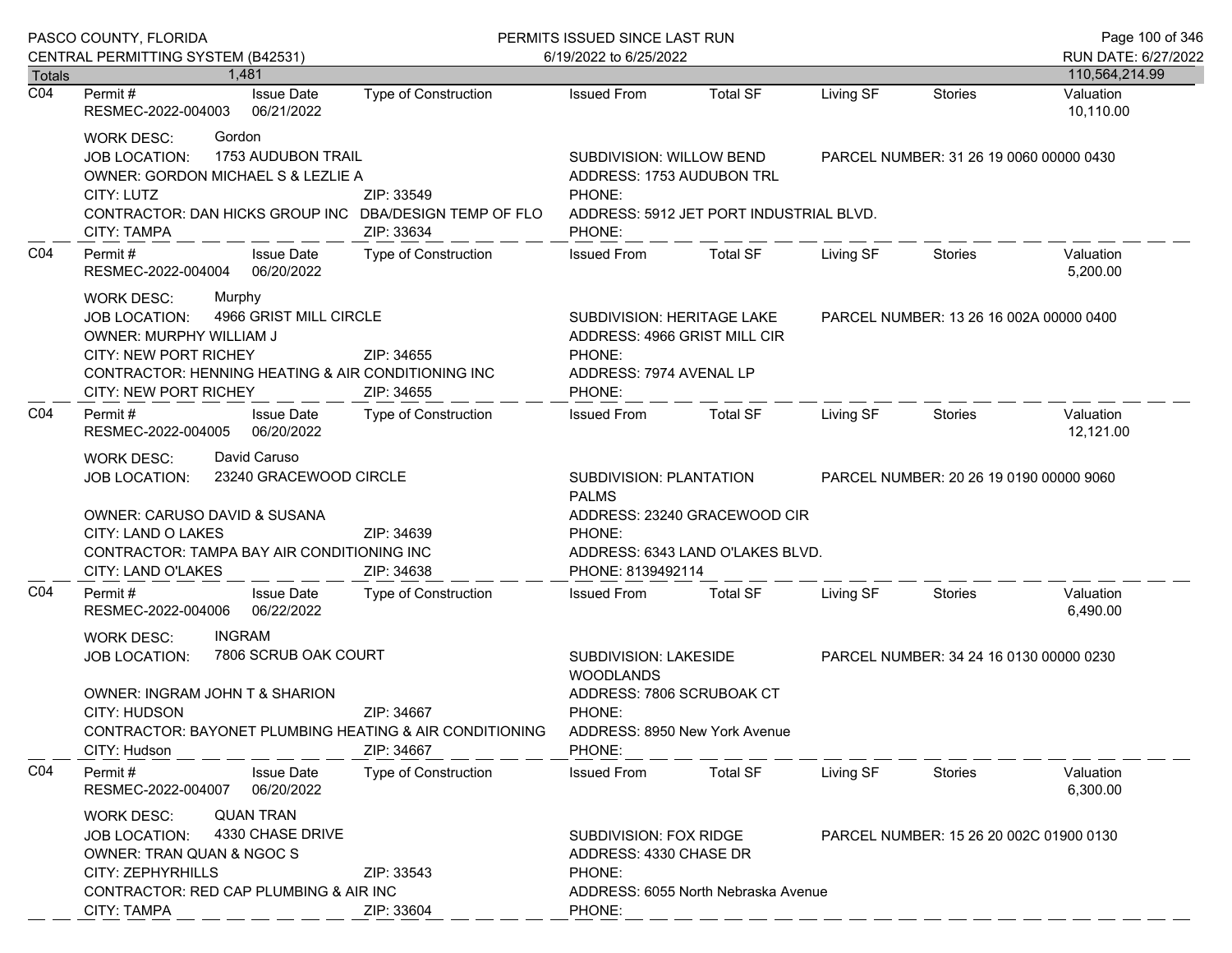| PASCO COUNTY, FLORIDA      |                                                                                                                                                                                                                                             |                                                                                                           | PERMITS ISSUED SINCE LAST RUN                                                                                               | Page 100 of 346                                                                         |                                         |                                         |                        |  |
|----------------------------|---------------------------------------------------------------------------------------------------------------------------------------------------------------------------------------------------------------------------------------------|-----------------------------------------------------------------------------------------------------------|-----------------------------------------------------------------------------------------------------------------------------|-----------------------------------------------------------------------------------------|-----------------------------------------|-----------------------------------------|------------------------|--|
|                            | CENTRAL PERMITTING SYSTEM (B42531)                                                                                                                                                                                                          |                                                                                                           | 6/19/2022 to 6/25/2022                                                                                                      |                                                                                         |                                         |                                         | RUN DATE: 6/27/2022    |  |
| Totals<br>$\overline{CO4}$ | 1.481                                                                                                                                                                                                                                       |                                                                                                           |                                                                                                                             |                                                                                         |                                         |                                         | 110,564,214.99         |  |
|                            | <b>Issue Date</b><br>Permit #<br>RESMEC-2022-004003<br>06/21/2022                                                                                                                                                                           | Type of Construction                                                                                      | <b>Issued From</b>                                                                                                          | <b>Total SF</b>                                                                         | Living SF                               | <b>Stories</b>                          | Valuation<br>10,110.00 |  |
|                            | Gordon<br>WORK DESC:<br>1753 AUDUBON TRAIL<br>JOB LOCATION:<br>OWNER: GORDON MICHAEL S & LEZLIE A<br>CITY: LUTZ<br>CONTRACTOR: DAN HICKS GROUP INC DBA/DESIGN TEMP OF FLO<br><b>CITY: TAMPA</b>                                             | ZIP: 33549<br>ZIP: 33634                                                                                  | SUBDIVISION: WILLOW BEND<br>ADDRESS: 1753 AUDUBON TRL<br>PHONE:<br>ADDRESS: 5912 JET PORT INDUSTRIAL BLVD.<br>PHONE:        |                                                                                         |                                         | PARCEL NUMBER: 31 26 19 0060 00000 0430 |                        |  |
| CO <sub>4</sub>            | Permit#<br><b>Issue Date</b><br>RESMEC-2022-004004 06/20/2022                                                                                                                                                                               | Type of Construction                                                                                      | <b>Issued From</b>                                                                                                          | <b>Total SF</b>                                                                         | Living SF                               | Stories                                 | Valuation<br>5,200.00  |  |
|                            | <b>WORK DESC:</b><br>Murphy<br>4966 GRIST MILL CIRCLE<br>JOB LOCATION:<br>OWNER: MURPHY WILLIAM J<br><b>CITY: NEW PORT RICHEY</b><br>CONTRACTOR: HENNING HEATING & AIR CONDITIONING INC<br>CITY: NEW PORT RICHEY                            | SUBDIVISION: HERITAGE LAKE<br>ADDRESS: 4966 GRIST MILL CIR<br>PHONE:<br>ADDRESS: 7974 AVENAL LP<br>PHONE: |                                                                                                                             |                                                                                         | PARCEL NUMBER: 13 26 16 002A 00000 0400 |                                         |                        |  |
| CO <sub>4</sub>            | Permit#<br><b>Issue Date</b><br>06/20/2022<br>RESMEC-2022-004005                                                                                                                                                                            | Type of Construction                                                                                      | <b>Issued From</b>                                                                                                          | Total SF                                                                                | Living SF                               | Stories                                 | Valuation<br>12,121.00 |  |
|                            | David Caruso<br>WORK DESC:<br>23240 GRACEWOOD CIRCLE<br><b>JOB LOCATION:</b><br>OWNER: CARUSO DAVID & SUSANA<br>CITY: LAND O LAKES<br>CONTRACTOR: TAMPA BAY AIR CONDITIONING INC<br>CITY: LAND O'LAKES                                      | SUBDIVISION: PLANTATION<br><b>PALMS</b><br>PHONE:<br>PHONE: 8139492114                                    | ADDRESS: 23240 GRACEWOOD CIR<br>ADDRESS: 6343 LAND O'LAKES BLVD.                                                            |                                                                                         | PARCEL NUMBER: 20 26 19 0190 00000 9060 |                                         |                        |  |
| CO <sub>4</sub>            | Permit#<br><b>Issue Date</b><br>06/22/2022<br>RESMEC-2022-004006                                                                                                                                                                            | <b>Type of Construction</b>                                                                               | <b>Issued From</b>                                                                                                          | <b>Total SF</b>                                                                         | Living SF                               | Stories                                 | Valuation<br>6,490.00  |  |
|                            | <b>INGRAM</b><br><b>WORK DESC:</b><br>7806 SCRUB OAK COURT<br><b>JOB LOCATION:</b><br>OWNER: INGRAM JOHN T & SHARION<br>CITY: HUDSON<br>ZIP: 34667<br>CONTRACTOR: BAYONET PLUMBING HEATING & AIR CONDITIONING<br>CITY: Hudson<br>ZIP: 34667 |                                                                                                           | SUBDIVISION: LAKESIDE<br><b>WOODLANDS</b><br>ADDRESS: 7806 SCRUBOAK CT<br>PHONE:<br>ADDRESS: 8950 New York Avenue<br>PHONE: |                                                                                         |                                         | PARCEL NUMBER: 34 24 16 0130 00000 0230 |                        |  |
| CO <sub>4</sub>            | Permit#<br><b>Issue Date</b><br>06/20/2022<br>RESMEC-2022-004007                                                                                                                                                                            | <b>Type of Construction</b>                                                                               | <b>Issued From</b>                                                                                                          | <b>Total SF</b>                                                                         | Living SF                               | Stories                                 | Valuation<br>6,300.00  |  |
|                            | <b>QUAN TRAN</b><br><b>WORK DESC:</b><br>JOB LOCATION:<br>OWNER: TRAN QUAN & NGOC S<br>CITY: ZEPHYRHILLS                                                                                                                                    | 4330 CHASE DRIVE<br>ZIP: 33543<br>CONTRACTOR: RED CAP PLUMBING & AIR INC                                  |                                                                                                                             | SUBDIVISION: FOX RIDGE<br>ADDRESS: 4330 CHASE DR<br>ADDRESS: 6055 North Nebraska Avenue |                                         | PARCEL NUMBER: 15 26 20 002C 01900 0130 |                        |  |
|                            | <b>CITY: TAMPA</b>                                                                                                                                                                                                                          | ZIP: 33604                                                                                                | PHONE:                                                                                                                      |                                                                                         |                                         |                                         |                        |  |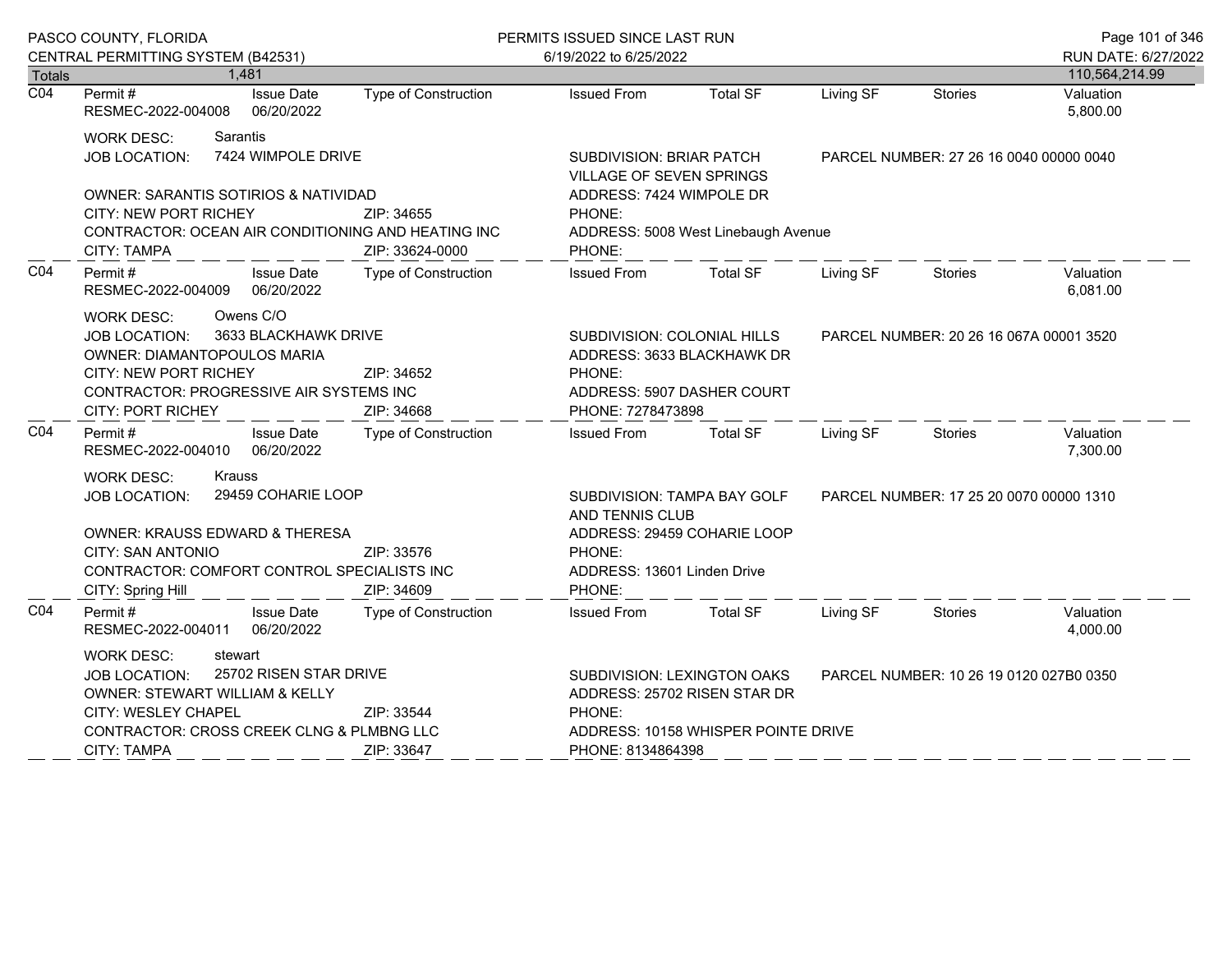| RUN DATE: 6/27/2022<br>110,564,214.99<br>Valuation<br>5,800.00<br>PARCEL NUMBER: 27 26 16 0040 00000 0040 |
|-----------------------------------------------------------------------------------------------------------|
|                                                                                                           |
|                                                                                                           |
|                                                                                                           |
| Valuation<br>6,081.00                                                                                     |
| PARCEL NUMBER: 20 26 16 067A 00001 3520                                                                   |
| Valuation<br>7,300.00                                                                                     |
| PARCEL NUMBER: 17 25 20 0070 00000 1310                                                                   |
| Valuation<br>4,000.00                                                                                     |
| PARCEL NUMBER: 10 26 19 0120 027B0 0350                                                                   |
|                                                                                                           |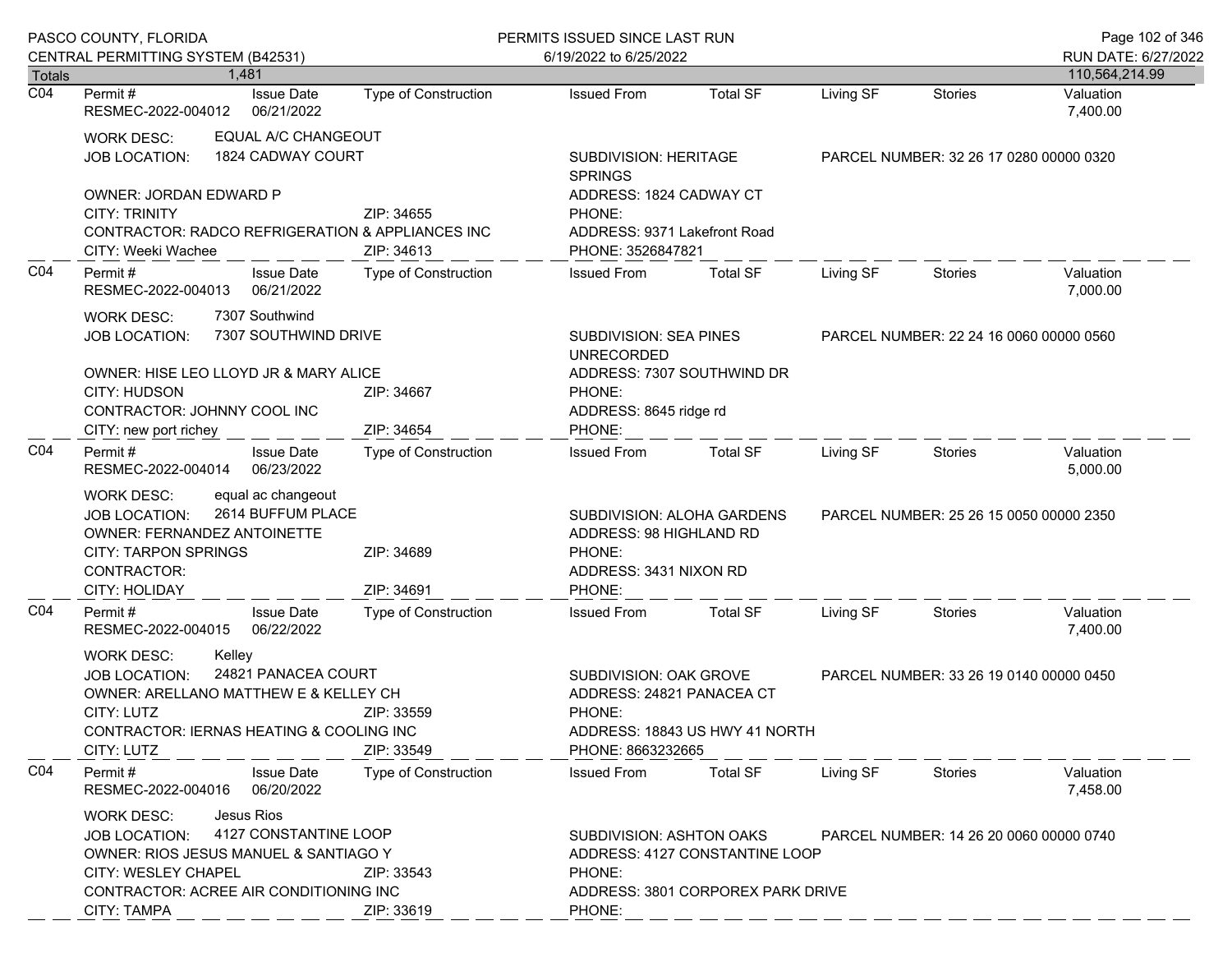|                                                                                                                                                                                      | PASCO COUNTY, FLORIDA                                                                                                                                                                                                                        |                             | PERMITS ISSUED SINCE LAST RUN                                                                                        |                                                                     |           |                                         | Page 102 of 346       |
|--------------------------------------------------------------------------------------------------------------------------------------------------------------------------------------|----------------------------------------------------------------------------------------------------------------------------------------------------------------------------------------------------------------------------------------------|-----------------------------|----------------------------------------------------------------------------------------------------------------------|---------------------------------------------------------------------|-----------|-----------------------------------------|-----------------------|
|                                                                                                                                                                                      | CENTRAL PERMITTING SYSTEM (B42531)                                                                                                                                                                                                           | 6/19/2022 to 6/25/2022      |                                                                                                                      |                                                                     |           |                                         | RUN DATE: 6/27/2022   |
| Totals                                                                                                                                                                               | 1.481                                                                                                                                                                                                                                        |                             |                                                                                                                      |                                                                     |           |                                         | 110,564,214.99        |
| $\overline{CO4}$                                                                                                                                                                     | <b>Issue Date</b><br>Permit #<br>RESMEC-2022-004012<br>06/21/2022                                                                                                                                                                            | <b>Type of Construction</b> | <b>Issued From</b>                                                                                                   | <b>Total SF</b>                                                     | Living SF | Stories                                 | Valuation<br>7,400.00 |
|                                                                                                                                                                                      | EQUAL A/C CHANGEOUT<br>WORK DESC:<br>1824 CADWAY COURT<br><b>JOB LOCATION:</b>                                                                                                                                                               |                             | SUBDIVISION: HERITAGE<br><b>SPRINGS</b>                                                                              |                                                                     |           | PARCEL NUMBER: 32 26 17 0280 00000 0320 |                       |
|                                                                                                                                                                                      | OWNER: JORDAN EDWARD P<br><b>CITY: TRINITY</b><br>CONTRACTOR: RADCO REFRIGERATION & APPLIANCES INC<br>CITY: Weeki Wachee                                                                                                                     | ZIP: 34655<br>ZIP: 34613    | ADDRESS: 1824 CADWAY CT<br>PHONE:<br>ADDRESS: 9371 Lakefront Road<br>PHONE: 3526847821                               |                                                                     |           |                                         |                       |
| CO <sub>4</sub>                                                                                                                                                                      | Permit#<br><b>Issue Date</b><br>06/21/2022<br>RESMEC-2022-004013                                                                                                                                                                             | Type of Construction        | <b>Issued From</b>                                                                                                   | <b>Total SF</b>                                                     | Living SF | <b>Stories</b>                          | Valuation<br>7,000.00 |
|                                                                                                                                                                                      | 7307 Southwind<br><b>WORK DESC:</b><br>7307 SOUTHWIND DRIVE<br><b>JOB LOCATION:</b>                                                                                                                                                          |                             | <b>SUBDIVISION: SEA PINES</b><br><b>UNRECORDED</b>                                                                   |                                                                     |           | PARCEL NUMBER: 22 24 16 0060 00000 0560 |                       |
|                                                                                                                                                                                      | OWNER: HISE LEO LLOYD JR & MARY ALICE<br>CITY: HUDSON<br>CONTRACTOR: JOHNNY COOL INC<br>CITY: new port richey                                                                                                                                | ZIP: 34667<br>ZIP: 34654    | ADDRESS: 7307 SOUTHWIND DR<br>PHONE:<br>ADDRESS: 8645 ridge rd<br>PHONE:                                             |                                                                     |           |                                         |                       |
| CO <sub>4</sub>                                                                                                                                                                      | Permit#<br><b>Issue Date</b><br>RESMEC-2022-004014<br>06/23/2022                                                                                                                                                                             | Type of Construction        | <b>Issued From</b>                                                                                                   | <b>Total SF</b>                                                     | Living SF | <b>Stories</b>                          | Valuation<br>5,000.00 |
|                                                                                                                                                                                      | equal ac changeout<br><b>WORK DESC:</b><br>2614 BUFFUM PLACE<br><b>JOB LOCATION:</b><br><b>OWNER: FERNANDEZ ANTOINETTE</b><br><b>CITY: TARPON SPRINGS</b><br>CONTRACTOR:<br>CITY: HOLIDAY                                                    | ZIP: 34689<br>ZIP: 34691    | SUBDIVISION: ALOHA GARDENS<br>ADDRESS: 98 HIGHLAND RD<br>PHONE:<br>ADDRESS: 3431 NIXON RD<br>PHONE:                  |                                                                     |           | PARCEL NUMBER: 25 26 15 0050 00000 2350 |                       |
| CO <sub>4</sub>                                                                                                                                                                      | <b>Issue Date</b><br>Permit#<br>RESMEC-2022-004015<br>06/22/2022                                                                                                                                                                             | Type of Construction        | <b>Issued From</b>                                                                                                   | <b>Total SF</b>                                                     | Living SF | <b>Stories</b>                          | Valuation<br>7,400.00 |
| Kelley<br><b>WORK DESC:</b><br>24821 PANACEA COURT<br>JOB LOCATION:<br>OWNER: ARELLANO MATTHEW E & KELLEY CH<br>CITY: LUTZ<br>CONTRACTOR: IERNAS HEATING & COOLING INC<br>CITY: LUTZ |                                                                                                                                                                                                                                              | ZIP: 33559<br>ZIP: 33549    | SUBDIVISION: OAK GROVE<br>ADDRESS: 24821 PANACEA CT<br>PHONE:<br>ADDRESS: 18843 US HWY 41 NORTH<br>PHONE: 8663232665 |                                                                     |           | PARCEL NUMBER: 33 26 19 0140 00000 0450 |                       |
| CO <sub>4</sub>                                                                                                                                                                      | Permit#<br><b>Issue Date</b><br>RESMEC-2022-004016<br>06/20/2022                                                                                                                                                                             | <b>Type of Construction</b> | <b>Issued From</b>                                                                                                   | <b>Total SF</b>                                                     | Living SF | Stories                                 | Valuation<br>7,458.00 |
|                                                                                                                                                                                      | Jesus Rios<br><b>WORK DESC:</b><br>4127 CONSTANTINE LOOP<br>JOB LOCATION:<br>OWNER: RIOS JESUS MANUEL & SANTIAGO Y<br><b>CITY: WESLEY CHAPEL</b><br>ZIP: 33543<br>CONTRACTOR: ACREE AIR CONDITIONING INC<br><b>CITY: TAMPA</b><br>ZIP: 33619 |                             | SUBDIVISION: ASHTON OAKS<br>PHONE:<br>PHONE:                                                                         | ADDRESS: 4127 CONSTANTINE LOOP<br>ADDRESS: 3801 CORPOREX PARK DRIVE |           | PARCEL NUMBER: 14 26 20 0060 00000 0740 |                       |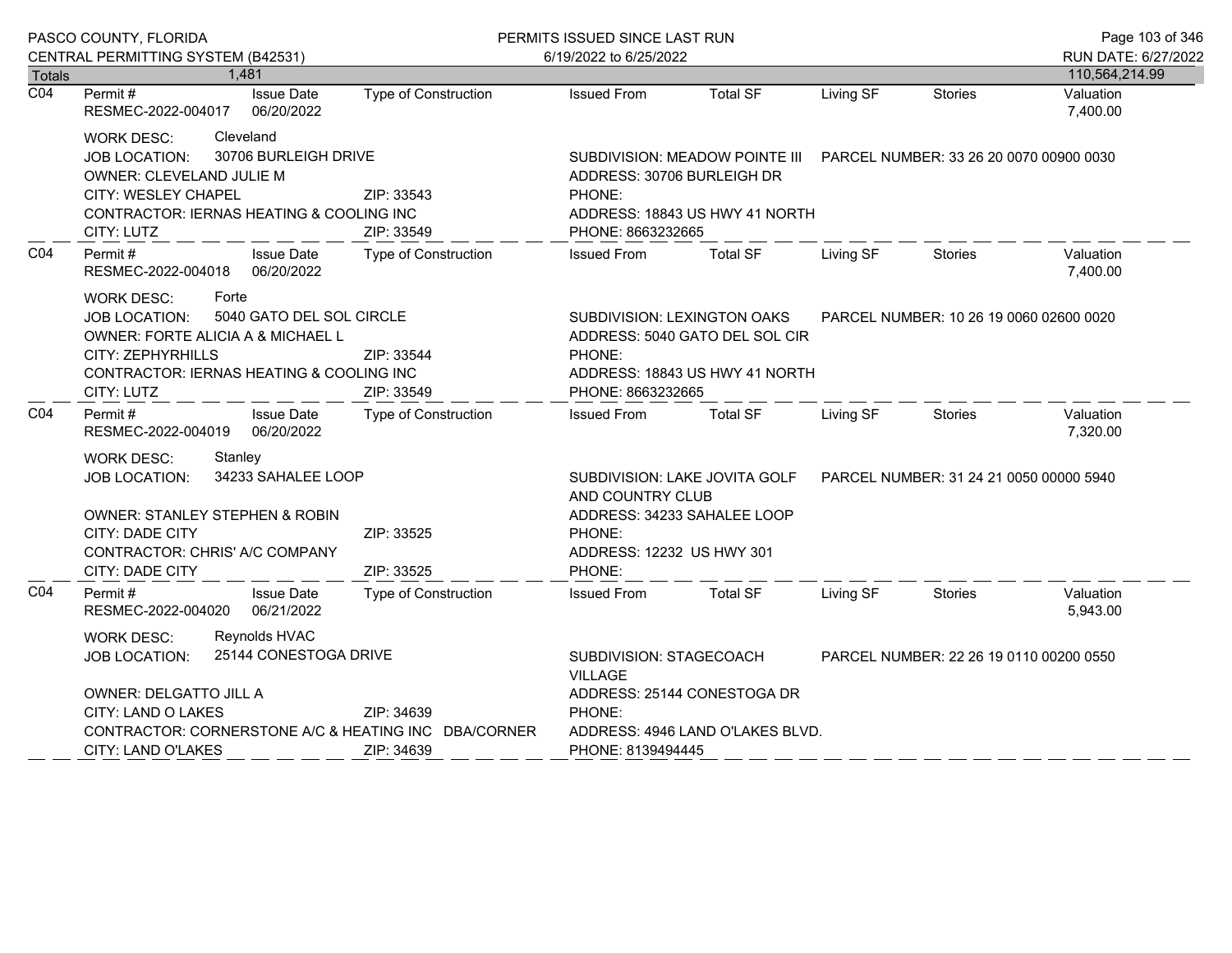| PASCO COUNTY, FLORIDA      |                                                                                                                     |                            | PERMITS ISSUED SINCE LAST RUN                                          |                                                                                      |                                                                                                          |           |                | Page 103 of 346                       |  |
|----------------------------|---------------------------------------------------------------------------------------------------------------------|----------------------------|------------------------------------------------------------------------|--------------------------------------------------------------------------------------|----------------------------------------------------------------------------------------------------------|-----------|----------------|---------------------------------------|--|
|                            | CENTRAL PERMITTING SYSTEM (B42531)                                                                                  |                            |                                                                        | 6/19/2022 to 6/25/2022                                                               |                                                                                                          |           |                | RUN DATE: 6/27/2022<br>110,564,214.99 |  |
| Totals<br>$\overline{CO4}$ | Permit#                                                                                                             | 1,481<br><b>Issue Date</b> | <b>Type of Construction</b>                                            | <b>Issued From</b>                                                                   | <b>Total SF</b>                                                                                          | Living SF | <b>Stories</b> | Valuation                             |  |
|                            | RESMEC-2022-004017 06/20/2022                                                                                       |                            |                                                                        |                                                                                      |                                                                                                          |           |                | 7,400.00                              |  |
|                            | <b>WORK DESC:</b>                                                                                                   | Cleveland                  |                                                                        |                                                                                      |                                                                                                          |           |                |                                       |  |
|                            | 30706 BURLEIGH DRIVE<br><b>JOB LOCATION:</b><br><b>OWNER: CLEVELAND JULIE M</b>                                     |                            |                                                                        | ADDRESS: 30706 BURLEIGH DR                                                           |                                                                                                          |           |                |                                       |  |
|                            | CITY: WESLEY CHAPEL<br>ZIP: 33543                                                                                   |                            |                                                                        | PHONE:                                                                               |                                                                                                          |           |                |                                       |  |
|                            | CONTRACTOR: IERNAS HEATING & COOLING INC                                                                            |                            |                                                                        |                                                                                      | ADDRESS: 18843 US HWY 41 NORTH                                                                           |           |                |                                       |  |
|                            | CITY: LUTZ                                                                                                          |                            | ZIP: 33549                                                             | PHONE: 8663232665                                                                    |                                                                                                          |           |                |                                       |  |
| CO <sub>4</sub>            | Permit#<br>RESMEC-2022-004018 06/20/2022                                                                            | Issue Date                 | Type of Construction                                                   | <b>Issued From</b>                                                                   | <b>Total SF</b>                                                                                          | Living SF | Stories        | Valuation<br>7,400.00                 |  |
|                            | <b>WORK DESC:</b><br>Forte<br>5040 GATO DEL SOL CIRCLE<br><b>JOB LOCATION:</b><br>OWNER: FORTE ALICIA A & MICHAEL L |                            |                                                                        |                                                                                      | SUBDIVISION: LEXINGTON OAKS<br>PARCEL NUMBER: 10 26 19 0060 02600 0020<br>ADDRESS: 5040 GATO DEL SOL CIR |           |                |                                       |  |
|                            | CITY: ZEPHYRHILLS                                                                                                   |                            | ZIP: 33544                                                             | PHONE:                                                                               |                                                                                                          |           |                |                                       |  |
|                            | CONTRACTOR: IERNAS HEATING & COOLING INC                                                                            |                            |                                                                        |                                                                                      | ADDRESS: 18843 US HWY 41 NORTH                                                                           |           |                |                                       |  |
|                            | CITY: LUTZ                                                                                                          |                            | ZIP: 33549                                                             | PHONE: 8663232665                                                                    |                                                                                                          |           |                |                                       |  |
| CO4                        | Permit #<br>RESMEC-2022-004019 06/20/2022                                                                           | <b>Issue Date</b>          | Type of Construction                                                   | <b>Issued From</b>                                                                   | <b>Total SF</b>                                                                                          | Living SF | Stories        | Valuation<br>7,320.00                 |  |
|                            | <b>WORK DESC:</b><br>Stanley                                                                                        |                            |                                                                        |                                                                                      |                                                                                                          |           |                |                                       |  |
|                            | 34233 SAHALEE LOOP<br><b>JOB LOCATION:</b>                                                                          |                            | SUBDIVISION: LAKE JOVITA GOLF  PARCEL NUMBER: 31 24 21 0050 00000 5940 |                                                                                      |                                                                                                          |           |                |                                       |  |
|                            |                                                                                                                     |                            |                                                                        | AND COUNTRY CLUB                                                                     |                                                                                                          |           |                |                                       |  |
|                            | <b>OWNER: STANLEY STEPHEN &amp; ROBIN</b>                                                                           |                            |                                                                        | ADDRESS: 34233 SAHALEE LOOP                                                          |                                                                                                          |           |                |                                       |  |
|                            | CITY: DADE CITY                                                                                                     |                            | ZIP: 33525                                                             | PHONE:                                                                               |                                                                                                          |           |                |                                       |  |
|                            | CONTRACTOR: CHRIS' A/C COMPANY<br>CITY: DADE CITY                                                                   |                            | ZIP: 33525                                                             | ADDRESS: 12232 US HWY 301<br>PHONE:                                                  |                                                                                                          |           |                |                                       |  |
| CO <sub>4</sub>            | Permit#                                                                                                             | <b>Issue Date</b>          | <b>Type of Construction</b>                                            | <b>Issued From</b>                                                                   | <b>Total SF</b>                                                                                          | Living SF | Stories        | Valuation                             |  |
|                            | RESMEC-2022-004020 06/21/2022                                                                                       |                            |                                                                        |                                                                                      |                                                                                                          |           |                | 5,943.00                              |  |
|                            | <b>WORK DESC:</b>                                                                                                   | Reynolds HVAC              |                                                                        |                                                                                      |                                                                                                          |           |                |                                       |  |
|                            | <b>JOB LOCATION:</b>                                                                                                | 25144 CONESTOGA DRIVE      |                                                                        | SUBDIVISION: STAGECOACH<br>PARCEL NUMBER: 22 26 19 0110 00200 0550<br><b>VILLAGE</b> |                                                                                                          |           |                |                                       |  |
|                            | OWNER: DELGATTO JILL A                                                                                              |                            |                                                                        | ADDRESS: 25144 CONESTOGA DR                                                          |                                                                                                          |           |                |                                       |  |
|                            | CITY: LAND O LAKES<br>ZIP: 34639                                                                                    |                            |                                                                        | PHONE:                                                                               |                                                                                                          |           |                |                                       |  |
|                            |                                                                                                                     |                            | CONTRACTOR: CORNERSTONE A/C & HEATING INC DBA/CORNER                   |                                                                                      | ADDRESS: 4946 LAND O'LAKES BLVD.                                                                         |           |                |                                       |  |
|                            | CITY: LAND O'LAKES                                                                                                  |                            | ZIP: 34639                                                             | PHONE: 8139494445                                                                    |                                                                                                          |           |                |                                       |  |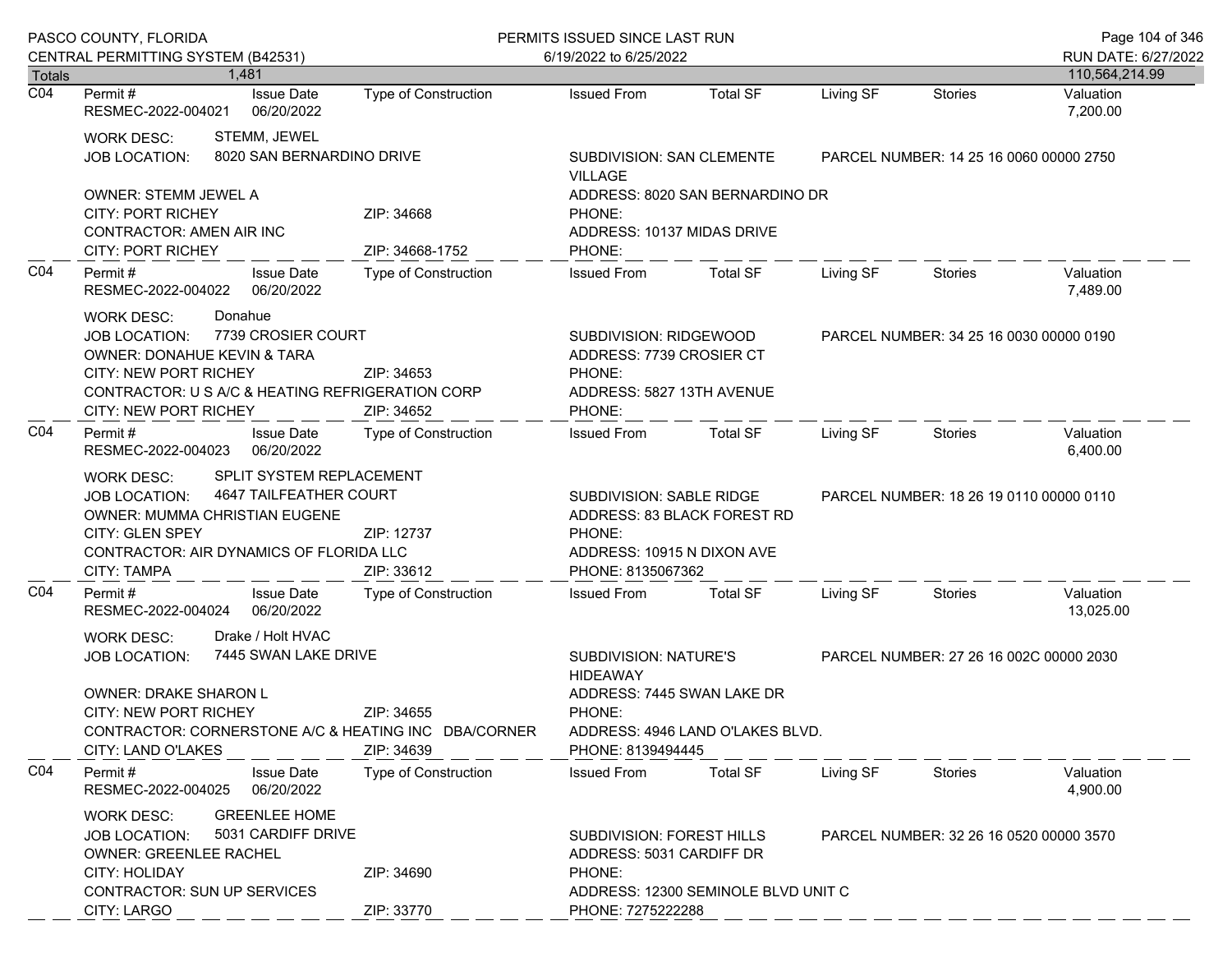|                  | PASCO COUNTY, FLORIDA                                                                                                                                                                                                                                     |                               |                                                                                                                                           | PERMITS ISSUED SINCE LAST RUN       |                                         |                                         |                                         |  |
|------------------|-----------------------------------------------------------------------------------------------------------------------------------------------------------------------------------------------------------------------------------------------------------|-------------------------------|-------------------------------------------------------------------------------------------------------------------------------------------|-------------------------------------|-----------------------------------------|-----------------------------------------|-----------------------------------------|--|
|                  | CENTRAL PERMITTING SYSTEM (B42531)                                                                                                                                                                                                                        |                               | 6/19/2022 to 6/25/2022                                                                                                                    |                                     |                                         |                                         | RUN DATE: 6/27/2022                     |  |
| Totals           | 1.481                                                                                                                                                                                                                                                     |                               |                                                                                                                                           |                                     |                                         |                                         | 110,564,214.99                          |  |
| $\overline{CO4}$ | <b>Issue Date</b><br>Permit #<br>RESMEC-2022-004021<br>06/20/2022                                                                                                                                                                                         | <b>Type of Construction</b>   | <b>Issued From</b>                                                                                                                        | <b>Total SF</b>                     | Living SF                               | <b>Stories</b>                          | Valuation<br>7,200.00                   |  |
|                  | STEMM, JEWEL<br><b>WORK DESC:</b><br>8020 SAN BERNARDINO DRIVE<br><b>JOB LOCATION:</b>                                                                                                                                                                    |                               | SUBDIVISION: SAN CLEMENTE<br><b>VILLAGE</b>                                                                                               |                                     |                                         |                                         | PARCEL NUMBER: 14 25 16 0060 00000 2750 |  |
|                  | <b>OWNER: STEMM JEWEL A</b><br><b>CITY: PORT RICHEY</b><br>CONTRACTOR: AMEN AIR INC<br>CITY: PORT RICHEY                                                                                                                                                  | ZIP: 34668<br>ZIP: 34668-1752 | PHONE:<br>ADDRESS: 10137 MIDAS DRIVE<br>PHONE:                                                                                            | ADDRESS: 8020 SAN BERNARDINO DR     |                                         |                                         |                                         |  |
| CO <sub>4</sub>  | Permit#<br><b>Issue Date</b><br>06/20/2022<br>RESMEC-2022-004022                                                                                                                                                                                          | Type of Construction          | <b>Issued From</b>                                                                                                                        | <b>Total SF</b>                     | Living SF                               | <b>Stories</b>                          | Valuation<br>7,489.00                   |  |
|                  | Donahue<br><b>WORK DESC:</b><br>7739 CROSIER COURT<br><b>JOB LOCATION:</b><br>OWNER: DONAHUE KEVIN & TARA<br><b>CITY: NEW PORT RICHEY</b><br>ZIP: 34653<br>CONTRACTOR: U S A/C & HEATING REFRIGERATION CORP<br><b>CITY: NEW PORT RICHEY</b><br>ZIP: 34652 |                               | SUBDIVISION: RIDGEWOOD<br>ADDRESS: 7739 CROSIER CT<br>PHONE:<br>ADDRESS: 5827 13TH AVENUE<br>PHONE:                                       |                                     | PARCEL NUMBER: 34 25 16 0030 00000 0190 |                                         |                                         |  |
| CO <sub>4</sub>  | Permit#<br><b>Issue Date</b><br>06/20/2022<br>RESMEC-2022-004023                                                                                                                                                                                          | Type of Construction          | <b>Issued From</b>                                                                                                                        | Total SF                            | Living SF                               | Stories                                 | Valuation<br>6,400.00                   |  |
|                  | SPLIT SYSTEM REPLACEMENT<br><b>WORK DESC:</b><br>4647 TAILFEATHER COURT<br><b>JOB LOCATION:</b><br>OWNER: MUMMA CHRISTIAN EUGENE<br><b>CITY: GLEN SPEY</b><br>ZIP: 12737<br>CONTRACTOR: AIR DYNAMICS OF FLORIDA LLC<br><b>CITY: TAMPA</b><br>ZIP: 33612   |                               | SUBDIVISION: SABLE RIDGE<br>ADDRESS: 83 BLACK FOREST RD<br>PHONE:<br>ADDRESS: 10915 N DIXON AVE<br>PHONE: 8135067362                      |                                     |                                         | PARCEL NUMBER: 18 26 19 0110 00000 0110 |                                         |  |
| CO <sub>4</sub>  | Permit#<br><b>Issue Date</b><br>RESMEC-2022-004024<br>06/20/2022                                                                                                                                                                                          | Type of Construction          | <b>Issued From</b>                                                                                                                        | <b>Total SF</b>                     | Living SF                               | Stories                                 | Valuation<br>13,025.00                  |  |
|                  | Drake / Holt HVAC<br><b>WORK DESC:</b><br>7445 SWAN LAKE DRIVE<br><b>JOB LOCATION:</b><br>OWNER: DRAKE SHARON L<br>ZIP: 34655<br>CITY: NEW PORT RICHEY<br>CONTRACTOR: CORNERSTONE A/C & HEATING INC DBA/CORNER<br>ZIP: 34639<br>CITY: LAND O'LAKES        |                               | SUBDIVISION: NATURE'S<br><b>HIDEAWAY</b><br>ADDRESS: 7445 SWAN LAKE DR<br>PHONE:<br>ADDRESS: 4946 LAND O'LAKES BLVD.<br>PHONE: 8139494445 |                                     |                                         | PARCEL NUMBER: 27 26 16 002C 00000 2030 |                                         |  |
| CO <sub>4</sub>  | Permit#<br><b>Issue Date</b><br>RESMEC-2022-004025<br>06/20/2022                                                                                                                                                                                          | <b>Type of Construction</b>   | <b>Issued From</b>                                                                                                                        | <b>Total SF</b>                     | Living SF                               | Stories                                 | Valuation<br>4,900.00                   |  |
|                  | <b>GREENLEE HOME</b><br><b>WORK DESC:</b><br>5031 CARDIFF DRIVE<br><b>JOB LOCATION:</b><br><b>OWNER: GREENLEE RACHEL</b><br><b>CITY: HOLIDAY</b><br>ZIP: 34690<br><b>CONTRACTOR: SUN UP SERVICES</b>                                                      |                               | SUBDIVISION: FOREST HILLS<br>ADDRESS: 5031 CARDIFF DR<br>PHONE:                                                                           | ADDRESS: 12300 SEMINOLE BLVD UNIT C | PARCEL NUMBER: 32 26 16 0520 00000 3570 |                                         |                                         |  |
|                  | CITY: LARGO                                                                                                                                                                                                                                               | ZIP: 33770                    | PHONE: 7275222288                                                                                                                         |                                     |                                         |                                         |                                         |  |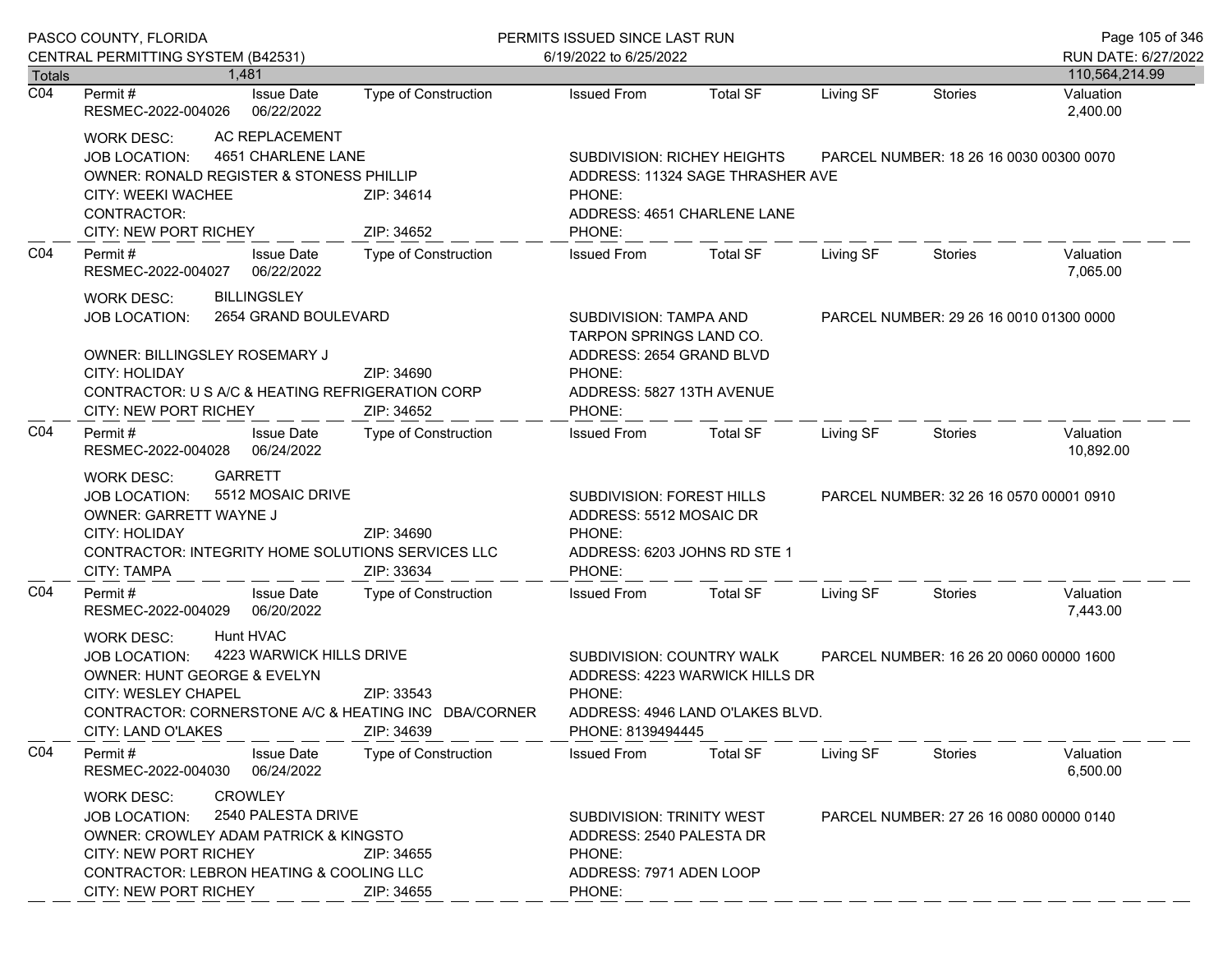| PASCO COUNTY, FLORIDA |                                                                                                                                                                                                                                                                               |                                                                                                          | PERMITS ISSUED SINCE LAST RUN                                                                                                  |                                                                    |                                         |                                         | Page 105 of 346        |
|-----------------------|-------------------------------------------------------------------------------------------------------------------------------------------------------------------------------------------------------------------------------------------------------------------------------|----------------------------------------------------------------------------------------------------------|--------------------------------------------------------------------------------------------------------------------------------|--------------------------------------------------------------------|-----------------------------------------|-----------------------------------------|------------------------|
|                       | CENTRAL PERMITTING SYSTEM (B42531)                                                                                                                                                                                                                                            |                                                                                                          | 6/19/2022 to 6/25/2022                                                                                                         |                                                                    |                                         |                                         | RUN DATE: 6/27/2022    |
| <b>Totals</b>         | 1.481                                                                                                                                                                                                                                                                         |                                                                                                          |                                                                                                                                |                                                                    |                                         |                                         | 110,564,214.99         |
| $\overline{CO4}$      | <b>Issue Date</b><br>Permit#<br>RESMEC-2022-004026<br>06/22/2022                                                                                                                                                                                                              | <b>Type of Construction</b>                                                                              | <b>Issued From</b>                                                                                                             | <b>Total SF</b>                                                    | Living SF                               | Stories                                 | Valuation<br>2,400.00  |
|                       | AC REPLACEMENT<br><b>WORK DESC:</b><br>JOB LOCATION:<br>CITY: WEEKI WACHEE<br>CONTRACTOR:<br>CITY: NEW PORT RICHEY                                                                                                                                                            | 4651 CHARLENE LANE<br>OWNER: RONALD REGISTER & STONESS PHILLIP<br>ZIP: 34614<br>ZIP: 34652               |                                                                                                                                |                                                                    | ADDRESS: 11324 SAGE THRASHER AVE        | PARCEL NUMBER: 18 26 16 0030 00300 0070 |                        |
| CO <sub>4</sub>       | Permit#<br><b>Issue Date</b><br>RESMEC-2022-004027<br>06/22/2022                                                                                                                                                                                                              | Type of Construction                                                                                     | PHONE:<br><b>Issued From</b>                                                                                                   | <b>Total SF</b>                                                    | Living SF                               | Stories                                 | Valuation<br>7,065.00  |
|                       | <b>BILLINGSLEY</b><br><b>WORK DESC:</b><br>2654 GRAND BOULEVARD<br><b>JOB LOCATION:</b><br>OWNER: BILLINGSLEY ROSEMARY J<br>CITY: HOLIDAY<br>CONTRACTOR: U S A/C & HEATING REFRIGERATION CORP<br>CITY: NEW PORT RICHEY                                                        | ZIP: 34690<br>ZIP: 34652                                                                                 | SUBDIVISION: TAMPA AND<br>TARPON SPRINGS LAND CO.<br>ADDRESS: 2654 GRAND BLVD<br>PHONE:<br>ADDRESS: 5827 13TH AVENUE<br>PHONE: |                                                                    |                                         | PARCEL NUMBER: 29 26 16 0010 01300 0000 |                        |
| CO <sub>4</sub>       | Permit#<br><b>Issue Date</b><br>06/24/2022<br>RESMEC-2022-004028                                                                                                                                                                                                              | Type of Construction                                                                                     | <b>Issued From</b>                                                                                                             | Total SF                                                           | Living SF                               | Stories                                 | Valuation<br>10,892.00 |
|                       | <b>GARRETT</b><br><b>WORK DESC:</b><br>5512 MOSAIC DRIVE<br><b>JOB LOCATION:</b><br>OWNER: GARRETT WAYNE J<br>CITY: HOLIDAY<br>CONTRACTOR: INTEGRITY HOME SOLUTIONS SERVICES LLC<br>CITY: TAMPA                                                                               | SUBDIVISION: FOREST HILLS<br>ADDRESS: 5512 MOSAIC DR<br>PHONE:<br>ADDRESS: 6203 JOHNS RD STE 1<br>PHONE: |                                                                                                                                | PARCEL NUMBER: 32 26 16 0570 00001 0910                            |                                         |                                         |                        |
| CO <sub>4</sub>       | <b>Issue Date</b><br>Permit#<br>RESMEC-2022-004029<br>06/20/2022                                                                                                                                                                                                              | Type of Construction                                                                                     | <b>Issued From</b>                                                                                                             | <b>Total SF</b>                                                    | Living SF                               | Stories                                 | Valuation<br>7,443.00  |
|                       | Hunt HVAC<br><b>WORK DESC:</b><br>4223 WARWICK HILLS DRIVE<br>JOB LOCATION:<br><b>OWNER: HUNT GEORGE &amp; EVELYN</b><br><b>CITY: WESLEY CHAPEL</b><br>ZIP: 33543<br>CONTRACTOR: CORNERSTONE A/C & HEATING INC DBA/CORNER<br>CITY: LAND O'LAKES<br>ZIP: 34639                 |                                                                                                          | SUBDIVISION: COUNTRY WALK<br>PHONE:<br>PHONE: 8139494445                                                                       | ADDRESS: 4223 WARWICK HILLS DR<br>ADDRESS: 4946 LAND O'LAKES BLVD. | PARCEL NUMBER: 16 26 20 0060 00000 1600 |                                         |                        |
| CO <sub>4</sub>       | Permit#<br><b>Issue Date</b><br>RESMEC-2022-004030<br>06/24/2022                                                                                                                                                                                                              | <b>Type of Construction</b>                                                                              | <b>Issued From</b>                                                                                                             | <b>Total SF</b>                                                    | Living SF                               | Stories                                 | Valuation<br>6,500.00  |
|                       | <b>CROWLEY</b><br><b>WORK DESC:</b><br>2540 PALESTA DRIVE<br><b>JOB LOCATION:</b><br><b>OWNER: CROWLEY ADAM PATRICK &amp; KINGSTO</b><br><b>CITY: NEW PORT RICHEY</b><br>ZIP: 34655<br>CONTRACTOR: LEBRON HEATING & COOLING LLC<br><b>CITY: NEW PORT RICHEY</b><br>ZIP: 34655 |                                                                                                          | SUBDIVISION: TRINITY WEST<br>ADDRESS: 2540 PALESTA DR<br>PHONE:<br>ADDRESS: 7971 ADEN LOOP<br>PHONE:                           |                                                                    |                                         | PARCEL NUMBER: 27 26 16 0080 00000 0140 |                        |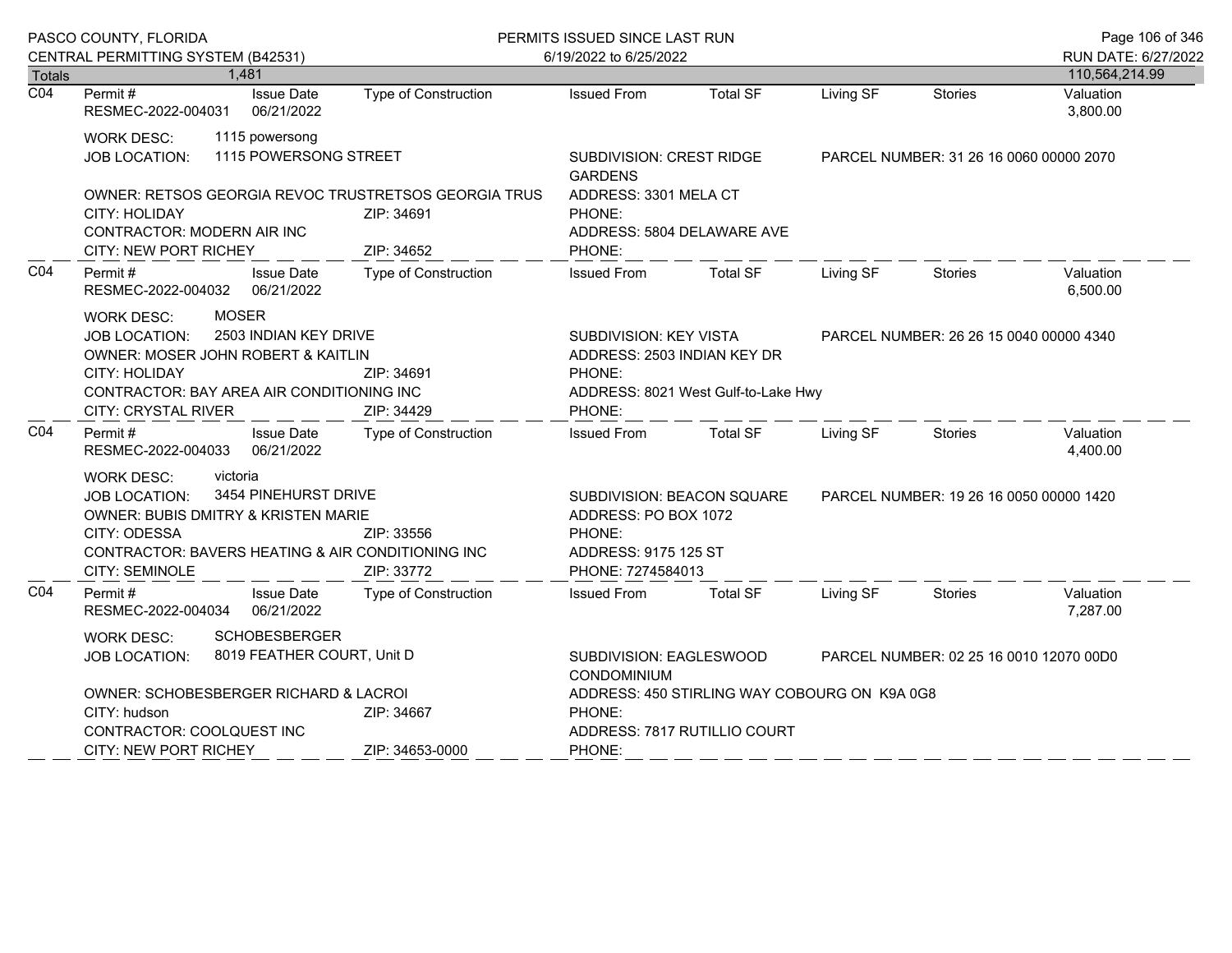|                  | PASCO COUNTY, FLORIDA                                                                                                                                                                                                                                   |                                            | PERMITS ISSUED SINCE LAST RUN<br>6/19/2022 to 6/25/2022                                                          |                                                     |                                         |                                         | Page 106 of 346                       |
|------------------|---------------------------------------------------------------------------------------------------------------------------------------------------------------------------------------------------------------------------------------------------------|--------------------------------------------|------------------------------------------------------------------------------------------------------------------|-----------------------------------------------------|-----------------------------------------|-----------------------------------------|---------------------------------------|
| Totals           | CENTRAL PERMITTING SYSTEM (B42531)<br>1,481                                                                                                                                                                                                             |                                            |                                                                                                                  |                                                     |                                         |                                         | RUN DATE: 6/27/2022<br>110,564,214.99 |
| $\overline{CO4}$ | Permit#<br><b>Issue Date</b><br>RESMEC-2022-004031<br>06/21/2022                                                                                                                                                                                        | Type of Construction                       | <b>Issued From</b>                                                                                               | <b>Total SF</b>                                     | Living SF                               | <b>Stories</b>                          | Valuation<br>3,800.00                 |
|                  | <b>WORK DESC:</b><br>1115 powersong<br>1115 POWERSONG STREET<br>JOB LOCATION:                                                                                                                                                                           | SUBDIVISION: CREST RIDGE<br><b>GARDENS</b> |                                                                                                                  |                                                     | PARCEL NUMBER: 31 26 16 0060 00000 2070 |                                         |                                       |
|                  | OWNER: RETSOS GEORGIA REVOC TRUSTRETSOS GEORGIA TRUS<br>CITY: HOLIDAY<br>ZIP: 34691<br>CONTRACTOR: MODERN AIR INC<br>CITY: NEW PORT RICHEY<br>ZIP: 34652                                                                                                |                                            | PHONE:<br>PHONE:                                                                                                 | ADDRESS: 3301 MELA CT<br>ADDRESS: 5804 DELAWARE AVE |                                         |                                         |                                       |
| CO <sub>4</sub>  | Permit #<br><b>Issue Date</b><br>RESMEC-2022-004032 06/21/2022                                                                                                                                                                                          | <b>Type of Construction</b>                | <b>Issued From</b>                                                                                               | <b>Total SF</b>                                     | Living SF                               | Stories                                 | Valuation<br>6,500.00                 |
|                  | <b>MOSER</b><br><b>WORK DESC:</b><br>2503 INDIAN KEY DRIVE<br><b>JOB LOCATION:</b><br>OWNER: MOSER JOHN ROBERT & KAITLIN<br><b>CITY: HOLIDAY</b><br>ZIP: 34691<br>CONTRACTOR: BAY AREA AIR CONDITIONING INC<br><b>CITY: CRYSTAL RIVER</b><br>ZIP: 34429 |                                            | SUBDIVISION: KEY VISTA<br>ADDRESS: 2503 INDIAN KEY DR<br>PHONE:<br>ADDRESS: 8021 West Gulf-to-Lake Hwy<br>PHONE: |                                                     |                                         | PARCEL NUMBER: 26 26 15 0040 00000 4340 |                                       |
| CO <sub>4</sub>  | Permit#<br><b>Issue Date</b><br>RESMEC-2022-004033<br>06/21/2022                                                                                                                                                                                        | Type of Construction                       | <b>Issued From</b>                                                                                               | <b>Total SF</b>                                     | Living SF                               | Stories                                 | Valuation<br>4,400.00                 |
|                  | victoria<br><b>WORK DESC:</b><br>3454 PINEHURST DRIVE<br><b>JOB LOCATION:</b><br><b>OWNER: BUBIS DMITRY &amp; KRISTEN MARIE</b><br>CITY: ODESSA<br>CONTRACTOR: BAVERS HEATING & AIR CONDITIONING INC<br>CITY: SEMINOLE                                  | ZIP: 33556<br>ZIP: 33772                   | ADDRESS: PO BOX 1072<br>PHONE:<br>ADDRESS: 9175 125 ST<br>PHONE: 7274584013                                      | SUBDIVISION: BEACON SQUARE                          | PARCEL NUMBER: 19 26 16 0050 00000 1420 |                                         |                                       |
| CO <sub>4</sub>  | <b>Issue Date</b><br>Permit#<br>RESMEC-2022-004034 06/21/2022                                                                                                                                                                                           | <b>Type of Construction</b>                | <b>Issued From</b>                                                                                               | <b>Total SF</b>                                     | Living SF                               | Stories                                 | Valuation<br>7,287.00                 |
|                  | <b>SCHOBESBERGER</b><br><b>WORK DESC:</b><br>8019 FEATHER COURT, Unit D<br><b>JOB LOCATION:</b><br>OWNER: SCHOBESBERGER RICHARD & LACROI<br>CITY: hudson<br>ZIP: 34667                                                                                  |                                            | SUBDIVISION: EAGLESWOOD<br><b>CONDOMINIUM</b><br>PHONE:                                                          | ADDRESS: 450 STIRLING WAY COBOURG ON K9A 0G8        |                                         | PARCEL NUMBER: 02 25 16 0010 12070 00D0 |                                       |
|                  | CONTRACTOR: COOLQUEST INC<br>CITY: NEW PORT RICHEY                                                                                                                                                                                                      | ZIP: 34653-0000                            | ADDRESS: 7817 RUTILLIO COURT<br>PHONE:                                                                           |                                                     |                                         |                                         |                                       |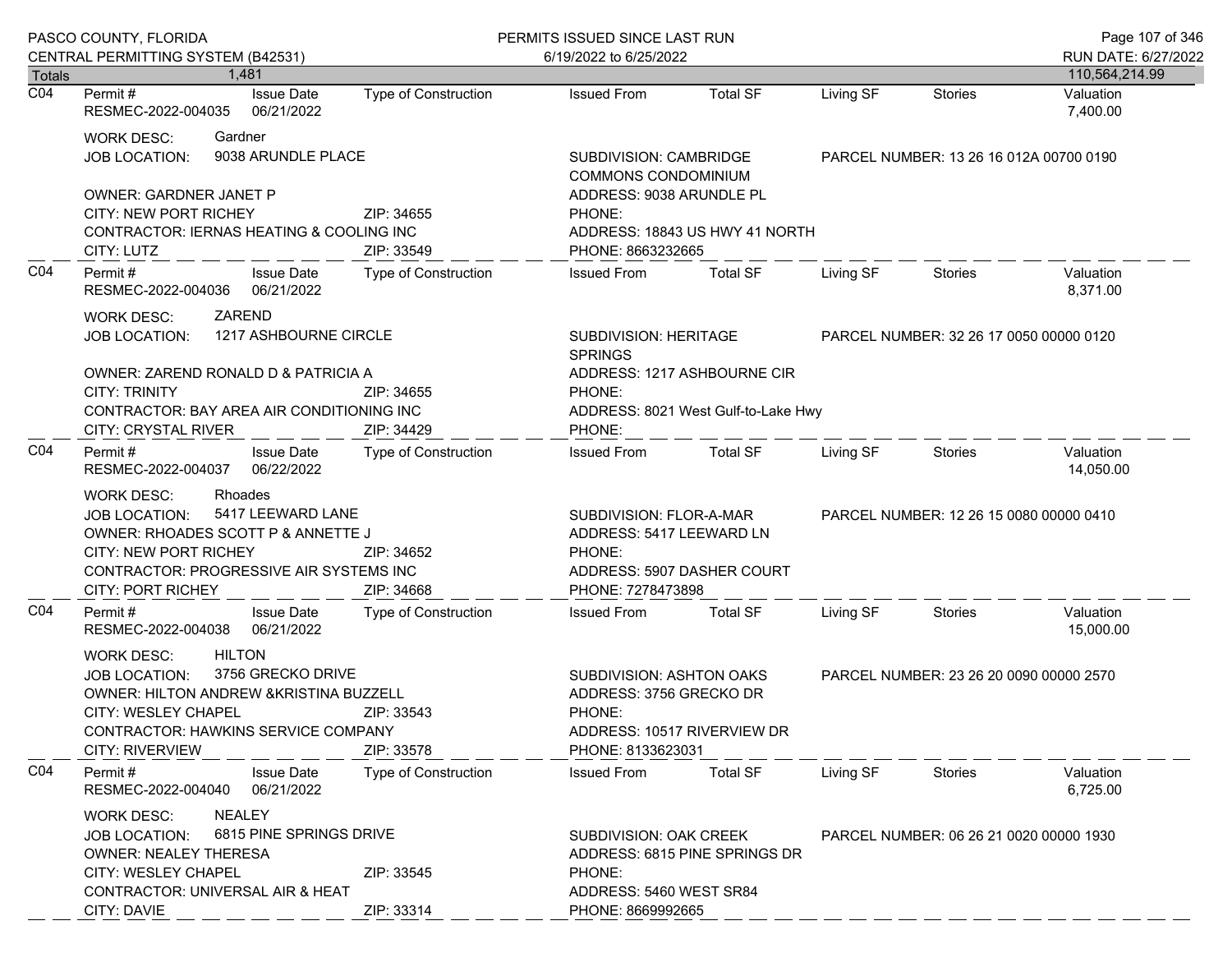|                            | PASCO COUNTY, FLORIDA                                                                                                                                                                                                                              |                             | PERMITS ISSUED SINCE LAST RUN                                                                                     |                                     |           |                                         | Page 107 of 346             |
|----------------------------|----------------------------------------------------------------------------------------------------------------------------------------------------------------------------------------------------------------------------------------------------|-----------------------------|-------------------------------------------------------------------------------------------------------------------|-------------------------------------|-----------|-----------------------------------------|-----------------------------|
|                            | CENTRAL PERMITTING SYSTEM (B42531)<br>1.481                                                                                                                                                                                                        |                             | 6/19/2022 to 6/25/2022                                                                                            |                                     |           |                                         | RUN DATE: 6/27/2022         |
| Totals<br>$\overline{CO4}$ | <b>Issue Date</b><br>Permit #                                                                                                                                                                                                                      | Type of Construction        | <b>Issued From</b>                                                                                                | <b>Total SF</b>                     | Living SF | <b>Stories</b>                          | 110,564,214.99<br>Valuation |
|                            | RESMEC-2022-004035<br>06/21/2022                                                                                                                                                                                                                   |                             |                                                                                                                   |                                     |           |                                         | 7,400.00                    |
|                            | Gardner<br><b>WORK DESC:</b><br>9038 ARUNDLE PLACE<br><b>JOB LOCATION:</b>                                                                                                                                                                         |                             | SUBDIVISION: CAMBRIDGE<br><b>COMMONS CONDOMINIUM</b>                                                              |                                     |           | PARCEL NUMBER: 13 26 16 012A 00700 0190 |                             |
|                            | <b>OWNER: GARDNER JANET P</b><br>CITY: NEW PORT RICHEY<br>CONTRACTOR: IERNAS HEATING & COOLING INC                                                                                                                                                 | ZIP: 34655                  | ADDRESS: 9038 ARUNDLE PL<br>PHONE:                                                                                | ADDRESS: 18843 US HWY 41 NORTH      |           |                                         |                             |
|                            | CITY: LUTZ                                                                                                                                                                                                                                         | ZIP: 33549                  | PHONE: 8663232665                                                                                                 |                                     |           |                                         |                             |
| CO <sub>4</sub>            | Permit#<br><b>Issue Date</b><br>RESMEC-2022-004036<br>06/21/2022                                                                                                                                                                                   | Type of Construction        | <b>Issued From</b>                                                                                                | <b>Total SF</b>                     | Living SF | Stories                                 | Valuation<br>8,371.00       |
|                            | ZAREND<br><b>WORK DESC:</b><br>1217 ASHBOURNE CIRCLE<br><b>JOB LOCATION:</b>                                                                                                                                                                       |                             | SUBDIVISION: HERITAGE<br><b>SPRINGS</b>                                                                           |                                     |           | PARCEL NUMBER: 32 26 17 0050 00000 0120 |                             |
|                            | OWNER: ZAREND RONALD D & PATRICIA A<br><b>CITY: TRINITY</b><br>ZIP: 34655                                                                                                                                                                          |                             | PHONE:                                                                                                            | ADDRESS: 1217 ASHBOURNE CIR         |           |                                         |                             |
|                            | CONTRACTOR: BAY AREA AIR CONDITIONING INC<br><b>CITY: CRYSTAL RIVER</b>                                                                                                                                                                            | ZIP: 34429                  | PHONE:                                                                                                            | ADDRESS: 8021 West Gulf-to-Lake Hwy |           |                                         |                             |
| CO <sub>4</sub>            | Permit#<br><b>Issue Date</b><br>RESMEC-2022-004037<br>06/22/2022                                                                                                                                                                                   | <b>Type of Construction</b> | <b>Issued From</b>                                                                                                | <b>Total SF</b>                     | Living SF | Stories                                 | Valuation<br>14,050.00      |
|                            | Rhoades<br><b>WORK DESC:</b><br>5417 LEEWARD LANE<br><b>JOB LOCATION:</b><br>OWNER: RHOADES SCOTT P & ANNETTE J<br><b>CITY: NEW PORT RICHEY</b><br>ZIP: 34652<br>CONTRACTOR: PROGRESSIVE AIR SYSTEMS INC<br>ZIP: 34668<br><b>CITY: PORT RICHEY</b> |                             | SUBDIVISION: FLOR-A-MAR<br>ADDRESS: 5417 LEEWARD LN<br>PHONE:<br>ADDRESS: 5907 DASHER COURT<br>PHONE: 7278473898  |                                     |           | PARCEL NUMBER: 12 26 15 0080 00000 0410 |                             |
| CO <sub>4</sub>            | <b>Issue Date</b><br>Permit#<br>RESMEC-2022-004038 06/21/2022                                                                                                                                                                                      | Type of Construction        | <b>Issued From</b>                                                                                                | <b>Total SF</b>                     | Living SF | Stories                                 | Valuation<br>15,000.00      |
|                            | <b>HILTON</b><br><b>WORK DESC:</b><br>3756 GRECKO DRIVE<br><b>JOB LOCATION:</b><br>OWNER: HILTON ANDREW & KRISTINA BUZZELL<br>CITY: WESLEY CHAPEL<br>ZIP: 33543<br>CONTRACTOR: HAWKINS SERVICE COMPANY<br><b>CITY: RIVERVIEW</b><br>ZIP: 33578     |                             | SUBDIVISION: ASHTON OAKS<br>ADDRESS: 3756 GRECKO DR<br>PHONE:<br>ADDRESS: 10517 RIVERVIEW DR<br>PHONE: 8133623031 |                                     |           | PARCEL NUMBER: 23 26 20 0090 00000 2570 |                             |
| CO <sub>4</sub>            | Permit#<br><b>Issue Date</b><br>RESMEC-2022-004040<br>06/21/2022                                                                                                                                                                                   | <b>Type of Construction</b> | <b>Issued From</b>                                                                                                | <b>Total SF</b>                     | Living SF | Stories                                 | Valuation<br>6,725.00       |
|                            | NEALEY<br><b>WORK DESC:</b><br>6815 PINE SPRINGS DRIVE<br><b>JOB LOCATION:</b><br><b>OWNER: NEALEY THERESA</b><br><b>CITY: WESLEY CHAPEL</b><br>ZIP: 33545                                                                                         |                             | <b>SUBDIVISION: OAK CREEK</b><br>PHONE:                                                                           | ADDRESS: 6815 PINE SPRINGS DR       |           | PARCEL NUMBER: 06 26 21 0020 00000 1930 |                             |
|                            | CONTRACTOR: UNIVERSAL AIR & HEAT<br>CITY: DAVIE                                                                                                                                                                                                    | ZIP: 33314                  | ADDRESS: 5460 WEST SR84<br>PHONE: 8669992665                                                                      |                                     |           |                                         |                             |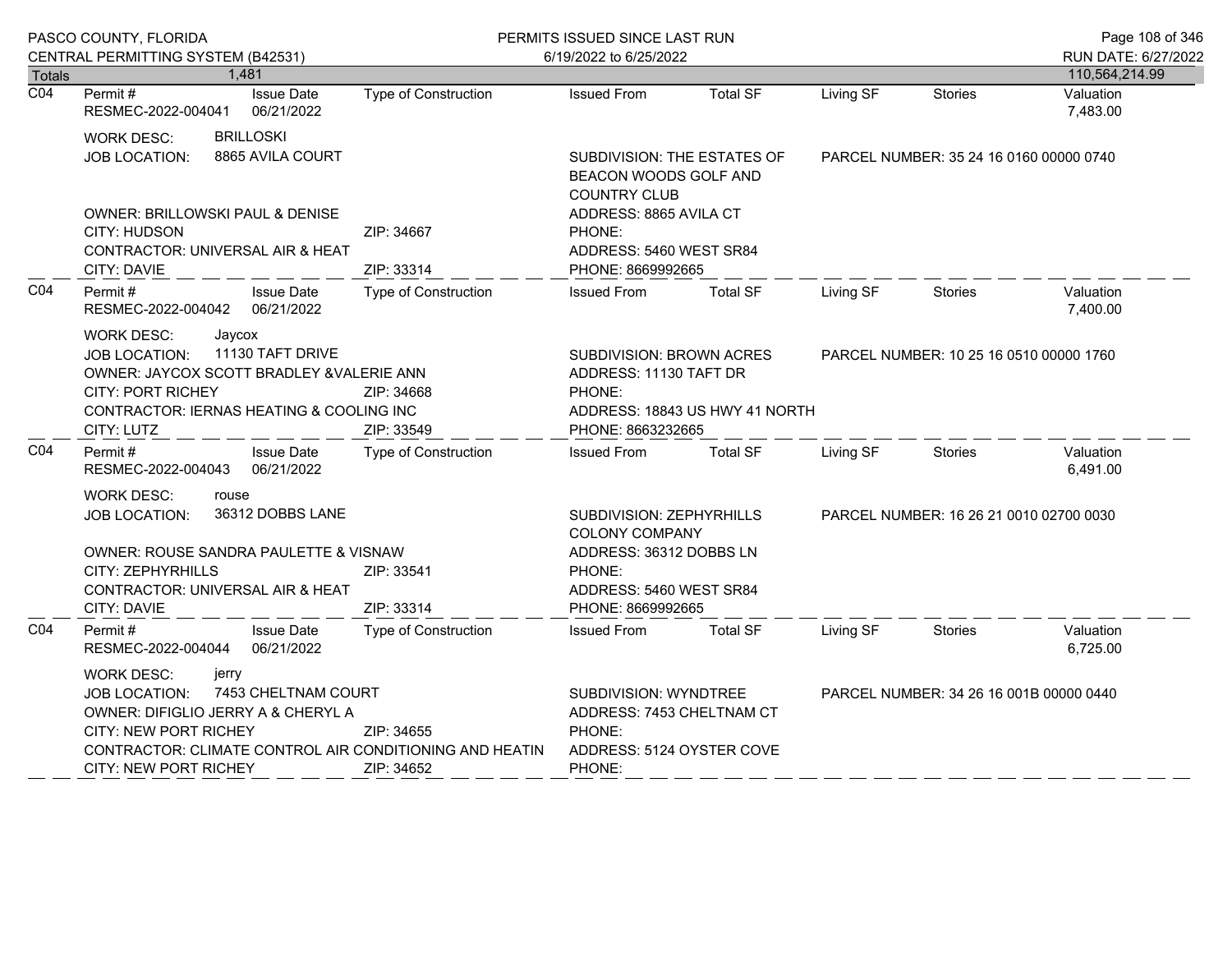| PASCO COUNTY, FLORIDA |                                                                                                                                                                                                                                                          |                                 | PERMITS ISSUED SINCE LAST RUN                                                                       |                                                                                                                     |                 |                                         |                                         | Page 108 of 346       |
|-----------------------|----------------------------------------------------------------------------------------------------------------------------------------------------------------------------------------------------------------------------------------------------------|---------------------------------|-----------------------------------------------------------------------------------------------------|---------------------------------------------------------------------------------------------------------------------|-----------------|-----------------------------------------|-----------------------------------------|-----------------------|
|                       | CENTRAL PERMITTING SYSTEM (B42531)                                                                                                                                                                                                                       |                                 |                                                                                                     | 6/19/2022 to 6/25/2022                                                                                              |                 |                                         |                                         | RUN DATE: 6/27/2022   |
| Totals                | 1.481                                                                                                                                                                                                                                                    |                                 |                                                                                                     |                                                                                                                     |                 |                                         |                                         | 110,564,214.99        |
| $\overline{CO4}$      | Permit#<br>RESMEC-2022-004041                                                                                                                                                                                                                            | <b>Issue Date</b><br>06/21/2022 | Type of Construction                                                                                | <b>Issued From</b>                                                                                                  | <b>Total SF</b> | Living SF                               | <b>Stories</b>                          | Valuation<br>7,483.00 |
|                       | <b>BRILLOSKI</b><br><b>WORK DESC:</b><br>8865 AVILA COURT<br>JOB LOCATION:                                                                                                                                                                               |                                 |                                                                                                     | SUBDIVISION: THE ESTATES OF<br>BEACON WOODS GOLF AND<br><b>COUNTRY CLUB</b>                                         |                 |                                         | PARCEL NUMBER: 35 24 16 0160 00000 0740 |                       |
|                       | OWNER: BRILLOWSKI PAUL & DENISE<br>CITY: HUDSON<br>CONTRACTOR: UNIVERSAL AIR & HEAT<br><b>CITY: DAVIE</b>                                                                                                                                                |                                 | ZIP: 34667<br>ZIP: 33314                                                                            | ADDRESS: 8865 AVILA CT<br>PHONE:<br>ADDRESS: 5460 WEST SR84<br>PHONE: 8669992665                                    |                 |                                         |                                         |                       |
| CO <sub>4</sub>       | Permit#<br>RESMEC-2022-004042 06/21/2022                                                                                                                                                                                                                 | <b>Issue Date</b>               | Type of Construction                                                                                | <b>Issued From</b>                                                                                                  | <b>Total SF</b> | Living SF                               | <b>Stories</b>                          | Valuation<br>7,400.00 |
|                       | WORK DESC:<br>Jaycox<br>11130 TAFT DRIVE<br>JOB LOCATION:<br>OWNER: JAYCOX SCOTT BRADLEY & VALERIE ANN<br><b>CITY: PORT RICHEY</b><br>ZIP: 34668<br>CONTRACTOR: IERNAS HEATING & COOLING INC<br>CITY: LUTZ<br>ZIP: 33549                                 |                                 |                                                                                                     | SUBDIVISION: BROWN ACRES<br>ADDRESS: 11130 TAFT DR<br>PHONE:<br>ADDRESS: 18843 US HWY 41 NORTH<br>PHONE: 8663232665 |                 | PARCEL NUMBER: 10 25 16 0510 00000 1760 |                                         |                       |
| CO <sub>4</sub>       | Permit #<br>RESMEC-2022-004043                                                                                                                                                                                                                           | <b>Issue Date</b><br>06/21/2022 | Type of Construction                                                                                | <b>Issued From</b>                                                                                                  | <b>Total SF</b> | Living SF                               | <b>Stories</b>                          | Valuation<br>6,491.00 |
|                       | <b>WORK DESC:</b><br>rouse<br>36312 DOBBS LANE<br><b>JOB LOCATION:</b>                                                                                                                                                                                   |                                 | SUBDIVISION: ZEPHYRHILLS<br><b>COLONY COMPANY</b><br>ADDRESS: 36312 DOBBS LN                        |                                                                                                                     |                 | PARCEL NUMBER: 16 26 21 0010 02700 0030 |                                         |                       |
|                       | OWNER: ROUSE SANDRA PAULETTE & VISNAW<br>CITY: ZEPHYRHILLS<br>ZIP: 33541<br>CONTRACTOR: UNIVERSAL AIR & HEAT<br>ZIP: 33314<br><b>CITY: DAVIE</b>                                                                                                         |                                 | PHONE:<br>ADDRESS: 5460 WEST SR84<br>PHONE: 8669992665                                              |                                                                                                                     |                 |                                         |                                         |                       |
| CO <sub>4</sub>       | Permit#<br>RESMEC-2022-004044                                                                                                                                                                                                                            | <b>Issue Date</b><br>06/21/2022 | <b>Type of Construction</b>                                                                         | <b>Issued From</b>                                                                                                  | <b>Total SF</b> | Living SF                               | <b>Stories</b>                          | Valuation<br>6,725.00 |
|                       | <b>WORK DESC:</b><br>jerry<br>7453 CHELTNAM COURT<br><b>JOB LOCATION:</b><br>OWNER: DIFIGLIO JERRY A & CHERYL A<br>CITY: NEW PORT RICHEY<br>ZIP: 34655<br>CONTRACTOR: CLIMATE CONTROL AIR CONDITIONING AND HEATIN<br>CITY: NEW PORT RICHEY<br>ZIP: 34652 |                                 | SUBDIVISION: WYNDTREE<br>ADDRESS: 7453 CHELTNAM CT<br>PHONE:<br>ADDRESS: 5124 OYSTER COVE<br>PHONE: |                                                                                                                     |                 | PARCEL NUMBER: 34 26 16 001B 00000 0440 |                                         |                       |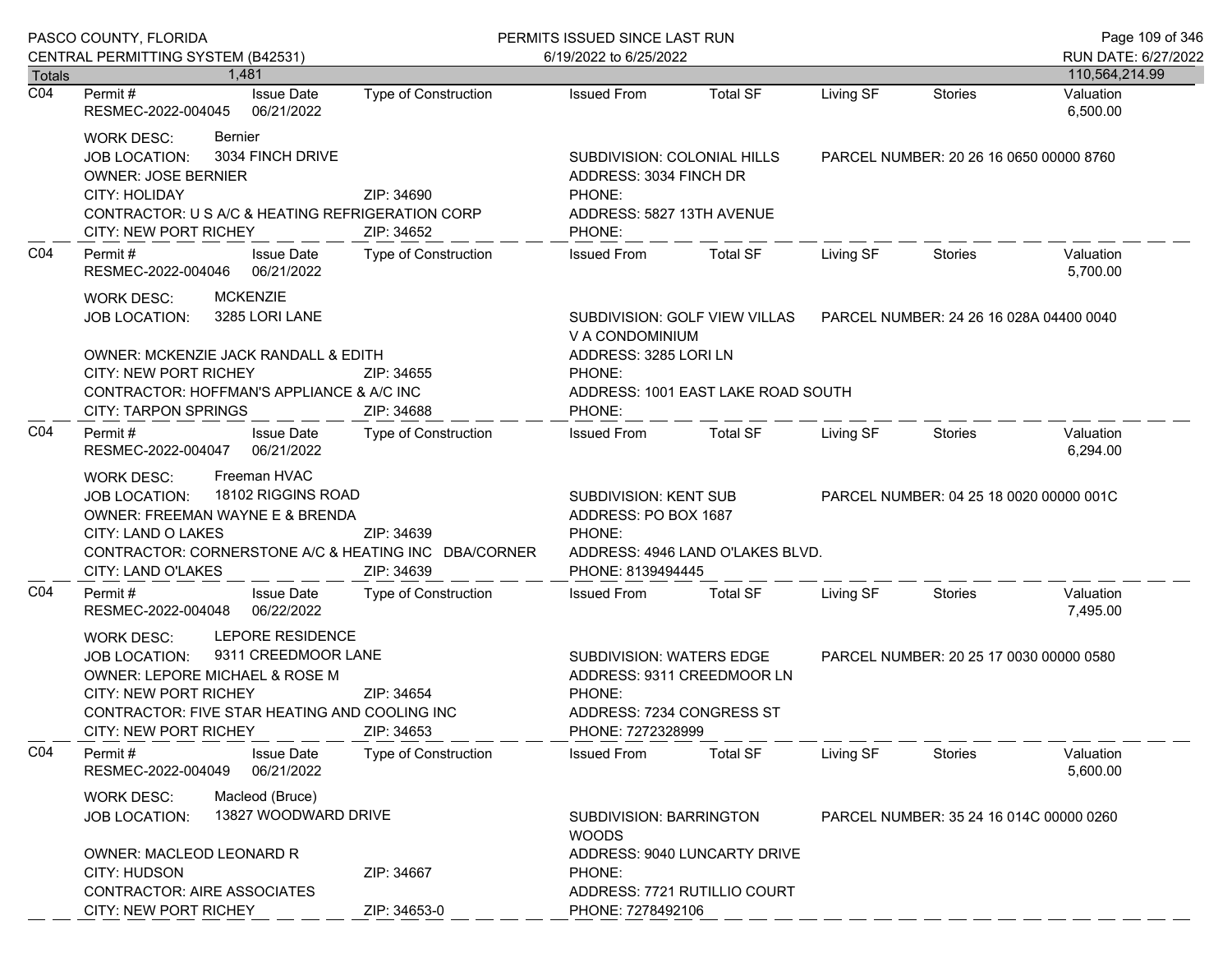|                  | PASCO COUNTY, FLORIDA<br>CENTRAL PERMITTING SYSTEM (B42531)                                                                                                                                                                        | PERMITS ISSUED SINCE LAST RUN<br>6/19/2022 to 6/25/2022 |                                                                                                                                     |                              |                                         |                                         | Page 109 of 346<br>RUN DATE: 6/27/2022 |
|------------------|------------------------------------------------------------------------------------------------------------------------------------------------------------------------------------------------------------------------------------|---------------------------------------------------------|-------------------------------------------------------------------------------------------------------------------------------------|------------------------------|-----------------------------------------|-----------------------------------------|----------------------------------------|
| <b>Totals</b>    | 1.481                                                                                                                                                                                                                              |                                                         |                                                                                                                                     |                              |                                         |                                         | 110,564,214.99                         |
| $\overline{CO4}$ | <b>Issue Date</b><br>Permit#<br>RESMEC-2022-004045<br>06/21/2022                                                                                                                                                                   | <b>Type of Construction</b>                             | <b>Issued From</b>                                                                                                                  | <b>Total SF</b>              | Living SF                               | <b>Stories</b>                          | Valuation<br>6,500.00                  |
|                  | <b>Bernier</b><br><b>WORK DESC:</b><br>3034 FINCH DRIVE<br><b>JOB LOCATION:</b><br><b>OWNER: JOSE BERNIER</b><br>CITY: HOLIDAY<br>CONTRACTOR: U S A/C & HEATING REFRIGERATION CORP<br>CITY: NEW PORT RICHEY                        | ZIP: 34690<br>ZIP: 34652                                | SUBDIVISION: COLONIAL HILLS<br>ADDRESS: 3034 FINCH DR<br>PHONE:<br>ADDRESS: 5827 13TH AVENUE<br>PHONE:                              |                              | PARCEL NUMBER: 20 26 16 0650 00000 8760 |                                         |                                        |
| CO <sub>4</sub>  | <b>Issue Date</b><br>Permit #<br>06/21/2022<br>RESMEC-2022-004046                                                                                                                                                                  | <b>Type of Construction</b>                             | <b>Issued From</b>                                                                                                                  | <b>Total SF</b>              | Living SF                               | Stories                                 | Valuation<br>5,700.00                  |
|                  | <b>MCKENZIE</b><br><b>WORK DESC:</b><br>3285 LORI LANE<br><b>JOB LOCATION:</b><br>OWNER: MCKENZIE JACK RANDALL & EDITH<br><b>CITY: NEW PORT RICHEY</b><br>CONTRACTOR: HOFFMAN'S APPLIANCE & A/C INC<br><b>CITY: TARPON SPRINGS</b> | ZIP: 34655<br>ZIP: 34688                                | SUBDIVISION: GOLF VIEW VILLAS<br>V A CONDOMINIUM<br>ADDRESS: 3285 LORI LN<br>PHONE:<br>ADDRESS: 1001 EAST LAKE ROAD SOUTH<br>PHONE: |                              |                                         | PARCEL NUMBER: 24 26 16 028A 04400 0040 |                                        |
| CO <sub>4</sub>  | Permit#<br><b>Issue Date</b><br>RESMEC-2022-004047<br>06/21/2022                                                                                                                                                                   | Type of Construction                                    | <b>Issued From</b>                                                                                                                  | <b>Total SF</b>              | Living SF                               | Stories                                 | Valuation<br>6,294.00                  |
|                  | Freeman HVAC<br>WORK DESC:<br>18102 RIGGINS ROAD<br><b>JOB LOCATION:</b><br><b>OWNER: FREEMAN WAYNE E &amp; BRENDA</b><br>CITY: LAND O LAKES<br>CONTRACTOR: CORNERSTONE A/C & HEATING INC DBA/CORNER<br>CITY: LAND O'LAKES         | ZIP: 34639<br>ZIP: 34639                                | SUBDIVISION: KENT SUB<br>ADDRESS: PO BOX 1687<br>PHONE:<br>ADDRESS: 4946 LAND O'LAKES BLVD.<br>PHONE: 8139494445                    |                              | PARCEL NUMBER: 04 25 18 0020 00000 001C |                                         |                                        |
| CO <sub>4</sub>  | Permit#<br><b>Issue Date</b><br>06/22/2022<br>RESMEC-2022-004048                                                                                                                                                                   | Type of Construction                                    | <b>Issued From</b>                                                                                                                  | <b>Total SF</b>              | Living SF                               | Stories                                 | Valuation<br>7,495.00                  |
|                  | LEPORE RESIDENCE<br>WORK DESC:<br>9311 CREEDMOOR LANE<br>JOB LOCATION:<br>OWNER: LEPORE MICHAEL & ROSE M<br><b>CITY: NEW PORT RICHEY</b><br>CONTRACTOR: FIVE STAR HEATING AND COOLING INC<br>CITY: NEW PORT RICHEY                 | ZIP: 34654<br>ZIP: 34653                                | SUBDIVISION: WATERS EDGE<br>PHONE:<br>ADDRESS: 7234 CONGRESS ST<br>PHONE: 7272328999                                                | ADDRESS: 9311 CREEDMOOR LN   |                                         | PARCEL NUMBER: 20 25 17 0030 00000 0580 |                                        |
| CO <sub>4</sub>  | Permit#<br><b>Issue Date</b><br>06/21/2022<br>RESMEC-2022-004049                                                                                                                                                                   | <b>Type of Construction</b>                             | <b>Issued From</b>                                                                                                                  | <b>Total SF</b>              | Living SF                               | Stories                                 | Valuation<br>5,600.00                  |
|                  | Macleod (Bruce)<br><b>WORK DESC:</b><br>13827 WOODWARD DRIVE<br><b>JOB LOCATION:</b><br><b>OWNER: MACLEOD LEONARD R</b>                                                                                                            |                                                         | SUBDIVISION: BARRINGTON<br><b>WOODS</b>                                                                                             | ADDRESS: 9040 LUNCARTY DRIVE |                                         | PARCEL NUMBER: 35 24 16 014C 00000 0260 |                                        |
|                  | <b>CITY: HUDSON</b><br><b>CONTRACTOR: AIRE ASSOCIATES</b><br>CITY: NEW PORT RICHEY                                                                                                                                                 | ZIP: 34667<br>ZIP: 34653-0                              | PHONE:<br>PHONE: 7278492106                                                                                                         | ADDRESS: 7721 RUTILLIO COURT |                                         |                                         |                                        |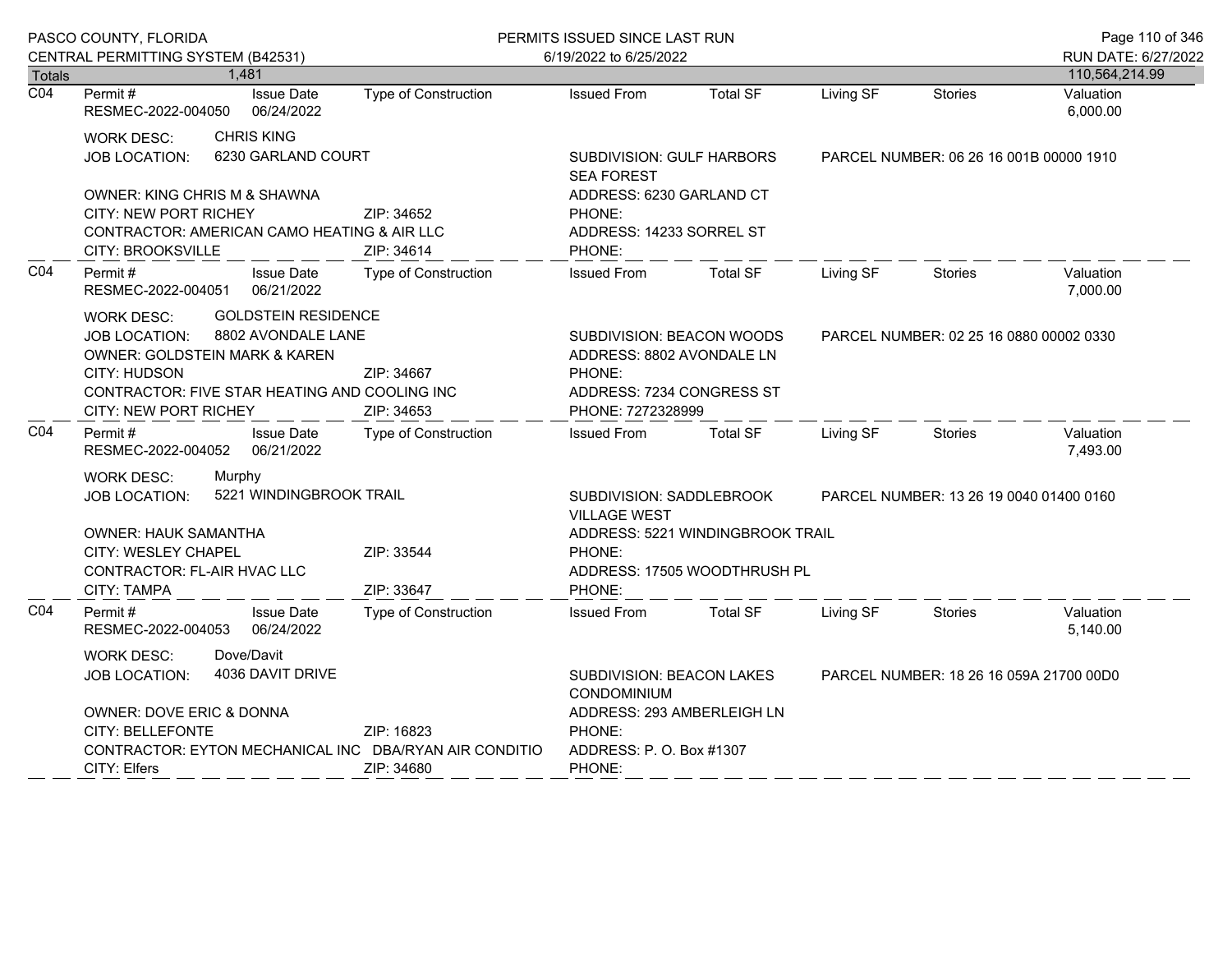|                                   | PASCO COUNTY, FLORIDA                                                         |                                                | PERMITS ISSUED SINCE LAST RUN                                        |                                         |                                                  |                | Page 110 of 346                       |  |  |
|-----------------------------------|-------------------------------------------------------------------------------|------------------------------------------------|----------------------------------------------------------------------|-----------------------------------------|--------------------------------------------------|----------------|---------------------------------------|--|--|
|                                   | CENTRAL PERMITTING SYSTEM (B42531)                                            |                                                | 6/19/2022 to 6/25/2022                                               |                                         |                                                  |                | RUN DATE: 6/27/2022<br>110,564,214.99 |  |  |
| <b>Totals</b><br>$\overline{CO4}$ | 1,481<br><b>Issue Date</b><br>Permit#                                         | <b>Type of Construction</b>                    | <b>Issued From</b>                                                   | <b>Total SF</b>                         | Living SF                                        | <b>Stories</b> | Valuation                             |  |  |
|                                   | 06/24/2022<br>RESMEC-2022-004050                                              |                                                |                                                                      |                                         |                                                  |                | 6,000.00                              |  |  |
|                                   | <b>CHRIS KING</b><br><b>WORK DESC:</b>                                        |                                                |                                                                      |                                         |                                                  |                |                                       |  |  |
|                                   | 6230 GARLAND COURT<br><b>JOB LOCATION:</b>                                    |                                                | SUBDIVISION: GULF HARBORS<br><b>SEA FOREST</b>                       |                                         | PARCEL NUMBER: 06 26 16 001B 00000 1910          |                |                                       |  |  |
|                                   | OWNER: KING CHRIS M & SHAWNA                                                  |                                                | ADDRESS: 6230 GARLAND CT                                             |                                         |                                                  |                |                                       |  |  |
|                                   | CITY: NEW PORT RICHEY                                                         | PHONE:                                         |                                                                      |                                         |                                                  |                |                                       |  |  |
|                                   | CONTRACTOR: AMERICAN CAMO HEATING & AIR LLC<br><b>CITY: BROOKSVILLE</b>       | ZIP: 34614                                     | ADDRESS: 14233 SORREL ST<br>PHONE:                                   |                                         |                                                  |                |                                       |  |  |
| CO <sub>4</sub>                   | Permit#<br><b>Issue Date</b><br>RESMEC-2022-004051<br>06/21/2022              | Type of Construction                           | <b>Issued From</b>                                                   | <b>Total SF</b>                         | Living SF                                        | <b>Stories</b> | Valuation<br>7,000.00                 |  |  |
|                                   | <b>GOLDSTEIN RESIDENCE</b><br><b>WORK DESC:</b>                               |                                                |                                                                      |                                         |                                                  |                |                                       |  |  |
|                                   | 8802 AVONDALE LANE<br>JOB LOCATION:                                           | SUBDIVISION: BEACON WOODS                      |                                                                      |                                         | PARCEL NUMBER: 02 25 16 0880 00002 0330          |                |                                       |  |  |
|                                   | OWNER: GOLDSTEIN MARK & KAREN                                                 |                                                | ADDRESS: 8802 AVONDALE LN                                            |                                         |                                                  |                |                                       |  |  |
|                                   | CITY: HUDSON                                                                  | ZIP: 34667                                     | PHONE:                                                               |                                         |                                                  |                |                                       |  |  |
|                                   | CONTRACTOR: FIVE STAR HEATING AND COOLING INC<br><b>CITY: NEW PORT RICHEY</b> | ADDRESS: 7234 CONGRESS ST<br>PHONE: 7272328999 |                                                                      |                                         |                                                  |                |                                       |  |  |
| CO <sub>4</sub>                   | <b>Issue Date</b><br>Permit#                                                  | ZIP: 34653<br>Type of Construction             | <b>Issued From</b>                                                   | <b>Total SF</b>                         | Living SF                                        | <b>Stories</b> | Valuation                             |  |  |
|                                   | RESMEC-2022-004052<br>06/21/2022                                              |                                                |                                                                      |                                         |                                                  |                | 7,493.00                              |  |  |
|                                   | <b>WORK DESC:</b><br>Murphy                                                   |                                                |                                                                      |                                         |                                                  |                |                                       |  |  |
|                                   | 5221 WINDINGBROOK TRAIL<br><b>JOB LOCATION:</b>                               |                                                | SUBDIVISION: SADDLEBROOK<br><b>VILLAGE WEST</b>                      | PARCEL NUMBER: 13 26 19 0040 01400 0160 |                                                  |                |                                       |  |  |
|                                   | <b>OWNER: HAUK SAMANTHA</b>                                                   |                                                | ADDRESS: 5221 WINDINGBROOK TRAIL                                     |                                         |                                                  |                |                                       |  |  |
|                                   | <b>CITY: WESLEY CHAPEL</b>                                                    | ZIP: 33544                                     | PHONE:                                                               |                                         |                                                  |                |                                       |  |  |
|                                   | CONTRACTOR: FL-AIR HVAC LLC                                                   | ZIP: 33647                                     | PHONE:                                                               | ADDRESS: 17505 WOODTHRUSH PL            |                                                  |                |                                       |  |  |
| CO <sub>4</sub>                   | <b>CITY: TAMPA</b><br>Permit#<br><b>Issue Date</b>                            | Type of Construction                           | <b>Issued From</b>                                                   | <b>Total SF</b>                         | Living SF                                        | <b>Stories</b> | Valuation                             |  |  |
|                                   | RESMEC-2022-004053<br>06/24/2022                                              |                                                |                                                                      |                                         |                                                  |                | 5,140.00                              |  |  |
|                                   | Dove/Davit<br><b>WORK DESC:</b>                                               |                                                |                                                                      |                                         |                                                  |                |                                       |  |  |
|                                   | 4036 DAVIT DRIVE<br><b>JOB LOCATION:</b>                                      |                                                | SUBDIVISION: BEACON LAKES<br>PARCEL NUMBER: 18 26 16 059A 21700 00D0 |                                         |                                                  |                |                                       |  |  |
|                                   | OWNER: DOVE ERIC & DONNA                                                      |                                                |                                                                      |                                         | <b>CONDOMINIUM</b><br>ADDRESS: 293 AMBERLEIGH LN |                |                                       |  |  |
|                                   | <b>CITY: BELLEFONTE</b>                                                       | PHONE:                                         |                                                                      |                                         |                                                  |                |                                       |  |  |
|                                   | CONTRACTOR: EYTON MECHANICAL INC DBA/RYAN AIR CONDITIO                        |                                                | ADDRESS: P. O. Box #1307                                             |                                         |                                                  |                |                                       |  |  |
|                                   | CITY: Elfers                                                                  | ZIP: 34680                                     | PHONE:                                                               |                                         |                                                  |                |                                       |  |  |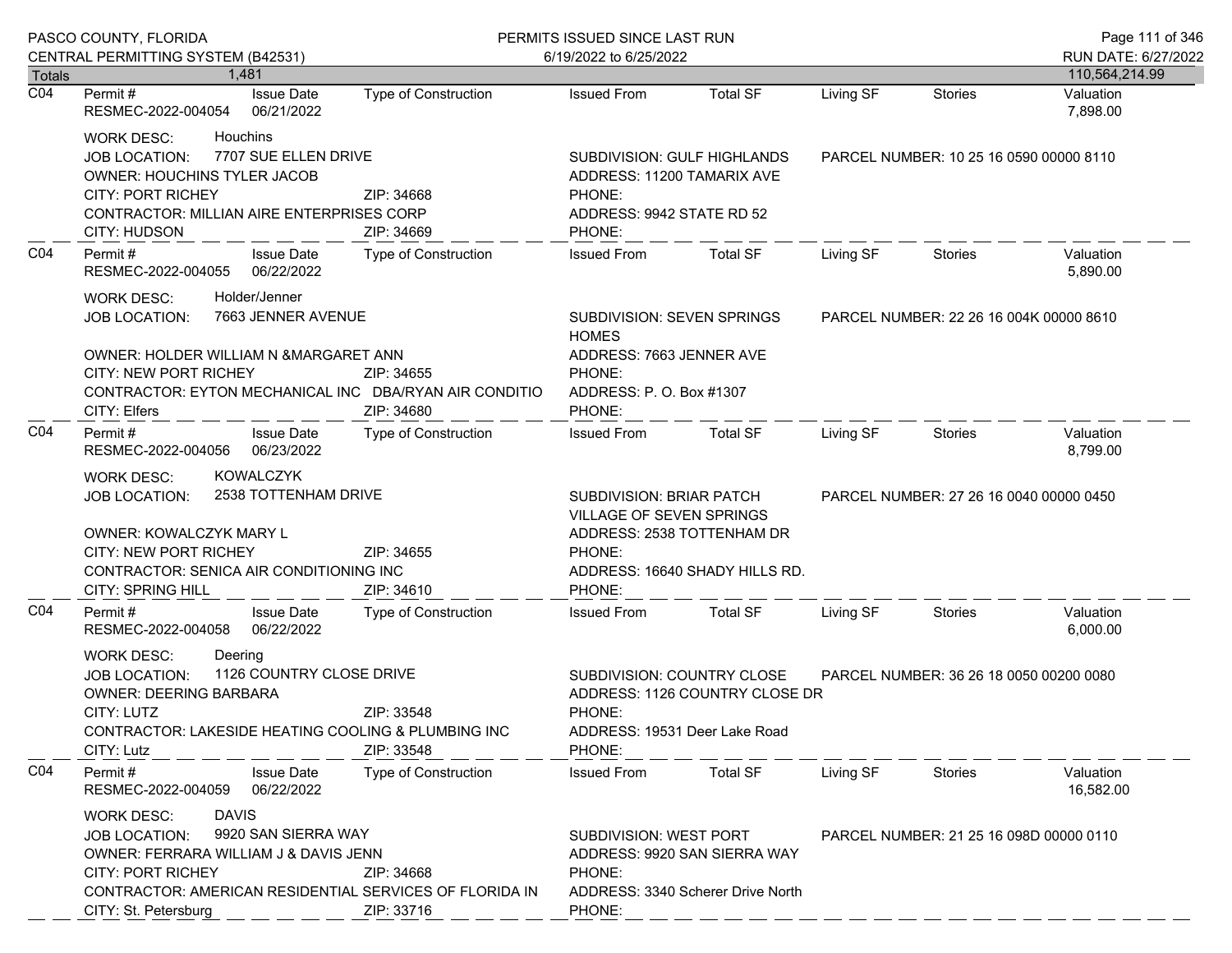|                  | PASCO COUNTY, FLORIDA                                                                                                                                                                                                                                                |                             | PERMITS ISSUED SINCE LAST RUN                                                                                                                   |                                |           |                                         | Page 111 of 346                       |
|------------------|----------------------------------------------------------------------------------------------------------------------------------------------------------------------------------------------------------------------------------------------------------------------|-----------------------------|-------------------------------------------------------------------------------------------------------------------------------------------------|--------------------------------|-----------|-----------------------------------------|---------------------------------------|
| <b>Totals</b>    | CENTRAL PERMITTING SYSTEM (B42531)<br>1.481                                                                                                                                                                                                                          |                             | 6/19/2022 to 6/25/2022                                                                                                                          |                                |           |                                         | RUN DATE: 6/27/2022<br>110,564,214.99 |
| $\overline{CO4}$ | <b>Issue Date</b><br>Permit #<br>RESMEC-2022-004054<br>06/21/2022                                                                                                                                                                                                    | <b>Type of Construction</b> | <b>Issued From</b>                                                                                                                              | <b>Total SF</b>                | Living SF | <b>Stories</b>                          | Valuation<br>7,898.00                 |
|                  | <b>WORK DESC:</b><br><b>Houchins</b><br>7707 SUE ELLEN DRIVE<br><b>JOB LOCATION:</b><br>OWNER: HOUCHINS TYLER JACOB<br><b>CITY: PORT RICHEY</b><br><b>CONTRACTOR: MILLIAN AIRE ENTERPRISES CORP</b><br>CITY: HUDSON                                                  | ZIP: 34668<br>ZIP: 34669    | SUBDIVISION: GULF HIGHLANDS<br>ADDRESS: 11200 TAMARIX AVE<br>PHONE:<br>ADDRESS: 9942 STATE RD 52<br>PHONE:                                      |                                |           | PARCEL NUMBER: 10 25 16 0590 00000 8110 |                                       |
| CO <sub>4</sub>  | Permit#<br><b>Issue Date</b><br>06/22/2022<br>RESMEC-2022-004055                                                                                                                                                                                                     | Type of Construction        | <b>Issued From</b>                                                                                                                              | <b>Total SF</b>                | Living SF | Stories                                 | Valuation<br>5,890.00                 |
|                  | Holder/Jenner<br><b>WORK DESC:</b><br>7663 JENNER AVENUE<br><b>JOB LOCATION:</b>                                                                                                                                                                                     |                             | <b>SUBDIVISION: SEVEN SPRINGS</b><br><b>HOMES</b>                                                                                               |                                |           | PARCEL NUMBER: 22 26 16 004K 00000 8610 |                                       |
|                  | OWNER: HOLDER WILLIAM N & MARGARET ANN<br><b>CITY: NEW PORT RICHEY</b><br>CONTRACTOR: EYTON MECHANICAL INC DBA/RYAN AIR CONDITIO<br>CITY: Elfers                                                                                                                     | ZIP: 34655<br>ZIP: 34680    | ADDRESS: 7663 JENNER AVE<br>PHONE:<br>ADDRESS: P. O. Box #1307<br>PHONE:                                                                        |                                |           |                                         |                                       |
| CO <sub>4</sub>  | Permit#<br><b>Issue Date</b><br>06/23/2022<br>RESMEC-2022-004056                                                                                                                                                                                                     | Type of Construction        | <b>Issued From</b>                                                                                                                              | <b>Total SF</b>                | Living SF | Stories                                 | Valuation<br>8,799.00                 |
|                  | <b>KOWALCZYK</b><br>WORK DESC:<br>2538 TOTTENHAM DRIVE<br><b>JOB LOCATION:</b><br>OWNER: KOWALCZYK MARY L<br>CITY: NEW PORT RICHEY<br>CONTRACTOR: SENICA AIR CONDITIONING INC<br><b>CITY: SPRING HILL</b>                                                            | ZIP: 34655<br>ZIP: 34610    | <b>SUBDIVISION: BRIAR PATCH</b><br>VILLAGE OF SEVEN SPRINGS<br>ADDRESS: 2538 TOTTENHAM DR<br>PHONE:<br>ADDRESS: 16640 SHADY HILLS RD.<br>PHONE: |                                |           | PARCEL NUMBER: 27 26 16 0040 00000 0450 |                                       |
| CO <sub>4</sub>  | Permit#<br><b>Issue Date</b><br>RESMEC-2022-004058<br>06/22/2022                                                                                                                                                                                                     | <b>Type of Construction</b> | <b>Issued From</b>                                                                                                                              | <b>Total SF</b>                | Living SF | Stories                                 | Valuation<br>6,000.00                 |
|                  | Deering<br><b>WORK DESC:</b><br>1126 COUNTRY CLOSE DRIVE<br><b>JOB LOCATION:</b><br>OWNER: DEERING BARBARA<br>CITY: LUTZ<br>CONTRACTOR: LAKESIDE HEATING COOLING & PLUMBING INC<br>CITY: Lutz                                                                        | ZIP: 33548<br>ZIP: 33548    | SUBDIVISION: COUNTRY CLOSE<br>PHONE:<br>ADDRESS: 19531 Deer Lake Road<br>PHONE:                                                                 | ADDRESS: 1126 COUNTRY CLOSE DR |           | PARCEL NUMBER: 36 26 18 0050 00200 0080 |                                       |
| CO <sub>4</sub>  | Permit#<br><b>Issue Date</b><br>06/22/2022<br>RESMEC-2022-004059                                                                                                                                                                                                     | <b>Type of Construction</b> | <b>Issued From</b>                                                                                                                              | <b>Total SF</b>                | Living SF | Stories                                 | Valuation<br>16,582.00                |
|                  | <b>DAVIS</b><br><b>WORK DESC:</b><br>9920 SAN SIERRA WAY<br><b>JOB LOCATION:</b><br>OWNER: FERRARA WILLIAM J & DAVIS JENN<br><b>CITY: PORT RICHEY</b><br>ZIP: 34668<br>CONTRACTOR: AMERICAN RESIDENTIAL SERVICES OF FLORIDA IN<br>CITY: St. Petersburg<br>ZIP: 33716 |                             | SUBDIVISION: WEST PORT<br>ADDRESS: 9920 SAN SIERRA WAY<br>PHONE:<br>ADDRESS: 3340 Scherer Drive North<br>PHONE:                                 |                                |           | PARCEL NUMBER: 21 25 16 098D 00000 0110 |                                       |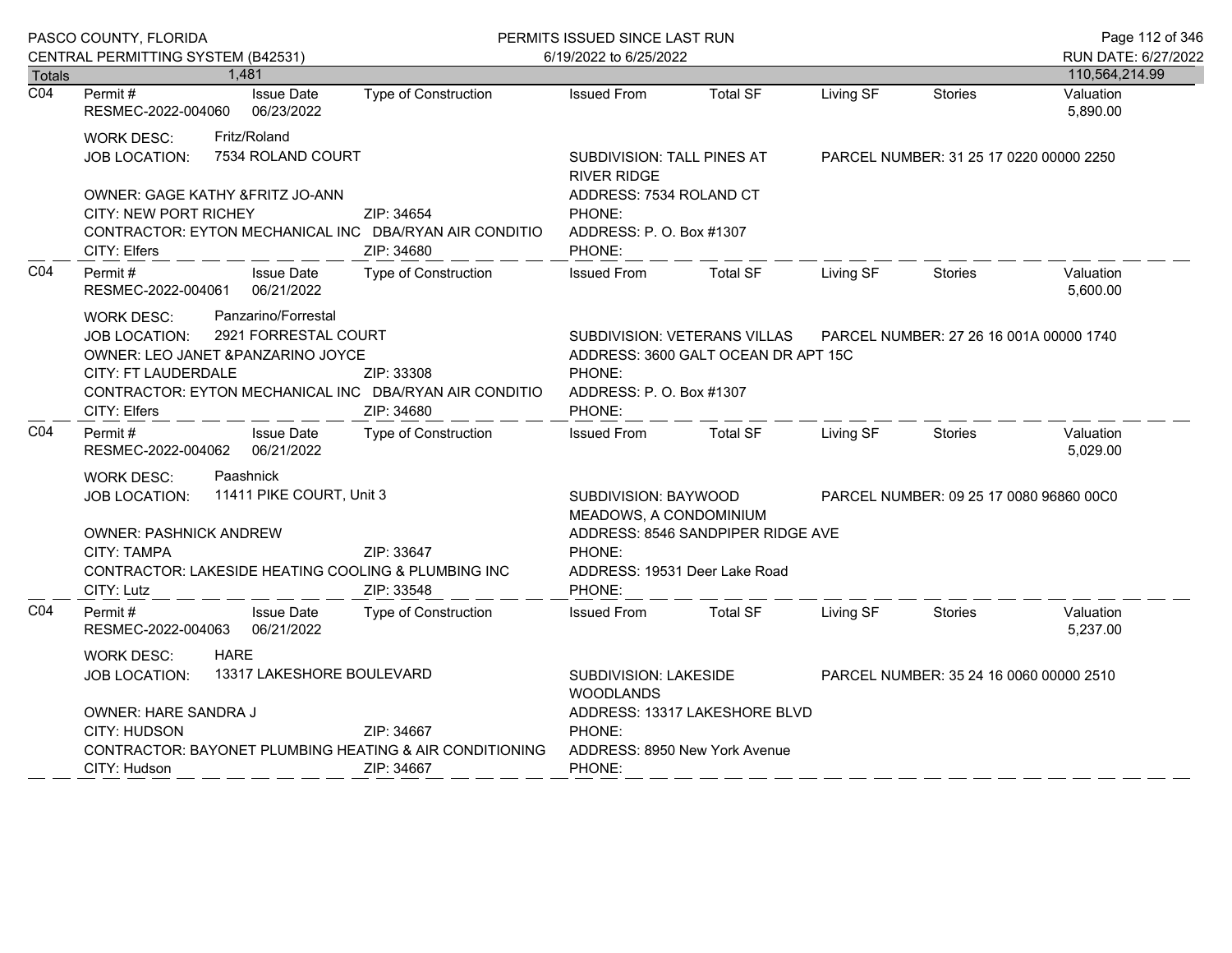|                            | PASCO COUNTY, FLORIDA                                                                                                                                                                                                          |                                                                                                                                                                                                                     |                             | PERMITS ISSUED SINCE LAST RUN                                                                                              | Page 112 of 346                   |                                         |                                         |                                       |
|----------------------------|--------------------------------------------------------------------------------------------------------------------------------------------------------------------------------------------------------------------------------|---------------------------------------------------------------------------------------------------------------------------------------------------------------------------------------------------------------------|-----------------------------|----------------------------------------------------------------------------------------------------------------------------|-----------------------------------|-----------------------------------------|-----------------------------------------|---------------------------------------|
|                            | CENTRAL PERMITTING SYSTEM (B42531)                                                                                                                                                                                             | 1,481                                                                                                                                                                                                               |                             | 6/19/2022 to 6/25/2022                                                                                                     |                                   |                                         |                                         | RUN DATE: 6/27/2022<br>110,564,214.99 |
| Totals<br>$\overline{CO4}$ | Permit#<br>RESMEC-2022-004060                                                                                                                                                                                                  | <b>Issue Date</b><br>06/23/2022                                                                                                                                                                                     | Type of Construction        | <b>Issued From</b>                                                                                                         | <b>Total SF</b>                   | Living SF                               | <b>Stories</b>                          | Valuation<br>5,890.00                 |
|                            | <b>WORK DESC:</b><br><b>JOB LOCATION:</b><br>CITY: Elfers                                                                                                                                                                      | Fritz/Roland<br>7534 ROLAND COURT<br>OWNER: GAGE KATHY &FRITZ JO-ANN<br>CITY: NEW PORT RICHEY<br>ZIP: 34654<br>CONTRACTOR: EYTON MECHANICAL INC DBA/RYAN AIR CONDITIO<br>ZIP: 34680<br>Permit#<br><b>Issue Date</b> |                             | SUBDIVISION: TALL PINES AT<br><b>RIVER RIDGE</b><br>ADDRESS: 7534 ROLAND CT<br>PHONE:<br>ADDRESS: P.O. Box #1307<br>PHONE: |                                   | PARCEL NUMBER: 31 25 17 0220 00000 2250 |                                         |                                       |
| CO <sub>4</sub>            | RESMEC-2022-004061<br>06/21/2022                                                                                                                                                                                               |                                                                                                                                                                                                                     | <b>Type of Construction</b> | <b>Issued From</b>                                                                                                         | <b>Total SF</b>                   | Living SF                               | <b>Stories</b>                          | Valuation<br>5,600.00                 |
|                            | Panzarino/Forrestal<br><b>WORK DESC:</b><br>2921 FORRESTAL COURT<br><b>JOB LOCATION:</b><br>OWNER: LEO JANET &PANZARINO JOYCE<br>CITY: FT LAUDERDALE<br>CONTRACTOR: EYTON MECHANICAL INC DBA/RYAN AIR CONDITIO<br>CITY: Elfers |                                                                                                                                                                                                                     | ZIP: 33308<br>ZIP: 34680    | SUBDIVISION: VETERANS VILLAS<br>ADDRESS: 3600 GALT OCEAN DR APT 15C<br>PHONE:<br>ADDRESS: P. O. Box #1307<br>PHONE:        |                                   |                                         | PARCEL NUMBER: 27 26 16 001A 00000 1740 |                                       |
| CO <sub>4</sub>            | Permit #<br>RESMEC-2022-004062                                                                                                                                                                                                 | <b>Issue Date</b><br>06/21/2022                                                                                                                                                                                     | <b>Type of Construction</b> | <b>Issued From</b>                                                                                                         | <b>Total SF</b>                   | Living SF                               | <b>Stories</b>                          | Valuation<br>5,029.00                 |
|                            | Paashnick<br><b>WORK DESC:</b><br>11411 PIKE COURT, Unit 3<br><b>JOB LOCATION:</b><br><b>OWNER: PASHNICK ANDREW</b><br>CITY: TAMPA<br>CONTRACTOR: LAKESIDE HEATING COOLING & PLUMBING INC<br>CITY: Lutz                        |                                                                                                                                                                                                                     | ZIP: 33647<br>ZIP: 33548    | SUBDIVISION: BAYWOOD<br>MEADOWS, A CONDOMINIUM<br>PHONE:<br>ADDRESS: 19531 Deer Lake Road<br>PHONE:                        | ADDRESS: 8546 SANDPIPER RIDGE AVE |                                         | PARCEL NUMBER: 09 25 17 0080 96860 00C0 |                                       |
| CO <sub>4</sub>            | Permit#<br>RESMEC-2022-004063                                                                                                                                                                                                  | <b>Issue Date</b><br>06/21/2022                                                                                                                                                                                     | <b>Type of Construction</b> | <b>Issued From</b>                                                                                                         | <b>Total SF</b>                   | Living SF                               | Stories                                 | Valuation<br>5,237.00                 |
|                            | <b>HARE</b><br><b>WORK DESC:</b><br>13317 LAKESHORE BOULEVARD<br>JOB LOCATION:<br>OWNER: HARE SANDRA J<br>CITY: HUDSON<br>ZIP: 34667<br>CONTRACTOR: BAYONET PLUMBING HEATING & AIR CONDITIONING                                |                                                                                                                                                                                                                     |                             | SUBDIVISION: LAKESIDE<br><b>WOODLANDS</b><br>ADDRESS: 13317 LAKESHORE BLVD<br>PHONE:<br>ADDRESS: 8950 New York Avenue      |                                   |                                         | PARCEL NUMBER: 35 24 16 0060 00000 2510 |                                       |
|                            | CITY: Hudson                                                                                                                                                                                                                   |                                                                                                                                                                                                                     | ZIP: 34667                  | PHONE:                                                                                                                     |                                   |                                         |                                         |                                       |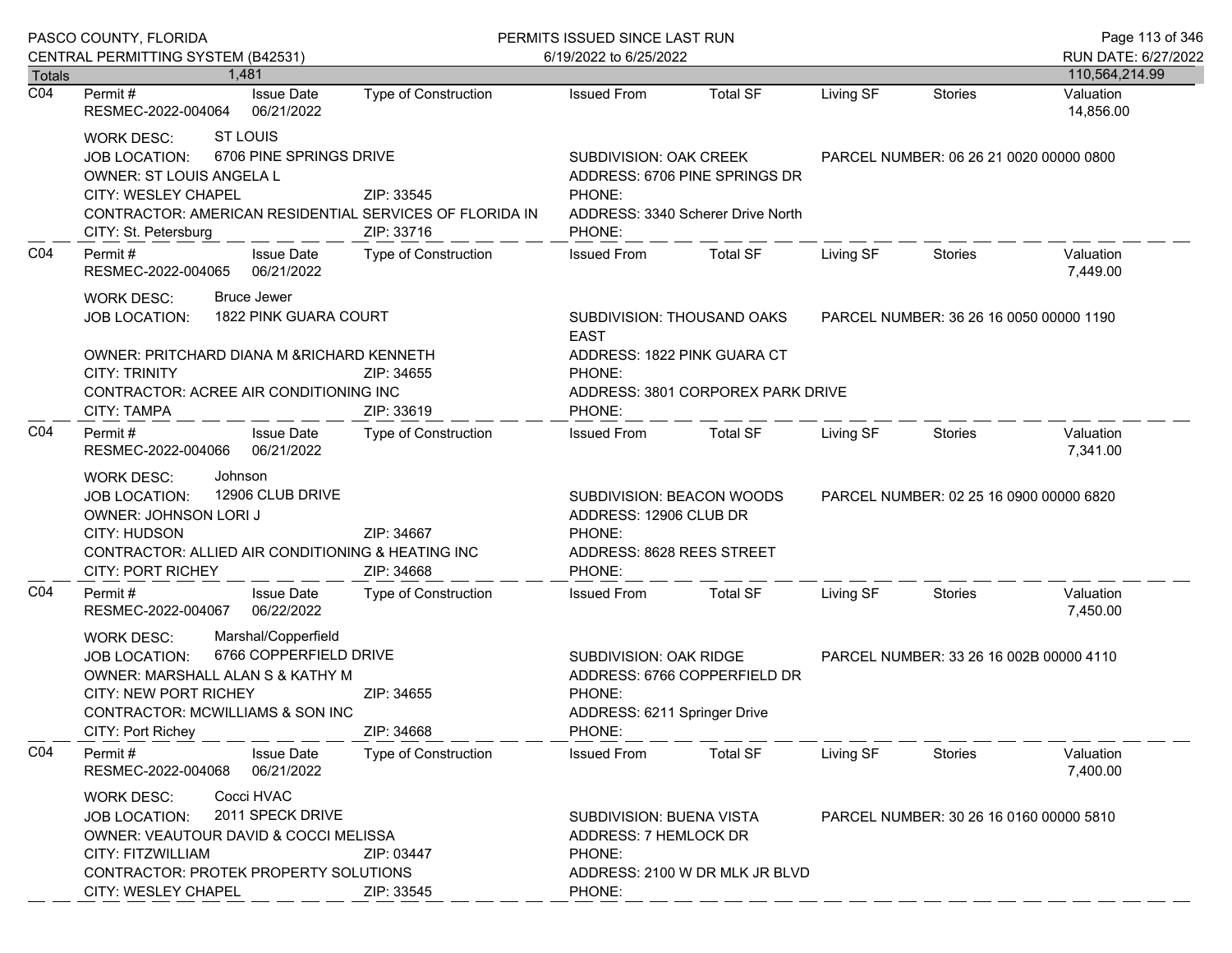|                  | PASCO COUNTY, FLORIDA                                                                                                                                                                                                                 | PERMITS ISSUED SINCE LAST RUN | Page 113 of 346                                                                                      |                                                                                                |                                         |                                         |                                       |
|------------------|---------------------------------------------------------------------------------------------------------------------------------------------------------------------------------------------------------------------------------------|-------------------------------|------------------------------------------------------------------------------------------------------|------------------------------------------------------------------------------------------------|-----------------------------------------|-----------------------------------------|---------------------------------------|
| <b>Totals</b>    | CENTRAL PERMITTING SYSTEM (B42531)<br>1.481                                                                                                                                                                                           |                               | 6/19/2022 to 6/25/2022                                                                               |                                                                                                |                                         |                                         | RUN DATE: 6/27/2022<br>110,564,214.99 |
| $\overline{CO4}$ | <b>Issue Date</b><br>Permit #<br>RESMEC-2022-004064<br>06/21/2022                                                                                                                                                                     | Type of Construction          | <b>Issued From</b>                                                                                   | <b>Total SF</b>                                                                                | Living SF                               | <b>Stories</b>                          | Valuation<br>14,856.00                |
|                  | <b>ST LOUIS</b><br><b>WORK DESC:</b><br>6706 PINE SPRINGS DRIVE<br><b>JOB LOCATION:</b><br>OWNER: ST LOUIS ANGELA L<br>CITY: WESLEY CHAPEL<br>CONTRACTOR: AMERICAN RESIDENTIAL SERVICES OF FLORIDA IN<br>CITY: St. Petersburg         | ZIP: 33545<br>ZIP: 33716      | PHONE:<br>PHONE:                                                                                     | SUBDIVISION: OAK CREEK<br>ADDRESS: 6706 PINE SPRINGS DR<br>ADDRESS: 3340 Scherer Drive North   |                                         | PARCEL NUMBER: 06 26 21 0020 00000 0800 |                                       |
| CO <sub>4</sub>  | Permit#<br><b>Issue Date</b><br>06/21/2022<br>RESMEC-2022-004065                                                                                                                                                                      | Type of Construction          | <b>Issued From</b>                                                                                   | <b>Total SF</b>                                                                                | Living SF                               | <b>Stories</b>                          | Valuation<br>7,449.00                 |
|                  | <b>Bruce Jewer</b><br><b>WORK DESC:</b><br>1822 PINK GUARA COURT<br><b>JOB LOCATION:</b><br>OWNER: PRITCHARD DIANA M & RICHARD KENNETH<br><b>CITY: TRINITY</b><br>CONTRACTOR: ACREE AIR CONDITIONING INC<br>CITY: TAMPA               | ZIP: 34655<br>ZIP: 33619      | <b>EAST</b><br>PHONE:<br>PHONE:                                                                      | SUBDIVISION: THOUSAND OAKS<br>ADDRESS: 1822 PINK GUARA CT<br>ADDRESS: 3801 CORPOREX PARK DRIVE |                                         | PARCEL NUMBER: 36 26 16 0050 00000 1190 |                                       |
| CO <sub>4</sub>  | Permit#<br><b>Issue Date</b><br>RESMEC-2022-004066 06/21/2022                                                                                                                                                                         | <b>Type of Construction</b>   | <b>Issued From</b>                                                                                   | Total SF                                                                                       | Living SF                               | Stories                                 | Valuation<br>7,341.00                 |
|                  | Johnson<br><b>WORK DESC:</b><br>12906 CLUB DRIVE<br><b>JOB LOCATION:</b><br>OWNER: JOHNSON LORI J<br>CITY: HUDSON<br>CONTRACTOR: ALLIED AIR CONDITIONING & HEATING INC<br>CITY: PORT RICHEY                                           | ZIP: 34667<br>ZIP: 34668      | SUBDIVISION: BEACON WOODS<br>ADDRESS: 12906 CLUB DR<br>PHONE:<br>ADDRESS: 8628 REES STREET<br>PHONE: |                                                                                                | PARCEL NUMBER: 02 25 16 0900 00000 6820 |                                         |                                       |
| CO <sub>4</sub>  | Permit#<br><b>Issue Date</b><br>06/22/2022<br>RESMEC-2022-004067                                                                                                                                                                      | Type of Construction          | <b>Issued From</b>                                                                                   | <b>Total SF</b>                                                                                | Living SF                               | Stories                                 | Valuation<br>7,450.00                 |
|                  | Marshal/Copperfield<br><b>WORK DESC:</b><br>6766 COPPERFIELD DRIVE<br><b>JOB LOCATION:</b><br>OWNER: MARSHALL ALAN S & KATHY M<br>CITY: NEW PORT RICHEY<br>CONTRACTOR: MCWILLIAMS & SON INC<br>CITY: Port Richey                      | ZIP: 34655<br>ZIP: 34668      | SUBDIVISION: OAK RIDGE<br>PHONE:<br>ADDRESS: 6211 Springer Drive<br>PHONE:                           | ADDRESS: 6766 COPPERFIELD DR                                                                   |                                         | PARCEL NUMBER: 33 26 16 002B 00000 4110 |                                       |
| CO <sub>4</sub>  | Permit#<br><b>Issue Date</b><br>RESMEC-2022-004068<br>06/21/2022                                                                                                                                                                      | <b>Type of Construction</b>   | <b>Issued From</b>                                                                                   | <b>Total SF</b>                                                                                | Living SF                               | Stories                                 | Valuation<br>7,400.00                 |
|                  | Cocci HVAC<br><b>WORK DESC:</b><br>2011 SPECK DRIVE<br><b>JOB LOCATION:</b><br>OWNER: VEAUTOUR DAVID & COCCI MELISSA<br>CITY: FITZWILLIAM<br>ZIP: 03447<br>CONTRACTOR: PROTEK PROPERTY SOLUTIONS<br>CITY: WESLEY CHAPEL<br>ZIP: 33545 |                               | SUBDIVISION: BUENA VISTA<br>ADDRESS: 7 HEMLOCK DR<br>PHONE:<br>PHONE:                                | ADDRESS: 2100 W DR MLK JR BLVD                                                                 |                                         | PARCEL NUMBER: 30 26 16 0160 00000 5810 |                                       |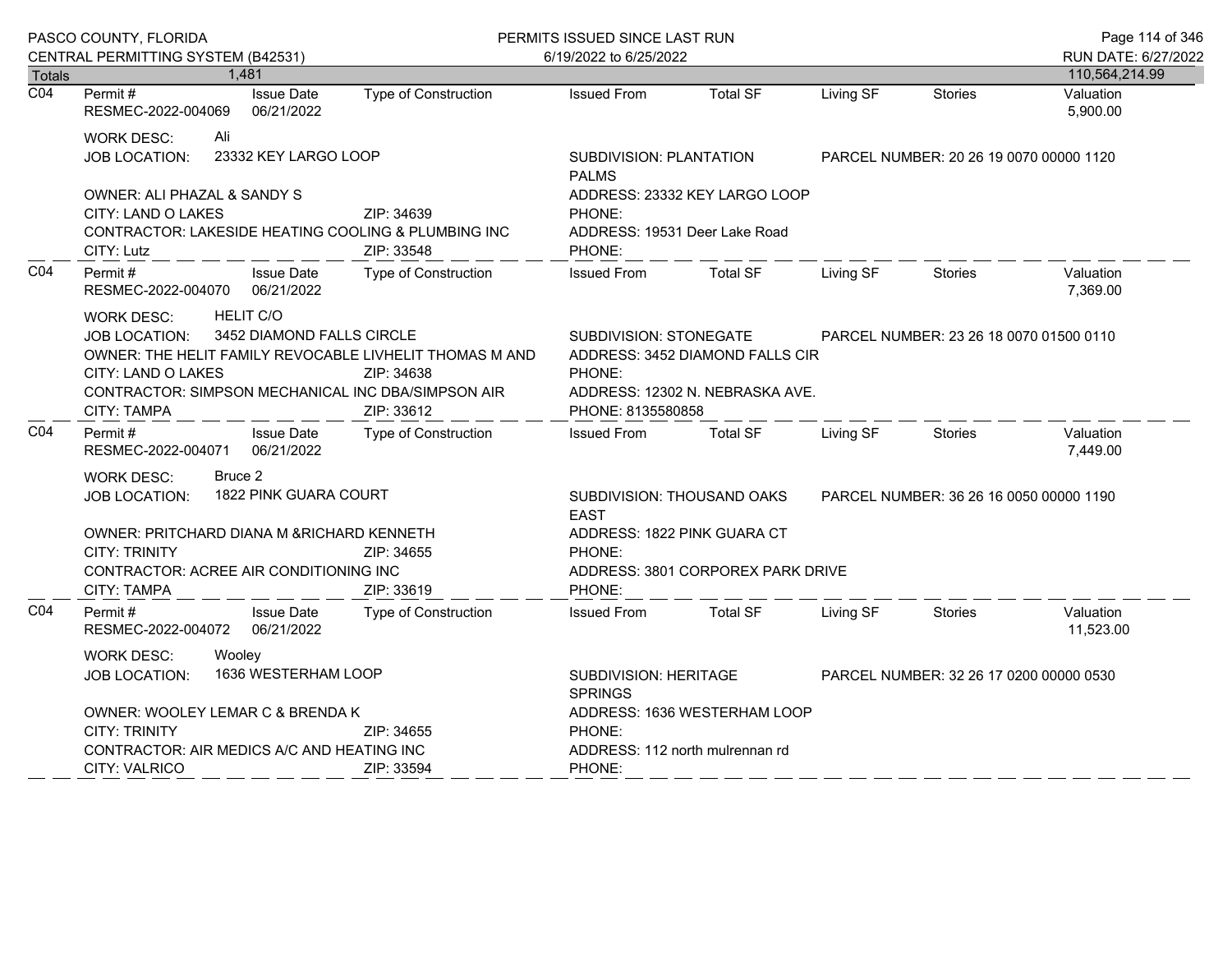|                  | PASCO COUNTY, FLORIDA                                                                                                                                                                                                                                                        |     |                                 |                                                                                                                                                                        | PERMITS ISSUED SINCE LAST RUN                                                      | Page 114 of 346                   |                                         |                |                        |
|------------------|------------------------------------------------------------------------------------------------------------------------------------------------------------------------------------------------------------------------------------------------------------------------------|-----|---------------------------------|------------------------------------------------------------------------------------------------------------------------------------------------------------------------|------------------------------------------------------------------------------------|-----------------------------------|-----------------------------------------|----------------|------------------------|
|                  | CENTRAL PERMITTING SYSTEM (B42531)                                                                                                                                                                                                                                           |     |                                 |                                                                                                                                                                        | 6/19/2022 to 6/25/2022                                                             |                                   |                                         |                | RUN DATE: 6/27/2022    |
| <b>Totals</b>    |                                                                                                                                                                                                                                                                              |     | 1.481                           |                                                                                                                                                                        |                                                                                    |                                   |                                         |                | 110,564,214.99         |
| $\overline{CO4}$ | Permit #<br>RESMEC-2022-004069                                                                                                                                                                                                                                               |     | <b>Issue Date</b><br>06/21/2022 | Type of Construction                                                                                                                                                   | <b>Issued From</b>                                                                 | <b>Total SF</b>                   | Living SF                               | <b>Stories</b> | Valuation<br>5,900.00  |
|                  | <b>WORK DESC:</b><br><b>JOB LOCATION:</b>                                                                                                                                                                                                                                    | Ali | 23332 KEY LARGO LOOP            |                                                                                                                                                                        | SUBDIVISION: PLANTATION<br><b>PALMS</b>                                            |                                   | PARCEL NUMBER: 20 26 19 0070 00000 1120 |                |                        |
|                  | OWNER: ALI PHAZAL & SANDY S<br>CITY: LAND O LAKES<br>CITY: Lutz                                                                                                                                                                                                              |     |                                 | ZIP: 34639<br>CONTRACTOR: LAKESIDE HEATING COOLING & PLUMBING INC<br>ZIP: 33548                                                                                        | ADDRESS: 23332 KEY LARGO LOOP<br>PHONE:<br>ADDRESS: 19531 Deer Lake Road<br>PHONE: |                                   |                                         |                |                        |
| CO <sub>4</sub>  | Permit#<br>RESMEC-2022-004070 06/21/2022                                                                                                                                                                                                                                     |     | <b>Issue Date</b>               | Type of Construction                                                                                                                                                   | <b>Issued From</b>                                                                 | <b>Total SF</b>                   | Living SF                               | <b>Stories</b> | Valuation<br>7,369.00  |
|                  | <b>HELIT C/O</b><br>WORK DESC:<br>3452 DIAMOND FALLS CIRCLE<br>JOB LOCATION:<br>OWNER: THE HELIT FAMILY REVOCABLE LIVHELIT THOMAS M AND<br><b>CITY: LAND O LAKES</b><br>ZIP: 34638<br>CONTRACTOR: SIMPSON MECHANICAL INC DBA/SIMPSON AIR<br><b>CITY: TAMPA</b><br>ZIP: 33612 |     |                                 | SUBDIVISION: STONEGATE<br>PARCEL NUMBER: 23 26 18 0070 01500 0110<br>ADDRESS: 3452 DIAMOND FALLS CIR<br>PHONE:<br>ADDRESS: 12302 N. NEBRASKA AVE.<br>PHONE: 8135580858 |                                                                                    |                                   |                                         |                |                        |
| CO <sub>4</sub>  | Permit #<br>RESMEC-2022-004071 06/21/2022                                                                                                                                                                                                                                    |     | <b>Issue Date</b>               | Type of Construction                                                                                                                                                   | <b>Issued From</b>                                                                 | <b>Total SF</b>                   | Living SF                               | <b>Stories</b> | Valuation<br>7,449.00  |
|                  | Bruce 2<br><b>WORK DESC:</b><br>1822 PINK GUARA COURT<br><b>JOB LOCATION:</b>                                                                                                                                                                                                |     |                                 | SUBDIVISION: THOUSAND OAKS<br><b>FAST</b>                                                                                                                              | PARCEL NUMBER: 36 26 16 0050 00000 1190                                            |                                   |                                         |                |                        |
|                  | OWNER: PRITCHARD DIANA M & RICHARD KENNETH<br><b>CITY: TRINITY</b><br>ZIP: 34655                                                                                                                                                                                             |     |                                 | ADDRESS: 1822 PINK GUARA CT<br>PHONE:                                                                                                                                  |                                                                                    |                                   |                                         |                |                        |
|                  | CONTRACTOR: ACREE AIR CONDITIONING INC<br><b>CITY: TAMPA</b>                                                                                                                                                                                                                 |     |                                 | ZIP: 33619                                                                                                                                                             | PHONE:                                                                             | ADDRESS: 3801 CORPOREX PARK DRIVE |                                         |                |                        |
| CO <sub>4</sub>  | Permit #<br>RESMEC-2022-004072 06/21/2022                                                                                                                                                                                                                                    |     | <b>Issue Date</b>               | Type of Construction                                                                                                                                                   | <b>Issued From</b>                                                                 | <b>Total SF</b>                   | Living SF                               | <b>Stories</b> | Valuation<br>11,523.00 |
|                  | <b>WORK DESC:</b><br>Wooley<br>1636 WESTERHAM LOOP<br><b>JOB LOCATION:</b>                                                                                                                                                                                                   |     |                                 | SUBDIVISION: HERITAGE<br>PARCEL NUMBER: 32 26 17 0200 00000 0530<br><b>SPRINGS</b>                                                                                     |                                                                                    |                                   |                                         |                |                        |
|                  | OWNER: WOOLEY LEMAR C & BRENDA K                                                                                                                                                                                                                                             |     |                                 |                                                                                                                                                                        | ADDRESS: 1636 WESTERHAM LOOP                                                       |                                   |                                         |                |                        |
|                  | <b>CITY: TRINITY</b>                                                                                                                                                                                                                                                         |     |                                 | ZIP: 34655                                                                                                                                                             | PHONE:                                                                             |                                   |                                         |                |                        |
|                  | CONTRACTOR: AIR MEDICS A/C AND HEATING INC                                                                                                                                                                                                                                   |     |                                 | ADDRESS: 112 north mulrennan rd                                                                                                                                        |                                                                                    |                                   |                                         |                |                        |
|                  | CITY: VALRICO<br>ZIP: 33594                                                                                                                                                                                                                                                  |     |                                 |                                                                                                                                                                        | PHONE:                                                                             |                                   |                                         |                |                        |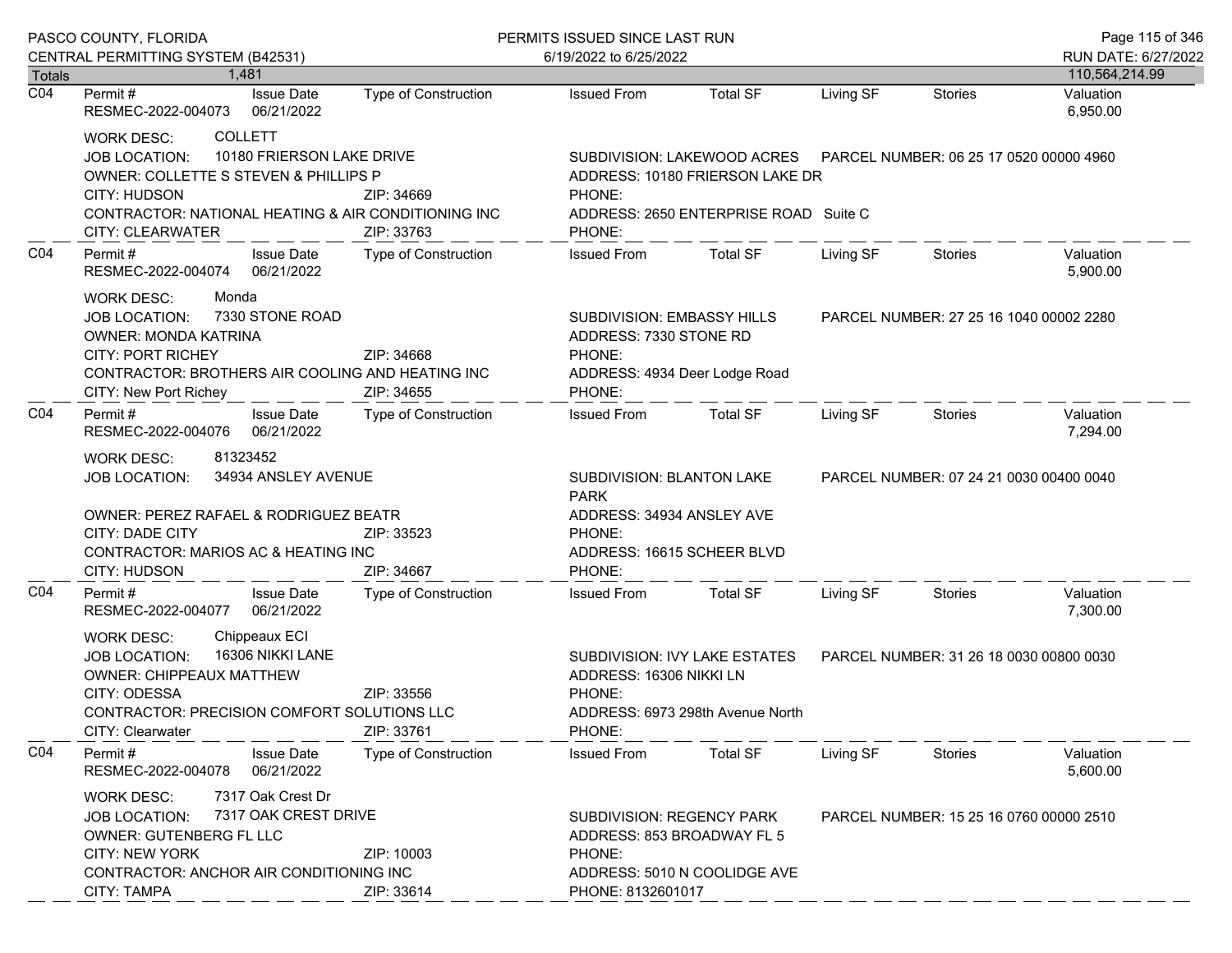|                            | PASCO COUNTY, FLORIDA                                                                                                                                                                                                                   | PERMITS ISSUED SINCE LAST RUN                   | Page 115 of 346                                                                                                        |                                                                                                                                                    |                                         |                                         |                       |  |
|----------------------------|-----------------------------------------------------------------------------------------------------------------------------------------------------------------------------------------------------------------------------------------|-------------------------------------------------|------------------------------------------------------------------------------------------------------------------------|----------------------------------------------------------------------------------------------------------------------------------------------------|-----------------------------------------|-----------------------------------------|-----------------------|--|
|                            | CENTRAL PERMITTING SYSTEM (B42531)                                                                                                                                                                                                      |                                                 | 6/19/2022 to 6/25/2022                                                                                                 |                                                                                                                                                    |                                         |                                         | RUN DATE: 6/27/2022   |  |
| Totals<br>$\overline{CO4}$ | 1,481                                                                                                                                                                                                                                   |                                                 |                                                                                                                        |                                                                                                                                                    |                                         |                                         | 110,564,214.99        |  |
|                            | <b>Issue Date</b><br>Permit #<br>RESMEC-2022-004073<br>06/21/2022                                                                                                                                                                       | Type of Construction                            | <b>Issued From</b>                                                                                                     | <b>Total SF</b>                                                                                                                                    | Living SF                               | <b>Stories</b>                          | Valuation<br>6,950.00 |  |
|                            | <b>COLLETT</b><br><b>WORK DESC:</b><br>10180 FRIERSON LAKE DRIVE<br><b>JOB LOCATION:</b><br>OWNER: COLLETTE S STEVEN & PHILLIPS P<br>CITY: HUDSON<br>CONTRACTOR: NATIONAL HEATING & AIR CONDITIONING INC<br>CITY: CLEARWATER            | ZIP: 34669<br>ZIP: 33763                        | PHONE:<br>PHONE:                                                                                                       | SUBDIVISION: LAKEWOOD ACRES    PARCEL NUMBER: 06 25 17 0520 00000 4960<br>ADDRESS: 10180 FRIERSON LAKE DR<br>ADDRESS: 2650 ENTERPRISE ROAD Suite C |                                         |                                         |                       |  |
| CO <sub>4</sub>            | Permit#<br><b>Issue Date</b><br>RESMEC-2022-004074 06/21/2022                                                                                                                                                                           | Type of Construction                            | <b>Issued From</b>                                                                                                     | <b>Total SF</b>                                                                                                                                    | Living SF                               | Stories                                 | Valuation<br>5,900.00 |  |
|                            | <b>WORK DESC:</b><br>Monda<br>7330 STONE ROAD<br><b>JOB LOCATION:</b><br><b>OWNER: MONDA KATRINA</b><br><b>CITY: PORT RICHEY</b><br>CONTRACTOR: BROTHERS AIR COOLING AND HEATING INC<br>CITY: New Port Richey                           | ZIP: 34668<br>ZIP: 34655                        | SUBDIVISION: EMBASSY HILLS<br>ADDRESS: 7330 STONE RD<br>PHONE:<br>ADDRESS: 4934 Deer Lodge Road<br>PHONE:              |                                                                                                                                                    |                                         | PARCEL NUMBER: 27 25 16 1040 00002 2280 |                       |  |
| CO <sub>4</sub>            | Permit #<br><b>Issue Date</b><br>RESMEC-2022-004076 06/21/2022                                                                                                                                                                          | Type of Construction                            | <b>Issued From</b>                                                                                                     | Total SF                                                                                                                                           | Living SF                               | Stories                                 | Valuation<br>7,294.00 |  |
|                            | 81323452<br><b>WORK DESC:</b><br><b>JOB LOCATION:</b><br>OWNER: PEREZ RAFAEL & RODRIGUEZ BEATR<br>CITY: DADE CITY<br>CONTRACTOR: MARIOS AC & HEATING INC<br>CITY: HUDSON                                                                | 34934 ANSLEY AVENUE<br>ZIP: 33523<br>ZIP: 34667 |                                                                                                                        | SUBDIVISION: BLANTON LAKE<br><b>PARK</b><br>ADDRESS: 34934 ANSLEY AVE<br>PHONE:<br>ADDRESS: 16615 SCHEER BLVD<br>PHONE:                            |                                         | PARCEL NUMBER: 07 24 21 0030 00400 0040 |                       |  |
| CO <sub>4</sub>            | <b>Issue Date</b><br>Permit #<br>RESMEC-2022-004077 06/21/2022                                                                                                                                                                          | <b>Type of Construction</b>                     | <b>Issued From</b>                                                                                                     | Total SF                                                                                                                                           | Living SF                               | Stories                                 | Valuation<br>7,300.00 |  |
|                            | Chippeaux ECI<br><b>WORK DESC:</b><br>16306 NIKKI LANE<br><b>JOB LOCATION:</b><br>OWNER: CHIPPEAUX MATTHEW<br>CITY: ODESSA<br><b>CONTRACTOR: PRECISION COMFORT SOLUTIONS LLC</b><br>CITY: Clearwater                                    | ZIP: 33556<br>ZIP: 33761                        | ADDRESS: 16306 NIKKI LN<br>PHONE:<br>PHONE:                                                                            | SUBDIVISION: IVY LAKE ESTATES<br>ADDRESS: 6973 298th Avenue North                                                                                  |                                         | PARCEL NUMBER: 31 26 18 0030 00800 0030 |                       |  |
| CO <sub>4</sub>            | Permit#<br><b>Issue Date</b><br>06/21/2022<br>RESMEC-2022-004078                                                                                                                                                                        | <b>Type of Construction</b>                     | <b>Issued From</b>                                                                                                     | <b>Total SF</b>                                                                                                                                    | Living SF                               | Stories                                 | Valuation<br>5,600.00 |  |
|                            | 7317 Oak Crest Dr<br><b>WORK DESC:</b><br>7317 OAK CREST DRIVE<br><b>JOB LOCATION:</b><br>OWNER: GUTENBERG FL LLC<br><b>CITY: NEW YORK</b><br>ZIP: 10003<br>CONTRACTOR: ANCHOR AIR CONDITIONING INC<br><b>CITY: TAMPA</b><br>ZIP: 33614 |                                                 | SUBDIVISION: REGENCY PARK<br>ADDRESS: 853 BROADWAY FL 5<br>PHONE:<br>ADDRESS: 5010 N COOLIDGE AVE<br>PHONE: 8132601017 |                                                                                                                                                    | PARCEL NUMBER: 15 25 16 0760 00000 2510 |                                         |                       |  |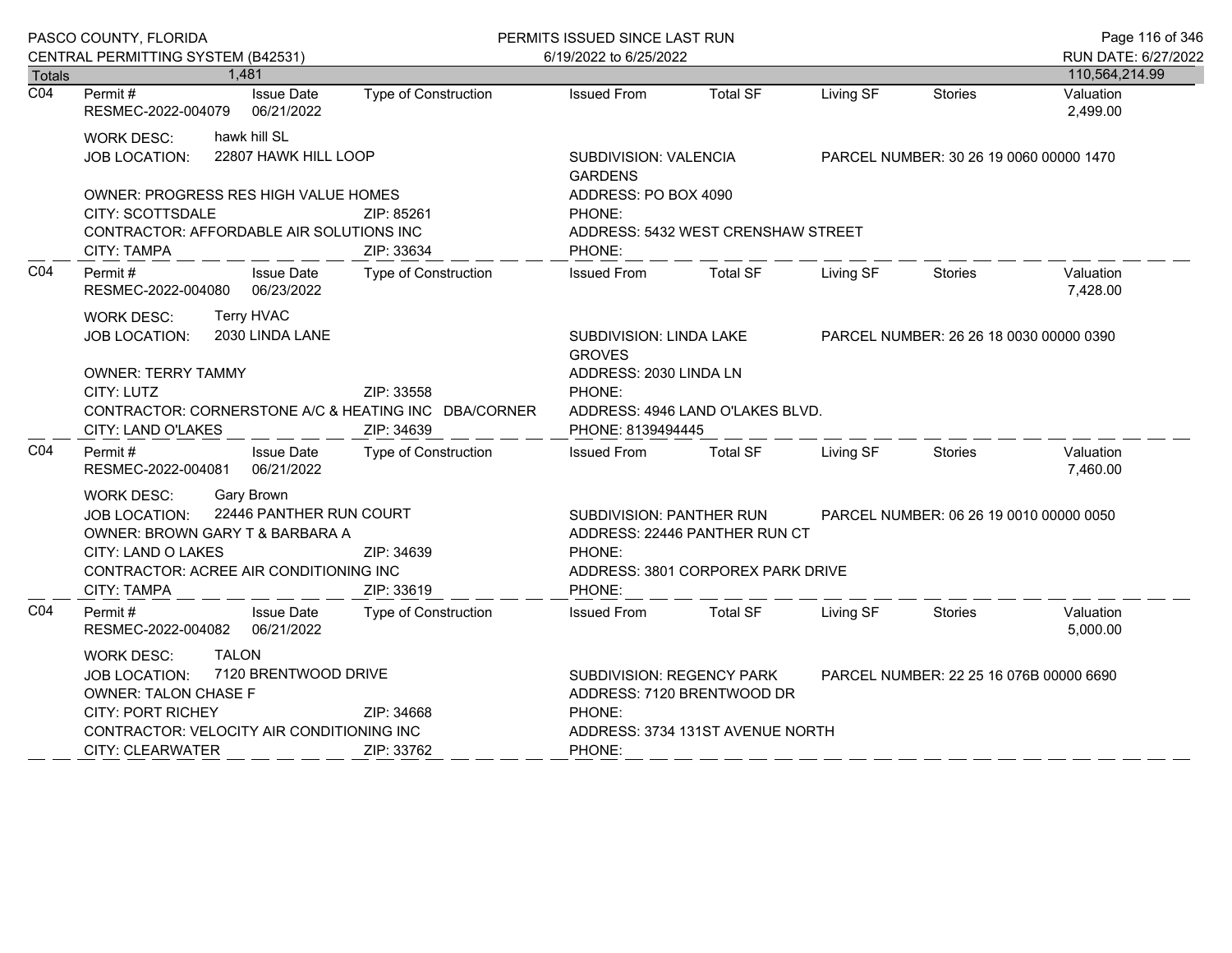|                                   | PASCO COUNTY, FLORIDA                                                      |                            | PERMITS ISSUED SINCE LAST RUN |                                          |                                         |           |                                         | Page 116 of 346<br>RUN DATE: 6/27/2022 |  |
|-----------------------------------|----------------------------------------------------------------------------|----------------------------|-------------------------------|------------------------------------------|-----------------------------------------|-----------|-----------------------------------------|----------------------------------------|--|
|                                   | CENTRAL PERMITTING SYSTEM (B42531)                                         |                            |                               | 6/19/2022 to 6/25/2022                   |                                         |           |                                         |                                        |  |
| <b>Totals</b><br>$\overline{CO4}$ | Permit #                                                                   | 1,481<br><b>Issue Date</b> | Type of Construction          | <b>Issued From</b>                       | <b>Total SF</b>                         | Living SF | Stories                                 | 110,564,214.99<br>Valuation            |  |
|                                   | RESMEC-2022-004079                                                         | 06/21/2022                 |                               |                                          |                                         |           |                                         | 2,499.00                               |  |
|                                   | <b>WORK DESC:</b>                                                          | hawk hill SL               |                               |                                          |                                         |           |                                         |                                        |  |
|                                   | JOB LOCATION:                                                              | 22807 HAWK HILL LOOP       |                               | SUBDIVISION: VALENCIA<br><b>GARDENS</b>  |                                         |           | PARCEL NUMBER: 30 26 19 0060 00000 1470 |                                        |  |
|                                   | <b>OWNER: PROGRESS RES HIGH VALUE HOMES</b>                                |                            |                               | ADDRESS: PO BOX 4090                     |                                         |           |                                         |                                        |  |
|                                   | CITY: SCOTTSDALE<br>ZIP: 85261                                             |                            |                               | PHONE:                                   |                                         |           |                                         |                                        |  |
|                                   | CONTRACTOR: AFFORDABLE AIR SOLUTIONS INC                                   |                            |                               |                                          | ADDRESS: 5432 WEST CRENSHAW STREET      |           |                                         |                                        |  |
|                                   | <b>CITY: TAMPA</b>                                                         |                            | ZIP: 33634                    | PHONE:                                   |                                         |           |                                         |                                        |  |
| CO <sub>4</sub>                   | Permit #<br>RESMEC-2022-004080 06/23/2022                                  | <b>Issue Date</b>          | Type of Construction          | <b>Issued From</b>                       | <b>Total SF</b>                         | Living SF | Stories                                 | Valuation<br>7,428.00                  |  |
|                                   | <b>WORK DESC:</b>                                                          | Terry HVAC                 |                               |                                          |                                         |           |                                         |                                        |  |
|                                   | <b>JOB LOCATION:</b>                                                       | 2030 LINDA LANE            |                               | SUBDIVISION: LINDA LAKE<br><b>GROVES</b> |                                         |           | PARCEL NUMBER: 26 26 18 0030 00000 0390 |                                        |  |
|                                   | <b>OWNER: TERRY TAMMY</b>                                                  |                            |                               | ADDRESS: 2030 LINDA LN                   |                                         |           |                                         |                                        |  |
|                                   | CITY: LUTZ                                                                 |                            | ZIP: 33558                    | PHONE:                                   |                                         |           |                                         |                                        |  |
|                                   | CONTRACTOR: CORNERSTONE A/C & HEATING INC DBA/CORNER<br>CITY: LAND O'LAKES |                            | ZIP: 34639                    | PHONE: 8139494445                        | ADDRESS: 4946 LAND O'LAKES BLVD.        |           |                                         |                                        |  |
| CO <sub>4</sub>                   | Permit #<br>RESMEC-2022-004081 06/21/2022                                  | <b>Issue Date</b>          | Type of Construction          | <b>Issued From</b>                       | Total SF                                | Living SF | Stories                                 | Valuation<br>7,460.00                  |  |
|                                   | <b>WORK DESC:</b>                                                          | Gary Brown                 |                               |                                          |                                         |           |                                         |                                        |  |
|                                   | <b>JOB LOCATION:</b>                                                       | 22446 PANTHER RUN COURT    |                               | SUBDIVISION: PANTHER RUN                 | PARCEL NUMBER: 06 26 19 0010 00000 0050 |           |                                         |                                        |  |
|                                   | OWNER: BROWN GARY T & BARBARA A                                            |                            |                               |                                          | ADDRESS: 22446 PANTHER RUN CT           |           |                                         |                                        |  |
|                                   | CITY: LAND O LAKES                                                         |                            | ZIP: 34639                    | PHONE:                                   |                                         |           |                                         |                                        |  |
|                                   | CONTRACTOR: ACREE AIR CONDITIONING INC<br><b>CITY: TAMPA</b>               |                            | ZIP: 33619                    | PHONE:                                   | ADDRESS: 3801 CORPOREX PARK DRIVE       |           |                                         |                                        |  |
| CO4                               | Permit#                                                                    | <b>Issue Date</b>          | Type of Construction          | <b>Issued From</b>                       | <b>Total SF</b>                         | Living SF | Stories                                 | Valuation                              |  |
|                                   | RESMEC-2022-004082 06/21/2022                                              |                            |                               |                                          |                                         |           |                                         | 5,000.00                               |  |
|                                   | <b>WORK DESC:</b>                                                          | <b>TALON</b>               |                               |                                          |                                         |           |                                         |                                        |  |
|                                   | JOB LOCATION: 7120 BRENTWOOD DRIVE                                         |                            |                               | SUBDIVISION: REGENCY PARK                |                                         |           | PARCEL NUMBER: 22 25 16 076B 00000 6690 |                                        |  |
|                                   | <b>OWNER: TALON CHASE F</b>                                                |                            |                               |                                          | ADDRESS: 7120 BRENTWOOD DR              |           |                                         |                                        |  |
|                                   | <b>CITY: PORT RICHEY</b><br>ZIP: 34668                                     |                            |                               | PHONE:                                   |                                         |           |                                         |                                        |  |
|                                   | CONTRACTOR: VELOCITY AIR CONDITIONING INC<br><b>CITY: CLEARWATER</b>       |                            | ZIP: 33762                    | PHONE:                                   | ADDRESS: 3734 131ST AVENUE NORTH        |           |                                         |                                        |  |
|                                   |                                                                            |                            |                               |                                          |                                         |           |                                         |                                        |  |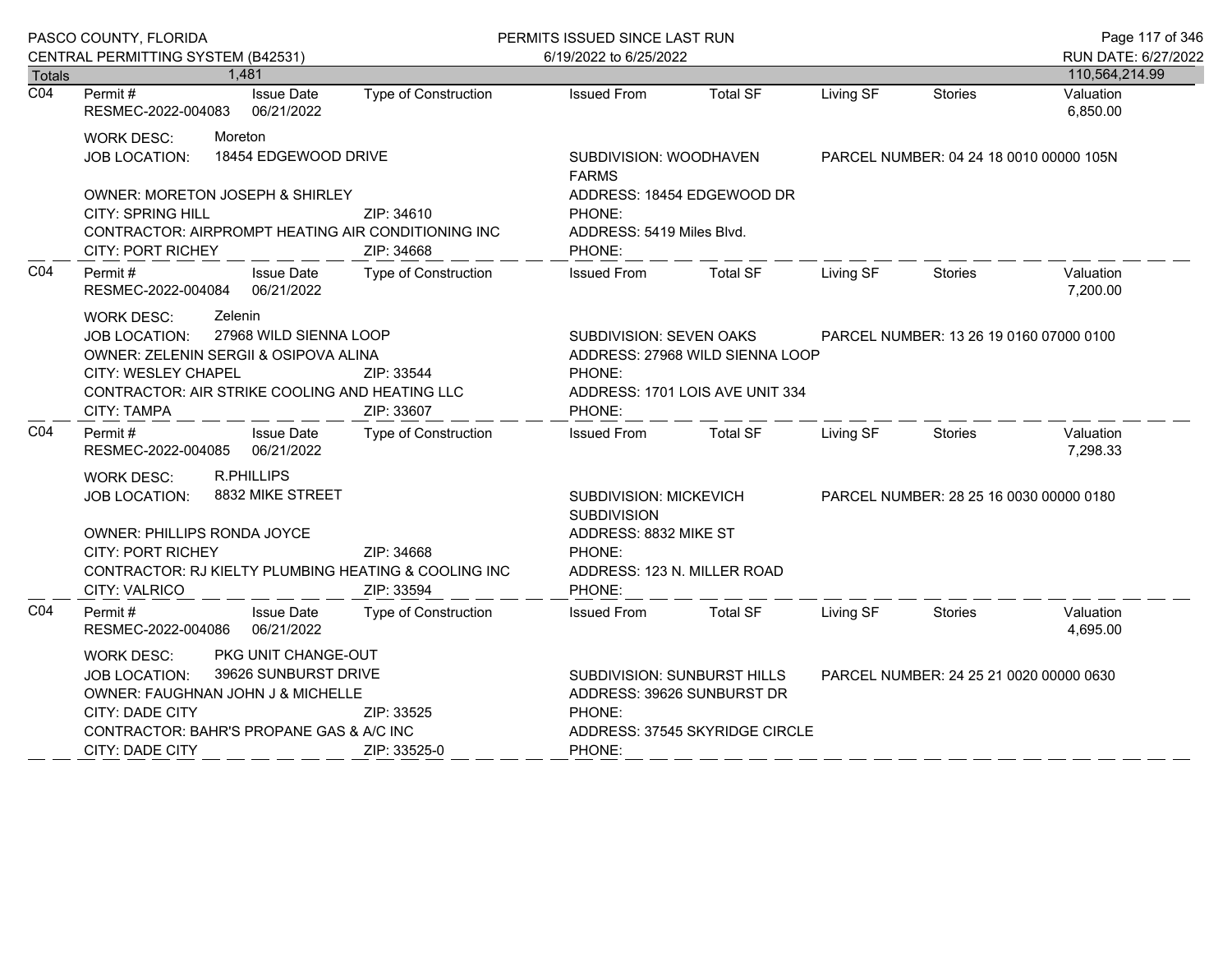|                            | PASCO COUNTY, FLORIDA                                                                                                                                                                                                                                |                        |                                                                                                                          | PERMITS ISSUED SINCE LAST RUN          |                                                                    |                                         | Page 117 of 346 |                             |  |
|----------------------------|------------------------------------------------------------------------------------------------------------------------------------------------------------------------------------------------------------------------------------------------------|------------------------|--------------------------------------------------------------------------------------------------------------------------|----------------------------------------|--------------------------------------------------------------------|-----------------------------------------|-----------------|-----------------------------|--|
|                            | CENTRAL PERMITTING SYSTEM (B42531)                                                                                                                                                                                                                   |                        |                                                                                                                          | 6/19/2022 to 6/25/2022                 |                                                                    |                                         |                 | RUN DATE: 6/27/2022         |  |
| Totals<br>$\overline{CO4}$ | 1,481<br>Permit#                                                                                                                                                                                                                                     | <b>Issue Date</b>      | Type of Construction                                                                                                     | <b>Issued From</b>                     | <b>Total SF</b>                                                    | Living SF                               | <b>Stories</b>  | 110,564,214.99<br>Valuation |  |
|                            | RESMEC-2022-004083                                                                                                                                                                                                                                   | 06/21/2022             |                                                                                                                          |                                        |                                                                    |                                         |                 | 6,850.00                    |  |
|                            | Moreton<br>WORK DESC:                                                                                                                                                                                                                                |                        |                                                                                                                          |                                        |                                                                    |                                         |                 |                             |  |
|                            | <b>JOB LOCATION:</b>                                                                                                                                                                                                                                 | 18454 EDGEWOOD DRIVE   |                                                                                                                          | SUBDIVISION: WOODHAVEN<br><b>FARMS</b> |                                                                    | PARCEL NUMBER: 04 24 18 0010 00000 105N |                 |                             |  |
|                            | <b>OWNER: MORETON JOSEPH &amp; SHIRLEY</b>                                                                                                                                                                                                           |                        |                                                                                                                          |                                        | ADDRESS: 18454 EDGEWOOD DR                                         |                                         |                 |                             |  |
|                            | <b>CITY: SPRING HILL</b>                                                                                                                                                                                                                             |                        | ZIP: 34610                                                                                                               | PHONE:                                 |                                                                    |                                         |                 |                             |  |
|                            | CONTRACTOR: AIRPROMPT HEATING AIR CONDITIONING INC<br><b>CITY: PORT RICHEY</b>                                                                                                                                                                       |                        | ZIP: 34668                                                                                                               | ADDRESS: 5419 Miles Blvd.<br>PHONE:    |                                                                    |                                         |                 |                             |  |
| CO <sub>4</sub>            | Permit#<br>RESMEC-2022-004084 06/21/2022                                                                                                                                                                                                             | <b>Issue Date</b>      | Type of Construction                                                                                                     | <b>Issued From</b>                     | <b>Total SF</b>                                                    | Living SF                               | Stories         | Valuation<br>7,200.00       |  |
|                            | Zelenin<br><b>WORK DESC:</b><br><b>JOB LOCATION:</b><br>OWNER: ZELENIN SERGII & OSIPOVA ALINA<br>CITY: WESLEY CHAPEL<br>CONTRACTOR: AIR STRIKE COOLING AND HEATING LLC<br>CITY: TAMPA                                                                | 27968 WILD SIENNA LOOP | SUBDIVISION: SEVEN OAKS<br>ZIP: 33544<br>PHONE:<br>ZIP: 33607<br>PHONE:                                                  |                                        | ADDRESS: 27968 WILD SIENNA LOOP<br>ADDRESS: 1701 LOIS AVE UNIT 334 | PARCEL NUMBER: 13 26 19 0160 07000 0100 |                 |                             |  |
| CO <sub>4</sub>            | Permit#<br>RESMEC-2022-004085 06/21/2022                                                                                                                                                                                                             | <b>Issue Date</b>      | Type of Construction                                                                                                     | Issued From Total SF                   |                                                                    | Living SF                               | Stories         | Valuation<br>7,298.33       |  |
|                            | <b>R.PHILLIPS</b><br>WORK DESC:<br>8832 MIKE STREET<br>JOB LOCATION:<br>OWNER: PHILLIPS RONDA JOYCE<br><b>CITY: PORT RICHEY</b><br>ZIP: 34668<br>CONTRACTOR: RJ KIELTY PLUMBING HEATING & COOLING INC<br>ZIP: 33594<br>CITY: VALRICO                 |                        | SUBDIVISION: MICKEVICH<br><b>SUBDIVISION</b><br>ADDRESS: 8832 MIKE ST<br>PHONE:<br>ADDRESS: 123 N. MILLER ROAD<br>PHONE: |                                        |                                                                    | PARCEL NUMBER: 28 25 16 0030 00000 0180 |                 |                             |  |
| CO <sub>4</sub>            | Permit#<br>RESMEC-2022-004086 06/21/2022                                                                                                                                                                                                             | <b>Issue Date</b>      | Type of Construction                                                                                                     | <b>Issued From</b>                     | <b>Total SF</b>                                                    | Living SF                               | Stories         | Valuation<br>4,695.00       |  |
|                            | PKG UNIT CHANGE-OUT<br>WORK DESC:<br>39626 SUNBURST DRIVE<br><b>JOB LOCATION:</b><br>OWNER: FAUGHNAN JOHN J & MICHELLE<br><b>CITY: DADE CITY</b><br>ZIP: 33525<br>CONTRACTOR: BAHR'S PROPANE GAS & A/C INC<br><b>CITY: DADE CITY</b><br>ZIP: 33525-0 |                        | SUBDIVISION: SUNBURST HILLS<br>ADDRESS: 39626 SUNBURST DR<br>PHONE:<br>PHONE:                                            | ADDRESS: 37545 SKYRIDGE CIRCLE         |                                                                    | PARCEL NUMBER: 24 25 21 0020 00000 0630 |                 |                             |  |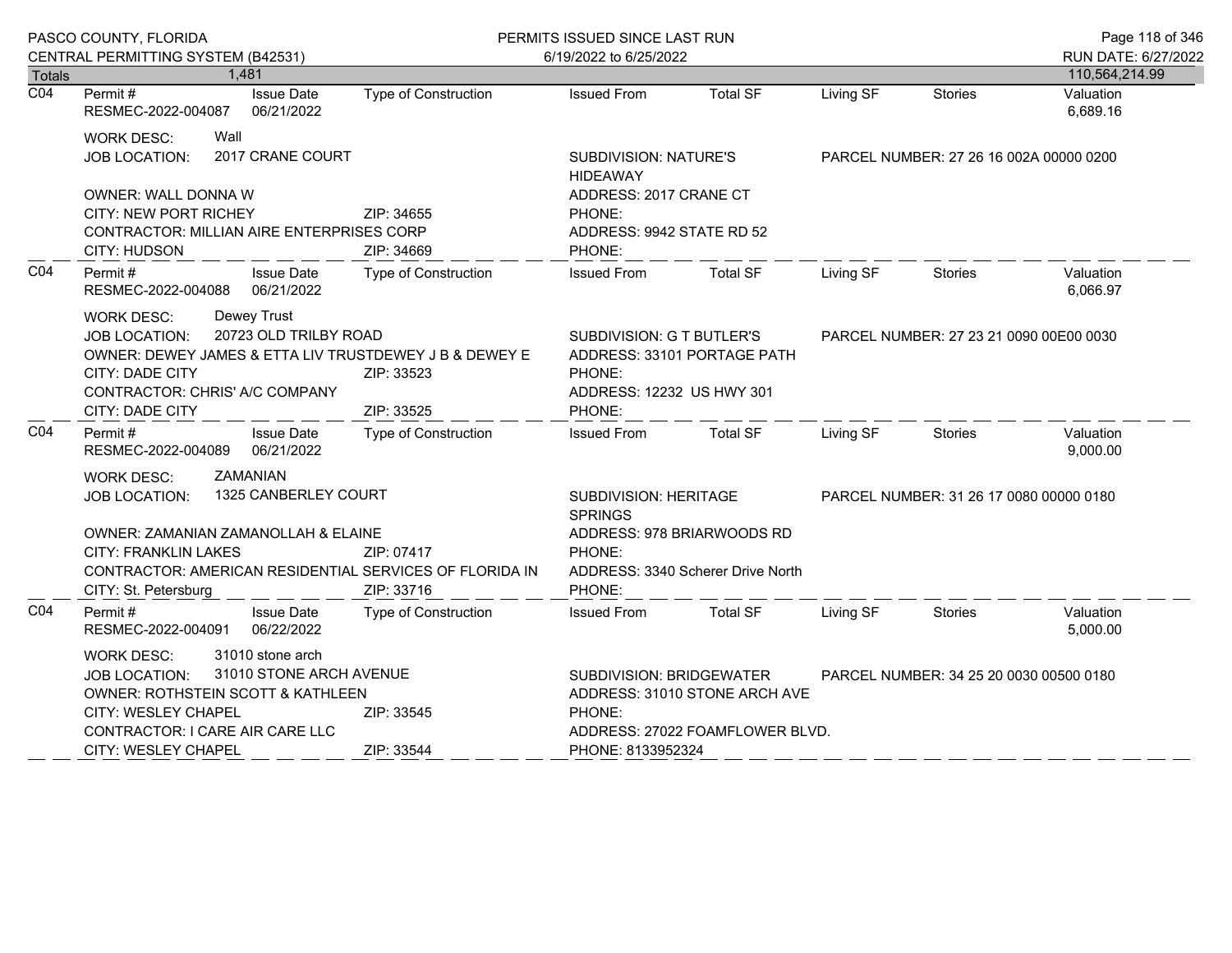|                  | PASCO COUNTY, FLORIDA                                                                                                                                                                                                                                                          | PERMITS ISSUED SINCE LAST RUN                               |                                                                                                                            |                                                                  |                                         |                                         | Page 118 of 346                       |
|------------------|--------------------------------------------------------------------------------------------------------------------------------------------------------------------------------------------------------------------------------------------------------------------------------|-------------------------------------------------------------|----------------------------------------------------------------------------------------------------------------------------|------------------------------------------------------------------|-----------------------------------------|-----------------------------------------|---------------------------------------|
| Totals           | CENTRAL PERMITTING SYSTEM (B42531)<br>1,481                                                                                                                                                                                                                                    |                                                             | 6/19/2022 to 6/25/2022                                                                                                     |                                                                  |                                         |                                         | RUN DATE: 6/27/2022<br>110,564,214.99 |
| $\overline{CO4}$ | Permit #<br><b>Issue Date</b><br>06/21/2022<br>RESMEC-2022-004087                                                                                                                                                                                                              | Type of Construction                                        | <b>Issued From</b>                                                                                                         | <b>Total SF</b>                                                  | Living SF                               | Stories                                 | Valuation<br>6,689.16                 |
|                  | Wall<br>WORK DESC:<br>2017 CRANE COURT<br><b>JOB LOCATION:</b><br>OWNER: WALL DONNA W<br>ZIP: 34655<br><b>CITY: NEW PORT RICHEY</b><br><b>CONTRACTOR: MILLIAN AIRE ENTERPRISES CORP</b><br>CITY: HUDSON<br>ZIP: 34669<br>Type of Construction<br>Permit #<br><b>Issue Date</b> |                                                             | <b>SUBDIVISION: NATURE'S</b><br><b>HIDEAWAY</b><br>ADDRESS: 2017 CRANE CT<br>PHONE:<br>ADDRESS: 9942 STATE RD 52<br>PHONE: |                                                                  | PARCEL NUMBER: 27 26 16 002A 00000 0200 |                                         |                                       |
| CO4              | RESMEC-2022-004088 06/21/2022                                                                                                                                                                                                                                                  |                                                             | <b>Issued From</b>                                                                                                         | <b>Total SF</b>                                                  | Living SF                               | Stories                                 | Valuation<br>6,066.97                 |
|                  | Dewey Trust<br><b>WORK DESC:</b><br>20723 OLD TRILBY ROAD<br><b>JOB LOCATION:</b><br>OWNER: DEWEY JAMES & ETTA LIV TRUSTDEWEY J B & DEWEY E<br>CITY: DADE CITY<br>CONTRACTOR: CHRIS' A/C COMPANY<br>CITY: DADE CITY                                                            | ZIP: 33523<br>ZIP: 33525                                    | SUBDIVISION: G T BUTLER'S<br>ADDRESS: 33101 PORTAGE PATH<br>PHONE:<br>ADDRESS: 12232 US HWY 301<br>PHONE:                  |                                                                  | PARCEL NUMBER: 27 23 21 0090 00E00 0030 |                                         |                                       |
| CO <sub>4</sub>  | Permit#<br><b>Issue Date</b><br>RESMEC-2022-004089 06/21/2022                                                                                                                                                                                                                  | Type of Construction                                        | Issued From Total SF                                                                                                       |                                                                  | Living SF                               | Stories                                 | Valuation<br>9,000.00                 |
|                  | ZAMANIAN<br>WORK DESC:<br>1325 CANBERLEY COURT<br><b>JOB LOCATION:</b><br>OWNER: ZAMANIAN ZAMANOLLAH & ELAINE<br><b>CITY: FRANKLIN LAKES</b><br>CONTRACTOR: AMERICAN RESIDENTIAL SERVICES OF FLORIDA IN<br>CITY: St. Petersburg                                                | SUBDIVISION: HERITAGE<br><b>SPRINGS</b><br>PHONE:<br>PHONE: | ADDRESS: 978 BRIARWOODS RD<br>ADDRESS: 3340 Scherer Drive North                                                            | PARCEL NUMBER: 31 26 17 0080 00000 0180                          |                                         |                                         |                                       |
| CO <sub>4</sub>  | Permit#<br><b>Issue Date</b><br>RESMEC-2022-004091 06/22/2022                                                                                                                                                                                                                  | <b>Type of Construction</b>                                 | Issued From                                                                                                                | <b>Total SF</b>                                                  | Living SF                               | Stories                                 | Valuation<br>5,000.00                 |
|                  | 31010 stone arch<br>WORK DESC:<br>31010 STONE ARCH AVENUE<br><b>JOB LOCATION:</b><br><b>OWNER: ROTHSTEIN SCOTT &amp; KATHLEEN</b><br>CITY: WESLEY CHAPEL<br>CONTRACTOR: I CARE AIR CARE LLC<br>CITY: WESLEY CHAPEL                                                             | ZIP: 33545<br>ZIP: 33544                                    | <b>SUBDIVISION: BRIDGEWATER</b><br>PHONE:<br>PHONE: 8133952324                                                             | ADDRESS: 31010 STONE ARCH AVE<br>ADDRESS: 27022 FOAMFLOWER BLVD. |                                         | PARCEL NUMBER: 34 25 20 0030 00500 0180 |                                       |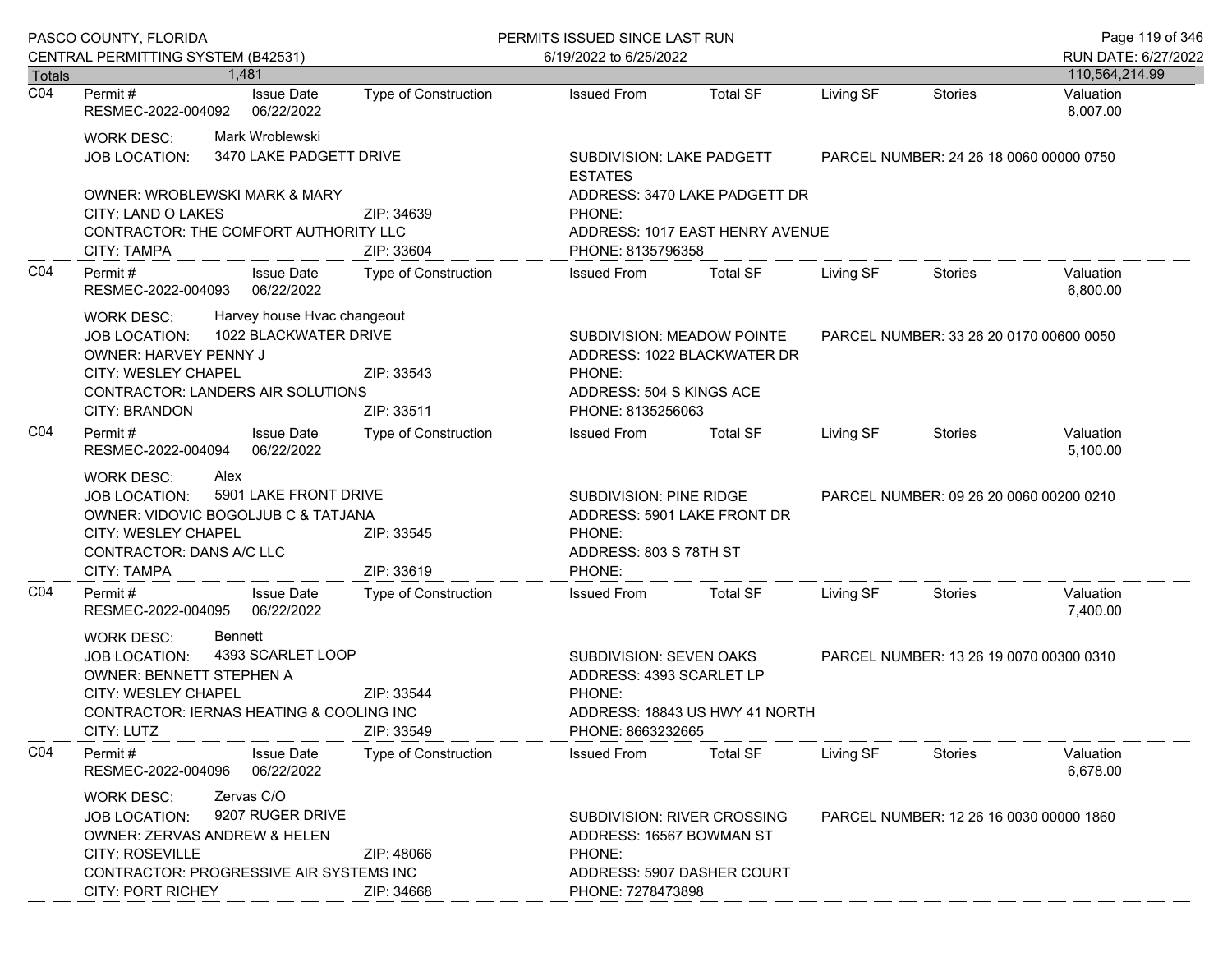|                  | PASCO COUNTY, FLORIDA                                                                                                                                                                                                                      |                             | PERMITS ISSUED SINCE LAST RUN                                                                                        | Page 119 of 346 |                                         |                                         |                       |  |
|------------------|--------------------------------------------------------------------------------------------------------------------------------------------------------------------------------------------------------------------------------------------|-----------------------------|----------------------------------------------------------------------------------------------------------------------|-----------------|-----------------------------------------|-----------------------------------------|-----------------------|--|
|                  | CENTRAL PERMITTING SYSTEM (B42531)                                                                                                                                                                                                         |                             | 6/19/2022 to 6/25/2022                                                                                               |                 |                                         | RUN DATE: 6/27/2022                     |                       |  |
| Totals           | 1,481                                                                                                                                                                                                                                      |                             |                                                                                                                      |                 |                                         |                                         | 110,564,214.99        |  |
| $\overline{CO4}$ | <b>Issue Date</b><br>Permit #<br>RESMEC-2022-004092<br>06/22/2022                                                                                                                                                                          | <b>Type of Construction</b> | <b>Issued From</b>                                                                                                   | <b>Total SF</b> | Living SF                               | <b>Stories</b>                          | Valuation<br>8,007.00 |  |
|                  | Mark Wroblewski<br><b>WORK DESC:</b><br>3470 LAKE PADGETT DRIVE<br>JOB LOCATION:                                                                                                                                                           |                             | SUBDIVISION: LAKE PADGETT<br><b>ESTATES</b>                                                                          |                 |                                         | PARCEL NUMBER: 24 26 18 0060 00000 0750 |                       |  |
|                  | <b>OWNER: WROBLEWSKI MARK &amp; MARY</b>                                                                                                                                                                                                   |                             | ADDRESS: 3470 LAKE PADGETT DR                                                                                        |                 |                                         |                                         |                       |  |
|                  | CITY: LAND O LAKES                                                                                                                                                                                                                         | ZIP: 34639                  | PHONE:                                                                                                               |                 |                                         |                                         |                       |  |
|                  | CONTRACTOR: THE COMFORT AUTHORITY LLC<br>CITY: TAMPA                                                                                                                                                                                       | ZIP: 33604                  | ADDRESS: 1017 EAST HENRY AVENUE<br>PHONE: 8135796358                                                                 |                 |                                         |                                         |                       |  |
| CO <sub>4</sub>  | Permit#<br><b>Issue Date</b><br>RESMEC-2022-004093<br>06/22/2022                                                                                                                                                                           | Type of Construction        | <b>Issued From</b>                                                                                                   | Total SF        | Living SF                               | Stories                                 | Valuation<br>6,800.00 |  |
|                  | Harvey house Hvac changeout<br><b>WORK DESC:</b><br>1022 BLACKWATER DRIVE<br><b>JOB LOCATION:</b><br>OWNER: HARVEY PENNY J<br><b>CITY: WESLEY CHAPEL</b><br>ZIP: 33543<br>CONTRACTOR: LANDERS AIR SOLUTIONS<br>CITY: BRANDON<br>ZIP: 33511 |                             | SUBDIVISION: MEADOW POINTE<br>ADDRESS: 1022 BLACKWATER DR<br>PHONE:<br>ADDRESS: 504 S KINGS ACE<br>PHONE: 8135256063 |                 | PARCEL NUMBER: 33 26 20 0170 00600 0050 |                                         |                       |  |
| CO <sub>4</sub>  | Permit#<br><b>Issue Date</b><br>RESMEC-2022-004094<br>06/22/2022                                                                                                                                                                           | Type of Construction        | <b>Issued From</b>                                                                                                   | <b>Total SF</b> | Living SF                               | Stories                                 | Valuation<br>5,100.00 |  |
|                  | Alex<br><b>WORK DESC:</b><br>5901 LAKE FRONT DRIVE<br><b>JOB LOCATION:</b><br>OWNER: VIDOVIC BOGOLJUB C & TATJANA<br><b>CITY: WESLEY CHAPEL</b><br>ZIP: 33545<br>CONTRACTOR: DANS A/C LLC<br>ZIP: 33619<br>CITY: TAMPA                     |                             | SUBDIVISION: PINE RIDGE<br>ADDRESS: 5901 LAKE FRONT DR<br>PHONE:<br>ADDRESS: 803 S 78TH ST<br>PHONE:                 |                 |                                         | PARCEL NUMBER: 09 26 20 0060 00200 0210 |                       |  |
| CO <sub>4</sub>  | <b>Issue Date</b><br>Permit#<br>RESMEC-2022-004095<br>06/22/2022                                                                                                                                                                           | <b>Type of Construction</b> | <b>Issued From</b>                                                                                                   | <b>Total SF</b> | Living SF                               | Stories                                 | Valuation<br>7,400.00 |  |
|                  | Bennett<br><b>WORK DESC:</b><br>4393 SCARLET LOOP<br><b>JOB LOCATION:</b><br>OWNER: BENNETT STEPHEN A<br><b>CITY: WESLEY CHAPEL</b><br>CONTRACTOR: IERNAS HEATING & COOLING INC<br>CITY: LUTZ                                              | ZIP: 33544<br>ZIP: 33549    | SUBDIVISION: SEVEN OAKS<br>ADDRESS: 4393 SCARLET LP<br>PHONE:<br>ADDRESS: 18843 US HWY 41 NORTH<br>PHONE: 8663232665 |                 |                                         | PARCEL NUMBER: 13 26 19 0070 00300 0310 |                       |  |
| CO <sub>4</sub>  | Permit#<br><b>Issue Date</b><br>06/22/2022<br>RESMEC-2022-004096                                                                                                                                                                           | Type of Construction        | <b>Issued From</b>                                                                                                   | <b>Total SF</b> | Living SF                               | Stories                                 | Valuation<br>6,678.00 |  |
|                  | Zervas C/O<br><b>WORK DESC:</b><br>9207 RUGER DRIVE<br><b>JOB LOCATION:</b><br>OWNER: ZERVAS ANDREW & HELEN<br><b>CITY: ROSEVILLE</b><br>ZIP: 48066<br>CONTRACTOR: PROGRESSIVE AIR SYSTEMS INC<br><b>CITY: PORT RICHEY</b><br>ZIP: 34668   |                             | SUBDIVISION: RIVER CROSSING<br>ADDRESS: 16567 BOWMAN ST<br>PHONE:<br>ADDRESS: 5907 DASHER COURT<br>PHONE: 7278473898 |                 |                                         | PARCEL NUMBER: 12 26 16 0030 00000 1860 |                       |  |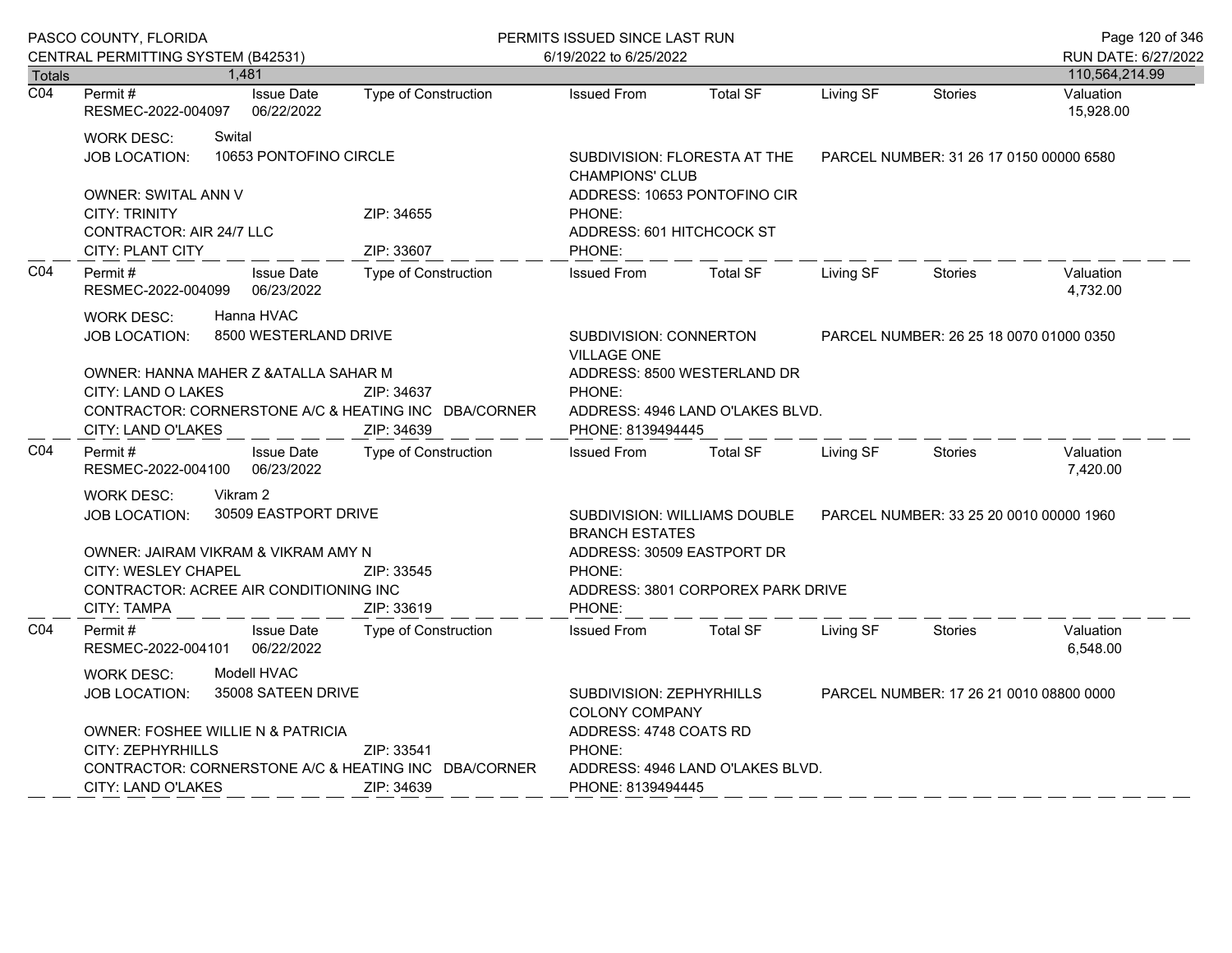|                  | PASCO COUNTY, FLORIDA<br>CENTRAL PERMITTING SYSTEM (B42531)                                                                                                                                                                   |                                 | PERMITS ISSUED SINCE LAST RUN<br>6/19/2022 to 6/25/2022 |                                                                                                                                                                      |                 |           |                                         | Page 120 of 346<br>RUN DATE: 6/27/2022 |
|------------------|-------------------------------------------------------------------------------------------------------------------------------------------------------------------------------------------------------------------------------|---------------------------------|---------------------------------------------------------|----------------------------------------------------------------------------------------------------------------------------------------------------------------------|-----------------|-----------|-----------------------------------------|----------------------------------------|
| <b>Totals</b>    | 1,481                                                                                                                                                                                                                         |                                 |                                                         |                                                                                                                                                                      |                 |           |                                         | 110,564,214.99                         |
| $\overline{CO4}$ | Permit#<br>RESMEC-2022-004097                                                                                                                                                                                                 | <b>Issue Date</b><br>06/22/2022 | Type of Construction                                    | <b>Issued From</b>                                                                                                                                                   | <b>Total SF</b> | Living SF | <b>Stories</b>                          | Valuation<br>15,928.00                 |
|                  | Swital<br><b>WORK DESC:</b><br><b>JOB LOCATION:</b>                                                                                                                                                                           | 10653 PONTOFINO CIRCLE          |                                                         | SUBDIVISION: FLORESTA AT THE<br><b>CHAMPIONS' CLUB</b>                                                                                                               |                 |           | PARCEL NUMBER: 31 26 17 0150 00000 6580 |                                        |
|                  | OWNER: SWITAL ANN V<br><b>CITY: TRINITY</b><br><b>CONTRACTOR: AIR 24/7 LLC</b><br>CITY: PLANT CITY                                                                                                                            |                                 | ZIP: 34655<br>ZIP: 33607                                | ADDRESS: 10653 PONTOFINO CIR<br>PHONE:<br>ADDRESS: 601 HITCHCOCK ST<br>PHONE:                                                                                        |                 |           |                                         |                                        |
| C04              | Permit#<br>RESMEC-2022-004099                                                                                                                                                                                                 | <b>Issue Date</b><br>06/23/2022 | Type of Construction                                    | <b>Issued From</b>                                                                                                                                                   | <b>Total SF</b> | Living SF | Stories                                 | Valuation<br>4,732.00                  |
|                  | Hanna HVAC<br><b>WORK DESC:</b><br>8500 WESTERLAND DRIVE<br><b>JOB LOCATION:</b><br>OWNER: HANNA MAHER Z & ATALLA SAHAR M<br>CITY: LAND O LAKES<br>CONTRACTOR: CORNERSTONE A/C & HEATING INC DBA/CORNER<br>CITY: LAND O'LAKES |                                 | ZIP: 34637<br>ZIP: 34639                                | SUBDIVISION: CONNERTON<br><b>VILLAGE ONE</b><br>ADDRESS: 8500 WESTERLAND DR<br>PHONE:<br>ADDRESS: 4946 LAND O'LAKES BLVD.<br>PHONE: 8139494445                       |                 |           | PARCEL NUMBER: 26 25 18 0070 01000 0350 |                                        |
| CO <sub>4</sub>  | Permit#<br>RESMEC-2022-004100                                                                                                                                                                                                 | <b>Issue Date</b><br>06/23/2022 | Type of Construction                                    | <b>Issued From</b>                                                                                                                                                   | <b>Total SF</b> | Living SF | Stories                                 | Valuation<br>7,420.00                  |
|                  | Vikram 2<br><b>WORK DESC:</b><br>30509 EASTPORT DRIVE<br><b>JOB LOCATION:</b><br>OWNER: JAIRAM VIKRAM & VIKRAM AMY N<br><b>CITY: WESLEY CHAPEL</b><br>CONTRACTOR: ACREE AIR CONDITIONING INC<br>CITY: TAMPA                   |                                 | ZIP: 33545<br>ZIP: 33619                                | SUBDIVISION: WILLIAMS DOUBLE<br><b>BRANCH ESTATES</b><br>ADDRESS: 30509 EASTPORT DR<br>PHONE:<br>ADDRESS: 3801 CORPOREX PARK DRIVE<br>PHONE:                         |                 |           | PARCEL NUMBER: 33 25 20 0010 00000 1960 |                                        |
| CO <sub>4</sub>  | Permit#<br>RESMEC-2022-004101                                                                                                                                                                                                 | <b>Issue Date</b><br>06/22/2022 | Type of Construction                                    | <b>Issued From</b>                                                                                                                                                   | <b>Total SF</b> | Living SF | <b>Stories</b>                          | Valuation<br>6,548.00                  |
|                  | Modell HVAC<br>WORK DESC:<br>35008 SATEEN DRIVE<br><b>JOB LOCATION:</b><br><b>OWNER: FOSHEE WILLIE N &amp; PATRICIA</b><br>CITY: ZEPHYRHILLS<br>ZIP: 33541<br>CONTRACTOR: CORNERSTONE A/C & HEATING INC DBA/CORNER            |                                 |                                                         | SUBDIVISION: ZEPHYRHILLS<br>PARCEL NUMBER: 17 26 21 0010 08800 0000<br><b>COLONY COMPANY</b><br>ADDRESS: 4748 COATS RD<br>PHONE:<br>ADDRESS: 4946 LAND O'LAKES BLVD. |                 |           |                                         |                                        |
|                  | CITY: LAND O'LAKES                                                                                                                                                                                                            |                                 | ZIP: 34639                                              | PHONE: 8139494445                                                                                                                                                    |                 |           |                                         |                                        |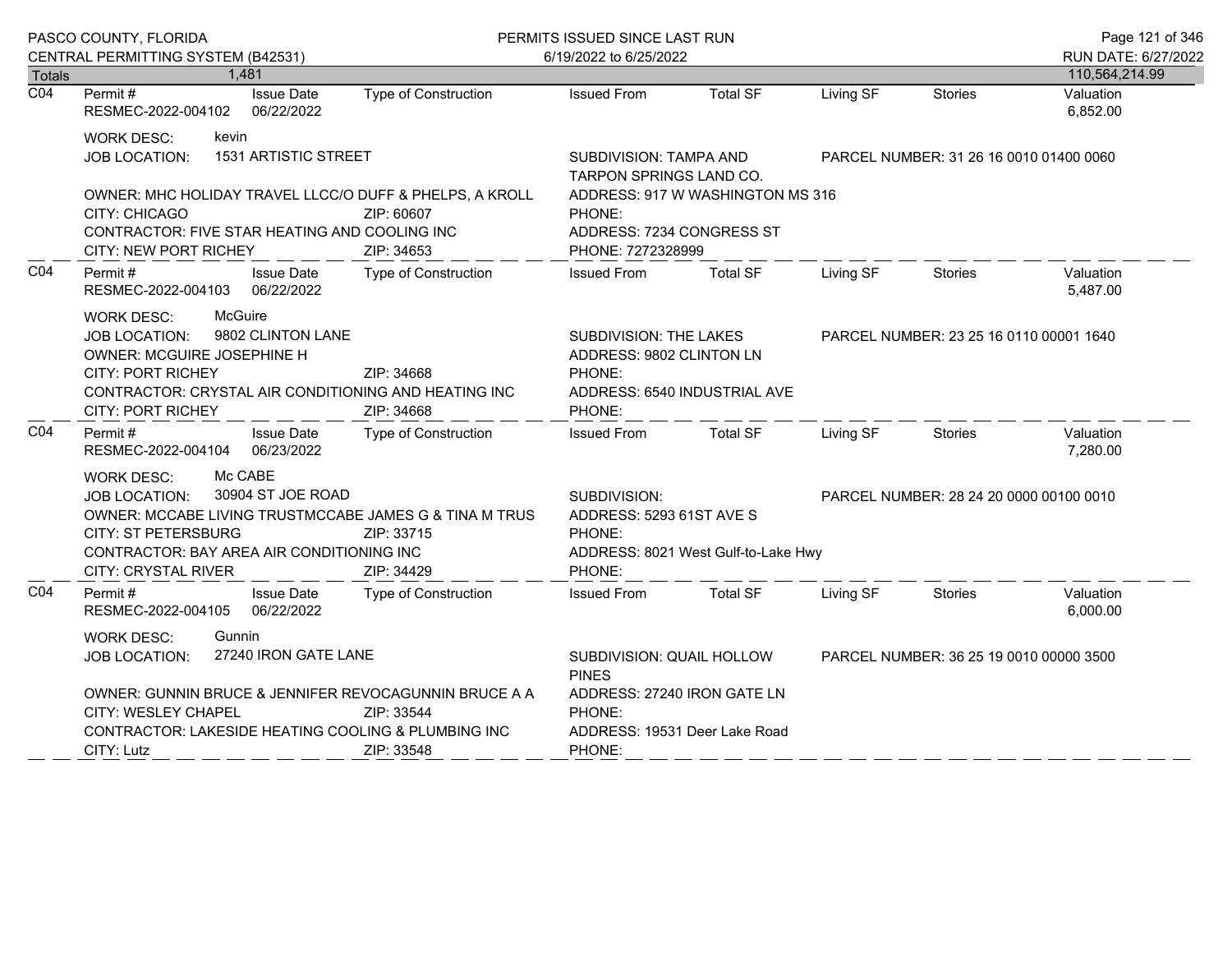| PASCO COUNTY, FLORIDA |                                                                                                                                                                                                                                                              |                   |                                                                                                                                                   | PERMITS ISSUED SINCE LAST RUN |                                         |                                         |                | Page 121 of 346                       |
|-----------------------|--------------------------------------------------------------------------------------------------------------------------------------------------------------------------------------------------------------------------------------------------------------|-------------------|---------------------------------------------------------------------------------------------------------------------------------------------------|-------------------------------|-----------------------------------------|-----------------------------------------|----------------|---------------------------------------|
|                       | CENTRAL PERMITTING SYSTEM (B42531)<br><b>Totals</b><br>1.481                                                                                                                                                                                                 |                   |                                                                                                                                                   | 6/19/2022 to 6/25/2022        |                                         |                                         |                | RUN DATE: 6/27/2022<br>110,564,214.99 |
| $\overline{CO4}$      | Permit#<br>RESMEC-2022-004102 06/22/2022                                                                                                                                                                                                                     | <b>Issue Date</b> | Type of Construction                                                                                                                              | <b>Issued From</b>            | <b>Total SF</b>                         | Living SF                               | <b>Stories</b> | Valuation<br>6,852.00                 |
|                       | kevin<br><b>WORK DESC:</b><br>1531 ARTISTIC STREET<br><b>JOB LOCATION:</b><br>OWNER: MHC HOLIDAY TRAVEL LLCC/O DUFF & PHELPS, A KROLL<br>CITY: CHICAGO<br>ZIP: 60607<br>CONTRACTOR: FIVE STAR HEATING AND COOLING INC<br>CITY: NEW PORT RICHEY<br>ZIP: 34653 |                   | SUBDIVISION: TAMPA AND<br>TARPON SPRINGS LAND CO.<br>ADDRESS: 917 W WASHINGTON MS 316<br>PHONE:<br>ADDRESS: 7234 CONGRESS ST<br>PHONE: 7272328999 |                               | PARCEL NUMBER: 31 26 16 0010 01400 0060 |                                         |                |                                       |
| CO4                   | Permit#<br>RESMEC-2022-004103 06/22/2022                                                                                                                                                                                                                     | <b>Issue Date</b> | <b>Type of Construction</b>                                                                                                                       | <b>Issued From</b>            | <b>Total SF</b>                         | Living SF                               | Stories        | Valuation<br>5,487.00                 |
|                       | McGuire<br><b>WORK DESC:</b><br>9802 CLINTON LANE<br>JOB LOCATION:<br>OWNER: MCGUIRE JOSEPHINE H<br><b>CITY: PORT RICHEY</b><br>ZIP: 34668<br>CONTRACTOR: CRYSTAL AIR CONDITIONING AND HEATING INC<br><b>CITY: PORT RICHEY</b><br>ZIP: 34668                 |                   | SUBDIVISION: THE LAKES<br>ADDRESS: 9802 CLINTON LN<br>PHONE:<br>ADDRESS: 6540 INDUSTRIAL AVE<br>PHONE:                                            |                               | PARCEL NUMBER: 23 25 16 0110 00001 1640 |                                         |                |                                       |
| CO <sub>4</sub>       | Permit#<br>RESMEC-2022-004104 06/23/2022                                                                                                                                                                                                                     | <b>Issue Date</b> | Type of Construction                                                                                                                              | <b>Issued From</b>            | Total SF                                | Living SF                               | Stories        | Valuation<br>7,280.00                 |
|                       | Mc CABE<br><b>WORK DESC:</b><br>30904 ST JOE ROAD<br>JOB LOCATION:<br>OWNER: MCCABE LIVING TRUSTMCCABE JAMES G & TINA M TRUS<br><b>CITY: ST PETERSBURG</b><br>ZIP: 33715<br>CONTRACTOR: BAY AREA AIR CONDITIONING INC<br>CITY: CRYSTAL RIVER<br>ZIP: 34429   |                   | SUBDIVISION:<br>ADDRESS: 5293 61ST AVE S<br>PHONE:<br>ADDRESS: 8021 West Gulf-to-Lake Hwy<br>PHONE:                                               |                               | PARCEL NUMBER: 28 24 20 0000 00100 0010 |                                         |                |                                       |
| CO <sub>4</sub>       | Permit #<br>RESMEC-2022-004105 06/22/2022                                                                                                                                                                                                                    | <b>Issue Date</b> | Type of Construction                                                                                                                              | <b>Issued From</b>            | <b>Total SF</b>                         | Living SF                               | Stories        | Valuation<br>6,000.00                 |
|                       | <b>WORK DESC:</b><br>Gunnin<br>27240 IRON GATE LANE<br><b>JOB LOCATION:</b><br>OWNER: GUNNIN BRUCE & JENNIFER REVOCAGUNNIN BRUCE A A<br>CITY: WESLEY CHAPEL<br>ZIP: 33544<br>CONTRACTOR: LAKESIDE HEATING COOLING & PLUMBING INC<br>CITY: Lutz<br>ZIP: 33548 |                   | SUBDIVISION: QUAIL HOLLOW<br><b>PINES</b><br>ADDRESS: 27240 IRON GATE LN<br>PHONE:<br>ADDRESS: 19531 Deer Lake Road<br>PHONE:                     |                               |                                         | PARCEL NUMBER: 36 25 19 0010 00000 3500 |                |                                       |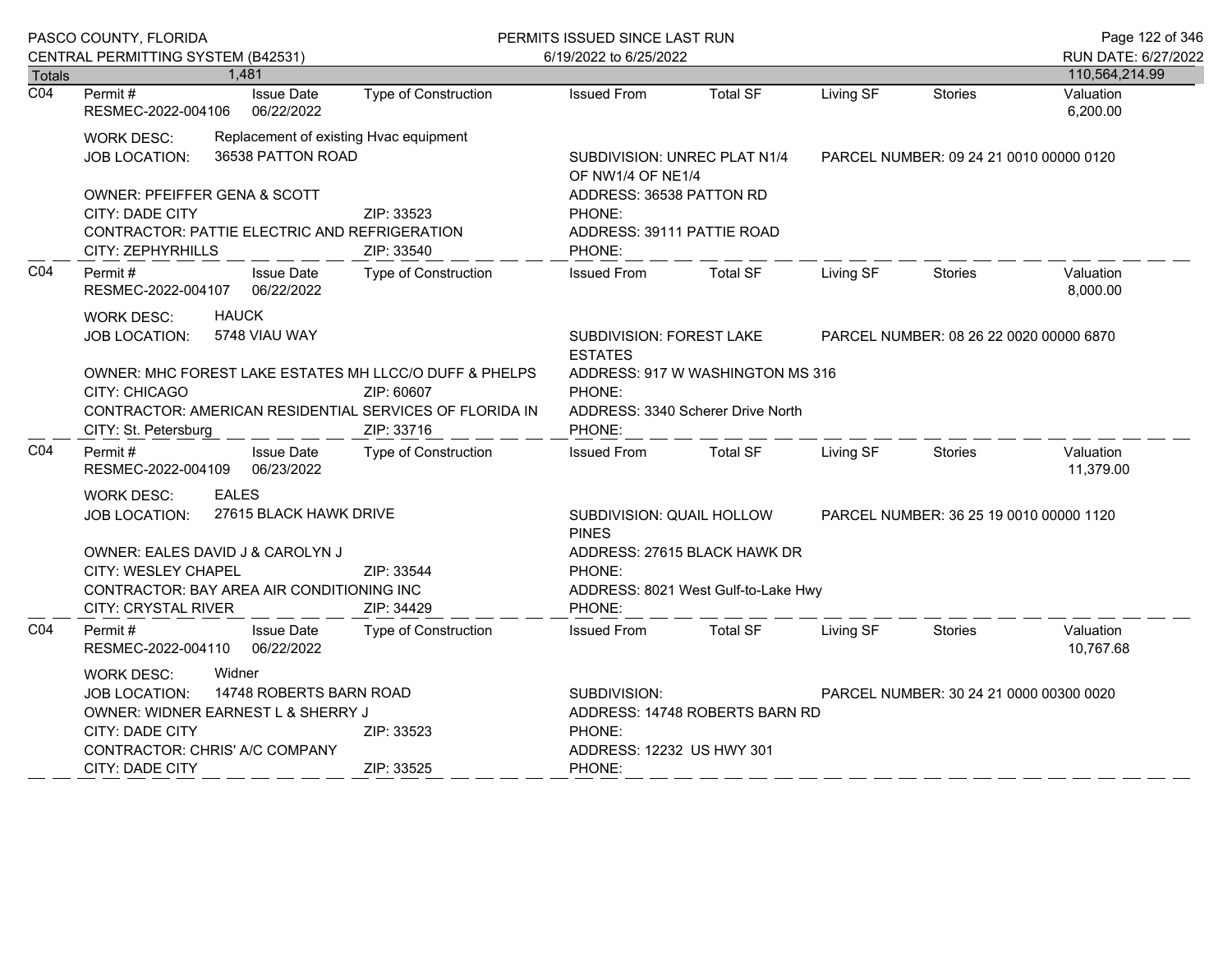|                  | PASCO COUNTY, FLORIDA                                                                                                                                                                                                    |                                 |                                                                                                                                  | PERMITS ISSUED SINCE LAST RUN                                                        |                                                                     |           |                                         | Page 122 of 346                       |
|------------------|--------------------------------------------------------------------------------------------------------------------------------------------------------------------------------------------------------------------------|---------------------------------|----------------------------------------------------------------------------------------------------------------------------------|--------------------------------------------------------------------------------------|---------------------------------------------------------------------|-----------|-----------------------------------------|---------------------------------------|
| <b>Totals</b>    | CENTRAL PERMITTING SYSTEM (B42531)<br>1,481                                                                                                                                                                              |                                 |                                                                                                                                  | 6/19/2022 to 6/25/2022                                                               |                                                                     |           |                                         | RUN DATE: 6/27/2022<br>110,564,214.99 |
| $\overline{CO4}$ | Permit#<br>RESMEC-2022-004106                                                                                                                                                                                            | <b>Issue Date</b><br>06/22/2022 | Type of Construction                                                                                                             | <b>Issued From</b>                                                                   | <b>Total SF</b>                                                     | Living SF | <b>Stories</b>                          | Valuation<br>6,200.00                 |
|                  | <b>WORK DESC:</b><br><b>JOB LOCATION:</b><br>OWNER: PFEIFFER GENA & SCOTT                                                                                                                                                | 36538 PATTON ROAD               | Replacement of existing Hvac equipment                                                                                           | SUBDIVISION: UNREC PLAT N1/4<br>OF NW1/4 OF NE1/4<br>ADDRESS: 36538 PATTON RD        |                                                                     |           | PARCEL NUMBER: 09 24 21 0010 00000 0120 |                                       |
|                  | CITY: DADE CITY<br>CONTRACTOR: PATTIE ELECTRIC AND REFRIGERATION<br>CITY: ZEPHYRHILLS                                                                                                                                    |                                 | ZIP: 33523<br>ZIP: 33540                                                                                                         | PHONE:<br>ADDRESS: 39111 PATTIE ROAD<br>PHONE:                                       |                                                                     |           |                                         |                                       |
| CO <sub>4</sub>  | Permit#<br>RESMEC-2022-004107                                                                                                                                                                                            | <b>Issue Date</b><br>06/22/2022 | Type of Construction                                                                                                             | <b>Issued From</b>                                                                   | <b>Total SF</b>                                                     | Living SF | <b>Stories</b>                          | Valuation<br>8,000.00                 |
|                  | <b>HAUCK</b><br><b>WORK DESC:</b><br>5748 VIAU WAY<br><b>JOB LOCATION:</b>                                                                                                                                               |                                 |                                                                                                                                  | SUBDIVISION: FOREST LAKE<br><b>ESTATES</b>                                           |                                                                     |           | PARCEL NUMBER: 08 26 22 0020 00000 6870 |                                       |
|                  | OWNER: MHC FOREST LAKE ESTATES MH LLCC/O DUFF & PHELPS<br>CITY: CHICAGO<br>ZIP: 60607<br>CONTRACTOR: AMERICAN RESIDENTIAL SERVICES OF FLORIDA IN<br>ZIP: 33716<br>CITY: St. Petersburg                                   |                                 | PHONE:<br>PHONE:                                                                                                                 | ADDRESS: 917 W WASHINGTON MS 316<br>ADDRESS: 3340 Scherer Drive North                |                                                                     |           |                                         |                                       |
| CO <sub>4</sub>  | Permit#<br>RESMEC-2022-004109                                                                                                                                                                                            | <b>Issue Date</b><br>06/23/2022 | Type of Construction                                                                                                             | <b>Issued From</b>                                                                   | <b>Total SF</b>                                                     | Living SF | <b>Stories</b>                          | Valuation<br>11,379.00                |
|                  | <b>EALES</b><br><b>WORK DESC:</b><br><b>JOB LOCATION:</b>                                                                                                                                                                | 27615 BLACK HAWK DRIVE          |                                                                                                                                  | SUBDIVISION: QUAIL HOLLOW<br>PARCEL NUMBER: 36 25 19 0010 00000 1120<br><b>PINES</b> |                                                                     |           |                                         |                                       |
|                  | OWNER: EALES DAVID J & CAROLYN J<br>CITY: WESLEY CHAPEL<br>CONTRACTOR: BAY AREA AIR CONDITIONING INC<br>CITY: CRYSTAL RIVER                                                                                              |                                 | ZIP: 33544<br>ZIP: 34429                                                                                                         | PHONE:<br>PHONE:                                                                     | ADDRESS: 27615 BLACK HAWK DR<br>ADDRESS: 8021 West Gulf-to-Lake Hwy |           |                                         |                                       |
| CO <sub>4</sub>  | Permit#<br>RESMEC-2022-004110                                                                                                                                                                                            | <b>Issue Date</b><br>06/22/2022 | <b>Type of Construction</b>                                                                                                      | <b>Issued From</b>                                                                   | <b>Total SF</b>                                                     | Living SF | <b>Stories</b>                          | Valuation<br>10,767.68                |
|                  | Widner<br><b>WORK DESC:</b><br>14748 ROBERTS BARN ROAD<br><b>JOB LOCATION:</b><br>OWNER: WIDNER EARNEST L & SHERRY J<br>CITY: DADE CITY<br>ZIP: 33523<br>CONTRACTOR: CHRIS' A/C COMPANY<br>CITY: DADE CITY<br>ZIP: 33525 |                                 | SUBDIVISION:<br>PARCEL NUMBER: 30 24 21 0000 00300 0020<br>ADDRESS: 14748 ROBERTS BARN RD<br>PHONE:<br>ADDRESS: 12232 US HWY 301 |                                                                                      |                                                                     |           |                                         |                                       |
|                  |                                                                                                                                                                                                                          |                                 |                                                                                                                                  | PHONE:                                                                               |                                                                     |           |                                         |                                       |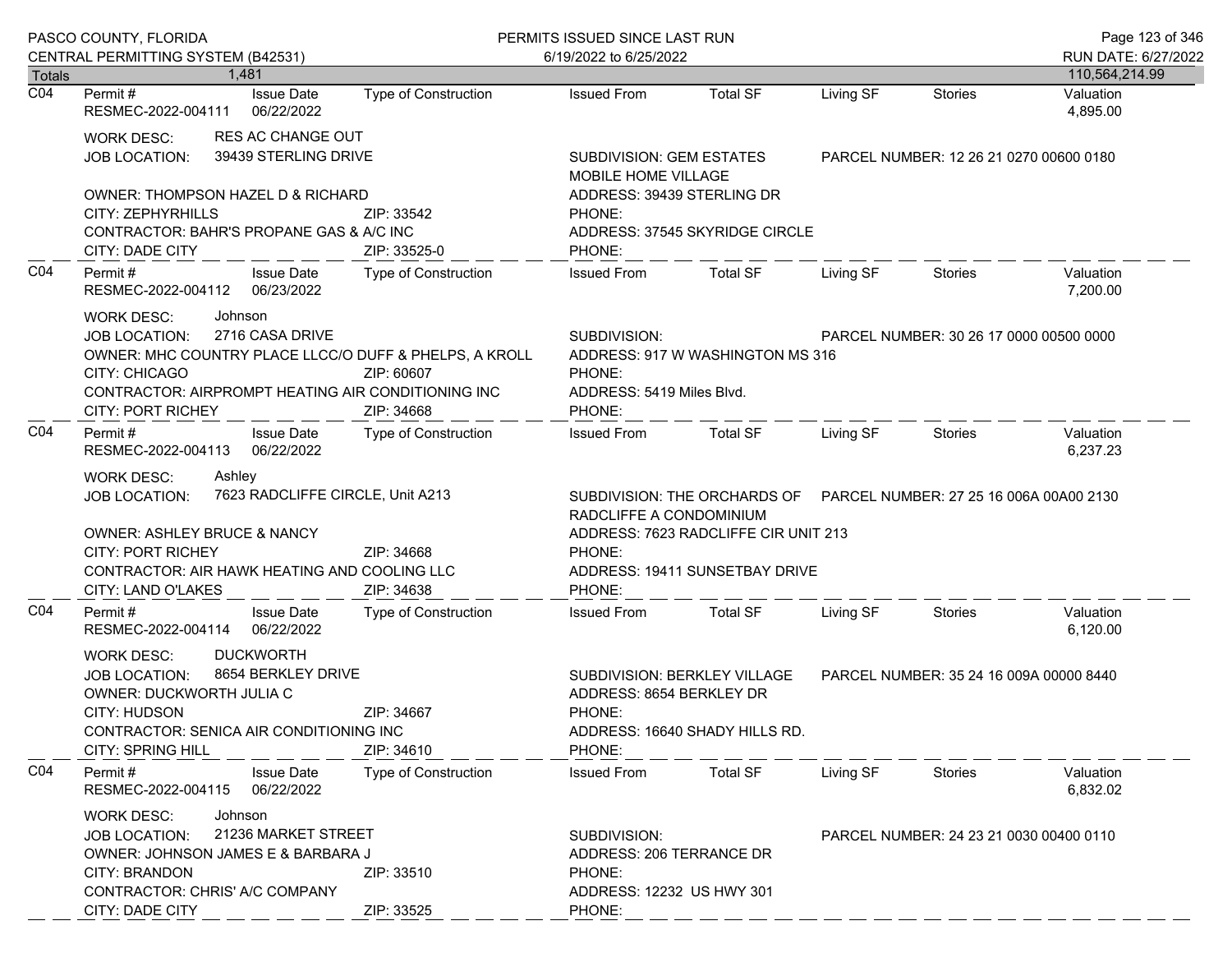|                            | PASCO COUNTY, FLORIDA                                                                                                                                                                                                                |                                                              | PERMITS ISSUED SINCE LAST RUN                                                             |                                                                                                                                                |           |                                         | Page 123 of 346             |
|----------------------------|--------------------------------------------------------------------------------------------------------------------------------------------------------------------------------------------------------------------------------------|--------------------------------------------------------------|-------------------------------------------------------------------------------------------|------------------------------------------------------------------------------------------------------------------------------------------------|-----------|-----------------------------------------|-----------------------------|
|                            | CENTRAL PERMITTING SYSTEM (B42531)                                                                                                                                                                                                   |                                                              | 6/19/2022 to 6/25/2022                                                                    |                                                                                                                                                |           |                                         | RUN DATE: 6/27/2022         |
| Totals<br>$\overline{CO4}$ | 1.481<br><b>Issue Date</b><br>Permit #                                                                                                                                                                                               | <b>Type of Construction</b>                                  | <b>Issued From</b>                                                                        | <b>Total SF</b>                                                                                                                                | Living SF | Stories                                 | 110,564,214.99<br>Valuation |
|                            | RESMEC-2022-004111<br>06/22/2022                                                                                                                                                                                                     |                                                              |                                                                                           |                                                                                                                                                |           |                                         | 4,895.00                    |
|                            | <b>RES AC CHANGE OUT</b><br>WORK DESC:<br>39439 STERLING DRIVE<br>JOB LOCATION:                                                                                                                                                      |                                                              | SUBDIVISION: GEM ESTATES<br>MOBILE HOME VILLAGE                                           |                                                                                                                                                |           | PARCEL NUMBER: 12 26 21 0270 00600 0180 |                             |
|                            | OWNER: THOMPSON HAZEL D & RICHARD<br>CITY: ZEPHYRHILLS<br>CONTRACTOR: BAHR'S PROPANE GAS & A/C INC<br>CITY: DADE CITY                                                                                                                | ZIP: 33542<br>ZIP: 33525-0                                   | ADDRESS: 39439 STERLING DR<br>PHONE:<br>PHONE:                                            | ADDRESS: 37545 SKYRIDGE CIRCLE                                                                                                                 |           |                                         |                             |
| CO <sub>4</sub>            | Permit#<br><b>Issue Date</b><br>RESMEC-2022-004112 06/23/2022                                                                                                                                                                        | Type of Construction                                         | <b>Issued From</b>                                                                        | <b>Total SF</b>                                                                                                                                | Living SF | Stories                                 | Valuation<br>7,200.00       |
|                            | <b>WORK DESC:</b><br>Johnson<br>2716 CASA DRIVE<br>JOB LOCATION:<br>OWNER: MHC COUNTRY PLACE LLCC/O DUFF & PHELPS, A KROLL<br><b>CITY: CHICAGO</b><br>CONTRACTOR: AIRPROMPT HEATING AIR CONDITIONING INC<br><b>CITY: PORT RICHEY</b> | ZIP: 60607<br>ZIP: 34668                                     | SUBDIVISION:<br>PHONE:<br>ADDRESS: 5419 Miles Blvd.<br>PHONE:                             | ADDRESS: 917 W WASHINGTON MS 316                                                                                                               |           | PARCEL NUMBER: 30 26 17 0000 00500 0000 |                             |
| CO <sub>4</sub>            | Permit#<br><b>Issue Date</b><br>06/22/2022<br>RESMEC-2022-004113                                                                                                                                                                     | <b>Type of Construction</b>                                  | <b>Issued From</b>                                                                        | <b>Total SF</b>                                                                                                                                | Living SF | Stories                                 | Valuation<br>6,237.23       |
|                            | Ashley<br><b>WORK DESC:</b><br>JOB LOCATION:<br><b>OWNER: ASHLEY BRUCE &amp; NANCY</b><br><b>CITY: PORT RICHEY</b><br>CONTRACTOR: AIR HAWK HEATING AND COOLING LLC<br>CITY: LAND O'LAKES                                             | 7623 RADCLIFFE CIRCLE, Unit A213<br>ZIP: 34668<br>ZIP: 34638 | RADCLIFFE A CONDOMINIUM<br>PHONE:<br>PHONE:                                               | SUBDIVISION: THE ORCHARDS OF PARCEL NUMBER: 27 25 16 006A 00A00 2130<br>ADDRESS: 7623 RADCLIFFE CIR UNIT 213<br>ADDRESS: 19411 SUNSETBAY DRIVE |           |                                         |                             |
| CO <sub>4</sub>            | Permit#<br><b>Issue Date</b><br>06/22/2022<br>RESMEC-2022-004114                                                                                                                                                                     | Type of Construction                                         | <b>Issued From</b>                                                                        | <b>Total SF</b>                                                                                                                                | Living SF | Stories                                 | Valuation<br>6,120.00       |
|                            | <b>DUCKWORTH</b><br><b>WORK DESC:</b><br>8654 BERKLEY DRIVE<br>JOB LOCATION:<br>OWNER: DUCKWORTH JULIA C<br>CITY: HUDSON<br>CONTRACTOR: SENICA AIR CONDITIONING INC<br><b>CITY: SPRING HILL</b>                                      | ZIP: 34667<br>ZIP: 34610                                     | ADDRESS: 8654 BERKLEY DR<br>PHONE:<br>PHONE:                                              | SUBDIVISION: BERKLEY VILLAGE<br>ADDRESS: 16640 SHADY HILLS RD.                                                                                 |           | PARCEL NUMBER: 35 24 16 009A 00000 8440 |                             |
| CO <sub>4</sub>            | Permit#<br><b>Issue Date</b><br>RESMEC-2022-004115<br>06/22/2022                                                                                                                                                                     | <b>Type of Construction</b>                                  | <b>Issued From</b>                                                                        | <b>Total SF</b>                                                                                                                                | Living SF | Stories                                 | Valuation<br>6,832.02       |
|                            | Johnson<br><b>WORK DESC:</b><br>21236 MARKET STREET<br><b>JOB LOCATION:</b><br>OWNER: JOHNSON JAMES E & BARBARA J<br><b>CITY: BRANDON</b><br>CONTRACTOR: CHRIS' A/C COMPANY<br>CITY: DADE CITY                                       | ZIP: 33510<br>ZIP: 33525                                     | SUBDIVISION:<br>ADDRESS: 206 TERRANCE DR<br>PHONE:<br>ADDRESS: 12232 US HWY 301<br>PHONE: |                                                                                                                                                |           | PARCEL NUMBER: 24 23 21 0030 00400 0110 |                             |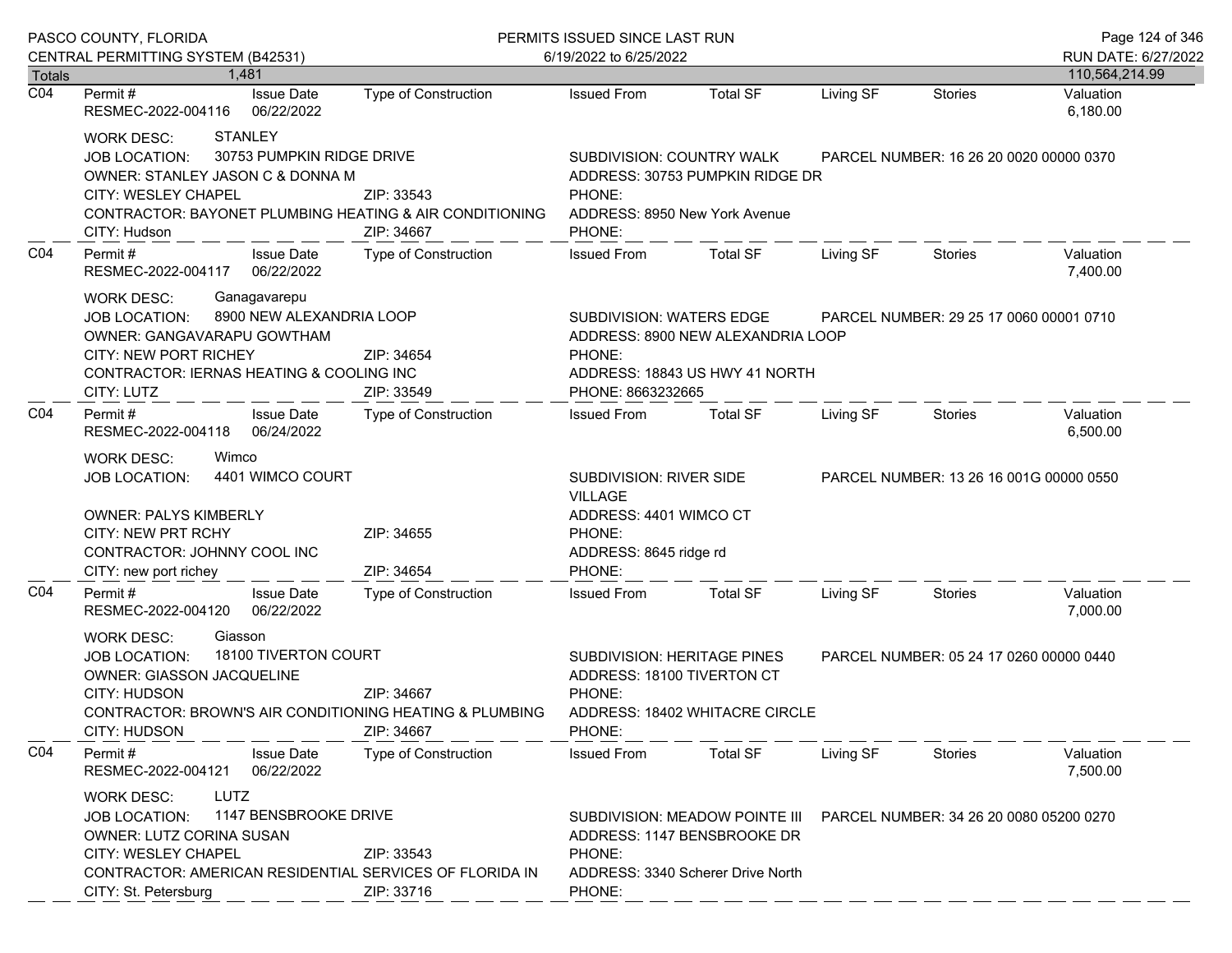|                  | PASCO COUNTY, FLORIDA                                                                                                                                                                                                                     | PERMITS ISSUED SINCE LAST RUN |                                                                                                                   |                                                                                                                                            |           | Page 124 of 346                         |                                         |
|------------------|-------------------------------------------------------------------------------------------------------------------------------------------------------------------------------------------------------------------------------------------|-------------------------------|-------------------------------------------------------------------------------------------------------------------|--------------------------------------------------------------------------------------------------------------------------------------------|-----------|-----------------------------------------|-----------------------------------------|
| Totals           | CENTRAL PERMITTING SYSTEM (B42531)<br>1.481                                                                                                                                                                                               |                               | 6/19/2022 to 6/25/2022                                                                                            |                                                                                                                                            |           |                                         | RUN DATE: 6/27/2022                     |
| $\overline{CO4}$ | <b>Issue Date</b><br>Permit #<br>RESMEC-2022-004116<br>06/22/2022                                                                                                                                                                         | Type of Construction          | <b>Issued From</b>                                                                                                | <b>Total SF</b>                                                                                                                            | Living SF | <b>Stories</b>                          | 110,564,214.99<br>Valuation<br>6,180.00 |
|                  | <b>STANLEY</b><br><b>WORK DESC:</b><br>30753 PUMPKIN RIDGE DRIVE<br><b>JOB LOCATION:</b><br>OWNER: STANLEY JASON C & DONNA M<br>CITY: WESLEY CHAPEL<br><b>CONTRACTOR: BAYONET PLUMBING HEATING &amp; AIR CONDITIONING</b><br>CITY: Hudson | ZIP: 33543<br>ZIP: 34667      | SUBDIVISION: COUNTRY WALK<br>PHONE:<br>ADDRESS: 8950 New York Avenue<br>PHONE:                                    | ADDRESS: 30753 PUMPKIN RIDGE DR                                                                                                            |           | PARCEL NUMBER: 16 26 20 0020 00000 0370 |                                         |
| CO <sub>4</sub>  | Permit#<br><b>Issue Date</b><br>06/22/2022<br>RESMEC-2022-004117                                                                                                                                                                          | Type of Construction          | <b>Issued From</b>                                                                                                | <b>Total SF</b>                                                                                                                            | Living SF | Stories                                 | Valuation<br>7,400.00                   |
|                  | <b>WORK DESC:</b><br>Ganagavarepu<br>8900 NEW ALEXANDRIA LOOP<br><b>JOB LOCATION:</b><br>OWNER: GANGAVARAPU GOWTHAM<br><b>CITY: NEW PORT RICHEY</b><br>ZIP: 34654<br>CONTRACTOR: IERNAS HEATING & COOLING INC<br>CITY: LUTZ<br>ZIP: 33549 |                               | PHONE:<br>PHONE: 8663232665                                                                                       | SUBDIVISION: WATERS EDGE<br>PARCEL NUMBER: 29 25 17 0060 00001 0710<br>ADDRESS: 8900 NEW ALEXANDRIA LOOP<br>ADDRESS: 18843 US HWY 41 NORTH |           |                                         |                                         |
| CO <sub>4</sub>  | Permit#<br><b>Issue Date</b><br>RESMEC-2022-004118<br>06/24/2022                                                                                                                                                                          | Type of Construction          | <b>Issued From</b>                                                                                                | Total SF                                                                                                                                   | Living SF | Stories                                 | Valuation<br>6,500.00                   |
|                  | Wimco<br><b>WORK DESC:</b><br>4401 WIMCO COURT<br><b>JOB LOCATION:</b><br><b>OWNER: PALYS KIMBERLY</b><br>CITY: NEW PRT RCHY<br>CONTRACTOR: JOHNNY COOL INC<br>CITY: new port richey                                                      | ZIP: 34655<br>ZIP: 34654      | SUBDIVISION: RIVER SIDE<br><b>VILLAGE</b><br>ADDRESS: 4401 WIMCO CT<br>PHONE:<br>ADDRESS: 8645 ridge rd<br>PHONE: |                                                                                                                                            |           | PARCEL NUMBER: 13 26 16 001G 00000 0550 |                                         |
| CO <sub>4</sub>  | Permit#<br><b>Issue Date</b><br>06/22/2022<br>RESMEC-2022-004120                                                                                                                                                                          | Type of Construction          | <b>Issued From</b>                                                                                                | <b>Total SF</b>                                                                                                                            | Living SF | Stories                                 | Valuation<br>7,000.00                   |
|                  | Giasson<br><b>WORK DESC:</b><br>18100 TIVERTON COURT<br><b>JOB LOCATION:</b><br>OWNER: GIASSON JACQUELINE<br>CITY: HUDSON<br><b>CONTRACTOR: BROWN'S AIR CONDITIONING HEATING &amp; PLUMBING</b><br>CITY: HUDSON                           | ZIP: 34667<br>ZIP: 34667      | SUBDIVISION: HERITAGE PINES<br>ADDRESS: 18100 TIVERTON CT<br>PHONE:<br>PHONE:                                     | ADDRESS: 18402 WHITACRE CIRCLE                                                                                                             |           | PARCEL NUMBER: 05 24 17 0260 00000 0440 |                                         |
| CO <sub>4</sub>  | Permit#<br><b>Issue Date</b><br>06/22/2022<br>RESMEC-2022-004121                                                                                                                                                                          | <b>Type of Construction</b>   | <b>Issued From</b>                                                                                                | <b>Total SF</b>                                                                                                                            | Living SF | Stories                                 | Valuation<br>7,500.00                   |
|                  | LUTZ<br><b>WORK DESC:</b><br>1147 BENSBROOKE DRIVE<br><b>JOB LOCATION:</b><br>OWNER: LUTZ CORINA SUSAN<br>CITY: WESLEY CHAPEL<br>CONTRACTOR: AMERICAN RESIDENTIAL SERVICES OF FLORIDA IN<br>CITY: St. Petersburg                          | ZIP: 33543<br>ZIP: 33716      | PHONE:<br>PHONE:                                                                                                  | SUBDIVISION: MEADOW POINTE III<br>ADDRESS: 1147 BENSBROOKE DR<br>ADDRESS: 3340 Scherer Drive North                                         |           | PARCEL NUMBER: 34 26 20 0080 05200 0270 |                                         |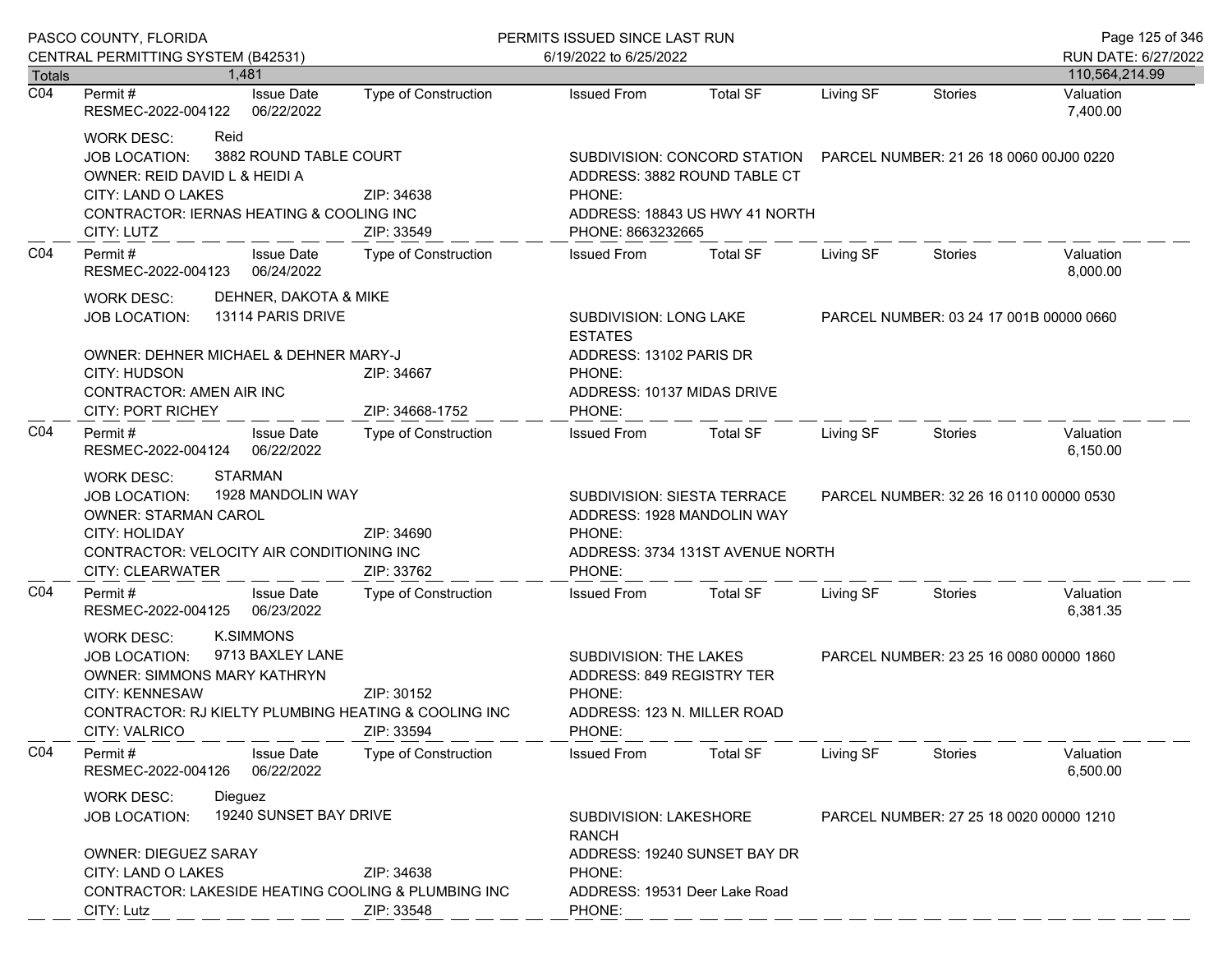|                  | PASCO COUNTY, FLORIDA                                                                                                                                                                                                     |                               | PERMITS ISSUED SINCE LAST RUN                                                                          |                                                                                                                                         |           |                                         | Page 125 of 346             |  |
|------------------|---------------------------------------------------------------------------------------------------------------------------------------------------------------------------------------------------------------------------|-------------------------------|--------------------------------------------------------------------------------------------------------|-----------------------------------------------------------------------------------------------------------------------------------------|-----------|-----------------------------------------|-----------------------------|--|
| <b>Totals</b>    | CENTRAL PERMITTING SYSTEM (B42531)<br>1.481                                                                                                                                                                               |                               | 6/19/2022 to 6/25/2022                                                                                 |                                                                                                                                         |           | RUN DATE: 6/27/2022                     |                             |  |
| $\overline{CO4}$ | <b>Issue Date</b><br>Permit #                                                                                                                                                                                             | <b>Type of Construction</b>   | <b>Issued From</b>                                                                                     | <b>Total SF</b>                                                                                                                         | Living SF | <b>Stories</b>                          | 110,564,214.99<br>Valuation |  |
|                  | RESMEC-2022-004122<br>06/22/2022                                                                                                                                                                                          |                               |                                                                                                        |                                                                                                                                         |           |                                         | 7,400.00                    |  |
|                  | Reid<br><b>WORK DESC:</b><br>3882 ROUND TABLE COURT<br><b>JOB LOCATION:</b><br>OWNER: REID DAVID L & HEIDI A<br>CITY: LAND O LAKES<br>CONTRACTOR: IERNAS HEATING & COOLING INC<br>CITY: LUTZ                              | ZIP: 34638<br>ZIP: 33549      | PHONE:<br>PHONE: 8663232665                                                                            | SUBDIVISION: CONCORD STATION  PARCEL NUMBER: 21 26 18 0060 00J00 0220<br>ADDRESS: 3882 ROUND TABLE CT<br>ADDRESS: 18843 US HWY 41 NORTH |           |                                         |                             |  |
| CO <sub>4</sub>  | Permit#<br><b>Issue Date</b><br>RESMEC-2022-004123<br>06/24/2022                                                                                                                                                          | <b>Type of Construction</b>   | <b>Issued From</b>                                                                                     | <b>Total SF</b>                                                                                                                         | Living SF | Stories                                 | Valuation<br>8,000.00       |  |
|                  | DEHNER, DAKOTA & MIKE<br><b>WORK DESC:</b><br>13114 PARIS DRIVE<br><b>JOB LOCATION:</b>                                                                                                                                   |                               | SUBDIVISION: LONG LAKE<br><b>ESTATES</b>                                                               |                                                                                                                                         |           | PARCEL NUMBER: 03 24 17 001B 00000 0660 |                             |  |
|                  | OWNER: DEHNER MICHAEL & DEHNER MARY-J<br><b>CITY: HUDSON</b><br>CONTRACTOR: AMEN AIR INC<br><b>CITY: PORT RICHEY</b>                                                                                                      | ZIP: 34667<br>ZIP: 34668-1752 | ADDRESS: 13102 PARIS DR<br>PHONE:<br>ADDRESS: 10137 MIDAS DRIVE<br>PHONE:                              |                                                                                                                                         |           |                                         |                             |  |
| CO <sub>4</sub>  | Permit #<br><b>Issue Date</b><br>RESMEC-2022-004124 06/22/2022                                                                                                                                                            | Type of Construction          | <b>Issued From</b>                                                                                     | Total SF                                                                                                                                | Living SF | Stories                                 | Valuation<br>6,150.00       |  |
|                  | <b>STARMAN</b><br><b>WORK DESC:</b><br>1928 MANDOLIN WAY<br><b>JOB LOCATION:</b><br><b>OWNER: STARMAN CAROL</b><br>CITY: HOLIDAY<br>CONTRACTOR: VELOCITY AIR CONDITIONING INC<br>CITY: CLEARWATER                         | ZIP: 34690<br>ZIP: 33762      | SUBDIVISION: SIESTA TERRACE<br>ADDRESS: 1928 MANDOLIN WAY<br>PHONE:<br>PHONE:                          | ADDRESS: 3734 131ST AVENUE NORTH                                                                                                        |           | PARCEL NUMBER: 32 26 16 0110 00000 0530 |                             |  |
| CO <sub>4</sub>  | <b>Issue Date</b><br>Permit#<br>RESMEC-2022-004125 06/23/2022                                                                                                                                                             | Type of Construction          | <b>Issued From</b>                                                                                     | <b>Total SF</b>                                                                                                                         | Living SF | Stories                                 | Valuation<br>6,381.35       |  |
|                  | <b>K.SIMMONS</b><br><b>WORK DESC:</b><br>9713 BAXLEY LANE<br><b>JOB LOCATION:</b><br>OWNER: SIMMONS MARY KATHRYN<br><b>CITY: KENNESAW</b><br>CONTRACTOR: RJ KIELTY PLUMBING HEATING & COOLING INC<br><b>CITY: VALRICO</b> | ZIP: 30152<br>ZIP: 33594      | SUBDIVISION: THE LAKES<br>ADDRESS: 849 REGISTRY TER<br>PHONE:<br>ADDRESS: 123 N. MILLER ROAD<br>PHONE: |                                                                                                                                         |           | PARCEL NUMBER: 23 25 16 0080 00000 1860 |                             |  |
| C <sub>04</sub>  | Permit#<br><b>Issue Date</b><br>RESMEC-2022-004126<br>06/22/2022                                                                                                                                                          | Type of Construction          | <b>Issued From</b>                                                                                     | <b>Total SF</b>                                                                                                                         | Living SF | Stories                                 | Valuation<br>6,500.00       |  |
|                  | <b>WORK DESC:</b><br>Dieguez<br>19240 SUNSET BAY DRIVE<br><b>JOB LOCATION:</b>                                                                                                                                            |                               | <b>RANCH</b>                                                                                           | <b>SUBDIVISION: LAKESHORE</b><br>ADDRESS: 19240 SUNSET BAY DR                                                                           |           | PARCEL NUMBER: 27 25 18 0020 00000 1210 |                             |  |
|                  | <b>OWNER: DIEGUEZ SARAY</b><br>CITY: LAND O LAKES<br>CONTRACTOR: LAKESIDE HEATING COOLING & PLUMBING INC<br>CITY: Lutz                                                                                                    | ZIP: 34638<br>ZIP: 33548      | PHONE:<br>ADDRESS: 19531 Deer Lake Road<br>PHONE:                                                      |                                                                                                                                         |           |                                         |                             |  |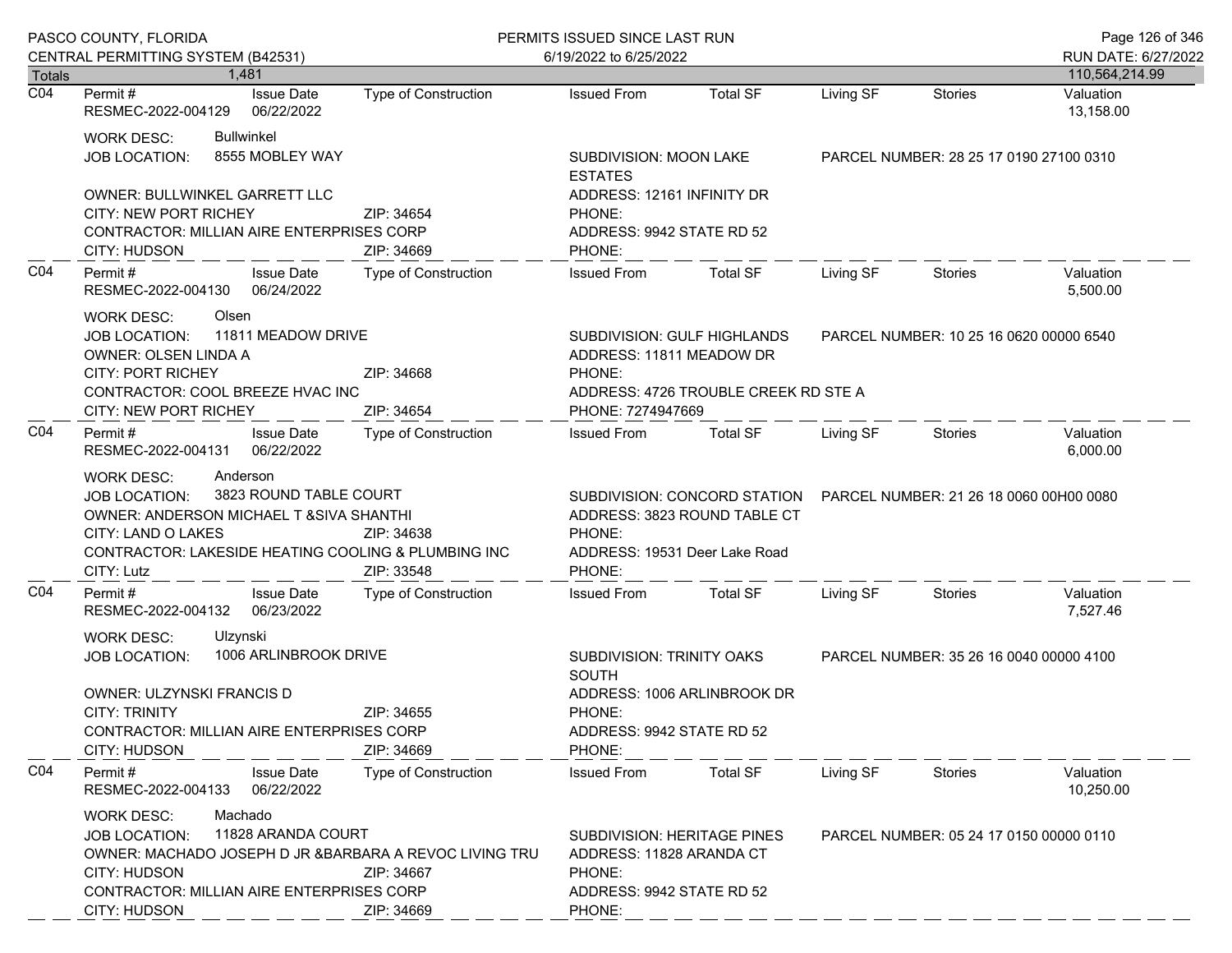|                  | PASCO COUNTY, FLORIDA                                                                                                                                                                                                     |                             | PERMITS ISSUED SINCE LAST RUN<br>6/19/2022 to 6/25/2022                                                         |                                                                                                       |           |                                         | Page 126 of 346                       |
|------------------|---------------------------------------------------------------------------------------------------------------------------------------------------------------------------------------------------------------------------|-----------------------------|-----------------------------------------------------------------------------------------------------------------|-------------------------------------------------------------------------------------------------------|-----------|-----------------------------------------|---------------------------------------|
| Totals           | CENTRAL PERMITTING SYSTEM (B42531)<br>1.481                                                                                                                                                                               |                             |                                                                                                                 |                                                                                                       |           |                                         | RUN DATE: 6/27/2022<br>110,564,214.99 |
| $\overline{CO4}$ | <b>Issue Date</b><br>Permit #<br>RESMEC-2022-004129<br>06/22/2022                                                                                                                                                         | <b>Type of Construction</b> | <b>Issued From</b>                                                                                              | <b>Total SF</b>                                                                                       | Living SF | <b>Stories</b>                          | Valuation<br>13,158.00                |
|                  | <b>Bullwinkel</b><br>WORK DESC:<br>8555 MOBLEY WAY<br>JOB LOCATION:                                                                                                                                                       |                             | SUBDIVISION: MOON LAKE<br><b>ESTATES</b>                                                                        |                                                                                                       |           | PARCEL NUMBER: 28 25 17 0190 27100 0310 |                                       |
|                  | OWNER: BULLWINKEL GARRETT LLC<br>CITY: NEW PORT RICHEY<br>CONTRACTOR: MILLIAN AIRE ENTERPRISES CORP<br>CITY: HUDSON                                                                                                       | ZIP: 34654<br>ZIP: 34669    | ADDRESS: 12161 INFINITY DR<br>PHONE:<br>ADDRESS: 9942 STATE RD 52<br>PHONE:                                     |                                                                                                       |           |                                         |                                       |
| CO <sub>4</sub>  | Permit #<br><b>Issue Date</b><br>RESMEC-2022-004130 06/24/2022                                                                                                                                                            | Type of Construction        | <b>Issued From</b>                                                                                              | <b>Total SF</b>                                                                                       | Living SF | Stories                                 | Valuation<br>5,500.00                 |
|                  | Olsen<br>WORK DESC:<br>11811 MEADOW DRIVE<br><b>JOB LOCATION:</b><br><b>OWNER: OLSEN LINDA A</b><br><b>CITY: PORT RICHEY</b>                                                                                              | ZIP: 34668                  | ADDRESS: 11811 MEADOW DR<br>PHONE:                                                                              | SUBDIVISION: GULF HIGHLANDS                                                                           |           | PARCEL NUMBER: 10 25 16 0620 00000 6540 |                                       |
|                  | CONTRACTOR: COOL BREEZE HVAC INC<br>CITY: NEW PORT RICHEY                                                                                                                                                                 | ZIP: 34654                  | PHONE: 7274947669                                                                                               | ADDRESS: 4726 TROUBLE CREEK RD STE A                                                                  |           |                                         |                                       |
| CO <sub>4</sub>  | Permit#<br><b>Issue Date</b><br>RESMEC-2022-004131 06/22/2022                                                                                                                                                             | Type of Construction        | <b>Issued From</b>                                                                                              | <b>Total SF</b>                                                                                       | Living SF | Stories                                 | Valuation<br>6,000.00                 |
|                  | Anderson<br><b>WORK DESC:</b><br>3823 ROUND TABLE COURT<br><b>JOB LOCATION:</b><br>OWNER: ANDERSON MICHAEL T & SIVA SHANTHI<br>CITY: LAND O LAKES<br>CONTRACTOR: LAKESIDE HEATING COOLING & PLUMBING INC<br>CITY: Lutz    | ZIP: 34638<br>ZIP: 33548    | PHONE:<br>ADDRESS: 19531 Deer Lake Road<br>PHONE:                                                               | SUBDIVISION: CONCORD STATION  PARCEL NUMBER: 21 26 18 0060 00H00 0080<br>ADDRESS: 3823 ROUND TABLE CT |           |                                         |                                       |
| CO <sub>4</sub>  | Permit #<br><b>Issue Date</b><br>RESMEC-2022-004132 06/23/2022                                                                                                                                                            | Type of Construction        | <b>Issued From</b>                                                                                              | Total SF                                                                                              | Living SF | Stories                                 | Valuation<br>7,527.46                 |
|                  | Ulzynski<br>WORK DESC:<br>1006 ARLINBROOK DRIVE<br>JOB LOCATION:<br>OWNER: ULZYNSKI FRANCIS D<br><b>CITY: TRINITY</b><br>CONTRACTOR: MILLIAN AIRE ENTERPRISES CORP<br>CITY: HUDSON                                        | ZIP: 34655<br>ZIP: 34669    | SUBDIVISION: TRINITY OAKS<br><b>SOUTH</b><br>PHONE:<br>ADDRESS: 9942 STATE RD 52<br>PHONE:                      | ADDRESS: 1006 ARLINBROOK DR                                                                           |           | PARCEL NUMBER: 35 26 16 0040 00000 4100 |                                       |
| CO <sub>4</sub>  | Permit#<br><b>Issue Date</b><br>RESMEC-2022-004133<br>06/22/2022                                                                                                                                                          | <b>Type of Construction</b> | <b>Issued From</b>                                                                                              | <b>Total SF</b>                                                                                       | Living SF | Stories                                 | Valuation<br>10,250.00                |
|                  | Machado<br><b>WORK DESC:</b><br>11828 ARANDA COURT<br><b>JOB LOCATION:</b><br>OWNER: MACHADO JOSEPH D JR & BARBARA A REVOC LIVING TRU<br><b>CITY: HUDSON</b><br>CONTRACTOR: MILLIAN AIRE ENTERPRISES CORP<br>CITY: HUDSON | ZIP: 34667<br>ZIP: 34669    | <b>SUBDIVISION: HERITAGE PINES</b><br>ADDRESS: 11828 ARANDA CT<br>PHONE:<br>ADDRESS: 9942 STATE RD 52<br>PHONE: |                                                                                                       |           | PARCEL NUMBER: 05 24 17 0150 00000 0110 |                                       |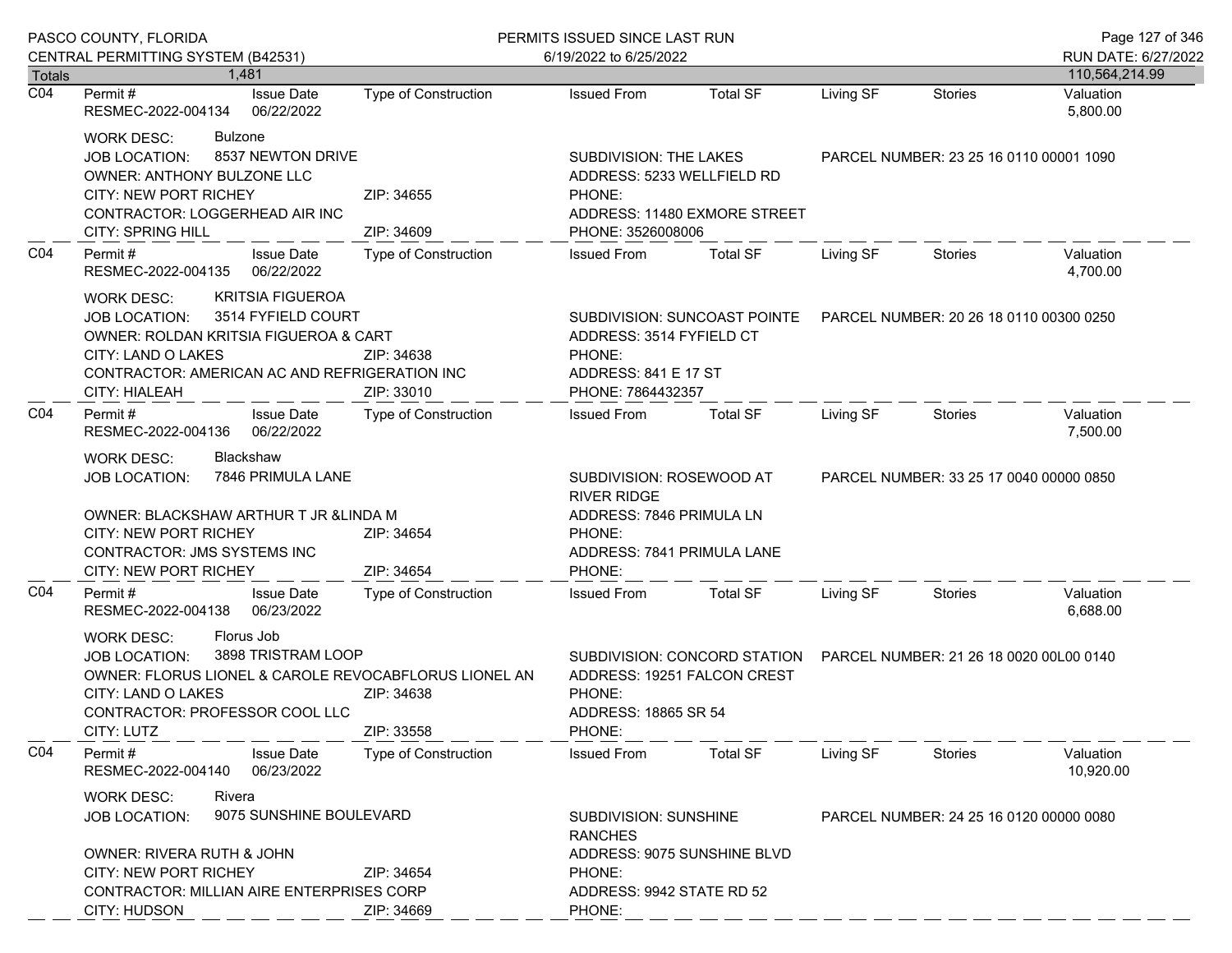| PASCO COUNTY, FLORIDA<br>CENTRAL PERMITTING SYSTEM (B42531) |                                                                                                                                                                                                               |                             | PERMITS ISSUED SINCE LAST RUN                                                       |                                                                                                      |                                                                      | Page 127 of 346                         |                                       |
|-------------------------------------------------------------|---------------------------------------------------------------------------------------------------------------------------------------------------------------------------------------------------------------|-----------------------------|-------------------------------------------------------------------------------------|------------------------------------------------------------------------------------------------------|----------------------------------------------------------------------|-----------------------------------------|---------------------------------------|
| <b>Totals</b>                                               | 1.481                                                                                                                                                                                                         |                             | 6/19/2022 to 6/25/2022                                                              |                                                                                                      |                                                                      |                                         | RUN DATE: 6/27/2022<br>110,564,214.99 |
| $\overline{CO4}$                                            | <b>Issue Date</b><br>Permit #<br>RESMEC-2022-004134<br>06/22/2022                                                                                                                                             | <b>Type of Construction</b> | <b>Issued From</b>                                                                  | <b>Total SF</b>                                                                                      | Living SF                                                            | <b>Stories</b>                          | Valuation<br>5,800.00                 |
|                                                             | <b>WORK DESC:</b><br><b>Bulzone</b><br>8537 NEWTON DRIVE<br>JOB LOCATION:<br>OWNER: ANTHONY BULZONE LLC<br>CITY: NEW PORT RICHEY<br>CONTRACTOR: LOGGERHEAD AIR INC<br><b>CITY: SPRING HILL</b>                | ZIP: 34655<br>ZIP: 34609    | SUBDIVISION: THE LAKES<br>ADDRESS: 5233 WELLFIELD RD<br>PHONE:<br>PHONE: 3526008006 | ADDRESS: 11480 EXMORE STREET                                                                         |                                                                      | PARCEL NUMBER: 23 25 16 0110 00001 1090 |                                       |
| CO <sub>4</sub>                                             | Permit#<br><b>Issue Date</b><br>06/22/2022<br>RESMEC-2022-004135                                                                                                                                              | Type of Construction        | <b>Issued From</b>                                                                  | <b>Total SF</b>                                                                                      | Living SF                                                            | <b>Stories</b>                          | Valuation<br>4,700.00                 |
|                                                             | <b>KRITSIA FIGUEROA</b><br>WORK DESC:<br>3514 FYFIELD COURT<br>JOB LOCATION:<br>OWNER: ROLDAN KRITSIA FIGUEROA & CART<br>CITY: LAND O LAKES<br>CONTRACTOR: AMERICAN AC AND REFRIGERATION INC<br>CITY: HIALEAH | ZIP: 34638<br>ZIP: 33010    | ADDRESS: 3514 FYFIELD CT<br>PHONE:<br>ADDRESS: 841 E 17 ST<br>PHONE: 7864432357     |                                                                                                      | SUBDIVISION: SUNCOAST POINTE PARCEL NUMBER: 20 26 18 0110 00300 0250 |                                         |                                       |
| CO <sub>4</sub>                                             | Permit#<br><b>Issue Date</b><br>06/22/2022<br>RESMEC-2022-004136                                                                                                                                              | Type of Construction        | <b>Issued From</b>                                                                  | <b>Total SF</b>                                                                                      | Living SF                                                            | Stories                                 | Valuation<br>7,500.00                 |
|                                                             | Blackshaw<br><b>WORK DESC:</b><br>7846 PRIMULA LANE<br><b>JOB LOCATION:</b><br>OWNER: BLACKSHAW ARTHUR T JR & LINDA M                                                                                         |                             | SUBDIVISION: ROSEWOOD AT<br><b>RIVER RIDGE</b><br>ADDRESS: 7846 PRIMULA LN          |                                                                                                      |                                                                      | PARCEL NUMBER: 33 25 17 0040 00000 0850 |                                       |
|                                                             | <b>CITY: NEW PORT RICHEY</b><br>CONTRACTOR: JMS SYSTEMS INC<br>CITY: NEW PORT RICHEY                                                                                                                          | ZIP: 34654<br>ZIP: 34654    | PHONE:<br>ADDRESS: 7841 PRIMULA LANE<br>PHONE:                                      |                                                                                                      |                                                                      |                                         |                                       |
| CO <sub>4</sub>                                             | Permit#<br><b>Issue Date</b><br>RESMEC-2022-004138<br>06/23/2022                                                                                                                                              | Type of Construction        | <b>Issued From</b>                                                                  | <b>Total SF</b>                                                                                      | Living SF                                                            | Stories                                 | Valuation<br>6,688.00                 |
|                                                             | Florus Job<br><b>WORK DESC:</b><br>3898 TRISTRAM LOOP<br>JOB LOCATION:<br>OWNER: FLORUS LIONEL & CAROLE REVOCABFLORUS LIONEL AN<br>CITY: LAND O LAKES<br>CONTRACTOR: PROFESSOR COOL LLC<br>CITY: LUTZ         | ZIP: 34638<br>ZIP: 33558    | PHONE:<br>ADDRESS: 18865 SR 54<br>PHONE:                                            | SUBDIVISION: CONCORD STATION  PARCEL NUMBER: 21 26 18 0020 00L00 0140<br>ADDRESS: 19251 FALCON CREST |                                                                      |                                         |                                       |
| CO <sub>4</sub>                                             | Permit#<br><b>Issue Date</b><br>06/23/2022<br>RESMEC-2022-004140                                                                                                                                              | <b>Type of Construction</b> | <b>Issued From</b>                                                                  | <b>Total SF</b>                                                                                      | Living SF                                                            | Stories                                 | Valuation<br>10,920.00                |
|                                                             | Rivera<br><b>WORK DESC:</b><br>9075 SUNSHINE BOULEVARD<br><b>JOB LOCATION:</b>                                                                                                                                |                             | SUBDIVISION: SUNSHINE<br><b>RANCHES</b>                                             |                                                                                                      |                                                                      | PARCEL NUMBER: 24 25 16 0120 00000 0080 |                                       |
|                                                             | OWNER: RIVERA RUTH & JOHN<br><b>CITY: NEW PORT RICHEY</b><br>ZIP: 34654<br>CONTRACTOR: MILLIAN AIRE ENTERPRISES CORP<br>CITY: HUDSON<br>ZIP: 34669                                                            |                             | ADDRESS: 9075 SUNSHINE BLVD<br>PHONE:<br>ADDRESS: 9942 STATE RD 52<br>PHONE:        |                                                                                                      |                                                                      |                                         |                                       |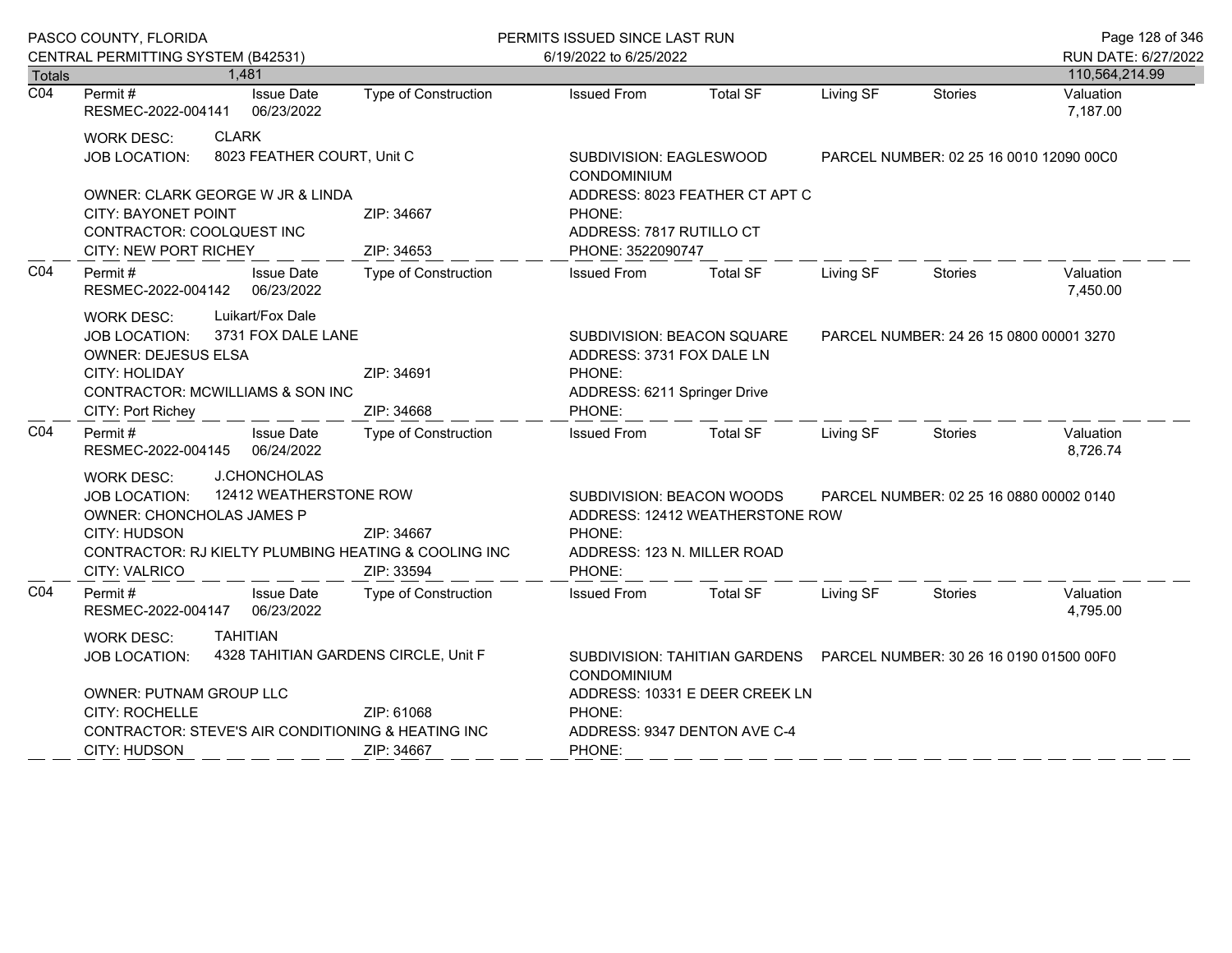| PASCO COUNTY, FLORIDA |                                                                                                                                                                                                                                       |                                 |                                                                                                                                                                   | PERMITS ISSUED SINCE LAST RUN                                                                               |                                         |           |                                         | Page 128 of 346                       |
|-----------------------|---------------------------------------------------------------------------------------------------------------------------------------------------------------------------------------------------------------------------------------|---------------------------------|-------------------------------------------------------------------------------------------------------------------------------------------------------------------|-------------------------------------------------------------------------------------------------------------|-----------------------------------------|-----------|-----------------------------------------|---------------------------------------|
| <b>Totals</b>         | CENTRAL PERMITTING SYSTEM (B42531)<br>1,481                                                                                                                                                                                           |                                 |                                                                                                                                                                   | 6/19/2022 to 6/25/2022                                                                                      |                                         |           |                                         | RUN DATE: 6/27/2022<br>110,564,214.99 |
| $\overline{CO4}$      | Permit#<br>RESMEC-2022-004141                                                                                                                                                                                                         | <b>Issue Date</b><br>06/23/2022 | Type of Construction                                                                                                                                              | <b>Issued From</b>                                                                                          | <b>Total SF</b>                         | Living SF | <b>Stories</b>                          | Valuation<br>7,187.00                 |
|                       | <b>CLARK</b><br><b>WORK DESC:</b><br><b>JOB LOCATION:</b>                                                                                                                                                                             | 8023 FEATHER COURT, Unit C      |                                                                                                                                                                   | SUBDIVISION: EAGLESWOOD<br><b>CONDOMINIUM</b>                                                               |                                         |           | PARCEL NUMBER: 02 25 16 0010 12090 00C0 |                                       |
|                       | OWNER: CLARK GEORGE W JR & LINDA<br><b>CITY: BAYONET POINT</b><br>CONTRACTOR: COOLQUEST INC<br>CITY: NEW PORT RICHEY                                                                                                                  |                                 | ZIP: 34667<br>ZIP: 34653                                                                                                                                          | ADDRESS: 8023 FEATHER CT APT C<br>PHONE:<br>ADDRESS: 7817 RUTILLO CT<br>PHONE: 3522090747                   |                                         |           |                                         |                                       |
| CO <sub>4</sub>       | Permit #<br>RESMEC-2022-004142 06/23/2022                                                                                                                                                                                             | <b>Issue Date</b>               | Type of Construction                                                                                                                                              | <b>Issued From</b>                                                                                          | <b>Total SF</b>                         | Living SF | Stories                                 | Valuation<br>7,450.00                 |
|                       | Luikart/Fox Dale<br><b>WORK DESC:</b><br><b>JOB LOCATION:</b><br><b>OWNER: DEJESUS ELSA</b><br>CITY: HOLIDAY<br>CONTRACTOR: MCWILLIAMS & SON INC<br>CITY: Port Richey                                                                 | 3731 FOX DALE LANE              | ZIP: 34691<br>ZIP: 34668                                                                                                                                          | SUBDIVISION: BEACON SQUARE<br>ADDRESS: 3731 FOX DALE LN<br>PHONE:<br>ADDRESS: 6211 Springer Drive<br>PHONE: |                                         |           | PARCEL NUMBER: 24 26 15 0800 00001 3270 |                                       |
| CO <sub>4</sub>       | Permit#<br>RESMEC-2022-004145 06/24/2022                                                                                                                                                                                              | <b>Issue Date</b>               | Type of Construction                                                                                                                                              | <b>Issued From</b>                                                                                          | <b>Total SF</b>                         | Living SF | Stories                                 | Valuation<br>8,726.74                 |
|                       | <b>J.CHONCHOLAS</b><br>WORK DESC:<br>12412 WEATHERSTONE ROW<br><b>JOB LOCATION:</b><br>OWNER: CHONCHOLAS JAMES P<br>CITY: HUDSON<br>ZIP: 34667<br>CONTRACTOR: RJ KIELTY PLUMBING HEATING & COOLING INC<br>CITY: VALRICO<br>ZIP: 33594 |                                 | SUBDIVISION: BEACON WOODS<br>ADDRESS: 12412 WEATHERSTONE ROW<br>PHONE:<br>ADDRESS: 123 N. MILLER ROAD<br>PHONE:                                                   |                                                                                                             | PARCEL NUMBER: 02 25 16 0880 00002 0140 |           |                                         |                                       |
| CO <sub>4</sub>       | Permit#<br>RESMEC-2022-004147 06/23/2022                                                                                                                                                                                              | <b>Issue Date</b>               | <b>Type of Construction</b>                                                                                                                                       | <b>Issued From</b>                                                                                          | <b>Total SF</b>                         | Living SF | Stories                                 | Valuation<br>4,795.00                 |
|                       | <b>TAHITIAN</b><br><b>WORK DESC:</b><br>4328 TAHITIAN GARDENS CIRCLE, Unit F<br><b>JOB LOCATION:</b><br>OWNER: PUTNAM GROUP LLC<br><b>CITY: ROCHELLE</b><br>ZIP: 61068<br>CONTRACTOR: STEVE'S AIR CONDITIONING & HEATING INC          |                                 | SUBDIVISION: TAHITIAN GARDENS  PARCEL NUMBER: 30 26 16 0190 01500 00F0<br>CONDOMINIUM<br>ADDRESS: 10331 E DEER CREEK LN<br>PHONE:<br>ADDRESS: 9347 DENTON AVE C-4 |                                                                                                             |                                         |           |                                         |                                       |
|                       | CITY: HUDSON                                                                                                                                                                                                                          |                                 | ZIP: 34667                                                                                                                                                        | PHONE:                                                                                                      |                                         |           |                                         |                                       |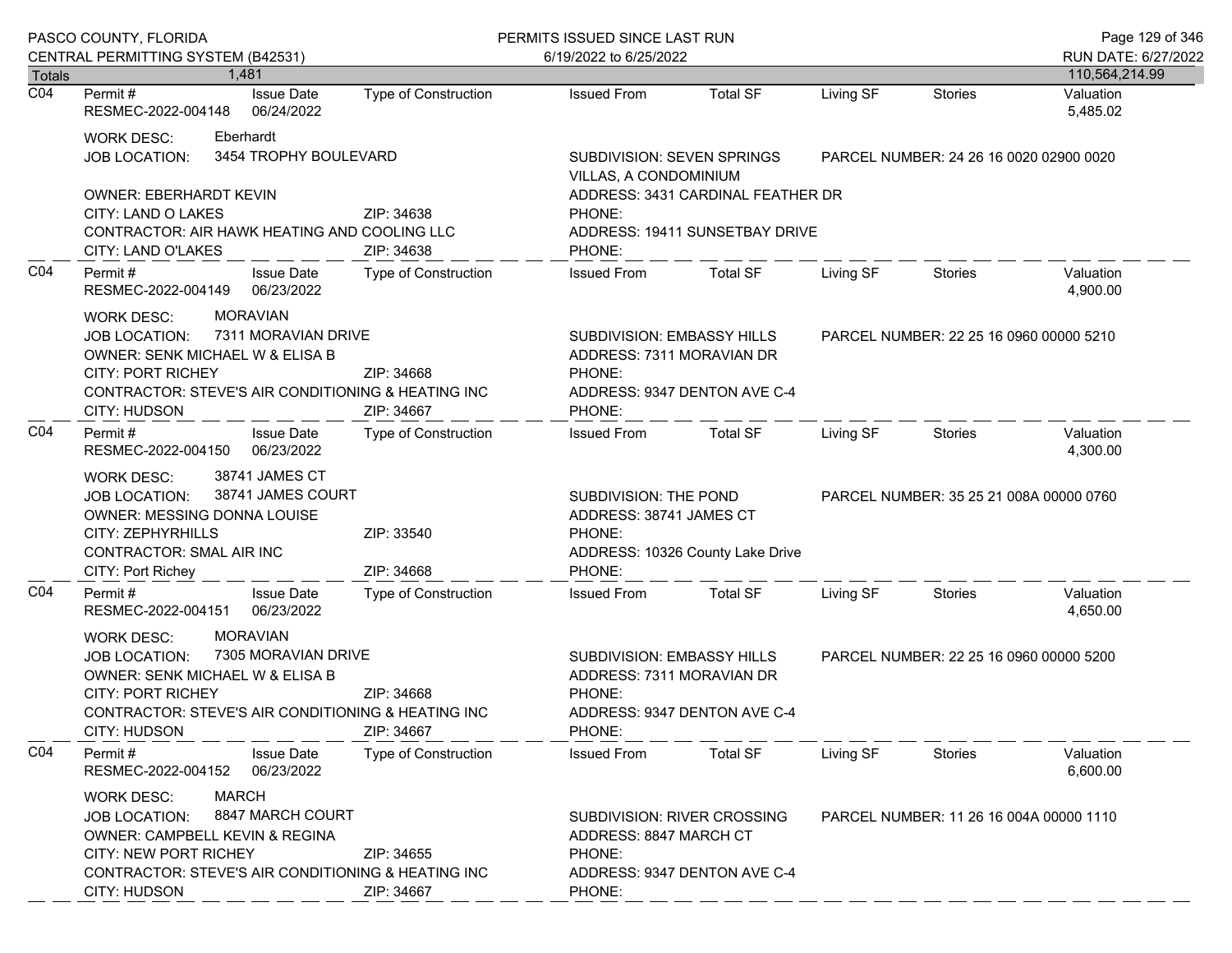|                                   | PASCO COUNTY, FLORIDA                                                                                                                                                                                                                                |                                        |                                    | PERMITS ISSUED SINCE LAST RUN                                                                            |                                                                                                                                    |                                         |                                         | Page 129 of 346       |
|-----------------------------------|------------------------------------------------------------------------------------------------------------------------------------------------------------------------------------------------------------------------------------------------------|----------------------------------------|------------------------------------|----------------------------------------------------------------------------------------------------------|------------------------------------------------------------------------------------------------------------------------------------|-----------------------------------------|-----------------------------------------|-----------------------|
|                                   | CENTRAL PERMITTING SYSTEM (B42531)                                                                                                                                                                                                                   |                                        |                                    | 6/19/2022 to 6/25/2022                                                                                   |                                                                                                                                    |                                         |                                         | RUN DATE: 6/27/2022   |
| <b>Totals</b><br>$\overline{CO4}$ |                                                                                                                                                                                                                                                      | 1.481                                  |                                    |                                                                                                          |                                                                                                                                    |                                         |                                         | 110,564,214.99        |
|                                   | Permit #<br>RESMEC-2022-004148                                                                                                                                                                                                                       | <b>Issue Date</b><br>06/24/2022        | <b>Type of Construction</b>        | <b>Issued From</b>                                                                                       | <b>Total SF</b>                                                                                                                    | Living SF                               | <b>Stories</b>                          | Valuation<br>5,485.02 |
|                                   | <b>WORK DESC:</b><br><b>JOB LOCATION:</b>                                                                                                                                                                                                            | Eberhardt<br>3454 TROPHY BOULEVARD     |                                    | <b>SUBDIVISION: SEVEN SPRINGS</b><br>VILLAS, A CONDOMINIUM                                               |                                                                                                                                    | PARCEL NUMBER: 24 26 16 0020 02900 0020 |                                         |                       |
|                                   | <b>OWNER: EBERHARDT KEVIN</b><br>CITY: LAND O LAKES<br>CONTRACTOR: AIR HAWK HEATING AND COOLING LLC                                                                                                                                                  |                                        | ZIP: 34638                         | PHONE:                                                                                                   | ADDRESS: 3431 CARDINAL FEATHER DR<br>ADDRESS: 19411 SUNSETBAY DRIVE                                                                |                                         |                                         |                       |
| CO <sub>4</sub>                   | CITY: LAND O'LAKES<br>Permit#<br>RESMEC-2022-004149                                                                                                                                                                                                  | <b>Issue Date</b><br>06/23/2022        | ZIP: 34638<br>Type of Construction | PHONE:<br><b>Issued From</b>                                                                             | <b>Total SF</b>                                                                                                                    | Living SF                               | Stories                                 | Valuation<br>4,900.00 |
|                                   | <b>MORAVIAN</b><br><b>WORK DESC:</b><br>7311 MORAVIAN DRIVE<br><b>JOB LOCATION:</b><br>OWNER: SENK MICHAEL W & ELISA B<br><b>CITY: PORT RICHEY</b><br>ZIP: 34668<br>CONTRACTOR: STEVE'S AIR CONDITIONING & HEATING INC<br>CITY: HUDSON<br>ZIP: 34667 |                                        |                                    | PHONE:<br>PHONE:                                                                                         | SUBDIVISION: EMBASSY HILLS<br>PARCEL NUMBER: 22 25 16 0960 00000 5210<br>ADDRESS: 7311 MORAVIAN DR<br>ADDRESS: 9347 DENTON AVE C-4 |                                         |                                         |                       |
| CO <sub>4</sub>                   | Permit#<br>RESMEC-2022-004150                                                                                                                                                                                                                        | <b>Issue Date</b><br>06/23/2022        | Type of Construction               | <b>Issued From</b>                                                                                       | <b>Total SF</b>                                                                                                                    | Living SF                               | Stories                                 | Valuation<br>4,300.00 |
|                                   | 38741 JAMES CT<br><b>WORK DESC:</b><br>38741 JAMES COURT<br><b>JOB LOCATION:</b><br>OWNER: MESSING DONNA LOUISE<br><b>CITY: ZEPHYRHILLS</b><br>ZIP: 33540<br>CONTRACTOR: SMAL AIR INC<br>CITY: Port Richey                                           |                                        | ZIP: 34668                         | SUBDIVISION: THE POND<br>ADDRESS: 38741 JAMES CT<br>PHONE:<br>ADDRESS: 10326 County Lake Drive<br>PHONE: |                                                                                                                                    | PARCEL NUMBER: 35 25 21 008A 00000 0760 |                                         |                       |
| CO <sub>4</sub>                   | Permit#<br>RESMEC-2022-004151                                                                                                                                                                                                                        | <b>Issue Date</b><br>06/23/2022        | Type of Construction               | <b>Issued From</b>                                                                                       | <b>Total SF</b>                                                                                                                    | Living SF                               | Stories                                 | Valuation<br>4,650.00 |
|                                   | <b>WORK DESC:</b><br><b>JOB LOCATION:</b><br>OWNER: SENK MICHAEL W & ELISA B<br><b>CITY: PORT RICHEY</b><br>CONTRACTOR: STEVE'S AIR CONDITIONING & HEATING INC<br>CITY: HUDSON                                                                       | <b>MORAVIAN</b><br>7305 MORAVIAN DRIVE | ZIP: 34668<br>ZIP: 34667           | SUBDIVISION: EMBASSY HILLS<br>ADDRESS: 7311 MORAVIAN DR<br>PHONE:<br>PHONE:                              | ADDRESS: 9347 DENTON AVE C-4                                                                                                       |                                         | PARCEL NUMBER: 22 25 16 0960 00000 5200 |                       |
| CO <sub>4</sub>                   | Permit#<br>RESMEC-2022-004152                                                                                                                                                                                                                        | <b>Issue Date</b><br>06/23/2022        | Type of Construction               | <b>Issued From</b>                                                                                       | <b>Total SF</b>                                                                                                                    | Living SF                               | Stories                                 | Valuation<br>6,600.00 |
|                                   | <b>MARCH</b><br>WORK DESC:<br>8847 MARCH COURT<br><b>JOB LOCATION:</b><br>OWNER: CAMPBELL KEVIN & REGINA<br><b>CITY: NEW PORT RICHEY</b><br>ZIP: 34655<br>CONTRACTOR: STEVE'S AIR CONDITIONING & HEATING INC<br><b>CITY: HUDSON</b><br>ZIP: 34667    |                                        | PHONE:<br>PHONE:                   | SUBDIVISION: RIVER CROSSING<br>ADDRESS: 8847 MARCH CT<br>ADDRESS: 9347 DENTON AVE C-4                    |                                                                                                                                    | PARCEL NUMBER: 11 26 16 004A 00000 1110 |                                         |                       |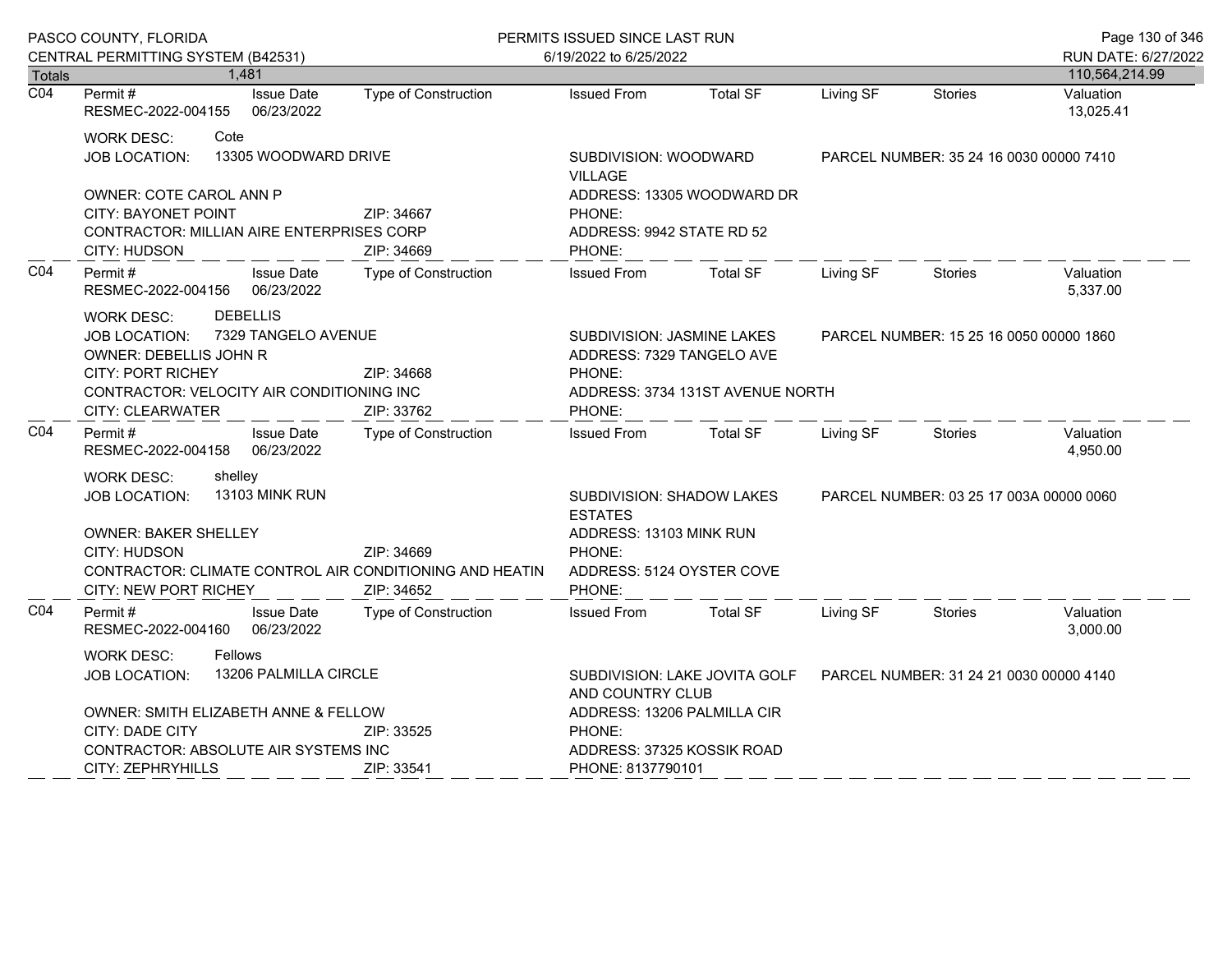|                            | PASCO COUNTY, FLORIDA                                                                                                                                                                                                           |                                 |                             | PERMITS ISSUED SINCE LAST RUN                                                                                                                                      |                            |                                         |                | Page 130 of 346                       |
|----------------------------|---------------------------------------------------------------------------------------------------------------------------------------------------------------------------------------------------------------------------------|---------------------------------|-----------------------------|--------------------------------------------------------------------------------------------------------------------------------------------------------------------|----------------------------|-----------------------------------------|----------------|---------------------------------------|
|                            | CENTRAL PERMITTING SYSTEM (B42531)                                                                                                                                                                                              |                                 |                             | 6/19/2022 to 6/25/2022                                                                                                                                             |                            |                                         |                | RUN DATE: 6/27/2022<br>110,564,214.99 |
| Totals<br>$\overline{CO4}$ | Permit#                                                                                                                                                                                                                         | 1,481<br><b>Issue Date</b>      | <b>Type of Construction</b> | <b>Issued From</b>                                                                                                                                                 | <b>Total SF</b>            | Living SF                               | <b>Stories</b> | Valuation                             |
|                            | RESMEC-2022-004155                                                                                                                                                                                                              | 06/23/2022                      |                             |                                                                                                                                                                    |                            |                                         |                | 13,025.41                             |
|                            | <b>WORK DESC:</b><br><b>JOB LOCATION:</b>                                                                                                                                                                                       | Cote<br>13305 WOODWARD DRIVE    |                             | SUBDIVISION: WOODWARD<br><b>VILLAGE</b>                                                                                                                            |                            | PARCEL NUMBER: 35 24 16 0030 00000 7410 |                |                                       |
|                            | OWNER: COTE CAROL ANN P<br><b>CITY: BAYONET POINT</b><br><b>CONTRACTOR: MILLIAN AIRE ENTERPRISES CORP</b><br>CITY: HUDSON                                                                                                       |                                 | ZIP: 34667<br>ZIP: 34669    | PHONE:<br>ADDRESS: 9942 STATE RD 52<br>PHONE:                                                                                                                      | ADDRESS: 13305 WOODWARD DR |                                         |                |                                       |
| CO <sub>4</sub>            | Permit#<br>RESMEC-2022-004156                                                                                                                                                                                                   | <b>Issue Date</b><br>06/23/2022 | Type of Construction        | <b>Issued From</b>                                                                                                                                                 | <b>Total SF</b>            | Living SF                               | <b>Stories</b> | Valuation<br>5,337.00                 |
|                            | <b>DEBELLIS</b><br><b>WORK DESC:</b><br>7329 TANGELO AVENUE<br><b>JOB LOCATION:</b><br>OWNER: DEBELLIS JOHN R<br><b>CITY: PORT RICHEY</b><br>ZIP: 34668<br>CONTRACTOR: VELOCITY AIR CONDITIONING INC<br><b>CITY: CLEARWATER</b> |                                 | ZIP: 33762                  | SUBDIVISION: JASMINE LAKES<br>PARCEL NUMBER: 15 25 16 0050 00000 1860<br>ADDRESS: 7329 TANGELO AVE<br>PHONE:<br>ADDRESS: 3734 131ST AVENUE NORTH<br>PHONE:         |                            |                                         |                |                                       |
| CO <sub>4</sub>            | Permit#<br>RESMEC-2022-004158                                                                                                                                                                                                   | <b>Issue Date</b><br>06/23/2022 | Type of Construction        | <b>Issued From</b>                                                                                                                                                 | <b>Total SF</b>            | Living SF                               | <b>Stories</b> | Valuation<br>4,950.00                 |
|                            | shelley<br>WORK DESC:<br>13103 MINK RUN<br><b>JOB LOCATION:</b><br><b>OWNER: BAKER SHELLEY</b><br>CITY: HUDSON<br>CONTRACTOR: CLIMATE CONTROL AIR CONDITIONING AND HEATIN<br><b>CITY: NEW PORT RICHEY</b>                       |                                 | ZIP: 34669<br>ZIP: 34652    | SUBDIVISION: SHADOW LAKES<br>PARCEL NUMBER: 03 25 17 003A 00000 0060<br><b>ESTATES</b><br>ADDRESS: 13103 MINK RUN<br>PHONE:<br>ADDRESS: 5124 OYSTER COVE<br>PHONE: |                            |                                         |                |                                       |
| CO <sub>4</sub>            | Permit#<br>RESMEC-2022-004160                                                                                                                                                                                                   | <b>Issue Date</b><br>06/23/2022 | <b>Type of Construction</b> | <b>Issued From</b>                                                                                                                                                 | <b>Total SF</b>            | Living SF                               | Stories        | Valuation<br>3,000.00                 |
|                            | <b>WORK DESC:</b><br><b>Fellows</b><br>13206 PALMILLA CIRCLE<br><b>JOB LOCATION:</b><br>OWNER: SMITH ELIZABETH ANNE & FELLOW<br>CITY: DADE CITY<br>ZIP: 33525                                                                   |                                 |                             | SUBDIVISION: LAKE JOVITA GOLF<br>AND COUNTRY CLUB<br>ADDRESS: 13206 PALMILLA CIR<br>PHONE:                                                                         |                            | PARCEL NUMBER: 31 24 21 0030 00000 4140 |                |                                       |
|                            | CONTRACTOR: ABSOLUTE AIR SYSTEMS INC<br>CITY: ZEPHRYHILLS                                                                                                                                                                       |                                 | ZIP: 33541                  | ADDRESS: 37325 KOSSIK ROAD<br>PHONE: 8137790101                                                                                                                    |                            |                                         |                |                                       |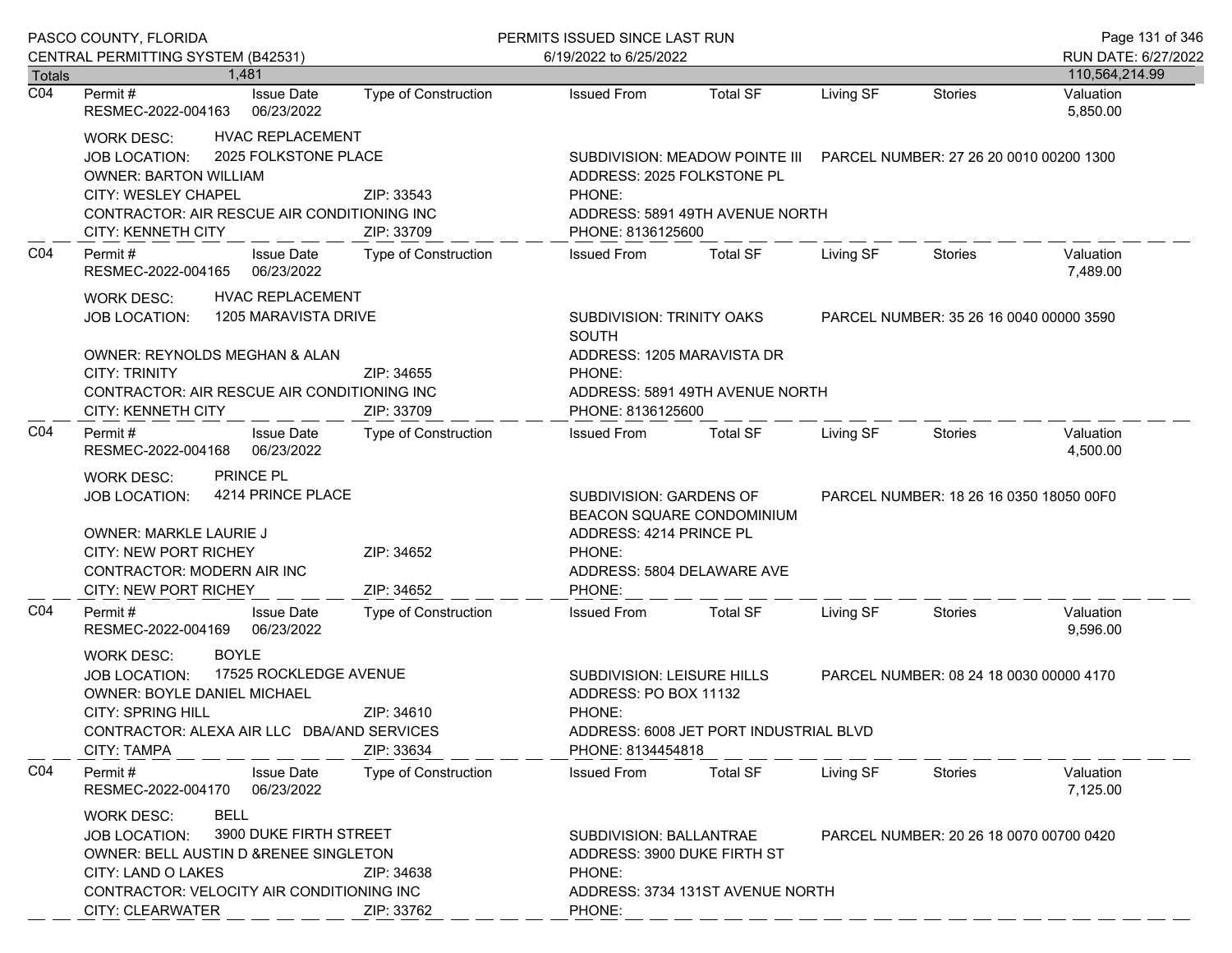|                            | PASCO COUNTY, FLORIDA                                                                                                                                                                                                                           |                             | PERMITS ISSUED SINCE LAST RUN                                                                                                     |                                                                                                           |                                         |                                         |                       |
|----------------------------|-------------------------------------------------------------------------------------------------------------------------------------------------------------------------------------------------------------------------------------------------|-----------------------------|-----------------------------------------------------------------------------------------------------------------------------------|-----------------------------------------------------------------------------------------------------------|-----------------------------------------|-----------------------------------------|-----------------------|
|                            | CENTRAL PERMITTING SYSTEM (B42531)                                                                                                                                                                                                              |                             | 6/19/2022 to 6/25/2022                                                                                                            |                                                                                                           |                                         |                                         | RUN DATE: 6/27/2022   |
| Totals<br>$\overline{CO4}$ | 1.481                                                                                                                                                                                                                                           |                             |                                                                                                                                   |                                                                                                           |                                         |                                         | 110,564,214.99        |
|                            | Permit#<br><b>Issue Date</b><br>06/23/2022<br>RESMEC-2022-004163                                                                                                                                                                                | <b>Type of Construction</b> | <b>Issued From</b>                                                                                                                | <b>Total SF</b>                                                                                           | Living SF                               | <b>Stories</b>                          | Valuation<br>5,850.00 |
|                            | <b>HVAC REPLACEMENT</b><br>WORK DESC:<br>2025 FOLKSTONE PLACE<br><b>JOB LOCATION:</b><br><b>OWNER: BARTON WILLIAM</b><br><b>CITY: WESLEY CHAPEL</b><br>CONTRACTOR: AIR RESCUE AIR CONDITIONING INC<br><b>CITY: KENNETH CITY</b>                 | ZIP: 33543<br>ZIP: 33709    | ADDRESS: 2025 FOLKSTONE PL<br>PHONE:<br>PHONE: 8136125600                                                                         | SUBDIVISION: MEADOW POINTE III PARCEL NUMBER: 27 26 20 0010 00200 1300<br>ADDRESS: 5891 49TH AVENUE NORTH |                                         |                                         |                       |
| C04                        | Permit#<br><b>Issue Date</b><br>06/23/2022<br>RESMEC-2022-004165                                                                                                                                                                                | Type of Construction        | <b>Issued From</b>                                                                                                                | <b>Total SF</b>                                                                                           | Living SF                               | Stories                                 | Valuation<br>7,489.00 |
|                            | <b>HVAC REPLACEMENT</b><br><b>WORK DESC:</b><br>1205 MARAVISTA DRIVE<br><b>JOB LOCATION:</b>                                                                                                                                                    |                             | SUBDIVISION: TRINITY OAKS<br><b>SOUTH</b>                                                                                         |                                                                                                           |                                         | PARCEL NUMBER: 35 26 16 0040 00000 3590 |                       |
|                            | OWNER: REYNOLDS MEGHAN & ALAN<br><b>CITY: TRINITY</b><br>CONTRACTOR: AIR RESCUE AIR CONDITIONING INC<br><b>CITY: KENNETH CITY</b>                                                                                                               | ZIP: 34655<br>ZIP: 33709    | ADDRESS: 1205 MARAVISTA DR<br>PHONE:<br>PHONE: 8136125600                                                                         | ADDRESS: 5891 49TH AVENUE NORTH                                                                           |                                         |                                         |                       |
| CO <sub>4</sub>            | Permit#<br><b>Issue Date</b><br>RESMEC-2022-004168<br>06/23/2022                                                                                                                                                                                | Type of Construction        | <b>Issued From</b>                                                                                                                | <b>Total SF</b>                                                                                           | Living SF                               | Stories                                 | Valuation<br>4,500.00 |
|                            | PRINCE PL<br><b>WORK DESC:</b><br>4214 PRINCE PLACE<br><b>JOB LOCATION:</b><br>OWNER: MARKLE LAURIE J<br><b>CITY: NEW PORT RICHEY</b><br>ZIP: 34652<br><b>CONTRACTOR: MODERN AIR INC</b><br>CITY: NEW PORT RICHEY<br>ZIP: 34652                 |                             | SUBDIVISION: GARDENS OF<br>BEACON SQUARE CONDOMINIUM<br>ADDRESS: 4214 PRINCE PL<br>PHONE:<br>ADDRESS: 5804 DELAWARE AVE<br>PHONE: |                                                                                                           | PARCEL NUMBER: 18 26 16 0350 18050 00F0 |                                         |                       |
| CO <sub>4</sub>            | Permit#<br><b>Issue Date</b><br>RESMEC-2022-004169<br>06/23/2022                                                                                                                                                                                | Type of Construction        | <b>Issued From</b>                                                                                                                | <b>Total SF</b>                                                                                           | Living SF                               | Stories                                 | Valuation<br>9,596.00 |
|                            | <b>BOYLE</b><br><b>WORK DESC:</b><br>17525 ROCKLEDGE AVENUE<br><b>JOB LOCATION:</b><br>OWNER: BOYLE DANIEL MICHAEL<br><b>CITY: SPRING HILL</b><br>CONTRACTOR: ALEXA AIR LLC DBA/AND SERVICES<br><b>CITY: TAMPA</b>                              | ZIP: 34610<br>ZIP: 33634    | SUBDIVISION: LEISURE HILLS<br>ADDRESS: PO BOX 11132<br>PHONE:<br>PHONE: 8134454818                                                | ADDRESS: 6008 JET PORT INDUSTRIAL BLVD                                                                    |                                         | PARCEL NUMBER: 08 24 18 0030 00000 4170 |                       |
| CO <sub>4</sub>            | Permit#<br><b>Issue Date</b><br>RESMEC-2022-004170<br>06/23/2022                                                                                                                                                                                | Type of Construction        | <b>Issued From</b>                                                                                                                | <b>Total SF</b>                                                                                           | Living SF                               | Stories                                 | Valuation<br>7,125.00 |
|                            | <b>BELL</b><br><b>WORK DESC:</b><br>3900 DUKE FIRTH STREET<br><b>JOB LOCATION:</b><br>OWNER: BELL AUSTIN D & RENEE SINGLETON<br>CITY: LAND O LAKES<br>ZIP: 34638<br>CONTRACTOR: VELOCITY AIR CONDITIONING INC<br>CITY: CLEARWATER<br>ZIP: 33762 |                             | SUBDIVISION: BALLANTRAE<br>ADDRESS: 3900 DUKE FIRTH ST<br>PHONE:<br>ADDRESS: 3734 131ST AVENUE NORTH<br>PHONE:                    | PARCEL NUMBER: 20 26 18 0070 00700 0420                                                                   |                                         |                                         |                       |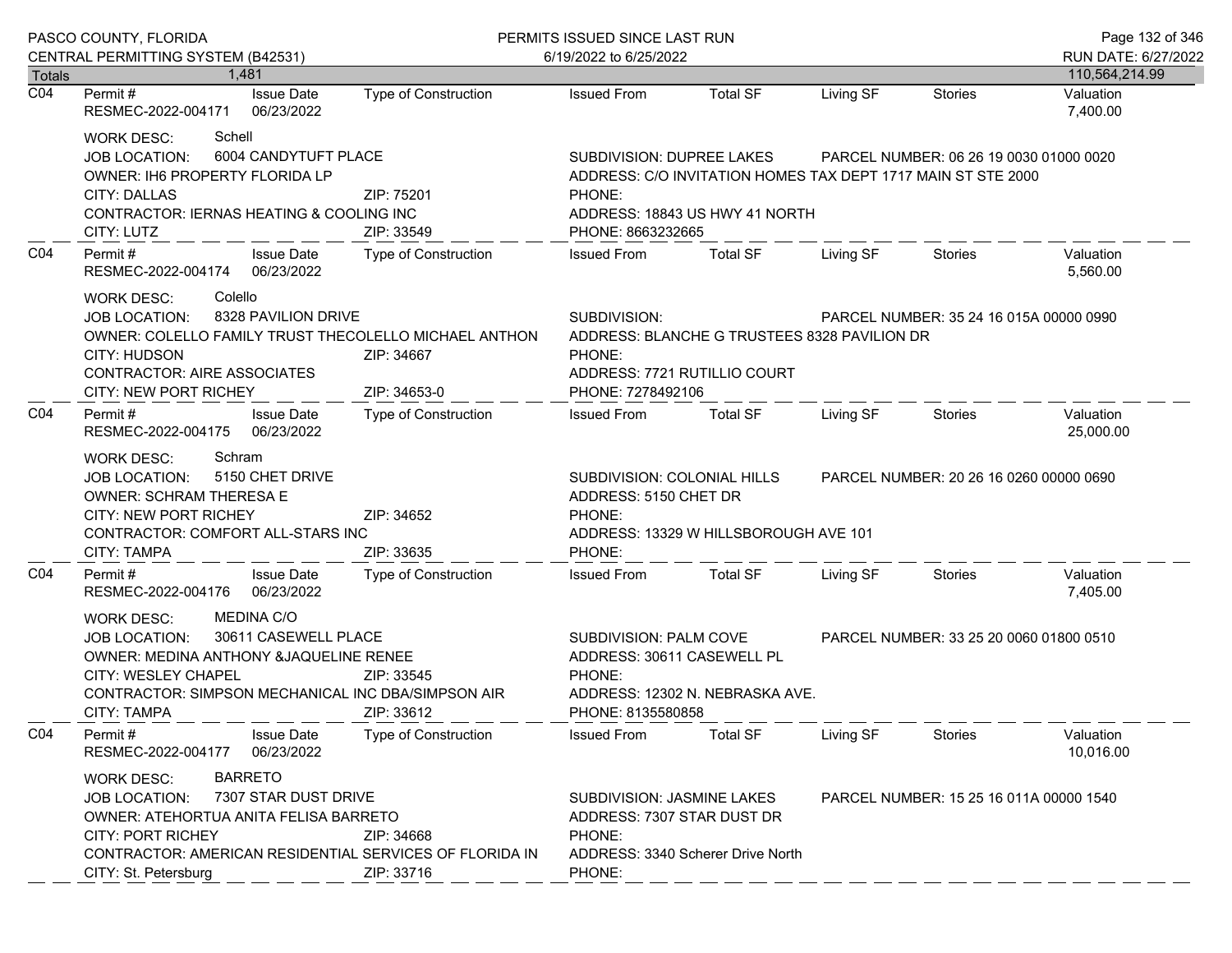|                                   | PASCO COUNTY, FLORIDA                                                                                                                                                                                                                                                   |                                                                                     | PERMITS ISSUED SINCE LAST RUN                                                                                     | Page 132 of 346                                                                                                         |                                         |                                         |                                         |
|-----------------------------------|-------------------------------------------------------------------------------------------------------------------------------------------------------------------------------------------------------------------------------------------------------------------------|-------------------------------------------------------------------------------------|-------------------------------------------------------------------------------------------------------------------|-------------------------------------------------------------------------------------------------------------------------|-----------------------------------------|-----------------------------------------|-----------------------------------------|
|                                   | CENTRAL PERMITTING SYSTEM (B42531)<br>1.481                                                                                                                                                                                                                             |                                                                                     | 6/19/2022 to 6/25/2022                                                                                            |                                                                                                                         |                                         |                                         | RUN DATE: 6/27/2022                     |
| <b>Totals</b><br>$\overline{CO4}$ | <b>Issue Date</b><br>Permit #<br>RESMEC-2022-004171<br>06/23/2022                                                                                                                                                                                                       | Type of Construction                                                                | <b>Issued From</b>                                                                                                | <b>Total SF</b>                                                                                                         | Living SF                               | Stories                                 | 110,564,214.99<br>Valuation<br>7,400.00 |
|                                   | Schell<br><b>WORK DESC:</b><br>6004 CANDYTUFT PLACE<br>JOB LOCATION:<br>OWNER: IH6 PROPERTY FLORIDA LP<br><b>CITY: DALLAS</b><br>ZIP: 75201<br>CONTRACTOR: IERNAS HEATING & COOLING INC<br>ZIP: 33549<br>CITY: LUTZ<br><b>Issue Date</b>                                |                                                                                     | SUBDIVISION: DUPREE LAKES<br>PHONE:<br>PHONE: 8663232665                                                          | ADDRESS: C/O INVITATION HOMES TAX DEPT 1717 MAIN ST STE 2000<br>ADDRESS: 18843 US HWY 41 NORTH                          |                                         | PARCEL NUMBER: 06 26 19 0030 01000 0020 |                                         |
| CO <sub>4</sub>                   | Permit#<br>RESMEC-2022-004174 06/23/2022                                                                                                                                                                                                                                | Type of Construction                                                                | <b>Issued From</b>                                                                                                | <b>Total SF</b>                                                                                                         | Living SF                               | Stories                                 | Valuation<br>5,560.00                   |
|                                   | Colello<br>WORK DESC:<br>8328 PAVILION DRIVE<br><b>JOB LOCATION:</b><br><b>CITY: HUDSON</b><br><b>CONTRACTOR: AIRE ASSOCIATES</b><br>CITY: NEW PORT RICHEY                                                                                                              | OWNER: COLELLO FAMILY TRUST THECOLELLO MICHAEL ANTHON<br>ZIP: 34667<br>ZIP: 34653-0 | SUBDIVISION:<br>PHONE:<br>PHONE: 7278492106                                                                       | PARCEL NUMBER: 35 24 16 015A 00000 0990<br>ADDRESS: BLANCHE G TRUSTEES 8328 PAVILION DR<br>ADDRESS: 7721 RUTILLIO COURT |                                         |                                         |                                         |
| CO <sub>4</sub>                   | Permit#<br><b>Issue Date</b><br>RESMEC-2022-004175 06/23/2022                                                                                                                                                                                                           | Type of Construction                                                                | <b>Issued From</b>                                                                                                | <b>Total SF</b>                                                                                                         | Living SF                               | Stories                                 | Valuation<br>25,000.00                  |
|                                   | Schram<br>WORK DESC:<br>5150 CHET DRIVE<br><b>JOB LOCATION:</b><br><b>OWNER: SCHRAM THERESA E</b><br><b>CITY: NEW PORT RICHEY</b><br>CONTRACTOR: COMFORT ALL-STARS INC<br><b>CITY: TAMPA</b>                                                                            | ZIP: 34652<br>ZIP: 33635                                                            | SUBDIVISION: COLONIAL HILLS<br>ADDRESS: 5150 CHET DR<br>PHONE:<br>ADDRESS: 13329 W HILLSBOROUGH AVE 101<br>PHONE: |                                                                                                                         | PARCEL NUMBER: 20 26 16 0260 00000 0690 |                                         |                                         |
| CO <sub>4</sub>                   | Permit#<br><b>Issue Date</b><br>RESMEC-2022-004176 06/23/2022                                                                                                                                                                                                           | Type of Construction                                                                | <b>Issued From</b>                                                                                                | <b>Total SF</b>                                                                                                         | Living SF                               | Stories                                 | Valuation<br>7,405.00                   |
|                                   | <b>MEDINA C/O</b><br>WORK DESC:<br><b>JOB LOCATION:</b><br>OWNER: MEDINA ANTHONY &JAQUELINE RENEE<br>CITY: WESLEY CHAPEL<br>CONTRACTOR: SIMPSON MECHANICAL INC DBA/SIMPSON AIR<br><b>CITY: TAMPA</b>                                                                    | 30611 CASEWELL PLACE<br>ZIP: 33545<br>ZIP: 33612                                    | SUBDIVISION: PALM COVE<br>ADDRESS: 30611 CASEWELL PL<br>PHONE:<br>PHONE: 8135580858                               | ADDRESS: 12302 N. NEBRASKA AVE.                                                                                         |                                         | PARCEL NUMBER: 33 25 20 0060 01800 0510 |                                         |
| CO <sub>4</sub>                   | Permit#<br><b>Issue Date</b><br>06/23/2022<br>RESMEC-2022-004177                                                                                                                                                                                                        | Type of Construction                                                                | <b>Issued From</b>                                                                                                | <b>Total SF</b>                                                                                                         | Living SF                               | <b>Stories</b>                          | Valuation<br>10,016.00                  |
|                                   | <b>BARRETO</b><br><b>WORK DESC:</b><br>7307 STAR DUST DRIVE<br><b>JOB LOCATION:</b><br>OWNER: ATEHORTUA ANITA FELISA BARRETO<br><b>CITY: PORT RICHEY</b><br>ZIP: 34668<br>CONTRACTOR: AMERICAN RESIDENTIAL SERVICES OF FLORIDA IN<br>CITY: St. Petersburg<br>ZIP: 33716 |                                                                                     | SUBDIVISION: JASMINE LAKES<br>ADDRESS: 7307 STAR DUST DR<br>PHONE:<br>ADDRESS: 3340 Scherer Drive North<br>PHONE: |                                                                                                                         |                                         | PARCEL NUMBER: 15 25 16 011A 00000 1540 |                                         |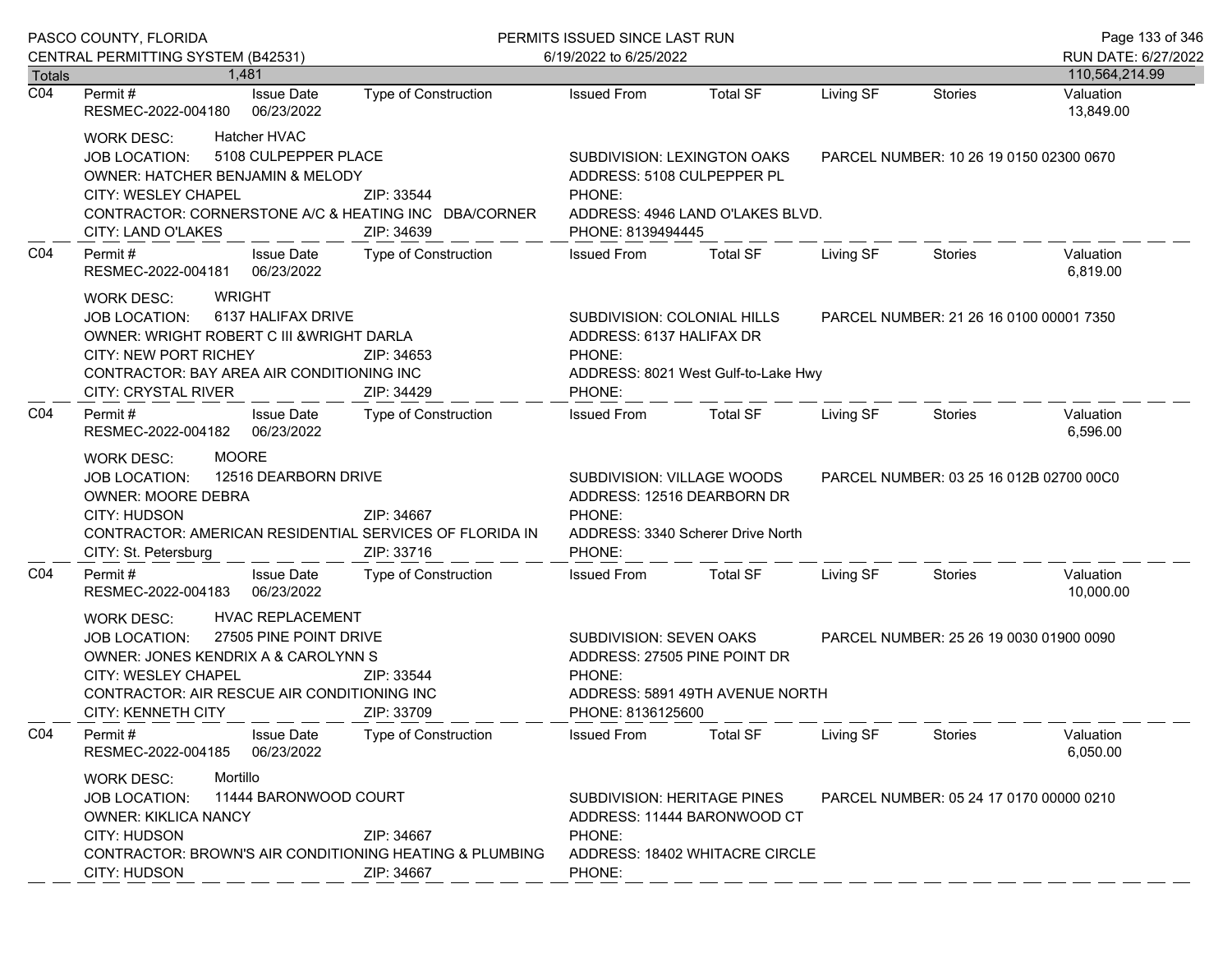|                            | PASCO COUNTY, FLORIDA                                                                                                                                                                                                                                                |                                                                                                                    | PERMITS ISSUED SINCE LAST RUN                                                                                                                                        |                                                                 |                                         |                                         | Page 133 of 346                          |
|----------------------------|----------------------------------------------------------------------------------------------------------------------------------------------------------------------------------------------------------------------------------------------------------------------|--------------------------------------------------------------------------------------------------------------------|----------------------------------------------------------------------------------------------------------------------------------------------------------------------|-----------------------------------------------------------------|-----------------------------------------|-----------------------------------------|------------------------------------------|
|                            | CENTRAL PERMITTING SYSTEM (B42531)                                                                                                                                                                                                                                   |                                                                                                                    | 6/19/2022 to 6/25/2022                                                                                                                                               |                                                                 |                                         |                                         | RUN DATE: 6/27/2022                      |
| Totals<br>$\overline{CO4}$ | 1.481<br><b>Issue Date</b><br>Permit #<br>RESMEC-2022-004180<br>06/23/2022                                                                                                                                                                                           | Type of Construction                                                                                               | <b>Issued From</b>                                                                                                                                                   | <b>Total SF</b>                                                 | Living SF                               | Stories                                 | 110,564,214.99<br>Valuation<br>13,849.00 |
|                            | <b>Hatcher HVAC</b><br><b>WORK DESC:</b><br>5108 CULPEPPER PLACE<br><b>JOB LOCATION:</b><br>OWNER: HATCHER BENJAMIN & MELODY<br>CITY: WESLEY CHAPEL<br>ZIP: 33544<br>CONTRACTOR: CORNERSTONE A/C & HEATING INC DBA/CORNER<br>CITY: LAND O'LAKES<br>ZIP: 34639        |                                                                                                                    | ADDRESS: 5108 CULPEPPER PL<br>PHONE:<br>PHONE: 8139494445                                                                                                            | SUBDIVISION: LEXINGTON OAKS<br>ADDRESS: 4946 LAND O'LAKES BLVD. |                                         | PARCEL NUMBER: 10 26 19 0150 02300 0670 |                                          |
| CO <sub>4</sub>            | Permit#<br><b>Issue Date</b><br>06/23/2022<br>RESMEC-2022-004181                                                                                                                                                                                                     | Type of Construction                                                                                               | <b>Issued From</b>                                                                                                                                                   | <b>Total SF</b>                                                 | Living SF                               | Stories                                 | Valuation<br>6,819.00                    |
|                            | <b>WRIGHT</b><br><b>WORK DESC:</b><br>6137 HALIFAX DRIVE<br><b>JOB LOCATION:</b><br>OWNER: WRIGHT ROBERT C III & WRIGHT DARLA<br><b>CITY: NEW PORT RICHEY</b><br>CONTRACTOR: BAY AREA AIR CONDITIONING INC<br><b>CITY: CRYSTAL RIVER</b>                             | SUBDIVISION: COLONIAL HILLS<br>ADDRESS: 6137 HALIFAX DR<br>PHONE:<br>ADDRESS: 8021 West Gulf-to-Lake Hwy<br>PHONE: |                                                                                                                                                                      |                                                                 | PARCEL NUMBER: 21 26 16 0100 00001 7350 |                                         |                                          |
| CO <sub>4</sub>            | Permit#<br><b>Issue Date</b><br>06/23/2022<br>RESMEC-2022-004182                                                                                                                                                                                                     | <b>Type of Construction</b>                                                                                        | <b>Issued From</b>                                                                                                                                                   | <b>Total SF</b>                                                 | Living SF                               | <b>Stories</b>                          | Valuation<br>6,596.00                    |
|                            | <b>MOORE</b><br><b>WORK DESC:</b><br>12516 DEARBORN DRIVE<br><b>JOB LOCATION:</b><br><b>OWNER: MOORE DEBRA</b><br>CITY: HUDSON<br>ZIP: 34667<br>CONTRACTOR: AMERICAN RESIDENTIAL SERVICES OF FLORIDA IN<br>ZIP: 33716<br>CITY: St. Petersburg                        |                                                                                                                    | SUBDIVISION: VILLAGE WOODS<br>ADDRESS: 12516 DEARBORN DR<br>PHONE:<br>ADDRESS: 3340 Scherer Drive North<br>PHONE:                                                    |                                                                 | PARCEL NUMBER: 03 25 16 012B 02700 00C0 |                                         |                                          |
| CO <sub>4</sub>            | Permit#<br><b>Issue Date</b><br>06/23/2022<br>RESMEC-2022-004183                                                                                                                                                                                                     | Type of Construction                                                                                               | <b>Issued From</b>                                                                                                                                                   | <b>Total SF</b>                                                 | Living SF                               | Stories                                 | Valuation<br>10,000.00                   |
|                            | <b>HVAC REPLACEMENT</b><br><b>WORK DESC:</b><br>27505 PINE POINT DRIVE<br><b>JOB LOCATION:</b><br>OWNER: JONES KENDRIX A & CAROLYNN S<br>CITY: WESLEY CHAPEL<br>ZIP: 33544<br>CONTRACTOR: AIR RESCUE AIR CONDITIONING INC<br><b>CITY: KENNETH CITY</b><br>ZIP: 33709 |                                                                                                                    | SUBDIVISION: SEVEN OAKS<br>PARCEL NUMBER: 25 26 19 0030 01900 0090<br>ADDRESS: 27505 PINE POINT DR<br>PHONE:<br>ADDRESS: 5891 49TH AVENUE NORTH<br>PHONE: 8136125600 |                                                                 |                                         |                                         |                                          |
| CO <sub>4</sub>            | <b>Issue Date</b><br>Permit#<br>06/23/2022<br>RESMEC-2022-004185                                                                                                                                                                                                     | Type of Construction                                                                                               | <b>Issued From</b>                                                                                                                                                   | <b>Total SF</b>                                                 | Living SF                               | Stories                                 | Valuation<br>6,050.00                    |
|                            | Mortillo<br><b>WORK DESC:</b><br>11444 BARONWOOD COURT<br><b>JOB LOCATION:</b><br><b>OWNER: KIKLICA NANCY</b><br><b>CITY: HUDSON</b><br>ZIP: 34667<br><b>CONTRACTOR: BROWN'S AIR CONDITIONING HEATING &amp; PLUMBING</b><br><b>CITY: HUDSON</b><br>ZIP: 34667        |                                                                                                                    | SUBDIVISION: HERITAGE PINES<br>ADDRESS: 11444 BARONWOOD CT<br>PHONE:<br>ADDRESS: 18402 WHITACRE CIRCLE<br>PHONE:                                                     |                                                                 |                                         | PARCEL NUMBER: 05 24 17 0170 00000 0210 |                                          |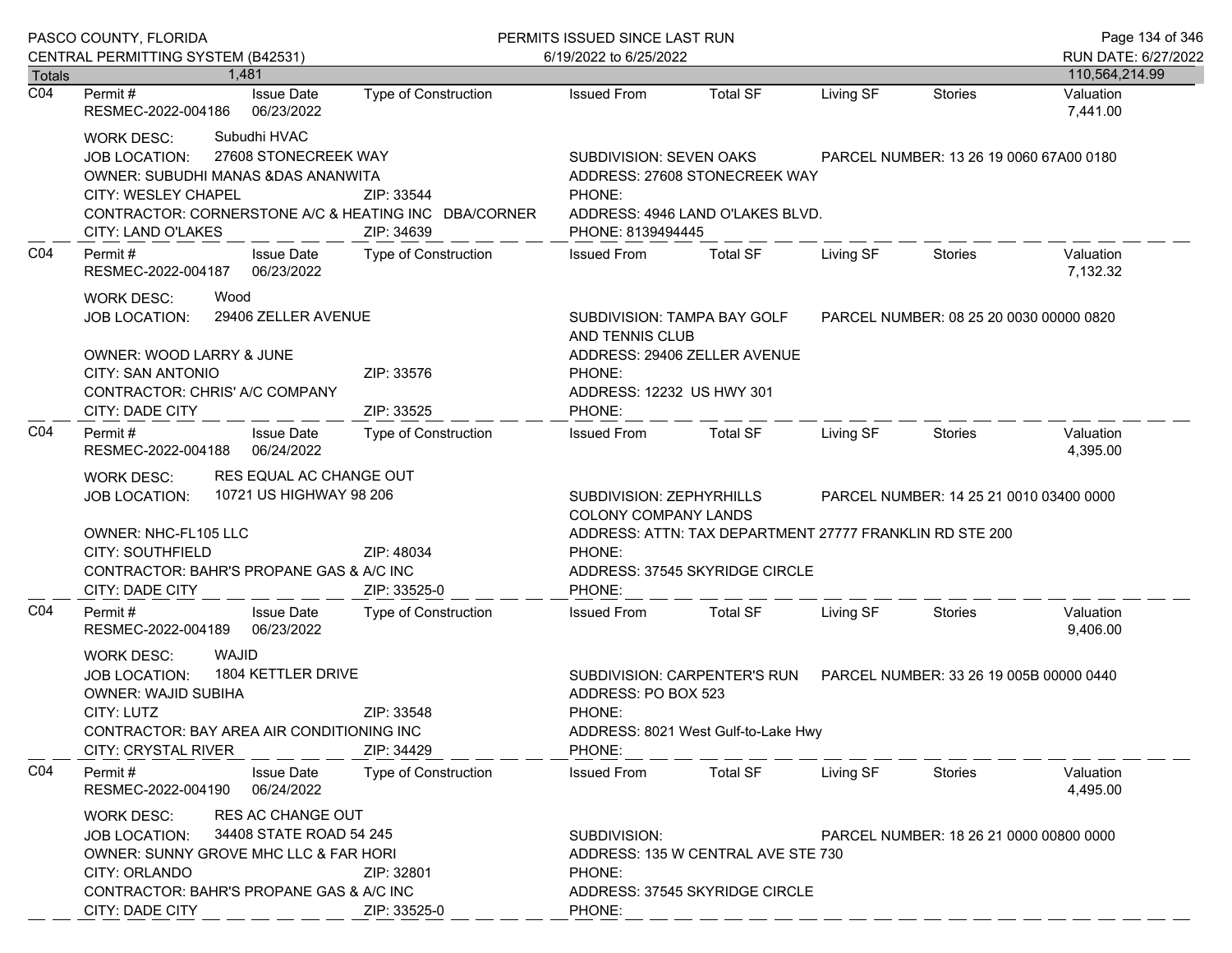| PASCO COUNTY, FLORIDA |                                                                                                                                                                                                                                                         |                             | PERMITS ISSUED SINCE LAST RUN                                                                                                                       |                                                                                                                                       |           |                                         | Page 134 of 346                       |
|-----------------------|---------------------------------------------------------------------------------------------------------------------------------------------------------------------------------------------------------------------------------------------------------|-----------------------------|-----------------------------------------------------------------------------------------------------------------------------------------------------|---------------------------------------------------------------------------------------------------------------------------------------|-----------|-----------------------------------------|---------------------------------------|
| Totals                | CENTRAL PERMITTING SYSTEM (B42531)<br>1.481                                                                                                                                                                                                             |                             | 6/19/2022 to 6/25/2022                                                                                                                              |                                                                                                                                       |           |                                         | RUN DATE: 6/27/2022<br>110,564,214.99 |
| $\overline{CO4}$      | Permit#<br><b>Issue Date</b><br>RESMEC-2022-004186<br>06/23/2022                                                                                                                                                                                        | <b>Type of Construction</b> | <b>Issued From</b>                                                                                                                                  | <b>Total SF</b>                                                                                                                       | Living SF | <b>Stories</b>                          | Valuation<br>7,441.00                 |
|                       | Subudhi HVAC<br><b>WORK DESC:</b><br>27608 STONECREEK WAY<br><b>JOB LOCATION:</b><br>OWNER: SUBUDHI MANAS & DAS ANANWITA<br>CITY: WESLEY CHAPEL<br>CONTRACTOR: CORNERSTONE A/C & HEATING INC DBA/CORNER<br>CITY: LAND O'LAKES                           | PHONE:<br>PHONE: 8139494445 | SUBDIVISION: SEVEN OAKS<br>PARCEL NUMBER: 13 26 19 0060 67A00 0180<br>ADDRESS: 27608 STONECREEK WAY<br>ADDRESS: 4946 LAND O'LAKES BLVD.             |                                                                                                                                       |           |                                         |                                       |
| C04                   | Permit#<br><b>Issue Date</b><br>06/23/2022<br>RESMEC-2022-004187                                                                                                                                                                                        | Type of Construction        | <b>Issued From</b>                                                                                                                                  | <b>Total SF</b>                                                                                                                       | Living SF | <b>Stories</b>                          | Valuation<br>7,132.32                 |
|                       | <b>WORK DESC:</b><br>Wood<br>29406 ZELLER AVENUE<br><b>JOB LOCATION:</b><br>OWNER: WOOD LARRY & JUNE                                                                                                                                                    |                             | AND TENNIS CLUB                                                                                                                                     | SUBDIVISION: TAMPA BAY GOLF<br>ADDRESS: 29406 ZELLER AVENUE                                                                           |           | PARCEL NUMBER: 08 25 20 0030 00000 0820 |                                       |
|                       | <b>CITY: SAN ANTONIO</b><br>CONTRACTOR: CHRIS' A/C COMPANY<br>CITY: DADE CITY                                                                                                                                                                           | ZIP: 33576<br>ZIP: 33525    | PHONE:<br>ADDRESS: 12232 US HWY 301<br>PHONE:                                                                                                       |                                                                                                                                       |           |                                         |                                       |
| CO <sub>4</sub>       | Permit#<br><b>Issue Date</b><br>RESMEC-2022-004188<br>06/24/2022                                                                                                                                                                                        | Type of Construction        | <b>Issued From</b>                                                                                                                                  | Total SF                                                                                                                              | Living SF | Stories                                 | Valuation<br>4,395.00                 |
|                       | RES EQUAL AC CHANGE OUT<br><b>WORK DESC:</b><br>10721 US HIGHWAY 98 206<br><b>JOB LOCATION:</b><br>OWNER: NHC-FL105 LLC<br><b>CITY: SOUTHFIELD</b><br>ZIP: 48034<br>CONTRACTOR: BAHR'S PROPANE GAS & A/C INC<br>ZIP: 33525-0<br>CITY: DADE CITY         |                             | SUBDIVISION: ZEPHYRHILLS<br>COLONY COMPANY LANDS<br>PHONE:<br>PHONE:                                                                                | ADDRESS: ATTN: TAX DEPARTMENT 27777 FRANKLIN RD STE 200<br>ADDRESS: 37545 SKYRIDGE CIRCLE                                             |           | PARCEL NUMBER: 14 25 21 0010 03400 0000 |                                       |
| CO <sub>4</sub>       | <b>Issue Date</b><br>Permit#<br>RESMEC-2022-004189 06/23/2022                                                                                                                                                                                           | Type of Construction        | <b>Issued From</b>                                                                                                                                  | <b>Total SF</b>                                                                                                                       | Living SF | Stories                                 | Valuation<br>9,406.00                 |
|                       | <b>WAJID</b><br><b>WORK DESC:</b><br>1804 KETTLER DRIVE<br><b>JOB LOCATION:</b><br><b>OWNER: WAJID SUBIHA</b><br>CITY: LUTZ<br>ZIP: 33548<br>CONTRACTOR: BAY AREA AIR CONDITIONING INC<br><b>CITY: CRYSTAL RIVER</b><br>ZIP: 34429                      |                             | PHONE:<br>PHONE:                                                                                                                                    | SUBDIVISION: CARPENTER'S RUN<br>PARCEL NUMBER: 33 26 19 005B 00000 0440<br>ADDRESS: PO BOX 523<br>ADDRESS: 8021 West Gulf-to-Lake Hwy |           |                                         |                                       |
| CO <sub>4</sub>       | Permit#<br><b>Issue Date</b><br>RESMEC-2022-004190<br>06/24/2022                                                                                                                                                                                        | <b>Type of Construction</b> | <b>Issued From</b>                                                                                                                                  | <b>Total SF</b>                                                                                                                       | Living SF | Stories                                 | Valuation<br>4,495.00                 |
|                       | <b>RES AC CHANGE OUT</b><br><b>WORK DESC:</b><br>34408 STATE ROAD 54 245<br><b>JOB LOCATION:</b><br>OWNER: SUNNY GROVE MHC LLC & FAR HORI<br>CITY: ORLANDO<br>ZIP: 32801<br>CONTRACTOR: BAHR'S PROPANE GAS & A/C INC<br>CITY: DADE CITY<br>ZIP: 33525-0 |                             | SUBDIVISION:<br>PARCEL NUMBER: 18 26 21 0000 00800 0000<br>ADDRESS: 135 W CENTRAL AVE STE 730<br>PHONE:<br>ADDRESS: 37545 SKYRIDGE CIRCLE<br>PHONE: |                                                                                                                                       |           |                                         |                                       |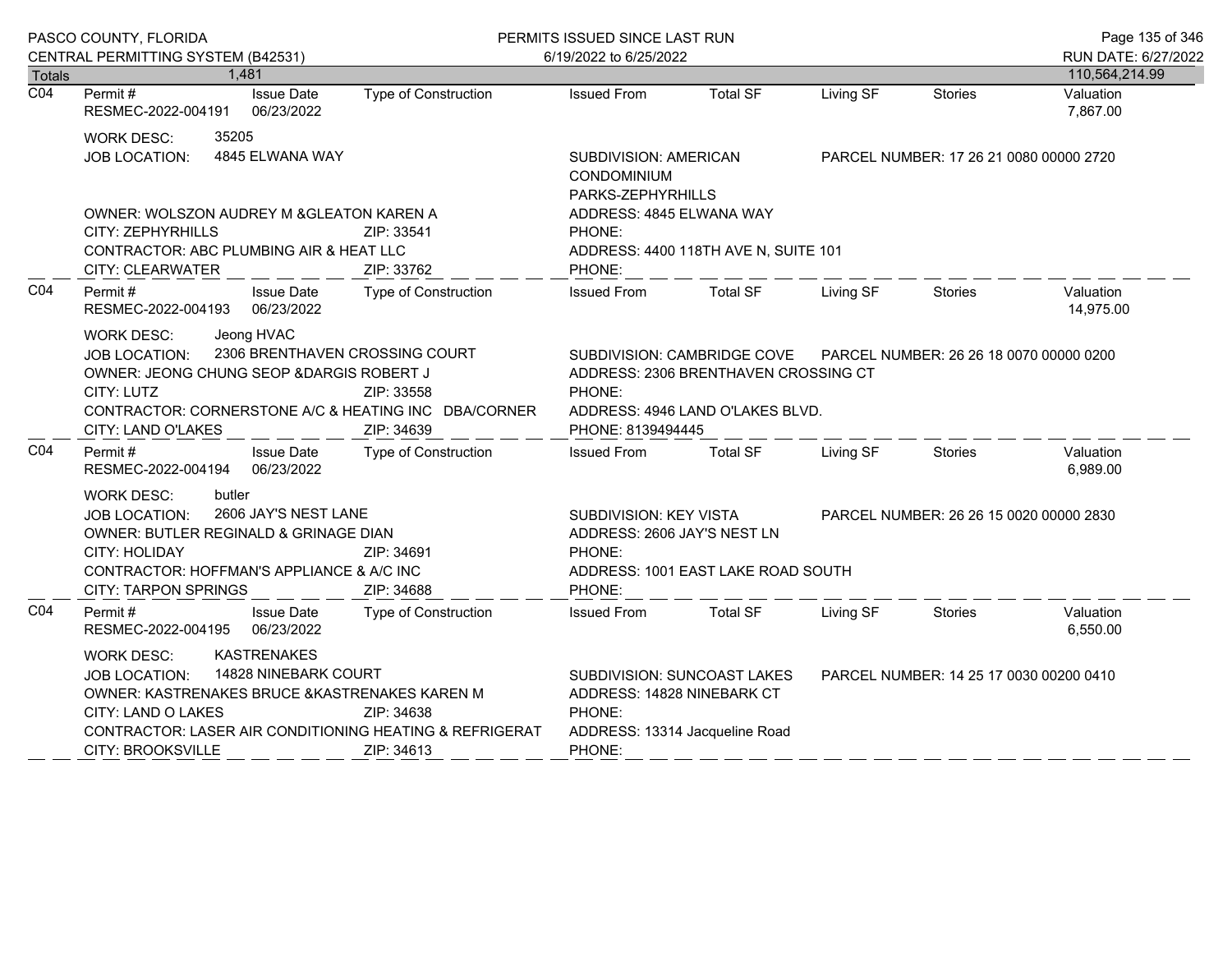|                  | PASCO COUNTY, FLORIDA                                                                                                                                                                                                                                                | PERMITS ISSUED SINCE LAST RUN                                    |                                                                                                                                                            |                                                                                                                                                    |                                         | Page 135 of 346                         |                                       |
|------------------|----------------------------------------------------------------------------------------------------------------------------------------------------------------------------------------------------------------------------------------------------------------------|------------------------------------------------------------------|------------------------------------------------------------------------------------------------------------------------------------------------------------|----------------------------------------------------------------------------------------------------------------------------------------------------|-----------------------------------------|-----------------------------------------|---------------------------------------|
| <b>Totals</b>    | CENTRAL PERMITTING SYSTEM (B42531)<br>1.481                                                                                                                                                                                                                          |                                                                  | 6/19/2022 to 6/25/2022                                                                                                                                     |                                                                                                                                                    |                                         |                                         | RUN DATE: 6/27/2022<br>110,564,214.99 |
| $\overline{CO4}$ | <b>Issue Date</b><br>Permit#<br>06/23/2022<br>RESMEC-2022-004191                                                                                                                                                                                                     | Type of Construction                                             | <b>Issued From</b>                                                                                                                                         | <b>Total SF</b>                                                                                                                                    | Living SF                               | Stories                                 | Valuation<br>7,867.00                 |
|                  | 35205<br><b>WORK DESC:</b><br>4845 ELWANA WAY<br><b>JOB LOCATION:</b>                                                                                                                                                                                                | SUBDIVISION: AMERICAN<br><b>CONDOMINIUM</b><br>PARKS-ZEPHYRHILLS |                                                                                                                                                            |                                                                                                                                                    | PARCEL NUMBER: 17 26 21 0080 00000 2720 |                                         |                                       |
|                  | OWNER: WOLSZON AUDREY M & GLEATON KAREN A<br><b>CITY: ZEPHYRHILLS</b><br>CONTRACTOR: ABC PLUMBING AIR & HEAT LLC<br><b>CITY: CLEARWATER</b>                                                                                                                          | ZIP: 33541<br>ZIP: 33762                                         | ADDRESS: 4845 ELWANA WAY<br>PHONE:<br>PHONE:                                                                                                               | ADDRESS: 4400 118TH AVE N, SUITE 101                                                                                                               |                                         |                                         |                                       |
| CO <sub>4</sub>  | Permit #<br><b>Issue Date</b><br>RESMEC-2022-004193 06/23/2022                                                                                                                                                                                                       | Type of Construction                                             | <b>Issued From</b>                                                                                                                                         | Total SF                                                                                                                                           | Living SF                               | Stories                                 | Valuation<br>14,975.00                |
|                  | Jeong HVAC<br><b>WORK DESC:</b><br>JOB LOCATION:<br>OWNER: JEONG CHUNG SEOP & DARGIS ROBERT J<br>CITY: LUTZ<br>CONTRACTOR: CORNERSTONE A/C & HEATING INC DBA/CORNER<br>CITY: LAND O'LAKES                                                                            | 2306 BRENTHAVEN CROSSING COURT<br>ZIP: 33558<br>ZIP: 34639       | PHONE:<br>PHONE: 8139494445                                                                                                                                | SUBDIVISION: CAMBRIDGE COVE    PARCEL NUMBER: 26 26 18 0070 00000 0200<br>ADDRESS: 2306 BRENTHAVEN CROSSING CT<br>ADDRESS: 4946 LAND O'LAKES BLVD. |                                         |                                         |                                       |
| CO <sub>4</sub>  | Permit#<br><b>Issue Date</b><br>RESMEC-2022-004194 06/23/2022                                                                                                                                                                                                        | Type of Construction                                             | <b>Issued From</b>                                                                                                                                         | <b>Total SF</b>                                                                                                                                    | Living SF                               | Stories                                 | Valuation<br>6,989.00                 |
|                  | butler<br><b>WORK DESC:</b><br>2606 JAY'S NEST LANE<br><b>JOB LOCATION:</b><br>OWNER: BUTLER REGINALD & GRINAGE DIAN<br>CITY: HOLIDAY<br>CONTRACTOR: HOFFMAN'S APPLIANCE & A/C INC<br><b>CITY: TARPON SPRINGS</b>                                                    | ZIP: 34691<br>ZIP: 34688                                         | SUBDIVISION: KEY VISTA<br>ADDRESS: 2606 JAY'S NEST LN<br>PHONE:<br>PHONE:                                                                                  | ADDRESS: 1001 EAST LAKE ROAD SOUTH                                                                                                                 |                                         | PARCEL NUMBER: 26 26 15 0020 00000 2830 |                                       |
| CO <sub>4</sub>  | <b>Issue Date</b><br>Permit #<br>RESMEC-2022-004195 06/23/2022                                                                                                                                                                                                       | <b>Type of Construction</b>                                      | <b>Issued From</b>                                                                                                                                         | <b>Total SF</b>                                                                                                                                    | Living SF                               | Stories                                 | Valuation<br>6,550.00                 |
|                  | <b>KASTRENAKES</b><br>WORK DESC:<br>14828 NINEBARK COURT<br><b>JOB LOCATION:</b><br>OWNER: KASTRENAKES BRUCE & KASTRENAKES KAREN M<br>CITY: LAND O LAKES<br>ZIP: 34638<br>CONTRACTOR: LASER AIR CONDITIONING HEATING & REFRIGERAT<br>CITY: BROOKSVILLE<br>ZIP: 34613 |                                                                  | SUBDIVISION: SUNCOAST LAKES<br>PARCEL NUMBER: 14 25 17 0030 00200 0410<br>ADDRESS: 14828 NINEBARK CT<br>PHONE:<br>ADDRESS: 13314 Jacqueline Road<br>PHONE: |                                                                                                                                                    |                                         |                                         |                                       |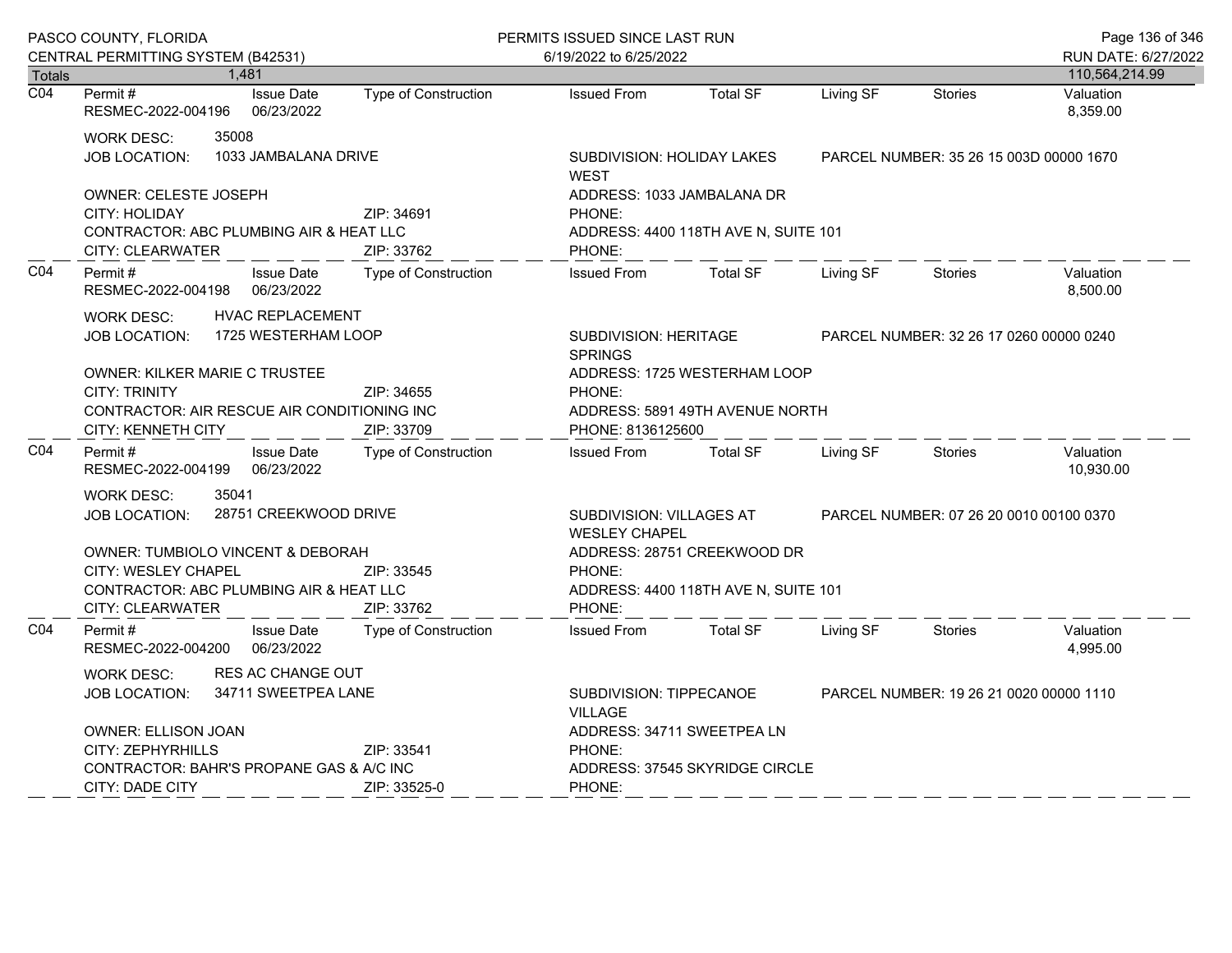|                  | PASCO COUNTY, FLORIDA                                                                                                                                                                                    |                                 |                                           |                                                                                                                         | PERMITS ISSUED SINCE LAST RUN  |           |                                         |                        |  |
|------------------|----------------------------------------------------------------------------------------------------------------------------------------------------------------------------------------------------------|---------------------------------|-------------------------------------------|-------------------------------------------------------------------------------------------------------------------------|--------------------------------|-----------|-----------------------------------------|------------------------|--|
|                  | CENTRAL PERMITTING SYSTEM (B42531)                                                                                                                                                                       |                                 |                                           | 6/19/2022 to 6/25/2022                                                                                                  |                                |           | RUN DATE: 6/27/2022                     |                        |  |
| Totals           | 1.481                                                                                                                                                                                                    |                                 |                                           |                                                                                                                         |                                |           |                                         | 110,564,214.99         |  |
| $\overline{CO4}$ | Permit#<br>RESMEC-2022-004196                                                                                                                                                                            | <b>Issue Date</b><br>06/23/2022 | <b>Type of Construction</b>               | <b>Issued From</b>                                                                                                      | <b>Total SF</b>                | Living SF | <b>Stories</b>                          | Valuation<br>8,359.00  |  |
|                  | 35008<br>WORK DESC:<br>1033 JAMBALANA DRIVE<br><b>JOB LOCATION:</b>                                                                                                                                      |                                 |                                           | SUBDIVISION: HOLIDAY LAKES<br><b>WEST</b>                                                                               |                                |           | PARCEL NUMBER: 35 26 15 003D 00000 1670 |                        |  |
|                  | <b>OWNER: CELESTE JOSEPH</b><br>ZIP: 34691<br>CITY: HOLIDAY<br>CONTRACTOR: ABC PLUMBING AIR & HEAT LLC<br>CITY: CLEARWATER<br>ZIP: 33762                                                                 |                                 |                                           | ADDRESS: 1033 JAMBALANA DR<br>PHONE:<br>ADDRESS: 4400 118TH AVE N, SUITE 101<br>PHONE:                                  |                                |           |                                         |                        |  |
| CO <sub>4</sub>  | Permit#<br>RESMEC-2022-004198                                                                                                                                                                            | <b>Issue Date</b><br>06/23/2022 | <b>Type of Construction</b>               | <b>Issued From</b>                                                                                                      | <b>Total SF</b>                | Living SF | Stories                                 | Valuation<br>8,500.00  |  |
|                  | <b>HVAC REPLACEMENT</b><br>WORK DESC:<br>1725 WESTERHAM LOOP<br>JOB LOCATION:                                                                                                                            |                                 |                                           | SUBDIVISION: HERITAGE<br><b>SPRINGS</b><br>ADDRESS: 1725 WESTERHAM LOOP                                                 |                                |           | PARCEL NUMBER: 32 26 17 0260 00000 0240 |                        |  |
|                  | OWNER: KILKER MARIE C TRUSTEE<br><b>CITY: TRINITY</b><br>ZIP: 34655<br>CONTRACTOR: AIR RESCUE AIR CONDITIONING INC<br><b>CITY: KENNETH CITY</b><br>ZIP: 33709                                            |                                 | PHONE:                                    | ADDRESS: 5891 49TH AVENUE NORTH<br>PHONE: 8136125600                                                                    |                                |           |                                         |                        |  |
| CO <sub>4</sub>  | Permit#<br>RESMEC-2022-004199                                                                                                                                                                            | <b>Issue Date</b><br>06/23/2022 | Type of Construction                      | <b>Issued From</b>                                                                                                      | <b>Total SF</b>                | Living SF | <b>Stories</b>                          | Valuation<br>10,930.00 |  |
|                  | 35041<br>WORK DESC:<br>28751 CREEKWOOD DRIVE<br>JOB LOCATION:<br><b>OWNER: TUMBIOLO VINCENT &amp; DEBORAH</b><br>CITY: WESLEY CHAPEL<br>ZIP: 33545<br><b>CONTRACTOR: ABC PLUMBING AIR &amp; HEAT LLC</b> |                                 | PHONE:                                    | SUBDIVISION: VILLAGES AT<br><b>WESLEY CHAPEL</b><br>ADDRESS: 28751 CREEKWOOD DR<br>ADDRESS: 4400 118TH AVE N, SUITE 101 |                                |           | PARCEL NUMBER: 07 26 20 0010 00100 0370 |                        |  |
| CO <sub>4</sub>  | <b>CITY: CLEARWATER</b><br>Permit#<br>RESMEC-2022-004200                                                                                                                                                 | <b>Issue Date</b><br>06/23/2022 | ZIP: 33762<br><b>Type of Construction</b> | PHONE:<br><b>Issued From</b>                                                                                            | <b>Total SF</b>                | Living SF | <b>Stories</b>                          | Valuation<br>4,995.00  |  |
|                  | RES AC CHANGE OUT<br>WORK DESC:<br>34711 SWEETPEA LANE<br><b>JOB LOCATION:</b><br><b>OWNER: ELLISON JOAN</b>                                                                                             |                                 |                                           | SUBDIVISION: TIPPECANOE<br><b>VILLAGE</b><br>ADDRESS: 34711 SWEETPEA LN                                                 |                                |           | PARCEL NUMBER: 19 26 21 0020 00000 1110 |                        |  |
|                  | <b>CITY: ZEPHYRHILLS</b><br>ZIP: 33541<br>CONTRACTOR: BAHR'S PROPANE GAS & A/C INC<br><b>CITY: DADE CITY</b><br>ZIP: 33525-0                                                                             |                                 |                                           | PHONE:<br>PHONE:                                                                                                        | ADDRESS: 37545 SKYRIDGE CIRCLE |           |                                         |                        |  |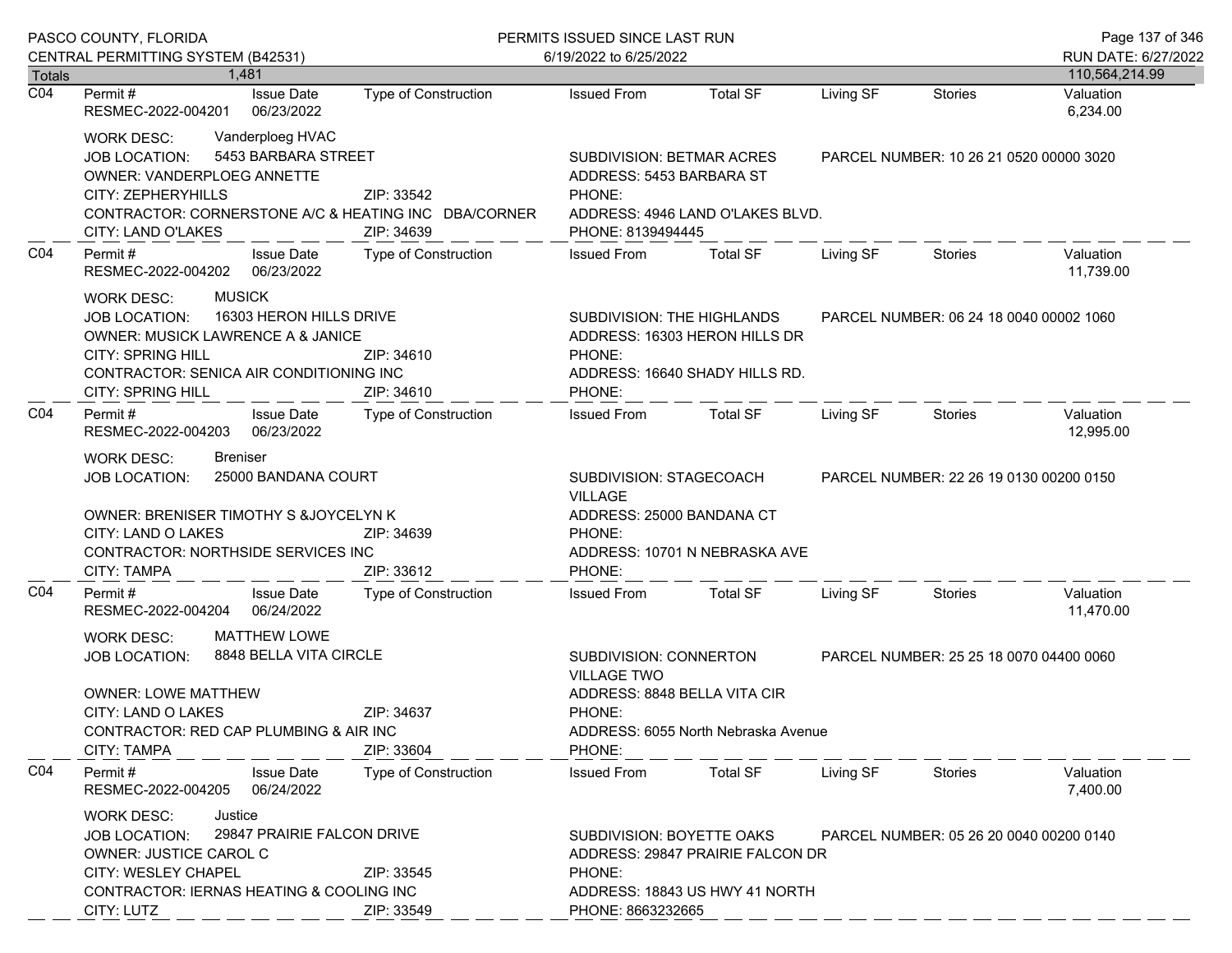|                            | PASCO COUNTY, FLORIDA                                                                                                                                                                                                                                                |                             | PERMITS ISSUED SINCE LAST RUN                                                                                                                                                      | Page 137 of 346                                                 |           |                                         |                        |
|----------------------------|----------------------------------------------------------------------------------------------------------------------------------------------------------------------------------------------------------------------------------------------------------------------|-----------------------------|------------------------------------------------------------------------------------------------------------------------------------------------------------------------------------|-----------------------------------------------------------------|-----------|-----------------------------------------|------------------------|
|                            | CENTRAL PERMITTING SYSTEM (B42531)                                                                                                                                                                                                                                   |                             | 6/19/2022 to 6/25/2022                                                                                                                                                             |                                                                 |           |                                         | RUN DATE: 6/27/2022    |
| Totals<br>$\overline{CO4}$ | 1.481                                                                                                                                                                                                                                                                |                             |                                                                                                                                                                                    |                                                                 |           |                                         | 110,564,214.99         |
|                            | <b>Issue Date</b><br>Permit #<br>RESMEC-2022-004201<br>06/23/2022                                                                                                                                                                                                    | <b>Type of Construction</b> | <b>Issued From</b>                                                                                                                                                                 | <b>Total SF</b>                                                 | Living SF | <b>Stories</b>                          | Valuation<br>6,234.00  |
|                            | Vanderploeg HVAC<br>WORK DESC:<br>5453 BARBARA STREET<br><b>JOB LOCATION:</b><br><b>OWNER: VANDERPLOEG ANNETTE</b><br>CITY: ZEPHERYHILLS<br>ZIP: 33542<br>CONTRACTOR: CORNERSTONE A/C & HEATING INC DBA/CORNER<br>CITY: LAND O'LAKES<br>ZIP: 34639                   |                             | SUBDIVISION: BETMAR ACRES<br>ADDRESS: 5453 BARBARA ST<br>PHONE:<br>PHONE: 8139494445                                                                                               | ADDRESS: 4946 LAND O'LAKES BLVD.                                |           | PARCEL NUMBER: 10 26 21 0520 00000 3020 |                        |
| C04                        | Permit#<br><b>Issue Date</b><br>06/23/2022<br>RESMEC-2022-004202                                                                                                                                                                                                     | Type of Construction        | <b>Issued From</b>                                                                                                                                                                 | Total SF                                                        | Living SF | Stories                                 | Valuation<br>11,739.00 |
|                            | <b>MUSICK</b><br><b>WORK DESC:</b><br>16303 HERON HILLS DRIVE<br><b>JOB LOCATION:</b><br><b>OWNER: MUSICK LAWRENCE A &amp; JANICE</b><br><b>CITY: SPRING HILL</b><br>ZIP: 34610<br>CONTRACTOR: SENICA AIR CONDITIONING INC<br><b>CITY: SPRING HILL</b><br>ZIP: 34610 |                             | SUBDIVISION: THE HIGHLANDS<br>PHONE:<br>PHONE:                                                                                                                                     | ADDRESS: 16303 HERON HILLS DR<br>ADDRESS: 16640 SHADY HILLS RD. |           | PARCEL NUMBER: 06 24 18 0040 00002 1060 |                        |
| CO <sub>4</sub>            | Permit#<br><b>Issue Date</b><br>06/23/2022<br>RESMEC-2022-004203                                                                                                                                                                                                     | <b>Type of Construction</b> | <b>Issued From</b>                                                                                                                                                                 | Total SF                                                        | Living SF | Stories                                 | Valuation<br>12,995.00 |
|                            | <b>Breniser</b><br><b>WORK DESC:</b><br>25000 BANDANA COURT<br><b>JOB LOCATION:</b><br>OWNER: BRENISER TIMOTHY S &JOYCELYN K                                                                                                                                         |                             | SUBDIVISION: STAGECOACH<br><b>VILLAGE</b><br>ADDRESS: 25000 BANDANA CT                                                                                                             |                                                                 |           | PARCEL NUMBER: 22 26 19 0130 00200 0150 |                        |
|                            | CITY: LAND O LAKES<br>CONTRACTOR: NORTHSIDE SERVICES INC<br>CITY: TAMPA                                                                                                                                                                                              | ZIP: 34639<br>ZIP: 33612    | PHONE:<br>PHONE:                                                                                                                                                                   | ADDRESS: 10701 N NEBRASKA AVE                                   |           |                                         |                        |
| CO <sub>4</sub>            | <b>Issue Date</b><br>Permit#<br>06/24/2022<br>RESMEC-2022-004204                                                                                                                                                                                                     | <b>Type of Construction</b> | <b>Issued From</b>                                                                                                                                                                 | <b>Total SF</b>                                                 | Living SF | Stories                                 | Valuation<br>11,470.00 |
|                            | <b>MATTHEW LOWE</b><br><b>WORK DESC:</b><br>8848 BELLA VITA CIRCLE<br><b>JOB LOCATION:</b><br><b>OWNER: LOWE MATTHEW</b><br>ZIP: 34637<br>CITY: LAND O LAKES<br>CONTRACTOR: RED CAP PLUMBING & AIR INC<br><b>CITY: TAMPA</b><br>ZIP: 33604                           |                             | SUBDIVISION: CONNERTON<br>PARCEL NUMBER: 25 25 18 0070 04400 0060<br><b>VILLAGE TWO</b><br>ADDRESS: 8848 BELLA VITA CIR<br>PHONE:<br>ADDRESS: 6055 North Nebraska Avenue<br>PHONE: |                                                                 |           |                                         |                        |
| CO <sub>4</sub>            | Permit#<br><b>Issue Date</b><br>RESMEC-2022-004205<br>06/24/2022                                                                                                                                                                                                     | <b>Type of Construction</b> | <b>Issued From</b>                                                                                                                                                                 | <b>Total SF</b>                                                 | Living SF | Stories                                 | Valuation<br>7,400.00  |
|                            | Justice<br><b>WORK DESC:</b><br>29847 PRAIRIE FALCON DRIVE<br><b>JOB LOCATION:</b><br>OWNER: JUSTICE CAROL C<br><b>CITY: WESLEY CHAPEL</b><br>ZIP: 33545<br>CONTRACTOR: IERNAS HEATING & COOLING INC<br>CITY: LUTZ<br>ZIP: 33549                                     |                             | SUBDIVISION: BOYETTE OAKS<br>PARCEL NUMBER: 05 26 20 0040 00200 0140<br>ADDRESS: 29847 PRAIRIE FALCON DR<br>PHONE:<br>ADDRESS: 18843 US HWY 41 NORTH<br>PHONE: 8663232665          |                                                                 |           |                                         |                        |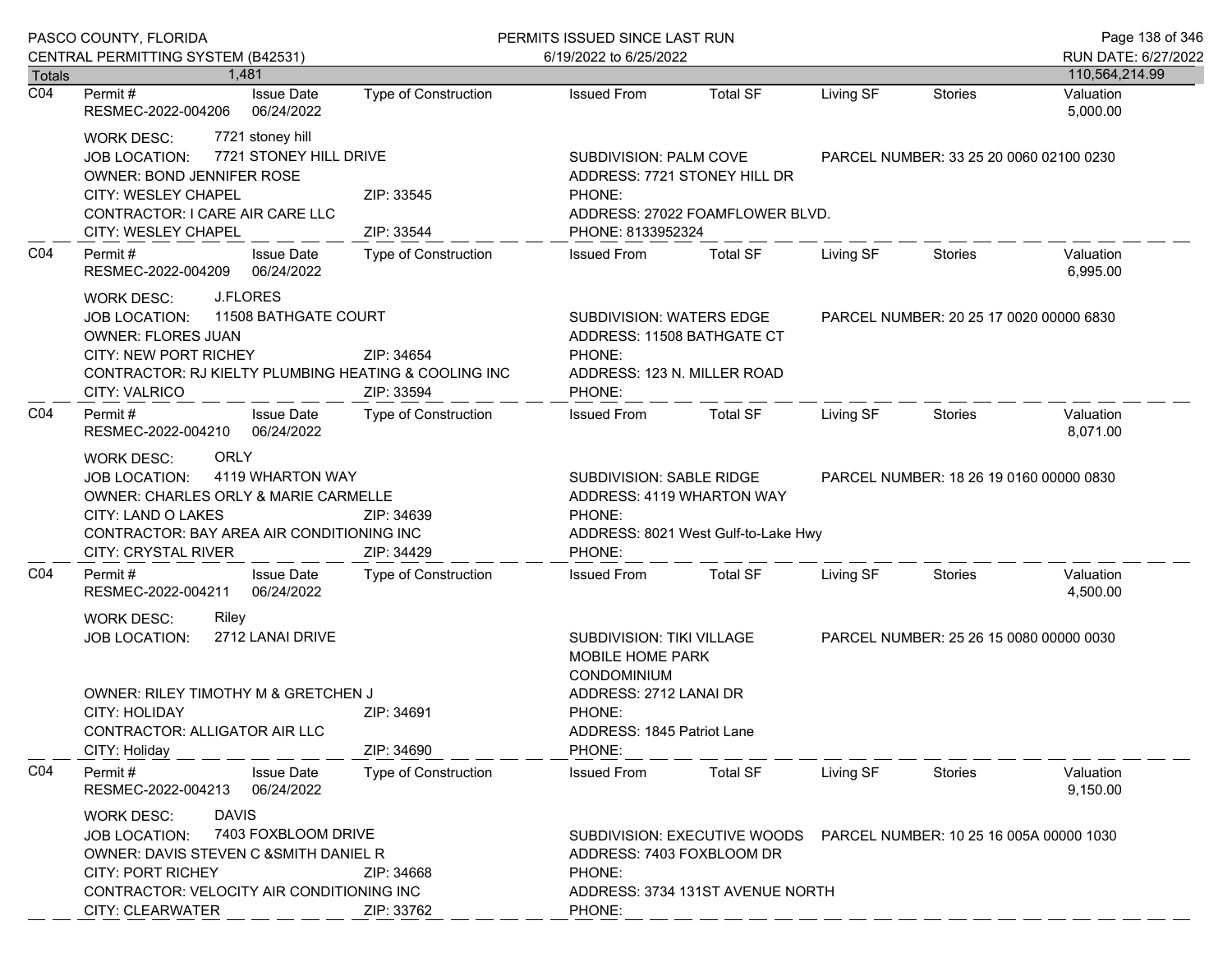|                            | PASCO COUNTY, FLORIDA                                                                                                                                                                                                                                  |                             | PERMITS ISSUED SINCE LAST RUN                                                                                                                |                                  |                                                                      |                                         | Page 138 of 346             |
|----------------------------|--------------------------------------------------------------------------------------------------------------------------------------------------------------------------------------------------------------------------------------------------------|-----------------------------|----------------------------------------------------------------------------------------------------------------------------------------------|----------------------------------|----------------------------------------------------------------------|-----------------------------------------|-----------------------------|
|                            | CENTRAL PERMITTING SYSTEM (B42531)                                                                                                                                                                                                                     |                             | 6/19/2022 to 6/25/2022                                                                                                                       |                                  |                                                                      |                                         | RUN DATE: 6/27/2022         |
| Totals<br>$\overline{CO4}$ | 1.481<br><b>Issue Date</b><br>Permit #                                                                                                                                                                                                                 | Type of Construction        | <b>Issued From</b>                                                                                                                           | <b>Total SF</b>                  | Living SF                                                            | <b>Stories</b>                          | 110,564,214.99<br>Valuation |
|                            | 06/24/2022<br>RESMEC-2022-004206                                                                                                                                                                                                                       |                             |                                                                                                                                              |                                  |                                                                      |                                         | 5,000.00                    |
|                            | 7721 stoney hill<br><b>WORK DESC:</b><br>7721 STONEY HILL DRIVE<br><b>JOB LOCATION:</b><br>OWNER: BOND JENNIFER ROSE<br>CITY: WESLEY CHAPEL<br>CONTRACTOR: I CARE AIR CARE LLC<br>CITY: WESLEY CHAPEL                                                  | ZIP: 33545<br>ZIP: 33544    | SUBDIVISION: PALM COVE<br>ADDRESS: 7721 STONEY HILL DR<br>PHONE:<br>ADDRESS: 27022 FOAMFLOWER BLVD.<br>PHONE: 8133952324                     |                                  | PARCEL NUMBER: 33 25 20 0060 02100 0230                              |                                         |                             |
| CO <sub>4</sub>            | Permit#<br><b>Issue Date</b><br>06/24/2022<br>RESMEC-2022-004209                                                                                                                                                                                       | Type of Construction        | <b>Issued From</b>                                                                                                                           | <b>Total SF</b>                  | Living SF                                                            | Stories                                 | Valuation<br>6,995.00       |
|                            | J.FLORES<br><b>WORK DESC:</b><br>11508 BATHGATE COURT<br><b>JOB LOCATION:</b><br><b>OWNER: FLORES JUAN</b><br><b>CITY: NEW PORT RICHEY</b><br>ZIP: 34654<br>CONTRACTOR: RJ KIELTY PLUMBING HEATING & COOLING INC<br><b>CITY: VALRICO</b><br>ZIP: 33594 |                             | SUBDIVISION: WATERS EDGE<br>ADDRESS: 11508 BATHGATE CT<br>PHONE:<br>ADDRESS: 123 N. MILLER ROAD<br>PHONE:                                    |                                  |                                                                      | PARCEL NUMBER: 20 25 17 0020 00000 6830 |                             |
| CO <sub>4</sub>            | Permit#<br><b>Issue Date</b><br>RESMEC-2022-004210 06/24/2022                                                                                                                                                                                          | Type of Construction        | <b>Issued From</b>                                                                                                                           | <b>Total SF</b>                  | Living SF                                                            | Stories                                 | Valuation<br>8,071.00       |
|                            | <b>ORLY</b><br><b>WORK DESC:</b><br>4119 WHARTON WAY<br><b>JOB LOCATION:</b><br>OWNER: CHARLES ORLY & MARIE CARMELLE<br>CITY: LAND O LAKES<br>CONTRACTOR: BAY AREA AIR CONDITIONING INC<br>CITY: CRYSTAL RIVER                                         | ZIP: 34639<br>ZIP: 34429    | SUBDIVISION: SABLE RIDGE<br>ADDRESS: 4119 WHARTON WAY<br>PHONE:<br>ADDRESS: 8021 West Gulf-to-Lake Hwy<br>PHONE:                             |                                  |                                                                      | PARCEL NUMBER: 18 26 19 0160 00000 0830 |                             |
| CO <sub>4</sub>            | Permit#<br><b>Issue Date</b><br>RESMEC-2022-004211<br>06/24/2022                                                                                                                                                                                       | Type of Construction        | <b>Issued From</b>                                                                                                                           | Total SF                         | Living SF                                                            | Stories                                 | Valuation<br>4,500.00       |
|                            | <b>WORK DESC:</b><br>Riley<br>2712 LANAI DRIVE<br>JOB LOCATION:<br>OWNER: RILEY TIMOTHY M & GRETCHEN J<br>CITY: HOLIDAY<br>CONTRACTOR: ALLIGATOR AIR LLC                                                                                               | ZIP: 34691                  | SUBDIVISION: TIKI VILLAGE<br><b>MOBILE HOME PARK</b><br><b>CONDOMINIUM</b><br>ADDRESS: 2712 LANAI DR<br>PHONE:<br>ADDRESS: 1845 Patriot Lane |                                  |                                                                      | PARCEL NUMBER: 25 26 15 0080 00000 0030 |                             |
|                            | CITY: Holiday                                                                                                                                                                                                                                          | ZIP: 34690                  | PHONE:                                                                                                                                       |                                  |                                                                      |                                         |                             |
| CO <sub>4</sub>            | Permit#<br><b>Issue Date</b><br>RESMEC-2022-004213<br>06/24/2022                                                                                                                                                                                       | <b>Type of Construction</b> | <b>Issued From</b>                                                                                                                           | <b>Total SF</b>                  | Living SF                                                            | Stories                                 | Valuation<br>9,150.00       |
|                            | <b>DAVIS</b><br><b>WORK DESC:</b><br>7403 FOXBLOOM DRIVE<br><b>JOB LOCATION:</b><br>OWNER: DAVIS STEVEN C & SMITH DANIEL R<br><b>CITY: PORT RICHEY</b><br>ZIP: 34668<br>CONTRACTOR: VELOCITY AIR CONDITIONING INC<br>CITY: CLEARWATER<br>ZIP: 33762    |                             | ADDRESS: 7403 FOXBLOOM DR<br>PHONE:<br>PHONE:                                                                                                | ADDRESS: 3734 131ST AVENUE NORTH | SUBDIVISION: EXECUTIVE WOODS PARCEL NUMBER: 10 25 16 005A 00000 1030 |                                         |                             |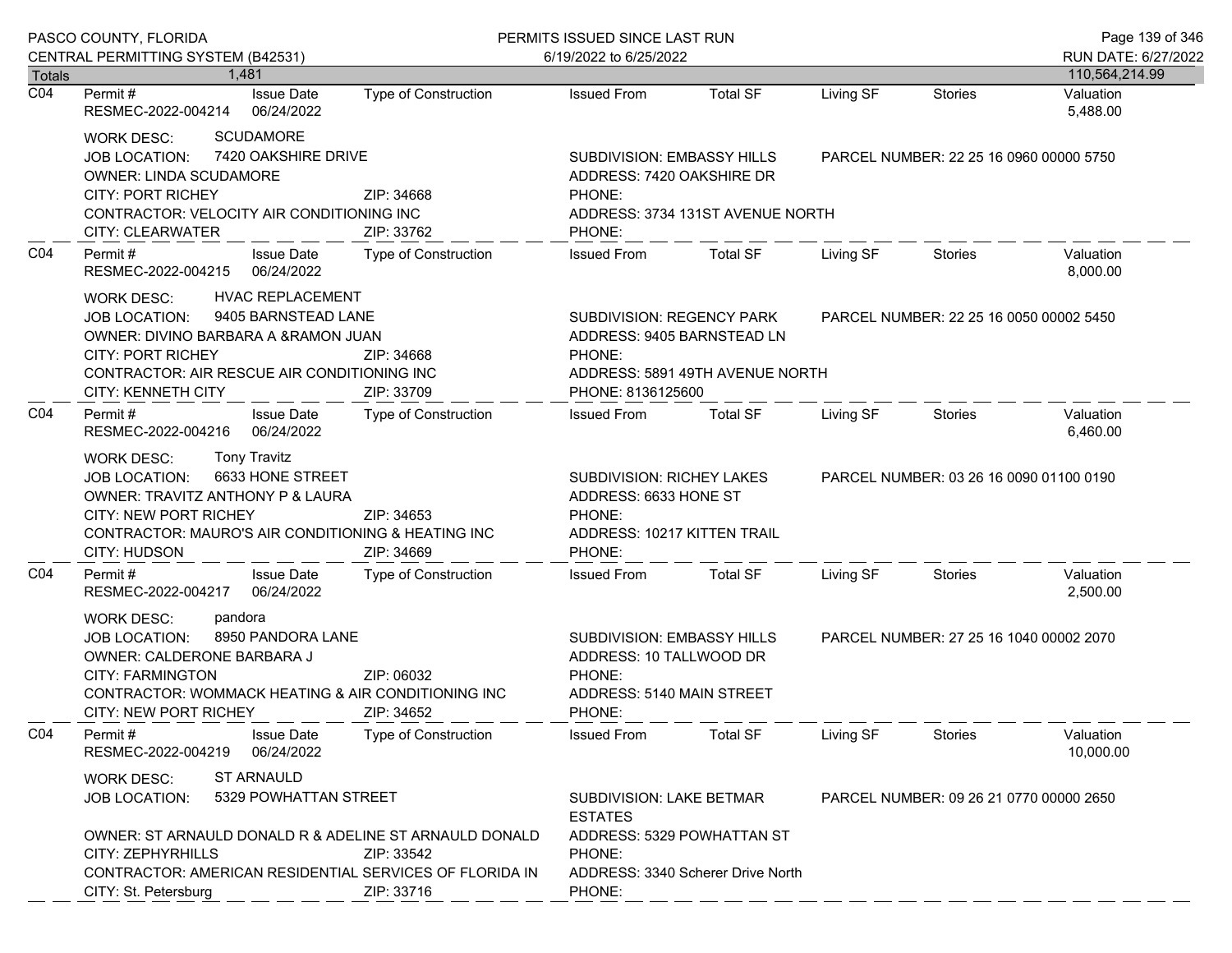|                  | PASCO COUNTY, FLORIDA                                                                                                                                                                                                                                           |                             | PERMITS ISSUED SINCE LAST RUN                                                                                                                     |                                                                                       |           |                                         |                        |  |
|------------------|-----------------------------------------------------------------------------------------------------------------------------------------------------------------------------------------------------------------------------------------------------------------|-----------------------------|---------------------------------------------------------------------------------------------------------------------------------------------------|---------------------------------------------------------------------------------------|-----------|-----------------------------------------|------------------------|--|
|                  | CENTRAL PERMITTING SYSTEM (B42531)                                                                                                                                                                                                                              |                             | 6/19/2022 to 6/25/2022                                                                                                                            |                                                                                       |           |                                         | RUN DATE: 6/27/2022    |  |
| <b>Totals</b>    | 1.481                                                                                                                                                                                                                                                           |                             |                                                                                                                                                   |                                                                                       |           |                                         | 110,564,214.99         |  |
| $\overline{CO4}$ | <b>Issue Date</b><br>Permit #<br>RESMEC-2022-004214<br>06/24/2022                                                                                                                                                                                               | <b>Type of Construction</b> | <b>Issued From</b>                                                                                                                                | <b>Total SF</b>                                                                       | Living SF | <b>Stories</b>                          | Valuation<br>5,488.00  |  |
|                  | <b>SCUDAMORE</b><br>WORK DESC:<br>7420 OAKSHIRE DRIVE<br><b>JOB LOCATION:</b><br>OWNER: LINDA SCUDAMORE<br><b>CITY: PORT RICHEY</b><br>ZIP: 34668<br>CONTRACTOR: VELOCITY AIR CONDITIONING INC<br>CITY: CLEARWATER<br>ZIP: 33762                                |                             | SUBDIVISION: EMBASSY HILLS<br>ADDRESS: 7420 OAKSHIRE DR<br>PHONE:<br>PHONE:                                                                       | ADDRESS: 3734 131ST AVENUE NORTH                                                      |           | PARCEL NUMBER: 22 25 16 0960 00000 5750 |                        |  |
| CO <sub>4</sub>  | Permit#<br><b>Issue Date</b><br>06/24/2022<br>RESMEC-2022-004215                                                                                                                                                                                                | <b>Type of Construction</b> | <b>Issued From</b>                                                                                                                                | <b>Total SF</b>                                                                       | Living SF | Stories                                 | Valuation<br>8,000.00  |  |
|                  | HVAC REPLACEMENT<br><b>WORK DESC:</b><br>9405 BARNSTEAD LANE<br><b>JOB LOCATION:</b><br>OWNER: DIVINO BARBARA A &RAMON JUAN<br><b>CITY: PORT RICHEY</b><br>ZIP: 34668<br>CONTRACTOR: AIR RESCUE AIR CONDITIONING INC<br><b>CITY: KENNETH CITY</b><br>ZIP: 33709 |                             | <b>SUBDIVISION: REGENCY PARK</b><br>ADDRESS: 9405 BARNSTEAD LN<br>PHONE:<br>PHONE: 8136125600                                                     | ADDRESS: 5891 49TH AVENUE NORTH                                                       |           | PARCEL NUMBER: 22 25 16 0050 00002 5450 |                        |  |
| CO <sub>4</sub>  | Permit#<br><b>Issue Date</b><br>06/24/2022<br>RESMEC-2022-004216                                                                                                                                                                                                | <b>Type of Construction</b> | Issued From                                                                                                                                       | <b>Total SF</b>                                                                       | Living SF | Stories                                 | Valuation<br>6,460.00  |  |
|                  | <b>Tony Travitz</b><br>WORK DESC:<br>6633 HONE STREET<br><b>JOB LOCATION:</b><br>OWNER: TRAVITZ ANTHONY P & LAURA<br><b>CITY: NEW PORT RICHEY</b><br>ZIP: 34653<br>CONTRACTOR: MAURO'S AIR CONDITIONING & HEATING INC<br>CITY: HUDSON<br>ZIP: 34669             |                             | SUBDIVISION: RICHEY LAKES<br>ADDRESS: 6633 HONE ST<br>PHONE:<br>ADDRESS: 10217 KITTEN TRAIL<br>PHONE:                                             |                                                                                       |           | PARCEL NUMBER: 03 26 16 0090 01100 0190 |                        |  |
| CO <sub>4</sub>  | <b>Issue Date</b><br>Permit#<br>RESMEC-2022-004217<br>06/24/2022                                                                                                                                                                                                | Type of Construction        | <b>Issued From</b>                                                                                                                                | <b>Total SF</b>                                                                       | Living SF | Stories                                 | Valuation<br>2,500.00  |  |
|                  | pandora<br><b>WORK DESC:</b><br>8950 PANDORA LANE<br><b>JOB LOCATION:</b><br>OWNER: CALDERONE BARBARA J<br><b>CITY: FARMINGTON</b><br>ZIP: 06032<br>CONTRACTOR: WOMMACK HEATING & AIR CONDITIONING INC<br><b>CITY: NEW PORT RICHEY</b><br>ZIP: 34652            |                             | SUBDIVISION: EMBASSY HILLS<br>PARCEL NUMBER: 27 25 16 1040 00002 2070<br>ADDRESS: 10 TALLWOOD DR<br>PHONE:<br>ADDRESS: 5140 MAIN STREET<br>PHONE: |                                                                                       |           |                                         |                        |  |
| CO <sub>4</sub>  | Permit#<br><b>Issue Date</b><br>06/24/2022<br>RESMEC-2022-004219                                                                                                                                                                                                | <b>Type of Construction</b> | <b>Issued From</b>                                                                                                                                | <b>Total SF</b>                                                                       | Living SF | <b>Stories</b>                          | Valuation<br>10,000.00 |  |
|                  | <b>ST ARNAULD</b><br><b>WORK DESC:</b><br><b>JOB LOCATION:</b>                                                                                                                                                                                                  | 5329 POWHATTAN STREET       |                                                                                                                                                   | SUBDIVISION: LAKE BETMAR<br>PARCEL NUMBER: 09 26 21 0770 00000 2650<br><b>ESTATES</b> |           |                                         |                        |  |
|                  | OWNER: ST ARNAULD DONALD R & ADELINE ST ARNAULD DONALD<br>CITY: ZEPHYRHILLS<br>CONTRACTOR: AMERICAN RESIDENTIAL SERVICES OF FLORIDA IN<br>CITY: St. Petersburg                                                                                                  | ZIP: 33542<br>ZIP: 33716    | ADDRESS: 5329 POWHATTAN ST<br>PHONE:<br>ADDRESS: 3340 Scherer Drive North<br>PHONE:                                                               |                                                                                       |           |                                         |                        |  |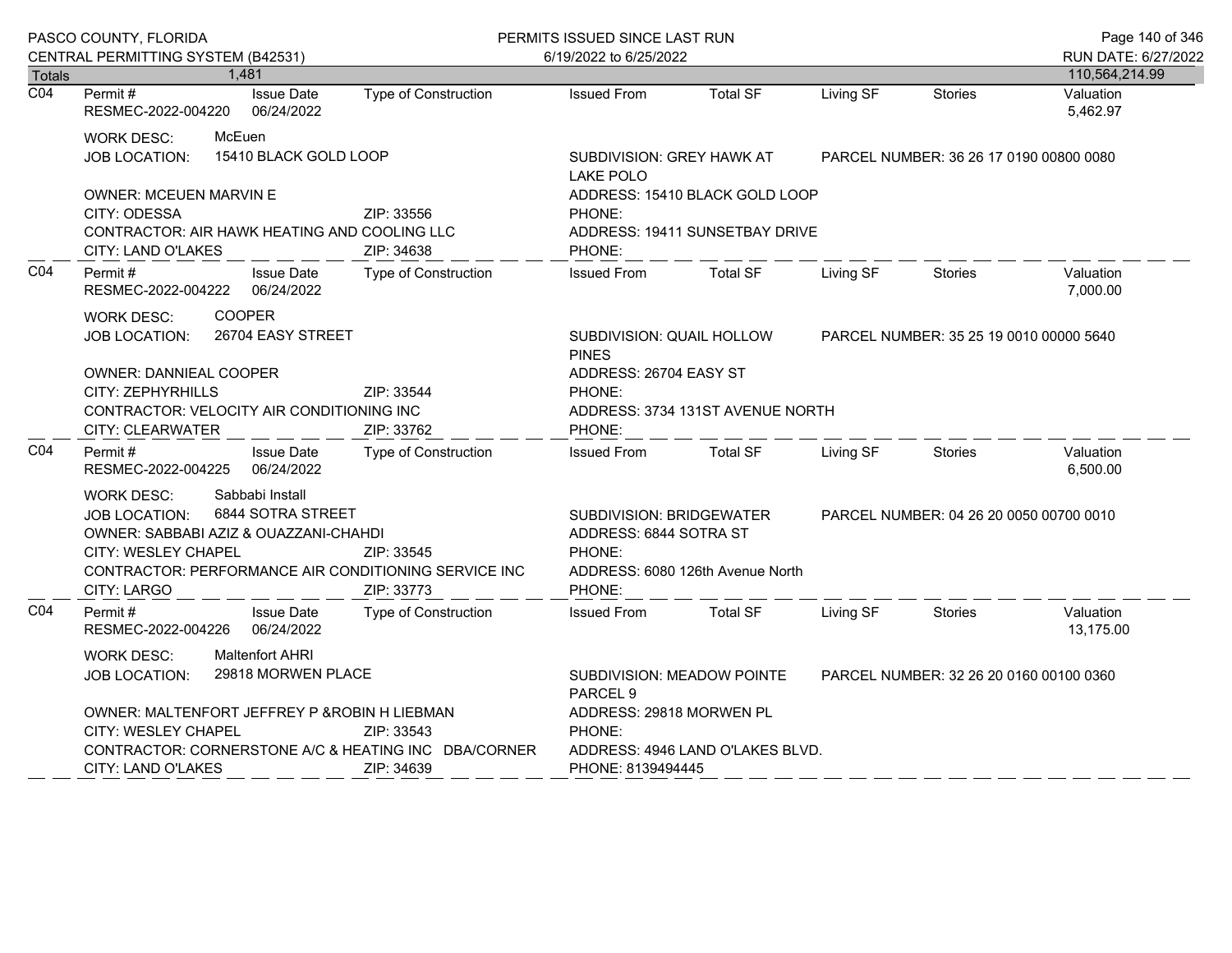| PASCO COUNTY, FLORIDA |                                                                                                                                                                                                                                        |                                              |                             | PERMITS ISSUED SINCE LAST RUN                                                                                                                                |                                         |           |                                         | Page 140 of 346        |
|-----------------------|----------------------------------------------------------------------------------------------------------------------------------------------------------------------------------------------------------------------------------------|----------------------------------------------|-----------------------------|--------------------------------------------------------------------------------------------------------------------------------------------------------------|-----------------------------------------|-----------|-----------------------------------------|------------------------|
|                       | CENTRAL PERMITTING SYSTEM (B42531)                                                                                                                                                                                                     |                                              |                             | 6/19/2022 to 6/25/2022                                                                                                                                       |                                         |           |                                         | RUN DATE: 6/27/2022    |
| Totals                | 1,481                                                                                                                                                                                                                                  |                                              |                             |                                                                                                                                                              |                                         |           |                                         | 110,564,214.99         |
| $\overline{CO4}$      | Permit#<br>RESMEC-2022-004220                                                                                                                                                                                                          | <b>Issue Date</b><br>06/24/2022              | Type of Construction        | <b>Issued From</b>                                                                                                                                           | <b>Total SF</b>                         | Living SF | Stories                                 | Valuation<br>5,462.97  |
|                       | McEuen<br><b>WORK DESC:</b><br>15410 BLACK GOLD LOOP<br>JOB LOCATION:                                                                                                                                                                  |                                              |                             | SUBDIVISION: GREY HAWK AT<br><b>LAKE POLO</b>                                                                                                                |                                         |           | PARCEL NUMBER: 36 26 17 0190 00800 0080 |                        |
|                       | <b>OWNER: MCEUEN MARVIN E</b><br>CITY: ODESSA<br>ZIP: 33556<br>CONTRACTOR: AIR HAWK HEATING AND COOLING LLC<br>CITY: LAND O'LAKES<br>ZIP: 34638                                                                                        |                                              |                             | ADDRESS: 15410 BLACK GOLD LOOP<br>PHONE:<br>ADDRESS: 19411 SUNSETBAY DRIVE<br>PHONE:                                                                         |                                         |           |                                         |                        |
| CO <sub>4</sub>       | Permit #<br>RESMEC-2022-004222                                                                                                                                                                                                         | <b>Issue Date</b><br>06/24/2022              | Type of Construction        | <b>Issued From</b>                                                                                                                                           | <b>Total SF</b>                         | Living SF | <b>Stories</b>                          | Valuation<br>7,000.00  |
|                       | <b>COOPER</b><br><b>WORK DESC:</b><br>26704 EASY STREET<br><b>JOB LOCATION:</b>                                                                                                                                                        |                                              |                             | SUBDIVISION: QUAIL HOLLOW<br><b>PINES</b>                                                                                                                    | PARCEL NUMBER: 35 25 19 0010 00000 5640 |           |                                         |                        |
|                       | <b>OWNER: DANNIEAL COOPER</b><br>CITY: ZEPHYRHILLS<br>ZIP: 33544                                                                                                                                                                       |                                              |                             | ADDRESS: 26704 EASY ST<br>PHONE:                                                                                                                             |                                         |           |                                         |                        |
|                       | CONTRACTOR: VELOCITY AIR CONDITIONING INC                                                                                                                                                                                              |                                              |                             | ADDRESS: 3734 131ST AVENUE NORTH                                                                                                                             |                                         |           |                                         |                        |
|                       | CITY: CLEARWATER                                                                                                                                                                                                                       |                                              | ZIP: 33762                  | PHONE:                                                                                                                                                       |                                         |           |                                         |                        |
| CO <sub>4</sub>       | Permit #<br>RESMEC-2022-004225                                                                                                                                                                                                         | <b>Issue Date</b><br>06/24/2022              | <b>Type of Construction</b> | <b>Issued From</b>                                                                                                                                           | <b>Total SF</b>                         | Living SF | Stories                                 | Valuation<br>6,500.00  |
|                       | Sabbabi Install<br><b>WORK DESC:</b><br>6844 SOTRA STREET<br><b>JOB LOCATION:</b><br>OWNER: SABBABI AZIZ & OUAZZANI-CHAHDI<br>CITY: WESLEY CHAPEL<br>ZIP: 33545<br>CONTRACTOR: PERFORMANCE AIR CONDITIONING SERVICE INC<br>CITY: LARGO |                                              | ZIP: 33773                  | <b>SUBDIVISION: BRIDGEWATER</b><br>PARCEL NUMBER: 04 26 20 0050 00700 0010<br>ADDRESS: 6844 SOTRA ST<br>PHONE:<br>ADDRESS: 6080 126th Avenue North<br>PHONE: |                                         |           |                                         |                        |
| CO <sub>4</sub>       | Permit #<br>RESMEC-2022-004226                                                                                                                                                                                                         | <b>Issue Date</b><br>06/24/2022              | <b>Type of Construction</b> | <b>Issued From</b>                                                                                                                                           | <b>Total SF</b>                         | Living SF | Stories                                 | Valuation<br>13.175.00 |
|                       | <b>WORK DESC:</b><br><b>JOB LOCATION:</b>                                                                                                                                                                                              | <b>Maltenfort AHRI</b><br>29818 MORWEN PLACE |                             | SUBDIVISION: MEADOW POINTE<br>PARCEL NUMBER: 32 26 20 0160 00100 0360<br>PARCEL <sub>9</sub>                                                                 |                                         |           |                                         |                        |
|                       | OWNER: MALTENFORT JEFFREY P & ROBIN H LIEBMAN                                                                                                                                                                                          |                                              |                             | ADDRESS: 29818 MORWEN PL                                                                                                                                     |                                         |           |                                         |                        |
|                       | <b>CITY: WESLEY CHAPEL</b>                                                                                                                                                                                                             |                                              | ZIP: 33543                  | PHONE:                                                                                                                                                       |                                         |           |                                         |                        |
|                       | CONTRACTOR: CORNERSTONE A/C & HEATING INC DBA/CORNER<br><b>CITY: LAND O'LAKES</b>                                                                                                                                                      |                                              | ZIP: 34639                  | ADDRESS: 4946 LAND O'LAKES BLVD.<br>PHONE: 8139494445                                                                                                        |                                         |           |                                         |                        |
|                       |                                                                                                                                                                                                                                        |                                              |                             |                                                                                                                                                              |                                         |           |                                         |                        |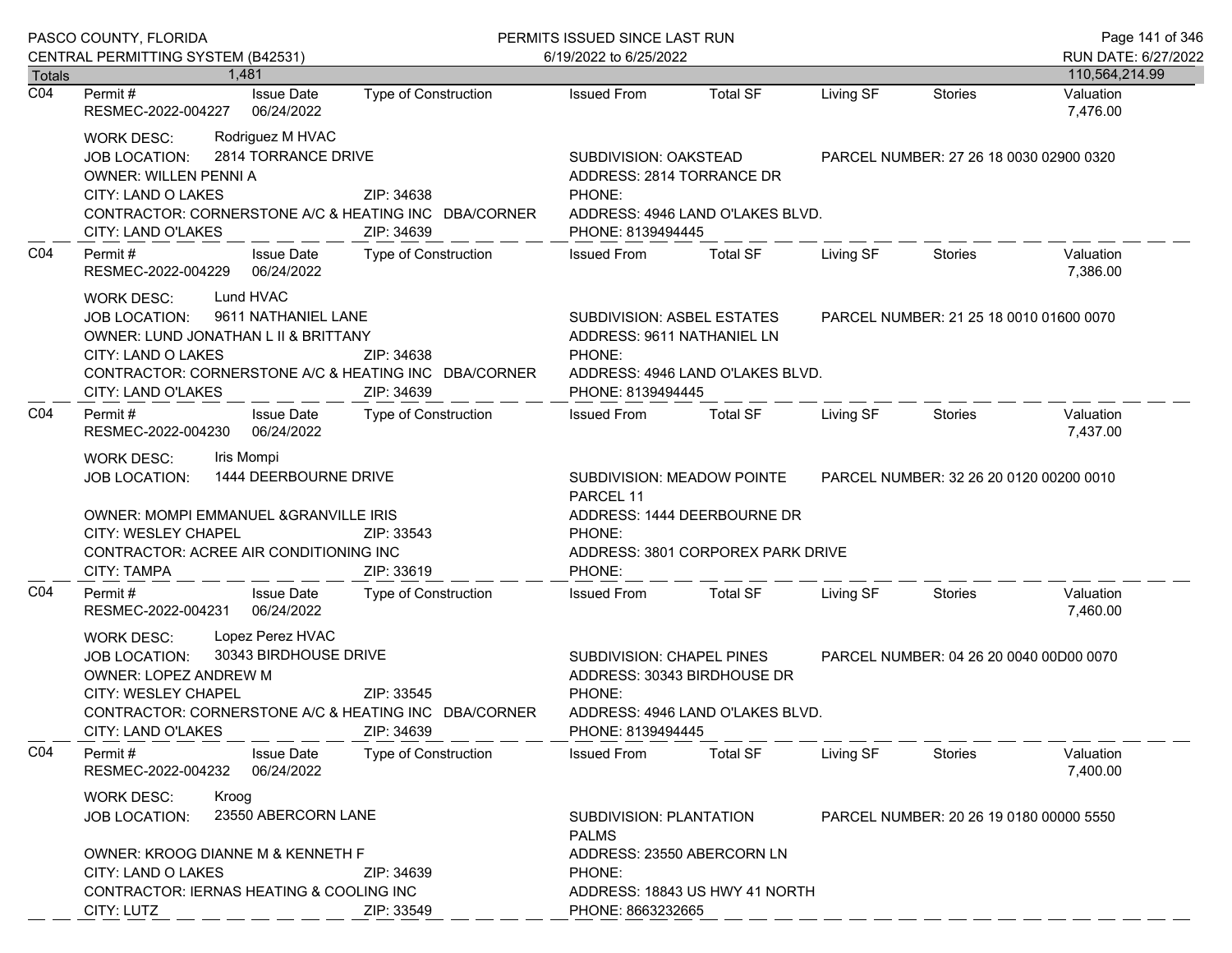|                  | PASCO COUNTY, FLORIDA                                                                                                                                                                                                                                   | PERMITS ISSUED SINCE LAST RUN                                                           |                                                                                                                         |                                                                                                |                                         | Page 141 of 346                         |                       |
|------------------|---------------------------------------------------------------------------------------------------------------------------------------------------------------------------------------------------------------------------------------------------------|-----------------------------------------------------------------------------------------|-------------------------------------------------------------------------------------------------------------------------|------------------------------------------------------------------------------------------------|-----------------------------------------|-----------------------------------------|-----------------------|
| Totals           | CENTRAL PERMITTING SYSTEM (B42531)<br>1.481                                                                                                                                                                                                             | 6/19/2022 to 6/25/2022                                                                  |                                                                                                                         |                                                                                                |                                         | RUN DATE: 6/27/2022<br>110,564,214.99   |                       |
| $\overline{CO4}$ | <b>Issue Date</b><br>Permit #<br>RESMEC-2022-004227<br>06/24/2022                                                                                                                                                                                       | <b>Type of Construction</b>                                                             | <b>Issued From</b>                                                                                                      | <b>Total SF</b>                                                                                | Living SF                               | <b>Stories</b>                          | Valuation<br>7,476.00 |
|                  | Rodriguez M HVAC<br>WORK DESC:<br>2814 TORRANCE DRIVE<br><b>JOB LOCATION:</b><br><b>OWNER: WILLEN PENNI A</b><br>CITY: LAND O LAKES<br>ZIP: 34638<br>CONTRACTOR: CORNERSTONE A/C & HEATING INC DBA/CORNER<br>CITY: LAND O'LAKES<br>ZIP: 34639           |                                                                                         | SUBDIVISION: OAKSTEAD<br>ADDRESS: 2814 TORRANCE DR<br>PHONE:<br>PHONE: 8139494445                                       | ADDRESS: 4946 LAND O'LAKES BLVD.                                                               |                                         | PARCEL NUMBER: 27 26 18 0030 02900 0320 |                       |
| CO <sub>4</sub>  | Permit#<br><b>Issue Date</b><br>RESMEC-2022-004229 06/24/2022                                                                                                                                                                                           | Type of Construction                                                                    | <b>Issued From</b>                                                                                                      | <b>Total SF</b>                                                                                | Living SF                               | Stories                                 | Valuation<br>7,386.00 |
|                  | Lund HVAC<br>WORK DESC:<br>9611 NATHANIEL LANE<br><b>JOB LOCATION:</b><br>OWNER: LUND JONATHAN L II & BRITTANY<br>CITY: LAND O LAKES<br>CONTRACTOR: CORNERSTONE A/C & HEATING INC DBA/CORNER<br>CITY: LAND O'LAKES                                      | SUBDIVISION: ASBEL ESTATES<br>ADDRESS: 9611 NATHANIEL LN<br>PHONE:<br>PHONE: 8139494445 | ADDRESS: 4946 LAND O'LAKES BLVD.                                                                                        |                                                                                                | PARCEL NUMBER: 21 25 18 0010 01600 0070 |                                         |                       |
| CO <sub>4</sub>  | Permit#<br><b>Issue Date</b><br>06/24/2022<br>RESMEC-2022-004230                                                                                                                                                                                        | Type of Construction                                                                    | <b>Issued From</b>                                                                                                      | <b>Total SF</b>                                                                                | Living SF                               | Stories                                 | Valuation<br>7,437.00 |
|                  | Iris Mompi<br>WORK DESC:<br>1444 DEERBOURNE DRIVE<br>JOB LOCATION:<br>OWNER: MOMPI EMMANUEL & GRANVILLE IRIS<br>CITY: WESLEY CHAPEL<br>CONTRACTOR: ACREE AIR CONDITIONING INC<br>CITY: TAMPA                                                            | ZIP: 33543<br>ZIP: 33619                                                                | PARCEL 11<br>PHONE:<br>PHONE:                                                                                           | SUBDIVISION: MEADOW POINTE<br>ADDRESS: 1444 DEERBOURNE DR<br>ADDRESS: 3801 CORPOREX PARK DRIVE |                                         | PARCEL NUMBER: 32 26 20 0120 00200 0010 |                       |
| CO <sub>4</sub>  | <b>Issue Date</b><br>Permit #<br>RESMEC-2022-004231 06/24/2022                                                                                                                                                                                          | Type of Construction                                                                    | <b>Issued From</b>                                                                                                      | <b>Total SF</b>                                                                                | Living SF                               | Stories                                 | Valuation<br>7,460.00 |
|                  | Lopez Perez HVAC<br><b>WORK DESC:</b><br>30343 BIRDHOUSE DRIVE<br><b>JOB LOCATION:</b><br>OWNER: LOPEZ ANDREW M<br>CITY: WESLEY CHAPEL<br>ZIP: 33545<br>CONTRACTOR: CORNERSTONE A/C & HEATING INC DBA/CORNER<br><b>CITY: LAND O'LAKES</b><br>ZIP: 34639 |                                                                                         | SUBDIVISION: CHAPEL PINES<br>PHONE:<br>PHONE: 8139494445                                                                | ADDRESS: 30343 BIRDHOUSE DR<br>ADDRESS: 4946 LAND O'LAKES BLVD.                                |                                         | PARCEL NUMBER: 04 26 20 0040 00D00 0070 |                       |
| CO <sub>4</sub>  | Permit#<br><b>Issue Date</b><br>RESMEC-2022-004232<br>06/24/2022                                                                                                                                                                                        | <b>Type of Construction</b>                                                             | <b>Issued From</b>                                                                                                      | <b>Total SF</b>                                                                                | Living SF                               | <b>Stories</b>                          | Valuation<br>7,400.00 |
|                  | <b>WORK DESC:</b><br>Kroog<br>23550 ABERCORN LANE<br><b>JOB LOCATION:</b><br>OWNER: KROOG DIANNE M & KENNETH F                                                                                                                                          |                                                                                         | <b>SUBDIVISION: PLANTATION</b><br>PARCEL NUMBER: 20 26 19 0180 00000 5550<br><b>PALMS</b><br>ADDRESS: 23550 ABERCORN LN |                                                                                                |                                         |                                         |                       |
|                  | CITY: LAND O LAKES<br>CONTRACTOR: IERNAS HEATING & COOLING INC<br>CITY: LUTZ                                                                                                                                                                            | ZIP: 34639<br>ZIP: 33549                                                                | PHONE:<br>ADDRESS: 18843 US HWY 41 NORTH<br>PHONE: 8663232665                                                           |                                                                                                |                                         |                                         |                       |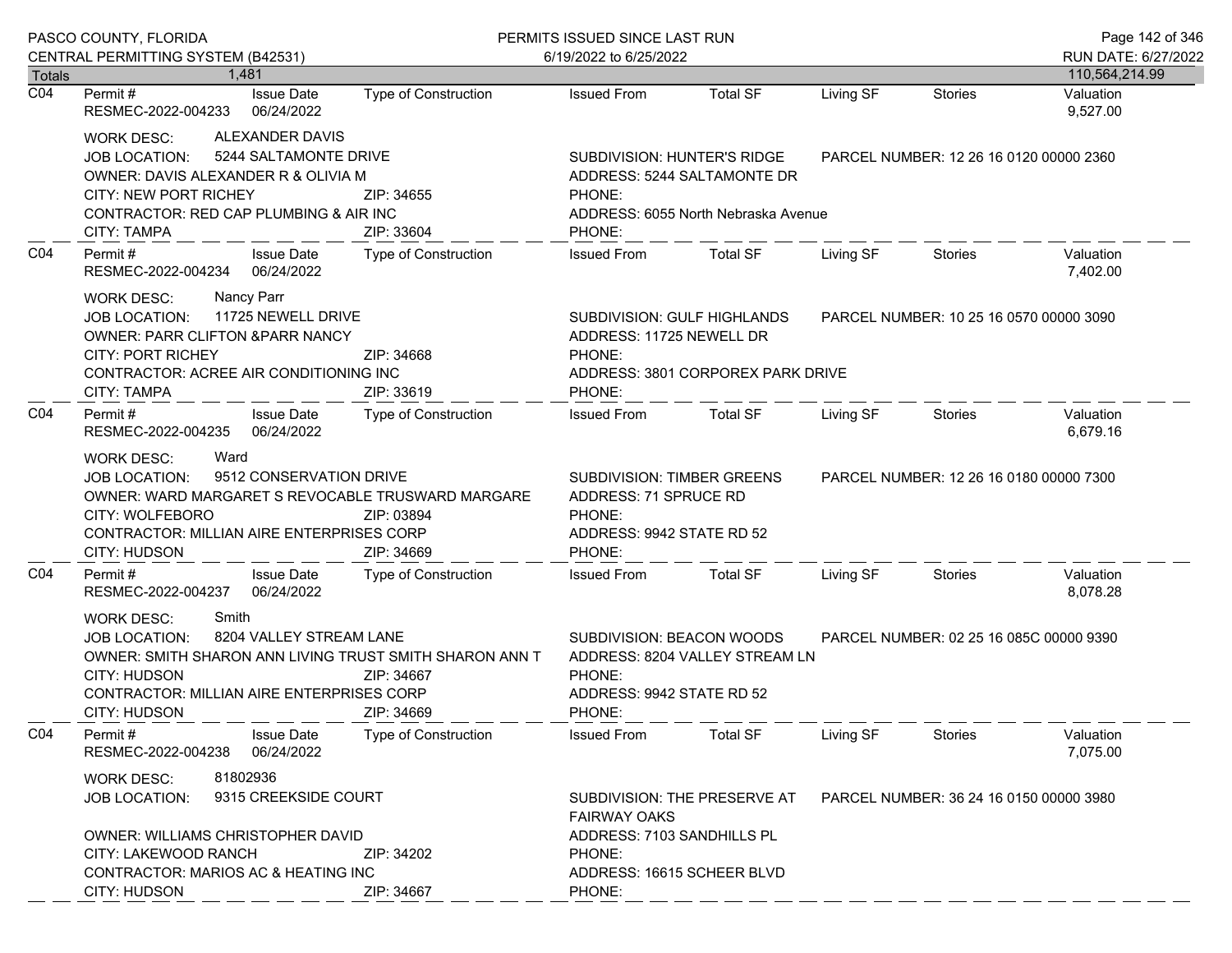|                            | PASCO COUNTY, FLORIDA                                                                                                                                                                                                                                                                                                                                         |                                                   | PERMITS ISSUED SINCE LAST RUN                                                                        |                                                                                                   |                                         |                                         | Page 142 of 346                       |
|----------------------------|---------------------------------------------------------------------------------------------------------------------------------------------------------------------------------------------------------------------------------------------------------------------------------------------------------------------------------------------------------------|---------------------------------------------------|------------------------------------------------------------------------------------------------------|---------------------------------------------------------------------------------------------------|-----------------------------------------|-----------------------------------------|---------------------------------------|
|                            | CENTRAL PERMITTING SYSTEM (B42531)<br>1.481                                                                                                                                                                                                                                                                                                                   |                                                   | 6/19/2022 to 6/25/2022                                                                               |                                                                                                   |                                         |                                         | RUN DATE: 6/27/2022<br>110,564,214.99 |
| Totals<br>$\overline{CO4}$ | <b>Issue Date</b><br>Permit #<br>RESMEC-2022-004233<br>06/24/2022                                                                                                                                                                                                                                                                                             | Type of Construction                              | <b>Issued From</b>                                                                                   | <b>Total SF</b>                                                                                   | Living SF                               | Stories                                 | Valuation<br>9,527.00                 |
|                            | ALEXANDER DAVIS<br>WORK DESC:<br><b>JOB LOCATION:</b><br>OWNER: DAVIS ALEXANDER R & OLIVIA M<br><b>CITY: NEW PORT RICHEY</b><br>CONTRACTOR: RED CAP PLUMBING & AIR INC<br><b>CITY: TAMPA</b>                                                                                                                                                                  | 5244 SALTAMONTE DRIVE<br>ZIP: 34655<br>ZIP: 33604 |                                                                                                      | SUBDIVISION: HUNTER'S RIDGE<br>ADDRESS: 5244 SALTAMONTE DR<br>ADDRESS: 6055 North Nebraska Avenue |                                         | PARCEL NUMBER: 12 26 16 0120 00000 2360 |                                       |
| CO <sub>4</sub>            | Permit#<br><b>Issue Date</b><br>RESMEC-2022-004234 06/24/2022                                                                                                                                                                                                                                                                                                 | <b>Type of Construction</b>                       | <b>Issued From</b>                                                                                   | <b>Total SF</b>                                                                                   | Living SF                               | Stories                                 | Valuation<br>7,402.00                 |
|                            | Nancy Parr<br><b>WORK DESC:</b><br>JOB LOCATION: 11725 NEWELL DRIVE<br>SUBDIVISION: GULF HIGHLANDS<br><b>OWNER: PARR CLIFTON &amp;PARR NANCY</b><br>ADDRESS: 11725 NEWELL DR<br><b>CITY: PORT RICHEY</b><br>ZIP: 34668<br>PHONE:<br>CONTRACTOR: ACREE AIR CONDITIONING INC<br>ADDRESS: 3801 CORPOREX PARK DRIVE<br>PHONE:<br><b>CITY: TAMPA</b><br>ZIP: 33619 |                                                   |                                                                                                      |                                                                                                   |                                         | PARCEL NUMBER: 10 25 16 0570 00000 3090 |                                       |
| CO <sub>4</sub>            | Permit#<br><b>Issue Date</b><br>RESMEC-2022-004235 06/24/2022                                                                                                                                                                                                                                                                                                 | <b>Type of Construction</b>                       | <b>Issued From</b>                                                                                   | Total SF                                                                                          | Living SF                               | Stories                                 | Valuation<br>6,679.16                 |
|                            | Ward<br><b>WORK DESC:</b><br>9512 CONSERVATION DRIVE<br><b>JOB LOCATION:</b><br>OWNER: WARD MARGARET S REVOCABLE TRUSWARD MARGARE<br>CITY: WOLFEBORO<br>CONTRACTOR: MILLIAN AIRE ENTERPRISES CORP<br>CITY: HUDSON                                                                                                                                             | ZIP: 03894<br>ZIP: 34669                          | SUBDIVISION: TIMBER GREENS<br>ADDRESS: 71 SPRUCE RD<br>PHONE:<br>ADDRESS: 9942 STATE RD 52<br>PHONE: |                                                                                                   | PARCEL NUMBER: 12 26 16 0180 00000 7300 |                                         |                                       |
| CO <sub>4</sub>            | <b>Issue Date</b><br>Permit #<br>RESMEC-2022-004237 06/24/2022                                                                                                                                                                                                                                                                                                | Type of Construction                              | <b>Issued From</b>                                                                                   | Total SF                                                                                          | Living SF                               | Stories                                 | Valuation<br>8,078.28                 |
|                            | Smith<br><b>WORK DESC:</b><br>8204 VALLEY STREAM LANE<br><b>JOB LOCATION:</b><br>OWNER: SMITH SHARON ANN LIVING TRUST SMITH SHARON ANN T<br><b>CITY: HUDSON</b><br>ZIP: 34667<br>CONTRACTOR: MILLIAN AIRE ENTERPRISES CORP<br>CITY: HUDSON<br>ZIP: 34669                                                                                                      |                                                   | SUBDIVISION: BEACON WOODS<br>PHONE:<br>ADDRESS: 9942 STATE RD 52<br>PHONE:                           | ADDRESS: 8204 VALLEY STREAM LN                                                                    |                                         | PARCEL NUMBER: 02 25 16 085C 00000 9390 |                                       |
| CO <sub>4</sub>            | Permit#<br><b>Issue Date</b><br>RESMEC-2022-004238<br>06/24/2022                                                                                                                                                                                                                                                                                              | Type of Construction                              | <b>Issued From</b>                                                                                   | <b>Total SF</b>                                                                                   | Living SF                               | Stories                                 | Valuation<br>7,075.00                 |
|                            | 81802936<br><b>WORK DESC:</b><br>9315 CREEKSIDE COURT<br><b>JOB LOCATION:</b><br>OWNER: WILLIAMS CHRISTOPHER DAVID<br>CITY: LAKEWOOD RANCH<br>ZIP: 34202                                                                                                                                                                                                      |                                                   | SUBDIVISION: THE PRESERVE AT<br><b>FAIRWAY OAKS</b><br>ADDRESS: 7103 SANDHILLS PL<br>PHONE:          |                                                                                                   | PARCEL NUMBER: 36 24 16 0150 00000 3980 |                                         |                                       |
|                            | CONTRACTOR: MARIOS AC & HEATING INC<br>CITY: HUDSON                                                                                                                                                                                                                                                                                                           | ZIP: 34667                                        | ADDRESS: 16615 SCHEER BLVD<br>PHONE:                                                                 |                                                                                                   |                                         |                                         |                                       |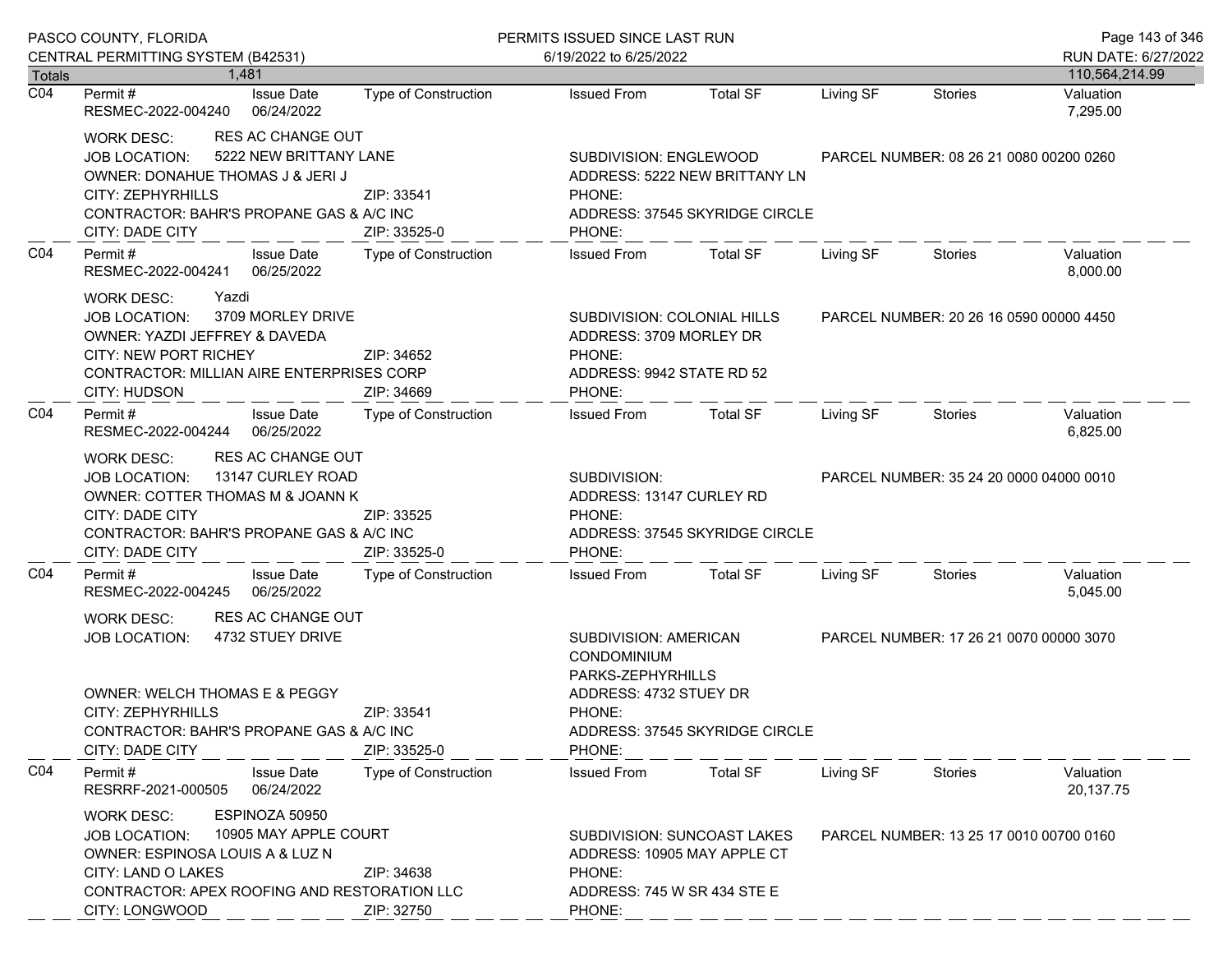|                  | PASCO COUNTY, FLORIDA                                                                                                                                                                                                                                   |                             | PERMITS ISSUED SINCE LAST RUN                                                                                                             | Page 143 of 346                         |           |                                         |                        |  |
|------------------|---------------------------------------------------------------------------------------------------------------------------------------------------------------------------------------------------------------------------------------------------------|-----------------------------|-------------------------------------------------------------------------------------------------------------------------------------------|-----------------------------------------|-----------|-----------------------------------------|------------------------|--|
|                  | CENTRAL PERMITTING SYSTEM (B42531)                                                                                                                                                                                                                      |                             | 6/19/2022 to 6/25/2022                                                                                                                    |                                         |           |                                         | RUN DATE: 6/27/2022    |  |
| <b>Totals</b>    | 1.481                                                                                                                                                                                                                                                   |                             |                                                                                                                                           |                                         |           |                                         | 110,564,214.99         |  |
| $\overline{CO4}$ | <b>Issue Date</b><br>Permit#<br>06/24/2022<br>RESMEC-2022-004240                                                                                                                                                                                        | <b>Type of Construction</b> | <b>Issued From</b>                                                                                                                        | <b>Total SF</b>                         | Living SF | Stories                                 | Valuation<br>7,295.00  |  |
|                  | <b>RES AC CHANGE OUT</b><br>WORK DESC:<br>5222 NEW BRITTANY LANE<br><b>JOB LOCATION:</b><br>OWNER: DONAHUE THOMAS J & JERI J<br>CITY: ZEPHYRHILLS<br>CONTRACTOR: BAHR'S PROPANE GAS & A/C INC<br><b>CITY: DADE CITY</b>                                 | ZIP: 33541<br>ZIP: 33525-0  | SUBDIVISION: ENGLEWOOD<br>ADDRESS: 5222 NEW BRITTANY LN<br>PHONE:<br>ADDRESS: 37545 SKYRIDGE CIRCLE<br>PHONE:                             |                                         |           | PARCEL NUMBER: 08 26 21 0080 00200 0260 |                        |  |
| CO <sub>4</sub>  | Permit#<br><b>Issue Date</b><br>RESMEC-2022-004241 06/25/2022                                                                                                                                                                                           | Type of Construction        | <b>Issued From</b>                                                                                                                        | <b>Total SF</b>                         | Living SF | Stories                                 | Valuation<br>8,000.00  |  |
|                  | Yazdi<br><b>WORK DESC:</b><br>3709 MORLEY DRIVE<br><b>JOB LOCATION:</b><br>OWNER: YAZDI JEFFREY & DAVEDA<br><b>CITY: NEW PORT RICHEY</b><br>CONTRACTOR: MILLIAN AIRE ENTERPRISES CORP<br>CITY: HUDSON                                                   | ZIP: 34652<br>ZIP: 34669    | SUBDIVISION: COLONIAL HILLS<br>ADDRESS: 3709 MORLEY DR<br>PHONE:<br>ADDRESS: 9942 STATE RD 52<br>PHONE:                                   |                                         |           | PARCEL NUMBER: 20 26 16 0590 00000 4450 |                        |  |
| CO <sub>4</sub>  | Permit#<br><b>Issue Date</b><br>06/25/2022<br>RESMEC-2022-004244                                                                                                                                                                                        | Type of Construction        | <b>Issued From</b>                                                                                                                        | Total SF                                | Living SF | Stories                                 | Valuation<br>6,825.00  |  |
|                  | <b>RES AC CHANGE OUT</b><br>WORK DESC:<br>13147 CURLEY ROAD<br><b>JOB LOCATION:</b><br>OWNER: COTTER THOMAS M & JOANN K<br>CITY: DADE CITY<br>CONTRACTOR: BAHR'S PROPANE GAS & A/C INC<br>CITY: DADE CITY                                               | ZIP: 33525<br>ZIP: 33525-0  | SUBDIVISION:<br>ADDRESS: 13147 CURLEY RD<br>PHONE:<br>PHONE:                                                                              | ADDRESS: 37545 SKYRIDGE CIRCLE          |           | PARCEL NUMBER: 35 24 20 0000 04000 0010 |                        |  |
| CO <sub>4</sub>  | <b>Issue Date</b><br>Permit#<br>RESMEC-2022-004245<br>06/25/2022                                                                                                                                                                                        | Type of Construction        | <b>Issued From</b>                                                                                                                        | <b>Total SF</b>                         | Living SF | Stories                                 | Valuation<br>5,045.00  |  |
|                  | <b>RES AC CHANGE OUT</b><br><b>WORK DESC:</b><br>4732 STUEY DRIVE<br><b>JOB LOCATION:</b><br><b>OWNER: WELCH THOMAS E &amp; PEGGY</b><br>CITY: ZEPHYRHILLS<br>ZIP: 33541<br>CONTRACTOR: BAHR'S PROPANE GAS & A/C INC<br>CITY: DADE CITY<br>ZIP: 33525-0 |                             | SUBDIVISION: AMERICAN<br>CONDOMINIUM<br>PARKS-ZEPHYRHILLS<br>ADDRESS: 4732 STUEY DR<br>PHONE:<br>ADDRESS: 37545 SKYRIDGE CIRCLE<br>PHONE: | PARCEL NUMBER: 17 26 21 0070 00000 3070 |           |                                         |                        |  |
| CO <sub>4</sub>  | Permit#<br><b>Issue Date</b><br>RESRRF-2021-000505<br>06/24/2022                                                                                                                                                                                        | <b>Type of Construction</b> | <b>Issued From</b>                                                                                                                        | <b>Total SF</b>                         | Living SF | Stories                                 | Valuation<br>20,137.75 |  |
|                  | ESPINOZA 50950<br><b>WORK DESC:</b><br>10905 MAY APPLE COURT<br><b>JOB LOCATION:</b><br>OWNER: ESPINOSA LOUIS A & LUZ N<br>CITY: LAND O LAKES<br>CONTRACTOR: APEX ROOFING AND RESTORATION LLC<br>CITY: LONGWOOD                                         | ZIP: 34638<br>ZIP: 32750    | ADDRESS: 10905 MAY APPLE CT<br>PHONE:<br>ADDRESS: 745 W SR 434 STE E<br>PHONE:                                                            | SUBDIVISION: SUNCOAST LAKES             |           | PARCEL NUMBER: 13 25 17 0010 00700 0160 |                        |  |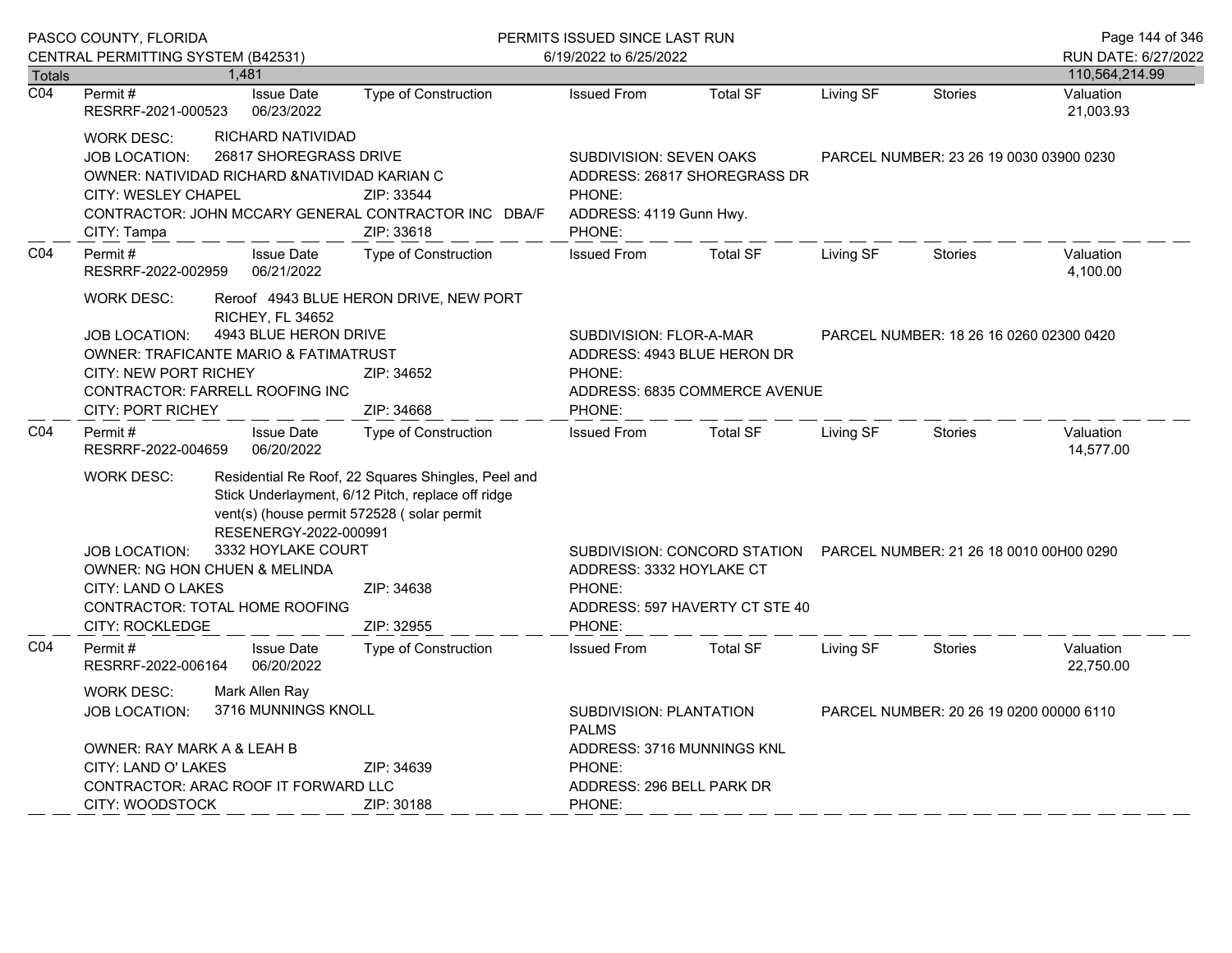|                  | PASCO COUNTY, FLORIDA<br>CENTRAL PERMITTING SYSTEM (B42531)                                                                                                                                                                                                                                                                                                                        |                                 |                                                                                                                                                         | PERMITS ISSUED SINCE LAST RUN<br>6/19/2022 to 6/25/2022                                                        |                                         |           |                                         | Page 144 of 346<br>RUN DATE: 6/27/2022 |
|------------------|------------------------------------------------------------------------------------------------------------------------------------------------------------------------------------------------------------------------------------------------------------------------------------------------------------------------------------------------------------------------------------|---------------------------------|---------------------------------------------------------------------------------------------------------------------------------------------------------|----------------------------------------------------------------------------------------------------------------|-----------------------------------------|-----------|-----------------------------------------|----------------------------------------|
| <b>Totals</b>    |                                                                                                                                                                                                                                                                                                                                                                                    | 1,481                           |                                                                                                                                                         |                                                                                                                |                                         |           |                                         | 110,564,214.99                         |
| $\overline{CO4}$ | Permit#<br>RESRRF-2021-000523                                                                                                                                                                                                                                                                                                                                                      | <b>Issue Date</b><br>06/23/2022 | Type of Construction                                                                                                                                    | <b>Issued From</b>                                                                                             | <b>Total SF</b>                         | Living SF | Stories                                 | Valuation<br>21,003.93                 |
|                  | RICHARD NATIVIDAD<br><b>WORK DESC:</b><br>26817 SHOREGRASS DRIVE<br><b>JOB LOCATION:</b><br>OWNER: NATIVIDAD RICHARD & NATIVIDAD KARIAN C<br><b>CITY: WESLEY CHAPEL</b><br>ZIP: 33544<br>CONTRACTOR: JOHN MCCARY GENERAL CONTRACTOR INC DBA/F<br>ZIP: 33618<br>CITY: Tampa                                                                                                         |                                 | <b>SUBDIVISION: SEVEN OAKS</b><br>ADDRESS: 26817 SHOREGRASS DR<br>PHONE:<br>ADDRESS: 4119 Gunn Hwy.<br>PHONE:                                           |                                                                                                                | PARCEL NUMBER: 23 26 19 0030 03900 0230 |           |                                         |                                        |
| CO <sub>4</sub>  | Type of Construction<br>Permit#<br><b>Issue Date</b><br>06/21/2022<br>RESRRF-2022-002959                                                                                                                                                                                                                                                                                           |                                 |                                                                                                                                                         | <b>Issued From</b>                                                                                             | <b>Total SF</b>                         | Living SF | <b>Stories</b>                          | Valuation<br>4,100.00                  |
|                  | <b>WORK DESC:</b><br>Reroof 4943 BLUE HERON DRIVE, NEW PORT<br><b>RICHEY, FL 34652</b><br>4943 BLUE HERON DRIVE<br><b>JOB LOCATION:</b><br><b>OWNER: TRAFICANTE MARIO &amp; FATIMATRUST</b><br><b>CITY: NEW PORT RICHEY</b><br>CONTRACTOR: FARRELL ROOFING INC<br><b>CITY: PORT RICHEY</b>                                                                                         |                                 | ZIP: 34652<br>ZIP: 34668                                                                                                                                | SUBDIVISION: FLOR-A-MAR<br>ADDRESS: 4943 BLUE HERON DR<br>PHONE:<br>ADDRESS: 6835 COMMERCE AVENUE<br>PHONE:    |                                         |           | PARCEL NUMBER: 18 26 16 0260 02300 0420 |                                        |
| C04              | Permit#<br>RESRRF-2022-004659                                                                                                                                                                                                                                                                                                                                                      | <b>Issue Date</b><br>06/20/2022 | <b>Type of Construction</b>                                                                                                                             | <b>Issued From</b>                                                                                             | <b>Total SF</b>                         | Living SF | <b>Stories</b>                          | Valuation<br>14,577.00                 |
|                  | <b>WORK DESC:</b><br>Residential Re Roof, 22 Squares Shingles, Peel and<br>Stick Underlayment, 6/12 Pitch, replace off ridge<br>vent(s) (house permit 572528 (solar permit<br>RESENERGY-2022-000991<br>3332 HOYLAKE COURT<br><b>JOB LOCATION:</b><br>OWNER: NG HON CHUEN & MELINDA<br>CITY: LAND O LAKES<br>ZIP: 34638<br>CONTRACTOR: TOTAL HOME ROOFING<br><b>CITY: ROCKLEDGE</b> |                                 | ZIP: 32955                                                                                                                                              | SUBDIVISION: CONCORD STATION<br>ADDRESS: 3332 HOYLAKE CT<br>PHONE:<br>ADDRESS: 597 HAVERTY CT STE 40<br>PHONE: |                                         |           | PARCEL NUMBER: 21 26 18 0010 00H00 0290 |                                        |
| C04              | Permit#<br>RESRRF-2022-006164                                                                                                                                                                                                                                                                                                                                                      | <b>Issue Date</b><br>06/20/2022 | Type of Construction                                                                                                                                    | <b>Issued From</b>                                                                                             | <b>Total SF</b>                         | Living SF | <b>Stories</b>                          | Valuation<br>22,750.00                 |
|                  | Mark Allen Ray<br><b>WORK DESC:</b><br>3716 MUNNINGS KNOLL<br><b>JOB LOCATION:</b><br>OWNER: RAY MARK A & LEAH B<br>ZIP: 34639<br>CITY: LAND O' LAKES<br>CONTRACTOR: ARAC ROOF IT FORWARD LLC                                                                                                                                                                                      |                                 | SUBDIVISION: PLANTATION<br>PARCEL NUMBER: 20 26 19 0200 00000 6110<br><b>PALMS</b><br>ADDRESS: 3716 MUNNINGS KNL<br>PHONE:<br>ADDRESS: 296 BELL PARK DR |                                                                                                                |                                         |           |                                         |                                        |
|                  | CITY: WOODSTOCK                                                                                                                                                                                                                                                                                                                                                                    |                                 | ZIP: 30188                                                                                                                                              | PHONE:                                                                                                         |                                         |           |                                         |                                        |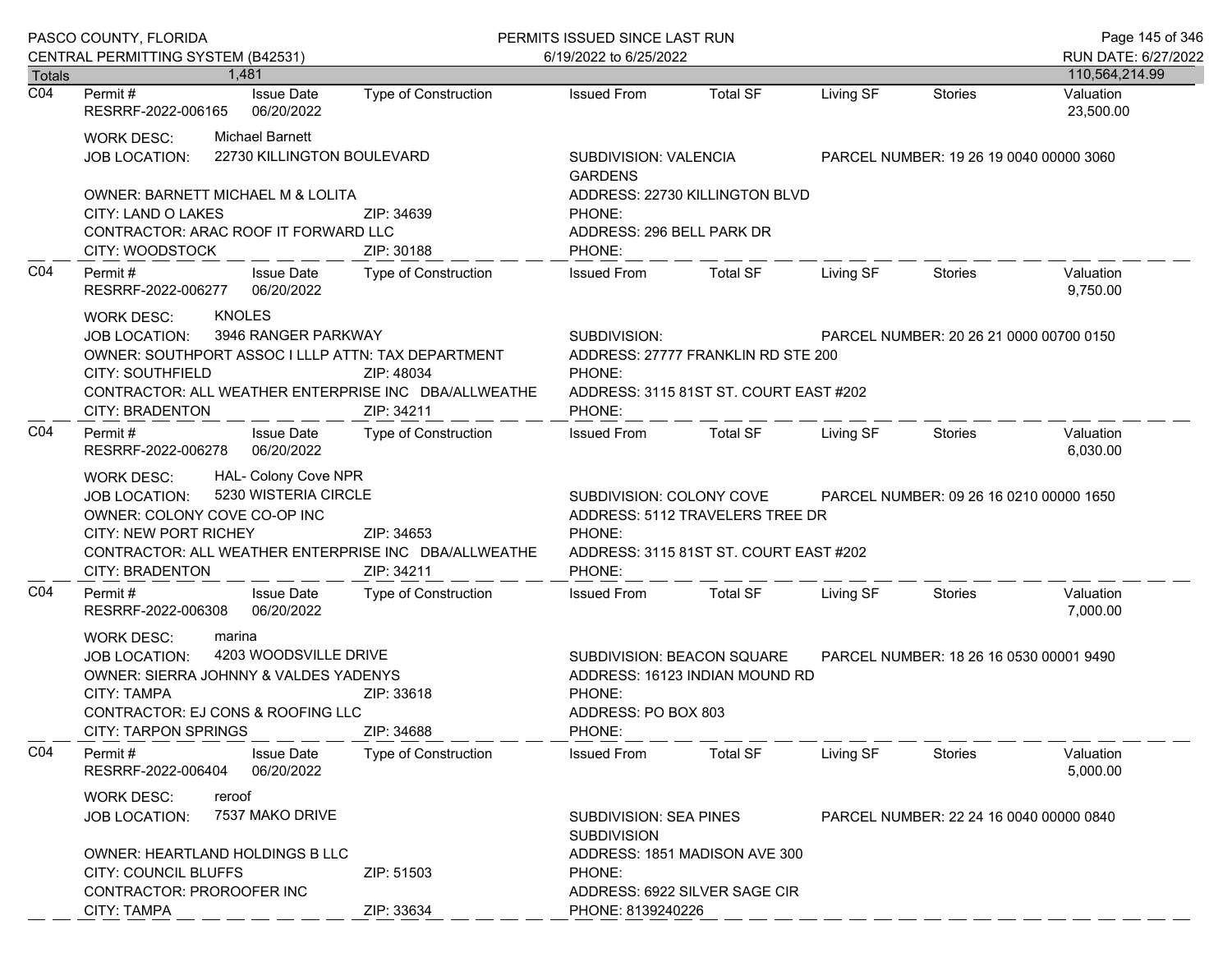|                 | PASCO COUNTY, FLORIDA<br>CENTRAL PERMITTING SYSTEM (B42531)                                                                                                                                                                                                               |                                               |                                                                                                                           | PERMITS ISSUED SINCE LAST RUN<br>6/19/2022 to 6/25/2022                                                                                            |                                                                              |                                         |                                         | Page 145 of 346<br>RUN DATE: 6/27/2022 |
|-----------------|---------------------------------------------------------------------------------------------------------------------------------------------------------------------------------------------------------------------------------------------------------------------------|-----------------------------------------------|---------------------------------------------------------------------------------------------------------------------------|----------------------------------------------------------------------------------------------------------------------------------------------------|------------------------------------------------------------------------------|-----------------------------------------|-----------------------------------------|----------------------------------------|
| <b>Totals</b>   |                                                                                                                                                                                                                                                                           | 1.481                                         |                                                                                                                           |                                                                                                                                                    |                                                                              |                                         |                                         | 110,564,214.99                         |
| CO <sub>4</sub> | Permit #<br>RESRRF-2022-006165                                                                                                                                                                                                                                            | <b>Issue Date</b><br>06/20/2022               | <b>Type of Construction</b>                                                                                               | <b>Issued From</b>                                                                                                                                 | <b>Total SF</b>                                                              | Living SF                               | <b>Stories</b>                          | Valuation<br>23,500.00                 |
|                 | WORK DESC:<br><b>JOB LOCATION:</b>                                                                                                                                                                                                                                        | Michael Barnett<br>22730 KILLINGTON BOULEVARD |                                                                                                                           | SUBDIVISION: VALENCIA<br><b>GARDENS</b>                                                                                                            |                                                                              |                                         | PARCEL NUMBER: 19 26 19 0040 00000 3060 |                                        |
|                 | OWNER: BARNETT MICHAEL M & LOLITA<br>CITY: LAND O LAKES<br>CONTRACTOR: ARAC ROOF IT FORWARD LLC<br>CITY: WOODSTOCK                                                                                                                                                        |                                               | ZIP: 34639<br>ZIP: 30188                                                                                                  | PHONE:<br>ADDRESS: 296 BELL PARK DR<br>PHONE:                                                                                                      | ADDRESS: 22730 KILLINGTON BLVD                                               |                                         |                                         |                                        |
| CO <sub>4</sub> | Permit #<br>RESRRF-2022-006277 06/20/2022                                                                                                                                                                                                                                 | Issue Date                                    | Type of Construction                                                                                                      | Issued From                                                                                                                                        | Total SF                                                                     | Living SF                               | Stories                                 | Valuation<br>9,750.00                  |
|                 | <b>KNOLES</b><br>WORK DESC:<br>3946 RANGER PARKWAY<br><b>JOB LOCATION:</b><br>OWNER: SOUTHPORT ASSOC I LLLP ATTN: TAX DEPARTMENT<br><b>CITY: SOUTHFIELD</b><br>ZIP: 48034<br>CONTRACTOR: ALL WEATHER ENTERPRISE INC DBA/ALLWEATHE<br>ZIP: 34211<br><b>CITY: BRADENTON</b> |                                               |                                                                                                                           | SUBDIVISION:<br>PHONE:<br>PHONE:                                                                                                                   | ADDRESS: 27777 FRANKLIN RD STE 200<br>ADDRESS: 3115 81ST ST. COURT EAST #202 | PARCEL NUMBER: 20 26 21 0000 00700 0150 |                                         |                                        |
| CO <sub>4</sub> | Permit#<br>RESRRF-2022-006278 06/20/2022                                                                                                                                                                                                                                  | <b>Issue Date</b>                             | Type of Construction                                                                                                      | <b>Issued From</b>                                                                                                                                 | Total SF                                                                     | Living SF                               | Stories                                 | Valuation<br>6,030.00                  |
|                 | HAL- Colony Cove NPR<br><b>WORK DESC:</b><br>5230 WISTERIA CIRCLE<br><b>JOB LOCATION:</b><br>OWNER: COLONY COVE CO-OP INC<br><b>CITY: NEW PORT RICHEY</b><br>ZIP: 34653<br>CONTRACTOR: ALL WEATHER ENTERPRISE INC DBA/ALLWEATHE<br>CITY: BRADENTON<br>ZIP: 34211          |                                               | SUBDIVISION: COLONY COVE<br>ADDRESS: 5112 TRAVELERS TREE DR<br>PHONE:<br>ADDRESS: 3115 81ST ST. COURT EAST #202<br>PHONE: |                                                                                                                                                    | PARCEL NUMBER: 09 26 16 0210 00000 1650                                      |                                         |                                         |                                        |
| CO <sub>4</sub> | Permit#<br>RESRRF-2022-006308                                                                                                                                                                                                                                             | <b>Issue Date</b><br>06/20/2022               | Type of Construction                                                                                                      | <b>Issued From</b>                                                                                                                                 | <b>Total SF</b>                                                              | Living SF                               | Stories                                 | Valuation<br>7,000.00                  |
|                 | WORK DESC:<br>marina<br>4203 WOODSVILLE DRIVE<br><b>JOB LOCATION:</b><br>OWNER: SIERRA JOHNNY & VALDES YADENYS<br><b>CITY: TAMPA</b><br>ZIP: 33618<br>CONTRACTOR: EJ CONS & ROOFING LLC<br><b>CITY: TARPON SPRINGS</b>                                                    |                                               | ZIP: 34688                                                                                                                | SUBDIVISION: BEACON SQUARE<br>PARCEL NUMBER: 18 26 16 0530 00001 9490<br>ADDRESS: 16123 INDIAN MOUND RD<br>PHONE:<br>ADDRESS: PO BOX 803<br>PHONE: |                                                                              |                                         |                                         |                                        |
| CO <sub>4</sub> | Permit#<br>RESRRF-2022-006404                                                                                                                                                                                                                                             | <b>Issue Date</b><br>06/20/2022               | Type of Construction                                                                                                      | <b>Issued From</b>                                                                                                                                 | <b>Total SF</b>                                                              | Living SF                               | Stories                                 | Valuation<br>5,000.00                  |
|                 | reroof<br><b>WORK DESC:</b><br>7537 MAKO DRIVE<br><b>JOB LOCATION:</b>                                                                                                                                                                                                    |                                               | <b>SUBDIVISION: SEA PINES</b><br><b>SUBDIVISION</b>                                                                       |                                                                                                                                                    |                                                                              | PARCEL NUMBER: 22 24 16 0040 00000 0840 |                                         |                                        |
|                 | OWNER: HEARTLAND HOLDINGS B LLC<br>CITY: COUNCIL BLUFFS<br>CONTRACTOR: PROROOFER INC<br>CITY: TAMPA                                                                                                                                                                       |                                               | ZIP: 51503<br>ZIP: 33634                                                                                                  | PHONE:<br>PHONE: 8139240226                                                                                                                        | ADDRESS: 1851 MADISON AVE 300<br>ADDRESS: 6922 SILVER SAGE CIR               |                                         |                                         |                                        |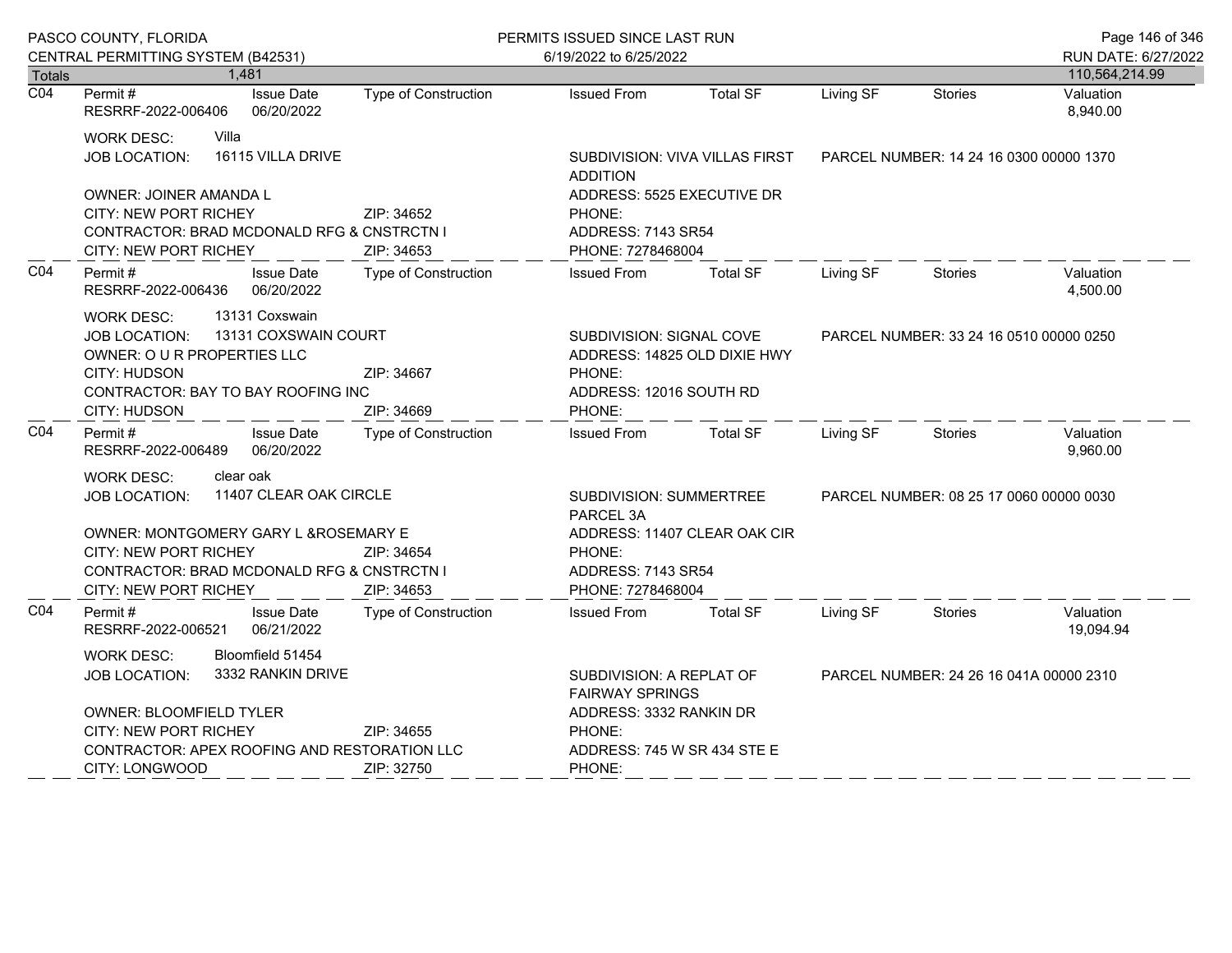|                                   | PASCO COUNTY, FLORIDA                                                                                                                                                                           |                                 | PERMITS ISSUED SINCE LAST RUN |                                                                                                         |                                         |                                         |                                         | Page 146 of 346        |
|-----------------------------------|-------------------------------------------------------------------------------------------------------------------------------------------------------------------------------------------------|---------------------------------|-------------------------------|---------------------------------------------------------------------------------------------------------|-----------------------------------------|-----------------------------------------|-----------------------------------------|------------------------|
|                                   | CENTRAL PERMITTING SYSTEM (B42531)                                                                                                                                                              |                                 |                               | 6/19/2022 to 6/25/2022                                                                                  |                                         |                                         |                                         | RUN DATE: 6/27/2022    |
| <b>Totals</b><br>$\overline{CO4}$ | 1,481                                                                                                                                                                                           |                                 |                               |                                                                                                         |                                         |                                         |                                         | 110,564,214.99         |
|                                   | Permit#<br>RESRRF-2022-006406                                                                                                                                                                   | <b>Issue Date</b><br>06/20/2022 | <b>Type of Construction</b>   | <b>Issued From</b>                                                                                      | <b>Total SF</b>                         | Living SF                               | <b>Stories</b>                          | Valuation<br>8,940.00  |
|                                   | Villa<br><b>WORK DESC:</b><br>16115 VILLA DRIVE<br><b>JOB LOCATION:</b>                                                                                                                         |                                 |                               | SUBDIVISION: VIVA VILLAS FIRST<br><b>ADDITION</b>                                                       | PARCEL NUMBER: 14 24 16 0300 00000 1370 |                                         |                                         |                        |
|                                   | OWNER: JOINER AMANDA L<br><b>CITY: NEW PORT RICHEY</b><br>CONTRACTOR: BRAD MCDONALD RFG & CNSTRCTN I<br>CITY: NEW PORT RICHEY                                                                   | ZIP: 34652<br>ZIP: 34653        |                               | ADDRESS: 5525 EXECUTIVE DR<br>PHONE:<br>ADDRESS: 7143 SR54<br>PHONE: 7278468004                         |                                         |                                         |                                         |                        |
| CO <sub>4</sub>                   | Permit#<br>RESRRF-2022-006436                                                                                                                                                                   | <b>Issue Date</b><br>06/20/2022 | Type of Construction          | <b>Issued From</b>                                                                                      | <b>Total SF</b>                         | Living SF                               | <b>Stories</b>                          | Valuation<br>4,500.00  |
|                                   | 13131 Coxswain<br><b>WORK DESC:</b><br>13131 COXSWAIN COURT<br><b>JOB LOCATION:</b><br>OWNER: O U R PROPERTIES LLC<br>CITY: HUDSON<br>CONTRACTOR: BAY TO BAY ROOFING INC<br><b>CITY: HUDSON</b> |                                 | ZIP: 34667<br>ZIP: 34669      | SUBDIVISION: SIGNAL COVE<br>ADDRESS: 14825 OLD DIXIE HWY<br>PHONE:<br>ADDRESS: 12016 SOUTH RD<br>PHONE: |                                         | PARCEL NUMBER: 33 24 16 0510 00000 0250 |                                         |                        |
| CO <sub>4</sub>                   | Permit#<br>RESRRF-2022-006489                                                                                                                                                                   | <b>Issue Date</b><br>06/20/2022 | Type of Construction          | <b>Issued From</b>                                                                                      | <b>Total SF</b>                         | Living SF                               | <b>Stories</b>                          | Valuation<br>9,960.00  |
|                                   | clear oak<br>WORK DESC:<br>11407 CLEAR OAK CIRCLE<br><b>JOB LOCATION:</b><br>OWNER: MONTGOMERY GARY L & ROSEMARY E<br>CITY: NEW PORT RICHEY                                                     |                                 | ZIP: 34654                    | SUBDIVISION: SUMMERTREE<br>PARCEL 3A<br>ADDRESS: 11407 CLEAR OAK CIR<br>PHONE:                          |                                         | PARCEL NUMBER: 08 25 17 0060 00000 0030 |                                         |                        |
|                                   | CONTRACTOR: BRAD MCDONALD RFG & CNSTRCTN I<br><b>CITY: NEW PORT RICHEY</b>                                                                                                                      | ZIP: 34653                      |                               | ADDRESS: 7143 SR54<br>PHONE: 7278468004                                                                 |                                         |                                         |                                         |                        |
| CO <sub>4</sub>                   | Permit#<br>RESRRF-2022-006521                                                                                                                                                                   | <b>Issue Date</b><br>06/21/2022 | <b>Type of Construction</b>   | <b>Issued From</b>                                                                                      | <b>Total SF</b>                         | Living SF                               | Stories                                 | Valuation<br>19,094.94 |
|                                   | Bloomfield 51454<br><b>WORK DESC:</b><br>3332 RANKIN DRIVE<br><b>JOB LOCATION:</b>                                                                                                              |                                 |                               | SUBDIVISION: A REPLAT OF<br><b>FAIRWAY SPRINGS</b><br>ADDRESS: 3332 RANKIN DR                           |                                         |                                         | PARCEL NUMBER: 24 26 16 041A 00000 2310 |                        |
|                                   | OWNER: BLOOMFIELD TYLER<br><b>CITY: NEW PORT RICHEY</b><br>ZIP: 34655<br>CONTRACTOR: APEX ROOFING AND RESTORATION LLC                                                                           |                                 |                               | PHONE:<br>ADDRESS: 745 W SR 434 STE E                                                                   |                                         |                                         |                                         |                        |
|                                   | CITY: LONGWOOD<br>ZIP: 32750                                                                                                                                                                    |                                 |                               | PHONE:                                                                                                  |                                         |                                         |                                         |                        |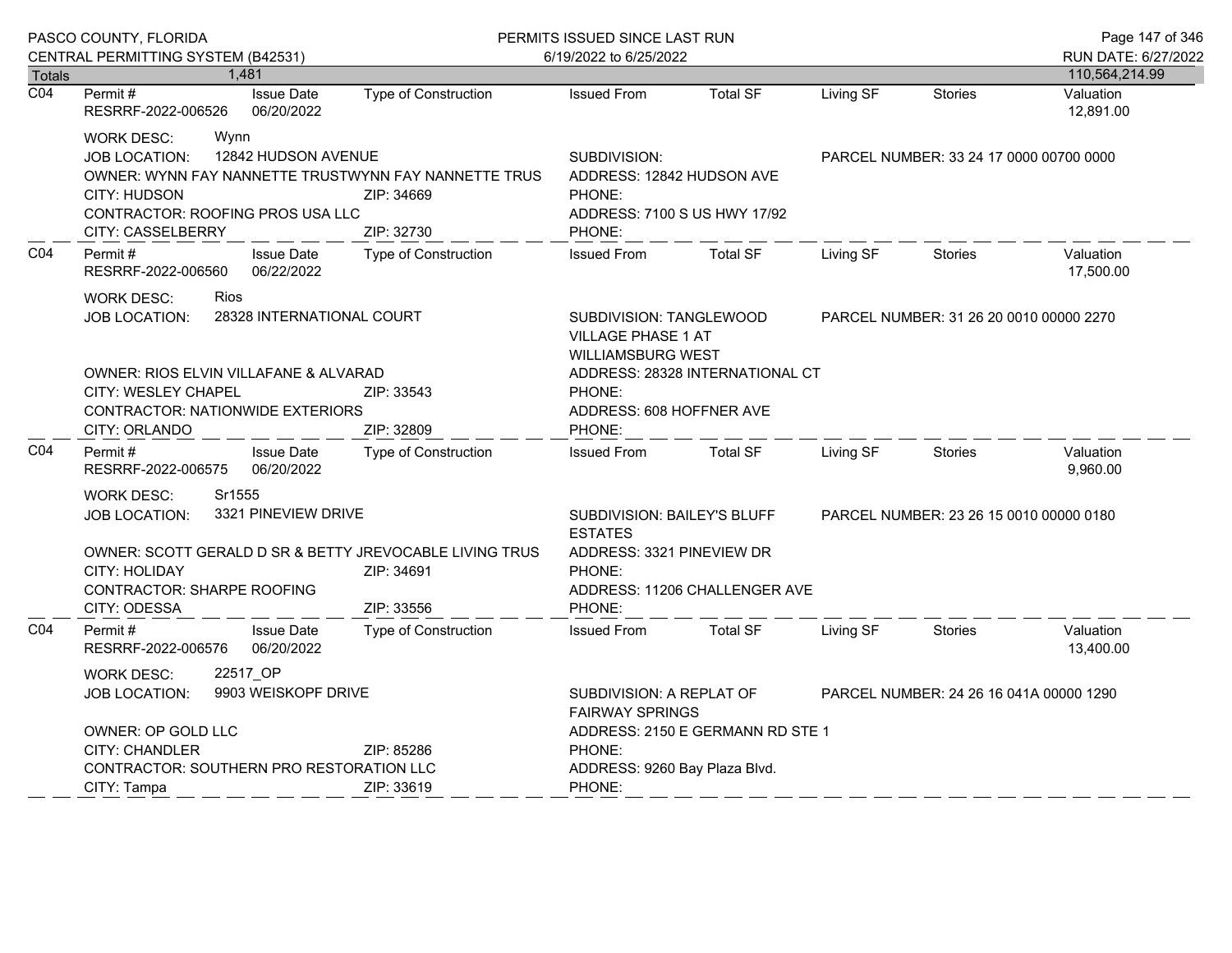|                  | PASCO COUNTY, FLORIDA                                                                                                                                                                              |                                 | PERMITS ISSUED SINCE LAST RUN<br>6/19/2022 to 6/25/2022                          |                                                                                                  |                                         |                                         |                                         | Page 147 of 346                       |
|------------------|----------------------------------------------------------------------------------------------------------------------------------------------------------------------------------------------------|---------------------------------|----------------------------------------------------------------------------------|--------------------------------------------------------------------------------------------------|-----------------------------------------|-----------------------------------------|-----------------------------------------|---------------------------------------|
| <b>Totals</b>    | CENTRAL PERMITTING SYSTEM (B42531)                                                                                                                                                                 | 1,481                           |                                                                                  |                                                                                                  |                                         |                                         |                                         | RUN DATE: 6/27/2022<br>110,564,214.99 |
| $\overline{CO4}$ | Permit#<br>RESRRF-2022-006526                                                                                                                                                                      | <b>Issue Date</b><br>06/20/2022 | Type of Construction                                                             | <b>Issued From</b>                                                                               | <b>Total SF</b>                         | Living SF                               | Stories                                 | Valuation<br>12,891.00                |
|                  | <b>WORK DESC:</b><br>Wynn<br><b>JOB LOCATION:</b><br>CITY: HUDSON<br>CONTRACTOR: ROOFING PROS USA LLC<br><b>CITY: CASSELBERRY</b>                                                                  | 12842 HUDSON AVENUE             | OWNER: WYNN FAY NANNETTE TRUSTWYNN FAY NANNETTE TRUS<br>ZIP: 34669<br>ZIP: 32730 | SUBDIVISION:<br>ADDRESS: 12842 HUDSON AVE<br>PHONE:<br>ADDRESS: 7100 S US HWY 17/92<br>PHONE:    |                                         | PARCEL NUMBER: 33 24 17 0000 00700 0000 |                                         |                                       |
| CO <sub>4</sub>  | Permit#<br>RESRRF-2022-006560                                                                                                                                                                      | <b>Issue Date</b><br>06/22/2022 | <b>Type of Construction</b>                                                      | <b>Issued From</b>                                                                               | <b>Total SF</b>                         | Living SF                               | <b>Stories</b>                          | Valuation<br>17,500.00                |
|                  | Rios<br><b>WORK DESC:</b><br>28328 INTERNATIONAL COURT<br><b>JOB LOCATION:</b>                                                                                                                     |                                 |                                                                                  | SUBDIVISION: TANGLEWOOD<br><b>VILLAGE PHASE 1 AT</b><br><b>WILLIAMSBURG WEST</b>                 | PARCEL NUMBER: 31 26 20 0010 00000 2270 |                                         |                                         |                                       |
|                  | OWNER: RIOS ELVIN VILLAFANE & ALVARAD<br>CITY: WESLEY CHAPEL<br>ZIP: 33543<br>CONTRACTOR: NATIONWIDE EXTERIORS<br>CITY: ORLANDO<br>ZIP: 32809                                                      |                                 |                                                                                  | ADDRESS: 28328 INTERNATIONAL CT<br>PHONE:<br>ADDRESS: 608 HOFFNER AVE<br>PHONE:                  |                                         |                                         |                                         |                                       |
| CO <sub>4</sub>  | Permit#<br>RESRRF-2022-006575                                                                                                                                                                      | <b>Issue Date</b><br>06/20/2022 | Type of Construction                                                             | <b>Issued From</b>                                                                               | <b>Total SF</b>                         | Living SF                               | <b>Stories</b>                          | Valuation<br>9,960.00                 |
|                  | Sr1555<br><b>WORK DESC:</b><br>3321 PINEVIEW DRIVE<br>JOB LOCATION:<br>OWNER: SCOTT GERALD D SR & BETTY JREVOCABLE LIVING TRUS<br>CITY: HOLIDAY<br>ZIP: 34691<br><b>CONTRACTOR: SHARPE ROOFING</b> |                                 |                                                                                  | SUBDIVISION: BAILEY'S BLUFF<br><b>ESTATES</b><br>ADDRESS: 3321 PINEVIEW DR<br>PHONE:             | ADDRESS: 11206 CHALLENGER AVE           | PARCEL NUMBER: 23 26 15 0010 00000 0180 |                                         |                                       |
| CO <sub>4</sub>  | CITY: ODESSA<br>Permit#<br>RESRRF-2022-006576                                                                                                                                                      | <b>Issue Date</b><br>06/20/2022 | ZIP: 33556<br>Type of Construction                                               | PHONE:<br><b>Issued From</b>                                                                     | <b>Total SF</b>                         | Living SF                               | <b>Stories</b>                          | Valuation<br>13,400.00                |
|                  | <b>WORK DESC:</b><br>22517_OP<br>9903 WEISKOPF DRIVE<br><b>JOB LOCATION:</b><br>OWNER: OP GOLD LLC<br><b>CITY: CHANDLER</b>                                                                        |                                 | ZIP: 85286                                                                       | SUBDIVISION: A REPLAT OF<br><b>FAIRWAY SPRINGS</b><br>ADDRESS: 2150 E GERMANN RD STE 1<br>PHONE: |                                         |                                         | PARCEL NUMBER: 24 26 16 041A 00000 1290 |                                       |
|                  | CONTRACTOR: SOUTHERN PRO RESTORATION LLC<br>CITY: Tampa                                                                                                                                            |                                 | ZIP: 33619                                                                       | ADDRESS: 9260 Bay Plaza Blvd.<br>PHONE:                                                          |                                         |                                         |                                         |                                       |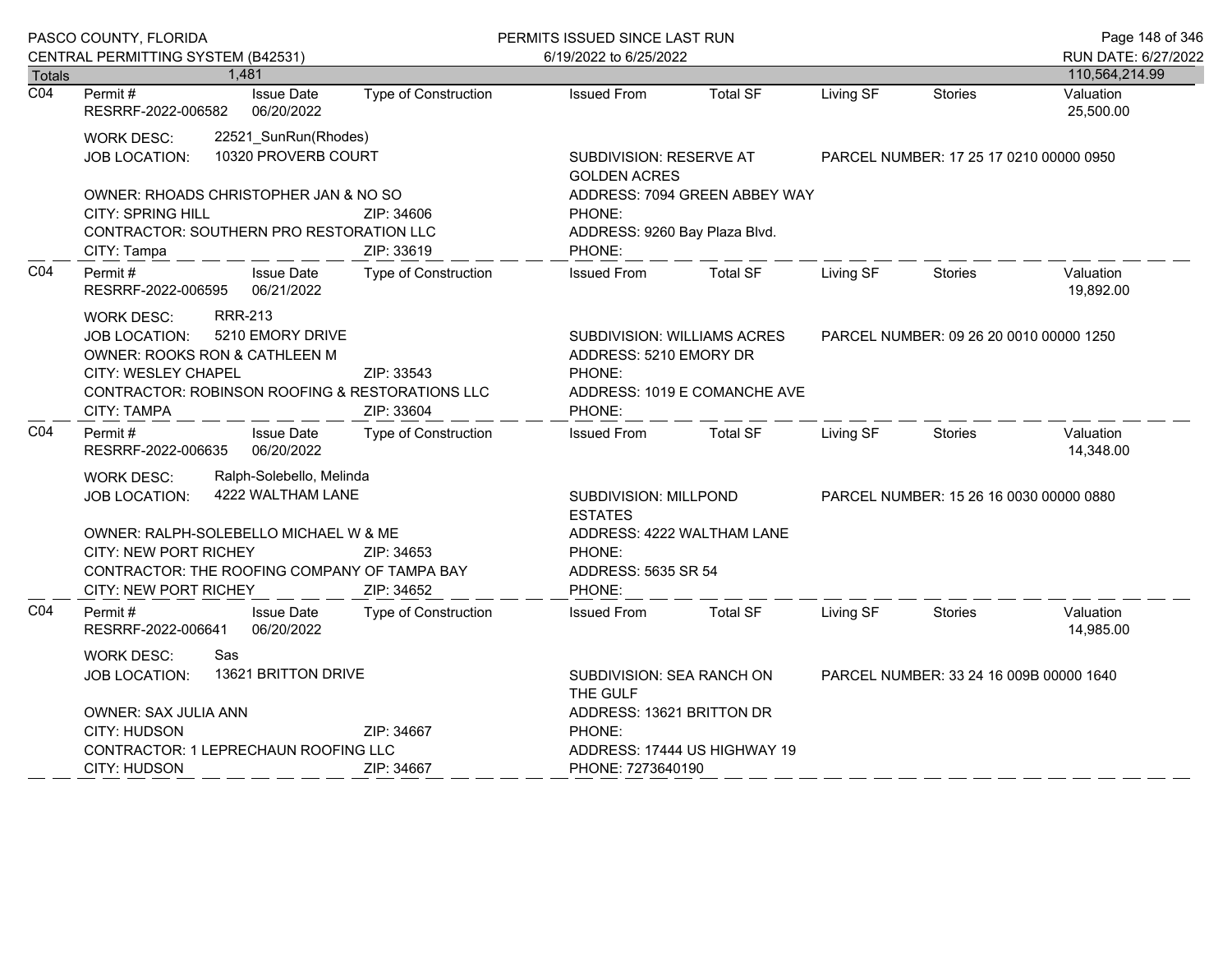|                  | PASCO COUNTY, FLORIDA                                                                                                                                                                                                                 |                                               |                             | PERMITS ISSUED SINCE LAST RUN                                             |                               |                                         |                                         | Page 148 of 346        |
|------------------|---------------------------------------------------------------------------------------------------------------------------------------------------------------------------------------------------------------------------------------|-----------------------------------------------|-----------------------------|---------------------------------------------------------------------------|-------------------------------|-----------------------------------------|-----------------------------------------|------------------------|
|                  | CENTRAL PERMITTING SYSTEM (B42531)                                                                                                                                                                                                    |                                               |                             | 6/19/2022 to 6/25/2022                                                    |                               |                                         |                                         | RUN DATE: 6/27/2022    |
| <b>Totals</b>    | 1,481                                                                                                                                                                                                                                 |                                               |                             |                                                                           |                               |                                         |                                         | 110,564,214.99         |
| $\overline{CO4}$ | Permit#<br>RESRRF-2022-006582                                                                                                                                                                                                         | <b>Issue Date</b><br>06/20/2022               | <b>Type of Construction</b> | <b>Issued From</b>                                                        | <b>Total SF</b>               | Living SF                               | <b>Stories</b>                          | Valuation<br>25,500.00 |
|                  | <b>WORK DESC:</b><br><b>JOB LOCATION:</b>                                                                                                                                                                                             | 22521_SunRun(Rhodes)<br>10320 PROVERB COURT   |                             | <b>SUBDIVISION: RESERVE AT</b><br><b>GOLDEN ACRES</b>                     |                               |                                         | PARCEL NUMBER: 17 25 17 0210 00000 0950 |                        |
|                  | OWNER: RHOADS CHRISTOPHER JAN & NO SO<br>CITY: SPRING HILL<br>CONTRACTOR: SOUTHERN PRO RESTORATION LLC<br>CITY: Tampa                                                                                                                 |                                               | ZIP: 34606<br>ZIP: 33619    | PHONE:<br>ADDRESS: 9260 Bay Plaza Blvd.<br>PHONE:                         | ADDRESS: 7094 GREEN ABBEY WAY |                                         |                                         |                        |
| CO <sub>4</sub>  | Permit#<br>RESRRF-2022-006595                                                                                                                                                                                                         | <b>Issue Date</b><br>06/21/2022               | <b>Type of Construction</b> | <b>Issued From</b>                                                        | <b>Total SF</b>               | Living SF                               | <b>Stories</b>                          | Valuation<br>19,892.00 |
|                  | <b>RRR-213</b><br>WORK DESC:<br>5210 EMORY DRIVE<br><b>JOB LOCATION:</b><br>OWNER: ROOKS RON & CATHLEEN M<br>CITY: WESLEY CHAPEL<br>ZIP: 33543<br>CONTRACTOR: ROBINSON ROOFING & RESTORATIONS LLC<br><b>CITY: TAMPA</b><br>ZIP: 33604 |                                               |                             | SUBDIVISION: WILLIAMS ACRES<br>ADDRESS: 5210 EMORY DR<br>PHONE:<br>PHONE: | ADDRESS: 1019 E COMANCHE AVE  | PARCEL NUMBER: 09 26 20 0010 00000 1250 |                                         |                        |
| C04              | Permit#<br>RESRRF-2022-006635                                                                                                                                                                                                         | <b>Issue Date</b><br>06/20/2022               | Type of Construction        | <b>Issued From</b>                                                        | <b>Total SF</b>               | Living SF                               | <b>Stories</b>                          | Valuation<br>14,348.00 |
|                  | <b>WORK DESC:</b><br><b>JOB LOCATION:</b>                                                                                                                                                                                             | Ralph-Solebello, Melinda<br>4222 WALTHAM LANE |                             | <b>ESTATES</b>                                                            | SUBDIVISION: MILLPOND         |                                         | PARCEL NUMBER: 15 26 16 0030 00000 0880 |                        |
|                  | OWNER: RALPH-SOLEBELLO MICHAEL W & ME<br><b>CITY: NEW PORT RICHEY</b><br>CONTRACTOR: THE ROOFING COMPANY OF TAMPA BAY<br>CITY: NEW PORT RICHEY                                                                                        |                                               | ZIP: 34653<br>ZIP: 34652    | ADDRESS: 4222 WALTHAM LANE<br>PHONE:<br>ADDRESS: 5635 SR 54<br>PHONE:     |                               |                                         |                                         |                        |
| C04              | Permit#<br>RESRRF-2022-006641                                                                                                                                                                                                         | <b>Issue Date</b><br>06/20/2022               | <b>Type of Construction</b> | <b>Issued From</b>                                                        | <b>Total SF</b>               | Living SF                               | <b>Stories</b>                          | Valuation<br>14,985.00 |
|                  | <b>WORK DESC:</b><br>Sas<br>13621 BRITTON DRIVE<br>JOB LOCATION:                                                                                                                                                                      |                                               |                             | SUBDIVISION: SEA RANCH ON<br>THE GULF                                     |                               |                                         | PARCEL NUMBER: 33 24 16 009B 00000 1640 |                        |
|                  | OWNER: SAX JULIA ANN<br>CITY: HUDSON<br>ZIP: 34667                                                                                                                                                                                    |                                               |                             | ADDRESS: 13621 BRITTON DR<br>PHONE:                                       |                               |                                         |                                         |                        |
|                  | <b>CONTRACTOR: 1 LEPRECHAUN ROOFING LLC</b>                                                                                                                                                                                           |                                               |                             | ADDRESS: 17444 US HIGHWAY 19                                              |                               |                                         |                                         |                        |
|                  | CITY: HUDSON<br>ZIP: 34667                                                                                                                                                                                                            |                                               |                             |                                                                           | PHONE: 7273640190             |                                         |                                         |                        |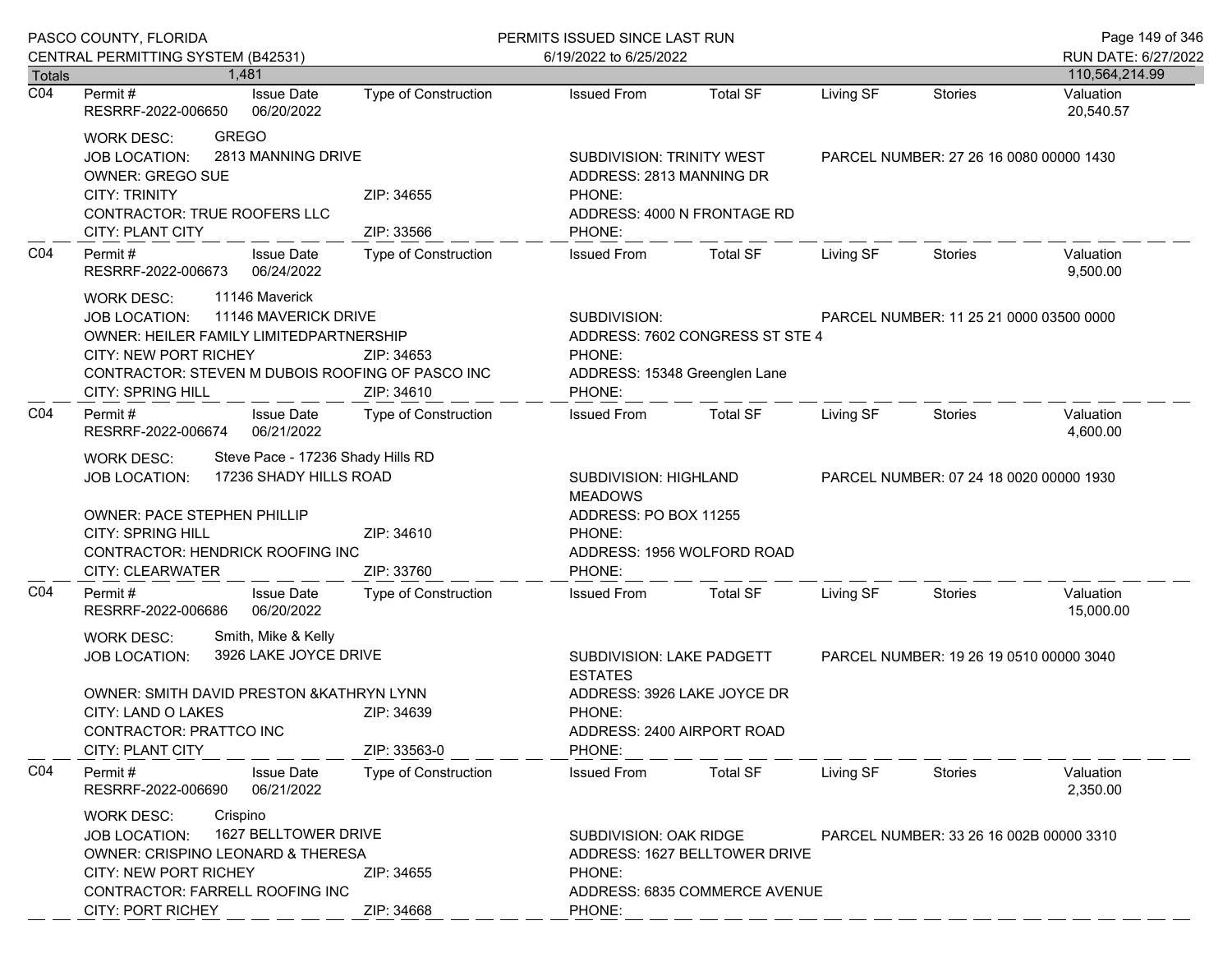|                  | PASCO COUNTY, FLORIDA                                                                                                                                                                                                                                                                                                                     |                             | PERMITS ISSUED SINCE LAST RUN                                                                                                                 | Page 149 of 346             |                                         |                                         |                        |
|------------------|-------------------------------------------------------------------------------------------------------------------------------------------------------------------------------------------------------------------------------------------------------------------------------------------------------------------------------------------|-----------------------------|-----------------------------------------------------------------------------------------------------------------------------------------------|-----------------------------|-----------------------------------------|-----------------------------------------|------------------------|
|                  | CENTRAL PERMITTING SYSTEM (B42531)                                                                                                                                                                                                                                                                                                        |                             | 6/19/2022 to 6/25/2022                                                                                                                        |                             |                                         |                                         | RUN DATE: 6/27/2022    |
| Totals           | 1.481                                                                                                                                                                                                                                                                                                                                     |                             |                                                                                                                                               |                             |                                         |                                         | 110,564,214.99         |
| $\overline{CO4}$ | <b>Issue Date</b><br>Permit #<br>RESRRF-2022-006650<br>06/20/2022                                                                                                                                                                                                                                                                         | <b>Type of Construction</b> | <b>Issued From</b>                                                                                                                            | <b>Total SF</b>             | Living SF                               | <b>Stories</b>                          | Valuation<br>20,540.57 |
|                  | <b>GREGO</b><br><b>WORK DESC:</b><br>2813 MANNING DRIVE<br>JOB LOCATION:<br><b>OWNER: GREGO SUE</b><br><b>CITY: TRINITY</b><br>CONTRACTOR: TRUE ROOFERS LLC<br>CITY: PLANT CITY                                                                                                                                                           | ZIP: 34655<br>ZIP: 33566    | SUBDIVISION: TRINITY WEST<br>ADDRESS: 2813 MANNING DR<br>PHONE:<br>PHONE:                                                                     | ADDRESS: 4000 N FRONTAGE RD |                                         | PARCEL NUMBER: 27 26 16 0080 00000 1430 |                        |
| CO <sub>4</sub>  | Permit#<br><b>Issue Date</b><br>06/24/2022<br>RESRRF-2022-006673                                                                                                                                                                                                                                                                          | Type of Construction        | <b>Issued From</b>                                                                                                                            | <b>Total SF</b>             | Living SF                               | Stories                                 | Valuation<br>9,500.00  |
|                  | 11146 Maverick<br><b>WORK DESC:</b><br>11146 MAVERICK DRIVE<br><b>JOB LOCATION:</b><br><b>OWNER: HEILER FAMILY LIMITEDPARTNERSHIP</b><br><b>CITY: NEW PORT RICHEY</b><br>ZIP: 34653<br>CONTRACTOR: STEVEN M DUBOIS ROOFING OF PASCO INC<br><b>CITY: SPRING HILL</b><br>ZIP: 34610<br>Permit#<br><b>Issue Date</b><br>Type of Construction |                             | SUBDIVISION:<br>ADDRESS: 7602 CONGRESS ST STE 4<br>PHONE:<br>ADDRESS: 15348 Greenglen Lane<br>PHONE:                                          |                             |                                         | PARCEL NUMBER: 11 25 21 0000 03500 0000 |                        |
| CO <sub>4</sub>  | RESRRF-2022-006674<br>06/21/2022                                                                                                                                                                                                                                                                                                          |                             | <b>Issued From</b>                                                                                                                            | Total SF                    | Living SF                               | Stories                                 | Valuation<br>4,600.00  |
|                  | Steve Pace - 17236 Shady Hills RD<br><b>WORK DESC:</b><br>17236 SHADY HILLS ROAD<br><b>JOB LOCATION:</b><br><b>OWNER: PACE STEPHEN PHILLIP</b>                                                                                                                                                                                            |                             | SUBDIVISION: HIGHLAND<br><b>MEADOWS</b><br>ADDRESS: PO BOX 11255                                                                              |                             |                                         | PARCEL NUMBER: 07 24 18 0020 00000 1930 |                        |
|                  | <b>CITY: SPRING HILL</b><br>CONTRACTOR: HENDRICK ROOFING INC<br><b>CITY: CLEARWATER</b>                                                                                                                                                                                                                                                   | ZIP: 34610<br>ZIP: 33760    | PHONE:<br>PHONE:                                                                                                                              | ADDRESS: 1956 WOLFORD ROAD  |                                         |                                         |                        |
| CO <sub>4</sub>  | <b>Issue Date</b><br>Permit#<br>06/20/2022<br>RESRRF-2022-006686                                                                                                                                                                                                                                                                          | <b>Type of Construction</b> | <b>Issued From</b>                                                                                                                            | <b>Total SF</b>             | Living SF                               | Stories                                 | Valuation<br>15,000.00 |
|                  | Smith, Mike & Kelly<br><b>WORK DESC:</b><br>3926 LAKE JOYCE DRIVE<br>JOB LOCATION:<br>OWNER: SMITH DAVID PRESTON & KATHRYN LYNN<br>CITY: LAND O LAKES<br>ZIP: 34639<br>CONTRACTOR: PRATTCO INC<br><b>CITY: PLANT CITY</b><br>ZIP: 33563-0                                                                                                 |                             | SUBDIVISION: LAKE PADGETT<br><b>ESTATES</b><br>ADDRESS: 3926 LAKE JOYCE DR<br>PHONE:<br>ADDRESS: 2400 AIRPORT ROAD<br>PHONE:                  |                             | PARCEL NUMBER: 19 26 19 0510 00000 3040 |                                         |                        |
| CO <sub>4</sub>  | Permit#<br><b>Issue Date</b><br>RESRRF-2022-006690<br>06/21/2022                                                                                                                                                                                                                                                                          | <b>Type of Construction</b> | <b>Issued From</b>                                                                                                                            | <b>Total SF</b>             | Living SF                               | Stories                                 | Valuation<br>2,350.00  |
|                  | Crispino<br><b>WORK DESC:</b><br>1627 BELLTOWER DRIVE<br><b>JOB LOCATION:</b><br>OWNER: CRISPINO LEONARD & THERESA<br><b>CITY: NEW PORT RICHEY</b><br>ZIP: 34655<br><b>CONTRACTOR: FARRELL ROOFING INC</b>                                                                                                                                |                             | SUBDIVISION: OAK RIDGE<br>PARCEL NUMBER: 33 26 16 002B 00000 3310<br>ADDRESS: 1627 BELLTOWER DRIVE<br>PHONE:<br>ADDRESS: 6835 COMMERCE AVENUE |                             |                                         |                                         |                        |
|                  | <b>CITY: PORT RICHEY</b>                                                                                                                                                                                                                                                                                                                  | ZIP: 34668                  | PHONE:                                                                                                                                        |                             |                                         |                                         |                        |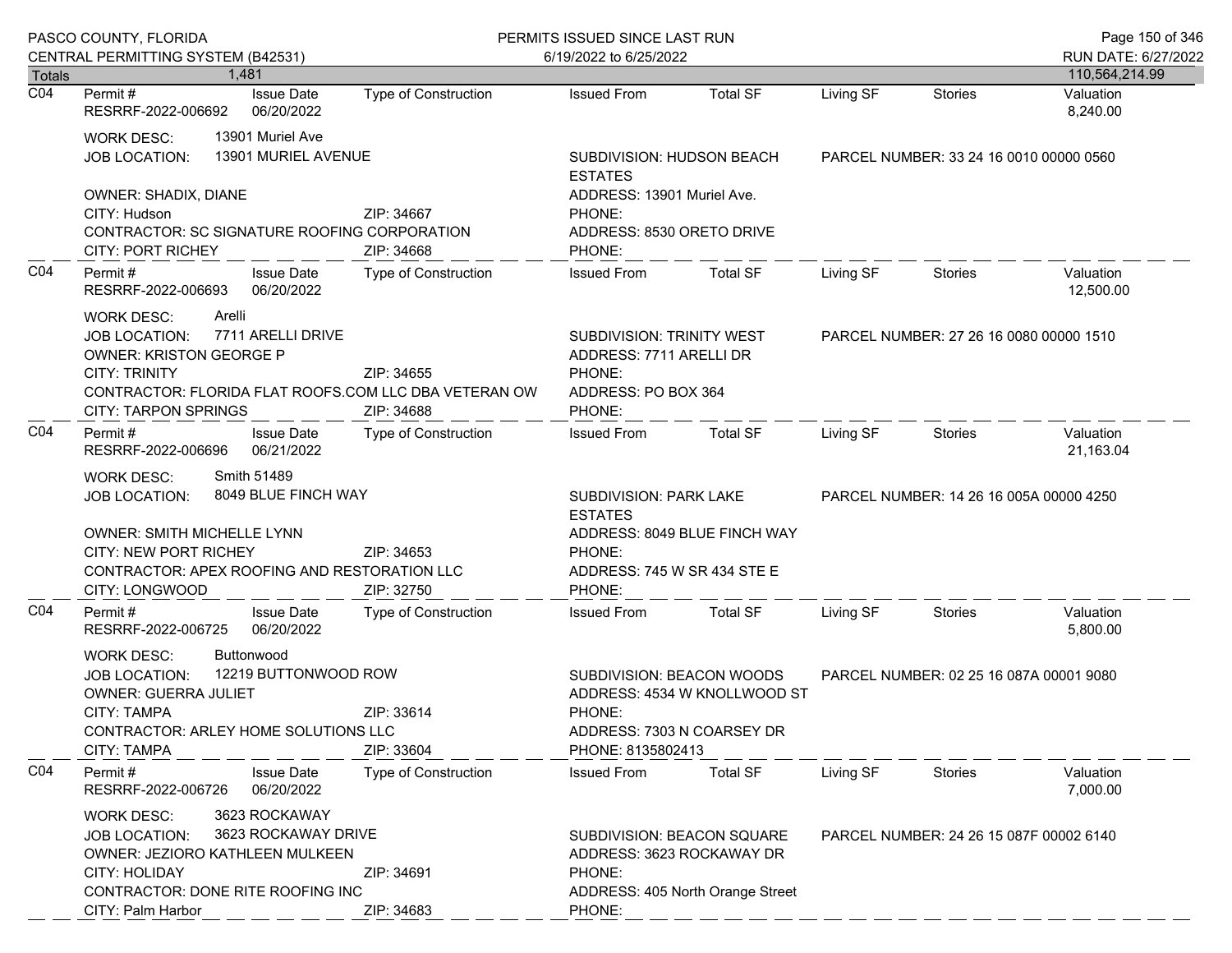|                  | PASCO COUNTY, FLORIDA                                                                                                                                                                                                                                  | PERMITS ISSUED SINCE LAST RUN               |                                                                                                                                    |                 |                                         |                                         | Page 150 of 346                       |
|------------------|--------------------------------------------------------------------------------------------------------------------------------------------------------------------------------------------------------------------------------------------------------|---------------------------------------------|------------------------------------------------------------------------------------------------------------------------------------|-----------------|-----------------------------------------|-----------------------------------------|---------------------------------------|
| <b>Totals</b>    | CENTRAL PERMITTING SYSTEM (B42531)<br>1.481                                                                                                                                                                                                            |                                             | 6/19/2022 to 6/25/2022                                                                                                             |                 |                                         |                                         | RUN DATE: 6/27/2022<br>110,564,214.99 |
| $\overline{CO4}$ | <b>Issue Date</b><br>Permit#<br>RESRRF-2022-006692<br>06/20/2022                                                                                                                                                                                       | <b>Type of Construction</b>                 | <b>Issued From</b>                                                                                                                 | <b>Total SF</b> | Living SF                               | <b>Stories</b>                          | Valuation<br>8,240.00                 |
|                  | 13901 Muriel Ave<br><b>WORK DESC:</b><br>13901 MURIEL AVENUE<br><b>JOB LOCATION:</b>                                                                                                                                                                   | SUBDIVISION: HUDSON BEACH<br><b>ESTATES</b> |                                                                                                                                    |                 | PARCEL NUMBER: 33 24 16 0010 00000 0560 |                                         |                                       |
|                  | OWNER: SHADIX, DIANE<br>CITY: Hudson<br>CONTRACTOR: SC SIGNATURE ROOFING CORPORATION<br><b>CITY: PORT RICHEY</b>                                                                                                                                       | ZIP: 34667<br>ZIP: 34668                    | ADDRESS: 13901 Muriel Ave.<br>PHONE:<br>ADDRESS: 8530 ORETO DRIVE<br>PHONE:                                                        |                 |                                         |                                         |                                       |
| CO <sub>4</sub>  | Permit#<br><b>Issue Date</b><br>RESRRF-2022-006693<br>06/20/2022                                                                                                                                                                                       | <b>Type of Construction</b>                 | <b>Issued From</b>                                                                                                                 | Total SF        | Living SF                               | <b>Stories</b>                          | Valuation<br>12,500.00                |
|                  | Arelli<br><b>WORK DESC:</b><br>7711 ARELLI DRIVE<br><b>JOB LOCATION:</b><br><b>OWNER: KRISTON GEORGE P</b><br><b>CITY: TRINITY</b><br>ZIP: 34655<br>CONTRACTOR: FLORIDA FLAT ROOFS.COM LLC DBA VETERAN OW<br><b>CITY: TARPON SPRINGS</b><br>ZIP: 34688 |                                             | SUBDIVISION: TRINITY WEST<br>ADDRESS: 7711 ARELLI DR<br>PHONE:<br>ADDRESS: PO BOX 364<br>PHONE:                                    |                 | PARCEL NUMBER: 27 26 16 0080 00000 1510 |                                         |                                       |
| CO <sub>4</sub>  | Permit#<br><b>Issue Date</b><br>06/21/2022<br>RESRRF-2022-006696                                                                                                                                                                                       | <b>Type of Construction</b>                 | <b>Issued From</b>                                                                                                                 | <b>Total SF</b> | Living SF                               | Stories                                 | Valuation<br>21,163.04                |
|                  | Smith 51489<br><b>WORK DESC:</b><br>8049 BLUE FINCH WAY<br><b>JOB LOCATION:</b><br>OWNER: SMITH MICHELLE LYNN<br><b>CITY: NEW PORT RICHEY</b><br>CONTRACTOR: APEX ROOFING AND RESTORATION LLC<br>CITY: LONGWOOD                                        | ZIP: 34653<br>ZIP: 32750                    | <b>SUBDIVISION: PARK LAKE</b><br><b>ESTATES</b><br>ADDRESS: 8049 BLUE FINCH WAY<br>PHONE:<br>ADDRESS: 745 W SR 434 STE E<br>PHONE: |                 | PARCEL NUMBER: 14 26 16 005A 00000 4250 |                                         |                                       |
| CO <sub>4</sub>  | Permit#<br><b>Issue Date</b><br>RESRRF-2022-006725<br>06/20/2022                                                                                                                                                                                       | <b>Type of Construction</b>                 | <b>Issued From</b>                                                                                                                 | <b>Total SF</b> | Living SF                               | <b>Stories</b>                          | Valuation<br>5,800.00                 |
|                  | Buttonwood<br><b>WORK DESC:</b><br>12219 BUTTONWOOD ROW<br>JOB LOCATION:<br>OWNER: GUERRA JULIET<br>CITY: TAMPA<br>CONTRACTOR: ARLEY HOME SOLUTIONS LLC<br><b>CITY: TAMPA</b>                                                                          | ZIP: 33614<br>ZIP: 33604                    | SUBDIVISION: BEACON WOODS<br>ADDRESS: 4534 W KNOLLWOOD ST<br>PHONE:<br>ADDRESS: 7303 N COARSEY DR<br>PHONE: 8135802413             |                 |                                         | PARCEL NUMBER: 02 25 16 087A 00001 9080 |                                       |
| CO <sub>4</sub>  | Permit#<br><b>Issue Date</b><br>06/20/2022<br>RESRRF-2022-006726                                                                                                                                                                                       | <b>Type of Construction</b>                 | <b>Issued From</b>                                                                                                                 | <b>Total SF</b> | Living SF                               | Stories                                 | Valuation<br>7,000.00                 |
|                  | 3623 ROCKAWAY<br><b>WORK DESC:</b><br>3623 ROCKAWAY DRIVE<br><b>JOB LOCATION:</b><br>OWNER: JEZIORO KATHLEEN MULKEEN<br><b>CITY: HOLIDAY</b><br>ZIP: 34691<br>CONTRACTOR: DONE RITE ROOFING INC<br>CITY: Palm Harbor<br>ZIP: 34683                     |                                             | SUBDIVISION: BEACON SQUARE<br>ADDRESS: 3623 ROCKAWAY DR<br>PHONE:<br>ADDRESS: 405 North Orange Street<br>PHONE:                    |                 |                                         | PARCEL NUMBER: 24 26 15 087F 00002 6140 |                                       |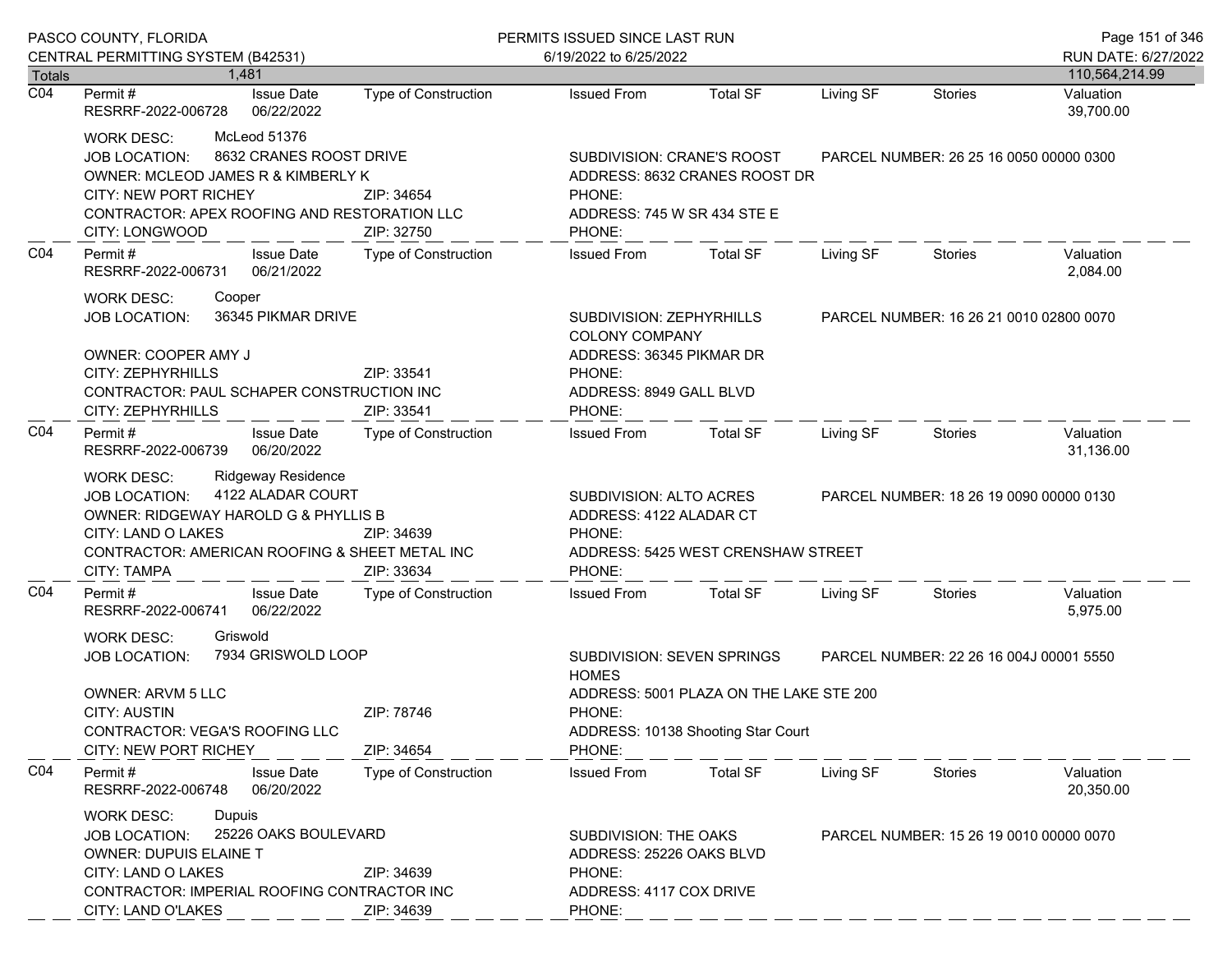|                  | PASCO COUNTY, FLORIDA                                                                                                                                                                                                                   |                             | PERMITS ISSUED SINCE LAST RUN                                                                                  |                                                                               |           |                                         |                        |
|------------------|-----------------------------------------------------------------------------------------------------------------------------------------------------------------------------------------------------------------------------------------|-----------------------------|----------------------------------------------------------------------------------------------------------------|-------------------------------------------------------------------------------|-----------|-----------------------------------------|------------------------|
|                  | CENTRAL PERMITTING SYSTEM (B42531)                                                                                                                                                                                                      |                             | 6/19/2022 to 6/25/2022                                                                                         |                                                                               |           |                                         | RUN DATE: 6/27/2022    |
| <b>Totals</b>    | 1.481                                                                                                                                                                                                                                   |                             |                                                                                                                |                                                                               |           |                                         | 110,564,214.99         |
| $\overline{CO4}$ | <b>Issue Date</b><br>Permit#<br>RESRRF-2022-006728<br>06/22/2022                                                                                                                                                                        | <b>Type of Construction</b> | <b>Issued From</b>                                                                                             | <b>Total SF</b>                                                               | Living SF | Stories                                 | Valuation<br>39,700.00 |
|                  | McLeod 51376<br><b>WORK DESC:</b><br>8632 CRANES ROOST DRIVE<br><b>JOB LOCATION:</b><br>OWNER: MCLEOD JAMES R & KIMBERLY K<br><b>CITY: NEW PORT RICHEY</b><br>CONTRACTOR: APEX ROOFING AND RESTORATION LLC<br>CITY: LONGWOOD            | ZIP: 34654<br>ZIP: 32750    | SUBDIVISION: CRANE'S ROOST<br>ADDRESS: 8632 CRANES ROOST DR<br>PHONE:<br>ADDRESS: 745 W SR 434 STE E<br>PHONE: |                                                                               |           | PARCEL NUMBER: 26 25 16 0050 00000 0300 |                        |
| CO <sub>4</sub>  | Permit#<br><b>Issue Date</b><br>RESRRF-2022-006731<br>06/21/2022                                                                                                                                                                        | Type of Construction        | <b>Issued From</b>                                                                                             | <b>Total SF</b>                                                               | Living SF | Stories                                 | Valuation<br>2,084.00  |
|                  | <b>WORK DESC:</b><br>Cooper<br>36345 PIKMAR DRIVE<br><b>JOB LOCATION:</b><br>OWNER: COOPER AMY J                                                                                                                                        |                             | SUBDIVISION: ZEPHYRHILLS<br><b>COLONY COMPANY</b>                                                              |                                                                               |           | PARCEL NUMBER: 16 26 21 0010 02800 0070 |                        |
|                  | CITY: ZEPHYRHILLS<br>ZIP: 33541<br>CONTRACTOR: PAUL SCHAPER CONSTRUCTION INC<br>CITY: ZEPHYRHILLS<br>ZIP: 33541                                                                                                                         |                             | ADDRESS: 36345 PIKMAR DR<br>PHONE:<br>ADDRESS: 8949 GALL BLVD<br>PHONE:                                        |                                                                               |           |                                         |                        |
| CO <sub>4</sub>  | Permit#<br><b>Issue Date</b><br>06/20/2022<br>RESRRF-2022-006739                                                                                                                                                                        | Type of Construction        | <b>Issued From</b>                                                                                             | <b>Total SF</b>                                                               | Living SF | Stories                                 | Valuation<br>31,136.00 |
|                  | <b>Ridgeway Residence</b><br><b>WORK DESC:</b><br>4122 ALADAR COURT<br><b>JOB LOCATION:</b><br>OWNER: RIDGEWAY HAROLD G & PHYLLIS B<br>CITY: LAND O LAKES<br>ZIP: 34639<br>CONTRACTOR: AMERICAN ROOFING & SHEET METAL INC<br>ZIP: 33634 |                             | SUBDIVISION: ALTO ACRES<br>ADDRESS: 4122 ALADAR CT<br>PHONE:<br>ADDRESS: 5425 WEST CRENSHAW STREET<br>PHONE:   |                                                                               |           | PARCEL NUMBER: 18 26 19 0090 00000 0130 |                        |
| CO <sub>4</sub>  | CITY: TAMPA<br><b>Issue Date</b><br>Permit#<br>RESRRF-2022-006741<br>06/22/2022                                                                                                                                                         | <b>Type of Construction</b> | <b>Issued From</b>                                                                                             | <b>Total SF</b>                                                               | Living SF | Stories                                 | Valuation<br>5,975.00  |
|                  | <b>WORK DESC:</b><br>Griswold<br>7934 GRISWOLD LOOP<br><b>JOB LOCATION:</b>                                                                                                                                                             |                             | SUBDIVISION: SEVEN SPRINGS<br><b>HOMES</b>                                                                     | PARCEL NUMBER: 22 26 16 004J 00001 5550                                       |           |                                         |                        |
|                  | <b>OWNER: ARVM 5 LLC</b><br><b>CITY: AUSTIN</b><br>ZIP: 78746<br>CONTRACTOR: VEGA'S ROOFING LLC<br><b>CITY: NEW PORT RICHEY</b><br>ZIP: 34654                                                                                           |                             | PHONE:<br>PHONE:                                                                                               | ADDRESS: 5001 PLAZA ON THE LAKE STE 200<br>ADDRESS: 10138 Shooting Star Court |           |                                         |                        |
| CO <sub>4</sub>  | Permit#<br><b>Issue Date</b><br>06/20/2022<br>RESRRF-2022-006748                                                                                                                                                                        | <b>Type of Construction</b> | <b>Issued From</b>                                                                                             | <b>Total SF</b>                                                               | Living SF | Stories                                 | Valuation<br>20,350.00 |
|                  | Dupuis<br><b>WORK DESC:</b><br>25226 OAKS BOULEVARD<br><b>JOB LOCATION:</b><br><b>OWNER: DUPUIS ELAINE T</b><br>CITY: LAND O LAKES<br>ZIP: 34639<br>CONTRACTOR: IMPERIAL ROOFING CONTRACTOR INC                                         |                             | PHONE:                                                                                                         | SUBDIVISION: THE OAKS<br>ADDRESS: 25226 OAKS BLVD<br>ADDRESS: 4117 COX DRIVE  |           | PARCEL NUMBER: 15 26 19 0010 00000 0070 |                        |
|                  | CITY: LAND O'LAKES                                                                                                                                                                                                                      | ZIP: 34639                  | PHONE:                                                                                                         |                                                                               |           |                                         |                        |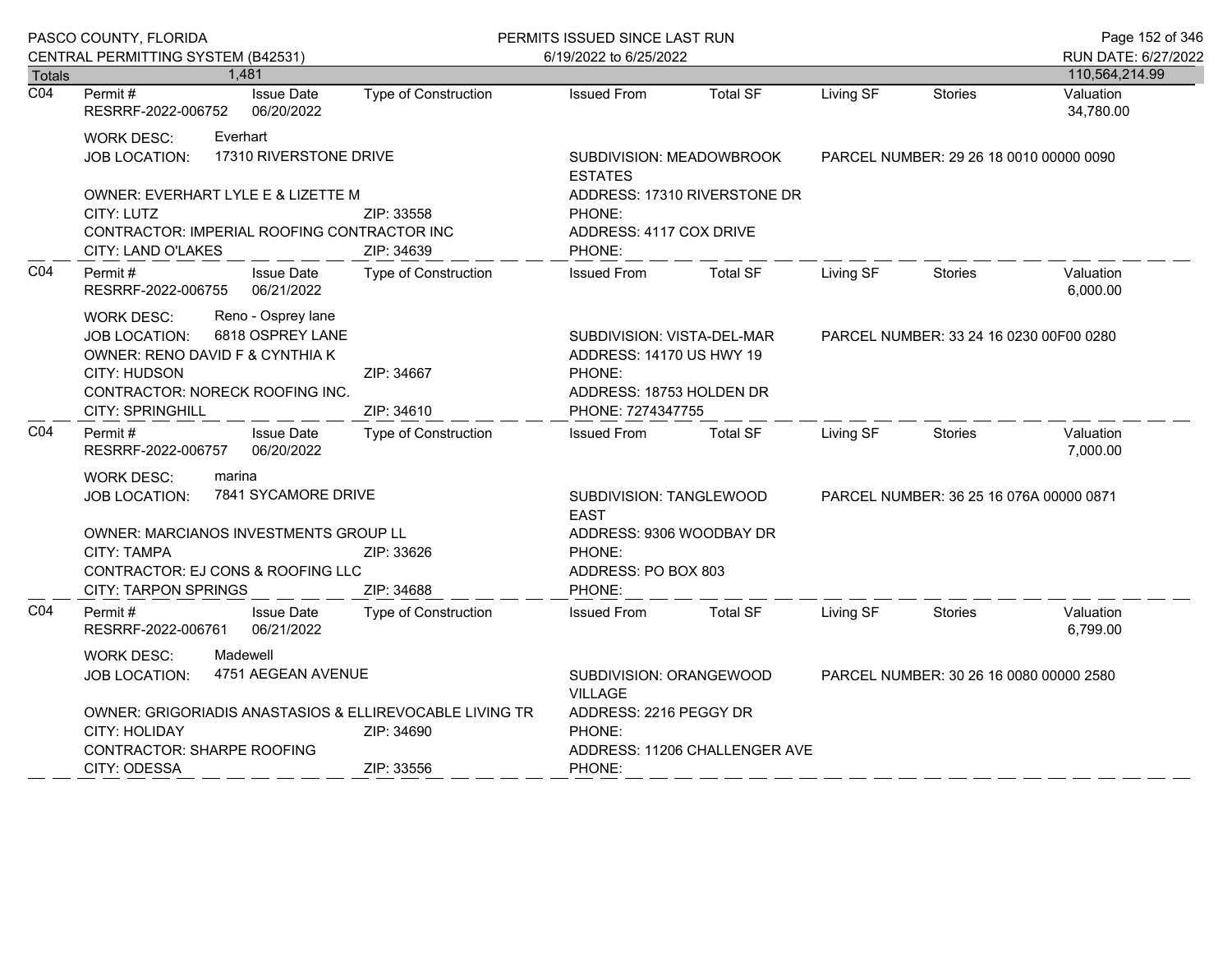|                  | PASCO COUNTY, FLORIDA                                                                                                                                                                                |                                    |                                                                                      | PERMITS ISSUED SINCE LAST RUN                                                                                     |                 |           |                                         | Page 152 of 346        |  |
|------------------|------------------------------------------------------------------------------------------------------------------------------------------------------------------------------------------------------|------------------------------------|--------------------------------------------------------------------------------------|-------------------------------------------------------------------------------------------------------------------|-----------------|-----------|-----------------------------------------|------------------------|--|
|                  | CENTRAL PERMITTING SYSTEM (B42531)                                                                                                                                                                   |                                    |                                                                                      | 6/19/2022 to 6/25/2022                                                                                            |                 |           |                                         | RUN DATE: 6/27/2022    |  |
| <b>Totals</b>    |                                                                                                                                                                                                      | 1,481                              |                                                                                      |                                                                                                                   |                 |           |                                         | 110,564,214.99         |  |
| $\overline{CO4}$ | Permit#<br>RESRRF-2022-006752                                                                                                                                                                        | <b>Issue Date</b><br>06/20/2022    | Type of Construction                                                                 | <b>Issued From</b>                                                                                                | <b>Total SF</b> | Living SF | <b>Stories</b>                          | Valuation<br>34,780.00 |  |
|                  | <b>WORK DESC:</b><br>JOB LOCATION:                                                                                                                                                                   | Everhart<br>17310 RIVERSTONE DRIVE |                                                                                      | SUBDIVISION: MEADOWBROOK<br><b>ESTATES</b>                                                                        |                 |           | PARCEL NUMBER: 29 26 18 0010 00000 0090 |                        |  |
|                  | OWNER: EVERHART LYLE E & LIZETTE M<br>CITY: LUTZ<br>CONTRACTOR: IMPERIAL ROOFING CONTRACTOR INC<br>CITY: LAND O'LAKES                                                                                |                                    | ZIP: 33558<br>ZIP: 34639                                                             | ADDRESS: 17310 RIVERSTONE DR<br>PHONE:<br>ADDRESS: 4117 COX DRIVE<br>PHONE:                                       |                 |           |                                         |                        |  |
| CO <sub>4</sub>  | Permit#<br>RESRRF-2022-006755                                                                                                                                                                        | <b>Issue Date</b><br>06/21/2022    | Type of Construction                                                                 | <b>Issued From</b>                                                                                                | <b>Total SF</b> | Living SF | <b>Stories</b>                          | Valuation<br>6,000.00  |  |
|                  | Reno - Osprey lane<br><b>WORK DESC:</b><br>6818 OSPREY LANE<br><b>JOB LOCATION:</b><br>OWNER: RENO DAVID F & CYNTHIA K<br>CITY: HUDSON<br>CONTRACTOR: NORECK ROOFING INC.<br><b>CITY: SPRINGHILL</b> |                                    | ZIP: 34667<br>ZIP: 34610                                                             | SUBDIVISION: VISTA-DEL-MAR<br>ADDRESS: 14170 US HWY 19<br>PHONE:<br>ADDRESS: 18753 HOLDEN DR<br>PHONE: 7274347755 |                 |           | PARCEL NUMBER: 33 24 16 0230 00F00 0280 |                        |  |
| CO <sub>4</sub>  | Permit#<br>RESRRF-2022-006757                                                                                                                                                                        | <b>Issue Date</b><br>06/20/2022    | Type of Construction                                                                 | <b>Issued From</b>                                                                                                | <b>Total SF</b> | Living SF | Stories                                 | Valuation<br>7,000.00  |  |
|                  | marina<br><b>WORK DESC:</b><br>7841 SYCAMORE DRIVE<br>JOB LOCATION:                                                                                                                                  |                                    |                                                                                      | SUBDIVISION: TANGLEWOOD<br>PARCEL NUMBER: 36 25 16 076A 00000 0871<br><b>EAST</b>                                 |                 |           |                                         |                        |  |
|                  | <b>OWNER: MARCIANOS INVESTMENTS GROUP LL</b><br>CITY: TAMPA<br>CONTRACTOR: EJ CONS & ROOFING LLC<br><b>CITY: TARPON SPRINGS</b>                                                                      |                                    | ZIP: 33626<br>ZIP: 34688                                                             | ADDRESS: 9306 WOODBAY DR<br>PHONE:<br>ADDRESS: PO BOX 803<br>PHONE:                                               |                 |           |                                         |                        |  |
| CO <sub>4</sub>  | Permit #<br>RESRRF-2022-006761                                                                                                                                                                       | <b>Issue Date</b><br>06/21/2022    | <b>Type of Construction</b>                                                          | <b>Issued From</b>                                                                                                | <b>Total SF</b> | Living SF | Stories                                 | Valuation<br>6,799.00  |  |
|                  | <b>WORK DESC:</b><br>Madewell<br>4751 AEGEAN AVENUE<br><b>JOB LOCATION:</b>                                                                                                                          |                                    | SUBDIVISION: ORANGEWOOD<br>PARCEL NUMBER: 30 26 16 0080 00000 2580<br><b>VILLAGE</b> |                                                                                                                   |                 |           |                                         |                        |  |
|                  | OWNER: GRIGORIADIS ANASTASIOS & ELLIREVOCABLE LIVING TR<br>CITY: HOLIDAY<br>ZIP: 34690<br><b>CONTRACTOR: SHARPE ROOFING</b>                                                                          |                                    |                                                                                      | ADDRESS: 2216 PEGGY DR<br>PHONE:<br>ADDRESS: 11206 CHALLENGER AVE                                                 |                 |           |                                         |                        |  |
|                  |                                                                                                                                                                                                      | CITY: ODESSA<br>ZIP: 33556         |                                                                                      |                                                                                                                   | PHONE:          |           |                                         |                        |  |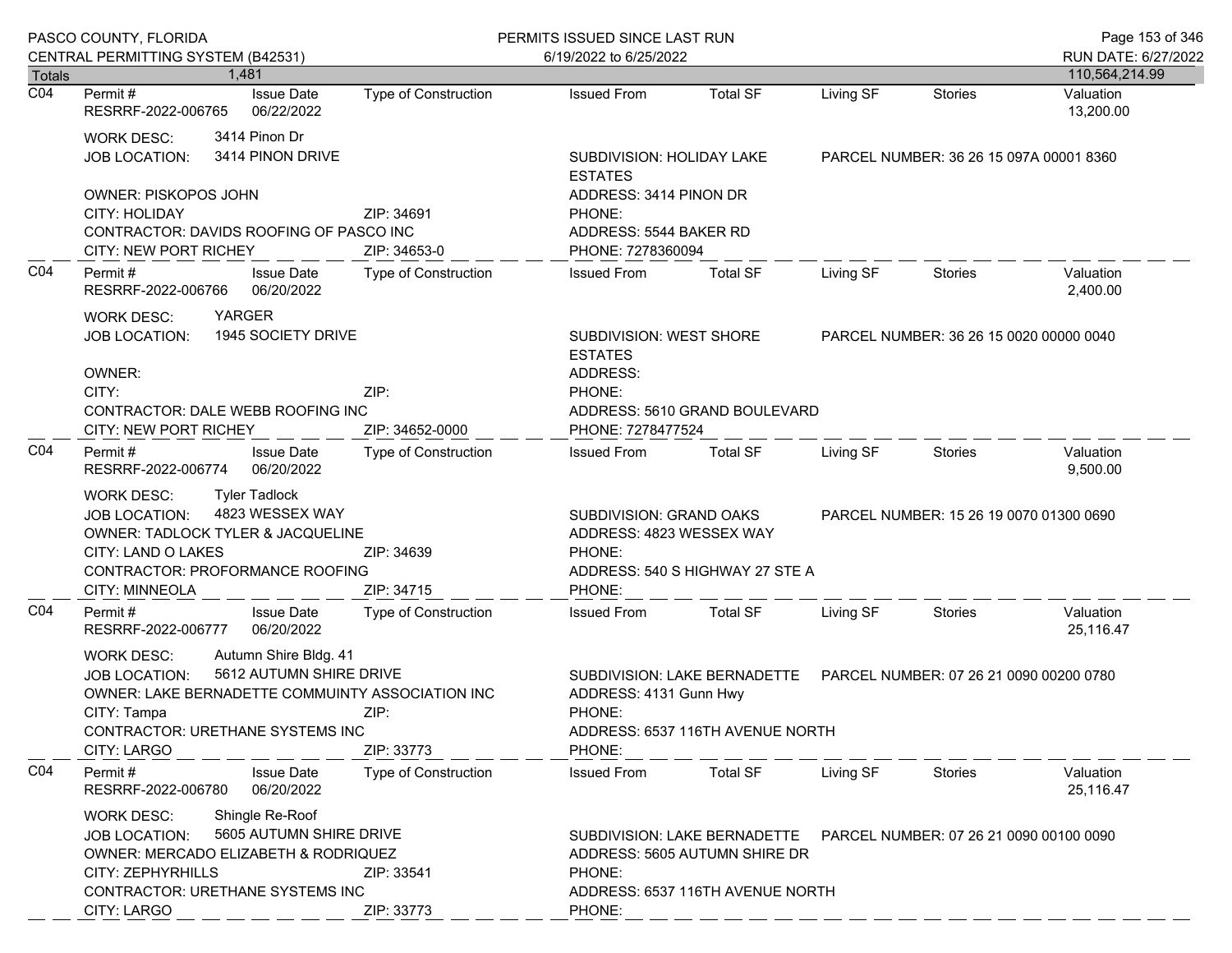|                  | PASCO COUNTY, FLORIDA                                                                                                                                                                                                                      |                                   | PERMITS ISSUED SINCE LAST RUN                                                                                                                                  |                                                              |                                                                                            |           |                                         | Page 153 of 346                       |  |
|------------------|--------------------------------------------------------------------------------------------------------------------------------------------------------------------------------------------------------------------------------------------|-----------------------------------|----------------------------------------------------------------------------------------------------------------------------------------------------------------|--------------------------------------------------------------|--------------------------------------------------------------------------------------------|-----------|-----------------------------------------|---------------------------------------|--|
| Totals           | CENTRAL PERMITTING SYSTEM (B42531)<br>1.481                                                                                                                                                                                                |                                   |                                                                                                                                                                | 6/19/2022 to 6/25/2022                                       |                                                                                            |           |                                         | RUN DATE: 6/27/2022<br>110,564,214.99 |  |
| $\overline{CO4}$ | Permit #<br>RESRRF-2022-006765                                                                                                                                                                                                             | <b>Issue Date</b><br>06/22/2022   | <b>Type of Construction</b>                                                                                                                                    | <b>Issued From</b>                                           | <b>Total SF</b>                                                                            | Living SF | <b>Stories</b>                          | Valuation<br>13,200.00                |  |
|                  | <b>WORK DESC:</b><br><b>JOB LOCATION:</b>                                                                                                                                                                                                  | 3414 Pinon Dr<br>3414 PINON DRIVE |                                                                                                                                                                | <b>ESTATES</b>                                               | SUBDIVISION: HOLIDAY LAKE                                                                  |           | PARCEL NUMBER: 36 26 15 097A 00001 8360 |                                       |  |
|                  | <b>OWNER: PISKOPOS JOHN</b><br><b>CITY: HOLIDAY</b><br>CONTRACTOR: DAVIDS ROOFING OF PASCO INC<br>CITY: NEW PORT RICHEY                                                                                                                    |                                   | ZIP: 34691<br>ZIP: 34653-0                                                                                                                                     | PHONE:                                                       | ADDRESS: 3414 PINON DR<br>ADDRESS: 5544 BAKER RD<br>PHONE: 7278360094                      |           |                                         |                                       |  |
| CO <sub>4</sub>  | Permit#<br>RESRRF-2022-006766                                                                                                                                                                                                              | <b>Issue Date</b><br>06/20/2022   | <b>Type of Construction</b>                                                                                                                                    | <b>Issued From</b>                                           | <b>Total SF</b>                                                                            | Living SF | <b>Stories</b>                          | Valuation<br>2,400.00                 |  |
|                  | YARGER<br><b>WORK DESC:</b><br><b>JOB LOCATION:</b><br>OWNER:                                                                                                                                                                              | 1945 SOCIETY DRIVE                |                                                                                                                                                                | SUBDIVISION: WEST SHORE<br><b>ESTATES</b><br>ADDRESS:        |                                                                                            |           | PARCEL NUMBER: 36 26 15 0020 00000 0040 |                                       |  |
|                  | CITY:<br>ZIP:<br>CONTRACTOR: DALE WEBB ROOFING INC<br><b>CITY: NEW PORT RICHEY</b>                                                                                                                                                         |                                   | ZIP: 34652-0000                                                                                                                                                | PHONE:<br>ADDRESS: 5610 GRAND BOULEVARD<br>PHONE: 7278477524 |                                                                                            |           |                                         |                                       |  |
| CO <sub>4</sub>  | Permit#<br>RESRRF-2022-006774                                                                                                                                                                                                              | <b>Issue Date</b><br>06/20/2022   | <b>Type of Construction</b>                                                                                                                                    | <b>Issued From</b>                                           | <b>Total SF</b>                                                                            | Living SF | Stories                                 | Valuation<br>9,500.00                 |  |
|                  | <b>Tyler Tadlock</b><br><b>WORK DESC:</b><br>4823 WESSEX WAY<br><b>JOB LOCATION:</b><br>OWNER: TADLOCK TYLER & JACQUELINE<br>CITY: LAND O LAKES<br>CONTRACTOR: PROFORMANCE ROOFING<br>CITY: MINNEOLA                                       |                                   | SUBDIVISION: GRAND OAKS<br>ADDRESS: 4823 WESSEX WAY<br>ZIP: 34639<br>PHONE:<br>ADDRESS: 540 S HIGHWAY 27 STE A<br>ZIP: 34715<br>PHONE:                         |                                                              | PARCEL NUMBER: 15 26 19 0070 01300 0690                                                    |           |                                         |                                       |  |
| CO <sub>4</sub>  | Permit#<br>RESRRF-2022-006777                                                                                                                                                                                                              | <b>Issue Date</b><br>06/20/2022   | <b>Type of Construction</b>                                                                                                                                    | <b>Issued From</b>                                           | <b>Total SF</b>                                                                            | Living SF | <b>Stories</b>                          | Valuation<br>25,116.47                |  |
|                  | Autumn Shire Bldg. 41<br><b>WORK DESC:</b><br>5612 AUTUMN SHIRE DRIVE<br><b>JOB LOCATION:</b><br>OWNER: LAKE BERNADETTE COMMUINTY ASSOCIATION INC<br>ZIP:<br>CITY: Tampa<br>CONTRACTOR: URETHANE SYSTEMS INC                               |                                   | ZIP: 33773                                                                                                                                                     | PHONE:<br>PHONE:                                             | SUBDIVISION: LAKE BERNADETTE<br>ADDRESS: 4131 Gunn Hwy<br>ADDRESS: 6537 116TH AVENUE NORTH |           | PARCEL NUMBER: 07 26 21 0090 00200 0780 |                                       |  |
| CO <sub>4</sub>  | CITY: LARGO<br>Permit#<br>RESRRF-2022-006780                                                                                                                                                                                               | <b>Issue Date</b><br>06/20/2022   | <b>Type of Construction</b>                                                                                                                                    | <b>Issued From</b>                                           | <b>Total SF</b>                                                                            | Living SF | <b>Stories</b>                          | Valuation<br>25,116.47                |  |
|                  | Shingle Re-Roof<br><b>WORK DESC:</b><br>5605 AUTUMN SHIRE DRIVE<br><b>JOB LOCATION:</b><br>OWNER: MERCADO ELIZABETH & RODRIQUEZ<br>CITY: ZEPHYRHILLS<br>ZIP: 33541<br><b>CONTRACTOR: URETHANE SYSTEMS INC</b><br>CITY: LARGO<br>ZIP: 33773 |                                   | SUBDIVISION: LAKE BERNADETTE  PARCEL NUMBER: 07 26 21 0090 00100 0090<br>ADDRESS: 5605 AUTUMN SHIRE DR<br>PHONE:<br>ADDRESS: 6537 116TH AVENUE NORTH<br>PHONE: |                                                              |                                                                                            |           |                                         |                                       |  |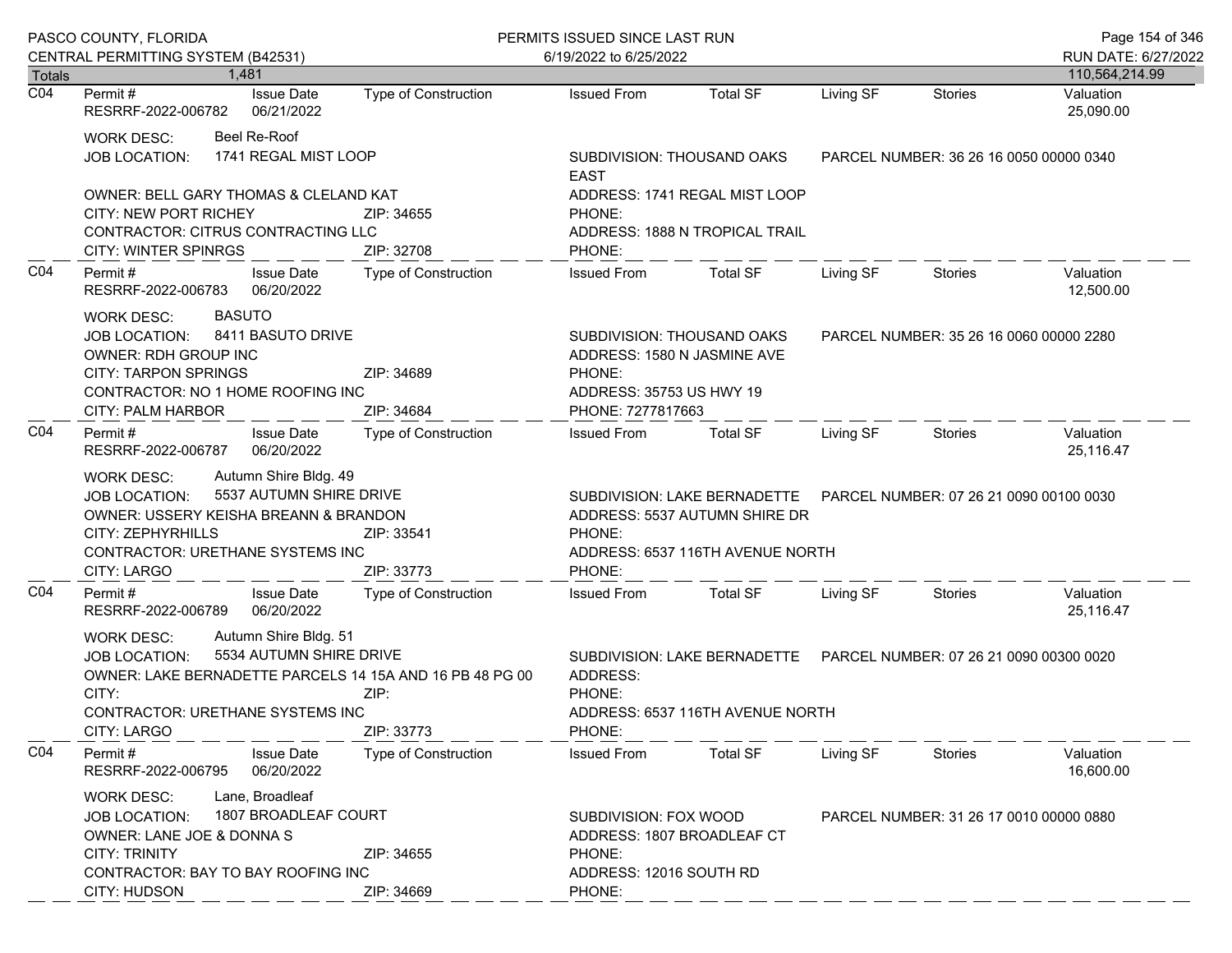|                  | PASCO COUNTY, FLORIDA                                                                                                                                                                                                                              |                             | PERMITS ISSUED SINCE LAST RUN                                                                                                                                  | Page 154 of 346                                                                                           |                                         |                                         |                        |  |
|------------------|----------------------------------------------------------------------------------------------------------------------------------------------------------------------------------------------------------------------------------------------------|-----------------------------|----------------------------------------------------------------------------------------------------------------------------------------------------------------|-----------------------------------------------------------------------------------------------------------|-----------------------------------------|-----------------------------------------|------------------------|--|
|                  | CENTRAL PERMITTING SYSTEM (B42531)                                                                                                                                                                                                                 |                             | 6/19/2022 to 6/25/2022                                                                                                                                         |                                                                                                           |                                         |                                         | RUN DATE: 6/27/2022    |  |
| <b>Totals</b>    | 1.481                                                                                                                                                                                                                                              |                             |                                                                                                                                                                |                                                                                                           |                                         |                                         | 110,564,214.99         |  |
| $\overline{CO4}$ | <b>Issue Date</b><br>Permit #<br>RESRRF-2022-006782<br>06/21/2022                                                                                                                                                                                  | <b>Type of Construction</b> | <b>Issued From</b>                                                                                                                                             | <b>Total SF</b>                                                                                           | Living SF                               | <b>Stories</b>                          | Valuation<br>25,090.00 |  |
|                  | Beel Re-Roof<br><b>WORK DESC:</b><br>1741 REGAL MIST LOOP<br><b>JOB LOCATION:</b>                                                                                                                                                                  |                             | <b>EAST</b>                                                                                                                                                    | SUBDIVISION: THOUSAND OAKS<br>PARCEL NUMBER: 36 26 16 0050 00000 0340                                     |                                         |                                         |                        |  |
|                  | OWNER: BELL GARY THOMAS & CLELAND KAT<br>CITY: NEW PORT RICHEY<br>CONTRACTOR: CITRUS CONTRACTING LLC<br>CITY: WINTER SPINRGS                                                                                                                       | ZIP: 34655<br>ZIP: 32708    | PHONE:<br>PHONE:                                                                                                                                               | ADDRESS: 1741 REGAL MIST LOOP<br>ADDRESS: 1888 N TROPICAL TRAIL                                           |                                         |                                         |                        |  |
| CO <sub>4</sub>  | Permit#<br><b>Issue Date</b><br>06/20/2022<br>RESRRF-2022-006783                                                                                                                                                                                   | Type of Construction        | <b>Issued From</b>                                                                                                                                             | <b>Total SF</b>                                                                                           | Living SF                               | Stories                                 | Valuation<br>12,500.00 |  |
|                  | <b>BASUTO</b><br><b>WORK DESC:</b><br>8411 BASUTO DRIVE<br>JOB LOCATION:<br>OWNER: RDH GROUP INC<br><b>CITY: TARPON SPRINGS</b><br>ZIP: 34689<br>CONTRACTOR: NO 1 HOME ROOFING INC<br><b>CITY: PALM HARBOR</b><br>ZIP: 34684                       |                             | SUBDIVISION: THOUSAND OAKS<br>ADDRESS: 1580 N JASMINE AVE<br>PHONE:<br>ADDRESS: 35753 US HWY 19<br>PHONE: 7277817663                                           |                                                                                                           | PARCEL NUMBER: 35 26 16 0060 00000 2280 |                                         |                        |  |
| CO <sub>4</sub>  | Permit#<br><b>Issue Date</b><br>06/20/2022<br>RESRRF-2022-006787                                                                                                                                                                                   | Type of Construction        | <b>Issued From</b>                                                                                                                                             | <b>Total SF</b>                                                                                           | Living SF                               | Stories                                 | Valuation<br>25,116.47 |  |
|                  | Autumn Shire Bldg. 49<br><b>WORK DESC:</b><br>5537 AUTUMN SHIRE DRIVE<br><b>JOB LOCATION:</b><br>OWNER: USSERY KEISHA BREANN & BRANDON<br>CITY: ZEPHYRHILLS<br>ZIP: 33541<br><b>CONTRACTOR: URETHANE SYSTEMS INC</b><br>CITY: LARGO<br>ZIP: 33773  |                             | SUBDIVISION: LAKE BERNADETTE  PARCEL NUMBER: 07 26 21 0090 00100 0030<br>ADDRESS: 5537 AUTUMN SHIRE DR<br>PHONE:<br>ADDRESS: 6537 116TH AVENUE NORTH<br>PHONE: |                                                                                                           |                                         |                                         |                        |  |
| CO <sub>4</sub>  | <b>Issue Date</b><br>Permit#<br>RESRRF-2022-006789<br>06/20/2022                                                                                                                                                                                   | Type of Construction        | <b>Issued From</b>                                                                                                                                             | <b>Total SF</b>                                                                                           | Living SF                               | Stories                                 | Valuation<br>25,116.47 |  |
|                  | Autumn Shire Bldg. 51<br><b>WORK DESC:</b><br>5534 AUTUMN SHIRE DRIVE<br><b>JOB LOCATION:</b><br>OWNER: LAKE BERNADETTE PARCELS 14 15A AND 16 PB 48 PG 00<br>CITY:<br>ZIP:<br><b>CONTRACTOR: URETHANE SYSTEMS INC</b><br>CITY: LARGO<br>ZIP: 33773 |                             | ADDRESS:<br>PHONE:<br>PHONE:                                                                                                                                   | SUBDIVISION: LAKE BERNADETTE  PARCEL NUMBER: 07 26 21 0090 00300 0020<br>ADDRESS: 6537 116TH AVENUE NORTH |                                         |                                         |                        |  |
| CO <sub>4</sub>  | Permit#<br><b>Issue Date</b><br>06/20/2022<br>RESRRF-2022-006795                                                                                                                                                                                   | Type of Construction        | <b>Issued From</b>                                                                                                                                             | <b>Total SF</b>                                                                                           | Living SF                               | Stories                                 | Valuation<br>16,600.00 |  |
|                  | Lane, Broadleaf<br><b>WORK DESC:</b><br>1807 BROADLEAF COURT<br><b>JOB LOCATION:</b><br>OWNER: LANE JOE & DONNA S<br><b>CITY: TRINITY</b><br>ZIP: 34655<br>CONTRACTOR: BAY TO BAY ROOFING INC<br>CITY: HUDSON<br>ZIP: 34669                        |                             | SUBDIVISION: FOX WOOD<br>ADDRESS: 1807 BROADLEAF CT<br>PHONE:<br>ADDRESS: 12016 SOUTH RD<br>PHONE:                                                             |                                                                                                           |                                         | PARCEL NUMBER: 31 26 17 0010 00000 0880 |                        |  |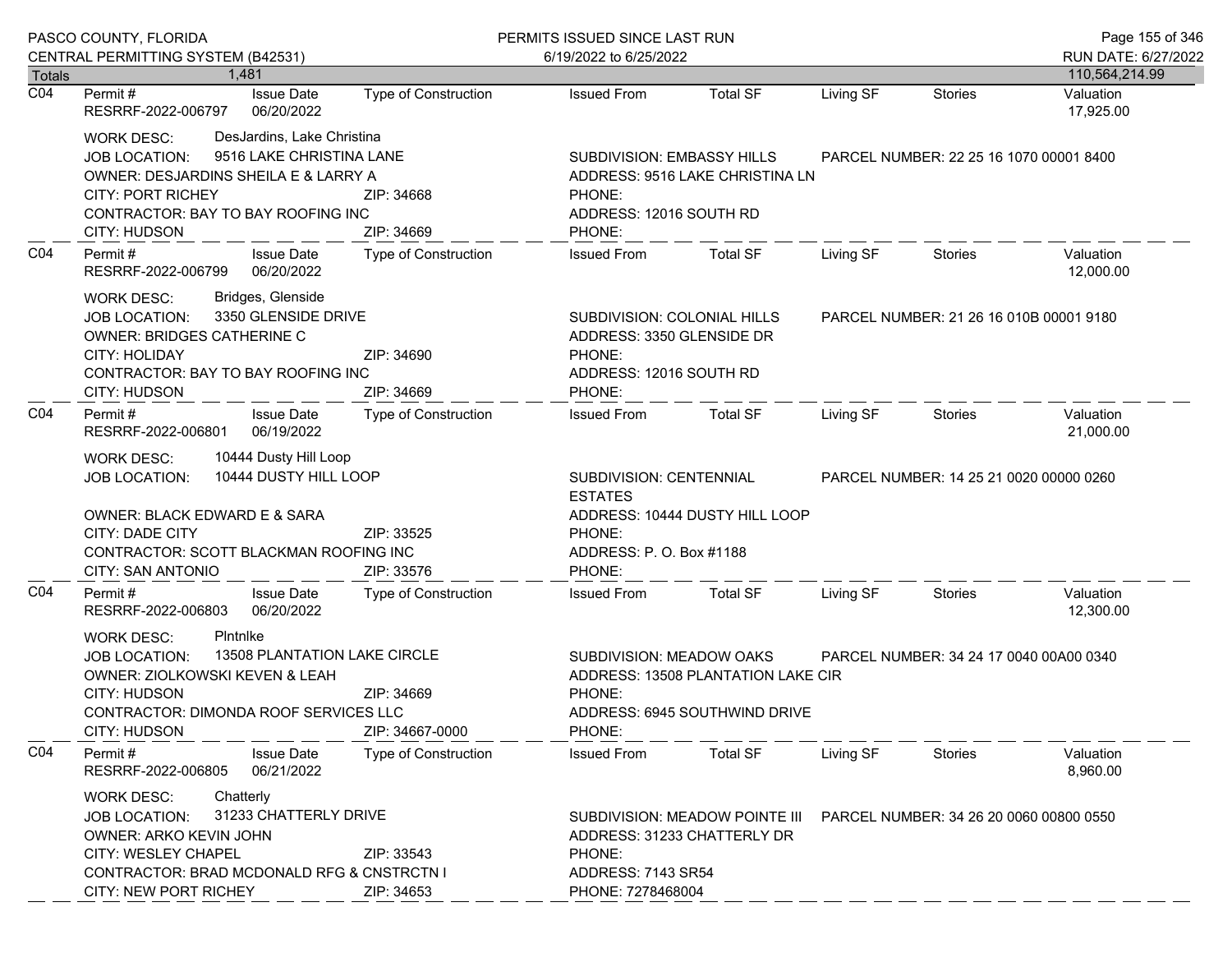|                                   | PASCO COUNTY, FLORIDA                                                                                                                                                                                                                           |                                           | PERMITS ISSUED SINCE LAST RUN                                                                                                                                 |                                                                     |                                         |                                         |                        |
|-----------------------------------|-------------------------------------------------------------------------------------------------------------------------------------------------------------------------------------------------------------------------------------------------|-------------------------------------------|---------------------------------------------------------------------------------------------------------------------------------------------------------------|---------------------------------------------------------------------|-----------------------------------------|-----------------------------------------|------------------------|
|                                   | CENTRAL PERMITTING SYSTEM (B42531)                                                                                                                                                                                                              |                                           | 6/19/2022 to 6/25/2022                                                                                                                                        |                                                                     |                                         |                                         | RUN DATE: 6/27/2022    |
| <b>Totals</b><br>$\overline{CO4}$ | 1.481                                                                                                                                                                                                                                           |                                           |                                                                                                                                                               |                                                                     |                                         |                                         | 110,564,214.99         |
|                                   | <b>Issue Date</b><br>Permit #<br>RESRRF-2022-006797<br>06/20/2022                                                                                                                                                                               | Type of Construction                      | <b>Issued From</b>                                                                                                                                            | <b>Total SF</b>                                                     | Living SF                               | <b>Stories</b>                          | Valuation<br>17,925.00 |
|                                   | DesJardins, Lake Christina<br><b>WORK DESC:</b><br>9516 LAKE CHRISTINA LANE<br><b>JOB LOCATION:</b><br>OWNER: DESJARDINS SHEILA E & LARRY A<br><b>CITY: PORT RICHEY</b><br>CONTRACTOR: BAY TO BAY ROOFING INC<br><b>CITY: HUDSON</b>            | ZIP: 34668<br>ZIP: 34669                  | SUBDIVISION: EMBASSY HILLS<br>PHONE:<br>ADDRESS: 12016 SOUTH RD<br>PHONE:                                                                                     | ADDRESS: 9516 LAKE CHRISTINA LN                                     |                                         | PARCEL NUMBER: 22 25 16 1070 00001 8400 |                        |
| CO <sub>4</sub>                   | Permit#<br><b>Issue Date</b><br>06/20/2022<br>RESRRF-2022-006799                                                                                                                                                                                | <b>Type of Construction</b>               | <b>Issued From</b>                                                                                                                                            | <b>Total SF</b>                                                     | Living SF                               | Stories                                 | Valuation<br>12,000.00 |
|                                   | Bridges, Glenside<br><b>WORK DESC:</b><br>3350 GLENSIDE DRIVE<br><b>JOB LOCATION:</b><br>OWNER: BRIDGES CATHERINE C<br><b>CITY: HOLIDAY</b><br>ZIP: 34690<br>CONTRACTOR: BAY TO BAY ROOFING INC<br><b>CITY: HUDSON</b><br>ZIP: 34669            |                                           | SUBDIVISION: COLONIAL HILLS<br>ADDRESS: 3350 GLENSIDE DR<br>PHONE:<br>ADDRESS: 12016 SOUTH RD<br>PHONE:                                                       |                                                                     |                                         | PARCEL NUMBER: 21 26 16 010B 00001 9180 |                        |
| CO <sub>4</sub>                   | Permit#<br><b>Issue Date</b><br>06/19/2022<br>RESRRF-2022-006801                                                                                                                                                                                | <b>Type of Construction</b>               | <b>Issued From</b>                                                                                                                                            | Total SF                                                            | Living SF                               | Stories                                 | Valuation<br>21,000.00 |
|                                   | 10444 Dusty Hill Loop<br><b>WORK DESC:</b><br>10444 DUSTY HILL LOOP<br><b>JOB LOCATION:</b><br>OWNER: BLACK EDWARD E & SARA<br>CITY: DADE CITY<br>ZIP: 33525<br>CONTRACTOR: SCOTT BLACKMAN ROOFING INC                                          |                                           | SUBDIVISION: CENTENNIAL<br><b>ESTATES</b><br>ADDRESS: 10444 DUSTY HILL LOOP<br>PHONE:<br>ADDRESS: P. O. Box #1188                                             |                                                                     | PARCEL NUMBER: 14 25 21 0020 00000 0260 |                                         |                        |
| CO <sub>4</sub>                   | CITY: SAN ANTONIO<br><b>Issue Date</b><br>Permit#<br>RESRRF-2022-006803<br>06/20/2022                                                                                                                                                           | ZIP: 33576<br><b>Type of Construction</b> | PHONE:<br><b>Issued From</b>                                                                                                                                  | <b>Total SF</b>                                                     | Living SF                               | <b>Stories</b>                          | Valuation<br>12,300.00 |
|                                   | Pintnike<br><b>WORK DESC:</b><br>13508 PLANTATION LAKE CIRCLE<br><b>JOB LOCATION:</b><br>OWNER: ZIOLKOWSKI KEVEN & LEAH<br><b>CITY: HUDSON</b><br>ZIP: 34669<br>CONTRACTOR: DIMONDA ROOF SERVICES LLC<br><b>CITY: HUDSON</b><br>ZIP: 34667-0000 |                                           | SUBDIVISION: MEADOW OAKS<br>PHONE:<br>PHONE:                                                                                                                  | ADDRESS: 13508 PLANTATION LAKE CIR<br>ADDRESS: 6945 SOUTHWIND DRIVE |                                         | PARCEL NUMBER: 34 24 17 0040 00A00 0340 |                        |
| CO <sub>4</sub>                   | Permit#<br><b>Issue Date</b><br>06/21/2022<br>RESRRF-2022-006805                                                                                                                                                                                | <b>Type of Construction</b>               | <b>Issued From</b>                                                                                                                                            | <b>Total SF</b>                                                     | Living SF                               | Stories                                 | Valuation<br>8,960.00  |
|                                   | Chatterly<br><b>WORK DESC:</b><br>31233 CHATTERLY DRIVE<br>JOB LOCATION:<br>OWNER: ARKO KEVIN JOHN<br><b>CITY: WESLEY CHAPEL</b><br>ZIP: 33543<br>CONTRACTOR: BRAD MCDONALD RFG & CNSTRCTN I<br>CITY: NEW PORT RICHEY<br>ZIP: 34653             |                                           | SUBDIVISION: MEADOW POINTE III<br>PARCEL NUMBER: 34 26 20 0060 00800 0550<br>ADDRESS: 31233 CHATTERLY DR<br>PHONE:<br>ADDRESS: 7143 SR54<br>PHONE: 7278468004 |                                                                     |                                         |                                         |                        |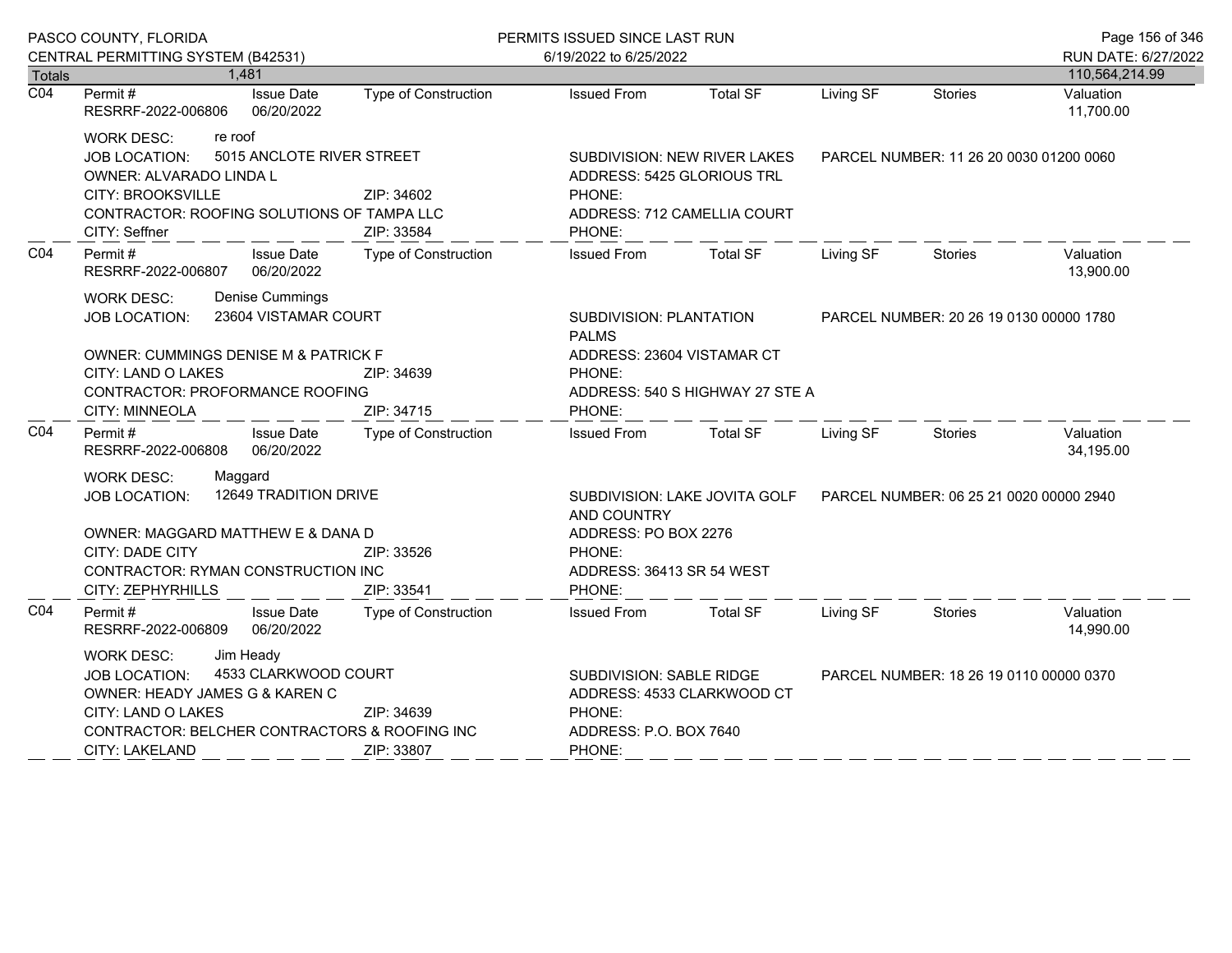|                            | PASCO COUNTY, FLORIDA                                                                                                                                                                                            |                                 |                                                                                  | PERMITS ISSUED SINCE LAST RUN                                                                                    |                                                                                                             |                                         | Page 156 of 346                         |                             |
|----------------------------|------------------------------------------------------------------------------------------------------------------------------------------------------------------------------------------------------------------|---------------------------------|----------------------------------------------------------------------------------|------------------------------------------------------------------------------------------------------------------|-------------------------------------------------------------------------------------------------------------|-----------------------------------------|-----------------------------------------|-----------------------------|
|                            | CENTRAL PERMITTING SYSTEM (B42531)                                                                                                                                                                               |                                 |                                                                                  | 6/19/2022 to 6/25/2022                                                                                           |                                                                                                             |                                         |                                         | RUN DATE: 6/27/2022         |
| Totals<br>$\overline{CO4}$ | 1,481<br>Permit#                                                                                                                                                                                                 | <b>Issue Date</b>               | Type of Construction                                                             | <b>Issued From</b>                                                                                               | <b>Total SF</b>                                                                                             | Living SF                               | <b>Stories</b>                          | 110,564,214.99<br>Valuation |
|                            | RESRRF-2022-006806                                                                                                                                                                                               | 06/20/2022                      |                                                                                  |                                                                                                                  |                                                                                                             |                                         |                                         | 11,700.00                   |
|                            | re roof<br><b>WORK DESC:</b><br>JOB LOCATION:<br>OWNER: ALVARADO LINDA L<br><b>CITY: BROOKSVILLE</b><br>CONTRACTOR: ROOFING SOLUTIONS OF TAMPA LLC<br>CITY: Seffner                                              |                                 | 5015 ANCLOTE RIVER STREET<br>ZIP: 34602<br>ZIP: 33584                            | SUBDIVISION: NEW RIVER LAKES<br>ADDRESS: 5425 GLORIOUS TRL<br>PHONE:<br>ADDRESS: 712 CAMELLIA COURT<br>PHONE:    |                                                                                                             | PARCEL NUMBER: 11 26 20 0030 01200 0060 |                                         |                             |
| CO <sub>4</sub>            | Permit#<br>RESRRF-2022-006807                                                                                                                                                                                    | <b>Issue Date</b><br>06/20/2022 | Type of Construction                                                             | <b>Issued From</b>                                                                                               | Total SF                                                                                                    | Living SF                               | Stories                                 | Valuation<br>13,900.00      |
|                            | Denise Cummings<br><b>WORK DESC:</b><br>23604 VISTAMAR COURT<br>JOB LOCATION:<br>OWNER: CUMMINGS DENISE M & PATRICK F                                                                                            |                                 |                                                                                  | SUBDIVISION: PLANTATION<br>PARCEL NUMBER: 20 26 19 0130 00000 1780<br><b>PALMS</b><br>ADDRESS: 23604 VISTAMAR CT |                                                                                                             |                                         |                                         |                             |
|                            | CITY: LAND O LAKES<br>ZIP: 34639<br><b>CONTRACTOR: PROFORMANCE ROOFING</b><br>CITY: MINNEOLA<br>ZIP: 34715                                                                                                       |                                 |                                                                                  | PHONE:<br>PHONE:                                                                                                 | ADDRESS: 540 S HIGHWAY 27 STE A                                                                             |                                         |                                         |                             |
| CO <sub>4</sub>            | Permit#<br>RESRRF-2022-006808                                                                                                                                                                                    | <b>Issue Date</b><br>06/20/2022 | Type of Construction                                                             | <b>Issued From</b>                                                                                               | Total SF                                                                                                    | Living SF                               | Stories                                 | Valuation<br>34,195.00      |
|                            | Maggard<br><b>WORK DESC:</b><br><b>JOB LOCATION:</b><br>OWNER: MAGGARD MATTHEW E & DANA D<br>CITY: DADE CITY                                                                                                     |                                 | <b>12649 TRADITION DRIVE</b><br>ZIP: 33526<br>CONTRACTOR: RYMAN CONSTRUCTION INC |                                                                                                                  | SUBDIVISION: LAKE JOVITA GOLF<br>AND COUNTRY<br>ADDRESS: PO BOX 2276<br>PHONE:<br>ADDRESS: 36413 SR 54 WEST |                                         | PARCEL NUMBER: 06 25 21 0020 00000 2940 |                             |
|                            | CITY: ZEPHYRHILLS                                                                                                                                                                                                |                                 | ZIP: 33541                                                                       | PHONE:                                                                                                           |                                                                                                             |                                         |                                         |                             |
| CO <sub>4</sub>            | Permit#<br>RESRRF-2022-006809                                                                                                                                                                                    | <b>Issue Date</b><br>06/20/2022 | Type of Construction                                                             | Issued From                                                                                                      | <b>Total SF</b>                                                                                             | Living SF                               | Stories                                 | Valuation<br>14,990.00      |
|                            | <b>WORK DESC:</b><br>Jim Heady<br>4533 CLARKWOOD COURT<br><b>JOB LOCATION:</b><br>OWNER: HEADY JAMES G & KAREN C<br>CITY: LAND O LAKES<br>CONTRACTOR: BELCHER CONTRACTORS & ROOFING INC<br><b>CITY: LAKELAND</b> |                                 | ZIP: 34639<br>ZIP: 33807                                                         | <b>SUBDIVISION: SABLE RIDGE</b><br>PHONE:<br>ADDRESS: P.O. BOX 7640<br>PHONE:                                    | ADDRESS: 4533 CLARKWOOD CT                                                                                  |                                         | PARCEL NUMBER: 18 26 19 0110 00000 0370 |                             |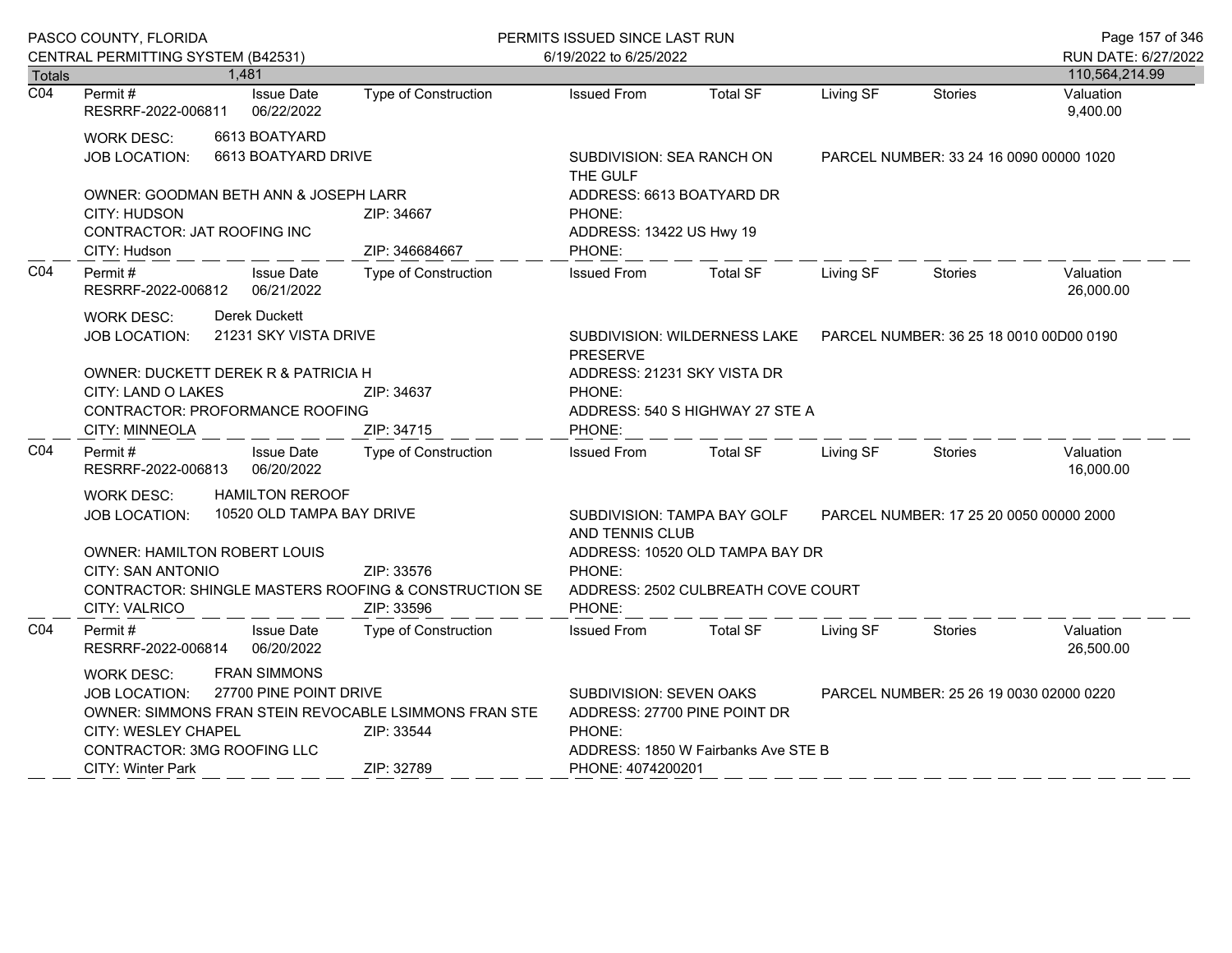|                            | PASCO COUNTY, FLORIDA                                                                                                                                                                                                                                             |                              | PERMITS ISSUED SINCE LAST RUN                                                                                                                                                   |                                                                        |           |                | Page 157 of 346                       |
|----------------------------|-------------------------------------------------------------------------------------------------------------------------------------------------------------------------------------------------------------------------------------------------------------------|------------------------------|---------------------------------------------------------------------------------------------------------------------------------------------------------------------------------|------------------------------------------------------------------------|-----------|----------------|---------------------------------------|
|                            | CENTRAL PERMITTING SYSTEM (B42531)<br>1,481                                                                                                                                                                                                                       |                              | 6/19/2022 to 6/25/2022                                                                                                                                                          |                                                                        |           |                | RUN DATE: 6/27/2022<br>110,564,214.99 |
| Totals<br>$\overline{CO4}$ | Permit#<br><b>Issue Date</b><br>06/22/2022<br>RESRRF-2022-006811                                                                                                                                                                                                  | Type of Construction         | <b>Issued From</b>                                                                                                                                                              | <b>Total SF</b>                                                        | Living SF | <b>Stories</b> | Valuation<br>9,400.00                 |
|                            | 6613 BOATYARD<br><b>WORK DESC:</b><br>6613 BOATYARD DRIVE<br>JOB LOCATION:                                                                                                                                                                                        |                              | THE GULF                                                                                                                                                                        | SUBDIVISION: SEA RANCH ON<br>PARCEL NUMBER: 33 24 16 0090 00000 1020   |           |                |                                       |
|                            | OWNER: GOODMAN BETH ANN & JOSEPH LARR<br><b>CITY: HUDSON</b><br><b>CONTRACTOR: JAT ROOFING INC</b><br>CITY: Hudson                                                                                                                                                | ZIP: 34667<br>ZIP: 346684667 | ADDRESS: 6613 BOATYARD DR<br>PHONE:<br>ADDRESS: 13422 US Hwy 19<br>PHONE:                                                                                                       |                                                                        |           |                |                                       |
| C04                        | Permit#<br><b>Issue Date</b><br>RESRRF-2022-006812<br>06/21/2022                                                                                                                                                                                                  | <b>Type of Construction</b>  | <b>Issued From</b>                                                                                                                                                              | <b>Total SF</b>                                                        | Living SF | <b>Stories</b> | Valuation<br>26,000.00                |
|                            | Derek Duckett<br><b>WORK DESC:</b><br>21231 SKY VISTA DRIVE<br>JOB LOCATION:                                                                                                                                                                                      |                              | <b>PRESERVE</b><br>ADDRESS: 21231 SKY VISTA DR                                                                                                                                  | SUBDIVISION: WILDERNESS LAKE  PARCEL NUMBER: 36 25 18 0010 00 D00 0190 |           |                |                                       |
|                            | OWNER: DUCKETT DEREK R & PATRICIA H<br>CITY: LAND O LAKES<br>ZIP: 34637<br>CONTRACTOR: PROFORMANCE ROOFING<br>ZIP: 34715<br>CITY: MINNEOLA                                                                                                                        |                              | PHONE:<br>ADDRESS: 540 S HIGHWAY 27 STE A<br>PHONE:                                                                                                                             |                                                                        |           |                |                                       |
| CO <sub>4</sub>            | Permit #<br><b>Issue Date</b><br>06/20/2022<br>RESRRF-2022-006813                                                                                                                                                                                                 | Type of Construction         | <b>Issued From</b>                                                                                                                                                              | <b>Total SF</b>                                                        | Living SF | <b>Stories</b> | Valuation<br>16,000.00                |
|                            | <b>HAMILTON REROOF</b><br><b>WORK DESC:</b><br>10520 OLD TAMPA BAY DRIVE<br><b>JOB LOCATION:</b>                                                                                                                                                                  |                              | <b>SUBDIVISION: TAMPA BAY GOLF</b><br>AND TENNIS CLUB<br>ADDRESS: 10520 OLD TAMPA BAY DR                                                                                        | PARCEL NUMBER: 17 25 20 0050 00000 2000                                |           |                |                                       |
|                            | <b>OWNER: HAMILTON ROBERT LOUIS</b><br>CITY: SAN ANTONIO<br>CONTRACTOR: SHINGLE MASTERS ROOFING & CONSTRUCTION SE<br>CITY: VALRICO                                                                                                                                | ZIP: 33576<br>ZIP: 33596     | PHONE:<br>PHONE:                                                                                                                                                                | ADDRESS: 2502 CULBREATH COVE COURT                                     |           |                |                                       |
| C04                        | <b>Issue Date</b><br>Permit#<br>RESRRF-2022-006814<br>06/20/2022                                                                                                                                                                                                  | <b>Type of Construction</b>  | <b>Issued From</b>                                                                                                                                                              | <b>Total SF</b>                                                        | Living SF | <b>Stories</b> | Valuation<br>26,500.00                |
|                            | <b>FRAN SIMMONS</b><br><b>WORK DESC:</b><br>27700 PINE POINT DRIVE<br><b>JOB LOCATION:</b><br>OWNER: SIMMONS FRAN STEIN REVOCABLE LSIMMONS FRAN STE<br>CITY: WESLEY CHAPEL<br>ZIP: 33544<br>CONTRACTOR: 3MG ROOFING LLC<br>ZIP: 32789<br><b>CITY: Winter Park</b> |                              | <b>SUBDIVISION: SEVEN OAKS</b><br>PARCEL NUMBER: 25 26 19 0030 02000 0220<br>ADDRESS: 27700 PINE POINT DR<br>PHONE:<br>ADDRESS: 1850 W Fairbanks Ave STE B<br>PHONE: 4074200201 |                                                                        |           |                |                                       |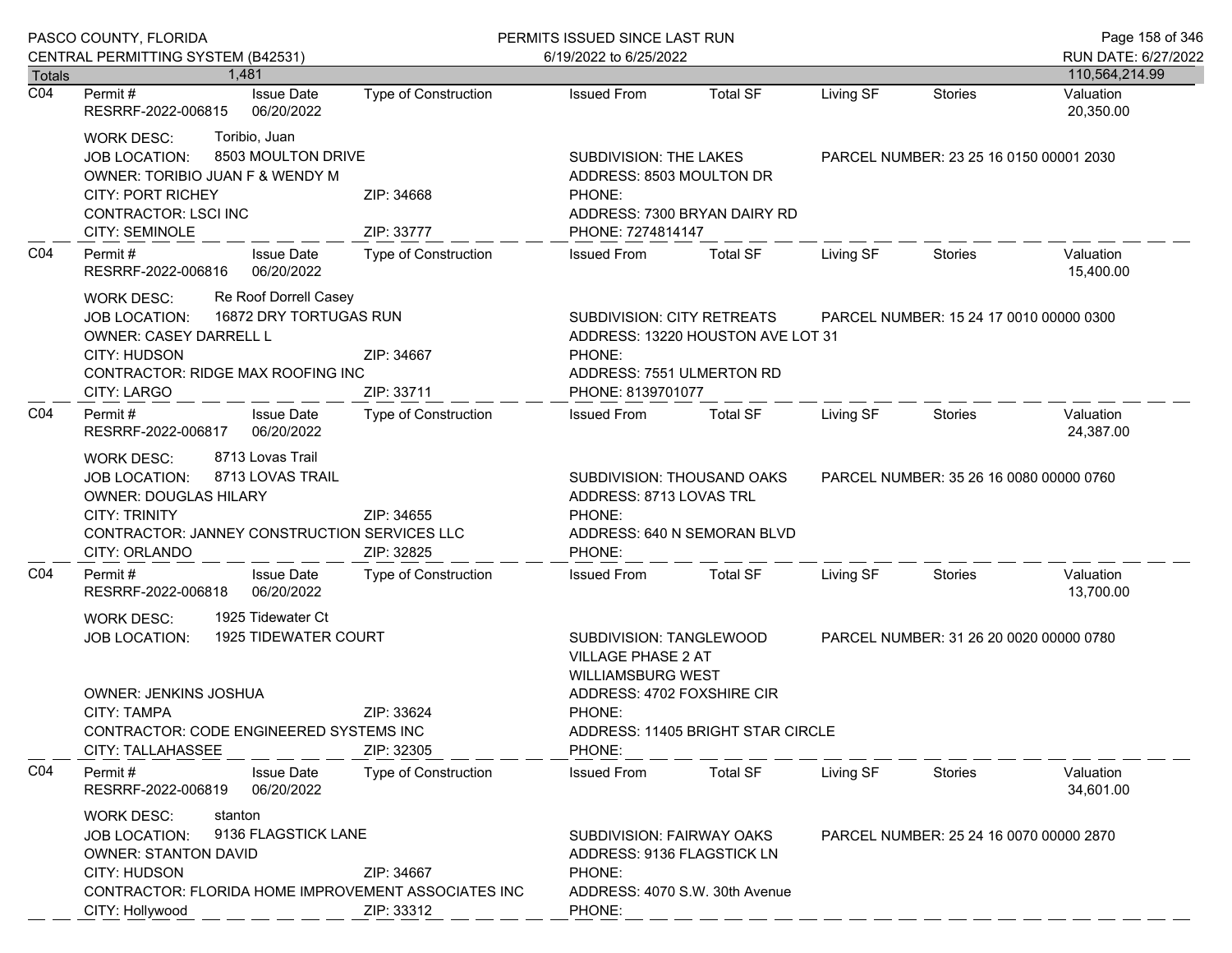|                  | PASCO COUNTY, FLORIDA                                                                                                                                                                                                                    |                             | PERMITS ISSUED SINCE LAST RUN                                                                                                                                                                               |                                   |                                         |                                         |                                       |
|------------------|------------------------------------------------------------------------------------------------------------------------------------------------------------------------------------------------------------------------------------------|-----------------------------|-------------------------------------------------------------------------------------------------------------------------------------------------------------------------------------------------------------|-----------------------------------|-----------------------------------------|-----------------------------------------|---------------------------------------|
| Totals           | CENTRAL PERMITTING SYSTEM (B42531)<br>1.481                                                                                                                                                                                              |                             | 6/19/2022 to 6/25/2022                                                                                                                                                                                      |                                   |                                         |                                         | RUN DATE: 6/27/2022<br>110,564,214.99 |
| $\overline{CO4}$ | <b>Issue Date</b><br>Permit #                                                                                                                                                                                                            | <b>Type of Construction</b> | <b>Issued From</b>                                                                                                                                                                                          | <b>Total SF</b>                   | Living SF                               | <b>Stories</b>                          | Valuation                             |
|                  | 06/20/2022<br>RESRRF-2022-006815                                                                                                                                                                                                         |                             |                                                                                                                                                                                                             |                                   |                                         |                                         | 20,350.00                             |
|                  | Toribio, Juan<br><b>WORK DESC:</b><br>8503 MOULTON DRIVE<br><b>JOB LOCATION:</b><br>OWNER: TORIBIO JUAN F & WENDY M<br>CITY: PORT RICHEY<br>CONTRACTOR: LSCI INC<br>CITY: SEMINOLE                                                       | ZIP: 34668<br>ZIP: 33777    | SUBDIVISION: THE LAKES<br>ADDRESS: 8503 MOULTON DR<br>PHONE:<br>ADDRESS: 7300 BRYAN DAIRY RD<br>PHONE: 7274814147                                                                                           |                                   | PARCEL NUMBER: 23 25 16 0150 00001 2030 |                                         |                                       |
| CO <sub>4</sub>  | Permit#<br><b>Issue Date</b><br>RESRRF-2022-006816<br>06/20/2022                                                                                                                                                                         | Type of Construction        | <b>Issued From</b>                                                                                                                                                                                          | <b>Total SF</b>                   | Living SF                               | Stories                                 | Valuation<br>15,400.00                |
|                  | Re Roof Dorrell Casey<br><b>WORK DESC:</b><br>16872 DRY TORTUGAS RUN<br><b>JOB LOCATION:</b><br>OWNER: CASEY DARRELL L<br>CITY: HUDSON<br>CONTRACTOR: RIDGE MAX ROOFING INC<br><b>CITY: LARGO</b>                                        | ZIP: 34667<br>ZIP: 33711    | SUBDIVISION: CITY RETREATS<br>PHONE:<br>ADDRESS: 7551 ULMERTON RD<br>PHONE: 8139701077                                                                                                                      | ADDRESS: 13220 HOUSTON AVE LOT 31 | PARCEL NUMBER: 15 24 17 0010 00000 0300 |                                         |                                       |
| CO <sub>4</sub>  | Permit#<br><b>Issue Date</b><br>06/20/2022<br>RESRRF-2022-006817                                                                                                                                                                         | Type of Construction        | <b>Issued From</b>                                                                                                                                                                                          | <b>Total SF</b>                   | Living SF                               | Stories                                 | Valuation<br>24,387.00                |
|                  | 8713 Lovas Trail<br><b>WORK DESC:</b><br>8713 LOVAS TRAIL<br>JOB LOCATION:<br><b>OWNER: DOUGLAS HILARY</b><br><b>CITY: TRINITY</b><br>CONTRACTOR: JANNEY CONSTRUCTION SERVICES LLC<br>CITY: ORLANDO                                      | ZIP: 34655<br>ZIP: 32825    | SUBDIVISION: THOUSAND OAKS<br>ADDRESS: 8713 LOVAS TRL<br>PHONE:<br>PHONE:                                                                                                                                   | ADDRESS: 640 N SEMORAN BLVD       | PARCEL NUMBER: 35 26 16 0080 00000 0760 |                                         |                                       |
| CO <sub>4</sub>  | Permit#<br><b>Issue Date</b><br>06/20/2022<br>RESRRF-2022-006818                                                                                                                                                                         | <b>Type of Construction</b> | <b>Issued From</b>                                                                                                                                                                                          | <b>Total SF</b>                   | Living SF                               | Stories                                 | Valuation<br>13,700.00                |
|                  | 1925 Tidewater Ct<br><b>WORK DESC:</b><br>1925 TIDEWATER COURT<br><b>JOB LOCATION:</b><br>OWNER: JENKINS JOSHUA<br><b>CITY: TAMPA</b><br>ZIP: 33624<br>CONTRACTOR: CODE ENGINEERED SYSTEMS INC<br><b>CITY: TALLAHASSEE</b><br>ZIP: 32305 |                             | SUBDIVISION: TANGLEWOOD<br>PARCEL NUMBER: 31 26 20 0020 00000 0780<br><b>VILLAGE PHASE 2 AT</b><br>WILLIAMSBURG WEST<br>ADDRESS: 4702 FOXSHIRE CIR<br>PHONE:<br>ADDRESS: 11405 BRIGHT STAR CIRCLE<br>PHONE: |                                   |                                         |                                         |                                       |
| CO <sub>4</sub>  | Permit#<br><b>Issue Date</b><br>RESRRF-2022-006819<br>06/20/2022                                                                                                                                                                         | <b>Type of Construction</b> | <b>Issued From</b>                                                                                                                                                                                          | <b>Total SF</b>                   | Living SF                               | Stories                                 | Valuation<br>34,601.00                |
|                  | stanton<br><b>WORK DESC:</b><br>9136 FLAGSTICK LANE<br><b>JOB LOCATION:</b><br><b>OWNER: STANTON DAVID</b><br>CITY: HUDSON<br>CONTRACTOR: FLORIDA HOME IMPROVEMENT ASSOCIATES INC<br>CITY: Hollywood                                     | ZIP: 34667<br>ZIP: 33312    | <b>SUBDIVISION: FAIRWAY OAKS</b><br>ADDRESS: 9136 FLAGSTICK LN<br>PHONE:<br>PHONE:                                                                                                                          | ADDRESS: 4070 S.W. 30th Avenue    |                                         | PARCEL NUMBER: 25 24 16 0070 00000 2870 |                                       |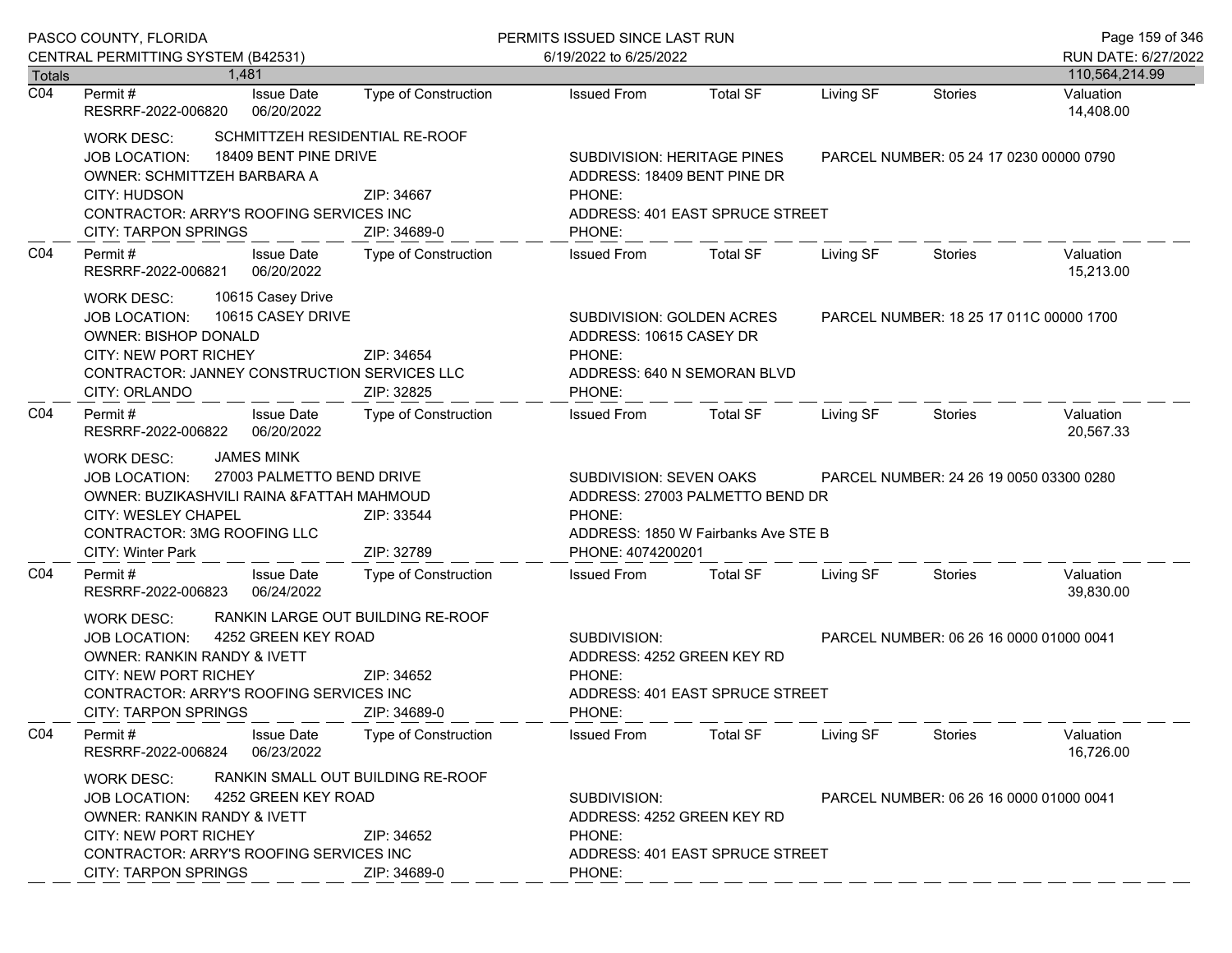|                                                                                                                                                                                                                                                                                         | PASCO COUNTY, FLORIDA<br>CENTRAL PERMITTING SYSTEM (B42531)                                                                                                                                                                        |                                                                                                   |                                                                                                                                                |                                                                                                                                | PERMITS ISSUED SINCE LAST RUN<br>6/19/2022 to 6/25/2022 |                                         |                                       |  |
|-----------------------------------------------------------------------------------------------------------------------------------------------------------------------------------------------------------------------------------------------------------------------------------------|------------------------------------------------------------------------------------------------------------------------------------------------------------------------------------------------------------------------------------|---------------------------------------------------------------------------------------------------|------------------------------------------------------------------------------------------------------------------------------------------------|--------------------------------------------------------------------------------------------------------------------------------|---------------------------------------------------------|-----------------------------------------|---------------------------------------|--|
| <b>Totals</b>                                                                                                                                                                                                                                                                           | 1.481                                                                                                                                                                                                                              |                                                                                                   |                                                                                                                                                |                                                                                                                                |                                                         |                                         | RUN DATE: 6/27/2022<br>110,564,214.99 |  |
| $\overline{CO4}$                                                                                                                                                                                                                                                                        | <b>Issue Date</b><br>Permit #<br>RESRRF-2022-006820<br>06/20/2022                                                                                                                                                                  | <b>Type of Construction</b>                                                                       | <b>Issued From</b>                                                                                                                             | <b>Total SF</b>                                                                                                                | Living SF                                               | <b>Stories</b>                          | Valuation<br>14,408.00                |  |
| SCHMITTZEH RESIDENTIAL RE-ROOF<br>WORK DESC:<br>18409 BENT PINE DRIVE<br><b>JOB LOCATION:</b><br>OWNER: SCHMITTZEH BARBARA A<br><b>CITY: HUDSON</b><br>ZIP: 34667<br>CONTRACTOR: ARRY'S ROOFING SERVICES INC<br><b>CITY: TARPON SPRINGS</b><br>ZIP: 34689-0                             |                                                                                                                                                                                                                                    |                                                                                                   | SUBDIVISION: HERITAGE PINES<br>ADDRESS: 18409 BENT PINE DR<br>PHONE:<br>ADDRESS: 401 EAST SPRUCE STREET<br>PHONE:                              |                                                                                                                                |                                                         | PARCEL NUMBER: 05 24 17 0230 00000 0790 |                                       |  |
| CO <sub>4</sub>                                                                                                                                                                                                                                                                         | Permit#<br><b>Issue Date</b><br>06/20/2022<br>RESRRF-2022-006821                                                                                                                                                                   | Type of Construction                                                                              | <b>Issued From</b>                                                                                                                             | <b>Total SF</b>                                                                                                                | Living SF                                               | <b>Stories</b>                          | Valuation<br>15,213.00                |  |
|                                                                                                                                                                                                                                                                                         | 10615 Casey Drive<br>WORK DESC:<br>10615 CASEY DRIVE<br><b>JOB LOCATION:</b><br><b>OWNER: BISHOP DONALD</b><br><b>CITY: NEW PORT RICHEY</b><br>CONTRACTOR: JANNEY CONSTRUCTION SERVICES LLC<br>CITY: ORLANDO                       | ZIP: 34654<br>ZIP: 32825                                                                          | PHONE:<br>PHONE:                                                                                                                               | SUBDIVISION: GOLDEN ACRES<br>PARCEL NUMBER: 18 25 17 011C 00000 1700<br>ADDRESS: 10615 CASEY DR<br>ADDRESS: 640 N SEMORAN BLVD |                                                         |                                         |                                       |  |
| CO <sub>4</sub>                                                                                                                                                                                                                                                                         | Permit#<br><b>Issue Date</b><br>06/20/2022<br>RESRRF-2022-006822                                                                                                                                                                   | Type of Construction                                                                              | <b>Issued From</b>                                                                                                                             | <b>Total SF</b>                                                                                                                | Living SF                                               | Stories                                 | Valuation<br>20,567.33                |  |
|                                                                                                                                                                                                                                                                                         | <b>JAMES MINK</b><br>WORK DESC:<br>27003 PALMETTO BEND DRIVE<br><b>JOB LOCATION:</b><br>OWNER: BUZIKASHVILI RAINA & FATTAH MAHMOUD<br>CITY: WESLEY CHAPEL<br>ZIP: 33544<br>CONTRACTOR: 3MG ROOFING LLC<br><b>CITY: Winter Park</b> |                                                                                                   | SUBDIVISION: SEVEN OAKS<br>ADDRESS: 27003 PALMETTO BEND DR<br>PHONE:<br>ADDRESS: 1850 W Fairbanks Ave STE B<br>ZIP: 32789<br>PHONE: 4074200201 |                                                                                                                                |                                                         | PARCEL NUMBER: 24 26 19 0050 03300 0280 |                                       |  |
| CO4                                                                                                                                                                                                                                                                                     | Permit#<br><b>Issue Date</b><br>RESRRF-2022-006823<br>06/24/2022                                                                                                                                                                   | <b>Type of Construction</b>                                                                       | <b>Issued From</b>                                                                                                                             | <b>Total SF</b>                                                                                                                | Living SF                                               | Stories                                 | Valuation<br>39,830.00                |  |
|                                                                                                                                                                                                                                                                                         | <b>WORK DESC:</b><br>4252 GREEN KEY ROAD<br><b>JOB LOCATION:</b><br>OWNER: RANKIN RANDY & IVETT<br>CITY: NEW PORT RICHEY<br>CONTRACTOR: ARRY'S ROOFING SERVICES INC<br><b>CITY: TARPON SPRINGS</b>                                 | RANKIN LARGE OUT BUILDING RE-ROOF<br>ZIP: 34652<br>ZIP: 34689-0                                   | SUBDIVISION:<br>ADDRESS: 4252 GREEN KEY RD<br>PHONE:<br>PHONE:                                                                                 | ADDRESS: 401 EAST SPRUCE STREET                                                                                                | PARCEL NUMBER: 06 26 16 0000 01000 0041                 |                                         |                                       |  |
| CO <sub>4</sub>                                                                                                                                                                                                                                                                         | Permit#<br><b>Issue Date</b><br>06/23/2022<br>RESRRF-2022-006824                                                                                                                                                                   | <b>Type of Construction</b>                                                                       | <b>Issued From</b>                                                                                                                             | <b>Total SF</b>                                                                                                                | Living SF                                               | <b>Stories</b>                          | Valuation<br>16,726.00                |  |
| RANKIN SMALL OUT BUILDING RE-ROOF<br><b>WORK DESC:</b><br>4252 GREEN KEY ROAD<br><b>JOB LOCATION:</b><br><b>OWNER: RANKIN RANDY &amp; IVETT</b><br><b>CITY: NEW PORT RICHEY</b><br>ZIP: 34652<br>CONTRACTOR: ARRY'S ROOFING SERVICES INC<br><b>CITY: TARPON SPRINGS</b><br>ZIP: 34689-0 |                                                                                                                                                                                                                                    | SUBDIVISION:<br>ADDRESS: 4252 GREEN KEY RD<br>PHONE:<br>ADDRESS: 401 EAST SPRUCE STREET<br>PHONE: |                                                                                                                                                |                                                                                                                                | PARCEL NUMBER: 06 26 16 0000 01000 0041                 |                                         |                                       |  |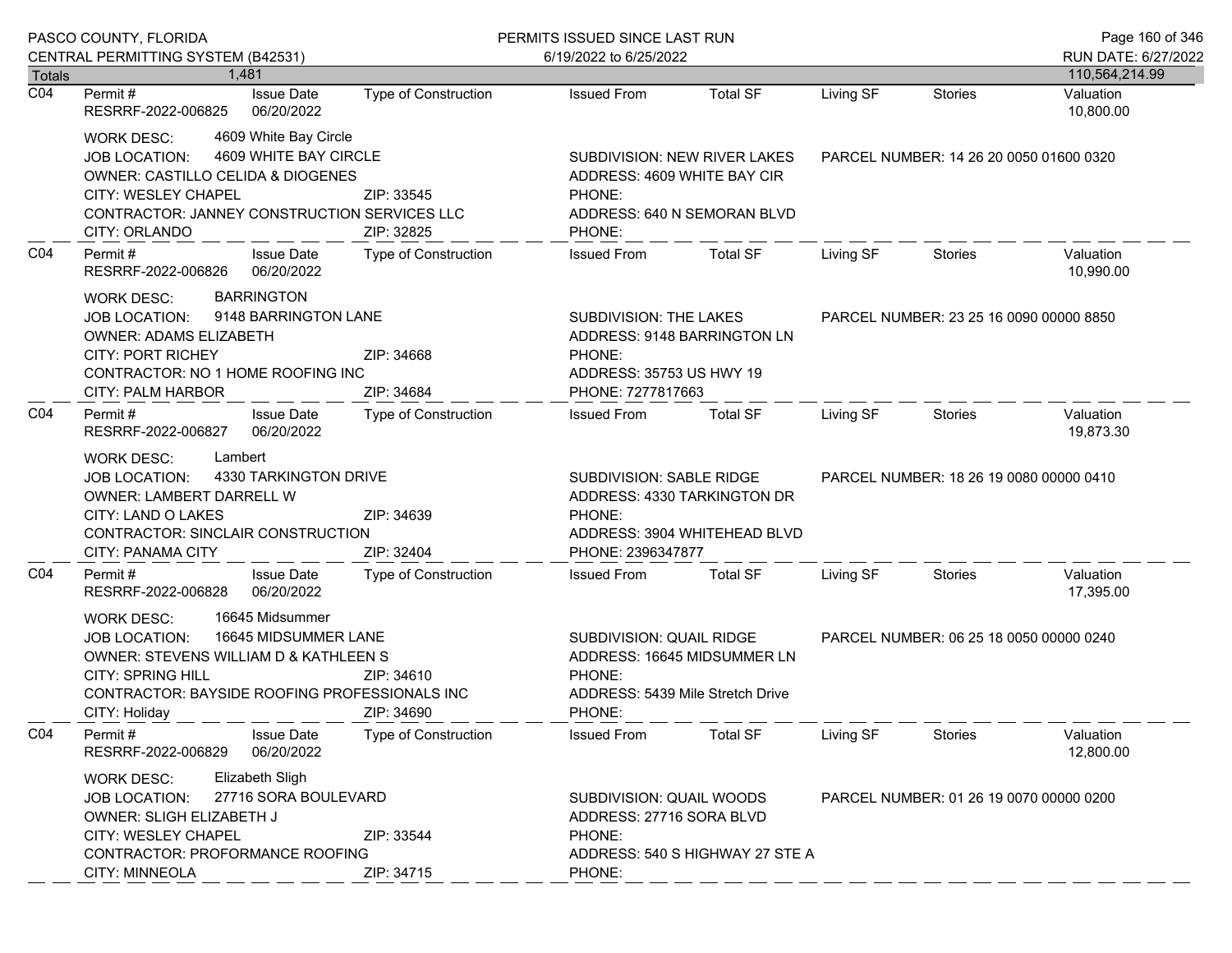|                  | PASCO COUNTY, FLORIDA                                                                                                                                                                                                       |                                                  | PERMITS ISSUED SINCE LAST RUN                                                                                                                              |                                                                                                                                       |           |                                         | Page 160 of 346        |
|------------------|-----------------------------------------------------------------------------------------------------------------------------------------------------------------------------------------------------------------------------|--------------------------------------------------|------------------------------------------------------------------------------------------------------------------------------------------------------------|---------------------------------------------------------------------------------------------------------------------------------------|-----------|-----------------------------------------|------------------------|
|                  | CENTRAL PERMITTING SYSTEM (B42531)                                                                                                                                                                                          |                                                  | 6/19/2022 to 6/25/2022                                                                                                                                     |                                                                                                                                       |           |                                         | RUN DATE: 6/27/2022    |
| Totals           | 1.481                                                                                                                                                                                                                       |                                                  |                                                                                                                                                            |                                                                                                                                       |           |                                         | 110,564,214.99         |
| $\overline{CO4}$ | <b>Issue Date</b><br>Permit #<br>06/20/2022<br>RESRRF-2022-006825                                                                                                                                                           | <b>Type of Construction</b>                      | <b>Issued From</b>                                                                                                                                         | <b>Total SF</b>                                                                                                                       | Living SF | Stories                                 | Valuation<br>10,800.00 |
|                  | 4609 White Bay Circle<br>WORK DESC:<br>4609 WHITE BAY CIRCLE<br>JOB LOCATION:<br>OWNER: CASTILLO CELIDA & DIOGENES<br>CITY: WESLEY CHAPEL<br>CONTRACTOR: JANNEY CONSTRUCTION SERVICES LLC<br>CITY: ORLANDO                  | ZIP: 33545<br>ZIP: 32825                         | PHONE:<br>PHONE:                                                                                                                                           | SUBDIVISION: NEW RIVER LAKES<br>PARCEL NUMBER: 14 26 20 0050 01600 0320<br>ADDRESS: 4609 WHITE BAY CIR<br>ADDRESS: 640 N SEMORAN BLVD |           |                                         |                        |
| CO <sub>4</sub>  | Permit#<br><b>Issue Date</b><br>06/20/2022<br>RESRRF-2022-006826                                                                                                                                                            | Type of Construction                             | <b>Issued From</b>                                                                                                                                         | <b>Total SF</b>                                                                                                                       | Living SF | Stories                                 | Valuation<br>10,990.00 |
|                  | <b>BARRINGTON</b><br>WORK DESC:<br><b>JOB LOCATION:</b><br>OWNER: ADAMS ELIZABETH<br><b>CITY: PORT RICHEY</b><br>CONTRACTOR: NO 1 HOME ROOFING INC<br><b>CITY: PALM HARBOR</b>                                              | 9148 BARRINGTON LANE<br>ZIP: 34668<br>ZIP: 34684 |                                                                                                                                                            | SUBDIVISION: THE LAKES<br>ADDRESS: 9148 BARRINGTON LN<br>PHONE:<br>ADDRESS: 35753 US HWY 19<br>PHONE: 7277817663                      |           | PARCEL NUMBER: 23 25 16 0090 00000 8850 |                        |
| CO <sub>4</sub>  | Permit#<br><b>Issue Date</b><br>RESRRF-2022-006827<br>06/20/2022                                                                                                                                                            | <b>Type of Construction</b>                      | <b>Issued From</b>                                                                                                                                         | <b>Total SF</b>                                                                                                                       | Living SF | Stories                                 | Valuation<br>19,873.30 |
|                  | Lambert<br><b>WORK DESC:</b><br>4330 TARKINGTON DRIVE<br>JOB LOCATION:<br>OWNER: LAMBERT DARRELL W<br>CITY: LAND O LAKES<br>ZIP: 34639<br>CONTRACTOR: SINCLAIR CONSTRUCTION<br>ZIP: 32404<br>CITY: PANAMA CITY              |                                                  | SUBDIVISION: SABLE RIDGE<br>ADDRESS: 4330 TARKINGTON DR<br>PHONE:<br>ADDRESS: 3904 WHITEHEAD BLVD<br>PHONE: 2396347877                                     |                                                                                                                                       |           | PARCEL NUMBER: 18 26 19 0080 00000 0410 |                        |
| CO <sub>4</sub>  | Permit#<br><b>Issue Date</b><br>RESRRF-2022-006828<br>06/20/2022                                                                                                                                                            | <b>Type of Construction</b>                      | <b>Issued From</b>                                                                                                                                         | <b>Total SF</b>                                                                                                                       | Living SF | Stories                                 | Valuation<br>17,395.00 |
|                  | 16645 Midsummer<br><b>WORK DESC:</b><br>16645 MIDSUMMER LANE<br><b>JOB LOCATION:</b><br>OWNER: STEVENS WILLIAM D & KATHLEEN S<br><b>CITY: SPRING HILL</b><br>CONTRACTOR: BAYSIDE ROOFING PROFESSIONALS INC<br>CITY: Holiday | ZIP: 34610<br>ZIP: 34690                         | SUBDIVISION: QUAIL RIDGE<br>PARCEL NUMBER: 06 25 18 0050 00000 0240<br>ADDRESS: 16645 MIDSUMMER LN<br>PHONE:<br>ADDRESS: 5439 Mile Stretch Drive<br>PHONE: |                                                                                                                                       |           |                                         |                        |
| CO <sub>4</sub>  | Permit#<br><b>Issue Date</b><br>06/20/2022<br>RESRRF-2022-006829                                                                                                                                                            | <b>Type of Construction</b>                      | <b>Issued From</b>                                                                                                                                         | <b>Total SF</b>                                                                                                                       | Living SF | <b>Stories</b>                          | Valuation<br>12,800.00 |
|                  | Elizabeth Sligh<br><b>WORK DESC:</b><br>27716 SORA BOULEVARD<br><b>JOB LOCATION:</b><br>OWNER: SLIGH ELIZABETH J<br>CITY: WESLEY CHAPEL<br>ZIP: 33544<br>CONTRACTOR: PROFORMANCE ROOFING<br>CITY: MINNEOLA<br>ZIP: 34715    |                                                  | SUBDIVISION: QUAIL WOODS<br>ADDRESS: 27716 SORA BLVD<br>PHONE:<br>ADDRESS: 540 S HIGHWAY 27 STE A<br>PHONE:                                                |                                                                                                                                       |           | PARCEL NUMBER: 01 26 19 0070 00000 0200 |                        |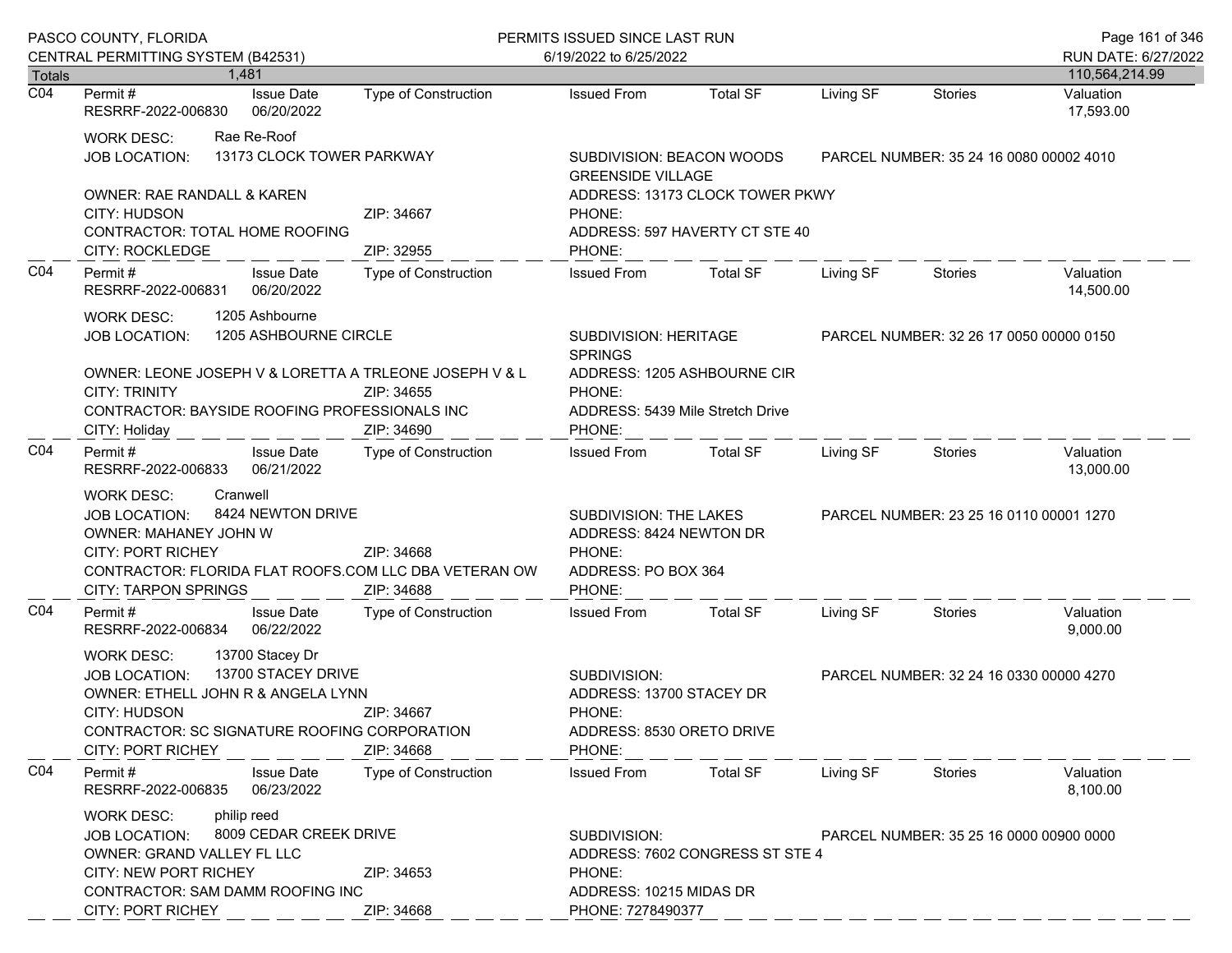| CENTRAL PERMITTING SYSTEM (B42531)<br>Permit #<br>RESRRF-2022-006830                                                                                                                                                                             | 1.481<br><b>Issue Date</b><br>06/20/2022                                                                                                                                                                                                                                           | <b>Type of Construction</b>                                                                                                                                                                                                                                                                               | 6/19/2022 to 6/25/2022                                                                                                                                                                                                                                                                                      |                                    |                                                                                                                                                                                                                                                                               |                                                                                                      | RUN DATE: 6/27/2022                                                                                                                                                                                                 |
|--------------------------------------------------------------------------------------------------------------------------------------------------------------------------------------------------------------------------------------------------|------------------------------------------------------------------------------------------------------------------------------------------------------------------------------------------------------------------------------------------------------------------------------------|-----------------------------------------------------------------------------------------------------------------------------------------------------------------------------------------------------------------------------------------------------------------------------------------------------------|-------------------------------------------------------------------------------------------------------------------------------------------------------------------------------------------------------------------------------------------------------------------------------------------------------------|------------------------------------|-------------------------------------------------------------------------------------------------------------------------------------------------------------------------------------------------------------------------------------------------------------------------------|------------------------------------------------------------------------------------------------------|---------------------------------------------------------------------------------------------------------------------------------------------------------------------------------------------------------------------|
|                                                                                                                                                                                                                                                  |                                                                                                                                                                                                                                                                                    |                                                                                                                                                                                                                                                                                                           |                                                                                                                                                                                                                                                                                                             |                                    |                                                                                                                                                                                                                                                                               |                                                                                                      |                                                                                                                                                                                                                     |
|                                                                                                                                                                                                                                                  |                                                                                                                                                                                                                                                                                    |                                                                                                                                                                                                                                                                                                           | <b>Issued From</b>                                                                                                                                                                                                                                                                                          | <b>Total SF</b>                    | Living SF                                                                                                                                                                                                                                                                     | <b>Stories</b>                                                                                       | 110,564,214.99<br>Valuation                                                                                                                                                                                         |
|                                                                                                                                                                                                                                                  |                                                                                                                                                                                                                                                                                    |                                                                                                                                                                                                                                                                                                           |                                                                                                                                                                                                                                                                                                             |                                    |                                                                                                                                                                                                                                                                               |                                                                                                      | 17,593.00                                                                                                                                                                                                           |
| 13173 CLOCK TOWER PARKWAY<br><b>JOB LOCATION:</b>                                                                                                                                                                                                |                                                                                                                                                                                                                                                                                    |                                                                                                                                                                                                                                                                                                           |                                                                                                                                                                                                                                                                                                             |                                    |                                                                                                                                                                                                                                                                               |                                                                                                      |                                                                                                                                                                                                                     |
|                                                                                                                                                                                                                                                  |                                                                                                                                                                                                                                                                                    | ZIP: 34667                                                                                                                                                                                                                                                                                                | PHONE:                                                                                                                                                                                                                                                                                                      |                                    |                                                                                                                                                                                                                                                                               |                                                                                                      |                                                                                                                                                                                                                     |
| Permit #                                                                                                                                                                                                                                         | <b>Issue Date</b><br>06/20/2022                                                                                                                                                                                                                                                    | Type of Construction                                                                                                                                                                                                                                                                                      | <b>Issued From</b>                                                                                                                                                                                                                                                                                          | <b>Total SF</b>                    | Living SF                                                                                                                                                                                                                                                                     | Stories                                                                                              | Valuation<br>14,500.00                                                                                                                                                                                              |
| 1205 Ashbourne<br><b>WORK DESC:</b><br>1205 ASHBOURNE CIRCLE<br><b>JOB LOCATION:</b>                                                                                                                                                             |                                                                                                                                                                                                                                                                                    |                                                                                                                                                                                                                                                                                                           |                                                                                                                                                                                                                                                                                                             |                                    |                                                                                                                                                                                                                                                                               |                                                                                                      |                                                                                                                                                                                                                     |
|                                                                                                                                                                                                                                                  |                                                                                                                                                                                                                                                                                    | ZIP: 34655<br>ZIP: 34690                                                                                                                                                                                                                                                                                  | PHONE:<br>PHONE:                                                                                                                                                                                                                                                                                            |                                    |                                                                                                                                                                                                                                                                               |                                                                                                      |                                                                                                                                                                                                                     |
|                                                                                                                                                                                                                                                  | <b>Issue Date</b><br>06/21/2022                                                                                                                                                                                                                                                    | Type of Construction                                                                                                                                                                                                                                                                                      | Issued From                                                                                                                                                                                                                                                                                                 | Total SF                           | Living SF                                                                                                                                                                                                                                                                     | Stories                                                                                              | Valuation<br>13,000.00                                                                                                                                                                                              |
|                                                                                                                                                                                                                                                  |                                                                                                                                                                                                                                                                                    | ZIP: 34668<br>ZIP: 34688                                                                                                                                                                                                                                                                                  | PHONE:<br>PHONE:                                                                                                                                                                                                                                                                                            |                                    |                                                                                                                                                                                                                                                                               |                                                                                                      |                                                                                                                                                                                                                     |
|                                                                                                                                                                                                                                                  | <b>Issue Date</b><br>06/22/2022                                                                                                                                                                                                                                                    | Type of Construction                                                                                                                                                                                                                                                                                      | <b>Issued From</b>                                                                                                                                                                                                                                                                                          | <b>Total SF</b>                    | Living SF                                                                                                                                                                                                                                                                     | Stories                                                                                              | Valuation<br>9,000.00                                                                                                                                                                                               |
| 13700 Stacey Dr<br><b>WORK DESC:</b><br>13700 STACEY DRIVE<br><b>JOB LOCATION:</b><br>OWNER: ETHELL JOHN R & ANGELA LYNN<br>CITY: HUDSON<br>ZIP: 34667<br>CONTRACTOR: SC SIGNATURE ROOFING CORPORATION<br><b>CITY: PORT RICHEY</b><br>ZIP: 34668 |                                                                                                                                                                                                                                                                                    | SUBDIVISION:<br>ADDRESS: 13700 STACEY DR<br>PHONE:<br>ADDRESS: 8530 ORETO DRIVE                                                                                                                                                                                                                           |                                                                                                                                                                                                                                                                                                             |                                    |                                                                                                                                                                                                                                                                               |                                                                                                      |                                                                                                                                                                                                                     |
|                                                                                                                                                                                                                                                  | <b>Issue Date</b><br>06/23/2022                                                                                                                                                                                                                                                    | <b>Type of Construction</b>                                                                                                                                                                                                                                                                               | <b>Issued From</b>                                                                                                                                                                                                                                                                                          | <b>Total SF</b>                    | Living SF                                                                                                                                                                                                                                                                     | Stories                                                                                              | Valuation<br>8,100.00                                                                                                                                                                                               |
|                                                                                                                                                                                                                                                  |                                                                                                                                                                                                                                                                                    | ZIP: 34653                                                                                                                                                                                                                                                                                                | SUBDIVISION:<br>PHONE:                                                                                                                                                                                                                                                                                      |                                    |                                                                                                                                                                                                                                                                               |                                                                                                      |                                                                                                                                                                                                                     |
|                                                                                                                                                                                                                                                  | <b>WORK DESC:</b><br>CITY: HUDSON<br><b>CITY: ROCKLEDGE</b><br><b>CITY: TRINITY</b><br>CITY: Holiday<br>Permit #<br><b>WORK DESC:</b><br><b>JOB LOCATION:</b><br><b>CITY: PORT RICHEY</b><br>Permit#<br>Permit#<br>RESRRF-2022-006835<br><b>WORK DESC:</b><br><b>JOB LOCATION:</b> | Rae Re-Roof<br><b>OWNER: RAE RANDALL &amp; KAREN</b><br>CONTRACTOR: TOTAL HOME ROOFING<br>RESRRF-2022-006831<br>RESRRF-2022-006833<br>Cranwell<br>OWNER: MAHANEY JOHN W<br><b>CITY: TARPON SPRINGS</b><br>RESRRF-2022-006834<br>philip reed<br>OWNER: GRAND VALLEY FL LLC<br><b>CITY: NEW PORT RICHEY</b> | ZIP: 32955<br>OWNER: LEONE JOSEPH V & LORETTA A TRLEONE JOSEPH V & L<br>CONTRACTOR: BAYSIDE ROOFING PROFESSIONALS INC<br>8424 NEWTON DRIVE<br>CONTRACTOR: FLORIDA FLAT ROOFS.COM LLC DBA VETERAN OW<br>8009 CEDAR CREEK DRIVE<br>CONTRACTOR: SAM DAMM ROOFING INC<br><b>CITY: PORT RICHEY</b><br>ZIP: 34668 | PHONE:<br><b>SPRINGS</b><br>PHONE: | SUBDIVISION: BEACON WOODS<br><b>GREENSIDE VILLAGE</b><br>SUBDIVISION: HERITAGE<br>ADDRESS: 1205 ASHBOURNE CIR<br>ADDRESS: 5439 Mile Stretch Drive<br>SUBDIVISION: THE LAKES<br>ADDRESS: 8424 NEWTON DR<br>ADDRESS: PO BOX 364<br>ADDRESS: 10215 MIDAS DR<br>PHONE: 7278490377 | ADDRESS: 13173 CLOCK TOWER PKWY<br>ADDRESS: 597 HAVERTY CT STE 40<br>ADDRESS: 7602 CONGRESS ST STE 4 | PARCEL NUMBER: 35 24 16 0080 00002 4010<br>PARCEL NUMBER: 32 26 17 0050 00000 0150<br>PARCEL NUMBER: 23 25 16 0110 00001 1270<br>PARCEL NUMBER: 32 24 16 0330 00000 4270<br>PARCEL NUMBER: 35 25 16 0000 00900 0000 |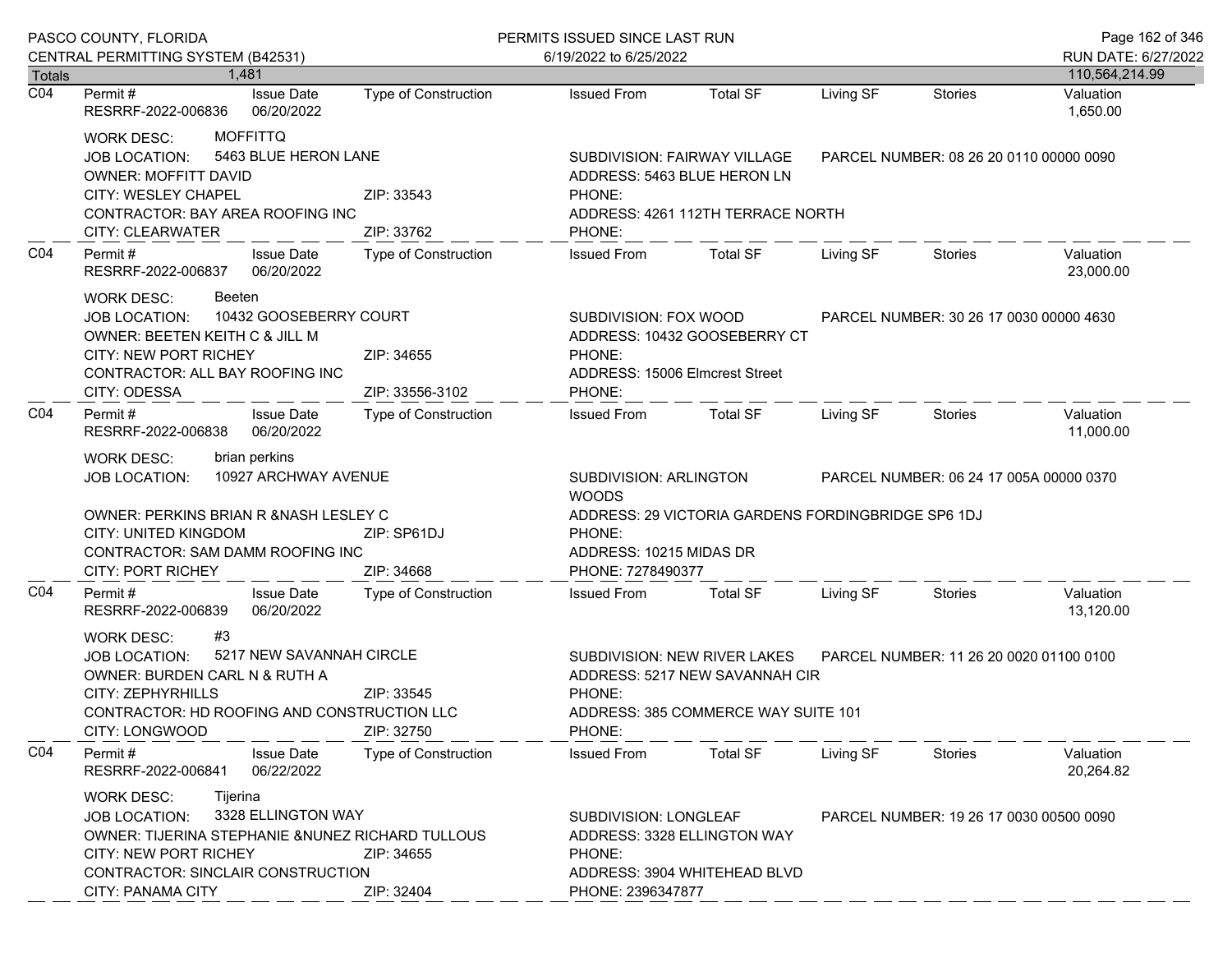|                                   | PASCO COUNTY, FLORIDA                                                                                                                                                                                                                                  |                               | PERMITS ISSUED SINCE LAST RUN                                                                                                                                  |                                                                                                       |                                         |                                         | Page 162 of 346        |
|-----------------------------------|--------------------------------------------------------------------------------------------------------------------------------------------------------------------------------------------------------------------------------------------------------|-------------------------------|----------------------------------------------------------------------------------------------------------------------------------------------------------------|-------------------------------------------------------------------------------------------------------|-----------------------------------------|-----------------------------------------|------------------------|
|                                   | CENTRAL PERMITTING SYSTEM (B42531)                                                                                                                                                                                                                     |                               | 6/19/2022 to 6/25/2022                                                                                                                                         |                                                                                                       |                                         | RUN DATE: 6/27/2022                     |                        |
| <b>Totals</b><br>$\overline{CO4}$ | 1.481                                                                                                                                                                                                                                                  |                               |                                                                                                                                                                |                                                                                                       |                                         |                                         | 110,564,214.99         |
|                                   | <b>Issue Date</b><br>Permit #<br>RESRRF-2022-006836<br>06/20/2022                                                                                                                                                                                      | <b>Type of Construction</b>   | <b>Issued From</b>                                                                                                                                             | <b>Total SF</b>                                                                                       | Living SF                               | <b>Stories</b>                          | Valuation<br>1,650.00  |
|                                   | <b>MOFFITTQ</b><br><b>WORK DESC:</b><br>5463 BLUE HERON LANE<br><b>JOB LOCATION:</b><br><b>OWNER: MOFFITT DAVID</b><br>CITY: WESLEY CHAPEL<br>ZIP: 33543<br>CONTRACTOR: BAY AREA ROOFING INC                                                           |                               | SUBDIVISION: FAIRWAY VILLAGE<br>ADDRESS: 5463 BLUE HERON LN<br>PHONE:<br>ADDRESS: 4261 112TH TERRACE NORTH                                                     |                                                                                                       |                                         | PARCEL NUMBER: 08 26 20 0110 00000 0090 |                        |
|                                   | CITY: CLEARWATER                                                                                                                                                                                                                                       | ZIP: 33762                    | PHONE:                                                                                                                                                         |                                                                                                       |                                         |                                         |                        |
| CO <sub>4</sub>                   | Permit#<br><b>Issue Date</b><br>RESRRF-2022-006837<br>06/20/2022                                                                                                                                                                                       | Type of Construction          | <b>Issued From</b>                                                                                                                                             | <b>Total SF</b>                                                                                       | Living SF                               | Stories                                 | Valuation<br>23,000.00 |
|                                   | <b>WORK DESC:</b><br>Beeten<br>10432 GOOSEBERRY COURT<br>JOB LOCATION:<br>OWNER: BEETEN KEITH C & JILL M<br><b>CITY: NEW PORT RICHEY</b><br>CONTRACTOR: ALL BAY ROOFING INC<br>CITY: ODESSA                                                            | ZIP: 34655<br>ZIP: 33556-3102 | SUBDIVISION: FOX WOOD<br>PHONE:<br>ADDRESS: 15006 Elmcrest Street<br>PHONE:                                                                                    | ADDRESS: 10432 GOOSEBERRY CT                                                                          |                                         | PARCEL NUMBER: 30 26 17 0030 00000 4630 |                        |
| CO <sub>4</sub>                   | Permit#<br><b>Issue Date</b><br>RESRRF-2022-006838<br>06/20/2022                                                                                                                                                                                       | Type of Construction          | <b>Issued From</b>                                                                                                                                             | <b>Total SF</b>                                                                                       | Living SF                               | Stories                                 | Valuation<br>11,000.00 |
|                                   | brian perkins<br><b>WORK DESC:</b><br>10927 ARCHWAY AVENUE<br><b>JOB LOCATION:</b><br>OWNER: PERKINS BRIAN R & NASH LESLEY C<br>CITY: UNITED KINGDOM<br>ZIP: SP61DJ<br>CONTRACTOR: SAM DAMM ROOFING INC<br><b>CITY: PORT RICHEY</b><br>ZIP: 34668      |                               | SUBDIVISION: ARLINGTON<br><b>WOODS</b><br>ADDRESS: 29 VICTORIA GARDENS FORDINGBRIDGE SP6 1DJ<br>PHONE:<br>ADDRESS: 10215 MIDAS DR<br>PHONE: 7278490377         |                                                                                                       | PARCEL NUMBER: 06 24 17 005A 00000 0370 |                                         |                        |
| CO <sub>4</sub>                   | <b>Issue Date</b><br>Permit#<br>RESRRF-2022-006839<br>06/20/2022                                                                                                                                                                                       | Type of Construction          | <b>Issued From</b>                                                                                                                                             | <b>Total SF</b>                                                                                       | Living SF                               | Stories                                 | Valuation<br>13,120.00 |
|                                   | #3<br><b>WORK DESC:</b><br>5217 NEW SAVANNAH CIRCLE<br><b>JOB LOCATION:</b><br>OWNER: BURDEN CARL N & RUTH A<br><b>CITY: ZEPHYRHILLS</b><br>CONTRACTOR: HD ROOFING AND CONSTRUCTION LLC<br>CITY: LONGWOOD                                              | ZIP: 33545<br>ZIP: 32750      | PHONE:<br>PHONE:                                                                                                                                               | SUBDIVISION: NEW RIVER LAKES<br>ADDRESS: 5217 NEW SAVANNAH CIR<br>ADDRESS: 385 COMMERCE WAY SUITE 101 |                                         | PARCEL NUMBER: 11 26 20 0020 01100 0100 |                        |
| CO <sub>4</sub>                   | Permit#<br><b>Issue Date</b><br>RESRRF-2022-006841<br>06/22/2022                                                                                                                                                                                       | <b>Type of Construction</b>   | <b>Issued From</b>                                                                                                                                             | <b>Total SF</b>                                                                                       | Living SF                               | Stories                                 | Valuation<br>20,264.82 |
|                                   | Tijerina<br>WORK DESC:<br>3328 ELLINGTON WAY<br><b>JOB LOCATION:</b><br>OWNER: TIJERINA STEPHANIE & NUNEZ RICHARD TULLOUS<br><b>CITY: NEW PORT RICHEY</b><br>ZIP: 34655<br>CONTRACTOR: SINCLAIR CONSTRUCTION<br><b>CITY: PANAMA CITY</b><br>ZIP: 32404 |                               | SUBDIVISION: LONGLEAF<br>PARCEL NUMBER: 19 26 17 0030 00500 0090<br>ADDRESS: 3328 ELLINGTON WAY<br>PHONE:<br>ADDRESS: 3904 WHITEHEAD BLVD<br>PHONE: 2396347877 |                                                                                                       |                                         |                                         |                        |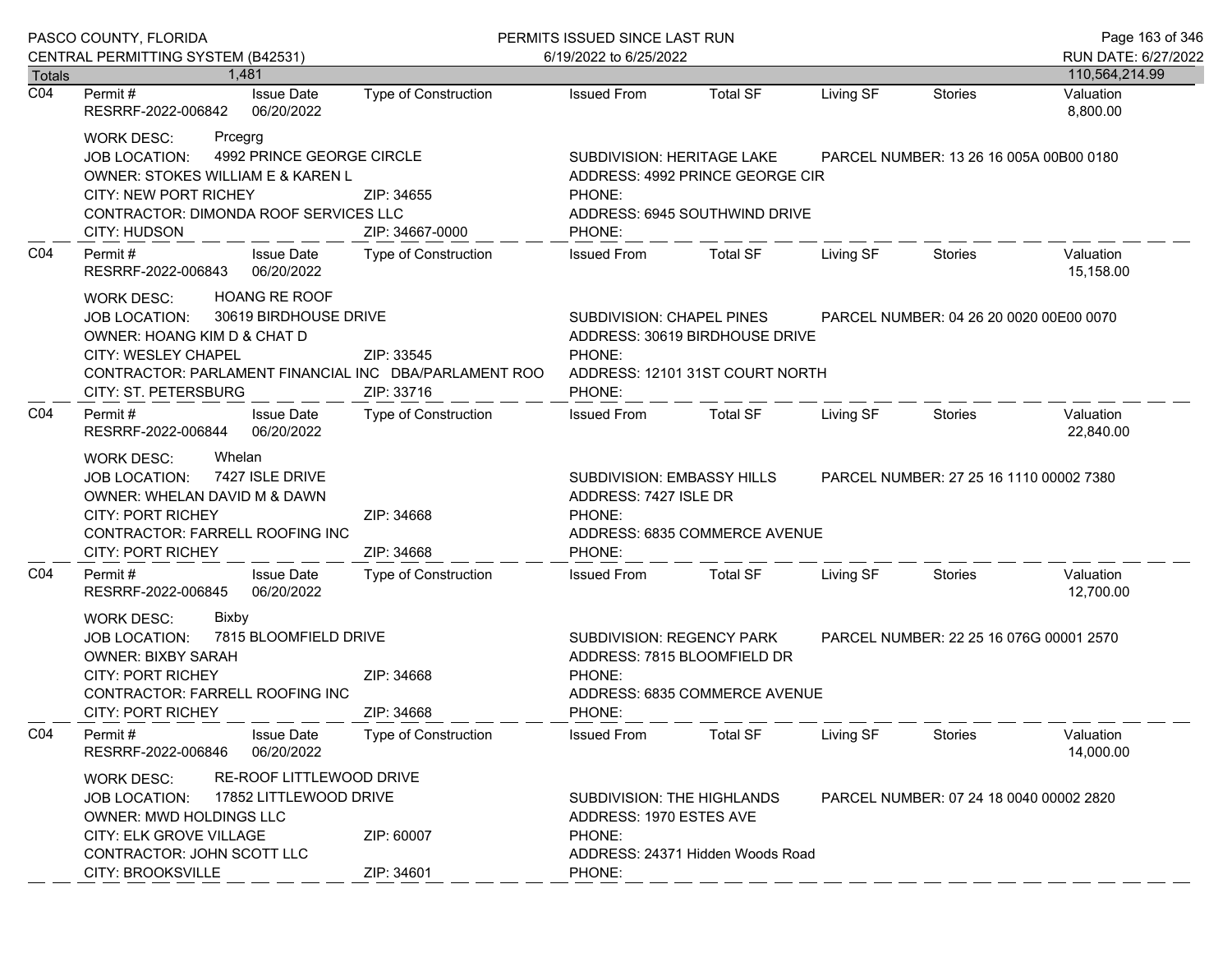|                  | PASCO COUNTY, FLORIDA<br>CENTRAL PERMITTING SYSTEM (B42531)                                                                                                                                                                                 |                             | PERMITS ISSUED SINCE LAST RUN<br>6/19/2022 to 6/25/2022                                                                                                       |                                                                                                                                                               |                                         |                                         |                        |
|------------------|---------------------------------------------------------------------------------------------------------------------------------------------------------------------------------------------------------------------------------------------|-----------------------------|---------------------------------------------------------------------------------------------------------------------------------------------------------------|---------------------------------------------------------------------------------------------------------------------------------------------------------------|-----------------------------------------|-----------------------------------------|------------------------|
| <b>Totals</b>    | 1.481                                                                                                                                                                                                                                       |                             |                                                                                                                                                               |                                                                                                                                                               |                                         |                                         | 110,564,214.99         |
| $\overline{CO4}$ | <b>Issue Date</b><br>Permit #<br>RESRRF-2022-006842<br>06/20/2022                                                                                                                                                                           | Type of Construction        | <b>Issued From</b>                                                                                                                                            | <b>Total SF</b>                                                                                                                                               | Living SF                               | <b>Stories</b>                          | Valuation<br>8,800.00  |
|                  | <b>WORK DESC:</b><br>Prcegrg<br>4992 PRINCE GEORGE CIRCLE<br>JOB LOCATION:<br>OWNER: STOKES WILLIAM E & KAREN L<br><b>CITY: NEW PORT RICHEY</b><br>ZIP: 34655<br>CONTRACTOR: DIMONDA ROOF SERVICES LLC<br>CITY: HUDSON<br>ZIP: 34667-0000   |                             |                                                                                                                                                               | SUBDIVISION: HERITAGE LAKE<br>PARCEL NUMBER: 13 26 16 005A 00B00 0180<br>ADDRESS: 4992 PRINCE GEORGE CIR<br>PHONE:<br>ADDRESS: 6945 SOUTHWIND DRIVE<br>PHONE: |                                         |                                         |                        |
| CO <sub>4</sub>  | Permit#<br><b>Issue Date</b><br>RESRRF-2022-006843<br>06/20/2022                                                                                                                                                                            | <b>Type of Construction</b> | <b>Issued From</b>                                                                                                                                            | <b>Total SF</b>                                                                                                                                               | Living SF                               | Stories                                 | Valuation<br>15,158.00 |
|                  | <b>HOANG RE ROOF</b><br>WORK DESC:<br>30619 BIRDHOUSE DRIVE<br><b>JOB LOCATION:</b><br>OWNER: HOANG KIM D & CHAT D<br>CITY: WESLEY CHAPEL<br>CONTRACTOR: PARLAMENT FINANCIAL INC DBA/PARLAMENT ROO<br>CITY: ST. PETERSBURG                  | ZIP: 33545<br>ZIP: 33716    | SUBDIVISION: CHAPEL PINES<br>PARCEL NUMBER: 04 26 20 0020 00E00 0070<br>ADDRESS: 30619 BIRDHOUSE DRIVE<br>PHONE:<br>ADDRESS: 12101 31ST COURT NORTH<br>PHONE: |                                                                                                                                                               |                                         |                                         |                        |
| CO <sub>4</sub>  | Permit #<br><b>Issue Date</b><br>RESRRF-2022-006844<br>06/20/2022                                                                                                                                                                           | Type of Construction        | <b>Issued From</b>                                                                                                                                            | Total SF                                                                                                                                                      | Living SF                               | Stories                                 | Valuation<br>22,840.00 |
|                  | Whelan<br><b>WORK DESC:</b><br>7427 ISLE DRIVE<br><b>JOB LOCATION:</b><br>OWNER: WHELAN DAVID M & DAWN<br><b>CITY: PORT RICHEY</b><br>CONTRACTOR: FARRELL ROOFING INC<br><b>CITY: PORT RICHEY</b>                                           | ZIP: 34668<br>ZIP: 34668    | SUBDIVISION: EMBASSY HILLS<br>ADDRESS: 7427 ISLE DR<br>PHONE:<br>ADDRESS: 6835 COMMERCE AVENUE<br>PHONE:                                                      |                                                                                                                                                               |                                         | PARCEL NUMBER: 27 25 16 1110 00002 7380 |                        |
| CO <sub>4</sub>  | Permit#<br><b>Issue Date</b><br>RESRRF-2022-006845<br>06/20/2022                                                                                                                                                                            | Type of Construction        | <b>Issued From</b>                                                                                                                                            | <b>Total SF</b>                                                                                                                                               | Living SF                               | Stories                                 | Valuation<br>12,700.00 |
|                  | WORK DESC:<br><b>Bixby</b><br>7815 BLOOMFIELD DRIVE<br>JOB LOCATION:<br><b>OWNER: BIXBY SARAH</b><br><b>CITY: PORT RICHEY</b><br>CONTRACTOR: FARRELL ROOFING INC<br><b>CITY: PORT RICHEY</b>                                                | ZIP: 34668<br>ZIP: 34668    | <b>SUBDIVISION: REGENCY PARK</b><br>PHONE:<br>PHONE:                                                                                                          | ADDRESS: 7815 BLOOMFIELD DR<br>ADDRESS: 6835 COMMERCE AVENUE                                                                                                  | PARCEL NUMBER: 22 25 16 076G 00001 2570 |                                         |                        |
| CO <sub>4</sub>  | Permit#<br><b>Issue Date</b><br>06/20/2022<br>RESRRF-2022-006846                                                                                                                                                                            | <b>Type of Construction</b> | <b>Issued From</b>                                                                                                                                            | <b>Total SF</b>                                                                                                                                               | Living SF                               | <b>Stories</b>                          | Valuation<br>14,000.00 |
|                  | RE-ROOF LITTLEWOOD DRIVE<br><b>WORK DESC:</b><br>17852 LITTLEWOOD DRIVE<br><b>JOB LOCATION:</b><br><b>OWNER: MWD HOLDINGS LLC</b><br>CITY: ELK GROVE VILLAGE<br>ZIP: 60007<br>CONTRACTOR: JOHN SCOTT LLC<br>CITY: BROOKSVILLE<br>ZIP: 34601 |                             | SUBDIVISION: THE HIGHLANDS<br>PARCEL NUMBER: 07 24 18 0040 00002 2820<br>ADDRESS: 1970 ESTES AVE<br>PHONE:<br>ADDRESS: 24371 Hidden Woods Road<br>PHONE:      |                                                                                                                                                               |                                         |                                         |                        |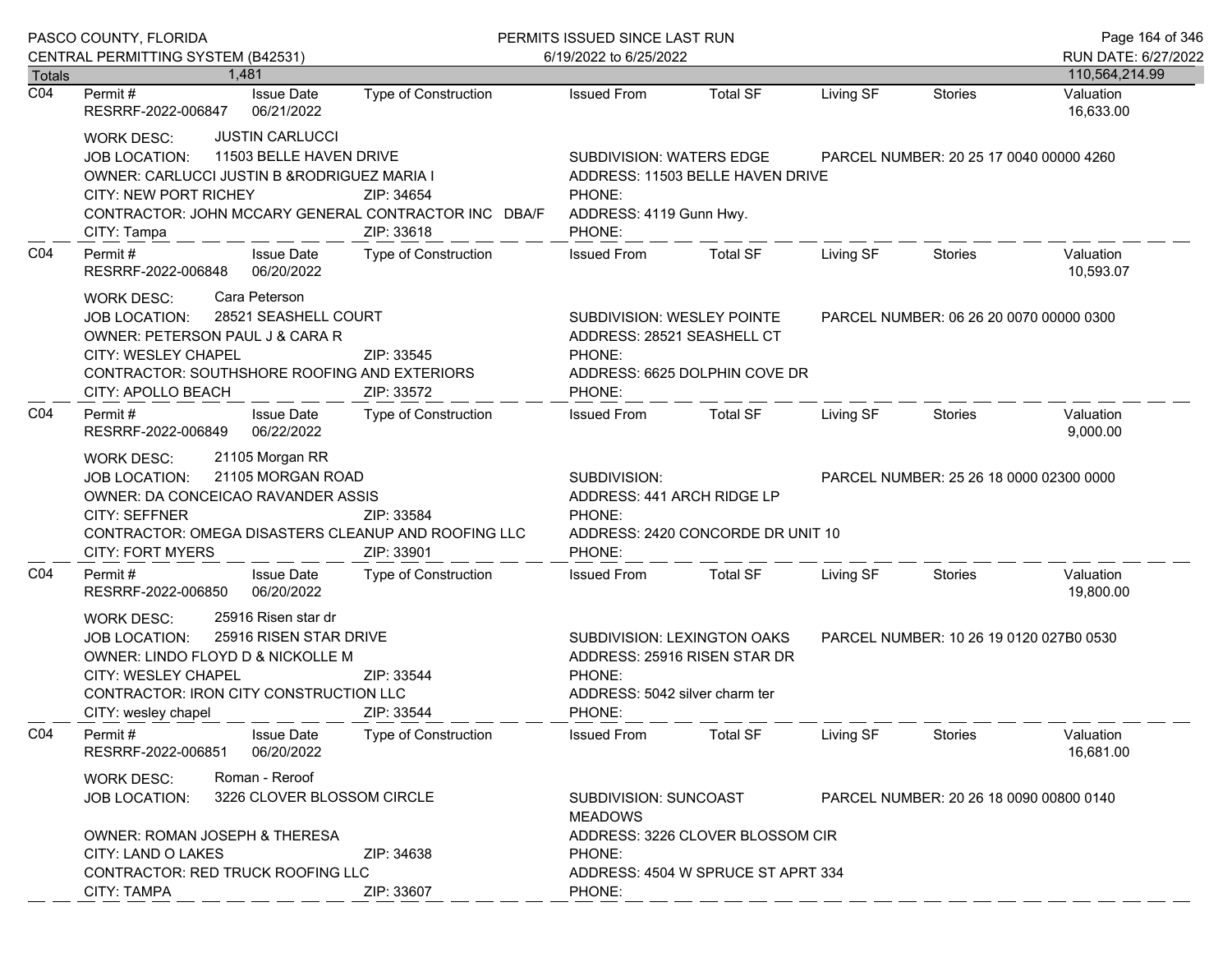|                  | PASCO COUNTY, FLORIDA                                                                                                                                                                                                                                      |                                                                         | PERMITS ISSUED SINCE LAST RUN                                                                                     |                 |                                         |                                         | Page 164 of 346                       |
|------------------|------------------------------------------------------------------------------------------------------------------------------------------------------------------------------------------------------------------------------------------------------------|-------------------------------------------------------------------------|-------------------------------------------------------------------------------------------------------------------|-----------------|-----------------------------------------|-----------------------------------------|---------------------------------------|
| Totals           | CENTRAL PERMITTING SYSTEM (B42531)<br>1.481                                                                                                                                                                                                                |                                                                         | 6/19/2022 to 6/25/2022                                                                                            |                 |                                         |                                         | RUN DATE: 6/27/2022<br>110,564,214.99 |
| $\overline{CO4}$ | Permit#<br><b>Issue Date</b><br>06/21/2022<br>RESRRF-2022-006847                                                                                                                                                                                           | <b>Type of Construction</b>                                             | <b>Issued From</b>                                                                                                | <b>Total SF</b> | Living SF                               | <b>Stories</b>                          | Valuation<br>16,633.00                |
|                  | <b>JUSTIN CARLUCCI</b><br><b>WORK DESC:</b><br>11503 BELLE HAVEN DRIVE<br>JOB LOCATION:<br>OWNER: CARLUCCI JUSTIN B & RODRIGUEZ MARIA I<br><b>CITY: NEW PORT RICHEY</b><br>CONTRACTOR: JOHN MCCARY GENERAL CONTRACTOR INC DBA/F<br>CITY: Tampa             | SUBDIVISION: WATERS EDGE<br>PHONE:<br>ADDRESS: 4119 Gunn Hwy.<br>PHONE: | ADDRESS: 11503 BELLE HAVEN DRIVE                                                                                  |                 | PARCEL NUMBER: 20 25 17 0040 00000 4260 |                                         |                                       |
| CO <sub>4</sub>  | Permit#<br><b>Issue Date</b><br>RESRRF-2022-006848<br>06/20/2022                                                                                                                                                                                           | Type of Construction                                                    | <b>Issued From</b>                                                                                                | <b>Total SF</b> | Living SF                               | <b>Stories</b>                          | Valuation<br>10,593.07                |
|                  | Cara Peterson<br><b>WORK DESC:</b><br>28521 SEASHELL COURT<br><b>JOB LOCATION:</b><br>OWNER: PETERSON PAUL J & CARA R<br><b>CITY: WESLEY CHAPEL</b><br>CONTRACTOR: SOUTHSHORE ROOFING AND EXTERIORS<br>CITY: APOLLO BEACH                                  | ZIP: 33545<br>ZIP: 33572                                                | SUBDIVISION: WESLEY POINTE<br>ADDRESS: 28521 SEASHELL CT<br>PHONE:<br>ADDRESS: 6625 DOLPHIN COVE DR<br>PHONE:     |                 | PARCEL NUMBER: 06 26 20 0070 00000 0300 |                                         |                                       |
| CO <sub>4</sub>  | Permit#<br><b>Issue Date</b><br>06/22/2022<br>RESRRF-2022-006849                                                                                                                                                                                           | Type of Construction                                                    | <b>Issued From</b>                                                                                                | Total SF        | Living SF                               | Stories                                 | Valuation<br>9,000.00                 |
|                  | 21105 Morgan RR<br><b>WORK DESC:</b><br>21105 MORGAN ROAD<br><b>JOB LOCATION:</b><br>OWNER: DA CONCEICAO RAVANDER ASSIS<br><b>CITY: SEFFNER</b><br>CONTRACTOR: OMEGA DISASTERS CLEANUP AND ROOFING LLC<br><b>CITY: FORT MYERS</b>                          | ZIP: 33584<br>ZIP: 33901                                                | SUBDIVISION:<br>ADDRESS: 441 ARCH RIDGE LP<br>PHONE:<br>ADDRESS: 2420 CONCORDE DR UNIT 10<br>PHONE:               |                 | PARCEL NUMBER: 25 26 18 0000 02300 0000 |                                         |                                       |
| CO <sub>4</sub>  | <b>Issue Date</b><br>Permit#<br>06/20/2022<br>RESRRF-2022-006850                                                                                                                                                                                           | Type of Construction                                                    | <b>Issued From</b>                                                                                                | <b>Total SF</b> | Living SF                               | Stories                                 | Valuation<br>19,800.00                |
|                  | 25916 Risen star dr<br><b>WORK DESC:</b><br>25916 RISEN STAR DRIVE<br><b>JOB LOCATION:</b><br>OWNER: LINDO FLOYD D & NICKOLLE M<br>CITY: WESLEY CHAPEL<br>ZIP: 33544<br><b>CONTRACTOR: IRON CITY CONSTRUCTION LLC</b><br>CITY: wesley chapel<br>ZIP: 33544 |                                                                         | SUBDIVISION: LEXINGTON OAKS<br>ADDRESS: 25916 RISEN STAR DR<br>PHONE:<br>ADDRESS: 5042 silver charm ter<br>PHONE: |                 | PARCEL NUMBER: 10 26 19 0120 027B0 0530 |                                         |                                       |
| CO <sub>4</sub>  | <b>Issue Date</b><br>Permit#<br>06/20/2022<br>RESRRF-2022-006851                                                                                                                                                                                           | <b>Type of Construction</b>                                             | <b>Issued From</b>                                                                                                | <b>Total SF</b> | Living SF                               | <b>Stories</b>                          | Valuation<br>16,681.00                |
|                  | Roman - Reroof<br><b>WORK DESC:</b><br>3226 CLOVER BLOSSOM CIRCLE<br>JOB LOCATION:<br>OWNER: ROMAN JOSEPH & THERESA                                                                                                                                        |                                                                         | SUBDIVISION: SUNCOAST<br><b>MEADOWS</b>                                                                           |                 |                                         | PARCEL NUMBER: 20 26 18 0090 00800 0140 |                                       |
|                  | CITY: LAND O LAKES<br>CONTRACTOR: RED TRUCK ROOFING LLC<br><b>CITY: TAMPA</b>                                                                                                                                                                              | ZIP: 34638<br>ZIP: 33607                                                | ADDRESS: 3226 CLOVER BLOSSOM CIR<br>PHONE:<br>ADDRESS: 4504 W SPRUCE ST APRT 334<br>PHONE:                        |                 |                                         |                                         |                                       |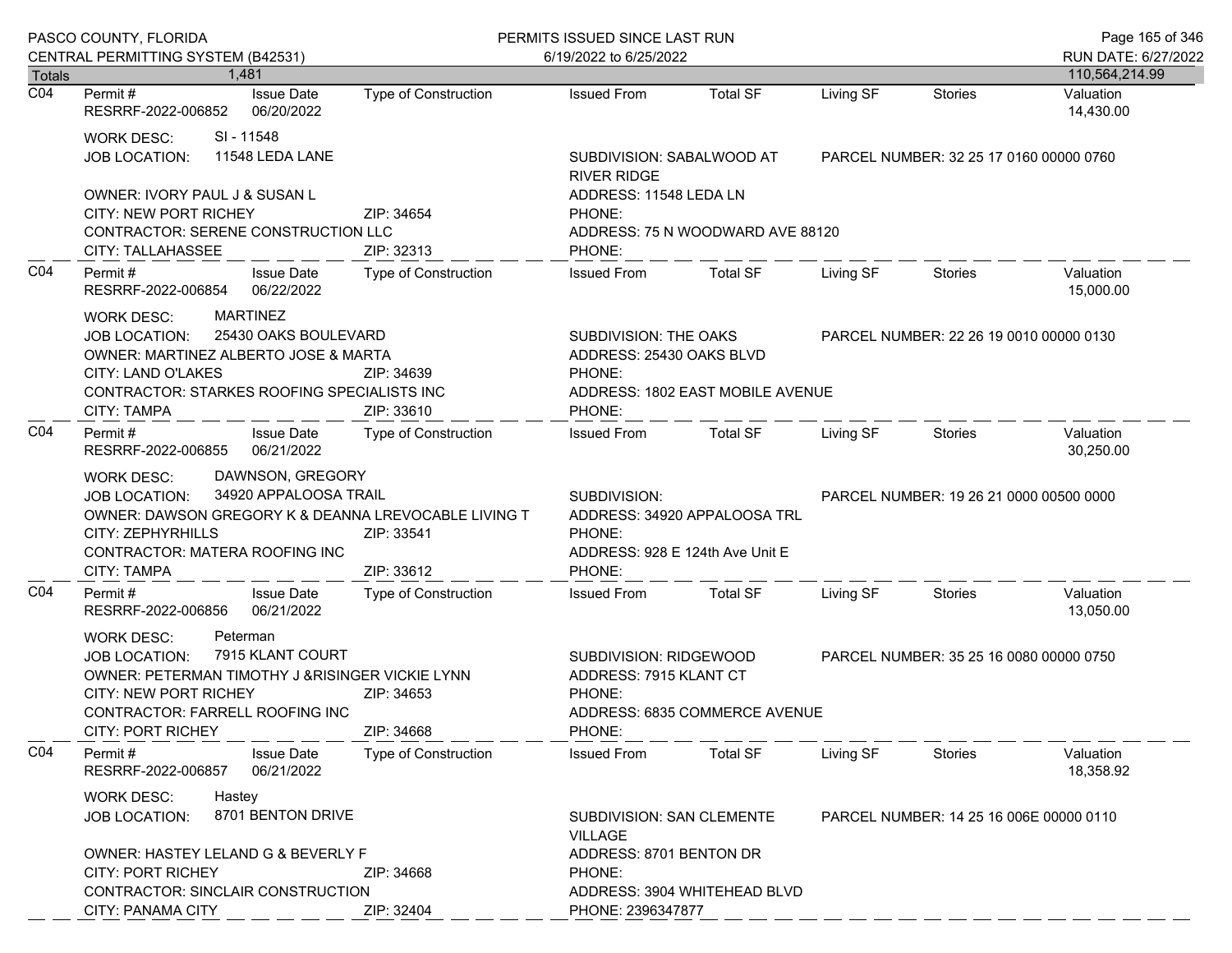| PASCO COUNTY, FLORIDA             |                                                                                                                                                                                                                                                  |                             | PERMITS ISSUED SINCE LAST RUN                                                                       |                                                                                   |           |                                         | Page 165 of 346        |
|-----------------------------------|--------------------------------------------------------------------------------------------------------------------------------------------------------------------------------------------------------------------------------------------------|-----------------------------|-----------------------------------------------------------------------------------------------------|-----------------------------------------------------------------------------------|-----------|-----------------------------------------|------------------------|
|                                   | CENTRAL PERMITTING SYSTEM (B42531)                                                                                                                                                                                                               |                             | 6/19/2022 to 6/25/2022                                                                              |                                                                                   |           |                                         | RUN DATE: 6/27/2022    |
| <b>Totals</b><br>$\overline{CO4}$ | 1.481                                                                                                                                                                                                                                            |                             |                                                                                                     |                                                                                   |           |                                         | 110,564,214.99         |
|                                   | <b>Issue Date</b><br>Permit #<br>RESRRF-2022-006852<br>06/20/2022                                                                                                                                                                                | Type of Construction        | <b>Issued From</b>                                                                                  | <b>Total SF</b>                                                                   | Living SF | <b>Stories</b>                          | Valuation<br>14,430.00 |
|                                   | SI - 11548<br>WORK DESC:<br>11548 LEDA LANE<br><b>JOB LOCATION:</b>                                                                                                                                                                              |                             | SUBDIVISION: SABALWOOD AT<br><b>RIVER RIDGE</b>                                                     |                                                                                   |           | PARCEL NUMBER: 32 25 17 0160 00000 0760 |                        |
|                                   | OWNER: IVORY PAUL J & SUSAN L<br><b>CITY: NEW PORT RICHEY</b>                                                                                                                                                                                    | ZIP: 34654                  | ADDRESS: 11548 LEDA LN<br>PHONE:                                                                    |                                                                                   |           |                                         |                        |
|                                   | CONTRACTOR: SERENE CONSTRUCTION LLC<br><b>CITY: TALLAHASSEE</b>                                                                                                                                                                                  | ZIP: 32313                  | PHONE:                                                                                              | ADDRESS: 75 N WOODWARD AVE 88120                                                  |           |                                         |                        |
| CO <sub>4</sub>                   | <b>Issue Date</b><br>Permit #<br>RESRRF-2022-006854<br>06/22/2022                                                                                                                                                                                | Type of Construction        | <b>Issued From</b>                                                                                  | <b>Total SF</b>                                                                   | Living SF | Stories                                 | Valuation<br>15,000.00 |
|                                   | <b>MARTINEZ</b><br>WORK DESC:<br>25430 OAKS BOULEVARD<br><b>JOB LOCATION:</b>                                                                                                                                                                    |                             | SUBDIVISION: THE OAKS                                                                               |                                                                                   |           | PARCEL NUMBER: 22 26 19 0010 00000 0130 |                        |
|                                   | OWNER: MARTINEZ ALBERTO JOSE & MARTA<br>CITY: LAND O'LAKES<br>ZIP: 34639                                                                                                                                                                         |                             | ADDRESS: 25430 OAKS BLVD<br>PHONE:                                                                  |                                                                                   |           |                                         |                        |
|                                   | CONTRACTOR: STARKES ROOFING SPECIALISTS INC<br><b>CITY: TAMPA</b>                                                                                                                                                                                | ZIP: 33610                  | PHONE:                                                                                              | ADDRESS: 1802 EAST MOBILE AVENUE                                                  |           |                                         |                        |
| CO <sub>4</sub>                   | Permit #<br><b>Issue Date</b><br>RESRRF-2022-006855<br>06/21/2022                                                                                                                                                                                | <b>Type of Construction</b> | Issued From                                                                                         | Total SF                                                                          | Living SF | Stories                                 | Valuation<br>30,250.00 |
|                                   | DAWNSON, GREGORY<br>WORK DESC:<br>34920 APPALOOSA TRAIL<br><b>JOB LOCATION:</b><br>OWNER: DAWSON GREGORY K & DEANNA LREVOCABLE LIVING T<br>CITY: ZEPHYRHILLS<br>ZIP: 33541<br>CONTRACTOR: MATERA ROOFING INC<br>ZIP: 33612<br><b>CITY: TAMPA</b> |                             | SUBDIVISION:<br>ADDRESS: 34920 APPALOOSA TRL<br>PHONE:<br>ADDRESS: 928 E 124th Ave Unit E<br>PHONE: |                                                                                   |           | PARCEL NUMBER: 19 26 21 0000 00500 0000 |                        |
| CO <sub>4</sub>                   | <b>Issue Date</b><br>Permit#<br>RESRRF-2022-006856<br>06/21/2022                                                                                                                                                                                 | Type of Construction        | <b>Issued From</b>                                                                                  | Total SF                                                                          | Living SF | Stories                                 | Valuation<br>13,050.00 |
|                                   | <b>WORK DESC:</b><br>Peterman<br>7915 KLANT COURT<br><b>JOB LOCATION:</b><br>OWNER: PETERMAN TIMOTHY J & RISINGER VICKIE LYNN<br>CITY: NEW PORT RICHEY<br>CONTRACTOR: FARRELL ROOFING INC<br><b>CITY: PORT RICHEY</b>                            | ZIP: 34653<br>ZIP: 34668    | PHONE:<br>PHONE:                                                                                    | SUBDIVISION: RIDGEWOOD<br>ADDRESS: 7915 KLANT CT<br>ADDRESS: 6835 COMMERCE AVENUE |           | PARCEL NUMBER: 35 25 16 0080 00000 0750 |                        |
| C <sub>04</sub>                   | Permit#<br><b>Issue Date</b><br>RESRRF-2022-006857<br>06/21/2022                                                                                                                                                                                 | Type of Construction        | <b>Issued From</b>                                                                                  | <b>Total SF</b>                                                                   | Living SF | Stories                                 | Valuation<br>18,358.92 |
|                                   | <b>WORK DESC:</b><br>Hastey<br>8701 BENTON DRIVE<br><b>JOB LOCATION:</b>                                                                                                                                                                         |                             | PARCEL NUMBER: 14 25 16 006E 00000 0110<br>SUBDIVISION: SAN CLEMENTE<br><b>VILLAGE</b>              |                                                                                   |           |                                         |                        |
|                                   | OWNER: HASTEY LELAND G & BEVERLY F<br><b>CITY: PORT RICHEY</b><br>CONTRACTOR: SINCLAIR CONSTRUCTION<br>CITY: PANAMA CITY                                                                                                                         | ZIP: 34668<br>ZIP: 32404    | ADDRESS: 8701 BENTON DR<br>PHONE:<br>ADDRESS: 3904 WHITEHEAD BLVD<br>PHONE: 2396347877              |                                                                                   |           |                                         |                        |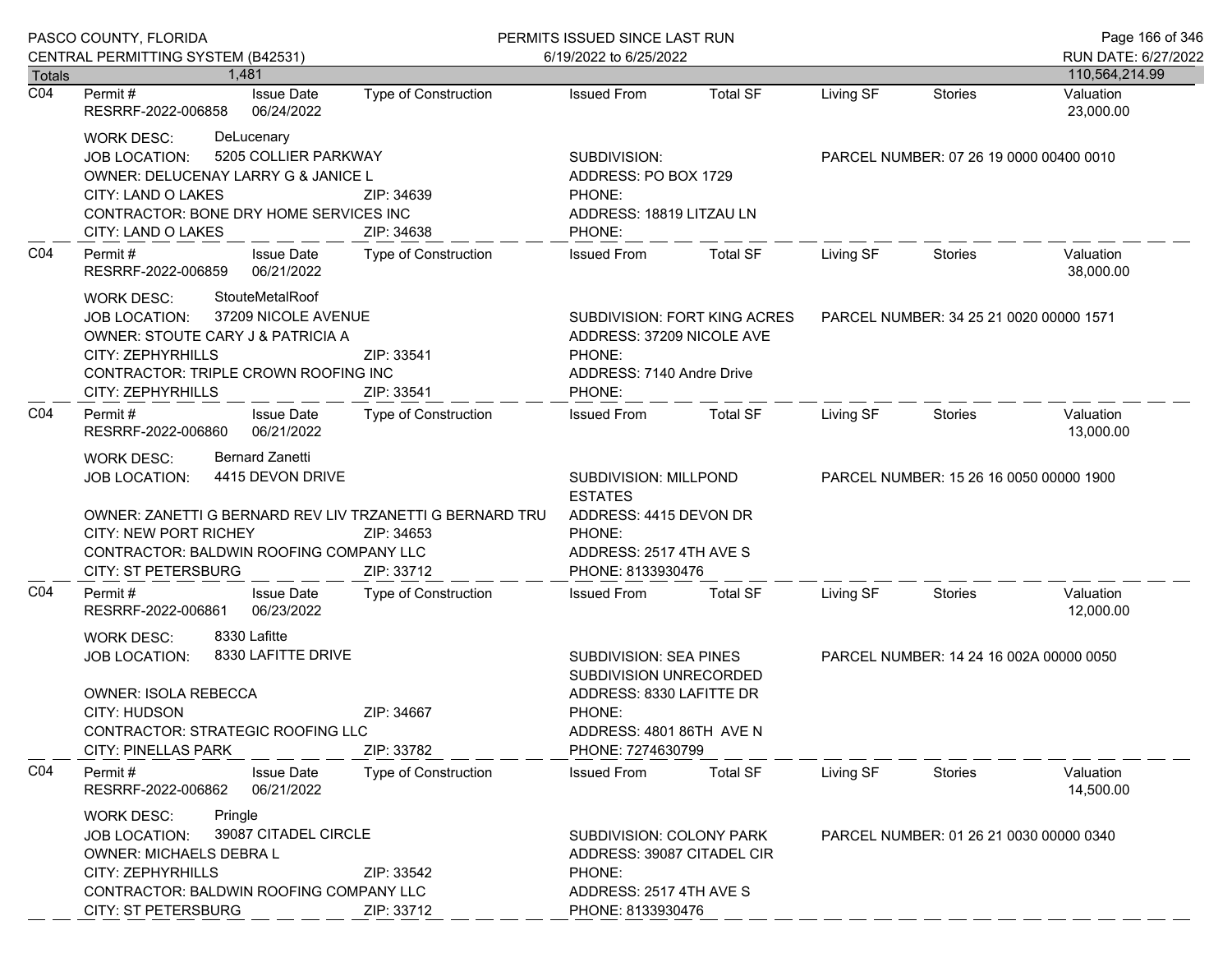| PASCO COUNTY, FLORIDA |                                                                                                                                                                                                                                                |                                                                                                                                   | PERMITS ISSUED SINCE LAST RUN<br>6/19/2022 to 6/25/2022                                                                     |                                                                                                                                                |                                         |                                         | Page 166 of 346                       |
|-----------------------|------------------------------------------------------------------------------------------------------------------------------------------------------------------------------------------------------------------------------------------------|-----------------------------------------------------------------------------------------------------------------------------------|-----------------------------------------------------------------------------------------------------------------------------|------------------------------------------------------------------------------------------------------------------------------------------------|-----------------------------------------|-----------------------------------------|---------------------------------------|
| <b>Totals</b>         | CENTRAL PERMITTING SYSTEM (B42531)<br>1.481                                                                                                                                                                                                    |                                                                                                                                   |                                                                                                                             |                                                                                                                                                |                                         |                                         | RUN DATE: 6/27/2022<br>110,564,214.99 |
| $\overline{CO4}$      | <b>Issue Date</b><br>Permit #<br>RESRRF-2022-006858<br>06/24/2022                                                                                                                                                                              | <b>Type of Construction</b>                                                                                                       | <b>Issued From</b>                                                                                                          | <b>Total SF</b>                                                                                                                                | Living SF                               | <b>Stories</b>                          | Valuation<br>23,000.00                |
|                       | <b>WORK DESC:</b><br>DeLucenary<br><b>JOB LOCATION:</b><br>CITY: LAND O LAKES<br>CITY: LAND O LAKES                                                                                                                                            | 5205 COLLIER PARKWAY<br>OWNER: DELUCENAY LARRY G & JANICE L<br>ZIP: 34639<br>CONTRACTOR: BONE DRY HOME SERVICES INC<br>ZIP: 34638 |                                                                                                                             | ADDRESS: PO BOX 1729<br>ADDRESS: 18819 LITZAU LN                                                                                               | PARCEL NUMBER: 07 26 19 0000 00400 0010 |                                         |                                       |
| CO <sub>4</sub>       | Permit#<br><b>Issue Date</b><br>06/21/2022<br>RESRRF-2022-006859                                                                                                                                                                               | Type of Construction                                                                                                              | <b>Issued From</b>                                                                                                          | <b>Total SF</b>                                                                                                                                | Living SF                               | <b>Stories</b>                          | Valuation<br>38,000.00                |
|                       | StouteMetalRoof<br>WORK DESC:<br>37209 NICOLE AVENUE<br><b>JOB LOCATION:</b><br>OWNER: STOUTE CARY J & PATRICIA A<br><b>CITY: ZEPHYRHILLS</b><br>CONTRACTOR: TRIPLE CROWN ROOFING INC<br>CITY: ZEPHYRHILLS                                     | ZIP: 33541<br>ZIP: 33541                                                                                                          | SUBDIVISION: FORT KING ACRES<br>ADDRESS: 37209 NICOLE AVE<br>PHONE:<br>ADDRESS: 7140 Andre Drive<br>PHONE:                  |                                                                                                                                                | PARCEL NUMBER: 34 25 21 0020 00000 1571 |                                         |                                       |
| CO <sub>4</sub>       | Permit#<br><b>Issue Date</b><br>06/21/2022<br>RESRRF-2022-006860                                                                                                                                                                               | <b>Type of Construction</b>                                                                                                       | <b>Issued From</b>                                                                                                          | <b>Total SF</b>                                                                                                                                | Living SF                               | Stories                                 | Valuation<br>13,000.00                |
|                       | <b>Bernard Zanetti</b><br>WORK DESC:<br>4415 DEVON DRIVE<br><b>JOB LOCATION:</b><br>OWNER: ZANETTI G BERNARD REV LIV TRZANETTI G BERNARD TRU<br>CITY: NEW PORT RICHEY<br>CONTRACTOR: BALDWIN ROOFING COMPANY LLC<br><b>CITY: ST PETERSBURG</b> | ZIP: 34653<br>ZIP: 33712                                                                                                          | SUBDIVISION: MILLPOND<br><b>ESTATES</b><br>ADDRESS: 4415 DEVON DR<br>PHONE:<br>ADDRESS: 2517 4TH AVE S<br>PHONE: 8133930476 |                                                                                                                                                | PARCEL NUMBER: 15 26 16 0050 00000 1900 |                                         |                                       |
| CO4                   | Permit#<br><b>Issue Date</b><br>RESRRF-2022-006861<br>06/23/2022                                                                                                                                                                               | Type of Construction                                                                                                              | <b>Issued From</b>                                                                                                          | <b>Total SF</b>                                                                                                                                | Living SF                               | Stories                                 | Valuation<br>12,000.00                |
|                       | 8330 Lafitte<br><b>WORK DESC:</b><br><b>JOB LOCATION:</b><br><b>OWNER: ISOLA REBECCA</b><br>CITY: HUDSON<br>CONTRACTOR: STRATEGIC ROOFING LLC<br><b>CITY: PINELLAS PARK</b>                                                                    | 8330 LAFITTE DRIVE<br>ZIP: 34667<br>ZIP: 33782                                                                                    |                                                                                                                             | <b>SUBDIVISION: SEA PINES</b><br>SUBDIVISION UNRECORDED<br>ADDRESS: 8330 LAFITTE DR<br>PHONE:<br>ADDRESS: 4801 86TH AVE N<br>PHONE: 7274630799 |                                         | PARCEL NUMBER: 14 24 16 002A 00000 0050 |                                       |
| CO <sub>4</sub>       | Permit#<br><b>Issue Date</b><br>06/21/2022<br>RESRRF-2022-006862                                                                                                                                                                               | Type of Construction                                                                                                              | <b>Issued From</b>                                                                                                          | <b>Total SF</b>                                                                                                                                | Living SF                               | Stories                                 | Valuation<br>14,500.00                |
|                       | Pringle<br><b>WORK DESC:</b><br>39087 CITADEL CIRCLE<br><b>JOB LOCATION:</b><br><b>OWNER: MICHAELS DEBRA L</b><br>CITY: ZEPHYRHILLS<br>CONTRACTOR: BALDWIN ROOFING COMPANY LLC<br><b>CITY: ST PETERSBURG</b>                                   | ZIP: 33542<br>ZIP: 33712                                                                                                          | SUBDIVISION: COLONY PARK<br>ADDRESS: 39087 CITADEL CIR<br>PHONE:<br>ADDRESS: 2517 4TH AVE S<br>PHONE: 8133930476            |                                                                                                                                                |                                         | PARCEL NUMBER: 01 26 21 0030 00000 0340 |                                       |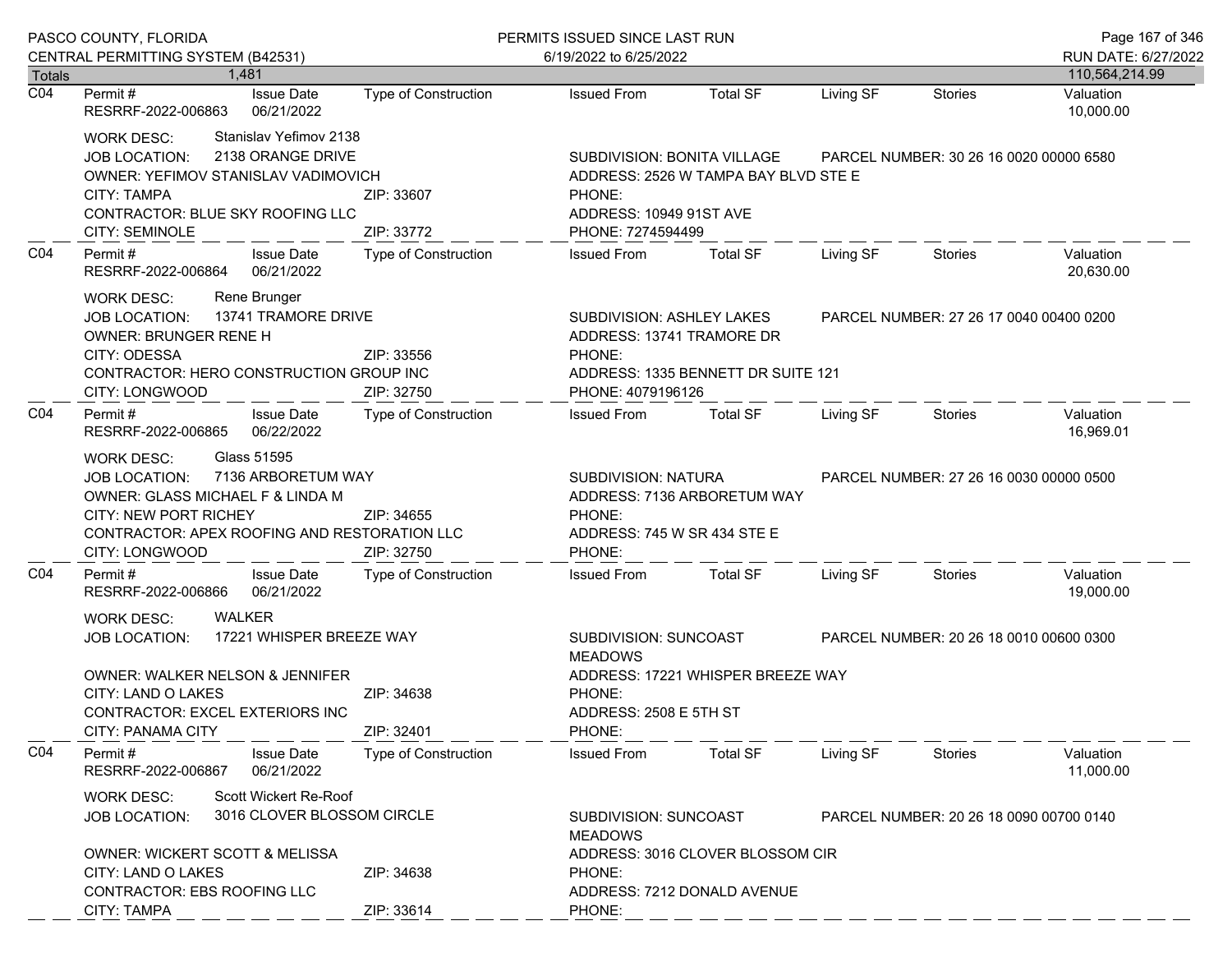| PASCO COUNTY, FLORIDA |                                                                                                                                                                                                                      |                                                                                                                                                                          | PERMITS ISSUED SINCE LAST RUN                                                                                                     | Page 167 of 346                                                                                                                                              |           |                                         |                        |
|-----------------------|----------------------------------------------------------------------------------------------------------------------------------------------------------------------------------------------------------------------|--------------------------------------------------------------------------------------------------------------------------------------------------------------------------|-----------------------------------------------------------------------------------------------------------------------------------|--------------------------------------------------------------------------------------------------------------------------------------------------------------|-----------|-----------------------------------------|------------------------|
|                       | CENTRAL PERMITTING SYSTEM (B42531)                                                                                                                                                                                   |                                                                                                                                                                          | 6/19/2022 to 6/25/2022                                                                                                            |                                                                                                                                                              |           |                                         | RUN DATE: 6/27/2022    |
| Totals                | 1.481                                                                                                                                                                                                                |                                                                                                                                                                          |                                                                                                                                   |                                                                                                                                                              |           |                                         | 110,564,214.99         |
| $\overline{CO4}$      | Permit #<br><b>Issue Date</b><br>RESRRF-2022-006863<br>06/21/2022                                                                                                                                                    | Type of Construction                                                                                                                                                     | <b>Issued From</b>                                                                                                                | <b>Total SF</b>                                                                                                                                              | Living SF | Stories                                 | Valuation<br>10,000.00 |
|                       | Stanislav Yefimov 2138<br>WORK DESC:<br>2138 ORANGE DRIVE<br><b>JOB LOCATION:</b><br>OWNER: YEFIMOV STANISLAV VADIMOVICH<br><b>CITY: TAMPA</b><br>CONTRACTOR: BLUE SKY ROOFING LLC<br><b>CITY: SEMINOLE</b>          | SUBDIVISION: BONITA VILLAGE<br>PARCEL NUMBER: 30 26 16 0020 00000 6580<br>ADDRESS: 2526 W TAMPA BAY BLVD STE E<br>PHONE:<br>ADDRESS: 10949 91ST AVE<br>PHONE: 7274594499 |                                                                                                                                   |                                                                                                                                                              |           |                                         |                        |
| CO <sub>4</sub>       | Permit#<br><b>Issue Date</b><br>RESRRF-2022-006864<br>06/21/2022                                                                                                                                                     | Type of Construction                                                                                                                                                     | <b>Issued From</b>                                                                                                                | <b>Total SF</b>                                                                                                                                              | Living SF | Stories                                 | Valuation<br>20,630.00 |
|                       | Rene Brunger<br><b>WORK DESC:</b><br>13741 TRAMORE DRIVE<br><b>JOB LOCATION:</b><br><b>OWNER: BRUNGER RENE H</b><br>CITY: ODESSA<br>CONTRACTOR: HERO CONSTRUCTION GROUP INC<br>CITY: LONGWOOD                        | ZIP: 33556<br>ZIP: 32750                                                                                                                                                 | PHONE:                                                                                                                            | SUBDIVISION: ASHLEY LAKES<br>PARCEL NUMBER: 27 26 17 0040 00400 0200<br>ADDRESS: 13741 TRAMORE DR<br>ADDRESS: 1335 BENNETT DR SUITE 121<br>PHONE: 4079196126 |           |                                         |                        |
| CO <sub>4</sub>       | Permit#<br><b>Issue Date</b><br>06/22/2022<br>RESRRF-2022-006865                                                                                                                                                     | <b>Type of Construction</b>                                                                                                                                              | <b>Issued From</b>                                                                                                                | <b>Total SF</b>                                                                                                                                              | Living SF | Stories                                 | Valuation<br>16,969.01 |
|                       | Glass 51595<br><b>WORK DESC:</b><br>7136 ARBORETUM WAY<br><b>JOB LOCATION:</b><br>OWNER: GLASS MICHAEL F & LINDA M<br><b>CITY: NEW PORT RICHEY</b><br>CONTRACTOR: APEX ROOFING AND RESTORATION LLC<br>CITY: LONGWOOD | ZIP: 34655<br>ZIP: 32750                                                                                                                                                 | <b>SUBDIVISION: NATURA</b><br>PHONE:<br>ADDRESS: 745 W SR 434 STE E<br>PHONE:                                                     | ADDRESS: 7136 ARBORETUM WAY                                                                                                                                  |           | PARCEL NUMBER: 27 26 16 0030 00000 0500 |                        |
| CO <sub>4</sub>       | Permit#<br><b>Issue Date</b><br>06/21/2022<br>RESRRF-2022-006866                                                                                                                                                     | <b>Type of Construction</b>                                                                                                                                              | <b>Issued From</b>                                                                                                                | <b>Total SF</b>                                                                                                                                              | Living SF | Stories                                 | Valuation<br>19,000.00 |
|                       | WALKER<br><b>WORK DESC:</b><br>17221 WHISPER BREEZE WAY<br><b>JOB LOCATION:</b><br>OWNER: WALKER NELSON & JENNIFER<br>CITY: LAND O LAKES<br>ZIP: 34638                                                               |                                                                                                                                                                          | SUBDIVISION: SUNCOAST<br>PARCEL NUMBER: 20 26 18 0010 00600 0300<br><b>MEADOWS</b><br>ADDRESS: 17221 WHISPER BREEZE WAY<br>PHONE: |                                                                                                                                                              |           |                                         |                        |
|                       | CONTRACTOR: EXCEL EXTERIORS INC<br><b>CITY: PANAMA CITY</b>                                                                                                                                                          | ZIP: 32401                                                                                                                                                               | ADDRESS: 2508 E 5TH ST<br>PHONE:                                                                                                  |                                                                                                                                                              |           |                                         |                        |
| CO <sub>4</sub>       | Permit#<br><b>Issue Date</b><br>RESRRF-2022-006867<br>06/21/2022                                                                                                                                                     | <b>Type of Construction</b>                                                                                                                                              | <b>Issued From</b>                                                                                                                | <b>Total SF</b>                                                                                                                                              | Living SF | Stories                                 | Valuation<br>11,000.00 |
|                       | Scott Wickert Re-Roof<br><b>WORK DESC:</b><br>3016 CLOVER BLOSSOM CIRCLE<br><b>JOB LOCATION:</b><br>OWNER: WICKERT SCOTT & MELISSA                                                                                   |                                                                                                                                                                          | SUBDIVISION: SUNCOAST<br><b>MEADOWS</b>                                                                                           |                                                                                                                                                              |           | PARCEL NUMBER: 20 26 18 0090 00700 0140 |                        |
|                       | CITY: LAND O LAKES<br>CONTRACTOR: EBS ROOFING LLC<br>CITY: TAMPA                                                                                                                                                     | ZIP: 34638<br>ZIP: 33614                                                                                                                                                 | ADDRESS: 3016 CLOVER BLOSSOM CIR<br>PHONE:<br>ADDRESS: 7212 DONALD AVENUE<br>PHONE:                                               |                                                                                                                                                              |           |                                         |                        |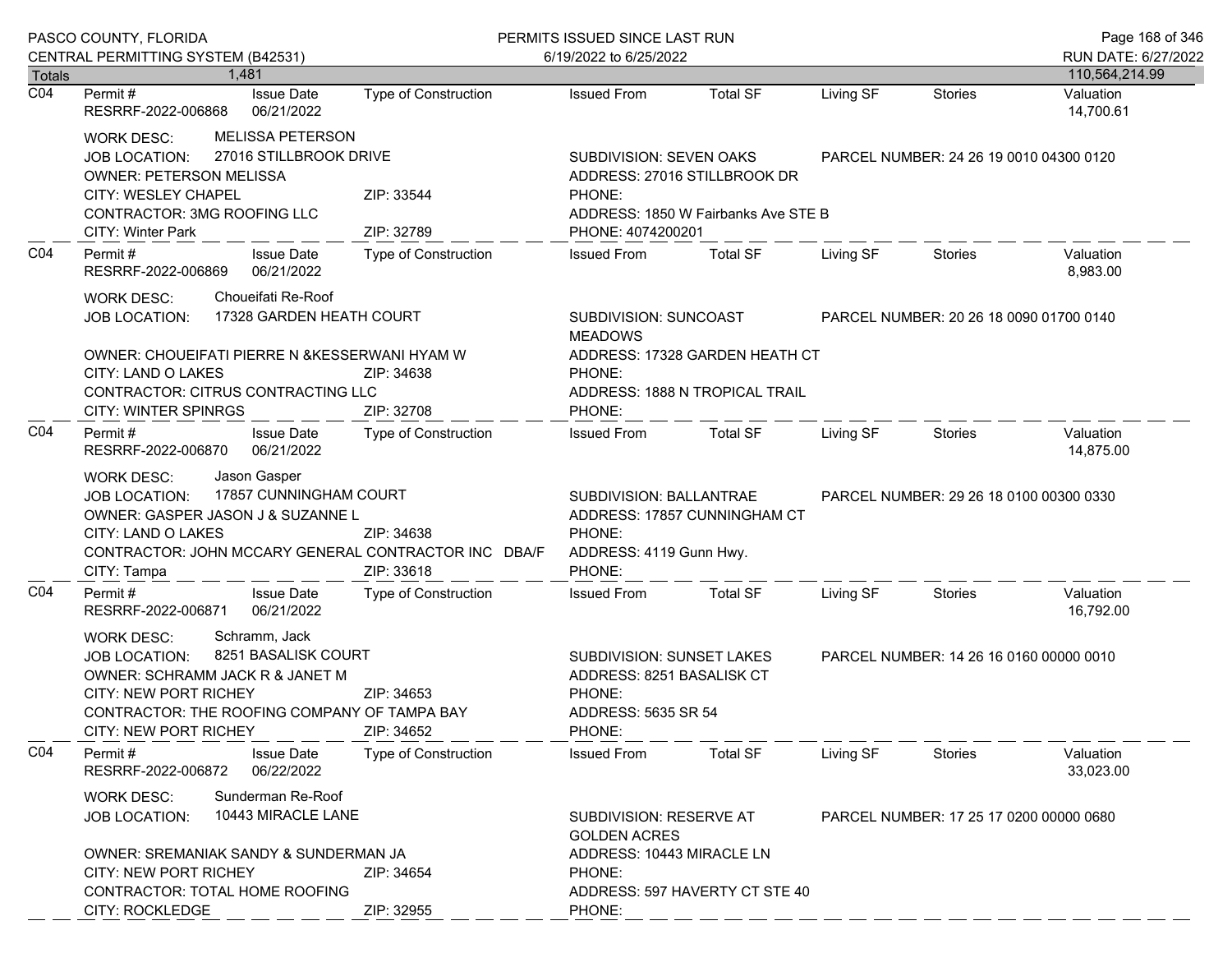| PASCO COUNTY, FLORIDA      |                                                                                                                                                                                                                                                           |                                   | PERMITS ISSUED SINCE LAST RUN                                                                            |                                                                  |           |                                         | Page 168 of 346             |
|----------------------------|-----------------------------------------------------------------------------------------------------------------------------------------------------------------------------------------------------------------------------------------------------------|-----------------------------------|----------------------------------------------------------------------------------------------------------|------------------------------------------------------------------|-----------|-----------------------------------------|-----------------------------|
|                            | CENTRAL PERMITTING SYSTEM (B42531)                                                                                                                                                                                                                        |                                   | 6/19/2022 to 6/25/2022                                                                                   |                                                                  |           |                                         | RUN DATE: 6/27/2022         |
| Totals<br>$\overline{CO4}$ | 1.481<br><b>Issue Date</b><br>Permit #                                                                                                                                                                                                                    | Type of Construction              | <b>Issued From</b>                                                                                       | <b>Total SF</b>                                                  | Living SF | <b>Stories</b>                          | 110,564,214.99<br>Valuation |
|                            | 06/21/2022<br>RESRRF-2022-006868                                                                                                                                                                                                                          |                                   |                                                                                                          |                                                                  |           |                                         | 14,700.61                   |
|                            | <b>MELISSA PETERSON</b><br><b>WORK DESC:</b><br>27016 STILLBROOK DRIVE<br><b>JOB LOCATION:</b><br>OWNER: PETERSON MELISSA<br>CITY: WESLEY CHAPEL<br>CONTRACTOR: 3MG ROOFING LLC                                                                           | SUBDIVISION: SEVEN OAKS<br>PHONE: | ADDRESS: 27016 STILLBROOK DR<br>ADDRESS: 1850 W Fairbanks Ave STE B                                      | PARCEL NUMBER: 24 26 19 0010 04300 0120                          |           |                                         |                             |
|                            | CITY: Winter Park                                                                                                                                                                                                                                         | ZIP: 32789                        | PHONE: 4074200201                                                                                        |                                                                  |           |                                         |                             |
| CO <sub>4</sub>            | Permit#<br><b>Issue Date</b><br>06/21/2022<br>RESRRF-2022-006869                                                                                                                                                                                          | Type of Construction              | <b>Issued From</b>                                                                                       | <b>Total SF</b>                                                  | Living SF | Stories                                 | Valuation<br>8,983.00       |
|                            | Choueifati Re-Roof<br><b>WORK DESC:</b><br>17328 GARDEN HEATH COURT<br><b>JOB LOCATION:</b>                                                                                                                                                               |                                   | SUBDIVISION: SUNCOAST<br><b>MEADOWS</b>                                                                  |                                                                  |           | PARCEL NUMBER: 20 26 18 0090 01700 0140 |                             |
|                            | OWNER: CHOUEIFATI PIERRE N & KESSERWANI HYAM W<br>CITY: LAND O LAKES<br>CONTRACTOR: CITRUS CONTRACTING LLC<br><b>CITY: WINTER SPINRGS</b>                                                                                                                 | ZIP: 34638<br>ZIP: 32708          | PHONE:<br>PHONE:                                                                                         | ADDRESS: 17328 GARDEN HEATH CT<br>ADDRESS: 1888 N TROPICAL TRAIL |           |                                         |                             |
| CO <sub>4</sub>            | Permit#<br><b>Issue Date</b><br>06/21/2022<br>RESRRF-2022-006870                                                                                                                                                                                          | Type of Construction              | <b>Issued From</b>                                                                                       | <b>Total SF</b>                                                  | Living SF | Stories                                 | Valuation<br>14,875.00      |
|                            | Jason Gasper<br><b>WORK DESC:</b><br>17857 CUNNINGHAM COURT<br><b>JOB LOCATION:</b><br>OWNER: GASPER JASON J & SUZANNE L<br>CITY: LAND O LAKES<br>ZIP: 34638<br>CONTRACTOR: JOHN MCCARY GENERAL CONTRACTOR INC DBA/F<br>CITY: Tampa<br>ZIP: 33618         |                                   | SUBDIVISION: BALLANTRAE<br>ADDRESS: 17857 CUNNINGHAM CT<br>PHONE:<br>ADDRESS: 4119 Gunn Hwy.<br>PHONE:   |                                                                  |           | PARCEL NUMBER: 29 26 18 0100 00300 0330 |                             |
| CO <sub>4</sub>            | Permit#<br><b>Issue Date</b><br>06/21/2022<br>RESRRF-2022-006871                                                                                                                                                                                          | Type of Construction              | <b>Issued From</b>                                                                                       | <b>Total SF</b>                                                  | Living SF | Stories                                 | Valuation<br>16,792.00      |
|                            | Schramm, Jack<br><b>WORK DESC:</b><br>8251 BASALISK COURT<br><b>JOB LOCATION:</b><br>OWNER: SCHRAMM JACK R & JANET M<br>CITY: NEW PORT RICHEY<br>ZIP: 34653<br>CONTRACTOR: THE ROOFING COMPANY OF TAMPA BAY<br><b>CITY: NEW PORT RICHEY</b><br>ZIP: 34652 |                                   | <b>SUBDIVISION: SUNSET LAKES</b><br>ADDRESS: 8251 BASALISK CT<br>PHONE:<br>ADDRESS: 5635 SR 54<br>PHONE: |                                                                  |           | PARCEL NUMBER: 14 26 16 0160 00000 0010 |                             |
| CO <sub>4</sub>            | Permit#<br><b>Issue Date</b><br>RESRRF-2022-006872<br>06/22/2022                                                                                                                                                                                          | Type of Construction              | <b>Issued From</b>                                                                                       | <b>Total SF</b>                                                  | Living SF | Stories                                 | Valuation<br>33,023.00      |
|                            | Sunderman Re-Roof<br><b>WORK DESC:</b><br>10443 MIRACLE LANE<br><b>JOB LOCATION:</b>                                                                                                                                                                      |                                   | SUBDIVISION: RESERVE AT<br>PARCEL NUMBER: 17 25 17 0200 00000 0680<br><b>GOLDEN ACRES</b>                |                                                                  |           |                                         |                             |
|                            | OWNER: SREMANIAK SANDY & SUNDERMAN JA<br><b>CITY: NEW PORT RICHEY</b><br>CONTRACTOR: TOTAL HOME ROOFING                                                                                                                                                   | ZIP: 34654                        | ADDRESS: 10443 MIRACLE LN<br>PHONE:                                                                      | ADDRESS: 597 HAVERTY CT STE 40                                   |           |                                         |                             |
|                            | CITY: ROCKLEDGE                                                                                                                                                                                                                                           | ZIP: 32955                        | PHONE:                                                                                                   |                                                                  |           |                                         |                             |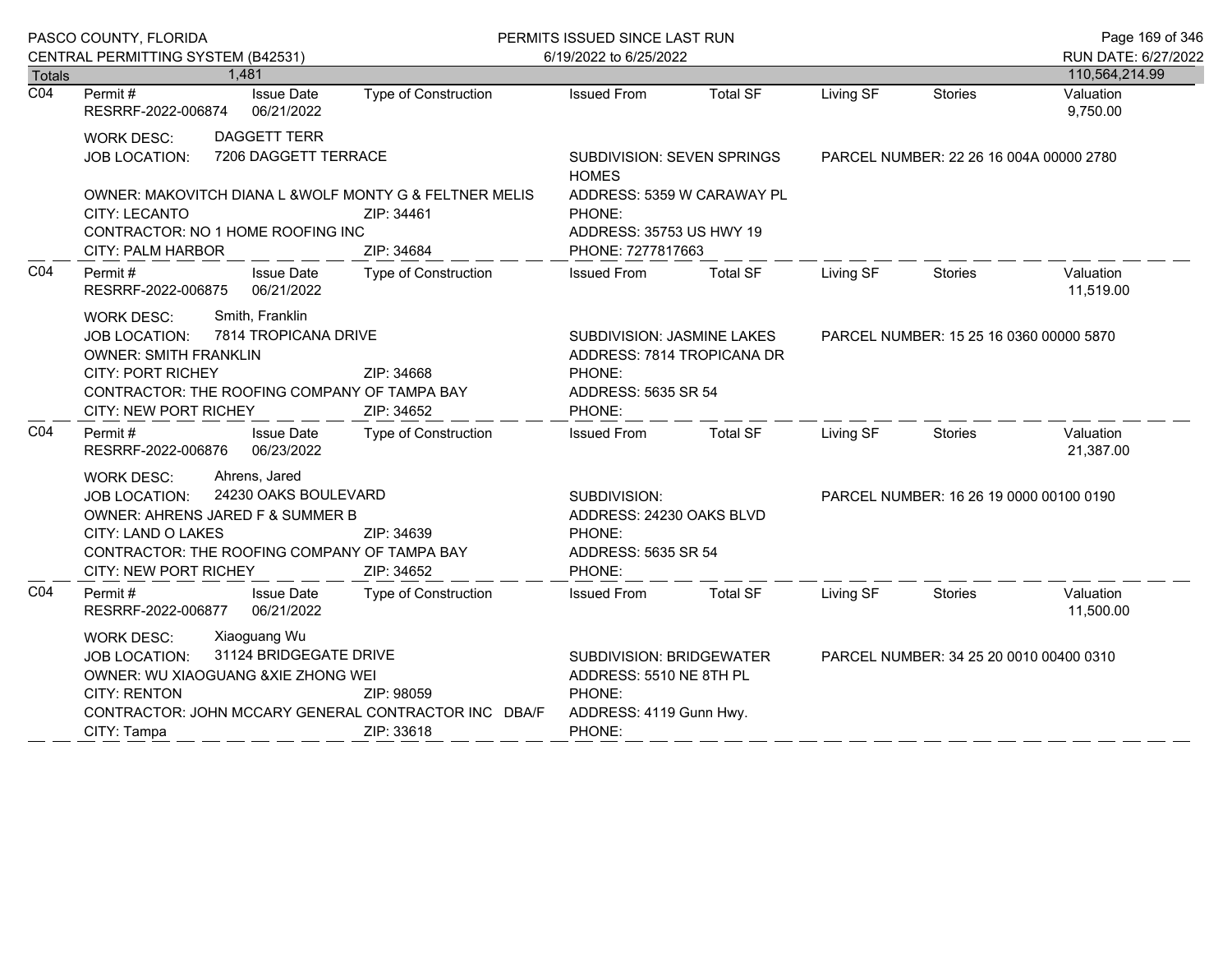|                            | PASCO COUNTY, FLORIDA                                                                                                                                                                                                                                |                      | PERMITS ISSUED SINCE LAST RUN                                                                      |                            |                                         |                                         | Page 169 of 346             |
|----------------------------|------------------------------------------------------------------------------------------------------------------------------------------------------------------------------------------------------------------------------------------------------|----------------------|----------------------------------------------------------------------------------------------------|----------------------------|-----------------------------------------|-----------------------------------------|-----------------------------|
|                            | CENTRAL PERMITTING SYSTEM (B42531)                                                                                                                                                                                                                   |                      | 6/19/2022 to 6/25/2022                                                                             |                            |                                         |                                         | RUN DATE: 6/27/2022         |
| Totals<br>$\overline{CO4}$ | 1,481<br>Permit#<br><b>Issue Date</b>                                                                                                                                                                                                                | Type of Construction | <b>Issued From</b>                                                                                 | <b>Total SF</b>            | Living SF                               | <b>Stories</b>                          | 110,564,214.99<br>Valuation |
|                            | 06/21/2022<br>RESRRF-2022-006874                                                                                                                                                                                                                     |                      |                                                                                                    |                            |                                         |                                         | 9,750.00                    |
|                            | <b>DAGGETT TERR</b><br><b>WORK DESC:</b>                                                                                                                                                                                                             |                      |                                                                                                    |                            |                                         |                                         |                             |
|                            | 7206 DAGGETT TERRACE<br><b>JOB LOCATION:</b>                                                                                                                                                                                                         |                      | <b>SUBDIVISION: SEVEN SPRINGS</b><br><b>HOMES</b>                                                  |                            |                                         | PARCEL NUMBER: 22 26 16 004A 00000 2780 |                             |
|                            | OWNER: MAKOVITCH DIANA L & WOLF MONTY G & FELTNER MELIS                                                                                                                                                                                              |                      |                                                                                                    | ADDRESS: 5359 W CARAWAY PL |                                         |                                         |                             |
|                            | <b>CITY: LECANTO</b>                                                                                                                                                                                                                                 | ZIP: 34461           | PHONE:                                                                                             |                            |                                         |                                         |                             |
|                            | CONTRACTOR: NO 1 HOME ROOFING INC                                                                                                                                                                                                                    |                      | ADDRESS: 35753 US HWY 19                                                                           |                            |                                         |                                         |                             |
| CO <sub>4</sub>            | <b>CITY: PALM HARBOR</b>                                                                                                                                                                                                                             | ZIP: 34684           | PHONE: 7277817663                                                                                  |                            |                                         |                                         |                             |
|                            | Permit#<br><b>Issue Date</b><br>06/21/2022<br>RESRRF-2022-006875                                                                                                                                                                                     | Type of Construction | <b>Issued From</b>                                                                                 | <b>Total SF</b>            | Living SF                               | Stories                                 | Valuation<br>11,519.00      |
|                            | Smith, Franklin<br><b>WORK DESC:</b><br>7814 TROPICANA DRIVE<br><b>JOB LOCATION:</b><br><b>OWNER: SMITH FRANKLIN</b><br><b>CITY: PORT RICHEY</b><br>ZIP: 34668                                                                                       |                      | SUBDIVISION: JASMINE LAKES<br>ADDRESS: 7814 TROPICANA DR<br>PHONE:                                 |                            | PARCEL NUMBER: 15 25 16 0360 00000 5870 |                                         |                             |
|                            | CONTRACTOR: THE ROOFING COMPANY OF TAMPA BAY<br>CITY: NEW PORT RICHEY<br>ZIP: 34652                                                                                                                                                                  |                      | ADDRESS: 5635 SR 54<br>PHONE:                                                                      |                            |                                         |                                         |                             |
| CO <sub>4</sub>            | Permit #<br><b>Issue Date</b><br>06/23/2022<br>RESRRF-2022-006876                                                                                                                                                                                    | Type of Construction | <b>Issued From</b>                                                                                 | <b>Total SF</b>            | Living SF                               | <b>Stories</b>                          | Valuation<br>21,387.00      |
|                            | Ahrens, Jared<br><b>WORK DESC:</b><br>24230 OAKS BOULEVARD<br><b>JOB LOCATION:</b><br>OWNER: AHRENS JARED F & SUMMER B<br>ZIP: 34639                                                                                                                 |                      | SUBDIVISION:<br>PARCEL NUMBER: 16 26 19 0000 00100 0190<br>ADDRESS: 24230 OAKS BLVD<br>PHONE:      |                            |                                         |                                         |                             |
|                            | CITY: LAND O LAKES<br>CONTRACTOR: THE ROOFING COMPANY OF TAMPA BAY<br>CITY: NEW PORT RICHEY                                                                                                                                                          | ZIP: 34652           | ADDRESS: 5635 SR 54<br>PHONE:                                                                      |                            |                                         |                                         |                             |
| CO <sub>4</sub>            | Permit #<br><b>Issue Date</b><br>06/21/2022<br>RESRRF-2022-006877                                                                                                                                                                                    | Type of Construction | <b>Issued From</b>                                                                                 | <b>Total SF</b>            | Living SF                               | Stories                                 | Valuation<br>11,500.00      |
|                            | Xiaoguang Wu<br><b>WORK DESC:</b><br>31124 BRIDGEGATE DRIVE<br><b>JOB LOCATION:</b><br>OWNER: WU XIAOGUANG & XIE ZHONG WEI<br><b>CITY: RENTON</b><br>ZIP: 98059<br>CONTRACTOR: JOHN MCCARY GENERAL CONTRACTOR INC DBA/F<br>CITY: Tampa<br>ZIP: 33618 |                      | SUBDIVISION: BRIDGEWATER<br>ADDRESS: 5510 NE 8TH PL<br>PHONE:<br>ADDRESS: 4119 Gunn Hwy.<br>PHONE: |                            |                                         | PARCEL NUMBER: 34 25 20 0010 00400 0310 |                             |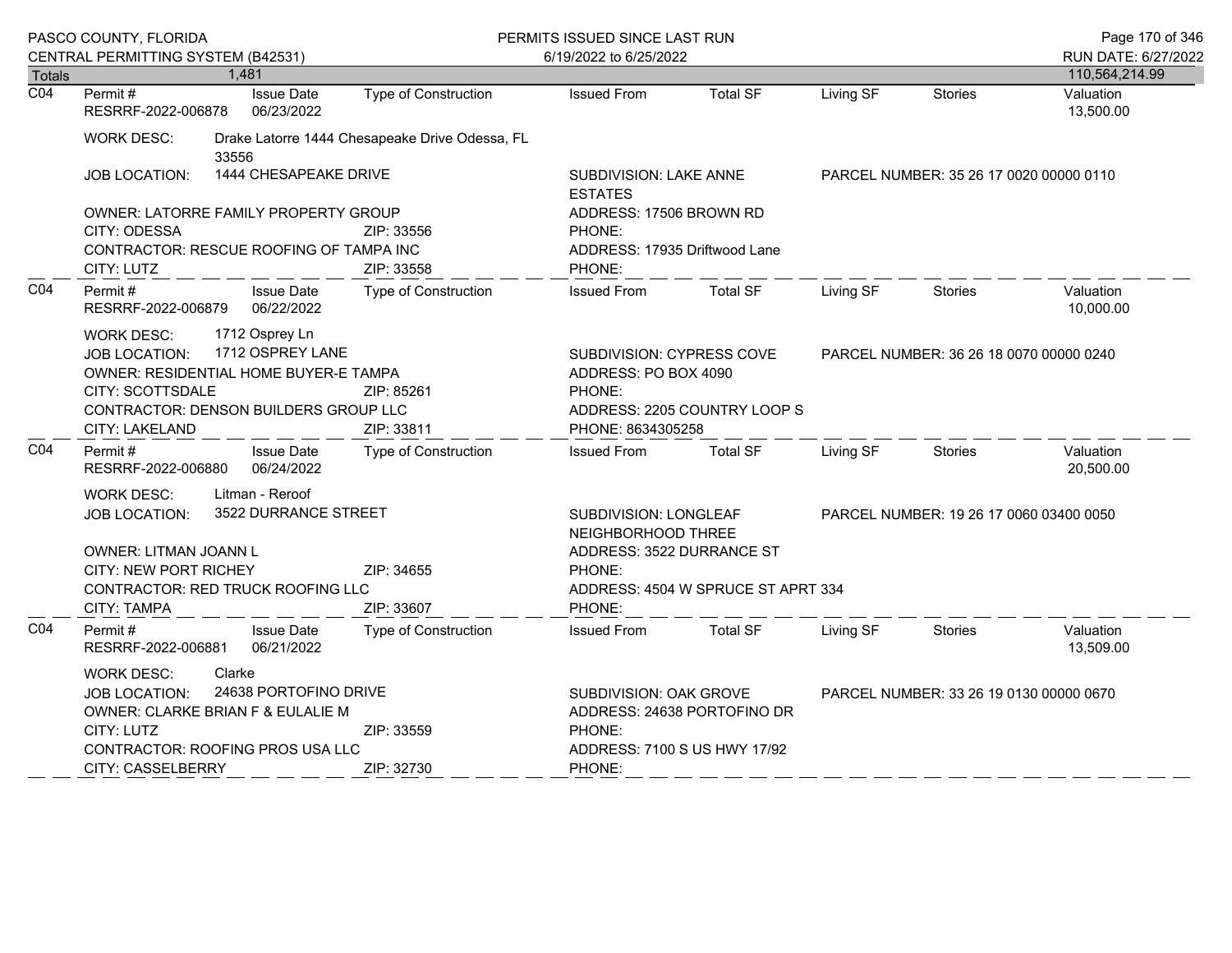|                                                                                                                                                              | PASCO COUNTY, FLORIDA                                                                                                                                                                                                               |        |                                                                                                                  |                                                | PERMITS ISSUED SINCE LAST RUN                                                      |                                                             |           |                                         | Page 170 of 346        |  |
|--------------------------------------------------------------------------------------------------------------------------------------------------------------|-------------------------------------------------------------------------------------------------------------------------------------------------------------------------------------------------------------------------------------|--------|------------------------------------------------------------------------------------------------------------------|------------------------------------------------|------------------------------------------------------------------------------------|-------------------------------------------------------------|-----------|-----------------------------------------|------------------------|--|
|                                                                                                                                                              | CENTRAL PERMITTING SYSTEM (B42531)                                                                                                                                                                                                  |        |                                                                                                                  |                                                | 6/19/2022 to 6/25/2022                                                             |                                                             |           | RUN DATE: 6/27/2022                     |                        |  |
| <b>Totals</b>                                                                                                                                                |                                                                                                                                                                                                                                     | 1,481  |                                                                                                                  |                                                |                                                                                    |                                                             |           |                                         | 110,564,214.99         |  |
| $\overline{CO4}$                                                                                                                                             | Permit#<br>RESRRF-2022-006878                                                                                                                                                                                                       |        | <b>Issue Date</b><br>06/23/2022                                                                                  | Type of Construction                           | <b>Issued From</b>                                                                 | <b>Total SF</b>                                             | Living SF | <b>Stories</b>                          | Valuation<br>13,500.00 |  |
|                                                                                                                                                              | <b>WORK DESC:</b>                                                                                                                                                                                                                   | 33556  |                                                                                                                  | Drake Latorre 1444 Chesapeake Drive Odessa, FL |                                                                                    |                                                             |           |                                         |                        |  |
|                                                                                                                                                              | <b>JOB LOCATION:</b>                                                                                                                                                                                                                |        | 1444 CHESAPEAKE DRIVE                                                                                            |                                                | SUBDIVISION: LAKE ANNE<br><b>ESTATES</b>                                           |                                                             |           | PARCEL NUMBER: 35 26 17 0020 00000 0110 |                        |  |
|                                                                                                                                                              | OWNER: LATORRE FAMILY PROPERTY GROUP<br>CITY: ODESSA<br>ZIP: 33556                                                                                                                                                                  |        | ADDRESS: 17506 BROWN RD<br>PHONE:                                                                                |                                                |                                                                                    |                                                             |           |                                         |                        |  |
|                                                                                                                                                              | CONTRACTOR: RESCUE ROOFING OF TAMPA INC<br>ZIP: 33558<br>CITY: LUTZ                                                                                                                                                                 |        | ADDRESS: 17935 Driftwood Lane<br>PHONE:                                                                          |                                                |                                                                                    |                                                             |           |                                         |                        |  |
| CO <sub>4</sub>                                                                                                                                              | Permit #<br>RESRRF-2022-006879                                                                                                                                                                                                      |        | <b>Issue Date</b><br>06/22/2022                                                                                  | <b>Type of Construction</b>                    | <b>Issued From</b>                                                                 | <b>Total SF</b>                                             | Living SF | <b>Stories</b>                          | Valuation<br>10,000.00 |  |
|                                                                                                                                                              | 1712 Osprey Ln<br><b>WORK DESC:</b><br>1712 OSPREY LANE<br><b>JOB LOCATION:</b><br>OWNER: RESIDENTIAL HOME BUYER-E TAMPA<br>CITY: SCOTTSDALE<br>ZIP: 85261<br>CONTRACTOR: DENSON BUILDERS GROUP LLC<br>ZIP: 33811<br>CITY: LAKELAND |        | SUBDIVISION: CYPRESS COVE<br>ADDRESS: PO BOX 4090<br>PHONE:<br>ADDRESS: 2205 COUNTRY LOOP S<br>PHONE: 8634305258 |                                                | PARCEL NUMBER: 36 26 18 0070 00000 0240                                            |                                                             |           |                                         |                        |  |
| CO <sub>4</sub>                                                                                                                                              | Permit#<br>RESRRF-2022-006880                                                                                                                                                                                                       |        | <b>Issue Date</b><br>06/24/2022                                                                                  | <b>Type of Construction</b>                    | <b>Issued From</b>                                                                 | <b>Total SF</b>                                             | Living SF | <b>Stories</b>                          | Valuation<br>20,500.00 |  |
|                                                                                                                                                              | <b>WORK DESC:</b><br><b>JOB LOCATION:</b><br>OWNER: LITMAN JOANN L<br>CITY: NEW PORT RICHEY                                                                                                                                         |        | Litman - Reroof<br>3522 DURRANCE STREET                                                                          | ZIP: 34655                                     | SUBDIVISION: LONGLEAF<br>NEIGHBORHOOD THREE<br>ADDRESS: 3522 DURRANCE ST<br>PHONE: |                                                             |           | PARCEL NUMBER: 19 26 17 0060 03400 0050 |                        |  |
|                                                                                                                                                              | CONTRACTOR: RED TRUCK ROOFING LLC<br>CITY: TAMPA                                                                                                                                                                                    |        |                                                                                                                  | ZIP: 33607                                     | PHONE:                                                                             | ADDRESS: 4504 W SPRUCE ST APRT 334                          |           |                                         |                        |  |
| CO <sub>4</sub>                                                                                                                                              | Permit#<br>RESRRF-2022-006881                                                                                                                                                                                                       |        | <b>Issue Date</b><br>06/21/2022                                                                                  | Type of Construction                           | <b>Issued From</b>                                                                 | <b>Total SF</b>                                             | Living SF | <b>Stories</b>                          | Valuation<br>13,509.00 |  |
| <b>WORK DESC:</b><br><b>JOB LOCATION:</b><br>OWNER: CLARKE BRIAN F & EULALIE M<br>CITY: LUTZ<br>CONTRACTOR: ROOFING PROS USA LLC<br><b>CITY: CASSELBERRY</b> |                                                                                                                                                                                                                                     | Clarke | 24638 PORTOFINO DRIVE                                                                                            | ZIP: 33559<br>ZIP: 32730                       | SUBDIVISION: OAK GROVE<br>PHONE:<br>PHONE:                                         | ADDRESS: 24638 PORTOFINO DR<br>ADDRESS: 7100 S US HWY 17/92 |           | PARCEL NUMBER: 33 26 19 0130 00000 0670 |                        |  |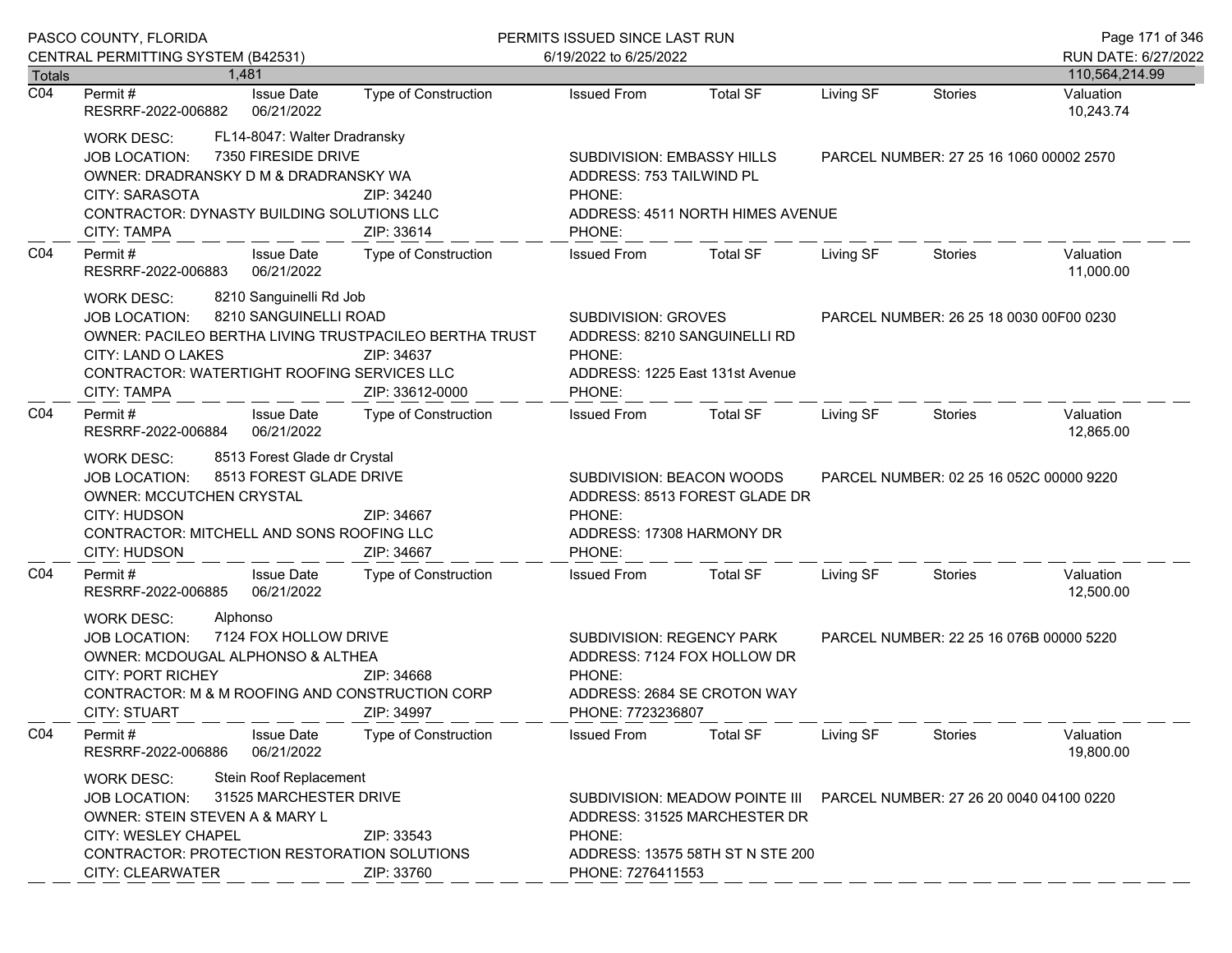|                  | PASCO COUNTY, FLORIDA                                                                                                                                                                                                                                         | PERMITS ISSUED SINCE LAST RUN<br>6/19/2022 to 6/25/2022                                                                                    |                                                                                                             |                                                                                                    |                                         | Page 171 of 346<br>RUN DATE: 6/27/2022  |                        |
|------------------|---------------------------------------------------------------------------------------------------------------------------------------------------------------------------------------------------------------------------------------------------------------|--------------------------------------------------------------------------------------------------------------------------------------------|-------------------------------------------------------------------------------------------------------------|----------------------------------------------------------------------------------------------------|-----------------------------------------|-----------------------------------------|------------------------|
| <b>Totals</b>    | CENTRAL PERMITTING SYSTEM (B42531)<br>1.481                                                                                                                                                                                                                   |                                                                                                                                            |                                                                                                             |                                                                                                    |                                         |                                         | 110,564,214.99         |
| $\overline{CO4}$ | <b>Issue Date</b><br>Permit #<br>RESRRF-2022-006882<br>06/21/2022                                                                                                                                                                                             | <b>Type of Construction</b>                                                                                                                | <b>Issued From</b>                                                                                          | <b>Total SF</b>                                                                                    | Living SF                               | <b>Stories</b>                          | Valuation<br>10,243.74 |
|                  | FL14-8047: Walter Dradransky<br><b>WORK DESC:</b><br>7350 FIRESIDE DRIVE<br>JOB LOCATION:<br>OWNER: DRADRANSKY D M & DRADRANSKY WA<br>CITY: SARASOTA<br>CONTRACTOR: DYNASTY BUILDING SOLUTIONS LLC<br>CITY: TAMPA                                             | SUBDIVISION: EMBASSY HILLS<br>ADDRESS: 753 TAILWIND PL<br>PHONE:<br>ZIP: 34240<br>ADDRESS: 4511 NORTH HIMES AVENUE<br>ZIP: 33614<br>PHONE: |                                                                                                             | PARCEL NUMBER: 27 25 16 1060 00002 2570                                                            |                                         |                                         |                        |
| CO <sub>4</sub>  | Permit#<br><b>Issue Date</b><br>RESRRF-2022-006883<br>06/21/2022                                                                                                                                                                                              | Type of Construction                                                                                                                       | <b>Issued From</b>                                                                                          | <b>Total SF</b>                                                                                    | Living SF                               | Stories                                 | Valuation<br>11,000.00 |
|                  | 8210 Sanguinelli Rd Job<br><b>WORK DESC:</b><br>8210 SANGUINELLI ROAD<br>JOB LOCATION:<br>OWNER: PACILEO BERTHA LIVING TRUSTPACILEO BERTHA TRUST<br>CITY: LAND O LAKES<br>CONTRACTOR: WATERTIGHT ROOFING SERVICES LLC<br><b>CITY: TAMPA</b>                   | ZIP: 34637<br>ZIP: 33612-0000                                                                                                              | SUBDIVISION: GROVES<br>PHONE:<br>PHONE:                                                                     | ADDRESS: 8210 SANGUINELLI RD<br>ADDRESS: 1225 East 131st Avenue                                    |                                         | PARCEL NUMBER: 26 25 18 0030 00F00 0230 |                        |
| CO <sub>4</sub>  | Permit#<br><b>Issue Date</b><br>06/21/2022<br>RESRRF-2022-006884                                                                                                                                                                                              | Type of Construction                                                                                                                       | <b>Issued From</b>                                                                                          | <b>Total SF</b>                                                                                    | Living SF                               | <b>Stories</b>                          | Valuation<br>12,865.00 |
|                  | 8513 Forest Glade dr Crystal<br>WORK DESC:<br>8513 FOREST GLADE DRIVE<br><b>JOB LOCATION:</b><br>OWNER: MCCUTCHEN CRYSTAL<br><b>CITY: HUDSON</b><br>CONTRACTOR: MITCHELL AND SONS ROOFING LLC<br>CITY: HUDSON                                                 | ZIP: 34667<br>ZIP: 34667                                                                                                                   | SUBDIVISION: BEACON WOODS<br>ADDRESS: 8513 FOREST GLADE DR<br>PHONE:<br>ADDRESS: 17308 HARMONY DR<br>PHONE: |                                                                                                    | PARCEL NUMBER: 02 25 16 052C 00000 9220 |                                         |                        |
| CO4              | <b>Issue Date</b><br>Permit#<br>RESRRF-2022-006885<br>06/21/2022                                                                                                                                                                                              | Type of Construction                                                                                                                       | <b>Issued From</b>                                                                                          | <b>Total SF</b>                                                                                    | Living SF                               | Stories                                 | Valuation<br>12,500.00 |
|                  | Alphonso<br><b>WORK DESC:</b><br>7124 FOX HOLLOW DRIVE<br><b>JOB LOCATION:</b><br>OWNER: MCDOUGAL ALPHONSO & ALTHEA<br><b>CITY: PORT RICHEY</b><br>CONTRACTOR: M & M ROOFING AND CONSTRUCTION CORP<br><b>CITY: STUART</b>                                     | ZIP: 34668<br>ZIP: 34997                                                                                                                   | SUBDIVISION: REGENCY PARK<br>PHONE:<br>PHONE: 7723236807                                                    | ADDRESS: 7124 FOX HOLLOW DR<br>ADDRESS: 2684 SE CROTON WAY                                         |                                         | PARCEL NUMBER: 22 25 16 076B 00000 5220 |                        |
| CO <sub>4</sub>  | Permit#<br><b>Issue Date</b><br>06/21/2022<br>RESRRF-2022-006886                                                                                                                                                                                              | <b>Type of Construction</b>                                                                                                                | <b>Issued From</b>                                                                                          | <b>Total SF</b>                                                                                    | Living SF                               | <b>Stories</b>                          | Valuation<br>19,800.00 |
|                  | Stein Roof Replacement<br><b>WORK DESC:</b><br>31525 MARCHESTER DRIVE<br><b>JOB LOCATION:</b><br>OWNER: STEIN STEVEN A & MARY L<br>CITY: WESLEY CHAPEL<br>ZIP: 33543<br>CONTRACTOR: PROTECTION RESTORATION SOLUTIONS<br><b>CITY: CLEARWATER</b><br>ZIP: 33760 |                                                                                                                                            | PHONE:<br>PHONE: 7276411553                                                                                 | SUBDIVISION: MEADOW POINTE III<br>ADDRESS: 31525 MARCHESTER DR<br>ADDRESS: 13575 58TH ST N STE 200 |                                         | PARCEL NUMBER: 27 26 20 0040 04100 0220 |                        |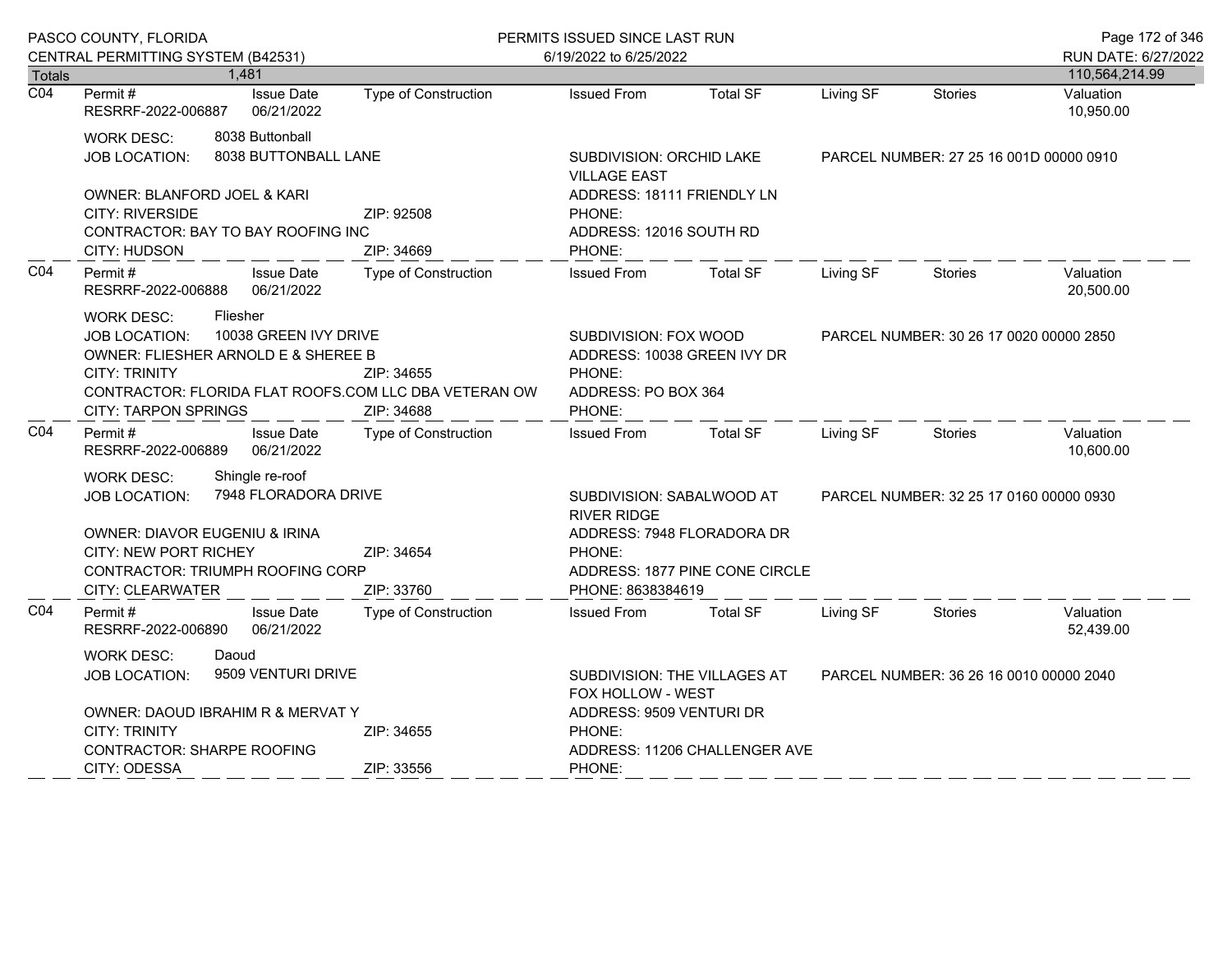|                            | PASCO COUNTY, FLORIDA                                                                                                                                                                                                                                             |                                                        | PERMITS ISSUED SINCE LAST RUN |                                                                                              |                                         |                                         | Page 172 of 346             |
|----------------------------|-------------------------------------------------------------------------------------------------------------------------------------------------------------------------------------------------------------------------------------------------------------------|--------------------------------------------------------|-------------------------------|----------------------------------------------------------------------------------------------|-----------------------------------------|-----------------------------------------|-----------------------------|
|                            | CENTRAL PERMITTING SYSTEM (B42531)                                                                                                                                                                                                                                |                                                        | 6/19/2022 to 6/25/2022        |                                                                                              |                                         |                                         | RUN DATE: 6/27/2022         |
| Totals<br>$\overline{CO4}$ | 1,481<br><b>Issue Date</b><br>Permit#                                                                                                                                                                                                                             | <b>Type of Construction</b>                            | <b>Issued From</b>            | <b>Total SF</b>                                                                              | Living SF                               | <b>Stories</b>                          | 110,564,214.99<br>Valuation |
|                            | 06/21/2022<br>RESRRF-2022-006887                                                                                                                                                                                                                                  |                                                        |                               |                                                                                              |                                         |                                         | 10,950.00                   |
|                            | 8038 Buttonball<br><b>WORK DESC:</b><br>8038 BUTTONBALL LANE<br><b>JOB LOCATION:</b>                                                                                                                                                                              | <b>SUBDIVISION: ORCHID LAKE</b><br><b>VILLAGE EAST</b> |                               |                                                                                              | PARCEL NUMBER: 27 25 16 001D 00000 0910 |                                         |                             |
|                            | OWNER: BLANFORD JOEL & KARI<br><b>CITY: RIVERSIDE</b><br>CONTRACTOR: BAY TO BAY ROOFING INC<br>CITY: HUDSON                                                                                                                                                       | ZIP: 92508<br>ZIP: 34669                               | PHONE:<br>PHONE:              | ADDRESS: 18111 FRIENDLY LN<br>ADDRESS: 12016 SOUTH RD                                        |                                         |                                         |                             |
| CO <sub>4</sub>            | Permit#<br><b>Issue Date</b><br>RESRRF-2022-006888<br>06/21/2022                                                                                                                                                                                                  | <b>Type of Construction</b>                            | <b>Issued From</b>            | <b>Total SF</b>                                                                              | Living SF                               | <b>Stories</b>                          | Valuation<br>20,500.00      |
|                            | <b>WORK DESC:</b><br>Fliesher<br>10038 GREEN IVY DRIVE<br><b>JOB LOCATION:</b><br>OWNER: FLIESHER ARNOLD E & SHEREE B<br><b>CITY: TRINITY</b><br>ZIP: 34655<br>CONTRACTOR: FLORIDA FLAT ROOFS.COM LLC DBA VETERAN OW<br><b>CITY: TARPON SPRINGS</b><br>ZIP: 34688 |                                                        | PHONE:<br>PHONE:              | SUBDIVISION: FOX WOOD<br>ADDRESS: 10038 GREEN IVY DR<br>ADDRESS: PO BOX 364                  |                                         | PARCEL NUMBER: 30 26 17 0020 00000 2850 |                             |
| CO <sub>4</sub>            | Permit#<br><b>Issue Date</b><br>RESRRF-2022-006889<br>06/21/2022                                                                                                                                                                                                  | Type of Construction                                   | <b>Issued From</b>            | <b>Total SF</b>                                                                              | Living SF                               | <b>Stories</b>                          | Valuation<br>10,600.00      |
|                            | Shingle re-roof<br><b>WORK DESC:</b><br><b>JOB LOCATION:</b><br>OWNER: DIAVOR EUGENIU & IRINA<br>CITY: NEW PORT RICHEY                                                                                                                                            | 7948 FLORADORA DRIVE<br>ZIP: 34654                     | <b>RIVER RIDGE</b><br>PHONE:  | SUBDIVISION: SABALWOOD AT<br>ADDRESS: 7948 FLORADORA DR                                      |                                         | PARCEL NUMBER: 32 25 17 0160 00000 0930 |                             |
|                            | CONTRACTOR: TRIUMPH ROOFING CORP<br>CITY: CLEARWATER                                                                                                                                                                                                              | ZIP: 33760                                             | PHONE: 8638384619             | ADDRESS: 1877 PINE CONE CIRCLE                                                               |                                         |                                         |                             |
| CO <sub>4</sub>            | Permit#<br><b>Issue Date</b><br>RESRRF-2022-006890<br>06/21/2022                                                                                                                                                                                                  | <b>Type of Construction</b>                            | <b>Issued From</b>            | <b>Total SF</b>                                                                              | Living SF                               | Stories                                 | Valuation<br>52,439.00      |
|                            | <b>WORK DESC:</b><br>Daoud<br>9509 VENTURI DRIVE<br><b>JOB LOCATION:</b>                                                                                                                                                                                          |                                                        |                               | PARCEL NUMBER: 36 26 16 0010 00000 2040<br>SUBDIVISION: THE VILLAGES AT<br>FOX HOLLOW - WEST |                                         |                                         |                             |
|                            | OWNER: DAOUD IBRAHIM R & MERVAT Y<br><b>CITY: TRINITY</b><br>ZIP: 34655<br><b>CONTRACTOR: SHARPE ROOFING</b><br>CITY: ODESSA<br>ZIP: 33556                                                                                                                        |                                                        | PHONE:<br>PHONE:              | ADDRESS: 9509 VENTURI DR<br>ADDRESS: 11206 CHALLENGER AVE                                    |                                         |                                         |                             |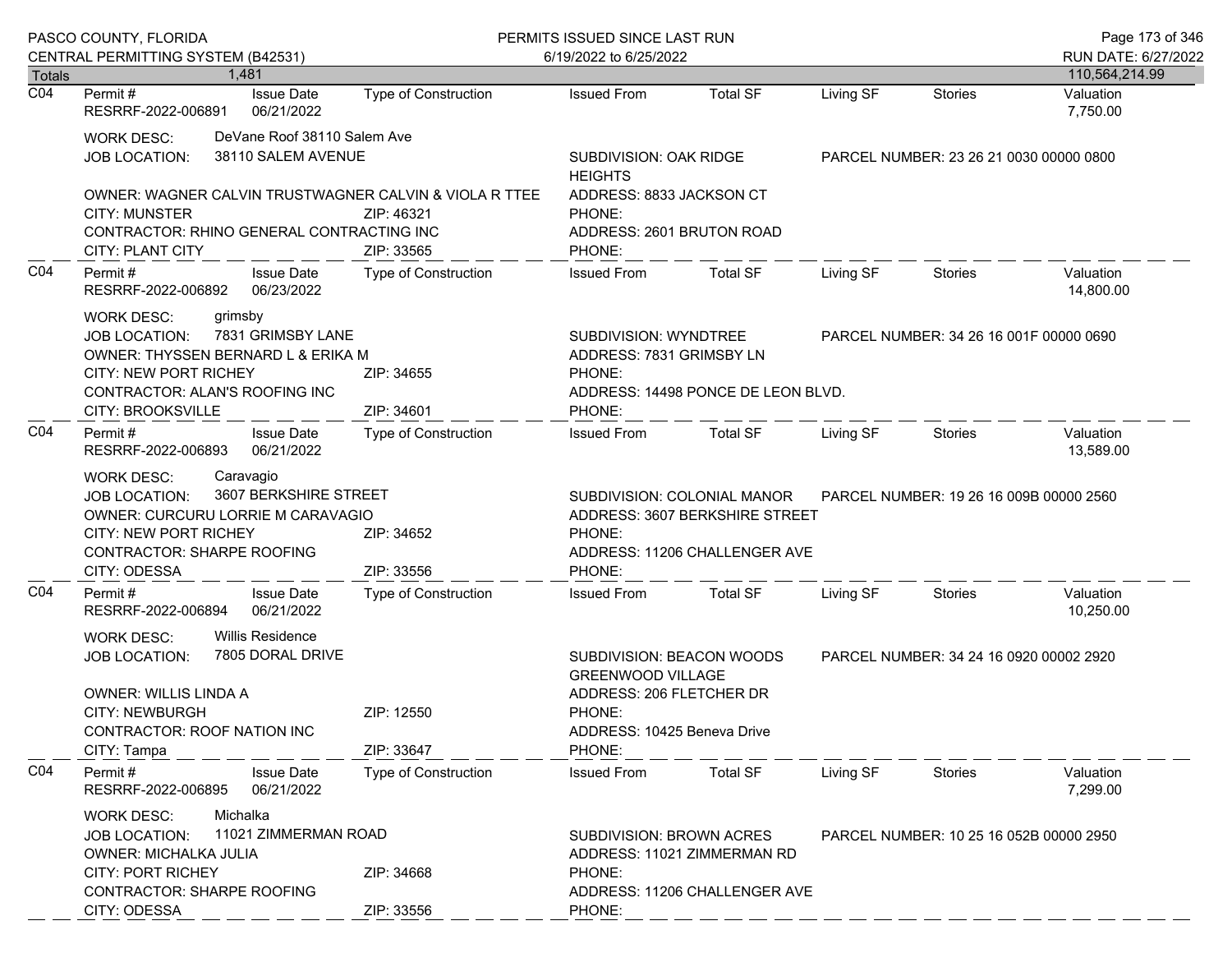|                  | PASCO COUNTY, FLORIDA                                                                                                                                                                                     |                             | PERMITS ISSUED SINCE LAST RUN                                                                                                        |                                                                                                |           |                                         | Page 173 of 346                       |
|------------------|-----------------------------------------------------------------------------------------------------------------------------------------------------------------------------------------------------------|-----------------------------|--------------------------------------------------------------------------------------------------------------------------------------|------------------------------------------------------------------------------------------------|-----------|-----------------------------------------|---------------------------------------|
| <b>Totals</b>    | CENTRAL PERMITTING SYSTEM (B42531)<br>1.481                                                                                                                                                               |                             | 6/19/2022 to 6/25/2022                                                                                                               |                                                                                                |           |                                         | RUN DATE: 6/27/2022<br>110,564,214.99 |
| $\overline{CO4}$ | <b>Issue Date</b><br>Permit #<br>RESRRF-2022-006891<br>06/21/2022                                                                                                                                         | Type of Construction        | <b>Issued From</b>                                                                                                                   | <b>Total SF</b>                                                                                | Living SF | <b>Stories</b>                          | Valuation<br>7,750.00                 |
|                  | DeVane Roof 38110 Salem Ave<br><b>WORK DESC:</b><br>38110 SALEM AVENUE<br>JOB LOCATION:                                                                                                                   |                             | SUBDIVISION: OAK RIDGE<br><b>HEIGHTS</b>                                                                                             |                                                                                                |           | PARCEL NUMBER: 23 26 21 0030 00000 0800 |                                       |
|                  | OWNER: WAGNER CALVIN TRUSTWAGNER CALVIN & VIOLA R TTEE<br><b>CITY: MUNSTER</b><br>CONTRACTOR: RHINO GENERAL CONTRACTING INC<br>CITY: PLANT CITY                                                           | ZIP: 46321<br>ZIP: 33565    | ADDRESS: 8833 JACKSON CT<br>PHONE:<br>ADDRESS: 2601 BRUTON ROAD<br>PHONE:                                                            |                                                                                                |           |                                         |                                       |
| CO <sub>4</sub>  | <b>Issue Date</b><br>Permit #<br>RESRRF-2022-006892<br>06/23/2022                                                                                                                                         | Type of Construction        | <b>Issued From</b>                                                                                                                   | Total SF                                                                                       | Living SF | Stories                                 | Valuation<br>14,800.00                |
|                  | <b>WORK DESC:</b><br>grimsby<br>7831 GRIMSBY LANE<br><b>JOB LOCATION:</b><br>OWNER: THYSSEN BERNARD L & ERIKA M<br><b>CITY: NEW PORT RICHEY</b><br>CONTRACTOR: ALAN'S ROOFING INC                         | ZIP: 34655                  | SUBDIVISION: WYNDTREE<br>ADDRESS: 7831 GRIMSBY LN<br>PHONE:                                                                          | ADDRESS: 14498 PONCE DE LEON BLVD.                                                             |           | PARCEL NUMBER: 34 26 16 001F 00000 0690 |                                       |
|                  | CITY: BROOKSVILLE                                                                                                                                                                                         | ZIP: 34601                  | PHONE:                                                                                                                               |                                                                                                |           |                                         |                                       |
| CO <sub>4</sub>  | Permit#<br><b>Issue Date</b><br>06/21/2022<br>RESRRF-2022-006893                                                                                                                                          | Type of Construction        | <b>Issued From</b>                                                                                                                   | Total SF                                                                                       | Living SF | Stories                                 | Valuation<br>13,589.00                |
|                  | Caravagio<br><b>WORK DESC:</b><br>3607 BERKSHIRE STREET<br><b>JOB LOCATION:</b><br>OWNER: CURCURU LORRIE M CARAVAGIO<br><b>CITY: NEW PORT RICHEY</b><br><b>CONTRACTOR: SHARPE ROOFING</b><br>CITY: ODESSA | ZIP: 34652<br>ZIP: 33556    | PHONE:<br>PHONE:                                                                                                                     | SUBDIVISION: COLONIAL MANOR<br>ADDRESS: 3607 BERKSHIRE STREET<br>ADDRESS: 11206 CHALLENGER AVE |           | PARCEL NUMBER: 19 26 16 009B 00000 2560 |                                       |
| CO <sub>4</sub>  | <b>Issue Date</b><br>Permit#<br>06/21/2022<br>RESRRF-2022-006894                                                                                                                                          | <b>Type of Construction</b> | <b>Issued From</b>                                                                                                                   | <b>Total SF</b>                                                                                | Living SF | Stories                                 | Valuation<br>10,250.00                |
|                  | <b>Willis Residence</b><br><b>WORK DESC:</b><br>7805 DORAL DRIVE<br><b>JOB LOCATION:</b><br><b>OWNER: WILLIS LINDA A</b><br><b>CITY: NEWBURGH</b><br>CONTRACTOR: ROOF NATION INC<br>CITY: Tampa           | ZIP: 12550<br>ZIP: 33647    | SUBDIVISION: BEACON WOODS<br><b>GREENWOOD VILLAGE</b><br>ADDRESS: 206 FLETCHER DR<br>PHONE:<br>ADDRESS: 10425 Beneva Drive<br>PHONE: |                                                                                                |           | PARCEL NUMBER: 34 24 16 0920 00002 2920 |                                       |
| CO <sub>4</sub>  | Permit#<br><b>Issue Date</b><br>RESRRF-2022-006895<br>06/21/2022                                                                                                                                          | <b>Type of Construction</b> | <b>Issued From</b>                                                                                                                   | <b>Total SF</b>                                                                                | Living SF | Stories                                 | Valuation<br>7,299.00                 |
|                  | Michalka<br><b>WORK DESC:</b><br>11021 ZIMMERMAN ROAD<br><b>JOB LOCATION:</b><br>OWNER: MICHALKA JULIA<br><b>CITY: PORT RICHEY</b><br>ZIP: 34668                                                          |                             | PARCEL NUMBER: 10 25 16 052B 00000 2950<br><b>SUBDIVISION: BROWN ACRES</b><br>ADDRESS: 11021 ZIMMERMAN RD<br>PHONE:                  |                                                                                                |           |                                         |                                       |
|                  | <b>CONTRACTOR: SHARPE ROOFING</b><br>CITY: ODESSA                                                                                                                                                         | ZIP: 33556                  | ADDRESS: 11206 CHALLENGER AVE<br>PHONE:                                                                                              |                                                                                                |           |                                         |                                       |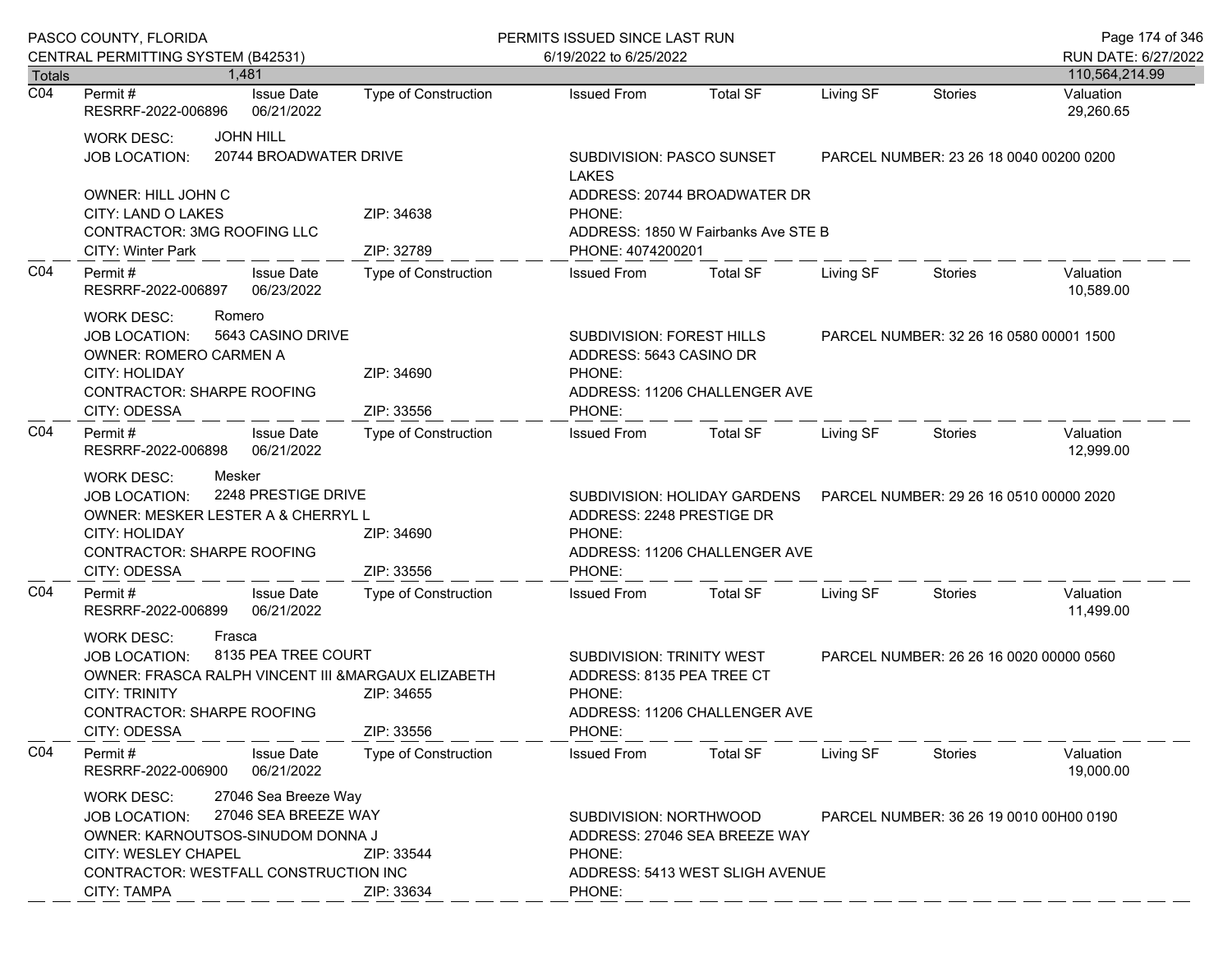|                  | PASCO COUNTY, FLORIDA<br>CENTRAL PERMITTING SYSTEM (B42531)                                                                                                                                                                                      |                                 |                                                                                                                              | PERMITS ISSUED SINCE LAST RUN<br>6/19/2022 to 6/25/2022                                                   |                               |                                         |                                         | Page 174 of 346<br>RUN DATE: 6/27/2022 |
|------------------|--------------------------------------------------------------------------------------------------------------------------------------------------------------------------------------------------------------------------------------------------|---------------------------------|------------------------------------------------------------------------------------------------------------------------------|-----------------------------------------------------------------------------------------------------------|-------------------------------|-----------------------------------------|-----------------------------------------|----------------------------------------|
| <b>Totals</b>    |                                                                                                                                                                                                                                                  | 1.481                           |                                                                                                                              |                                                                                                           |                               |                                         |                                         | 110,564,214.99                         |
| $\overline{CO4}$ | Permit #<br>RESRRF-2022-006896                                                                                                                                                                                                                   | <b>Issue Date</b><br>06/21/2022 | <b>Type of Construction</b>                                                                                                  | <b>Issued From</b>                                                                                        | <b>Total SF</b>               | Living SF                               | <b>Stories</b>                          | Valuation<br>29,260.65                 |
|                  | <b>JOHN HILL</b><br><b>WORK DESC:</b><br>20744 BROADWATER DRIVE<br><b>JOB LOCATION:</b>                                                                                                                                                          |                                 |                                                                                                                              | SUBDIVISION: PASCO SUNSET<br><b>LAKES</b>                                                                 |                               |                                         | PARCEL NUMBER: 23 26 18 0040 00200 0200 |                                        |
|                  | OWNER: HILL JOHN C<br>CITY: LAND O LAKES<br><b>CONTRACTOR: 3MG ROOFING LLC</b><br><b>CITY: Winter Park</b>                                                                                                                                       |                                 | ZIP: 34638<br>ZIP: 32789                                                                                                     | ADDRESS: 20744 BROADWATER DR<br>PHONE:<br>ADDRESS: 1850 W Fairbanks Ave STE B<br>PHONE: 4074200201        |                               |                                         |                                         |                                        |
| CO <sub>4</sub>  | Permit#<br>RESRRF-2022-006897                                                                                                                                                                                                                    | <b>Issue Date</b><br>06/23/2022 | Type of Construction                                                                                                         | <b>Issued From</b>                                                                                        | <b>Total SF</b>               | Living SF                               | <b>Stories</b>                          | Valuation<br>10,589.00                 |
|                  | <b>WORK DESC:</b><br>Romero<br>5643 CASINO DRIVE<br><b>JOB LOCATION:</b><br><b>OWNER: ROMERO CARMEN A</b><br><b>CITY: HOLIDAY</b><br><b>CONTRACTOR: SHARPE ROOFING</b><br>CITY: ODESSA                                                           |                                 | ZIP: 34690<br>ZIP: 33556                                                                                                     | SUBDIVISION: FOREST HILLS<br>ADDRESS: 5643 CASINO DR<br>PHONE:<br>ADDRESS: 11206 CHALLENGER AVE<br>PHONE: |                               |                                         | PARCEL NUMBER: 32 26 16 0580 00001 1500 |                                        |
| CO <sub>4</sub>  | Permit #<br>RESRRF-2022-006898                                                                                                                                                                                                                   | <b>Issue Date</b><br>06/21/2022 | Type of Construction                                                                                                         | <b>Issued From</b>                                                                                        | Total SF                      | Living SF                               | Stories                                 | Valuation<br>12,999.00                 |
|                  | Mesker<br><b>WORK DESC:</b><br>2248 PRESTIGE DRIVE<br><b>JOB LOCATION:</b><br>OWNER: MESKER LESTER A & CHERRYL L<br>CITY: HOLIDAY<br>ZIP: 34690<br><b>CONTRACTOR: SHARPE ROOFING</b><br>CITY: ODESSA                                             |                                 | SUBDIVISION: HOLIDAY GARDENS<br>ADDRESS: 2248 PRESTIGE DR<br>PHONE:<br>ADDRESS: 11206 CHALLENGER AVE<br>ZIP: 33556<br>PHONE: |                                                                                                           |                               |                                         | PARCEL NUMBER: 29 26 16 0510 00000 2020 |                                        |
| CO <sub>4</sub>  | Permit#<br>RESRRF-2022-006899                                                                                                                                                                                                                    | <b>Issue Date</b><br>06/21/2022 | Type of Construction                                                                                                         | <b>Issued From</b>                                                                                        | <b>Total SF</b>               | Living SF                               | <b>Stories</b>                          | Valuation<br>11,499.00                 |
|                  | <b>WORK DESC:</b><br>Frasca<br>8135 PEA TREE COURT<br>JOB LOCATION:<br>OWNER: FRASCA RALPH VINCENT III & MARGAUX ELIZABETH<br><b>CITY: TRINITY</b><br><b>CONTRACTOR: SHARPE ROOFING</b><br>CITY: ODESSA                                          |                                 | ZIP: 34655<br>ZIP: 33556                                                                                                     | SUBDIVISION: TRINITY WEST<br>ADDRESS: 8135 PEA TREE CT<br>PHONE:<br>PHONE:                                | ADDRESS: 11206 CHALLENGER AVE |                                         | PARCEL NUMBER: 26 26 16 0020 00000 0560 |                                        |
| CO <sub>4</sub>  | Permit#<br>RESRRF-2022-006900                                                                                                                                                                                                                    | <b>Issue Date</b><br>06/21/2022 | <b>Type of Construction</b>                                                                                                  | <b>Issued From</b>                                                                                        | <b>Total SF</b>               | Living SF                               | Stories                                 | Valuation<br>19,000.00                 |
|                  | 27046 Sea Breeze Way<br><b>WORK DESC:</b><br>27046 SEA BREEZE WAY<br><b>JOB LOCATION:</b><br>OWNER: KARNOUTSOS-SINUDOM DONNA J<br>CITY: WESLEY CHAPEL<br>ZIP: 33544<br>CONTRACTOR: WESTFALL CONSTRUCTION INC<br><b>CITY: TAMPA</b><br>ZIP: 33634 |                                 | SUBDIVISION: NORTHWOOD<br>ADDRESS: 27046 SEA BREEZE WAY<br>PHONE:<br>ADDRESS: 5413 WEST SLIGH AVENUE<br>PHONE:               |                                                                                                           |                               | PARCEL NUMBER: 36 26 19 0010 00H00 0190 |                                         |                                        |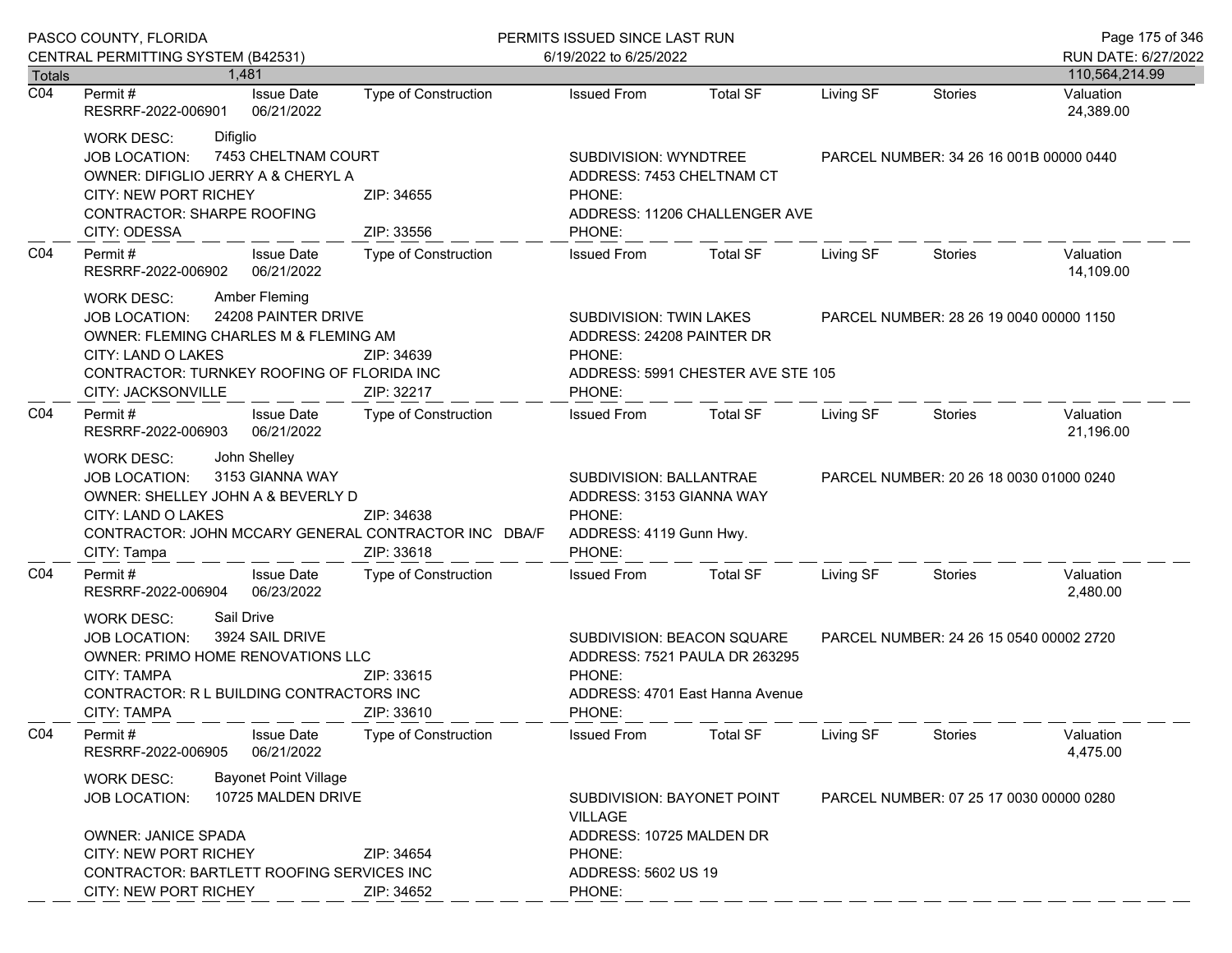|                                   | PASCO COUNTY, FLORIDA                                                                                                                                                                                                           | PERMITS ISSUED SINCE LAST RUN |                                                                                                           |                                                                                                |                                         |                                         | Page 175 of 346                          |
|-----------------------------------|---------------------------------------------------------------------------------------------------------------------------------------------------------------------------------------------------------------------------------|-------------------------------|-----------------------------------------------------------------------------------------------------------|------------------------------------------------------------------------------------------------|-----------------------------------------|-----------------------------------------|------------------------------------------|
|                                   | CENTRAL PERMITTING SYSTEM (B42531)                                                                                                                                                                                              |                               | 6/19/2022 to 6/25/2022                                                                                    |                                                                                                |                                         |                                         | RUN DATE: 6/27/2022                      |
| <b>Totals</b><br>$\overline{CO4}$ | 1.481<br>Permit#<br><b>Issue Date</b><br>RESRRF-2022-006901<br>06/21/2022                                                                                                                                                       | <b>Type of Construction</b>   | <b>Issued From</b>                                                                                        | <b>Total SF</b>                                                                                | Living SF                               | <b>Stories</b>                          | 110,564,214.99<br>Valuation<br>24,389.00 |
|                                   | <b>WORK DESC:</b><br>Difiglio<br>7453 CHELTNAM COURT<br>JOB LOCATION:<br>OWNER: DIFIGLIO JERRY A & CHERYL A<br>CITY: NEW PORT RICHEY<br><b>CONTRACTOR: SHARPE ROOFING</b><br>CITY: ODESSA                                       | ZIP: 34655<br>ZIP: 33556      | SUBDIVISION: WYNDTREE<br>ADDRESS: 7453 CHELTNAM CT<br>PHONE:<br>ADDRESS: 11206 CHALLENGER AVE<br>PHONE:   |                                                                                                | PARCEL NUMBER: 34 26 16 001B 00000 0440 |                                         |                                          |
| CO <sub>4</sub>                   | Permit#<br><b>Issue Date</b><br>RESRRF-2022-006902<br>06/21/2022                                                                                                                                                                | Type of Construction          | <b>Issued From</b>                                                                                        | <b>Total SF</b>                                                                                | Living SF                               | Stories                                 | Valuation<br>14,109.00                   |
|                                   | Amber Fleming<br><b>WORK DESC:</b><br>24208 PAINTER DRIVE<br><b>JOB LOCATION:</b><br><b>OWNER: FLEMING CHARLES M &amp; FLEMING AM</b><br>CITY: LAND O LAKES<br>CONTRACTOR: TURNKEY ROOFING OF FLORIDA INC<br>CITY: JACKSONVILLE | ZIP: 34639<br>ZIP: 32217      | <b>SUBDIVISION: TWIN LAKES</b><br>ADDRESS: 24208 PAINTER DR<br>PHONE:<br>PHONE:                           | ADDRESS: 5991 CHESTER AVE STE 105                                                              |                                         | PARCEL NUMBER: 28 26 19 0040 00000 1150 |                                          |
| CO <sub>4</sub>                   | Permit#<br><b>Issue Date</b><br>06/21/2022<br>RESRRF-2022-006903                                                                                                                                                                | Type of Construction          | <b>Issued From</b>                                                                                        | <b>Total SF</b>                                                                                | Living SF                               | Stories                                 | Valuation<br>21,196.00                   |
|                                   | John Shelley<br><b>WORK DESC:</b><br>3153 GIANNA WAY<br><b>JOB LOCATION:</b><br>OWNER: SHELLEY JOHN A & BEVERLY D<br>CITY: LAND O LAKES<br>CONTRACTOR: JOHN MCCARY GENERAL CONTRACTOR INC DBA/F<br>CITY: Tampa                  | ZIP: 34638<br>ZIP: 33618      | SUBDIVISION: BALLANTRAE<br>ADDRESS: 3153 GIANNA WAY<br>PHONE:<br>ADDRESS: 4119 Gunn Hwy.<br>PHONE:        |                                                                                                |                                         | PARCEL NUMBER: 20 26 18 0030 01000 0240 |                                          |
| CO4                               | Permit#<br><b>Issue Date</b><br>RESRRF-2022-006904<br>06/23/2022                                                                                                                                                                | <b>Type of Construction</b>   | <b>Issued From</b>                                                                                        | <b>Total SF</b>                                                                                | Living SF                               | Stories                                 | Valuation<br>2,480.00                    |
|                                   | Sail Drive<br><b>WORK DESC:</b><br>3924 SAIL DRIVE<br>JOB LOCATION:<br>OWNER: PRIMO HOME RENOVATIONS LLC<br>CITY: TAMPA<br>CONTRACTOR: R L BUILDING CONTRACTORS INC<br><b>CITY: TAMPA</b>                                       | ZIP: 33615<br>ZIP: 33610      | PHONE:<br>PHONE:                                                                                          | SUBDIVISION: BEACON SQUARE<br>ADDRESS: 7521 PAULA DR 263295<br>ADDRESS: 4701 East Hanna Avenue | PARCEL NUMBER: 24 26 15 0540 00002 2720 |                                         |                                          |
| CO <sub>4</sub>                   | <b>Issue Date</b><br>Permit#<br>06/21/2022<br>RESRRF-2022-006905                                                                                                                                                                | <b>Type of Construction</b>   | <b>Issued From</b>                                                                                        | <b>Total SF</b>                                                                                | Living SF                               | <b>Stories</b>                          | Valuation<br>4,475.00                    |
|                                   | <b>Bayonet Point Village</b><br><b>WORK DESC:</b><br>10725 MALDEN DRIVE<br><b>JOB LOCATION:</b><br><b>OWNER: JANICE SPADA</b><br><b>CITY: NEW PORT RICHEY</b><br>CONTRACTOR: BARTLETT ROOFING SERVICES INC                      | ZIP: 34654                    | SUBDIVISION: BAYONET POINT<br><b>VILLAGE</b><br>ADDRESS: 10725 MALDEN DR<br>PHONE:<br>ADDRESS: 5602 US 19 |                                                                                                |                                         | PARCEL NUMBER: 07 25 17 0030 00000 0280 |                                          |
|                                   | CITY: NEW PORT RICHEY                                                                                                                                                                                                           | ZIP: 34652                    | PHONE:                                                                                                    |                                                                                                |                                         |                                         |                                          |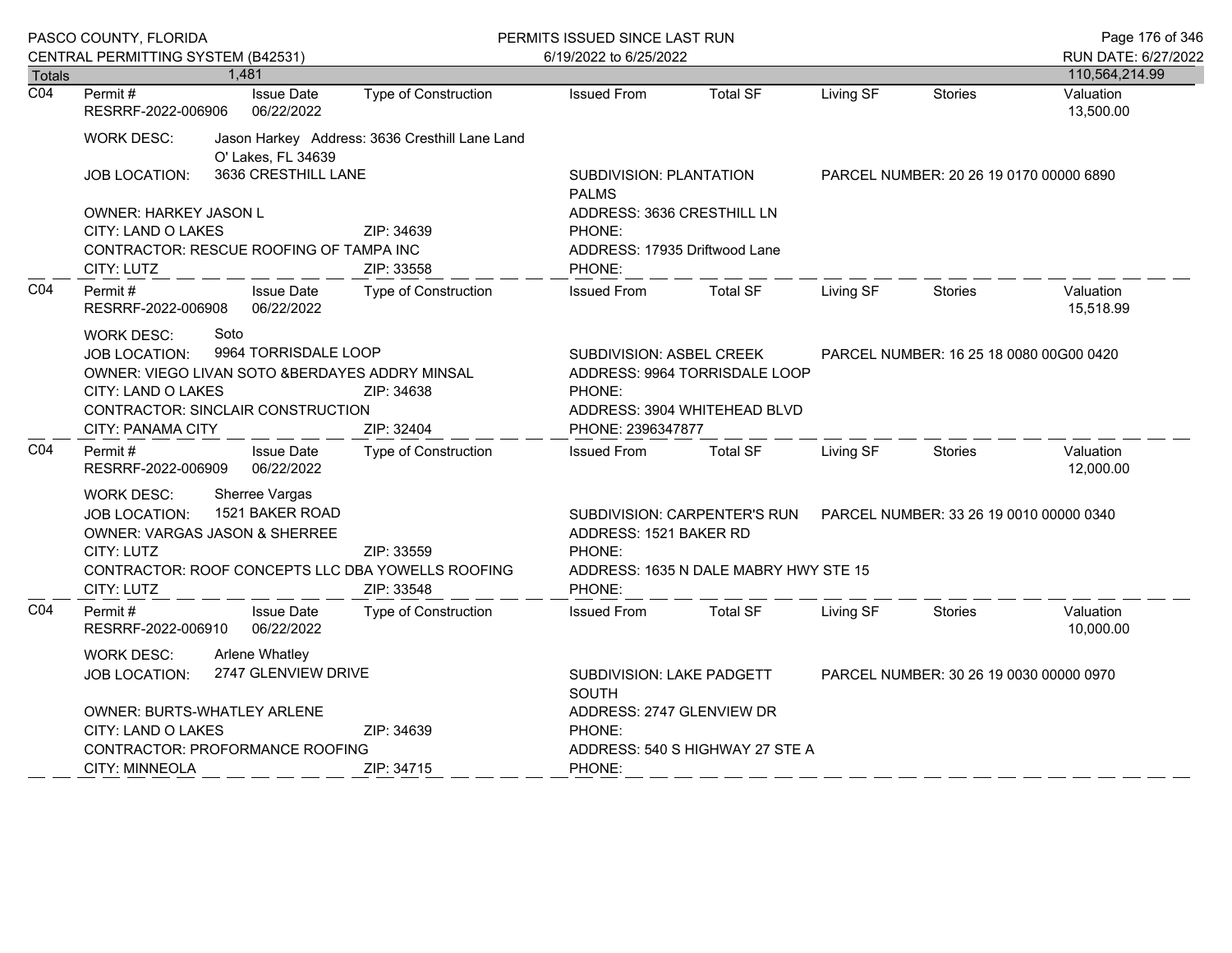|                                   | PASCO COUNTY, FLORIDA                           |                                 |                                         |                                                                                      | PERMITS ISSUED SINCE LAST RUN |                                         |           |                                         | Page 176 of 346        |
|-----------------------------------|-------------------------------------------------|---------------------------------|-----------------------------------------|--------------------------------------------------------------------------------------|-------------------------------|-----------------------------------------|-----------|-----------------------------------------|------------------------|
|                                   | CENTRAL PERMITTING SYSTEM (B42531)              |                                 |                                         |                                                                                      | 6/19/2022 to 6/25/2022        |                                         |           |                                         | RUN DATE: 6/27/2022    |
| <b>Totals</b><br>$\overline{CO4}$ |                                                 | 1,481                           |                                         |                                                                                      |                               |                                         |           |                                         | 110,564,214.99         |
|                                   | Permit#<br>RESRRF-2022-006906                   |                                 | <b>Issue Date</b><br>06/22/2022         | Type of Construction                                                                 | <b>Issued From</b>            | <b>Total SF</b>                         | Living SF | <b>Stories</b>                          | Valuation<br>13,500.00 |
|                                   | <b>WORK DESC:</b>                               |                                 | O' Lakes, FL 34639                      | Jason Harkey Address: 3636 Cresthill Lane Land                                       |                               |                                         |           |                                         |                        |
|                                   | 3636 CRESTHILL LANE<br><b>JOB LOCATION:</b>     |                                 | SUBDIVISION: PLANTATION<br><b>PALMS</b> |                                                                                      |                               | PARCEL NUMBER: 20 26 19 0170 00000 6890 |           |                                         |                        |
|                                   | OWNER: HARKEY JASON L                           |                                 |                                         |                                                                                      | ADDRESS: 3636 CRESTHILL LN    |                                         |           |                                         |                        |
|                                   | CITY: LAND O LAKES                              |                                 |                                         | ZIP: 34639                                                                           | PHONE:                        |                                         |           |                                         |                        |
|                                   | CONTRACTOR: RESCUE ROOFING OF TAMPA INC         |                                 | ADDRESS: 17935 Driftwood Lane           |                                                                                      |                               |                                         |           |                                         |                        |
|                                   | CITY: LUTZ                                      |                                 | ZIP: 33558                              | PHONE:                                                                               |                               |                                         |           |                                         |                        |
| CO <sub>4</sub>                   | Permit #<br>RESRRF-2022-006908                  |                                 | <b>Issue Date</b><br>06/22/2022         | Type of Construction                                                                 | <b>Issued From</b>            | <b>Total SF</b>                         | Living SF | <b>Stories</b>                          | Valuation<br>15,518.99 |
|                                   | <b>WORK DESC:</b><br><b>JOB LOCATION:</b>       | Soto                            | 9964 TORRISDALE LOOP                    |                                                                                      | SUBDIVISION: ASBEL CREEK      |                                         |           | PARCEL NUMBER: 16 25 18 0080 00G00 0420 |                        |
|                                   | OWNER: VIEGO LIVAN SOTO & BERDAYES ADDRY MINSAL |                                 |                                         |                                                                                      | ADDRESS: 9964 TORRISDALE LOOP |                                         |           |                                         |                        |
|                                   | CITY: LAND O LAKES<br>ZIP: 34638                |                                 | PHONE:                                  |                                                                                      |                               |                                         |           |                                         |                        |
|                                   | CONTRACTOR: SINCLAIR CONSTRUCTION               |                                 |                                         | ADDRESS: 3904 WHITEHEAD BLVD                                                         |                               |                                         |           |                                         |                        |
|                                   | <b>CITY: PANAMA CITY</b>                        |                                 |                                         | ZIP: 32404                                                                           | PHONE: 2396347877             |                                         |           |                                         |                        |
| CO <sub>4</sub>                   | Permit #<br>RESRRF-2022-006909                  |                                 | <b>Issue Date</b><br>06/22/2022         | Type of Construction                                                                 | <b>Issued From</b>            | <b>Total SF</b>                         | Living SF | <b>Stories</b>                          | Valuation<br>12,000.00 |
|                                   | <b>WORK DESC:</b>                               |                                 | Sherree Vargas                          |                                                                                      |                               |                                         |           |                                         |                        |
|                                   | JOB LOCATION:                                   |                                 | 1521 BAKER ROAD                         |                                                                                      |                               | SUBDIVISION: CARPENTER'S RUN            |           | PARCEL NUMBER: 33 26 19 0010 00000 0340 |                        |
|                                   | OWNER: VARGAS JASON & SHERREE                   |                                 |                                         |                                                                                      | ADDRESS: 1521 BAKER RD        |                                         |           |                                         |                        |
|                                   | CITY: LUTZ                                      |                                 |                                         | ZIP: 33559                                                                           | PHONE:                        |                                         |           |                                         |                        |
|                                   |                                                 |                                 |                                         | CONTRACTOR: ROOF CONCEPTS LLC DBA YOWELLS ROOFING                                    |                               | ADDRESS: 1635 N DALE MABRY HWY STE 15   |           |                                         |                        |
|                                   | CITY: LUTZ                                      |                                 |                                         | ZIP: 33548                                                                           | PHONE:                        |                                         |           |                                         |                        |
| CO <sub>4</sub>                   | Permit#<br>RESRRF-2022-006910                   |                                 | <b>Issue Date</b><br>06/22/2022         | Type of Construction                                                                 | <b>Issued From</b>            | <b>Total SF</b>                         | Living SF | <b>Stories</b>                          | Valuation<br>10,000.00 |
|                                   | <b>WORK DESC:</b>                               |                                 | <b>Arlene Whatley</b>                   |                                                                                      |                               |                                         |           |                                         |                        |
|                                   | 2747 GLENVIEW DRIVE<br><b>JOB LOCATION:</b>     |                                 |                                         | SUBDIVISION: LAKE PADGETT<br>PARCEL NUMBER: 30 26 19 0030 00000 0970<br><b>SOUTH</b> |                               |                                         |           |                                         |                        |
|                                   | <b>OWNER: BURTS-WHATLEY ARLENE</b>              |                                 |                                         |                                                                                      | ADDRESS: 2747 GLENVIEW DR     |                                         |           |                                         |                        |
|                                   | CITY: LAND O LAKES                              |                                 |                                         | ZIP: 34639                                                                           | PHONE:                        |                                         |           |                                         |                        |
|                                   |                                                 | CONTRACTOR: PROFORMANCE ROOFING |                                         | ADDRESS: 540 S HIGHWAY 27 STE A                                                      |                               |                                         |           |                                         |                        |
|                                   | <b>CITY: MINNEOLA</b>                           |                                 |                                         | ZIP: 34715                                                                           | PHONE:                        |                                         |           |                                         |                        |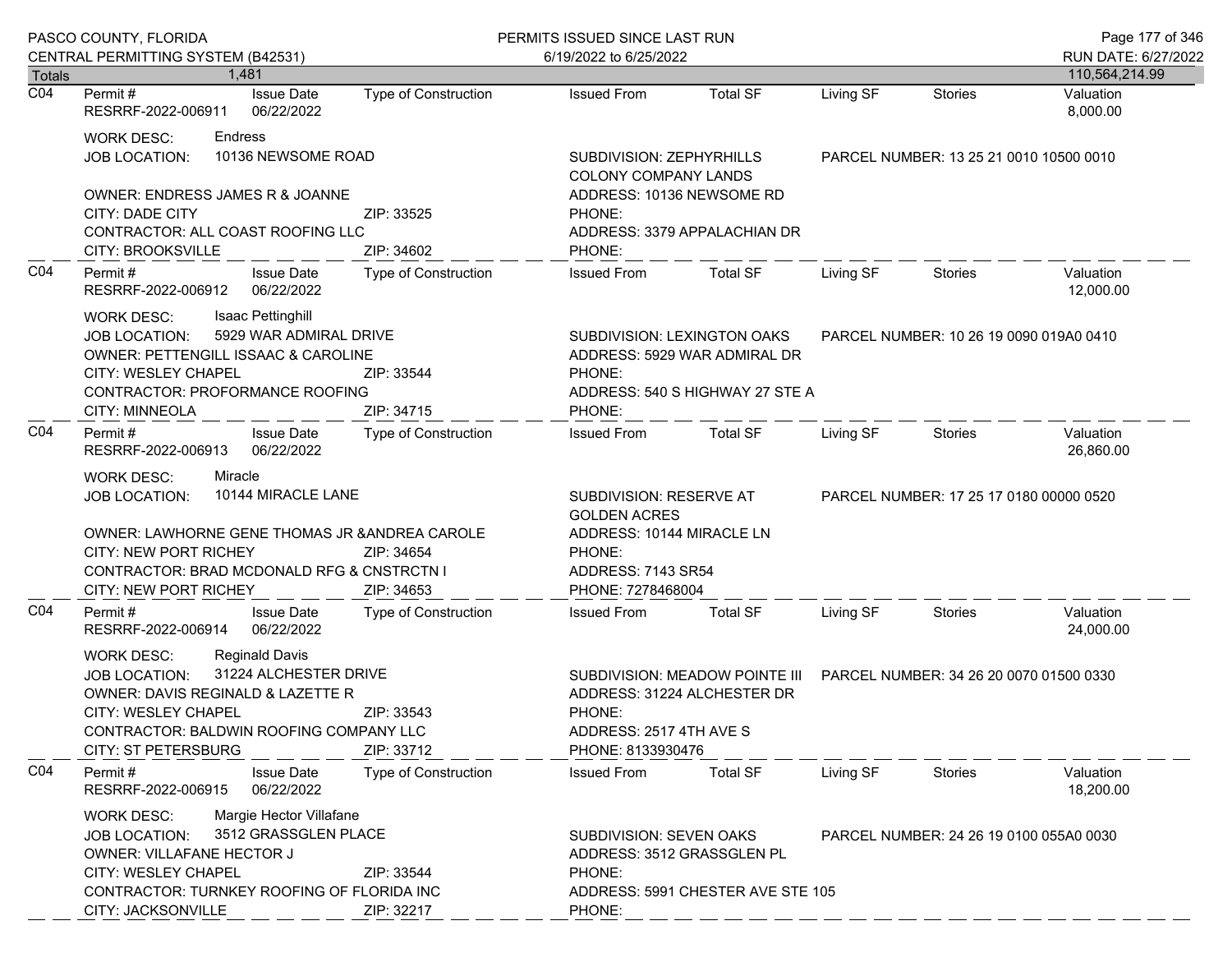| PASCO COUNTY, FLORIDA |                                                                                                                                                                                                                                                                        |                             | PERMITS ISSUED SINCE LAST RUN                                                                                                    |                                                                                                       |                                         |                                         | Page 177 of 346        |
|-----------------------|------------------------------------------------------------------------------------------------------------------------------------------------------------------------------------------------------------------------------------------------------------------------|-----------------------------|----------------------------------------------------------------------------------------------------------------------------------|-------------------------------------------------------------------------------------------------------|-----------------------------------------|-----------------------------------------|------------------------|
|                       | CENTRAL PERMITTING SYSTEM (B42531)                                                                                                                                                                                                                                     |                             | 6/19/2022 to 6/25/2022                                                                                                           |                                                                                                       |                                         |                                         | RUN DATE: 6/27/2022    |
| Totals                | 1.481                                                                                                                                                                                                                                                                  |                             |                                                                                                                                  |                                                                                                       |                                         |                                         | 110,564,214.99         |
| $\overline{CO4}$      | <b>Issue Date</b><br>Permit #<br>RESRRF-2022-006911<br>06/22/2022                                                                                                                                                                                                      | <b>Type of Construction</b> | <b>Issued From</b>                                                                                                               | <b>Total SF</b>                                                                                       | Living SF                               | <b>Stories</b>                          | Valuation<br>8,000.00  |
|                       | <b>WORK DESC:</b><br>Endress<br>10136 NEWSOME ROAD<br><b>JOB LOCATION:</b>                                                                                                                                                                                             |                             | SUBDIVISION: ZEPHYRHILLS<br>COLONY COMPANY LANDS                                                                                 |                                                                                                       | PARCEL NUMBER: 13 25 21 0010 10500 0010 |                                         |                        |
|                       | <b>OWNER: ENDRESS JAMES R &amp; JOANNE</b><br>CITY: DADE CITY<br>CONTRACTOR: ALL COAST ROOFING LLC<br>CITY: BROOKSVILLE                                                                                                                                                | ZIP: 33525<br>ZIP: 34602    | ADDRESS: 10136 NEWSOME RD<br>PHONE:<br>PHONE:                                                                                    | ADDRESS: 3379 APPALACHIAN DR                                                                          |                                         |                                         |                        |
| CO <sub>4</sub>       | Permit#<br><b>Issue Date</b><br>06/22/2022<br>RESRRF-2022-006912                                                                                                                                                                                                       | <b>Type of Construction</b> | <b>Issued From</b>                                                                                                               | <b>Total SF</b>                                                                                       | Living SF                               | Stories                                 | Valuation<br>12,000.00 |
|                       | Isaac Pettinghill<br>WORK DESC:<br>5929 WAR ADMIRAL DRIVE<br><b>JOB LOCATION:</b><br>OWNER: PETTENGILL ISSAAC & CAROLINE<br>CITY: WESLEY CHAPEL<br>CONTRACTOR: PROFORMANCE ROOFING<br><b>CITY: MINNEOLA</b>                                                            | ZIP: 33544<br>ZIP: 34715    | PHONE:<br>PHONE:                                                                                                                 | SUBDIVISION: LEXINGTON OAKS<br>ADDRESS: 5929 WAR ADMIRAL DR<br>ADDRESS: 540 S HIGHWAY 27 STE A        |                                         | PARCEL NUMBER: 10 26 19 0090 019A0 0410 |                        |
| CO <sub>4</sub>       | Permit#<br><b>Issue Date</b><br>RESRRF-2022-006913<br>06/22/2022                                                                                                                                                                                                       | <b>Type of Construction</b> | <b>Issued From</b>                                                                                                               | <b>Total SF</b>                                                                                       | Living SF                               | Stories                                 | Valuation<br>26,860.00 |
|                       | Miracle<br><b>WORK DESC:</b><br>10144 MIRACLE LANE<br><b>JOB LOCATION:</b><br>OWNER: LAWHORNE GENE THOMAS JR & ANDREA CAROLE<br><b>CITY: NEW PORT RICHEY</b><br>ZIP: 34654<br>CONTRACTOR: BRAD MCDONALD RFG & CNSTRCTN I<br><b>CITY: NEW PORT RICHEY</b><br>ZIP: 34653 |                             | SUBDIVISION: RESERVE AT<br><b>GOLDEN ACRES</b><br>ADDRESS: 10144 MIRACLE LN<br>PHONE:<br>ADDRESS: 7143 SR54<br>PHONE: 7278468004 |                                                                                                       | PARCEL NUMBER: 17 25 17 0180 00000 0520 |                                         |                        |
| CO <sub>4</sub>       | <b>Issue Date</b><br>Permit#<br>RESRRF-2022-006914<br>06/22/2022                                                                                                                                                                                                       | <b>Type of Construction</b> | <b>Issued From</b>                                                                                                               | <b>Total SF</b>                                                                                       | Living SF                               | Stories                                 | Valuation<br>24,000.00 |
|                       | <b>Reginald Davis</b><br><b>WORK DESC:</b><br>31224 ALCHESTER DRIVE<br><b>JOB LOCATION:</b><br>OWNER: DAVIS REGINALD & LAZETTE R<br>CITY: WESLEY CHAPEL<br>CONTRACTOR: BALDWIN ROOFING COMPANY LLC<br><b>CITY: ST PETERSBURG</b>                                       | ZIP: 33543<br>ZIP: 33712    | PHONE:<br>ADDRESS: 2517 4TH AVE S<br>PHONE: 8133930476                                                                           | SUBDIVISION: MEADOW POINTE III PARCEL NUMBER: 34 26 20 0070 01500 0330<br>ADDRESS: 31224 ALCHESTER DR |                                         |                                         |                        |
| CO <sub>4</sub>       | Permit#<br><b>Issue Date</b><br>RESRRF-2022-006915<br>06/22/2022                                                                                                                                                                                                       | <b>Type of Construction</b> | <b>Issued From</b>                                                                                                               | <b>Total SF</b>                                                                                       | Living SF                               | Stories                                 | Valuation<br>18,200.00 |
|                       | Margie Hector Villafane<br><b>WORK DESC:</b><br>3512 GRASSGLEN PLACE<br><b>JOB LOCATION:</b><br>OWNER: VILLAFANE HECTOR J<br>CITY: WESLEY CHAPEL<br>ZIP: 33544<br>CONTRACTOR: TURNKEY ROOFING OF FLORIDA INC<br>CITY: JACKSONVILLE<br>ZIP: 32217                       |                             | SUBDIVISION: SEVEN OAKS<br>ADDRESS: 3512 GRASSGLEN PL<br>PHONE:<br>ADDRESS: 5991 CHESTER AVE STE 105<br>PHONE:                   |                                                                                                       |                                         | PARCEL NUMBER: 24 26 19 0100 055A0 0030 |                        |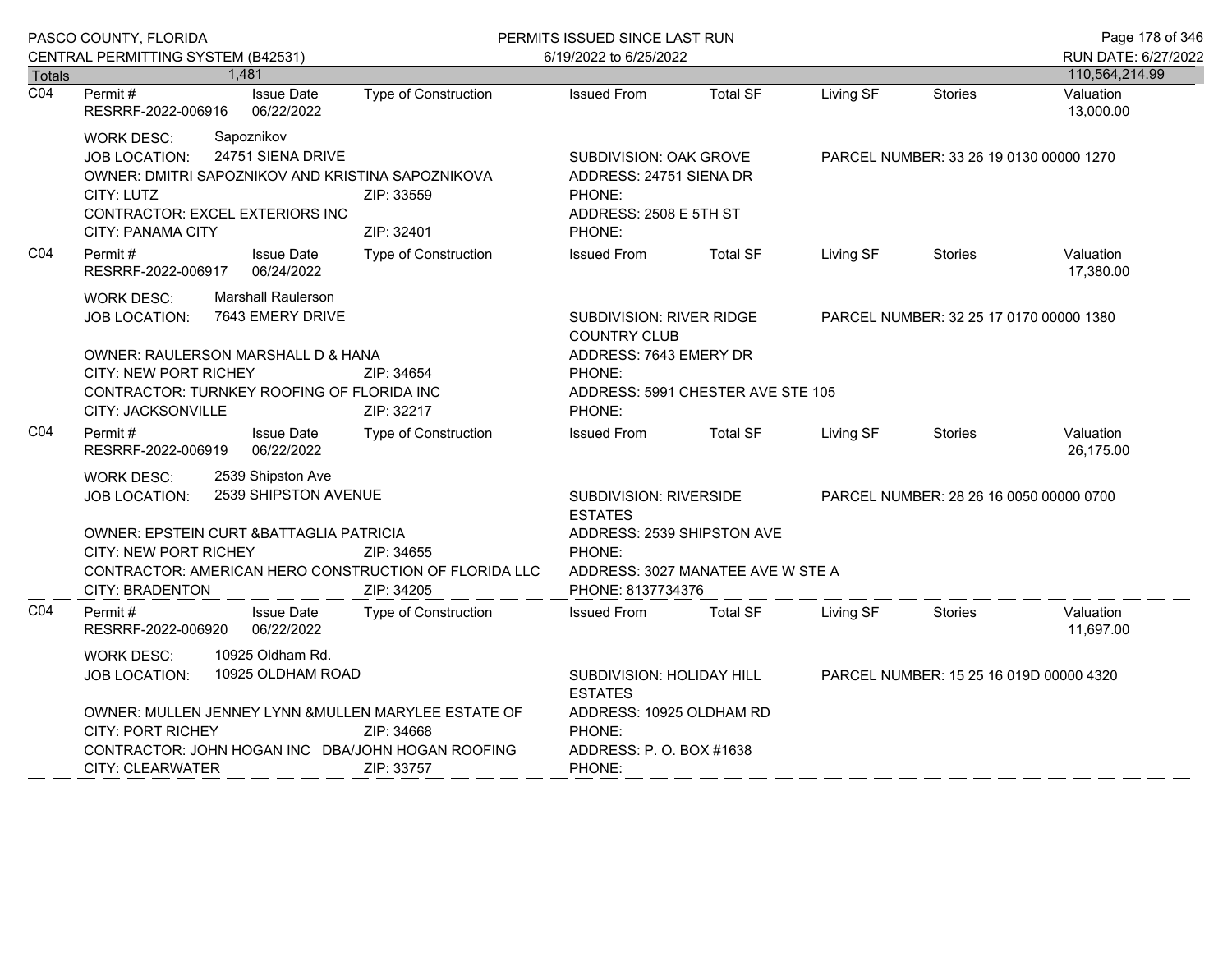|                                                                                                                                                                                                                                                                             | PASCO COUNTY, FLORIDA                                                                                                                                                                                                                |                                                                                                           | PERMITS ISSUED SINCE LAST RUN                                                                   |                                                                 |                                         |                                         | Page 178 of 346                       |
|-----------------------------------------------------------------------------------------------------------------------------------------------------------------------------------------------------------------------------------------------------------------------------|--------------------------------------------------------------------------------------------------------------------------------------------------------------------------------------------------------------------------------------|-----------------------------------------------------------------------------------------------------------|-------------------------------------------------------------------------------------------------|-----------------------------------------------------------------|-----------------------------------------|-----------------------------------------|---------------------------------------|
|                                                                                                                                                                                                                                                                             | CENTRAL PERMITTING SYSTEM (B42531)                                                                                                                                                                                                   |                                                                                                           | 6/19/2022 to 6/25/2022                                                                          |                                                                 |                                         |                                         | RUN DATE: 6/27/2022<br>110,564,214.99 |
| Totals<br>$\overline{CO4}$                                                                                                                                                                                                                                                  | 1,481<br>Permit#<br><b>Issue Date</b>                                                                                                                                                                                                | <b>Type of Construction</b>                                                                               | <b>Issued From</b>                                                                              | <b>Total SF</b>                                                 | Living SF                               | <b>Stories</b>                          | Valuation                             |
|                                                                                                                                                                                                                                                                             | 06/22/2022<br>RESRRF-2022-006916                                                                                                                                                                                                     |                                                                                                           |                                                                                                 |                                                                 |                                         |                                         | 13,000.00                             |
|                                                                                                                                                                                                                                                                             | Sapoznikov<br><b>WORK DESC:</b><br>24751 SIENA DRIVE<br><b>JOB LOCATION:</b><br>OWNER: DMITRI SAPOZNIKOV AND KRISTINA SAPOZNIKOVA<br>CITY: LUTZ<br>CONTRACTOR: EXCEL EXTERIORS INC<br><b>CITY: PANAMA CITY</b>                       | ZIP: 33559<br>ZIP: 32401                                                                                  | SUBDIVISION: OAK GROVE<br>ADDRESS: 24751 SIENA DR<br>PHONE:<br>ADDRESS: 2508 E 5TH ST<br>PHONE: |                                                                 |                                         | PARCEL NUMBER: 33 26 19 0130 00000 1270 |                                       |
| CO <sub>4</sub>                                                                                                                                                                                                                                                             | Permit#<br><b>Issue Date</b><br>06/24/2022<br>RESRRF-2022-006917                                                                                                                                                                     | <b>Type of Construction</b>                                                                               | <b>Issued From</b>                                                                              | <b>Total SF</b>                                                 | Living SF                               | Stories                                 | Valuation<br>17,380.00                |
|                                                                                                                                                                                                                                                                             | <b>Marshall Raulerson</b><br><b>WORK DESC:</b><br>7643 EMERY DRIVE<br><b>JOB LOCATION:</b><br>OWNER: RAULERSON MARSHALL D & HANA<br><b>CITY: NEW PORT RICHEY</b><br>CONTRACTOR: TURNKEY ROOFING OF FLORIDA INC<br>CITY: JACKSONVILLE | ZIP: 34654<br>ZIP: 32217                                                                                  | SUBDIVISION: RIVER RIDGE<br><b>COUNTRY CLUB</b><br>ADDRESS: 7643 EMERY DR<br>PHONE:<br>PHONE:   | ADDRESS: 5991 CHESTER AVE STE 105                               |                                         | PARCEL NUMBER: 32 25 17 0170 00000 1380 |                                       |
| CO <sub>4</sub>                                                                                                                                                                                                                                                             | <b>Issue Date</b><br>Permit#<br>06/22/2022<br>RESRRF-2022-006919                                                                                                                                                                     | Type of Construction                                                                                      | <b>Issued From</b>                                                                              | <b>Total SF</b>                                                 | Living SF                               | <b>Stories</b>                          | Valuation<br>26,175.00                |
|                                                                                                                                                                                                                                                                             | 2539 Shipston Ave<br>WORK DESC:<br><b>JOB LOCATION:</b><br>OWNER: EPSTEIN CURT & BATTAGLIA PATRICIA<br>CITY: NEW PORT RICHEY<br><b>CITY: BRADENTON</b>                                                                               | 2539 SHIPSTON AVENUE<br>ZIP: 34655<br>CONTRACTOR: AMERICAN HERO CONSTRUCTION OF FLORIDA LLC<br>ZIP: 34205 | SUBDIVISION: RIVERSIDE<br><b>ESTATES</b><br>PHONE:<br>PHONE: 8137734376                         | ADDRESS: 2539 SHIPSTON AVE<br>ADDRESS: 3027 MANATEE AVE W STE A |                                         | PARCEL NUMBER: 28 26 16 0050 00000 0700 |                                       |
| CO <sub>4</sub>                                                                                                                                                                                                                                                             | Permit#<br><b>Issue Date</b><br>RESRRF-2022-006920<br>06/22/2022                                                                                                                                                                     | <b>Type of Construction</b>                                                                               | <b>Issued From</b>                                                                              | <b>Total SF</b>                                                 | Living SF                               | Stories                                 | Valuation<br>11,697.00                |
| 10925 Oldham Rd.<br><b>WORK DESC:</b><br>10925 OLDHAM ROAD<br>JOB LOCATION:<br>OWNER: MULLEN JENNEY LYNN & MULLEN MARYLEE ESTATE OF<br><b>CITY: PORT RICHEY</b><br>ZIP: 34668<br>CONTRACTOR: JOHN HOGAN INC DBA/JOHN HOGAN ROOFING<br><b>CITY: CLEARWATER</b><br>ZIP: 33757 |                                                                                                                                                                                                                                      | SUBDIVISION: HOLIDAY HILL<br><b>ESTATES</b><br>PHONE:<br>ADDRESS: P. O. BOX #1638<br>PHONE:               | ADDRESS: 10925 OLDHAM RD                                                                        |                                                                 | PARCEL NUMBER: 15 25 16 019D 00000 4320 |                                         |                                       |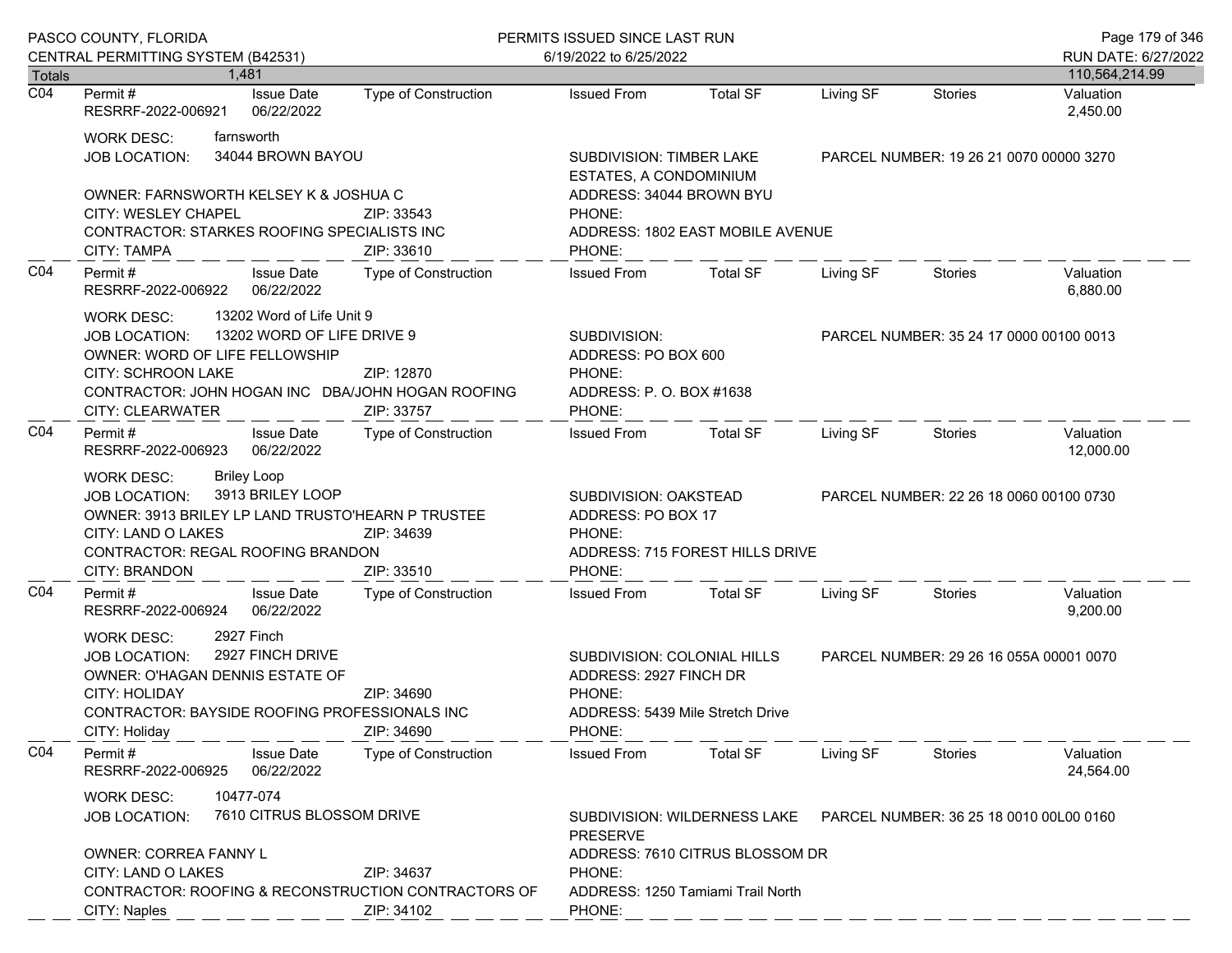|                  | PASCO COUNTY, FLORIDA                                                                                                                                                                                                | PERMITS ISSUED SINCE LAST RUN                   | Page 179 of 346                                                                                               |                                                                      |           |                                         |                        |
|------------------|----------------------------------------------------------------------------------------------------------------------------------------------------------------------------------------------------------------------|-------------------------------------------------|---------------------------------------------------------------------------------------------------------------|----------------------------------------------------------------------|-----------|-----------------------------------------|------------------------|
|                  | CENTRAL PERMITTING SYSTEM (B42531)                                                                                                                                                                                   |                                                 | 6/19/2022 to 6/25/2022                                                                                        |                                                                      |           |                                         | RUN DATE: 6/27/2022    |
| <b>Totals</b>    | 1,481                                                                                                                                                                                                                |                                                 |                                                                                                               |                                                                      |           |                                         | 110,564,214.99         |
| $\overline{CO4}$ | <b>Issue Date</b><br>Permit #<br>RESRRF-2022-006921<br>06/22/2022                                                                                                                                                    | Type of Construction                            | <b>Issued From</b>                                                                                            | <b>Total SF</b>                                                      | Living SF | <b>Stories</b>                          | Valuation<br>2,450.00  |
|                  | farnsworth<br><b>WORK DESC:</b><br>34044 BROWN BAYOU<br><b>JOB LOCATION:</b>                                                                                                                                         |                                                 | SUBDIVISION: TIMBER LAKE<br>ESTATES, A CONDOMINIUM                                                            |                                                                      |           | PARCEL NUMBER: 19 26 21 0070 00000 3270 |                        |
|                  | OWNER: FARNSWORTH KELSEY K & JOSHUA C<br>CITY: WESLEY CHAPEL<br>CONTRACTOR: STARKES ROOFING SPECIALISTS INC                                                                                                          | ZIP: 33543                                      | ADDRESS: 34044 BROWN BYU<br>PHONE:                                                                            | ADDRESS: 1802 EAST MOBILE AVENUE                                     |           |                                         |                        |
|                  | CITY: TAMPA                                                                                                                                                                                                          | ZIP: 33610                                      | PHONE:                                                                                                        |                                                                      |           |                                         |                        |
| CO <sub>4</sub>  | <b>Issue Date</b><br>Permit#<br>RESRRF-2022-006922<br>06/22/2022                                                                                                                                                     | Type of Construction                            | <b>Issued From</b>                                                                                            | <b>Total SF</b>                                                      | Living SF | Stories                                 | Valuation<br>6,880.00  |
|                  | 13202 Word of Life Unit 9<br><b>WORK DESC:</b><br>13202 WORD OF LIFE DRIVE 9<br><b>JOB LOCATION:</b><br>OWNER: WORD OF LIFE FELLOWSHIP                                                                               |                                                 | SUBDIVISION:<br>ADDRESS: PO BOX 600                                                                           |                                                                      |           | PARCEL NUMBER: 35 24 17 0000 00100 0013 |                        |
|                  | <b>CITY: SCHROON LAKE</b><br>CONTRACTOR: JOHN HOGAN INC DBA/JOHN HOGAN ROOFING<br><b>CITY: CLEARWATER</b>                                                                                                            | ZIP: 12870<br>ZIP: 33757                        | PHONE:<br>ADDRESS: P. O. BOX #1638<br>PHONE:                                                                  |                                                                      |           |                                         |                        |
| CO <sub>4</sub>  | Permit#<br><b>Issue Date</b><br>RESRRF-2022-006923<br>06/22/2022                                                                                                                                                     | Type of Construction                            | <b>Issued From</b>                                                                                            | <b>Total SF</b>                                                      | Living SF | Stories                                 | Valuation<br>12,000.00 |
|                  | <b>Briley Loop</b><br><b>WORK DESC:</b><br>3913 BRILEY LOOP<br><b>JOB LOCATION:</b><br>OWNER: 3913 BRILEY LP LAND TRUSTO'HEARN P TRUSTEE<br>CITY: LAND O LAKES<br>CONTRACTOR: REGAL ROOFING BRANDON<br>CITY: BRANDON | ZIP: 34639<br>ZIP: 33510                        | SUBDIVISION: OAKSTEAD<br>ADDRESS: PO BOX 17<br>PHONE:<br>PHONE:                                               | ADDRESS: 715 FOREST HILLS DRIVE                                      |           | PARCEL NUMBER: 22 26 18 0060 00100 0730 |                        |
| CO <sub>4</sub>  | <b>Issue Date</b><br>Permit#<br>06/22/2022<br>RESRRF-2022-006924                                                                                                                                                     | Type of Construction                            | <b>Issued From</b>                                                                                            | <b>Total SF</b>                                                      | Living SF | Stories                                 | Valuation<br>9,200.00  |
|                  | 2927 Finch<br><b>WORK DESC:</b><br>2927 FINCH DRIVE<br><b>JOB LOCATION:</b><br>OWNER: O'HAGAN DENNIS ESTATE OF<br>CITY: HOLIDAY<br><b>CONTRACTOR: BAYSIDE ROOFING PROFESSIONALS INC</b><br>CITY: Holiday             | ZIP: 34690<br>ZIP: 34690                        | SUBDIVISION: COLONIAL HILLS<br>ADDRESS: 2927 FINCH DR<br>PHONE:<br>ADDRESS: 5439 Mile Stretch Drive<br>PHONE: |                                                                      |           | PARCEL NUMBER: 29 26 16 055A 00001 0070 |                        |
| CO4              | Permit#<br><b>Issue Date</b><br>RESRRF-2022-006925<br>06/22/2022                                                                                                                                                     | Type of Construction                            | <b>Issued From</b>                                                                                            | <b>Total SF</b>                                                      | Living SF | Stories                                 | Valuation<br>24,564.00 |
|                  | 10477-074<br><b>WORK DESC:</b><br>7610 CITRUS BLOSSOM DRIVE<br><b>JOB LOCATION:</b>                                                                                                                                  | SUBDIVISION: WILDERNESS LAKE<br><b>PRESERVE</b> | PARCEL NUMBER: 36 25 18 0010 00L00 0160                                                                       |                                                                      |           |                                         |                        |
|                  | OWNER: CORREA FANNY L<br>CITY: LAND O LAKES<br>CONTRACTOR: ROOFING & RECONSTRUCTION CONTRACTORS OF<br>CITY: Naples                                                                                                   | ZIP: 34637<br>ZIP: 34102                        | PHONE:<br>PHONE:                                                                                              | ADDRESS: 7610 CITRUS BLOSSOM DR<br>ADDRESS: 1250 Tamiami Trail North |           |                                         |                        |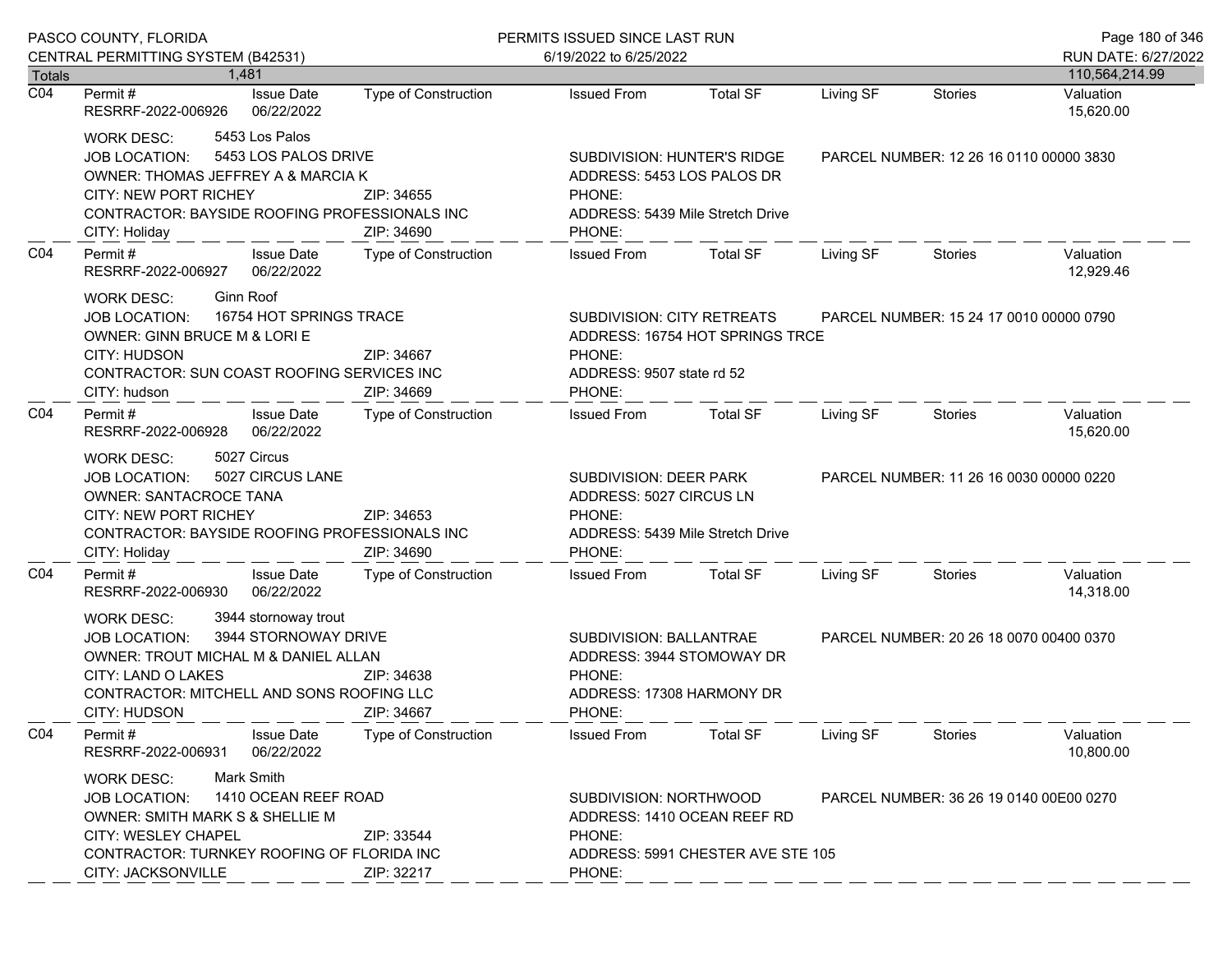|                            | PASCO COUNTY, FLORIDA                                                                                                                                                                                                                            |                                                                                                                                               | PERMITS ISSUED SINCE LAST RUN                                                                                  |                                         |                                                                            |                                         | Page 180 of 346                          |
|----------------------------|--------------------------------------------------------------------------------------------------------------------------------------------------------------------------------------------------------------------------------------------------|-----------------------------------------------------------------------------------------------------------------------------------------------|----------------------------------------------------------------------------------------------------------------|-----------------------------------------|----------------------------------------------------------------------------|-----------------------------------------|------------------------------------------|
|                            | CENTRAL PERMITTING SYSTEM (B42531)                                                                                                                                                                                                               |                                                                                                                                               | 6/19/2022 to 6/25/2022                                                                                         |                                         |                                                                            |                                         | RUN DATE: 6/27/2022                      |
| Totals<br>$\overline{CO4}$ | 1.481<br>Permit #<br><b>Issue Date</b><br>RESRRF-2022-006926<br>06/22/2022                                                                                                                                                                       | Type of Construction                                                                                                                          | <b>Issued From</b>                                                                                             | <b>Total SF</b>                         | Living SF                                                                  | Stories                                 | 110,564,214.99<br>Valuation<br>15,620.00 |
|                            | 5453 Los Palos<br>WORK DESC:<br>5453 LOS PALOS DRIVE<br><b>JOB LOCATION:</b><br>OWNER: THOMAS JEFFREY A & MARCIA K<br><b>CITY: NEW PORT RICHEY</b><br>CONTRACTOR: BAYSIDE ROOFING PROFESSIONALS INC<br>CITY: Holiday                             | SUBDIVISION: HUNTER'S RIDGE<br>ADDRESS: 5453 LOS PALOS DR<br>ZIP: 34655<br>PHONE:<br>ADDRESS: 5439 Mile Stretch Drive<br>ZIP: 34690<br>PHONE: |                                                                                                                | PARCEL NUMBER: 12 26 16 0110 00000 3830 |                                                                            |                                         |                                          |
| CO <sub>4</sub>            | <b>Issue Date</b><br>Permit#<br>RESRRF-2022-006927<br>06/22/2022                                                                                                                                                                                 | Type of Construction                                                                                                                          | <b>Issued From</b>                                                                                             | <b>Total SF</b>                         | Living SF                                                                  | Stories                                 | Valuation<br>12,929.46                   |
|                            | <b>Ginn Roof</b><br>WORK DESC:<br>16754 HOT SPRINGS TRACE<br>JOB LOCATION:<br>OWNER: GINN BRUCE M & LORI E<br>CITY: HUDSON<br>CONTRACTOR: SUN COAST ROOFING SERVICES INC<br>CITY: hudson                                                         | ZIP: 34667<br>ZIP: 34669                                                                                                                      | SUBDIVISION: CITY RETREATS<br>PHONE:<br>ADDRESS: 9507 state rd 52<br>PHONE:                                    |                                         | PARCEL NUMBER: 15 24 17 0010 00000 0790<br>ADDRESS: 16754 HOT SPRINGS TRCE |                                         |                                          |
| CO <sub>4</sub>            | Permit#<br><b>Issue Date</b><br>RESRRF-2022-006928<br>06/22/2022                                                                                                                                                                                 | Type of Construction                                                                                                                          | <b>Issued From</b>                                                                                             | Total SF                                | Living SF                                                                  | Stories                                 | Valuation<br>15,620.00                   |
|                            | 5027 Circus<br>WORK DESC:<br>5027 CIRCUS LANE<br><b>JOB LOCATION:</b><br><b>OWNER: SANTACROCE TANA</b><br><b>CITY: NEW PORT RICHEY</b><br>CONTRACTOR: BAYSIDE ROOFING PROFESSIONALS INC<br>CITY: Holiday                                         | ZIP: 34653<br>ZIP: 34690                                                                                                                      | SUBDIVISION: DEER PARK<br>ADDRESS: 5027 CIRCUS LN<br>PHONE:<br>ADDRESS: 5439 Mile Stretch Drive<br>PHONE:      |                                         |                                                                            | PARCEL NUMBER: 11 26 16 0030 00000 0220 |                                          |
| CO <sub>4</sub>            | Permit#<br><b>Issue Date</b><br>06/22/2022<br>RESRRF-2022-006930                                                                                                                                                                                 | Type of Construction                                                                                                                          | <b>Issued From</b>                                                                                             | Total SF                                | Living SF                                                                  | Stories                                 | Valuation<br>14,318.00                   |
|                            | 3944 stornoway trout<br>WORK DESC:<br>3944 STORNOWAY DRIVE<br><b>JOB LOCATION:</b><br>OWNER: TROUT MICHAL M & DANIEL ALLAN<br>CITY: LAND O LAKES<br>CONTRACTOR: MITCHELL AND SONS ROOFING LLC<br>CITY: HUDSON                                    | ZIP: 34638<br>ZIP: 34667                                                                                                                      | SUBDIVISION: BALLANTRAE<br>ADDRESS: 3944 STOMOWAY DR<br>PHONE:<br>ADDRESS: 17308 HARMONY DR<br>PHONE:          |                                         |                                                                            | PARCEL NUMBER: 20 26 18 0070 00400 0370 |                                          |
| CO <sub>4</sub>            | <b>Issue Date</b><br>Permit#<br>RESRRF-2022-006931<br>06/22/2022                                                                                                                                                                                 | Type of Construction                                                                                                                          | <b>Issued From</b>                                                                                             | <b>Total SF</b>                         | Living SF                                                                  | <b>Stories</b>                          | Valuation<br>10,800.00                   |
|                            | Mark Smith<br><b>WORK DESC:</b><br>1410 OCEAN REEF ROAD<br><b>JOB LOCATION:</b><br>OWNER: SMITH MARK S & SHELLIE M<br><b>CITY: WESLEY CHAPEL</b><br>ZIP: 33544<br>CONTRACTOR: TURNKEY ROOFING OF FLORIDA INC<br>CITY: JACKSONVILLE<br>ZIP: 32217 |                                                                                                                                               | SUBDIVISION: NORTHWOOD<br>ADDRESS: 1410 OCEAN REEF RD<br>PHONE:<br>ADDRESS: 5991 CHESTER AVE STE 105<br>PHONE: |                                         | PARCEL NUMBER: 36 26 19 0140 00E00 0270                                    |                                         |                                          |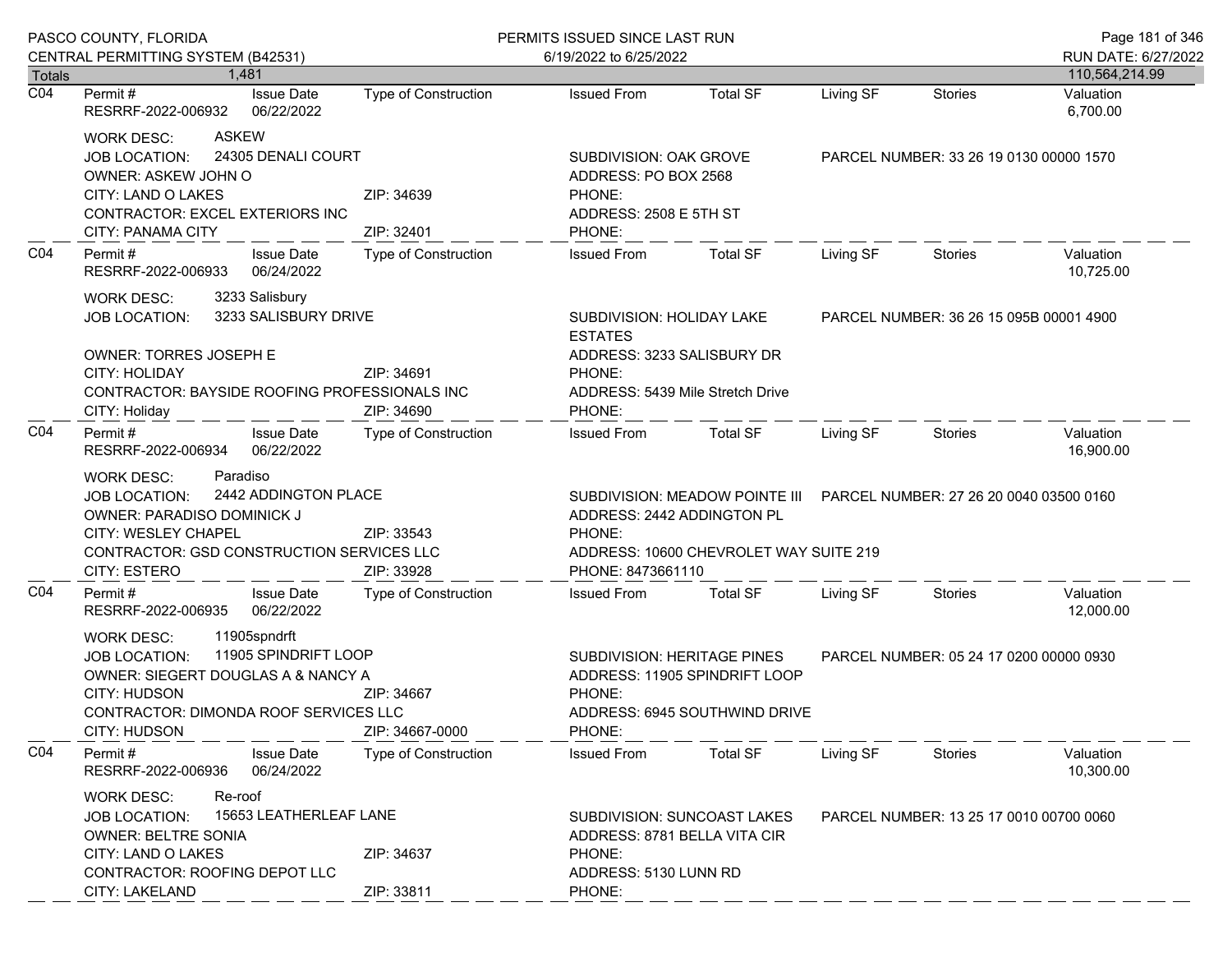|                                   | PASCO COUNTY, FLORIDA                                                                                                                                                                                                              |                             | PERMITS ISSUED SINCE LAST RUN                                                                                                     |                                                                                                                  |                                         |                                         | Page 181 of 346             |
|-----------------------------------|------------------------------------------------------------------------------------------------------------------------------------------------------------------------------------------------------------------------------------|-----------------------------|-----------------------------------------------------------------------------------------------------------------------------------|------------------------------------------------------------------------------------------------------------------|-----------------------------------------|-----------------------------------------|-----------------------------|
|                                   | CENTRAL PERMITTING SYSTEM (B42531)                                                                                                                                                                                                 |                             | 6/19/2022 to 6/25/2022                                                                                                            |                                                                                                                  |                                         |                                         | RUN DATE: 6/27/2022         |
| <b>Totals</b><br>$\overline{CO4}$ | 1.481<br><b>Issue Date</b><br>Permit #                                                                                                                                                                                             | <b>Type of Construction</b> | <b>Issued From</b>                                                                                                                | <b>Total SF</b>                                                                                                  | Living SF                               | <b>Stories</b>                          | 110,564,214.99<br>Valuation |
|                                   | RESRRF-2022-006932<br>06/22/2022                                                                                                                                                                                                   |                             |                                                                                                                                   |                                                                                                                  |                                         |                                         | 6,700.00                    |
|                                   | <b>ASKEW</b><br><b>WORK DESC:</b><br>24305 DENALI COURT<br>JOB LOCATION:<br>OWNER: ASKEW JOHN O<br>CITY: LAND O LAKES<br>ZIP: 34639<br>CONTRACTOR: EXCEL EXTERIORS INC<br>CITY: PANAMA CITY<br>ZIP: 32401                          |                             | SUBDIVISION: OAK GROVE<br>ADDRESS: PO BOX 2568<br>PHONE:<br>ADDRESS: 2508 E 5TH ST<br>PHONE:                                      |                                                                                                                  |                                         | PARCEL NUMBER: 33 26 19 0130 00000 1570 |                             |
| CO <sub>4</sub>                   | Permit#<br><b>Issue Date</b><br>06/24/2022<br>RESRRF-2022-006933                                                                                                                                                                   | Type of Construction        | <b>Issued From</b>                                                                                                                | <b>Total SF</b>                                                                                                  | Living SF                               | <b>Stories</b>                          | Valuation<br>10,725.00      |
|                                   | 3233 Salisbury<br><b>WORK DESC:</b><br>3233 SALISBURY DRIVE<br><b>JOB LOCATION:</b><br>OWNER: TORRES JOSEPH E<br>CITY: HOLIDAY<br>CONTRACTOR: BAYSIDE ROOFING PROFESSIONALS INC<br>CITY: Holiday                                   | ZIP: 34691<br>ZIP: 34690    | SUBDIVISION: HOLIDAY LAKE<br><b>ESTATES</b><br>ADDRESS: 3233 SALISBURY DR<br>PHONE:<br>ADDRESS: 5439 Mile Stretch Drive<br>PHONE: |                                                                                                                  |                                         | PARCEL NUMBER: 36 26 15 095B 00001 4900 |                             |
| CO <sub>4</sub>                   | Permit#<br><b>Issue Date</b><br>RESRRF-2022-006934<br>06/22/2022                                                                                                                                                                   | Type of Construction        | <b>Issued From</b>                                                                                                                | <b>Total SF</b>                                                                                                  | Living SF                               | Stories                                 | Valuation<br>16,900.00      |
|                                   | Paradiso<br><b>WORK DESC:</b><br>2442 ADDINGTON PLACE<br><b>JOB LOCATION:</b><br>OWNER: PARADISO DOMINICK J<br><b>CITY: WESLEY CHAPEL</b><br>ZIP: 33543<br>CONTRACTOR: GSD CONSTRUCTION SERVICES LLC<br>ZIP: 33928<br>CITY: ESTERO |                             | ADDRESS: 2442 ADDINGTON PL<br>PHONE:<br>PHONE: 8473661110                                                                         | SUBDIVISION: MEADOW POINTE III PARCEL NUMBER: 27 26 20 0040 03500 0160<br>ADDRESS: 10600 CHEVROLET WAY SUITE 219 |                                         |                                         |                             |
| CO <sub>4</sub>                   | <b>Issue Date</b><br>Permit#<br>RESRRF-2022-006935<br>06/22/2022                                                                                                                                                                   | Type of Construction        | <b>Issued From</b>                                                                                                                | <b>Total SF</b>                                                                                                  | Living SF                               | Stories                                 | Valuation<br>12,000.00      |
|                                   | 11905spndrft<br>WORK DESC:<br>11905 SPINDRIFT LOOP<br><b>JOB LOCATION:</b><br>OWNER: SIEGERT DOUGLAS A & NANCY A<br>CITY: HUDSON<br>ZIP: 34667<br>CONTRACTOR: DIMONDA ROOF SERVICES LLC<br>CITY: HUDSON<br>ZIP: 34667-0000         |                             | SUBDIVISION: HERITAGE PINES<br>ADDRESS: 11905 SPINDRIFT LOOP<br>PHONE:<br>ADDRESS: 6945 SOUTHWIND DRIVE<br>PHONE:                 |                                                                                                                  | PARCEL NUMBER: 05 24 17 0200 00000 0930 |                                         |                             |
| CO <sub>4</sub>                   | Permit#<br><b>Issue Date</b><br>RESRRF-2022-006936<br>06/24/2022                                                                                                                                                                   | <b>Type of Construction</b> | <b>Issued From</b>                                                                                                                | <b>Total SF</b>                                                                                                  | Living SF                               | <b>Stories</b>                          | Valuation<br>10,300.00      |
|                                   | Re-roof<br><b>WORK DESC:</b><br>15653 LEATHERLEAF LANE<br><b>JOB LOCATION:</b><br><b>OWNER: BELTRE SONIA</b><br>CITY: LAND O LAKES<br>ZIP: 34637<br>CONTRACTOR: ROOFING DEPOT LLC<br>CITY: LAKELAND<br>ZIP: 33811                  |                             | SUBDIVISION: SUNCOAST LAKES<br>ADDRESS: 8781 BELLA VITA CIR<br>PHONE:<br>ADDRESS: 5130 LUNN RD<br>PHONE:                          |                                                                                                                  |                                         | PARCEL NUMBER: 13 25 17 0010 00700 0060 |                             |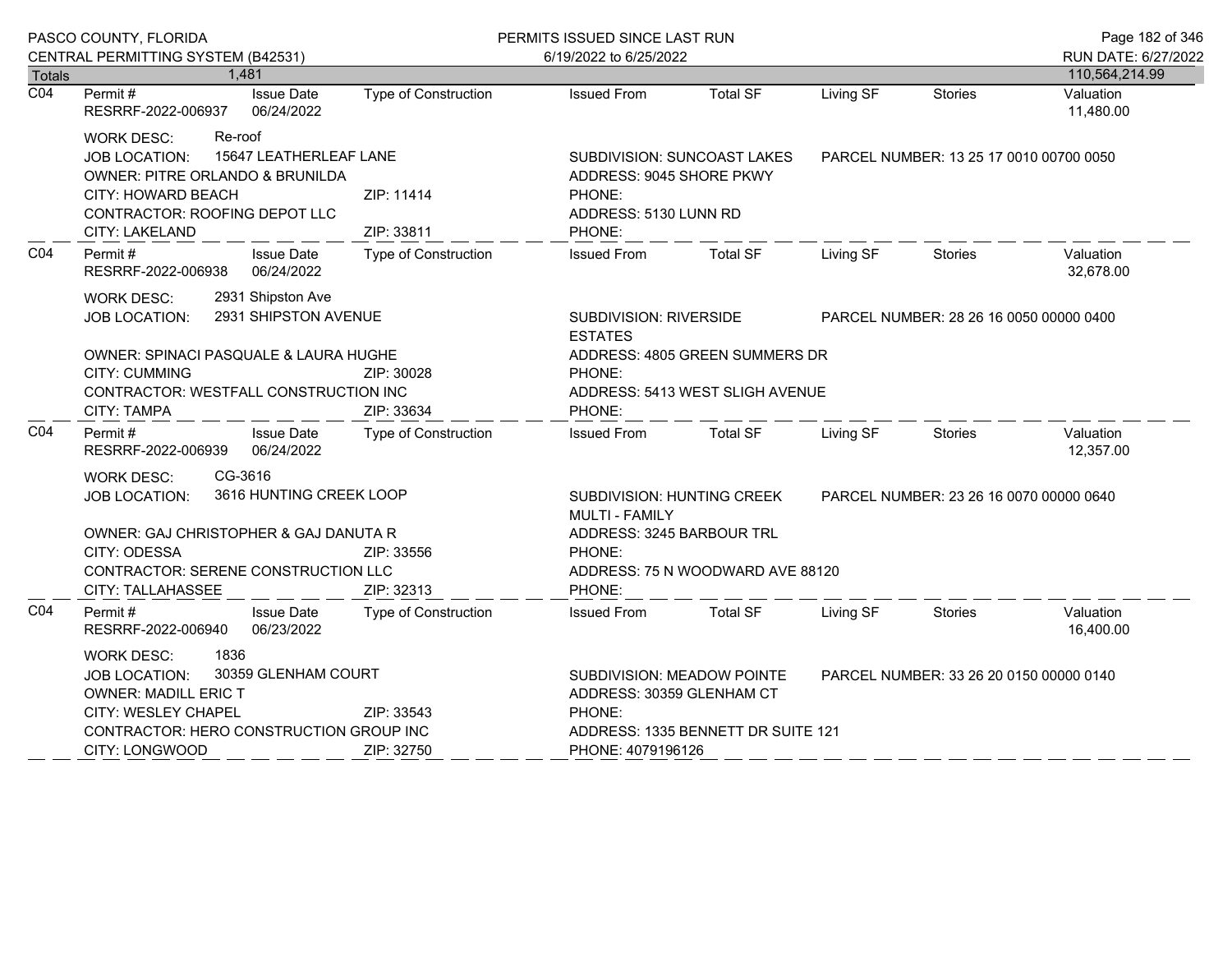|                  | PASCO COUNTY, FLORIDA                                                                                                                   |                                                                                                                         | PERMITS ISSUED SINCE LAST RUN                                                         |                                                                                                    |                                         |                                         | Page 182 of 346        |
|------------------|-----------------------------------------------------------------------------------------------------------------------------------------|-------------------------------------------------------------------------------------------------------------------------|---------------------------------------------------------------------------------------|----------------------------------------------------------------------------------------------------|-----------------------------------------|-----------------------------------------|------------------------|
|                  | CENTRAL PERMITTING SYSTEM (B42531)                                                                                                      |                                                                                                                         | 6/19/2022 to 6/25/2022                                                                |                                                                                                    |                                         | RUN DATE: 6/27/2022                     |                        |
| Totals           | 1,481                                                                                                                                   |                                                                                                                         |                                                                                       |                                                                                                    |                                         |                                         | 110,564,214.99         |
| $\overline{CO4}$ | Permit#<br><b>Issue Date</b><br>RESRRF-2022-006937 06/24/2022                                                                           | Type of Construction                                                                                                    | <b>Issued From</b>                                                                    | <b>Total SF</b>                                                                                    | Living SF                               | <b>Stories</b>                          | Valuation<br>11,480.00 |
|                  | Re-roof<br><b>WORK DESC:</b><br>15647 LEATHERLEAF LANE<br><b>JOB LOCATION:</b><br>OWNER: PITRE ORLANDO & BRUNILDA<br>CITY: HOWARD BEACH | ZIP: 11414                                                                                                              | SUBDIVISION: SUNCOAST LAKES<br>ADDRESS: 9045 SHORE PKWY<br>PHONE:                     |                                                                                                    |                                         | PARCEL NUMBER: 13 25 17 0010 00700 0050 |                        |
|                  | CONTRACTOR: ROOFING DEPOT LLC<br>CITY: LAKELAND<br>ZIP: 33811                                                                           |                                                                                                                         | ADDRESS: 5130 LUNN RD<br>PHONE:                                                       |                                                                                                    |                                         |                                         |                        |
| CO4              | Permit #<br><b>Issue Date</b><br>RESRRF-2022-006938 06/24/2022                                                                          | <b>Type of Construction</b>                                                                                             | <b>Issued From</b>                                                                    | Total SF                                                                                           | Living SF                               | Stories                                 | Valuation<br>32,678.00 |
|                  | 2931 Shipston Ave<br><b>WORK DESC:</b><br>2931 SHIPSTON AVENUE<br>JOB LOCATION:                                                         | SUBDIVISION: RIVERSIDE<br><b>ESTATES</b>                                                                                |                                                                                       |                                                                                                    | PARCEL NUMBER: 28 26 16 0050 00000 0400 |                                         |                        |
|                  | OWNER: SPINACI PASQUALE & LAURA HUGHE<br><b>CITY: CUMMING</b><br>CONTRACTOR: WESTFALL CONSTRUCTION INC<br>CITY: TAMPA                   | ZIP: 30028<br>ZIP: 33634                                                                                                | ADDRESS: 4805 GREEN SUMMERS DR<br>PHONE:<br>ADDRESS: 5413 WEST SLIGH AVENUE<br>PHONE: |                                                                                                    |                                         |                                         |                        |
| CO <sub>4</sub>  | Permit #<br><b>Issue Date</b><br>RESRRF-2022-006939 06/24/2022                                                                          | Type of Construction                                                                                                    | <b>Issued From</b>                                                                    | Total SF                                                                                           | Living SF                               | Stories                                 | Valuation<br>12,357.00 |
|                  | CG-3616<br><b>WORK DESC:</b><br>3616 HUNTING CREEK LOOP<br><b>JOB LOCATION:</b><br>OWNER: GAJ CHRISTOPHER & GAJ DANUTA R                |                                                                                                                         | MULTI - FAMILY                                                                        | SUBDIVISION: HUNTING CREEK<br>PARCEL NUMBER: 23 26 16 0070 00000 0640<br>ADDRESS: 3245 BARBOUR TRL |                                         |                                         |                        |
|                  | CITY: ODESSA<br>CITY: TALLAHASSEE                                                                                                       | ZIP: 33556<br>PHONE:<br>CONTRACTOR: SERENE CONSTRUCTION LLC<br>ADDRESS: 75 N WOODWARD AVE 88120<br>ZIP: 32313<br>PHONE: |                                                                                       |                                                                                                    |                                         |                                         |                        |
| CO <sub>4</sub>  | Permit #<br><b>Issue Date</b><br>RESRRF-2022-006940 06/23/2022                                                                          | Type of Construction                                                                                                    | <b>Issued From</b>                                                                    | <b>Total SF</b>                                                                                    | Living SF                               | Stories                                 | Valuation<br>16,400.00 |
|                  | 1836<br><b>WORK DESC:</b><br>30359 GLENHAM COURT<br><b>JOB LOCATION:</b><br><b>OWNER: MADILL ERIC T</b><br>CITY: WESLEY CHAPEL          | ZIP: 33543                                                                                                              | SUBDIVISION: MEADOW POINTE<br>ADDRESS: 30359 GLENHAM CT<br>PHONE:                     |                                                                                                    |                                         | PARCEL NUMBER: 33 26 20 0150 00000 0140 |                        |
|                  | CONTRACTOR: HERO CONSTRUCTION GROUP INC<br>CITY: LONGWOOD<br>ZIP: 32750                                                                 |                                                                                                                         | ADDRESS: 1335 BENNETT DR SUITE 121<br>PHONE: 4079196126                               |                                                                                                    |                                         |                                         |                        |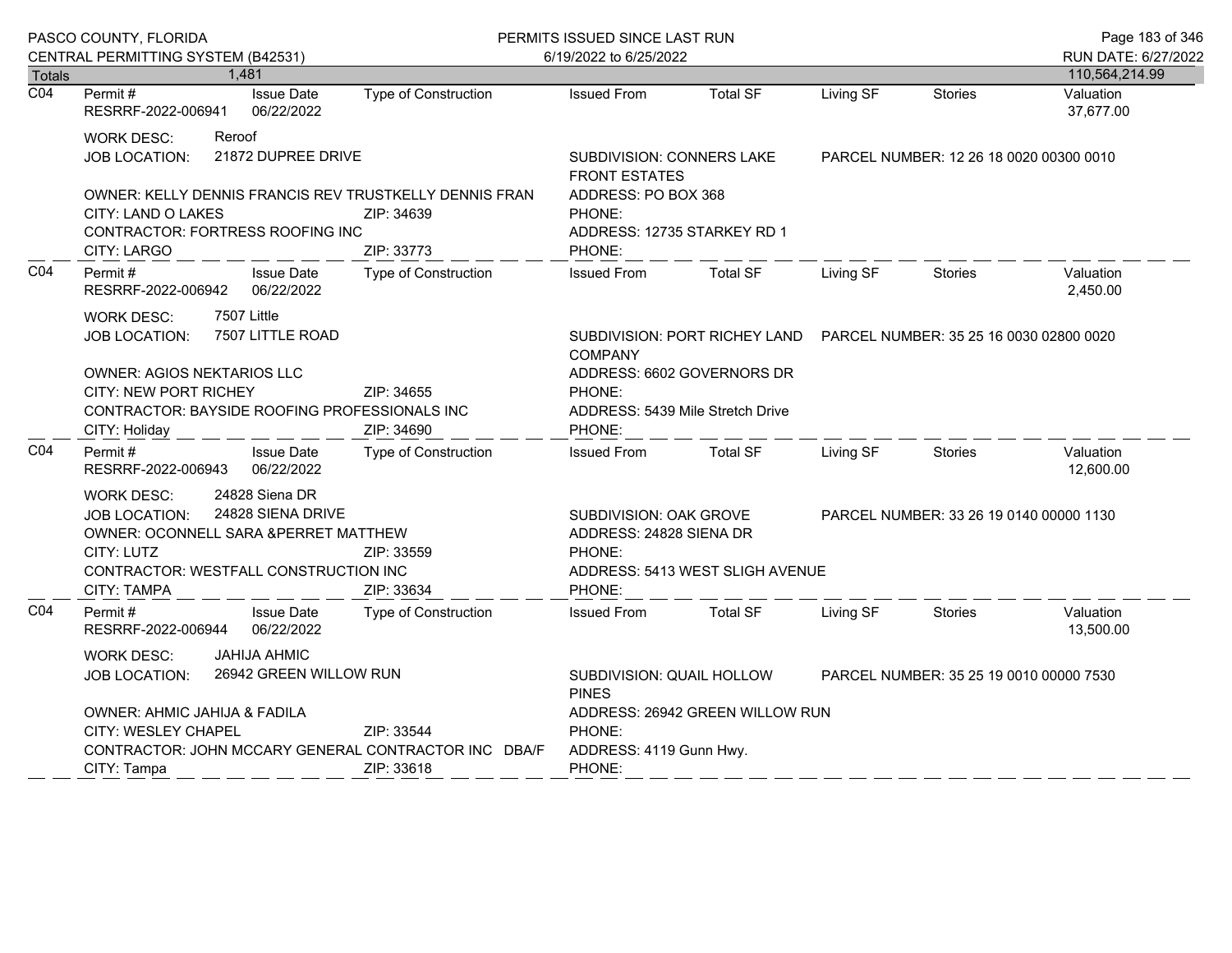|                  | PASCO COUNTY, FLORIDA                                                                                                                                                                                                             |                                                                                                      |                                                                                                                                                     | PERMITS ISSUED SINCE LAST RUN                                                                                     |                                                                        |           |                                         | Page 183 of 346                       |
|------------------|-----------------------------------------------------------------------------------------------------------------------------------------------------------------------------------------------------------------------------------|------------------------------------------------------------------------------------------------------|-----------------------------------------------------------------------------------------------------------------------------------------------------|-------------------------------------------------------------------------------------------------------------------|------------------------------------------------------------------------|-----------|-----------------------------------------|---------------------------------------|
| <b>Totals</b>    | CENTRAL PERMITTING SYSTEM (B42531)<br>1,481                                                                                                                                                                                       |                                                                                                      |                                                                                                                                                     | 6/19/2022 to 6/25/2022                                                                                            |                                                                        |           |                                         | RUN DATE: 6/27/2022<br>110,564,214.99 |
| $\overline{CO4}$ | Permit#<br>RESRRF-2022-006941                                                                                                                                                                                                     | <b>Issue Date</b><br>06/22/2022                                                                      | <b>Type of Construction</b>                                                                                                                         | <b>Issued From</b>                                                                                                | <b>Total SF</b>                                                        | Living SF | <b>Stories</b>                          | Valuation<br>37,677.00                |
|                  | <b>WORK DESC:</b><br><b>JOB LOCATION:</b><br>CITY: LAND O LAKES<br>CONTRACTOR: FORTRESS ROOFING INC                                                                                                                               | Reroof<br>21872 DUPREE DRIVE<br>OWNER: KELLY DENNIS FRANCIS REV TRUSTKELLY DENNIS FRAN<br>ZIP: 34639 |                                                                                                                                                     | SUBDIVISION: CONNERS LAKE<br><b>FRONT ESTATES</b><br>ADDRESS: PO BOX 368<br>PHONE:<br>ADDRESS: 12735 STARKEY RD 1 |                                                                        |           | PARCEL NUMBER: 12 26 18 0020 00300 0010 |                                       |
| CO <sub>4</sub>  | CITY: LARGO<br>Permit#<br>RESRRF-2022-006942                                                                                                                                                                                      | <b>Issue Date</b><br>06/22/2022                                                                      | ZIP: 33773<br>Type of Construction                                                                                                                  | PHONE:<br><b>Issued From</b>                                                                                      | <b>Total SF</b>                                                        | Living SF | <b>Stories</b>                          | Valuation<br>2,450.00                 |
|                  | <b>WORK DESC:</b><br><b>JOB LOCATION:</b><br>OWNER: AGIOS NEKTARIOS LLC<br>CITY: NEW PORT RICHEY<br>CONTRACTOR: BAYSIDE ROOFING PROFESSIONALS INC<br>CITY: Holiday                                                                | 7507 Little<br>7507 LITTLE ROAD                                                                      | ZIP: 34655<br>ZIP: 34690                                                                                                                            | <b>COMPANY</b><br>ADDRESS: 6602 GOVERNORS DR<br>PHONE:<br>ADDRESS: 5439 Mile Stretch Drive<br>PHONE:              | SUBDIVISION: PORT RICHEY LAND  PARCEL NUMBER: 35 25 16 0030 02800 0020 |           |                                         |                                       |
| CO <sub>4</sub>  | Permit#<br>RESRRF-2022-006943                                                                                                                                                                                                     | <b>Issue Date</b><br>06/22/2022                                                                      | Type of Construction                                                                                                                                | <b>Issued From</b>                                                                                                | <b>Total SF</b>                                                        | Living SF | <b>Stories</b>                          | Valuation<br>12,600.00                |
|                  | 24828 Siena DR<br><b>WORK DESC:</b><br>24828 SIENA DRIVE<br><b>JOB LOCATION:</b><br>OWNER: OCONNELL SARA &PERRET MATTHEW<br>CITY: LUTZ<br>ZIP: 33559<br>CONTRACTOR: WESTFALL CONSTRUCTION INC<br><b>CITY: TAMPA</b><br>ZIP: 33634 |                                                                                                      | SUBDIVISION: OAK GROVE<br>PARCEL NUMBER: 33 26 19 0140 00000 1130<br>ADDRESS: 24828 SIENA DR<br>PHONE:<br>ADDRESS: 5413 WEST SLIGH AVENUE<br>PHONE: |                                                                                                                   |                                                                        |           |                                         |                                       |
| CO <sub>4</sub>  | Permit#<br>RESRRF-2022-006944                                                                                                                                                                                                     | <b>Issue Date</b><br>06/22/2022                                                                      | Type of Construction                                                                                                                                | <b>Issued From</b>                                                                                                | <b>Total SF</b>                                                        | Living SF | <b>Stories</b>                          | Valuation<br>13,500.00                |
|                  | WORK DESC:<br><b>JOB LOCATION:</b>                                                                                                                                                                                                | <b>JAHIJA AHMIC</b><br>26942 GREEN WILLOW RUN                                                        |                                                                                                                                                     | SUBDIVISION: QUAIL HOLLOW<br>PARCEL NUMBER: 35 25 19 0010 00000 7530<br><b>PINES</b>                              |                                                                        |           |                                         |                                       |
|                  | <b>OWNER: AHMIC JAHIJA &amp; FADILA</b><br>CITY: WESLEY CHAPEL<br>ZIP: 33544<br>CONTRACTOR: JOHN MCCARY GENERAL CONTRACTOR INC DBA/F<br>CITY: Tampa<br>ZIP: 33618                                                                 |                                                                                                      | ADDRESS: 26942 GREEN WILLOW RUN<br>PHONE:<br>ADDRESS: 4119 Gunn Hwy.<br>PHONE:                                                                      |                                                                                                                   |                                                                        |           |                                         |                                       |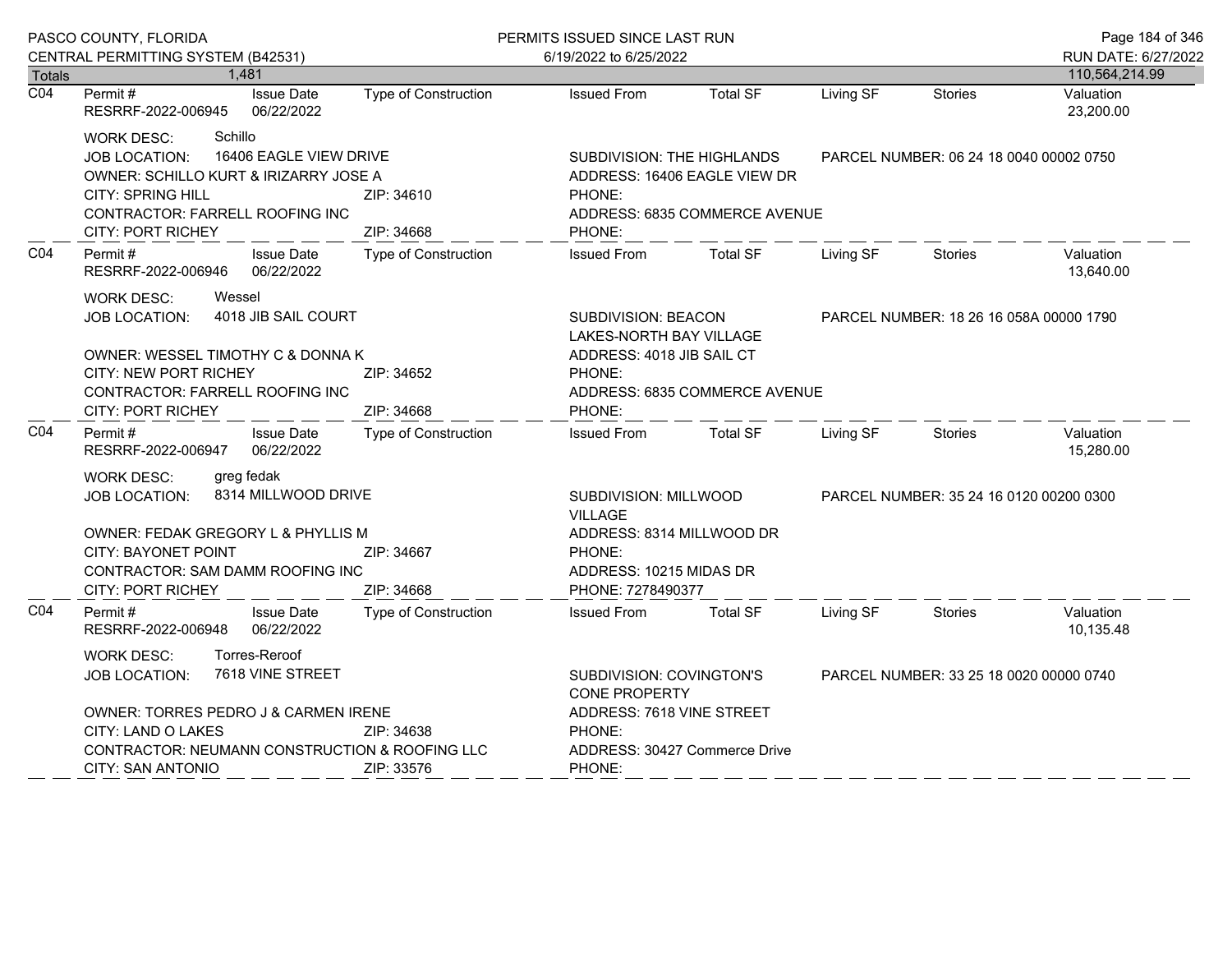|                  | PASCO COUNTY, FLORIDA                                                                                                                                                                                                                   |                             | PERMITS ISSUED SINCE LAST RUN                                                                                                           |                                         |                                         |                                         | Page 184 of 346        |  |
|------------------|-----------------------------------------------------------------------------------------------------------------------------------------------------------------------------------------------------------------------------------------|-----------------------------|-----------------------------------------------------------------------------------------------------------------------------------------|-----------------------------------------|-----------------------------------------|-----------------------------------------|------------------------|--|
|                  | CENTRAL PERMITTING SYSTEM (B42531)                                                                                                                                                                                                      |                             | 6/19/2022 to 6/25/2022                                                                                                                  |                                         |                                         |                                         | RUN DATE: 6/27/2022    |  |
| <b>Totals</b>    | 1,481                                                                                                                                                                                                                                   |                             |                                                                                                                                         |                                         |                                         |                                         | 110,564,214.99         |  |
| $\overline{CO4}$ | Permit#<br><b>Issue Date</b><br>06/22/2022<br>RESRRF-2022-006945                                                                                                                                                                        | Type of Construction        | <b>Issued From</b>                                                                                                                      | <b>Total SF</b>                         | Living SF                               | <b>Stories</b>                          | Valuation<br>23,200.00 |  |
|                  | Schillo<br><b>WORK DESC:</b><br>16406 EAGLE VIEW DRIVE<br>JOB LOCATION:<br>OWNER: SCHILLO KURT & IRIZARRY JOSE A<br><b>CITY: SPRING HILL</b><br>CONTRACTOR: FARRELL ROOFING INC<br><b>CITY: PORT RICHEY</b>                             | ZIP: 34610<br>ZIP: 34668    | SUBDIVISION: THE HIGHLANDS<br>ADDRESS: 16406 EAGLE VIEW DR<br>PHONE:<br>ADDRESS: 6835 COMMERCE AVENUE<br>PHONE:                         |                                         |                                         | PARCEL NUMBER: 06 24 18 0040 00002 0750 |                        |  |
| CO <sub>4</sub>  | <b>Issue Date</b><br>Permit#<br><b>Type of Construction</b><br>RESRRF-2022-006946<br>06/22/2022                                                                                                                                         |                             | <b>Issued From</b>                                                                                                                      | <b>Total SF</b>                         | Living SF                               | <b>Stories</b>                          | Valuation<br>13,640.00 |  |
|                  | Wessel<br><b>WORK DESC:</b><br>4018 JIB SAIL COURT<br><b>JOB LOCATION:</b><br>OWNER: WESSEL TIMOTHY C & DONNA K<br>CITY: NEW PORT RICHEY<br>ZIP: 34652<br>CONTRACTOR: FARRELL ROOFING INC<br>ZIP: 34668<br><b>CITY: PORT RICHEY</b>     |                             | SUBDIVISION: BEACON<br><b>LAKES-NORTH BAY VILLAGE</b><br>ADDRESS: 4018 JIB SAIL CT<br>PHONE:<br>ADDRESS: 6835 COMMERCE AVENUE<br>PHONE: | PARCEL NUMBER: 18 26 16 058A 00000 1790 |                                         |                                         |                        |  |
| CO <sub>4</sub>  | Permit#<br><b>Issue Date</b><br>RESRRF-2022-006947<br>06/22/2022                                                                                                                                                                        | Type of Construction        | <b>Issued From</b>                                                                                                                      | <b>Total SF</b>                         | Living SF                               | <b>Stories</b>                          | Valuation<br>15,280.00 |  |
|                  | greg fedak<br><b>WORK DESC:</b><br>8314 MILLWOOD DRIVE<br><b>JOB LOCATION:</b><br>OWNER: FEDAK GREGORY L & PHYLLIS M<br>CITY: BAYONET POINT<br>ZIP: 34667<br>CONTRACTOR: SAM DAMM ROOFING INC<br>ZIP: 34668<br><b>CITY: PORT RICHEY</b> |                             | SUBDIVISION: MILLWOOD<br><b>VILLAGE</b><br>ADDRESS: 8314 MILLWOOD DR<br>PHONE:<br>ADDRESS: 10215 MIDAS DR<br>PHONE: 7278490377          |                                         | PARCEL NUMBER: 35 24 16 0120 00200 0300 |                                         |                        |  |
| CO <sub>4</sub>  | Permit#<br><b>Issue Date</b><br>RESRRF-2022-006948<br>06/22/2022                                                                                                                                                                        | <b>Type of Construction</b> | <b>Issued From</b>                                                                                                                      | <b>Total SF</b>                         | Living SF                               | <b>Stories</b>                          | Valuation<br>10,135.48 |  |
|                  | Torres-Reroof<br><b>WORK DESC:</b><br>7618 VINE STREET<br><b>JOB LOCATION:</b><br>OWNER: TORRES PEDRO J & CARMEN IRENE<br>CITY: LAND O LAKES<br>CONTRACTOR: NEUMANN CONSTRUCTION & ROOFING LLC                                          | ZIP: 34638                  | SUBDIVISION: COVINGTON'S<br><b>CONE PROPERTY</b><br>ADDRESS: 7618 VINE STREET<br>PHONE:<br>ADDRESS: 30427 Commerce Drive                |                                         |                                         | PARCEL NUMBER: 33 25 18 0020 00000 0740 |                        |  |
|                  | CITY: SAN ANTONIO                                                                                                                                                                                                                       | ZIP: 33576                  | PHONE:                                                                                                                                  |                                         |                                         |                                         |                        |  |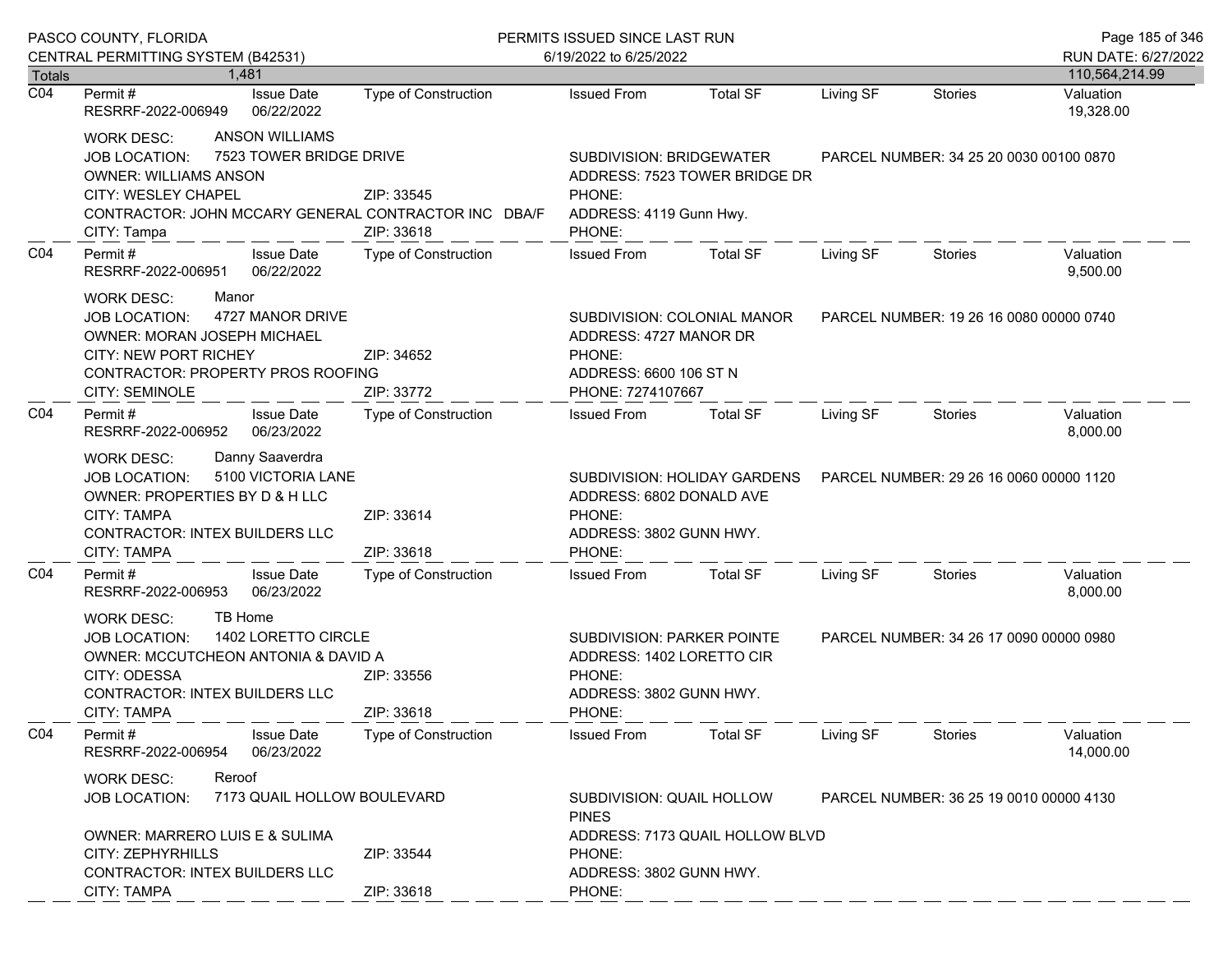| PASCO COUNTY, FLORIDA             |                                                                                                                                                                                                                                                         |                                                                                                             | PERMITS ISSUED SINCE LAST RUN                                                                                 |                                                                        |                                         |                                         | Page 185 of 346        |
|-----------------------------------|---------------------------------------------------------------------------------------------------------------------------------------------------------------------------------------------------------------------------------------------------------|-------------------------------------------------------------------------------------------------------------|---------------------------------------------------------------------------------------------------------------|------------------------------------------------------------------------|-----------------------------------------|-----------------------------------------|------------------------|
|                                   | CENTRAL PERMITTING SYSTEM (B42531)                                                                                                                                                                                                                      |                                                                                                             | 6/19/2022 to 6/25/2022                                                                                        |                                                                        |                                         |                                         | RUN DATE: 6/27/2022    |
| <b>Totals</b><br>$\overline{CO4}$ | 1.481                                                                                                                                                                                                                                                   |                                                                                                             |                                                                                                               |                                                                        |                                         |                                         | 110,564,214.99         |
|                                   | <b>Issue Date</b><br>Permit#<br>RESRRF-2022-006949<br>06/22/2022                                                                                                                                                                                        | Type of Construction                                                                                        | <b>Issued From</b>                                                                                            | <b>Total SF</b>                                                        | Living SF                               | <b>Stories</b>                          | Valuation<br>19,328.00 |
|                                   | <b>ANSON WILLIAMS</b><br><b>WORK DESC:</b><br>7523 TOWER BRIDGE DRIVE<br><b>JOB LOCATION:</b><br><b>OWNER: WILLIAMS ANSON</b><br>CITY: WESLEY CHAPEL<br>ZIP: 33545<br>CONTRACTOR: JOHN MCCARY GENERAL CONTRACTOR INC DBA/F<br>ZIP: 33618<br>CITY: Tampa |                                                                                                             | SUBDIVISION: BRIDGEWATER<br>PHONE:<br>ADDRESS: 4119 Gunn Hwy.<br>PHONE:                                       | ADDRESS: 7523 TOWER BRIDGE DR                                          | PARCEL NUMBER: 34 25 20 0030 00100 0870 |                                         |                        |
| CO <sub>4</sub>                   | Permit#<br><b>Issue Date</b><br>RESRRF-2022-006951<br>06/22/2022                                                                                                                                                                                        | Type of Construction                                                                                        | <b>Issued From</b>                                                                                            | <b>Total SF</b>                                                        | Living SF                               | <b>Stories</b>                          | Valuation<br>9,500.00  |
|                                   | Manor<br><b>WORK DESC:</b><br>4727 MANOR DRIVE<br><b>JOB LOCATION:</b><br>OWNER: MORAN JOSEPH MICHAEL<br>CITY: NEW PORT RICHEY<br>CONTRACTOR: PROPERTY PROS ROOFING<br><b>CITY: SEMINOLE</b>                                                            | ADDRESS: 4727 MANOR DR<br>ZIP: 34652<br>PHONE:<br>ADDRESS: 6600 106 ST N<br>ZIP: 33772<br>PHONE: 7274107667 |                                                                                                               | SUBDIVISION: COLONIAL MANOR<br>PARCEL NUMBER: 19 26 16 0080 00000 0740 |                                         |                                         |                        |
| CO <sub>4</sub>                   | Permit#<br><b>Issue Date</b><br>06/23/2022<br>RESRRF-2022-006952                                                                                                                                                                                        | Type of Construction                                                                                        | <b>Issued From</b>                                                                                            | Total SF                                                               | Living SF                               | Stories                                 | Valuation<br>8,000.00  |
|                                   | Danny Saaverdra<br><b>WORK DESC:</b><br>5100 VICTORIA LANE<br><b>JOB LOCATION:</b><br>OWNER: PROPERTIES BY D & H LLC<br>CITY: TAMPA<br><b>CONTRACTOR: INTEX BUILDERS LLC</b><br><b>CITY: TAMPA</b>                                                      | ZIP: 33614<br>ZIP: 33618                                                                                    | SUBDIVISION: HOLIDAY GARDENS<br>ADDRESS: 6802 DONALD AVE<br>PHONE:<br>ADDRESS: 3802 GUNN HWY.<br>PHONE:       |                                                                        |                                         | PARCEL NUMBER: 29 26 16 0060 00000 1120 |                        |
| CO <sub>4</sub>                   | <b>Issue Date</b><br>Permit#<br>RESRRF-2022-006953<br>06/23/2022                                                                                                                                                                                        | <b>Type of Construction</b>                                                                                 | <b>Issued From</b>                                                                                            | <b>Total SF</b>                                                        | Living SF                               | <b>Stories</b>                          | Valuation<br>8,000.00  |
|                                   | TB Home<br><b>WORK DESC:</b><br>1402 LORETTO CIRCLE<br><b>JOB LOCATION:</b><br>OWNER: MCCUTCHEON ANTONIA & DAVID A<br>CITY: ODESSA<br>ZIP: 33556<br><b>CONTRACTOR: INTEX BUILDERS LLC</b><br><b>CITY: TAMPA</b><br>ZIP: 33618                           |                                                                                                             | <b>SUBDIVISION: PARKER POINTE</b><br>ADDRESS: 1402 LORETTO CIR<br>PHONE:<br>ADDRESS: 3802 GUNN HWY.<br>PHONE: |                                                                        |                                         | PARCEL NUMBER: 34 26 17 0090 00000 0980 |                        |
| CO <sub>4</sub>                   | Permit#<br><b>Issue Date</b><br>RESRRF-2022-006954<br>06/23/2022                                                                                                                                                                                        | <b>Type of Construction</b>                                                                                 | <b>Issued From</b>                                                                                            | <b>Total SF</b>                                                        | Living SF                               | Stories                                 | Valuation<br>14,000.00 |
|                                   | Reroof<br><b>WORK DESC:</b><br>7173 QUAIL HOLLOW BOULEVARD<br><b>JOB LOCATION:</b><br>OWNER: MARRERO LUIS E & SULIMA                                                                                                                                    |                                                                                                             | SUBDIVISION: QUAIL HOLLOW<br><b>PINES</b>                                                                     |                                                                        |                                         | PARCEL NUMBER: 36 25 19 0010 00000 4130 |                        |
|                                   | CITY: ZEPHYRHILLS<br><b>CONTRACTOR: INTEX BUILDERS LLC</b><br><b>CITY: TAMPA</b>                                                                                                                                                                        | ZIP: 33544<br>ZIP: 33618                                                                                    | ADDRESS: 7173 QUAIL HOLLOW BLVD<br>PHONE:<br>ADDRESS: 3802 GUNN HWY.<br>PHONE:                                |                                                                        |                                         |                                         |                        |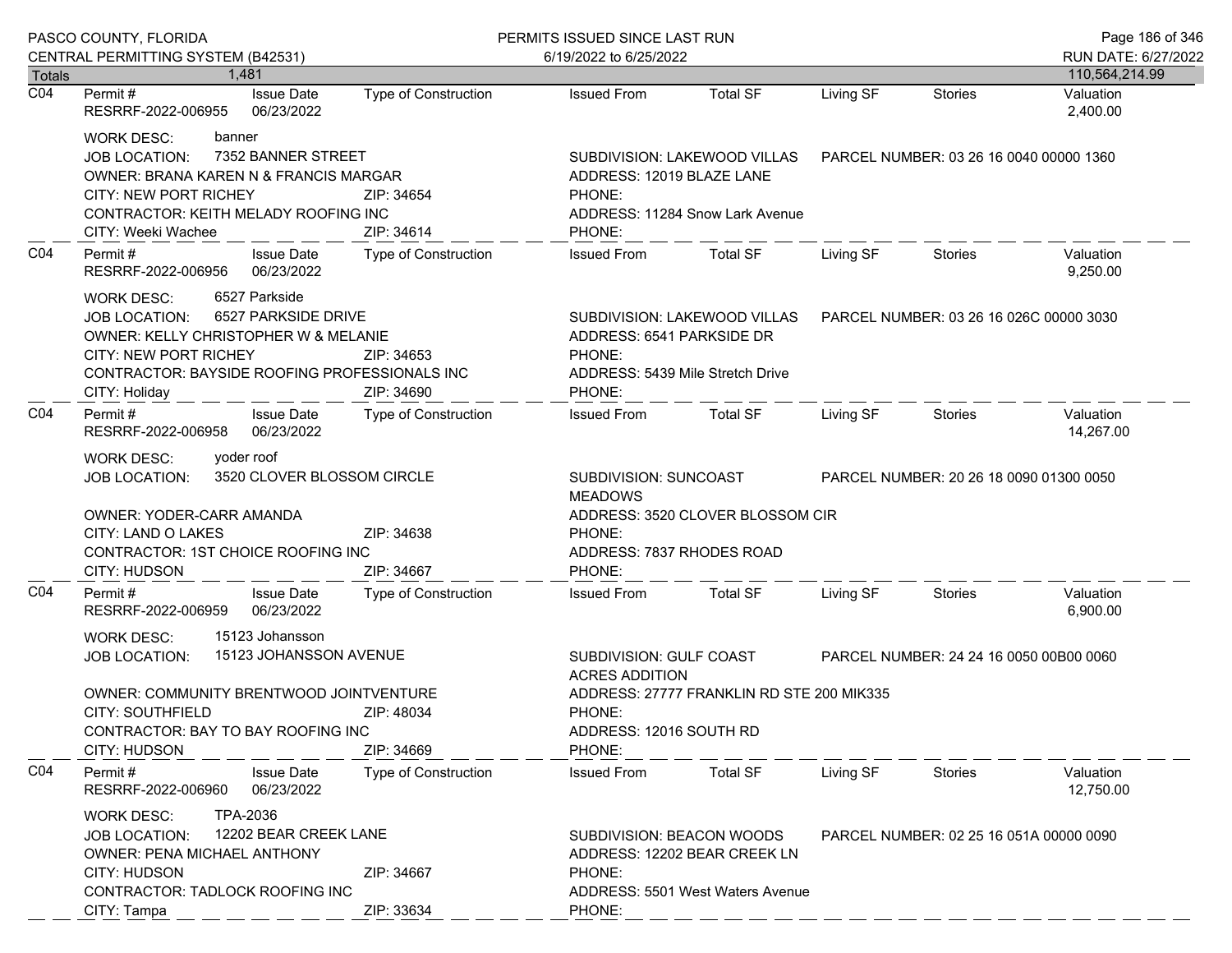|                  | PASCO COUNTY, FLORIDA                                                                                                                                                                                                                        |                             | PERMITS ISSUED SINCE LAST RUN                                                                                    |                                                                  |           |                                         | Page 186 of 346        |
|------------------|----------------------------------------------------------------------------------------------------------------------------------------------------------------------------------------------------------------------------------------------|-----------------------------|------------------------------------------------------------------------------------------------------------------|------------------------------------------------------------------|-----------|-----------------------------------------|------------------------|
|                  | CENTRAL PERMITTING SYSTEM (B42531)                                                                                                                                                                                                           |                             | 6/19/2022 to 6/25/2022                                                                                           |                                                                  |           |                                         | RUN DATE: 6/27/2022    |
| <b>Totals</b>    | 1.481                                                                                                                                                                                                                                        |                             |                                                                                                                  |                                                                  |           |                                         | 110,564,214.99         |
| $\overline{CO4}$ | <b>Issue Date</b><br>Permit #<br>RESRRF-2022-006955<br>06/23/2022                                                                                                                                                                            | Type of Construction        | <b>Issued From</b>                                                                                               | <b>Total SF</b>                                                  | Living SF | Stories                                 | Valuation<br>2,400.00  |
|                  | <b>WORK DESC:</b><br>banner<br>7352 BANNER STREET<br><b>JOB LOCATION:</b><br>OWNER: BRANA KAREN N & FRANCIS MARGAR<br><b>CITY: NEW PORT RICHEY</b><br>ZIP: 34654<br>CONTRACTOR: KEITH MELADY ROOFING INC<br>CITY: Weeki Wachee<br>ZIP: 34614 |                             | SUBDIVISION: LAKEWOOD VILLAS<br>ADDRESS: 12019 BLAZE LANE<br>PHONE:<br>ADDRESS: 11284 Snow Lark Avenue<br>PHONE: |                                                                  |           | PARCEL NUMBER: 03 26 16 0040 00000 1360 |                        |
| CO <sub>4</sub>  | Permit#<br><b>Issue Date</b><br>06/23/2022<br>RESRRF-2022-006956                                                                                                                                                                             | Type of Construction        | <b>Issued From</b>                                                                                               | <b>Total SF</b>                                                  | Living SF | Stories                                 | Valuation<br>9,250.00  |
|                  | 6527 Parkside<br>WORK DESC:<br>6527 PARKSIDE DRIVE<br><b>JOB LOCATION:</b><br>OWNER: KELLY CHRISTOPHER W & MELANIE<br><b>CITY: NEW PORT RICHEY</b><br>CONTRACTOR: BAYSIDE ROOFING PROFESSIONALS INC<br>CITY: Holiday                         | ZIP: 34653<br>ZIP: 34690    | ADDRESS: 6541 PARKSIDE DR<br>PHONE:<br>PHONE:                                                                    | SUBDIVISION: LAKEWOOD VILLAS<br>ADDRESS: 5439 Mile Stretch Drive |           | PARCEL NUMBER: 03 26 16 026C 00000 3030 |                        |
| CO <sub>4</sub>  | Permit#<br><b>Issue Date</b><br>RESRRF-2022-006958<br>06/23/2022                                                                                                                                                                             | Type of Construction        | <b>Issued From</b>                                                                                               | Total SF                                                         | Living SF | Stories                                 | Valuation<br>14,267.00 |
|                  | yoder roof<br>WORK DESC:<br>3520 CLOVER BLOSSOM CIRCLE<br><b>JOB LOCATION:</b>                                                                                                                                                               |                             | SUBDIVISION: SUNCOAST<br><b>MEADOWS</b>                                                                          |                                                                  |           | PARCEL NUMBER: 20 26 18 0090 01300 0050 |                        |
|                  | OWNER: YODER-CARR AMANDA<br>CITY: LAND O LAKES<br>CONTRACTOR: 1ST CHOICE ROOFING INC<br>CITY: HUDSON                                                                                                                                         | ZIP: 34638<br>ZIP: 34667    | PHONE:<br>ADDRESS: 7837 RHODES ROAD<br>PHONE:                                                                    | ADDRESS: 3520 CLOVER BLOSSOM CIR                                 |           |                                         |                        |
| CO <sub>4</sub>  | <b>Issue Date</b><br>Permit#<br>06/23/2022<br>RESRRF-2022-006959                                                                                                                                                                             | Type of Construction        | <b>Issued From</b>                                                                                               | <b>Total SF</b>                                                  | Living SF | Stories                                 | Valuation<br>6,900.00  |
|                  | 15123 Johansson<br><b>WORK DESC:</b><br>15123 JOHANSSON AVENUE<br><b>JOB LOCATION:</b>                                                                                                                                                       |                             | SUBDIVISION: GULF COAST<br><b>ACRES ADDITION</b>                                                                 |                                                                  |           | PARCEL NUMBER: 24 24 16 0050 00B00 0060 |                        |
|                  | OWNER: COMMUNITY BRENTWOOD JOINTVENTURE<br><b>CITY: SOUTHFIELD</b><br>CONTRACTOR: BAY TO BAY ROOFING INC<br>CITY: HUDSON                                                                                                                     | ZIP: 48034<br>ZIP: 34669    | PHONE:<br>ADDRESS: 12016 SOUTH RD<br>PHONE:                                                                      | ADDRESS: 27777 FRANKLIN RD STE 200 MIK335                        |           |                                         |                        |
| CO <sub>4</sub>  | Permit#<br><b>Issue Date</b><br>RESRRF-2022-006960<br>06/23/2022                                                                                                                                                                             | <b>Type of Construction</b> | <b>Issued From</b>                                                                                               | <b>Total SF</b>                                                  | Living SF | Stories                                 | Valuation<br>12,750.00 |
|                  | TPA-2036<br><b>WORK DESC:</b><br>12202 BEAR CREEK LANE<br><b>JOB LOCATION:</b><br><b>OWNER: PENA MICHAEL ANTHONY</b><br>CITY: HUDSON<br><b>CONTRACTOR: TADLOCK ROOFING INC</b>                                                               | ZIP: 34667                  | SUBDIVISION: BEACON WOODS<br>PHONE:                                                                              | ADDRESS: 12202 BEAR CREEK LN<br>ADDRESS: 5501 West Waters Avenue |           | PARCEL NUMBER: 02 25 16 051A 00000 0090 |                        |
|                  | CITY: Tampa                                                                                                                                                                                                                                  | ZIP: 33634                  | PHONE:                                                                                                           |                                                                  |           |                                         |                        |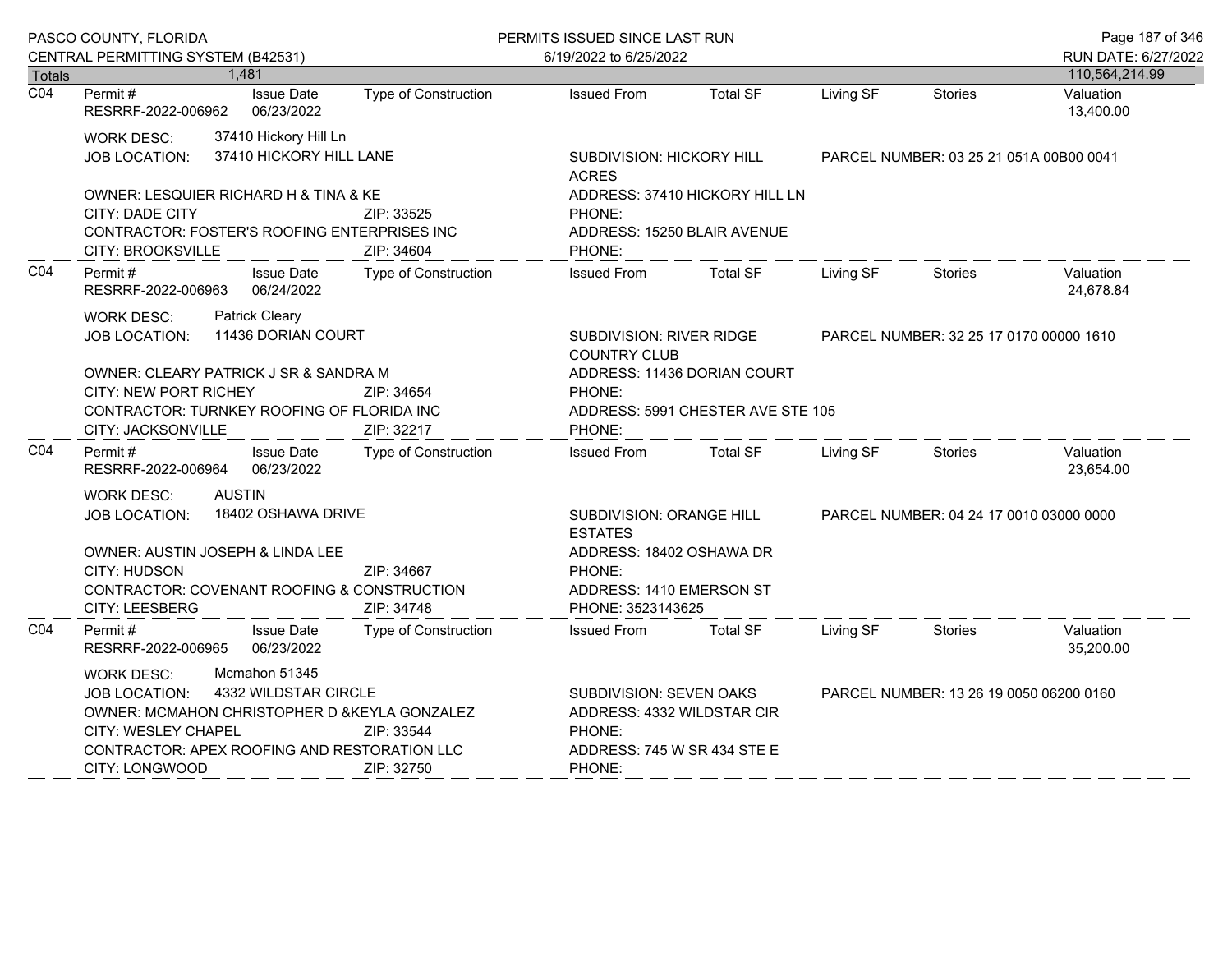|                  | PASCO COUNTY, FLORIDA                                                                                                                                                                                                                                           |                             | PERMITS ISSUED SINCE LAST RUN                                                                                   |                                         |           |                                         | Page 187 of 346                       |  |
|------------------|-----------------------------------------------------------------------------------------------------------------------------------------------------------------------------------------------------------------------------------------------------------------|-----------------------------|-----------------------------------------------------------------------------------------------------------------|-----------------------------------------|-----------|-----------------------------------------|---------------------------------------|--|
| Totals           | CENTRAL PERMITTING SYSTEM (B42531)<br>1,481                                                                                                                                                                                                                     |                             | 6/19/2022 to 6/25/2022                                                                                          |                                         |           |                                         | RUN DATE: 6/27/2022<br>110,564,214.99 |  |
| $\overline{CO4}$ | Permit#<br><b>Issue Date</b><br>06/23/2022<br>RESRRF-2022-006962                                                                                                                                                                                                | Type of Construction        | <b>Issued From</b>                                                                                              | <b>Total SF</b>                         | Living SF | <b>Stories</b>                          | Valuation<br>13,400.00                |  |
|                  | 37410 Hickory Hill Ln<br>WORK DESC:<br>37410 HICKORY HILL LANE<br>JOB LOCATION:                                                                                                                                                                                 |                             | SUBDIVISION: HICKORY HILL<br><b>ACRES</b>                                                                       | PARCEL NUMBER: 03 25 21 051A 00B00 0041 |           |                                         |                                       |  |
|                  | OWNER: LESQUIER RICHARD H & TINA & KE<br>CITY: DADE CITY<br>CONTRACTOR: FOSTER'S ROOFING ENTERPRISES INC<br><b>CITY: BROOKSVILLE</b>                                                                                                                            | ZIP: 33525<br>ZIP: 34604    | PHONE:<br>ADDRESS: 15250 BLAIR AVENUE<br>PHONE:                                                                 | ADDRESS: 37410 HICKORY HILL LN          |           |                                         |                                       |  |
| CO <sub>4</sub>  | Permit#<br><b>Issue Date</b><br>06/24/2022<br>RESRRF-2022-006963                                                                                                                                                                                                | <b>Type of Construction</b> | <b>Issued From</b>                                                                                              | <b>Total SF</b>                         | Living SF | <b>Stories</b>                          | Valuation<br>24,678.84                |  |
|                  | <b>Patrick Cleary</b><br><b>WORK DESC:</b><br>11436 DORIAN COURT<br><b>JOB LOCATION:</b>                                                                                                                                                                        |                             | <b>SUBDIVISION: RIVER RIDGE</b><br><b>COUNTRY CLUB</b>                                                          |                                         |           | PARCEL NUMBER: 32 25 17 0170 00000 1610 |                                       |  |
|                  | OWNER: CLEARY PATRICK J SR & SANDRA M<br><b>CITY: NEW PORT RICHEY</b><br>ZIP: 34654<br>CONTRACTOR: TURNKEY ROOFING OF FLORIDA INC<br>CITY: JACKSONVILLE<br>ZIP: 32217                                                                                           |                             | ADDRESS: 11436 DORIAN COURT<br>PHONE:<br>ADDRESS: 5991 CHESTER AVE STE 105<br>PHONE:                            |                                         |           |                                         |                                       |  |
| CO <sub>4</sub>  | Permit#<br><b>Issue Date</b><br>06/23/2022<br>RESRRF-2022-006964                                                                                                                                                                                                | Type of Construction        | <b>Issued From</b>                                                                                              | <b>Total SF</b>                         | Living SF | <b>Stories</b>                          | Valuation<br>23,654.00                |  |
|                  | <b>AUSTIN</b><br><b>WORK DESC:</b><br>18402 OSHAWA DRIVE<br>JOB LOCATION:                                                                                                                                                                                       |                             | SUBDIVISION: ORANGE HILL<br><b>ESTATES</b>                                                                      |                                         |           | PARCEL NUMBER: 04 24 17 0010 03000 0000 |                                       |  |
|                  | OWNER: AUSTIN JOSEPH & LINDA LEE<br>CITY: HUDSON<br>CONTRACTOR: COVENANT ROOFING & CONSTRUCTION<br>CITY: LEESBERG                                                                                                                                               | ZIP: 34667<br>ZIP: 34748    | ADDRESS: 18402 OSHAWA DR<br>PHONE:<br>ADDRESS: 1410 EMERSON ST<br>PHONE: 3523143625                             |                                         |           |                                         |                                       |  |
| CO <sub>4</sub>  | Permit#<br><b>Issue Date</b><br>RESRRF-2022-006965<br>06/23/2022                                                                                                                                                                                                | <b>Type of Construction</b> | <b>Issued From</b>                                                                                              | <b>Total SF</b>                         | Living SF | <b>Stories</b>                          | Valuation<br>35,200.00                |  |
|                  | Mcmahon 51345<br><b>WORK DESC:</b><br>4332 WILDSTAR CIRCLE<br><b>JOB LOCATION:</b><br>OWNER: MCMAHON CHRISTOPHER D & KEYLA GONZALEZ<br><b>CITY: WESLEY CHAPEL</b><br>ZIP: 33544<br>CONTRACTOR: APEX ROOFING AND RESTORATION LLC<br>CITY: LONGWOOD<br>ZIP: 32750 |                             | <b>SUBDIVISION: SEVEN OAKS</b><br>ADDRESS: 4332 WILDSTAR CIR<br>PHONE:<br>ADDRESS: 745 W SR 434 STE E<br>PHONE: |                                         |           | PARCEL NUMBER: 13 26 19 0050 06200 0160 |                                       |  |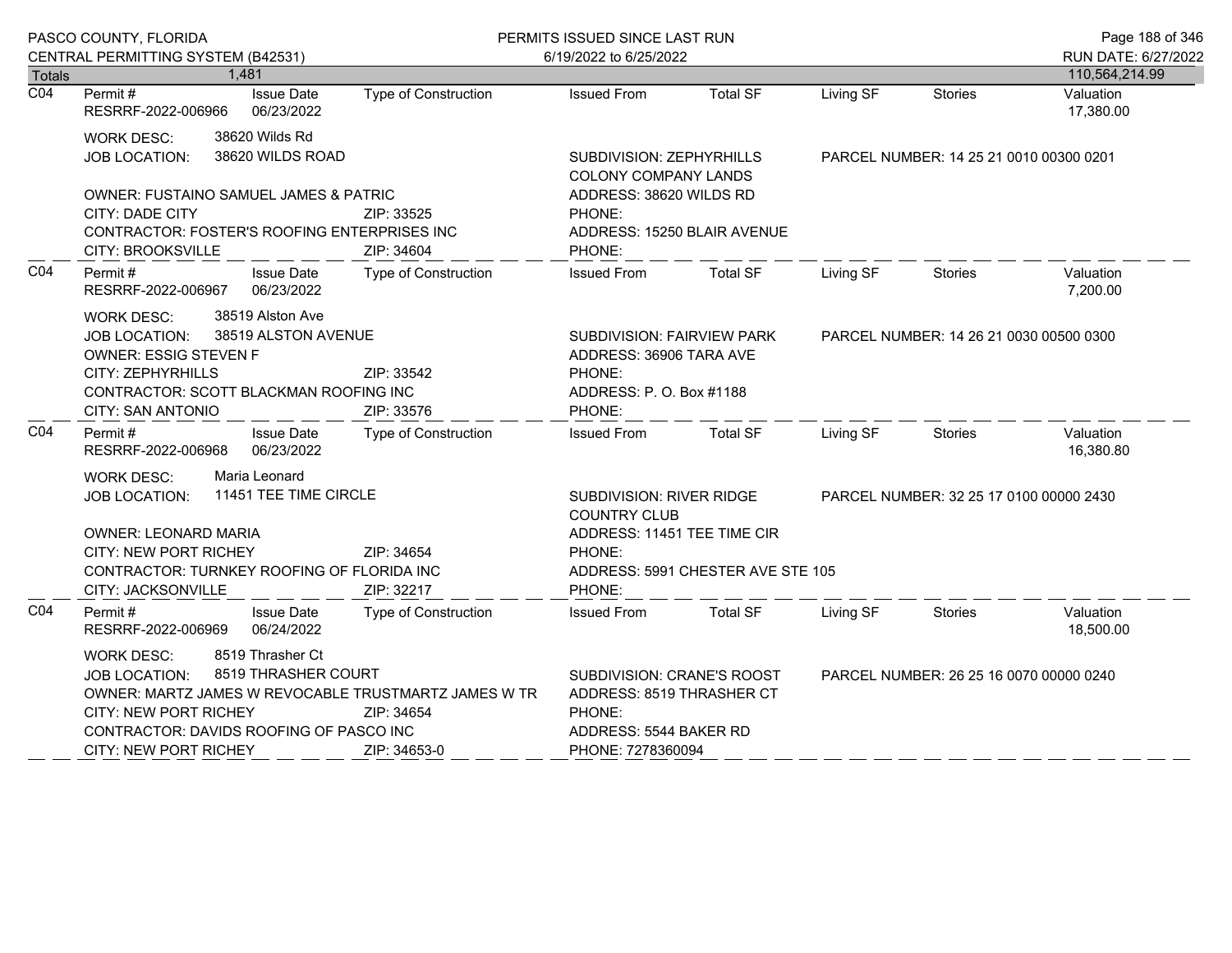|                  | PASCO COUNTY, FLORIDA                                                                                                                                                                                                                                                          |                                    | PERMITS ISSUED SINCE LAST RUN                                                                                               |                                   |           |                                         | Page 188 of 346                       |
|------------------|--------------------------------------------------------------------------------------------------------------------------------------------------------------------------------------------------------------------------------------------------------------------------------|------------------------------------|-----------------------------------------------------------------------------------------------------------------------------|-----------------------------------|-----------|-----------------------------------------|---------------------------------------|
| <b>Totals</b>    | CENTRAL PERMITTING SYSTEM (B42531)<br>1,481                                                                                                                                                                                                                                    |                                    | 6/19/2022 to 6/25/2022                                                                                                      |                                   |           |                                         | RUN DATE: 6/27/2022<br>110,564,214.99 |
| $\overline{CO4}$ | Permit#<br><b>Issue Date</b><br>RESRRF-2022-006966<br>06/23/2022                                                                                                                                                                                                               | Type of Construction               | <b>Issued From</b>                                                                                                          | <b>Total SF</b>                   | Living SF | <b>Stories</b>                          | Valuation<br>17,380.00                |
|                  | 38620 Wilds Rd<br><b>WORK DESC:</b><br>38620 WILDS ROAD<br>JOB LOCATION:<br><b>OWNER: FUSTAINO SAMUEL JAMES &amp; PATRIC</b><br>CITY: DADE CITY<br>CONTRACTOR: FOSTER'S ROOFING ENTERPRISES INC                                                                                | ZIP: 33525                         | SUBDIVISION: ZEPHYRHILLS<br><b>COLONY COMPANY LANDS</b><br>ADDRESS: 38620 WILDS RD<br>PHONE:<br>ADDRESS: 15250 BLAIR AVENUE |                                   |           | PARCEL NUMBER: 14 25 21 0010 00300 0201 |                                       |
| CO <sub>4</sub>  | CITY: BROOKSVILLE<br>Permit#<br><b>Issue Date</b><br>RESRRF-2022-006967 06/23/2022                                                                                                                                                                                             | ZIP: 34604<br>Type of Construction | PHONE:<br><b>Issued From</b>                                                                                                | Total SF                          | Living SF | Stories                                 | Valuation<br>7,200.00                 |
|                  | 38519 Alston Ave<br>WORK DESC:<br>38519 ALSTON AVENUE<br><b>JOB LOCATION:</b><br><b>OWNER: ESSIG STEVEN F</b><br>CITY: ZEPHYRHILLS<br>CONTRACTOR: SCOTT BLACKMAN ROOFING INC<br>CITY: SAN ANTONIO                                                                              | ZIP: 33542<br>ZIP: 33576           | SUBDIVISION: FAIRVIEW PARK<br>ADDRESS: 36906 TARA AVE<br>PHONE:<br>ADDRESS: P. O. Box #1188<br>PHONE:                       |                                   |           | PARCEL NUMBER: 14 26 21 0030 00500 0300 |                                       |
| CO <sub>4</sub>  | Permit#<br><b>Issue Date</b><br>06/23/2022<br>RESRRF-2022-006968                                                                                                                                                                                                               | Type of Construction               | <b>Issued From</b>                                                                                                          | <b>Total SF</b>                   | Living SF | Stories                                 | Valuation<br>16,380.80                |
|                  | Maria Leonard<br><b>WORK DESC:</b><br>11451 TEE TIME CIRCLE<br><b>JOB LOCATION:</b><br><b>OWNER: LEONARD MARIA</b><br>CITY: NEW PORT RICHEY<br>ZIP: 34654<br>CONTRACTOR: TURNKEY ROOFING OF FLORIDA INC<br>ZIP: 32217<br>CITY: JACKSONVILLE                                    |                                    | SUBDIVISION: RIVER RIDGE<br><b>COUNTRY CLUB</b><br>ADDRESS: 11451 TEE TIME CIR<br>PHONE:<br>PHONE:                          | ADDRESS: 5991 CHESTER AVE STE 105 |           | PARCEL NUMBER: 32 25 17 0100 00000 2430 |                                       |
| CO <sub>4</sub>  | Permit#<br><b>Issue Date</b><br>RESRRF-2022-006969 06/24/2022                                                                                                                                                                                                                  | <b>Type of Construction</b>        | <b>Issued From</b>                                                                                                          | <b>Total SF</b>                   | Living SF | Stories                                 | Valuation<br>18,500.00                |
|                  | 8519 Thrasher Ct<br><b>WORK DESC:</b><br>8519 THRASHER COURT<br><b>JOB LOCATION:</b><br>OWNER: MARTZ JAMES W REVOCABLE TRUSTMARTZ JAMES W TR<br><b>CITY: NEW PORT RICHEY</b><br>ZIP: 34654<br>CONTRACTOR: DAVIDS ROOFING OF PASCO INC<br>CITY: NEW PORT RICHEY<br>ZIP: 34653-0 |                                    | SUBDIVISION: CRANE'S ROOST<br>ADDRESS: 8519 THRASHER CT<br>PHONE:<br>ADDRESS: 5544 BAKER RD<br>PHONE: 7278360094            |                                   |           | PARCEL NUMBER: 26 25 16 0070 00000 0240 |                                       |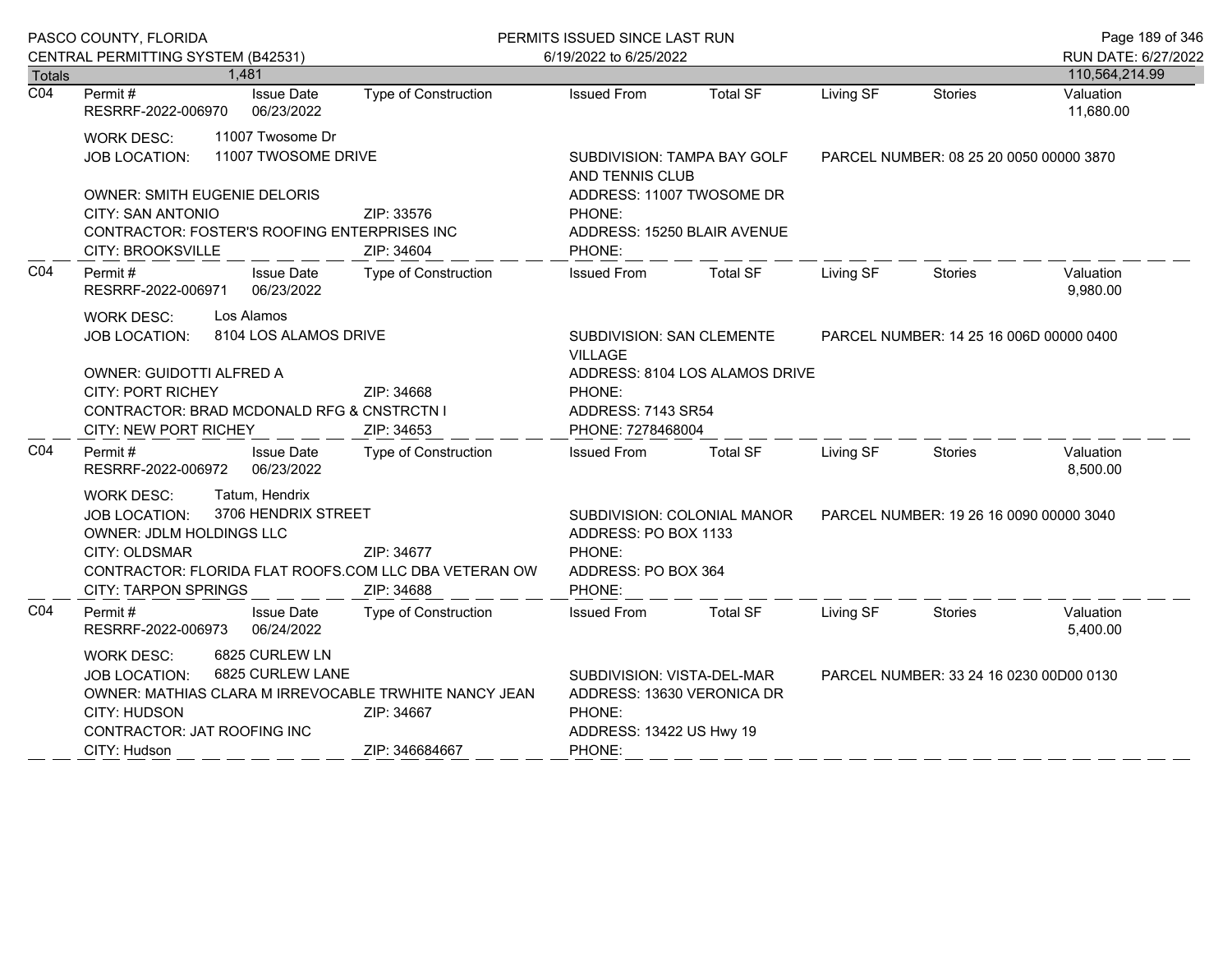|                                                                                                                                                                                                                                     | PASCO COUNTY, FLORIDA                                                                                                                                                                                                                   |                                                                                                                                                            | PERMITS ISSUED SINCE LAST RUN                                                                                                                       |                                                                            |           |                                         | Page 189 of 346                       |
|-------------------------------------------------------------------------------------------------------------------------------------------------------------------------------------------------------------------------------------|-----------------------------------------------------------------------------------------------------------------------------------------------------------------------------------------------------------------------------------------|------------------------------------------------------------------------------------------------------------------------------------------------------------|-----------------------------------------------------------------------------------------------------------------------------------------------------|----------------------------------------------------------------------------|-----------|-----------------------------------------|---------------------------------------|
| Totals                                                                                                                                                                                                                              | CENTRAL PERMITTING SYSTEM (B42531)<br>1,481                                                                                                                                                                                             |                                                                                                                                                            | 6/19/2022 to 6/25/2022                                                                                                                              |                                                                            |           |                                         | RUN DATE: 6/27/2022<br>110,564,214.99 |
| $\overline{CO4}$                                                                                                                                                                                                                    | Permit#<br><b>Issue Date</b><br>RESRRF-2022-006970<br>06/23/2022                                                                                                                                                                        | <b>Type of Construction</b>                                                                                                                                | <b>Issued From</b>                                                                                                                                  | <b>Total SF</b>                                                            | Living SF | <b>Stories</b>                          | Valuation<br>11,680.00                |
| 11007 Twosome Dr<br><b>WORK DESC:</b><br>11007 TWOSOME DRIVE<br><b>JOB LOCATION:</b><br><b>OWNER: SMITH EUGENIE DELORIS</b><br><b>CITY: SAN ANTONIO</b><br>CONTRACTOR: FOSTER'S ROOFING ENTERPRISES INC<br><b>CITY: BROOKSVILLE</b> |                                                                                                                                                                                                                                         | SUBDIVISION: TAMPA BAY GOLF<br>AND TENNIS CLUB<br>ADDRESS: 11007 TWOSOME DR<br>ZIP: 33576<br>PHONE:<br>ADDRESS: 15250 BLAIR AVENUE<br>PHONE:<br>ZIP: 34604 |                                                                                                                                                     | PARCEL NUMBER: 08 25 20 0050 00000 3870                                    |           |                                         |                                       |
| CO <sub>4</sub>                                                                                                                                                                                                                     | Permit#<br><b>Issue Date</b><br>06/23/2022<br>RESRRF-2022-006971                                                                                                                                                                        | <b>Type of Construction</b>                                                                                                                                | <b>Issued From</b>                                                                                                                                  | <b>Total SF</b>                                                            | Living SF | <b>Stories</b>                          | Valuation<br>9,980.00                 |
|                                                                                                                                                                                                                                     | Los Alamos<br><b>WORK DESC:</b><br>8104 LOS ALAMOS DRIVE<br><b>JOB LOCATION:</b><br>OWNER: GUIDOTTI ALFRED A<br><b>CITY: PORT RICHEY</b><br><b>CONTRACTOR: BRAD MCDONALD RFG &amp; CNSTRCTN I</b><br><b>CITY: NEW PORT RICHEY</b>       | ZIP: 34668<br>ZIP: 34653                                                                                                                                   | SUBDIVISION: SAN CLEMENTE<br><b>VILLAGE</b><br>PHONE:<br>ADDRESS: 7143 SR54<br>PHONE: 7278468004                                                    | ADDRESS: 8104 LOS ALAMOS DRIVE                                             |           | PARCEL NUMBER: 14 25 16 006D 00000 0400 |                                       |
| CO <sub>4</sub>                                                                                                                                                                                                                     | Permit #<br><b>Issue Date</b><br>06/23/2022<br>RESRRF-2022-006972                                                                                                                                                                       | Type of Construction                                                                                                                                       | <b>Issued From</b>                                                                                                                                  | <b>Total SF</b>                                                            | Living SF | <b>Stories</b>                          | Valuation<br>8,500.00                 |
|                                                                                                                                                                                                                                     | Tatum, Hendrix<br><b>WORK DESC:</b><br>3706 HENDRIX STREET<br><b>JOB LOCATION:</b><br>OWNER: JDLM HOLDINGS LLC<br>CITY: OLDSMAR<br>CONTRACTOR: FLORIDA FLAT ROOFS.COM LLC DBA VETERAN OW<br><b>CITY: TARPON SPRINGS</b>                 | ZIP: 34677<br>ZIP: 34688                                                                                                                                   | PHONE:<br>PHONE:                                                                                                                                    | SUBDIVISION: COLONIAL MANOR<br>ADDRESS: PO BOX 1133<br>ADDRESS: PO BOX 364 |           | PARCEL NUMBER: 19 26 16 0090 00000 3040 |                                       |
| CO <sub>4</sub>                                                                                                                                                                                                                     | Permit#<br><b>Issue Date</b><br>RESRRF-2022-006973<br>06/24/2022                                                                                                                                                                        | Type of Construction                                                                                                                                       | <b>Issued From</b>                                                                                                                                  | <b>Total SF</b>                                                            | Living SF | Stories                                 | Valuation<br>5,400.00                 |
|                                                                                                                                                                                                                                     | 6825 CURLEW LN<br>WORK DESC:<br>6825 CURLEW LANE<br><b>JOB LOCATION:</b><br>OWNER: MATHIAS CLARA M IRREVOCABLE TRWHITE NANCY JEAN<br><b>CITY: HUDSON</b><br>ZIP: 34667<br>CONTRACTOR: JAT ROOFING INC<br>ZIP: 346684667<br>CITY: Hudson |                                                                                                                                                            | SUBDIVISION: VISTA-DEL-MAR<br>PARCEL NUMBER: 33 24 16 0230 00D00 0130<br>ADDRESS: 13630 VERONICA DR<br>PHONE:<br>ADDRESS: 13422 US Hwy 19<br>PHONE: |                                                                            |           |                                         |                                       |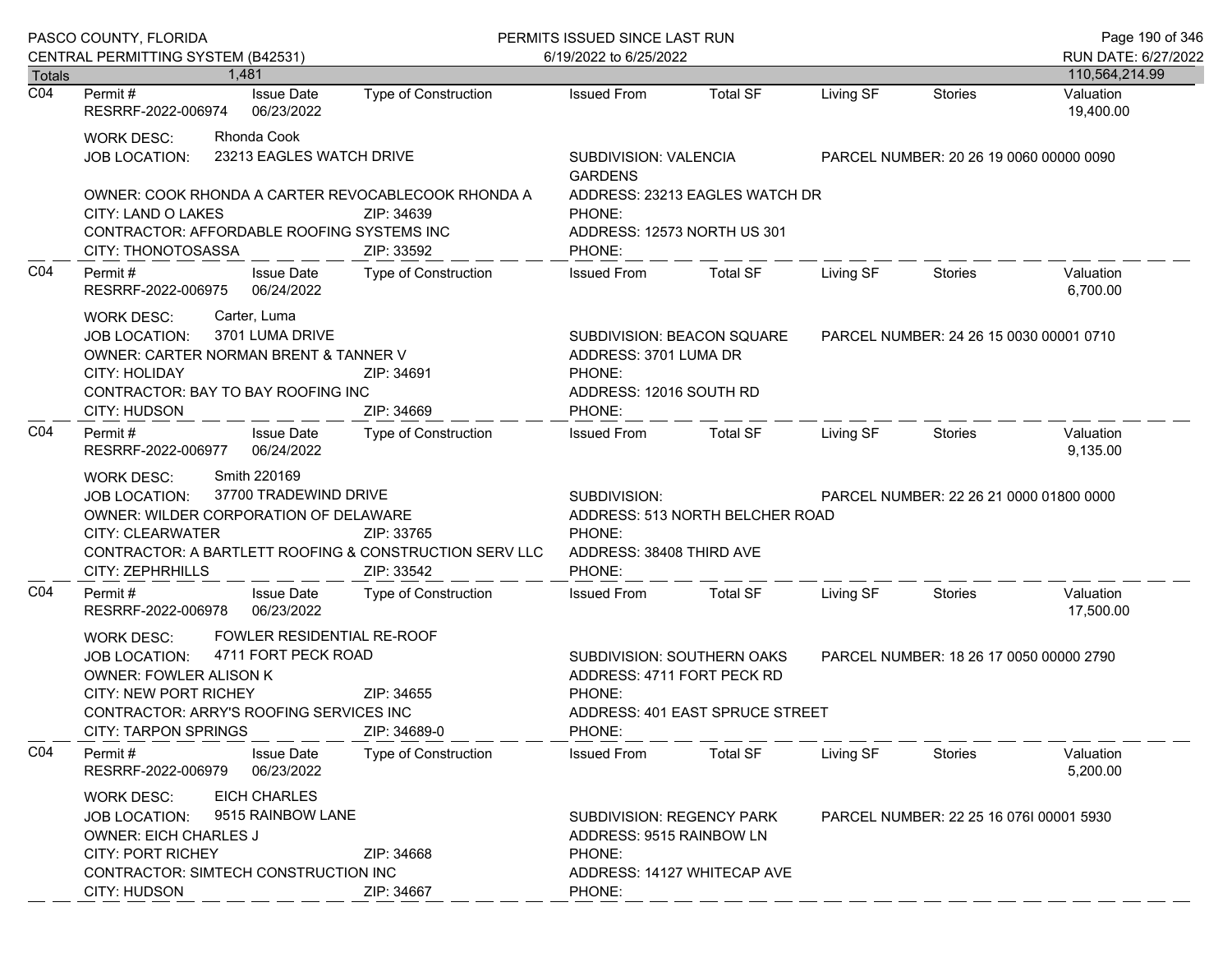| PASCO COUNTY, FLORIDA             |                                                                                                                                                                                                                                                                         |                                                                                | PERMITS ISSUED SINCE LAST RUN                                                                                                                       |                                                                  |           |                                         | Page 190 of 346        |
|-----------------------------------|-------------------------------------------------------------------------------------------------------------------------------------------------------------------------------------------------------------------------------------------------------------------------|--------------------------------------------------------------------------------|-----------------------------------------------------------------------------------------------------------------------------------------------------|------------------------------------------------------------------|-----------|-----------------------------------------|------------------------|
|                                   | CENTRAL PERMITTING SYSTEM (B42531)                                                                                                                                                                                                                                      |                                                                                | 6/19/2022 to 6/25/2022                                                                                                                              |                                                                  |           |                                         | RUN DATE: 6/27/2022    |
| <b>Totals</b><br>$\overline{CO4}$ | 1,481                                                                                                                                                                                                                                                                   |                                                                                |                                                                                                                                                     |                                                                  |           |                                         | 110,564,214.99         |
|                                   | <b>Issue Date</b><br>Permit #<br>RESRRF-2022-006974<br>06/23/2022                                                                                                                                                                                                       | Type of Construction                                                           | <b>Issued From</b>                                                                                                                                  | <b>Total SF</b>                                                  | Living SF | <b>Stories</b>                          | Valuation<br>19,400.00 |
|                                   | Rhonda Cook<br>WORK DESC:<br><b>JOB LOCATION:</b>                                                                                                                                                                                                                       | 23213 EAGLES WATCH DRIVE                                                       | <b>GARDENS</b>                                                                                                                                      | SUBDIVISION: VALENCIA<br>PARCEL NUMBER: 20 26 19 0060 00000 0090 |           |                                         |                        |
|                                   | CITY: LAND O LAKES<br>CONTRACTOR: AFFORDABLE ROOFING SYSTEMS INC<br>CITY: THONOTOSASSA                                                                                                                                                                                  | OWNER: COOK RHONDA A CARTER REVOCABLECOOK RHONDA A<br>ZIP: 34639<br>ZIP: 33592 | PHONE:<br>PHONE:                                                                                                                                    | ADDRESS: 23213 EAGLES WATCH DR<br>ADDRESS: 12573 NORTH US 301    |           |                                         |                        |
| CO <sub>4</sub>                   | <b>Issue Date</b><br>Permit#<br>RESRRF-2022-006975<br>06/24/2022                                                                                                                                                                                                        | Type of Construction                                                           | <b>Issued From</b>                                                                                                                                  | <b>Total SF</b>                                                  | Living SF | <b>Stories</b>                          | Valuation<br>6,700.00  |
|                                   | Carter, Luma<br><b>WORK DESC:</b><br>3701 LUMA DRIVE<br><b>JOB LOCATION:</b><br>OWNER: CARTER NORMAN BRENT & TANNER V<br><b>CITY: HOLIDAY</b><br>ZIP: 34691<br>CONTRACTOR: BAY TO BAY ROOFING INC<br>CITY: HUDSON<br>ZIP: 34669                                         |                                                                                | SUBDIVISION: BEACON SQUARE<br>ADDRESS: 3701 LUMA DR<br>PHONE:<br>ADDRESS: 12016 SOUTH RD<br>PHONE:                                                  |                                                                  |           | PARCEL NUMBER: 24 26 15 0030 00001 0710 |                        |
| CO <sub>4</sub>                   | Permit#<br><b>Issue Date</b><br>RESRRF-2022-006977<br>06/24/2022                                                                                                                                                                                                        | Type of Construction                                                           | <b>Issued From</b>                                                                                                                                  | Total SF                                                         | Living SF | Stories                                 | Valuation<br>9,135.00  |
|                                   | Smith 220169<br><b>WORK DESC:</b><br>37700 TRADEWIND DRIVE<br><b>JOB LOCATION:</b><br>OWNER: WILDER CORPORATION OF DELAWARE<br><b>CITY: CLEARWATER</b><br>ZIP: 33765<br>CONTRACTOR: A BARTLETT ROOFING & CONSTRUCTION SERV LLC<br>CITY: ZEPHRHILLS<br>ZIP: 33542        |                                                                                | SUBDIVISION:<br>ADDRESS: 513 NORTH BELCHER ROAD<br>PHONE:<br>ADDRESS: 38408 THIRD AVE<br>PHONE:                                                     |                                                                  |           | PARCEL NUMBER: 22 26 21 0000 01800 0000 |                        |
| CO <sub>4</sub>                   | <b>Issue Date</b><br>Permit#<br>06/23/2022<br>RESRRF-2022-006978                                                                                                                                                                                                        | Type of Construction                                                           | <b>Issued From</b>                                                                                                                                  | <b>Total SF</b>                                                  | Living SF | <b>Stories</b>                          | Valuation<br>17,500.00 |
|                                   | FOWLER RESIDENTIAL RE-ROOF<br><b>WORK DESC:</b><br>4711 FORT PECK ROAD<br><b>JOB LOCATION:</b><br><b>OWNER: FOWLER ALISON K</b><br><b>CITY: NEW PORT RICHEY</b><br>ZIP: 34655<br>CONTRACTOR: ARRY'S ROOFING SERVICES INC<br><b>CITY: TARPON SPRINGS</b><br>ZIP: 34689-0 |                                                                                | SUBDIVISION: SOUTHERN OAKS<br>ADDRESS: 4711 FORT PECK RD<br>PHONE:<br>ADDRESS: 401 EAST SPRUCE STREET<br>PHONE:                                     |                                                                  |           | PARCEL NUMBER: 18 26 17 0050 00000 2790 |                        |
| CO <sub>4</sub>                   | Permit#<br><b>Issue Date</b><br>RESRRF-2022-006979<br>06/23/2022                                                                                                                                                                                                        | <b>Type of Construction</b>                                                    | <b>Issued From</b>                                                                                                                                  | <b>Total SF</b>                                                  | Living SF | Stories                                 | Valuation<br>5,200.00  |
|                                   | <b>EICH CHARLES</b><br><b>WORK DESC:</b><br>9515 RAINBOW LANE<br><b>JOB LOCATION:</b><br><b>OWNER: EICH CHARLES J</b><br><b>CITY: PORT RICHEY</b><br>ZIP: 34668<br>CONTRACTOR: SIMTECH CONSTRUCTION INC<br>CITY: HUDSON<br>ZIP: 34667                                   |                                                                                | SUBDIVISION: REGENCY PARK<br>PARCEL NUMBER: 22 25 16 0761 00001 5930<br>ADDRESS: 9515 RAINBOW LN<br>PHONE:<br>ADDRESS: 14127 WHITECAP AVE<br>PHONE: |                                                                  |           |                                         |                        |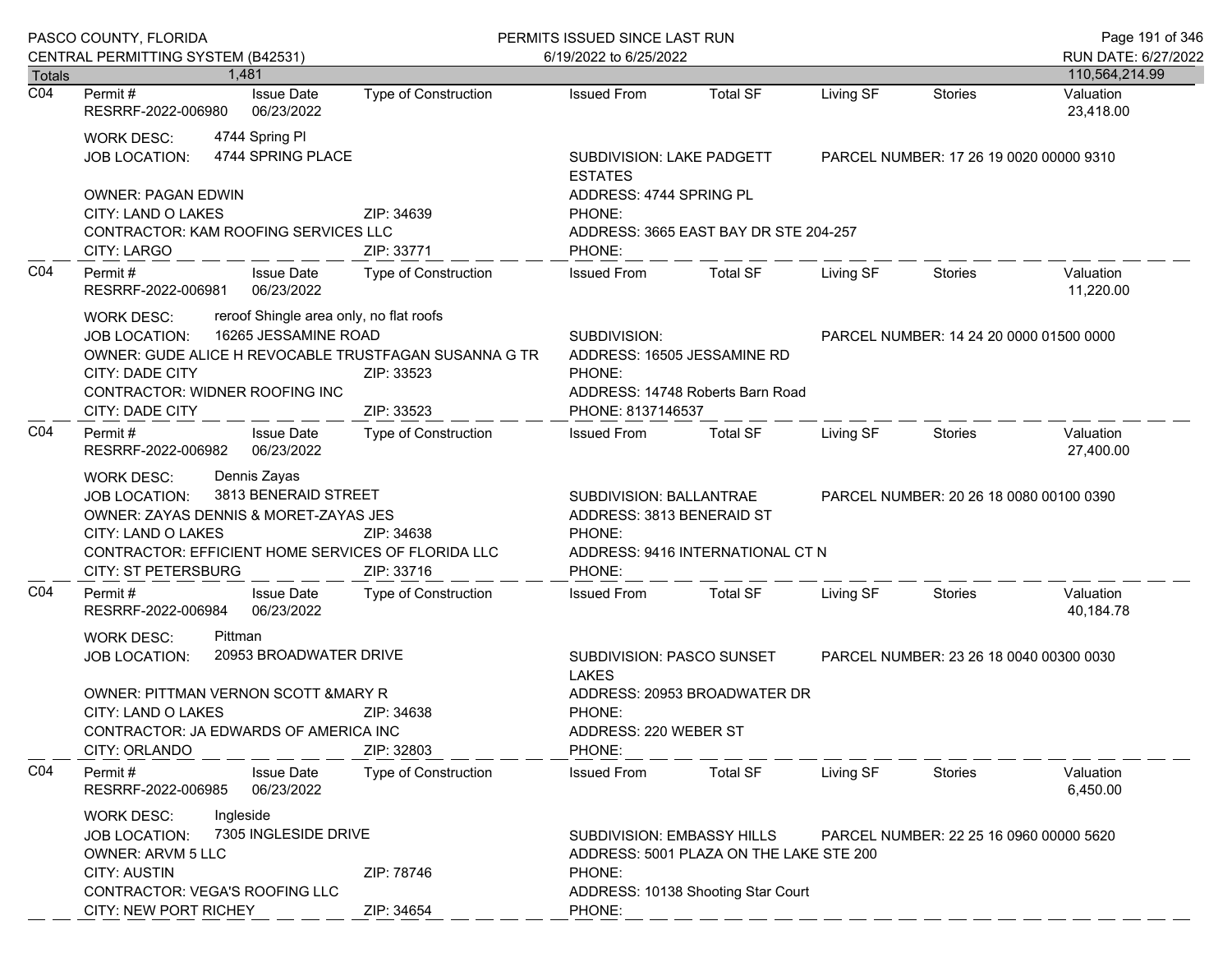| PASCO COUNTY, FLORIDA |                                                                                                                                                                                                                                                                  |                                     |                                                                                                                            | PERMITS ISSUED SINCE LAST RUN                                                                                        |                                       |                                         |                                         | Page 191 of 346        |
|-----------------------|------------------------------------------------------------------------------------------------------------------------------------------------------------------------------------------------------------------------------------------------------------------|-------------------------------------|----------------------------------------------------------------------------------------------------------------------------|----------------------------------------------------------------------------------------------------------------------|---------------------------------------|-----------------------------------------|-----------------------------------------|------------------------|
|                       | CENTRAL PERMITTING SYSTEM (B42531)                                                                                                                                                                                                                               |                                     |                                                                                                                            | 6/19/2022 to 6/25/2022                                                                                               |                                       |                                         |                                         | RUN DATE: 6/27/2022    |
| Totals                |                                                                                                                                                                                                                                                                  | 1.481                               |                                                                                                                            |                                                                                                                      |                                       |                                         |                                         | 110,564,214.99         |
| $\overline{CO4}$      | Permit #<br>RESRRF-2022-006980                                                                                                                                                                                                                                   | <b>Issue Date</b><br>06/23/2022     | <b>Type of Construction</b>                                                                                                | <b>Issued From</b>                                                                                                   | <b>Total SF</b>                       | Living SF                               | <b>Stories</b>                          | Valuation<br>23,418.00 |
|                       | <b>WORK DESC:</b><br><b>JOB LOCATION:</b>                                                                                                                                                                                                                        | 4744 Spring Pl<br>4744 SPRING PLACE |                                                                                                                            | SUBDIVISION: LAKE PADGETT<br><b>ESTATES</b>                                                                          |                                       |                                         | PARCEL NUMBER: 17 26 19 0020 00000 9310 |                        |
|                       | <b>OWNER: PAGAN EDWIN</b><br>CITY: LAND O LAKES<br>CONTRACTOR: KAM ROOFING SERVICES LLC                                                                                                                                                                          |                                     | ZIP: 34639                                                                                                                 | ADDRESS: 4744 SPRING PL<br>PHONE:                                                                                    | ADDRESS: 3665 EAST BAY DR STE 204-257 |                                         |                                         |                        |
|                       | CITY: LARGO                                                                                                                                                                                                                                                      |                                     | ZIP: 33771                                                                                                                 | PHONE:                                                                                                               |                                       |                                         |                                         |                        |
| CO <sub>4</sub>       | Permit#<br>RESRRF-2022-006981                                                                                                                                                                                                                                    | <b>Issue Date</b><br>06/23/2022     | Type of Construction                                                                                                       | <b>Issued From</b>                                                                                                   | <b>Total SF</b>                       | Living SF                               | Stories                                 | Valuation<br>11,220.00 |
|                       | reroof Shingle area only, no flat roofs<br><b>WORK DESC:</b><br>16265 JESSAMINE ROAD<br><b>JOB LOCATION:</b><br>OWNER: GUDE ALICE H REVOCABLE TRUSTFAGAN SUSANNA G TR<br><b>CITY: DADE CITY</b><br>ZIP: 33523<br>CONTRACTOR: WIDNER ROOFING INC                  |                                     |                                                                                                                            | SUBDIVISION:<br>ADDRESS: 16505 JESSAMINE RD<br>PHONE:                                                                | ADDRESS: 14748 Roberts Barn Road      | PARCEL NUMBER: 14 24 20 0000 01500 0000 |                                         |                        |
|                       | <b>CITY: DADE CITY</b>                                                                                                                                                                                                                                           |                                     | ZIP: 33523                                                                                                                 | PHONE: 8137146537                                                                                                    |                                       |                                         |                                         |                        |
| CO <sub>4</sub>       | Permit#<br>RESRRF-2022-006982                                                                                                                                                                                                                                    | <b>Issue Date</b><br>06/23/2022     | Type of Construction                                                                                                       | <b>Issued From</b>                                                                                                   | <b>Total SF</b>                       | Living SF                               | Stories                                 | Valuation<br>27,400.00 |
|                       | Dennis Zayas<br><b>WORK DESC:</b><br>3813 BENERAID STREET<br><b>JOB LOCATION:</b><br>OWNER: ZAYAS DENNIS & MORET-ZAYAS JES<br>CITY: LAND O LAKES<br>ZIP: 34638<br>CONTRACTOR: EFFICIENT HOME SERVICES OF FLORIDA LLC<br><b>CITY: ST PETERSBURG</b><br>ZIP: 33716 |                                     | SUBDIVISION: BALLANTRAE<br>ADDRESS: 3813 BENERAID ST<br>PHONE:<br>ADDRESS: 9416 INTERNATIONAL CT N<br>PHONE:               |                                                                                                                      |                                       | PARCEL NUMBER: 20 26 18 0080 00100 0390 |                                         |                        |
| CO <sub>4</sub>       | Permit#<br>RESRRF-2022-006984                                                                                                                                                                                                                                    | <b>Issue Date</b><br>06/23/2022     | <b>Type of Construction</b>                                                                                                | <b>Issued From</b>                                                                                                   | <b>Total SF</b>                       | Living SF                               | Stories                                 | Valuation<br>40,184.78 |
|                       | <b>WORK DESC:</b><br>Pittman<br>20953 BROADWATER DRIVE<br><b>JOB LOCATION:</b><br><b>OWNER: PITTMAN VERNON SCOTT &amp; MARY R</b>                                                                                                                                |                                     | ZIP: 34638                                                                                                                 | SUBDIVISION: PASCO SUNSET<br>PARCEL NUMBER: 23 26 18 0040 00300 0030<br><b>LAKES</b><br>ADDRESS: 20953 BROADWATER DR |                                       |                                         |                                         |                        |
|                       | CITY: LAND O LAKES<br>CONTRACTOR: JA EDWARDS OF AMERICA INC<br>CITY: ORLANDO                                                                                                                                                                                     |                                     | ZIP: 32803                                                                                                                 | PHONE:<br>ADDRESS: 220 WEBER ST<br>PHONE:                                                                            |                                       |                                         |                                         |                        |
| CO <sub>4</sub>       | Permit#<br>RESRRF-2022-006985                                                                                                                                                                                                                                    | <b>Issue Date</b><br>06/23/2022     | <b>Type of Construction</b>                                                                                                | <b>Issued From</b>                                                                                                   | <b>Total SF</b>                       | Living SF                               | Stories                                 | Valuation<br>6,450.00  |
|                       | Ingleside<br><b>WORK DESC:</b><br>7305 INGLESIDE DRIVE<br><b>JOB LOCATION:</b><br><b>OWNER: ARVM 5 LLC</b><br><b>CITY: AUSTIN</b><br>ZIP: 78746                                                                                                                  |                                     | SUBDIVISION: EMBASSY HILLS<br>PARCEL NUMBER: 22 25 16 0960 00000 5620<br>ADDRESS: 5001 PLAZA ON THE LAKE STE 200<br>PHONE: |                                                                                                                      |                                       |                                         |                                         |                        |
|                       | CONTRACTOR: VEGA'S ROOFING LLC<br>CITY: NEW PORT RICHEY                                                                                                                                                                                                          |                                     | ZIP: 34654                                                                                                                 | PHONE:                                                                                                               | ADDRESS: 10138 Shooting Star Court    |                                         |                                         |                        |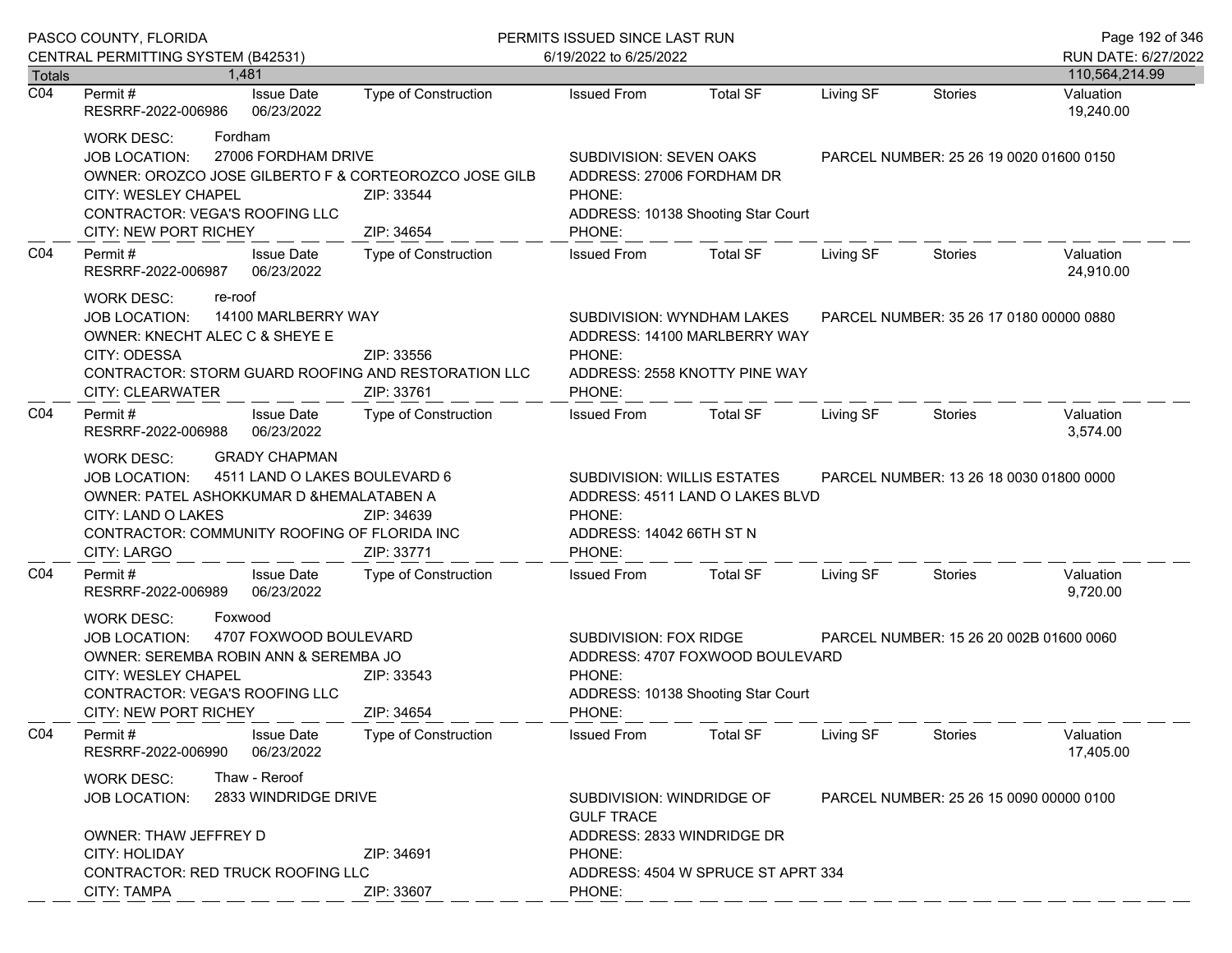| PASCO COUNTY, FLORIDA             |                                                                                                                                                                                                                                                           |                             | PERMITS ISSUED SINCE LAST RUN                                                                                       |                                                                                             |                                         |                                         | Page 192 of 346                          |
|-----------------------------------|-----------------------------------------------------------------------------------------------------------------------------------------------------------------------------------------------------------------------------------------------------------|-----------------------------|---------------------------------------------------------------------------------------------------------------------|---------------------------------------------------------------------------------------------|-----------------------------------------|-----------------------------------------|------------------------------------------|
|                                   | CENTRAL PERMITTING SYSTEM (B42531)                                                                                                                                                                                                                        |                             | 6/19/2022 to 6/25/2022                                                                                              |                                                                                             |                                         |                                         | RUN DATE: 6/27/2022                      |
| <b>Totals</b><br>$\overline{CO4}$ | 1.481<br><b>Issue Date</b><br>Permit #<br>RESRRF-2022-006986<br>06/23/2022                                                                                                                                                                                | <b>Type of Construction</b> | <b>Issued From</b>                                                                                                  | <b>Total SF</b>                                                                             | Living SF                               | <b>Stories</b>                          | 110,564,214.99<br>Valuation<br>19,240.00 |
|                                   | Fordham<br><b>WORK DESC:</b><br>27006 FORDHAM DRIVE<br><b>JOB LOCATION:</b><br>OWNER: OROZCO JOSE GILBERTO F & CORTEOROZCO JOSE GILB<br>CITY: WESLEY CHAPEL<br>ZIP: 33544<br>CONTRACTOR: VEGA'S ROOFING LLC<br><b>CITY: NEW PORT RICHEY</b><br>ZIP: 34654 |                             | SUBDIVISION: SEVEN OAKS<br>ADDRESS: 27006 FORDHAM DR<br>PHONE:<br>PHONE:                                            | ADDRESS: 10138 Shooting Star Court                                                          | PARCEL NUMBER: 25 26 19 0020 01600 0150 |                                         |                                          |
| CO <sub>4</sub>                   | Permit#<br><b>Issue Date</b><br>RESRRF-2022-006987<br>06/23/2022                                                                                                                                                                                          | Type of Construction        | <b>Issued From</b>                                                                                                  | <b>Total SF</b>                                                                             | Living SF                               | <b>Stories</b>                          | Valuation<br>24,910.00                   |
|                                   | <b>WORK DESC:</b><br>re-roof<br>14100 MARLBERRY WAY<br><b>JOB LOCATION:</b><br>OWNER: KNECHT ALEC C & SHEYE E<br>CITY: ODESSA<br>CONTRACTOR: STORM GUARD ROOFING AND RESTORATION LLC<br>CITY: CLEARWATER                                                  | ZIP: 33556<br>ZIP: 33761    | PHONE:<br>PHONE:                                                                                                    | SUBDIVISION: WYNDHAM LAKES<br>ADDRESS: 14100 MARLBERRY WAY<br>ADDRESS: 2558 KNOTTY PINE WAY |                                         | PARCEL NUMBER: 35 26 17 0180 00000 0880 |                                          |
| CO <sub>4</sub>                   | Permit#<br><b>Issue Date</b><br>06/23/2022<br>RESRRF-2022-006988                                                                                                                                                                                          | Type of Construction        | <b>Issued From</b>                                                                                                  | <b>Total SF</b>                                                                             | Living SF                               | Stories                                 | Valuation<br>3,574.00                    |
|                                   | <b>GRADY CHAPMAN</b><br>WORK DESC:<br>4511 LAND O LAKES BOULEVARD 6<br><b>JOB LOCATION:</b><br>OWNER: PATEL ASHOKKUMAR D & HEMALATABEN A<br>CITY: LAND O LAKES<br>CONTRACTOR: COMMUNITY ROOFING OF FLORIDA INC<br><b>CITY: LARGO</b>                      | ZIP: 34639<br>ZIP: 33771    | SUBDIVISION: WILLIS ESTATES<br>PHONE:<br>ADDRESS: 14042 66TH ST N<br>PHONE:                                         | ADDRESS: 4511 LAND O LAKES BLVD                                                             |                                         | PARCEL NUMBER: 13 26 18 0030 01800 0000 |                                          |
| CO <sub>4</sub>                   | Permit#<br><b>Issue Date</b><br>06/23/2022<br>RESRRF-2022-006989                                                                                                                                                                                          | Type of Construction        | <b>Issued From</b>                                                                                                  | <b>Total SF</b>                                                                             | Living SF                               | Stories                                 | Valuation<br>9,720.00                    |
|                                   | Foxwood<br><b>WORK DESC:</b><br>4707 FOXWOOD BOULEVARD<br><b>JOB LOCATION:</b><br>OWNER: SEREMBA ROBIN ANN & SEREMBA JO<br><b>CITY: WESLEY CHAPEL</b><br>ZIP: 33543<br>CONTRACTOR: VEGA'S ROOFING LLC<br><b>CITY: NEW PORT RICHEY</b><br>ZIP: 34654       |                             | SUBDIVISION: FOX RIDGE<br>ADDRESS: 4707 FOXWOOD BOULEVARD<br>PHONE:<br>ADDRESS: 10138 Shooting Star Court<br>PHONE: |                                                                                             |                                         | PARCEL NUMBER: 15 26 20 002B 01600 0060 |                                          |
| CO <sub>4</sub>                   | Permit#<br><b>Issue Date</b><br>06/23/2022<br>RESRRF-2022-006990                                                                                                                                                                                          | Type of Construction        | <b>Issued From</b>                                                                                                  | <b>Total SF</b>                                                                             | Living SF                               | Stories                                 | Valuation<br>17,405.00                   |
|                                   | Thaw - Reroof<br>WORK DESC:<br>2833 WINDRIDGE DRIVE<br><b>JOB LOCATION:</b><br>OWNER: THAW JEFFREY D                                                                                                                                                      |                             | SUBDIVISION: WINDRIDGE OF<br><b>GULF TRACE</b><br>ADDRESS: 2833 WINDRIDGE DR                                        |                                                                                             |                                         | PARCEL NUMBER: 25 26 15 0090 00000 0100 |                                          |
|                                   | <b>CITY: HOLIDAY</b><br>CONTRACTOR: RED TRUCK ROOFING LLC<br><b>CITY: TAMPA</b>                                                                                                                                                                           | ZIP: 34691<br>ZIP: 33607    | PHONE:<br>ADDRESS: 4504 W SPRUCE ST APRT 334<br>PHONE:                                                              |                                                                                             |                                         |                                         |                                          |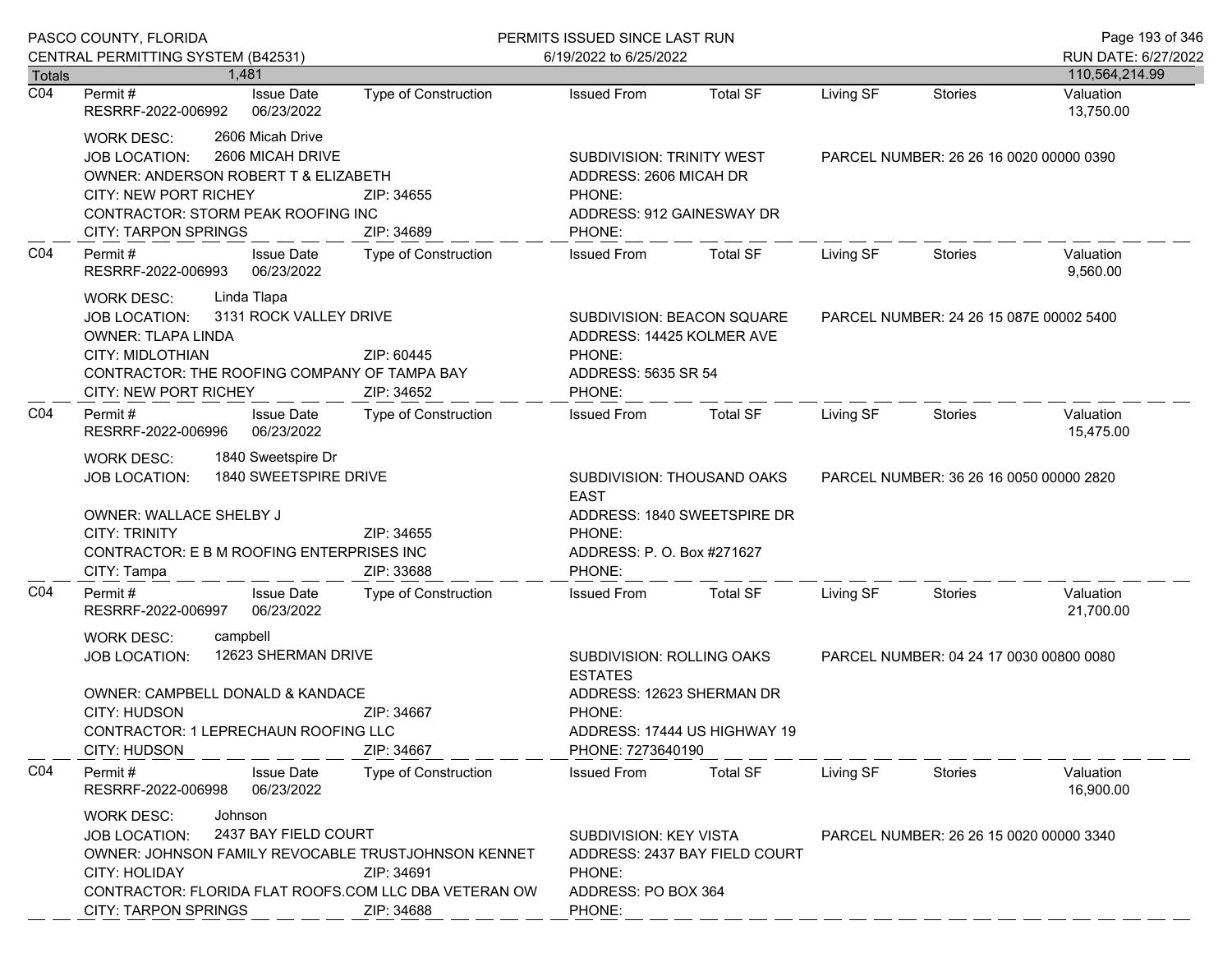|                  | PASCO COUNTY, FLORIDA                                                                                                                                                                                                                                                    | PERMITS ISSUED SINCE LAST RUN |                                                                                                                                         |                               |                                         | Page 193 of 346                         |                        |  |
|------------------|--------------------------------------------------------------------------------------------------------------------------------------------------------------------------------------------------------------------------------------------------------------------------|-------------------------------|-----------------------------------------------------------------------------------------------------------------------------------------|-------------------------------|-----------------------------------------|-----------------------------------------|------------------------|--|
|                  | CENTRAL PERMITTING SYSTEM (B42531)                                                                                                                                                                                                                                       |                               | 6/19/2022 to 6/25/2022                                                                                                                  |                               |                                         |                                         | RUN DATE: 6/27/2022    |  |
| <b>Totals</b>    | 1.481                                                                                                                                                                                                                                                                    |                               |                                                                                                                                         |                               |                                         |                                         | 110,564,214.99         |  |
| $\overline{CO4}$ | <b>Issue Date</b><br>Permit#<br>RESRRF-2022-006992<br>06/23/2022                                                                                                                                                                                                         | <b>Type of Construction</b>   | <b>Issued From</b>                                                                                                                      | <b>Total SF</b>               | Living SF                               | <b>Stories</b>                          | Valuation<br>13,750.00 |  |
|                  | 2606 Micah Drive<br><b>WORK DESC:</b><br>2606 MICAH DRIVE<br><b>JOB LOCATION:</b><br>OWNER: ANDERSON ROBERT T & ELIZABETH<br><b>CITY: NEW PORT RICHEY</b><br>ZIP: 34655<br>CONTRACTOR: STORM PEAK ROOFING INC<br><b>CITY: TARPON SPRINGS</b><br>ZIP: 34689               |                               | <b>SUBDIVISION: TRINITY WEST</b><br>ADDRESS: 2606 MICAH DR<br>PHONE:<br>ADDRESS: 912 GAINESWAY DR<br>PHONE:                             |                               | PARCEL NUMBER: 26 26 16 0020 00000 0390 |                                         |                        |  |
| CO <sub>4</sub>  | Permit#<br><b>Issue Date</b><br>RESRRF-2022-006993<br>06/23/2022                                                                                                                                                                                                         | Type of Construction          | <b>Issued From</b>                                                                                                                      | <b>Total SF</b>               | Living SF                               | <b>Stories</b>                          | Valuation<br>9,560.00  |  |
|                  | Linda Tlapa<br><b>WORK DESC:</b><br>3131 ROCK VALLEY DRIVE<br><b>JOB LOCATION:</b><br><b>OWNER: TLAPA LINDA</b><br>CITY: MIDLOTHIAN<br>CONTRACTOR: THE ROOFING COMPANY OF TAMPA BAY<br>CITY: NEW PORT RICHEY                                                             | ZIP: 60445<br>ZIP: 34652      | SUBDIVISION: BEACON SQUARE<br>ADDRESS: 14425 KOLMER AVE<br>PHONE:<br>ADDRESS: 5635 SR 54<br>PHONE:                                      |                               |                                         | PARCEL NUMBER: 24 26 15 087E 00002 5400 |                        |  |
| CO <sub>4</sub>  | Permit#<br><b>Issue Date</b><br>06/23/2022<br>RESRRF-2022-006996                                                                                                                                                                                                         | Type of Construction          | <b>Issued From</b>                                                                                                                      | <b>Total SF</b>               | Living SF                               | <b>Stories</b>                          | Valuation<br>15,475.00 |  |
|                  | 1840 Sweetspire Dr<br><b>WORK DESC:</b><br>1840 SWEETSPIRE DRIVE<br><b>JOB LOCATION:</b><br>OWNER: WALLACE SHELBY J<br><b>CITY: TRINITY</b><br>CONTRACTOR: E B M ROOFING ENTERPRISES INC<br>CITY: Tampa                                                                  | ZIP: 34655<br>ZIP: 33688      | SUBDIVISION: THOUSAND OAKS<br><b>EAST</b><br>ADDRESS: 1840 SWEETSPIRE DR<br>PHONE:<br>ADDRESS: P. O. Box #271627<br>PHONE:              |                               |                                         | PARCEL NUMBER: 36 26 16 0050 00000 2820 |                        |  |
| CO <sub>4</sub>  | <b>Issue Date</b><br>Permit#<br>RESRRF-2022-006997<br>06/23/2022                                                                                                                                                                                                         | <b>Type of Construction</b>   | <b>Issued From</b>                                                                                                                      | <b>Total SF</b>               | Living SF                               | <b>Stories</b>                          | Valuation<br>21,700.00 |  |
|                  | <b>WORK DESC:</b><br>campbell<br>12623 SHERMAN DRIVE<br><b>JOB LOCATION:</b><br>OWNER: CAMPBELL DONALD & KANDACE<br><b>CITY: HUDSON</b><br>ZIP: 34667<br>CONTRACTOR: 1 LEPRECHAUN ROOFING LLC<br>CITY: HUDSON<br>ZIP: 34667                                              |                               | SUBDIVISION: ROLLING OAKS<br><b>ESTATES</b><br>ADDRESS: 12623 SHERMAN DR<br>PHONE:<br>ADDRESS: 17444 US HIGHWAY 19<br>PHONE: 7273640190 |                               | PARCEL NUMBER: 04 24 17 0030 00800 0080 |                                         |                        |  |
| CO <sub>4</sub>  | Permit#<br><b>Issue Date</b><br>RESRRF-2022-006998<br>06/23/2022                                                                                                                                                                                                         | <b>Type of Construction</b>   | <b>Issued From</b>                                                                                                                      | <b>Total SF</b>               | Living SF                               | Stories                                 | Valuation<br>16,900.00 |  |
|                  | Johnson<br><b>WORK DESC:</b><br>2437 BAY FIELD COURT<br><b>JOB LOCATION:</b><br>OWNER: JOHNSON FAMILY REVOCABLE TRUSTJOHNSON KENNET<br>CITY: HOLIDAY<br>ZIP: 34691<br>CONTRACTOR: FLORIDA FLAT ROOFS.COM LLC DBA VETERAN OW<br><b>CITY: TARPON SPRINGS</b><br>ZIP: 34688 |                               | <b>SUBDIVISION: KEY VISTA</b><br>PHONE:<br>ADDRESS: PO BOX 364<br>PHONE:                                                                | ADDRESS: 2437 BAY FIELD COURT |                                         | PARCEL NUMBER: 26 26 15 0020 00000 3340 |                        |  |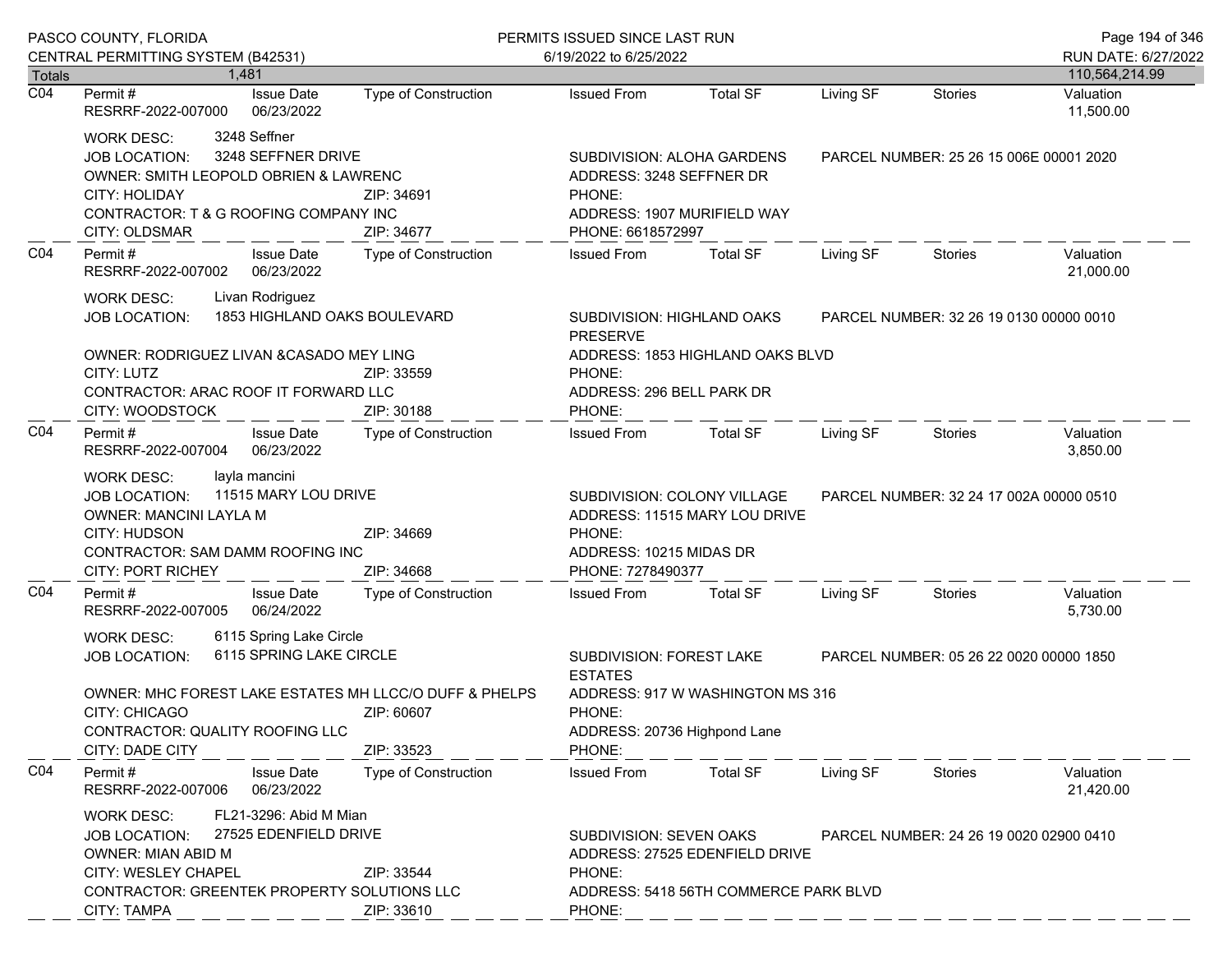|                  | PASCO COUNTY, FLORIDA                                                                                                                                                                                                                                               |                             | PERMITS ISSUED SINCE LAST RUN                                                                                                                                                 |                 |           |                                         | Page 194 of 346        |
|------------------|---------------------------------------------------------------------------------------------------------------------------------------------------------------------------------------------------------------------------------------------------------------------|-----------------------------|-------------------------------------------------------------------------------------------------------------------------------------------------------------------------------|-----------------|-----------|-----------------------------------------|------------------------|
|                  | CENTRAL PERMITTING SYSTEM (B42531)                                                                                                                                                                                                                                  |                             | 6/19/2022 to 6/25/2022                                                                                                                                                        |                 |           |                                         | RUN DATE: 6/27/2022    |
| <b>Totals</b>    | 1.481                                                                                                                                                                                                                                                               |                             |                                                                                                                                                                               |                 |           |                                         | 110,564,214.99         |
| $\overline{CO4}$ | <b>Issue Date</b><br>Permit #<br>RESRRF-2022-007000<br>06/23/2022                                                                                                                                                                                                   | <b>Type of Construction</b> | <b>Issued From</b>                                                                                                                                                            | <b>Total SF</b> | Living SF | <b>Stories</b>                          | Valuation<br>11,500.00 |
|                  | 3248 Seffner<br><b>WORK DESC:</b><br>3248 SEFFNER DRIVE<br><b>JOB LOCATION:</b><br>OWNER: SMITH LEOPOLD OBRIEN & LAWRENC<br>CITY: HOLIDAY<br>ZIP: 34691<br>CONTRACTOR: T & G ROOFING COMPANY INC<br>CITY: OLDSMAR<br>ZIP: 34677                                     |                             | SUBDIVISION: ALOHA GARDENS<br>ADDRESS: 3248 SEFFNER DR<br>PHONE:<br>ADDRESS: 1907 MURIFIELD WAY<br>PHONE: 6618572997                                                          |                 |           | PARCEL NUMBER: 25 26 15 006E 00001 2020 |                        |
| CO <sub>4</sub>  | Permit#<br><b>Issue Date</b><br>06/23/2022<br>RESRRF-2022-007002                                                                                                                                                                                                    | Type of Construction        | <b>Issued From</b>                                                                                                                                                            | <b>Total SF</b> | Living SF | <b>Stories</b>                          | Valuation<br>21,000.00 |
|                  | Livan Rodriguez<br><b>WORK DESC:</b><br>1853 HIGHLAND OAKS BOULEVARD<br><b>JOB LOCATION:</b>                                                                                                                                                                        |                             | SUBDIVISION: HIGHLAND OAKS<br><b>PRESERVE</b>                                                                                                                                 |                 |           | PARCEL NUMBER: 32 26 19 0130 00000 0010 |                        |
|                  | OWNER: RODRIGUEZ LIVAN & CASADO MEY LING<br>CITY: LUTZ<br>ZIP: 33559<br>CONTRACTOR: ARAC ROOF IT FORWARD LLC<br>CITY: WOODSTOCK<br>ZIP: 30188                                                                                                                       |                             | ADDRESS: 1853 HIGHLAND OAKS BLVD<br>PHONE:<br>ADDRESS: 296 BELL PARK DR<br>PHONE:                                                                                             |                 |           |                                         |                        |
| CO <sub>4</sub>  | Permit#<br><b>Issue Date</b><br>06/23/2022<br>RESRRF-2022-007004                                                                                                                                                                                                    | Type of Construction        | <b>Issued From</b>                                                                                                                                                            | <b>Total SF</b> | Living SF | Stories                                 | Valuation<br>3,850.00  |
|                  | layla mancini<br><b>WORK DESC:</b><br>11515 MARY LOU DRIVE<br><b>JOB LOCATION:</b><br>OWNER: MANCINI LAYLA M<br>CITY: HUDSON<br>ZIP: 34669<br>CONTRACTOR: SAM DAMM ROOFING INC<br>CITY: PORT RICHEY<br>ZIP: 34668                                                   |                             | SUBDIVISION: COLONY VILLAGE<br>ADDRESS: 11515 MARY LOU DRIVE<br>PHONE:<br>ADDRESS: 10215 MIDAS DR<br>PHONE: 7278490377                                                        |                 |           | PARCEL NUMBER: 32 24 17 002A 00000 0510 |                        |
| CO <sub>4</sub>  | <b>Issue Date</b><br>Permit#<br>RESRRF-2022-007005<br>06/24/2022                                                                                                                                                                                                    | Type of Construction        | <b>Issued From</b>                                                                                                                                                            | <b>Total SF</b> | Living SF | <b>Stories</b>                          | Valuation<br>5,730.00  |
|                  | 6115 Spring Lake Circle<br><b>WORK DESC:</b><br>6115 SPRING LAKE CIRCLE<br><b>JOB LOCATION:</b><br>OWNER: MHC FOREST LAKE ESTATES MH LLCC/O DUFF & PHELPS<br>CITY: CHICAGO<br>ZIP: 60607<br>CONTRACTOR: QUALITY ROOFING LLC<br><b>CITY: DADE CITY</b><br>ZIP: 33523 |                             | SUBDIVISION: FOREST LAKE<br>PARCEL NUMBER: 05 26 22 0020 00000 1850<br><b>ESTATES</b><br>ADDRESS: 917 W WASHINGTON MS 316<br>PHONE:<br>ADDRESS: 20736 Highpond Lane<br>PHONE: |                 |           |                                         |                        |
| CO4              | Permit#<br><b>Issue Date</b><br>RESRRF-2022-007006<br>06/23/2022                                                                                                                                                                                                    | <b>Type of Construction</b> | <b>Issued From</b>                                                                                                                                                            | <b>Total SF</b> | Living SF | Stories                                 | Valuation<br>21,420.00 |
|                  | FL21-3296: Abid M Mian<br><b>WORK DESC:</b><br>27525 EDENFIELD DRIVE<br><b>JOB LOCATION:</b><br><b>OWNER: MIAN ABID M</b><br><b>CITY: WESLEY CHAPEL</b><br>ZIP: 33544<br>CONTRACTOR: GREENTEK PROPERTY SOLUTIONS LLC<br>CITY: TAMPA<br>ZIP: 33610                   |                             | SUBDIVISION: SEVEN OAKS<br>PARCEL NUMBER: 24 26 19 0020 02900 0410<br>ADDRESS: 27525 EDENFIELD DRIVE<br>PHONE:<br>ADDRESS: 5418 56TH COMMERCE PARK BLVD<br>PHONE:             |                 |           |                                         |                        |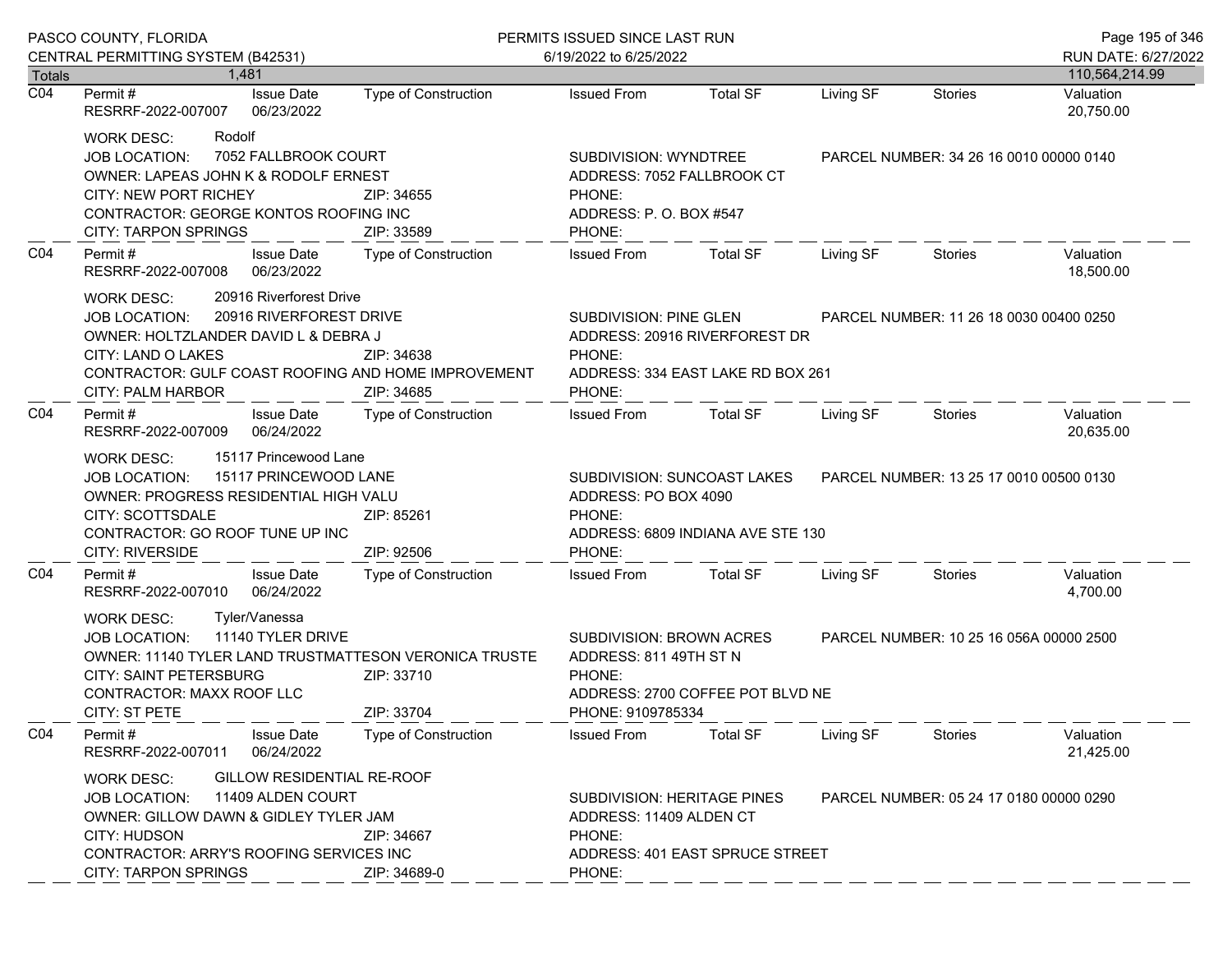|                  | PASCO COUNTY, FLORIDA<br>CENTRAL PERMITTING SYSTEM (B42531)                                                                                                                                                                                                          | PERMITS ISSUED SINCE LAST RUN<br>6/19/2022 to 6/25/2022                                                                       |                                                                                                                  |                                  |                                         |                                         | Page 195 of 346<br>RUN DATE: 6/27/2022 |
|------------------|----------------------------------------------------------------------------------------------------------------------------------------------------------------------------------------------------------------------------------------------------------------------|-------------------------------------------------------------------------------------------------------------------------------|------------------------------------------------------------------------------------------------------------------|----------------------------------|-----------------------------------------|-----------------------------------------|----------------------------------------|
| <b>Totals</b>    | 1.481                                                                                                                                                                                                                                                                |                                                                                                                               |                                                                                                                  |                                  |                                         |                                         | 110,564,214.99                         |
| $\overline{CO4}$ | <b>Issue Date</b><br>Permit #<br>RESRRF-2022-007007<br>06/23/2022                                                                                                                                                                                                    | <b>Type of Construction</b>                                                                                                   | <b>Issued From</b>                                                                                               | <b>Total SF</b>                  | Living SF                               | <b>Stories</b>                          | Valuation<br>20,750.00                 |
|                  | Rodolf<br>WORK DESC:<br>7052 FALLBROOK COURT<br><b>JOB LOCATION:</b><br>OWNER: LAPEAS JOHN K & RODOLF ERNEST<br><b>CITY: NEW PORT RICHEY</b><br>CONTRACTOR: GEORGE KONTOS ROOFING INC<br><b>CITY: TARPON SPRINGS</b>                                                 | SUBDIVISION: WYNDTREE<br>ADDRESS: 7052 FALLBROOK CT<br>ZIP: 34655<br>PHONE:<br>ADDRESS: P.O. BOX #547<br>ZIP: 33589<br>PHONE: |                                                                                                                  |                                  | PARCEL NUMBER: 34 26 16 0010 00000 0140 |                                         |                                        |
| CO <sub>4</sub>  | Permit#<br><b>Issue Date</b><br>06/23/2022<br>RESRRF-2022-007008                                                                                                                                                                                                     | <b>Type of Construction</b>                                                                                                   | <b>Issued From</b>                                                                                               | <b>Total SF</b>                  | Living SF                               | <b>Stories</b>                          | Valuation<br>18,500.00                 |
|                  | 20916 Riverforest Drive<br>WORK DESC:<br>20916 RIVERFOREST DRIVE<br><b>JOB LOCATION:</b><br>OWNER: HOLTZLANDER DAVID L & DEBRA J<br>CITY: LAND O LAKES<br>ZIP: 34638<br>CONTRACTOR: GULF COAST ROOFING AND HOME IMPROVEMENT<br>ZIP: 34685<br>CITY: PALM HARBOR       |                                                                                                                               | SUBDIVISION: PINE GLEN<br>ADDRESS: 20916 RIVERFOREST DR<br>PHONE:<br>ADDRESS: 334 EAST LAKE RD BOX 261<br>PHONE: |                                  | PARCEL NUMBER: 11 26 18 0030 00400 0250 |                                         |                                        |
| CO <sub>4</sub>  | Permit#<br><b>Issue Date</b><br>06/24/2022<br>RESRRF-2022-007009                                                                                                                                                                                                     | Type of Construction                                                                                                          | <b>Issued From</b>                                                                                               | <b>Total SF</b>                  | Living SF                               | Stories                                 | Valuation<br>20,635.00                 |
|                  | 15117 Princewood Lane<br>WORK DESC:<br>15117 PRINCEWOOD LANE<br><b>JOB LOCATION:</b><br>OWNER: PROGRESS RESIDENTIAL HIGH VALU<br>CITY: SCOTTSDALE<br>ZIP: 85261<br>CONTRACTOR: GO ROOF TUNE UP INC<br>CITY: RIVERSIDE<br>ZIP: 92506                                  |                                                                                                                               | SUBDIVISION: SUNCOAST LAKES<br>ADDRESS: PO BOX 4090<br>PHONE:<br>ADDRESS: 6809 INDIANA AVE STE 130<br>PHONE:     |                                  | PARCEL NUMBER: 13 25 17 0010 00500 0130 |                                         |                                        |
| CO <sub>4</sub>  | Permit#<br><b>Issue Date</b><br>RESRRF-2022-007010<br>06/24/2022                                                                                                                                                                                                     | Type of Construction                                                                                                          | <b>Issued From</b>                                                                                               | <b>Total SF</b>                  | Living SF                               | <b>Stories</b>                          | Valuation<br>4,700.00                  |
|                  | Tyler/Vanessa<br>WORK DESC:<br>11140 TYLER DRIVE<br>JOB LOCATION:<br>OWNER: 11140 TYLER LAND TRUSTMATTESON VERONICA TRUSTE<br><b>CITY: SAINT PETERSBURG</b><br>ZIP: 33710<br>CONTRACTOR: MAXX ROOF LLC<br>CITY: ST PETE<br>ZIP: 33704                                |                                                                                                                               | SUBDIVISION: BROWN ACRES<br>ADDRESS: 811 49TH ST N<br>PHONE:<br>PHONE: 9109785334                                | ADDRESS: 2700 COFFEE POT BLVD NE |                                         | PARCEL NUMBER: 10 25 16 056A 00000 2500 |                                        |
| CO <sub>4</sub>  | Permit#<br><b>Issue Date</b><br>06/24/2022<br>RESRRF-2022-007011                                                                                                                                                                                                     | <b>Type of Construction</b>                                                                                                   | <b>Issued From</b>                                                                                               | <b>Total SF</b>                  | Living SF                               | <b>Stories</b>                          | Valuation<br>21,425.00                 |
|                  | GILLOW RESIDENTIAL RE-ROOF<br><b>WORK DESC:</b><br>11409 ALDEN COURT<br><b>JOB LOCATION:</b><br>OWNER: GILLOW DAWN & GIDLEY TYLER JAM<br><b>CITY: HUDSON</b><br>ZIP: 34667<br>CONTRACTOR: ARRY'S ROOFING SERVICES INC<br><b>CITY: TARPON SPRINGS</b><br>ZIP: 34689-0 |                                                                                                                               | SUBDIVISION: HERITAGE PINES<br>ADDRESS: 11409 ALDEN CT<br>PHONE:<br>ADDRESS: 401 EAST SPRUCE STREET<br>PHONE:    |                                  |                                         | PARCEL NUMBER: 05 24 17 0180 00000 0290 |                                        |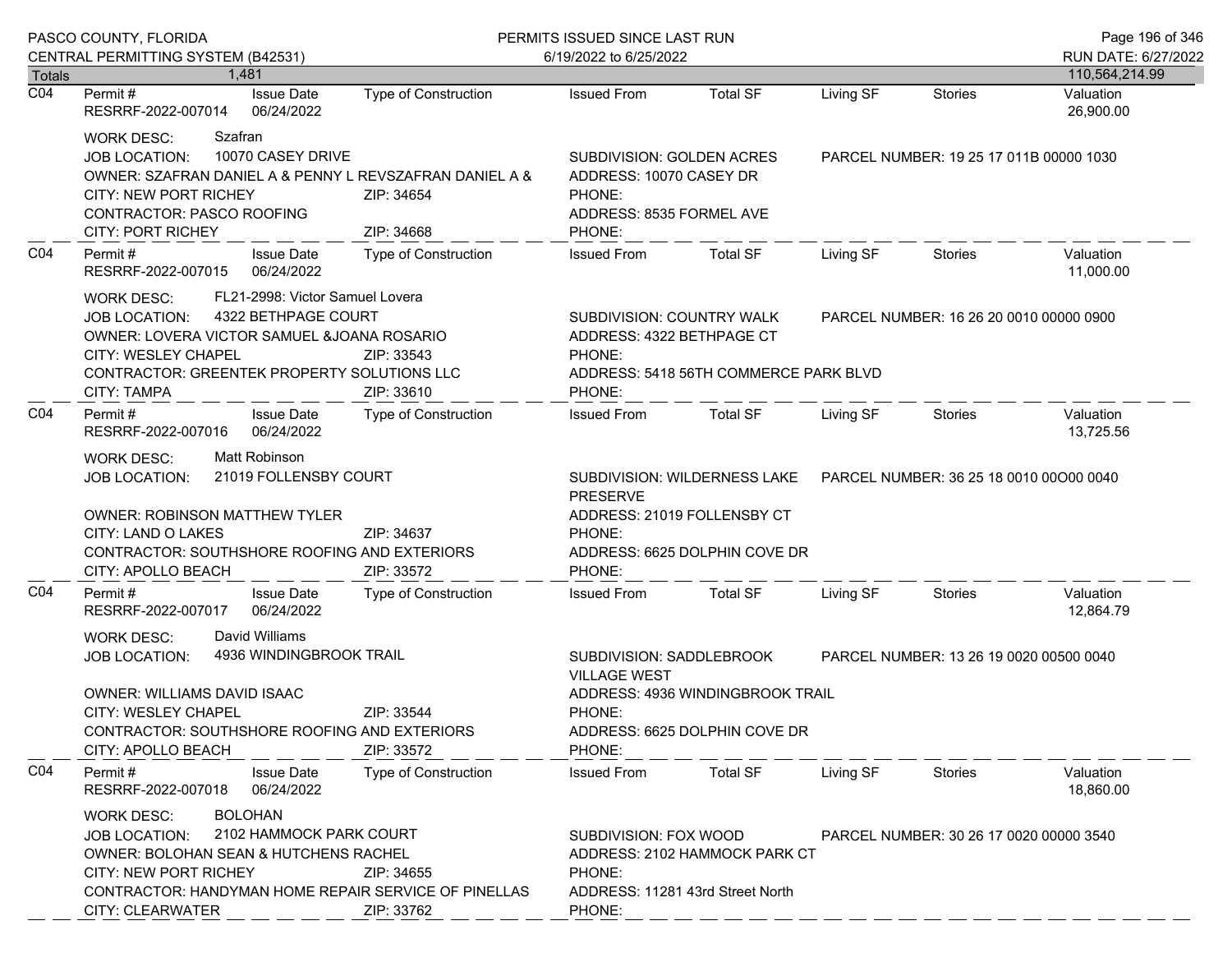| PASCO COUNTY, FLORIDA             |                                                                                                                                                                                                                                                                                    |                             | PERMITS ISSUED SINCE LAST RUN                                                                                  |                                                                   |                                         |                                         | Page 196 of 346             |  |
|-----------------------------------|------------------------------------------------------------------------------------------------------------------------------------------------------------------------------------------------------------------------------------------------------------------------------------|-----------------------------|----------------------------------------------------------------------------------------------------------------|-------------------------------------------------------------------|-----------------------------------------|-----------------------------------------|-----------------------------|--|
|                                   | CENTRAL PERMITTING SYSTEM (B42531)                                                                                                                                                                                                                                                 |                             | 6/19/2022 to 6/25/2022                                                                                         |                                                                   |                                         |                                         | RUN DATE: 6/27/2022         |  |
| <b>Totals</b><br>$\overline{CO4}$ | 1.481<br><b>Issue Date</b><br>Permit#                                                                                                                                                                                                                                              | Type of Construction        | <b>Issued From</b>                                                                                             | <b>Total SF</b>                                                   | Living SF                               | <b>Stories</b>                          | 110,564,214.99<br>Valuation |  |
|                                   | RESRRF-2022-007014<br>06/24/2022                                                                                                                                                                                                                                                   |                             |                                                                                                                |                                                                   |                                         |                                         | 26,900.00                   |  |
|                                   | Szafran<br><b>WORK DESC:</b><br>10070 CASEY DRIVE<br><b>JOB LOCATION:</b><br>OWNER: SZAFRAN DANIEL A & PENNY L REVSZAFRAN DANIEL A &<br><b>CITY: NEW PORT RICHEY</b><br>ZIP: 34654<br><b>CONTRACTOR: PASCO ROOFING</b><br><b>CITY: PORT RICHEY</b><br>ZIP: 34668                   |                             | SUBDIVISION: GOLDEN ACRES<br>ADDRESS: 10070 CASEY DR<br>PHONE:<br>ADDRESS: 8535 FORMEL AVE<br>PHONE:           |                                                                   | PARCEL NUMBER: 19 25 17 011B 00000 1030 |                                         |                             |  |
| CO <sub>4</sub>                   | Permit#<br><b>Issue Date</b><br>RESRRF-2022-007015<br>06/24/2022                                                                                                                                                                                                                   | Type of Construction        | <b>Issued From</b>                                                                                             | <b>Total SF</b>                                                   | Living SF                               | <b>Stories</b>                          | Valuation<br>11,000.00      |  |
|                                   | FL21-2998: Victor Samuel Lovera<br><b>WORK DESC:</b><br>4322 BETHPAGE COURT<br>JOB LOCATION:<br>OWNER: LOVERA VICTOR SAMUEL & JOANA ROSARIO<br>CITY: WESLEY CHAPEL<br>ZIP: 33543<br>CONTRACTOR: GREENTEK PROPERTY SOLUTIONS LLC<br><b>CITY: TAMPA</b><br>ZIP: 33610                |                             | SUBDIVISION: COUNTRY WALK<br>ADDRESS: 4322 BETHPAGE CT<br>PHONE:<br>PHONE:                                     | ADDRESS: 5418 56TH COMMERCE PARK BLVD                             | PARCEL NUMBER: 16 26 20 0010 00000 0900 |                                         |                             |  |
| CO <sub>4</sub>                   | Permit#<br><b>Issue Date</b><br>06/24/2022<br>RESRRF-2022-007016                                                                                                                                                                                                                   | Type of Construction        | <b>Issued From</b>                                                                                             | Total SF                                                          | Living SF                               | Stories                                 | Valuation<br>13,725.56      |  |
|                                   | <b>Matt Robinson</b><br><b>WORK DESC:</b><br>21019 FOLLENSBY COURT<br><b>JOB LOCATION:</b><br><b>OWNER: ROBINSON MATTHEW TYLER</b>                                                                                                                                                 |                             | <b>PRESERVE</b>                                                                                                | SUBDIVISION: WILDERNESS LAKE<br>ADDRESS: 21019 FOLLENSBY CT       |                                         | PARCEL NUMBER: 36 25 18 0010 00000 0040 |                             |  |
|                                   | CITY: LAND O LAKES<br>CONTRACTOR: SOUTHSHORE ROOFING AND EXTERIORS<br>CITY: APOLLO BEACH                                                                                                                                                                                           | ZIP: 34637<br>ZIP: 33572    | PHONE:<br>PHONE:                                                                                               | ADDRESS: 6625 DOLPHIN COVE DR                                     |                                         |                                         |                             |  |
| CO <sub>4</sub>                   | <b>Issue Date</b><br>Permit#<br>RESRRF-2022-007017<br>06/24/2022                                                                                                                                                                                                                   | Type of Construction        | <b>Issued From</b>                                                                                             | <b>Total SF</b>                                                   | Living SF                               | <b>Stories</b>                          | Valuation<br>12,864.79      |  |
|                                   | David Williams<br><b>WORK DESC:</b><br>4936 WINDINGBROOK TRAIL<br><b>JOB LOCATION:</b><br><b>OWNER: WILLIAMS DAVID ISAAC</b><br>CITY: WESLEY CHAPEL<br>ZIP: 33544<br>CONTRACTOR: SOUTHSHORE ROOFING AND EXTERIORS<br>ZIP: 33572<br>CITY: APOLLO BEACH                              |                             | SUBDIVISION: SADDLEBROOK<br><b>VILLAGE WEST</b><br>PHONE:<br>PHONE:                                            | ADDRESS: 4936 WINDINGBROOK TRAIL<br>ADDRESS: 6625 DOLPHIN COVE DR |                                         | PARCEL NUMBER: 13 26 19 0020 00500 0040 |                             |  |
| CO <sub>4</sub>                   | Permit#<br><b>Issue Date</b><br>RESRRF-2022-007018<br>06/24/2022                                                                                                                                                                                                                   | <b>Type of Construction</b> | <b>Issued From</b>                                                                                             | <b>Total SF</b>                                                   | Living SF                               | Stories                                 | Valuation<br>18,860.00      |  |
|                                   | <b>BOLOHAN</b><br><b>WORK DESC:</b><br>2102 HAMMOCK PARK COURT<br><b>JOB LOCATION:</b><br><b>OWNER: BOLOHAN SEAN &amp; HUTCHENS RACHEL</b><br><b>CITY: NEW PORT RICHEY</b><br>ZIP: 34655<br>CONTRACTOR: HANDYMAN HOME REPAIR SERVICE OF PINELLAS<br>CITY: CLEARWATER<br>ZIP: 33762 |                             | SUBDIVISION: FOX WOOD<br>ADDRESS: 2102 HAMMOCK PARK CT<br>PHONE:<br>ADDRESS: 11281 43rd Street North<br>PHONE: |                                                                   | PARCEL NUMBER: 30 26 17 0020 00000 3540 |                                         |                             |  |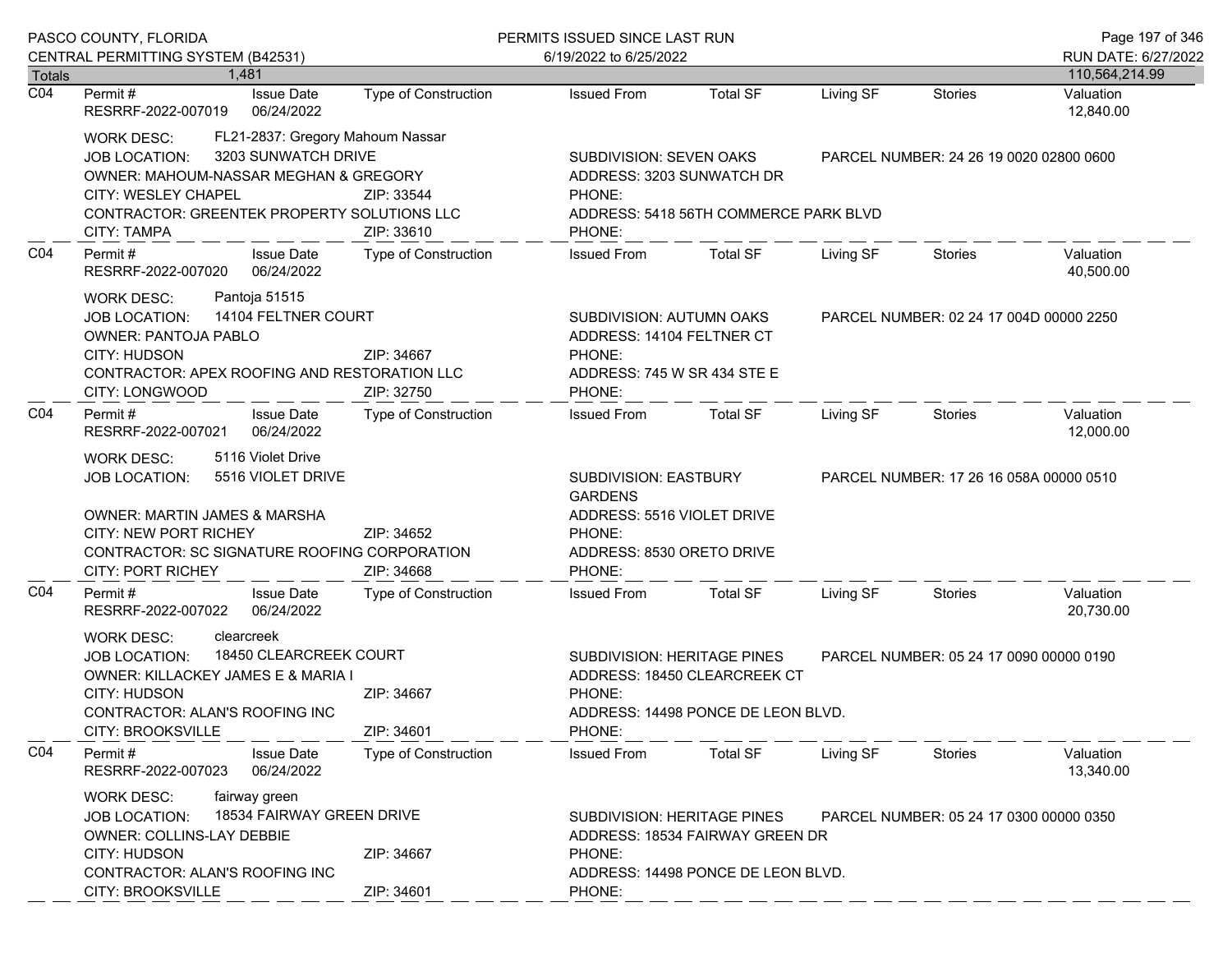|                                   | PASCO COUNTY, FLORIDA                                                                                                                                                                                                                                                  |                             | PERMITS ISSUED SINCE LAST RUN                                                                                                                                       |                                                                    |                                         |                                         | Page 197 of 346                          |
|-----------------------------------|------------------------------------------------------------------------------------------------------------------------------------------------------------------------------------------------------------------------------------------------------------------------|-----------------------------|---------------------------------------------------------------------------------------------------------------------------------------------------------------------|--------------------------------------------------------------------|-----------------------------------------|-----------------------------------------|------------------------------------------|
|                                   | CENTRAL PERMITTING SYSTEM (B42531)                                                                                                                                                                                                                                     |                             | 6/19/2022 to 6/25/2022                                                                                                                                              |                                                                    |                                         |                                         | RUN DATE: 6/27/2022                      |
| <b>Totals</b><br>$\overline{CO4}$ | 1.481<br><b>Issue Date</b><br>Permit #<br>RESRRF-2022-007019<br>06/24/2022                                                                                                                                                                                             | <b>Type of Construction</b> | <b>Issued From</b>                                                                                                                                                  | <b>Total SF</b>                                                    | Living SF                               | Stories                                 | 110,564,214.99<br>Valuation<br>12,840.00 |
|                                   | FL21-2837: Gregory Mahoum Nassar<br><b>WORK DESC:</b><br>3203 SUNWATCH DRIVE<br><b>JOB LOCATION:</b><br>OWNER: MAHOUM-NASSAR MEGHAN & GREGORY<br>CITY: WESLEY CHAPEL<br>CONTRACTOR: GREENTEK PROPERTY SOLUTIONS LLC<br>CITY: TAMPA                                     | ZIP: 33544<br>ZIP: 33610    | SUBDIVISION: SEVEN OAKS<br>ADDRESS: 3203 SUNWATCH DR<br>PHONE:<br>ADDRESS: 5418 56TH COMMERCE PARK BLVD<br>PHONE:                                                   |                                                                    |                                         | PARCEL NUMBER: 24 26 19 0020 02800 0600 |                                          |
| CO <sub>4</sub>                   | Permit#<br><b>Issue Date</b><br>06/24/2022<br>RESRRF-2022-007020                                                                                                                                                                                                       | Type of Construction        | <b>Issued From</b>                                                                                                                                                  | <b>Total SF</b>                                                    | Living SF                               | <b>Stories</b>                          | Valuation<br>40,500.00                   |
|                                   | Pantoja 51515<br><b>WORK DESC:</b><br>14104 FELTNER COURT<br><b>JOB LOCATION:</b><br><b>OWNER: PANTOJA PABLO</b><br><b>CITY: HUDSON</b><br>ZIP: 34667<br>CONTRACTOR: APEX ROOFING AND RESTORATION LLC<br>CITY: LONGWOOD<br>ZIP: 32750                                  |                             | SUBDIVISION: AUTUMN OAKS<br>ADDRESS: 14104 FELTNER CT<br>PHONE:<br>ADDRESS: 745 W SR 434 STE E<br>PHONE:                                                            |                                                                    |                                         | PARCEL NUMBER: 02 24 17 004D 00000 2250 |                                          |
| CO <sub>4</sub>                   | Permit#<br><b>Issue Date</b><br>RESRRF-2022-007021<br>06/24/2022                                                                                                                                                                                                       | <b>Type of Construction</b> | <b>Issued From</b>                                                                                                                                                  | <b>Total SF</b>                                                    | Living SF                               | Stories                                 | Valuation<br>12,000.00                   |
|                                   | 5116 Violet Drive<br><b>WORK DESC:</b><br>5516 VIOLET DRIVE<br><b>JOB LOCATION:</b><br><b>OWNER: MARTIN JAMES &amp; MARSHA</b><br><b>CITY: NEW PORT RICHEY</b><br>ZIP: 34652<br>CONTRACTOR: SC SIGNATURE ROOFING CORPORATION<br><b>CITY: PORT RICHEY</b><br>ZIP: 34668 |                             | SUBDIVISION: EASTBURY<br><b>GARDENS</b><br>ADDRESS: 5516 VIOLET DRIVE<br>PHONE:<br>ADDRESS: 8530 ORETO DRIVE<br>PHONE:                                              |                                                                    |                                         | PARCEL NUMBER: 17 26 16 058A 00000 0510 |                                          |
| CO <sub>4</sub>                   | <b>Issue Date</b><br>Permit#<br>06/24/2022<br>RESRRF-2022-007022                                                                                                                                                                                                       | Type of Construction        | <b>Issued From</b>                                                                                                                                                  | <b>Total SF</b>                                                    | Living SF                               | Stories                                 | Valuation<br>20,730.00                   |
|                                   | clearcreek<br><b>WORK DESC:</b><br>18450 CLEARCREEK COURT<br><b>JOB LOCATION:</b><br>OWNER: KILLACKEY JAMES E & MARIA I<br>ZIP: 34667<br>CITY: HUDSON<br>CONTRACTOR: ALAN'S ROOFING INC<br><b>CITY: BROOKSVILLE</b><br>ZIP: 34601                                      |                             | <b>SUBDIVISION: HERITAGE PINES</b><br>PHONE:<br>PHONE:                                                                                                              | ADDRESS: 18450 CLEARCREEK CT<br>ADDRESS: 14498 PONCE DE LEON BLVD. | PARCEL NUMBER: 05 24 17 0090 00000 0190 |                                         |                                          |
| C <sub>04</sub>                   | Permit#<br><b>Issue Date</b><br>RESRRF-2022-007023<br>06/24/2022                                                                                                                                                                                                       | Type of Construction        | <b>Issued From</b>                                                                                                                                                  | <b>Total SF</b>                                                    | Living SF                               | Stories                                 | Valuation<br>13,340.00                   |
|                                   | fairway green<br><b>WORK DESC:</b><br>18534 FAIRWAY GREEN DRIVE<br><b>JOB LOCATION:</b><br>OWNER: COLLINS-LAY DEBBIE<br><b>CITY: HUDSON</b><br>ZIP: 34667<br>CONTRACTOR: ALAN'S ROOFING INC<br><b>CITY: BROOKSVILLE</b><br>ZIP: 34601                                  |                             | SUBDIVISION: HERITAGE PINES<br>PARCEL NUMBER: 05 24 17 0300 00000 0350<br>ADDRESS: 18534 FAIRWAY GREEN DR<br>PHONE:<br>ADDRESS: 14498 PONCE DE LEON BLVD.<br>PHONE: |                                                                    |                                         |                                         |                                          |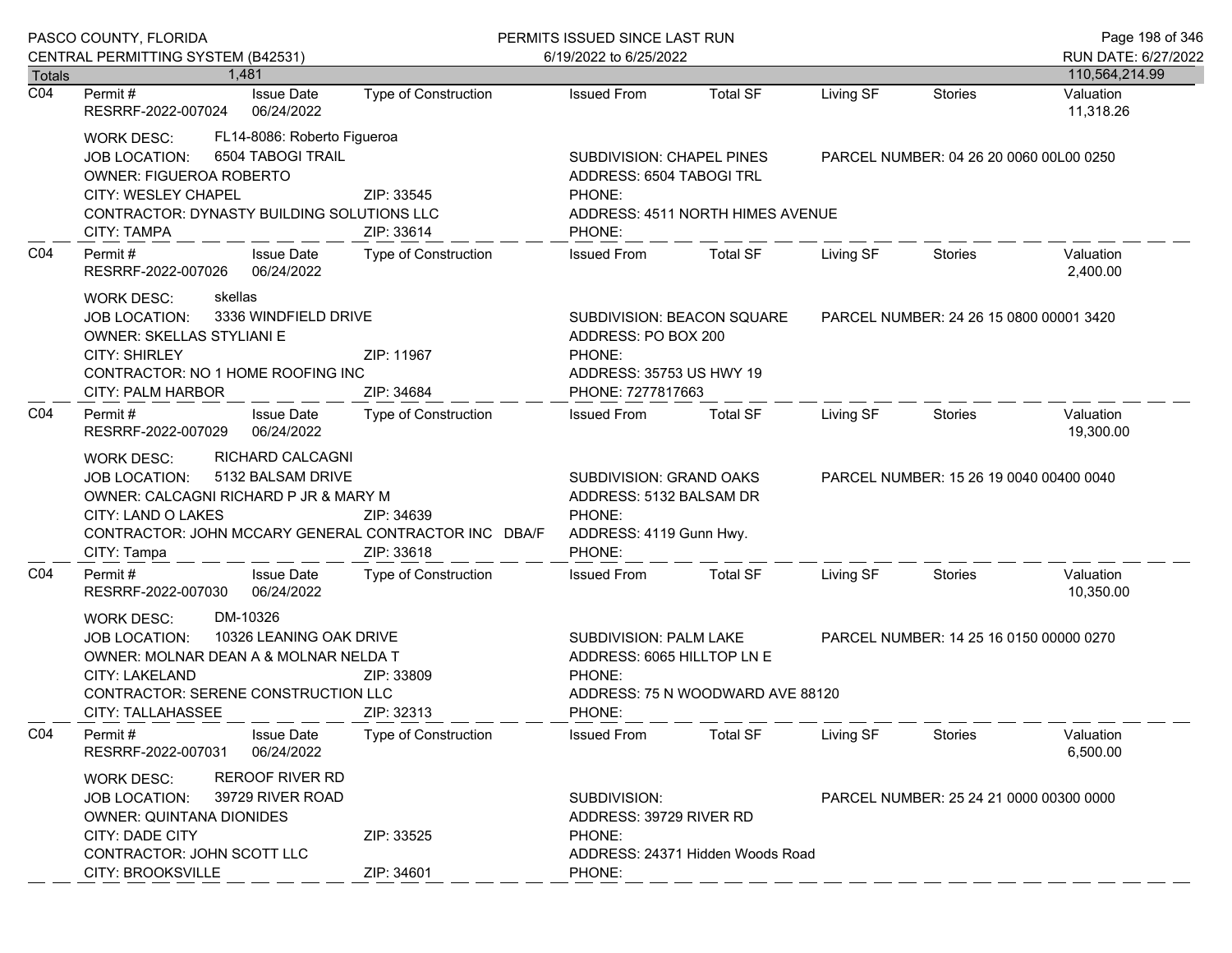|                  | PASCO COUNTY, FLORIDA<br>CENTRAL PERMITTING SYSTEM (B42531)                                                                                                                                                                                          |                                                         | PERMITS ISSUED SINCE LAST RUN<br>6/19/2022 to 6/25/2022                                                       |                                                                                                                                     |                                         |                                         | Page 198 of 346<br>RUN DATE: 6/27/2022 |  |
|------------------|------------------------------------------------------------------------------------------------------------------------------------------------------------------------------------------------------------------------------------------------------|---------------------------------------------------------|---------------------------------------------------------------------------------------------------------------|-------------------------------------------------------------------------------------------------------------------------------------|-----------------------------------------|-----------------------------------------|----------------------------------------|--|
| <b>Totals</b>    | 1.481                                                                                                                                                                                                                                                |                                                         |                                                                                                               |                                                                                                                                     |                                         |                                         | 110,564,214.99                         |  |
| $\overline{CO4}$ | <b>Issue Date</b><br>Permit #<br>RESRRF-2022-007024<br>06/24/2022                                                                                                                                                                                    | <b>Type of Construction</b>                             | <b>Issued From</b>                                                                                            | <b>Total SF</b>                                                                                                                     | Living SF                               | <b>Stories</b>                          | Valuation<br>11,318.26                 |  |
|                  | <b>WORK DESC:</b><br>6504 TABOGI TRAIL<br><b>JOB LOCATION:</b><br><b>OWNER: FIGUEROA ROBERTO</b><br>CITY: WESLEY CHAPEL<br>CONTRACTOR: DYNASTY BUILDING SOLUTIONS LLC<br><b>CITY: TAMPA</b>                                                          | FL14-8086: Roberto Figueroa<br>ZIP: 33545<br>ZIP: 33614 | SUBDIVISION: CHAPEL PINES<br>ADDRESS: 6504 TABOGI TRL<br>PHONE:<br>ADDRESS: 4511 NORTH HIMES AVENUE<br>PHONE: |                                                                                                                                     | PARCEL NUMBER: 04 26 20 0060 00L00 0250 |                                         |                                        |  |
| CO <sub>4</sub>  | Permit#<br>RESRRF-2022-007026                                                                                                                                                                                                                        | <b>Issue Date</b><br>Type of Construction<br>06/24/2022 |                                                                                                               | <b>Total SF</b>                                                                                                                     | Living SF                               | Stories                                 | Valuation<br>2,400.00                  |  |
|                  | skellas<br><b>WORK DESC:</b><br>3336 WINDFIELD DRIVE<br><b>JOB LOCATION:</b><br>OWNER: SKELLAS STYLIANI E<br><b>CITY: SHIRLEY</b><br>ZIP: 11967<br>CONTRACTOR: NO 1 HOME ROOFING INC<br>CITY: PALM HARBOR<br>ZIP: 34684                              |                                                         | PHONE:<br>PHONE: 7277817663                                                                                   | SUBDIVISION: BEACON SQUARE<br>ADDRESS: PO BOX 200<br>ADDRESS: 35753 US HWY 19                                                       |                                         | PARCEL NUMBER: 24 26 15 0800 00001 3420 |                                        |  |
| CO <sub>4</sub>  | Permit#<br><b>Issue Date</b><br>06/24/2022<br>RESRRF-2022-007029                                                                                                                                                                                     | Type of Construction                                    | Issued From                                                                                                   | <b>Total SF</b>                                                                                                                     | Living SF                               | Stories                                 | Valuation<br>19,300.00                 |  |
|                  | RICHARD CALCAGNI<br><b>WORK DESC:</b><br>5132 BALSAM DRIVE<br><b>JOB LOCATION:</b><br>OWNER: CALCAGNI RICHARD P JR & MARY M<br>CITY: LAND O LAKES<br>ZIP: 34639<br>CONTRACTOR: JOHN MCCARY GENERAL CONTRACTOR INC DBA/F<br>CITY: Tampa<br>ZIP: 33618 |                                                         | SUBDIVISION: GRAND OAKS<br>ADDRESS: 5132 BALSAM DR<br>PHONE:<br>ADDRESS: 4119 Gunn Hwy.<br>PHONE:             |                                                                                                                                     |                                         | PARCEL NUMBER: 15 26 19 0040 00400 0040 |                                        |  |
| CO <sub>4</sub>  | Permit#<br><b>Issue Date</b><br>RESRRF-2022-007030<br>06/24/2022                                                                                                                                                                                     | Type of Construction                                    | <b>Issued From</b>                                                                                            | <b>Total SF</b>                                                                                                                     | Living SF                               | Stories                                 | Valuation<br>10,350.00                 |  |
|                  | DM-10326<br><b>WORK DESC:</b><br>10326 LEANING OAK DRIVE<br><b>JOB LOCATION:</b><br>OWNER: MOLNAR DEAN A & MOLNAR NELDA T<br>CITY: LAKELAND<br>ZIP: 33809<br>CONTRACTOR: SERENE CONSTRUCTION LLC<br>ZIP: 32313<br><b>CITY: TALLAHASSEE</b>           |                                                         | PHONE:<br>PHONE:                                                                                              | SUBDIVISION: PALM LAKE<br>PARCEL NUMBER: 14 25 16 0150 00000 0270<br>ADDRESS: 6065 HILLTOP LN E<br>ADDRESS: 75 N WOODWARD AVE 88120 |                                         |                                         |                                        |  |
| CO <sub>4</sub>  | Permit#<br><b>Issue Date</b><br>RESRRF-2022-007031                                                                                                                                                                                                   | <b>Type of Construction</b><br>06/24/2022               | <b>Issued From</b>                                                                                            | <b>Total SF</b>                                                                                                                     | Living SF                               | <b>Stories</b>                          | Valuation<br>6,500.00                  |  |
|                  | <b>REROOF RIVER RD</b><br><b>WORK DESC:</b><br>39729 RIVER ROAD<br><b>JOB LOCATION:</b><br><b>OWNER: QUINTANA DIONIDES</b><br><b>CITY: DADE CITY</b><br>ZIP: 33525<br>CONTRACTOR: JOHN SCOTT LLC                                                     |                                                         | SUBDIVISION:<br>ADDRESS: 39729 RIVER RD<br>PHONE:<br>ADDRESS: 24371 Hidden Woods Road                         |                                                                                                                                     |                                         | PARCEL NUMBER: 25 24 21 0000 00300 0000 |                                        |  |
|                  | CITY: BROOKSVILLE                                                                                                                                                                                                                                    | ZIP: 34601                                              | PHONE:                                                                                                        |                                                                                                                                     |                                         |                                         |                                        |  |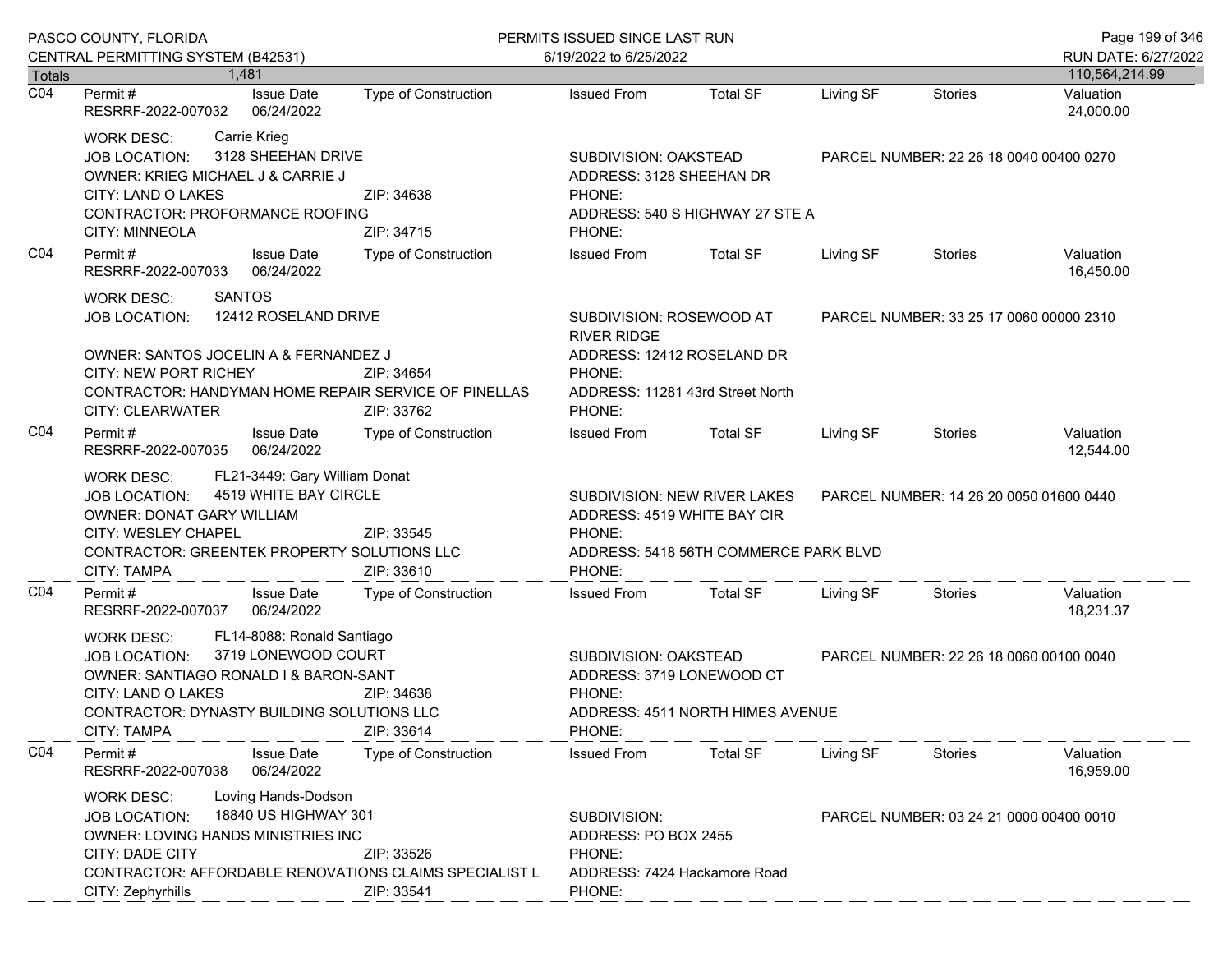|                  | PASCO COUNTY, FLORIDA<br>CENTRAL PERMITTING SYSTEM (B42531)                                                                                                                                                                                                                |                             | PERMITS ISSUED SINCE LAST RUN<br>6/19/2022 to 6/25/2022                                  |                                                                       |                                         |                                         | Page 199 of 346<br>RUN DATE: 6/27/2022  |  |
|------------------|----------------------------------------------------------------------------------------------------------------------------------------------------------------------------------------------------------------------------------------------------------------------------|-----------------------------|------------------------------------------------------------------------------------------|-----------------------------------------------------------------------|-----------------------------------------|-----------------------------------------|-----------------------------------------|--|
| Totals           | 1.481                                                                                                                                                                                                                                                                      |                             |                                                                                          |                                                                       |                                         |                                         | 110,564,214.99                          |  |
| $\overline{CO4}$ | <b>Issue Date</b><br>Permit #<br>RESRRF-2022-007032<br>06/24/2022                                                                                                                                                                                                          | <b>Type of Construction</b> | <b>Issued From</b>                                                                       | <b>Total SF</b>                                                       | Living SF                               | <b>Stories</b>                          | Valuation<br>24,000.00                  |  |
|                  | Carrie Krieg<br>WORK DESC:<br>3128 SHEEHAN DRIVE<br><b>JOB LOCATION:</b><br>OWNER: KRIEG MICHAEL J & CARRIE J<br>CITY: LAND O LAKES<br>ZIP: 34638<br>CONTRACTOR: PROFORMANCE ROOFING<br>CITY: MINNEOLA<br>ZIP: 34715                                                       |                             | SUBDIVISION: OAKSTEAD<br>ADDRESS: 3128 SHEEHAN DR<br>PHONE:<br>PHONE:                    | ADDRESS: 540 S HIGHWAY 27 STE A                                       | PARCEL NUMBER: 22 26 18 0040 00400 0270 |                                         |                                         |  |
| CO <sub>4</sub>  | <b>Issue Date</b><br>Permit#<br>RESRRF-2022-007033<br>06/24/2022                                                                                                                                                                                                           | Type of Construction        | <b>Issued From</b>                                                                       | <b>Total SF</b>                                                       | Living SF                               | <b>Stories</b>                          | Valuation<br>16,450.00                  |  |
|                  | <b>SANTOS</b><br><b>WORK DESC:</b><br>12412 ROSELAND DRIVE<br><b>JOB LOCATION:</b><br>OWNER: SANTOS JOCELIN A & FERNANDEZ J                                                                                                                                                |                             | SUBDIVISION: ROSEWOOD AT<br><b>RIVER RIDGE</b><br>PHONE:                                 | ADDRESS: 12412 ROSELAND DR                                            |                                         |                                         | PARCEL NUMBER: 33 25 17 0060 00000 2310 |  |
|                  | <b>CITY: NEW PORT RICHEY</b><br>CONTRACTOR: HANDYMAN HOME REPAIR SERVICE OF PINELLAS<br><b>CITY: CLEARWATER</b>                                                                                                                                                            | ZIP: 34654<br>ZIP: 33762    | PHONE:                                                                                   | ADDRESS: 11281 43rd Street North                                      |                                         |                                         |                                         |  |
| CO <sub>4</sub>  | Permit #<br><b>Issue Date</b><br>06/24/2022<br>RESRRF-2022-007035                                                                                                                                                                                                          | Type of Construction        | <b>Issued From</b>                                                                       | <b>Total SF</b>                                                       | Living SF                               | Stories                                 | Valuation<br>12,544.00                  |  |
|                  | FL21-3449: Gary William Donat<br><b>WORK DESC:</b><br>4519 WHITE BAY CIRCLE<br><b>JOB LOCATION:</b><br>OWNER: DONAT GARY WILLIAM<br>CITY: WESLEY CHAPEL<br>ZIP: 33545<br>CONTRACTOR: GREENTEK PROPERTY SOLUTIONS LLC<br>CITY: TAMPA<br>ZIP: 33610                          |                             | ADDRESS: 4519 WHITE BAY CIR<br>PHONE:<br>PHONE:                                          | SUBDIVISION: NEW RIVER LAKES<br>ADDRESS: 5418 56TH COMMERCE PARK BLVD | PARCEL NUMBER: 14 26 20 0050 01600 0440 |                                         |                                         |  |
| CO <sub>4</sub>  | <b>Issue Date</b><br>Permit#<br>RESRRF-2022-007037<br>06/24/2022                                                                                                                                                                                                           | Type of Construction        | <b>Issued From</b>                                                                       | <b>Total SF</b>                                                       | Living SF                               | Stories                                 | Valuation<br>18,231.37                  |  |
|                  | FL14-8088: Ronald Santiago<br><b>WORK DESC:</b><br>3719 LONEWOOD COURT<br><b>JOB LOCATION:</b><br>OWNER: SANTIAGO RONALD I & BARON-SANT<br>CITY: LAND O LAKES<br>ZIP: 34638<br>CONTRACTOR: DYNASTY BUILDING SOLUTIONS LLC<br><b>CITY: TAMPA</b><br>ZIP: 33614              |                             | SUBDIVISION: OAKSTEAD<br>ADDRESS: 3719 LONEWOOD CT<br>PHONE:<br>PHONE:                   | ADDRESS: 4511 NORTH HIMES AVENUE                                      | PARCEL NUMBER: 22 26 18 0060 00100 0040 |                                         |                                         |  |
| CO <sub>4</sub>  | Permit#<br><b>Issue Date</b><br>RESRRF-2022-007038<br>06/24/2022                                                                                                                                                                                                           | <b>Type of Construction</b> | <b>Issued From</b>                                                                       | <b>Total SF</b>                                                       | Living SF                               | <b>Stories</b>                          | Valuation<br>16,959.00                  |  |
|                  | Loving Hands-Dodson<br><b>WORK DESC:</b><br>18840 US HIGHWAY 301<br><b>JOB LOCATION:</b><br><b>OWNER: LOVING HANDS MINISTRIES INC</b><br><b>CITY: DADE CITY</b><br>ZIP: 33526<br>CONTRACTOR: AFFORDABLE RENOVATIONS CLAIMS SPECIALIST L<br>CITY: Zephyrhills<br>ZIP: 33541 |                             | SUBDIVISION:<br>ADDRESS: PO BOX 2455<br>PHONE:<br>ADDRESS: 7424 Hackamore Road<br>PHONE: |                                                                       |                                         | PARCEL NUMBER: 03 24 21 0000 00400 0010 |                                         |  |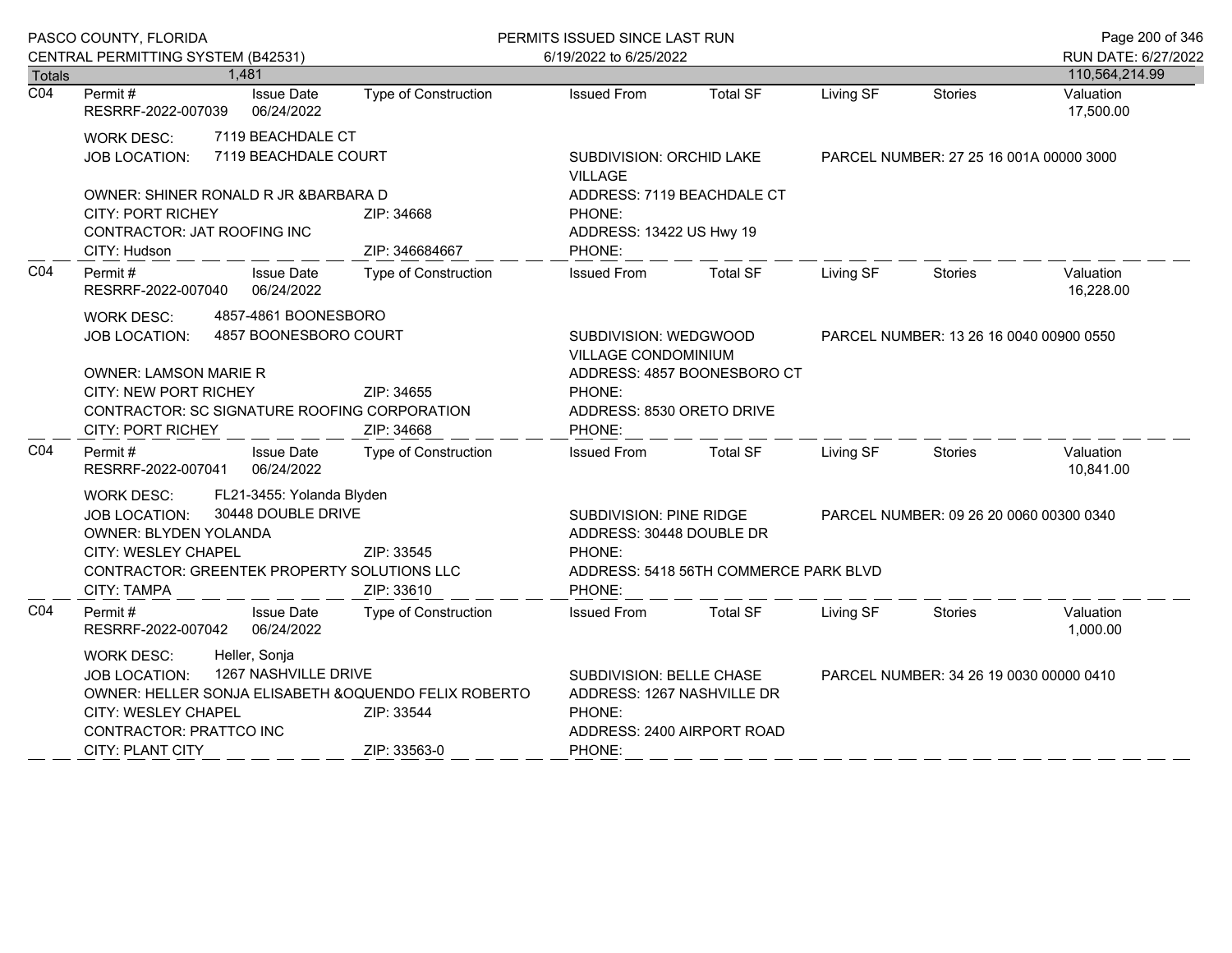| PASCO COUNTY, FLORIDA             |                                                                                                                                                                                                                                                               |                                                 |                                                                                                          | PERMITS ISSUED SINCE LAST RUN                                                                 |                                         |                                         |                                         | Page 200 of 346                       |
|-----------------------------------|---------------------------------------------------------------------------------------------------------------------------------------------------------------------------------------------------------------------------------------------------------------|-------------------------------------------------|----------------------------------------------------------------------------------------------------------|-----------------------------------------------------------------------------------------------|-----------------------------------------|-----------------------------------------|-----------------------------------------|---------------------------------------|
|                                   | CENTRAL PERMITTING SYSTEM (B42531)<br>1,481                                                                                                                                                                                                                   |                                                 |                                                                                                          | 6/19/2022 to 6/25/2022                                                                        |                                         |                                         |                                         | RUN DATE: 6/27/2022<br>110,564,214.99 |
| <b>Totals</b><br>$\overline{CO4}$ | Permit#<br>RESRRF-2022-007039                                                                                                                                                                                                                                 | <b>Issue Date</b><br>06/24/2022                 | <b>Type of Construction</b>                                                                              | <b>Issued From</b>                                                                            | <b>Total SF</b>                         | Living SF                               | <b>Stories</b>                          | Valuation<br>17,500.00                |
|                                   | 7119 BEACHDALE CT<br>WORK DESC:<br>7119 BEACHDALE COURT<br><b>JOB LOCATION:</b>                                                                                                                                                                               |                                                 | SUBDIVISION: ORCHID LAKE<br><b>VILLAGE</b>                                                               |                                                                                               | PARCEL NUMBER: 27 25 16 001A 00000 3000 |                                         |                                         |                                       |
|                                   | OWNER: SHINER RONALD R JR & BARBARA D<br><b>CITY: PORT RICHEY</b><br>CONTRACTOR: JAT ROOFING INC<br>CITY: Hudson                                                                                                                                              |                                                 | ZIP: 34668<br>ZIP: 346684667                                                                             | ADDRESS: 7119 BEACHDALE CT<br>PHONE:<br>ADDRESS: 13422 US Hwy 19<br>PHONE:                    |                                         |                                         |                                         |                                       |
| CO <sub>4</sub>                   | Permit#<br>RESRRF-2022-007040                                                                                                                                                                                                                                 | <b>Issue Date</b><br>06/24/2022                 | <b>Type of Construction</b>                                                                              | <b>Issued From</b>                                                                            | <b>Total SF</b>                         | Living SF                               | Stories                                 | Valuation<br>16,228.00                |
|                                   | <b>WORK DESC:</b><br>JOB LOCATION:<br><b>OWNER: LAMSON MARIE R</b><br>CITY: NEW PORT RICHEY<br>CONTRACTOR: SC SIGNATURE ROOFING CORPORATION<br><b>CITY: PORT RICHEY</b>                                                                                       | 4857-4861 BOONESBORO<br>4857 BOONESBORO COURT   | ZIP: 34655<br>ZIP: 34668                                                                                 | SUBDIVISION: WEDGWOOD<br>VILLAGE CONDOMINIUM<br>PHONE:<br>ADDRESS: 8530 ORETO DRIVE<br>PHONE: | ADDRESS: 4857 BOONESBORO CT             |                                         | PARCEL NUMBER: 13 26 16 0040 00900 0550 |                                       |
| CO <sub>4</sub>                   | Permit#<br>RESRRF-2022-007041                                                                                                                                                                                                                                 | <b>Issue Date</b><br>06/24/2022                 | Type of Construction                                                                                     | <b>Issued From</b>                                                                            | Total SF                                | Living SF                               | Stories                                 | Valuation<br>10,841.00                |
|                                   | <b>WORK DESC:</b><br><b>JOB LOCATION:</b><br>OWNER: BLYDEN YOLANDA<br>CITY: WESLEY CHAPEL<br>CONTRACTOR: GREENTEK PROPERTY SOLUTIONS LLC<br><b>CITY: TAMPA</b>                                                                                                | FL21-3455: Yolanda Blyden<br>30448 DOUBLE DRIVE | ZIP: 33545<br>ZIP: 33610                                                                                 | SUBDIVISION: PINE RIDGE<br>ADDRESS: 30448 DOUBLE DR<br>PHONE:<br>PHONE:                       | ADDRESS: 5418 56TH COMMERCE PARK BLVD   |                                         | PARCEL NUMBER: 09 26 20 0060 00300 0340 |                                       |
| CO <sub>4</sub>                   | Permit#<br>RESRRF-2022-007042                                                                                                                                                                                                                                 | <b>Issue Date</b><br>06/24/2022                 | Type of Construction                                                                                     | <b>Issued From</b>                                                                            | <b>Total SF</b>                         | Living SF                               | Stories                                 | Valuation<br>1,000.00                 |
|                                   | Heller, Sonja<br><b>WORK DESC:</b><br>1267 NASHVILLE DRIVE<br><b>JOB LOCATION:</b><br>OWNER: HELLER SONJA ELISABETH & OQUENDO FELIX ROBERTO<br><b>CITY: WESLEY CHAPEL</b><br>ZIP: 33544<br>CONTRACTOR: PRATTCO INC<br>ZIP: 33563-0<br><b>CITY: PLANT CITY</b> |                                                 | SUBDIVISION: BELLE CHASE<br>ADDRESS: 1267 NASHVILLE DR<br>PHONE:<br>ADDRESS: 2400 AIRPORT ROAD<br>PHONE: |                                                                                               |                                         | PARCEL NUMBER: 34 26 19 0030 00000 0410 |                                         |                                       |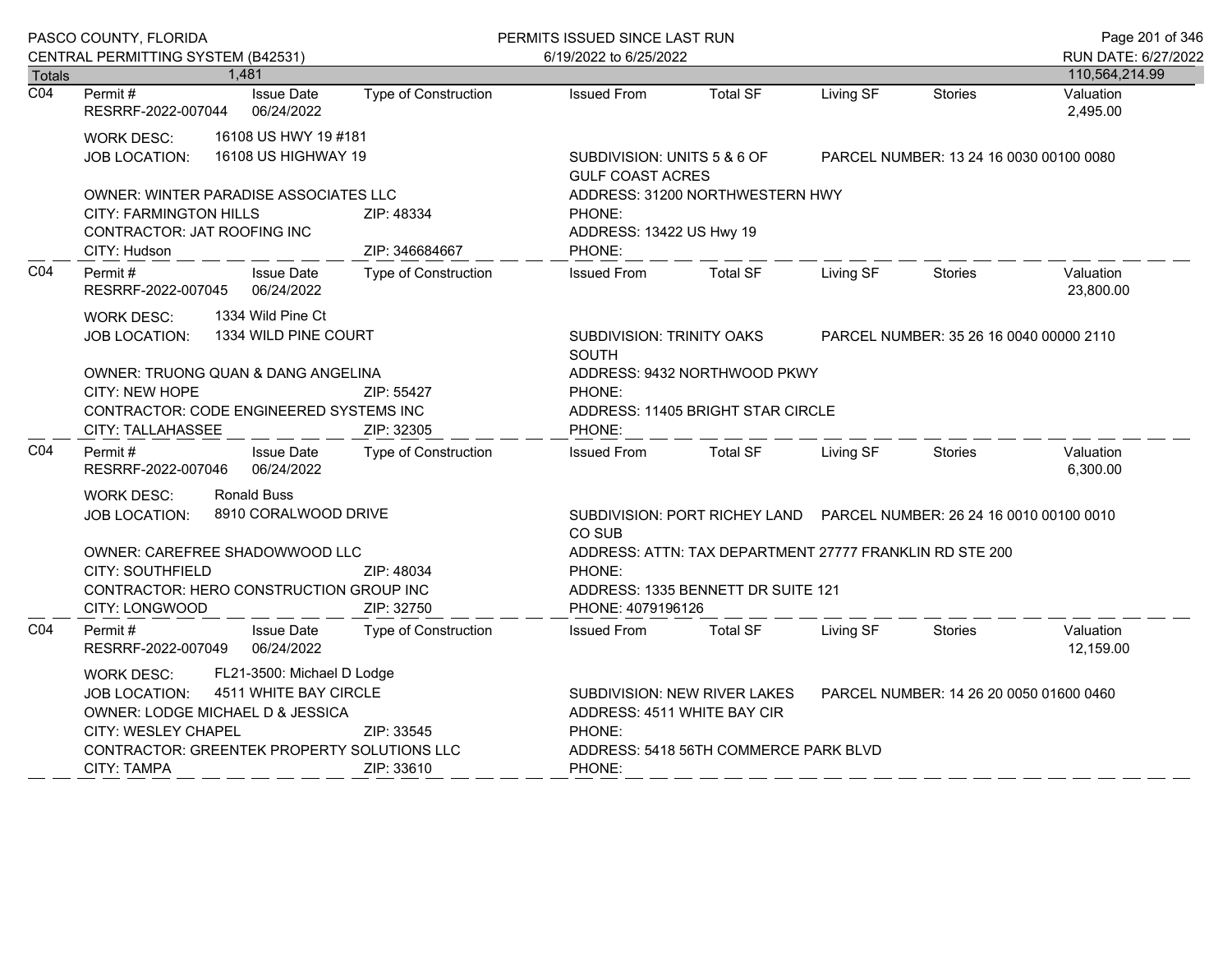| PASCO COUNTY, FLORIDA |                                                                                                                                                                                                                          |                                 |                              | PERMITS ISSUED SINCE LAST RUN                                                                                                                   |                                                                        |                                         |                                         | Page 201 of 346        |
|-----------------------|--------------------------------------------------------------------------------------------------------------------------------------------------------------------------------------------------------------------------|---------------------------------|------------------------------|-------------------------------------------------------------------------------------------------------------------------------------------------|------------------------------------------------------------------------|-----------------------------------------|-----------------------------------------|------------------------|
|                       | CENTRAL PERMITTING SYSTEM (B42531)                                                                                                                                                                                       |                                 |                              | 6/19/2022 to 6/25/2022                                                                                                                          |                                                                        |                                         |                                         | RUN DATE: 6/27/2022    |
| <b>Totals</b>         |                                                                                                                                                                                                                          | 1,481                           |                              |                                                                                                                                                 |                                                                        |                                         |                                         | 110,564,214.99         |
| $\overline{CO4}$      | Permit#<br>RESRRF-2022-007044                                                                                                                                                                                            | <b>Issue Date</b><br>06/24/2022 | Type of Construction         | <b>Issued From</b>                                                                                                                              | <b>Total SF</b>                                                        | Living SF                               | <b>Stories</b>                          | Valuation<br>2,495.00  |
|                       | 16108 US HWY 19 #181<br>WORK DESC:<br>16108 US HIGHWAY 19<br>JOB LOCATION:                                                                                                                                               |                                 |                              | <b>GULF COAST ACRES</b>                                                                                                                         | SUBDIVISION: UNITS 5 & 6 OF                                            |                                         | PARCEL NUMBER: 13 24 16 0030 00100 0080 |                        |
|                       | OWNER: WINTER PARADISE ASSOCIATES LLC<br><b>CITY: FARMINGTON HILLS</b><br>CONTRACTOR: JAT ROOFING INC<br>CITY: Hudson                                                                                                    |                                 | ZIP: 48334<br>ZIP: 346684667 | PHONE:<br>PHONE:                                                                                                                                | ADDRESS: 31200 NORTHWESTERN HWY<br>ADDRESS: 13422 US Hwy 19            |                                         |                                         |                        |
| CO <sub>4</sub>       | Permit#<br>RESRRF-2022-007045                                                                                                                                                                                            | <b>Issue Date</b><br>06/24/2022 | Type of Construction         | <b>Issued From</b>                                                                                                                              | <b>Total SF</b>                                                        | Living SF                               | <b>Stories</b>                          | Valuation<br>23,800.00 |
|                       | 1334 Wild Pine Ct<br><b>WORK DESC:</b><br>1334 WILD PINE COURT<br><b>JOB LOCATION:</b>                                                                                                                                   |                                 | <b>SOUTH</b>                 | SUBDIVISION: TRINITY OAKS                                                                                                                       |                                                                        | PARCEL NUMBER: 35 26 16 0040 00000 2110 |                                         |                        |
|                       | OWNER: TRUONG QUAN & DANG ANGELINA<br>CITY: NEW HOPE<br>ZIP: 55427<br>CONTRACTOR: CODE ENGINEERED SYSTEMS INC                                                                                                            |                                 | PHONE:                       | ADDRESS: 9432 NORTHWOOD PKWY<br>ADDRESS: 11405 BRIGHT STAR CIRCLE                                                                               |                                                                        |                                         |                                         |                        |
|                       | CITY: TALLAHASSEE<br>ZIP: 32305                                                                                                                                                                                          |                                 | PHONE:                       |                                                                                                                                                 |                                                                        |                                         |                                         |                        |
| CO <sub>4</sub>       | Permit#<br>RESRRF-2022-007046                                                                                                                                                                                            | <b>Issue Date</b><br>06/24/2022 | <b>Type of Construction</b>  | <b>Issued From</b>                                                                                                                              | <b>Total SF</b>                                                        | Living SF                               | <b>Stories</b>                          | Valuation<br>6,300.00  |
|                       | <b>WORK DESC:</b><br><b>JOB LOCATION:</b>                                                                                                                                                                                | <b>Ronald Buss</b>              | 8910 CORALWOOD DRIVE         | CO SUB                                                                                                                                          | SUBDIVISION: PORT RICHEY LAND  PARCEL NUMBER: 26 24 16 0010 00100 0010 |                                         |                                         |                        |
|                       | OWNER: CAREFREE SHADOWWOOD LLC<br><b>CITY: SOUTHFIELD</b><br>ZIP: 48034<br>CONTRACTOR: HERO CONSTRUCTION GROUP INC<br>CITY: LONGWOOD<br>ZIP: 32750                                                                       |                                 | PHONE:<br>PHONE: 4079196126  | ADDRESS: ATTN: TAX DEPARTMENT 27777 FRANKLIN RD STE 200<br>ADDRESS: 1335 BENNETT DR SUITE 121                                                   |                                                                        |                                         |                                         |                        |
| CO <sub>4</sub>       | Permit#<br>RESRRF-2022-007049                                                                                                                                                                                            | <b>Issue Date</b><br>06/24/2022 | Type of Construction         | <b>Issued From</b>                                                                                                                              | <b>Total SF</b>                                                        | Living SF                               | Stories                                 | Valuation<br>12,159.00 |
|                       | FL21-3500: Michael D Lodge<br><b>WORK DESC:</b><br>4511 WHITE BAY CIRCLE<br>JOB LOCATION:<br>OWNER: LODGE MICHAEL D & JESSICA<br><b>CITY: WESLEY CHAPEL</b><br>ZIP: 33545<br>CONTRACTOR: GREENTEK PROPERTY SOLUTIONS LLC |                                 | PHONE:                       | SUBDIVISION: NEW RIVER LAKES<br>PARCEL NUMBER: 14 26 20 0050 01600 0460<br>ADDRESS: 4511 WHITE BAY CIR<br>ADDRESS: 5418 56TH COMMERCE PARK BLVD |                                                                        |                                         |                                         |                        |
|                       | <b>CITY: TAMPA</b>                                                                                                                                                                                                       |                                 | ZIP: 33610                   | PHONE:                                                                                                                                          |                                                                        |                                         |                                         |                        |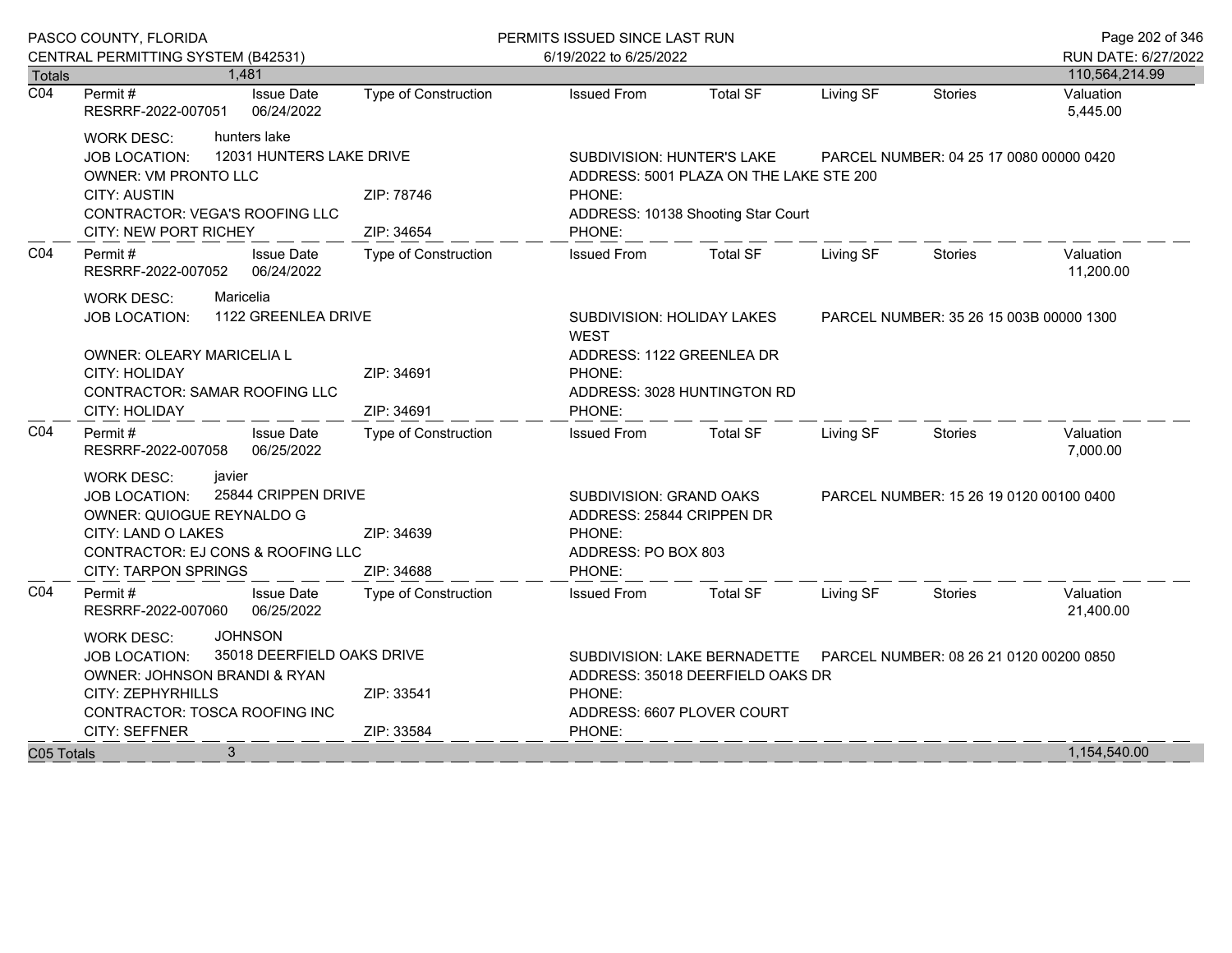|                  | PASCO COUNTY, FLORIDA                                            |                             | PERMITS ISSUED SINCE LAST RUN             |                                         |                                         |                                         | Page 202 of 346        |
|------------------|------------------------------------------------------------------|-----------------------------|-------------------------------------------|-----------------------------------------|-----------------------------------------|-----------------------------------------|------------------------|
|                  | CENTRAL PERMITTING SYSTEM (B42531)                               |                             | 6/19/2022 to 6/25/2022                    |                                         |                                         |                                         | RUN DATE: 6/27/2022    |
| <b>Totals</b>    | 1,481                                                            |                             |                                           |                                         |                                         |                                         | 110,564,214.99         |
| $\overline{CO4}$ | <b>Issue Date</b><br>Permit#<br>RESRRF-2022-007051<br>06/24/2022 | <b>Type of Construction</b> | <b>Issued From</b>                        | <b>Total SF</b>                         | Living SF                               | <b>Stories</b>                          | Valuation<br>5,445.00  |
|                  | hunters lake<br><b>WORK DESC:</b>                                |                             |                                           |                                         |                                         |                                         |                        |
|                  | 12031 HUNTERS LAKE DRIVE<br><b>JOB LOCATION:</b>                 | SUBDIVISION: HUNTER'S LAKE  |                                           |                                         | PARCEL NUMBER: 04 25 17 0080 00000 0420 |                                         |                        |
|                  | <b>OWNER: VM PRONTO LLC</b>                                      |                             |                                           | ADDRESS: 5001 PLAZA ON THE LAKE STE 200 |                                         |                                         |                        |
|                  | <b>CITY: AUSTIN</b>                                              | ZIP: 78746                  | PHONE:                                    |                                         |                                         |                                         |                        |
|                  | CONTRACTOR: VEGA'S ROOFING LLC                                   |                             |                                           | ADDRESS: 10138 Shooting Star Court      |                                         |                                         |                        |
|                  | CITY: NEW PORT RICHEY                                            | ZIP: 34654                  | PHONE:                                    |                                         |                                         |                                         |                        |
| CO <sub>4</sub>  | Permit#<br><b>Issue Date</b><br>RESRRF-2022-007052<br>06/24/2022 | <b>Type of Construction</b> | <b>Issued From</b>                        | <b>Total SF</b>                         | Living SF                               | <b>Stories</b>                          | Valuation<br>11,200.00 |
|                  | Maricelia<br><b>WORK DESC:</b>                                   |                             |                                           |                                         |                                         |                                         |                        |
|                  | 1122 GREENLEA DRIVE<br><b>JOB LOCATION:</b>                      |                             | SUBDIVISION: HOLIDAY LAKES<br><b>WEST</b> |                                         |                                         | PARCEL NUMBER: 35 26 15 003B 00000 1300 |                        |
|                  | OWNER: OLEARY MARICELIA L                                        |                             | ADDRESS: 1122 GREENLEA DR                 |                                         |                                         |                                         |                        |
|                  | CITY: HOLIDAY                                                    | PHONE:                      |                                           |                                         |                                         |                                         |                        |
|                  | <b>CONTRACTOR: SAMAR ROOFING LLC</b>                             |                             | ADDRESS: 3028 HUNTINGTON RD               |                                         |                                         |                                         |                        |
|                  | <b>CITY: HOLIDAY</b>                                             | ZIP: 34691                  | PHONE:                                    |                                         |                                         |                                         |                        |
| CO <sub>4</sub>  | Permit#<br><b>Issue Date</b><br>06/25/2022<br>RESRRF-2022-007058 | <b>Type of Construction</b> | <b>Issued From</b>                        | <b>Total SF</b>                         | Living SF                               | <b>Stories</b>                          | Valuation<br>7,000.00  |
|                  | javier<br><b>WORK DESC:</b>                                      |                             |                                           |                                         |                                         |                                         |                        |
|                  | 25844 CRIPPEN DRIVE<br><b>JOB LOCATION:</b>                      |                             | SUBDIVISION: GRAND OAKS                   |                                         |                                         | PARCEL NUMBER: 15 26 19 0120 00100 0400 |                        |
|                  | OWNER: QUIOGUE REYNALDO G                                        |                             |                                           | ADDRESS: 25844 CRIPPEN DR               |                                         |                                         |                        |
|                  | CITY: LAND O LAKES                                               | ZIP: 34639                  | PHONE:                                    |                                         |                                         |                                         |                        |
|                  | CONTRACTOR: EJ CONS & ROOFING LLC                                |                             | ADDRESS: PO BOX 803                       |                                         |                                         |                                         |                        |
|                  | <b>CITY: TARPON SPRINGS</b>                                      | ZIP: 34688                  | PHONE:                                    |                                         |                                         |                                         |                        |
| CO <sub>4</sub>  | Permit#<br><b>Issue Date</b><br>RESRRF-2022-007060<br>06/25/2022 | <b>Type of Construction</b> | <b>Issued From</b>                        | <b>Total SF</b>                         | Living SF                               | <b>Stories</b>                          | Valuation<br>21,400.00 |
|                  | <b>JOHNSON</b><br><b>WORK DESC:</b>                              |                             |                                           |                                         |                                         |                                         |                        |
|                  | <b>JOB LOCATION:</b>                                             | 35018 DEERFIELD OAKS DRIVE  |                                           | SUBDIVISION: LAKE BERNADETTE            |                                         | PARCEL NUMBER: 08 26 21 0120 00200 0850 |                        |
|                  | OWNER: JOHNSON BRANDI & RYAN                                     |                             |                                           | ADDRESS: 35018 DEERFIELD OAKS DR        |                                         |                                         |                        |
|                  | CITY: ZEPHYRHILLS                                                | ZIP: 33541                  | PHONE:                                    |                                         |                                         |                                         |                        |
|                  | CONTRACTOR: TOSCA ROOFING INC                                    |                             |                                           | ADDRESS: 6607 PLOVER COURT              |                                         |                                         |                        |
|                  | CITY: SEFFNER                                                    | ZIP: 33584                  | PHONE:                                    |                                         |                                         |                                         |                        |
| C05 Totals       | 3                                                                |                             |                                           |                                         |                                         |                                         | 1,154,540.00           |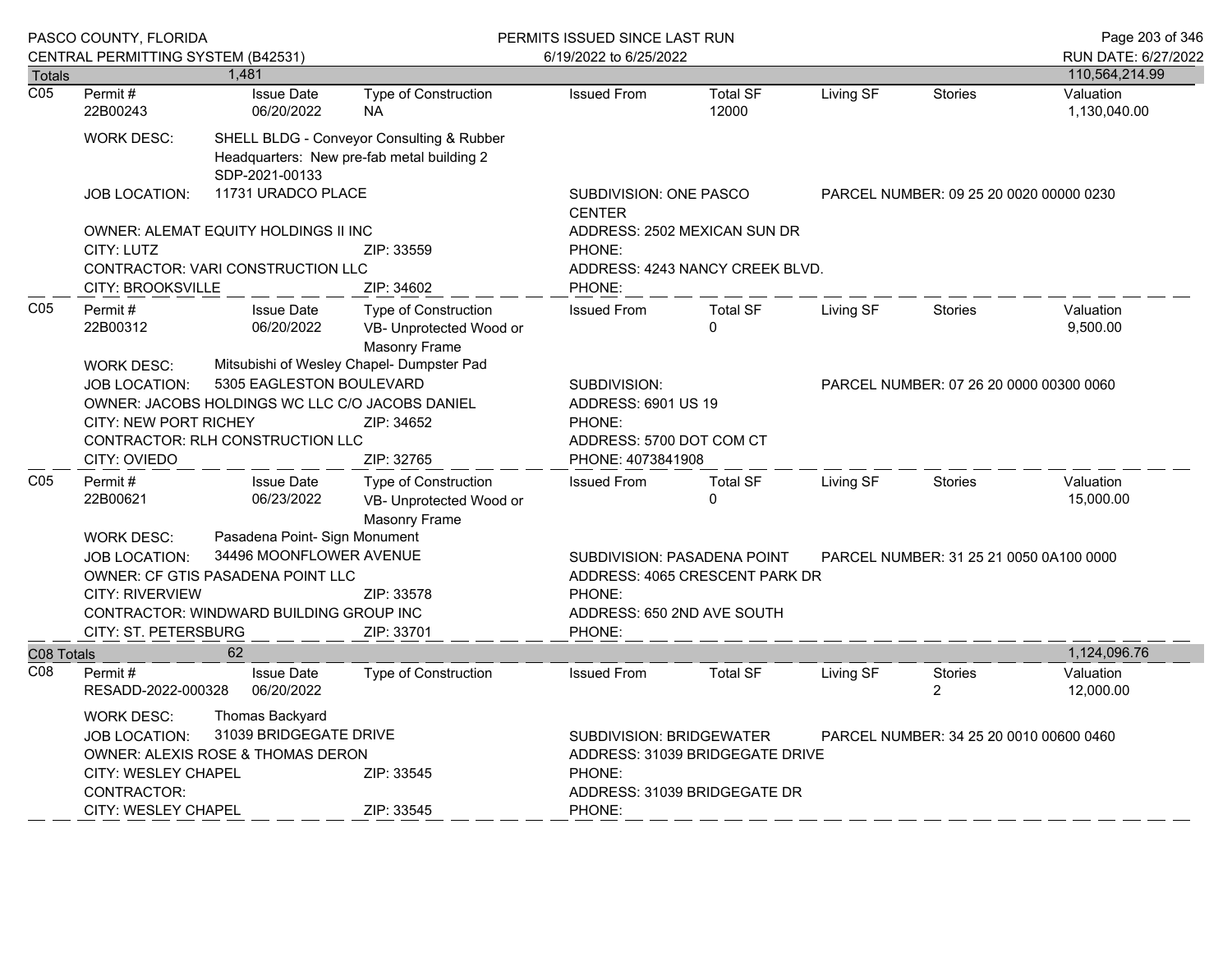| PASCO COUNTY, FLORIDA<br>CENTRAL PERMITTING SYSTEM (B42531) |                                                  |                                              |                                                                                         | PERMITS ISSUED SINCE LAST RUN<br>6/19/2022 to 6/25/2022 |                                 |                                         |                                         | Page 203 of 346<br>RUN DATE: 6/27/2022 |
|-------------------------------------------------------------|--------------------------------------------------|----------------------------------------------|-----------------------------------------------------------------------------------------|---------------------------------------------------------|---------------------------------|-----------------------------------------|-----------------------------------------|----------------------------------------|
| <b>Totals</b>                                               |                                                  | 1,481                                        |                                                                                         |                                                         |                                 |                                         |                                         | 110,564,214.99                         |
| $\overline{CO5}$                                            | Permit#<br>22B00243                              | <b>Issue Date</b><br>06/20/2022              | Type of Construction<br><b>NA</b>                                                       | <b>Issued From</b>                                      | <b>Total SF</b><br>12000        | Living SF                               | <b>Stories</b>                          | Valuation<br>1,130,040.00              |
|                                                             | <b>WORK DESC:</b>                                | SDP-2021-00133                               | SHELL BLDG - Conveyor Consulting & Rubber<br>Headquarters: New pre-fab metal building 2 |                                                         |                                 |                                         |                                         |                                        |
|                                                             | <b>JOB LOCATION:</b>                             | 11731 URADCO PLACE                           |                                                                                         | SUBDIVISION: ONE PASCO<br><b>CENTER</b>                 |                                 |                                         | PARCEL NUMBER: 09 25 20 0020 00000 0230 |                                        |
|                                                             |                                                  | OWNER: ALEMAT EQUITY HOLDINGS II INC         |                                                                                         |                                                         | ADDRESS: 2502 MEXICAN SUN DR    |                                         |                                         |                                        |
|                                                             | CITY: LUTZ<br>ZIP: 33559                         |                                              |                                                                                         | PHONE:                                                  |                                 |                                         |                                         |                                        |
|                                                             |                                                  | <b>CONTRACTOR: VARI CONSTRUCTION LLC</b>     |                                                                                         |                                                         | ADDRESS: 4243 NANCY CREEK BLVD. |                                         |                                         |                                        |
|                                                             | CITY: BROOKSVILLE                                |                                              | ZIP: 34602                                                                              | PHONE:                                                  |                                 |                                         |                                         |                                        |
| CO <sub>5</sub>                                             | Permit#<br>22B00312                              | <b>Issue Date</b><br>06/20/2022              | <b>Type of Construction</b><br>VB- Unprotected Wood or<br><b>Masonry Frame</b>          | <b>Issued From</b>                                      | <b>Total SF</b><br>$\Omega$     | Living SF                               | <b>Stories</b>                          | Valuation<br>9,500.00                  |
|                                                             | <b>WORK DESC:</b>                                |                                              | Mitsubishi of Wesley Chapel- Dumpster Pad                                               |                                                         |                                 |                                         |                                         |                                        |
|                                                             | 5305 EAGLESTON BOULEVARD<br><b>JOB LOCATION:</b> |                                              | SUBDIVISION:                                                                            |                                                         |                                 | PARCEL NUMBER: 07 26 20 0000 00300 0060 |                                         |                                        |
|                                                             | OWNER: JACOBS HOLDINGS WC LLC C/O JACOBS DANIEL  |                                              |                                                                                         | ADDRESS: 6901 US 19                                     |                                 |                                         |                                         |                                        |
|                                                             | <b>CITY: NEW PORT RICHEY</b><br>ZIP: 34652       |                                              | PHONE:                                                                                  |                                                         |                                 |                                         |                                         |                                        |
|                                                             |                                                  | CONTRACTOR: RLH CONSTRUCTION LLC             |                                                                                         | ADDRESS: 5700 DOT COM CT                                |                                 |                                         |                                         |                                        |
|                                                             | CITY: OVIEDO                                     |                                              | ZIP: 32765                                                                              | PHONE: 4073841908                                       |                                 |                                         |                                         |                                        |
| C <sub>05</sub>                                             | Permit#                                          | <b>Issue Date</b>                            | Type of Construction                                                                    | <b>Issued From</b>                                      | <b>Total SF</b>                 | Living SF                               | <b>Stories</b>                          | Valuation                              |
|                                                             | 22B00621                                         | 06/23/2022                                   | VB- Unprotected Wood or                                                                 |                                                         | $\Omega$                        |                                         |                                         | 15,000.00                              |
|                                                             |                                                  |                                              | Masonry Frame                                                                           |                                                         |                                 |                                         |                                         |                                        |
|                                                             | <b>WORK DESC:</b>                                | Pasadena Point- Sign Monument                |                                                                                         |                                                         |                                 |                                         |                                         |                                        |
|                                                             | <b>JOB LOCATION:</b>                             | 34496 MOONFLOWER AVENUE                      |                                                                                         | SUBDIVISION: PASADENA POINT                             |                                 |                                         | PARCEL NUMBER: 31 25 21 0050 0A100 0000 |                                        |
|                                                             |                                                  | OWNER: CF GTIS PASADENA POINT LLC            |                                                                                         |                                                         | ADDRESS: 4065 CRESCENT PARK DR  |                                         |                                         |                                        |
|                                                             | <b>CITY: RIVERVIEW</b>                           |                                              | ZIP: 33578                                                                              | PHONE:                                                  |                                 |                                         |                                         |                                        |
|                                                             |                                                  | CONTRACTOR: WINDWARD BUILDING GROUP INC      |                                                                                         | ADDRESS: 650 2ND AVE SOUTH                              |                                 |                                         |                                         |                                        |
|                                                             | CITY: ST. PETERSBURG                             |                                              | ZIP: 33701                                                                              | PHONE:                                                  |                                 |                                         |                                         |                                        |
| C08 Totals                                                  |                                                  | 62                                           |                                                                                         |                                                         |                                 |                                         |                                         | 1,124,096.76                           |
| C <sub>08</sub>                                             | Permit#<br>RESADD-2022-000328                    | <b>Issue Date</b><br>06/20/2022              | <b>Type of Construction</b>                                                             | <b>Issued From</b>                                      | <b>Total SF</b>                 | Living SF                               | <b>Stories</b><br>2                     | Valuation<br>12,000.00                 |
|                                                             | <b>WORK DESC:</b>                                | Thomas Backyard                              |                                                                                         |                                                         |                                 |                                         |                                         |                                        |
|                                                             | <b>JOB LOCATION:</b>                             | 31039 BRIDGEGATE DRIVE                       |                                                                                         | <b>SUBDIVISION: BRIDGEWATER</b>                         |                                 |                                         | PARCEL NUMBER: 34 25 20 0010 00600 0460 |                                        |
|                                                             |                                                  | <b>OWNER: ALEXIS ROSE &amp; THOMAS DERON</b> |                                                                                         |                                                         | ADDRESS: 31039 BRIDGEGATE DRIVE |                                         |                                         |                                        |
|                                                             | <b>CITY: WESLEY CHAPEL</b>                       |                                              | ZIP: 33545                                                                              | PHONE:                                                  |                                 |                                         |                                         |                                        |
|                                                             | CONTRACTOR:                                      |                                              |                                                                                         |                                                         | ADDRESS: 31039 BRIDGEGATE DR    |                                         |                                         |                                        |
|                                                             | CITY: WESLEY CHAPEL                              |                                              | ZIP: 33545                                                                              | PHONE:                                                  |                                 |                                         |                                         |                                        |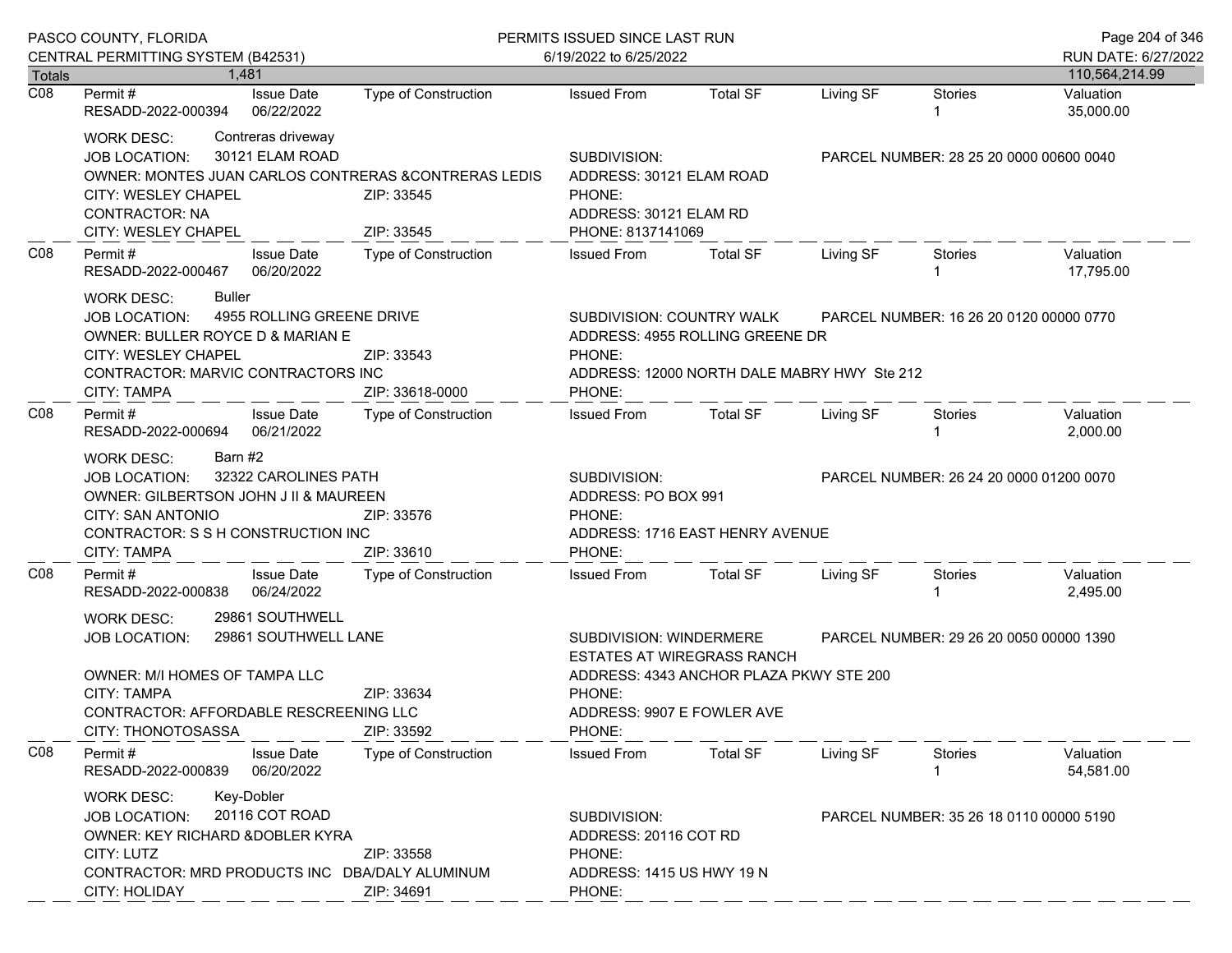| PASCO COUNTY, FLORIDA      |                                                                                                                                                                                                                                                |                                                                                              | PERMITS ISSUED SINCE LAST RUN                                                                                                                             | Page 204 of 346 |                                         |                                         |                             |
|----------------------------|------------------------------------------------------------------------------------------------------------------------------------------------------------------------------------------------------------------------------------------------|----------------------------------------------------------------------------------------------|-----------------------------------------------------------------------------------------------------------------------------------------------------------|-----------------|-----------------------------------------|-----------------------------------------|-----------------------------|
|                            | CENTRAL PERMITTING SYSTEM (B42531)                                                                                                                                                                                                             |                                                                                              | 6/19/2022 to 6/25/2022                                                                                                                                    |                 |                                         |                                         | RUN DATE: 6/27/2022         |
| Totals<br>$\overline{CO8}$ | 1.481<br><b>Issue Date</b><br>Permit #                                                                                                                                                                                                         | Type of Construction                                                                         | <b>Issued From</b>                                                                                                                                        | <b>Total SF</b> | Living SF                               | <b>Stories</b>                          | 110,564,214.99<br>Valuation |
|                            | 06/22/2022<br>RESADD-2022-000394                                                                                                                                                                                                               |                                                                                              |                                                                                                                                                           |                 |                                         |                                         | 35,000.00                   |
|                            | Contreras driveway<br><b>WORK DESC:</b><br>30121 ELAM ROAD<br>JOB LOCATION:<br>OWNER: MONTES JUAN CARLOS CONTRERAS & CONTRERAS LEDIS<br>CITY: WESLEY CHAPEL<br><b>CONTRACTOR: NA</b><br>CITY: WESLEY CHAPEL                                    | ZIP: 33545<br>ZIP: 33545                                                                     | SUBDIVISION:<br>ADDRESS: 30121 ELAM ROAD<br>PHONE:<br>ADDRESS: 30121 ELAM RD<br>PHONE: 8137141069                                                         |                 |                                         | PARCEL NUMBER: 28 25 20 0000 00600 0040 |                             |
| CO8                        | <b>Issue Date</b><br>Permit #<br>06/20/2022<br>RESADD-2022-000467                                                                                                                                                                              | Type of Construction                                                                         | <b>Issued From</b>                                                                                                                                        | <b>Total SF</b> | Living SF                               | Stories                                 | Valuation<br>17,795.00      |
|                            | Buller<br><b>WORK DESC:</b><br>4955 ROLLING GREENE DRIVE<br><b>JOB LOCATION:</b><br>OWNER: BULLER ROYCE D & MARIAN E<br>CITY: WESLEY CHAPEL<br>CONTRACTOR: MARVIC CONTRACTORS INC<br><b>CITY: TAMPA</b>                                        | SUBDIVISION: COUNTRY WALK<br>PHONE:<br>ADDRESS: 12000 NORTH DALE MABRY HWY Ste 212<br>PHONE: | ADDRESS: 4955 ROLLING GREENE DR                                                                                                                           |                 | PARCEL NUMBER: 16 26 20 0120 00000 0770 |                                         |                             |
| C <sub>08</sub>            | Permit#<br><b>Issue Date</b><br>RESADD-2022-000694<br>06/21/2022                                                                                                                                                                               | Type of Construction                                                                         | <b>Issued From</b>                                                                                                                                        | <b>Total SF</b> | Living SF                               | <b>Stories</b>                          | Valuation<br>2,000.00       |
|                            | Barn #2<br><b>WORK DESC:</b><br>32322 CAROLINES PATH<br><b>JOB LOCATION:</b><br>OWNER: GILBERTSON JOHN J II & MAUREEN<br>CITY: SAN ANTONIO<br>CONTRACTOR: S S H CONSTRUCTION INC<br><b>CITY: TAMPA</b>                                         | ZIP: 33576<br>ZIP: 33610                                                                     | SUBDIVISION:<br>ADDRESS: PO BOX 991<br>PHONE:<br>ADDRESS: 1716 EAST HENRY AVENUE<br>PHONE:                                                                |                 |                                         | PARCEL NUMBER: 26 24 20 0000 01200 0070 |                             |
| CO8                        | Permit #<br><b>Issue Date</b><br>06/24/2022<br>RESADD-2022-000838                                                                                                                                                                              | <b>Type of Construction</b>                                                                  | <b>Issued From</b>                                                                                                                                        | <b>Total SF</b> | Living SF                               | Stories                                 | Valuation<br>2,495.00       |
|                            | 29861 SOUTHWELL<br><b>WORK DESC:</b><br>29861 SOUTHWELL LANE<br><b>JOB LOCATION:</b><br>OWNER: M/I HOMES OF TAMPA LLC<br><b>CITY: TAMPA</b><br>ZIP: 33634<br>CONTRACTOR: AFFORDABLE RESCREENING LLC<br><b>CITY: THONOTOSASSA</b><br>ZIP: 33592 |                                                                                              | SUBDIVISION: WINDERMERE<br><b>ESTATES AT WIREGRASS RANCH</b><br>ADDRESS: 4343 ANCHOR PLAZA PKWY STE 200<br>PHONE:<br>ADDRESS: 9907 E FOWLER AVE<br>PHONE: |                 | PARCEL NUMBER: 29 26 20 0050 00000 1390 |                                         |                             |
| CO8                        | Permit#<br><b>Issue Date</b><br>RESADD-2022-000839<br>06/20/2022                                                                                                                                                                               | Type of Construction                                                                         | <b>Issued From</b>                                                                                                                                        | <b>Total SF</b> | Living SF                               | Stories                                 | Valuation<br>54,581.00      |
|                            | Key-Dobler<br><b>WORK DESC:</b><br>20116 COT ROAD<br><b>JOB LOCATION:</b><br>OWNER: KEY RICHARD & DOBLER KYRA<br>CITY: LUTZ<br>ZIP: 33558<br>CONTRACTOR: MRD PRODUCTS INC DBA/DALY ALUMINUM<br>ZIP: 34691<br>CITY: HOLIDAY                     |                                                                                              | SUBDIVISION:<br>ADDRESS: 20116 COT RD<br>PHONE:<br>ADDRESS: 1415 US HWY 19 N<br>PHONE:                                                                    |                 |                                         | PARCEL NUMBER: 35 26 18 0110 00000 5190 |                             |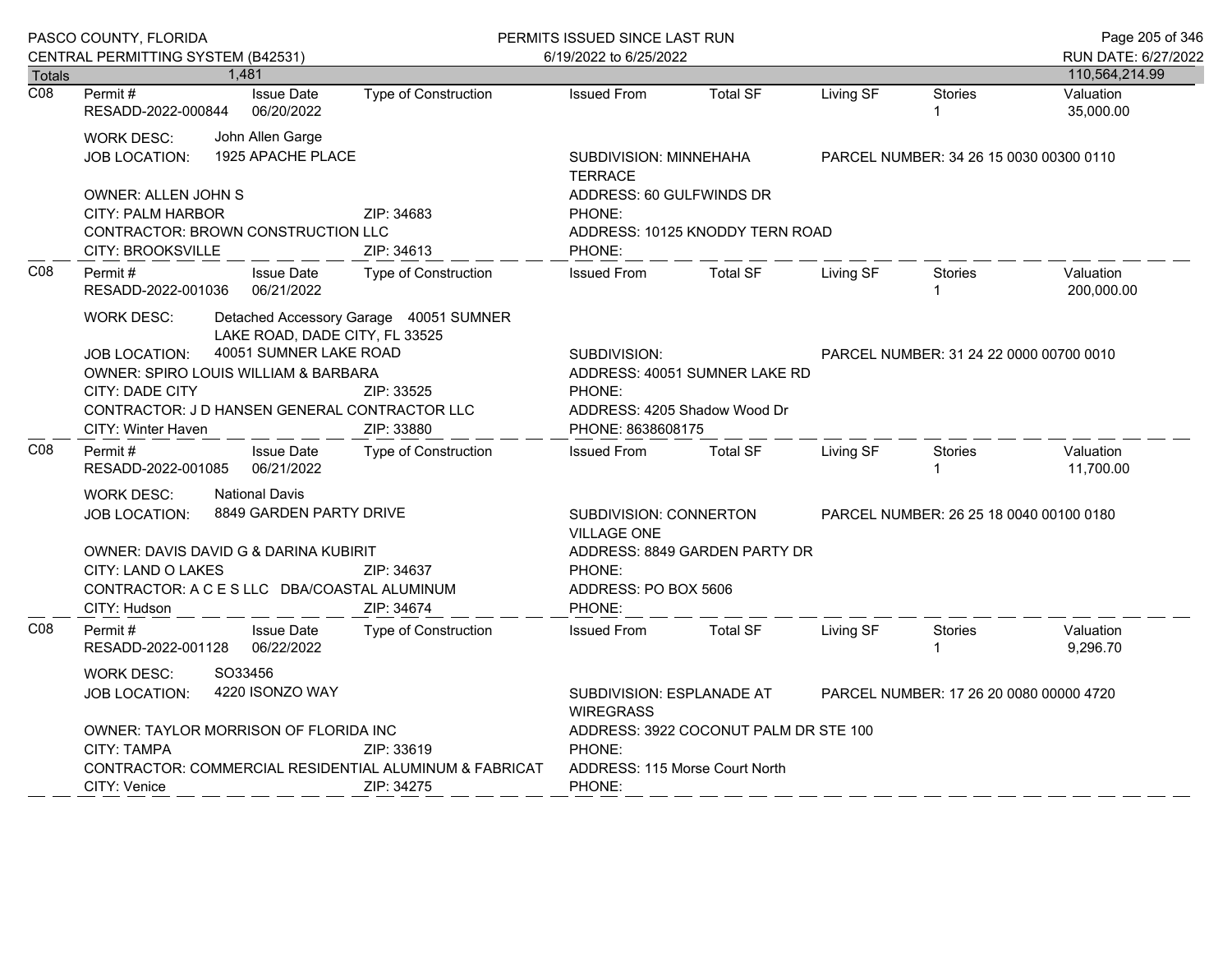|                  | PASCO COUNTY, FLORIDA<br>CENTRAL PERMITTING SYSTEM (B42531)                                                                                                                                                                                                                                                   |                                                                                |                                           | PERMITS ISSUED SINCE LAST RUN                                                                                                                                        |                                |           |                                         | Page 205 of 346                       |
|------------------|---------------------------------------------------------------------------------------------------------------------------------------------------------------------------------------------------------------------------------------------------------------------------------------------------------------|--------------------------------------------------------------------------------|-------------------------------------------|----------------------------------------------------------------------------------------------------------------------------------------------------------------------|--------------------------------|-----------|-----------------------------------------|---------------------------------------|
| Totals           |                                                                                                                                                                                                                                                                                                               | 1,481                                                                          |                                           | 6/19/2022 to 6/25/2022                                                                                                                                               |                                |           |                                         | RUN DATE: 6/27/2022<br>110,564,214.99 |
| $\overline{CO8}$ | Permit #<br>RESADD-2022-000844                                                                                                                                                                                                                                                                                | <b>Issue Date</b><br>06/20/2022                                                | Type of Construction                      | <b>Issued From</b>                                                                                                                                                   | <b>Total SF</b>                | Living SF | <b>Stories</b>                          | Valuation<br>35,000.00                |
|                  | WORK DESC:<br>JOB LOCATION:                                                                                                                                                                                                                                                                                   | John Allen Garge<br>1925 APACHE PLACE                                          |                                           | SUBDIVISION: MINNEHAHA<br>PARCEL NUMBER: 34 26 15 0030 00300 0110<br><b>TERRACE</b>                                                                                  |                                |           |                                         |                                       |
|                  | OWNER: ALLEN JOHN S<br><b>CITY: PALM HARBOR</b><br><b>CONTRACTOR: BROWN CONSTRUCTION LLC</b>                                                                                                                                                                                                                  |                                                                                | ZIP: 34683                                | ADDRESS: 60 GULFWINDS DR<br>PHONE:<br>ADDRESS: 10125 KNODDY TERN ROAD                                                                                                |                                |           |                                         |                                       |
| CO8              | CITY: BROOKSVILLE<br>Permit#                                                                                                                                                                                                                                                                                  | <b>Issue Date</b>                                                              | ZIP: 34613<br><b>Type of Construction</b> | PHONE:<br><b>Issued From</b>                                                                                                                                         | <b>Total SF</b>                | Living SF | Stories                                 | Valuation                             |
|                  | 06/21/2022<br>RESADD-2022-001036                                                                                                                                                                                                                                                                              |                                                                                |                                           |                                                                                                                                                                      |                                |           |                                         | 200,000.00                            |
|                  | Detached Accessory Garage 40051 SUMNER<br>WORK DESC:<br>LAKE ROAD, DADE CITY, FL 33525<br>40051 SUMNER LAKE ROAD<br><b>JOB LOCATION:</b><br>OWNER: SPIRO LOUIS WILLIAM & BARBARA<br><b>CITY: DADE CITY</b><br>ZIP: 33525<br>CONTRACTOR: J D HANSEN GENERAL CONTRACTOR LLC<br>ZIP: 33880<br>CITY: Winter Haven |                                                                                |                                           | SUBDIVISION:<br>PHONE:<br>ADDRESS: 4205 Shadow Wood Dr<br>PHONE: 8638608175                                                                                          | ADDRESS: 40051 SUMNER LAKE RD  |           | PARCEL NUMBER: 31 24 22 0000 00700 0010 |                                       |
| CO8              | Permit#<br>RESADD-2022-001085                                                                                                                                                                                                                                                                                 | <b>Issue Date</b><br>06/21/2022                                                | Type of Construction                      | <b>Issued From</b>                                                                                                                                                   | <b>Total SF</b>                | Living SF | <b>Stories</b>                          | Valuation<br>11.700.00                |
|                  | <b>WORK DESC:</b><br><b>JOB LOCATION:</b><br>OWNER: DAVIS DAVID G & DARINA KUBIRIT<br><b>CITY: LAND O LAKES</b><br>CONTRACTOR: A C E S LLC DBA/COASTAL ALUMINUM<br>CITY: Hudson                                                                                                                               | <b>National Davis</b><br>8849 GARDEN PARTY DRIVE                               | ZIP: 34637<br>ZIP: 34674                  | SUBDIVISION: CONNERTON<br>PARCEL NUMBER: 26 25 18 0040 00100 0180<br><b>VILLAGE ONE</b><br>ADDRESS: 8849 GARDEN PARTY DR<br>PHONE:<br>ADDRESS: PO BOX 5606<br>PHONE: |                                |           |                                         |                                       |
| CO8              | Permit#<br>RESADD-2022-001128                                                                                                                                                                                                                                                                                 | <b>Issue Date</b><br>06/22/2022                                                | Type of Construction                      | <b>Issued From</b>                                                                                                                                                   | <b>Total SF</b>                | Living SF | <b>Stories</b>                          | Valuation<br>9,296.70                 |
|                  | SO33456<br><b>WORK DESC:</b><br>4220 ISONZO WAY<br><b>JOB LOCATION:</b><br>OWNER: TAYLOR MORRISON OF FLORIDA INC<br><b>CITY: TAMPA</b><br>ZIP: 33619                                                                                                                                                          |                                                                                |                                           | SUBDIVISION: ESPLANADE AT<br>PARCEL NUMBER: 17 26 20 0080 00000 4720<br><b>WIREGRASS</b><br>ADDRESS: 3922 COCONUT PALM DR STE 100<br>PHONE:                          |                                |           |                                         |                                       |
|                  | CITY: Venice                                                                                                                                                                                                                                                                                                  | CONTRACTOR: COMMERCIAL RESIDENTIAL ALUMINUM & FABRICAT<br>ZIP: 34275<br>PHONE: |                                           |                                                                                                                                                                      | ADDRESS: 115 Morse Court North |           |                                         |                                       |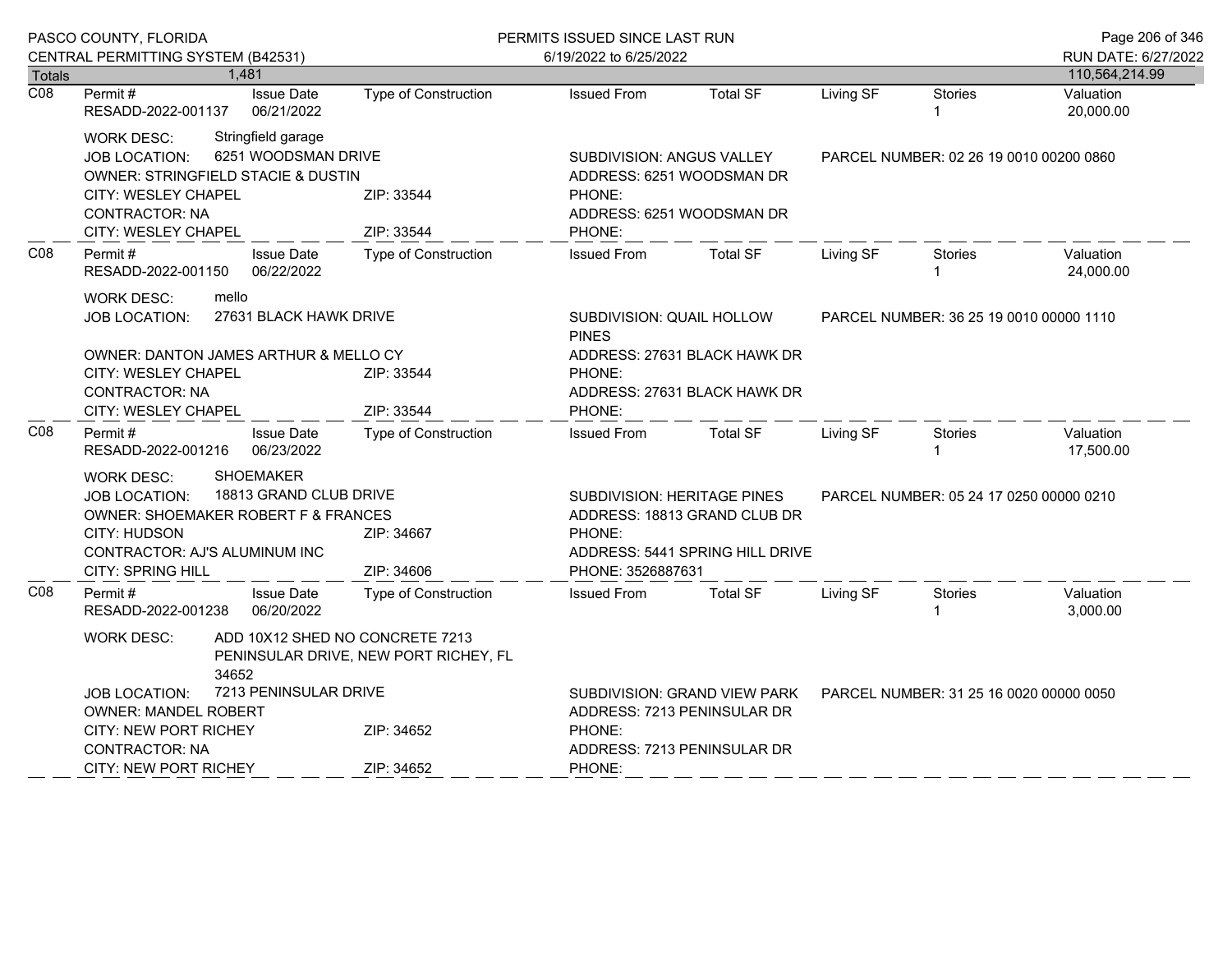|                  | PASCO COUNTY, FLORIDA                                                                                  |                                 |                             | PERMITS ISSUED SINCE LAST RUN                        |                                                                        |           |                                         | Page 206 of 346        |
|------------------|--------------------------------------------------------------------------------------------------------|---------------------------------|-----------------------------|------------------------------------------------------|------------------------------------------------------------------------|-----------|-----------------------------------------|------------------------|
|                  | CENTRAL PERMITTING SYSTEM (B42531)                                                                     |                                 |                             | 6/19/2022 to 6/25/2022                               |                                                                        |           |                                         | RUN DATE: 6/27/2022    |
| <b>Totals</b>    |                                                                                                        | 1,481                           |                             |                                                      |                                                                        |           |                                         | 110,564,214.99         |
| $\overline{CO8}$ | Permit#<br>RESADD-2022-001137                                                                          | <b>Issue Date</b><br>06/21/2022 | <b>Type of Construction</b> | <b>Issued From</b>                                   | <b>Total SF</b>                                                        | Living SF | <b>Stories</b>                          | Valuation<br>20,000.00 |
|                  | <b>WORK DESC:</b>                                                                                      | Stringfield garage              |                             |                                                      |                                                                        |           |                                         |                        |
|                  | <b>JOB LOCATION:</b>                                                                                   | 6251 WOODSMAN DRIVE             |                             | SUBDIVISION: ANGUS VALLEY                            |                                                                        |           | PARCEL NUMBER: 02 26 19 0010 00200 0860 |                        |
|                  | OWNER: STRINGFIELD STACIE & DUSTIN                                                                     |                                 |                             | ADDRESS: 6251 WOODSMAN DR                            |                                                                        |           |                                         |                        |
|                  | CITY: WESLEY CHAPEL                                                                                    |                                 | ZIP: 33544                  | PHONE:                                               |                                                                        |           |                                         |                        |
|                  | <b>CONTRACTOR: NA</b><br>CITY: WESLEY CHAPEL                                                           |                                 | ZIP: 33544                  | ADDRESS: 6251 WOODSMAN DR<br>PHONE:                  |                                                                        |           |                                         |                        |
| CO8              |                                                                                                        |                                 |                             |                                                      |                                                                        |           |                                         |                        |
|                  | <b>Issue Date</b><br>Permit#<br>RESADD-2022-001150<br>06/22/2022                                       |                                 | <b>Type of Construction</b> | <b>Issued From</b>                                   | <b>Total SF</b>                                                        | Living SF | <b>Stories</b>                          | Valuation<br>24,000.00 |
|                  | mello<br><b>WORK DESC:</b>                                                                             |                                 |                             |                                                      |                                                                        |           |                                         |                        |
|                  | 27631 BLACK HAWK DRIVE<br><b>JOB LOCATION:</b>                                                         |                                 |                             | SUBDIVISION: QUAIL HOLLOW<br><b>PINES</b>            |                                                                        |           | PARCEL NUMBER: 36 25 19 0010 00000 1110 |                        |
|                  | OWNER: DANTON JAMES ARTHUR & MELLO CY                                                                  |                                 |                             |                                                      | ADDRESS: 27631 BLACK HAWK DR                                           |           |                                         |                        |
|                  | CITY: WESLEY CHAPEL                                                                                    |                                 | ZIP: 33544                  | PHONE:                                               |                                                                        |           |                                         |                        |
|                  | <b>CONTRACTOR: NA</b>                                                                                  |                                 |                             |                                                      | ADDRESS: 27631 BLACK HAWK DR                                           |           |                                         |                        |
|                  | CITY: WESLEY CHAPEL                                                                                    |                                 | ZIP: 33544                  | PHONE:                                               |                                                                        |           |                                         |                        |
| CO8              | <b>Issue Date</b><br><b>Type of Construction</b><br>Permit#<br>06/23/2022<br>RESADD-2022-001216        |                                 |                             | <b>Issued From</b>                                   | <b>Total SF</b>                                                        | Living SF | <b>Stories</b>                          | Valuation<br>17,500.00 |
|                  | <b>WORK DESC:</b>                                                                                      | <b>SHOEMAKER</b>                |                             |                                                      |                                                                        |           |                                         |                        |
|                  | <b>JOB LOCATION:</b>                                                                                   | 18813 GRAND CLUB DRIVE          |                             |                                                      | SUBDIVISION: HERITAGE PINES<br>PARCEL NUMBER: 05 24 17 0250 00000 0210 |           |                                         |                        |
|                  | <b>OWNER: SHOEMAKER ROBERT F &amp; FRANCES</b>                                                         |                                 |                             | ADDRESS: 18813 GRAND CLUB DR                         |                                                                        |           |                                         |                        |
|                  | CITY: HUDSON                                                                                           |                                 | ZIP: 34667                  | PHONE:                                               |                                                                        |           |                                         |                        |
|                  | CONTRACTOR: AJ'S ALUMINUM INC<br><b>CITY: SPRING HILL</b>                                              |                                 | ZIP: 34606                  | ADDRESS: 5441 SPRING HILL DRIVE<br>PHONE: 3526887631 |                                                                        |           |                                         |                        |
| CO8              | Permit#                                                                                                | <b>Issue Date</b>               | <b>Type of Construction</b> | <b>Issued From</b>                                   | <b>Total SF</b>                                                        | Living SF | <b>Stories</b>                          | Valuation              |
|                  | RESADD-2022-001238                                                                                     | 06/20/2022                      |                             |                                                      |                                                                        |           |                                         | 3,000.00               |
|                  | ADD 10X12 SHED NO CONCRETE 7213<br><b>WORK DESC:</b><br>PENINSULAR DRIVE, NEW PORT RICHEY, FL<br>34652 |                                 |                             |                                                      |                                                                        |           |                                         |                        |
|                  | JOB LOCATION:                                                                                          | 7213 PENINSULAR DRIVE           |                             |                                                      | <b>SUBDIVISION: GRAND VIEW PARK</b>                                    |           | PARCEL NUMBER: 31 25 16 0020 00000 0050 |                        |
|                  |                                                                                                        | <b>OWNER: MANDEL ROBERT</b>     |                             |                                                      | ADDRESS: 7213 PENINSULAR DR                                            |           |                                         |                        |
|                  | <b>CITY: NEW PORT RICHEY</b>                                                                           |                                 | ZIP: 34652                  | PHONE:                                               |                                                                        |           |                                         |                        |
|                  | <b>CONTRACTOR: NA</b>                                                                                  |                                 |                             | ADDRESS: 7213 PENINSULAR DR                          |                                                                        |           |                                         |                        |
|                  | CITY: NEW PORT RICHEY                                                                                  |                                 | ZIP: 34652                  | PHONE:                                               |                                                                        |           |                                         |                        |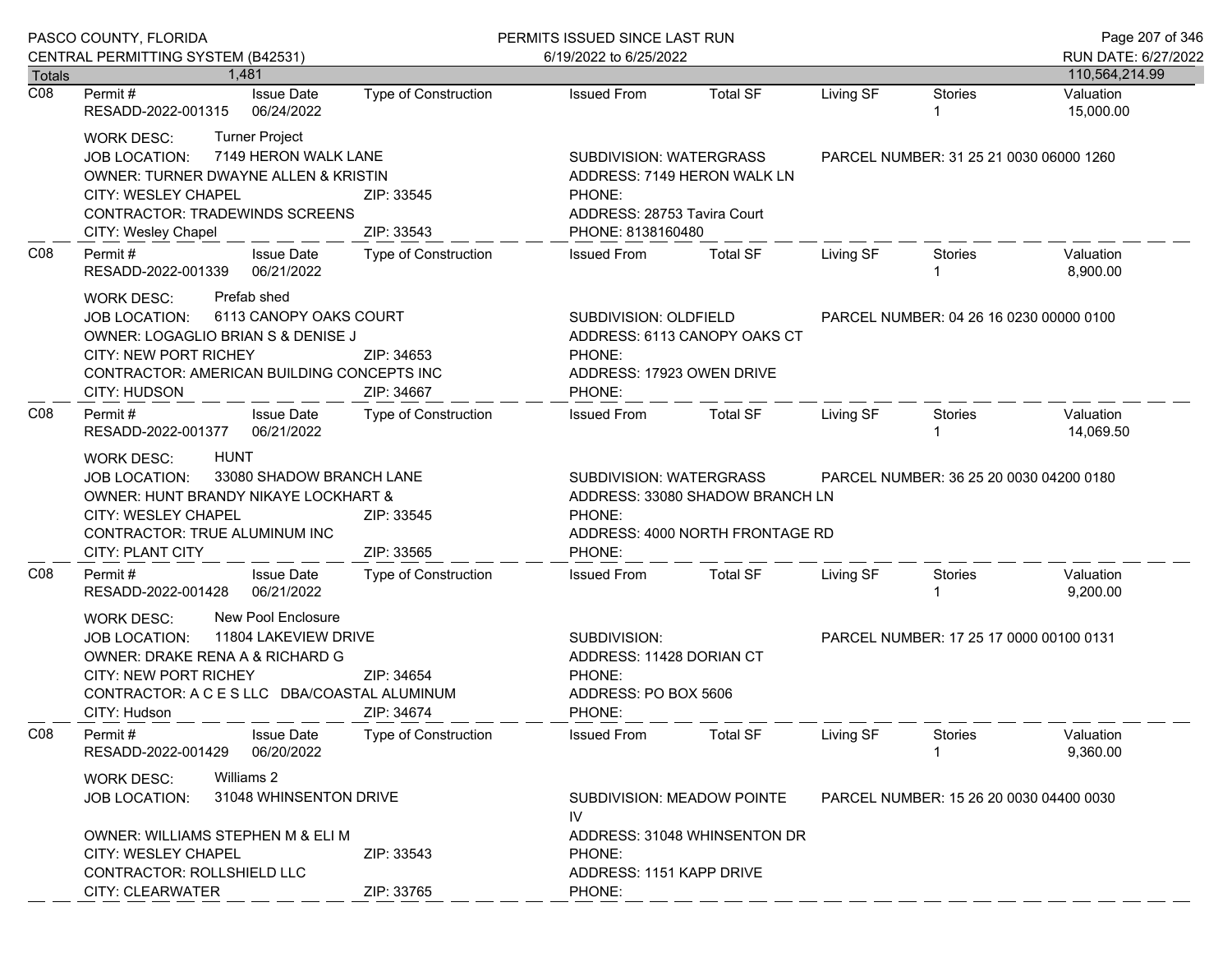|                                   | PASCO COUNTY, FLORIDA                                                                                                                                                                                                                           |                                                                              | PERMITS ISSUED SINCE LAST RUN                                                                                                   |                                                                                                            |           |                                         | Page 207 of 346        |
|-----------------------------------|-------------------------------------------------------------------------------------------------------------------------------------------------------------------------------------------------------------------------------------------------|------------------------------------------------------------------------------|---------------------------------------------------------------------------------------------------------------------------------|------------------------------------------------------------------------------------------------------------|-----------|-----------------------------------------|------------------------|
|                                   | CENTRAL PERMITTING SYSTEM (B42531)                                                                                                                                                                                                              |                                                                              | 6/19/2022 to 6/25/2022                                                                                                          |                                                                                                            |           |                                         | RUN DATE: 6/27/2022    |
| <b>Totals</b><br>$\overline{CO8}$ | 1.481<br><b>Issue Date</b>                                                                                                                                                                                                                      |                                                                              |                                                                                                                                 | <b>Total SF</b>                                                                                            | Living SF | <b>Stories</b>                          | 110,564,214.99         |
|                                   | Permit #<br>06/24/2022<br>RESADD-2022-001315                                                                                                                                                                                                    | Type of Construction                                                         | <b>Issued From</b>                                                                                                              |                                                                                                            |           | 1                                       | Valuation<br>15,000.00 |
|                                   | <b>Turner Project</b><br><b>WORK DESC:</b><br>7149 HERON WALK LANE<br>JOB LOCATION:<br>OWNER: TURNER DWAYNE ALLEN & KRISTIN<br><b>CITY: WESLEY CHAPEL</b><br><b>CONTRACTOR: TRADEWINDS SCREENS</b><br>CITY: Wesley Chapel                       | ZIP: 33545<br>ZIP: 33543                                                     | PHONE:                                                                                                                          | SUBDIVISION: WATERGRASS<br>ADDRESS: 7149 HERON WALK LN<br>ADDRESS: 28753 Tavira Court<br>PHONE: 8138160480 |           | PARCEL NUMBER: 31 25 21 0030 06000 1260 |                        |
| CO8                               | Permit#<br><b>Issue Date</b><br>06/21/2022<br>RESADD-2022-001339                                                                                                                                                                                | Type of Construction                                                         | <b>Issued From</b>                                                                                                              | <b>Total SF</b>                                                                                            | Living SF | Stories<br>1                            | Valuation<br>8,900.00  |
|                                   | Prefab shed<br>WORK DESC:<br>6113 CANOPY OAKS COURT<br><b>JOB LOCATION:</b><br>OWNER: LOGAGLIO BRIAN S & DENISE J<br>CITY: NEW PORT RICHEY<br>CONTRACTOR: AMERICAN BUILDING CONCEPTS INC<br>CITY: HUDSON                                        | ZIP: 34653<br>ZIP: 34667                                                     | SUBDIVISION: OLDFIELD<br>ADDRESS: 6113 CANOPY OAKS CT<br>PHONE:<br>ADDRESS: 17923 OWEN DRIVE<br>PHONE:                          | PARCEL NUMBER: 04 26 16 0230 00000 0100                                                                    |           |                                         |                        |
| CO8                               | <b>Issue Date</b><br>Permit #<br>RESADD-2022-001377 06/21/2022                                                                                                                                                                                  | Type of Construction                                                         | <b>Issued From</b>                                                                                                              | <b>Total SF</b>                                                                                            | Living SF | <b>Stories</b>                          | Valuation<br>14,069.50 |
|                                   | <b>HUNT</b><br>WORK DESC:<br>33080 SHADOW BRANCH LANE<br><b>JOB LOCATION:</b><br><b>OWNER: HUNT BRANDY NIKAYE LOCKHART &amp;</b><br>CITY: WESLEY CHAPEL<br>ZIP: 33545<br>CONTRACTOR: TRUE ALUMINUM INC<br><b>CITY: PLANT CITY</b><br>ZIP: 33565 |                                                                              | SUBDIVISION: WATERGRASS<br>PHONE:<br>PHONE:                                                                                     | ADDRESS: 33080 SHADOW BRANCH LN<br>ADDRESS: 4000 NORTH FRONTAGE RD                                         |           | PARCEL NUMBER: 36 25 20 0030 04200 0180 |                        |
| C <sub>08</sub>                   | <b>Issue Date</b><br>Permit #<br>RESADD-2022-001428<br>06/21/2022                                                                                                                                                                               | Type of Construction                                                         | <b>Issued From</b>                                                                                                              | <b>Total SF</b>                                                                                            | Living SF | Stories                                 | Valuation<br>9,200.00  |
|                                   | New Pool Enclosure<br>WORK DESC:<br>11804 LAKEVIEW DRIVE<br>JOB LOCATION:<br>OWNER: DRAKE RENA A & RICHARD G<br>CITY: NEW PORT RICHEY<br>CONTRACTOR: A C E S LLC DBA/COASTAL ALUMINUM<br>CITY: Hudson                                           | ZIP: 34654<br>ZIP: 34674                                                     | SUBDIVISION:<br>PARCEL NUMBER: 17 25 17 0000 00100 0131<br>ADDRESS: 11428 DORIAN CT<br>PHONE:<br>ADDRESS: PO BOX 5606<br>PHONE: |                                                                                                            |           |                                         |                        |
| CO8                               | Permit#<br><b>Issue Date</b><br>06/20/2022<br>RESADD-2022-001429                                                                                                                                                                                | <b>Type of Construction</b>                                                  | <b>Issued From</b>                                                                                                              | <b>Total SF</b>                                                                                            | Living SF | <b>Stories</b>                          | Valuation<br>9,360.00  |
|                                   | Williams 2<br><b>WORK DESC:</b><br>31048 WHINSENTON DRIVE<br><b>JOB LOCATION:</b>                                                                                                                                                               | IV                                                                           | SUBDIVISION: MEADOW POINTE<br>PARCEL NUMBER: 15 26 20 0030 04400 0030                                                           |                                                                                                            |           |                                         |                        |
|                                   | OWNER: WILLIAMS STEPHEN M & ELI M<br><b>CITY: WESLEY CHAPEL</b><br>CONTRACTOR: ROLLSHIELD LLC<br>CITY: CLEARWATER                                                                                                                               | ADDRESS: 31048 WHINSENTON DR<br>PHONE:<br>ADDRESS: 1151 KAPP DRIVE<br>PHONE: |                                                                                                                                 |                                                                                                            |           |                                         |                        |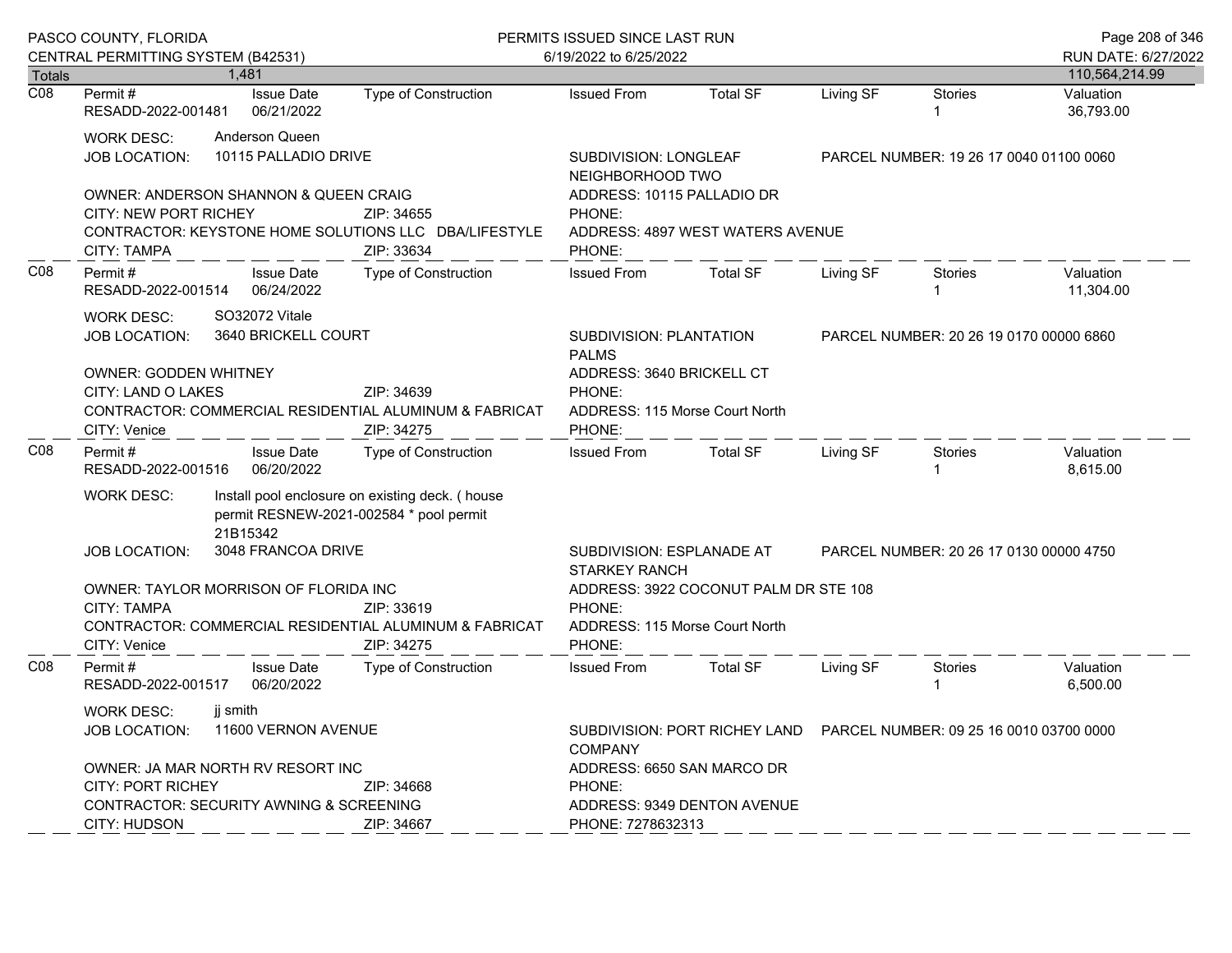|                  | PASCO COUNTY, FLORIDA<br>CENTRAL PERMITTING SYSTEM (B42531)                                                                                                                                                                         |                                       |                                                                                            | PERMITS ISSUED SINCE LAST RUN                                                                |                                                                         |                                         |                                         | Page 208 of 346                       |  |
|------------------|-------------------------------------------------------------------------------------------------------------------------------------------------------------------------------------------------------------------------------------|---------------------------------------|--------------------------------------------------------------------------------------------|----------------------------------------------------------------------------------------------|-------------------------------------------------------------------------|-----------------------------------------|-----------------------------------------|---------------------------------------|--|
| Totals           |                                                                                                                                                                                                                                     | 1.481                                 |                                                                                            | 6/19/2022 to 6/25/2022                                                                       |                                                                         |                                         |                                         | RUN DATE: 6/27/2022<br>110,564,214.99 |  |
| $\overline{CO8}$ | Permit #<br>RESADD-2022-001481                                                                                                                                                                                                      | <b>Issue Date</b><br>06/21/2022       | <b>Type of Construction</b>                                                                | <b>Issued From</b>                                                                           | <b>Total SF</b>                                                         | Living SF                               | <b>Stories</b><br>$\mathbf{1}$          | Valuation<br>36,793.00                |  |
|                  | Anderson Queen<br><b>WORK DESC:</b><br>10115 PALLADIO DRIVE<br><b>JOB LOCATION:</b><br>OWNER: ANDERSON SHANNON & QUEEN CRAIG<br><b>CITY: NEW PORT RICHEY</b><br>ZIP: 34655<br>CONTRACTOR: KEYSTONE HOME SOLUTIONS LLC DBA/LIFESTYLE |                                       |                                                                                            | SUBDIVISION: LONGLEAF<br>NEIGHBORHOOD TWO<br>ADDRESS: 10115 PALLADIO DR<br>PHONE:            |                                                                         | PARCEL NUMBER: 19 26 17 0040 01100 0060 |                                         |                                       |  |
|                  | CITY: TAMPA                                                                                                                                                                                                                         |                                       | ZIP: 33634                                                                                 | PHONE:                                                                                       | ADDRESS: 4897 WEST WATERS AVENUE                                        |                                         |                                         |                                       |  |
| CO8              | Permit#<br><b>Issue Date</b><br>RESADD-2022-001514<br>06/24/2022                                                                                                                                                                    |                                       | Type of Construction                                                                       | <b>Issued From</b>                                                                           | <b>Total SF</b>                                                         | Living SF                               | <b>Stories</b><br>$\overline{1}$        | Valuation<br>11,304.00                |  |
|                  | <b>WORK DESC:</b><br><b>JOB LOCATION:</b>                                                                                                                                                                                           | SO32072 Vitale<br>3640 BRICKELL COURT |                                                                                            | SUBDIVISION: PLANTATION<br><b>PALMS</b>                                                      |                                                                         |                                         | PARCEL NUMBER: 20 26 19 0170 00000 6860 |                                       |  |
|                  | <b>OWNER: GODDEN WHITNEY</b><br>CITY: LAND O LAKES<br>CONTRACTOR: COMMERCIAL RESIDENTIAL ALUMINUM & FABRICAT<br>CITY: Venice                                                                                                        |                                       | PHONE:<br>PHONE:                                                                           | ADDRESS: 3640 BRICKELL CT<br>ADDRESS: 115 Morse Court North                                  |                                                                         |                                         |                                         |                                       |  |
| C <sub>08</sub>  | Permit #<br>RESADD-2022-001516                                                                                                                                                                                                      | <b>Issue Date</b><br>06/20/2022       | Type of Construction                                                                       | <b>Issued From</b>                                                                           | <b>Total SF</b>                                                         | Living SF                               | <b>Stories</b><br>$\mathbf{1}$          | Valuation<br>8,615.00                 |  |
|                  | <b>WORK DESC:</b>                                                                                                                                                                                                                   | 21B15342                              | Install pool enclosure on existing deck. (house<br>permit RESNEW-2021-002584 * pool permit |                                                                                              |                                                                         |                                         |                                         |                                       |  |
|                  | <b>JOB LOCATION:</b>                                                                                                                                                                                                                | 3048 FRANCOA DRIVE                    |                                                                                            | SUBDIVISION: ESPLANADE AT<br>PARCEL NUMBER: 20 26 17 0130 00000 4750<br><b>STARKEY RANCH</b> |                                                                         |                                         |                                         |                                       |  |
|                  | OWNER: TAYLOR MORRISON OF FLORIDA INC<br>CITY: TAMPA<br>ZIP: 33619<br>CONTRACTOR: COMMERCIAL RESIDENTIAL ALUMINUM & FABRICAT<br>CITY: Venice<br>ZIP: 34275                                                                          |                                       |                                                                                            | PHONE:<br>PHONE:                                                                             | ADDRESS: 3922 COCONUT PALM DR STE 108<br>ADDRESS: 115 Morse Court North |                                         |                                         |                                       |  |
| CO8              | Permit#<br>RESADD-2022-001517                                                                                                                                                                                                       | <b>Issue Date</b><br>06/20/2022       | Type of Construction                                                                       | <b>Issued From</b>                                                                           | <b>Total SF</b>                                                         | Living SF                               | <b>Stories</b><br>-1                    | Valuation<br>6,500.00                 |  |
|                  | jj smith<br><b>WORK DESC:</b><br>11600 VERNON AVENUE<br><b>JOB LOCATION:</b>                                                                                                                                                        |                                       |                                                                                            | SUBDIVISION: PORT RICHEY LAND  PARCEL NUMBER: 09 25 16 0010 03700 0000<br><b>COMPANY</b>     |                                                                         |                                         |                                         |                                       |  |
|                  | OWNER: JA MAR NORTH RV RESORT INC<br><b>CITY: PORT RICHEY</b><br>ZIP: 34668<br>CONTRACTOR: SECURITY AWNING & SCREENING<br>CITY: HUDSON<br>ZIP: 34667                                                                                |                                       |                                                                                            | ADDRESS: 6650 SAN MARCO DR<br>PHONE:<br>ADDRESS: 9349 DENTON AVENUE<br>PHONE: 7278632313     |                                                                         |                                         |                                         |                                       |  |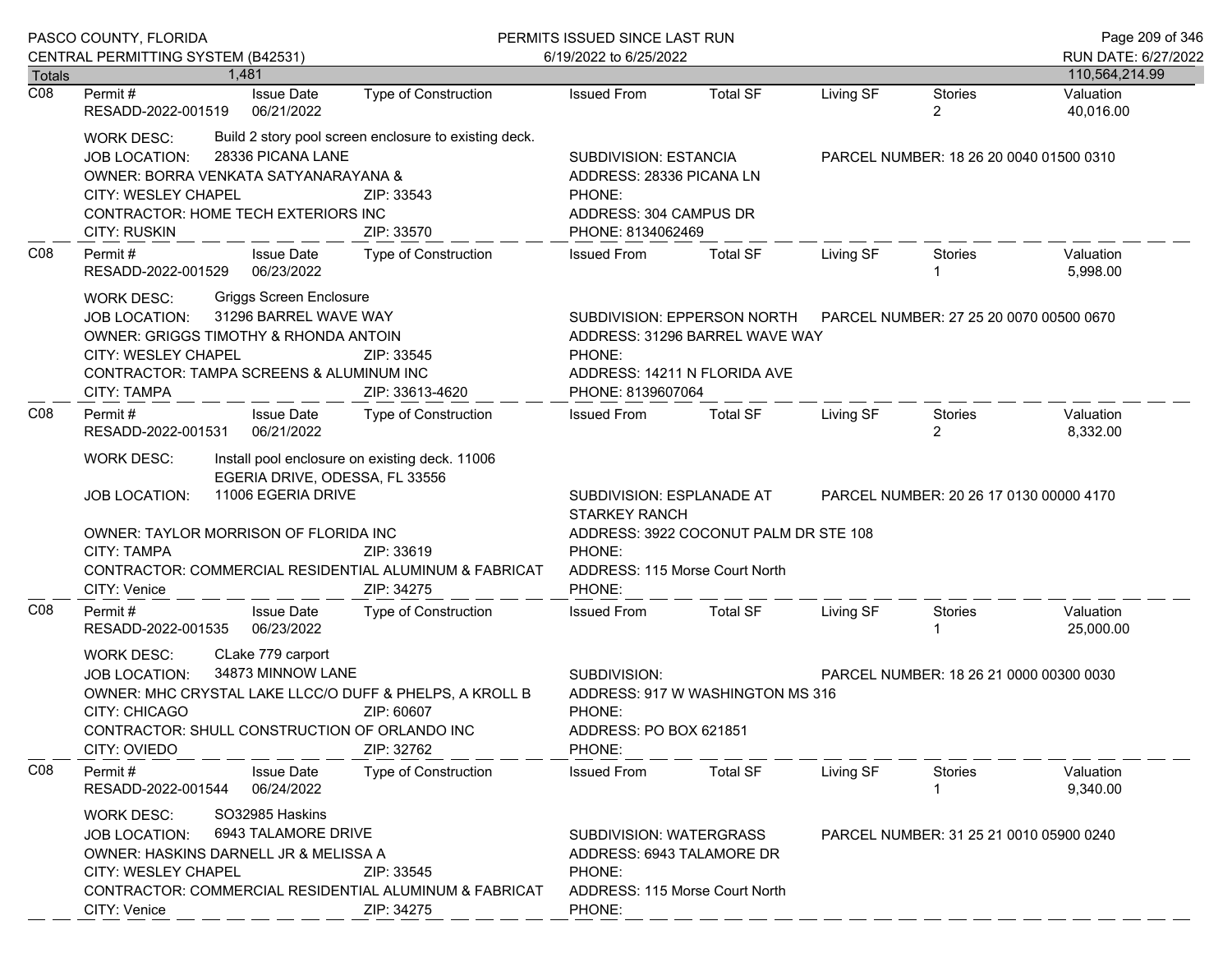|                  | PASCO COUNTY, FLORIDA<br>CENTRAL PERMITTING SYSTEM (B42531)                                                                                                                                                                                                                                                                                    |                                        |                                                                                                                                           | PERMITS ISSUED SINCE LAST RUN                                                                                                |                                       |                                         |                                         | Page 209 of 346                       |  |
|------------------|------------------------------------------------------------------------------------------------------------------------------------------------------------------------------------------------------------------------------------------------------------------------------------------------------------------------------------------------|----------------------------------------|-------------------------------------------------------------------------------------------------------------------------------------------|------------------------------------------------------------------------------------------------------------------------------|---------------------------------------|-----------------------------------------|-----------------------------------------|---------------------------------------|--|
| Totals           |                                                                                                                                                                                                                                                                                                                                                | 1.481                                  |                                                                                                                                           | 6/19/2022 to 6/25/2022                                                                                                       |                                       |                                         |                                         | RUN DATE: 6/27/2022<br>110,564,214.99 |  |
| $\overline{CO8}$ | Permit #<br>RESADD-2022-001519                                                                                                                                                                                                                                                                                                                 | <b>Issue Date</b><br>06/21/2022        | Type of Construction                                                                                                                      | <b>Issued From</b>                                                                                                           | <b>Total SF</b>                       | Living SF                               | Stories<br>2                            | Valuation<br>40,016.00                |  |
|                  | <b>WORK DESC:</b><br>JOB LOCATION:<br>OWNER: BORRA VENKATA SATYANARAYANA &<br>CITY: WESLEY CHAPEL<br>CONTRACTOR: HOME TECH EXTERIORS INC<br><b>CITY: RUSKIN</b>                                                                                                                                                                                | 28336 PICANA LANE                      | Build 2 story pool screen enclosure to existing deck.<br>ZIP: 33543<br>ZIP: 33570                                                         | SUBDIVISION: ESTANCIA<br>ADDRESS: 28336 PICANA LN<br>PHONE:<br>ADDRESS: 304 CAMPUS DR<br>PHONE: 8134062469                   |                                       |                                         | PARCEL NUMBER: 18 26 20 0040 01500 0310 |                                       |  |
| CO8              | Permit#<br>RESADD-2022-001529                                                                                                                                                                                                                                                                                                                  | <b>Issue Date</b><br>06/23/2022        | Type of Construction                                                                                                                      | <b>Issued From</b>                                                                                                           | <b>Total SF</b>                       | Living SF                               | Stories                                 | Valuation<br>5,998.00                 |  |
|                  | <b>Griggs Screen Enclosure</b><br><b>WORK DESC:</b><br>31296 BARREL WAVE WAY<br><b>JOB LOCATION:</b><br>OWNER: GRIGGS TIMOTHY & RHONDA ANTOIN<br>CITY: WESLEY CHAPEL<br>ZIP: 33545<br>CONTRACTOR: TAMPA SCREENS & ALUMINUM INC<br><b>CITY: TAMPA</b><br>ZIP: 33613-4620<br>Permit#<br><b>Issue Date</b><br>Type of Construction                |                                        |                                                                                                                                           | SUBDIVISION: EPPERSON NORTH<br>ADDRESS: 31296 BARREL WAVE WAY<br>PHONE:<br>ADDRESS: 14211 N FLORIDA AVE<br>PHONE: 8139607064 |                                       |                                         | PARCEL NUMBER: 27 25 20 0070 00500 0670 |                                       |  |
| CO8              |                                                                                                                                                                                                                                                                                                                                                | 06/21/2022                             |                                                                                                                                           | <b>Issued From</b>                                                                                                           | <b>Total SF</b>                       | Living SF                               | <b>Stories</b><br>2                     | Valuation<br>8,332.00                 |  |
|                  | RESADD-2022-001531<br><b>WORK DESC:</b><br>Install pool enclosure on existing deck. 11006<br>EGERIA DRIVE, ODESSA, FL 33556<br>11006 EGERIA DRIVE<br><b>JOB LOCATION:</b><br>OWNER: TAYLOR MORRISON OF FLORIDA INC<br><b>CITY: TAMPA</b><br>ZIP: 33619<br>CONTRACTOR: COMMERCIAL RESIDENTIAL ALUMINUM & FABRICAT<br>CITY: Venice<br>ZIP: 34275 |                                        |                                                                                                                                           | SUBDIVISION: ESPLANADE AT<br><b>STARKEY RANCH</b><br>PHONE:<br>ADDRESS: 115 Morse Court North<br>PHONE:                      | ADDRESS: 3922 COCONUT PALM DR STE 108 | PARCEL NUMBER: 20 26 17 0130 00000 4170 |                                         |                                       |  |
| C <sub>08</sub>  | Permit#<br>RESADD-2022-001535                                                                                                                                                                                                                                                                                                                  | <b>Issue Date</b><br>06/23/2022        | Type of Construction                                                                                                                      | <b>Issued From</b>                                                                                                           | <b>Total SF</b>                       | Living SF                               | <b>Stories</b>                          | Valuation<br>25,000.00                |  |
|                  | CLake 779 carport<br><b>WORK DESC:</b><br>34873 MINNOW LANE<br><b>JOB LOCATION:</b><br>OWNER: MHC CRYSTAL LAKE LLCC/O DUFF & PHELPS, A KROLL B<br>CITY: CHICAGO<br>ZIP: 60607<br>CONTRACTOR: SHULL CONSTRUCTION OF ORLANDO INC<br>CITY: OVIEDO<br>ZIP: 32762                                                                                   |                                        | SUBDIVISION:<br>PARCEL NUMBER: 18 26 21 0000 00300 0030<br>ADDRESS: 917 W WASHINGTON MS 316<br>PHONE:<br>ADDRESS: PO BOX 621851<br>PHONE: |                                                                                                                              |                                       |                                         |                                         |                                       |  |
| CO8              | Permit#<br>RESADD-2022-001544                                                                                                                                                                                                                                                                                                                  | <b>Issue Date</b><br>06/24/2022        | <b>Type of Construction</b>                                                                                                               | <b>Issued From</b>                                                                                                           | <b>Total SF</b>                       | Living SF                               | Stories                                 | Valuation<br>9,340.00                 |  |
|                  | <b>WORK DESC:</b><br><b>JOB LOCATION:</b><br>OWNER: HASKINS DARNELL JR & MELISSA A<br><b>CITY: WESLEY CHAPEL</b><br>CITY: Venice                                                                                                                                                                                                               | SO32985 Haskins<br>6943 TALAMORE DRIVE | ZIP: 33545<br>CONTRACTOR: COMMERCIAL RESIDENTIAL ALUMINUM & FABRICAT<br>ZIP: 34275                                                        | SUBDIVISION: WATERGRASS<br>ADDRESS: 6943 TALAMORE DR<br>PHONE:<br>ADDRESS: 115 Morse Court North<br>PHONE:                   |                                       |                                         | PARCEL NUMBER: 31 25 21 0010 05900 0240 |                                       |  |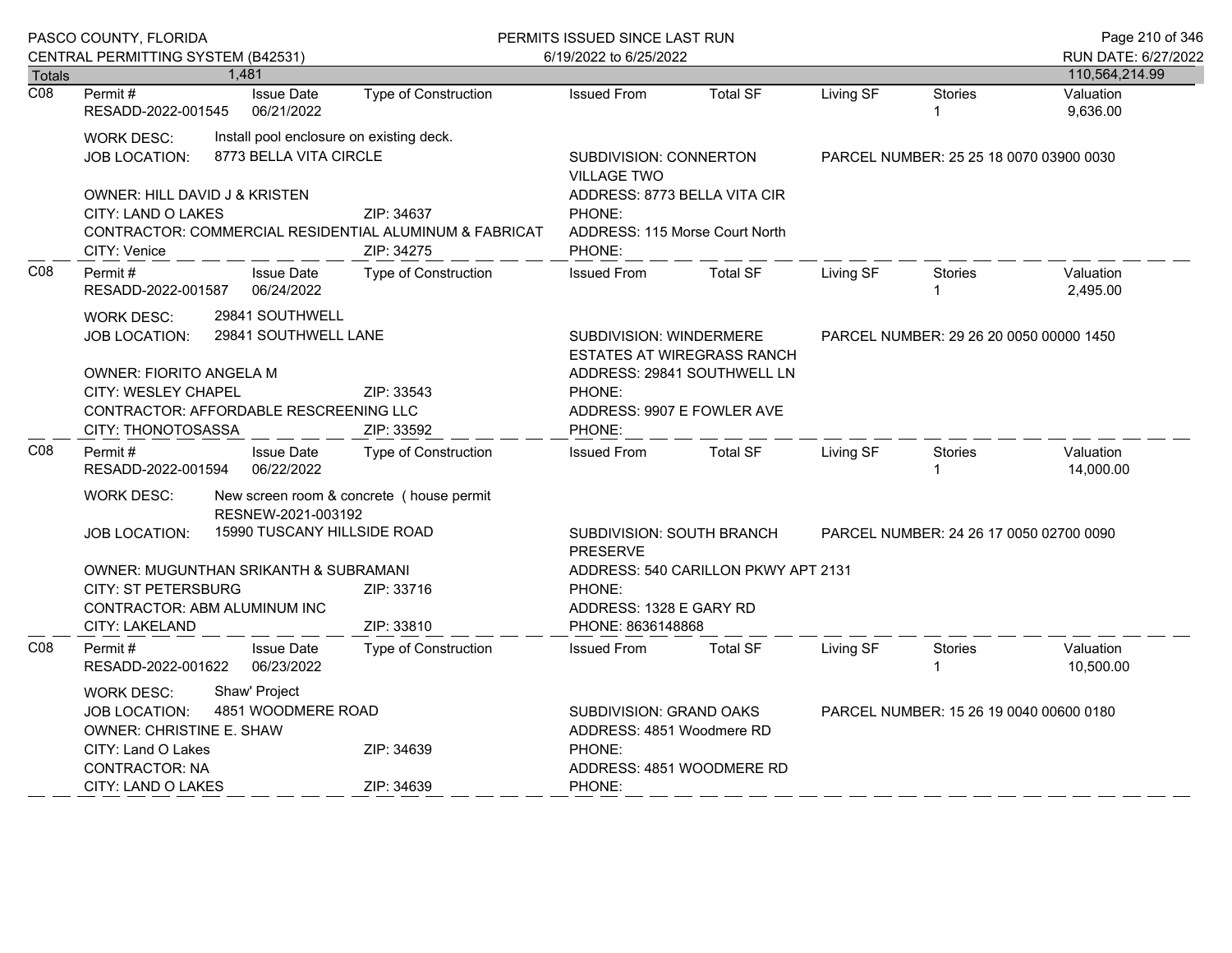|                  | PASCO COUNTY, FLORIDA<br>CENTRAL PERMITTING SYSTEM (B42531)                                                                                       |                                                                    |                                                                                    | PERMITS ISSUED SINCE LAST RUN<br>6/19/2022 to 6/25/2022                                                   |                                                                                                                |                                         |                       | Page 210 of 346<br>RUN DATE: 6/27/2022 |
|------------------|---------------------------------------------------------------------------------------------------------------------------------------------------|--------------------------------------------------------------------|------------------------------------------------------------------------------------|-----------------------------------------------------------------------------------------------------------|----------------------------------------------------------------------------------------------------------------|-----------------------------------------|-----------------------|----------------------------------------|
| <b>Totals</b>    |                                                                                                                                                   | 1,481                                                              |                                                                                    |                                                                                                           |                                                                                                                |                                         |                       | 110,564,214.99                         |
| $\overline{CO8}$ | Permit#<br>RESADD-2022-001545                                                                                                                     | <b>Issue Date</b><br>06/21/2022                                    | <b>Type of Construction</b>                                                        | <b>Issued From</b>                                                                                        | <b>Total SF</b>                                                                                                | Living SF                               | <b>Stories</b>        | Valuation<br>9,636.00                  |
|                  | <b>WORK DESC:</b><br>JOB LOCATION:                                                                                                                | Install pool enclosure on existing deck.<br>8773 BELLA VITA CIRCLE |                                                                                    | <b>VILLAGE TWO</b>                                                                                        | SUBDIVISION: CONNERTON<br>PARCEL NUMBER: 25 25 18 0070 03900 0030                                              |                                         |                       |                                        |
|                  | <b>OWNER: HILL DAVID J &amp; KRISTEN</b><br>CITY: LAND O LAKES<br>CITY: Venice                                                                    |                                                                    | ZIP: 34637<br>CONTRACTOR: COMMERCIAL RESIDENTIAL ALUMINUM & FABRICAT<br>ZIP: 34275 | PHONE:<br>PHONE:                                                                                          | ADDRESS: 8773 BELLA VITA CIR<br>ADDRESS: 115 Morse Court North                                                 |                                         |                       |                                        |
| C <sub>08</sub>  | Permit#<br><b>Issue Date</b><br>Type of Construction<br>06/24/2022<br>RESADD-2022-001587                                                          |                                                                    | <b>Issued From</b>                                                                 | <b>Total SF</b>                                                                                           | Living SF                                                                                                      | Stories                                 | Valuation<br>2,495.00 |                                        |
|                  | <b>WORK DESC:</b><br><b>JOB LOCATION:</b>                                                                                                         | 29841 SOUTHWELL<br>29841 SOUTHWELL LANE                            |                                                                                    |                                                                                                           | <b>SUBDIVISION: WINDERMERE</b><br>PARCEL NUMBER: 29 26 20 0050 00000 1450<br><b>ESTATES AT WIREGRASS RANCH</b> |                                         |                       |                                        |
|                  | OWNER: FIORITO ANGELA M<br>CITY: WESLEY CHAPEL<br>ZIP: 33543<br>CONTRACTOR: AFFORDABLE RESCREENING LLC<br>CITY: THONOTOSASSA<br>ZIP: 33592        |                                                                    |                                                                                    | PHONE:<br>ADDRESS: 9907 E FOWLER AVE<br>PHONE:                                                            | ADDRESS: 29841 SOUTHWELL LN                                                                                    |                                         |                       |                                        |
| C <sub>08</sub>  | Permit#<br>RESADD-2022-001594                                                                                                                     | <b>Issue Date</b><br>06/22/2022                                    | Type of Construction                                                               | <b>Issued From</b>                                                                                        | <b>Total SF</b>                                                                                                | Living SF                               | Stories               | Valuation<br>14,000.00                 |
|                  | <b>WORK DESC:</b>                                                                                                                                 | New screen room & concrete (house permit<br>RESNEW-2021-003192     |                                                                                    |                                                                                                           |                                                                                                                |                                         |                       |                                        |
|                  | <b>JOB LOCATION:</b>                                                                                                                              | 15990 TUSCANY HILLSIDE ROAD                                        |                                                                                    | SUBDIVISION: SOUTH BRANCH<br><b>PRESERVE</b>                                                              |                                                                                                                | PARCEL NUMBER: 24 26 17 0050 02700 0090 |                       |                                        |
|                  | OWNER: MUGUNTHAN SRIKANTH & SUBRAMANI<br><b>CITY: ST PETERSBURG</b><br>ZIP: 33716<br>CONTRACTOR: ABM ALUMINUM INC<br>ZIP: 33810<br>CITY: LAKELAND |                                                                    |                                                                                    | PHONE:<br>PHONE: 8636148868                                                                               | ADDRESS: 540 CARILLON PKWY APT 2131<br>ADDRESS: 1328 E GARY RD                                                 |                                         |                       |                                        |
| CO8              | Permit#<br>RESADD-2022-001622                                                                                                                     | <b>Issue Date</b><br>06/23/2022                                    | <b>Type of Construction</b>                                                        | <b>Issued From</b>                                                                                        | <b>Total SF</b>                                                                                                | Living SF                               | <b>Stories</b>        | Valuation<br>10,500.00                 |
|                  | Shaw' Project<br><b>WORK DESC:</b><br>4851 WOODMERE ROAD<br><b>JOB LOCATION:</b><br>OWNER: CHRISTINE E. SHAW<br>CITY: Land O Lakes<br>ZIP: 34639  |                                                                    |                                                                                    | SUBDIVISION: GRAND OAKS<br>PARCEL NUMBER: 15 26 19 0040 00600 0180<br>ADDRESS: 4851 Woodmere RD<br>PHONE: |                                                                                                                |                                         |                       |                                        |
|                  | <b>CONTRACTOR: NA</b><br><b>CITY: LAND O LAKES</b><br>ZIP: 34639                                                                                  |                                                                    |                                                                                    | ADDRESS: 4851 WOODMERE RD<br>PHONE:                                                                       |                                                                                                                |                                         |                       |                                        |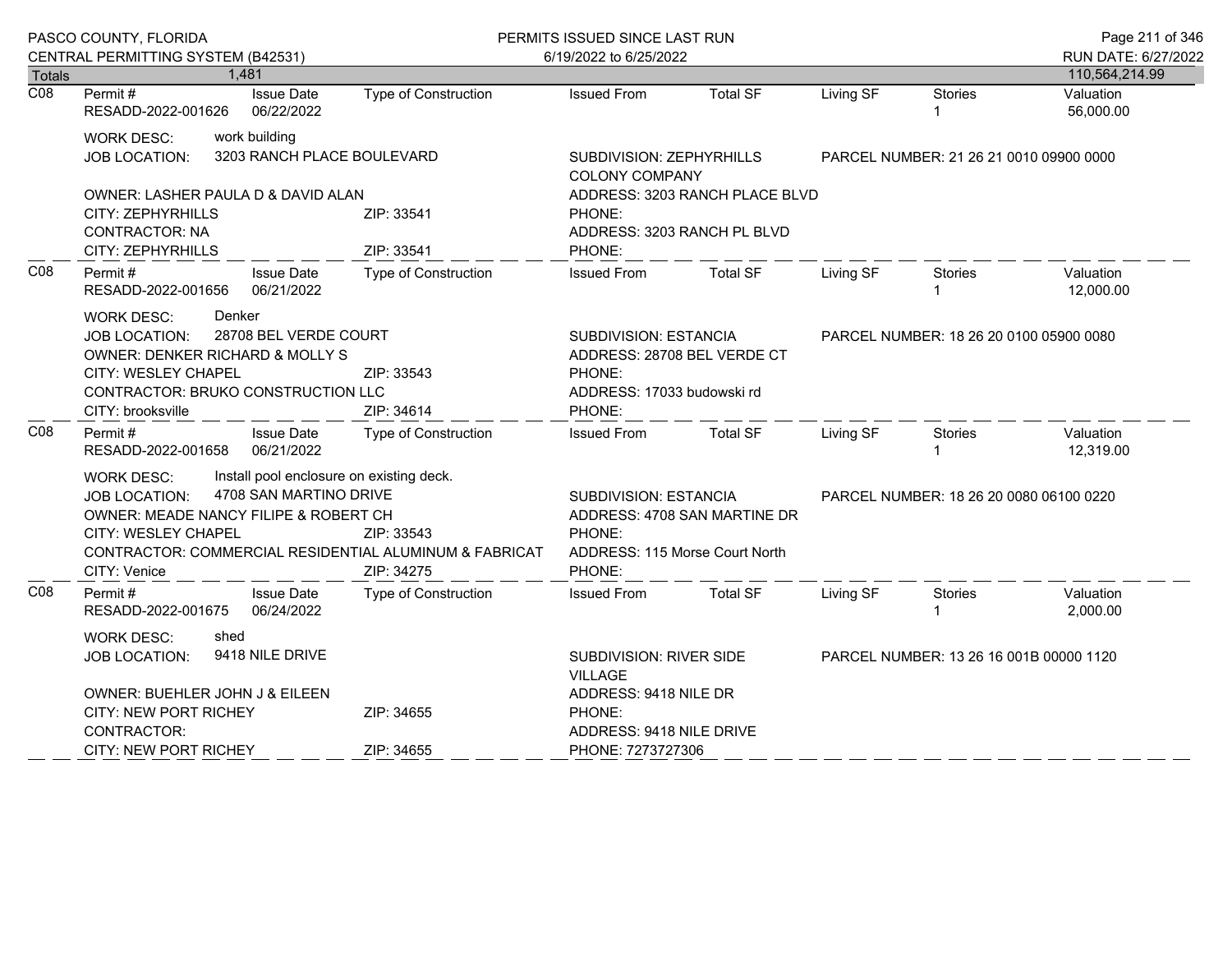|                  | PASCO COUNTY, FLORIDA                                                                                                                                                                                                                                                   |                                             | PERMITS ISSUED SINCE LAST RUN                                                                                                      |                                                                                                             |                                                               | Page 211 of 346                         |                                         |                        |  |
|------------------|-------------------------------------------------------------------------------------------------------------------------------------------------------------------------------------------------------------------------------------------------------------------------|---------------------------------------------|------------------------------------------------------------------------------------------------------------------------------------|-------------------------------------------------------------------------------------------------------------|---------------------------------------------------------------|-----------------------------------------|-----------------------------------------|------------------------|--|
|                  | CENTRAL PERMITTING SYSTEM (B42531)                                                                                                                                                                                                                                      |                                             |                                                                                                                                    | 6/19/2022 to 6/25/2022                                                                                      |                                                               |                                         |                                         | RUN DATE: 6/27/2022    |  |
| Totals           |                                                                                                                                                                                                                                                                         | 1,481                                       |                                                                                                                                    |                                                                                                             |                                                               |                                         |                                         | 110,564,214.99         |  |
| $\overline{CO8}$ | Permit#<br>RESADD-2022-001626                                                                                                                                                                                                                                           | <b>Issue Date</b><br>06/22/2022             | <b>Type of Construction</b>                                                                                                        | <b>Issued From</b>                                                                                          | <b>Total SF</b>                                               | Living SF                               | <b>Stories</b>                          | Valuation<br>56,000.00 |  |
|                  | <b>WORK DESC:</b><br><b>JOB LOCATION:</b>                                                                                                                                                                                                                               | work building<br>3203 RANCH PLACE BOULEVARD |                                                                                                                                    | SUBDIVISION: ZEPHYRHILLS<br><b>COLONY COMPANY</b>                                                           | PARCEL NUMBER: 21 26 21 0010 09900 0000                       |                                         |                                         |                        |  |
|                  | OWNER: LASHER PAULA D & DAVID ALAN<br>CITY: ZEPHYRHILLS<br><b>CONTRACTOR: NA</b><br>CITY: ZEPHYRHILLS                                                                                                                                                                   |                                             | ZIP: 33541<br>ZIP: 33541                                                                                                           | PHONE:<br>PHONE:                                                                                            | ADDRESS: 3203 RANCH PLACE BLVD<br>ADDRESS: 3203 RANCH PL BLVD |                                         |                                         |                        |  |
| CO8              | Permit#<br><b>Issue Date</b><br>06/21/2022<br>RESADD-2022-001656                                                                                                                                                                                                        |                                             | <b>Type of Construction</b>                                                                                                        | <b>Issued From</b>                                                                                          | <b>Total SF</b>                                               | Living SF                               | Stories                                 | Valuation<br>12,000.00 |  |
|                  | Denker<br><b>WORK DESC:</b><br>28708 BEL VERDE COURT<br>JOB LOCATION:<br>OWNER: DENKER RICHARD & MOLLY S<br><b>CITY: WESLEY CHAPEL</b><br>CONTRACTOR: BRUKO CONSTRUCTION LLC<br>CITY: brooksville                                                                       |                                             | SUBDIVISION: ESTANCIA<br>ADDRESS: 28708 BEL VERDE CT<br>ZIP: 33543<br>PHONE:<br>ADDRESS: 17033 budowski rd<br>ZIP: 34614<br>PHONE: |                                                                                                             | PARCEL NUMBER: 18 26 20 0100 05900 0080                       |                                         |                                         |                        |  |
| C <sub>08</sub>  | Permit#<br>RESADD-2022-001658                                                                                                                                                                                                                                           | <b>Issue Date</b><br>06/21/2022             | Type of Construction                                                                                                               | <b>Issued From</b>                                                                                          | <b>Total SF</b>                                               | Living SF                               | <b>Stories</b>                          | Valuation<br>12,319.00 |  |
|                  | Install pool enclosure on existing deck.<br><b>WORK DESC:</b><br>4708 SAN MARTINO DRIVE<br><b>JOB LOCATION:</b><br>OWNER: MEADE NANCY FILIPE & ROBERT CH<br>CITY: WESLEY CHAPEL<br>ZIP: 33543<br>CONTRACTOR: COMMERCIAL RESIDENTIAL ALUMINUM & FABRICAT<br>CITY: Venice |                                             | ZIP: 34275                                                                                                                         | SUBDIVISION: ESTANCIA<br>ADDRESS: 4708 SAN MARTINE DR<br>PHONE:<br>ADDRESS: 115 Morse Court North<br>PHONE: |                                                               |                                         | PARCEL NUMBER: 18 26 20 0080 06100 0220 |                        |  |
| C <sub>08</sub>  | Permit#<br>RESADD-2022-001675                                                                                                                                                                                                                                           | <b>Issue Date</b><br>06/24/2022             | <b>Type of Construction</b>                                                                                                        | <b>Issued From</b>                                                                                          | <b>Total SF</b>                                               | Living SF                               | Stories                                 | Valuation<br>2,000.00  |  |
|                  | <b>WORK DESC:</b><br>shed<br>9418 NILE DRIVE<br><b>JOB LOCATION:</b><br>OWNER: BUEHLER JOHN J & EILEEN<br>CITY: NEW PORT RICHEY<br>ZIP: 34655                                                                                                                           |                                             | SUBDIVISION: RIVER SIDE<br><b>VILLAGE</b><br>ADDRESS: 9418 NILE DR<br>PHONE:                                                       |                                                                                                             |                                                               | PARCEL NUMBER: 13 26 16 001B 00000 1120 |                                         |                        |  |
|                  | CONTRACTOR:<br>ZIP: 34655<br><b>CITY: NEW PORT RICHEY</b>                                                                                                                                                                                                               |                                             |                                                                                                                                    | ADDRESS: 9418 NILE DRIVE<br>PHONE: 7273727306                                                               |                                                               |                                         |                                         |                        |  |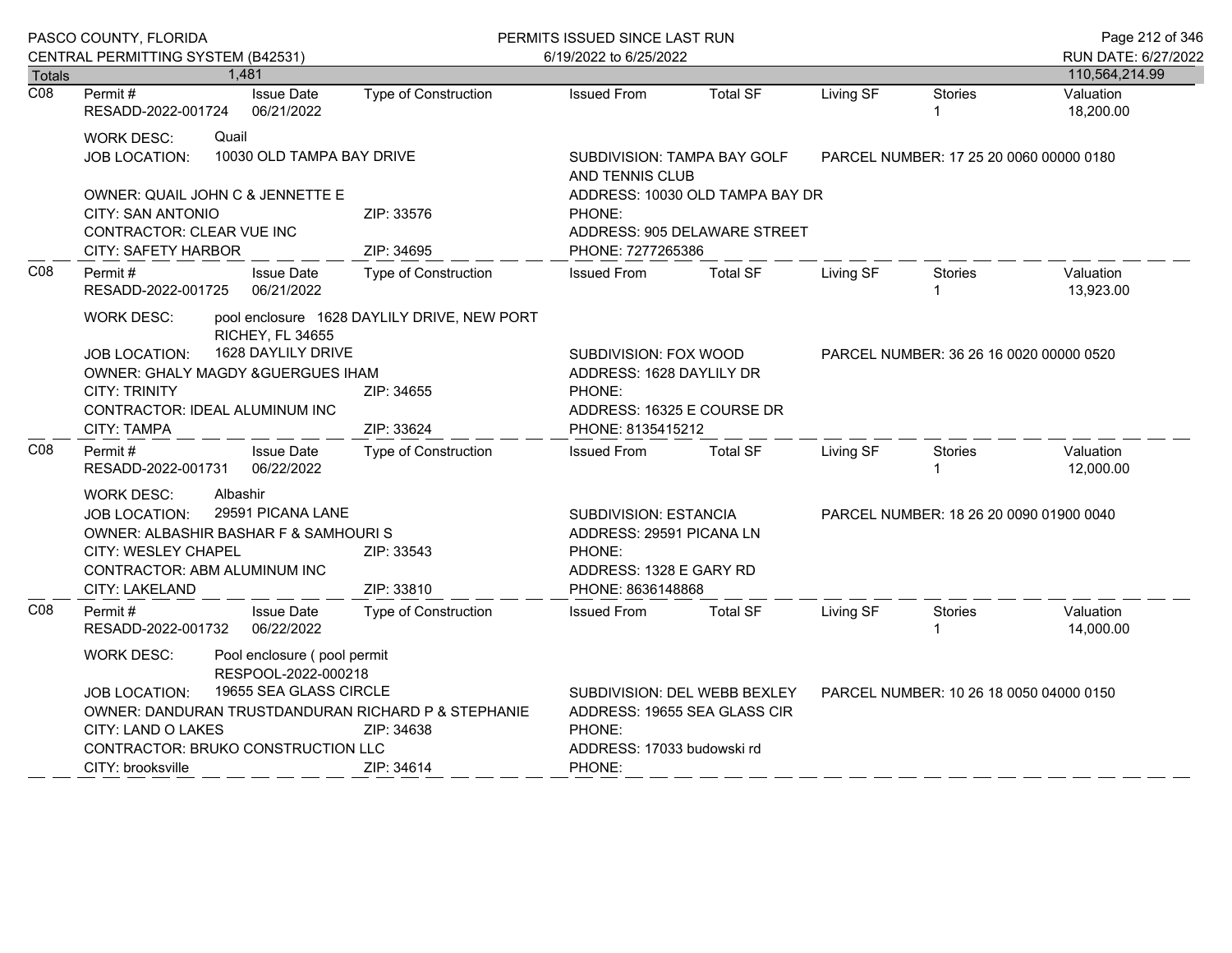|                  | PASCO COUNTY, FLORIDA                                                                                                                                                                                                                                             |                                               |                                                                         | PERMITS ISSUED SINCE LAST RUN                                                                  |                                                                                                                            |           |                                         | Page 212 of 346        |
|------------------|-------------------------------------------------------------------------------------------------------------------------------------------------------------------------------------------------------------------------------------------------------------------|-----------------------------------------------|-------------------------------------------------------------------------|------------------------------------------------------------------------------------------------|----------------------------------------------------------------------------------------------------------------------------|-----------|-----------------------------------------|------------------------|
|                  | CENTRAL PERMITTING SYSTEM (B42531)                                                                                                                                                                                                                                |                                               |                                                                         | 6/19/2022 to 6/25/2022                                                                         |                                                                                                                            |           |                                         | RUN DATE: 6/27/2022    |
| <b>Totals</b>    |                                                                                                                                                                                                                                                                   | 1,481                                         |                                                                         |                                                                                                |                                                                                                                            |           |                                         | 110,564,214.99         |
| $\overline{CO8}$ | Permit#<br>RESADD-2022-001724                                                                                                                                                                                                                                     | <b>Issue Date</b><br>06/21/2022               | Type of Construction                                                    | <b>Issued From</b>                                                                             | <b>Total SF</b>                                                                                                            | Living SF | <b>Stories</b>                          | Valuation<br>18,200.00 |
|                  | <b>WORK DESC:</b><br><b>JOB LOCATION:</b>                                                                                                                                                                                                                         | Quail<br>10030 OLD TAMPA BAY DRIVE            |                                                                         | SUBDIVISION: TAMPA BAY GOLF<br>AND TENNIS CLUB                                                 | PARCEL NUMBER: 17 25 20 0060 00000 0180                                                                                    |           |                                         |                        |
|                  | OWNER: QUAIL JOHN C & JENNETTE E<br>CITY: SAN ANTONIO<br>CONTRACTOR: CLEAR VUE INC<br><b>CITY: SAFETY HARBOR</b>                                                                                                                                                  |                                               | ZIP: 33576<br>ZIP: 34695                                                | ADDRESS: 10030 OLD TAMPA BAY DR<br>PHONE:<br>ADDRESS: 905 DELAWARE STREET<br>PHONE: 7277265386 |                                                                                                                            |           |                                         |                        |
| CO8              | <b>Issue Date</b><br>Permit#<br>RESADD-2022-001725<br>06/21/2022                                                                                                                                                                                                  |                                               | <b>Type of Construction</b>                                             | <b>Issued From</b>                                                                             | <b>Total SF</b>                                                                                                            | Living SF | <b>Stories</b><br>1                     | Valuation<br>13,923.00 |
|                  | <b>WORK DESC:</b><br><b>JOB LOCATION:</b><br>OWNER: GHALY MAGDY &GUERGUES IHAM<br><b>CITY: TRINITY</b><br>CONTRACTOR: IDEAL ALUMINUM INC<br><b>CITY: TAMPA</b>                                                                                                    | <b>RICHEY, FL 34655</b><br>1628 DAYLILY DRIVE | pool enclosure 1628 DAYLILY DRIVE, NEW PORT<br>ZIP: 34655<br>ZIP: 33624 | PHONE:<br>PHONE: 8135415212                                                                    | SUBDIVISION: FOX WOOD<br>PARCEL NUMBER: 36 26 16 0020 00000 0520<br>ADDRESS: 1628 DAYLILY DR<br>ADDRESS: 16325 E COURSE DR |           |                                         |                        |
| C <sub>08</sub>  | Permit #<br>RESADD-2022-001731                                                                                                                                                                                                                                    | <b>Issue Date</b><br>06/22/2022               | Type of Construction                                                    | <b>Issued From</b>                                                                             | <b>Total SF</b>                                                                                                            | Living SF | <b>Stories</b><br>1                     | Valuation<br>12,000.00 |
|                  | Albashir<br><b>WORK DESC:</b><br>29591 PICANA LANE<br><b>JOB LOCATION:</b><br>OWNER: ALBASHIR BASHAR F & SAMHOURI S<br>CITY: WESLEY CHAPEL<br>ZIP: 33543<br>CONTRACTOR: ABM ALUMINUM INC<br>CITY: LAKELAND                                                        |                                               | ZIP: 33810                                                              | PHONE:                                                                                         | SUBDIVISION: ESTANCIA<br>ADDRESS: 29591 PICANA LN<br>ADDRESS: 1328 E GARY RD<br>PHONE: 8636148868                          |           | PARCEL NUMBER: 18 26 20 0090 01900 0040 |                        |
| C <sub>08</sub>  | Permit #<br>RESADD-2022-001732                                                                                                                                                                                                                                    | <b>Issue Date</b><br>06/22/2022               | <b>Type of Construction</b>                                             | <b>Issued From</b>                                                                             | <b>Total SF</b>                                                                                                            | Living SF | Stories<br>1                            | Valuation<br>14,000.00 |
|                  | <b>WORK DESC:</b><br>Pool enclosure (pool permit<br>RESPOOL-2022-000218<br>19655 SEA GLASS CIRCLE<br><b>JOB LOCATION:</b><br>OWNER: DANDURAN TRUSTDANDURAN RICHARD P & STEPHANIE<br>CITY: LAND O LAKES<br>CONTRACTOR: BRUKO CONSTRUCTION LLC<br>CITY: brooksville |                                               | ZIP: 34638<br>ZIP: 34614                                                | PHONE:<br>ADDRESS: 17033 budowski rd<br>PHONE:                                                 | SUBDIVISION: DEL WEBB BEXLEY<br>ADDRESS: 19655 SEA GLASS CIR                                                               |           | PARCEL NUMBER: 10 26 18 0050 04000 0150 |                        |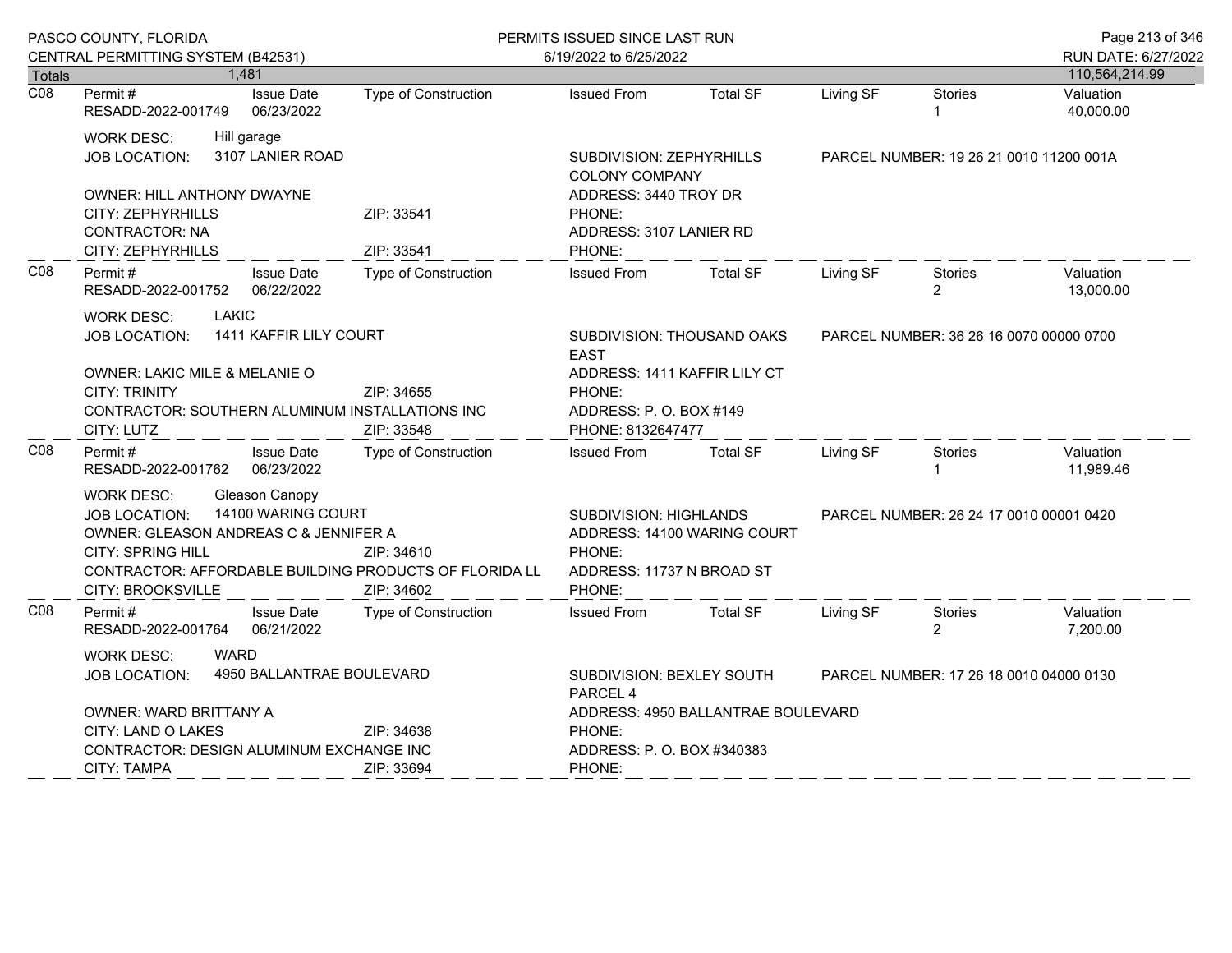|                  | PASCO COUNTY, FLORIDA<br>CENTRAL PERMITTING SYSTEM (B42531)                                                                                                                                                                                         |                                 |                                                                                                                                                       | PERMITS ISSUED SINCE LAST RUN                                                                          |                                         |                                         |                                         | Page 213 of 346                       |  |
|------------------|-----------------------------------------------------------------------------------------------------------------------------------------------------------------------------------------------------------------------------------------------------|---------------------------------|-------------------------------------------------------------------------------------------------------------------------------------------------------|--------------------------------------------------------------------------------------------------------|-----------------------------------------|-----------------------------------------|-----------------------------------------|---------------------------------------|--|
| <b>Totals</b>    | 1,481                                                                                                                                                                                                                                               |                                 |                                                                                                                                                       | 6/19/2022 to 6/25/2022                                                                                 |                                         |                                         |                                         | RUN DATE: 6/27/2022<br>110,564,214.99 |  |
| $\overline{CO8}$ | Permit#<br>RESADD-2022-001749                                                                                                                                                                                                                       | <b>Issue Date</b><br>06/23/2022 | <b>Type of Construction</b>                                                                                                                           | <b>Issued From</b>                                                                                     | <b>Total SF</b>                         | Living SF                               | <b>Stories</b>                          | Valuation<br>40,000.00                |  |
|                  | <b>WORK DESC:</b><br>Hill garage<br>3107 LANIER ROAD<br>JOB LOCATION:<br>OWNER: HILL ANTHONY DWAYNE<br><b>CITY: ZEPHYRHILLS</b><br><b>CONTRACTOR: NA</b><br>CITY: ZEPHYRHILLS                                                                       |                                 | SUBDIVISION: ZEPHYRHILLS<br><b>COLONY COMPANY</b><br>ADDRESS: 3440 TROY DR<br>ZIP: 33541<br>PHONE:<br>ADDRESS: 3107 LANIER RD<br>PHONE:<br>ZIP: 33541 |                                                                                                        | PARCEL NUMBER: 19 26 21 0010 11200 001A |                                         |                                         |                                       |  |
| CO8              | Permit #<br><b>Issue Date</b><br>06/22/2022<br>RESADD-2022-001752                                                                                                                                                                                   |                                 | Type of Construction                                                                                                                                  | <b>Issued From</b>                                                                                     | <b>Total SF</b>                         | Living SF                               | <b>Stories</b><br>$\overline{2}$        | Valuation<br>13,000.00                |  |
|                  | <b>LAKIC</b><br><b>WORK DESC:</b><br>1411 KAFFIR LILY COURT<br><b>JOB LOCATION:</b><br>OWNER: LAKIC MILE & MELANIE O<br><b>CITY: TRINITY</b><br>ZIP: 34655<br>CONTRACTOR: SOUTHERN ALUMINUM INSTALLATIONS INC<br>CITY: LUTZ<br>ZIP: 33548           |                                 | SUBDIVISION: THOUSAND OAKS<br><b>EAST</b><br>ADDRESS: 1411 KAFFIR LILY CT<br>PHONE:<br>ADDRESS: P.O. BOX #149<br>PHONE: 8132647477                    |                                                                                                        |                                         | PARCEL NUMBER: 36 26 16 0070 00000 0700 |                                         |                                       |  |
| CO8              | Permit#<br>RESADD-2022-001762                                                                                                                                                                                                                       | <b>Issue Date</b><br>06/23/2022 | Type of Construction                                                                                                                                  | <b>Issued From</b>                                                                                     | <b>Total SF</b>                         | Living SF                               | <b>Stories</b>                          | Valuation<br>11,989.46                |  |
|                  | Gleason Canopy<br><b>WORK DESC:</b><br>14100 WARING COURT<br><b>JOB LOCATION:</b><br>OWNER: GLEASON ANDREAS C & JENNIFER A<br><b>CITY: SPRING HILL</b><br>ZIP: 34610<br>CONTRACTOR: AFFORDABLE BUILDING PRODUCTS OF FLORIDA LL<br>CITY: BROOKSVILLE |                                 | ZIP: 34602                                                                                                                                            | SUBDIVISION: HIGHLANDS<br>ADDRESS: 14100 WARING COURT<br>PHONE:<br>ADDRESS: 11737 N BROAD ST<br>PHONE: |                                         |                                         | PARCEL NUMBER: 26 24 17 0010 00001 0420 |                                       |  |
| CO8              | Permit#<br>RESADD-2022-001764                                                                                                                                                                                                                       | <b>Issue Date</b><br>06/21/2022 | Type of Construction                                                                                                                                  | <b>Issued From</b>                                                                                     | <b>Total SF</b>                         | Living SF                               | <b>Stories</b><br>$\overline{2}$        | Valuation<br>7,200.00                 |  |
|                  | <b>WARD</b><br><b>WORK DESC:</b><br>4950 BALLANTRAE BOULEVARD<br><b>JOB LOCATION:</b><br>OWNER: WARD BRITTANY A<br>CITY: LAND O LAKES<br>ZIP: 34638<br>CONTRACTOR: DESIGN ALUMINUM EXCHANGE INC                                                     |                                 | SUBDIVISION: BEXLEY SOUTH<br>PARCEL NUMBER: 17 26 18 0010 04000 0130<br>PARCEL <sub>4</sub><br>ADDRESS: 4950 BALLANTRAE BOULEVARD<br>PHONE:           |                                                                                                        |                                         |                                         |                                         |                                       |  |
|                  | <b>CITY: TAMPA</b>                                                                                                                                                                                                                                  | ZIP: 33694                      | ADDRESS: P. O. BOX #340383<br>PHONE:                                                                                                                  |                                                                                                        |                                         |                                         |                                         |                                       |  |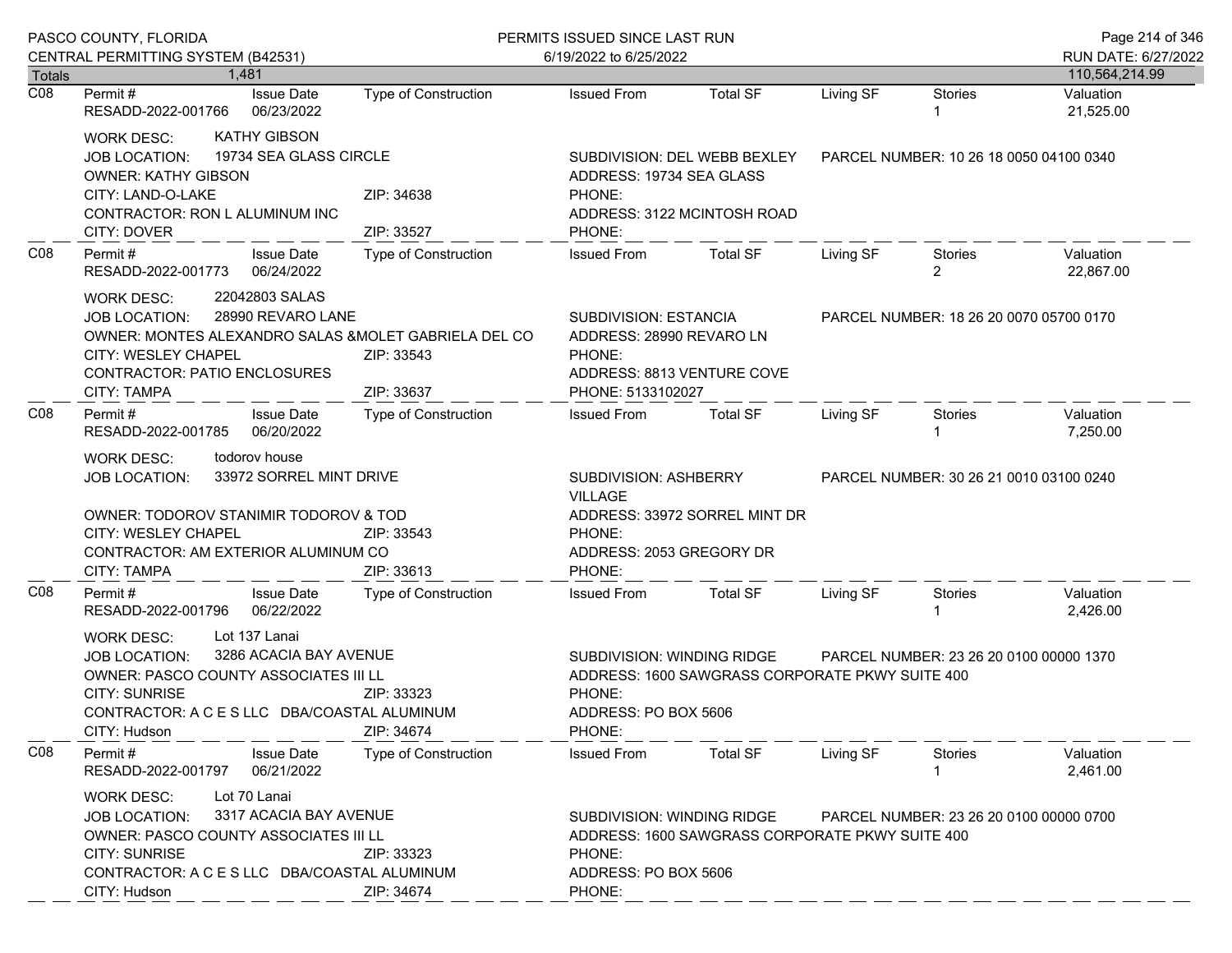|                            | PASCO COUNTY, FLORIDA                                                                                                                                                                                                                             |                             | PERMITS ISSUED SINCE LAST RUN                                                                                                                                               |                               |                                         |                                         | Page 214 of 346        |
|----------------------------|---------------------------------------------------------------------------------------------------------------------------------------------------------------------------------------------------------------------------------------------------|-----------------------------|-----------------------------------------------------------------------------------------------------------------------------------------------------------------------------|-------------------------------|-----------------------------------------|-----------------------------------------|------------------------|
|                            | CENTRAL PERMITTING SYSTEM (B42531)                                                                                                                                                                                                                |                             | 6/19/2022 to 6/25/2022                                                                                                                                                      |                               |                                         |                                         | RUN DATE: 6/27/2022    |
| Totals<br>$\overline{CO8}$ | 1.481                                                                                                                                                                                                                                             |                             |                                                                                                                                                                             |                               |                                         |                                         | 110,564,214.99         |
|                            | Permit #<br><b>Issue Date</b><br>RESADD-2022-001766<br>06/23/2022                                                                                                                                                                                 | <b>Type of Construction</b> | <b>Issued From</b>                                                                                                                                                          | <b>Total SF</b>               | Living SF                               | <b>Stories</b>                          | Valuation<br>21,525.00 |
|                            | <b>KATHY GIBSON</b><br><b>WORK DESC:</b><br>19734 SEA GLASS CIRCLE<br><b>JOB LOCATION:</b><br><b>OWNER: KATHY GIBSON</b><br>CITY: LAND-O-LAKE<br>CONTRACTOR: RON L ALUMINUM INC<br>CITY: DOVER                                                    | ZIP: 34638<br>ZIP: 33527    | SUBDIVISION: DEL WEBB BEXLEY<br>ADDRESS: 19734 SEA GLASS<br>PHONE:<br>ADDRESS: 3122 MCINTOSH ROAD<br>PHONE:                                                                 |                               | PARCEL NUMBER: 10 26 18 0050 04100 0340 |                                         |                        |
| CO8                        | Permit#<br><b>Issue Date</b><br>RESADD-2022-001773<br>06/24/2022                                                                                                                                                                                  | Type of Construction        | <b>Issued From</b>                                                                                                                                                          | <b>Total SF</b>               | Living SF                               | Stories<br>$\overline{2}$               | Valuation<br>22,867.00 |
|                            | 22042803 SALAS<br>WORK DESC:<br>28990 REVARO LANE<br><b>JOB LOCATION:</b><br>OWNER: MONTES ALEXANDRO SALAS & MOLET GABRIELA DEL CO<br>CITY: WESLEY CHAPEL<br><b>CONTRACTOR: PATIO ENCLOSURES</b><br><b>CITY: TAMPA</b>                            | ZIP: 33543<br>ZIP: 33637    | SUBDIVISION: ESTANCIA<br>ADDRESS: 28990 REVARO LN<br>PHONE:<br>ADDRESS: 8813 VENTURE COVE<br>PHONE: 5133102027                                                              |                               |                                         | PARCEL NUMBER: 18 26 20 0070 05700 0170 |                        |
| CO8                        | Permit#<br><b>Issue Date</b><br>RESADD-2022-001785<br>06/20/2022                                                                                                                                                                                  | Type of Construction        | <b>Issued From</b>                                                                                                                                                          | <b>Total SF</b>               | Living SF                               | Stories                                 | Valuation<br>7,250.00  |
|                            | todorov house<br>WORK DESC:<br>33972 SORREL MINT DRIVE<br>JOB LOCATION:<br>OWNER: TODOROV STANIMIR TODOROV & TOD<br><b>CITY: WESLEY CHAPEL</b><br>ZIP: 33543<br>CONTRACTOR: AM EXTERIOR ALUMINUM CO<br><b>CITY: TAMPA</b><br>ZIP: 33613           |                             | SUBDIVISION: ASHBERRY<br><b>VILLAGE</b><br>PHONE:<br>ADDRESS: 2053 GREGORY DR<br>PHONE:                                                                                     | ADDRESS: 33972 SORREL MINT DR |                                         | PARCEL NUMBER: 30 26 21 0010 03100 0240 |                        |
| CO8                        | <b>Issue Date</b><br>Permit #<br>RESADD-2022-001796 06/22/2022                                                                                                                                                                                    | Type of Construction        | <b>Issued From</b>                                                                                                                                                          | <b>Total SF</b>               | Living SF                               | Stories                                 | Valuation<br>2,426.00  |
|                            | Lot 137 Lanai<br><b>WORK DESC:</b><br>3286 ACACIA BAY AVENUE<br><b>JOB LOCATION:</b><br>OWNER: PASCO COUNTY ASSOCIATES III LL<br><b>CITY: SUNRISE</b><br>ZIP: 33323<br>CONTRACTOR: A C E S LLC DBA/COASTAL ALUMINUM<br>CITY: Hudson<br>ZIP: 34674 |                             | <b>SUBDIVISION: WINDING RIDGE</b><br>PARCEL NUMBER: 23 26 20 0100 00000 1370<br>ADDRESS: 1600 SAWGRASS CORPORATE PKWY SUITE 400<br>PHONE:<br>ADDRESS: PO BOX 5606<br>PHONE: |                               |                                         |                                         |                        |
| CO8                        | Permit#<br><b>Issue Date</b><br>06/21/2022<br>RESADD-2022-001797                                                                                                                                                                                  | <b>Type of Construction</b> | <b>Issued From</b>                                                                                                                                                          | <b>Total SF</b>               | Living SF                               | <b>Stories</b>                          | Valuation<br>2,461.00  |
|                            | Lot 70 Lanai<br><b>WORK DESC:</b><br>3317 ACACIA BAY AVENUE<br><b>JOB LOCATION:</b><br>OWNER: PASCO COUNTY ASSOCIATES III LL<br><b>CITY: SUNRISE</b><br>ZIP: 33323<br>CONTRACTOR: A C E S LLC DBA/COASTAL ALUMINUM<br>CITY: Hudson<br>ZIP: 34674  |                             | SUBDIVISION: WINDING RIDGE<br>PARCEL NUMBER: 23 26 20 0100 00000 0700<br>ADDRESS: 1600 SAWGRASS CORPORATE PKWY SUITE 400<br>PHONE:<br>ADDRESS: PO BOX 5606<br>PHONE:        |                               |                                         |                                         |                        |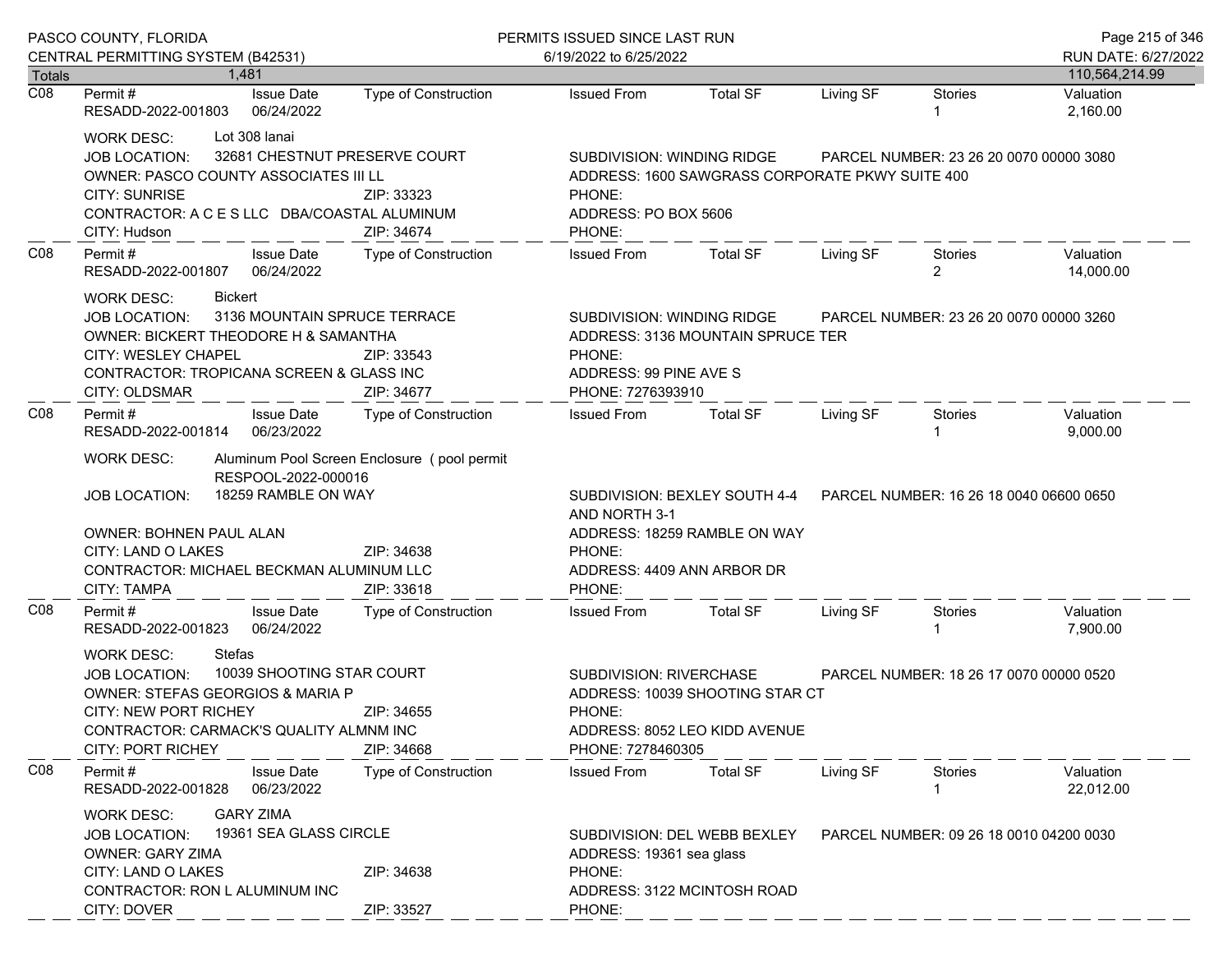|                  | PASCO COUNTY, FLORIDA                                                                                                                                                                                                                                                                                              |                                                |                             | PERMITS ISSUED SINCE LAST RUN                                                                                                                                         |                                                               |                                         |                                         |                        |
|------------------|--------------------------------------------------------------------------------------------------------------------------------------------------------------------------------------------------------------------------------------------------------------------------------------------------------------------|------------------------------------------------|-----------------------------|-----------------------------------------------------------------------------------------------------------------------------------------------------------------------|---------------------------------------------------------------|-----------------------------------------|-----------------------------------------|------------------------|
|                  | CENTRAL PERMITTING SYSTEM (B42531)                                                                                                                                                                                                                                                                                 |                                                |                             | 6/19/2022 to 6/25/2022                                                                                                                                                |                                                               |                                         |                                         | RUN DATE: 6/27/2022    |
| Totals           |                                                                                                                                                                                                                                                                                                                    | 1.481                                          |                             |                                                                                                                                                                       |                                                               |                                         |                                         | 110,564,214.99         |
| $\overline{CO8}$ | Permit #<br>RESADD-2022-001803                                                                                                                                                                                                                                                                                     | <b>Issue Date</b><br>06/24/2022                | <b>Type of Construction</b> | <b>Issued From</b>                                                                                                                                                    | <b>Total SF</b>                                               | Living SF                               | <b>Stories</b>                          | Valuation<br>2,160.00  |
|                  | WORK DESC:<br>JOB LOCATION:<br>OWNER: PASCO COUNTY ASSOCIATES III LL<br><b>CITY: SUNRISE</b><br>CONTRACTOR: A C E S LLC DBA/COASTAL ALUMINUM<br>CITY: Hudson                                                                                                                                                       | Lot 308 lanai<br>32681 CHESTNUT PRESERVE COURT | ZIP: 33323<br>ZIP: 34674    | SUBDIVISION: WINDING RIDGE<br>PHONE:<br>ADDRESS: PO BOX 5606<br>PHONE:                                                                                                | ADDRESS: 1600 SAWGRASS CORPORATE PKWY SUITE 400               |                                         | PARCEL NUMBER: 23 26 20 0070 00000 3080 |                        |
| CO8              | Permit#<br>RESADD-2022-001807                                                                                                                                                                                                                                                                                      | <b>Issue Date</b><br>06/24/2022                | Type of Construction        | <b>Issued From</b>                                                                                                                                                    | <b>Total SF</b>                                               | Living SF                               | Stories<br>$\overline{2}$               | Valuation<br>14,000.00 |
|                  | Bickert<br><b>WORK DESC:</b><br>3136 MOUNTAIN SPRUCE TERRACE<br><b>JOB LOCATION:</b><br>OWNER: BICKERT THEODORE H & SAMANTHA<br>CITY: WESLEY CHAPEL<br>ZIP: 33543<br>CONTRACTOR: TROPICANA SCREEN & GLASS INC<br>CITY: OLDSMAR<br>ZIP: 34677<br>Permit#<br><b>Issue Date</b>                                       |                                                |                             | SUBDIVISION: WINDING RIDGE<br>ADDRESS: 3136 MOUNTAIN SPRUCE TER<br>PHONE:<br>ADDRESS: 99 PINE AVE S<br>PHONE: 7276393910                                              |                                                               | PARCEL NUMBER: 23 26 20 0070 00000 3260 |                                         |                        |
| CO8              |                                                                                                                                                                                                                                                                                                                    | 06/23/2022                                     | Type of Construction        | <b>Issued From</b>                                                                                                                                                    | <b>Total SF</b>                                               | Living SF                               | Stories                                 | Valuation<br>9,000.00  |
|                  | RESADD-2022-001814<br><b>WORK DESC:</b><br>Aluminum Pool Screen Enclosure (pool permit<br>RESPOOL-2022-000016<br>18259 RAMBLE ON WAY<br><b>JOB LOCATION:</b><br>OWNER: BOHNEN PAUL ALAN<br>CITY: LAND O LAKES<br>ZIP: 34638<br><b>CONTRACTOR: MICHAEL BECKMAN ALUMINUM LLC</b><br><b>CITY: TAMPA</b><br>ZIP: 33618 |                                                |                             | AND NORTH 3-1<br>PHONE:<br>ADDRESS: 4409 ANN ARBOR DR<br>PHONE:                                                                                                       | SUBDIVISION: BEXLEY SOUTH 4-4<br>ADDRESS: 18259 RAMBLE ON WAY | PARCEL NUMBER: 16 26 18 0040 06600 0650 |                                         |                        |
| CO8              | Permit#<br>RESADD-2022-001823                                                                                                                                                                                                                                                                                      | <b>Issue Date</b><br>06/24/2022                | Type of Construction        | <b>Issued From</b>                                                                                                                                                    | <b>Total SF</b>                                               | Living SF                               | Stories                                 | Valuation<br>7,900.00  |
|                  | <b>Stefas</b><br><b>WORK DESC:</b><br>10039 SHOOTING STAR COURT<br><b>JOB LOCATION:</b><br><b>OWNER: STEFAS GEORGIOS &amp; MARIA P</b><br><b>CITY: NEW PORT RICHEY</b><br>ZIP: 34655<br>CONTRACTOR: CARMACK'S QUALITY ALMNM INC<br><b>CITY: PORT RICHEY</b>                                                        |                                                | ZIP: 34668                  | SUBDIVISION: RIVERCHASE<br>PARCEL NUMBER: 18 26 17 0070 00000 0520<br>ADDRESS: 10039 SHOOTING STAR CT<br>PHONE:<br>ADDRESS: 8052 LEO KIDD AVENUE<br>PHONE: 7278460305 |                                                               |                                         |                                         |                        |
| CO8              | Permit#<br>RESADD-2022-001828                                                                                                                                                                                                                                                                                      | <b>Issue Date</b><br>06/23/2022                | <b>Type of Construction</b> | <b>Issued From</b>                                                                                                                                                    | <b>Total SF</b>                                               | Living SF                               | <b>Stories</b>                          | Valuation<br>22,012.00 |
|                  | <b>GARY ZIMA</b><br><b>WORK DESC:</b><br>19361 SEA GLASS CIRCLE<br><b>JOB LOCATION:</b><br><b>OWNER: GARY ZIMA</b><br>CITY: LAND O LAKES<br>ZIP: 34638<br>CONTRACTOR: RON L ALUMINUM INC<br>CITY: DOVER<br>ZIP: 33527                                                                                              |                                                |                             | ADDRESS: 19361 sea glass<br>PHONE:<br>PHONE:                                                                                                                          | SUBDIVISION: DEL WEBB BEXLEY<br>ADDRESS: 3122 MCINTOSH ROAD   | PARCEL NUMBER: 09 26 18 0010 04200 0030 |                                         |                        |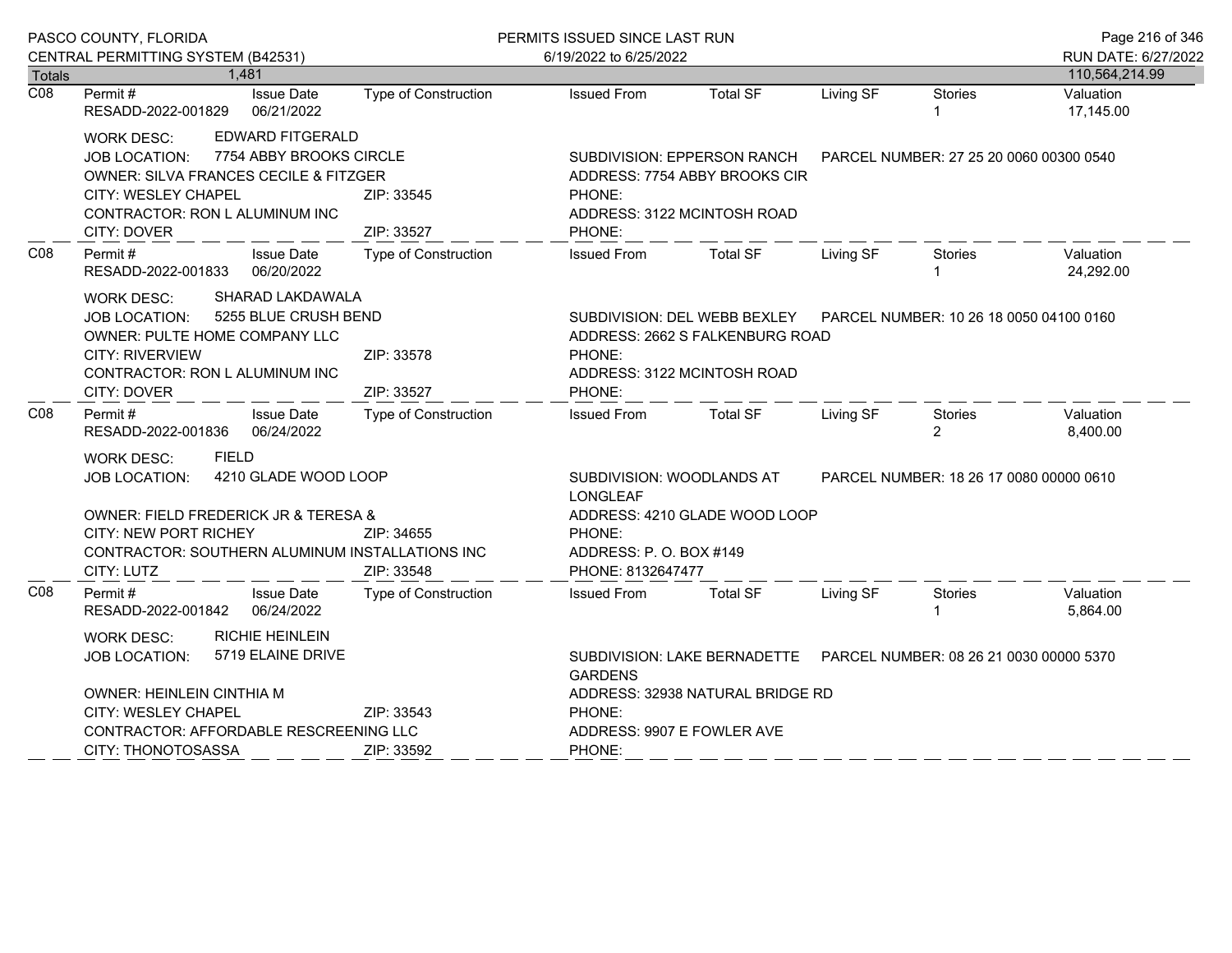|                  | PASCO COUNTY, FLORIDA                                                                                                                                                                                                      |                                                    |                                                                                                                                                                    | PERMITS ISSUED SINCE LAST RUN                   |                                                                                                           |           |                                         | Page 216 of 346        |
|------------------|----------------------------------------------------------------------------------------------------------------------------------------------------------------------------------------------------------------------------|----------------------------------------------------|--------------------------------------------------------------------------------------------------------------------------------------------------------------------|-------------------------------------------------|-----------------------------------------------------------------------------------------------------------|-----------|-----------------------------------------|------------------------|
|                  | CENTRAL PERMITTING SYSTEM (B42531)                                                                                                                                                                                         |                                                    |                                                                                                                                                                    | 6/19/2022 to 6/25/2022                          |                                                                                                           |           |                                         | RUN DATE: 6/27/2022    |
| <b>Totals</b>    |                                                                                                                                                                                                                            | 1,481                                              |                                                                                                                                                                    |                                                 |                                                                                                           |           |                                         | 110,564,214.99         |
| $\overline{CO8}$ | Permit#<br>RESADD-2022-001829                                                                                                                                                                                              | <b>Issue Date</b><br>06/21/2022                    | <b>Type of Construction</b>                                                                                                                                        | <b>Issued From</b>                              | <b>Total SF</b>                                                                                           | Living SF | <b>Stories</b>                          | Valuation<br>17,145.00 |
|                  | <b>WORK DESC:</b><br><b>JOB LOCATION:</b><br>OWNER: SILVA FRANCES CECILE & FITZGER<br>CITY: WESLEY CHAPEL<br>CONTRACTOR: RON L ALUMINUM INC<br>CITY: DOVER                                                                 | <b>EDWARD FITGERALD</b><br>7754 ABBY BROOKS CIRCLE | SUBDIVISION: EPPERSON RANCH<br>ADDRESS: 7754 ABBY BROOKS CIR<br>ZIP: 33545<br>PHONE:<br>ADDRESS: 3122 MCINTOSH ROAD<br>ZIP: 33527<br>PHONE:                        |                                                 | PARCEL NUMBER: 27 25 20 0060 00300 0540                                                                   |           |                                         |                        |
| C <sub>08</sub>  | Permit #<br>RESADD-2022-001833 06/20/2022                                                                                                                                                                                  | <b>Issue Date</b>                                  | Type of Construction                                                                                                                                               | <b>Issued From</b>                              | <b>Total SF</b>                                                                                           | Living SF | Stories                                 | Valuation<br>24,292.00 |
|                  | SHARAD LAKDAWALA<br><b>WORK DESC:</b><br>5255 BLUE CRUSH BEND<br>JOB LOCATION:<br>OWNER: PULTE HOME COMPANY LLC<br><b>CITY: RIVERVIEW</b><br>ZIP: 33578<br>CONTRACTOR: RON L ALUMINUM INC<br>ZIP: 33527<br>CITY: DOVER     |                                                    |                                                                                                                                                                    | PHONE:<br>ADDRESS: 3122 MCINTOSH ROAD<br>PHONE: | SUBDIVISION: DEL WEBB BEXLEY  PARCEL NUMBER: 10 26 18 0050 04100 0160<br>ADDRESS: 2662 S FALKENBURG ROAD  |           |                                         |                        |
| CO8              | Permit#<br>RESADD-2022-001836                                                                                                                                                                                              | <b>Issue Date</b><br>06/24/2022                    | <b>Type of Construction</b>                                                                                                                                        | <b>Issued From</b>                              | <b>Total SF</b>                                                                                           | Living SF | Stories<br>$\overline{2}$               | Valuation<br>8,400.00  |
|                  | <b>FIELD</b><br><b>WORK DESC:</b><br>4210 GLADE WOOD LOOP<br><b>JOB LOCATION:</b><br>OWNER: FIELD FREDERICK JR & TERESA &<br><b>CITY: NEW PORT RICHEY</b><br>CONTRACTOR: SOUTHERN ALUMINUM INSTALLATIONS INC<br>CITY: LUTZ |                                                    | SUBDIVISION: WOODLANDS AT<br><b>LONGLEAF</b><br>ADDRESS: 4210 GLADE WOOD LOOP<br>ZIP: 34655<br>PHONE:<br>ADDRESS: P.O. BOX #149<br>ZIP: 33548<br>PHONE: 8132647477 |                                                 |                                                                                                           |           | PARCEL NUMBER: 18 26 17 0080 00000 0610 |                        |
| CO8              | Permit#<br>RESADD-2022-001842 06/24/2022                                                                                                                                                                                   | <b>Issue Date</b>                                  | <b>Type of Construction</b>                                                                                                                                        | <b>Issued From</b>                              | <b>Total SF</b>                                                                                           | Living SF | Stories                                 | Valuation<br>5,864.00  |
|                  | <b>RICHIE HEINLEIN</b><br><b>WORK DESC:</b><br>5719 ELAINE DRIVE<br><b>JOB LOCATION:</b><br>OWNER: HEINLEIN CINTHIA M<br>CITY: WESLEY CHAPEL                                                                               |                                                    | ZIP: 33543                                                                                                                                                         | <b>GARDENS</b><br>PHONE:                        | SUBDIVISION: LAKE BERNADETTE  PARCEL NUMBER: 08 26 21 0030 00000 5370<br>ADDRESS: 32938 NATURAL BRIDGE RD |           |                                         |                        |
|                  | CONTRACTOR: AFFORDABLE RESCREENING LLC<br>CITY: THONOTOSASSA<br>ZIP: 33592                                                                                                                                                 |                                                    |                                                                                                                                                                    | ADDRESS: 9907 E FOWLER AVE<br>PHONE:            |                                                                                                           |           |                                         |                        |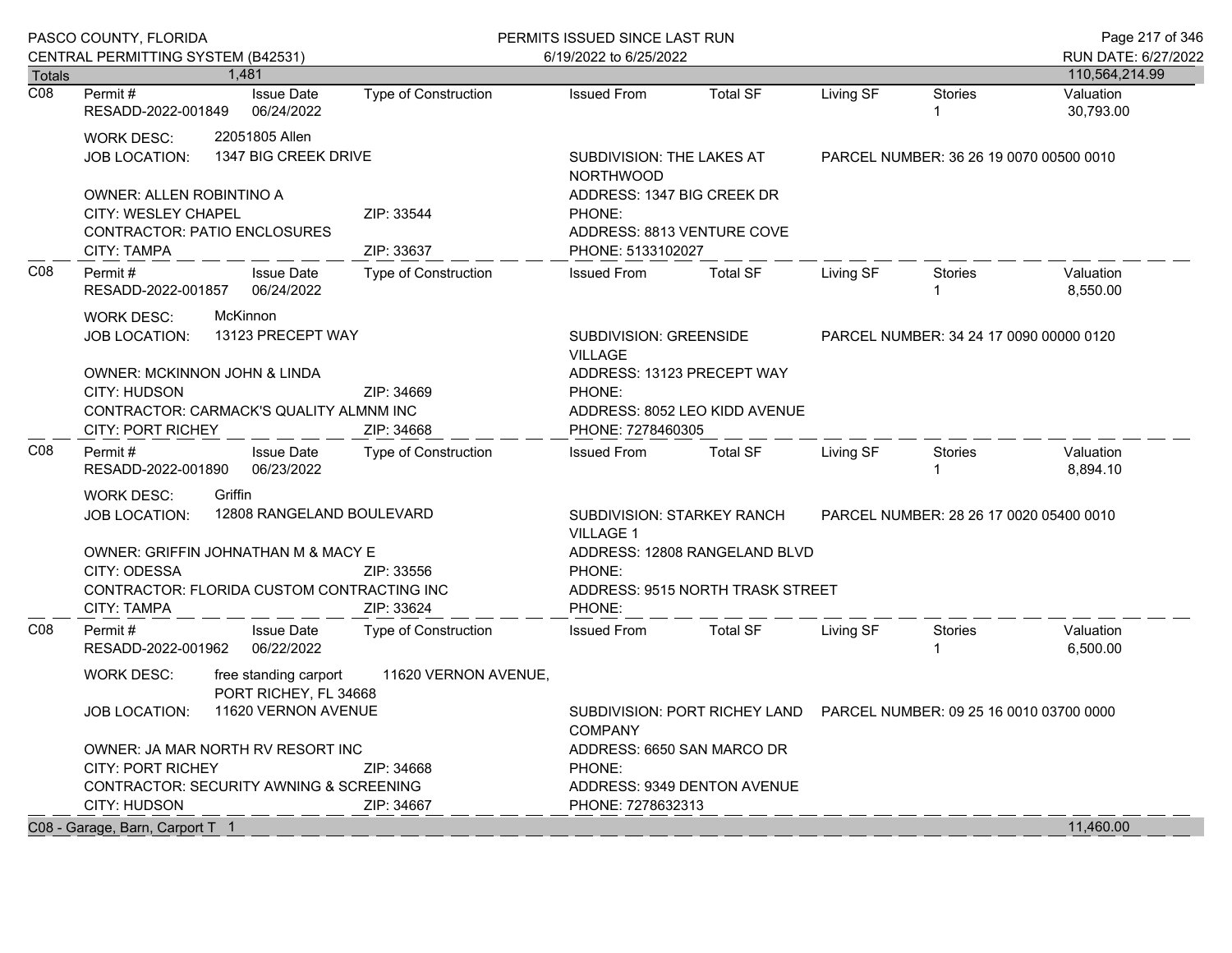|                  | PASCO COUNTY, FLORIDA<br>CENTRAL PERMITTING SYSTEM (B42531)<br>1,481                                            |  |                                                | PERMITS ISSUED SINCE LAST RUN<br>6/19/2022 to 6/25/2022                                    |                                                                                         |                                         |                                         | Page 217 of 346<br>RUN DATE: 6/27/2022  |                        |
|------------------|-----------------------------------------------------------------------------------------------------------------|--|------------------------------------------------|--------------------------------------------------------------------------------------------|-----------------------------------------------------------------------------------------|-----------------------------------------|-----------------------------------------|-----------------------------------------|------------------------|
| <b>Totals</b>    |                                                                                                                 |  |                                                |                                                                                            |                                                                                         |                                         |                                         |                                         | 110,564,214.99         |
| $\overline{CO8}$ | Permit #<br>RESADD-2022-001849                                                                                  |  | <b>Issue Date</b><br>06/24/2022                | <b>Type of Construction</b>                                                                | <b>Issued From</b>                                                                      | <b>Total SF</b>                         | Living SF                               | <b>Stories</b><br>$\mathbf{1}$          | Valuation<br>30,793.00 |
|                  | <b>WORK DESC:</b><br><b>JOB LOCATION:</b>                                                                       |  | 22051805 Allen<br>1347 BIG CREEK DRIVE         |                                                                                            | SUBDIVISION: THE LAKES AT<br><b>NORTHWOOD</b>                                           | PARCEL NUMBER: 36 26 19 0070 00500 0010 |                                         |                                         |                        |
|                  | OWNER: ALLEN ROBINTINO A<br><b>CITY: WESLEY CHAPEL</b><br><b>CONTRACTOR: PATIO ENCLOSURES</b><br>CITY: TAMPA    |  |                                                | ZIP: 33544<br>ZIP: 33637                                                                   | ADDRESS: 1347 BIG CREEK DR<br>PHONE:<br>ADDRESS: 8813 VENTURE COVE<br>PHONE: 5133102027 |                                         |                                         |                                         |                        |
| C <sub>08</sub>  | Permit #<br>RESADD-2022-001857                                                                                  |  | <b>Issue Date</b><br>06/24/2022                | <b>Type of Construction</b>                                                                | <b>Issued From</b>                                                                      | <b>Total SF</b>                         | Living SF                               | <b>Stories</b><br>1                     | Valuation<br>8,550.00  |
|                  | McKinnon<br>WORK DESC:<br>13123 PRECEPT WAY<br><b>JOB LOCATION:</b><br>OWNER: MCKINNON JOHN & LINDA             |  |                                                |                                                                                            | <b>SUBDIVISION: GREENSIDE</b><br><b>VILLAGE</b>                                         |                                         | PARCEL NUMBER: 34 24 17 0090 00000 0120 |                                         |                        |
|                  | CITY: HUDSON<br>CONTRACTOR: CARMACK'S QUALITY ALMNM INC<br><b>CITY: PORT RICHEY</b>                             |  |                                                | ZIP: 34669<br>ZIP: 34668                                                                   | ADDRESS: 13123 PRECEPT WAY<br>PHONE:<br>PHONE: 7278460305                               | ADDRESS: 8052 LEO KIDD AVENUE           |                                         |                                         |                        |
| CO8              | Permit #<br>RESADD-2022-001890                                                                                  |  | <b>Issue Date</b><br>06/23/2022                | Type of Construction                                                                       | <b>Issued From</b>                                                                      | <b>Total SF</b>                         | Living SF                               | <b>Stories</b><br>1                     | Valuation<br>8,894.10  |
|                  | Griffin<br><b>WORK DESC:</b><br>12808 RANGELAND BOULEVARD<br><b>JOB LOCATION:</b>                               |  |                                                |                                                                                            | SUBDIVISION: STARKEY RANCH<br><b>VILLAGE 1</b>                                          |                                         |                                         | PARCEL NUMBER: 28 26 17 0020 05400 0010 |                        |
|                  | OWNER: GRIFFIN JOHNATHAN M & MACY E<br>CITY: ODESSA<br>ZIP: 33556<br>CONTRACTOR: FLORIDA CUSTOM CONTRACTING INC |  |                                                | ADDRESS: 12808 RANGELAND BLVD<br>PHONE:<br>ADDRESS: 9515 NORTH TRASK STREET                |                                                                                         |                                         |                                         |                                         |                        |
|                  | <b>CITY: TAMPA</b>                                                                                              |  |                                                | ZIP: 33624                                                                                 | PHONE:                                                                                  |                                         |                                         |                                         |                        |
| CO8              | Permit #<br>RESADD-2022-001962                                                                                  |  | <b>Issue Date</b><br>06/22/2022                | Type of Construction                                                                       | <b>Issued From</b>                                                                      | <b>Total SF</b>                         | Living SF                               | <b>Stories</b>                          | Valuation<br>6,500.00  |
|                  | WORK DESC:                                                                                                      |  | free standing carport<br>PORT RICHEY, FL 34668 | 11620 VERNON AVENUE,                                                                       |                                                                                         |                                         |                                         |                                         |                        |
|                  | 11620 VERNON AVENUE<br><b>JOB LOCATION:</b>                                                                     |  |                                                | SUBDIVISION: PORT RICHEY LAND    PARCEL NUMBER: 09 25 16 0010 03700 0000<br><b>COMPANY</b> |                                                                                         |                                         |                                         |                                         |                        |
|                  | OWNER: JA MAR NORTH RV RESORT INC                                                                               |  |                                                |                                                                                            | ADDRESS: 6650 SAN MARCO DR                                                              |                                         |                                         |                                         |                        |
|                  | <b>CITY: PORT RICHEY</b><br>ZIP: 34668<br>CONTRACTOR: SECURITY AWNING & SCREENING                               |  |                                                | PHONE:                                                                                     | ADDRESS: 9349 DENTON AVENUE                                                             |                                         |                                         |                                         |                        |
|                  | <b>CITY: HUDSON</b><br>ZIP: 34667                                                                               |  |                                                | PHONE: 7278632313                                                                          |                                                                                         |                                         |                                         |                                         |                        |
|                  | C08 - Garage, Barn, Carport T 1                                                                                 |  |                                                |                                                                                            |                                                                                         |                                         |                                         |                                         | 11,460.00              |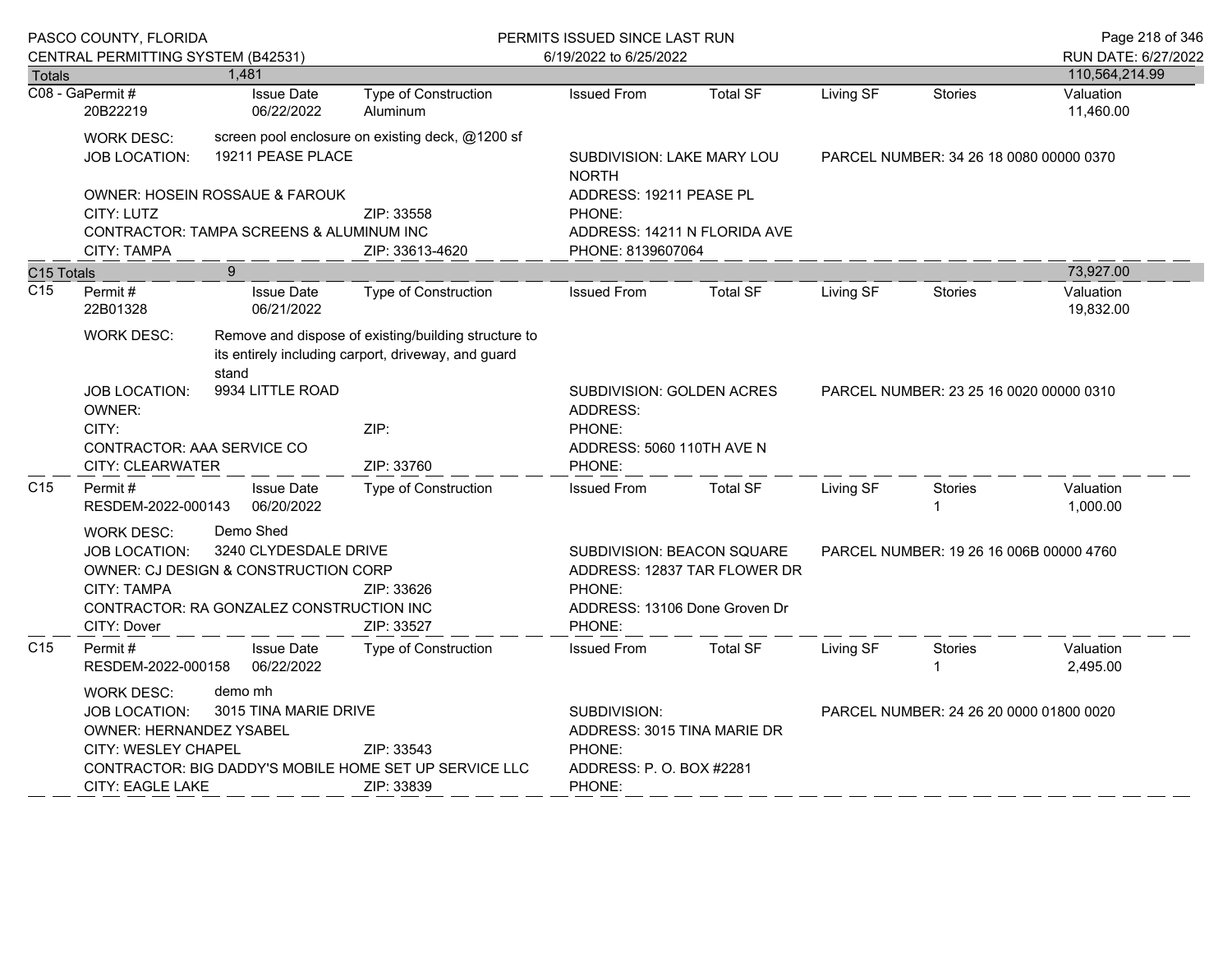|                 | PASCO COUNTY, FLORIDA<br>CENTRAL PERMITTING SYSTEM (B42531)                                                                                                                                                                               |                                                                                                                        |                                                                                                                                        | PERMITS ISSUED SINCE LAST RUN<br>6/19/2022 to 6/25/2022                         |                              |                                         |                                         | Page 218 of 346<br>RUN DATE: 6/27/2022 |
|-----------------|-------------------------------------------------------------------------------------------------------------------------------------------------------------------------------------------------------------------------------------------|------------------------------------------------------------------------------------------------------------------------|----------------------------------------------------------------------------------------------------------------------------------------|---------------------------------------------------------------------------------|------------------------------|-----------------------------------------|-----------------------------------------|----------------------------------------|
| Totals          |                                                                                                                                                                                                                                           | 1,481                                                                                                                  |                                                                                                                                        |                                                                                 |                              |                                         |                                         | 110,564,214.99                         |
|                 | C08 - GaPermit#<br>20B22219                                                                                                                                                                                                               | <b>Issue Date</b><br>06/22/2022                                                                                        | Type of Construction<br>Aluminum                                                                                                       | <b>Issued From</b>                                                              | <b>Total SF</b>              | Living SF                               | <b>Stories</b>                          | Valuation<br>11,460.00                 |
|                 | <b>WORK DESC:</b><br><b>JOB LOCATION:</b>                                                                                                                                                                                                 | 19211 PEASE PLACE                                                                                                      | screen pool enclosure on existing deck, @1200 sf                                                                                       | SUBDIVISION: LAKE MARY LOU<br><b>NORTH</b>                                      |                              | PARCEL NUMBER: 34 26 18 0080 00000 0370 |                                         |                                        |
|                 | CITY: LUTZ                                                                                                                                                                                                                                | OWNER: HOSEIN ROSSAUE & FAROUK                                                                                         | ZIP: 33558                                                                                                                             | ADDRESS: 19211 PEASE PL<br>PHONE:                                               |                              |                                         |                                         |                                        |
|                 | <b>CITY: TAMPA</b>                                                                                                                                                                                                                        | CONTRACTOR: TAMPA SCREENS & ALUMINUM INC                                                                               | ZIP: 33613-4620                                                                                                                        | PHONE: 8139607064                                                               | ADDRESS: 14211 N FLORIDA AVE |                                         |                                         |                                        |
| C15 Totals      |                                                                                                                                                                                                                                           | 9                                                                                                                      |                                                                                                                                        |                                                                                 |                              |                                         |                                         | 73,927.00                              |
| C <sub>15</sub> | Permit#<br>22B01328                                                                                                                                                                                                                       | <b>Issue Date</b><br>06/21/2022                                                                                        | <b>Type of Construction</b>                                                                                                            | <b>Issued From</b>                                                              | <b>Total SF</b>              | Living SF                               | <b>Stories</b>                          | Valuation<br>19,832.00                 |
|                 | <b>WORK DESC:</b>                                                                                                                                                                                                                         | stand                                                                                                                  | Remove and dispose of existing/building structure to<br>its entirely including carport, driveway, and guard                            |                                                                                 |                              |                                         |                                         |                                        |
|                 | 9934 LITTLE ROAD<br>JOB LOCATION:<br>OWNER:<br>CITY:<br>CONTRACTOR: AAA SERVICE CO                                                                                                                                                        |                                                                                                                        | ZIP:                                                                                                                                   | SUBDIVISION: GOLDEN ACRES<br>ADDRESS:<br>PHONE:<br>ADDRESS: 5060 110TH AVE N    |                              |                                         | PARCEL NUMBER: 23 25 16 0020 00000 0310 |                                        |
|                 | CITY: CLEARWATER                                                                                                                                                                                                                          |                                                                                                                        | ZIP: 33760                                                                                                                             | PHONE:                                                                          |                              |                                         |                                         |                                        |
| C15             | Permit#<br>RESDEM-2022-000143                                                                                                                                                                                                             | <b>Issue Date</b><br>06/20/2022                                                                                        | <b>Type of Construction</b>                                                                                                            | <b>Issued From</b>                                                              | <b>Total SF</b>              | Living SF                               | <b>Stories</b>                          | Valuation<br>1,000.00                  |
|                 | <b>WORK DESC:</b><br><b>JOB LOCATION:</b><br><b>CITY: TAMPA</b><br>CITY: Dover                                                                                                                                                            | Demo Shed<br>3240 CLYDESDALE DRIVE<br>OWNER: CJ DESIGN & CONSTRUCTION CORP<br>CONTRACTOR: RA GONZALEZ CONSTRUCTION INC | ZIP: 33626<br>ZIP: 33527                                                                                                               | SUBDIVISION: BEACON SQUARE<br>PHONE:<br>ADDRESS: 13106 Done Groven Dr<br>PHONE: | ADDRESS: 12837 TAR FLOWER DR |                                         | PARCEL NUMBER: 19 26 16 006B 00000 4760 |                                        |
| C <sub>15</sub> | Permit#<br>RESDEM-2022-000158                                                                                                                                                                                                             | <b>Issue Date</b><br>06/22/2022                                                                                        | <b>Type of Construction</b>                                                                                                            | <b>Issued From</b>                                                              | <b>Total SF</b>              | Living SF                               | <b>Stories</b><br>1                     | Valuation<br>2,495.00                  |
|                 | <b>WORK DESC:</b><br>demo mh<br>3015 TINA MARIE DRIVE<br>JOB LOCATION:<br>OWNER: HERNANDEZ YSABEL<br>ZIP: 33543<br>CITY: WESLEY CHAPEL<br>CONTRACTOR: BIG DADDY'S MOBILE HOME SET UP SERVICE LLC<br><b>CITY: EAGLE LAKE</b><br>ZIP: 33839 |                                                                                                                        | SUBDIVISION:<br>PARCEL NUMBER: 24 26 20 0000 01800 0020<br>ADDRESS: 3015 TINA MARIE DR<br>PHONE:<br>ADDRESS: P. O. BOX #2281<br>PHONE: |                                                                                 |                              |                                         |                                         |                                        |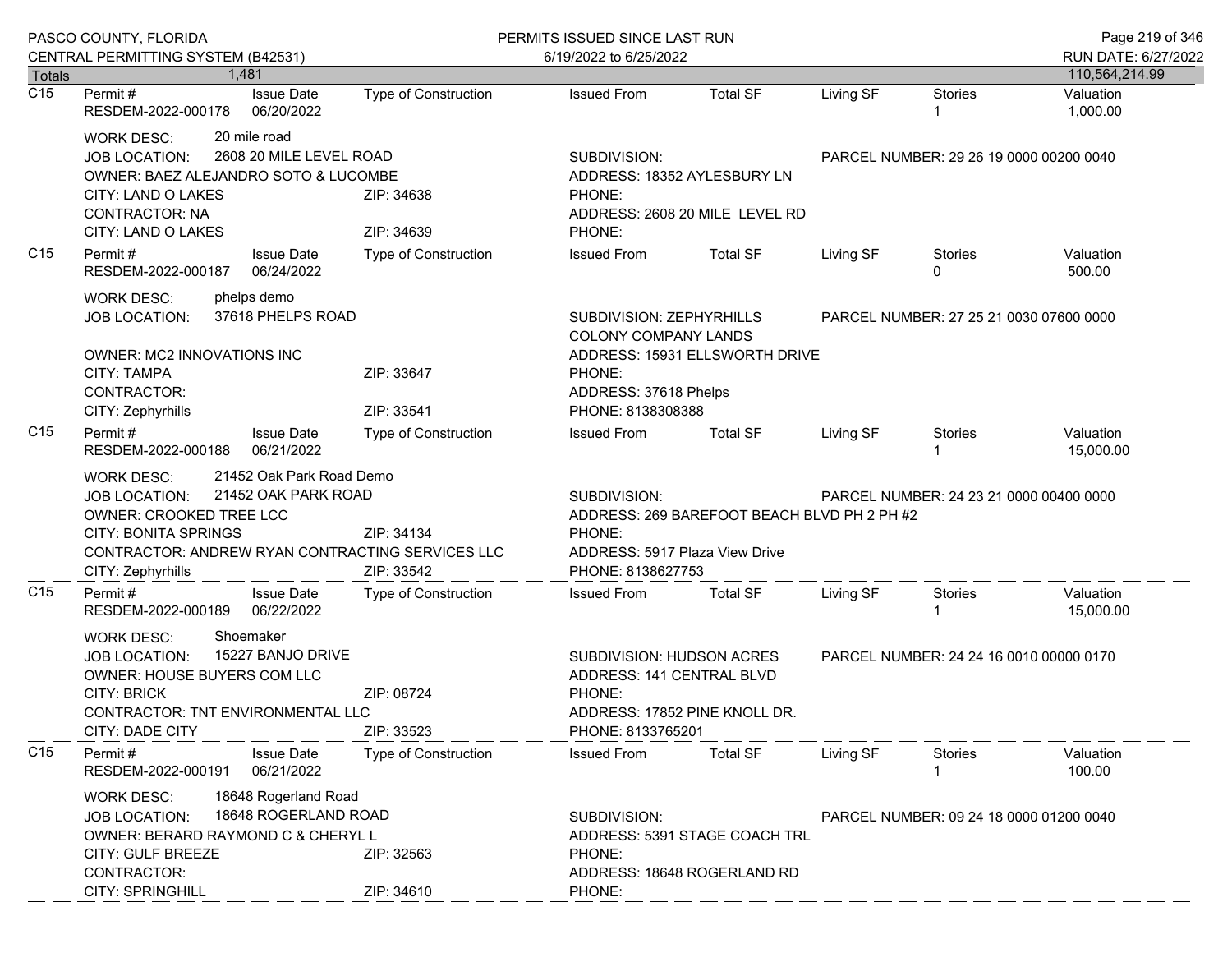|                  | PASCO COUNTY, FLORIDA<br>CENTRAL PERMITTING SYSTEM (B42531)                                                                                                                                                                                          |                                                     | PERMITS ISSUED SINCE LAST RUN<br>6/19/2022 to 6/25/2022                                                  |                                                                                                                                               |                                         |                                         | Page 219 of 346<br>RUN DATE: 6/27/2022 |  |
|------------------|------------------------------------------------------------------------------------------------------------------------------------------------------------------------------------------------------------------------------------------------------|-----------------------------------------------------|----------------------------------------------------------------------------------------------------------|-----------------------------------------------------------------------------------------------------------------------------------------------|-----------------------------------------|-----------------------------------------|----------------------------------------|--|
| <b>Totals</b>    | 1.481                                                                                                                                                                                                                                                |                                                     |                                                                                                          |                                                                                                                                               |                                         |                                         | 110,564,214.99                         |  |
| $\overline{C15}$ | <b>Issue Date</b><br>Permit#<br>RESDEM-2022-000178<br>06/20/2022                                                                                                                                                                                     | <b>Type of Construction</b>                         | <b>Issued From</b>                                                                                       | <b>Total SF</b>                                                                                                                               | Living SF                               | <b>Stories</b><br>1                     | Valuation<br>1,000.00                  |  |
|                  | 20 mile road<br><b>WORK DESC:</b><br><b>JOB LOCATION:</b><br>OWNER: BAEZ ALEJANDRO SOTO & LUCOMBE<br>CITY: LAND O LAKES<br><b>CONTRACTOR: NA</b><br>CITY: LAND O LAKES                                                                               | 2608 20 MILE LEVEL ROAD<br>ZIP: 34638<br>ZIP: 34639 | SUBDIVISION:<br>ADDRESS: 18352 AYLESBURY LN<br>PHONE:<br>ADDRESS: 2608 20 MILE LEVEL RD<br>PHONE:        |                                                                                                                                               | PARCEL NUMBER: 29 26 19 0000 00200 0040 |                                         |                                        |  |
| C <sub>15</sub>  | Permit#<br><b>Issue Date</b><br>RESDEM-2022-000187<br>06/24/2022                                                                                                                                                                                     | Type of Construction                                | <b>Issued From</b>                                                                                       | <b>Total SF</b>                                                                                                                               | Living SF                               | <b>Stories</b><br>0                     | Valuation<br>500.00                    |  |
|                  | phelps demo<br><b>WORK DESC:</b><br>37618 PHELPS ROAD<br><b>JOB LOCATION:</b><br><b>OWNER: MC2 INNOVATIONS INC</b><br><b>CITY: TAMPA</b><br>CONTRACTOR:<br>CITY: Zephyrhills                                                                         | ZIP: 33647<br>ZIP: 33541                            | SUBDIVISION: ZEPHYRHILLS<br>COLONY COMPANY LANDS<br>PHONE:<br>ADDRESS: 37618 Phelps<br>PHONE: 8138308388 | ADDRESS: 15931 ELLSWORTH DRIVE                                                                                                                | PARCEL NUMBER: 27 25 21 0030 07600 0000 |                                         |                                        |  |
| C <sub>15</sub>  | Permit#<br><b>Issue Date</b><br>RESDEM-2022-000188<br>06/21/2022                                                                                                                                                                                     | <b>Type of Construction</b>                         | <b>Issued From</b>                                                                                       | <b>Total SF</b>                                                                                                                               | Living SF                               | Stories                                 | Valuation<br>15,000.00                 |  |
|                  | 21452 Oak Park Road Demo<br><b>WORK DESC:</b><br>21452 OAK PARK ROAD<br>JOB LOCATION:<br>OWNER: CROOKED TREE LCC<br><b>CITY: BONITA SPRINGS</b><br>ZIP: 34134<br>CONTRACTOR: ANDREW RYAN CONTRACTING SERVICES LLC<br>CITY: Zephyrhills<br>ZIP: 33542 |                                                     | SUBDIVISION:<br>PHONE:                                                                                   | PARCEL NUMBER: 24 23 21 0000 00400 0000<br>ADDRESS: 269 BAREFOOT BEACH BLVD PH 2 PH #2<br>ADDRESS: 5917 Plaza View Drive<br>PHONE: 8138627753 |                                         |                                         |                                        |  |
| C <sub>15</sub>  | Permit#<br><b>Issue Date</b><br>RESDEM-2022-000189<br>06/22/2022                                                                                                                                                                                     | Type of Construction                                | <b>Issued From</b>                                                                                       | <b>Total SF</b>                                                                                                                               | Living SF                               | <b>Stories</b>                          | Valuation<br>15,000.00                 |  |
|                  | Shoemaker<br><b>WORK DESC:</b><br>15227 BANJO DRIVE<br><b>JOB LOCATION:</b><br>OWNER: HOUSE BUYERS COM LLC<br><b>CITY: BRICK</b><br>CONTRACTOR: TNT ENVIRONMENTAL LLC<br>CITY: DADE CITY                                                             | ZIP: 08724<br>ZIP: 33523                            | SUBDIVISION: HUDSON ACRES<br>ADDRESS: 141 CENTRAL BLVD<br>PHONE:<br>PHONE: 8133765201                    | ADDRESS: 17852 PINE KNOLL DR.                                                                                                                 |                                         | PARCEL NUMBER: 24 24 16 0010 00000 0170 |                                        |  |
| C <sub>15</sub>  | Permit#<br><b>Issue Date</b><br>06/21/2022<br>RESDEM-2022-000191                                                                                                                                                                                     | Type of Construction                                | <b>Issued From</b>                                                                                       | <b>Total SF</b>                                                                                                                               | Living SF                               | Stories                                 | Valuation<br>100.00                    |  |
|                  | 18648 Rogerland Road<br><b>WORK DESC:</b><br><b>JOB LOCATION:</b><br>OWNER: BERARD RAYMOND C & CHERYL L<br><b>CITY: GULF BREEZE</b><br>CONTRACTOR:<br><b>CITY: SPRINGHILL</b>                                                                        | 18648 ROGERLAND ROAD<br>ZIP: 32563<br>ZIP: 34610    | SUBDIVISION:<br>PHONE:<br>PHONE:                                                                         | ADDRESS: 5391 STAGE COACH TRL<br>ADDRESS: 18648 ROGERLAND RD                                                                                  |                                         | PARCEL NUMBER: 09 24 18 0000 01200 0040 |                                        |  |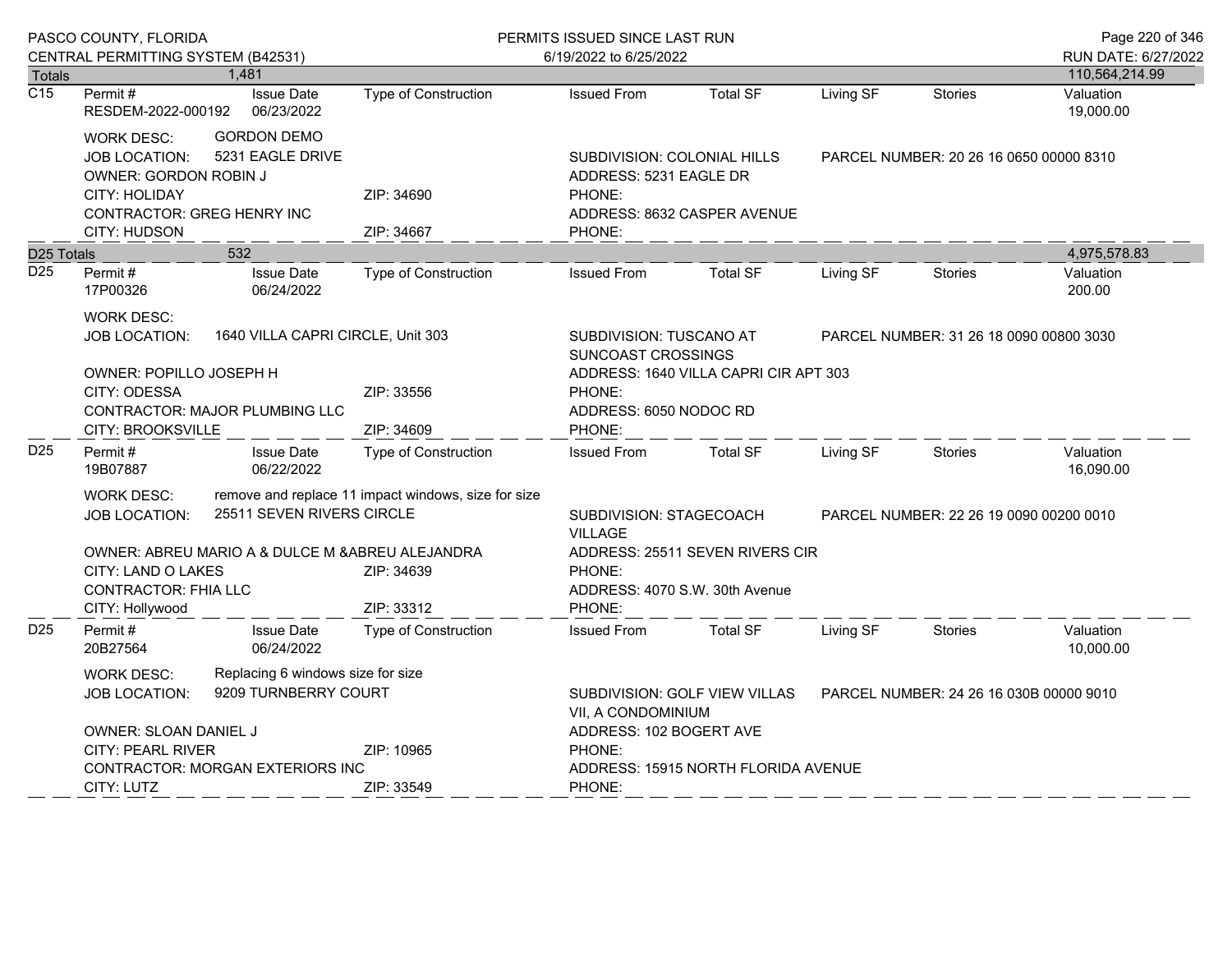|                  | PASCO COUNTY, FLORIDA<br>CENTRAL PERMITTING SYSTEM (B42531) |                                   |                                                     | PERMITS ISSUED SINCE LAST RUN             |                                       |           |                                         |                                       |  |
|------------------|-------------------------------------------------------------|-----------------------------------|-----------------------------------------------------|-------------------------------------------|---------------------------------------|-----------|-----------------------------------------|---------------------------------------|--|
| <b>Totals</b>    |                                                             | 1,481                             |                                                     | 6/19/2022 to 6/25/2022                    |                                       |           |                                         | RUN DATE: 6/27/2022<br>110,564,214.99 |  |
| $\overline{C15}$ | Permit#                                                     | <b>Issue Date</b>                 | <b>Type of Construction</b>                         | <b>Issued From</b>                        | <b>Total SF</b>                       | Living SF | <b>Stories</b>                          | Valuation                             |  |
|                  | RESDEM-2022-000192                                          | 06/23/2022                        |                                                     |                                           |                                       |           |                                         | 19,000.00                             |  |
|                  | <b>WORK DESC:</b>                                           | <b>GORDON DEMO</b>                |                                                     |                                           |                                       |           |                                         |                                       |  |
|                  | <b>JOB LOCATION:</b>                                        | 5231 EAGLE DRIVE                  |                                                     | SUBDIVISION: COLONIAL HILLS               |                                       |           | PARCEL NUMBER: 20 26 16 0650 00000 8310 |                                       |  |
|                  | <b>OWNER: GORDON ROBIN J</b>                                |                                   |                                                     | ADDRESS: 5231 EAGLE DR                    |                                       |           |                                         |                                       |  |
|                  | <b>CITY: HOLIDAY</b><br><b>CONTRACTOR: GREG HENRY INC</b>   |                                   | ZIP: 34690                                          | PHONE:                                    | ADDRESS: 8632 CASPER AVENUE           |           |                                         |                                       |  |
|                  | CITY: HUDSON                                                |                                   | ZIP: 34667                                          | PHONE:                                    |                                       |           |                                         |                                       |  |
| D25 Totals       |                                                             | 532                               |                                                     |                                           |                                       |           |                                         | 4,975,578.83                          |  |
| D <sub>25</sub>  | Permit#                                                     | <b>Issue Date</b>                 | Type of Construction                                | <b>Issued From</b>                        | <b>Total SF</b>                       | Living SF | Stories                                 | Valuation                             |  |
|                  | 17P00326                                                    | 06/24/2022                        |                                                     |                                           |                                       |           |                                         | 200.00                                |  |
|                  | <b>WORK DESC:</b>                                           |                                   |                                                     |                                           |                                       |           |                                         |                                       |  |
|                  | <b>JOB LOCATION:</b>                                        |                                   | 1640 VILLA CAPRI CIRCLE, Unit 303                   | <b>SUBDIVISION: TUSCANO AT</b>            |                                       |           | PARCEL NUMBER: 31 26 18 0090 00800 3030 |                                       |  |
|                  | OWNER: POPILLO JOSEPH H                                     |                                   |                                                     | SUNCOAST CROSSINGS                        | ADDRESS: 1640 VILLA CAPRI CIR APT 303 |           |                                         |                                       |  |
|                  | CITY: ODESSA                                                |                                   | ZIP: 33556                                          | PHONE:                                    |                                       |           |                                         |                                       |  |
|                  |                                                             | CONTRACTOR: MAJOR PLUMBING LLC    |                                                     | ADDRESS: 6050 NODOC RD                    |                                       |           |                                         |                                       |  |
|                  | CITY: BROOKSVILLE                                           |                                   | ZIP: 34609                                          | PHONE:                                    |                                       |           |                                         |                                       |  |
| D <sub>25</sub>  | Permit#<br>19B07887                                         | <b>Issue Date</b><br>06/22/2022   | <b>Type of Construction</b>                         | <b>Issued From</b>                        | <b>Total SF</b>                       | Living SF | <b>Stories</b>                          | Valuation<br>16,090.00                |  |
|                  | <b>WORK DESC:</b>                                           |                                   | remove and replace 11 impact windows, size for size |                                           |                                       |           |                                         |                                       |  |
|                  | <b>JOB LOCATION:</b>                                        | 25511 SEVEN RIVERS CIRCLE         |                                                     | SUBDIVISION: STAGECOACH<br><b>VILLAGE</b> |                                       |           | PARCEL NUMBER: 22 26 19 0090 00200 0010 |                                       |  |
|                  |                                                             |                                   | OWNER: ABREU MARIO A & DULCE M & ABREU ALEJANDRA    |                                           | ADDRESS: 25511 SEVEN RIVERS CIR       |           |                                         |                                       |  |
|                  | CITY: LAND O LAKES                                          |                                   | ZIP: 34639                                          | PHONE:                                    |                                       |           |                                         |                                       |  |
|                  | <b>CONTRACTOR: FHIA LLC</b>                                 |                                   | ZIP: 33312                                          | PHONE:                                    | ADDRESS: 4070 S.W. 30th Avenue        |           |                                         |                                       |  |
| D <sub>25</sub>  | CITY: Hollywood<br>Permit#                                  | <b>Issue Date</b>                 | <b>Type of Construction</b>                         | <b>Issued From</b>                        | <b>Total SF</b>                       | Living SF | <b>Stories</b>                          | Valuation                             |  |
|                  | 20B27564                                                    | 06/24/2022                        |                                                     |                                           |                                       |           |                                         | 10,000.00                             |  |
|                  | <b>WORK DESC:</b>                                           | Replacing 6 windows size for size |                                                     |                                           |                                       |           |                                         |                                       |  |
|                  | JOB LOCATION:                                               | 9209 TURNBERRY COURT              |                                                     |                                           | SUBDIVISION: GOLF VIEW VILLAS         |           | PARCEL NUMBER: 24 26 16 030B 00000 9010 |                                       |  |
|                  |                                                             |                                   |                                                     | VII, A CONDOMINIUM                        |                                       |           |                                         |                                       |  |
|                  | OWNER: SLOAN DANIEL J<br><b>CITY: PEARL RIVER</b>           |                                   | ZIP: 10965                                          | ADDRESS: 102 BOGERT AVE<br>PHONE:         |                                       |           |                                         |                                       |  |
|                  |                                                             | CONTRACTOR: MORGAN EXTERIORS INC  |                                                     | ADDRESS: 15915 NORTH FLORIDA AVENUE       |                                       |           |                                         |                                       |  |
|                  | CITY: LUTZ                                                  |                                   | ZIP: 33549                                          | PHONE:                                    |                                       |           |                                         |                                       |  |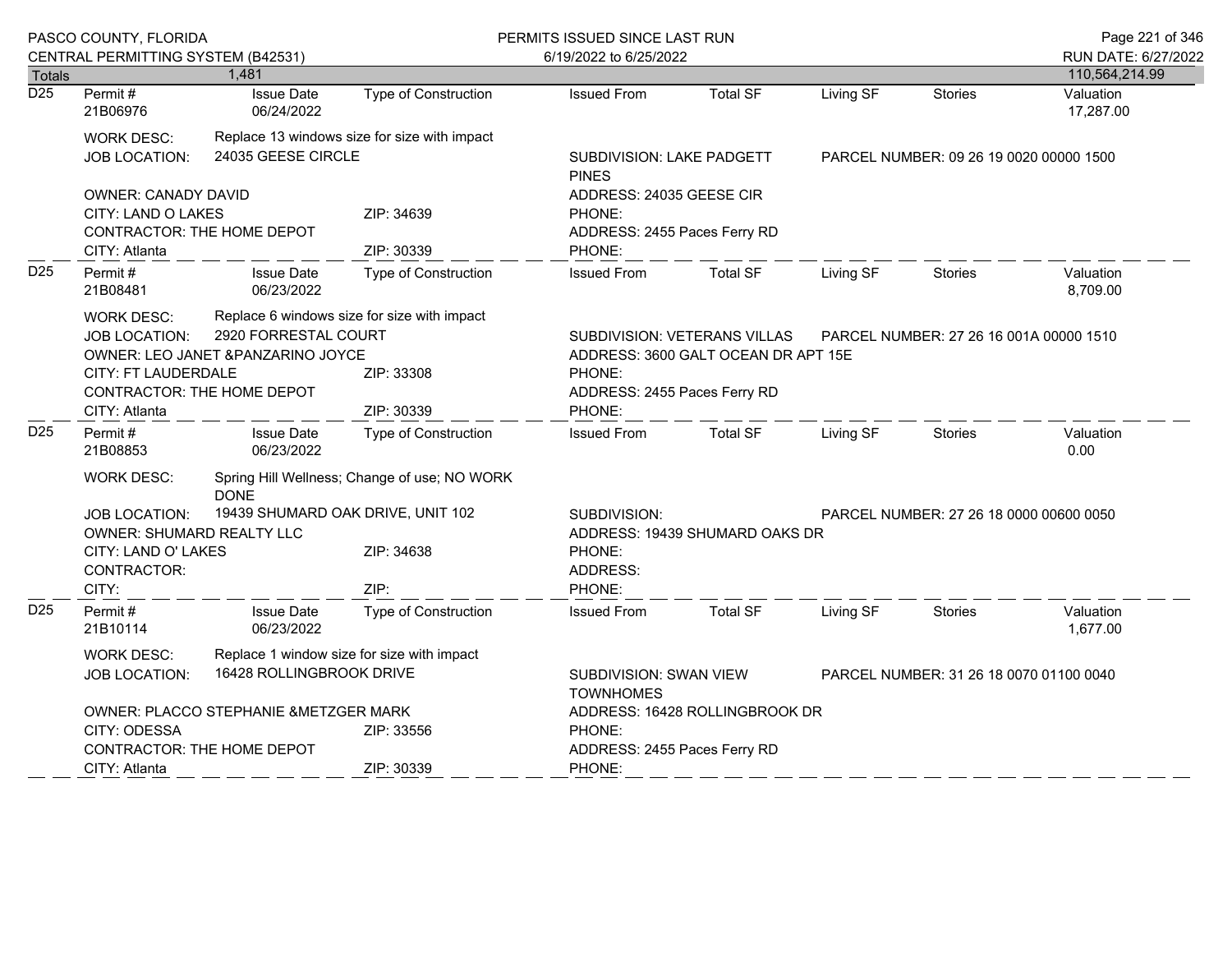|                                   | PASCO COUNTY, FLORIDA                                                                                                                                                  |                                 |                                                                         | PERMITS ISSUED SINCE LAST RUN                                     |                                                                     |                                         |                                         |                        |
|-----------------------------------|------------------------------------------------------------------------------------------------------------------------------------------------------------------------|---------------------------------|-------------------------------------------------------------------------|-------------------------------------------------------------------|---------------------------------------------------------------------|-----------------------------------------|-----------------------------------------|------------------------|
|                                   | CENTRAL PERMITTING SYSTEM (B42531)                                                                                                                                     |                                 |                                                                         | 6/19/2022 to 6/25/2022                                            |                                                                     |                                         |                                         | RUN DATE: 6/27/2022    |
| <b>Totals</b><br>$\overline{D25}$ |                                                                                                                                                                        | 1,481                           |                                                                         |                                                                   |                                                                     |                                         |                                         | 110,564,214.99         |
|                                   | Permit#<br>21B06976                                                                                                                                                    | <b>Issue Date</b><br>06/24/2022 | <b>Type of Construction</b>                                             | <b>Issued From</b>                                                | <b>Total SF</b>                                                     | Living SF                               | <b>Stories</b>                          | Valuation<br>17,287.00 |
|                                   | <b>WORK DESC:</b><br><b>JOB LOCATION:</b>                                                                                                                              | 24035 GEESE CIRCLE              | Replace 13 windows size for size with impact                            | SUBDIVISION: LAKE PADGETT<br><b>PINES</b>                         |                                                                     |                                         | PARCEL NUMBER: 09 26 19 0020 00000 1500 |                        |
|                                   | <b>OWNER: CANADY DAVID</b><br>CITY: LAND O LAKES<br>CONTRACTOR: THE HOME DEPOT<br>CITY: Atlanta                                                                        |                                 | ZIP: 34639<br>ZIP: 30339                                                | PHONE:<br>PHONE:                                                  | ADDRESS: 24035 GEESE CIR<br>ADDRESS: 2455 Paces Ferry RD            |                                         |                                         |                        |
| D <sub>25</sub>                   | Permit#<br>21B08481                                                                                                                                                    | <b>Issue Date</b><br>06/23/2022 | <b>Type of Construction</b>                                             | <b>Issued From</b>                                                | <b>Total SF</b>                                                     | Living SF                               | <b>Stories</b>                          | Valuation<br>8,709.00  |
|                                   | <b>WORK DESC:</b><br>2920 FORRESTAL COURT<br>JOB LOCATION:<br>OWNER: LEO JANET & PANZARINO JOYCE<br>CITY: FT LAUDERDALE<br>CONTRACTOR: THE HOME DEPOT<br>CITY: Atlanta |                                 | Replace 6 windows size for size with impact<br>ZIP: 33308<br>ZIP: 30339 | PHONE:<br>ADDRESS: 2455 Paces Ferry RD<br>PHONE:                  | SUBDIVISION: VETERANS VILLAS<br>ADDRESS: 3600 GALT OCEAN DR APT 15E | PARCEL NUMBER: 27 26 16 001A 00000 1510 |                                         |                        |
| D <sub>25</sub>                   | Permit#<br>21B08853                                                                                                                                                    | <b>Issue Date</b><br>06/23/2022 | <b>Type of Construction</b>                                             | <b>Issued From</b>                                                | <b>Total SF</b>                                                     | Living SF                               | <b>Stories</b>                          | Valuation<br>0.00      |
|                                   | Spring Hill Wellness; Change of use; NO WORK<br><b>WORK DESC:</b><br><b>DONE</b>                                                                                       |                                 |                                                                         |                                                                   |                                                                     |                                         |                                         |                        |
|                                   | <b>JOB LOCATION:</b><br>OWNER: SHUMARD REALTY LLC                                                                                                                      |                                 | 19439 SHUMARD OAK DRIVE, UNIT 102                                       | SUBDIVISION:                                                      | ADDRESS: 19439 SHUMARD OAKS DR                                      |                                         | PARCEL NUMBER: 27 26 18 0000 00600 0050 |                        |
|                                   | CITY: LAND O' LAKES<br>CONTRACTOR:<br>CITY:                                                                                                                            |                                 | ZIP: 34638<br>ZIP:                                                      | PHONE:<br>ADDRESS:<br>PHONE:                                      |                                                                     |                                         |                                         |                        |
| D <sub>25</sub>                   | Permit#<br>21B10114                                                                                                                                                    | <b>Issue Date</b><br>06/23/2022 | <b>Type of Construction</b>                                             | <b>Issued From</b>                                                | <b>Total SF</b>                                                     | Living SF                               | Stories                                 | Valuation<br>1,677.00  |
|                                   | Replace 1 window size for size with impact<br>WORK DESC:<br>16428 ROLLINGBROOK DRIVE<br><b>JOB LOCATION:</b>                                                           |                                 | <b>TOWNHOMES</b>                                                        | SUBDIVISION: SWAN VIEW<br>PARCEL NUMBER: 31 26 18 0070 01100 0040 |                                                                     |                                         |                                         |                        |
|                                   | OWNER: PLACCO STEPHANIE &METZGER MARK<br>CITY: ODESSA<br>ZIP: 33556<br>CONTRACTOR: THE HOME DEPOT                                                                      |                                 |                                                                         | PHONE:<br>ADDRESS: 2455 Paces Ferry RD                            | ADDRESS: 16428 ROLLINGBROOK DR                                      |                                         |                                         |                        |
|                                   | CITY: Atlanta                                                                                                                                                          |                                 | ZIP: 30339                                                              | PHONE:                                                            |                                                                     |                                         |                                         |                        |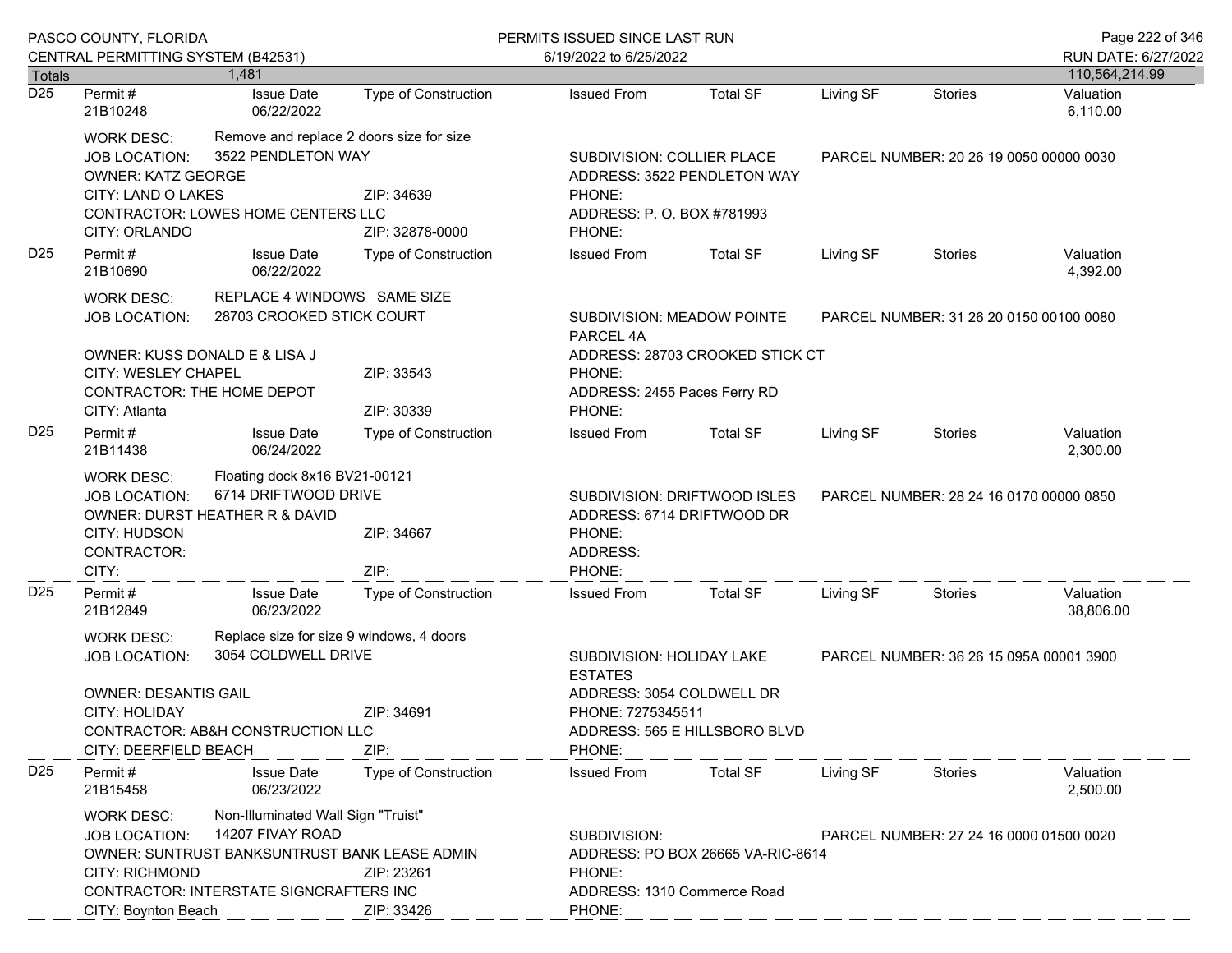|                  | PASCO COUNTY, FLORIDA<br>CENTRAL PERMITTING SYSTEM (B42531)                                                                                                                                                                                                          |                                 |                                    | PERMITS ISSUED SINCE LAST RUN<br>6/19/2022 to 6/25/2022                                                                                                 |                                 |                                         |                                         | Page 222 of 346<br>RUN DATE: 6/27/2022 |
|------------------|----------------------------------------------------------------------------------------------------------------------------------------------------------------------------------------------------------------------------------------------------------------------|---------------------------------|------------------------------------|---------------------------------------------------------------------------------------------------------------------------------------------------------|---------------------------------|-----------------------------------------|-----------------------------------------|----------------------------------------|
| Totals           |                                                                                                                                                                                                                                                                      | 1.481                           |                                    |                                                                                                                                                         |                                 |                                         |                                         | 110,564,214.99                         |
| $\overline{D25}$ | Permit #<br>21B10248                                                                                                                                                                                                                                                 | <b>Issue Date</b><br>06/22/2022 | <b>Type of Construction</b>        | <b>Issued From</b>                                                                                                                                      | <b>Total SF</b>                 | Living SF                               | <b>Stories</b>                          | Valuation<br>6,110.00                  |
|                  | Remove and replace 2 doors size for size<br>WORK DESC:<br>3522 PENDLETON WAY<br><b>JOB LOCATION:</b><br><b>OWNER: KATZ GEORGE</b><br>CITY: LAND O LAKES<br>CONTRACTOR: LOWES HOME CENTERS LLC<br>CITY: ORLANDO                                                       |                                 | ZIP: 34639<br>ZIP: 32878-0000      | SUBDIVISION: COLLIER PLACE<br>ADDRESS: 3522 PENDLETON WAY<br>PHONE:<br>ADDRESS: P. O. BOX #781993<br>PHONE:                                             |                                 |                                         | PARCEL NUMBER: 20 26 19 0050 00000 0030 |                                        |
| D <sub>25</sub>  | Permit#<br>21B10690                                                                                                                                                                                                                                                  | <b>Issue Date</b><br>06/22/2022 | Type of Construction               | <b>Issued From</b>                                                                                                                                      | <b>Total SF</b>                 | Living SF                               | <b>Stories</b>                          | Valuation<br>4,392.00                  |
|                  | REPLACE 4 WINDOWS SAME SIZE<br>WORK DESC:<br>28703 CROOKED STICK COURT<br><b>JOB LOCATION:</b>                                                                                                                                                                       |                                 |                                    | SUBDIVISION: MEADOW POINTE<br>PARCEL NUMBER: 31 26 20 0150 00100 0080<br>PARCEL 4A                                                                      |                                 |                                         |                                         |                                        |
|                  | OWNER: KUSS DONALD E & LISA J<br>CITY: WESLEY CHAPEL<br>CONTRACTOR: THE HOME DEPOT                                                                                                                                                                                   |                                 | ZIP: 33543                         | PHONE:<br>ADDRESS: 2455 Paces Ferry RD                                                                                                                  | ADDRESS: 28703 CROOKED STICK CT |                                         |                                         |                                        |
| D <sub>25</sub>  | CITY: Atlanta<br>Permit#<br>21B11438                                                                                                                                                                                                                                 | <b>Issue Date</b><br>06/24/2022 | ZIP: 30339<br>Type of Construction | PHONE:<br><b>Issued From</b>                                                                                                                            | <b>Total SF</b>                 | Living SF                               | Stories                                 | Valuation<br>2,300.00                  |
|                  | Floating dock 8x16 BV21-00121<br><b>WORK DESC:</b><br>6714 DRIFTWOOD DRIVE<br><b>JOB LOCATION:</b><br>OWNER: DURST HEATHER R & DAVID<br>CITY: HUDSON<br>ZIP: 34667<br>CONTRACTOR:<br>CITY:<br>ZIP:                                                                   |                                 | PHONE:<br>ADDRESS:<br>PHONE:       | SUBDIVISION: DRIFTWOOD ISLES<br>ADDRESS: 6714 DRIFTWOOD DR                                                                                              |                                 | PARCEL NUMBER: 28 24 16 0170 00000 0850 |                                         |                                        |
| D <sub>25</sub>  | Permit#<br>21B12849                                                                                                                                                                                                                                                  | <b>Issue Date</b><br>06/23/2022 | <b>Type of Construction</b>        | <b>Issued From</b>                                                                                                                                      | Total SF                        | Living SF                               | Stories                                 | Valuation<br>38,806.00                 |
|                  | Replace size for size 9 windows, 4 doors<br>WORK DESC:<br>3054 COLDWELL DRIVE<br><b>JOB LOCATION:</b><br><b>OWNER: DESANTIS GAIL</b><br>CITY: HOLIDAY<br>ZIP: 34691<br>CONTRACTOR: AB&H CONSTRUCTION LLC<br>CITY: DEERFIELD BEACH<br>ZIP:                            |                                 | <b>ESTATES</b><br>PHONE:           | SUBDIVISION: HOLIDAY LAKE<br>PARCEL NUMBER: 36 26 15 095A 00001 3900<br>ADDRESS: 3054 COLDWELL DR<br>PHONE: 7275345511<br>ADDRESS: 565 E HILLSBORO BLVD |                                 |                                         |                                         |                                        |
| D <sub>25</sub>  | Permit#<br>21B15458                                                                                                                                                                                                                                                  | <b>Issue Date</b><br>06/23/2022 | <b>Type of Construction</b>        | <b>Issued From</b>                                                                                                                                      | <b>Total SF</b>                 | Living SF                               | Stories                                 | Valuation<br>2,500.00                  |
|                  | Non-Illuminated Wall Sign "Truist"<br>WORK DESC:<br>14207 FIVAY ROAD<br><b>JOB LOCATION:</b><br>OWNER: SUNTRUST BANKSUNTRUST BANK LEASE ADMIN<br><b>CITY: RICHMOND</b><br>ZIP: 23261<br>CONTRACTOR: INTERSTATE SIGNCRAFTERS INC<br>CITY: Boynton Beach<br>ZIP: 33426 |                                 | SUBDIVISION:<br>PHONE:<br>PHONE:   | PARCEL NUMBER: 27 24 16 0000 01500 0020<br>ADDRESS: PO BOX 26665 VA-RIC-8614<br>ADDRESS: 1310 Commerce Road                                             |                                 |                                         |                                         |                                        |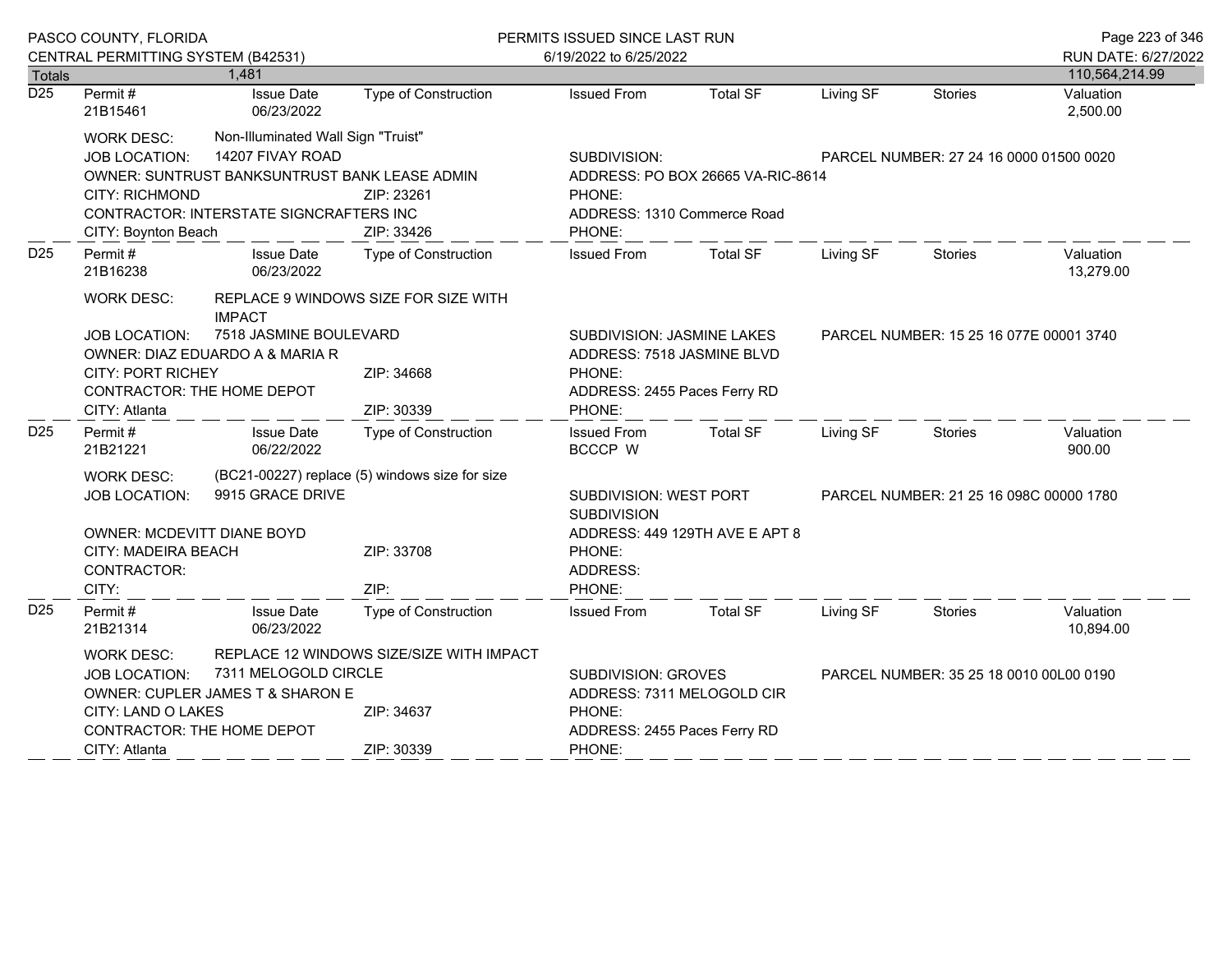|                  | PASCO COUNTY, FLORIDA              |                                               |                                                | PERMITS ISSUED SINCE LAST RUN                |                                   |           |                                         |                        |  |
|------------------|------------------------------------|-----------------------------------------------|------------------------------------------------|----------------------------------------------|-----------------------------------|-----------|-----------------------------------------|------------------------|--|
|                  | CENTRAL PERMITTING SYSTEM (B42531) |                                               |                                                | 6/19/2022 to 6/25/2022                       |                                   |           |                                         | RUN DATE: 6/27/2022    |  |
| Totals           |                                    | 1.481                                         |                                                |                                              |                                   |           |                                         | 110,564,214.99         |  |
| $\overline{D25}$ | Permit $#$<br>21B15461             | <b>Issue Date</b><br>06/23/2022               | Type of Construction                           | <b>Issued From</b>                           | <b>Total SF</b>                   | Living SF | <b>Stories</b>                          | Valuation<br>2,500.00  |  |
|                  | <b>WORK DESC:</b>                  | Non-Illuminated Wall Sign "Truist"            |                                                |                                              |                                   |           |                                         |                        |  |
|                  | <b>JOB LOCATION:</b>               | 14207 FIVAY ROAD                              |                                                | SUBDIVISION:                                 |                                   |           | PARCEL NUMBER: 27 24 16 0000 01500 0020 |                        |  |
|                  |                                    | OWNER: SUNTRUST BANKSUNTRUST BANK LEASE ADMIN |                                                |                                              | ADDRESS: PO BOX 26665 VA-RIC-8614 |           |                                         |                        |  |
|                  | <b>CITY: RICHMOND</b>              |                                               | ZIP: 23261                                     | PHONE:                                       |                                   |           |                                         |                        |  |
|                  |                                    | CONTRACTOR: INTERSTATE SIGNCRAFTERS INC       |                                                | ADDRESS: 1310 Commerce Road                  |                                   |           |                                         |                        |  |
|                  | CITY: Boynton Beach                |                                               | ZIP: 33426                                     | PHONE:                                       |                                   |           |                                         |                        |  |
| D <sub>25</sub>  | Permit#<br>21B16238                | <b>Issue Date</b><br>06/23/2022               | Type of Construction                           | <b>Issued From</b>                           | <b>Total SF</b>                   | Living SF | Stories                                 | Valuation<br>13,279.00 |  |
|                  | WORK DESC:                         | <b>IMPACT</b>                                 | REPLACE 9 WINDOWS SIZE FOR SIZE WITH           |                                              |                                   |           |                                         |                        |  |
|                  | <b>JOB LOCATION:</b>               | 7518 JASMINE BOULEVARD                        |                                                | SUBDIVISION: JASMINE LAKES                   |                                   |           | PARCEL NUMBER: 15 25 16 077E 00001 3740 |                        |  |
|                  |                                    | OWNER: DIAZ EDUARDO A & MARIA R               |                                                | ADDRESS: 7518 JASMINE BLVD                   |                                   |           |                                         |                        |  |
|                  | <b>CITY: PORT RICHEY</b>           |                                               | ZIP: 34668                                     | PHONE:                                       |                                   |           |                                         |                        |  |
|                  |                                    | CONTRACTOR: THE HOME DEPOT                    |                                                | ADDRESS: 2455 Paces Ferry RD                 |                                   |           |                                         |                        |  |
|                  | CITY: Atlanta                      |                                               | ZIP: 30339                                     | PHONE:                                       |                                   |           |                                         |                        |  |
| D <sub>25</sub>  | Permit #<br>21B21221               | <b>Issue Date</b><br>06/22/2022               | Type of Construction                           | <b>Issued From</b><br><b>BCCCP W</b>         | <b>Total SF</b>                   | Living SF | Stories                                 | Valuation<br>900.00    |  |
|                  | WORK DESC:                         |                                               | (BC21-00227) replace (5) windows size for size |                                              |                                   |           |                                         |                        |  |
|                  | <b>JOB LOCATION:</b>               | 9915 GRACE DRIVE                              |                                                | SUBDIVISION: WEST PORT<br><b>SUBDIVISION</b> |                                   |           | PARCEL NUMBER: 21 25 16 098C 00000 1780 |                        |  |
|                  | <b>OWNER: MCDEVITT DIANE BOYD</b>  |                                               |                                                |                                              | ADDRESS: 449 129TH AVE E APT 8    |           |                                         |                        |  |
|                  | CITY: MADEIRA BEACH                |                                               | ZIP: 33708                                     | PHONE:                                       |                                   |           |                                         |                        |  |
|                  | CONTRACTOR:                        |                                               |                                                | ADDRESS:                                     |                                   |           |                                         |                        |  |
|                  | CITY:                              |                                               | ZIP:                                           | PHONE:                                       |                                   |           |                                         |                        |  |
| D <sub>25</sub>  | Permit#<br>21B21314                | <b>Issue Date</b><br>06/23/2022               | Type of Construction                           | <b>Issued From</b>                           | <b>Total SF</b>                   | Living SF | Stories                                 | Valuation<br>10,894.00 |  |
|                  | <b>WORK DESC:</b>                  |                                               | REPLACE 12 WINDOWS SIZE/SIZE WITH IMPACT       |                                              |                                   |           |                                         |                        |  |
|                  | <b>JOB LOCATION:</b>               | 7311 MELOGOLD CIRCLE                          |                                                | SUBDIVISION: GROVES                          |                                   |           | PARCEL NUMBER: 35 25 18 0010 00L00 0190 |                        |  |
|                  |                                    | OWNER: CUPLER JAMES T & SHARON E              |                                                | ADDRESS: 7311 MELOGOLD CIR                   |                                   |           |                                         |                        |  |
|                  | CITY: LAND O LAKES                 |                                               | ZIP: 34637                                     | PHONE:                                       |                                   |           |                                         |                        |  |
|                  | CONTRACTOR: THE HOME DEPOT         |                                               |                                                | ADDRESS: 2455 Paces Ferry RD                 |                                   |           |                                         |                        |  |
|                  | CITY: Atlanta                      |                                               | ZIP: 30339                                     | PHONE:                                       |                                   |           |                                         |                        |  |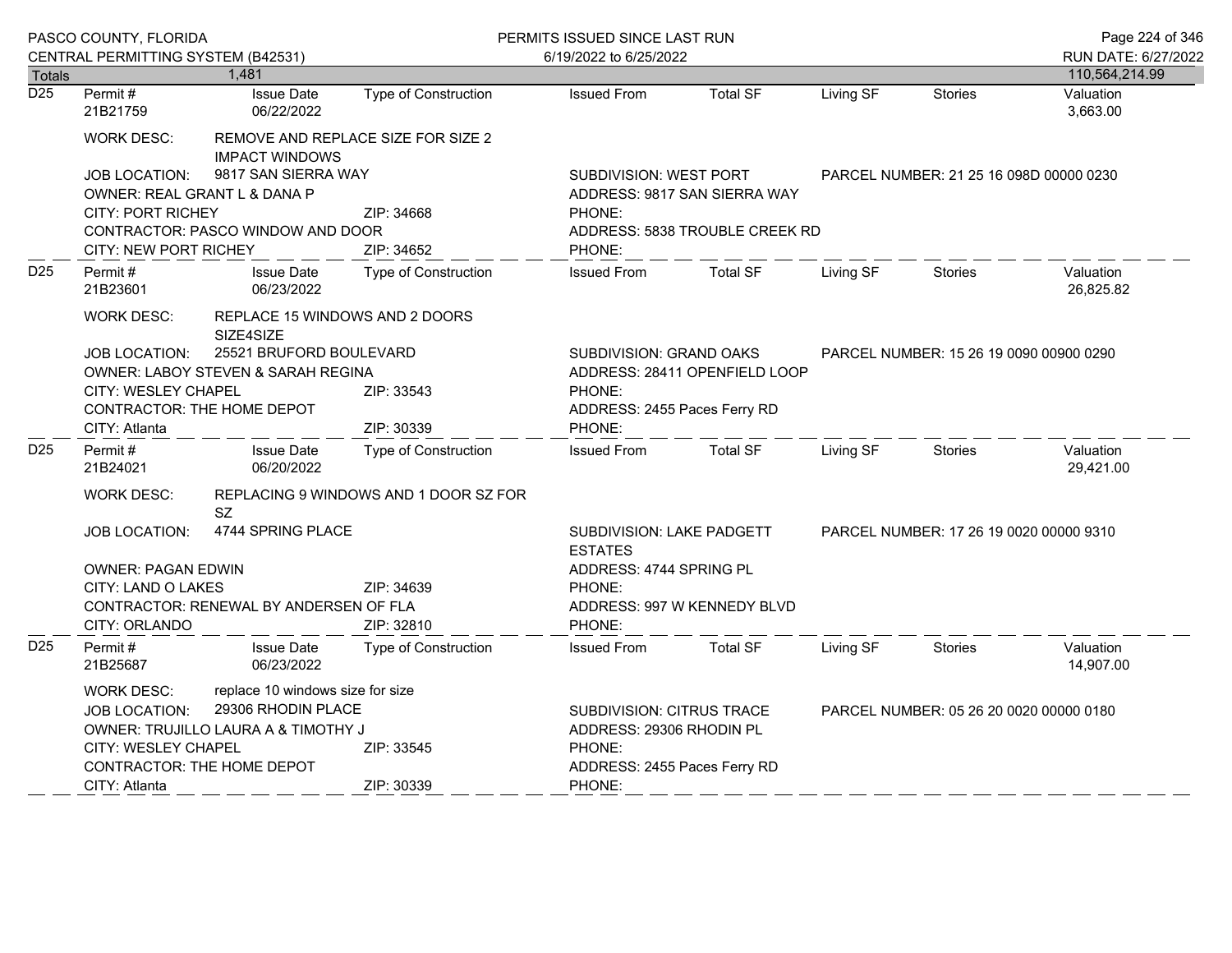|                  | PASCO COUNTY, FLORIDA                                                                 |                                             |                                       | PERMITS ISSUED SINCE LAST RUN               |                                |                                         |                                         |                        |
|------------------|---------------------------------------------------------------------------------------|---------------------------------------------|---------------------------------------|---------------------------------------------|--------------------------------|-----------------------------------------|-----------------------------------------|------------------------|
|                  | CENTRAL PERMITTING SYSTEM (B42531)                                                    |                                             |                                       | 6/19/2022 to 6/25/2022                      |                                |                                         |                                         | RUN DATE: 6/27/2022    |
| <b>Totals</b>    |                                                                                       | 1,481                                       |                                       |                                             |                                |                                         |                                         | 110,564,214.99         |
| $\overline{D25}$ | Permit#<br>21B21759                                                                   | <b>Issue Date</b><br>06/22/2022             | <b>Type of Construction</b>           | <b>Issued From</b>                          | <b>Total SF</b>                | Living SF                               | <b>Stories</b>                          | Valuation<br>3,663.00  |
|                  | WORK DESC:                                                                            | <b>IMPACT WINDOWS</b>                       | REMOVE AND REPLACE SIZE FOR SIZE 2    |                                             |                                |                                         |                                         |                        |
|                  | <b>JOB LOCATION:</b><br>OWNER: REAL GRANT L & DANA P                                  | 9817 SAN SIERRA WAY                         |                                       | <b>SUBDIVISION: WEST PORT</b>               | ADDRESS: 9817 SAN SIERRA WAY   |                                         | PARCEL NUMBER: 21 25 16 098D 00000 0230 |                        |
|                  | <b>CITY: PORT RICHEY</b>                                                              |                                             | ZIP: 34668                            | PHONE:                                      |                                |                                         |                                         |                        |
|                  |                                                                                       | CONTRACTOR: PASCO WINDOW AND DOOR           |                                       |                                             | ADDRESS: 5838 TROUBLE CREEK RD |                                         |                                         |                        |
|                  | <b>CITY: NEW PORT RICHEY</b>                                                          |                                             | ZIP: 34652                            | PHONE:                                      |                                |                                         |                                         |                        |
| D <sub>25</sub>  | Permit#<br>21B23601                                                                   | <b>Issue Date</b><br>06/23/2022             | Type of Construction                  | <b>Issued From</b>                          | <b>Total SF</b>                | Living SF                               | Stories                                 | Valuation<br>26,825.82 |
|                  | <b>WORK DESC:</b>                                                                     | REPLACE 15 WINDOWS AND 2 DOORS<br>SIZE4SIZE |                                       |                                             |                                |                                         |                                         |                        |
|                  | 25521 BRUFORD BOULEVARD<br><b>JOB LOCATION:</b><br>OWNER: LABOY STEVEN & SARAH REGINA |                                             |                                       | <b>SUBDIVISION: GRAND OAKS</b>              | ADDRESS: 28411 OPENFIELD LOOP  |                                         | PARCEL NUMBER: 15 26 19 0090 00900 0290 |                        |
|                  | <b>CITY: WESLEY CHAPEL</b><br>CONTRACTOR: THE HOME DEPOT                              |                                             | ZIP: 33543                            | PHONE:<br>ADDRESS: 2455 Paces Ferry RD      |                                |                                         |                                         |                        |
|                  | CITY: Atlanta                                                                         |                                             | ZIP: 30339                            | PHONE:                                      |                                |                                         |                                         |                        |
| D <sub>25</sub>  | Permit#<br>21B24021                                                                   | <b>Issue Date</b><br>06/20/2022             | Type of Construction                  | <b>Issued From</b>                          | <b>Total SF</b>                | Living SF                               | Stories                                 | Valuation<br>29,421.00 |
|                  | WORK DESC:                                                                            | SZ.                                         | REPLACING 9 WINDOWS AND 1 DOOR SZ FOR |                                             |                                |                                         |                                         |                        |
|                  | <b>JOB LOCATION:</b>                                                                  | 4744 SPRING PLACE                           |                                       | SUBDIVISION: LAKE PADGETT<br><b>ESTATES</b> |                                | PARCEL NUMBER: 17 26 19 0020 00000 9310 |                                         |                        |
|                  | <b>OWNER: PAGAN EDWIN</b>                                                             |                                             |                                       |                                             | ADDRESS: 4744 SPRING PL        |                                         |                                         |                        |
|                  | <b>CITY: LAND O LAKES</b>                                                             |                                             | ZIP: 34639                            | PHONE:                                      |                                |                                         |                                         |                        |
|                  |                                                                                       | CONTRACTOR: RENEWAL BY ANDERSEN OF FLA      |                                       |                                             | ADDRESS: 997 W KENNEDY BLVD    |                                         |                                         |                        |
|                  | CITY: ORLANDO                                                                         |                                             | ZIP: 32810                            | PHONE:                                      |                                |                                         |                                         |                        |
| D <sub>25</sub>  | Permit#<br>21B25687                                                                   | <b>Issue Date</b><br>06/23/2022             | <b>Type of Construction</b>           | <b>Issued From</b>                          | <b>Total SF</b>                | Living SF                               | <b>Stories</b>                          | Valuation<br>14,907.00 |
|                  | <b>WORK DESC:</b>                                                                     | replace 10 windows size for size            |                                       |                                             |                                |                                         |                                         |                        |
|                  | <b>JOB LOCATION:</b>                                                                  | 29306 RHODIN PLACE                          |                                       | <b>SUBDIVISION: CITRUS TRACE</b>            |                                |                                         | PARCEL NUMBER: 05 26 20 0020 00000 0180 |                        |
|                  |                                                                                       | OWNER: TRUJILLO LAURA A & TIMOTHY J         |                                       | ADDRESS: 29306 RHODIN PL                    |                                |                                         |                                         |                        |
|                  | CITY: WESLEY CHAPEL                                                                   |                                             | ZIP: 33545                            | PHONE:                                      |                                |                                         |                                         |                        |
|                  | <b>CONTRACTOR: THE HOME DEPOT</b>                                                     |                                             |                                       | ADDRESS: 2455 Paces Ferry RD                |                                |                                         |                                         |                        |
|                  | CITY: Atlanta                                                                         |                                             | ZIP: 30339                            | PHONE:                                      |                                |                                         |                                         |                        |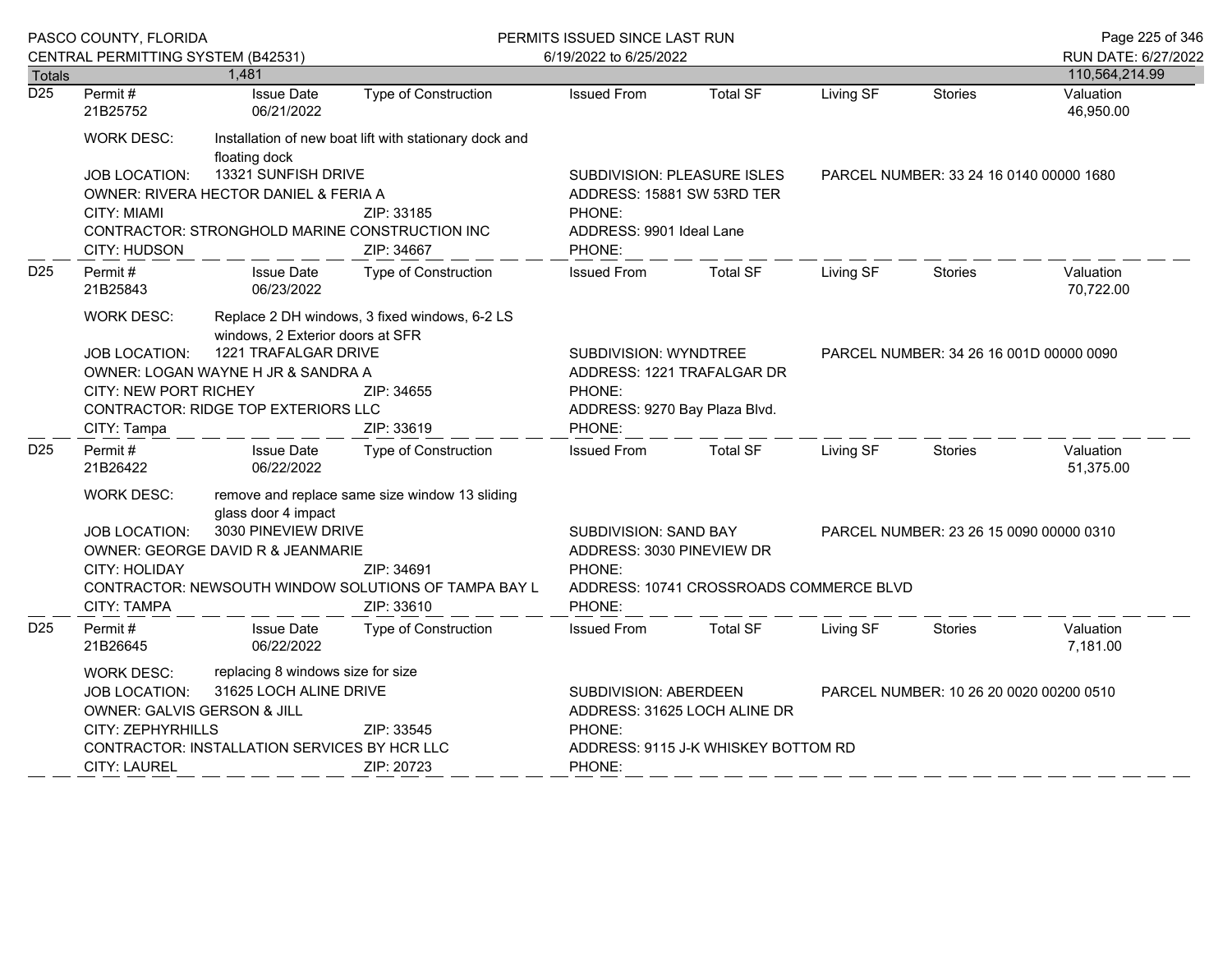|                                   | PASCO COUNTY, FLORIDA<br>CENTRAL PERMITTING SYSTEM (B42531)                                                                                                                                                                                                                                             |                                                              |                                                                                                                                                             | PERMITS ISSUED SINCE LAST RUN                                                                                     |                                    |                                         |                                         | Page 225 of 346                         |  |
|-----------------------------------|---------------------------------------------------------------------------------------------------------------------------------------------------------------------------------------------------------------------------------------------------------------------------------------------------------|--------------------------------------------------------------|-------------------------------------------------------------------------------------------------------------------------------------------------------------|-------------------------------------------------------------------------------------------------------------------|------------------------------------|-----------------------------------------|-----------------------------------------|-----------------------------------------|--|
|                                   |                                                                                                                                                                                                                                                                                                         | 1,481                                                        |                                                                                                                                                             | 6/19/2022 to 6/25/2022                                                                                            |                                    |                                         |                                         | RUN DATE: 6/27/2022<br>110,564,214.99   |  |
| <b>Totals</b><br>$\overline{D25}$ | Permit#<br>21B25752                                                                                                                                                                                                                                                                                     | <b>Issue Date</b><br>06/21/2022                              | <b>Type of Construction</b>                                                                                                                                 | <b>Issued From</b>                                                                                                | <b>Total SF</b>                    | Living SF                               | <b>Stories</b>                          | Valuation<br>46,950.00                  |  |
|                                   | WORK DESC:                                                                                                                                                                                                                                                                                              | floating dock                                                | Installation of new boat lift with stationary dock and                                                                                                      |                                                                                                                   |                                    |                                         |                                         |                                         |  |
|                                   | <b>JOB LOCATION:</b><br><b>CITY: MIAMI</b><br>CITY: HUDSON                                                                                                                                                                                                                                              | 13321 SUNFISH DRIVE<br>OWNER: RIVERA HECTOR DANIEL & FERIA A | ZIP: 33185<br>CONTRACTOR: STRONGHOLD MARINE CONSTRUCTION INC<br>ZIP: 34667                                                                                  | ADDRESS: 15881 SW 53RD TER<br>PHONE:<br>ADDRESS: 9901 Ideal Lane<br>PHONE:                                        | <b>SUBDIVISION: PLEASURE ISLES</b> |                                         | PARCEL NUMBER: 33 24 16 0140 00000 1680 |                                         |  |
| D <sub>25</sub>                   | Permit#<br>21B25843                                                                                                                                                                                                                                                                                     | <b>Issue Date</b><br>06/23/2022                              | <b>Type of Construction</b>                                                                                                                                 | <b>Issued From</b>                                                                                                | <b>Total SF</b>                    | Living SF                               | <b>Stories</b>                          | Valuation<br>70,722.00                  |  |
|                                   | Replace 2 DH windows, 3 fixed windows, 6-2 LS<br><b>WORK DESC:</b><br>windows, 2 Exterior doors at SFR<br>1221 TRAFALGAR DRIVE<br><b>JOB LOCATION:</b><br>OWNER: LOGAN WAYNE H JR & SANDRA A<br>CITY: NEW PORT RICHEY<br>ZIP: 34655<br>CONTRACTOR: RIDGE TOP EXTERIORS LLC<br>CITY: Tampa<br>ZIP: 33619 |                                                              | SUBDIVISION: WYNDTREE<br>PHONE:<br>ADDRESS: 9270 Bay Plaza Blvd.<br>PHONE:                                                                                  | ADDRESS: 1221 TRAFALGAR DR                                                                                        |                                    | PARCEL NUMBER: 34 26 16 001D 00000 0090 |                                         |                                         |  |
| D <sub>25</sub>                   | Permit#<br>21B26422                                                                                                                                                                                                                                                                                     | <b>Issue Date</b><br>06/22/2022                              | Type of Construction                                                                                                                                        | <b>Issued From</b>                                                                                                | <b>Total SF</b>                    | Living SF                               | <b>Stories</b>                          | Valuation<br>51,375.00                  |  |
|                                   | <b>WORK DESC:</b><br>remove and replace same size window 13 sliding<br>glass door 4 impact<br>3030 PINEVIEW DRIVE<br><b>JOB LOCATION:</b><br>OWNER: GEORGE DAVID R & JEANMARIE<br><b>CITY: HOLIDAY</b><br>ZIP: 34691<br>CONTRACTOR: NEWSOUTH WINDOW SOLUTIONS OF TAMPA BAY L<br><b>CITY: TAMPA</b>      |                                                              | ZIP: 33610                                                                                                                                                  | SUBDIVISION: SAND BAY<br>ADDRESS: 3030 PINEVIEW DR<br>PHONE:<br>ADDRESS: 10741 CROSSROADS COMMERCE BLVD<br>PHONE: |                                    |                                         |                                         | PARCEL NUMBER: 23 26 15 0090 00000 0310 |  |
| D <sub>25</sub>                   | Permit#<br>21B26645                                                                                                                                                                                                                                                                                     | <b>Issue Date</b><br>06/22/2022                              | <b>Type of Construction</b>                                                                                                                                 | <b>Issued From</b>                                                                                                | <b>Total SF</b>                    | Living SF                               | <b>Stories</b>                          | Valuation<br>7,181.00                   |  |
|                                   | replacing 8 windows size for size<br><b>WORK DESC:</b><br>31625 LOCH ALINE DRIVE<br><b>JOB LOCATION:</b><br>OWNER: GALVIS GERSON & JILL<br>CITY: ZEPHYRHILLS<br>ZIP: 33545<br>CONTRACTOR: INSTALLATION SERVICES BY HCR LLC<br><b>CITY: LAUREL</b><br>ZIP: 20723                                         |                                                              | SUBDIVISION: ABERDEEN<br>PARCEL NUMBER: 10 26 20 0020 00200 0510<br>ADDRESS: 31625 LOCH ALINE DR<br>PHONE:<br>ADDRESS: 9115 J-K WHISKEY BOTTOM RD<br>PHONE: |                                                                                                                   |                                    |                                         |                                         |                                         |  |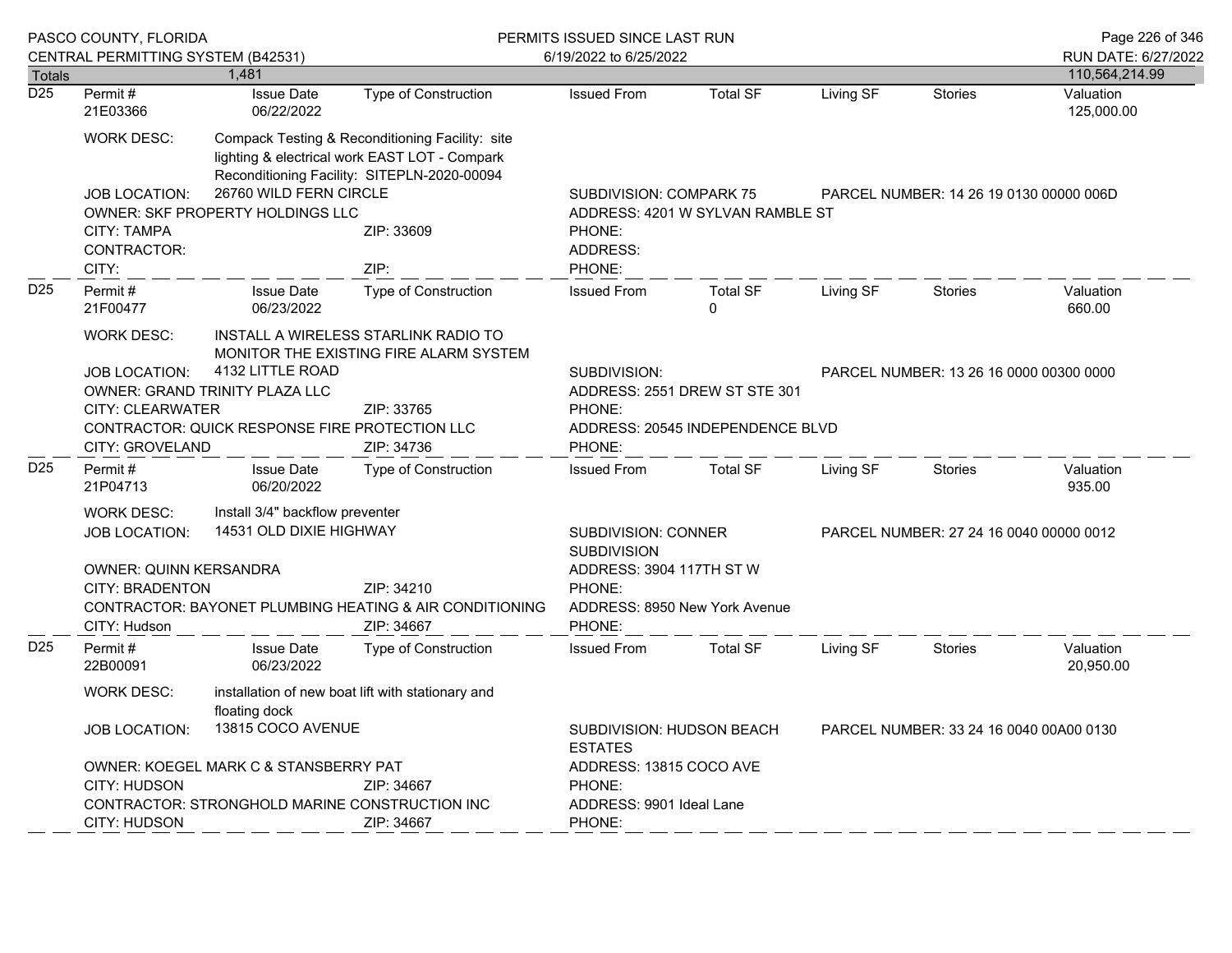|                                   | PASCO COUNTY, FLORIDA                                                                                                                                                                                                                                                                                         |                                                            |                                                                                                                                                                       | PERMITS ISSUED SINCE LAST RUN                                                               |                             |                                         |                                         | Page 226 of 346                       |  |
|-----------------------------------|---------------------------------------------------------------------------------------------------------------------------------------------------------------------------------------------------------------------------------------------------------------------------------------------------------------|------------------------------------------------------------|-----------------------------------------------------------------------------------------------------------------------------------------------------------------------|---------------------------------------------------------------------------------------------|-----------------------------|-----------------------------------------|-----------------------------------------|---------------------------------------|--|
|                                   | CENTRAL PERMITTING SYSTEM (B42531)                                                                                                                                                                                                                                                                            | 1,481                                                      |                                                                                                                                                                       | 6/19/2022 to 6/25/2022                                                                      |                             |                                         |                                         | RUN DATE: 6/27/2022<br>110,564,214.99 |  |
| <b>Totals</b><br>$\overline{D25}$ | Permit#<br>21E03366                                                                                                                                                                                                                                                                                           | <b>Issue Date</b><br>06/22/2022                            | <b>Type of Construction</b>                                                                                                                                           | <b>Issued From</b>                                                                          | <b>Total SF</b>             | Living SF                               | <b>Stories</b>                          | Valuation<br>125,000.00               |  |
|                                   | <b>WORK DESC:</b><br><b>JOB LOCATION:</b><br>CITY: TAMPA<br>CONTRACTOR:<br>CITY:                                                                                                                                                                                                                              | 26760 WILD FERN CIRCLE<br>OWNER: SKF PROPERTY HOLDINGS LLC | Compack Testing & Reconditioning Facility: site<br>lighting & electrical work EAST LOT - Compark<br>Reconditioning Facility: SITEPLN-2020-00094<br>ZIP: 33609<br>ZIP: | SUBDIVISION: COMPARK 75<br>ADDRESS: 4201 W SYLVAN RAMBLE ST<br>PHONE:<br>ADDRESS:<br>PHONE: |                             |                                         | PARCEL NUMBER: 14 26 19 0130 00000 006D |                                       |  |
| D <sub>25</sub>                   | Permit#<br>21F00477                                                                                                                                                                                                                                                                                           | <b>Issue Date</b><br>06/23/2022                            | <b>Type of Construction</b>                                                                                                                                           | <b>Issued From</b>                                                                          | <b>Total SF</b><br>$\Omega$ | Living SF                               | <b>Stories</b>                          | Valuation<br>660.00                   |  |
|                                   | <b>WORK DESC:</b><br>INSTALL A WIRELESS STARLINK RADIO TO<br>MONITOR THE EXISTING FIRE ALARM SYSTEM<br>4132 LITTLE ROAD<br><b>JOB LOCATION:</b><br>OWNER: GRAND TRINITY PLAZA LLC<br><b>CITY: CLEARWATER</b><br>ZIP: 33765<br>CONTRACTOR: QUICK RESPONSE FIRE PROTECTION LLC<br>CITY: GROVELAND<br>ZIP: 34736 |                                                            | SUBDIVISION:<br>PARCEL NUMBER: 13 26 16 0000 00300 0000<br>ADDRESS: 2551 DREW ST STE 301<br>PHONE:<br>ADDRESS: 20545 INDEPENDENCE BLVD<br>PHONE:                      |                                                                                             |                             |                                         |                                         |                                       |  |
| D <sub>25</sub>                   | Permit#<br>21P04713                                                                                                                                                                                                                                                                                           | <b>Issue Date</b><br>06/20/2022                            | <b>Type of Construction</b>                                                                                                                                           | <b>Issued From</b>                                                                          | <b>Total SF</b>             | Living SF                               | <b>Stories</b>                          | Valuation<br>935.00                   |  |
|                                   | Install 3/4" backflow preventer<br><b>WORK DESC:</b><br>14531 OLD DIXIE HIGHWAY<br><b>JOB LOCATION:</b><br>OWNER: QUINN KERSANDRA<br>CITY: BRADENTON<br>ZIP: 34210<br>CONTRACTOR: BAYONET PLUMBING HEATING & AIR CONDITIONING<br>CITY: Hudson<br>ZIP: 34667                                                   |                                                            | SUBDIVISION: CONNER<br><b>SUBDIVISION</b><br>ADDRESS: 3904 117TH ST W<br>PHONE:<br>PHONE:                                                                             | ADDRESS: 8950 New York Avenue                                                               |                             | PARCEL NUMBER: 27 24 16 0040 00000 0012 |                                         |                                       |  |
| D <sub>25</sub>                   | Permit#<br>22B00091                                                                                                                                                                                                                                                                                           | <b>Issue Date</b><br>06/23/2022                            | Type of Construction                                                                                                                                                  | <b>Issued From</b>                                                                          | <b>Total SF</b>             | Living SF                               | <b>Stories</b>                          | Valuation<br>20,950.00                |  |
|                                   | <b>WORK DESC:</b><br>installation of new boat lift with stationary and<br>floating dock<br>13815 COCO AVENUE<br><b>JOB LOCATION:</b><br>OWNER: KOEGEL MARK C & STANSBERRY PAT<br>CITY: HUDSON<br>ZIP: 34667<br>CONTRACTOR: STRONGHOLD MARINE CONSTRUCTION INC<br>CITY: HUDSON<br>ZIP: 34667                   |                                                            | SUBDIVISION: HUDSON BEACH<br>PARCEL NUMBER: 33 24 16 0040 00A00 0130<br><b>ESTATES</b><br>ADDRESS: 13815 COCO AVE<br>PHONE:<br>ADDRESS: 9901 Ideal Lane<br>PHONE:     |                                                                                             |                             |                                         |                                         |                                       |  |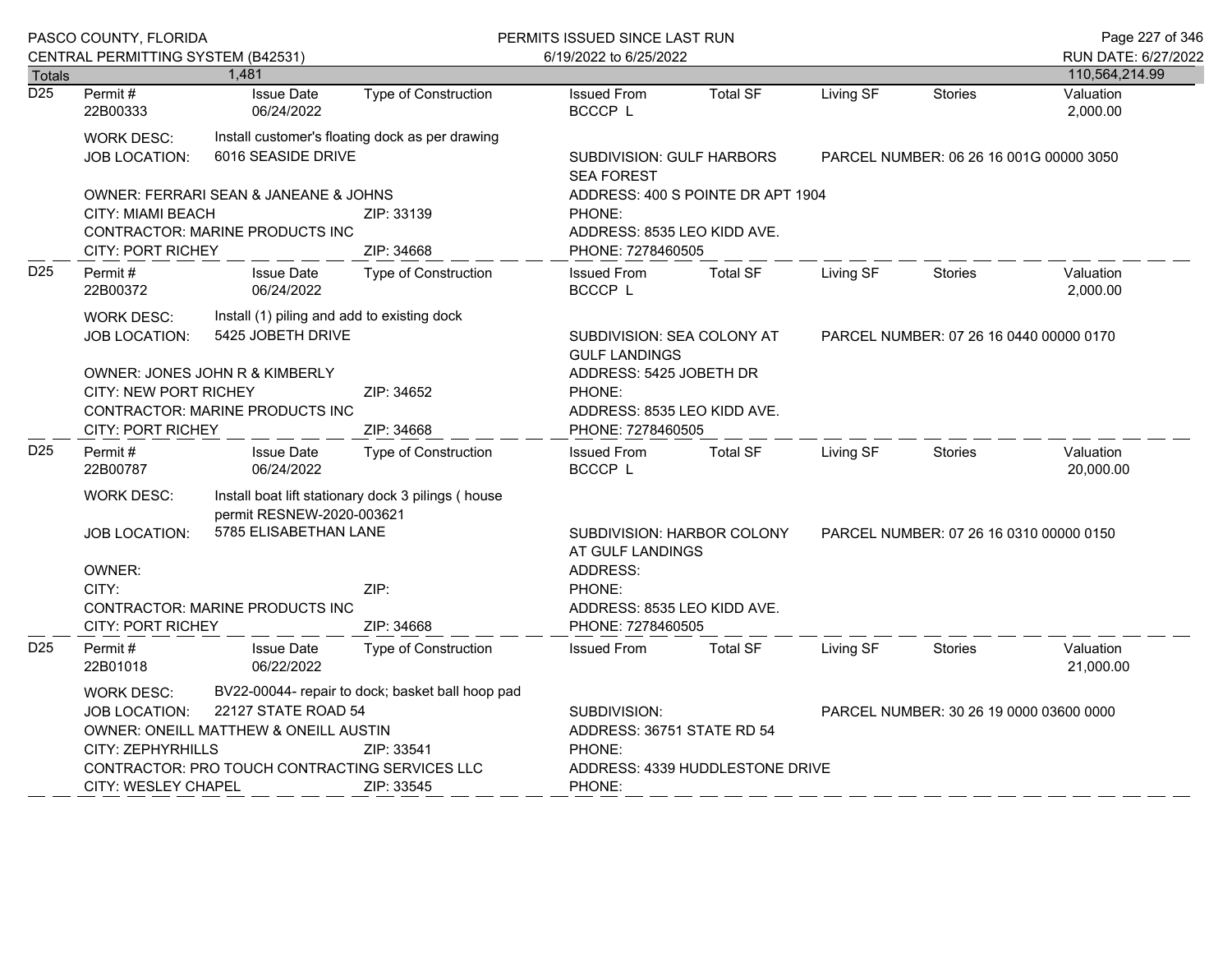|                  | PASCO COUNTY, FLORIDA<br>CENTRAL PERMITTING SYSTEM (B42531)                                                   |                                                                       |                                                    | PERMITS ISSUED SINCE LAST RUN                                    |                                                                                           |                                         |                                         | Page 227 of 346        |  |  |
|------------------|---------------------------------------------------------------------------------------------------------------|-----------------------------------------------------------------------|----------------------------------------------------|------------------------------------------------------------------|-------------------------------------------------------------------------------------------|-----------------------------------------|-----------------------------------------|------------------------|--|--|
|                  |                                                                                                               |                                                                       |                                                    | 6/19/2022 to 6/25/2022                                           |                                                                                           |                                         |                                         | RUN DATE: 6/27/2022    |  |  |
| <b>Totals</b>    |                                                                                                               | 1,481                                                                 |                                                    |                                                                  |                                                                                           |                                         |                                         | 110,564,214.99         |  |  |
| $\overline{D25}$ | Permit#<br>22B00333                                                                                           | <b>Issue Date</b><br>06/24/2022                                       | <b>Type of Construction</b>                        | <b>Issued From</b><br>BCCCP L                                    | <b>Total SF</b>                                                                           | Living SF                               | <b>Stories</b>                          | Valuation<br>2,000.00  |  |  |
|                  | <b>WORK DESC:</b><br>JOB LOCATION:                                                                            | Install customer's floating dock as per drawing<br>6016 SEASIDE DRIVE |                                                    | SUBDIVISION: GULF HARBORS<br><b>SEA FOREST</b>                   |                                                                                           |                                         | PARCEL NUMBER: 06 26 16 001G 00000 3050 |                        |  |  |
|                  |                                                                                                               | OWNER: FERRARI SEAN & JANEANE & JOHNS                                 |                                                    |                                                                  | ADDRESS: 400 S POINTE DR APT 1904                                                         |                                         |                                         |                        |  |  |
|                  | <b>CITY: MIAMI BEACH</b><br><b>CITY: PORT RICHEY</b>                                                          | CONTRACTOR: MARINE PRODUCTS INC                                       | ZIP: 33139<br>ZIP: 34668                           | PHONE:<br>ADDRESS: 8535 LEO KIDD AVE.<br>PHONE: 7278460505       |                                                                                           |                                         |                                         |                        |  |  |
| D <sub>25</sub>  | Permit#<br>22B00372                                                                                           | <b>Issue Date</b><br>06/24/2022                                       | <b>Type of Construction</b>                        | <b>Issued From</b><br>BCCCP L                                    | <b>Total SF</b>                                                                           | Living SF                               | Stories                                 | Valuation<br>2,000.00  |  |  |
|                  | Install (1) piling and add to existing dock<br><b>WORK DESC:</b><br>5425 JOBETH DRIVE<br><b>JOB LOCATION:</b> |                                                                       |                                                    | SUBDIVISION: SEA COLONY AT<br><b>GULF LANDINGS</b>               |                                                                                           | PARCEL NUMBER: 07 26 16 0440 00000 0170 |                                         |                        |  |  |
|                  | OWNER: JONES JOHN R & KIMBERLY<br><b>CITY: NEW PORT RICHEY</b><br>CONTRACTOR: MARINE PRODUCTS INC             |                                                                       | ZIP: 34652                                         | ADDRESS: 5425 JOBETH DR<br>PHONE:<br>ADDRESS: 8535 LEO KIDD AVE. |                                                                                           |                                         |                                         |                        |  |  |
|                  | <b>CITY: PORT RICHEY</b>                                                                                      |                                                                       | ZIP: 34668                                         | PHONE: 7278460505                                                |                                                                                           |                                         |                                         |                        |  |  |
| D <sub>25</sub>  | Permit#<br>22B00787                                                                                           | <b>Issue Date</b><br>06/24/2022                                       | <b>Type of Construction</b>                        | <b>Issued From</b><br>BCCCP L                                    | <b>Total SF</b>                                                                           | Living SF                               | <b>Stories</b>                          | Valuation<br>20,000.00 |  |  |
|                  | <b>WORK DESC:</b>                                                                                             | permit RESNEW-2020-003621                                             | Install boat lift stationary dock 3 pilings (house |                                                                  |                                                                                           |                                         |                                         |                        |  |  |
|                  | 5785 ELISABETHAN LANE<br><b>JOB LOCATION:</b>                                                                 |                                                                       |                                                    |                                                                  | SUBDIVISION: HARBOR COLONY<br>PARCEL NUMBER: 07 26 16 0310 00000 0150<br>AT GULF LANDINGS |                                         |                                         |                        |  |  |
|                  | OWNER:<br>CITY:<br>ZIP:                                                                                       |                                                                       |                                                    | ADDRESS:<br>PHONE:                                               |                                                                                           |                                         |                                         |                        |  |  |
|                  | <b>CITY: PORT RICHEY</b>                                                                                      | <b>CONTRACTOR: MARINE PRODUCTS INC</b>                                | ZIP: 34668                                         | ADDRESS: 8535 LEO KIDD AVE.<br>PHONE: 7278460505                 |                                                                                           |                                         |                                         |                        |  |  |
| D <sub>25</sub>  | Permit#<br>22B01018                                                                                           | <b>Issue Date</b><br>06/22/2022                                       | Type of Construction                               | <b>Issued From</b>                                               | <b>Total SF</b>                                                                           | Living SF                               | <b>Stories</b>                          | Valuation<br>21,000.00 |  |  |
|                  | WORK DESC:                                                                                                    |                                                                       | BV22-00044- repair to dock; basket ball hoop pad   |                                                                  |                                                                                           |                                         |                                         |                        |  |  |
|                  | JOB LOCATION:                                                                                                 | 22127 STATE ROAD 54                                                   |                                                    | SUBDIVISION:                                                     |                                                                                           |                                         | PARCEL NUMBER: 30 26 19 0000 03600 0000 |                        |  |  |
|                  |                                                                                                               | <b>OWNER: ONEILL MATTHEW &amp; ONEILL AUSTIN</b>                      |                                                    | ADDRESS: 36751 STATE RD 54                                       |                                                                                           |                                         |                                         |                        |  |  |
|                  | CITY: ZEPHYRHILLS                                                                                             |                                                                       | ZIP: 33541                                         | PHONE:                                                           |                                                                                           |                                         |                                         |                        |  |  |
|                  |                                                                                                               | CONTRACTOR: PRO TOUCH CONTRACTING SERVICES LLC                        |                                                    |                                                                  | ADDRESS: 4339 HUDDLESTONE DRIVE                                                           |                                         |                                         |                        |  |  |
|                  | <b>CITY: WESLEY CHAPEL</b>                                                                                    |                                                                       | ZIP: 33545                                         | PHONE:                                                           |                                                                                           |                                         |                                         |                        |  |  |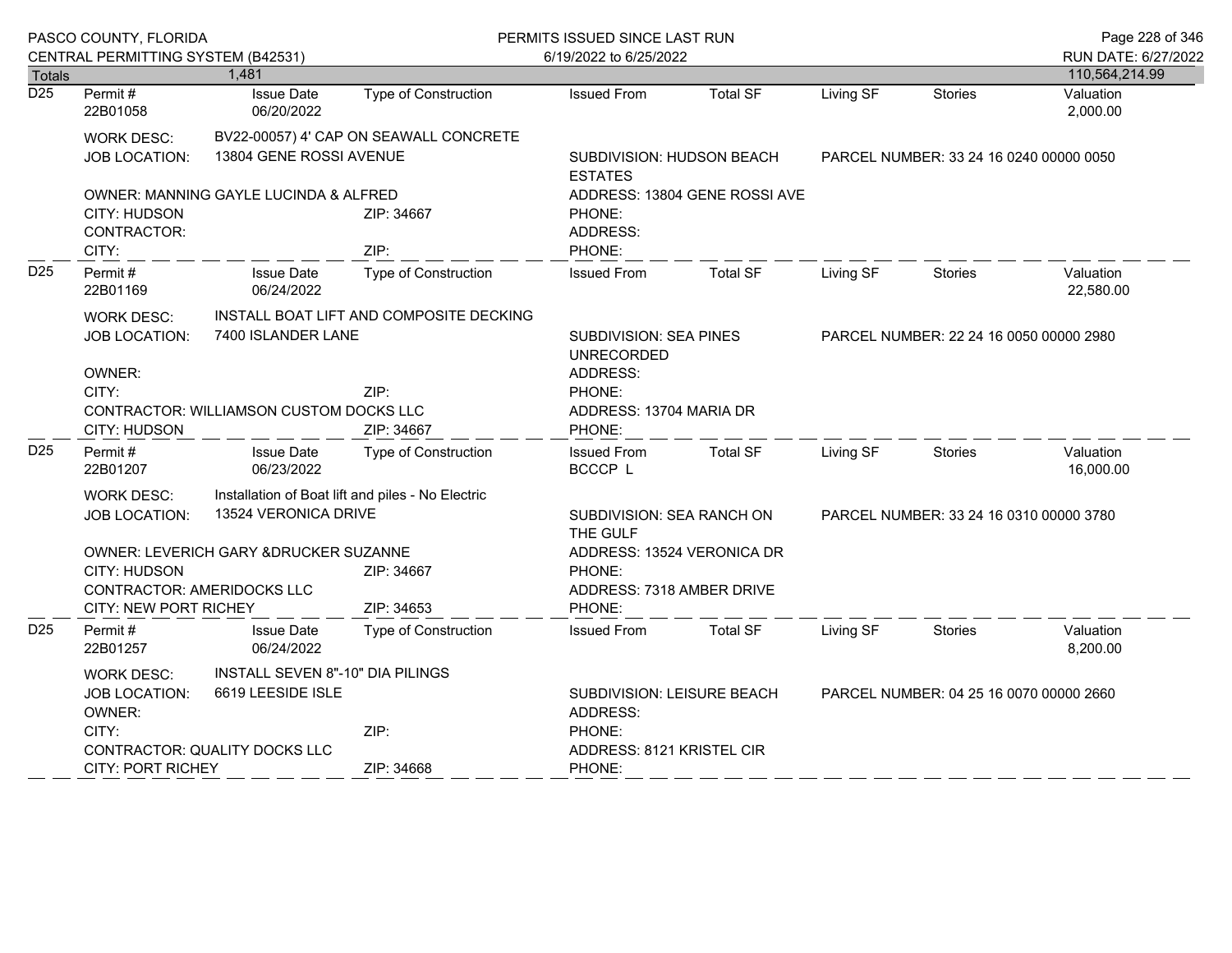|                  | PASCO COUNTY, FLORIDA                                                                                                                                                                      |                                                               |                                                                                         | PERMITS ISSUED SINCE LAST RUN                           |                                         |                                         | Page 228 of 346                         |                        |  |
|------------------|--------------------------------------------------------------------------------------------------------------------------------------------------------------------------------------------|---------------------------------------------------------------|-----------------------------------------------------------------------------------------|---------------------------------------------------------|-----------------------------------------|-----------------------------------------|-----------------------------------------|------------------------|--|
|                  | CENTRAL PERMITTING SYSTEM (B42531)                                                                                                                                                         |                                                               |                                                                                         | 6/19/2022 to 6/25/2022                                  |                                         |                                         |                                         | RUN DATE: 6/27/2022    |  |
| <b>Totals</b>    |                                                                                                                                                                                            | 1,481                                                         |                                                                                         |                                                         |                                         |                                         |                                         | 110,564,214.99         |  |
| $\overline{D25}$ | Permit#<br>22B01058                                                                                                                                                                        | <b>Issue Date</b><br>06/20/2022                               | Type of Construction                                                                    | <b>Issued From</b>                                      | <b>Total SF</b>                         | Living SF                               | <b>Stories</b>                          | Valuation<br>2,000.00  |  |
|                  | <b>WORK DESC:</b><br><b>JOB LOCATION:</b>                                                                                                                                                  | 13804 GENE ROSSI AVENUE                                       | BV22-00057) 4' CAP ON SEAWALL CONCRETE                                                  | SUBDIVISION: HUDSON BEACH<br><b>ESTATES</b>             | PARCEL NUMBER: 33 24 16 0240 00000 0050 |                                         |                                         |                        |  |
|                  | <b>CITY: HUDSON</b><br>CONTRACTOR:<br>CITY:                                                                                                                                                | OWNER: MANNING GAYLE LUCINDA & ALFRED                         | ZIP: 34667<br>ZIP:                                                                      | PHONE:<br>ADDRESS:<br>PHONE:                            | ADDRESS: 13804 GENE ROSSI AVE           |                                         |                                         |                        |  |
| D <sub>25</sub>  | Permit#<br>22B01169                                                                                                                                                                        | <b>Issue Date</b><br>06/24/2022                               | <b>Type of Construction</b>                                                             | <b>Issued From</b>                                      | <b>Total SF</b>                         | Living SF                               | <b>Stories</b>                          | Valuation<br>22,580.00 |  |
|                  | <b>WORK DESC:</b><br><b>JOB LOCATION:</b>                                                                                                                                                  | INSTALL BOAT LIFT AND COMPOSITE DECKING<br>7400 ISLANDER LANE | <b>SUBDIVISION: SEA PINES</b><br><b>UNRECORDED</b>                                      |                                                         | PARCEL NUMBER: 22 24 16 0050 00000 2980 |                                         |                                         |                        |  |
|                  | OWNER:<br>CITY:<br>ZIP:<br><b>CONTRACTOR: WILLIAMSON CUSTOM DOCKS LLC</b><br>CITY: HUDSON<br>ZIP: 34667                                                                                    |                                                               | ADDRESS:<br>PHONE:<br>ADDRESS: 13704 MARIA DR<br>PHONE:                                 |                                                         |                                         |                                         |                                         |                        |  |
| D <sub>25</sub>  | Permit#<br>22B01207                                                                                                                                                                        | <b>Issue Date</b><br>06/23/2022                               | Type of Construction                                                                    | <b>Issued From</b><br><b>BCCCP L</b>                    | <b>Total SF</b>                         | Living SF                               | Stories                                 | Valuation<br>16,000.00 |  |
|                  | Installation of Boat lift and piles - No Electric<br><b>WORK DESC:</b><br>13524 VERONICA DRIVE<br><b>JOB LOCATION:</b>                                                                     |                                                               |                                                                                         | SUBDIVISION: SEA RANCH ON<br>THE GULF                   |                                         |                                         | PARCEL NUMBER: 33 24 16 0310 00000 3780 |                        |  |
|                  | OWNER: LEVERICH GARY & DRUCKER SUZANNE<br>CITY: HUDSON<br>ZIP: 34667<br>CONTRACTOR: AMERIDOCKS LLC<br>CITY: NEW PORT RICHEY<br>ZIP: 34653                                                  |                                                               | PHONE:<br>PHONE:                                                                        | ADDRESS: 13524 VERONICA DR<br>ADDRESS: 7318 AMBER DRIVE |                                         |                                         |                                         |                        |  |
| D <sub>25</sub>  | Permit#<br>22B01257                                                                                                                                                                        | <b>Issue Date</b><br>06/24/2022                               | <b>Type of Construction</b>                                                             | <b>Issued From</b>                                      | <b>Total SF</b>                         | Living SF                               | Stories                                 | Valuation<br>8,200.00  |  |
|                  | INSTALL SEVEN 8"-10" DIA PILINGS<br>WORK DESC:<br>6619 LEESIDE ISLE<br>JOB LOCATION:<br>OWNER:<br>CITY:<br>ZIP:<br>CONTRACTOR: QUALITY DOCKS LLC<br><b>CITY: PORT RICHEY</b><br>ZIP: 34668 |                                                               | SUBDIVISION: LEISURE BEACH<br>ADDRESS:<br>PHONE:<br>ADDRESS: 8121 KRISTEL CIR<br>PHONE: |                                                         |                                         | PARCEL NUMBER: 04 25 16 0070 00000 2660 |                                         |                        |  |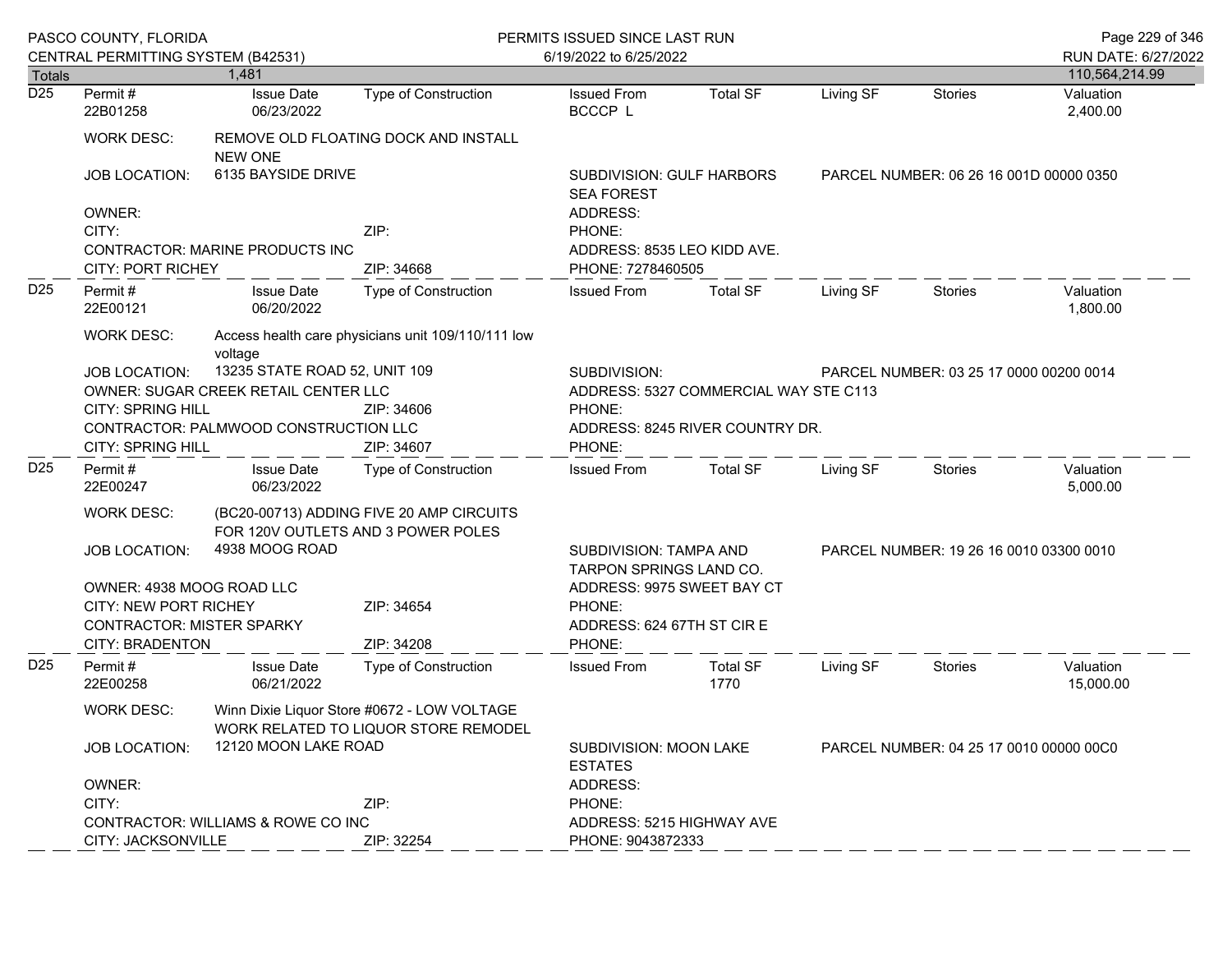|                 | PASCO COUNTY, FLORIDA<br>CENTRAL PERMITTING SYSTEM (B42531)                                         |                                                                                     |                                                    | PERMITS ISSUED SINCE LAST RUN<br>6/19/2022 to 6/25/2022 |                                                                   |           |                                         |                        |  |  |
|-----------------|-----------------------------------------------------------------------------------------------------|-------------------------------------------------------------------------------------|----------------------------------------------------|---------------------------------------------------------|-------------------------------------------------------------------|-----------|-----------------------------------------|------------------------|--|--|
| <b>Totals</b>   |                                                                                                     | 1.481                                                                               |                                                    |                                                         |                                                                   |           |                                         | 110,564,214.99         |  |  |
| D25             | Permit#<br>22B01258                                                                                 | <b>Issue Date</b><br>06/23/2022                                                     | <b>Type of Construction</b>                        | <b>Issued From</b><br>BCCCP L                           | <b>Total SF</b>                                                   | Living SF | <b>Stories</b>                          | Valuation<br>2,400.00  |  |  |
|                 | <b>WORK DESC:</b>                                                                                   | <b>NEW ONE</b>                                                                      | REMOVE OLD FLOATING DOCK AND INSTALL               |                                                         |                                                                   |           |                                         |                        |  |  |
|                 | <b>JOB LOCATION:</b>                                                                                | 6135 BAYSIDE DRIVE                                                                  |                                                    | <b>SUBDIVISION: GULF HARBORS</b><br><b>SEA FOREST</b>   |                                                                   |           | PARCEL NUMBER: 06 26 16 001D 00000 0350 |                        |  |  |
|                 | OWNER:                                                                                              |                                                                                     |                                                    | ADDRESS:                                                |                                                                   |           |                                         |                        |  |  |
|                 | CITY:                                                                                               |                                                                                     | ZIP:                                               | PHONE:                                                  |                                                                   |           |                                         |                        |  |  |
|                 | CONTRACTOR: MARINE PRODUCTS INC                                                                     |                                                                                     | ADDRESS: 8535 LEO KIDD AVE.                        |                                                         |                                                                   |           |                                         |                        |  |  |
|                 | <b>CITY: PORT RICHEY</b>                                                                            |                                                                                     | ZIP: 34668                                         | PHONE: 7278460505                                       |                                                                   |           |                                         |                        |  |  |
| D <sub>25</sub> | Permit#<br>22E00121                                                                                 | <b>Issue Date</b><br>06/20/2022                                                     | Type of Construction                               | <b>Issued From</b>                                      | <b>Total SF</b>                                                   | Living SF | <b>Stories</b>                          | Valuation<br>1,800.00  |  |  |
|                 | <b>WORK DESC:</b>                                                                                   | voltage                                                                             | Access health care physicians unit 109/110/111 low |                                                         |                                                                   |           |                                         |                        |  |  |
|                 | <b>JOB LOCATION:</b>                                                                                | 13235 STATE ROAD 52, UNIT 109                                                       |                                                    | SUBDIVISION:                                            | PARCEL NUMBER: 03 25 17 0000 00200 0014                           |           |                                         |                        |  |  |
|                 |                                                                                                     | OWNER: SUGAR CREEK RETAIL CENTER LLC                                                |                                                    |                                                         | ADDRESS: 5327 COMMERCIAL WAY STE C113                             |           |                                         |                        |  |  |
|                 | <b>CITY: SPRING HILL</b>                                                                            |                                                                                     | ZIP: 34606                                         | PHONE:                                                  |                                                                   |           |                                         |                        |  |  |
|                 |                                                                                                     | CONTRACTOR: PALMWOOD CONSTRUCTION LLC                                               |                                                    |                                                         | ADDRESS: 8245 RIVER COUNTRY DR.                                   |           |                                         |                        |  |  |
|                 | CITY: SPRING HILL                                                                                   |                                                                                     | ZIP: 34607                                         | PHONE:                                                  |                                                                   |           |                                         |                        |  |  |
| D <sub>25</sub> | Permit#<br>22E00247                                                                                 | <b>Issue Date</b><br>06/23/2022                                                     | Type of Construction                               | <b>Issued From</b>                                      | Total SF                                                          | Living SF | Stories                                 | Valuation<br>5,000.00  |  |  |
|                 | <b>WORK DESC:</b><br>(BC20-00713) ADDING FIVE 20 AMP CIRCUITS<br>FOR 120V OUTLETS AND 3 POWER POLES |                                                                                     |                                                    |                                                         |                                                                   |           |                                         |                        |  |  |
|                 | <b>JOB LOCATION:</b>                                                                                | 4938 MOOG ROAD                                                                      |                                                    |                                                         | SUBDIVISION: TAMPA AND<br>TARPON SPRINGS LAND CO.                 |           | PARCEL NUMBER: 19 26 16 0010 03300 0010 |                        |  |  |
|                 | OWNER: 4938 MOOG ROAD LLC                                                                           |                                                                                     |                                                    | ADDRESS: 9975 SWEET BAY CT                              |                                                                   |           |                                         |                        |  |  |
|                 | <b>CITY: NEW PORT RICHEY</b>                                                                        |                                                                                     | ZIP: 34654                                         | PHONE:                                                  |                                                                   |           |                                         |                        |  |  |
|                 | <b>CONTRACTOR: MISTER SPARKY</b>                                                                    |                                                                                     |                                                    | ADDRESS: 624 67TH ST CIRE                               |                                                                   |           |                                         |                        |  |  |
|                 | CITY: BRADENTON                                                                                     |                                                                                     | ZIP: 34208                                         | PHONE:                                                  |                                                                   |           |                                         |                        |  |  |
| D <sub>25</sub> | Permit#<br>22E00258                                                                                 | <b>Issue Date</b><br>06/21/2022                                                     | Type of Construction                               | <b>Issued From</b>                                      | <b>Total SF</b><br>1770                                           | Living SF | <b>Stories</b>                          | Valuation<br>15,000.00 |  |  |
|                 | <b>WORK DESC:</b>                                                                                   | Winn Dixie Liquor Store #0672 - LOW VOLTAGE<br>WORK RELATED TO LIQUOR STORE REMODEL |                                                    |                                                         |                                                                   |           |                                         |                        |  |  |
|                 | <b>JOB LOCATION:</b>                                                                                | 12120 MOON LAKE ROAD                                                                |                                                    | <b>ESTATES</b>                                          | SUBDIVISION: MOON LAKE<br>PARCEL NUMBER: 04 25 17 0010 00000 00C0 |           |                                         |                        |  |  |
|                 | OWNER:                                                                                              |                                                                                     |                                                    | ADDRESS:                                                |                                                                   |           |                                         |                        |  |  |
|                 | CITY:                                                                                               |                                                                                     | ZIP:                                               | PHONE:                                                  |                                                                   |           |                                         |                        |  |  |
|                 | CONTRACTOR: WILLIAMS & ROWE CO INC                                                                  |                                                                                     |                                                    | ADDRESS: 5215 HIGHWAY AVE                               |                                                                   |           |                                         |                        |  |  |
|                 | CITY: JACKSONVILLE                                                                                  |                                                                                     | ZIP: 32254                                         | PHONE: 9043872333                                       |                                                                   |           |                                         |                        |  |  |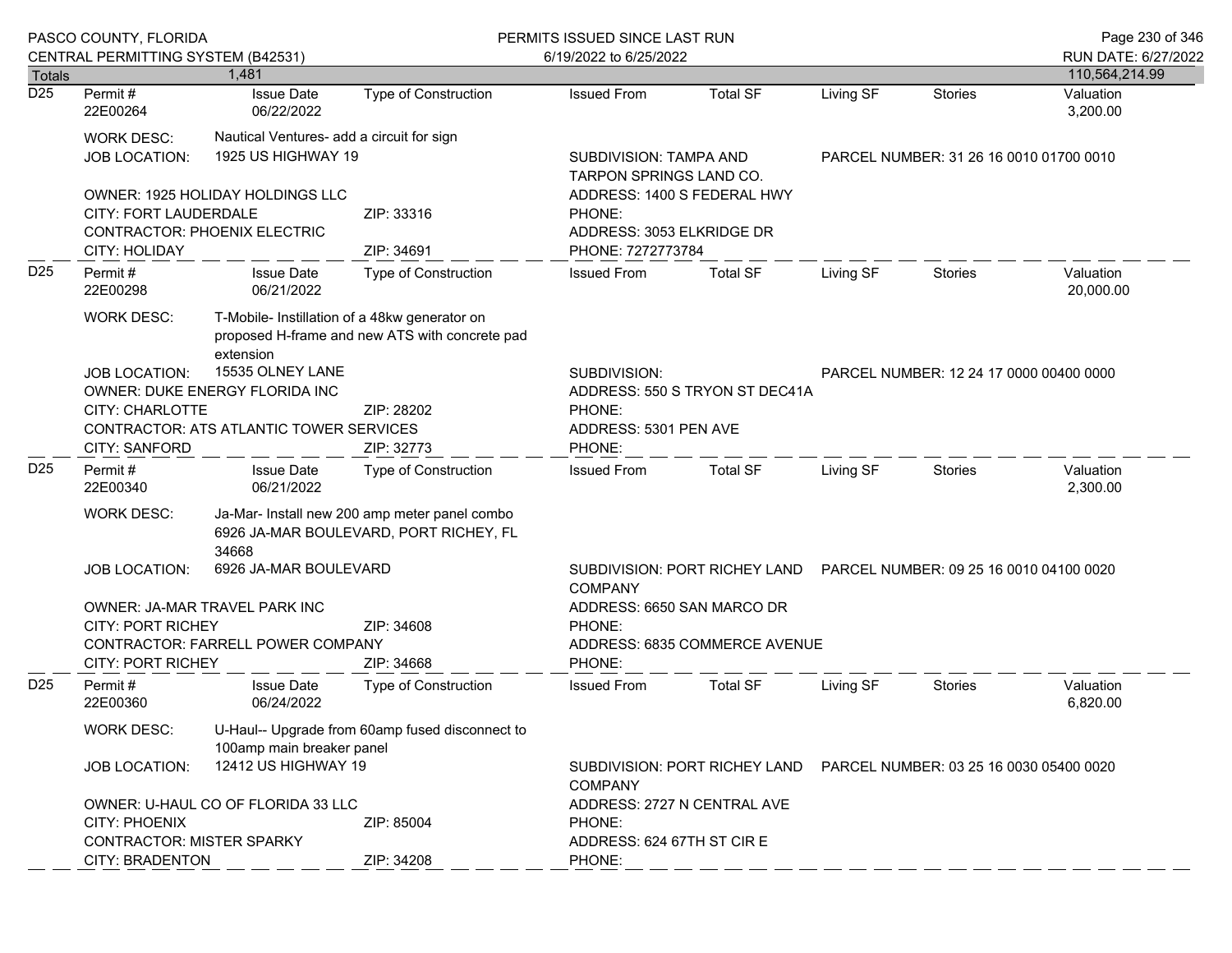|                  | PASCO COUNTY, FLORIDA                                                                                                                                         |                                                                                                              |                                                                                 | PERMITS ISSUED SINCE LAST RUN                                            |                                                                                              |                                         |                                         | Page 230 of 346        |
|------------------|---------------------------------------------------------------------------------------------------------------------------------------------------------------|--------------------------------------------------------------------------------------------------------------|---------------------------------------------------------------------------------|--------------------------------------------------------------------------|----------------------------------------------------------------------------------------------|-----------------------------------------|-----------------------------------------|------------------------|
|                  | CENTRAL PERMITTING SYSTEM (B42531)                                                                                                                            |                                                                                                              |                                                                                 | 6/19/2022 to 6/25/2022                                                   |                                                                                              |                                         |                                         | RUN DATE: 6/27/2022    |
| Totals           |                                                                                                                                                               | 1,481                                                                                                        |                                                                                 |                                                                          |                                                                                              |                                         |                                         | 110,564,214.99         |
| $\overline{D25}$ | Permit#<br>22E00264                                                                                                                                           | <b>Issue Date</b><br>06/22/2022                                                                              | <b>Type of Construction</b>                                                     | <b>Issued From</b>                                                       | <b>Total SF</b>                                                                              | Living SF                               | <b>Stories</b>                          | Valuation<br>3,200.00  |
|                  | <b>WORK DESC:</b><br><b>JOB LOCATION:</b>                                                                                                                     | Nautical Ventures- add a circuit for sign<br>1925 US HIGHWAY 19                                              |                                                                                 |                                                                          | SUBDIVISION: TAMPA AND<br>PARCEL NUMBER: 31 26 16 0010 01700 0010<br>TARPON SPRINGS LAND CO. |                                         |                                         |                        |
|                  | <b>OWNER: 1925 HOLIDAY HOLDINGS LLC</b><br>CITY: FORT LAUDERDALE<br><b>CONTRACTOR: PHOENIX ELECTRIC</b>                                                       |                                                                                                              | ZIP: 33316                                                                      | ADDRESS: 1400 S FEDERAL HWY<br>PHONE:<br>ADDRESS: 3053 ELKRIDGE DR       |                                                                                              |                                         |                                         |                        |
|                  | <b>CITY: HOLIDAY</b>                                                                                                                                          |                                                                                                              | ZIP: 34691                                                                      | PHONE: 7272773784                                                        |                                                                                              |                                         |                                         |                        |
| D <sub>25</sub>  | Permit#<br>22E00298                                                                                                                                           | <b>Issue Date</b><br>06/21/2022                                                                              | <b>Type of Construction</b>                                                     | <b>Issued From</b>                                                       | <b>Total SF</b>                                                                              | Living SF                               | Stories                                 | Valuation<br>20,000.00 |
|                  | <b>WORK DESC:</b>                                                                                                                                             | T-Mobile- Instillation of a 48kw generator on<br>proposed H-frame and new ATS with concrete pad<br>extension |                                                                                 |                                                                          |                                                                                              |                                         |                                         |                        |
|                  | 15535 OLNEY LANE<br><b>JOB LOCATION:</b><br>OWNER: DUKE ENERGY FLORIDA INC<br><b>CITY: CHARLOTTE</b><br>ZIP: 28202<br>CONTRACTOR: ATS ATLANTIC TOWER SERVICES |                                                                                                              | SUBDIVISION:<br>PHONE:<br>ADDRESS: 5301 PEN AVE                                 | ADDRESS: 550 S TRYON ST DEC41A                                           |                                                                                              | PARCEL NUMBER: 12 24 17 0000 00400 0000 |                                         |                        |
|                  | <b>CITY: SANFORD</b>                                                                                                                                          |                                                                                                              | ZIP: 32773                                                                      | PHONE:                                                                   |                                                                                              |                                         |                                         |                        |
| D <sub>25</sub>  | Permit#<br>22E00340                                                                                                                                           | <b>Issue Date</b><br>06/21/2022                                                                              | Type of Construction                                                            | <b>Issued From</b>                                                       | <b>Total SF</b>                                                                              | Living SF                               | Stories                                 | Valuation<br>2,300.00  |
|                  | Ja-Mar- Install new 200 amp meter panel combo<br><b>WORK DESC:</b><br>6926 JA-MAR BOULEVARD, PORT RICHEY, FL<br>34668                                         |                                                                                                              |                                                                                 |                                                                          |                                                                                              |                                         |                                         |                        |
|                  | <b>JOB LOCATION:</b>                                                                                                                                          | 6926 JA-MAR BOULEVARD                                                                                        |                                                                                 | <b>COMPANY</b>                                                           | SUBDIVISION: PORT RICHEY LAND                                                                |                                         | PARCEL NUMBER: 09 25 16 0010 04100 0020 |                        |
|                  | OWNER: JA-MAR TRAVEL PARK INC<br><b>CITY: PORT RICHEY</b><br>ZIP: 34608<br>CONTRACTOR: FARRELL POWER COMPANY<br><b>CITY: PORT RICHEY</b><br>ZIP: 34668        |                                                                                                              | ADDRESS: 6650 SAN MARCO DR<br>PHONE:<br>ADDRESS: 6835 COMMERCE AVENUE<br>PHONE: |                                                                          |                                                                                              |                                         |                                         |                        |
| D <sub>25</sub>  | Permit#<br>22E00360                                                                                                                                           | <b>Issue Date</b><br>06/24/2022                                                                              | <b>Type of Construction</b>                                                     | <b>Issued From</b>                                                       | <b>Total SF</b>                                                                              | Living SF                               | <b>Stories</b>                          | Valuation<br>6,820.00  |
|                  | WORK DESC:                                                                                                                                                    | U-Haul-- Upgrade from 60amp fused disconnect to<br>100amp main breaker panel                                 |                                                                                 |                                                                          |                                                                                              |                                         |                                         |                        |
|                  | 12412 US HIGHWAY 19<br><b>JOB LOCATION:</b>                                                                                                                   |                                                                                                              | <b>COMPANY</b>                                                                  | SUBDIVISION: PORT RICHEY LAND<br>PARCEL NUMBER: 03 25 16 0030 05400 0020 |                                                                                              |                                         |                                         |                        |
|                  |                                                                                                                                                               | OWNER: U-HAUL CO OF FLORIDA 33 LLC                                                                           |                                                                                 | ADDRESS: 2727 N CENTRAL AVE                                              |                                                                                              |                                         |                                         |                        |
|                  | <b>CITY: PHOENIX</b>                                                                                                                                          | ZIP: 85004                                                                                                   |                                                                                 | PHONE:                                                                   |                                                                                              |                                         |                                         |                        |
|                  | <b>CONTRACTOR: MISTER SPARKY</b><br><b>CITY: BRADENTON</b>                                                                                                    |                                                                                                              | ZIP: 34208                                                                      | ADDRESS: 624 67TH ST CIRE<br>PHONE:                                      |                                                                                              |                                         |                                         |                        |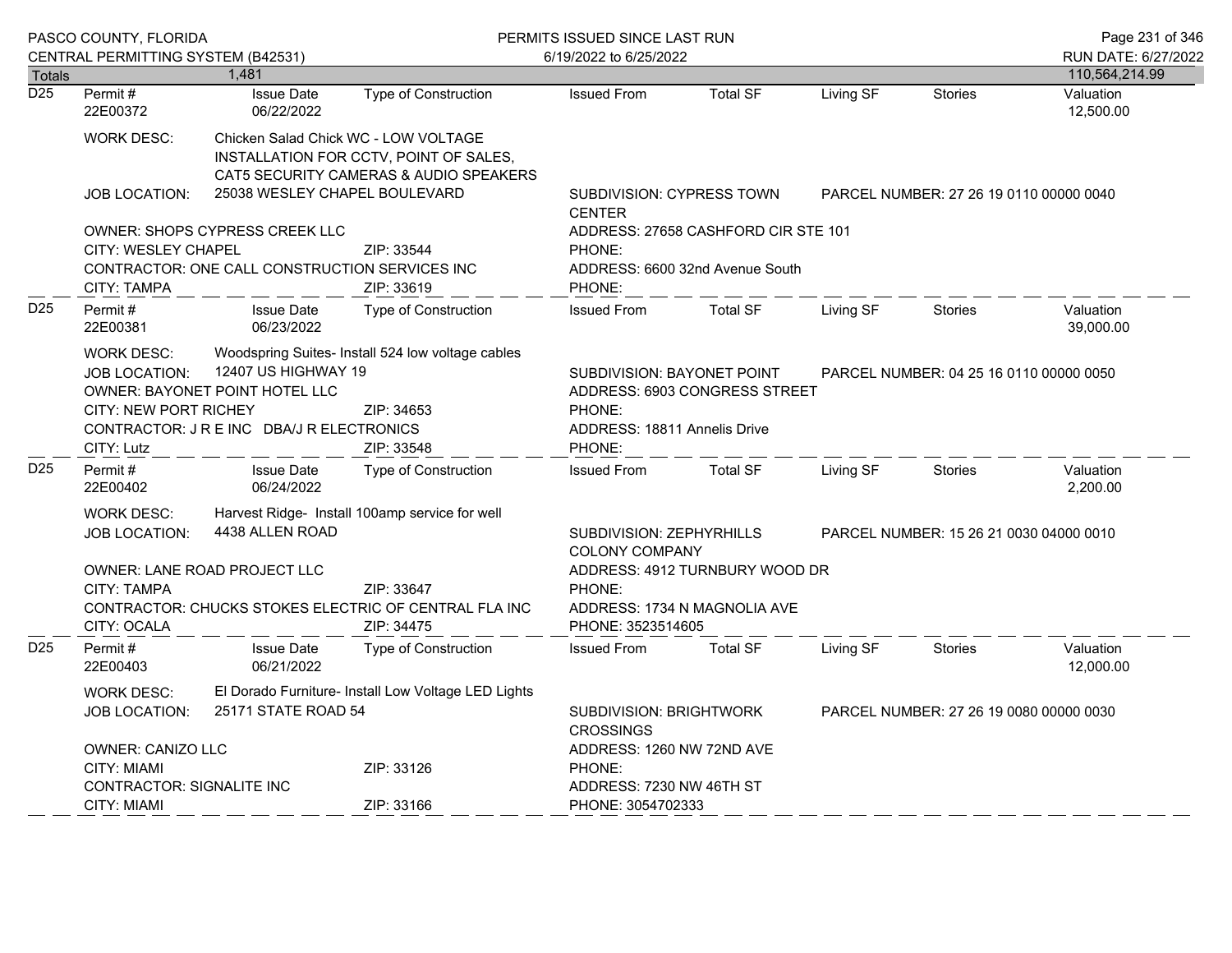|                  | PASCO COUNTY, FLORIDA<br>CENTRAL PERMITTING SYSTEM (B42531)                                                                                                       |                                                |                                                                                  | PERMITS ISSUED SINCE LAST RUN<br>6/19/2022 to 6/25/2022              |                                                                                              |           |                                         |                                       |
|------------------|-------------------------------------------------------------------------------------------------------------------------------------------------------------------|------------------------------------------------|----------------------------------------------------------------------------------|----------------------------------------------------------------------|----------------------------------------------------------------------------------------------|-----------|-----------------------------------------|---------------------------------------|
| <b>Totals</b>    |                                                                                                                                                                   | 1,481                                          |                                                                                  |                                                                      |                                                                                              |           |                                         | RUN DATE: 6/27/2022<br>110,564,214.99 |
| $\overline{D25}$ | Permit#<br>22E00372                                                                                                                                               | <b>Issue Date</b><br>06/22/2022                | <b>Type of Construction</b>                                                      | <b>Issued From</b>                                                   | <b>Total SF</b>                                                                              | Living SF | <b>Stories</b>                          | Valuation<br>12,500.00                |
|                  | <b>WORK DESC:</b>                                                                                                                                                 | Chicken Salad Chick WC - LOW VOLTAGE           | INSTALLATION FOR CCTV, POINT OF SALES,<br>CAT5 SECURITY CAMERAS & AUDIO SPEAKERS |                                                                      |                                                                                              |           |                                         |                                       |
|                  | <b>JOB LOCATION:</b>                                                                                                                                              | 25038 WESLEY CHAPEL BOULEVARD                  |                                                                                  | SUBDIVISION: CYPRESS TOWN<br><b>CENTER</b>                           | PARCEL NUMBER: 27 26 19 0110 00000 0040                                                      |           |                                         |                                       |
|                  |                                                                                                                                                                   | OWNER: SHOPS CYPRESS CREEK LLC                 |                                                                                  |                                                                      | ADDRESS: 27658 CASHFORD CIR STE 101                                                          |           |                                         |                                       |
|                  | <b>CITY: WESLEY CHAPEL</b>                                                                                                                                        |                                                | ZIP: 33544                                                                       | PHONE:                                                               |                                                                                              |           |                                         |                                       |
|                  | CITY: TAMPA                                                                                                                                                       | CONTRACTOR: ONE CALL CONSTRUCTION SERVICES INC | ZIP: 33619                                                                       | PHONE:                                                               | ADDRESS: 6600 32nd Avenue South                                                              |           |                                         |                                       |
| D <sub>25</sub>  | Permit#<br>22E00381                                                                                                                                               | <b>Issue Date</b><br>06/23/2022                | Type of Construction                                                             | <b>Issued From</b>                                                   | <b>Total SF</b>                                                                              | Living SF | Stories                                 | Valuation<br>39,000.00                |
|                  | <b>WORK DESC:</b><br>12407 US HIGHWAY 19<br>JOB LOCATION:<br>OWNER: BAYONET POINT HOTEL LLC<br>CITY: NEW PORT RICHEY<br>CONTRACTOR: J R E INC DBA/J R ELECTRONICS |                                                | Woodspring Suites- Install 524 low voltage cables<br>ZIP: 34653                  | SUBDIVISION: BAYONET POINT<br>PHONE:<br>ADDRESS: 18811 Annelis Drive | ADDRESS: 6903 CONGRESS STREET                                                                |           | PARCEL NUMBER: 04 25 16 0110 00000 0050 |                                       |
|                  | CITY: Lutz                                                                                                                                                        |                                                | ZIP: 33548                                                                       | PHONE:                                                               |                                                                                              |           |                                         |                                       |
| D <sub>25</sub>  | Permit#<br>22E00402                                                                                                                                               | <b>Issue Date</b><br>06/24/2022                | Type of Construction                                                             | <b>Issued From</b>                                                   | <b>Total SF</b>                                                                              | Living SF | Stories                                 | Valuation<br>2,200.00                 |
|                  | WORK DESC:                                                                                                                                                        |                                                | Harvest Ridge- Install 100amp service for well                                   |                                                                      |                                                                                              |           |                                         |                                       |
|                  | <b>JOB LOCATION:</b>                                                                                                                                              | 4438 ALLEN ROAD                                |                                                                                  |                                                                      | SUBDIVISION: ZEPHYRHILLS<br>PARCEL NUMBER: 15 26 21 0030 04000 0010<br><b>COLONY COMPANY</b> |           |                                         |                                       |
|                  |                                                                                                                                                                   | OWNER: LANE ROAD PROJECT LLC                   |                                                                                  | ADDRESS: 4912 TURNBURY WOOD DR                                       |                                                                                              |           |                                         |                                       |
|                  | <b>CITY: TAMPA</b>                                                                                                                                                |                                                | ZIP: 33647                                                                       | PHONE:                                                               |                                                                                              |           |                                         |                                       |
|                  | CITY: OCALA                                                                                                                                                       |                                                | CONTRACTOR: CHUCKS STOKES ELECTRIC OF CENTRAL FLA INC<br>ZIP: 34475              | ADDRESS: 1734 N MAGNOLIA AVE<br>PHONE: 3523514605                    |                                                                                              |           |                                         |                                       |
| D <sub>25</sub>  | Permit#<br>22E00403                                                                                                                                               | <b>Issue Date</b><br>06/21/2022                | Type of Construction                                                             | <b>Issued From</b>                                                   | <b>Total SF</b>                                                                              | Living SF | Stories                                 | Valuation<br>12,000.00                |
|                  | WORK DESC:                                                                                                                                                        |                                                | El Dorado Furniture- Install Low Voltage LED Lights                              |                                                                      |                                                                                              |           |                                         |                                       |
|                  | <b>JOB LOCATION:</b>                                                                                                                                              | 25171 STATE ROAD 54                            |                                                                                  | <b>SUBDIVISION: BRIGHTWORK</b>                                       |                                                                                              |           | PARCEL NUMBER: 27 26 19 0080 00000 0030 |                                       |
|                  |                                                                                                                                                                   |                                                |                                                                                  | <b>CROSSINGS</b>                                                     |                                                                                              |           |                                         |                                       |
|                  | OWNER: CANIZO LLC                                                                                                                                                 |                                                |                                                                                  | ADDRESS: 1260 NW 72ND AVE                                            |                                                                                              |           |                                         |                                       |
|                  | CITY: MIAMI                                                                                                                                                       | ZIP: 33126                                     |                                                                                  | PHONE:                                                               |                                                                                              |           |                                         |                                       |
|                  | CONTRACTOR: SIGNALITE INC                                                                                                                                         |                                                | ADDRESS: 7230 NW 46TH ST                                                         |                                                                      |                                                                                              |           |                                         |                                       |
|                  | CITY: MIAMI                                                                                                                                                       |                                                | ZIP: 33166                                                                       | PHONE: 3054702333                                                    |                                                                                              |           |                                         |                                       |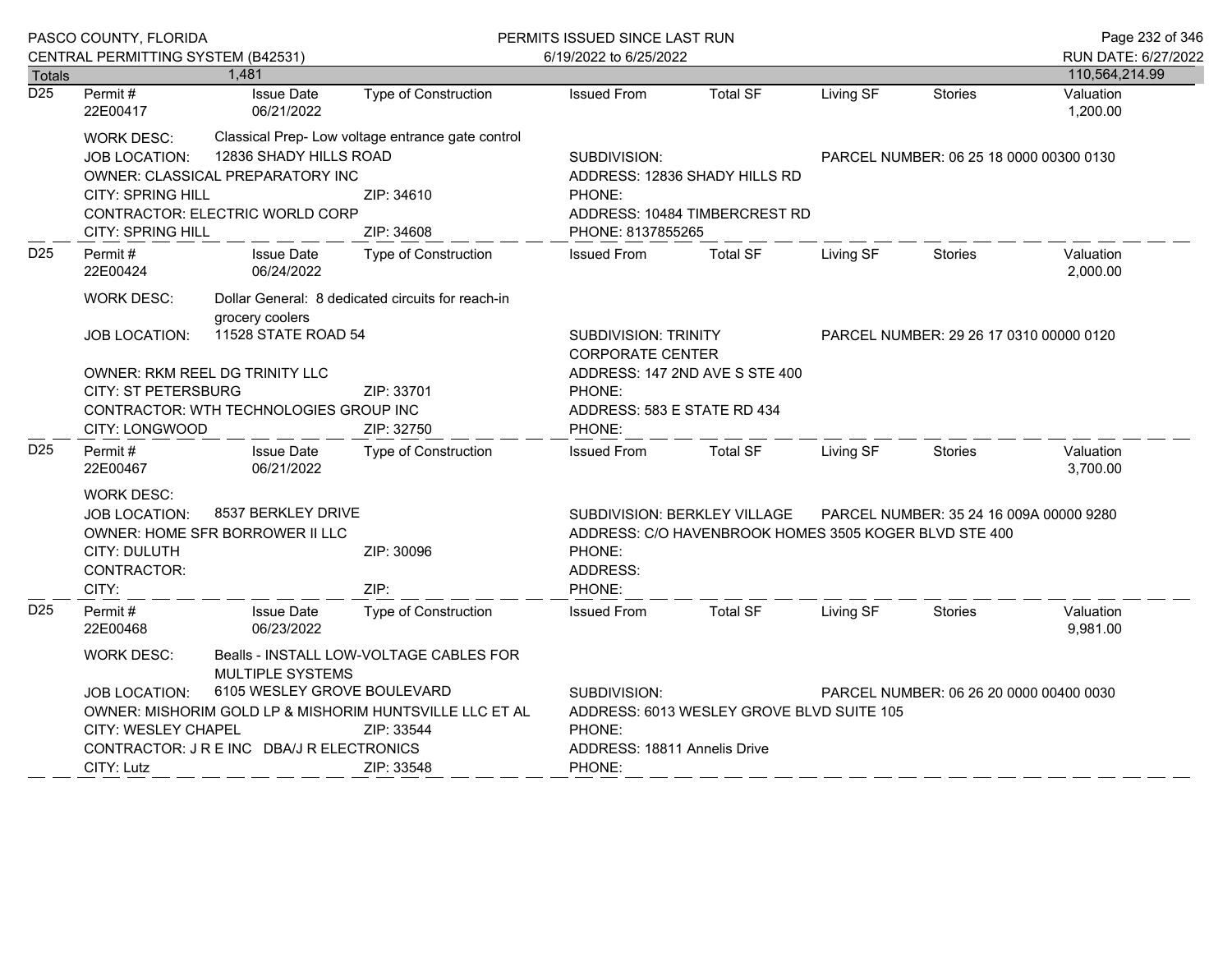|                  | PASCO COUNTY, FLORIDA                     |                                                             | PERMITS ISSUED SINCE LAST RUN                           |                                                       |                                           |                                         |                                         | Page 232 of 346       |
|------------------|-------------------------------------------|-------------------------------------------------------------|---------------------------------------------------------|-------------------------------------------------------|-------------------------------------------|-----------------------------------------|-----------------------------------------|-----------------------|
|                  | CENTRAL PERMITTING SYSTEM (B42531)        |                                                             |                                                         | 6/19/2022 to 6/25/2022                                |                                           |                                         |                                         | RUN DATE: 6/27/2022   |
| <b>Totals</b>    |                                           | 1,481                                                       |                                                         |                                                       |                                           |                                         |                                         | 110,564,214.99        |
| $\overline{D25}$ | Permit#<br>22E00417                       | <b>Issue Date</b><br>06/21/2022                             | <b>Type of Construction</b>                             | <b>Issued From</b>                                    | <b>Total SF</b>                           | Living SF                               | <b>Stories</b>                          | Valuation<br>1,200.00 |
|                  | <b>WORK DESC:</b>                         |                                                             | Classical Prep- Low voltage entrance gate control       |                                                       |                                           |                                         |                                         |                       |
|                  | <b>JOB LOCATION:</b>                      | 12836 SHADY HILLS ROAD                                      |                                                         | SUBDIVISION:                                          |                                           |                                         | PARCEL NUMBER: 06 25 18 0000 00300 0130 |                       |
|                  |                                           | OWNER: CLASSICAL PREPARATORY INC                            |                                                         |                                                       | ADDRESS: 12836 SHADY HILLS RD             |                                         |                                         |                       |
|                  | <b>CITY: SPRING HILL</b>                  |                                                             | ZIP: 34610                                              | PHONE:                                                |                                           |                                         |                                         |                       |
|                  |                                           | CONTRACTOR: ELECTRIC WORLD CORP                             |                                                         |                                                       | ADDRESS: 10484 TIMBERCREST RD             |                                         |                                         |                       |
|                  | <b>CITY: SPRING HILL</b>                  |                                                             | ZIP: 34608                                              | PHONE: 8137855265                                     |                                           |                                         |                                         |                       |
| D <sub>25</sub>  | Permit#<br>22E00424                       | <b>Issue Date</b><br>06/24/2022                             | <b>Type of Construction</b>                             | <b>Issued From</b>                                    | <b>Total SF</b>                           | Living SF                               | <b>Stories</b>                          | Valuation<br>2,000.00 |
|                  | <b>WORK DESC:</b>                         | grocery coolers                                             | Dollar General: 8 dedicated circuits for reach-in       |                                                       |                                           |                                         |                                         |                       |
|                  | <b>JOB LOCATION:</b>                      | 11528 STATE ROAD 54                                         | <b>SUBDIVISION: TRINITY</b><br><b>CORPORATE CENTER</b>  |                                                       |                                           | PARCEL NUMBER: 29 26 17 0310 00000 0120 |                                         |                       |
|                  |                                           | OWNER: RKM REEL DG TRINITY LLC                              |                                                         |                                                       | ADDRESS: 147 2ND AVE S STE 400            |                                         |                                         |                       |
|                  | <b>CITY: ST PETERSBURG</b>                |                                                             | ZIP: 33701                                              | PHONE:                                                |                                           |                                         |                                         |                       |
|                  |                                           | <b>CONTRACTOR: WTH TECHNOLOGIES GROUP INC</b>               |                                                         | ADDRESS: 583 E STATE RD 434                           |                                           |                                         |                                         |                       |
|                  | CITY: LONGWOOD                            |                                                             | ZIP: 32750                                              | PHONE:                                                |                                           |                                         |                                         |                       |
| D25              | Permit #<br>22E00467                      | <b>Issue Date</b><br>06/21/2022                             | <b>Type of Construction</b>                             | <b>Issued From</b>                                    | <b>Total SF</b>                           | Living SF                               | <b>Stories</b>                          | Valuation<br>3,700.00 |
|                  | <b>WORK DESC:</b>                         |                                                             |                                                         |                                                       |                                           |                                         |                                         |                       |
|                  | JOB LOCATION:                             | 8537 BERKLEY DRIVE                                          |                                                         | SUBDIVISION: BERKLEY VILLAGE                          | PARCEL NUMBER: 35 24 16 009A 00000 9280   |                                         |                                         |                       |
|                  |                                           | OWNER: HOME SFR BORROWER II LLC                             |                                                         | ADDRESS: C/O HAVENBROOK HOMES 3505 KOGER BLVD STE 400 |                                           |                                         |                                         |                       |
|                  | CITY: DULUTH                              |                                                             | ZIP: 30096                                              | PHONE:                                                |                                           |                                         |                                         |                       |
|                  | CONTRACTOR:                               |                                                             |                                                         | ADDRESS:                                              |                                           |                                         |                                         |                       |
|                  | CITY:                                     |                                                             | ZIP:                                                    | PHONE:                                                |                                           |                                         |                                         |                       |
| D <sub>25</sub>  | Permit#<br>22E00468                       | <b>Issue Date</b><br>06/23/2022                             | <b>Type of Construction</b>                             | <b>Issued From</b>                                    | <b>Total SF</b>                           | Living SF                               | <b>Stories</b>                          | Valuation<br>9,981.00 |
|                  | <b>WORK DESC:</b>                         | Bealls - INSTALL LOW-VOLTAGE CABLES FOR<br>MULTIPLE SYSTEMS |                                                         |                                                       |                                           |                                         |                                         |                       |
|                  | <b>JOB LOCATION:</b>                      | 6105 WESLEY GROVE BOULEVARD                                 |                                                         |                                                       |                                           |                                         | PARCEL NUMBER: 06 26 20 0000 00400 0030 |                       |
|                  |                                           |                                                             | OWNER: MISHORIM GOLD LP & MISHORIM HUNTSVILLE LLC ET AL | SUBDIVISION:                                          | ADDRESS: 6013 WESLEY GROVE BLVD SUITE 105 |                                         |                                         |                       |
|                  | CITY: WESLEY CHAPEL                       |                                                             | ZIP: 33544                                              | PHONE:                                                |                                           |                                         |                                         |                       |
|                  | CONTRACTOR: J R E INC DBA/J R ELECTRONICS |                                                             |                                                         | ADDRESS: 18811 Annelis Drive                          |                                           |                                         |                                         |                       |
|                  | CITY: Lutz                                |                                                             | ZIP: 33548                                              | PHONE:                                                |                                           |                                         |                                         |                       |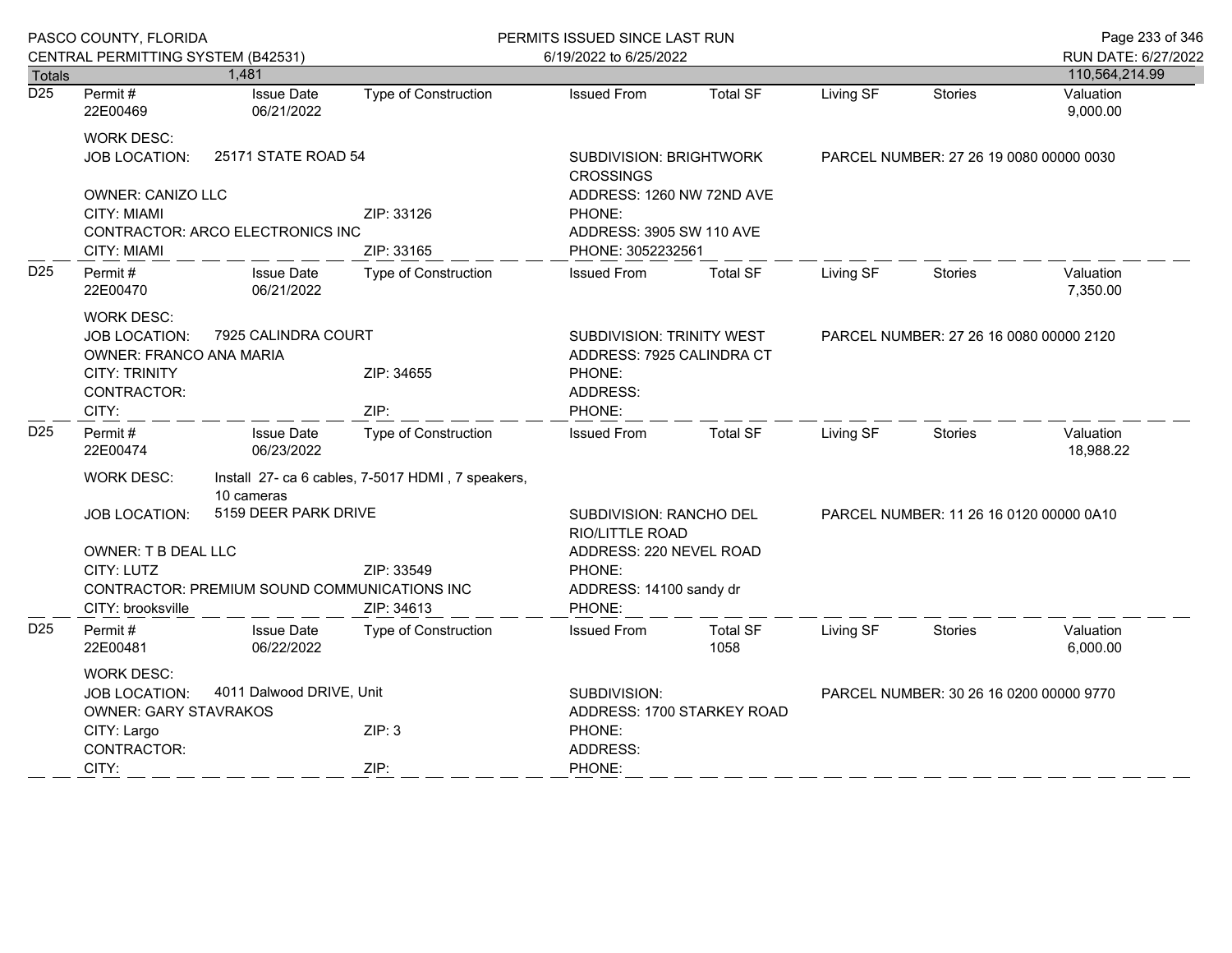| CENTRAL PERMITTING SYSTEM (B42531)                                                                                                        | 1,481                                                                                                                        |                                                                                                             |                                                                                                                     |                         |                                                                                                             |                |                                         |
|-------------------------------------------------------------------------------------------------------------------------------------------|------------------------------------------------------------------------------------------------------------------------------|-------------------------------------------------------------------------------------------------------------|---------------------------------------------------------------------------------------------------------------------|-------------------------|-------------------------------------------------------------------------------------------------------------|----------------|-----------------------------------------|
|                                                                                                                                           |                                                                                                                              |                                                                                                             | 6/19/2022 to 6/25/2022                                                                                              |                         |                                                                                                             |                | RUN DATE: 6/27/2022                     |
|                                                                                                                                           |                                                                                                                              |                                                                                                             |                                                                                                                     |                         |                                                                                                             |                | 110,564,214.99                          |
| Permit#<br>22E00469                                                                                                                       | <b>Issue Date</b><br>06/21/2022                                                                                              | Type of Construction                                                                                        | <b>Issued From</b>                                                                                                  | Total SF                | Living SF                                                                                                   | Stories        | Valuation<br>9,000.00                   |
| 25171 STATE ROAD 54<br><b>JOB LOCATION:</b><br>OWNER: CANIZO LLC<br><b>CITY: MIAMI</b>                                                    |                                                                                                                              |                                                                                                             | SUBDIVISION: BRIGHTWORK<br>PARCEL NUMBER: 27 26 19 0080 00000 0030<br><b>CROSSINGS</b><br>ADDRESS: 1260 NW 72ND AVE |                         |                                                                                                             |                |                                         |
| <b>CONTRACTOR: ARCO ELECTRONICS INC</b><br><b>CITY: MIAMI</b>                                                                             |                                                                                                                              | ZIP: 33165                                                                                                  | ADDRESS: 3905 SW 110 AVE<br>PHONE: 3052232561                                                                       |                         |                                                                                                             |                |                                         |
| Permit#<br>22E00470                                                                                                                       | <b>Issue Date</b><br>06/21/2022                                                                                              | Type of Construction                                                                                        | <b>Issued From</b>                                                                                                  | <b>Total SF</b>         | Living SF                                                                                                   | <b>Stories</b> | Valuation<br>7,350.00                   |
| <b>WORK DESC:</b><br>7925 CALINDRA COURT<br><b>JOB LOCATION:</b><br><b>OWNER: FRANCO ANA MARIA</b><br><b>CITY: TRINITY</b><br>CONTRACTOR: |                                                                                                                              | ZIP: 34655<br>ZIP:                                                                                          | PHONE:<br>ADDRESS:<br>PHONE:                                                                                        |                         | PARCEL NUMBER: 27 26 16 0080 00000 2120                                                                     |                |                                         |
| Permit#<br>22E00474                                                                                                                       | <b>Issue Date</b><br>06/23/2022                                                                                              | <b>Type of Construction</b>                                                                                 | <b>Issued From</b>                                                                                                  | <b>Total SF</b>         | Living SF                                                                                                   | <b>Stories</b> | Valuation<br>18,988.22                  |
| <b>WORK DESC:</b><br><b>JOB LOCATION:</b>                                                                                                 | Install 27- ca 6 cables, 7-5017 HDMI, 7 speakers,<br>10 cameras<br>5159 DEER PARK DRIVE                                      |                                                                                                             |                                                                                                                     |                         |                                                                                                             |                |                                         |
| OWNER: T B DEAL LLC<br>CITY: LUTZ<br>ZIP: 33549<br>CONTRACTOR: PREMIUM SOUND COMMUNICATIONS INC                                           |                                                                                                                              | PHONE:<br>PHONE:                                                                                            | ADDRESS: 220 NEVEL ROAD<br>ADDRESS: 14100 sandy dr                                                                  |                         |                                                                                                             |                |                                         |
| Permit#<br>22E00481                                                                                                                       | <b>Issue Date</b><br>06/22/2022                                                                                              | Type of Construction                                                                                        | <b>Issued From</b>                                                                                                  | <b>Total SF</b><br>1058 | Living SF                                                                                                   | <b>Stories</b> | Valuation<br>6,000.00                   |
| 4011 Dalwood DRIVE, Unit<br>ZIP: 3                                                                                                        |                                                                                                                              | SUBDIVISION:<br>PARCEL NUMBER: 30 26 16 0200 00000 9770<br>ADDRESS: 1700 STARKEY ROAD<br>PHONE:<br>ADDRESS: |                                                                                                                     |                         |                                                                                                             |                |                                         |
|                                                                                                                                           | <b>WORK DESC:</b><br>CITY:<br>CITY: brooksville<br><b>WORK DESC:</b><br>JOB LOCATION:<br>CITY: Largo<br>CONTRACTOR:<br>CITY: | <b>OWNER: GARY STAVRAKOS</b>                                                                                | ZIP: 33126<br>ZIP: 34613<br>ZIP:                                                                                    | PHONE:<br>PHONE:        | SUBDIVISION: TRINITY WEST<br>ADDRESS: 7925 CALINDRA CT<br>SUBDIVISION: RANCHO DEL<br><b>RIO/LITTLE ROAD</b> |                | PARCEL NUMBER: 11 26 16 0120 00000 0A10 |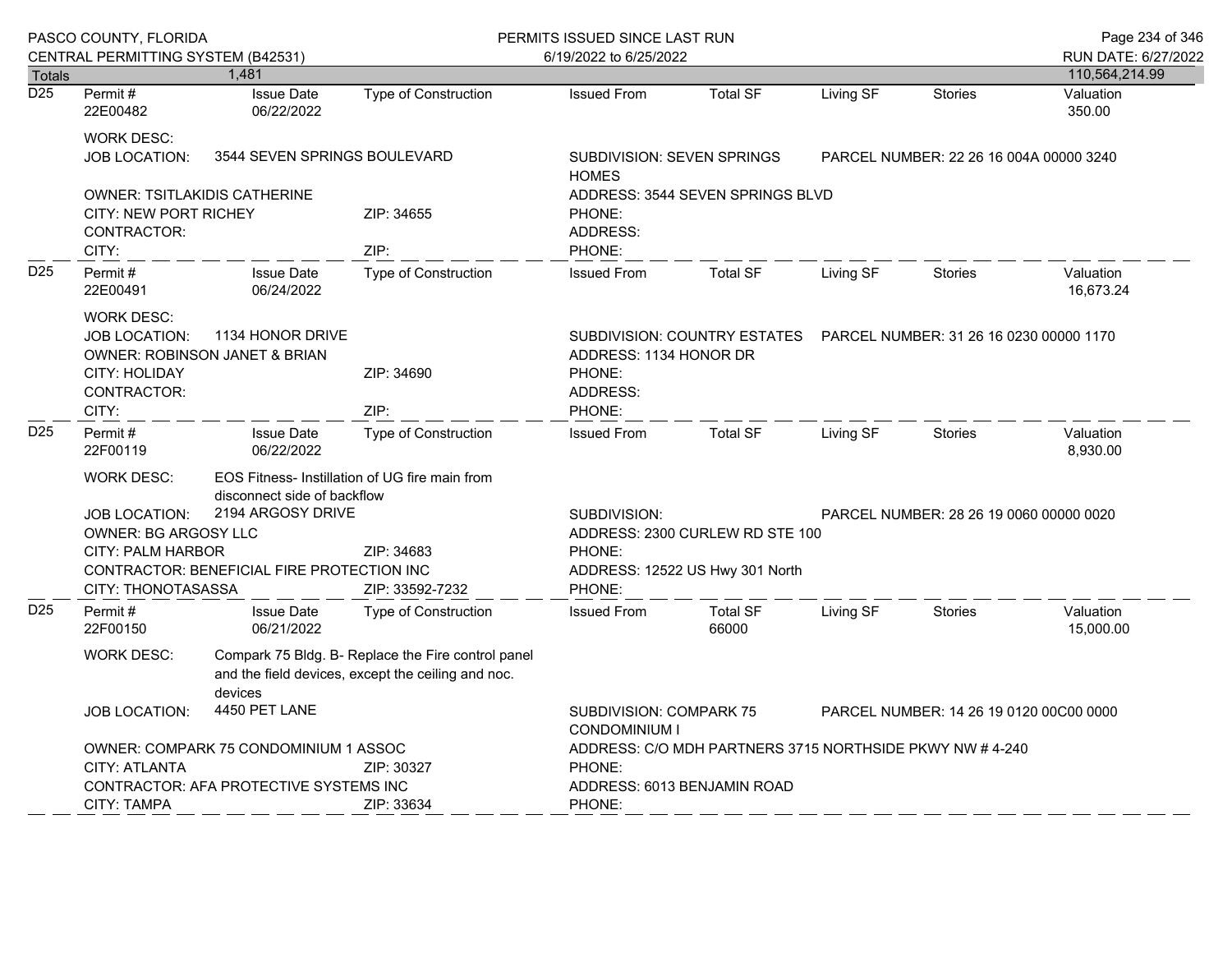|                  | PASCO COUNTY, FLORIDA                                                                                                                                     |                                                                                                                                                                                                                                       | PERMITS ISSUED SINCE LAST RUN                                                                              |                                                                                                                                                   |                                                                                                   |           |                                         | Page 234 of 346                       |
|------------------|-----------------------------------------------------------------------------------------------------------------------------------------------------------|---------------------------------------------------------------------------------------------------------------------------------------------------------------------------------------------------------------------------------------|------------------------------------------------------------------------------------------------------------|---------------------------------------------------------------------------------------------------------------------------------------------------|---------------------------------------------------------------------------------------------------|-----------|-----------------------------------------|---------------------------------------|
| <b>Totals</b>    | CENTRAL PERMITTING SYSTEM (B42531)                                                                                                                        | 1.481                                                                                                                                                                                                                                 |                                                                                                            | 6/19/2022 to 6/25/2022                                                                                                                            |                                                                                                   |           |                                         | RUN DATE: 6/27/2022<br>110,564,214.99 |
| $\overline{D25}$ | Permit#<br>22E00482                                                                                                                                       | <b>Issue Date</b><br>06/22/2022                                                                                                                                                                                                       | <b>Type of Construction</b>                                                                                | <b>Issued From</b>                                                                                                                                | <b>Total SF</b>                                                                                   | Living SF | <b>Stories</b>                          | Valuation<br>350.00                   |
|                  | <b>WORK DESC:</b><br><b>JOB LOCATION:</b>                                                                                                                 | 3544 SEVEN SPRINGS BOULEVARD                                                                                                                                                                                                          |                                                                                                            | <b>SUBDIVISION: SEVEN SPRINGS</b><br><b>HOMES</b>                                                                                                 |                                                                                                   |           | PARCEL NUMBER: 22 26 16 004A 00000 3240 |                                       |
|                  | <b>OWNER: TSITLAKIDIS CATHERINE</b><br><b>CITY: NEW PORT RICHEY</b><br>CONTRACTOR:<br>CITY:                                                               |                                                                                                                                                                                                                                       | ZIP: 34655<br>ZIP:                                                                                         | PHONE:<br>ADDRESS:<br>PHONE:                                                                                                                      | ADDRESS: 3544 SEVEN SPRINGS BLVD                                                                  |           |                                         |                                       |
| D <sub>25</sub>  | Permit#<br>22E00491                                                                                                                                       | <b>Issue Date</b><br>06/24/2022                                                                                                                                                                                                       | <b>Type of Construction</b>                                                                                | <b>Issued From</b>                                                                                                                                | <b>Total SF</b>                                                                                   | Living SF | <b>Stories</b>                          | Valuation<br>16,673.24                |
|                  | <b>WORK DESC:</b><br>1134 HONOR DRIVE<br><b>JOB LOCATION:</b><br><b>OWNER: ROBINSON JANET &amp; BRIAN</b><br><b>CITY: HOLIDAY</b><br>CONTRACTOR:<br>CITY: |                                                                                                                                                                                                                                       | ZIP: 34690<br>ZIP:                                                                                         | PHONE:<br>ADDRESS:<br>PHONE:                                                                                                                      | SUBDIVISION: COUNTRY ESTATES<br>PARCEL NUMBER: 31 26 16 0230 00000 1170<br>ADDRESS: 1134 HONOR DR |           |                                         |                                       |
| D <sub>25</sub>  | Permit#<br>22F00119                                                                                                                                       | <b>Issue Date</b><br>06/22/2022                                                                                                                                                                                                       | <b>Type of Construction</b>                                                                                | <b>Issued From</b>                                                                                                                                | <b>Total SF</b>                                                                                   | Living SF | <b>Stories</b>                          | Valuation<br>8,930.00                 |
|                  | <b>WORK DESC:</b><br><b>JOB LOCATION:</b><br>CITY: THONOTASASSA                                                                                           | EOS Fitness- Instillation of UG fire main from<br>disconnect side of backflow<br>2194 ARGOSY DRIVE<br><b>OWNER: BG ARGOSY LLC</b><br>CITY: PALM HARBOR<br>ZIP: 34683<br>CONTRACTOR: BENEFICIAL FIRE PROTECTION INC<br>ZIP: 33592-7232 |                                                                                                            | SUBDIVISION:<br>PARCEL NUMBER: 28 26 19 0060 00000 0020<br>ADDRESS: 2300 CURLEW RD STE 100<br>PHONE:<br>ADDRESS: 12522 US Hwy 301 North<br>PHONE: |                                                                                                   |           |                                         |                                       |
| D <sub>25</sub>  | Permit#<br>22F00150                                                                                                                                       | <b>Issue Date</b><br>06/21/2022                                                                                                                                                                                                       | Type of Construction                                                                                       | <b>Issued From</b>                                                                                                                                | <b>Total SF</b><br>66000                                                                          | Living SF | <b>Stories</b>                          | Valuation<br>15,000.00                |
|                  | <b>WORK DESC:</b>                                                                                                                                         | Compark 75 Bldg. B- Replace the Fire control panel<br>and the field devices, except the ceiling and noc.<br>devices                                                                                                                   |                                                                                                            |                                                                                                                                                   |                                                                                                   |           |                                         |                                       |
|                  | <b>JOB LOCATION:</b>                                                                                                                                      | 4450 PET LANE                                                                                                                                                                                                                         |                                                                                                            | <b>SUBDIVISION: COMPARK 75</b><br>PARCEL NUMBER: 14 26 19 0120 00C00 0000<br><b>CONDOMINIUM I</b>                                                 |                                                                                                   |           |                                         |                                       |
|                  | OWNER: COMPARK 75 CONDOMINIUM 1 ASSOC<br><b>CITY: ATLANTA</b><br>ZIP: 30327<br>CONTRACTOR: AFA PROTECTIVE SYSTEMS INC<br><b>CITY: TAMPA</b><br>ZIP: 33634 |                                                                                                                                                                                                                                       | ADDRESS: C/O MDH PARTNERS 3715 NORTHSIDE PKWY NW #4-240<br>PHONE:<br>ADDRESS: 6013 BENJAMIN ROAD<br>PHONE: |                                                                                                                                                   |                                                                                                   |           |                                         |                                       |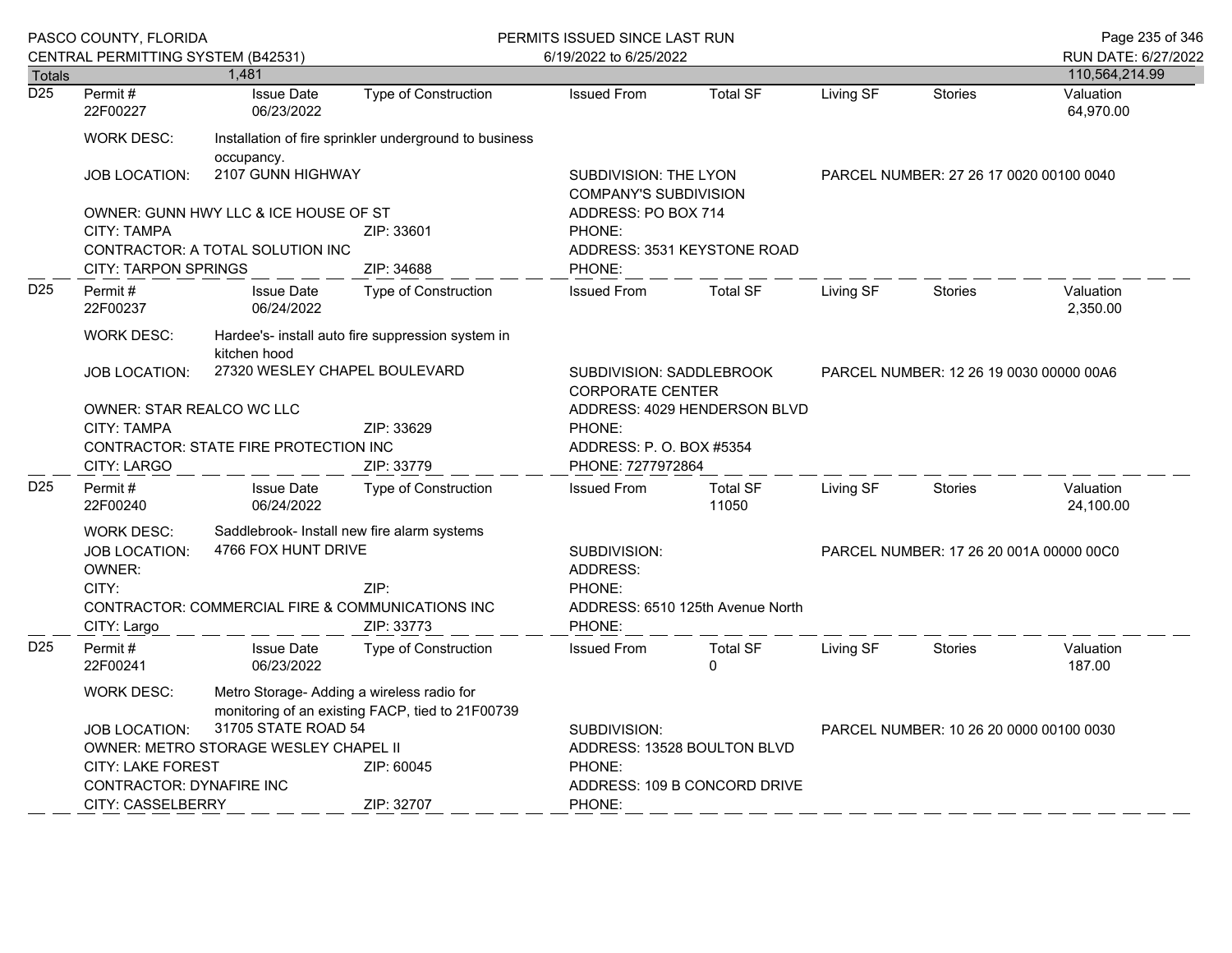|                  | PASCO COUNTY, FLORIDA<br>CENTRAL PERMITTING SYSTEM (B42531)                            |                                                                                                |                                                        | PERMITS ISSUED SINCE LAST RUN<br>6/19/2022 to 6/25/2022 |                                                     |           | Page 235 of 346<br>RUN DATE: 6/27/2022  |                        |  |
|------------------|----------------------------------------------------------------------------------------|------------------------------------------------------------------------------------------------|--------------------------------------------------------|---------------------------------------------------------|-----------------------------------------------------|-----------|-----------------------------------------|------------------------|--|
| <b>Totals</b>    |                                                                                        | 1,481                                                                                          |                                                        |                                                         |                                                     |           |                                         | 110,564,214.99         |  |
| $\overline{D25}$ | Permit#<br>22F00227                                                                    | <b>Issue Date</b><br>06/23/2022                                                                | Type of Construction                                   | <b>Issued From</b>                                      | <b>Total SF</b>                                     | Living SF | <b>Stories</b>                          | Valuation<br>64,970.00 |  |
|                  | <b>WORK DESC:</b>                                                                      | occupancy.                                                                                     | Installation of fire sprinkler underground to business |                                                         |                                                     |           |                                         |                        |  |
|                  | JOB LOCATION:                                                                          | 2107 GUNN HIGHWAY                                                                              |                                                        | SUBDIVISION: THE LYON<br><b>COMPANY'S SUBDIVISION</b>   |                                                     |           | PARCEL NUMBER: 27 26 17 0020 00100 0040 |                        |  |
|                  |                                                                                        | OWNER: GUNN HWY LLC & ICE HOUSE OF ST                                                          |                                                        | ADDRESS: PO BOX 714                                     |                                                     |           |                                         |                        |  |
|                  | <b>CITY: TAMPA</b>                                                                     |                                                                                                | ZIP: 33601                                             | PHONE:                                                  |                                                     |           |                                         |                        |  |
|                  | CONTRACTOR: A TOTAL SOLUTION INC<br><b>CITY: TARPON SPRINGS</b><br>ZIP: 34688          |                                                                                                | PHONE:                                                 | ADDRESS: 3531 KEYSTONE ROAD                             |                                                     |           |                                         |                        |  |
| D <sub>25</sub>  | Permit#<br>22F00237                                                                    | <b>Issue Date</b><br>06/24/2022                                                                | <b>Type of Construction</b>                            | <b>Issued From</b>                                      | <b>Total SF</b>                                     | Living SF | <b>Stories</b>                          | Valuation<br>2,350.00  |  |
|                  | <b>WORK DESC:</b><br>Hardee's- install auto fire suppression system in<br>kitchen hood |                                                                                                |                                                        |                                                         |                                                     |           |                                         |                        |  |
|                  | <b>JOB LOCATION:</b>                                                                   | 27320 WESLEY CHAPEL BOULEVARD                                                                  |                                                        |                                                         | SUBDIVISION: SADDLEBROOK<br><b>CORPORATE CENTER</b> |           | PARCEL NUMBER: 12 26 19 0030 00000 00A6 |                        |  |
|                  | <b>OWNER: STAR REALCO WC LLC</b>                                                       |                                                                                                |                                                        |                                                         | ADDRESS: 4029 HENDERSON BLVD                        |           |                                         |                        |  |
|                  | CITY: TAMPA                                                                            |                                                                                                | ZIP: 33629                                             | PHONE:                                                  |                                                     |           |                                         |                        |  |
|                  | CONTRACTOR: STATE FIRE PROTECTION INC                                                  |                                                                                                | ADDRESS: P. O. BOX #5354                               |                                                         |                                                     |           |                                         |                        |  |
|                  | <b>CITY: LARGO</b>                                                                     |                                                                                                | ZIP: 33779                                             | PHONE: 7277972864                                       |                                                     |           |                                         |                        |  |
| D <sub>25</sub>  | Permit#<br>22F00240                                                                    | <b>Issue Date</b><br>06/24/2022                                                                | Type of Construction                                   | <b>Issued From</b>                                      | <b>Total SF</b><br>11050                            | Living SF | <b>Stories</b>                          | Valuation<br>24,100.00 |  |
|                  | <b>WORK DESC:</b>                                                                      | Saddlebrook- Install new fire alarm systems                                                    |                                                        |                                                         |                                                     |           |                                         |                        |  |
|                  | <b>JOB LOCATION:</b>                                                                   | 4766 FOX HUNT DRIVE                                                                            |                                                        | SUBDIVISION:                                            |                                                     |           | PARCEL NUMBER: 17 26 20 001A 00000 00C0 |                        |  |
|                  | OWNER:                                                                                 |                                                                                                |                                                        | ADDRESS:                                                |                                                     |           |                                         |                        |  |
|                  | CITY:                                                                                  | CONTRACTOR: COMMERCIAL FIRE & COMMUNICATIONS INC                                               | ZIP:                                                   | PHONE:                                                  | ADDRESS: 6510 125th Avenue North                    |           |                                         |                        |  |
|                  | CITY: Largo                                                                            |                                                                                                | ZIP: 33773                                             | PHONE:                                                  |                                                     |           |                                         |                        |  |
| D <sub>25</sub>  | Permit#<br>22F00241                                                                    | <b>Issue Date</b><br>06/23/2022                                                                | <b>Type of Construction</b>                            | <b>Issued From</b>                                      | <b>Total SF</b><br>$\Omega$                         | Living SF | <b>Stories</b>                          | Valuation<br>187.00    |  |
|                  | <b>WORK DESC:</b>                                                                      | Metro Storage- Adding a wireless radio for<br>monitoring of an existing FACP, tied to 21F00739 |                                                        |                                                         |                                                     |           |                                         |                        |  |
|                  | <b>JOB LOCATION:</b>                                                                   | 31705 STATE ROAD 54                                                                            |                                                        | SUBDIVISION:                                            |                                                     |           | PARCEL NUMBER: 10 26 20 0000 00100 0030 |                        |  |
|                  |                                                                                        | OWNER: METRO STORAGE WESLEY CHAPEL II                                                          |                                                        |                                                         | ADDRESS: 13528 BOULTON BLVD                         |           |                                         |                        |  |
|                  | CITY: LAKE FOREST                                                                      |                                                                                                | ZIP: 60045                                             | PHONE:                                                  |                                                     |           |                                         |                        |  |
|                  | <b>CONTRACTOR: DYNAFIRE INC</b>                                                        |                                                                                                | ADDRESS: 109 B CONCORD DRIVE                           |                                                         |                                                     |           |                                         |                        |  |
|                  | <b>CITY: CASSELBERRY</b>                                                               |                                                                                                | ZIP: 32707                                             | PHONE:                                                  |                                                     |           |                                         |                        |  |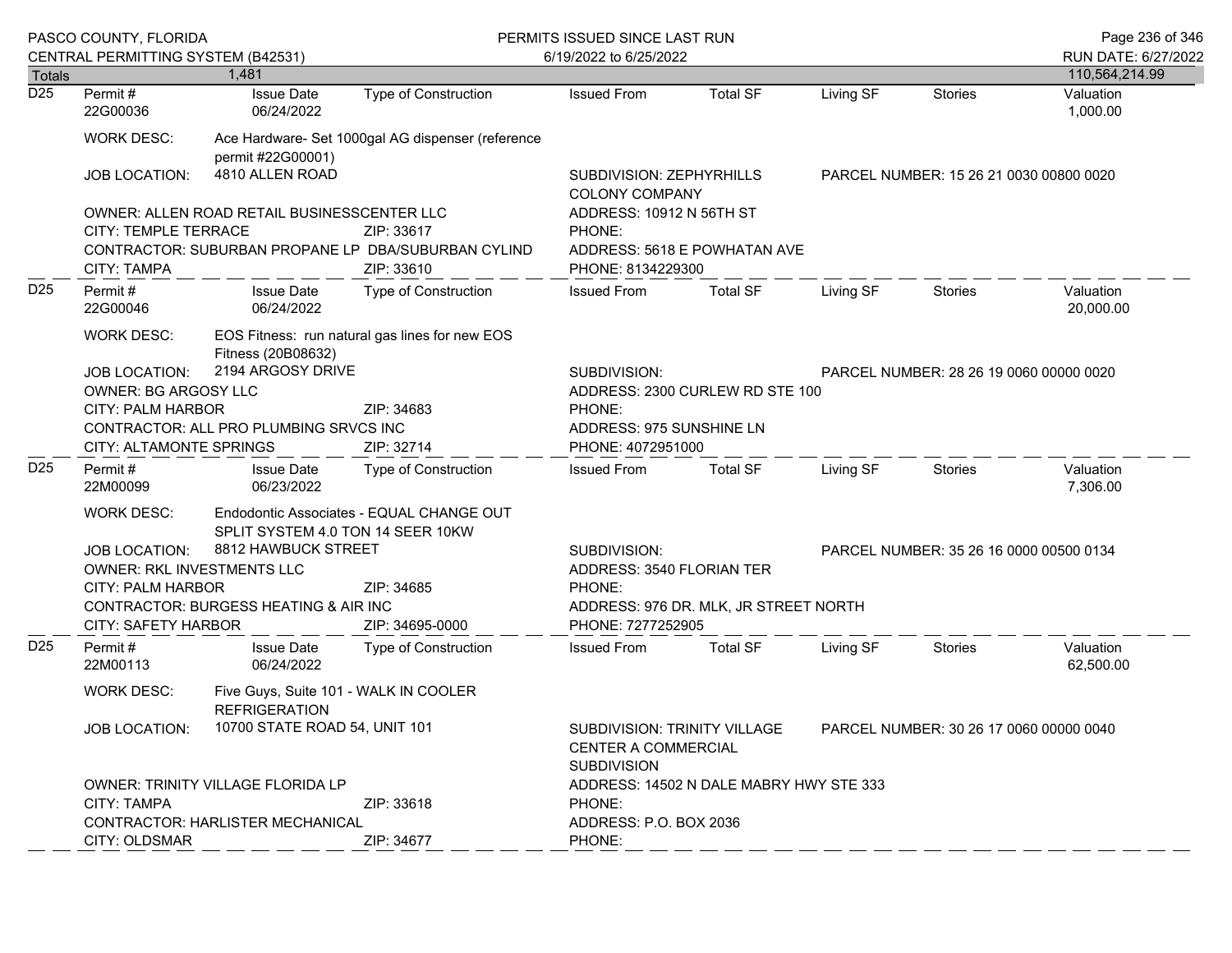|                  | PASCO COUNTY, FLORIDA<br>CENTRAL PERMITTING SYSTEM (B42531)                                                                                                                                                                                                                                        |                                 |                                                   | PERMITS ISSUED SINCE LAST RUN<br>6/19/2022 to 6/25/2022                                                                                                      |                                         |           |                                         | Page 236 of 346<br>RUN DATE: 6/27/2022 |
|------------------|----------------------------------------------------------------------------------------------------------------------------------------------------------------------------------------------------------------------------------------------------------------------------------------------------|---------------------------------|---------------------------------------------------|--------------------------------------------------------------------------------------------------------------------------------------------------------------|-----------------------------------------|-----------|-----------------------------------------|----------------------------------------|
| Totals           |                                                                                                                                                                                                                                                                                                    | 1.481                           |                                                   |                                                                                                                                                              |                                         |           |                                         | 110,564,214.99                         |
| $\overline{D25}$ | Permit#<br>22G00036                                                                                                                                                                                                                                                                                | <b>Issue Date</b><br>06/24/2022 | <b>Type of Construction</b>                       | <b>Issued From</b>                                                                                                                                           | <b>Total SF</b>                         | Living SF | <b>Stories</b>                          | Valuation<br>1,000.00                  |
|                  | <b>WORK DESC:</b>                                                                                                                                                                                                                                                                                  | permit #22G00001)               | Ace Hardware- Set 1000gal AG dispenser (reference |                                                                                                                                                              |                                         |           |                                         |                                        |
|                  | <b>JOB LOCATION:</b>                                                                                                                                                                                                                                                                               | 4810 ALLEN ROAD                 |                                                   | SUBDIVISION: ZEPHYRHILLS<br><b>COLONY COMPANY</b>                                                                                                            | PARCEL NUMBER: 15 26 21 0030 00800 0020 |           |                                         |                                        |
|                  | OWNER: ALLEN ROAD RETAIL BUSINESSCENTER LLC<br>CITY: TEMPLE TERRACE<br>ZIP: 33617<br>CONTRACTOR: SUBURBAN PROPANE LP DBA/SUBURBAN CYLIND<br><b>CITY: TAMPA</b><br>ZIP: 33610                                                                                                                       |                                 |                                                   | ADDRESS: 10912 N 56TH ST<br>PHONE:<br>ADDRESS: 5618 E POWHATAN AVE<br>PHONE: 8134229300                                                                      |                                         |           |                                         |                                        |
| D <sub>25</sub>  | Permit#<br>22G00046                                                                                                                                                                                                                                                                                | <b>Issue Date</b><br>06/24/2022 | Type of Construction                              | <b>Issued From</b>                                                                                                                                           | <b>Total SF</b>                         | Living SF | Stories                                 | Valuation<br>20,000.00                 |
|                  | EOS Fitness: run natural gas lines for new EOS<br><b>WORK DESC:</b><br>Fitness (20B08632)<br>2194 ARGOSY DRIVE<br><b>JOB LOCATION:</b><br><b>OWNER: BG ARGOSY LLC</b><br><b>CITY: PALM HARBOR</b><br>ZIP: 34683<br>CONTRACTOR: ALL PRO PLUMBING SRVCS INC<br>CITY: ALTAMONTE SPRINGS<br>ZIP: 32714 |                                 |                                                   | SUBDIVISION:<br>PHONE:<br>ADDRESS: 975 SUNSHINE LN<br>PHONE: 4072951000                                                                                      | ADDRESS: 2300 CURLEW RD STE 100         |           | PARCEL NUMBER: 28 26 19 0060 00000 0020 |                                        |
| D <sub>25</sub>  | Permit #<br>22M00099                                                                                                                                                                                                                                                                               | <b>Issue Date</b><br>06/23/2022 | Type of Construction                              | <b>Issued From</b>                                                                                                                                           | <b>Total SF</b>                         | Living SF | Stories                                 | Valuation<br>7,306.00                  |
|                  | <b>WORK DESC:</b><br>Endodontic Associates - EQUAL CHANGE OUT<br>SPLIT SYSTEM 4.0 TON 14 SEER 10KW<br>8812 HAWBUCK STREET<br>JOB LOCATION:<br>OWNER: RKL INVESTMENTS LLC<br>CITY: PALM HARBOR<br>ZIP: 34685<br>CONTRACTOR: BURGESS HEATING & AIR INC<br><b>CITY: SAFETY HARBOR</b>                 |                                 | ZIP: 34695-0000                                   | SUBDIVISION:<br>PARCEL NUMBER: 35 26 16 0000 00500 0134<br>ADDRESS: 3540 FLORIAN TER<br>PHONE:<br>ADDRESS: 976 DR. MLK, JR STREET NORTH<br>PHONE: 7277252905 |                                         |           |                                         |                                        |
| D <sub>25</sub>  | Permit#<br>22M00113                                                                                                                                                                                                                                                                                | <b>Issue Date</b><br>06/24/2022 | Type of Construction                              | <b>Issued From</b>                                                                                                                                           | <b>Total SF</b>                         | Living SF | <b>Stories</b>                          | Valuation<br>62,500.00                 |
|                  | <b>WORK DESC:</b><br>Five Guys, Suite 101 - WALK IN COOLER<br><b>REFRIGERATION</b>                                                                                                                                                                                                                 |                                 |                                                   |                                                                                                                                                              |                                         |           |                                         |                                        |
|                  | JOB LOCATION:                                                                                                                                                                                                                                                                                      | 10700 STATE ROAD 54, UNIT 101   |                                                   | SUBDIVISION: TRINITY VILLAGE<br><b>CENTER A COMMERCIAL</b><br><b>SUBDIVISION</b>                                                                             |                                         |           | PARCEL NUMBER: 30 26 17 0060 00000 0040 |                                        |
|                  | <b>OWNER: TRINITY VILLAGE FLORIDA LP</b><br>CITY: TAMPA<br>ZIP: 33618<br>CONTRACTOR: HARLISTER MECHANICAL                                                                                                                                                                                          |                                 |                                                   | ADDRESS: 14502 N DALE MABRY HWY STE 333<br>PHONE:<br>ADDRESS: P.O. BOX 2036                                                                                  |                                         |           |                                         |                                        |
|                  | CITY: OLDSMAR                                                                                                                                                                                                                                                                                      |                                 | ZIP: 34677                                        | PHONE:                                                                                                                                                       |                                         |           |                                         |                                        |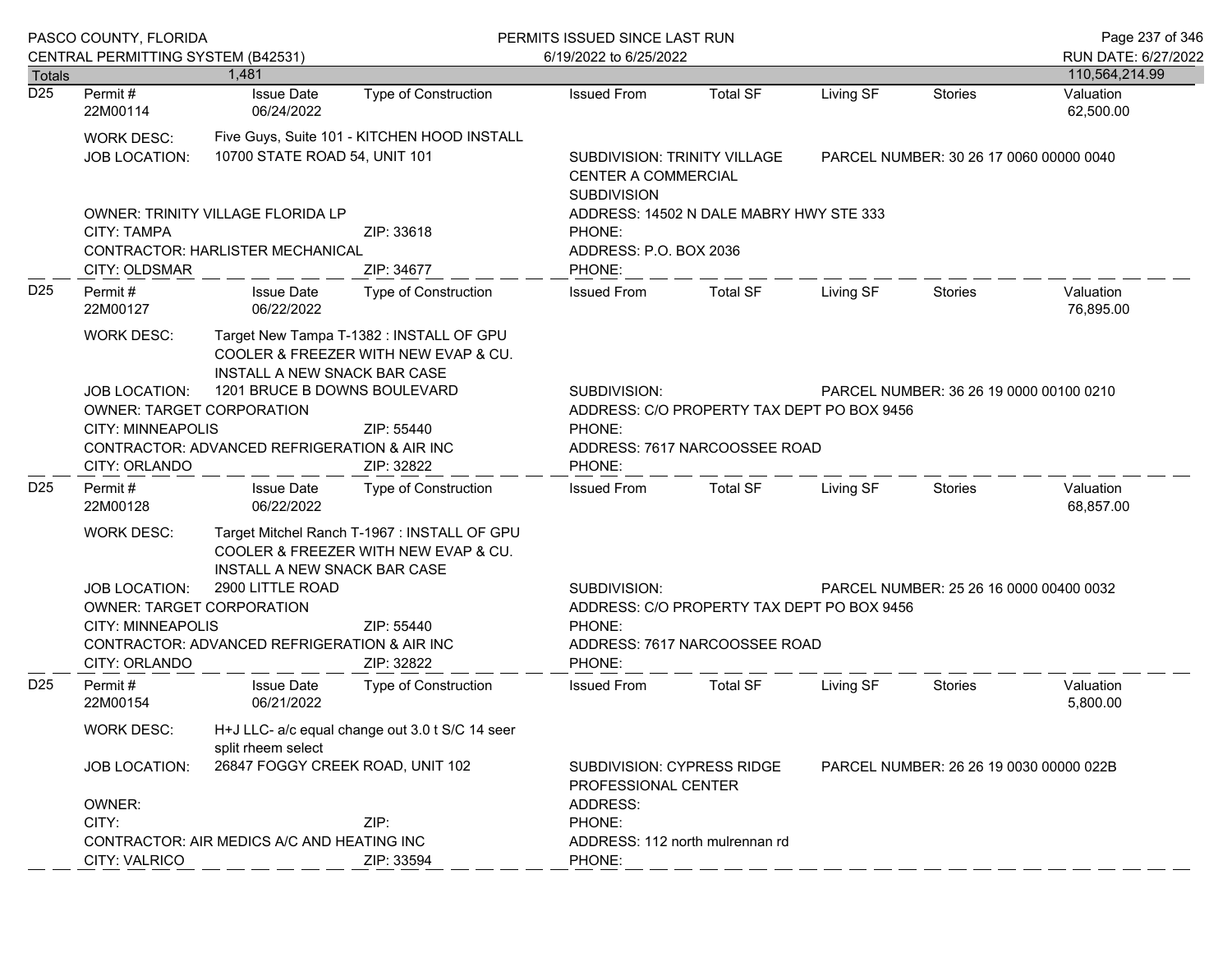|                                   | PASCO COUNTY, FLORIDA                                                                                                                                                                                                    |                                                                                                                                                                                                                                                                                       |                                                                                                                                                       | PERMITS ISSUED SINCE LAST RUN                                                                                                                              |                                                                                                       |           |                                         | Page 237 of 346                          |  |
|-----------------------------------|--------------------------------------------------------------------------------------------------------------------------------------------------------------------------------------------------------------------------|---------------------------------------------------------------------------------------------------------------------------------------------------------------------------------------------------------------------------------------------------------------------------------------|-------------------------------------------------------------------------------------------------------------------------------------------------------|------------------------------------------------------------------------------------------------------------------------------------------------------------|-------------------------------------------------------------------------------------------------------|-----------|-----------------------------------------|------------------------------------------|--|
|                                   | CENTRAL PERMITTING SYSTEM (B42531)                                                                                                                                                                                       | 1.481                                                                                                                                                                                                                                                                                 |                                                                                                                                                       | 6/19/2022 to 6/25/2022                                                                                                                                     |                                                                                                       |           |                                         | RUN DATE: 6/27/2022                      |  |
| <b>Totals</b><br>$\overline{D25}$ | Permit#<br>22M00114                                                                                                                                                                                                      | <b>Issue Date</b><br>06/24/2022                                                                                                                                                                                                                                                       | Type of Construction                                                                                                                                  | <b>Issued From</b>                                                                                                                                         | <b>Total SF</b>                                                                                       | Living SF | <b>Stories</b>                          | 110,564,214.99<br>Valuation<br>62,500.00 |  |
|                                   | Five Guys, Suite 101 - KITCHEN HOOD INSTALL<br><b>WORK DESC:</b><br>10700 STATE ROAD 54, UNIT 101<br><b>JOB LOCATION:</b>                                                                                                |                                                                                                                                                                                                                                                                                       |                                                                                                                                                       | <b>SUBDIVISION</b>                                                                                                                                         | SUBDIVISION: TRINITY VILLAGE<br>PARCEL NUMBER: 30 26 17 0060 00000 0040<br><b>CENTER A COMMERCIAL</b> |           |                                         |                                          |  |
|                                   | <b>CITY: TAMPA</b>                                                                                                                                                                                                       | OWNER: TRINITY VILLAGE FLORIDA LP<br>CONTRACTOR: HARLISTER MECHANICAL                                                                                                                                                                                                                 | ZIP: 33618                                                                                                                                            | PHONE:                                                                                                                                                     | ADDRESS: 14502 N DALE MABRY HWY STE 333<br>ADDRESS: P.O. BOX 2036<br>PHONE:                           |           |                                         |                                          |  |
| D <sub>25</sub>                   | CITY: OLDSMAR<br>Permit#<br>22M00127                                                                                                                                                                                     | <b>Issue Date</b><br>06/22/2022                                                                                                                                                                                                                                                       | ZIP: 34677<br>Type of Construction                                                                                                                    | <b>Issued From</b>                                                                                                                                         | <b>Total SF</b>                                                                                       | Living SF | <b>Stories</b>                          | Valuation<br>76,895.00                   |  |
|                                   | <b>WORK DESC:</b><br>JOB LOCATION:<br>CITY: ORLANDO                                                                                                                                                                      | Target New Tampa T-1382 : INSTALL OF GPU<br>COOLER & FREEZER WITH NEW EVAP & CU.<br>INSTALL A NEW SNACK BAR CASE<br>1201 BRUCE B DOWNS BOULEVARD<br><b>OWNER: TARGET CORPORATION</b><br>CITY: MINNEAPOLIS<br>ZIP: 55440<br>CONTRACTOR: ADVANCED REFRIGERATION & AIR INC<br>ZIP: 32822 |                                                                                                                                                       | SUBDIVISION:<br>PARCEL NUMBER: 36 26 19 0000 00100 0210<br>ADDRESS: C/O PROPERTY TAX DEPT PO BOX 9456<br>PHONE:<br>ADDRESS: 7617 NARCOOSSEE ROAD<br>PHONE: |                                                                                                       |           |                                         |                                          |  |
| D <sub>25</sub>                   | Permit#<br>22M00128                                                                                                                                                                                                      | <b>Issue Date</b><br>06/22/2022                                                                                                                                                                                                                                                       | Type of Construction                                                                                                                                  | <b>Issued From</b>                                                                                                                                         | <b>Total SF</b>                                                                                       | Living SF | <b>Stories</b>                          | Valuation<br>68,857.00                   |  |
|                                   | <b>WORK DESC:</b><br>JOB LOCATION:<br>CITY: ORLANDO                                                                                                                                                                      | Target Mitchel Ranch T-1967 : INSTALL OF GPU<br>COOLER & FREEZER WITH NEW EVAP & CU.<br>INSTALL A NEW SNACK BAR CASE<br>2900 LITTLE ROAD<br><b>OWNER: TARGET CORPORATION</b><br>CITY: MINNEAPOLIS<br>ZIP: 55440<br>CONTRACTOR: ADVANCED REFRIGERATION & AIR INC<br>ZIP: 32822         |                                                                                                                                                       | SUBDIVISION:<br>PHONE:<br>PHONE:                                                                                                                           | ADDRESS: C/O PROPERTY TAX DEPT PO BOX 9456<br>ADDRESS: 7617 NARCOOSSEE ROAD                           |           | PARCEL NUMBER: 25 26 16 0000 00400 0032 |                                          |  |
| D <sub>25</sub>                   | Permit#<br>22M00154                                                                                                                                                                                                      | <b>Issue Date</b><br>06/21/2022                                                                                                                                                                                                                                                       | Type of Construction                                                                                                                                  | <b>Issued From</b>                                                                                                                                         | <b>Total SF</b>                                                                                       | Living SF | <b>Stories</b>                          | Valuation<br>5,800.00                    |  |
|                                   | H+J LLC- a/c equal change out 3.0 t S/C 14 seer<br><b>WORK DESC:</b><br>split rheem select<br>26847 FOGGY CREEK ROAD, UNIT 102<br>JOB LOCATION:<br>OWNER:<br>ZIP:<br>CITY:<br>CONTRACTOR: AIR MEDICS A/C AND HEATING INC |                                                                                                                                                                                                                                                                                       | SUBDIVISION: CYPRESS RIDGE<br>PARCEL NUMBER: 26 26 19 0030 00000 022B<br>PROFESSIONAL CENTER<br>ADDRESS:<br>PHONE:<br>ADDRESS: 112 north mulrennan rd |                                                                                                                                                            |                                                                                                       |           |                                         |                                          |  |
|                                   | <b>CITY: VALRICO</b>                                                                                                                                                                                                     |                                                                                                                                                                                                                                                                                       | ZIP: 33594                                                                                                                                            | PHONE:                                                                                                                                                     |                                                                                                       |           |                                         |                                          |  |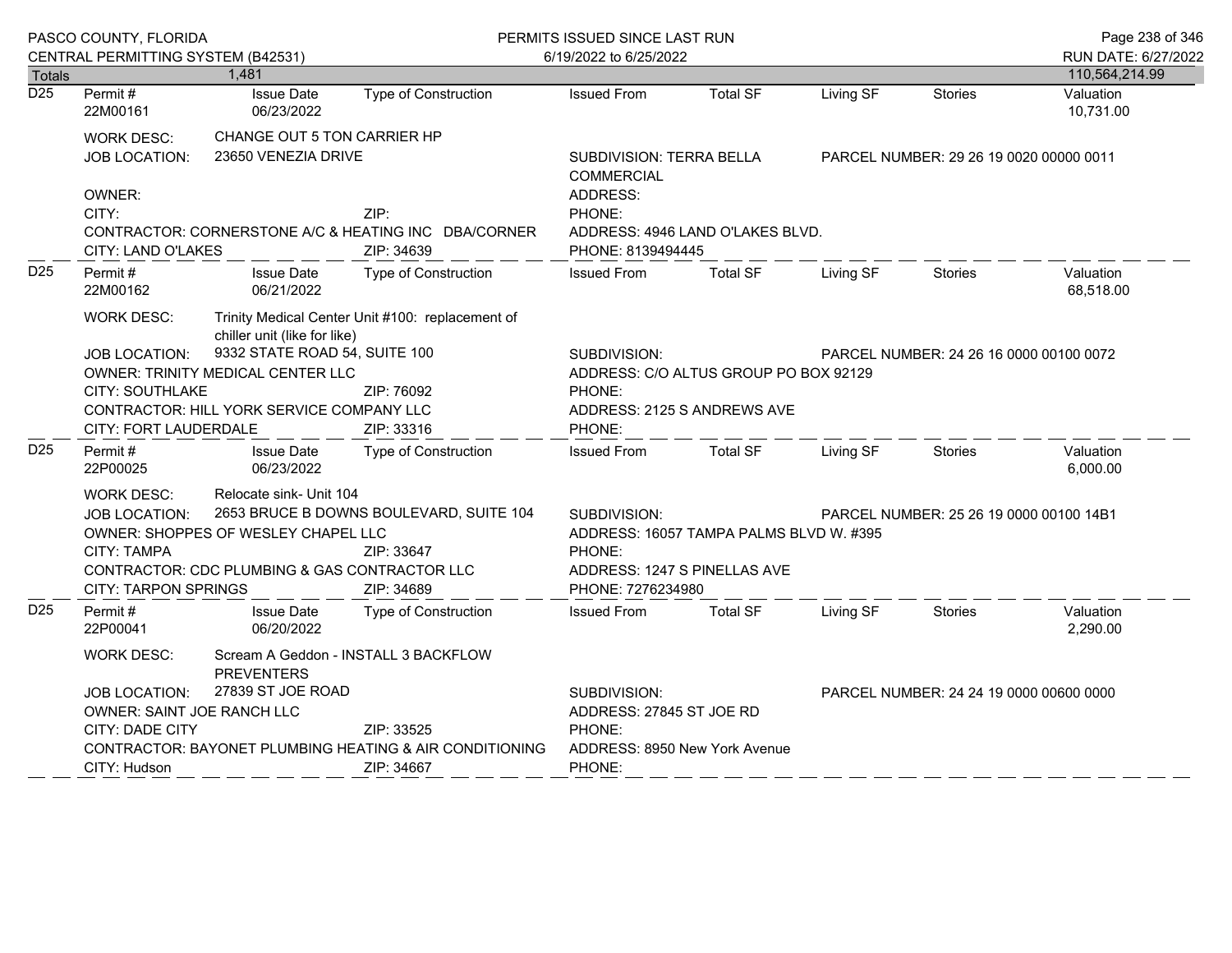|                  | PASCO COUNTY, FLORIDA                                   |                                                           |                                                                    | PERMITS ISSUED SINCE LAST RUN           |                                                                     |           |                                         | Page 238 of 346        |  |
|------------------|---------------------------------------------------------|-----------------------------------------------------------|--------------------------------------------------------------------|-----------------------------------------|---------------------------------------------------------------------|-----------|-----------------------------------------|------------------------|--|
|                  | CENTRAL PERMITTING SYSTEM (B42531)                      |                                                           |                                                                    | 6/19/2022 to 6/25/2022                  |                                                                     |           |                                         | RUN DATE: 6/27/2022    |  |
| Totals           |                                                         | 1,481                                                     |                                                                    |                                         |                                                                     |           |                                         | 110,564,214.99         |  |
| $\overline{D25}$ | Permit#<br>22M00161                                     | <b>Issue Date</b><br>06/23/2022                           | Type of Construction                                               | <b>Issued From</b>                      | <b>Total SF</b>                                                     | Living SF | <b>Stories</b>                          | Valuation<br>10,731.00 |  |
|                  | <b>WORK DESC:</b>                                       | CHANGE OUT 5 TON CARRIER HP                               |                                                                    |                                         |                                                                     |           |                                         |                        |  |
|                  | <b>JOB LOCATION:</b>                                    | 23650 VENEZIA DRIVE                                       |                                                                    |                                         | SUBDIVISION: TERRA BELLA<br>PARCEL NUMBER: 29 26 19 0020 00000 0011 |           |                                         |                        |  |
|                  |                                                         |                                                           |                                                                    | <b>COMMERCIAL</b>                       |                                                                     |           |                                         |                        |  |
|                  | OWNER:                                                  |                                                           |                                                                    | ADDRESS:                                |                                                                     |           |                                         |                        |  |
|                  | CITY:                                                   |                                                           | ZIP:                                                               | PHONE:                                  |                                                                     |           |                                         |                        |  |
|                  | CITY: LAND O'LAKES                                      |                                                           | CONTRACTOR: CORNERSTONE A/C & HEATING INC DBA/CORNER<br>ZIP: 34639 | PHONE: 8139494445                       | ADDRESS: 4946 LAND O'LAKES BLVD.                                    |           |                                         |                        |  |
| D <sub>25</sub>  | Permit#<br>22M00162                                     | <b>Issue Date</b><br>06/21/2022                           | <b>Type of Construction</b>                                        | <b>Issued From</b>                      | <b>Total SF</b>                                                     | Living SF | <b>Stories</b>                          | Valuation<br>68,518.00 |  |
|                  | WORK DESC:                                              | chiller unit (like for like)                              | Trinity Medical Center Unit #100: replacement of                   |                                         |                                                                     |           |                                         |                        |  |
|                  | JOB LOCATION:                                           | 9332 STATE ROAD 54, SUITE 100                             |                                                                    | SUBDIVISION:                            |                                                                     |           | PARCEL NUMBER: 24 26 16 0000 00100 0072 |                        |  |
|                  |                                                         | OWNER: TRINITY MEDICAL CENTER LLC                         |                                                                    |                                         | ADDRESS: C/O ALTUS GROUP PO BOX 92129                               |           |                                         |                        |  |
|                  | <b>CITY: SOUTHLAKE</b>                                  |                                                           | ZIP: 76092                                                         | PHONE:                                  |                                                                     |           |                                         |                        |  |
|                  |                                                         | CONTRACTOR: HILL YORK SERVICE COMPANY LLC                 |                                                                    |                                         | ADDRESS: 2125 S ANDREWS AVE                                         |           |                                         |                        |  |
|                  | CITY: FORT LAUDERDALE                                   |                                                           | ZIP: 33316                                                         | PHONE:                                  |                                                                     |           |                                         |                        |  |
| D <sub>25</sub>  | Permit#<br>22P00025                                     | <b>Issue Date</b><br>06/23/2022                           | Type of Construction                                               | <b>Issued From</b>                      | <b>Total SF</b>                                                     | Living SF | <b>Stories</b>                          | Valuation<br>6,000.00  |  |
|                  | WORK DESC:                                              | Relocate sink- Unit 104                                   |                                                                    |                                         |                                                                     |           |                                         |                        |  |
|                  | <b>JOB LOCATION:</b>                                    |                                                           | 2653 BRUCE B DOWNS BOULEVARD, SUITE 104                            | SUBDIVISION:                            | PARCEL NUMBER: 25 26 19 0000 00100 14B1                             |           |                                         |                        |  |
|                  |                                                         | OWNER: SHOPPES OF WESLEY CHAPEL LLC                       |                                                                    | ADDRESS: 16057 TAMPA PALMS BLVD W. #395 |                                                                     |           |                                         |                        |  |
|                  | <b>CITY: TAMPA</b>                                      |                                                           | ZIP: 33647                                                         | PHONE:                                  |                                                                     |           |                                         |                        |  |
|                  |                                                         | CONTRACTOR: CDC PLUMBING & GAS CONTRACTOR LLC             |                                                                    | ADDRESS: 1247 S PINELLAS AVE            |                                                                     |           |                                         |                        |  |
|                  | <b>CITY: TARPON SPRINGS</b>                             |                                                           | ZIP: 34689                                                         | PHONE: 7276234980                       |                                                                     |           |                                         |                        |  |
| D <sub>25</sub>  | Permit#<br>22P00041                                     | <b>Issue Date</b><br>06/20/2022                           | <b>Type of Construction</b>                                        | <b>Issued From</b>                      | <b>Total SF</b>                                                     | Living SF | <b>Stories</b>                          | Valuation<br>2,290.00  |  |
|                  | WORK DESC:                                              | Scream A Geddon - INSTALL 3 BACKFLOW<br><b>PREVENTERS</b> |                                                                    |                                         |                                                                     |           |                                         |                        |  |
|                  | 27839 ST JOE ROAD<br>JOB LOCATION:                      |                                                           |                                                                    | SUBDIVISION:                            |                                                                     |           | PARCEL NUMBER: 24 24 19 0000 00600 0000 |                        |  |
|                  | <b>OWNER: SAINT JOE RANCH LLC</b>                       |                                                           |                                                                    | ADDRESS: 27845 ST JOE RD                |                                                                     |           |                                         |                        |  |
|                  | CITY: DADE CITY                                         |                                                           | ZIP: 33525                                                         | PHONE:                                  |                                                                     |           |                                         |                        |  |
|                  | CONTRACTOR: BAYONET PLUMBING HEATING & AIR CONDITIONING |                                                           |                                                                    | ADDRESS: 8950 New York Avenue           |                                                                     |           |                                         |                        |  |
|                  | CITY: Hudson                                            |                                                           | ZIP: 34667                                                         | PHONE:                                  |                                                                     |           |                                         |                        |  |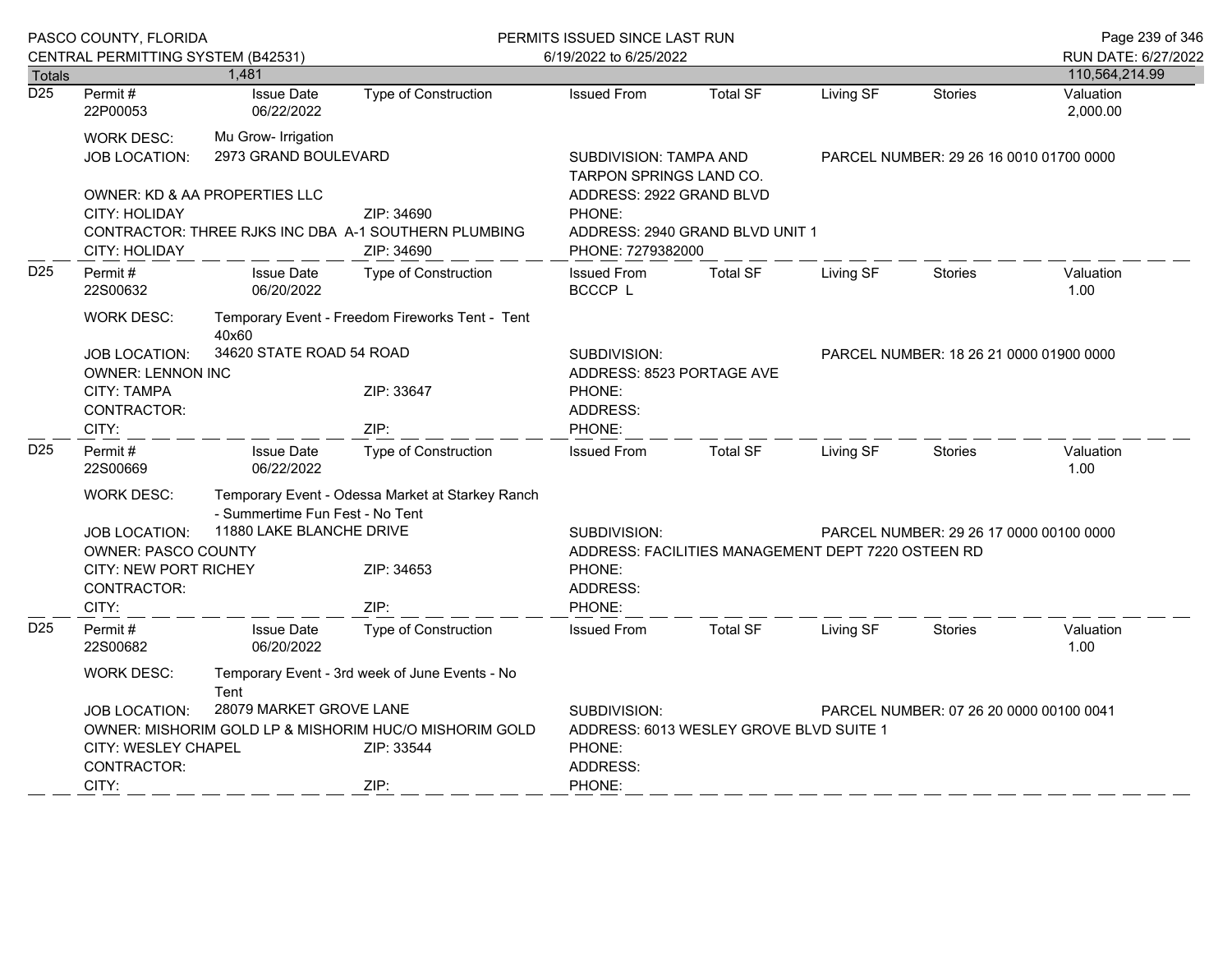|                  | PASCO COUNTY, FLORIDA                                                                                                          |                                                                                                                                                                                  |                                                                        | PERMITS ISSUED SINCE LAST RUN                                                                                            |                                                                                                     |           |                                         | Page 239 of 346       |
|------------------|--------------------------------------------------------------------------------------------------------------------------------|----------------------------------------------------------------------------------------------------------------------------------------------------------------------------------|------------------------------------------------------------------------|--------------------------------------------------------------------------------------------------------------------------|-----------------------------------------------------------------------------------------------------|-----------|-----------------------------------------|-----------------------|
|                  | CENTRAL PERMITTING SYSTEM (B42531)                                                                                             |                                                                                                                                                                                  |                                                                        | 6/19/2022 to 6/25/2022                                                                                                   |                                                                                                     |           |                                         | RUN DATE: 6/27/2022   |
| <b>Totals</b>    |                                                                                                                                | 1,481                                                                                                                                                                            |                                                                        |                                                                                                                          |                                                                                                     |           |                                         | 110,564,214.99        |
| $\overline{D25}$ | Permit#<br>22P00053                                                                                                            | <b>Issue Date</b><br>06/22/2022                                                                                                                                                  | <b>Type of Construction</b>                                            | <b>Issued From</b>                                                                                                       | <b>Total SF</b>                                                                                     | Living SF | <b>Stories</b>                          | Valuation<br>2,000.00 |
|                  | <b>WORK DESC:</b><br>JOB LOCATION:                                                                                             | Mu Grow- Irrigation<br>2973 GRAND BOULEVARD                                                                                                                                      |                                                                        |                                                                                                                          | <b>SUBDIVISION: TAMPA AND</b><br>PARCEL NUMBER: 29 26 16 0010 01700 0000<br>TARPON SPRINGS LAND CO. |           |                                         |                       |
|                  | OWNER: KD & AA PROPERTIES LLC<br><b>CITY: HOLIDAY</b><br>CONTRACTOR: THREE RJKS INC DBA A-1 SOUTHERN PLUMBING<br>CITY: HOLIDAY |                                                                                                                                                                                  | ZIP: 34690<br>ZIP: 34690                                               | ADDRESS: 2922 GRAND BLVD<br>PHONE:<br>PHONE: 7279382000                                                                  | ADDRESS: 2940 GRAND BLVD UNIT 1                                                                     |           |                                         |                       |
| D <sub>25</sub>  | Permit#<br>22S00632                                                                                                            | <b>Issue Date</b><br>06/20/2022                                                                                                                                                  | <b>Type of Construction</b>                                            | <b>Issued From</b><br>BCCCP L                                                                                            | <b>Total SF</b>                                                                                     | Living SF | <b>Stories</b>                          | Valuation<br>1.00     |
|                  | <b>WORK DESC:</b><br>JOB LOCATION:<br><b>CITY: TAMPA</b><br>CONTRACTOR:                                                        | Temporary Event - Freedom Fireworks Tent - Tent<br>40x60<br>34620 STATE ROAD 54 ROAD<br><b>OWNER: LENNON INC</b><br>ZIP: 33647                                                   |                                                                        | SUBDIVISION:<br>ADDRESS: 8523 PORTAGE AVE<br>PHONE:<br>ADDRESS:                                                          |                                                                                                     |           | PARCEL NUMBER: 18 26 21 0000 01900 0000 |                       |
|                  | CITY:                                                                                                                          |                                                                                                                                                                                  | ZIP:                                                                   | PHONE:                                                                                                                   |                                                                                                     |           |                                         |                       |
| D <sub>25</sub>  | Permit#<br>22S00669                                                                                                            | <b>Issue Date</b><br>06/22/2022                                                                                                                                                  | <b>Type of Construction</b>                                            | <b>Issued From</b>                                                                                                       | <b>Total SF</b>                                                                                     | Living SF | <b>Stories</b>                          | Valuation<br>1.00     |
|                  | <b>WORK DESC:</b><br><b>JOB LOCATION:</b><br><b>OWNER: PASCO COUNTY</b><br>CITY: NEW PORT RICHEY<br>CONTRACTOR:<br>CITY:       | - Summertime Fun Fest - No Tent<br>11880 LAKE BLANCHE DRIVE                                                                                                                      | Temporary Event - Odessa Market at Starkey Ranch<br>ZIP: 34653<br>ZIP: | SUBDIVISION:<br>ADDRESS: FACILITIES MANAGEMENT DEPT 7220 OSTEEN RD<br>PHONE:<br>ADDRESS:<br>PHONE:                       |                                                                                                     |           | PARCEL NUMBER: 29 26 17 0000 00100 0000 |                       |
| D <sub>25</sub>  | Permit#<br>22S00682                                                                                                            | <b>Issue Date</b><br>06/20/2022                                                                                                                                                  | Type of Construction                                                   | <b>Issued From</b>                                                                                                       | <b>Total SF</b>                                                                                     | Living SF | <b>Stories</b>                          | Valuation<br>1.00     |
|                  | <b>WORK DESC:</b><br><b>JOB LOCATION:</b><br>CONTRACTOR:                                                                       | Temporary Event - 3rd week of June Events - No<br>Tent<br>28079 MARKET GROVE LANE<br>OWNER: MISHORIM GOLD LP & MISHORIM HUC/O MISHORIM GOLD<br>CITY: WESLEY CHAPEL<br>ZIP: 33544 |                                                                        | SUBDIVISION:<br>PARCEL NUMBER: 07 26 20 0000 00100 0041<br>ADDRESS: 6013 WESLEY GROVE BLVD SUITE 1<br>PHONE:<br>ADDRESS: |                                                                                                     |           |                                         |                       |
|                  | CITY:                                                                                                                          |                                                                                                                                                                                  | ZIP:                                                                   | PHONE:                                                                                                                   |                                                                                                     |           |                                         |                       |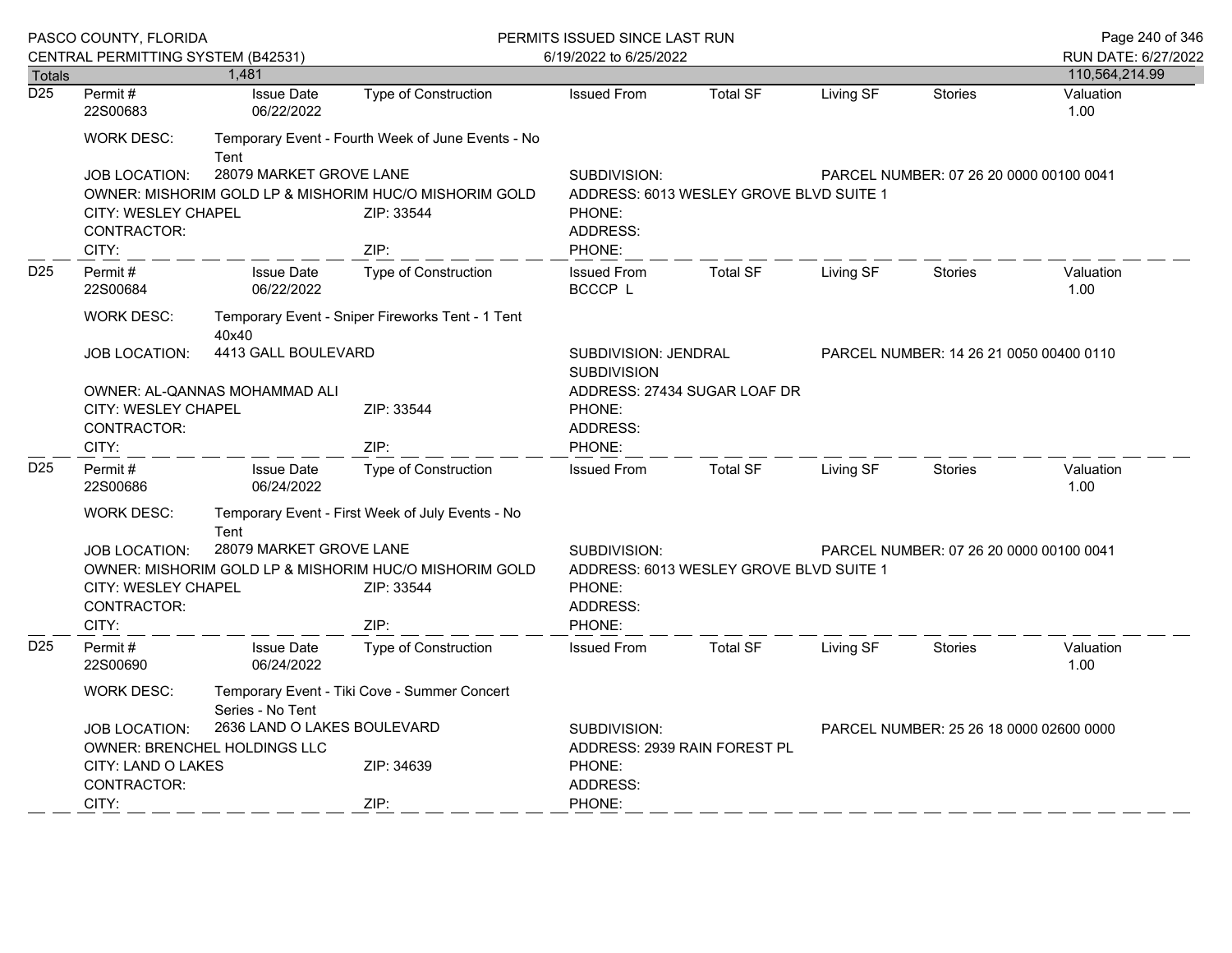|                  | PASCO COUNTY, FLORIDA                     |                                                                  |                                                        | PERMITS ISSUED SINCE LAST RUN           |                                         |                                         |                                         |                     |  |  |
|------------------|-------------------------------------------|------------------------------------------------------------------|--------------------------------------------------------|-----------------------------------------|-----------------------------------------|-----------------------------------------|-----------------------------------------|---------------------|--|--|
|                  | CENTRAL PERMITTING SYSTEM (B42531)        |                                                                  |                                                        | 6/19/2022 to 6/25/2022                  |                                         |                                         |                                         | RUN DATE: 6/27/2022 |  |  |
| Totals           |                                           | 1.481                                                            |                                                        |                                         |                                         |                                         |                                         | 110,564,214.99      |  |  |
| $\overline{D25}$ | Permit#<br>22S00683                       | <b>Issue Date</b><br>06/22/2022                                  | <b>Type of Construction</b>                            | <b>Issued From</b>                      | <b>Total SF</b>                         | Living SF                               | <b>Stories</b>                          | Valuation<br>1.00   |  |  |
|                  | <b>WORK DESC:</b>                         | Tent                                                             | Temporary Event - Fourth Week of June Events - No      |                                         |                                         |                                         |                                         |                     |  |  |
|                  | <b>JOB LOCATION:</b>                      | 28079 MARKET GROVE LANE                                          |                                                        | SUBDIVISION:                            |                                         |                                         | PARCEL NUMBER: 07 26 20 0000 00100 0041 |                     |  |  |
|                  |                                           |                                                                  | OWNER: MISHORIM GOLD LP & MISHORIM HUC/O MISHORIM GOLD |                                         | ADDRESS: 6013 WESLEY GROVE BLVD SUITE 1 |                                         |                                         |                     |  |  |
|                  | <b>CITY: WESLEY CHAPEL</b><br>CONTRACTOR: |                                                                  | ZIP: 33544                                             | PHONE:<br>ADDRESS:                      |                                         |                                         |                                         |                     |  |  |
|                  | CITY:                                     |                                                                  | ZIP:                                                   | PHONE:                                  |                                         |                                         |                                         |                     |  |  |
| D <sub>25</sub>  | Permit#<br>22S00684                       | <b>Issue Date</b><br>06/22/2022                                  | Type of Construction                                   | <b>Issued From</b><br><b>BCCCP L</b>    | <b>Total SF</b>                         | Living SF                               | <b>Stories</b>                          | Valuation<br>1.00   |  |  |
|                  | <b>WORK DESC:</b>                         | 40x40                                                            | Temporary Event - Sniper Fireworks Tent - 1 Tent       |                                         |                                         |                                         |                                         |                     |  |  |
|                  | 4413 GALL BOULEVARD<br>JOB LOCATION:      |                                                                  | SUBDIVISION: JENDRAL<br><b>SUBDIVISION</b>             |                                         |                                         | PARCEL NUMBER: 14 26 21 0050 00400 0110 |                                         |                     |  |  |
|                  |                                           | OWNER: AL-QANNAS MOHAMMAD ALI                                    |                                                        |                                         | ADDRESS: 27434 SUGAR LOAF DR            |                                         |                                         |                     |  |  |
|                  | CITY: WESLEY CHAPEL                       |                                                                  | ZIP: 33544                                             | PHONE:                                  |                                         |                                         |                                         |                     |  |  |
|                  | CONTRACTOR:                               |                                                                  |                                                        | ADDRESS:                                |                                         |                                         |                                         |                     |  |  |
|                  | CITY:                                     |                                                                  | ZIP:                                                   | PHONE:                                  |                                         |                                         |                                         |                     |  |  |
| D <sub>25</sub>  | Permit#<br>22S00686                       | <b>Issue Date</b><br>06/24/2022                                  | Type of Construction                                   | <b>Issued From</b>                      | <b>Total SF</b>                         | Living SF                               | <b>Stories</b>                          | Valuation<br>1.00   |  |  |
|                  | <b>WORK DESC:</b>                         | Temporary Event - First Week of July Events - No<br>Tent         |                                                        |                                         |                                         |                                         |                                         |                     |  |  |
|                  | <b>JOB LOCATION:</b>                      | 28079 MARKET GROVE LANE                                          |                                                        | SUBDIVISION:                            |                                         |                                         | PARCEL NUMBER: 07 26 20 0000 00100 0041 |                     |  |  |
|                  |                                           |                                                                  | OWNER: MISHORIM GOLD LP & MISHORIM HUC/O MISHORIM GOLD | ADDRESS: 6013 WESLEY GROVE BLVD SUITE 1 |                                         |                                         |                                         |                     |  |  |
|                  | <b>CITY: WESLEY CHAPEL</b>                |                                                                  | ZIP: 33544                                             | PHONE:                                  |                                         |                                         |                                         |                     |  |  |
|                  | CONTRACTOR:                               |                                                                  |                                                        | ADDRESS:                                |                                         |                                         |                                         |                     |  |  |
|                  | CITY:                                     |                                                                  | ZIP:                                                   | PHONE:                                  |                                         |                                         |                                         |                     |  |  |
| D <sub>25</sub>  | Permit#<br>22S00690                       | <b>Issue Date</b><br>06/24/2022                                  | Type of Construction                                   | <b>Issued From</b>                      | <b>Total SF</b>                         | Living SF                               | <b>Stories</b>                          | Valuation<br>1.00   |  |  |
|                  | <b>WORK DESC:</b>                         | Temporary Event - Tiki Cove - Summer Concert<br>Series - No Tent |                                                        |                                         |                                         |                                         |                                         |                     |  |  |
|                  | <b>JOB LOCATION:</b>                      | 2636 LAND O LAKES BOULEVARD                                      |                                                        | SUBDIVISION:                            |                                         |                                         | PARCEL NUMBER: 25 26 18 0000 02600 0000 |                     |  |  |
|                  |                                           | OWNER: BRENCHEL HOLDINGS LLC                                     |                                                        |                                         | ADDRESS: 2939 RAIN FOREST PL            |                                         |                                         |                     |  |  |
|                  | CITY: LAND O LAKES                        |                                                                  | ZIP: 34639                                             | PHONE:                                  |                                         |                                         |                                         |                     |  |  |
|                  | CONTRACTOR:                               |                                                                  |                                                        | ADDRESS:                                |                                         |                                         |                                         |                     |  |  |
|                  | CITY:                                     |                                                                  | ZIP:                                                   | PHONE:                                  |                                         |                                         |                                         |                     |  |  |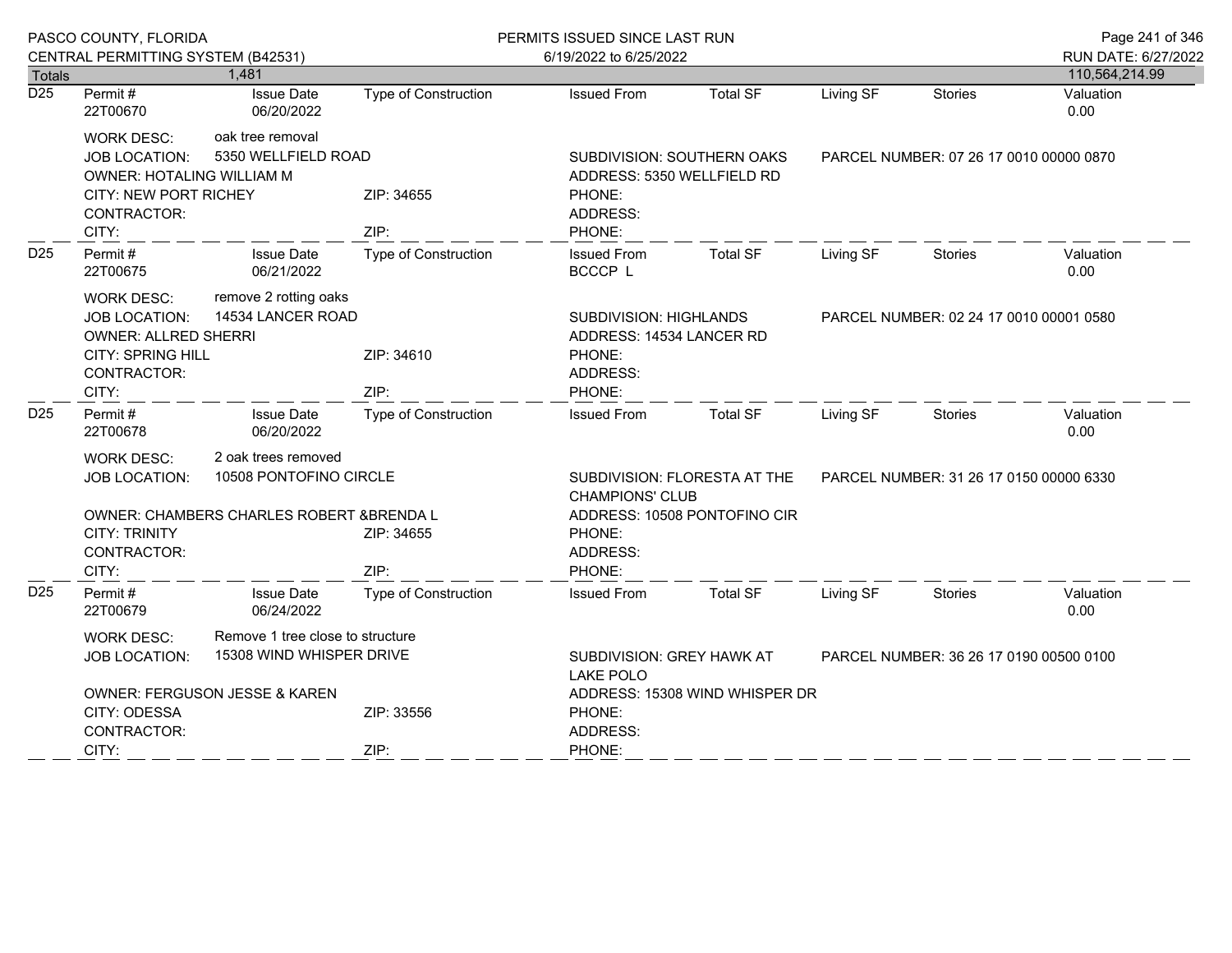|                  | PASCO COUNTY, FLORIDA                                                                                                                                               |                                         |                             | PERMITS ISSUED SINCE LAST RUN                                                            |                                                    |                                         |                                         | Page 241 of 346     |
|------------------|---------------------------------------------------------------------------------------------------------------------------------------------------------------------|-----------------------------------------|-----------------------------|------------------------------------------------------------------------------------------|----------------------------------------------------|-----------------------------------------|-----------------------------------------|---------------------|
|                  | CENTRAL PERMITTING SYSTEM (B42531)                                                                                                                                  |                                         |                             | 6/19/2022 to 6/25/2022                                                                   |                                                    |                                         |                                         | RUN DATE: 6/27/2022 |
| Totals           |                                                                                                                                                                     | 1,481                                   |                             |                                                                                          |                                                    |                                         |                                         | 110,564,214.99      |
| $\overline{D25}$ | Permit#<br>22T00670                                                                                                                                                 | <b>Issue Date</b><br>06/20/2022         | Type of Construction        | <b>Issued From</b>                                                                       | <b>Total SF</b>                                    | Living SF                               | <b>Stories</b>                          | Valuation<br>0.00   |
|                  | <b>WORK DESC:</b><br><b>JOB LOCATION:</b><br>OWNER: HOTALING WILLIAM M<br><b>CITY: NEW PORT RICHEY</b><br>CONTRACTOR:<br>CITY:                                      | oak tree removal<br>5350 WELLFIELD ROAD | ZIP: 34655<br>ZIP:          | SUBDIVISION: SOUTHERN OAKS<br>ADDRESS: 5350 WELLFIELD RD<br>PHONE:<br>ADDRESS:<br>PHONE: |                                                    | PARCEL NUMBER: 07 26 17 0010 00000 0870 |                                         |                     |
| D <sub>25</sub>  | Permit#<br>22T00675                                                                                                                                                 | <b>Issue Date</b><br>06/21/2022         | <b>Type of Construction</b> | <b>Issued From</b><br>BCCCP L                                                            | <b>Total SF</b>                                    | Living SF                               | <b>Stories</b>                          | Valuation<br>0.00   |
|                  | remove 2 rotting oaks<br><b>WORK DESC:</b><br>14534 LANCER ROAD<br>JOB LOCATION:<br><b>OWNER: ALLRED SHERRI</b><br><b>CITY: SPRING HILL</b><br>CONTRACTOR:<br>CITY: |                                         | ZIP: 34610<br>ZIP:          | PHONE:<br>ADDRESS:<br>PHONE:                                                             | SUBDIVISION: HIGHLANDS<br>ADDRESS: 14534 LANCER RD |                                         | PARCEL NUMBER: 02 24 17 0010 00001 0580 |                     |
| D <sub>25</sub>  | Permit#<br>22T00678                                                                                                                                                 | <b>Issue Date</b><br>06/20/2022         | <b>Type of Construction</b> | <b>Issued From</b>                                                                       | <b>Total SF</b>                                    | Living SF                               | Stories                                 | Valuation<br>0.00   |
|                  | 2 oak trees removed<br><b>WORK DESC:</b><br>10508 PONTOFINO CIRCLE<br><b>JOB LOCATION:</b>                                                                          |                                         |                             | SUBDIVISION: FLORESTA AT THE<br><b>CHAMPIONS' CLUB</b>                                   |                                                    | PARCEL NUMBER: 31 26 17 0150 00000 6330 |                                         |                     |
|                  | OWNER: CHAMBERS CHARLES ROBERT & BRENDA L<br><b>CITY: TRINITY</b><br>CONTRACTOR:<br>CITY:                                                                           |                                         | ZIP: 34655<br>ZIP:          | PHONE:<br>ADDRESS:<br>PHONE:                                                             | ADDRESS: 10508 PONTOFINO CIR                       |                                         |                                         |                     |
| D <sub>25</sub>  | Permit#<br>22T00679                                                                                                                                                 | <b>Issue Date</b><br>06/24/2022         | Type of Construction        | <b>Issued From</b>                                                                       | <b>Total SF</b>                                    | Living SF                               | Stories                                 | Valuation<br>0.00   |
|                  | Remove 1 tree close to structure<br><b>WORK DESC:</b><br>15308 WIND WHISPER DRIVE<br><b>JOB LOCATION:</b>                                                           |                                         |                             | SUBDIVISION: GREY HAWK AT<br><b>LAKE POLO</b>                                            |                                                    |                                         | PARCEL NUMBER: 36 26 17 0190 00500 0100 |                     |
|                  | OWNER: FERGUSON JESSE & KAREN<br>CITY: ODESSA<br>CONTRACTOR:<br>CITY:                                                                                               |                                         | ZIP: 33556<br>ZIP:          | ADDRESS: 15308 WIND WHISPER DR<br>PHONE:<br>ADDRESS:                                     |                                                    |                                         |                                         |                     |
|                  |                                                                                                                                                                     |                                         |                             | PHONE:                                                                                   |                                                    |                                         |                                         |                     |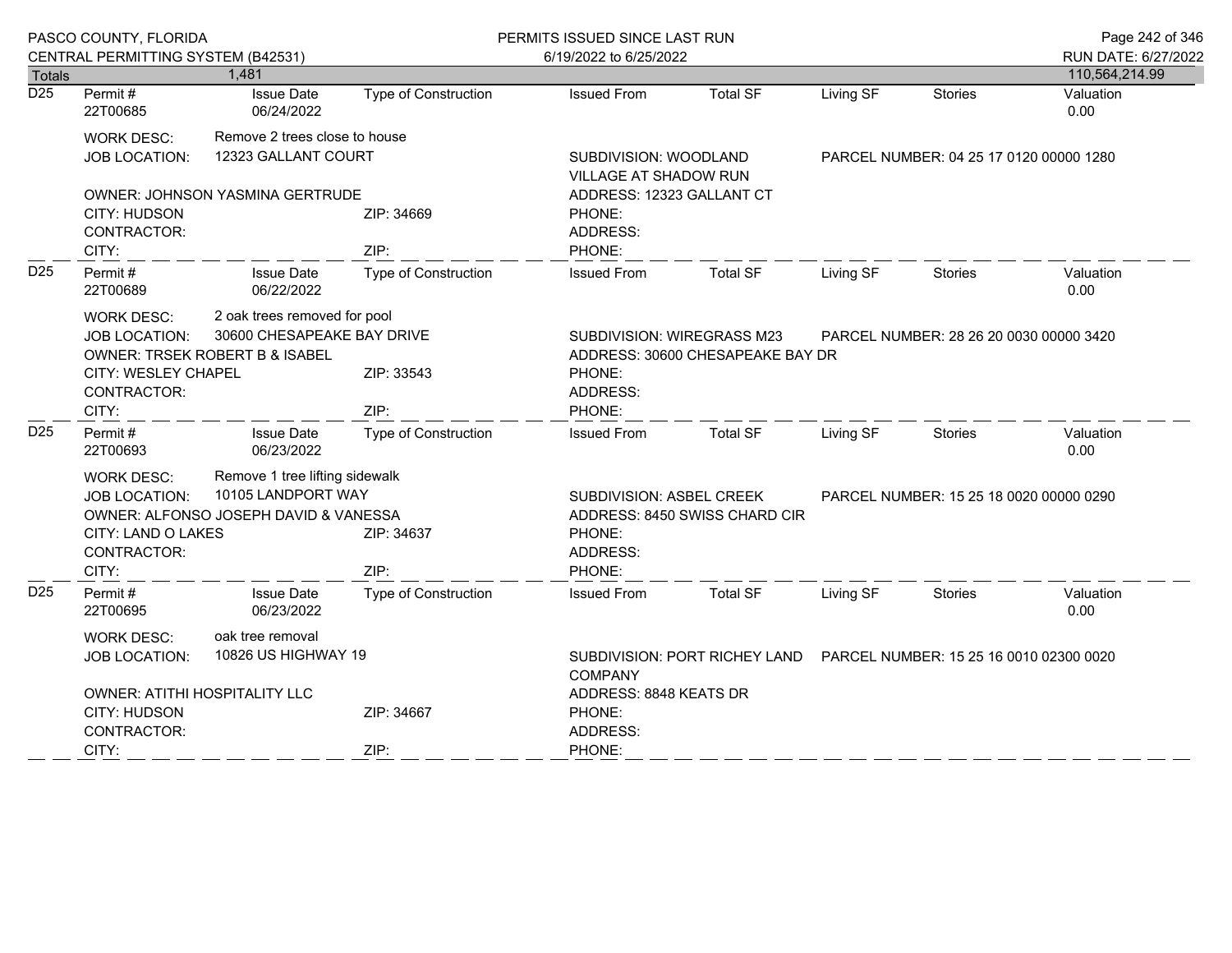|                  | PASCO COUNTY, FLORIDA                                                                                                                                                       |                                 |                             | PERMITS ISSUED SINCE LAST RUN                                                                                  |                        |                                                                        |                                         | Page 242 of 346     |  |
|------------------|-----------------------------------------------------------------------------------------------------------------------------------------------------------------------------|---------------------------------|-----------------------------|----------------------------------------------------------------------------------------------------------------|------------------------|------------------------------------------------------------------------|-----------------------------------------|---------------------|--|
|                  | CENTRAL PERMITTING SYSTEM (B42531)                                                                                                                                          |                                 |                             | 6/19/2022 to 6/25/2022                                                                                         |                        |                                                                        |                                         | RUN DATE: 6/27/2022 |  |
| <b>Totals</b>    |                                                                                                                                                                             | 1,481                           |                             |                                                                                                                |                        |                                                                        |                                         | 110,564,214.99      |  |
| $\overline{D25}$ | Permit#<br>22T00685                                                                                                                                                         | <b>Issue Date</b><br>06/24/2022 | <b>Type of Construction</b> | <b>Issued From</b>                                                                                             | <b>Total SF</b>        | Living SF                                                              | <b>Stories</b>                          | Valuation<br>0.00   |  |
|                  | <b>WORK DESC:</b>                                                                                                                                                           | Remove 2 trees close to house   |                             |                                                                                                                |                        |                                                                        |                                         |                     |  |
|                  | <b>JOB LOCATION:</b>                                                                                                                                                        | 12323 GALLANT COURT             |                             | SUBDIVISION: WOODLAND<br>VILLAGE AT SHADOW RUN                                                                 |                        |                                                                        | PARCEL NUMBER: 04 25 17 0120 00000 1280 |                     |  |
|                  |                                                                                                                                                                             | OWNER: JOHNSON YASMINA GERTRUDE |                             | ADDRESS: 12323 GALLANT CT                                                                                      |                        |                                                                        |                                         |                     |  |
|                  | CITY: HUDSON<br>CONTRACTOR:                                                                                                                                                 |                                 | ZIP: 34669                  | PHONE:<br>ADDRESS:                                                                                             |                        |                                                                        |                                         |                     |  |
|                  | CITY:                                                                                                                                                                       |                                 | ZIP:                        | PHONE:                                                                                                         |                        |                                                                        |                                         |                     |  |
| D <sub>25</sub>  | Permit#<br>22T00689                                                                                                                                                         | <b>Issue Date</b><br>06/22/2022 | <b>Type of Construction</b> | <b>Issued From</b>                                                                                             | <b>Total SF</b>        | Living SF                                                              | <b>Stories</b>                          | Valuation<br>0.00   |  |
|                  | 2 oak trees removed for pool<br><b>WORK DESC:</b><br>30600 CHESAPEAKE BAY DRIVE<br><b>JOB LOCATION:</b><br><b>OWNER: TRSEK ROBERT B &amp; ISABEL</b><br>CITY: WESLEY CHAPEL |                                 | ZIP: 33543                  | SUBDIVISION: WIREGRASS M23<br>ADDRESS: 30600 CHESAPEAKE BAY DR<br>PHONE:                                       |                        |                                                                        | PARCEL NUMBER: 28 26 20 0030 00000 3420 |                     |  |
|                  | CONTRACTOR:                                                                                                                                                                 |                                 |                             | ADDRESS:                                                                                                       |                        |                                                                        |                                         |                     |  |
|                  | CITY:                                                                                                                                                                       |                                 | ZIP:                        | PHONE:                                                                                                         |                        |                                                                        |                                         |                     |  |
| D <sub>25</sub>  | Permit#<br>22T00693                                                                                                                                                         | <b>Issue Date</b><br>06/23/2022 | <b>Type of Construction</b> | <b>Issued From</b>                                                                                             | <b>Total SF</b>        | Living SF                                                              | Stories                                 | Valuation<br>0.00   |  |
|                  | WORK DESC:                                                                                                                                                                  | Remove 1 tree lifting sidewalk  |                             |                                                                                                                |                        |                                                                        |                                         |                     |  |
|                  | 10105 LANDPORT WAY<br><b>JOB LOCATION:</b><br>OWNER: ALFONSO JOSEPH DAVID & VANESSA<br><b>CITY: LAND O LAKES</b>                                                            |                                 | ZIP: 34637                  | SUBDIVISION: ASBEL CREEK<br>PARCEL NUMBER: 15 25 18 0020 00000 0290<br>ADDRESS: 8450 SWISS CHARD CIR<br>PHONE: |                        |                                                                        |                                         |                     |  |
|                  | CONTRACTOR:                                                                                                                                                                 |                                 |                             | ADDRESS:                                                                                                       |                        |                                                                        |                                         |                     |  |
|                  | CITY:                                                                                                                                                                       |                                 | ZIP:                        | PHONE:                                                                                                         |                        |                                                                        |                                         |                     |  |
| D <sub>25</sub>  | Permit#<br>22T00695                                                                                                                                                         | <b>Issue Date</b><br>06/23/2022 | Type of Construction        | <b>Issued From</b>                                                                                             | <b>Total SF</b>        | Living SF                                                              | Stories                                 | Valuation<br>0.00   |  |
|                  | <b>WORK DESC:</b>                                                                                                                                                           | oak tree removal                |                             |                                                                                                                |                        |                                                                        |                                         |                     |  |
|                  | <b>JOB LOCATION:</b>                                                                                                                                                        | 10826 US HIGHWAY 19             |                             | <b>COMPANY</b>                                                                                                 |                        | SUBDIVISION: PORT RICHEY LAND  PARCEL NUMBER: 15 25 16 0010 02300 0020 |                                         |                     |  |
|                  |                                                                                                                                                                             | OWNER: ATITHI HOSPITALITY LLC   |                             |                                                                                                                | ADDRESS: 8848 KEATS DR |                                                                        |                                         |                     |  |
|                  | CITY: HUDSON                                                                                                                                                                |                                 | ZIP: 34667                  | PHONE:                                                                                                         |                        |                                                                        |                                         |                     |  |
|                  | CONTRACTOR:                                                                                                                                                                 |                                 |                             | ADDRESS:                                                                                                       |                        |                                                                        |                                         |                     |  |
|                  | CITY:                                                                                                                                                                       |                                 | ZIP:                        | PHONE:                                                                                                         |                        |                                                                        |                                         |                     |  |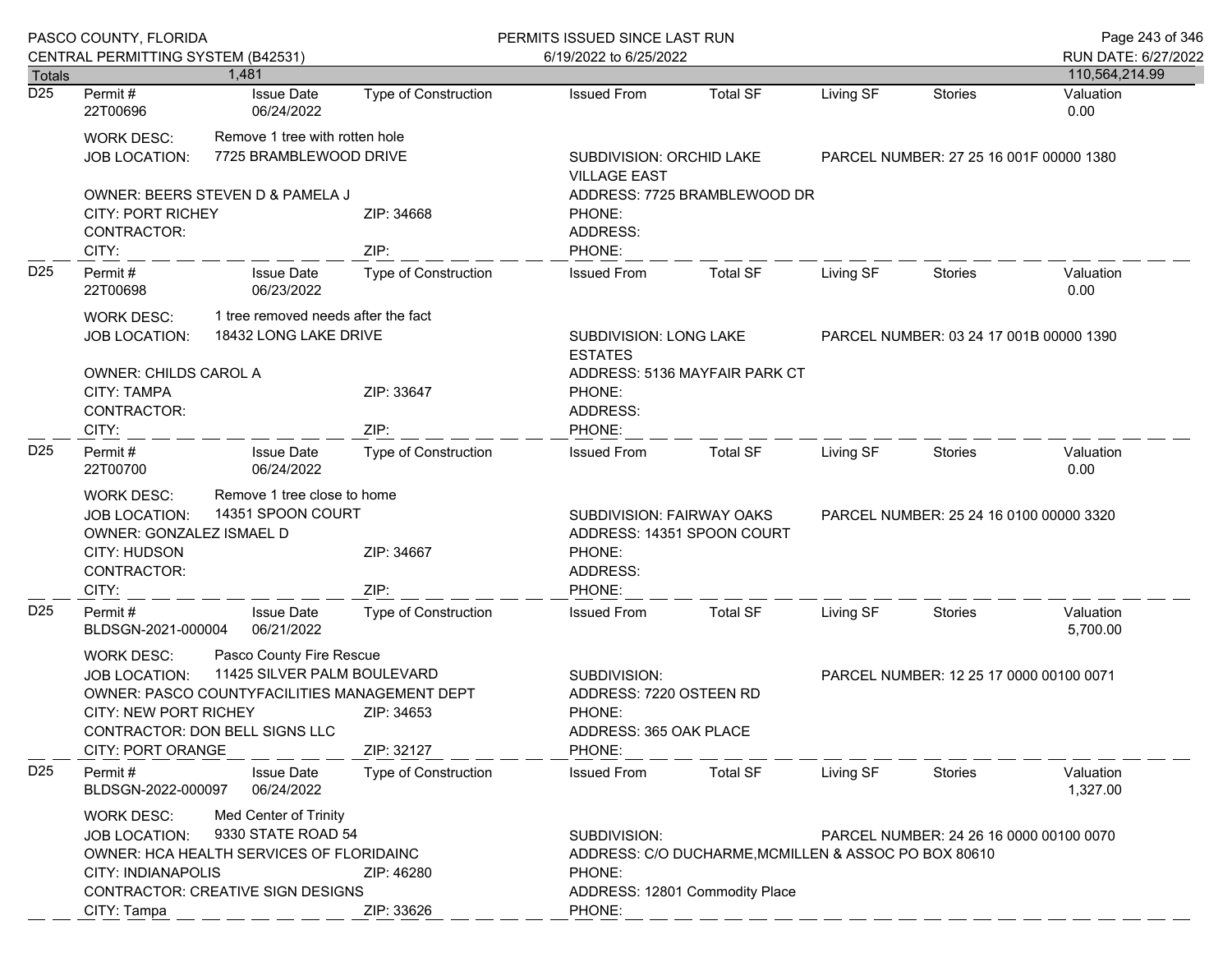|                            | PASCO COUNTY, FLORIDA                                                                                                                                                                                                                                      |                                                                                                                                     |                             | PERMITS ISSUED SINCE LAST RUN                                                                                                    |                                                                                        |                                         |                                         | Page 243 of 346       |  |
|----------------------------|------------------------------------------------------------------------------------------------------------------------------------------------------------------------------------------------------------------------------------------------------------|-------------------------------------------------------------------------------------------------------------------------------------|-----------------------------|----------------------------------------------------------------------------------------------------------------------------------|----------------------------------------------------------------------------------------|-----------------------------------------|-----------------------------------------|-----------------------|--|
|                            | CENTRAL PERMITTING SYSTEM (B42531)                                                                                                                                                                                                                         |                                                                                                                                     |                             | 6/19/2022 to 6/25/2022                                                                                                           |                                                                                        |                                         |                                         | RUN DATE: 6/27/2022   |  |
| Totals<br>$\overline{D25}$ |                                                                                                                                                                                                                                                            | 1.481                                                                                                                               |                             |                                                                                                                                  |                                                                                        |                                         |                                         | 110,564,214.99        |  |
|                            | Permit#<br>22T00696                                                                                                                                                                                                                                        | <b>Issue Date</b><br>06/24/2022                                                                                                     | Type of Construction        | <b>Issued From</b>                                                                                                               | <b>Total SF</b>                                                                        | Living SF                               | <b>Stories</b>                          | Valuation<br>0.00     |  |
|                            | <b>WORK DESC:</b><br><b>JOB LOCATION:</b>                                                                                                                                                                                                                  | Remove 1 tree with rotten hole<br>7725 BRAMBLEWOOD DRIVE                                                                            |                             | SUBDIVISION: ORCHID LAKE<br><b>VILLAGE EAST</b>                                                                                  |                                                                                        |                                         | PARCEL NUMBER: 27 25 16 001F 00000 1380 |                       |  |
|                            | <b>CITY: PORT RICHEY</b><br>CONTRACTOR:<br>CITY:                                                                                                                                                                                                           | OWNER: BEERS STEVEN D & PAMELA J                                                                                                    | ZIP: 34668<br>ZIP:          | PHONE:<br>ADDRESS:<br>PHONE:                                                                                                     | ADDRESS: 7725 BRAMBLEWOOD DR                                                           |                                         |                                         |                       |  |
| D <sub>25</sub>            | Permit#<br>22T00698                                                                                                                                                                                                                                        | <b>Issue Date</b><br>06/23/2022                                                                                                     | Type of Construction        | <b>Issued From</b>                                                                                                               | <b>Total SF</b>                                                                        | Living SF                               | Stories                                 | Valuation<br>0.00     |  |
|                            | <b>WORK DESC:</b>                                                                                                                                                                                                                                          | 1 tree removed needs after the fact                                                                                                 |                             |                                                                                                                                  |                                                                                        |                                         |                                         |                       |  |
|                            | <b>JOB LOCATION:</b>                                                                                                                                                                                                                                       | 18432 LONG LAKE DRIVE                                                                                                               |                             | <b>ESTATES</b>                                                                                                                   | SUBDIVISION: LONG LAKE<br>PARCEL NUMBER: 03 24 17 001B 00000 1390                      |                                         |                                         |                       |  |
|                            | <b>OWNER: CHILDS CAROL A</b><br>CITY: TAMPA<br>CONTRACTOR:                                                                                                                                                                                                 |                                                                                                                                     | ZIP: 33647                  | PHONE:<br>ADDRESS:                                                                                                               | ADDRESS: 5136 MAYFAIR PARK CT                                                          |                                         |                                         |                       |  |
|                            | CITY:                                                                                                                                                                                                                                                      |                                                                                                                                     | ZIP:                        | PHONE:                                                                                                                           |                                                                                        |                                         |                                         |                       |  |
| D <sub>25</sub>            | Permit#<br>22T00700                                                                                                                                                                                                                                        | <b>Issue Date</b><br>06/24/2022                                                                                                     | Type of Construction        | <b>Issued From</b>                                                                                                               | <b>Total SF</b>                                                                        | Living SF                               | Stories                                 | Valuation<br>0.00     |  |
|                            | Remove 1 tree close to home<br><b>WORK DESC:</b><br>14351 SPOON COURT<br><b>JOB LOCATION:</b><br>OWNER: GONZALEZ ISMAEL D<br>ZIP: 34667<br>CITY: HUDSON<br>CONTRACTOR:<br>CITY:                                                                            |                                                                                                                                     | ZIP:                        |                                                                                                                                  | SUBDIVISION: FAIRWAY OAKS<br>ADDRESS: 14351 SPOON COURT                                | PARCEL NUMBER: 25 24 16 0100 00000 3320 |                                         |                       |  |
| D <sub>25</sub>            | Permit#<br>BLDSGN-2021-000004                                                                                                                                                                                                                              | <b>Issue Date</b><br>06/21/2022                                                                                                     | <b>Type of Construction</b> | <b>Issued From</b>                                                                                                               | <b>Total SF</b>                                                                        | Living SF                               | Stories                                 | Valuation<br>5,700.00 |  |
|                            | Pasco County Fire Rescue<br><b>WORK DESC:</b><br>11425 SILVER PALM BOULEVARD<br><b>JOB LOCATION:</b><br>OWNER: PASCO COUNTYFACILITIES MANAGEMENT DEPT<br><b>CITY: NEW PORT RICHEY</b><br>ZIP: 34653<br>CONTRACTOR: DON BELL SIGNS LLC<br>CITY: PORT ORANGE |                                                                                                                                     | ZIP: 32127                  | SUBDIVISION:<br>PARCEL NUMBER: 12 25 17 0000 00100 0071<br>ADDRESS: 7220 OSTEEN RD<br>PHONE:<br>ADDRESS: 365 OAK PLACE<br>PHONE: |                                                                                        |                                         |                                         |                       |  |
| D <sub>25</sub>            | Permit#<br>BLDSGN-2022-000097                                                                                                                                                                                                                              | <b>Issue Date</b><br>06/24/2022                                                                                                     | <b>Type of Construction</b> | <b>Issued From</b>                                                                                                               | <b>Total SF</b>                                                                        | Living SF                               | <b>Stories</b>                          | Valuation<br>1,327.00 |  |
|                            | <b>WORK DESC:</b><br><b>JOB LOCATION:</b><br>CITY: INDIANAPOLIS<br>CITY: Tampa                                                                                                                                                                             | Med Center of Trinity<br>9330 STATE ROAD 54<br>OWNER: HCA HEALTH SERVICES OF FLORIDAINC<br><b>CONTRACTOR: CREATIVE SIGN DESIGNS</b> | ZIP: 46280<br>ZIP: 33626    | SUBDIVISION:<br>PHONE:<br>PHONE:                                                                                                 | ADDRESS: C/O DUCHARME, MCMILLEN & ASSOC PO BOX 80610<br>ADDRESS: 12801 Commodity Place |                                         | PARCEL NUMBER: 24 26 16 0000 00100 0070 |                       |  |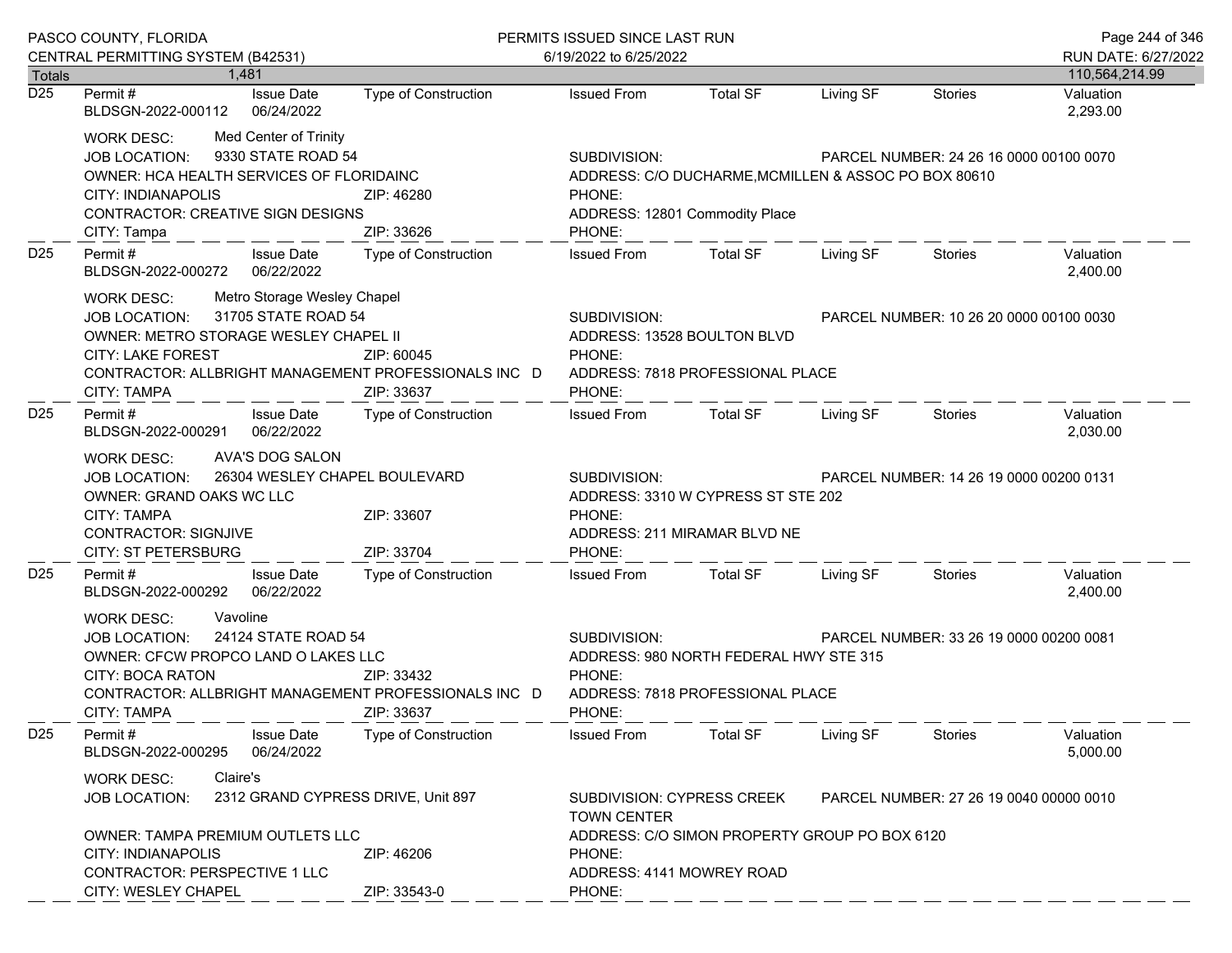|                                   | PASCO COUNTY, FLORIDA                                                                                                                                                                                                                              |                                                                                             | PERMITS ISSUED SINCE LAST RUN                                                                                                                             |                                                                                        |           |                                         | Page 244 of 346       |
|-----------------------------------|----------------------------------------------------------------------------------------------------------------------------------------------------------------------------------------------------------------------------------------------------|---------------------------------------------------------------------------------------------|-----------------------------------------------------------------------------------------------------------------------------------------------------------|----------------------------------------------------------------------------------------|-----------|-----------------------------------------|-----------------------|
|                                   | CENTRAL PERMITTING SYSTEM (B42531)                                                                                                                                                                                                                 |                                                                                             | 6/19/2022 to 6/25/2022                                                                                                                                    |                                                                                        |           |                                         | RUN DATE: 6/27/2022   |
| <b>Totals</b><br>$\overline{D25}$ | 1.481                                                                                                                                                                                                                                              |                                                                                             |                                                                                                                                                           |                                                                                        |           |                                         | 110,564,214.99        |
|                                   | Permit#<br><b>Issue Date</b><br>BLDSGN-2022-000112<br>06/24/2022                                                                                                                                                                                   | Type of Construction                                                                        | <b>Issued From</b>                                                                                                                                        | <b>Total SF</b>                                                                        | Living SF | Stories                                 | Valuation<br>2,293.00 |
|                                   | Med Center of Trinity<br><b>WORK DESC:</b><br>9330 STATE ROAD 54<br><b>JOB LOCATION:</b><br>OWNER: HCA HEALTH SERVICES OF FLORIDAINC<br>CITY: INDIANAPOLIS<br><b>CONTRACTOR: CREATIVE SIGN DESIGNS</b><br>CITY: Tampa                              | ZIP: 46280<br>ZIP: 33626                                                                    | SUBDIVISION:<br>PHONE:<br>PHONE:                                                                                                                          | ADDRESS: C/O DUCHARME, MCMILLEN & ASSOC PO BOX 80610<br>ADDRESS: 12801 Commodity Place |           | PARCEL NUMBER: 24 26 16 0000 00100 0070 |                       |
| D <sub>25</sub>                   | Permit#<br><b>Issue Date</b><br>BLDSGN-2022-000272<br>06/22/2022                                                                                                                                                                                   | Type of Construction                                                                        | <b>Issued From</b>                                                                                                                                        | <b>Total SF</b>                                                                        | Living SF | Stories                                 | Valuation<br>2,400.00 |
|                                   | Metro Storage Wesley Chapel<br><b>WORK DESC:</b><br>31705 STATE ROAD 54<br><b>JOB LOCATION:</b><br>OWNER: METRO STORAGE WESLEY CHAPEL II<br><b>CITY: LAKE FOREST</b><br>CONTRACTOR: ALLBRIGHT MANAGEMENT PROFESSIONALS INC D<br><b>CITY: TAMPA</b> | ZIP: 60045<br>ZIP: 33637                                                                    | SUBDIVISION:<br>PARCEL NUMBER: 10 26 20 0000 00100 0030<br>ADDRESS: 13528 BOULTON BLVD<br>PHONE:<br>ADDRESS: 7818 PROFESSIONAL PLACE<br>PHONE:            |                                                                                        |           |                                         |                       |
| D <sub>25</sub>                   | Permit#<br><b>Issue Date</b><br>06/22/2022<br>BLDSGN-2022-000291                                                                                                                                                                                   | Type of Construction                                                                        | <b>Issued From</b>                                                                                                                                        | Total SF                                                                               | Living SF | Stories                                 | Valuation<br>2,030.00 |
|                                   | AVA'S DOG SALON<br><b>WORK DESC:</b><br>26304 WESLEY CHAPEL BOULEVARD<br><b>JOB LOCATION:</b><br>OWNER: GRAND OAKS WC LLC<br>ZIP: 33607<br><b>CITY: TAMPA</b><br><b>CONTRACTOR: SIGNJIVE</b><br><b>CITY: ST PETERSBURG</b><br>ZIP: 33704           |                                                                                             | SUBDIVISION:<br>PARCEL NUMBER: 14 26 19 0000 00200 0131<br>ADDRESS: 3310 W CYPRESS ST STE 202<br>PHONE:<br>ADDRESS: 211 MIRAMAR BLVD NE<br>PHONE:         |                                                                                        |           |                                         |                       |
| D <sub>25</sub>                   | Permit#<br><b>Issue Date</b><br>BLDSGN-2022-000292<br>06/22/2022                                                                                                                                                                                   | Type of Construction                                                                        | <b>Issued From</b>                                                                                                                                        | Total SF                                                                               | Living SF | Stories                                 | Valuation<br>2,400.00 |
|                                   | Vavoline<br><b>WORK DESC:</b><br>24124 STATE ROAD 54<br><b>JOB LOCATION:</b><br>OWNER: CFCW PROPCO LAND O LAKES LLC<br><b>CITY: BOCA RATON</b><br>CONTRACTOR: ALLBRIGHT MANAGEMENT PROFESSIONALS INC D<br><b>CITY: TAMPA</b>                       | ZIP: 33432<br>ZIP: 33637                                                                    | SUBDIVISION:<br>PARCEL NUMBER: 33 26 19 0000 00200 0081<br>ADDRESS: 980 NORTH FEDERAL HWY STE 315<br>PHONE:<br>ADDRESS: 7818 PROFESSIONAL PLACE<br>PHONE: |                                                                                        |           |                                         |                       |
| D <sub>25</sub>                   | Permit#<br><b>Issue Date</b><br>06/24/2022<br>BLDSGN-2022-000295                                                                                                                                                                                   | <b>Type of Construction</b>                                                                 | <b>Issued From</b>                                                                                                                                        | <b>Total SF</b>                                                                        | Living SF | <b>Stories</b>                          | Valuation<br>5,000.00 |
|                                   | Claire's<br><b>WORK DESC:</b><br>2312 GRAND CYPRESS DRIVE, Unit 897<br><b>JOB LOCATION:</b>                                                                                                                                                        | SUBDIVISION: CYPRESS CREEK<br>PARCEL NUMBER: 27 26 19 0040 00000 0010<br><b>TOWN CENTER</b> |                                                                                                                                                           |                                                                                        |           |                                         |                       |
|                                   | OWNER: TAMPA PREMIUM OUTLETS LLC<br>CITY: INDIANAPOLIS<br>CONTRACTOR: PERSPECTIVE 1 LLC<br>CITY: WESLEY CHAPEL                                                                                                                                     | PHONE:<br>ADDRESS: 4141 MOWREY ROAD<br>PHONE:                                               | ADDRESS: C/O SIMON PROPERTY GROUP PO BOX 6120                                                                                                             |                                                                                        |           |                                         |                       |
|                                   |                                                                                                                                                                                                                                                    | ZIP: 33543-0                                                                                |                                                                                                                                                           |                                                                                        |           |                                         |                       |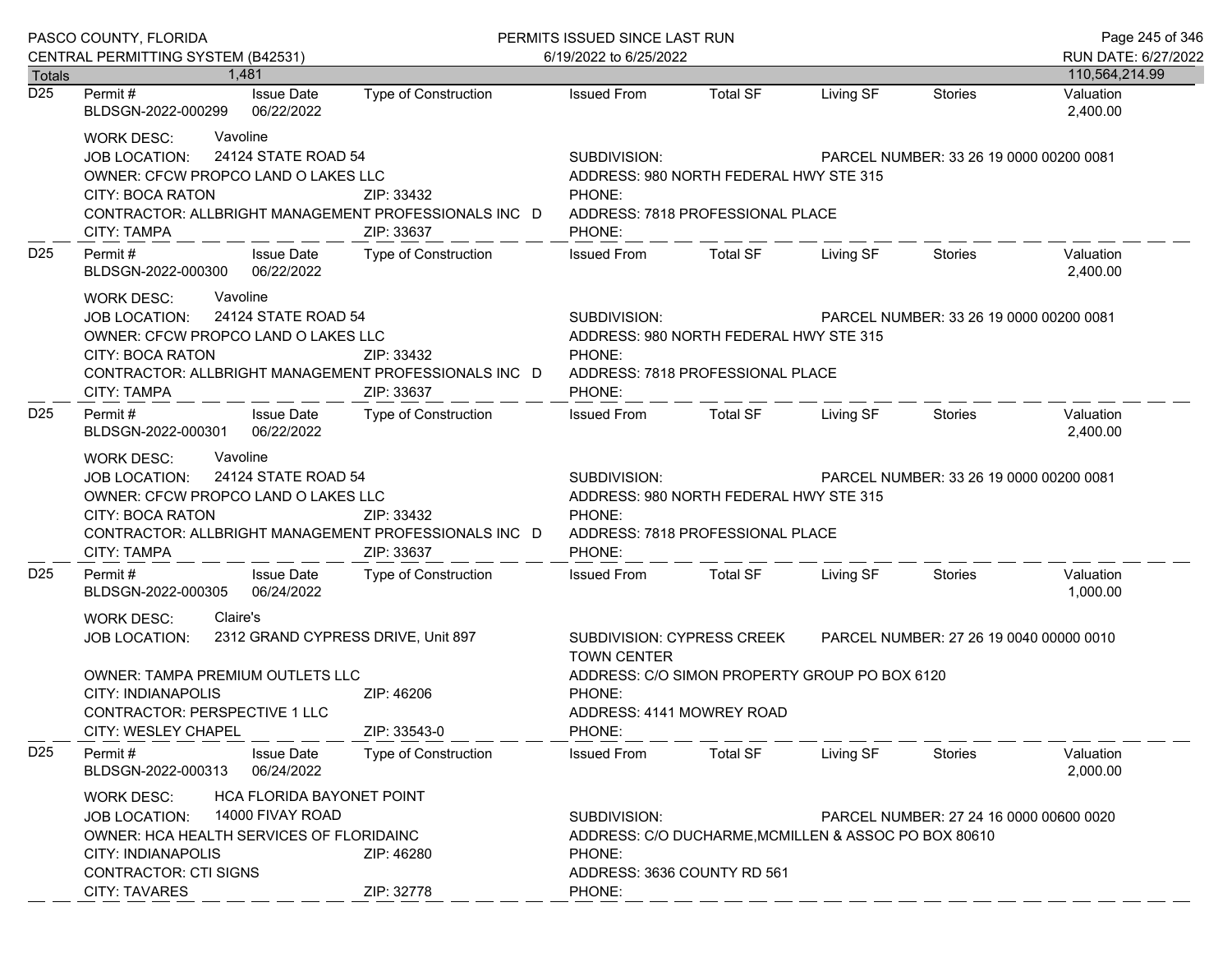|                                   | PASCO COUNTY, FLORIDA                                                                                                                                                                                                                            | PERMITS ISSUED SINCE LAST RUN                                                                                                                             |                                                                                                                                                                    |                                                                                                                        |           | Page 245 of 346                         |                       |  |
|-----------------------------------|--------------------------------------------------------------------------------------------------------------------------------------------------------------------------------------------------------------------------------------------------|-----------------------------------------------------------------------------------------------------------------------------------------------------------|--------------------------------------------------------------------------------------------------------------------------------------------------------------------|------------------------------------------------------------------------------------------------------------------------|-----------|-----------------------------------------|-----------------------|--|
|                                   | CENTRAL PERMITTING SYSTEM (B42531)                                                                                                                                                                                                               |                                                                                                                                                           | 6/19/2022 to 6/25/2022                                                                                                                                             |                                                                                                                        |           |                                         | RUN DATE: 6/27/2022   |  |
| <b>Totals</b><br>$\overline{D25}$ | 1.481                                                                                                                                                                                                                                            |                                                                                                                                                           |                                                                                                                                                                    |                                                                                                                        |           |                                         | 110,564,214.99        |  |
|                                   | Permit #<br><b>Issue Date</b><br>BLDSGN-2022-000299<br>06/22/2022                                                                                                                                                                                | Type of Construction                                                                                                                                      | <b>Issued From</b>                                                                                                                                                 | <b>Total SF</b>                                                                                                        | Living SF | Stories                                 | Valuation<br>2,400.00 |  |
|                                   | Vavoline<br><b>WORK DESC:</b><br>24124 STATE ROAD 54<br><b>JOB LOCATION:</b><br>OWNER: CFCW PROPCO LAND O LAKES LLC<br>CITY: BOCA RATON<br>CONTRACTOR: ALLBRIGHT MANAGEMENT PROFESSIONALS INC D<br>CITY: TAMPA                                   | ZIP: 33432<br>ZIP: 33637                                                                                                                                  | SUBDIVISION:<br>PHONE:<br>PHONE:                                                                                                                                   | PARCEL NUMBER: 33 26 19 0000 00200 0081<br>ADDRESS: 980 NORTH FEDERAL HWY STE 315<br>ADDRESS: 7818 PROFESSIONAL PLACE  |           |                                         |                       |  |
| D <sub>25</sub>                   | Issue Date<br>Permit #<br>BLDSGN-2022-000300 06/22/2022                                                                                                                                                                                          | Type of Construction                                                                                                                                      | Issued From                                                                                                                                                        | <b>Total SF</b>                                                                                                        | Living SF | Stories                                 | Valuation<br>2,400.00 |  |
|                                   | Vavoline<br>WORK DESC:<br>JOB LOCATION: 24124 STATE ROAD 54<br>OWNER: CFCW PROPCO LAND O LAKES LLC<br>CITY: BOCA RATON<br>CONTRACTOR: ALLBRIGHT MANAGEMENT PROFESSIONALS INC D<br><b>CITY: TAMPA</b>                                             | ZIP: 33432<br>ZIP: 33637                                                                                                                                  | SUBDIVISION:<br>PHONE:<br>PHONE:                                                                                                                                   | ADDRESS: 980 NORTH FEDERAL HWY STE 315<br>ADDRESS: 7818 PROFESSIONAL PLACE                                             |           | PARCEL NUMBER: 33 26 19 0000 00200 0081 |                       |  |
| D <sub>25</sub>                   | Permit #<br><b>Issue Date</b><br>BLDSGN-2022-000301 06/22/2022                                                                                                                                                                                   | Type of Construction                                                                                                                                      | Issued From                                                                                                                                                        | Total SF                                                                                                               | Living SF | Stories                                 | Valuation<br>2,400.00 |  |
|                                   | Vavoline<br>WORK DESC:<br>24124 STATE ROAD 54<br>JOB LOCATION:<br>OWNER: CFCW PROPCO LAND O LAKES LLC<br>CITY: BOCA RATON<br>CONTRACTOR: ALLBRIGHT MANAGEMENT PROFESSIONALS INC D<br><b>CITY: TAMPA</b>                                          | SUBDIVISION:<br>PARCEL NUMBER: 33 26 19 0000 00200 0081<br>ADDRESS: 980 NORTH FEDERAL HWY STE 315<br>PHONE:<br>ADDRESS: 7818 PROFESSIONAL PLACE<br>PHONE: |                                                                                                                                                                    |                                                                                                                        |           |                                         |                       |  |
| D <sub>25</sub>                   | <b>Issue Date</b><br>Permit #<br>BLDSGN-2022-000305 06/24/2022                                                                                                                                                                                   | Type of Construction                                                                                                                                      | <b>Issued From</b>                                                                                                                                                 | <b>Total SF</b>                                                                                                        | Living SF | Stories                                 | Valuation<br>1,000.00 |  |
|                                   | Claire's<br><b>WORK DESC:</b><br>JOB LOCATION:<br>OWNER: TAMPA PREMIUM OUTLETS LLC<br><b>CITY: INDIANAPOLIS</b>                                                                                                                                  | 2312 GRAND CYPRESS DRIVE, Unit 897<br>ZIP: 46206                                                                                                          | <b>TOWN CENTER</b><br>PHONE:                                                                                                                                       | SUBDIVISION: CYPRESS CREEK<br>PARCEL NUMBER: 27 26 19 0040 00000 0010<br>ADDRESS: C/O SIMON PROPERTY GROUP PO BOX 6120 |           |                                         |                       |  |
|                                   | CONTRACTOR: PERSPECTIVE 1 LLC<br>CITY: WESLEY CHAPEL                                                                                                                                                                                             | ZIP: 33543-0                                                                                                                                              | ADDRESS: 4141 MOWREY ROAD<br>PHONE:                                                                                                                                |                                                                                                                        |           |                                         |                       |  |
| D <sub>25</sub>                   | Permit#<br><b>Issue Date</b><br>06/24/2022<br>BLDSGN-2022-000313                                                                                                                                                                                 | Type of Construction                                                                                                                                      | <b>Issued From</b>                                                                                                                                                 | <b>Total SF</b>                                                                                                        | Living SF | Stories                                 | Valuation<br>2,000.00 |  |
|                                   | HCA FLORIDA BAYONET POINT<br><b>WORK DESC:</b><br>14000 FIVAY ROAD<br><b>JOB LOCATION:</b><br>OWNER: HCA HEALTH SERVICES OF FLORIDAINC<br><b>CITY: INDIANAPOLIS</b><br>ZIP: 46280<br><b>CONTRACTOR: CTI SIGNS</b><br>CITY: TAVARES<br>ZIP: 32778 |                                                                                                                                                           | SUBDIVISION:<br>PARCEL NUMBER: 27 24 16 0000 00600 0020<br>ADDRESS: C/O DUCHARME, MCMILLEN & ASSOC PO BOX 80610<br>PHONE:<br>ADDRESS: 3636 COUNTY RD 561<br>PHONE: |                                                                                                                        |           |                                         |                       |  |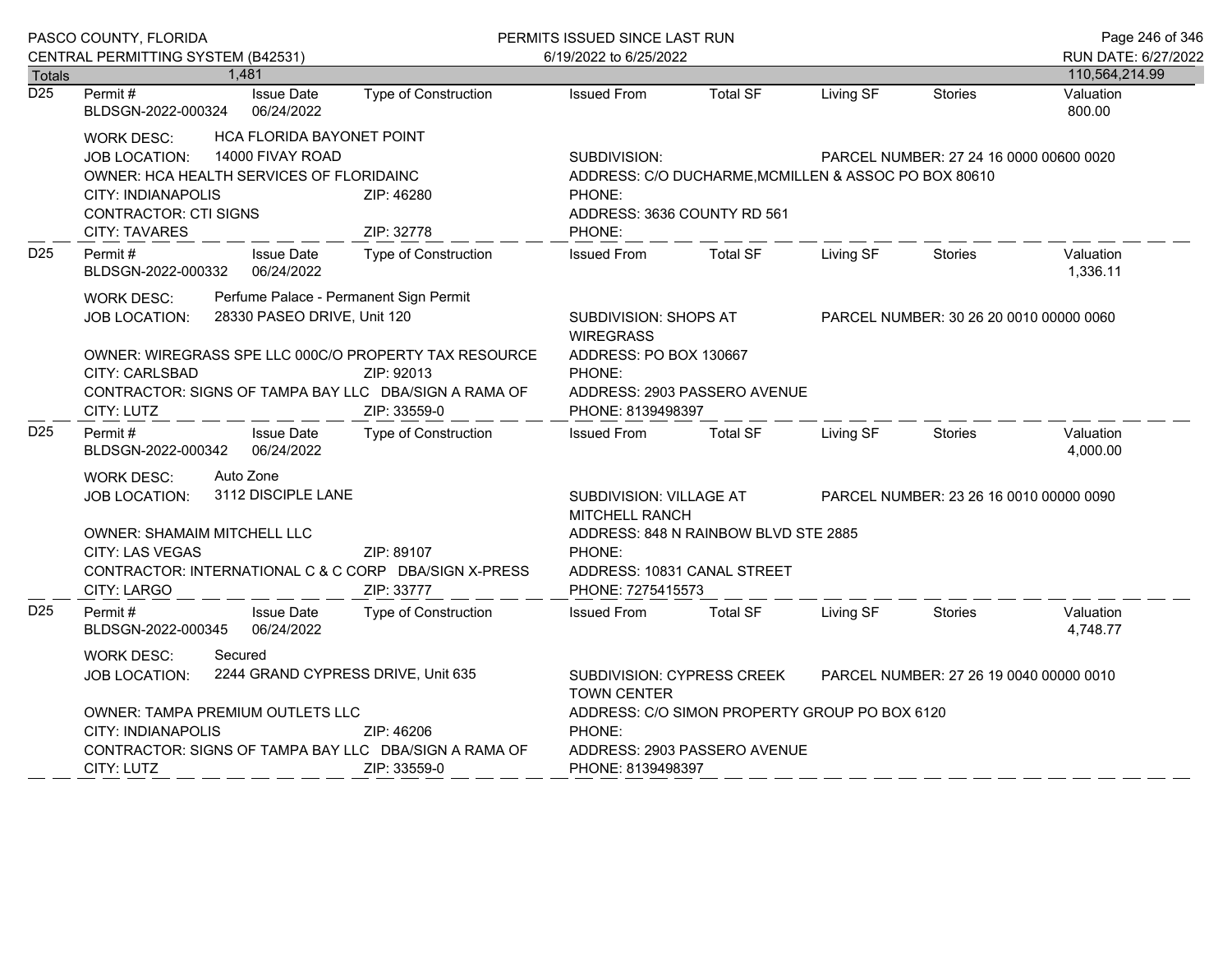|                  | PASCO COUNTY, FLORIDA                                                                                                                                                                                                                                                                              |                                               |                                                   | PERMITS ISSUED SINCE LAST RUN                                                                                                                                                 | Page 246 of 346                      |           |                                         |                                       |
|------------------|----------------------------------------------------------------------------------------------------------------------------------------------------------------------------------------------------------------------------------------------------------------------------------------------------|-----------------------------------------------|---------------------------------------------------|-------------------------------------------------------------------------------------------------------------------------------------------------------------------------------|--------------------------------------|-----------|-----------------------------------------|---------------------------------------|
| <b>Totals</b>    | CENTRAL PERMITTING SYSTEM (B42531)                                                                                                                                                                                                                                                                 | 1.481                                         |                                                   | 6/19/2022 to 6/25/2022                                                                                                                                                        |                                      |           |                                         | RUN DATE: 6/27/2022<br>110,564,214.99 |
| $\overline{D25}$ | Permit#<br>BLDSGN-2022-000324                                                                                                                                                                                                                                                                      | <b>Issue Date</b><br>06/24/2022               | Type of Construction                              | <b>Issued From</b>                                                                                                                                                            | <b>Total SF</b>                      | Living SF | <b>Stories</b>                          | Valuation<br>800.00                   |
|                  | <b>WORK DESC:</b><br><b>JOB LOCATION:</b><br>OWNER: HCA HEALTH SERVICES OF FLORIDAINC<br><b>CITY: INDIANAPOLIS</b><br><b>CONTRACTOR: CTI SIGNS</b><br><b>CITY: TAVARES</b>                                                                                                                         | HCA FLORIDA BAYONET POINT<br>14000 FIVAY ROAD | ZIP: 46280<br>ZIP: 32778                          | SUBDIVISION:<br>PARCEL NUMBER: 27 24 16 0000 00600 0020<br>ADDRESS: C/O DUCHARME, MCMILLEN & ASSOC PO BOX 80610<br>PHONE:<br>ADDRESS: 3636 COUNTY RD 561<br>PHONE:            |                                      |           |                                         |                                       |
| D <sub>25</sub>  | Permit #<br>BLDSGN-2022-000332                                                                                                                                                                                                                                                                     | <b>Issue Date</b><br>06/24/2022               | <b>Type of Construction</b>                       | <b>Issued From</b>                                                                                                                                                            | <b>Total SF</b>                      | Living SF | <b>Stories</b>                          | Valuation<br>1,336.11                 |
|                  | Perfume Palace - Permanent Sign Permit<br><b>WORK DESC:</b><br>28330 PASEO DRIVE, Unit 120<br><b>JOB LOCATION:</b><br>OWNER: WIREGRASS SPE LLC 000C/O PROPERTY TAX RESOURCE<br>CITY: CARLSBAD<br>ZIP: 92013<br>CONTRACTOR: SIGNS OF TAMPA BAY LLC DBA/SIGN A RAMA OF<br>ZIP: 33559-0<br>CITY: LUTZ |                                               |                                                   | SUBDIVISION: SHOPS AT<br>PARCEL NUMBER: 30 26 20 0010 00000 0060<br><b>WIREGRASS</b><br>ADDRESS: PO BOX 130667<br>PHONE:<br>ADDRESS: 2903 PASSERO AVENUE<br>PHONE: 8139498397 |                                      |           |                                         |                                       |
| D <sub>25</sub>  | Permit#<br>BLDSGN-2022-000342                                                                                                                                                                                                                                                                      | <b>Issue Date</b><br>06/24/2022               | Type of Construction                              | <b>Issued From</b>                                                                                                                                                            | <b>Total SF</b>                      | Living SF | <b>Stories</b>                          | Valuation<br>4,000.00                 |
|                  | Auto Zone<br><b>WORK DESC:</b><br>3112 DISCIPLE LANE<br><b>JOB LOCATION:</b><br><b>OWNER: SHAMAIM MITCHELL LLC</b><br>ZIP: 89107<br>CITY: LAS VEGAS<br>CONTRACTOR: INTERNATIONAL C & C CORP DBA/SIGN X-PRESS<br>CITY: LARGO                                                                        |                                               | ZIP: 33777                                        | SUBDIVISION: VILLAGE AT<br>MITCHELL RANCH<br>PHONE:<br>ADDRESS: 10831 CANAL STREET<br>PHONE: 7275415573                                                                       | ADDRESS: 848 N RAINBOW BLVD STE 2885 |           | PARCEL NUMBER: 23 26 16 0010 00000 0090 |                                       |
| D <sub>25</sub>  | Permit#<br>BLDSGN-2022-000345                                                                                                                                                                                                                                                                      | <b>Issue Date</b><br>06/24/2022               | <b>Type of Construction</b>                       | <b>Issued From</b>                                                                                                                                                            | <b>Total SF</b>                      | Living SF | Stories                                 | Valuation<br>4,748.77                 |
|                  | <b>WORK DESC:</b><br>Secured<br>2244 GRAND CYPRESS DRIVE, Unit 635<br><b>JOB LOCATION:</b><br>OWNER: TAMPA PREMIUM OUTLETS LLC<br><b>CITY: INDIANAPOLIS</b><br>ZIP: 46206<br>CONTRACTOR: SIGNS OF TAMPA BAY LLC DBA/SIGN A RAMA OF                                                                 |                                               |                                                   | SUBDIVISION: CYPRESS CREEK<br>PARCEL NUMBER: 27 26 19 0040 00000 0010<br><b>TOWN CENTER</b><br>ADDRESS: C/O SIMON PROPERTY GROUP PO BOX 6120<br>PHONE:                        |                                      |           |                                         |                                       |
|                  | CITY: LUTZ                                                                                                                                                                                                                                                                                         |                                               | ADDRESS: 2903 PASSERO AVENUE<br>PHONE: 8139498397 |                                                                                                                                                                               |                                      |           |                                         |                                       |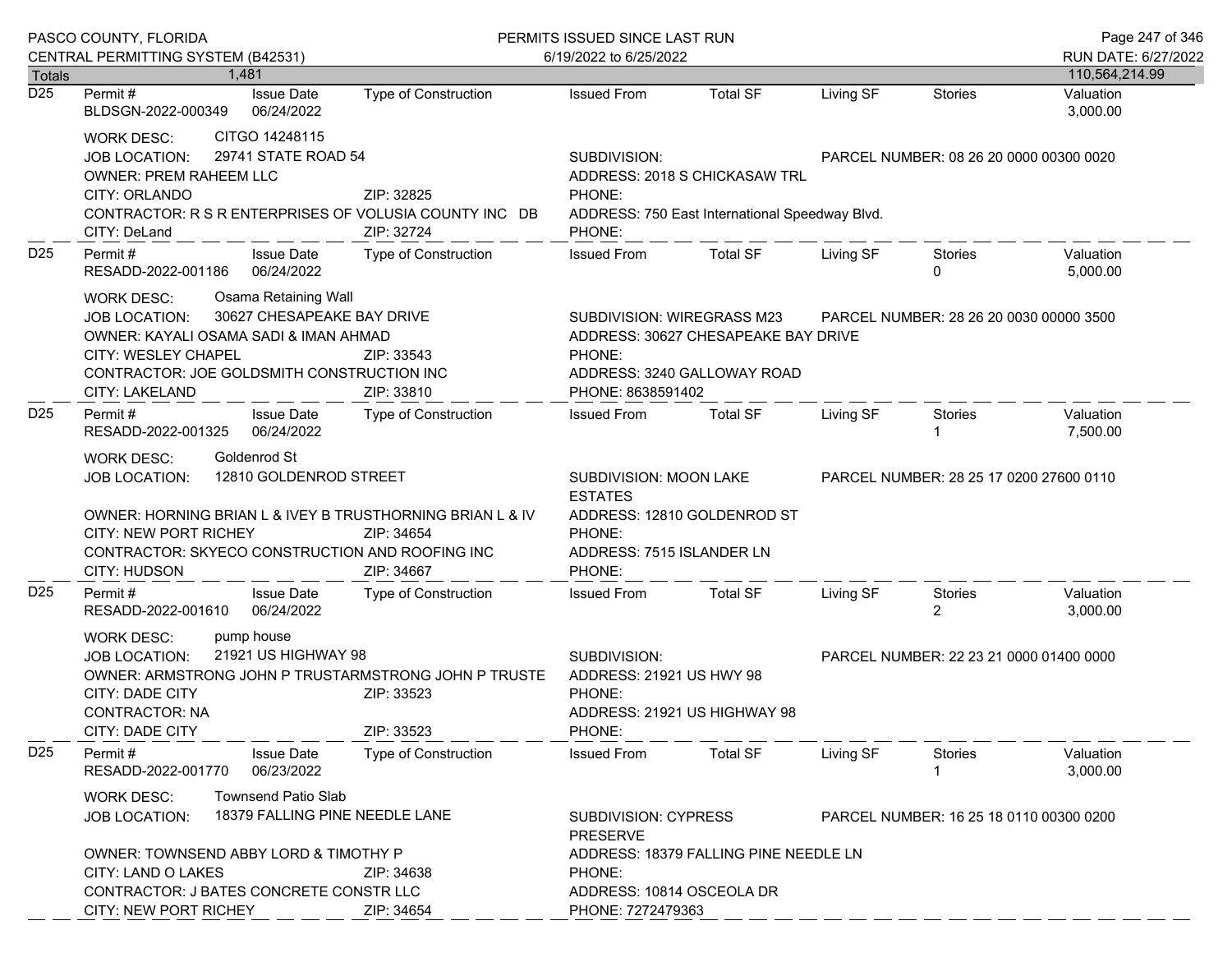|                 | PASCO COUNTY, FLORIDA                                                                                                                                                                                                                                                    |                             | PERMITS ISSUED SINCE LAST RUN                                                                                            |                                                                                 |                                         |                                         | Page 247 of 346                         |
|-----------------|--------------------------------------------------------------------------------------------------------------------------------------------------------------------------------------------------------------------------------------------------------------------------|-----------------------------|--------------------------------------------------------------------------------------------------------------------------|---------------------------------------------------------------------------------|-----------------------------------------|-----------------------------------------|-----------------------------------------|
|                 | CENTRAL PERMITTING SYSTEM (B42531)<br>1.481                                                                                                                                                                                                                              |                             | 6/19/2022 to 6/25/2022                                                                                                   |                                                                                 |                                         |                                         | RUN DATE: 6/27/2022                     |
| Totals<br>D25   | <b>Issue Date</b><br>Permit #<br>06/24/2022<br>BLDSGN-2022-000349                                                                                                                                                                                                        | Type of Construction        | <b>Issued From</b>                                                                                                       | <b>Total SF</b>                                                                 | Living SF                               | <b>Stories</b>                          | 110,564,214.99<br>Valuation<br>3,000.00 |
|                 | CITGO 14248115<br><b>WORK DESC:</b><br>29741 STATE ROAD 54<br>JOB LOCATION:<br><b>OWNER: PREM RAHEEM LLC</b><br>CITY: ORLANDO<br>CONTRACTOR: R S R ENTERPRISES OF VOLUSIA COUNTY INC DB<br>CITY: DeLand                                                                  | ZIP: 32825<br>ZIP: 32724    | SUBDIVISION:<br>PHONE:<br>PHONE:                                                                                         | ADDRESS: 2018 S CHICKASAW TRL<br>ADDRESS: 750 East International Speedway Blvd. | PARCEL NUMBER: 08 26 20 0000 00300 0020 |                                         |                                         |
| D <sub>25</sub> | Permit#<br><b>Issue Date</b><br>RESADD-2022-001186<br>06/24/2022                                                                                                                                                                                                         | Type of Construction        | <b>Issued From</b>                                                                                                       | <b>Total SF</b>                                                                 | Living SF                               | <b>Stories</b><br>$\mathbf{0}$          | Valuation<br>5,000.00                   |
|                 | <b>Osama Retaining Wall</b><br><b>WORK DESC:</b><br>30627 CHESAPEAKE BAY DRIVE<br><b>JOB LOCATION:</b><br>OWNER: KAYALI OSAMA SADI & IMAN AHMAD<br>CITY: WESLEY CHAPEL<br>CONTRACTOR: JOE GOLDSMITH CONSTRUCTION INC<br><b>CITY: LAKELAND</b>                            | ZIP: 33543<br>ZIP: 33810    | SUBDIVISION: WIREGRASS M23<br>PHONE:<br>PHONE: 8638591402                                                                | ADDRESS: 30627 CHESAPEAKE BAY DRIVE<br>ADDRESS: 3240 GALLOWAY ROAD              |                                         | PARCEL NUMBER: 28 26 20 0030 00000 3500 |                                         |
| D <sub>25</sub> | Permit#<br><b>Issue Date</b><br>06/24/2022<br>RESADD-2022-001325                                                                                                                                                                                                         | Type of Construction        | <b>Issued From</b>                                                                                                       | <b>Total SF</b>                                                                 | Living SF                               | Stories                                 | Valuation<br>7,500.00                   |
|                 | Goldenrod St<br><b>WORK DESC:</b><br>12810 GOLDENROD STREET<br>JOB LOCATION:<br>OWNER: HORNING BRIAN L & IVEY B TRUSTHORNING BRIAN L & IV<br><b>CITY: NEW PORT RICHEY</b><br>ZIP: 34654<br>CONTRACTOR: SKYECO CONSTRUCTION AND ROOFING INC<br>CITY: HUDSON<br>ZIP: 34667 |                             | SUBDIVISION: MOON LAKE<br><b>ESTATES</b><br>ADDRESS: 12810 GOLDENROD ST<br>PHONE:<br>ADDRESS: 7515 ISLANDER LN<br>PHONE: |                                                                                 |                                         | PARCEL NUMBER: 28 25 17 0200 27600 0110 |                                         |
| D <sub>25</sub> | <b>Issue Date</b><br>Permit#<br>RESADD-2022-001610<br>06/24/2022                                                                                                                                                                                                         | Type of Construction        | <b>Issued From</b>                                                                                                       | <b>Total SF</b>                                                                 | Living SF                               | Stories<br>2                            | Valuation<br>3,000.00                   |
|                 | pump house<br><b>WORK DESC:</b><br>21921 US HIGHWAY 98<br>JOB LOCATION:<br>OWNER: ARMSTRONG JOHN P TRUSTARMSTRONG JOHN P TRUSTE<br>CITY: DADE CITY<br><b>CONTRACTOR: NA</b><br>CITY: DADE CITY                                                                           | ZIP: 33523<br>ZIP: 33523    | SUBDIVISION:<br>ADDRESS: 21921 US HWY 98<br>PHONE:<br>ADDRESS: 21921 US HIGHWAY 98<br>PHONE:                             |                                                                                 |                                         | PARCEL NUMBER: 22 23 21 0000 01400 0000 |                                         |
| D <sub>25</sub> | Permit#<br><b>Issue Date</b><br>RESADD-2022-001770<br>06/23/2022                                                                                                                                                                                                         | <b>Type of Construction</b> | <b>Issued From</b>                                                                                                       | <b>Total SF</b>                                                                 | Living SF                               | Stories                                 | Valuation<br>3,000.00                   |
|                 | <b>Townsend Patio Slab</b><br><b>WORK DESC:</b><br>18379 FALLING PINE NEEDLE LANE<br><b>JOB LOCATION:</b>                                                                                                                                                                |                             | <b>SUBDIVISION: CYPRESS</b><br><b>PRESERVE</b>                                                                           |                                                                                 |                                         | PARCEL NUMBER: 16 25 18 0110 00300 0200 |                                         |
|                 | OWNER: TOWNSEND ABBY LORD & TIMOTHY P<br>CITY: LAND O LAKES<br>CONTRACTOR: J BATES CONCRETE CONSTR LLC<br>CITY: NEW PORT RICHEY                                                                                                                                          | ZIP: 34638<br>ZIP: 34654    | PHONE:<br>ADDRESS: 10814 OSCEOLA DR<br>PHONE: 7272479363                                                                 | ADDRESS: 18379 FALLING PINE NEEDLE LN                                           |                                         |                                         |                                         |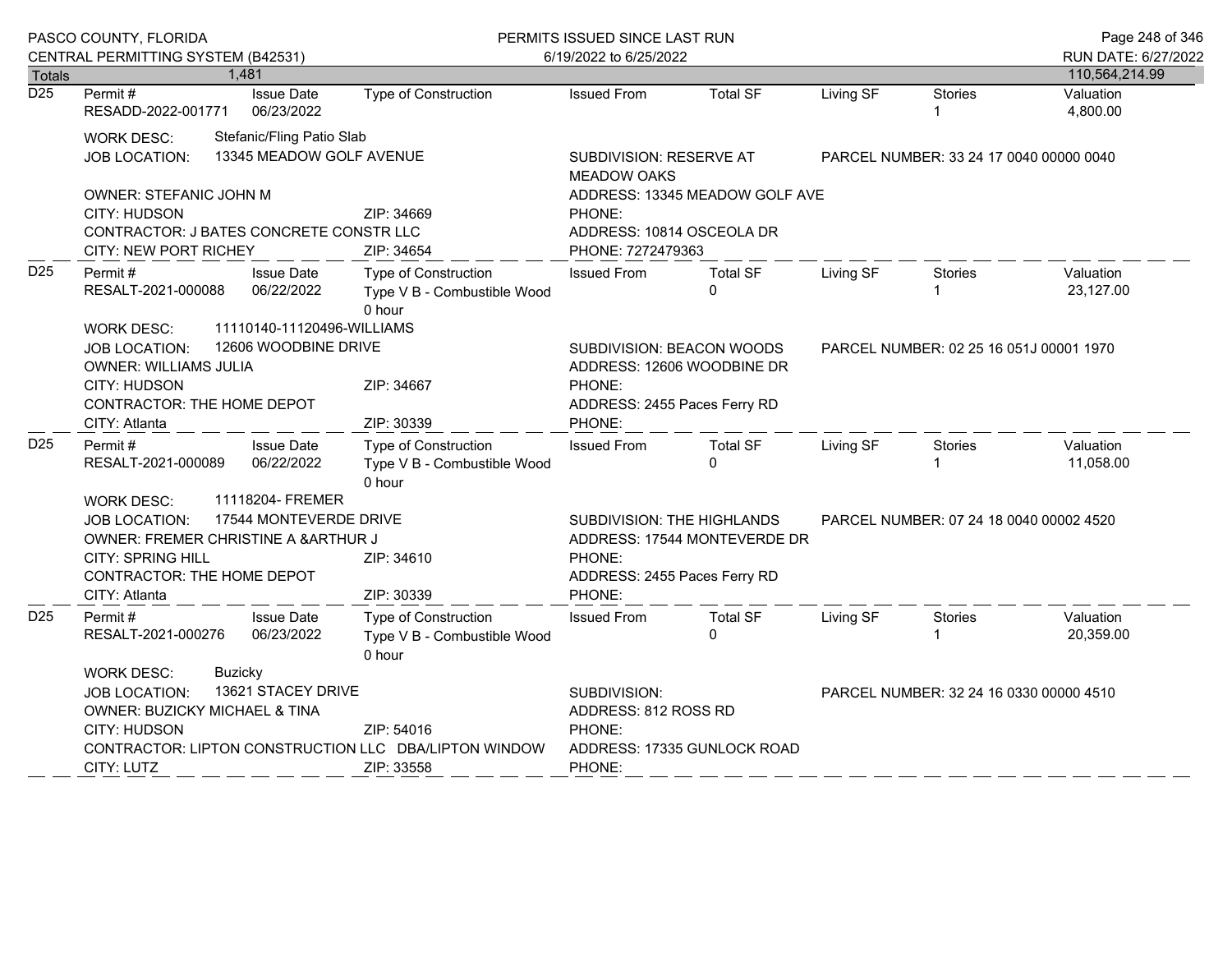|                  | PASCO COUNTY, FLORIDA                                                                                                                                                                         |                                                     |                                                                                                                                              | PERMITS ISSUED SINCE LAST RUN                                                            |                             |           |                | Page 248 of 346                       |
|------------------|-----------------------------------------------------------------------------------------------------------------------------------------------------------------------------------------------|-----------------------------------------------------|----------------------------------------------------------------------------------------------------------------------------------------------|------------------------------------------------------------------------------------------|-----------------------------|-----------|----------------|---------------------------------------|
| <b>Totals</b>    | CENTRAL PERMITTING SYSTEM (B42531)<br>1,481                                                                                                                                                   |                                                     |                                                                                                                                              | 6/19/2022 to 6/25/2022                                                                   |                             |           |                | RUN DATE: 6/27/2022<br>110,564,214.99 |
| $\overline{D25}$ | Permit#                                                                                                                                                                                       | <b>Issue Date</b>                                   | <b>Type of Construction</b>                                                                                                                  | <b>Issued From</b>                                                                       | <b>Total SF</b>             | Living SF | <b>Stories</b> | Valuation                             |
|                  | RESADD-2022-001771                                                                                                                                                                            | 06/23/2022                                          |                                                                                                                                              |                                                                                          |                             |           |                | 4,800.00                              |
|                  | <b>WORK DESC:</b>                                                                                                                                                                             | Stefanic/Fling Patio Slab                           |                                                                                                                                              |                                                                                          |                             |           |                |                                       |
|                  | JOB LOCATION:                                                                                                                                                                                 | 13345 MEADOW GOLF AVENUE                            |                                                                                                                                              | SUBDIVISION: RESERVE AT<br>PARCEL NUMBER: 33 24 17 0040 00000 0040<br><b>MEADOW OAKS</b> |                             |           |                |                                       |
|                  | OWNER: STEFANIC JOHN M<br>CITY: HUDSON<br>CONTRACTOR: J BATES CONCRETE CONSTR LLC                                                                                                             |                                                     | ZIP: 34669                                                                                                                                   | ADDRESS: 13345 MEADOW GOLF AVE<br>PHONE:<br>ADDRESS: 10814 OSCEOLA DR                    |                             |           |                |                                       |
|                  | <b>CITY: NEW PORT RICHEY</b>                                                                                                                                                                  |                                                     | ZIP: 34654                                                                                                                                   | PHONE: 7272479363                                                                        |                             |           |                |                                       |
| D <sub>25</sub>  | Permit#<br>RESALT-2021-000088                                                                                                                                                                 | <b>Issue Date</b><br>06/22/2022                     | Type of Construction<br>Type V B - Combustible Wood<br>0 hour                                                                                | <b>Issued From</b>                                                                       | <b>Total SF</b><br>$\Omega$ | Living SF | Stories        | Valuation<br>23,127.00                |
|                  | 11110140-11120496-WILLIAMS<br><b>WORK DESC:</b><br>12606 WOODBINE DRIVE<br><b>JOB LOCATION:</b><br><b>OWNER: WILLIAMS JULIA</b><br>CITY: HUDSON<br>CONTRACTOR: THE HOME DEPOT                 | ZIP: 34667                                          | SUBDIVISION: BEACON WOODS<br>PARCEL NUMBER: 02 25 16 051J 00001 1970<br>ADDRESS: 12606 WOODBINE DR<br>PHONE:<br>ADDRESS: 2455 Paces Ferry RD |                                                                                          |                             |           |                |                                       |
|                  | CITY: Atlanta                                                                                                                                                                                 |                                                     | ZIP: 30339                                                                                                                                   | PHONE:                                                                                   |                             |           |                |                                       |
| D <sub>25</sub>  | Permit#<br>RESALT-2021-000089<br><b>WORK DESC:</b>                                                                                                                                            | <b>Issue Date</b><br>06/22/2022<br>11118204- FREMER | Type of Construction<br>Type V B - Combustible Wood<br>0 hour                                                                                | <b>Issued From</b>                                                                       | <b>Total SF</b><br>$\Omega$ | Living SF | <b>Stories</b> | Valuation<br>11,058.00                |
|                  |                                                                                                                                                                                               |                                                     |                                                                                                                                              | SUBDIVISION: THE HIGHLANDS<br>PARCEL NUMBER: 07 24 18 0040 00002 4520                    |                             |           |                |                                       |
|                  | 17544 MONTEVERDE DRIVE<br><b>JOB LOCATION:</b><br>OWNER: FREMER CHRISTINE A & ARTHUR J<br><b>CITY: SPRING HILL</b><br>ZIP: 34610<br>CONTRACTOR: THE HOME DEPOT<br>ZIP: 30339<br>CITY: Atlanta |                                                     |                                                                                                                                              | ADDRESS: 17544 MONTEVERDE DR<br>PHONE:<br>ADDRESS: 2455 Paces Ferry RD<br>PHONE:         |                             |           |                |                                       |
| D <sub>25</sub>  | Permit#<br>RESALT-2021-000276                                                                                                                                                                 | <b>Issue Date</b><br>06/23/2022                     | <b>Type of Construction</b><br>Type V B - Combustible Wood<br>0 hour                                                                         | <b>Issued From</b>                                                                       | <b>Total SF</b><br>$\Omega$ | Living SF | <b>Stories</b> | Valuation<br>20,359.00                |
|                  | <b>WORK DESC:</b><br>Buzicky                                                                                                                                                                  |                                                     |                                                                                                                                              |                                                                                          |                             |           |                |                                       |
|                  | 13621 STACEY DRIVE<br><b>JOB LOCATION:</b><br>OWNER: BUZICKY MICHAEL & TINA<br>CITY: HUDSON<br>ZIP: 54016                                                                                     |                                                     |                                                                                                                                              | SUBDIVISION:<br>PARCEL NUMBER: 32 24 16 0330 00000 4510<br>ADDRESS: 812 ROSS RD          |                             |           |                |                                       |
|                  | CONTRACTOR: LIPTON CONSTRUCTION LLC DBA/LIPTON WINDOW<br>CITY: LUTZ                                                                                                                           | ZIP: 33558                                          | PHONE:<br>ADDRESS: 17335 GUNLOCK ROAD<br>PHONE:                                                                                              |                                                                                          |                             |           |                |                                       |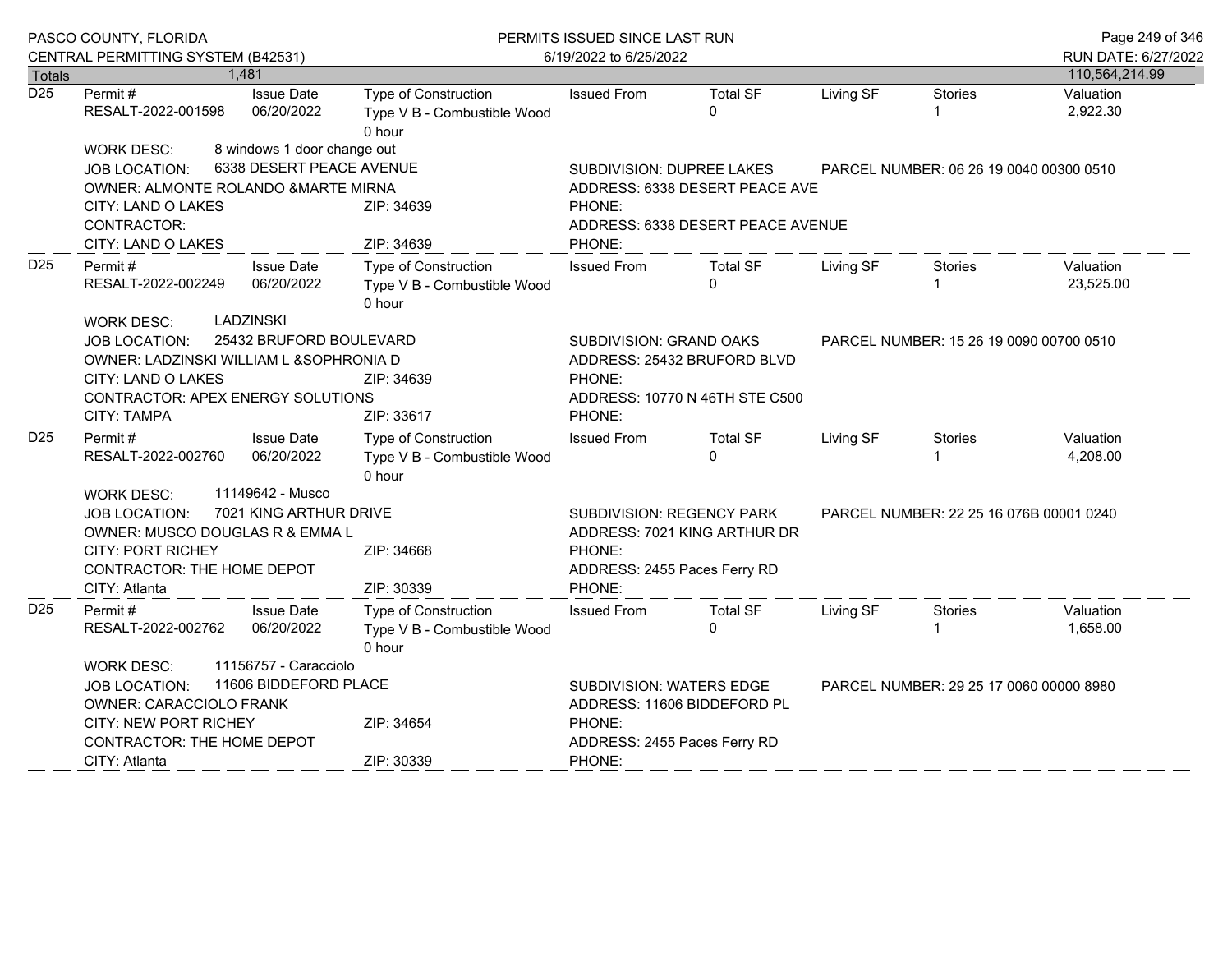|                  | PASCO COUNTY, FLORIDA                                            |                                                               | PERMITS ISSUED SINCE LAST RUN     |                                                                      |           |                                         |                       |  |
|------------------|------------------------------------------------------------------|---------------------------------------------------------------|-----------------------------------|----------------------------------------------------------------------|-----------|-----------------------------------------|-----------------------|--|
|                  | CENTRAL PERMITTING SYSTEM (B42531)                               |                                                               | 6/19/2022 to 6/25/2022            |                                                                      |           |                                         | RUN DATE: 6/27/2022   |  |
| Totals           | 1,481                                                            |                                                               |                                   |                                                                      |           |                                         | 110,564,214.99        |  |
| $\overline{D25}$ | Permit#<br><b>Issue Date</b><br>RESALT-2022-001598<br>06/20/2022 | Type of Construction<br>Type V B - Combustible Wood<br>0 hour | <b>Issued From</b>                | <b>Total SF</b><br>$\Omega$                                          | Living SF | <b>Stories</b>                          | Valuation<br>2,922.30 |  |
|                  | <b>WORK DESC:</b>                                                | 8 windows 1 door change out                                   |                                   |                                                                      |           |                                         |                       |  |
|                  | <b>JOB LOCATION:</b>                                             | 6338 DESERT PEACE AVENUE                                      |                                   | SUBDIVISION: DUPREE LAKES<br>PARCEL NUMBER: 06 26 19 0040 00300 0510 |           |                                         |                       |  |
|                  | OWNER: ALMONTE ROLANDO &MARTE MIRNA                              |                                                               |                                   | ADDRESS: 6338 DESERT PEACE AVE                                       |           |                                         |                       |  |
|                  | CITY: LAND O LAKES                                               | ZIP: 34639                                                    | PHONE:                            |                                                                      |           |                                         |                       |  |
|                  | CONTRACTOR:                                                      |                                                               | ADDRESS: 6338 DESERT PEACE AVENUE |                                                                      |           |                                         |                       |  |
|                  | ZIP: 34639<br>CITY: LAND O LAKES                                 |                                                               | PHONE:                            |                                                                      |           |                                         |                       |  |
| D <sub>25</sub>  | <b>Issue Date</b><br>Permit#                                     | Type of Construction                                          | <b>Issued From</b>                | <b>Total SF</b><br>$\Omega$                                          | Living SF | Stories                                 | Valuation             |  |
|                  | 06/20/2022<br>RESALT-2022-002249                                 | Type V B - Combustible Wood<br>0 hour                         |                                   |                                                                      |           | $\mathbf{1}$                            | 23,525.00             |  |
|                  | <b>LADZINSKI</b><br><b>WORK DESC:</b>                            |                                                               |                                   |                                                                      |           |                                         |                       |  |
|                  | <b>JOB LOCATION:</b>                                             | 25432 BRUFORD BOULEVARD                                       | SUBDIVISION: GRAND OAKS           |                                                                      |           | PARCEL NUMBER: 15 26 19 0090 00700 0510 |                       |  |
|                  | OWNER: LADZINSKI WILLIAM L &SOPHRONIA D                          |                                                               |                                   | ADDRESS: 25432 BRUFORD BLVD                                          |           |                                         |                       |  |
|                  | CITY: LAND O LAKES                                               | ZIP: 34639                                                    | PHONE:                            |                                                                      |           |                                         |                       |  |
|                  | CONTRACTOR: APEX ENERGY SOLUTIONS                                |                                                               | ADDRESS: 10770 N 46TH STE C500    |                                                                      |           |                                         |                       |  |
|                  | <b>CITY: TAMPA</b>                                               | ZIP: 33617                                                    | PHONE:                            |                                                                      |           |                                         |                       |  |
| D <sub>25</sub>  | <b>Issue Date</b><br>Permit #                                    | <b>Type of Construction</b>                                   | <b>Issued From</b>                | <b>Total SF</b>                                                      | Living SF | Stories                                 | Valuation             |  |
|                  | RESALT-2022-002760<br>06/20/2022                                 | Type V B - Combustible Wood<br>0 hour                         |                                   | ∩                                                                    |           |                                         | 4,208.00              |  |
|                  | 11149642 - Musco<br><b>WORK DESC:</b>                            |                                                               |                                   |                                                                      |           |                                         |                       |  |
|                  | JOB LOCATION:                                                    | 7021 KING ARTHUR DRIVE                                        | SUBDIVISION: REGENCY PARK         |                                                                      |           | PARCEL NUMBER: 22 25 16 076B 00001 0240 |                       |  |
|                  | OWNER: MUSCO DOUGLAS R & EMMA L                                  |                                                               | ADDRESS: 7021 KING ARTHUR DR      |                                                                      |           |                                         |                       |  |
|                  | <b>CITY: PORT RICHEY</b>                                         | ZIP: 34668                                                    | PHONE:                            |                                                                      |           |                                         |                       |  |
|                  | CONTRACTOR: THE HOME DEPOT                                       |                                                               | ADDRESS: 2455 Paces Ferry RD      |                                                                      |           |                                         |                       |  |
|                  | CITY: Atlanta                                                    | ZIP: 30339                                                    | PHONE:                            |                                                                      |           |                                         |                       |  |
| D <sub>25</sub>  | <b>Issue Date</b><br>Permit #                                    | <b>Type of Construction</b>                                   | <b>Issued From</b>                | <b>Total SF</b>                                                      | Living SF | Stories                                 | Valuation             |  |
|                  | RESALT-2022-002762<br>06/20/2022                                 | Type V B - Combustible Wood<br>0 hour                         |                                   | $\Omega$                                                             |           |                                         | 1,658.00              |  |
|                  | 11156757 - Caracciolo<br><b>WORK DESC:</b>                       |                                                               |                                   |                                                                      |           |                                         |                       |  |
|                  | <b>JOB LOCATION:</b>                                             | 11606 BIDDEFORD PLACE                                         | SUBDIVISION: WATERS EDGE          |                                                                      |           | PARCEL NUMBER: 29 25 17 0060 00000 8980 |                       |  |
|                  | OWNER: CARACCIOLO FRANK                                          |                                                               | ADDRESS: 11606 BIDDEFORD PL       |                                                                      |           |                                         |                       |  |
|                  | CITY: NEW PORT RICHEY                                            | ZIP: 34654                                                    | PHONE:                            |                                                                      |           |                                         |                       |  |
|                  | CONTRACTOR: THE HOME DEPOT                                       |                                                               | ADDRESS: 2455 Paces Ferry RD      |                                                                      |           |                                         |                       |  |
|                  | CITY: Atlanta                                                    | ZIP: 30339                                                    | PHONE:                            |                                                                      |           |                                         |                       |  |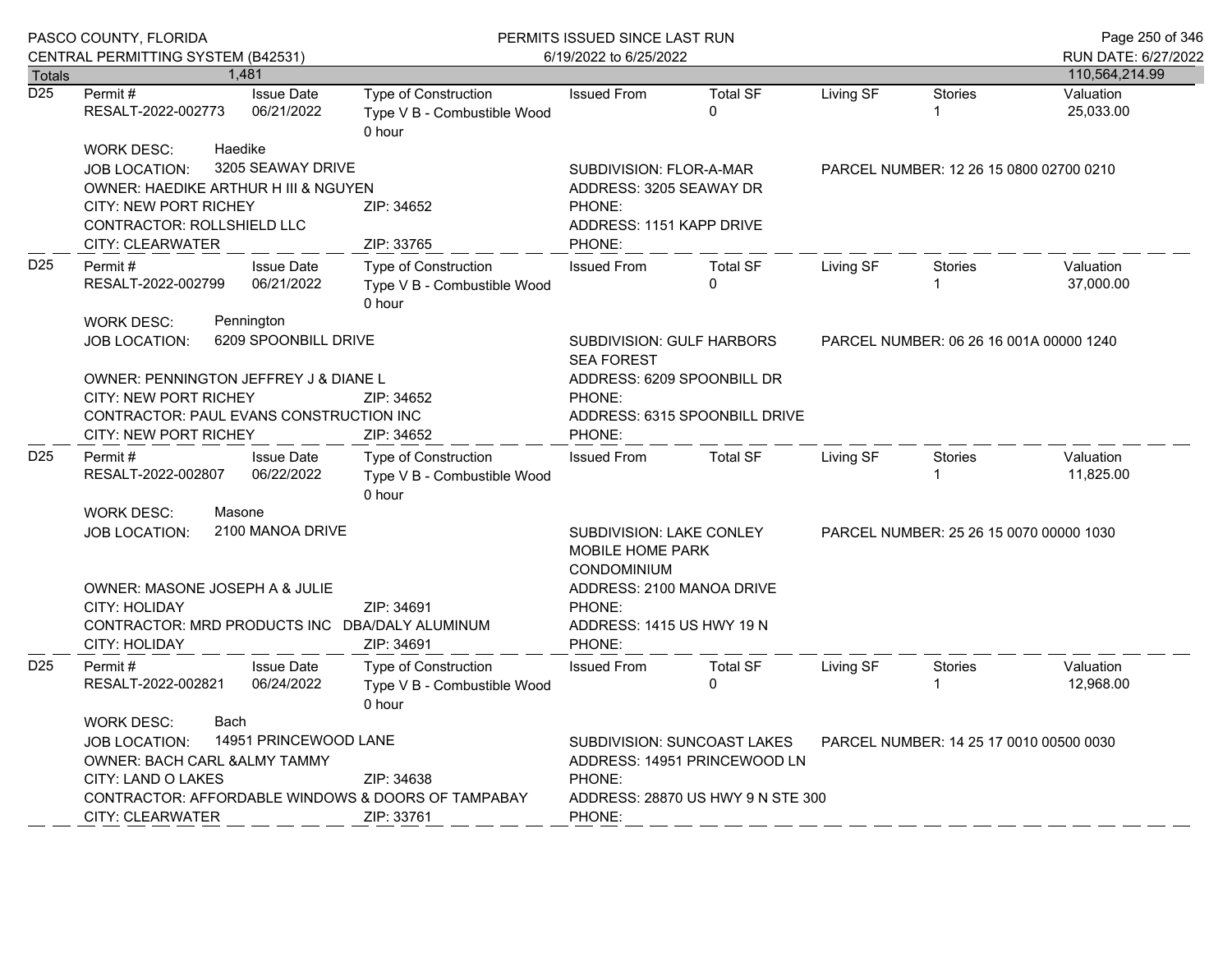|                  | PASCO COUNTY, FLORIDA<br>CENTRAL PERMITTING SYSTEM (B42531)                                                                                                                                                                                                      |                                    | PERMITS ISSUED SINCE LAST RUN<br>6/19/2022 to 6/25/2022              |                                                                                                                                               |                                                                                                  |                                         |                                         | Page 250 of 346<br>RUN DATE: 6/27/2022 |
|------------------|------------------------------------------------------------------------------------------------------------------------------------------------------------------------------------------------------------------------------------------------------------------|------------------------------------|----------------------------------------------------------------------|-----------------------------------------------------------------------------------------------------------------------------------------------|--------------------------------------------------------------------------------------------------|-----------------------------------------|-----------------------------------------|----------------------------------------|
| Totals           |                                                                                                                                                                                                                                                                  | 1,481                              |                                                                      |                                                                                                                                               |                                                                                                  |                                         |                                         | 110,564,214.99                         |
| $\overline{D25}$ | Permit#<br>RESALT-2022-002773                                                                                                                                                                                                                                    | <b>Issue Date</b><br>06/21/2022    | Type of Construction<br>Type V B - Combustible Wood<br>0 hour        | <b>Issued From</b>                                                                                                                            | <b>Total SF</b><br>$\mathbf 0$                                                                   | Living SF                               | Stories<br>1                            | Valuation<br>25,033.00                 |
|                  | <b>WORK DESC:</b><br><b>JOB LOCATION:</b><br>OWNER: HAEDIKE ARTHUR H III & NGUYEN<br><b>CITY: NEW PORT RICHEY</b><br>CONTRACTOR: ROLLSHIELD LLC<br><b>CITY: CLEARWATER</b>                                                                                       | Haedike<br>3205 SEAWAY DRIVE       | ZIP: 34652<br>ZIP: 33765                                             | SUBDIVISION: FLOR-A-MAR<br>ADDRESS: 3205 SEAWAY DR<br>PHONE:<br>ADDRESS: 1151 KAPP DRIVE<br>PHONE:                                            |                                                                                                  | PARCEL NUMBER: 12 26 15 0800 02700 0210 |                                         |                                        |
| D <sub>25</sub>  | Permit#<br><b>Issue Date</b><br>06/21/2022<br>RESALT-2022-002799                                                                                                                                                                                                 |                                    | <b>Type of Construction</b><br>Type V B - Combustible Wood<br>0 hour | <b>Issued From</b>                                                                                                                            | <b>Total SF</b><br>0                                                                             | Living SF                               | <b>Stories</b><br>1                     | Valuation<br>37,000.00                 |
| D <sub>25</sub>  | <b>WORK DESC:</b><br><b>JOB LOCATION:</b><br>OWNER: PENNINGTON JEFFREY J & DIANE L<br><b>CITY: NEW PORT RICHEY</b><br>CONTRACTOR: PAUL EVANS CONSTRUCTION INC<br>CITY: NEW PORT RICHEY                                                                           | Pennington<br>6209 SPOONBILL DRIVE | ZIP: 34652<br>ZIP: 34652                                             | SUBDIVISION: GULF HARBORS<br><b>SEA FOREST</b><br>ADDRESS: 6209 SPOONBILL DR<br>PHONE:<br>ADDRESS: 6315 SPOONBILL DRIVE<br>PHONE:             |                                                                                                  |                                         | PARCEL NUMBER: 06 26 16 001A 00000 1240 |                                        |
|                  | Permit#<br>RESALT-2022-002807                                                                                                                                                                                                                                    | <b>Issue Date</b><br>06/22/2022    | <b>Type of Construction</b><br>Type V B - Combustible Wood<br>0 hour | <b>Issued From</b>                                                                                                                            | <b>Total SF</b>                                                                                  | Living SF                               | Stories<br>1                            | Valuation<br>11,825.00                 |
|                  | <b>WORK DESC:</b><br>Masone<br>2100 MANOA DRIVE<br><b>JOB LOCATION:</b><br>OWNER: MASONE JOSEPH A & JULIE<br>CITY: HOLIDAY<br>ZIP: 34691<br>CONTRACTOR: MRD PRODUCTS INC DBA/DALY ALUMINUM                                                                       |                                    |                                                                      | SUBDIVISION: LAKE CONLEY<br><b>MOBILE HOME PARK</b><br><b>CONDOMINIUM</b><br>ADDRESS: 2100 MANOA DRIVE<br>PHONE:<br>ADDRESS: 1415 US HWY 19 N |                                                                                                  |                                         | PARCEL NUMBER: 25 26 15 0070 00000 1030 |                                        |
|                  | <b>CITY: HOLIDAY</b>                                                                                                                                                                                                                                             |                                    | ZIP: 34691                                                           | PHONE:                                                                                                                                        |                                                                                                  |                                         |                                         |                                        |
| D <sub>25</sub>  | Permit#<br>RESALT-2022-002821                                                                                                                                                                                                                                    | <b>Issue Date</b><br>06/24/2022    | Type of Construction<br>Type V B - Combustible Wood<br>0 hour        | <b>Issued From</b>                                                                                                                            | <b>Total SF</b><br>$\Omega$                                                                      | Living SF                               | <b>Stories</b>                          | Valuation<br>12,968.00                 |
|                  | <b>Bach</b><br><b>WORK DESC:</b><br>14951 PRINCEWOOD LANE<br><b>JOB LOCATION:</b><br><b>OWNER: BACH CARL &amp; ALMY TAMMY</b><br>CITY: LAND O LAKES<br>ZIP: 34638<br>CONTRACTOR: AFFORDABLE WINDOWS & DOORS OF TAMPABAY<br><b>CITY: CLEARWATER</b><br>ZIP: 33761 |                                    |                                                                      | PHONE:<br>PHONE:                                                                                                                              | SUBDIVISION: SUNCOAST LAKES<br>ADDRESS: 14951 PRINCEWOOD LN<br>ADDRESS: 28870 US HWY 9 N STE 300 |                                         | PARCEL NUMBER: 14 25 17 0010 00500 0030 |                                        |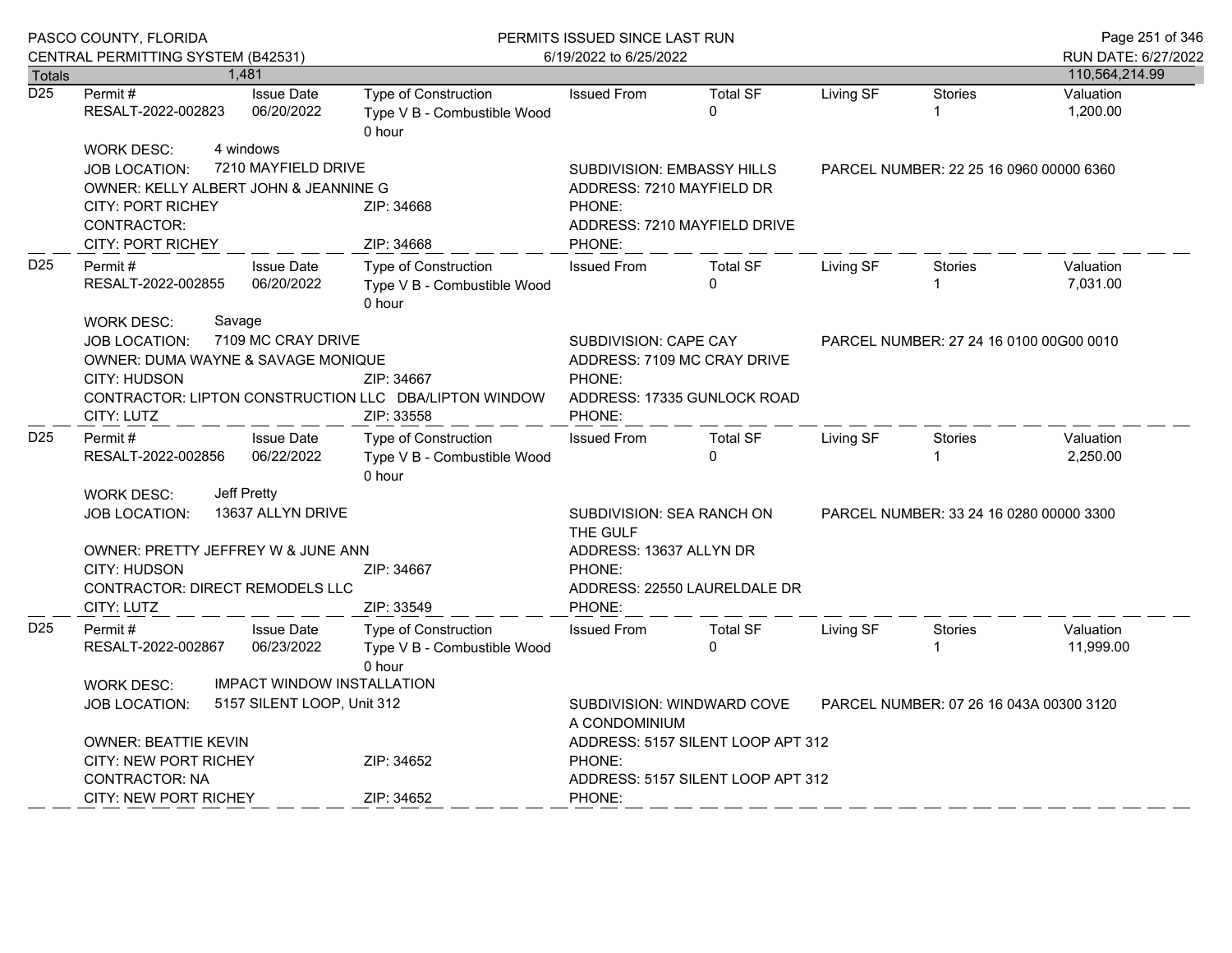|                  | PASCO COUNTY, FLORIDA                                                                                                                                                   |                                       | PERMITS ISSUED SINCE LAST RUN                                 |                                                                                                         |                              |                                         | Page 251 of 346 |                                       |
|------------------|-------------------------------------------------------------------------------------------------------------------------------------------------------------------------|---------------------------------------|---------------------------------------------------------------|---------------------------------------------------------------------------------------------------------|------------------------------|-----------------------------------------|-----------------|---------------------------------------|
| <b>Totals</b>    | CENTRAL PERMITTING SYSTEM (B42531)                                                                                                                                      | 1,481                                 |                                                               | 6/19/2022 to 6/25/2022                                                                                  |                              |                                         |                 | RUN DATE: 6/27/2022<br>110,564,214.99 |
| $\overline{D25}$ |                                                                                                                                                                         | <b>Issue Date</b>                     | <b>Type of Construction</b>                                   |                                                                                                         | <b>Total SF</b>              |                                         | <b>Stories</b>  |                                       |
|                  | Permit #<br>RESALT-2022-002823                                                                                                                                          | 06/20/2022                            | Type V B - Combustible Wood<br>0 hour                         | <b>Issued From</b>                                                                                      | $\Omega$                     | Living SF                               | 1               | Valuation<br>1,200.00                 |
|                  | <b>WORK DESC:</b><br><b>JOB LOCATION:</b><br>OWNER: KELLY ALBERT JOHN & JEANNINE G                                                                                      | 4 windows<br>7210 MAYFIELD DRIVE      |                                                               | <b>SUBDIVISION: EMBASSY HILLS</b><br>ADDRESS: 7210 MAYFIELD DR                                          |                              | PARCEL NUMBER: 22 25 16 0960 00000 6360 |                 |                                       |
|                  | <b>CITY: PORT RICHEY</b><br>CONTRACTOR:<br>CITY: PORT RICHEY                                                                                                            |                                       | ZIP: 34668<br>ZIP: 34668                                      | PHONE:<br>ADDRESS: 7210 MAYFIELD DRIVE<br>PHONE:                                                        |                              |                                         |                 |                                       |
| D <sub>25</sub>  | <b>Issue Date</b><br>Permit#<br>06/20/2022<br>RESALT-2022-002855<br><b>WORK DESC:</b><br>Savage                                                                         |                                       | Type of Construction<br>Type V B - Combustible Wood<br>0 hour | <b>Issued From</b>                                                                                      | <b>Total SF</b><br>$\Omega$  | Living SF                               | <b>Stories</b>  | Valuation<br>7,031.00                 |
| D <sub>25</sub>  | 7109 MC CRAY DRIVE<br><b>JOB LOCATION:</b><br>OWNER: DUMA WAYNE & SAVAGE MONIQUE<br>CITY: HUDSON<br>CONTRACTOR: LIPTON CONSTRUCTION LLC DBA/LIPTON WINDOW<br>CITY: LUTZ |                                       | ZIP: 34667<br>ZIP: 33558                                      | SUBDIVISION: CAPE CAY<br>ADDRESS: 7109 MC CRAY DRIVE<br>PHONE:<br>ADDRESS: 17335 GUNLOCK ROAD<br>PHONE: |                              | PARCEL NUMBER: 27 24 16 0100 00G00 0010 |                 |                                       |
|                  | Permit#<br>RESALT-2022-002856                                                                                                                                           | <b>Issue Date</b><br>06/22/2022       | Type of Construction<br>Type V B - Combustible Wood<br>0 hour | <b>Issued From</b>                                                                                      | <b>Total SF</b><br>$\Omega$  | Living SF                               | Stories<br>1    | Valuation<br>2,250.00                 |
|                  | Jeff Pretty<br><b>WORK DESC:</b><br>13637 ALLYN DRIVE<br><b>JOB LOCATION:</b>                                                                                           | SUBDIVISION: SEA RANCH ON<br>THE GULF | PARCEL NUMBER: 33 24 16 0280 00000 3300                       |                                                                                                         |                              |                                         |                 |                                       |
|                  | OWNER: PRETTY JEFFREY W & JUNE ANN<br><b>CITY: HUDSON</b><br>CONTRACTOR: DIRECT REMODELS LLC<br>CITY: LUTZ                                                              |                                       | ZIP: 34667<br>ZIP: 33549                                      | ADDRESS: 13637 ALLYN DR<br>PHONE:<br>PHONE:                                                             | ADDRESS: 22550 LAURELDALE DR |                                         |                 |                                       |
| D <sub>25</sub>  | Permit#<br>RESALT-2022-002867                                                                                                                                           | <b>Issue Date</b><br>06/23/2022       | Type of Construction<br>Type V B - Combustible Wood<br>0 hour | <b>Issued From</b>                                                                                      | <b>Total SF</b><br>$\Omega$  | Living SF                               | Stories         | Valuation<br>11,999.00                |
|                  | <b>IMPACT WINDOW INSTALLATION</b><br>WORK DESC:<br>5157 SILENT LOOP, Unit 312<br><b>JOB LOCATION:</b>                                                                   |                                       |                                                               | SUBDIVISION: WINDWARD COVE<br>PARCEL NUMBER: 07 26 16 043A 00300 3120<br>A CONDOMINIUM                  |                              |                                         |                 |                                       |
|                  | OWNER: BEATTIE KEVIN<br>CITY: NEW PORT RICHEY<br>ZIP: 34652<br><b>CONTRACTOR: NA</b>                                                                                    |                                       |                                                               | ADDRESS: 5157 SILENT LOOP APT 312<br>PHONE:<br>ADDRESS: 5157 SILENT LOOP APT 312                        |                              |                                         |                 |                                       |
|                  | <b>CITY: NEW PORT RICHEY</b>                                                                                                                                            |                                       | ZIP: 34652                                                    | PHONE:                                                                                                  |                              |                                         |                 |                                       |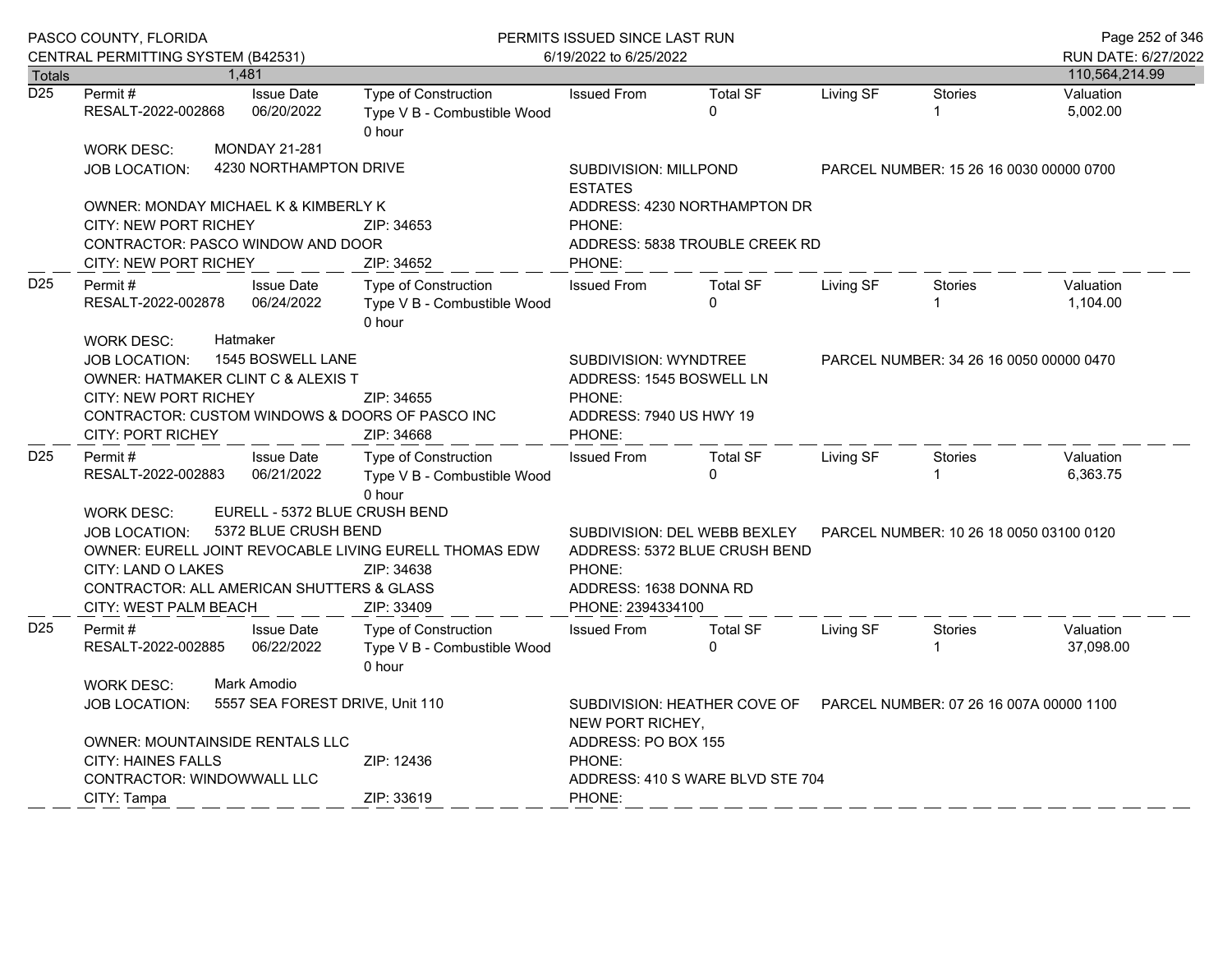|                  | PASCO COUNTY, FLORIDA<br>CENTRAL PERMITTING SYSTEM (B42531)                                                                                                                                                                                                            |  |                                                               | PERMITS ISSUED SINCE LAST RUN<br>6/19/2022 to 6/25/2022              |                                                                                                                                                                   |                                                                                    |           |                                         | Page 252 of 346<br>RUN DATE: 6/27/2022 |
|------------------|------------------------------------------------------------------------------------------------------------------------------------------------------------------------------------------------------------------------------------------------------------------------|--|---------------------------------------------------------------|----------------------------------------------------------------------|-------------------------------------------------------------------------------------------------------------------------------------------------------------------|------------------------------------------------------------------------------------|-----------|-----------------------------------------|----------------------------------------|
| <b>Totals</b>    |                                                                                                                                                                                                                                                                        |  | 1,481                                                         |                                                                      |                                                                                                                                                                   |                                                                                    |           |                                         | 110,564,214.99                         |
| $\overline{D25}$ | Permit #<br>RESALT-2022-002868                                                                                                                                                                                                                                         |  | <b>Issue Date</b><br>06/20/2022                               | <b>Type of Construction</b><br>Type V B - Combustible Wood<br>0 hour | <b>Issued From</b>                                                                                                                                                | <b>Total SF</b><br>$\Omega$                                                        | Living SF | <b>Stories</b>                          | Valuation<br>5,002.00                  |
|                  | <b>WORK DESC:</b><br>JOB LOCATION:                                                                                                                                                                                                                                     |  | <b>MONDAY 21-281</b><br>4230 NORTHAMPTON DRIVE                |                                                                      |                                                                                                                                                                   | SUBDIVISION: MILLPOND<br>PARCEL NUMBER: 15 26 16 0030 00000 0700<br><b>ESTATES</b> |           |                                         |                                        |
|                  | OWNER: MONDAY MICHAEL K & KIMBERLY K<br><b>CITY: NEW PORT RICHEY</b><br>CONTRACTOR: PASCO WINDOW AND DOOR<br>CITY: NEW PORT RICHEY                                                                                                                                     |  |                                                               | ZIP: 34653<br>ZIP: 34652                                             | PHONE:<br>PHONE:                                                                                                                                                  | ADDRESS: 4230 NORTHAMPTON DR<br>ADDRESS: 5838 TROUBLE CREEK RD                     |           |                                         |                                        |
| D <sub>25</sub>  | <b>Issue Date</b><br>Permit #<br>RESALT-2022-002878<br>06/24/2022                                                                                                                                                                                                      |  | Type of Construction<br>Type V B - Combustible Wood<br>0 hour | <b>Issued From</b>                                                   | <b>Total SF</b><br>$\Omega$                                                                                                                                       | Living SF                                                                          | Stories   | Valuation<br>1,104.00                   |                                        |
|                  | Hatmaker<br><b>WORK DESC:</b><br>1545 BOSWELL LANE<br><b>JOB LOCATION:</b><br>OWNER: HATMAKER CLINT C & ALEXIS T<br>CITY: NEW PORT RICHEY<br>CONTRACTOR: CUSTOM WINDOWS & DOORS OF PASCO INC<br><b>CITY: PORT RICHEY</b>                                               |  |                                                               | ZIP: 34655<br>ZIP: 34668                                             | <b>SUBDIVISION: WYNDTREE</b><br>ADDRESS: 1545 BOSWELL LN<br>PHONE:<br>ADDRESS: 7940 US HWY 19<br>PHONE:                                                           |                                                                                    |           | PARCEL NUMBER: 34 26 16 0050 00000 0470 |                                        |
| D <sub>25</sub>  | Permit#<br>RESALT-2022-002883                                                                                                                                                                                                                                          |  | <b>Issue Date</b><br>06/21/2022                               | Type of Construction<br>Type V B - Combustible Wood<br>0 hour        | <b>Issued From</b>                                                                                                                                                | <b>Total SF</b><br>$\Omega$                                                        | Living SF | Stories                                 | Valuation<br>6,363.75                  |
|                  | EURELL - 5372 BLUE CRUSH BEND<br><b>WORK DESC:</b><br>5372 BLUE CRUSH BEND<br><b>JOB LOCATION:</b><br>OWNER: EURELL JOINT REVOCABLE LIVING EURELL THOMAS EDW<br>CITY: LAND O LAKES<br>ZIP: 34638<br>CONTRACTOR: ALL AMERICAN SHUTTERS & GLASS<br>CITY: WEST PALM BEACH |  |                                                               | ZIP: 33409                                                           | SUBDIVISION: DEL WEBB BEXLEY<br>PARCEL NUMBER: 10 26 18 0050 03100 0120<br>ADDRESS: 5372 BLUE CRUSH BEND<br>PHONE:<br>ADDRESS: 1638 DONNA RD<br>PHONE: 2394334100 |                                                                                    |           |                                         |                                        |
| D <sub>25</sub>  | Permit#<br>RESALT-2022-002885                                                                                                                                                                                                                                          |  | <b>Issue Date</b><br>06/22/2022                               | Type of Construction<br>Type V B - Combustible Wood<br>0 hour        | <b>Issued From</b>                                                                                                                                                | <b>Total SF</b><br>$\Omega$                                                        | Living SF | Stories                                 | Valuation<br>37,098.00                 |
|                  | Mark Amodio<br><b>WORK DESC:</b><br>5557 SEA FOREST DRIVE, Unit 110<br><b>JOB LOCATION:</b>                                                                                                                                                                            |  |                                                               |                                                                      | NEW PORT RICHEY,                                                                                                                                                  | SUBDIVISION: HEATHER COVE OF                                                       |           | PARCEL NUMBER: 07 26 16 007A 00000 1100 |                                        |
|                  | <b>OWNER: MOUNTAINSIDE RENTALS LLC</b><br><b>CITY: HAINES FALLS</b><br>CONTRACTOR: WINDOWWALL LLC                                                                                                                                                                      |  |                                                               | ZIP: 12436                                                           | ADDRESS: PO BOX 155<br>PHONE:<br>ADDRESS: 410 S WARE BLVD STE 704                                                                                                 |                                                                                    |           |                                         |                                        |
|                  | CITY: Tampa                                                                                                                                                                                                                                                            |  |                                                               | ZIP: 33619                                                           | PHONE:                                                                                                                                                            |                                                                                    |           |                                         |                                        |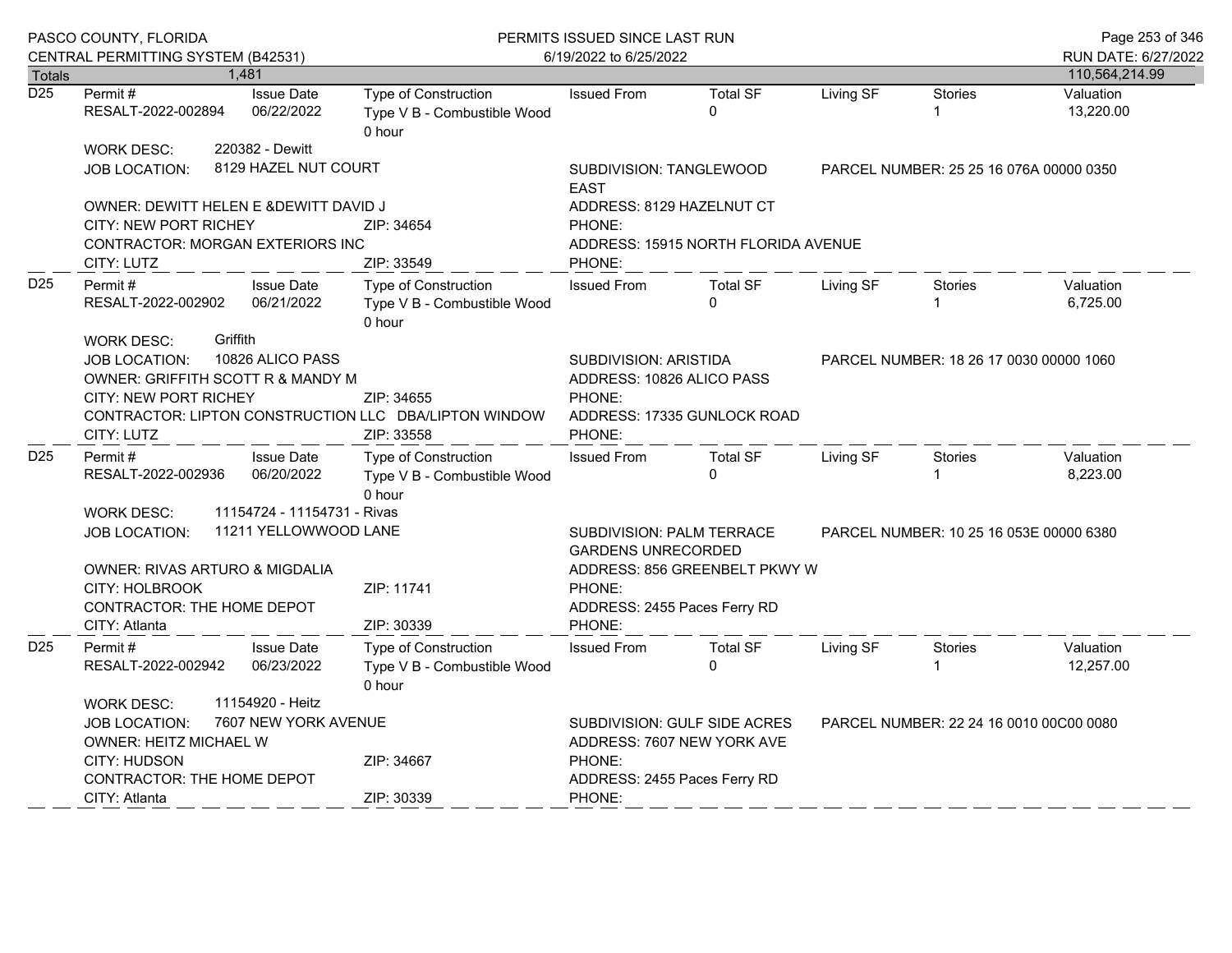| PASCO COUNTY, FLORIDA<br>CENTRAL PERMITTING SYSTEM (B42531) |                                                                                                                                                                                |  |                                 | PERMITS ISSUED SINCE LAST RUN<br>6/19/2022 to 6/25/2022                           |                                                                                                                                                  |                                                                                            |           |                                         | Page 253 of 346<br>RUN DATE: 6/27/2022 |
|-------------------------------------------------------------|--------------------------------------------------------------------------------------------------------------------------------------------------------------------------------|--|---------------------------------|-----------------------------------------------------------------------------------|--------------------------------------------------------------------------------------------------------------------------------------------------|--------------------------------------------------------------------------------------------|-----------|-----------------------------------------|----------------------------------------|
| <b>Totals</b>                                               |                                                                                                                                                                                |  | 1,481                           |                                                                                   |                                                                                                                                                  |                                                                                            |           |                                         | 110,564,214.99                         |
| $\overline{D25}$                                            | Permit#<br>RESALT-2022-002894                                                                                                                                                  |  | <b>Issue Date</b><br>06/22/2022 | <b>Type of Construction</b><br>Type V B - Combustible Wood<br>0 hour              | <b>Issued From</b>                                                                                                                               | <b>Total SF</b><br>$\mathbf 0$                                                             | Living SF | <b>Stories</b><br>1                     | Valuation<br>13,220.00                 |
|                                                             | <b>WORK DESC:</b>                                                                                                                                                              |  | 220382 - Dewitt                 |                                                                                   |                                                                                                                                                  |                                                                                            |           |                                         |                                        |
|                                                             | JOB LOCATION:                                                                                                                                                                  |  | 8129 HAZEL NUT COURT            |                                                                                   | SUBDIVISION: TANGLEWOOD<br><b>EAST</b>                                                                                                           | PARCEL NUMBER: 25 25 16 076A 00000 0350                                                    |           |                                         |                                        |
|                                                             | OWNER: DEWITT HELEN E & DEWITT DAVID J                                                                                                                                         |  |                                 |                                                                                   |                                                                                                                                                  | ADDRESS: 8129 HAZELNUT CT                                                                  |           |                                         |                                        |
|                                                             | <b>CITY: NEW PORT RICHEY</b><br>CONTRACTOR: MORGAN EXTERIORS INC                                                                                                               |  |                                 | ZIP: 34654                                                                        | PHONE:                                                                                                                                           | ADDRESS: 15915 NORTH FLORIDA AVENUE                                                        |           |                                         |                                        |
|                                                             | CITY: LUTZ                                                                                                                                                                     |  |                                 | ZIP: 33549                                                                        | PHONE:                                                                                                                                           |                                                                                            |           |                                         |                                        |
| D <sub>25</sub>                                             | <b>Issue Date</b><br>Permit#<br>RESALT-2022-002902<br>06/21/2022<br>Griffith                                                                                                   |  |                                 | Type of Construction<br>Type V B - Combustible Wood<br>0 hour                     | <b>Issued From</b>                                                                                                                               | <b>Total SF</b><br>$\mathbf{0}$                                                            | Living SF | Stories                                 | Valuation<br>6,725.00                  |
|                                                             | <b>WORK DESC:</b><br><b>JOB LOCATION:</b><br>OWNER: GRIFFITH SCOTT R & MANDY M<br>CITY: NEW PORT RICHEY<br>CITY: LUTZ                                                          |  | 10826 ALICO PASS                | ZIP: 34655<br>CONTRACTOR: LIPTON CONSTRUCTION LLC DBA/LIPTON WINDOW<br>ZIP: 33558 | SUBDIVISION: ARISTIDA<br>PARCEL NUMBER: 18 26 17 0030 00000 1060<br>ADDRESS: 10826 ALICO PASS<br>PHONE:<br>ADDRESS: 17335 GUNLOCK ROAD<br>PHONE: |                                                                                            |           |                                         |                                        |
| D <sub>25</sub>                                             | Permit#<br>RESALT-2022-002936                                                                                                                                                  |  | <b>Issue Date</b><br>06/20/2022 | Type of Construction<br>Type V B - Combustible Wood<br>0 hour                     | <b>Issued From</b>                                                                                                                               | <b>Total SF</b><br>$\Omega$                                                                | Living SF | <b>Stories</b>                          | Valuation<br>8,223.00                  |
|                                                             | <b>WORK DESC:</b>                                                                                                                                                              |  | 11154724 - 11154731 - Rivas     |                                                                                   |                                                                                                                                                  |                                                                                            |           |                                         |                                        |
|                                                             | <b>JOB LOCATION:</b>                                                                                                                                                           |  | 11211 YELLOWWOOD LANE           |                                                                                   | <b>SUBDIVISION: PALM TERRACE</b><br><b>GARDENS UNRECORDED</b>                                                                                    | PARCEL NUMBER: 10 25 16 053E 00000 6380                                                    |           |                                         |                                        |
|                                                             | OWNER: RIVAS ARTURO & MIGDALIA<br>CITY: HOLBROOK<br><b>CONTRACTOR: THE HOME DEPOT</b>                                                                                          |  |                                 | ZIP: 11741<br>ZIP: 30339                                                          | ADDRESS: 856 GREENBELT PKWY W<br>PHONE:<br>ADDRESS: 2455 Paces Ferry RD<br>PHONE:                                                                |                                                                                            |           |                                         |                                        |
| D <sub>25</sub>                                             | CITY: Atlanta<br>Permit#<br>RESALT-2022-002942                                                                                                                                 |  | <b>Issue Date</b><br>06/23/2022 | Type of Construction<br>Type V B - Combustible Wood<br>0 hour                     | <b>Issued From</b>                                                                                                                               | <b>Total SF</b><br>0                                                                       | Living SF | Stories                                 | Valuation<br>12,257.00                 |
|                                                             | 11154920 - Heitz<br><b>WORK DESC:</b><br>7607 NEW YORK AVENUE<br><b>JOB LOCATION:</b><br>OWNER: HEITZ MICHAEL W<br>CITY: HUDSON<br>CONTRACTOR: THE HOME DEPOT<br>CITY: Atlanta |  |                                 | ZIP: 34667<br>ZIP: 30339                                                          | PHONE:<br>PHONE:                                                                                                                                 | SUBDIVISION: GULF SIDE ACRES<br>ADDRESS: 7607 NEW YORK AVE<br>ADDRESS: 2455 Paces Ferry RD |           | PARCEL NUMBER: 22 24 16 0010 00C00 0080 |                                        |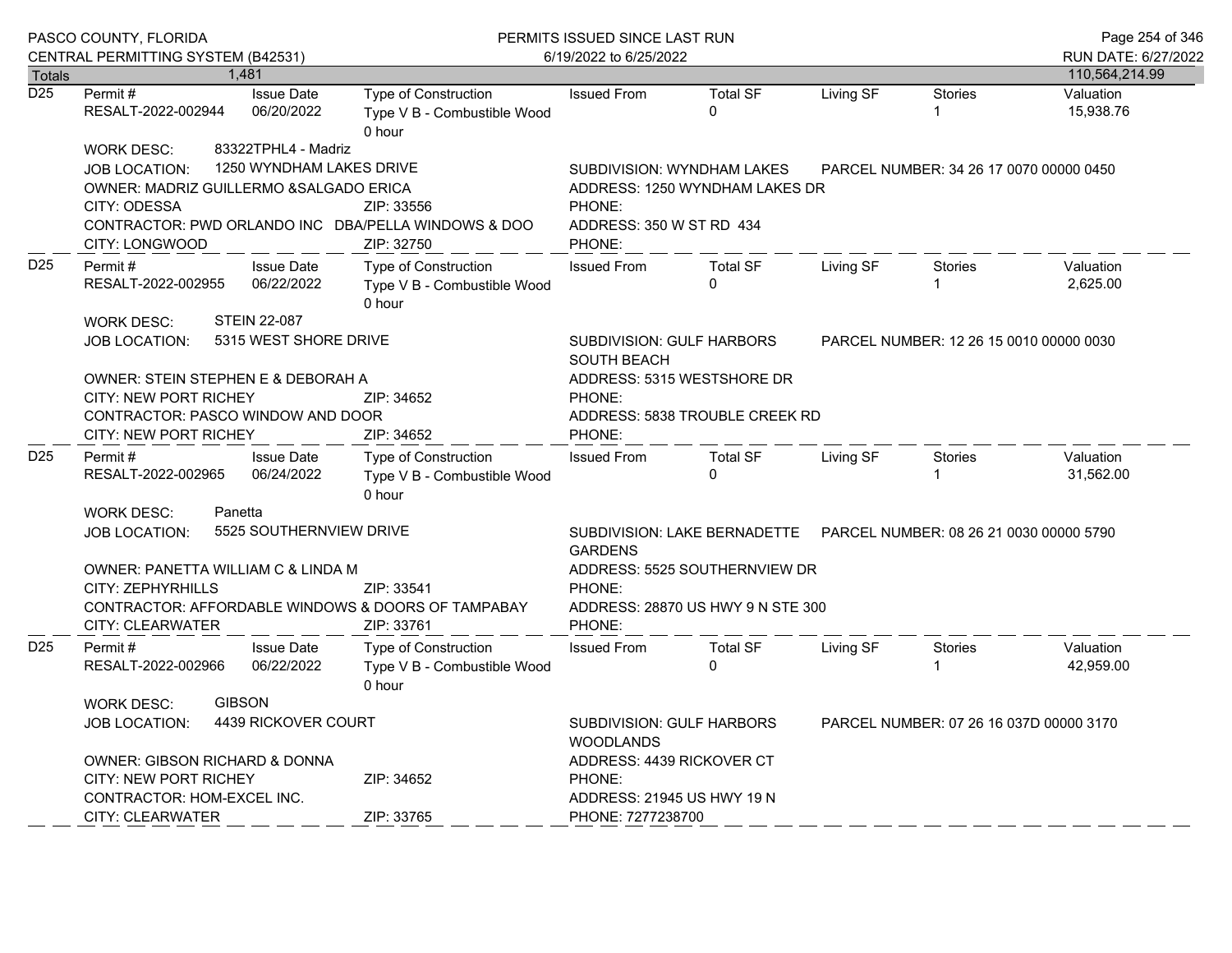| PASCO COUNTY, FLORIDA<br>CENTRAL PERMITTING SYSTEM (B42531) |                                                                                                                                                                                      |                                                 | PERMITS ISSUED SINCE LAST RUN<br>6/19/2022 to 6/25/2022                                  | Page 254 of 346<br>RUN DATE: 6/27/2022                                                                                                                                         |                                         |           |                     |                        |
|-------------------------------------------------------------|--------------------------------------------------------------------------------------------------------------------------------------------------------------------------------------|-------------------------------------------------|------------------------------------------------------------------------------------------|--------------------------------------------------------------------------------------------------------------------------------------------------------------------------------|-----------------------------------------|-----------|---------------------|------------------------|
| <b>Totals</b>                                               |                                                                                                                                                                                      | 1,481                                           |                                                                                          |                                                                                                                                                                                |                                         |           |                     | 110,564,214.99         |
| $\overline{D25}$                                            | Permit #<br>RESALT-2022-002944                                                                                                                                                       | <b>Issue Date</b><br>06/20/2022                 | Type of Construction<br>Type V B - Combustible Wood<br>0 hour                            | <b>Issued From</b>                                                                                                                                                             | <b>Total SF</b><br>$\mathbf 0$          | Living SF | <b>Stories</b><br>1 | Valuation<br>15,938.76 |
|                                                             | <b>WORK DESC:</b><br><b>JOB LOCATION:</b><br>OWNER: MADRIZ GUILLERMO & SALGADO ERICA<br>CITY: ODESSA<br>CITY: LONGWOOD                                                               | 83322TPHL4 - Madriz<br>1250 WYNDHAM LAKES DRIVE | ZIP: 33556<br>CONTRACTOR: PWD ORLANDO INC DBA/PELLA WINDOWS & DOO<br>ZIP: 32750          | SUBDIVISION: WYNDHAM LAKES<br>ADDRESS: 1250 WYNDHAM LAKES DR<br>PHONE:<br>ADDRESS: 350 W ST RD 434<br>PHONE:                                                                   | PARCEL NUMBER: 34 26 17 0070 00000 0450 |           |                     |                        |
| D <sub>25</sub>                                             | Permit #<br>RESALT-2022-002955                                                                                                                                                       | <b>Issue Date</b><br>06/22/2022                 | <b>Type of Construction</b><br>Type V B - Combustible Wood<br>0 hour                     | <b>Issued From</b>                                                                                                                                                             | <b>Total SF</b><br>0                    | Living SF | Stories             | Valuation<br>2,625.00  |
|                                                             | <b>WORK DESC:</b><br><b>JOB LOCATION:</b><br>OWNER: STEIN STEPHEN E & DEBORAH A<br><b>CITY: NEW PORT RICHEY</b><br>CONTRACTOR: PASCO WINDOW AND DOOR<br><b>CITY: NEW PORT RICHEY</b> | <b>STEIN 22-087</b><br>5315 WEST SHORE DRIVE    | ZIP: 34652<br>ZIP: 34652                                                                 | SUBDIVISION: GULF HARBORS<br>PARCEL NUMBER: 12 26 15 0010 00000 0030<br><b>SOUTH BEACH</b><br>ADDRESS: 5315 WESTSHORE DR<br>PHONE:<br>ADDRESS: 5838 TROUBLE CREEK RD<br>PHONE: |                                         |           |                     |                        |
| D <sub>25</sub>                                             | Permit #<br>RESALT-2022-002965                                                                                                                                                       | <b>Issue Date</b><br>06/24/2022                 | Type of Construction<br>Type V B - Combustible Wood<br>0 hour                            | <b>Issued From</b>                                                                                                                                                             | <b>Total SF</b><br>$\Omega$             | Living SF | <b>Stories</b>      | Valuation<br>31,562.00 |
|                                                             | <b>WORK DESC:</b>                                                                                                                                                                    | Panetta                                         |                                                                                          |                                                                                                                                                                                |                                         |           |                     |                        |
|                                                             | <b>JOB LOCATION:</b><br>OWNER: PANETTA WILLIAM C & LINDA M                                                                                                                           | 5525 SOUTHERNVIEW DRIVE                         |                                                                                          | <b>GARDENS</b><br>ADDRESS: 5525 SOUTHERNVIEW DR                                                                                                                                |                                         |           |                     |                        |
|                                                             | CITY: ZEPHYRHILLS<br><b>CITY: CLEARWATER</b>                                                                                                                                         |                                                 | ZIP: 33541<br>CONTRACTOR: AFFORDABLE WINDOWS & DOORS OF TAMPABAY<br>ZIP: 33761           | PHONE:<br>ADDRESS: 28870 US HWY 9 N STE 300<br>PHONE:                                                                                                                          |                                         |           |                     |                        |
| D <sub>25</sub>                                             | Permit#<br>RESALT-2022-002966                                                                                                                                                        | <b>Issue Date</b><br>06/22/2022                 | <b>Type of Construction</b><br>Type V B - Combustible Wood<br>0 hour                     | <b>Issued From</b>                                                                                                                                                             | <b>Total SF</b><br>$\Omega$             | Living SF | <b>Stories</b>      | Valuation<br>42,959.00 |
|                                                             | <b>WORK DESC:</b><br><b>JOB LOCATION:</b>                                                                                                                                            | <b>GIBSON</b><br>4439 RICKOVER COURT            | SUBDIVISION: GULF HARBORS<br>PARCEL NUMBER: 07 26 16 037D 00000 3170<br><b>WOODLANDS</b> |                                                                                                                                                                                |                                         |           |                     |                        |
|                                                             | <b>OWNER: GIBSON RICHARD &amp; DONNA</b><br>CITY: NEW PORT RICHEY<br>ZIP: 34652<br>CONTRACTOR: HOM-EXCEL INC.<br>ZIP: 33765                                                          |                                                 |                                                                                          | ADDRESS: 4439 RICKOVER CT<br>PHONE:<br>ADDRESS: 21945 US HWY 19 N                                                                                                              |                                         |           |                     |                        |
|                                                             | CITY: CLEARWATER                                                                                                                                                                     |                                                 |                                                                                          | PHONE: 7277238700                                                                                                                                                              |                                         |           |                     |                        |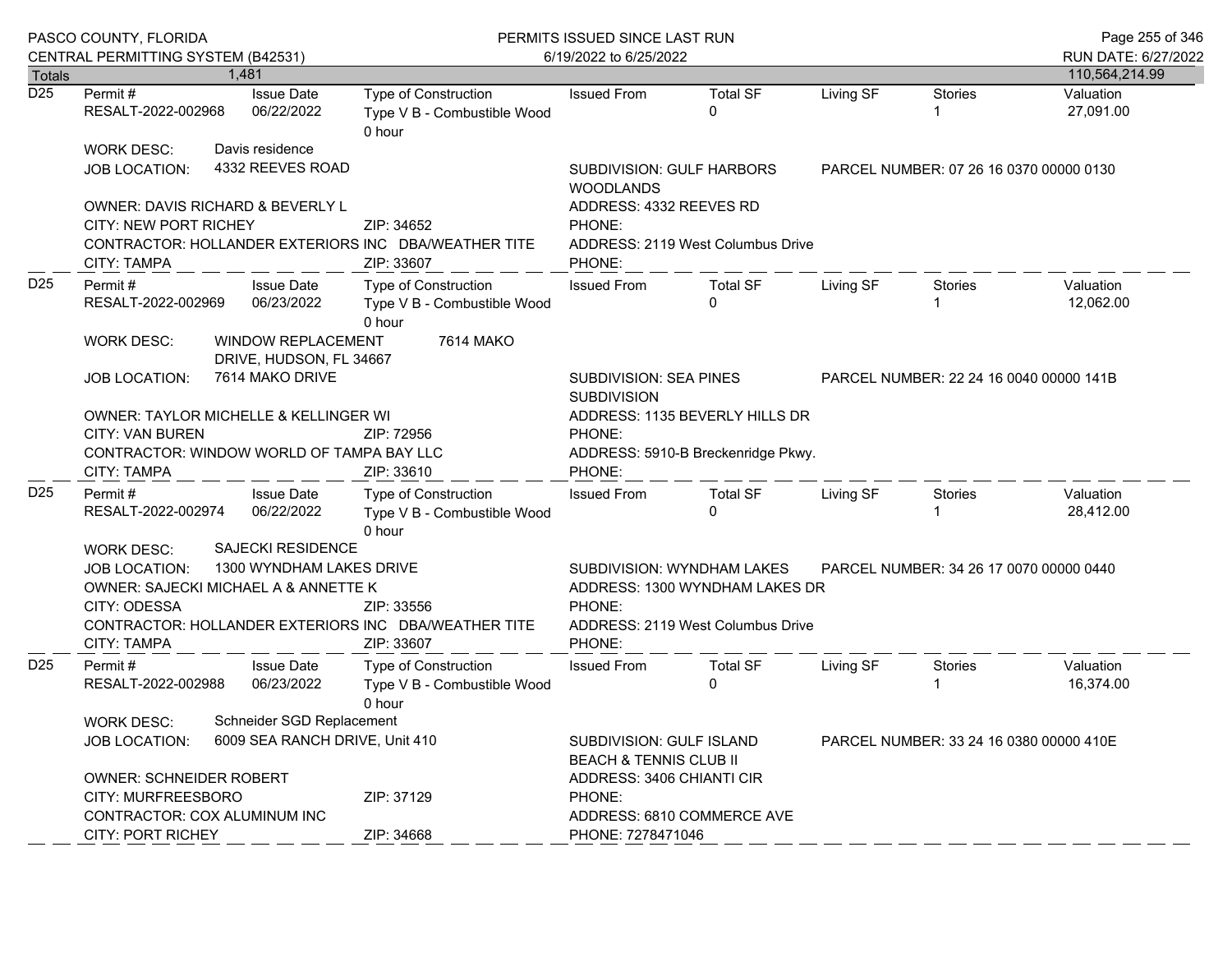| PASCO COUNTY, FLORIDA<br>CENTRAL PERMITTING SYSTEM (B42531) |                                                                                                                                                                                                                                                       |                                                                                  |                                               | PERMITS ISSUED SINCE LAST RUN<br>6/19/2022 to 6/25/2022              | Page 255 of 346<br>RUN DATE: 6/27/2022                                                   |                                                                                                          |                                         |                                         |                        |
|-------------------------------------------------------------|-------------------------------------------------------------------------------------------------------------------------------------------------------------------------------------------------------------------------------------------------------|----------------------------------------------------------------------------------|-----------------------------------------------|----------------------------------------------------------------------|------------------------------------------------------------------------------------------|----------------------------------------------------------------------------------------------------------|-----------------------------------------|-----------------------------------------|------------------------|
| <b>Totals</b>                                               |                                                                                                                                                                                                                                                       | 1.481                                                                            |                                               |                                                                      |                                                                                          |                                                                                                          |                                         |                                         | 110,564,214.99         |
| D <sub>25</sub>                                             | Permit #<br>RESALT-2022-002968                                                                                                                                                                                                                        |                                                                                  | <b>Issue Date</b><br>06/22/2022               | Type of Construction<br>Type V B - Combustible Wood<br>0 hour        | <b>Issued From</b>                                                                       | <b>Total SF</b><br>$\Omega$                                                                              | Living SF<br><b>Stories</b>             |                                         | Valuation<br>27,091.00 |
|                                                             | Davis residence<br>WORK DESC:<br>4332 REEVES ROAD<br>JOB LOCATION:                                                                                                                                                                                    |                                                                                  |                                               |                                                                      | SUBDIVISION: GULF HARBORS<br><b>WOODLANDS</b>                                            |                                                                                                          | PARCEL NUMBER: 07 26 16 0370 00000 0130 |                                         |                        |
|                                                             | OWNER: DAVIS RICHARD & BEVERLY L<br><b>CITY: NEW PORT RICHEY</b>                                                                                                                                                                                      |                                                                                  |                                               | ZIP: 34652                                                           | ADDRESS: 4332 REEVES RD<br>PHONE:                                                        |                                                                                                          |                                         |                                         |                        |
|                                                             | CONTRACTOR: HOLLANDER EXTERIORS INC DBA/WEATHER TITE<br>CITY: TAMPA                                                                                                                                                                                   |                                                                                  |                                               | ZIP: 33607                                                           | ADDRESS: 2119 West Columbus Drive<br>PHONE:                                              |                                                                                                          |                                         |                                         |                        |
| D <sub>25</sub>                                             | Permit#<br>RESALT-2022-002969                                                                                                                                                                                                                         |                                                                                  | <b>Issue Date</b><br>06/23/2022               | Type of Construction<br>Type V B - Combustible Wood<br>0 hour        | <b>Issued From</b>                                                                       | <b>Total SF</b><br>$\Omega$                                                                              | Living SF                               | Stories                                 | Valuation<br>12,062.00 |
|                                                             | WORK DESC:                                                                                                                                                                                                                                            |                                                                                  | WINDOW REPLACEMENT<br>DRIVE, HUDSON, FL 34667 | 7614 MAKO                                                            |                                                                                          |                                                                                                          |                                         |                                         |                        |
|                                                             | <b>JOB LOCATION:</b>                                                                                                                                                                                                                                  |                                                                                  | 7614 MAKO DRIVE                               |                                                                      | <b>SUBDIVISION: SEA PINES</b><br><b>SUBDIVISION</b>                                      |                                                                                                          |                                         | PARCEL NUMBER: 22 24 16 0040 00000 141B |                        |
|                                                             | OWNER: TAYLOR MICHELLE & KELLINGER WI<br><b>CITY: VAN BUREN</b><br>CONTRACTOR: WINDOW WORLD OF TAMPA BAY LLC<br>CITY: TAMPA                                                                                                                           |                                                                                  |                                               | ZIP: 72956<br>ZIP: 33610                                             | ADDRESS: 1135 BEVERLY HILLS DR<br>PHONE:<br>ADDRESS: 5910-B Breckenridge Pkwy.<br>PHONE: |                                                                                                          |                                         |                                         |                        |
| D <sub>25</sub>                                             | Permit #<br>RESALT-2022-002974                                                                                                                                                                                                                        |                                                                                  | <b>Issue Date</b><br>06/22/2022               | Type of Construction<br>Type V B - Combustible Wood<br>0 hour        | <b>Issued From</b>                                                                       | <b>Total SF</b><br>$\Omega$                                                                              | Living SF                               | Stories                                 | Valuation<br>28,412.00 |
|                                                             | <b>SAJECKI RESIDENCE</b><br>WORK DESC:<br>1300 WYNDHAM LAKES DRIVE<br><b>JOB LOCATION:</b><br>OWNER: SAJECKI MICHAEL A & ANNETTE K<br>CITY: ODESSA<br>ZIP: 33556<br>CONTRACTOR: HOLLANDER EXTERIORS INC DBA/WEATHER TITE<br>ZIP: 33607<br>CITY: TAMPA |                                                                                  |                                               |                                                                      | PHONE:<br>PHONE:                                                                         | SUBDIVISION: WYNDHAM LAKES<br>ADDRESS: 1300 WYNDHAM LAKES DR<br>ADDRESS: 2119 West Columbus Drive        |                                         | PARCEL NUMBER: 34 26 17 0070 00000 0440 |                        |
| D <sub>25</sub>                                             | Permit #<br>RESALT-2022-002988                                                                                                                                                                                                                        |                                                                                  | <b>Issue Date</b><br>06/23/2022               | <b>Type of Construction</b><br>Type V B - Combustible Wood<br>0 hour | <b>Issued From</b>                                                                       | <b>Total SF</b><br>$\Omega$                                                                              | Living SF                               | <b>Stories</b>                          | Valuation<br>16,374.00 |
|                                                             | <b>JOB LOCATION:</b>                                                                                                                                                                                                                                  | Schneider SGD Replacement<br><b>WORK DESC:</b><br>6009 SEA RANCH DRIVE, Unit 410 |                                               |                                                                      |                                                                                          | SUBDIVISION: GULF ISLAND<br>PARCEL NUMBER: 33 24 16 0380 00000 410E<br><b>BEACH &amp; TENNIS CLUB II</b> |                                         |                                         |                        |
|                                                             | <b>OWNER: SCHNEIDER ROBERT</b><br>CITY: MURFREESBORO<br>CONTRACTOR: COX ALUMINUM INC                                                                                                                                                                  |                                                                                  |                                               | ZIP: 37129                                                           | ADDRESS: 3406 CHIANTI CIR<br>PHONE:<br>ADDRESS: 6810 COMMERCE AVE                        |                                                                                                          |                                         |                                         |                        |
|                                                             | <b>CITY: PORT RICHEY</b>                                                                                                                                                                                                                              |                                                                                  |                                               | ZIP: 34668                                                           | PHONE: 7278471046                                                                        |                                                                                                          |                                         |                                         |                        |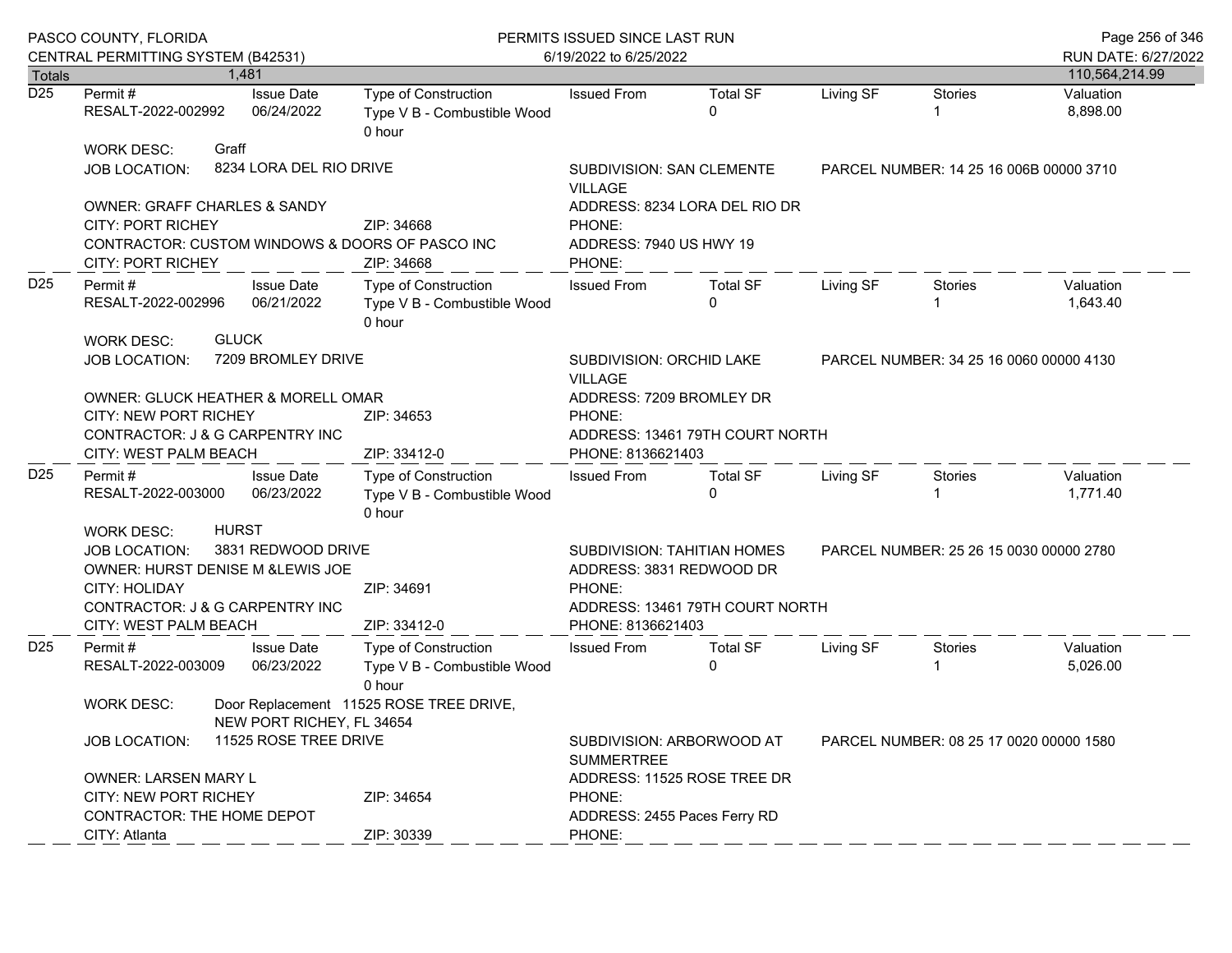|                  | PASCO COUNTY, FLORIDA<br>CENTRAL PERMITTING SYSTEM (B42531)                                                                                                                     |              |                                 | PERMITS ISSUED SINCE LAST RUN<br>6/19/2022 to 6/25/2022                     | Page 256 of 346<br>RUN DATE: 6/27/2022                                                                                                          |                                         |           |                                         |                       |
|------------------|---------------------------------------------------------------------------------------------------------------------------------------------------------------------------------|--------------|---------------------------------|-----------------------------------------------------------------------------|-------------------------------------------------------------------------------------------------------------------------------------------------|-----------------------------------------|-----------|-----------------------------------------|-----------------------|
| <b>Totals</b>    |                                                                                                                                                                                 |              | 1.481                           |                                                                             |                                                                                                                                                 |                                         |           |                                         | 110,564,214.99        |
| $\overline{D25}$ | Permit#<br>RESALT-2022-002992                                                                                                                                                   |              | <b>Issue Date</b><br>06/24/2022 | Type of Construction<br>Type V B - Combustible Wood<br>0 hour               | <b>Issued From</b>                                                                                                                              | <b>Total SF</b><br>$\Omega$             | Living SF | <b>Stories</b>                          | Valuation<br>8,898.00 |
|                  | <b>WORK DESC:</b><br><b>JOB LOCATION:</b>                                                                                                                                       | Graff        | 8234 LORA DEL RIO DRIVE         |                                                                             | SUBDIVISION: SAN CLEMENTE<br><b>VILLAGE</b>                                                                                                     | PARCEL NUMBER: 14 25 16 006B 00000 3710 |           |                                         |                       |
|                  | <b>OWNER: GRAFF CHARLES &amp; SANDY</b><br><b>CITY: PORT RICHEY</b><br><b>CITY: PORT RICHEY</b>                                                                                 |              |                                 | ZIP: 34668<br>CONTRACTOR: CUSTOM WINDOWS & DOORS OF PASCO INC<br>ZIP: 34668 | PHONE:<br>ADDRESS: 7940 US HWY 19<br>PHONE:                                                                                                     | ADDRESS: 8234 LORA DEL RIO DR           |           |                                         |                       |
| D <sub>25</sub>  | Permit#<br>RESALT-2022-002996<br><b>WORK DESC:</b>                                                                                                                              | <b>GLUCK</b> | <b>Issue Date</b><br>06/21/2022 | Type of Construction<br>Type V B - Combustible Wood<br>0 hour               | <b>Issued From</b>                                                                                                                              | <b>Total SF</b><br>$\Omega$             | Living SF | Stories                                 | Valuation<br>1,643.40 |
|                  | 7209 BROMLEY DRIVE<br><b>JOB LOCATION:</b>                                                                                                                                      |              |                                 |                                                                             | SUBDIVISION: ORCHID LAKE<br><b>VILLAGE</b>                                                                                                      | PARCEL NUMBER: 34 25 16 0060 00000 4130 |           |                                         |                       |
|                  | <b>OWNER: GLUCK HEATHER &amp; MORELL OMAR</b><br><b>CITY: NEW PORT RICHEY</b><br>CONTRACTOR: J & G CARPENTRY INC<br>CITY: WEST PALM BEACH                                       |              |                                 | ZIP: 34653<br>ZIP: 33412-0                                                  | ADDRESS: 7209 BROMLEY DR<br>PHONE:<br>ADDRESS: 13461 79TH COURT NORTH<br>PHONE: 8136621403                                                      |                                         |           |                                         |                       |
| D <sub>25</sub>  | Permit#<br>RESALT-2022-003000                                                                                                                                                   |              | <b>Issue Date</b><br>06/23/2022 | <b>Type of Construction</b><br>Type V B - Combustible Wood<br>0 hour        | <b>Issued From</b>                                                                                                                              | <b>Total SF</b><br>$\Omega$             | Living SF | Stories                                 | Valuation<br>1,771.40 |
|                  | <b>HURST</b><br><b>WORK DESC:</b><br>3831 REDWOOD DRIVE<br><b>JOB LOCATION:</b><br>OWNER: HURST DENISE M & LEWIS JOE<br><b>CITY: HOLIDAY</b><br>CONTRACTOR: J & G CARPENTRY INC |              |                                 | ZIP: 34691                                                                  | SUBDIVISION: TAHITIAN HOMES<br>PARCEL NUMBER: 25 26 15 0030 00000 2780<br>ADDRESS: 3831 REDWOOD DR<br>PHONE:<br>ADDRESS: 13461 79TH COURT NORTH |                                         |           |                                         |                       |
|                  | CITY: WEST PALM BEACH                                                                                                                                                           |              |                                 | ZIP: 33412-0                                                                | PHONE: 8136621403                                                                                                                               |                                         |           |                                         |                       |
| D <sub>25</sub>  | Permit#<br>RESALT-2022-003009                                                                                                                                                   |              | <b>Issue Date</b><br>06/23/2022 | <b>Type of Construction</b><br>Type V B - Combustible Wood<br>0 hour        | <b>Issued From</b>                                                                                                                              | <b>Total SF</b><br>$\Omega$             | Living SF | Stories                                 | Valuation<br>5,026.00 |
|                  | Door Replacement 11525 ROSE TREE DRIVE,<br><b>WORK DESC:</b><br>NEW PORT RICHEY, FL 34654                                                                                       |              |                                 |                                                                             |                                                                                                                                                 |                                         |           |                                         |                       |
|                  | <b>JOB LOCATION:</b>                                                                                                                                                            |              | 11525 ROSE TREE DRIVE           |                                                                             | <b>SUMMERTREE</b>                                                                                                                               | SUBDIVISION: ARBORWOOD AT               |           | PARCEL NUMBER: 08 25 17 0020 00000 1580 |                       |
|                  | <b>OWNER: LARSEN MARY L</b><br><b>CITY: NEW PORT RICHEY</b><br><b>CONTRACTOR: THE HOME DEPOT</b>                                                                                |              |                                 | ZIP: 34654                                                                  | ADDRESS: 11525 ROSE TREE DR<br>PHONE:<br>ADDRESS: 2455 Paces Ferry RD                                                                           |                                         |           |                                         |                       |
|                  | CITY: Atlanta                                                                                                                                                                   |              |                                 | ZIP: 30339                                                                  | PHONE:                                                                                                                                          |                                         |           |                                         |                       |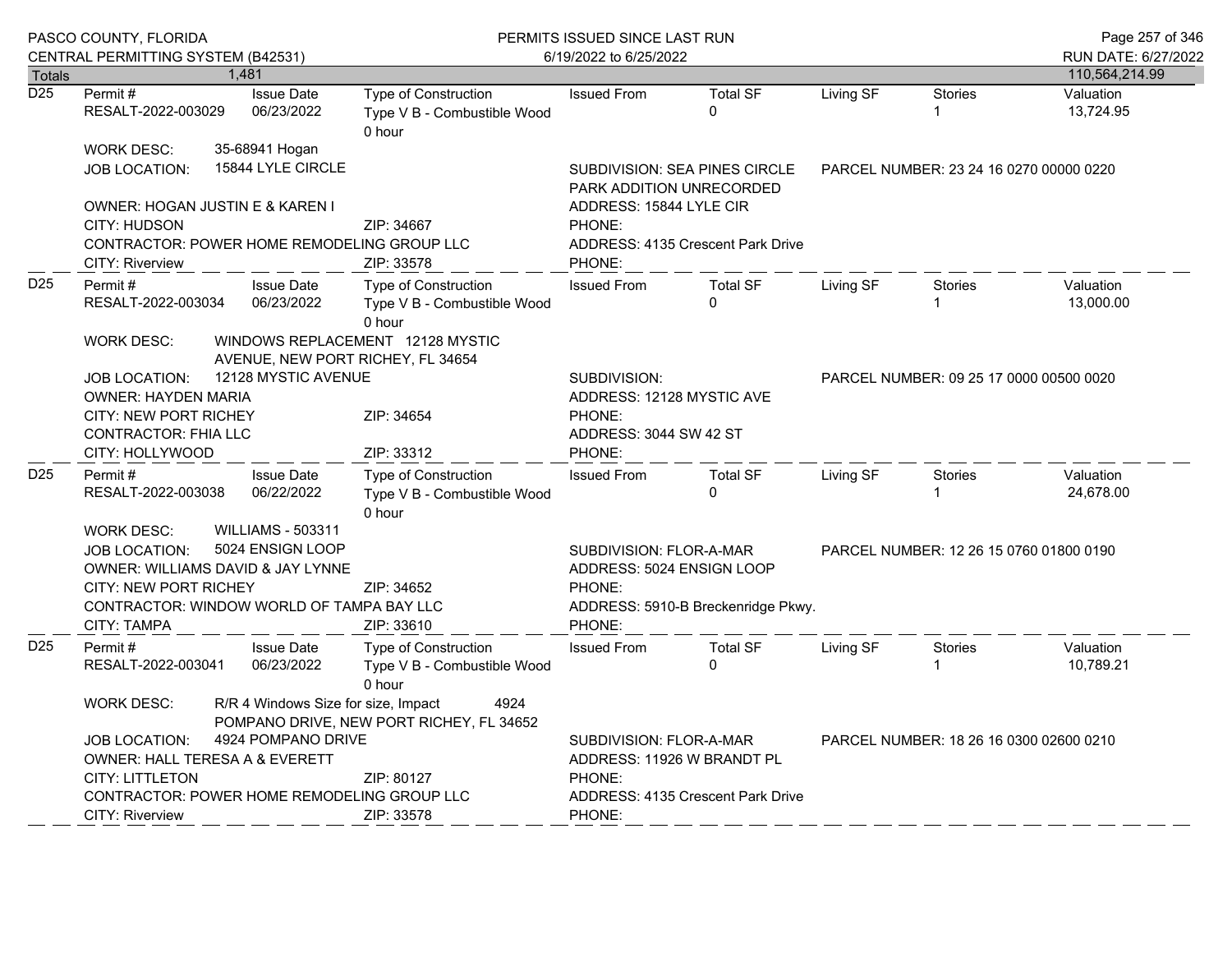|                  | PASCO COUNTY, FLORIDA<br>CENTRAL PERMITTING SYSTEM (B42531)                                                                                                                                                                                                                                                          |                                     | PERMITS ISSUED SINCE LAST RUN<br>6/19/2022 to 6/25/2022                                           |                                                                                  |                                                                                                                                       |           |                                         | Page 257 of 346<br>RUN DATE: 6/27/2022 |  |
|------------------|----------------------------------------------------------------------------------------------------------------------------------------------------------------------------------------------------------------------------------------------------------------------------------------------------------------------|-------------------------------------|---------------------------------------------------------------------------------------------------|----------------------------------------------------------------------------------|---------------------------------------------------------------------------------------------------------------------------------------|-----------|-----------------------------------------|----------------------------------------|--|
| Totals           |                                                                                                                                                                                                                                                                                                                      | 1,481                               |                                                                                                   |                                                                                  |                                                                                                                                       |           |                                         | 110,564,214.99                         |  |
| $\overline{D25}$ | Permit#<br>RESALT-2022-003029                                                                                                                                                                                                                                                                                        | <b>Issue Date</b><br>06/23/2022     | Type of Construction<br>Type V B - Combustible Wood<br>0 hour                                     | <b>Issued From</b>                                                               | <b>Total SF</b><br>$\mathbf{0}$                                                                                                       | Living SF | <b>Stories</b><br>$\mathbf{1}$          | Valuation<br>13,724.95                 |  |
|                  | <b>WORK DESC:</b><br><b>JOB LOCATION:</b>                                                                                                                                                                                                                                                                            | 35-68941 Hogan<br>15844 LYLE CIRCLE |                                                                                                   | PARK ADDITION UNRECORDED                                                         | <b>SUBDIVISION: SEA PINES CIRCLE</b>                                                                                                  |           | PARCEL NUMBER: 23 24 16 0270 00000 0220 |                                        |  |
|                  | OWNER: HOGAN JUSTIN E & KAREN I<br><b>CITY: HUDSON</b><br>CONTRACTOR: POWER HOME REMODELING GROUP LLC<br><b>CITY: Riverview</b>                                                                                                                                                                                      |                                     | ZIP: 34667<br>ZIP: 33578                                                                          | ADDRESS: 15844 LYLE CIR<br>PHONE:<br>ADDRESS: 4135 Crescent Park Drive<br>PHONE: |                                                                                                                                       |           |                                         |                                        |  |
| D <sub>25</sub>  | Permit#<br>RESALT-2022-003034                                                                                                                                                                                                                                                                                        | <b>Issue Date</b><br>06/23/2022     | Type of Construction<br>Type V B - Combustible Wood<br>0 hour                                     | <b>Issued From</b>                                                               | <b>Total SF</b><br>$\mathbf{0}$                                                                                                       | Living SF | <b>Stories</b><br>$\mathbf 1$           | Valuation<br>13,000.00                 |  |
|                  | <b>WORK DESC:</b><br><b>JOB LOCATION:</b><br>OWNER: HAYDEN MARIA<br><b>CITY: NEW PORT RICHEY</b><br><b>CONTRACTOR: FHIA LLC</b><br>CITY: HOLLYWOOD                                                                                                                                                                   | 12128 MYSTIC AVENUE                 | WINDOWS REPLACEMENT 12128 MYSTIC<br>AVENUE, NEW PORT RICHEY, FL 34654<br>ZIP: 34654<br>ZIP: 33312 | SUBDIVISION:<br>PHONE:<br>PHONE:                                                 | ADDRESS: 12128 MYSTIC AVE<br>ADDRESS: 3044 SW 42 ST                                                                                   |           | PARCEL NUMBER: 09 25 17 0000 00500 0020 |                                        |  |
| D <sub>25</sub>  | Permit#<br>RESALT-2022-003038                                                                                                                                                                                                                                                                                        | <b>Issue Date</b><br>06/22/2022     | Type of Construction<br>Type V B - Combustible Wood<br>0 hour                                     | <b>Issued From</b>                                                               | <b>Total SF</b><br>$\Omega$                                                                                                           | Living SF | Stories                                 | Valuation<br>24,678.00                 |  |
|                  | <b>WILLIAMS - 503311</b><br><b>WORK DESC:</b><br>5024 ENSIGN LOOP<br><b>JOB LOCATION:</b><br>OWNER: WILLIAMS DAVID & JAY LYNNE<br><b>CITY: NEW PORT RICHEY</b><br>CONTRACTOR: WINDOW WORLD OF TAMPA BAY LLC<br><b>CITY: TAMPA</b>                                                                                    |                                     | ZIP: 34652<br>ZIP: 33610                                                                          | PHONE:<br>PHONE:                                                                 | SUBDIVISION: FLOR-A-MAR<br>PARCEL NUMBER: 12 26 15 0760 01800 0190<br>ADDRESS: 5024 ENSIGN LOOP<br>ADDRESS: 5910-B Breckenridge Pkwy. |           |                                         |                                        |  |
| D <sub>25</sub>  | Permit#<br>RESALT-2022-003041                                                                                                                                                                                                                                                                                        | <b>Issue Date</b><br>06/23/2022     | <b>Type of Construction</b><br>Type V B - Combustible Wood<br>0 hour                              | <b>Issued From</b>                                                               | <b>Total SF</b><br>$\Omega$                                                                                                           | Living SF | <b>Stories</b>                          | Valuation<br>10,789.21                 |  |
|                  | <b>WORK DESC:</b><br>R/R 4 Windows Size for size, Impact<br>4924<br>POMPANO DRIVE, NEW PORT RICHEY, FL 34652<br>4924 POMPANO DRIVE<br>JOB LOCATION:<br>OWNER: HALL TERESA A & EVERETT<br>ZIP: 80127<br><b>CITY: LITTLETON</b><br>CONTRACTOR: POWER HOME REMODELING GROUP LLC<br><b>CITY: Riverview</b><br>ZIP: 33578 |                                     |                                                                                                   | SUBDIVISION: FLOR-A-MAR<br>ADDRESS: 11926 W BRANDT PL<br>PHONE:<br>PHONE:        | ADDRESS: 4135 Crescent Park Drive                                                                                                     |           | PARCEL NUMBER: 18 26 16 0300 02600 0210 |                                        |  |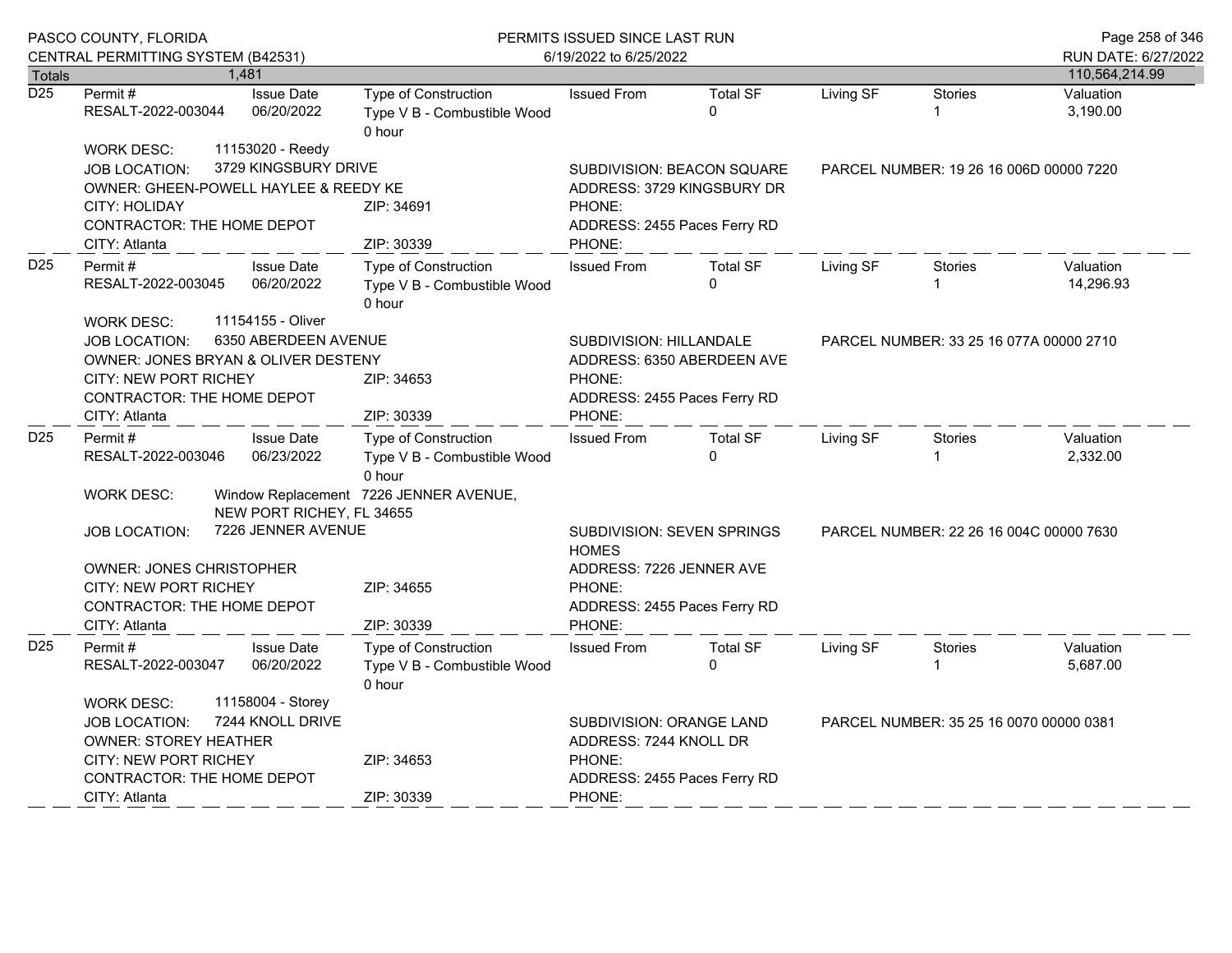|                  | PASCO COUNTY, FLORIDA<br>CENTRAL PERMITTING SYSTEM (B42531)                                                                                                          |                                                      | PERMITS ISSUED SINCE LAST RUN<br>6/19/2022 to 6/25/2022                                                 |                                                                                                              |                                                                                                                                   | Page 258 of 346<br>RUN DATE: 6/27/2022  |                                         |                        |  |
|------------------|----------------------------------------------------------------------------------------------------------------------------------------------------------------------|------------------------------------------------------|---------------------------------------------------------------------------------------------------------|--------------------------------------------------------------------------------------------------------------|-----------------------------------------------------------------------------------------------------------------------------------|-----------------------------------------|-----------------------------------------|------------------------|--|
| <b>Totals</b>    |                                                                                                                                                                      | 1,481                                                |                                                                                                         |                                                                                                              |                                                                                                                                   |                                         |                                         | 110,564,214.99         |  |
| $\overline{D25}$ | Permit#<br>RESALT-2022-003044                                                                                                                                        | <b>Issue Date</b><br>06/20/2022                      | Type of Construction<br>Type V B - Combustible Wood<br>0 hour                                           | <b>Issued From</b>                                                                                           | <b>Total SF</b><br>$\Omega$                                                                                                       | Living SF                               | <b>Stories</b>                          | Valuation<br>3,190.00  |  |
|                  | <b>WORK DESC:</b><br>JOB LOCATION:<br>OWNER: GHEEN-POWELL HAYLEE & REEDY KE<br><b>CITY: HOLIDAY</b><br>CONTRACTOR: THE HOME DEPOT<br>CITY: Atlanta                   | 11153020 - Reedy<br>3729 KINGSBURY DRIVE             | ZIP: 34691<br>ZIP: 30339                                                                                | SUBDIVISION: BEACON SQUARE<br>ADDRESS: 3729 KINGSBURY DR<br>PHONE:<br>ADDRESS: 2455 Paces Ferry RD<br>PHONE: |                                                                                                                                   | PARCEL NUMBER: 19 26 16 006D 00000 7220 |                                         |                        |  |
| D <sub>25</sub>  | Permit#<br>RESALT-2022-003045                                                                                                                                        | <b>Issue Date</b><br>06/20/2022<br>11154155 - Oliver | Type of Construction<br>Type V B - Combustible Wood<br>0 hour                                           | <b>Issued From</b>                                                                                           | <b>Total SF</b><br>$\Omega$                                                                                                       | Living SF                               | <b>Stories</b>                          | Valuation<br>14,296.93 |  |
|                  | <b>WORK DESC:</b><br><b>JOB LOCATION:</b><br>OWNER: JONES BRYAN & OLIVER DESTENY<br><b>CITY: NEW PORT RICHEY</b><br>CONTRACTOR: THE HOME DEPOT<br>CITY: Atlanta      | 6350 ABERDEEN AVENUE                                 | ZIP: 34653<br>ZIP: 30339                                                                                | SUBDIVISION: HILLANDALE<br>ADDRESS: 6350 ABERDEEN AVE<br>PHONE:<br>ADDRESS: 2455 Paces Ferry RD<br>PHONE:    |                                                                                                                                   |                                         | PARCEL NUMBER: 33 25 16 077A 00000 2710 |                        |  |
| D <sub>25</sub>  | Permit #<br>RESALT-2022-003046<br><b>WORK DESC:</b>                                                                                                                  | <b>Issue Date</b><br>06/23/2022                      | Type of Construction<br>Type V B - Combustible Wood<br>0 hour<br>Window Replacement 7226 JENNER AVENUE, | <b>Issued From</b>                                                                                           | <b>Total SF</b><br>$\Omega$                                                                                                       | Living SF                               | Stories                                 | Valuation<br>2,332.00  |  |
|                  | NEW PORT RICHEY, FL 34655<br>7226 JENNER AVENUE<br>JOB LOCATION:<br>OWNER: JONES CHRISTOPHER<br>CITY: NEW PORT RICHEY<br>CONTRACTOR: THE HOME DEPOT<br>CITY: Atlanta |                                                      | ZIP: 34655<br>ZIP: 30339                                                                                | <b>HOMES</b><br>PHONE:<br>PHONE:                                                                             | SUBDIVISION: SEVEN SPRINGS<br>PARCEL NUMBER: 22 26 16 004C 00000 7630<br>ADDRESS: 7226 JENNER AVE<br>ADDRESS: 2455 Paces Ferry RD |                                         |                                         |                        |  |
| D <sub>25</sub>  | <b>Issue Date</b><br>Permit#<br>06/20/2022<br>RESALT-2022-003047                                                                                                     |                                                      | Type of Construction<br>Type V B - Combustible Wood<br>0 hour                                           | <b>Issued From</b>                                                                                           | <b>Total SF</b><br>$\Omega$                                                                                                       | Living SF<br><b>Stories</b>             |                                         | Valuation<br>5,687.00  |  |
|                  | <b>WORK DESC:</b><br><b>JOB LOCATION:</b><br><b>OWNER: STOREY HEATHER</b><br><b>CITY: NEW PORT RICHEY</b><br><b>CONTRACTOR: THE HOME DEPOT</b><br>CITY: Atlanta      | 11158004 - Storey<br>7244 KNOLL DRIVE                | ZIP: 34653<br>ZIP: 30339                                                                                | SUBDIVISION: ORANGE LAND<br>ADDRESS: 7244 KNOLL DR<br>PHONE:<br>ADDRESS: 2455 Paces Ferry RD<br>PHONE:       |                                                                                                                                   |                                         | PARCEL NUMBER: 35 25 16 0070 00000 0381 |                        |  |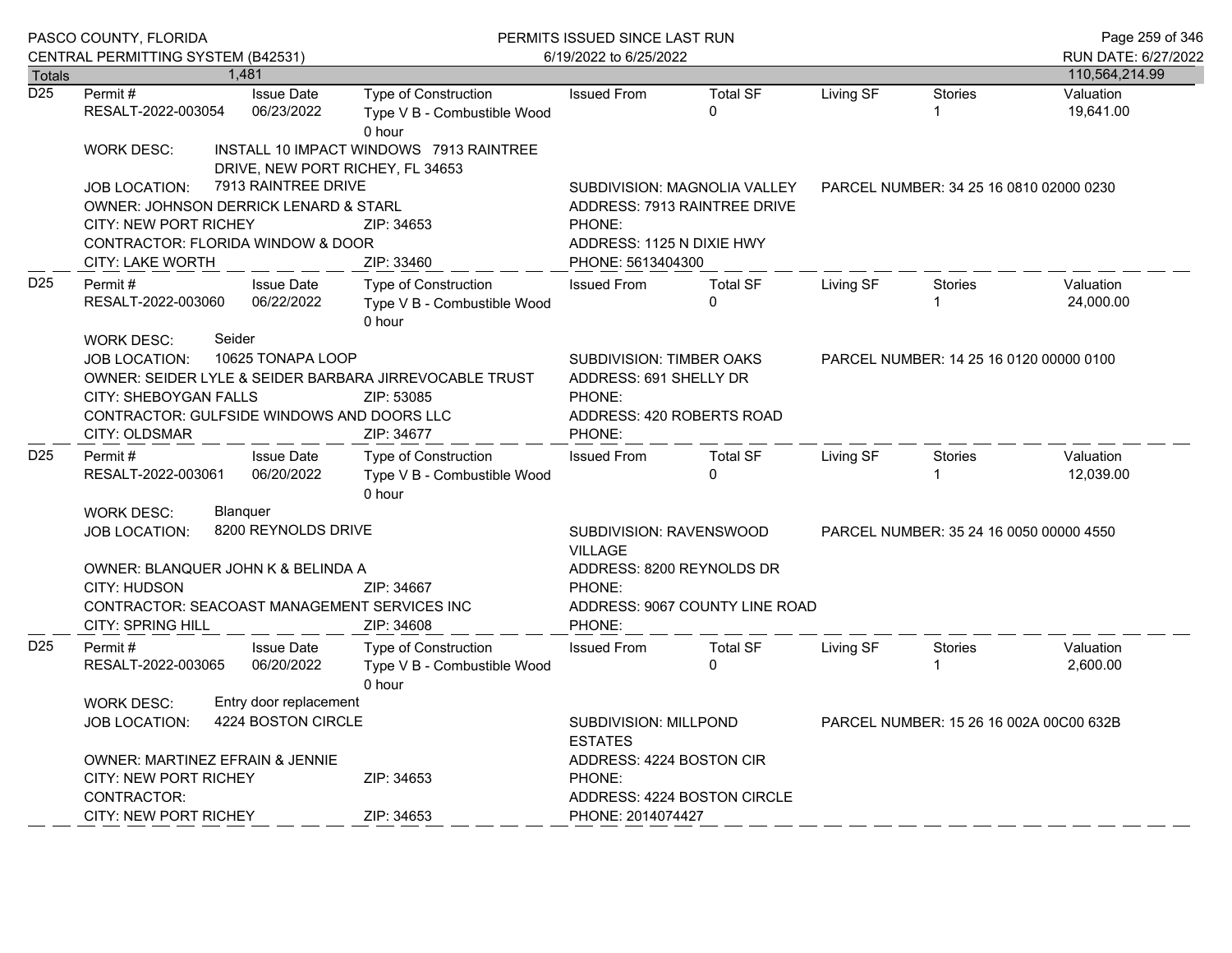|                  | PASCO COUNTY, FLORIDA<br>CENTRAL PERMITTING SYSTEM (B42531)                                                                                                                                                                       |                                                                                                            |                                                                             | PERMITS ISSUED SINCE LAST RUN<br>6/19/2022 to 6/25/2022                                    | Page 259 of 346<br>RUN DATE: 6/27/2022                       |           |                                         |                        |  |
|------------------|-----------------------------------------------------------------------------------------------------------------------------------------------------------------------------------------------------------------------------------|------------------------------------------------------------------------------------------------------------|-----------------------------------------------------------------------------|--------------------------------------------------------------------------------------------|--------------------------------------------------------------|-----------|-----------------------------------------|------------------------|--|
| <b>Totals</b>    |                                                                                                                                                                                                                                   | 1,481                                                                                                      |                                                                             |                                                                                            | 110,564,214.99                                               |           |                                         |                        |  |
| $\overline{D25}$ | Permit#<br>RESALT-2022-003054                                                                                                                                                                                                     | <b>Issue Date</b><br>06/23/2022                                                                            | Type of Construction<br>Type V B - Combustible Wood<br>0 hour               | <b>Issued From</b>                                                                         | <b>Total SF</b><br>$\Omega$                                  | Living SF | <b>Stories</b><br>1                     | Valuation<br>19,641.00 |  |
|                  | <b>WORK DESC:</b>                                                                                                                                                                                                                 |                                                                                                            | INSTALL 10 IMPACT WINDOWS 7913 RAINTREE<br>DRIVE, NEW PORT RICHEY, FL 34653 |                                                                                            |                                                              |           |                                         |                        |  |
|                  | <b>JOB LOCATION:</b><br>OWNER: JOHNSON DERRICK LENARD & STARL<br><b>CITY: NEW PORT RICHEY</b><br>CONTRACTOR: FLORIDA WINDOW & DOOR<br>CITY: LAKE WORTH                                                                            | 7913 RAINTREE DRIVE                                                                                        | ZIP: 34653<br>ZIP: 33460                                                    | PHONE:<br>ADDRESS: 1125 N DIXIE HWY<br>PHONE: 5613404300                                   | SUBDIVISION: MAGNOLIA VALLEY<br>ADDRESS: 7913 RAINTREE DRIVE |           | PARCEL NUMBER: 34 25 16 0810 02000 0230 |                        |  |
| D <sub>25</sub>  | Permit#<br><b>Issue Date</b><br>06/22/2022<br>RESALT-2022-003060                                                                                                                                                                  |                                                                                                            | <b>Type of Construction</b><br>Type V B - Combustible Wood<br>0 hour        | <b>Issued From</b>                                                                         | <b>Total SF</b><br>$\Omega$                                  | Living SF | Stories                                 | Valuation<br>24,000.00 |  |
|                  | Seider<br><b>WORK DESC:</b><br>10625 TONAPA LOOP<br><b>JOB LOCATION:</b><br>OWNER: SEIDER LYLE & SEIDER BARBARA JIRREVOCABLE TRUST<br><b>CITY: SHEBOYGAN FALLS</b><br>CONTRACTOR: GULFSIDE WINDOWS AND DOORS LLC<br>CITY: OLDSMAR | <b>SUBDIVISION: TIMBER OAKS</b><br>ADDRESS: 691 SHELLY DR<br>PHONE:<br>ADDRESS: 420 ROBERTS ROAD<br>PHONE: |                                                                             |                                                                                            | PARCEL NUMBER: 14 25 16 0120 00000 0100                      |           |                                         |                        |  |
| D <sub>25</sub>  | Permit#<br>RESALT-2022-003061                                                                                                                                                                                                     | <b>Issue Date</b><br>06/20/2022                                                                            | Type of Construction<br>Type V B - Combustible Wood<br>0 hour               | <b>Issued From</b>                                                                         | <b>Total SF</b><br>$\Omega$                                  | Living SF | Stories                                 | Valuation<br>12,039.00 |  |
|                  | <b>WORK DESC:</b><br><b>Blanguer</b><br>8200 REYNOLDS DRIVE<br><b>JOB LOCATION:</b><br>OWNER: BLANQUER JOHN K & BELINDA A<br>CITY: HUDSON<br>CONTRACTOR: SEACOAST MANAGEMENT SERVICES INC<br><b>CITY: SPRING HILL</b>             |                                                                                                            | ZIP: 34667<br>ZIP: 34608                                                    | SUBDIVISION: RAVENSWOOD<br><b>VILLAGE</b><br>ADDRESS: 8200 REYNOLDS DR<br>PHONE:<br>PHONE: | ADDRESS: 9067 COUNTY LINE ROAD                               |           | PARCEL NUMBER: 35 24 16 0050 00000 4550 |                        |  |
| D <sub>25</sub>  | Permit #<br>RESALT-2022-003065                                                                                                                                                                                                    | <b>Issue Date</b><br>06/20/2022                                                                            | <b>Type of Construction</b><br>Type V B - Combustible Wood<br>0 hour        | <b>Issued From</b>                                                                         | <b>Total SF</b><br>$\Omega$                                  | Living SF | <b>Stories</b>                          | Valuation<br>2,600.00  |  |
|                  | Entry door replacement<br><b>WORK DESC:</b><br>4224 BOSTON CIRCLE<br><b>JOB LOCATION:</b>                                                                                                                                         |                                                                                                            |                                                                             | SUBDIVISION: MILLPOND<br>PARCEL NUMBER: 15 26 16 002A 00C00 632B<br><b>ESTATES</b>         |                                                              |           |                                         |                        |  |
|                  | OWNER: MARTINEZ EFRAIN & JENNIE<br><b>CITY: NEW PORT RICHEY</b><br>CONTRACTOR:                                                                                                                                                    |                                                                                                            | ZIP: 34653                                                                  | ADDRESS: 4224 BOSTON CIR<br>PHONE:                                                         | ADDRESS: 4224 BOSTON CIRCLE                                  |           |                                         |                        |  |
|                  | <b>CITY: NEW PORT RICHEY</b>                                                                                                                                                                                                      |                                                                                                            | ZIP: 34653                                                                  | PHONE: 2014074427                                                                          |                                                              |           |                                         |                        |  |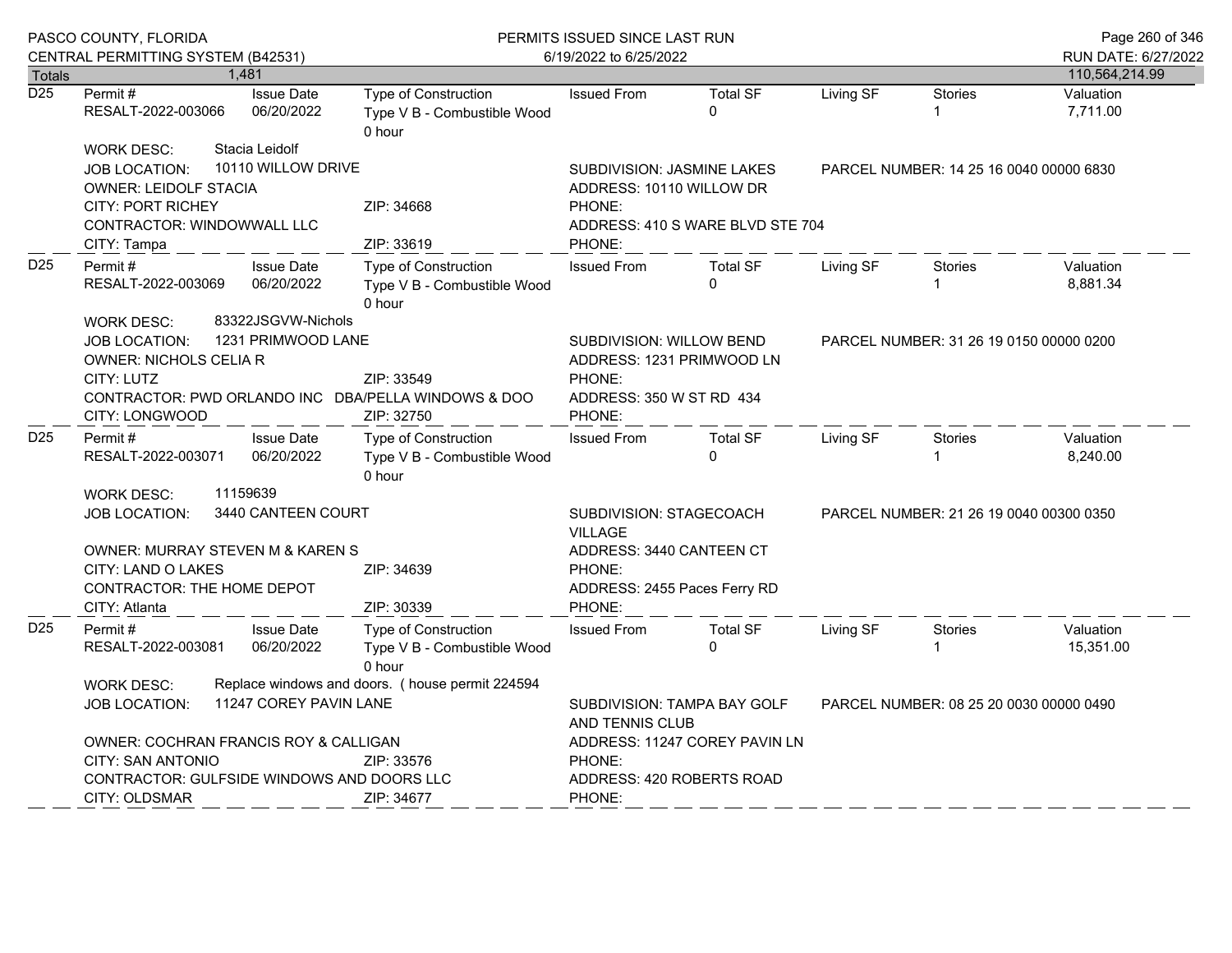|                  | PASCO COUNTY, FLORIDA                                                                                                                                                                                                                                                           |                                                       | PERMITS ISSUED SINCE LAST RUN                                                      |                                                                                                                 |                                                              |                                         |                                         | Page 260 of 346                       |
|------------------|---------------------------------------------------------------------------------------------------------------------------------------------------------------------------------------------------------------------------------------------------------------------------------|-------------------------------------------------------|------------------------------------------------------------------------------------|-----------------------------------------------------------------------------------------------------------------|--------------------------------------------------------------|-----------------------------------------|-----------------------------------------|---------------------------------------|
| <b>Totals</b>    | CENTRAL PERMITTING SYSTEM (B42531)                                                                                                                                                                                                                                              | 1,481                                                 |                                                                                    | 6/19/2022 to 6/25/2022                                                                                          |                                                              |                                         |                                         | RUN DATE: 6/27/2022<br>110,564,214.99 |
| $\overline{D25}$ | Permit#<br>RESALT-2022-003066                                                                                                                                                                                                                                                   | <b>Issue Date</b><br>06/20/2022                       | Type of Construction<br>Type V B - Combustible Wood<br>0 hour                      | <b>Issued From</b>                                                                                              | <b>Total SF</b><br>$\Omega$                                  | Living SF                               | <b>Stories</b><br>1                     | Valuation<br>7,711.00                 |
|                  | <b>WORK DESC:</b><br><b>JOB LOCATION:</b><br><b>OWNER: LEIDOLF STACIA</b><br><b>CITY: PORT RICHEY</b><br>CONTRACTOR: WINDOWWALL LLC                                                                                                                                             | Stacia Leidolf<br>10110 WILLOW DRIVE                  | ZIP: 34668<br>ZIP: 33619                                                           | <b>SUBDIVISION: JASMINE LAKES</b><br>ADDRESS: 10110 WILLOW DR<br>PHONE:<br>PHONE:                               | ADDRESS: 410 S WARE BLVD STE 704                             | PARCEL NUMBER: 14 25 16 0040 00000 6830 |                                         |                                       |
| D <sub>25</sub>  | CITY: Tampa<br>Permit#<br>RESALT-2022-003069                                                                                                                                                                                                                                    | <b>Issue Date</b><br>06/20/2022<br>83322JSGVW-Nichols | <b>Type of Construction</b><br>Type V B - Combustible Wood<br>0 hour               | <b>Issued From</b>                                                                                              | <b>Total SF</b><br>$\Omega$                                  | Living SF                               | Stories                                 | Valuation<br>8,881.34                 |
|                  | <b>WORK DESC:</b><br>JOB LOCATION:<br>OWNER: NICHOLS CELIA R<br>CITY: LUTZ<br>CITY: LONGWOOD                                                                                                                                                                                    | 1231 PRIMWOOD LANE                                    | ZIP: 33549<br>CONTRACTOR: PWD ORLANDO INC DBA/PELLA WINDOWS & DOO<br>ZIP: 32750    | SUBDIVISION: WILLOW BEND<br>ADDRESS: 1231 PRIMWOOD LN<br>PHONE:<br>ADDRESS: 350 W ST RD 434<br>PHONE:           |                                                              | PARCEL NUMBER: 31 26 19 0150 00000 0200 |                                         |                                       |
| D <sub>25</sub>  | Permit#<br>RESALT-2022-003071                                                                                                                                                                                                                                                   | <b>Issue Date</b><br>06/20/2022                       | Type of Construction<br>Type V B - Combustible Wood<br>0 hour                      | <b>Issued From</b>                                                                                              | <b>Total SF</b><br>$\Omega$                                  | Living SF                               | <b>Stories</b>                          | Valuation<br>8,240.00                 |
|                  | <b>WORK DESC:</b><br><b>JOB LOCATION:</b><br><b>OWNER: MURRAY STEVEN M &amp; KAREN S</b><br>CITY: LAND O LAKES<br><b>CONTRACTOR: THE HOME DEPOT</b>                                                                                                                             | 11159639<br>3440 CANTEEN COURT                        | ZIP: 34639                                                                         | SUBDIVISION: STAGECOACH<br><b>VILLAGE</b><br>ADDRESS: 3440 CANTEEN CT<br>PHONE:<br>ADDRESS: 2455 Paces Ferry RD |                                                              | PARCEL NUMBER: 21 26 19 0040 00300 0350 |                                         |                                       |
| D <sub>25</sub>  | CITY: Atlanta<br>Permit#<br>RESALT-2022-003081                                                                                                                                                                                                                                  | <b>Issue Date</b><br>06/20/2022                       | ZIP: 30339<br><b>Type of Construction</b><br>Type V B - Combustible Wood<br>0 hour | PHONE:<br><b>Issued From</b>                                                                                    | <b>Total SF</b><br>$\Omega$                                  | Living SF                               | Stories<br>1                            | Valuation<br>15,351.00                |
|                  | Replace windows and doors. (house permit 224594<br><b>WORK DESC:</b><br>11247 COREY PAVIN LANE<br><b>JOB LOCATION:</b><br>OWNER: COCHRAN FRANCIS ROY & CALLIGAN<br>CITY: SAN ANTONIO<br>ZIP: 33576<br>CONTRACTOR: GULFSIDE WINDOWS AND DOORS LLC<br>CITY: OLDSMAR<br>ZIP: 34677 |                                                       |                                                                                    | AND TENNIS CLUB<br>PHONE:<br>ADDRESS: 420 ROBERTS ROAD<br>PHONE:                                                | SUBDIVISION: TAMPA BAY GOLF<br>ADDRESS: 11247 COREY PAVIN LN |                                         | PARCEL NUMBER: 08 25 20 0030 00000 0490 |                                       |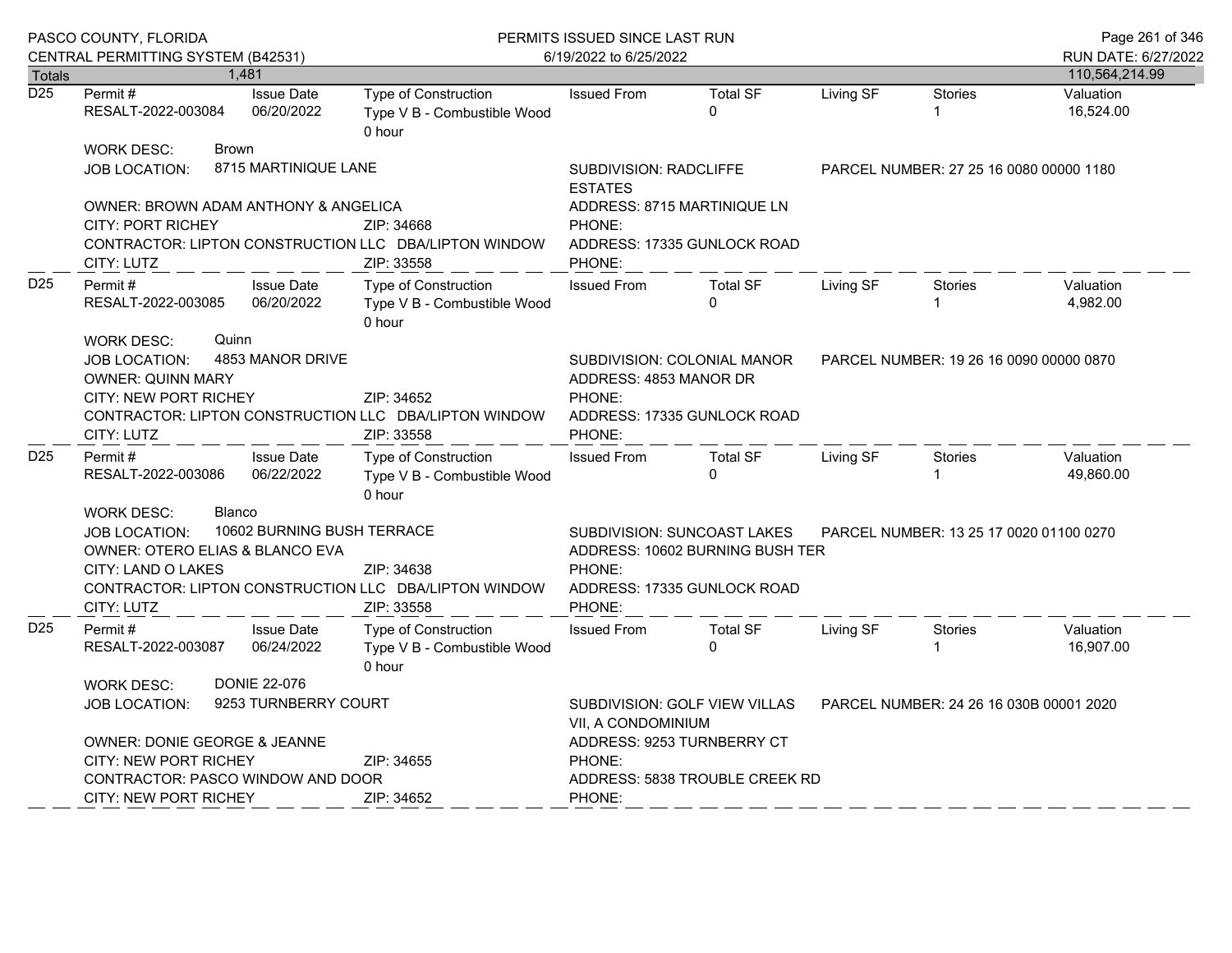|                  | PASCO COUNTY, FLORIDA<br>CENTRAL PERMITTING SYSTEM (B42531)                                                         |                                             | PERMITS ISSUED SINCE LAST RUN<br>6/19/2022 to 6/25/2022                                        |                                                                                                                                                                     |                                                            |                                         |                                         | Page 261 of 346<br>RUN DATE: 6/27/2022 |  |
|------------------|---------------------------------------------------------------------------------------------------------------------|---------------------------------------------|------------------------------------------------------------------------------------------------|---------------------------------------------------------------------------------------------------------------------------------------------------------------------|------------------------------------------------------------|-----------------------------------------|-----------------------------------------|----------------------------------------|--|
| <b>Totals</b>    |                                                                                                                     | 1,481                                       |                                                                                                |                                                                                                                                                                     |                                                            |                                         |                                         | 110,564,214.99                         |  |
| $\overline{D25}$ | Permit #<br>RESALT-2022-003084                                                                                      | <b>Issue Date</b><br>06/20/2022             | Type of Construction<br>Type V B - Combustible Wood<br>0 hour                                  | <b>Issued From</b>                                                                                                                                                  | <b>Total SF</b><br>$\Omega$                                | Living SF                               | Stories                                 | Valuation<br>16,524.00                 |  |
|                  | <b>WORK DESC:</b><br><b>JOB LOCATION:</b>                                                                           | <b>Brown</b><br>8715 MARTINIQUE LANE        |                                                                                                | SUBDIVISION: RADCLIFFE                                                                                                                                              |                                                            |                                         | PARCEL NUMBER: 27 25 16 0080 00000 1180 |                                        |  |
|                  |                                                                                                                     |                                             |                                                                                                | <b>ESTATES</b>                                                                                                                                                      |                                                            |                                         |                                         |                                        |  |
|                  | OWNER: BROWN ADAM ANTHONY & ANGELICA                                                                                |                                             | ZIP: 34668                                                                                     |                                                                                                                                                                     | ADDRESS: 8715 MARTINIQUE LN                                |                                         |                                         |                                        |  |
|                  | <b>CITY: PORT RICHEY</b><br>CONTRACTOR: LIPTON CONSTRUCTION LLC DBA/LIPTON WINDOW<br>CITY: LUTZ                     |                                             | PHONE:<br>PHONE:                                                                               | ADDRESS: 17335 GUNLOCK ROAD                                                                                                                                         |                                                            |                                         |                                         |                                        |  |
| D <sub>25</sub>  | Permit#<br>RESALT-2022-003085                                                                                       | <b>Issue Date</b><br>06/20/2022             | Type of Construction<br>Type V B - Combustible Wood<br>0 hour                                  | <b>Issued From</b>                                                                                                                                                  | <b>Total SF</b><br>$\Omega$                                | Living SF                               | <b>Stories</b>                          | Valuation<br>4,982.00                  |  |
|                  | <b>WORK DESC:</b><br><b>JOB LOCATION:</b><br><b>OWNER: QUINN MARY</b><br><b>CITY: NEW PORT RICHEY</b><br>CITY: LUTZ | Quinn<br>4853 MANOR DRIVE                   | ZIP: 34652<br>CONTRACTOR: LIPTON CONSTRUCTION LLC DBA/LIPTON WINDOW<br>ZIP: 33558              | ADDRESS: 4853 MANOR DR<br>PHONE:<br>PHONE:                                                                                                                          | SUBDIVISION: COLONIAL MANOR<br>ADDRESS: 17335 GUNLOCK ROAD | PARCEL NUMBER: 19 26 16 0090 00000 0870 |                                         |                                        |  |
| D <sub>25</sub>  | Permit #<br>RESALT-2022-003086                                                                                      | <b>Issue Date</b><br>06/22/2022             | Type of Construction<br>Type V B - Combustible Wood<br>0 hour                                  | <b>Issued From</b>                                                                                                                                                  | <b>Total SF</b><br>$\Omega$                                | Living SF                               | Stories                                 | Valuation<br>49.860.00                 |  |
|                  | <b>WORK DESC:</b><br><b>JOB LOCATION:</b><br>OWNER: OTERO ELIAS & BLANCO EVA<br>CITY: LAND O LAKES<br>CITY: LUTZ    | Blanco<br>10602 BURNING BUSH TERRACE        | ZIP: 34638<br>CONTRACTOR: LIPTON CONSTRUCTION LLC DBA/LIPTON WINDOW<br>ZIP: 33558              | <b>SUBDIVISION: SUNCOAST LAKES</b><br>PARCEL NUMBER: 13 25 17 0020 01100 0270<br>ADDRESS: 10602 BURNING BUSH TER<br>PHONE:<br>ADDRESS: 17335 GUNLOCK ROAD<br>PHONE: |                                                            |                                         |                                         |                                        |  |
| D <sub>25</sub>  | Permit #<br>RESALT-2022-003087                                                                                      | <b>Issue Date</b><br>06/24/2022             | Type of Construction<br>Type V B - Combustible Wood<br>0 hour                                  | <b>Issued From</b>                                                                                                                                                  | <b>Total SF</b><br>$\Omega$                                | Living SF                               | <b>Stories</b>                          | Valuation<br>16,907.00                 |  |
|                  | <b>WORK DESC:</b><br><b>JOB LOCATION:</b>                                                                           | <b>DONIE 22-076</b><br>9253 TURNBERRY COURT | SUBDIVISION: GOLF VIEW VILLAS<br>PARCEL NUMBER: 24 26 16 030B 00001 2020<br>VII, A CONDOMINIUM |                                                                                                                                                                     |                                                            |                                         |                                         |                                        |  |
|                  | <b>OWNER: DONIE GEORGE &amp; JEANNE</b><br><b>CITY: NEW PORT RICHEY</b>                                             |                                             | ADDRESS: 9253 TURNBERRY CT<br>PHONE:                                                           |                                                                                                                                                                     |                                                            |                                         |                                         |                                        |  |
|                  | <b>CONTRACTOR: PASCO WINDOW AND DOOR</b><br>CITY: NEW PORT RICHEY                                                   |                                             | ADDRESS: 5838 TROUBLE CREEK RD<br>PHONE:                                                       |                                                                                                                                                                     |                                                            |                                         |                                         |                                        |  |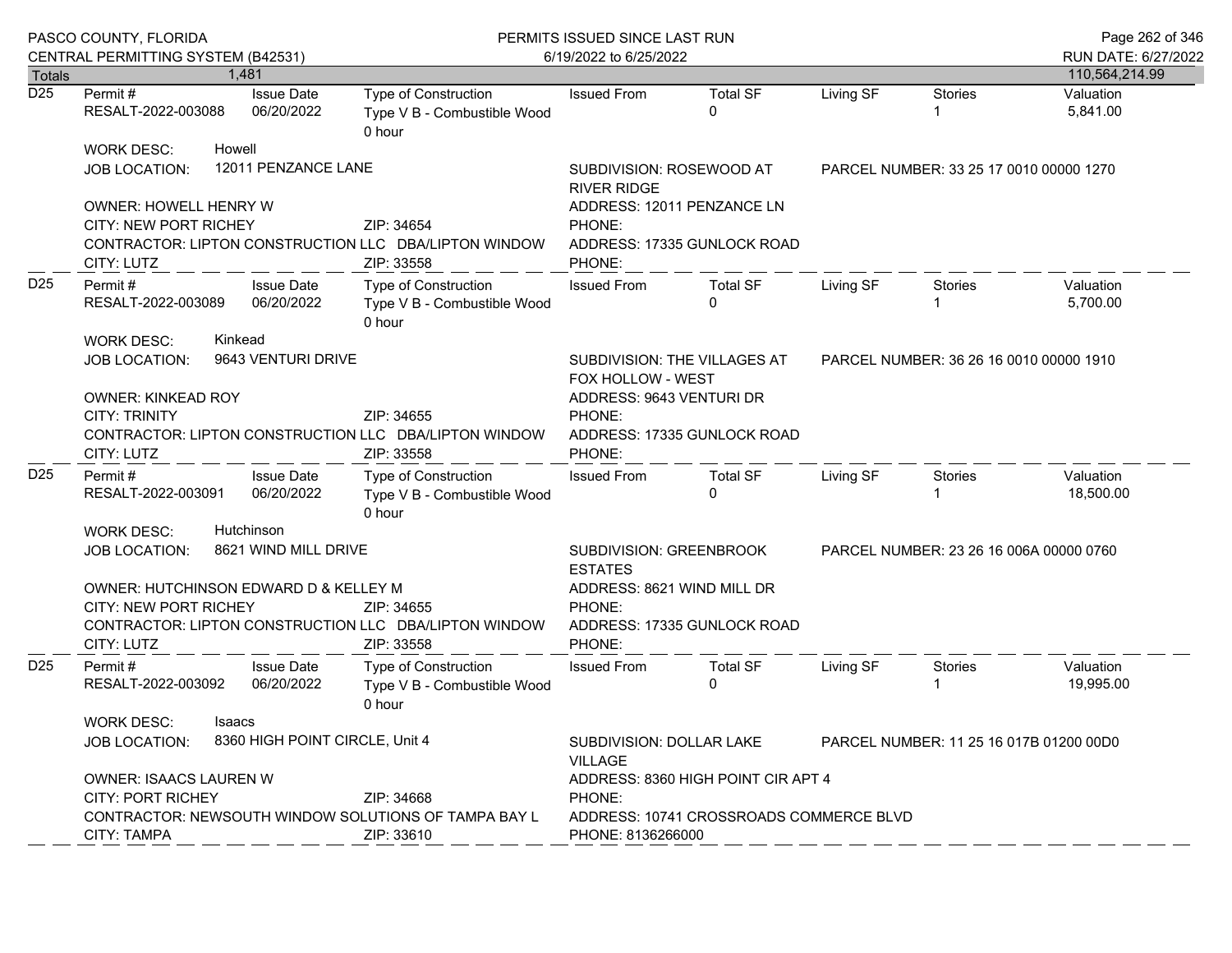|                 | PASCO COUNTY, FLORIDA<br>CENTRAL PERMITTING SYSTEM (B42531)                                                                                                                                                                                                 |                                                  | PERMITS ISSUED SINCE LAST RUN<br>6/19/2022 to 6/25/2022                           | Page 262 of 346<br>RUN DATE: 6/27/2022                                                                                                                                                                |                                                           |           |                                         |                        |
|-----------------|-------------------------------------------------------------------------------------------------------------------------------------------------------------------------------------------------------------------------------------------------------------|--------------------------------------------------|-----------------------------------------------------------------------------------|-------------------------------------------------------------------------------------------------------------------------------------------------------------------------------------------------------|-----------------------------------------------------------|-----------|-----------------------------------------|------------------------|
| <b>Totals</b>   |                                                                                                                                                                                                                                                             | 1,481                                            |                                                                                   |                                                                                                                                                                                                       |                                                           |           |                                         | 110,564,214.99         |
| D25             | Permit#<br>RESALT-2022-003088                                                                                                                                                                                                                               | <b>Issue Date</b><br>06/20/2022                  | Type of Construction<br>Type V B - Combustible Wood<br>0 hour                     | <b>Issued From</b>                                                                                                                                                                                    | <b>Total SF</b><br>0                                      | Living SF | <b>Stories</b><br>1                     | Valuation<br>5,841.00  |
|                 | <b>WORK DESC:</b><br>JOB LOCATION:                                                                                                                                                                                                                          | Howell<br>12011 PENZANCE LANE                    |                                                                                   | SUBDIVISION: ROSEWOOD AT<br><b>RIVER RIDGE</b>                                                                                                                                                        |                                                           |           | PARCEL NUMBER: 33 25 17 0010 00000 1270 |                        |
|                 | <b>OWNER: HOWELL HENRY W</b><br>CITY: NEW PORT RICHEY<br>CITY: LUTZ                                                                                                                                                                                         |                                                  | ZIP: 34654<br>CONTRACTOR: LIPTON CONSTRUCTION LLC DBA/LIPTON WINDOW<br>ZIP: 33558 | PHONE:<br>PHONE:                                                                                                                                                                                      | ADDRESS: 12011 PENZANCE LN<br>ADDRESS: 17335 GUNLOCK ROAD |           |                                         |                        |
| D <sub>25</sub> | <b>Issue Date</b><br>Permit#<br>06/20/2022<br>RESALT-2022-003089<br>Kinkead<br><b>WORK DESC:</b>                                                                                                                                                            |                                                  | Type of Construction<br>Type V B - Combustible Wood<br>0 hour                     | <b>Issued From</b>                                                                                                                                                                                    | <b>Total SF</b><br>$\Omega$                               | Living SF | Stories                                 | Valuation<br>5,700.00  |
|                 | <b>JOB LOCATION:</b><br><b>OWNER: KINKEAD ROY</b><br><b>CITY: TRINITY</b><br>CITY: LUTZ                                                                                                                                                                     | 9643 VENTURI DRIVE                               | ZIP: 34655<br>CONTRACTOR: LIPTON CONSTRUCTION LLC DBA/LIPTON WINDOW<br>ZIP: 33558 | SUBDIVISION: THE VILLAGES AT<br>FOX HOLLOW - WEST<br>ADDRESS: 9643 VENTURI DR<br>PHONE:<br>ADDRESS: 17335 GUNLOCK ROAD<br>PHONE:                                                                      |                                                           |           | PARCEL NUMBER: 36 26 16 0010 00000 1910 |                        |
| D <sub>25</sub> | Permit #<br>RESALT-2022-003091                                                                                                                                                                                                                              | <b>Issue Date</b><br>06/20/2022                  | Type of Construction<br>Type V B - Combustible Wood<br>0 hour                     | <b>Issued From</b>                                                                                                                                                                                    | <b>Total SF</b><br>0                                      | Living SF | Stories<br>1                            | Valuation<br>18,500.00 |
|                 | Hutchinson<br><b>WORK DESC:</b><br>8621 WIND MILL DRIVE<br><b>JOB LOCATION:</b><br>OWNER: HUTCHINSON EDWARD D & KELLEY M<br><b>CITY: NEW PORT RICHEY</b><br>ZIP: 34655<br>CONTRACTOR: LIPTON CONSTRUCTION LLC DBA/LIPTON WINDOW<br>CITY: LUTZ<br>ZIP: 33558 |                                                  |                                                                                   | SUBDIVISION: GREENBROOK<br><b>ESTATES</b><br>ADDRESS: 8621 WIND MILL DR<br>PHONE:<br>ADDRESS: 17335 GUNLOCK ROAD<br>PHONE:                                                                            |                                                           |           | PARCEL NUMBER: 23 26 16 006A 00000 0760 |                        |
| D <sub>25</sub> | Permit #<br>RESALT-2022-003092<br><b>WORK DESC:</b>                                                                                                                                                                                                         | <b>Issue Date</b><br>06/20/2022<br><b>Isaacs</b> | <b>Type of Construction</b><br>Type V B - Combustible Wood<br>0 hour              | <b>Issued From</b>                                                                                                                                                                                    | <b>Total SF</b><br>0                                      | Living SF | Stories<br>-1                           | Valuation<br>19,995.00 |
|                 | 8360 HIGH POINT CIRCLE, Unit 4<br>JOB LOCATION:<br>OWNER: ISAACS LAUREN W<br><b>CITY: PORT RICHEY</b><br>ZIP: 34668<br>CONTRACTOR: NEWSOUTH WINDOW SOLUTIONS OF TAMPA BAY L<br>ZIP: 33610<br>CITY: TAMPA                                                    |                                                  |                                                                                   | SUBDIVISION: DOLLAR LAKE<br>PARCEL NUMBER: 11 25 16 017B 01200 00D0<br><b>VILLAGE</b><br>ADDRESS: 8360 HIGH POINT CIR APT 4<br>PHONE:<br>ADDRESS: 10741 CROSSROADS COMMERCE BLVD<br>PHONE: 8136266000 |                                                           |           |                                         |                        |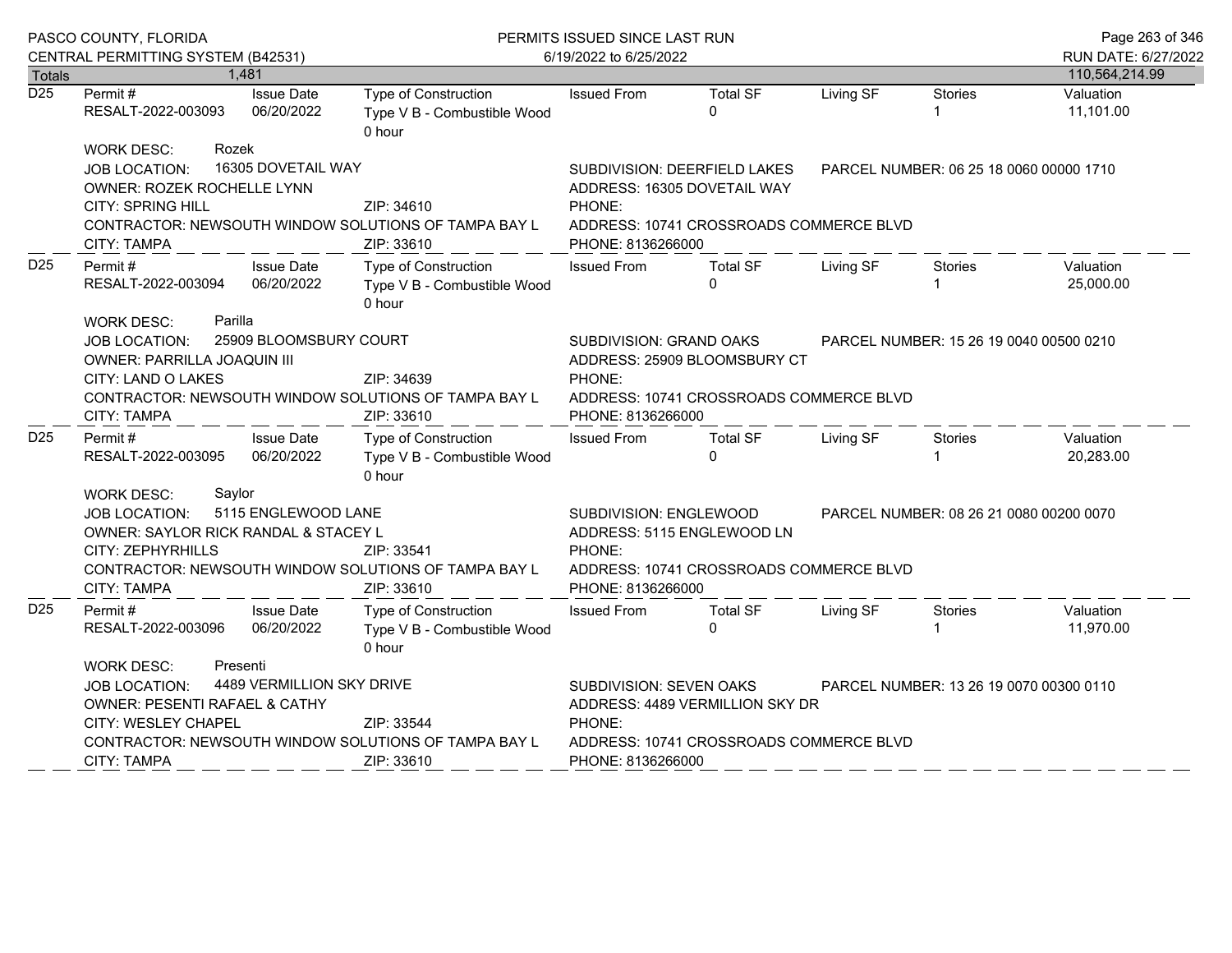| PASCO COUNTY, FLORIDA                                                                         |                                                                                                                                                            | PERMITS ISSUED SINCE LAST RUN                                                                                                                                                                                                                                                                                                                                                                                                                                                                                                                                                                                                           |                                                                                                                                        |                                                                                                                                                                                                                                                              |                              |                                                                                                                                                                                                                                                                |  |
|-----------------------------------------------------------------------------------------------|------------------------------------------------------------------------------------------------------------------------------------------------------------|-----------------------------------------------------------------------------------------------------------------------------------------------------------------------------------------------------------------------------------------------------------------------------------------------------------------------------------------------------------------------------------------------------------------------------------------------------------------------------------------------------------------------------------------------------------------------------------------------------------------------------------------|----------------------------------------------------------------------------------------------------------------------------------------|--------------------------------------------------------------------------------------------------------------------------------------------------------------------------------------------------------------------------------------------------------------|------------------------------|----------------------------------------------------------------------------------------------------------------------------------------------------------------------------------------------------------------------------------------------------------------|--|
|                                                                                               |                                                                                                                                                            |                                                                                                                                                                                                                                                                                                                                                                                                                                                                                                                                                                                                                                         |                                                                                                                                        |                                                                                                                                                                                                                                                              |                              |                                                                                                                                                                                                                                                                |  |
| Permit#<br>RESALT-2022-003093                                                                 | <b>Type of Construction</b><br>0 hour                                                                                                                      | <b>Issued From</b>                                                                                                                                                                                                                                                                                                                                                                                                                                                                                                                                                                                                                      | <b>Total SF</b><br>$\Omega$                                                                                                            | Living SF                                                                                                                                                                                                                                                    | <b>Stories</b>               | 110,564,214.99<br>Valuation<br>11,101.00                                                                                                                                                                                                                       |  |
| <b>WORK DESC:</b><br>Rozek<br><b>JOB LOCATION:</b><br><b>CITY: SPRING HILL</b><br>CITY: TAMPA | ZIP: 34610<br>ZIP: 33610                                                                                                                                   | PHONE:                                                                                                                                                                                                                                                                                                                                                                                                                                                                                                                                                                                                                                  |                                                                                                                                        |                                                                                                                                                                                                                                                              |                              |                                                                                                                                                                                                                                                                |  |
| Permit #<br>RESALT-2022-003094                                                                | Type of Construction<br>0 hour                                                                                                                             | <b>Issued From</b>                                                                                                                                                                                                                                                                                                                                                                                                                                                                                                                                                                                                                      | <b>Total SF</b><br>0                                                                                                                   | Living SF                                                                                                                                                                                                                                                    | Stories                      | Valuation<br>25,000.00                                                                                                                                                                                                                                         |  |
| <b>JOB LOCATION:</b><br>OWNER: PARRILLA JOAQUIN III<br>CITY: LAND O LAKES<br>CITY: TAMPA      | ZIP: 34639<br>ZIP: 33610                                                                                                                                   | PHONE:                                                                                                                                                                                                                                                                                                                                                                                                                                                                                                                                                                                                                                  |                                                                                                                                        |                                                                                                                                                                                                                                                              |                              |                                                                                                                                                                                                                                                                |  |
| Permit#<br>RESALT-2022-003095                                                                 | Type of Construction<br>0 hour                                                                                                                             | <b>Issued From</b>                                                                                                                                                                                                                                                                                                                                                                                                                                                                                                                                                                                                                      | <b>Total SF</b><br><sup>0</sup>                                                                                                        | Living SF                                                                                                                                                                                                                                                    | Stories                      | Valuation<br>20,283.00                                                                                                                                                                                                                                         |  |
| JOB LOCATION:<br>CITY: ZEPHYRHILLS<br><b>CITY: TAMPA</b>                                      | ZIP: 33541<br>ZIP: 33610                                                                                                                                   | PHONE:                                                                                                                                                                                                                                                                                                                                                                                                                                                                                                                                                                                                                                  |                                                                                                                                        |                                                                                                                                                                                                                                                              |                              |                                                                                                                                                                                                                                                                |  |
| Permit#<br>RESALT-2022-003096                                                                 | <b>Type of Construction</b><br>0 hour                                                                                                                      | <b>Issued From</b>                                                                                                                                                                                                                                                                                                                                                                                                                                                                                                                                                                                                                      | <b>Total SF</b><br>$\Omega$                                                                                                            | Living SF                                                                                                                                                                                                                                                    | Stories                      | Valuation<br>11,970.00                                                                                                                                                                                                                                         |  |
| <b>WORK DESC:</b><br>Presenti<br><b>JOB LOCATION:</b><br>CITY: WESLEY CHAPEL                  | SUBDIVISION: SEVEN OAKS<br>PARCEL NUMBER: 13 26 19 0070 00300 0110<br>ADDRESS: 4489 VERMILLION SKY DR<br>PHONE:<br>ADDRESS: 10741 CROSSROADS COMMERCE BLVD |                                                                                                                                                                                                                                                                                                                                                                                                                                                                                                                                                                                                                                         |                                                                                                                                        |                                                                                                                                                                                                                                                              |                              |                                                                                                                                                                                                                                                                |  |
|                                                                                               | 1,481<br><b>Totals</b><br>Parilla<br><b>WORK DESC:</b><br>Saylor<br><b>WORK DESC:</b><br>CITY: TAMPA                                                       | CENTRAL PERMITTING SYSTEM (B42531)<br><b>Issue Date</b><br>06/20/2022<br>16305 DOVETAIL WAY<br>OWNER: ROZEK ROCHELLE LYNN<br>CONTRACTOR: NEWSOUTH WINDOW SOLUTIONS OF TAMPA BAY L<br><b>Issue Date</b><br>06/20/2022<br>25909 BLOOMSBURY COURT<br>CONTRACTOR: NEWSOUTH WINDOW SOLUTIONS OF TAMPA BAY L<br><b>Issue Date</b><br>06/20/2022<br>5115 ENGLEWOOD LANE<br>OWNER: SAYLOR RICK RANDAL & STACEY L<br>CONTRACTOR: NEWSOUTH WINDOW SOLUTIONS OF TAMPA BAY L<br><b>Issue Date</b><br>06/20/2022<br>4489 VERMILLION SKY DRIVE<br>OWNER: PESENTI RAFAEL & CATHY<br>ZIP: 33544<br>CONTRACTOR: NEWSOUTH WINDOW SOLUTIONS OF TAMPA BAY L | Type V B - Combustible Wood<br>Type V B - Combustible Wood<br>Type V B - Combustible Wood<br>Type V B - Combustible Wood<br>ZIP: 33610 | 6/19/2022 to 6/25/2022<br>SUBDIVISION: DEERFIELD LAKES<br>ADDRESS: 16305 DOVETAIL WAY<br>PHONE: 8136266000<br>SUBDIVISION: GRAND OAKS<br>PHONE: 8136266000<br>SUBDIVISION: ENGLEWOOD<br>ADDRESS: 5115 ENGLEWOOD LN<br>PHONE: 8136266000<br>PHONE: 8136266000 | ADDRESS: 25909 BLOOMSBURY CT | PARCEL NUMBER: 06 25 18 0060 00000 1710<br>ADDRESS: 10741 CROSSROADS COMMERCE BLVD<br>PARCEL NUMBER: 15 26 19 0040 00500 0210<br>ADDRESS: 10741 CROSSROADS COMMERCE BLVD<br>PARCEL NUMBER: 08 26 21 0080 00200 0070<br>ADDRESS: 10741 CROSSROADS COMMERCE BLVD |  |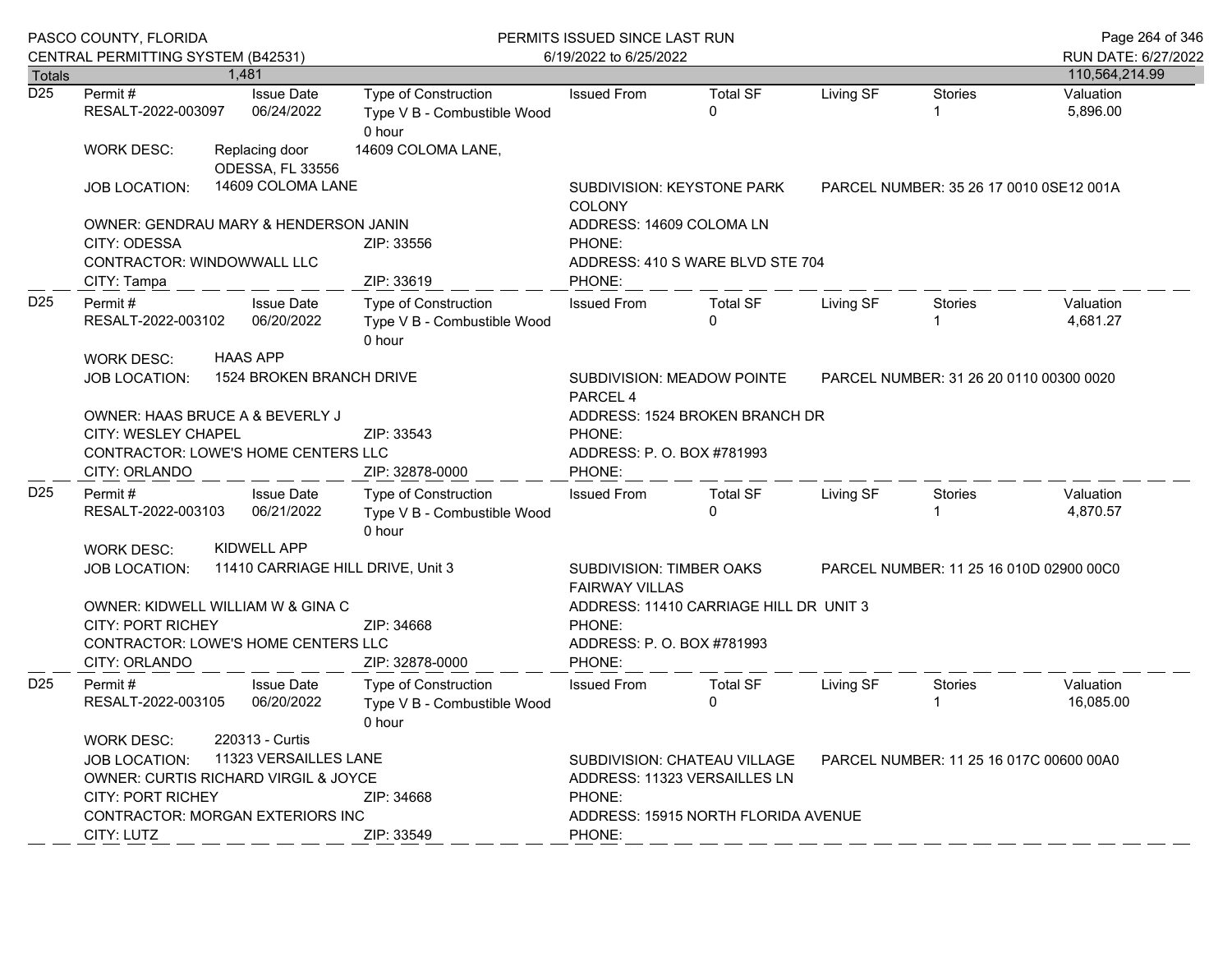| PASCO COUNTY, FLORIDA<br>CENTRAL PERMITTING SYSTEM (B42531) |                                                                                                                                                                                                                                                |  |                                                               | PERMITS ISSUED SINCE LAST RUN<br>6/19/2022 to 6/25/2022                                                                                                            |                                                                                                                   |                             |           |                                         | Page 264 of 346<br>RUN DATE: 6/27/2022 |  |
|-------------------------------------------------------------|------------------------------------------------------------------------------------------------------------------------------------------------------------------------------------------------------------------------------------------------|--|---------------------------------------------------------------|--------------------------------------------------------------------------------------------------------------------------------------------------------------------|-------------------------------------------------------------------------------------------------------------------|-----------------------------|-----------|-----------------------------------------|----------------------------------------|--|
| <b>Totals</b>                                               |                                                                                                                                                                                                                                                |  | 1,481                                                         |                                                                                                                                                                    |                                                                                                                   |                             |           |                                         | 110,564,214.99                         |  |
| $\overline{D25}$                                            | Permit#<br>RESALT-2022-003097                                                                                                                                                                                                                  |  | <b>Issue Date</b><br>06/24/2022                               | Type of Construction<br>Type V B - Combustible Wood<br>0 hour                                                                                                      | <b>Issued From</b>                                                                                                | <b>Total SF</b><br>$\Omega$ | Living SF | <b>Stories</b>                          | Valuation<br>5,896.00                  |  |
|                                                             | <b>WORK DESC:</b>                                                                                                                                                                                                                              |  | Replacing door<br>ODESSA, FL 33556                            | 14609 COLOMA LANE,                                                                                                                                                 |                                                                                                                   |                             |           |                                         |                                        |  |
|                                                             | <b>JOB LOCATION:</b>                                                                                                                                                                                                                           |  | 14609 COLOMA LANE                                             |                                                                                                                                                                    | <b>COLONY</b>                                                                                                     | SUBDIVISION: KEYSTONE PARK  |           | PARCEL NUMBER: 35 26 17 0010 0SE12 001A |                                        |  |
|                                                             | OWNER: GENDRAU MARY & HENDERSON JANIN                                                                                                                                                                                                          |  |                                                               |                                                                                                                                                                    | ADDRESS: 14609 COLOMA LN                                                                                          |                             |           |                                         |                                        |  |
|                                                             | CITY: ODESSA<br>CONTRACTOR: WINDOWWALL LLC<br>CITY: Tampa                                                                                                                                                                                      |  |                                                               | ZIP: 33556<br>ZIP: 33619                                                                                                                                           | PHONE:<br>ADDRESS: 410 S WARE BLVD STE 704                                                                        |                             |           |                                         |                                        |  |
| D <sub>25</sub>                                             | Permit#<br><b>Issue Date</b><br>RESALT-2022-003102<br>06/20/2022                                                                                                                                                                               |  | Type of Construction<br>Type V B - Combustible Wood<br>0 hour | PHONE:<br><b>Issued From</b>                                                                                                                                       | <b>Total SF</b><br>$\Omega$                                                                                       | Living SF                   | Stories   | Valuation<br>4,681.27                   |                                        |  |
|                                                             | WORK DESC:<br><b>JOB LOCATION:</b>                                                                                                                                                                                                             |  | <b>HAAS APP</b><br>1524 BROKEN BRANCH DRIVE                   |                                                                                                                                                                    | SUBDIVISION: MEADOW POINTE<br>PARCEL NUMBER: 31 26 20 0110 00300 0020<br>PARCEL 4                                 |                             |           |                                         |                                        |  |
|                                                             | OWNER: HAAS BRUCE A & BEVERLY J<br>CITY: WESLEY CHAPEL<br>CONTRACTOR: LOWE'S HOME CENTERS LLC<br>CITY: ORLANDO                                                                                                                                 |  |                                                               | ZIP: 33543<br>ZIP: 32878-0000                                                                                                                                      | ADDRESS: 1524 BROKEN BRANCH DR<br>PHONE:<br>ADDRESS: P. O. BOX #781993<br>PHONE:                                  |                             |           |                                         |                                        |  |
| D <sub>25</sub>                                             | Permit#<br>RESALT-2022-003103                                                                                                                                                                                                                  |  | <b>Issue Date</b><br>06/21/2022                               | Type of Construction<br>Type V B - Combustible Wood<br>0 hour                                                                                                      | <b>Issued From</b>                                                                                                | <b>Total SF</b><br>$\Omega$ | Living SF | Stories                                 | Valuation<br>4,870.57                  |  |
|                                                             | <b>WORK DESC:</b><br><b>JOB LOCATION:</b>                                                                                                                                                                                                      |  | KIDWELL APP<br>11410 CARRIAGE HILL DRIVE, Unit 3              |                                                                                                                                                                    | <b>SUBDIVISION: TIMBER OAKS</b><br>PARCEL NUMBER: 11 25 16 010D 02900 00C0                                        |                             |           |                                         |                                        |  |
|                                                             | OWNER: KIDWELL WILLIAM W & GINA C<br><b>CITY: PORT RICHEY</b><br>CONTRACTOR: LOWE'S HOME CENTERS LLC<br>CITY: ORLANDO                                                                                                                          |  |                                                               | ZIP: 34668<br>ZIP: 32878-0000                                                                                                                                      | <b>FAIRWAY VILLAS</b><br>ADDRESS: 11410 CARRIAGE HILL DR UNIT 3<br>PHONE:<br>ADDRESS: P. O. BOX #781993<br>PHONE: |                             |           |                                         |                                        |  |
| D <sub>25</sub>                                             | Permit#<br>RESALT-2022-003105                                                                                                                                                                                                                  |  | <b>Issue Date</b><br>06/20/2022                               | <b>Type of Construction</b><br>Type V B - Combustible Wood<br>0 hour                                                                                               | <b>Issued From</b>                                                                                                | <b>Total SF</b><br>0        | Living SF | Stories                                 | Valuation<br>16,085.00                 |  |
|                                                             | 220313 - Curtis<br><b>WORK DESC:</b><br>11323 VERSAILLES LANE<br><b>JOB LOCATION:</b><br>OWNER: CURTIS RICHARD VIRGIL & JOYCE<br><b>CITY: PORT RICHEY</b><br>ZIP: 34668<br><b>CONTRACTOR: MORGAN EXTERIORS INC</b><br>CITY: LUTZ<br>ZIP: 33549 |  |                                                               | SUBDIVISION: CHATEAU VILLAGE<br>PARCEL NUMBER: 11 25 16 017C 00600 00A0<br>ADDRESS: 11323 VERSAILLES LN<br>PHONE:<br>ADDRESS: 15915 NORTH FLORIDA AVENUE<br>PHONE: |                                                                                                                   |                             |           |                                         |                                        |  |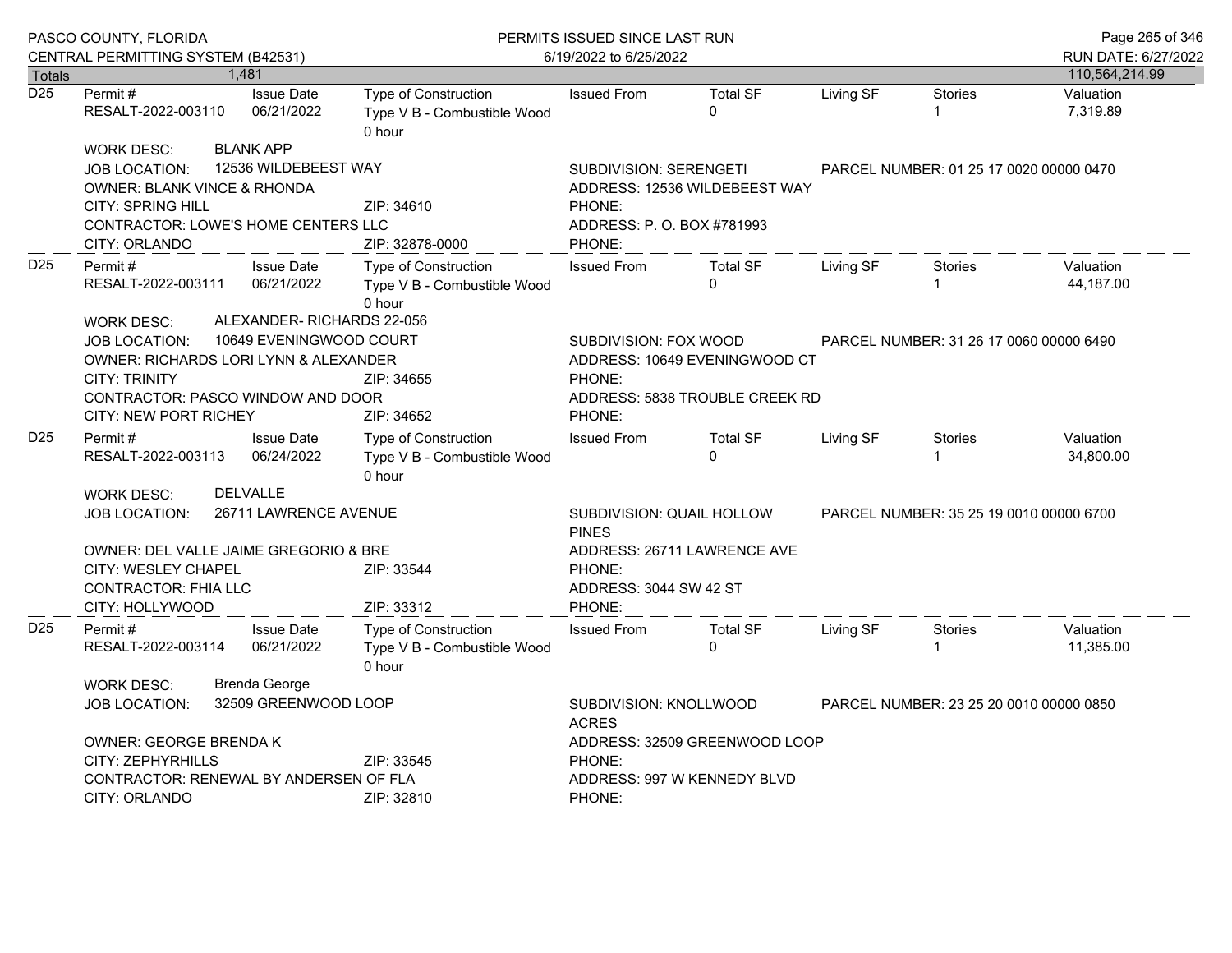|                  | PASCO COUNTY, FLORIDA<br>CENTRAL PERMITTING SYSTEM (B42531)                                                                                                             |                                                              | PERMITS ISSUED SINCE LAST RUN<br>6/19/2022 to 6/25/2022                                 |                                                                                                                              |                                                                 |                                         |                                         | Page 265 of 346<br>RUN DATE: 6/27/2022 |
|------------------|-------------------------------------------------------------------------------------------------------------------------------------------------------------------------|--------------------------------------------------------------|-----------------------------------------------------------------------------------------|------------------------------------------------------------------------------------------------------------------------------|-----------------------------------------------------------------|-----------------------------------------|-----------------------------------------|----------------------------------------|
| <b>Totals</b>    |                                                                                                                                                                         | 1.481                                                        |                                                                                         |                                                                                                                              |                                                                 |                                         |                                         | 110,564,214.99                         |
| $\overline{D25}$ | Permit#<br>RESALT-2022-003110                                                                                                                                           | <b>Issue Date</b><br>06/21/2022                              | Type of Construction<br>Type V B - Combustible Wood<br>0 hour                           | <b>Issued From</b>                                                                                                           | <b>Total SF</b><br>$\Omega$                                     | Living SF                               | <b>Stories</b>                          | Valuation<br>7,319.89                  |
|                  | <b>WORK DESC:</b><br><b>JOB LOCATION:</b><br><b>OWNER: BLANK VINCE &amp; RHONDA</b><br><b>CITY: SPRING HILL</b><br>CONTRACTOR: LOWE'S HOME CENTERS LLC<br>CITY: ORLANDO | <b>BLANK APP</b><br>12536 WILDEBEEST WAY                     | ZIP: 34610<br>ZIP: 32878-0000                                                           | <b>SUBDIVISION: SERENGETI</b><br>PHONE:<br>ADDRESS: P. O. BOX #781993<br>PHONE:                                              | ADDRESS: 12536 WILDEBEEST WAY                                   |                                         | PARCEL NUMBER: 01 25 17 0020 00000 0470 |                                        |
| D <sub>25</sub>  | Permit#<br>RESALT-2022-003111<br><b>WORK DESC:</b>                                                                                                                      | <b>Issue Date</b><br>06/21/2022<br>ALEXANDER-RICHARDS 22-056 | Type of Construction<br>Type V B - Combustible Wood<br>0 hour                           | <b>Issued From</b>                                                                                                           | <b>Total SF</b><br>$\Omega$                                     | Living SF                               | Stories                                 | Valuation<br>44,187.00                 |
|                  | <b>JOB LOCATION:</b><br>OWNER: RICHARDS LORI LYNN & ALEXANDER<br><b>CITY: TRINITY</b><br>CONTRACTOR: PASCO WINDOW AND DOOR<br>CITY: NEW PORT RICHEY                     | 10649 EVENINGWOOD COURT                                      | ZIP: 34655<br>ZIP: 34652                                                                | SUBDIVISION: FOX WOOD<br>PHONE:<br>PHONE:                                                                                    | ADDRESS: 10649 EVENINGWOOD CT<br>ADDRESS: 5838 TROUBLE CREEK RD |                                         | PARCEL NUMBER: 31 26 17 0060 00000 6490 |                                        |
| D <sub>25</sub>  | Permit #<br>RESALT-2022-003113<br><b>WORK DESC:</b>                                                                                                                     | <b>Issue Date</b><br>06/24/2022<br><b>DELVALLE</b>           | Type of Construction<br>Type V B - Combustible Wood<br>0 hour                           | <b>Issued From</b>                                                                                                           | <b>Total SF</b><br>$\Omega$                                     | Living SF                               | <b>Stories</b>                          | Valuation<br>34,800.00                 |
|                  | <b>JOB LOCATION:</b><br>OWNER: DEL VALLE JAIME GREGORIO & BRE<br><b>CITY: WESLEY CHAPEL</b><br><b>CONTRACTOR: FHIA LLC</b><br>CITY: HOLLYWOOD                           | 26711 LAWRENCE AVENUE                                        | SUBDIVISION: QUAIL HOLLOW<br><b>PINES</b><br>PHONE:<br>ADDRESS: 3044 SW 42 ST<br>PHONE: | ADDRESS: 26711 LAWRENCE AVE                                                                                                  |                                                                 | PARCEL NUMBER: 35 25 19 0010 00000 6700 |                                         |                                        |
| D <sub>25</sub>  | Permit#<br>RESALT-2022-003114                                                                                                                                           | <b>Issue Date</b><br>06/21/2022                              | Type of Construction<br>Type V B - Combustible Wood<br>0 hour                           | <b>Issued From</b>                                                                                                           | <b>Total SF</b><br>$\Omega$                                     | Living SF                               | <b>Stories</b>                          | Valuation<br>11,385.00                 |
|                  | <b>WORK DESC:</b><br><b>JOB LOCATION:</b><br>OWNER: GEORGE BRENDA K<br>CITY: ZEPHYRHILLS                                                                                | <b>Brenda George</b><br>32509 GREENWOOD LOOP                 | ZIP: 33545                                                                              | SUBDIVISION: KNOLLWOOD<br>PARCEL NUMBER: 23 25 20 0010 00000 0850<br><b>ACRES</b><br>ADDRESS: 32509 GREENWOOD LOOP<br>PHONE: |                                                                 |                                         |                                         |                                        |
|                  | CONTRACTOR: RENEWAL BY ANDERSEN OF FLA<br>CITY: ORLANDO                                                                                                                 |                                                              | ZIP: 32810                                                                              | PHONE:                                                                                                                       | ADDRESS: 997 W KENNEDY BLVD                                     |                                         |                                         |                                        |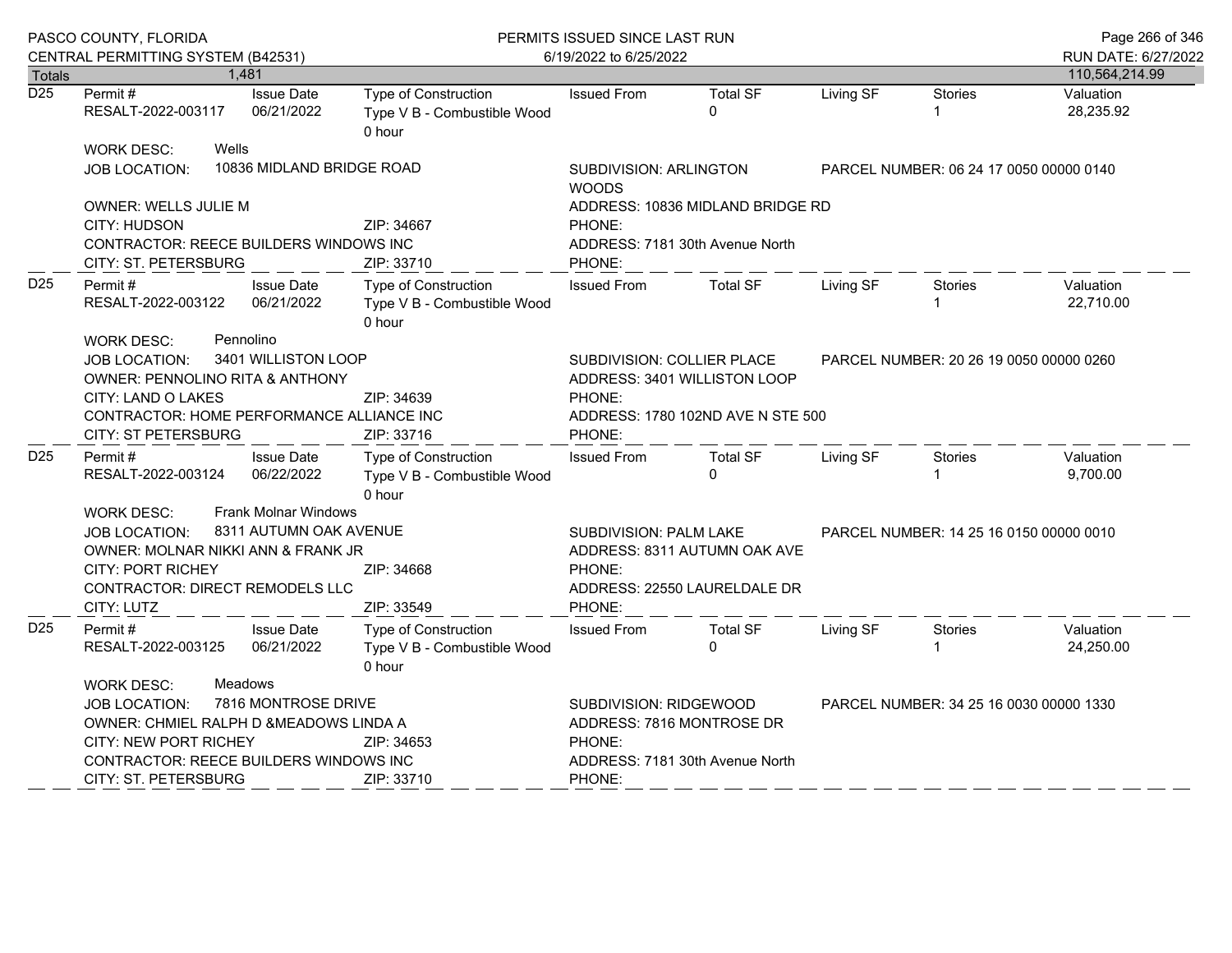|                  | PASCO COUNTY, FLORIDA                                                                                                                                                                                                                        |                                                       | PERMITS ISSUED SINCE LAST RUN                                                                                                                         | Page 266 of 346                                                         |                                 |                                         |                                         |                                       |
|------------------|----------------------------------------------------------------------------------------------------------------------------------------------------------------------------------------------------------------------------------------------|-------------------------------------------------------|-------------------------------------------------------------------------------------------------------------------------------------------------------|-------------------------------------------------------------------------|---------------------------------|-----------------------------------------|-----------------------------------------|---------------------------------------|
| Totals           | CENTRAL PERMITTING SYSTEM (B42531)                                                                                                                                                                                                           | 1,481                                                 |                                                                                                                                                       | 6/19/2022 to 6/25/2022                                                  |                                 |                                         |                                         | RUN DATE: 6/27/2022<br>110,564,214.99 |
| $\overline{D25}$ | Permit#<br>RESALT-2022-003117                                                                                                                                                                                                                | <b>Issue Date</b><br>06/21/2022                       | Type of Construction<br>Type V B - Combustible Wood<br>0 hour                                                                                         | <b>Issued From</b>                                                      | <b>Total SF</b><br>$\Omega$     | Living SF                               | <b>Stories</b><br>1                     | Valuation<br>28,235.92                |
|                  | <b>WORK DESC:</b><br><b>JOB LOCATION:</b>                                                                                                                                                                                                    | Wells<br>10836 MIDLAND BRIDGE ROAD                    |                                                                                                                                                       | <b>SUBDIVISION: ARLINGTON</b><br><b>WOODS</b>                           |                                 |                                         | PARCEL NUMBER: 06 24 17 0050 00000 0140 |                                       |
|                  | OWNER: WELLS JULIE M<br>CITY: HUDSON<br>CONTRACTOR: REECE BUILDERS WINDOWS INC<br>CITY: ST. PETERSBURG                                                                                                                                       |                                                       | ADDRESS: 10836 MIDLAND BRIDGE RD<br>PHONE:<br>ADDRESS: 7181 30th Avenue North<br>PHONE:                                                               |                                                                         |                                 |                                         |                                         |                                       |
| D <sub>25</sub>  | Permit#<br>RESALT-2022-003122                                                                                                                                                                                                                | <b>Issue Date</b><br>06/21/2022                       | Type of Construction<br>Type V B - Combustible Wood<br>0 hour                                                                                         | <b>Issued From</b>                                                      | <b>Total SF</b>                 | Living SF                               | Stories<br>1.                           | Valuation<br>22.710.00                |
|                  | WORK DESC:<br><b>JOB LOCATION:</b><br><b>OWNER: PENNOLINO RITA &amp; ANTHONY</b><br>CITY: LAND O LAKES<br>CONTRACTOR: HOME PERFORMANCE ALLIANCE INC<br><b>CITY: ST PETERSBURG</b>                                                            | Pennolino<br>3401 WILLISTON LOOP                      | SUBDIVISION: COLLIER PLACE<br>ADDRESS: 3401 WILLISTON LOOP<br>PHONE:<br>ADDRESS: 1780 102ND AVE N STE 500<br>PHONE:                                   |                                                                         |                                 | PARCEL NUMBER: 20 26 19 0050 00000 0260 |                                         |                                       |
| D <sub>25</sub>  | Permit#<br>RESALT-2022-003124                                                                                                                                                                                                                | <b>Issue Date</b><br>06/22/2022                       | Type of Construction<br>Type V B - Combustible Wood<br>0 hour                                                                                         | <b>Issued From</b>                                                      | <b>Total SF</b><br>$\Omega$     | Living SF                               | <b>Stories</b><br>1                     | Valuation<br>9,700.00                 |
|                  | <b>WORK DESC:</b><br><b>JOB LOCATION:</b><br>OWNER: MOLNAR NIKKI ANN & FRANK JR<br><b>CITY: PORT RICHEY</b><br>CONTRACTOR: DIRECT REMODELS LLC<br>CITY: LUTZ                                                                                 | <b>Frank Molnar Windows</b><br>8311 AUTUMN OAK AVENUE | SUBDIVISION: PALM LAKE<br>PARCEL NUMBER: 14 25 16 0150 00000 0010<br>ADDRESS: 8311 AUTUMN OAK AVE<br>PHONE:<br>ADDRESS: 22550 LAURELDALE DR<br>PHONE: |                                                                         |                                 |                                         |                                         |                                       |
| D <sub>25</sub>  | Permit#<br>RESALT-2022-003125                                                                                                                                                                                                                | <b>Issue Date</b><br>06/21/2022                       | Type of Construction<br>Type V B - Combustible Wood<br>0 hour                                                                                         | <b>Issued From</b>                                                      | <b>Total SF</b><br>$\Omega$     | Living SF                               | Stories<br>1                            | Valuation<br>24,250.00                |
|                  | Meadows<br>WORK DESC:<br>7816 MONTROSE DRIVE<br><b>JOB LOCATION:</b><br>OWNER: CHMIEL RALPH D &MEADOWS LINDA A<br>CITY: NEW PORT RICHEY<br>ZIP: 34653<br><b>CONTRACTOR: REECE BUILDERS WINDOWS INC</b><br>CITY: ST. PETERSBURG<br>ZIP: 33710 |                                                       |                                                                                                                                                       | SUBDIVISION: RIDGEWOOD<br>ADDRESS: 7816 MONTROSE DR<br>PHONE:<br>PHONE: | ADDRESS: 7181 30th Avenue North |                                         | PARCEL NUMBER: 34 25 16 0030 00000 1330 |                                       |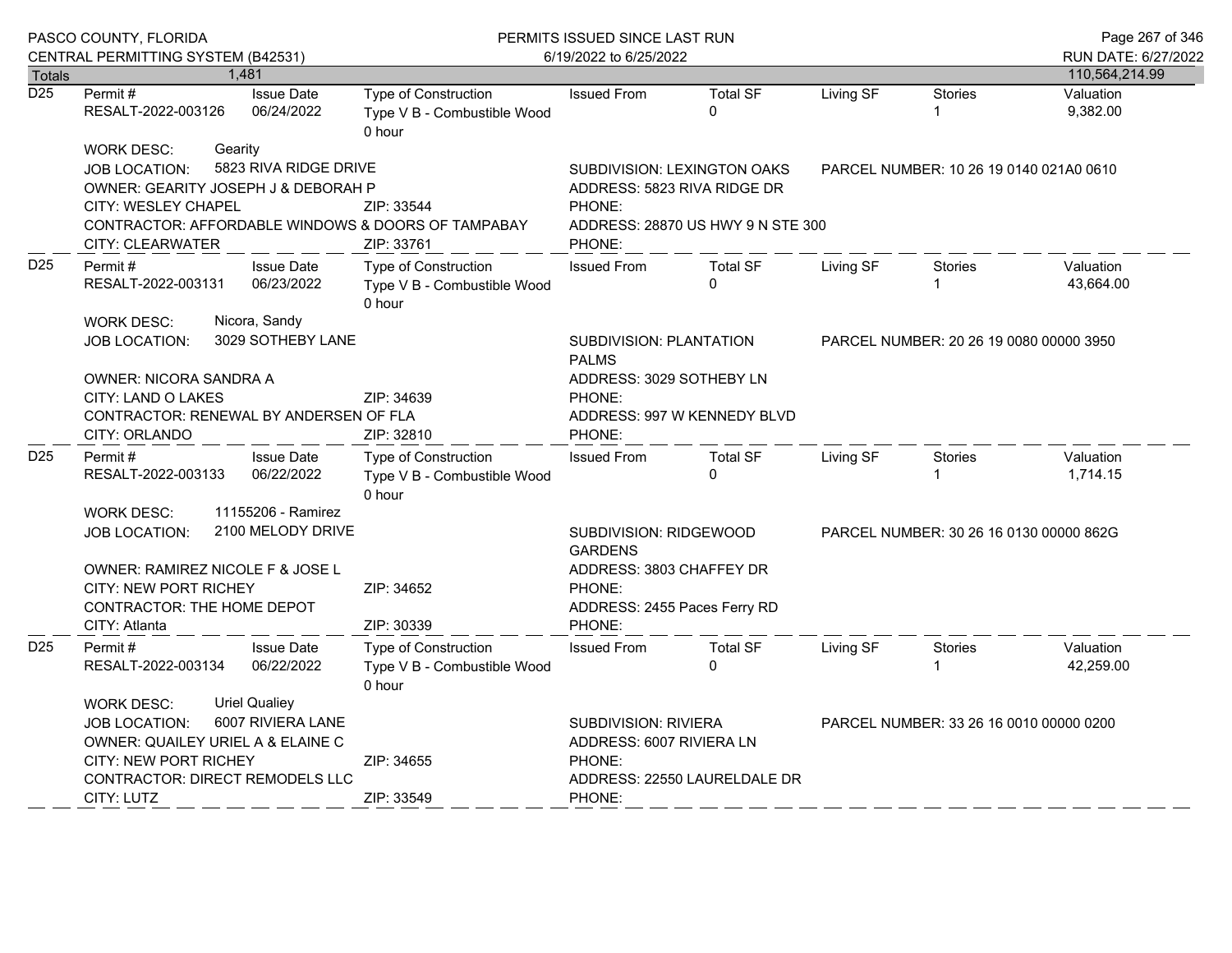|                  | PASCO COUNTY, FLORIDA<br>CENTRAL PERMITTING SYSTEM (B42531)                                                                                                     |                                           | PERMITS ISSUED SINCE LAST RUN<br>6/19/2022 to 6/25/2022          |                                                                                                                                                        |                                                                                                 |                                         |                     | Page 267 of 346<br>RUN DATE: 6/27/2022 |
|------------------|-----------------------------------------------------------------------------------------------------------------------------------------------------------------|-------------------------------------------|------------------------------------------------------------------|--------------------------------------------------------------------------------------------------------------------------------------------------------|-------------------------------------------------------------------------------------------------|-----------------------------------------|---------------------|----------------------------------------|
| <b>Totals</b>    |                                                                                                                                                                 | 1,481                                     |                                                                  |                                                                                                                                                        |                                                                                                 |                                         |                     | 110,564,214.99                         |
| $\overline{D25}$ | Permit#<br>RESALT-2022-003126                                                                                                                                   | <b>Issue Date</b><br>06/24/2022           | Type of Construction<br>Type V B - Combustible Wood<br>0 hour    | <b>Issued From</b>                                                                                                                                     | <b>Total SF</b><br>$\Omega$                                                                     | Living SF                               | <b>Stories</b><br>1 | Valuation<br>9,382.00                  |
|                  | <b>WORK DESC:</b><br><b>JOB LOCATION:</b><br>OWNER: GEARITY JOSEPH J & DEBORAH P<br><b>CITY: WESLEY CHAPEL</b>                                                  | Gearity<br>5823 RIVA RIDGE DRIVE          | ZIP: 33544<br>CONTRACTOR: AFFORDABLE WINDOWS & DOORS OF TAMPABAY | PHONE:                                                                                                                                                 | SUBDIVISION: LEXINGTON OAKS<br>ADDRESS: 5823 RIVA RIDGE DR<br>ADDRESS: 28870 US HWY 9 N STE 300 | PARCEL NUMBER: 10 26 19 0140 021A0 0610 |                     |                                        |
|                  | <b>CITY: CLEARWATER</b>                                                                                                                                         |                                           | ZIP: 33761                                                       | PHONE:                                                                                                                                                 |                                                                                                 |                                         |                     |                                        |
| D <sub>25</sub>  | Permit#<br>RESALT-2022-003131                                                                                                                                   | <b>Issue Date</b><br>06/23/2022           | Type of Construction<br>Type V B - Combustible Wood<br>0 hour    | <b>Issued From</b>                                                                                                                                     | <b>Total SF</b><br>$\Omega$                                                                     | Living SF                               | <b>Stories</b>      | Valuation<br>43,664.00                 |
|                  | <b>WORK DESC:</b><br><b>JOB LOCATION:</b>                                                                                                                       | Nicora, Sandy<br>3029 SOTHEBY LANE        |                                                                  | SUBDIVISION: PLANTATION<br><b>PALMS</b>                                                                                                                |                                                                                                 | PARCEL NUMBER: 20 26 19 0080 00000 3950 |                     |                                        |
|                  | OWNER: NICORA SANDRA A<br>CITY: LAND O LAKES<br>CONTRACTOR: RENEWAL BY ANDERSEN OF FLA<br>CITY: ORLANDO                                                         |                                           | ZIP: 34639<br>ZIP: 32810                                         | ADDRESS: 3029 SOTHEBY LN<br>PHONE:<br>PHONE:                                                                                                           | ADDRESS: 997 W KENNEDY BLVD                                                                     |                                         |                     |                                        |
| D <sub>25</sub>  | Permit#<br>RESALT-2022-003133                                                                                                                                   | <b>Issue Date</b><br>06/22/2022           | Type of Construction<br>Type V B - Combustible Wood<br>0 hour    | <b>Issued From</b>                                                                                                                                     | <b>Total SF</b><br>$\Omega$                                                                     | Living SF                               | Stories             | Valuation<br>1,714.15                  |
|                  | 11155206 - Ramirez<br><b>WORK DESC:</b><br>2100 MELODY DRIVE<br><b>JOB LOCATION:</b><br>OWNER: RAMIREZ NICOLE F & JOSE L<br><b>CITY: NEW PORT RICHEY</b>        |                                           | ZIP: 34652                                                       | <b>GARDENS</b><br>PHONE:<br>ADDRESS: 2455 Paces Ferry RD                                                                                               | SUBDIVISION: RIDGEWOOD<br>PARCEL NUMBER: 30 26 16 0130 00000 862G<br>ADDRESS: 3803 CHAFFEY DR   |                                         |                     |                                        |
|                  | CONTRACTOR: THE HOME DEPOT<br>CITY: Atlanta                                                                                                                     |                                           | ZIP: 30339                                                       | PHONE:                                                                                                                                                 |                                                                                                 |                                         |                     |                                        |
| D <sub>25</sub>  | Permit#<br>RESALT-2022-003134                                                                                                                                   | <b>Issue Date</b><br>06/22/2022           | Type of Construction<br>Type V B - Combustible Wood<br>0 hour    | <b>Issued From</b>                                                                                                                                     | <b>Total SF</b><br>$\Omega$                                                                     | Living SF                               | <b>Stories</b>      | Valuation<br>42,259.00                 |
|                  | <b>WORK DESC:</b><br><b>JOB LOCATION:</b><br>OWNER: QUAILEY URIEL A & ELAINE C<br>CITY: NEW PORT RICHEY<br>CONTRACTOR: DIRECT REMODELS LLC<br><b>CITY: LUTZ</b> | <b>Uriel Qualiey</b><br>6007 RIVIERA LANE | ZIP: 34655<br>ZIP: 33549                                         | <b>SUBDIVISION: RIVIERA</b><br>PARCEL NUMBER: 33 26 16 0010 00000 0200<br>ADDRESS: 6007 RIVIERA LN<br>PHONE:<br>ADDRESS: 22550 LAURELDALE DR<br>PHONE: |                                                                                                 |                                         |                     |                                        |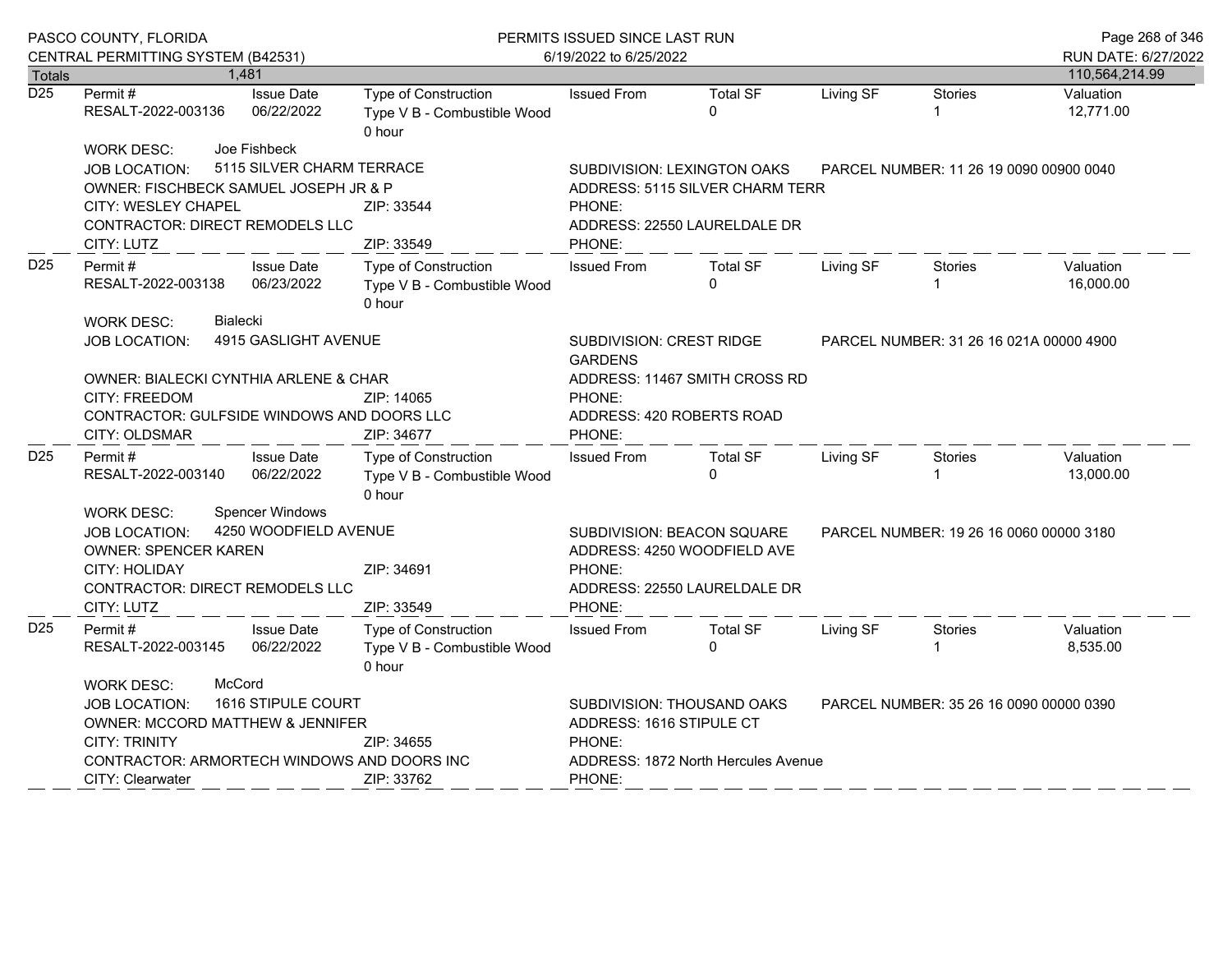|                  | PASCO COUNTY, FLORIDA<br>CENTRAL PERMITTING SYSTEM (B42531)                                                                                       |                                                 |                                                                      | PERMITS ISSUED SINCE LAST RUN<br>6/19/2022 to 6/25/2022                                                     |                                         |                                         |                                         |                                       |  |
|------------------|---------------------------------------------------------------------------------------------------------------------------------------------------|-------------------------------------------------|----------------------------------------------------------------------|-------------------------------------------------------------------------------------------------------------|-----------------------------------------|-----------------------------------------|-----------------------------------------|---------------------------------------|--|
| Totals           |                                                                                                                                                   | 1,481                                           |                                                                      |                                                                                                             |                                         |                                         |                                         | RUN DATE: 6/27/2022<br>110,564,214.99 |  |
| $\overline{D25}$ | Permit#<br>RESALT-2022-003136                                                                                                                     | <b>Issue Date</b><br>06/22/2022                 | <b>Type of Construction</b><br>Type V B - Combustible Wood<br>0 hour | <b>Issued From</b>                                                                                          | <b>Total SF</b><br>$\mathbf 0$          | Living SF                               | <b>Stories</b>                          | Valuation<br>12,771.00                |  |
|                  | WORK DESC:                                                                                                                                        | Joe Fishbeck                                    |                                                                      |                                                                                                             |                                         |                                         |                                         |                                       |  |
|                  | <b>JOB LOCATION:</b>                                                                                                                              | 5115 SILVER CHARM TERRACE                       |                                                                      |                                                                                                             | SUBDIVISION: LEXINGTON OAKS             |                                         | PARCEL NUMBER: 11 26 19 0090 00900 0040 |                                       |  |
|                  | OWNER: FISCHBECK SAMUEL JOSEPH JR & P                                                                                                             |                                                 |                                                                      | ADDRESS: 5115 SILVER CHARM TERR                                                                             |                                         |                                         |                                         |                                       |  |
|                  | <b>CITY: WESLEY CHAPEL</b>                                                                                                                        |                                                 | ZIP: 33544                                                           | PHONE:                                                                                                      |                                         |                                         |                                         |                                       |  |
|                  | <b>CONTRACTOR: DIRECT REMODELS LLC</b>                                                                                                            |                                                 |                                                                      | ADDRESS: 22550 LAURELDALE DR                                                                                |                                         |                                         |                                         |                                       |  |
|                  | CITY: LUTZ                                                                                                                                        |                                                 | ZIP: 33549                                                           | PHONE:                                                                                                      |                                         |                                         |                                         |                                       |  |
| D <sub>25</sub>  | <b>Issue Date</b><br>Permit #<br>RESALT-2022-003138<br>06/23/2022                                                                                 |                                                 | Type of Construction<br>Type V B - Combustible Wood<br>0 hour        | <b>Issued From</b>                                                                                          | Total SF<br>0                           | Living SF                               | Stories                                 | Valuation<br>16,000.00                |  |
|                  | <b>WORK DESC:</b><br><b>JOB LOCATION:</b>                                                                                                         | <b>Bialecki</b><br>4915 GASLIGHT AVENUE         |                                                                      | SUBDIVISION: CREST RIDGE<br><b>GARDENS</b>                                                                  | PARCEL NUMBER: 31 26 16 021A 00000 4900 |                                         |                                         |                                       |  |
|                  | OWNER: BIALECKI CYNTHIA ARLENE & CHAR<br><b>CITY: FREEDOM</b><br>CONTRACTOR: GULFSIDE WINDOWS AND DOORS LLC<br>CITY: OLDSMAR                      |                                                 | ZIP: 14065<br>ZIP: 34677                                             | ADDRESS: 11467 SMITH CROSS RD<br>PHONE:<br>ADDRESS: 420 ROBERTS ROAD<br>PHONE:                              |                                         |                                         |                                         |                                       |  |
| D25              | Permit#<br>RESALT-2022-003140                                                                                                                     | <b>Issue Date</b><br>06/22/2022                 | Type of Construction<br>Type V B - Combustible Wood<br>0 hour        | <b>Issued From</b>                                                                                          | <b>Total SF</b><br>$\Omega$             | Living SF                               | Stories<br>1                            | Valuation<br>13,000.00                |  |
|                  | <b>WORK DESC:</b><br><b>JOB LOCATION:</b><br><b>OWNER: SPENCER KAREN</b><br>CITY: HOLIDAY<br><b>CONTRACTOR: DIRECT REMODELS LLC</b><br>CITY: LUTZ | <b>Spencer Windows</b><br>4250 WOODFIELD AVENUE | PHONE:<br>PHONE:                                                     | SUBDIVISION: BEACON SQUARE<br>ADDRESS: 4250 WOODFIELD AVE<br>ADDRESS: 22550 LAURELDALE DR                   |                                         | PARCEL NUMBER: 19 26 16 0060 00000 3180 |                                         |                                       |  |
| D <sub>25</sub>  | Permit #<br>RESALT-2022-003145                                                                                                                    | <b>Issue Date</b><br>06/22/2022                 | Type of Construction<br>Type V B - Combustible Wood<br>0 hour        | <b>Issued From</b>                                                                                          | <b>Total SF</b><br>$\Omega$             | Living SF                               | Stories                                 | Valuation<br>8,535.00                 |  |
|                  | WORK DESC:                                                                                                                                        | McCord                                          |                                                                      |                                                                                                             |                                         |                                         |                                         |                                       |  |
|                  | 1616 STIPULE COURT<br><b>JOB LOCATION:</b><br>OWNER: MCCORD MATTHEW & JENNIFER<br><b>CITY: TRINITY</b><br>ZIP: 34655                              |                                                 |                                                                      | SUBDIVISION: THOUSAND OAKS<br>PARCEL NUMBER: 35 26 16 0090 00000 0390<br>ADDRESS: 1616 STIPULE CT<br>PHONE: |                                         |                                         |                                         |                                       |  |
|                  | CITY: Clearwater                                                                                                                                  |                                                 | CONTRACTOR: ARMORTECH WINDOWS AND DOORS INC<br>ZIP: 33762            | ADDRESS: 1872 North Hercules Avenue<br>PHONE:                                                               |                                         |                                         |                                         |                                       |  |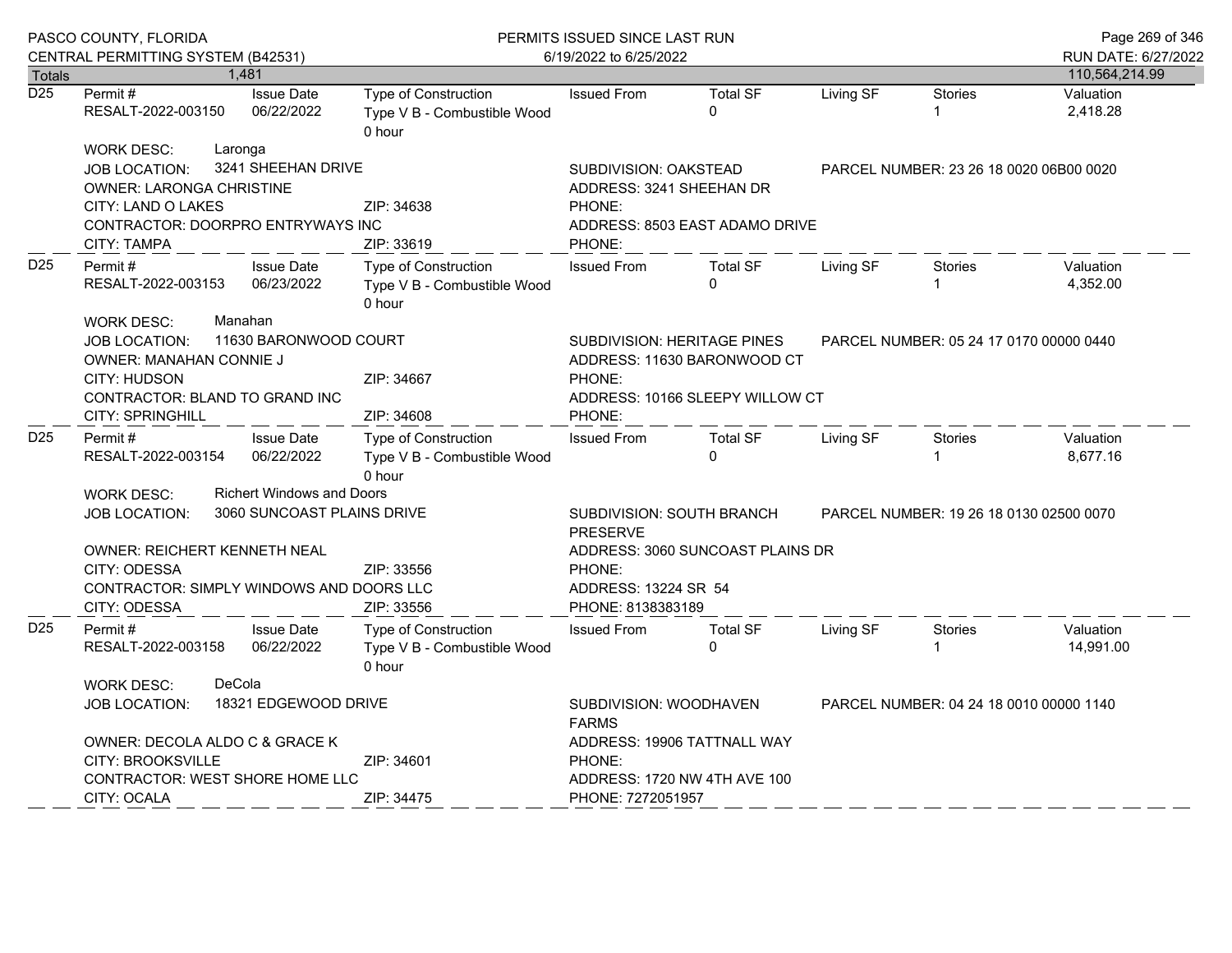|                  | PASCO COUNTY, FLORIDA                                                                                                                                                    |                                                                                                                                       | PERMITS ISSUED SINCE LAST RUN                                        |                                                                                                                                                                     |                                |                                         |                                         | Page 269 of 346                       |
|------------------|--------------------------------------------------------------------------------------------------------------------------------------------------------------------------|---------------------------------------------------------------------------------------------------------------------------------------|----------------------------------------------------------------------|---------------------------------------------------------------------------------------------------------------------------------------------------------------------|--------------------------------|-----------------------------------------|-----------------------------------------|---------------------------------------|
| <b>Totals</b>    | CENTRAL PERMITTING SYSTEM (B42531)                                                                                                                                       | 1,481                                                                                                                                 |                                                                      | 6/19/2022 to 6/25/2022                                                                                                                                              |                                |                                         |                                         | RUN DATE: 6/27/2022<br>110,564,214.99 |
| $\overline{D25}$ | Permit#<br>RESALT-2022-003150                                                                                                                                            | <b>Issue Date</b><br>06/22/2022                                                                                                       | Type of Construction<br>Type V B - Combustible Wood<br>0 hour        | <b>Issued From</b>                                                                                                                                                  | <b>Total SF</b><br>$\Omega$    | Living SF                               | <b>Stories</b><br>1                     | Valuation<br>2,418.28                 |
|                  | Laronga<br><b>WORK DESC:</b><br><b>JOB LOCATION:</b><br><b>OWNER: LARONGA CHRISTINE</b><br>CITY: LAND O LAKES<br>CONTRACTOR: DOORPRO ENTRYWAYS INC<br><b>CITY: TAMPA</b> | 3241 SHEEHAN DRIVE                                                                                                                    | ZIP: 34638<br>ZIP: 33619                                             | <b>SUBDIVISION: OAKSTEAD</b><br>ADDRESS: 3241 SHEEHAN DR<br>PHONE:<br>PHONE:                                                                                        | ADDRESS: 8503 EAST ADAMO DRIVE | PARCEL NUMBER: 23 26 18 0020 06B00 0020 |                                         |                                       |
| D <sub>25</sub>  | Permit#<br>RESALT-2022-003153<br><b>WORK DESC:</b>                                                                                                                       | <b>Issue Date</b><br>06/23/2022<br>Manahan                                                                                            | <b>Type of Construction</b><br>Type V B - Combustible Wood<br>0 hour | <b>Issued From</b>                                                                                                                                                  | <b>Total SF</b><br>$\Omega$    | Living SF                               | Stories                                 | Valuation<br>4,352.00                 |
| D <sub>25</sub>  | <b>JOB LOCATION:</b><br>OWNER: MANAHAN CONNIE J<br>CITY: HUDSON<br>CONTRACTOR: BLAND TO GRAND INC<br>CITY: SPRINGHILL                                                    | 11630 BARONWOOD COURT                                                                                                                 | ZIP: 34667<br>ZIP: 34608                                             | <b>SUBDIVISION: HERITAGE PINES</b><br>PARCEL NUMBER: 05 24 17 0170 00000 0440<br>ADDRESS: 11630 BARONWOOD CT<br>PHONE:<br>ADDRESS: 10166 SLEEPY WILLOW CT<br>PHONE: |                                |                                         |                                         |                                       |
|                  | Permit #<br><b>Issue Date</b><br>06/22/2022<br>RESALT-2022-003154                                                                                                        |                                                                                                                                       | Type of Construction<br>Type V B - Combustible Wood<br>0 hour        | <b>Issued From</b>                                                                                                                                                  | <b>Total SF</b><br>$\Omega$    | Living SF                               | <b>Stories</b>                          | Valuation<br>8,677.16                 |
|                  | <b>WORK DESC:</b><br><b>Richert Windows and Doors</b><br>3060 SUNCOAST PLAINS DRIVE<br><b>JOB LOCATION:</b><br><b>OWNER: REICHERT KENNETH NEAL</b><br>CITY: ODESSA       | SUBDIVISION: SOUTH BRANCH<br>PARCEL NUMBER: 19 26 18 0130 02500 0070<br><b>PRESERVE</b><br>ADDRESS: 3060 SUNCOAST PLAINS DR<br>PHONE: |                                                                      |                                                                                                                                                                     |                                |                                         |                                         |                                       |
|                  | <b>CONTRACTOR: SIMPLY WINDOWS AND DOORS LLC</b><br>CITY: ODESSA                                                                                                          |                                                                                                                                       | ZIP: 33556                                                           | ADDRESS: 13224 SR 54<br>PHONE: 8138383189                                                                                                                           |                                |                                         |                                         |                                       |
| D <sub>25</sub>  | Permit #<br>RESALT-2022-003158                                                                                                                                           | <b>Issue Date</b><br>06/22/2022                                                                                                       | <b>Type of Construction</b><br>Type V B - Combustible Wood<br>0 hour | <b>Issued From</b>                                                                                                                                                  | <b>Total SF</b><br>$\Omega$    | Living SF                               | <b>Stories</b><br>1                     | Valuation<br>14,991.00                |
|                  | DeCola<br><b>WORK DESC:</b><br><b>JOB LOCATION:</b><br>OWNER: DECOLA ALDO C & GRACE K<br>CITY: BROOKSVILLE                                                               | 18321 EDGEWOOD DRIVE                                                                                                                  | ZIP: 34601                                                           | SUBDIVISION: WOODHAVEN<br><b>FARMS</b><br>ADDRESS: 19906 TATTNALL WAY                                                                                               |                                |                                         | PARCEL NUMBER: 04 24 18 0010 00000 1140 |                                       |
|                  | CONTRACTOR: WEST SHORE HOME LLC<br>CITY: OCALA                                                                                                                           |                                                                                                                                       | ZIP: 34475                                                           | PHONE:<br>PHONE: 7272051957                                                                                                                                         | ADDRESS: 1720 NW 4TH AVE 100   |                                         |                                         |                                       |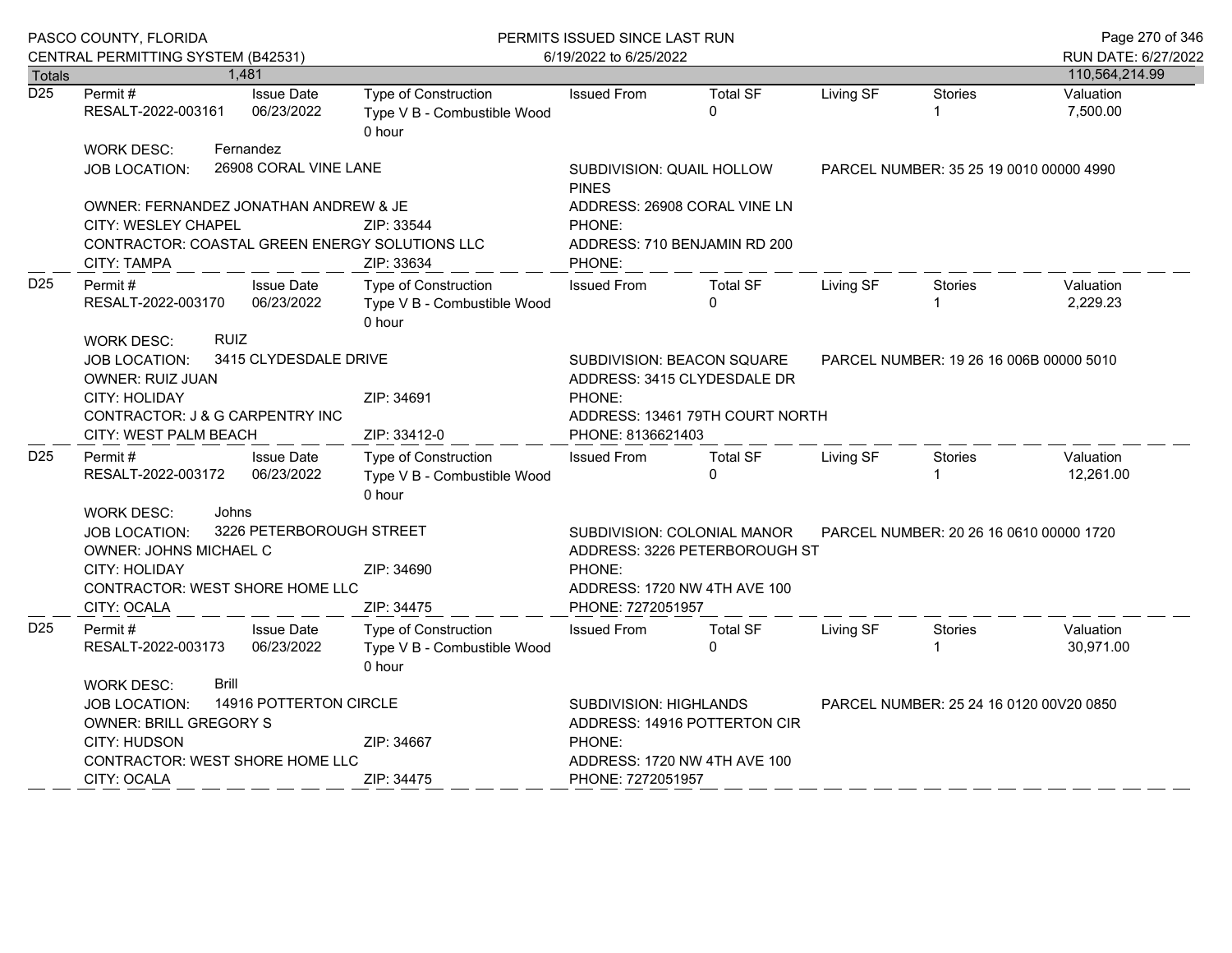|                                   | PASCO COUNTY, FLORIDA                                                                                                                |           |                                 | PERMITS ISSUED SINCE LAST RUN                                 |                                                                                                                |                                         |                                         |                | Page 270 of 346             |
|-----------------------------------|--------------------------------------------------------------------------------------------------------------------------------------|-----------|---------------------------------|---------------------------------------------------------------|----------------------------------------------------------------------------------------------------------------|-----------------------------------------|-----------------------------------------|----------------|-----------------------------|
|                                   | CENTRAL PERMITTING SYSTEM (B42531)                                                                                                   |           |                                 |                                                               | 6/19/2022 to 6/25/2022                                                                                         |                                         |                                         |                | RUN DATE: 6/27/2022         |
| <b>Totals</b><br>$\overline{D25}$ | Permit#                                                                                                                              | 1,481     | <b>Issue Date</b>               | Type of Construction                                          | <b>Issued From</b>                                                                                             | <b>Total SF</b>                         | Living SF                               | <b>Stories</b> | 110,564,214.99<br>Valuation |
|                                   | RESALT-2022-003161                                                                                                                   |           | 06/23/2022                      | Type V B - Combustible Wood<br>0 hour                         |                                                                                                                | $\Omega$                                |                                         |                | 7,500.00                    |
|                                   | <b>WORK DESC:</b>                                                                                                                    | Fernandez |                                 |                                                               |                                                                                                                |                                         |                                         |                |                             |
|                                   | <b>JOB LOCATION:</b>                                                                                                                 |           | 26908 CORAL VINE LANE           |                                                               | SUBDIVISION: QUAIL HOLLOW<br><b>PINES</b>                                                                      |                                         | PARCEL NUMBER: 35 25 19 0010 00000 4990 |                |                             |
|                                   | OWNER: FERNANDEZ JONATHAN ANDREW & JE                                                                                                |           |                                 |                                                               |                                                                                                                | ADDRESS: 26908 CORAL VINE LN            |                                         |                |                             |
|                                   | CITY: WESLEY CHAPEL<br>ZIP: 33544                                                                                                    |           |                                 |                                                               | PHONE:                                                                                                         |                                         |                                         |                |                             |
|                                   | CONTRACTOR: COASTAL GREEN ENERGY SOLUTIONS LLC<br>CITY: TAMPA<br>ZIP: 33634                                                          |           |                                 |                                                               | PHONE:                                                                                                         | ADDRESS: 710 BENJAMIN RD 200            |                                         |                |                             |
| D <sub>25</sub>                   | Permit#<br>RESALT-2022-003170                                                                                                        |           | <b>Issue Date</b><br>06/23/2022 | Type of Construction<br>Type V B - Combustible Wood<br>0 hour | <b>Issued From</b>                                                                                             | <b>Total SF</b><br>$\Omega$             | Living SF                               | <b>Stories</b> | Valuation<br>2,229.23       |
|                                   | <b>RUIZ</b><br><b>WORK DESC:</b><br>3415 CLYDESDALE DRIVE<br>JOB LOCATION:<br>OWNER: RUIZ JUAN<br><b>CITY: HOLIDAY</b><br>ZIP: 34691 |           |                                 |                                                               | SUBDIVISION: BEACON SQUARE<br>PARCEL NUMBER: 19 26 16 006B 00000 5010<br>ADDRESS: 3415 CLYDESDALE DR<br>PHONE: |                                         |                                         |                |                             |
|                                   | CONTRACTOR: J & G CARPENTRY INC<br>CITY: WEST PALM BEACH                                                                             |           |                                 | ZIP: 33412-0                                                  | PHONE: 8136621403                                                                                              | ADDRESS: 13461 79TH COURT NORTH         |                                         |                |                             |
| D <sub>25</sub>                   | Permit #<br>RESALT-2022-003172                                                                                                       |           | <b>Issue Date</b><br>06/23/2022 | Type of Construction<br>Type V B - Combustible Wood<br>0 hour | <b>Issued From</b>                                                                                             | <b>Total SF</b><br>$\Omega$             | Living SF                               | Stories<br>1   | Valuation<br>12,261.00      |
|                                   | <b>WORK DESC:</b><br>Johns<br>3226 PETERBOROUGH STREET<br>JOB LOCATION:<br><b>OWNER: JOHNS MICHAEL C</b>                             |           |                                 |                                                               | SUBDIVISION: COLONIAL MANOR<br>ADDRESS: 3226 PETERBOROUGH ST                                                   | PARCEL NUMBER: 20 26 16 0610 00000 1720 |                                         |                |                             |
|                                   | CITY: HOLIDAY<br>CONTRACTOR: WEST SHORE HOME LLC                                                                                     |           |                                 | ZIP: 34690                                                    | PHONE:<br>ADDRESS: 1720 NW 4TH AVE 100                                                                         |                                         |                                         |                |                             |
|                                   | CITY: OCALA                                                                                                                          |           |                                 | ZIP: 34475                                                    | PHONE: 7272051957                                                                                              |                                         |                                         |                |                             |
| D <sub>25</sub>                   | Permit#<br>RESALT-2022-003173                                                                                                        |           | <b>Issue Date</b><br>06/23/2022 | Type of Construction<br>Type V B - Combustible Wood<br>0 hour | <b>Issued From</b>                                                                                             | <b>Total SF</b><br>$\Omega$             | Living SF                               | Stories        | Valuation<br>30,971.00      |
|                                   | <b>WORK DESC:</b>                                                                                                                    | Brill     |                                 |                                                               |                                                                                                                |                                         |                                         |                |                             |
|                                   | 14916 POTTERTON CIRCLE<br>JOB LOCATION:<br>OWNER: BRILL GREGORY S                                                                    |           |                                 |                                                               | <b>SUBDIVISION: HIGHLANDS</b><br>PARCEL NUMBER: 25 24 16 0120 00 V20 0850<br>ADDRESS: 14916 POTTERTON CIR      |                                         |                                         |                |                             |
|                                   | CITY: HUDSON                                                                                                                         |           |                                 | ZIP: 34667                                                    | PHONE:                                                                                                         |                                         |                                         |                |                             |
|                                   | CONTRACTOR: WEST SHORE HOME LLC                                                                                                      |           |                                 |                                                               | ADDRESS: 1720 NW 4TH AVE 100                                                                                   |                                         |                                         |                |                             |
|                                   | CITY: OCALA                                                                                                                          |           |                                 | ZIP: 34475                                                    | PHONE: 7272051957                                                                                              |                                         |                                         |                |                             |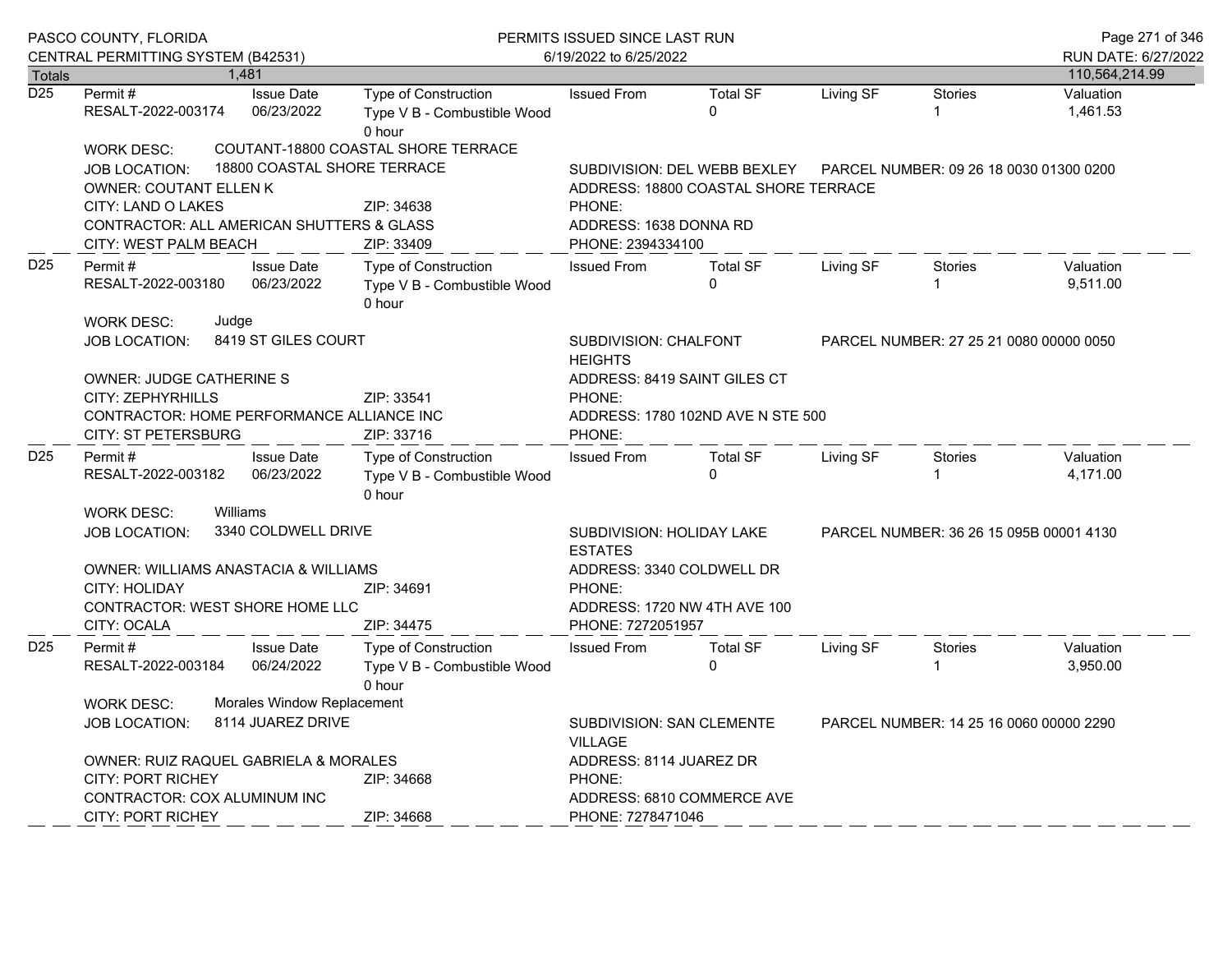|                  | PASCO COUNTY, FLORIDA<br>CENTRAL PERMITTING SYSTEM (B42531)                                                                                                   |                                                                                        | PERMITS ISSUED SINCE LAST RUN<br>6/19/2022 to 6/25/2022              | Page 271 of 346<br>RUN DATE: 6/27/2022                                                |                                         |           |                |                       |
|------------------|---------------------------------------------------------------------------------------------------------------------------------------------------------------|----------------------------------------------------------------------------------------|----------------------------------------------------------------------|---------------------------------------------------------------------------------------|-----------------------------------------|-----------|----------------|-----------------------|
| Totals           |                                                                                                                                                               | 1,481                                                                                  |                                                                      |                                                                                       |                                         |           |                | 110,564,214.99        |
| $\overline{D25}$ | Permit #<br>RESALT-2022-003174                                                                                                                                | <b>Issue Date</b><br>06/23/2022                                                        | Type of Construction<br>Type V B - Combustible Wood<br>0 hour        | <b>Issued From</b>                                                                    | <b>Total SF</b><br>$\Omega$             | Living SF | <b>Stories</b> | Valuation<br>1,461.53 |
|                  | <b>WORK DESC:</b><br><b>JOB LOCATION:</b><br><b>OWNER: COUTANT ELLEN K</b>                                                                                    | 18800 COASTAL SHORE TERRACE                                                            | COUTANT-18800 COASTAL SHORE TERRACE                                  | SUBDIVISION: DEL WEBB BEXLEY<br>ADDRESS: 18800 COASTAL SHORE TERRACE                  | PARCEL NUMBER: 09 26 18 0030 01300 0200 |           |                |                       |
|                  | CITY: LAND O LAKES<br>CONTRACTOR: ALL AMERICAN SHUTTERS & GLASS<br>CITY: WEST PALM BEACH                                                                      |                                                                                        | ZIP: 34638<br>ZIP: 33409                                             | PHONE:<br>ADDRESS: 1638 DONNA RD<br>PHONE: 2394334100                                 |                                         |           |                |                       |
| D <sub>25</sub>  | Permit#<br><b>Issue Date</b><br>06/23/2022<br>RESALT-2022-003180                                                                                              |                                                                                        | <b>Type of Construction</b><br>Type V B - Combustible Wood<br>0 hour | <b>Issued From</b>                                                                    | <b>Total SF</b><br>$\mathbf{0}$         | Living SF | <b>Stories</b> | Valuation<br>9,511.00 |
| D <sub>25</sub>  | <b>WORK DESC:</b><br>Judge<br><b>JOB LOCATION:</b>                                                                                                            | 8419 ST GILES COURT                                                                    |                                                                      | SUBDIVISION: CHALFONT<br><b>HEIGHTS</b>                                               | PARCEL NUMBER: 27 25 21 0080 00000 0050 |           |                |                       |
|                  | <b>OWNER: JUDGE CATHERINE S</b><br>CITY: ZEPHYRHILLS<br>CONTRACTOR: HOME PERFORMANCE ALLIANCE INC<br><b>CITY: ST PETERSBURG</b>                               |                                                                                        | ZIP: 33541<br>ZIP: 33716                                             | ADDRESS: 8419 SAINT GILES CT<br>PHONE:<br>ADDRESS: 1780 102ND AVE N STE 500<br>PHONE: |                                         |           |                |                       |
|                  | Permit#<br>RESALT-2022-003182                                                                                                                                 | <b>Issue Date</b><br>06/23/2022                                                        | Type of Construction<br>Type V B - Combustible Wood<br>0 hour        | <b>Issued From</b>                                                                    | <b>Total SF</b><br>$\Omega$             | Living SF | Stories        | Valuation<br>4,171.00 |
|                  | Williams<br><b>WORK DESC:</b><br>3340 COLDWELL DRIVE<br><b>JOB LOCATION:</b>                                                                                  | SUBDIVISION: HOLIDAY LAKE<br><b>ESTATES</b>                                            | PARCEL NUMBER: 36 26 15 095B 00001 4130                              |                                                                                       |                                         |           |                |                       |
|                  | OWNER: WILLIAMS ANASTACIA & WILLIAMS<br><b>CITY: HOLIDAY</b><br>CONTRACTOR: WEST SHORE HOME LLC<br>CITY: OCALA                                                |                                                                                        | ZIP: 34691<br>ZIP: 34475                                             | ADDRESS: 3340 COLDWELL DR<br>PHONE:<br>PHONE: 7272051957                              | ADDRESS: 1720 NW 4TH AVE 100            |           |                |                       |
| D <sub>25</sub>  | Permit#<br>RESALT-2022-003184                                                                                                                                 | <b>Issue Date</b><br>06/24/2022                                                        | <b>Type of Construction</b><br>Type V B - Combustible Wood<br>0 hour | <b>Issued From</b>                                                                    | <b>Total SF</b><br>$\Omega$             | Living SF | <b>Stories</b> | Valuation<br>3,950.00 |
|                  | Morales Window Replacement<br><b>WORK DESC:</b><br>8114 JUAREZ DRIVE<br><b>JOB LOCATION:</b>                                                                  | SUBDIVISION: SAN CLEMENTE<br>PARCEL NUMBER: 14 25 16 0060 00000 2290<br><b>VILLAGE</b> |                                                                      |                                                                                       |                                         |           |                |                       |
|                  | <b>OWNER: RUIZ RAQUEL GABRIELA &amp; MORALES</b><br>CITY: PORT RICHEY<br>ZIP: 34668<br>CONTRACTOR: COX ALUMINUM INC<br><b>CITY: PORT RICHEY</b><br>ZIP: 34668 |                                                                                        |                                                                      | ADDRESS: 8114 JUAREZ DR<br>PHONE:<br>ADDRESS: 6810 COMMERCE AVE<br>PHONE: 7278471046  |                                         |           |                |                       |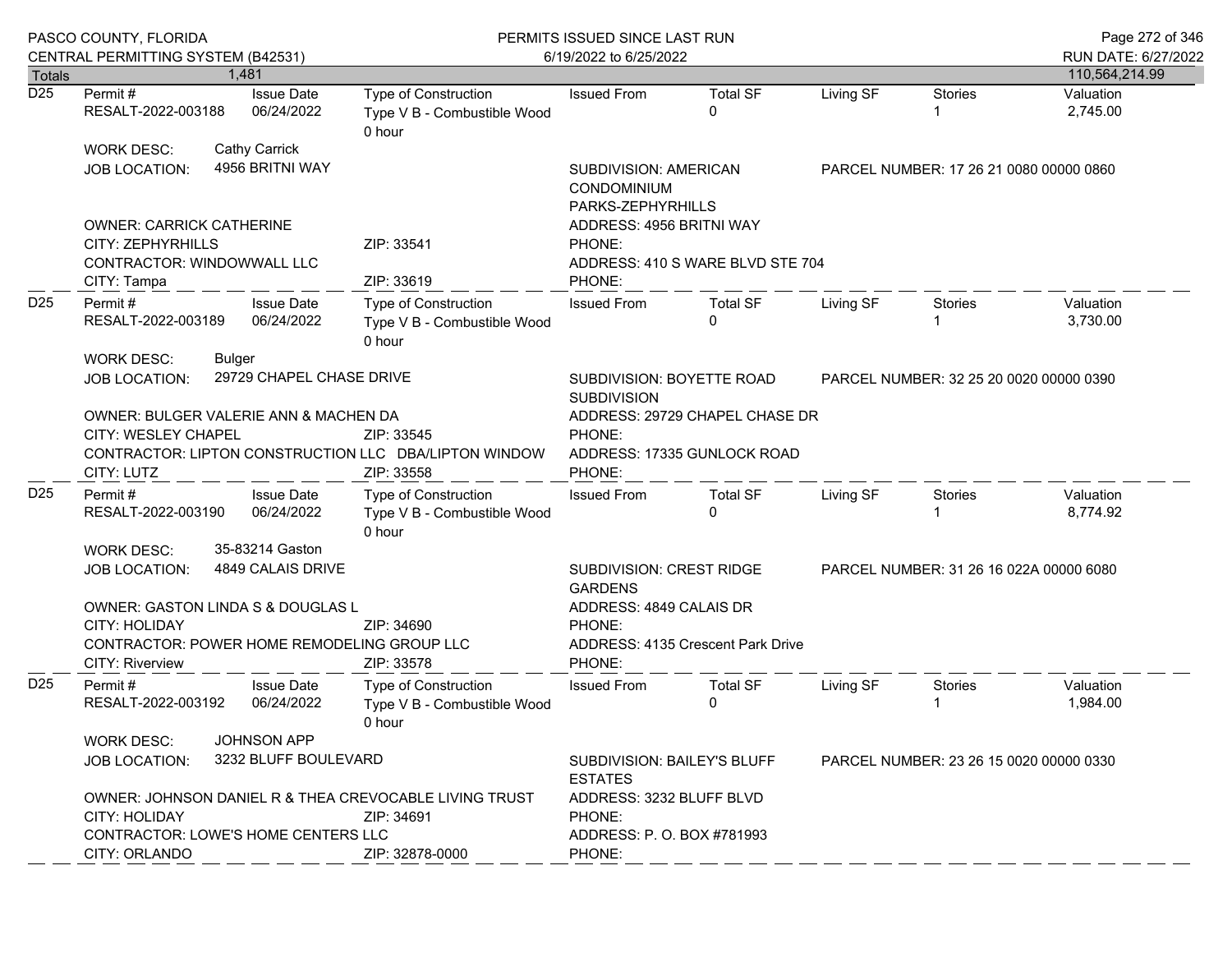|                  | PASCO COUNTY, FLORIDA<br>CENTRAL PERMITTING SYSTEM (B42531)                                                           |                                                                  | PERMITS ISSUED SINCE LAST RUN<br>6/19/2022 to 6/25/2022                                  |                                                                                   |                                         |                                         |                                         | Page 272 of 346<br>RUN DATE: 6/27/2022 |
|------------------|-----------------------------------------------------------------------------------------------------------------------|------------------------------------------------------------------|------------------------------------------------------------------------------------------|-----------------------------------------------------------------------------------|-----------------------------------------|-----------------------------------------|-----------------------------------------|----------------------------------------|
| <b>Totals</b>    |                                                                                                                       | 1.481                                                            |                                                                                          |                                                                                   |                                         |                                         |                                         | 110,564,214.99                         |
| $\overline{D25}$ | Permit#<br>RESALT-2022-003188                                                                                         | <b>Issue Date</b><br>06/24/2022                                  | Type of Construction<br>Type V B - Combustible Wood<br>0 hour                            | <b>Issued From</b>                                                                | <b>Total SF</b><br>$\Omega$             | Living SF                               | <b>Stories</b>                          | Valuation<br>2,745.00                  |
|                  | <b>WORK DESC:</b><br>JOB LOCATION:                                                                                    | <b>Cathy Carrick</b><br>4956 BRITNI WAY                          |                                                                                          | <b>SUBDIVISION: AMERICAN</b><br>CONDOMINIUM<br>PARKS-ZEPHYRHILLS                  |                                         | PARCEL NUMBER: 17 26 21 0080 00000 0860 |                                         |                                        |
|                  | <b>OWNER: CARRICK CATHERINE</b><br>CITY: ZEPHYRHILLS<br>CONTRACTOR: WINDOWWALL LLC<br>CITY: Tampa                     |                                                                  | ZIP: 33541<br>ZIP: 33619                                                                 | ADDRESS: 4956 BRITNI WAY<br>PHONE:<br>ADDRESS: 410 S WARE BLVD STE 704<br>PHONE:  |                                         |                                         |                                         |                                        |
| D <sub>25</sub>  | Permit#<br><b>Issue Date</b><br>RESALT-2022-003189<br>06/24/2022                                                      |                                                                  | Type of Construction<br>Type V B - Combustible Wood<br>0 hour                            | <b>Issued From</b>                                                                | <b>Total SF</b><br>$\Omega$             | Living SF                               | Stories                                 | Valuation<br>3,730.00                  |
|                  | WORK DESC:<br><b>JOB LOCATION:</b>                                                                                    | Bulger<br>29729 CHAPEL CHASE DRIVE                               |                                                                                          | SUBDIVISION: BOYETTE ROAD<br><b>SUBDIVISION</b>                                   | PARCEL NUMBER: 32 25 20 0020 00000 0390 |                                         |                                         |                                        |
|                  | OWNER: BULGER VALERIE ANN & MACHEN DA<br>CITY: WESLEY CHAPEL<br>CITY: LUTZ                                            |                                                                  | ZIP: 33545<br>CONTRACTOR: LIPTON CONSTRUCTION LLC DBA/LIPTON WINDOW<br>ZIP: 33558        | ADDRESS: 29729 CHAPEL CHASE DR<br>PHONE:<br>ADDRESS: 17335 GUNLOCK ROAD<br>PHONE: |                                         |                                         |                                         |                                        |
| D <sub>25</sub>  | Permit#<br>RESALT-2022-003190                                                                                         | <b>Issue Date</b><br>06/24/2022                                  | Type of Construction<br>Type V B - Combustible Wood<br>0 hour                            | <b>Issued From</b>                                                                | <b>Total SF</b><br>$\Omega$             | Living SF                               | Stories                                 | Valuation<br>8,774.92                  |
|                  | WORK DESC:<br>JOB LOCATION:<br>OWNER: GASTON LINDA S & DOUGLAS L                                                      | 35-83214 Gaston<br>4849 CALAIS DRIVE                             |                                                                                          | <b>SUBDIVISION: CREST RIDGE</b><br><b>GARDENS</b><br>ADDRESS: 4849 CALAIS DR      |                                         |                                         | PARCEL NUMBER: 31 26 16 022A 00000 6080 |                                        |
|                  | <b>CITY: HOLIDAY</b><br>CONTRACTOR: POWER HOME REMODELING GROUP LLC<br>CITY: Riverview                                | ZIP: 34690<br>ZIP: 33578                                         | PHONE:<br>PHONE:                                                                         | ADDRESS: 4135 Crescent Park Drive                                                 |                                         |                                         |                                         |                                        |
| D <sub>25</sub>  | Permit #<br>RESALT-2022-003192                                                                                        | <b>Issue Date</b><br>06/24/2022                                  | Type of Construction<br>Type V B - Combustible Wood<br>0 hour                            | <b>Issued From</b>                                                                | <b>Total SF</b><br>$\Omega$             | Living SF                               | Stories                                 | Valuation<br>1,984.00                  |
|                  | <b>WORK DESC:</b><br>JOB LOCATION:                                                                                    | <b>JOHNSON APP</b><br>3232 BLUFF BOULEVARD                       | SUBDIVISION: BAILEY'S BLUFF<br>PARCEL NUMBER: 23 26 15 0020 00000 0330<br><b>ESTATES</b> |                                                                                   |                                         |                                         |                                         |                                        |
|                  | OWNER: JOHNSON DANIEL R & THEA CREVOCABLE LIVING TRUST<br><b>CITY: HOLIDAY</b><br>CONTRACTOR: LOWE'S HOME CENTERS LLC | ADDRESS: 3232 BLUFF BLVD<br>PHONE:<br>ADDRESS: P. O. BOX #781993 |                                                                                          |                                                                                   |                                         |                                         |                                         |                                        |
|                  | CITY: ORLANDO                                                                                                         |                                                                  | ZIP: 32878-0000                                                                          | PHONE:                                                                            |                                         |                                         |                                         |                                        |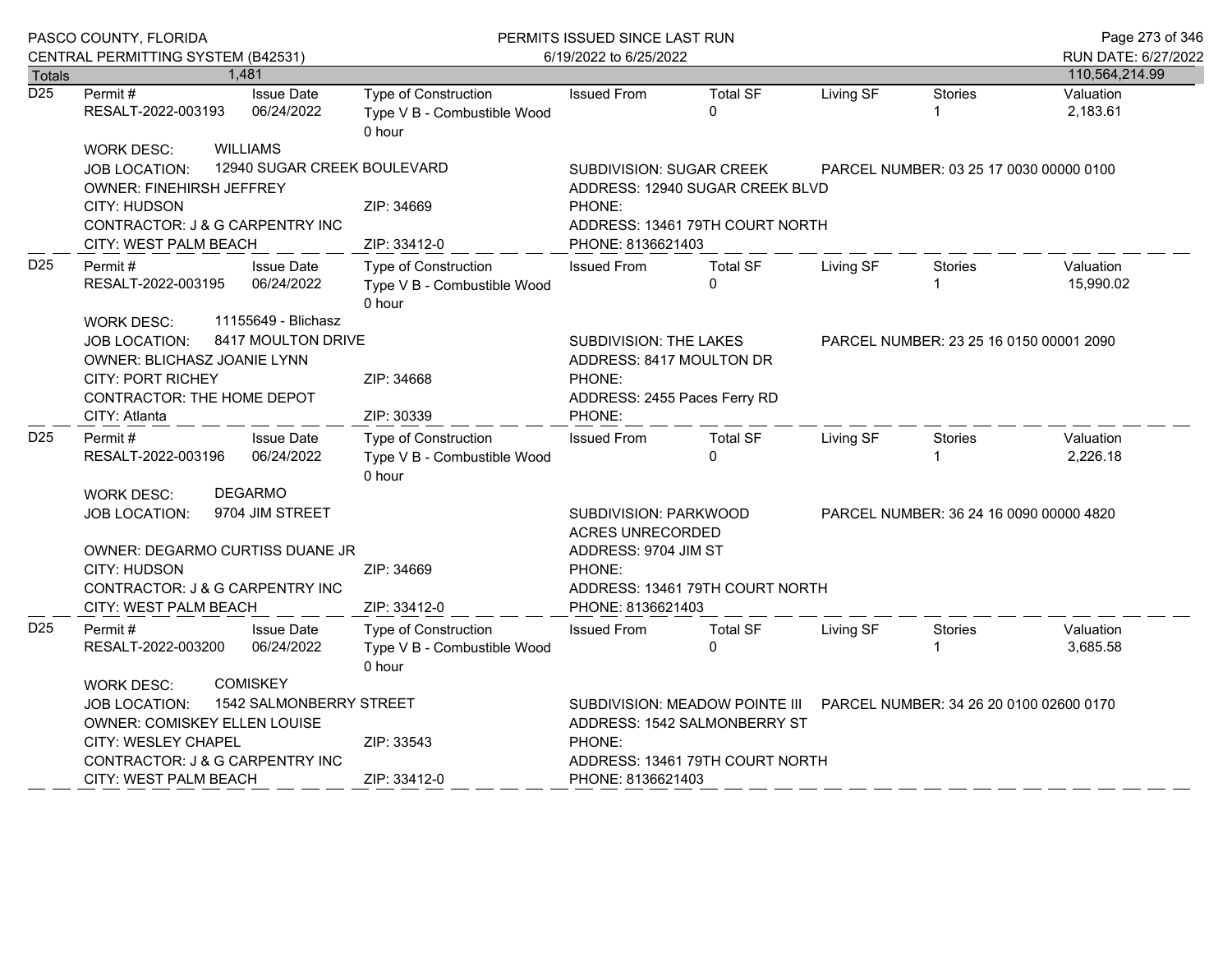|                  | PASCO COUNTY, FLORIDA<br>CENTRAL PERMITTING SYSTEM (B42531)                                                                                                                                                       | PERMITS ISSUED SINCE LAST RUN<br>6/19/2022 to 6/25/2022                       |                                                                                                                                                                             |                                 |           |                                         | Page 273 of 346<br>RUN DATE: 6/27/2022 |
|------------------|-------------------------------------------------------------------------------------------------------------------------------------------------------------------------------------------------------------------|-------------------------------------------------------------------------------|-----------------------------------------------------------------------------------------------------------------------------------------------------------------------------|---------------------------------|-----------|-----------------------------------------|----------------------------------------|
| Totals           | 1,481                                                                                                                                                                                                             |                                                                               |                                                                                                                                                                             |                                 |           |                                         | 110,564,214.99                         |
| $\overline{D25}$ | <b>Issue Date</b><br>Permit #<br>06/24/2022<br>RESALT-2022-003193                                                                                                                                                 | Type of Construction<br>Type V B - Combustible Wood<br>0 hour                 | <b>Issued From</b>                                                                                                                                                          | <b>Total SF</b><br>$\Omega$     | Living SF | <b>Stories</b>                          | Valuation<br>2,183.61                  |
|                  | <b>WILLIAMS</b><br><b>WORK DESC:</b><br>12940 SUGAR CREEK BOULEVARD<br><b>JOB LOCATION:</b><br>OWNER: FINEHIRSH JEFFREY<br>CITY: HUDSON<br>CONTRACTOR: J & G CARPENTRY INC                                        | ZIP: 34669                                                                    | SUBDIVISION: SUGAR CREEK<br>ADDRESS: 12940 SUGAR CREEK BLVD<br>PHONE:<br>ADDRESS: 13461 79TH COURT NORTH                                                                    |                                 |           | PARCEL NUMBER: 03 25 17 0030 00000 0100 |                                        |
| D <sub>25</sub>  | CITY: WEST PALM BEACH<br><b>Issue Date</b><br>Permit #<br>RESALT-2022-003195<br>06/24/2022<br>11155649 - Blichasz<br><b>WORK DESC:</b>                                                                            | ZIP: 33412-0<br>Type of Construction<br>Type V B - Combustible Wood<br>0 hour | PHONE: 8136621403<br><b>Issued From</b>                                                                                                                                     | <b>Total SF</b><br>$\Omega$     | Living SF | Stories                                 | Valuation<br>15,990.02                 |
|                  | 8417 MOULTON DRIVE<br><b>JOB LOCATION:</b><br>OWNER: BLICHASZ JOANIE LYNN<br><b>CITY: PORT RICHEY</b><br>CONTRACTOR: THE HOME DEPOT<br>CITY: Atlanta                                                              | ZIP: 34668<br>ZIP: 30339                                                      | SUBDIVISION: THE LAKES<br>ADDRESS: 8417 MOULTON DR<br>PHONE:<br>ADDRESS: 2455 Paces Ferry RD<br>PHONE:                                                                      |                                 |           | PARCEL NUMBER: 23 25 16 0150 00001 2090 |                                        |
| D <sub>25</sub>  | <b>Issue Date</b><br>Permit#<br>RESALT-2022-003196<br>06/24/2022                                                                                                                                                  | <b>Type of Construction</b><br>Type V B - Combustible Wood<br>0 hour          | <b>Issued From</b>                                                                                                                                                          | <b>Total SF</b><br>$\Omega$     | Living SF | <b>Stories</b>                          | Valuation<br>2,226.18                  |
|                  | <b>DEGARMO</b><br><b>WORK DESC:</b><br>9704 JIM STREET<br>JOB LOCATION:<br>OWNER: DEGARMO CURTISS DUANE JR<br>CITY: HUDSON<br>CONTRACTOR: J & G CARPENTRY INC<br>CITY: WEST PALM BEACH                            | ZIP: 34669<br>ZIP: 33412-0                                                    | SUBDIVISION: PARKWOOD<br>ACRES UNRECORDED<br>ADDRESS: 9704 JIM ST<br>PHONE:<br>PHONE: 8136621403                                                                            | ADDRESS: 13461 79TH COURT NORTH |           | PARCEL NUMBER: 36 24 16 0090 00000 4820 |                                        |
| D <sub>25</sub>  | Permit#<br><b>Issue Date</b><br>RESALT-2022-003200<br>06/24/2022                                                                                                                                                  | <b>Type of Construction</b><br>Type V B - Combustible Wood<br>0 hour          | <b>Issued From</b>                                                                                                                                                          | <b>Total SF</b><br>$\Omega$     | Living SF | Stories                                 | Valuation<br>3,685.58                  |
|                  | <b>COMISKEY</b><br><b>WORK DESC:</b><br>1542 SALMONBERRY STREET<br><b>JOB LOCATION:</b><br>OWNER: COMISKEY ELLEN LOUISE<br>CITY: WESLEY CHAPEL<br>CONTRACTOR: J & G CARPENTRY INC<br><b>CITY: WEST PALM BEACH</b> | ZIP: 33543<br>ZIP: 33412-0                                                    | SUBDIVISION: MEADOW POINTE III<br>PARCEL NUMBER: 34 26 20 0100 02600 0170<br>ADDRESS: 1542 SALMONBERRY ST<br>PHONE:<br>ADDRESS: 13461 79TH COURT NORTH<br>PHONE: 8136621403 |                                 |           |                                         |                                        |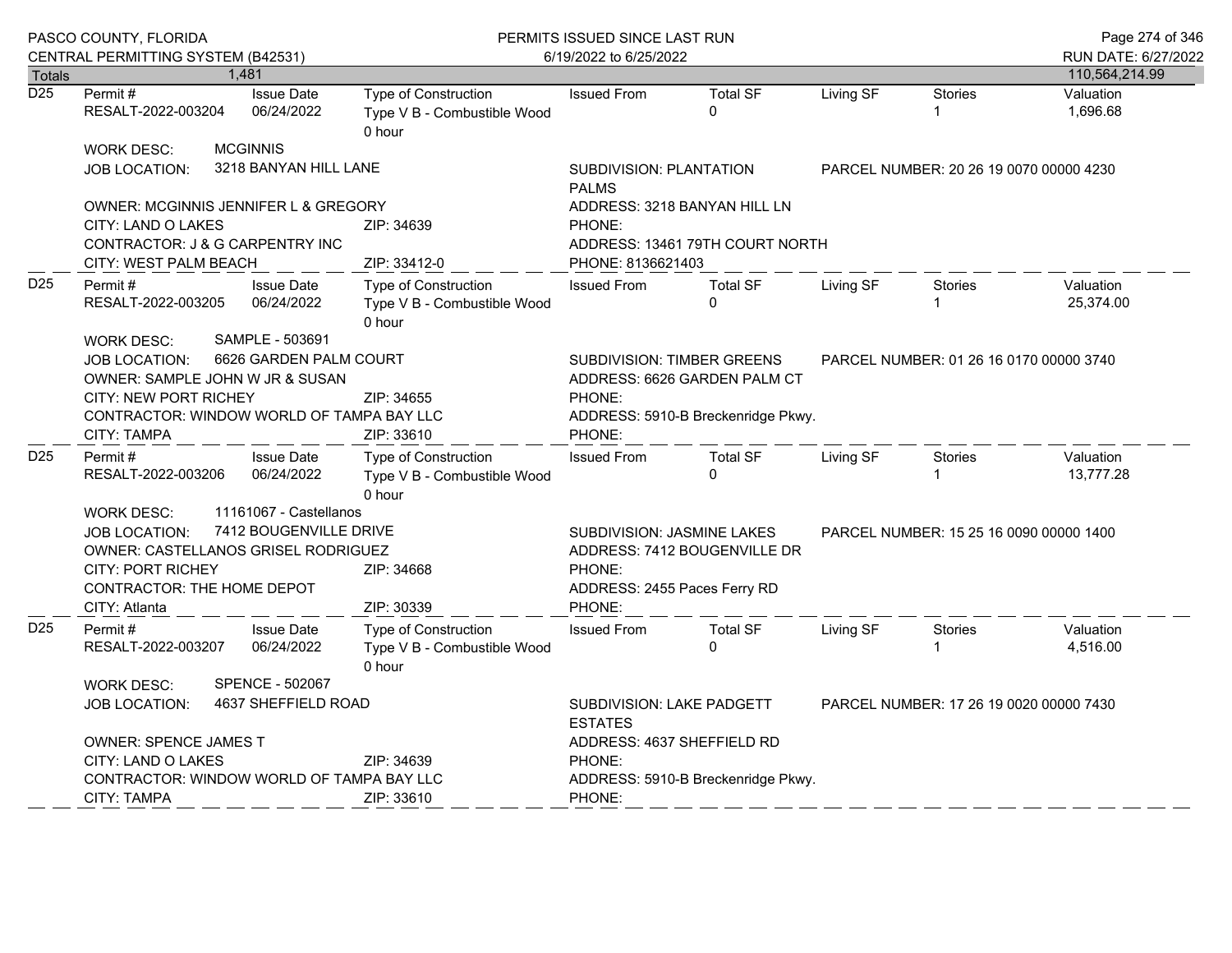|                  | PASCO COUNTY, FLORIDA<br>CENTRAL PERMITTING SYSTEM (B42531)                                                                                                                   |  |                                                                              |                                                                      | PERMITS ISSUED SINCE LAST RUN                                                                                                                                          |                                                                                            |                                         | Page 274 of 346                         |                                       |
|------------------|-------------------------------------------------------------------------------------------------------------------------------------------------------------------------------|--|------------------------------------------------------------------------------|----------------------------------------------------------------------|------------------------------------------------------------------------------------------------------------------------------------------------------------------------|--------------------------------------------------------------------------------------------|-----------------------------------------|-----------------------------------------|---------------------------------------|
| <b>Totals</b>    |                                                                                                                                                                               |  | 1,481                                                                        |                                                                      | 6/19/2022 to 6/25/2022                                                                                                                                                 |                                                                                            |                                         |                                         | RUN DATE: 6/27/2022<br>110,564,214.99 |
| $\overline{D25}$ | Permit #<br>RESALT-2022-003204                                                                                                                                                |  | <b>Issue Date</b><br>06/24/2022                                              | <b>Type of Construction</b><br>Type V B - Combustible Wood<br>0 hour | <b>Issued From</b>                                                                                                                                                     | <b>Total SF</b><br>$\Omega$                                                                | Living SF                               | <b>Stories</b>                          | Valuation<br>1,696.68                 |
|                  | <b>WORK DESC:</b><br>JOB LOCATION:                                                                                                                                            |  | <b>MCGINNIS</b><br>3218 BANYAN HILL LANE                                     |                                                                      | <b>SUBDIVISION: PLANTATION</b><br>PARCEL NUMBER: 20 26 19 0070 00000 4230<br><b>PALMS</b>                                                                              |                                                                                            |                                         |                                         |                                       |
|                  | OWNER: MCGINNIS JENNIFER L & GREGORY<br>CITY: LAND O LAKES<br>CONTRACTOR: J & G CARPENTRY INC<br>CITY: WEST PALM BEACH                                                        |  |                                                                              | ZIP: 34639<br>ZIP: 33412-0                                           | ADDRESS: 3218 BANYAN HILL LN<br>PHONE:<br>ADDRESS: 13461 79TH COURT NORTH<br>PHONE: 8136621403                                                                         |                                                                                            |                                         |                                         |                                       |
| D <sub>25</sub>  | Permit #<br>RESALT-2022-003205<br><b>WORK DESC:</b>                                                                                                                           |  | <b>Issue Date</b><br>06/24/2022<br>SAMPLE - 503691                           | <b>Type of Construction</b><br>Type V B - Combustible Wood<br>0 hour | <b>Issued From</b>                                                                                                                                                     | <b>Total SF</b><br>$\Omega$                                                                | Living SF                               | <b>Stories</b>                          | Valuation<br>25,374.00                |
|                  | 6626 GARDEN PALM COURT<br><b>JOB LOCATION:</b><br>OWNER: SAMPLE JOHN W JR & SUSAN<br>CITY: NEW PORT RICHEY<br>CONTRACTOR: WINDOW WORLD OF TAMPA BAY LLC<br><b>CITY: TAMPA</b> |  |                                                                              | ZIP: 34655<br>ZIP: 33610                                             | <b>SUBDIVISION: TIMBER GREENS</b><br>PARCEL NUMBER: 01 26 16 0170 00000 3740<br>ADDRESS: 6626 GARDEN PALM CT<br>PHONE:<br>ADDRESS: 5910-B Breckenridge Pkwy.<br>PHONE: |                                                                                            |                                         |                                         |                                       |
| D <sub>25</sub>  | Permit#<br>RESALT-2022-003206                                                                                                                                                 |  | <b>Issue Date</b><br>06/24/2022                                              | Type of Construction<br>Type V B - Combustible Wood<br>0 hour        | <b>Issued From</b>                                                                                                                                                     | <b>Total SF</b><br>$\Omega$                                                                | Living SF                               | Stories                                 | Valuation<br>13,777.28                |
|                  | <b>WORK DESC:</b><br><b>JOB LOCATION:</b><br><b>OWNER: CASTELLANOS GRISEL RODRIGUEZ</b><br><b>CITY: PORT RICHEY</b><br>CONTRACTOR: THE HOME DEPOT<br>CITY: Atlanta            |  | 11161067 - Castellanos<br>7412 BOUGENVILLE DRIVE<br>ZIP: 34668<br>ZIP: 30339 |                                                                      |                                                                                                                                                                        | SUBDIVISION: JASMINE LAKES<br>ADDRESS: 7412 BOUGENVILLE DR<br>ADDRESS: 2455 Paces Ferry RD |                                         | PARCEL NUMBER: 15 25 16 0090 00000 1400 |                                       |
| D <sub>25</sub>  | Permit#<br>RESALT-2022-003207                                                                                                                                                 |  | <b>Issue Date</b><br>06/24/2022                                              | <b>Type of Construction</b><br>Type V B - Combustible Wood<br>0 hour | <b>Issued From</b>                                                                                                                                                     | <b>Total SF</b><br>$\Omega$                                                                | Living SF                               | <b>Stories</b>                          | Valuation<br>4,516.00                 |
|                  | <b>SPENCE - 502067</b><br><b>WORK DESC:</b><br>4637 SHEFFIELD ROAD<br><b>JOB LOCATION:</b>                                                                                    |  |                                                                              |                                                                      | SUBDIVISION: LAKE PADGETT<br><b>ESTATES</b>                                                                                                                            |                                                                                            | PARCEL NUMBER: 17 26 19 0020 00000 7430 |                                         |                                       |
|                  | OWNER: SPENCE JAMES T<br>CITY: LAND O LAKES<br>CONTRACTOR: WINDOW WORLD OF TAMPA BAY LLC<br><b>CITY: TAMPA</b>                                                                |  |                                                                              | ZIP: 34639<br>ZIP: 33610                                             | ADDRESS: 4637 SHEFFIELD RD<br>PHONE:<br>PHONE:                                                                                                                         | ADDRESS: 5910-B Breckenridge Pkwy.                                                         |                                         |                                         |                                       |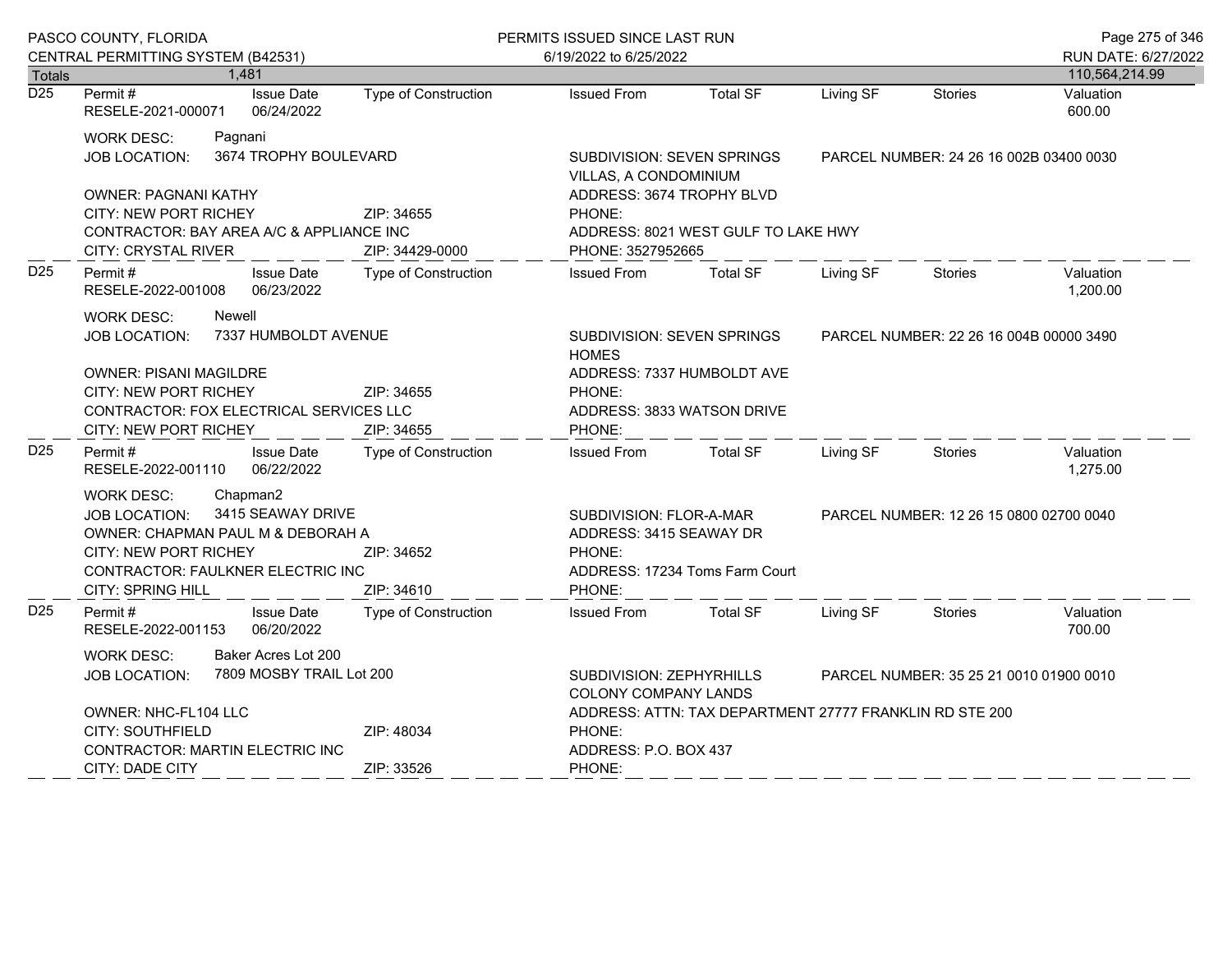|                  | PASCO COUNTY, FLORIDA                                                                                                                                                                                     |                               | PERMITS ISSUED SINCE LAST RUN                                                                                                                       |                                                                                       |                                         |                | Page 275 of 346       |
|------------------|-----------------------------------------------------------------------------------------------------------------------------------------------------------------------------------------------------------|-------------------------------|-----------------------------------------------------------------------------------------------------------------------------------------------------|---------------------------------------------------------------------------------------|-----------------------------------------|----------------|-----------------------|
|                  | CENTRAL PERMITTING SYSTEM (B42531)                                                                                                                                                                        |                               | 6/19/2022 to 6/25/2022                                                                                                                              |                                                                                       |                                         |                | RUN DATE: 6/27/2022   |
| <b>Totals</b>    | 1,481                                                                                                                                                                                                     |                               |                                                                                                                                                     |                                                                                       |                                         |                | 110,564,214.99        |
| $\overline{D25}$ | Permit#<br><b>Issue Date</b><br>06/24/2022<br>RESELE-2021-000071                                                                                                                                          | <b>Type of Construction</b>   | <b>Issued From</b>                                                                                                                                  | <b>Total SF</b>                                                                       | Living SF                               | <b>Stories</b> | Valuation<br>600.00   |
|                  | <b>WORK DESC:</b><br>Pagnani<br><b>JOB LOCATION:</b>                                                                                                                                                      | 3674 TROPHY BOULEVARD         | SUBDIVISION: SEVEN SPRINGS<br>VILLAS, A CONDOMINIUM                                                                                                 |                                                                                       | PARCEL NUMBER: 24 26 16 002B 03400 0030 |                |                       |
|                  | <b>OWNER: PAGNANI KATHY</b><br>CITY: NEW PORT RICHEY<br>CONTRACTOR: BAY AREA A/C & APPLIANCE INC<br><b>CITY: CRYSTAL RIVER</b>                                                                            | ZIP: 34655<br>ZIP: 34429-0000 | PHONE:                                                                                                                                              | ADDRESS: 3674 TROPHY BLVD<br>ADDRESS: 8021 WEST GULF TO LAKE HWY<br>PHONE: 3527952665 |                                         |                |                       |
| D <sub>25</sub>  | <b>Issue Date</b><br>Permit#<br>06/23/2022<br>RESELE-2022-001008                                                                                                                                          | <b>Type of Construction</b>   | <b>Issued From</b>                                                                                                                                  | <b>Total SF</b>                                                                       | Living SF                               | <b>Stories</b> | Valuation<br>1,200.00 |
|                  | <b>WORK DESC:</b><br>Newell<br>7337 HUMBOLDT AVENUE<br><b>JOB LOCATION:</b>                                                                                                                               |                               | SUBDIVISION: SEVEN SPRINGS<br>PARCEL NUMBER: 22 26 16 004B 00000 3490<br><b>HOMES</b>                                                               |                                                                                       |                                         |                |                       |
|                  | <b>OWNER: PISANI MAGILDRE</b><br>CITY: NEW PORT RICHEY<br>CONTRACTOR: FOX ELECTRICAL SERVICES LLC<br>CITY: NEW PORT RICHEY                                                                                | ZIP: 34655<br>ZIP: 34655      | PHONE:                                                                                                                                              | ADDRESS: 7337 HUMBOLDT AVE<br>ADDRESS: 3833 WATSON DRIVE<br>PHONE:                    |                                         |                |                       |
| D <sub>25</sub>  | Permit#<br><b>Issue Date</b><br>06/22/2022<br>RESELE-2022-001110                                                                                                                                          | <b>Type of Construction</b>   | <b>Issued From</b>                                                                                                                                  | <b>Total SF</b>                                                                       | Living SF                               | <b>Stories</b> | Valuation<br>1,275.00 |
|                  | Chapman2<br><b>WORK DESC:</b><br>3415 SEAWAY DRIVE<br><b>JOB LOCATION:</b><br>OWNER: CHAPMAN PAUL M & DEBORAH A<br><b>CITY: NEW PORT RICHEY</b><br>CONTRACTOR: FAULKNER ELECTRIC INC<br>CITY: SPRING HILL | ZIP: 34652<br>ZIP: 34610      | SUBDIVISION: FLOR-A-MAR<br>PARCEL NUMBER: 12 26 15 0800 02700 0040<br>ADDRESS: 3415 SEAWAY DR<br>PHONE:<br>ADDRESS: 17234 Toms Farm Court<br>PHONE: |                                                                                       |                                         |                |                       |
| D <sub>25</sub>  | Permit#<br><b>Issue Date</b><br>06/20/2022<br>RESELE-2022-001153                                                                                                                                          | <b>Type of Construction</b>   | <b>Issued From</b>                                                                                                                                  | <b>Total SF</b>                                                                       | Living SF                               | Stories        | Valuation<br>700.00   |
|                  | Baker Acres Lot 200<br><b>WORK DESC:</b><br><b>JOB LOCATION:</b>                                                                                                                                          | 7809 MOSBY TRAIL Lot 200      | SUBDIVISION: ZEPHYRHILLS<br>PARCEL NUMBER: 35 25 21 0010 01900 0010<br><b>COLONY COMPANY LANDS</b>                                                  |                                                                                       |                                         |                |                       |
|                  | OWNER: NHC-FL104 LLC<br>CITY: SOUTHFIELD<br><b>CONTRACTOR: MARTIN ELECTRIC INC</b>                                                                                                                        | ZIP: 48034                    | ADDRESS: ATTN: TAX DEPARTMENT 27777 FRANKLIN RD STE 200<br>PHONE:<br>ADDRESS: P.O. BOX 437                                                          |                                                                                       |                                         |                |                       |
|                  | CITY: DADE CITY                                                                                                                                                                                           | ZIP: 33526                    | PHONE:                                                                                                                                              |                                                                                       |                                         |                |                       |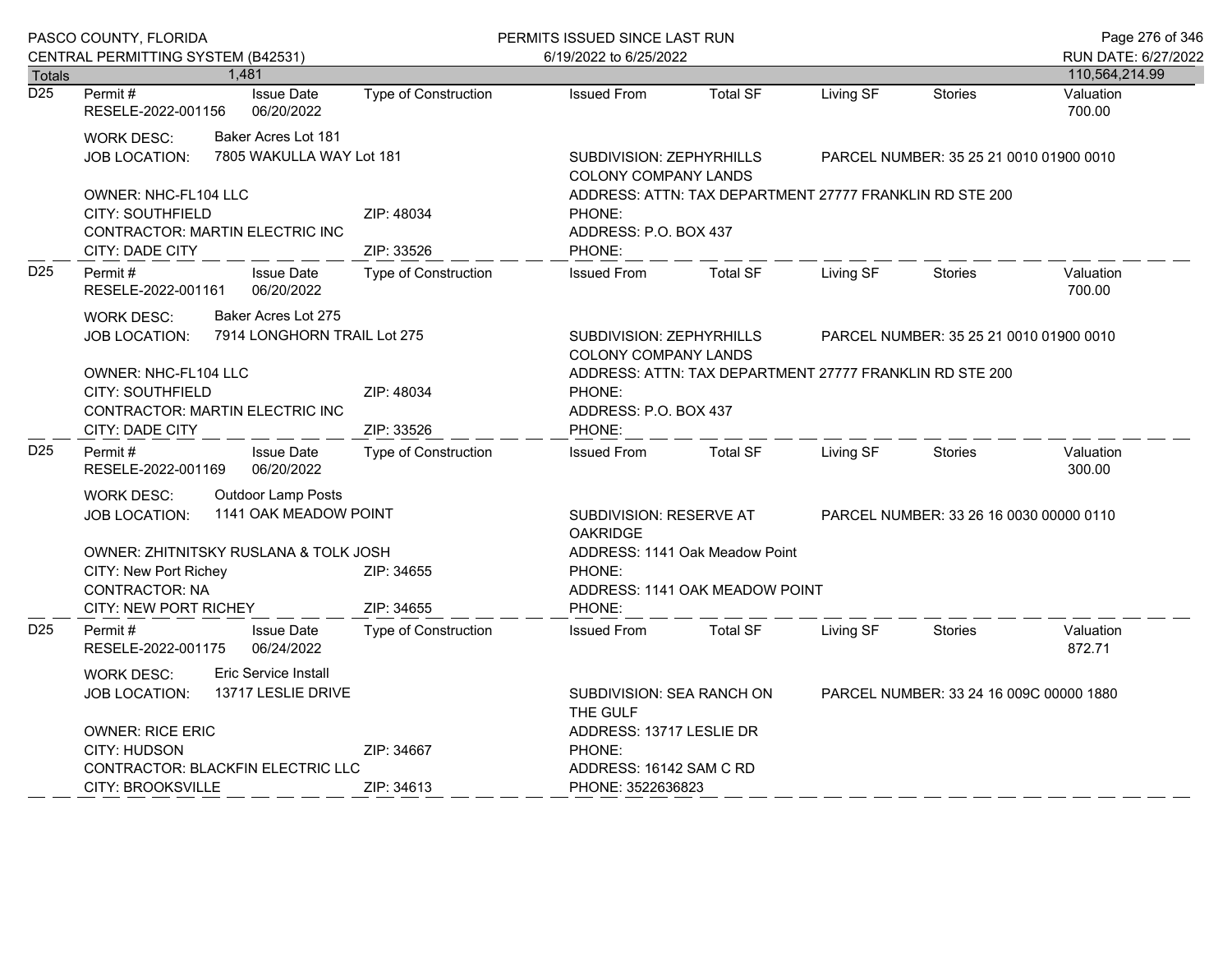|                  | PASCO COUNTY, FLORIDA                                                                                                                    |                                 |                                                 | PERMITS ISSUED SINCE LAST RUN |                                                                                                      |                                                                                                      |           |                                         | Page 276 of 346     |  |
|------------------|------------------------------------------------------------------------------------------------------------------------------------------|---------------------------------|-------------------------------------------------|-------------------------------|------------------------------------------------------------------------------------------------------|------------------------------------------------------------------------------------------------------|-----------|-----------------------------------------|---------------------|--|
|                  | CENTRAL PERMITTING SYSTEM (B42531)                                                                                                       |                                 |                                                 |                               | 6/19/2022 to 6/25/2022                                                                               |                                                                                                      |           |                                         | RUN DATE: 6/27/2022 |  |
| <b>Totals</b>    |                                                                                                                                          | 1,481                           |                                                 |                               |                                                                                                      |                                                                                                      |           |                                         | 110,564,214.99      |  |
| $\overline{D25}$ | Permit #<br>RESELE-2022-001156                                                                                                           |                                 | <b>Issue Date</b><br>06/20/2022                 | <b>Type of Construction</b>   | <b>Issued From</b>                                                                                   | <b>Total SF</b>                                                                                      | Living SF | <b>Stories</b>                          | Valuation<br>700.00 |  |
|                  | <b>WORK DESC:</b><br>JOB LOCATION:                                                                                                       |                                 | Baker Acres Lot 181<br>7805 WAKULLA WAY Lot 181 |                               | COLONY COMPANY LANDS                                                                                 | SUBDIVISION: ZEPHYRHILLS                                                                             |           | PARCEL NUMBER: 35 25 21 0010 01900 0010 |                     |  |
|                  | OWNER: NHC-FL104 LLC<br><b>CITY: SOUTHFIELD</b><br>CONTRACTOR: MARTIN ELECTRIC INC<br>CITY: DADE CITY                                    |                                 |                                                 | ZIP: 48034<br>ZIP: 33526      | PHONE:<br>PHONE:                                                                                     | ADDRESS: ATTN: TAX DEPARTMENT 27777 FRANKLIN RD STE 200<br>ADDRESS: P.O. BOX 437                     |           |                                         |                     |  |
| D <sub>25</sub>  | Permit #<br>RESELE-2022-001161                                                                                                           | <b>Issue Date</b><br>06/20/2022 |                                                 | <b>Type of Construction</b>   | <b>Issued From</b>                                                                                   | <b>Total SF</b>                                                                                      | Living SF | <b>Stories</b>                          | Valuation<br>700.00 |  |
|                  | Baker Acres Lot 275<br><b>WORK DESC:</b><br>7914 LONGHORN TRAIL Lot 275<br><b>JOB LOCATION:</b>                                          |                                 |                                                 |                               |                                                                                                      | SUBDIVISION: ZEPHYRHILLS<br>PARCEL NUMBER: 35 25 21 0010 01900 0010<br><b>COLONY COMPANY LANDS</b>   |           |                                         |                     |  |
|                  | OWNER: NHC-FL104 LLC<br><b>CITY: SOUTHFIELD</b><br>CONTRACTOR: MARTIN ELECTRIC INC<br>CITY: DADE CITY                                    |                                 |                                                 | ZIP: 48034<br>ZIP: 33526      | ADDRESS: ATTN: TAX DEPARTMENT 27777 FRANKLIN RD STE 200<br>PHONE:<br>ADDRESS: P.O. BOX 437<br>PHONE: |                                                                                                      |           |                                         |                     |  |
| D <sub>25</sub>  | Permit#<br>RESELE-2022-001169                                                                                                            |                                 | <b>Issue Date</b><br>06/20/2022                 | <b>Type of Construction</b>   | <b>Issued From</b>                                                                                   | <b>Total SF</b>                                                                                      | Living SF | <b>Stories</b>                          | Valuation<br>300.00 |  |
|                  | <b>Outdoor Lamp Posts</b><br><b>WORK DESC:</b><br>1141 OAK MEADOW POINT<br><b>JOB LOCATION:</b><br>OWNER: ZHITNITSKY RUSLANA & TOLK JOSH |                                 |                                                 |                               | <b>OAKRIDGE</b>                                                                                      | SUBDIVISION: RESERVE AT<br>PARCEL NUMBER: 33 26 16 0030 00000 0110<br>ADDRESS: 1141 Oak Meadow Point |           |                                         |                     |  |
|                  | CITY: New Port Richey<br><b>CONTRACTOR: NA</b><br><b>CITY: NEW PORT RICHEY</b>                                                           |                                 |                                                 | ZIP: 34655<br>ZIP: 34655      | PHONE:<br>PHONE:                                                                                     | ADDRESS: 1141 OAK MEADOW POINT                                                                       |           |                                         |                     |  |
| D25              | Permit#<br>RESELE-2022-001175                                                                                                            |                                 | <b>Issue Date</b><br>06/24/2022                 | <b>Type of Construction</b>   | <b>Issued From</b>                                                                                   | <b>Total SF</b>                                                                                      | Living SF | <b>Stories</b>                          | Valuation<br>872.71 |  |
|                  | <b>Eric Service Install</b><br><b>WORK DESC:</b><br>13717 LESLIE DRIVE<br><b>JOB LOCATION:</b>                                           |                                 |                                                 |                               | THE GULF                                                                                             | SUBDIVISION: SEA RANCH ON                                                                            |           | PARCEL NUMBER: 33 24 16 009C 00000 1880 |                     |  |
|                  | <b>OWNER: RICE ERIC</b><br>CITY: HUDSON<br>CONTRACTOR: BLACKFIN ELECTRIC LLC<br><b>CITY: BROOKSVILLE</b>                                 |                                 |                                                 | ZIP: 34667<br>ZIP: 34613      | PHONE:                                                                                               | ADDRESS: 13717 LESLIE DR<br>ADDRESS: 16142 SAM C RD<br>PHONE: 3522636823                             |           |                                         |                     |  |
|                  |                                                                                                                                          |                                 |                                                 |                               |                                                                                                      |                                                                                                      |           |                                         |                     |  |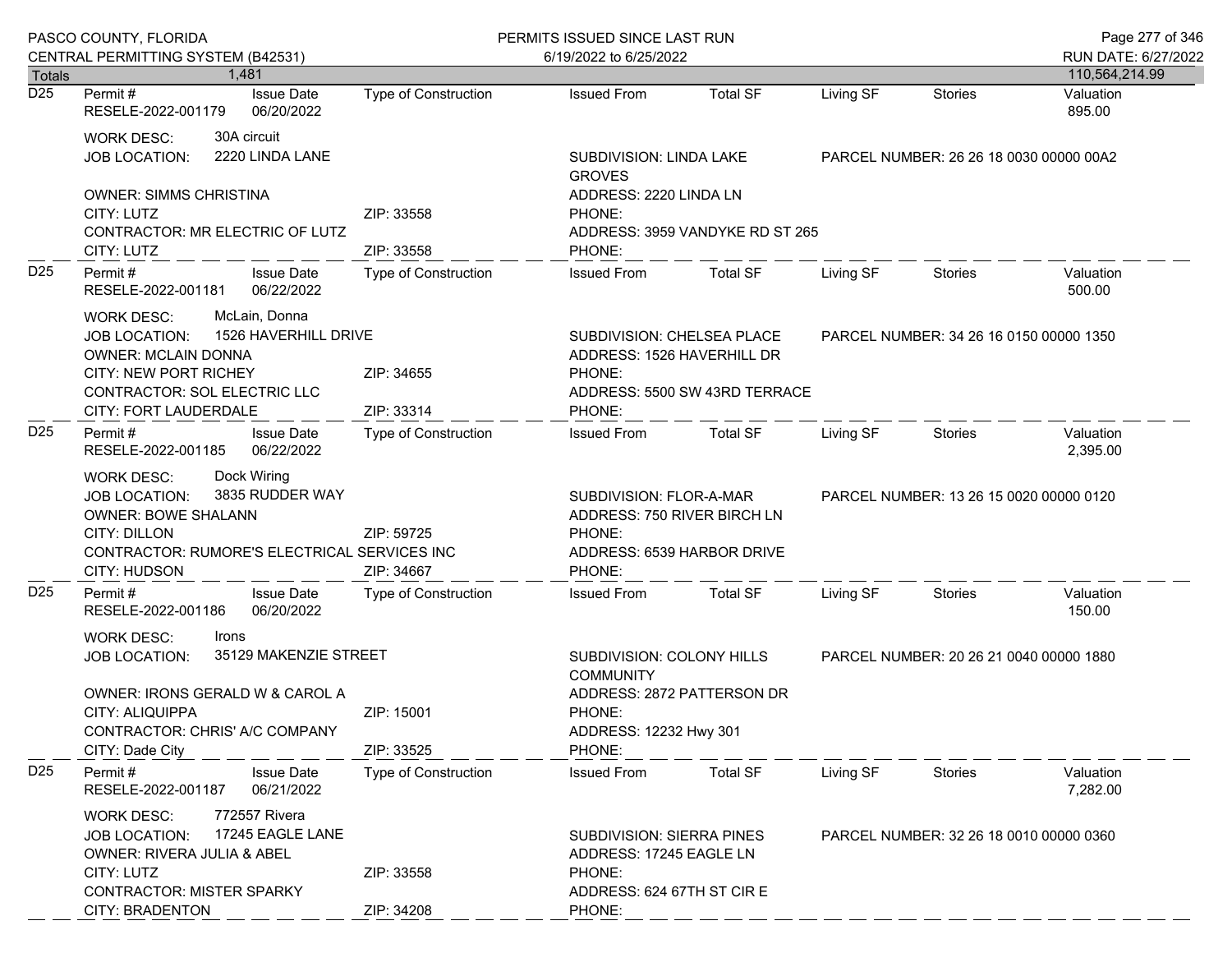|                 | PASCO COUNTY, FLORIDA<br>CENTRAL PERMITTING SYSTEM (B42531)                                                                                                                                                                                                            |                                 |                          | PERMITS ISSUED SINCE LAST RUN<br>6/19/2022 to 6/25/2022                                                                                                              |                                                                               |                                                                                           |                                         |                                         | Page 277 of 346<br>RUN DATE: 6/27/2022 |
|-----------------|------------------------------------------------------------------------------------------------------------------------------------------------------------------------------------------------------------------------------------------------------------------------|---------------------------------|--------------------------|----------------------------------------------------------------------------------------------------------------------------------------------------------------------|-------------------------------------------------------------------------------|-------------------------------------------------------------------------------------------|-----------------------------------------|-----------------------------------------|----------------------------------------|
| <b>Totals</b>   |                                                                                                                                                                                                                                                                        | 1.481                           |                          |                                                                                                                                                                      |                                                                               |                                                                                           |                                         |                                         | 110,564,214.99                         |
| D <sub>25</sub> | Permit #<br>RESELE-2022-001179                                                                                                                                                                                                                                         | <b>Issue Date</b><br>06/20/2022 |                          | Type of Construction                                                                                                                                                 | <b>Issued From</b>                                                            | <b>Total SF</b>                                                                           | Living SF                               | <b>Stories</b>                          | Valuation<br>895.00                    |
|                 | <b>WORK DESC:</b><br><b>JOB LOCATION:</b>                                                                                                                                                                                                                              | 30A circuit<br>2220 LINDA LANE  |                          |                                                                                                                                                                      | SUBDIVISION: LINDA LAKE<br><b>GROVES</b>                                      |                                                                                           | PARCEL NUMBER: 26 26 18 0030 00000 00A2 |                                         |                                        |
|                 | <b>OWNER: SIMMS CHRISTINA</b><br>CITY: LUTZ<br>CONTRACTOR: MR ELECTRIC OF LUTZ<br>CITY: LUTZ                                                                                                                                                                           |                                 |                          | ZIP: 33558<br>ZIP: 33558                                                                                                                                             | ADDRESS: 2220 LINDA LN<br>PHONE:<br>ADDRESS: 3959 VANDYKE RD ST 265<br>PHONE: |                                                                                           |                                         |                                         |                                        |
| D <sub>25</sub> | Permit#<br><b>Issue Date</b><br>RESELE-2022-001181<br>06/22/2022<br>McLain, Donna<br><b>WORK DESC:</b><br>1526 HAVERHILL DRIVE<br>JOB LOCATION:<br><b>OWNER: MCLAIN DONNA</b><br><b>CITY: NEW PORT RICHEY</b><br>CONTRACTOR: SOL ELECTRIC LLC<br>CITY: FORT LAUDERDALE |                                 |                          | Type of Construction                                                                                                                                                 | <b>Issued From</b>                                                            | <b>Total SF</b>                                                                           | Living SF                               | Stories                                 | Valuation<br>500.00                    |
|                 |                                                                                                                                                                                                                                                                        |                                 |                          | ZIP: 34655<br>ZIP: 33314                                                                                                                                             | PHONE:<br>PHONE:                                                              | SUBDIVISION: CHELSEA PLACE<br>ADDRESS: 1526 HAVERHILL DR<br>ADDRESS: 5500 SW 43RD TERRACE |                                         | PARCEL NUMBER: 34 26 16 0150 00000 1350 |                                        |
| D <sub>25</sub> | Permit #<br>RESELE-2022-001185                                                                                                                                                                                                                                         | <b>Issue Date</b><br>06/22/2022 |                          | Type of Construction                                                                                                                                                 | <b>Issued From</b>                                                            | <b>Total SF</b>                                                                           | Living SF                               | Stories                                 | Valuation<br>2,395.00                  |
|                 | Dock Wiring<br>WORK DESC:<br>3835 RUDDER WAY<br>JOB LOCATION:<br><b>OWNER: BOWE SHALANN</b><br><b>CITY: DILLON</b><br>CONTRACTOR: RUMORE'S ELECTRICAL SERVICES INC<br>CITY: HUDSON                                                                                     |                                 | ZIP: 59725<br>ZIP: 34667 | SUBDIVISION: FLOR-A-MAR<br>ADDRESS: 750 RIVER BIRCH LN<br>PHONE:<br>ADDRESS: 6539 HARBOR DRIVE<br>PHONE:                                                             |                                                                               |                                                                                           | PARCEL NUMBER: 13 26 15 0020 00000 0120 |                                         |                                        |
| D <sub>25</sub> | Permit#<br>RESELE-2022-001186                                                                                                                                                                                                                                          | <b>Issue Date</b><br>06/20/2022 |                          | Type of Construction                                                                                                                                                 | <b>Issued From</b>                                                            | <b>Total SF</b>                                                                           | Living SF                               | <b>Stories</b>                          | Valuation<br>150.00                    |
|                 | <b>WORK DESC:</b><br>Irons<br>35129 MAKENZIE STREET<br><b>JOB LOCATION:</b><br>OWNER: IRONS GERALD W & CAROL A<br>CITY: ALIQUIPPA<br>CONTRACTOR: CHRIS' A/C COMPANY<br>CITY: Dade City                                                                                 |                                 | ZIP: 15001<br>ZIP: 33525 | SUBDIVISION: COLONY HILLS<br>PARCEL NUMBER: 20 26 21 0040 00000 1880<br><b>COMMUNITY</b><br>ADDRESS: 2872 PATTERSON DR<br>PHONE:<br>ADDRESS: 12232 Hwy 301<br>PHONE: |                                                                               |                                                                                           |                                         |                                         |                                        |
| D <sub>25</sub> | Permit#<br>RESELE-2022-001187                                                                                                                                                                                                                                          | <b>Issue Date</b><br>06/21/2022 |                          | Type of Construction                                                                                                                                                 | <b>Issued From</b>                                                            | <b>Total SF</b>                                                                           | Living SF                               | Stories                                 | Valuation<br>7,282.00                  |
|                 | 772557 Rivera<br><b>WORK DESC:</b><br>17245 EAGLE LANE<br><b>JOB LOCATION:</b><br>OWNER: RIVERA JULIA & ABEL<br>CITY: LUTZ<br><b>CONTRACTOR: MISTER SPARKY</b><br>CITY: BRADENTON                                                                                      |                                 | ZIP: 33558<br>ZIP: 34208 | SUBDIVISION: SIERRA PINES<br>ADDRESS: 17245 EAGLE LN<br>PHONE:<br>ADDRESS: 624 67TH ST CIRE<br>PHONE:                                                                |                                                                               |                                                                                           | PARCEL NUMBER: 32 26 18 0010 00000 0360 |                                         |                                        |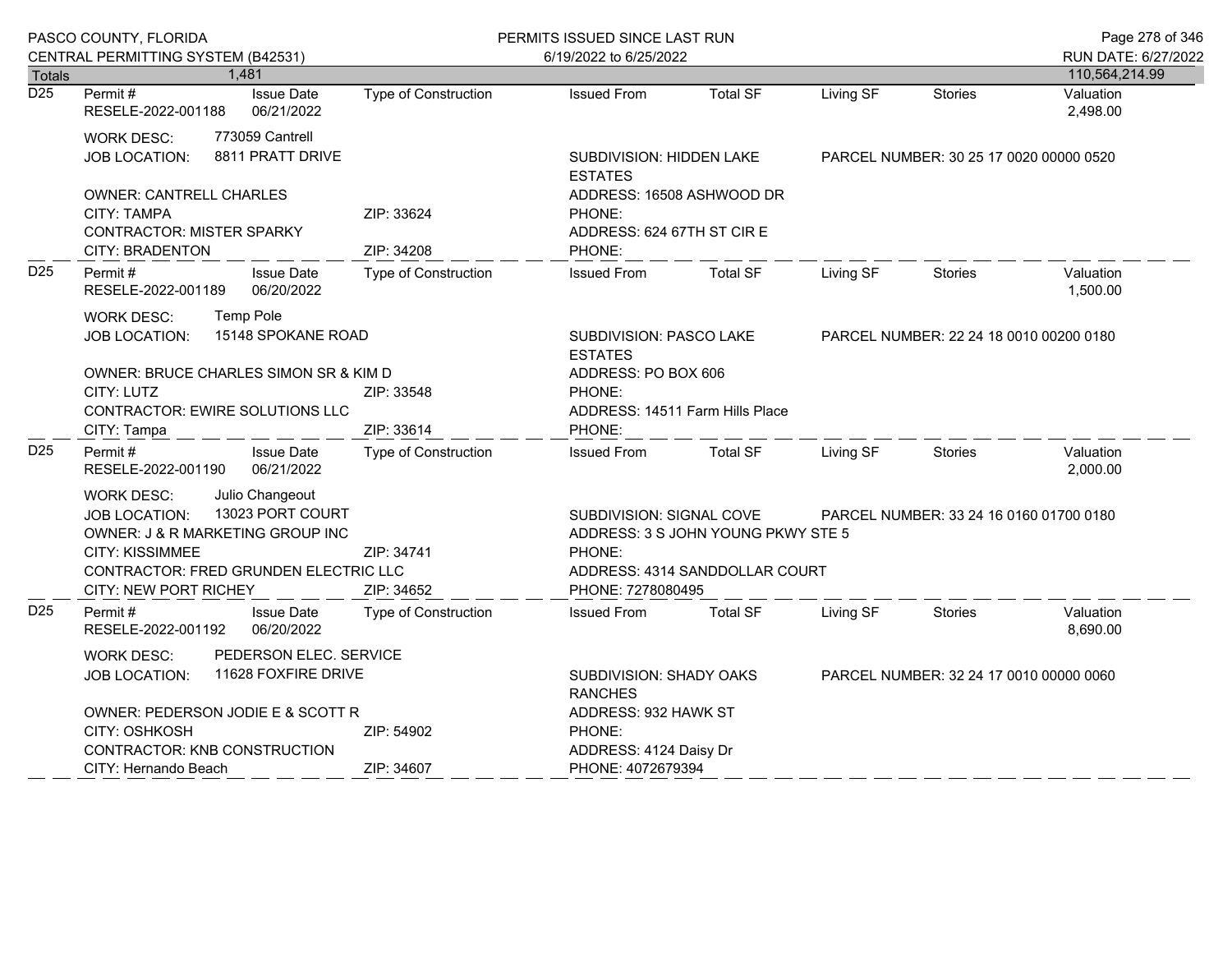|                                   | PASCO COUNTY, FLORIDA                                                                                                                                                                                            |                                     | PERMITS ISSUED SINCE LAST RUN |                                                                                                                                 |                                                        |                                         |                                         | Page 278 of 346                       |
|-----------------------------------|------------------------------------------------------------------------------------------------------------------------------------------------------------------------------------------------------------------|-------------------------------------|-------------------------------|---------------------------------------------------------------------------------------------------------------------------------|--------------------------------------------------------|-----------------------------------------|-----------------------------------------|---------------------------------------|
|                                   | CENTRAL PERMITTING SYSTEM (B42531)                                                                                                                                                                               | 1,481                               |                               | 6/19/2022 to 6/25/2022                                                                                                          |                                                        |                                         |                                         | RUN DATE: 6/27/2022<br>110,564,214.99 |
| <b>Totals</b><br>$\overline{D25}$ | Permit#<br>RESELE-2022-001188                                                                                                                                                                                    | <b>Issue Date</b><br>06/21/2022     | <b>Type of Construction</b>   | <b>Issued From</b>                                                                                                              | <b>Total SF</b>                                        | Living SF                               | <b>Stories</b>                          | Valuation<br>2,498.00                 |
|                                   | <b>WORK DESC:</b><br><b>JOB LOCATION:</b>                                                                                                                                                                        | 773059 Cantrell<br>8811 PRATT DRIVE |                               | SUBDIVISION: HIDDEN LAKE<br><b>ESTATES</b>                                                                                      |                                                        | PARCEL NUMBER: 30 25 17 0020 00000 0520 |                                         |                                       |
|                                   | <b>OWNER: CANTRELL CHARLES</b><br><b>CITY: TAMPA</b><br><b>CONTRACTOR: MISTER SPARKY</b><br><b>CITY: BRADENTON</b>                                                                                               |                                     | ZIP: 33624<br>ZIP: 34208      | ADDRESS: 16508 ASHWOOD DR<br>PHONE:<br>ADDRESS: 624 67TH ST CIRE<br>PHONE:                                                      |                                                        |                                         |                                         |                                       |
| D <sub>25</sub>                   | Permit#<br><b>Issue Date</b><br>06/20/2022<br>RESELE-2022-001189                                                                                                                                                 |                                     | <b>Type of Construction</b>   | <b>Issued From</b>                                                                                                              | <b>Total SF</b>                                        | Living SF                               | Stories                                 | Valuation<br>1,500.00                 |
|                                   | <b>WORK DESC:</b><br><b>JOB LOCATION:</b>                                                                                                                                                                        | Temp Pole<br>15148 SPOKANE ROAD     |                               | SUBDIVISION: PASCO LAKE<br><b>ESTATES</b>                                                                                       |                                                        |                                         | PARCEL NUMBER: 22 24 18 0010 00200 0180 |                                       |
|                                   | OWNER: BRUCE CHARLES SIMON SR & KIM D<br>CITY: LUTZ<br><b>CONTRACTOR: EWIRE SOLUTIONS LLC</b><br>CITY: Tampa                                                                                                     |                                     | ZIP: 33548<br>ZIP: 33614      | PHONE:<br>PHONE:                                                                                                                | ADDRESS: PO BOX 606<br>ADDRESS: 14511 Farm Hills Place |                                         |                                         |                                       |
| D <sub>25</sub>                   | Permit#<br>RESELE-2022-001190                                                                                                                                                                                    | <b>Issue Date</b><br>06/21/2022     | <b>Type of Construction</b>   | <b>Issued From</b>                                                                                                              | <b>Total SF</b>                                        | Living SF                               | <b>Stories</b>                          | Valuation<br>2,000.00                 |
|                                   | Julio Changeout<br><b>WORK DESC:</b><br>13023 PORT COURT<br><b>JOB LOCATION:</b><br>OWNER: J & R MARKETING GROUP INC<br><b>CITY: KISSIMMEE</b><br>CONTRACTOR: FRED GRUNDEN ELECTRIC LLC<br>CITY: NEW PORT RICHEY |                                     | ZIP: 34741<br>ZIP: 34652      | SUBDIVISION: SIGNAL COVE<br>ADDRESS: 3 S JOHN YOUNG PKWY STE 5<br>PHONE:<br>ADDRESS: 4314 SANDDOLLAR COURT<br>PHONE: 7278080495 |                                                        |                                         | PARCEL NUMBER: 33 24 16 0160 01700 0180 |                                       |
| D <sub>25</sub>                   | Permit#<br>RESELE-2022-001192                                                                                                                                                                                    | <b>Issue Date</b><br>06/20/2022     | <b>Type of Construction</b>   | <b>Issued From</b>                                                                                                              | <b>Total SF</b>                                        | Living SF                               | <b>Stories</b>                          | Valuation<br>8,690.00                 |
|                                   | PEDERSON ELEC. SERVICE<br><b>WORK DESC:</b><br>11628 FOXFIRE DRIVE<br><b>JOB LOCATION:</b>                                                                                                                       |                                     |                               | SUBDIVISION: SHADY OAKS<br><b>RANCHES</b>                                                                                       |                                                        | PARCEL NUMBER: 32 24 17 0010 00000 0060 |                                         |                                       |
|                                   | OWNER: PEDERSON JODIE E & SCOTT R<br>CITY: OSHKOSH<br>CONTRACTOR: KNB CONSTRUCTION                                                                                                                               |                                     | ZIP: 54902<br>ZIP: 34607      | ADDRESS: 932 HAWK ST<br>PHONE:<br>ADDRESS: 4124 Daisy Dr                                                                        |                                                        |                                         |                                         |                                       |
|                                   | CITY: Hernando Beach                                                                                                                                                                                             |                                     |                               | PHONE: 4072679394                                                                                                               |                                                        |                                         |                                         |                                       |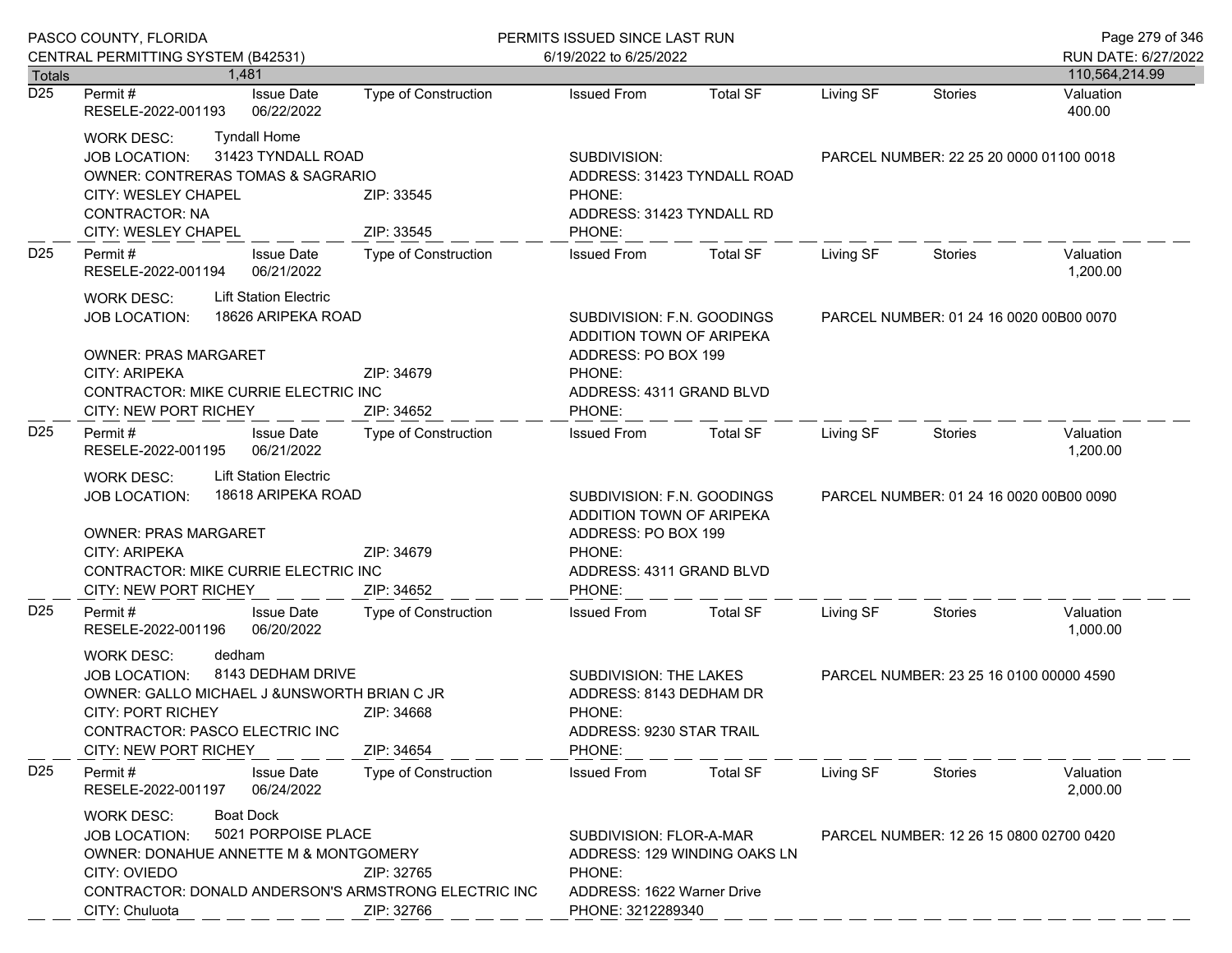|                 | PASCO COUNTY, FLORIDA                                                                                                                                                                                                                                      |                                                                                               | PERMITS ISSUED SINCE LAST RUN                                                                     |                                                                                                                               |                                         |                                         | Page 279 of 346                       |
|-----------------|------------------------------------------------------------------------------------------------------------------------------------------------------------------------------------------------------------------------------------------------------------|-----------------------------------------------------------------------------------------------|---------------------------------------------------------------------------------------------------|-------------------------------------------------------------------------------------------------------------------------------|-----------------------------------------|-----------------------------------------|---------------------------------------|
| <b>Totals</b>   | CENTRAL PERMITTING SYSTEM (B42531)<br>1.481                                                                                                                                                                                                                |                                                                                               | 6/19/2022 to 6/25/2022                                                                            |                                                                                                                               |                                         |                                         | RUN DATE: 6/27/2022<br>110,564,214.99 |
| D25             | <b>Issue Date</b><br>Permit #<br>RESELE-2022-001193<br>06/22/2022                                                                                                                                                                                          | Type of Construction                                                                          | <b>Issued From</b>                                                                                | <b>Total SF</b>                                                                                                               | Living SF                               | <b>Stories</b>                          | Valuation<br>400.00                   |
|                 | <b>Tyndall Home</b><br><b>WORK DESC:</b><br>31423 TYNDALL ROAD<br><b>JOB LOCATION:</b><br><b>OWNER: CONTRERAS TOMAS &amp; SAGRARIO</b><br>CITY: WESLEY CHAPEL<br><b>CONTRACTOR: NA</b><br>CITY: WESLEY CHAPEL                                              | ZIP: 33545<br>ZIP: 33545                                                                      | SUBDIVISION:<br>ADDRESS: 31423 TYNDALL ROAD<br>PHONE:<br>ADDRESS: 31423 TYNDALL RD<br>PHONE:      |                                                                                                                               |                                         | PARCEL NUMBER: 22 25 20 0000 01100 0018 |                                       |
| D <sub>25</sub> | Permit#<br><b>Issue Date</b><br>RESELE-2022-001194<br>06/21/2022                                                                                                                                                                                           | <b>Type of Construction</b>                                                                   | <b>Issued From</b>                                                                                | <b>Total SF</b>                                                                                                               | Living SF                               | Stories                                 | Valuation<br>1,200.00                 |
|                 | <b>Lift Station Electric</b><br><b>WORK DESC:</b><br>18626 ARIPEKA ROAD<br><b>JOB LOCATION:</b><br><b>OWNER: PRAS MARGARET</b><br><b>CITY: ARIPEKA</b><br>ZIP: 34679<br>CONTRACTOR: MIKE CURRIE ELECTRIC INC<br><b>CITY: NEW PORT RICHEY</b><br>ZIP: 34652 |                                                                                               | PHONE:<br>PHONE:                                                                                  | SUBDIVISION: F.N. GOODINGS<br>ADDITION TOWN OF ARIPEKA<br>ADDRESS: PO BOX 199<br>ADDRESS: 4311 GRAND BLVD                     |                                         | PARCEL NUMBER: 01 24 16 0020 00B00 0070 |                                       |
| D <sub>25</sub> | Permit#<br><b>Issue Date</b><br>06/21/2022<br>RESELE-2022-001195                                                                                                                                                                                           | Type of Construction                                                                          | <b>Issued From</b>                                                                                | <b>Total SF</b>                                                                                                               | Living SF                               | Stories                                 | Valuation<br>1,200.00                 |
|                 | <b>Lift Station Electric</b><br><b>WORK DESC:</b><br><b>JOB LOCATION:</b><br><b>OWNER: PRAS MARGARET</b><br>CITY: ARIPEKA<br><b>CITY: NEW PORT RICHEY</b>                                                                                                  | 18618 ARIPEKA ROAD<br>ZIP: 34679<br><b>CONTRACTOR: MIKE CURRIE ELECTRIC INC</b><br>ZIP: 34652 |                                                                                                   | SUBDIVISION: F.N. GOODINGS<br>ADDITION TOWN OF ARIPEKA<br>ADDRESS: PO BOX 199<br>PHONE:<br>ADDRESS: 4311 GRAND BLVD<br>PHONE: |                                         | PARCEL NUMBER: 01 24 16 0020 00B00 0090 |                                       |
| D <sub>25</sub> | Permit#<br><b>Issue Date</b><br>RESELE-2022-001196<br>06/20/2022                                                                                                                                                                                           | <b>Type of Construction</b>                                                                   | <b>Issued From</b>                                                                                | <b>Total SF</b>                                                                                                               | Living SF                               | Stories                                 | Valuation<br>1,000.00                 |
|                 | dedham<br><b>WORK DESC:</b><br>8143 DEDHAM DRIVE<br><b>JOB LOCATION:</b><br>OWNER: GALLO MICHAEL J & UNSWORTH BRIAN C JR<br>CITY: PORT RICHEY<br>ZIP: 34668<br>CONTRACTOR: PASCO ELECTRIC INC<br><b>CITY: NEW PORT RICHEY</b><br>ZIP: 34654                |                                                                                               | SUBDIVISION: THE LAKES<br>ADDRESS: 8143 DEDHAM DR<br>PHONE:<br>ADDRESS: 9230 STAR TRAIL<br>PHONE: |                                                                                                                               | PARCEL NUMBER: 23 25 16 0100 00000 4590 |                                         |                                       |
| D <sub>25</sub> | Permit#<br><b>Issue Date</b><br>06/24/2022<br>RESELE-2022-001197                                                                                                                                                                                           | Type of Construction                                                                          | <b>Issued From</b>                                                                                | <b>Total SF</b>                                                                                                               | Living SF                               | Stories                                 | Valuation<br>2,000.00                 |
|                 | <b>Boat Dock</b><br><b>WORK DESC:</b><br>5021 PORPOISE PLACE<br><b>JOB LOCATION:</b><br>OWNER: DONAHUE ANNETTE M & MONTGOMERY<br>CITY: OVIEDO<br>ZIP: 32765<br>CONTRACTOR: DONALD ANDERSON'S ARMSTRONG ELECTRIC INC<br>CITY: Chuluota<br>ZIP: 32766        |                                                                                               | SUBDIVISION: FLOR-A-MAR<br>PHONE:<br>ADDRESS: 1622 Warner Drive<br>PHONE: 3212289340              | ADDRESS: 129 WINDING OAKS LN                                                                                                  |                                         | PARCEL NUMBER: 12 26 15 0800 02700 0420 |                                       |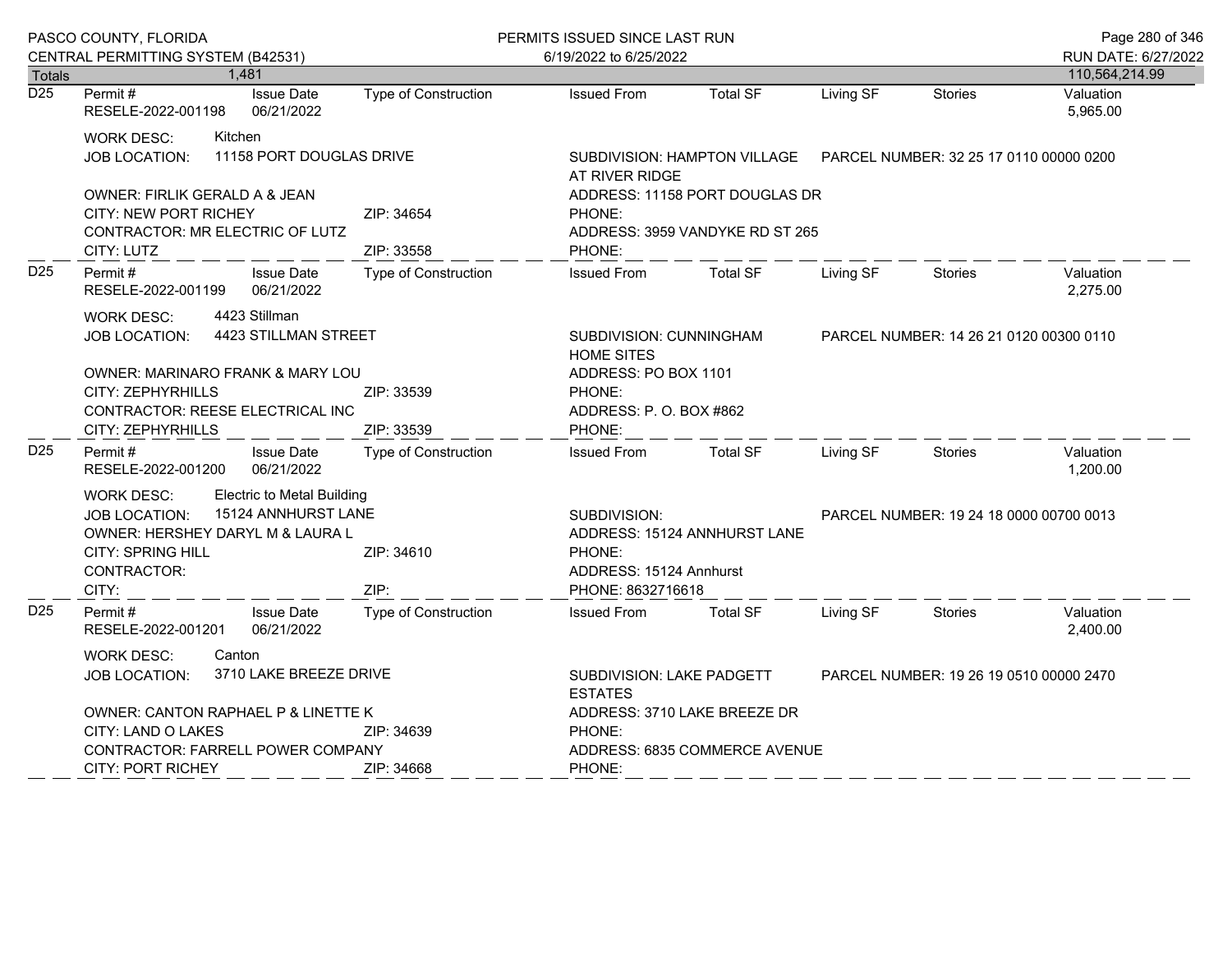|                  | PASCO COUNTY, FLORIDA                                                                                                                                                                                                      |                                  |                                 |                                           | PERMITS ISSUED SINCE LAST RUN                                                             |                                                                                        |                              |           |                                         | Page 280 of 346       |
|------------------|----------------------------------------------------------------------------------------------------------------------------------------------------------------------------------------------------------------------------|----------------------------------|---------------------------------|-------------------------------------------|-------------------------------------------------------------------------------------------|----------------------------------------------------------------------------------------|------------------------------|-----------|-----------------------------------------|-----------------------|
|                  | CENTRAL PERMITTING SYSTEM (B42531)                                                                                                                                                                                         |                                  |                                 |                                           |                                                                                           | 6/19/2022 to 6/25/2022                                                                 |                              |           |                                         | RUN DATE: 6/27/2022   |
| <b>Totals</b>    |                                                                                                                                                                                                                            | 1,481                            |                                 |                                           |                                                                                           |                                                                                        |                              |           |                                         | 110,564,214.99        |
| $\overline{D25}$ | Permit#<br>RESELE-2022-001198                                                                                                                                                                                              |                                  | <b>Issue Date</b><br>06/21/2022 | <b>Type of Construction</b>               |                                                                                           | <b>Issued From</b>                                                                     | <b>Total SF</b>              | Living SF | <b>Stories</b>                          | Valuation<br>5,965.00 |
|                  | <b>WORK DESC:</b><br><b>JOB LOCATION:</b>                                                                                                                                                                                  | Kitchen                          | 11158 PORT DOUGLAS DRIVE        |                                           | SUBDIVISION: HAMPTON VILLAGE<br>PARCEL NUMBER: 32 25 17 0110 00000 0200<br>AT RIVER RIDGE |                                                                                        |                              |           |                                         |                       |
|                  | OWNER: FIRLIK GERALD A & JEAN<br>CITY: NEW PORT RICHEY<br>CONTRACTOR: MR ELECTRIC OF LUTZ<br>CITY: LUTZ                                                                                                                    |                                  |                                 | ZIP: 34654<br>ZIP: 33558                  |                                                                                           | ADDRESS: 11158 PORT DOUGLAS DR<br>PHONE:<br>ADDRESS: 3959 VANDYKE RD ST 265<br>PHONE:  |                              |           |                                         |                       |
| D <sub>25</sub>  | <b>Issue Date</b><br>Permit#<br>06/21/2022<br>RESELE-2022-001199                                                                                                                                                           |                                  |                                 | <b>Type of Construction</b>               |                                                                                           | <b>Issued From</b>                                                                     | <b>Total SF</b>              | Living SF | <b>Stories</b>                          | Valuation<br>2,275.00 |
|                  | 4423 Stillman<br><b>WORK DESC:</b><br>4423 STILLMAN STREET<br><b>JOB LOCATION:</b>                                                                                                                                         |                                  |                                 |                                           | SUBDIVISION: CUNNINGHAM<br>PARCEL NUMBER: 14 26 21 0120 00300 0110<br><b>HOME SITES</b>   |                                                                                        |                              |           |                                         |                       |
|                  | OWNER: MARINARO FRANK & MARY LOU<br>CITY: ZEPHYRHILLS<br><b>CONTRACTOR: REESE ELECTRICAL INC</b>                                                                                                                           |                                  |                                 | ZIP: 33539                                |                                                                                           | ADDRESS: PO BOX 1101<br>PHONE:<br>ADDRESS: P. O. BOX #862<br>PHONE:                    |                              |           |                                         |                       |
| D <sub>25</sub>  | <b>CITY: ZEPHYRHILLS</b><br>Permit#                                                                                                                                                                                        |                                  | <b>Issue Date</b>               | ZIP: 33539<br><b>Type of Construction</b> |                                                                                           | <b>Issued From</b>                                                                     | <b>Total SF</b>              | Living SF | <b>Stories</b>                          | Valuation<br>1,200.00 |
|                  | 06/21/2022<br>RESELE-2022-001200<br><b>Electric to Metal Building</b><br><b>WORK DESC:</b><br>15124 ANNHURST LANE<br>JOB LOCATION:<br>OWNER: HERSHEY DARYL M & LAURA L<br><b>CITY: SPRING HILL</b><br>CONTRACTOR:<br>CITY: |                                  |                                 | ZIP: 34610<br>ZIP:                        |                                                                                           | SUBDIVISION:<br>PHONE:<br>ADDRESS: 15124 Annhurst<br>PHONE: 8632716618                 | ADDRESS: 15124 ANNHURST LANE |           | PARCEL NUMBER: 19 24 18 0000 00700 0013 |                       |
| D <sub>25</sub>  | Permit#<br>RESELE-2022-001201                                                                                                                                                                                              |                                  | <b>Issue Date</b><br>06/21/2022 | <b>Type of Construction</b>               |                                                                                           | <b>Issued From</b>                                                                     | <b>Total SF</b>              | Living SF | <b>Stories</b>                          | Valuation<br>2,400.00 |
|                  | <b>WORK DESC:</b><br>JOB LOCATION:                                                                                                                                                                                         | Canton<br>3710 LAKE BREEZE DRIVE |                                 |                                           |                                                                                           | SUBDIVISION: LAKE PADGETT<br>PARCEL NUMBER: 19 26 19 0510 00000 2470<br><b>ESTATES</b> |                              |           |                                         |                       |
|                  | OWNER: CANTON RAPHAEL P & LINETTE K<br>CITY: LAND O LAKES<br>ZIP: 34639                                                                                                                                                    |                                  |                                 |                                           | ADDRESS: 3710 LAKE BREEZE DR<br>PHONE:                                                    |                                                                                        |                              |           |                                         |                       |
|                  | <b>CONTRACTOR: FARRELL POWER COMPANY</b><br><b>CITY: PORT RICHEY</b><br>ZIP: 34668                                                                                                                                         |                                  |                                 |                                           | ADDRESS: 6835 COMMERCE AVENUE<br>PHONE:                                                   |                                                                                        |                              |           |                                         |                       |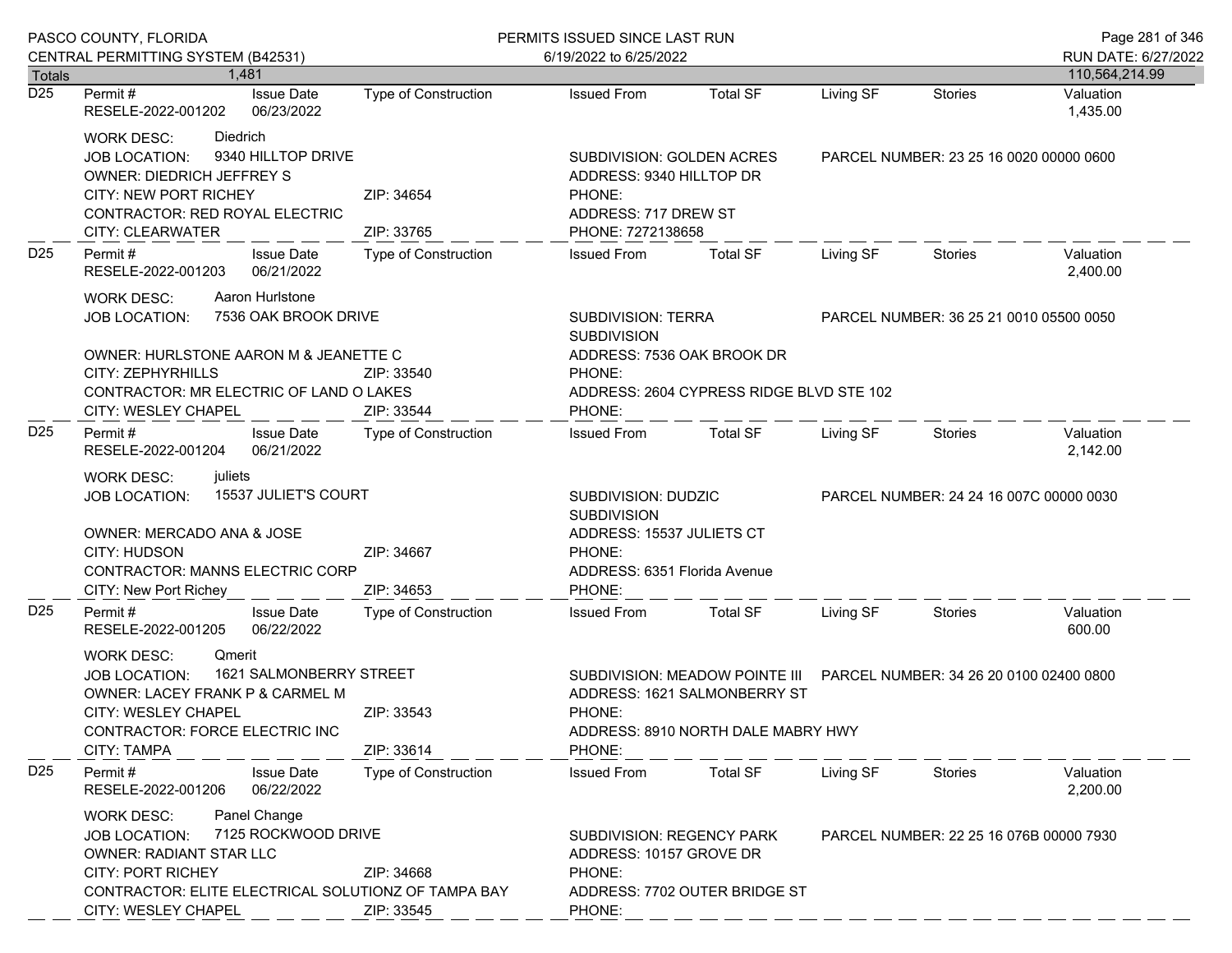|                      | PASCO COUNTY, FLORIDA                                                                                                                                                                                                        |                                    | PERMITS ISSUED SINCE LAST RUN                                                                                              |                                                                    |                                                                        |                                         | Page 281 of 346       |
|----------------------|------------------------------------------------------------------------------------------------------------------------------------------------------------------------------------------------------------------------------|------------------------------------|----------------------------------------------------------------------------------------------------------------------------|--------------------------------------------------------------------|------------------------------------------------------------------------|-----------------------------------------|-----------------------|
|                      | CENTRAL PERMITTING SYSTEM (B42531)                                                                                                                                                                                           |                                    | 6/19/2022 to 6/25/2022                                                                                                     |                                                                    |                                                                        |                                         | RUN DATE: 6/27/2022   |
| <b>Totals</b><br>D25 | 1.481                                                                                                                                                                                                                        |                                    |                                                                                                                            |                                                                    |                                                                        |                                         | 110,564,214.99        |
|                      | <b>Issue Date</b><br>Permit #<br>RESELE-2022-001202<br>06/23/2022                                                                                                                                                            | Type of Construction               | <b>Issued From</b>                                                                                                         | <b>Total SF</b>                                                    | Living SF                                                              | <b>Stories</b>                          | Valuation<br>1,435.00 |
|                      | Diedrich<br><b>WORK DESC:</b><br>9340 HILLTOP DRIVE<br><b>JOB LOCATION:</b><br><b>OWNER: DIEDRICH JEFFREY S</b><br>CITY: NEW PORT RICHEY<br>CONTRACTOR: RED ROYAL ELECTRIC<br>CITY: CLEARWATER                               | ZIP: 34654<br>ZIP: 33765           | SUBDIVISION: GOLDEN ACRES<br>ADDRESS: 9340 HILLTOP DR<br>PHONE:<br>ADDRESS: 717 DREW ST<br>PHONE: 7272138658               |                                                                    |                                                                        | PARCEL NUMBER: 23 25 16 0020 00000 0600 |                       |
| D <sub>25</sub>      | Permit#<br><b>Issue Date</b><br>RESELE-2022-001203<br>06/21/2022                                                                                                                                                             | <b>Type of Construction</b>        | <b>Issued From</b>                                                                                                         | <b>Total SF</b>                                                    | Living SF                                                              | Stories                                 | Valuation<br>2,400.00 |
|                      | Aaron Hurlstone<br><b>WORK DESC:</b><br>7536 OAK BROOK DRIVE<br><b>JOB LOCATION:</b>                                                                                                                                         |                                    | <b>SUBDIVISION: TERRA</b><br><b>SUBDIVISION</b>                                                                            |                                                                    |                                                                        | PARCEL NUMBER: 36 25 21 0010 05500 0050 |                       |
|                      | OWNER: HURLSTONE AARON M & JEANETTE C<br>CITY: ZEPHYRHILLS<br>CONTRACTOR: MR ELECTRIC OF LAND O LAKES                                                                                                                        | ZIP: 33540                         | ADDRESS: 7536 OAK BROOK DR<br>PHONE:                                                                                       | ADDRESS: 2604 CYPRESS RIDGE BLVD STE 102                           |                                                                        |                                         |                       |
| D <sub>25</sub>      | CITY: WESLEY CHAPEL<br>Permit#<br><b>Issue Date</b><br>06/21/2022<br>RESELE-2022-001204                                                                                                                                      | ZIP: 33544<br>Type of Construction | PHONE:<br><b>Issued From</b>                                                                                               | <b>Total SF</b>                                                    | Living SF                                                              | Stories                                 | Valuation<br>2,142.00 |
|                      | juliets<br><b>WORK DESC:</b><br>15537 JULIET'S COURT<br><b>JOB LOCATION:</b><br>OWNER: MERCADO ANA & JOSE<br><b>CITY: HUDSON</b><br>ZIP: 34667<br>CONTRACTOR: MANNS ELECTRIC CORP<br>CITY: New Port Richey<br>ZIP: 34653     |                                    | SUBDIVISION: DUDZIC<br><b>SUBDIVISION</b><br>ADDRESS: 15537 JULIETS CT<br>PHONE:<br>ADDRESS: 6351 Florida Avenue<br>PHONE: |                                                                    |                                                                        | PARCEL NUMBER: 24 24 16 007C 00000 0030 |                       |
| D <sub>25</sub>      | Permit#<br><b>Issue Date</b><br>06/22/2022<br>RESELE-2022-001205                                                                                                                                                             | <b>Type of Construction</b>        | <b>Issued From</b>                                                                                                         | <b>Total SF</b>                                                    | Living SF                                                              | Stories                                 | Valuation<br>600.00   |
|                      | <b>WORK DESC:</b><br>Qmerit<br>1621 SALMONBERRY STREET<br><b>JOB LOCATION:</b><br>OWNER: LACEY FRANK P & CARMEL M<br>CITY: WESLEY CHAPEL<br>ZIP: 33543<br>CONTRACTOR: FORCE ELECTRIC INC<br><b>CITY: TAMPA</b><br>ZIP: 33614 |                                    | PHONE:<br>PHONE:                                                                                                           | ADDRESS: 1621 SALMONBERRY ST<br>ADDRESS: 8910 NORTH DALE MABRY HWY | SUBDIVISION: MEADOW POINTE III PARCEL NUMBER: 34 26 20 0100 02400 0800 |                                         |                       |
| D <sub>25</sub>      | Permit#<br><b>Issue Date</b><br>06/22/2022<br>RESELE-2022-001206                                                                                                                                                             | <b>Type of Construction</b>        | <b>Issued From</b>                                                                                                         | <b>Total SF</b>                                                    | Living SF                                                              | <b>Stories</b>                          | Valuation<br>2,200.00 |
|                      | Panel Change<br><b>WORK DESC:</b><br>7125 ROCKWOOD DRIVE<br><b>JOB LOCATION:</b><br><b>OWNER: RADIANT STAR LLC</b><br><b>CITY: PORT RICHEY</b><br>CONTRACTOR: ELITE ELECTRICAL SOLUTIONZ OF TAMPA BAY<br>CITY: WESLEY CHAPEL | ZIP: 34668<br>ZIP: 33545           | SUBDIVISION: REGENCY PARK<br>ADDRESS: 10157 GROVE DR<br>PHONE:<br>PHONE:                                                   | ADDRESS: 7702 OUTER BRIDGE ST                                      |                                                                        | PARCEL NUMBER: 22 25 16 076B 00000 7930 |                       |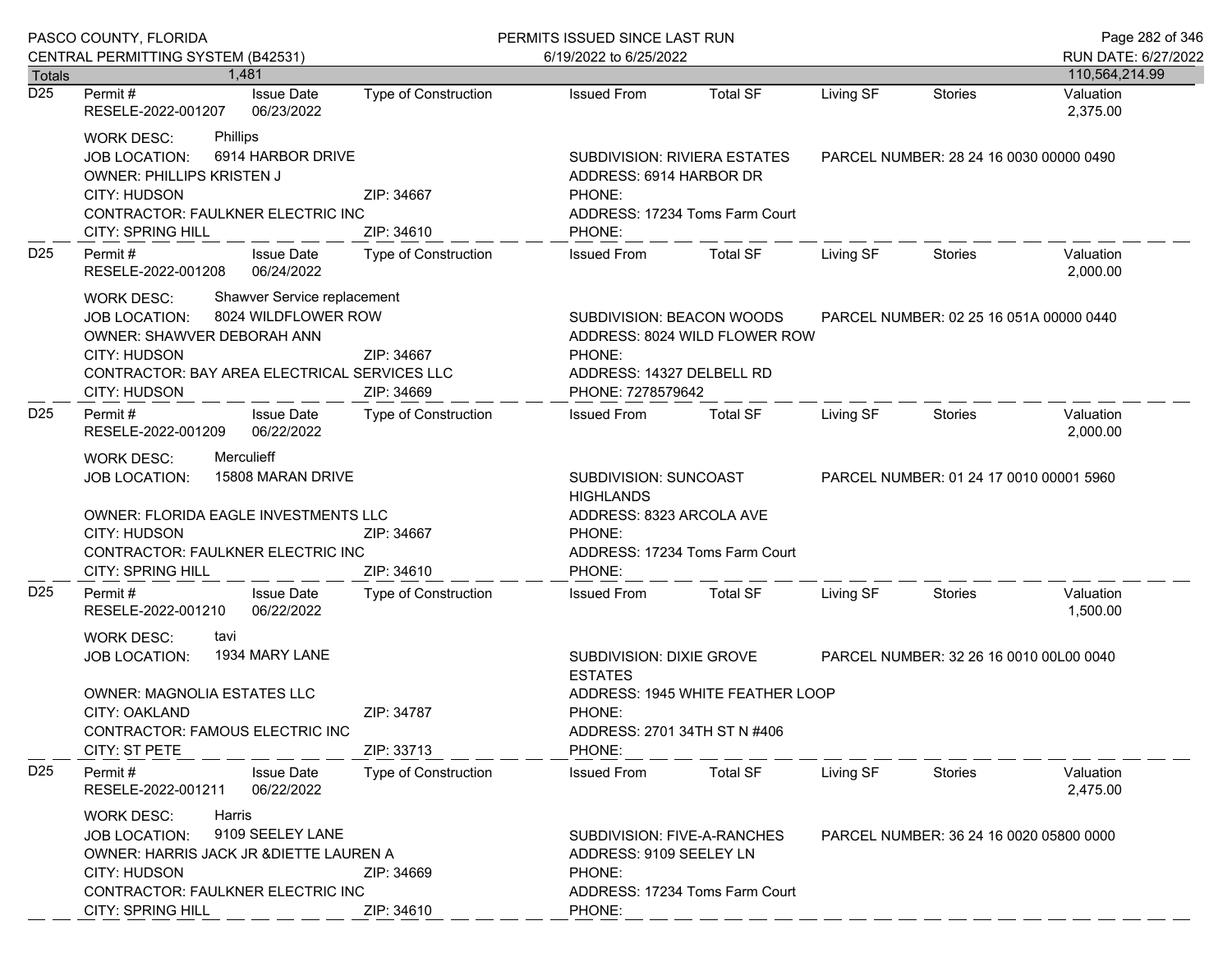|                 | PASCO COUNTY, FLORIDA                                                                                                                                                                                             |                             | PERMITS ISSUED SINCE LAST RUN                                                                                                                                                 | Page 282 of 346                                                                                  |           |                                         |                       |  |
|-----------------|-------------------------------------------------------------------------------------------------------------------------------------------------------------------------------------------------------------------|-----------------------------|-------------------------------------------------------------------------------------------------------------------------------------------------------------------------------|--------------------------------------------------------------------------------------------------|-----------|-----------------------------------------|-----------------------|--|
|                 | CENTRAL PERMITTING SYSTEM (B42531)                                                                                                                                                                                |                             | 6/19/2022 to 6/25/2022                                                                                                                                                        |                                                                                                  |           |                                         | RUN DATE: 6/27/2022   |  |
| Totals          | 1.481                                                                                                                                                                                                             |                             |                                                                                                                                                                               |                                                                                                  |           |                                         | 110,564,214.99        |  |
| D25             | <b>Issue Date</b><br>Permit #<br>RESELE-2022-001207<br>06/23/2022                                                                                                                                                 | <b>Type of Construction</b> | <b>Issued From</b>                                                                                                                                                            | <b>Total SF</b>                                                                                  | Living SF | <b>Stories</b>                          | Valuation<br>2,375.00 |  |
|                 | Phillips<br><b>WORK DESC:</b><br>6914 HARBOR DRIVE<br><b>JOB LOCATION:</b><br><b>OWNER: PHILLIPS KRISTEN J</b><br>CITY: HUDSON<br>CONTRACTOR: FAULKNER ELECTRIC INC<br>CITY: SPRING HILL                          | ZIP: 34667<br>ZIP: 34610    | PHONE:<br>PHONE:                                                                                                                                                              | <b>SUBDIVISION: RIVIERA ESTATES</b><br>ADDRESS: 6914 HARBOR DR<br>ADDRESS: 17234 Toms Farm Court |           | PARCEL NUMBER: 28 24 16 0030 00000 0490 |                       |  |
| D <sub>25</sub> | Permit#<br><b>Issue Date</b><br>06/24/2022<br>RESELE-2022-001208                                                                                                                                                  | Type of Construction        | <b>Issued From</b>                                                                                                                                                            | Total SF                                                                                         | Living SF | Stories                                 | Valuation<br>2,000.00 |  |
|                 | Shawver Service replacement<br>WORK DESC:<br>8024 WILDFLOWER ROW<br><b>JOB LOCATION:</b><br>OWNER: SHAWVER DEBORAH ANN<br>CITY: HUDSON<br>CONTRACTOR: BAY AREA ELECTRICAL SERVICES LLC<br><b>CITY: HUDSON</b>     | ZIP: 34667<br>ZIP: 34669    | SUBDIVISION: BEACON WOODS<br>ADDRESS: 8024 WILD FLOWER ROW<br>PHONE:<br>ADDRESS: 14327 DELBELL RD<br>PHONE: 7278579642                                                        |                                                                                                  |           | PARCEL NUMBER: 02 25 16 051A 00000 0440 |                       |  |
| D <sub>25</sub> | Permit#<br><b>Issue Date</b><br>06/22/2022<br>RESELE-2022-001209                                                                                                                                                  | <b>Type of Construction</b> | <b>Issued From</b>                                                                                                                                                            | <b>Total SF</b>                                                                                  | Living SF | Stories                                 | Valuation<br>2,000.00 |  |
|                 | Merculieff<br><b>WORK DESC:</b><br>15808 MARAN DRIVE<br><b>JOB LOCATION:</b><br>OWNER: FLORIDA EAGLE INVESTMENTS LLC<br>CITY: HUDSON<br>CONTRACTOR: FAULKNER ELECTRIC INC<br>CITY: SPRING HILL                    | ZIP: 34667<br>ZIP: 34610    | SUBDIVISION: SUNCOAST<br><b>HIGHLANDS</b><br>ADDRESS: 8323 ARCOLA AVE<br>PHONE:<br>PHONE:                                                                                     | ADDRESS: 17234 Toms Farm Court                                                                   |           | PARCEL NUMBER: 01 24 17 0010 00001 5960 |                       |  |
| D <sub>25</sub> | <b>Issue Date</b><br>Permit#<br>RESELE-2022-001210<br>06/22/2022                                                                                                                                                  | Type of Construction        | <b>Issued From</b>                                                                                                                                                            | <b>Total SF</b>                                                                                  | Living SF | Stories                                 | Valuation<br>1,500.00 |  |
|                 | <b>WORK DESC:</b><br>tavi<br>1934 MARY LANE<br><b>JOB LOCATION:</b><br><b>OWNER: MAGNOLIA ESTATES LLC</b><br>ZIP: 34787<br>CITY: OAKLAND<br>CONTRACTOR: FAMOUS ELECTRIC INC<br><b>CITY: ST PETE</b><br>ZIP: 33713 |                             | SUBDIVISION: DIXIE GROVE<br>PARCEL NUMBER: 32 26 16 0010 00L00 0040<br><b>ESTATES</b><br>ADDRESS: 1945 WHITE FEATHER LOOP<br>PHONE:<br>ADDRESS: 2701 34TH ST N #406<br>PHONE: |                                                                                                  |           |                                         |                       |  |
| D <sub>25</sub> | Permit#<br><b>Issue Date</b><br>RESELE-2022-001211<br>06/22/2022                                                                                                                                                  | <b>Type of Construction</b> | <b>Issued From</b>                                                                                                                                                            | <b>Total SF</b>                                                                                  | Living SF | Stories                                 | Valuation<br>2,475.00 |  |
|                 | Harris<br><b>WORK DESC:</b><br>9109 SEELEY LANE<br><b>JOB LOCATION:</b><br>OWNER: HARRIS JACK JR & DIETTE LAUREN A<br><b>CITY: HUDSON</b><br>CONTRACTOR: FAULKNER ELECTRIC INC<br>CITY: SPRING HILL               | ZIP: 34669<br>ZIP: 34610    | SUBDIVISION: FIVE-A-RANCHES<br>ADDRESS: 9109 SEELEY LN<br>PHONE:<br>PHONE:                                                                                                    | ADDRESS: 17234 Toms Farm Court                                                                   |           | PARCEL NUMBER: 36 24 16 0020 05800 0000 |                       |  |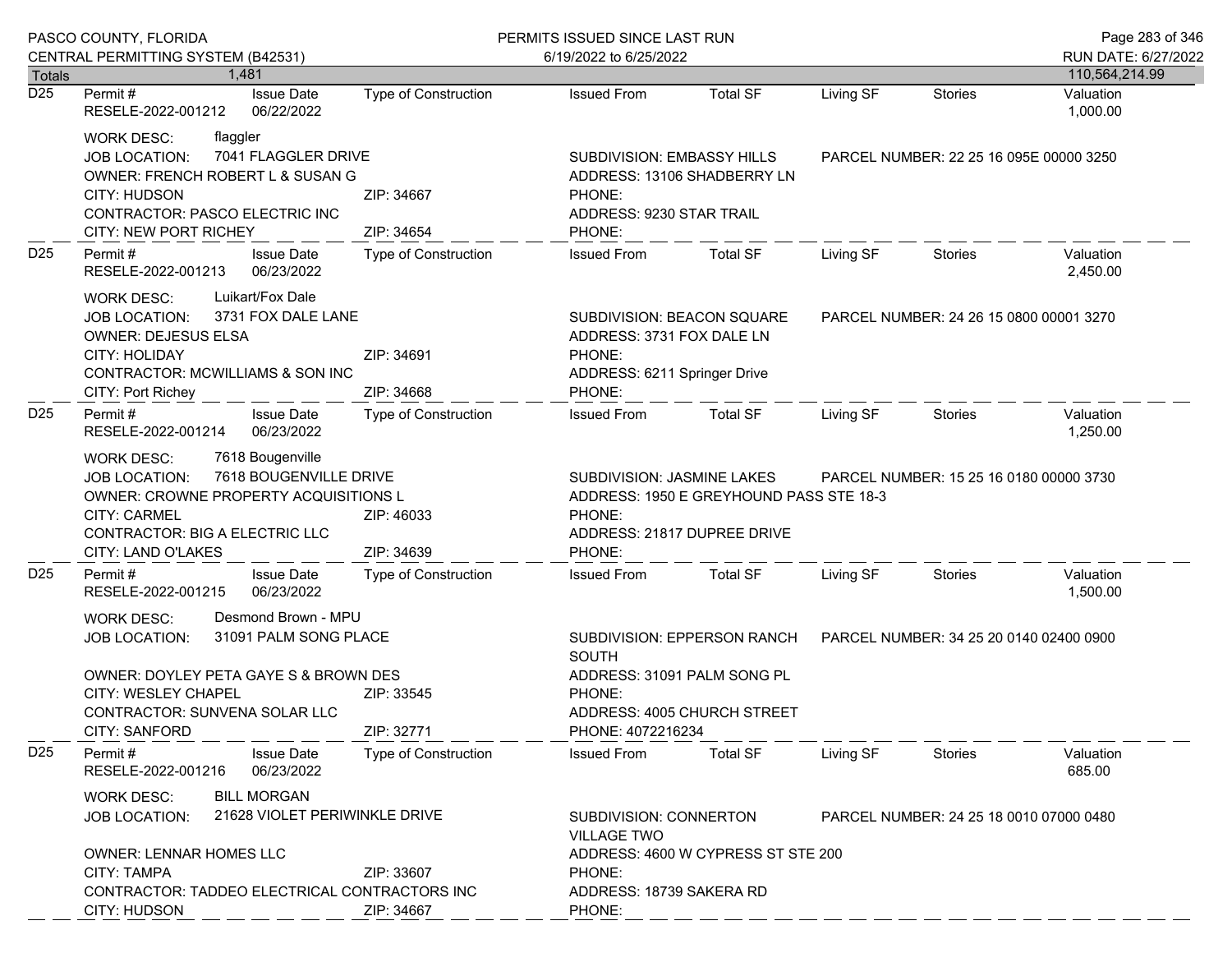|                      | PASCO COUNTY, FLORIDA                                                                                                                                                                                                                | PERMITS ISSUED SINCE LAST RUN                                                      |                                                                                                                                                                                     |                                                                                                      |                                         |                                         | Page 283 of 346             |
|----------------------|--------------------------------------------------------------------------------------------------------------------------------------------------------------------------------------------------------------------------------------|------------------------------------------------------------------------------------|-------------------------------------------------------------------------------------------------------------------------------------------------------------------------------------|------------------------------------------------------------------------------------------------------|-----------------------------------------|-----------------------------------------|-----------------------------|
|                      | CENTRAL PERMITTING SYSTEM (B42531)                                                                                                                                                                                                   |                                                                                    | 6/19/2022 to 6/25/2022                                                                                                                                                              |                                                                                                      |                                         |                                         | RUN DATE: 6/27/2022         |
| <b>Totals</b><br>D25 | 1.481<br><b>Issue Date</b><br>Permit #                                                                                                                                                                                               | <b>Type of Construction</b>                                                        | <b>Issued From</b>                                                                                                                                                                  | <b>Total SF</b>                                                                                      | Living SF                               | <b>Stories</b>                          | 110,564,214.99<br>Valuation |
|                      | RESELE-2022-001212<br>06/22/2022                                                                                                                                                                                                     |                                                                                    |                                                                                                                                                                                     |                                                                                                      |                                         |                                         | 1,000.00                    |
|                      | <b>WORK DESC:</b><br>flaggler<br>7041 FLAGGLER DRIVE<br><b>JOB LOCATION:</b><br>OWNER: FRENCH ROBERT L & SUSAN G<br>CITY: HUDSON<br>CONTRACTOR: PASCO ELECTRIC INC<br>CITY: NEW PORT RICHEY                                          | ZIP: 34667<br>ZIP: 34654                                                           | SUBDIVISION: EMBASSY HILLS<br>PHONE:<br>ADDRESS: 9230 STAR TRAIL<br>PHONE:                                                                                                          | ADDRESS: 13106 SHADBERRY LN                                                                          |                                         | PARCEL NUMBER: 22 25 16 095E 00000 3250 |                             |
| D <sub>25</sub>      | Permit#<br><b>Issue Date</b><br>RESELE-2022-001213<br>06/23/2022                                                                                                                                                                     | <b>Type of Construction</b>                                                        | <b>Issued From</b>                                                                                                                                                                  | <b>Total SF</b>                                                                                      | Living SF                               | Stories                                 | Valuation<br>2,450.00       |
|                      | Luikart/Fox Dale<br><b>WORK DESC:</b><br>3731 FOX DALE LANE<br><b>JOB LOCATION:</b><br><b>OWNER: DEJESUS ELSA</b><br>CITY: HOLIDAY<br><b>CONTRACTOR: MCWILLIAMS &amp; SON INC</b><br>CITY: Port Richey                               | ZIP: 34691<br>ZIP: 34668                                                           | ADDRESS: 3731 FOX DALE LN<br>PHONE:<br>ADDRESS: 6211 Springer Drive<br>PHONE:                                                                                                       | SUBDIVISION: BEACON SQUARE                                                                           | PARCEL NUMBER: 24 26 15 0800 00001 3270 |                                         |                             |
| D <sub>25</sub>      | Permit#<br><b>Issue Date</b><br>RESELE-2022-001214<br>06/23/2022                                                                                                                                                                     | <b>Type of Construction</b>                                                        | Issued From                                                                                                                                                                         | <b>Total SF</b>                                                                                      | Living SF                               | <b>Stories</b>                          | Valuation<br>1,250.00       |
|                      | 7618 Bougenville<br>WORK DESC:<br>7618 BOUGENVILLE DRIVE<br><b>JOB LOCATION:</b><br>OWNER: CROWNE PROPERTY ACQUISITIONS L<br><b>CITY: CARMEL</b><br>ZIP: 46033<br>CONTRACTOR: BIG A ELECTRIC LLC<br>ZIP: 34639<br>CITY: LAND O'LAKES |                                                                                    | PHONE:<br>PHONE:                                                                                                                                                                    | SUBDIVISION: JASMINE LAKES<br>ADDRESS: 1950 E GREYHOUND PASS STE 18-3<br>ADDRESS: 21817 DUPREE DRIVE |                                         | PARCEL NUMBER: 15 25 16 0180 00000 3730 |                             |
| D <sub>25</sub>      | Permit#<br><b>Issue Date</b><br>RESELE-2022-001215<br>06/23/2022                                                                                                                                                                     | Type of Construction                                                               | <b>Issued From</b>                                                                                                                                                                  | <b>Total SF</b>                                                                                      | Living SF                               | Stories                                 | Valuation<br>1,500.00       |
|                      | Desmond Brown - MPU<br><b>WORK DESC:</b><br>31091 PALM SONG PLACE<br><b>JOB LOCATION:</b><br>OWNER: DOYLEY PETA GAYE S & BROWN DES<br>CITY: WESLEY CHAPEL<br>CONTRACTOR: SUNVENA SOLAR LLC<br><b>CITY: SANFORD</b>                   | ZIP: 33545<br>ZIP: 32771                                                           | SUBDIVISION: EPPERSON RANCH<br>PARCEL NUMBER: 34 25 20 0140 02400 0900<br><b>SOUTH</b><br>ADDRESS: 31091 PALM SONG PL<br>PHONE:<br>ADDRESS: 4005 CHURCH STREET<br>PHONE: 4072216234 |                                                                                                      |                                         |                                         |                             |
| D <sub>25</sub>      | Permit#<br><b>Issue Date</b><br>06/23/2022<br>RESELE-2022-001216                                                                                                                                                                     | <b>Type of Construction</b>                                                        | <b>Issued From</b>                                                                                                                                                                  | <b>Total SF</b>                                                                                      | Living SF                               | Stories                                 | Valuation<br>685.00         |
|                      | <b>BILL MORGAN</b><br><b>WORK DESC:</b><br>21628 VIOLET PERIWINKLE DRIVE<br><b>JOB LOCATION:</b><br><b>OWNER: LENNAR HOMES LLC</b>                                                                                                   | SUBDIVISION: CONNERTON<br><b>VILLAGE TWO</b><br>ADDRESS: 4600 W CYPRESS ST STE 200 | PARCEL NUMBER: 24 25 18 0010 07000 0480                                                                                                                                             |                                                                                                      |                                         |                                         |                             |
|                      | <b>CITY: TAMPA</b><br>CONTRACTOR: TADDEO ELECTRICAL CONTRACTORS INC<br>CITY: HUDSON                                                                                                                                                  | ZIP: 33607<br>ZIP: 34667                                                           | PHONE:<br>ADDRESS: 18739 SAKERA RD<br>PHONE:                                                                                                                                        |                                                                                                      |                                         |                                         |                             |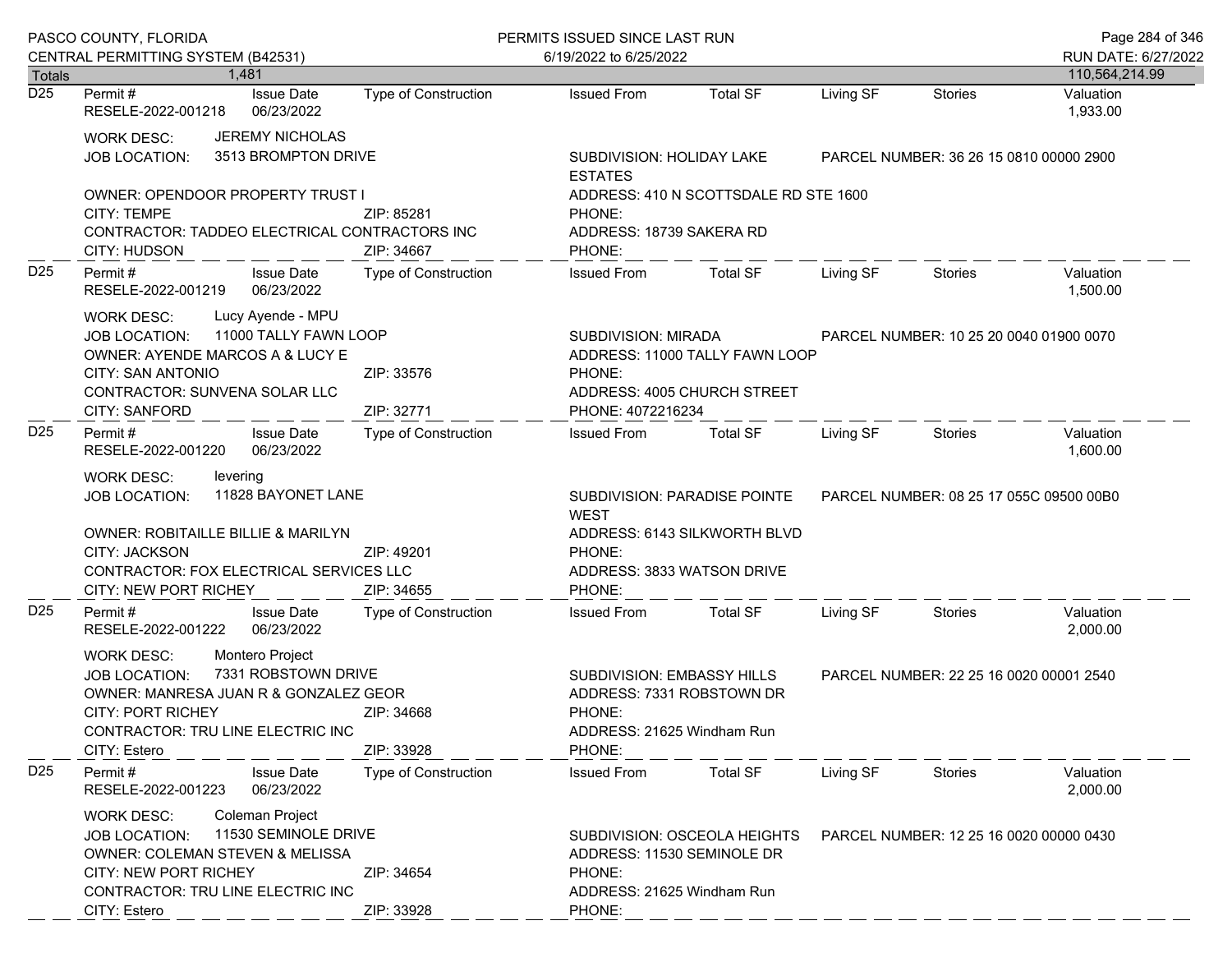|                 | PASCO COUNTY, FLORIDA                                                                                                                                                                                                                                                       |                                               |                             | PERMITS ISSUED SINCE LAST RUN                                                                                                               |                                                                                                                                 |                                         |                                         | Page 284 of 346                         |  |
|-----------------|-----------------------------------------------------------------------------------------------------------------------------------------------------------------------------------------------------------------------------------------------------------------------------|-----------------------------------------------|-----------------------------|---------------------------------------------------------------------------------------------------------------------------------------------|---------------------------------------------------------------------------------------------------------------------------------|-----------------------------------------|-----------------------------------------|-----------------------------------------|--|
|                 | CENTRAL PERMITTING SYSTEM (B42531)                                                                                                                                                                                                                                          |                                               |                             | 6/19/2022 to 6/25/2022                                                                                                                      |                                                                                                                                 |                                         |                                         | RUN DATE: 6/27/2022                     |  |
| Totals<br>D25   | Permit #                                                                                                                                                                                                                                                                    | 1.481<br><b>Issue Date</b>                    | Type of Construction        | <b>Issued From</b>                                                                                                                          | <b>Total SF</b>                                                                                                                 | Living SF                               | Stories                                 | 110,564,214.99<br>Valuation             |  |
|                 | RESELE-2022-001218                                                                                                                                                                                                                                                          | 06/23/2022                                    |                             |                                                                                                                                             |                                                                                                                                 |                                         |                                         | 1,933.00                                |  |
|                 | <b>WORK DESC:</b><br><b>JOB LOCATION:</b>                                                                                                                                                                                                                                   | <b>JEREMY NICHOLAS</b><br>3513 BROMPTON DRIVE |                             | <b>ESTATES</b>                                                                                                                              | SUBDIVISION: HOLIDAY LAKE                                                                                                       |                                         |                                         | PARCEL NUMBER: 36 26 15 0810 00000 2900 |  |
|                 | OWNER: OPENDOOR PROPERTY TRUST I<br><b>CITY: TEMPE</b><br>CONTRACTOR: TADDEO ELECTRICAL CONTRACTORS INC<br>CITY: HUDSON                                                                                                                                                     |                                               | ZIP: 85281<br>ZIP: 34667    | ADDRESS: 410 N SCOTTSDALE RD STE 1600<br>PHONE:<br>ADDRESS: 18739 SAKERA RD<br>PHONE:                                                       |                                                                                                                                 |                                         |                                         |                                         |  |
| D <sub>25</sub> | Permit #<br>RESELE-2022-001219                                                                                                                                                                                                                                              | <b>Issue Date</b><br>06/23/2022               | Type of Construction        | <b>Issued From</b>                                                                                                                          | Total SF                                                                                                                        | Living SF                               | Stories                                 | Valuation<br>1,500.00                   |  |
|                 | Lucy Ayende - MPU<br><b>WORK DESC:</b><br>11000 TALLY FAWN LOOP<br><b>JOB LOCATION:</b><br>OWNER: AYENDE MARCOS A & LUCY E<br><b>CITY: SAN ANTONIO</b><br>ZIP: 33576<br>CONTRACTOR: SUNVENA SOLAR LLC<br><b>CITY: SANFORD</b><br>ZIP: 32771<br>Permit#<br><b>Issue Date</b> |                                               |                             | PHONE:<br>PHONE: 4072216234                                                                                                                 | SUBDIVISION: MIRADA<br>PARCEL NUMBER: 10 25 20 0040 01900 0070<br>ADDRESS: 11000 TALLY FAWN LOOP<br>ADDRESS: 4005 CHURCH STREET |                                         |                                         |                                         |  |
| D <sub>25</sub> | RESELE-2022-001220                                                                                                                                                                                                                                                          | 06/23/2022                                    | Type of Construction        | <b>Issued From</b>                                                                                                                          | <b>Total SF</b>                                                                                                                 | Living SF                               | Stories                                 | Valuation<br>1,600.00                   |  |
|                 | <b>WORK DESC:</b><br>levering<br>11828 BAYONET LANE<br><b>JOB LOCATION:</b><br><b>OWNER: ROBITAILLE BILLIE &amp; MARILYN</b><br><b>CITY: JACKSON</b><br>ZIP: 49201<br>CONTRACTOR: FOX ELECTRICAL SERVICES LLC<br>CITY: NEW PORT RICHEY                                      |                                               |                             | SUBDIVISION: PARADISE POINTE<br><b>WEST</b><br>ADDRESS: 6143 SILKWORTH BLVD<br>PHONE:<br>ADDRESS: 3833 WATSON DRIVE<br>ZIP: 34655<br>PHONE: |                                                                                                                                 |                                         | PARCEL NUMBER: 08 25 17 055C 09500 00B0 |                                         |  |
| D <sub>25</sub> | Permit#<br>RESELE-2022-001222                                                                                                                                                                                                                                               | <b>Issue Date</b><br>06/23/2022               | Type of Construction        | <b>Issued From</b>                                                                                                                          | <b>Total SF</b>                                                                                                                 | Living SF                               | Stories                                 | Valuation<br>2,000.00                   |  |
|                 | Montero Project<br><b>WORK DESC:</b><br>7331 ROBSTOWN DRIVE<br><b>JOB LOCATION:</b><br>OWNER: MANRESA JUAN R & GONZALEZ GEOR<br><b>CITY: PORT RICHEY</b><br>ZIP: 34668<br>CONTRACTOR: TRU LINE ELECTRIC INC<br>CITY: Estero                                                 |                                               | ZIP: 33928                  | SUBDIVISION: EMBASSY HILLS<br>ADDRESS: 7331 ROBSTOWN DR<br>PHONE:<br>ADDRESS: 21625 Windham Run<br>PHONE:                                   |                                                                                                                                 | PARCEL NUMBER: 22 25 16 0020 00001 2540 |                                         |                                         |  |
| D <sub>25</sub> | Permit#<br>RESELE-2022-001223                                                                                                                                                                                                                                               | <b>Issue Date</b><br>06/23/2022               | <b>Type of Construction</b> | <b>Issued From</b>                                                                                                                          | <b>Total SF</b>                                                                                                                 | Living SF                               | Stories                                 | Valuation<br>2,000.00                   |  |
|                 | Coleman Project<br><b>WORK DESC:</b><br>11530 SEMINOLE DRIVE<br><b>JOB LOCATION:</b><br>OWNER: COLEMAN STEVEN & MELISSA<br><b>CITY: NEW PORT RICHEY</b><br>ZIP: 34654<br>CONTRACTOR: TRU LINE ELECTRIC INC<br>CITY: Estero<br>ZIP: 33928                                    |                                               |                             | ADDRESS: 11530 SEMINOLE DR<br>PHONE:<br>ADDRESS: 21625 Windham Run<br>PHONE:                                                                | SUBDIVISION: OSCEOLA HEIGHTS                                                                                                    |                                         | PARCEL NUMBER: 12 25 16 0020 00000 0430 |                                         |  |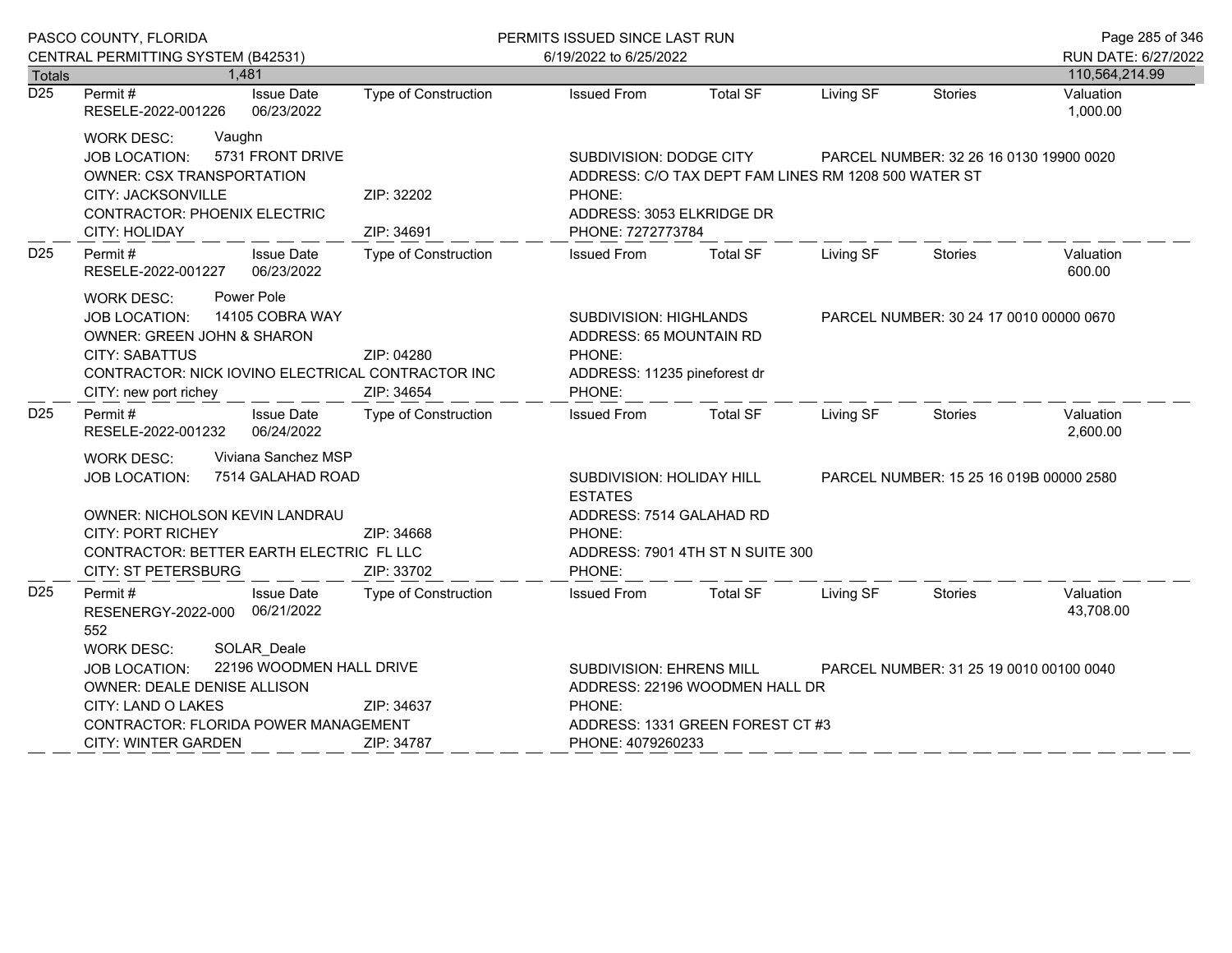|                                   | PASCO COUNTY, FLORIDA                                                                                                                                                                                                         | PERMITS ISSUED SINCE LAST RUN                                                                                                                                                   |                                                                                                                                                  |                                  |           |                                         | Page 285 of 346                         |  |
|-----------------------------------|-------------------------------------------------------------------------------------------------------------------------------------------------------------------------------------------------------------------------------|---------------------------------------------------------------------------------------------------------------------------------------------------------------------------------|--------------------------------------------------------------------------------------------------------------------------------------------------|----------------------------------|-----------|-----------------------------------------|-----------------------------------------|--|
|                                   | CENTRAL PERMITTING SYSTEM (B42531)                                                                                                                                                                                            |                                                                                                                                                                                 | 6/19/2022 to 6/25/2022                                                                                                                           |                                  |           |                                         | RUN DATE: 6/27/2022                     |  |
| <b>Totals</b><br>$\overline{D25}$ | 1,481<br>Permit#<br><b>Issue Date</b><br>RESELE-2022-001226<br>06/23/2022                                                                                                                                                     | Type of Construction                                                                                                                                                            | <b>Issued From</b>                                                                                                                               | <b>Total SF</b>                  | Living SF | <b>Stories</b>                          | 110,564,214.99<br>Valuation<br>1,000.00 |  |
|                                   | Vaughn<br><b>WORK DESC:</b><br>5731 FRONT DRIVE<br><b>JOB LOCATION:</b><br><b>OWNER: CSX TRANSPORTATION</b><br>CITY: JACKSONVILLE<br><b>CONTRACTOR: PHOENIX ELECTRIC</b><br>CITY: HOLIDAY                                     | ZIP: 32202<br>ZIP: 34691                                                                                                                                                        | SUBDIVISION: DODGE CITY<br>ADDRESS: C/O TAX DEPT FAM LINES RM 1208 500 WATER ST<br>PHONE:<br>ADDRESS: 3053 ELKRIDGE DR<br>PHONE: 7272773784      |                                  |           | PARCEL NUMBER: 32 26 16 0130 19900 0020 |                                         |  |
| D <sub>25</sub>                   | Permit#<br><b>Issue Date</b><br>RESELE-2022-001227<br>06/23/2022                                                                                                                                                              | <b>Type of Construction</b>                                                                                                                                                     | <b>Issued From</b>                                                                                                                               | <b>Total SF</b>                  | Living SF | <b>Stories</b>                          | Valuation<br>600.00                     |  |
|                                   | Power Pole<br><b>WORK DESC:</b><br>14105 COBRA WAY<br><b>JOB LOCATION:</b><br>OWNER: GREEN JOHN & SHARON<br><b>CITY: SABATTUS</b><br>CONTRACTOR: NICK IOVINO ELECTRICAL CONTRACTOR INC<br>CITY: new port richey               | ZIP: 04280<br>ZIP: 34654                                                                                                                                                        | SUBDIVISION: HIGHLANDS<br>PARCEL NUMBER: 30 24 17 0010 00000 0670<br>ADDRESS: 65 MOUNTAIN RD<br>PHONE:<br>ADDRESS: 11235 pineforest dr<br>PHONE: |                                  |           |                                         |                                         |  |
| D <sub>25</sub>                   | <b>Issue Date</b><br>Permit#<br>RESELE-2022-001232<br>06/24/2022                                                                                                                                                              | Type of Construction                                                                                                                                                            | <b>Issued From</b>                                                                                                                               | <b>Total SF</b>                  | Living SF | Stories                                 | Valuation<br>2,600.00                   |  |
|                                   | Viviana Sanchez MSP<br><b>WORK DESC:</b><br>7514 GALAHAD ROAD<br><b>JOB LOCATION:</b><br><b>OWNER: NICHOLSON KEVIN LANDRAU</b><br><b>CITY: PORT RICHEY</b><br>CONTRACTOR: BETTER EARTH ELECTRIC FL LLC<br>CITY: ST PETERSBURG | ZIP: 34668<br>ZIP: 33702                                                                                                                                                        | SUBDIVISION: HOLIDAY HILL<br><b>ESTATES</b><br>ADDRESS: 7514 GALAHAD RD<br>PHONE:<br>PHONE:                                                      | ADDRESS: 7901 4TH ST N SUITE 300 |           | PARCEL NUMBER: 15 25 16 019B 00000 2580 |                                         |  |
| D25                               | <b>Issue Date</b><br>Permit #<br>RESENERGY-2022-000 06/21/2022<br>552                                                                                                                                                         | Type of Construction                                                                                                                                                            | <b>Issued From</b>                                                                                                                               | <b>Total SF</b>                  | Living SF | <b>Stories</b>                          | Valuation<br>43,708.00                  |  |
|                                   | SOLAR_Deale<br><b>WORK DESC:</b><br>22196 WOODMEN HALL DRIVE<br><b>JOB LOCATION:</b><br>OWNER: DEALE DENISE ALLISON<br>CITY: LAND O LAKES<br>CONTRACTOR: FLORIDA POWER MANAGEMENT<br><b>CITY: WINTER GARDEN</b>               | <b>SUBDIVISION: EHRENS MILL</b><br>PARCEL NUMBER: 31 25 19 0010 00100 0040<br>ADDRESS: 22196 WOODMEN HALL DR<br>PHONE:<br>ADDRESS: 1331 GREEN FOREST CT #3<br>PHONE: 4079260233 |                                                                                                                                                  |                                  |           |                                         |                                         |  |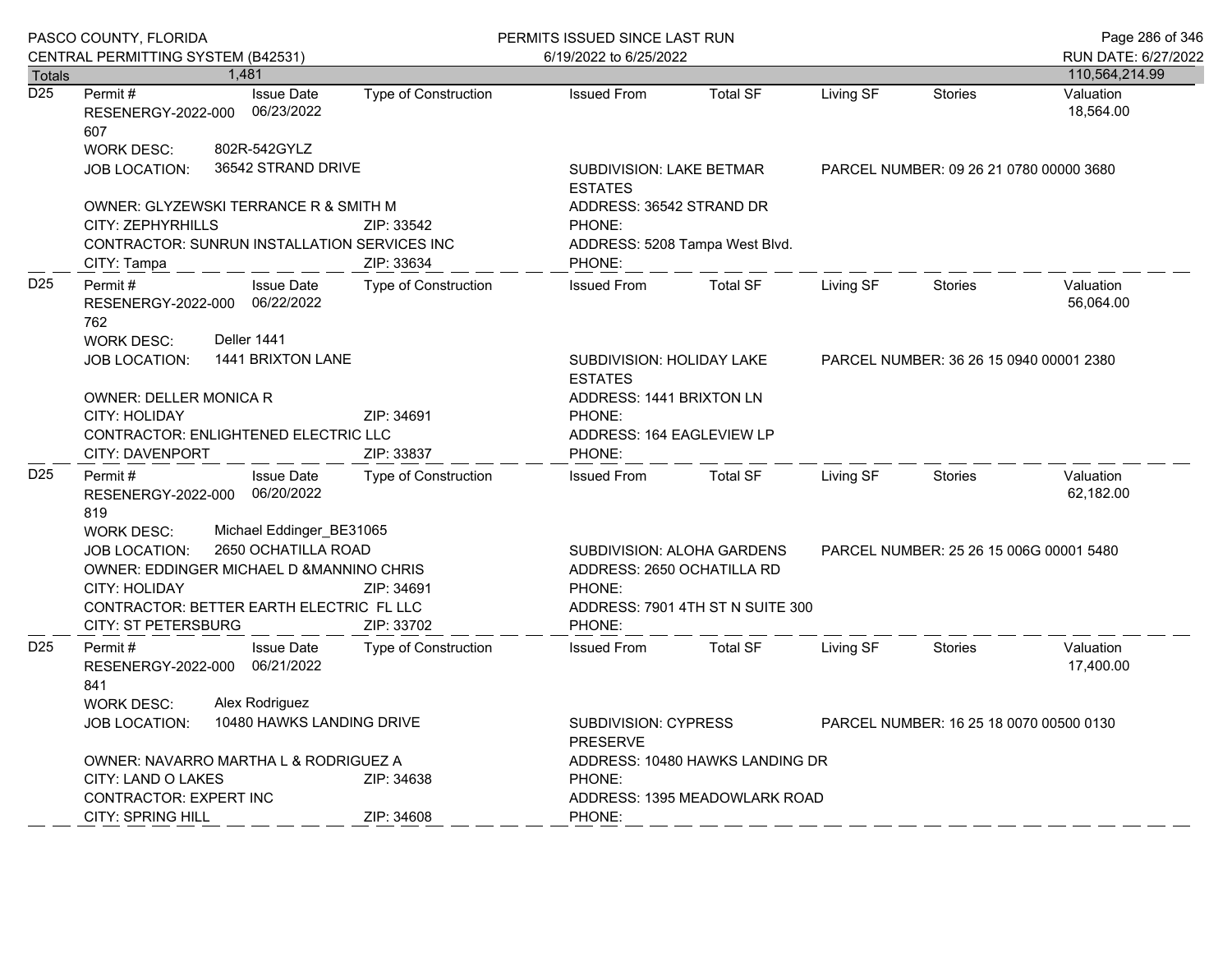|                  | PASCO COUNTY, FLORIDA                                                                                                                                                                                                                |                                                                                      | PERMITS ISSUED SINCE LAST RUN                                                       |                                                       |                                         |                                         | Page 286 of 346                       |
|------------------|--------------------------------------------------------------------------------------------------------------------------------------------------------------------------------------------------------------------------------------|--------------------------------------------------------------------------------------|-------------------------------------------------------------------------------------|-------------------------------------------------------|-----------------------------------------|-----------------------------------------|---------------------------------------|
| Totals           | CENTRAL PERMITTING SYSTEM (B42531)<br>1,481                                                                                                                                                                                          |                                                                                      | 6/19/2022 to 6/25/2022                                                              |                                                       |                                         |                                         | RUN DATE: 6/27/2022<br>110,564,214.99 |
| $\overline{D25}$ | <b>Issue Date</b><br>Permit #<br>06/23/2022<br>RESENERGY-2022-000<br>607                                                                                                                                                             | <b>Type of Construction</b>                                                          | <b>Issued From</b>                                                                  | <b>Total SF</b>                                       | Living SF                               | Stories                                 | Valuation<br>18,564.00                |
|                  | 802R-542GYLZ<br><b>WORK DESC:</b><br>36542 STRAND DRIVE<br><b>JOB LOCATION:</b>                                                                                                                                                      |                                                                                      | <b>SUBDIVISION: LAKE BETMAR</b><br><b>ESTATES</b>                                   |                                                       | PARCEL NUMBER: 09 26 21 0780 00000 3680 |                                         |                                       |
|                  | OWNER: GLYZEWSKI TERRANCE R & SMITH M<br>CITY: ZEPHYRHILLS<br>CONTRACTOR: SUNRUN INSTALLATION SERVICES INC<br>CITY: Tampa                                                                                                            | ZIP: 33542<br>ZIP: 33634                                                             | ADDRESS: 36542 STRAND DR<br>PHONE:<br>PHONE:                                        | ADDRESS: 5208 Tampa West Blvd.                        |                                         |                                         |                                       |
| D <sub>25</sub>  | Permit#<br><b>Issue Date</b><br>RESENERGY-2022-000 06/22/2022<br>762                                                                                                                                                                 | Type of Construction                                                                 | <b>Issued From</b>                                                                  | <b>Total SF</b>                                       | Living SF                               | <b>Stories</b>                          | Valuation<br>56,064.00                |
|                  | Deller 1441<br><b>WORK DESC:</b><br>1441 BRIXTON LANE<br><b>JOB LOCATION:</b>                                                                                                                                                        |                                                                                      | SUBDIVISION: HOLIDAY LAKE<br><b>ESTATES</b>                                         | PARCEL NUMBER: 36 26 15 0940 00001 2380               |                                         |                                         |                                       |
|                  | <b>OWNER: DELLER MONICA R</b><br><b>CITY: HOLIDAY</b><br>CONTRACTOR: ENLIGHTENED ELECTRIC LLC<br>CITY: DAVENPORT                                                                                                                     | ZIP: 34691<br>ZIP: 33837                                                             | PHONE:<br>PHONE:                                                                    | ADDRESS: 1441 BRIXTON LN<br>ADDRESS: 164 EAGLEVIEW LP |                                         |                                         |                                       |
| D <sub>25</sub>  | Permit#<br><b>Issue Date</b><br>RESENERGY-2022-000 06/20/2022<br>819                                                                                                                                                                 | Type of Construction                                                                 | <b>Issued From</b>                                                                  | <b>Total SF</b>                                       | Living SF                               | Stories                                 | Valuation<br>62,182.00                |
|                  | Michael Eddinger_BE31065<br><b>WORK DESC:</b><br>2650 OCHATILLA ROAD<br><b>JOB LOCATION:</b><br>OWNER: EDDINGER MICHAEL D & MANNINO CHRIS<br><b>CITY: HOLIDAY</b><br>CONTRACTOR: BETTER EARTH ELECTRIC FL LLC<br>CITY: ST PETERSBURG | ZIP: 34691<br>ZIP: 33702                                                             | <b>SUBDIVISION: ALOHA GARDENS</b><br>ADDRESS: 2650 OCHATILLA RD<br>PHONE:<br>PHONE: | ADDRESS: 7901 4TH ST N SUITE 300                      |                                         | PARCEL NUMBER: 25 26 15 006G 00001 5480 |                                       |
| D <sub>25</sub>  | <b>Issue Date</b><br>Permit #<br>06/21/2022<br>RESENERGY-2022-000<br>841<br>Alex Rodriguez<br><b>WORK DESC:</b>                                                                                                                      | <b>Type of Construction</b>                                                          | <b>Issued From</b>                                                                  | <b>Total SF</b>                                       | Living SF                               | <b>Stories</b>                          | Valuation<br>17,400.00                |
|                  | 10480 HAWKS LANDING DRIVE<br><b>JOB LOCATION:</b>                                                                                                                                                                                    | SUBDIVISION: CYPRESS<br>PARCEL NUMBER: 16 25 18 0070 00500 0130<br><b>PRESERVE</b>   |                                                                                     |                                                       |                                         |                                         |                                       |
|                  | OWNER: NAVARRO MARTHA L & RODRIGUEZ A<br>CITY: LAND O LAKES<br><b>CONTRACTOR: EXPERT INC</b><br><b>CITY: SPRING HILL</b>                                                                                                             | ADDRESS: 10480 HAWKS LANDING DR<br>PHONE:<br>ADDRESS: 1395 MEADOWLARK ROAD<br>PHONE: |                                                                                     |                                                       |                                         |                                         |                                       |
|                  |                                                                                                                                                                                                                                      | ZIP: 34608                                                                           |                                                                                     |                                                       |                                         |                                         |                                       |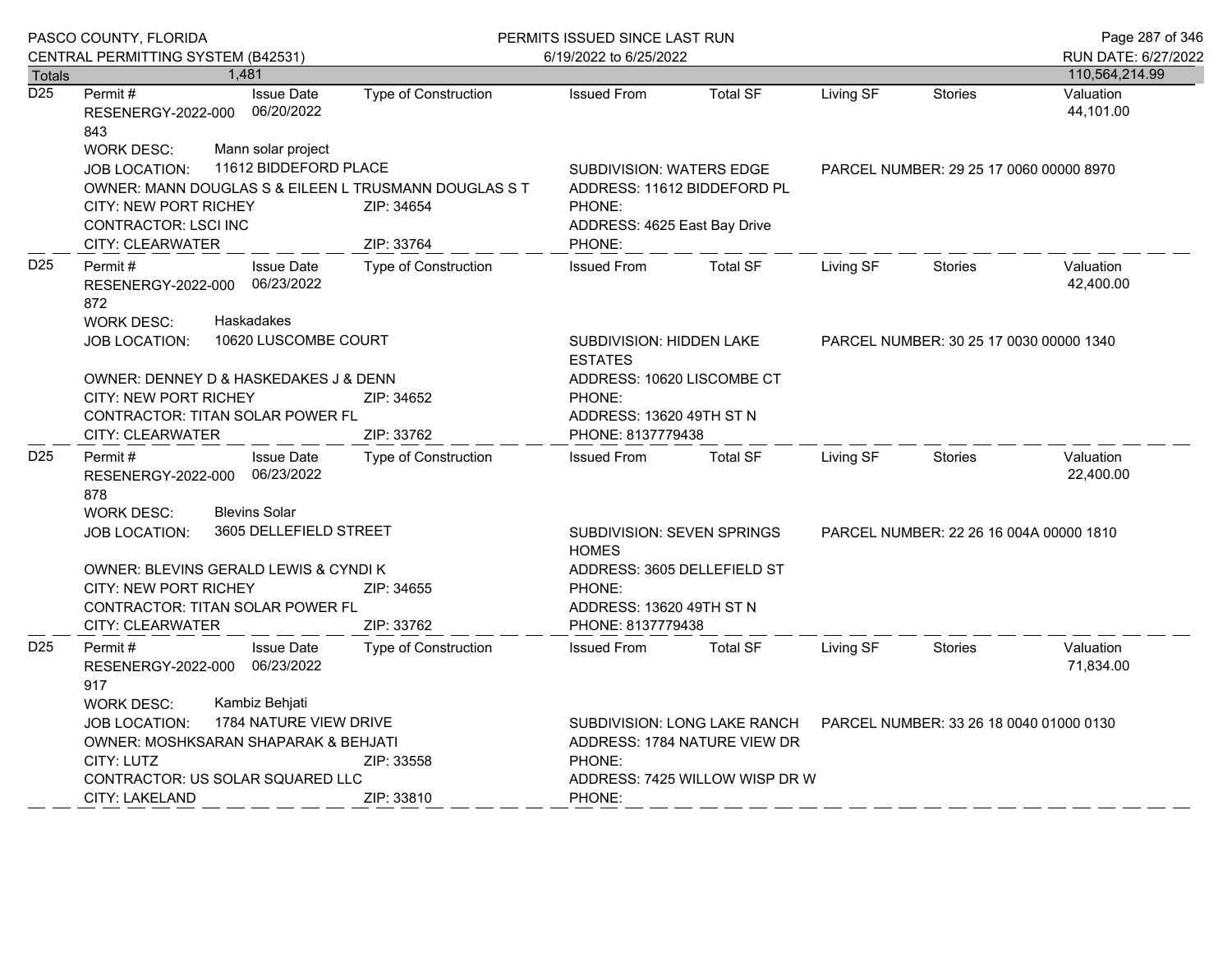|                  | PASCO COUNTY, FLORIDA<br>CENTRAL PERMITTING SYSTEM (B42531)                                                                                                                                       |                                                                                                            | PERMITS ISSUED SINCE LAST RUN<br>6/19/2022 to 6/25/2022                                                                                                       |                                         |           |                                         | Page 287 of 346<br>RUN DATE: 6/27/2022 |
|------------------|---------------------------------------------------------------------------------------------------------------------------------------------------------------------------------------------------|------------------------------------------------------------------------------------------------------------|---------------------------------------------------------------------------------------------------------------------------------------------------------------|-----------------------------------------|-----------|-----------------------------------------|----------------------------------------|
| Totals           | 1.481                                                                                                                                                                                             |                                                                                                            |                                                                                                                                                               |                                         |           |                                         | 110,564,214.99                         |
| $\overline{D25}$ | Permit#<br><b>Issue Date</b><br>06/20/2022<br>RESENERGY-2022-000<br>843                                                                                                                           | Type of Construction                                                                                       | <b>Issued From</b>                                                                                                                                            | <b>Total SF</b>                         | Living SF | <b>Stories</b>                          | Valuation<br>44,101.00                 |
|                  | Mann solar project<br><b>WORK DESC:</b><br>JOB LOCATION:<br><b>CITY: NEW PORT RICHEY</b><br>CONTRACTOR: LSCI INC<br>CITY: CLEARWATER                                                              | 11612 BIDDEFORD PLACE<br>OWNER: MANN DOUGLAS S & EILEEN L TRUSMANN DOUGLAS S T<br>ZIP: 34654<br>ZIP: 33764 |                                                                                                                                                               |                                         |           | PARCEL NUMBER: 29 25 17 0060 00000 8970 |                                        |
| D <sub>25</sub>  | <b>Issue Date</b><br>Permit#<br>06/23/2022<br>RESENERGY-2022-000<br>872<br>Haskadakes<br><b>WORK DESC:</b>                                                                                        | Type of Construction                                                                                       | <b>Issued From</b>                                                                                                                                            | <b>Total SF</b>                         | Living SF | <b>Stories</b>                          | Valuation<br>42,400.00                 |
|                  | 10620 LUSCOMBE COURT<br><b>JOB LOCATION:</b>                                                                                                                                                      |                                                                                                            | SUBDIVISION: HIDDEN LAKE<br><b>ESTATES</b>                                                                                                                    | PARCEL NUMBER: 30 25 17 0030 00000 1340 |           |                                         |                                        |
|                  | OWNER: DENNEY D & HASKEDAKES J & DENN<br><b>CITY: NEW PORT RICHEY</b><br>CONTRACTOR: TITAN SOLAR POWER FL                                                                                         | ADDRESS: 10620 LISCOMBE CT<br>PHONE:<br>ADDRESS: 13620 49TH ST N                                           |                                                                                                                                                               |                                         |           |                                         |                                        |
|                  | <b>CITY: CLEARWATER</b>                                                                                                                                                                           | PHONE: 8137779438                                                                                          |                                                                                                                                                               |                                         |           |                                         |                                        |
| D <sub>25</sub>  | ZIP: 33762<br>Permit#<br><b>Issue Date</b><br>Type of Construction<br>06/23/2022<br>RESENERGY-2022-000<br>878                                                                                     |                                                                                                            | <b>Issued From</b>                                                                                                                                            | <b>Total SF</b>                         | Living SF | <b>Stories</b>                          | Valuation<br>22,400.00                 |
|                  | <b>Blevins Solar</b><br><b>WORK DESC:</b><br>3605 DELLEFIELD STREET<br><b>JOB LOCATION:</b>                                                                                                       |                                                                                                            | <b>SUBDIVISION: SEVEN SPRINGS</b><br><b>HOMES</b>                                                                                                             | PARCEL NUMBER: 22 26 16 004A 00000 1810 |           |                                         |                                        |
|                  | OWNER: BLEVINS GERALD LEWIS & CYNDI K<br><b>CITY: NEW PORT RICHEY</b><br><b>CONTRACTOR: TITAN SOLAR POWER FL</b>                                                                                  | ZIP: 34655                                                                                                 | ADDRESS: 3605 DELLEFIELD ST<br>PHONE:<br>ADDRESS: 13620 49TH ST N                                                                                             |                                         |           |                                         |                                        |
|                  | CITY: CLEARWATER                                                                                                                                                                                  | ZIP: 33762                                                                                                 | PHONE: 8137779438                                                                                                                                             |                                         |           |                                         |                                        |
| D <sub>25</sub>  | Permit#<br><b>Issue Date</b><br>06/23/2022<br>RESENERGY-2022-000<br>917                                                                                                                           | <b>Type of Construction</b>                                                                                | <b>Issued From</b>                                                                                                                                            | <b>Total SF</b>                         | Living SF | <b>Stories</b>                          | Valuation<br>71,834.00                 |
|                  | Kambiz Behjati<br><b>WORK DESC:</b><br>1784 NATURE VIEW DRIVE<br><b>JOB LOCATION:</b><br>OWNER: MOSHKSARAN SHAPARAK & BEHJATI<br>CITY: LUTZ<br>CONTRACTOR: US SOLAR SQUARED LLC<br>CITY: LAKELAND | ZIP: 33558<br>ZIP: 33810                                                                                   | SUBDIVISION: LONG LAKE RANCH<br>PARCEL NUMBER: 33 26 18 0040 01000 0130<br>ADDRESS: 1784 NATURE VIEW DR<br>PHONE:<br>ADDRESS: 7425 WILLOW WISP DR W<br>PHONE: |                                         |           |                                         |                                        |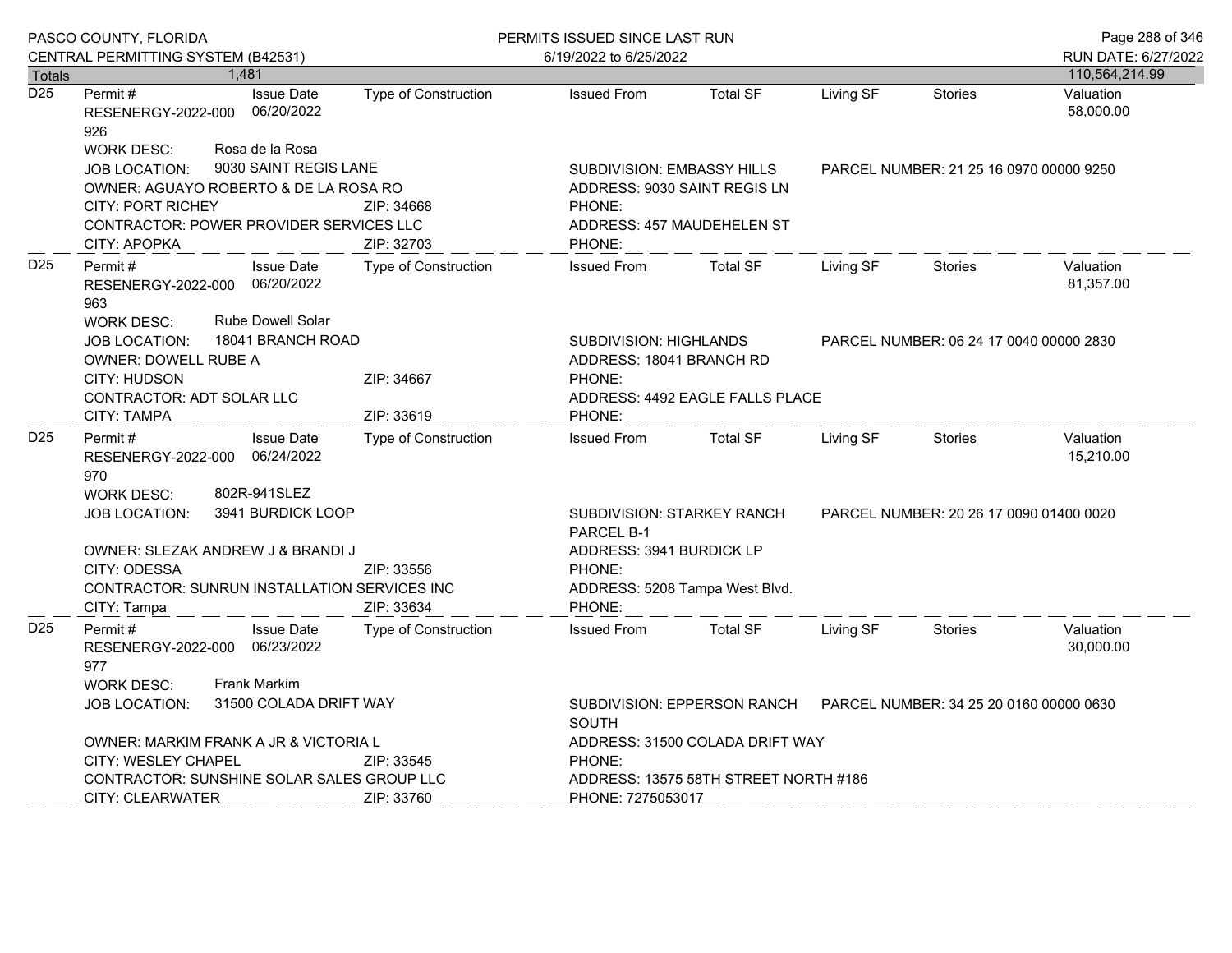|                  | PASCO COUNTY, FLORIDA                                                                                                                              |                                          |                                          | PERMITS ISSUED SINCE LAST RUN                   |                                                                                                    |                                                           | Page 288 of 346                         |                |                                         |  |
|------------------|----------------------------------------------------------------------------------------------------------------------------------------------------|------------------------------------------|------------------------------------------|-------------------------------------------------|----------------------------------------------------------------------------------------------------|-----------------------------------------------------------|-----------------------------------------|----------------|-----------------------------------------|--|
|                  | CENTRAL PERMITTING SYSTEM (B42531)                                                                                                                 |                                          |                                          |                                                 | 6/19/2022 to 6/25/2022                                                                             |                                                           |                                         |                | RUN DATE: 6/27/2022                     |  |
| <b>Totals</b>    |                                                                                                                                                    | 1.481                                    |                                          |                                                 |                                                                                                    |                                                           |                                         |                | 110,564,214.99                          |  |
| $\overline{D25}$ | Permit#<br>RESENERGY-2022-000<br>926                                                                                                               |                                          | <b>Issue Date</b><br>06/20/2022          | Type of Construction                            | <b>Issued From</b>                                                                                 | <b>Total SF</b>                                           | Living SF                               | Stories        | Valuation<br>58,000.00                  |  |
|                  | <b>WORK DESC:</b><br>JOB LOCATION:<br>OWNER: AGUAYO ROBERTO & DE LA ROSA RO<br><b>CITY: PORT RICHEY</b><br>CONTRACTOR: POWER PROVIDER SERVICES LLC |                                          | Rosa de la Rosa<br>9030 SAINT REGIS LANE | ZIP: 34668                                      | SUBDIVISION: EMBASSY HILLS<br>ADDRESS: 9030 SAINT REGIS LN<br>PHONE:<br>ADDRESS: 457 MAUDEHELEN ST |                                                           | PARCEL NUMBER: 21 25 16 0970 00000 9250 |                |                                         |  |
|                  | CITY: APOPKA                                                                                                                                       |                                          |                                          | ZIP: 32703                                      | PHONE:                                                                                             |                                                           |                                         |                |                                         |  |
| D <sub>25</sub>  | Permit#<br>RESENERGY-2022-000 06/20/2022<br>963                                                                                                    |                                          | <b>Issue Date</b>                        | Type of Construction                            | <b>Issued From</b>                                                                                 | <b>Total SF</b>                                           | Living SF                               | <b>Stories</b> | Valuation<br>81,357.00                  |  |
|                  | <b>Rube Dowell Solar</b><br><b>WORK DESC:</b><br>18041 BRANCH ROAD<br><b>JOB LOCATION:</b><br><b>OWNER: DOWELL RUBE A</b>                          |                                          |                                          |                                                 | PHONE:                                                                                             | <b>SUBDIVISION: HIGHLANDS</b><br>ADDRESS: 18041 BRANCH RD |                                         |                | PARCEL NUMBER: 06 24 17 0040 00000 2830 |  |
|                  | CITY: HUDSON<br>ZIP: 34667                                                                                                                         |                                          |                                          |                                                 |                                                                                                    |                                                           |                                         |                |                                         |  |
|                  | CONTRACTOR: ADT SOLAR LLC<br>CITY: TAMPA                                                                                                           |                                          |                                          | ZIP: 33619                                      | PHONE:                                                                                             | ADDRESS: 4492 EAGLE FALLS PLACE                           |                                         |                |                                         |  |
| D <sub>25</sub>  | Permit #<br>RESENERGY-2022-000 06/24/2022<br>970                                                                                                   |                                          | <b>Issue Date</b>                        | <b>Type of Construction</b>                     | <b>Issued From</b>                                                                                 | <b>Total SF</b>                                           | Living SF                               | <b>Stories</b> | Valuation<br>15,210.00                  |  |
|                  | <b>WORK DESC:</b><br>802R-941SLEZ<br>3941 BURDICK LOOP<br><b>JOB LOCATION:</b>                                                                     |                                          |                                          | <b>SUBDIVISION: STARKEY RANCH</b><br>PARCEL B-1 | PARCEL NUMBER: 20 26 17 0090 01400 0020                                                            |                                                           |                                         |                |                                         |  |
|                  | OWNER: SLEZAK ANDREW J & BRANDI J                                                                                                                  |                                          |                                          |                                                 |                                                                                                    | ADDRESS: 3941 BURDICK LP                                  |                                         |                |                                         |  |
|                  | CITY: ODESSA                                                                                                                                       |                                          |                                          | ZIP: 33556                                      | PHONE:                                                                                             |                                                           |                                         |                |                                         |  |
|                  | CONTRACTOR: SUNRUN INSTALLATION SERVICES INC<br>CITY: Tampa                                                                                        |                                          |                                          | ZIP: 33634                                      | ADDRESS: 5208 Tampa West Blvd.<br>PHONE:                                                           |                                                           |                                         |                |                                         |  |
| D <sub>25</sub>  | Permit#<br>RESENERGY-2022-000 06/23/2022<br>977                                                                                                    |                                          | <b>Issue Date</b>                        | Type of Construction                            | <b>Issued From</b>                                                                                 | <b>Total SF</b>                                           | Living SF                               | <b>Stories</b> | Valuation<br>30,000.00                  |  |
|                  | <b>Frank Markim</b><br><b>WORK DESC:</b><br>31500 COLADA DRIFT WAY<br><b>JOB LOCATION:</b>                                                         |                                          |                                          | <b>SOUTH</b>                                    | SUBDIVISION: EPPERSON RANCH PARCEL NUMBER: 34 25 20 0160 00000 0630                                |                                                           |                                         |                |                                         |  |
|                  | OWNER: MARKIM FRANK A JR & VICTORIA L                                                                                                              |                                          |                                          |                                                 | ADDRESS: 31500 COLADA DRIFT WAY                                                                    |                                                           |                                         |                |                                         |  |
|                  |                                                                                                                                                    | <b>CITY: WESLEY CHAPEL</b><br>ZIP: 33545 |                                          |                                                 | PHONE:                                                                                             |                                                           |                                         |                |                                         |  |
|                  | CONTRACTOR: SUNSHINE SOLAR SALES GROUP LLC<br><b>CITY: CLEARWATER</b><br>ZIP: 33760                                                                |                                          |                                          |                                                 | ADDRESS: 13575 58TH STREET NORTH #186<br>PHONE: 7275053017                                         |                                                           |                                         |                |                                         |  |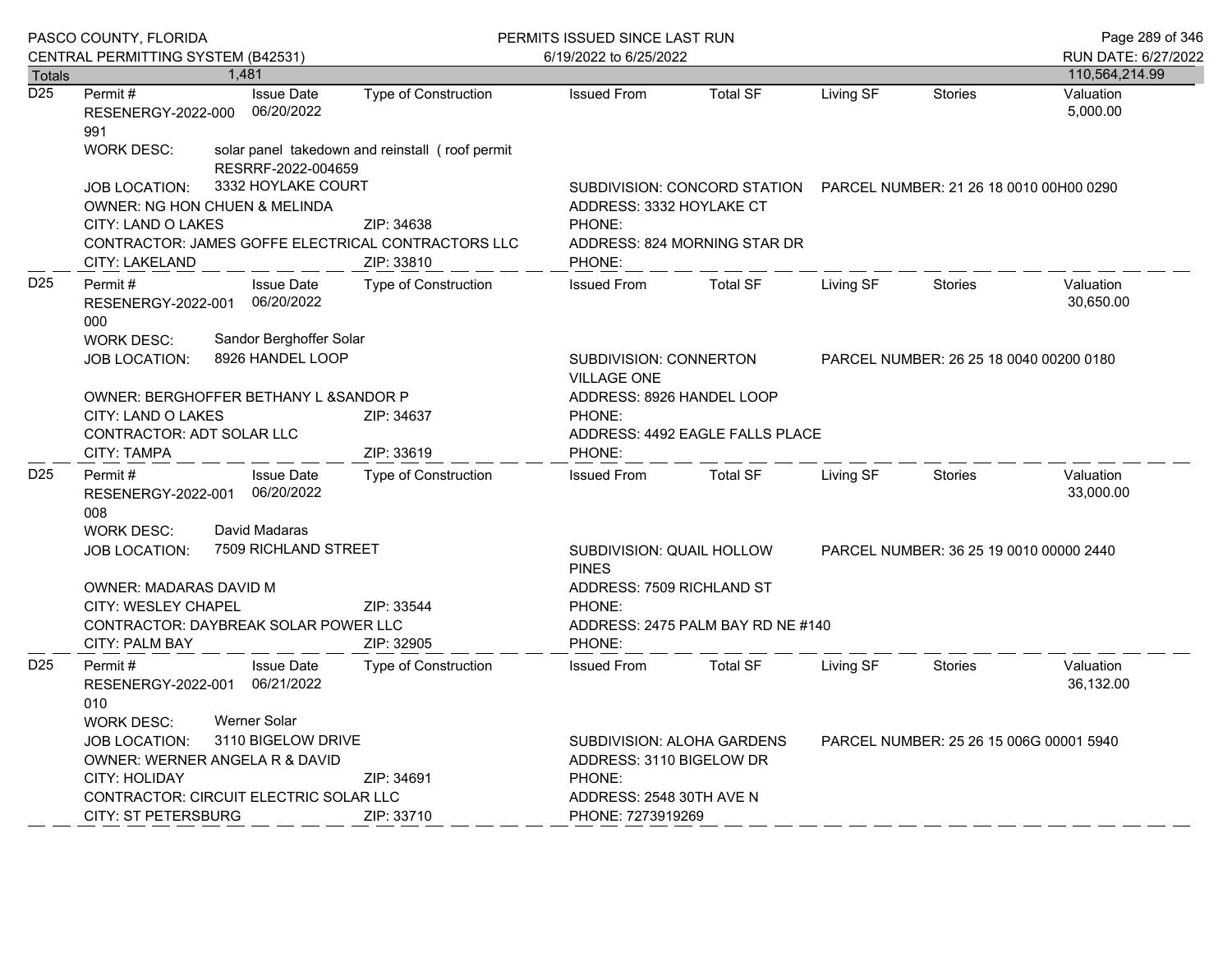|                  | PASCO COUNTY, FLORIDA                                                                    |  |                                                                                         | PERMITS ISSUED SINCE LAST RUN                   | Page 289 of 346                                                                      |                                                                      |           |                                         |                        |  |
|------------------|------------------------------------------------------------------------------------------|--|-----------------------------------------------------------------------------------------|-------------------------------------------------|--------------------------------------------------------------------------------------|----------------------------------------------------------------------|-----------|-----------------------------------------|------------------------|--|
|                  | CENTRAL PERMITTING SYSTEM (B42531)                                                       |  |                                                                                         |                                                 | 6/19/2022 to 6/25/2022                                                               |                                                                      |           |                                         | RUN DATE: 6/27/2022    |  |
| Totals           |                                                                                          |  | 1,481                                                                                   |                                                 |                                                                                      |                                                                      |           |                                         | 110,564,214.99         |  |
| $\overline{D25}$ | Permit #<br>RESENERGY-2022-000<br>991                                                    |  | <b>Issue Date</b><br>06/20/2022                                                         | Type of Construction                            | <b>Issued From</b>                                                                   | <b>Total SF</b>                                                      | Living SF | <b>Stories</b>                          | Valuation<br>5,000.00  |  |
|                  | <b>WORK DESC:</b>                                                                        |  | RESRRF-2022-004659                                                                      | solar panel takedown and reinstall (roof permit |                                                                                      |                                                                      |           |                                         |                        |  |
|                  | <b>JOB LOCATION:</b>                                                                     |  | 3332 HOYLAKE COURT                                                                      |                                                 |                                                                                      | SUBDIVISION: CONCORD STATION PARCEL NUMBER: 21 26 18 0010 00H00 0290 |           |                                         |                        |  |
|                  | OWNER: NG HON CHUEN & MELINDA                                                            |  |                                                                                         |                                                 | ADDRESS: 3332 HOYLAKE CT                                                             |                                                                      |           |                                         |                        |  |
|                  | CITY: LAND O LAKES                                                                       |  |                                                                                         | ZIP: 34638                                      |                                                                                      | PHONE:                                                               |           |                                         |                        |  |
|                  | CONTRACTOR: JAMES GOFFE ELECTRICAL CONTRACTORS LLC<br>ZIP: 33810<br>CITY: LAKELAND       |  | PHONE:                                                                                  | ADDRESS: 824 MORNING STAR DR                    |                                                                                      |                                                                      |           |                                         |                        |  |
| D <sub>25</sub>  | Permit#<br>RESENERGY-2022-001<br>000                                                     |  | <b>Issue Date</b><br>06/20/2022                                                         | Type of Construction                            | <b>Issued From</b>                                                                   | <b>Total SF</b>                                                      | Living SF | <b>Stories</b>                          | Valuation<br>30,650.00 |  |
|                  | Sandor Berghoffer Solar<br><b>WORK DESC:</b><br>8926 HANDEL LOOP<br><b>JOB LOCATION:</b> |  | SUBDIVISION: CONNERTON<br>PARCEL NUMBER: 26 25 18 0040 00200 0180<br><b>VILLAGE ONE</b> |                                                 |                                                                                      |                                                                      |           |                                         |                        |  |
|                  | OWNER: BERGHOFFER BETHANY L & SANDOR P                                                   |  |                                                                                         |                                                 | ADDRESS: 8926 HANDEL LOOP                                                            |                                                                      |           |                                         |                        |  |
|                  | CITY: LAND O LAKES<br>ZIP: 34637                                                         |  |                                                                                         | PHONE:                                          |                                                                                      |                                                                      |           |                                         |                        |  |
|                  | <b>CONTRACTOR: ADT SOLAR LLC</b><br><b>CITY: TAMPA</b><br>ZIP: 33619                     |  | PHONE:                                                                                  | ADDRESS: 4492 EAGLE FALLS PLACE                 |                                                                                      |                                                                      |           |                                         |                        |  |
| D <sub>25</sub>  | Permit#<br>RESENERGY-2022-001<br>008                                                     |  | <b>Issue Date</b><br>06/20/2022                                                         | Type of Construction                            | <b>Issued From</b>                                                                   | <b>Total SF</b>                                                      | Living SF | <b>Stories</b>                          | Valuation<br>33,000.00 |  |
|                  | <b>WORK DESC:</b>                                                                        |  | David Madaras                                                                           |                                                 |                                                                                      |                                                                      |           |                                         |                        |  |
|                  | <b>JOB LOCATION:</b>                                                                     |  | 7509 RICHLAND STREET                                                                    |                                                 | SUBDIVISION: QUAIL HOLLOW<br>PARCEL NUMBER: 36 25 19 0010 00000 2440<br><b>PINES</b> |                                                                      |           |                                         |                        |  |
|                  | OWNER: MADARAS DAVID M                                                                   |  |                                                                                         |                                                 |                                                                                      | ADDRESS: 7509 RICHLAND ST                                            |           |                                         |                        |  |
|                  | CITY: WESLEY CHAPEL                                                                      |  |                                                                                         | ZIP: 33544                                      | PHONE:                                                                               |                                                                      |           |                                         |                        |  |
|                  | CONTRACTOR: DAYBREAK SOLAR POWER LLC<br>CITY: PALM BAY                                   |  |                                                                                         | ZIP: 32905                                      | PHONE:                                                                               | ADDRESS: 2475 PALM BAY RD NE #140                                    |           |                                         |                        |  |
| D <sub>25</sub>  | Permit#<br>RESENERGY-2022-001 06/21/2022                                                 |  | <b>Issue Date</b>                                                                       | <b>Type of Construction</b>                     | <b>Issued From</b>                                                                   | <b>Total SF</b>                                                      | Living SF | <b>Stories</b>                          | Valuation<br>36,132.00 |  |
|                  | 010                                                                                      |  |                                                                                         |                                                 |                                                                                      |                                                                      |           |                                         |                        |  |
|                  | <b>WORK DESC:</b>                                                                        |  | <b>Werner Solar</b>                                                                     |                                                 |                                                                                      |                                                                      |           |                                         |                        |  |
|                  | <b>JOB LOCATION:</b>                                                                     |  | 3110 BIGELOW DRIVE                                                                      |                                                 | SUBDIVISION: ALOHA GARDENS                                                           |                                                                      |           | PARCEL NUMBER: 25 26 15 006G 00001 5940 |                        |  |
|                  | OWNER: WERNER ANGELA R & DAVID<br><b>CITY: HOLIDAY</b><br>ZIP: 34691                     |  |                                                                                         | ADDRESS: 3110 BIGELOW DR<br>PHONE:              |                                                                                      |                                                                      |           |                                         |                        |  |
|                  | CONTRACTOR: CIRCUIT ELECTRIC SOLAR LLC                                                   |  | ADDRESS: 2548 30TH AVE N                                                                |                                                 |                                                                                      |                                                                      |           |                                         |                        |  |
|                  | <b>CITY: ST PETERSBURG</b>                                                               |  |                                                                                         | ZIP: 33710                                      | PHONE: 7273919269                                                                    |                                                                      |           |                                         |                        |  |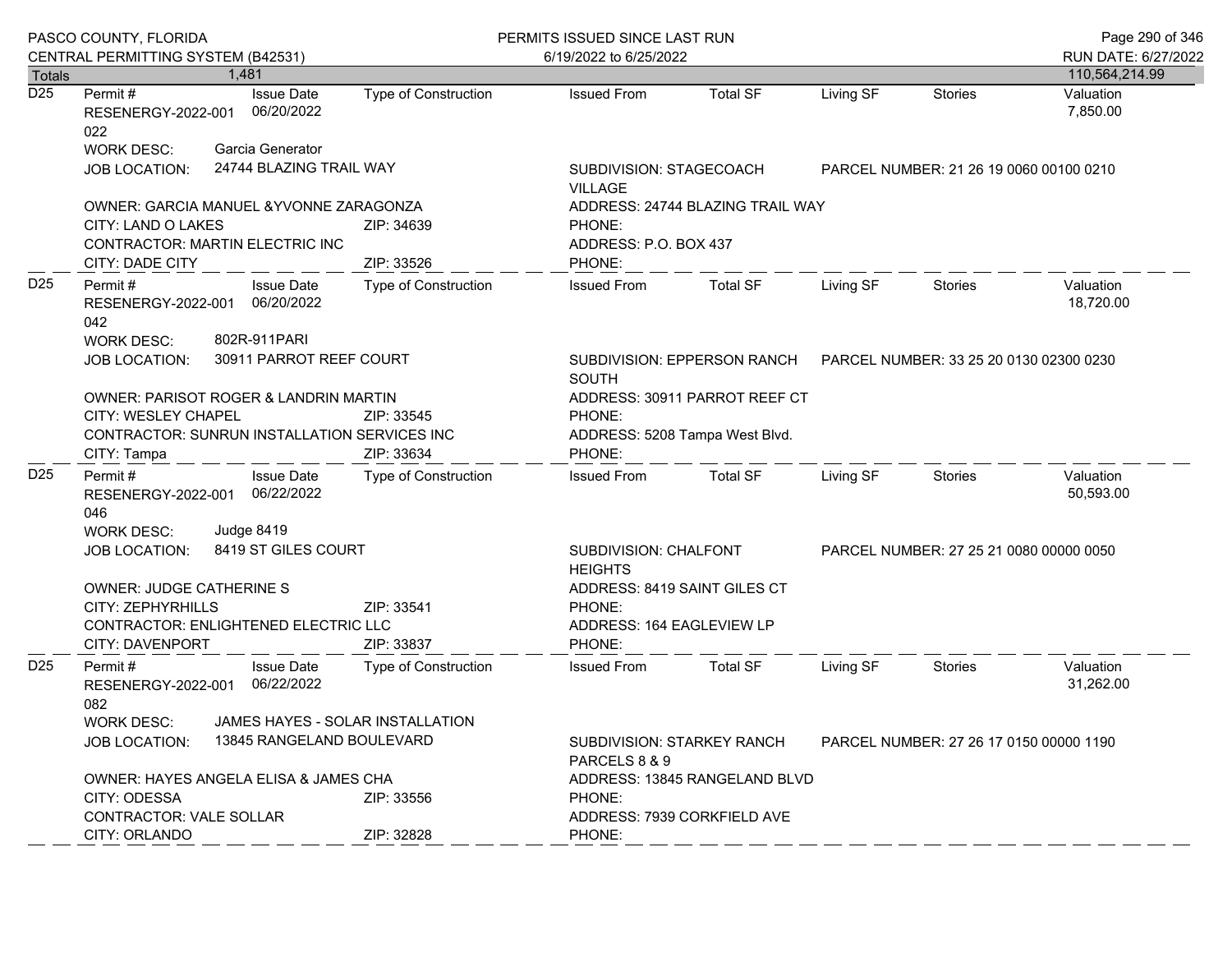|                  | PASCO COUNTY, FLORIDA<br>CENTRAL PERMITTING SYSTEM (B42531)          |            |                                   |                                  | PERMITS ISSUED SINCE LAST RUN<br>6/19/2022 to 6/25/2022 |                                             |                                                                      |           |                                         | Page 290 of 346<br>RUN DATE: 6/27/2022 |  |
|------------------|----------------------------------------------------------------------|------------|-----------------------------------|----------------------------------|---------------------------------------------------------|---------------------------------------------|----------------------------------------------------------------------|-----------|-----------------------------------------|----------------------------------------|--|
| Totals           |                                                                      | 1,481      |                                   |                                  |                                                         |                                             |                                                                      |           |                                         | 110,564,214.99                         |  |
| $\overline{D25}$ | Permit #<br>RESENERGY-2022-001 06/20/2022<br>022                     |            | <b>Issue Date</b>                 | Type of Construction             |                                                         | <b>Issued From</b>                          | Total SF                                                             | Living SF | <b>Stories</b>                          | Valuation<br>7,850.00                  |  |
|                  | <b>WORK DESC:</b>                                                    |            | Garcia Generator                  |                                  |                                                         |                                             |                                                                      |           |                                         |                                        |  |
|                  | <b>JOB LOCATION:</b>                                                 |            | 24744 BLAZING TRAIL WAY           |                                  |                                                         | SUBDIVISION: STAGECOACH<br><b>VILLAGE</b>   |                                                                      |           | PARCEL NUMBER: 21 26 19 0060 00100 0210 |                                        |  |
|                  | OWNER: GARCIA MANUEL & YVONNE ZARAGONZA                              |            |                                   |                                  | ADDRESS: 24744 BLAZING TRAIL WAY                        |                                             |                                                                      |           |                                         |                                        |  |
|                  | CITY: LAND O LAKES                                                   |            |                                   | ZIP: 34639<br>PHONE:             |                                                         |                                             |                                                                      |           |                                         |                                        |  |
|                  | CONTRACTOR: MARTIN ELECTRIC INC<br>CITY: DADE CITY                   |            | ZIP: 33526                        | ADDRESS: P.O. BOX 437<br>PHONE:  |                                                         |                                             |                                                                      |           |                                         |                                        |  |
| D25              | Permit#<br>RESENERGY-2022-001 06/20/2022<br>042<br><b>WORK DESC:</b> |            | <b>Issue Date</b><br>802R-911PARI | Type of Construction             |                                                         | <b>Issued From</b>                          | <b>Total SF</b>                                                      | Living SF | Stories                                 | Valuation<br>18,720.00                 |  |
|                  | 30911 PARROT REEF COURT<br><b>JOB LOCATION:</b>                      |            |                                   | <b>SOUTH</b>                     |                                                         |                                             | SUBDIVISION: EPPERSON RANCH  PARCEL NUMBER: 33 25 20 0130 02300 0230 |           |                                         |                                        |  |
|                  | OWNER: PARISOT ROGER & LANDRIN MARTIN                                |            |                                   |                                  |                                                         | ADDRESS: 30911 PARROT REEF CT               |                                                                      |           |                                         |                                        |  |
|                  | CITY: WESLEY CHAPEL<br>ZIP: 33545                                    |            |                                   | PHONE:                           |                                                         |                                             |                                                                      |           |                                         |                                        |  |
|                  | CONTRACTOR: SUNRUN INSTALLATION SERVICES INC                         |            |                                   |                                  |                                                         | ADDRESS: 5208 Tampa West Blvd.              |                                                                      |           |                                         |                                        |  |
|                  | ZIP: 33634<br>CITY: Tampa                                            |            |                                   |                                  | PHONE:                                                  |                                             |                                                                      |           |                                         |                                        |  |
| D <sub>25</sub>  | Permit#<br>RESENERGY-2022-001 06/22/2022<br>046                      |            | <b>Issue Date</b>                 | Type of Construction             |                                                         | <b>Issued From</b>                          | <b>Total SF</b>                                                      | Living SF | Stories                                 | Valuation<br>50,593.00                 |  |
|                  | <b>WORK DESC:</b>                                                    | Judge 8419 |                                   |                                  |                                                         |                                             |                                                                      |           |                                         |                                        |  |
|                  | <b>JOB LOCATION:</b>                                                 |            | 8419 ST GILES COURT               |                                  |                                                         | SUBDIVISION: CHALFONT<br><b>HEIGHTS</b>     |                                                                      |           | PARCEL NUMBER: 27 25 21 0080 00000 0050 |                                        |  |
|                  | <b>OWNER: JUDGE CATHERINE S</b>                                      |            |                                   |                                  |                                                         | ADDRESS: 8419 SAINT GILES CT                |                                                                      |           |                                         |                                        |  |
|                  | CITY: ZEPHYRHILLS                                                    |            |                                   | ZIP: 33541                       |                                                         | PHONE:                                      |                                                                      |           |                                         |                                        |  |
|                  | CONTRACTOR: ENLIGHTENED ELECTRIC LLC                                 |            |                                   |                                  |                                                         | ADDRESS: 164 EAGLEVIEW LP                   |                                                                      |           |                                         |                                        |  |
|                  | CITY: DAVENPORT                                                      |            |                                   | ZIP: 33837                       |                                                         | PHONE:                                      |                                                                      |           |                                         |                                        |  |
| D <sub>25</sub>  | Permit #<br>RESENERGY-2022-001 06/22/2022<br>082                     |            | <b>Issue Date</b>                 | <b>Type of Construction</b>      |                                                         | <b>Issued From</b>                          | Total SF                                                             | Living SF | Stories                                 | Valuation<br>31,262.00                 |  |
|                  | <b>WORK DESC:</b>                                                    |            |                                   | JAMES HAYES - SOLAR INSTALLATION |                                                         |                                             |                                                                      |           |                                         |                                        |  |
|                  | JOB LOCATION:                                                        |            | 13845 RANGELAND BOULEVARD         |                                  |                                                         | SUBDIVISION: STARKEY RANCH<br>PARCELS 8 & 9 |                                                                      |           | PARCEL NUMBER: 27 26 17 0150 00000 1190 |                                        |  |
|                  | OWNER: HAYES ANGELA ELISA & JAMES CHA                                |            |                                   |                                  |                                                         |                                             | ADDRESS: 13845 RANGELAND BLVD                                        |           |                                         |                                        |  |
|                  | CITY: ODESSA<br>ZIP: 33556                                           |            | PHONE:                            |                                  |                                                         |                                             |                                                                      |           |                                         |                                        |  |
|                  | CONTRACTOR: VALE SOLLAR                                              |            |                                   |                                  |                                                         |                                             | ADDRESS: 7939 CORKFIELD AVE                                          |           |                                         |                                        |  |
|                  | CITY: ORLANDO                                                        |            |                                   | ZIP: 32828                       |                                                         | PHONE:                                      |                                                                      |           |                                         |                                        |  |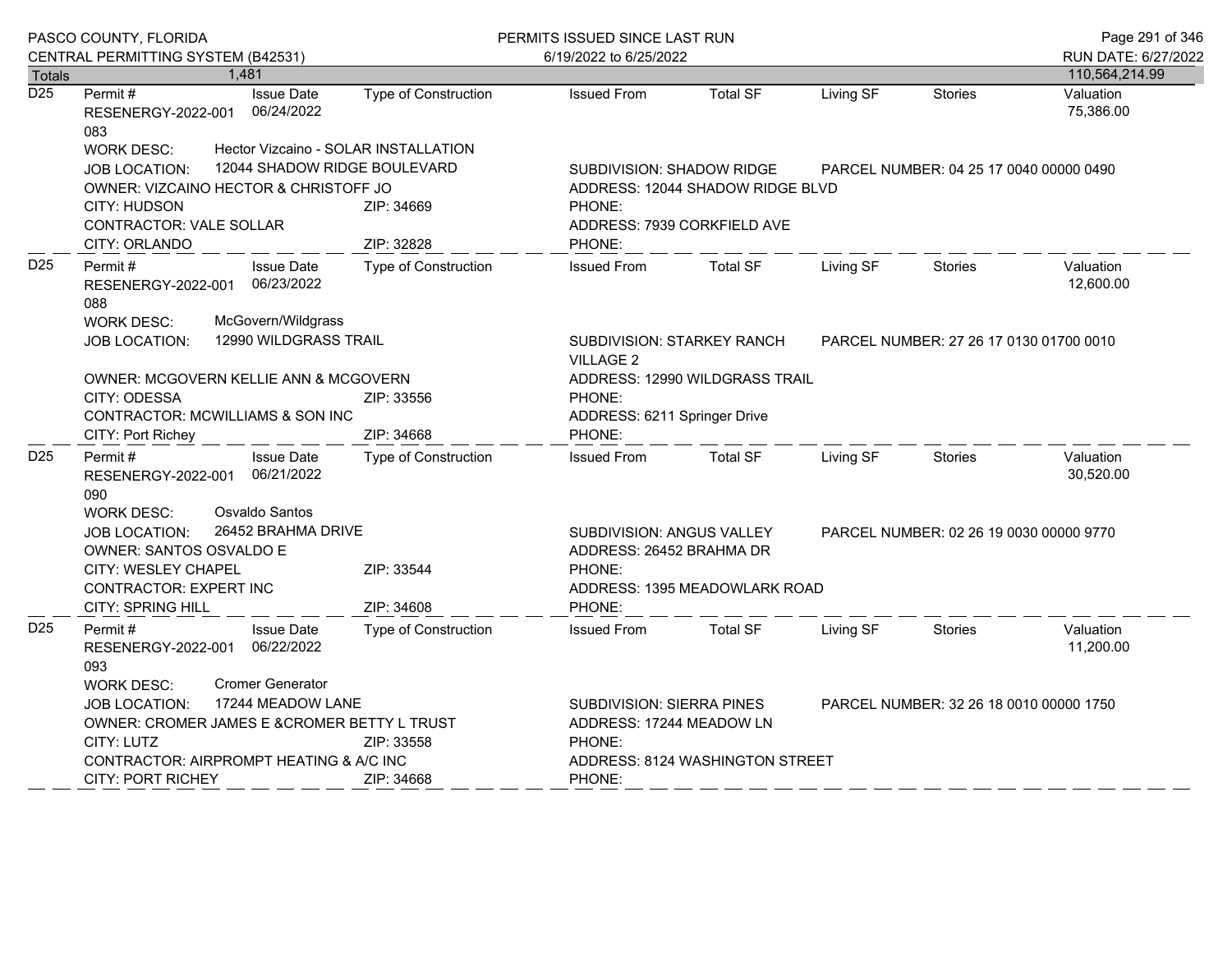|                  | PASCO COUNTY, FLORIDA                                                                                                                                                                                                          |                                                                                    | PERMITS ISSUED SINCE LAST RUN                                                                    |                                                                                                                 |           | Page 291 of 346                         |                        |  |
|------------------|--------------------------------------------------------------------------------------------------------------------------------------------------------------------------------------------------------------------------------|------------------------------------------------------------------------------------|--------------------------------------------------------------------------------------------------|-----------------------------------------------------------------------------------------------------------------|-----------|-----------------------------------------|------------------------|--|
|                  | CENTRAL PERMITTING SYSTEM (B42531)                                                                                                                                                                                             |                                                                                    | 6/19/2022 to 6/25/2022                                                                           |                                                                                                                 |           |                                         | RUN DATE: 6/27/2022    |  |
| <b>Totals</b>    | 1,481                                                                                                                                                                                                                          |                                                                                    |                                                                                                  |                                                                                                                 |           |                                         | 110,564,214.99         |  |
| $\overline{D25}$ | <b>Issue Date</b><br>Permit #<br>06/24/2022<br>RESENERGY-2022-001<br>083                                                                                                                                                       | Type of Construction                                                               | <b>Issued From</b>                                                                               | <b>Total SF</b>                                                                                                 | Living SF | Stories                                 | Valuation<br>75,386.00 |  |
|                  | <b>WORK DESC:</b><br><b>JOB LOCATION:</b><br>OWNER: VIZCAINO HECTOR & CHRISTOFF JO                                                                                                                                             | Hector Vizcaino - SOLAR INSTALLATION<br>12044 SHADOW RIDGE BOULEVARD<br>ZIP: 34669 |                                                                                                  | <b>SUBDIVISION: SHADOW RIDGE</b><br>PARCEL NUMBER: 04 25 17 0040 00000 0490<br>ADDRESS: 12044 SHADOW RIDGE BLVD |           |                                         |                        |  |
|                  | CITY: HUDSON<br><b>CONTRACTOR: VALE SOLLAR</b><br>CITY: ORLANDO                                                                                                                                                                | PHONE:<br>PHONE:                                                                   | ADDRESS: 7939 CORKFIELD AVE                                                                      |                                                                                                                 |           |                                         |                        |  |
| D <sub>25</sub>  | Permit #<br><b>Issue Date</b><br>06/23/2022<br>RESENERGY-2022-001<br>088                                                                                                                                                       | ZIP: 32828<br><b>Type of Construction</b>                                          | <b>Issued From</b>                                                                               | <b>Total SF</b>                                                                                                 | Living SF | <b>Stories</b>                          | Valuation<br>12,600.00 |  |
|                  | McGovern/Wildgrass<br><b>WORK DESC:</b><br>12990 WILDGRASS TRAIL<br>JOB LOCATION:                                                                                                                                              |                                                                                    | <b>VILLAGE 2</b>                                                                                 | SUBDIVISION: STARKEY RANCH<br>PARCEL NUMBER: 27 26 17 0130 01700 0010                                           |           |                                         |                        |  |
|                  | OWNER: MCGOVERN KELLIE ANN & MCGOVERN<br>CITY: ODESSA<br>ZIP: 33556<br>CONTRACTOR: MCWILLIAMS & SON INC                                                                                                                        |                                                                                    | PHONE:                                                                                           | ADDRESS: 12990 WILDGRASS TRAIL<br>ADDRESS: 6211 Springer Drive                                                  |           |                                         |                        |  |
|                  | CITY: Port Richey                                                                                                                                                                                                              | ZIP: 34668                                                                         | PHONE:                                                                                           |                                                                                                                 |           |                                         |                        |  |
| D <sub>25</sub>  | Permit#<br><b>Issue Date</b><br>06/21/2022<br>RESENERGY-2022-001<br>090                                                                                                                                                        | Type of Construction                                                               | <b>Issued From</b>                                                                               | <b>Total SF</b>                                                                                                 | Living SF | <b>Stories</b>                          | Valuation<br>30,520.00 |  |
|                  | Osvaldo Santos<br><b>WORK DESC:</b><br>26452 BRAHMA DRIVE<br>JOB LOCATION:<br><b>OWNER: SANTOS OSVALDO E</b>                                                                                                                   |                                                                                    | SUBDIVISION: ANGUS VALLEY<br>PARCEL NUMBER: 02 26 19 0030 00000 9770<br>ADDRESS: 26452 BRAHMA DR |                                                                                                                 |           |                                         |                        |  |
|                  | CITY: WESLEY CHAPEL<br>ZIP: 33544<br>CONTRACTOR: EXPERT INC<br>CITY: SPRING HILL<br>ZIP: 34608                                                                                                                                 |                                                                                    | PHONE:                                                                                           | PHONE:<br>ADDRESS: 1395 MEADOWLARK ROAD                                                                         |           |                                         |                        |  |
| D <sub>25</sub>  | <b>Issue Date</b><br>Permit#<br>06/22/2022<br>RESENERGY-2022-001<br>093                                                                                                                                                        | Type of Construction                                                               | <b>Issued From</b>                                                                               | <b>Total SF</b>                                                                                                 | Living SF | Stories                                 | Valuation<br>11,200.00 |  |
|                  | <b>Cromer Generator</b><br><b>WORK DESC:</b><br>17244 MEADOW LANE<br><b>JOB LOCATION:</b><br>OWNER: CROMER JAMES E & CROMER BETTY L TRUST<br>CITY: LUTZ<br>ZIP: 33558<br>CONTRACTOR: AIRPROMPT HEATING & A/C INC<br>ZIP: 34668 |                                                                                    | PHONE:                                                                                           | SUBDIVISION: SIERRA PINES<br>ADDRESS: 17244 MEADOW LN<br>ADDRESS: 8124 WASHINGTON STREET                        |           | PARCEL NUMBER: 32 26 18 0010 00000 1750 |                        |  |
|                  | <b>CITY: PORT RICHEY</b>                                                                                                                                                                                                       |                                                                                    | PHONE:                                                                                           |                                                                                                                 |           |                                         |                        |  |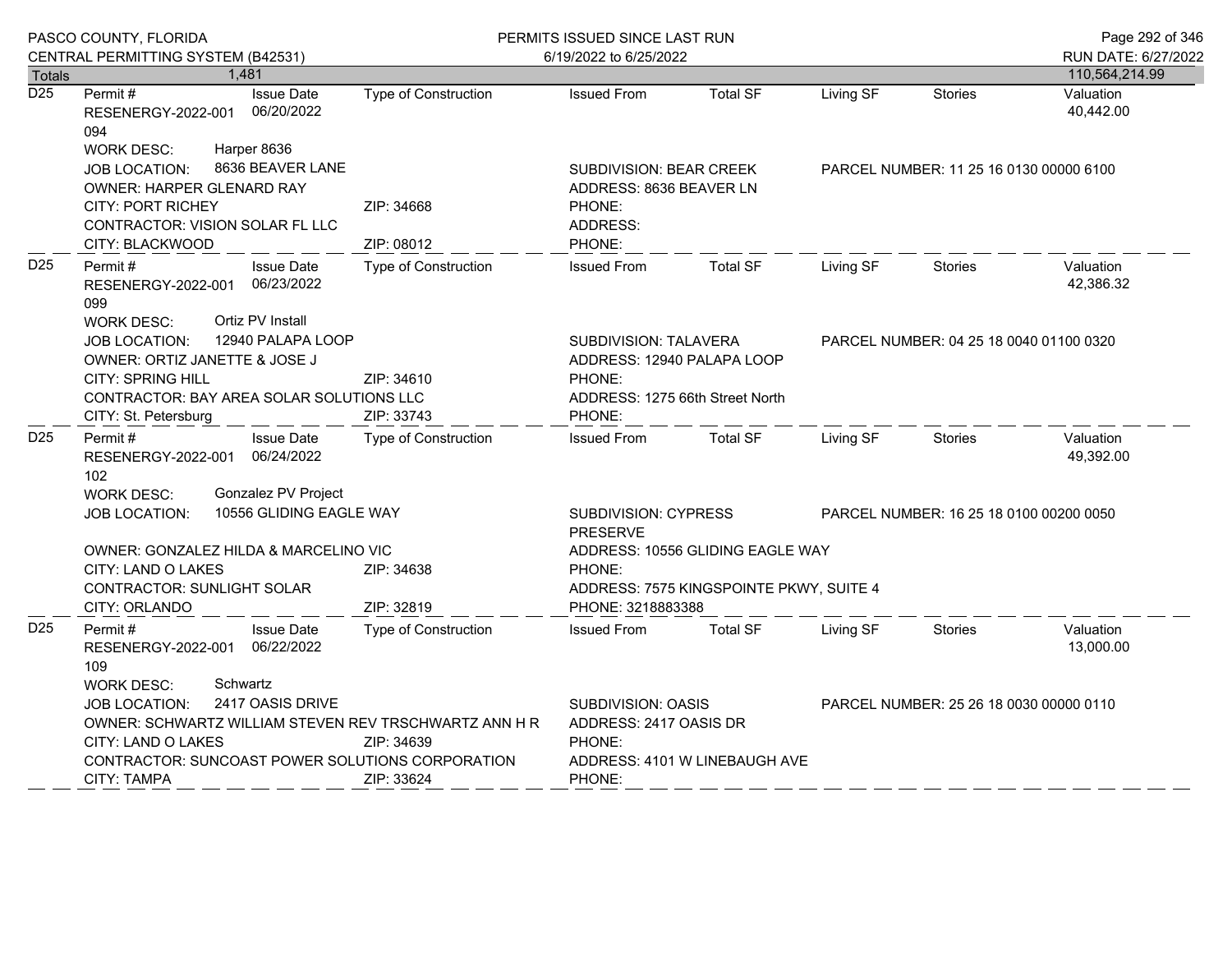|                  | PASCO COUNTY, FLORIDA                                                                                                                                                                                               |                                    | PERMITS ISSUED SINCE LAST RUN                                                                              |                                         |                                         |                | Page 292 of 346        |
|------------------|---------------------------------------------------------------------------------------------------------------------------------------------------------------------------------------------------------------------|------------------------------------|------------------------------------------------------------------------------------------------------------|-----------------------------------------|-----------------------------------------|----------------|------------------------|
|                  | CENTRAL PERMITTING SYSTEM (B42531)                                                                                                                                                                                  |                                    | 6/19/2022 to 6/25/2022                                                                                     |                                         |                                         |                | RUN DATE: 6/27/2022    |
| Totals           | 1,481                                                                                                                                                                                                               |                                    |                                                                                                            |                                         |                                         |                | 110,564,214.99         |
| $\overline{D25}$ | Permit#<br><b>Issue Date</b><br>06/20/2022<br>RESENERGY-2022-001<br>094                                                                                                                                             | Type of Construction               | <b>Issued From</b>                                                                                         | <b>Total SF</b>                         | Living SF                               | <b>Stories</b> | Valuation<br>40,442.00 |
|                  | Harper 8636<br><b>WORK DESC:</b><br>8636 BEAVER LANE<br>JOB LOCATION:<br><b>OWNER: HARPER GLENARD RAY</b>                                                                                                           |                                    | SUBDIVISION: BEAR CREEK<br>ADDRESS: 8636 BEAVER LN                                                         |                                         | PARCEL NUMBER: 11 25 16 0130 00000 6100 |                |                        |
|                  | <b>CITY: PORT RICHEY</b><br>CONTRACTOR: VISION SOLAR FL LLC                                                                                                                                                         | ZIP: 34668                         | PHONE:<br>ADDRESS:                                                                                         |                                         |                                         |                |                        |
| D <sub>25</sub>  | CITY: BLACKWOOD<br>Permit#<br><b>Issue Date</b><br>06/23/2022<br>RESENERGY-2022-001<br>099                                                                                                                          | ZIP: 08012<br>Type of Construction | PHONE:<br><b>Issued From</b>                                                                               | <b>Total SF</b>                         | Living SF                               | <b>Stories</b> | Valuation<br>42,386.32 |
|                  | Ortiz PV Install<br><b>WORK DESC:</b><br>12940 PALAPA LOOP<br>JOB LOCATION:<br>OWNER: ORTIZ JANETTE & JOSE J<br><b>CITY: SPRING HILL</b><br>CONTRACTOR: BAY AREA SOLAR SOLUTIONS LLC<br>CITY: St. Petersburg        | ZIP: 34610<br>ZIP: 33743           | SUBDIVISION: TALAVERA<br>ADDRESS: 12940 PALAPA LOOP<br>PHONE:<br>ADDRESS: 1275 66th Street North<br>PHONE: |                                         | PARCEL NUMBER: 04 25 18 0040 01100 0320 |                |                        |
| D <sub>25</sub>  | Permit#<br><b>Issue Date</b><br>RESENERGY-2022-001 06/24/2022<br>102                                                                                                                                                | Type of Construction               | <b>Issued From</b>                                                                                         | <b>Total SF</b>                         | Living SF                               | <b>Stories</b> | Valuation<br>49,392.00 |
|                  | <b>Gonzalez PV Project</b><br><b>WORK DESC:</b><br>10556 GLIDING EAGLE WAY<br>JOB LOCATION:                                                                                                                         |                                    | SUBDIVISION: CYPRESS<br><b>PRESERVE</b>                                                                    |                                         | PARCEL NUMBER: 16 25 18 0100 00200 0050 |                |                        |
|                  | OWNER: GONZALEZ HILDA & MARCELINO VIC<br><b>CITY: LAND O LAKES</b><br>CONTRACTOR: SUNLIGHT SOLAR                                                                                                                    | ZIP: 34638                         | ADDRESS: 10556 GLIDING EAGLE WAY<br>PHONE:                                                                 |                                         |                                         |                |                        |
|                  | CITY: ORLANDO                                                                                                                                                                                                       | ZIP: 32819                         | PHONE: 3218883388                                                                                          | ADDRESS: 7575 KINGSPOINTE PKWY, SUITE 4 |                                         |                |                        |
| D <sub>25</sub>  | Permit#<br><b>Issue Date</b><br>RESENERGY-2022-001 06/22/2022<br>109                                                                                                                                                | Type of Construction               | <b>Issued From</b>                                                                                         | <b>Total SF</b>                         | Living SF                               | <b>Stories</b> | Valuation<br>13,000.00 |
|                  | Schwartz<br><b>WORK DESC:</b><br>2417 OASIS DRIVE<br>JOB LOCATION:<br>OWNER: SCHWARTZ WILLIAM STEVEN REV TRSCHWARTZ ANN H R<br>CITY: LAND O LAKES<br>ZIP: 34639<br>CONTRACTOR: SUNCOAST POWER SOLUTIONS CORPORATION |                                    | SUBDIVISION: OASIS<br>ADDRESS: 2417 OASIS DR<br>PHONE:<br>ADDRESS: 4101 W LINEBAUGH AVE                    |                                         | PARCEL NUMBER: 25 26 18 0030 00000 0110 |                |                        |
|                  | <b>CITY: TAMPA</b>                                                                                                                                                                                                  | ZIP: 33624                         | PHONE:                                                                                                     |                                         |                                         |                |                        |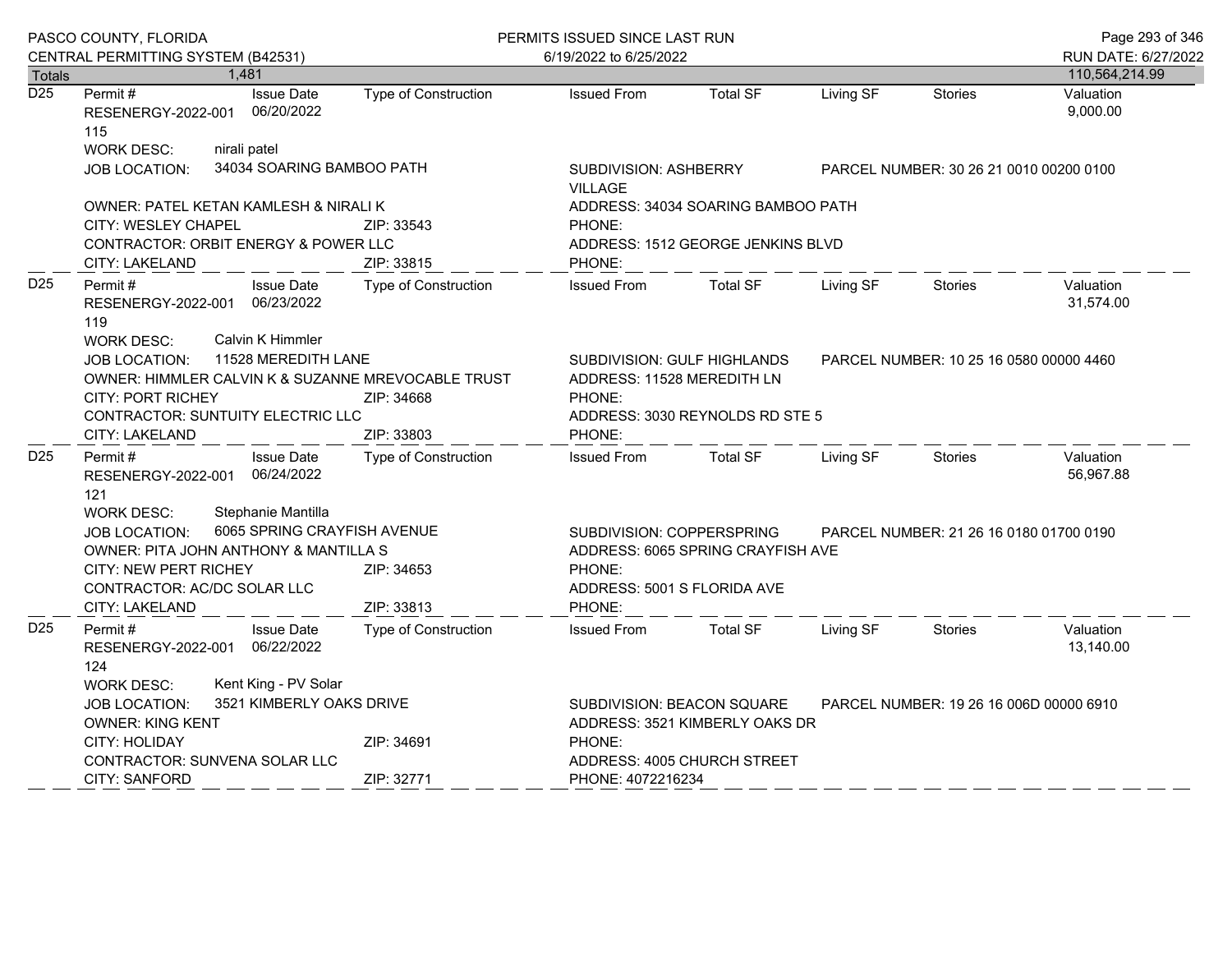|                  | PASCO COUNTY, FLORIDA                                                                                                                                                                                                                 |                                                 | PERMITS ISSUED SINCE LAST RUN                                                                                                                                         |                                                                              |                                         |           |                                         | Page 293 of 346                         |  |
|------------------|---------------------------------------------------------------------------------------------------------------------------------------------------------------------------------------------------------------------------------------|-------------------------------------------------|-----------------------------------------------------------------------------------------------------------------------------------------------------------------------|------------------------------------------------------------------------------|-----------------------------------------|-----------|-----------------------------------------|-----------------------------------------|--|
|                  | CENTRAL PERMITTING SYSTEM (B42531)                                                                                                                                                                                                    |                                                 |                                                                                                                                                                       | 6/19/2022 to 6/25/2022                                                       |                                         |           |                                         | RUN DATE: 6/27/2022                     |  |
| <b>Totals</b>    |                                                                                                                                                                                                                                       | 1.481                                           |                                                                                                                                                                       |                                                                              |                                         |           |                                         | 110,564,214.99                          |  |
| $\overline{D25}$ | Permit #<br>RESENERGY-2022-001<br>115<br><b>WORK DESC:</b>                                                                                                                                                                            | <b>Issue Date</b><br>06/20/2022<br>nirali patel | <b>Type of Construction</b>                                                                                                                                           | <b>Issued From</b>                                                           | <b>Total SF</b>                         | Living SF | <b>Stories</b>                          | Valuation<br>9,000.00                   |  |
|                  | JOB LOCATION:                                                                                                                                                                                                                         | 34034 SOARING BAMBOO PATH                       |                                                                                                                                                                       | <b>VILLAGE</b>                                                               | SUBDIVISION: ASHBERRY                   |           |                                         | PARCEL NUMBER: 30 26 21 0010 00200 0100 |  |
|                  |                                                                                                                                                                                                                                       | OWNER: PATEL KETAN KAMLESH & NIRALI K           |                                                                                                                                                                       |                                                                              | ADDRESS: 34034 SOARING BAMBOO PATH      |           |                                         |                                         |  |
|                  | CITY: WESLEY CHAPEL<br>CITY: LAKELAND                                                                                                                                                                                                 | CONTRACTOR: ORBIT ENERGY & POWER LLC            | ZIP: 33543<br>ZIP: 33815                                                                                                                                              | PHONE:<br>ADDRESS: 1512 GEORGE JENKINS BLVD                                  |                                         |           |                                         |                                         |  |
| D <sub>25</sub>  | Permit#<br>RESENERGY-2022-001 06/23/2022<br>119                                                                                                                                                                                       | <b>Issue Date</b>                               | Type of Construction                                                                                                                                                  | PHONE:<br><b>Issued From</b>                                                 | <b>Total SF</b>                         | Living SF | Stories                                 | Valuation<br>31,574.00                  |  |
|                  | Calvin K Himmler<br><b>WORK DESC:</b><br>11528 MEREDITH LANE<br>JOB LOCATION:<br>OWNER: HIMMLER CALVIN K & SUZANNE MREVOCABLE TRUST<br><b>CITY: PORT RICHEY</b><br>ZIP: 34668<br><b>CONTRACTOR: SUNTUITY ELECTRIC LLC</b>             |                                                 | ADDRESS: 11528 MEREDITH LN<br>PHONE:                                                                                                                                  | SUBDIVISION: GULF HIGHLANDS<br>ADDRESS: 3030 REYNOLDS RD STE 5               | PARCEL NUMBER: 10 25 16 0580 00000 4460 |           |                                         |                                         |  |
|                  | CITY: LAKELAND                                                                                                                                                                                                                        |                                                 | ZIP: 33803                                                                                                                                                            | PHONE:                                                                       |                                         |           |                                         |                                         |  |
| D <sub>25</sub>  | Permit#<br>RESENERGY-2022-001 06/24/2022<br>121                                                                                                                                                                                       | <b>Issue Date</b>                               | Type of Construction                                                                                                                                                  | <b>Issued From</b>                                                           | <b>Total SF</b>                         | Living SF | Stories                                 | Valuation<br>56,967.88                  |  |
|                  | Stephanie Mantilla<br><b>WORK DESC:</b><br>6065 SPRING CRAYFISH AVENUE<br><b>JOB LOCATION:</b><br>OWNER: PITA JOHN ANTHONY & MANTILLA S<br>CITY: NEW PERT RICHEY<br>ZIP: 34653<br>CONTRACTOR: AC/DC SOLAR LLC<br>CITY: LAKELAND       |                                                 | ZIP: 33813                                                                                                                                                            | SUBDIVISION: COPPERSPRING<br>PHONE:<br>ADDRESS: 5001 S FLORIDA AVE<br>PHONE: | ADDRESS: 6065 SPRING CRAYFISH AVE       |           | PARCEL NUMBER: 21 26 16 0180 01700 0190 |                                         |  |
| D <sub>25</sub>  | Permit#<br>RESENERGY-2022-001 06/22/2022<br>124                                                                                                                                                                                       | <b>Issue Date</b>                               | <b>Type of Construction</b>                                                                                                                                           | <b>Issued From</b>                                                           | <b>Total SF</b>                         | Living SF | <b>Stories</b>                          | Valuation<br>13,140.00                  |  |
|                  | Kent King - PV Solar<br><b>WORK DESC:</b><br>3521 KIMBERLY OAKS DRIVE<br><b>JOB LOCATION:</b><br><b>OWNER: KING KENT</b><br>CITY: HOLIDAY<br>ZIP: 34691<br><b>CONTRACTOR: SUNVENA SOLAR LLC</b><br><b>CITY: SANFORD</b><br>ZIP: 32771 |                                                 | SUBDIVISION: BEACON SQUARE<br>PARCEL NUMBER: 19 26 16 006D 00000 6910<br>ADDRESS: 3521 KIMBERLY OAKS DR<br>PHONE:<br>ADDRESS: 4005 CHURCH STREET<br>PHONE: 4072216234 |                                                                              |                                         |           |                                         |                                         |  |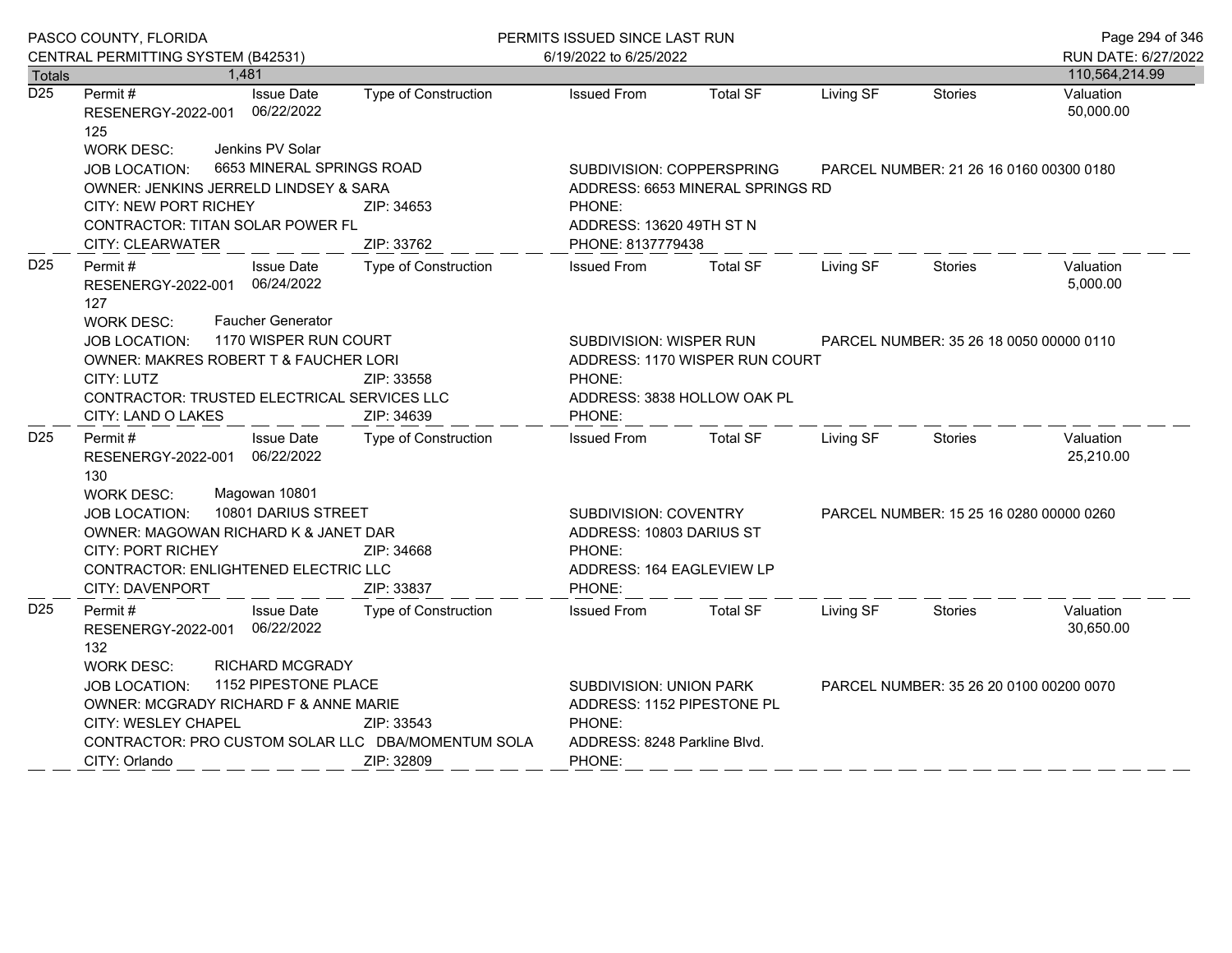|                  | PASCO COUNTY, FLORIDA                                                                                                                                                                                                                        |                                                                                                                  | PERMITS ISSUED SINCE LAST RUN                                                                       |                                                               |                                         |                                         | Page 294 of 346        |
|------------------|----------------------------------------------------------------------------------------------------------------------------------------------------------------------------------------------------------------------------------------------|------------------------------------------------------------------------------------------------------------------|-----------------------------------------------------------------------------------------------------|---------------------------------------------------------------|-----------------------------------------|-----------------------------------------|------------------------|
|                  | CENTRAL PERMITTING SYSTEM (B42531)                                                                                                                                                                                                           |                                                                                                                  | 6/19/2022 to 6/25/2022                                                                              |                                                               |                                         |                                         | RUN DATE: 6/27/2022    |
| Totals           | 1,481                                                                                                                                                                                                                                        |                                                                                                                  |                                                                                                     |                                                               |                                         |                                         | 110,564,214.99         |
| $\overline{D25}$ | Permit#<br><b>Issue Date</b><br>RESENERGY-2022-001 06/22/2022<br>125<br>Jenkins PV Solar<br><b>WORK DESC:</b>                                                                                                                                | <b>Type of Construction</b>                                                                                      | <b>Issued From</b>                                                                                  | <b>Total SF</b>                                               | Living SF                               | <b>Stories</b>                          | Valuation<br>50,000.00 |
|                  | 6653 MINERAL SPRINGS ROAD<br><b>JOB LOCATION:</b><br>OWNER: JENKINS JERRELD LINDSEY & SARA<br>CITY: NEW PORT RICHEY<br>CONTRACTOR: TITAN SOLAR POWER FL                                                                                      | ZIP: 34653                                                                                                       | SUBDIVISION: COPPERSPRING<br>ADDRESS: 6653 MINERAL SPRINGS RD<br>PHONE:<br>ADDRESS: 13620 49TH ST N |                                                               |                                         | PARCEL NUMBER: 21 26 16 0160 00300 0180 |                        |
| D <sub>25</sub>  | <b>CITY: CLEARWATER</b><br>Permit #<br><b>Issue Date</b><br>RESENERGY-2022-001 06/24/2022<br>127                                                                                                                                             | ZIP: 33762<br><b>Type of Construction</b>                                                                        | PHONE: 8137779438<br><b>Issued From</b>                                                             | <b>Total SF</b>                                               | Living SF                               | Stories                                 | Valuation<br>5,000.00  |
|                  | <b>Faucher Generator</b><br>WORK DESC:<br>1170 WISPER RUN COURT<br>JOB LOCATION:<br>OWNER: MAKRES ROBERT T & FAUCHER LORI<br>CITY: LUTZ<br>CONTRACTOR: TRUSTED ELECTRICAL SERVICES LLC<br>CITY: LAND O LAKES                                 | ZIP: 33558<br>ZIP: 34639                                                                                         | SUBDIVISION: WISPER RUN<br>PHONE:<br>PHONE:                                                         | ADDRESS: 1170 WISPER RUN COURT<br>ADDRESS: 3838 HOLLOW OAK PL |                                         | PARCEL NUMBER: 35 26 18 0050 00000 0110 |                        |
| D <sub>25</sub>  | Permit #<br><b>Issue Date</b><br>RESENERGY-2022-001 06/22/2022<br>130                                                                                                                                                                        | Type of Construction                                                                                             | <b>Issued From</b>                                                                                  | <b>Total SF</b>                                               | Living SF                               | Stories                                 | Valuation<br>25,210.00 |
|                  | Magowan 10801<br><b>WORK DESC:</b><br>10801 DARIUS STREET<br>JOB LOCATION:<br>OWNER: MAGOWAN RICHARD K & JANET DAR<br><b>CITY: PORT RICHEY</b><br>ZIP: 34668<br>CONTRACTOR: ENLIGHTENED ELECTRIC LLC<br><b>CITY: DAVENPORT</b><br>ZIP: 33837 |                                                                                                                  | SUBDIVISION: COVENTRY<br>ADDRESS: 10803 DARIUS ST<br>PHONE:<br>ADDRESS: 164 EAGLEVIEW LP<br>PHONE:  |                                                               |                                         | PARCEL NUMBER: 15 25 16 0280 00000 0260 |                        |
| D <sub>25</sub>  | <b>Issue Date</b><br>Permit #<br>RESENERGY-2022-001 06/22/2022<br>132<br><b>RICHARD MCGRADY</b><br><b>WORK DESC:</b>                                                                                                                         | <b>Type of Construction</b>                                                                                      | <b>Issued From</b>                                                                                  | <b>Total SF</b>                                               | Living SF                               | <b>Stories</b>                          | Valuation<br>30,650.00 |
|                  | 1152 PIPESTONE PLACE<br><b>JOB LOCATION:</b><br>OWNER: MCGRADY RICHARD F & ANNE MARIE<br>CITY: WESLEY CHAPEL<br>CONTRACTOR: PRO CUSTOM SOLAR LLC DBA/MOMENTUM SOLA<br>CITY: Orlando                                                          | <b>SUBDIVISION: UNION PARK</b><br>ADDRESS: 1152 PIPESTONE PL<br>PHONE:<br>ADDRESS: 8248 Parkline Blvd.<br>PHONE: |                                                                                                     |                                                               | PARCEL NUMBER: 35 26 20 0100 00200 0070 |                                         |                        |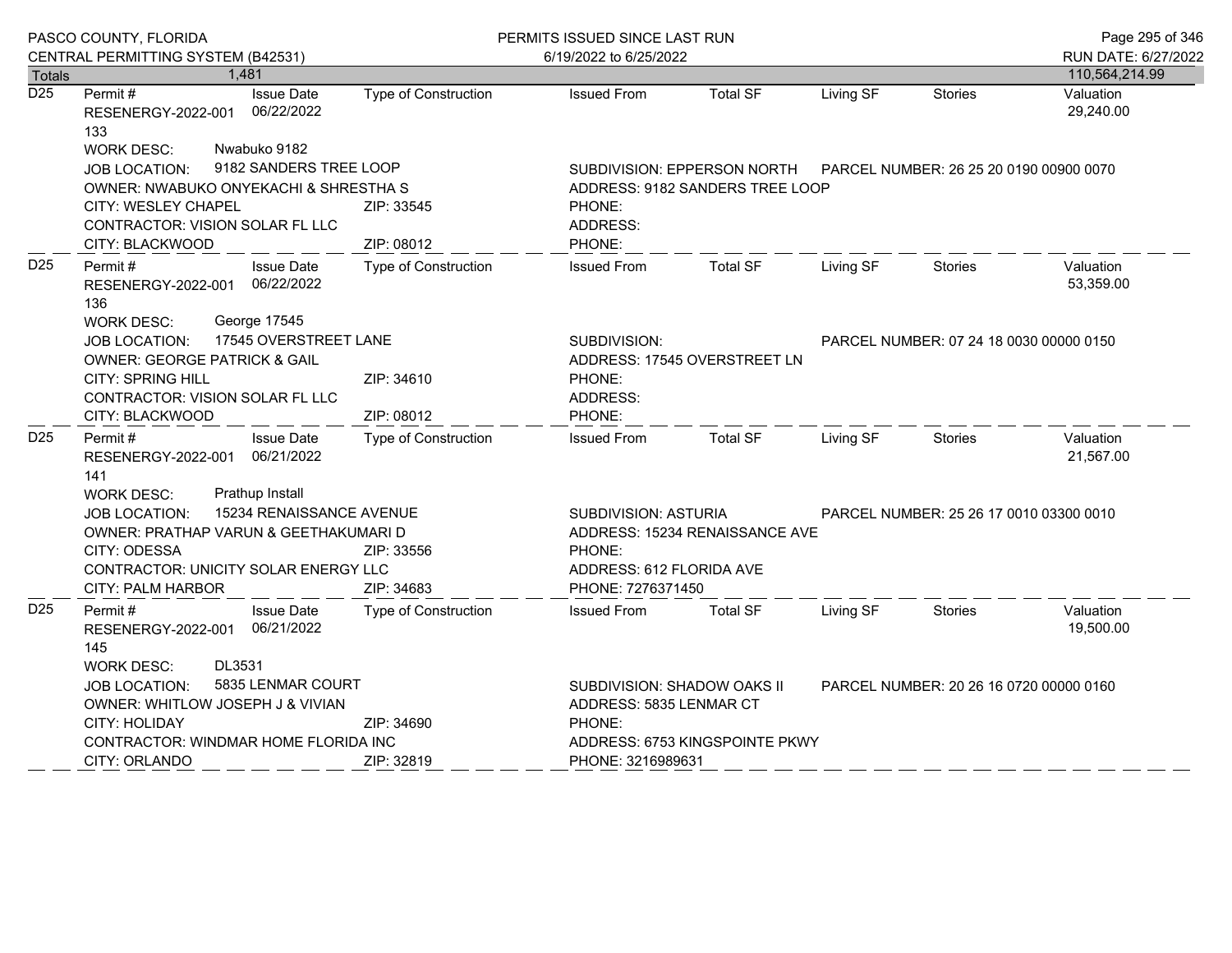|                  | PASCO COUNTY, FLORIDA                                                                                                                                                                                                     | PERMITS ISSUED SINCE LAST RUN |                                                                                                                         |                                |                                         |                                         | Page 295 of 346        |
|------------------|---------------------------------------------------------------------------------------------------------------------------------------------------------------------------------------------------------------------------|-------------------------------|-------------------------------------------------------------------------------------------------------------------------|--------------------------------|-----------------------------------------|-----------------------------------------|------------------------|
|                  | CENTRAL PERMITTING SYSTEM (B42531)                                                                                                                                                                                        |                               | 6/19/2022 to 6/25/2022                                                                                                  |                                |                                         |                                         | RUN DATE: 6/27/2022    |
| <b>Totals</b>    | 1,481                                                                                                                                                                                                                     |                               |                                                                                                                         |                                |                                         |                                         | 110,564,214.99         |
| $\overline{D25}$ | Permit#<br><b>Issue Date</b><br>06/22/2022<br>RESENERGY-2022-001<br>133<br>Nwabuko 9182                                                                                                                                   | Type of Construction          | <b>Issued From</b>                                                                                                      | <b>Total SF</b>                | Living SF                               | <b>Stories</b>                          | Valuation<br>29,240.00 |
|                  | <b>WORK DESC:</b><br>9182 SANDERS TREE LOOP<br><b>JOB LOCATION:</b><br>OWNER: NWABUKO ONYEKACHI & SHRESTHA S<br>CITY: WESLEY CHAPEL<br>ZIP: 33545<br>CONTRACTOR: VISION SOLAR FL LLC<br>ZIP: 08012<br>CITY: BLACKWOOD     |                               | SUBDIVISION: EPPERSON NORTH<br>ADDRESS: 9182 SANDERS TREE LOOP<br>PHONE:<br>ADDRESS:<br>PHONE:                          |                                |                                         | PARCEL NUMBER: 26 25 20 0190 00900 0070 |                        |
| D <sub>25</sub>  | <b>Issue Date</b><br>Permit #<br>RESENERGY-2022-001 06/22/2022<br>136                                                                                                                                                     | Type of Construction          | <b>Issued From</b>                                                                                                      | <b>Total SF</b>                | Living SF                               | Stories                                 | Valuation<br>53,359.00 |
|                  | George 17545<br><b>WORK DESC:</b><br>17545 OVERSTREET LANE<br><b>JOB LOCATION:</b><br>OWNER: GEORGE PATRICK & GAIL<br>CITY: SPRING HILL<br>CONTRACTOR: VISION SOLAR FL LLC<br>CITY: BLACKWOOD                             | ZIP: 34610<br>ZIP: 08012      | SUBDIVISION:<br>ADDRESS: 17545 OVERSTREET LN<br>PHONE:<br>ADDRESS:<br>PHONE:                                            |                                | PARCEL NUMBER: 07 24 18 0030 00000 0150 |                                         |                        |
| D <sub>25</sub>  | Permit #<br><b>Issue Date</b><br>RESENERGY-2022-001 06/21/2022<br>141<br><b>WORK DESC:</b><br>Prathup Install                                                                                                             | Type of Construction          | <b>Issued From</b>                                                                                                      | <b>Total SF</b>                | Living SF                               | Stories                                 | Valuation<br>21,567.00 |
|                  | 15234 RENAISSANCE AVENUE<br><b>JOB LOCATION:</b><br>OWNER: PRATHAP VARUN & GEETHAKUMARI D<br>CITY: ODESSA<br>CONTRACTOR: UNICITY SOLAR ENERGY LLC<br><b>CITY: PALM HARBOR</b>                                             | ZIP: 33556<br>ZIP: 34683      | <b>SUBDIVISION: ASTURIA</b><br>PHONE:<br>ADDRESS: 612 FLORIDA AVE<br>PHONE: 7276371450                                  | ADDRESS: 15234 RENAISSANCE AVE | PARCEL NUMBER: 25 26 17 0010 03300 0010 |                                         |                        |
| D <sub>25</sub>  | Permit #<br><b>Issue Date</b><br>RESENERGY-2022-001 06/21/2022<br>145                                                                                                                                                     | Type of Construction          | <b>Issued From</b>                                                                                                      | <b>Total SF</b>                | Living SF                               | Stories                                 | Valuation<br>19,500.00 |
|                  | DL3531<br><b>WORK DESC:</b><br>5835 LENMAR COURT<br><b>JOB LOCATION:</b><br>OWNER: WHITLOW JOSEPH J & VIVIAN<br><b>CITY: HOLIDAY</b><br>ZIP: 34690<br>CONTRACTOR: WINDMAR HOME FLORIDA INC<br>CITY: ORLANDO<br>ZIP: 32819 |                               | SUBDIVISION: SHADOW OAKS II<br>ADDRESS: 5835 LENMAR CT<br>PHONE:<br>ADDRESS: 6753 KINGSPOINTE PKWY<br>PHONE: 3216989631 |                                | PARCEL NUMBER: 20 26 16 0720 00000 0160 |                                         |                        |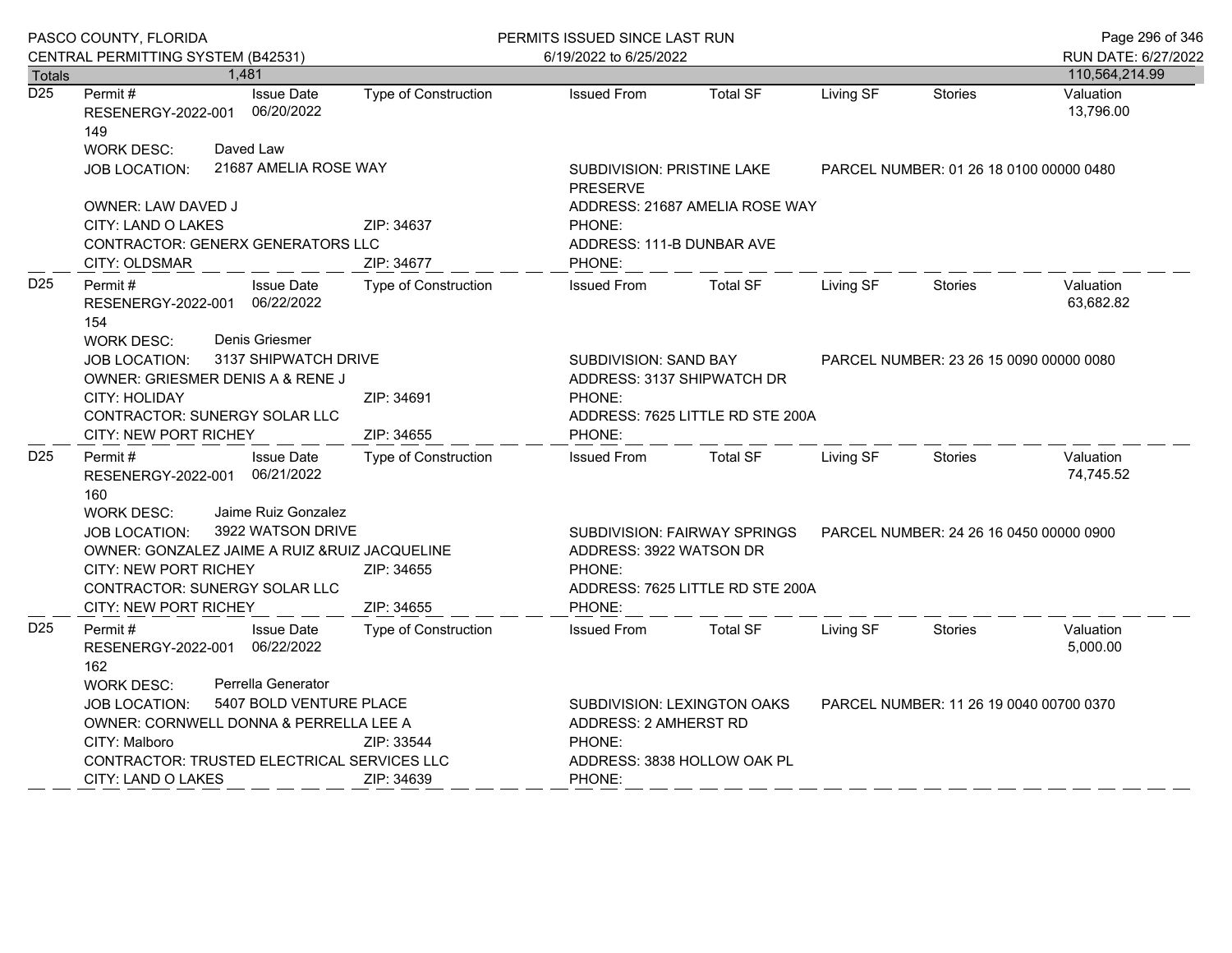|                  | PASCO COUNTY, FLORIDA                                                                                                                                                                                                                           |                                    | PERMITS ISSUED SINCE LAST RUN |                                                                                                                                                            |                                |                                         |                                         | Page 296 of 346        |
|------------------|-------------------------------------------------------------------------------------------------------------------------------------------------------------------------------------------------------------------------------------------------|------------------------------------|-------------------------------|------------------------------------------------------------------------------------------------------------------------------------------------------------|--------------------------------|-----------------------------------------|-----------------------------------------|------------------------|
|                  | CENTRAL PERMITTING SYSTEM (B42531)                                                                                                                                                                                                              |                                    |                               | 6/19/2022 to 6/25/2022                                                                                                                                     |                                |                                         |                                         | RUN DATE: 6/27/2022    |
| <b>Totals</b>    |                                                                                                                                                                                                                                                 | 1,481                              |                               |                                                                                                                                                            |                                |                                         |                                         | 110,564,214.99         |
| $\overline{D25}$ | Permit#<br>RESENERGY-2022-001<br>149                                                                                                                                                                                                            | <b>Issue Date</b><br>06/20/2022    | Type of Construction          | <b>Issued From</b>                                                                                                                                         | <b>Total SF</b>                | Living SF                               | <b>Stories</b>                          | Valuation<br>13,796.00 |
|                  | <b>WORK DESC:</b><br>JOB LOCATION:                                                                                                                                                                                                              | Daved Law<br>21687 AMELIA ROSE WAY |                               | SUBDIVISION: PRISTINE LAKE<br><b>PRESERVE</b>                                                                                                              |                                |                                         | PARCEL NUMBER: 01 26 18 0100 00000 0480 |                        |
|                  | OWNER: LAW DAVED J<br><b>CITY: LAND O LAKES</b><br>CONTRACTOR: GENERX GENERATORS LLC<br>CITY: OLDSMAR                                                                                                                                           |                                    | ZIP: 34637<br>ZIP: 34677      | PHONE:<br>ADDRESS: 111-B DUNBAR AVE<br>PHONE:                                                                                                              | ADDRESS: 21687 AMELIA ROSE WAY |                                         |                                         |                        |
| D <sub>25</sub>  | Permit#<br>RESENERGY-2022-001 06/22/2022<br>154                                                                                                                                                                                                 | <b>Issue Date</b>                  | Type of Construction          | <b>Issued From</b>                                                                                                                                         | <b>Total SF</b>                | Living SF                               | <b>Stories</b>                          | Valuation<br>63,682.82 |
|                  | Denis Griesmer<br><b>WORK DESC:</b><br>3137 SHIPWATCH DRIVE<br><b>JOB LOCATION:</b><br>OWNER: GRIESMER DENIS A & RENE J<br>CITY: HOLIDAY<br>ZIP: 34691<br>CONTRACTOR: SUNERGY SOLAR LLC<br>ZIP: 34655<br>CITY: NEW PORT RICHEY                  |                                    |                               | SUBDIVISION: SAND BAY<br>ADDRESS: 3137 SHIPWATCH DR<br>PHONE:<br>ADDRESS: 7625 LITTLE RD STE 200A<br>PHONE:                                                |                                | PARCEL NUMBER: 23 26 15 0090 00000 0080 |                                         |                        |
| D <sub>25</sub>  | Permit#<br>RESENERGY-2022-001<br>160                                                                                                                                                                                                            | <b>Issue Date</b><br>06/21/2022    | Type of Construction          | <b>Issued From</b>                                                                                                                                         | <b>Total SF</b>                | Living SF                               | <b>Stories</b>                          | Valuation<br>74,745.52 |
|                  | Jaime Ruiz Gonzalez<br><b>WORK DESC:</b><br>3922 WATSON DRIVE<br>JOB LOCATION:<br>OWNER: GONZALEZ JAIME A RUIZ & RUIZ JACQUELINE<br><b>CITY: NEW PORT RICHEY</b><br>ZIP: 34655<br>CONTRACTOR: SUNERGY SOLAR LLC<br>CITY: NEW PORT RICHEY        |                                    | ZIP: 34655                    | SUBDIVISION: FAIRWAY SPRINGS<br>PARCEL NUMBER: 24 26 16 0450 00000 0900<br>ADDRESS: 3922 WATSON DR<br>PHONE:<br>ADDRESS: 7625 LITTLE RD STE 200A<br>PHONE: |                                |                                         |                                         |                        |
| D <sub>25</sub>  | Permit #<br>RESENERGY-2022-001 06/22/2022<br>162                                                                                                                                                                                                | <b>Issue Date</b>                  | <b>Type of Construction</b>   | <b>Issued From</b>                                                                                                                                         | <b>Total SF</b>                | Living SF                               | Stories                                 | Valuation<br>5,000.00  |
|                  | Perrella Generator<br><b>WORK DESC:</b><br>5407 BOLD VENTURE PLACE<br>JOB LOCATION:<br>OWNER: CORNWELL DONNA & PERRELLA LEE A<br>CITY: Malboro<br>ZIP: 33544<br>CONTRACTOR: TRUSTED ELECTRICAL SERVICES LLC<br>CITY: LAND O LAKES<br>ZIP: 34639 |                                    | PHONE:<br>PHONE:              | SUBDIVISION: LEXINGTON OAKS<br>ADDRESS: 2 AMHERST RD<br>ADDRESS: 3838 HOLLOW OAK PL                                                                        |                                |                                         | PARCEL NUMBER: 11 26 19 0040 00700 0370 |                        |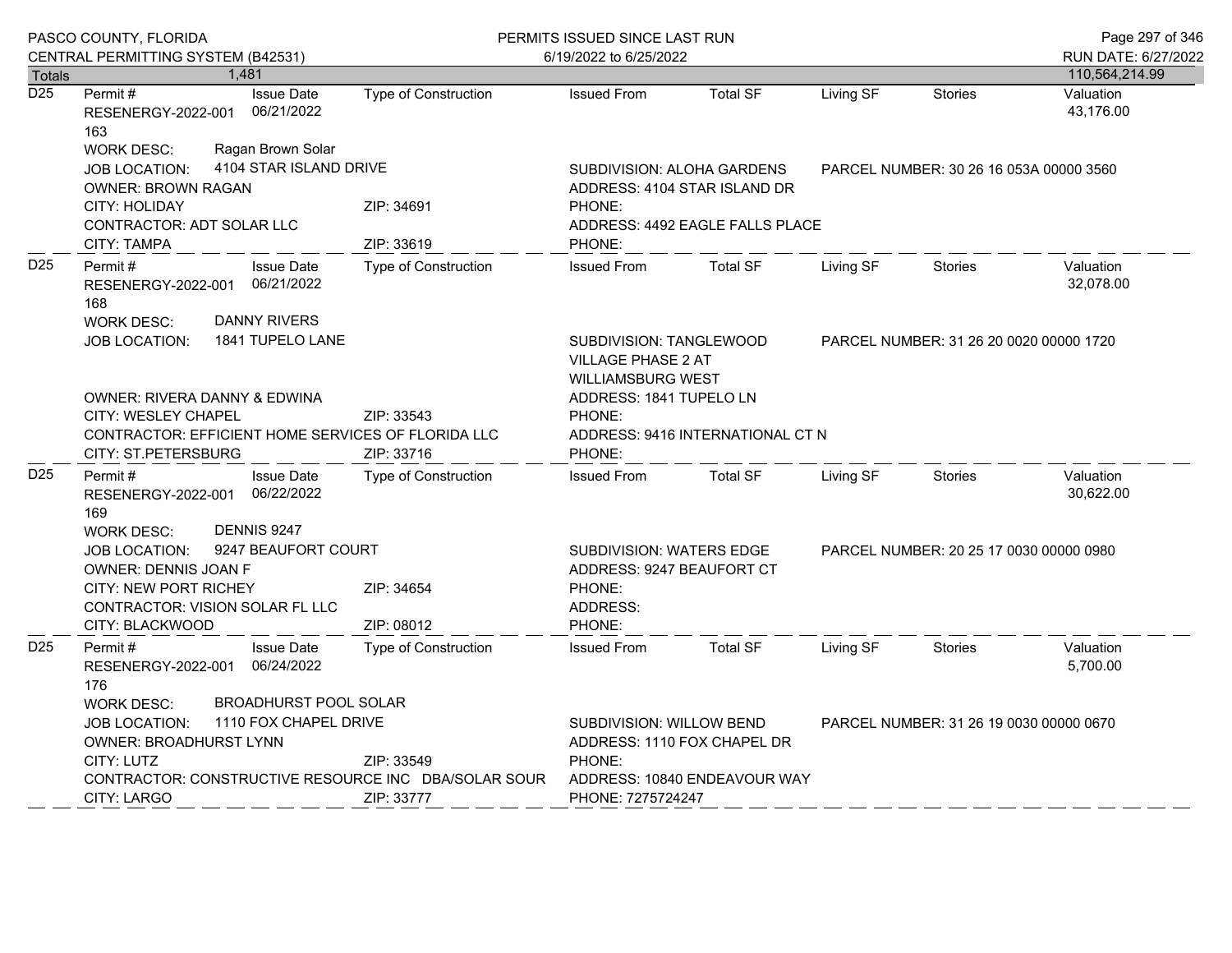|                                                                                                                                                                                                            | PASCO COUNTY, FLORIDA<br>CENTRAL PERMITTING SYSTEM (B42531)                                                                                                |                                    | PERMITS ISSUED SINCE LAST RUN<br>6/19/2022 to 6/25/2022                                                                |                                                              |                                         |                                         | Page 297 of 346<br>RUN DATE: 6/27/2022 |
|------------------------------------------------------------------------------------------------------------------------------------------------------------------------------------------------------------|------------------------------------------------------------------------------------------------------------------------------------------------------------|------------------------------------|------------------------------------------------------------------------------------------------------------------------|--------------------------------------------------------------|-----------------------------------------|-----------------------------------------|----------------------------------------|
| <b>Totals</b>                                                                                                                                                                                              | 1,481                                                                                                                                                      |                                    |                                                                                                                        |                                                              |                                         |                                         | 110,564,214.99                         |
| $\overline{D25}$                                                                                                                                                                                           | Permit#<br><b>Issue Date</b><br>06/21/2022<br>RESENERGY-2022-001<br>163                                                                                    | <b>Type of Construction</b>        | <b>Issued From</b>                                                                                                     | <b>Total SF</b>                                              | Living SF                               | <b>Stories</b>                          | Valuation<br>43,176.00                 |
|                                                                                                                                                                                                            | Ragan Brown Solar<br><b>WORK DESC:</b><br>4104 STAR ISLAND DRIVE<br><b>JOB LOCATION:</b><br><b>OWNER: BROWN RAGAN</b>                                      |                                    | SUBDIVISION: ALOHA GARDENS<br>PARCEL NUMBER: 30 26 16 053A 00000 3560<br>ADDRESS: 4104 STAR ISLAND DR                  |                                                              |                                         |                                         |                                        |
|                                                                                                                                                                                                            | <b>CITY: HOLIDAY</b><br>CONTRACTOR: ADT SOLAR LLC<br>CITY: TAMPA                                                                                           | ZIP: 34691<br>ZIP: 33619           | PHONE:<br>ADDRESS: 4492 EAGLE FALLS PLACE<br>PHONE:                                                                    |                                                              |                                         |                                         |                                        |
| D <sub>25</sub>                                                                                                                                                                                            | Permit#<br><b>Issue Date</b><br>06/21/2022<br>RESENERGY-2022-001<br>168<br><b>DANNY RIVERS</b><br><b>WORK DESC:</b>                                        | <b>Type of Construction</b>        | <b>Issued From</b>                                                                                                     | <b>Total SF</b>                                              | Living SF<br><b>Stories</b>             |                                         | Valuation<br>32,078.00                 |
|                                                                                                                                                                                                            | 1841 TUPELO LANE<br><b>JOB LOCATION:</b>                                                                                                                   |                                    | SUBDIVISION: TANGLEWOOD<br><b>VILLAGE PHASE 2 AT</b><br><b>WILLIAMSBURG WEST</b>                                       |                                                              |                                         | PARCEL NUMBER: 31 26 20 0020 00000 1720 |                                        |
|                                                                                                                                                                                                            | OWNER: RIVERA DANNY & EDWINA<br>CITY: WESLEY CHAPEL<br>CONTRACTOR: EFFICIENT HOME SERVICES OF FLORIDA LLC<br>CITY: ST.PETERSBURG                           | ZIP: 33543<br>ZIP: 33716           | ADDRESS: 1841 TUPELO LN<br>PHONE:<br>ADDRESS: 9416 INTERNATIONAL CT N<br>PHONE:                                        |                                                              |                                         |                                         |                                        |
| D <sub>25</sub>                                                                                                                                                                                            | Permit#<br><b>Issue Date</b><br>06/22/2022<br>RESENERGY-2022-001<br>169                                                                                    | <b>Type of Construction</b>        | <b>Issued From</b>                                                                                                     | <b>Total SF</b>                                              | Living SF                               | <b>Stories</b>                          | Valuation<br>30,622.00                 |
|                                                                                                                                                                                                            | DENNIS 9247<br><b>WORK DESC:</b><br><b>JOB LOCATION:</b><br>OWNER: DENNIS JOAN F<br><b>CITY: NEW PORT RICHEY</b><br><b>CONTRACTOR: VISION SOLAR FL LLC</b> | 9247 BEAUFORT COURT<br>ZIP: 34654  |                                                                                                                        | <b>SUBDIVISION: WATERS EDGE</b><br>ADDRESS: 9247 BEAUFORT CT |                                         | PARCEL NUMBER: 20 25 17 0030 00000 0980 |                                        |
| D <sub>25</sub>                                                                                                                                                                                            | CITY: BLACKWOOD<br>Permit#<br><b>Issue Date</b><br>06/24/2022<br>RESENERGY-2022-001<br>176                                                                 | ZIP: 08012<br>Type of Construction | PHONE:<br><b>Issued From</b>                                                                                           | <b>Total SF</b>                                              | Living SF                               | <b>Stories</b>                          | Valuation<br>5,700.00                  |
| <b>BROADHURST POOL SOLAR</b><br><b>WORK DESC:</b><br>1110 FOX CHAPEL DRIVE<br>JOB LOCATION:<br>OWNER: BROADHURST LYNN<br>CITY: LUTZ<br>CONTRACTOR: CONSTRUCTIVE RESOURCE INC DBA/SOLAR SOUR<br>CITY: LARGO |                                                                                                                                                            | ZIP: 33549<br>ZIP: 33777           | SUBDIVISION: WILLOW BEND<br>ADDRESS: 1110 FOX CHAPEL DR<br>PHONE:<br>ADDRESS: 10840 ENDEAVOUR WAY<br>PHONE: 7275724247 |                                                              | PARCEL NUMBER: 31 26 19 0030 00000 0670 |                                         |                                        |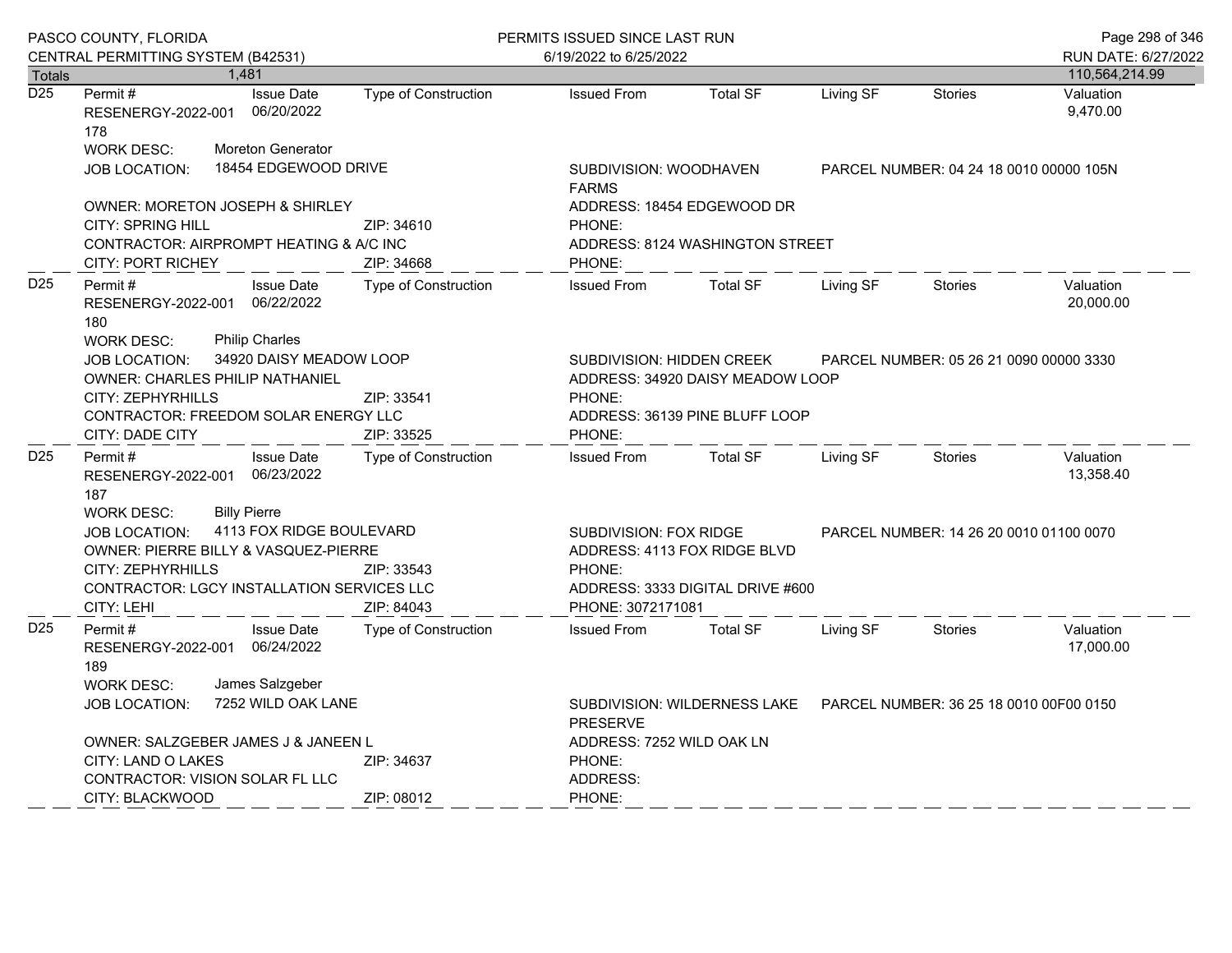|                  | PASCO COUNTY, FLORIDA                                                                                                                                                                                                                               |                                                    |                             | PERMITS ISSUED SINCE LAST RUN                                                                                                                     |                                                                         |           | Page 298 of 346                         |                        |  |
|------------------|-----------------------------------------------------------------------------------------------------------------------------------------------------------------------------------------------------------------------------------------------------|----------------------------------------------------|-----------------------------|---------------------------------------------------------------------------------------------------------------------------------------------------|-------------------------------------------------------------------------|-----------|-----------------------------------------|------------------------|--|
|                  | CENTRAL PERMITTING SYSTEM (B42531)                                                                                                                                                                                                                  |                                                    |                             | 6/19/2022 to 6/25/2022                                                                                                                            |                                                                         |           |                                         | RUN DATE: 6/27/2022    |  |
| <b>Totals</b>    |                                                                                                                                                                                                                                                     | 1,481                                              |                             |                                                                                                                                                   |                                                                         |           |                                         | 110,564,214.99         |  |
| $\overline{D25}$ | Permit#<br>RESENERGY-2022-001<br>178                                                                                                                                                                                                                | <b>Issue Date</b><br>06/20/2022                    | Type of Construction        | <b>Issued From</b>                                                                                                                                | <b>Total SF</b>                                                         | Living SF | <b>Stories</b>                          | Valuation<br>9,470.00  |  |
|                  | <b>WORK DESC:</b>                                                                                                                                                                                                                                   | Moreton Generator                                  |                             |                                                                                                                                                   |                                                                         |           |                                         |                        |  |
|                  | <b>JOB LOCATION:</b>                                                                                                                                                                                                                                | 18454 EDGEWOOD DRIVE                               |                             | <b>FARMS</b>                                                                                                                                      | SUBDIVISION: WOODHAVEN<br>PARCEL NUMBER: 04 24 18 0010 00000 105N       |           |                                         |                        |  |
|                  |                                                                                                                                                                                                                                                     | OWNER: MORETON JOSEPH & SHIRLEY                    |                             |                                                                                                                                                   | ADDRESS: 18454 EDGEWOOD DR                                              |           |                                         |                        |  |
|                  | <b>CITY: SPRING HILL</b><br>ZIP: 34610                                                                                                                                                                                                              |                                                    | PHONE:                      |                                                                                                                                                   |                                                                         |           |                                         |                        |  |
|                  | CONTRACTOR: AIRPROMPT HEATING & A/C INC                                                                                                                                                                                                             |                                                    |                             | ADDRESS: 8124 WASHINGTON STREET                                                                                                                   |                                                                         |           |                                         |                        |  |
|                  | <b>CITY: PORT RICHEY</b>                                                                                                                                                                                                                            |                                                    | ZIP: 34668                  | PHONE:                                                                                                                                            |                                                                         |           |                                         |                        |  |
| D <sub>25</sub>  | Permit#<br>RESENERGY-2022-001<br>180                                                                                                                                                                                                                | <b>Issue Date</b><br>06/22/2022                    | <b>Type of Construction</b> | <b>Issued From</b>                                                                                                                                | <b>Total SF</b>                                                         | Living SF | <b>Stories</b>                          | Valuation<br>20.000.00 |  |
|                  | <b>Philip Charles</b><br><b>WORK DESC:</b><br>34920 DAISY MEADOW LOOP<br><b>JOB LOCATION:</b><br><b>OWNER: CHARLES PHILIP NATHANIEL</b><br>CITY: ZEPHYRHILLS<br>ZIP: 33541<br>CONTRACTOR: FREEDOM SOLAR ENERGY LLC<br>CITY: DADE CITY<br>ZIP: 33525 |                                                    | PHONE:<br>PHONE:            | <b>SUBDIVISION: HIDDEN CREEK</b><br>PARCEL NUMBER: 05 26 21 0090 00000 3330<br>ADDRESS: 34920 DAISY MEADOW LOOP<br>ADDRESS: 36139 PINE BLUFF LOOP |                                                                         |           |                                         |                        |  |
| D <sub>25</sub>  | Permit#<br>187                                                                                                                                                                                                                                      | <b>Issue Date</b><br>RESENERGY-2022-001 06/23/2022 | Type of Construction        | <b>Issued From</b>                                                                                                                                | <b>Total SF</b>                                                         | Living SF | <b>Stories</b>                          | Valuation<br>13,358.40 |  |
|                  | <b>Billy Pierre</b><br><b>WORK DESC:</b><br>4113 FOX RIDGE BOULEVARD<br><b>JOB LOCATION:</b><br>OWNER: PIERRE BILLY & VASQUEZ-PIERRE<br><b>CITY: ZEPHYRHILLS</b><br>CONTRACTOR: LGCY INSTALLATION SERVICES LLC<br>CITY: LEHI                        |                                                    | ZIP: 33543<br>ZIP: 84043    | <b>SUBDIVISION: FOX RIDGE</b><br>PHONE:<br>PHONE: 3072171081                                                                                      | ADDRESS: 4113 FOX RIDGE BLVD<br>ADDRESS: 3333 DIGITAL DRIVE #600        |           | PARCEL NUMBER: 14 26 20 0010 01100 0070 |                        |  |
| D <sub>25</sub>  | Permit #<br>189                                                                                                                                                                                                                                     | <b>Issue Date</b><br>RESENERGY-2022-001 06/24/2022 | Type of Construction        | <b>Issued From</b>                                                                                                                                | <b>Total SF</b>                                                         | Living SF | Stories                                 | Valuation<br>17,000.00 |  |
|                  | <b>WORK DESC:</b><br><b>JOB LOCATION:</b>                                                                                                                                                                                                           | James Salzgeber<br>7252 WILD OAK LANE              |                             | <b>PRESERVE</b>                                                                                                                                   | SUBDIVISION: WILDERNESS LAKE<br>PARCEL NUMBER: 36 25 18 0010 00F00 0150 |           |                                         |                        |  |
|                  |                                                                                                                                                                                                                                                     | OWNER: SALZGEBER JAMES J & JANEEN L                |                             | ADDRESS: 7252 WILD OAK LN                                                                                                                         |                                                                         |           |                                         |                        |  |
|                  | CITY: LAND O LAKES                                                                                                                                                                                                                                  |                                                    | ZIP: 34637                  | PHONE:                                                                                                                                            |                                                                         |           |                                         |                        |  |
|                  |                                                                                                                                                                                                                                                     | CONTRACTOR: VISION SOLAR FL LLC                    |                             | ADDRESS:                                                                                                                                          |                                                                         |           |                                         |                        |  |
|                  | CITY: BLACKWOOD                                                                                                                                                                                                                                     |                                                    | ZIP: 08012                  | PHONE:                                                                                                                                            |                                                                         |           |                                         |                        |  |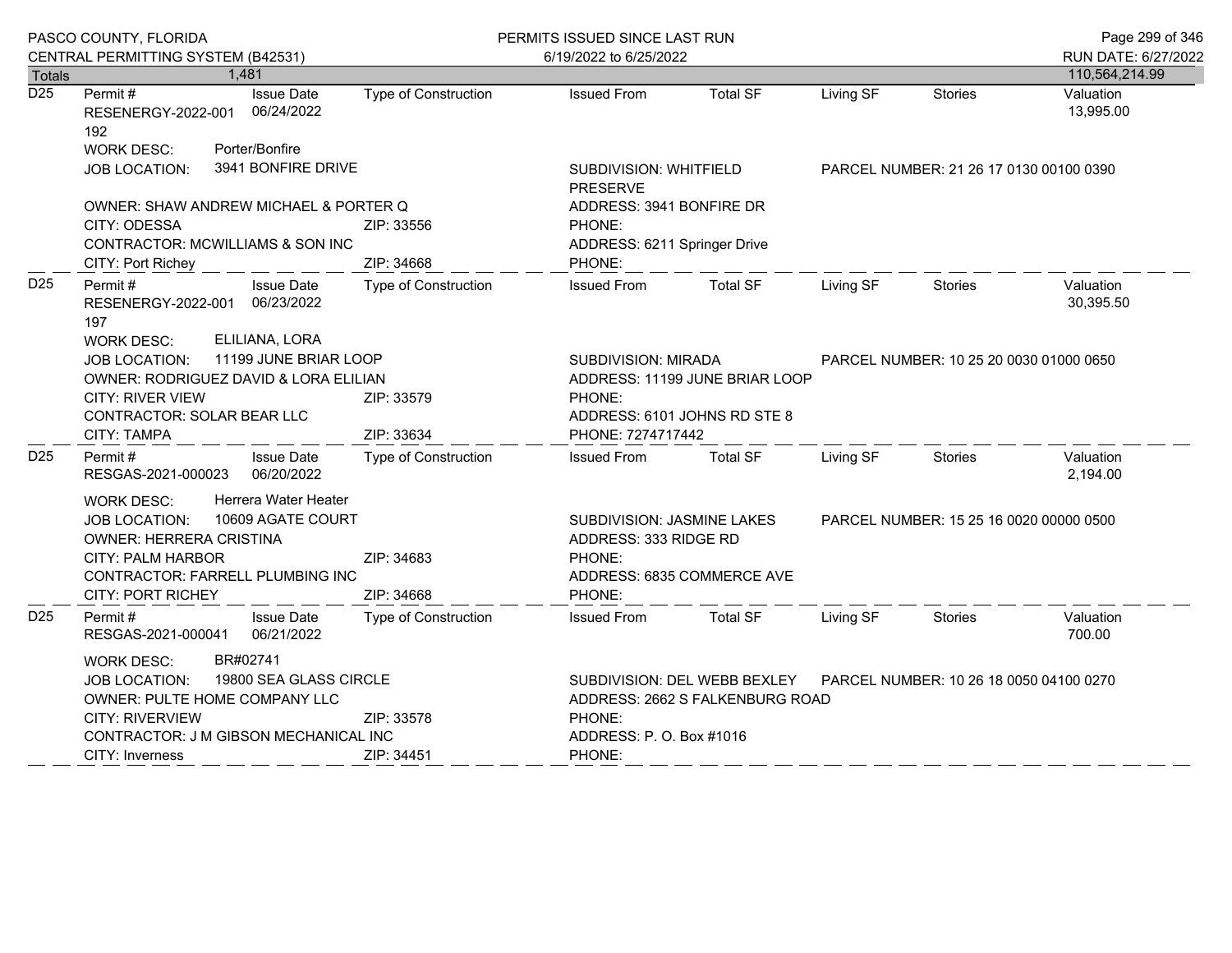|                  | PASCO COUNTY, FLORIDA                                                                                                                                                                                                       |                             | PERMITS ISSUED SINCE LAST RUN                                                                   |                            |                                         |                                         | Page 299 of 346        |
|------------------|-----------------------------------------------------------------------------------------------------------------------------------------------------------------------------------------------------------------------------|-----------------------------|-------------------------------------------------------------------------------------------------|----------------------------|-----------------------------------------|-----------------------------------------|------------------------|
|                  | CENTRAL PERMITTING SYSTEM (B42531)                                                                                                                                                                                          |                             | 6/19/2022 to 6/25/2022                                                                          |                            |                                         |                                         | RUN DATE: 6/27/2022    |
| <b>Totals</b>    | 1,481                                                                                                                                                                                                                       |                             |                                                                                                 |                            |                                         |                                         | 110,564,214.99         |
| $\overline{D25}$ | Permit#<br><b>Issue Date</b><br>RESENERGY-2022-001 06/24/2022<br>192<br>Porter/Bonfire<br><b>WORK DESC:</b>                                                                                                                 | <b>Type of Construction</b> | <b>Issued From</b>                                                                              | <b>Total SF</b>            | Living SF                               | <b>Stories</b>                          | Valuation<br>13,995.00 |
|                  | 3941 BONFIRE DRIVE<br><b>JOB LOCATION:</b>                                                                                                                                                                                  |                             | SUBDIVISION: WHITFIELD<br><b>PRESERVE</b>                                                       |                            |                                         | PARCEL NUMBER: 21 26 17 0130 00100 0390 |                        |
|                  | OWNER: SHAW ANDREW MICHAEL & PORTER Q<br>CITY: ODESSA<br>CONTRACTOR: MCWILLIAMS & SON INC                                                                                                                                   | ZIP: 33556                  | ADDRESS: 3941 BONFIRE DR<br>PHONE:<br>ADDRESS: 6211 Springer Drive                              |                            |                                         |                                         |                        |
|                  | CITY: Port Richey                                                                                                                                                                                                           | ZIP: 34668                  | PHONE:                                                                                          |                            |                                         |                                         |                        |
| D <sub>25</sub>  | Permit #<br><b>Issue Date</b><br>RESENERGY-2022-001 06/23/2022<br>197<br>ELILIANA, LORA<br><b>WORK DESC:</b>                                                                                                                | Type of Construction        | <b>Issued From</b>                                                                              | <b>Total SF</b>            | Living SF                               | Stories                                 | Valuation<br>30,395.50 |
|                  | 11199 JUNE BRIAR LOOP<br>JOB LOCATION:<br>OWNER: RODRIGUEZ DAVID & LORA ELILIAN<br><b>CITY: RIVER VIEW</b><br>CONTRACTOR: SOLAR BEAR LLC                                                                                    | ZIP: 33579                  | SUBDIVISION: MIRADA<br>ADDRESS: 11199 JUNE BRIAR LOOP<br>PHONE:<br>ADDRESS: 6101 JOHNS RD STE 8 |                            | PARCEL NUMBER: 10 25 20 0030 01000 0650 |                                         |                        |
|                  | CITY: TAMPA                                                                                                                                                                                                                 | ZIP: 33634                  | PHONE: 7274717442                                                                               |                            |                                         |                                         |                        |
| D <sub>25</sub>  | Permit #<br><b>Issue Date</b><br>RESGAS-2021-000023 06/20/2022                                                                                                                                                              | <b>Type of Construction</b> | <b>Issued From</b>                                                                              | <b>Total SF</b>            | Living SF                               | Stories                                 | Valuation<br>2,194.00  |
|                  | Herrera Water Heater<br><b>WORK DESC:</b><br>10609 AGATE COURT<br><b>JOB LOCATION:</b><br>OWNER: HERRERA CRISTINA<br>CITY: PALM HARBOR<br>CONTRACTOR: FARRELL PLUMBING INC<br>CITY: PORT RICHEY                             | ZIP: 34683<br>ZIP: 34668    | SUBDIVISION: JASMINE LAKES<br>ADDRESS: 333 RIDGE RD<br>PHONE:<br>PHONE:                         | ADDRESS: 6835 COMMERCE AVE |                                         | PARCEL NUMBER: 15 25 16 0020 00000 0500 |                        |
| D <sub>25</sub>  | Permit #<br><b>Issue Date</b><br>RESGAS-2021-000041<br>06/21/2022                                                                                                                                                           | Type of Construction        | <b>Issued From</b>                                                                              | <b>Total SF</b>            | Living SF                               | Stories                                 | Valuation<br>700.00    |
|                  | BR#02741<br><b>WORK DESC:</b><br>19800 SEA GLASS CIRCLE<br><b>JOB LOCATION:</b><br>OWNER: PULTE HOME COMPANY LLC<br>CITY: RIVERVIEW<br>ZIP: 33578<br>CONTRACTOR: J M GIBSON MECHANICAL INC<br>CITY: Inverness<br>ZIP: 34451 |                             | ADDRESS: 2662 S FALKENBURG ROAD<br>PHONE:<br>ADDRESS: P. O. Box #1016<br>PHONE:                 |                            |                                         |                                         |                        |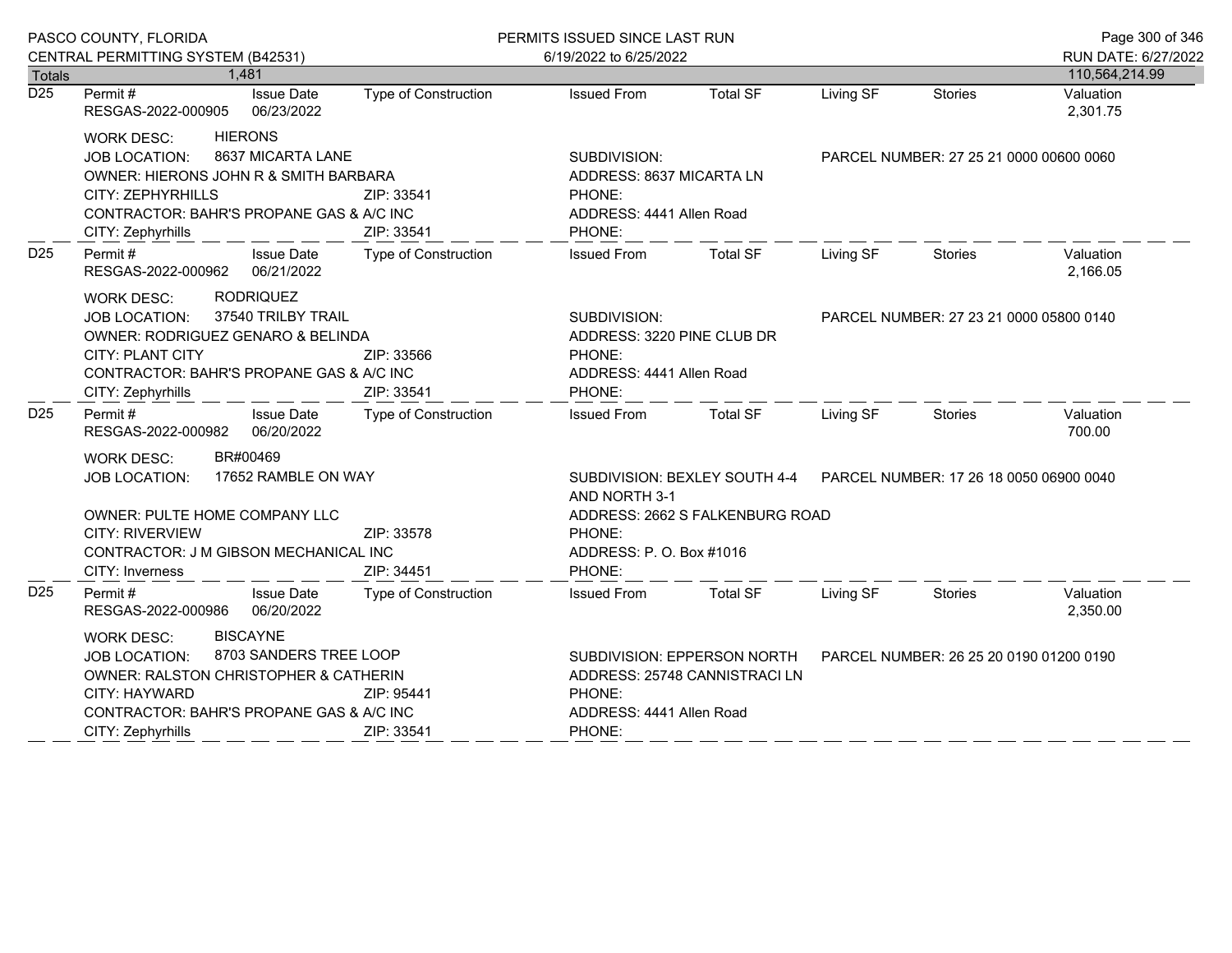|                  | PASCO COUNTY, FLORIDA                                                                                                                                                                                                |                             | PERMITS ISSUED SINCE LAST RUN                                                              |                             |                                                                       |                                         | Page 300 of 346       |
|------------------|----------------------------------------------------------------------------------------------------------------------------------------------------------------------------------------------------------------------|-----------------------------|--------------------------------------------------------------------------------------------|-----------------------------|-----------------------------------------------------------------------|-----------------------------------------|-----------------------|
|                  | CENTRAL PERMITTING SYSTEM (B42531)                                                                                                                                                                                   |                             | 6/19/2022 to 6/25/2022                                                                     |                             |                                                                       |                                         | RUN DATE: 6/27/2022   |
| <b>Totals</b>    | 1,481                                                                                                                                                                                                                |                             |                                                                                            |                             |                                                                       |                                         | 110,564,214.99        |
| $\overline{D25}$ | <b>Issue Date</b><br>Permit #<br>RESGAS-2022-000905<br>06/23/2022                                                                                                                                                    | <b>Type of Construction</b> | <b>Issued From</b>                                                                         | <b>Total SF</b>             | Living SF                                                             | <b>Stories</b>                          | Valuation<br>2,301.75 |
|                  | <b>HIERONS</b><br><b>WORK DESC:</b>                                                                                                                                                                                  |                             |                                                                                            |                             |                                                                       |                                         |                       |
|                  | 8637 MICARTA LANE<br><b>JOB LOCATION:</b>                                                                                                                                                                            |                             | SUBDIVISION:                                                                               |                             | PARCEL NUMBER: 27 25 21 0000 00600 0060                               |                                         |                       |
|                  | OWNER: HIERONS JOHN R & SMITH BARBARA                                                                                                                                                                                |                             | ADDRESS: 8637 MICARTA LN                                                                   |                             |                                                                       |                                         |                       |
|                  | CITY: ZEPHYRHILLS                                                                                                                                                                                                    | ZIP: 33541                  | PHONE:                                                                                     |                             |                                                                       |                                         |                       |
|                  | CONTRACTOR: BAHR'S PROPANE GAS & A/C INC                                                                                                                                                                             |                             | ADDRESS: 4441 Allen Road                                                                   |                             |                                                                       |                                         |                       |
|                  | CITY: Zephyrhills                                                                                                                                                                                                    | ZIP: 33541                  | PHONE:                                                                                     |                             |                                                                       |                                         |                       |
| D <sub>25</sub>  | Permit#<br><b>Issue Date</b><br>RESGAS-2022-000962 06/21/2022                                                                                                                                                        | <b>Type of Construction</b> | <b>Issued From</b>                                                                         | <b>Total SF</b>             | Living SF                                                             | Stories                                 | Valuation<br>2,166.05 |
|                  | <b>RODRIQUEZ</b><br><b>WORK DESC:</b><br>37540 TRILBY TRAIL<br><b>JOB LOCATION:</b><br>OWNER: RODRIGUEZ GENARO & BELINDA<br><b>CITY: PLANT CITY</b><br>CONTRACTOR: BAHR'S PROPANE GAS & A/C INC<br>CITY: Zephyrhills | ZIP: 33566<br>ZIP: 33541    | SUBDIVISION:<br>ADDRESS: 3220 PINE CLUB DR<br>PHONE:<br>ADDRESS: 4441 Allen Road<br>PHONE: |                             | PARCEL NUMBER: 27 23 21 0000 05800 0140                               |                                         |                       |
| D <sub>25</sub>  | Permit#<br><b>Issue Date</b>                                                                                                                                                                                         | Type of Construction        | <b>Issued From</b>                                                                         | Total SF                    | Living SF                                                             | Stories                                 | Valuation             |
|                  | RESGAS-2022-000982 06/20/2022                                                                                                                                                                                        |                             |                                                                                            |                             |                                                                       |                                         | 700.00                |
|                  | BR#00469<br><b>WORK DESC:</b>                                                                                                                                                                                        |                             |                                                                                            |                             |                                                                       |                                         |                       |
|                  | 17652 RAMBLE ON WAY<br>JOB LOCATION:                                                                                                                                                                                 |                             | AND NORTH 3-1                                                                              |                             | SUBDIVISION: BEXLEY SOUTH 4-4 PARCEL NUMBER: 17 26 18 0050 06900 0040 |                                         |                       |
|                  | OWNER: PULTE HOME COMPANY LLC                                                                                                                                                                                        |                             | ADDRESS: 2662 S FALKENBURG ROAD                                                            |                             |                                                                       |                                         |                       |
|                  | <b>CITY: RIVERVIEW</b>                                                                                                                                                                                               | ZIP: 33578                  | PHONE:                                                                                     |                             |                                                                       |                                         |                       |
|                  | CONTRACTOR: J M GIBSON MECHANICAL INC                                                                                                                                                                                |                             | ADDRESS: P. O. Box #1016                                                                   |                             |                                                                       |                                         |                       |
|                  | CITY: Inverness                                                                                                                                                                                                      | ZIP: 34451                  | PHONE:                                                                                     |                             |                                                                       |                                         |                       |
| D <sub>25</sub>  | Permit #<br><b>Issue Date</b><br>06/20/2022<br>RESGAS-2022-000986                                                                                                                                                    | Type of Construction        | <b>Issued From</b>                                                                         | Total SF                    | Living SF                                                             | Stories                                 | Valuation<br>2,350.00 |
|                  | <b>BISCAYNE</b><br><b>WORK DESC:</b>                                                                                                                                                                                 |                             |                                                                                            |                             |                                                                       |                                         |                       |
|                  | 8703 SANDERS TREE LOOP<br><b>JOB LOCATION:</b>                                                                                                                                                                       |                             |                                                                                            | SUBDIVISION: EPPERSON NORTH |                                                                       | PARCEL NUMBER: 26 25 20 0190 01200 0190 |                       |
|                  | <b>OWNER: RALSTON CHRISTOPHER &amp; CATHERIN</b>                                                                                                                                                                     |                             | ADDRESS: 25748 CANNISTRACI LN                                                              |                             |                                                                       |                                         |                       |
|                  | <b>CITY: HAYWARD</b>                                                                                                                                                                                                 | ZIP: 95441                  | PHONE:                                                                                     |                             |                                                                       |                                         |                       |
|                  | CONTRACTOR: BAHR'S PROPANE GAS & A/C INC                                                                                                                                                                             |                             | ADDRESS: 4441 Allen Road                                                                   |                             |                                                                       |                                         |                       |
|                  | CITY: Zephyrhills                                                                                                                                                                                                    | ZIP: 33541                  | PHONE:                                                                                     |                             |                                                                       |                                         |                       |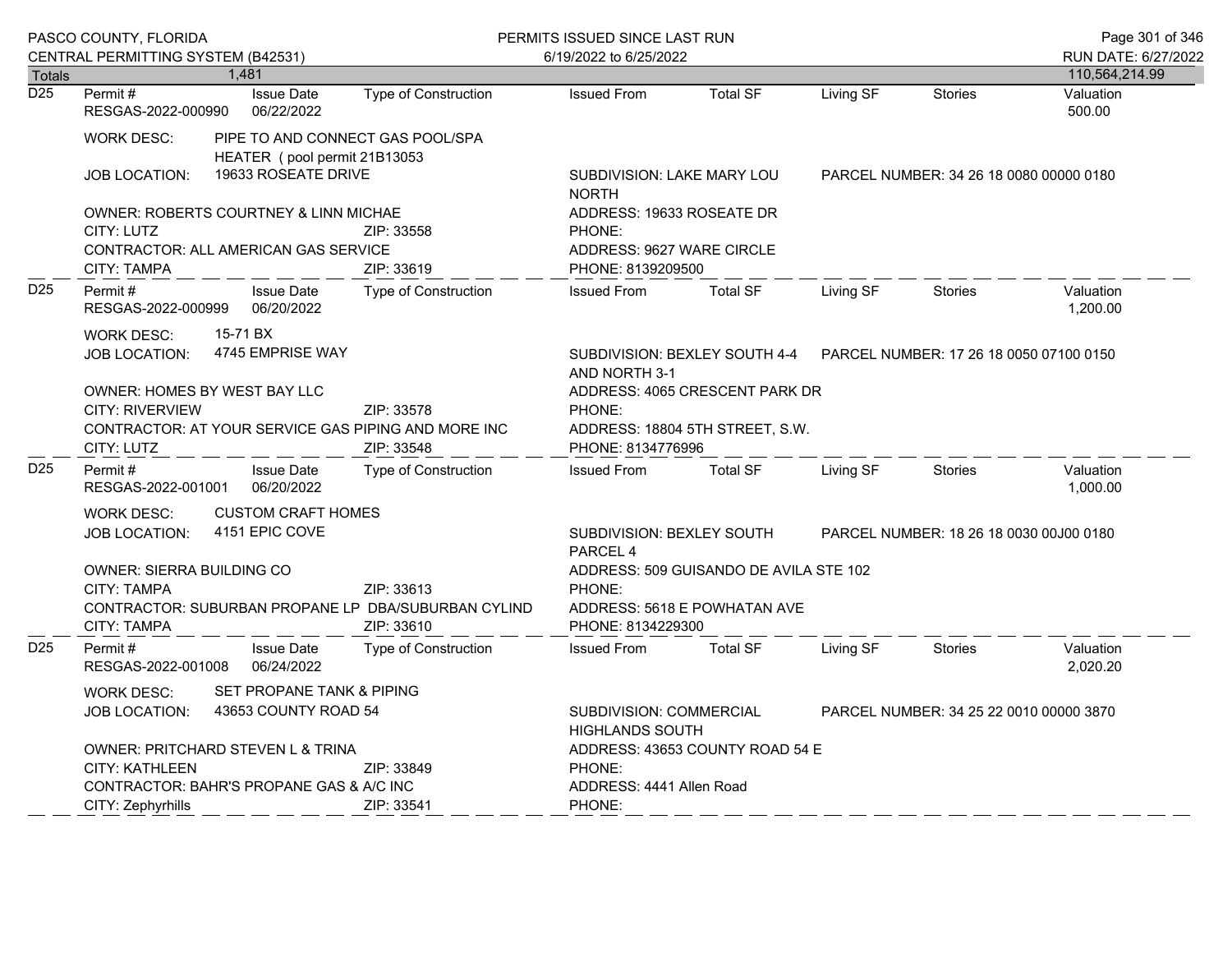|                                                                                                                   | PASCO COUNTY, FLORIDA<br>CENTRAL PERMITTING SYSTEM (B42531)                                                                                                    |                                                   |                                                                                                       | PERMITS ISSUED SINCE LAST RUN<br>6/19/2022 to 6/25/2022                               |                                                                                                     |                 |           |                | Page 301 of 346<br>RUN DATE: 6/27/2022 |
|-------------------------------------------------------------------------------------------------------------------|----------------------------------------------------------------------------------------------------------------------------------------------------------------|---------------------------------------------------|-------------------------------------------------------------------------------------------------------|---------------------------------------------------------------------------------------|-----------------------------------------------------------------------------------------------------|-----------------|-----------|----------------|----------------------------------------|
| <b>Totals</b>                                                                                                     |                                                                                                                                                                |                                                   | 1,481                                                                                                 |                                                                                       |                                                                                                     |                 |           |                | 110,564,214.99                         |
| $\overline{D25}$                                                                                                  | Permit#<br>RESGAS-2022-000990                                                                                                                                  |                                                   | <b>Issue Date</b><br>06/22/2022                                                                       | Type of Construction                                                                  | <b>Issued From</b>                                                                                  | <b>Total SF</b> | Living SF | <b>Stories</b> | Valuation<br>500.00                    |
|                                                                                                                   | <b>WORK DESC:</b>                                                                                                                                              |                                                   | HEATER (pool permit 21B13053                                                                          | PIPE TO AND CONNECT GAS POOL/SPA                                                      |                                                                                                     |                 |           |                |                                        |
|                                                                                                                   | <b>JOB LOCATION:</b>                                                                                                                                           |                                                   | 19633 ROSEATE DRIVE                                                                                   |                                                                                       | SUBDIVISION: LAKE MARY LOU<br>PARCEL NUMBER: 34 26 18 0080 00000 0180<br><b>NORTH</b>               |                 |           |                |                                        |
| OWNER: ROBERTS COURTNEY & LINN MICHAE<br>CITY: LUTZ<br>CONTRACTOR: ALL AMERICAN GAS SERVICE<br><b>CITY: TAMPA</b> |                                                                                                                                                                | ZIP: 33558<br>ZIP: 33619                          |                                                                                                       | ADDRESS: 19633 ROSEATE DR<br>PHONE:<br>ADDRESS: 9627 WARE CIRCLE<br>PHONE: 8139209500 |                                                                                                     |                 |           |                |                                        |
| D <sub>25</sub>                                                                                                   | Permit#<br>RESGAS-2022-000999                                                                                                                                  |                                                   | <b>Issue Date</b><br>06/20/2022                                                                       | <b>Type of Construction</b>                                                           | <b>Issued From</b>                                                                                  | <b>Total SF</b> | Living SF | Stories        | Valuation<br>1,200.00                  |
|                                                                                                                   | 15-71 BX<br><b>WORK DESC:</b><br>4745 EMPRISE WAY<br><b>JOB LOCATION:</b>                                                                                      |                                                   |                                                                                                       | SUBDIVISION: BEXLEY SOUTH 4-4<br>AND NORTH 3-1                                        | PARCEL NUMBER: 17 26 18 0050 07100 0150                                                             |                 |           |                |                                        |
|                                                                                                                   | <b>OWNER: HOMES BY WEST BAY LLC</b><br><b>CITY: RIVERVIEW</b><br>ZIP: 33578<br>CONTRACTOR: AT YOUR SERVICE GAS PIPING AND MORE INC<br>CITY: LUTZ<br>ZIP: 33548 |                                                   | PHONE:<br>PHONE: 8134776996                                                                           | ADDRESS: 4065 CRESCENT PARK DR<br>ADDRESS: 18804 5TH STREET, S.W.                     |                                                                                                     |                 |           |                |                                        |
| D <sub>25</sub>                                                                                                   | Permit#<br>RESGAS-2022-001001                                                                                                                                  |                                                   | <b>Issue Date</b><br>06/20/2022                                                                       | Type of Construction                                                                  | <b>Issued From</b>                                                                                  | <b>Total SF</b> | Living SF | <b>Stories</b> | Valuation<br>1,000.00                  |
|                                                                                                                   | <b>CUSTOM CRAFT HOMES</b><br>WORK DESC:<br>4151 EPIC COVE<br><b>JOB LOCATION:</b>                                                                              |                                                   |                                                                                                       | SUBDIVISION: BEXLEY SOUTH<br>PARCEL 4                                                 | PARCEL NUMBER: 18 26 18 0030 00J00 0180                                                             |                 |           |                |                                        |
|                                                                                                                   | OWNER: SIERRA BUILDING CO<br>ZIP: 33613<br><b>CITY: TAMPA</b><br>CONTRACTOR: SUBURBAN PROPANE LP DBA/SUBURBAN CYLIND<br>CITY: TAMPA<br>ZIP: 33610              |                                                   | ADDRESS: 509 GUISANDO DE AVILA STE 102<br>PHONE:<br>ADDRESS: 5618 E POWHATAN AVE<br>PHONE: 8134229300 |                                                                                       |                                                                                                     |                 |           |                |                                        |
| D <sub>25</sub>                                                                                                   | Permit#<br>RESGAS-2022-001008                                                                                                                                  |                                                   | <b>Issue Date</b><br>06/24/2022                                                                       | <b>Type of Construction</b>                                                           | <b>Issued From</b>                                                                                  | <b>Total SF</b> | Living SF | <b>Stories</b> | Valuation<br>2,020.20                  |
|                                                                                                                   | <b>WORK DESC:</b><br><b>JOB LOCATION:</b>                                                                                                                      | SET PROPANE TANK & PIPING<br>43653 COUNTY ROAD 54 |                                                                                                       |                                                                                       | <b>SUBDIVISION: COMMERCIAL</b><br>PARCEL NUMBER: 34 25 22 0010 00000 3870<br><b>HIGHLANDS SOUTH</b> |                 |           |                |                                        |
|                                                                                                                   | OWNER: PRITCHARD STEVEN L & TRINA<br>CITY: KATHLEEN<br>ZIP: 33849<br>CONTRACTOR: BAHR'S PROPANE GAS & A/C INC                                                  |                                                   |                                                                                                       | ADDRESS: 43653 COUNTY ROAD 54 E<br>PHONE:<br>ADDRESS: 4441 Allen Road                 |                                                                                                     |                 |           |                |                                        |
|                                                                                                                   | CITY: Zephyrhills                                                                                                                                              |                                                   |                                                                                                       | ZIP: 33541                                                                            | PHONE:                                                                                              |                 |           |                |                                        |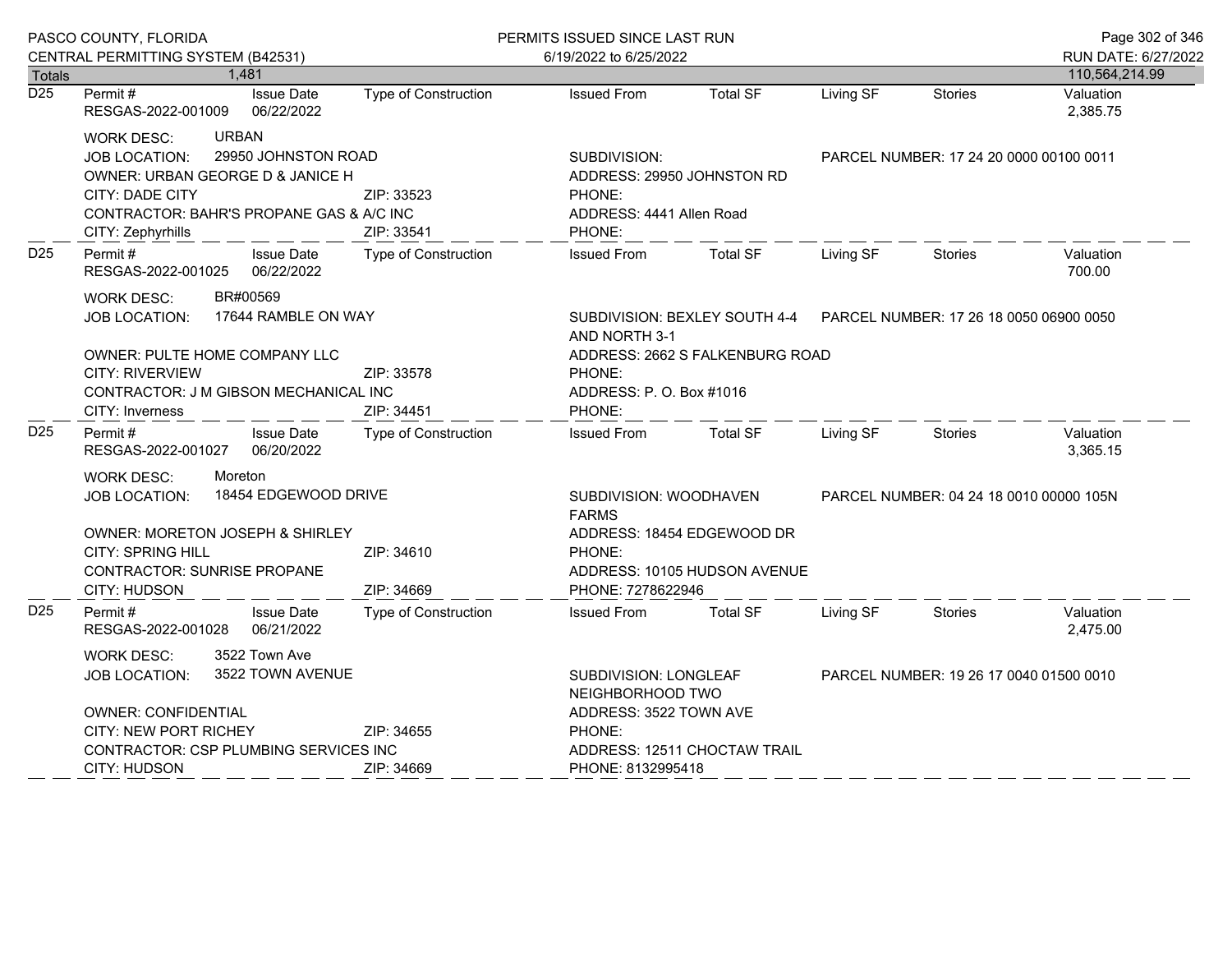|                  | PASCO COUNTY, FLORIDA                                            |                                 |                              | PERMITS ISSUED SINCE LAST RUN             |                                                                                         |                                         |                | Page 302 of 346       |  |
|------------------|------------------------------------------------------------------|---------------------------------|------------------------------|-------------------------------------------|-----------------------------------------------------------------------------------------|-----------------------------------------|----------------|-----------------------|--|
|                  | CENTRAL PERMITTING SYSTEM (B42531)                               |                                 |                              | 6/19/2022 to 6/25/2022                    |                                                                                         |                                         |                | RUN DATE: 6/27/2022   |  |
| Totals           |                                                                  | 1,481                           |                              |                                           |                                                                                         |                                         |                | 110,564,214.99        |  |
| $\overline{D25}$ | Permit#<br>RESGAS-2022-001009                                    | <b>Issue Date</b><br>06/22/2022 | Type of Construction         | <b>Issued From</b>                        | <b>Total SF</b>                                                                         | Living SF                               | <b>Stories</b> | Valuation<br>2,385.75 |  |
|                  | <b>URBAN</b><br><b>WORK DESC:</b>                                |                                 |                              |                                           |                                                                                         |                                         |                |                       |  |
|                  | <b>JOB LOCATION:</b>                                             | 29950 JOHNSTON ROAD             |                              | SUBDIVISION:                              |                                                                                         | PARCEL NUMBER: 17 24 20 0000 00100 0011 |                |                       |  |
|                  | OWNER: URBAN GEORGE D & JANICE H                                 |                                 |                              | ADDRESS: 29950 JOHNSTON RD                |                                                                                         |                                         |                |                       |  |
|                  | <b>CITY: DADE CITY</b>                                           |                                 | ZIP: 33523                   | PHONE:                                    |                                                                                         |                                         |                |                       |  |
|                  | CONTRACTOR: BAHR'S PROPANE GAS & A/C INC                         |                                 |                              | ADDRESS: 4441 Allen Road                  |                                                                                         |                                         |                |                       |  |
|                  | CITY: Zephyrhills                                                |                                 | ZIP: 33541                   | PHONE:                                    |                                                                                         |                                         |                |                       |  |
| D <sub>25</sub>  | Permit#<br><b>Issue Date</b><br>06/22/2022<br>RESGAS-2022-001025 |                                 | <b>Type of Construction</b>  | <b>Issued From</b>                        | <b>Total SF</b>                                                                         | Living SF                               | <b>Stories</b> | Valuation<br>700.00   |  |
|                  | BR#00569<br><b>WORK DESC:</b>                                    |                                 |                              |                                           |                                                                                         |                                         |                |                       |  |
|                  | 17644 RAMBLE ON WAY<br><b>JOB LOCATION:</b>                      |                                 |                              | AND NORTH 3-1                             | SUBDIVISION: BEXLEY SOUTH 4-4    PARCEL NUMBER: 17    26    18    0050    06900    0050 |                                         |                |                       |  |
|                  | OWNER: PULTE HOME COMPANY LLC                                    |                                 |                              |                                           | ADDRESS: 2662 S FALKENBURG ROAD                                                         |                                         |                |                       |  |
|                  | <b>CITY: RIVERVIEW</b>                                           |                                 | ZIP: 33578                   | PHONE:                                    |                                                                                         |                                         |                |                       |  |
|                  | CONTRACTOR: J M GIBSON MECHANICAL INC                            |                                 |                              | ADDRESS: P. O. Box #1016                  |                                                                                         |                                         |                |                       |  |
|                  | CITY: Inverness                                                  |                                 | ZIP: 34451                   | PHONE:                                    |                                                                                         |                                         |                |                       |  |
| D <sub>25</sub>  | Permit#<br>RESGAS-2022-001027                                    | <b>Issue Date</b><br>06/20/2022 | Type of Construction         | <b>Issued From</b>                        | <b>Total SF</b>                                                                         | Living SF                               | <b>Stories</b> | Valuation<br>3,365.15 |  |
|                  | Moreton<br><b>WORK DESC:</b>                                     |                                 |                              |                                           |                                                                                         |                                         |                |                       |  |
|                  | 18454 EDGEWOOD DRIVE<br><b>JOB LOCATION:</b>                     |                                 |                              | SUBDIVISION: WOODHAVEN<br><b>FARMS</b>    | PARCEL NUMBER: 04 24 18 0010 00000 105N                                                 |                                         |                |                       |  |
|                  | OWNER: MORETON JOSEPH & SHIRLEY                                  |                                 |                              | ADDRESS: 18454 EDGEWOOD DR                |                                                                                         |                                         |                |                       |  |
|                  | <b>CITY: SPRING HILL</b>                                         |                                 | ZIP: 34610                   | PHONE:                                    |                                                                                         |                                         |                |                       |  |
|                  | <b>CONTRACTOR: SUNRISE PROPANE</b>                               |                                 |                              |                                           | ADDRESS: 10105 HUDSON AVENUE                                                            |                                         |                |                       |  |
|                  | CITY: HUDSON                                                     |                                 | ZIP: 34669                   | PHONE: 7278622946                         |                                                                                         |                                         |                |                       |  |
| D <sub>25</sub>  | Permit #<br>RESGAS-2022-001028                                   | <b>Issue Date</b><br>06/21/2022 | <b>Type of Construction</b>  | <b>Issued From</b>                        | <b>Total SF</b>                                                                         | Living SF                               | Stories        | Valuation<br>2,475.00 |  |
|                  | <b>WORK DESC:</b>                                                | 3522 Town Ave                   |                              |                                           |                                                                                         |                                         |                |                       |  |
|                  | <b>JOB LOCATION:</b>                                             | 3522 TOWN AVENUE                |                              | SUBDIVISION: LONGLEAF<br>NEIGHBORHOOD TWO | PARCEL NUMBER: 19 26 17 0040 01500 0010                                                 |                                         |                |                       |  |
|                  | <b>OWNER: CONFIDENTIAL</b>                                       |                                 |                              | ADDRESS: 3522 TOWN AVE                    |                                                                                         |                                         |                |                       |  |
|                  | CITY: NEW PORT RICHEY                                            |                                 | ZIP: 34655                   | PHONE:                                    |                                                                                         |                                         |                |                       |  |
|                  | <b>CONTRACTOR: CSP PLUMBING SERVICES INC</b>                     |                                 | ADDRESS: 12511 CHOCTAW TRAIL |                                           |                                                                                         |                                         |                |                       |  |
|                  | CITY: HUDSON                                                     |                                 | ZIP: 34669                   | PHONE: 8132995418                         |                                                                                         |                                         |                |                       |  |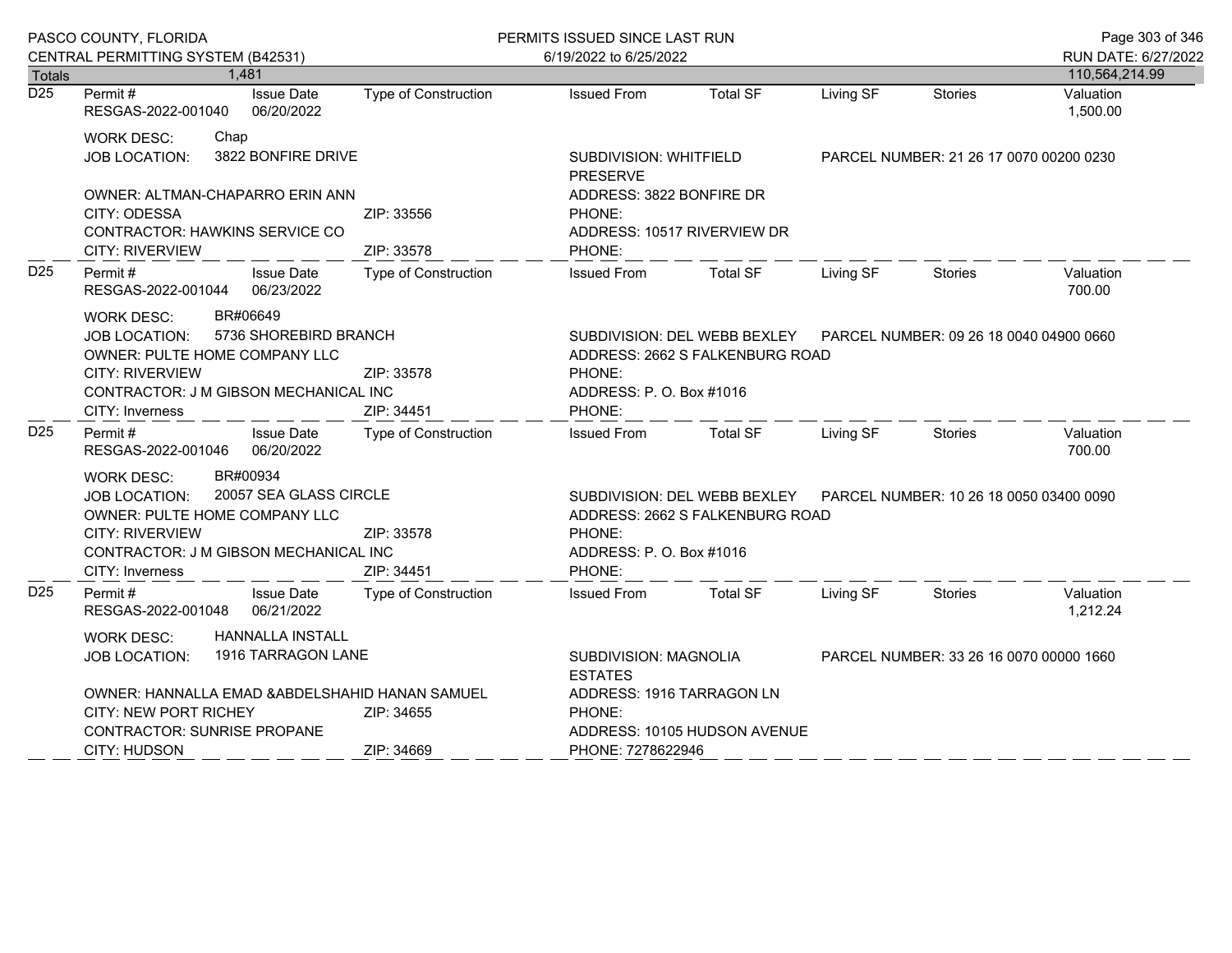|                            | PASCO COUNTY, FLORIDA                                                                                                                                                                          |                                                                                                                                                          | PERMITS ISSUED SINCE LAST RUN                                                                                                                              |                                                                                    |           |                                         | Page 303 of 346                         |
|----------------------------|------------------------------------------------------------------------------------------------------------------------------------------------------------------------------------------------|----------------------------------------------------------------------------------------------------------------------------------------------------------|------------------------------------------------------------------------------------------------------------------------------------------------------------|------------------------------------------------------------------------------------|-----------|-----------------------------------------|-----------------------------------------|
|                            | CENTRAL PERMITTING SYSTEM (B42531)                                                                                                                                                             |                                                                                                                                                          | 6/19/2022 to 6/25/2022                                                                                                                                     |                                                                                    |           | RUN DATE: 6/27/2022                     |                                         |
| Totals<br>$\overline{D25}$ | 1.481<br>Permit#<br><b>Issue Date</b><br>RESGAS-2022-001040 06/20/2022                                                                                                                         | Type of Construction                                                                                                                                     | <b>Issued From</b>                                                                                                                                         | <b>Total SF</b>                                                                    | Living SF | <b>Stories</b>                          | 110,564,214.99<br>Valuation<br>1,500.00 |
|                            | <b>WORK DESC:</b><br>Chap<br>3822 BONFIRE DRIVE<br><b>JOB LOCATION:</b><br>OWNER: ALTMAN-CHAPARRO ERIN ANN<br>CITY: ODESSA                                                                     | ZIP: 33556                                                                                                                                               | SUBDIVISION: WHITFIELD<br><b>PRESERVE</b><br>ADDRESS: 3822 BONFIRE DR<br>PHONE:                                                                            |                                                                                    |           | PARCEL NUMBER: 21 26 17 0070 00200 0230 |                                         |
|                            | CONTRACTOR: HAWKINS SERVICE CO<br>CITY: RIVERVIEW                                                                                                                                              | ZIP: 33578                                                                                                                                               | PHONE:                                                                                                                                                     | ADDRESS: 10517 RIVERVIEW DR                                                        |           |                                         |                                         |
| D <sub>25</sub>            | Permit#<br><b>Issue Date</b><br>RESGAS-2022-001044 06/23/2022                                                                                                                                  | Type of Construction                                                                                                                                     | <b>Issued From</b>                                                                                                                                         | Total SF                                                                           | Living SF | Stories                                 | Valuation<br>700.00                     |
|                            | BR#06649<br>WORK DESC:<br>5736 SHOREBIRD BRANCH<br><b>JOB LOCATION:</b><br>OWNER: PULTE HOME COMPANY LLC<br><b>CITY: RIVERVIEW</b><br>CONTRACTOR: J M GIBSON MECHANICAL INC<br>CITY: Inverness | SUBDIVISION: DEL WEBB BEXLEY  PARCEL NUMBER: 09 26 18 0040 04900 0660<br>ADDRESS: 2662 S FALKENBURG ROAD<br>PHONE:<br>ADDRESS: P. O. Box #1016<br>PHONE: |                                                                                                                                                            |                                                                                    |           |                                         |                                         |
| D <sub>25</sub>            | Permit#<br><b>Issue Date</b><br>RESGAS-2022-001046 06/20/2022                                                                                                                                  | <b>Type of Construction</b>                                                                                                                              |                                                                                                                                                            | Issued From Total SF                                                               | Living SF | Stories                                 | Valuation<br>700.00                     |
|                            | BR#00934<br><b>WORK DESC:</b><br>JOB LOCATION: 20057 SEA GLASS CIRCLE<br>OWNER: PULTE HOME COMPANY LLC<br><b>CITY: RIVERVIEW</b><br>CONTRACTOR: J M GIBSON MECHANICAL INC<br>CITY: Inverness   | ZIP: 33578<br>ZIP: 34451                                                                                                                                 | SUBDIVISION: DEL WEBB BEXLEY    PARCEL NUMBER: 10 26 18 0050 03400 0090<br>ADDRESS: 2662 S FALKENBURG ROAD<br>PHONE:<br>ADDRESS: P. O. Box #1016<br>PHONE: |                                                                                    |           |                                         |                                         |
| D <sub>25</sub>            | <b>Issue Date</b><br>Permit #<br>RESGAS-2022-001048 06/21/2022                                                                                                                                 | <b>Type of Construction</b>                                                                                                                              | <b>Issued From</b>                                                                                                                                         | <b>Total SF</b>                                                                    | Living SF | Stories                                 | Valuation<br>1,212.24                   |
|                            | <b>HANNALLA INSTALL</b><br>WORK DESC:<br>1916 TARRAGON LANE<br><b>JOB LOCATION:</b><br>OWNER: HANNALLA EMAD & ABDELSHAHID HANAN SAMUEL<br><b>CITY: NEW PORT RICHEY</b><br>ZIP: 34655           |                                                                                                                                                          | <b>ESTATES</b><br>PHONE:                                                                                                                                   | SUBDIVISION: MAGNOLIA<br>ADDRESS: 1916 TARRAGON LN<br>ADDRESS: 10105 HUDSON AVENUE |           |                                         | PARCEL NUMBER: 33 26 16 0070 00000 1660 |
|                            | <b>CONTRACTOR: SUNRISE PROPANE</b><br><b>CITY: HUDSON</b>                                                                                                                                      | ZIP: 34669                                                                                                                                               | PHONE: 7278622946                                                                                                                                          |                                                                                    |           |                                         |                                         |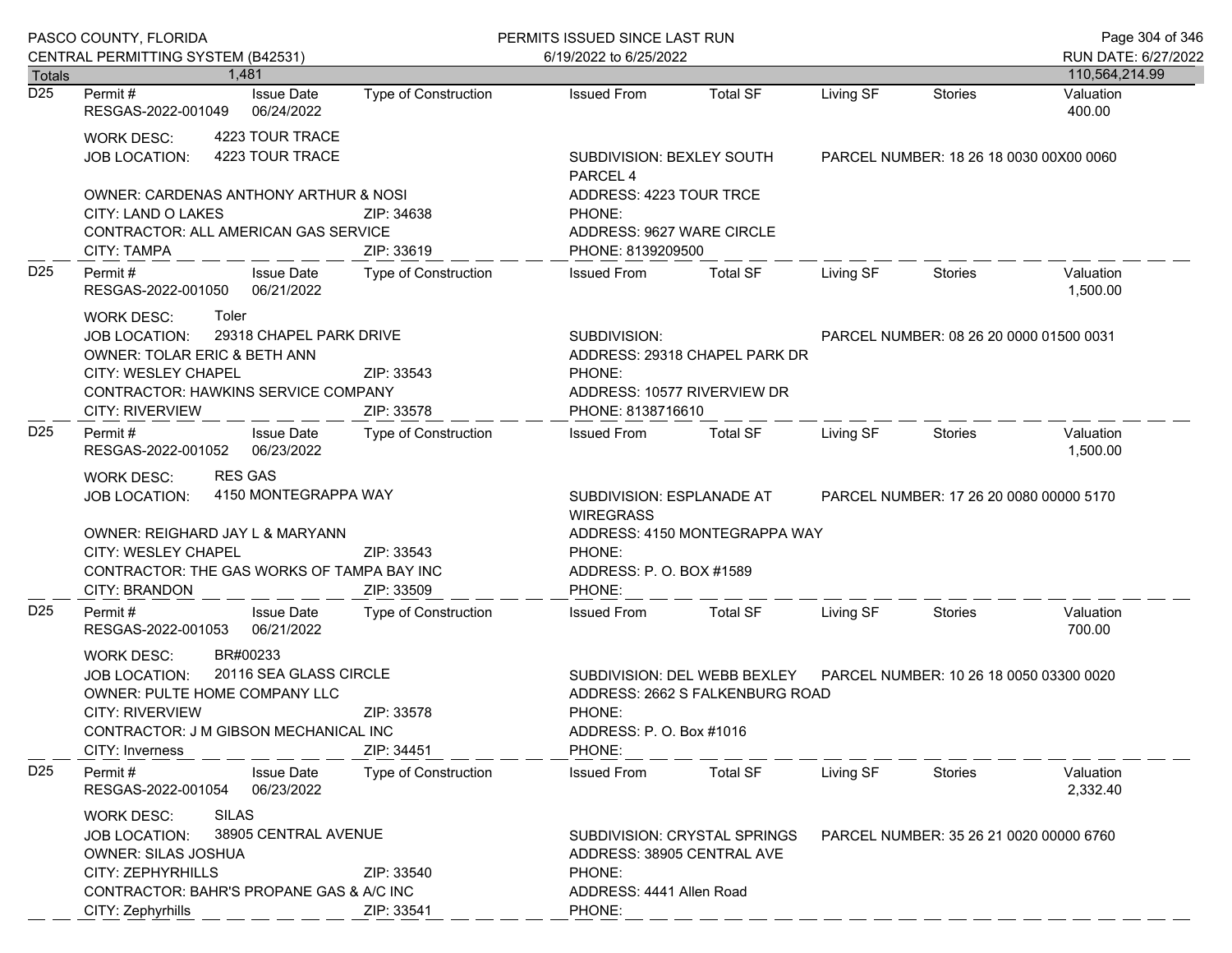|                 | PASCO COUNTY, FLORIDA                                                                                                                                                                                                             |                          | PERMITS ISSUED SINCE LAST RUN                                                                               |                                                                                             |                                         |                                         | Page 304 of 346             |
|-----------------|-----------------------------------------------------------------------------------------------------------------------------------------------------------------------------------------------------------------------------------|--------------------------|-------------------------------------------------------------------------------------------------------------|---------------------------------------------------------------------------------------------|-----------------------------------------|-----------------------------------------|-----------------------------|
|                 | CENTRAL PERMITTING SYSTEM (B42531)                                                                                                                                                                                                |                          | 6/19/2022 to 6/25/2022                                                                                      |                                                                                             |                                         |                                         | RUN DATE: 6/27/2022         |
| Totals<br>D25   | 1.481<br><b>Issue Date</b><br>Permit #                                                                                                                                                                                            | Type of Construction     | <b>Issued From</b>                                                                                          | <b>Total SF</b>                                                                             | Living SF                               | Stories                                 | 110,564,214.99<br>Valuation |
|                 | 06/24/2022<br>RESGAS-2022-001049                                                                                                                                                                                                  |                          |                                                                                                             |                                                                                             |                                         |                                         | 400.00                      |
|                 | 4223 TOUR TRACE<br>WORK DESC:<br>4223 TOUR TRACE<br><b>JOB LOCATION:</b>                                                                                                                                                          |                          | SUBDIVISION: BEXLEY SOUTH<br>PARCEL 4                                                                       |                                                                                             | PARCEL NUMBER: 18 26 18 0030 00X00 0060 |                                         |                             |
|                 | <b>OWNER: CARDENAS ANTHONY ARTHUR &amp; NOSI</b><br>CITY: LAND O LAKES<br>CONTRACTOR: ALL AMERICAN GAS SERVICE<br>CITY: TAMPA                                                                                                     | ZIP: 34638<br>ZIP: 33619 | ADDRESS: 4223 TOUR TRCE<br>PHONE:<br>ADDRESS: 9627 WARE CIRCLE<br>PHONE: 8139209500                         |                                                                                             |                                         |                                         |                             |
| D <sub>25</sub> | Permit #<br><b>Issue Date</b><br>RESGAS-2022-001050 06/21/2022                                                                                                                                                                    | Type of Construction     | <b>Issued From</b>                                                                                          | <b>Total SF</b>                                                                             | Living SF                               | <b>Stories</b>                          | Valuation<br>1,500.00       |
|                 | Toler<br>WORK DESC:<br>29318 CHAPEL PARK DRIVE<br><b>JOB LOCATION:</b><br>OWNER: TOLAR ERIC & BETH ANN<br>CITY: WESLEY CHAPEL<br><b>CONTRACTOR: HAWKINS SERVICE COMPANY</b><br><b>CITY: RIVERVIEW</b>                             | ZIP: 33543<br>ZIP: 33578 | SUBDIVISION:<br>ADDRESS: 29318 CHAPEL PARK DR<br>PHONE:<br>ADDRESS: 10577 RIVERVIEW DR<br>PHONE: 8138716610 |                                                                                             |                                         | PARCEL NUMBER: 08 26 20 0000 01500 0031 |                             |
| D <sub>25</sub> | Permit#<br><b>Issue Date</b><br>RESGAS-2022-001052 06/23/2022                                                                                                                                                                     | Type of Construction     | <b>Issued From</b>                                                                                          | <b>Total SF</b>                                                                             | Living SF                               | Stories                                 | Valuation<br>1,500.00       |
|                 | <b>RES GAS</b><br>WORK DESC:<br>4150 MONTEGRAPPA WAY<br>JOB LOCATION:<br>OWNER: REIGHARD JAY L & MARYANN<br>CITY: WESLEY CHAPEL<br>ZIP: 33543<br>CONTRACTOR: THE GAS WORKS OF TAMPA BAY INC<br><b>CITY: BRANDON</b><br>ZIP: 33509 |                          | SUBDIVISION: ESPLANADE AT<br><b>WIREGRASS</b><br>PHONE:<br>ADDRESS: P.O. BOX #1589<br>PHONE:                | ADDRESS: 4150 MONTEGRAPPA WAY                                                               | PARCEL NUMBER: 17 26 20 0080 00000 5170 |                                         |                             |
| D <sub>25</sub> | Permit#<br><b>Issue Date</b><br>06/21/2022<br>RESGAS-2022-001053                                                                                                                                                                  | Type of Construction     | <b>Issued From</b>                                                                                          | <b>Total SF</b>                                                                             | Living SF                               | Stories                                 | Valuation<br>700.00         |
|                 | BR#00233<br>WORK DESC:<br>20116 SEA GLASS CIRCLE<br>JOB LOCATION:<br>OWNER: PULTE HOME COMPANY LLC<br><b>CITY: RIVERVIEW</b><br>CONTRACTOR: J M GIBSON MECHANICAL INC<br>CITY: Inverness                                          | ZIP: 33578<br>ZIP: 34451 | PHONE:<br>PHONE:                                                                                            | SUBDIVISION: DEL WEBB BEXLEY<br>ADDRESS: 2662 S FALKENBURG ROAD<br>ADDRESS: P. O. Box #1016 |                                         | PARCEL NUMBER: 10 26 18 0050 03300 0020 |                             |
| D <sub>25</sub> | Permit#<br><b>Issue Date</b><br>RESGAS-2022-001054<br>06/23/2022                                                                                                                                                                  | Type of Construction     | <b>Issued From</b>                                                                                          | <b>Total SF</b>                                                                             | Living SF                               | <b>Stories</b>                          | Valuation<br>2,332.40       |
|                 | <b>SILAS</b><br><b>WORK DESC:</b><br>38905 CENTRAL AVENUE<br><b>JOB LOCATION:</b><br><b>OWNER: SILAS JOSHUA</b><br><b>CITY: ZEPHYRHILLS</b><br>CONTRACTOR: BAHR'S PROPANE GAS & A/C INC<br>CITY: Zephyrhills                      | ZIP: 33540<br>ZIP: 33541 | ADDRESS: 38905 CENTRAL AVE<br>PHONE:<br>ADDRESS: 4441 Allen Road<br>PHONE:                                  | SUBDIVISION: CRYSTAL SPRINGS                                                                |                                         | PARCEL NUMBER: 35 26 21 0020 00000 6760 |                             |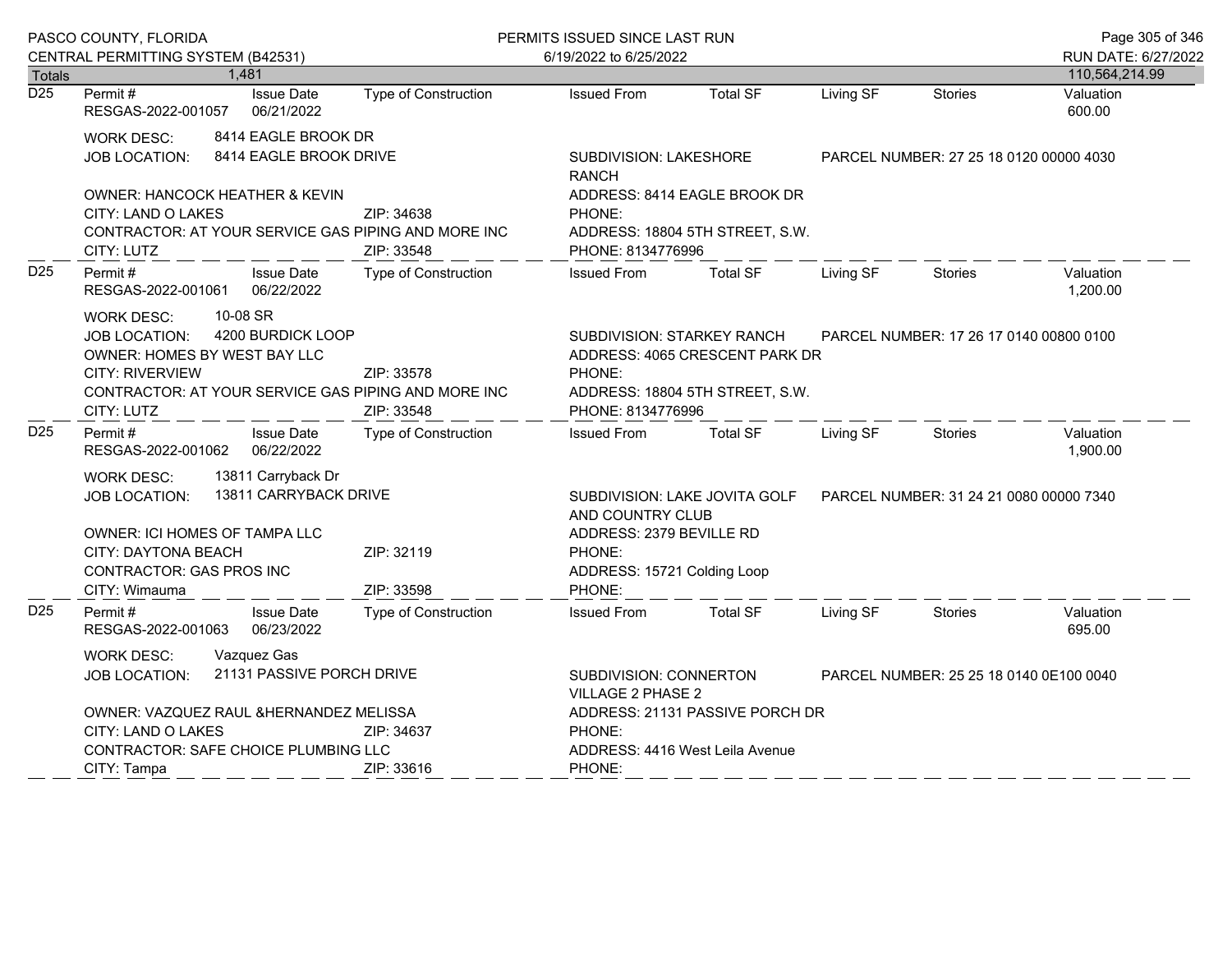|                  | PASCO COUNTY, FLORIDA                                                                                                                                                                                     |                                               | PERMITS ISSUED SINCE LAST RUN |                                        |                                                                                                                                                                 |                                         |                | Page 305 of 346       |
|------------------|-----------------------------------------------------------------------------------------------------------------------------------------------------------------------------------------------------------|-----------------------------------------------|-------------------------------|----------------------------------------|-----------------------------------------------------------------------------------------------------------------------------------------------------------------|-----------------------------------------|----------------|-----------------------|
|                  | CENTRAL PERMITTING SYSTEM (B42531)                                                                                                                                                                        |                                               |                               | 6/19/2022 to 6/25/2022                 |                                                                                                                                                                 |                                         |                | RUN DATE: 6/27/2022   |
| Totals           |                                                                                                                                                                                                           | 1,481                                         |                               |                                        |                                                                                                                                                                 |                                         |                | 110,564,214.99        |
| $\overline{D25}$ | Permit#<br>RESGAS-2022-001057                                                                                                                                                                             | <b>Issue Date</b><br>06/21/2022               | Type of Construction          | <b>Issued From</b>                     | <b>Total SF</b>                                                                                                                                                 | Living SF                               | <b>Stories</b> | Valuation<br>600.00   |
|                  | <b>WORK DESC:</b><br>JOB LOCATION:                                                                                                                                                                        | 8414 EAGLE BROOK DR<br>8414 EAGLE BROOK DRIVE |                               | SUBDIVISION: LAKESHORE<br><b>RANCH</b> |                                                                                                                                                                 | PARCEL NUMBER: 27 25 18 0120 00000 4030 |                |                       |
|                  | OWNER: HANCOCK HEATHER & KEVIN<br><b>CITY: LAND O LAKES</b><br>CONTRACTOR: AT YOUR SERVICE GAS PIPING AND MORE INC<br>CITY: LUTZ                                                                          |                                               | ZIP: 34638<br>ZIP: 33548      | PHONE:                                 | ADDRESS: 8414 EAGLE BROOK DR<br>ADDRESS: 18804 5TH STREET, S.W.<br>PHONE: 8134776996                                                                            |                                         |                |                       |
| D <sub>25</sub>  | Permit#<br>RESGAS-2022-001061                                                                                                                                                                             | <b>Issue Date</b><br>06/22/2022               | Type of Construction          | <b>Issued From</b>                     | <b>Total SF</b>                                                                                                                                                 | Living SF                               | <b>Stories</b> | Valuation<br>1,200.00 |
|                  | 10-08 SR<br><b>WORK DESC:</b><br>4200 BURDICK LOOP<br><b>JOB LOCATION:</b><br>OWNER: HOMES BY WEST BAY LLC<br><b>CITY: RIVERVIEW</b><br>CONTRACTOR: AT YOUR SERVICE GAS PIPING AND MORE INC<br>CITY: LUTZ |                                               | ZIP: 33578<br>ZIP: 33548      | PHONE:                                 | SUBDIVISION: STARKEY RANCH<br>PARCEL NUMBER: 17 26 17 0140 00800 0100<br>ADDRESS: 4065 CRESCENT PARK DR<br>ADDRESS: 18804 5TH STREET, S.W.<br>PHONE: 8134776996 |                                         |                |                       |
| D <sub>25</sub>  | Permit#<br>RESGAS-2022-001062                                                                                                                                                                             | <b>Issue Date</b><br>06/22/2022               | Type of Construction          | <b>Issued From</b>                     | <b>Total SF</b>                                                                                                                                                 | Living SF                               | <b>Stories</b> | Valuation<br>1,900.00 |
|                  | 13811 Carryback Dr<br><b>WORK DESC:</b><br>13811 CARRYBACK DRIVE<br>JOB LOCATION:                                                                                                                         |                                               |                               |                                        | SUBDIVISION: LAKE JOVITA GOLF<br>PARCEL NUMBER: 31 24 21 0080 00000 7340<br>AND COUNTRY CLUB                                                                    |                                         |                |                       |
|                  | <b>OWNER: ICI HOMES OF TAMPA LLC</b><br>CITY: DAYTONA BEACH<br><b>CONTRACTOR: GAS PROS INC</b><br>CITY: Wimauma                                                                                           |                                               | ZIP: 32119<br>ZIP: 33598      | PHONE:<br>PHONE:                       | ADDRESS: 2379 BEVILLE RD<br>ADDRESS: 15721 Colding Loop                                                                                                         |                                         |                |                       |
| D <sub>25</sub>  | Permit#<br>RESGAS-2022-001063                                                                                                                                                                             | <b>Issue Date</b><br>06/23/2022               | <b>Type of Construction</b>   | <b>Issued From</b>                     | <b>Total SF</b>                                                                                                                                                 | Living SF                               | Stories        | Valuation<br>695.00   |
|                  | <b>WORK DESC:</b><br><b>JOB LOCATION:</b>                                                                                                                                                                 | Vazquez Gas<br>21131 PASSIVE PORCH DRIVE      |                               |                                        | SUBDIVISION: CONNERTON<br>PARCEL NUMBER: 25 25 18 0140 0E100 0040<br>VILLAGE 2 PHASE 2                                                                          |                                         |                |                       |
|                  | OWNER: VAZQUEZ RAUL &HERNANDEZ MELISSA                                                                                                                                                                    |                                               |                               | ADDRESS: 21131 PASSIVE PORCH DR        |                                                                                                                                                                 |                                         |                |                       |
|                  | CITY: LAND O LAKES<br>ZIP: 34637                                                                                                                                                                          |                                               |                               | PHONE:                                 |                                                                                                                                                                 |                                         |                |                       |
|                  | <b>CONTRACTOR: SAFE CHOICE PLUMBING LLC</b>                                                                                                                                                               |                                               |                               | ADDRESS: 4416 West Leila Avenue        |                                                                                                                                                                 |                                         |                |                       |
|                  | CITY: Tampa                                                                                                                                                                                               |                                               | ZIP: 33616                    | PHONE:                                 |                                                                                                                                                                 |                                         |                |                       |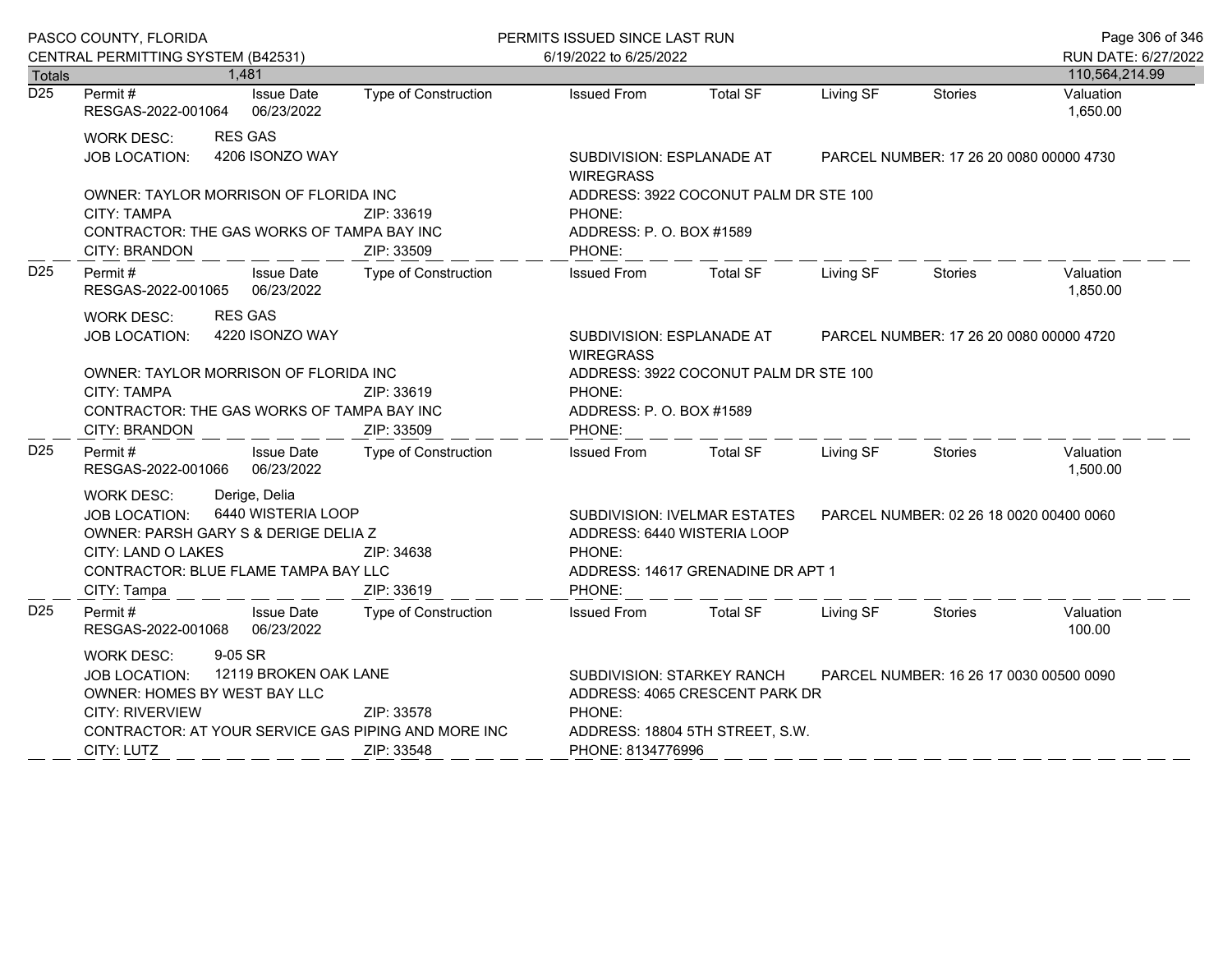|                  | PASCO COUNTY, FLORIDA                                                                                                                                                                                                   |                                               | PERMITS ISSUED SINCE LAST RUN                                                                                                                                             |                                         |           |         |                       |  |
|------------------|-------------------------------------------------------------------------------------------------------------------------------------------------------------------------------------------------------------------------|-----------------------------------------------|---------------------------------------------------------------------------------------------------------------------------------------------------------------------------|-----------------------------------------|-----------|---------|-----------------------|--|
|                  | CENTRAL PERMITTING SYSTEM (B42531)                                                                                                                                                                                      |                                               | 6/19/2022 to 6/25/2022                                                                                                                                                    |                                         |           |         | RUN DATE: 6/27/2022   |  |
| <b>Totals</b>    | 1,481                                                                                                                                                                                                                   |                                               |                                                                                                                                                                           |                                         |           |         | 110,564,214.99        |  |
| $\overline{D25}$ | Permit#<br><b>Issue Date</b><br>RESGAS-2022-001064 06/23/2022                                                                                                                                                           | Type of Construction                          | <b>Issued From</b>                                                                                                                                                        | <b>Total SF</b>                         | Living SF | Stories | Valuation<br>1,650.00 |  |
|                  | <b>RES GAS</b><br><b>WORK DESC:</b>                                                                                                                                                                                     |                                               |                                                                                                                                                                           |                                         |           |         |                       |  |
|                  | 4206 ISONZO WAY<br><b>JOB LOCATION:</b>                                                                                                                                                                                 |                                               | SUBDIVISION: ESPLANADE AT<br><b>WIREGRASS</b>                                                                                                                             | PARCEL NUMBER: 17 26 20 0080 00000 4730 |           |         |                       |  |
|                  | OWNER: TAYLOR MORRISON OF FLORIDA INC<br><b>CITY: TAMPA</b><br>CONTRACTOR: THE GAS WORKS OF TAMPA BAY INC<br><b>CITY: BRANDON</b>                                                                                       | ZIP: 33619<br>ZIP: 33509                      | ADDRESS: 3922 COCONUT PALM DR STE 100<br>PHONE:<br>ADDRESS: P. O. BOX #1589<br>PHONE:                                                                                     |                                         |           |         |                       |  |
| D <sub>25</sub>  | Permit #<br><b>Issue Date</b><br>RESGAS-2022-001065 06/23/2022                                                                                                                                                          | Type of Construction                          | <b>Issued From</b>                                                                                                                                                        | <b>Total SF</b>                         | Living SF | Stories | Valuation<br>1,850.00 |  |
|                  | <b>RES GAS</b><br><b>WORK DESC:</b><br>4220 ISONZO WAY<br><b>JOB LOCATION:</b>                                                                                                                                          | SUBDIVISION: ESPLANADE AT<br><b>WIREGRASS</b> | PARCEL NUMBER: 17 26 20 0080 00000 4720                                                                                                                                   |                                         |           |         |                       |  |
|                  | OWNER: TAYLOR MORRISON OF FLORIDA INC<br><b>CITY: TAMPA</b><br>CONTRACTOR: THE GAS WORKS OF TAMPA BAY INC<br><b>CITY: BRANDON</b>                                                                                       | ZIP: 33619<br>ZIP: 33509                      | ADDRESS: 3922 COCONUT PALM DR STE 100<br>PHONE:<br>ADDRESS: P. O. BOX #1589<br>PHONE:                                                                                     |                                         |           |         |                       |  |
| D <sub>25</sub>  | Permit #<br><b>Issue Date</b><br>RESGAS-2022-001066 06/23/2022                                                                                                                                                          | Type of Construction                          | Issued From                                                                                                                                                               | <b>Total SF</b>                         | Living SF | Stories | Valuation<br>1,500.00 |  |
|                  | Derige, Delia<br><b>WORK DESC:</b><br>6440 WISTERIA LOOP<br><b>JOB LOCATION:</b><br>OWNER: PARSH GARY S & DERIGE DELIA Z<br>CITY: LAND O LAKES<br>ZIP: 34638<br>CONTRACTOR: BLUE FLAME TAMPA BAY LLC<br>ZIP: 33619      |                                               | PARCEL NUMBER: 02 26 18 0020 00400 0060<br>SUBDIVISION: IVELMAR ESTATES<br>ADDRESS: 6440 WISTERIA LOOP<br>PHONE:<br>ADDRESS: 14617 GRENADINE DR APT 1<br>PHONE:           |                                         |           |         |                       |  |
| D <sub>25</sub>  | CITY: Tampa<br>Permit#<br><b>Issue Date</b><br>RESGAS-2022-001068 06/23/2022                                                                                                                                            | Type of Construction                          | <b>Issued From</b>                                                                                                                                                        | <b>Total SF</b>                         | Living SF | Stories | Valuation<br>100.00   |  |
|                  | 9-05 SR<br><b>WORK DESC:</b><br>JOB LOCATION: 12119 BROKEN OAK LANE<br>OWNER: HOMES BY WEST BAY LLC<br>CITY: RIVERVIEW<br>ZIP: 33578<br>CONTRACTOR: AT YOUR SERVICE GAS PIPING AND MORE INC<br>CITY: LUTZ<br>ZIP: 33548 |                                               | SUBDIVISION: STARKEY RANCH<br>PARCEL NUMBER: 16 26 17 0030 00500 0090<br>ADDRESS: 4065 CRESCENT PARK DR<br>PHONE:<br>ADDRESS: 18804 5TH STREET, S.W.<br>PHONE: 8134776996 |                                         |           |         |                       |  |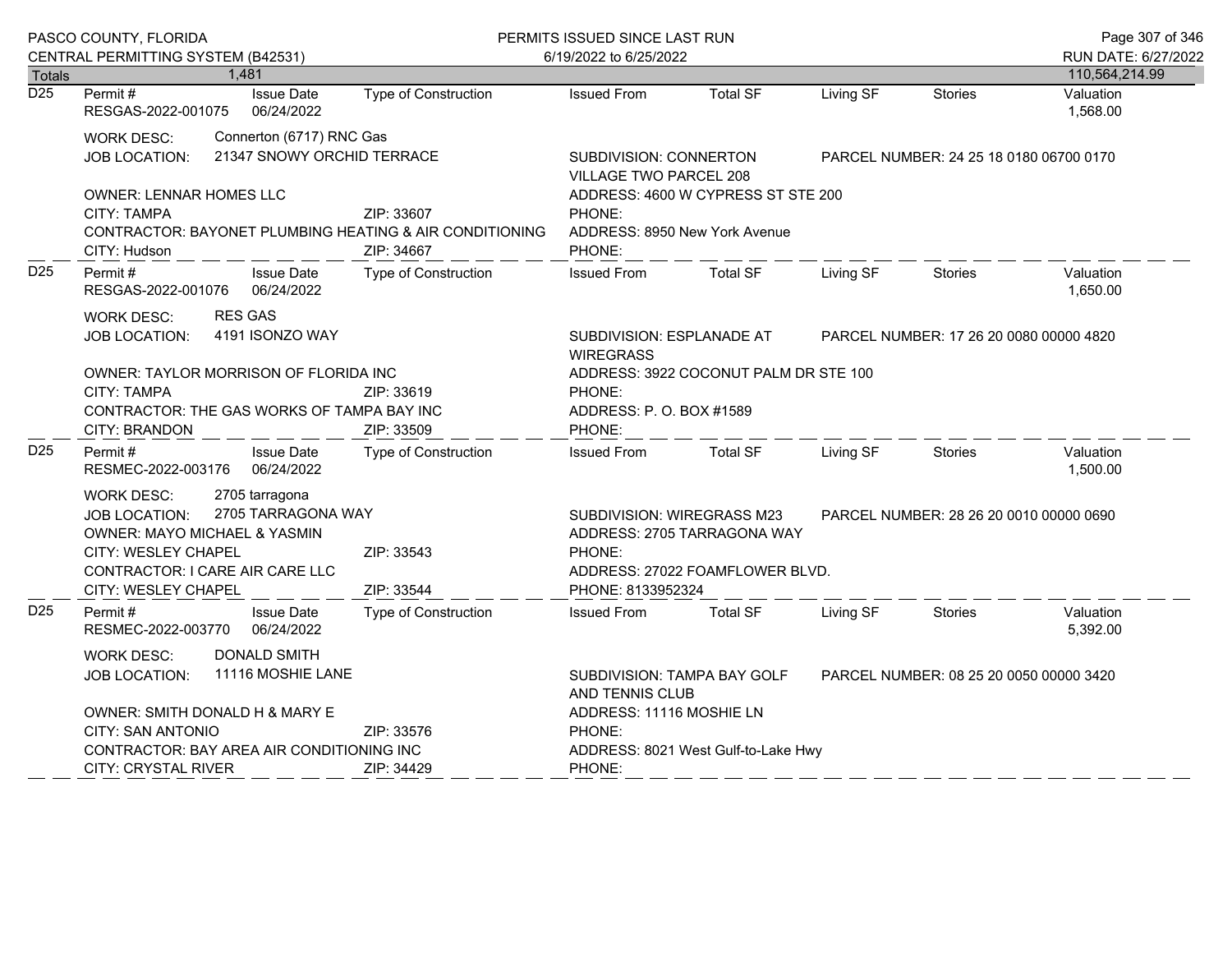|                  | PASCO COUNTY, FLORIDA<br>CENTRAL PERMITTING SYSTEM (B42531)                                                                                                                                                      |  |                                                        | PERMITS ISSUED SINCE LAST RUN                                                                                                                                          |                                                                                                    |                 |           |                | Page 307 of 346                       |
|------------------|------------------------------------------------------------------------------------------------------------------------------------------------------------------------------------------------------------------|--|--------------------------------------------------------|------------------------------------------------------------------------------------------------------------------------------------------------------------------------|----------------------------------------------------------------------------------------------------|-----------------|-----------|----------------|---------------------------------------|
| Totals           |                                                                                                                                                                                                                  |  | 1,481                                                  |                                                                                                                                                                        | 6/19/2022 to 6/25/2022                                                                             |                 |           |                | RUN DATE: 6/27/2022<br>110,564,214.99 |
| $\overline{D25}$ | Permit#<br>RESGAS-2022-001075                                                                                                                                                                                    |  | <b>Issue Date</b><br>06/24/2022                        | <b>Type of Construction</b>                                                                                                                                            | <b>Issued From</b>                                                                                 | <b>Total SF</b> | Living SF | <b>Stories</b> | Valuation<br>1,568.00                 |
|                  | <b>WORK DESC:</b><br>JOB LOCATION:                                                                                                                                                                               |  | Connerton (6717) RNC Gas<br>21347 SNOWY ORCHID TERRACE |                                                                                                                                                                        | <b>SUBDIVISION: CONNERTON</b><br>PARCEL NUMBER: 24 25 18 0180 06700 0170<br>VILLAGE TWO PARCEL 208 |                 |           |                |                                       |
|                  | <b>OWNER: LENNAR HOMES LLC</b><br><b>CITY: TAMPA</b><br>CONTRACTOR: BAYONET PLUMBING HEATING & AIR CONDITIONING<br>CITY: Hudson                                                                                  |  | ZIP: 33607<br>ZIP: 34667                               | ADDRESS: 4600 W CYPRESS ST STE 200<br>PHONE:<br>ADDRESS: 8950 New York Avenue<br>PHONE:                                                                                |                                                                                                    |                 |           |                |                                       |
| D <sub>25</sub>  | Permit#<br>RESGAS-2022-001076                                                                                                                                                                                    |  | <b>Issue Date</b><br>06/24/2022                        | <b>Type of Construction</b>                                                                                                                                            | <b>Issued From</b>                                                                                 | <b>Total SF</b> | Living SF | <b>Stories</b> | Valuation<br>1,650.00                 |
|                  | <b>RES GAS</b><br><b>WORK DESC:</b><br>4191 ISONZO WAY<br>JOB LOCATION:                                                                                                                                          |  |                                                        | SUBDIVISION: ESPLANADE AT<br><b>WIREGRASS</b>                                                                                                                          | PARCEL NUMBER: 17 26 20 0080 00000 4820                                                            |                 |           |                |                                       |
|                  | OWNER: TAYLOR MORRISON OF FLORIDA INC<br><b>CITY: TAMPA</b><br>CONTRACTOR: THE GAS WORKS OF TAMPA BAY INC<br><b>CITY: BRANDON</b>                                                                                |  | ZIP: 33619<br>ZIP: 33509                               | ADDRESS: 3922 COCONUT PALM DR STE 100<br>PHONE:<br>ADDRESS: P. O. BOX #1589<br>PHONE:                                                                                  |                                                                                                    |                 |           |                |                                       |
| D <sub>25</sub>  | Permit #<br>RESMEC-2022-003176                                                                                                                                                                                   |  | <b>Issue Date</b><br>06/24/2022                        | <b>Type of Construction</b>                                                                                                                                            | <b>Issued From</b>                                                                                 | <b>Total SF</b> | Living SF | Stories        | Valuation<br>1,500.00                 |
|                  | 2705 tarragona<br><b>WORK DESC:</b><br>2705 TARRAGONA WAY<br><b>JOB LOCATION:</b><br>OWNER: MAYO MICHAEL & YASMIN<br>CITY: WESLEY CHAPEL<br>ZIP: 33543<br>CONTRACTOR: I CARE AIR CARE LLC<br>CITY: WESLEY CHAPEL |  | ZIP: 33544                                             | SUBDIVISION: WIREGRASS M23<br>PARCEL NUMBER: 28 26 20 0010 00000 0690<br>ADDRESS: 2705 TARRAGONA WAY<br>PHONE:<br>ADDRESS: 27022 FOAMFLOWER BLVD.<br>PHONE: 8133952324 |                                                                                                    |                 |           |                |                                       |
| D <sub>25</sub>  | Permit#<br>RESMEC-2022-003770                                                                                                                                                                                    |  | <b>Issue Date</b><br>06/24/2022                        | <b>Type of Construction</b>                                                                                                                                            | <b>Issued From</b>                                                                                 | <b>Total SF</b> | Living SF | <b>Stories</b> | Valuation<br>5,392.00                 |
|                  | DONALD SMITH<br>WORK DESC:<br>11116 MOSHIE LANE<br><b>JOB LOCATION:</b><br>OWNER: SMITH DONALD H & MARY E<br>CITY: SAN ANTONIO<br>ZIP: 33576                                                                     |  |                                                        | SUBDIVISION: TAMPA BAY GOLF<br>PARCEL NUMBER: 08 25 20 0050 00000 3420<br>AND TENNIS CLUB<br>ADDRESS: 11116 MOSHIE LN                                                  |                                                                                                    |                 |           |                |                                       |
|                  | CONTRACTOR: BAY AREA AIR CONDITIONING INC<br><b>CITY: CRYSTAL RIVER</b>                                                                                                                                          |  |                                                        | ZIP: 34429                                                                                                                                                             | PHONE:<br>ADDRESS: 8021 West Gulf-to-Lake Hwy<br>PHONE:                                            |                 |           |                |                                       |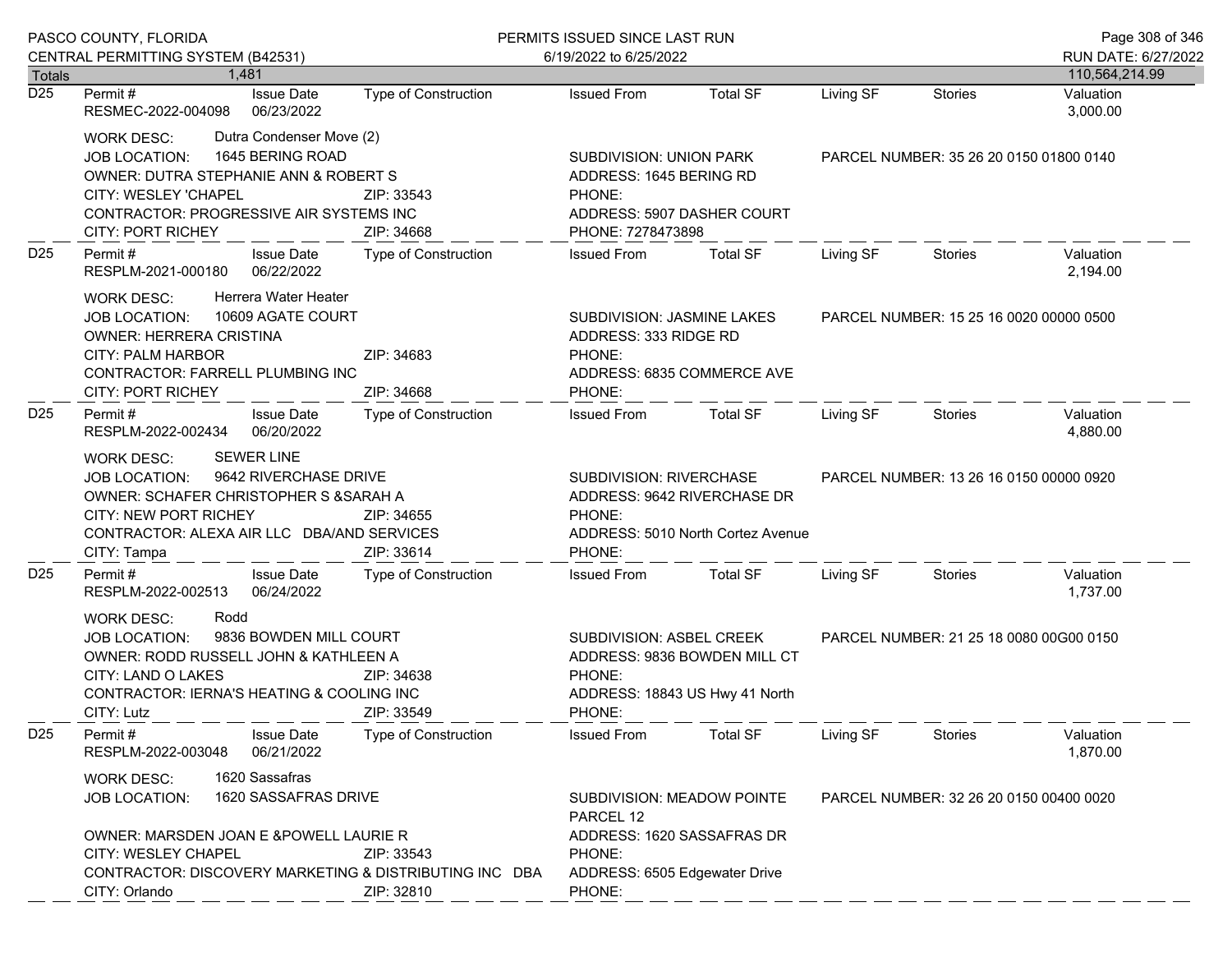|                      | PASCO COUNTY, FLORIDA                                                                                                                                                                                                   |                          | PERMITS ISSUED SINCE LAST RUN                                                                                          | Page 308 of 346              |                                                                                    |                                         |                       |
|----------------------|-------------------------------------------------------------------------------------------------------------------------------------------------------------------------------------------------------------------------|--------------------------|------------------------------------------------------------------------------------------------------------------------|------------------------------|------------------------------------------------------------------------------------|-----------------------------------------|-----------------------|
|                      | CENTRAL PERMITTING SYSTEM (B42531)                                                                                                                                                                                      |                          | 6/19/2022 to 6/25/2022                                                                                                 |                              |                                                                                    |                                         | RUN DATE: 6/27/2022   |
| <b>Totals</b><br>D25 | 1.481                                                                                                                                                                                                                   |                          |                                                                                                                        |                              |                                                                                    |                                         | 110,564,214.99        |
|                      | <b>Issue Date</b><br>Permit#<br>06/23/2022<br>RESMEC-2022-004098                                                                                                                                                        | Type of Construction     | <b>Issued From</b>                                                                                                     | <b>Total SF</b>              | Living SF                                                                          | <b>Stories</b>                          | Valuation<br>3,000.00 |
|                      | Dutra Condenser Move (2)<br>WORK DESC:<br>1645 BERING ROAD<br>JOB LOCATION:<br>OWNER: DUTRA STEPHANIE ANN & ROBERT S<br>CITY: WESLEY 'CHAPEL<br>CONTRACTOR: PROGRESSIVE AIR SYSTEMS INC<br><b>CITY: PORT RICHEY</b>     | ZIP: 33543<br>ZIP: 34668 | <b>SUBDIVISION: UNION PARK</b><br>ADDRESS: 1645 BERING RD<br>PHONE:<br>ADDRESS: 5907 DASHER COURT<br>PHONE: 7278473898 |                              | PARCEL NUMBER: 35 26 20 0150 01800 0140                                            |                                         |                       |
| D <sub>25</sub>      | Permit#<br><b>Issue Date</b><br>06/22/2022<br>RESPLM-2021-000180                                                                                                                                                        | Type of Construction     | <b>Issued From</b>                                                                                                     | <b>Total SF</b>              | Living SF                                                                          | Stories                                 | Valuation<br>2,194.00 |
|                      | Herrera Water Heater<br><b>WORK DESC:</b><br>10609 AGATE COURT<br>JOB LOCATION:<br><b>OWNER: HERRERA CRISTINA</b><br><b>CITY: PALM HARBOR</b><br>CONTRACTOR: FARRELL PLUMBING INC<br><b>CITY: PORT RICHEY</b>           | ZIP: 34683<br>ZIP: 34668 | SUBDIVISION: JASMINE LAKES<br>ADDRESS: 333 RIDGE RD<br>PHONE:<br>ADDRESS: 6835 COMMERCE AVE<br>PHONE:                  |                              | PARCEL NUMBER: 15 25 16 0020 00000 0500                                            |                                         |                       |
| D <sub>25</sub>      | Permit#<br><b>Issue Date</b><br>06/20/2022<br>RESPLM-2022-002434                                                                                                                                                        | Type of Construction     | <b>Issued From</b>                                                                                                     | <b>Total SF</b>              | Living SF                                                                          | Stories                                 | Valuation<br>4,880.00 |
|                      | <b>SEWER LINE</b><br>WORK DESC:<br>9642 RIVERCHASE DRIVE<br><b>JOB LOCATION:</b><br>OWNER: SCHAFER CHRISTOPHER S & SARAH A<br><b>CITY: NEW PORT RICHEY</b><br>CONTRACTOR: ALEXA AIR LLC DBA/AND SERVICES<br>CITY: Tampa | ZIP: 34655<br>ZIP: 33614 | SUBDIVISION: RIVERCHASE<br>ADDRESS: 9642 RIVERCHASE DR<br>PHONE:<br>ADDRESS: 5010 North Cortez Avenue<br>PHONE:        |                              |                                                                                    | PARCEL NUMBER: 13 26 16 0150 00000 0920 |                       |
| D <sub>25</sub>      | Permit#<br><b>Issue Date</b><br>RESPLM-2022-002513<br>06/24/2022                                                                                                                                                        | Type of Construction     | <b>Issued From</b>                                                                                                     | <b>Total SF</b>              | Living SF                                                                          | Stories                                 | Valuation<br>1,737.00 |
|                      | Rodd<br><b>WORK DESC:</b><br>9836 BOWDEN MILL COURT<br><b>JOB LOCATION:</b><br>OWNER: RODD RUSSELL JOHN & KATHLEEN A<br>CITY: LAND O LAKES<br>CONTRACTOR: IERNA'S HEATING & COOLING INC<br>CITY: Lutz                   | ZIP: 34638<br>ZIP: 33549 | SUBDIVISION: ASBEL CREEK<br>PHONE:<br>ADDRESS: 18843 US Hwy 41 North<br>PHONE:                                         | ADDRESS: 9836 BOWDEN MILL CT | PARCEL NUMBER: 21 25 18 0080 00G00 0150                                            |                                         |                       |
| D <sub>25</sub>      | Permit#<br><b>Issue Date</b><br>06/21/2022<br>RESPLM-2022-003048                                                                                                                                                        | Type of Construction     | <b>Issued From</b>                                                                                                     | <b>Total SF</b>              | Living SF                                                                          | Stories                                 | Valuation<br>1,870.00 |
|                      | 1620 Sassafras<br><b>WORK DESC:</b><br><b>JOB LOCATION:</b>                                                                                                                                                             | 1620 SASSAFRAS DRIVE     |                                                                                                                        |                              | SUBDIVISION: MEADOW POINTE<br>PARCEL NUMBER: 32 26 20 0150 00400 0020<br>PARCEL 12 |                                         |                       |
|                      | OWNER: MARSDEN JOAN E &POWELL LAURIE R<br><b>CITY: WESLEY CHAPEL</b><br>CONTRACTOR: DISCOVERY MARKETING & DISTRIBUTING INC DBA<br>CITY: Orlando                                                                         | ZIP: 33543<br>ZIP: 32810 | ADDRESS: 1620 SASSAFRAS DR<br>PHONE:<br>ADDRESS: 6505 Edgewater Drive<br>PHONE:                                        |                              |                                                                                    |                                         |                       |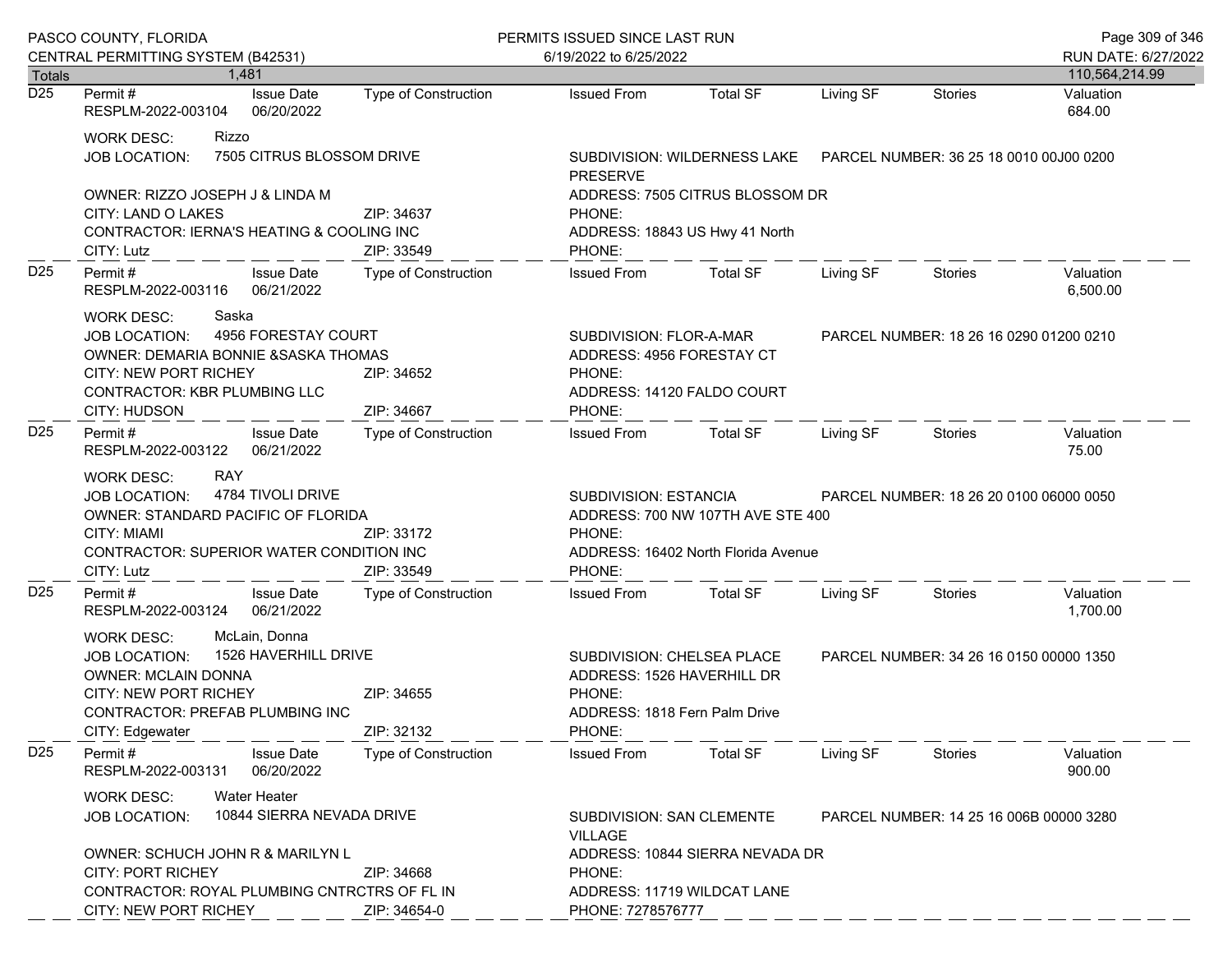|                                   | PASCO COUNTY, FLORIDA                                                                                                                                                                                                         |                                                                                        | PERMITS ISSUED SINCE LAST RUN                                                                                         |                                                                |                                         |                | Page 309 of 346       |
|-----------------------------------|-------------------------------------------------------------------------------------------------------------------------------------------------------------------------------------------------------------------------------|----------------------------------------------------------------------------------------|-----------------------------------------------------------------------------------------------------------------------|----------------------------------------------------------------|-----------------------------------------|----------------|-----------------------|
|                                   | CENTRAL PERMITTING SYSTEM (B42531)                                                                                                                                                                                            |                                                                                        | 6/19/2022 to 6/25/2022                                                                                                |                                                                |                                         |                | RUN DATE: 6/27/2022   |
| <b>Totals</b><br>$\overline{D25}$ | 1.481                                                                                                                                                                                                                         |                                                                                        |                                                                                                                       |                                                                |                                         |                | 110,564,214.99        |
|                                   | <b>Issue Date</b><br>Permit #<br>RESPLM-2022-003104<br>06/20/2022                                                                                                                                                             | <b>Type of Construction</b>                                                            | <b>Issued From</b>                                                                                                    | <b>Total SF</b>                                                | Living SF                               | <b>Stories</b> | Valuation<br>684.00   |
|                                   | <b>WORK DESC:</b><br>Rizzo<br>JOB LOCATION:                                                                                                                                                                                   | 7505 CITRUS BLOSSOM DRIVE                                                              | SUBDIVISION: WILDERNESS LAKE  PARCEL NUMBER: 36 25 18 0010 00J00 0200<br><b>PRESERVE</b>                              |                                                                |                                         |                |                       |
|                                   | OWNER: RIZZO JOSEPH J & LINDA M<br>CITY: LAND O LAKES<br>CONTRACTOR: IERNA'S HEATING & COOLING INC<br>CITY: Lutz                                                                                                              | ZIP: 34637<br>ZIP: 33549                                                               | ADDRESS: 7505 CITRUS BLOSSOM DR<br>PHONE:<br>ADDRESS: 18843 US Hwy 41 North<br>PHONE:                                 |                                                                |                                         |                |                       |
| D <sub>25</sub>                   | <b>Issue Date</b><br>Permit#<br>06/21/2022<br>RESPLM-2022-003116                                                                                                                                                              | Type of Construction                                                                   | <b>Issued From</b>                                                                                                    | <b>Total SF</b>                                                | Living SF                               | Stories        | Valuation<br>6,500.00 |
|                                   | Saska<br><b>WORK DESC:</b><br>4956 FORESTAY COURT<br><b>JOB LOCATION:</b><br>OWNER: DEMARIA BONNIE & SASKA THOMAS<br><b>CITY: NEW PORT RICHEY</b><br>ZIP: 34652<br>CONTRACTOR: KBR PLUMBING LLC<br>CITY: HUDSON<br>ZIP: 34667 |                                                                                        | SUBDIVISION: FLOR-A-MAR<br>ADDRESS: 4956 FORESTAY CT<br>PHONE:<br>ADDRESS: 14120 FALDO COURT<br>PHONE:                |                                                                | PARCEL NUMBER: 18 26 16 0290 01200 0210 |                |                       |
| D <sub>25</sub>                   | Permit#<br><b>Issue Date</b><br>06/21/2022<br>RESPLM-2022-003122                                                                                                                                                              | Type of Construction                                                                   | <b>Issued From</b>                                                                                                    | Total SF                                                       | Living SF                               | Stories        | Valuation<br>75.00    |
|                                   | <b>RAY</b><br><b>WORK DESC:</b><br>4784 TIVOLI DRIVE<br><b>JOB LOCATION:</b><br>OWNER: STANDARD PACIFIC OF FLORIDA<br>CITY: MIAMI<br>ZIP: 33172<br>CONTRACTOR: SUPERIOR WATER CONDITION INC<br>CITY: Lutz<br>ZIP: 33549       |                                                                                        | SUBDIVISION: ESTANCIA<br>ADDRESS: 700 NW 107TH AVE STE 400<br>PHONE:<br>ADDRESS: 16402 North Florida Avenue<br>PHONE: |                                                                | PARCEL NUMBER: 18 26 20 0100 06000 0050 |                |                       |
| D <sub>25</sub>                   | Permit#<br><b>Issue Date</b><br>06/21/2022<br>RESPLM-2022-003124                                                                                                                                                              | Type of Construction                                                                   | <b>Issued From</b>                                                                                                    | <b>Total SF</b>                                                | Living SF                               | Stories        | Valuation<br>1,700.00 |
|                                   | McLain, Donna<br><b>WORK DESC:</b><br>1526 HAVERHILL DRIVE<br><b>JOB LOCATION:</b><br><b>OWNER: MCLAIN DONNA</b><br>CITY: NEW PORT RICHEY<br>ZIP: 34655<br>CONTRACTOR: PREFAB PLUMBING INC<br>ZIP: 32132<br>CITY: Edgewater   |                                                                                        | SUBDIVISION: CHELSEA PLACE<br>ADDRESS: 1526 HAVERHILL DR<br>PHONE:<br>ADDRESS: 1818 Fern Palm Drive<br>PHONE:         | PARCEL NUMBER: 34 26 16 0150 00000 1350                        |                                         |                |                       |
| D <sub>25</sub>                   | Permit#<br><b>Issue Date</b><br>06/20/2022<br>RESPLM-2022-003131                                                                                                                                                              | Type of Construction                                                                   | <b>Issued From</b>                                                                                                    | <b>Total SF</b>                                                | Living SF                               | Stories        | Valuation<br>900.00   |
|                                   | <b>Water Heater</b><br><b>WORK DESC:</b><br>10844 SIERRA NEVADA DRIVE<br><b>JOB LOCATION:</b><br>OWNER: SCHUCH JOHN R & MARILYN L                                                                                             | PARCEL NUMBER: 14 25 16 006B 00000 3280<br>SUBDIVISION: SAN CLEMENTE<br><b>VILLAGE</b> |                                                                                                                       |                                                                |                                         |                |                       |
|                                   | <b>CITY: PORT RICHEY</b><br>CONTRACTOR: ROYAL PLUMBING CNTRCTRS OF FL IN<br>CITY: NEW PORT RICHEY                                                                                                                             | ZIP: 34668<br>ZIP: 34654-0                                                             | PHONE:<br>PHONE: 7278576777                                                                                           | ADDRESS: 10844 SIERRA NEVADA DR<br>ADDRESS: 11719 WILDCAT LANE |                                         |                |                       |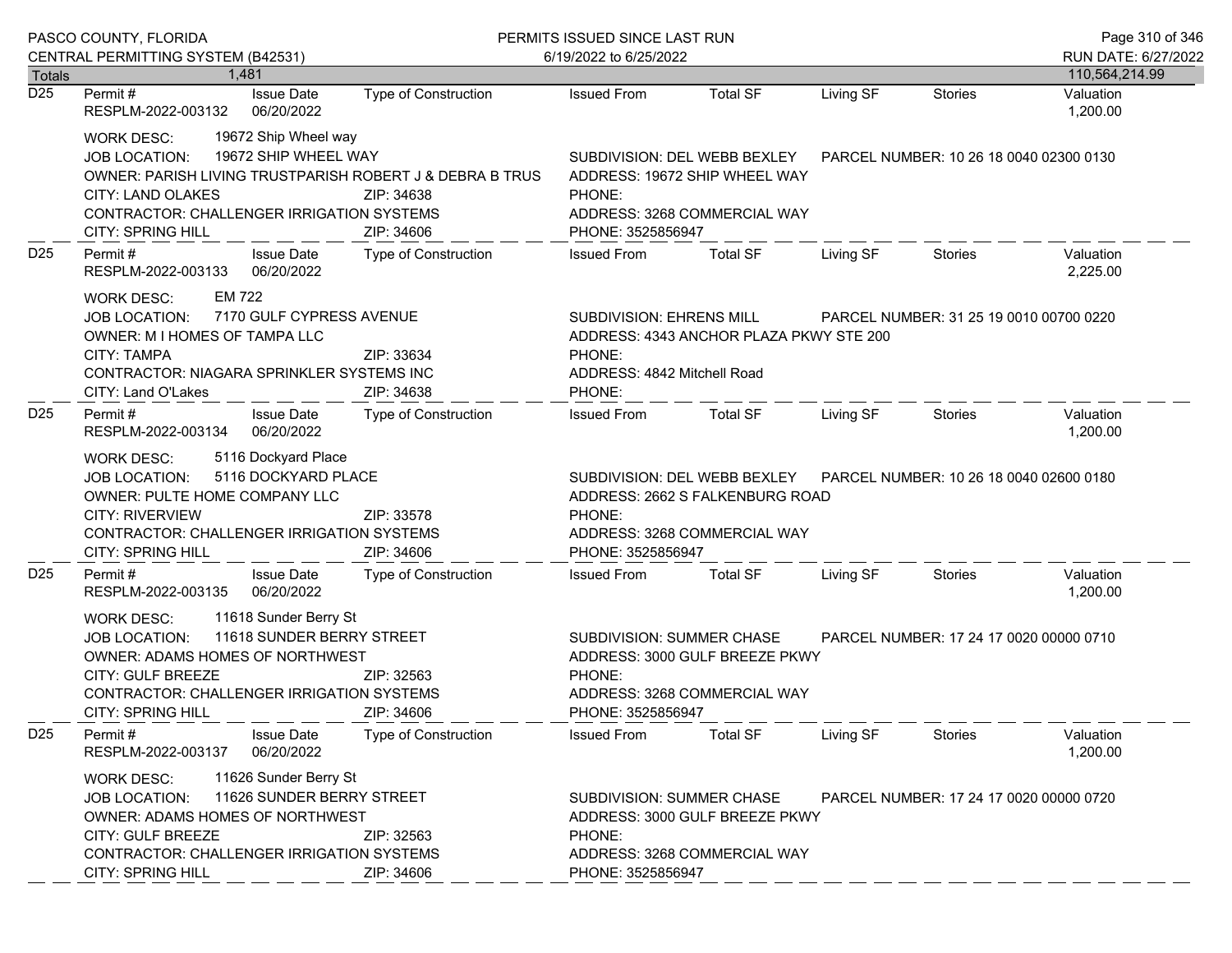|                 | PASCO COUNTY, FLORIDA                                                                                                                                                                                                                        |                                                                             | PERMITS ISSUED SINCE LAST RUN                                                                                                                                         |                                                                                                                                                                 |                                         |                                         |                                         |
|-----------------|----------------------------------------------------------------------------------------------------------------------------------------------------------------------------------------------------------------------------------------------|-----------------------------------------------------------------------------|-----------------------------------------------------------------------------------------------------------------------------------------------------------------------|-----------------------------------------------------------------------------------------------------------------------------------------------------------------|-----------------------------------------|-----------------------------------------|-----------------------------------------|
|                 | CENTRAL PERMITTING SYSTEM (B42531)                                                                                                                                                                                                           |                                                                             | 6/19/2022 to 6/25/2022                                                                                                                                                |                                                                                                                                                                 |                                         |                                         | RUN DATE: 6/27/2022                     |
| Totals<br>D25   | 1.481<br><b>Issue Date</b><br>Permit #<br>RESPLM-2022-003132<br>06/20/2022                                                                                                                                                                   | <b>Type of Construction</b>                                                 | <b>Issued From</b>                                                                                                                                                    | <b>Total SF</b>                                                                                                                                                 | Living SF                               | Stories                                 | 110,564,214.99<br>Valuation<br>1,200.00 |
|                 | 19672 Ship Wheel way<br><b>WORK DESC:</b><br>19672 SHIP WHEEL WAY<br>JOB LOCATION:<br>OWNER: PARISH LIVING TRUSTPARISH ROBERT J & DEBRA B TRUS<br><b>CITY: LAND OLAKES</b><br>CONTRACTOR: CHALLENGER IRRIGATION SYSTEMS<br>CITY: SPRING HILL | ZIP: 34638<br>ZIP: 34606                                                    | PHONE:                                                                                                                                                                | SUBDIVISION: DEL WEBB BEXLEY<br>ADDRESS: 19672 SHIP WHEEL WAY<br>ADDRESS: 3268 COMMERCIAL WAY<br>PHONE: 3525856947                                              |                                         | PARCEL NUMBER: 10 26 18 0040 02300 0130 |                                         |
| D <sub>25</sub> | Permit#<br><b>Issue Date</b><br>06/20/2022<br>RESPLM-2022-003133                                                                                                                                                                             | Type of Construction                                                        | <b>Issued From</b>                                                                                                                                                    | <b>Total SF</b>                                                                                                                                                 | Living SF                               | <b>Stories</b>                          | Valuation<br>2,225.00                   |
|                 | EM 722<br><b>WORK DESC:</b><br>7170 GULF CYPRESS AVENUE<br><b>JOB LOCATION:</b><br>OWNER: M I HOMES OF TAMPA LLC<br><b>CITY: TAMPA</b><br>CONTRACTOR: NIAGARA SPRINKLER SYSTEMS INC<br>CITY: Land O'Lakes                                    | SUBDIVISION: EHRENS MILL<br>PHONE:<br>ADDRESS: 4842 Mitchell Road<br>PHONE: | ADDRESS: 4343 ANCHOR PLAZA PKWY STE 200                                                                                                                               |                                                                                                                                                                 | PARCEL NUMBER: 31 25 19 0010 00700 0220 |                                         |                                         |
| D <sub>25</sub> | Permit#<br><b>Issue Date</b><br>06/20/2022<br>RESPLM-2022-003134                                                                                                                                                                             | Type of Construction                                                        | <b>Issued From</b>                                                                                                                                                    | <b>Total SF</b>                                                                                                                                                 | Living SF                               | Stories                                 | Valuation<br>1,200.00                   |
|                 | 5116 Dockyard Place<br><b>WORK DESC:</b><br>5116 DOCKYARD PLACE<br>JOB LOCATION:<br>OWNER: PULTE HOME COMPANY LLC<br><b>CITY: RIVERVIEW</b><br>ZIP: 33578<br>CONTRACTOR: CHALLENGER IRRIGATION SYSTEMS<br>CITY: SPRING HILL<br>ZIP: 34606    |                                                                             | PHONE:                                                                                                                                                                | SUBDIVISION: DEL WEBB BEXLEY<br>PARCEL NUMBER: 10 26 18 0040 02600 0180<br>ADDRESS: 2662 S FALKENBURG ROAD<br>ADDRESS: 3268 COMMERCIAL WAY<br>PHONE: 3525856947 |                                         |                                         |                                         |
| D <sub>25</sub> | <b>Issue Date</b><br>Permit#<br>06/20/2022<br>RESPLM-2022-003135                                                                                                                                                                             | Type of Construction                                                        | <b>Issued From</b>                                                                                                                                                    | <b>Total SF</b>                                                                                                                                                 | Living SF                               | Stories                                 | Valuation<br>1,200.00                   |
|                 | 11618 Sunder Berry St<br><b>WORK DESC:</b><br>11618 SUNDER BERRY STREET<br>JOB LOCATION:<br>OWNER: ADAMS HOMES OF NORTHWEST<br>CITY: GULF BREEZE<br>CONTRACTOR: CHALLENGER IRRIGATION SYSTEMS<br><b>CITY: SPRING HILL</b>                    | ZIP: 32563<br>ZIP: 34606                                                    | PHONE:<br>PHONE: 3525856947                                                                                                                                           | SUBDIVISION: SUMMER CHASE<br>PARCEL NUMBER: 17 24 17 0020 00000 0710<br>ADDRESS: 3000 GULF BREEZE PKWY<br>ADDRESS: 3268 COMMERCIAL WAY                          |                                         |                                         |                                         |
| D <sub>25</sub> | <b>Issue Date</b><br>Permit#<br>06/20/2022<br>RESPLM-2022-003137                                                                                                                                                                             | <b>Type of Construction</b>                                                 | <b>Issued From</b>                                                                                                                                                    | <b>Total SF</b>                                                                                                                                                 | Living SF                               | <b>Stories</b>                          | Valuation<br>1,200.00                   |
|                 | 11626 Sunder Berry St<br><b>WORK DESC:</b><br>11626 SUNDER BERRY STREET<br><b>JOB LOCATION:</b><br><b>OWNER: ADAMS HOMES OF NORTHWEST</b><br>CITY: GULF BREEZE<br>CONTRACTOR: CHALLENGER IRRIGATION SYSTEMS<br><b>CITY: SPRING HILL</b>      | ZIP: 32563<br>ZIP: 34606                                                    | SUBDIVISION: SUMMER CHASE<br>PARCEL NUMBER: 17 24 17 0020 00000 0720<br>ADDRESS: 3000 GULF BREEZE PKWY<br>PHONE:<br>ADDRESS: 3268 COMMERCIAL WAY<br>PHONE: 3525856947 |                                                                                                                                                                 |                                         |                                         |                                         |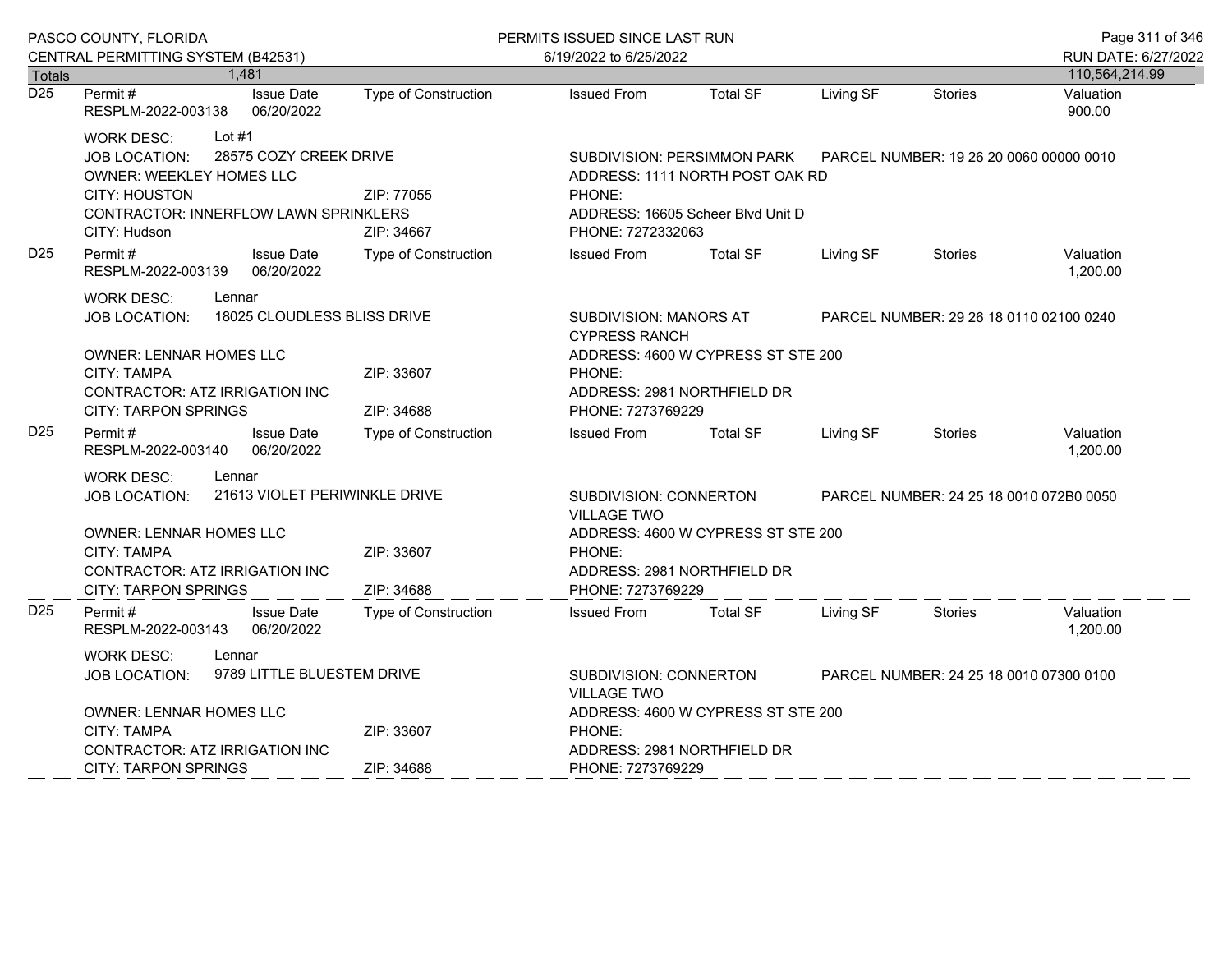|                  | PASCO COUNTY, FLORIDA                                                                                                                                                                                      |                                                                                                                                         | PERMITS ISSUED SINCE LAST RUN                                                                                                      |                                                                                                                                                                |           | Page 311 of 346 |                       |
|------------------|------------------------------------------------------------------------------------------------------------------------------------------------------------------------------------------------------------|-----------------------------------------------------------------------------------------------------------------------------------------|------------------------------------------------------------------------------------------------------------------------------------|----------------------------------------------------------------------------------------------------------------------------------------------------------------|-----------|-----------------|-----------------------|
|                  | CENTRAL PERMITTING SYSTEM (B42531)                                                                                                                                                                         |                                                                                                                                         | 6/19/2022 to 6/25/2022                                                                                                             |                                                                                                                                                                |           |                 | RUN DATE: 6/27/2022   |
| Totals           | 1,481                                                                                                                                                                                                      |                                                                                                                                         |                                                                                                                                    |                                                                                                                                                                |           |                 | 110,564,214.99        |
| $\overline{D25}$ | Permit#<br><b>Issue Date</b><br>06/20/2022<br>RESPLM-2022-003138                                                                                                                                           | <b>Type of Construction</b>                                                                                                             | <b>Issued From</b>                                                                                                                 | <b>Total SF</b>                                                                                                                                                | Living SF | <b>Stories</b>  | Valuation<br>900.00   |
|                  | Lot $#1$<br><b>WORK DESC:</b><br>28575 COZY CREEK DRIVE<br><b>JOB LOCATION:</b><br><b>OWNER: WEEKLEY HOMES LLC</b><br><b>CITY: HOUSTON</b><br><b>CONTRACTOR: INNERFLOW LAWN SPRINKLERS</b><br>CITY: Hudson | ZIP: 77055<br>ZIP: 34667                                                                                                                | SUBDIVISION: PERSIMMON PARK<br>ADDRESS: 1111 NORTH POST OAK RD<br>PHONE:<br>ADDRESS: 16605 Scheer Blvd Unit D<br>PHONE: 7272332063 | PARCEL NUMBER: 19 26 20 0060 00000 0010                                                                                                                        |           |                 |                       |
| D <sub>25</sub>  | Permit#<br><b>Issue Date</b><br>RESPLM-2022-003139<br>06/20/2022                                                                                                                                           | Type of Construction                                                                                                                    | <b>Issued From</b>                                                                                                                 | <b>Total SF</b>                                                                                                                                                | Living SF | <b>Stories</b>  | Valuation<br>1,200.00 |
|                  | <b>WORK DESC:</b><br>Lennar<br><b>JOB LOCATION:</b><br>OWNER: LENNAR HOMES LLC<br>CITY: TAMPA<br>CONTRACTOR: ATZ IRRIGATION INC<br><b>CITY: TARPON SPRINGS</b>                                             | 18025 CLOUDLESS BLISS DRIVE<br>ZIP: 33607<br>ZIP: 34688                                                                                 | PHONE:<br>PHONE: 7273769229                                                                                                        | SUBDIVISION: MANORS AT<br>PARCEL NUMBER: 29 26 18 0110 02100 0240<br><b>CYPRESS RANCH</b><br>ADDRESS: 4600 W CYPRESS ST STE 200<br>ADDRESS: 2981 NORTHFIELD DR |           |                 |                       |
| D <sub>25</sub>  | Permit#<br><b>Issue Date</b><br>06/20/2022<br>RESPLM-2022-003140                                                                                                                                           | Type of Construction                                                                                                                    | <b>Issued From</b>                                                                                                                 | <b>Total SF</b>                                                                                                                                                | Living SF | <b>Stories</b>  | Valuation<br>1,200.00 |
|                  | Lennar<br><b>WORK DESC:</b><br>21613 VIOLET PERIWINKLE DRIVE<br><b>JOB LOCATION:</b><br><b>OWNER: LENNAR HOMES LLC</b><br><b>CITY: TAMPA</b>                                                               | SUBDIVISION: CONNERTON<br>PARCEL NUMBER: 24 25 18 0010 072B0 0050<br><b>VILLAGE TWO</b><br>ADDRESS: 4600 W CYPRESS ST STE 200<br>PHONE: |                                                                                                                                    |                                                                                                                                                                |           |                 |                       |
|                  | CONTRACTOR: ATZ IRRIGATION INC<br><b>CITY: TARPON SPRINGS</b>                                                                                                                                              | ZIP: 34688                                                                                                                              | PHONE: 7273769229                                                                                                                  | ADDRESS: 2981 NORTHFIELD DR                                                                                                                                    |           |                 |                       |
| D <sub>25</sub>  | Permit#<br><b>Issue Date</b><br>RESPLM-2022-003143<br>06/20/2022                                                                                                                                           | <b>Type of Construction</b>                                                                                                             | <b>Issued From</b>                                                                                                                 | <b>Total SF</b>                                                                                                                                                | Living SF | Stories         | Valuation<br>1,200.00 |
|                  | <b>WORK DESC:</b><br>Lennar<br>9789 LITTLE BLUESTEM DRIVE<br><b>JOB LOCATION:</b><br>OWNER: LENNAR HOMES LLC                                                                                               | SUBDIVISION: CONNERTON<br><b>VILLAGE TWO</b>                                                                                            | PARCEL NUMBER: 24 25 18 0010 07300 0100                                                                                            |                                                                                                                                                                |           |                 |                       |
|                  | CITY: TAMPA<br>CONTRACTOR: ATZ IRRIGATION INC                                                                                                                                                              | ADDRESS: 4600 W CYPRESS ST STE 200<br>PHONE:<br>ADDRESS: 2981 NORTHFIELD DR                                                             |                                                                                                                                    |                                                                                                                                                                |           |                 |                       |
|                  | <b>CITY: TARPON SPRINGS</b>                                                                                                                                                                                | ZIP: 34688                                                                                                                              | PHONE: 7273769229                                                                                                                  |                                                                                                                                                                |           |                 |                       |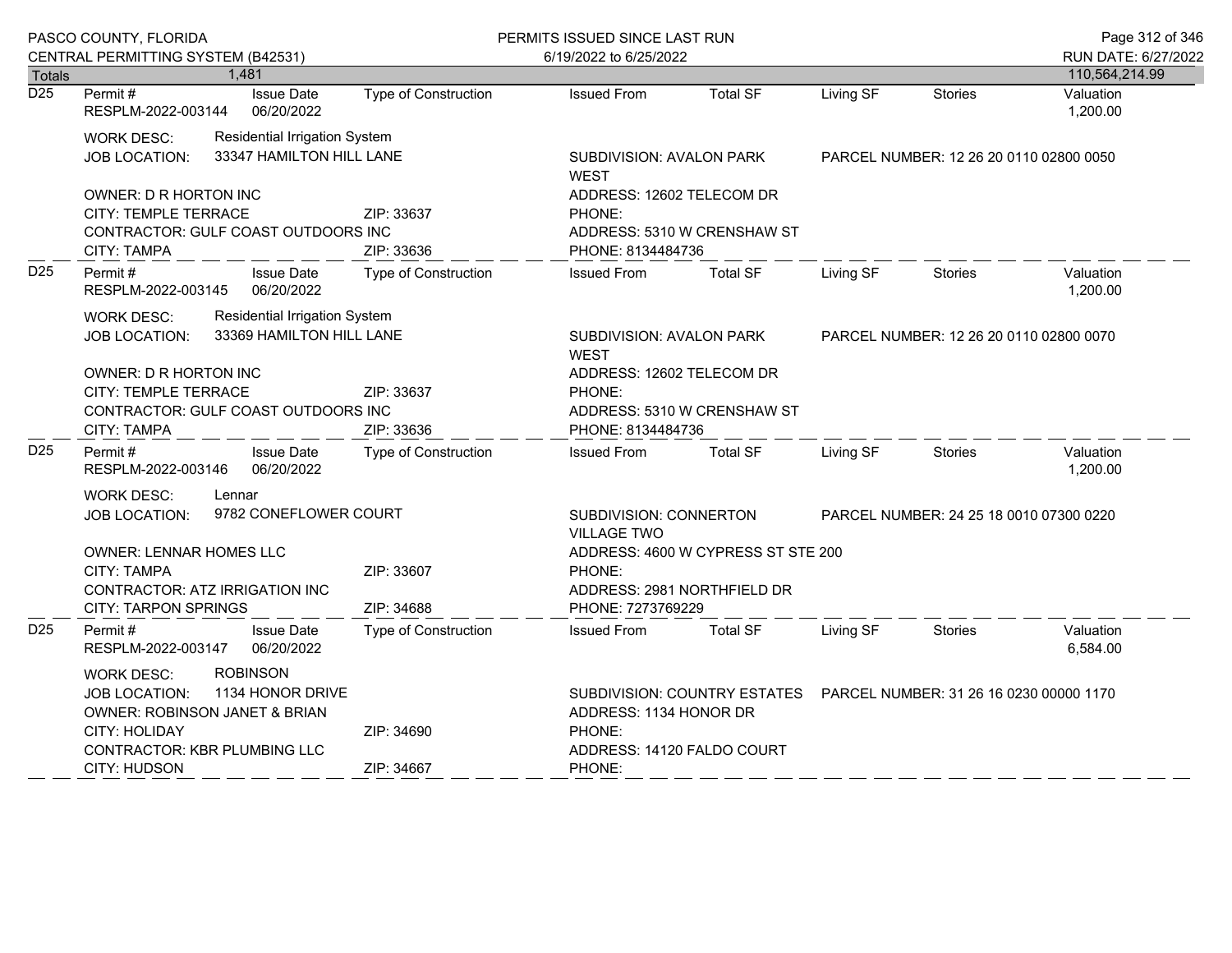|                                   | PASCO COUNTY, FLORIDA                                                                                         |                                 |                             | PERMITS ISSUED SINCE LAST RUN                                           |                                         |                                         |                | Page 312 of 346             |
|-----------------------------------|---------------------------------------------------------------------------------------------------------------|---------------------------------|-----------------------------|-------------------------------------------------------------------------|-----------------------------------------|-----------------------------------------|----------------|-----------------------------|
|                                   | CENTRAL PERMITTING SYSTEM (B42531)                                                                            |                                 |                             | 6/19/2022 to 6/25/2022                                                  |                                         |                                         |                | RUN DATE: 6/27/2022         |
| <b>Totals</b><br>$\overline{D25}$ | Permit#                                                                                                       | 1,481<br><b>Issue Date</b>      | Type of Construction        | <b>Issued From</b>                                                      | <b>Total SF</b>                         | Living SF                               | <b>Stories</b> | 110,564,214.99<br>Valuation |
|                                   | RESPLM-2022-003144                                                                                            | 06/20/2022                      |                             |                                                                         |                                         |                                         |                | 1,200.00                    |
|                                   | <b>WORK DESC:</b>                                                                                             | Residential Irrigation System   |                             |                                                                         |                                         |                                         |                |                             |
|                                   | <b>JOB LOCATION:</b>                                                                                          | 33347 HAMILTON HILL LANE        |                             | SUBDIVISION: AVALON PARK<br><b>WEST</b>                                 |                                         | PARCEL NUMBER: 12 26 20 0110 02800 0050 |                |                             |
|                                   | OWNER: D R HORTON INC                                                                                         |                                 |                             | ADDRESS: 12602 TELECOM DR                                               |                                         |                                         |                |                             |
|                                   | CITY: TEMPLE TERRACE                                                                                          |                                 | ZIP: 33637                  | PHONE:                                                                  |                                         |                                         |                |                             |
|                                   | CONTRACTOR: GULF COAST OUTDOORS INC                                                                           |                                 |                             | ADDRESS: 5310 W CRENSHAW ST                                             |                                         |                                         |                |                             |
|                                   | <b>CITY: TAMPA</b>                                                                                            |                                 | ZIP: 33636                  | PHONE: 8134484736                                                       |                                         |                                         |                |                             |
| D <sub>25</sub>                   | Permit#<br>RESPLM-2022-003145                                                                                 | <b>Issue Date</b><br>06/20/2022 | Type of Construction        | <b>Issued From</b>                                                      | <b>Total SF</b>                         | Living SF                               | Stories        | Valuation<br>1,200.00       |
|                                   | <b>Residential Irrigation System</b><br><b>WORK DESC:</b><br>33369 HAMILTON HILL LANE<br><b>JOB LOCATION:</b> |                                 |                             | SUBDIVISION: AVALON PARK                                                | PARCEL NUMBER: 12 26 20 0110 02800 0070 |                                         |                |                             |
|                                   |                                                                                                               |                                 |                             | <b>WEST</b>                                                             |                                         |                                         |                |                             |
|                                   | <b>OWNER: D R HORTON INC</b>                                                                                  |                                 |                             | ADDRESS: 12602 TELECOM DR                                               |                                         |                                         |                |                             |
|                                   | CITY: TEMPLE TERRACE<br>ZIP: 33637                                                                            |                                 |                             | PHONE:                                                                  |                                         |                                         |                |                             |
|                                   | CONTRACTOR: GULF COAST OUTDOORS INC                                                                           |                                 |                             |                                                                         | ADDRESS: 5310 W CRENSHAW ST             |                                         |                |                             |
|                                   | <b>CITY: TAMPA</b>                                                                                            |                                 | ZIP: 33636                  | PHONE: 8134484736                                                       |                                         |                                         |                |                             |
| D <sub>25</sub>                   | Permit #<br>RESPLM-2022-003146                                                                                | <b>Issue Date</b><br>06/20/2022 | <b>Type of Construction</b> | <b>Issued From</b>                                                      | <b>Total SF</b>                         | Living SF                               | <b>Stories</b> | Valuation<br>1,200.00       |
|                                   | <b>WORK DESC:</b>                                                                                             | Lennar                          |                             |                                                                         |                                         |                                         |                |                             |
|                                   | JOB LOCATION:                                                                                                 | 9782 CONEFLOWER COURT           |                             | SUBDIVISION: CONNERTON                                                  |                                         | PARCEL NUMBER: 24 25 18 0010 07300 0220 |                |                             |
|                                   |                                                                                                               |                                 |                             | <b>VILLAGE TWO</b>                                                      |                                         |                                         |                |                             |
|                                   | <b>OWNER: LENNAR HOMES LLC</b>                                                                                |                                 |                             | ADDRESS: 4600 W CYPRESS ST STE 200                                      |                                         |                                         |                |                             |
|                                   | <b>CITY: TAMPA</b>                                                                                            |                                 | ZIP: 33607                  | PHONE:                                                                  |                                         |                                         |                |                             |
|                                   | CONTRACTOR: ATZ IRRIGATION INC<br><b>CITY: TARPON SPRINGS</b>                                                 |                                 | ZIP: 34688                  | PHONE: 7273769229                                                       | ADDRESS: 2981 NORTHFIELD DR             |                                         |                |                             |
| D <sub>25</sub>                   | Permit#                                                                                                       | <b>Issue Date</b>               |                             | <b>Issued From</b>                                                      | <b>Total SF</b>                         | Living SF                               |                | Valuation                   |
|                                   | RESPLM-2022-003147                                                                                            | 06/20/2022                      | <b>Type of Construction</b> |                                                                         |                                         |                                         | Stories        | 6,584.00                    |
|                                   | <b>WORK DESC:</b>                                                                                             | <b>ROBINSON</b>                 |                             |                                                                         |                                         |                                         |                |                             |
|                                   | <b>JOB LOCATION:</b>                                                                                          | 1134 HONOR DRIVE                |                             | SUBDIVISION: COUNTRY ESTATES<br>PARCEL NUMBER: 31 26 16 0230 00000 1170 |                                         |                                         |                |                             |
|                                   | OWNER: ROBINSON JANET & BRIAN                                                                                 |                                 |                             | ADDRESS: 1134 HONOR DR                                                  |                                         |                                         |                |                             |
|                                   | CITY: HOLIDAY                                                                                                 |                                 | ZIP: 34690                  |                                                                         | PHONE:                                  |                                         |                |                             |
|                                   | CONTRACTOR: KBR PLUMBING LLC<br><b>CITY: HUDSON</b>                                                           |                                 | ZIP: 34667                  | ADDRESS: 14120 FALDO COURT<br>PHONE:                                    |                                         |                                         |                |                             |
|                                   |                                                                                                               |                                 |                             |                                                                         |                                         |                                         |                |                             |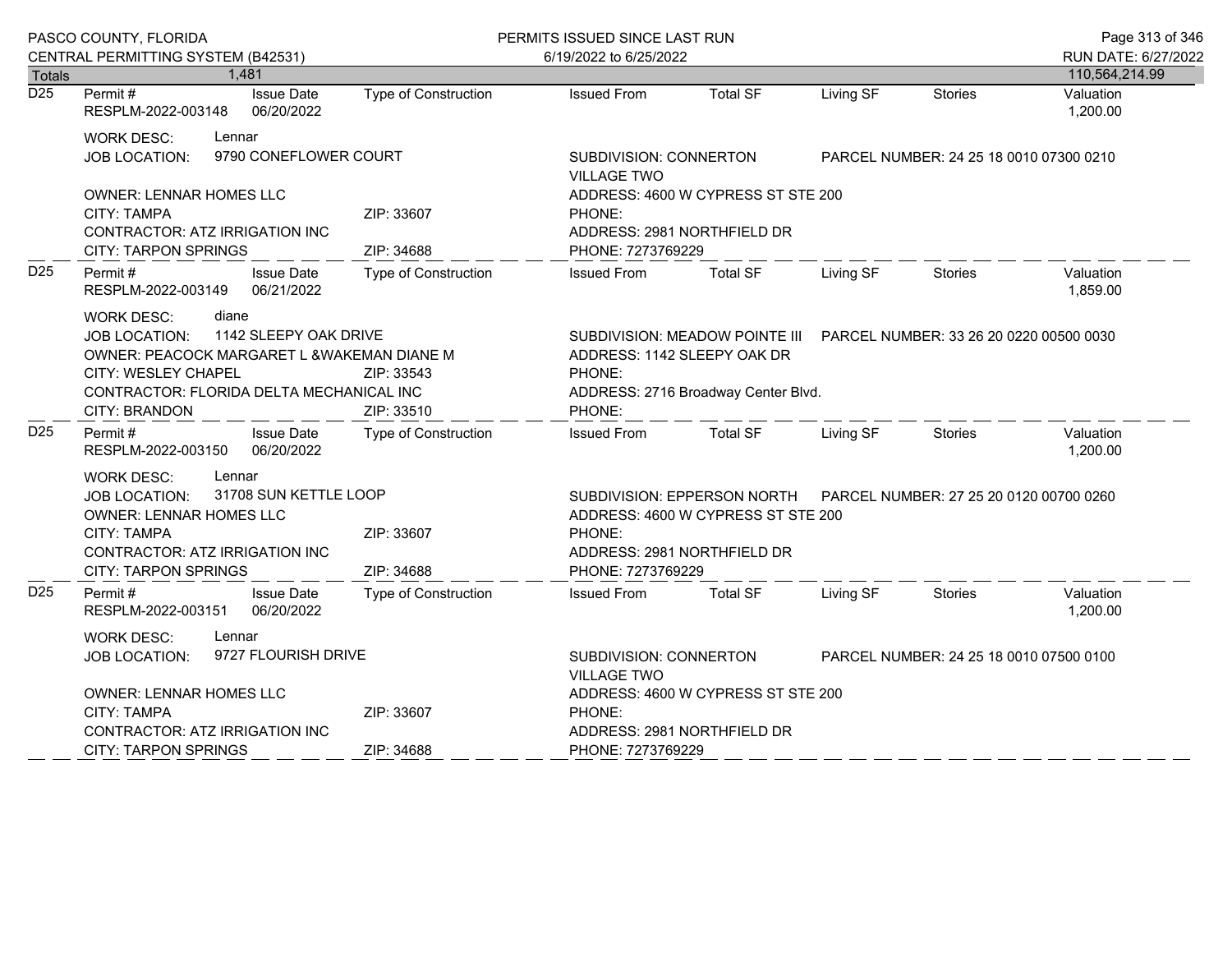|                  | PASCO COUNTY, FLORIDA                                                                                                                                                                                                                             |                                                   | PERMITS ISSUED SINCE LAST RUN                                                                                                                                              |                                                                                        |                                         |                | Page 313 of 346       |
|------------------|---------------------------------------------------------------------------------------------------------------------------------------------------------------------------------------------------------------------------------------------------|---------------------------------------------------|----------------------------------------------------------------------------------------------------------------------------------------------------------------------------|----------------------------------------------------------------------------------------|-----------------------------------------|----------------|-----------------------|
|                  | CENTRAL PERMITTING SYSTEM (B42531)                                                                                                                                                                                                                |                                                   | 6/19/2022 to 6/25/2022                                                                                                                                                     |                                                                                        |                                         |                | RUN DATE: 6/27/2022   |
| <b>Totals</b>    | 1.481                                                                                                                                                                                                                                             |                                                   |                                                                                                                                                                            |                                                                                        |                                         |                | 110,564,214.99        |
| $\overline{D25}$ | Permit#<br><b>Issue Date</b><br>06/20/2022<br>RESPLM-2022-003148                                                                                                                                                                                  | <b>Type of Construction</b>                       | <b>Issued From</b>                                                                                                                                                         | <b>Total SF</b>                                                                        | Living SF                               | <b>Stories</b> | Valuation<br>1,200.00 |
|                  | WORK DESC:<br>Lennar                                                                                                                                                                                                                              |                                                   |                                                                                                                                                                            |                                                                                        |                                         |                |                       |
|                  | 9790 CONEFLOWER COURT<br><b>JOB LOCATION:</b>                                                                                                                                                                                                     | SUBDIVISION: CONNERTON<br><b>VILLAGE TWO</b>      |                                                                                                                                                                            |                                                                                        | PARCEL NUMBER: 24 25 18 0010 07300 0210 |                |                       |
|                  | <b>OWNER: LENNAR HOMES LLC</b><br><b>CITY: TAMPA</b><br>CONTRACTOR: ATZ IRRIGATION INC<br><b>CITY: TARPON SPRINGS</b>                                                                                                                             | ZIP: 33607<br>ZIP: 34688                          | PHONE:                                                                                                                                                                     | ADDRESS: 4600 W CYPRESS ST STE 200<br>ADDRESS: 2981 NORTHFIELD DR<br>PHONE: 7273769229 |                                         |                |                       |
| D <sub>25</sub>  | Permit#<br><b>Issue Date</b><br>RESPLM-2022-003149<br>06/21/2022                                                                                                                                                                                  | <b>Type of Construction</b>                       | <b>Issued From</b>                                                                                                                                                         | <b>Total SF</b>                                                                        | Living SF                               | Stories        | Valuation<br>1,859.00 |
|                  | <b>WORK DESC:</b><br>diane<br>1142 SLEEPY OAK DRIVE<br><b>JOB LOCATION:</b><br>OWNER: PEACOCK MARGARET L & WAKEMAN DIANE M<br><b>CITY: WESLEY CHAPEL</b><br>ZIP: 33543<br>CONTRACTOR: FLORIDA DELTA MECHANICAL INC<br>ZIP: 33510<br>CITY: BRANDON |                                                   | SUBDIVISION: MEADOW POINTE III PARCEL NUMBER: 33 26 20 0220 00500 0030<br>ADDRESS: 1142 SLEEPY OAK DR<br>PHONE:<br>ADDRESS: 2716 Broadway Center Blvd.<br>PHONE:           |                                                                                        |                                         |                |                       |
| D <sub>25</sub>  | Permit #<br><b>Issue Date</b><br>06/20/2022<br>RESPLM-2022-003150                                                                                                                                                                                 | Type of Construction                              | <b>Issued From</b>                                                                                                                                                         | Total SF                                                                               | Living SF                               | Stories        | Valuation<br>1,200.00 |
|                  | Lennar<br>WORK DESC:<br>JOB LOCATION:<br>OWNER: LENNAR HOMES LLC<br><b>CITY: TAMPA</b><br>CONTRACTOR: ATZ IRRIGATION INC<br><b>CITY: TARPON SPRINGS</b>                                                                                           | 31708 SUN KETTLE LOOP<br>ZIP: 33607<br>ZIP: 34688 | SUBDIVISION: EPPERSON NORTH    PARCEL NUMBER: 27 25 20 0120 00700 0260<br>ADDRESS: 4600 W CYPRESS ST STE 200<br>PHONE:<br>ADDRESS: 2981 NORTHFIELD DR<br>PHONE: 7273769229 |                                                                                        |                                         |                |                       |
| D <sub>25</sub>  | <b>Issue Date</b><br>Permit #<br>RESPLM-2022-003151<br>06/20/2022                                                                                                                                                                                 | Type of Construction                              | <b>Issued From</b>                                                                                                                                                         | <b>Total SF</b>                                                                        | Living SF                               | Stories        | Valuation<br>1.200.00 |
|                  | WORK DESC:<br>Lennar<br>9727 FLOURISH DRIVE<br><b>JOB LOCATION:</b><br><b>OWNER: LENNAR HOMES LLC</b><br>CITY: TAMPA<br>CONTRACTOR: ATZ IRRIGATION INC                                                                                            | ZIP: 33607                                        | SUBDIVISION: CONNERTON<br>PARCEL NUMBER: 24 25 18 0010 07500 0100<br><b>VILLAGE TWO</b><br>ADDRESS: 4600 W CYPRESS ST STE 200<br>PHONE:<br>ADDRESS: 2981 NORTHFIELD DR     |                                                                                        |                                         |                |                       |
|                  | <b>CITY: TARPON SPRINGS</b>                                                                                                                                                                                                                       | ZIP: 34688                                        | PHONE: 7273769229                                                                                                                                                          |                                                                                        |                                         |                |                       |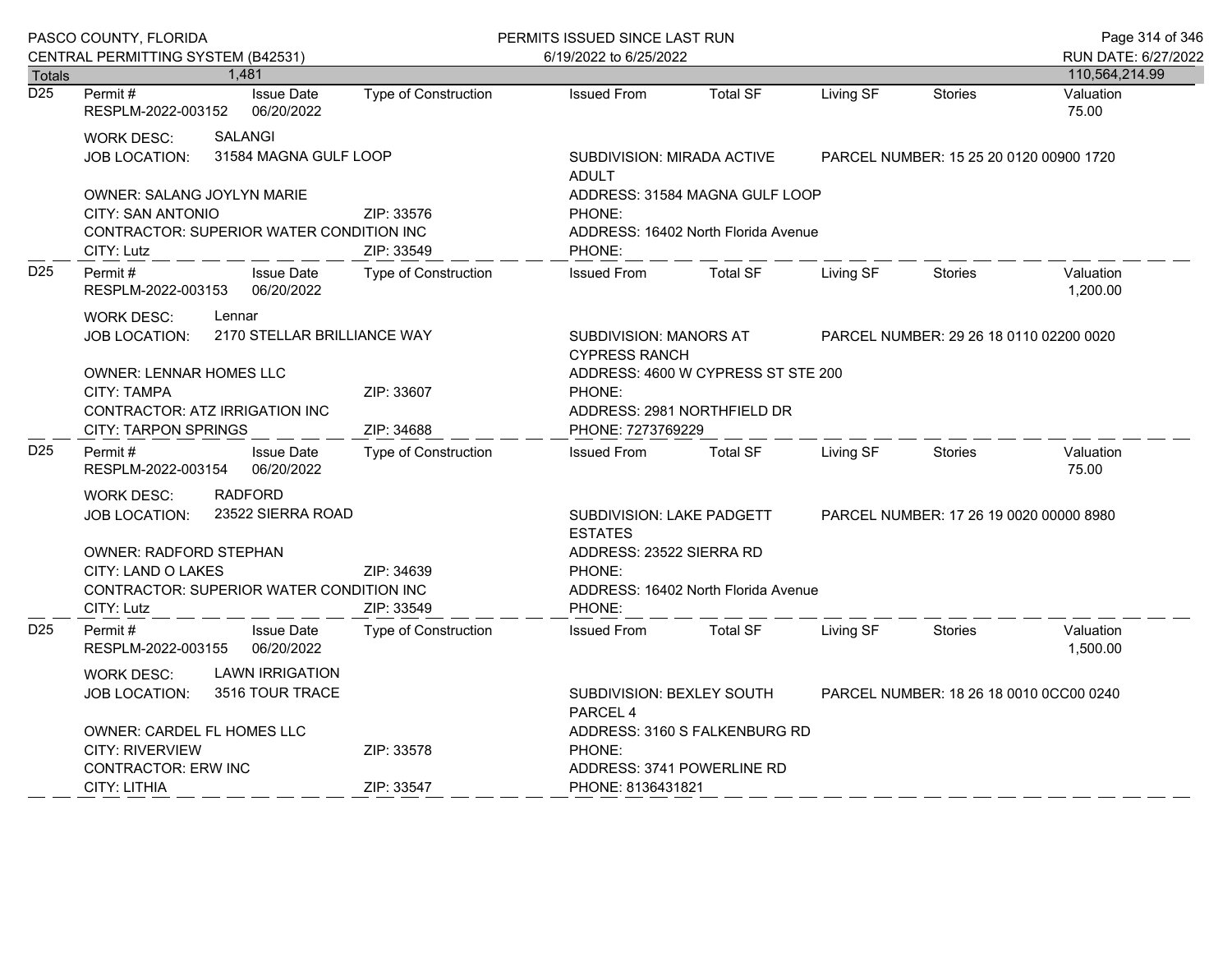|                  | PASCO COUNTY, FLORIDA                                                                                                                                                                                    |                             | PERMITS ISSUED SINCE LAST RUN                                                                                                |                                                                                           |           |                                         | Page 314 of 346       |  |
|------------------|----------------------------------------------------------------------------------------------------------------------------------------------------------------------------------------------------------|-----------------------------|------------------------------------------------------------------------------------------------------------------------------|-------------------------------------------------------------------------------------------|-----------|-----------------------------------------|-----------------------|--|
|                  | CENTRAL PERMITTING SYSTEM (B42531)                                                                                                                                                                       |                             | 6/19/2022 to 6/25/2022                                                                                                       |                                                                                           |           |                                         | RUN DATE: 6/27/2022   |  |
| <b>Totals</b>    | 1,481                                                                                                                                                                                                    |                             |                                                                                                                              |                                                                                           |           |                                         | 110,564,214.99        |  |
| $\overline{D25}$ | Permit#<br><b>Issue Date</b><br>RESPLM-2022-003152<br>06/20/2022                                                                                                                                         | Type of Construction        | <b>Issued From</b>                                                                                                           | <b>Total SF</b>                                                                           | Living SF | <b>Stories</b>                          | Valuation<br>75.00    |  |
|                  | <b>SALANGI</b><br>WORK DESC:<br>31584 MAGNA GULF LOOP<br>JOB LOCATION:                                                                                                                                   |                             | SUBDIVISION: MIRADA ACTIVE<br><b>ADULT</b>                                                                                   |                                                                                           |           | PARCEL NUMBER: 15 25 20 0120 00900 1720 |                       |  |
|                  | <b>OWNER: SALANG JOYLYN MARIE</b><br>CITY: SAN ANTONIO<br>CONTRACTOR: SUPERIOR WATER CONDITION INC<br>CITY: Lutz                                                                                         | ZIP: 33576<br>ZIP: 33549    | PHONE:<br>PHONE:                                                                                                             | ADDRESS: 31584 MAGNA GULF LOOP<br>ADDRESS: 16402 North Florida Avenue                     |           |                                         |                       |  |
| D <sub>25</sub>  | Permit#<br><b>Issue Date</b><br>06/20/2022<br>RESPLM-2022-003153                                                                                                                                         | <b>Type of Construction</b> | <b>Issued From</b>                                                                                                           | <b>Total SF</b>                                                                           | Living SF | Stories                                 | Valuation<br>1,200.00 |  |
|                  | <b>WORK DESC:</b><br>Lennar<br>2170 STELLAR BRILLIANCE WAY<br><b>JOB LOCATION:</b>                                                                                                                       |                             |                                                                                                                              | SUBDIVISION: MANORS AT<br>PARCEL NUMBER: 29 26 18 0110 02200 0020<br><b>CYPRESS RANCH</b> |           |                                         |                       |  |
|                  | <b>OWNER: LENNAR HOMES LLC</b><br>CITY: TAMPA<br><b>CONTRACTOR: ATZ IRRIGATION INC</b><br><b>CITY: TARPON SPRINGS</b>                                                                                    | PHONE:                      | ADDRESS: 4600 W CYPRESS ST STE 200<br>ADDRESS: 2981 NORTHFIELD DR<br>PHONE: 7273769229                                       |                                                                                           |           |                                         |                       |  |
| D <sub>25</sub>  | Permit#<br><b>Issue Date</b><br>06/20/2022<br>RESPLM-2022-003154                                                                                                                                         | <b>Type of Construction</b> | <b>Issued From</b>                                                                                                           | <b>Total SF</b>                                                                           | Living SF | <b>Stories</b>                          | Valuation<br>75.00    |  |
|                  | <b>RADFORD</b><br><b>WORK DESC:</b><br>23522 SIERRA ROAD<br><b>JOB LOCATION:</b><br><b>OWNER: RADFORD STEPHAN</b><br>CITY: LAND O LAKES<br><b>CONTRACTOR: SUPERIOR WATER CONDITION INC</b><br>CITY: Lutz | ZIP: 34639<br>ZIP: 33549    | SUBDIVISION: LAKE PADGETT<br><b>ESTATES</b><br>ADDRESS: 23522 SIERRA RD<br>PHONE:<br>PHONE:                                  | ADDRESS: 16402 North Florida Avenue                                                       |           | PARCEL NUMBER: 17 26 19 0020 00000 8980 |                       |  |
| D <sub>25</sub>  | <b>Issue Date</b><br>Permit#<br>06/20/2022<br>RESPLM-2022-003155                                                                                                                                         | <b>Type of Construction</b> | <b>Issued From</b>                                                                                                           | <b>Total SF</b>                                                                           | Living SF | <b>Stories</b>                          | Valuation<br>1,500.00 |  |
|                  | <b>LAWN IRRIGATION</b><br>WORK DESC:<br>3516 TOUR TRACE<br><b>JOB LOCATION:</b><br><b>OWNER: CARDEL FL HOMES LLC</b>                                                                                     |                             | SUBDIVISION: BEXLEY SOUTH<br>PARCEL NUMBER: 18 26 18 0010 0CC00 0240<br>PARCEL <sub>4</sub><br>ADDRESS: 3160 S FALKENBURG RD |                                                                                           |           |                                         |                       |  |
|                  | CITY: RIVERVIEW<br><b>CONTRACTOR: ERW INC</b><br>CITY: LITHIA                                                                                                                                            | ZIP: 33578<br>ZIP: 33547    | PHONE:<br>ADDRESS: 3741 POWERLINE RD<br>PHONE: 8136431821                                                                    |                                                                                           |           |                                         |                       |  |
|                  |                                                                                                                                                                                                          |                             |                                                                                                                              |                                                                                           |           |                                         |                       |  |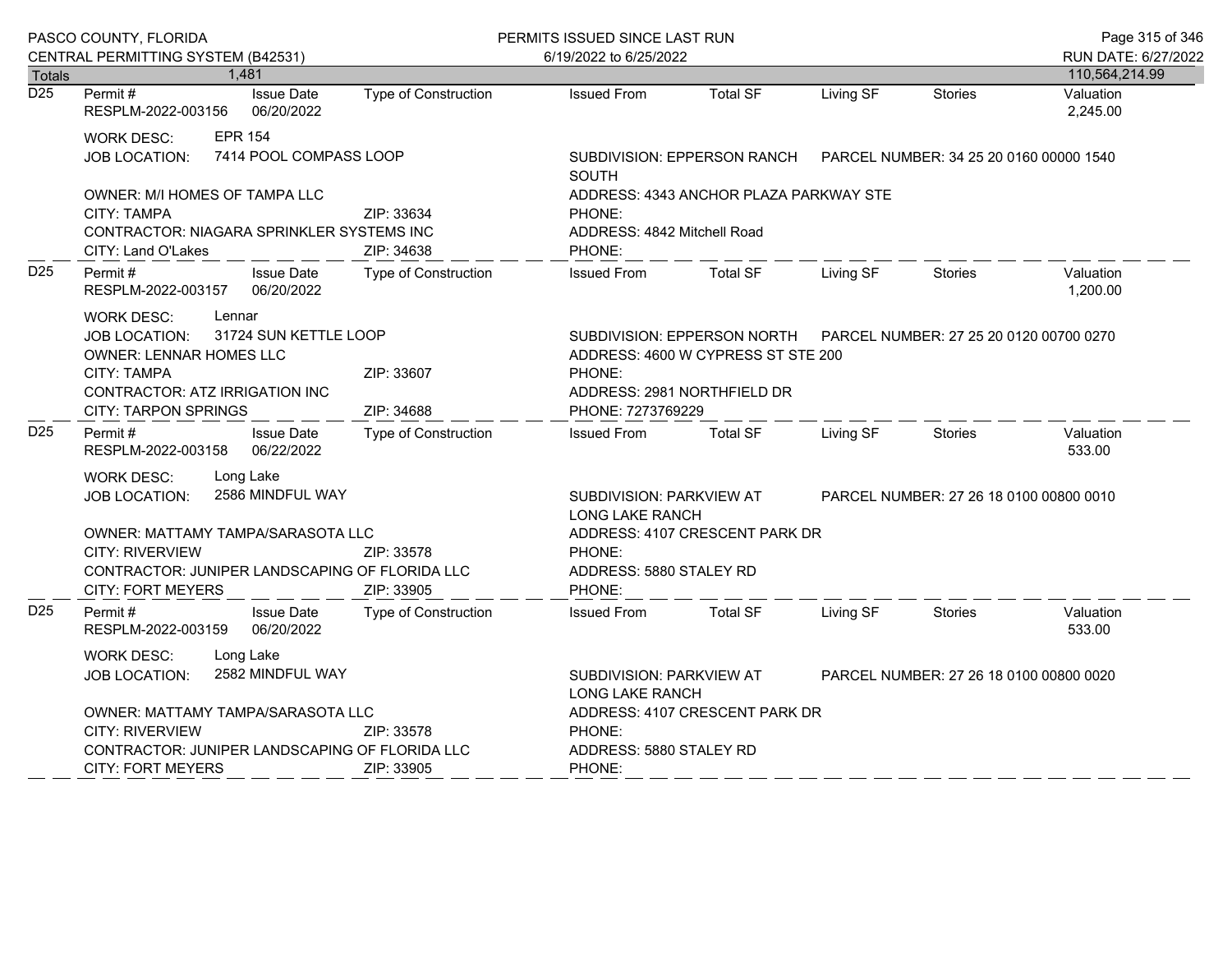|                  | PASCO COUNTY, FLORIDA                                                                                                                                                                                                      |                                 |                                                                                                                                                                            | PERMITS ISSUED SINCE LAST RUN                                                             |                                                                                                                                                            |           |                     | Page 315 of 346                         |
|------------------|----------------------------------------------------------------------------------------------------------------------------------------------------------------------------------------------------------------------------|---------------------------------|----------------------------------------------------------------------------------------------------------------------------------------------------------------------------|-------------------------------------------------------------------------------------------|------------------------------------------------------------------------------------------------------------------------------------------------------------|-----------|---------------------|-----------------------------------------|
|                  | CENTRAL PERMITTING SYSTEM (B42531)                                                                                                                                                                                         |                                 | 6/19/2022 to 6/25/2022                                                                                                                                                     |                                                                                           |                                                                                                                                                            |           | RUN DATE: 6/27/2022 |                                         |
| <b>Totals</b>    |                                                                                                                                                                                                                            | 1,481                           |                                                                                                                                                                            |                                                                                           |                                                                                                                                                            |           |                     | 110,564,214.99                          |
| $\overline{D25}$ | Permit#<br>RESPLM-2022-003156                                                                                                                                                                                              | <b>Issue Date</b><br>06/20/2022 | Type of Construction                                                                                                                                                       | <b>Issued From</b>                                                                        | <b>Total SF</b>                                                                                                                                            | Living SF | Stories             | Valuation<br>2,245.00                   |
|                  | <b>EPR 154</b><br><b>WORK DESC:</b><br>7414 POOL COMPASS LOOP<br>JOB LOCATION:                                                                                                                                             |                                 |                                                                                                                                                                            | <b>SOUTH</b>                                                                              | SUBDIVISION: EPPERSON RANCH                                                                                                                                |           |                     | PARCEL NUMBER: 34 25 20 0160 00000 1540 |
|                  | OWNER: M/I HOMES OF TAMPA LLC<br>CITY: TAMPA<br>ZIP: 33634<br>CONTRACTOR: NIAGARA SPRINKLER SYSTEMS INC<br>CITY: Land O'Lakes<br>ZIP: 34638                                                                                |                                 |                                                                                                                                                                            | ADDRESS: 4343 ANCHOR PLAZA PARKWAY STE<br>PHONE:<br>ADDRESS: 4842 Mitchell Road<br>PHONE: |                                                                                                                                                            |           |                     |                                         |
| D <sub>25</sub>  | Permit #<br><b>Issue Date</b><br>RESPLM-2022-003157<br>06/20/2022                                                                                                                                                          |                                 | Type of Construction                                                                                                                                                       | <b>Issued From</b>                                                                        | <b>Total SF</b>                                                                                                                                            | Living SF | Stories             | Valuation<br>1,200.00                   |
|                  | <b>WORK DESC:</b><br>Lennar<br>31724 SUN KETTLE LOOP<br><b>JOB LOCATION:</b><br>OWNER: LENNAR HOMES LLC<br><b>CITY: TAMPA</b><br>ZIP: 33607<br>CONTRACTOR: ATZ IRRIGATION INC<br>ZIP: 34688<br><b>CITY: TARPON SPRINGS</b> |                                 | PARCEL NUMBER: 27 25 20 0120 00700 0270<br>SUBDIVISION: EPPERSON NORTH<br>ADDRESS: 4600 W CYPRESS ST STE 200<br>PHONE:<br>ADDRESS: 2981 NORTHFIELD DR<br>PHONE: 7273769229 |                                                                                           |                                                                                                                                                            |           |                     |                                         |
| D <sub>25</sub>  | Permit#<br>RESPLM-2022-003158                                                                                                                                                                                              | <b>Issue Date</b><br>06/22/2022 | Type of Construction                                                                                                                                                       | <b>Issued From</b>                                                                        | <b>Total SF</b>                                                                                                                                            | Living SF | <b>Stories</b>      | Valuation<br>533.00                     |
|                  | Long Lake<br><b>WORK DESC:</b><br>2586 MINDFUL WAY<br>JOB LOCATION:<br>OWNER: MATTAMY TAMPA/SARASOTA LLC<br><b>CITY: RIVERVIEW</b><br>CONTRACTOR: JUNIPER LANDSCAPING OF FLORIDA LLC<br><b>CITY: FORT MEYERS</b>           |                                 | ZIP: 33578<br>ZIP: 33905                                                                                                                                                   | PHONE:<br>PHONE:                                                                          | SUBDIVISION: PARKVIEW AT<br>PARCEL NUMBER: 27 26 18 0100 00800 0010<br><b>LONG LAKE RANCH</b><br>ADDRESS: 4107 CRESCENT PARK DR<br>ADDRESS: 5880 STALEY RD |           |                     |                                         |
| D <sub>25</sub>  | Permit#<br>RESPLM-2022-003159                                                                                                                                                                                              | <b>Issue Date</b><br>06/20/2022 | <b>Type of Construction</b>                                                                                                                                                | <b>Issued From</b>                                                                        | <b>Total SF</b>                                                                                                                                            | Living SF | Stories             | Valuation<br>533.00                     |
|                  | <b>WORK DESC:</b><br><b>JOB LOCATION:</b><br>OWNER: MATTAMY TAMPA/SARASOTA LLC<br><b>CITY: RIVERVIEW</b>                                                                                                                   | Long Lake<br>2582 MINDFUL WAY   | ZIP: 33578                                                                                                                                                                 | PHONE:                                                                                    | SUBDIVISION: PARKVIEW AT<br>PARCEL NUMBER: 27 26 18 0100 00800 0020<br><b>LONG LAKE RANCH</b><br>ADDRESS: 4107 CRESCENT PARK DR                            |           |                     |                                         |
|                  | CONTRACTOR: JUNIPER LANDSCAPING OF FLORIDA LLC<br><b>CITY: FORT MEYERS</b><br>ZIP: 33905                                                                                                                                   |                                 |                                                                                                                                                                            | ADDRESS: 5880 STALEY RD<br>PHONE:                                                         |                                                                                                                                                            |           |                     |                                         |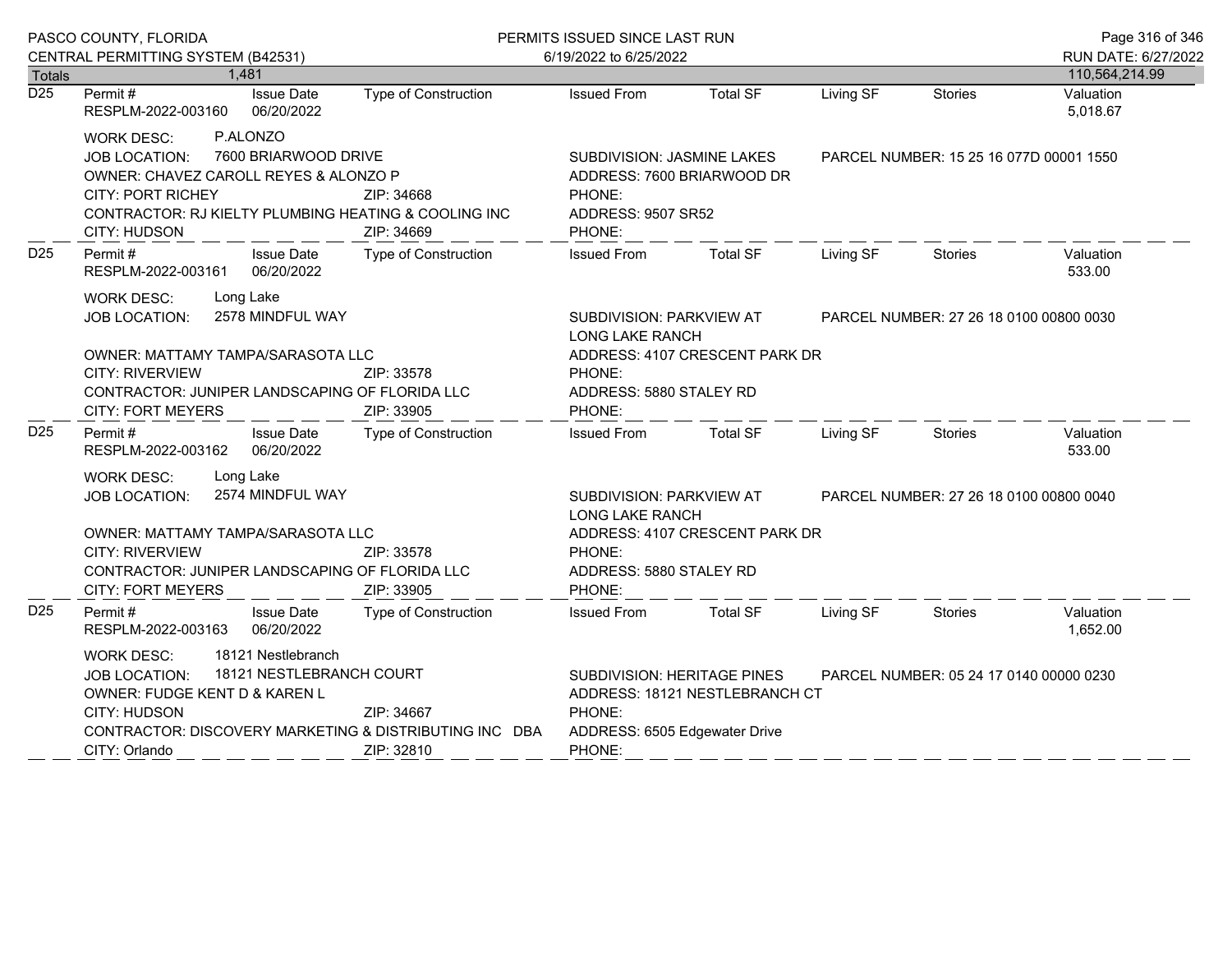|                  | PASCO COUNTY, FLORIDA                                                                                                                                                                                                                               |                                                                                                                | PERMITS ISSUED SINCE LAST RUN                                                                                                                       |                                                                                                                                                     |           |                                         | Page 316 of 346       |  |
|------------------|-----------------------------------------------------------------------------------------------------------------------------------------------------------------------------------------------------------------------------------------------------|----------------------------------------------------------------------------------------------------------------|-----------------------------------------------------------------------------------------------------------------------------------------------------|-----------------------------------------------------------------------------------------------------------------------------------------------------|-----------|-----------------------------------------|-----------------------|--|
|                  | CENTRAL PERMITTING SYSTEM (B42531)                                                                                                                                                                                                                  |                                                                                                                | 6/19/2022 to 6/25/2022                                                                                                                              |                                                                                                                                                     |           |                                         | RUN DATE: 6/27/2022   |  |
| <b>Totals</b>    | 1,481                                                                                                                                                                                                                                               |                                                                                                                |                                                                                                                                                     |                                                                                                                                                     |           |                                         | 110,564,214.99        |  |
| $\overline{D25}$ | Permit#<br><b>Issue Date</b><br>RESPLM-2022-003160<br>06/20/2022                                                                                                                                                                                    | Type of Construction                                                                                           | <b>Issued From</b>                                                                                                                                  | <b>Total SF</b>                                                                                                                                     | Living SF | Stories                                 | Valuation<br>5,018.67 |  |
|                  | P.ALONZO<br><b>WORK DESC:</b><br><b>JOB LOCATION:</b><br>OWNER: CHAVEZ CAROLL REYES & ALONZO P<br><b>CITY: PORT RICHEY</b><br>CITY: HUDSON                                                                                                          | 7600 BRIARWOOD DRIVE<br>ZIP: 34668<br>CONTRACTOR: RJ KIELTY PLUMBING HEATING & COOLING INC<br>ZIP: 34669       | PHONE:<br>PHONE:                                                                                                                                    | SUBDIVISION: JASMINE LAKES<br>ADDRESS: 7600 BRIARWOOD DR<br>ADDRESS: 9507 SR52                                                                      |           | PARCEL NUMBER: 15 25 16 077D 00001 1550 |                       |  |
| D <sub>25</sub>  | Permit#<br><b>Issue Date</b><br>06/20/2022<br>RESPLM-2022-003161                                                                                                                                                                                    | Type of Construction                                                                                           | <b>Issued From</b>                                                                                                                                  | <b>Total SF</b>                                                                                                                                     | Living SF | Stories                                 | Valuation<br>533.00   |  |
|                  | <b>WORK DESC:</b><br>Long Lake<br>2578 MINDFUL WAY<br><b>JOB LOCATION:</b><br>OWNER: MATTAMY TAMPA/SARASOTA LLC<br><b>CITY: RIVERVIEW</b><br>CONTRACTOR: JUNIPER LANDSCAPING OF FLORIDA LLC                                                         | PHONE:                                                                                                         | PARCEL NUMBER: 27 26 18 0100 00800 0030<br>SUBDIVISION: PARKVIEW AT<br>LONG LAKE RANCH<br>ADDRESS: 4107 CRESCENT PARK DR<br>ADDRESS: 5880 STALEY RD |                                                                                                                                                     |           |                                         |                       |  |
| D <sub>25</sub>  | <b>CITY: FORT MEYERS</b><br>Permit#<br><b>Issue Date</b><br>RESPLM-2022-003162<br>06/20/2022                                                                                                                                                        | ZIP: 33905<br>Type of Construction                                                                             | PHONE:<br><b>Issued From</b>                                                                                                                        | <b>Total SF</b>                                                                                                                                     | Living SF | Stories                                 | Valuation<br>533.00   |  |
|                  | Long Lake<br><b>WORK DESC:</b><br>2574 MINDFUL WAY<br><b>JOB LOCATION:</b><br>OWNER: MATTAMY TAMPA/SARASOTA LLC<br><b>CITY: RIVERVIEW</b><br>ZIP: 33578<br>CONTRACTOR: JUNIPER LANDSCAPING OF FLORIDA LLC<br><b>CITY: FORT MEYERS</b><br>ZIP: 33905 |                                                                                                                | PHONE:<br>PHONE:                                                                                                                                    | PARCEL NUMBER: 27 26 18 0100 00800 0040<br>SUBDIVISION: PARKVIEW AT<br>LONG LAKE RANCH<br>ADDRESS: 4107 CRESCENT PARK DR<br>ADDRESS: 5880 STALEY RD |           |                                         |                       |  |
| D <sub>25</sub>  | Permit#<br><b>Issue Date</b><br>RESPLM-2022-003163 06/20/2022                                                                                                                                                                                       | Type of Construction                                                                                           | <b>Issued From</b>                                                                                                                                  | <b>Total SF</b>                                                                                                                                     | Living SF | Stories                                 | Valuation<br>1,652.00 |  |
|                  | 18121 Nestlebranch<br><b>WORK DESC:</b><br><b>JOB LOCATION:</b><br>OWNER: FUDGE KENT D & KAREN L<br>CITY: HUDSON<br>CITY: Orlando                                                                                                                   | 18121 NESTLEBRANCH COURT<br>ZIP: 34667<br>CONTRACTOR: DISCOVERY MARKETING & DISTRIBUTING INC DBA<br>ZIP: 32810 | SUBDIVISION: HERITAGE PINES<br>PHONE:<br>ADDRESS: 6505 Edgewater Drive<br>PHONE:                                                                    | ADDRESS: 18121 NESTLEBRANCH CT                                                                                                                      |           | PARCEL NUMBER: 05 24 17 0140 00000 0230 |                       |  |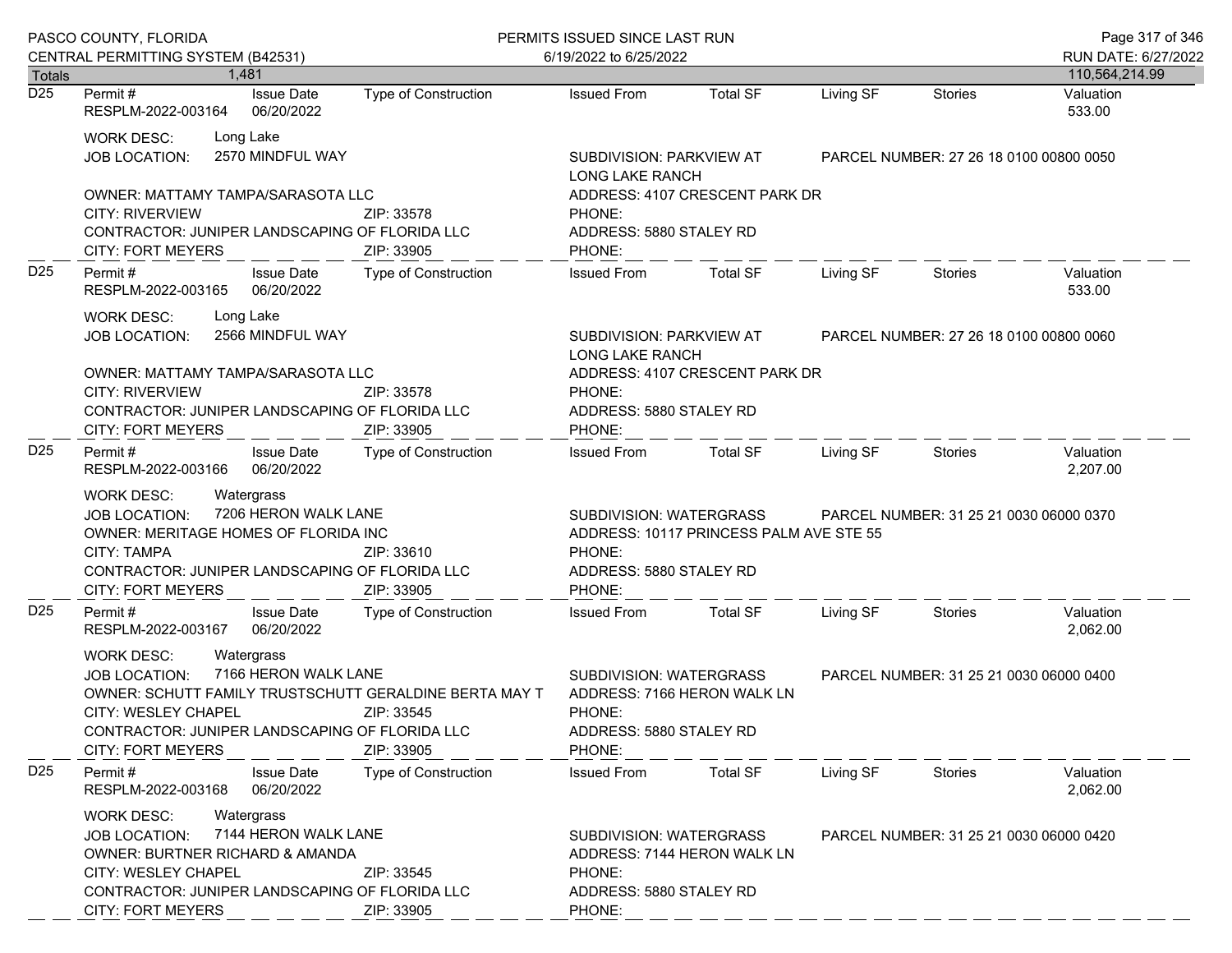|                  | PASCO COUNTY, FLORIDA                                                                                                                                                                                                                          |                                             | PERMITS ISSUED SINCE LAST RUN                                                 |                                         |                                         |                                         | Page 317 of 346             |
|------------------|------------------------------------------------------------------------------------------------------------------------------------------------------------------------------------------------------------------------------------------------|---------------------------------------------|-------------------------------------------------------------------------------|-----------------------------------------|-----------------------------------------|-----------------------------------------|-----------------------------|
| <b>Totals</b>    | CENTRAL PERMITTING SYSTEM (B42531)<br>1.481                                                                                                                                                                                                    |                                             | 6/19/2022 to 6/25/2022                                                        |                                         |                                         |                                         | RUN DATE: 6/27/2022         |
| $\overline{D25}$ | <b>Issue Date</b><br>Permit #                                                                                                                                                                                                                  | Type of Construction                        | <b>Issued From</b>                                                            | <b>Total SF</b>                         | Living SF                               | Stories                                 | 110,564,214.99<br>Valuation |
|                  | 06/20/2022<br>RESPLM-2022-003164                                                                                                                                                                                                               |                                             |                                                                               |                                         |                                         |                                         | 533.00                      |
|                  | Long Lake<br><b>WORK DESC:</b><br>2570 MINDFUL WAY<br><b>JOB LOCATION:</b>                                                                                                                                                                     |                                             | SUBDIVISION: PARKVIEW AT<br>LONG LAKE RANCH                                   |                                         | PARCEL NUMBER: 27 26 18 0100 00800 0050 |                                         |                             |
|                  | OWNER: MATTAMY TAMPA/SARASOTA LLC<br><b>CITY: RIVERVIEW</b><br>CONTRACTOR: JUNIPER LANDSCAPING OF FLORIDA LLC<br><b>CITY: FORT MEYERS</b>                                                                                                      | ZIP: 33578<br>ZIP: 33905                    | PHONE:<br>ADDRESS: 5880 STALEY RD<br>PHONE:                                   | ADDRESS: 4107 CRESCENT PARK DR          |                                         |                                         |                             |
| D <sub>25</sub>  | Permit#<br><b>Issue Date</b><br>06/20/2022<br>RESPLM-2022-003165                                                                                                                                                                               | Type of Construction                        | <b>Issued From</b>                                                            | Total SF                                | Living SF                               | Stories                                 | Valuation<br>533.00         |
|                  | Long Lake<br><b>WORK DESC:</b><br>2566 MINDFUL WAY<br><b>JOB LOCATION:</b>                                                                                                                                                                     | SUBDIVISION: PARKVIEW AT<br>LONG LAKE RANCH |                                                                               |                                         | PARCEL NUMBER: 27 26 18 0100 00800 0060 |                                         |                             |
|                  | OWNER: MATTAMY TAMPA/SARASOTA LLC<br><b>CITY: RIVERVIEW</b><br>CONTRACTOR: JUNIPER LANDSCAPING OF FLORIDA LLC<br><b>CITY: FORT MEYERS</b>                                                                                                      | ZIP: 33578<br>ZIP: 33905                    | PHONE:<br>ADDRESS: 5880 STALEY RD<br>PHONE:                                   | ADDRESS: 4107 CRESCENT PARK DR          |                                         |                                         |                             |
| D <sub>25</sub>  | Permit#<br><b>Issue Date</b><br>06/20/2022<br>RESPLM-2022-003166                                                                                                                                                                               | <b>Type of Construction</b>                 | <b>Issued From</b>                                                            | Total SF                                | Living SF                               | Stories                                 | Valuation<br>2,207.00       |
|                  | Watergrass<br><b>WORK DESC:</b><br>7206 HERON WALK LANE<br><b>JOB LOCATION:</b><br>OWNER: MERITAGE HOMES OF FLORIDA INC<br>CITY: TAMPA<br>CONTRACTOR: JUNIPER LANDSCAPING OF FLORIDA LLC<br><b>CITY: FORT MEYERS</b>                           | ZIP: 33610<br>ZIP: 33905                    | SUBDIVISION: WATERGRASS<br>PHONE:<br>ADDRESS: 5880 STALEY RD<br>PHONE:        | ADDRESS: 10117 PRINCESS PALM AVE STE 55 |                                         | PARCEL NUMBER: 31 25 21 0030 06000 0370 |                             |
| D <sub>25</sub>  | <b>Issue Date</b><br>Permit#<br>RESPLM-2022-003167<br>06/20/2022                                                                                                                                                                               | Type of Construction                        | <b>Issued From</b>                                                            | <b>Total SF</b>                         | Living SF                               | Stories                                 | Valuation<br>2,062.00       |
|                  | <b>WORK DESC:</b><br>Watergrass<br>7166 HERON WALK LANE<br><b>JOB LOCATION:</b><br>OWNER: SCHUTT FAMILY TRUSTSCHUTT GERALDINE BERTA MAY T<br>CITY: WESLEY CHAPEL<br>CONTRACTOR: JUNIPER LANDSCAPING OF FLORIDA LLC<br><b>CITY: FORT MEYERS</b> | ZIP: 33545<br>ZIP: 33905                    | SUBDIVISION: WATERGRASS<br>PHONE:<br>ADDRESS: 5880 STALEY RD<br>PHONE:        | ADDRESS: 7166 HERON WALK LN             |                                         | PARCEL NUMBER: 31 25 21 0030 06000 0400 |                             |
| D <sub>25</sub>  | Permit#<br><b>Issue Date</b><br>RESPLM-2022-003168<br>06/20/2022                                                                                                                                                                               | <b>Type of Construction</b>                 | <b>Issued From</b>                                                            | <b>Total SF</b>                         | Living SF                               | Stories                                 | Valuation<br>2,062.00       |
|                  | Watergrass<br><b>WORK DESC:</b><br>7144 HERON WALK LANE<br><b>JOB LOCATION:</b><br><b>OWNER: BURTNER RICHARD &amp; AMANDA</b><br>CITY: WESLEY CHAPEL<br>CONTRACTOR: JUNIPER LANDSCAPING OF FLORIDA LLC<br><b>CITY: FORT MEYERS</b>             | ZIP: 33545<br>ZIP: 33905                    | <b>SUBDIVISION: WATERGRASS</b><br>PHONE:<br>ADDRESS: 5880 STALEY RD<br>PHONE: | ADDRESS: 7144 HERON WALK LN             |                                         | PARCEL NUMBER: 31 25 21 0030 06000 0420 |                             |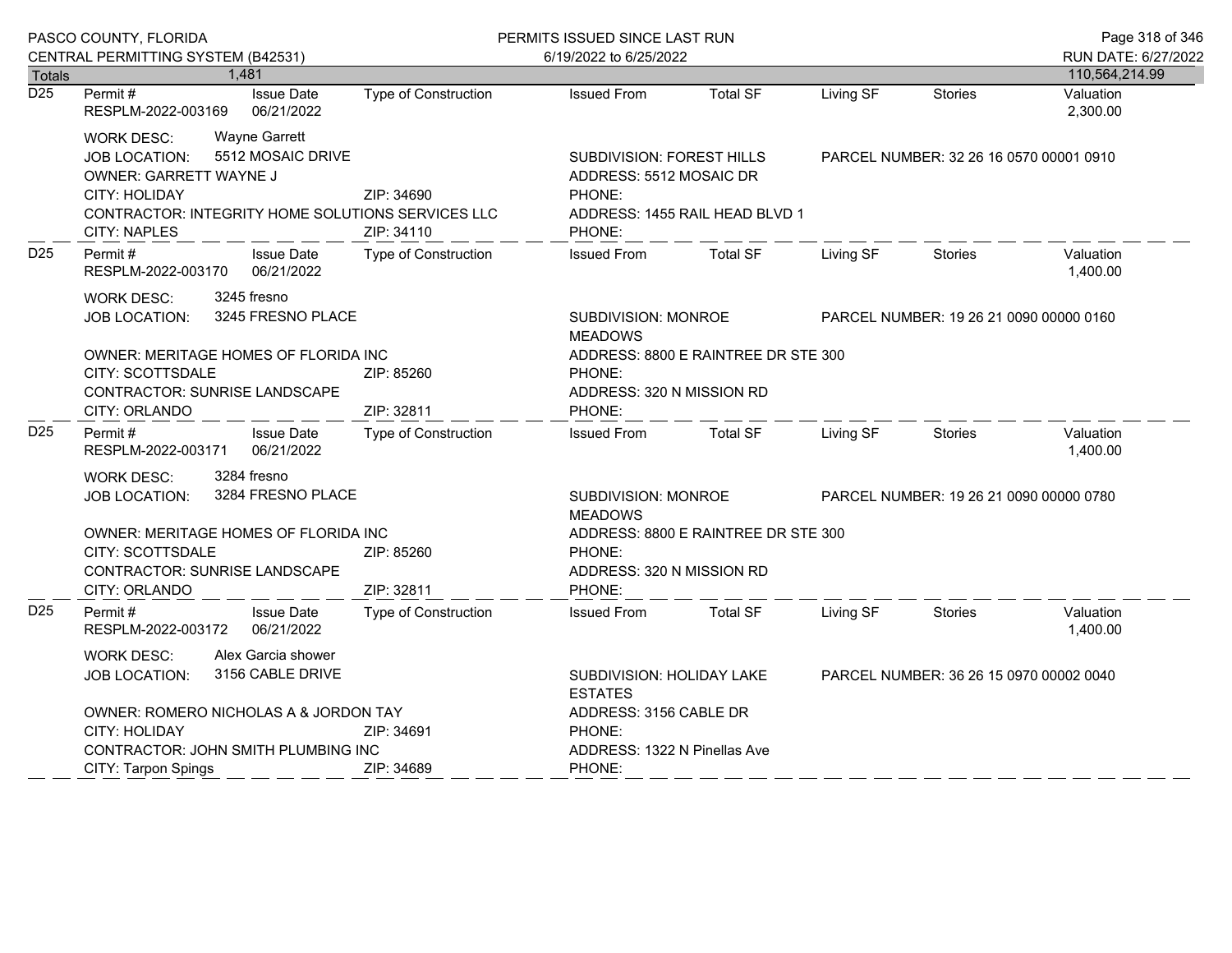|                  | PASCO COUNTY, FLORIDA                                                                                                                                                                                         |                             | PERMITS ISSUED SINCE LAST RUN                                                                                                 |                                                                      |                                         |                                         | Page 318 of 346       |
|------------------|---------------------------------------------------------------------------------------------------------------------------------------------------------------------------------------------------------------|-----------------------------|-------------------------------------------------------------------------------------------------------------------------------|----------------------------------------------------------------------|-----------------------------------------|-----------------------------------------|-----------------------|
|                  | CENTRAL PERMITTING SYSTEM (B42531)                                                                                                                                                                            |                             | 6/19/2022 to 6/25/2022                                                                                                        |                                                                      |                                         |                                         | RUN DATE: 6/27/2022   |
| <b>Totals</b>    | 1.481                                                                                                                                                                                                         |                             |                                                                                                                               |                                                                      |                                         | 110,564,214.99                          |                       |
| $\overline{D25}$ | Permit#<br><b>Issue Date</b><br>06/21/2022<br>RESPLM-2022-003169                                                                                                                                              | <b>Type of Construction</b> | <b>Issued From</b>                                                                                                            | <b>Total SF</b>                                                      | Living SF                               | <b>Stories</b>                          | Valuation<br>2,300.00 |
|                  | <b>Wayne Garrett</b><br><b>WORK DESC:</b><br>5512 MOSAIC DRIVE<br><b>JOB LOCATION:</b><br>OWNER: GARRETT WAYNE J<br>CITY: HOLIDAY<br>CONTRACTOR: INTEGRITY HOME SOLUTIONS SERVICES LLC<br><b>CITY: NAPLES</b> | ZIP: 34690<br>ZIP: 34110    | <b>SUBDIVISION: FOREST HILLS</b><br>ADDRESS: 5512 MOSAIC DR<br>PHONE:<br>ADDRESS: 1455 RAIL HEAD BLVD 1<br>PHONE:             |                                                                      |                                         | PARCEL NUMBER: 32 26 16 0570 00001 0910 |                       |
| D <sub>25</sub>  | <b>Issue Date</b><br>Permit#<br>06/21/2022<br>RESPLM-2022-003170                                                                                                                                              | <b>Type of Construction</b> | <b>Issued From</b>                                                                                                            | <b>Total SF</b>                                                      | Living SF                               | <b>Stories</b>                          | Valuation<br>1,400.00 |
|                  | 3245 fresno<br><b>WORK DESC:</b><br>3245 FRESNO PLACE<br><b>JOB LOCATION:</b><br>OWNER: MERITAGE HOMES OF FLORIDA INC<br>CITY: SCOTTSDALE<br>ZIP: 85260<br>CONTRACTOR: SUNRISE LANDSCAPE<br>ZIP: 32811        |                             | SUBDIVISION: MONROE<br><b>MEADOWS</b><br>ADDRESS: 8800 E RAINTREE DR STE 300<br>PHONE:<br>ADDRESS: 320 N MISSION RD<br>PHONE: |                                                                      | PARCEL NUMBER: 19 26 21 0090 00000 0160 |                                         |                       |
| D <sub>25</sub>  | CITY: ORLANDO<br><b>Issue Date</b><br>Permit#<br>06/21/2022<br>RESPLM-2022-003171                                                                                                                             | Type of Construction        | <b>Issued From</b>                                                                                                            | <b>Total SF</b>                                                      | Living SF                               | <b>Stories</b>                          | Valuation<br>1,400.00 |
|                  | 3284 fresno<br>WORK DESC:<br>3284 FRESNO PLACE<br><b>JOB LOCATION:</b><br>OWNER: MERITAGE HOMES OF FLORIDA INC                                                                                                |                             | SUBDIVISION: MONROE<br>PARCEL NUMBER: 19 26 21 0090 00000 0780<br><b>MEADOWS</b><br>ADDRESS: 8800 E RAINTREE DR STE 300       |                                                                      |                                         |                                         |                       |
|                  | CITY: SCOTTSDALE<br><b>CONTRACTOR: SUNRISE LANDSCAPE</b><br>CITY: ORLANDO                                                                                                                                     | ZIP: 85260<br>ZIP: 32811    | PHONE:<br>ADDRESS: 320 N MISSION RD<br>PHONE:                                                                                 |                                                                      |                                         |                                         |                       |
| D <sub>25</sub>  | Permit#<br><b>Issue Date</b><br>RESPLM-2022-003172<br>06/21/2022                                                                                                                                              | <b>Type of Construction</b> | <b>Issued From</b>                                                                                                            | <b>Total SF</b>                                                      | Living SF                               | Stories                                 | Valuation<br>1,400.00 |
|                  | Alex Garcia shower<br><b>WORK DESC:</b><br>3156 CABLE DRIVE<br><b>JOB LOCATION:</b><br>OWNER: ROMERO NICHOLAS A & JORDON TAY                                                                                  |                             | <b>ESTATES</b><br>ADDRESS: 3156 CABLE DR                                                                                      | SUBDIVISION: HOLIDAY LAKE<br>PARCEL NUMBER: 36 26 15 0970 00002 0040 |                                         |                                         |                       |
|                  | CITY: HOLIDAY                                                                                                                                                                                                 | ZIP: 34691                  | PHONE:                                                                                                                        |                                                                      |                                         |                                         |                       |
|                  | CONTRACTOR: JOHN SMITH PLUMBING INC<br>CITY: Tarpon Spings                                                                                                                                                    | ZIP: 34689                  | ADDRESS: 1322 N Pinellas Ave<br>PHONE:                                                                                        |                                                                      |                                         |                                         |                       |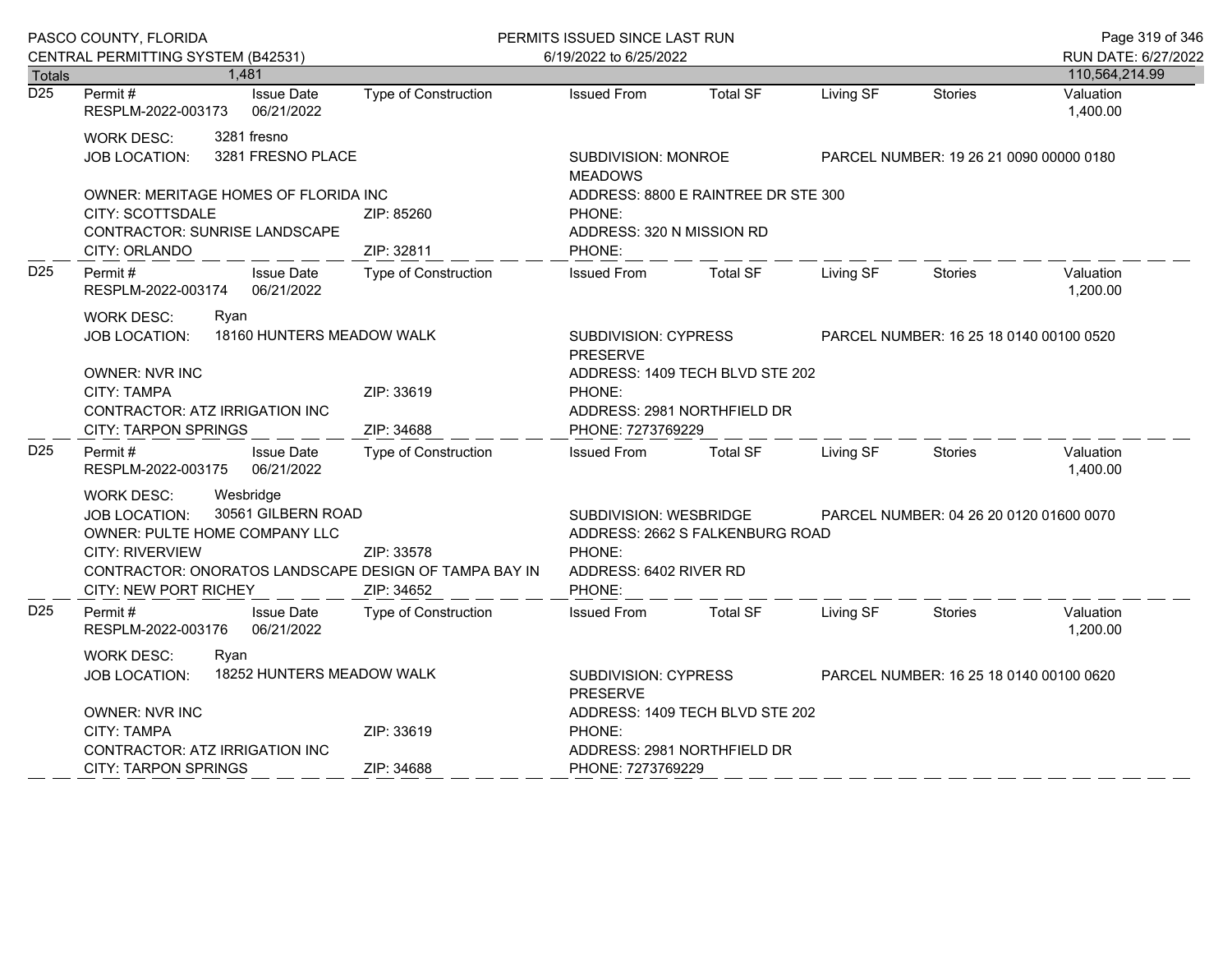| PASCO COUNTY, FLORIDA             |                                                                                                                                                                                                                           |                                  |                                                                                                                       | PERMITS ISSUED SINCE LAST RUN                                                        |                                 |           |                                         | Page 319 of 346       |
|-----------------------------------|---------------------------------------------------------------------------------------------------------------------------------------------------------------------------------------------------------------------------|----------------------------------|-----------------------------------------------------------------------------------------------------------------------|--------------------------------------------------------------------------------------|---------------------------------|-----------|-----------------------------------------|-----------------------|
|                                   | CENTRAL PERMITTING SYSTEM (B42531)                                                                                                                                                                                        |                                  |                                                                                                                       | 6/19/2022 to 6/25/2022                                                               |                                 |           |                                         | RUN DATE: 6/27/2022   |
| <b>Totals</b><br>$\overline{D25}$ |                                                                                                                                                                                                                           | 1,481                            |                                                                                                                       |                                                                                      |                                 |           |                                         | 110,564,214.99        |
|                                   | Permit#<br>RESPLM-2022-003173                                                                                                                                                                                             | <b>Issue Date</b><br>06/21/2022  | <b>Type of Construction</b>                                                                                           | <b>Issued From</b>                                                                   | <b>Total SF</b>                 | Living SF | <b>Stories</b>                          | Valuation<br>1,400.00 |
|                                   | <b>WORK DESC:</b><br><b>JOB LOCATION:</b>                                                                                                                                                                                 | 3281 fresno<br>3281 FRESNO PLACE |                                                                                                                       | SUBDIVISION: MONROE<br><b>MEADOWS</b>                                                |                                 |           | PARCEL NUMBER: 19 26 21 0090 00000 0180 |                       |
|                                   | OWNER: MERITAGE HOMES OF FLORIDA INC<br>CITY: SCOTTSDALE<br><b>CONTRACTOR: SUNRISE LANDSCAPE</b><br>CITY: ORLANDO                                                                                                         |                                  | ZIP: 85260<br>ZIP: 32811                                                                                              | ADDRESS: 8800 E RAINTREE DR STE 300<br>PHONE:<br>ADDRESS: 320 N MISSION RD<br>PHONE: |                                 |           |                                         |                       |
| D <sub>25</sub>                   | Permit#<br>RESPLM-2022-003174                                                                                                                                                                                             | <b>Issue Date</b><br>06/21/2022  | <b>Type of Construction</b>                                                                                           | <b>Issued From</b>                                                                   | <b>Total SF</b>                 | Living SF | <b>Stories</b>                          | Valuation<br>1,200.00 |
|                                   | <b>WORK DESC:</b><br>Ryan<br><b>JOB LOCATION:</b><br><b>OWNER: NVR INC</b>                                                                                                                                                | 18160 HUNTERS MEADOW WALK        | SUBDIVISION: CYPRESS<br>PARCEL NUMBER: 16 25 18 0140 00100 0520<br><b>PRESERVE</b><br>ADDRESS: 1409 TECH BLVD STE 202 |                                                                                      |                                 |           |                                         |                       |
|                                   | <b>CITY: TAMPA</b><br>ZIP: 33619<br>CONTRACTOR: ATZ IRRIGATION INC<br><b>CITY: TARPON SPRINGS</b><br>ZIP: 34688                                                                                                           |                                  |                                                                                                                       | PHONE:<br>ADDRESS: 2981 NORTHFIELD DR<br>PHONE: 7273769229                           |                                 |           |                                         |                       |
| D <sub>25</sub>                   | Permit #<br>RESPLM-2022-003175                                                                                                                                                                                            | <b>Issue Date</b><br>06/21/2022  | <b>Type of Construction</b>                                                                                           | <b>Issued From</b>                                                                   | <b>Total SF</b>                 | Living SF | Stories                                 | Valuation<br>1,400.00 |
|                                   | Wesbridge<br><b>WORK DESC:</b><br>30561 GILBERN ROAD<br><b>JOB LOCATION:</b><br>OWNER: PULTE HOME COMPANY LLC<br>CITY: RIVERVIEW<br>CONTRACTOR: ONORATOS LANDSCAPE DESIGN OF TAMPA BAY IN<br><b>CITY: NEW PORT RICHEY</b> |                                  | ZIP: 33578<br>ZIP: 34652                                                                                              | <b>SUBDIVISION: WESBRIDGE</b><br>PHONE:<br>ADDRESS: 6402 RIVER RD<br>PHONE:          | ADDRESS: 2662 S FALKENBURG ROAD |           | PARCEL NUMBER: 04 26 20 0120 01600 0070 |                       |
| D <sub>25</sub>                   | Permit#<br>RESPLM-2022-003176                                                                                                                                                                                             | <b>Issue Date</b><br>06/21/2022  | <b>Type of Construction</b>                                                                                           | <b>Issued From</b>                                                                   | <b>Total SF</b>                 | Living SF | Stories                                 | Valuation<br>1,200.00 |
|                                   | WORK DESC:<br>Ryan<br>18252 HUNTERS MEADOW WALK<br><b>JOB LOCATION:</b>                                                                                                                                                   |                                  |                                                                                                                       | SUBDIVISION: CYPRESS<br>PARCEL NUMBER: 16 25 18 0140 00100 0620<br><b>PRESERVE</b>   |                                 |           |                                         |                       |
|                                   | <b>OWNER: NVR INC</b><br><b>CITY: TAMPA</b><br>ZIP: 33619<br>CONTRACTOR: ATZ IRRIGATION INC                                                                                                                               |                                  |                                                                                                                       | ADDRESS: 1409 TECH BLVD STE 202<br>PHONE:<br>ADDRESS: 2981 NORTHFIELD DR             |                                 |           |                                         |                       |
|                                   | <b>CITY: TARPON SPRINGS</b>                                                                                                                                                                                               |                                  | ZIP: 34688                                                                                                            | PHONE: 7273769229                                                                    |                                 |           |                                         |                       |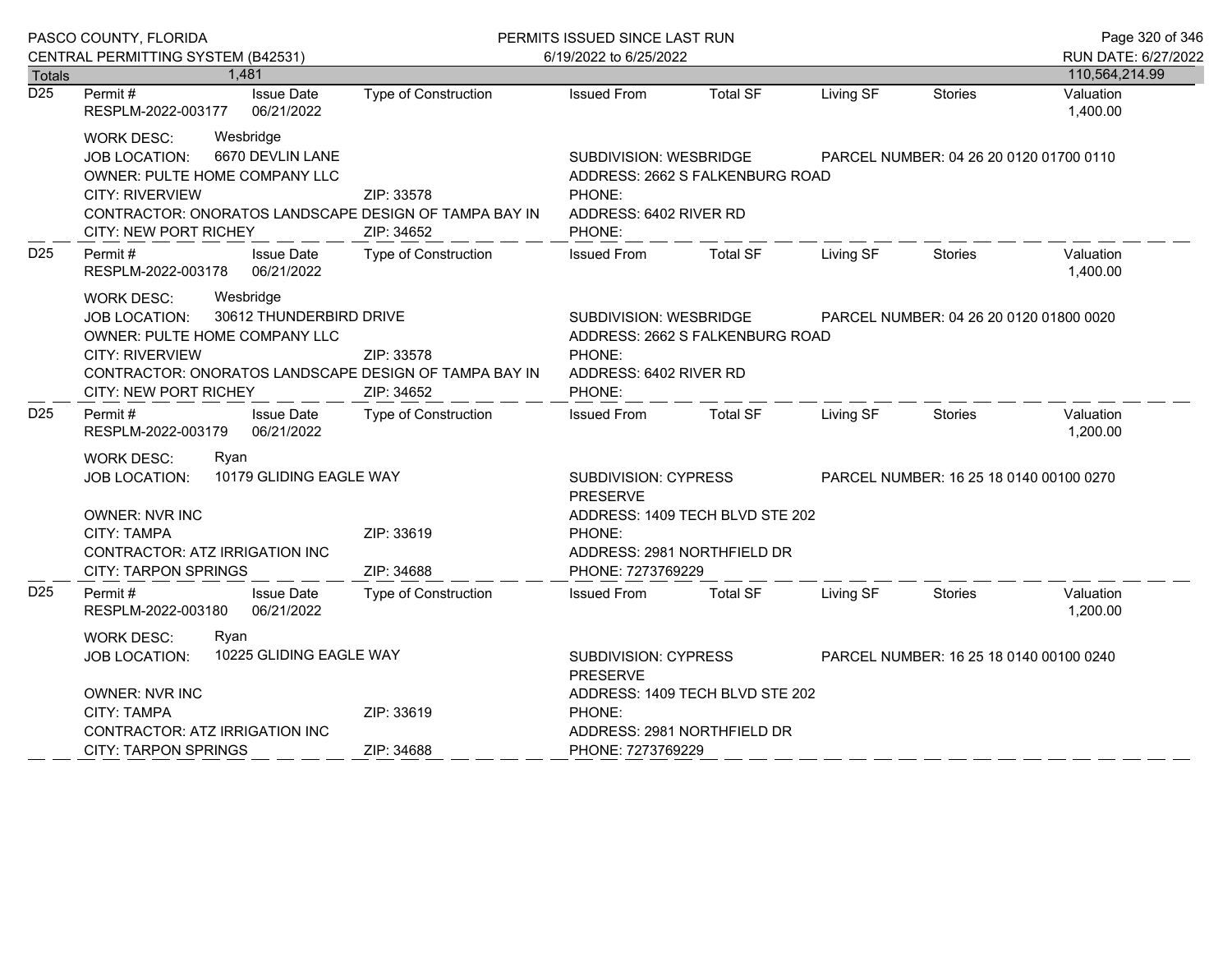|                                   | PASCO COUNTY, FLORIDA                                                                                                                                                                                                          |                             | PERMITS ISSUED SINCE LAST RUN                                                                           |                                                                |                                         |                                         | Page 320 of 346             |
|-----------------------------------|--------------------------------------------------------------------------------------------------------------------------------------------------------------------------------------------------------------------------------|-----------------------------|---------------------------------------------------------------------------------------------------------|----------------------------------------------------------------|-----------------------------------------|-----------------------------------------|-----------------------------|
|                                   | CENTRAL PERMITTING SYSTEM (B42531)                                                                                                                                                                                             |                             | 6/19/2022 to 6/25/2022                                                                                  |                                                                |                                         |                                         | RUN DATE: 6/27/2022         |
| <b>Totals</b><br>$\overline{D25}$ | 1,481<br>Permit#<br><b>Issue Date</b>                                                                                                                                                                                          | Type of Construction        | <b>Issued From</b>                                                                                      | <b>Total SF</b>                                                | Living SF                               | <b>Stories</b>                          | 110,564,214.99<br>Valuation |
|                                   | 06/21/2022<br>RESPLM-2022-003177                                                                                                                                                                                               |                             |                                                                                                         |                                                                |                                         |                                         | 1,400.00                    |
|                                   | Wesbridge<br><b>WORK DESC:</b><br>6670 DEVLIN LANE<br><b>JOB LOCATION:</b><br>OWNER: PULTE HOME COMPANY LLC<br><b>CITY: RIVERVIEW</b><br>CONTRACTOR: ONORATOS LANDSCAPE DESIGN OF TAMPA BAY IN<br>CITY: NEW PORT RICHEY        | ZIP: 33578<br>ZIP: 34652    | SUBDIVISION: WESBRIDGE<br>ADDRESS: 2662 S FALKENBURG ROAD<br>PHONE:<br>ADDRESS: 6402 RIVER RD<br>PHONE: |                                                                | PARCEL NUMBER: 04 26 20 0120 01700 0110 |                                         |                             |
| D <sub>25</sub>                   | Permit#<br><b>Issue Date</b><br>06/21/2022<br>RESPLM-2022-003178                                                                                                                                                               | Type of Construction        | <b>Issued From</b>                                                                                      | <b>Total SF</b>                                                | Living SF                               | Stories                                 | Valuation<br>1,400.00       |
|                                   | <b>WORK DESC:</b><br>Wesbridge<br>30612 THUNDERBIRD DRIVE<br><b>JOB LOCATION:</b><br>OWNER: PULTE HOME COMPANY LLC<br><b>CITY: RIVERVIEW</b><br>CONTRACTOR: ONORATOS LANDSCAPE DESIGN OF TAMPA BAY IN<br>CITY: NEW PORT RICHEY | ZIP: 33578<br>ZIP: 34652    | SUBDIVISION: WESBRIDGE<br>ADDRESS: 2662 S FALKENBURG ROAD<br>PHONE:<br>ADDRESS: 6402 RIVER RD<br>PHONE: | PARCEL NUMBER: 04 26 20 0120 01800 0020                        |                                         |                                         |                             |
| D <sub>25</sub>                   | Permit#<br><b>Issue Date</b><br>06/21/2022<br>RESPLM-2022-003179                                                                                                                                                               | <b>Type of Construction</b> | <b>Issued From</b>                                                                                      | Total SF                                                       | Living SF                               | Stories                                 | Valuation<br>1,200.00       |
|                                   | <b>WORK DESC:</b><br>Ryan<br>10179 GLIDING EAGLE WAY<br><b>JOB LOCATION:</b><br><b>OWNER: NVR INC</b><br>CITY: TAMPA<br>CONTRACTOR: ATZ IRRIGATION INC<br><b>CITY: TARPON SPRINGS</b>                                          | ZIP: 33619<br>ZIP: 34688    | <b>SUBDIVISION: CYPRESS</b><br><b>PRESERVE</b><br>PHONE:<br>PHONE: 7273769229                           | ADDRESS: 1409 TECH BLVD STE 202<br>ADDRESS: 2981 NORTHFIELD DR |                                         | PARCEL NUMBER: 16 25 18 0140 00100 0270 |                             |
| D <sub>25</sub>                   | Permit#<br><b>Issue Date</b><br>RESPLM-2022-003180<br>06/21/2022                                                                                                                                                               | Type of Construction        | <b>Issued From</b>                                                                                      | <b>Total SF</b>                                                | Living SF                               | Stories                                 | Valuation<br>1,200.00       |
|                                   | <b>WORK DESC:</b><br>Rvan<br>10225 GLIDING EAGLE WAY<br><b>JOB LOCATION:</b><br><b>OWNER: NVR INC</b><br>CITY: TAMPA<br>ZIP: 33619<br>CONTRACTOR: ATZ IRRIGATION INC                                                           |                             | SUBDIVISION: CYPRESS<br><b>PRESERVE</b><br>PHONE:                                                       | ADDRESS: 1409 TECH BLVD STE 202<br>ADDRESS: 2981 NORTHFIELD DR |                                         | PARCEL NUMBER: 16 25 18 0140 00100 0240 |                             |
|                                   | <b>CITY: TARPON SPRINGS</b>                                                                                                                                                                                                    | ZIP: 34688                  | PHONE: 7273769229                                                                                       |                                                                |                                         |                                         |                             |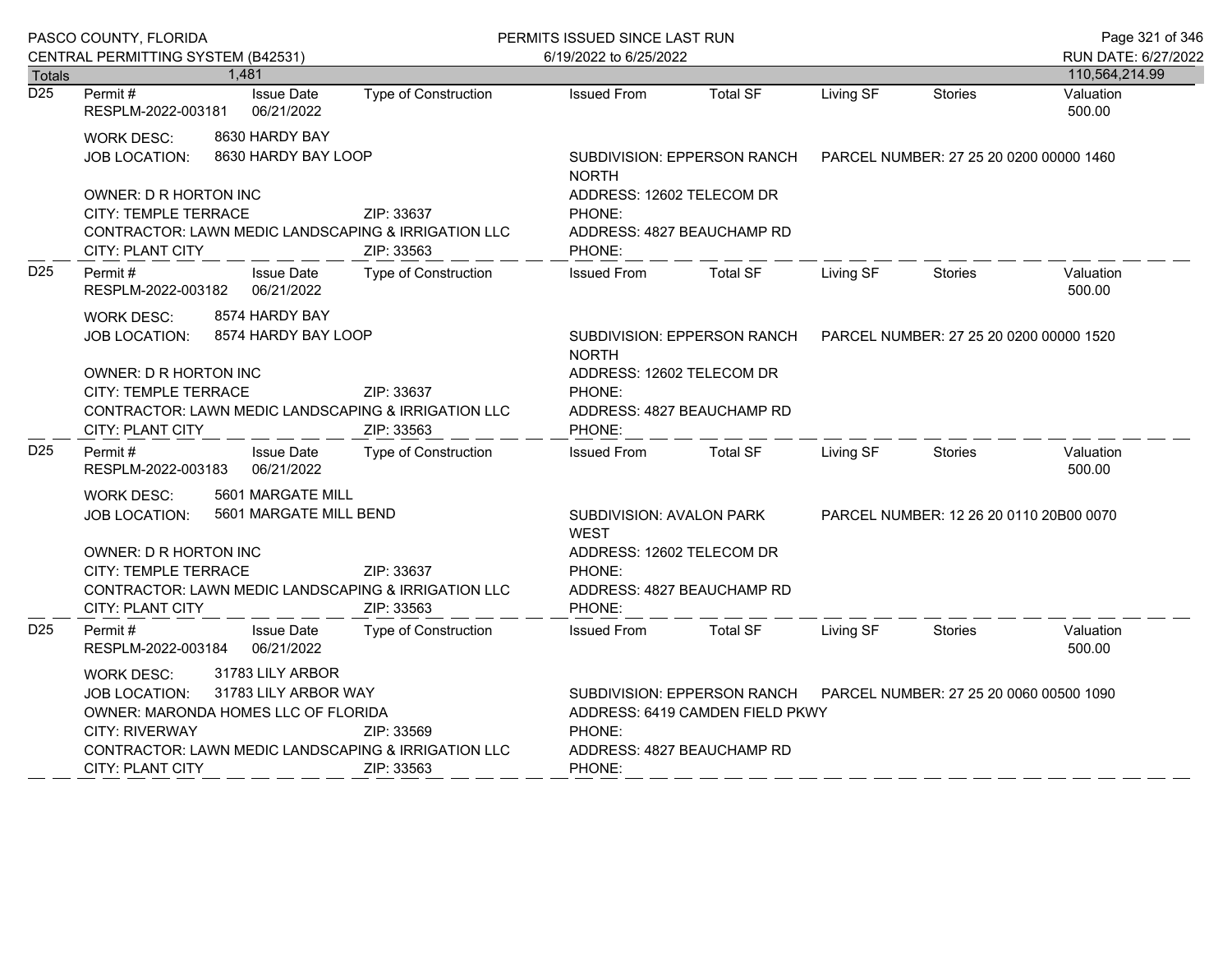| PASCO COUNTY, FLORIDA |                                                                                                                                                             |                                          |                                                                                 | PERMITS ISSUED SINCE LAST RUN                                               |                                                                |                                         |                                         | Page 321 of 346                       |
|-----------------------|-------------------------------------------------------------------------------------------------------------------------------------------------------------|------------------------------------------|---------------------------------------------------------------------------------|-----------------------------------------------------------------------------|----------------------------------------------------------------|-----------------------------------------|-----------------------------------------|---------------------------------------|
|                       | CENTRAL PERMITTING SYSTEM (B42531)<br>1,481<br><b>Totals</b>                                                                                                |                                          |                                                                                 | 6/19/2022 to 6/25/2022                                                      |                                                                |                                         |                                         | RUN DATE: 6/27/2022<br>110,564,214.99 |
| $\overline{D25}$      | Permit#<br>RESPLM-2022-003181                                                                                                                               | <b>Issue Date</b><br>06/21/2022          | Type of Construction                                                            | <b>Issued From</b>                                                          | <b>Total SF</b>                                                | Living SF                               | <b>Stories</b>                          | Valuation<br>500.00                   |
|                       | <b>WORK DESC:</b><br><b>JOB LOCATION:</b>                                                                                                                   | 8630 HARDY BAY<br>8630 HARDY BAY LOOP    |                                                                                 | <b>NORTH</b>                                                                | SUBDIVISION: EPPERSON RANCH                                    | PARCEL NUMBER: 27 25 20 0200 00000 1460 |                                         |                                       |
|                       | OWNER: D R HORTON INC<br>CITY: TEMPLE TERRACE<br>ZIP: 33637<br>CONTRACTOR: LAWN MEDIC LANDSCAPING & IRRIGATION LLC<br><b>CITY: PLANT CITY</b><br>ZIP: 33563 |                                          |                                                                                 | ADDRESS: 12602 TELECOM DR<br>PHONE:<br>ADDRESS: 4827 BEAUCHAMP RD<br>PHONE: |                                                                |                                         |                                         |                                       |
| D <sub>25</sub>       | Permit#<br>RESPLM-2022-003182                                                                                                                               | <b>Issue Date</b><br>06/21/2022          | <b>Type of Construction</b>                                                     | <b>Issued From</b>                                                          | <b>Total SF</b>                                                | Living SF                               | <b>Stories</b>                          | Valuation<br>500.00                   |
|                       | 8574 HARDY BAY<br><b>WORK DESC:</b><br>8574 HARDY BAY LOOP<br><b>JOB LOCATION:</b>                                                                          |                                          |                                                                                 | <b>NORTH</b><br>ADDRESS: 12602 TELECOM DR                                   | SUBDIVISION: EPPERSON RANCH                                    | PARCEL NUMBER: 27 25 20 0200 00000 1520 |                                         |                                       |
|                       | OWNER: D R HORTON INC<br>CITY: TEMPLE TERRACE<br>ZIP: 33637<br>CONTRACTOR: LAWN MEDIC LANDSCAPING & IRRIGATION LLC<br>CITY: PLANT CITY<br>ZIP: 33563        |                                          |                                                                                 | PHONE:<br>ADDRESS: 4827 BEAUCHAMP RD<br>PHONE:                              |                                                                |                                         |                                         |                                       |
| D <sub>25</sub>       | Permit #<br>RESPLM-2022-003183                                                                                                                              | <b>Issue Date</b><br>06/21/2022          | Type of Construction                                                            | <b>Issued From</b>                                                          | <b>Total SF</b>                                                | Living SF                               | <b>Stories</b>                          | Valuation<br>500.00                   |
|                       | 5601 MARGATE MILL<br>WORK DESC:<br>5601 MARGATE MILL BEND<br>JOB LOCATION:<br>OWNER: D R HORTON INC<br>CITY: TEMPLE TERRACE<br>ZIP: 33637                   |                                          | SUBDIVISION: AVALON PARK<br><b>WEST</b><br>ADDRESS: 12602 TELECOM DR<br>PHONE:  |                                                                             |                                                                | PARCEL NUMBER: 12 26 20 0110 20B00 0070 |                                         |                                       |
|                       | <b>CITY: PLANT CITY</b>                                                                                                                                     |                                          | CONTRACTOR: LAWN MEDIC LANDSCAPING & IRRIGATION LLC<br>ZIP: 33563               | ADDRESS: 4827 BEAUCHAMP RD<br>PHONE:                                        |                                                                |                                         |                                         |                                       |
| D <sub>25</sub>       | Permit #<br>RESPLM-2022-003184                                                                                                                              | <b>Issue Date</b><br>06/21/2022          | Type of Construction                                                            | <b>Issued From</b>                                                          | <b>Total SF</b>                                                | Living SF                               | <b>Stories</b>                          | Valuation<br>500.00                   |
|                       | <b>WORK DESC:</b><br><b>JOB LOCATION:</b><br>OWNER: MARONDA HOMES LLC OF FLORIDA<br><b>CITY: RIVERWAY</b><br>CITY: PLANT CITY                               | 31783 LILY ARBOR<br>31783 LILY ARBOR WAY | ZIP: 33569<br>CONTRACTOR: LAWN MEDIC LANDSCAPING & IRRIGATION LLC<br>ZIP: 33563 | PHONE:<br>ADDRESS: 4827 BEAUCHAMP RD<br>PHONE:                              | SUBDIVISION: EPPERSON RANCH<br>ADDRESS: 6419 CAMDEN FIELD PKWY |                                         | PARCEL NUMBER: 27 25 20 0060 00500 1090 |                                       |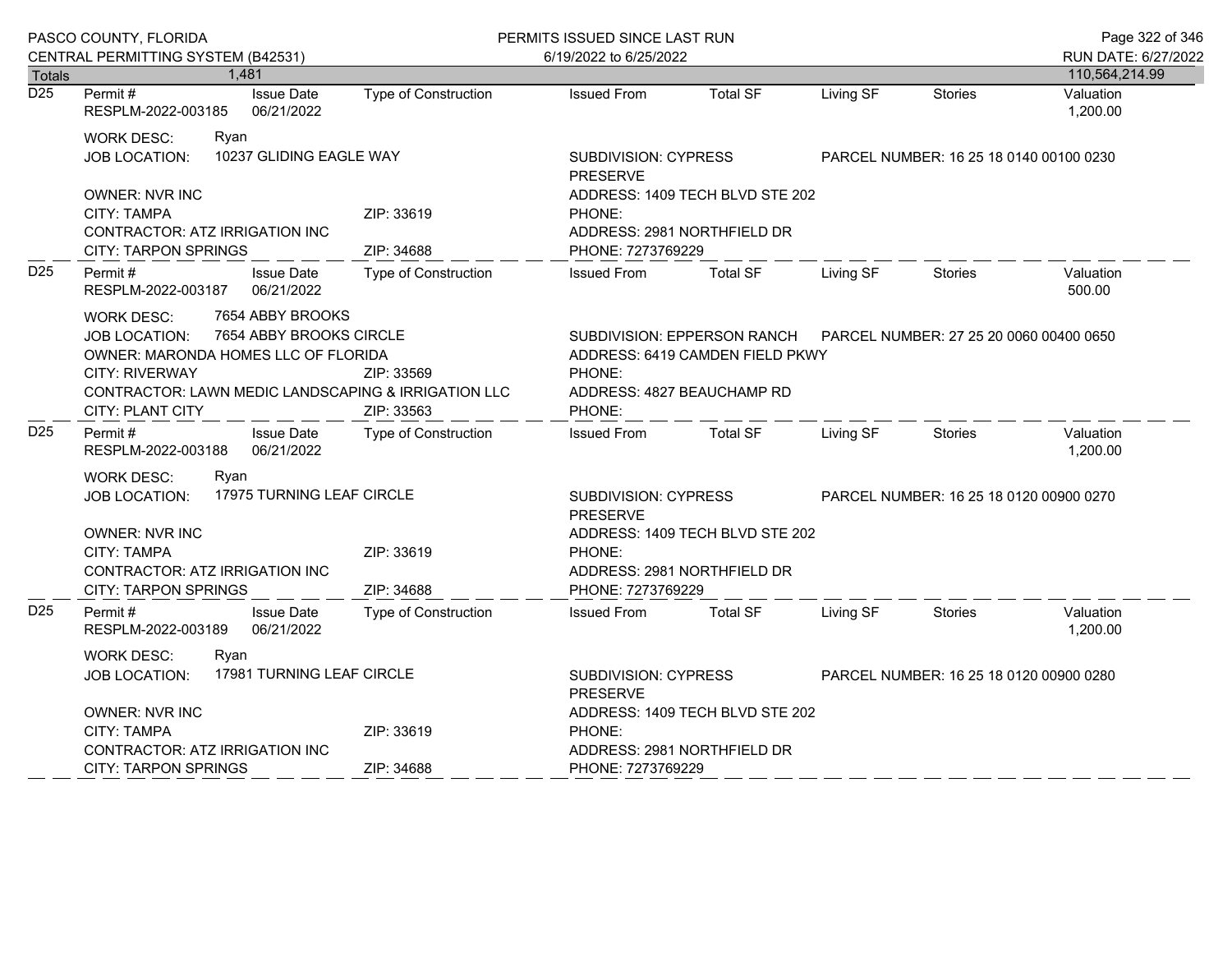|                  | PASCO COUNTY, FLORIDA                                                                                                                                                                                                                                           |                                         | PERMITS ISSUED SINCE LAST RUN                                                                                                                               |                                                                |                                         |                | Page 322 of 346       |
|------------------|-----------------------------------------------------------------------------------------------------------------------------------------------------------------------------------------------------------------------------------------------------------------|-----------------------------------------|-------------------------------------------------------------------------------------------------------------------------------------------------------------|----------------------------------------------------------------|-----------------------------------------|----------------|-----------------------|
|                  | CENTRAL PERMITTING SYSTEM (B42531)                                                                                                                                                                                                                              |                                         | 6/19/2022 to 6/25/2022                                                                                                                                      |                                                                |                                         |                | RUN DATE: 6/27/2022   |
| <b>Totals</b>    | 1,481                                                                                                                                                                                                                                                           |                                         |                                                                                                                                                             |                                                                |                                         |                | 110,564,214.99        |
| $\overline{D25}$ | Permit#<br><b>Issue Date</b><br>06/21/2022<br>RESPLM-2022-003185                                                                                                                                                                                                | <b>Type of Construction</b>             | <b>Issued From</b>                                                                                                                                          | <b>Total SF</b>                                                | Living SF                               | <b>Stories</b> | Valuation<br>1,200.00 |
|                  | <b>WORK DESC:</b><br>Ryan<br>10237 GLIDING EAGLE WAY<br><b>JOB LOCATION:</b>                                                                                                                                                                                    | SUBDIVISION: CYPRESS<br><b>PRESERVE</b> |                                                                                                                                                             |                                                                | PARCEL NUMBER: 16 25 18 0140 00100 0230 |                |                       |
|                  | OWNER: NVR INC<br><b>CITY: TAMPA</b><br>CONTRACTOR: ATZ IRRIGATION INC<br><b>CITY: TARPON SPRINGS</b>                                                                                                                                                           | ZIP: 33619<br>ZIP: 34688                | PHONE:<br>PHONE: 7273769229                                                                                                                                 | ADDRESS: 1409 TECH BLVD STE 202<br>ADDRESS: 2981 NORTHFIELD DR |                                         |                |                       |
| D <sub>25</sub>  | Permit#<br><b>Issue Date</b><br>RESPLM-2022-003187<br>06/21/2022                                                                                                                                                                                                | <b>Type of Construction</b>             | <b>Issued From</b>                                                                                                                                          | <b>Total SF</b>                                                | Living SF                               | <b>Stories</b> | Valuation<br>500.00   |
|                  | 7654 ABBY BROOKS<br><b>WORK DESC:</b><br>7654 ABBY BROOKS CIRCLE<br>JOB LOCATION:<br>OWNER: MARONDA HOMES LLC OF FLORIDA<br><b>CITY: RIVERWAY</b><br>ZIP: 33569<br>CONTRACTOR: LAWN MEDIC LANDSCAPING & IRRIGATION LLC<br><b>CITY: PLANT CITY</b><br>ZIP: 33563 |                                         | SUBDIVISION: EPPERSON RANCH<br>PARCEL NUMBER: 27 25 20 0060 00400 0650<br>ADDRESS: 6419 CAMDEN FIELD PKWY<br>PHONE:<br>ADDRESS: 4827 BEAUCHAMP RD<br>PHONE: |                                                                |                                         |                |                       |
| D <sub>25</sub>  | Permit#<br><b>Issue Date</b><br>RESPLM-2022-003188<br>06/21/2022                                                                                                                                                                                                | Type of Construction                    | <b>Issued From</b>                                                                                                                                          | <b>Total SF</b>                                                | Living SF                               | <b>Stories</b> | Valuation<br>1,200.00 |
|                  | <b>WORK DESC:</b><br>Ryan<br>17975 TURNING LEAF CIRCLE<br><b>JOB LOCATION:</b>                                                                                                                                                                                  |                                         | <b>SUBDIVISION: CYPRESS</b><br><b>PRESERVE</b><br>ADDRESS: 1409 TECH BLVD STE 202                                                                           |                                                                | PARCEL NUMBER: 16 25 18 0120 00900 0270 |                |                       |
|                  | OWNER: NVR INC<br>ZIP: 33619<br>CITY: TAMPA<br>CONTRACTOR: ATZ IRRIGATION INC<br><b>CITY: TARPON SPRINGS</b><br>ZIP: 34688                                                                                                                                      |                                         | PHONE:<br>ADDRESS: 2981 NORTHFIELD DR<br>PHONE: 7273769229                                                                                                  |                                                                |                                         |                |                       |
| D <sub>25</sub>  | Permit#<br><b>Issue Date</b><br>06/21/2022<br>RESPLM-2022-003189                                                                                                                                                                                                | <b>Type of Construction</b>             | <b>Issued From</b>                                                                                                                                          | <b>Total SF</b>                                                | Living SF                               | <b>Stories</b> | Valuation<br>1,200.00 |
|                  | <b>WORK DESC:</b><br>Ryan<br>17981 TURNING LEAF CIRCLE<br>JOB LOCATION:                                                                                                                                                                                         |                                         | SUBDIVISION: CYPRESS<br>PARCEL NUMBER: 16 25 18 0120 00900 0280<br><b>PRESERVE</b>                                                                          |                                                                |                                         |                |                       |
|                  | OWNER: NVR INC<br>CITY: TAMPA<br>CONTRACTOR: ATZ IRRIGATION INC                                                                                                                                                                                                 | ZIP: 33619                              | ADDRESS: 1409 TECH BLVD STE 202<br>PHONE:<br>ADDRESS: 2981 NORTHFIELD DR                                                                                    |                                                                |                                         |                |                       |
|                  | <b>CITY: TARPON SPRINGS</b>                                                                                                                                                                                                                                     | ZIP: 34688                              | PHONE: 7273769229                                                                                                                                           |                                                                |                                         |                |                       |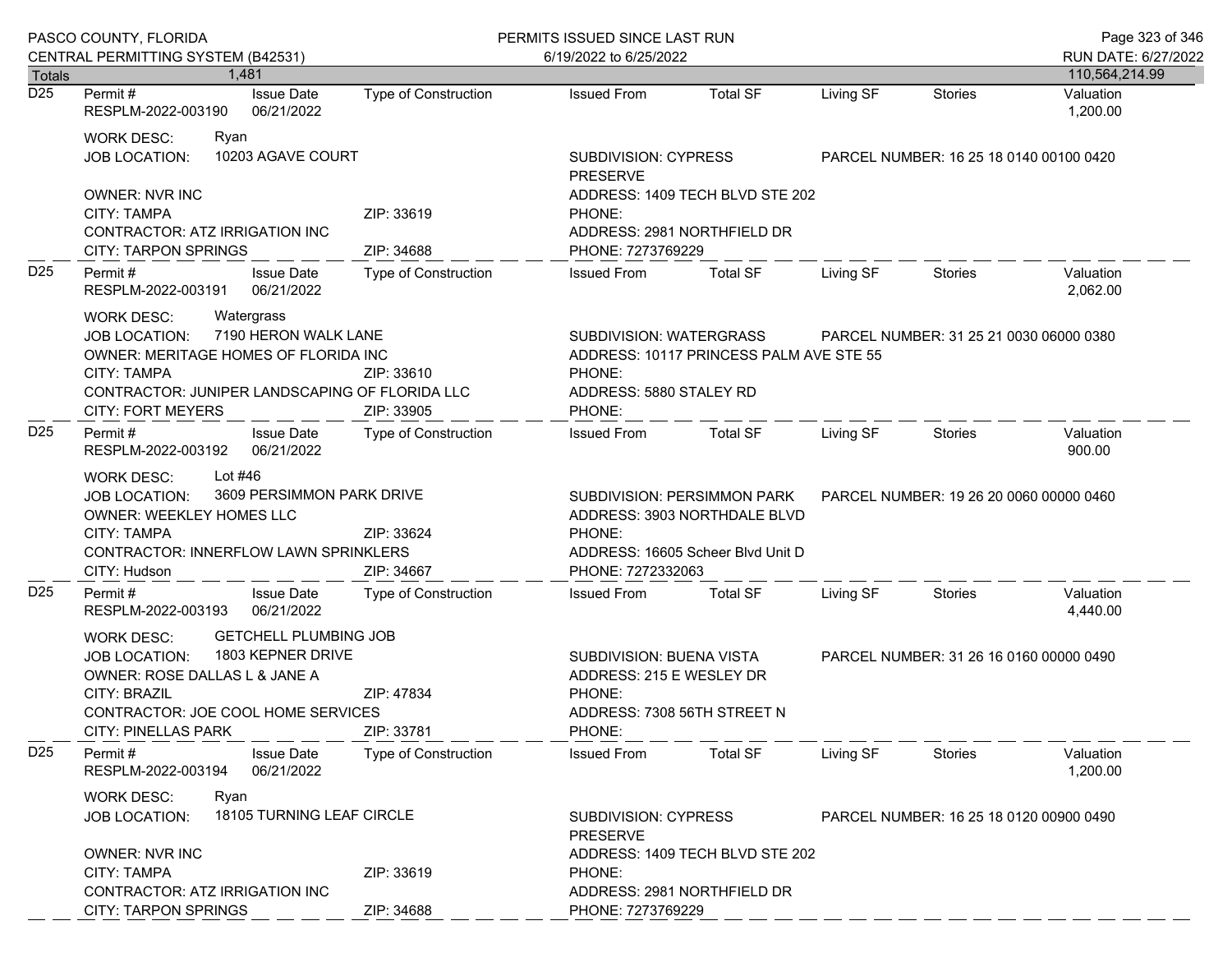|                 | PASCO COUNTY, FLORIDA                                                                                                                                                                                                       |                             | PERMITS ISSUED SINCE LAST RUN                                                                                     |                                                                                                                       |           |                                         | Page 323 of 346                       |
|-----------------|-----------------------------------------------------------------------------------------------------------------------------------------------------------------------------------------------------------------------------|-----------------------------|-------------------------------------------------------------------------------------------------------------------|-----------------------------------------------------------------------------------------------------------------------|-----------|-----------------------------------------|---------------------------------------|
| <b>Totals</b>   | CENTRAL PERMITTING SYSTEM (B42531)<br>1.481                                                                                                                                                                                 |                             | 6/19/2022 to 6/25/2022                                                                                            |                                                                                                                       |           |                                         | RUN DATE: 6/27/2022<br>110,564,214.99 |
| D <sub>25</sub> | <b>Issue Date</b><br>Permit #<br>RESPLM-2022-003190<br>06/21/2022                                                                                                                                                           | <b>Type of Construction</b> | <b>Issued From</b>                                                                                                | <b>Total SF</b>                                                                                                       | Living SF | Stories                                 | Valuation<br>1,200.00                 |
|                 | <b>WORK DESC:</b><br>Ryan<br>10203 AGAVE COURT<br><b>JOB LOCATION:</b>                                                                                                                                                      |                             | <b>SUBDIVISION: CYPRESS</b><br><b>PRESERVE</b>                                                                    |                                                                                                                       |           | PARCEL NUMBER: 16 25 18 0140 00100 0420 |                                       |
|                 | <b>OWNER: NVR INC</b><br><b>CITY: TAMPA</b><br>CONTRACTOR: ATZ IRRIGATION INC<br><b>CITY: TARPON SPRINGS</b>                                                                                                                | ZIP: 33619<br>ZIP: 34688    | ADDRESS: 1409 TECH BLVD STE 202<br>PHONE:<br>ADDRESS: 2981 NORTHFIELD DR<br>PHONE: 7273769229                     |                                                                                                                       |           |                                         |                                       |
| D <sub>25</sub> | Permit#<br><b>Issue Date</b><br>RESPLM-2022-003191<br>06/21/2022                                                                                                                                                            | <b>Issued From</b>          | <b>Total SF</b>                                                                                                   | Living SF                                                                                                             | Stories   | Valuation<br>2,062.00                   |                                       |
|                 | <b>WORK DESC:</b><br>Watergrass<br>7190 HERON WALK LANE<br><b>JOB LOCATION:</b><br>OWNER: MERITAGE HOMES OF FLORIDA INC<br><b>CITY: TAMPA</b><br>CONTRACTOR: JUNIPER LANDSCAPING OF FLORIDA LLC<br><b>CITY: FORT MEYERS</b> | ZIP: 33610<br>ZIP: 33905    | SUBDIVISION: WATERGRASS<br>ADDRESS: 10117 PRINCESS PALM AVE STE 55<br>PHONE:<br>ADDRESS: 5880 STALEY RD<br>PHONE: | PARCEL NUMBER: 31 25 21 0030 06000 0380                                                                               |           |                                         |                                       |
| D <sub>25</sub> | Permit #<br><b>Issue Date</b><br>06/21/2022<br>RESPLM-2022-003192                                                                                                                                                           | Type of Construction        | <b>Issued From</b>                                                                                                | <b>Total SF</b>                                                                                                       | Living SF | Stories                                 | Valuation<br>900.00                   |
|                 | Lot #46<br><b>WORK DESC:</b><br>3609 PERSIMMON PARK DRIVE<br>JOB LOCATION:<br><b>OWNER: WEEKLEY HOMES LLC</b><br><b>CITY: TAMPA</b><br>ZIP: 33624<br>CONTRACTOR: INNERFLOW LAWN SPRINKLERS<br>CITY: Hudson<br>ZIP: 34667    |                             | PHONE:                                                                                                            | SUBDIVISION: PERSIMMON PARK<br>ADDRESS: 3903 NORTHDALE BLVD<br>ADDRESS: 16605 Scheer Blvd Unit D<br>PHONE: 7272332063 |           | PARCEL NUMBER: 19 26 20 0060 00000 0460 |                                       |
| D <sub>25</sub> | Permit#<br><b>Issue Date</b><br>06/21/2022<br>RESPLM-2022-003193                                                                                                                                                            | Type of Construction        | <b>Issued From</b>                                                                                                | <b>Total SF</b>                                                                                                       | Living SF | Stories                                 | Valuation<br>4,440.00                 |
|                 | <b>GETCHELL PLUMBING JOB</b><br>WORK DESC:<br>1803 KEPNER DRIVE<br>JOB LOCATION:<br>OWNER: ROSE DALLAS L & JANE A<br>CITY: BRAZIL<br>CONTRACTOR: JOE COOL HOME SERVICES<br><b>CITY: PINELLAS PARK</b>                       | ZIP: 47834<br>ZIP: 33781    | SUBDIVISION: BUENA VISTA<br>ADDRESS: 215 E WESLEY DR<br>PHONE:<br>ADDRESS: 7308 56TH STREET N<br>PHONE:           |                                                                                                                       |           | PARCEL NUMBER: 31 26 16 0160 00000 0490 |                                       |
| D <sub>25</sub> | Permit#<br><b>Issue Date</b><br>06/21/2022<br>RESPLM-2022-003194                                                                                                                                                            | Type of Construction        | <b>Issued From</b>                                                                                                | <b>Total SF</b>                                                                                                       | Living SF | Stories                                 | Valuation<br>1,200.00                 |
|                 | <b>WORK DESC:</b><br>Ryan<br>18105 TURNING LEAF CIRCLE<br><b>JOB LOCATION:</b>                                                                                                                                              |                             | <b>SUBDIVISION: CYPRESS</b><br><b>PRESERVE</b>                                                                    |                                                                                                                       |           | PARCEL NUMBER: 16 25 18 0120 00900 0490 |                                       |
|                 | <b>OWNER: NVR INC</b><br><b>CITY: TAMPA</b><br>CONTRACTOR: ATZ IRRIGATION INC<br><b>CITY: TARPON SPRINGS</b>                                                                                                                | ZIP: 33619<br>ZIP: 34688    | PHONE:<br>PHONE: 7273769229                                                                                       | ADDRESS: 1409 TECH BLVD STE 202<br>ADDRESS: 2981 NORTHFIELD DR                                                        |           |                                         |                                       |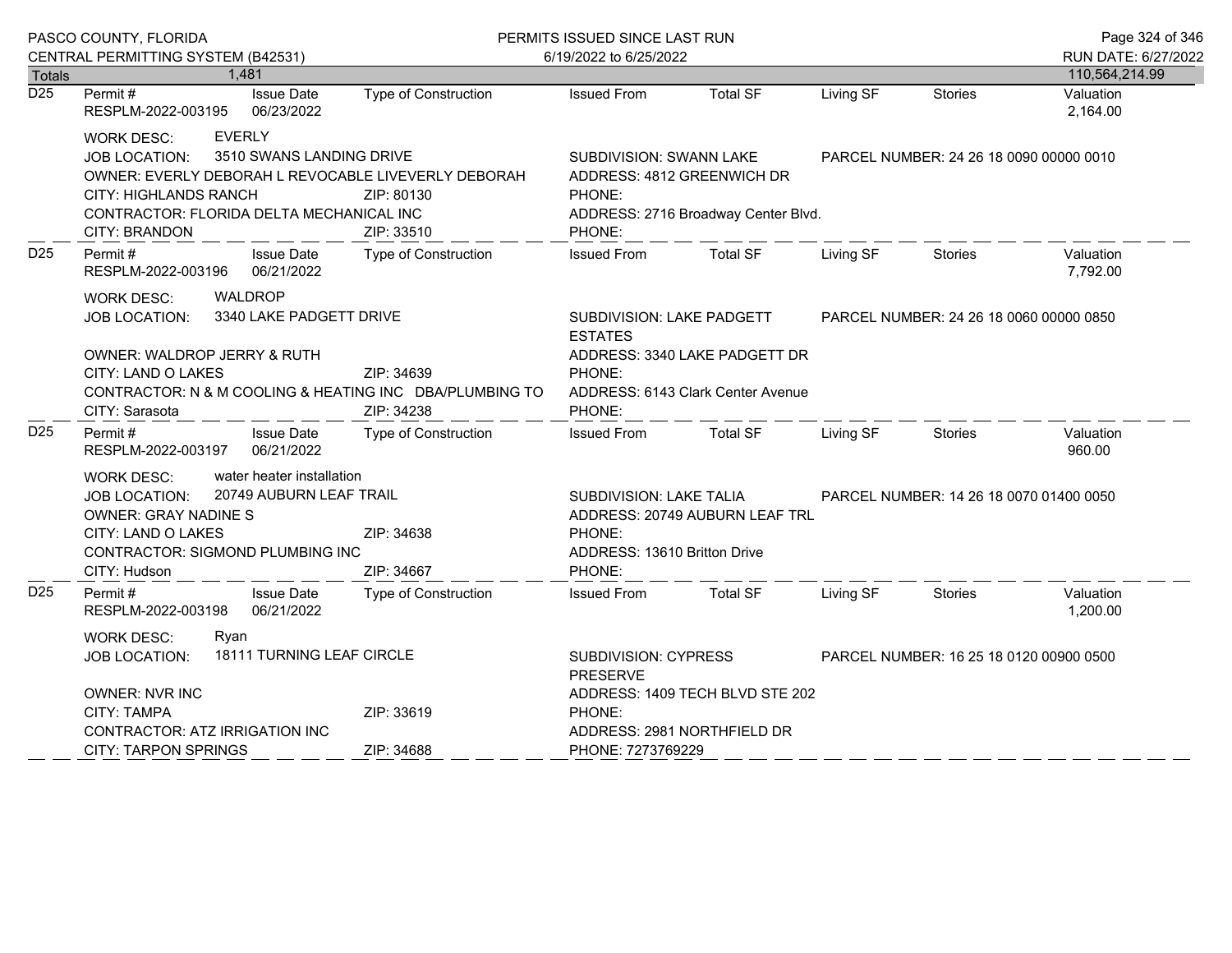| PASCO COUNTY, FLORIDA |                                                                                                                                                                                                                                        |                                 |                                                                                                               | PERMITS ISSUED SINCE LAST RUN                                                                                    |                                                                    |                                         |                                         | Page 324 of 346       |
|-----------------------|----------------------------------------------------------------------------------------------------------------------------------------------------------------------------------------------------------------------------------------|---------------------------------|---------------------------------------------------------------------------------------------------------------|------------------------------------------------------------------------------------------------------------------|--------------------------------------------------------------------|-----------------------------------------|-----------------------------------------|-----------------------|
|                       | CENTRAL PERMITTING SYSTEM (B42531)                                                                                                                                                                                                     |                                 |                                                                                                               | 6/19/2022 to 6/25/2022                                                                                           |                                                                    |                                         |                                         | RUN DATE: 6/27/2022   |
| <b>Totals</b>         | 1,481                                                                                                                                                                                                                                  |                                 |                                                                                                               |                                                                                                                  |                                                                    |                                         |                                         | 110,564,214.99        |
| $\overline{D25}$      | Permit#<br>RESPLM-2022-003195 06/23/2022                                                                                                                                                                                               | <b>Issue Date</b>               | Type of Construction                                                                                          | <b>Issued From</b>                                                                                               | <b>Total SF</b>                                                    | Living SF                               | <b>Stories</b>                          | Valuation<br>2,164.00 |
|                       | <b>EVERLY</b><br><b>WORK DESC:</b><br><b>JOB LOCATION:</b><br>OWNER: EVERLY DEBORAH L REVOCABLE LIVEVERLY DEBORAH<br><b>CITY: HIGHLANDS RANCH</b><br>CONTRACTOR: FLORIDA DELTA MECHANICAL INC<br><b>CITY: BRANDON</b>                  | 3510 SWANS LANDING DRIVE        | ZIP: 80130<br>ZIP: 33510                                                                                      | SUBDIVISION: SWANN LAKE<br>ADDRESS: 4812 GREENWICH DR<br>PHONE:<br>ADDRESS: 2716 Broadway Center Blvd.<br>PHONE: |                                                                    | PARCEL NUMBER: 24 26 18 0090 00000 0010 |                                         |                       |
| D <sub>25</sub>       | Permit#<br>RESPLM-2022-003196 06/21/2022                                                                                                                                                                                               | <b>Issue Date</b>               | Type of Construction                                                                                          | <b>Issued From</b>                                                                                               | <b>Total SF</b>                                                    | Living SF                               | Stories                                 | Valuation<br>7,792.00 |
|                       | WALDROP<br><b>WORK DESC:</b><br>3340 LAKE PADGETT DRIVE<br><b>JOB LOCATION:</b><br>OWNER: WALDROP JERRY & RUTH<br>CITY: LAND O LAKES<br>ZIP: 34639<br>CONTRACTOR: N & M COOLING & HEATING INC DBA/PLUMBING TO                          |                                 |                                                                                                               | SUBDIVISION: LAKE PADGETT<br><b>ESTATES</b><br>PHONE:<br>PHONE:                                                  | ADDRESS: 3340 LAKE PADGETT DR<br>ADDRESS: 6143 Clark Center Avenue |                                         | PARCEL NUMBER: 24 26 18 0060 00000 0850 |                       |
| D <sub>25</sub>       | CITY: Sarasota<br>Permit#<br>RESPLM-2022-003197                                                                                                                                                                                        | <b>Issue Date</b><br>06/21/2022 | ZIP: 34238<br>Type of Construction                                                                            | <b>Issued From</b>                                                                                               | <b>Total SF</b>                                                    | Living SF                               | Stories                                 | Valuation<br>960.00   |
|                       | water heater installation<br><b>WORK DESC:</b><br>20749 AUBURN LEAF TRAIL<br><b>JOB LOCATION:</b><br><b>OWNER: GRAY NADINE S</b><br>CITY: LAND O LAKES<br>ZIP: 34638<br>CONTRACTOR: SIGMOND PLUMBING INC<br>CITY: Hudson<br>ZIP: 34667 |                                 | SUBDIVISION: LAKE TALIA<br>ADDRESS: 20749 AUBURN LEAF TRL<br>PHONE:<br>ADDRESS: 13610 Britton Drive<br>PHONE: |                                                                                                                  | PARCEL NUMBER: 14 26 18 0070 01400 0050                            |                                         |                                         |                       |
| D <sub>25</sub>       | Permit#<br>RESPLM-2022-003198                                                                                                                                                                                                          | <b>Issue Date</b><br>06/21/2022 | Type of Construction                                                                                          | <b>Issued From</b>                                                                                               | <b>Total SF</b>                                                    | Living SF                               | Stories                                 | Valuation<br>1,200.00 |
|                       | <b>WORK DESC:</b><br>Ryan<br><b>JOB LOCATION:</b><br><b>OWNER: NVR INC</b><br><b>CITY: TAMPA</b><br>CONTRACTOR: ATZ IRRIGATION INC                                                                                                     | 18111 TURNING LEAF CIRCLE       | ZIP: 33619                                                                                                    | SUBDIVISION: CYPRESS<br><b>PRESERVE</b><br>ADDRESS: 1409 TECH BLVD STE 202<br>PHONE:                             |                                                                    |                                         | PARCEL NUMBER: 16 25 18 0120 00900 0500 |                       |
|                       | <b>CITY: TARPON SPRINGS</b>                                                                                                                                                                                                            |                                 | ZIP: 34688                                                                                                    | ADDRESS: 2981 NORTHFIELD DR<br>PHONE: 7273769229                                                                 |                                                                    |                                         |                                         |                       |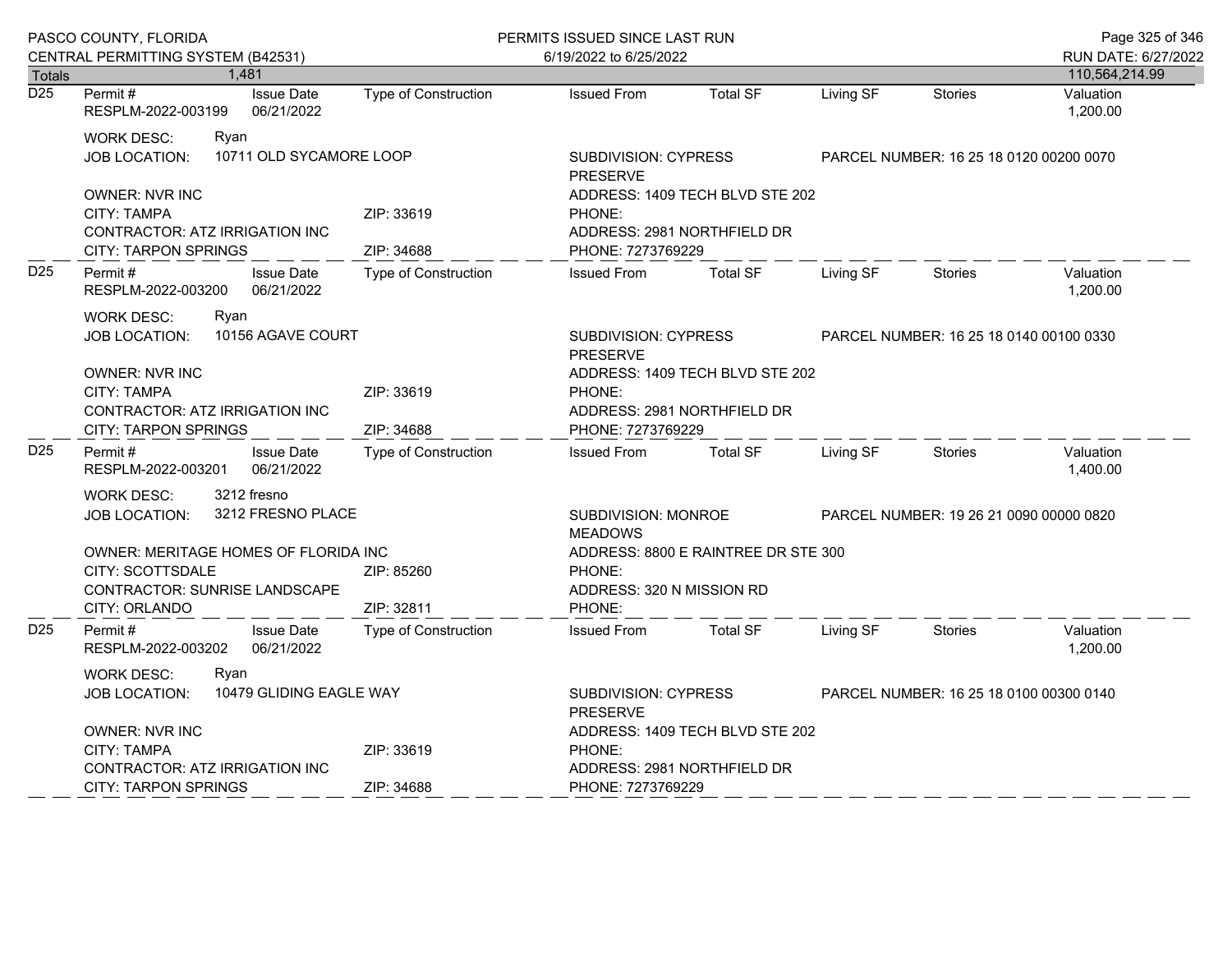|                  | PASCO COUNTY, FLORIDA                                                                                                    |                             | PERMITS ISSUED SINCE LAST RUN                 |                                                                                     |           |                                         | Page 325 of 346       |
|------------------|--------------------------------------------------------------------------------------------------------------------------|-----------------------------|-----------------------------------------------|-------------------------------------------------------------------------------------|-----------|-----------------------------------------|-----------------------|
|                  | CENTRAL PERMITTING SYSTEM (B42531)                                                                                       | 6/19/2022 to 6/25/2022      |                                               |                                                                                     |           |                                         | RUN DATE: 6/27/2022   |
| <b>Totals</b>    | 1,481                                                                                                                    |                             |                                               |                                                                                     |           |                                         | 110,564,214.99        |
| $\overline{D25}$ | Permit#<br><b>Issue Date</b><br>RESPLM-2022-003199<br>06/21/2022                                                         | Type of Construction        | <b>Issued From</b>                            | <b>Total SF</b>                                                                     | Living SF | Stories                                 | Valuation<br>1,200.00 |
|                  | <b>WORK DESC:</b><br>Ryan<br>10711 OLD SYCAMORE LOOP<br><b>JOB LOCATION:</b>                                             |                             | SUBDIVISION: CYPRESS<br><b>PRESERVE</b>       |                                                                                     |           | PARCEL NUMBER: 16 25 18 0120 00200 0070 |                       |
|                  | <b>OWNER: NVR INC</b><br>CITY: TAMPA<br>CONTRACTOR: ATZ IRRIGATION INC<br><b>CITY: TARPON SPRINGS</b>                    | ZIP: 33619<br>ZIP: 34688    | PHONE:<br>PHONE: 7273769229                   | ADDRESS: 1409 TECH BLVD STE 202<br>ADDRESS: 2981 NORTHFIELD DR                      |           |                                         |                       |
| D <sub>25</sub>  | <b>Issue Date</b><br>Permit#<br>RESPLM-2022-003200<br>06/21/2022                                                         | Type of Construction        | <b>Issued From</b>                            | <b>Total SF</b>                                                                     | Living SF | <b>Stories</b>                          | Valuation<br>1,200.00 |
|                  | <b>WORK DESC:</b><br>Ryan<br>10156 AGAVE COURT<br><b>JOB LOCATION:</b>                                                   |                             | SUBDIVISION: CYPRESS<br><b>PRESERVE</b>       |                                                                                     |           | PARCEL NUMBER: 16 25 18 0140 00100 0330 |                       |
|                  | <b>OWNER: NVR INC</b><br>CITY: TAMPA<br><b>CONTRACTOR: ATZ IRRIGATION INC</b><br><b>CITY: TARPON SPRINGS</b>             | ZIP: 33619<br>ZIP: 34688    | PHONE:                                        | ADDRESS: 1409 TECH BLVD STE 202<br>ADDRESS: 2981 NORTHFIELD DR<br>PHONE: 7273769229 |           |                                         |                       |
| D <sub>25</sub>  | Permit#<br><b>Issue Date</b><br>RESPLM-2022-003201<br>06/21/2022                                                         | <b>Type of Construction</b> | <b>Issued From</b>                            | <b>Total SF</b>                                                                     | Living SF | <b>Stories</b>                          | Valuation<br>1,400.00 |
|                  | 3212 fresno<br><b>WORK DESC:</b><br>3212 FRESNO PLACE<br><b>JOB LOCATION:</b>                                            |                             | SUBDIVISION: MONROE<br><b>MEADOWS</b>         |                                                                                     |           | PARCEL NUMBER: 19 26 21 0090 00000 0820 |                       |
|                  | OWNER: MERITAGE HOMES OF FLORIDA INC<br><b>CITY: SCOTTSDALE</b><br><b>CONTRACTOR: SUNRISE LANDSCAPE</b><br>CITY: ORLANDO | ZIP: 85260<br>ZIP: 32811    | PHONE:<br>ADDRESS: 320 N MISSION RD<br>PHONE: | ADDRESS: 8800 E RAINTREE DR STE 300                                                 |           |                                         |                       |
| D <sub>25</sub>  | Permit#<br><b>Issue Date</b><br>RESPLM-2022-003202<br>06/21/2022                                                         | Type of Construction        | <b>Issued From</b>                            | <b>Total SF</b>                                                                     | Living SF | <b>Stories</b>                          | Valuation<br>1,200.00 |
|                  | <b>WORK DESC:</b><br>Ryan<br>10479 GLIDING EAGLE WAY<br>JOB LOCATION:                                                    |                             | <b>PRESERVE</b>                               | SUBDIVISION: CYPRESS                                                                |           | PARCEL NUMBER: 16 25 18 0100 00300 0140 |                       |
|                  | <b>OWNER: NVR INC</b><br>CITY: TAMPA<br>CONTRACTOR: ATZ IRRIGATION INC                                                   | ZIP: 33619                  | PHONE:                                        | ADDRESS: 1409 TECH BLVD STE 202<br>ADDRESS: 2981 NORTHFIELD DR                      |           |                                         |                       |
|                  | <b>CITY: TARPON SPRINGS</b>                                                                                              | ZIP: 34688                  | PHONE: 7273769229                             |                                                                                     |           |                                         |                       |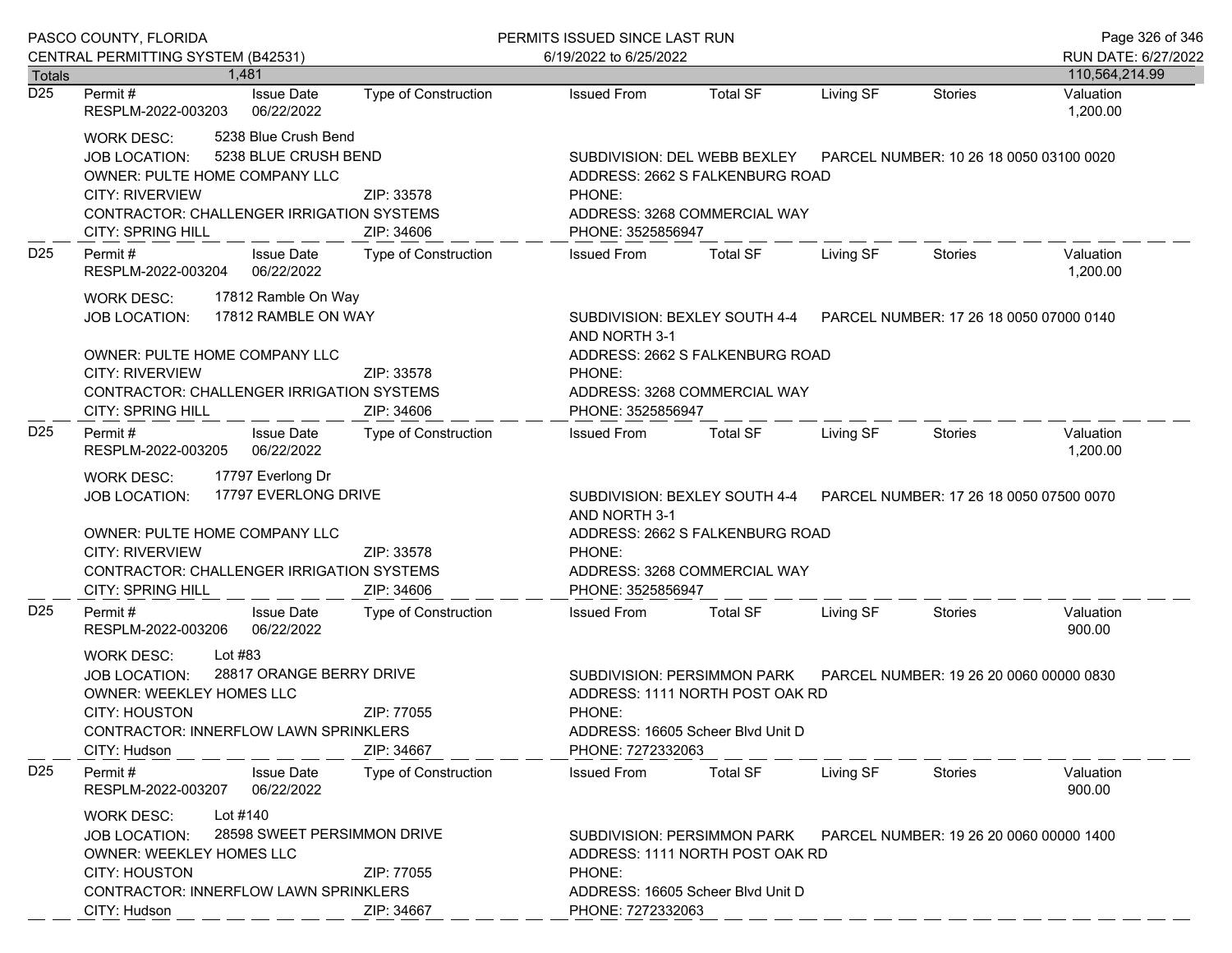| PASCO COUNTY, FLORIDA |                                                                                                                                                                                                                             |                             | PERMITS ISSUED SINCE LAST RUN                | Page 326 of 346                                                                                                                          |           |                                         |                                         |  |
|-----------------------|-----------------------------------------------------------------------------------------------------------------------------------------------------------------------------------------------------------------------------|-----------------------------|----------------------------------------------|------------------------------------------------------------------------------------------------------------------------------------------|-----------|-----------------------------------------|-----------------------------------------|--|
|                       | CENTRAL PERMITTING SYSTEM (B42531)<br>1.481                                                                                                                                                                                 |                             | 6/19/2022 to 6/25/2022                       |                                                                                                                                          |           |                                         | RUN DATE: 6/27/2022                     |  |
| <b>Totals</b><br>D25  | <b>Issue Date</b><br>Permit #<br>RESPLM-2022-003203<br>06/22/2022                                                                                                                                                           | <b>Type of Construction</b> | <b>Issued From</b>                           | <b>Total SF</b>                                                                                                                          | Living SF | <b>Stories</b>                          | 110,564,214.99<br>Valuation<br>1,200.00 |  |
|                       | 5238 Blue Crush Bend<br><b>WORK DESC:</b><br>5238 BLUE CRUSH BEND<br><b>JOB LOCATION:</b><br>OWNER: PULTE HOME COMPANY LLC<br><b>CITY: RIVERVIEW</b><br>CONTRACTOR: CHALLENGER IRRIGATION SYSTEMS<br>CITY: SPRING HILL      | ZIP: 33578<br>ZIP: 34606    | PHONE:<br>PHONE: 3525856947                  | SUBDIVISION: DEL WEBB BEXLEY<br>ADDRESS: 2662 S FALKENBURG ROAD<br>ADDRESS: 3268 COMMERCIAL WAY                                          |           | PARCEL NUMBER: 10 26 18 0050 03100 0020 |                                         |  |
| D <sub>25</sub>       | Permit#<br><b>Issue Date</b><br>RESPLM-2022-003204<br>06/22/2022                                                                                                                                                            | Type of Construction        | <b>Issued From</b>                           | <b>Total SF</b>                                                                                                                          | Living SF | <b>Stories</b>                          | Valuation<br>1,200.00                   |  |
|                       | 17812 Ramble On Way<br><b>WORK DESC:</b><br>17812 RAMBLE ON WAY<br><b>JOB LOCATION:</b><br>OWNER: PULTE HOME COMPANY LLC<br><b>CITY: RIVERVIEW</b><br>CONTRACTOR: CHALLENGER IRRIGATION SYSTEMS<br><b>CITY: SPRING HILL</b> | ZIP: 33578<br>ZIP: 34606    | AND NORTH 3-1<br>PHONE:<br>PHONE: 3525856947 | SUBDIVISION: BEXLEY SOUTH 4-4 PARCEL NUMBER: 17 26 18 0050 07000 0140<br>ADDRESS: 2662 S FALKENBURG ROAD<br>ADDRESS: 3268 COMMERCIAL WAY |           |                                         |                                         |  |
| D <sub>25</sub>       | Permit#<br><b>Issue Date</b><br>06/22/2022<br>RESPLM-2022-003205                                                                                                                                                            | Type of Construction        | <b>Issued From</b>                           | <b>Total SF</b>                                                                                                                          | Living SF | Stories                                 | Valuation<br>1,200.00                   |  |
|                       | 17797 Everlong Dr<br><b>WORK DESC:</b><br>17797 EVERLONG DRIVE<br><b>JOB LOCATION:</b><br>OWNER: PULTE HOME COMPANY LLC<br><b>CITY: RIVERVIEW</b><br>CONTRACTOR: CHALLENGER IRRIGATION SYSTEMS<br><b>CITY: SPRING HILL</b>  | ZIP: 33578<br>ZIP: 34606    | AND NORTH 3-1<br>PHONE:<br>PHONE: 3525856947 | SUBDIVISION: BEXLEY SOUTH 4-4<br>ADDRESS: 2662 S FALKENBURG ROAD<br>ADDRESS: 3268 COMMERCIAL WAY                                         |           | PARCEL NUMBER: 17 26 18 0050 07500 0070 |                                         |  |
| D <sub>25</sub>       | Permit#<br><b>Issue Date</b><br>RESPLM-2022-003206<br>06/22/2022                                                                                                                                                            | <b>Type of Construction</b> | <b>Issued From</b>                           | <b>Total SF</b>                                                                                                                          | Living SF | <b>Stories</b>                          | Valuation<br>900.00                     |  |
|                       | Lot #83<br><b>WORK DESC:</b><br>28817 ORANGE BERRY DRIVE<br><b>JOB LOCATION:</b><br><b>OWNER: WEEKLEY HOMES LLC</b><br><b>CITY: HOUSTON</b><br>CONTRACTOR: INNERFLOW LAWN SPRINKLERS<br>CITY: Hudson                        | ZIP: 77055<br>ZIP: 34667    | PHONE:<br>PHONE: 7272332063                  | SUBDIVISION: PERSIMMON PARK<br>ADDRESS: 1111 NORTH POST OAK RD<br>ADDRESS: 16605 Scheer Blvd Unit D                                      |           | PARCEL NUMBER: 19 26 20 0060 00000 0830 |                                         |  |
| D <sub>25</sub>       | Permit#<br><b>Issue Date</b><br>06/22/2022<br>RESPLM-2022-003207                                                                                                                                                            | Type of Construction        | <b>Issued From</b>                           | <b>Total SF</b>                                                                                                                          | Living SF | Stories                                 | Valuation<br>900.00                     |  |
|                       | Lot #140<br><b>WORK DESC:</b><br>28598 SWEET PERSIMMON DRIVE<br><b>JOB LOCATION:</b><br><b>OWNER: WEEKLEY HOMES LLC</b><br><b>CITY: HOUSTON</b><br><b>CONTRACTOR: INNERFLOW LAWN SPRINKLERS</b><br>CITY: Hudson             | ZIP: 77055<br>ZIP: 34667    | PHONE:<br>PHONE: 7272332063                  | SUBDIVISION: PERSIMMON PARK<br>ADDRESS: 1111 NORTH POST OAK RD<br>ADDRESS: 16605 Scheer Blvd Unit D                                      |           | PARCEL NUMBER: 19 26 20 0060 00000 1400 |                                         |  |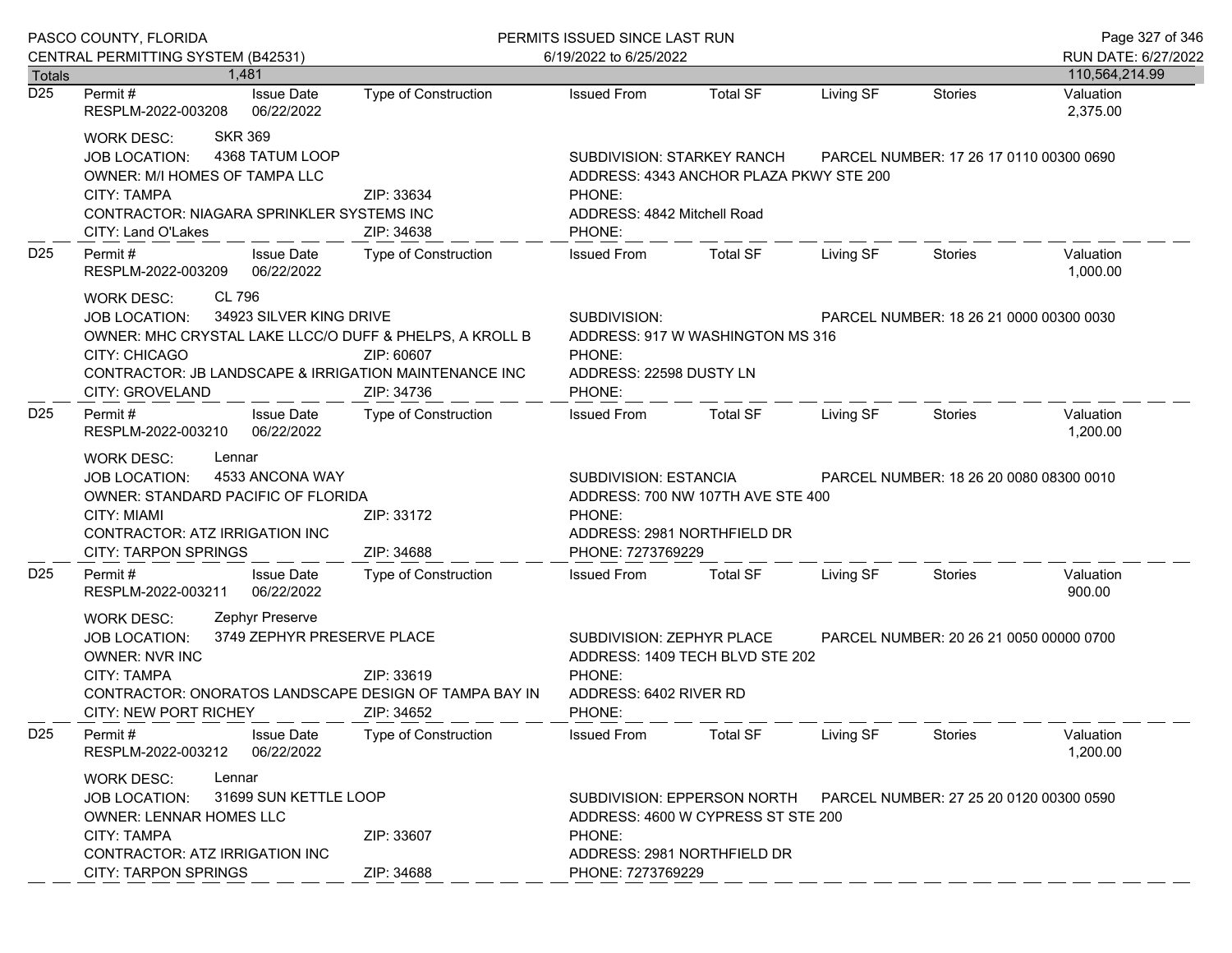|                  | PASCO COUNTY, FLORIDA<br>CENTRAL PERMITTING SYSTEM (B42531)                                                                                                                                                                            |                             | PERMITS ISSUED SINCE LAST RUN<br>6/19/2022 to 6/25/2022                                                                                                                    |                                                                                                        |                                         |                |                       |
|------------------|----------------------------------------------------------------------------------------------------------------------------------------------------------------------------------------------------------------------------------------|-----------------------------|----------------------------------------------------------------------------------------------------------------------------------------------------------------------------|--------------------------------------------------------------------------------------------------------|-----------------------------------------|----------------|-----------------------|
| <b>Totals</b>    | 1.481                                                                                                                                                                                                                                  |                             |                                                                                                                                                                            |                                                                                                        |                                         |                | 110,564,214.99        |
| $\overline{D25}$ | <b>Issue Date</b><br>Permit #<br>RESPLM-2022-003208<br>06/22/2022                                                                                                                                                                      | <b>Type of Construction</b> | <b>Issued From</b>                                                                                                                                                         | <b>Total SF</b>                                                                                        | Living SF                               | Stories        | Valuation<br>2,375.00 |
|                  | <b>SKR 369</b><br><b>WORK DESC:</b><br>4368 TATUM LOOP<br>JOB LOCATION:<br>OWNER: M/I HOMES OF TAMPA LLC<br><b>CITY: TAMPA</b><br>CONTRACTOR: NIAGARA SPRINKLER SYSTEMS INC<br>CITY: Land O'Lakes                                      | ZIP: 33634<br>ZIP: 34638    | SUBDIVISION: STARKEY RANCH<br>ADDRESS: 4343 ANCHOR PLAZA PKWY STE 200<br>PHONE:<br>ADDRESS: 4842 Mitchell Road<br>PHONE:                                                   |                                                                                                        | PARCEL NUMBER: 17 26 17 0110 00300 0690 |                |                       |
| D <sub>25</sub>  | Permit#<br><b>Issue Date</b><br>RESPLM-2022-003209<br>06/22/2022                                                                                                                                                                       | Type of Construction        | <b>Issued From</b>                                                                                                                                                         | <b>Total SF</b>                                                                                        | Living SF                               | <b>Stories</b> | Valuation<br>1,000.00 |
|                  | CL 796<br>WORK DESC:<br>34923 SILVER KING DRIVE<br><b>JOB LOCATION:</b><br>OWNER: MHC CRYSTAL LAKE LLCC/O DUFF & PHELPS, A KROLL B<br><b>CITY: CHICAGO</b><br>CONTRACTOR: JB LANDSCAPE & IRRIGATION MAINTENANCE INC<br>CITY: GROVELAND | ZIP: 60607<br>ZIP: 34736    | SUBDIVISION:<br>PHONE:<br>PHONE:                                                                                                                                           | PARCEL NUMBER: 18 26 21 0000 00300 0030<br>ADDRESS: 917 W WASHINGTON MS 316<br>ADDRESS: 22598 DUSTY LN |                                         |                |                       |
| D <sub>25</sub>  | Permit#<br><b>Issue Date</b><br>06/22/2022<br>RESPLM-2022-003210                                                                                                                                                                       | Type of Construction        | <b>Issued From</b>                                                                                                                                                         | <b>Total SF</b>                                                                                        | Living SF                               | Stories        | Valuation<br>1,200.00 |
|                  | Lennar<br><b>WORK DESC:</b><br>4533 ANCONA WAY<br><b>JOB LOCATION:</b><br>OWNER: STANDARD PACIFIC OF FLORIDA<br>CITY: MIAMI<br>CONTRACTOR: ATZ IRRIGATION INC<br><b>CITY: TARPON SPRINGS</b>                                           | ZIP: 33172<br>ZIP: 34688    | SUBDIVISION: ESTANCIA<br>PARCEL NUMBER: 18 26 20 0080 08300 0010<br>ADDRESS: 700 NW 107TH AVE STE 400<br>PHONE:<br>ADDRESS: 2981 NORTHFIELD DR<br>PHONE: 7273769229        |                                                                                                        |                                         |                |                       |
| D <sub>25</sub>  | Permit#<br><b>Issue Date</b><br>06/22/2022<br>RESPLM-2022-003211                                                                                                                                                                       | <b>Type of Construction</b> | <b>Issued From</b>                                                                                                                                                         | <b>Total SF</b>                                                                                        | Living SF                               | Stories        | Valuation<br>900.00   |
|                  | Zephyr Preserve<br><b>WORK DESC:</b><br>3749 ZEPHYR PRESERVE PLACE<br>JOB LOCATION:<br><b>OWNER: NVR INC</b><br><b>CITY: TAMPA</b><br>CONTRACTOR: ONORATOS LANDSCAPE DESIGN OF TAMPA BAY IN<br><b>CITY: NEW PORT RICHEY</b>            | ZIP: 33619<br>ZIP: 34652    | SUBDIVISION: ZEPHYR PLACE<br>PARCEL NUMBER: 20 26 21 0050 00000 0700<br>ADDRESS: 1409 TECH BLVD STE 202<br>PHONE:<br>ADDRESS: 6402 RIVER RD<br>PHONE:                      |                                                                                                        |                                         |                |                       |
| D <sub>25</sub>  | <b>Issue Date</b><br>Permit#<br>06/22/2022<br>RESPLM-2022-003212                                                                                                                                                                       | <b>Type of Construction</b> | <b>Issued From</b>                                                                                                                                                         | <b>Total SF</b>                                                                                        | Living SF                               | Stories        | Valuation<br>1,200.00 |
|                  | Lennar<br><b>WORK DESC:</b><br>31699 SUN KETTLE LOOP<br><b>JOB LOCATION:</b><br><b>OWNER: LENNAR HOMES LLC</b><br><b>CITY: TAMPA</b><br>ZIP: 33607<br>CONTRACTOR: ATZ IRRIGATION INC<br><b>CITY: TARPON SPRINGS</b><br>ZIP: 34688      |                             | SUBDIVISION: EPPERSON NORTH<br>PARCEL NUMBER: 27 25 20 0120 00300 0590<br>ADDRESS: 4600 W CYPRESS ST STE 200<br>PHONE:<br>ADDRESS: 2981 NORTHFIELD DR<br>PHONE: 7273769229 |                                                                                                        |                                         |                |                       |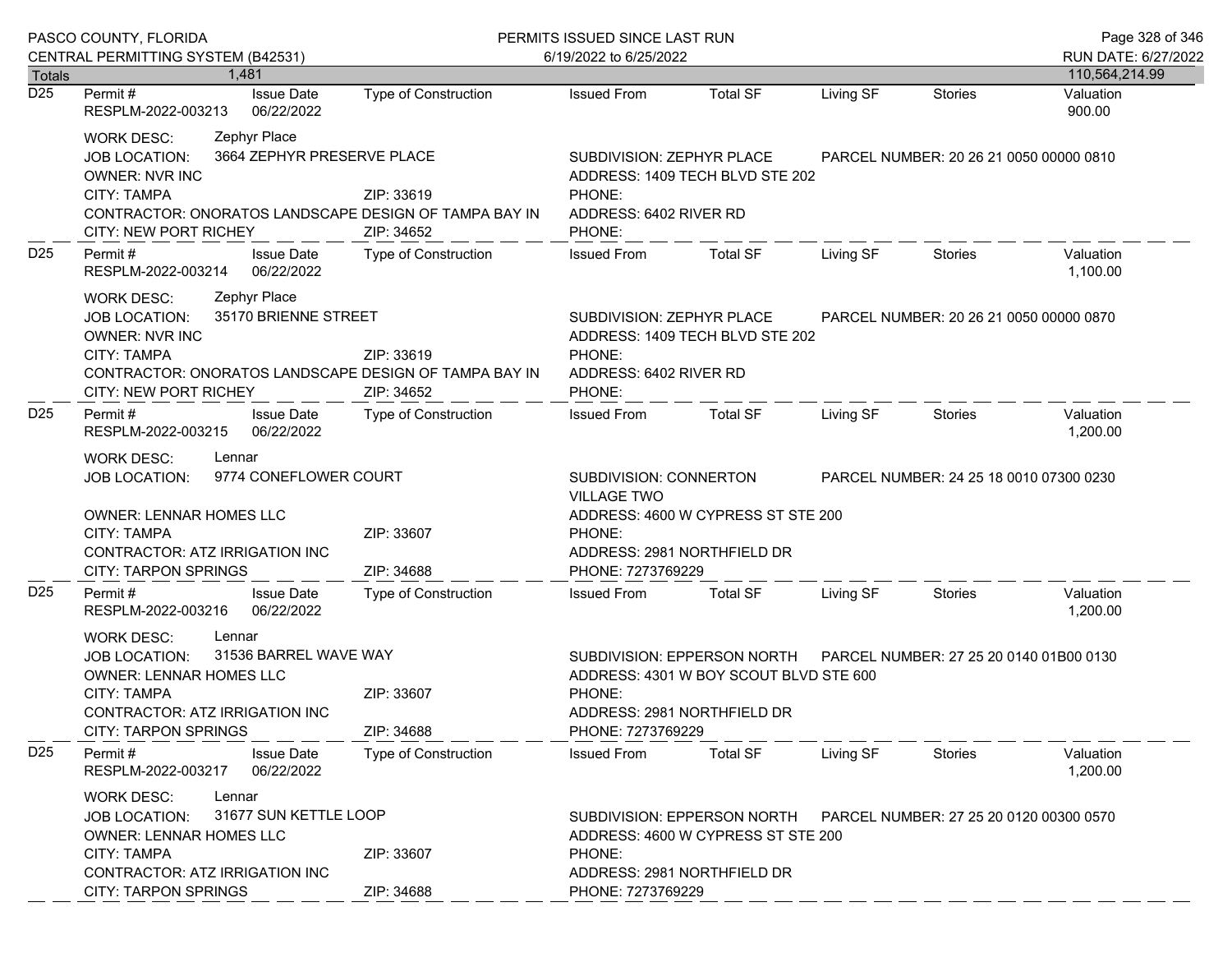|                            | PASCO COUNTY, FLORIDA                                                                                                                                                                                              |                                                        | PERMITS ISSUED SINCE LAST RUN                                                                                                                         |                                                                                                      |           |                                         |                       |  |
|----------------------------|--------------------------------------------------------------------------------------------------------------------------------------------------------------------------------------------------------------------|--------------------------------------------------------|-------------------------------------------------------------------------------------------------------------------------------------------------------|------------------------------------------------------------------------------------------------------|-----------|-----------------------------------------|-----------------------|--|
|                            | CENTRAL PERMITTING SYSTEM (B42531)                                                                                                                                                                                 |                                                        | 6/19/2022 to 6/25/2022                                                                                                                                |                                                                                                      |           |                                         |                       |  |
| Totals<br>$\overline{D25}$ | 1.481<br>Permit #                                                                                                                                                                                                  |                                                        |                                                                                                                                                       | <b>Total SF</b>                                                                                      |           |                                         | 110,564,214.99        |  |
|                            | <b>Issue Date</b><br>RESPLM-2022-003213<br>06/22/2022                                                                                                                                                              | Type of Construction                                   | <b>Issued From</b>                                                                                                                                    |                                                                                                      | Living SF | <b>Stories</b>                          | Valuation<br>900.00   |  |
|                            | Zephyr Place<br>WORK DESC:<br><b>JOB LOCATION:</b><br><b>OWNER: NVR INC</b><br><b>CITY: TAMPA</b><br>CONTRACTOR: ONORATOS LANDSCAPE DESIGN OF TAMPA BAY IN<br>CITY: NEW PORT RICHEY                                | 3664 ZEPHYR PRESERVE PLACE<br>ZIP: 33619<br>ZIP: 34652 | SUBDIVISION: ZEPHYR PLACE<br>PHONE:<br>ADDRESS: 6402 RIVER RD<br>PHONE:                                                                               | ADDRESS: 1409 TECH BLVD STE 202                                                                      |           | PARCEL NUMBER: 20 26 21 0050 00000 0810 |                       |  |
| D <sub>25</sub>            | Permit#<br><b>Issue Date</b><br>06/22/2022<br>RESPLM-2022-003214                                                                                                                                                   | <b>Type of Construction</b>                            | <b>Issued From</b>                                                                                                                                    | <b>Total SF</b>                                                                                      | Living SF | Stories                                 | Valuation<br>1,100.00 |  |
|                            | Zephyr Place<br><b>WORK DESC:</b><br>35170 BRIENNE STREET<br><b>JOB LOCATION:</b><br><b>OWNER: NVR INC</b><br><b>CITY: TAMPA</b><br>CONTRACTOR: ONORATOS LANDSCAPE DESIGN OF TAMPA BAY IN<br>CITY: NEW PORT RICHEY | ZIP: 33619<br>ZIP: 34652                               | SUBDIVISION: ZEPHYR PLACE<br>ADDRESS: 1409 TECH BLVD STE 202<br>PHONE:<br>ADDRESS: 6402 RIVER RD<br>PHONE:                                            |                                                                                                      |           | PARCEL NUMBER: 20 26 21 0050 00000 0870 |                       |  |
| D <sub>25</sub>            | Permit#<br><b>Issue Date</b><br>06/22/2022<br>RESPLM-2022-003215                                                                                                                                                   | Type of Construction                                   | <b>Issued From</b>                                                                                                                                    | Total SF                                                                                             | Living SF | Stories                                 | Valuation<br>1,200.00 |  |
|                            | <b>WORK DESC:</b><br>Lennar<br>9774 CONEFLOWER COURT<br><b>JOB LOCATION:</b><br><b>OWNER: LENNAR HOMES LLC</b><br><b>CITY: TAMPA</b><br>CONTRACTOR: ATZ IRRIGATION INC<br><b>CITY: TARPON SPRINGS</b>              | ZIP: 33607<br>ZIP: 34688                               | SUBDIVISION: CONNERTON<br><b>VILLAGE TWO</b><br>PHONE:<br>PHONE: 7273769229                                                                           | ADDRESS: 4600 W CYPRESS ST STE 200<br>ADDRESS: 2981 NORTHFIELD DR                                    |           | PARCEL NUMBER: 24 25 18 0010 07300 0230 |                       |  |
| D <sub>25</sub>            | Permit#<br><b>Issue Date</b><br>06/22/2022<br>RESPLM-2022-003216                                                                                                                                                   | Type of Construction                                   | <b>Issued From</b>                                                                                                                                    | <b>Total SF</b>                                                                                      | Living SF | Stories                                 | Valuation<br>1,200.00 |  |
|                            | Lennar<br><b>WORK DESC:</b><br>31536 BARREL WAVE WAY<br><b>JOB LOCATION:</b><br><b>OWNER: LENNAR HOMES LLC</b><br>CITY: TAMPA<br>CONTRACTOR: ATZ IRRIGATION INC<br><b>CITY: TARPON SPRINGS</b>                     | ZIP: 33607<br>ZIP: 34688                               | PHONE:<br>PHONE: 7273769229                                                                                                                           | SUBDIVISION: EPPERSON NORTH<br>ADDRESS: 4301 W BOY SCOUT BLVD STE 600<br>ADDRESS: 2981 NORTHFIELD DR |           | PARCEL NUMBER: 27 25 20 0140 01B00 0130 |                       |  |
| D <sub>25</sub>            | Permit#<br><b>Issue Date</b><br>RESPLM-2022-003217<br>06/22/2022                                                                                                                                                   | <b>Type of Construction</b>                            | <b>Issued From</b>                                                                                                                                    | <b>Total SF</b>                                                                                      | Living SF | Stories                                 | Valuation<br>1,200.00 |  |
|                            | <b>WORK DESC:</b><br>Lennar<br>31677 SUN KETTLE LOOP<br><b>JOB LOCATION:</b><br>OWNER: LENNAR HOMES LLC<br><b>CITY: TAMPA</b><br>ZIP: 33607<br>CONTRACTOR: ATZ IRRIGATION INC                                      |                                                        | SUBDIVISION: EPPERSON NORTH<br>PARCEL NUMBER: 27 25 20 0120 00300 0570<br>ADDRESS: 4600 W CYPRESS ST STE 200<br>PHONE:<br>ADDRESS: 2981 NORTHFIELD DR |                                                                                                      |           |                                         |                       |  |
|                            | <b>CITY: TARPON SPRINGS</b>                                                                                                                                                                                        | ZIP: 34688                                             | PHONE: 7273769229                                                                                                                                     |                                                                                                      |           |                                         |                       |  |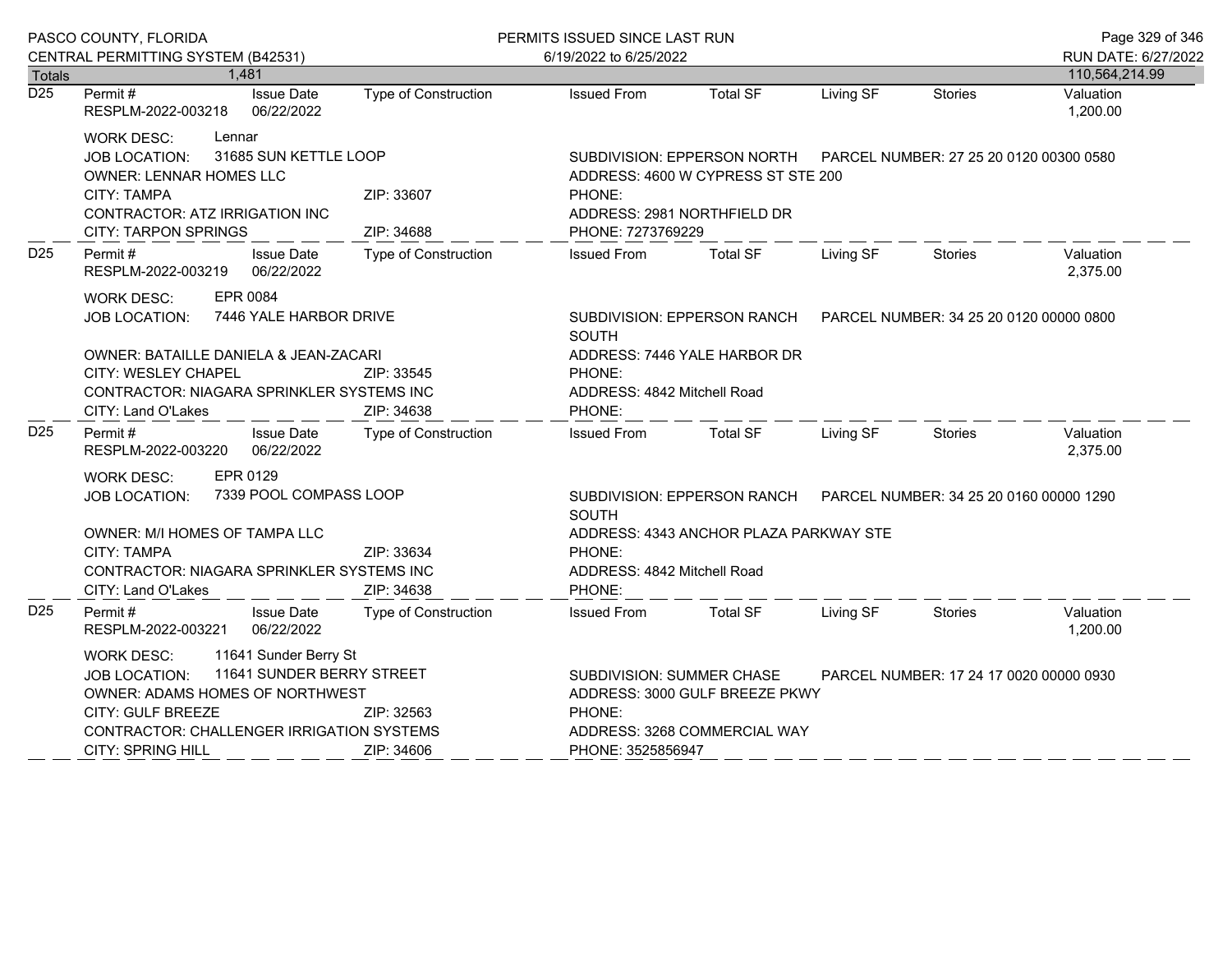|                                   | PASCO COUNTY, FLORIDA                                                                                                                                               |                                                    |                                                                                                                                | PERMITS ISSUED SINCE LAST RUN                                                                                                                      |                                                                     |           |                                         | Page 329 of 346       |  |
|-----------------------------------|---------------------------------------------------------------------------------------------------------------------------------------------------------------------|----------------------------------------------------|--------------------------------------------------------------------------------------------------------------------------------|----------------------------------------------------------------------------------------------------------------------------------------------------|---------------------------------------------------------------------|-----------|-----------------------------------------|-----------------------|--|
|                                   | CENTRAL PERMITTING SYSTEM (B42531)                                                                                                                                  |                                                    |                                                                                                                                | 6/19/2022 to 6/25/2022                                                                                                                             |                                                                     |           |                                         | RUN DATE: 6/27/2022   |  |
| <b>Totals</b><br>$\overline{D25}$ | 1,481                                                                                                                                                               |                                                    |                                                                                                                                |                                                                                                                                                    |                                                                     |           |                                         | 110,564,214.99        |  |
|                                   | Permit#<br>RESPLM-2022-003218                                                                                                                                       | <b>Issue Date</b><br>06/22/2022                    | Type of Construction                                                                                                           | <b>Issued From</b>                                                                                                                                 | <b>Total SF</b>                                                     | Living SF | <b>Stories</b>                          | Valuation<br>1,200.00 |  |
|                                   | Lennar<br><b>WORK DESC:</b><br><b>JOB LOCATION:</b><br><b>OWNER: LENNAR HOMES LLC</b><br><b>CITY: TAMPA</b><br>CONTRACTOR: ATZ IRRIGATION INC                       | 31685 SUN KETTLE LOOP                              | ZIP: 33607                                                                                                                     | SUBDIVISION: EPPERSON NORTH PARCEL NUMBER: 27 25 20 0120 00300 0580<br>ADDRESS: 4600 W CYPRESS ST STE 200<br>PHONE:<br>ADDRESS: 2981 NORTHFIELD DR |                                                                     |           |                                         |                       |  |
|                                   | <b>CITY: TARPON SPRINGS</b>                                                                                                                                         |                                                    | ZIP: 34688                                                                                                                     | PHONE: 7273769229                                                                                                                                  |                                                                     |           |                                         |                       |  |
| D <sub>25</sub>                   | Permit#<br>RESPLM-2022-003219                                                                                                                                       | <b>Issue Date</b><br>06/22/2022                    | <b>Type of Construction</b>                                                                                                    | <b>Issued From</b>                                                                                                                                 | <b>Total SF</b>                                                     | Living SF | Stories                                 | Valuation<br>2,375.00 |  |
|                                   | EPR 0084<br>WORK DESC:<br><b>JOB LOCATION:</b>                                                                                                                      | 7446 YALE HARBOR DRIVE                             |                                                                                                                                | <b>SOUTH</b>                                                                                                                                       | SUBDIVISION: EPPERSON RANCH PARCEL NUMBER: 34 25 20 0120 00000 0800 |           |                                         |                       |  |
|                                   | OWNER: BATAILLE DANIELA & JEAN-ZACARI<br>CITY: WESLEY CHAPEL<br>ZIP: 33545<br>CONTRACTOR: NIAGARA SPRINKLER SYSTEMS INC<br>CITY: Land O'Lakes<br>ZIP: 34638         |                                                    | ADDRESS: 7446 YALE HARBOR DR<br>PHONE:<br>ADDRESS: 4842 Mitchell Road<br>PHONE:                                                |                                                                                                                                                    |                                                                     |           |                                         |                       |  |
| D <sub>25</sub>                   | Permit#<br>RESPLM-2022-003220                                                                                                                                       | <b>Issue Date</b><br>06/22/2022                    | Type of Construction                                                                                                           | <b>Issued From</b>                                                                                                                                 | <b>Total SF</b>                                                     | Living SF | Stories                                 | Valuation<br>2,375.00 |  |
|                                   | EPR 0129<br><b>WORK DESC:</b><br>7339 POOL COMPASS LOOP<br><b>JOB LOCATION:</b><br>OWNER: M/I HOMES OF TAMPA LLC                                                    |                                                    | SUBDIVISION: EPPERSON RANCH  PARCEL NUMBER: 34 25 20 0160 00000 1290<br><b>SOUTH</b><br>ADDRESS: 4343 ANCHOR PLAZA PARKWAY STE |                                                                                                                                                    |                                                                     |           |                                         |                       |  |
|                                   | <b>CITY: TAMPA</b><br>CONTRACTOR: NIAGARA SPRINKLER SYSTEMS INC<br>CITY: Land O'Lakes                                                                               |                                                    | ZIP: 33634<br>ZIP: 34638                                                                                                       | PHONE:<br>ADDRESS: 4842 Mitchell Road<br>PHONE:                                                                                                    |                                                                     |           |                                         |                       |  |
| D <sub>25</sub>                   | Permit#<br>RESPLM-2022-003221                                                                                                                                       | <b>Issue Date</b><br>06/22/2022                    | <b>Type of Construction</b>                                                                                                    | <b>Issued From</b>                                                                                                                                 | <b>Total SF</b>                                                     | Living SF | Stories                                 | Valuation<br>1,200.00 |  |
|                                   | WORK DESC:<br><b>JOB LOCATION:</b><br>OWNER: ADAMS HOMES OF NORTHWEST<br>CITY: GULF BREEZE<br>CONTRACTOR: CHALLENGER IRRIGATION SYSTEMS<br><b>CITY: SPRING HILL</b> | 11641 Sunder Berry St<br>11641 SUNDER BERRY STREET | ZIP: 32563<br>ZIP: 34606                                                                                                       | SUBDIVISION: SUMMER CHASE<br>PHONE:<br>PHONE: 3525856947                                                                                           | ADDRESS: 3000 GULF BREEZE PKWY<br>ADDRESS: 3268 COMMERCIAL WAY      |           | PARCEL NUMBER: 17 24 17 0020 00000 0930 |                       |  |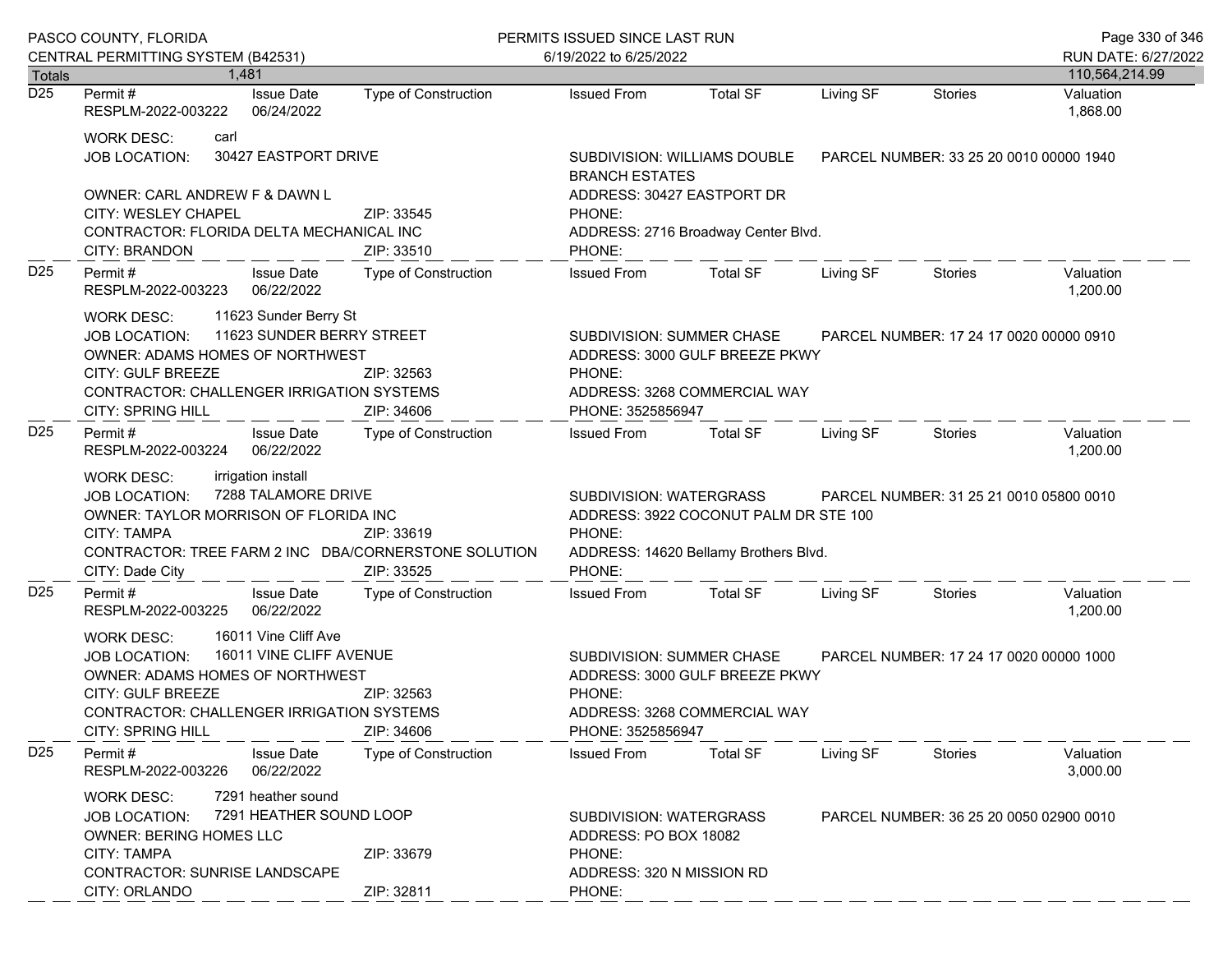|                                                                                                                                                                                                                               | PASCO COUNTY, FLORIDA<br>CENTRAL PERMITTING SYSTEM (B42531)                                                                                                                                                                                                                |                          | PERMITS ISSUED SINCE LAST RUN<br>6/19/2022 to 6/25/2022                                                                                                                  |                                                                                                                                        |           |                                         |                       |
|-------------------------------------------------------------------------------------------------------------------------------------------------------------------------------------------------------------------------------|----------------------------------------------------------------------------------------------------------------------------------------------------------------------------------------------------------------------------------------------------------------------------|--------------------------|--------------------------------------------------------------------------------------------------------------------------------------------------------------------------|----------------------------------------------------------------------------------------------------------------------------------------|-----------|-----------------------------------------|-----------------------|
| <b>Totals</b>                                                                                                                                                                                                                 | 1.481                                                                                                                                                                                                                                                                      |                          |                                                                                                                                                                          |                                                                                                                                        |           |                                         | 110,564,214.99        |
| D <sub>25</sub>                                                                                                                                                                                                               | <b>Issue Date</b><br>Permit #<br>RESPLM-2022-003222<br>06/24/2022                                                                                                                                                                                                          | Type of Construction     | <b>Issued From</b>                                                                                                                                                       | <b>Total SF</b>                                                                                                                        | Living SF | <b>Stories</b>                          | Valuation<br>1,868.00 |
|                                                                                                                                                                                                                               | <b>WORK DESC:</b><br>carl<br>30427 EASTPORT DRIVE<br><b>JOB LOCATION:</b>                                                                                                                                                                                                  |                          | <b>BRANCH ESTATES</b>                                                                                                                                                    | SUBDIVISION: WILLIAMS DOUBLE<br>PARCEL NUMBER: 33 25 20 0010 00000 1940                                                                |           |                                         |                       |
|                                                                                                                                                                                                                               | OWNER: CARL ANDREW F & DAWN L<br><b>CITY: WESLEY CHAPEL</b><br>CONTRACTOR: FLORIDA DELTA MECHANICAL INC<br>CITY: BRANDON                                                                                                                                                   | ZIP: 33545<br>ZIP: 33510 | ADDRESS: 30427 EASTPORT DR<br>PHONE:<br>PHONE:                                                                                                                           | ADDRESS: 2716 Broadway Center Blvd.                                                                                                    |           |                                         |                       |
| D <sub>25</sub>                                                                                                                                                                                                               | <b>Issue Date</b><br>Permit#<br>RESPLM-2022-003223<br>06/22/2022                                                                                                                                                                                                           | Type of Construction     | <b>Issued From</b>                                                                                                                                                       | <b>Total SF</b>                                                                                                                        | Living SF | Stories                                 | Valuation<br>1,200.00 |
|                                                                                                                                                                                                                               | 11623 Sunder Berry St<br><b>WORK DESC:</b><br>11623 SUNDER BERRY STREET<br><b>JOB LOCATION:</b><br><b>OWNER: ADAMS HOMES OF NORTHWEST</b><br>CITY: GULF BREEZE<br>ZIP: 32563<br><b>CONTRACTOR: CHALLENGER IRRIGATION SYSTEMS</b><br><b>CITY: SPRING HILL</b><br>ZIP: 34606 |                          | PHONE:<br>PHONE: 3525856947                                                                                                                                              | SUBDIVISION: SUMMER CHASE<br>PARCEL NUMBER: 17 24 17 0020 00000 0910<br>ADDRESS: 3000 GULF BREEZE PKWY<br>ADDRESS: 3268 COMMERCIAL WAY |           |                                         |                       |
| D <sub>25</sub>                                                                                                                                                                                                               | Permit#<br><b>Issue Date</b><br>RESPLM-2022-003224<br>06/22/2022                                                                                                                                                                                                           | Type of Construction     | <b>Issued From</b>                                                                                                                                                       | <b>Total SF</b>                                                                                                                        | Living SF | Stories                                 | Valuation<br>1,200.00 |
|                                                                                                                                                                                                                               | irrigation install<br>WORK DESC:<br>7288 TALAMORE DRIVE<br><b>JOB LOCATION:</b><br>OWNER: TAYLOR MORRISON OF FLORIDA INC<br><b>CITY: TAMPA</b><br>ZIP: 33619<br>CONTRACTOR: TREE FARM 2 INC DBA/CORNERSTONE SOLUTION<br>CITY: Dade City<br>ZIP: 33525                      |                          | PARCEL NUMBER: 31 25 21 0010 05800 0010<br>SUBDIVISION: WATERGRASS<br>ADDRESS: 3922 COCONUT PALM DR STE 100<br>PHONE:<br>ADDRESS: 14620 Bellamy Brothers Blvd.<br>PHONE: |                                                                                                                                        |           |                                         |                       |
| D <sub>25</sub>                                                                                                                                                                                                               | Permit#<br><b>Issue Date</b><br>RESPLM-2022-003225<br>06/22/2022                                                                                                                                                                                                           | Type of Construction     | <b>Issued From</b>                                                                                                                                                       | <b>Total SF</b>                                                                                                                        | Living SF | Stories                                 | Valuation<br>1,200.00 |
| 16011 Vine Cliff Ave<br>WORK DESC:<br>16011 VINE CLIFF AVENUE<br><b>JOB LOCATION:</b><br><b>OWNER: ADAMS HOMES OF NORTHWEST</b><br>CITY: GULF BREEZE<br><b>CONTRACTOR: CHALLENGER IRRIGATION SYSTEMS</b><br>CITY: SPRING HILL |                                                                                                                                                                                                                                                                            | ZIP: 32563<br>ZIP: 34606 | SUBDIVISION: SUMMER CHASE<br>PARCEL NUMBER: 17 24 17 0020 00000 1000<br>ADDRESS: 3000 GULF BREEZE PKWY<br>PHONE:<br>ADDRESS: 3268 COMMERCIAL WAY<br>PHONE: 3525856947    |                                                                                                                                        |           |                                         |                       |
| D <sub>25</sub>                                                                                                                                                                                                               | Permit#<br><b>Issue Date</b><br>06/22/2022<br>RESPLM-2022-003226                                                                                                                                                                                                           | Type of Construction     | <b>Issued From</b>                                                                                                                                                       | <b>Total SF</b>                                                                                                                        | Living SF | Stories                                 | Valuation<br>3,000.00 |
|                                                                                                                                                                                                                               | 7291 heather sound<br><b>WORK DESC:</b><br>7291 HEATHER SOUND LOOP<br><b>JOB LOCATION:</b><br><b>OWNER: BERING HOMES LLC</b><br><b>CITY: TAMPA</b><br>CONTRACTOR: SUNRISE LANDSCAPE<br>CITY: ORLANDO                                                                       | ZIP: 33679<br>ZIP: 32811 | <b>SUBDIVISION: WATERGRASS</b><br>ADDRESS: PO BOX 18082<br>PHONE:<br>ADDRESS: 320 N MISSION RD<br>PHONE:                                                                 |                                                                                                                                        |           | PARCEL NUMBER: 36 25 20 0050 02900 0010 |                       |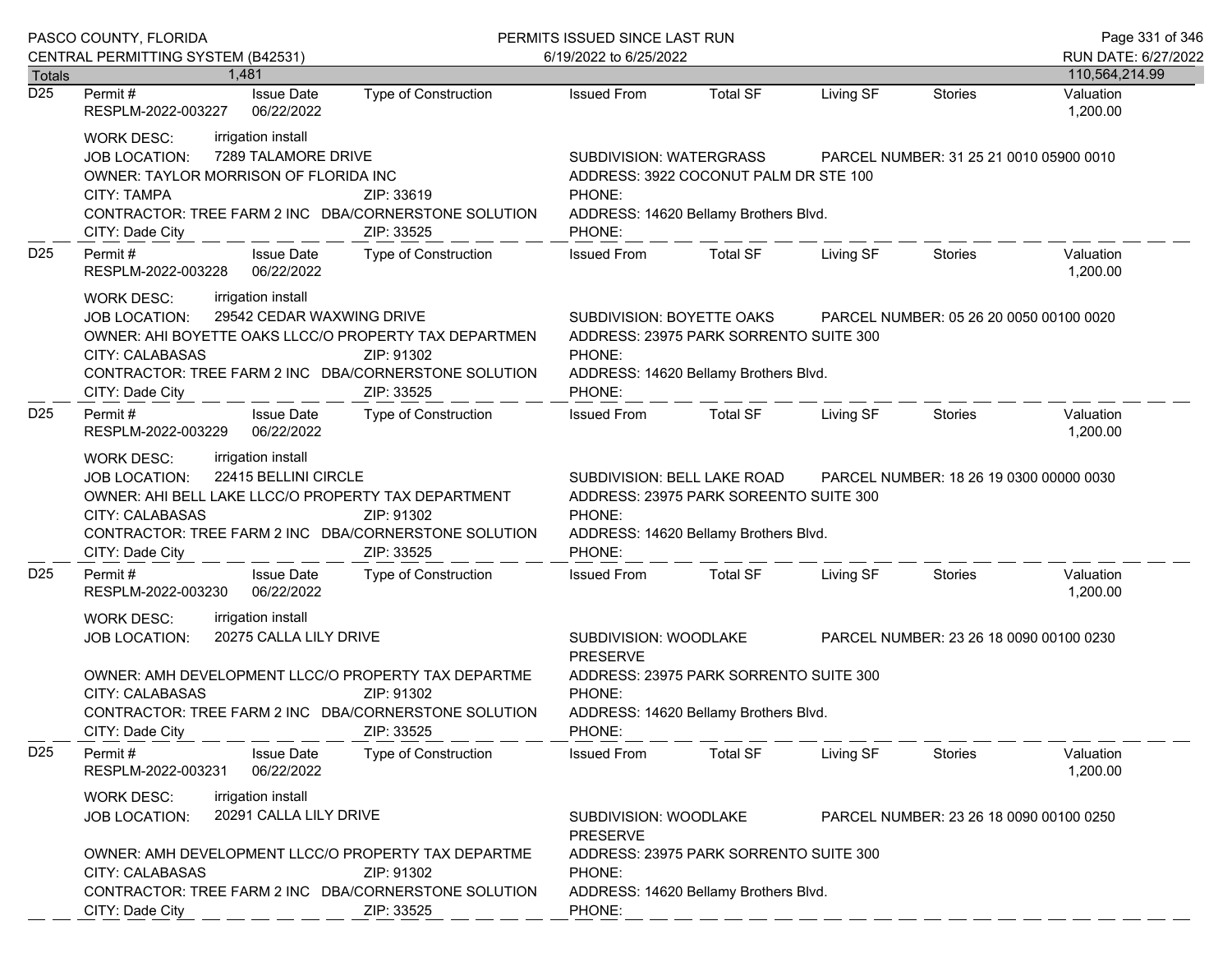| PASCO COUNTY, FLORIDA             |                                                                                                                                                                                                                                                            |                                                                                                                                         | PERMITS ISSUED SINCE LAST RUN                                                                                                                                  | Page 331 of 346                                                                                     |           |                                         |                             |  |
|-----------------------------------|------------------------------------------------------------------------------------------------------------------------------------------------------------------------------------------------------------------------------------------------------------|-----------------------------------------------------------------------------------------------------------------------------------------|----------------------------------------------------------------------------------------------------------------------------------------------------------------|-----------------------------------------------------------------------------------------------------|-----------|-----------------------------------------|-----------------------------|--|
|                                   | CENTRAL PERMITTING SYSTEM (B42531)                                                                                                                                                                                                                         |                                                                                                                                         | 6/19/2022 to 6/25/2022                                                                                                                                         |                                                                                                     |           |                                         | RUN DATE: 6/27/2022         |  |
| <b>Totals</b><br>$\overline{D25}$ | 1.481<br><b>Issue Date</b><br>Permit#                                                                                                                                                                                                                      | Type of Construction                                                                                                                    | <b>Issued From</b>                                                                                                                                             | <b>Total SF</b>                                                                                     | Living SF | <b>Stories</b>                          | 110,564,214.99<br>Valuation |  |
|                                   | RESPLM-2022-003227<br>06/22/2022                                                                                                                                                                                                                           |                                                                                                                                         |                                                                                                                                                                |                                                                                                     |           |                                         | 1,200.00                    |  |
|                                   | irrigation install<br><b>WORK DESC:</b><br>7289 TALAMORE DRIVE<br>JOB LOCATION:<br>OWNER: TAYLOR MORRISON OF FLORIDA INC<br><b>CITY: TAMPA</b><br>CONTRACTOR: TREE FARM 2 INC DBA/CORNERSTONE SOLUTION                                                     | ZIP: 33619                                                                                                                              | SUBDIVISION: WATERGRASS<br>PARCEL NUMBER: 31 25 21 0010 05900 0010<br>ADDRESS: 3922 COCONUT PALM DR STE 100<br>PHONE:<br>ADDRESS: 14620 Bellamy Brothers Blvd. |                                                                                                     |           |                                         |                             |  |
|                                   | CITY: Dade City                                                                                                                                                                                                                                            | ZIP: 33525                                                                                                                              | PHONE:                                                                                                                                                         |                                                                                                     |           |                                         |                             |  |
| D <sub>25</sub>                   | Permit#<br><b>Issue Date</b><br>RESPLM-2022-003228<br>06/22/2022                                                                                                                                                                                           | Type of Construction                                                                                                                    | <b>Issued From</b>                                                                                                                                             | <b>Total SF</b>                                                                                     | Living SF | <b>Stories</b>                          | Valuation<br>1,200.00       |  |
|                                   | irrigation install<br><b>WORK DESC:</b><br>29542 CEDAR WAXWING DRIVE<br><b>JOB LOCATION:</b><br>OWNER: AHI BOYETTE OAKS LLCC/O PROPERTY TAX DEPARTMEN<br><b>CITY: CALABASAS</b><br>CONTRACTOR: TREE FARM 2 INC DBA/CORNERSTONE SOLUTION<br>CITY: Dade City | ZIP: 91302<br>ZIP: 33525                                                                                                                | SUBDIVISION: BOYETTE OAKS<br>PHONE:<br>PHONE:                                                                                                                  | ADDRESS: 23975 PARK SORRENTO SUITE 300<br>ADDRESS: 14620 Bellamy Brothers Blvd.                     |           | PARCEL NUMBER: 05 26 20 0050 00100 0020 |                             |  |
| D <sub>25</sub>                   | Permit#<br><b>Issue Date</b><br>RESPLM-2022-003229<br>06/22/2022                                                                                                                                                                                           | Type of Construction                                                                                                                    | <b>Issued From</b>                                                                                                                                             | Total SF                                                                                            | Living SF | Stories                                 | Valuation<br>1,200.00       |  |
|                                   | irrigation install<br><b>WORK DESC:</b><br>22415 BELLINI CIRCLE<br><b>JOB LOCATION:</b><br>OWNER: AHI BELL LAKE LLCC/O PROPERTY TAX DEPARTMENT<br><b>CITY: CALABASAS</b><br>CONTRACTOR: TREE FARM 2 INC DBA/CORNERSTONE SOLUTION<br>CITY: Dade City        | ZIP: 91302<br>ZIP: 33525                                                                                                                | SUBDIVISION: BELL LAKE ROAD<br>ADDRESS: 23975 PARK SOREENTO SUITE 300<br>PHONE:<br>ADDRESS: 14620 Bellamy Brothers Blvd.<br>PHONE:                             |                                                                                                     |           | PARCEL NUMBER: 18 26 19 0300 00000 0030 |                             |  |
| D <sub>25</sub>                   | Permit#<br><b>Issue Date</b><br>06/22/2022<br>RESPLM-2022-003230                                                                                                                                                                                           | Type of Construction                                                                                                                    | <b>Issued From</b>                                                                                                                                             | <b>Total SF</b>                                                                                     | Living SF | Stories                                 | Valuation<br>1,200.00       |  |
|                                   | irrigation install<br><b>WORK DESC:</b><br>20275 CALLA LILY DRIVE<br>JOB LOCATION:                                                                                                                                                                         |                                                                                                                                         | SUBDIVISION: WOODLAKE<br><b>PRESERVE</b>                                                                                                                       |                                                                                                     |           | PARCEL NUMBER: 23 26 18 0090 00100 0230 |                             |  |
|                                   | <b>CITY: CALABASAS</b><br>CITY: Dade City                                                                                                                                                                                                                  | OWNER: AMH DEVELOPMENT LLCC/O PROPERTY TAX DEPARTME<br>ZIP: 91302<br>CONTRACTOR: TREE FARM 2 INC DBA/CORNERSTONE SOLUTION<br>ZIP: 33525 |                                                                                                                                                                | ADDRESS: 23975 PARK SORRENTO SUITE 300<br>PHONE:<br>ADDRESS: 14620 Bellamy Brothers Blvd.<br>PHONE: |           |                                         |                             |  |
| D <sub>25</sub>                   | Permit#<br><b>Issue Date</b><br>RESPLM-2022-003231<br>06/22/2022                                                                                                                                                                                           | <b>Type of Construction</b>                                                                                                             | <b>Issued From</b>                                                                                                                                             | <b>Total SF</b>                                                                                     | Living SF | Stories                                 | Valuation<br>1,200.00       |  |
|                                   | irrigation install<br><b>WORK DESC:</b><br>20291 CALLA LILY DRIVE<br>JOB LOCATION:                                                                                                                                                                         |                                                                                                                                         | SUBDIVISION: WOODLAKE<br><b>PRESERVE</b>                                                                                                                       |                                                                                                     |           | PARCEL NUMBER: 23 26 18 0090 00100 0250 |                             |  |
|                                   | OWNER: AMH DEVELOPMENT LLCC/O PROPERTY TAX DEPARTME<br><b>CITY: CALABASAS</b><br>CONTRACTOR: TREE FARM 2 INC DBA/CORNERSTONE SOLUTION<br>CITY: Dade City                                                                                                   | ZIP: 91302<br>ZIP: 33525                                                                                                                | PHONE:<br>PHONE:                                                                                                                                               | ADDRESS: 23975 PARK SORRENTO SUITE 300<br>ADDRESS: 14620 Bellamy Brothers Blvd.                     |           |                                         |                             |  |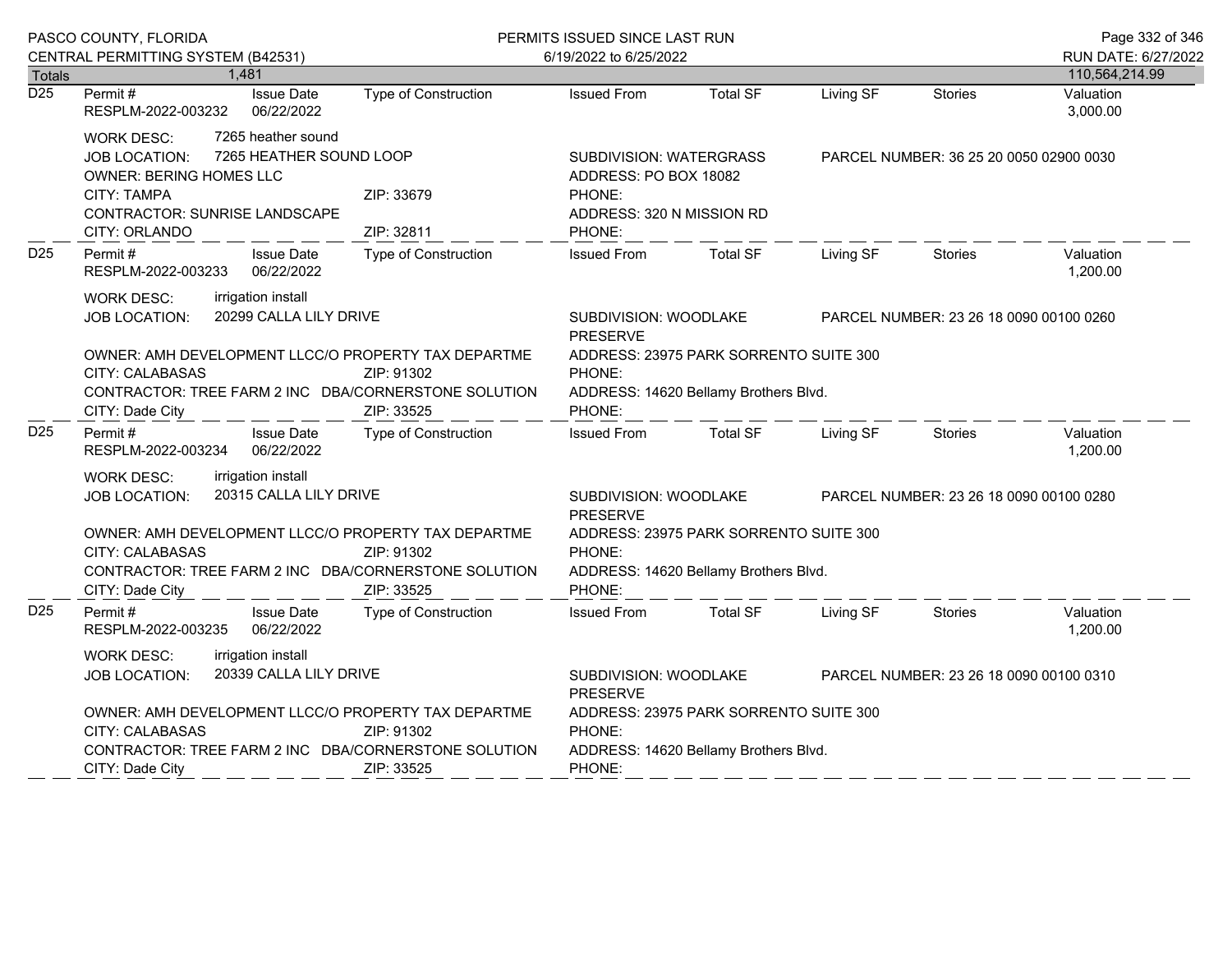| PASCO COUNTY, FLORIDA |                                                                                                                                                                                      |                                               |                                                                                                     | PERMITS ISSUED SINCE LAST RUN                                                                       |                 |           |                                         | Page 332 of 346       |
|-----------------------|--------------------------------------------------------------------------------------------------------------------------------------------------------------------------------------|-----------------------------------------------|-----------------------------------------------------------------------------------------------------|-----------------------------------------------------------------------------------------------------|-----------------|-----------|-----------------------------------------|-----------------------|
|                       | CENTRAL PERMITTING SYSTEM (B42531)                                                                                                                                                   |                                               |                                                                                                     | 6/19/2022 to 6/25/2022                                                                              |                 |           |                                         | RUN DATE: 6/27/2022   |
| Totals                | 1,481                                                                                                                                                                                |                                               |                                                                                                     |                                                                                                     |                 |           |                                         | 110,564,214.99        |
| $\overline{D25}$      | Permit#<br>RESPLM-2022-003232                                                                                                                                                        | <b>Issue Date</b><br>06/22/2022               | Type of Construction                                                                                | <b>Issued From</b>                                                                                  | <b>Total SF</b> | Living SF | <b>Stories</b>                          | Valuation<br>3,000.00 |
|                       | <b>WORK DESC:</b><br>JOB LOCATION:<br><b>OWNER: BERING HOMES LLC</b><br><b>CITY: TAMPA</b><br><b>CONTRACTOR: SUNRISE LANDSCAPE</b>                                                   | 7265 heather sound<br>7265 HEATHER SOUND LOOP | ZIP: 33679                                                                                          | SUBDIVISION: WATERGRASS<br>ADDRESS: PO BOX 18082<br>PHONE:<br>ADDRESS: 320 N MISSION RD             |                 |           | PARCEL NUMBER: 36 25 20 0050 02900 0030 |                       |
|                       | CITY: ORLANDO                                                                                                                                                                        |                                               | ZIP: 32811                                                                                          | PHONE:                                                                                              |                 |           |                                         |                       |
| D <sub>25</sub>       | Permit#<br>RESPLM-2022-003233                                                                                                                                                        | <b>Issue Date</b><br>06/22/2022               | Type of Construction                                                                                | <b>Issued From</b>                                                                                  | <b>Total SF</b> | Living SF | <b>Stories</b>                          | Valuation<br>1,200.00 |
|                       | irrigation install<br><b>WORK DESC:</b><br><b>JOB LOCATION:</b>                                                                                                                      | 20299 CALLA LILY DRIVE                        |                                                                                                     | SUBDIVISION: WOODLAKE<br><b>PRESERVE</b>                                                            |                 |           | PARCEL NUMBER: 23 26 18 0090 00100 0260 |                       |
|                       | OWNER: AMH DEVELOPMENT LLCC/O PROPERTY TAX DEPARTME<br><b>CITY: CALABASAS</b><br>ZIP: 91302<br>CONTRACTOR: TREE FARM 2 INC DBA/CORNERSTONE SOLUTION<br>ZIP: 33525<br>CITY: Dade City |                                               | ADDRESS: 23975 PARK SORRENTO SUITE 300<br>PHONE:<br>ADDRESS: 14620 Bellamy Brothers Blvd.<br>PHONE: |                                                                                                     |                 |           |                                         |                       |
| D <sub>25</sub>       | Permit#<br>RESPLM-2022-003234                                                                                                                                                        | <b>Issue Date</b><br>06/22/2022               | Type of Construction                                                                                | <b>Issued From</b>                                                                                  | <b>Total SF</b> | Living SF | <b>Stories</b>                          | Valuation<br>1,200.00 |
|                       | irrigation install<br>WORK DESC:<br>20315 CALLA LILY DRIVE<br>JOB LOCATION:                                                                                                          |                                               | SUBDIVISION: WOODLAKE<br>PARCEL NUMBER: 23 26 18 0090 00100 0280<br><b>PRESERVE</b>                 |                                                                                                     |                 |           |                                         |                       |
|                       | OWNER: AMH DEVELOPMENT LLCC/O PROPERTY TAX DEPARTME<br><b>CITY: CALABASAS</b><br>ZIP: 91302<br>CONTRACTOR: TREE FARM 2 INC DBA/CORNERSTONE SOLUTION<br>CITY: Dade City<br>ZIP: 33525 |                                               | ADDRESS: 23975 PARK SORRENTO SUITE 300<br>PHONE:<br>ADDRESS: 14620 Bellamy Brothers Blvd.<br>PHONE: |                                                                                                     |                 |           |                                         |                       |
| D <sub>25</sub>       | Permit#<br>RESPLM-2022-003235                                                                                                                                                        | <b>Issue Date</b><br>06/22/2022               | <b>Type of Construction</b>                                                                         | <b>Issued From</b>                                                                                  | <b>Total SF</b> | Living SF | <b>Stories</b>                          | Valuation<br>1,200.00 |
|                       | <b>WORK DESC:</b><br>irrigation install<br>JOB LOCATION:                                                                                                                             | 20339 CALLA LILY DRIVE                        |                                                                                                     | SUBDIVISION: WOODLAKE<br>PARCEL NUMBER: 23 26 18 0090 00100 0310<br><b>PRESERVE</b>                 |                 |           |                                         |                       |
|                       | OWNER: AMH DEVELOPMENT LLCC/O PROPERTY TAX DEPARTME<br>CITY: CALABASAS<br>CONTRACTOR: TREE FARM 2 INC DBA/CORNERSTONE SOLUTION<br>CITY: Dade City                                    |                                               | ZIP: 91302<br>ZIP: 33525                                                                            | ADDRESS: 23975 PARK SORRENTO SUITE 300<br>PHONE:<br>ADDRESS: 14620 Bellamy Brothers Blvd.<br>PHONE: |                 |           |                                         |                       |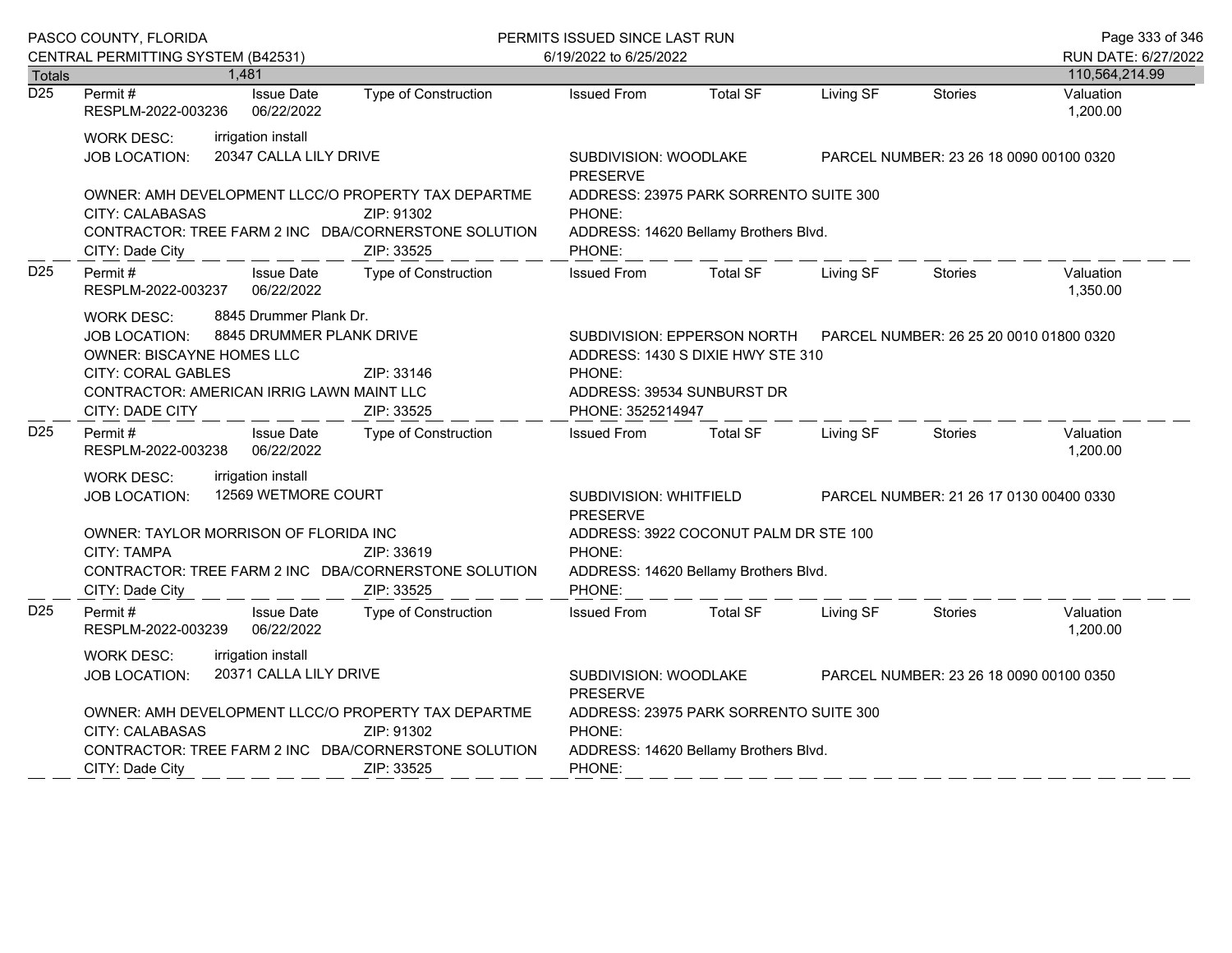|                                   | PASCO COUNTY, FLORIDA                                                                                                                                                         |                                                    | PERMITS ISSUED SINCE LAST RUN                                                                                                           |                                                                                                     |                                                                                 |                                         | Page 333 of 346                         |                                       |
|-----------------------------------|-------------------------------------------------------------------------------------------------------------------------------------------------------------------------------|----------------------------------------------------|-----------------------------------------------------------------------------------------------------------------------------------------|-----------------------------------------------------------------------------------------------------|---------------------------------------------------------------------------------|-----------------------------------------|-----------------------------------------|---------------------------------------|
|                                   | CENTRAL PERMITTING SYSTEM (B42531)                                                                                                                                            | 1,481                                              |                                                                                                                                         | 6/19/2022 to 6/25/2022                                                                              |                                                                                 |                                         |                                         | RUN DATE: 6/27/2022<br>110,564,214.99 |
| <b>Totals</b><br>$\overline{D25}$ | Permit#<br>RESPLM-2022-003236                                                                                                                                                 | <b>Issue Date</b><br>06/22/2022                    | Type of Construction                                                                                                                    | <b>Issued From</b>                                                                                  | <b>Total SF</b>                                                                 | Living SF                               | Stories                                 | Valuation<br>1,200.00                 |
|                                   | <b>WORK DESC:</b><br><b>JOB LOCATION:</b>                                                                                                                                     | irrigation install<br>20347 CALLA LILY DRIVE       |                                                                                                                                         | SUBDIVISION: WOODLAKE<br><b>PRESERVE</b>                                                            |                                                                                 |                                         | PARCEL NUMBER: 23 26 18 0090 00100 0320 |                                       |
|                                   | <b>CITY: CALABASAS</b><br>CITY: Dade City                                                                                                                                     |                                                    | OWNER: AMH DEVELOPMENT LLCC/O PROPERTY TAX DEPARTME<br>ZIP: 91302<br>CONTRACTOR: TREE FARM 2 INC DBA/CORNERSTONE SOLUTION<br>ZIP: 33525 | PHONE:<br>PHONE:                                                                                    | ADDRESS: 23975 PARK SORRENTO SUITE 300<br>ADDRESS: 14620 Bellamy Brothers Blvd. |                                         |                                         |                                       |
| D <sub>25</sub>                   | Permit#<br>RESPLM-2022-003237                                                                                                                                                 | <b>Issue Date</b><br>06/22/2022                    | Type of Construction                                                                                                                    | <b>Issued From</b>                                                                                  | <b>Total SF</b>                                                                 | Living SF                               | <b>Stories</b>                          | Valuation<br>1,350.00                 |
|                                   | WORK DESC:<br><b>JOB LOCATION:</b><br>OWNER: BISCAYNE HOMES LLC<br>CITY: CORAL GABLES<br>CONTRACTOR: AMERICAN IRRIG LAWN MAINT LLC<br>CITY: DADE CITY                         | 8845 Drummer Plank Dr.<br>8845 DRUMMER PLANK DRIVE | ZIP: 33146<br>ZIP: 33525                                                                                                                | PHONE:<br>ADDRESS: 39534 SUNBURST DR<br>PHONE: 3525214947                                           | SUBDIVISION: EPPERSON NORTH<br>ADDRESS: 1430 S DIXIE HWY STE 310                |                                         | PARCEL NUMBER: 26 25 20 0010 01800 0320 |                                       |
| D <sub>25</sub>                   | Permit#<br>RESPLM-2022-003238                                                                                                                                                 | <b>Issue Date</b><br>06/22/2022                    | <b>Type of Construction</b>                                                                                                             | <b>Issued From</b>                                                                                  | <b>Total SF</b>                                                                 | Living SF                               | Stories                                 | Valuation<br>1,200.00                 |
|                                   | irrigation install<br><b>WORK DESC:</b><br>12569 WETMORE COURT<br>JOB LOCATION:                                                                                               |                                                    |                                                                                                                                         | SUBDIVISION: WHITFIELD<br>PARCEL NUMBER: 21 26 17 0130 00400 0330<br><b>PRESERVE</b>                |                                                                                 |                                         |                                         |                                       |
|                                   | OWNER: TAYLOR MORRISON OF FLORIDA INC<br>CITY: TAMPA<br>CONTRACTOR: TREE FARM 2 INC DBA/CORNERSTONE SOLUTION<br>CITY: Dade City                                               |                                                    | ZIP: 33619<br>ZIP: 33525                                                                                                                | PHONE:<br>PHONE:                                                                                    | ADDRESS: 3922 COCONUT PALM DR STE 100<br>ADDRESS: 14620 Bellamy Brothers Blvd.  |                                         |                                         |                                       |
| D <sub>25</sub>                   | Permit#<br>RESPLM-2022-003239                                                                                                                                                 | <b>Issue Date</b><br>06/22/2022                    | Type of Construction                                                                                                                    | <b>Issued From</b>                                                                                  | <b>Total SF</b>                                                                 | Living SF                               | Stories                                 | Valuation<br>1,200.00                 |
|                                   | <b>WORK DESC:</b><br>irrigation install<br>20371 CALLA LILY DRIVE<br><b>JOB LOCATION:</b>                                                                                     |                                                    | SUBDIVISION: WOODLAKE<br><b>PRESERVE</b>                                                                                                |                                                                                                     |                                                                                 | PARCEL NUMBER: 23 26 18 0090 00100 0350 |                                         |                                       |
|                                   | OWNER: AMH DEVELOPMENT LLCC/O PROPERTY TAX DEPARTME<br>CITY: CALABASAS<br>ZIP: 91302<br>CONTRACTOR: TREE FARM 2 INC DBA/CORNERSTONE SOLUTION<br>ZIP: 33525<br>CITY: Dade City |                                                    |                                                                                                                                         | ADDRESS: 23975 PARK SORRENTO SUITE 300<br>PHONE:<br>ADDRESS: 14620 Bellamy Brothers Blvd.<br>PHONE: |                                                                                 |                                         |                                         |                                       |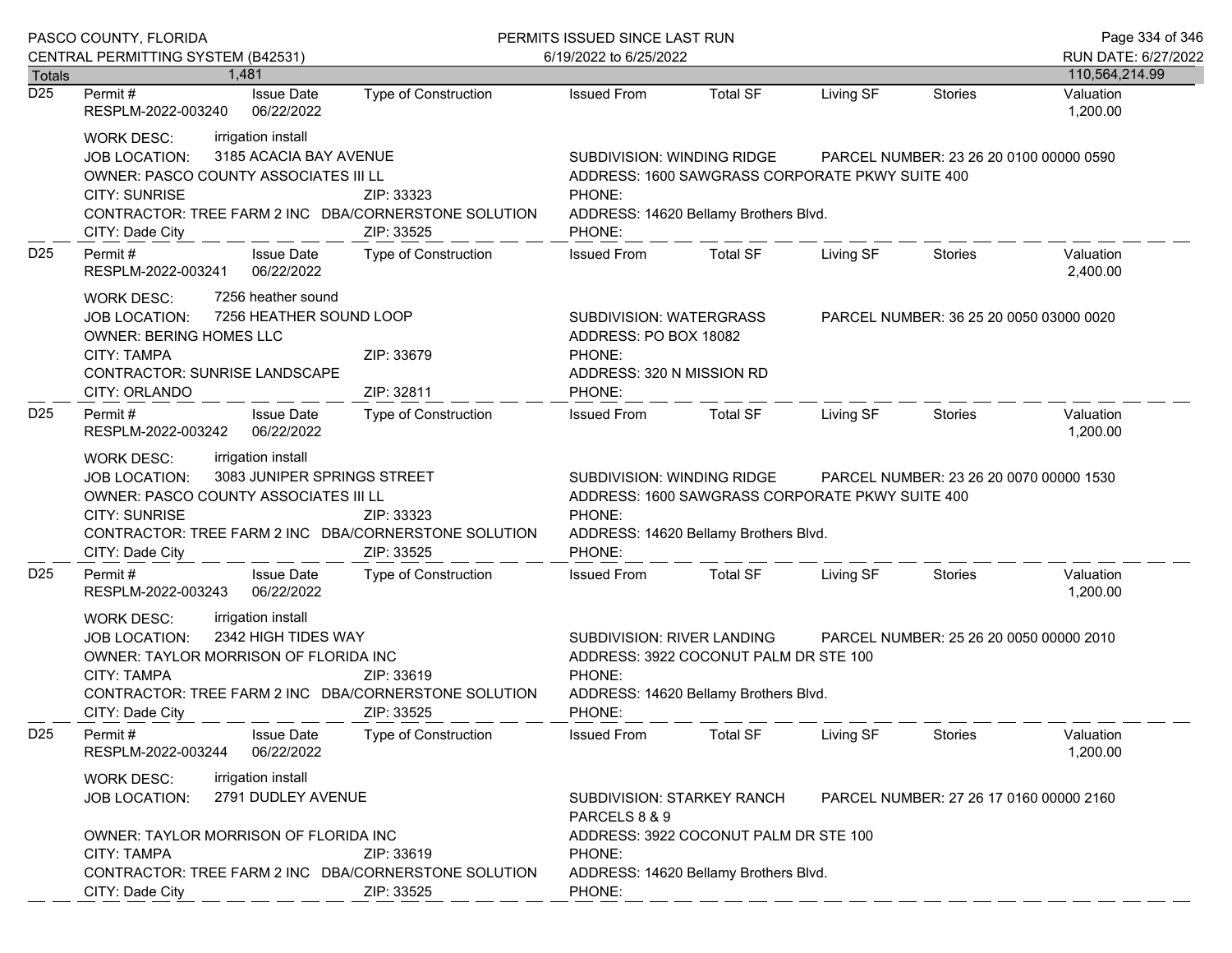| PASCO COUNTY, FLORIDA      |                                                                                                                                                                                                                                                                        |                             | PERMITS ISSUED SINCE LAST RUN                                                                                                                                               |                                                                                                                          |           |                                         | Page 334 of 346             |
|----------------------------|------------------------------------------------------------------------------------------------------------------------------------------------------------------------------------------------------------------------------------------------------------------------|-----------------------------|-----------------------------------------------------------------------------------------------------------------------------------------------------------------------------|--------------------------------------------------------------------------------------------------------------------------|-----------|-----------------------------------------|-----------------------------|
|                            | CENTRAL PERMITTING SYSTEM (B42531)                                                                                                                                                                                                                                     |                             | 6/19/2022 to 6/25/2022                                                                                                                                                      |                                                                                                                          |           |                                         | RUN DATE: 6/27/2022         |
| Totals<br>$\overline{D25}$ | 1.481<br>Permit#<br><b>Issue Date</b>                                                                                                                                                                                                                                  | Type of Construction        | <b>Issued From</b>                                                                                                                                                          | <b>Total SF</b>                                                                                                          | Living SF | <b>Stories</b>                          | 110,564,214.99<br>Valuation |
|                            | RESPLM-2022-003240<br>06/22/2022                                                                                                                                                                                                                                       |                             |                                                                                                                                                                             |                                                                                                                          |           |                                         | 1,200.00                    |
|                            | irrigation install<br><b>WORK DESC:</b><br>3185 ACACIA BAY AVENUE<br><b>JOB LOCATION:</b><br>OWNER: PASCO COUNTY ASSOCIATES III LL<br><b>CITY: SUNRISE</b><br>CONTRACTOR: TREE FARM 2 INC DBA/CORNERSTONE SOLUTION<br>CITY: Dade City                                  | ZIP: 33323<br>ZIP: 33525    | SUBDIVISION: WINDING RIDGE<br>PHONE:<br>PHONE:                                                                                                                              | ADDRESS: 1600 SAWGRASS CORPORATE PKWY SUITE 400<br>ADDRESS: 14620 Bellamy Brothers Blvd.                                 |           | PARCEL NUMBER: 23 26 20 0100 00000 0590 |                             |
| D <sub>25</sub>            | Permit#<br><b>Issue Date</b><br>RESPLM-2022-003241<br>06/22/2022                                                                                                                                                                                                       | Type of Construction        | <b>Issued From</b>                                                                                                                                                          | <b>Total SF</b>                                                                                                          | Living SF | Stories                                 | Valuation<br>2,400.00       |
|                            | 7256 heather sound<br><b>WORK DESC:</b><br>7256 HEATHER SOUND LOOP<br>JOB LOCATION:<br>OWNER: BERING HOMES LLC<br><b>CITY: TAMPA</b><br>CONTRACTOR: SUNRISE LANDSCAPE<br>CITY: ORLANDO                                                                                 | ZIP: 33679<br>ZIP: 32811    | PHONE:<br>PHONE:                                                                                                                                                            | SUBDIVISION: WATERGRASS<br>PARCEL NUMBER: 36 25 20 0050 03000 0020<br>ADDRESS: PO BOX 18082<br>ADDRESS: 320 N MISSION RD |           |                                         |                             |
| D <sub>25</sub>            | Permit#<br><b>Issue Date</b><br>RESPLM-2022-003242<br>06/22/2022                                                                                                                                                                                                       | <b>Type of Construction</b> | <b>Issued From</b>                                                                                                                                                          | Total SF                                                                                                                 | Living SF | Stories                                 | Valuation<br>1,200.00       |
|                            | irrigation install<br><b>WORK DESC:</b><br>3083 JUNIPER SPRINGS STREET<br><b>JOB LOCATION:</b><br>OWNER: PASCO COUNTY ASSOCIATES III LL<br><b>CITY: SUNRISE</b><br>ZIP: 33323<br>CONTRACTOR: TREE FARM 2 INC DBA/CORNERSTONE SOLUTION<br>CITY: Dade City<br>ZIP: 33525 |                             | SUBDIVISION: WINDING RIDGE<br>PHONE:<br>PHONE:                                                                                                                              | ADDRESS: 1600 SAWGRASS CORPORATE PKWY SUITE 400<br>ADDRESS: 14620 Bellamy Brothers Blvd.                                 |           | PARCEL NUMBER: 23 26 20 0070 00000 1530 |                             |
| D <sub>25</sub>            | Permit#<br><b>Issue Date</b><br>06/22/2022<br>RESPLM-2022-003243                                                                                                                                                                                                       | Type of Construction        | <b>Issued From</b>                                                                                                                                                          | <b>Total SF</b>                                                                                                          | Living SF | Stories                                 | Valuation<br>1,200.00       |
|                            | irrigation install<br><b>WORK DESC:</b><br>2342 HIGH TIDES WAY<br><b>JOB LOCATION:</b><br>OWNER: TAYLOR MORRISON OF FLORIDA INC<br><b>CITY: TAMPA</b><br>ZIP: 33619<br>CONTRACTOR: TREE FARM 2 INC DBA/CORNERSTONE SOLUTION<br>CITY: Dade City<br>ZIP: 33525           |                             | SUBDIVISION: RIVER LANDING<br>PARCEL NUMBER: 25 26 20 0050 00000 2010<br>ADDRESS: 3922 COCONUT PALM DR STE 100<br>PHONE:<br>ADDRESS: 14620 Bellamy Brothers Blvd.<br>PHONE: |                                                                                                                          |           |                                         |                             |
| D <sub>25</sub>            | <b>Issue Date</b><br>Permit#<br>06/22/2022<br>RESPLM-2022-003244                                                                                                                                                                                                       | Type of Construction        | <b>Issued From</b>                                                                                                                                                          | <b>Total SF</b>                                                                                                          | Living SF | Stories                                 | Valuation<br>1,200.00       |
|                            | irrigation install<br><b>WORK DESC:</b><br>2791 DUDLEY AVENUE<br><b>JOB LOCATION:</b>                                                                                                                                                                                  |                             | SUBDIVISION: STARKEY RANCH<br>PARCELS 8 & 9                                                                                                                                 |                                                                                                                          |           | PARCEL NUMBER: 27 26 17 0160 00000 2160 |                             |
|                            | OWNER: TAYLOR MORRISON OF FLORIDA INC<br><b>CITY: TAMPA</b><br>CONTRACTOR: TREE FARM 2 INC DBA/CORNERSTONE SOLUTION<br>CITY: Dade City                                                                                                                                 | ZIP: 33619<br>ZIP: 33525    | PHONE:<br>PHONE:                                                                                                                                                            | ADDRESS: 3922 COCONUT PALM DR STE 100<br>ADDRESS: 14620 Bellamy Brothers Blvd.                                           |           |                                         |                             |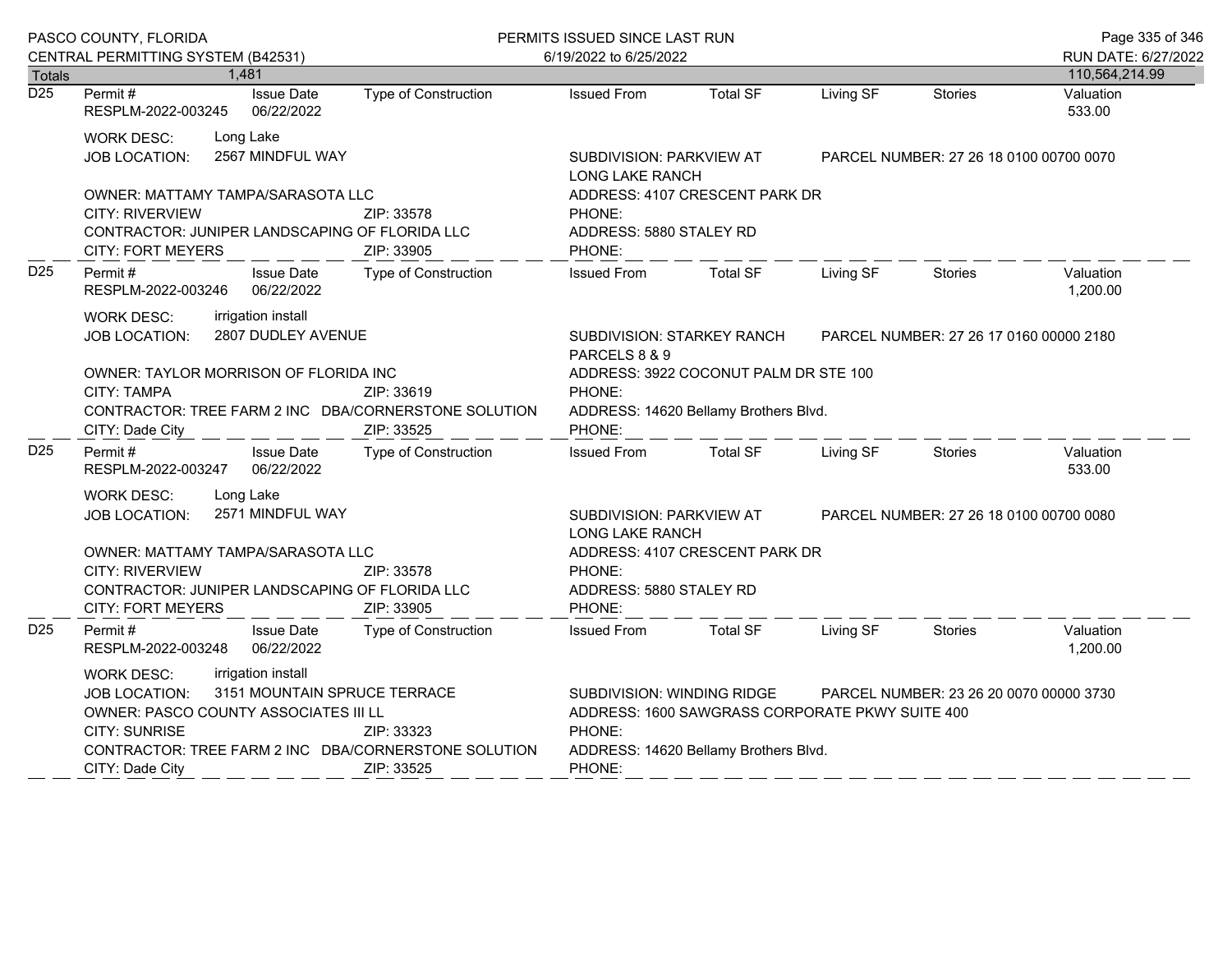| PASCO COUNTY, FLORIDA |                                                                                                                                                                                                                                                                         |                                          | PERMITS ISSUED SINCE LAST RUN                                                                                                                                                         |                                                    |                                |           | Page 335 of 346                         |                                       |
|-----------------------|-------------------------------------------------------------------------------------------------------------------------------------------------------------------------------------------------------------------------------------------------------------------------|------------------------------------------|---------------------------------------------------------------------------------------------------------------------------------------------------------------------------------------|----------------------------------------------------|--------------------------------|-----------|-----------------------------------------|---------------------------------------|
|                       | CENTRAL PERMITTING SYSTEM (B42531)<br>Totals<br>1,481                                                                                                                                                                                                                   |                                          |                                                                                                                                                                                       | 6/19/2022 to 6/25/2022                             |                                |           |                                         | RUN DATE: 6/27/2022<br>110,564,214.99 |
| $\overline{D25}$      | Permit#<br>RESPLM-2022-003245                                                                                                                                                                                                                                           | <b>Issue Date</b><br>06/22/2022          | Type of Construction                                                                                                                                                                  | <b>Issued From</b>                                 | <b>Total SF</b>                | Living SF | <b>Stories</b>                          | Valuation<br>533.00                   |
|                       | <b>WORK DESC:</b><br>JOB LOCATION:                                                                                                                                                                                                                                      | Long Lake<br>2567 MINDFUL WAY            |                                                                                                                                                                                       | SUBDIVISION: PARKVIEW AT<br><b>LONG LAKE RANCH</b> |                                |           | PARCEL NUMBER: 27 26 18 0100 00700 0070 |                                       |
|                       | OWNER: MATTAMY TAMPA/SARASOTA LLC<br><b>CITY: RIVERVIEW</b><br>CONTRACTOR: JUNIPER LANDSCAPING OF FLORIDA LLC<br><b>CITY: FORT MEYERS</b>                                                                                                                               |                                          | ZIP: 33578<br>ZIP: 33905                                                                                                                                                              | PHONE:<br>ADDRESS: 5880 STALEY RD<br>PHONE:        | ADDRESS: 4107 CRESCENT PARK DR |           |                                         |                                       |
| D <sub>25</sub>       | Permit#<br>RESPLM-2022-003246                                                                                                                                                                                                                                           | <b>Issue Date</b><br>06/22/2022          | <b>Type of Construction</b>                                                                                                                                                           | <b>Issued From</b>                                 | <b>Total SF</b>                | Living SF | <b>Stories</b>                          | Valuation<br>1,200.00                 |
|                       | <b>WORK DESC:</b><br><b>JOB LOCATION:</b>                                                                                                                                                                                                                               | irrigation install<br>2807 DUDLEY AVENUE |                                                                                                                                                                                       | <b>SUBDIVISION: STARKEY RANCH</b><br>PARCELS 8 & 9 |                                |           | PARCEL NUMBER: 27 26 17 0160 00000 2180 |                                       |
|                       | OWNER: TAYLOR MORRISON OF FLORIDA INC<br><b>CITY: TAMPA</b><br>ZIP: 33619<br>CONTRACTOR: TREE FARM 2 INC DBA/CORNERSTONE SOLUTION<br>ZIP: 33525<br>CITY: Dade City                                                                                                      |                                          | ADDRESS: 3922 COCONUT PALM DR STE 100<br>PHONE:<br>ADDRESS: 14620 Bellamy Brothers Blvd.<br>PHONE:                                                                                    |                                                    |                                |           |                                         |                                       |
| D <sub>25</sub>       | Permit#<br>RESPLM-2022-003247                                                                                                                                                                                                                                           | <b>Issue Date</b><br>06/22/2022          | Type of Construction                                                                                                                                                                  | <b>Issued From</b>                                 | <b>Total SF</b>                | Living SF | <b>Stories</b>                          | Valuation<br>533.00                   |
|                       | <b>WORK DESC:</b><br>JOB LOCATION:                                                                                                                                                                                                                                      | Long Lake<br>2571 MINDFUL WAY            |                                                                                                                                                                                       | SUBDIVISION: PARKVIEW AT<br><b>LONG LAKE RANCH</b> |                                |           | PARCEL NUMBER: 27 26 18 0100 00700 0080 |                                       |
|                       | OWNER: MATTAMY TAMPA/SARASOTA LLC<br>CITY: RIVERVIEW<br>ZIP: 33578<br>CONTRACTOR: JUNIPER LANDSCAPING OF FLORIDA LLC<br><b>CITY: FORT MEYERS</b>                                                                                                                        |                                          | ZIP: 33905                                                                                                                                                                            | PHONE:<br>ADDRESS: 5880 STALEY RD<br>PHONE:        | ADDRESS: 4107 CRESCENT PARK DR |           |                                         |                                       |
| D <sub>25</sub>       | Permit#<br>RESPLM-2022-003248                                                                                                                                                                                                                                           | <b>Issue Date</b><br>06/22/2022          | <b>Type of Construction</b>                                                                                                                                                           | <b>Issued From</b>                                 | <b>Total SF</b>                | Living SF | <b>Stories</b>                          | Valuation<br>1,200.00                 |
|                       | irrigation install<br><b>WORK DESC:</b><br>3151 MOUNTAIN SPRUCE TERRACE<br><b>JOB LOCATION:</b><br>OWNER: PASCO COUNTY ASSOCIATES III LL<br><b>CITY: SUNRISE</b><br>ZIP: 33323<br>CONTRACTOR: TREE FARM 2 INC DBA/CORNERSTONE SOLUTION<br>ZIP: 33525<br>CITY: Dade City |                                          | SUBDIVISION: WINDING RIDGE<br>PARCEL NUMBER: 23 26 20 0070 00000 3730<br>ADDRESS: 1600 SAWGRASS CORPORATE PKWY SUITE 400<br>PHONE:<br>ADDRESS: 14620 Bellamy Brothers Blvd.<br>PHONE: |                                                    |                                |           |                                         |                                       |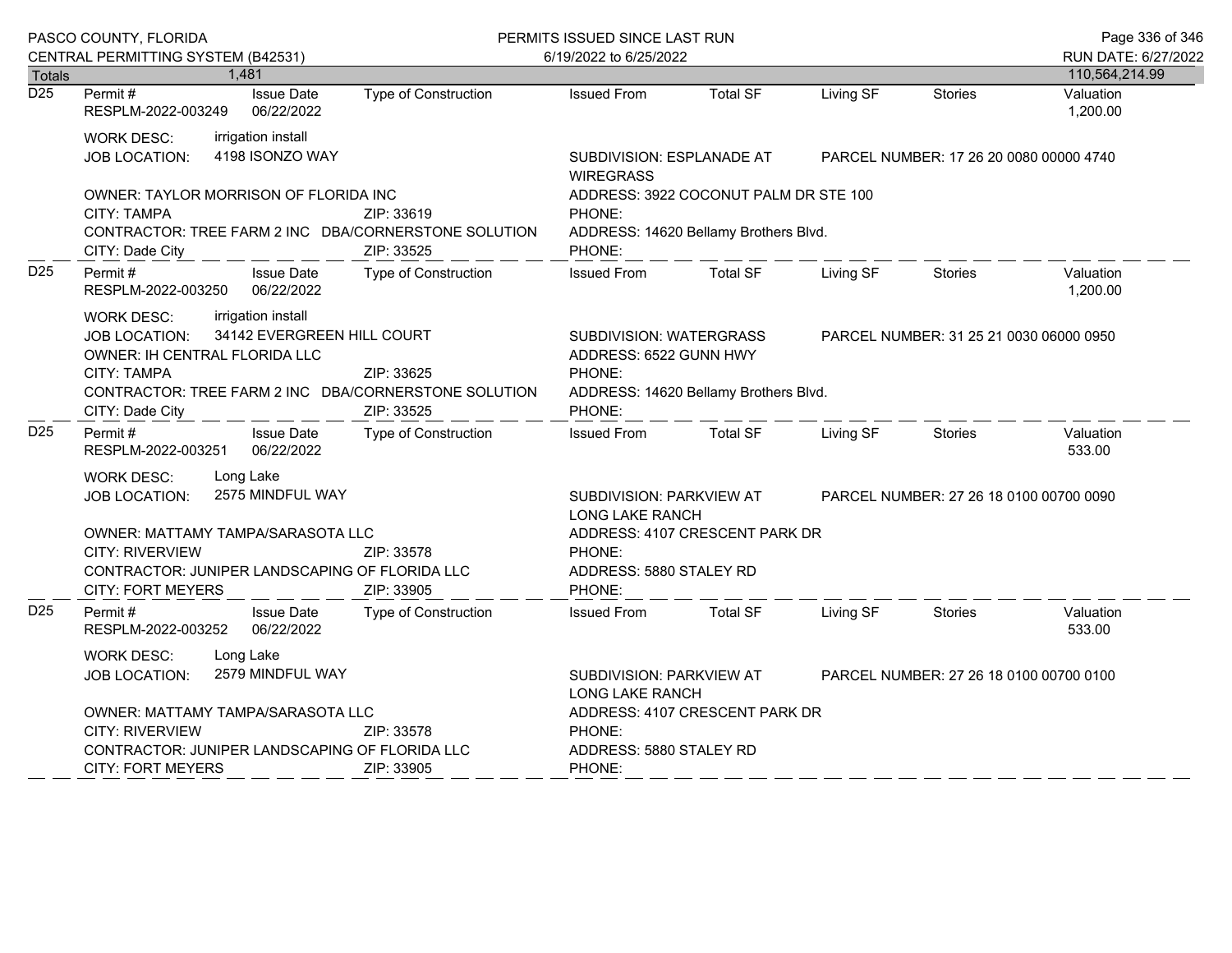|                  | PASCO COUNTY, FLORIDA                                                                                                                                                                                                                                |                                               | PERMITS ISSUED SINCE LAST RUN                                                                                                                             |                                |                                         |                                         | Page 336 of 346                       |
|------------------|------------------------------------------------------------------------------------------------------------------------------------------------------------------------------------------------------------------------------------------------------|-----------------------------------------------|-----------------------------------------------------------------------------------------------------------------------------------------------------------|--------------------------------|-----------------------------------------|-----------------------------------------|---------------------------------------|
| <b>Totals</b>    | CENTRAL PERMITTING SYSTEM (B42531)<br>1,481                                                                                                                                                                                                          |                                               | 6/19/2022 to 6/25/2022                                                                                                                                    |                                |                                         |                                         | RUN DATE: 6/27/2022<br>110,564,214.99 |
| $\overline{D25}$ | Permit#<br><b>Issue Date</b><br>RESPLM-2022-003249<br>06/22/2022                                                                                                                                                                                     | Type of Construction                          | <b>Issued From</b>                                                                                                                                        | <b>Total SF</b>                | Living SF                               | Stories                                 | Valuation<br>1,200.00                 |
|                  | irrigation install<br><b>WORK DESC:</b><br>4198 ISONZO WAY<br><b>JOB LOCATION:</b>                                                                                                                                                                   | SUBDIVISION: ESPLANADE AT<br><b>WIREGRASS</b> |                                                                                                                                                           |                                | PARCEL NUMBER: 17 26 20 0080 00000 4740 |                                         |                                       |
|                  | OWNER: TAYLOR MORRISON OF FLORIDA INC<br><b>CITY: TAMPA</b><br>CONTRACTOR: TREE FARM 2 INC DBA/CORNERSTONE SOLUTION<br>CITY: Dade City                                                                                                               | ZIP: 33619<br>ZIP: 33525                      | ADDRESS: 3922 COCONUT PALM DR STE 100<br>PHONE:<br>ADDRESS: 14620 Bellamy Brothers Blvd.<br>PHONE:                                                        |                                |                                         |                                         |                                       |
| D <sub>25</sub>  | Permit#<br><b>Issue Date</b><br>RESPLM-2022-003250<br>06/22/2022                                                                                                                                                                                     | Type of Construction                          | <b>Issued From</b>                                                                                                                                        | <b>Total SF</b>                | Living SF                               | <b>Stories</b>                          | Valuation<br>1,200.00                 |
|                  | irrigation install<br><b>WORK DESC:</b><br>34142 EVERGREEN HILL COURT<br><b>JOB LOCATION:</b><br>OWNER: IH CENTRAL FLORIDA LLC<br>CITY: TAMPA<br>ZIP: 33625<br>CONTRACTOR: TREE FARM 2 INC DBA/CORNERSTONE SOLUTION<br>ZIP: 33525<br>CITY: Dade City |                                               | SUBDIVISION: WATERGRASS<br>PARCEL NUMBER: 31 25 21 0030 06000 0950<br>ADDRESS: 6522 GUNN HWY<br>PHONE:<br>ADDRESS: 14620 Bellamy Brothers Blvd.<br>PHONE: |                                |                                         |                                         |                                       |
| D <sub>25</sub>  | Permit#<br><b>Issue Date</b><br>06/22/2022<br>RESPLM-2022-003251                                                                                                                                                                                     | Type of Construction                          | <b>Issued From</b>                                                                                                                                        | <b>Total SF</b>                | Living SF                               | <b>Stories</b>                          | Valuation<br>533.00                   |
|                  | Long Lake<br><b>WORK DESC:</b><br>2575 MINDFUL WAY<br>JOB LOCATION:<br>OWNER: MATTAMY TAMPA/SARASOTA LLC<br><b>CITY: RIVERVIEW</b><br>CONTRACTOR: JUNIPER LANDSCAPING OF FLORIDA LLC<br><b>CITY: FORT MEYERS</b>                                     | ZIP: 33578<br>ZIP: 33905                      | SUBDIVISION: PARKVIEW AT<br><b>LONG LAKE RANCH</b><br>PHONE:<br>ADDRESS: 5880 STALEY RD<br>PHONE:                                                         | ADDRESS: 4107 CRESCENT PARK DR |                                         | PARCEL NUMBER: 27 26 18 0100 00700 0090 |                                       |
| D <sub>25</sub>  | Permit#<br><b>Issue Date</b><br>RESPLM-2022-003252<br>06/22/2022                                                                                                                                                                                     | Type of Construction                          | <b>Issued From</b>                                                                                                                                        | <b>Total SF</b>                | Living SF                               | <b>Stories</b>                          | Valuation<br>533.00                   |
|                  | <b>WORK DESC:</b><br>Long Lake<br>2579 MINDFUL WAY<br><b>JOB LOCATION:</b><br>OWNER: MATTAMY TAMPA/SARASOTA LLC<br><b>CITY: RIVERVIEW</b><br>ZIP: 33578                                                                                              |                                               | SUBDIVISION: PARKVIEW AT<br>PARCEL NUMBER: 27 26 18 0100 00700 0100<br>LONG LAKE RANCH<br>ADDRESS: 4107 CRESCENT PARK DR<br>PHONE:                        |                                |                                         |                                         |                                       |
|                  | CONTRACTOR: JUNIPER LANDSCAPING OF FLORIDA LLC<br><b>CITY: FORT MEYERS</b>                                                                                                                                                                           | ZIP: 33905                                    | ADDRESS: 5880 STALEY RD<br>PHONE:                                                                                                                         |                                |                                         |                                         |                                       |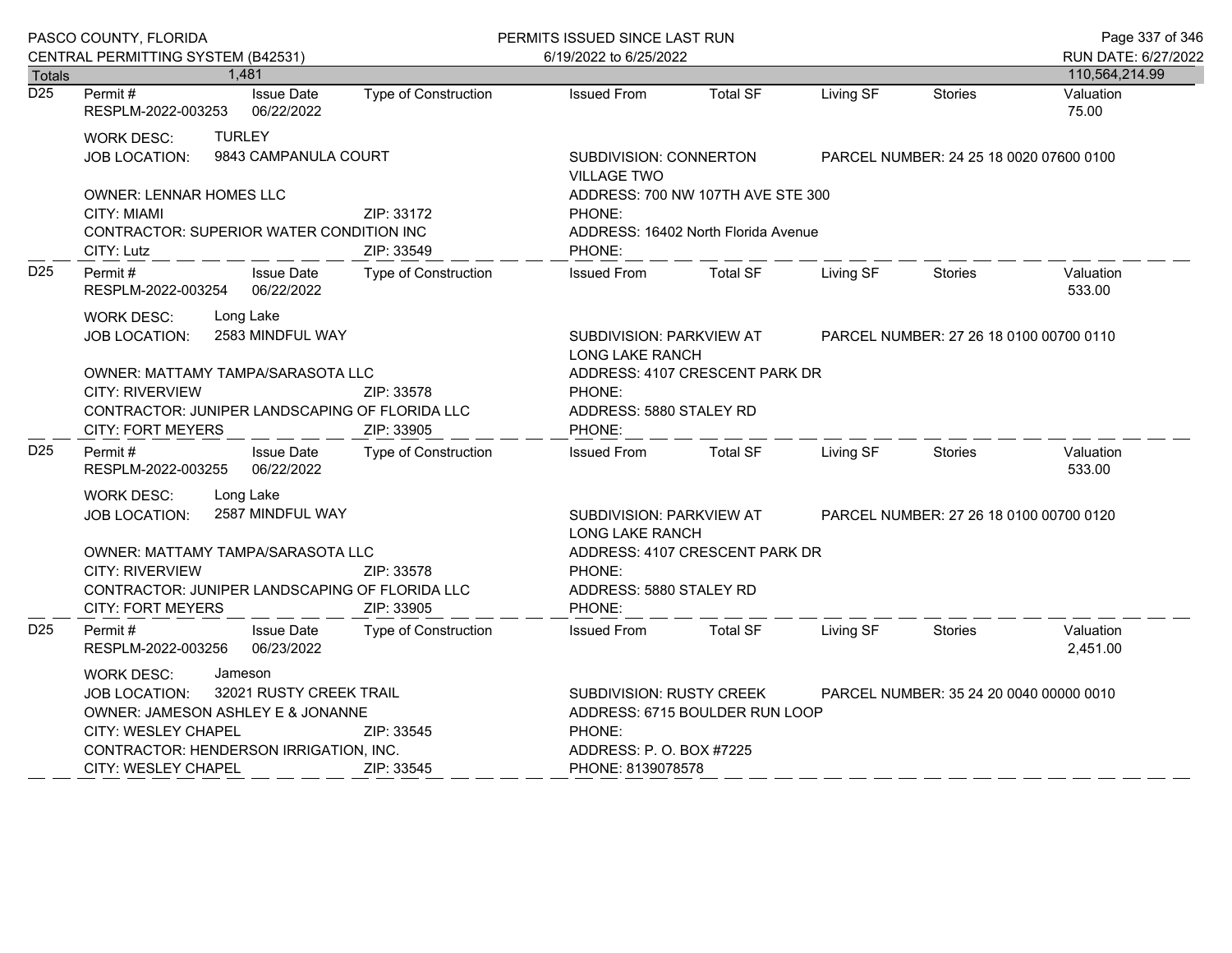| PASCO COUNTY, FLORIDA |                                                                                                                                                                                                                                                 |                                 | PERMITS ISSUED SINCE LAST RUN |                                                                                              |                                                                                                                                                       |           |                                         | Page 337 of 346       |  |
|-----------------------|-------------------------------------------------------------------------------------------------------------------------------------------------------------------------------------------------------------------------------------------------|---------------------------------|-------------------------------|----------------------------------------------------------------------------------------------|-------------------------------------------------------------------------------------------------------------------------------------------------------|-----------|-----------------------------------------|-----------------------|--|
|                       | CENTRAL PERMITTING SYSTEM (B42531)                                                                                                                                                                                                              |                                 |                               | 6/19/2022 to 6/25/2022                                                                       |                                                                                                                                                       |           |                                         | RUN DATE: 6/27/2022   |  |
| <b>Totals</b>         | 1,481                                                                                                                                                                                                                                           |                                 |                               |                                                                                              |                                                                                                                                                       |           |                                         | 110,564,214.99        |  |
| $\overline{D25}$      | Permit #<br>RESPLM-2022-003253                                                                                                                                                                                                                  | <b>Issue Date</b><br>06/22/2022 | Type of Construction          | <b>Issued From</b>                                                                           | <b>Total SF</b>                                                                                                                                       | Living SF | <b>Stories</b>                          | Valuation<br>75.00    |  |
|                       | <b>TURLEY</b><br><b>WORK DESC:</b><br>9843 CAMPANULA COURT<br><b>JOB LOCATION:</b>                                                                                                                                                              |                                 |                               | SUBDIVISION: CONNERTON<br><b>VILLAGE TWO</b>                                                 |                                                                                                                                                       |           | PARCEL NUMBER: 24 25 18 0020 07600 0100 |                       |  |
|                       | <b>OWNER: LENNAR HOMES LLC</b><br>CITY: MIAMI<br><b>CONTRACTOR: SUPERIOR WATER CONDITION INC</b><br>CITY: Lutz                                                                                                                                  |                                 | ZIP: 33172<br>ZIP: 33549      | ADDRESS: 700 NW 107TH AVE STE 300<br>PHONE:<br>ADDRESS: 16402 North Florida Avenue<br>PHONE: |                                                                                                                                                       |           |                                         |                       |  |
| D <sub>25</sub>       | Permit#<br>RESPLM-2022-003254                                                                                                                                                                                                                   | <b>Issue Date</b><br>06/22/2022 | <b>Type of Construction</b>   | <b>Issued From</b>                                                                           | <b>Total SF</b>                                                                                                                                       | Living SF | <b>Stories</b>                          | Valuation<br>533.00   |  |
|                       | Long Lake<br><b>WORK DESC:</b><br>2583 MINDFUL WAY<br><b>JOB LOCATION:</b>                                                                                                                                                                      |                                 |                               |                                                                                              | SUBDIVISION: PARKVIEW AT<br>PARCEL NUMBER: 27 26 18 0100 00700 0110<br><b>LONG LAKE RANCH</b>                                                         |           |                                         |                       |  |
|                       | OWNER: MATTAMY TAMPA/SARASOTA LLC<br><b>CITY: RIVERVIEW</b><br>CONTRACTOR: JUNIPER LANDSCAPING OF FLORIDA LLC<br><b>CITY: FORT MEYERS</b>                                                                                                       |                                 | ZIP: 33578<br>ZIP: 33905      | PHONE:<br>PHONE:                                                                             | ADDRESS: 4107 CRESCENT PARK DR<br>ADDRESS: 5880 STALEY RD                                                                                             |           |                                         |                       |  |
| D <sub>25</sub>       | Permit #<br>RESPLM-2022-003255                                                                                                                                                                                                                  | <b>Issue Date</b><br>06/22/2022 | Type of Construction          | <b>Issued From</b>                                                                           | <b>Total SF</b>                                                                                                                                       | Living SF | <b>Stories</b>                          | Valuation<br>533.00   |  |
|                       | Long Lake<br><b>WORK DESC:</b><br>2587 MINDFUL WAY<br><b>JOB LOCATION:</b>                                                                                                                                                                      |                                 |                               | SUBDIVISION: PARKVIEW AT<br><b>LONG LAKE RANCH</b>                                           | PARCEL NUMBER: 27 26 18 0100 00700 0120                                                                                                               |           |                                         |                       |  |
|                       | OWNER: MATTAMY TAMPA/SARASOTA LLC<br>CITY: RIVERVIEW<br>ZIP: 33578<br>CONTRACTOR: JUNIPER LANDSCAPING OF FLORIDA LLC<br>ZIP: 33905<br><b>CITY: FORT MEYERS</b>                                                                                  |                                 | PHONE:<br>PHONE:              | ADDRESS: 4107 CRESCENT PARK DR<br>ADDRESS: 5880 STALEY RD                                    |                                                                                                                                                       |           |                                         |                       |  |
| D <sub>25</sub>       | Permit #<br>RESPLM-2022-003256                                                                                                                                                                                                                  | <b>Issue Date</b><br>06/23/2022 | <b>Type of Construction</b>   | <b>Issued From</b>                                                                           | <b>Total SF</b>                                                                                                                                       | Living SF | <b>Stories</b>                          | Valuation<br>2,451.00 |  |
|                       | <b>WORK DESC:</b><br>Jameson<br>32021 RUSTY CREEK TRAIL<br><b>JOB LOCATION:</b><br>OWNER: JAMESON ASHLEY E & JONANNE<br><b>CITY: WESLEY CHAPEL</b><br>ZIP: 33545<br>CONTRACTOR: HENDERSON IRRIGATION, INC.<br>CITY: WESLEY CHAPEL<br>ZIP: 33545 |                                 |                               | PHONE:                                                                                       | SUBDIVISION: RUSTY CREEK<br>PARCEL NUMBER: 35 24 20 0040 00000 0010<br>ADDRESS: 6715 BOULDER RUN LOOP<br>ADDRESS: P.O. BOX #7225<br>PHONE: 8139078578 |           |                                         |                       |  |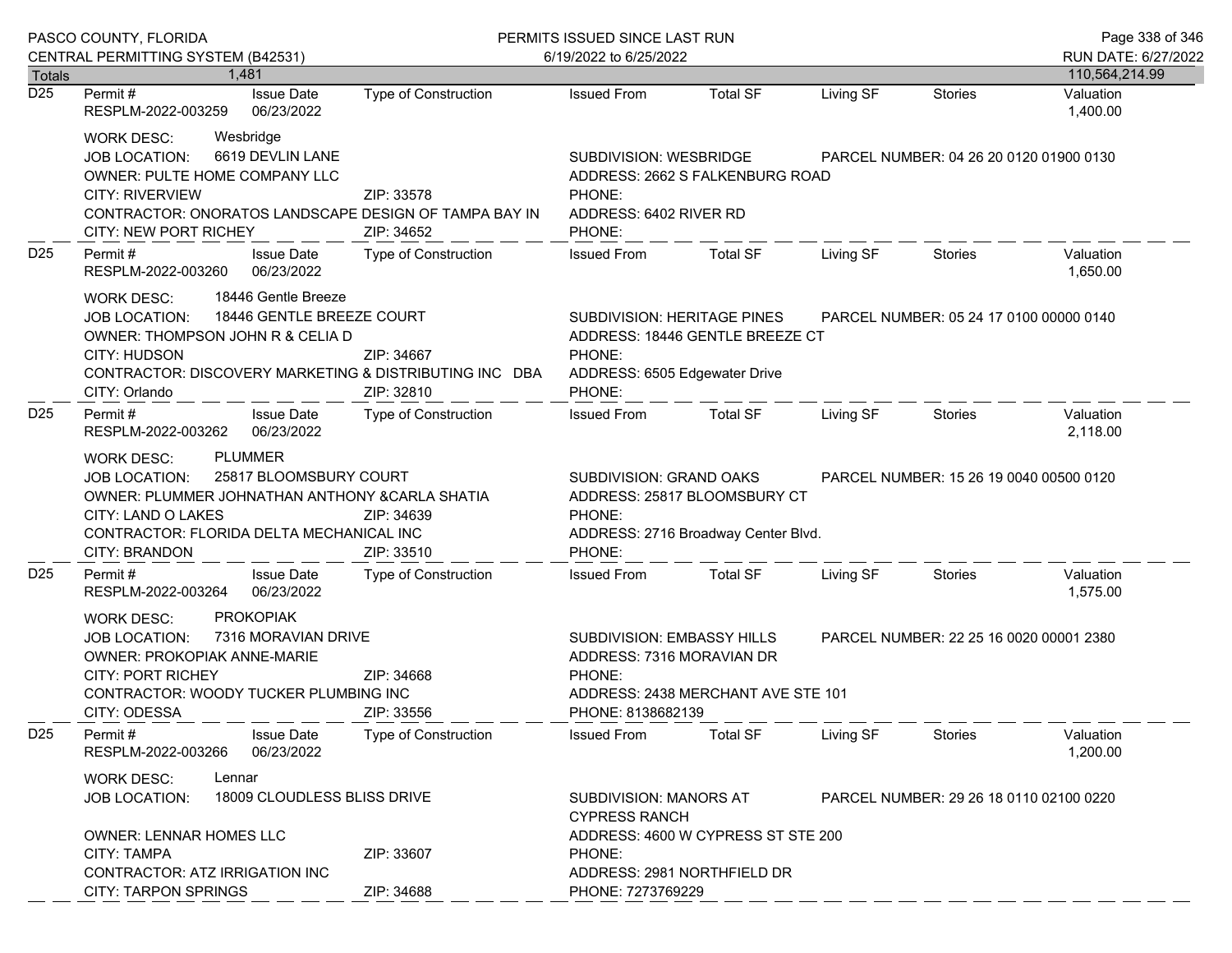| PASCO COUNTY, FLORIDA |                                                                                                                                                                                                                                                                |                                                                      | PERMITS ISSUED SINCE LAST RUN                                                                                                                                           |                                                                                                                                                               |                                         |                | Page 338 of 346                         |  |
|-----------------------|----------------------------------------------------------------------------------------------------------------------------------------------------------------------------------------------------------------------------------------------------------------|----------------------------------------------------------------------|-------------------------------------------------------------------------------------------------------------------------------------------------------------------------|---------------------------------------------------------------------------------------------------------------------------------------------------------------|-----------------------------------------|----------------|-----------------------------------------|--|
|                       | CENTRAL PERMITTING SYSTEM (B42531)<br>1.481                                                                                                                                                                                                                    |                                                                      | 6/19/2022 to 6/25/2022                                                                                                                                                  |                                                                                                                                                               |                                         |                | RUN DATE: 6/27/2022                     |  |
| <b>Totals</b><br>D25  | <b>Issue Date</b><br>Permit#<br>06/23/2022<br>RESPLM-2022-003259                                                                                                                                                                                               | Type of Construction                                                 | <b>Issued From</b>                                                                                                                                                      | <b>Total SF</b>                                                                                                                                               | Living SF                               | <b>Stories</b> | 110,564,214.99<br>Valuation<br>1,400.00 |  |
|                       | <b>WORK DESC:</b><br>Wesbridge<br>6619 DEVLIN LANE<br><b>JOB LOCATION:</b><br>OWNER: PULTE HOME COMPANY LLC<br><b>CITY: RIVERVIEW</b><br>CONTRACTOR: ONORATOS LANDSCAPE DESIGN OF TAMPA BAY IN<br>CITY: NEW PORT RICHEY                                        | SUBDIVISION: WESBRIDGE<br>PHONE:<br>ADDRESS: 6402 RIVER RD<br>PHONE: | ADDRESS: 2662 S FALKENBURG ROAD                                                                                                                                         |                                                                                                                                                               | PARCEL NUMBER: 04 26 20 0120 01900 0130 |                |                                         |  |
| D <sub>25</sub>       | Permit#<br><b>Issue Date</b><br>06/23/2022<br>RESPLM-2022-003260                                                                                                                                                                                               | Type of Construction                                                 | <b>Issued From</b>                                                                                                                                                      | <b>Total SF</b>                                                                                                                                               | Living SF                               | <b>Stories</b> | Valuation<br>1,650.00                   |  |
|                       | 18446 Gentle Breeze<br>WORK DESC:<br>18446 GENTLE BREEZE COURT<br><b>JOB LOCATION:</b><br>OWNER: THOMPSON JOHN R & CELIA D<br>CITY: HUDSON<br>CONTRACTOR: DISCOVERY MARKETING & DISTRIBUTING INC DBA<br>CITY: Orlando                                          | ZIP: 34667<br>ZIP: 32810                                             | SUBDIVISION: HERITAGE PINES<br>ADDRESS: 18446 GENTLE BREEZE CT<br>PHONE:<br>ADDRESS: 6505 Edgewater Drive<br>PHONE:                                                     | PARCEL NUMBER: 05 24 17 0100 00000 0140                                                                                                                       |                                         |                |                                         |  |
| D <sub>25</sub>       | Permit#<br><b>Issue Date</b><br>06/23/2022<br>RESPLM-2022-003262                                                                                                                                                                                               | Type of Construction                                                 | <b>Issued From</b>                                                                                                                                                      | <b>Total SF</b>                                                                                                                                               | Living SF                               | Stories        | Valuation<br>2,118.00                   |  |
|                       | <b>PLUMMER</b><br><b>WORK DESC:</b><br>25817 BLOOMSBURY COURT<br><b>JOB LOCATION:</b><br>OWNER: PLUMMER JOHNATHAN ANTHONY & CARLA SHATIA<br>CITY: LAND O LAKES<br>ZIP: 34639<br>CONTRACTOR: FLORIDA DELTA MECHANICAL INC<br>ZIP: 33510<br><b>CITY: BRANDON</b> |                                                                      |                                                                                                                                                                         | SUBDIVISION: GRAND OAKS<br>PARCEL NUMBER: 15 26 19 0040 00500 0120<br>ADDRESS: 25817 BLOOMSBURY CT<br>PHONE:<br>ADDRESS: 2716 Broadway Center Blvd.<br>PHONE: |                                         |                |                                         |  |
| D <sub>25</sub>       | Permit#<br><b>Issue Date</b><br>06/23/2022<br>RESPLM-2022-003264                                                                                                                                                                                               | <b>Type of Construction</b>                                          | <b>Issued From</b>                                                                                                                                                      | <b>Total SF</b>                                                                                                                                               | Living SF                               | Stories        | Valuation<br>1,575.00                   |  |
|                       | <b>PROKOPIAK</b><br><b>WORK DESC:</b><br>7316 MORAVIAN DRIVE<br><b>JOB LOCATION:</b><br><b>OWNER: PROKOPIAK ANNE-MARIE</b><br><b>CITY: PORT RICHEY</b><br>CONTRACTOR: WOODY TUCKER PLUMBING INC<br>CITY: ODESSA                                                | ZIP: 34668<br>ZIP: 33556                                             | SUBDIVISION: EMBASSY HILLS<br>PARCEL NUMBER: 22 25 16 0020 00001 2380<br>ADDRESS: 7316 MORAVIAN DR<br>PHONE:<br>ADDRESS: 2438 MERCHANT AVE STE 101<br>PHONE: 8138682139 |                                                                                                                                                               |                                         |                |                                         |  |
| D <sub>25</sub>       | Permit#<br><b>Issue Date</b><br>06/23/2022<br>RESPLM-2022-003266                                                                                                                                                                                               | <b>Type of Construction</b>                                          | <b>Issued From</b>                                                                                                                                                      | <b>Total SF</b>                                                                                                                                               | Living SF                               | Stories        | Valuation<br>1,200.00                   |  |
|                       | WORK DESC:<br>Lennar<br>18009 CLOUDLESS BLISS DRIVE<br><b>JOB LOCATION:</b>                                                                                                                                                                                    |                                                                      | <b>SUBDIVISION: MANORS AT</b><br>PARCEL NUMBER: 29 26 18 0110 02100 0220<br><b>CYPRESS RANCH</b>                                                                        |                                                                                                                                                               |                                         |                |                                         |  |
|                       | <b>OWNER: LENNAR HOMES LLC</b><br><b>CITY: TAMPA</b><br>CONTRACTOR: ATZ IRRIGATION INC<br><b>CITY: TARPON SPRINGS</b>                                                                                                                                          | ZIP: 33607<br>ZIP: 34688                                             | ADDRESS: 4600 W CYPRESS ST STE 200<br>PHONE:<br>ADDRESS: 2981 NORTHFIELD DR<br>PHONE: 7273769229                                                                        |                                                                                                                                                               |                                         |                |                                         |  |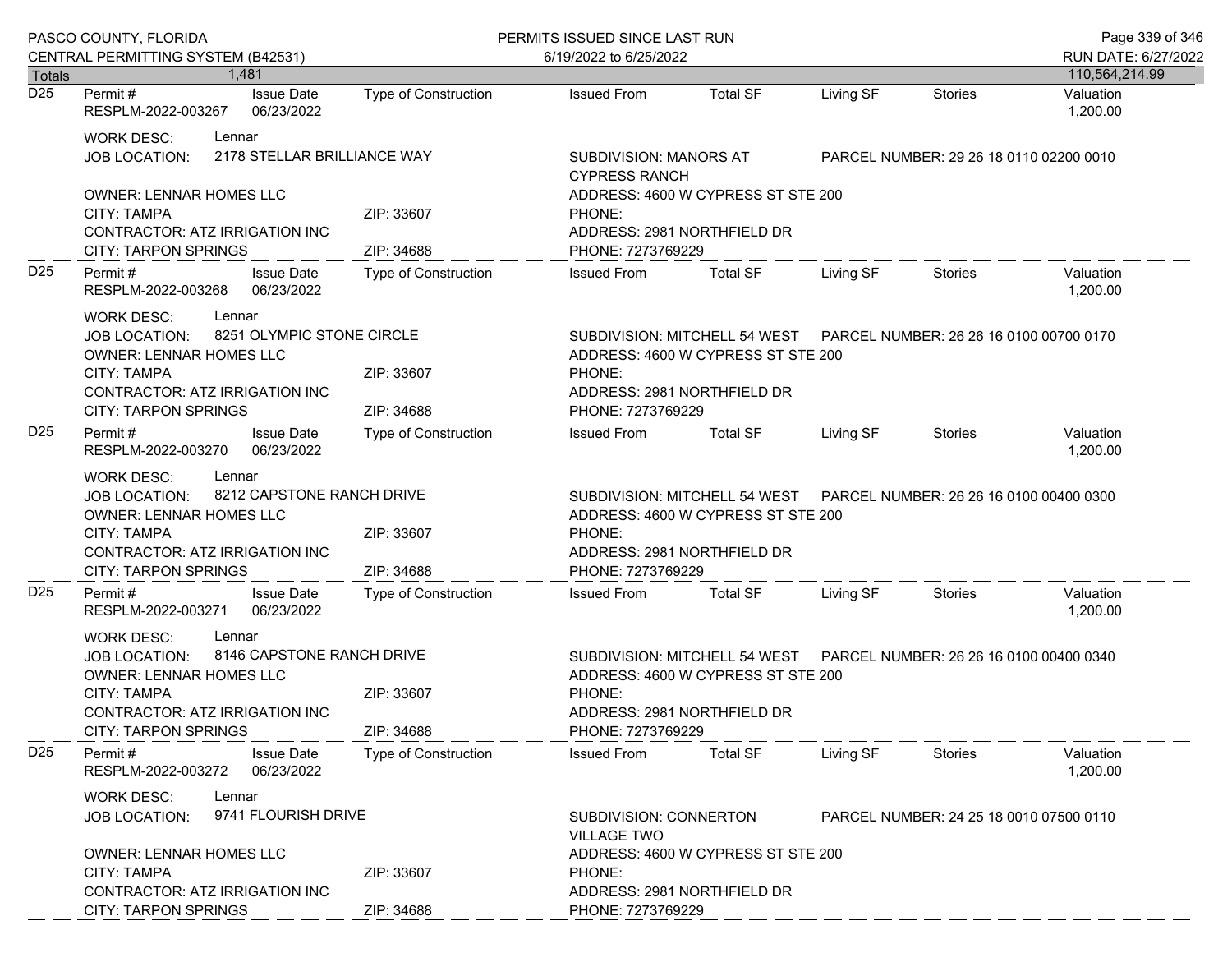|                 | PASCO COUNTY, FLORIDA                                                                                                                                                                                     |                                                                                                                                                                            | PERMITS ISSUED SINCE LAST RUN<br>6/19/2022 to 6/25/2022                                                                                                                    |                 |           |                                         |                                       |  |
|-----------------|-----------------------------------------------------------------------------------------------------------------------------------------------------------------------------------------------------------|----------------------------------------------------------------------------------------------------------------------------------------------------------------------------|----------------------------------------------------------------------------------------------------------------------------------------------------------------------------|-----------------|-----------|-----------------------------------------|---------------------------------------|--|
| <b>Totals</b>   | CENTRAL PERMITTING SYSTEM (B42531)<br>1.481                                                                                                                                                               |                                                                                                                                                                            |                                                                                                                                                                            |                 |           |                                         | RUN DATE: 6/27/2022<br>110,564,214.99 |  |
| D <sub>25</sub> | <b>Issue Date</b><br>Permit #<br>06/23/2022<br>RESPLM-2022-003267                                                                                                                                         | <b>Type of Construction</b>                                                                                                                                                | <b>Issued From</b>                                                                                                                                                         | <b>Total SF</b> | Living SF | <b>Stories</b>                          | Valuation<br>1,200.00                 |  |
|                 | <b>WORK DESC:</b><br>Lennar<br><b>JOB LOCATION:</b>                                                                                                                                                       | 2178 STELLAR BRILLIANCE WAY                                                                                                                                                | <b>SUBDIVISION: MANORS AT</b><br><b>CYPRESS RANCH</b>                                                                                                                      |                 |           | PARCEL NUMBER: 29 26 18 0110 02200 0010 |                                       |  |
|                 | <b>OWNER: LENNAR HOMES LLC</b><br>CITY: TAMPA<br>CONTRACTOR: ATZ IRRIGATION INC<br><b>CITY: TARPON SPRINGS</b>                                                                                            | ADDRESS: 4600 W CYPRESS ST STE 200<br>PHONE:<br>ADDRESS: 2981 NORTHFIELD DR<br>PHONE: 7273769229                                                                           |                                                                                                                                                                            |                 |           |                                         |                                       |  |
| D <sub>25</sub> | Permit#<br><b>Issue Date</b><br>RESPLM-2022-003268<br>06/23/2022                                                                                                                                          | <b>Type of Construction</b>                                                                                                                                                | <b>Issued From</b>                                                                                                                                                         | <b>Total SF</b> | Living SF | <b>Stories</b>                          | Valuation<br>1,200.00                 |  |
|                 | <b>WORK DESC:</b><br>Lennar<br>8251 OLYMPIC STONE CIRCLE<br><b>JOB LOCATION:</b><br><b>OWNER: LENNAR HOMES LLC</b><br><b>CITY: TAMPA</b><br>CONTRACTOR: ATZ IRRIGATION INC<br><b>CITY: TARPON SPRINGS</b> | SUBDIVISION: MITCHELL 54 WEST  PARCEL NUMBER: 26 26 16 0100 00700 0170<br>ADDRESS: 4600 W CYPRESS ST STE 200<br>PHONE:<br>ADDRESS: 2981 NORTHFIELD DR<br>PHONE: 7273769229 |                                                                                                                                                                            |                 |           |                                         |                                       |  |
| D <sub>25</sub> | Permit #<br><b>Issue Date</b><br>06/23/2022<br>RESPLM-2022-003270                                                                                                                                         | Type of Construction                                                                                                                                                       | <b>Issued From</b>                                                                                                                                                         | <b>Total SF</b> | Living SF | Stories                                 | Valuation<br>1,200.00                 |  |
|                 | Lennar<br><b>WORK DESC:</b><br>8212 CAPSTONE RANCH DRIVE<br>JOB LOCATION:<br>OWNER: LENNAR HOMES LLC<br><b>CITY: TAMPA</b><br>CONTRACTOR: ATZ IRRIGATION INC<br><b>CITY: TARPON SPRINGS</b>               | SUBDIVISION: MITCHELL 54 WEST  PARCEL NUMBER: 26 26 16 0100 00400 0300<br>ADDRESS: 4600 W CYPRESS ST STE 200<br>PHONE:<br>ADDRESS: 2981 NORTHFIELD DR<br>PHONE: 7273769229 |                                                                                                                                                                            |                 |           |                                         |                                       |  |
| D <sub>25</sub> | Permit#<br><b>Issue Date</b><br>RESPLM-2022-003271<br>06/23/2022                                                                                                                                          | Type of Construction                                                                                                                                                       | <b>Issued From</b>                                                                                                                                                         | <b>Total SF</b> | Living SF | Stories                                 | Valuation<br>1,200.00                 |  |
|                 | <b>WORK DESC:</b><br>Lennar<br><b>JOB LOCATION:</b><br>OWNER: LENNAR HOMES LLC<br>CITY: TAMPA<br>CONTRACTOR: ATZ IRRIGATION INC<br><b>CITY: TARPON SPRINGS</b>                                            | 8146 CAPSTONE RANCH DRIVE<br>ZIP: 33607<br>ZIP: 34688                                                                                                                      | SUBDIVISION: MITCHELL 54 WEST  PARCEL NUMBER: 26 26 16 0100 00400 0340<br>ADDRESS: 4600 W CYPRESS ST STE 200<br>PHONE:<br>ADDRESS: 2981 NORTHFIELD DR<br>PHONE: 7273769229 |                 |           |                                         |                                       |  |
| D <sub>25</sub> | Permit#<br><b>Issue Date</b><br>06/23/2022<br>RESPLM-2022-003272                                                                                                                                          | Type of Construction                                                                                                                                                       | <b>Issued From</b>                                                                                                                                                         | <b>Total SF</b> | Living SF | Stories                                 | Valuation<br>1,200.00                 |  |
|                 | <b>WORK DESC:</b><br>Lennar<br>9741 FLOURISH DRIVE<br><b>JOB LOCATION:</b>                                                                                                                                |                                                                                                                                                                            | <b>SUBDIVISION: CONNERTON</b><br><b>VILLAGE TWO</b>                                                                                                                        |                 |           | PARCEL NUMBER: 24 25 18 0010 07500 0110 |                                       |  |
|                 | <b>OWNER: LENNAR HOMES LLC</b><br><b>CITY: TAMPA</b><br><b>CONTRACTOR: ATZ IRRIGATION INC</b><br><b>CITY: TARPON SPRINGS</b>                                                                              | ADDRESS: 4600 W CYPRESS ST STE 200<br>PHONE:<br>ADDRESS: 2981 NORTHFIELD DR<br>PHONE: 7273769229                                                                           |                                                                                                                                                                            |                 |           |                                         |                                       |  |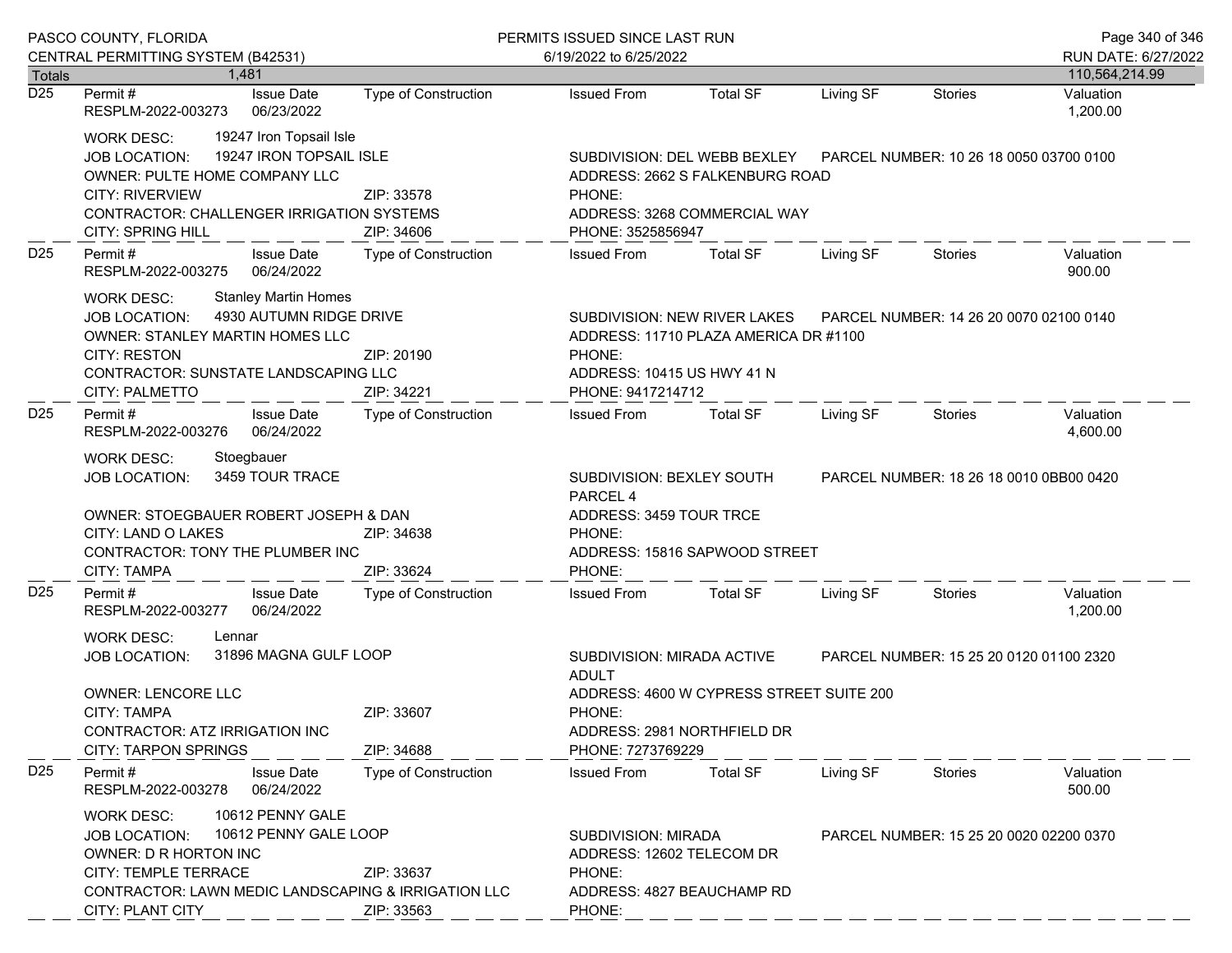| PASCO COUNTY, FLORIDA |                                                                                                                                                                                                                                                |                                                                                                                                                                           | PERMITS ISSUED SINCE LAST RUN                                                                                                                                                                   | Page 340 of 346            |                                         |                |                       |  |
|-----------------------|------------------------------------------------------------------------------------------------------------------------------------------------------------------------------------------------------------------------------------------------|---------------------------------------------------------------------------------------------------------------------------------------------------------------------------|-------------------------------------------------------------------------------------------------------------------------------------------------------------------------------------------------|----------------------------|-----------------------------------------|----------------|-----------------------|--|
|                       | CENTRAL PERMITTING SYSTEM (B42531)                                                                                                                                                                                                             |                                                                                                                                                                           | 6/19/2022 to 6/25/2022                                                                                                                                                                          |                            |                                         |                | RUN DATE: 6/27/2022   |  |
| Totals                | 1.481                                                                                                                                                                                                                                          |                                                                                                                                                                           |                                                                                                                                                                                                 |                            |                                         |                | 110,564,214.99        |  |
| D25                   | <b>Issue Date</b><br>Permit #<br>06/23/2022<br>RESPLM-2022-003273                                                                                                                                                                              | <b>Type of Construction</b>                                                                                                                                               | <b>Issued From</b>                                                                                                                                                                              | <b>Total SF</b>            | Living SF                               | <b>Stories</b> | Valuation<br>1,200.00 |  |
|                       | 19247 Iron Topsail Isle<br>WORK DESC:<br>19247 IRON TOPSAIL ISLE<br><b>JOB LOCATION:</b><br>OWNER: PULTE HOME COMPANY LLC<br><b>CITY: RIVERVIEW</b><br>CONTRACTOR: CHALLENGER IRRIGATION SYSTEMS<br><b>CITY: SPRING HILL</b>                   | SUBDIVISION: DEL WEBB BEXLEY<br>PARCEL NUMBER: 10 26 18 0050 03700 0100<br>ADDRESS: 2662 S FALKENBURG ROAD<br>PHONE:<br>ADDRESS: 3268 COMMERCIAL WAY<br>PHONE: 3525856947 |                                                                                                                                                                                                 |                            |                                         |                |                       |  |
| D <sub>25</sub>       | Permit#<br><b>Issue Date</b><br>06/24/2022<br>RESPLM-2022-003275                                                                                                                                                                               | Type of Construction                                                                                                                                                      | <b>Issued From</b>                                                                                                                                                                              | <b>Total SF</b>            | Living SF                               | Stories        | Valuation<br>900.00   |  |
|                       | <b>Stanley Martin Homes</b><br>WORK DESC:<br>4930 AUTUMN RIDGE DRIVE<br><b>JOB LOCATION:</b><br>OWNER: STANLEY MARTIN HOMES LLC<br><b>CITY: RESTON</b><br><b>CONTRACTOR: SUNSTATE LANDSCAPING LLC</b><br><b>CITY: PALMETTO</b>                 | SUBDIVISION: NEW RIVER LAKES<br>ADDRESS: 11710 PLAZA AMERICA DR #1100<br>PHONE:<br>ADDRESS: 10415 US HWY 41 N<br>PHONE: 9417214712                                        | PARCEL NUMBER: 14 26 20 0070 02100 0140                                                                                                                                                         |                            |                                         |                |                       |  |
| D <sub>25</sub>       | Permit#<br><b>Issue Date</b><br>06/24/2022<br>RESPLM-2022-003276                                                                                                                                                                               | Type of Construction                                                                                                                                                      | <b>Issued From</b>                                                                                                                                                                              | <b>Total SF</b>            | Living SF                               | Stories        | Valuation<br>4,600.00 |  |
|                       | Stoegbauer<br><b>WORK DESC:</b><br>3459 TOUR TRACE<br><b>JOB LOCATION:</b><br>OWNER: STOEGBAUER ROBERT JOSEPH & DAN<br>CITY: LAND O LAKES<br>ZIP: 34638<br>CONTRACTOR: TONY THE PLUMBER INC                                                    |                                                                                                                                                                           | SUBDIVISION: BEXLEY SOUTH<br>PARCEL NUMBER: 18 26 18 0010 0BB00 0420<br>PARCEL <sub>4</sub><br>ADDRESS: 3459 TOUR TRCE<br>PHONE:<br>ADDRESS: 15816 SAPWOOD STREET                               |                            |                                         |                |                       |  |
| D <sub>25</sub>       | <b>CITY: TAMPA</b><br>Permit#<br><b>Issue Date</b><br>RESPLM-2022-003277<br>06/24/2022                                                                                                                                                         | ZIP: 33624<br>Type of Construction                                                                                                                                        | PHONE:<br><b>Issued From</b>                                                                                                                                                                    | <b>Total SF</b>            | Living SF                               | Stories        | Valuation<br>1,200.00 |  |
|                       | <b>WORK DESC:</b><br>Lennar<br>31896 MAGNA GULF LOOP<br><b>JOB LOCATION:</b><br>OWNER: LENCORE LLC<br>ZIP: 33607<br><b>CITY: TAMPA</b><br>CONTRACTOR: ATZ IRRIGATION INC<br><b>CITY: TARPON SPRINGS</b><br>ZIP: 34688                          |                                                                                                                                                                           | SUBDIVISION: MIRADA ACTIVE<br>PARCEL NUMBER: 15 25 20 0120 01100 2320<br><b>ADULT</b><br>ADDRESS: 4600 W CYPRESS STREET SUITE 200<br>PHONE:<br>ADDRESS: 2981 NORTHFIELD DR<br>PHONE: 7273769229 |                            |                                         |                |                       |  |
| D <sub>25</sub>       | Permit#<br><b>Issue Date</b><br>RESPLM-2022-003278<br>06/24/2022                                                                                                                                                                               | <b>Type of Construction</b>                                                                                                                                               | <b>Issued From</b>                                                                                                                                                                              | <b>Total SF</b>            | Living SF                               | Stories        | Valuation<br>500.00   |  |
|                       | 10612 PENNY GALE<br><b>WORK DESC:</b><br>10612 PENNY GALE LOOP<br><b>JOB LOCATION:</b><br>OWNER: D R HORTON INC<br>CITY: TEMPLE TERRACE<br>ZIP: 33637<br>CONTRACTOR: LAWN MEDIC LANDSCAPING & IRRIGATION LLC<br>CITY: PLANT CITY<br>ZIP: 33563 |                                                                                                                                                                           | <b>SUBDIVISION: MIRADA</b><br>ADDRESS: 12602 TELECOM DR<br>PHONE:<br>PHONE:                                                                                                                     | ADDRESS: 4827 BEAUCHAMP RD | PARCEL NUMBER: 15 25 20 0020 02200 0370 |                |                       |  |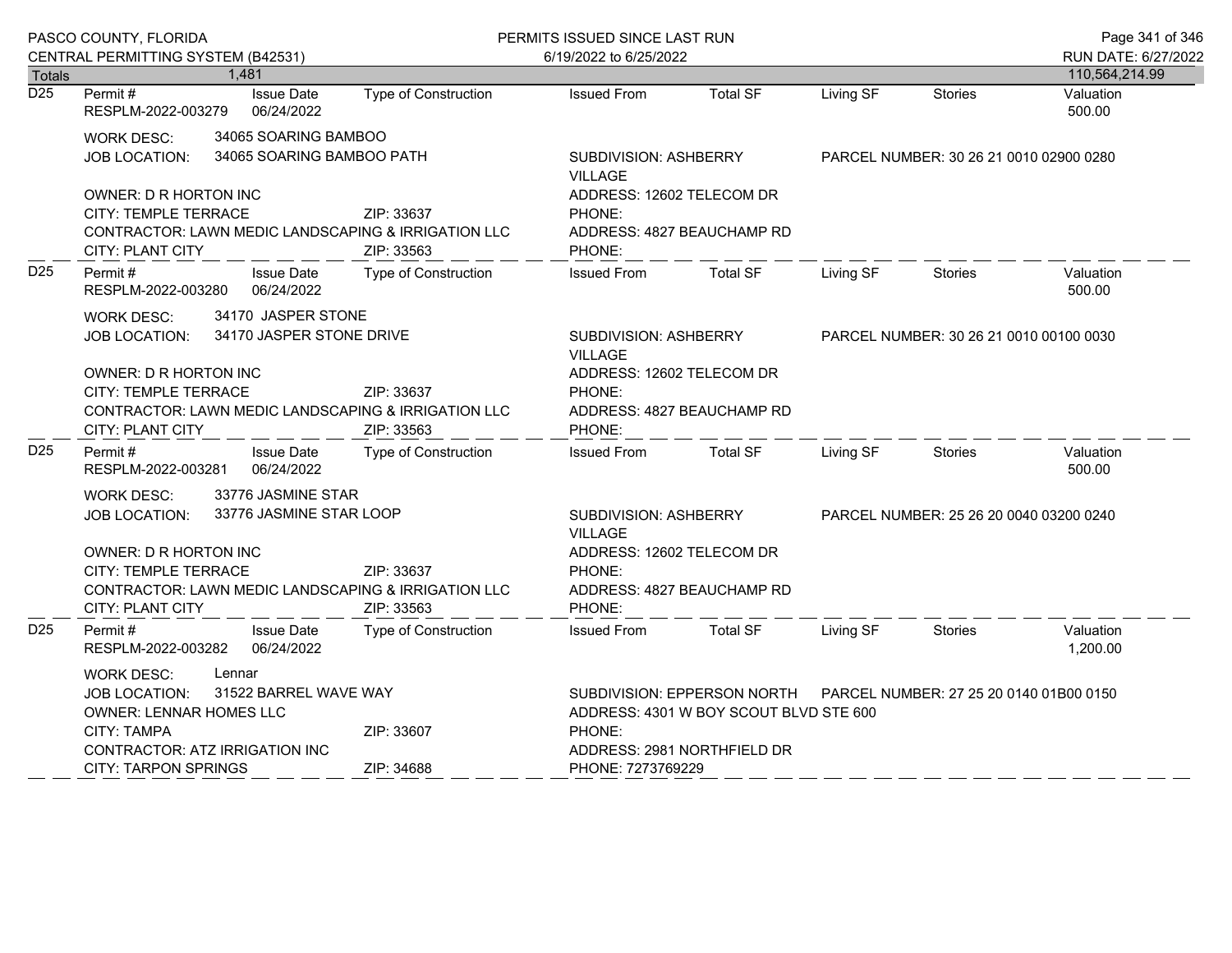| PASCO COUNTY, FLORIDA                                                                                                                                                                                                      |                                                                                                                                                                                                                                                            |                                 | PERMITS ISSUED SINCE LAST RUN                                                                                          |                                                                                                                                                                                |                 |                                         |                | Page 341 of 346                       |
|----------------------------------------------------------------------------------------------------------------------------------------------------------------------------------------------------------------------------|------------------------------------------------------------------------------------------------------------------------------------------------------------------------------------------------------------------------------------------------------------|---------------------------------|------------------------------------------------------------------------------------------------------------------------|--------------------------------------------------------------------------------------------------------------------------------------------------------------------------------|-----------------|-----------------------------------------|----------------|---------------------------------------|
| <b>Totals</b>                                                                                                                                                                                                              | CENTRAL PERMITTING SYSTEM (B42531)                                                                                                                                                                                                                         | 1.481                           |                                                                                                                        | 6/19/2022 to 6/25/2022                                                                                                                                                         |                 |                                         |                | RUN DATE: 6/27/2022<br>110,564,214.99 |
| $\overline{D25}$                                                                                                                                                                                                           | Permit#<br>RESPLM-2022-003279                                                                                                                                                                                                                              | <b>Issue Date</b><br>06/24/2022 | Type of Construction                                                                                                   | <b>Issued From</b>                                                                                                                                                             | <b>Total SF</b> | Living SF                               | <b>Stories</b> | Valuation<br>500.00                   |
| 34065 SOARING BAMBOO<br><b>WORK DESC:</b><br>34065 SOARING BAMBOO PATH<br>JOB LOCATION:<br>OWNER: D R HORTON INC<br>CITY: TEMPLE TERRACE<br>CONTRACTOR: LAWN MEDIC LANDSCAPING & IRRIGATION LLC<br><b>CITY: PLANT CITY</b> |                                                                                                                                                                                                                                                            | ZIP: 33637<br>ZIP: 33563        | SUBDIVISION: ASHBERRY<br><b>VILLAGE</b><br>ADDRESS: 12602 TELECOM DR<br>PHONE:<br>ADDRESS: 4827 BEAUCHAMP RD<br>PHONE: |                                                                                                                                                                                |                 | PARCEL NUMBER: 30 26 21 0010 02900 0280 |                |                                       |
| D <sub>25</sub>                                                                                                                                                                                                            | Permit#<br>RESPLM-2022-003280                                                                                                                                                                                                                              | <b>Issue Date</b><br>06/24/2022 | Type of Construction                                                                                                   | <b>Issued From</b>                                                                                                                                                             | <b>Total SF</b> | Living SF                               | <b>Stories</b> | Valuation<br>500.00                   |
|                                                                                                                                                                                                                            | 34170 JASPER STONE<br><b>WORK DESC:</b><br>34170 JASPER STONE DRIVE<br><b>JOB LOCATION:</b><br><b>OWNER: D R HORTON INC</b><br>CITY: TEMPLE TERRACE<br>ZIP: 33637<br>CONTRACTOR: LAWN MEDIC LANDSCAPING & IRRIGATION LLC<br>CITY: PLANT CITY<br>ZIP: 33563 |                                 |                                                                                                                        | SUBDIVISION: ASHBERRY<br><b>VILLAGE</b><br>ADDRESS: 12602 TELECOM DR<br>PHONE:<br>ADDRESS: 4827 BEAUCHAMP RD<br>PHONE:                                                         |                 | PARCEL NUMBER: 30 26 21 0010 00100 0030 |                |                                       |
| D <sub>25</sub>                                                                                                                                                                                                            | Permit #<br>RESPLM-2022-003281                                                                                                                                                                                                                             | <b>Issue Date</b><br>06/24/2022 | Type of Construction                                                                                                   | <b>Issued From</b>                                                                                                                                                             | <b>Total SF</b> | Living SF                               | <b>Stories</b> | Valuation<br>500.00                   |
|                                                                                                                                                                                                                            | 33776 JASMINE STAR<br><b>WORK DESC:</b><br>33776 JASMINE STAR LOOP<br>JOB LOCATION:<br>OWNER: D R HORTON INC<br>CITY: TEMPLE TERRACE<br>ZIP: 33637<br>CONTRACTOR: LAWN MEDIC LANDSCAPING & IRRIGATION LLC<br><b>CITY: PLANT CITY</b><br>ZIP: 33563         |                                 |                                                                                                                        | SUBDIVISION: ASHBERRY<br><b>VILLAGE</b><br>ADDRESS: 12602 TELECOM DR<br>PHONE:<br>ADDRESS: 4827 BEAUCHAMP RD<br>PHONE:                                                         |                 | PARCEL NUMBER: 25 26 20 0040 03200 0240 |                |                                       |
| D <sub>25</sub>                                                                                                                                                                                                            | Permit #<br>RESPLM-2022-003282                                                                                                                                                                                                                             | <b>Issue Date</b><br>06/24/2022 | Type of Construction                                                                                                   | <b>Issued From</b>                                                                                                                                                             | <b>Total SF</b> | Living SF                               | Stories        | Valuation<br>1,200.00                 |
|                                                                                                                                                                                                                            | <b>WORK DESC:</b><br>Lennar<br>31522 BARREL WAVE WAY<br><b>JOB LOCATION:</b><br>OWNER: LENNAR HOMES LLC<br>CITY: TAMPA<br>ZIP: 33607<br>CONTRACTOR: ATZ IRRIGATION INC<br><b>CITY: TARPON SPRINGS</b><br>ZIP: 34688                                        |                                 |                                                                                                                        | PARCEL NUMBER: 27 25 20 0140 01B00 0150<br>SUBDIVISION: EPPERSON NORTH<br>ADDRESS: 4301 W BOY SCOUT BLVD STE 600<br>PHONE:<br>ADDRESS: 2981 NORTHFIELD DR<br>PHONE: 7273769229 |                 |                                         |                |                                       |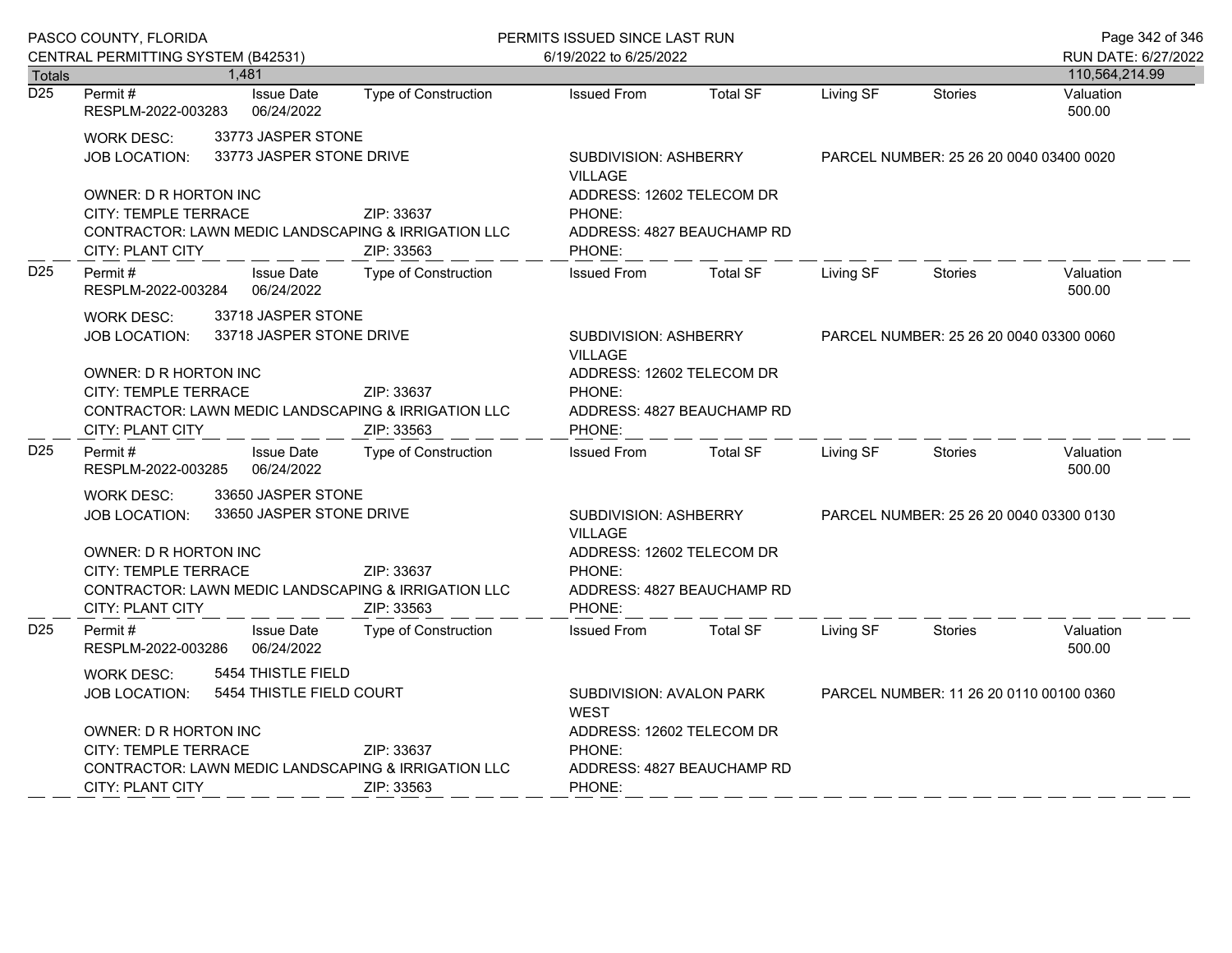|                  | PASCO COUNTY, FLORIDA                                                                                                                                                                                                                                          | PERMITS ISSUED SINCE LAST RUN |                                                                                                                        |                            | Page 342 of 346                         |                                         |                                       |
|------------------|----------------------------------------------------------------------------------------------------------------------------------------------------------------------------------------------------------------------------------------------------------------|-------------------------------|------------------------------------------------------------------------------------------------------------------------|----------------------------|-----------------------------------------|-----------------------------------------|---------------------------------------|
| <b>Totals</b>    | CENTRAL PERMITTING SYSTEM (B42531)<br>1,481                                                                                                                                                                                                                    |                               | 6/19/2022 to 6/25/2022                                                                                                 |                            |                                         |                                         | RUN DATE: 6/27/2022<br>110,564,214.99 |
| $\overline{D25}$ | <b>Issue Date</b><br>Permit #<br>RESPLM-2022-003283<br>06/24/2022                                                                                                                                                                                              | <b>Type of Construction</b>   | <b>Issued From</b>                                                                                                     | <b>Total SF</b>            | Living SF                               | <b>Stories</b>                          | Valuation<br>500.00                   |
|                  | 33773 JASPER STONE<br><b>WORK DESC:</b><br>33773 JASPER STONE DRIVE<br><b>JOB LOCATION:</b><br>OWNER: D R HORTON INC<br>CITY: TEMPLE TERRACE<br>CONTRACTOR: LAWN MEDIC LANDSCAPING & IRRIGATION LLC<br>CITY: PLANT CITY                                        | ZIP: 33637<br>ZIP: 33563      | SUBDIVISION: ASHBERRY<br><b>VILLAGE</b><br>ADDRESS: 12602 TELECOM DR<br>PHONE:<br>PHONE:                               | ADDRESS: 4827 BEAUCHAMP RD | PARCEL NUMBER: 25 26 20 0040 03400 0020 |                                         |                                       |
| D <sub>25</sub>  | Permit#<br><b>Issue Date</b><br>06/24/2022<br>RESPLM-2022-003284                                                                                                                                                                                               | Type of Construction          | <b>Issued From</b>                                                                                                     | <b>Total SF</b>            | Living SF                               | Stories                                 | Valuation<br>500.00                   |
|                  | 33718 JASPER STONE<br><b>WORK DESC:</b><br>33718 JASPER STONE DRIVE<br><b>JOB LOCATION:</b><br>OWNER: D R HORTON INC<br>CITY: TEMPLE TERRACE<br>ZIP: 33637<br><b>CONTRACTOR: LAWN MEDIC LANDSCAPING &amp; IRRIGATION LLC</b><br>CITY: PLANT CITY<br>ZIP: 33563 |                               | SUBDIVISION: ASHBERRY<br><b>VILLAGE</b><br>ADDRESS: 12602 TELECOM DR<br>PHONE:<br>ADDRESS: 4827 BEAUCHAMP RD<br>PHONE: |                            | PARCEL NUMBER: 25 26 20 0040 03300 0060 |                                         |                                       |
| D <sub>25</sub>  | Permit#<br><b>Issue Date</b><br>06/24/2022<br>RESPLM-2022-003285                                                                                                                                                                                               | Type of Construction          | <b>Issued From</b>                                                                                                     | <b>Total SF</b>            | Living SF                               | Stories                                 | Valuation<br>500.00                   |
|                  | 33650 JASPER STONE<br><b>WORK DESC:</b><br>33650 JASPER STONE DRIVE<br><b>JOB LOCATION:</b><br><b>OWNER: D R HORTON INC</b><br>CITY: TEMPLE TERRACE<br>ZIP: 33637<br>CONTRACTOR: LAWN MEDIC LANDSCAPING & IRRIGATION LLC<br>ZIP: 33563<br>CITY: PLANT CITY     |                               | SUBDIVISION: ASHBERRY<br>VILLAGE<br>ADDRESS: 12602 TELECOM DR<br>PHONE:<br>ADDRESS: 4827 BEAUCHAMP RD<br>PHONE:        |                            | PARCEL NUMBER: 25 26 20 0040 03300 0130 |                                         |                                       |
| D <sub>25</sub>  | <b>Issue Date</b><br>Permit#<br>06/24/2022<br>RESPLM-2022-003286                                                                                                                                                                                               | <b>Type of Construction</b>   | <b>Issued From</b>                                                                                                     | <b>Total SF</b>            | Living SF                               | <b>Stories</b>                          | Valuation<br>500.00                   |
|                  | 5454 THISTLE FIELD<br><b>WORK DESC:</b><br>5454 THISTLE FIELD COURT<br><b>JOB LOCATION:</b><br>OWNER: D R HORTON INC<br>CITY: TEMPLE TERRACE<br>ZIP: 33637<br>CONTRACTOR: LAWN MEDIC LANDSCAPING & IRRIGATION LLC<br><b>CITY: PLANT CITY</b><br>ZIP: 33563     |                               | SUBDIVISION: AVALON PARK<br><b>WEST</b><br>ADDRESS: 12602 TELECOM DR<br>PHONE:<br>PHONE:                               | ADDRESS: 4827 BEAUCHAMP RD |                                         | PARCEL NUMBER: 11 26 20 0110 00100 0360 |                                       |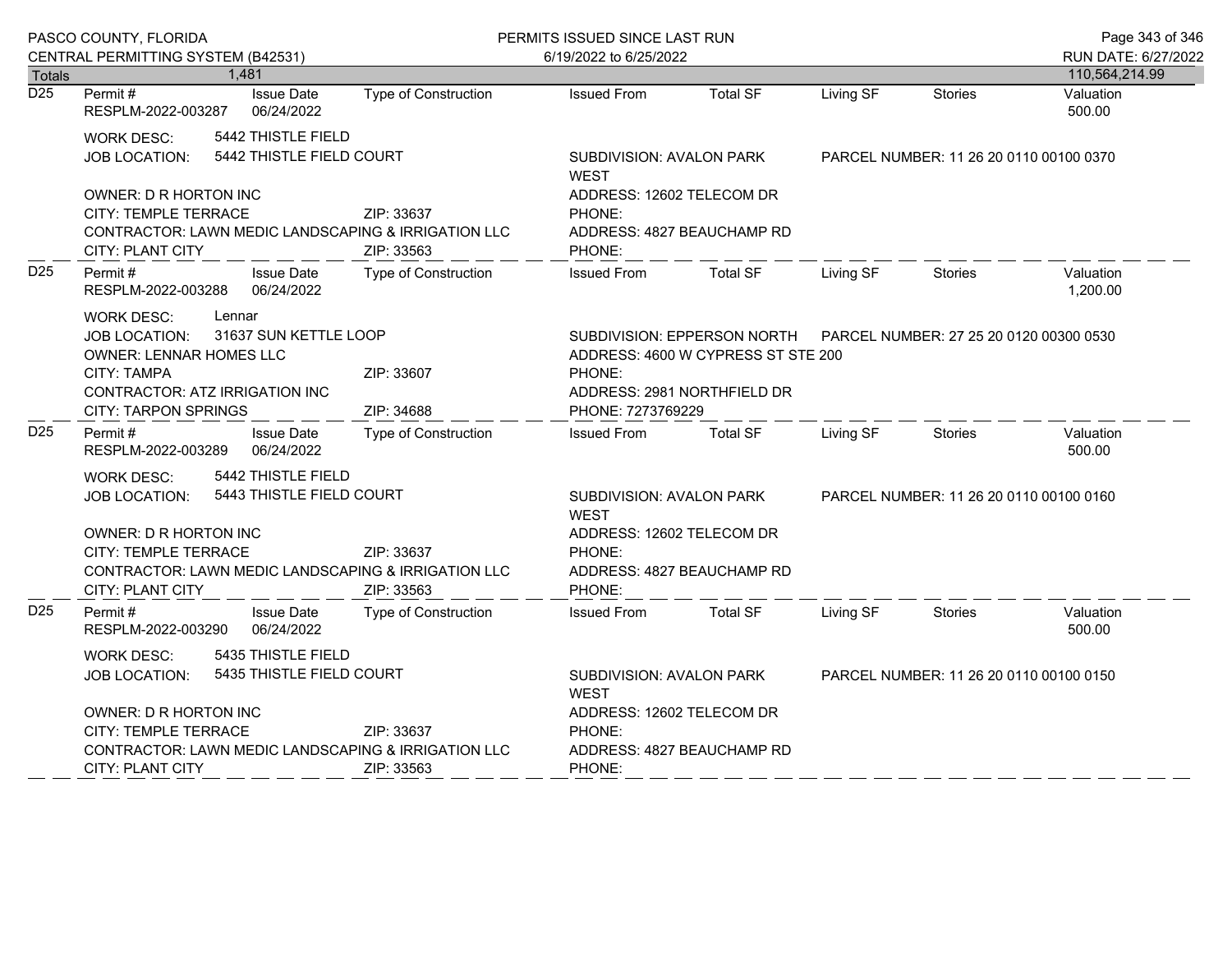| PASCO COUNTY, FLORIDA                                                                                                                                      |                                                                                                                                                                                                                                                     |                                 |                                                                                | PERMITS ISSUED SINCE LAST RUN                                                                                                                                              |                                         |                                         |                                         | Page 343 of 346                       |
|------------------------------------------------------------------------------------------------------------------------------------------------------------|-----------------------------------------------------------------------------------------------------------------------------------------------------------------------------------------------------------------------------------------------------|---------------------------------|--------------------------------------------------------------------------------|----------------------------------------------------------------------------------------------------------------------------------------------------------------------------|-----------------------------------------|-----------------------------------------|-----------------------------------------|---------------------------------------|
|                                                                                                                                                            | CENTRAL PERMITTING SYSTEM (B42531)                                                                                                                                                                                                                  |                                 |                                                                                | 6/19/2022 to 6/25/2022                                                                                                                                                     |                                         |                                         |                                         | RUN DATE: 6/27/2022                   |
| <b>Totals</b><br>$\overline{D25}$                                                                                                                          | 1,481<br>Permit #<br>RESPLM-2022-003287                                                                                                                                                                                                             | <b>Issue Date</b><br>06/24/2022 | Type of Construction                                                           | <b>Issued From</b>                                                                                                                                                         | <b>Total SF</b>                         | Living SF                               | <b>Stories</b>                          | 110,564,214.99<br>Valuation<br>500.00 |
|                                                                                                                                                            | 5442 THISTLE FIELD<br><b>WORK DESC:</b><br>5442 THISTLE FIELD COURT<br>JOB LOCATION:<br>OWNER: D R HORTON INC<br>CITY: TEMPLE TERRACE                                                                                                               |                                 | ZIP: 33637                                                                     | SUBDIVISION: AVALON PARK<br><b>WEST</b><br>ADDRESS: 12602 TELECOM DR<br>PHONE:                                                                                             |                                         |                                         | PARCEL NUMBER: 11 26 20 0110 00100 0370 |                                       |
|                                                                                                                                                            | CONTRACTOR: LAWN MEDIC LANDSCAPING & IRRIGATION LLC<br><b>CITY: PLANT CITY</b>                                                                                                                                                                      |                                 | ZIP: 33563                                                                     | ADDRESS: 4827 BEAUCHAMP RD<br>PHONE:                                                                                                                                       |                                         |                                         |                                         |                                       |
| D <sub>25</sub>                                                                                                                                            | Permit#<br>RESPLM-2022-003288                                                                                                                                                                                                                       | <b>Issue Date</b><br>06/24/2022 | Type of Construction                                                           | <b>Issued From</b>                                                                                                                                                         | <b>Total SF</b>                         | Living SF                               | <b>Stories</b>                          | Valuation<br>1,200.00                 |
|                                                                                                                                                            | <b>WORK DESC:</b><br>Lennar<br>31637 SUN KETTLE LOOP<br><b>JOB LOCATION:</b><br>OWNER: LENNAR HOMES LLC<br>CITY: TAMPA<br>ZIP: 33607<br>CONTRACTOR: ATZ IRRIGATION INC<br><b>CITY: TARPON SPRINGS</b><br>ZIP: 34688                                 |                                 |                                                                                | SUBDIVISION: EPPERSON NORTH<br>PARCEL NUMBER: 27 25 20 0120 00300 0530<br>ADDRESS: 4600 W CYPRESS ST STE 200<br>PHONE:<br>ADDRESS: 2981 NORTHFIELD DR<br>PHONE: 7273769229 |                                         |                                         |                                         |                                       |
| D <sub>25</sub>                                                                                                                                            | Permit #<br>RESPLM-2022-003289                                                                                                                                                                                                                      | <b>Issue Date</b><br>06/24/2022 | Type of Construction                                                           | <b>Issued From</b>                                                                                                                                                         | <b>Total SF</b>                         | Living SF                               | <b>Stories</b>                          | Valuation<br>500.00                   |
|                                                                                                                                                            | 5442 THISTLE FIELD<br><b>WORK DESC:</b><br>5443 THISTLE FIELD COURT<br><b>JOB LOCATION:</b><br>OWNER: D R HORTON INC<br>CITY: TEMPLE TERRACE<br>ZIP: 33637<br>CONTRACTOR: LAWN MEDIC LANDSCAPING & IRRIGATION LLC<br>CITY: PLANT CITY<br>ZIP: 33563 |                                 |                                                                                | SUBDIVISION: AVALON PARK<br><b>WFST</b><br>ADDRESS: 12602 TELECOM DR<br>PHONE:<br>ADDRESS: 4827 BEAUCHAMP RD<br>PHONE:                                                     | PARCEL NUMBER: 11 26 20 0110 00100 0160 |                                         |                                         |                                       |
| D <sub>25</sub>                                                                                                                                            | Permit #<br>RESPLM-2022-003290                                                                                                                                                                                                                      | <b>Issue Date</b><br>06/24/2022 | Type of Construction                                                           | <b>Issued From</b>                                                                                                                                                         | <b>Total SF</b>                         | Living SF                               | Stories                                 | Valuation<br>500.00                   |
| 5435 THISTLE FIELD<br><b>WORK DESC:</b><br>5435 THISTLE FIELD COURT<br><b>JOB LOCATION:</b><br>OWNER: D R HORTON INC<br>CITY: TEMPLE TERRACE<br>ZIP: 33637 |                                                                                                                                                                                                                                                     |                                 | SUBDIVISION: AVALON PARK<br><b>WEST</b><br>ADDRESS: 12602 TELECOM DR<br>PHONE: |                                                                                                                                                                            |                                         | PARCEL NUMBER: 11 26 20 0110 00100 0150 |                                         |                                       |
|                                                                                                                                                            | CONTRACTOR: LAWN MEDIC LANDSCAPING & IRRIGATION LLC<br><b>CITY: PLANT CITY</b><br>ZIP: 33563                                                                                                                                                        |                                 |                                                                                | ADDRESS: 4827 BEAUCHAMP RD<br>PHONE:                                                                                                                                       |                                         |                                         |                                         |                                       |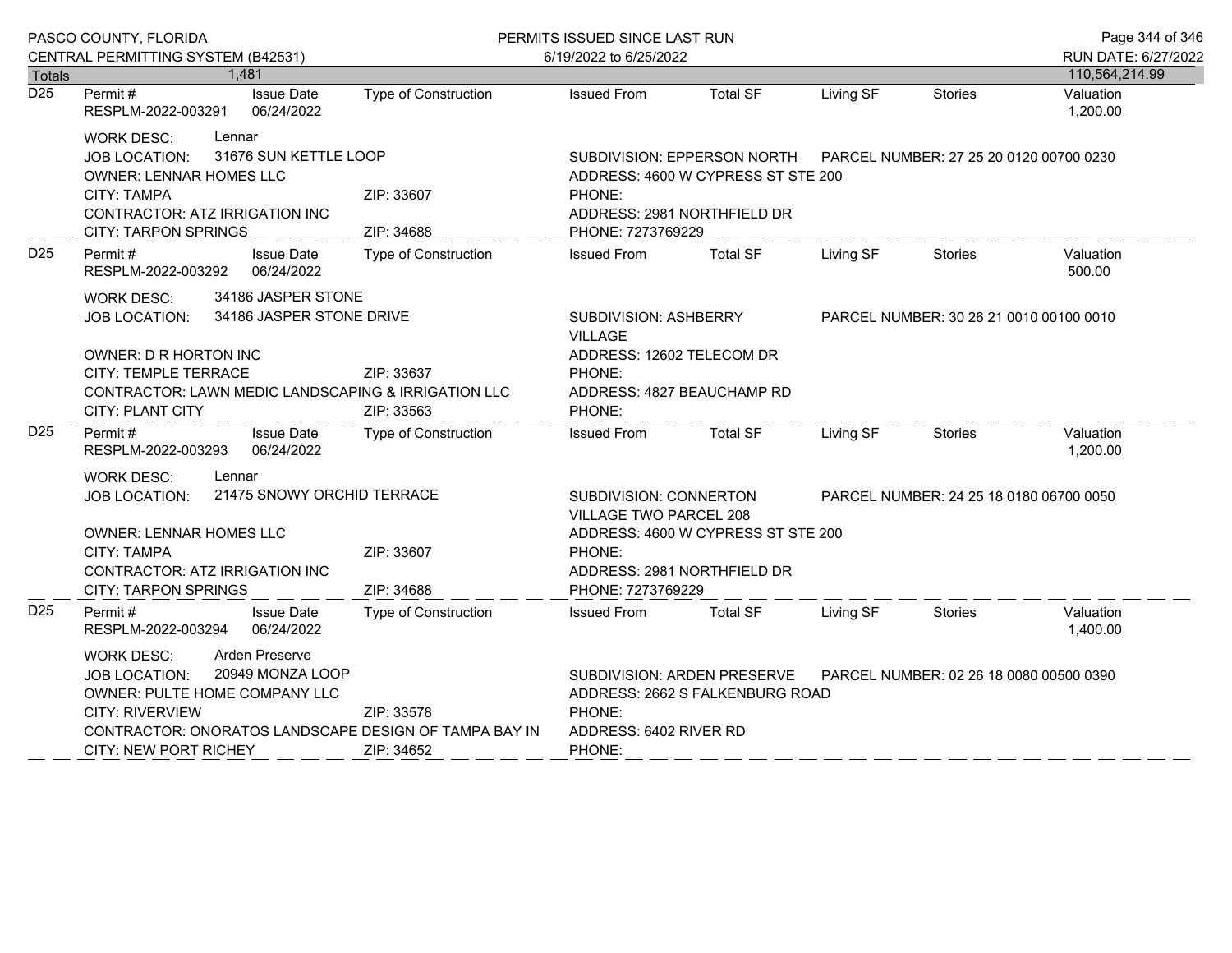| PASCO COUNTY, FLORIDA |                                                                                                                                                                                                                                                                       |                                 | PERMITS ISSUED SINCE LAST RUN                                                                                                                           |                                                                                                                                                                                                 |                 |                                         |                | Page 344 of 346<br>RUN DATE: 6/27/2022  |
|-----------------------|-----------------------------------------------------------------------------------------------------------------------------------------------------------------------------------------------------------------------------------------------------------------------|---------------------------------|---------------------------------------------------------------------------------------------------------------------------------------------------------|-------------------------------------------------------------------------------------------------------------------------------------------------------------------------------------------------|-----------------|-----------------------------------------|----------------|-----------------------------------------|
| <b>Totals</b>         | CENTRAL PERMITTING SYSTEM (B42531)<br>1,481                                                                                                                                                                                                                           |                                 |                                                                                                                                                         | 6/19/2022 to 6/25/2022                                                                                                                                                                          |                 |                                         |                |                                         |
| $\overline{D25}$      | Permit#<br>RESPLM-2022-003291                                                                                                                                                                                                                                         | <b>Issue Date</b><br>06/24/2022 | <b>Type of Construction</b>                                                                                                                             | <b>Issued From</b>                                                                                                                                                                              | <b>Total SF</b> | Living SF                               | <b>Stories</b> | 110,564,214.99<br>Valuation<br>1,200.00 |
|                       | Lennar<br><b>WORK DESC:</b><br><b>JOB LOCATION:</b><br><b>OWNER: LENNAR HOMES LLC</b><br><b>CITY: TAMPA</b><br>CONTRACTOR: ATZ IRRIGATION INC<br><b>CITY: TARPON SPRINGS</b>                                                                                          | 31676 SUN KETTLE LOOP           | ZIP: 33607<br>ZIP: 34688                                                                                                                                | SUBDIVISION: EPPERSON NORTH    PARCEL NUMBER: 27 25 20 0120 00700 0230<br>ADDRESS: 4600 W CYPRESS ST STE 200<br>PHONE:<br>ADDRESS: 2981 NORTHFIELD DR<br>PHONE: 7273769229                      |                 |                                         |                |                                         |
| D <sub>25</sub>       | Permit#<br>RESPLM-2022-003292                                                                                                                                                                                                                                         | <b>Issue Date</b><br>06/24/2022 | <b>Type of Construction</b>                                                                                                                             | <b>Issued From</b>                                                                                                                                                                              | <b>Total SF</b> | Living SF                               | Stories        | Valuation<br>500.00                     |
|                       | 34186 JASPER STONE<br><b>WORK DESC:</b><br>34186 JASPER STONE DRIVE<br><b>JOB LOCATION:</b><br>OWNER: D R HORTON INC<br>CITY: TEMPLE TERRACE<br>ZIP: 33637<br><b>CONTRACTOR: LAWN MEDIC LANDSCAPING &amp; IRRIGATION LLC</b><br><b>CITY: PLANT CITY</b><br>ZIP: 33563 |                                 |                                                                                                                                                         | <b>SUBDIVISION: ASHBERRY</b><br><b>VILLAGE</b><br>ADDRESS: 12602 TELECOM DR<br>PHONE:<br>ADDRESS: 4827 BEAUCHAMP RD<br>PHONE:                                                                   |                 | PARCEL NUMBER: 30 26 21 0010 00100 0010 |                |                                         |
| D <sub>25</sub>       | Permit #<br>RESPLM-2022-003293                                                                                                                                                                                                                                        | <b>Issue Date</b><br>06/24/2022 | Type of Construction                                                                                                                                    | <b>Issued From</b>                                                                                                                                                                              | <b>Total SF</b> | Living SF                               | Stories        | Valuation<br>1,200.00                   |
|                       | <b>WORK DESC:</b><br>Lennar<br>21475 SNOWY ORCHID TERRACE<br><b>JOB LOCATION:</b><br><b>OWNER: LENNAR HOMES LLC</b><br><b>CITY: TAMPA</b><br>ZIP: 33607<br>CONTRACTOR: ATZ IRRIGATION INC<br><b>CITY: TARPON SPRINGS</b><br>ZIP: 34688                                |                                 |                                                                                                                                                         | SUBDIVISION: CONNERTON<br>PARCEL NUMBER: 24 25 18 0180 06700 0050<br>VILLAGE TWO PARCEL 208<br>ADDRESS: 4600 W CYPRESS ST STE 200<br>PHONE:<br>ADDRESS: 2981 NORTHFIELD DR<br>PHONE: 7273769229 |                 |                                         |                |                                         |
| D <sub>25</sub>       | Permit#<br>RESPLM-2022-003294                                                                                                                                                                                                                                         | <b>Issue Date</b><br>06/24/2022 | <b>Type of Construction</b>                                                                                                                             | <b>Issued From</b>                                                                                                                                                                              | <b>Total SF</b> | Living SF                               | Stories        | Valuation<br>1,400.00                   |
|                       | <b>Arden Preserve</b><br><b>WORK DESC:</b><br>20949 MONZA LOOP<br><b>JOB LOCATION:</b><br>OWNER: PULTE HOME COMPANY LLC<br>CITY: RIVERVIEW<br>ZIP: 33578<br>CONTRACTOR: ONORATOS LANDSCAPE DESIGN OF TAMPA BAY IN<br><b>CITY: NEW PORT RICHEY</b><br>ZIP: 34652       |                                 | SUBDIVISION: ARDEN PRESERVE<br>PARCEL NUMBER: 02 26 18 0080 00500 0390<br>ADDRESS: 2662 S FALKENBURG ROAD<br>PHONE:<br>ADDRESS: 6402 RIVER RD<br>PHONE: |                                                                                                                                                                                                 |                 |                                         |                |                                         |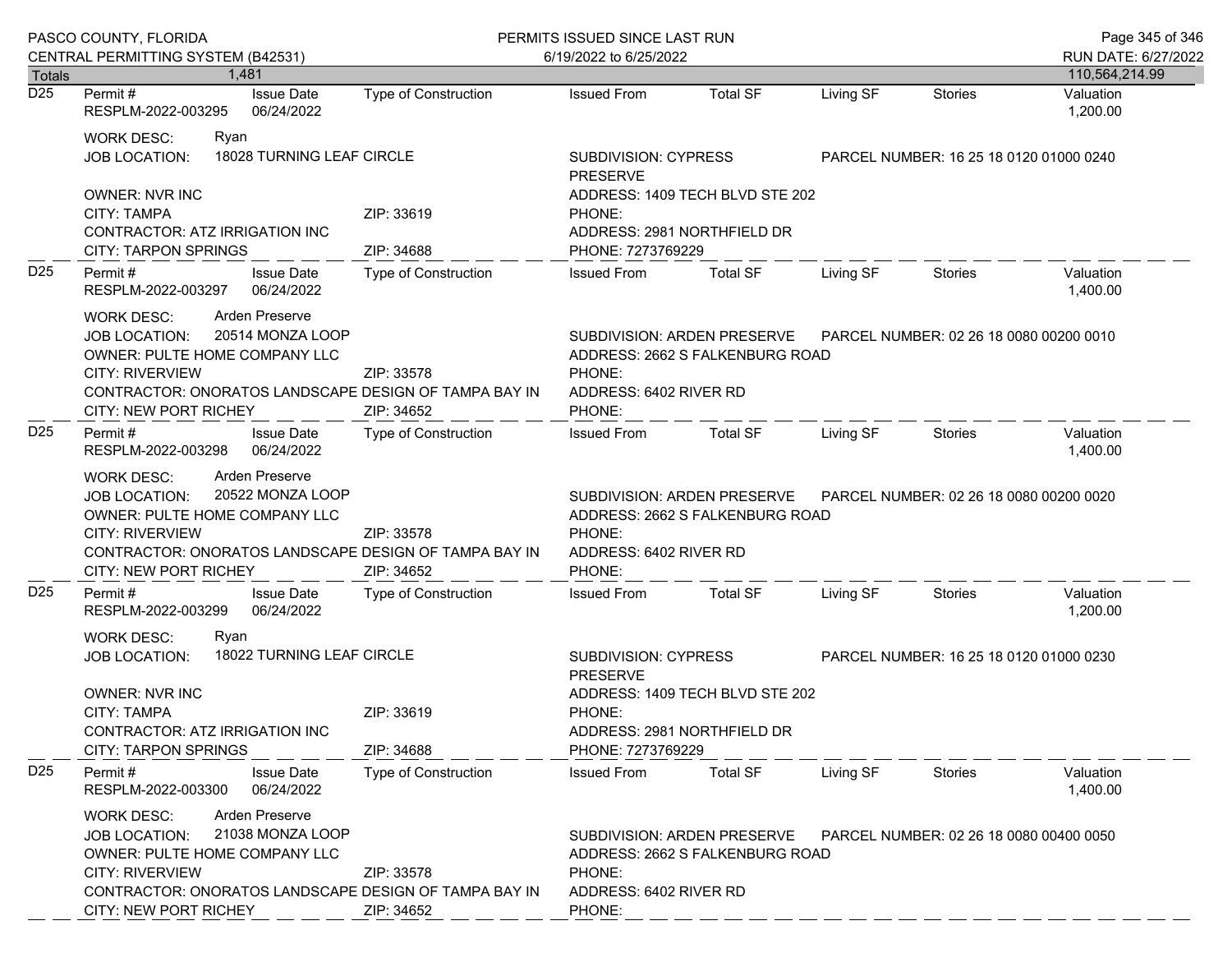| PASCO COUNTY, FLORIDA      |                                                                                                                                                                                                                                                   |                                                                                                                                                         | PERMITS ISSUED SINCE LAST RUN                                                                                                                                                       |                                                                                                                                                                |           |                                         | Page 345 of 346                       |  |
|----------------------------|---------------------------------------------------------------------------------------------------------------------------------------------------------------------------------------------------------------------------------------------------|---------------------------------------------------------------------------------------------------------------------------------------------------------|-------------------------------------------------------------------------------------------------------------------------------------------------------------------------------------|----------------------------------------------------------------------------------------------------------------------------------------------------------------|-----------|-----------------------------------------|---------------------------------------|--|
|                            | CENTRAL PERMITTING SYSTEM (B42531)<br>1.481                                                                                                                                                                                                       |                                                                                                                                                         | 6/19/2022 to 6/25/2022                                                                                                                                                              |                                                                                                                                                                |           |                                         | RUN DATE: 6/27/2022<br>110,564,214.99 |  |
| Totals<br>$\overline{D25}$ | <b>Issue Date</b><br>Permit #<br>RESPLM-2022-003295<br>06/24/2022                                                                                                                                                                                 | <b>Type of Construction</b>                                                                                                                             | <b>Issued From</b>                                                                                                                                                                  | <b>Total SF</b>                                                                                                                                                | Living SF | <b>Stories</b>                          | Valuation<br>1,200.00                 |  |
|                            | <b>WORK DESC:</b><br>Ryan<br>18028 TURNING LEAF CIRCLE<br><b>JOB LOCATION:</b>                                                                                                                                                                    |                                                                                                                                                         | SUBDIVISION: CYPRESS<br><b>PRESERVE</b>                                                                                                                                             |                                                                                                                                                                |           | PARCEL NUMBER: 16 25 18 0120 01000 0240 |                                       |  |
|                            | <b>OWNER: NVR INC</b><br><b>CITY: TAMPA</b><br>CONTRACTOR: ATZ IRRIGATION INC<br><b>CITY: TARPON SPRINGS</b>                                                                                                                                      | ZIP: 33619<br>ZIP: 34688                                                                                                                                | ADDRESS: 1409 TECH BLVD STE 202<br>PHONE:<br>ADDRESS: 2981 NORTHFIELD DR<br>PHONE: 7273769229                                                                                       |                                                                                                                                                                |           |                                         |                                       |  |
| D <sub>25</sub>            | <b>Issue Date</b><br>Permit #<br>06/24/2022<br>RESPLM-2022-003297                                                                                                                                                                                 | Type of Construction                                                                                                                                    | <b>Issued From</b>                                                                                                                                                                  | <b>Total SF</b>                                                                                                                                                | Living SF | <b>Stories</b>                          | Valuation<br>1,400.00                 |  |
|                            | Arden Preserve<br><b>WORK DESC:</b><br>20514 MONZA LOOP<br><b>JOB LOCATION:</b><br>OWNER: PULTE HOME COMPANY LLC<br><b>CITY: RIVERVIEW</b><br>CONTRACTOR: ONORATOS LANDSCAPE DESIGN OF TAMPA BAY IN<br>CITY: NEW PORT RICHEY                      | SUBDIVISION: ARDEN PRESERVE<br>PARCEL NUMBER: 02 26 18 0080 00200 0010<br>ADDRESS: 2662 S FALKENBURG ROAD<br>PHONE:<br>ADDRESS: 6402 RIVER RD<br>PHONE: |                                                                                                                                                                                     |                                                                                                                                                                |           |                                         |                                       |  |
| D <sub>25</sub>            | Permit#<br><b>Issue Date</b><br>06/24/2022<br>RESPLM-2022-003298                                                                                                                                                                                  | Type of Construction                                                                                                                                    | <b>Issued From</b>                                                                                                                                                                  | <b>Total SF</b>                                                                                                                                                | Living SF | Stories                                 | Valuation<br>1,400.00                 |  |
|                            | Arden Preserve<br>WORK DESC:<br>20522 MONZA LOOP<br><b>JOB LOCATION:</b><br>OWNER: PULTE HOME COMPANY LLC<br><b>CITY: RIVERVIEW</b><br>ZIP: 33578<br>CONTRACTOR: ONORATOS LANDSCAPE DESIGN OF TAMPA BAY IN<br>CITY: NEW PORT RICHEY<br>ZIP: 34652 |                                                                                                                                                         | SUBDIVISION: ARDEN PRESERVE<br>ADDRESS: 2662 S FALKENBURG ROAD<br>PHONE:<br>ADDRESS: 6402 RIVER RD<br>PHONE:                                                                        |                                                                                                                                                                |           | PARCEL NUMBER: 02 26 18 0080 00200 0020 |                                       |  |
| D <sub>25</sub>            | <b>Issue Date</b><br>Permit#<br>RESPLM-2022-003299<br>06/24/2022                                                                                                                                                                                  | <b>Type of Construction</b>                                                                                                                             | <b>Issued From</b>                                                                                                                                                                  | <b>Total SF</b>                                                                                                                                                | Living SF | Stories                                 | Valuation<br>1,200.00                 |  |
|                            | <b>WORK DESC:</b><br>Ryan<br>18022 TURNING LEAF CIRCLE<br><b>JOB LOCATION:</b><br><b>OWNER: NVR INC</b><br><b>CITY: TAMPA</b><br>ZIP: 33619<br>CONTRACTOR: ATZ IRRIGATION INC<br><b>CITY: TARPON SPRINGS</b><br>ZIP: 34688                        |                                                                                                                                                         | SUBDIVISION: CYPRESS<br>PARCEL NUMBER: 16 25 18 0120 01000 0230<br><b>PRESERVE</b><br>ADDRESS: 1409 TECH BLVD STE 202<br>PHONE:<br>ADDRESS: 2981 NORTHFIELD DR<br>PHONE: 7273769229 |                                                                                                                                                                |           |                                         |                                       |  |
| D <sub>25</sub>            | Permit#<br><b>Issue Date</b><br>RESPLM-2022-003300<br>06/24/2022                                                                                                                                                                                  | <b>Type of Construction</b>                                                                                                                             | <b>Issued From</b>                                                                                                                                                                  | <b>Total SF</b>                                                                                                                                                | Living SF | <b>Stories</b>                          | Valuation<br>1,400.00                 |  |
|                            | Arden Preserve<br><b>WORK DESC:</b><br><b>JOB LOCATION:</b><br>OWNER: PULTE HOME COMPANY LLC<br><b>CITY: RIVERVIEW</b><br>CITY: NEW PORT RICHEY                                                                                                   | 21038 MONZA LOOP<br>ZIP: 33578<br>CONTRACTOR: ONORATOS LANDSCAPE DESIGN OF TAMPA BAY IN<br>ZIP: 34652                                                   |                                                                                                                                                                                     | <b>SUBDIVISION: ARDEN PRESERVE</b><br>PARCEL NUMBER: 02 26 18 0080 00400 0050<br>ADDRESS: 2662 S FALKENBURG ROAD<br>PHONE:<br>ADDRESS: 6402 RIVER RD<br>PHONE: |           |                                         |                                       |  |